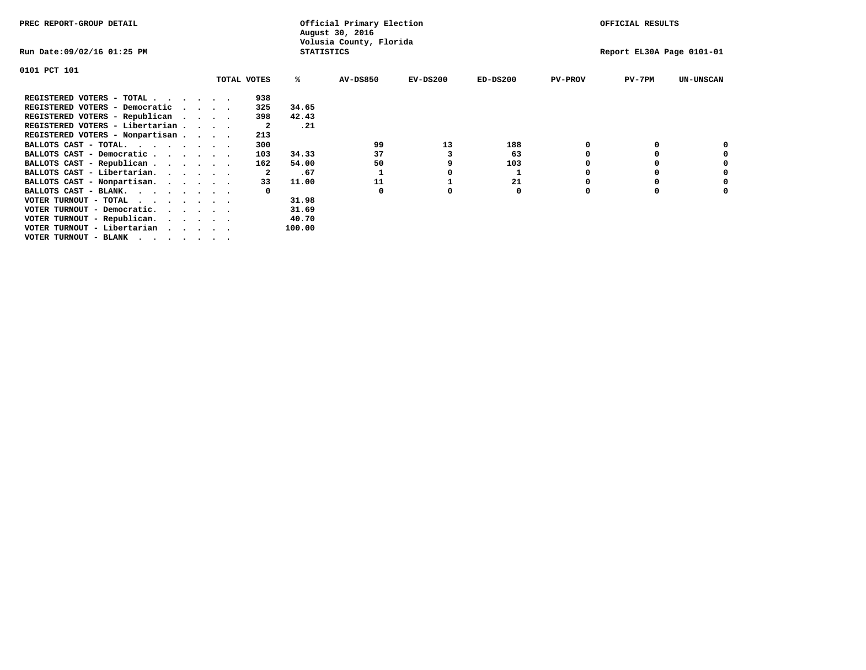| PREC REPORT-GROUP DETAIL                |                             |             |                   | Official Primary Election<br>August 30, 2016 |            |            |                | OFFICIAL RESULTS          |                  |
|-----------------------------------------|-----------------------------|-------------|-------------------|----------------------------------------------|------------|------------|----------------|---------------------------|------------------|
| Run Date:09/02/16 01:25 PM              |                             |             | <b>STATISTICS</b> | Volusia County, Florida                      |            |            |                | Report EL30A Page 0101-01 |                  |
| 0101 PCT 101                            |                             |             |                   |                                              |            |            |                |                           |                  |
|                                         |                             | TOTAL VOTES | ℁                 | <b>AV-DS850</b>                              | $EV-DS200$ | $ED-DS200$ | <b>PV-PROV</b> | PV-7PM                    | <b>UN-UNSCAN</b> |
| REGISTERED VOTERS - TOTAL               |                             | 938         |                   |                                              |            |            |                |                           |                  |
| REGISTERED VOTERS - Democratic          | $\sim$ $\sim$ $\sim$ $\sim$ | 325         | 34.65             |                                              |            |            |                |                           |                  |
| REGISTERED VOTERS - Republican          | $\cdots$                    | 398         | 42.43             |                                              |            |            |                |                           |                  |
| REGISTERED VOTERS - Libertarian         |                             | -2          | .21               |                                              |            |            |                |                           |                  |
| REGISTERED VOTERS - Nonpartisan         |                             | 213         |                   |                                              |            |            |                |                           |                  |
| BALLOTS CAST - TOTAL.                   |                             | 300         |                   | 99                                           | 13         | 188        | 0              |                           |                  |
| BALLOTS CAST - Democratic               |                             | 103         | 34.33             | 37                                           | 3          | 63         |                |                           |                  |
| BALLOTS CAST - Republican               |                             | 162         | 54.00             | 50                                           |            | 103        |                |                           |                  |
| BALLOTS CAST - Libertarian.             |                             | 2           | .67               |                                              |            |            |                |                           |                  |
| BALLOTS CAST - Nonpartisan.             |                             | 33          | 11.00             | 11                                           |            | 21         |                |                           | 0                |
| BALLOTS CAST - BLANK.                   |                             |             |                   | 0                                            | o          | 0          | 0              | O                         |                  |
| VOTER TURNOUT - TOTAL<br>.              |                             |             | 31.98             |                                              |            |            |                |                           |                  |
| VOTER TURNOUT - Democratic.<br>$\cdots$ |                             |             | 31.69             |                                              |            |            |                |                           |                  |
| VOTER TURNOUT - Republican.<br>$\cdot$  |                             |             | 40.70             |                                              |            |            |                |                           |                  |
| VOTER TURNOUT - Libertarian             |                             |             | 100.00            |                                              |            |            |                |                           |                  |
| VOTER TURNOUT - BLANK<br>$\cdots$       |                             |             |                   |                                              |            |            |                |                           |                  |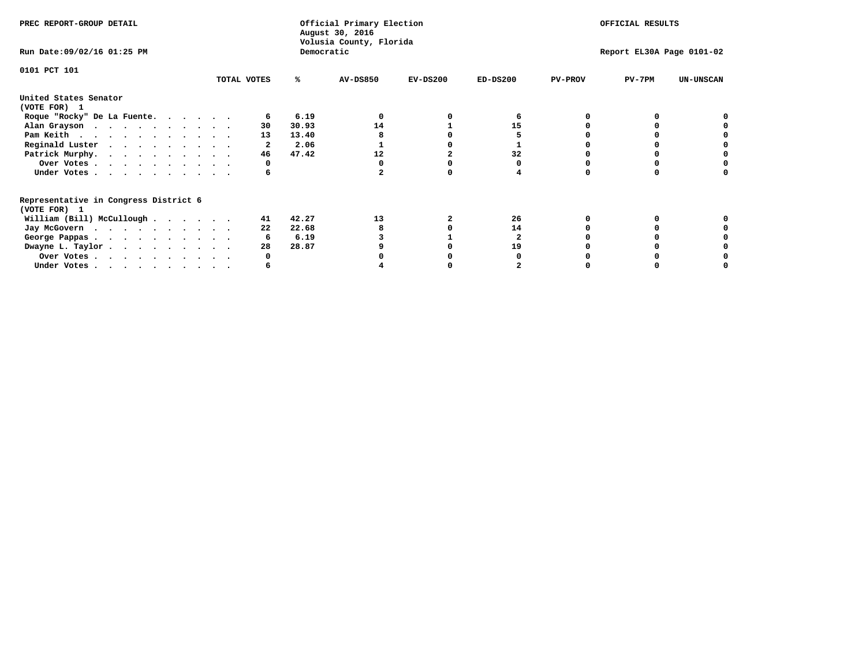| PREC REPORT-GROUP DETAIL                                                         |             |            | Official Primary Election<br>August 30, 2016<br>Volusia County, Florida |            | OFFICIAL RESULTS |                |                           |                  |
|----------------------------------------------------------------------------------|-------------|------------|-------------------------------------------------------------------------|------------|------------------|----------------|---------------------------|------------------|
| Run Date: 09/02/16 01:25 PM                                                      |             | Democratic |                                                                         |            |                  |                | Report EL30A Page 0101-02 |                  |
| 0101 PCT 101                                                                     | TOTAL VOTES | ℁          | <b>AV-DS850</b>                                                         | $EV-DS200$ | $ED-DS200$       | <b>PV-PROV</b> | $PV-7PM$                  | <b>UN-UNSCAN</b> |
|                                                                                  |             |            |                                                                         |            |                  |                |                           |                  |
| United States Senator<br>(VOTE FOR) 1                                            |             |            |                                                                         |            |                  |                |                           |                  |
| Roque "Rocky" De La Fuente.                                                      |             | 6.19       |                                                                         |            |                  |                |                           |                  |
| Alan Grayson                                                                     | 30          | 30.93      | 14                                                                      |            | 15               |                |                           |                  |
| Pam Keith                                                                        | 13          | 13.40      |                                                                         |            |                  |                |                           |                  |
| Reginald Luster                                                                  |             | 2.06       |                                                                         |            |                  |                |                           |                  |
| Patrick Murphy.                                                                  | 46          | 47.42      | 12                                                                      |            | 32               |                |                           |                  |
| Over Votes                                                                       |             |            |                                                                         |            |                  |                |                           |                  |
| Under Votes                                                                      | 6           |            |                                                                         |            |                  |                |                           |                  |
| Representative in Congress District 6                                            |             |            |                                                                         |            |                  |                |                           |                  |
| (VOTE FOR) 1                                                                     |             |            |                                                                         |            |                  |                |                           |                  |
| William (Bill) McCullough $\cdots$ $\cdots$                                      | 41          | 42.27      | 13                                                                      |            | 26               |                |                           |                  |
| Jay McGovern                                                                     | 22          | 22.68      |                                                                         |            | 14               |                |                           |                  |
| George Pappas.                                                                   |             | 6.19       |                                                                         |            |                  |                |                           |                  |
| Dwayne L. Taylor                                                                 | 28          | 28.87      |                                                                         |            | 19               |                |                           |                  |
| Over Votes                                                                       |             |            |                                                                         |            |                  |                |                           |                  |
| Under Votes, $\cdot$ , $\cdot$ , $\cdot$ , $\cdot$ , $\cdot$ , $\cdot$ , $\cdot$ |             |            |                                                                         |            |                  |                |                           |                  |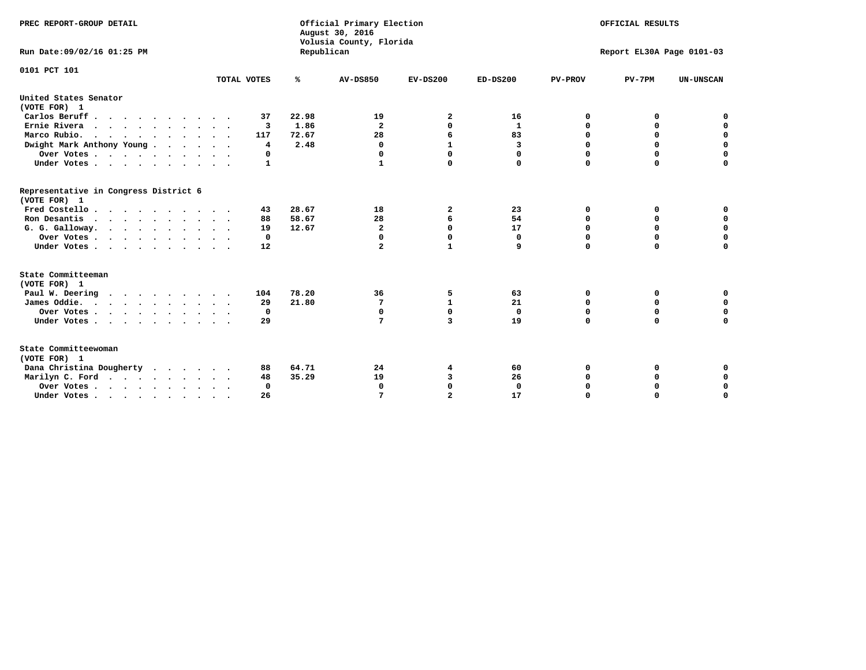| PREC REPORT-GROUP DETAIL                              |             |            | Official Primary Election<br>August 30, 2016<br>Volusia County, Florida |                |                | OFFICIAL RESULTS |                           |                  |  |
|-------------------------------------------------------|-------------|------------|-------------------------------------------------------------------------|----------------|----------------|------------------|---------------------------|------------------|--|
| Run Date: 09/02/16 01:25 PM                           |             | Republican |                                                                         |                |                |                  | Report EL30A Page 0101-03 |                  |  |
| 0101 PCT 101                                          | TOTAL VOTES | ℁          | <b>AV-DS850</b>                                                         | $EV-DS200$     | $ED-DS200$     | <b>PV-PROV</b>   | $PV-7PM$                  | <b>UN-UNSCAN</b> |  |
| United States Senator<br>(VOTE FOR) 1                 |             |            |                                                                         |                |                |                  |                           |                  |  |
| Carlos Beruff.                                        | 37          | 22.98      | 19                                                                      | 2              | 16             | 0                | 0                         | 0                |  |
| Ernie Rivera                                          | 3           | 1.86       | $\overline{a}$                                                          | $\Omega$       | $\mathbf{1}$   | $\mathbf 0$      | 0                         | $\mathbf 0$      |  |
| Marco Rubio.<br>$\cdots$                              | 117         | 72.67      | 28                                                                      | 6              | 83             | $\mathbf 0$      | 0                         | $\Omega$         |  |
| Dwight Mark Anthony Young                             | 4           | 2.48       | 0                                                                       | 1              | $\overline{3}$ | 0                | 0                         | 0                |  |
| Over Votes                                            | 0           |            | $\Omega$                                                                | $\Omega$       | 0              | $\Omega$         | 0                         | $\mathbf 0$      |  |
| Under Votes                                           | 1           |            | $\mathbf{1}$                                                            | $\Omega$       | 0              | $\mathbf 0$      | 0                         | $\mathbf 0$      |  |
| Representative in Congress District 6<br>(VOTE FOR) 1 |             |            |                                                                         |                |                |                  |                           |                  |  |
| Fred Costello                                         | 43          | 28.67      | 18                                                                      | 2              | 23             | 0                | 0                         | 0                |  |
| Ron Desantis                                          | 88          | 58.67      | 28                                                                      | 6              | 54             | 0                | 0                         | $\mathbf 0$      |  |
| G. G. Galloway.                                       | 19          | 12.67      | 2                                                                       | $\mathbf 0$    | 17             | $\mathbf 0$      | 0                         | $\Omega$         |  |
| Over Votes                                            | $\mathbf 0$ |            | 0                                                                       | 0              | 0              | $\mathbf 0$      | 0                         | 0                |  |
| Under Votes                                           | 12          |            | $\mathbf{z}$                                                            | $\mathbf{1}$   | 9              | $\Omega$         | $\Omega$                  | $\mathbf 0$      |  |
| State Committeeman                                    |             |            |                                                                         |                |                |                  |                           |                  |  |
| (VOTE FOR) 1                                          |             |            |                                                                         |                |                |                  |                           |                  |  |
| Paul W. Deering                                       | 104         | 78.20      | 36                                                                      | 5              | 63             | 0                | 0                         | 0                |  |
| James Oddie.                                          | 29          | 21.80      | 7                                                                       | $\mathbf{1}$   | 21             | $\mathbf 0$      | 0                         | 0                |  |
| Over Votes                                            | 0           |            | $\mathbf 0$                                                             | $\mathbf 0$    | $\mathbf 0$    | $\mathbf 0$      | 0                         | $\mathbf 0$      |  |
| Under Votes                                           | 29          |            | 7                                                                       | 3              | 19             | $\Omega$         | $\Omega$                  | $\Omega$         |  |
| State Committeewoman<br>(VOTE FOR) 1                  |             |            |                                                                         |                |                |                  |                           |                  |  |
| Dana Christina Dougherty                              | 88          | 64.71      | 24                                                                      | 4              | 60             | $\Omega$         | 0                         | 0                |  |
| Marilyn C. Ford                                       | 48          | 35.29      | 19                                                                      | 3              | 26             | 0                | 0                         | 0                |  |
| Over Votes                                            | 0           |            | $\Omega$                                                                | $\mathbf 0$    | 0              | $\mathbf 0$      | 0                         | $\mathbf 0$      |  |
| Under Votes                                           | 26          |            | 7                                                                       | $\overline{a}$ | 17             | $\mathbf 0$      | 0                         | $\mathbf 0$      |  |
|                                                       |             |            |                                                                         |                |                |                  |                           |                  |  |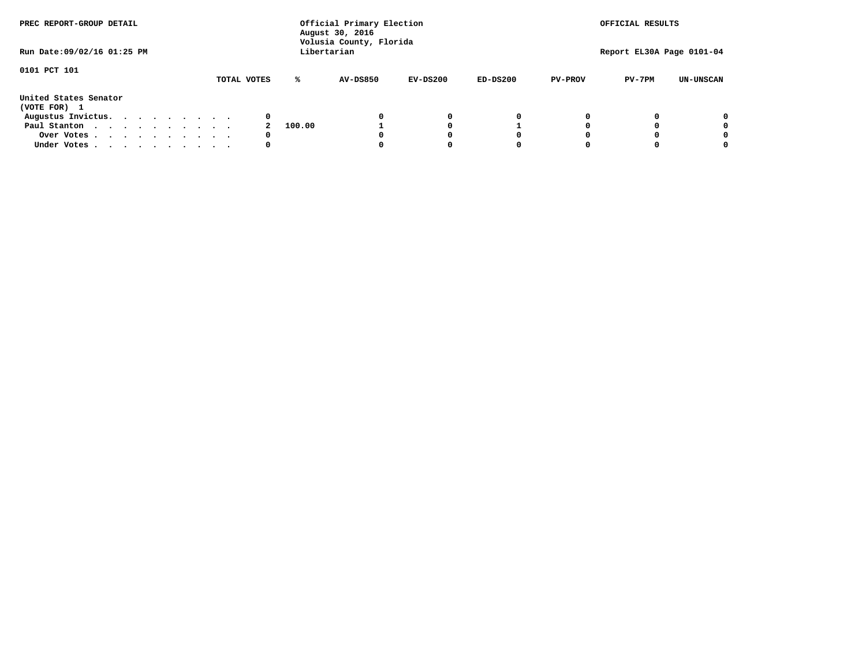| PREC REPORT-GROUP DETAIL<br>Run Date: 09/02/16 01:25 PM |  |  |  |  |  | Official Primary Election<br>August 30, 2016<br>Volusia County, Florida<br>Libertarian | OFFICIAL RESULTS<br>Report EL30A Page 0101-04 |        |                 |            |            |                |          |                  |
|---------------------------------------------------------|--|--|--|--|--|----------------------------------------------------------------------------------------|-----------------------------------------------|--------|-----------------|------------|------------|----------------|----------|------------------|
|                                                         |  |  |  |  |  |                                                                                        |                                               |        |                 |            |            |                |          |                  |
| 0101 PCT 101                                            |  |  |  |  |  |                                                                                        | TOTAL VOTES                                   | ℁      | <b>AV-DS850</b> | $EV-DS200$ | $ED-DS200$ | <b>PV-PROV</b> | $PV-7PM$ | <b>UN-UNSCAN</b> |
| United States Senator<br>(VOTE FOR) 1                   |  |  |  |  |  |                                                                                        |                                               |        |                 |            |            |                |          |                  |
| Augustus Invictus.                                      |  |  |  |  |  |                                                                                        | 0                                             |        |                 | 0          | 0          |                |          | 0                |
| Paul Stanton                                            |  |  |  |  |  |                                                                                        |                                               | 100.00 |                 |            |            |                |          | 0                |
| Over Votes                                              |  |  |  |  |  |                                                                                        | 0                                             |        |                 |            | 0          |                |          | 0                |
| Under Votes                                             |  |  |  |  |  |                                                                                        | 0                                             |        |                 |            | 0          |                |          | 0                |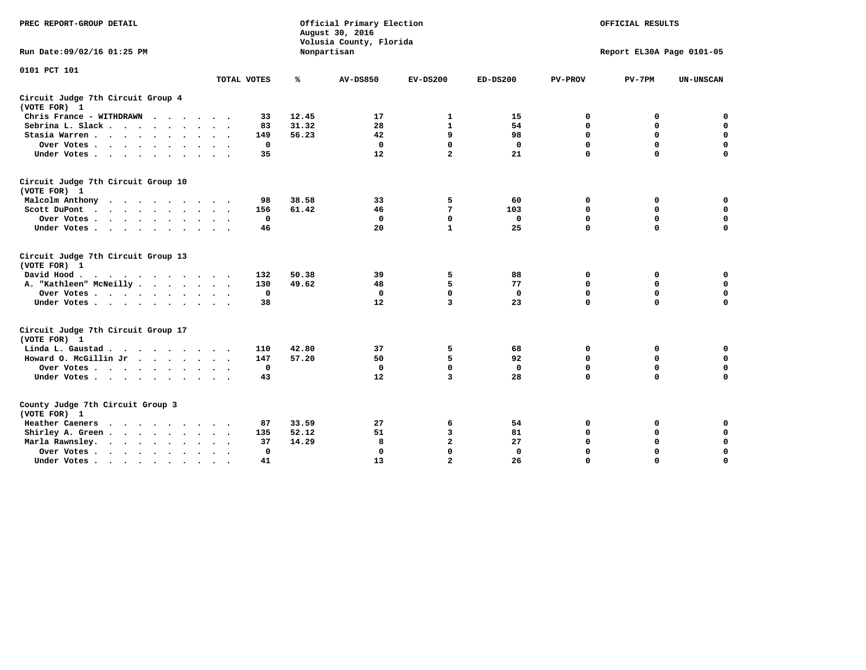| PREC REPORT-GROUP DETAIL                                   |                      |              |       | Official Primary Election<br>August 30, 2016<br>Volusia County, Florida |                 | OFFICIAL RESULTS |                |                           |                  |
|------------------------------------------------------------|----------------------|--------------|-------|-------------------------------------------------------------------------|-----------------|------------------|----------------|---------------------------|------------------|
| Run Date: 09/02/16 01:25 PM                                |                      |              |       | Nonpartisan                                                             |                 |                  |                | Report EL30A Page 0101-05 |                  |
| 0101 PCT 101                                               |                      |              |       |                                                                         |                 |                  |                |                           |                  |
|                                                            |                      | TOTAL VOTES  | ℁     | <b>AV-DS850</b>                                                         | $EV-DS200$      | $ED-DS200$       | <b>PV-PROV</b> | $PV-7PM$                  | <b>UN-UNSCAN</b> |
| Circuit Judge 7th Circuit Group 4<br>(VOTE FOR) 1          |                      |              |       |                                                                         |                 |                  |                |                           |                  |
| Chris France - WITHDRAWN                                   |                      | 33           | 12.45 | 17                                                                      | 1               | 15               | $\mathbf 0$    | $\mathbf 0$               | $\mathbf 0$      |
| Sebrina L. Slack                                           |                      | 83           | 31.32 | 28                                                                      | $\mathbf{1}$    | 54               | $\Omega$       | $\mathbf 0$               | $\pmb{0}$        |
| Stasia Warren                                              |                      | 149          | 56.23 | 42                                                                      | 9               | 98               | 0              | $\mathbf 0$               | $\pmb{0}$        |
| Over Votes<br>$\ddot{\phantom{1}}$<br>$\ddot{\phantom{0}}$ |                      | $\mathbf 0$  |       | $\mathbf 0$                                                             | $\mathbf 0$     | $\mathbf 0$      | $\mathbf 0$    | $\mathbf 0$               | $\mathbf 0$      |
| Under Votes                                                |                      | 35           |       | 12                                                                      | $\overline{a}$  | 21               | $\mathbf 0$    | $\mathbf 0$               | $\mathbf 0$      |
| Circuit Judge 7th Circuit Group 10<br>(VOTE FOR) 1         |                      |              |       |                                                                         |                 |                  |                |                           |                  |
| Malcolm Anthony<br>$\cdots$                                |                      | 98           | 38.58 | 33                                                                      | 5               | 60               | 0              | 0                         | 0                |
| Scott DuPont<br>$\cdots$                                   |                      | 156          | 61.42 | 46                                                                      | $7\phantom{.0}$ | 103              | $\Omega$       | $\mathbf 0$               | $\mathbf 0$      |
| Over Votes                                                 |                      | $\mathbf{0}$ |       | $\mathbf{0}$                                                            | $\Omega$        | $\mathbf{0}$     | $\mathbf 0$    | $\mathbf 0$               | $\mathbf 0$      |
| Under Votes                                                |                      | 46           |       | 20                                                                      | $\mathbf{1}$    | 25               | $\Omega$       | $\Omega$                  | $\mathbf 0$      |
| Circuit Judge 7th Circuit Group 13<br>(VOTE FOR) 1         |                      |              |       |                                                                         |                 |                  |                |                           |                  |
| David Hood.                                                |                      | 132          | 50.38 | 39                                                                      | 5               | 88               | 0              | 0                         | $\mathbf 0$      |
| A. "Kathleen" McNeilly                                     |                      | 130          | 49.62 | 48                                                                      | 5               | 77               | 0              | 0                         | $\mathbf 0$      |
| Over Votes                                                 |                      | $\mathbf 0$  |       | 0                                                                       | $\mathbf 0$     | 0                | $\mathbf 0$    | $\mathbf 0$               | $\mathbf 0$      |
| Under Votes                                                |                      | 38           |       | 12                                                                      | 3               | 23               | $\mathbf 0$    | $\mathbf 0$               | $\mathbf 0$      |
| Circuit Judge 7th Circuit Group 17<br>(VOTE FOR) 1         |                      |              |       |                                                                         |                 |                  |                |                           |                  |
| Linda L. Gaustad                                           |                      | 110          | 42.80 | 37                                                                      | 5               | 68               | 0              | 0                         | $\mathbf 0$      |
| Howard O. McGillin Jr                                      |                      | 147          | 57.20 | 50                                                                      | 5               | 92               | 0              | $\mathbf 0$               | $\mathbf 0$      |
| Over Votes                                                 |                      | $\mathbf 0$  |       | 0                                                                       | $\mathbf 0$     | $\mathbf 0$      | $\mathbf 0$    | $\mathbf 0$               | $\mathbf 0$      |
| Under Votes                                                |                      | 43           |       | 12                                                                      | $\overline{3}$  | 28               | $\mathbf 0$    | $\mathbf 0$               | $\mathbf 0$      |
| County Judge 7th Circuit Group 3<br>(VOTE FOR) 1           |                      |              |       |                                                                         |                 |                  |                |                           |                  |
| Heather Caeners<br>$\cdots$                                |                      | 87           | 33.59 | 27                                                                      | 6               | 54               | 0              | 0                         | 0                |
| Shirley A. Green                                           |                      | 135          | 52.12 | 51                                                                      | 3               | 81               | $\mathbf 0$    | $\mathbf 0$               | $\mathbf 0$      |
| Marla Rawnsley.                                            |                      | 37           | 14.29 | 8                                                                       | $\overline{a}$  | 27               | $\mathbf 0$    | $\mathbf 0$               | $\mathbf 0$      |
| Over Votes<br>$\ddot{\phantom{a}}$                         | $\ddot{\phantom{a}}$ | $\mathbf{0}$ |       | $\Omega$                                                                | $\Omega$        | $\mathbf{0}$     | $\mathbf 0$    | $\mathbf 0$               | $\mathbf 0$      |
| Under Votes                                                | $\sim$               | 41           |       | 13                                                                      | $\overline{a}$  | 26               | $\mathbf 0$    | $\mathbf 0$               | $\mathbf 0$      |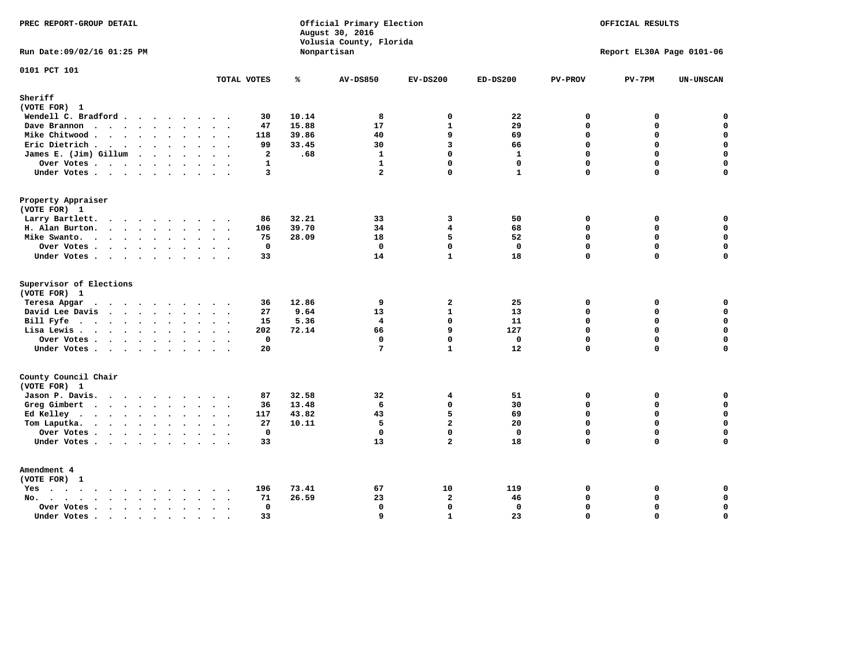| PREC REPORT-GROUP DETAIL                                                                                                         |                      |       | Official Primary Election<br>August 30, 2016<br>Volusia County, Florida |                         |              |                | OFFICIAL RESULTS          |             |
|----------------------------------------------------------------------------------------------------------------------------------|----------------------|-------|-------------------------------------------------------------------------|-------------------------|--------------|----------------|---------------------------|-------------|
| Run Date: 09/02/16 01:25 PM                                                                                                      |                      |       | Nonpartisan                                                             |                         |              |                | Report EL30A Page 0101-06 |             |
| 0101 PCT 101                                                                                                                     | TOTAL VOTES          | ℁     | <b>AV-DS850</b>                                                         | $EV-DS200$              | $ED-DS200$   | <b>PV-PROV</b> | $PV-7PM$                  | UN-UNSCAN   |
| Sheriff                                                                                                                          |                      |       |                                                                         |                         |              |                |                           |             |
| (VOTE FOR) 1                                                                                                                     |                      |       |                                                                         |                         |              |                |                           |             |
| Wendell C. Bradford                                                                                                              | 30                   | 10.14 | 8                                                                       | 0                       | 22           | 0              | 0                         | $\mathbf 0$ |
| Dave Brannon                                                                                                                     | 47                   | 15.88 | 17                                                                      | $\mathbf{1}$            | 29           | $\Omega$       | 0                         | $\mathbf 0$ |
| Mike Chitwood                                                                                                                    | 118                  | 39.86 | 40                                                                      | 9                       | 69           | $\mathbf 0$    | 0                         | $\mathbf 0$ |
| Eric Dietrich                                                                                                                    | 99                   | 33.45 | 30                                                                      | 3                       | 66           | $\Omega$       | $\Omega$                  | $\mathbf 0$ |
| James E. (Jim) Gillum                                                                                                            | $\overline{a}$       | .68   | $\mathbf{1}$                                                            | $\Omega$                | $\mathbf{1}$ | $\Omega$       | 0                         | $\mathbf 0$ |
| Over Votes                                                                                                                       | $\mathbf{1}$         |       | $\mathbf{1}$                                                            | $\mathbf{0}$            | $\mathbf 0$  | $\mathbf 0$    | 0                         | $\mathbf 0$ |
| Under Votes                                                                                                                      | $\overline{3}$       |       | $\overline{a}$                                                          | $\Omega$                | $\mathbf{1}$ | $\Omega$       | 0                         | $\mathbf 0$ |
| Property Appraiser                                                                                                               |                      |       |                                                                         |                         |              |                |                           |             |
| (VOTE FOR) 1                                                                                                                     |                      |       |                                                                         |                         |              |                |                           |             |
| Larry Bartlett.                                                                                                                  | 86                   | 32.21 | 33                                                                      | 3                       | 50           | $\mathbf{0}$   | 0                         | 0           |
| H. Alan Burton.                                                                                                                  | 106                  | 39.70 | 34                                                                      | $\overline{\mathbf{4}}$ | 68           | $\mathbf 0$    | $\mathbf 0$               | $\mathbf 0$ |
| Mike Swanto.                                                                                                                     | 75                   | 28.09 | 18                                                                      | 5                       | 52           | $\mathbf 0$    | $\mathbf 0$               | $\mathbf 0$ |
| Over Votes                                                                                                                       | 0                    |       | $\mathbf 0$                                                             | $\mathbf 0$             | $\mathbf 0$  | $\mathbf 0$    | 0                         | $\pmb{0}$   |
| Under Votes                                                                                                                      | 33                   |       | 14                                                                      | $\mathbf{1}$            | 18           | 0              | 0                         | $\mathbf 0$ |
| Supervisor of Elections<br>(VOTE FOR) 1                                                                                          |                      |       |                                                                         |                         |              |                |                           |             |
| Teresa Apgar<br>$\cdots$                                                                                                         | 36                   | 12.86 | 9                                                                       | $\overline{a}$          | 25           | 0              | 0                         | 0           |
| David Lee Davis                                                                                                                  | 27                   | 9.64  | 13                                                                      | $\mathbf{1}$            | 13           | $\Omega$       | $\Omega$                  | $\mathbf 0$ |
| Bill Fyfe $\cdots$ $\cdots$ $\cdots$ $\cdots$                                                                                    | 15                   | 5.36  | $\overline{4}$                                                          | $\mathbf{0}$            | 11           | $\mathbf{0}$   | 0                         | $\mathbf 0$ |
| Lisa Lewis                                                                                                                       | 202                  | 72.14 | 66                                                                      | 9                       | 127          | $\Omega$       | $\mathbf 0$               | $\mathbf 0$ |
|                                                                                                                                  | $\mathbf 0$          |       | $\mathbf 0$                                                             | 0                       | $\mathbf 0$  | $\mathbf 0$    | 0                         | $\pmb{0}$   |
| Over Votes<br>Under Votes                                                                                                        | 20                   |       | 7                                                                       | $\mathbf{1}$            | 12           | $\Omega$       | $\Omega$                  | $\mathbf 0$ |
|                                                                                                                                  |                      |       |                                                                         |                         |              |                |                           |             |
| County Council Chair<br>(VOTE FOR) 1                                                                                             |                      |       |                                                                         |                         |              |                |                           |             |
| Jason P. Davis.                                                                                                                  | 87                   | 32.58 | 32                                                                      | 4                       | 51           | $\mathbf 0$    | 0                         | 0           |
| Greg Gimbert                                                                                                                     | 36                   | 13.48 | 6                                                                       | $\mathbf{0}$            | 30           | $\Omega$       | 0                         | $\mathbf 0$ |
| Ed Kelley                                                                                                                        | 117                  | 43.82 | 43                                                                      | 5                       | 69           | $\mathbf 0$    | 0                         | $\mathbf 0$ |
| Tom Laputka.                                                                                                                     | 27                   | 10.11 | 5                                                                       | $\overline{a}$          | 20           | $\Omega$       | $\mathbf 0$               | $\mathbf 0$ |
| Over Votes                                                                                                                       | $\mathbf 0$          |       | $\mathbf 0$                                                             | 0                       | $\mathbf 0$  | $\mathbf 0$    | 0                         | $\mathbf 0$ |
| Under Votes                                                                                                                      | 33                   |       | 13                                                                      | $\overline{2}$          | 18           | $\Omega$       | $\Omega$                  | $\mathbf 0$ |
|                                                                                                                                  |                      |       |                                                                         |                         |              |                |                           |             |
| Amendment 4<br>(VOTE FOR) 1                                                                                                      |                      |       |                                                                         |                         |              |                |                           |             |
| Yes                                                                                                                              | 196<br>$\sim$ $\sim$ | 73.41 | 67                                                                      | 10                      | 119          | 0              | 0                         | 0           |
| $\begin{array}{cccccccccccccccccc} . & . & . & . & . & . & . & . & . & . & . & . & . \end{array}$<br>No.<br>$\ddot{\phantom{a}}$ | 71                   | 26.59 | 23                                                                      | $\overline{a}$          | 46           | $\mathbf 0$    | 0                         | $\mathbf 0$ |
| Over Votes                                                                                                                       | $\mathbf 0$          |       | $\mathbf 0$                                                             | $\mathbf{0}$            | $\mathbf 0$  | $\mathbf 0$    | 0                         | $\mathbf 0$ |
| Under Votes                                                                                                                      | 33<br>$\sim$         |       | 9                                                                       | $\mathbf{1}$            | 23           | $\Omega$       | $\Omega$                  | $\mathbf 0$ |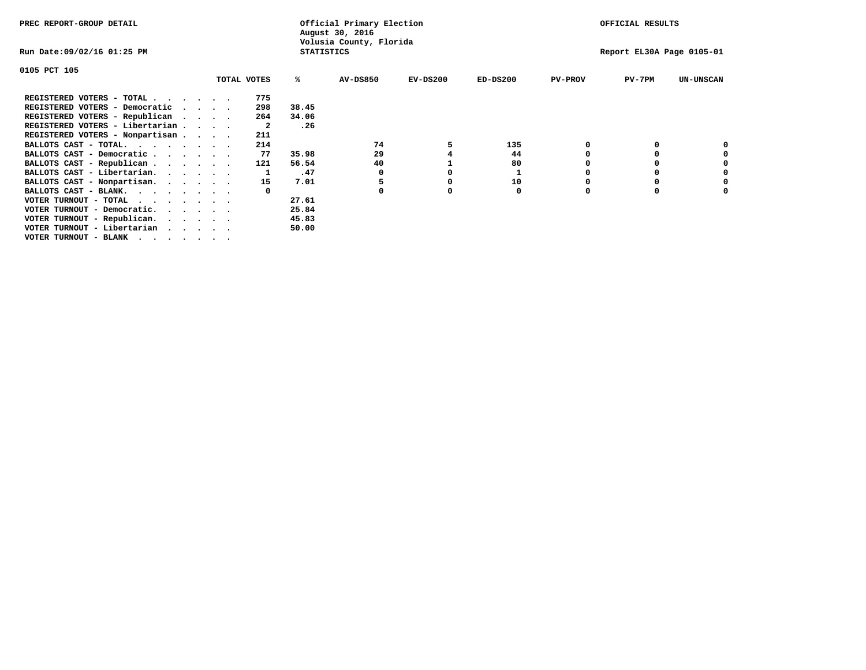| PREC REPORT-GROUP DETAIL        |  |             |                   | Official Primary Election<br>August 30, 2016 |            |            |                | OFFICIAL RESULTS          |                  |
|---------------------------------|--|-------------|-------------------|----------------------------------------------|------------|------------|----------------|---------------------------|------------------|
| Run Date:09/02/16 01:25 PM      |  |             | <b>STATISTICS</b> | Volusia County, Florida                      |            |            |                | Report EL30A Page 0105-01 |                  |
| 0105 PCT 105                    |  |             |                   |                                              |            |            |                |                           |                  |
|                                 |  | TOTAL VOTES | %ะ                | <b>AV-DS850</b>                              | $EV-DS200$ | $ED-DS200$ | <b>PV-PROV</b> | $PV-7PM$                  | <b>UN-UNSCAN</b> |
| REGISTERED VOTERS - TOTAL       |  | 775         |                   |                                              |            |            |                |                           |                  |
| REGISTERED VOTERS - Democratic  |  | 298         | 38.45             |                                              |            |            |                |                           |                  |
| REGISTERED VOTERS - Republican  |  | 264         | 34.06             |                                              |            |            |                |                           |                  |
| REGISTERED VOTERS - Libertarian |  | -2          | .26               |                                              |            |            |                |                           |                  |
| REGISTERED VOTERS - Nonpartisan |  | 211         |                   |                                              |            |            |                |                           |                  |
| BALLOTS CAST - TOTAL.           |  | 214         |                   | 74                                           |            | 135        |                |                           |                  |
| BALLOTS CAST - Democratic       |  | 77          | 35.98             | 29                                           |            | 44         |                |                           |                  |
| BALLOTS CAST - Republican       |  | 121         | 56.54             | 40                                           |            | 80         |                |                           |                  |
| BALLOTS CAST - Libertarian.     |  |             | .47               | 0                                            |            |            |                |                           |                  |
| BALLOTS CAST - Nonpartisan.     |  | 15          | 7.01              |                                              |            | 10         |                |                           | 0                |
| BALLOTS CAST - BLANK.           |  |             |                   |                                              |            | 0          | O              |                           |                  |
| VOTER TURNOUT - TOTAL           |  |             | 27.61             |                                              |            |            |                |                           |                  |
| VOTER TURNOUT - Democratic.     |  |             | 25.84             |                                              |            |            |                |                           |                  |
| VOTER TURNOUT - Republican.     |  |             | 45.83             |                                              |            |            |                |                           |                  |
| VOTER TURNOUT - Libertarian     |  |             | 50.00             |                                              |            |            |                |                           |                  |
| VOTER TURNOUT - BLANK           |  |             |                   |                                              |            |            |                |                           |                  |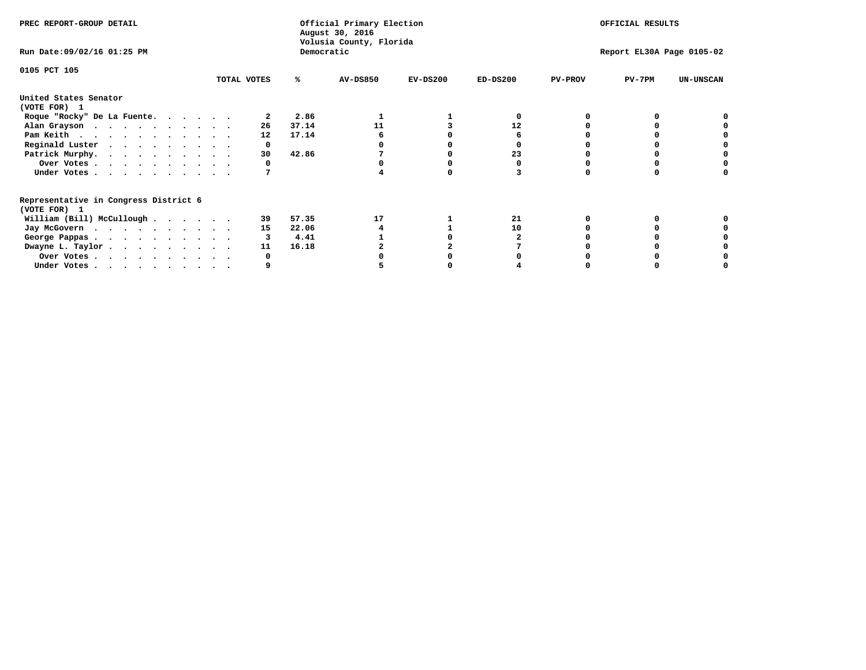| PREC REPORT-GROUP DETAIL                                               |             |            | Official Primary Election<br>August 30, 2016<br>Volusia County, Florida |            | OFFICIAL RESULTS |                |                           |                  |
|------------------------------------------------------------------------|-------------|------------|-------------------------------------------------------------------------|------------|------------------|----------------|---------------------------|------------------|
| Run Date: 09/02/16 01:25 PM                                            |             | Democratic |                                                                         |            |                  |                | Report EL30A Page 0105-02 |                  |
| 0105 PCT 105                                                           |             |            |                                                                         |            |                  |                |                           |                  |
|                                                                        | TOTAL VOTES | ℁          | AV-DS850                                                                | $EV-DS200$ | $ED-DS200$       | <b>PV-PROV</b> | $PV-7PM$                  | <b>UN-UNSCAN</b> |
| United States Senator<br>(VOTE FOR) 1                                  |             |            |                                                                         |            |                  |                |                           |                  |
| Roque "Rocky" De La Fuente.                                            |             | 2.86       |                                                                         |            |                  |                |                           |                  |
| Alan Grayson                                                           | 26          | 37.14      | 11                                                                      |            | 12               |                |                           |                  |
| Pam Keith                                                              | 12          | 17.14      |                                                                         |            |                  |                |                           |                  |
| Reginald Luster                                                        | 0           |            |                                                                         |            |                  |                |                           |                  |
| Patrick Murphy.                                                        | 30          | 42.86      |                                                                         |            | 23               |                |                           |                  |
| Over Votes                                                             |             |            |                                                                         |            |                  |                |                           |                  |
| Under Votes                                                            |             |            |                                                                         |            |                  |                |                           |                  |
| Representative in Congress District 6<br>(VOTE FOR) 1                  |             |            |                                                                         |            |                  |                |                           |                  |
| William (Bill) McCullough                                              | 39          | 57.35      | 17                                                                      |            | 21               |                |                           |                  |
|                                                                        | 15          | 22.06      |                                                                         |            | 10               |                |                           |                  |
| Jay McGovern                                                           |             | 4.41       |                                                                         |            |                  |                |                           |                  |
| George Pappas.                                                         |             |            |                                                                         |            |                  |                |                           |                  |
| Dwayne L. Taylor                                                       | 11          | 16.18      |                                                                         |            |                  |                |                           |                  |
| Over Votes                                                             |             |            |                                                                         |            |                  |                |                           |                  |
| Under Votes, $\cdot$ , $\cdot$ , $\cdot$ , $\cdot$ , $\cdot$ , $\cdot$ |             |            |                                                                         |            |                  |                |                           |                  |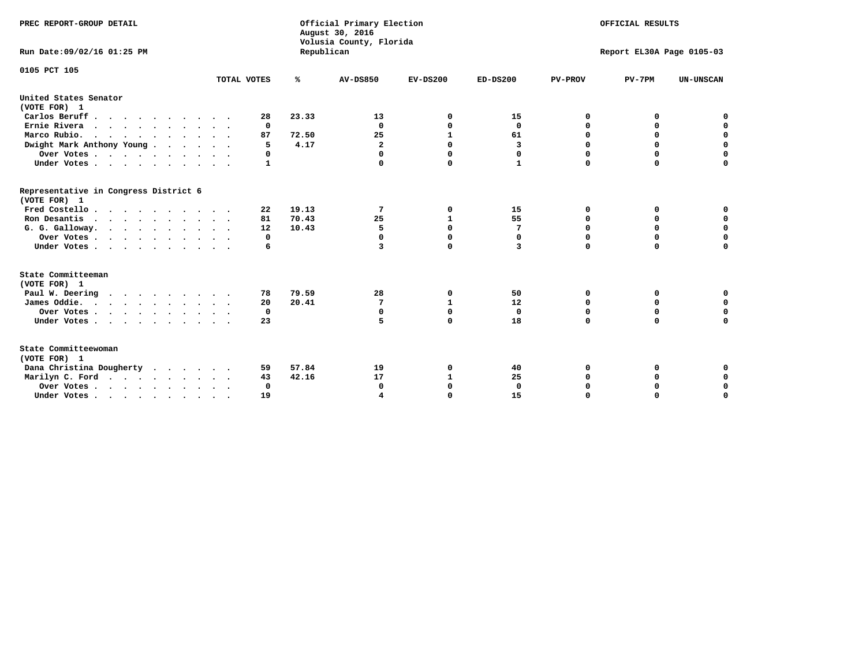| PREC REPORT-GROUP DETAIL                              |             |            | Official Primary Election<br>August 30, 2016<br>Volusia County, Florida |              |              |                | OFFICIAL RESULTS          |                  |
|-------------------------------------------------------|-------------|------------|-------------------------------------------------------------------------|--------------|--------------|----------------|---------------------------|------------------|
| Run Date: 09/02/16 01:25 PM                           |             | Republican |                                                                         |              |              |                | Report EL30A Page 0105-03 |                  |
| 0105 PCT 105                                          |             |            |                                                                         |              |              |                |                           |                  |
|                                                       | TOTAL VOTES | ℁          | <b>AV-DS850</b>                                                         | $EV-DS200$   | $ED-DS200$   | <b>PV-PROV</b> | $PV-7PM$                  | <b>UN-UNSCAN</b> |
| United States Senator<br>(VOTE FOR) 1                 |             |            |                                                                         |              |              |                |                           |                  |
| Carlos Beruff                                         | 28          | 23.33      | 13                                                                      | 0            | 15           | 0              | 0                         | 0                |
| Ernie Rivera                                          | 0           |            | $\Omega$                                                                | 0            | 0            | 0              | 0                         | $\mathbf 0$      |
| Marco Rubio.<br>$\cdots$                              | 87          | 72.50      | 25                                                                      | $\mathbf{1}$ | 61           | 0              | $\mathbf 0$               | $\mathbf 0$      |
| Dwight Mark Anthony Young                             | 5           | 4.17       | $\mathbf{2}$                                                            | $\Omega$     | 3            | 0              | $\mathbf 0$               | $\mathbf 0$      |
| Over Votes                                            | 0           |            | $\Omega$                                                                | $\Omega$     | 0            | 0              | $\mathbf 0$               | $\mathbf 0$      |
| Under Votes                                           | 1           |            | $\Omega$                                                                | $\Omega$     | $\mathbf{1}$ | $\Omega$       | $\Omega$                  | $\mathbf 0$      |
| Representative in Congress District 6<br>(VOTE FOR) 1 |             |            |                                                                         |              |              |                |                           |                  |
| Fred Costello                                         | 22          | 19.13      | 7                                                                       | 0            | 15           | 0              | 0                         | 0                |
| Ron Desantis                                          | 81          | 70.43      | 25                                                                      | $\mathbf{1}$ | 55           | $\Omega$       | 0                         | $\mathbf 0$      |
| G. G. Galloway.                                       | 12          | 10.43      | 5                                                                       | $\mathbf 0$  | 7            | 0              | $\mathbf 0$               | $\mathbf 0$      |
| Over Votes                                            | 0           |            | $\mathbf 0$                                                             | $\mathbf 0$  | $\mathbf 0$  | 0              | $\mathbf 0$               | $\mathbf 0$      |
| Under Votes                                           | 6           |            | 3                                                                       | $\Omega$     | 3            | $\Omega$       | $\mathbf 0$               | $\mathbf 0$      |
| State Committeeman<br>(VOTE FOR) 1                    |             |            |                                                                         |              |              |                |                           |                  |
| Paul W. Deering                                       | 78          | 79.59      | 28                                                                      | 0            | 50           | 0              | 0                         | 0                |
| James Oddie.                                          | 20          | 20.41      | 7                                                                       | 1            | 12           | 0              | $\mathbf 0$               | $\mathbf 0$      |
| Over Votes                                            | 0           |            | $\mathbf 0$                                                             | $\mathbf 0$  | $\mathbf{0}$ | 0              | $\mathbf 0$               | 0                |
| Under Votes                                           | 23          |            | 5                                                                       | 0            | 18           | 0              | $\Omega$                  | $\mathbf 0$      |
| State Committeewoman<br>(VOTE FOR) 1                  |             |            |                                                                         |              |              |                |                           |                  |
| Dana Christina Dougherty                              | 59          | 57.84      | 19                                                                      | 0            | 40           | 0              | 0                         | 0                |
| Marilyn C. Ford                                       | 43          | 42.16      | 17                                                                      | 1            | 25           | 0              | 0                         | $\mathbf 0$      |
| Over Votes                                            | $\Omega$    |            | $\Omega$                                                                | $\mathbf 0$  | $\mathbf{0}$ | 0              | 0                         | $\mathbf 0$      |
| Under Votes, , , , , , , , , ,                        | 19          |            |                                                                         | $\Omega$     | 15           | $\Omega$       | $\Omega$                  | $\Omega$         |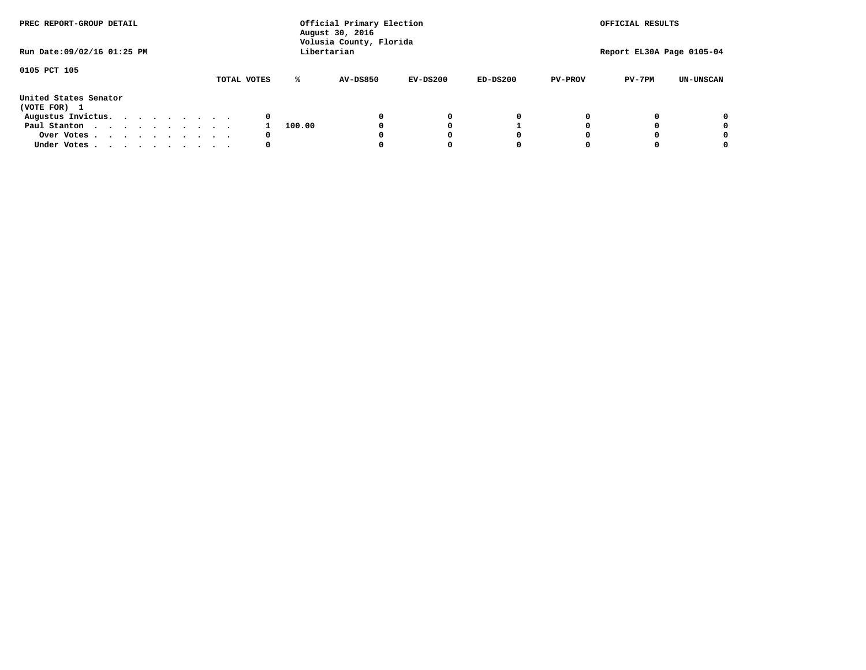| PREC REPORT-GROUP DETAIL<br>Run Date: 09/02/16 01:25 PM |  |  |  |  |  | Official Primary Election<br>August 30, 2016<br>Volusia County, Florida<br>Libertarian | OFFICIAL RESULTS<br>Report EL30A Page 0105-04 |        |                 |            |            |                |          |                  |
|---------------------------------------------------------|--|--|--|--|--|----------------------------------------------------------------------------------------|-----------------------------------------------|--------|-----------------|------------|------------|----------------|----------|------------------|
|                                                         |  |  |  |  |  |                                                                                        |                                               |        |                 |            |            |                |          |                  |
| 0105 PCT 105                                            |  |  |  |  |  |                                                                                        | TOTAL VOTES                                   | ℁      | <b>AV-DS850</b> | $EV-DS200$ | $ED-DS200$ | <b>PV-PROV</b> | $PV-7PM$ | <b>UN-UNSCAN</b> |
| United States Senator<br>(VOTE FOR) 1                   |  |  |  |  |  |                                                                                        |                                               |        |                 |            |            |                |          |                  |
| Augustus Invictus.                                      |  |  |  |  |  |                                                                                        | 0                                             |        |                 | 0          | 0          |                |          | 0                |
| Paul Stanton                                            |  |  |  |  |  |                                                                                        |                                               | 100.00 |                 |            |            |                |          | 0                |
| Over Votes                                              |  |  |  |  |  |                                                                                        | 0                                             |        |                 |            | 0          |                |          | 0                |
| Under Votes                                             |  |  |  |  |  |                                                                                        | 0                                             |        |                 |            | 0          |                |          | 0                |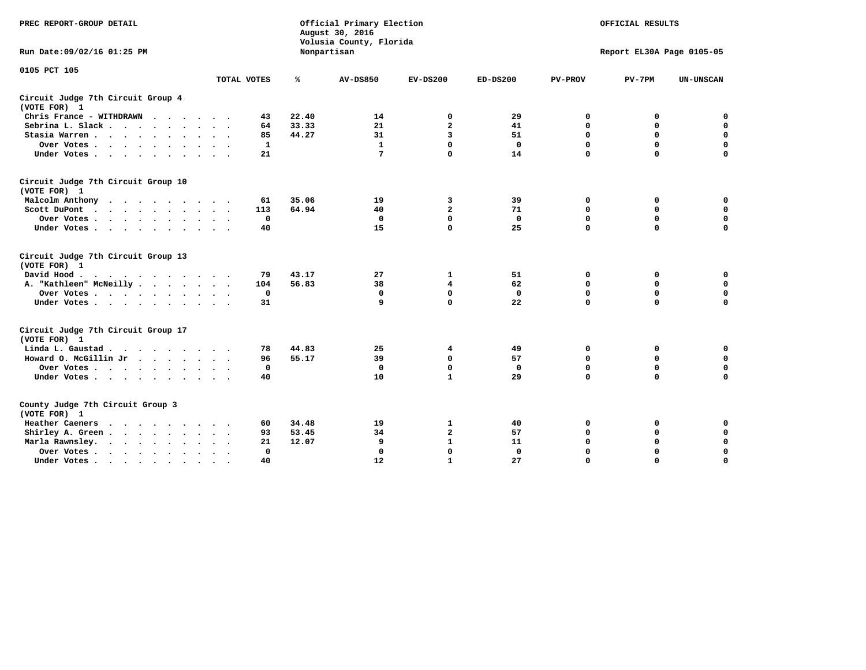| PREC REPORT-GROUP DETAIL                           |         |              |       | Official Primary Election<br>August 30, 2016<br>Volusia County, Florida |                | OFFICIAL RESULTS<br>Report EL30A Page 0105-05 |                |             |                  |
|----------------------------------------------------|---------|--------------|-------|-------------------------------------------------------------------------|----------------|-----------------------------------------------|----------------|-------------|------------------|
| Run Date: 09/02/16 01:25 PM                        |         |              |       | Nonpartisan                                                             |                |                                               |                |             |                  |
| 0105 PCT 105                                       |         |              |       |                                                                         |                |                                               |                |             |                  |
|                                                    |         | TOTAL VOTES  | ℁     | <b>AV-DS850</b>                                                         | $EV-DS200$     | $ED-DS200$                                    | <b>PV-PROV</b> | $PV-7PM$    | <b>UN-UNSCAN</b> |
| Circuit Judge 7th Circuit Group 4<br>(VOTE FOR) 1  |         |              |       |                                                                         |                |                                               |                |             |                  |
| Chris France - WITHDRAWN                           |         | 43           | 22.40 | 14                                                                      | 0              | 29                                            | $\mathbf 0$    | $\mathbf 0$ | $\mathbf 0$      |
| Sebrina L. Slack                                   |         | 64           | 33.33 | 21                                                                      | $\mathbf{2}$   | 41                                            | $\Omega$       | $\mathbf 0$ | $\pmb{0}$        |
| Stasia Warren                                      |         | 85           | 44.27 | 31                                                                      | 3              | 51                                            | 0              | $\mathbf 0$ | $\pmb{0}$        |
| Over Votes                                         |         | $\mathbf{1}$ |       | $\mathbf{1}$                                                            | $\mathbf 0$    | $\mathbf 0$                                   | $\mathbf 0$    | $\mathbf 0$ | $\mathbf 0$      |
| Under Votes                                        |         | 21           |       | 7                                                                       | $\Omega$       | 14                                            | $\mathbf 0$    | $\mathbf 0$ | $\mathbf 0$      |
| Circuit Judge 7th Circuit Group 10<br>(VOTE FOR) 1 |         |              |       |                                                                         |                |                                               |                |             |                  |
| Malcolm Anthony<br>$\cdots$                        |         | 61           | 35.06 | 19                                                                      | 3              | 39                                            | 0              | 0           | 0                |
| Scott DuPont<br>$\cdots$                           |         | 113          | 64.94 | 40                                                                      | $\overline{a}$ | 71                                            | $\Omega$       | $\mathbf 0$ | $\mathbf 0$      |
| Over Votes                                         |         | $\mathbf{0}$ |       | $\mathbf{0}$                                                            | $\Omega$       | $\mathbf{0}$                                  | $\mathbf 0$    | $\mathbf 0$ | $\mathbf 0$      |
| Under Votes                                        |         | 40           |       | 15                                                                      | $\Omega$       | 25                                            | $\Omega$       | $\Omega$    | $\mathbf 0$      |
| Circuit Judge 7th Circuit Group 13<br>(VOTE FOR) 1 |         |              |       |                                                                         |                |                                               |                |             |                  |
| David Hood.                                        |         | 79           | 43.17 | 27                                                                      | 1              | 51                                            | 0              | 0           | $\mathbf 0$      |
| A. "Kathleen" McNeilly                             |         | 104          | 56.83 | 38                                                                      | 4              | 62                                            | 0              | 0           | $\mathbf 0$      |
| Over Votes                                         |         | $\mathbf 0$  |       | 0                                                                       | $\mathbf 0$    | 0                                             | $\mathbf 0$    | $\mathbf 0$ | $\mathbf 0$      |
| Under Votes                                        |         | 31           |       | 9                                                                       | $\Omega$       | 22                                            | $\mathbf 0$    | $\mathbf 0$ | $\mathbf 0$      |
| Circuit Judge 7th Circuit Group 17<br>(VOTE FOR) 1 |         |              |       |                                                                         |                |                                               |                |             |                  |
| Linda L. Gaustad                                   |         | 78           | 44.83 | 25                                                                      | 4              | 49                                            | 0              | 0           | $\mathbf 0$      |
| Howard O. McGillin Jr                              |         | 96           | 55.17 | 39                                                                      | $\mathbf 0$    | 57                                            | 0              | $\mathbf 0$ | $\mathbf 0$      |
| Over Votes                                         |         | $\mathbf 0$  |       | 0                                                                       | $\mathbf 0$    | $\mathbf 0$                                   | $\mathbf 0$    | $\mathbf 0$ | $\mathbf 0$      |
| Under Votes                                        |         | 40           |       | 10                                                                      | $\mathbf{1}$   | 29                                            | $\mathbf 0$    | $\mathbf 0$ | $\mathbf 0$      |
| County Judge 7th Circuit Group 3<br>(VOTE FOR) 1   |         |              |       |                                                                         |                |                                               |                |             |                  |
| Heather Caeners<br>$\cdots$                        |         | 60           | 34.48 | 19                                                                      | 1              | 40                                            | 0              | 0           | 0                |
| Shirley A. Green                                   |         | 93           | 53.45 | 34                                                                      | $\overline{a}$ | 57                                            | $\mathbf 0$    | $\mathbf 0$ | $\mathbf 0$      |
| Marla Rawnsley.                                    |         | 21           | 12.07 | 9                                                                       | $\mathbf{1}$   | 11                                            | $\mathbf 0$    | $\mathbf 0$ | $\mathbf 0$      |
| Over Votes<br>$\ddot{\phantom{a}}$                 | $\cdot$ | $\mathbf{0}$ |       | $\Omega$                                                                | $\mathbf 0$    | $\mathbf 0$                                   | $\mathbf 0$    | $\mathbf 0$ | $\mathbf 0$      |
| Under Votes                                        |         | 40           |       | 12                                                                      | $\mathbf{1}$   | 27                                            | $\mathbf 0$    | $\mathbf 0$ | $\mathbf 0$      |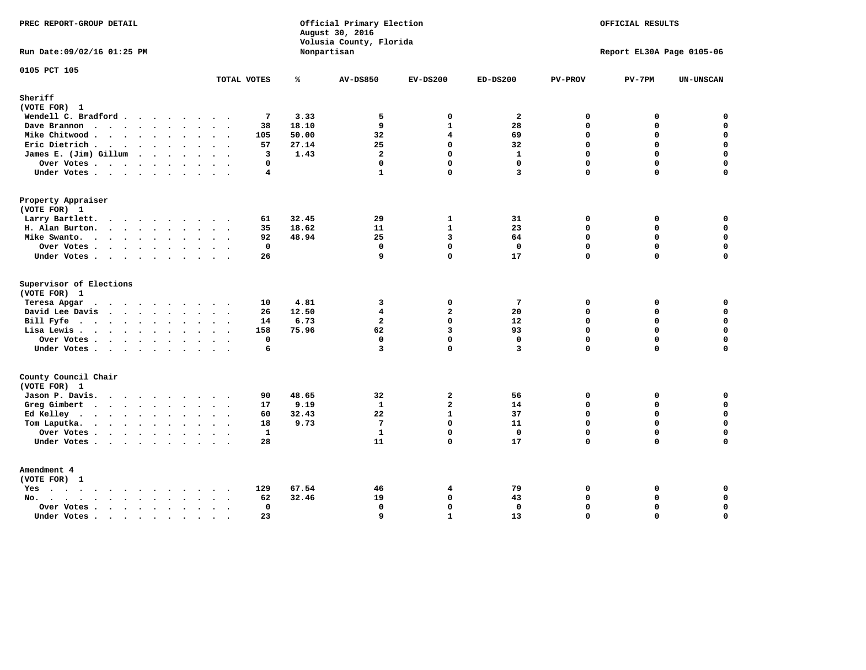| PREC REPORT-GROUP DETAIL                                                                                                                                                                               |                                                                   |       | Official Primary Election<br>August 30, 2016<br>Volusia County, Florida |                         |                 |                | OFFICIAL RESULTS          |                  |
|--------------------------------------------------------------------------------------------------------------------------------------------------------------------------------------------------------|-------------------------------------------------------------------|-------|-------------------------------------------------------------------------|-------------------------|-----------------|----------------|---------------------------|------------------|
| Run Date: 09/02/16 01:25 PM                                                                                                                                                                            |                                                                   |       | Nonpartisan                                                             |                         |                 |                | Report EL30A Page 0105-06 |                  |
| 0105 PCT 105                                                                                                                                                                                           | TOTAL VOTES                                                       | ℁     | <b>AV-DS850</b>                                                         | $EV-DS200$              | $ED-DS200$      | <b>PV-PROV</b> | $PV-7PM$                  | <b>UN-UNSCAN</b> |
| Sheriff                                                                                                                                                                                                |                                                                   |       |                                                                         |                         |                 |                |                           |                  |
| (VOTE FOR) 1                                                                                                                                                                                           |                                                                   |       |                                                                         |                         |                 |                |                           |                  |
| Wendell C. Bradford                                                                                                                                                                                    | 7                                                                 | 3.33  | 5                                                                       | 0                       | $\mathbf{2}$    | 0              | $\mathbf 0$               | 0                |
| Dave Brannon                                                                                                                                                                                           | 38                                                                | 18.10 | 9                                                                       | $\mathbf{1}$            | 28              | 0              | $\mathbf 0$               | $\mathbf 0$      |
| Mike Chitwood                                                                                                                                                                                          | 105                                                               | 50.00 | 32                                                                      | $\overline{\mathbf{4}}$ | 69              | $\Omega$       | $\mathbf{0}$              | $\mathbf 0$      |
| Eric Dietrich.<br>$\cdots$                                                                                                                                                                             | 57                                                                | 27.14 | 25                                                                      | $\mathbf{0}$            | 32              | $\mathbf{0}$   | $\mathbf 0$               | $\mathbf 0$      |
| James E. (Jim) Gillum                                                                                                                                                                                  | $\overline{3}$                                                    | 1.43  | $\overline{a}$                                                          | $\mathbf 0$             | $\mathbf{1}$    | $\mathbf 0$    | $\Omega$                  | $\mathbf 0$      |
| Over Votes                                                                                                                                                                                             | 0                                                                 |       | $\mathbf 0$                                                             | 0                       | 0               | $\mathbf 0$    | $\mathbf 0$               | $\pmb{0}$        |
| Under Votes                                                                                                                                                                                            | 4<br>$\ddot{\phantom{a}}$                                         |       | $\mathbf{1}$                                                            | $\mathbf 0$             | 3               | 0              | $\Omega$                  | 0                |
| Property Appraiser                                                                                                                                                                                     |                                                                   |       |                                                                         |                         |                 |                |                           |                  |
| (VOTE FOR) 1                                                                                                                                                                                           |                                                                   |       |                                                                         |                         |                 |                |                           |                  |
| Larry Bartlett.                                                                                                                                                                                        | 61                                                                | 32.45 | 29                                                                      | 1                       | 31              | $\mathbf 0$    | 0                         | 0                |
| H. Alan Burton.                                                                                                                                                                                        | 35<br>$\cdot$ $\cdot$                                             | 18.62 | 11                                                                      | $\mathbf{1}$            | 23              | $\mathbf{0}$   | $\mathbf{0}$              | $\mathbf 0$      |
| Mike Swanto.<br>$\mathbf{r}$ , and $\mathbf{r}$ , and $\mathbf{r}$ , and $\mathbf{r}$                                                                                                                  | 92<br>$\cdot$ $\cdot$ $\cdot$                                     | 48.94 | 25                                                                      | $\mathbf{3}$            | 64              | $\mathbf 0$    | $\mathbf 0$               | $\mathbf 0$      |
| Over Votes                                                                                                                                                                                             | $\mathbf{o}$                                                      |       | $\mathbf 0$                                                             | $\mathbf{0}$            | $\mathbf 0$     | 0              | $\mathbf 0$               | $\mathbf 0$      |
| Under Votes                                                                                                                                                                                            | 26                                                                |       | 9                                                                       | $\Omega$                | 17              | $\Omega$       | $\Omega$                  | $\mathbf 0$      |
| Supervisor of Elections<br>(VOTE FOR) 1                                                                                                                                                                |                                                                   |       |                                                                         |                         |                 |                |                           |                  |
| Teresa Apgar<br>$\cdots$                                                                                                                                                                               | 10                                                                | 4.81  | 3                                                                       | $\mathbf 0$             | $7\phantom{.0}$ | $\mathbf{0}$   | 0                         | $\mathbf 0$      |
| David Lee Davis                                                                                                                                                                                        | 26<br>$\cdot$ $\cdot$ $\cdot$                                     | 12.50 | $\overline{\mathbf{4}}$                                                 | $\mathbf{2}$            | 20              | $\mathbf{0}$   | $\mathbf 0$               | $\mathbf 0$      |
| Bill Fyfe                                                                                                                                                                                              | 14                                                                | 6.73  | $\overline{a}$                                                          | $\mathbf 0$             | 12              | $\mathbf 0$    | $\mathbf 0$               | $\mathbf 0$      |
| Lisa Lewis                                                                                                                                                                                             | 158<br>$\overline{\phantom{a}}$                                   | 75.96 | 62                                                                      | 3                       | 93              | $\mathbf 0$    | $\mathbf 0$               | $\mathbf 0$      |
| Over Votes                                                                                                                                                                                             | $\mathbf 0$<br>$\cdot$ $\cdot$                                    |       | $\mathbf 0$                                                             | $\mathbf 0$             | $\mathbf 0$     | $\mathbf 0$    | $\Omega$                  | $\mathbf 0$      |
| Under Votes                                                                                                                                                                                            | 6                                                                 |       | $\overline{3}$                                                          | $\Omega$                | 3               | $\Omega$       | $\Omega$                  | $\mathbf 0$      |
| County Council Chair<br>(VOTE FOR) 1                                                                                                                                                                   |                                                                   |       |                                                                         |                         |                 |                |                           |                  |
| Jason P. Davis.                                                                                                                                                                                        | 90                                                                | 48.65 | 32                                                                      | $\overline{2}$          | 56              | $\mathbf{0}$   | 0                         | 0                |
| Greg Gimbert                                                                                                                                                                                           | 17<br>$\bullet$ .<br><br><br><br><br><br><br><br><br><br><br><br> | 9.19  | $\mathbf{1}$                                                            | $\overline{a}$          | 14              | $\mathbf 0$    | $\mathbf 0$               | $\mathbf 0$      |
| Ed Kelley.<br>$\cdots$                                                                                                                                                                                 | 60                                                                | 32.43 | 22                                                                      | $\mathbf{1}$            | 37              | 0              | $\mathbf 0$               | $\mathbf 0$      |
| Tom Laputka.                                                                                                                                                                                           | 18                                                                | 9.73  | $7\phantom{.0}$                                                         | $\mathbf 0$             | 11              | $\Omega$       | $\Omega$                  | $\mathbf 0$      |
| Over Votes                                                                                                                                                                                             | $\mathbf{1}$                                                      |       | $\mathbf{1}$                                                            | $\mathbf 0$             | $\mathbf 0$     | 0              | $\mathbf 0$               | 0                |
| Under Votes                                                                                                                                                                                            | 28                                                                |       | 11                                                                      | $\Omega$                | 17              | $\Omega$       | $\Omega$                  | $\Omega$         |
| Amendment 4<br>(VOTE FOR) 1                                                                                                                                                                            |                                                                   |       |                                                                         |                         |                 |                |                           |                  |
| $Yes \cdot \cdot \cdot$<br>$\cdots$                                                                                                                                                                    | 129                                                               | 67.54 | 46                                                                      | $\overline{4}$          | 79              | 0              | 0                         | 0                |
| $\begin{array}{cccccccccccccc} \bullet & \bullet & \bullet & \bullet & \bullet & \bullet & \bullet & \bullet & \bullet & \bullet \end{array}$<br>$No.$ $\cdot$ $\cdot$ $\cdot$<br>$\ddot{\phantom{a}}$ | 62<br>$\bullet$<br>$\bullet$                                      | 32.46 | 19                                                                      | 0                       | 43              | $\mathbf 0$    | $\mathbf 0$               | $\mathbf 0$      |
| Over Votes<br>$\cdot$                                                                                                                                                                                  | $\mathbf 0$                                                       |       | $\mathbf 0$                                                             | $\mathbf{0}$            | $\mathbf 0$     | 0              | $\mathbf 0$               | 0                |
| Under Votes                                                                                                                                                                                            | 23                                                                |       | 9                                                                       | $\mathbf{1}$            | 13              | $\Omega$       | $\mathbf 0$               | $\mathbf 0$      |
|                                                                                                                                                                                                        |                                                                   |       |                                                                         |                         |                 |                |                           |                  |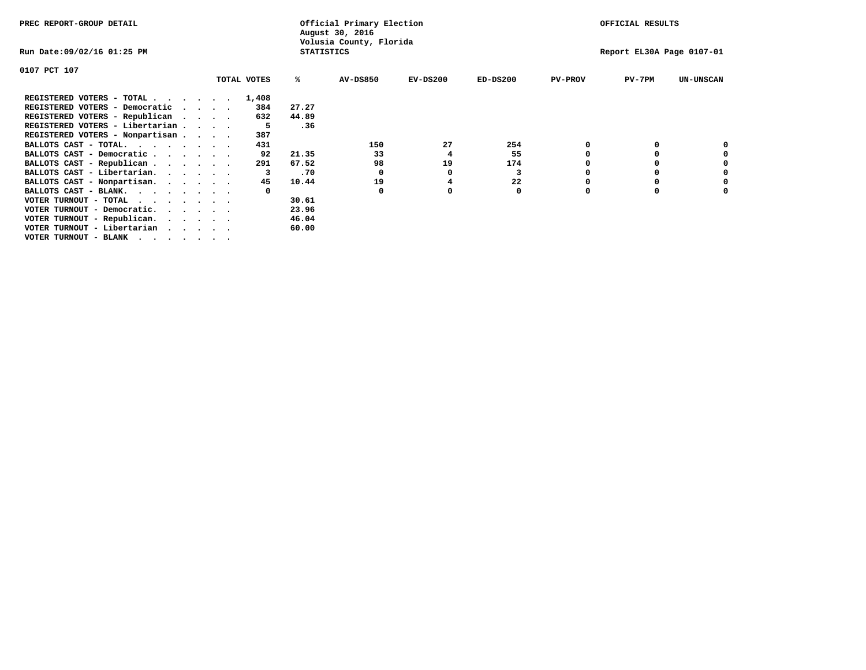| PREC REPORT-GROUP DETAIL        |                                 |             |                   | Official Primary Election<br>August 30, 2016 |          |            |                | OFFICIAL RESULTS          |                  |
|---------------------------------|---------------------------------|-------------|-------------------|----------------------------------------------|----------|------------|----------------|---------------------------|------------------|
| Run Date:09/02/16 01:25 PM      |                                 |             | <b>STATISTICS</b> | Volusia County, Florida                      |          |            |                | Report EL30A Page 0107-01 |                  |
| 0107 PCT 107                    |                                 |             |                   |                                              |          |            |                |                           |                  |
|                                 |                                 | TOTAL VOTES | %ะ                | <b>AV-DS850</b>                              | EV-DS200 | $ED-DS200$ | <b>PV-PROV</b> | $PV-7PM$                  | <b>UN-UNSCAN</b> |
| REGISTERED VOTERS - TOTAL       |                                 | 1,408       |                   |                                              |          |            |                |                           |                  |
| REGISTERED VOTERS - Democratic  | $\cdots$                        | 384         | 27.27             |                                              |          |            |                |                           |                  |
| REGISTERED VOTERS - Republican  | $\cdot$ $\cdot$ $\cdot$ $\cdot$ | 632         | 44.89             |                                              |          |            |                |                           |                  |
| REGISTERED VOTERS - Libertarian |                                 | 5           | .36               |                                              |          |            |                |                           |                  |
| REGISTERED VOTERS - Nonpartisan |                                 | 387         |                   |                                              |          |            |                |                           |                  |
| BALLOTS CAST - TOTAL.           |                                 | 431         |                   | 150                                          | 27       | 254        |                |                           |                  |
| BALLOTS CAST - Democratic       |                                 | 92          | 21.35             | 33                                           | 4        | 55         |                |                           |                  |
| BALLOTS CAST - Republican       |                                 | 291         | 67.52             | 98                                           | 19       | 174        |                |                           |                  |
| BALLOTS CAST - Libertarian.     |                                 |             | .70               |                                              | o        | 3          |                |                           |                  |
| BALLOTS CAST - Nonpartisan.     |                                 | 45          | 10.44             | 19                                           |          | 22         |                |                           | 0                |
| BALLOTS CAST - BLANK.           |                                 |             |                   | $\Omega$                                     | o        | 0          | <sup>0</sup>   |                           |                  |
| VOTER TURNOUT - TOTAL<br>.      |                                 |             | 30.61             |                                              |          |            |                |                           |                  |
| VOTER TURNOUT - Democratic.     |                                 |             | 23.96             |                                              |          |            |                |                           |                  |
| VOTER TURNOUT - Republican.     |                                 |             | 46.04             |                                              |          |            |                |                           |                  |
| VOTER TURNOUT - Libertarian     |                                 |             | 60.00             |                                              |          |            |                |                           |                  |
| VOTER TURNOUT - BLANK           |                                 |             |                   |                                              |          |            |                |                           |                  |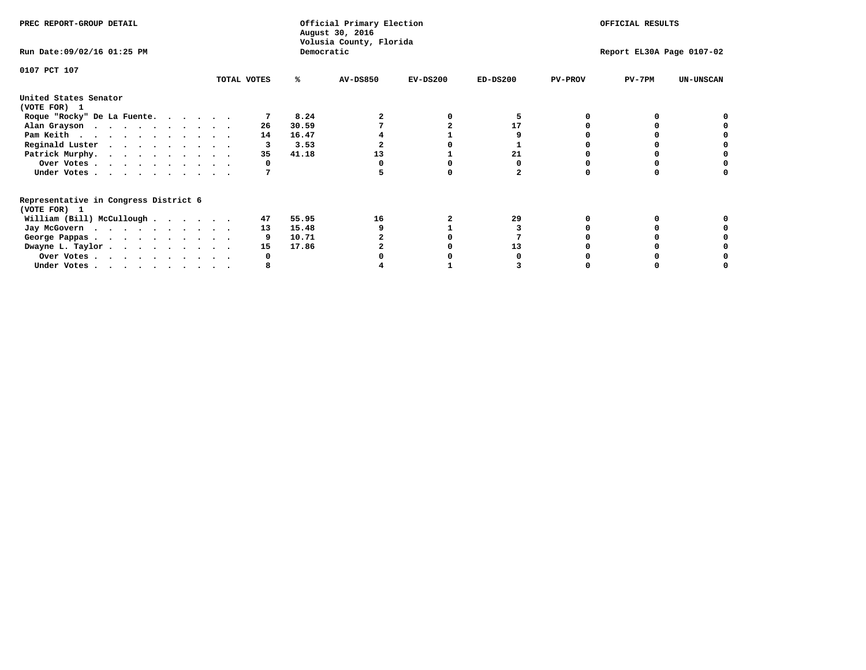| PREC REPORT-GROUP DETAIL                                               |             |             | Official Primary Election<br>August 30, 2016<br>Volusia County, Florida |            |            |                | OFFICIAL RESULTS          |                  |
|------------------------------------------------------------------------|-------------|-------------|-------------------------------------------------------------------------|------------|------------|----------------|---------------------------|------------------|
| Run Date: 09/02/16 01:25 PM                                            |             |             | Democratic                                                              |            |            |                | Report EL30A Page 0107-02 |                  |
| 0107 PCT 107                                                           | TOTAL VOTES | %ะ          | <b>AV-DS850</b>                                                         | $EV-DS200$ | $ED-DS200$ | <b>PV-PROV</b> | $PV-7PM$                  | <b>UN-UNSCAN</b> |
| United States Senator                                                  |             |             |                                                                         |            |            |                |                           |                  |
| (VOTE FOR) 1                                                           |             |             |                                                                         |            |            |                |                           |                  |
| Roque "Rocky" De La Fuente.                                            |             | 8.24        |                                                                         |            |            |                |                           |                  |
| Alan Grayson                                                           |             | 30.59<br>26 |                                                                         |            | 17         |                |                           |                  |
| Pam Keith                                                              |             | 16.47<br>14 |                                                                         |            |            |                |                           |                  |
| Reginald Luster                                                        |             | 3.53        |                                                                         |            |            |                |                           |                  |
| Patrick Murphy.                                                        |             | 41.18<br>35 | 13                                                                      |            | 21         |                |                           |                  |
| Over Votes                                                             |             |             |                                                                         |            |            |                |                           |                  |
| Under Votes                                                            |             |             |                                                                         |            |            |                |                           |                  |
| Representative in Congress District 6                                  |             |             |                                                                         |            |            |                |                           |                  |
| (VOTE FOR) 1                                                           |             |             |                                                                         |            |            |                |                           |                  |
| William (Bill) McCullough                                              |             | 55.95<br>47 | 16                                                                      |            | 29         |                |                           |                  |
| Jay McGovern                                                           |             | 15.48<br>13 |                                                                         |            |            |                |                           |                  |
| George Pappas.                                                         |             | 10.71       |                                                                         |            |            |                |                           |                  |
| Dwayne L. Taylor.                                                      |             | 17.86<br>15 |                                                                         |            | 13         |                |                           |                  |
| Over Votes                                                             |             |             |                                                                         |            |            |                |                           |                  |
| Under Votes, $\cdot$ , $\cdot$ , $\cdot$ , $\cdot$ , $\cdot$ , $\cdot$ |             |             |                                                                         |            |            |                |                           |                  |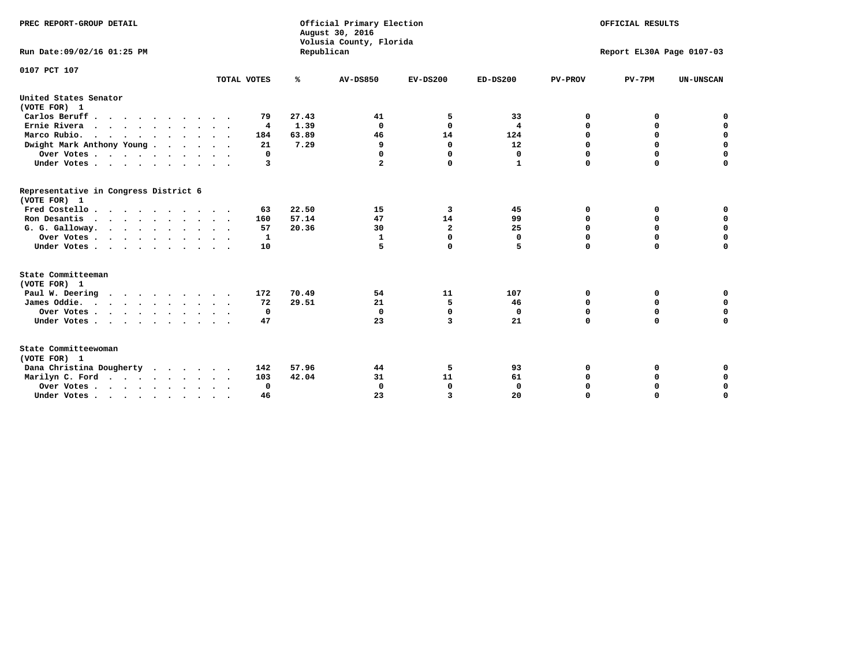| PREC REPORT-GROUP DETAIL<br>Run Date: 09/02/16 01:25 PM |             | Republican | Official Primary Election<br>August 30, 2016<br>Volusia County, Florida |                |              |                | OFFICIAL RESULTS<br>Report EL30A Page 0107-03 |                  |
|---------------------------------------------------------|-------------|------------|-------------------------------------------------------------------------|----------------|--------------|----------------|-----------------------------------------------|------------------|
|                                                         |             |            |                                                                         |                |              |                |                                               |                  |
| 0107 PCT 107                                            |             |            |                                                                         |                |              |                |                                               |                  |
|                                                         | TOTAL VOTES | ℁          | <b>AV-DS850</b>                                                         | $EV-DS200$     | $ED-DS200$   | <b>PV-PROV</b> | $PV-7PM$                                      | <b>UN-UNSCAN</b> |
| United States Senator<br>(VOTE FOR) 1                   |             |            |                                                                         |                |              |                |                                               |                  |
| Carlos Beruff                                           | 79          | 27.43      | 41                                                                      | 5              | 33           | 0              | 0                                             | 0                |
| Ernie Rivera                                            | 4           | 1.39       | $\Omega$                                                                | $\Omega$       | 4            | $\Omega$       | 0                                             | $\mathbf 0$      |
| Marco Rubio.                                            | 184         | 63.89      | 46                                                                      | 14             | 124          | $\mathbf 0$    | $\mathbf 0$                                   | $\mathbf 0$      |
| Dwight Mark Anthony Young                               | 21          | 7.29       | 9                                                                       | $\mathbf 0$    | 12           | 0              | $\mathbf 0$                                   | $\pmb{0}$        |
| Over Votes                                              | 0           |            | 0                                                                       | $\Omega$       | 0            | 0              | 0                                             | 0                |
| Under Votes                                             | 3           |            | 2                                                                       | 0              | 1            | $\Omega$       | $\Omega$                                      | $\mathbf 0$      |
| Representative in Congress District 6<br>(VOTE FOR) 1   |             |            |                                                                         |                |              |                |                                               |                  |
| Fred Costello.                                          | 63          | 22.50      | 15                                                                      | 3              | 45           | 0              | 0                                             | 0                |
| Ron Desantis                                            | 160         | 57.14      | 47                                                                      | 14             | 99           | 0              | 0                                             | $\mathbf 0$      |
| G. G. Galloway.                                         | 57          | 20.36      | 30                                                                      | $\overline{a}$ | 25           | $\mathbf 0$    | $\Omega$                                      | $\mathbf 0$      |
| Over Votes                                              | 1           |            | $\mathbf{1}$                                                            | $\mathbf 0$    | $\mathbf{0}$ | $\mathbf 0$    | $\mathbf 0$                                   | $\mathbf 0$      |
| Under Votes                                             | 10          |            | 5                                                                       | 0              | 5            | $\mathbf 0$    | $\Omega$                                      | $\mathbf 0$      |
| State Committeeman                                      |             |            |                                                                         |                |              |                |                                               |                  |
| (VOTE FOR) 1                                            |             |            |                                                                         |                |              |                |                                               |                  |
| Paul W. Deering<br>$\cdots$                             | 172         | 70.49      | 54                                                                      | 11             | 107          | 0              | 0                                             | 0<br>$\mathbf 0$ |
| James Oddie.                                            | 72          | 29.51      | 21                                                                      | 5              | 46           | 0              | 0                                             |                  |
| Over Votes                                              | 0           |            | $\mathbf{0}$                                                            | $\mathbf 0$    | 0            | 0              | $\mathbf 0$                                   | $\mathbf 0$      |
| Under Votes                                             | 47          |            | 23                                                                      | 3              | 21           | $\Omega$       | 0                                             | $\mathbf 0$      |
| State Committeewoman<br>(VOTE FOR) 1                    |             |            |                                                                         |                |              |                |                                               |                  |
| Dana Christina Dougherty                                | 142         | 57.96      | 44                                                                      | 5              | 93           | 0              | 0                                             | 0                |
| Marilyn C. Ford                                         | 103         | 42.04      | 31                                                                      | 11             | 61           | 0              | 0                                             | 0                |
| Over Votes                                              | $\Omega$    |            | $\Omega$                                                                | 0              | $\mathbf{0}$ | 0              | 0                                             | $\mathbf 0$      |
| Under Votes, , , , , , , , , ,                          | 46          |            | 23                                                                      | 3              | 20           | $\Omega$       | $\Omega$                                      | $\Omega$         |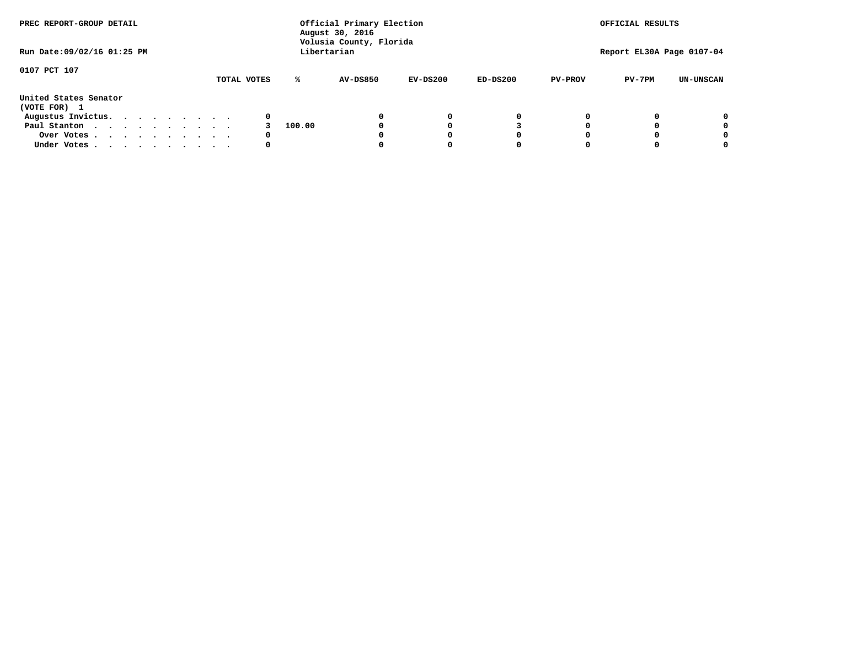| PREC REPORT-GROUP DETAIL<br>Run Date: 09/02/16 01:25 PM |  |  |  |             |        | Official Primary Election<br>August 30, 2016<br>Volusia County, Florida<br>Libertarian |            |            |                | OFFICIAL RESULTS<br>Report EL30A Page 0107-04 |                  |
|---------------------------------------------------------|--|--|--|-------------|--------|----------------------------------------------------------------------------------------|------------|------------|----------------|-----------------------------------------------|------------------|
|                                                         |  |  |  |             |        |                                                                                        |            |            |                |                                               |                  |
| 0107 PCT 107                                            |  |  |  | TOTAL VOTES | ℁      | <b>AV-DS850</b>                                                                        | $EV-DS200$ | $ED-DS200$ | <b>PV-PROV</b> | $PV-7PM$                                      | <b>UN-UNSCAN</b> |
| United States Senator<br>(VOTE FOR) 1                   |  |  |  |             |        |                                                                                        |            |            |                |                                               |                  |
| Augustus Invictus.                                      |  |  |  | 0           |        |                                                                                        | 0          | 0          |                |                                               | 0                |
| Paul Stanton                                            |  |  |  |             | 100.00 |                                                                                        |            |            |                |                                               | 0                |
| Over Votes                                              |  |  |  | 0           |        |                                                                                        |            | O          |                |                                               | 0                |
| Under Votes                                             |  |  |  | 0           |        |                                                                                        |            |            |                |                                               |                  |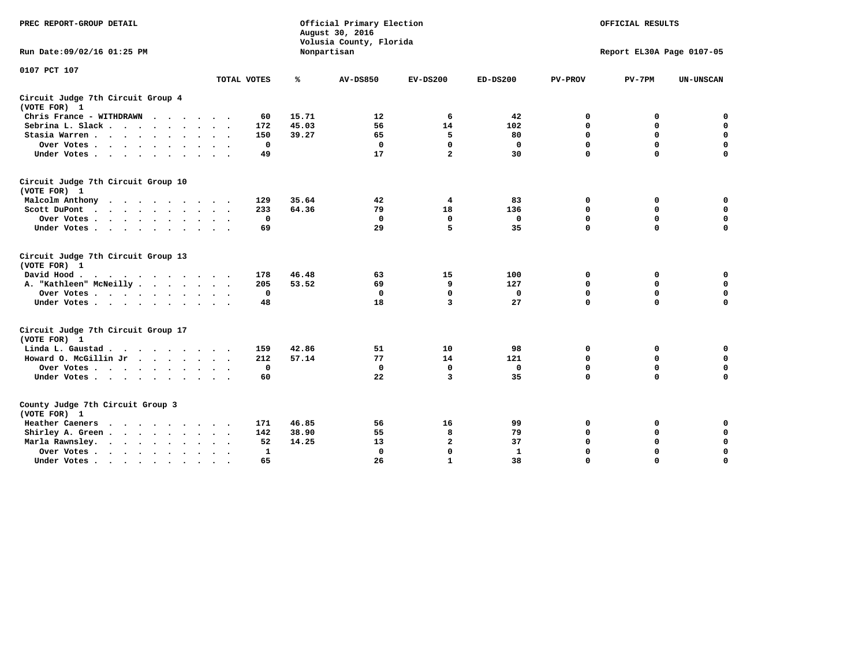| PREC REPORT-GROUP DETAIL                           |              |       | Official Primary Election<br>August 30, 2016<br>Volusia County, Florida | OFFICIAL RESULTS<br>Report EL30A Page 0107-05 |              |                |             |                  |
|----------------------------------------------------|--------------|-------|-------------------------------------------------------------------------|-----------------------------------------------|--------------|----------------|-------------|------------------|
| Run Date: 09/02/16 01:25 PM                        |              |       | Nonpartisan                                                             |                                               |              |                |             |                  |
| 0107 PCT 107                                       | TOTAL VOTES  | ℁     | <b>AV-DS850</b>                                                         | $EV-DS200$                                    | $ED-DS200$   | <b>PV-PROV</b> | $PV-7PM$    | <b>UN-UNSCAN</b> |
| Circuit Judge 7th Circuit Group 4<br>(VOTE FOR) 1  |              |       |                                                                         |                                               |              |                |             |                  |
| Chris France - WITHDRAWN                           | 60           | 15.71 | 12                                                                      | 6                                             | 42           | 0              | 0           | 0                |
| Sebrina L. Slack                                   | 172          | 45.03 | 56                                                                      | 14                                            | 102          | 0              | 0           | $\mathbf 0$      |
| Stasia Warren                                      | 150          | 39.27 | 65                                                                      | 5                                             | 80           | $\mathbf 0$    | $\mathbf 0$ | $\mathbf 0$      |
| Over Votes                                         | $^{\circ}$   |       | $\mathbf{0}$                                                            | $\mathbf 0$                                   | $\mathbf{0}$ | $\mathbf 0$    | $\mathbf 0$ | $\mathbf 0$      |
| Under Votes                                        | 49           |       | 17                                                                      | $\overline{a}$                                | 30           | $\Omega$       | $\Omega$    | $\Omega$         |
| Circuit Judge 7th Circuit Group 10<br>(VOTE FOR) 1 |              |       |                                                                         |                                               |              |                |             |                  |
| Malcolm Anthony                                    | 129          | 35.64 | 42                                                                      | 4                                             | 83           | 0              | 0           | 0                |
| Scott DuPont                                       | 233          | 64.36 | 79                                                                      | 18                                            | 136          | $\mathbf 0$    | $\mathbf 0$ | $\mathbf 0$      |
| Over Votes                                         | $\mathbf 0$  |       | $\mathbf{0}$                                                            | $\mathbf 0$                                   | $\mathbf 0$  | $\mathbf 0$    | $\mathbf 0$ | $\mathbf 0$      |
| Under Votes                                        | 69           |       | 29                                                                      | 5                                             | 35           | $\mathbf 0$    | $\mathbf 0$ | $\Omega$         |
| Circuit Judge 7th Circuit Group 13<br>(VOTE FOR) 1 |              |       |                                                                         |                                               |              |                |             |                  |
| David Hood.<br>$\cdots$                            | 178          | 46.48 | 63                                                                      | 15                                            | 100          | 0              | 0           | 0                |
| A. "Kathleen" McNeilly                             | 205          | 53.52 | 69                                                                      | 9                                             | 127          | $\mathbf 0$    | $\mathbf 0$ | $\mathbf 0$      |
| Over Votes                                         | $\mathbf 0$  |       | $\mathbf 0$                                                             | $\Omega$                                      | 0            | 0              | $\mathbf 0$ | $\mathbf 0$      |
| Under Votes                                        | 48           |       | 18                                                                      | 3                                             | 27           | $\Omega$       | $\Omega$    | $\mathbf 0$      |
| Circuit Judge 7th Circuit Group 17<br>(VOTE FOR) 1 |              |       |                                                                         |                                               |              |                |             |                  |
| Linda L. Gaustad                                   | 159          | 42.86 | 51                                                                      | 10                                            | 98           | 0              | 0           | 0                |
| Howard O. McGillin Jr                              | 212          | 57.14 | 77                                                                      | 14                                            | 121          | 0              | $\mathbf 0$ | 0                |
| Over Votes                                         | 0            |       | $\Omega$                                                                | 0                                             | $\mathbf 0$  | $\mathbf 0$    | $\mathbf 0$ | 0                |
| Under Votes                                        | 60           |       | 22                                                                      | 3                                             | 35           | $\mathbf 0$    | $\mathbf 0$ | $\mathbf 0$      |
| County Judge 7th Circuit Group 3<br>(VOTE FOR) 1   |              |       |                                                                         |                                               |              |                |             |                  |
| Heather Caeners<br>.                               | 171          | 46.85 | 56                                                                      | 16                                            | 99           | 0              | 0           | 0                |
| Shirley A. Green                                   | 142          | 38.90 | 55                                                                      | 8                                             | 79           | $\mathbf 0$    | 0           | $\mathbf 0$      |
| Marla Rawnsley.                                    | 52           | 14.25 | 13                                                                      | $\mathbf{z}$                                  | 37           | 0              | $\mathbf 0$ | $\mathbf 0$      |
| Over Votes                                         | $\mathbf{1}$ |       | $\mathbf{0}$                                                            | $\mathbf 0$                                   | $\mathbf{1}$ | $\mathbf 0$    | $\mathbf 0$ | $\mathbf 0$      |
| Under Votes                                        | 65           |       | 26                                                                      | $\mathbf{1}$                                  | 38           | $\mathbf 0$    | $\Omega$    | $\Omega$         |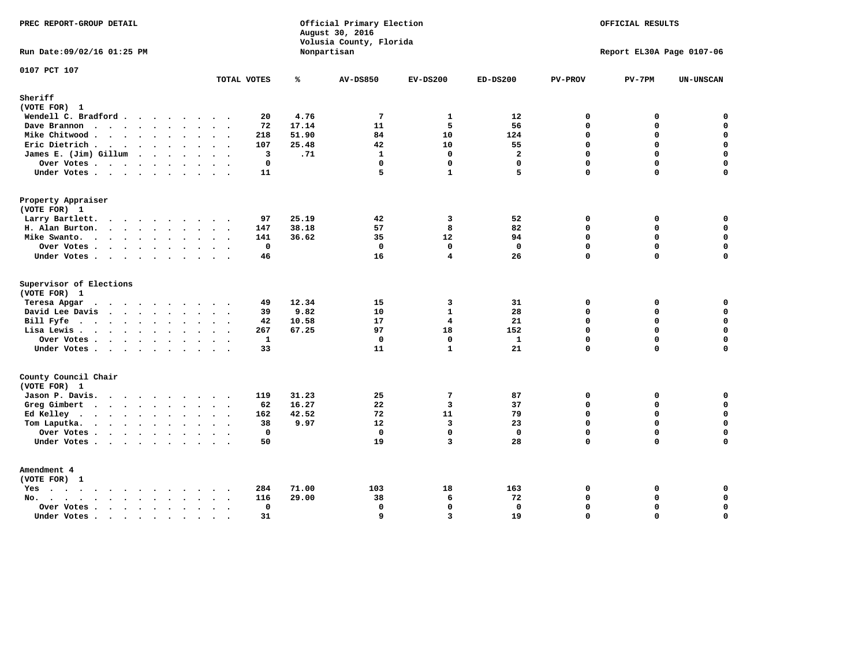| PREC REPORT-GROUP DETAIL                                                                                                                                                                                                                          |                    |               | Official Primary Election<br>August 30, 2016<br>Volusia County, Florida |                         |                    |                      | OFFICIAL RESULTS          |                            |
|---------------------------------------------------------------------------------------------------------------------------------------------------------------------------------------------------------------------------------------------------|--------------------|---------------|-------------------------------------------------------------------------|-------------------------|--------------------|----------------------|---------------------------|----------------------------|
| Run Date: 09/02/16 01:25 PM                                                                                                                                                                                                                       |                    |               | Nonpartisan                                                             |                         |                    |                      | Report EL30A Page 0107-06 |                            |
| 0107 PCT 107                                                                                                                                                                                                                                      | TOTAL VOTES        | ℁             | <b>AV-DS850</b>                                                         | $EV-DS200$              | $ED-DS200$         | <b>PV-PROV</b>       | $PV-7PM$                  | <b>UN-UNSCAN</b>           |
| Sheriff                                                                                                                                                                                                                                           |                    |               |                                                                         |                         |                    |                      |                           |                            |
| (VOTE FOR) 1<br>Wendell C. Bradford                                                                                                                                                                                                               | 20                 | 4.76          | $7\phantom{.0}$                                                         | $\mathbf{1}$            | 12                 | 0                    | 0                         | $\mathbf 0$                |
| Dave Brannon                                                                                                                                                                                                                                      | 72                 | 17.14         | 11                                                                      | 5                       | 56                 | $\Omega$             | 0                         | 0                          |
| Mike Chitwood                                                                                                                                                                                                                                     | 218                | 51.90         | 84                                                                      | 10                      | 124                | $\mathbf{0}$         | 0                         | $\mathbf 0$                |
| Eric Dietrich.                                                                                                                                                                                                                                    | 107                | 25.48         | 42                                                                      | 10                      | 55                 | $\Omega$             | $\Omega$                  | $\mathbf 0$                |
| James E. (Jim) Gillum                                                                                                                                                                                                                             | 3                  | .71           | $\mathbf{1}$                                                            | $\mathbf 0$             | $\overline{a}$     | $\mathbf 0$          | 0                         | $\mathbf 0$                |
| Over Votes                                                                                                                                                                                                                                        | $\mathbf 0$        |               | $\mathbf{0}$                                                            | $\mathbf{0}$            | $\mathbf{0}$       | $\Omega$             | $\mathbf 0$               | 0                          |
| Under Votes                                                                                                                                                                                                                                       | 11                 |               | 5                                                                       | $\mathbf{1}$            | 5                  | $\Omega$             | 0                         | $\mathbf 0$                |
| Property Appraiser                                                                                                                                                                                                                                |                    |               |                                                                         |                         |                    |                      |                           |                            |
| (VOTE FOR) 1                                                                                                                                                                                                                                      |                    |               |                                                                         |                         |                    |                      |                           |                            |
| Larry Bartlett.                                                                                                                                                                                                                                   | 97                 | 25.19         | 42                                                                      | 3                       | 52                 | $\mathbf 0$          | 0                         | 0                          |
| H. Alan Burton.                                                                                                                                                                                                                                   | 147                | 38.18         | 57                                                                      | 8                       | 82                 | $\Omega$             | 0                         | $\mathbf 0$                |
| Mike Swanto.                                                                                                                                                                                                                                      | 141                | 36.62         | 35                                                                      | 12                      | 94                 | $\mathbf 0$          | 0                         | $\mathbf 0$                |
| Over Votes.                                                                                                                                                                                                                                       | $\mathbf 0$        |               | $\mathbf 0$                                                             | $\mathbf 0$             | $\mathbf 0$        | $\mathbf 0$          | 0                         | $\mathbf 0$                |
| Under Votes                                                                                                                                                                                                                                       | 46                 |               | 16                                                                      | 4                       | 26                 | $\Omega$             | $\Omega$                  | $\mathbf 0$                |
| Supervisor of Elections                                                                                                                                                                                                                           |                    |               |                                                                         |                         |                    |                      |                           |                            |
| (VOTE FOR) 1                                                                                                                                                                                                                                      |                    |               |                                                                         |                         |                    |                      |                           |                            |
| Teresa Apgar                                                                                                                                                                                                                                      | 49                 | 12.34         | 15                                                                      | 3                       | 31                 | $\mathbf 0$          | 0                         | 0                          |
| David Lee Davis                                                                                                                                                                                                                                   | 39<br>42           | 9.82<br>10.58 | 10<br>17                                                                | $\mathbf{1}$<br>4       | 28<br>21           | $\Omega$<br>$\Omega$ | 0<br>$\mathbf 0$          | $\mathbf 0$<br>$\mathbf 0$ |
| Bill Fyfe                                                                                                                                                                                                                                         | 267                | 67.25         | 97                                                                      | 18                      | 152                | $\Omega$             | 0                         | 0                          |
| Lisa Lewis                                                                                                                                                                                                                                        |                    |               | $\mathbf{0}$                                                            | $\mathbf 0$             |                    | $\Omega$             | 0                         | $\mathbf 0$                |
| Over Votes<br>Under Votes                                                                                                                                                                                                                         | $\mathbf{1}$<br>33 |               | 11                                                                      | $\mathbf{1}$            | $\mathbf{1}$<br>21 | $\mathbf 0$          | $\Omega$                  | $\mathbf 0$                |
|                                                                                                                                                                                                                                                   |                    |               |                                                                         |                         |                    |                      |                           |                            |
| County Council Chair<br>(VOTE FOR) 1                                                                                                                                                                                                              |                    |               |                                                                         |                         |                    |                      |                           |                            |
| Jason P. Davis.                                                                                                                                                                                                                                   | 119                | 31.23         | 25                                                                      | $7\phantom{.0}$         | 87                 | $\mathbf 0$          | 0                         | 0                          |
| Greg Gimbert<br>$\mathbf{r}$ . The contract of the contract of the contract of the contract of the contract of the contract of the contract of the contract of the contract of the contract of the contract of the contract of the contract of th | 62                 | 16.27         | 22                                                                      | $\overline{3}$          | 37                 | $\Omega$             | 0                         | $\mathbf 0$                |
| Ed Kelley                                                                                                                                                                                                                                         | 162                | 42.52         | 72                                                                      | 11                      | 79                 | $\mathbf 0$          | 0                         | $\mathbf 0$                |
| Tom Laputka.                                                                                                                                                                                                                                      | 38                 | 9.97          | 12                                                                      | $\overline{\mathbf{3}}$ | 23                 | $\Omega$             | $\mathbf 0$               | $\mathbf 0$                |
| Over Votes.                                                                                                                                                                                                                                       | $\mathbf 0$        |               | $\mathbf 0$                                                             | $\mathbf 0$             | $\mathbf 0$        | 0                    | 0                         | $\mathbf 0$                |
| Under Votes                                                                                                                                                                                                                                       | 50                 |               | 19                                                                      | 3                       | 28                 | $\Omega$             | $\Omega$                  | $\mathbf 0$                |
|                                                                                                                                                                                                                                                   |                    |               |                                                                         |                         |                    |                      |                           |                            |
| Amendment 4<br>(VOTE FOR) 1                                                                                                                                                                                                                       |                    |               |                                                                         |                         |                    |                      |                           |                            |
| Yes                                                                                                                                                                                                                                               | 284                | 71.00         | 103                                                                     | 18                      | 163                | 0                    | 0                         | 0                          |
| No.<br>$\ddot{\phantom{a}}$                                                                                                                                                                                                                       | $\sim$<br>116      | 29.00         | 38                                                                      | 6                       | 72                 | $\mathbf 0$          | 0                         | $\mathbf 0$                |
| Over Votes.<br>$\cdots$                                                                                                                                                                                                                           | $\mathbf 0$        |               | $\mathbf 0$                                                             | $\mathbf{0}$            | $\mathbf{0}$       | $\Omega$             | 0                         | $\mathbf 0$                |
| Under Votes                                                                                                                                                                                                                                       | 31<br>$\sim$       |               | 9                                                                       | $\overline{3}$          | 19                 | $\Omega$             | $\Omega$                  | $\mathbf 0$                |
|                                                                                                                                                                                                                                                   |                    |               |                                                                         |                         |                    |                      |                           |                            |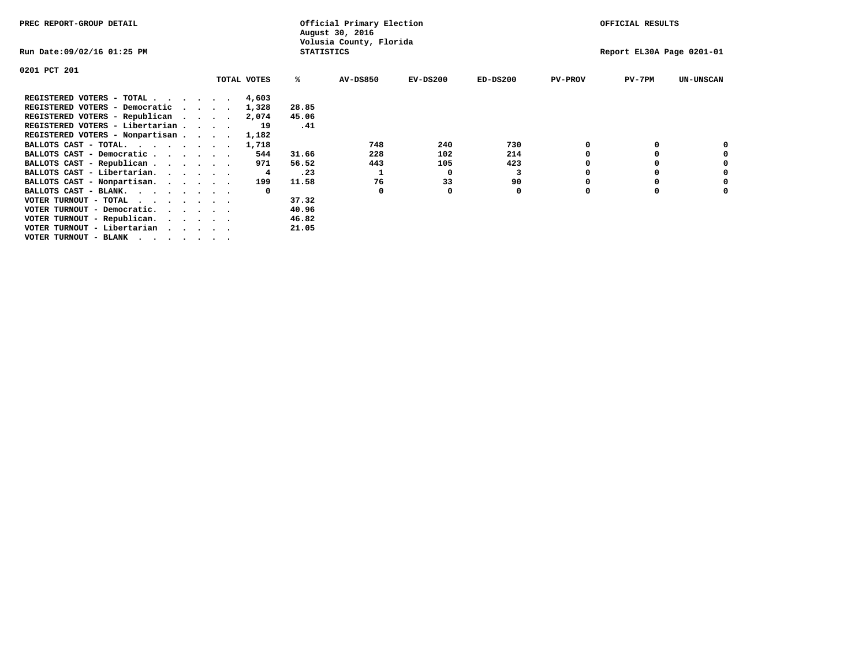| PREC REPORT-GROUP DETAIL              |  |             |                   | Official Primary Election<br>August 30, 2016 |            |            |                | OFFICIAL RESULTS          |                  |
|---------------------------------------|--|-------------|-------------------|----------------------------------------------|------------|------------|----------------|---------------------------|------------------|
| Run Date:09/02/16 01:25 PM            |  |             | <b>STATISTICS</b> | Volusia County, Florida                      |            |            |                | Report EL30A Page 0201-01 |                  |
| 0201 PCT 201                          |  |             |                   |                                              |            |            |                |                           |                  |
|                                       |  | TOTAL VOTES | ℁                 | <b>AV-DS850</b>                              | $EV-DS200$ | $ED-DS200$ | <b>PV-PROV</b> | $PV-7PM$                  | <b>UN-UNSCAN</b> |
| REGISTERED VOTERS - TOTAL             |  | 4,603       |                   |                                              |            |            |                |                           |                  |
| REGISTERED VOTERS - Democratic        |  | 1,328       | 28.85             |                                              |            |            |                |                           |                  |
| REGISTERED VOTERS - Republican        |  | 2,074       | 45.06             |                                              |            |            |                |                           |                  |
| REGISTERED VOTERS - Libertarian       |  | 19          | .41               |                                              |            |            |                |                           |                  |
| REGISTERED VOTERS - Nonpartisan       |  | 1,182       |                   |                                              |            |            |                |                           |                  |
| BALLOTS CAST - TOTAL.                 |  | 1,718       |                   | 748                                          | 240        | 730        |                |                           |                  |
| BALLOTS CAST - Democratic             |  | 544         | 31.66             | 228                                          | 102        | 214        |                | 0                         |                  |
| BALLOTS CAST - Republican             |  | 971         | 56.52             | 443                                          | 105        | 423        |                | 0                         | 0                |
| BALLOTS CAST - Libertarian.           |  | 4           | .23               |                                              | 0          | з          |                | 0                         | 0                |
| BALLOTS CAST - Nonpartisan.           |  | 199         | 11.58             | 76                                           | 33         | 90         |                | 0                         | 0                |
| BALLOTS CAST - BLANK.                 |  |             |                   | 0                                            |            | 0          | $\Omega$       | $\Omega$                  |                  |
| VOTER TURNOUT - TOTAL<br>$\cdots$     |  |             | 37.32             |                                              |            |            |                |                           |                  |
| VOTER TURNOUT - Democratic.           |  |             | 40.96             |                                              |            |            |                |                           |                  |
| VOTER TURNOUT - Republican.           |  |             | 46.82             |                                              |            |            |                |                           |                  |
| VOTER TURNOUT - Libertarian           |  |             | 21.05             |                                              |            |            |                |                           |                  |
| VOTER TURNOUT - BLANK , , , , , , , , |  |             |                   |                                              |            |            |                |                           |                  |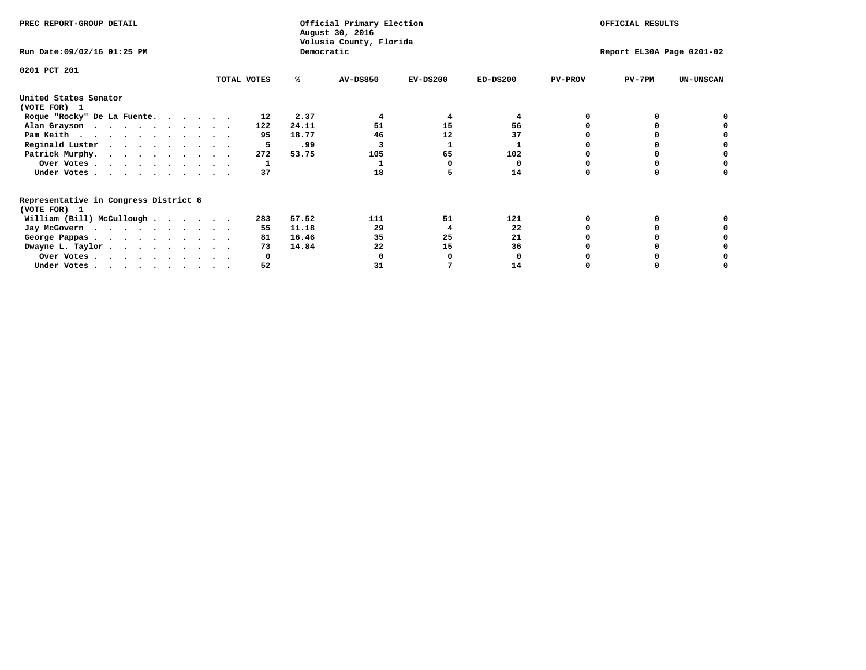| PREC REPORT-GROUP DETAIL                              |             |              | Official Primary Election<br>August 30, 2016 |            |            |                | OFFICIAL RESULTS          |                  |
|-------------------------------------------------------|-------------|--------------|----------------------------------------------|------------|------------|----------------|---------------------------|------------------|
| Run Date: 09/02/16 01:25 PM                           |             | Democratic   | Volusia County, Florida                      |            |            |                | Report EL30A Page 0201-02 |                  |
| 0201 PCT 201                                          | TOTAL VOTES | ℁            | <b>AV-DS850</b>                              | $EV-DS200$ | $ED-DS200$ | <b>PV-PROV</b> | $PV-7PM$                  | <b>UN-UNSCAN</b> |
|                                                       |             |              |                                              |            |            |                |                           |                  |
| United States Senator<br>(VOTE FOR) 1                 |             |              |                                              |            |            |                |                           |                  |
| Roque "Rocky" De La Fuente.                           |             | 2.37<br>12   |                                              | 4          |            |                |                           |                  |
| Alan Grayson                                          | 122         | 24.11        | 51                                           | 15         | 56         |                |                           |                  |
| Pam Keith                                             |             | 95<br>18.77  | 46                                           | 12         | 37         |                |                           |                  |
| Reginald Luster                                       |             | .99<br>5     |                                              |            |            |                |                           |                  |
| Patrick Murphy.                                       | 272         | 53.75        | 105                                          | 65         | 102        |                |                           |                  |
| Over Votes                                            |             |              |                                              |            | O          |                |                           |                  |
| Under Votes.                                          |             | 37           | 18                                           |            | 14         |                |                           |                  |
| Representative in Congress District 6<br>(VOTE FOR) 1 |             |              |                                              |            |            |                |                           |                  |
| William (Bill) McCullough $\cdots$ $\cdots$           | 283         | 57.52        | 111                                          | 51         | 121        |                |                           |                  |
|                                                       |             | 11.18<br>55  | 29                                           | 4          | 22         |                |                           |                  |
| Jay McGovern                                          |             | 81<br>16.46  | 35                                           | 25         | 21         |                |                           |                  |
| George Pappas.                                        |             | 14.84<br>73  | 22                                           | 15         | 36         |                |                           |                  |
| Dwayne L. Taylor                                      |             |              |                                              |            |            |                |                           |                  |
| Over Votes                                            |             | <sup>0</sup> |                                              |            |            |                |                           |                  |
| Under Votes.                                          |             | 52           | 31                                           |            | 14         |                |                           |                  |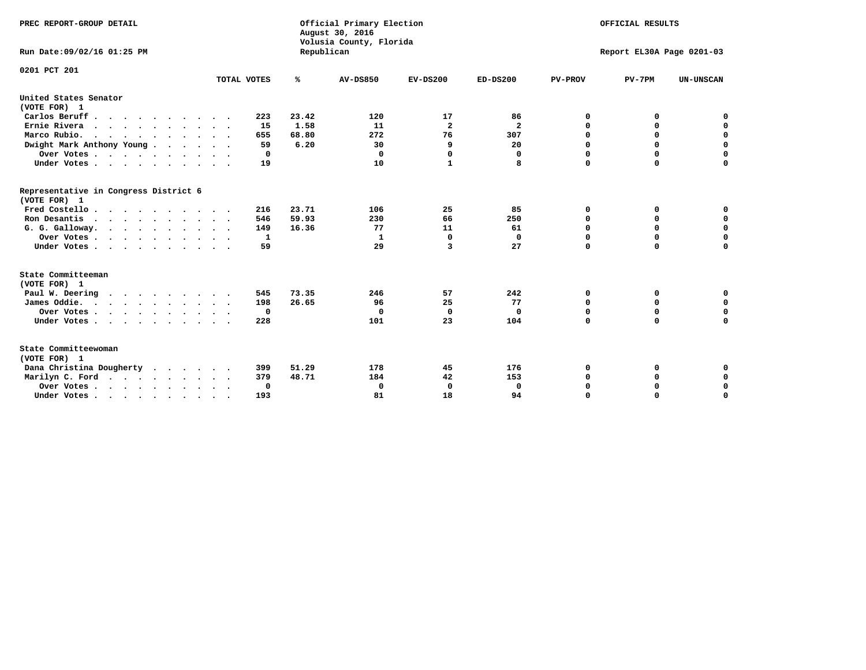| PREC REPORT-GROUP DETAIL<br>Run Date:09/02/16 01:25 PM |             | Republican | Official Primary Election<br>August 30, 2016<br>Volusia County, Florida |                |                         |                | OFFICIAL RESULTS<br>Report EL30A Page 0201-03 |                  |  |
|--------------------------------------------------------|-------------|------------|-------------------------------------------------------------------------|----------------|-------------------------|----------------|-----------------------------------------------|------------------|--|
|                                                        |             |            |                                                                         |                |                         |                |                                               |                  |  |
| 0201 PCT 201                                           | TOTAL VOTES | ℁          | <b>AV-DS850</b>                                                         | $EV-DS200$     | $ED-DS200$              | <b>PV-PROV</b> | $PV-7PM$                                      | <b>UN-UNSCAN</b> |  |
| United States Senator                                  |             |            |                                                                         |                |                         |                |                                               |                  |  |
| (VOTE FOR) 1                                           |             |            |                                                                         |                |                         |                |                                               |                  |  |
| Carlos Beruff                                          | 223         | 23.42      | 120                                                                     | 17             | 86                      | 0              | 0                                             | 0                |  |
| Ernie Rivera                                           | 15          | 1.58       | 11                                                                      | $\overline{a}$ | $\overline{\mathbf{2}}$ | 0              | 0                                             | $\mathbf 0$      |  |
| Marco Rubio.                                           | 655         | 68.80      | 272                                                                     | 76             | 307                     | 0              | 0                                             | $\mathbf 0$      |  |
| Dwight Mark Anthony Young                              | 59          | 6.20       | 30                                                                      | 9              | 20                      | 0              | $\mathbf 0$                                   | 0                |  |
| Over Votes                                             | 0           |            | $\mathbf 0$                                                             | $\mathbf 0$    | 0                       | $\mathbf 0$    | $\mathbf 0$                                   | $\mathbf 0$      |  |
| Under Votes                                            | 19          |            | 10                                                                      | 1              | 8                       | $\Omega$       | $\Omega$                                      | $\Omega$         |  |
| Representative in Congress District 6                  |             |            |                                                                         |                |                         |                |                                               |                  |  |
| (VOTE FOR) 1                                           |             |            |                                                                         |                |                         |                |                                               |                  |  |
| Fred Costello                                          | 216         | 23.71      | 106                                                                     | 25             | 85                      | 0              | 0                                             | 0                |  |
| Ron Desantis                                           | 546         | 59.93      | 230                                                                     | 66             | 250                     | $\mathbf 0$    | $\Omega$                                      | $\mathbf 0$      |  |
| G. G. Galloway.                                        | 149         | 16.36      | 77                                                                      | 11             | 61                      | 0              | 0                                             | $\mathbf 0$      |  |
| Over Votes                                             | 1           |            | 1                                                                       | $\Omega$       | $\mathbf 0$             | $\Omega$       | $\mathbf 0$                                   | $\mathbf 0$      |  |
| Under Votes                                            | 59          |            | 29                                                                      | 3              | 27                      | $\mathbf 0$    | $\Omega$                                      | 0                |  |
| State Committeeman                                     |             |            |                                                                         |                |                         |                |                                               |                  |  |
| (VOTE FOR) 1                                           |             |            |                                                                         |                |                         |                |                                               |                  |  |
| Paul W. Deering                                        | 545         | 73.35      | 246                                                                     | 57             | 242                     | 0              | 0                                             | 0                |  |
| James Oddie.                                           | 198         | 26.65      | 96                                                                      | 25             | 77                      | 0              | $\mathbf 0$                                   | $\mathbf 0$      |  |
| Over Votes                                             | 0           |            | 0                                                                       | 0              | 0                       | $\mathbf 0$    | $\mathbf 0$                                   | $\mathbf 0$      |  |
| Under Votes                                            | 228         |            | 101                                                                     | 23             | 104                     | $\mathbf 0$    | $\mathbf 0$                                   | $\mathbf 0$      |  |
| State Committeewoman<br>(VOTE FOR) 1                   |             |            |                                                                         |                |                         |                |                                               |                  |  |
| Dana Christina Dougherty                               | 399         | 51.29      | 178                                                                     | 45             | 176                     | 0              | 0                                             | 0                |  |
| Marilyn C. Ford                                        | 379         | 48.71      | 184                                                                     | 42             | 153                     | 0              | 0                                             | 0                |  |
| Over Votes                                             | $\Omega$    |            | 0                                                                       | 0              | 0                       | 0              | 0                                             | $\mathbf 0$      |  |
| Under Votes, , , , , , , , , ,                         | 193         |            | 81                                                                      | 18             | 94                      | $\Omega$       | $\Omega$                                      | $\Omega$         |  |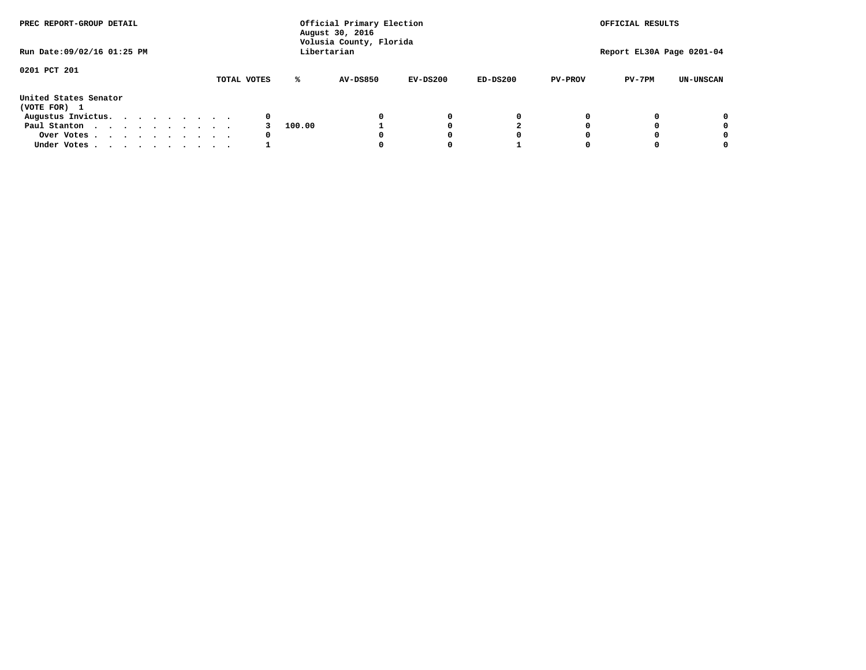| PREC REPORT-GROUP DETAIL              |  |  |  |  |             |        | Official Primary Election<br>August 30, 2016<br>Volusia County, Florida |            |            |                | OFFICIAL RESULTS          |                  |
|---------------------------------------|--|--|--|--|-------------|--------|-------------------------------------------------------------------------|------------|------------|----------------|---------------------------|------------------|
| Run Date: 09/02/16 01:25 PM           |  |  |  |  |             |        | Libertarian                                                             |            |            |                | Report EL30A Page 0201-04 |                  |
| 0201 PCT 201                          |  |  |  |  | TOTAL VOTES | ℁      | <b>AV-DS850</b>                                                         | $EV-DS200$ | $ED-DS200$ | <b>PV-PROV</b> | $PV-7PM$                  | <b>UN-UNSCAN</b> |
| United States Senator<br>(VOTE FOR) 1 |  |  |  |  |             |        |                                                                         |            |            |                |                           |                  |
| Augustus Invictus.                    |  |  |  |  | 0           |        |                                                                         | 0          | 0          |                |                           | 0                |
| Paul Stanton                          |  |  |  |  |             | 100.00 |                                                                         |            |            |                |                           | 0                |
| Over Votes                            |  |  |  |  | 0           |        |                                                                         |            | 0          |                |                           | 0                |
| Under Votes                           |  |  |  |  |             |        |                                                                         |            |            |                |                           | 0                |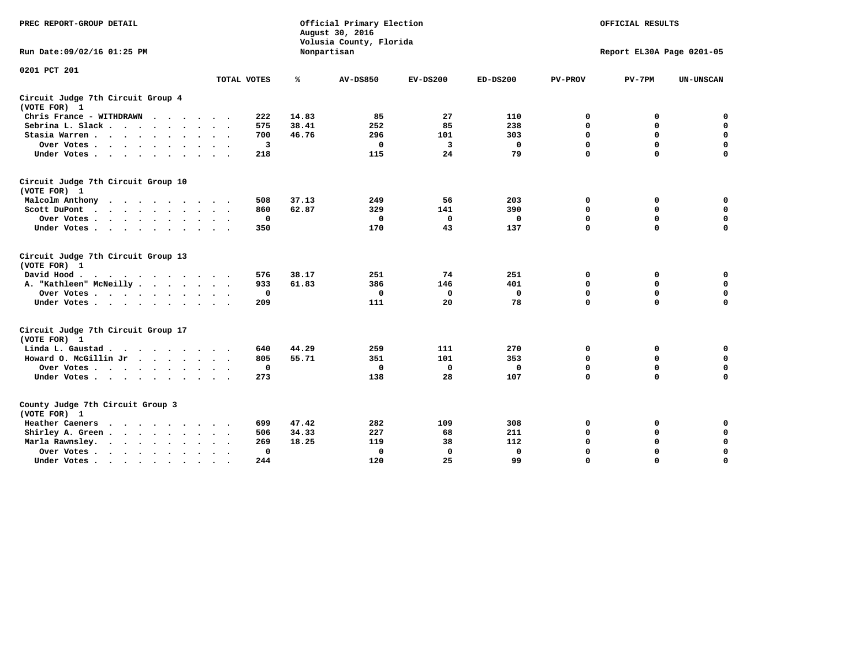| PREC REPORT-GROUP DETAIL                                    |             |             | Official Primary Election<br>August 30, 2016<br>Volusia County, Florida |            |              |                | OFFICIAL RESULTS          |                  |
|-------------------------------------------------------------|-------------|-------------|-------------------------------------------------------------------------|------------|--------------|----------------|---------------------------|------------------|
| Run Date: 09/02/16 01:25 PM                                 |             |             | Nonpartisan                                                             |            |              |                | Report EL30A Page 0201-05 |                  |
| 0201 PCT 201                                                |             |             |                                                                         |            |              |                |                           |                  |
|                                                             | TOTAL VOTES | ℁           | <b>AV-DS850</b>                                                         | $EV-DS200$ | $ED-DS200$   | <b>PV-PROV</b> | $PV-7PM$                  | <b>UN-UNSCAN</b> |
| Circuit Judge 7th Circuit Group 4<br>(VOTE FOR) 1           |             |             |                                                                         |            |              |                |                           |                  |
| Chris France - WITHDRAWN<br>$\cdots$                        | 222         | 14.83       | 85                                                                      | 27         | 110          | 0              | 0                         | 0                |
| Sebrina L. Slack                                            | 575         | 38.41       | 252                                                                     | 85         | 238          | $\Omega$       | $\mathbf 0$               | $\mathbf 0$      |
| Stasia Warren                                               | 700         | 46.76       | 296                                                                     | 101        | 303          | $\mathbf 0$    | $\Omega$                  | $\mathbf 0$      |
| Over Votes                                                  |             | 3           | $\mathbf{0}$                                                            | 3          | 0            | $\mathbf 0$    | $\mathbf 0$               | $\mathbf 0$      |
| Under Votes                                                 | 218         |             | 115                                                                     | 24         | 79           | $\mathbf 0$    | $\Omega$                  | $\mathbf 0$      |
| Circuit Judge 7th Circuit Group 10<br>(VOTE FOR) 1          |             |             |                                                                         |            |              |                |                           |                  |
| Malcolm Anthony                                             | 508         | 37.13       | 249                                                                     | 56         | 203          | 0              | 0                         | 0                |
| Scott DuPont                                                | 860         | 62.87       | 329                                                                     | 141        | 390          | 0              | $\mathbf 0$               | $\mathbf 0$      |
| Over Votes<br>$\ddot{\phantom{1}}$                          |             | 0           | 0                                                                       | 0          | 0            | $\mathbf 0$    | $\mathbf 0$               | $\mathbf 0$      |
| Under Votes                                                 | 350         |             | 170                                                                     | 43         | 137          | $\mathbf 0$    | $\Omega$                  | $\Omega$         |
| Circuit Judge 7th Circuit Group 13<br>(VOTE FOR) 1          |             |             |                                                                         |            |              |                |                           |                  |
| David Hood.                                                 | 576         | 38.17       | 251                                                                     | 74         | 251          | $\mathbf 0$    | 0                         | $\mathbf 0$      |
| A. "Kathleen" McNeilly                                      | 933         | 61.83       | 386                                                                     | 146        | 401          | $\Omega$       | $\Omega$                  | $\mathbf 0$      |
| Over Votes                                                  |             | $\mathbf 0$ | $\mathbf{0}$                                                            | 0          | $\mathbf{0}$ | 0              | $\mathbf 0$               | $\mathbf 0$      |
| Under Votes                                                 | 209         |             | 111                                                                     | 20         | 78           | $\mathbf 0$    | $\Omega$                  | 0                |
| Circuit Judge 7th Circuit Group 17<br>(VOTE FOR) 1          |             |             |                                                                         |            |              |                |                           |                  |
| Linda L. Gaustad                                            | 640         | 44.29       | 259                                                                     | 111        | 270          | 0              | 0                         | $\mathbf 0$      |
| Howard O. McGillin Jr                                       | 805         | 55.71       | 351                                                                     | 101        | 353          | 0              | 0                         | $\mathbf 0$      |
| Over Votes                                                  |             | $\mathbf 0$ | $\Omega$                                                                | 0          | 0            | $\mathbf 0$    | $\Omega$                  | $\mathbf 0$      |
| Under Votes                                                 | 273         |             | 138                                                                     | 28         | 107          | $\mathbf 0$    | $\mathbf 0$               | $\mathbf 0$      |
| County Judge 7th Circuit Group 3<br>(VOTE FOR) 1            |             |             |                                                                         |            |              |                |                           |                  |
| Heather Caeners<br>$\cdots$                                 | 699         | 47.42       | 282                                                                     | 109        | 308          | 0              | 0                         | 0                |
| Shirley A. Green                                            | 506         | 34.33       | 227                                                                     | 68         | 211          | $\mathbf 0$    | $\Omega$                  | $\mathbf 0$      |
| Marla Rawnsley.                                             | 269         | 18.25       | 119                                                                     | 38         | 112          | 0              | $\mathbf 0$               | $\pmb{0}$        |
| Over Votes.<br>$\ddot{\phantom{a}}$<br>$\ddot{\phantom{a}}$ |             | 0           | $\Omega$                                                                | 0          | 0            | $\mathbf 0$    | $\Omega$                  | $\mathbf 0$      |
| Under Votes<br>$\sim$<br>$\sim$                             | 244         |             | 120                                                                     | 25         | 99           | $\mathbf 0$    | $\mathbf 0$               | 0                |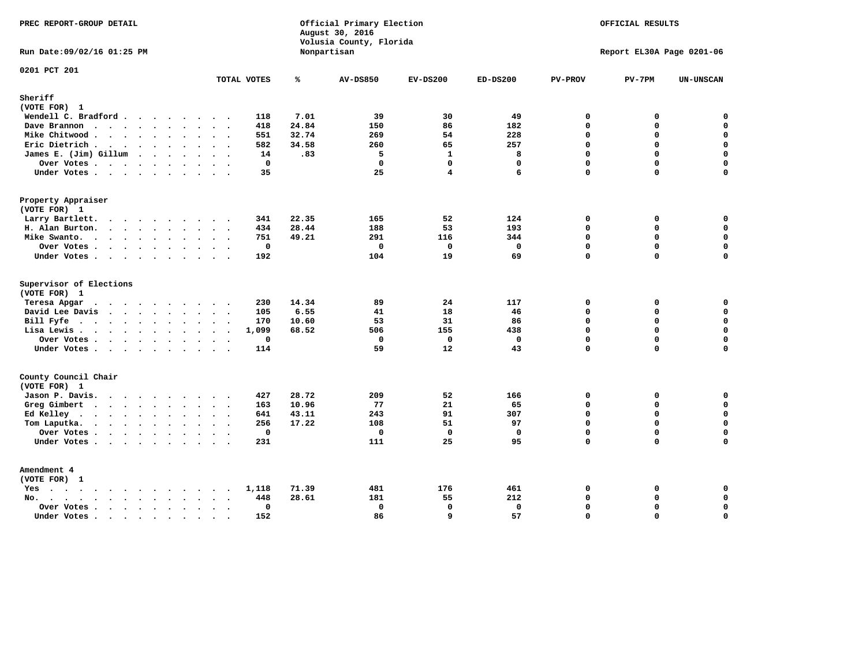| PREC REPORT-GROUP DETAIL                                                              |                             |       | Official Primary Election<br>August 30, 2016<br>Volusia County, Florida |              |              |                | OFFICIAL RESULTS          |             |
|---------------------------------------------------------------------------------------|-----------------------------|-------|-------------------------------------------------------------------------|--------------|--------------|----------------|---------------------------|-------------|
| Run Date: 09/02/16 01:25 PM                                                           |                             |       | Nonpartisan                                                             |              |              |                | Report EL30A Page 0201-06 |             |
| 0201 PCT 201                                                                          | TOTAL VOTES                 | ℁     | <b>AV-DS850</b>                                                         | $EV-DS200$   | $ED-DS200$   | <b>PV-PROV</b> | $PV-7PM$                  | UN-UNSCAN   |
| Sheriff                                                                               |                             |       |                                                                         |              |              |                |                           |             |
| (VOTE FOR) 1                                                                          |                             |       |                                                                         |              |              |                |                           |             |
| Wendell C. Bradford                                                                   | 118                         | 7.01  | 39                                                                      | 30           | 49           | $\mathbf 0$    | 0                         | $\mathbf 0$ |
| Dave Brannon                                                                          | 418                         | 24.84 | 150                                                                     | 86           | 182          | $\mathbf 0$    | 0                         | $\mathbf 0$ |
| Mike Chitwood                                                                         | 551<br>$\ddot{\phantom{a}}$ | 32.74 | 269                                                                     | 54           | 228          | $\Omega$       | 0                         | $\mathbf 0$ |
| Eric Dietrich.                                                                        | 582                         | 34.58 | 260                                                                     | 65           | 257          | $\Omega$       | 0                         | $\mathbf 0$ |
| James E. (Jim) Gillum                                                                 | 14                          | .83   | 5                                                                       | $\mathbf{1}$ | 8            | $\Omega$       | $\mathbf 0$               | $\mathbf 0$ |
| Over Votes                                                                            | $\mathbf 0$                 |       | $\mathbf 0$                                                             | $\Omega$     | $\mathbf{0}$ | $\Omega$       | 0                         | 0           |
| Under Votes                                                                           | 35                          |       | 25                                                                      | 4            | 6            | $\Omega$       | $\Omega$                  | $\Omega$    |
| Property Appraiser                                                                    |                             |       |                                                                         |              |              |                |                           |             |
| (VOTE FOR) 1                                                                          |                             |       |                                                                         |              |              |                |                           |             |
| Larry Bartlett.                                                                       | 341                         | 22.35 | 165                                                                     | 52           | 124          | $\mathbf 0$    | 0                         | 0           |
| H. Alan Burton.                                                                       | 434                         | 28.44 | 188                                                                     | 53           | 193          | $\Omega$       | 0                         | $\mathbf 0$ |
| Mike Swanto.                                                                          | 751                         | 49.21 | 291                                                                     | 116          | 344          | $\mathbf 0$    | 0                         | 0           |
| Over Votes                                                                            | $\mathbf{0}$                |       | $\mathbf 0$                                                             | $\mathbf 0$  | $\mathbf{0}$ | $\Omega$       | $\mathbf 0$               | $\mathbf 0$ |
| Under Votes                                                                           | 192                         |       | 104                                                                     | 19           | 69           | $\Omega$       | 0                         | $\mathbf 0$ |
| Supervisor of Elections                                                               |                             |       |                                                                         |              |              |                |                           |             |
| (VOTE FOR) 1                                                                          |                             |       |                                                                         |              |              |                |                           |             |
| $\mathbf{r}$ , and $\mathbf{r}$ , and $\mathbf{r}$ , and $\mathbf{r}$<br>Teresa Apgar | 230<br>$\sim$ $\sim$        | 14.34 | 89                                                                      | 24           | 117          | $\mathbf 0$    | 0                         | $\mathbf 0$ |
| David Lee Davis                                                                       | 105                         | 6.55  | 41                                                                      | 18           | 46           | $\Omega$       | 0                         | $\mathbf 0$ |
| Bill Fyfe.                                                                            | 170                         | 10.60 | 53                                                                      | 31           | 86           | $\Omega$       | $\Omega$                  | $\mathbf 0$ |
| Lisa Lewis                                                                            | 1,099                       | 68.52 | 506                                                                     | 155          | 438          | $\mathbf 0$    | 0                         | $\mathbf 0$ |
| Over Votes                                                                            | $\mathbf 0$                 |       | $\mathbf 0$                                                             | $\mathbf 0$  | $\mathbf 0$  | $\mathbf 0$    | 0                         | $\pmb{0}$   |
| Under Votes                                                                           | 114                         |       | 59                                                                      | 12           | 43           | $\Omega$       | 0                         | $\Omega$    |
| County Council Chair                                                                  |                             |       |                                                                         |              |              |                |                           |             |
| (VOTE FOR) 1                                                                          |                             | 28.72 | 209                                                                     | 52           | 166          | $\mathbf 0$    |                           | 0           |
| Jason P. Davis.                                                                       | 427<br>163                  | 10.96 | 77                                                                      | 21           | 65           | $\Omega$       | 0<br>$\Omega$             | 0           |
| Greg Gimbert                                                                          | 641                         | 43.11 | 243                                                                     | 91           | 307          | $\mathbf 0$    | 0                         | $\mathbf 0$ |
| Ed Kelley                                                                             | 256                         | 17.22 | 108                                                                     | 51           | 97           | $\Omega$       | $\mathbf 0$               | 0           |
| Tom Laputka.<br>.                                                                     | $\mathbf 0$                 |       | $\mathbf 0$                                                             | $\mathbf 0$  | $\mathbf 0$  | $\mathbf 0$    | 0                         | $\mathbf 0$ |
| Over Votes                                                                            | 231                         |       | 111                                                                     | 25           | 95           | $\Omega$       | $\Omega$                  | $\mathbf 0$ |
| Under Votes                                                                           |                             |       |                                                                         |              |              |                |                           |             |
| Amendment 4                                                                           |                             |       |                                                                         |              |              |                |                           |             |
| (VOTE FOR) 1                                                                          |                             |       |                                                                         |              |              |                |                           |             |
| Yes                                                                                   | 1,118<br>$\cdot$            | 71.39 | 481                                                                     | 176          | 461          | $\mathbf 0$    | 0                         | 0           |
| $\cdot$<br>$No.$<br>$\ddot{\phantom{a}}$<br>$\ddot{\phantom{a}}$                      | 448<br>$\ddot{\phantom{0}}$ | 28.61 | 181                                                                     | 55           | 212          | $\Omega$       | 0                         | $\mathbf 0$ |
| Over Votes .<br>$\cdots$<br>$\ddot{\phantom{1}}$                                      | 0<br>$\ddot{\phantom{0}}$   |       | 0                                                                       | $\mathbf 0$  | $\mathbf 0$  | $\Omega$       | 0                         | $\mathbf 0$ |
| Under Votes                                                                           | 152<br>$\sim$               |       | 86                                                                      | 9            | 57           | $\mathbf 0$    | 0                         | $\mathbf 0$ |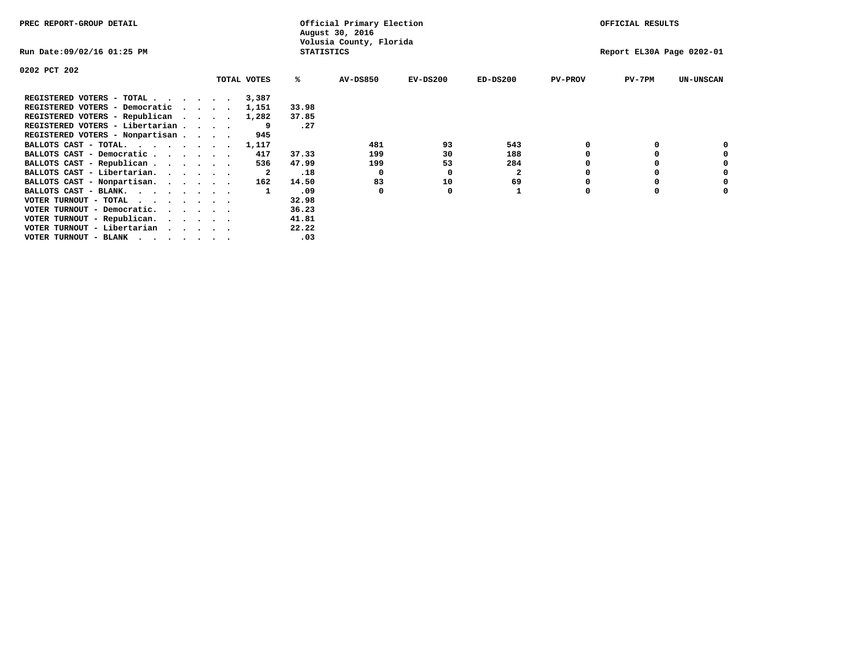| PREC REPORT-GROUP DETAIL                                                                                                                 |                                 |                   | Official Primary Election<br>August 30, 2016 |                 | OFFICIAL RESULTS          |              |                |          |                  |
|------------------------------------------------------------------------------------------------------------------------------------------|---------------------------------|-------------------|----------------------------------------------|-----------------|---------------------------|--------------|----------------|----------|------------------|
| Run Date:09/02/16 01:25 PM                                                                                                               |                                 | <b>STATISTICS</b> | Volusia County, Florida                      |                 | Report EL30A Page 0202-01 |              |                |          |                  |
| 0202 PCT 202                                                                                                                             |                                 |                   |                                              |                 |                           |              |                |          |                  |
|                                                                                                                                          |                                 | TOTAL VOTES       | %ะ                                           | <b>AV-DS850</b> | $EV-DS200$                | $ED-DS200$   | <b>PV-PROV</b> | $PV-7PM$ | <b>UN-UNSCAN</b> |
| REGISTERED VOTERS - TOTAL                                                                                                                |                                 | 3,387             |                                              |                 |                           |              |                |          |                  |
| REGISTERED VOTERS - Democratic                                                                                                           | $\cdot$ $\cdot$ $\cdot$ $\cdot$ | 1,151             | 33.98                                        |                 |                           |              |                |          |                  |
| REGISTERED VOTERS - Republican                                                                                                           |                                 | 1,282             | 37.85                                        |                 |                           |              |                |          |                  |
| REGISTERED VOTERS - Libertarian                                                                                                          |                                 |                   | .27                                          |                 |                           |              |                |          |                  |
| REGISTERED VOTERS - Nonpartisan                                                                                                          |                                 | 945               |                                              |                 |                           |              |                |          |                  |
| BALLOTS CAST - TOTAL.                                                                                                                    |                                 | 1,117             |                                              | 481             | 93                        | 543          |                |          |                  |
| BALLOTS CAST - Democratic                                                                                                                |                                 | 417               | 37.33                                        | 199             | 30                        | 188          |                |          |                  |
| BALLOTS CAST - Republican                                                                                                                |                                 | 536               | 47.99                                        | 199             | 53                        | 284          |                |          |                  |
| BALLOTS CAST - Libertarian.                                                                                                              |                                 | -2                | .18                                          | 0               | O                         | $\mathbf{2}$ |                |          |                  |
| BALLOTS CAST - Nonpartisan.                                                                                                              |                                 | 162               | 14.50                                        | 83              | 10                        | 69           |                |          | 0                |
| BALLOTS CAST - BLANK.                                                                                                                    |                                 |                   | .09                                          | 0               | O                         |              | O              | $\Omega$ |                  |
| VOTER TURNOUT - TOTAL<br>the contract of the contract of the contract of the contract of the contract of the contract of the contract of |                                 |                   | 32.98                                        |                 |                           |              |                |          |                  |
| VOTER TURNOUT - Democratic.                                                                                                              |                                 |                   | 36.23                                        |                 |                           |              |                |          |                  |
| VOTER TURNOUT - Republican.                                                                                                              |                                 |                   | 41.81                                        |                 |                           |              |                |          |                  |
| VOTER TURNOUT - Libertarian                                                                                                              |                                 |                   | 22.22                                        |                 |                           |              |                |          |                  |
| VOTER TURNOUT - BLANK                                                                                                                    |                                 |                   | .03                                          |                 |                           |              |                |          |                  |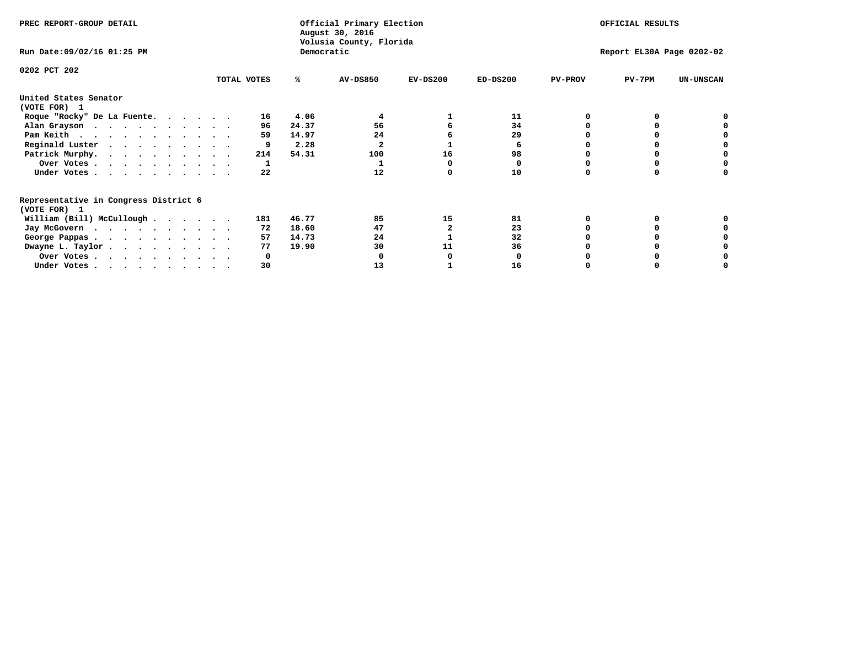| PREC REPORT-GROUP DETAIL                                               |             |             | Official Primary Election<br>August 30, 2016 |            | OFFICIAL RESULTS<br>Report EL30A Page 0202-02 |                |          |                  |
|------------------------------------------------------------------------|-------------|-------------|----------------------------------------------|------------|-----------------------------------------------|----------------|----------|------------------|
| Run Date: 09/02/16 01:25 PM                                            |             |             | Volusia County, Florida<br>Democratic        |            |                                               |                |          |                  |
| 0202 PCT 202                                                           |             |             |                                              |            |                                               |                |          |                  |
|                                                                        | TOTAL VOTES | ℁           | <b>AV-DS850</b>                              | $EV-DS200$ | $ED-DS200$                                    | <b>PV-PROV</b> | $PV-7PM$ | <b>UN-UNSCAN</b> |
| United States Senator<br>(VOTE FOR) 1                                  |             |             |                                              |            |                                               |                |          |                  |
| Roque "Rocky" De La Fuente.                                            |             | 4.06<br>16  |                                              |            | 11                                            |                |          |                  |
| Alan Grayson                                                           |             | 24.37<br>96 | 56                                           |            | 34                                            |                |          |                  |
| Pam Keith                                                              |             | 59<br>14.97 | 24                                           |            | 29                                            |                |          |                  |
| Reginald Luster                                                        |             | 2.28        |                                              |            | 6                                             |                |          |                  |
| Patrick Murphy.                                                        | 214         | 54.31       | 100                                          | 16         | 98                                            |                |          |                  |
| Over Votes                                                             |             |             |                                              |            | 0                                             |                |          |                  |
| Under Votes                                                            |             | 22          | 12                                           |            | 10                                            |                |          |                  |
| Representative in Congress District 6                                  |             |             |                                              |            |                                               |                |          |                  |
| (VOTE FOR) 1                                                           |             |             | 85                                           |            |                                               |                |          |                  |
| William (Bill) McCullough                                              | 181         | 46.77       |                                              | 15         | 81                                            |                |          |                  |
| Jay McGovern                                                           |             | 18.60<br>72 | 47                                           |            | 23                                            |                |          |                  |
| George Pappas.                                                         |             | 14.73<br>57 | 24                                           |            | 32                                            |                |          |                  |
| Dwayne L. Taylor.                                                      |             | 19.90<br>77 | 30                                           | 11         | 36                                            |                |          |                  |
| Over Votes                                                             |             | O           |                                              |            |                                               |                |          |                  |
| Under Votes, $\cdot$ , $\cdot$ , $\cdot$ , $\cdot$ , $\cdot$ , $\cdot$ |             | 30          | 13                                           |            | 16                                            |                |          |                  |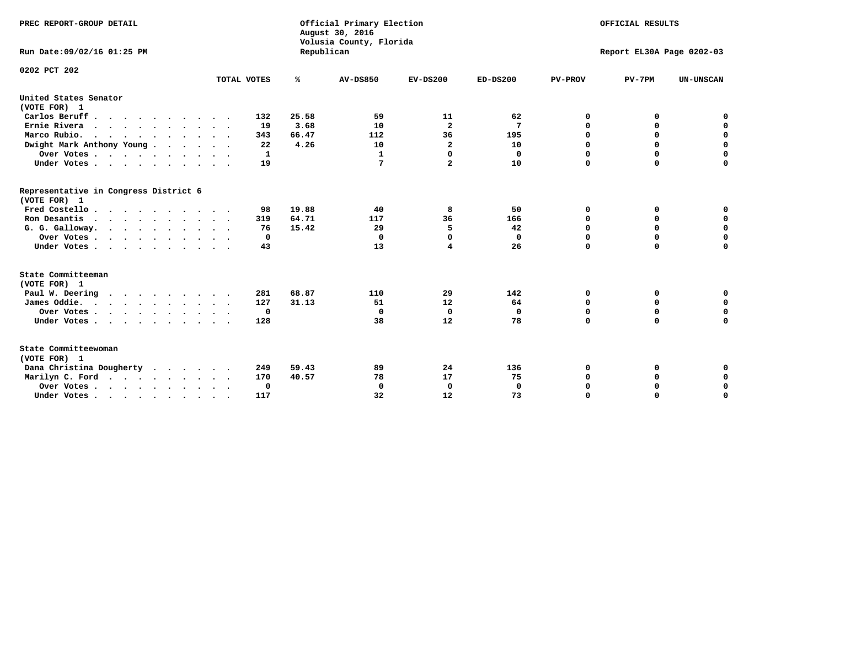| PREC REPORT-GROUP DETAIL<br>Run Date:09/02/16 01:25 PM |                            | Republican | Official Primary Election<br>August 30, 2016<br>Volusia County, Florida | OFFICIAL RESULTS<br>Report EL30A Page 0202-03 |              |                |             |                  |
|--------------------------------------------------------|----------------------------|------------|-------------------------------------------------------------------------|-----------------------------------------------|--------------|----------------|-------------|------------------|
| 0202 PCT 202                                           | TOTAL VOTES                | ℁          | <b>AV-DS850</b>                                                         | $EV-DS200$                                    | $ED-DS200$   | <b>PV-PROV</b> | $PV-7PM$    | <b>UN-UNSCAN</b> |
|                                                        |                            |            |                                                                         |                                               |              |                |             |                  |
| United States Senator<br>(VOTE FOR) 1                  |                            |            |                                                                         |                                               |              |                |             |                  |
| Carlos Beruff                                          | 132                        | 25.58      | 59                                                                      | 11                                            | 62           | 0              | 0           | 0                |
| Ernie Rivera<br>$\cdots$                               | 19                         | 3.68       | 10                                                                      | $\overline{\mathbf{2}}$                       | 7            | 0              | 0           | $\mathbf 0$      |
| Marco Rubio.                                           | 343                        | 66.47      | 112                                                                     | 36                                            | 195          | 0              | 0           | $\mathbf 0$      |
| Dwight Mark Anthony Young                              | 22                         | 4.26       | 10                                                                      | $\overline{\mathbf{2}}$                       | 10           | $\mathbf 0$    | $\mathbf 0$ | $\mathbf 0$      |
| Over Votes                                             | 1                          |            | $\mathbf{1}$                                                            | 0                                             | 0            | $\mathbf 0$    | $\mathbf 0$ | $\mathbf 0$      |
| Under Votes                                            | 19<br>$\ddot{\phantom{1}}$ |            | 7                                                                       | $\overline{a}$                                | 10           | $\Omega$       | $\Omega$    | $\mathbf 0$      |
| Representative in Congress District 6<br>(VOTE FOR) 1  |                            |            |                                                                         |                                               |              |                |             |                  |
| Fred Costello                                          | 98                         | 19.88      | 40                                                                      | 8                                             | 50           | 0              | 0           | $\mathbf 0$      |
| Ron Desantis                                           | 319                        | 64.71      | 117                                                                     | 36                                            | 166          | 0              | 0           | $\mathbf 0$      |
| G. G. Galloway.                                        | 76                         | 15.42      | 29                                                                      | 5                                             | 42           | $\mathbf 0$    | $\mathbf 0$ | $\mathbf 0$      |
| Over Votes                                             | 0                          |            | $\Omega$                                                                | $\Omega$                                      | 0            | $\mathbf 0$    | 0           | 0                |
| Under Votes                                            | 43                         |            | 13                                                                      | 4                                             | 26           | $\mathbf 0$    | $\Omega$    | $\mathbf 0$      |
| State Committeeman                                     |                            |            |                                                                         |                                               |              |                |             |                  |
| (VOTE FOR) 1<br>Paul W. Deering                        | 281                        | 68.87      | 110                                                                     | 29                                            | 142          | 0              | 0           | 0                |
| James Oddie.                                           | 127                        | 31.13      | 51                                                                      | 12                                            | 64           | 0              | 0           | $\mathbf 0$      |
| Over Votes                                             | $\mathbf{o}$               |            | $\Omega$                                                                | $\mathbf 0$                                   | 0            | 0              | $\mathbf 0$ | $\mathbf 0$      |
| Under Votes                                            | 128                        |            | 38                                                                      | 12                                            | 78           | $\mathbf 0$    | $\mathbf 0$ | $\mathbf 0$      |
| State Committeewoman<br>(VOTE FOR) 1                   |                            |            |                                                                         |                                               |              |                |             |                  |
| Dana Christina Dougherty<br>$\cdot$                    | 249                        | 59.43      | 89                                                                      | 24                                            | 136          | 0              | 0           | 0                |
| Marilyn C. Ford                                        | 170                        | 40.57      | 78                                                                      | 17                                            | 75           | 0              | 0           | 0                |
| Over Votes                                             | $\Omega$                   |            | $\mathbf 0$                                                             | 0                                             | $\mathbf{0}$ | $\mathbf 0$    | 0           | $\mathbf 0$      |
| Under Votes, , , , , , , , , ,                         | 117                        |            | 32                                                                      | 12                                            | 73           | $\Omega$       | $\Omega$    | $\Omega$         |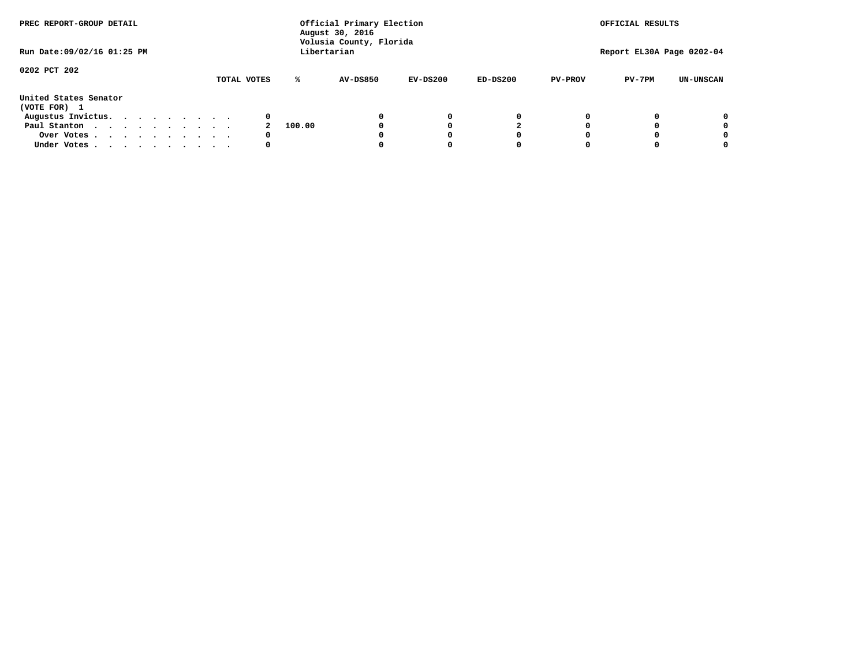| PREC REPORT-GROUP DETAIL<br>Run Date: 09/02/16 01:25 PM |  |  |  |  |  | Official Primary Election<br>August 30, 2016<br>Volusia County, Florida<br>Libertarian | OFFICIAL RESULTS<br>Report EL30A Page 0202-04 |                 |            |            |                |          |                  |
|---------------------------------------------------------|--|--|--|--|--|----------------------------------------------------------------------------------------|-----------------------------------------------|-----------------|------------|------------|----------------|----------|------------------|
|                                                         |  |  |  |  |  |                                                                                        |                                               |                 |            |            |                |          |                  |
| 0202 PCT 202                                            |  |  |  |  |  | TOTAL VOTES                                                                            | ℁                                             | <b>AV-DS850</b> | $EV-DS200$ | $ED-DS200$ | <b>PV-PROV</b> | $PV-7PM$ | <b>UN-UNSCAN</b> |
| United States Senator<br>(VOTE FOR) 1                   |  |  |  |  |  |                                                                                        |                                               |                 |            |            |                |          |                  |
| Augustus Invictus.                                      |  |  |  |  |  | 0                                                                                      |                                               |                 | 0          | 0          |                |          | 0                |
| Paul Stanton                                            |  |  |  |  |  |                                                                                        | 100.00                                        |                 |            |            |                |          | 0                |
| Over Votes                                              |  |  |  |  |  | 0                                                                                      |                                               |                 |            | O          |                |          | 0                |
| Under Votes                                             |  |  |  |  |  | 0                                                                                      |                                               |                 |            |            |                |          |                  |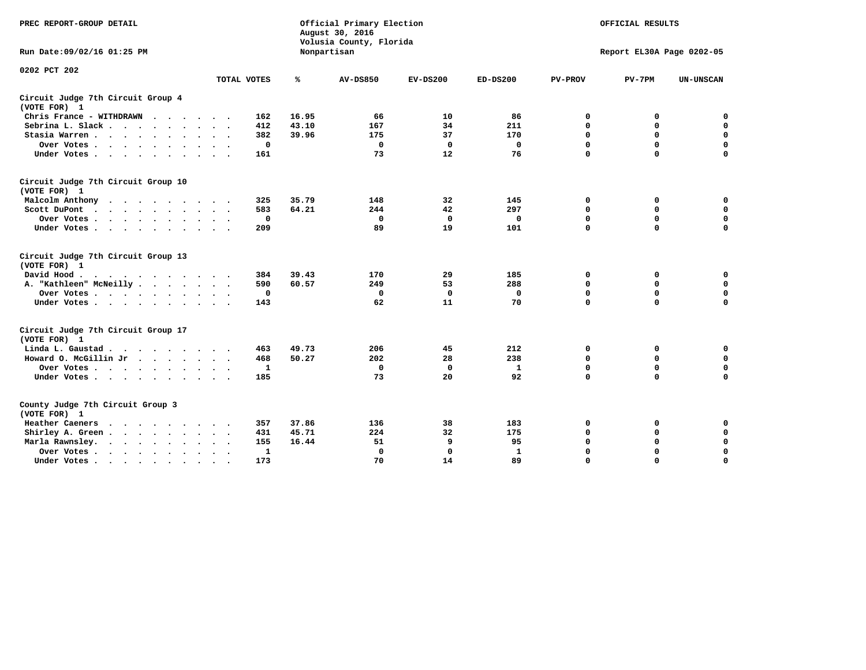| PREC REPORT-GROUP DETAIL                                   |                             | Official Primary Election<br>August 30, 2016<br>Volusia County, Florida | OFFICIAL RESULTS<br>Report EL30A Page 0202-05 |              |            |                |             |                  |
|------------------------------------------------------------|-----------------------------|-------------------------------------------------------------------------|-----------------------------------------------|--------------|------------|----------------|-------------|------------------|
| Run Date: 09/02/16 01:25 PM                                |                             |                                                                         | Nonpartisan                                   |              |            |                |             |                  |
| 0202 PCT 202                                               |                             |                                                                         |                                               |              |            |                |             |                  |
|                                                            | TOTAL VOTES                 | %                                                                       | <b>AV-DS850</b>                               | $EV-DS200$   | $ED-DS200$ | <b>PV-PROV</b> | $PV-7PM$    | <b>UN-UNSCAN</b> |
| Circuit Judge 7th Circuit Group 4<br>(VOTE FOR) 1          |                             |                                                                         |                                               |              |            |                |             |                  |
| Chris France - WITHDRAWN                                   | 162                         | 16.95                                                                   | 66                                            | 10           | 86         | 0              | 0           | 0                |
| Sebrina L. Slack                                           | 412                         | 43.10                                                                   | 167                                           | 34           | 211        | $\mathbf 0$    | $\mathbf 0$ | $\mathbf 0$      |
| Stasia Warren<br>$\ddot{\phantom{1}}$                      | 382                         | 39.96                                                                   | 175                                           | 37           | 170        | $\mathbf 0$    | $\Omega$    | $\mathbf 0$      |
| Over Votes                                                 | 0                           |                                                                         | $\mathbf{0}$                                  | 0            | 0          | $\mathbf 0$    | $\mathbf 0$ | $\mathbf 0$      |
| Under Votes                                                | 161                         |                                                                         | 73                                            | 12           | 76         | $\mathbf 0$    | $\Omega$    | $\mathbf 0$      |
| Circuit Judge 7th Circuit Group 10<br>(VOTE FOR) 1         |                             |                                                                         |                                               |              |            |                |             |                  |
| Malcolm Anthony<br>.                                       | 325                         | 35.79                                                                   | 148                                           | 32           | 145        | 0              | 0           | $\mathbf 0$      |
| Scott DuPont                                               | 583                         | 64.21                                                                   | 244                                           | 42           | 297        | $\mathbf 0$    | $\mathbf 0$ | $\mathbf 0$      |
| Over Votes<br>$\ddot{\phantom{0}}$                         | 0                           |                                                                         | $\mathbf 0$                                   | $\mathbf 0$  | 0          | $\mathbf 0$    | $\mathbf 0$ | $\mathbf 0$      |
| Under Votes                                                | 209                         |                                                                         | 89                                            | 19           | 101        | $\mathbf 0$    | $\Omega$    | $\Omega$         |
| Circuit Judge 7th Circuit Group 13<br>(VOTE FOR) 1         |                             |                                                                         |                                               |              |            |                |             |                  |
| David Hood.                                                | 384                         | 39.43                                                                   | 170                                           | 29           | 185        | 0              | 0           | 0                |
| A. "Kathleen" McNeilly                                     | 590                         | 60.57                                                                   | 249                                           | 53           | 288        | $\Omega$       | 0           | $\mathbf 0$      |
| Over Votes                                                 | 0                           |                                                                         | 0                                             | $\mathbf 0$  | 0          | 0              | $\mathbf 0$ | $\mathbf 0$      |
| Under Votes                                                | 143                         |                                                                         | 62                                            | 11           | 70         | $\mathbf 0$    | $\Omega$    | 0                |
| Circuit Judge 7th Circuit Group 17<br>(VOTE FOR) 1         |                             |                                                                         |                                               |              |            |                |             |                  |
| Linda L. Gaustad                                           | 463                         | 49.73                                                                   | 206                                           | 45           | 212        | 0              | 0           | $\mathbf 0$      |
| Howard O. McGillin Jr                                      | 468                         | 50.27                                                                   | 202                                           | 28           | 238        | $\mathbf 0$    | $\mathbf 0$ | 0                |
| Over Votes                                                 | 1                           |                                                                         | $\Omega$                                      | $\mathbf{0}$ | 1          | $\mathbf 0$    | $\Omega$    | $\mathbf 0$      |
| Under Votes                                                | 185                         |                                                                         | 73                                            | 20           | 92         | $\mathbf 0$    | $\mathbf 0$ | $\Omega$         |
| County Judge 7th Circuit Group 3<br>(VOTE FOR) 1           |                             |                                                                         |                                               |              |            |                |             |                  |
| Heather Caeners<br>$\cdots$                                | 357                         | 37.86                                                                   | 136                                           | 38           | 183        | 0              | 0           | 0                |
| Shirley A. Green                                           | 431<br>$\ddot{\phantom{1}}$ | 45.71                                                                   | 224                                           | 32           | 175        | $\mathbf 0$    | $\Omega$    | $\mathbf 0$      |
| Marla Rawnsley.                                            | 155                         | 16.44                                                                   | 51                                            | 9            | 95         | 0              | $\mathbf 0$ | $\pmb{0}$        |
| Over Votes.<br>$\cdots$<br>$\ddot{\phantom{a}}$<br>$\cdot$ | 1<br>$\sim$ $\sim$          |                                                                         | 0                                             | 0            | 1          | $\mathbf 0$    | 0           | $\mathbf 0$      |
| Under Votes<br>$\sim$<br>$\sim$                            | 173                         |                                                                         | 70                                            | 14           | 89         | $\mathbf 0$    | $\mathbf 0$ | 0                |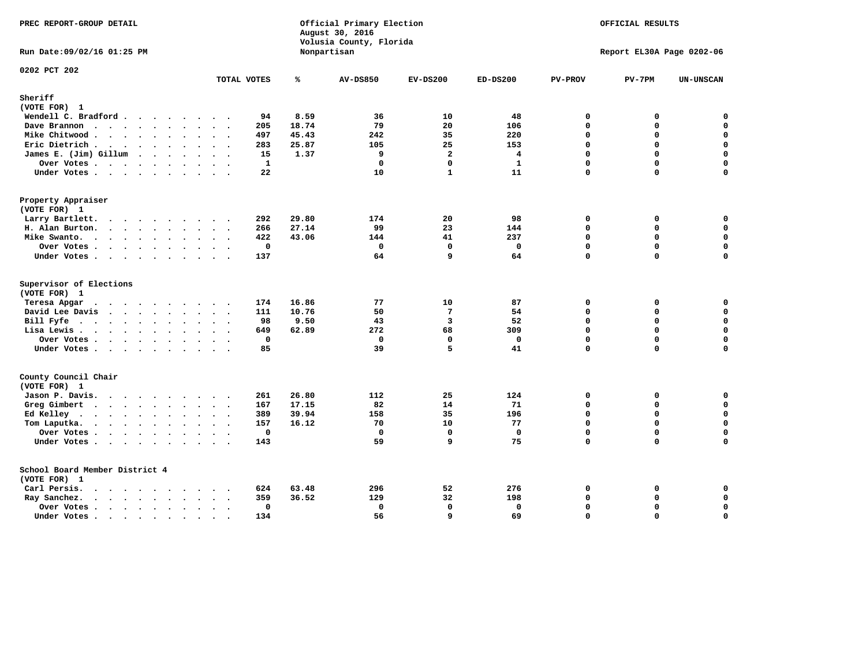| PREC REPORT-GROUP DETAIL                       |                      |              |       | Official Primary Election<br>August 30, 2016<br>Volusia County, Florida | OFFICIAL RESULTS<br>Report EL30A Page 0202-06 |                |                |          |                  |
|------------------------------------------------|----------------------|--------------|-------|-------------------------------------------------------------------------|-----------------------------------------------|----------------|----------------|----------|------------------|
| Run Date: 09/02/16 01:25 PM                    |                      |              |       | Nonpartisan                                                             |                                               |                |                |          |                  |
| 0202 PCT 202                                   |                      | TOTAL VOTES  | ℁     | <b>AV-DS850</b>                                                         | $EV-DS200$                                    | $ED-DS200$     | <b>PV-PROV</b> | $PV-7PM$ | <b>UN-UNSCAN</b> |
| Sheriff                                        |                      |              |       |                                                                         |                                               |                |                |          |                  |
| (VOTE FOR) 1                                   |                      |              |       |                                                                         |                                               |                |                |          |                  |
| Wendell C. Bradford                            |                      | 94           | 8.59  | 36                                                                      | 10                                            | 48             | $\mathbf 0$    | 0        | $\mathbf 0$      |
| Dave Brannon                                   |                      | 205          | 18.74 | 79                                                                      | 20                                            | 106            | $\Omega$       | 0        | $\mathbf 0$      |
| Mike Chitwood                                  | $\ddot{\phantom{1}}$ | 497          | 45.43 | 242                                                                     | 35                                            | 220            | 0              | 0        | 0                |
| Eric Dietrich                                  |                      | 283          | 25.87 | 105                                                                     | 25                                            | 153            | $\Omega$       | $\Omega$ | $\mathbf 0$      |
| James E. (Jim) Gillum                          |                      | 15           | 1.37  | 9                                                                       | $\overline{a}$                                | $\overline{4}$ | 0              | $\Omega$ | $\mathbf 0$      |
| Over Votes                                     |                      | $\mathbf{1}$ |       | $\Omega$                                                                | $\Omega$                                      | $\mathbf{1}$   | $\Omega$       | $\Omega$ | $\mathbf 0$      |
| Under Votes                                    |                      | 22           |       | 10                                                                      | $\mathbf{1}$                                  | 11             | 0              | $\Omega$ | $\Omega$         |
| Property Appraiser                             |                      |              |       |                                                                         |                                               |                |                |          |                  |
| (VOTE FOR) 1                                   |                      |              |       |                                                                         |                                               |                |                |          |                  |
| Larry Bartlett.                                |                      | 292          | 29.80 | 174                                                                     | 20                                            | 98             | $\mathbf 0$    | 0        | 0                |
| H. Alan Burton.                                |                      | 266          | 27.14 | 99                                                                      | 23                                            | 144            | 0              | 0        | $\mathbf 0$      |
| Mike Swanto.                                   |                      | 422          | 43.06 | 144                                                                     | 41                                            | 237            | $\Omega$       | $\Omega$ | $\mathbf 0$      |
| Over Votes                                     |                      | 0            |       | $\Omega$                                                                | $\mathbf{0}$                                  | $\mathbf 0$    | $\mathbf{0}$   | $\Omega$ | $\mathbf 0$      |
| Under Votes                                    |                      | 137          |       | 64                                                                      | 9                                             | 64             | $\Omega$       | $\Omega$ | $\mathbf 0$      |
| Supervisor of Elections<br>(VOTE FOR) 1        |                      |              |       |                                                                         |                                               |                |                |          |                  |
| Teresa Apgar                                   |                      | 174          | 16.86 | 77                                                                      | 10                                            | 87             | 0              | 0        | 0                |
| David Lee Davis                                |                      | 111          | 10.76 | 50                                                                      | $7\phantom{.0}$                               | 54             | $\Omega$       | 0        | $\mathbf 0$      |
| Bill Fyfe                                      |                      | 98           | 9.50  | 43                                                                      | 3                                             | 52             | $\Omega$       | 0        | 0                |
| Lisa Lewis                                     |                      | 649          | 62.89 | 272                                                                     | 68                                            | 309            | 0              | $\Omega$ | $\mathbf 0$      |
| Over Votes                                     |                      | $\mathbf 0$  |       | $\mathbf 0$                                                             | $\mathbf 0$                                   | $\mathbf 0$    | 0              | 0        | $\mathbf 0$      |
| Under Votes                                    |                      | 85           |       | 39                                                                      | 5                                             | 41             | 0              | $\Omega$ | $\Omega$         |
| County Council Chair<br>(VOTE FOR) 1           |                      |              |       |                                                                         |                                               |                |                |          |                  |
| Jason P. Davis.                                |                      | 261          | 26.80 | 112                                                                     | 25                                            | 124            | 0              | 0        | $\mathbf 0$      |
| Greg Gimbert                                   |                      | 167          | 17.15 | 82                                                                      | 14                                            | 71             | $\Omega$       | 0        | $\mathbf 0$      |
| Ed Kelley                                      |                      | 389          | 39.94 | 158                                                                     | 35                                            | 196            | 0              | 0        | $\mathbf 0$      |
| Tom Laputka.                                   |                      | 157          | 16.12 | 70                                                                      | 10                                            | 77             | $\Omega$       | $\Omega$ | $\mathbf 0$      |
| Over Votes                                     |                      | $\mathbf 0$  |       | $^{\circ}$                                                              | $\mathbf 0$                                   | 0              | 0              | 0        | $\mathbf 0$      |
| Under Votes                                    |                      | 143          |       | 59                                                                      | 9                                             | 75             | $\Omega$       | $\Omega$ | $\mathbf 0$      |
| School Board Member District 4<br>(VOTE FOR) 1 |                      |              |       |                                                                         |                                               |                |                |          |                  |
| Carl Persis.                                   | $\ddot{\phantom{0}}$ | 624          | 63.48 | 296                                                                     | 52                                            | 276            | 0              | 0        | 0                |
| Ray Sanchez.                                   |                      | 359          | 36.52 | 129                                                                     | 32                                            | 198            | $\Omega$       | 0        | $\mathbf 0$      |
| Over Votes                                     | $\ddot{\phantom{0}}$ | 0            |       | 0                                                                       | $\mathbf 0$                                   | 0              | 0              | 0        | $\mathbf 0$      |
| Under Votes                                    | $\ddot{\phantom{0}}$ | 134          |       | 56                                                                      | 9                                             | 69             | 0              | $\Omega$ | $\mathbf 0$      |
|                                                | $\sim$<br>$\sim$     |              |       |                                                                         |                                               |                |                |          |                  |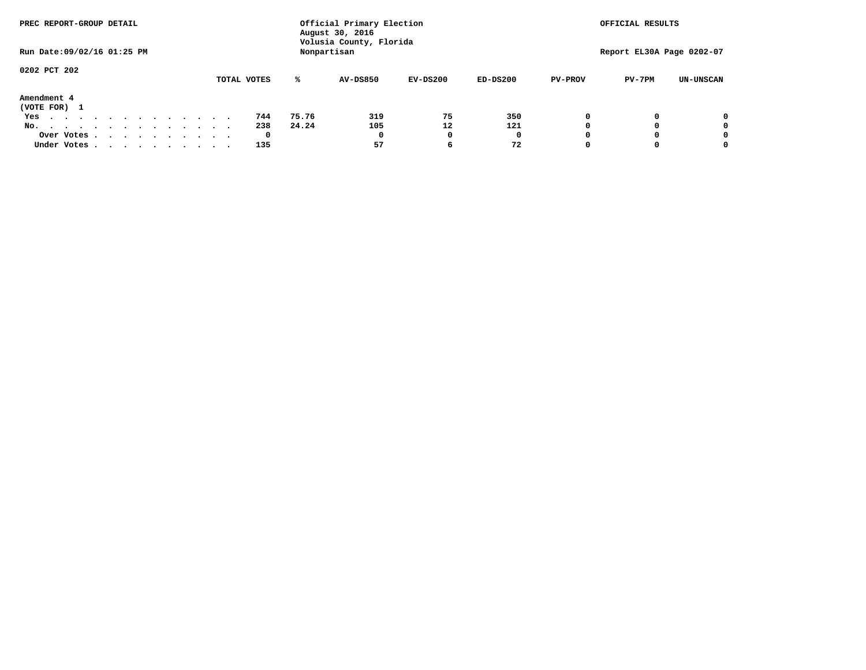| PREC REPORT-GROUP DETAIL         |             | Official Primary Election<br>August 30, 2016 | OFFICIAL RESULTS        |            |            |                           |          |                  |  |
|----------------------------------|-------------|----------------------------------------------|-------------------------|------------|------------|---------------------------|----------|------------------|--|
| Run Date: 09/02/16 01:25 PM      |             | Nonpartisan                                  | Volusia County, Florida |            |            | Report EL30A Page 0202-07 |          |                  |  |
| 0202 PCT 202                     |             |                                              |                         |            |            |                           |          |                  |  |
|                                  | TOTAL VOTES | ℁                                            | <b>AV-DS850</b>         | $EV-DS200$ | $ED-DS200$ | <b>PV-PROV</b>            | $PV-7PM$ | <b>UN-UNSCAN</b> |  |
| Amendment 4<br>(VOTE FOR) 1      |             |                                              |                         |            |            |                           |          |                  |  |
| Yes                              | 744         | 75.76                                        | 319                     | 75         | 350        |                           |          | 0                |  |
| No.<br>.                         | 238         | 24.24                                        | 105                     | 12         | 121        |                           |          | 0                |  |
| Over Votes                       | 0           |                                              | $\Omega$                |            | 0          |                           |          | 0                |  |
| Under Votes, , , , , , , , , , , | 135         |                                              | 57                      | 6          | 72         |                           |          | 0                |  |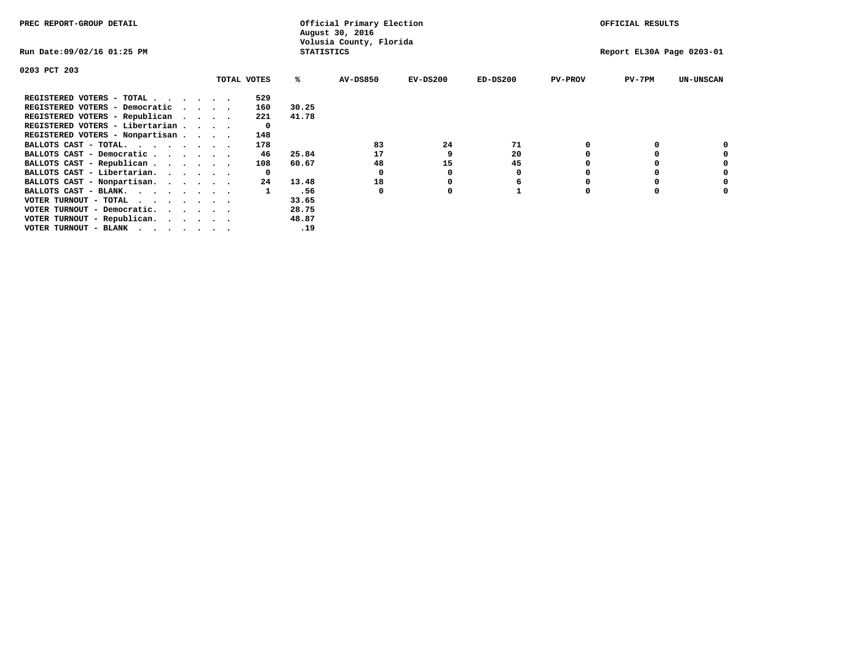| PREC REPORT-GROUP DETAIL                                      |  |             |                   | Official Primary Election<br>August 30, 2016 | OFFICIAL RESULTS |                           |                |          |                  |
|---------------------------------------------------------------|--|-------------|-------------------|----------------------------------------------|------------------|---------------------------|----------------|----------|------------------|
| Run Date:09/02/16 01:25 PM                                    |  |             | <b>STATISTICS</b> | Volusia County, Florida                      |                  | Report EL30A Page 0203-01 |                |          |                  |
| 0203 PCT 203                                                  |  |             |                   |                                              |                  |                           |                |          |                  |
|                                                               |  | TOTAL VOTES | %ะ                | <b>AV-DS850</b>                              | $EV-DS200$       | $ED-DS200$                | <b>PV-PROV</b> | PV-7PM   | <b>UN-UNSCAN</b> |
| REGISTERED VOTERS - TOTAL .                                   |  | 529         |                   |                                              |                  |                           |                |          |                  |
| REGISTERED VOTERS - Democratic<br>$\sim$ $\sim$ $\sim$ $\sim$ |  | 160         | 30.25             |                                              |                  |                           |                |          |                  |
| REGISTERED VOTERS - Republican                                |  | 221         | 41.78             |                                              |                  |                           |                |          |                  |
| REGISTERED VOTERS - Libertarian                               |  |             |                   |                                              |                  |                           |                |          |                  |
| REGISTERED VOTERS - Nonpartisan                               |  | 148         |                   |                                              |                  |                           |                |          |                  |
| BALLOTS CAST - TOTAL.                                         |  | 178         |                   | 83                                           | 24               | 71                        |                | 0        |                  |
| BALLOTS CAST - Democratic                                     |  | 46          | 25.84             | 17                                           |                  | 20                        |                |          |                  |
| BALLOTS CAST - Republican                                     |  | 108         | 60.67             | 48                                           | 15               | 45                        |                |          |                  |
| BALLOTS CAST - Libertarian.                                   |  |             |                   |                                              |                  | 0                         |                | 0        |                  |
| BALLOTS CAST - Nonpartisan.                                   |  | 24          | 13.48             | 18                                           |                  | 6                         |                | 0        | 0                |
| BALLOTS CAST - BLANK.                                         |  |             | .56               | $\Omega$                                     |                  |                           | O              | $\Omega$ |                  |
| VOTER TURNOUT - TOTAL<br>$\cdot$                              |  |             | 33.65             |                                              |                  |                           |                |          |                  |
| VOTER TURNOUT - Democratic.                                   |  |             | 28.75             |                                              |                  |                           |                |          |                  |
| VOTER TURNOUT - Republican.                                   |  |             | 48.87             |                                              |                  |                           |                |          |                  |
| VOTER TURNOUT - BLANK                                         |  |             | .19               |                                              |                  |                           |                |          |                  |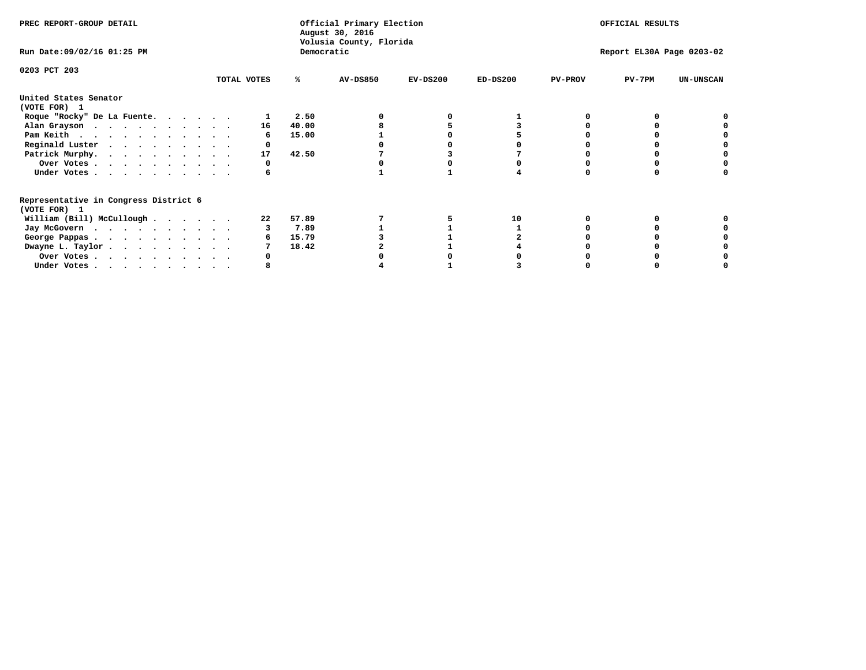| PREC REPORT-GROUP DETAIL                                               |             |    |            | Official Primary Election<br>August 30, 2016<br>Volusia County, Florida | OFFICIAL RESULTS |                           |                |          |                  |
|------------------------------------------------------------------------|-------------|----|------------|-------------------------------------------------------------------------|------------------|---------------------------|----------------|----------|------------------|
| Run Date: 09/02/16 01:25 PM                                            |             |    | Democratic |                                                                         |                  | Report EL30A Page 0203-02 |                |          |                  |
| 0203 PCT 203                                                           | TOTAL VOTES |    | ℁          | AV-DS850                                                                | $EV-DS200$       | $ED-DS200$                | <b>PV-PROV</b> | $PV-7PM$ | <b>UN-UNSCAN</b> |
| United States Senator<br>(VOTE FOR) 1                                  |             |    |            |                                                                         |                  |                           |                |          |                  |
| Roque "Rocky" De La Fuente.                                            |             |    | 2.50       |                                                                         |                  |                           |                |          |                  |
| Alan Grayson                                                           |             | 16 | 40.00      |                                                                         |                  |                           |                |          |                  |
| Pam Keith                                                              |             |    | 15.00      |                                                                         |                  |                           |                |          |                  |
| Reginald Luster                                                        |             |    |            |                                                                         |                  |                           |                |          |                  |
| Patrick Murphy.                                                        |             | 17 | 42.50      |                                                                         |                  |                           |                |          |                  |
| Over Votes                                                             |             |    |            |                                                                         |                  |                           |                |          |                  |
| Under Votes                                                            |             |    |            |                                                                         |                  |                           |                |          |                  |
| Representative in Congress District 6<br>(VOTE FOR) 1                  |             |    |            |                                                                         |                  |                           |                |          |                  |
| William (Bill) McCullough                                              |             | 22 | 57.89      |                                                                         |                  | 10                        |                |          |                  |
| Jay McGovern                                                           |             |    | 7.89       |                                                                         |                  |                           |                |          |                  |
| George Pappas.                                                         |             |    | 15.79      |                                                                         |                  |                           |                |          |                  |
| Dwayne L. Taylor.                                                      |             |    | 18.42      |                                                                         |                  |                           |                |          |                  |
| Over Votes                                                             |             |    |            |                                                                         |                  |                           |                |          |                  |
| Under Votes, $\cdot$ , $\cdot$ , $\cdot$ , $\cdot$ , $\cdot$ , $\cdot$ |             |    |            |                                                                         |                  |                           |                |          |                  |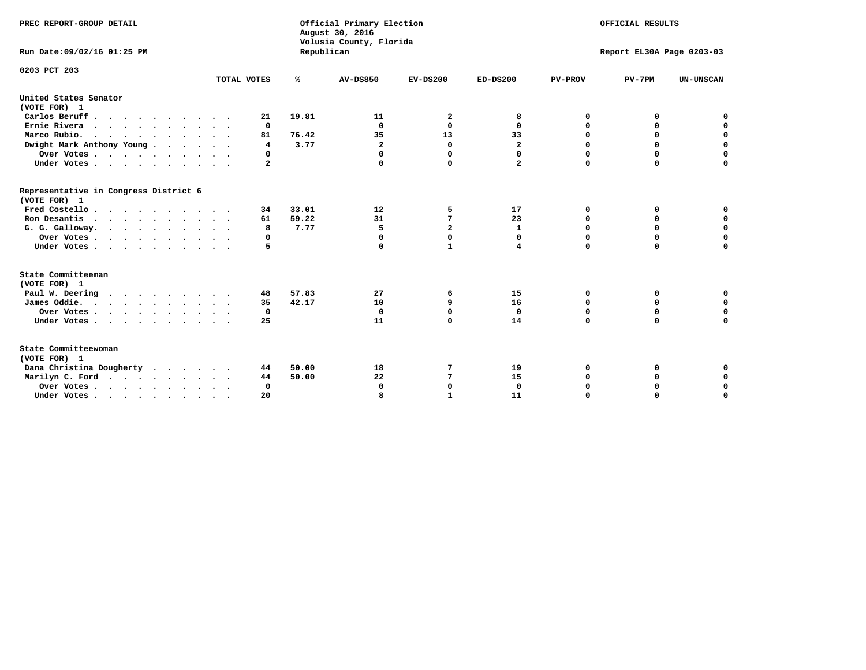| PREC REPORT-GROUP DETAIL<br>Run Date: 09/02/16 01:25 PM |                 | Republican | Official Primary Election<br>August 30, 2016<br>Volusia County, Florida | OFFICIAL RESULTS<br>Report EL30A Page 0203-03 |                |                |             |                  |
|---------------------------------------------------------|-----------------|------------|-------------------------------------------------------------------------|-----------------------------------------------|----------------|----------------|-------------|------------------|
|                                                         |                 |            |                                                                         |                                               |                |                |             |                  |
| 0203 PCT 203                                            | TOTAL VOTES     |            | <b>AV-DS850</b>                                                         | $EV-DS200$                                    | $ED-DS200$     |                |             |                  |
|                                                         |                 | %          |                                                                         |                                               |                | <b>PV-PROV</b> | $PV-7PM$    | <b>UN-UNSCAN</b> |
| United States Senator<br>(VOTE FOR) 1                   |                 |            |                                                                         |                                               |                |                |             |                  |
| Carlos Beruff                                           | 21              | 19.81      | 11                                                                      | 2                                             | 8              | 0              | 0           | 0                |
| Ernie Rivera                                            | 0               |            | $\Omega$                                                                | $\mathbf{0}$                                  | 0              | 0              | 0           | $\mathbf 0$      |
| Marco Rubio.                                            | 81              | 76.42      | 35                                                                      | 13                                            | 33             | 0              | $\mathbf 0$ | 0                |
| Dwight Mark Anthony Young                               | 4               | 3.77       | $\mathbf{2}$                                                            | $\mathbf 0$                                   | $\mathbf{2}$   | 0              | $\mathbf 0$ | $\mathbf 0$      |
| Over Votes                                              | 0               |            | $\Omega$                                                                | 0                                             | 0              | $\mathbf 0$    | 0           | $\mathbf 0$      |
| Under Votes                                             | 2               |            | $\Omega$                                                                | $\Omega$                                      | $\overline{a}$ | $\Omega$       | $\Omega$    | $\Omega$         |
| Representative in Congress District 6<br>(VOTE FOR) 1   |                 |            |                                                                         |                                               |                |                |             |                  |
| Fred Costello                                           | 34              | 33.01      | 12                                                                      | 5                                             | 17             | 0              | 0           | 0                |
| Ron Desantis                                            | 61              | 59.22      | 31                                                                      | 7                                             | 23             | 0              | 0           | $\mathbf 0$      |
| G. G. Galloway.                                         | 8               | 7.77       | 5                                                                       | $\overline{a}$                                | $\mathbf{1}$   | $\mathbf 0$    | $\mathbf 0$ | $\Omega$         |
| Over Votes                                              | 0               |            | $\mathbf 0$                                                             | $\mathbf 0$                                   | 0              | $\mathbf 0$    | $\mathbf 0$ | $\mathbf 0$      |
| Under Votes                                             | 5               |            | $\Omega$                                                                | $\mathbf{1}$                                  | 4              | $\mathbf 0$    | $\Omega$    | $\Omega$         |
| State Committeeman<br>(VOTE FOR) 1                      |                 |            |                                                                         |                                               |                |                |             |                  |
| Paul W. Deering                                         | 48              | 57.83      | 27                                                                      | 6                                             | 15             | 0              | 0           | 0                |
| James Oddie.                                            | 35              | 42.17      | 10                                                                      | 9                                             | 16             | 0              | 0           | $\mathbf 0$      |
| Over Votes                                              | 0               |            | 0                                                                       | 0                                             | 0              | 0              | 0           | $\mathbf 0$      |
| Under Votes                                             | 25              |            | 11                                                                      | 0                                             | 14             | $\mathbf 0$    | $\mathbf 0$ | $\mathbf 0$      |
|                                                         | $\cdot$ $\cdot$ |            |                                                                         |                                               |                |                |             |                  |
| State Committeewoman<br>(VOTE FOR) 1                    |                 |            |                                                                         |                                               |                |                |             |                  |
| Dana Christina Dougherty                                | 44              | 50.00      | 18                                                                      | 7                                             | 19             | 0              | 0           | 0                |
| Marilyn C. Ford                                         | 44              | 50.00      | 22                                                                      | 7                                             | 15             | 0              | 0           | $\mathbf 0$      |
| Over Votes                                              | $\Omega$        |            | 0                                                                       | $\mathbf{0}$                                  | $\mathbf{0}$   | 0              | 0           | 0                |
| Under Votes, , , , , , , , , ,                          | 20              |            | я                                                                       | 1                                             | 11             | $\Omega$       | U           | $\Omega$         |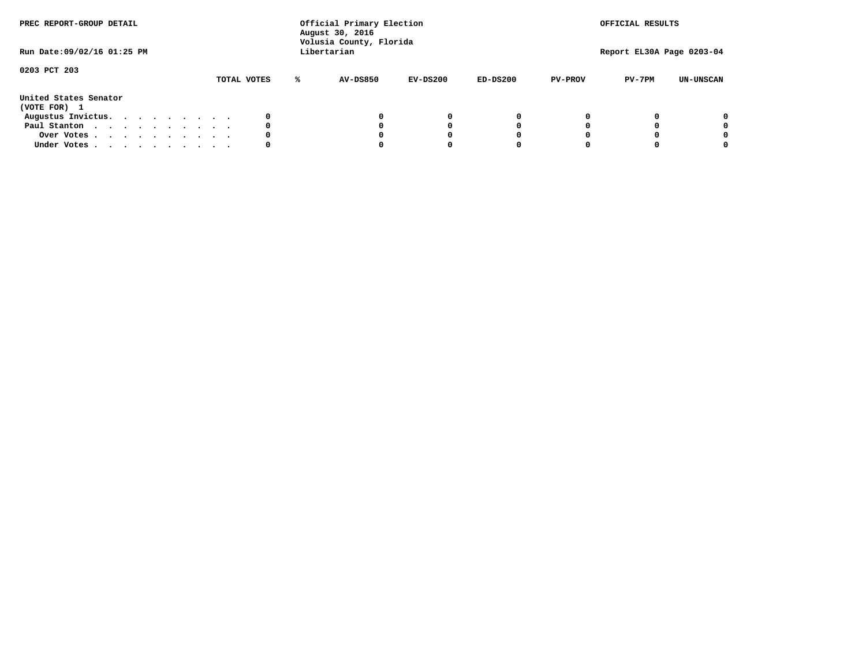| PREC REPORT-GROUP DETAIL<br>Run Date: 09/02/16 01:25 PM |  |  |  |  |  | Official Primary Election<br>August 30, 2016<br>Volusia County, Florida<br>Libertarian |   | OFFICIAL RESULTS<br>Report EL30A Page 0203-04 |            |            |                |          |                  |
|---------------------------------------------------------|--|--|--|--|--|----------------------------------------------------------------------------------------|---|-----------------------------------------------|------------|------------|----------------|----------|------------------|
| 0203 PCT 203                                            |  |  |  |  |  |                                                                                        |   |                                               |            |            |                |          |                  |
|                                                         |  |  |  |  |  | TOTAL VOTES                                                                            | ℁ | <b>AV-DS850</b>                               | $EV-DS200$ | $ED-DS200$ | <b>PV-PROV</b> | $PV-7PM$ | <b>UN-UNSCAN</b> |
| United States Senator<br>(VOTE FOR) 1                   |  |  |  |  |  |                                                                                        |   |                                               |            |            |                |          |                  |
| Augustus Invictus.                                      |  |  |  |  |  | 0                                                                                      |   |                                               | 0          | 0          |                |          | 0                |
| Paul Stanton                                            |  |  |  |  |  | 0                                                                                      |   |                                               |            | 0          |                |          | 0                |
| Over Votes                                              |  |  |  |  |  | 0                                                                                      |   |                                               |            | 0          |                |          | 0                |
| Under Votes                                             |  |  |  |  |  | 0                                                                                      |   |                                               |            |            |                |          | 0                |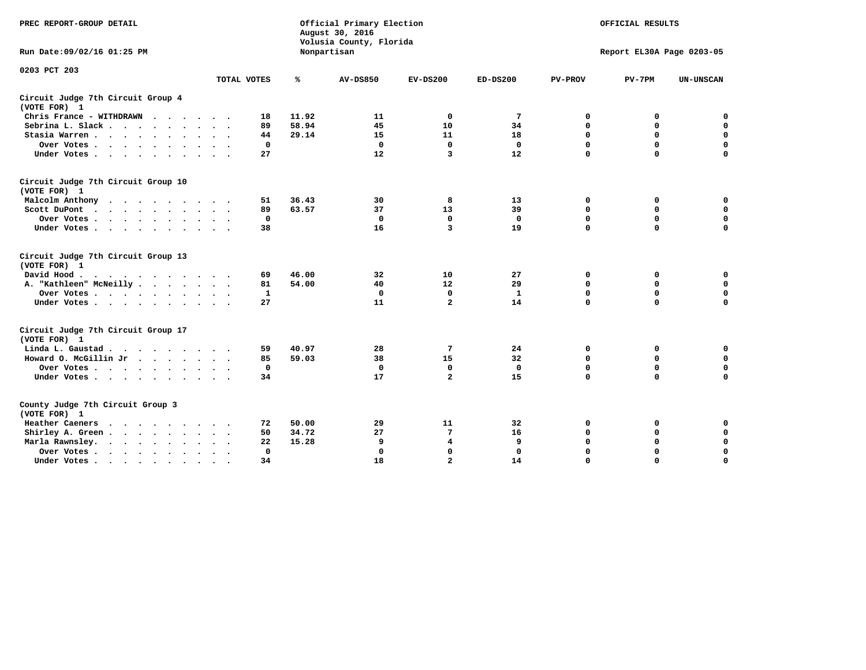| PREC REPORT-GROUP DETAIL                                                                                             |             |              |             | Official Primary Election<br>August 30, 2016<br>Volusia County, Florida |                         | OFFICIAL RESULTS<br>Report EL30A Page 0203-05 |                |             |                  |
|----------------------------------------------------------------------------------------------------------------------|-------------|--------------|-------------|-------------------------------------------------------------------------|-------------------------|-----------------------------------------------|----------------|-------------|------------------|
| Run Date: 09/02/16 01:25 PM                                                                                          |             |              | Nonpartisan |                                                                         |                         |                                               |                |             |                  |
| 0203 PCT 203                                                                                                         |             |              |             |                                                                         |                         |                                               |                |             |                  |
|                                                                                                                      | TOTAL VOTES |              | ℁           | <b>AV-DS850</b>                                                         | $EV-DS200$              | $ED-DS200$                                    | <b>PV-PROV</b> | $PV-7PM$    | <b>UN-UNSCAN</b> |
| Circuit Judge 7th Circuit Group 4<br>(VOTE FOR) 1                                                                    |             |              |             |                                                                         |                         |                                               |                |             |                  |
| Chris France - WITHDRAWN                                                                                             |             | 18           | 11.92       | 11                                                                      | $\mathbf 0$             | 7                                             | $\mathbf 0$    | $\mathbf 0$ | $\mathbf 0$      |
| Sebrina L. Slack.                                                                                                    |             | 89           | 58.94       | 45                                                                      | 10                      | 34                                            | $\mathbf 0$    | $\mathbf 0$ | $\mathbf 0$      |
| Stasia Warren                                                                                                        |             | 44           | 29.14       | 15                                                                      | 11                      | 18                                            | 0              | $\mathbf 0$ | $\pmb{0}$        |
| Over Votes<br>$\ddot{\phantom{a}}$                                                                                   |             | $\mathbf 0$  |             | $\mathbf 0$                                                             | $\mathbf 0$             | $\mathbf 0$                                   | 0              | $\mathbf 0$ | $\mathbf 0$      |
| Under Votes                                                                                                          |             | 27           |             | 12                                                                      | 3                       | 12                                            | $\mathbf 0$    | $\mathbf 0$ | $\mathbf 0$      |
| Circuit Judge 7th Circuit Group 10<br>(VOTE FOR) 1                                                                   |             |              |             |                                                                         |                         |                                               |                |             |                  |
| Malcolm Anthony<br>$\mathcal{A}=\mathcal{A}=\mathcal{A}=\mathcal{A}=\mathcal{A}=\mathcal{A}=\mathcal{A}=\mathcal{A}$ |             | 51           | 36.43       | 30                                                                      | 8                       | 13                                            | 0              | 0           | 0                |
| Scott DuPont<br>$\sim$                                                                                               |             | 89           | 63.57       | 37                                                                      | 13                      | 39                                            | $\Omega$       | $\mathbf 0$ | $\mathbf 0$      |
| Over Votes                                                                                                           |             | $\mathbf 0$  |             | $\mathbf 0$                                                             | $\mathbf{0}$            | $\mathbf{0}$                                  | $\mathbf 0$    | $\mathbf 0$ | $\mathbf 0$      |
| Under Votes                                                                                                          |             | 38           |             | 16                                                                      | $\overline{\mathbf{3}}$ | 19                                            | $\Omega$       | $\Omega$    | $\mathbf 0$      |
| Circuit Judge 7th Circuit Group 13<br>(VOTE FOR) 1                                                                   |             |              |             |                                                                         |                         |                                               |                |             |                  |
| David Hood                                                                                                           |             | 69           | 46.00       | 32                                                                      | 10                      | 27                                            | 0              | 0           | $\mathbf 0$      |
| A. "Kathleen" McNeilly                                                                                               |             | 81           | 54.00       | 40                                                                      | 12                      | 29                                            | $\mathbf 0$    | 0           | $\mathbf 0$      |
| Over Votes                                                                                                           |             | 1            |             | 0                                                                       | 0                       | 1                                             | $\mathbf 0$    | $\mathbf 0$ | $\mathbf 0$      |
| Under Votes                                                                                                          |             | 27           |             | 11                                                                      | $\overline{a}$          | 14                                            | $\mathbf 0$    | $\mathbf 0$ | $\mathbf 0$      |
| Circuit Judge 7th Circuit Group 17<br>(VOTE FOR) 1                                                                   |             |              |             |                                                                         |                         |                                               |                |             |                  |
| Linda L. Gaustad                                                                                                     |             | 59           | 40.97       | 28                                                                      | 7                       | 24                                            | 0              | 0           | $\mathbf 0$      |
| Howard O. McGillin Jr                                                                                                |             | 85           | 59.03       | 38                                                                      | 15                      | 32                                            | 0              | $\mathbf 0$ | $\mathbf 0$      |
| Over Votes                                                                                                           |             | $\mathbf 0$  |             | $\mathbf{0}$                                                            | $\mathbf 0$             | $\mathbf 0$                                   | $\mathbf 0$    | $\mathbf 0$ | 0                |
| Under Votes                                                                                                          |             | 34           |             | 17                                                                      | $\overline{a}$          | 15                                            | $\mathbf 0$    | $\Omega$    | $\mathbf 0$      |
| County Judge 7th Circuit Group 3<br>(VOTE FOR) 1                                                                     |             |              |             |                                                                         |                         |                                               |                |             |                  |
| Heather Caeners<br>$\cdots$                                                                                          |             | 72           | 50.00       | 29                                                                      | 11                      | 32                                            | 0              | 0           | 0                |
| Shirley A. Green                                                                                                     |             | 50           | 34.72       | 27                                                                      | 7                       | 16                                            | $\mathbf 0$    | $\mathbf 0$ | $\mathbf 0$      |
| Marla Rawnsley.<br>$\cdots$                                                                                          |             | 22           | 15.28       | 9                                                                       | 4                       | 9                                             | $\mathbf 0$    | $\mathbf 0$ | 0                |
| Over Votes.<br>$\cdots$<br>$\ddot{\phantom{a}}$                                                                      | $\sim$      | $\mathbf{0}$ |             | $\mathbf 0$                                                             | $\mathbf{0}$            | $\mathbf{0}$                                  | $\mathbf 0$    | $\mathbf 0$ | $\mathbf 0$      |
| Under Votes                                                                                                          | $\sim$      | 34           |             | 18                                                                      | $\overline{a}$          | 14                                            | $\mathbf 0$    | $\mathbf 0$ | $\mathbf 0$      |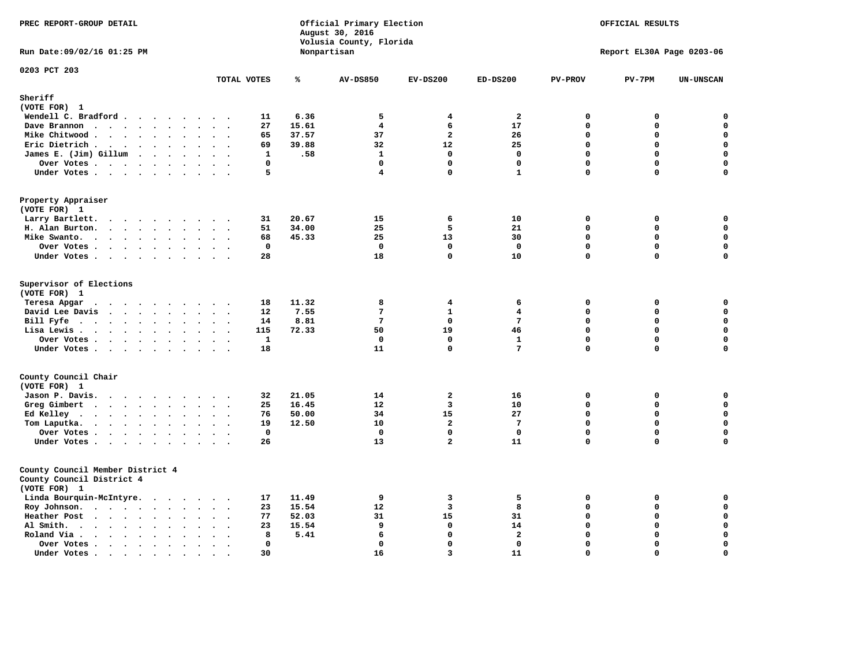| PREC REPORT-GROUP DETAIL                                                                                                    | Official Primary Election<br>August 30, 2016<br>Volusia County, Florida<br>Nonpartisan |                |                       |                           | OFFICIAL RESULTS<br>Report EL30A Page 0203-06 |                           |                                            |             |                                 |
|-----------------------------------------------------------------------------------------------------------------------------|----------------------------------------------------------------------------------------|----------------|-----------------------|---------------------------|-----------------------------------------------|---------------------------|--------------------------------------------|-------------|---------------------------------|
| Run Date: 09/02/16 01:25 PM                                                                                                 |                                                                                        |                |                       |                           |                                               |                           |                                            |             |                                 |
| 0203 PCT 203                                                                                                                |                                                                                        | TOTAL VOTES    | ℁                     | <b>AV-DS850</b>           | $EV-DS200$                                    | $ED-DS200$                | <b>PV-PROV</b>                             | $PV-7PM$    | <b>UN-UNSCAN</b>                |
| Sheriff                                                                                                                     |                                                                                        |                |                       |                           |                                               |                           |                                            |             |                                 |
| (VOTE FOR) 1                                                                                                                |                                                                                        |                |                       |                           |                                               |                           |                                            |             |                                 |
| Wendell C. Bradford                                                                                                         |                                                                                        | 11             | 6.36                  | 5                         | 4                                             | $\mathbf{2}$              | $\mathbf 0$                                | 0           | 0                               |
| Dave Brannon                                                                                                                |                                                                                        | 27             | 15.61                 | $\overline{4}$            | 6                                             | 17                        | $\Omega$                                   | $\mathbf 0$ | 0                               |
| Mike Chitwood                                                                                                               |                                                                                        | 65             | 37.57                 | 37                        | $\overline{a}$                                | 26                        | $\mathbf{0}$                               | 0           | $\mathbf 0$                     |
| Eric Dietrich.                                                                                                              |                                                                                        | 69             | 39.88                 | 32                        | 12                                            | 25                        | $\Omega$                                   | $\mathbf 0$ | $\mathbf 0$                     |
| James E. (Jim) Gillum                                                                                                       |                                                                                        | $\mathbf{1}$   | .58                   | $\mathbf{1}$              | $\Omega$                                      | $\mathbf 0$               | $\Omega$                                   | $\Omega$    | $\mathbf 0$                     |
| Over Votes                                                                                                                  |                                                                                        | $\mathbf 0$    |                       | $\mathbf 0$               | $\mathbf 0$                                   | $\mathbf 0$               | $\mathbf 0$                                | 0           | $\mathbf 0$                     |
| Under Votes                                                                                                                 |                                                                                        | 5              |                       | $\overline{4}$            | $\Omega$                                      | $\mathbf{1}$              | $\mathbf 0$                                | 0           | 0                               |
| Property Appraiser<br>(VOTE FOR) 1                                                                                          |                                                                                        |                |                       |                           |                                               |                           |                                            |             |                                 |
| Larry Bartlett.                                                                                                             |                                                                                        | 31             | 20.67                 | 15                        | 6                                             | 10                        | $\mathbf 0$                                | 0           | $\mathbf 0$                     |
| H. Alan Burton.                                                                                                             |                                                                                        | 51             | 34.00                 | 25                        | 5                                             | 21                        | $\mathbf{0}$                               | 0           | $\mathbf 0$                     |
| Mike Swanto.                                                                                                                |                                                                                        | 68             | 45.33                 | 25                        | 13                                            | 30                        | $\Omega$                                   | 0           | $\mathbf 0$                     |
| Over Votes                                                                                                                  |                                                                                        | $\mathbf 0$    |                       | $\Omega$                  | $\Omega$                                      | $\mathbf 0$               | $\Omega$                                   | 0           | 0                               |
| Under Votes                                                                                                                 |                                                                                        | 28             |                       | 18                        | 0                                             | 10                        | $\mathbf 0$                                | $\mathbf 0$ | 0                               |
| Supervisor of Elections<br>(VOTE FOR) 1<br>Teresa Apgar<br>David Lee Davis<br>Bill Fyfe $\cdots$ $\cdots$ $\cdots$ $\cdots$ |                                                                                        | 18<br>12<br>14 | 11.32<br>7.55<br>8.81 | 8<br>7<br>$7\phantom{.0}$ | $\overline{4}$<br>$\mathbf{1}$<br>$\Omega$    | 6<br>4<br>$7\phantom{.0}$ | $\mathbf 0$<br>$\mathbf{0}$<br>$\mathbf 0$ | 0<br>0<br>0 | 0<br>$\mathbf 0$<br>$\mathbf 0$ |
| Lisa Lewis                                                                                                                  |                                                                                        | 115            | 72.33                 | 50                        | 19                                            | 46                        | $\mathbf{0}$                               | 0           | $\mathbf 0$                     |
| Over Votes                                                                                                                  |                                                                                        | $\mathbf{1}$   |                       | $\Omega$                  | $\Omega$                                      | $\mathbf{1}$              | $\mathbf{0}$                               | $\mathbf 0$ | 0                               |
| Under Votes                                                                                                                 |                                                                                        | 18             |                       | 11                        | 0                                             | $7\phantom{.0}$           | $\mathbf 0$                                | 0           | $\mathbf 0$                     |
| County Council Chair<br>(VOTE FOR) 1                                                                                        |                                                                                        |                |                       |                           |                                               |                           |                                            |             |                                 |
| Jason P. Davis.                                                                                                             |                                                                                        | 32             | 21.05                 | 14                        | $\overline{a}$                                | 16                        | $\mathbf 0$                                | 0           | $\mathbf 0$                     |
| Greg Gimbert                                                                                                                |                                                                                        | 25             | 16.45                 | 12                        | $\overline{3}$                                | 10                        | $\mathbf{0}$                               | 0           | $\mathbf 0$                     |
| Ed Kelley $\cdots$                                                                                                          |                                                                                        | 76             | 50.00                 | 34                        | 15                                            | 27                        | $\mathbf 0$                                | 0           | $\mathbf 0$                     |
| Tom Laputka.                                                                                                                |                                                                                        | 19             | 12.50                 | 10                        | $\overline{a}$                                | $7\phantom{.0}$           | $\mathbf{0}$                               | 0           | $\mathbf 0$                     |
| Over Votes                                                                                                                  |                                                                                        | $\mathbf 0$    |                       | $\Omega$                  | $\Omega$                                      | $\mathbf 0$               | $\mathbf{0}$                               | 0           | 0                               |
| Under Votes                                                                                                                 |                                                                                        | 26             |                       | 13                        | $\overline{a}$                                | 11                        | $\mathbf 0$                                | 0           | $\mathbf 0$                     |
| County Council Member District 4<br>County Council District 4<br>(VOTE FOR) 1                                               |                                                                                        |                |                       |                           |                                               |                           |                                            |             |                                 |
| Linda Bourquin-McIntyre.                                                                                                    |                                                                                        | 17             | 11.49                 | 9                         | $\overline{\mathbf{3}}$                       | 5                         | $\mathbf 0$                                | 0           | 0                               |
| Roy Johnson.                                                                                                                |                                                                                        | 23             | 15.54                 | 12                        | 3                                             | 8                         | $\mathbf 0$                                | 0           | $\mathbf 0$                     |
| Heather Post                                                                                                                |                                                                                        | 77             | 52.03                 | 31                        | 15                                            | 31                        | $\mathbf 0$                                | 0           | $\mathbf 0$                     |
| Al Smith.                                                                                                                   | $\sim$                                                                                 | 23             | 15.54                 | 9                         | $\mathbf 0$                                   | 14                        | $\mathbf 0$                                | $\mathbf 0$ | $\mathbf 0$                     |
| Roland Via<br>$\bullet$                                                                                                     |                                                                                        | 8              | 5.41                  | 6                         | $\mathbf 0$                                   | $\mathbf{2}$              | $\mathbf 0$                                | 0           | $\pmb{0}$                       |
| Over Votes<br>$\bullet$                                                                                                     | $\bullet$<br>$\ddot{\phantom{1}}$                                                      | $\mathbf 0$    |                       | $\mathbf 0$               | $\Omega$                                      | $\mathbf 0$               | $\Omega$                                   | $\mathbf 0$ | $\mathbf 0$                     |
| Under Votes.<br>.                                                                                                           | $\sim$<br>$\bullet$                                                                    | 30             |                       | 16                        | $\overline{3}$                                | 11                        | $\Omega$                                   | 0           | $\mathbf 0$                     |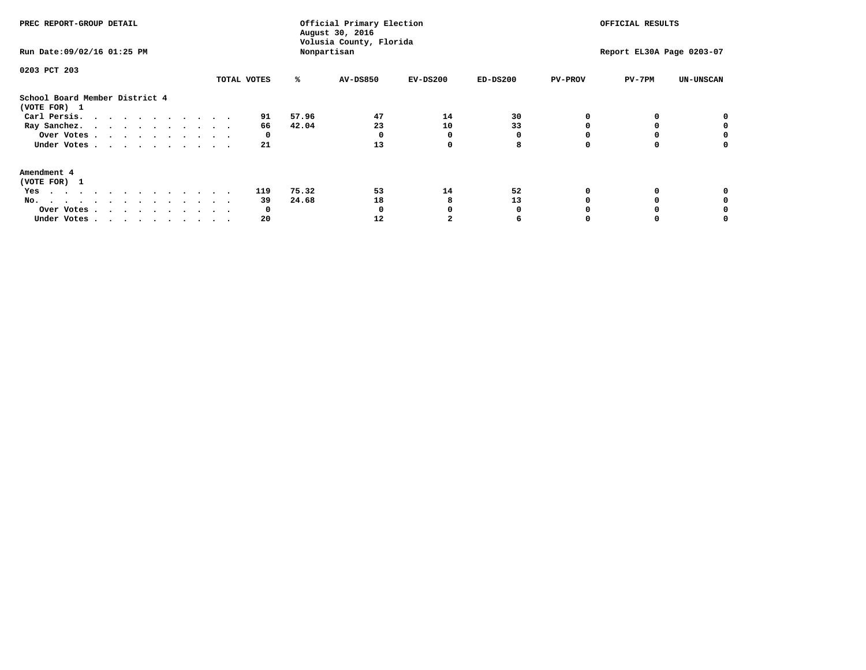| PREC REPORT-GROUP DETAIL<br>Run Date: 09/02/16 01:25 PM                                                                                                                                                                                                                                                     |  |  |                      |                | Official Primary Election<br>August 30, 2016<br>Volusia County, Florida<br>Nonpartisan |                    | OFFICIAL RESULTS<br>Report EL30A Page 0203-07 |                |          |                  |
|-------------------------------------------------------------------------------------------------------------------------------------------------------------------------------------------------------------------------------------------------------------------------------------------------------------|--|--|----------------------|----------------|----------------------------------------------------------------------------------------|--------------------|-----------------------------------------------|----------------|----------|------------------|
| 0203 PCT 203                                                                                                                                                                                                                                                                                                |  |  | TOTAL VOTES          | ℁              | <b>AV-DS850</b>                                                                        | $EV-DS200$         | $ED-DS200$                                    | <b>PV-PROV</b> | $PV-7PM$ | <b>UN-UNSCAN</b> |
| School Board Member District 4<br>(VOTE FOR) 1<br>Carl Persis.<br>Ray Sanchez.<br>Over Votes<br>Under Votes                                                                                                                                                                                                 |  |  | 91<br>66<br>0<br>21  | 57.96<br>42.04 | 47<br>23<br>13                                                                         | 14<br>10<br>O<br>0 | 30<br>33<br>8                                 |                |          | o                |
| Amendment 4<br>(VOTE FOR) 1<br>Yes<br>$\mathbf{a}$ . The contribution of the contribution of the contribution of the contribution of the contribution of the contribution of the contribution of the contribution of the contribution of the contribution of the contri<br>No.<br>Over Votes<br>Under Votes |  |  | 119<br>39<br>O<br>20 | 75.32<br>24.68 | 53<br>18<br>12                                                                         | 14                 | 52<br>13                                      |                |          |                  |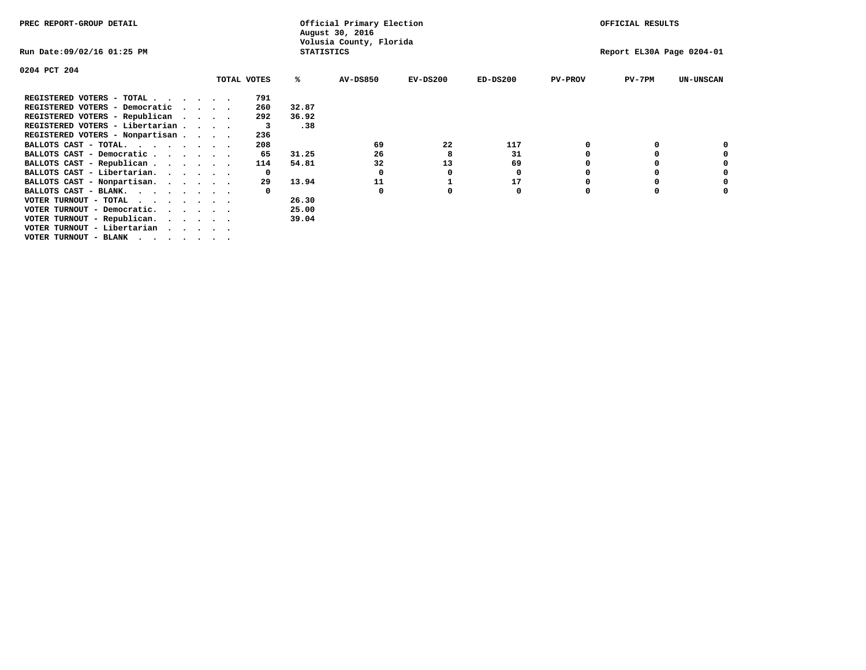| PREC REPORT-GROUP DETAIL               |             |     |                   | Official Primary Election<br>August 30, 2016 |            |            |                | OFFICIAL RESULTS          |                  |
|----------------------------------------|-------------|-----|-------------------|----------------------------------------------|------------|------------|----------------|---------------------------|------------------|
| Run Date:09/02/16 01:25 PM             |             |     | <b>STATISTICS</b> | Volusia County, Florida                      |            |            |                | Report EL30A Page 0204-01 |                  |
| 0204 PCT 204                           |             |     |                   |                                              |            |            |                |                           |                  |
|                                        | TOTAL VOTES |     | ℁                 | <b>AV-DS850</b>                              | $EV-DS200$ | $ED-DS200$ | <b>PV-PROV</b> | $PV-7PM$                  | <b>UN-UNSCAN</b> |
| REGISTERED VOTERS - TOTAL              |             | 791 |                   |                                              |            |            |                |                           |                  |
| REGISTERED VOTERS - Democratic         |             | 260 | 32.87             |                                              |            |            |                |                           |                  |
| REGISTERED VOTERS - Republican         | $\cdots$    | 292 | 36.92             |                                              |            |            |                |                           |                  |
| REGISTERED VOTERS - Libertarian        |             | 3   | .38               |                                              |            |            |                |                           |                  |
| REGISTERED VOTERS - Nonpartisan        |             | 236 |                   |                                              |            |            |                |                           |                  |
| BALLOTS CAST - TOTAL.                  |             | 208 |                   | 69                                           | 22         | 117        |                |                           |                  |
| BALLOTS CAST - Democratic              |             | 65  | 31.25             | 26                                           | 8          | 31         |                |                           |                  |
| BALLOTS CAST - Republican              |             | 114 | 54.81             | 32                                           | 13         | 69         |                |                           |                  |
| BALLOTS CAST - Libertarian.            |             | 0   |                   | 0                                            | 0          | 0          |                |                           |                  |
| BALLOTS CAST - Nonpartisan.            |             | 29  | 13.94             | 11                                           |            | 17         |                |                           | 0                |
| BALLOTS CAST - BLANK.                  |             |     |                   | 0                                            |            | 0          | 0              |                           |                  |
| VOTER TURNOUT - TOTAL                  |             |     | 26.30             |                                              |            |            |                |                           |                  |
| VOTER TURNOUT - Democratic.<br>$\cdot$ |             |     | 25.00             |                                              |            |            |                |                           |                  |
| VOTER TURNOUT - Republican.            |             |     | 39.04             |                                              |            |            |                |                           |                  |
| VOTER TURNOUT - Libertarian            |             |     |                   |                                              |            |            |                |                           |                  |
| VOTER TURNOUT - BLANK                  |             |     |                   |                                              |            |            |                |                           |                  |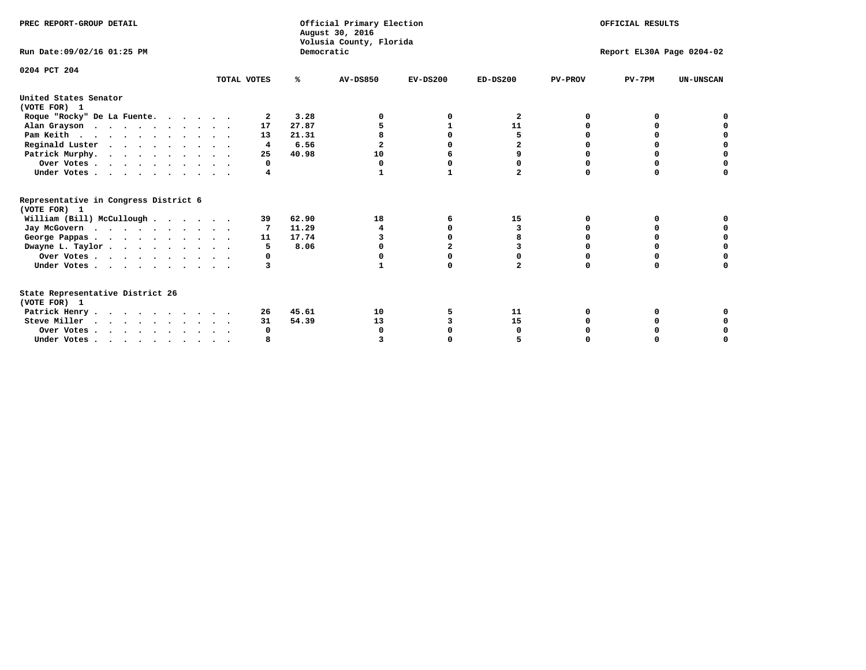| PREC REPORT-GROUP DETAIL<br>Run Date: 09/02/16 01:25 PM                          |             | Democratic | Official Primary Election<br>August 30, 2016<br>Volusia County, Florida | OFFICIAL RESULTS<br>Report EL30A Page 0204-02 |              |                |          |                  |
|----------------------------------------------------------------------------------|-------------|------------|-------------------------------------------------------------------------|-----------------------------------------------|--------------|----------------|----------|------------------|
|                                                                                  |             |            |                                                                         |                                               |              |                |          |                  |
| 0204 PCT 204                                                                     | TOTAL VOTES | ℁          | <b>AV-DS850</b>                                                         | $EV-DS200$                                    | $ED-DS200$   | <b>PV-PROV</b> | $PV-7PM$ | <b>UN-UNSCAN</b> |
| United States Senator                                                            |             |            |                                                                         |                                               |              |                |          |                  |
| (VOTE FOR) 1                                                                     |             |            |                                                                         |                                               |              |                |          |                  |
| Roque "Rocky" De La Fuente.                                                      | 2           | 3.28       |                                                                         |                                               | 2            | O              |          |                  |
| Alan Grayson                                                                     | 17          | 27.87      |                                                                         |                                               | 11           |                |          |                  |
| Pam Keith                                                                        | 13          | 21.31      |                                                                         |                                               | 5            |                |          |                  |
| Reginald Luster                                                                  | 4           | 6.56       | $\mathbf{2}$                                                            |                                               | $\mathbf{2}$ |                |          |                  |
| Patrick Murphy.                                                                  | 25          | 40.98      | 10                                                                      |                                               | 9            |                | 0        | 0                |
| Over Votes                                                                       | 0           |            | $\Omega$                                                                | 0                                             | 0            |                | 0        |                  |
| Under Votes                                                                      | 4           |            | 1                                                                       | 1                                             | $\mathbf{2}$ | $\Omega$       | $\Omega$ |                  |
| Representative in Congress District 6                                            |             |            |                                                                         |                                               |              |                |          |                  |
| (VOTE FOR) 1                                                                     |             |            |                                                                         |                                               |              |                |          |                  |
| William (Bill) McCullough                                                        | 39          | 62.90      | 18                                                                      | 6                                             | 15           | 0              | 0        |                  |
| Jay McGovern                                                                     |             | 11.29      | 4                                                                       | n                                             | 3            | O              | $\Omega$ |                  |
| George Pappas.                                                                   | 11          | 17.74      |                                                                         |                                               |              |                | $\Omega$ |                  |
| Dwayne L. Taylor                                                                 | 5           | 8.06       |                                                                         |                                               |              |                |          | $\Omega$         |
| Over Votes                                                                       | 0           |            |                                                                         |                                               |              |                |          |                  |
| Under Votes                                                                      | 3           |            |                                                                         | $\Omega$                                      | $\mathbf{z}$ | $\Omega$       | $\Omega$ | O                |
| State Representative District 26                                                 |             |            |                                                                         |                                               |              |                |          |                  |
| (VOTE FOR) 1                                                                     |             |            |                                                                         |                                               |              |                |          |                  |
| Patrick Henry                                                                    | 26          | 45.61      | 10                                                                      | 5                                             | 11           |                |          |                  |
| Steve Miller                                                                     | 31          | 54.39      | 13                                                                      |                                               | 15           |                |          | 0                |
| Over Votes                                                                       | 0           |            | O                                                                       |                                               | 0            |                |          | 0                |
| Under Votes, $\cdot$ , $\cdot$ , $\cdot$ , $\cdot$ , $\cdot$ , $\cdot$ , $\cdot$ |             |            |                                                                         |                                               |              |                |          |                  |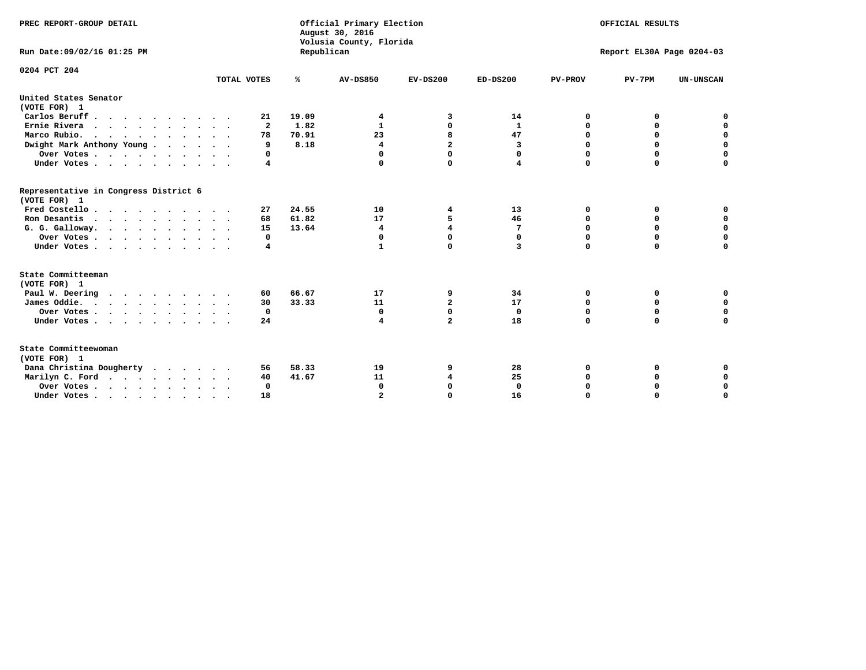| PREC REPORT-GROUP DETAIL                                                         |              |            | Official Primary Election<br>August 30, 2016<br>Volusia County, Florida |                | OFFICIAL RESULTS |                |                           |                  |
|----------------------------------------------------------------------------------|--------------|------------|-------------------------------------------------------------------------|----------------|------------------|----------------|---------------------------|------------------|
| Run Date: 09/02/16 01:25 PM                                                      |              | Republican |                                                                         |                |                  |                | Report EL30A Page 0204-03 |                  |
| 0204 PCT 204                                                                     |              |            |                                                                         |                |                  |                |                           |                  |
|                                                                                  | TOTAL VOTES  | ℁          | <b>AV-DS850</b>                                                         | $EV-DS200$     | $ED-DS200$       | <b>PV-PROV</b> | $PV-7PM$                  | <b>UN-UNSCAN</b> |
| United States Senator<br>(VOTE FOR) 1                                            |              |            |                                                                         |                |                  |                |                           |                  |
| Carlos Beruff                                                                    | 21           | 19.09      | 4                                                                       | 3              | 14               | 0              | 0                         | 0                |
| Ernie Rivera                                                                     | $\mathbf{2}$ | 1.82       | 1                                                                       | 0              | 1                | 0              | 0                         | $\mathbf 0$      |
| Marco Rubio.<br>$\cdots$                                                         | 78           | 70.91      | 23                                                                      | 8              | 47               | 0              | $\mathbf 0$               | $\mathbf 0$      |
| Dwight Mark Anthony Young                                                        | 9            | 8.18       | 4                                                                       | $\overline{a}$ | 3                | 0              | $\Omega$                  | $\mathbf 0$      |
| Over Votes                                                                       | 0            |            | $\Omega$                                                                | $\Omega$       | 0                | 0              | $\Omega$                  | $\mathbf 0$      |
| Under Votes                                                                      | 4            |            | $\Omega$                                                                | $\Omega$       | 4                | $\Omega$       | $\Omega$                  | $\Omega$         |
| Representative in Congress District 6<br>(VOTE FOR) 1                            |              |            |                                                                         |                |                  |                |                           |                  |
| Fred Costello                                                                    | 27           | 24.55      | 10                                                                      | 4              | 13               | 0              | 0                         | 0                |
| Ron Desantis                                                                     | 68           | 61.82      | 17                                                                      | 5              | 46               | $\Omega$       | 0                         | $\mathbf 0$      |
| G. G. Galloway.                                                                  | 15           | 13.64      | $\overline{\mathbf{4}}$                                                 | $\overline{4}$ | 7                | 0              | $\mathbf 0$               | $\mathbf 0$      |
| Over Votes                                                                       | 0            |            | $\mathbf 0$                                                             | $\mathbf 0$    | $\mathbf 0$      | $\mathbf 0$    | $\mathbf 0$               | $\mathbf 0$      |
| Under Votes                                                                      | 4            |            | $\mathbf{1}$                                                            | $\Omega$       | 3                | $\Omega$       | $\mathbf 0$               | $\mathbf 0$      |
| State Committeeman<br>(VOTE FOR) 1                                               |              |            |                                                                         |                |                  |                |                           |                  |
| Paul W. Deering                                                                  | 60           | 66.67      | 17                                                                      | 9              | 34               | 0              | 0                         | 0                |
| James Oddie.                                                                     | 30           | 33.33      | 11                                                                      | $\mathbf{2}$   | 17               | 0              | $\mathbf 0$               | $\mathbf 0$      |
| Over Votes                                                                       | 0            |            | 0                                                                       | $\mathbf 0$    | $\mathbf{0}$     | $\mathbf 0$    | $\mathbf 0$               | 0                |
| Under Votes                                                                      | 24           |            | 4                                                                       | $\overline{a}$ | 18               | 0              | 0                         | $\mathbf 0$      |
| State Committeewoman<br>(VOTE FOR) 1                                             |              |            |                                                                         |                |                  |                |                           |                  |
| Dana Christina Dougherty                                                         | 56           | 58.33      | 19                                                                      | 9              | 28               | 0              | 0                         | 0                |
| Marilyn C. Ford                                                                  | 40           | 41.67      | 11                                                                      | 4              | 25               | 0              | 0                         | 0                |
| Over Votes                                                                       | $\Omega$     |            | $\Omega$                                                                | $\mathbf 0$    | $\mathbf{0}$     | 0              | 0                         | 0                |
| Under Votes, $\cdot$ , $\cdot$ , $\cdot$ , $\cdot$ , $\cdot$ , $\cdot$ , $\cdot$ | 18           |            |                                                                         | $\Omega$       | 16               | $\Omega$       | $\Omega$                  | $\Omega$         |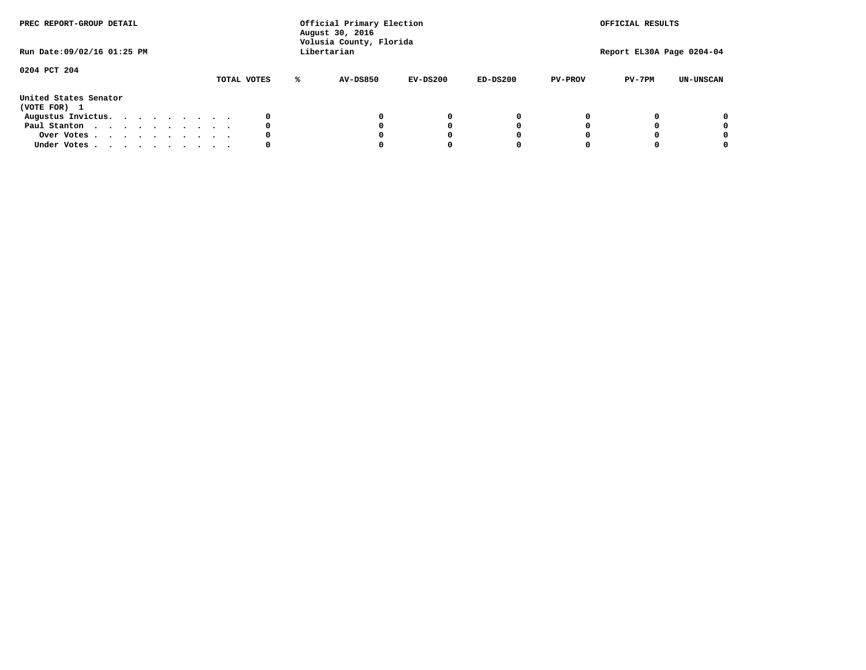| PREC REPORT-GROUP DETAIL<br>Run Date: 09/02/16 01:25 PM |  |  |  | Official Primary Election<br>August 30, 2016<br>Volusia County, Florida<br>Libertarian |  |             |   |                 | OFFICIAL RESULTS<br>Report EL30A Page 0204-04 |            |                |          |                  |
|---------------------------------------------------------|--|--|--|----------------------------------------------------------------------------------------|--|-------------|---|-----------------|-----------------------------------------------|------------|----------------|----------|------------------|
| 0204 PCT 204                                            |  |  |  |                                                                                        |  | TOTAL VOTES | ℁ | <b>AV-DS850</b> | $EV-DS200$                                    | $ED-DS200$ | <b>PV-PROV</b> | $PV-7PM$ | <b>UN-UNSCAN</b> |
| United States Senator<br>(VOTE FOR) 1                   |  |  |  |                                                                                        |  |             |   |                 |                                               |            |                |          |                  |
| Augustus Invictus.                                      |  |  |  |                                                                                        |  | 0           |   |                 | 0                                             | 0          |                |          | 0                |
| Paul Stanton                                            |  |  |  |                                                                                        |  | 0           |   |                 |                                               | 0          |                |          | 0                |
| Over Votes                                              |  |  |  |                                                                                        |  | 0           |   |                 |                                               | 0          |                |          | 0                |
| Under Votes                                             |  |  |  |                                                                                        |  | 0           |   |                 |                                               |            |                |          | 0                |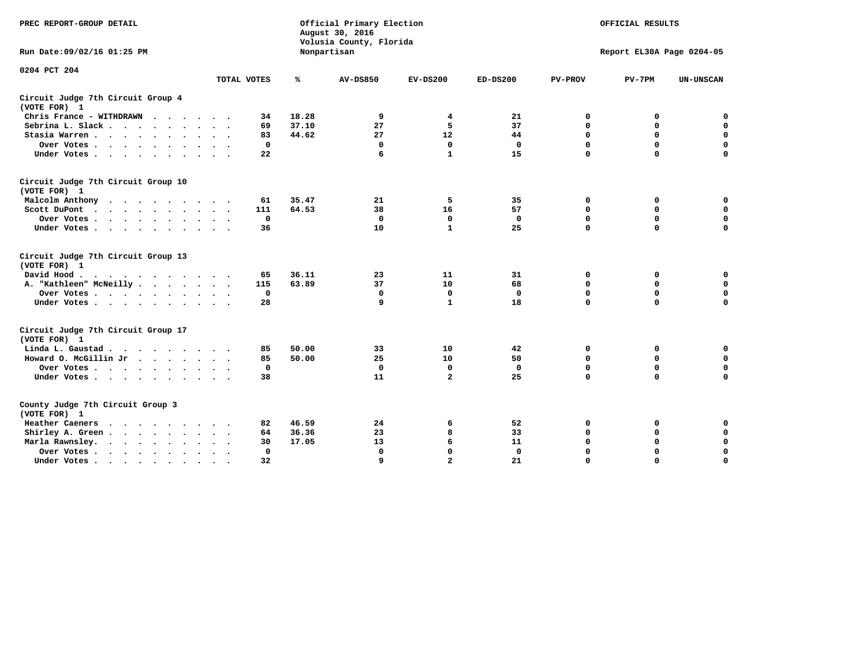| PREC REPORT-GROUP DETAIL                                                                                                           |              |       | Official Primary Election<br>August 30, 2016<br>Volusia County, Florida | OFFICIAL RESULTS<br>Report EL30A Page 0204-05 |              |                |             |                  |
|------------------------------------------------------------------------------------------------------------------------------------|--------------|-------|-------------------------------------------------------------------------|-----------------------------------------------|--------------|----------------|-------------|------------------|
| Run Date: 09/02/16 01:25 PM                                                                                                        |              |       | Nonpartisan                                                             |                                               |              |                |             |                  |
| 0204 PCT 204                                                                                                                       | TOTAL VOTES  | ℁     | <b>AV-DS850</b>                                                         | $EV-DS200$                                    | $ED-DS200$   | <b>PV-PROV</b> | $PV-7PM$    | <b>UN-UNSCAN</b> |
| Circuit Judge 7th Circuit Group 4                                                                                                  |              |       |                                                                         |                                               |              |                |             |                  |
| (VOTE FOR) 1                                                                                                                       |              |       |                                                                         |                                               |              |                |             |                  |
| Chris France - WITHDRAWN                                                                                                           | 34           | 18.28 | 9                                                                       | 4                                             | 21           | 0              | 0           | $\mathbf 0$      |
| Sebrina L. Slack.                                                                                                                  | 69           | 37.10 | 27                                                                      | 5                                             | 37           | 0              | $\mathbf 0$ | $\mathbf 0$      |
| Stasia Warren                                                                                                                      | 83           | 44.62 | 27                                                                      | 12                                            | 44           | $\mathbf 0$    | 0           | $\mathbf 0$      |
| Over Votes                                                                                                                         | $\mathbf 0$  |       | $\mathbf 0$                                                             | $\Omega$                                      | $\mathbf 0$  | $\mathbf 0$    | $\mathbf 0$ | $\mathbf 0$      |
| Under Votes                                                                                                                        | 22           |       | 6                                                                       | $\mathbf{1}$                                  | 15           | $\Omega$       | $\Omega$    | $\mathbf 0$      |
| Circuit Judge 7th Circuit Group 10<br>(VOTE FOR) 1                                                                                 |              |       |                                                                         |                                               |              |                |             |                  |
| Malcolm Anthony                                                                                                                    | 61           | 35.47 | 21                                                                      | 5                                             | 35           | 0              | 0           | 0                |
| Scott DuPont                                                                                                                       | 111          | 64.53 | 38                                                                      | 16                                            | 57           | $\Omega$       | $\mathbf 0$ | $\mathbf 0$      |
| Over Votes                                                                                                                         | $\mathbf 0$  |       | $\mathbf{0}$                                                            | $\mathbf 0$                                   | $\mathbf 0$  | $\mathbf 0$    | $\mathbf 0$ | $\mathbf 0$      |
| Under Votes                                                                                                                        | 36           |       | 10                                                                      | 1                                             | 25           | $\mathbf 0$    | $\mathbf 0$ | $\Omega$         |
| Circuit Judge 7th Circuit Group 13<br>(VOTE FOR) 1                                                                                 |              |       |                                                                         |                                               |              |                |             |                  |
| David Hood.<br>$\cdot$                                                                                                             | 65           | 36.11 | 23                                                                      | 11                                            | 31           | 0              | 0           | $\mathbf 0$      |
| A. "Kathleen" McNeilly                                                                                                             | 115          | 63.89 | 37                                                                      | 10                                            | 68           | $\mathbf 0$    | 0           | $\mathbf 0$      |
| Over Votes                                                                                                                         | $\mathbf 0$  |       | $\mathbf{0}$                                                            | $\mathbf 0$                                   | $\mathbf{0}$ | $\mathbf 0$    | $\mathbf 0$ | $\mathbf 0$      |
| Under Votes                                                                                                                        | 28           |       | 9                                                                       | $\mathbf{1}$                                  | 18           | $\Omega$       | $\Omega$    | 0                |
| Circuit Judge 7th Circuit Group 17<br>(VOTE FOR) 1                                                                                 |              |       |                                                                         |                                               |              |                |             |                  |
| Linda L. Gaustad                                                                                                                   | 85           | 50.00 | 33                                                                      | 10                                            | 42           | 0              | 0           | $\mathbf 0$      |
| Howard O. McGillin Jr                                                                                                              | 85           | 50.00 | 25                                                                      | 10                                            | 50           | $\mathbf 0$    | 0           | $\mathbf 0$      |
| Over Votes                                                                                                                         | $\mathbf 0$  |       | $\mathbf{0}$                                                            | $\mathbf 0$                                   | $\mathbf{0}$ | $\mathbf 0$    | $\Omega$    | $\pmb{0}$        |
| Under Votes                                                                                                                        | 38           |       | 11                                                                      | $\overline{a}$                                | 25           | $\mathbf 0$    | $\mathbf 0$ | $\mathbf 0$      |
| County Judge 7th Circuit Group 3<br>(VOTE FOR) 1                                                                                   |              |       |                                                                         |                                               |              |                |             |                  |
| Heather Caeners<br>the contract of the contract of the contract of the contract of the contract of the contract of the contract of | 82           | 46.59 | 24                                                                      | 6                                             | 52           | 0              | 0           | 0                |
| Shirley A. Green                                                                                                                   | 64           | 36.36 | 23                                                                      | 8                                             | 33           | $\mathbf 0$    | 0           | $\mathbf 0$      |
| Marla Rawnsley.                                                                                                                    | 30           | 17.05 | 13                                                                      | 6                                             | 11           | 0              | $\mathbf 0$ | $\pmb{0}$        |
| Over Votes<br>$\ddot{\phantom{0}}$<br>$\ddot{\phantom{a}}$                                                                         | $\mathbf{0}$ |       | 0                                                                       | $\Omega$                                      | $\mathbf{0}$ | $\Omega$       | $\Omega$    | $\mathbf 0$      |
| Under Votes                                                                                                                        | 32           |       | 9                                                                       | $\overline{2}$                                | 21           | $\mathbf 0$    | $\mathbf 0$ | 0                |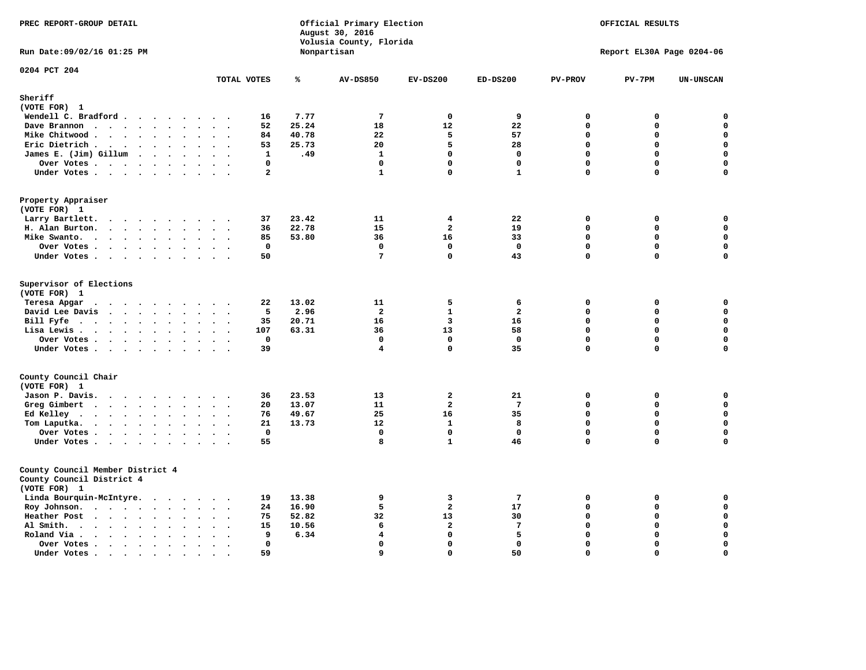| PREC REPORT-GROUP DETAIL                                                                              | Official Primary Election<br>August 30, 2016<br>Volusia County, Florida<br>Nonpartisan |              |       |                    | OFFICIAL RESULTS        |                         |                |                           |                    |
|-------------------------------------------------------------------------------------------------------|----------------------------------------------------------------------------------------|--------------|-------|--------------------|-------------------------|-------------------------|----------------|---------------------------|--------------------|
| Run Date: 09/02/16 01:25 PM                                                                           |                                                                                        |              |       |                    |                         |                         |                | Report EL30A Page 0204-06 |                    |
| 0204 PCT 204                                                                                          | TOTAL VOTES                                                                            |              | ℁     | <b>AV-DS850</b>    | $EV-DS200$              | $ED-DS200$              | <b>PV-PROV</b> | $PV-7PM$                  | <b>UN-UNSCAN</b>   |
| Sheriff                                                                                               |                                                                                        |              |       |                    |                         |                         |                |                           |                    |
| (VOTE FOR) 1                                                                                          |                                                                                        |              |       |                    |                         |                         |                |                           |                    |
| Wendell C. Bradford                                                                                   |                                                                                        | 16           | 7.77  | $7\phantom{.0}$    | $\mathbf 0$             | 9                       | $\mathbf 0$    | 0                         | $\mathbf 0$        |
| Dave Brannon                                                                                          |                                                                                        | 52           | 25.24 | 18                 | 12                      | 22                      | $\Omega$       | 0                         | $\mathbf 0$        |
| Mike Chitwood                                                                                         |                                                                                        | 84           | 40.78 | 22                 | 5                       | 57                      | $\mathbf 0$    | 0                         | $\mathbf 0$        |
| Eric Dietrich.                                                                                        |                                                                                        | 53           | 25.73 | 20                 | 5                       | 28                      | $\mathbf{0}$   | 0                         | $\mathbf 0$        |
| James E. (Jim) Gillum                                                                                 |                                                                                        | $\mathbf{1}$ | .49   | $\mathbf{1}$       | $\Omega$                | $\mathbf{0}$            | $\Omega$       | $\Omega$                  | $\mathbf 0$        |
| Over Votes                                                                                            |                                                                                        | 0            |       | $\mathbf 0$        | $\mathbf 0$             | $\mathbf 0$             | $\mathbf 0$    | 0                         | $\mathbf 0$        |
| Under Votes                                                                                           |                                                                                        | $\mathbf{2}$ |       | $\mathbf{1}$       | $\Omega$                | $\mathbf{1}$            | $\mathbf 0$    | $\Omega$                  | $\mathbf 0$        |
| Property Appraiser<br>(VOTE FOR) 1                                                                    |                                                                                        |              |       |                    |                         |                         |                |                           |                    |
| Larry Bartlett.                                                                                       |                                                                                        | 37           | 23.42 | 11                 | 4                       | 22                      | 0              | 0                         | 0                  |
| H. Alan Burton.                                                                                       |                                                                                        | 36           | 22.78 | 15                 | $\overline{a}$          | 19                      | $\mathbf 0$    | 0                         | $\mathbf 0$        |
| Mike Swanto.                                                                                          |                                                                                        | 85           | 53.80 | 36                 | 16                      | 33                      | $\mathbf{0}$   | 0                         | $\mathbf 0$        |
| Over Votes                                                                                            |                                                                                        | $\Omega$     |       | $\Omega$           | $\Omega$                | $\mathbf 0$             | $\Omega$       | $\Omega$                  | 0                  |
| Under Votes                                                                                           |                                                                                        | 50           |       | $7\phantom{.0}$    | $\mathbf 0$             | 43                      | $\mathbf 0$    | $\mathbf 0$               | $\mathbf 0$        |
| Supervisor of Elections<br>(VOTE FOR) 1<br>Teresa Apgar                                               |                                                                                        | 22           | 13.02 | 11                 | 5                       | 6                       | 0              | 0                         | 0                  |
| $\cdots$<br>David Lee Davis                                                                           |                                                                                        | 5            | 2.96  | $\overline{a}$     | $\mathbf{1}$            | $\overline{\mathbf{2}}$ | $\mathbf 0$    | 0                         | $\mathbf 0$        |
| Bill Fyfe                                                                                             |                                                                                        | 35           | 20.71 | 16                 | $\overline{\mathbf{3}}$ | 16                      | $\mathbf 0$    | $\mathbf 0$               | $\mathbf 0$        |
| Lisa Lewis                                                                                            |                                                                                        | 107          | 63.31 | 36                 | 13                      | 58                      | $\mathbf 0$    | $\mathbf 0$               | $\mathbf 0$        |
| Over Votes                                                                                            |                                                                                        | $\mathbf 0$  |       | $\Omega$           | $\Omega$                | $\mathbf 0$             | $\Omega$       | $\Omega$                  | $\mathbf 0$        |
| Under Votes                                                                                           |                                                                                        | 39           |       | 4                  | 0                       | 35                      | $\Omega$       | $\mathbf 0$               | $\mathbf 0$        |
| County Council Chair                                                                                  |                                                                                        |              |       |                    |                         |                         |                |                           |                    |
| (VOTE FOR) 1                                                                                          |                                                                                        |              |       |                    |                         |                         |                |                           |                    |
| Jason P. Davis.                                                                                       | $\sim$ $\sim$                                                                          | 36           | 23.53 | 13                 | $\overline{\mathbf{2}}$ | 21                      | $\mathbf 0$    | 0                         | 0                  |
| Greg Gimbert                                                                                          |                                                                                        | 20           | 13.07 | 11                 | $\overline{a}$          | $7\phantom{.0}$         | $\Omega$       | $\mathbf 0$               | $\mathbf{0}$       |
| Ed Kelley                                                                                             |                                                                                        | 76           | 49.67 | 25                 | 16                      | 35                      | $\mathbf 0$    | $\mathbf 0$               | $\mathbf 0$        |
| Tom Laputka.                                                                                          |                                                                                        | 21           | 13.73 | 12                 | $\mathbf{1}$            | 8                       | $\mathbf 0$    | 0                         | $\mathbf 0$        |
| Over Votes                                                                                            |                                                                                        | $^{\circ}$   |       | $\mathbf{0}$       | $\Omega$                | $\mathbf{0}$            | $\mathbf{0}$   | 0                         | 0                  |
| Under Votes                                                                                           |                                                                                        | 55           |       | 8                  | $\mathbf{1}$            | 46                      | $\mathbf{0}$   | 0                         | $\mathbf 0$        |
| County Council Member District 4<br>County Council District 4<br>(VOTE FOR) 1                         |                                                                                        |              |       |                    |                         |                         |                |                           |                    |
| Linda Bourquin-McIntyre.                                                                              |                                                                                        | 19           | 13.38 | 9                  | $\overline{\mathbf{3}}$ | $7\phantom{.0}$         | $\mathbf 0$    | 0                         | $\mathbf 0$        |
| Roy Johnson.                                                                                          |                                                                                        | 24           | 16.90 | 5                  | $\overline{a}$          | 17                      | $\mathbf 0$    | 0                         | $\mathbf 0$        |
| Heather Post                                                                                          |                                                                                        | 75           | 52.82 | 32                 | 13                      | 30                      | $\mathbf 0$    | 0                         | $\pmb{\mathsf{o}}$ |
| Al Smith.                                                                                             | $\sim$                                                                                 | 15           | 10.56 | 6                  | $\overline{a}$          | $7\phantom{.0}$         | $\mathbf 0$    | $\mathbf 0$               | $\mathbf 0$        |
| Roland Via .<br>$\mathbf{r}$ , $\mathbf{r}$ , $\mathbf{r}$ , $\mathbf{r}$ , $\mathbf{r}$<br>$\bullet$ |                                                                                        | 9            | 6.34  | $\overline{\bf 4}$ | 0                       | 5                       | $\mathbf 0$    | 0                         | $\pmb{0}$          |
| Over Votes<br>$\bullet$                                                                               | $\bullet$<br>$\ddot{\phantom{1}}$                                                      | $\mathbf 0$  |       | $\mathbf 0$        | $\Omega$                | $\mathbf 0$             | $\Omega$       | $\mathbf 0$               | $\mathbf 0$        |
| Under Votes .<br>.                                                                                    | $\bullet$<br>$\bullet$                                                                 | 59           |       | 9                  | $\Omega$                | 50                      | $\Omega$       | 0                         | $\mathbf 0$        |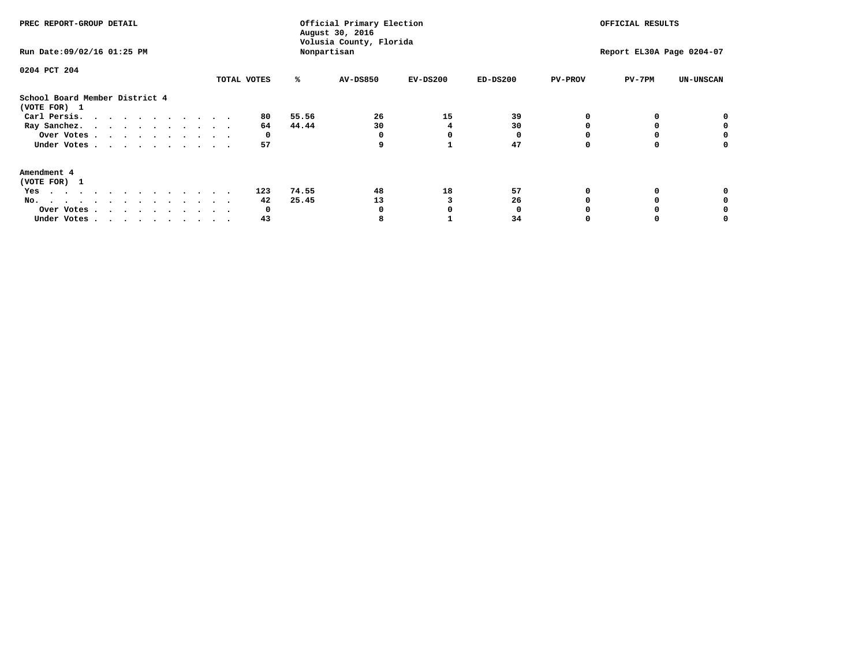| PREC REPORT-GROUP DETAIL<br>Run Date: 09/02/16 01:25 PM                                                                                                                                                                                  |             |       | Official Primary Election<br>August 30, 2016<br>Volusia County, Florida<br>Nonpartisan |            | OFFICIAL RESULTS<br>Report EL30A Page 0204-07 |                |          |                  |
|------------------------------------------------------------------------------------------------------------------------------------------------------------------------------------------------------------------------------------------|-------------|-------|----------------------------------------------------------------------------------------|------------|-----------------------------------------------|----------------|----------|------------------|
| 0204 PCT 204                                                                                                                                                                                                                             |             |       |                                                                                        |            |                                               |                |          |                  |
|                                                                                                                                                                                                                                          | TOTAL VOTES | ℁     | <b>AV-DS850</b>                                                                        | $EV-DS200$ | $ED-DS200$                                    | <b>PV-PROV</b> | $PV-7PM$ | <b>UN-UNSCAN</b> |
| School Board Member District 4<br>(VOTE FOR) 1                                                                                                                                                                                           |             |       |                                                                                        |            |                                               |                |          |                  |
| Carl Persis.                                                                                                                                                                                                                             | 80          | 55.56 | 26                                                                                     | 15         | 39                                            |                |          |                  |
| Ray Sanchez.                                                                                                                                                                                                                             | 64          | 44.44 | 30                                                                                     |            | 30                                            |                |          |                  |
| Over Votes                                                                                                                                                                                                                               | 0           |       |                                                                                        |            |                                               |                |          |                  |
| Under Votes                                                                                                                                                                                                                              | 57          |       | q                                                                                      |            | 47                                            |                |          |                  |
| Amendment 4                                                                                                                                                                                                                              |             |       |                                                                                        |            |                                               |                |          |                  |
| (VOTE FOR) 1                                                                                                                                                                                                                             |             |       |                                                                                        |            |                                               |                |          |                  |
| Yes<br>$\mathbf{a}$ . The contribution of the contribution of the contribution of the contribution of the contribution of the contribution of the contribution of the contribution of the contribution of the contribution of the contri | 123         | 74.55 | 48                                                                                     | 18         | 57                                            |                |          |                  |
| No.                                                                                                                                                                                                                                      | 42          | 25.45 | 13                                                                                     |            | 26                                            |                |          |                  |
| Over Votes                                                                                                                                                                                                                               | O           |       |                                                                                        |            |                                               |                |          |                  |
| Under Votes                                                                                                                                                                                                                              | 43          |       |                                                                                        |            | 34                                            |                |          |                  |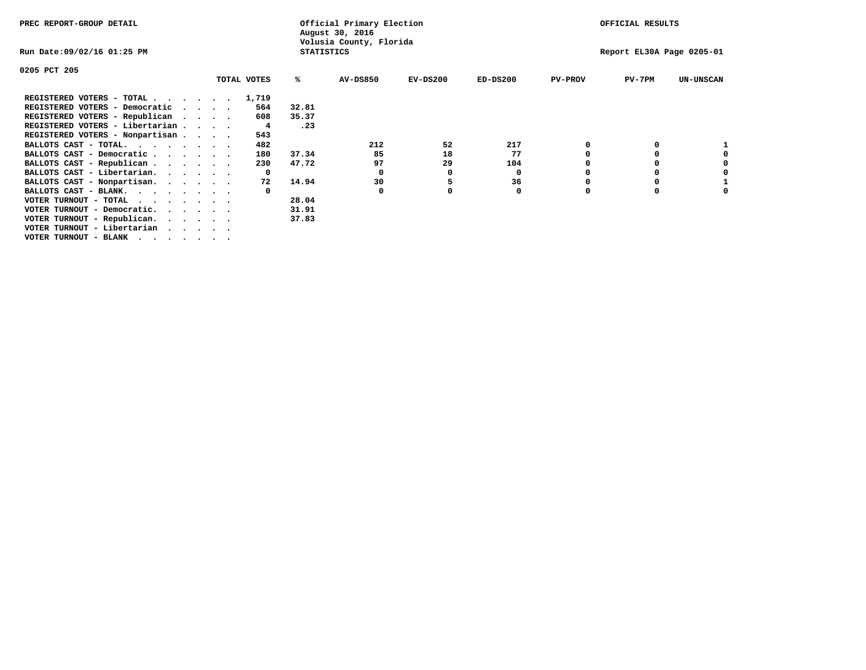| PREC REPORT-GROUP DETAIL                                                                                |                   | Official Primary Election<br>August 30, 2016 |            |            |                | OFFICIAL RESULTS          |                  |
|---------------------------------------------------------------------------------------------------------|-------------------|----------------------------------------------|------------|------------|----------------|---------------------------|------------------|
| Run Date:09/02/16 01:25 PM                                                                              | <b>STATISTICS</b> | Volusia County, Florida                      |            |            |                | Report EL30A Page 0205-01 |                  |
| 0205 PCT 205                                                                                            |                   |                                              |            |            |                |                           |                  |
| TOTAL VOTES                                                                                             | ℁                 | <b>AV-DS850</b>                              | $EV-DS200$ | $ED-DS200$ | <b>PV-PROV</b> | $PV-7PM$                  | <b>UN-UNSCAN</b> |
| REGISTERED VOTERS - TOTAL<br>$\cdot$ $\cdot$ $\cdot$ $\cdot$ $\cdot$ $\cdot$ 1,719                      |                   |                                              |            |            |                |                           |                  |
| 564<br>REGISTERED VOTERS - Democratic<br>$\cdot$ $\cdot$ $\cdot$ $\cdot$ $\cdot$                        | 32.81             |                                              |            |            |                |                           |                  |
| REGISTERED VOTERS - Republican<br>608<br>$\cdot$ $\cdot$ $\cdot$ $\cdot$                                | 35.37             |                                              |            |            |                |                           |                  |
| REGISTERED VOTERS - Libertarian<br>4                                                                    | .23               |                                              |            |            |                |                           |                  |
| REGISTERED VOTERS - Nonpartisan<br>543                                                                  |                   |                                              |            |            |                |                           |                  |
| BALLOTS CAST - TOTAL.<br>482                                                                            |                   | 212                                          | 52         | 217        |                |                           |                  |
| BALLOTS CAST - Democratic<br>180                                                                        | 37.34             | 85                                           | 18         | 77         |                |                           |                  |
| BALLOTS CAST - Republican<br>230                                                                        | 47.72             | 97                                           | 29         | 104        |                |                           |                  |
| BALLOTS CAST - Libertarian.<br>$\mathbf{o}$                                                             |                   | 0                                            | 0          | 0          |                |                           |                  |
| BALLOTS CAST - Nonpartisan.<br>72                                                                       | 14.94             | 30                                           | 5          | 36         |                |                           |                  |
| BALLOTS CAST - BLANK.                                                                                   |                   | 0                                            |            | 0          | $\Omega$       |                           |                  |
| VOTER TURNOUT - TOTAL                                                                                   | 28.04             |                                              |            |            |                |                           |                  |
| VOTER TURNOUT - Democratic.<br>$\mathbf{r}$ , $\mathbf{r}$ , $\mathbf{r}$ , $\mathbf{r}$ , $\mathbf{r}$ | 31.91             |                                              |            |            |                |                           |                  |
| VOTER TURNOUT - Republican.                                                                             | 37.83             |                                              |            |            |                |                           |                  |
| VOTER TURNOUT - Libertarian                                                                             |                   |                                              |            |            |                |                           |                  |
| VOTER TURNOUT - BLANK                                                                                   |                   |                                              |            |            |                |                           |                  |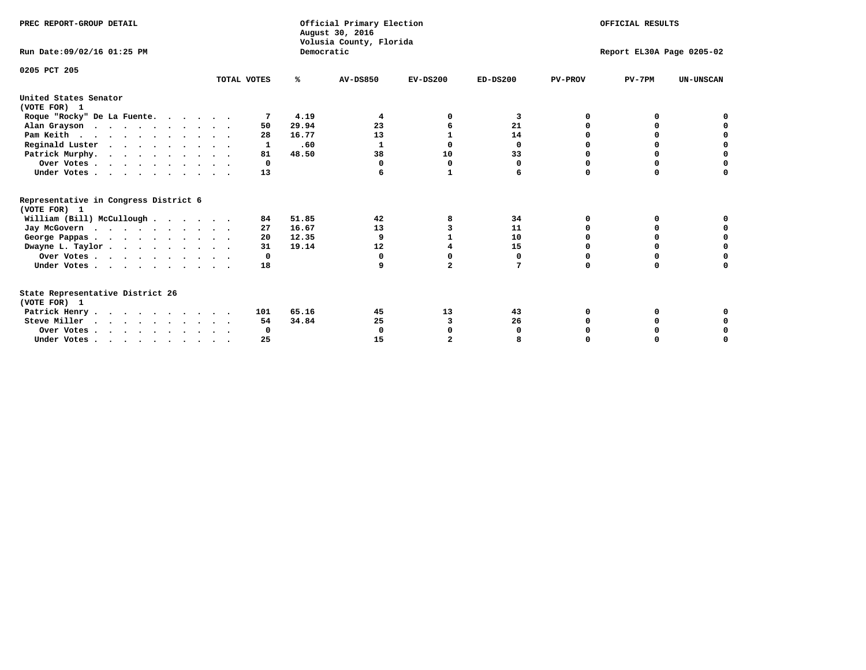| PREC REPORT-GROUP DETAIL                                                         |             |            | Official Primary Election<br>August 30, 2016<br>Volusia County, Florida | OFFICIAL RESULTS |            |                |                           |                  |
|----------------------------------------------------------------------------------|-------------|------------|-------------------------------------------------------------------------|------------------|------------|----------------|---------------------------|------------------|
| Run Date: 09/02/16 01:25 PM                                                      |             | Democratic |                                                                         |                  |            |                | Report EL30A Page 0205-02 |                  |
| 0205 PCT 205                                                                     | TOTAL VOTES | ℁          | <b>AV-DS850</b>                                                         | $EV-DS200$       | $ED-DS200$ | <b>PV-PROV</b> | $PV-7PM$                  | <b>UN-UNSCAN</b> |
| United States Senator<br>(VOTE FOR) 1                                            |             |            |                                                                         |                  |            |                |                           |                  |
| Roque "Rocky" De La Fuente.                                                      |             | 4.19       | 4                                                                       |                  | 3          | O              | O                         |                  |
| Alan Grayson                                                                     | 50          | 29.94      | 23                                                                      |                  | 21         |                |                           |                  |
| Pam Keith                                                                        | 28          | 16.77      | 13                                                                      |                  | 14         |                | 0                         |                  |
| Reginald Luster                                                                  | 1           | .60        | 1                                                                       | 0                | 0          | 0              | 0                         | $\mathbf 0$      |
| Patrick Murphy.                                                                  | 81          | 48.50      | 38                                                                      | 10               | 33         | $\Omega$       | 0                         | $\mathbf 0$      |
| Over Votes                                                                       | 0           |            | $\Omega$                                                                | 0                | 0          | O              | 0                         | $\Omega$         |
| Under Votes                                                                      | 13          |            |                                                                         | 1                | 6          | $\Omega$       | $\Omega$                  | U                |
| Representative in Congress District 6<br>(VOTE FOR) 1                            |             |            |                                                                         |                  |            |                |                           |                  |
| William (Bill) McCullough                                                        | 84          | 51.85      | 42                                                                      | 8                | 34         | O              | 0                         |                  |
| Jay McGovern                                                                     | 27          | 16.67      | 13                                                                      | 3                | 11         | O              | $\Omega$                  | 0                |
| George Pappas.                                                                   | 20          | 12.35      | 9                                                                       |                  | 10         |                | $\Omega$                  | 0                |
| Dwayne L. Taylor                                                                 | 31          | 19.14      | 12                                                                      |                  | 15         | $\Omega$       | 0                         | $\mathbf 0$      |
| Over Votes                                                                       | 0           |            | 0                                                                       | 0                | 0          | $\Omega$       | $\Omega$                  | 0                |
| Under Votes                                                                      | 18          |            |                                                                         | $\overline{a}$   | 7          | $\Omega$       | $\Omega$                  | O                |
| State Representative District 26<br>(VOTE FOR) 1                                 |             |            |                                                                         |                  |            |                |                           |                  |
| Patrick Henry                                                                    | 101         | 65.16      | 45                                                                      | 13               | 43         | O              |                           |                  |
| Steve Miller                                                                     | 54          | 34.84      | 25                                                                      | 3                | 26         |                |                           | 0                |
| Over Votes                                                                       | 0           |            | $\Omega$                                                                | 0                | O          |                | O                         | 0                |
| Under Votes, $\cdot$ , $\cdot$ , $\cdot$ , $\cdot$ , $\cdot$ , $\cdot$ , $\cdot$ | 25          |            | 15                                                                      |                  |            |                |                           | U                |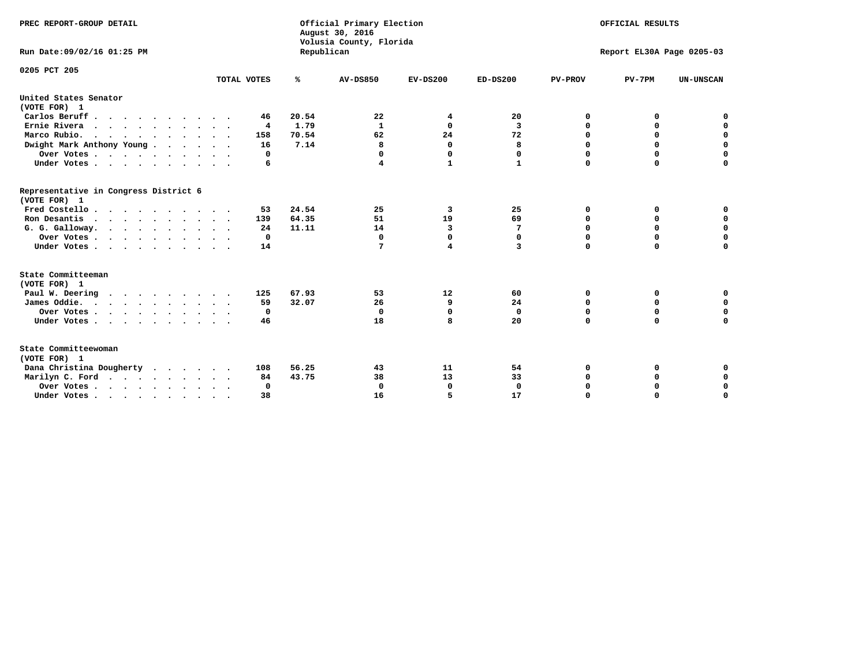| PREC REPORT-GROUP DETAIL                              |             | Official Primary Election<br>August 30, 2016<br>Volusia County, Florida | OFFICIAL RESULTS |                         |             |                |                           |                  |
|-------------------------------------------------------|-------------|-------------------------------------------------------------------------|------------------|-------------------------|-------------|----------------|---------------------------|------------------|
| Run Date: 09/02/16 01:25 PM                           |             | Republican                                                              |                  |                         |             |                | Report EL30A Page 0205-03 |                  |
| 0205 PCT 205                                          |             |                                                                         |                  |                         |             |                |                           |                  |
|                                                       | TOTAL VOTES | ℁                                                                       | <b>AV-DS850</b>  | $EV-DS200$              | $ED-DS200$  | <b>PV-PROV</b> | $PV-7PM$                  | <b>UN-UNSCAN</b> |
| United States Senator<br>(VOTE FOR) 1                 |             |                                                                         |                  |                         |             |                |                           |                  |
| Carlos Beruff.                                        | 46          | 20.54                                                                   | 22               | 4                       | 20          | 0              | 0                         | 0                |
| Ernie Rivera                                          | 4           | 1.79                                                                    | 1                | $\Omega$                | 3           | 0              | 0                         | $\mathbf 0$      |
| Marco Rubio.                                          | 158         | 70.54                                                                   | 62               | 24                      | 72          | $\mathbf 0$    | $\mathbf 0$               | $\mathbf 0$      |
| Dwight Mark Anthony Young                             | 16          | 7.14                                                                    | 8                | $\mathbf{0}$            | 8           | 0              | $\mathbf 0$               | $\pmb{0}$        |
| Over Votes                                            | 0           |                                                                         | 0                | $\Omega$                | 0           | $\mathbf 0$    | 0                         | $\mathbf 0$      |
| Under Votes                                           | 6           |                                                                         | 4                | $\mathbf{1}$            | 1           | $\Omega$       | $\Omega$                  | $\mathbf 0$      |
| Representative in Congress District 6<br>(VOTE FOR) 1 |             |                                                                         |                  |                         |             |                |                           |                  |
| Fred Costello                                         | 53          | 24.54                                                                   | 25               | 3                       | 25          | 0              | 0                         | 0                |
| Ron Desantis                                          | 139         | 64.35                                                                   | 51               | 19                      | 69          | 0              | 0                         | $\mathbf 0$      |
| G. G. Galloway.                                       | 24          | 11.11                                                                   | 14               | 3                       | 7           | $\mathbf 0$    | $\Omega$                  | $\mathbf 0$      |
| Over Votes                                            | $\Omega$    |                                                                         | 0                | $\mathbf{0}$            | 0           | $\mathbf 0$    | $\Omega$                  | $\mathbf 0$      |
| Under Votes                                           | 14          |                                                                         | 7                | $\overline{\mathbf{4}}$ | 3           | $\Omega$       | $\Omega$                  | $\Omega$         |
| State Committeeman                                    |             |                                                                         |                  |                         |             |                |                           |                  |
| (VOTE FOR) 1                                          |             | 67.93                                                                   |                  |                         |             |                |                           |                  |
| Paul W. Deering                                       | 125         |                                                                         | 53               | 12                      | 60          | 0              | 0                         | 0<br>$\mathbf 0$ |
| James Oddie.                                          | 59          | 32.07                                                                   | 26               | 9                       | 24          | 0              | 0                         |                  |
| Over Votes                                            | 0           |                                                                         | 0                | $\mathbf{0}$            | $\mathbf 0$ | 0              | $\mathbf 0$               | $\mathbf 0$      |
| Under Votes                                           | 46          |                                                                         | 18               | 8                       | 20          | $\mathbf 0$    | 0                         | $\mathbf 0$      |
| State Committeewoman<br>(VOTE FOR) 1                  |             |                                                                         |                  |                         |             |                |                           |                  |
| Dana Christina Dougherty                              | 108         | 56.25                                                                   | 43               | 11                      | 54          | 0              | 0                         | 0                |
| Marilyn C. Ford                                       | 84          | 43.75                                                                   | 38               | 13                      | 33          | 0              | 0                         | 0                |
| Over Votes                                            | $\Omega$    |                                                                         | $\mathbf 0$      | 0                       | $\mathbf 0$ | 0              | 0                         | $\mathbf 0$      |
| Under Votes, , , , , , , , , ,                        | 38          |                                                                         | 16               | 5                       | 17          | $\Omega$       | $\Omega$                  | $\Omega$         |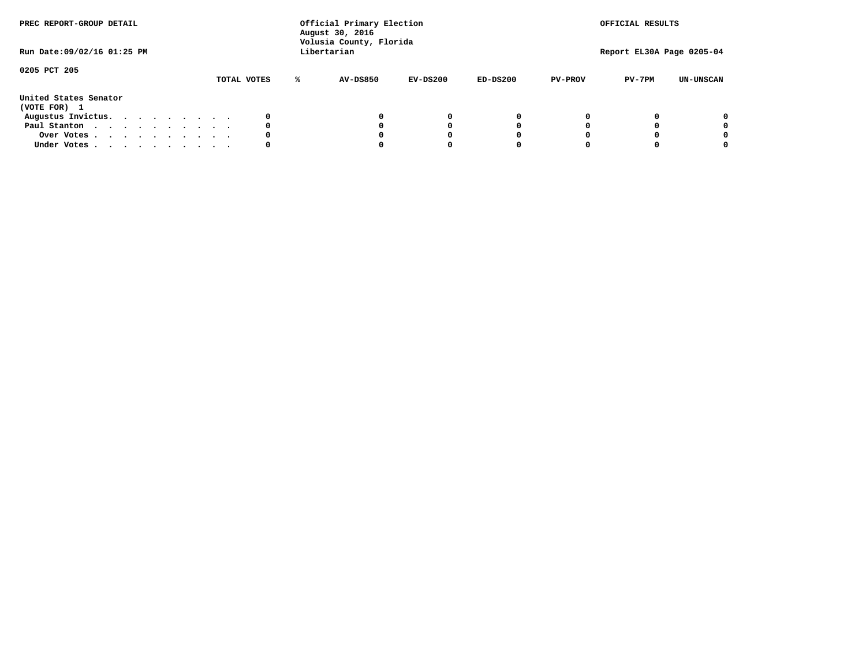| PREC REPORT-GROUP DETAIL<br>Run Date: 09/02/16 01:25 PM |  |  |  |  | Official Primary Election<br>August 30, 2016<br>Volusia County, Florida<br>Libertarian |  |             | OFFICIAL RESULTS<br>Report EL30A Page 0205-04 |            |            |                |          |                  |
|---------------------------------------------------------|--|--|--|--|----------------------------------------------------------------------------------------|--|-------------|-----------------------------------------------|------------|------------|----------------|----------|------------------|
| 0205 PCT 205                                            |  |  |  |  |                                                                                        |  | TOTAL VOTES | <b>AV-DS850</b>                               | $EV-DS200$ | $ED-DS200$ | <b>PV-PROV</b> | $PV-7PM$ | <b>UN-UNSCAN</b> |
| United States Senator<br>(VOTE FOR) 1                   |  |  |  |  |                                                                                        |  |             |                                               |            |            |                |          |                  |
| Augustus Invictus.                                      |  |  |  |  |                                                                                        |  |             |                                               | $^{\circ}$ | 0          |                |          | 0                |
| Paul Stanton                                            |  |  |  |  |                                                                                        |  | 0           |                                               | 0          |            |                |          | 0                |
| Over Votes                                              |  |  |  |  |                                                                                        |  |             |                                               |            |            |                |          | 0                |
| Under Votes                                             |  |  |  |  |                                                                                        |  | 0           |                                               |            |            |                |          | 0                |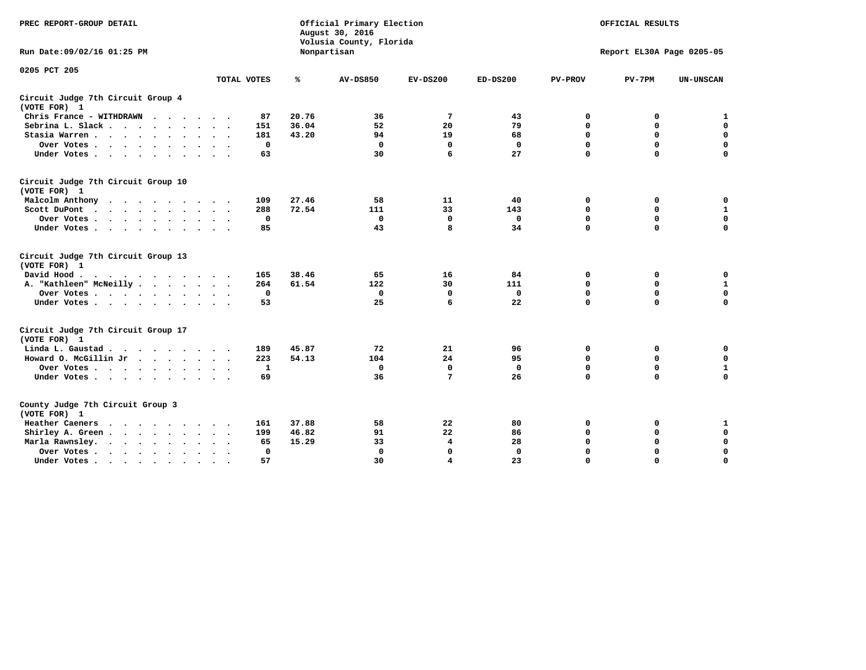| PREC REPORT-GROUP DETAIL                           |              |       | Official Primary Election<br>August 30, 2016<br>Volusia County, Florida | OFFICIAL RESULTS<br>Report EL30A Page 0205-05 |              |                |             |                  |
|----------------------------------------------------|--------------|-------|-------------------------------------------------------------------------|-----------------------------------------------|--------------|----------------|-------------|------------------|
| Run Date: 09/02/16 01:25 PM                        |              |       | Nonpartisan                                                             |                                               |              |                |             |                  |
| 0205 PCT 205                                       | TOTAL VOTES  | ℁     | <b>AV-DS850</b>                                                         | $EV-DS200$                                    | $ED-DS200$   | <b>PV-PROV</b> | $PV-7PM$    | <b>UN-UNSCAN</b> |
| Circuit Judge 7th Circuit Group 4<br>(VOTE FOR) 1  |              |       |                                                                         |                                               |              |                |             |                  |
| Chris France - WITHDRAWN                           | 87           | 20.76 | 36                                                                      | 7                                             | 43           | 0              | 0           | 1                |
| Sebrina L. Slack                                   | 151          | 36.04 | 52                                                                      | 20                                            | 79           | 0              | 0           | $\mathbf 0$      |
| Stasia Warren.                                     | 181          | 43.20 | 94                                                                      | 19                                            | 68           | $\mathbf 0$    | $\mathbf 0$ | $\mathbf 0$      |
| Over Votes                                         | $\Omega$     |       | $\mathbf{0}$                                                            | $\mathbf 0$                                   | $\mathbf{0}$ | $\mathbf 0$    | $\mathbf 0$ | $\mathbf 0$      |
| Under Votes                                        | 63           |       | 30                                                                      | 6                                             | 27           | $\Omega$       | $\Omega$    | $\Omega$         |
| Circuit Judge 7th Circuit Group 10<br>(VOTE FOR) 1 |              |       |                                                                         |                                               |              |                |             |                  |
| Malcolm Anthony                                    | 109          | 27.46 | 58                                                                      | 11                                            | 40           | 0              | 0           | 0                |
| Scott DuPont                                       | 288          | 72.54 | 111                                                                     | 33                                            | 143          | $\mathbf 0$    | $\mathbf 0$ | $\mathbf{1}$     |
| Over Votes                                         | $\mathbf 0$  |       | $\mathbf{0}$                                                            | $\mathbf 0$                                   | $\mathbf{0}$ | $\mathbf 0$    | $\mathbf 0$ | $\mathbf 0$      |
| Under Votes                                        | 85           |       | 43                                                                      | 8                                             | 34           | $\mathbf 0$    | $\mathbf 0$ | $\Omega$         |
| Circuit Judge 7th Circuit Group 13<br>(VOTE FOR) 1 |              |       |                                                                         |                                               |              |                |             |                  |
| David Hood.<br>.                                   | 165          | 38.46 | 65                                                                      | 16                                            | 84           | 0              | 0           | 0                |
| A. "Kathleen" McNeilly                             | 264          | 61.54 | 122                                                                     | 30                                            | 111          | $\mathbf 0$    | $\mathbf 0$ | $\mathbf{1}$     |
| Over Votes                                         | $\mathbf 0$  |       | $\mathbf 0$                                                             | 0                                             | $\mathbf 0$  | 0              | $\mathbf 0$ | $\mathbf 0$      |
| Under Votes                                        | 53           |       | 25                                                                      | 6                                             | 22           | $\Omega$       | $\Omega$    | $\mathbf 0$      |
| Circuit Judge 7th Circuit Group 17<br>(VOTE FOR) 1 |              |       |                                                                         |                                               |              |                |             |                  |
| Linda L. Gaustad                                   | 189          | 45.87 | 72                                                                      | 21                                            | 96           | 0              | 0           | 0                |
| Howard O. McGillin Jr                              | 223          | 54.13 | 104                                                                     | 24                                            | 95           | 0              | $\mathbf 0$ | $\mathbf 0$      |
| Over Votes                                         | 1            |       | $\Omega$                                                                | 0                                             | $\mathbf{0}$ | $\mathbf 0$    | $\mathbf 0$ | $\mathbf{1}$     |
| Under Votes                                        | 69           |       | 36                                                                      | 7                                             | 26           | $\mathbf 0$    | $\mathbf 0$ | 0                |
| County Judge 7th Circuit Group 3<br>(VOTE FOR) 1   |              |       |                                                                         |                                               |              |                |             |                  |
| Heather Caeners<br>.                               | 161          | 37.88 | 58                                                                      | 22                                            | 80           | 0              | 0           | $\mathbf 1$      |
| Shirley A. Green                                   | 199          | 46.82 | 91                                                                      | 22                                            | 86           | $\mathbf 0$    | 0           | $\mathbf 0$      |
| Marla Rawnsley.                                    | 65           | 15.29 | 33                                                                      | 4                                             | 28           | 0              | $\mathbf 0$ | $\mathbf 0$      |
| Over Votes                                         | $\mathbf{0}$ |       | $\Omega$                                                                | $\mathbf 0$                                   | $\mathbf{0}$ | 0              | $\mathbf 0$ | $\mathbf 0$      |
| Under Votes<br>$\bullet$                           | 57           |       | 30                                                                      | 4                                             | 23           | $\mathbf 0$    | $\Omega$    | $\Omega$         |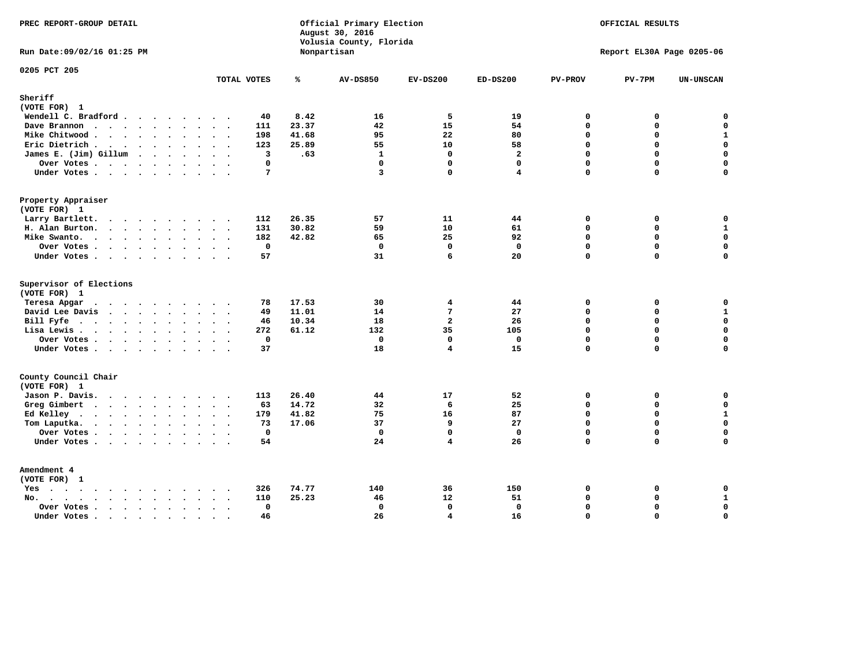| PREC REPORT-GROUP DETAIL                                    |                                                |                | Official Primary Election<br>August 30, 2016<br>Volusia County, Florida | OFFICIAL RESULTS<br>Report EL30A Page 0205-06 |                |                         |             |                             |
|-------------------------------------------------------------|------------------------------------------------|----------------|-------------------------------------------------------------------------|-----------------------------------------------|----------------|-------------------------|-------------|-----------------------------|
| Run Date: 09/02/16 01:25 PM                                 |                                                | Nonpartisan    |                                                                         |                                               |                |                         |             |                             |
| 0205 PCT 205                                                | TOTAL VOTES                                    | ℁              | <b>AV-DS850</b>                                                         | $EV-DS200$                                    | $ED-DS200$     | <b>PV-PROV</b>          | $PV-7PM$    | <b>UN-UNSCAN</b>            |
| Sheriff<br>(VOTE FOR) 1                                     |                                                |                |                                                                         |                                               |                |                         |             |                             |
| Wendell C. Bradford                                         | 40                                             | 8.42           | 16                                                                      | 5                                             | 19             | $\mathbf 0$             | 0           | $\mathbf 0$                 |
| Dave Brannon                                                | 111                                            | 23.37          | 42                                                                      | 15                                            | 54             | $\Omega$                | 0           | $\mathsf{o}\,$              |
| Mike Chitwood                                               | 198                                            | 41.68          | 95                                                                      | 22                                            | 80             | $\mathbf 0$             | 0           | $\mathbf{1}$                |
| Eric Dietrich.                                              | 123                                            | 25.89          | 55                                                                      | 10                                            | 58             | $\Omega$                | 0           | $\mathbf 0$                 |
| James E. (Jim) Gillum                                       | 3                                              | .63            | $\mathbf{1}$                                                            | $\mathbf 0$                                   | $\overline{a}$ | $\mathbf 0$             | 0           | $\mathbf 0$                 |
| Over Votes                                                  | $\mathbf{0}$                                   |                | $\mathbf{0}$                                                            | $\mathbf{0}$                                  | $\mathbf 0$    | $\Omega$                | $\mathbf 0$ | 0                           |
| Under Votes                                                 | $7\phantom{.0}$                                |                | $\overline{\mathbf{3}}$                                                 | 0                                             | 4              | $\Omega$                | 0           | $\Omega$                    |
| Property Appraiser                                          |                                                |                |                                                                         |                                               |                |                         |             |                             |
| (VOTE FOR) 1                                                |                                                |                |                                                                         |                                               |                |                         |             |                             |
| Larry Bartlett.                                             | 112                                            | 26.35          | 57                                                                      | 11                                            | 44             | $\mathbf 0$             | 0           | 0                           |
| H. Alan Burton.                                             | 131                                            | 30.82          | 59                                                                      | 10                                            | 61             | $\mathbf 0$             | $\mathbf 0$ | $\mathbf{1}$                |
| Mike Swanto.                                                | 182                                            | 42.82          | 65                                                                      | 25                                            | 92             | $\mathbf 0$             | 0           | $\mathbf 0$                 |
| Over Votes                                                  | $\mathbf 0$                                    |                | $\mathbf 0$                                                             | $\mathbf 0$                                   | $\mathbf 0$    | $\Omega$                | $\mathbf 0$ | $\mathbf 0$                 |
| Under Votes                                                 | 57                                             |                | 31                                                                      | 6                                             | 20             | 0                       | 0           | $\Omega$                    |
| Supervisor of Elections                                     |                                                |                |                                                                         |                                               |                |                         |             |                             |
| (VOTE FOR) 1                                                |                                                |                |                                                                         |                                               |                |                         |             |                             |
| Teresa Apgar                                                | 78                                             | 17.53          | 30                                                                      | 4                                             | 44             | $\mathbf{0}$            | 0           | 0                           |
| David Lee Davis                                             | 49                                             | 11.01          | 14                                                                      | $7\phantom{.0}$                               | 27             | $\Omega$<br>$\mathbf 0$ | 0<br>0      | $\mathbf{1}$<br>$\mathbf 0$ |
| Bill Fyfe.                                                  | 46                                             | 10.34<br>61.12 | 18<br>132                                                               | $\overline{a}$<br>35                          | 26<br>105      | $\Omega$                | $\mathbf 0$ | $\mathbf 0$                 |
| Lisa Lewis                                                  | 272                                            |                | $\mathbf{0}$                                                            | $\mathbf{0}$                                  | $\mathbf{0}$   | $\Omega$                | 0           | $\mathbf 0$                 |
| Over Votes<br>Under Votes                                   | $\mathbf 0$<br>37                              |                | 18                                                                      | 4                                             | 15             | $\Omega$                | $\Omega$    | $\mathbf 0$                 |
|                                                             |                                                |                |                                                                         |                                               |                |                         |             |                             |
| County Council Chair<br>(VOTE FOR) 1                        |                                                |                |                                                                         |                                               |                |                         |             |                             |
| Jason P. Davis.                                             | 113<br>$\sim$ $\sim$                           | 26.40          | 44                                                                      | 17                                            | 52             | $\mathbf 0$             | 0           | 0                           |
| Greg Gimbert                                                | 63                                             | 14.72          | 32                                                                      | 6                                             | 25             | $\mathbf 0$             | $\mathbf 0$ | $\mathbf 0$                 |
| Ed Kelley                                                   | 179                                            | 41.82          | 75                                                                      | 16                                            | 87             | $\Omega$                | 0           | $\mathbf{1}$                |
| Tom Laputka.                                                | 73                                             | 17.06          | 37                                                                      | 9                                             | 27             | $\mathbf 0$             | 0           | $\mathbf 0$                 |
| Over Votes                                                  | $\mathbf{0}$                                   |                | $\Omega$                                                                | $\mathbf{0}$                                  | $\Omega$       | $\Omega$                | $\Omega$    | 0                           |
| Under Votes                                                 | 54                                             |                | 24                                                                      | 4                                             | 26             | 0                       | 0           | $\Omega$                    |
| Amendment 4                                                 |                                                |                |                                                                         |                                               |                |                         |             |                             |
| (VOTE FOR) 1                                                |                                                |                |                                                                         |                                               |                |                         |             |                             |
| $Yes \cdot \cdot \cdot \cdot \cdot \cdot \cdot \cdot \cdot$ | 326<br>$\sim$ $\sim$                           | 74.77          | 140                                                                     | 36                                            | 150            | $\mathbf 0$             | 0           | 0                           |
| No.<br>$\ddot{\phantom{a}}$                                 | 110                                            | 25.23          | 46                                                                      | 12                                            | 51             | $\Omega$                | $\mathbf 0$ | ${\bf 1}$                   |
| Over Votes                                                  | $\mathbf{0}$<br>$\sim$<br>$\ddot{\phantom{a}}$ |                | $\mathbf 0$                                                             | 0                                             | $\mathbf{0}$   | $\Omega$                | 0           | $\pmb{0}$                   |
| Under Votes                                                 | 46<br>$\sim$<br>$\cdot$ .                      |                | 26                                                                      | 4                                             | 16             | $\Omega$                | $\Omega$    | 0                           |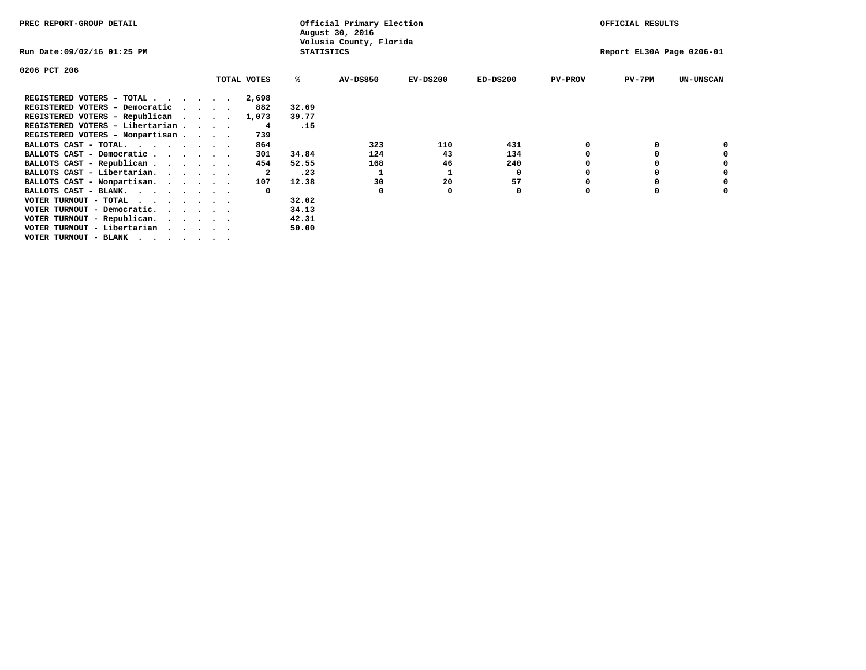| PREC REPORT-GROUP DETAIL                   |                                              |  |             |       | Official Primary Election<br>August 30, 2016 |            |            |                | OFFICIAL RESULTS          |                  |
|--------------------------------------------|----------------------------------------------|--|-------------|-------|----------------------------------------------|------------|------------|----------------|---------------------------|------------------|
| Run Date:09/02/16 01:25 PM                 | Volusia County, Florida<br><b>STATISTICS</b> |  |             |       |                                              |            |            |                | Report EL30A Page 0206-01 |                  |
| 0206 PCT 206                               |                                              |  |             |       |                                              |            |            |                |                           |                  |
|                                            |                                              |  | TOTAL VOTES | ℁     | <b>AV-DS850</b>                              | $EV-DS200$ | $ED-DS200$ | <b>PV-PROV</b> | $PV-7PM$                  | <b>UN-UNSCAN</b> |
| REGISTERED VOTERS - TOTAL                  |                                              |  | 2,698       |       |                                              |            |            |                |                           |                  |
| REGISTERED VOTERS - Democratic<br>$\cdots$ |                                              |  | 882         | 32.69 |                                              |            |            |                |                           |                  |
| REGISTERED VOTERS - Republican             |                                              |  | 1,073       | 39.77 |                                              |            |            |                |                           |                  |
| REGISTERED VOTERS - Libertarian            |                                              |  | 4           | .15   |                                              |            |            |                |                           |                  |
| REGISTERED VOTERS - Nonpartisan            |                                              |  | 739         |       |                                              |            |            |                |                           |                  |
| BALLOTS CAST - TOTAL.                      |                                              |  | 864         |       | 323                                          | 110        | 431        |                |                           |                  |
| BALLOTS CAST - Democratic                  |                                              |  | 301         | 34.84 | 124                                          | 43         | 134        |                |                           |                  |
| BALLOTS CAST - Republican                  |                                              |  | 454         | 52.55 | 168                                          | 46         | 240        |                |                           |                  |
| BALLOTS CAST - Libertarian.                |                                              |  | 2           | .23   |                                              |            | 0          |                |                           |                  |
| BALLOTS CAST - Nonpartisan.                |                                              |  | 107         | 12.38 | 30                                           | 20         | 57         |                |                           |                  |
| BALLOTS CAST - BLANK.                      |                                              |  | $\Omega$    |       | <sup>0</sup>                                 |            | 0          |                |                           |                  |
| VOTER TURNOUT - TOTAL<br>.                 |                                              |  |             | 32.02 |                                              |            |            |                |                           |                  |
| VOTER TURNOUT - Democratic.                |                                              |  |             | 34.13 |                                              |            |            |                |                           |                  |
| VOTER TURNOUT - Republican.                |                                              |  |             | 42.31 |                                              |            |            |                |                           |                  |
| VOTER TURNOUT - Libertarian                |                                              |  |             | 50.00 |                                              |            |            |                |                           |                  |
| VOTER TURNOUT - BLANK                      |                                              |  |             |       |                                              |            |            |                |                           |                  |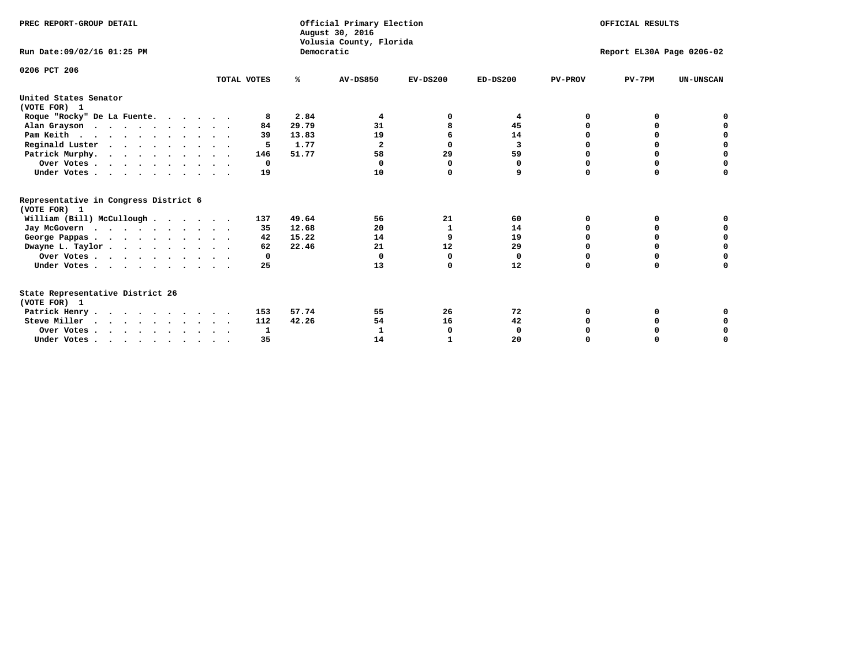| PREC REPORT-GROUP DETAIL                                                         |              |            | Official Primary Election<br>August 30, 2016<br>Volusia County, Florida | OFFICIAL RESULTS |            |                |                           |                  |
|----------------------------------------------------------------------------------|--------------|------------|-------------------------------------------------------------------------|------------------|------------|----------------|---------------------------|------------------|
| Run Date: 09/02/16 01:25 PM                                                      |              | Democratic |                                                                         |                  |            |                | Report EL30A Page 0206-02 |                  |
| 0206 PCT 206                                                                     | TOTAL VOTES  | ℁          | <b>AV-DS850</b>                                                         | $EV-DS200$       | $ED-DS200$ | <b>PV-PROV</b> | $PV-7PM$                  | <b>UN-UNSCAN</b> |
| United States Senator<br>(VOTE FOR) 1                                            |              |            |                                                                         |                  |            |                |                           |                  |
| Roque "Rocky" De La Fuente.                                                      | 8            | 2.84       | 4                                                                       |                  | 4          | O              | O                         |                  |
| Alan Grayson                                                                     | 84           | 29.79      | 31                                                                      |                  | 45         |                |                           |                  |
| Pam Keith                                                                        | 39           | 13.83      | 19                                                                      | 6                | 14         | O              | 0                         | 0                |
| Reginald Luster                                                                  | 5            | 1.77       | $\mathbf{2}$                                                            | 0                | 3          | 0              | 0                         | $\Omega$         |
| Patrick Murphy.                                                                  | 146          | 51.77      | 58                                                                      | 29               | 59         | 0              | 0                         | $\mathbf 0$      |
| Over Votes                                                                       | $\mathbf{o}$ |            | $\Omega$                                                                | <sup>0</sup>     | 0          | $\Omega$       | 0                         | $\Omega$         |
| Under Votes                                                                      | 19           |            | 10                                                                      | $\Omega$         | 9          | $\Omega$       | $\Omega$                  | 0                |
| Representative in Congress District 6<br>(VOTE FOR) 1                            |              |            |                                                                         |                  |            |                |                           |                  |
| William (Bill) McCullough                                                        | 137          | 49.64      | 56                                                                      | 21               | 60         | O              | 0                         |                  |
| Jay McGovern                                                                     | 35           | 12.68      | 20                                                                      | 1                | 14         | O              | $\Omega$                  | 0                |
| George Pappas.                                                                   | 42           | 15.22      | 14                                                                      | 9                | 19         | $\Omega$       | $\Omega$                  | 0                |
| Dwayne L. Taylor                                                                 | 62           | 22.46      | 21                                                                      | 12               | 29         | $\Omega$       | 0                         | $\mathbf 0$      |
| Over Votes                                                                       | 0            |            | $\Omega$                                                                | $\Omega$         | 0          | $\Omega$       | 0                         | 0                |
| Under Votes                                                                      | 25           |            | 13                                                                      | $\Omega$         | 12         | $\Omega$       | $\Omega$                  | O                |
| State Representative District 26<br>(VOTE FOR) 1                                 |              |            |                                                                         |                  |            |                |                           |                  |
| Patrick Henry                                                                    | 153          | 57.74      | 55                                                                      | 26               | 72         | O              | 0                         |                  |
| Steve Miller                                                                     | 112          | 42.26      | 54                                                                      | 16               | 42         |                |                           | 0                |
| Over Votes                                                                       | 1            |            | 1                                                                       | 0                | 0          |                | 0                         | 0                |
| Under Votes, $\cdot$ , $\cdot$ , $\cdot$ , $\cdot$ , $\cdot$ , $\cdot$ , $\cdot$ | 35           |            | 14                                                                      |                  | 20         |                |                           | O                |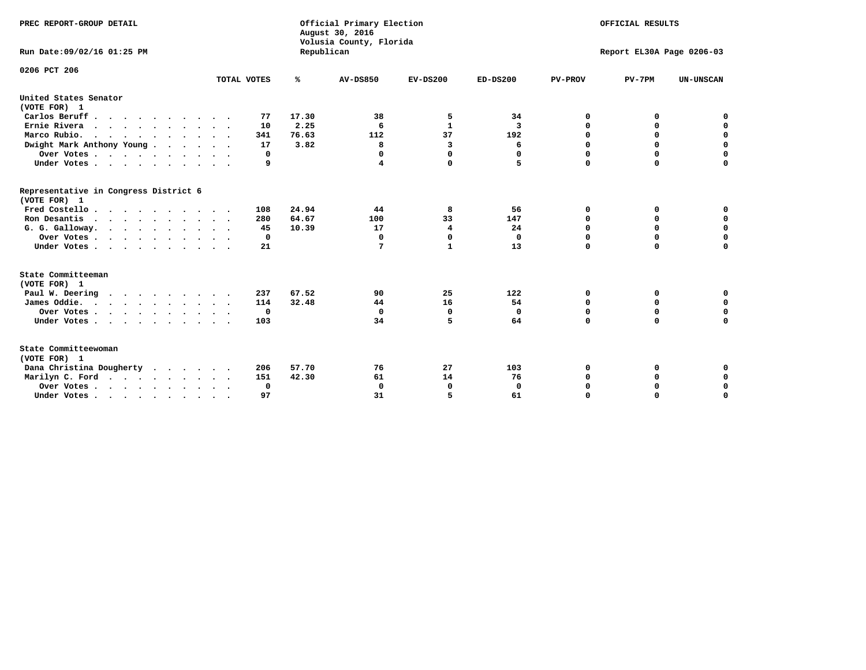| PREC REPORT-GROUP DETAIL                              |             |            | Official Primary Election<br>August 30, 2016<br>Volusia County, Florida | OFFICIAL RESULTS<br>Report EL30A Page 0206-03 |              |                |             |                  |
|-------------------------------------------------------|-------------|------------|-------------------------------------------------------------------------|-----------------------------------------------|--------------|----------------|-------------|------------------|
| Run Date: 09/02/16 01:25 PM                           |             | Republican |                                                                         |                                               |              |                |             |                  |
| 0206 PCT 206                                          |             |            |                                                                         |                                               |              |                |             |                  |
|                                                       | TOTAL VOTES | %          | <b>AV-DS850</b>                                                         | $EV-DS200$                                    | $ED-DS200$   | <b>PV-PROV</b> | $PV-7PM$    | <b>UN-UNSCAN</b> |
| United States Senator<br>(VOTE FOR) 1                 |             |            |                                                                         |                                               |              |                |             |                  |
| Carlos Beruff.                                        | 77          | 17.30      | 38                                                                      | 5                                             | 34           | 0              | 0           | 0                |
| Ernie Rivera                                          | 10          | 2.25       | 6                                                                       | $\mathbf{1}$                                  | 3            | 0              | 0           | $\mathbf 0$      |
| Marco Rubio.                                          | 341         | 76.63      | 112                                                                     | 37                                            | 192          | $\mathbf 0$    | $\mathbf 0$ | $\mathbf 0$      |
| Dwight Mark Anthony Young                             | 17          | 3.82       | 8                                                                       | 3                                             | 6            | 0              | $\mathbf 0$ | $\pmb{0}$        |
| Over Votes                                            | 0           |            | 0                                                                       | $\Omega$                                      | $\Omega$     | $\mathbf 0$    | 0           | $\mathbf 0$      |
| Under Votes                                           | 9           |            | 4                                                                       | 0                                             | 5            | $\mathbf 0$    | $\Omega$    | $\mathbf 0$      |
| Representative in Congress District 6<br>(VOTE FOR) 1 |             |            |                                                                         |                                               |              |                |             |                  |
| Fred Costello                                         | 108         | 24.94      | 44                                                                      | 8                                             | 56           | 0              | 0           | 0                |
| Ron Desantis                                          | 280         | 64.67      | 100                                                                     | 33                                            | 147          | 0              | 0           | $\mathbf 0$      |
| G. G. Galloway.                                       | 45          | 10.39      | 17                                                                      | 4                                             | 24           | $\mathbf 0$    | $\Omega$    | $\mathbf 0$      |
| Over Votes                                            | $\Omega$    |            | $\mathbf 0$                                                             | $\mathbf{0}$                                  | $\mathbf{0}$ | $\Omega$       | $\Omega$    | $\mathbf 0$      |
| Under Votes                                           | 21          |            | 7                                                                       | $\mathbf{1}$                                  | 13           | $\Omega$       | $\Omega$    | $\Omega$         |
| State Committeeman                                    |             |            |                                                                         |                                               |              |                |             |                  |
| (VOTE FOR) 1<br>Paul W. Deering                       | 237         | 67.52      | 90                                                                      | 25                                            | 122          | 0              | 0           | 0                |
| James Oddie.                                          | 114         | 32.48      | 44                                                                      | 16                                            | 54           | 0              | 0           | $\mathbf 0$      |
| Over Votes                                            | 0           |            | $\mathbf 0$                                                             | 0                                             | $\mathbf 0$  | 0              | $\mathbf 0$ | $\mathbf 0$      |
| Under Votes                                           | 103         |            | 34                                                                      | 5                                             | 64           | $\Omega$       | 0           | $\mathbf 0$      |
|                                                       |             |            |                                                                         |                                               |              |                |             |                  |
| State Committeewoman<br>(VOTE FOR) 1                  |             |            |                                                                         |                                               |              |                |             |                  |
| Dana Christina Dougherty<br>.                         | 206         | 57.70      | 76                                                                      | 27                                            | 103          | 0              | 0           | 0                |
| Marilyn C. Ford                                       | 151         | 42.30      | 61                                                                      | 14                                            | 76           | 0              | 0           | 0                |
| Over Votes                                            | 0           |            | $\mathbf 0$                                                             | 0                                             | $\mathbf 0$  | 0              | 0           | $\mathbf 0$      |
| Under Votes, , , , , , , , , ,                        | 97          |            | 31                                                                      | 5                                             | 61           | $\Omega$       | $\Omega$    | $\Omega$         |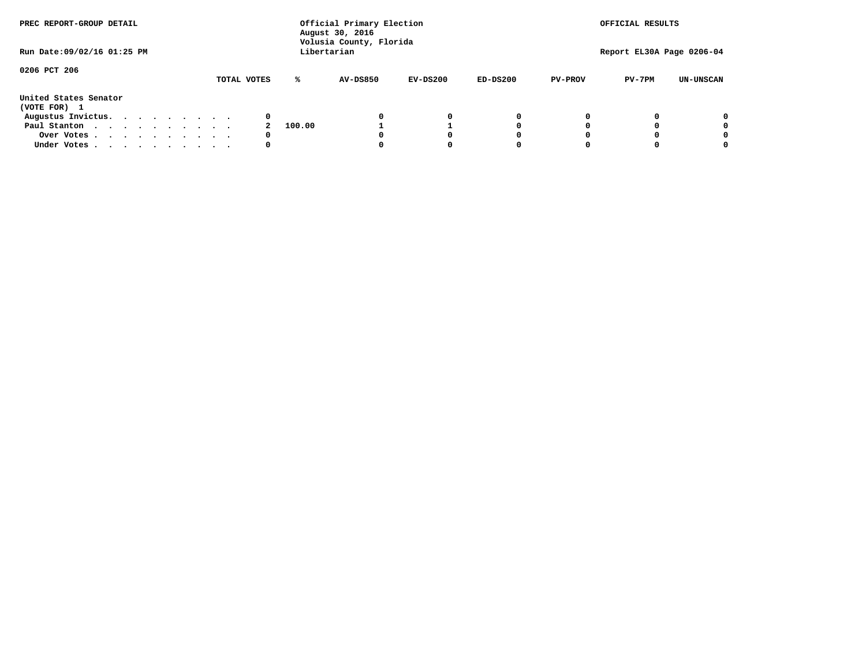| PREC REPORT-GROUP DETAIL<br>Run Date: 09/02/16 01:25 PM |  |  |  |  | Official Primary Election<br>August 30, 2016<br>Volusia County, Florida<br>Libertarian |        | OFFICIAL RESULTS<br>Report EL30A Page 0206-04 |            |            |                |          |                  |
|---------------------------------------------------------|--|--|--|--|----------------------------------------------------------------------------------------|--------|-----------------------------------------------|------------|------------|----------------|----------|------------------|
|                                                         |  |  |  |  |                                                                                        |        |                                               |            |            |                |          |                  |
| 0206 PCT 206                                            |  |  |  |  | TOTAL VOTES                                                                            | ℁      | <b>AV-DS850</b>                               | $EV-DS200$ | $ED-DS200$ | <b>PV-PROV</b> | $PV-7PM$ | <b>UN-UNSCAN</b> |
| United States Senator<br>(VOTE FOR) 1                   |  |  |  |  |                                                                                        |        |                                               |            |            |                |          |                  |
| Augustus Invictus.                                      |  |  |  |  | 0                                                                                      |        |                                               | 0          | 0          |                |          | 0                |
| Paul Stanton                                            |  |  |  |  |                                                                                        | 100.00 |                                               |            | 0          |                |          | 0                |
| Over Votes                                              |  |  |  |  | 0                                                                                      |        |                                               |            | O          |                |          | 0                |
| Under Votes                                             |  |  |  |  | 0                                                                                      |        |                                               |            |            |                |          |                  |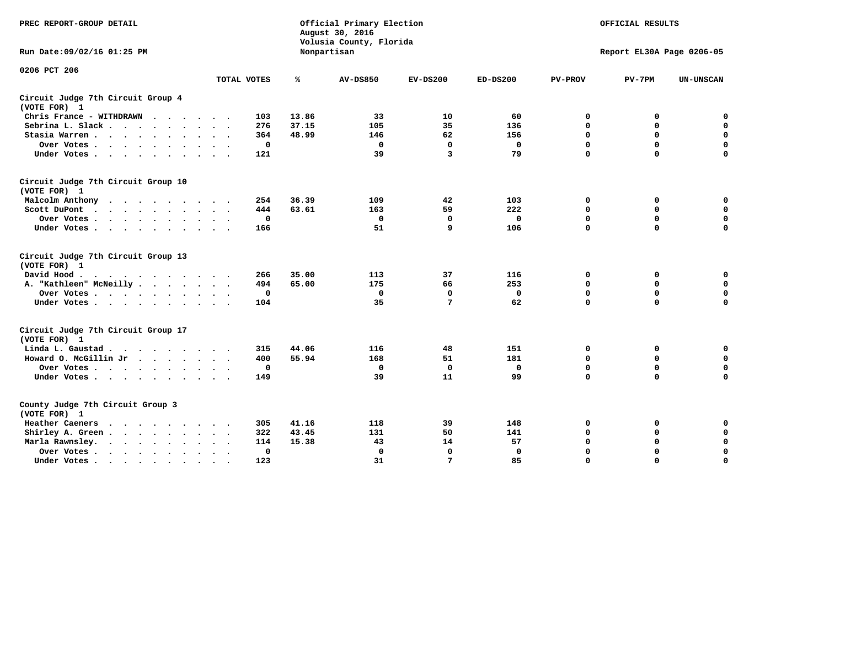| PREC REPORT-GROUP DETAIL                                   |                             |       | Official Primary Election<br>August 30, 2016<br>Volusia County, Florida | OFFICIAL RESULTS |              |                |                           |                  |
|------------------------------------------------------------|-----------------------------|-------|-------------------------------------------------------------------------|------------------|--------------|----------------|---------------------------|------------------|
| Run Date: 09/02/16 01:25 PM                                |                             |       | Nonpartisan                                                             |                  |              |                | Report EL30A Page 0206-05 |                  |
| 0206 PCT 206                                               |                             |       |                                                                         |                  |              |                |                           |                  |
|                                                            | TOTAL VOTES                 | %     | <b>AV-DS850</b>                                                         | $EV-DS200$       | $ED-DS200$   | <b>PV-PROV</b> | $PV-7PM$                  | <b>UN-UNSCAN</b> |
| Circuit Judge 7th Circuit Group 4<br>(VOTE FOR) 1          |                             |       |                                                                         |                  |              |                |                           |                  |
| Chris France - WITHDRAWN                                   | 103                         | 13.86 | 33                                                                      | 10               | 60           | 0              | 0                         | 0                |
| Sebrina L. Slack                                           | 276                         | 37.15 | 105                                                                     | 35               | 136          | $\mathbf 0$    | $\mathbf 0$               | $\mathbf 0$      |
| Stasia Warren                                              | 364                         | 48.99 | 146                                                                     | 62               | 156          | $\mathbf 0$    | $\mathbf 0$               | $\mathbf 0$      |
| Over Votes                                                 | 0                           |       | 0                                                                       | $\mathbf{0}$     | 0            | $\mathbf 0$    | $\mathbf 0$               | $\mathbf 0$      |
| Under Votes                                                | 121                         |       | 39                                                                      | 3                | 79           | $\mathbf 0$    | $\mathbf 0$               | $\mathbf 0$      |
| Circuit Judge 7th Circuit Group 10<br>(VOTE FOR) 1         |                             |       |                                                                         |                  |              |                |                           |                  |
| Malcolm Anthony<br>.                                       | 254                         | 36.39 | 109                                                                     | 42               | 103          | 0              | 0                         | $\mathbf 0$      |
| Scott DuPont                                               | 444                         | 63.61 | 163                                                                     | 59               | 222          | $\mathbf 0$    | $\mathbf 0$               | $\mathbf 0$      |
| Over Votes<br>$\bullet$                                    | 0                           |       | $\mathbf 0$                                                             | $\mathbf{0}$     | $\mathbf{0}$ | $\mathbf 0$    | $\mathbf 0$               | $\mathbf 0$      |
| Under Votes                                                | 166                         |       | 51                                                                      | 9                | 106          | $\mathbf 0$    | $\Omega$                  | $\mathbf 0$      |
| Circuit Judge 7th Circuit Group 13<br>(VOTE FOR) 1         |                             |       |                                                                         |                  |              |                |                           |                  |
| David Hood.                                                | 266                         | 35.00 | 113                                                                     | 37               | 116          | 0              | 0                         | 0                |
| A. "Kathleen" McNeilly                                     | 494                         | 65.00 | 175                                                                     | 66               | 253          | $\mathbf 0$    | 0                         | $\mathbf 0$      |
| Over Votes                                                 | 0                           |       | $\mathbf 0$                                                             | $\Omega$         | 0            | 0              | $\mathbf 0$               | $\mathbf 0$      |
| Under Votes                                                | 104                         |       | 35                                                                      | 7                | 62           | $\mathbf 0$    | $\mathbf 0$               | 0                |
| Circuit Judge 7th Circuit Group 17<br>(VOTE FOR) 1         |                             |       |                                                                         |                  |              |                |                           |                  |
| Linda L. Gaustad                                           | 315                         | 44.06 | 116                                                                     | 48               | 151          | 0              | 0                         | $\mathbf 0$      |
| Howard O. McGillin Jr                                      | 400                         | 55.94 | 168                                                                     | 51               | 181          | 0              | $\mathbf 0$               | 0                |
| Over Votes                                                 | 0                           |       | $\mathbf{0}$                                                            | $\mathbf{0}$     | $\mathbf{0}$ | $\mathbf 0$    | $\mathbf 0$               | $\mathbf 0$      |
| Under Votes                                                | 149                         |       | 39                                                                      | 11               | 99           | $\mathbf 0$    | $\mathbf 0$               | $\mathbf 0$      |
| County Judge 7th Circuit Group 3<br>(VOTE FOR) 1           |                             |       |                                                                         |                  |              |                |                           |                  |
| Heather Caeners<br>$\cdots$                                | 305                         | 41.16 | 118                                                                     | 39               | 148          | 0              | 0                         | 0                |
| Shirley A. Green                                           | 322<br>$\ddot{\phantom{1}}$ | 43.45 | 131                                                                     | 50               | 141          | $\mathbf 0$    | $\mathbf 0$               | $\mathbf 0$      |
| Marla Rawnsley.<br>$\cdot$ $\cdot$ $\cdot$ $\cdot$ $\cdot$ | 114                         | 15.38 | 43                                                                      | 14               | 57           | 0              | $\mathbf 0$               | $\pmb{0}$        |
| Over Votes.<br>$\cdots$<br>$\ddot{\phantom{a}}$<br>$\cdot$ | 0<br>$\sim$ $\sim$          |       | $\mathbf 0$                                                             | $\mathbf{0}$     | 0            | $\mathbf 0$    | $\mathbf 0$               | $\mathbf 0$      |
| Under Votes<br>$\sim$<br>$\sim$                            | 123                         |       | 31                                                                      | 7                | 85           | $\mathbf 0$    | $\mathbf 0$               | 0                |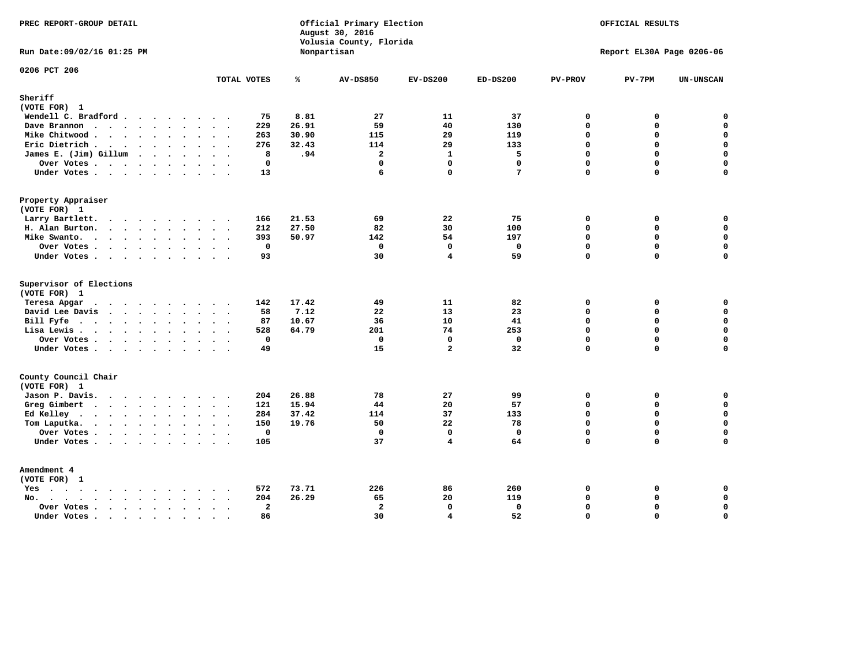| PREC REPORT-GROUP DETAIL                                                                                                                                                                                                                          |                               | August 30, 2016 | Official Primary Election<br>Volusia County, Florida |                                         | OFFICIAL RESULTS   |                         |                           |                            |
|---------------------------------------------------------------------------------------------------------------------------------------------------------------------------------------------------------------------------------------------------|-------------------------------|-----------------|------------------------------------------------------|-----------------------------------------|--------------------|-------------------------|---------------------------|----------------------------|
| Run Date: 09/02/16 01:25 PM                                                                                                                                                                                                                       |                               | Nonpartisan     |                                                      |                                         |                    |                         | Report EL30A Page 0206-06 |                            |
| 0206 PCT 206                                                                                                                                                                                                                                      | TOTAL VOTES                   | ℁               | <b>AV-DS850</b>                                      | $EV-DS200$                              | $ED-DS200$         | <b>PV-PROV</b>          | $PV-7PM$                  | UN-UNSCAN                  |
| Sheriff<br>(VOTE FOR) 1                                                                                                                                                                                                                           |                               |                 |                                                      |                                         |                    |                         |                           |                            |
| Wendell C. Bradford                                                                                                                                                                                                                               | 75                            | 8.81            | 27                                                   | 11                                      | 37                 | $\mathbf 0$             | 0                         | $\mathbf 0$                |
| Dave Brannon                                                                                                                                                                                                                                      | 229                           | 26.91           | 59                                                   | 40                                      | 130                | $\mathbf 0$             | 0                         | $\mathbf 0$                |
| Mike Chitwood                                                                                                                                                                                                                                     | 263                           | 30.90           | 115                                                  | 29                                      | 119                | $\Omega$                | 0                         | $\mathbf 0$                |
| Eric Dietrich.                                                                                                                                                                                                                                    | 276                           | 32.43           | 114                                                  | 29                                      | 133                | $\mathbf 0$             | 0                         | $\mathbf 0$                |
| James E. (Jim) Gillum                                                                                                                                                                                                                             | 8                             | .94             | $\overline{a}$                                       | $\mathbf{1}$                            | 5                  | $\mathbf 0$             | 0                         | $\mathbf 0$                |
| Over Votes                                                                                                                                                                                                                                        | $\mathbf 0$                   |                 | $\mathbf 0$                                          | $\mathbf{0}$                            | $\mathbf{0}$       | $\mathbf 0$             | 0                         | $\mathbf 0$                |
| Under Votes.                                                                                                                                                                                                                                      | 13                            |                 | 6                                                    | $\Omega$                                | 7                  | $\Omega$                | 0                         | $\mathbf 0$                |
| Property Appraiser                                                                                                                                                                                                                                |                               |                 |                                                      |                                         |                    |                         |                           |                            |
| (VOTE FOR) 1                                                                                                                                                                                                                                      |                               |                 |                                                      |                                         |                    |                         |                           |                            |
| Larry Bartlett.                                                                                                                                                                                                                                   | 166<br>$\sim$ $\sim$          | 21.53           | 69                                                   | 22                                      | 75                 | $\mathbf 0$             | 0                         | 0                          |
| H. Alan Burton.                                                                                                                                                                                                                                   | 212                           | 27.50           | 82                                                   | 30                                      | 100                | $\mathbf 0$             | 0                         | $\mathbf 0$                |
| Mike Swanto.                                                                                                                                                                                                                                      | 393                           | 50.97           | 142                                                  | 54                                      | 197                | $\Omega$                | 0                         | 0                          |
| Over Votes                                                                                                                                                                                                                                        | $\mathbf 0$                   |                 | $\mathbf 0$                                          | $\mathbf 0$                             | $\mathbf 0$        | $\mathbf 0$             | $\mathbf 0$               | $\mathbf 0$                |
| Under Votes                                                                                                                                                                                                                                       | 93                            |                 | 30                                                   | 4                                       | 59                 | $\mathbf 0$             | $\Omega$                  | $\mathbf 0$                |
| Supervisor of Elections                                                                                                                                                                                                                           |                               |                 |                                                      |                                         |                    |                         |                           |                            |
| (VOTE FOR) 1                                                                                                                                                                                                                                      |                               |                 |                                                      |                                         |                    |                         |                           |                            |
| Teresa Apgar                                                                                                                                                                                                                                      | 142                           | 17.42           | 49                                                   | 11                                      | 82                 | $\Omega$                | 0                         | $\mathbf 0$                |
| David Lee Davis                                                                                                                                                                                                                                   | 58                            | 7.12            | 22                                                   | 13                                      | 23                 | $\Omega$                | 0                         | $\mathbf 0$<br>$\mathbf 0$ |
| Bill Fyfe.                                                                                                                                                                                                                                        | 87                            | 10.67<br>64.79  | 36<br>201                                            | 10                                      | 41                 | $\Omega$<br>$\mathbf 0$ | $\Omega$<br>0             | $\mathbf 0$                |
| Lisa Lewis                                                                                                                                                                                                                                        | 528                           |                 |                                                      | 74                                      | 253                |                         | 0                         | $\mathbf 0$                |
| Over Votes<br>Under Votes                                                                                                                                                                                                                         | $\mathbf 0$<br>49             |                 | $\mathbf 0$<br>15                                    | $\mathbf{0}$<br>$\overline{a}$          | $\mathbf{0}$<br>32 | $\mathbf 0$<br>$\Omega$ | 0                         | $\mathbf 0$                |
|                                                                                                                                                                                                                                                   |                               |                 |                                                      |                                         |                    |                         |                           |                            |
| County Council Chair<br>(VOTE FOR) 1                                                                                                                                                                                                              |                               |                 |                                                      |                                         |                    |                         |                           |                            |
| Jason P. Davis.                                                                                                                                                                                                                                   | 204                           | 26.88           | 78                                                   | 27                                      | 99                 | 0                       | 0                         | 0                          |
| Greg Gimbert<br>$\mathbf{r}$ . The contract of the contract of the contract of the contract of the contract of the contract of the contract of the contract of the contract of the contract of the contract of the contract of the contract of th | 121                           | 15.94           | 44                                                   | 20                                      | 57                 | $\mathbf{0}$            | 0                         | $\mathbf 0$                |
| Ed Kelley                                                                                                                                                                                                                                         | 284                           | 37.42           | 114                                                  | 37                                      | 133                | $\mathbf 0$             | 0                         | $\mathbf 0$                |
| Tom Laputka.                                                                                                                                                                                                                                      | 150                           | 19.76           | 50                                                   | 22                                      | 78                 | $\Omega$                | $\mathbf 0$               | $\mathbf 0$                |
| Over Votes                                                                                                                                                                                                                                        | $\mathbf 0$                   |                 | $\mathbf{0}$                                         | $\mathbf{0}$                            | $\mathbf{0}$       | $\Omega$                | 0                         | 0                          |
| Under Votes                                                                                                                                                                                                                                       | 105                           |                 | 37                                                   | 4                                       | 64                 | $\Omega$                | $\Omega$                  | $\Omega$                   |
|                                                                                                                                                                                                                                                   |                               |                 |                                                      |                                         |                    |                         |                           |                            |
| Amendment 4                                                                                                                                                                                                                                       |                               |                 |                                                      |                                         |                    |                         |                           |                            |
| (VOTE FOR) 1                                                                                                                                                                                                                                      |                               |                 |                                                      |                                         |                    |                         |                           |                            |
| $Yes \cdot \cdot \cdot \cdot \cdot \cdot \cdot \cdot \cdot$                                                                                                                                                                                       | 572<br>$\cdot$ .              | 73.71           | 226                                                  | 86                                      | 260                | 0                       | 0                         | 0                          |
| $No.$<br>$\ddot{\phantom{a}}$                                                                                                                                                                                                                     | 204                           | 26.29           | 65                                                   | 20                                      | 119                | $\Omega$                | 0                         | $\mathbf 0$                |
| Over Votes .<br>$\cdots$                                                                                                                                                                                                                          | $\overline{\mathbf{2}}$<br>86 |                 | $\overline{a}$<br>30                                 | $\mathbf{0}$<br>$\overline{\mathbf{4}}$ | 0<br>52            | $\Omega$<br>$\mathbf 0$ | 0<br>0                    | $\pmb{0}$<br>$\mathbf 0$   |
| Under Votes<br>$\sim$                                                                                                                                                                                                                             | $\sim$<br>$\sim$              |                 |                                                      |                                         |                    |                         |                           |                            |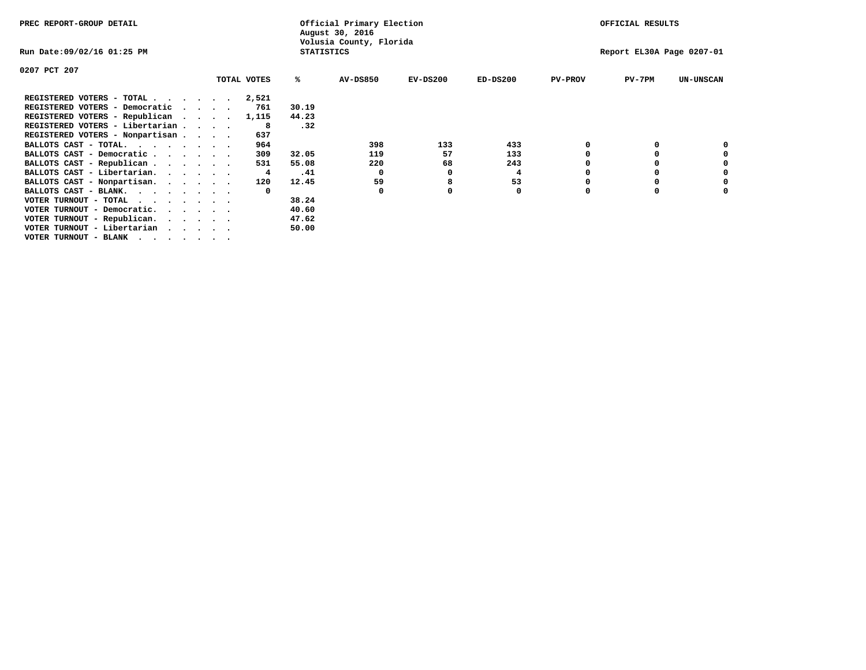| PREC REPORT-GROUP DETAIL                                                                       |                             |             |                   | Official Primary Election<br>August 30, 2016 |            |                           |                | OFFICIAL RESULTS |                  |
|------------------------------------------------------------------------------------------------|-----------------------------|-------------|-------------------|----------------------------------------------|------------|---------------------------|----------------|------------------|------------------|
| Run Date:09/02/16 01:25 PM                                                                     |                             |             | <b>STATISTICS</b> | Volusia County, Florida                      |            | Report EL30A Page 0207-01 |                |                  |                  |
| 0207 PCT 207                                                                                   |                             |             |                   |                                              |            |                           |                |                  |                  |
|                                                                                                |                             | TOTAL VOTES | ℁                 | <b>AV-DS850</b>                              | $EV-DS200$ | $ED-DS200$                | <b>PV-PROV</b> | $PV-7PM$         | <b>UN-UNSCAN</b> |
| REGISTERED VOTERS - TOTAL                                                                      |                             | 2,521       |                   |                                              |            |                           |                |                  |                  |
| REGISTERED VOTERS - Democratic                                                                 | $\sim$ $\sim$ $\sim$ $\sim$ | 761         | 30.19             |                                              |            |                           |                |                  |                  |
| REGISTERED VOTERS - Republican                                                                 |                             | 1,115       | 44.23             |                                              |            |                           |                |                  |                  |
| REGISTERED VOTERS - Libertarian                                                                |                             | 8           | .32               |                                              |            |                           |                |                  |                  |
| REGISTERED VOTERS - Nonpartisan                                                                |                             | 637         |                   |                                              |            |                           |                |                  |                  |
| BALLOTS CAST - TOTAL.                                                                          |                             | 964         |                   | 398                                          | 133        | 433                       |                |                  |                  |
| BALLOTS CAST - Democratic                                                                      |                             | 309         | 32.05             | 119                                          | 57         | 133                       |                |                  |                  |
| BALLOTS CAST - Republican                                                                      |                             | 531         | 55.08             | 220                                          | 68         | 243                       |                |                  |                  |
| BALLOTS CAST - Libertarian.                                                                    |                             | 4           | .41               | $\Omega$                                     | 0          | 4                         |                |                  |                  |
| BALLOTS CAST - Nonpartisan.                                                                    |                             | 120         | 12.45             | 59                                           | 8          | 53                        |                |                  | 0                |
| BALLOTS CAST - BLANK.                                                                          |                             |             |                   | 0                                            |            | 0                         | O              |                  |                  |
| VOTER TURNOUT - TOTAL<br>$\mathbf{r}$ , and $\mathbf{r}$ , and $\mathbf{r}$ , and $\mathbf{r}$ |                             |             | 38.24             |                                              |            |                           |                |                  |                  |
| VOTER TURNOUT - Democratic.                                                                    |                             |             | 40.60             |                                              |            |                           |                |                  |                  |
| VOTER TURNOUT - Republican.                                                                    |                             |             | 47.62             |                                              |            |                           |                |                  |                  |
| VOTER TURNOUT - Libertarian                                                                    |                             |             | 50.00             |                                              |            |                           |                |                  |                  |
| VOTER TURNOUT - BLANK                                                                          |                             |             |                   |                                              |            |                           |                |                  |                  |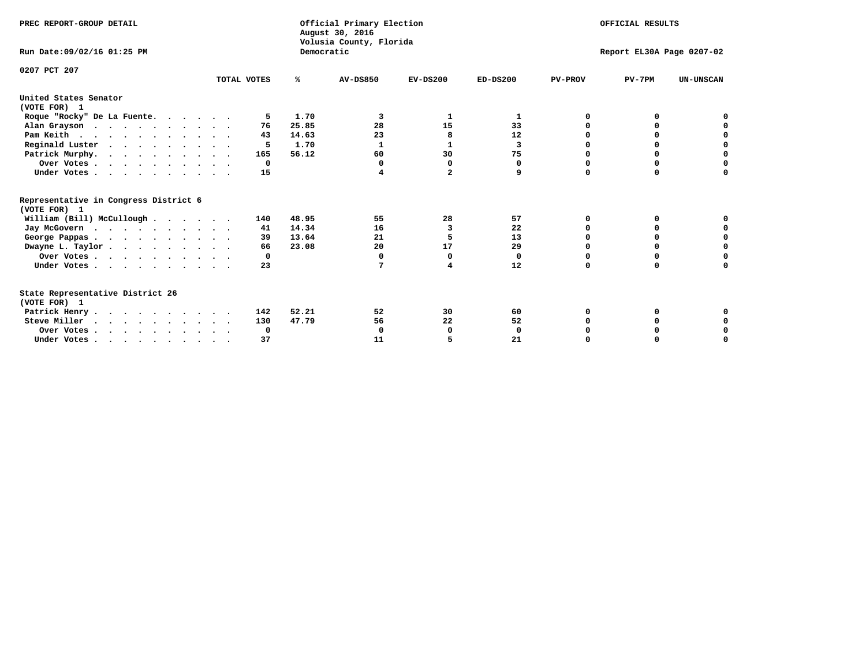| PREC REPORT-GROUP DETAIL                                                                   |             |            | Official Primary Election<br>August 30, 2016<br>Volusia County, Florida | OFFICIAL RESULTS<br>Report EL30A Page 0207-02 |            |                |          |                  |
|--------------------------------------------------------------------------------------------|-------------|------------|-------------------------------------------------------------------------|-----------------------------------------------|------------|----------------|----------|------------------|
| Run Date: 09/02/16 01:25 PM                                                                |             | Democratic |                                                                         |                                               |            |                |          |                  |
| 0207 PCT 207                                                                               | TOTAL VOTES | ℁          | <b>AV-DS850</b>                                                         | $EV-DS200$                                    | $ED-DS200$ | <b>PV-PROV</b> | $PV-7PM$ | <b>UN-UNSCAN</b> |
| United States Senator<br>(VOTE FOR) 1                                                      |             |            |                                                                         |                                               |            |                |          |                  |
| Roque "Rocky" De La Fuente.                                                                | 5           | 1.70       | 3                                                                       | 1                                             | 1          | 0              | O        |                  |
| Alan Grayson                                                                               | 76          | 25.85      | 28                                                                      | 15                                            | 33         | O              | $\Omega$ |                  |
| Pam Keith                                                                                  | 43          | 14.63      | 23                                                                      | 8                                             | 12         | O              | 0        | 0                |
| Reginald Luster                                                                            | 5           | 1.70       | 1                                                                       | 1                                             | 3          | 0              | 0        | 0                |
| Patrick Murphy.                                                                            | 165         | 56.12      | 60                                                                      | 30                                            | 75         | 0              | 0        | $\mathbf 0$      |
| Over Votes                                                                                 | $^{\circ}$  |            | $\Omega$                                                                | $\Omega$                                      | 0          | O              | $\Omega$ | $\Omega$         |
| Under Votes                                                                                | 15          |            | 4                                                                       | $\overline{a}$                                | 9          | $\Omega$       | $\Omega$ | 0                |
| Representative in Congress District 6<br>(VOTE FOR) 1                                      |             |            |                                                                         |                                               |            |                |          |                  |
| William (Bill) McCullough                                                                  | 140         | 48.95      | 55                                                                      | 28                                            | 57         | O              | 0        |                  |
| Jay McGovern                                                                               | 41          | 14.34      | 16                                                                      | 3                                             | 22         | O              | 0        | 0                |
| George Pappas.                                                                             | 39          | 13.64      | 21                                                                      | 5                                             | 13         | 0              | 0        | 0                |
| Dwayne L. Taylor                                                                           | 66          | 23.08      | 20                                                                      | 17                                            | 29         | $\Omega$       | $\Omega$ | $\mathbf 0$      |
| Over Votes                                                                                 | 0           |            | 0                                                                       | 0                                             | 0          | 0              | 0        | $\mathbf 0$      |
| Under Votes                                                                                | 23          |            | 7                                                                       | 4                                             | 12         | $\Omega$       | 0        | O                |
| State Representative District 26<br>(VOTE FOR) 1                                           |             |            |                                                                         |                                               |            |                |          |                  |
| Patrick Henry                                                                              | 142         | 52.21      | 52                                                                      | 30                                            | 60         | 0              | 0        |                  |
| Steve Miller                                                                               | 130         | 47.79      | 56                                                                      | 22                                            | 52         |                |          | 0                |
| Over Votes                                                                                 | 0           |            | $\Omega$                                                                | 0                                             | 0          |                | 0        | 0                |
| Under Votes, $\cdot$ , $\cdot$ , $\cdot$ , $\cdot$ , $\cdot$ , $\cdot$ , $\cdot$ , $\cdot$ | 37          |            | 11                                                                      |                                               | 21         |                |          | O                |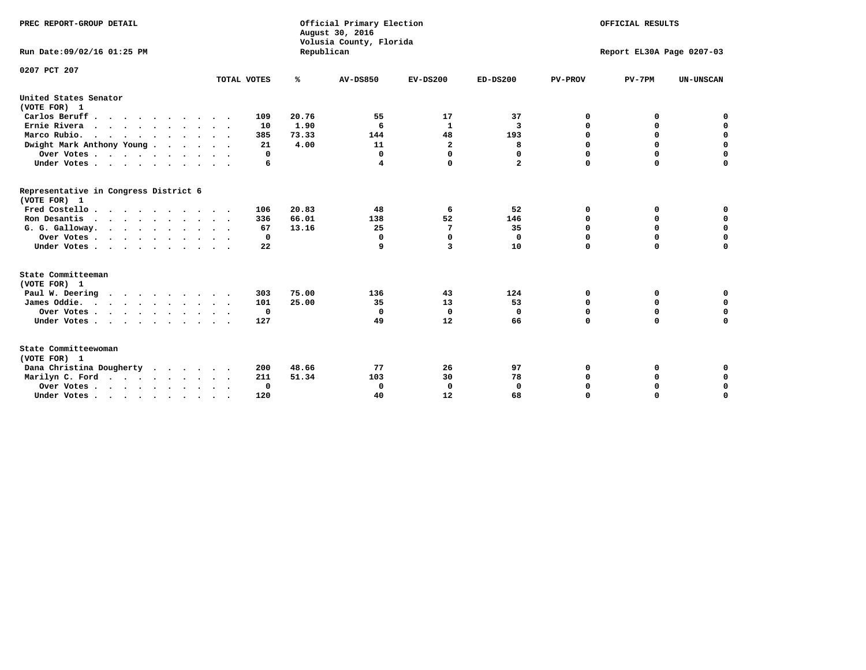| PREC REPORT-GROUP DETAIL                              |             |            | Official Primary Election<br>August 30, 2016<br>Volusia County, Florida | OFFICIAL RESULTS<br>Report EL30A Page 0207-03 |              |                |             |                  |
|-------------------------------------------------------|-------------|------------|-------------------------------------------------------------------------|-----------------------------------------------|--------------|----------------|-------------|------------------|
| Run Date: 09/02/16 01:25 PM                           |             | Republican |                                                                         |                                               |              |                |             |                  |
| 0207 PCT 207                                          |             |            |                                                                         |                                               |              |                |             |                  |
|                                                       | TOTAL VOTES | %          | <b>AV-DS850</b>                                                         | $EV-DS200$                                    | $ED-DS200$   | <b>PV-PROV</b> | $PV-7PM$    | <b>UN-UNSCAN</b> |
| United States Senator<br>(VOTE FOR) 1                 |             |            |                                                                         |                                               |              |                |             |                  |
| Carlos Beruff.                                        | 109         | 20.76      | 55                                                                      | 17                                            | 37           | 0              | 0           | 0                |
| Ernie Rivera                                          | 10          | 1.90       | 6                                                                       | $\mathbf{1}$                                  | 3            | 0              | 0           | $\mathbf 0$      |
| Marco Rubio.                                          | 385         | 73.33      | 144                                                                     | 48                                            | 193          | $\mathbf 0$    | $\mathbf 0$ | $\mathbf 0$      |
| Dwight Mark Anthony Young                             | 21          | 4.00       | 11                                                                      | $\overline{\mathbf{2}}$                       | 8            | 0              | $\mathbf 0$ | $\pmb{0}$        |
| Over Votes                                            | 0           |            | 0                                                                       | $\Omega$                                      | $\Omega$     | $\mathbf 0$    | 0           | $\mathbf 0$      |
| Under Votes                                           | 6           |            | 4                                                                       | 0                                             | $\mathbf{2}$ | $\mathbf 0$    | $\Omega$    | $\mathbf 0$      |
| Representative in Congress District 6<br>(VOTE FOR) 1 |             |            |                                                                         |                                               |              |                |             |                  |
| Fred Costello                                         | 106         | 20.83      | 48                                                                      | 6                                             | 52           | 0              | 0           | 0                |
| Ron Desantis                                          | 336         | 66.01      | 138                                                                     | 52                                            | 146          | 0              | 0           | $\mathbf 0$      |
| G. G. Galloway.                                       | 67          | 13.16      | 25                                                                      | 7                                             | 35           | $\mathbf 0$    | $\Omega$    | $\mathbf 0$      |
| Over Votes                                            | $\Omega$    |            | 0                                                                       | $\Omega$                                      | 0            | $\mathbf 0$    | $\mathbf 0$ | $\mathbf 0$      |
| Under Votes                                           | 22          |            | 9                                                                       | 3                                             | 10           | $\mathbf 0$    | $\Omega$    | $\mathbf 0$      |
| State Committeeman<br>(VOTE FOR) 1                    |             |            |                                                                         |                                               |              |                |             |                  |
| Paul W. Deering                                       | 303         | 75.00      | 136                                                                     | 43                                            | 124          | 0              | 0           | 0                |
| James Oddie.                                          | 101         | 25.00      | 35                                                                      | 13                                            | 53           | 0              | 0           | $\mathbf 0$      |
| Over Votes                                            | 0           |            | 0                                                                       | $\mathbf 0$                                   | 0            | 0              | $\mathbf 0$ | $\mathbf 0$      |
| Under Votes                                           | 127         |            | 49                                                                      | 12                                            | 66           | $\mathbf 0$    | 0           | $\mathbf 0$      |
| $\sim$<br>$\ddot{\phantom{1}}$                        |             |            |                                                                         |                                               |              |                |             |                  |
| State Committeewoman<br>(VOTE FOR) 1                  |             |            |                                                                         |                                               |              |                |             |                  |
| Dana Christina Dougherty<br>$\cdot$                   | 200         | 48.66      | 77                                                                      | 26                                            | 97           | 0              | 0           | 0                |
| Marilyn C. Ford                                       | 211         | 51.34      | 103                                                                     | 30                                            | 78           | 0              | 0           | 0                |
| Over Votes                                            | 0           |            | $\mathbf 0$                                                             | 0                                             | $\mathbf 0$  | 0              | 0           | 0                |
| Under Votes, , , , , , , , , ,                        | 120         |            | 40                                                                      | 12                                            | 68           | $\Omega$       | $\Omega$    | $\Omega$         |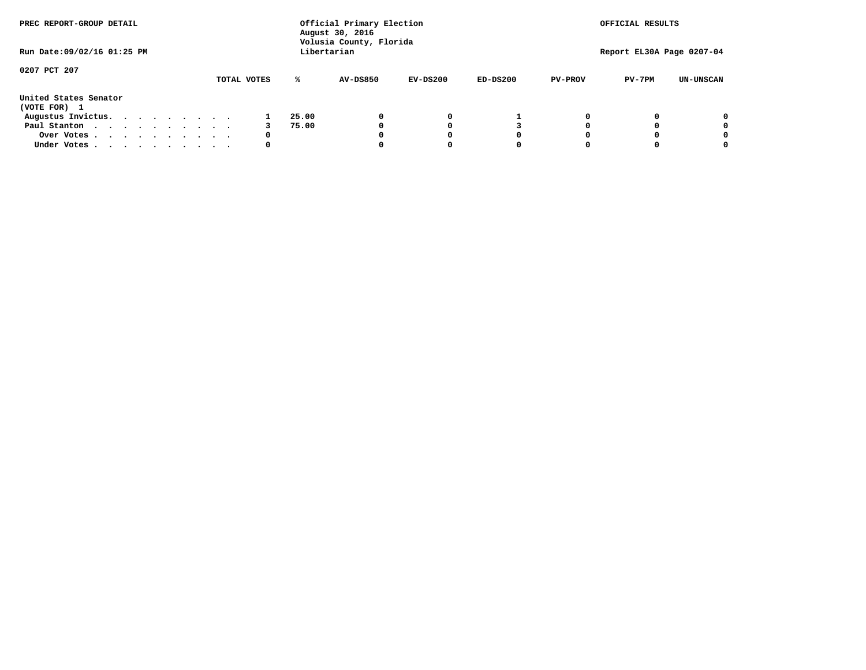| PREC REPORT-GROUP DETAIL              |  |  |  |  | Official Primary Election<br>August 30, 2016<br>Volusia County, Florida | OFFICIAL RESULTS |                 |            |            |                |                           |                  |
|---------------------------------------|--|--|--|--|-------------------------------------------------------------------------|------------------|-----------------|------------|------------|----------------|---------------------------|------------------|
| Run Date: 09/02/16 01:25 PM           |  |  |  |  |                                                                         |                  | Libertarian     |            |            |                | Report EL30A Page 0207-04 |                  |
| 0207 PCT 207                          |  |  |  |  | TOTAL VOTES                                                             | ℁                | <b>AV-DS850</b> | $EV-DS200$ | $ED-DS200$ | <b>PV-PROV</b> | $PV-7PM$                  | <b>UN-UNSCAN</b> |
| United States Senator<br>(VOTE FOR) 1 |  |  |  |  |                                                                         |                  |                 |            |            |                |                           |                  |
| Augustus Invictus.                    |  |  |  |  |                                                                         | 25.00            |                 | 0          |            |                |                           | 0                |
| Paul Stanton<br>$\cdots$              |  |  |  |  |                                                                         | 75.00            |                 |            |            |                |                           | 0                |
| Over Votes                            |  |  |  |  | 0                                                                       |                  |                 |            | O          |                |                           | 0                |
| Under Votes                           |  |  |  |  | 0                                                                       |                  |                 |            |            |                |                           |                  |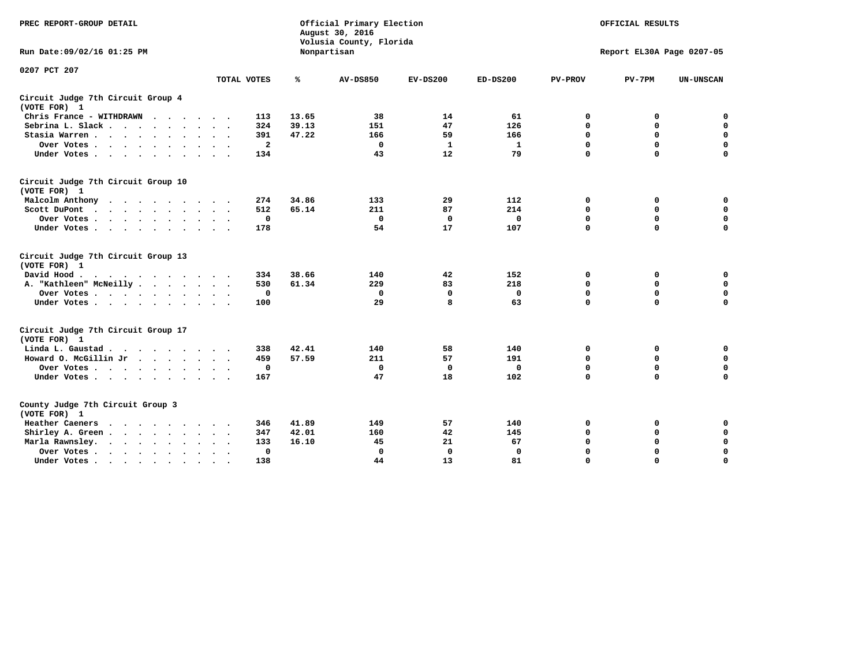| PREC REPORT-GROUP DETAIL                                                                                                                                                                                                                             |             | Official Primary Election<br>August 30, 2016<br>Volusia County, Florida |                 | OFFICIAL RESULTS |            |                |                           |                  |
|------------------------------------------------------------------------------------------------------------------------------------------------------------------------------------------------------------------------------------------------------|-------------|-------------------------------------------------------------------------|-----------------|------------------|------------|----------------|---------------------------|------------------|
| Run Date: 09/02/16 01:25 PM                                                                                                                                                                                                                          |             |                                                                         | Nonpartisan     |                  |            |                | Report EL30A Page 0207-05 |                  |
| 0207 PCT 207                                                                                                                                                                                                                                         |             |                                                                         |                 |                  |            |                |                           |                  |
|                                                                                                                                                                                                                                                      | TOTAL VOTES | ℁                                                                       | <b>AV-DS850</b> | $EV-DS200$       | $ED-DS200$ | <b>PV-PROV</b> | $PV-7PM$                  | <b>UN-UNSCAN</b> |
| Circuit Judge 7th Circuit Group 4<br>(VOTE FOR) 1                                                                                                                                                                                                    |             |                                                                         |                 |                  |            |                |                           |                  |
| Chris France - WITHDRAWN<br>.                                                                                                                                                                                                                        | 113         | 13.65                                                                   | 38              | 14               | 61         | 0              | 0                         | 0                |
| Sebrina L. Slack                                                                                                                                                                                                                                     | 324         | 39.13                                                                   | 151             | 47               | 126        | $\Omega$       | $\mathbf 0$               | $\mathbf 0$      |
| Stasia Warren                                                                                                                                                                                                                                        | 391         | 47.22                                                                   | 166             | 59               | 166        | $\mathbf 0$    | $\mathbf 0$               | $\mathbf 0$      |
| Over Votes                                                                                                                                                                                                                                           |             | $\mathbf{2}$                                                            | $\mathbf{0}$    | -1               | 1          | $\mathbf 0$    | $\mathbf 0$               | $\mathbf 0$      |
| Under Votes                                                                                                                                                                                                                                          | 134         |                                                                         | 43              | 12               | 79         | $\mathbf 0$    | $\mathbf 0$               | $\mathbf 0$      |
| Circuit Judge 7th Circuit Group 10<br>(VOTE FOR) 1                                                                                                                                                                                                   |             |                                                                         |                 |                  |            |                |                           |                  |
| Malcolm Anthony                                                                                                                                                                                                                                      | 274         | 34.86                                                                   | 133             | 29               | 112        | 0              | 0                         | 0                |
| Scott DuPont                                                                                                                                                                                                                                         | 512         | 65.14                                                                   | 211             | 87               | 214        | $\mathbf 0$    | $\mathbf 0$               | $\mathbf 0$      |
| Over Votes<br>$\ddot{\phantom{1}}$                                                                                                                                                                                                                   | 0           |                                                                         | $\mathbf{0}$    | 0                | 0          | $\mathbf 0$    | $\mathbf 0$               | $\mathbf 0$      |
| Under Votes                                                                                                                                                                                                                                          | 178         |                                                                         | 54              | 17               | 107        | $\mathbf 0$    | $\Omega$                  | 0                |
| Circuit Judge 7th Circuit Group 13<br>(VOTE FOR) 1                                                                                                                                                                                                   |             |                                                                         |                 |                  |            |                |                           |                  |
| David Hood.                                                                                                                                                                                                                                          | 334         | 38.66                                                                   | 140             | 42               | 152        | $\mathbf 0$    | 0                         | $\mathbf 0$      |
| A. "Kathleen" McNeilly                                                                                                                                                                                                                               | 530         | 61.34                                                                   | 229             | 83               | 218        | $\mathbf 0$    | $\mathbf 0$               | $\mathbf 0$      |
| Over Votes                                                                                                                                                                                                                                           | $\mathbf 0$ |                                                                         | $\mathbf{0}$    | $\mathbf 0$      | 0          | 0              | $\mathbf 0$               | $\mathbf 0$      |
| Under Votes                                                                                                                                                                                                                                          | 100         |                                                                         | 29              | 8                | 63         | $\mathbf 0$    | $\mathbf 0$               | 0                |
| Circuit Judge 7th Circuit Group 17<br>(VOTE FOR) 1                                                                                                                                                                                                   |             |                                                                         |                 |                  |            |                |                           |                  |
| Linda L. Gaustad                                                                                                                                                                                                                                     | 338         | 42.41                                                                   | 140             | 58               | 140        | 0              | 0                         | $\mathbf 0$      |
| Howard O. McGillin Jr                                                                                                                                                                                                                                | 459         | 57.59                                                                   | 211             | 57               | 191        | 0              | 0                         | 0                |
| Over Votes                                                                                                                                                                                                                                           | $\mathbf 0$ |                                                                         | $\mathbf{0}$    | 0                | 0          | $\mathbf 0$    | $\mathbf 0$               | 0                |
| Under Votes                                                                                                                                                                                                                                          | 167         |                                                                         | 47              | 18               | 102        | $\mathbf 0$    | $\mathbf 0$               | $\mathbf 0$      |
| County Judge 7th Circuit Group 3<br>(VOTE FOR) 1                                                                                                                                                                                                     |             |                                                                         |                 |                  |            |                |                           |                  |
| Heather Caeners<br>$\mathbf{r}$ . The contract of the contract of the contract of the contract of the contract of the contract of the contract of the contract of the contract of the contract of the contract of the contract of the contract of th | 346         | 41.89                                                                   | 149             | 57               | 140        | 0              | 0                         | 0                |
| Shirley A. Green                                                                                                                                                                                                                                     | 347         | 42.01                                                                   | 160             | 42               | 145        | $\mathbf 0$    | $\mathbf 0$               | $\mathbf 0$      |
| Marla Rawnsley.<br>$\cdot$                                                                                                                                                                                                                           | 133         | 16.10                                                                   | 45              | 21               | 67         | 0              | $\mathbf 0$               | $\pmb{0}$        |
| Over Votes.<br>the contract of the contract of the contract of the contract of the contract of the contract of the contract of<br>$\ddot{\phantom{a}}$<br>$\ddot{\phantom{a}}$                                                                       |             | 0                                                                       | $\Omega$        | 0                | 0          | $\mathbf 0$    | $\mathbf 0$               | $\mathbf 0$      |
| Under Votes<br>$\sim$                                                                                                                                                                                                                                | 138         |                                                                         | 44              | 13               | 81         | $\mathbf 0$    | $\mathbf 0$               | 0                |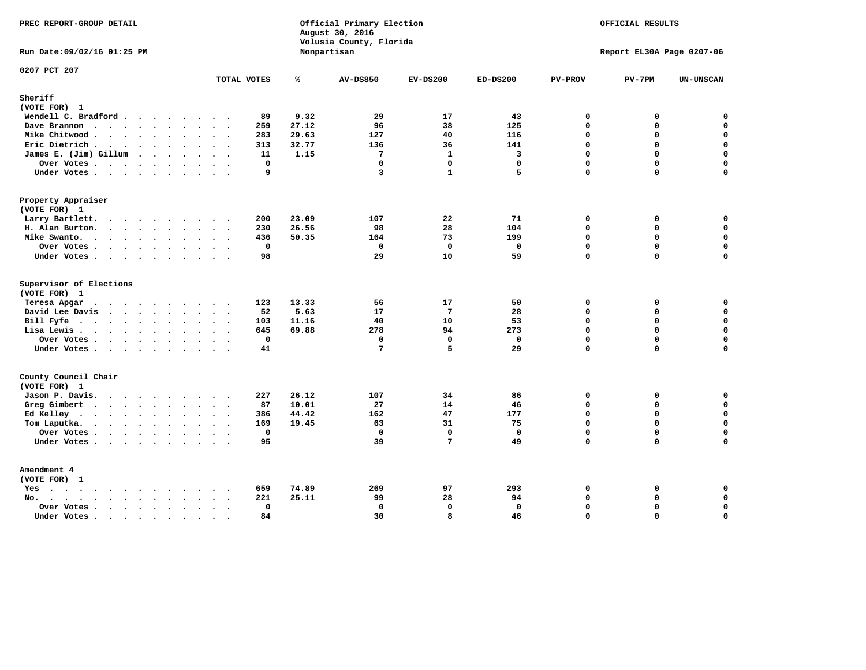| PREC REPORT-GROUP DETAIL                                           |                                      | Official Primary Election<br>August 30, 2016<br>Volusia County, Florida | OFFICIAL RESULTS |                |              |                |                           |                  |
|--------------------------------------------------------------------|--------------------------------------|-------------------------------------------------------------------------|------------------|----------------|--------------|----------------|---------------------------|------------------|
| Run Date: 09/02/16 01:25 PM                                        |                                      |                                                                         | Nonpartisan      |                |              |                | Report EL30A Page 0207-06 |                  |
| 0207 PCT 207                                                       | TOTAL VOTES                          | ℁                                                                       | <b>AV-DS850</b>  | $EV-DS200$     | $ED-DS200$   | <b>PV-PROV</b> | $PV-7PM$                  | <b>UN-UNSCAN</b> |
| Sheriff                                                            |                                      |                                                                         |                  |                |              |                |                           |                  |
| (VOTE FOR) 1                                                       |                                      |                                                                         |                  |                |              |                |                           |                  |
| Wendell C. Bradford                                                | 89                                   | 9.32                                                                    | 29               | 17             | 43           | $\mathbf 0$    | 0                         | $\mathbf 0$      |
| Dave Brannon                                                       | 259                                  | 27.12                                                                   | 96               | 38             | 125          | $\Omega$       | 0                         | $\mathbf 0$      |
| Mike Chitwood                                                      | 283                                  | 29.63                                                                   | 127              | 40             | 116          | $\mathbf 0$    | 0                         | 0                |
| Eric Dietrich.                                                     | 313                                  | 32.77                                                                   | 136              | 36             | 141          | $\Omega$       | 0                         | $\mathbf 0$      |
| James E. (Jim) Gillum                                              | 11                                   | 1.15                                                                    | $7\phantom{.0}$  | $\mathbf{1}$   | 3            | $\mathbf 0$    | $\mathbf 0$               | $\mathbf 0$      |
| Over Votes                                                         | $\mathbf{0}$                         |                                                                         | $\Omega$         | $\Omega$       | $\Omega$     | $\Omega$       | $\Omega$                  | $\mathbf 0$      |
| Under Votes                                                        | 9                                    |                                                                         | $\overline{3}$   | $\mathbf{1}$   | 5            | $\Omega$       | 0                         | $\Omega$         |
| Property Appraiser                                                 |                                      |                                                                         |                  |                |              |                |                           |                  |
| (VOTE FOR) 1                                                       |                                      |                                                                         |                  |                |              |                |                           |                  |
| Larry Bartlett.                                                    | 200                                  | 23.09                                                                   | 107              | 22             | 71           | $\mathbf 0$    | 0                         | 0                |
| H. Alan Burton.                                                    | 230                                  | 26.56                                                                   | 98               | 28             | 104          | 0              | 0                         | $\mathbf 0$      |
| Mike Swanto.                                                       | 436                                  | 50.35                                                                   | 164              | 73             | 199          | $\Omega$       | 0                         | $\mathbf 0$      |
| Over Votes                                                         | $\mathbf{0}$                         |                                                                         | $\Omega$         | $\mathbf 0$    | $\mathbf{0}$ | $\mathbf{0}$   | 0                         | $\mathbf 0$      |
| Under Votes                                                        | 98                                   |                                                                         | 29               | 10             | 59           | $\Omega$       | $\Omega$                  | $\mathbf 0$      |
| Supervisor of Elections                                            |                                      |                                                                         |                  |                |              |                |                           |                  |
| (VOTE FOR) 1                                                       |                                      |                                                                         |                  |                |              |                |                           |                  |
| Teresa Apgar<br>$\mathbf{r}$ . The state of the state $\mathbf{r}$ | 123                                  | 13.33                                                                   | 56               | 17             | 50           | 0              | 0                         | 0                |
| David Lee Davis                                                    | 52                                   | 5.63                                                                    | 17               | $\overline{7}$ | 28           | $\Omega$       | 0                         | $\mathbf 0$      |
| Bill Fyfe.                                                         | 103                                  | 11.16                                                                   | 40               | 10             | 53           | $\Omega$       | 0                         | 0                |
| Lisa Lewis                                                         | 645                                  | 69.88                                                                   | 278              | 94             | 273          | $\Omega$       | 0                         | $\mathbf 0$      |
| Over Votes                                                         | $\mathbf 0$                          |                                                                         | $\mathbf 0$      | $\mathbf 0$    | $\mathbf 0$  | $\mathbf 0$    | 0                         | $\mathbf 0$      |
| Under Votes                                                        | 41                                   |                                                                         | $7\phantom{.0}$  | 5              | 29           | $\Omega$       | $\Omega$                  | $\mathbf 0$      |
| County Council Chair<br>(VOTE FOR) 1                               |                                      |                                                                         |                  |                |              |                |                           |                  |
| Jason P. Davis.                                                    | 227                                  | 26.12                                                                   | 107              | 34             | 86           | 0              | 0                         | 0                |
| Greg Gimbert<br>$\cdots$                                           | 87                                   | 10.01                                                                   | 27               | 14             | 46           | $\Omega$       | $\Omega$                  | $\mathbf 0$      |
| Ed Kelley $\cdots$                                                 | 386                                  | 44.42                                                                   | 162              | 47             | 177          | $\mathbf 0$    | 0                         | 0                |
| Tom Laputka.<br>.                                                  | 169                                  | 19.45                                                                   | 63               | 31             | 75           | $\Omega$       | $\mathbf 0$               | 0                |
| Over Votes                                                         | $\mathbf 0$                          |                                                                         | $\mathbf 0$      | $\mathbf{0}$   | 0            | 0              | 0                         | 0                |
| Under Votes                                                        | 95                                   |                                                                         | 39               | 7              | 49           | $\Omega$       | $\Omega$                  | $\mathbf 0$      |
| Amendment 4                                                        |                                      |                                                                         |                  |                |              |                |                           |                  |
| (VOTE FOR) 1                                                       |                                      |                                                                         |                  |                |              |                |                           |                  |
| $Yes \cdot \cdot \cdot \cdot \cdot \cdot \cdot \cdot \cdot$        | 659<br>$\cdot$ .                     | 74.89                                                                   | 269              | 97             | 293          | 0              | 0                         | 0                |
| $No.$<br>$\sim$                                                    | 221                                  | 25.11                                                                   | 99               | 28             | 94           | $\Omega$       | 0                         | 0                |
| Over Votes .<br>$\cdots$                                           | $\mathbf 0$<br>$\sim$                |                                                                         | $\mathbf 0$      | $\mathbf{0}$   | $\mathbf 0$  | $\Omega$       | 0                         | $\pmb{0}$        |
| Under Votes                                                        | 84<br>$\ddot{\phantom{a}}$<br>$\sim$ |                                                                         | 30               | 8              | 46           | $\mathbf 0$    | 0                         | $\mathbf 0$      |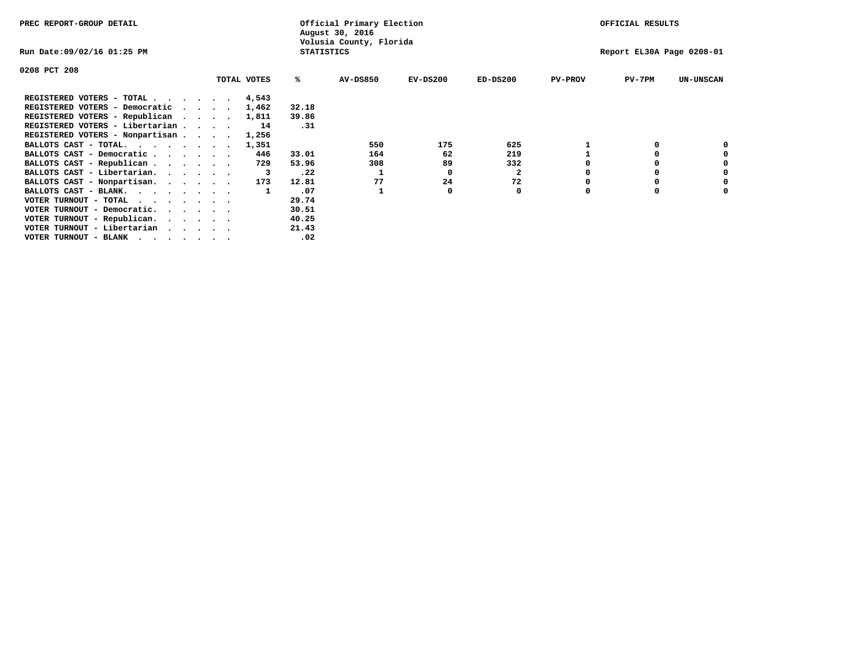| PREC REPORT-GROUP DETAIL                                                                                                                 |                                 |             |                   | Official Primary Election<br>August 30, 2016 |            |              |                | OFFICIAL RESULTS          |                  |
|------------------------------------------------------------------------------------------------------------------------------------------|---------------------------------|-------------|-------------------|----------------------------------------------|------------|--------------|----------------|---------------------------|------------------|
| Run Date:09/02/16 01:25 PM                                                                                                               |                                 |             | <b>STATISTICS</b> | Volusia County, Florida                      |            |              |                | Report EL30A Page 0208-01 |                  |
| 0208 PCT 208                                                                                                                             |                                 |             |                   |                                              |            |              |                |                           |                  |
|                                                                                                                                          |                                 | TOTAL VOTES | %ะ                | <b>AV-DS850</b>                              | $EV-DS200$ | $ED-DS200$   | <b>PV-PROV</b> | $PV-7PM$                  | <b>UN-UNSCAN</b> |
| REGISTERED VOTERS - TOTAL 4,543                                                                                                          |                                 |             |                   |                                              |            |              |                |                           |                  |
| REGISTERED VOTERS - Democratic                                                                                                           | $\cdot$ $\cdot$ $\cdot$ $\cdot$ | 1,462       | 32.18             |                                              |            |              |                |                           |                  |
| REGISTERED VOTERS - Republican                                                                                                           |                                 | 1,811       | 39.86             |                                              |            |              |                |                           |                  |
| REGISTERED VOTERS - Libertarian                                                                                                          |                                 | 14          | .31               |                                              |            |              |                |                           |                  |
| REGISTERED VOTERS - Nonpartisan                                                                                                          |                                 | 1,256       |                   |                                              |            |              |                |                           |                  |
| BALLOTS CAST - TOTAL.                                                                                                                    |                                 | 1,351       |                   | 550                                          | 175        | 625          |                |                           |                  |
| BALLOTS CAST - Democratic                                                                                                                |                                 | 446         | 33.01             | 164                                          | 62         | 219          |                |                           |                  |
| BALLOTS CAST - Republican                                                                                                                |                                 | 729         | 53.96             | 308                                          | 89         | 332          |                |                           |                  |
| BALLOTS CAST - Libertarian.                                                                                                              |                                 | 3           | .22               |                                              | O          | $\mathbf{2}$ |                |                           |                  |
| BALLOTS CAST - Nonpartisan.                                                                                                              |                                 | 173         | 12.81             | 77                                           | 24         | 72           |                |                           | 0                |
| BALLOTS CAST - BLANK.                                                                                                                    |                                 |             | .07               |                                              | O          | 0            | O              | $\Omega$                  |                  |
| VOTER TURNOUT - TOTAL<br>the contract of the contract of the contract of the contract of the contract of the contract of the contract of |                                 |             | 29.74             |                                              |            |              |                |                           |                  |
| VOTER TURNOUT - Democratic.                                                                                                              |                                 |             | 30.51             |                                              |            |              |                |                           |                  |
| VOTER TURNOUT - Republican.                                                                                                              |                                 |             | 40.25             |                                              |            |              |                |                           |                  |
| VOTER TURNOUT - Libertarian                                                                                                              |                                 |             | 21.43             |                                              |            |              |                |                           |                  |
| VOTER TURNOUT - BLANK<br>the contract of the contract of the contract of the contract of the contract of the contract of the contract of |                                 |             | .02               |                                              |            |              |                |                           |                  |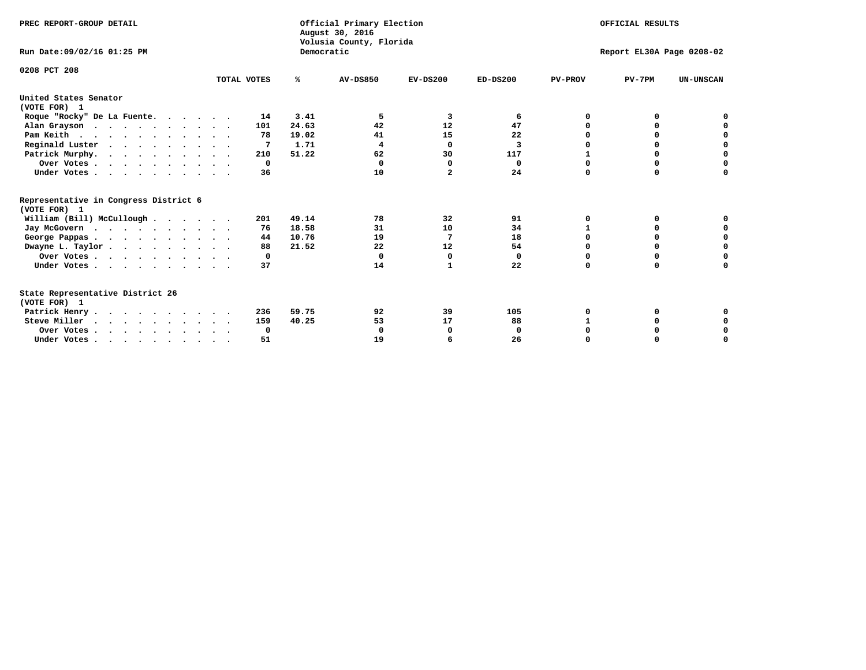| PREC REPORT-GROUP DETAIL<br>Run Date: 09/02/16 01:25 PM |             | Democratic | Official Primary Election<br>August 30, 2016<br>Volusia County, Florida | OFFICIAL RESULTS<br>Report EL30A Page 0208-02 |             |                |             |                  |
|---------------------------------------------------------|-------------|------------|-------------------------------------------------------------------------|-----------------------------------------------|-------------|----------------|-------------|------------------|
|                                                         |             |            |                                                                         |                                               |             |                |             |                  |
| 0208 PCT 208                                            | TOTAL VOTES | ℁          | <b>AV-DS850</b>                                                         | $EV-DS200$                                    | $ED-DS200$  | <b>PV-PROV</b> | $PV-7PM$    | <b>UN-UNSCAN</b> |
| United States Senator<br>(VOTE FOR) 1                   |             |            |                                                                         |                                               |             |                |             |                  |
| Roque "Rocky" De La Fuente.                             | 14          | 3.41       | 5                                                                       | 3                                             | 6           | 0              |             |                  |
| Alan Grayson                                            | 101         | 24.63      | 42                                                                      | 12                                            | 47          |                |             |                  |
| Pam Keith                                               | 78          | 19.02      | 41                                                                      | 15                                            | 22          |                |             | 0                |
| Reginald Luster                                         |             | 1.71       | 4                                                                       | 0                                             | 3           |                | $\Omega$    | $\mathbf 0$      |
| Patrick Murphy.                                         | 210         | 51.22      | 62                                                                      | 30                                            | 117         |                | O           | $\mathbf 0$      |
| Over Votes                                              | 0           |            | 0                                                                       | 0                                             | 0           | 0              | $\mathbf 0$ | $\mathbf 0$      |
| Under Votes                                             | 36          |            | 10                                                                      | $\mathbf{2}$                                  | 24          | $\Omega$       | $\Omega$    | 0                |
| Representative in Congress District 6<br>(VOTE FOR) 1   |             |            |                                                                         |                                               |             |                |             |                  |
| William (Bill) McCullough                               | 201         | 49.14      | 78                                                                      | 32                                            | 91          | 0              | 0           | 0                |
| Jay McGovern                                            | 76          | 18.58      | 31                                                                      | 10                                            | 34          | 1              | O           | 0                |
| George Pappas                                           | 44          | 10.76      | 19                                                                      | 7                                             | 18          | $\Omega$       | $\Omega$    | $\mathbf 0$      |
| Dwayne L. Taylor                                        | 88          | 21.52      | 22                                                                      | 12                                            | 54          | $\Omega$       | $\Omega$    | $\mathbf 0$      |
| Over Votes                                              | 0           |            | 0                                                                       | 0                                             | 0           | 0              | $\Omega$    |                  |
| Under Votes                                             | 37          |            | 14                                                                      | $\mathbf{1}$                                  | 22          | $\Omega$       | $\Omega$    |                  |
| State Representative District 26                        |             |            |                                                                         |                                               |             |                |             |                  |
| (VOTE FOR) 1                                            |             |            |                                                                         |                                               |             |                |             |                  |
| Patrick Henry                                           | 236         | 59.75      | 92                                                                      | 39                                            | 105         | 0              |             |                  |
| Steve Miller                                            | 159         | 40.25      | 53                                                                      | 17                                            | 88          |                | O           | 0                |
| Over Votes                                              | 0           |            | $\Omega$                                                                | O                                             | $\mathbf 0$ | $\Omega$       | O           | 0                |
| Under Votes                                             | 51          |            | 19                                                                      | 6                                             | 26          | $\Omega$       | $\mathbf 0$ | 0                |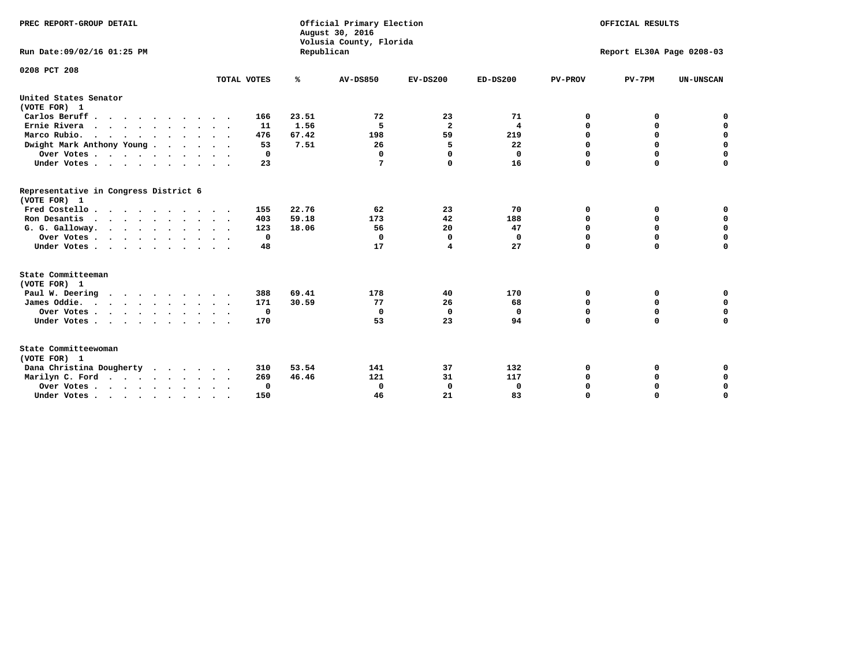| PREC REPORT-GROUP DETAIL<br>Run Date: 09/02/16 01:25 PM     |             | Republican | Official Primary Election<br>August 30, 2016<br>Volusia County, Florida | OFFICIAL RESULTS<br>Report EL30A Page 0208-03 |              |                |             |                  |
|-------------------------------------------------------------|-------------|------------|-------------------------------------------------------------------------|-----------------------------------------------|--------------|----------------|-------------|------------------|
| 0208 PCT 208                                                |             |            |                                                                         |                                               |              |                |             |                  |
|                                                             | TOTAL VOTES | %          | <b>AV-DS850</b>                                                         | $EV-DS200$                                    | $ED-DS200$   | <b>PV-PROV</b> | $PV-7PM$    | <b>UN-UNSCAN</b> |
| United States Senator                                       |             |            |                                                                         |                                               |              |                |             |                  |
| (VOTE FOR) 1                                                |             |            |                                                                         |                                               |              |                |             |                  |
| Carlos Beruff.                                              | 166         | 23.51      | 72                                                                      | 23                                            | 71           | 0              | 0           | 0                |
| Ernie Rivera                                                | 11          | 1.56       | 5                                                                       | $\overline{a}$                                | 4            | 0              | 0           | $\mathbf 0$      |
| Marco Rubio.                                                | 476         | 67.42      | 198                                                                     | 59                                            | 219          | $\mathbf 0$    | $\mathbf 0$ | $\mathbf 0$      |
| Dwight Mark Anthony Young                                   | 53          | 7.51       | 26                                                                      | 5                                             | 22           | 0              | $\mathbf 0$ | $\pmb{0}$        |
| Over Votes                                                  | 0           |            | 0                                                                       | $\Omega$                                      | $\mathbf{0}$ | $\mathbf 0$    | 0           | 0                |
| Under Votes                                                 | 23          |            | 7                                                                       | $\Omega$                                      | 16           | $\Omega$       | $\Omega$    | $\mathbf 0$      |
| Representative in Congress District 6<br>(VOTE FOR) 1       |             |            |                                                                         |                                               |              |                |             |                  |
| Fred Costello                                               | 155         | 22.76      | 62                                                                      | 23                                            | 70           | 0              | 0           | 0                |
| Ron Desantis                                                | 403         | 59.18      | 173                                                                     | 42                                            | 188          | 0              | 0           | $\mathbf 0$      |
| G. G. Galloway.                                             | 123         | 18.06      | 56                                                                      | 20                                            | 47           | $\mathbf 0$    | $\Omega$    | $\mathbf 0$      |
| Over Votes                                                  | $\Omega$    |            | $\mathbf 0$                                                             | $\mathbf 0$                                   | $\mathbf 0$  | $\mathbf 0$    | $\Omega$    | $\mathbf 0$      |
| Under Votes                                                 | 48          |            | 17                                                                      | 4                                             | 27           | $\mathbf 0$    | $\Omega$    | $\mathbf 0$      |
| State Committeeman                                          |             |            |                                                                         |                                               |              |                |             |                  |
| (VOTE FOR) 1                                                |             |            |                                                                         |                                               |              |                |             |                  |
| Paul W. Deering                                             | 388         | 69.41      | 178                                                                     | 40                                            | 170          | 0              | 0           | 0                |
| James Oddie.                                                | 171         | 30.59      | 77                                                                      | 26                                            | 68           | 0              | 0           | $\mathbf 0$      |
| Over Votes                                                  | 0           |            | 0                                                                       | $\mathbf 0$                                   | 0            | 0              | $\mathbf 0$ | $\mathbf 0$      |
| Under Votes<br>$\ddot{\phantom{0}}$                         | 170         |            | 53                                                                      | 23                                            | 94           | $\mathbf 0$    | 0           | $\mathbf 0$      |
| State Committeewoman<br>(VOTE FOR) 1                        |             |            |                                                                         |                                               |              |                |             |                  |
| Dana Christina Dougherty<br>$\cdot$ $\cdot$ $\cdot$ $\cdot$ | 310         | 53.54      | 141                                                                     | 37                                            | 132          | 0              | 0           | 0                |
| Marilyn C. Ford                                             | 269         | 46.46      | 121                                                                     | 31                                            | 117          | 0              | 0           | 0                |
| Over Votes                                                  | 0           |            | 0                                                                       | 0                                             | $\mathbf 0$  | 0              | 0           | $\mathbf 0$      |
| Under Votes, , , , , , , , , ,                              | 150         |            | 46                                                                      | 21                                            | 83           | $\Omega$       | $\Omega$    | $\Omega$         |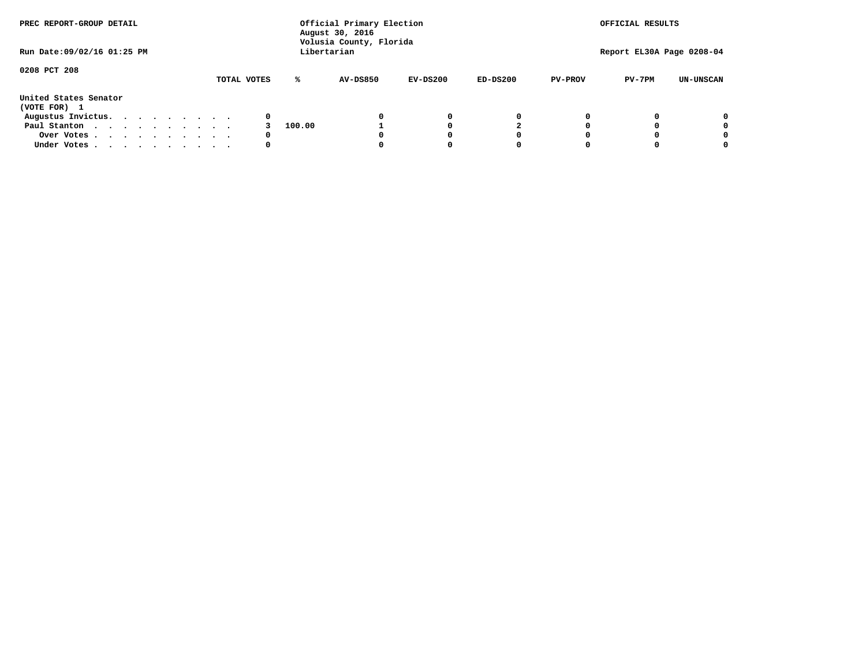| PREC REPORT-GROUP DETAIL<br>Run Date: 09/02/16 01:25 PM |  |  |  |  | Official Primary Election<br>August 30, 2016<br>Volusia County, Florida<br>Libertarian | OFFICIAL RESULTS<br>Report EL30A Page 0208-04 |        |                 |            |            |                |          |                  |
|---------------------------------------------------------|--|--|--|--|----------------------------------------------------------------------------------------|-----------------------------------------------|--------|-----------------|------------|------------|----------------|----------|------------------|
|                                                         |  |  |  |  |                                                                                        |                                               |        |                 |            |            |                |          |                  |
| 0208 PCT 208                                            |  |  |  |  |                                                                                        | TOTAL VOTES                                   | ℁      | <b>AV-DS850</b> | $EV-DS200$ | $ED-DS200$ | <b>PV-PROV</b> | $PV-7PM$ | <b>UN-UNSCAN</b> |
| United States Senator<br>(VOTE FOR) 1                   |  |  |  |  |                                                                                        |                                               |        |                 |            |            |                |          |                  |
| Augustus Invictus.                                      |  |  |  |  |                                                                                        | 0                                             |        |                 | 0          | 0          |                |          | 0                |
| Paul Stanton                                            |  |  |  |  |                                                                                        |                                               | 100.00 |                 |            |            |                |          | 0                |
| Over Votes                                              |  |  |  |  |                                                                                        | 0                                             |        |                 |            | 0          |                |          | 0                |
| Under Votes                                             |  |  |  |  |                                                                                        | 0                                             |        |                 |            | 0          |                |          | 0                |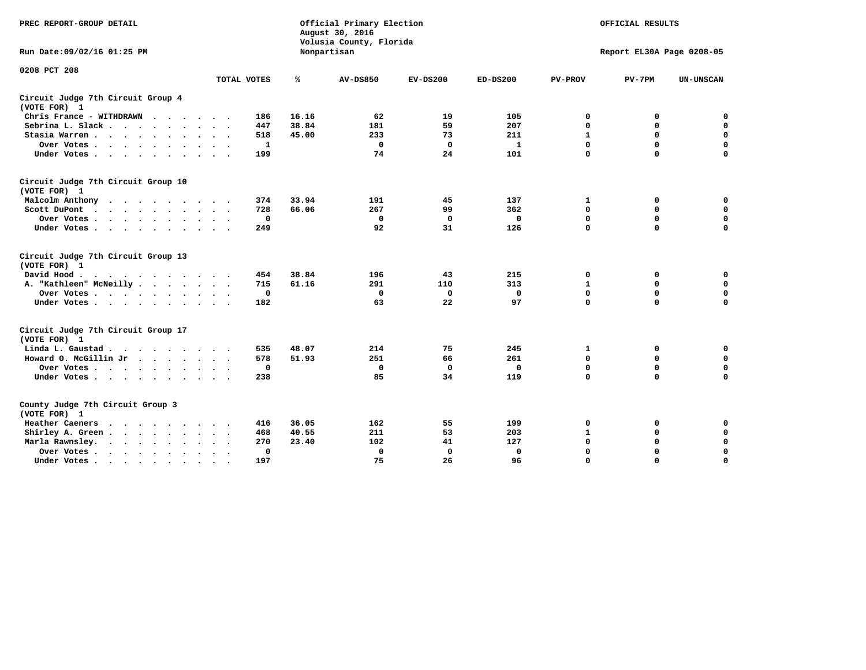| PREC REPORT-GROUP DETAIL                                                                                                                                                                                                                         |                                  |       | Official Primary Election<br>August 30, 2016<br>Volusia County, Florida | OFFICIAL RESULTS<br>Report EL30A Page 0208-05 |              |                |             |                  |
|--------------------------------------------------------------------------------------------------------------------------------------------------------------------------------------------------------------------------------------------------|----------------------------------|-------|-------------------------------------------------------------------------|-----------------------------------------------|--------------|----------------|-------------|------------------|
| Run Date:09/02/16 01:25 PM                                                                                                                                                                                                                       |                                  |       | Nonpartisan                                                             |                                               |              |                |             |                  |
| 0208 PCT 208                                                                                                                                                                                                                                     |                                  |       |                                                                         |                                               |              |                |             |                  |
|                                                                                                                                                                                                                                                  | TOTAL VOTES                      | ℁     | <b>AV-DS850</b>                                                         | $EV-DS200$                                    | $ED-DS200$   | <b>PV-PROV</b> | $PV-7PM$    | <b>UN-UNSCAN</b> |
| Circuit Judge 7th Circuit Group 4<br>(VOTE FOR) 1                                                                                                                                                                                                |                                  |       |                                                                         |                                               |              |                |             |                  |
| Chris France - WITHDRAWN                                                                                                                                                                                                                         | 186                              | 16.16 | 62                                                                      | 19                                            | 105          | 0              | 0           | 0                |
| Sebrina L. Slack                                                                                                                                                                                                                                 | 447                              | 38.84 | 181                                                                     | 59                                            | 207          | $\mathbf 0$    | 0           | $\mathbf 0$      |
| Stasia Warren                                                                                                                                                                                                                                    | 518                              | 45.00 | 233                                                                     | 73                                            | 211          | $\mathbf{1}$   | $\mathbf 0$ | $\mathbf 0$      |
| Over Votes                                                                                                                                                                                                                                       | 1                                |       | $\mathbf 0$                                                             | $\mathbf 0$                                   | $\mathbf{1}$ | 0              | $\mathbf 0$ | $\pmb{0}$        |
| Under Votes.                                                                                                                                                                                                                                     | 199                              |       | 74                                                                      | 24                                            | 101          | $\Omega$       | $\Omega$    | $\Omega$         |
| Circuit Judge 7th Circuit Group 10<br>(VOTE FOR) 1                                                                                                                                                                                               |                                  |       |                                                                         |                                               |              |                |             |                  |
| Malcolm Anthony<br>.                                                                                                                                                                                                                             | 374                              | 33.94 | 191                                                                     | 45                                            | 137          | 1              | 0           | 0                |
| Scott DuPont                                                                                                                                                                                                                                     | 728                              | 66.06 | 267                                                                     | 99                                            | 362          | $\mathbf 0$    | $\mathbf 0$ | $\mathbf 0$      |
| Over Votes<br>$\ddot{\phantom{1}}$                                                                                                                                                                                                               | $\mathbf{o}$                     |       | $\Omega$                                                                | $\mathbf{0}$                                  | $\mathbf{0}$ | $\mathbf 0$    | $\mathbf 0$ | $\mathbf 0$      |
| Under Votes                                                                                                                                                                                                                                      | 249                              |       | 92                                                                      | 31                                            | 126          | $\mathbf 0$    | $\mathbf 0$ | 0                |
| Circuit Judge 7th Circuit Group 13<br>(VOTE FOR) 1                                                                                                                                                                                               |                                  |       |                                                                         |                                               |              |                |             |                  |
| David Hood.                                                                                                                                                                                                                                      | 454                              | 38.84 | 196                                                                     | 43                                            | 215          | $\mathbf 0$    | 0           | $\mathbf 0$      |
| A. "Kathleen" McNeilly                                                                                                                                                                                                                           | 715                              | 61.16 | 291                                                                     | 110                                           | 313          | $\mathbf{1}$   | $\mathbf 0$ | $\mathbf 0$      |
| Over Votes                                                                                                                                                                                                                                       | 0                                |       | 0                                                                       | 0                                             | 0            | 0              | $\mathbf 0$ | $\mathbf 0$      |
| Under Votes.                                                                                                                                                                                                                                     | 182                              |       | 63                                                                      | 22                                            | 97           | $\mathbf 0$    | $\Omega$    | 0                |
| Circuit Judge 7th Circuit Group 17<br>(VOTE FOR) 1                                                                                                                                                                                               |                                  |       |                                                                         |                                               |              |                |             |                  |
| Linda L. Gaustad                                                                                                                                                                                                                                 | 535                              | 48.07 | 214                                                                     | 75                                            | 245          | 1              | 0           | $\mathbf 0$      |
| Howard O. McGillin Jr                                                                                                                                                                                                                            | 578                              | 51.93 | 251                                                                     | 66                                            | 261          | $\mathbf 0$    | $\mathbf 0$ | $\mathbf 0$      |
| Over Votes                                                                                                                                                                                                                                       | $\mathbf 0$                      |       | $\mathbf{0}$                                                            | $\mathbf 0$                                   | $\mathbf 0$  | $\mathbf 0$    | $\mathbf 0$ | 0                |
| Under Votes                                                                                                                                                                                                                                      | 238                              |       | 85                                                                      | 34                                            | 119          | $\mathbf 0$    | $\mathbf 0$ | $\mathbf 0$      |
| County Judge 7th Circuit Group 3<br>(VOTE FOR) 1                                                                                                                                                                                                 |                                  |       |                                                                         |                                               |              |                |             |                  |
| Heather Caeners<br>. The contract of the contract of the contract of the contract of the contract of the contract of the contract of the contract of the contract of the contract of the contract of the contract of the contract of the contrac | 416                              | 36.05 | 162                                                                     | 55                                            | 199          | 0              | 0           | $\mathbf 0$      |
| Shirley A. Green                                                                                                                                                                                                                                 | 468                              | 40.55 | 211                                                                     | 53                                            | 203          | $\mathbf{1}$   | 0           | $\mathbf 0$      |
| Marla Rawnsley.<br>$\mathbf{r}$ , and $\mathbf{r}$ , and $\mathbf{r}$ , and $\mathbf{r}$                                                                                                                                                         | 270                              | 23.40 | 102                                                                     | 41                                            | 127          | 0              | $\mathbf 0$ | $\mathbf 0$      |
| Over Votes<br>$\ddot{\phantom{0}}$<br>$\ddot{\phantom{1}}$                                                                                                                                                                                       | $\Omega$<br>$\ddot{\phantom{1}}$ |       | 0                                                                       | $\mathbf{0}$                                  | $\mathbf{0}$ | $\mathbf 0$    | $\mathbf 0$ | $\mathbf 0$      |
| Under Votes<br>$\bullet$                                                                                                                                                                                                                         | 197                              |       | 75                                                                      | 26                                            | 96           | $\mathbf 0$    | $\mathbf 0$ | $\Omega$         |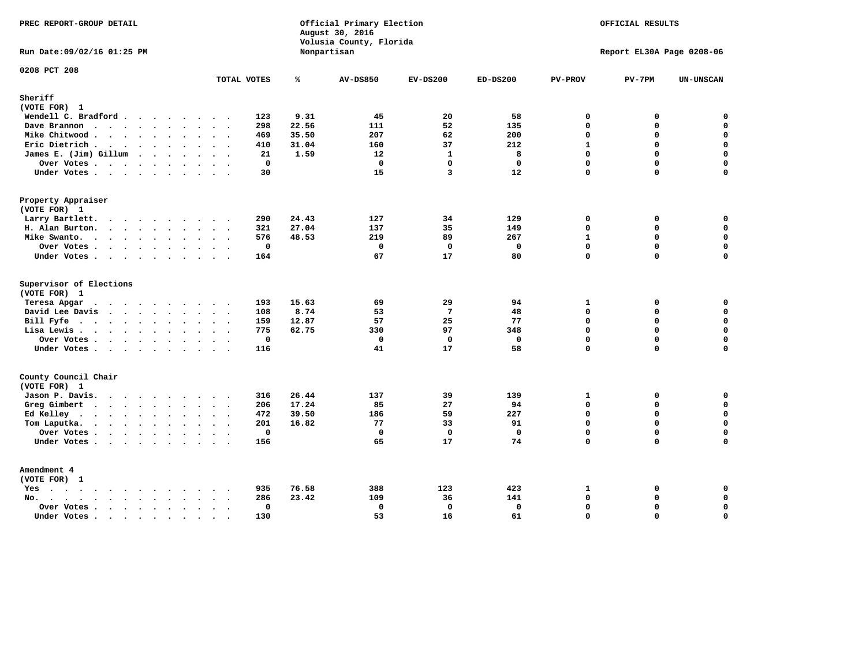| PREC REPORT-GROUP DETAIL                                                                                                 |                                |       | Official Primary Election<br>August 30, 2016<br>Volusia County, Florida | OFFICIAL RESULTS  |                    |                           |               |                            |  |  |
|--------------------------------------------------------------------------------------------------------------------------|--------------------------------|-------|-------------------------------------------------------------------------|-------------------|--------------------|---------------------------|---------------|----------------------------|--|--|
| Run Date: 09/02/16 01:25 PM                                                                                              |                                |       | Nonpartisan                                                             |                   |                    | Report EL30A Page 0208-06 |               |                            |  |  |
| 0208 PCT 208                                                                                                             | TOTAL VOTES                    | ℁     | <b>AV-DS850</b>                                                         | $EV-DS200$        | $ED-DS200$         | <b>PV-PROV</b>            | $PV-7PM$      | <b>UN-UNSCAN</b>           |  |  |
| Sheriff                                                                                                                  |                                |       |                                                                         |                   |                    |                           |               |                            |  |  |
| (VOTE FOR) 1                                                                                                             |                                |       |                                                                         |                   |                    |                           |               |                            |  |  |
| Wendell C. Bradford                                                                                                      | 123                            | 9.31  | 45                                                                      | 20                | 58                 | $\mathbf 0$               | 0             | $\mathbf 0$                |  |  |
| Dave Brannon                                                                                                             | 298                            | 22.56 | 111                                                                     | 52                | 135                | $\Omega$                  | 0             | $\mathbf 0$                |  |  |
| Mike Chitwood                                                                                                            | 469                            | 35.50 | 207                                                                     | 62                | 200                | $\mathbf 0$               | 0             | 0                          |  |  |
| Eric Dietrich.                                                                                                           | 410                            | 31.04 | 160                                                                     | 37                | 212                | $\mathbf{1}$              | 0             | $\mathbf 0$                |  |  |
| James E. (Jim) Gillum                                                                                                    | 21                             | 1.59  | 12                                                                      | $\mathbf{1}$      | 8                  | $\mathbf 0$               | $\mathbf 0$   | $\mathbf 0$                |  |  |
| Over Votes                                                                                                               | $\mathbf{0}$                   |       | $\Omega$                                                                | $\Omega$          | $\Omega$           | $\Omega$                  | $\Omega$      | $\mathbf 0$                |  |  |
| Under Votes                                                                                                              | 30                             |       | 15                                                                      | 3                 | 12                 | $\mathbf 0$               | 0             | $\Omega$                   |  |  |
| Property Appraiser                                                                                                       |                                |       |                                                                         |                   |                    |                           |               |                            |  |  |
| (VOTE FOR) 1                                                                                                             |                                |       |                                                                         |                   |                    |                           |               |                            |  |  |
| Larry Bartlett.<br>$\sim$                                                                                                | 290<br>$\sim$                  | 24.43 | 127                                                                     | 34                | 129                | $\mathbf 0$               | 0             | 0                          |  |  |
| H. Alan Burton.                                                                                                          | 321                            | 27.04 | 137                                                                     | 35                | 149                | $\mathbf{0}$              | 0             | $\mathbf 0$                |  |  |
| Mike Swanto.                                                                                                             | 576                            | 48.53 | 219                                                                     | 89                | 267                | $\mathbf{1}$              | 0             | $\mathbf 0$                |  |  |
| Over Votes                                                                                                               | $\mathbf 0$                    |       | $\Omega$<br>67                                                          | $\mathbf 0$<br>17 | $\mathbf{0}$<br>80 | $\mathbf{0}$<br>$\Omega$  | 0<br>$\Omega$ | $\mathbf 0$<br>$\mathbf 0$ |  |  |
| Under Votes                                                                                                              | 164                            |       |                                                                         |                   |                    |                           |               |                            |  |  |
| Supervisor of Elections                                                                                                  |                                |       |                                                                         |                   |                    |                           |               |                            |  |  |
| (VOTE FOR) 1                                                                                                             |                                |       |                                                                         |                   |                    |                           |               |                            |  |  |
| Teresa Apgar                                                                                                             | 193                            | 15.63 | 69                                                                      | 29                | 94                 | 1                         | 0             | 0                          |  |  |
| David Lee Davis                                                                                                          | 108                            | 8.74  | 53                                                                      | $\overline{7}$    | 48                 | $\Omega$                  | 0             | $\mathbf 0$                |  |  |
| Bill Fyfe                                                                                                                | 159                            | 12.87 | 57                                                                      | 25                | 77                 | $\Omega$                  | 0             | 0                          |  |  |
| Lisa Lewis                                                                                                               | 775                            | 62.75 | 330                                                                     | 97                | 348                | $\mathbf 0$               | 0             | $\mathbf 0$                |  |  |
| Over Votes                                                                                                               | $\mathbf 0$                    |       | $\mathbf 0$                                                             | $\mathbf 0$       | $\mathbf 0$        | $\mathbf 0$               | 0             | $\mathbf 0$                |  |  |
| Under Votes                                                                                                              | 116                            |       | 41                                                                      | 17                | 58                 | $\Omega$                  | $\Omega$      | $\mathbf 0$                |  |  |
| County Council Chair<br>(VOTE FOR) 1                                                                                     |                                |       |                                                                         |                   |                    |                           |               |                            |  |  |
| Jason P. Davis.                                                                                                          | 316                            | 26.44 | 137                                                                     | 39                | 139                | 1                         | 0             | 0                          |  |  |
| Greg Gimbert<br>$\cdots$                                                                                                 | 206                            | 17.24 | 85                                                                      | 27                | 94                 | $\Omega$                  | $\Omega$      | $\mathbf 0$                |  |  |
| Ed Kelley $\cdots$                                                                                                       | 472                            | 39.50 | 186                                                                     | 59                | 227                | $\mathbf 0$               | 0             | $\mathbf 0$                |  |  |
| Tom Laputka.<br>$\mathbf{r}$ , $\mathbf{r}$ , $\mathbf{r}$ , $\mathbf{r}$ , $\mathbf{r}$ , $\mathbf{r}$ , $\mathbf{r}$   | 201                            | 16.82 | 77                                                                      | 33                | 91                 | $\Omega$                  | $\mathbf 0$   | $\mathbf 0$                |  |  |
| Over Votes                                                                                                               | $\mathbf 0$                    |       | $\mathbf 0$                                                             | $\Omega$          | 0                  | $\mathbf 0$               | 0             | 0                          |  |  |
| Under Votes                                                                                                              | 156                            |       | 65                                                                      | 17                | 74                 | $\Omega$                  | $\Omega$      | $\mathbf 0$                |  |  |
| Amendment 4                                                                                                              |                                |       |                                                                         |                   |                    |                           |               |                            |  |  |
| (VOTE FOR) 1                                                                                                             |                                |       |                                                                         |                   |                    |                           |               |                            |  |  |
| $Yes \cdot \cdot \cdot \cdot \cdot \cdot \cdot \cdot \cdot$<br>$\bullet$                                                 | 935                            | 76.58 | 388                                                                     | 123               | 423                | 1                         | 0             | 0                          |  |  |
| $\cdot$ $\cdot$ $\cdot$ $\cdot$ $\cdot$<br>$No.$<br>$\ddot{\phantom{a}}$<br>$\ddot{\phantom{a}}$<br>$\ddot{\phantom{a}}$ | 286<br>$\sim$<br>$\sim$ $\sim$ | 23.42 | 109                                                                     | 36                | 141                | $\mathbf 0$               | $\mathbf 0$   | $\mathbf 0$                |  |  |
| Over Votes.<br>$\cdots$<br>$\ddot{\phantom{a}}$                                                                          | 0<br>$\ddot{\phantom{a}}$      |       | 0                                                                       | $\mathbf 0$       | $\mathbf 0$        | $\mathbf 0$               | 0             | $\mathbf 0$                |  |  |
| Under Votes<br>$\sim$                                                                                                    | 130<br>$\sim$<br>$\sim$        |       | 53                                                                      | 16                | 61                 | $\mathbf 0$               | 0             | $\mathbf 0$                |  |  |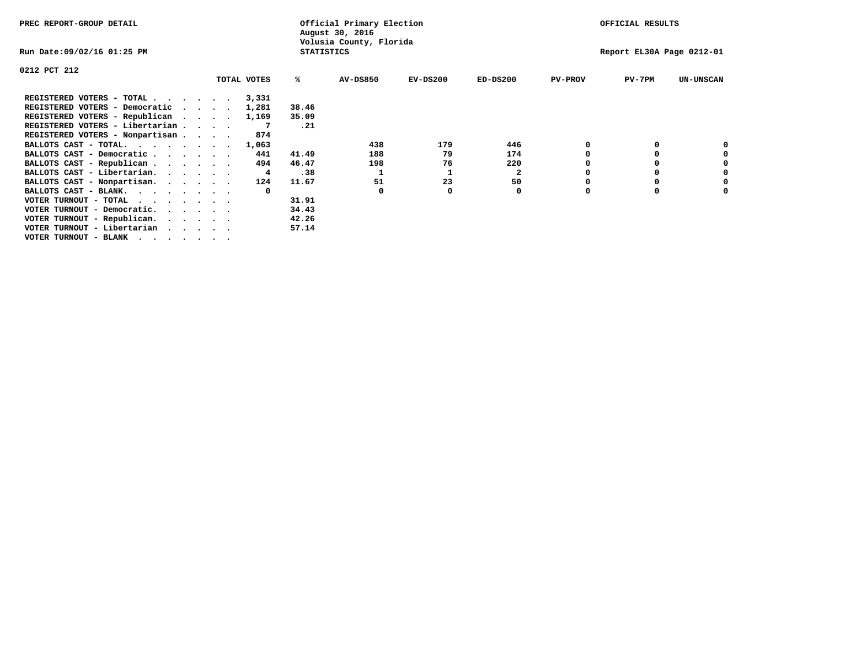| PREC REPORT-GROUP DETAIL          |  |             |                   | Official Primary Election<br>August 30, 2016 |            |              |                | OFFICIAL RESULTS          |                  |
|-----------------------------------|--|-------------|-------------------|----------------------------------------------|------------|--------------|----------------|---------------------------|------------------|
| Run Date:09/02/16 01:25 PM        |  |             | <b>STATISTICS</b> | Volusia County, Florida                      |            |              |                | Report EL30A Page 0212-01 |                  |
| 0212 PCT 212                      |  |             |                   |                                              |            |              |                |                           |                  |
|                                   |  | TOTAL VOTES | ℁                 | AV-DS850                                     | $EV-DS200$ | $ED-DS200$   | <b>PV-PROV</b> | $PV-7PM$                  | <b>UN-UNSCAN</b> |
| REGISTERED VOTERS - TOTAL         |  | 3,331       |                   |                                              |            |              |                |                           |                  |
| REGISTERED VOTERS - Democratic    |  | 1,281       | 38.46             |                                              |            |              |                |                           |                  |
| REGISTERED VOTERS - Republican    |  | 1,169       | 35.09             |                                              |            |              |                |                           |                  |
| REGISTERED VOTERS - Libertarian   |  |             | .21               |                                              |            |              |                |                           |                  |
| REGISTERED VOTERS - Nonpartisan   |  | 874         |                   |                                              |            |              |                |                           |                  |
| BALLOTS CAST - TOTAL.             |  | 1,063       |                   | 438                                          | 179        | 446          |                |                           |                  |
| BALLOTS CAST - Democratic         |  | 441         | 41.49             | 188                                          | 79         | 174          |                |                           |                  |
| BALLOTS CAST - Republican         |  | 494         | 46.47             | 198                                          | 76         | 220          |                |                           |                  |
| BALLOTS CAST - Libertarian.       |  | 4           | .38               |                                              |            | $\mathbf{2}$ |                |                           |                  |
| BALLOTS CAST - Nonpartisan.       |  | 124         | 11.67             | 51                                           | 23         | 50           |                |                           |                  |
| BALLOTS CAST - BLANK.             |  |             |                   | <sup>0</sup>                                 |            | 0            |                |                           |                  |
| VOTER TURNOUT - TOTAL<br>$\cdots$ |  |             | 31.91             |                                              |            |              |                |                           |                  |
| VOTER TURNOUT - Democratic.       |  |             | 34.43             |                                              |            |              |                |                           |                  |
| VOTER TURNOUT - Republican.       |  |             | 42.26             |                                              |            |              |                |                           |                  |
| VOTER TURNOUT - Libertarian       |  |             | 57.14             |                                              |            |              |                |                           |                  |
| VOTER TURNOUT - BLANK             |  |             |                   |                                              |            |              |                |                           |                  |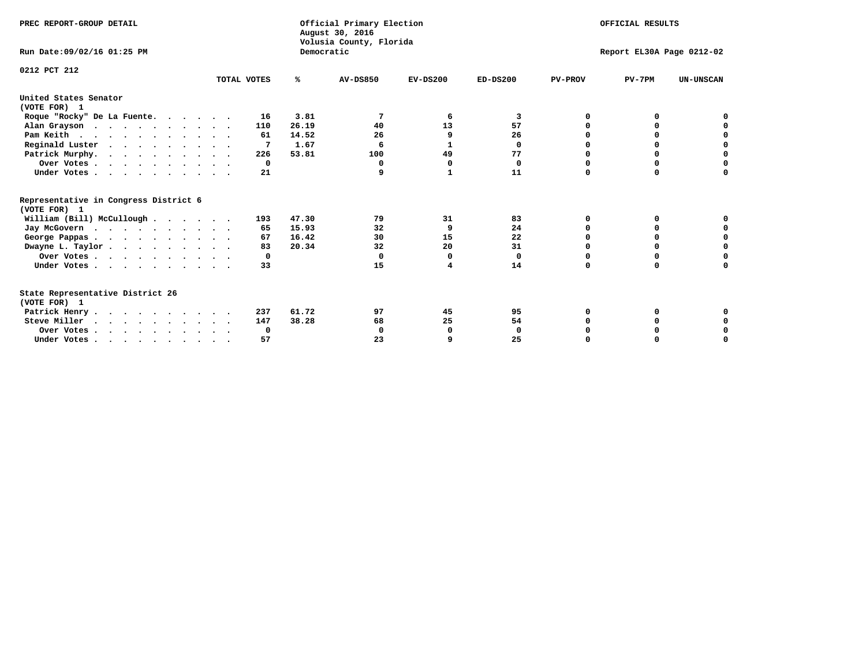| PREC REPORT-GROUP DETAIL                              |              |            | Official Primary Election<br>August 30, 2016<br>Volusia County, Florida | OFFICIAL RESULTS |             |                           |          |                  |
|-------------------------------------------------------|--------------|------------|-------------------------------------------------------------------------|------------------|-------------|---------------------------|----------|------------------|
| Run Date: 09/02/16 01:25 PM                           |              | Democratic |                                                                         |                  |             | Report EL30A Page 0212-02 |          |                  |
| 0212 PCT 212                                          | TOTAL VOTES  | ℁          | <b>AV-DS850</b>                                                         | $EV-DS200$       | $ED-DS200$  | <b>PV-PROV</b>            | $PV-7PM$ | <b>UN-UNSCAN</b> |
| United States Senator<br>(VOTE FOR) 1                 |              |            |                                                                         |                  |             |                           |          |                  |
| Roque "Rocky" De La Fuente.                           | 16           | 3.81       | 7                                                                       | 6                | 3           | O                         | O        |                  |
| Alan Grayson                                          | 110          | 26.19      | 40                                                                      | 13               | 57          |                           |          |                  |
| Pam Keith                                             | 61           | 14.52      | 26                                                                      | 9                | 26          |                           | $\Omega$ | 0                |
| Reginald Luster                                       |              | 1.67       | 6                                                                       | 1                | $\Omega$    |                           | 0        | $\mathbf 0$      |
| Patrick Murphy.                                       | 226          | 53.81      | 100                                                                     | 49               | 77          |                           | 0        | $\mathbf 0$      |
| Over Votes                                            | $\mathbf{o}$ |            | 0                                                                       | 0                | $\mathbf 0$ |                           | 0        | $\mathbf 0$      |
| Under Votes                                           | 21           |            | 9                                                                       | $\mathbf{1}$     | 11          |                           | 0        | 0                |
| Representative in Congress District 6<br>(VOTE FOR) 1 |              |            |                                                                         |                  |             |                           |          |                  |
| William (Bill) McCullough                             | 193          | 47.30      | 79                                                                      | 31               | 83          | O                         | 0        |                  |
| Jay McGovern                                          | 65           | 15.93      | 32                                                                      | 9                | 24          |                           | 0        | 0                |
| George Pappas.                                        | 67           | 16.42      | 30                                                                      | 15               | 22          |                           | 0        | 0                |
| Dwayne L. Taylor                                      | 83           | 20.34      | 32                                                                      | 20               | 31          |                           | 0        | $\mathbf 0$      |
| Over Votes                                            | 0            |            | $\Omega$                                                                | O                | 0           |                           | $\Omega$ | $\mathbf 0$      |
| Under Votes                                           | 33           |            | 15                                                                      | 4                | 14          | $\Omega$                  | $\Omega$ | $\Omega$         |
| State Representative District 26<br>(VOTE FOR) 1      |              |            |                                                                         |                  |             |                           |          |                  |
| Patrick Henry.                                        | 237          | 61.72      | 97                                                                      | 45               | 95          | 0                         | 0        |                  |
| Steve Miller                                          | 147          | 38.28      | 68                                                                      | 25               | 54          |                           | 0        | $\Omega$         |
| Over Votes                                            | 0            |            | 0                                                                       | $\mathbf 0$      | 0           |                           | 0        | 0                |
| Under Votes                                           | 57           |            | 23                                                                      | 9                | 25          | $\Omega$                  | 0        | 0                |
|                                                       |              |            |                                                                         |                  |             |                           |          |                  |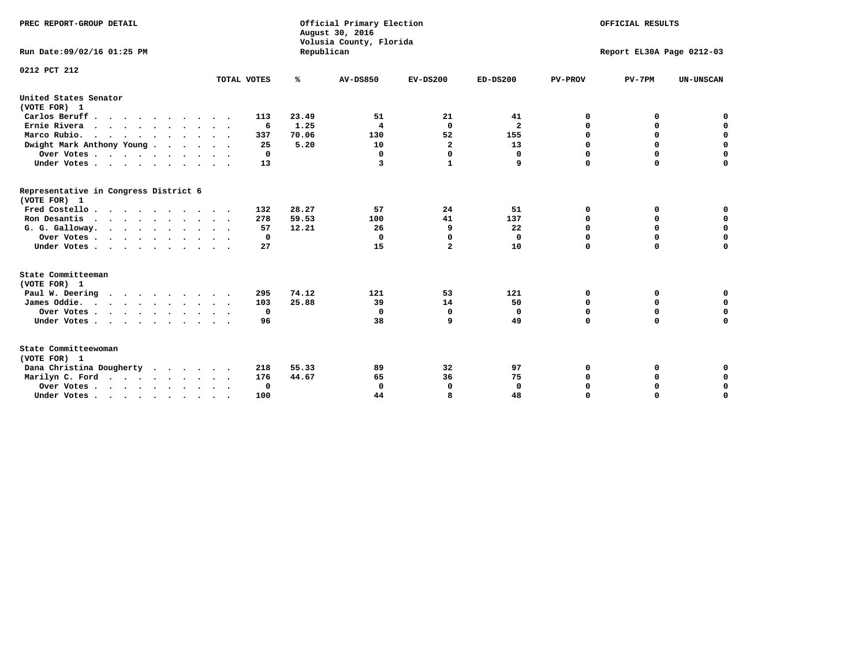| PREC REPORT-GROUP DETAIL<br>Run Date:09/02/16 01:25 PM                                |             | Republican | Official Primary Election<br>August 30, 2016<br>Volusia County, Florida | OFFICIAL RESULTS<br>Report EL30A Page 0212-03 |                         |                |             |                  |
|---------------------------------------------------------------------------------------|-------------|------------|-------------------------------------------------------------------------|-----------------------------------------------|-------------------------|----------------|-------------|------------------|
| 0212 PCT 212                                                                          | TOTAL VOTES | ℁          | <b>AV-DS850</b>                                                         | $EV-DS200$                                    | $ED-DS200$              | <b>PV-PROV</b> | $PV-7PM$    | <b>UN-UNSCAN</b> |
|                                                                                       |             |            |                                                                         |                                               |                         |                |             |                  |
| United States Senator<br>(VOTE FOR) 1                                                 |             |            |                                                                         |                                               |                         |                |             |                  |
| Carlos Beruff                                                                         | 113         | 23.49      | 51                                                                      | 21                                            | 41                      | 0              | 0           | 0                |
| Ernie Rivera<br>$\mathbf{r}$ , and $\mathbf{r}$ , and $\mathbf{r}$ , and $\mathbf{r}$ | -6          | 1.25       | 4                                                                       | $\mathbf{0}$                                  | $\overline{\mathbf{2}}$ | 0              | 0           | $\mathbf 0$      |
| Marco Rubio.                                                                          | 337         | 70.06      | 130                                                                     | 52                                            | 155                     | 0              | 0           | $\mathbf 0$      |
| Dwight Mark Anthony Young                                                             | 25          | 5.20       | 10                                                                      | $\overline{\mathbf{2}}$                       | 13                      | $\mathbf 0$    | $\mathbf 0$ | $\mathbf 0$      |
| Over Votes                                                                            | 0           |            | 0                                                                       | $\Omega$                                      | 0                       | $\mathbf 0$    | $\mathbf 0$ | $\mathbf 0$      |
| Under Votes                                                                           | 13          |            | 3                                                                       | $\mathbf{1}$                                  | 9                       | $\Omega$       | $\Omega$    | $\mathbf 0$      |
| Representative in Congress District 6<br>(VOTE FOR) 1                                 |             |            |                                                                         |                                               |                         |                |             |                  |
| Fred Costello                                                                         | 132         | 28.27      | 57                                                                      | 24                                            | 51                      | 0              | 0           | $\mathbf 0$      |
| Ron Desantis                                                                          | 278         | 59.53      | 100                                                                     | 41                                            | 137                     | 0              | 0           | $\mathbf 0$      |
| G. G. Galloway.                                                                       | 57          | 12.21      | 26                                                                      | 9                                             | 22                      | $\mathbf 0$    | $\mathbf 0$ | $\mathbf 0$      |
| Over Votes                                                                            | 0           |            | $\mathbf 0$                                                             | 0                                             | 0                       | $\mathbf 0$    | 0           | 0                |
| Under Votes                                                                           | 27          |            | 15                                                                      | $\overline{a}$                                | 10                      | $\mathbf 0$    | $\Omega$    | $\mathbf 0$      |
| State Committeeman                                                                    |             |            |                                                                         |                                               |                         |                |             |                  |
| (VOTE FOR) 1                                                                          |             |            |                                                                         |                                               |                         |                |             |                  |
| Paul W. Deering                                                                       | 295         | 74.12      | 121                                                                     | 53                                            | 121                     | 0              | 0           | 0                |
| James Oddie.                                                                          | 103         | 25.88      | 39                                                                      | 14                                            | 50                      | 0              | 0           | $\mathbf 0$      |
| Over Votes                                                                            | 0           |            | 0                                                                       | 0                                             | 0                       | 0              | $\mathbf 0$ | $\mathbf 0$      |
| Under Votes                                                                           | 96          |            | 38                                                                      | 9                                             | 49                      | $\mathbf 0$    | $\mathbf 0$ | $\mathbf 0$      |
| State Committeewoman<br>(VOTE FOR) 1                                                  |             |            |                                                                         |                                               |                         |                |             |                  |
| Dana Christina Dougherty<br>.                                                         | 218         | 55.33      | 89                                                                      | 32                                            | 97                      | 0              | 0           | 0                |
| Marilyn C. Ford                                                                       | 176         | 44.67      | 65                                                                      | 36                                            | 75                      | 0              | 0           | 0                |
| Over Votes                                                                            | 0           |            | $\mathbf 0$                                                             | 0                                             | $\mathbf 0$             | $\mathbf 0$    | 0           | $\mathbf 0$      |
| Under Votes, , , , , , , , , ,                                                        | 100         |            | 44                                                                      | R                                             | 48                      | $\Omega$       | $\Omega$    | $\Omega$         |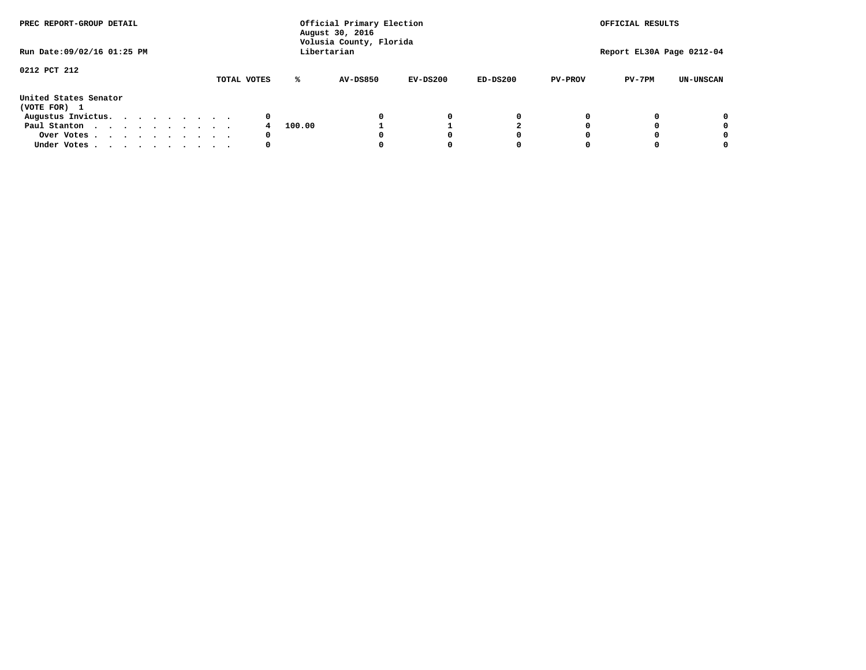| PREC REPORT-GROUP DETAIL<br>Run Date: 09/02/16 01:25 PM |  |  |  |  |  | Official Primary Election<br>August 30, 2016<br>Volusia County, Florida<br>Libertarian |        |                 |            | OFFICIAL RESULTS<br>Report EL30A Page 0212-04 |                |          |                  |
|---------------------------------------------------------|--|--|--|--|--|----------------------------------------------------------------------------------------|--------|-----------------|------------|-----------------------------------------------|----------------|----------|------------------|
|                                                         |  |  |  |  |  |                                                                                        |        |                 |            |                                               |                |          |                  |
| 0212 PCT 212                                            |  |  |  |  |  |                                                                                        |        |                 |            |                                               |                |          |                  |
|                                                         |  |  |  |  |  | TOTAL VOTES                                                                            | ℁      | <b>AV-DS850</b> | $EV-DS200$ | $ED-DS200$                                    | <b>PV-PROV</b> | $PV-7PM$ | <b>UN-UNSCAN</b> |
| United States Senator<br>(VOTE FOR) 1                   |  |  |  |  |  |                                                                                        |        |                 |            |                                               |                |          |                  |
| Augustus Invictus.                                      |  |  |  |  |  | 0                                                                                      |        |                 | 0          | 0                                             |                |          | 0                |
| Paul Stanton                                            |  |  |  |  |  |                                                                                        | 100.00 |                 |            |                                               |                |          | 0                |
| Over Votes                                              |  |  |  |  |  | 0                                                                                      |        |                 |            | 0                                             |                |          | 0                |
| Under Votes                                             |  |  |  |  |  | 0                                                                                      |        |                 |            | 0                                             |                |          | 0                |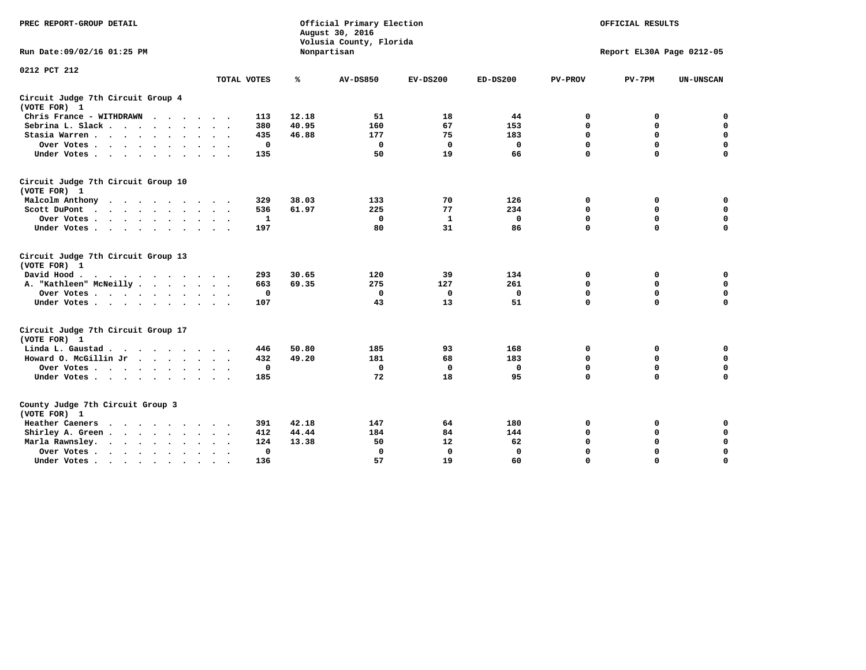| PREC REPORT-GROUP DETAIL                                                                                                                                                                                                                             |             | Official Primary Election<br>August 30, 2016<br>Volusia County, Florida | OFFICIAL RESULTS<br>Report EL30A Page 0212-05 |             |              |                |             |                  |
|------------------------------------------------------------------------------------------------------------------------------------------------------------------------------------------------------------------------------------------------------|-------------|-------------------------------------------------------------------------|-----------------------------------------------|-------------|--------------|----------------|-------------|------------------|
| Run Date: 09/02/16 01:25 PM                                                                                                                                                                                                                          |             |                                                                         | Nonpartisan                                   |             |              |                |             |                  |
| 0212 PCT 212                                                                                                                                                                                                                                         |             |                                                                         |                                               |             |              |                |             |                  |
|                                                                                                                                                                                                                                                      | TOTAL VOTES | ℁                                                                       | <b>AV-DS850</b>                               | $EV-DS200$  | $ED-DS200$   | <b>PV-PROV</b> | $PV-7PM$    | <b>UN-UNSCAN</b> |
| Circuit Judge 7th Circuit Group 4<br>(VOTE FOR) 1                                                                                                                                                                                                    |             |                                                                         |                                               |             |              |                |             |                  |
| Chris France - WITHDRAWN<br>.                                                                                                                                                                                                                        | 113         | 12.18                                                                   | 51                                            | 18          | 44           | 0              | 0           | 0                |
| Sebrina L. Slack                                                                                                                                                                                                                                     | 380         | 40.95                                                                   | 160                                           | 67          | 153          | $\Omega$       | $\mathbf 0$ | $\mathbf 0$      |
| Stasia Warren                                                                                                                                                                                                                                        | 435         | 46.88                                                                   | 177                                           | 75          | 183          | $\mathbf 0$    | $\mathbf 0$ | $\mathbf 0$      |
| Over Votes                                                                                                                                                                                                                                           |             | $\mathbf 0$                                                             | $\mathbf{0}$                                  | $\mathbf 0$ | 0            | $\mathbf 0$    | $\mathbf 0$ | $\mathbf 0$      |
| Under Votes                                                                                                                                                                                                                                          | 135         |                                                                         | 50                                            | 19          | 66           | $\mathbf 0$    | $\mathbf 0$ | $\mathbf 0$      |
| Circuit Judge 7th Circuit Group 10<br>(VOTE FOR) 1                                                                                                                                                                                                   |             |                                                                         |                                               |             |              |                |             |                  |
| Malcolm Anthony                                                                                                                                                                                                                                      | 329         | 38.03                                                                   | 133                                           | 70          | 126          | 0              | 0           | $\mathbf 0$      |
| Scott DuPont                                                                                                                                                                                                                                         | 536         | 61.97                                                                   | 225                                           | 77          | 234          | $\mathbf 0$    | $\mathbf 0$ | $\mathbf 0$      |
| Over Votes<br>$\ddot{\phantom{1}}$                                                                                                                                                                                                                   |             | 1                                                                       | $\mathbf 0$                                   | 1           | 0            | $\mathbf 0$    | $\mathbf 0$ | $\mathbf 0$      |
| Under Votes                                                                                                                                                                                                                                          | 197         |                                                                         | 80                                            | 31          | 86           | $\mathbf 0$    | $\Omega$    | $\mathbf 0$      |
| Circuit Judge 7th Circuit Group 13<br>(VOTE FOR) 1                                                                                                                                                                                                   |             |                                                                         |                                               |             |              |                |             |                  |
| David Hood.                                                                                                                                                                                                                                          | 293         | 30.65                                                                   | 120                                           | 39          | 134          | $\mathbf 0$    | 0           | $\mathbf 0$      |
| A. "Kathleen" McNeilly                                                                                                                                                                                                                               | 663         | 69.35                                                                   | 275                                           | 127         | 261          | $\mathbf 0$    | $\mathbf 0$ | $\mathbf 0$      |
| Over Votes                                                                                                                                                                                                                                           |             | $\mathbf 0$                                                             | $\mathbf{0}$                                  | 0           | $\mathbf{0}$ | 0              | $\mathbf 0$ | $\mathbf 0$      |
| Under Votes                                                                                                                                                                                                                                          | 107         |                                                                         | 43                                            | 13          | 51           | $\mathbf 0$    | $\mathbf 0$ | 0                |
| Circuit Judge 7th Circuit Group 17<br>(VOTE FOR) 1                                                                                                                                                                                                   |             |                                                                         |                                               |             |              |                |             |                  |
| Linda L. Gaustad                                                                                                                                                                                                                                     | 446         | 50.80                                                                   | 185                                           | 93          | 168          | 0              | 0           | $\mathbf 0$      |
| Howard O. McGillin Jr                                                                                                                                                                                                                                | 432         | 49.20                                                                   | 181                                           | 68          | 183          | 0              | 0           | $\mathbf 0$      |
| Over Votes                                                                                                                                                                                                                                           |             | $\mathbf 0$                                                             | $\mathbf{0}$                                  | 0           | 0            | $\mathbf 0$    | $\mathbf 0$ | 0                |
| Under Votes                                                                                                                                                                                                                                          | 185         |                                                                         | 72                                            | 18          | 95           | $\mathbf 0$    | $\mathbf 0$ | $\mathbf 0$      |
| County Judge 7th Circuit Group 3<br>(VOTE FOR) 1                                                                                                                                                                                                     |             |                                                                         |                                               |             |              |                |             |                  |
| Heather Caeners<br>$\mathbf{r}$ . The contract of the contract of the contract of the contract of the contract of the contract of the contract of the contract of the contract of the contract of the contract of the contract of the contract of th | 391         | 42.18                                                                   | 147                                           | 64          | 180          | 0              | 0           | 0                |
| Shirley A. Green                                                                                                                                                                                                                                     | 412         | 44.44                                                                   | 184                                           | 84          | 144          | $\mathbf 0$    | $\mathbf 0$ | $\mathbf 0$      |
| Marla Rawnsley.<br>$\cdot$ $\cdot$ $\cdot$ $\cdot$ $\cdot$                                                                                                                                                                                           | 124         | 13.38                                                                   | 50                                            | 12          | 62           | 0              | $\mathbf 0$ | $\pmb{0}$        |
| Over Votes.<br>$\cdot$<br>$\ddot{\phantom{a}}$<br>$\ddot{\phantom{a}}$                                                                                                                                                                               |             | 0                                                                       | $\Omega$                                      | 0           | 0            | $\mathbf 0$    | $\mathbf 0$ | $\mathbf 0$      |
| Under Votes<br>$\sim$<br>$\sim$                                                                                                                                                                                                                      | 136         |                                                                         | 57                                            | 19          | 60           | $\mathbf 0$    | $\mathbf 0$ | 0                |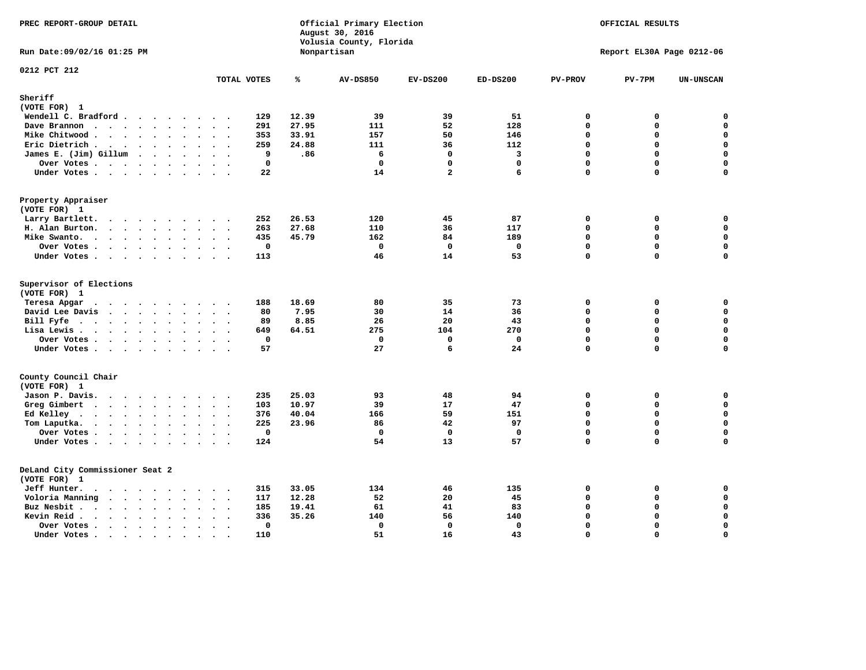| PREC REPORT-GROUP DETAIL                        |                                                     |       | Official Primary Election<br>August 30, 2016<br>Volusia County, Florida |                |             |                | OFFICIAL RESULTS          |                  |
|-------------------------------------------------|-----------------------------------------------------|-------|-------------------------------------------------------------------------|----------------|-------------|----------------|---------------------------|------------------|
| Run Date: 09/02/16 01:25 PM                     |                                                     |       | Nonpartisan                                                             |                |             |                | Report EL30A Page 0212-06 |                  |
| 0212 PCT 212                                    | TOTAL VOTES                                         | ℁     | <b>AV-DS850</b>                                                         | $EV-DS200$     | $ED-DS200$  | <b>PV-PROV</b> | $PV-7PM$                  | <b>UN-UNSCAN</b> |
| Sheriff                                         |                                                     |       |                                                                         |                |             |                |                           |                  |
| (VOTE FOR) 1                                    |                                                     |       |                                                                         |                |             |                |                           |                  |
| Wendell C. Bradford                             | 129                                                 | 12.39 | 39                                                                      | 39             | 51          | $\mathbf 0$    | 0                         | 0                |
| Dave Brannon                                    | 291                                                 | 27.95 | 111                                                                     | 52             | 128         | $\mathbf{0}$   | 0                         | 0                |
| Mike Chitwood                                   | 353                                                 | 33.91 | 157                                                                     | 50             | 146         | $\Omega$       | 0                         | 0                |
| Eric Dietrich.                                  | 259                                                 | 24.88 | 111                                                                     | 36             | 112         | $\mathbf 0$    | 0                         | $\mathbf 0$      |
| James E. (Jim) Gillum                           | 9                                                   | .86   | 6                                                                       | $\mathbf 0$    | 3           | 0              | 0                         | $\mathbf 0$      |
| Over Votes                                      | 0                                                   |       | $\mathbf 0$                                                             | $\mathbf 0$    | $\mathbf 0$ | $\mathbf 0$    | 0                         | $\mathbf 0$      |
| Under Votes                                     | 22                                                  |       | 14                                                                      | $\overline{a}$ | 6           | $\mathbf 0$    | 0                         | 0                |
| Property Appraiser<br>(VOTE FOR) 1              |                                                     |       |                                                                         |                |             |                |                           |                  |
| Larry Bartlett.<br>$\cdots$                     | 252<br>$\ddot{\phantom{1}}$                         | 26.53 | 120                                                                     | 45             | 87          | $\mathbf 0$    | 0                         | 0                |
| H. Alan Burton.                                 | 263                                                 | 27.68 | 110                                                                     | 36             | 117         | 0              | 0                         | $\mathbf 0$      |
| Mike Swanto.<br>$\cdots$                        | 435                                                 | 45.79 | 162                                                                     | 84             | 189         | $\Omega$       | $\Omega$                  | 0                |
| Over Votes                                      | 0                                                   |       | $\mathbf 0$                                                             | $\mathbf 0$    | $\mathbf 0$ | $\mathbf 0$    | 0                         | 0                |
| Under Votes                                     | 113                                                 |       | 46                                                                      | 14             | 53          | $\mathbf 0$    | 0                         | $\mathbf 0$      |
| Supervisor of Elections                         |                                                     |       |                                                                         |                |             |                |                           |                  |
| (VOTE FOR) 1                                    |                                                     |       |                                                                         |                |             |                |                           |                  |
| Teresa Apgar                                    | 188                                                 | 18.69 | 80                                                                      | 35             | 73          | $\mathbf 0$    | 0                         | 0                |
| David Lee Davis                                 | 80                                                  | 7.95  | 30                                                                      | 14             | 36          | $\Omega$       | $\mathbf 0$               | 0                |
| Bill Fyfe.                                      | 89                                                  | 8.85  | 26                                                                      | 20             | 43          | $\Omega$       | $\Omega$                  | $\mathbf 0$      |
| Lisa Lewis                                      | 649                                                 | 64.51 | 275                                                                     | 104            | 270         | $\mathbf 0$    | 0                         | $\mathbf 0$      |
| Over Votes                                      | $\mathbf 0$                                         |       | 0                                                                       | $\mathbf{0}$   | $\mathbf 0$ | $\Omega$       | $\mathbf 0$               | 0                |
| Under Votes                                     | 57                                                  |       | 27                                                                      | 6              | 24          | $\Omega$       | $\Omega$                  | 0                |
| County Council Chair<br>(VOTE FOR) 1            |                                                     |       |                                                                         |                |             |                |                           |                  |
| Jason P. Davis.                                 | 235<br>$\sim$ $\sim$                                | 25.03 | 93                                                                      | 48             | 94          | $\mathbf 0$    | 0                         | $\mathbf 0$      |
| Greg Gimbert<br>$\cdots$                        | 103                                                 | 10.97 | 39                                                                      | 17             | 47          | $\mathbf{0}$   | 0                         | $\mathbf 0$      |
| Ed Kelley                                       | 376                                                 | 40.04 | 166                                                                     | 59             | 151         | $\mathbf{0}$   | 0                         | $\mathbf 0$      |
| Tom Laputka.                                    | 225                                                 | 23.96 | 86                                                                      | 42             | 97          | $\mathbf 0$    | 0                         | $\mathsf{o}\,$   |
| Over Votes.                                     | $\mathbf 0$                                         |       | $\mathbf 0$                                                             | $\mathbf 0$    | $\mathbf 0$ | $\mathbf 0$    | 0                         | $\mathbf 0$      |
| Under Votes                                     | 124                                                 |       | 54                                                                      | 13             | 57          | $\Omega$       | $\Omega$                  | $\Omega$         |
|                                                 |                                                     |       |                                                                         |                |             |                |                           |                  |
| DeLand City Commissioner Seat 2                 |                                                     |       |                                                                         |                |             |                |                           |                  |
| (VOTE FOR) 1<br>Jeff Hunter.                    | 315                                                 | 33.05 | 134                                                                     | 46             | 135         | 0              | 0                         | 0                |
| $\cdots$<br>Voloria Manning                     | 117                                                 | 12.28 | 52                                                                      | 20             | 45          | $\Omega$       | 0                         | 0                |
| Buz Nesbit                                      | 185                                                 | 19.41 | 61                                                                      | 41             | 83          | $\Omega$       | 0                         | $\mathsf{o}\,$   |
| Kevin Reid.<br>$\cdots$<br>$\ddot{\phantom{a}}$ | 336                                                 | 35.26 | 140                                                                     | 56             | 140         | $\Omega$       | 0                         | $\pmb{0}$        |
| Over Votes                                      | $\ddot{\phantom{0}}$<br>$\mathbf 0$                 |       | $\mathbf 0$                                                             | $\mathbf 0$    | $\mathbf 0$ | $\mathbf 0$    | 0                         | $\mathbf 0$      |
| $\ddot{\phantom{a}}$<br>Under Votes             | $\ddot{\phantom{1}}$<br>$\ddot{\phantom{1}}$<br>110 |       | 51                                                                      | 16             | 43          | $\Omega$       | $\Omega$                  | $\mathbf 0$      |
|                                                 |                                                     |       |                                                                         |                |             |                |                           |                  |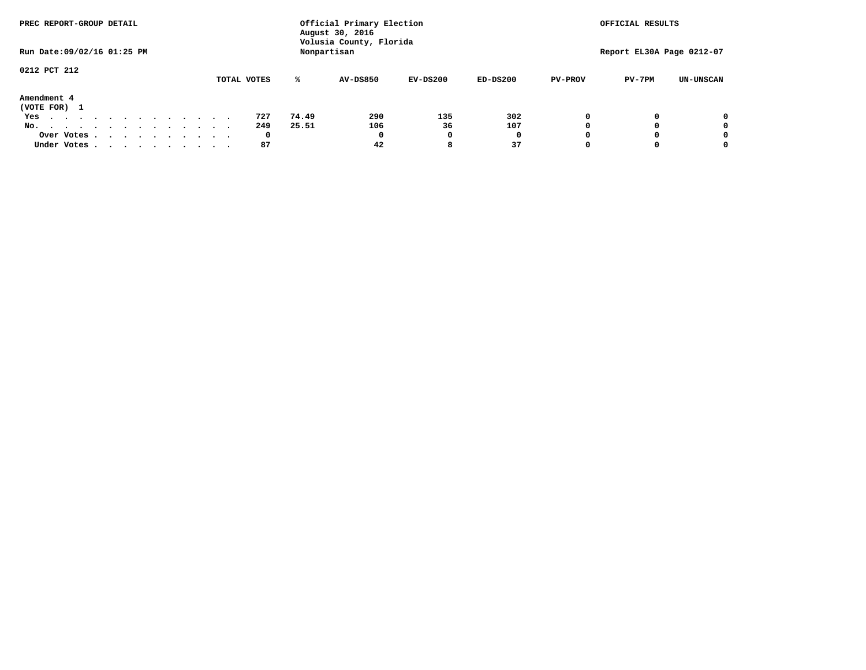| PREC REPORT-GROUP DETAIL                                               |  |  |  |  |  | Official Primary Election<br>August 30, 2016 |       |                                        | OFFICIAL RESULTS |            |                |                           |                  |
|------------------------------------------------------------------------|--|--|--|--|--|----------------------------------------------|-------|----------------------------------------|------------------|------------|----------------|---------------------------|------------------|
| Run Date: 09/02/16 01:25 PM                                            |  |  |  |  |  |                                              |       | Volusia County, Florida<br>Nonpartisan |                  |            |                | Report EL30A Page 0212-07 |                  |
| 0212 PCT 212                                                           |  |  |  |  |  |                                              |       |                                        |                  |            |                |                           |                  |
|                                                                        |  |  |  |  |  | TOTAL VOTES                                  | ℁     | <b>AV-DS850</b>                        | $EV-DS200$       | $ED-DS200$ | <b>PV-PROV</b> | $PV-7PM$                  | <b>UN-UNSCAN</b> |
| Amendment 4<br>(VOTE FOR) 1                                            |  |  |  |  |  |                                              |       |                                        |                  |            |                |                           |                  |
| Yes                                                                    |  |  |  |  |  | 727                                          | 74.49 | 290                                    | 135              | 302        |                |                           | 0                |
| No.<br>.                                                               |  |  |  |  |  | 249                                          | 25.51 | 106                                    | 36               | 107        |                |                           | 0                |
| Over Votes                                                             |  |  |  |  |  | 0                                            |       | 0                                      |                  | 0          |                |                           | 0                |
| Under Votes, $\cdot$ , $\cdot$ , $\cdot$ , $\cdot$ , $\cdot$ , $\cdot$ |  |  |  |  |  | 87                                           |       | 42                                     | 8                | 37         |                |                           | 0                |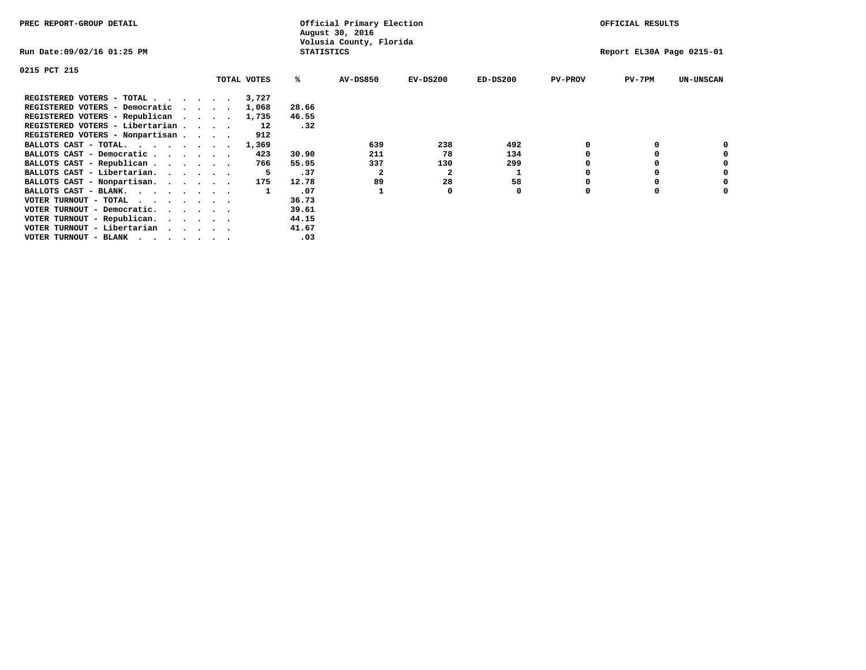| PREC REPORT-GROUP DETAIL                                                                                              |             |                   | Official Primary Election<br>August 30, 2016 |            |            |                | OFFICIAL RESULTS          |                  |
|-----------------------------------------------------------------------------------------------------------------------|-------------|-------------------|----------------------------------------------|------------|------------|----------------|---------------------------|------------------|
| Run Date:09/02/16 01:25 PM                                                                                            |             | <b>STATISTICS</b> | Volusia County, Florida                      |            |            |                | Report EL30A Page 0215-01 |                  |
| 0215 PCT 215                                                                                                          |             |                   |                                              |            |            |                |                           |                  |
|                                                                                                                       | TOTAL VOTES | ℁                 | <b>AV-DS850</b>                              | $EV-DS200$ | $ED-DS200$ | <b>PV-PROV</b> | $PV-7PM$                  | <b>UN-UNSCAN</b> |
| REGISTERED VOTERS - TOTAL                                                                                             | 3,727       |                   |                                              |            |            |                |                           |                  |
| REGISTERED VOTERS - Democratic                                                                                        | 1,068       | 28.66             |                                              |            |            |                |                           |                  |
| REGISTERED VOTERS - Republican                                                                                        | 1,735       | 46.55             |                                              |            |            |                |                           |                  |
| REGISTERED VOTERS - Libertarian                                                                                       | 12          | .32               |                                              |            |            |                |                           |                  |
| REGISTERED VOTERS - Nonpartisan                                                                                       | 912         |                   |                                              |            |            |                |                           |                  |
| BALLOTS CAST - TOTAL.                                                                                                 | 1,369       |                   | 639                                          | 238        | 492        |                |                           |                  |
| BALLOTS CAST - Democratic                                                                                             | 423         | 30.90             | 211                                          | 78         | 134        |                |                           |                  |
| BALLOTS CAST - Republican                                                                                             | 766         | 55.95             | 337                                          | 130        | 299        |                |                           |                  |
| BALLOTS CAST - Libertarian.                                                                                           | -5          | .37               | 2                                            | 2          | 1          |                |                           |                  |
| BALLOTS CAST - Nonpartisan.                                                                                           | 175         | 12.78             | 89                                           | 28         | 58         |                |                           | 0                |
| BALLOTS CAST - BLANK.                                                                                                 |             | .07               |                                              | O          | 0          | $\Omega$       |                           |                  |
| VOTER TURNOUT - TOTAL                                                                                                 |             | 36.73             |                                              |            |            |                |                           |                  |
| VOTER TURNOUT - Democratic.                                                                                           |             | 39.61             |                                              |            |            |                |                           |                  |
| VOTER TURNOUT - Republican.                                                                                           |             | 44.15             |                                              |            |            |                |                           |                  |
| VOTER TURNOUT - Libertarian                                                                                           |             | 41.67             |                                              |            |            |                |                           |                  |
| VOTER TURNOUT - BLANK<br>. As a set of the set of the set of the set of the set of the set of the set of the $\alpha$ |             | .03               |                                              |            |            |                |                           |                  |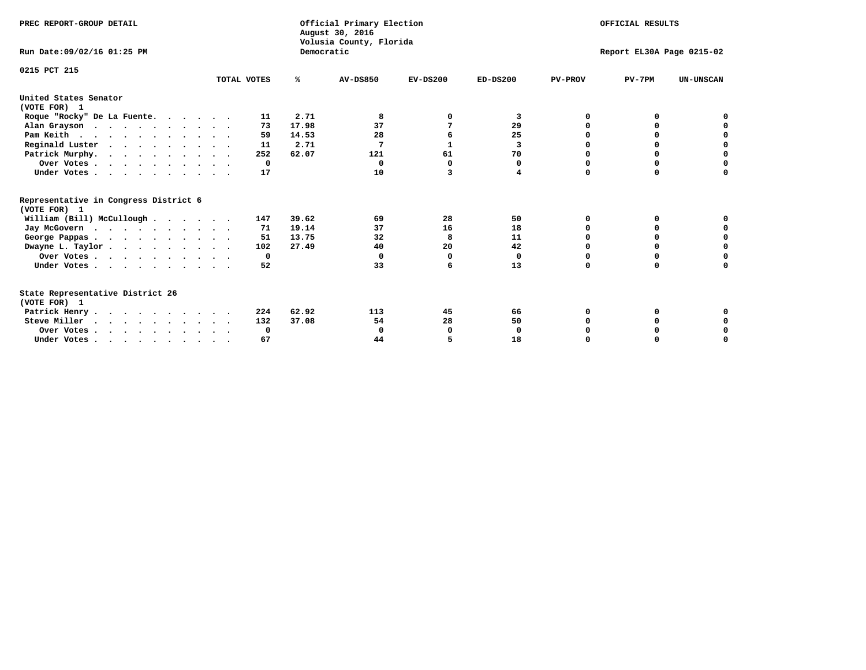| PREC REPORT-GROUP DETAIL<br>Run Date: 09/02/16 01:25 PM |             | Democratic | Official Primary Election<br>August 30, 2016<br>Volusia County, Florida | OFFICIAL RESULTS<br>Report EL30A Page 0215-02 |            |                |          |                  |
|---------------------------------------------------------|-------------|------------|-------------------------------------------------------------------------|-----------------------------------------------|------------|----------------|----------|------------------|
|                                                         |             |            |                                                                         |                                               |            |                |          |                  |
| 0215 PCT 215                                            | TOTAL VOTES | %ะ         | <b>AV-DS850</b>                                                         | $EV-DS200$                                    | $ED-DS200$ | <b>PV-PROV</b> | $PV-7PM$ | <b>UN-UNSCAN</b> |
| United States Senator<br>(VOTE FOR) 1                   |             |            |                                                                         |                                               |            |                |          |                  |
| Roque "Rocky" De La Fuente.                             | 11          | 2.71       | 8                                                                       | 0                                             | 3          | 0              | o        |                  |
| Alan Grayson                                            | 73          | 17.98      | 37                                                                      | 7                                             | 29         | $\Omega$       | 0        |                  |
| Pam Keith                                               | 59          | 14.53      | 28                                                                      | 6                                             | 25         | O              | 0        | 0                |
| Reginald Luster                                         | 11          | 2.71       | 7                                                                       | $\mathbf{1}$                                  | 3          | 0              | 0        | $\mathbf 0$      |
| Patrick Murphy.                                         | 252         | 62.07      | 121                                                                     | 61                                            | 70         | 0              | 0        | $\mathbf 0$      |
| Over Votes                                              | $\Omega$    |            | $\Omega$                                                                | $\Omega$                                      | 0          | O              | $\Omega$ | 0                |
| Under Votes                                             | 17          |            | 10                                                                      | 3                                             | 4          | $\Omega$       | $\Omega$ | 0                |
| Representative in Congress District 6                   |             |            |                                                                         |                                               |            |                |          |                  |
| (VOTE FOR) 1                                            |             |            |                                                                         |                                               |            |                |          |                  |
| William (Bill) McCullough                               | 147         | 39.62      | 69                                                                      | 28                                            | 50         | O              | 0        |                  |
| Jay McGovern                                            | 71          | 19.14      | 37                                                                      | 16                                            | 18         | O              | 0        | 0                |
| George Pappas.                                          | 51          | 13.75      | 32                                                                      | 8                                             | 11         | 0              | 0        | 0                |
| Dwayne L. Taylor                                        | 102         | 27.49      | 40                                                                      | 20                                            | 42         | $\Omega$       | $\Omega$ | $\mathbf 0$      |
| Over Votes                                              | 0           |            | 0                                                                       | 0                                             | 0          | 0              | 0        | $\mathbf 0$      |
| Under Votes                                             | 52          |            | 33                                                                      | 6                                             | 13         | $\Omega$       | $\Omega$ | O                |
| State Representative District 26<br>(VOTE FOR) 1        |             |            |                                                                         |                                               |            |                |          |                  |
| Patrick Henry                                           | 224         | 62.92      | 113                                                                     | 45                                            | 66         | 0              | 0        | 0                |
| Steve Miller                                            | 132         | 37.08      | 54                                                                      | 28                                            | 50         |                | 0        | 0                |
| Over Votes                                              | 0           |            | 0                                                                       | 0                                             | 0          |                | 0        | 0                |
| Under Votes.                                            | 67          |            | 44                                                                      |                                               | 18         | $\Omega$       |          | O                |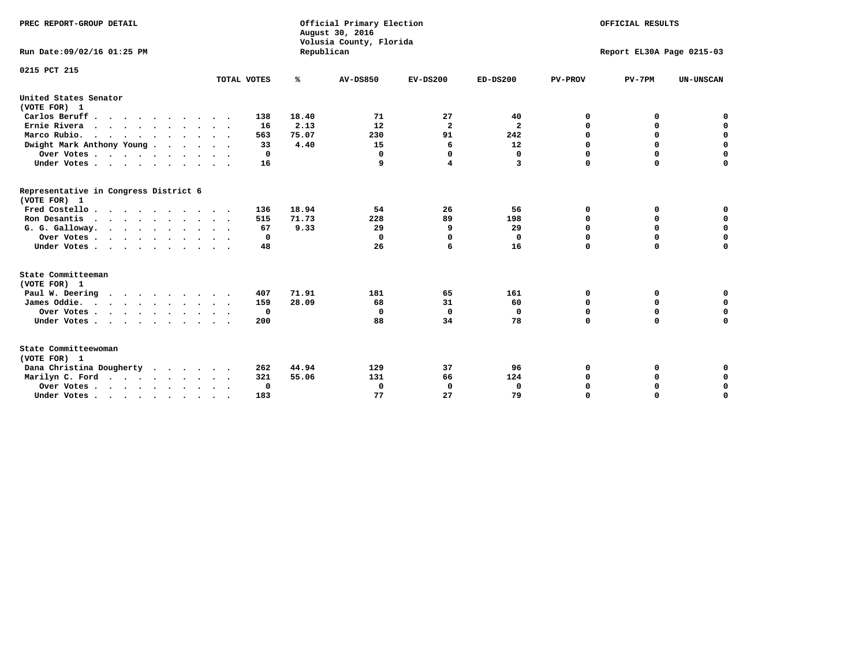| PREC REPORT-GROUP DETAIL<br>Run Date: 09/02/16 01:25 PM |             | Republican | Official Primary Election<br>August 30, 2016<br>Volusia County, Florida | OFFICIAL RESULTS<br>Report EL30A Page 0215-03 |                               |                |             |                  |
|---------------------------------------------------------|-------------|------------|-------------------------------------------------------------------------|-----------------------------------------------|-------------------------------|----------------|-------------|------------------|
|                                                         |             |            |                                                                         |                                               |                               |                |             |                  |
| 0215 PCT 215                                            | TOTAL VOTES | %          | <b>AV-DS850</b>                                                         | $EV-DS200$                                    | $ED-DS200$                    | <b>PV-PROV</b> | $PV-7PM$    | <b>UN-UNSCAN</b> |
| United States Senator                                   |             |            |                                                                         |                                               |                               |                |             |                  |
| (VOTE FOR) 1<br>Carlos Beruff.                          |             | 18.40      | 71                                                                      | 27                                            |                               | 0              | 0           |                  |
|                                                         | 138         | 2.13       |                                                                         | $\mathbf{2}$                                  | 40<br>$\overline{\mathbf{2}}$ | 0              | 0           | 0<br>$\mathbf 0$ |
| Ernie Rivera                                            | 16<br>563   | 75.07      | 12<br>230                                                               | 91                                            | 242                           | $\mathbf 0$    | $\mathbf 0$ | $\mathbf 0$      |
| Marco Rubio.                                            | 33          | 4.40       | 15                                                                      | 6                                             | 12                            | 0              | $\mathbf 0$ | $\pmb{0}$        |
| Dwight Mark Anthony Young                               | 0           |            | 0                                                                       | $\Omega$                                      |                               | $\mathbf 0$    | 0           | $\mathbf 0$      |
| Over Votes                                              | 16          |            | 9                                                                       | 4                                             | 0<br>3                        | $\Omega$       | $\Omega$    | $\mathbf 0$      |
| Under Votes                                             |             |            |                                                                         |                                               |                               |                |             |                  |
| Representative in Congress District 6<br>(VOTE FOR) 1   |             |            |                                                                         |                                               |                               |                |             |                  |
| Fred Costello                                           | 136         | 18.94      | 54                                                                      | 26                                            | 56                            | 0              | 0           | 0                |
| Ron Desantis                                            | 515         | 71.73      | 228                                                                     | 89                                            | 198                           | 0              | 0           | $\mathbf 0$      |
| G. G. Galloway.                                         | 67          | 9.33       | 29                                                                      | 9                                             | 29                            | $\mathbf 0$    | $\Omega$    | $\mathbf 0$      |
| Over Votes                                              | 0           |            | 0                                                                       | $\Omega$                                      | 0                             | $\Omega$       | $\Omega$    | $\mathbf 0$      |
| Under Votes                                             | 48          |            | 26                                                                      | 6                                             | 16                            | $\Omega$       | $\Omega$    | $\Omega$         |
| State Committeeman                                      |             |            |                                                                         |                                               |                               |                |             |                  |
| (VOTE FOR) 1                                            |             |            |                                                                         |                                               |                               |                |             |                  |
| Paul W. Deering                                         | 407         | 71.91      | 181                                                                     | 65                                            | 161                           | 0              | 0           | 0                |
| James Oddie.                                            | 159         | 28.09      | 68                                                                      | 31                                            | 60                            | 0              | 0           | $\mathbf 0$      |
| Over Votes                                              | 0           |            | 0                                                                       | $\mathbf 0$                                   | 0                             | 0              | $\mathbf 0$ | $\mathbf 0$      |
| Under Votes<br>$\ddot{\phantom{1}}$                     | 200         |            | 88                                                                      | 34                                            | 78                            | $\mathbf 0$    | 0           | $\mathbf 0$      |
| State Committeewoman<br>(VOTE FOR) 1                    |             |            |                                                                         |                                               |                               |                |             |                  |
| Dana Christina Dougherty<br>$\cdot$                     | 262         | 44.94      | 129                                                                     | 37                                            | 96                            | 0              | 0           | 0                |
| Marilyn C. Ford                                         | 321         | 55.06      | 131                                                                     | 66                                            | 124                           | 0              | 0           | 0                |
| Over Votes                                              | 0           |            | $\mathbf 0$                                                             | 0                                             | $\mathbf 0$                   | 0              | 0           | $\mathbf 0$      |
| Under Votes, , , , , , , , , ,                          | 183         |            | 77                                                                      | 27                                            | 79                            | $\Omega$       | $\Omega$    | $\Omega$         |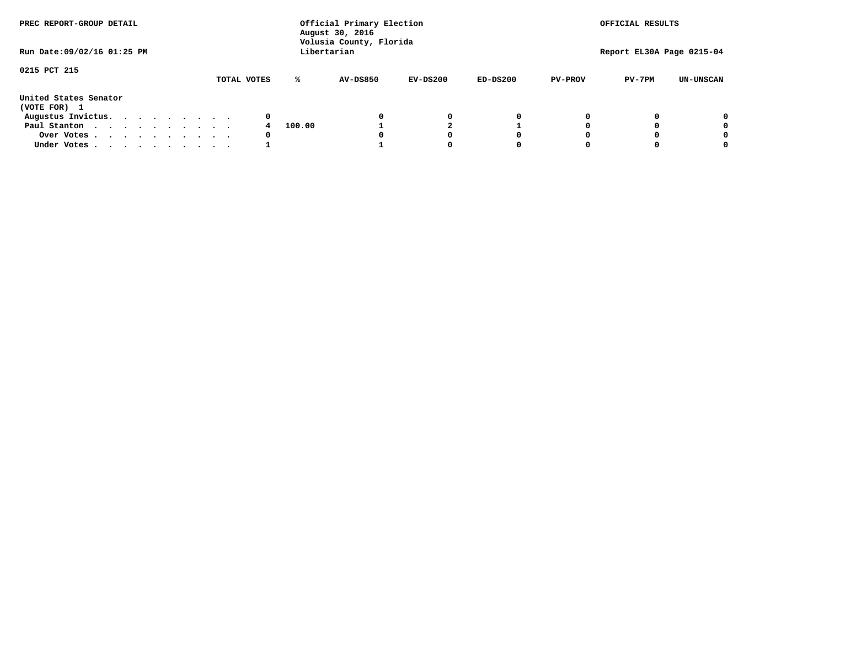| PREC REPORT-GROUP DETAIL<br>Run Date: 09/02/16 01:25 PM |  |  |  |  |  | Official Primary Election<br>August 30, 2016<br>Volusia County, Florida<br>Libertarian |        |                 | OFFICIAL RESULTS<br>Report EL30A Page 0215-04 |            |                |          |                  |
|---------------------------------------------------------|--|--|--|--|--|----------------------------------------------------------------------------------------|--------|-----------------|-----------------------------------------------|------------|----------------|----------|------------------|
|                                                         |  |  |  |  |  |                                                                                        |        |                 |                                               |            |                |          |                  |
| 0215 PCT 215                                            |  |  |  |  |  |                                                                                        |        |                 |                                               |            |                |          |                  |
|                                                         |  |  |  |  |  | TOTAL VOTES                                                                            | ℁      | <b>AV-DS850</b> | $EV-DS200$                                    | $ED-DS200$ | <b>PV-PROV</b> | $PV-7PM$ | <b>UN-UNSCAN</b> |
| United States Senator<br>(VOTE FOR) 1                   |  |  |  |  |  |                                                                                        |        |                 |                                               |            |                |          |                  |
| Augustus Invictus.                                      |  |  |  |  |  | 0                                                                                      |        |                 | 0                                             | 0          |                |          | 0                |
| Paul Stanton                                            |  |  |  |  |  |                                                                                        | 100.00 |                 |                                               |            |                |          | 0                |
| Over Votes                                              |  |  |  |  |  | 0                                                                                      |        |                 |                                               | 0          |                |          | 0                |
| Under Votes                                             |  |  |  |  |  |                                                                                        |        |                 |                                               | 0          |                |          | 0                |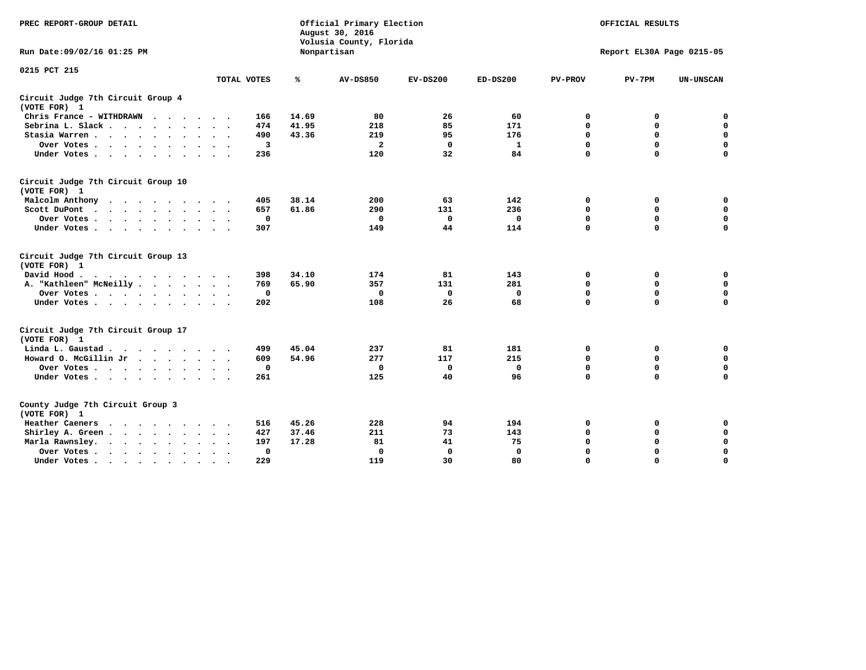| PREC REPORT-GROUP DETAIL                                                                                                                                                                                                                                |                             |       | Official Primary Election<br>August 30, 2016<br>Volusia County, Florida |              |              | OFFICIAL RESULTS<br>Report EL30A Page 0215-05 |             |                  |  |
|---------------------------------------------------------------------------------------------------------------------------------------------------------------------------------------------------------------------------------------------------------|-----------------------------|-------|-------------------------------------------------------------------------|--------------|--------------|-----------------------------------------------|-------------|------------------|--|
| Run Date: 09/02/16 01:25 PM                                                                                                                                                                                                                             |                             |       | Nonpartisan                                                             |              |              |                                               |             |                  |  |
| 0215 PCT 215                                                                                                                                                                                                                                            | TOTAL VOTES                 | ℁     | <b>AV-DS850</b>                                                         | $EV-DS200$   | $ED-DS200$   | <b>PV-PROV</b>                                | $PV-7PM$    | <b>UN-UNSCAN</b> |  |
|                                                                                                                                                                                                                                                         |                             |       |                                                                         |              |              |                                               |             |                  |  |
| Circuit Judge 7th Circuit Group 4<br>(VOTE FOR) 1                                                                                                                                                                                                       |                             |       |                                                                         |              |              |                                               |             |                  |  |
| Chris France - WITHDRAWN                                                                                                                                                                                                                                | 166                         | 14.69 | 80                                                                      | 26           | 60           | 0                                             | 0           | $\mathbf 0$      |  |
| Sebrina L. Slack                                                                                                                                                                                                                                        | 474                         | 41.95 | 218                                                                     | 85           | 171          | $\mathbf 0$                                   | $\mathbf 0$ | $\mathbf 0$      |  |
| Stasia Warren<br>$\sim$                                                                                                                                                                                                                                 | 490                         | 43.36 | 219                                                                     | 95           | 176          | $\mathbf 0$                                   | 0           | $\mathbf 0$      |  |
| Over Votes                                                                                                                                                                                                                                              | $\overline{\mathbf{3}}$     |       | $\overline{a}$                                                          | $\mathbf 0$  | $\mathbf{1}$ | $\mathbf 0$                                   | $\mathbf 0$ | $\mathbf 0$      |  |
| Under Votes                                                                                                                                                                                                                                             | 236                         |       | 120                                                                     | 32           | 84           | $\Omega$                                      | $\Omega$    | $\mathbf 0$      |  |
| Circuit Judge 7th Circuit Group 10<br>(VOTE FOR) 1                                                                                                                                                                                                      |                             |       |                                                                         |              |              |                                               |             |                  |  |
| Malcolm Anthony<br>.                                                                                                                                                                                                                                    | 405                         | 38.14 | 200                                                                     | 63           | 142          | 0                                             | 0           | 0                |  |
| Scott DuPont                                                                                                                                                                                                                                            | 657                         | 61.86 | 290                                                                     | 131          | 236          | $\mathbf 0$                                   | $\mathbf 0$ | $\mathbf 0$      |  |
| Over Votes<br>$\ddot{\phantom{1}}$                                                                                                                                                                                                                      | $\mathbf 0$                 |       | $\Omega$                                                                | $\mathbf{0}$ | $\Omega$     | $\mathbf 0$                                   | $\mathbf 0$ | $\mathbf 0$      |  |
| Under Votes                                                                                                                                                                                                                                             | 307                         |       | 149                                                                     | 44           | 114          | $\mathbf 0$                                   | $\mathbf 0$ | $\Omega$         |  |
| Circuit Judge 7th Circuit Group 13<br>(VOTE FOR) 1                                                                                                                                                                                                      |                             |       |                                                                         |              |              |                                               |             |                  |  |
| David Hood.                                                                                                                                                                                                                                             | 398                         | 34.10 | 174                                                                     | 81           | 143          | 0                                             | 0           | $\mathbf 0$      |  |
| A. "Kathleen" McNeilly                                                                                                                                                                                                                                  | 769                         | 65.90 | 357                                                                     | 131          | 281          | $\mathbf 0$                                   | 0           | $\mathbf 0$      |  |
| Over Votes                                                                                                                                                                                                                                              | $\mathbf 0$                 |       | $\mathbf 0$                                                             | $\mathbf 0$  | $\mathbf 0$  | 0                                             | $\mathbf 0$ | $\mathbf 0$      |  |
| Under Votes                                                                                                                                                                                                                                             | 202                         |       | 108                                                                     | 26           | 68           | $\Omega$                                      | $\mathbf 0$ | $\mathbf 0$      |  |
| Circuit Judge 7th Circuit Group 17<br>(VOTE FOR) 1                                                                                                                                                                                                      |                             |       |                                                                         |              |              |                                               |             |                  |  |
| Linda L. Gaustad                                                                                                                                                                                                                                        | 499                         | 45.04 | 237                                                                     | 81           | 181          | 0                                             | 0           | $\mathbf 0$      |  |
| Howard O. McGillin Jr<br>and the contract of the contract of the contract of the contract of the contract of the contract of the contract of the contract of the contract of the contract of the contract of the contract of the contract of the contra | 609                         | 54.96 | 277                                                                     | 117          | 215          | $\mathbf 0$                                   | $\mathbf 0$ | $\mathbf 0$      |  |
| Over Votes                                                                                                                                                                                                                                              | $\mathbf 0$                 |       | $\mathbf 0$                                                             | $\mathbf{0}$ | $\mathbf 0$  | $\mathbf 0$                                   | $\Omega$    | $\mathbf 0$      |  |
| Under Votes                                                                                                                                                                                                                                             | 261                         |       | 125                                                                     | 40           | 96           | $\mathbf 0$                                   | $\mathbf 0$ | $\mathbf 0$      |  |
| County Judge 7th Circuit Group 3<br>(VOTE FOR) 1                                                                                                                                                                                                        |                             |       |                                                                         |              |              |                                               |             |                  |  |
| Heather Caeners<br>$\mathbf{r}$ , and $\mathbf{r}$ , and $\mathbf{r}$ , and $\mathbf{r}$                                                                                                                                                                | 516                         | 45.26 | 228                                                                     | 94           | 194          | 0                                             | 0           | 0                |  |
| Shirley A. Green                                                                                                                                                                                                                                        | 427<br>$\ddot{\phantom{0}}$ | 37.46 | 211                                                                     | 73           | 143          | $\mathbf 0$                                   | 0           | $\mathbf 0$      |  |
| Marla Rawnsley.<br>$\cdots$                                                                                                                                                                                                                             | 197                         | 17.28 | 81                                                                      | 41           | 75           | 0                                             | $\mathbf 0$ | $\pmb{0}$        |  |
| Over Votes.<br>$\cdot$<br>$\cdot$<br>$\cdot$                                                                                                                                                                                                            | 0<br>$\sim$ $\sim$          |       | $\mathbf 0$                                                             | $\mathbf{0}$ | $\mathbf{0}$ | $\mathbf 0$                                   | $\mathbf 0$ | $\mathbf 0$      |  |
| Under Votes<br>$\sim$<br>$\sim$                                                                                                                                                                                                                         | 229                         |       | 119                                                                     | 30           | 80           | $\mathbf 0$                                   | $\mathbf 0$ | 0                |  |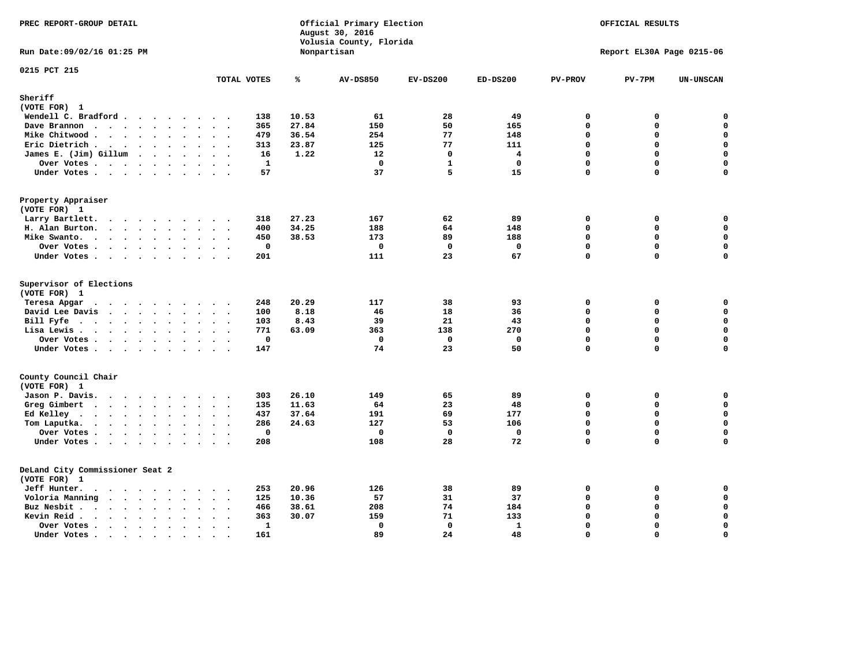| PREC REPORT-GROUP DETAIL                                                                                                                                                                                                                                                                                                                                                                                                                     |                                                                               |                | Official Primary Election<br>August 30, 2016<br>Volusia County, Florida |                |                 | OFFICIAL RESULTS        |                           |                  |
|----------------------------------------------------------------------------------------------------------------------------------------------------------------------------------------------------------------------------------------------------------------------------------------------------------------------------------------------------------------------------------------------------------------------------------------------|-------------------------------------------------------------------------------|----------------|-------------------------------------------------------------------------|----------------|-----------------|-------------------------|---------------------------|------------------|
| Run Date: 09/02/16 01:25 PM                                                                                                                                                                                                                                                                                                                                                                                                                  |                                                                               |                | Nonpartisan                                                             |                |                 |                         | Report EL30A Page 0215-06 |                  |
| 0215 PCT 215                                                                                                                                                                                                                                                                                                                                                                                                                                 | TOTAL VOTES                                                                   | ℁              | <b>AV-DS850</b>                                                         | $EV-DS200$     | $ED-DS200$      | <b>PV-PROV</b>          | $PV-7PM$                  | <b>UN-UNSCAN</b> |
| Sheriff                                                                                                                                                                                                                                                                                                                                                                                                                                      |                                                                               |                |                                                                         |                |                 |                         |                           |                  |
| (VOTE FOR) 1                                                                                                                                                                                                                                                                                                                                                                                                                                 |                                                                               |                |                                                                         |                |                 |                         |                           |                  |
| Wendell C. Bradford                                                                                                                                                                                                                                                                                                                                                                                                                          | 138                                                                           | 10.53          | 61                                                                      | 28             | 49              | $\mathbf 0$             | 0                         | 0                |
| Dave Brannon<br>$\cdots$                                                                                                                                                                                                                                                                                                                                                                                                                     | 365                                                                           | 27.84          | 150                                                                     | 50             | 165             | $\mathbf{0}$            | 0                         | $\mathbf 0$      |
| Mike Chitwood                                                                                                                                                                                                                                                                                                                                                                                                                                | 479                                                                           | 36.54          | 254                                                                     | 77             | 148             | $\Omega$                | 0                         | 0                |
| Eric Dietrich.                                                                                                                                                                                                                                                                                                                                                                                                                               | 313                                                                           | 23.87          | 125                                                                     | 77             | 111             | $\mathbf 0$             | 0                         | $\mathbf 0$      |
| James E. (Jim) Gillum                                                                                                                                                                                                                                                                                                                                                                                                                        | 16                                                                            | 1.22           | 12                                                                      | $\mathbf 0$    | 4               | $\mathbf 0$             | 0                         | $\mathbf 0$      |
| Over Votes                                                                                                                                                                                                                                                                                                                                                                                                                                   | 1<br>$\ddot{\phantom{a}}$                                                     |                | $\Omega$                                                                | $\mathbf{1}$   | 0               | $\mathbf 0$             | 0                         | $\mathbf 0$      |
| Under Votes                                                                                                                                                                                                                                                                                                                                                                                                                                  | 57                                                                            |                | 37                                                                      | 5              | 15              | $\mathbf 0$             | 0                         | 0                |
| Property Appraiser<br>(VOTE FOR) 1                                                                                                                                                                                                                                                                                                                                                                                                           |                                                                               |                |                                                                         |                |                 |                         |                           |                  |
| Larry Bartlett.<br>$\cdots$<br>$\sim$                                                                                                                                                                                                                                                                                                                                                                                                        | 318<br>$\sim$<br>$\sim$ $\sim$                                                | 27.23          | 167                                                                     | 62             | 89              | $\mathbf 0$             | 0                         | 0                |
| H. Alan Burton.                                                                                                                                                                                                                                                                                                                                                                                                                              | 400                                                                           | 34.25          | 188                                                                     | 64             | 148             | $\mathbf 0$             | 0                         | $\mathbf 0$      |
| Mike Swanto.                                                                                                                                                                                                                                                                                                                                                                                                                                 | 450                                                                           | 38.53          | 173                                                                     | 89             | 188             | $\Omega$                | $\Omega$                  | $\mathbf 0$      |
| Over Votes<br>$\sim$ $\sim$                                                                                                                                                                                                                                                                                                                                                                                                                  | 0<br>$\sim$                                                                   |                | $\mathbf 0$                                                             | 0              | 0               | $\mathbf 0$             | 0                         | 0                |
| Under Votes                                                                                                                                                                                                                                                                                                                                                                                                                                  | 201                                                                           |                | 111                                                                     | 23             | 67              | $\mathbf 0$             | $\mathbf 0$               | $\mathbf 0$      |
|                                                                                                                                                                                                                                                                                                                                                                                                                                              |                                                                               |                |                                                                         |                |                 |                         |                           |                  |
| Supervisor of Elections<br>(VOTE FOR) 1                                                                                                                                                                                                                                                                                                                                                                                                      |                                                                               |                |                                                                         |                |                 |                         |                           |                  |
| Teresa Apgar<br>$\cdot$                                                                                                                                                                                                                                                                                                                                                                                                                      | 248<br>$\cdots$                                                               | 20.29          | 117                                                                     | 38             | 93              | $\mathbf 0$             | 0                         | 0                |
| David Lee Davis                                                                                                                                                                                                                                                                                                                                                                                                                              | 100                                                                           | 8.18           | 46                                                                      | 18             | 36              | 0                       | 0                         | $\mathbf 0$      |
| Bill Fyfe                                                                                                                                                                                                                                                                                                                                                                                                                                    | 103                                                                           | 8.43           | 39                                                                      | 21             | 43              | $\Omega$                | $\Omega$                  | 0                |
| Lisa Lewis                                                                                                                                                                                                                                                                                                                                                                                                                                   | 771                                                                           | 63.09          | 363                                                                     | 138            | 270             | $\mathbf 0$             | 0                         | $\mathbf 0$      |
| Over Votes                                                                                                                                                                                                                                                                                                                                                                                                                                   | $\mathbf 0$                                                                   |                | $\mathbf 0$                                                             | $\mathbf 0$    | $\mathbf 0$     | $\mathbf 0$             | $\mathbf 0$               | $\mathbf 0$      |
| Under Votes                                                                                                                                                                                                                                                                                                                                                                                                                                  | 147                                                                           |                | 74                                                                      | 23             | 50              | $\Omega$                | $\Omega$                  | $\mathbf 0$      |
| County Council Chair                                                                                                                                                                                                                                                                                                                                                                                                                         |                                                                               |                |                                                                         |                |                 |                         |                           |                  |
| (VOTE FOR) 1                                                                                                                                                                                                                                                                                                                                                                                                                                 |                                                                               |                |                                                                         |                |                 |                         |                           |                  |
| Jason P. Davis.                                                                                                                                                                                                                                                                                                                                                                                                                              | 303                                                                           | 26.10<br>11.63 | 149<br>64                                                               | 65<br>23       | 89<br>48        | 0<br>$\Omega$           | 0<br>0                    | 0<br>0           |
| Greg Gimbert                                                                                                                                                                                                                                                                                                                                                                                                                                 | 135                                                                           |                |                                                                         |                |                 | $\mathbf 0$             |                           | $\mathbf 0$      |
| Ed Kelley                                                                                                                                                                                                                                                                                                                                                                                                                                    | 437                                                                           | 37.64          | 191                                                                     | 69             | 177             |                         | 0                         |                  |
| Tom Laputka.<br>$\mathbf{u} = \mathbf{u} + \mathbf{u} + \mathbf{u} + \mathbf{u} + \mathbf{u} + \mathbf{u} + \mathbf{u} + \mathbf{u} + \mathbf{u} + \mathbf{u} + \mathbf{u} + \mathbf{u} + \mathbf{u} + \mathbf{u} + \mathbf{u} + \mathbf{u} + \mathbf{u} + \mathbf{u} + \mathbf{u} + \mathbf{u} + \mathbf{u} + \mathbf{u} + \mathbf{u} + \mathbf{u} + \mathbf{u} + \mathbf{u} + \mathbf{u} + \mathbf{u} + \mathbf{u} + \mathbf{u} + \mathbf$ | 286                                                                           | 24.63          | 127<br>$\Omega$                                                         | 53<br>$\Omega$ | 106<br>$\Omega$ | $\mathbf 0$<br>$\Omega$ | 0<br>$\Omega$             | $\mathbf 0$      |
| Over Votes                                                                                                                                                                                                                                                                                                                                                                                                                                   | $\mathbf 0$                                                                   |                |                                                                         |                |                 |                         |                           | 0                |
| Under Votes                                                                                                                                                                                                                                                                                                                                                                                                                                  | 208                                                                           |                | 108                                                                     | 28             | 72              | $\mathbf 0$             | 0                         | $\mathbf 0$      |
| DeLand City Commissioner Seat 2<br>(VOTE FOR) 1                                                                                                                                                                                                                                                                                                                                                                                              |                                                                               |                |                                                                         |                |                 |                         |                           |                  |
| Jeff Hunter.<br>.                                                                                                                                                                                                                                                                                                                                                                                                                            | 253                                                                           | 20.96          | 126                                                                     | 38             | 89              | $\mathbf 0$             | 0                         | 0                |
| Voloria Manning<br>$\cdots$                                                                                                                                                                                                                                                                                                                                                                                                                  | 125                                                                           | 10.36          | 57                                                                      | 31             | 37              | $\mathbf 0$             | $\mathbf 0$               | $\mathbf 0$      |
| Buz Nesbit.                                                                                                                                                                                                                                                                                                                                                                                                                                  | 466                                                                           | 38.61          | 208                                                                     | 74             | 184             | $\mathbf 0$             | 0                         | 0                |
| Kevin Reid.<br>$\cdots$<br>$\ddot{\phantom{a}}$                                                                                                                                                                                                                                                                                                                                                                                              | 363<br>$\cdot$ $\cdot$ $\cdot$ $\cdot$                                        | 30.07          | 159                                                                     | 71             | 133             | $\mathbf 0$             | 0                         | $\mathsf{o}\,$   |
| Over Votes<br>$\bullet$                                                                                                                                                                                                                                                                                                                                                                                                                      | $\mathbf{1}$<br>$\ddot{\phantom{0}}$<br>$\bullet$<br>$\overline{\phantom{a}}$ |                | $\mathbf{0}$                                                            | $\mathbf 0$    | $\mathbf{1}$    | $\mathbf 0$             | 0                         | $\mathbf 0$      |
| Under Votes.<br>$\cdot$<br>$\sim$<br>$\bullet$                                                                                                                                                                                                                                                                                                                                                                                               | 161<br>$\bullet$<br>$\bullet$                                                 |                | 89                                                                      | 24             | 48              | $\Omega$                | $\Omega$                  | $\mathbf 0$      |
|                                                                                                                                                                                                                                                                                                                                                                                                                                              |                                                                               |                |                                                                         |                |                 |                         |                           |                  |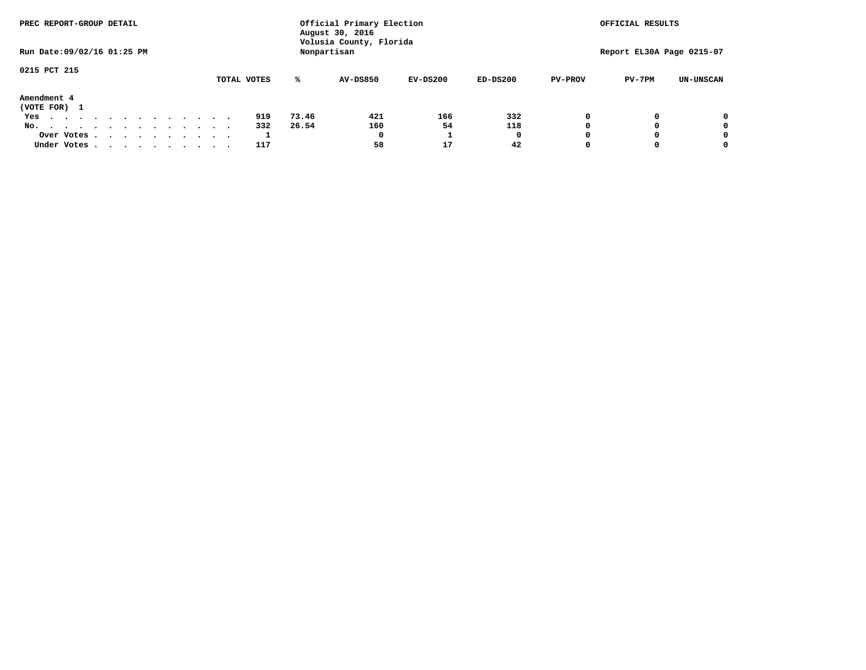| PREC REPORT-GROUP DETAIL         |  |  |             |       | Official Primary Election<br>August 30, 2016 |            |            | OFFICIAL RESULTS |                           |                  |  |  |
|----------------------------------|--|--|-------------|-------|----------------------------------------------|------------|------------|------------------|---------------------------|------------------|--|--|
| Run Date: 09/02/16 01:25 PM      |  |  |             |       | Volusia County, Florida<br>Nonpartisan       |            |            |                  | Report EL30A Page 0215-07 |                  |  |  |
| 0215 PCT 215                     |  |  | TOTAL VOTES | ℁     | <b>AV-DS850</b>                              | $EV-DS200$ | $ED-DS200$ | <b>PV-PROV</b>   | $PV-7PM$                  | <b>UN-UNSCAN</b> |  |  |
| Amendment 4                      |  |  |             |       |                                              |            |            |                  |                           |                  |  |  |
|                                  |  |  |             |       |                                              |            |            |                  |                           |                  |  |  |
| (VOTE FOR) 1                     |  |  |             |       |                                              |            |            |                  |                           |                  |  |  |
| Yes<br>.                         |  |  | 919         | 73.46 | 421                                          | 166        | 332        |                  |                           | 0                |  |  |
| No.<br>.                         |  |  | 332         | 26.54 | 160                                          | 54         | 118        |                  |                           | 0                |  |  |
| Over Votes                       |  |  |             |       | $\Omega$                                     |            | 0          |                  |                           | 0                |  |  |
| Under Votes, , , , , , , , , , , |  |  | 117         |       | 58                                           | 17         | 42         |                  |                           | 0                |  |  |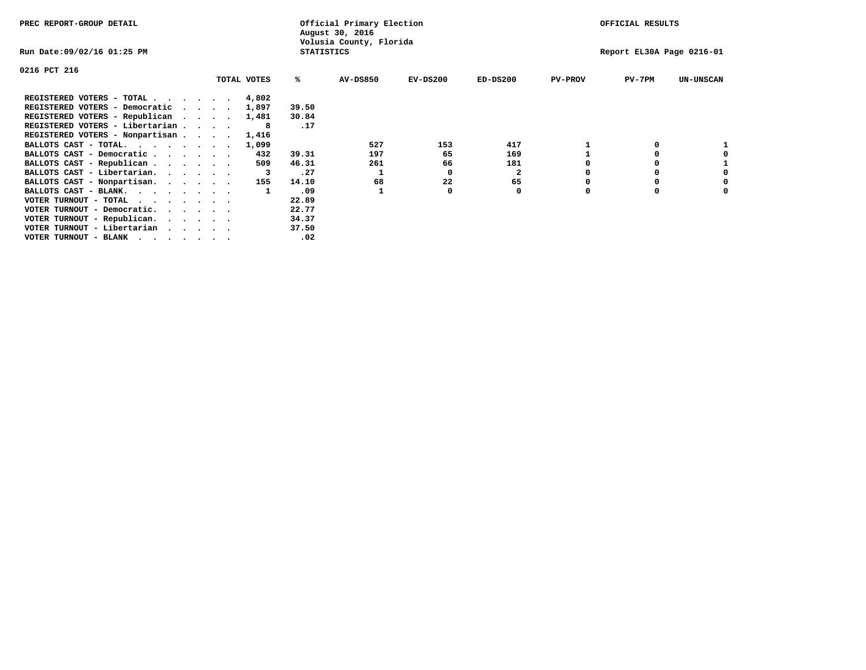| PREC REPORT-GROUP DETAIL                                                                                                                 |                                 |             |                   | Official Primary Election<br>August 30, 2016 |            |              |                | OFFICIAL RESULTS          |                  |
|------------------------------------------------------------------------------------------------------------------------------------------|---------------------------------|-------------|-------------------|----------------------------------------------|------------|--------------|----------------|---------------------------|------------------|
| Run Date:09/02/16 01:25 PM                                                                                                               |                                 |             | <b>STATISTICS</b> | Volusia County, Florida                      |            |              |                | Report EL30A Page 0216-01 |                  |
| 0216 PCT 216                                                                                                                             |                                 |             |                   |                                              |            |              |                |                           |                  |
|                                                                                                                                          |                                 | TOTAL VOTES | %ะ                | <b>AV-DS850</b>                              | $EV-DS200$ | $ED-DS200$   | <b>PV-PROV</b> | PV-7PM                    | <b>UN-UNSCAN</b> |
| REGISTERED VOTERS - TOTAL 4,802                                                                                                          |                                 |             |                   |                                              |            |              |                |                           |                  |
| REGISTERED VOTERS - Democratic                                                                                                           | $\cdot$ $\cdot$ $\cdot$ $\cdot$ | 1,897       | 39.50             |                                              |            |              |                |                           |                  |
| REGISTERED VOTERS - Republican                                                                                                           |                                 | 1,481       | 30.84             |                                              |            |              |                |                           |                  |
| REGISTERED VOTERS - Libertarian                                                                                                          |                                 | 8           | .17               |                                              |            |              |                |                           |                  |
| REGISTERED VOTERS - Nonpartisan                                                                                                          |                                 | 1,416       |                   |                                              |            |              |                |                           |                  |
| BALLOTS CAST - TOTAL.                                                                                                                    |                                 | 1,099       |                   | 527                                          | 153        | 417          |                |                           |                  |
| BALLOTS CAST - Democratic                                                                                                                |                                 | 432         | 39.31             | 197                                          | 65         | 169          |                | 0                         |                  |
| BALLOTS CAST - Republican                                                                                                                |                                 | 509         | 46.31             | 261                                          | 66         | 181          |                |                           |                  |
| BALLOTS CAST - Libertarian.                                                                                                              |                                 |             | .27               |                                              | 0          | $\mathbf{2}$ |                | 0                         | 0                |
| BALLOTS CAST - Nonpartisan.                                                                                                              |                                 | 155         | 14.10             | 68                                           | 22         | 65           | o              | 0                         | 0                |
| BALLOTS CAST - BLANK.                                                                                                                    |                                 |             | .09               |                                              | 0          | 0            | 0              | $\Omega$                  | 0                |
| VOTER TURNOUT - TOTAL                                                                                                                    |                                 |             | 22.89             |                                              |            |              |                |                           |                  |
| VOTER TURNOUT - Democratic.                                                                                                              |                                 |             | 22.77             |                                              |            |              |                |                           |                  |
| VOTER TURNOUT - Republican.                                                                                                              |                                 |             | 34.37             |                                              |            |              |                |                           |                  |
| VOTER TURNOUT - Libertarian                                                                                                              |                                 |             | 37.50             |                                              |            |              |                |                           |                  |
| VOTER TURNOUT - BLANK<br>the contract of the contract of the contract of the contract of the contract of the contract of the contract of |                                 |             | .02               |                                              |            |              |                |                           |                  |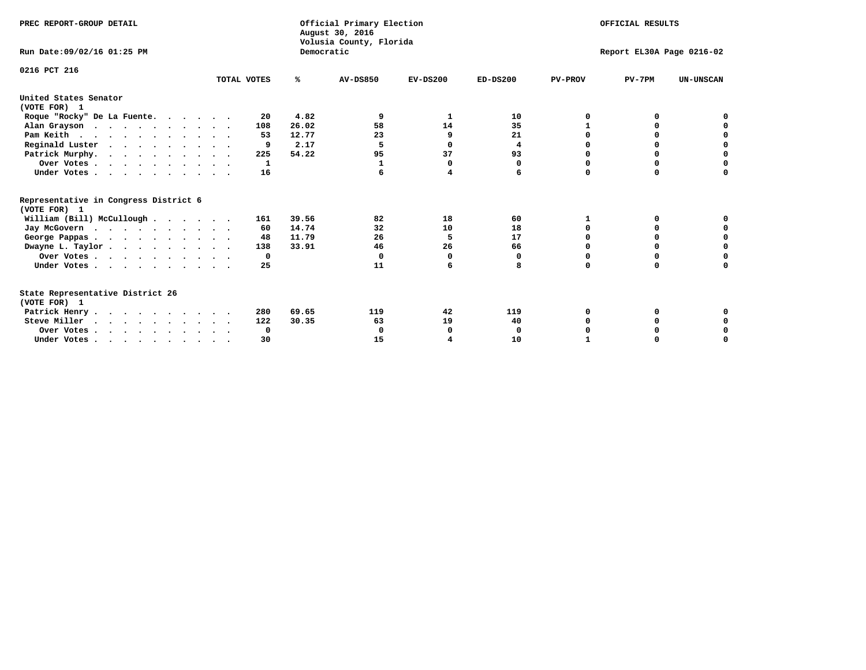| Official Primary Election<br>PREC REPORT-GROUP DETAIL<br>August 30, 2016<br>Volusia County, Florida<br>Democratic<br>Run Date: 09/02/16 01:25 PM |             |       |                 |            |            |                | OFFICIAL RESULTS<br>Report EL30A Page 0216-02 |                  |  |  |  |
|--------------------------------------------------------------------------------------------------------------------------------------------------|-------------|-------|-----------------|------------|------------|----------------|-----------------------------------------------|------------------|--|--|--|
|                                                                                                                                                  |             |       |                 |            |            |                |                                               |                  |  |  |  |
| 0216 PCT 216                                                                                                                                     | TOTAL VOTES | %ะ    | <b>AV-DS850</b> | $EV-DS200$ | $ED-DS200$ | <b>PV-PROV</b> | $PV-7PM$                                      | <b>UN-UNSCAN</b> |  |  |  |
| United States Senator<br>(VOTE FOR) 1                                                                                                            |             |       |                 |            |            |                |                                               |                  |  |  |  |
| Roque "Rocky" De La Fuente.                                                                                                                      | 20          | 4.82  | 9               | 1          | 10         | O              | 0                                             |                  |  |  |  |
| Alan Grayson                                                                                                                                     | 108         | 26.02 | 58              | 14         | 35         |                | $\Omega$                                      |                  |  |  |  |
| Pam Keith                                                                                                                                        | 53          | 12.77 | 23              | 9          | 21         |                | 0                                             | 0                |  |  |  |
| Reginald Luster                                                                                                                                  | 9           | 2.17  | 5               | 0          | 4          | O              | 0                                             | $\mathbf 0$      |  |  |  |
| Patrick Murphy.                                                                                                                                  | 225         | 54.22 | 95              | 37         | 93         | O              | 0                                             | $\mathbf 0$      |  |  |  |
| Over Votes                                                                                                                                       | 1           |       | 1               | $\Omega$   | 0          | $\Omega$       | 0                                             | $\mathbf 0$      |  |  |  |
| Under Votes.                                                                                                                                     | 16          |       |                 | 4          | 6          | $\Omega$       | $\Omega$                                      | 0                |  |  |  |
| Representative in Congress District 6<br>(VOTE FOR) 1                                                                                            |             |       |                 |            |            |                |                                               |                  |  |  |  |
| William (Bill) McCullough                                                                                                                        | 161         | 39.56 | 82              | 18         | 60         | 1              | 0                                             |                  |  |  |  |
| Jay McGovern                                                                                                                                     | 60          | 14.74 | 32              | 10         | 18         | $\Omega$       | $\Omega$                                      | 0                |  |  |  |
| George Pappas                                                                                                                                    | 48          | 11.79 | 26              | 5          | 17         | 0              | 0                                             | 0                |  |  |  |
| Dwayne L. Taylor                                                                                                                                 | 138         | 33.91 | 46              | 26         | 66         | $\Omega$       | 0                                             | $\mathbf 0$      |  |  |  |
| Over Votes                                                                                                                                       | 0           |       | $\Omega$        | $\Omega$   | 0          | 0              | 0                                             | 0                |  |  |  |
| Under Votes                                                                                                                                      | 25          |       | 11              | 6          | 8          | $\Omega$       | 0                                             | O                |  |  |  |
| State Representative District 26<br>(VOTE FOR) 1                                                                                                 |             |       |                 |            |            |                |                                               |                  |  |  |  |
| Patrick Henry                                                                                                                                    | 280         | 69.65 | 119             | 42         | 119        | O              | 0                                             | 0                |  |  |  |
| Steve Miller                                                                                                                                     | 122         | 30.35 | 63              | 19         | 40         |                | 0                                             | 0                |  |  |  |
| Over Votes                                                                                                                                       | 0           |       | $\Omega$        | 0          | 0          |                | 0                                             | 0                |  |  |  |
| Under Votes, $\cdot$ , $\cdot$ , $\cdot$ , $\cdot$ , $\cdot$ , $\cdot$ , $\cdot$                                                                 | 30          |       | 15              |            | 10         |                |                                               | $\Omega$         |  |  |  |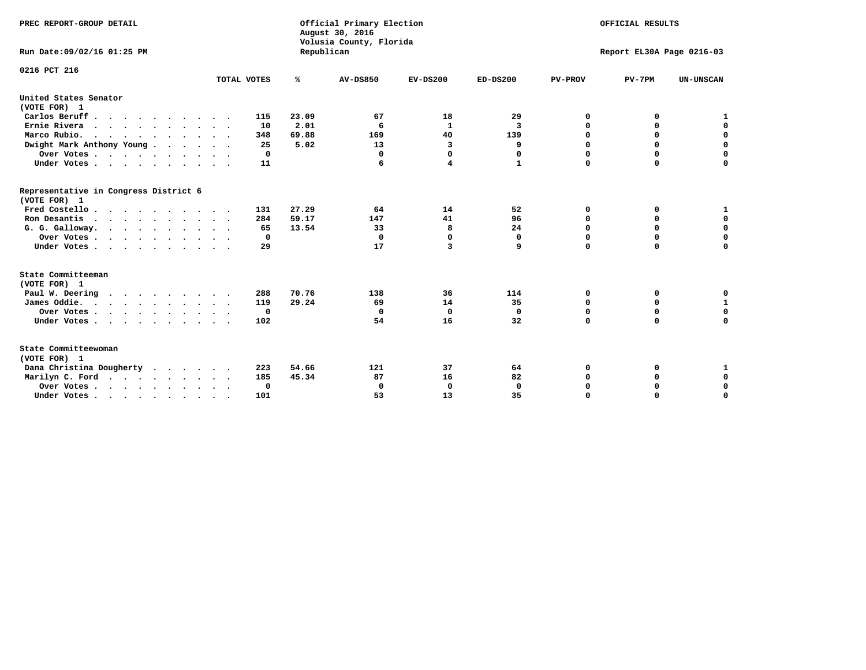| PREC REPORT-GROUP DETAIL<br>Run Date: 09/02/16 01:25 PM |             | Republican | Official Primary Election<br>August 30, 2016<br>Volusia County, Florida | OFFICIAL RESULTS<br>Report EL30A Page 0216-03 |              |                |             |                  |
|---------------------------------------------------------|-------------|------------|-------------------------------------------------------------------------|-----------------------------------------------|--------------|----------------|-------------|------------------|
| 0216 PCT 216                                            | TOTAL VOTES | ℁          | <b>AV-DS850</b>                                                         | $EV-DS200$                                    | $ED-DS200$   | <b>PV-PROV</b> | $PV-7PM$    | <b>UN-UNSCAN</b> |
| United States Senator                                   |             |            |                                                                         |                                               |              |                |             |                  |
| (VOTE FOR) 1                                            |             |            |                                                                         |                                               |              |                |             |                  |
| Carlos Beruff                                           | 115         | 23.09      | 67                                                                      | 18                                            | 29           | 0              | 0           | 1                |
| Ernie Rivera                                            | 10          | 2.01       | 6                                                                       | $\mathbf{1}$                                  | 3            | $\Omega$       | 0           | $\mathbf 0$      |
| Marco Rubio.                                            | 348         | 69.88      | 169                                                                     | 40                                            | 139          | 0              | 0           | $\mathbf 0$      |
| Dwight Mark Anthony Young                               | 25          | 5.02       | 13                                                                      | 3                                             | 9            | 0              | $\mathbf 0$ | $\mathbf 0$      |
| Over Votes                                              | 0           |            | $\Omega$                                                                | $\mathbf 0$                                   | 0            | 0              | $\mathbf 0$ | $\mathbf 0$      |
| Under Votes                                             | 11          |            | 6                                                                       | 4                                             | $\mathbf{1}$ | $\Omega$       | $\Omega$    | $\mathbf 0$      |
| Representative in Congress District 6<br>(VOTE FOR) 1   |             |            |                                                                         |                                               |              |                |             |                  |
| Fred Costello                                           | 131         | 27.29      | 64                                                                      | 14                                            | 52           | 0              | 0           | $\mathbf{1}$     |
| Ron Desantis                                            | 284         | 59.17      | 147                                                                     | 41                                            | 96           | 0              | 0           | $\mathbf 0$      |
| G. G. Galloway.                                         | 65          | 13.54      | 33                                                                      | 8                                             | 24           | $\mathbf 0$    | $\mathbf 0$ | $\mathbf 0$      |
| Over Votes                                              | 0           |            | $\Omega$                                                                | $\mathbf 0$                                   | 0            | $\mathbf 0$    | 0           | 0                |
| Under Votes                                             | 29          |            | 17                                                                      | 3                                             | 9            | $\mathbf 0$    | $\Omega$    | $\mathbf 0$      |
| State Committeeman                                      |             |            |                                                                         |                                               |              |                |             |                  |
| (VOTE FOR) 1                                            |             |            |                                                                         |                                               |              |                |             |                  |
| Paul W. Deering<br>$\cdots$                             | 288         | 70.76      | 138                                                                     | 36                                            | 114          | 0              | 0           | 0                |
| James Oddie.                                            | 119         | 29.24      | 69                                                                      | 14                                            | 35           | 0              | 0           | $\mathbf{1}$     |
| Over Votes                                              | $\mathbf 0$ |            | 0                                                                       | $\mathbf 0$                                   | 0            | 0              | $\mathbf 0$ | $\mathbf 0$      |
| Under Votes                                             | 102         |            | 54                                                                      | 16                                            | 32           | $\mathbf 0$    | $\mathbf 0$ | $\mathbf 0$      |
| State Committeewoman<br>(VOTE FOR) 1                    |             |            |                                                                         |                                               |              |                |             |                  |
| Dana Christina Dougherty                                | 223         | 54.66      | 121                                                                     | 37                                            | 64           | 0              | 0           | 1                |
| Marilyn C. Ford                                         | 185         | 45.34      | 87                                                                      | 16                                            | 82           | 0              | 0           | 0                |
| Over Votes                                              | 0           |            | $\Omega$                                                                | 0                                             | $\mathbf{0}$ | 0              | 0           | $\mathbf 0$      |
| Under Votes, , , , , , , , , ,                          | 101         |            | 53                                                                      | 13                                            | 35           | $\Omega$       | $\Omega$    | $\Omega$         |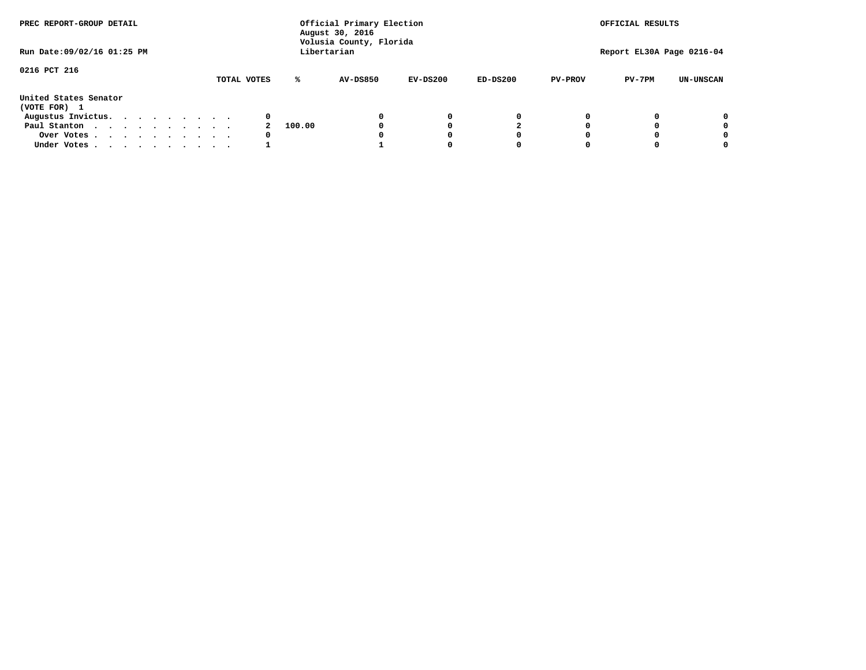| PREC REPORT-GROUP DETAIL              |             |        | Official Primary Election<br>August 30, 2016 |            |            |                | OFFICIAL RESULTS          |                  |
|---------------------------------------|-------------|--------|----------------------------------------------|------------|------------|----------------|---------------------------|------------------|
| Run Date: 09/02/16 01:25 PM           |             |        | Volusia County, Florida<br>Libertarian       |            |            |                | Report EL30A Page 0216-04 |                  |
| 0216 PCT 216                          | TOTAL VOTES | ℁      | <b>AV-DS850</b>                              | $EV-DS200$ | $ED-DS200$ | <b>PV-PROV</b> | $PV-7PM$                  | <b>UN-UNSCAN</b> |
| United States Senator<br>(VOTE FOR) 1 |             |        |                                              |            |            |                |                           |                  |
| Augustus Invictus.                    | 0           |        |                                              | 0          | 0          |                |                           | 0                |
| Paul Stanton                          |             | 100.00 |                                              |            |            |                |                           | 0                |
| Over Votes                            | 0           |        |                                              |            | O          |                |                           | 0                |
| Under Votes                           |             |        |                                              |            |            |                |                           | 0                |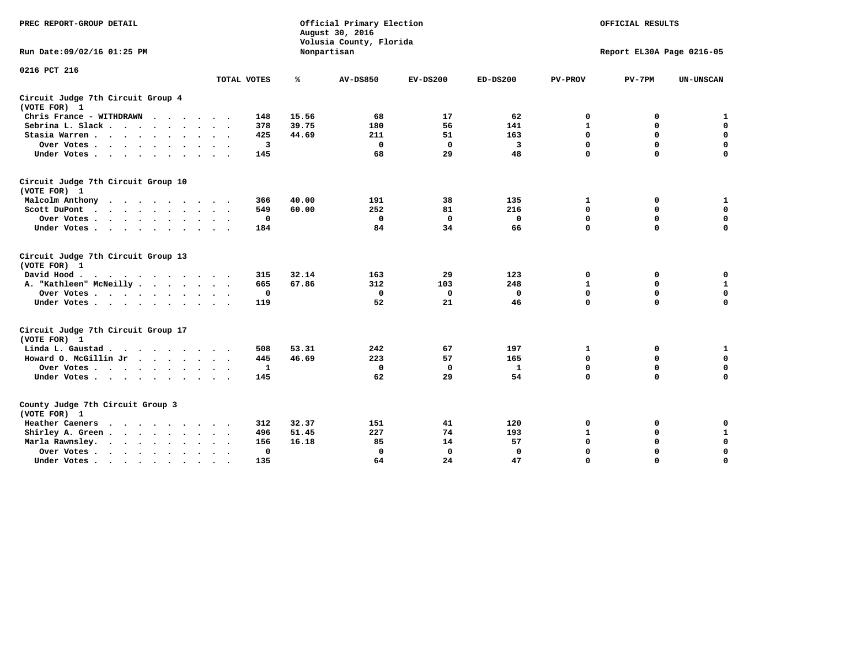| PREC REPORT-GROUP DETAIL                                                                 |                             | Official Primary Election<br>August 30, 2016<br>Volusia County, Florida | OFFICIAL RESULTS<br>Report EL30A Page 0216-05 |              |              |                |             |                  |
|------------------------------------------------------------------------------------------|-----------------------------|-------------------------------------------------------------------------|-----------------------------------------------|--------------|--------------|----------------|-------------|------------------|
| Run Date: 09/02/16 01:25 PM                                                              |                             |                                                                         | Nonpartisan                                   |              |              |                |             |                  |
| 0216 PCT 216                                                                             | TOTAL VOTES                 | ℁                                                                       | <b>AV-DS850</b>                               | $EV-DS200$   | $ED-DS200$   | <b>PV-PROV</b> | $PV-7PM$    | <b>UN-UNSCAN</b> |
|                                                                                          |                             |                                                                         |                                               |              |              |                |             |                  |
| Circuit Judge 7th Circuit Group 4<br>(VOTE FOR) 1                                        |                             |                                                                         |                                               |              |              |                |             |                  |
| Chris France - WITHDRAWN                                                                 | 148                         | 15.56                                                                   | 68                                            | 17           | 62           | 0              | 0           | 1                |
| Sebrina L. Slack                                                                         | 378<br>$\sim$ $\sim$        | 39.75                                                                   | 180                                           | 56           | 141          | $\mathbf{1}$   | $\mathbf 0$ | 0                |
| Stasia Warren<br>$\ddot{\phantom{a}}$                                                    | 425                         | 44.69                                                                   | 211                                           | 51           | 163          | $\mathbf 0$    | 0           | $\mathbf 0$      |
| Over Votes                                                                               | $\overline{\mathbf{3}}$     |                                                                         | $\Omega$                                      | $\mathbf 0$  | 3            | $\mathbf 0$    | $\mathbf 0$ | $\mathbf 0$      |
| Under Votes                                                                              | 145                         |                                                                         | 68                                            | 29           | 48           | $\Omega$       | $\Omega$    | $\mathbf 0$      |
| Circuit Judge 7th Circuit Group 10<br>(VOTE FOR) 1                                       |                             |                                                                         |                                               |              |              |                |             |                  |
| Malcolm Anthony<br>.                                                                     | 366                         | 40.00                                                                   | 191                                           | 38           | 135          | 1              | 0           | 1                |
| Scott DuPont<br>$\ddot{\phantom{0}}$                                                     | 549                         | 60.00                                                                   | 252                                           | 81           | 216          | $\mathbf 0$    | $\mathbf 0$ | $\mathbf 0$      |
| Over Votes<br>$\ddot{\phantom{1}}$                                                       | $\mathbf 0$                 |                                                                         | $\mathbf{0}$                                  | $\mathbf 0$  | $\mathbf{0}$ | $\mathbf 0$    | $\Omega$    | $\mathbf 0$      |
| Under Votes                                                                              | 184                         |                                                                         | 84                                            | 34           | 66           | $\mathbf 0$    | $\mathbf 0$ | $\Omega$         |
| Circuit Judge 7th Circuit Group 13<br>(VOTE FOR) 1                                       |                             |                                                                         |                                               |              |              |                |             |                  |
| David Hood.                                                                              | 315                         | 32.14                                                                   | 163                                           | 29           | 123          | 0              | 0           | 0                |
| A. "Kathleen" McNeilly                                                                   | 665                         | 67.86                                                                   | 312                                           | 103          | 248          | $\mathbf{1}$   | 0           | $\mathbf{1}$     |
| Over Votes                                                                               | $\mathbf 0$                 |                                                                         | $\mathbf 0$                                   | $\mathbf 0$  | $\mathbf 0$  | 0              | $\mathbf 0$ | $\mathbf 0$      |
| Under Votes                                                                              | 119                         |                                                                         | 52                                            | 21           | 46           | $\mathbf 0$    | $\Omega$    | 0                |
| Circuit Judge 7th Circuit Group 17<br>(VOTE FOR) 1                                       |                             |                                                                         |                                               |              |              |                |             |                  |
| Linda L. Gaustad                                                                         | 508                         | 53.31                                                                   | 242                                           | 67           | 197          | 1              | 0           | 1                |
| Howard O. McGillin Jr                                                                    | 445                         | 46.69                                                                   | 223                                           | 57           | 165          | $\mathbf 0$    | $\mathbf 0$ | $\mathbf 0$      |
| Over Votes                                                                               | $\mathbf{1}$                |                                                                         | $\mathbf{0}$                                  | $\mathbf 0$  | $\mathbf{1}$ | $\mathbf 0$    | $\Omega$    | $\mathbf 0$      |
| Under Votes                                                                              | 145                         |                                                                         | 62                                            | 29           | 54           | $\mathbf 0$    | $\mathbf 0$ | $\mathbf 0$      |
| County Judge 7th Circuit Group 3<br>(VOTE FOR) 1                                         |                             |                                                                         |                                               |              |              |                |             |                  |
| Heather Caeners<br>$\mathbf{r}$ , and $\mathbf{r}$ , and $\mathbf{r}$ , and $\mathbf{r}$ | 312                         | 32.37                                                                   | 151                                           | 41           | 120          | 0              | 0           | 0                |
| Shirley A. Green                                                                         | 496<br>$\ddot{\phantom{1}}$ | 51.45                                                                   | 227                                           | 74           | 193          | $\mathbf{1}$   | 0           | $\mathbf{1}$     |
| Marla Rawnsley.<br>$\cdot$                                                               | 156                         | 16.18                                                                   | 85                                            | 14           | 57           | 0              | $\mathbf 0$ | $\pmb{0}$        |
| Over Votes.<br>$\cdot$<br>$\cdot$<br>$\cdot$                                             | 0<br>$\ddot{\phantom{1}}$   |                                                                         | 0                                             | $\mathbf{0}$ | 0            | $\mathbf 0$    | $\Omega$    | $\mathbf 0$      |
| Under Votes<br>$\sim$                                                                    | 135<br>$\sim$               |                                                                         | 64                                            | 24           | 47           | $\mathbf 0$    | $\mathbf 0$ | 0                |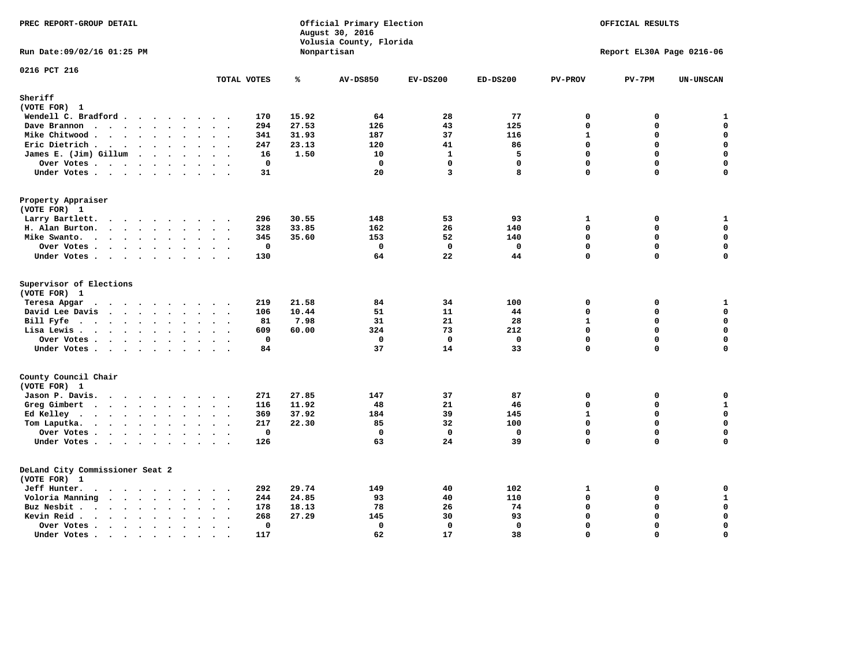| PREC REPORT-GROUP DETAIL                                                                                                                                                                                                                          |                                       | Official Primary Election<br>August 30, 2016<br>Volusia County, Florida | OFFICIAL RESULTS |                   |              |                            |                           |                   |
|---------------------------------------------------------------------------------------------------------------------------------------------------------------------------------------------------------------------------------------------------|---------------------------------------|-------------------------------------------------------------------------|------------------|-------------------|--------------|----------------------------|---------------------------|-------------------|
| Run Date: 09/02/16 01:25 PM                                                                                                                                                                                                                       |                                       |                                                                         | Nonpartisan      |                   |              |                            | Report EL30A Page 0216-06 |                   |
| 0216 PCT 216                                                                                                                                                                                                                                      | TOTAL VOTES                           | ℁                                                                       | <b>AV-DS850</b>  | $EV-DS200$        | $ED-DS200$   | <b>PV-PROV</b>             | $PV-7PM$                  | <b>UN-UNSCAN</b>  |
| Sheriff                                                                                                                                                                                                                                           |                                       |                                                                         |                  |                   |              |                            |                           |                   |
| (VOTE FOR) 1                                                                                                                                                                                                                                      |                                       |                                                                         |                  |                   |              |                            |                           |                   |
| Wendell C. Bradford                                                                                                                                                                                                                               | 170                                   | 15.92                                                                   | 64               | 28                | 77           | $\mathbf 0$                | 0                         | ${\bf 1}$         |
| Dave Brannon<br>$\mathbf{r}$ . The set of the set of the set of the set of the set of the set of the set of the set of the set of the set of the set of the set of the set of the set of the set of the set of the set of the set of the set of t | 294                                   | 27.53                                                                   | 126              | 43                | 125          | $\mathbf 0$                | 0                         | $\mathbf 0$       |
| Mike Chitwood                                                                                                                                                                                                                                     | 341                                   | 31.93                                                                   | 187              | 37                | 116          | $\mathbf{1}$               | 0                         | 0                 |
| Eric Dietrich                                                                                                                                                                                                                                     | 247                                   | 23.13                                                                   | 120              | 41                | 86           | $\mathbf 0$                | 0                         | $\mathbf 0$       |
| James E. (Jim) Gillum                                                                                                                                                                                                                             | 16                                    | 1.50                                                                    | 10               | $\mathbf{1}$      | 5            | 0                          | 0                         | $\mathbf 0$       |
| Over Votes                                                                                                                                                                                                                                        | $\mathbf 0$                           |                                                                         | $\mathbf 0$      | $\mathbf{0}$      | $\mathbf{0}$ | $\Omega$                   | 0                         | $\mathbf 0$       |
| Under Votes                                                                                                                                                                                                                                       | 31                                    |                                                                         | 20               | $\overline{3}$    | 8            | $\mathbf 0$                | 0                         | $\mathbf 0$       |
| Property Appraiser<br>(VOTE FOR) 1                                                                                                                                                                                                                |                                       |                                                                         |                  |                   |              |                            |                           |                   |
| Larry Bartlett.<br>$\cdots$                                                                                                                                                                                                                       | 296<br>$\cdot$ .                      | 30.55                                                                   | 148              | 53                | 93           | $\mathbf{1}$               | 0                         | $\mathbf{1}$      |
| H. Alan Burton.                                                                                                                                                                                                                                   | 328                                   | 33.85                                                                   | 162              | 26                | 140          | $\mathbf 0$                | 0                         | $\mathbf 0$       |
| Mike Swanto.                                                                                                                                                                                                                                      | 345                                   | 35.60                                                                   | 153              | 52                | 140          | $\Omega$                   | 0                         | 0                 |
| Over Votes                                                                                                                                                                                                                                        | $\mathbf 0$                           |                                                                         | $\mathbf 0$      | $\mathbf 0$       | $\mathbf 0$  | $\mathbf 0$                | 0                         | $\mathbf 0$       |
| Under Votes                                                                                                                                                                                                                                       | 130                                   |                                                                         | 64               | 22                | 44           | $\mathbf{0}$               | 0                         | $\Omega$          |
|                                                                                                                                                                                                                                                   |                                       |                                                                         |                  |                   |              |                            |                           |                   |
| Supervisor of Elections<br>(VOTE FOR) 1                                                                                                                                                                                                           |                                       |                                                                         |                  |                   |              |                            |                           |                   |
| Teresa Apgar<br>.                                                                                                                                                                                                                                 | 219                                   | 21.58                                                                   | 84               | 34                | 100          | $\mathbf 0$                | 0                         | ${\bf 1}$         |
| David Lee Davis                                                                                                                                                                                                                                   | 106                                   | 10.44                                                                   | 51               | 11                | 44           | 0                          | 0                         | $\mathbf 0$       |
| Bill Fyfe                                                                                                                                                                                                                                         | 81                                    | 7.98                                                                    | 31               | 21                | 28           | $\mathbf{1}$               | $\Omega$                  | 0                 |
| Lisa Lewis                                                                                                                                                                                                                                        | 609                                   | 60.00                                                                   | 324              | 73                | 212          | $\mathbf 0$                | 0                         | $\mathbf 0$       |
| Over Votes                                                                                                                                                                                                                                        | 0                                     |                                                                         | 0                | $\Omega$          | 0            | 0                          | 0                         | 0                 |
| Under Votes                                                                                                                                                                                                                                       | 84                                    |                                                                         | 37               | 14                | 33           | $\mathbf{0}$               | 0                         | 0                 |
| County Council Chair                                                                                                                                                                                                                              |                                       |                                                                         |                  |                   |              |                            |                           |                   |
| (VOTE FOR) 1                                                                                                                                                                                                                                      |                                       |                                                                         |                  |                   |              |                            |                           |                   |
| Jason P. Davis.                                                                                                                                                                                                                                   | 271<br>$\sim$ $\sim$                  | 27.85<br>11.92                                                          | 147<br>48        | 37<br>21          | 87<br>46     | $\mathbf 0$<br>$\Omega$    | 0<br>0                    | 0<br>$\mathbf{1}$ |
| Greg Gimbert<br>$\mathbf{r}$ . The state of the state $\mathbf{r}$                                                                                                                                                                                | 116                                   |                                                                         |                  |                   |              | $\mathbf{1}$               |                           | $\mathbf 0$       |
| Ed Kelley $\cdots$                                                                                                                                                                                                                                | 369                                   | 37.92                                                                   | 184              | 39                | 145          |                            | 0                         |                   |
| Tom Laputka.                                                                                                                                                                                                                                      | 217                                   | 22.30                                                                   | 85               | 32<br>$\mathbf 0$ | 100          | $\mathbf 0$<br>$\mathbf 0$ | 0<br>0                    | 0                 |
| Over Votes.                                                                                                                                                                                                                                       | $\mathbf 0$                           |                                                                         | $\mathbf 0$      |                   | $\mathbf 0$  |                            |                           | 0                 |
| Under Votes                                                                                                                                                                                                                                       | 126                                   |                                                                         | 63               | 24                | 39           | $\mathbf 0$                | 0                         | $\Omega$          |
| DeLand City Commissioner Seat 2<br>(VOTE FOR) 1                                                                                                                                                                                                   |                                       |                                                                         |                  |                   |              |                            |                           |                   |
| Jeff Hunter.<br>.                                                                                                                                                                                                                                 | 292                                   | 29.74                                                                   | 149              | 40                | 102          | 1                          | 0                         | 0                 |
| Voloria Manning                                                                                                                                                                                                                                   | 244                                   | 24.85                                                                   | 93               | 40                | 110          | $\mathbf{0}$               | 0                         | $\mathbf{1}$      |
| Buz Nesbit                                                                                                                                                                                                                                        | 178                                   | 18.13                                                                   | 78               | 26                | 74           | $\mathbf 0$                | 0                         | $\mathbf 0$       |
| Kevin Reid.                                                                                                                                                                                                                                       | 268                                   | 27.29                                                                   | 145              | 30                | 93           | $\mathbf 0$                | 0                         | 0                 |
| Over Votes<br>$\ddot{\phantom{a}}$                                                                                                                                                                                                                | $\mathbf 0$<br>$\bullet$<br>$\bullet$ |                                                                         | $\mathbf 0$      | $\mathbf 0$       | $\mathbf 0$  | $\Omega$                   | 0                         | 0                 |
| Under Votes.                                                                                                                                                                                                                                      | 117                                   |                                                                         | 62               | 17                | 38           | $\Omega$                   | $\Omega$                  | $\mathbf{o}$      |
| .                                                                                                                                                                                                                                                 | $\bullet$<br>$\ddot{\phantom{1}}$     |                                                                         |                  |                   |              |                            |                           |                   |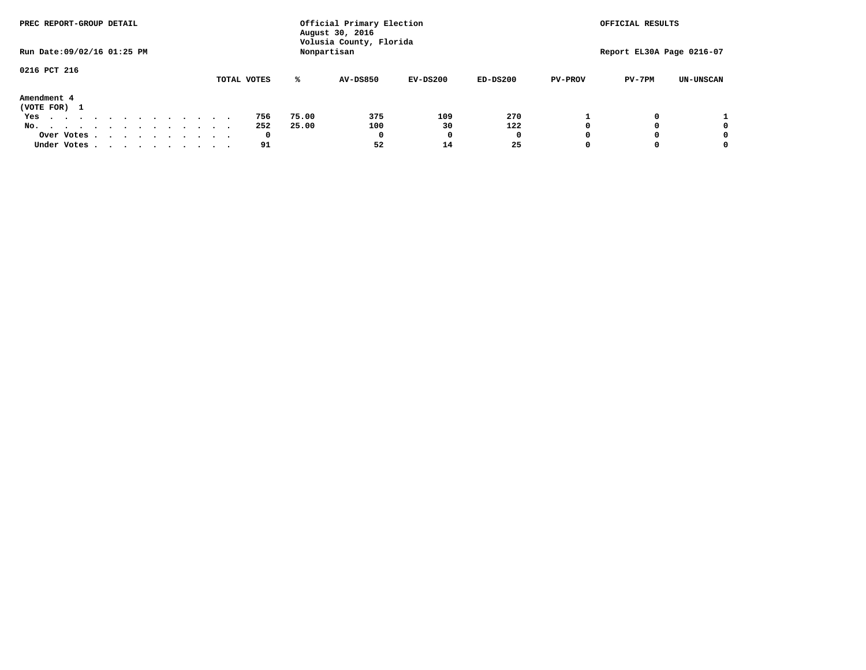| PREC REPORT-GROUP DETAIL                                               |  |  |  |             |       | Official Primary Election<br>August 30, 2016 |            |            |                | OFFICIAL RESULTS          |                  |
|------------------------------------------------------------------------|--|--|--|-------------|-------|----------------------------------------------|------------|------------|----------------|---------------------------|------------------|
| Run Date: 09/02/16 01:25 PM                                            |  |  |  |             |       | Volusia County, Florida<br>Nonpartisan       |            |            |                | Report EL30A Page 0216-07 |                  |
| 0216 PCT 216                                                           |  |  |  | TOTAL VOTES | ℁     | <b>AV-DS850</b>                              | $EV-DS200$ | $ED-DS200$ | <b>PV-PROV</b> | $PV-7PM$                  | <b>UN-UNSCAN</b> |
|                                                                        |  |  |  |             |       |                                              |            |            |                |                           |                  |
| Amendment 4<br>(VOTE FOR) 1                                            |  |  |  |             |       |                                              |            |            |                |                           |                  |
| Yes<br>.                                                               |  |  |  | 756         | 75.00 | 375                                          | 109        | 270        |                |                           |                  |
| No.<br>.                                                               |  |  |  | 252         | 25.00 | 100                                          | 30         | 122        |                |                           | 0                |
| Over Votes                                                             |  |  |  | 0           |       | 0                                            |            | 0          |                |                           | 0                |
| Under Votes, $\cdot$ , $\cdot$ , $\cdot$ , $\cdot$ , $\cdot$ , $\cdot$ |  |  |  | 91          |       | 52                                           | 14         | 25         |                |                           | 0                |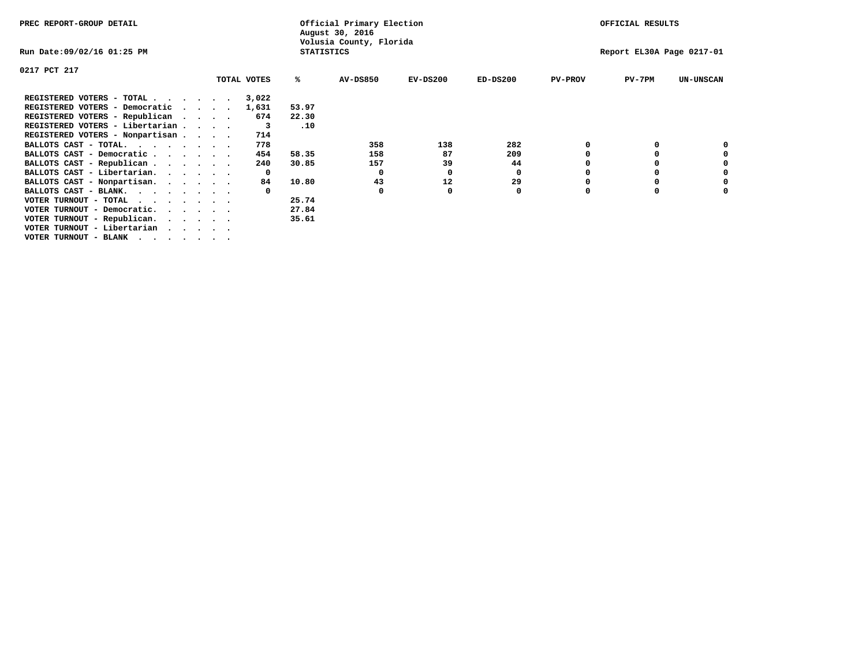| PREC REPORT-GROUP DETAIL                                      |              |                   | Official Primary Election<br>August 30, 2016 |            |            |                | OFFICIAL RESULTS          |                  |
|---------------------------------------------------------------|--------------|-------------------|----------------------------------------------|------------|------------|----------------|---------------------------|------------------|
| Run Date:09/02/16 01:25 PM                                    |              | <b>STATISTICS</b> | Volusia County, Florida                      |            |            |                | Report EL30A Page 0217-01 |                  |
| 0217 PCT 217                                                  |              |                   |                                              |            |            |                |                           |                  |
|                                                               | TOTAL VOTES  | ℁                 | <b>AV-DS850</b>                              | $EV-DS200$ | $ED-DS200$ | <b>PV-PROV</b> | $PV-7PM$                  | <b>UN-UNSCAN</b> |
| REGISTERED VOTERS - TOTAL                                     | 3,022        |                   |                                              |            |            |                |                           |                  |
| REGISTERED VOTERS - Democratic<br>$\sim$ $\sim$ $\sim$ $\sim$ | 1,631        | 53.97             |                                              |            |            |                |                           |                  |
| REGISTERED VOTERS - Republican                                | 674          | 22.30             |                                              |            |            |                |                           |                  |
| REGISTERED VOTERS - Libertarian                               | 3            | .10               |                                              |            |            |                |                           |                  |
| REGISTERED VOTERS - Nonpartisan                               | 714          |                   |                                              |            |            |                |                           |                  |
| BALLOTS CAST - TOTAL.                                         | 778          |                   | 358                                          | 138        | 282        |                |                           |                  |
| BALLOTS CAST - Democratic                                     | 454          | 58.35             | 158                                          | 87         | 209        |                |                           |                  |
| BALLOTS CAST - Republican                                     | 240          | 30.85             | 157                                          | 39         | 44         |                |                           |                  |
| BALLOTS CAST - Libertarian.                                   | $\mathbf{o}$ |                   | 0                                            | 0          | 0          |                |                           |                  |
| BALLOTS CAST - Nonpartisan.                                   | 84           | 10.80             | 43                                           | 12         | 29         |                |                           | 0                |
| BALLOTS CAST - BLANK.                                         |              |                   | 0                                            | 0          | 0          | $\Omega$       |                           |                  |
| VOTER TURNOUT - TOTAL                                         |              | 25.74             |                                              |            |            |                |                           |                  |
| VOTER TURNOUT - Democratic.<br>$\cdot$                        |              | 27.84             |                                              |            |            |                |                           |                  |
| VOTER TURNOUT - Republican.                                   |              | 35.61             |                                              |            |            |                |                           |                  |
| VOTER TURNOUT - Libertarian                                   |              |                   |                                              |            |            |                |                           |                  |
| VOTER TURNOUT - BLANK                                         |              |                   |                                              |            |            |                |                           |                  |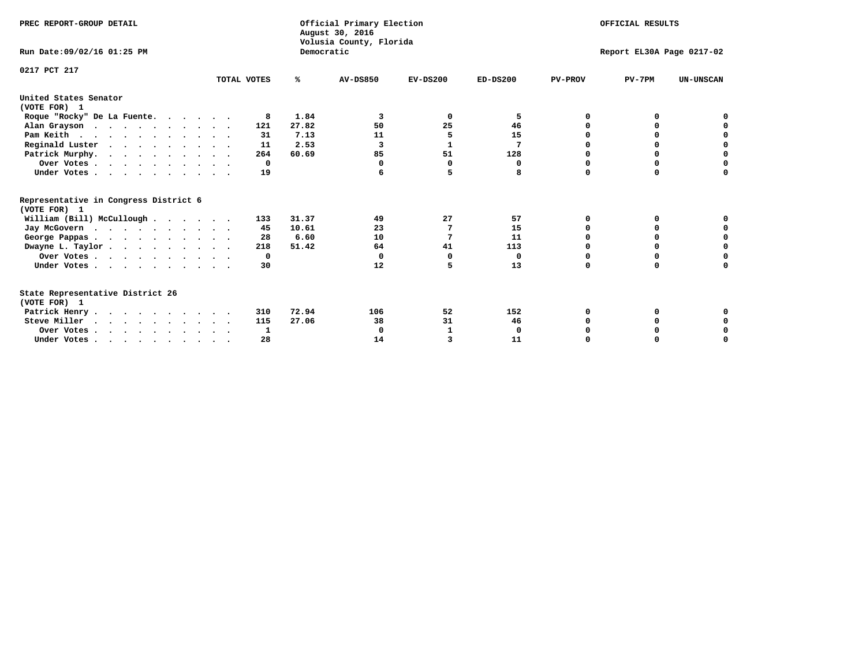| PREC REPORT-GROUP DETAIL                                                         |             | Democratic | Official Primary Election<br>August 30, 2016<br>Volusia County, Florida | OFFICIAL RESULTS<br>Report EL30A Page 0217-02 |            |                |          |                  |
|----------------------------------------------------------------------------------|-------------|------------|-------------------------------------------------------------------------|-----------------------------------------------|------------|----------------|----------|------------------|
| Run Date: 09/02/16 01:25 PM                                                      |             |            |                                                                         |                                               |            |                |          |                  |
| 0217 PCT 217                                                                     | TOTAL VOTES | %ะ         | <b>AV-DS850</b>                                                         | $EV-DS200$                                    | $ED-DS200$ | <b>PV-PROV</b> | $PV-7PM$ | <b>UN-UNSCAN</b> |
| United States Senator<br>(VOTE FOR) 1                                            |             |            |                                                                         |                                               |            |                |          |                  |
| Roque "Rocky" De La Fuente.                                                      | 8           | 1.84       | 3                                                                       | 0                                             | 5          | O              | O        |                  |
| Alan Grayson                                                                     | 121         | 27.82      | 50                                                                      | 25                                            | 46         | $\Omega$       | $\Omega$ |                  |
| Pam Keith                                                                        | 31          | 7.13       | 11                                                                      | 5                                             | 15         | O              | 0        | 0                |
| Reginald Luster                                                                  | 11          | 2.53       | 3                                                                       | 1                                             | 7          |                | 0        | $\mathbf 0$      |
| Patrick Murphy.                                                                  | 264         | 60.69      | 85                                                                      | 51                                            | 128        | O              | 0        | $\mathbf 0$      |
| Over Votes                                                                       | $\Omega$    |            | $\Omega$                                                                | $\Omega$                                      | 0          | $\Omega$       | $\Omega$ | $\Omega$         |
| Under Votes.                                                                     | 19          |            |                                                                         | 5                                             | 8          | $\Omega$       | $\Omega$ | 0                |
| Representative in Congress District 6<br>(VOTE FOR) 1                            |             |            |                                                                         |                                               |            |                |          |                  |
| William (Bill) McCullough                                                        | 133         | 31.37      | 49                                                                      | 27                                            | 57         | O              | 0        |                  |
| Jay McGovern                                                                     | 45          | 10.61      | 23                                                                      | 7                                             | 15         | O              | $\Omega$ | 0                |
| George Pappas.                                                                   | 28          | 6.60       | 10                                                                      | 7                                             | 11         | $\Omega$       | 0        | $\mathbf 0$      |
| Dwayne L. Taylor                                                                 | 218         | 51.42      | 64                                                                      | 41                                            | 113        | $\Omega$       | 0        | $\mathbf 0$      |
| Over Votes                                                                       | 0           |            | $\Omega$                                                                | $\Omega$                                      | 0          | 0              | 0        | 0                |
| Under Votes                                                                      | 30          |            | 12                                                                      | 5                                             | 13         | $\Omega$       | 0        | O                |
| State Representative District 26<br>(VOTE FOR) 1                                 |             |            |                                                                         |                                               |            |                |          |                  |
| Patrick Henry                                                                    | 310         | 72.94      | 106                                                                     | 52                                            | 152        | 0              | 0        |                  |
| Steve Miller                                                                     | 115         | 27.06      | 38                                                                      | 31                                            | 46         |                | 0        | 0                |
| Over Votes                                                                       | 1           |            | $\Omega$                                                                | 1                                             | 0          |                | 0        | 0                |
| Under Votes, $\cdot$ , $\cdot$ , $\cdot$ , $\cdot$ , $\cdot$ , $\cdot$ , $\cdot$ | 28          |            | 14                                                                      | 3                                             | 11         |                |          | O                |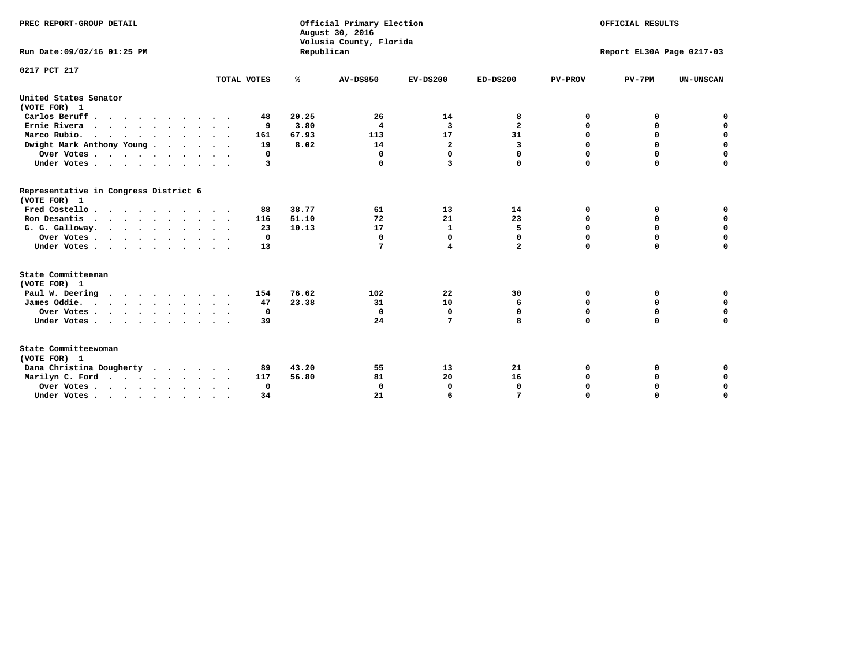| PREC REPORT-GROUP DETAIL<br>Run Date:09/02/16 01:25 PM |             | Republican | Official Primary Election<br>August 30, 2016<br>Volusia County, Florida |                         |                         |                | OFFICIAL RESULTS<br>Report EL30A Page 0217-03 |                  |
|--------------------------------------------------------|-------------|------------|-------------------------------------------------------------------------|-------------------------|-------------------------|----------------|-----------------------------------------------|------------------|
| 0217 PCT 217                                           |             |            |                                                                         |                         |                         |                |                                               |                  |
|                                                        | TOTAL VOTES | ℁          | <b>AV-DS850</b>                                                         | $EV-DS200$              | $ED-DS200$              | <b>PV-PROV</b> | $PV-7PM$                                      | <b>UN-UNSCAN</b> |
| United States Senator<br>(VOTE FOR) 1                  |             |            |                                                                         |                         |                         |                |                                               |                  |
| Carlos Beruff                                          | 48          | 20.25      | 26                                                                      | 14                      | 8                       | 0              | 0                                             | 0                |
| Ernie Rivera<br>$\mathbf{r}$                           | 9           | 3.80       | 4                                                                       | 3                       | $\overline{\mathbf{2}}$ | 0              | 0                                             | $\mathbf 0$      |
| Marco Rubio.                                           | 161         | 67.93      | 113                                                                     | 17                      | 31                      | 0              | 0                                             | $\mathbf 0$      |
| Dwight Mark Anthony Young                              | 19          | 8.02       | 14                                                                      | $\overline{\mathbf{2}}$ | 3                       | $\mathbf 0$    | $\mathbf 0$                                   | $\mathbf 0$      |
| Over Votes                                             | 0           |            | 0                                                                       | $\Omega$                | 0                       | $\mathbf 0$    | $\mathbf 0$                                   | $\mathbf 0$      |
| Under Votes                                            | 3           |            | $\Omega$                                                                | 3                       | 0                       | $\Omega$       | $\Omega$                                      | $\mathbf 0$      |
| Representative in Congress District 6<br>(VOTE FOR) 1  |             |            |                                                                         |                         |                         |                |                                               |                  |
| Fred Costello                                          | 88          | 38.77      | 61                                                                      | 13                      | 14                      | 0              | 0                                             | $\mathbf 0$      |
| Ron Desantis                                           | 116         | 51.10      | 72                                                                      | 21                      | 23                      | 0              | 0                                             | $\mathbf 0$      |
| G. G. Galloway.                                        | 23          | 10.13      | 17                                                                      | $\mathbf{1}$            | 5                       | $\mathbf 0$    | $\mathbf 0$                                   | $\mathbf 0$      |
| Over Votes                                             | 0           |            | 0                                                                       | 0                       | 0                       | $\mathbf 0$    | 0                                             | 0                |
| Under Votes                                            | 13          |            | 7                                                                       | $\overline{\mathbf{4}}$ | $\overline{a}$          | $\mathbf 0$    | $\Omega$                                      | $\mathbf 0$      |
| State Committeeman                                     |             |            |                                                                         |                         |                         |                |                                               |                  |
| (VOTE FOR) 1<br>Paul W. Deering                        | 154         | 76.62      | 102                                                                     | 22                      | 30                      | 0              | 0                                             | 0                |
| James Oddie.                                           | 47          | 23.38      | 31                                                                      | 10                      | 6                       | 0              | 0                                             | $\mathbf 0$      |
| Over Votes                                             | 0           |            | 0                                                                       | 0                       | 0                       | 0              | $\mathbf 0$                                   | $\mathbf 0$      |
| Under Votes                                            | 39          |            | 24                                                                      | 7                       | 8                       | $\mathbf 0$    | $\mathbf 0$                                   | $\mathbf 0$      |
|                                                        |             |            |                                                                         |                         |                         |                |                                               |                  |
| State Committeewoman<br>(VOTE FOR) 1                   |             |            |                                                                         |                         |                         |                |                                               |                  |
| Dana Christina Dougherty                               | 89          | 43.20      | 55                                                                      | 13                      | 21                      | 0              | 0                                             | 0                |
| Marilyn C. Ford                                        | 117         | 56.80      | 81                                                                      | 20                      | 16                      | 0              | 0                                             | 0                |
| Over Votes                                             | $\Omega$    |            | 0                                                                       | 0                       | $\mathbf 0$             | $\mathbf 0$    | 0                                             | $\mathbf 0$      |
| Under Votes, , , , , , , , , ,                         | 34          |            | 21                                                                      | 6                       |                         | $\Omega$       | $\Omega$                                      | $\Omega$         |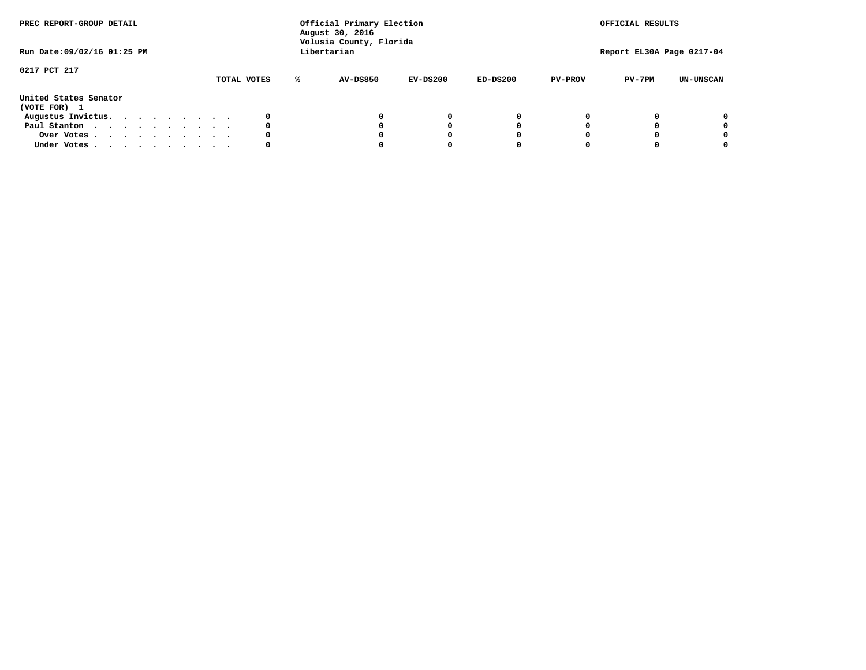| PREC REPORT-GROUP DETAIL              |  |  |  |  |             |   | Official Primary Election<br>August 30, 2016<br>Volusia County, Florida |          |            |                | OFFICIAL RESULTS          |                  |
|---------------------------------------|--|--|--|--|-------------|---|-------------------------------------------------------------------------|----------|------------|----------------|---------------------------|------------------|
| Run Date: 09/02/16 01:25 PM           |  |  |  |  |             |   | Libertarian                                                             |          |            |                | Report EL30A Page 0217-04 |                  |
| 0217 PCT 217                          |  |  |  |  |             |   |                                                                         |          |            |                |                           |                  |
|                                       |  |  |  |  | TOTAL VOTES | ℁ | AV-DS850                                                                | EV-DS200 | $ED-DS200$ | <b>PV-PROV</b> | $PV-7PM$                  | <b>UN-UNSCAN</b> |
| United States Senator<br>(VOTE FOR) 1 |  |  |  |  |             |   |                                                                         |          |            |                |                           |                  |
| Augustus Invictus.                    |  |  |  |  |             |   |                                                                         | 0        |            |                |                           | 0                |
| Paul Stanton                          |  |  |  |  | 0           |   |                                                                         | O        |            |                |                           | 0                |
| Over Votes                            |  |  |  |  |             |   |                                                                         |          |            |                |                           | 0                |
| Under Votes                           |  |  |  |  | 0           |   |                                                                         |          |            |                |                           | 0                |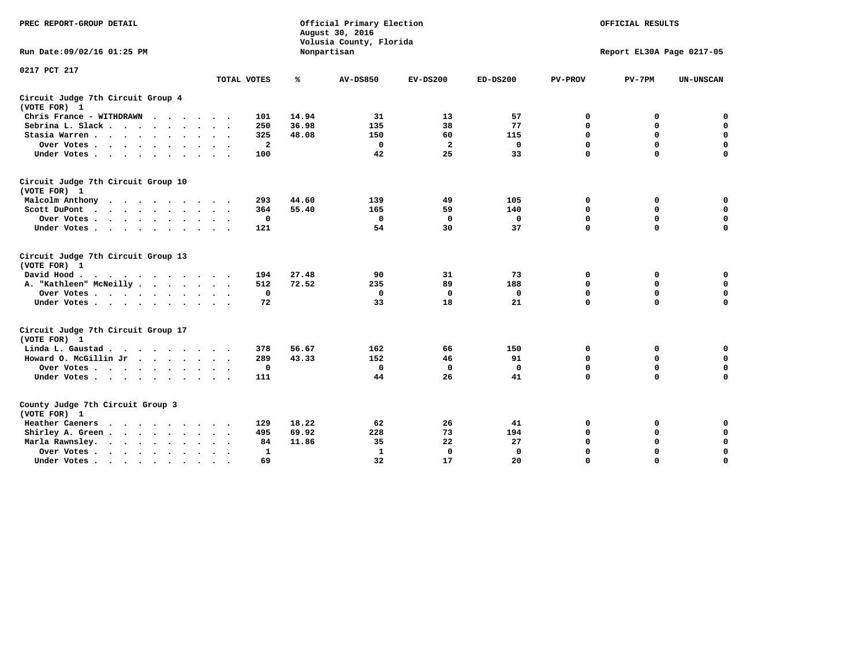| PREC REPORT-GROUP DETAIL                                   |              | Official Primary Election<br>August 30, 2016<br>Volusia County, Florida | OFFICIAL RESULTS<br>Report EL30A Page 0217-05 |              |              |                |             |                  |
|------------------------------------------------------------|--------------|-------------------------------------------------------------------------|-----------------------------------------------|--------------|--------------|----------------|-------------|------------------|
| Run Date: 09/02/16 01:25 PM                                |              |                                                                         | Nonpartisan                                   |              |              |                |             |                  |
| 0217 PCT 217                                               | TOTAL VOTES  | ℁                                                                       | <b>AV-DS850</b>                               | $EV-DS200$   | $ED-DS200$   | <b>PV-PROV</b> | $PV-7PM$    | <b>UN-UNSCAN</b> |
|                                                            |              |                                                                         |                                               |              |              |                |             |                  |
| Circuit Judge 7th Circuit Group 4<br>(VOTE FOR) 1          |              |                                                                         |                                               |              |              |                |             |                  |
| Chris France - WITHDRAWN                                   | 101          | 14.94                                                                   | 31                                            | 13           | 57           | 0              | 0           | 0                |
| Sebrina L. Slack                                           | 250          | 36.98                                                                   | 135                                           | 38           | 77           | 0              | 0           | $\mathbf 0$      |
| Stasia Warren                                              | 325          | 48.08                                                                   | 150                                           | 60           | 115          | $\mathbf 0$    | $\mathbf 0$ | $\mathbf 0$      |
| Over Votes                                                 | $\mathbf{2}$ |                                                                         | $\mathbf 0$                                   | $\mathbf{z}$ | 0            | 0              | $\mathbf 0$ | $\pmb{0}$        |
| Under Votes                                                | 100          |                                                                         | 42                                            | 25           | 33           | $\Omega$       | $\Omega$    | $\Omega$         |
| Circuit Judge 7th Circuit Group 10<br>(VOTE FOR) 1         |              |                                                                         |                                               |              |              |                |             |                  |
| Malcolm Anthony                                            | 293          | 44.60                                                                   | 139                                           | 49           | 105          | 0              | 0           | 0                |
| Scott DuPont                                               | 364          | 55.40                                                                   | 165                                           | 59           | 140          | $\Omega$       | $\mathbf 0$ | $\mathbf 0$      |
| Over Votes                                                 | $\mathbf 0$  |                                                                         | $\mathbf{0}$                                  | 0            | 0            | $\mathbf 0$    | $\Omega$    | $\mathbf 0$      |
| Under Votes                                                | 121          |                                                                         | 54                                            | 30           | 37           | $\mathbf 0$    | $\mathbf 0$ | $\Omega$         |
| Circuit Judge 7th Circuit Group 13<br>(VOTE FOR) 1         |              |                                                                         |                                               |              |              |                |             |                  |
| David Hood.<br>.                                           | 194          | 27.48                                                                   | 90                                            | 31           | 73           | $\mathbf 0$    | $\mathbf 0$ | $\mathbf 0$      |
| A. "Kathleen" McNeilly                                     | 512          | 72.52                                                                   | 235                                           | 89           | 188          | $\mathbf 0$    | $\mathbf 0$ | $\mathbf 0$      |
| Over Votes                                                 | $\mathbf 0$  |                                                                         | $\Omega$                                      | 0            | 0            | 0              | $\mathbf 0$ | $\mathbf 0$      |
| Under Votes                                                | 72           |                                                                         | 33                                            | 18           | 21           | $\Omega$       | $\Omega$    | 0                |
| Circuit Judge 7th Circuit Group 17<br>(VOTE FOR) 1         |              |                                                                         |                                               |              |              |                |             |                  |
| Linda L. Gaustad                                           | 378          | 56.67                                                                   | 162                                           | 66           | 150          | 0              | 0           | $\mathbf 0$      |
| Howard O. McGillin Jr                                      | 289          | 43.33                                                                   | 152                                           | 46           | 91           | $\mathbf 0$    | $\mathbf 0$ | $\mathbf 0$      |
| Over Votes                                                 | $\mathbf 0$  |                                                                         | $\mathbf{0}$                                  | $\mathbf 0$  | $\mathbf{0}$ | $\mathbf 0$    | $\mathbf 0$ | 0                |
| Under Votes                                                | 111          |                                                                         | 44                                            | 26           | 41           | $\mathbf 0$    | $\mathbf 0$ | $\mathbf 0$      |
| County Judge 7th Circuit Group 3<br>(VOTE FOR) 1           |              |                                                                         |                                               |              |              |                |             |                  |
| Heather Caeners<br>.                                       | 129          | 18.22                                                                   | 62                                            | 26           | 41           | 0              | 0           | $\mathbf 0$      |
| Shirley A. Green                                           | 495          | 69.92                                                                   | 228                                           | 73           | 194          | $\mathbf 0$    | 0           | $\mathbf 0$      |
| Marla Rawnsley.                                            | 84           | 11.86                                                                   | 35                                            | 22           | 27           | 0              | $\mathbf 0$ | $\pmb{0}$        |
| Over Votes<br>$\ddot{\phantom{0}}$<br>$\ddot{\phantom{1}}$ | $\mathbf{1}$ |                                                                         | $\mathbf{1}$                                  | $\mathbf 0$  | $\mathbf{0}$ | $\mathbf 0$    | $\mathbf 0$ | $\mathbf 0$      |
| Under Votes<br>$\bullet$                                   | 69           |                                                                         | 32                                            | 17           | 20           | $\mathbf 0$    | $\Omega$    | $\Omega$         |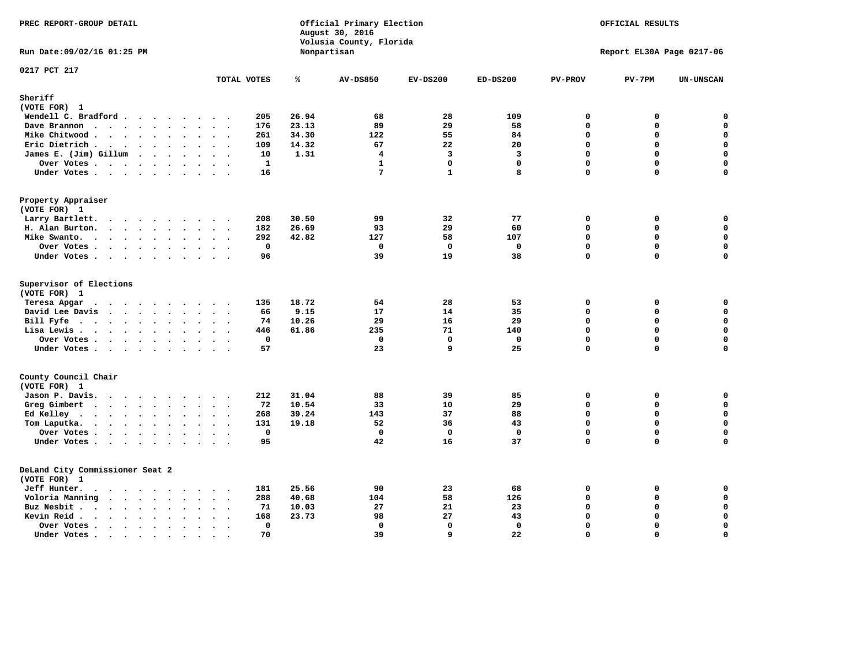| PREC REPORT-GROUP DETAIL                   |                                                                      |       | Official Primary Election<br>August 30, 2016<br>Volusia County, Florida | OFFICIAL RESULTS |              |                |                           |                  |
|--------------------------------------------|----------------------------------------------------------------------|-------|-------------------------------------------------------------------------|------------------|--------------|----------------|---------------------------|------------------|
| Run Date: 09/02/16 01:25 PM                |                                                                      |       | Nonpartisan                                                             |                  |              |                | Report EL30A Page 0217-06 |                  |
| 0217 PCT 217                               | TOTAL VOTES                                                          | ℁     | <b>AV-DS850</b>                                                         | $EV-DS200$       | $ED-DS200$   | <b>PV-PROV</b> | $PV-7PM$                  | <b>UN-UNSCAN</b> |
| Sheriff                                    |                                                                      |       |                                                                         |                  |              |                |                           |                  |
| (VOTE FOR) 1                               |                                                                      |       |                                                                         |                  |              |                |                           |                  |
| Wendell C. Bradford                        | 205                                                                  | 26.94 | 68                                                                      | 28               | 109          | $\mathbf 0$    | 0                         | 0                |
| Dave Brannon                               | 176                                                                  | 23.13 | 89                                                                      | 29               | 58           | $\Omega$       | 0                         | $\mathbf 0$      |
| Mike Chitwood                              | 261                                                                  | 34.30 | 122                                                                     | 55               | 84           | $\Omega$       | 0                         | $\pmb{0}$        |
| Eric Dietrich.                             | 109                                                                  | 14.32 | 67                                                                      | 22               | 20           | $\Omega$       | 0                         | $\mathbf 0$      |
| James E. (Jim) Gillum                      | 10                                                                   | 1.31  | $\overline{4}$                                                          | 3                | 3            | $\Omega$       | 0                         | $\mathbf 0$      |
| Over Votes                                 | 1<br>$\ddot{\phantom{a}}$                                            |       | $\mathbf{1}$                                                            | $\mathbf{0}$     | $\mathbf{0}$ | $\Omega$       | 0                         | $\mathbf 0$      |
| Under Votes                                | 16                                                                   |       | $7\phantom{.0}$                                                         | $\mathbf{1}$     | 8            | $\mathbf 0$    | 0                         | 0                |
| Property Appraiser<br>(VOTE FOR) 1         |                                                                      |       |                                                                         |                  |              |                |                           |                  |
| Larry Bartlett.<br>$\cdots$                | 208<br>$\sim$ $\sim$                                                 | 30.50 | 99                                                                      | 32               | 77           | $\mathbf 0$    | 0                         | 0                |
| H. Alan Burton.                            | 182                                                                  | 26.69 | 93                                                                      | 29               | 60           | $\mathbf 0$    | 0                         | $\mathbf 0$      |
| Mike Swanto.                               | 292                                                                  | 42.82 | 127                                                                     | 58               | 107          | $\Omega$       | $\Omega$                  | 0                |
| Over Votes                                 | $\mathbf 0$                                                          |       | 0                                                                       | $\mathbf 0$      | $\mathbf 0$  | $\mathbf 0$    | 0                         | $\mathbf 0$      |
| Under Votes                                | 96                                                                   |       | 39                                                                      | 19               | 38           | $\mathbf 0$    | 0                         | $\Omega$         |
|                                            |                                                                      |       |                                                                         |                  |              |                |                           |                  |
| Supervisor of Elections<br>(VOTE FOR) 1    |                                                                      |       |                                                                         |                  |              |                |                           |                  |
| Teresa Apgar                               | 135                                                                  | 18.72 | 54                                                                      | 28               | 53           | $\mathbf 0$    | 0                         | $\mathbf 0$      |
| David Lee Davis                            | 66                                                                   | 9.15  | 17                                                                      | 14               | 35           | $\Omega$       | 0                         | $\mathbf 0$      |
| Bill Fyfe                                  | 74                                                                   | 10.26 | 29                                                                      | 16               | 29           | $\Omega$       | 0                         | 0                |
| Lisa Lewis                                 | 446                                                                  | 61.86 | 235                                                                     | 71               | 140          | $\mathbf 0$    | 0                         | $\mathbf 0$      |
| Over Votes                                 | 0                                                                    |       | 0                                                                       | $\mathbf 0$      | 0            | $\Omega$       | $\mathbf 0$               | $\mathbf 0$      |
| Under Votes                                | 57                                                                   |       | 23                                                                      | 9                | 25           | $\Omega$       | $\Omega$                  | $\mathbf 0$      |
| County Council Chair                       |                                                                      |       |                                                                         |                  |              |                |                           |                  |
| (VOTE FOR) 1                               |                                                                      |       |                                                                         |                  |              |                |                           |                  |
| Jason P. Davis.                            | 212<br>$\cdot$ .                                                     | 31.04 | 88                                                                      | 39               | 85           | $\mathbf 0$    | 0                         | $\mathbf 0$      |
| Greg Gimbert                               | 72                                                                   | 10.54 | 33                                                                      | 10               | 29           | $\mathbf 0$    | 0                         | $\mathbf 0$      |
| Ed Kelley                                  | 268                                                                  | 39.24 | 143                                                                     | 37               | 88           | $\mathbf{0}$   | 0                         | $\mathbf 0$      |
| Tom Laputka.                               | 131                                                                  | 19.18 | 52                                                                      | 36               | 43           | $\Omega$       | 0                         | $\mathsf{o}\,$   |
| Over Votes.                                | $\mathbf 0$                                                          |       | $\mathbf 0$                                                             | $\mathbf 0$      | $\mathbf{0}$ | $\mathbf 0$    | 0                         | $\mathbf 0$      |
| Under Votes                                | 95                                                                   |       | 42                                                                      | 16               | 37           | $\Omega$       | $\Omega$                  | $\Omega$         |
| DeLand City Commissioner Seat 2            |                                                                      |       |                                                                         |                  |              |                |                           |                  |
| (VOTE FOR) 1<br>Jeff Hunter.<br>$\cdots$   | 181                                                                  | 25.56 | 90                                                                      | 23               | 68           | 0              | 0                         | 0                |
|                                            | 288                                                                  | 40.68 | 104                                                                     | 58               | 126          | $\mathbf{0}$   | 0                         | 0                |
| Voloria Manning                            | 71                                                                   | 10.03 | 27                                                                      | 21               | 23           | $\Omega$       | 0                         | $\mathbf 0$      |
| Buz Nesbit<br>Kevin Reid.                  |                                                                      | 23.73 | 98                                                                      | 27               | 43           | $\Omega$       | 0                         | $\pmb{0}$        |
| $\cdots$<br>$\ddot{\phantom{a}}$<br>$\sim$ | 168<br>$\sim$<br>$\ddot{\phantom{a}}$<br>$\mathbf 0$                 |       | $\mathbf 0$                                                             | $\Omega$         | $\mathbf 0$  | $\Omega$       | 0                         | $\mathbf 0$      |
| Over Votes<br>$\bullet$                    | $\ddot{\phantom{1}}$<br>$\ddot{\phantom{0}}$<br>$\ddot{\phantom{a}}$ |       |                                                                         |                  |              | $\Omega$       | $\Omega$                  | $\mathbf 0$      |
| Under Votes                                | 70                                                                   |       | 39                                                                      | 9                | 22           |                |                           |                  |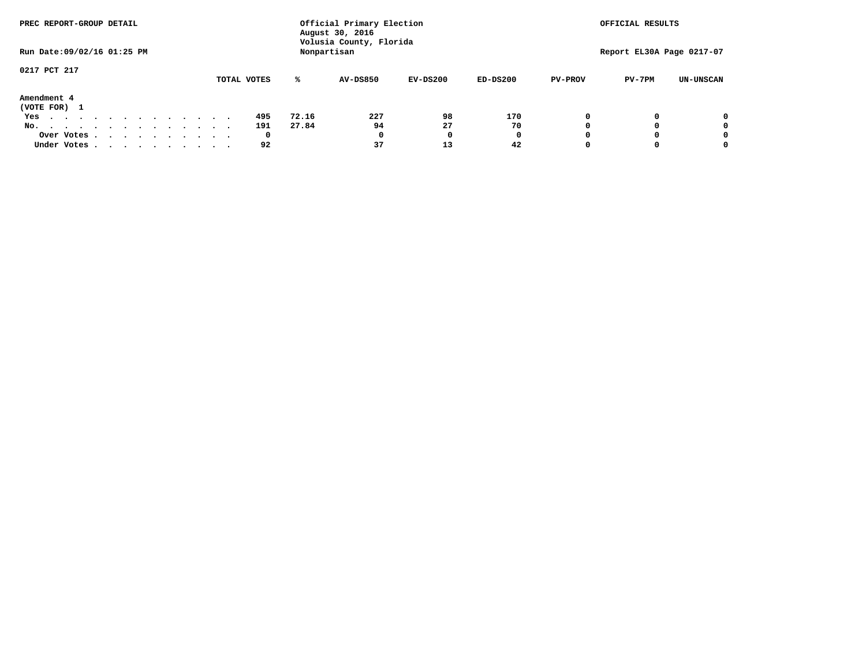| PREC REPORT-GROUP DETAIL                                                                   |              |       | Official Primary Election<br>August 30, 2016 | OFFICIAL RESULTS |            |                |                           |                  |
|--------------------------------------------------------------------------------------------|--------------|-------|----------------------------------------------|------------------|------------|----------------|---------------------------|------------------|
| Run Date: 09/02/16 01:25 PM                                                                |              |       | Volusia County, Florida<br>Nonpartisan       |                  |            |                | Report EL30A Page 0217-07 |                  |
| 0217 PCT 217                                                                               |              |       |                                              |                  |            |                |                           |                  |
|                                                                                            | TOTAL VOTES  | ℁     | <b>AV-DS850</b>                              | $EV-DS200$       | $ED-DS200$ | <b>PV-PROV</b> | $PV-7PM$                  | <b>UN-UNSCAN</b> |
| Amendment 4<br>(VOTE FOR) 1                                                                |              |       |                                              |                  |            |                |                           |                  |
| Yes                                                                                        | 495          | 72.16 | 227                                          | 98               | 170        |                |                           | 0                |
| No.<br>.                                                                                   | 191          | 27.84 | 94                                           | 27               | 70         |                |                           | 0                |
| Over Votes                                                                                 | $\mathbf{o}$ |       | 0                                            | n                | 0          |                |                           | 0                |
| Under Votes, $\cdot$ , $\cdot$ , $\cdot$ , $\cdot$ , $\cdot$ , $\cdot$ , $\cdot$ , $\cdot$ | 92           |       | 37                                           | 13               | 42         |                |                           | 0                |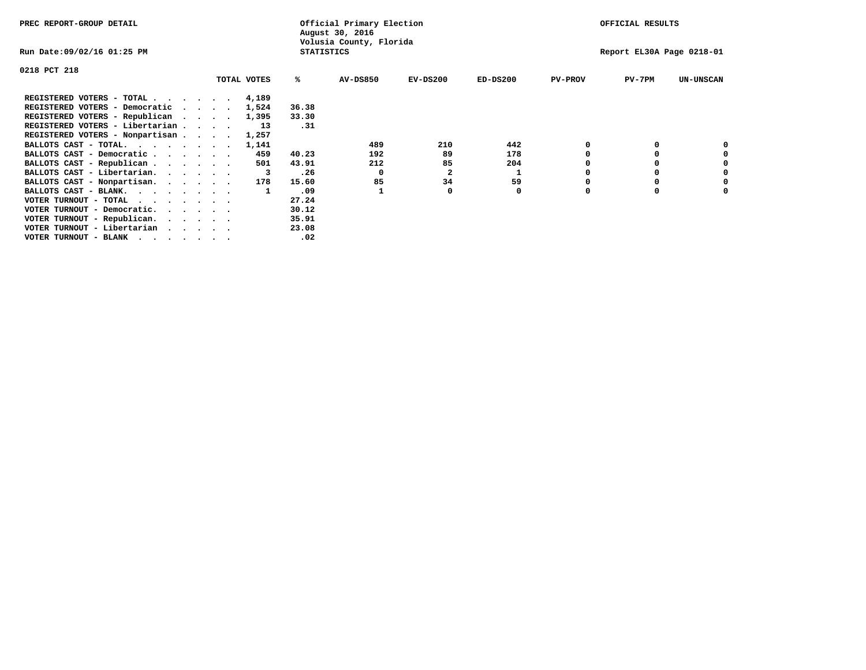| PREC REPORT-GROUP DETAIL                |             |                   | Official Primary Election<br>August 30, 2016 |                           | OFFICIAL RESULTS |                |          |                  |
|-----------------------------------------|-------------|-------------------|----------------------------------------------|---------------------------|------------------|----------------|----------|------------------|
| Run Date:09/02/16 01:25 PM              |             | <b>STATISTICS</b> | Volusia County, Florida                      | Report EL30A Page 0218-01 |                  |                |          |                  |
| 0218 PCT 218                            |             |                   |                                              |                           |                  |                |          |                  |
|                                         | TOTAL VOTES | ℁                 | AV-DS850                                     | $EV-DS200$                | $ED-DS200$       | <b>PV-PROV</b> | $PV-7PM$ | <b>UN-UNSCAN</b> |
| REGISTERED VOTERS - TOTAL               | 4,189       |                   |                                              |                           |                  |                |          |                  |
| REGISTERED VOTERS - Democratic          | 1,524       | 36.38             |                                              |                           |                  |                |          |                  |
| REGISTERED VOTERS - Republican          | 1,395       | 33.30             |                                              |                           |                  |                |          |                  |
| REGISTERED VOTERS - Libertarian         | 13          | .31               |                                              |                           |                  |                |          |                  |
| REGISTERED VOTERS - Nonpartisan         | 1,257       |                   |                                              |                           |                  |                |          |                  |
| BALLOTS CAST - TOTAL.                   | 1,141       |                   | 489                                          | 210                       | 442              |                |          |                  |
| BALLOTS CAST - Democratic               | 459         | 40.23             | 192                                          | 89                        | 178              |                |          |                  |
| BALLOTS CAST - Republican               | 501         | 43.91             | 212                                          | 85                        | 204              |                |          |                  |
| BALLOTS CAST - Libertarian.             |             | .26               | 0                                            | $\mathbf{2}$              | 1                |                |          |                  |
| BALLOTS CAST - Nonpartisan.             | 178         | 15.60             | 85                                           | 34                        | 59               |                |          | 0                |
| BALLOTS CAST - BLANK.                   |             | .09               |                                              |                           | 0                | $\Omega$       |          |                  |
| VOTER TURNOUT - TOTAL<br>.              |             | 27.24             |                                              |                           |                  |                |          |                  |
| VOTER TURNOUT - Democratic.<br>$\cdots$ |             | 30.12             |                                              |                           |                  |                |          |                  |
| VOTER TURNOUT - Republican.             |             | 35.91             |                                              |                           |                  |                |          |                  |
| VOTER TURNOUT - Libertarian             |             | 23.08             |                                              |                           |                  |                |          |                  |
| VOTER TURNOUT - BLANK                   |             | .02               |                                              |                           |                  |                |          |                  |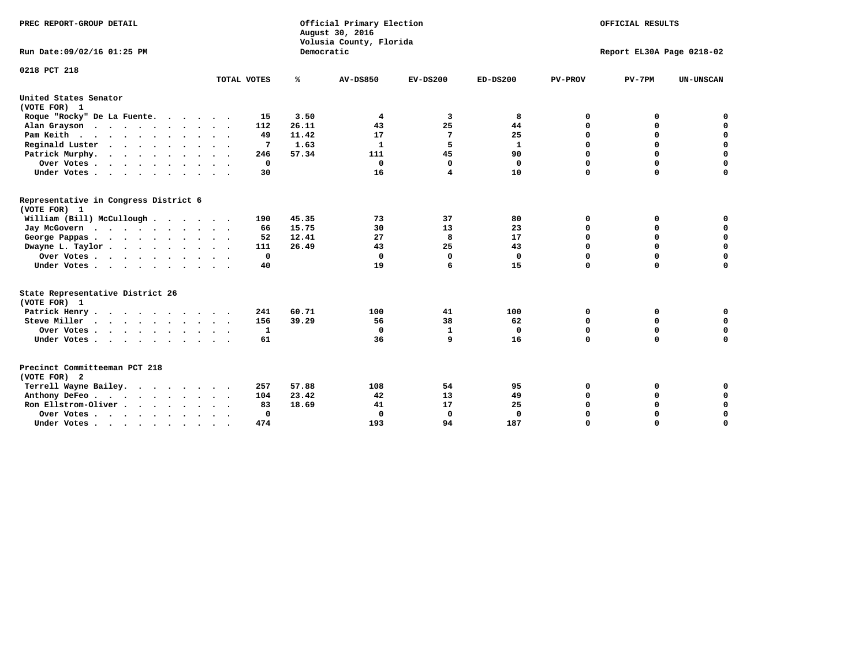| PREC REPORT-GROUP DETAIL                              |                 |            | Official Primary Election<br>August 30, 2016<br>Volusia County, Florida | OFFICIAL RESULTS<br>Report EL30A Page 0218-02 |              |                |             |                  |
|-------------------------------------------------------|-----------------|------------|-------------------------------------------------------------------------|-----------------------------------------------|--------------|----------------|-------------|------------------|
| Run Date:09/02/16 01:25 PM                            |                 | Democratic |                                                                         |                                               |              |                |             |                  |
| 0218 PCT 218                                          | TOTAL VOTES     | ℁          | <b>AV-DS850</b>                                                         | $EV-DS200$                                    | $ED-DS200$   | <b>PV-PROV</b> | $PV-7PM$    | <b>UN-UNSCAN</b> |
|                                                       |                 |            |                                                                         |                                               |              |                |             |                  |
| United States Senator<br>(VOTE FOR) 1                 |                 |            |                                                                         |                                               |              |                |             |                  |
| Roque "Rocky" De La Fuente.                           | 15              | 3.50       | 4                                                                       | 3                                             | 8            | 0              | 0           | 0                |
| Alan Grayson                                          | 112             | 26.11      | 43                                                                      | 25                                            | 44           | $\mathbf 0$    | 0           | $\mathbf 0$      |
| Pam Keith                                             | 49              | 11.42      | 17                                                                      | 7                                             | 25           | $\mathbf 0$    | 0           | $\mathbf 0$      |
| Reginald Luster<br>$\cdots$                           | $7\phantom{.0}$ | 1.63       | $\mathbf{1}$                                                            | 5                                             | $\mathbf{1}$ | $\mathbf 0$    | $\mathbf 0$ | 0                |
| Patrick Murphy.                                       | 246             | 57.34      | 111                                                                     | 45                                            | 90           | $\mathbf 0$    | $\Omega$    | $\mathbf 0$      |
| Over Votes                                            | 0               |            | 0                                                                       | 0                                             | $\mathbf 0$  | $\mathbf 0$    | $\Omega$    | $\mathbf 0$      |
| Under Votes                                           | 30              |            | 16                                                                      | 4                                             | 10           | $\Omega$       | $\Omega$    | $\Omega$         |
| Representative in Congress District 6<br>(VOTE FOR) 1 |                 |            |                                                                         |                                               |              |                |             |                  |
| William (Bill) McCullough                             | 190             | 45.35      | 73                                                                      | 37                                            | 80           | 0              | 0           | 0                |
| Jay McGovern                                          | 66              | 15.75      | 30                                                                      | 13                                            | 23           | 0              | 0           | $\mathbf 0$      |
| George Pappas.                                        | 52              | 12.41      | 27                                                                      | 8                                             | 17           | $\mathbf 0$    | $\mathbf 0$ | $\pmb{0}$        |
| Dwayne L. Taylor                                      | 111             | 26.49      | 43                                                                      | 25                                            | 43           | $\mathbf 0$    | $\mathbf 0$ | $\mathbf 0$      |
| Over Votes                                            | $\mathbf 0$     |            | 0                                                                       | $\mathbf 0$                                   | $\mathbf 0$  | $\mathbf 0$    | $\mathbf 0$ | $\mathbf 0$      |
| Under Votes                                           | 40              |            | 19                                                                      | 6                                             | 15           | $\mathbf 0$    | $\Omega$    | $\mathbf 0$      |
| State Representative District 26                      |                 |            |                                                                         |                                               |              |                |             |                  |
| (VOTE FOR) 1                                          |                 |            |                                                                         |                                               |              |                |             |                  |
| Patrick Henry                                         | 241             | 60.71      | 100                                                                     | 41                                            | 100          | 0              | 0           | 0                |
| Steve Miller                                          | 156             | 39.29      | 56                                                                      | 38                                            | 62           | $\mathbf 0$    | 0           | $\mathbf 0$      |
| Over Votes                                            | 1               |            | $\mathbf 0$                                                             | $\mathbf{1}$                                  | $\mathbf 0$  | 0              | $\mathbf 0$ | $\mathbf 0$      |
| Under Votes                                           | 61              |            | 36                                                                      | 9                                             | 16           | $\mathbf 0$    | 0           | 0                |
| Precinct Committeeman PCT 218                         |                 |            |                                                                         |                                               |              |                |             |                  |
| (VOTE FOR) 2                                          |                 |            |                                                                         |                                               |              |                |             |                  |
| Terrell Wayne Bailey.                                 | 257             | 57.88      | 108                                                                     | 54                                            | 95           | 0              | 0           | 0                |
| Anthony DeFeo.                                        | 104             | 23.42      | 42                                                                      | 13                                            | 49           | 0              | 0           | $\mathbf 0$      |
| Ron Ellstrom-Oliver                                   | 83              | 18.69      | 41                                                                      | 17                                            | 25           | 0              | 0           | 0                |
| Over Votes                                            | $\Omega$        |            | $\mathbf 0$                                                             | 0                                             | $\mathbf 0$  | $\mathbf 0$    | 0           | $\mathbf 0$      |
| Under Votes                                           | 474             |            | 193                                                                     | 94                                            | 187          | $\Omega$       | $\Omega$    | $\Omega$         |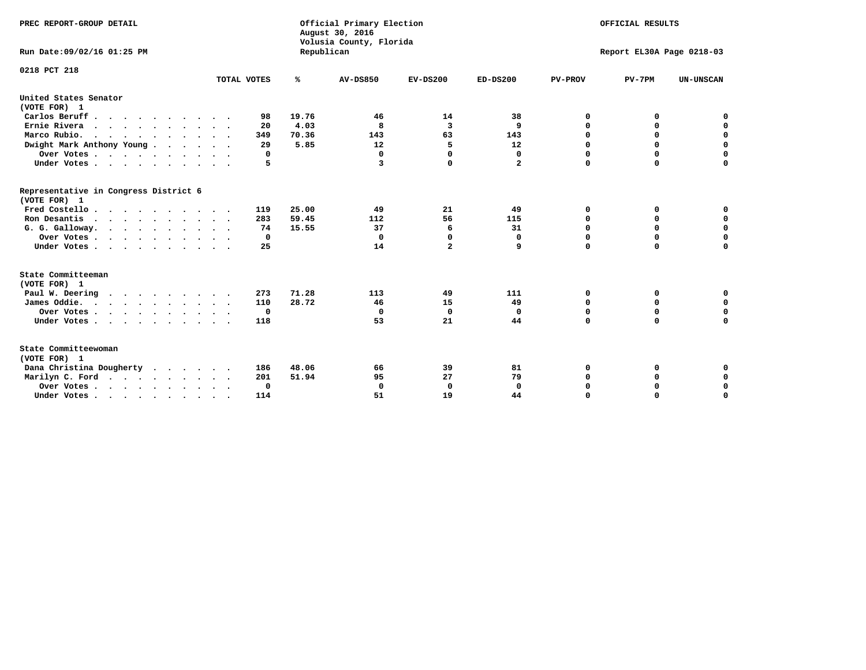| PREC REPORT-GROUP DETAIL<br>Run Date: 09/02/16 01:25 PM |             | Republican | Official Primary Election<br>August 30, 2016<br>Volusia County, Florida | OFFICIAL RESULTS<br>Report EL30A Page 0218-03 |              |                |             |                  |
|---------------------------------------------------------|-------------|------------|-------------------------------------------------------------------------|-----------------------------------------------|--------------|----------------|-------------|------------------|
|                                                         |             |            |                                                                         |                                               |              |                |             |                  |
| 0218 PCT 218                                            |             |            |                                                                         |                                               |              |                |             |                  |
|                                                         | TOTAL VOTES | %          | <b>AV-DS850</b>                                                         | $EV-DS200$                                    | $ED-DS200$   | <b>PV-PROV</b> | $PV-7PM$    | <b>UN-UNSCAN</b> |
| United States Senator<br>(VOTE FOR) 1                   |             |            |                                                                         |                                               |              |                |             |                  |
| Carlos Beruff.                                          | 98          | 19.76      | 46                                                                      | 14                                            | 38           | 0              | 0           | 0                |
| Ernie Rivera                                            | 20          | 4.03       | 8                                                                       | 3                                             | 9            | 0              | 0           | $\mathbf 0$      |
| Marco Rubio.                                            | 349         | 70.36      | 143                                                                     | 63                                            | 143          | $\mathbf 0$    | $\mathbf 0$ | $\mathbf 0$      |
| Dwight Mark Anthony Young                               | 29          | 5.85       | 12                                                                      | 5                                             | 12           | 0              | $\mathbf 0$ | $\pmb{0}$        |
| Over Votes                                              | 0           |            | 0                                                                       | $\Omega$                                      | $\mathbf 0$  | $\mathbf 0$    | 0           | $\mathbf 0$      |
| Under Votes                                             | 5           |            | 3                                                                       | 0                                             | $\mathbf{2}$ | $\mathbf 0$    | $\Omega$    | $\mathbf 0$      |
| Representative in Congress District 6<br>(VOTE FOR) 1   |             |            |                                                                         |                                               |              |                |             |                  |
| Fred Costello                                           | 119         | 25.00      | 49                                                                      | 21                                            | 49           | 0              | 0           | 0                |
| Ron Desantis                                            | 283         | 59.45      | 112                                                                     | 56                                            | 115          | 0              | 0           | $\mathbf 0$      |
| G. G. Galloway.                                         | 74          | 15.55      | 37                                                                      | 6                                             | 31           | $\mathbf 0$    | $\Omega$    | $\mathbf 0$      |
| Over Votes                                              | $\Omega$    |            | 0                                                                       | 0                                             | 0            | $\mathbf 0$    | $\Omega$    | $\mathbf 0$      |
| Under Votes                                             | 25          |            | 14                                                                      | $\overline{a}$                                | 9            | $\Omega$       | $\Omega$    | $\Omega$         |
| State Committeeman<br>(VOTE FOR) 1                      |             |            |                                                                         |                                               |              |                |             |                  |
| Paul W. Deering                                         | 273         | 71.28      | 113                                                                     | 49                                            | 111          | 0              | 0           | 0                |
| James Oddie.                                            | 110         | 28.72      | 46                                                                      | 15                                            | 49           | 0              | 0           | $\mathbf 0$      |
| Over Votes                                              | 0           |            | 0                                                                       | $\mathbf 0$                                   | $\mathbf 0$  | 0              | $\mathbf 0$ | $\mathbf 0$      |
| Under Votes                                             | 118         |            | 53                                                                      | 21                                            | 44           | $\Omega$       | 0           | $\mathbf 0$      |
| State Committeewoman<br>(VOTE FOR) 1                    |             |            |                                                                         |                                               |              |                |             |                  |
| Dana Christina Dougherty<br>$\cdot$                     | 186         | 48.06      | 66                                                                      | 39                                            | 81           | 0              | 0           | 0                |
| Marilyn C. Ford                                         | 201         | 51.94      | 95                                                                      | 27                                            | 79           | 0              | 0           | 0                |
| Over Votes                                              | $\Omega$    |            | $\mathbf 0$                                                             | 0                                             | $\mathbf{0}$ | $\mathbf 0$    | 0           | $\mathbf 0$      |
| Under Votes, , , , , , , , , ,                          | 114         |            | 51                                                                      | 19                                            | 44           | $\Omega$       | $\Omega$    | $\Omega$         |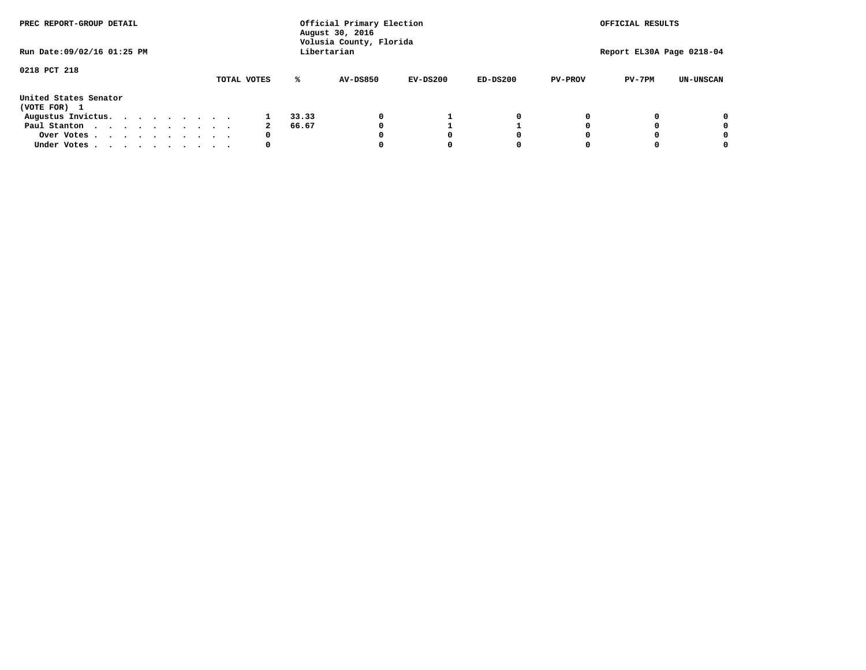| PREC REPORT-GROUP DETAIL              |  |  |  |  |  | Official Primary Election<br>August 30, 2016<br>Volusia County, Florida | OFFICIAL RESULTS<br>Report EL30A Page 0218-04 |       |                 |            |            |                |          |                  |
|---------------------------------------|--|--|--|--|--|-------------------------------------------------------------------------|-----------------------------------------------|-------|-----------------|------------|------------|----------------|----------|------------------|
| Run Date: 09/02/16 01:25 PM           |  |  |  |  |  |                                                                         |                                               |       | Libertarian     |            |            |                |          |                  |
| 0218 PCT 218                          |  |  |  |  |  |                                                                         | TOTAL VOTES                                   | ℁     | <b>AV-DS850</b> | $EV-DS200$ | $ED-DS200$ | <b>PV-PROV</b> | $PV-7PM$ | <b>UN-UNSCAN</b> |
| United States Senator<br>(VOTE FOR) 1 |  |  |  |  |  |                                                                         |                                               |       |                 |            |            |                |          |                  |
| Augustus Invictus.                    |  |  |  |  |  |                                                                         |                                               | 33.33 |                 |            | 0          |                |          | 0                |
| Paul Stanton                          |  |  |  |  |  |                                                                         |                                               | 66.67 |                 |            |            |                |          | 0                |
| Over Votes                            |  |  |  |  |  |                                                                         | 0                                             |       |                 | O          | 0          |                |          | 0                |
| Under Votes                           |  |  |  |  |  |                                                                         | 0                                             |       |                 |            | 0          |                |          | 0                |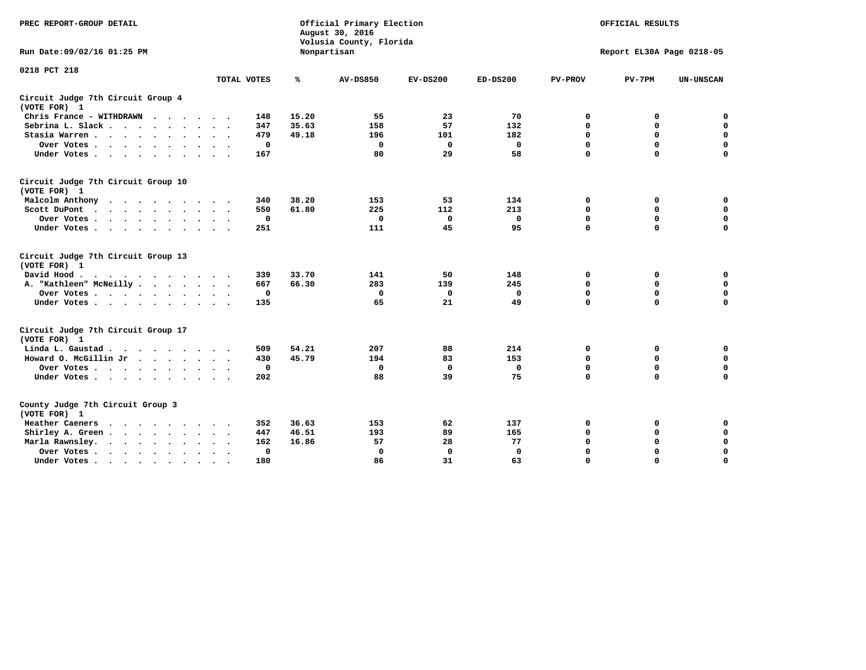| PREC REPORT-GROUP DETAIL                                    |                             | Official Primary Election<br>August 30, 2016<br>Volusia County, Florida |                 | OFFICIAL RESULTS<br>Report EL30A Page 0218-05 |             |                |             |                  |
|-------------------------------------------------------------|-----------------------------|-------------------------------------------------------------------------|-----------------|-----------------------------------------------|-------------|----------------|-------------|------------------|
| Run Date: 09/02/16 01:25 PM                                 |                             |                                                                         | Nonpartisan     |                                               |             |                |             |                  |
| 0218 PCT 218                                                |                             |                                                                         |                 |                                               |             |                |             |                  |
|                                                             | TOTAL VOTES                 | %                                                                       | <b>AV-DS850</b> | $EV-DS200$                                    | $ED-DS200$  | <b>PV-PROV</b> | $PV-7PM$    | <b>UN-UNSCAN</b> |
| Circuit Judge 7th Circuit Group 4<br>(VOTE FOR) 1           |                             |                                                                         |                 |                                               |             |                |             |                  |
| Chris France - WITHDRAWN                                    | 148                         | 15.20                                                                   | 55              | 23                                            | 70          | 0              | 0           | 0                |
| Sebrina L. Slack                                            | 347                         | 35.63                                                                   | 158             | 57                                            | 132         | $\mathbf 0$    | $\mathbf 0$ | $\mathbf 0$      |
| Stasia Warren<br>$\sim$ $\sim$                              | 479                         | 49.18                                                                   | 196             | 101                                           | 182         | $\mathbf 0$    | $\Omega$    | $\mathbf 0$      |
| Over Votes                                                  | 0                           |                                                                         | $\Omega$        | 0                                             | 0           | $\mathbf 0$    | $\mathbf 0$ | $\mathbf 0$      |
| Under Votes                                                 | 167                         |                                                                         | 80              | 29                                            | 58          | $\mathbf 0$    | $\Omega$    | $\mathbf 0$      |
| Circuit Judge 7th Circuit Group 10<br>(VOTE FOR) 1          |                             |                                                                         |                 |                                               |             |                |             |                  |
| Malcolm Anthony<br>.                                        | 340                         | 38.20                                                                   | 153             | 53                                            | 134         | 0              | 0           | $\mathbf 0$      |
| Scott DuPont                                                | 550                         | 61.80                                                                   | 225             | 112                                           | 213         | $\mathbf 0$    | $\mathbf 0$ | $\mathbf 0$      |
| Over Votes<br>$\bullet$                                     | 0                           |                                                                         | $\mathbf{0}$    | $\mathbf 0$                                   | 0           | $\mathbf 0$    | $\mathbf 0$ | $\mathbf 0$      |
| Under Votes                                                 | 251                         |                                                                         | 111             | 45                                            | 95          | $\mathbf 0$    | $\Omega$    | $\Omega$         |
| Circuit Judge 7th Circuit Group 13<br>(VOTE FOR) 1          |                             |                                                                         |                 |                                               |             |                |             |                  |
| David Hood.                                                 | 339                         | 33.70                                                                   | 141             | 50                                            | 148         | 0              | 0           | 0                |
| A. "Kathleen" McNeilly                                      | 667                         | 66.30                                                                   | 283             | 139                                           | 245         | $\Omega$       | 0           | $\mathbf 0$      |
| Over Votes                                                  | 0                           |                                                                         | $\mathbf 0$     | 0                                             | 0           | 0              | $\mathbf 0$ | $\mathbf 0$      |
| Under Votes                                                 | 135                         |                                                                         | 65              | 21                                            | 49          | $\mathbf 0$    | $\Omega$    | 0                |
| Circuit Judge 7th Circuit Group 17<br>(VOTE FOR) 1          |                             |                                                                         |                 |                                               |             |                |             |                  |
| Linda L. Gaustad                                            | 509                         | 54.21                                                                   | 207             | 88                                            | 214         | 0              | 0           | $\mathbf 0$      |
| Howard O. McGillin Jr                                       | 430                         | 45.79                                                                   | 194             | 83                                            | 153         | $\mathbf 0$    | $\mathbf 0$ | 0                |
| Over Votes                                                  | $\mathbf 0$                 |                                                                         | $\Omega$        | $\mathbf{0}$                                  | $\mathbf 0$ | $\mathbf 0$    | $\Omega$    | $\mathbf 0$      |
| Under Votes                                                 | 202                         |                                                                         | 88              | 39                                            | 75          | $\mathbf 0$    | $\mathbf 0$ | $\Omega$         |
| County Judge 7th Circuit Group 3<br>(VOTE FOR) 1            |                             |                                                                         |                 |                                               |             |                |             |                  |
| Heather Caeners                                             | 352                         | 36.63                                                                   | 153             | 62                                            | 137         | 0              | 0           | 0                |
| Shirley A. Green                                            | 447<br>$\ddot{\phantom{1}}$ | 46.51                                                                   | 193             | 89                                            | 165         | $\mathbf 0$    | $\Omega$    | $\mathbf 0$      |
| Marla Rawnsley.                                             | 162                         | 16.86                                                                   | 57              | 28                                            | 77          | 0              | $\mathbf 0$ | $\pmb{0}$        |
| Over Votes .<br>$\cdots$<br>$\cdot$<br>$\ddot{\phantom{a}}$ | 0                           |                                                                         | $\mathbf 0$     | $\mathbf{0}$                                  | 0           | $\mathbf 0$    | 0           | $\mathbf 0$      |
| Under Votes<br>$\sim$<br>$\sim$                             | 180                         |                                                                         | 86              | 31                                            | 63          | $\mathbf 0$    | $\mathbf 0$ | 0                |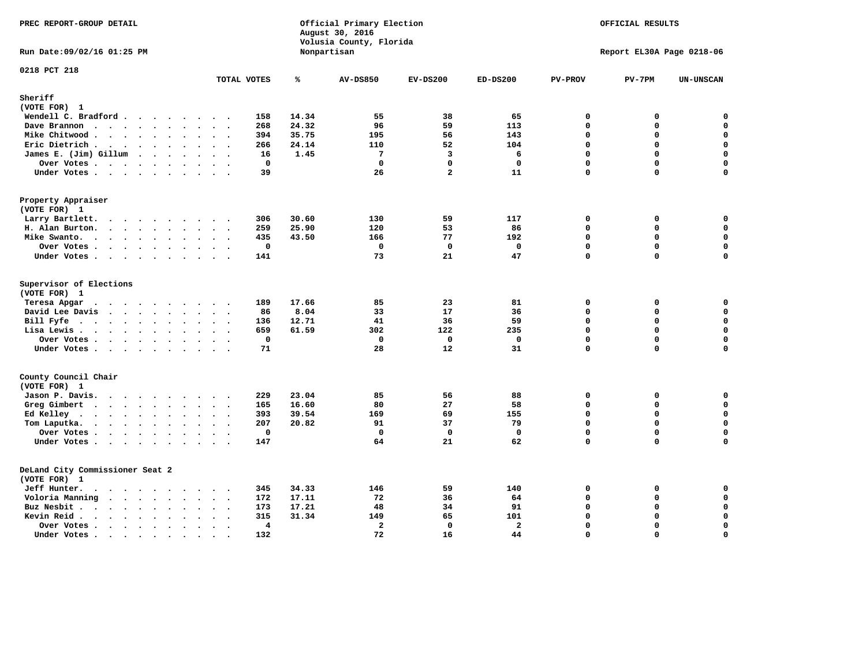| PREC REPORT-GROUP DETAIL                                                                                                                                                                                                                      |                                                                         |                | Official Primary Election<br>August 30, 2016<br>Volusia County, Florida | OFFICIAL RESULTS<br>Report EL30A Page 0218-06 |                |                         |          |                  |
|-----------------------------------------------------------------------------------------------------------------------------------------------------------------------------------------------------------------------------------------------|-------------------------------------------------------------------------|----------------|-------------------------------------------------------------------------|-----------------------------------------------|----------------|-------------------------|----------|------------------|
| Run Date: 09/02/16 01:25 PM                                                                                                                                                                                                                   |                                                                         |                | Nonpartisan                                                             |                                               |                |                         |          |                  |
| 0218 PCT 218                                                                                                                                                                                                                                  | TOTAL VOTES                                                             | ℁              | <b>AV-DS850</b>                                                         | $EV-DS200$                                    | $ED-DS200$     | <b>PV-PROV</b>          | $PV-7PM$ | UN-UNSCAN        |
| Sheriff                                                                                                                                                                                                                                       |                                                                         |                |                                                                         |                                               |                |                         |          |                  |
| (VOTE FOR) 1                                                                                                                                                                                                                                  |                                                                         |                |                                                                         |                                               |                |                         |          |                  |
| Wendell C. Bradford                                                                                                                                                                                                                           | 158                                                                     | 14.34          | 55                                                                      | 38                                            | 65             | 0                       | 0        | $\mathbf 0$      |
| Dave Brannon<br>$\mathbf{r}$ . The state of the state $\mathbf{r}$                                                                                                                                                                            | 268                                                                     | 24.32          | 96                                                                      | 59                                            | 113            | $\Omega$                | $\Omega$ | $\mathbf 0$      |
| Mike Chitwood                                                                                                                                                                                                                                 | 394                                                                     | 35.75          | 195                                                                     | 56                                            | 143            | $\mathbf 0$             | 0        | 0                |
| Eric Dietrich                                                                                                                                                                                                                                 | 266                                                                     | 24.14          | 110                                                                     | 52                                            | 104            | $\mathbf 0$             | 0        | $\mathbf 0$      |
| James E. (Jim) Gillum                                                                                                                                                                                                                         | 16                                                                      | 1.45           | $7\phantom{.0}$                                                         | 3                                             | 6              | $\Omega$                | $\Omega$ | $\mathbf 0$      |
| Over Votes.                                                                                                                                                                                                                                   | $\mathbf 0$                                                             |                | $\mathbf 0$                                                             | $\mathbf 0$                                   | $\mathbf 0$    | $\mathbf 0$             | 0        | $\mathbf 0$      |
| Under Votes                                                                                                                                                                                                                                   | 39                                                                      |                | 26                                                                      | $\overline{a}$                                | 11             | 0                       | 0        | $\Omega$         |
| Property Appraiser                                                                                                                                                                                                                            |                                                                         |                |                                                                         |                                               |                |                         |          |                  |
| (VOTE FOR) 1<br>Larry Bartlett.                                                                                                                                                                                                               | 306                                                                     | 30.60          | 130                                                                     | 59                                            | 117            | $\mathbf 0$             | 0        | 0                |
| H. Alan Burton.                                                                                                                                                                                                                               | 259                                                                     | 25.90          | 120                                                                     | 53                                            | 86             | $\mathbf 0$             | 0        | $\mathbf 0$      |
| Mike Swanto.<br>$\mathbf{r}$ , and $\mathbf{r}$ , and $\mathbf{r}$ , and $\mathbf{r}$                                                                                                                                                         | 435                                                                     | 43.50          | 166                                                                     | 77                                            | 192            | $\Omega$                | 0        | $\mathbf 0$      |
| Over Votes                                                                                                                                                                                                                                    | $\mathbf 0$                                                             |                | $\mathbf 0$                                                             | $\mathbf 0$                                   | $\mathbf 0$    | $\mathbf 0$             | 0        | $\mathbf 0$      |
| Under Votes                                                                                                                                                                                                                                   | 141                                                                     |                | 73                                                                      | 21                                            | 47             | $\Omega$                | $\Omega$ | $\mathbf 0$      |
|                                                                                                                                                                                                                                               |                                                                         |                |                                                                         |                                               |                |                         |          |                  |
| Supervisor of Elections<br>(VOTE FOR) 1                                                                                                                                                                                                       |                                                                         |                |                                                                         |                                               |                |                         |          |                  |
| Teresa Apgar<br>. The contract of the contract of the contract of the contract of the contract of the contract of the contract of the contract of the contract of the contract of the contract of the contract of the contract of the contrac | 189                                                                     | 17.66          | 85                                                                      | 23                                            | 81             | $\mathbf 0$             | 0        | 0                |
| David Lee Davis                                                                                                                                                                                                                               | 86                                                                      | 8.04           | 33                                                                      | 17                                            | 36             | $\mathbf 0$             | 0        | $\mathbf 0$      |
| Bill Fyfe.                                                                                                                                                                                                                                    | 136                                                                     | 12.71          | 41                                                                      | 36                                            | 59             | $\Omega$                | 0        | $\mathbf 0$      |
| Lisa Lewis                                                                                                                                                                                                                                    | 659                                                                     | 61.59          | 302                                                                     | 122                                           | 235            | $\mathbf 0$             | 0        | $\mathbf 0$      |
| Over Votes                                                                                                                                                                                                                                    | 0                                                                       |                | 0                                                                       | $\mathbf 0$                                   | 0              | $\mathbf 0$             | 0        | 0                |
| Under Votes.                                                                                                                                                                                                                                  | 71                                                                      |                | 28                                                                      | 12                                            | 31             | $\Omega$                | 0        | 0                |
| County Council Chair                                                                                                                                                                                                                          |                                                                         |                |                                                                         |                                               |                |                         |          |                  |
| (VOTE FOR) 1                                                                                                                                                                                                                                  |                                                                         |                |                                                                         |                                               |                |                         |          |                  |
| Jason P. Davis.                                                                                                                                                                                                                               | 229                                                                     | 23.04<br>16.60 | 85                                                                      | 56                                            | 88<br>58       | $\mathbf 0$<br>$\Omega$ | 0<br>0   | 0<br>$\mathbf 0$ |
| Greg Gimbert<br>$\cdots$                                                                                                                                                                                                                      | 165                                                                     |                | 80                                                                      | 27                                            |                | $\Omega$                | $\Omega$ |                  |
| Ed Kelley                                                                                                                                                                                                                                     | 393                                                                     | 39.54          | 169                                                                     | 69                                            | 155            |                         |          | 0                |
| Tom Laputka.<br>$\begin{array}{cccccccccccccccccc} . & . & . & . & . & . & . & . & . & . & . & . & . \end{array}$                                                                                                                             | 207                                                                     | 20.82          | 91                                                                      | 37                                            | 79             | $\mathbf 0$             | 0        | $\mathbf 0$      |
| Over Votes                                                                                                                                                                                                                                    | $\mathbf 0$                                                             |                | $\mathbf 0$                                                             | $\mathbf 0$                                   | $\mathbf 0$    | $\mathbf 0$             | 0        | $\mathbf 0$      |
| Under Votes                                                                                                                                                                                                                                   | 147                                                                     |                | 64                                                                      | 21                                            | 62             | $\Omega$                | $\Omega$ | $\mathbf 0$      |
| DeLand City Commissioner Seat 2<br>(VOTE FOR) 1                                                                                                                                                                                               |                                                                         |                |                                                                         |                                               |                |                         |          |                  |
| Jeff Hunter.<br>$\cdots$                                                                                                                                                                                                                      | 345                                                                     | 34.33          | 146                                                                     | 59                                            | 140            | $\mathbf 0$             | 0        | 0                |
| Voloria Manning                                                                                                                                                                                                                               | 172                                                                     | 17.11          | 72                                                                      | 36                                            | 64             | $\mathbf{0}$            | 0        | 0                |
| Buz Nesbit                                                                                                                                                                                                                                    | 173                                                                     | 17.21          | 48                                                                      | 34                                            | 91             | $\mathbf 0$             | 0        | $\mathbf 0$      |
| Kevin Reid.<br>$\cdots$<br>$\ddot{\phantom{0}}$                                                                                                                                                                                               | 315<br>$\cdot$ $\cdot$<br>$\sim$                                        | 31.34          | 149                                                                     | 65                                            | 101            | $\mathbf 0$             | 0        | $\pmb{0}$        |
| Over Votes<br>$\ddot{\phantom{a}}$                                                                                                                                                                                                            | $\overline{\mathbf{4}}$<br>$\ddot{\phantom{1}}$<br>$\ddot{\phantom{1}}$ |                | $\overline{a}$                                                          | $\mathbf 0$                                   | $\overline{a}$ | $\mathbf 0$             | 0        | $\mathbf 0$      |
| Under Votes                                                                                                                                                                                                                                   | 132                                                                     |                | 72                                                                      | 16                                            | 44             | $\Omega$                | $\Omega$ | $\mathbf 0$      |
|                                                                                                                                                                                                                                               |                                                                         |                |                                                                         |                                               |                |                         |          |                  |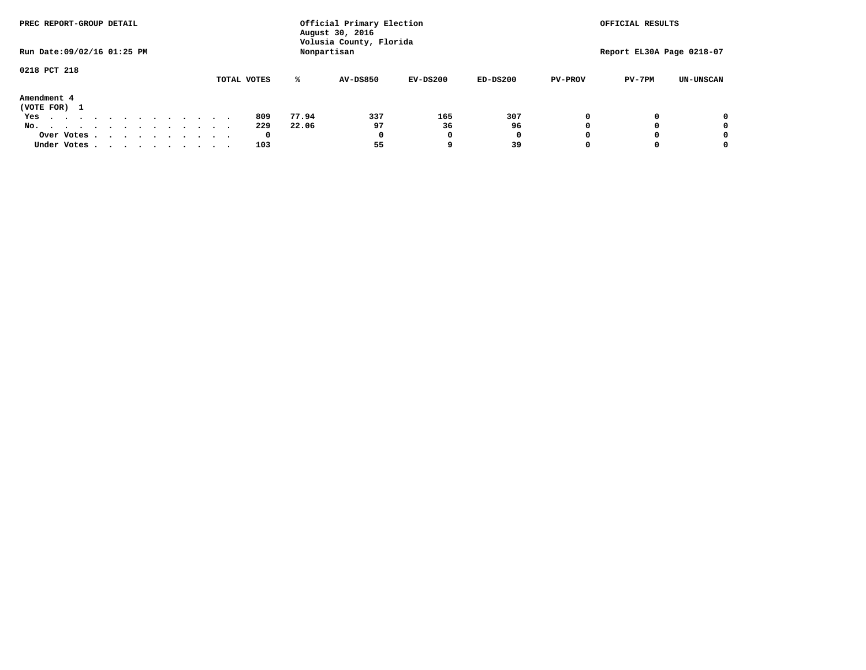| PREC REPORT-GROUP DETAIL         |             |       | Official Primary Election<br>August 30, 2016 | OFFICIAL RESULTS |            |                |                           |                  |
|----------------------------------|-------------|-------|----------------------------------------------|------------------|------------|----------------|---------------------------|------------------|
| Run Date: 09/02/16 01:25 PM      |             |       | Volusia County, Florida<br>Nonpartisan       |                  |            |                | Report EL30A Page 0218-07 |                  |
| 0218 PCT 218                     |             |       |                                              |                  |            |                |                           |                  |
|                                  | TOTAL VOTES | ℁     | <b>AV-DS850</b>                              | $EV-DS200$       | $ED-DS200$ | <b>PV-PROV</b> | $PV-7PM$                  | <b>UN-UNSCAN</b> |
| Amendment 4<br>(VOTE FOR) 1      |             |       |                                              |                  |            |                |                           |                  |
| Yes<br>.                         | 809         | 77.94 | 337                                          | 165              | 307        |                |                           | 0                |
| No.<br>.                         | 229         | 22.06 | 97                                           | 36               | 96         |                |                           | 0                |
| Over Votes                       | 0           |       | 0                                            |                  | 0          |                |                           | 0                |
| Under Votes, , , , , , , , , , , | 103         |       | 55                                           |                  | 39         |                |                           | 0                |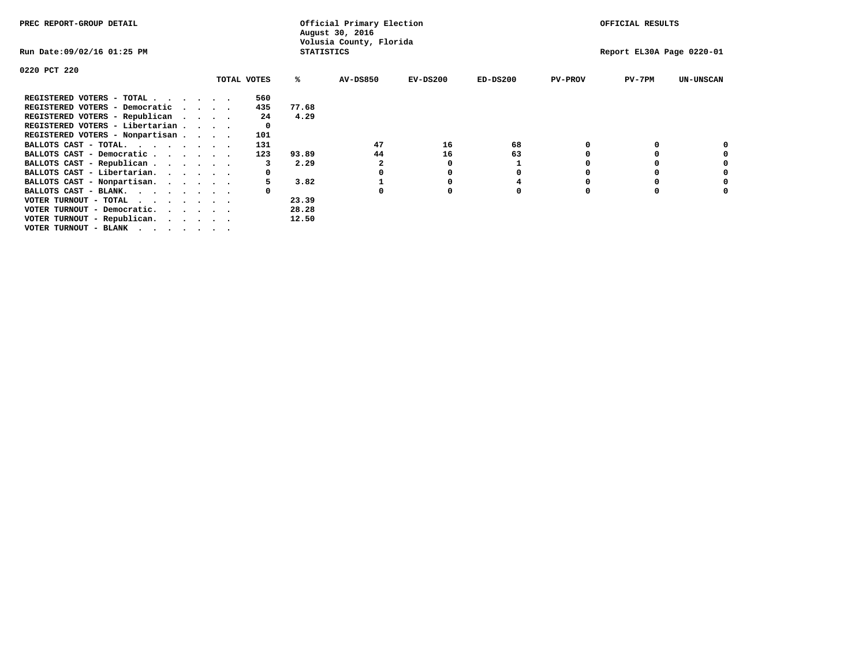| PREC REPORT-GROUP DETAIL                                      |  |             |                   | Official Primary Election<br>August 30, 2016 | OFFICIAL RESULTS |            |                |                           |                  |
|---------------------------------------------------------------|--|-------------|-------------------|----------------------------------------------|------------------|------------|----------------|---------------------------|------------------|
| Run Date:09/02/16 01:25 PM                                    |  |             | <b>STATISTICS</b> | Volusia County, Florida                      |                  |            |                | Report EL30A Page 0220-01 |                  |
| 0220 PCT 220                                                  |  |             |                   |                                              |                  |            |                |                           |                  |
|                                                               |  | TOTAL VOTES | ℁                 | AV-DS850                                     | $EV-DS200$       | $ED-DS200$ | <b>PV-PROV</b> | PV-7PM                    | <b>UN-UNSCAN</b> |
| REGISTERED VOTERS - TOTAL.                                    |  | 560         |                   |                                              |                  |            |                |                           |                  |
| REGISTERED VOTERS - Democratic<br>$\sim$ $\sim$ $\sim$ $\sim$ |  | 435         | 77.68             |                                              |                  |            |                |                           |                  |
| REGISTERED VOTERS - Republican                                |  | 24          | 4.29              |                                              |                  |            |                |                           |                  |
| REGISTERED VOTERS - Libertarian                               |  |             |                   |                                              |                  |            |                |                           |                  |
| REGISTERED VOTERS - Nonpartisan                               |  | 101         |                   |                                              |                  |            |                |                           |                  |
| BALLOTS CAST - TOTAL.                                         |  | 131         |                   | 47                                           | 16               | 68         |                |                           |                  |
| BALLOTS CAST - Democratic                                     |  | 123         | 93.89             | 44                                           | 16               | 63         |                |                           |                  |
| BALLOTS CAST - Republican                                     |  |             | 2.29              |                                              |                  |            |                |                           |                  |
| BALLOTS CAST - Libertarian.                                   |  |             |                   |                                              |                  | 0          |                | 0                         |                  |
| BALLOTS CAST - Nonpartisan.                                   |  |             | 3.82              |                                              |                  | 4          |                | 0                         | 0                |
| BALLOTS CAST - BLANK.                                         |  |             |                   | $\Omega$                                     |                  | O          | n              | O                         |                  |
| VOTER TURNOUT - TOTAL<br>$\cdots$                             |  |             | 23.39             |                                              |                  |            |                |                           |                  |
| VOTER TURNOUT - Democratic.                                   |  |             | 28.28             |                                              |                  |            |                |                           |                  |
| VOTER TURNOUT - Republican.                                   |  |             | 12.50             |                                              |                  |            |                |                           |                  |
| VOTER TURNOUT - BLANK                                         |  |             |                   |                                              |                  |            |                |                           |                  |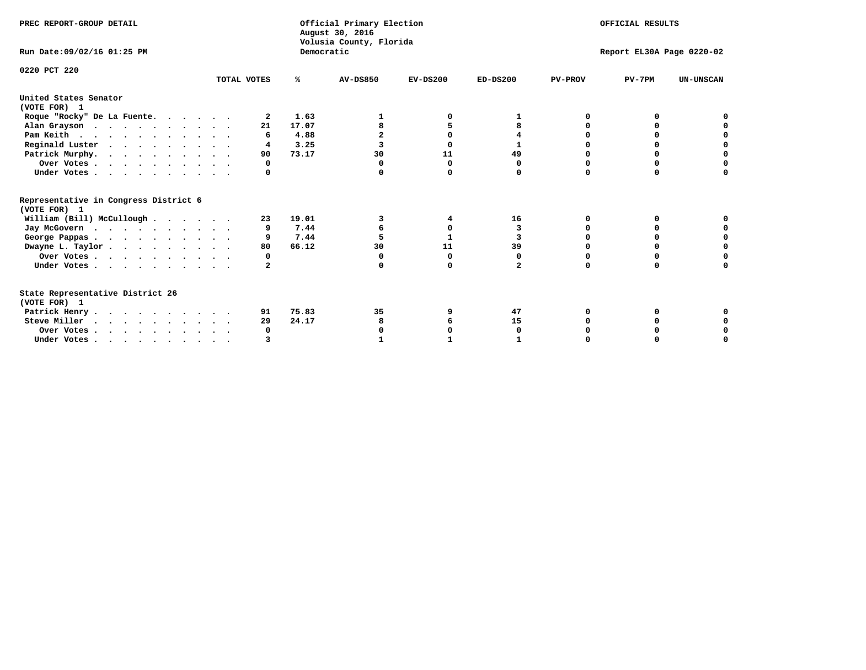| PREC REPORT-GROUP DETAIL                              |             | Official Primary Election<br>August 30, 2016 |                 | OFFICIAL RESULTS          |                |                |          |                  |
|-------------------------------------------------------|-------------|----------------------------------------------|-----------------|---------------------------|----------------|----------------|----------|------------------|
| Run Date: 09/02/16 01:25 PM                           |             | Volusia County, Florida<br>Democratic        |                 | Report EL30A Page 0220-02 |                |                |          |                  |
| 0220 PCT 220                                          | TOTAL VOTES | ℁                                            | <b>AV-DS850</b> | $EV-DS200$                | $ED-DS200$     | <b>PV-PROV</b> | $PV-7PM$ | <b>UN-UNSCAN</b> |
|                                                       |             |                                              |                 |                           |                |                |          |                  |
| United States Senator<br>(VOTE FOR) 1                 |             |                                              |                 |                           |                |                |          |                  |
| Roque "Rocky" De La Fuente.                           | 2           | 1.63                                         |                 |                           |                | O              | o        |                  |
| Alan Grayson                                          | 21          | 17.07                                        |                 | 5                         | 8              |                |          |                  |
| Pam Keith                                             | 6           | 4.88                                         |                 | $\Omega$                  |                | n              | O        |                  |
| Reginald Luster                                       | 4           | 3.25                                         |                 | $\Omega$                  | $\mathbf{1}$   |                | O        | O                |
| Patrick Murphy.                                       | 90          | 73.17                                        | 30              | 11                        | 49             |                |          | O                |
| Over Votes                                            | 0           |                                              | O               | $\Omega$                  | O              | O              | O        | O                |
| Under Votes                                           | 0           |                                              |                 | 0                         | 0              | $\Omega$       | 0        | O                |
| Representative in Congress District 6<br>(VOTE FOR) 1 |             |                                              |                 |                           |                |                |          |                  |
| William (Bill) McCullough                             | 23          | 19.01                                        | 3               | 4                         | 16             | O              | 0        |                  |
| Jay McGovern                                          |             | 7.44                                         |                 | 0                         | 3              | O              | o        |                  |
| George Pappas.                                        |             | 7.44                                         |                 | $\mathbf{1}$              | 3              |                | 0        | 0                |
| Dwayne L. Taylor                                      | 80          | 66.12                                        | 30              | 11                        | 39             | $\Omega$       | 0        | 0                |
| Over Votes                                            | 0           |                                              | $\Omega$        | $\Omega$                  | 0              | O              | $\Omega$ |                  |
| Under Votes                                           | 2           |                                              | $\Omega$        | $\Omega$                  | $\overline{a}$ | $\Omega$       | $\Omega$ | U                |
| State Representative District 26                      |             |                                              |                 |                           |                |                |          |                  |
| (VOTE FOR) 1                                          |             |                                              |                 |                           |                |                |          |                  |
| Patrick Henry                                         | 91          | 75.83                                        | 35              |                           | 47             | 0              | 0        |                  |
| Steve Miller                                          | 29          | 24.17                                        | 8               |                           | 15             |                |          | 0                |
| Over Votes                                            | 0           |                                              |                 |                           | 0              |                |          |                  |
| Under Votes, , , , , , , , , ,                        |             |                                              |                 |                           |                |                |          |                  |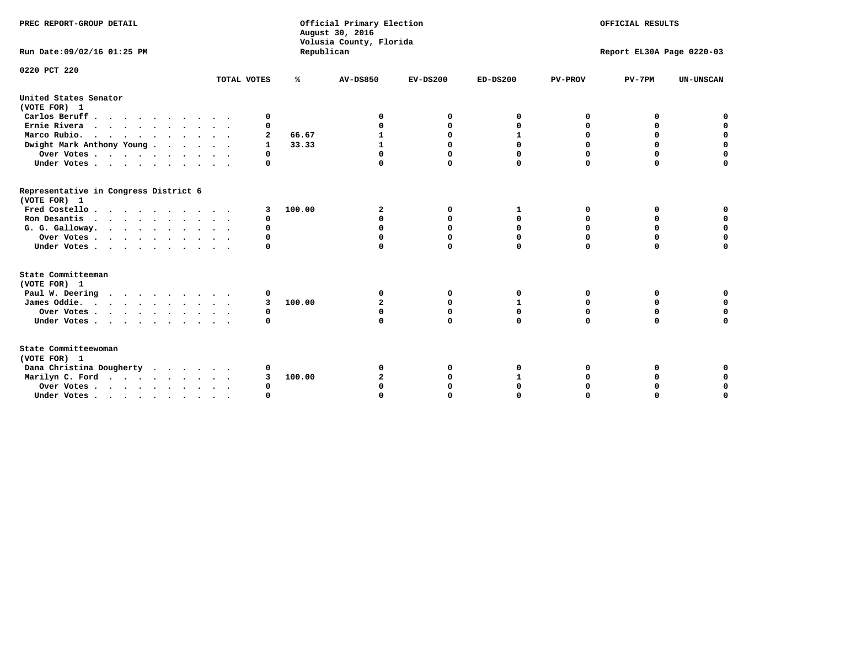| PREC REPORT-GROUP DETAIL                              |             | Official Primary Election<br>August 30, 2016<br>Volusia County, Florida |                 | OFFICIAL RESULTS<br>Report EL30A Page 0220-03 |            |                |          |                  |
|-------------------------------------------------------|-------------|-------------------------------------------------------------------------|-----------------|-----------------------------------------------|------------|----------------|----------|------------------|
| Run Date: 09/02/16 01:25 PM                           |             | Republican                                                              |                 |                                               |            |                |          |                  |
| 0220 PCT 220                                          | TOTAL VOTES | ℁                                                                       | <b>AV-DS850</b> | $EV-DS200$                                    | $ED-DS200$ | <b>PV-PROV</b> | $PV-7PM$ | <b>UN-UNSCAN</b> |
| United States Senator<br>(VOTE FOR) 1                 |             |                                                                         |                 |                                               |            |                |          |                  |
| Carlos Beruff                                         | 0           |                                                                         |                 |                                               | O          | 0              | 0        | 0                |
| Ernie Rivera                                          | 0           |                                                                         |                 | $\Omega$                                      |            | 0              | 0        | $\mathbf 0$      |
| Marco Rubio.                                          | 2           | 66.67                                                                   |                 |                                               |            | $\Omega$       | 0        | $\Omega$         |
| Dwight Mark Anthony Young                             | 1           | 33.33                                                                   | 1               | $\Omega$                                      | $\Omega$   | $\Omega$       | $\Omega$ | $\mathbf 0$      |
| Over Votes                                            | 0           |                                                                         | 0               | 0                                             | 0          | 0              | 0        | $\mathbf 0$      |
| Under Votes                                           | 0           |                                                                         | $\Omega$        | $\Omega$                                      |            | $\Omega$       | $\Omega$ | $\Omega$         |
| Representative in Congress District 6<br>(VOTE FOR) 1 |             |                                                                         |                 |                                               |            |                |          |                  |
| Fred Costello                                         | 3           | 100.00                                                                  | $\mathbf{2}$    | 0                                             | 1          | 0              | 0        | 0                |
| Ron Desantis                                          | $\Omega$    |                                                                         | $\Omega$        | $\Omega$                                      | 0          | 0              | 0        | $\Omega$         |
| G. G. Galloway.                                       | O           |                                                                         | $\Omega$        | $\Omega$                                      | $\Omega$   | 0              | 0        | $\mathbf 0$      |
| Over Votes                                            | $\Omega$    |                                                                         |                 | $\Omega$                                      | $\Omega$   | 0              | 0        | $\mathbf 0$      |
| Under Votes                                           | $\Omega$    |                                                                         |                 | $\Omega$                                      | 0          | $\Omega$       | $\Omega$ | $\Omega$         |
| State Committeeman                                    |             |                                                                         |                 |                                               |            |                |          |                  |
| (VOTE FOR) 1                                          |             |                                                                         |                 |                                               |            |                |          |                  |
| Paul W. Deering                                       | 0           |                                                                         | 0               | O                                             | 0          | 0              | 0        |                  |
| James Oddie.                                          | 3           | 100.00                                                                  | 2               | $\Omega$                                      | 1          | 0              | 0        | $\mathbf 0$      |
| Over Votes                                            | 0           |                                                                         | $\mathbf 0$     | 0                                             | 0          | 0              | 0        | $\mathbf 0$      |
| Under Votes                                           | $\Omega$    |                                                                         | $\Omega$        | $\Omega$                                      | 0          | $\Omega$       | 0        | $\mathbf 0$      |
| State Committeewoman<br>(VOTE FOR) 1                  |             |                                                                         |                 |                                               |            |                |          |                  |
| Dana Christina Dougherty                              | 0           |                                                                         | 0               | 0                                             |            | 0              | 0        | 0                |
| Marilyn C. Ford                                       | 3           | 100.00                                                                  | $\overline{a}$  | 0                                             |            | 0              | 0        | $\mathbf 0$      |
| Over Votes                                            | 0           |                                                                         |                 | $\Omega$                                      | $\Omega$   | $\Omega$       | 0        | $\mathbf 0$      |
| Under Votes, , , , , , , , , ,                        | O           |                                                                         |                 | $\Omega$                                      |            | $\Omega$       | $\Omega$ | $\Omega$         |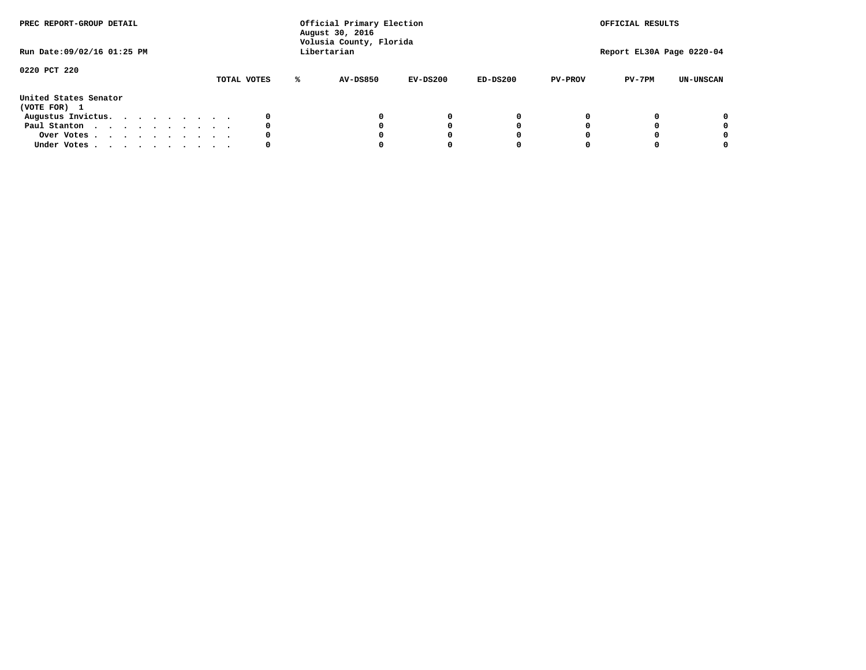| PREC REPORT-GROUP DETAIL<br>Run Date: 09/02/16 01:25 PM |  |  |  |  |  |  | Official Primary Election<br>August 30, 2016<br>Volusia County, Florida<br>Libertarian |   | OFFICIAL RESULTS<br>Report EL30A Page 0220-04 |            |            |                |          |                  |
|---------------------------------------------------------|--|--|--|--|--|--|----------------------------------------------------------------------------------------|---|-----------------------------------------------|------------|------------|----------------|----------|------------------|
| 0220 PCT 220                                            |  |  |  |  |  |  | TOTAL VOTES                                                                            | ℁ | <b>AV-DS850</b>                               | $EV-DS200$ | $ED-DS200$ | <b>PV-PROV</b> | $PV-7PM$ | <b>UN-UNSCAN</b> |
| United States Senator<br>(VOTE FOR) 1                   |  |  |  |  |  |  |                                                                                        |   |                                               |            |            |                |          |                  |
| Augustus Invictus.                                      |  |  |  |  |  |  | 0                                                                                      |   |                                               | 0          | 0          |                |          | 0                |
| Paul Stanton                                            |  |  |  |  |  |  | 0                                                                                      |   |                                               |            | 0          |                |          | 0                |
| Over Votes                                              |  |  |  |  |  |  | 0                                                                                      |   |                                               |            | 0          |                |          | 0                |
| Under Votes                                             |  |  |  |  |  |  | 0                                                                                      |   |                                               |            |            |                |          | 0                |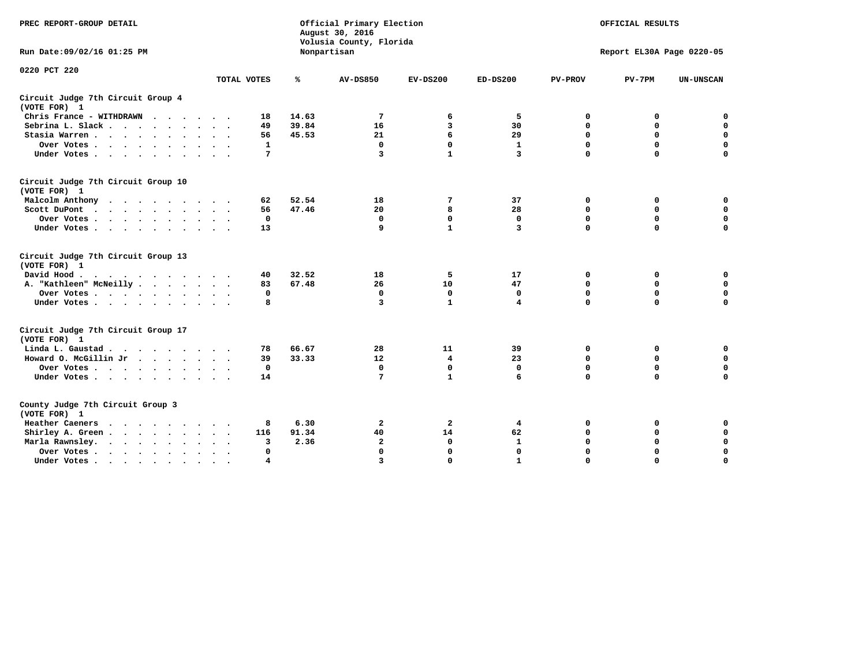| PREC REPORT-GROUP DETAIL                           |                           |                | Official Primary Election<br>August 30, 2016<br>Volusia County, Florida | OFFICIAL RESULTS |                         |                  |                           |                            |
|----------------------------------------------------|---------------------------|----------------|-------------------------------------------------------------------------|------------------|-------------------------|------------------|---------------------------|----------------------------|
| Run Date: 09/02/16 01:25 PM                        |                           |                | Nonpartisan                                                             |                  |                         |                  | Report EL30A Page 0220-05 |                            |
| 0220 PCT 220                                       | TOTAL VOTES               | ℁              | <b>AV-DS850</b>                                                         | $EV-DS200$       | $ED-DS200$              | <b>PV-PROV</b>   | $PV-7PM$                  | <b>UN-UNSCAN</b>           |
| Circuit Judge 7th Circuit Group 4                  |                           |                |                                                                         |                  |                         |                  |                           |                            |
| (VOTE FOR) 1                                       |                           |                |                                                                         |                  |                         |                  |                           |                            |
| Chris France - WITHDRAWN                           | 18                        | 14.63          | 7                                                                       | 6                | 5                       | 0                | 0                         | 0                          |
| Sebrina L. Slack                                   | 49                        | 39.84          | 16                                                                      | 3                | 30                      | $\mathbf 0$      | $\mathbf 0$               | $\mathbf 0$                |
| Stasia Warren                                      | 56<br>$\cdot$ $\cdot$     | 45.53          | 21                                                                      | 6                | 29                      | $\mathbf 0$      | $\mathbf 0$               | $\mathbf 0$                |
| Over Votes                                         | $\mathbf{1}$              |                | $\mathbf 0$                                                             | $\mathbf 0$      | $\mathbf{1}$            | 0                | $\mathbf 0$               | $\mathbf 0$                |
| Under Votes                                        | 7                         |                | 3                                                                       | $\mathbf{1}$     | $\overline{\mathbf{3}}$ | $\mathbf 0$      | $\mathbf 0$               | $\Omega$                   |
| Circuit Judge 7th Circuit Group 10<br>(VOTE FOR) 1 |                           |                |                                                                         |                  |                         |                  |                           |                            |
|                                                    | 62                        | 52.54          | 18                                                                      | 7                | 37                      | 0                | 0                         | $\mathbf 0$                |
| Malcolm Anthony<br>Scott DuPont                    | 56                        | 47.46          | 20                                                                      | 8                | 28                      | $\mathbf 0$      | $\mathbf 0$               | $\mathbf 0$                |
| Over Votes                                         | $\Omega$                  |                | $\mathbf 0$                                                             | $\mathbf{0}$     | $\mathbf 0$             | $\mathbf 0$      | 0                         | $\mathbf 0$                |
| Under Votes                                        | 13                        |                | 9                                                                       | $\mathbf{1}$     | 3                       | $\mathbf 0$      | $\mathbf 0$               | $\Omega$                   |
|                                                    |                           |                |                                                                         |                  |                         |                  |                           |                            |
| Circuit Judge 7th Circuit Group 13                 |                           |                |                                                                         |                  |                         |                  |                           |                            |
| (VOTE FOR) 1<br>David Hood.                        |                           |                |                                                                         |                  |                         |                  |                           |                            |
| $\cdots$                                           | 40<br>83                  | 32.52<br>67.48 | 18<br>26                                                                | 5<br>10          | 17<br>47                | 0<br>$\mathbf 0$ | 0<br>$\mathbf 0$          | $\mathbf 0$<br>$\mathbf 0$ |
| A. "Kathleen" McNeilly                             | $\mathbf{0}$              |                | $\mathbf 0$                                                             | $\mathbf{0}$     | $\mathbf{0}$            | $\mathbf 0$      | $\mathbf 0$               | $\mathbf 0$                |
| Over Votes                                         | 8                         |                | 3                                                                       | $\mathbf{1}$     | 4                       | $\mathbf 0$      | $\Omega$                  | 0                          |
| Under Votes                                        |                           |                |                                                                         |                  |                         |                  |                           |                            |
| Circuit Judge 7th Circuit Group 17                 |                           |                |                                                                         |                  |                         |                  |                           |                            |
| (VOTE FOR) 1                                       |                           |                |                                                                         |                  |                         |                  |                           |                            |
| Linda L. Gaustad                                   | 78                        | 66.67          | 28                                                                      | 11               | 39                      | 0                | 0                         | $\mathbf 0$                |
| Howard O. McGillin Jr                              | 39                        | 33.33          | 12                                                                      | 4                | 23                      | 0                | $\mathbf 0$               | $\mathbf 0$                |
| Over Votes                                         | 0                         |                | $\mathbf 0$                                                             | $\mathbf 0$      | $\mathbf 0$             | $\mathbf 0$      | $\mathbf 0$               | 0                          |
| Under Votes                                        | 14                        |                | 7                                                                       | $\mathbf{1}$     | 6                       | $\mathbf 0$      | $\Omega$                  | 0                          |
| County Judge 7th Circuit Group 3<br>(VOTE FOR) 1   |                           |                |                                                                         |                  |                         |                  |                           |                            |
| Heather Caeners<br>$\cdots$                        | 8                         | 6.30           | $\overline{2}$                                                          | 2                | 4                       | 0                | 0                         | 0                          |
| Shirley A. Green                                   | 116                       | 91.34          | 40                                                                      | 14               | 62                      | 0                | 0                         | $\mathbf 0$                |
| Marla Rawnsley.                                    | 3                         | 2.36           | $\overline{a}$                                                          | $\mathbf 0$      | $\mathbf{1}$            | 0                | $\mathbf 0$               | 0                          |
| Over Votes                                         | 0<br>$\ddot{\phantom{1}}$ |                | $\mathbf 0$                                                             | $\mathbf 0$      | 0                       | $\mathbf 0$      | $\mathbf 0$               | $\mathbf 0$                |
| Under Votes                                        | 4                         |                | $\overline{3}$                                                          | $\Omega$         | $\mathbf{1}$            | $\Omega$         | $\Omega$                  | $\Omega$                   |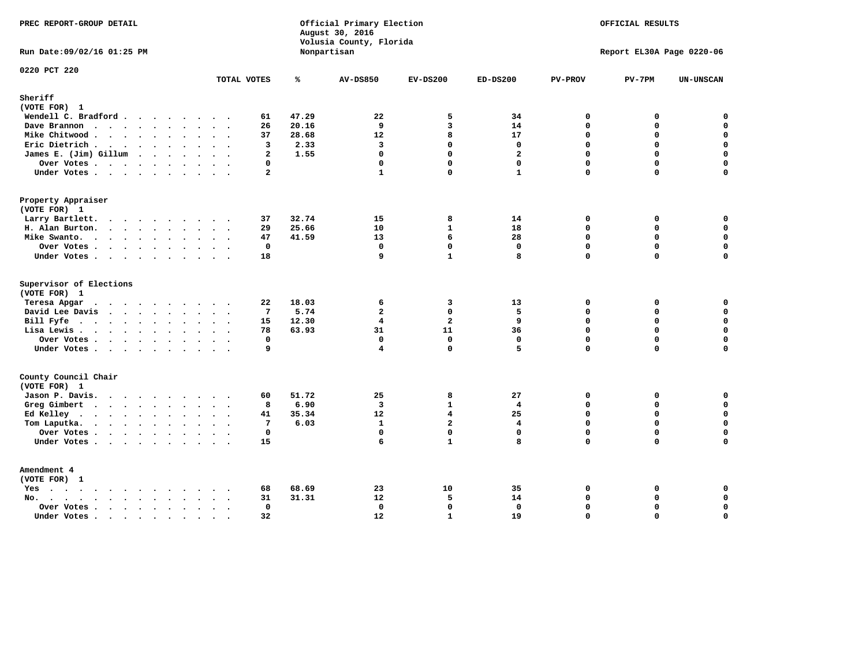| PREC REPORT-GROUP DETAIL                                                                                           | Official Primary Election<br>August 30, 2016<br>Volusia County, Florida<br>Nonpartisan |       |                         | OFFICIAL RESULTS<br>Report EL30A Page 0220-06 |                |                |             |                  |
|--------------------------------------------------------------------------------------------------------------------|----------------------------------------------------------------------------------------|-------|-------------------------|-----------------------------------------------|----------------|----------------|-------------|------------------|
| Run Date: 09/02/16 01:25 PM                                                                                        |                                                                                        |       |                         |                                               |                |                |             |                  |
| 0220 PCT 220                                                                                                       | TOTAL VOTES                                                                            | ℁     | <b>AV-DS850</b>         | $EV-DS200$                                    | $ED-DS200$     | <b>PV-PROV</b> | $PV-7PM$    | <b>UN-UNSCAN</b> |
| Sheriff                                                                                                            |                                                                                        |       |                         |                                               |                |                |             |                  |
| (VOTE FOR) 1                                                                                                       |                                                                                        |       |                         |                                               |                |                |             |                  |
| Wendell C. Bradford                                                                                                | 61                                                                                     | 47.29 | 22                      | 5                                             | 34             | 0              | 0           | $\mathbf 0$      |
| Dave Brannon                                                                                                       | 26                                                                                     | 20.16 | 9                       | 3                                             | 14             | $\Omega$       | 0           | $\mathbf 0$      |
| Mike Chitwood                                                                                                      | 37                                                                                     | 28.68 | 12                      | 8                                             | 17             | $\mathbf 0$    | 0           | $\mathbf 0$      |
| Eric Dietrich                                                                                                      | 3                                                                                      | 2.33  | $\overline{3}$          | $\Omega$                                      | $\Omega$       | $\Omega$       | $\Omega$    | $\mathbf 0$      |
| James E. (Jim) Gillum                                                                                              | $\overline{a}$                                                                         | 1.55  | $\mathbf{0}$            | $\Omega$                                      | $\overline{a}$ | $\Omega$       | $\Omega$    | $\mathbf 0$      |
| Over Votes                                                                                                         | 0                                                                                      |       | $\mathbf 0$             | $\mathbf{0}$                                  | $\mathbf{0}$   | $\mathbf 0$    | 0           | $\mathbf 0$      |
| Under Votes                                                                                                        | $\overline{a}$                                                                         |       | $\mathbf{1}$            | $\Omega$                                      | $\mathbf{1}$   | $\Omega$       | 0           | $\mathbf 0$      |
| Property Appraiser                                                                                                 |                                                                                        |       |                         |                                               |                |                |             |                  |
| (VOTE FOR) 1                                                                                                       |                                                                                        |       |                         |                                               |                |                |             |                  |
| Larry Bartlett.                                                                                                    | 37                                                                                     | 32.74 | 15                      | 8                                             | 14             | $\mathbf{0}$   | 0           | 0                |
| H. Alan Burton.                                                                                                    | 29                                                                                     | 25.66 | 10                      | $\mathbf{1}$                                  | 18             | $\mathbf 0$    | $\mathbf 0$ | $\mathbf 0$      |
| Mike Swanto.                                                                                                       | 47                                                                                     | 41.59 | 13                      | 6                                             | 28             | $\mathbf 0$    | $\mathbf 0$ | $\mathbf 0$      |
| Over Votes                                                                                                         | 0                                                                                      |       | $\mathbf 0$             | $\mathbf 0$                                   | $\mathbf 0$    | $\mathbf 0$    | 0           | $\mathbf 0$      |
| Under Votes                                                                                                        | 18                                                                                     |       | 9                       | $\mathbf{1}$                                  | 8              | $\mathbf{0}$   | 0           | $\mathbf 0$      |
| Supervisor of Elections<br>(VOTE FOR) 1                                                                            |                                                                                        |       |                         |                                               |                |                |             |                  |
| Teresa Apgar<br>$\cdots$                                                                                           | 22                                                                                     | 18.03 | 6                       | 3                                             | 13             | 0              | 0           | 0                |
| David Lee Davis                                                                                                    | $\overline{7}$                                                                         | 5.74  | $\overline{a}$          | $\Omega$                                      | 5              | $\Omega$       | $\Omega$    | $\mathbf 0$      |
| Bill Fyfe $\cdots$ $\cdots$ $\cdots$ $\cdots$                                                                      | 15                                                                                     | 12.30 | $\overline{4}$          | $\overline{a}$                                | 9              | $\mathbf 0$    | 0           | $\mathbf 0$      |
| Lisa Lewis                                                                                                         | 78                                                                                     | 63.93 | 31                      | 11                                            | 36             | $\Omega$       | $\mathbf 0$ | $\mathbf 0$      |
| Over Votes                                                                                                         | 0                                                                                      |       | $\mathbf 0$             | $\mathbf 0$                                   | $\mathbf 0$    | $\mathbf 0$    | 0           | $\pmb{0}$        |
| Under Votes                                                                                                        | 9                                                                                      |       | 4                       | $\Omega$                                      | 5              | $\Omega$       | $\Omega$    | $\mathbf 0$      |
| County Council Chair<br>(VOTE FOR) 1                                                                               |                                                                                        |       |                         |                                               |                |                |             |                  |
| Jason P. Davis.                                                                                                    | 60                                                                                     | 51.72 | 25                      | 8                                             | 27             | $\mathbf{0}$   | 0           | 0                |
| Greg Gimbert                                                                                                       | 8                                                                                      | 6.90  | $\overline{\mathbf{3}}$ | $\mathbf{1}$                                  | $\overline{4}$ | $\Omega$       | 0           | $\mathbf 0$      |
| Ed Kelley                                                                                                          | 41                                                                                     | 35.34 | $12 \overline{ }$       | 4                                             | 25             | $\mathbf 0$    | 0           | $\mathbf 0$      |
| Tom Laputka.                                                                                                       | 7                                                                                      | 6.03  | $\mathbf{1}$            | $\overline{a}$                                | $\overline{4}$ | $\Omega$       | $\mathbf 0$ | $\mathbf 0$      |
| Over Votes                                                                                                         | $\mathbf 0$                                                                            |       | $\mathbf{0}$            | $\mathbf 0$                                   | $\mathbf 0$    | $\mathbf 0$    | 0           | $\mathbf 0$      |
| Under Votes                                                                                                        | 15                                                                                     |       | 6                       | $\mathbf{1}$                                  | 8              | $\Omega$       | $\Omega$    | $\mathbf 0$      |
| Amendment 4                                                                                                        |                                                                                        |       |                         |                                               |                |                |             |                  |
| (VOTE FOR) 1                                                                                                       |                                                                                        |       |                         |                                               |                |                |             |                  |
| Yes                                                                                                                | 68                                                                                     | 68.69 | 23                      | 10                                            | 35             | 0              | 0           | 0                |
| $\begin{array}{cccccccccccccccccc} . & . & . & . & . & . & . & . & . & . & . & . & . \end{array}$<br>No.<br>$\sim$ | 31                                                                                     | 31.31 | 12                      | 5                                             | 14             | $\mathbf 0$    | 0           | $\mathsf{o}\,$   |
| Over Votes                                                                                                         | $\mathbf 0$                                                                            |       | $\mathbf 0$             | $\mathbf{0}$                                  | $\mathbf{0}$   | $\mathbf 0$    | 0           | $\mathsf{o}\,$   |
| Under Votes                                                                                                        | 32<br>$\sim$                                                                           |       | 12                      | $\mathbf{1}$                                  | 19             | $\Omega$       | $\Omega$    | $\mathbf 0$      |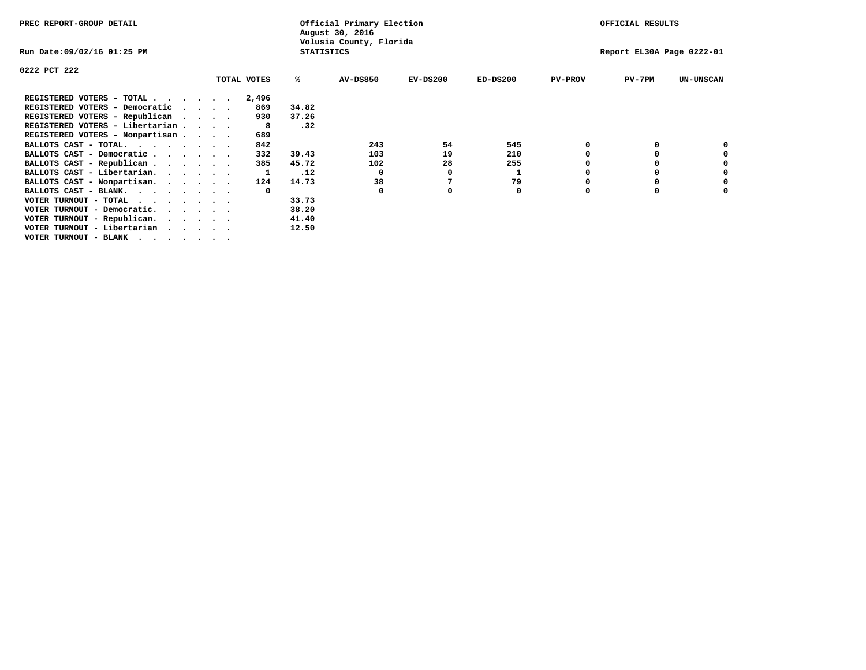| PREC REPORT-GROUP DETAIL                                                                                                                 |  |             |                   | Official Primary Election<br>August 30, 2016 |            |            |                | OFFICIAL RESULTS          |                  |
|------------------------------------------------------------------------------------------------------------------------------------------|--|-------------|-------------------|----------------------------------------------|------------|------------|----------------|---------------------------|------------------|
| Run Date:09/02/16 01:25 PM                                                                                                               |  |             | <b>STATISTICS</b> | Volusia County, Florida                      |            |            |                | Report EL30A Page 0222-01 |                  |
| 0222 PCT 222                                                                                                                             |  |             |                   |                                              |            |            |                |                           |                  |
|                                                                                                                                          |  | TOTAL VOTES | ℁                 | AV-DS850                                     | $EV-DS200$ | $ED-DS200$ | <b>PV-PROV</b> | $PV-7PM$                  | <b>UN-UNSCAN</b> |
| REGISTERED VOTERS - TOTAL                                                                                                                |  | 2,496       |                   |                                              |            |            |                |                           |                  |
| REGISTERED VOTERS - Democratic                                                                                                           |  | 869         | 34.82             |                                              |            |            |                |                           |                  |
| REGISTERED VOTERS - Republican                                                                                                           |  | 930         | 37.26             |                                              |            |            |                |                           |                  |
| REGISTERED VOTERS - Libertarian                                                                                                          |  | -8          | .32               |                                              |            |            |                |                           |                  |
| REGISTERED VOTERS - Nonpartisan                                                                                                          |  | 689         |                   |                                              |            |            |                |                           |                  |
| BALLOTS CAST - TOTAL.                                                                                                                    |  | 842         |                   | 243                                          | 54         | 545        |                |                           |                  |
| BALLOTS CAST - Democratic                                                                                                                |  | 332         | 39.43             | 103                                          | 19         | 210        |                |                           |                  |
| BALLOTS CAST - Republican                                                                                                                |  | 385         | 45.72             | 102                                          | 28         | 255        |                |                           |                  |
| BALLOTS CAST - Libertarian.                                                                                                              |  |             | .12               | $\Omega$                                     |            |            |                |                           |                  |
| BALLOTS CAST - Nonpartisan.                                                                                                              |  | 124         | 14.73             | 38                                           |            | 79         |                |                           | 0                |
| BALLOTS CAST - BLANK.                                                                                                                    |  | $\Omega$    |                   | 0                                            |            | 0          | O              |                           |                  |
| VOTER TURNOUT - TOTAL<br>the contract of the contract of the contract of the contract of the contract of the contract of the contract of |  |             | 33.73             |                                              |            |            |                |                           |                  |
| VOTER TURNOUT - Democratic.                                                                                                              |  |             | 38.20             |                                              |            |            |                |                           |                  |
| VOTER TURNOUT - Republican.                                                                                                              |  |             | 41.40             |                                              |            |            |                |                           |                  |
| VOTER TURNOUT - Libertarian                                                                                                              |  |             | 12.50             |                                              |            |            |                |                           |                  |
| VOTER TURNOUT - BLANK                                                                                                                    |  |             |                   |                                              |            |            |                |                           |                  |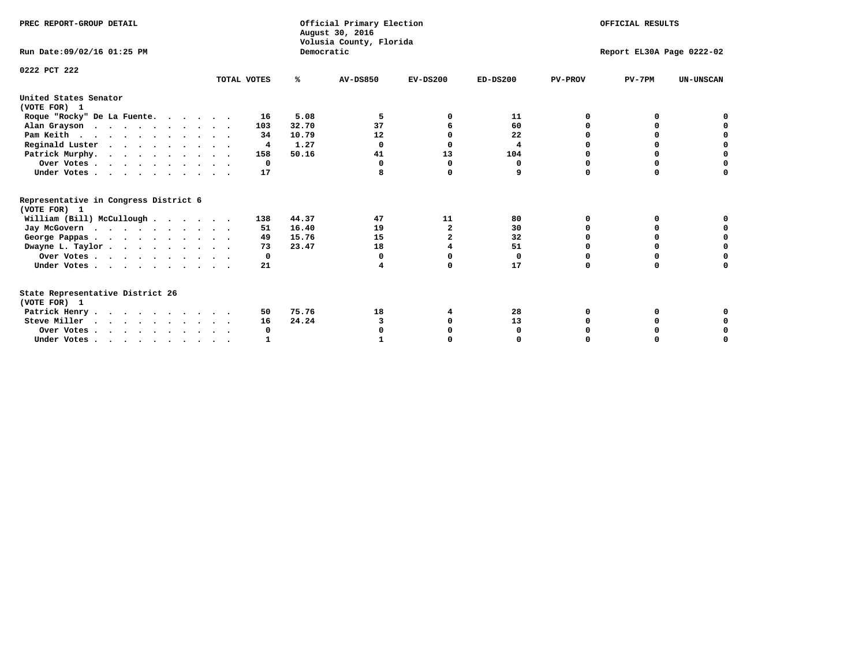| PREC REPORT-GROUP DETAIL                                                         |             |            | Official Primary Election<br>August 30, 2016<br>Volusia County, Florida | OFFICIAL RESULTS<br>Report EL30A Page 0222-02 |            |                |          |                  |
|----------------------------------------------------------------------------------|-------------|------------|-------------------------------------------------------------------------|-----------------------------------------------|------------|----------------|----------|------------------|
| Run Date: 09/02/16 01:25 PM                                                      |             | Democratic |                                                                         |                                               |            |                |          |                  |
| 0222 PCT 222                                                                     | TOTAL VOTES | ℁          | <b>AV-DS850</b>                                                         | $EV-DS200$                                    | $ED-DS200$ | <b>PV-PROV</b> | $PV-7PM$ | <b>UN-UNSCAN</b> |
| United States Senator<br>(VOTE FOR) 1                                            |             |            |                                                                         |                                               |            |                |          |                  |
| Roque "Rocky" De La Fuente.                                                      | 16          | 5.08       | 5                                                                       |                                               | 11         | 0              | O        |                  |
| Alan Grayson                                                                     | 103         | 32.70      | 37                                                                      | 6                                             | 60         | $\Omega$       | $\Omega$ |                  |
| Pam Keith                                                                        | 34          | 10.79      | 12                                                                      | n                                             | 22         |                | $\Omega$ | n                |
| Reginald Luster                                                                  | 4           | 1.27       | $\Omega$                                                                | $\Omega$                                      | 4          |                | 0        | 0                |
| Patrick Murphy.                                                                  | 158         | 50.16      | 41                                                                      | 13                                            | 104        | O              | 0        | $\Omega$         |
| Over Votes                                                                       | $^{\circ}$  |            | $\Omega$                                                                | $\Omega$                                      | 0          | O              | $\Omega$ | $\Omega$         |
| Under Votes                                                                      | 17          |            |                                                                         | $\Omega$                                      | 9          | $\Omega$       | $\Omega$ | $\Omega$         |
| Representative in Congress District 6<br>(VOTE FOR) 1                            |             |            |                                                                         |                                               |            |                |          |                  |
| William (Bill) McCullough                                                        | 138         | 44.37      | 47                                                                      | 11                                            | 80         | O              | 0        |                  |
| Jay McGovern                                                                     | 51          | 16.40      | 19                                                                      | $\mathbf{2}$                                  | 30         | O              | 0        | 0                |
| George Pappas.                                                                   | 49          | 15.76      | 15                                                                      | $\mathbf{2}$                                  | 32         | $\Omega$       | $\Omega$ | 0                |
| Dwayne L. Taylor                                                                 | 73          | 23.47      | 18                                                                      |                                               | 51         | $\Omega$       | $\Omega$ | $\Omega$         |
| Over Votes                                                                       | 0           |            | 0                                                                       | $\Omega$                                      | 0          | 0              | 0        | $\Omega$         |
| Under Votes                                                                      | 21          |            | 4                                                                       | $\Omega$                                      | 17         | $\Omega$       | 0        | O                |
| State Representative District 26<br>(VOTE FOR) 1                                 |             |            |                                                                         |                                               |            |                |          |                  |
| Patrick Henry                                                                    | 50          | 75.76      | 18                                                                      | 4                                             | 28         | 0              | 0        |                  |
| Steve Miller                                                                     | 16          | 24.24      | 3                                                                       |                                               | 13         |                |          | 0                |
| Over Votes                                                                       | 0           |            |                                                                         |                                               | 0          |                | O        | 0                |
| Under Votes, $\cdot$ , $\cdot$ , $\cdot$ , $\cdot$ , $\cdot$ , $\cdot$ , $\cdot$ |             |            |                                                                         |                                               |            |                |          | U                |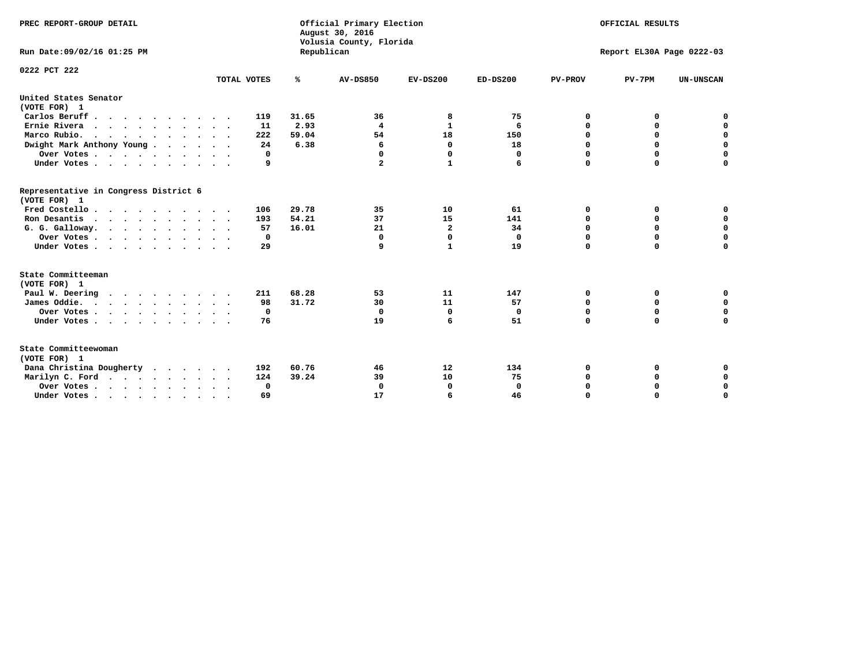| PREC REPORT-GROUP DETAIL<br>Run Date: 09/02/16 01:25 PM |             | Republican | Official Primary Election<br>August 30, 2016<br>Volusia County, Florida | OFFICIAL RESULTS<br>Report EL30A Page 0222-03 |              |                |             |                  |
|---------------------------------------------------------|-------------|------------|-------------------------------------------------------------------------|-----------------------------------------------|--------------|----------------|-------------|------------------|
| 0222 PCT 222                                            |             |            |                                                                         |                                               |              |                |             |                  |
|                                                         | TOTAL VOTES | ℁          | <b>AV-DS850</b>                                                         | $EV-DS200$                                    | $ED-DS200$   | <b>PV-PROV</b> | $PV-7PM$    | <b>UN-UNSCAN</b> |
| United States Senator<br>(VOTE FOR) 1                   |             |            |                                                                         |                                               |              |                |             |                  |
| Carlos Beruff                                           | 119         | 31.65      | 36                                                                      | 8                                             | 75           | 0              | 0           | 0                |
| Ernie Rivera                                            | 11          | 2.93       | $\overline{\mathbf{4}}$                                                 | 1                                             | 6            | 0              | 0           | $\mathbf 0$      |
| Marco Rubio.<br>.                                       | 222         | 59.04      | 54                                                                      | 18                                            | 150          | $\mathbf 0$    | $\mathbf 0$ | $\mathbf 0$      |
| Dwight Mark Anthony Young                               | 24          | 6.38       | 6                                                                       | 0                                             | 18           | 0              | 0           | $\mathbf 0$      |
| Over Votes                                              | 0           |            | 0                                                                       | $\Omega$                                      | 0            | 0              | 0           | 0                |
| Under Votes                                             | 9           |            | $\overline{a}$                                                          | $\mathbf{1}$                                  | 6            | $\Omega$       | $\mathbf 0$ | $\mathbf 0$      |
| Representative in Congress District 6<br>(VOTE FOR) 1   |             |            |                                                                         |                                               |              |                |             |                  |
| Fred Costello                                           | 106         | 29.78      | 35                                                                      | 10                                            | 61           | 0              | 0           | 0                |
| Ron Desantis                                            | 193         | 54.21      | 37                                                                      | 15                                            | 141          | 0              | 0           | $\mathbf 0$      |
| G. G. Galloway.                                         | 57          | 16.01      | 21                                                                      | $\overline{\mathbf{2}}$                       | 34           | $\mathbf 0$    | $\Omega$    | $\mathbf 0$      |
| Over Votes                                              | 0           |            | $\Omega$                                                                | 0                                             | 0            | 0              | 0           | $\mathbf 0$      |
| Under Votes                                             | 29          |            | 9                                                                       | $\mathbf{1}$                                  | 19           | $\Omega$       | $\mathbf 0$ | $\mathbf 0$      |
| State Committeeman                                      |             |            |                                                                         |                                               |              |                |             |                  |
| (VOTE FOR) 1                                            |             |            |                                                                         |                                               |              |                |             |                  |
| Paul W. Deering<br>$\cdots$                             | 211         | 68.28      | 53                                                                      | 11                                            | 147          | 0              | 0           | 0                |
| James Oddie.                                            | 98          | 31.72      | 30                                                                      | 11                                            | 57           | 0              | 0           | $\mathbf 0$      |
| Over Votes                                              | 0           |            | $\mathbf 0$                                                             | $\mathbf 0$                                   | 0            | $\mathbf 0$    | $\mathbf 0$ | $\mathbf 0$      |
| Under Votes                                             | 76          |            | 19                                                                      | 6                                             | 51           | $\mathbf 0$    | $\mathbf 0$ | $\mathbf 0$      |
| State Committeewoman<br>(VOTE FOR) 1                    |             |            |                                                                         |                                               |              |                |             |                  |
| Dana Christina Dougherty<br>$\cdots$                    | 192         | 60.76      | 46                                                                      | 12                                            | 134          | 0              | 0           | 0                |
| Marilyn C. Ford                                         | 124         | 39.24      | 39                                                                      | 10                                            | 75           | 0              | 0           | 0                |
| Over Votes                                              | $\Omega$    |            | $\Omega$                                                                | 0                                             | $\mathbf{0}$ | 0              | 0           | 0                |
| Under Votes, , , , , , , , , ,                          | 69          |            | 17                                                                      | 6                                             | 46           | $\Omega$       | $\Omega$    | $\Omega$         |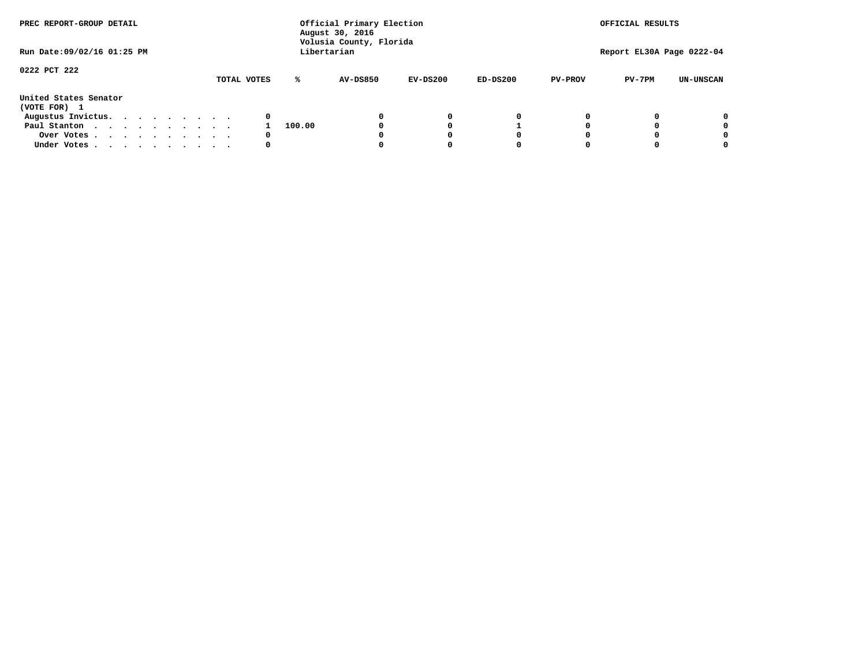| PREC REPORT-GROUP DETAIL<br>Run Date: 09/02/16 01:25 PM |  |  |  |  | Official Primary Election<br>August 30, 2016<br>Volusia County, Florida<br>Libertarian | OFFICIAL RESULTS<br>Report EL30A Page 0222-04 |        |                 |            |            |                |          |                  |
|---------------------------------------------------------|--|--|--|--|----------------------------------------------------------------------------------------|-----------------------------------------------|--------|-----------------|------------|------------|----------------|----------|------------------|
|                                                         |  |  |  |  |                                                                                        |                                               |        |                 |            |            |                |          |                  |
| 0222 PCT 222                                            |  |  |  |  |                                                                                        | TOTAL VOTES                                   | ℁      | <b>AV-DS850</b> | $EV-DS200$ | $ED-DS200$ | <b>PV-PROV</b> | $PV-7PM$ | <b>UN-UNSCAN</b> |
| United States Senator<br>(VOTE FOR) 1                   |  |  |  |  |                                                                                        |                                               |        |                 |            |            |                |          |                  |
| Augustus Invictus.                                      |  |  |  |  |                                                                                        | 0                                             |        |                 | 0          | 0          |                |          | 0                |
| Paul Stanton                                            |  |  |  |  |                                                                                        |                                               | 100.00 |                 |            |            |                |          | 0                |
| Over Votes                                              |  |  |  |  |                                                                                        | 0                                             |        |                 |            | 0          |                |          | 0                |
| Under Votes                                             |  |  |  |  |                                                                                        | 0                                             |        |                 |            | 0          |                |          | 0                |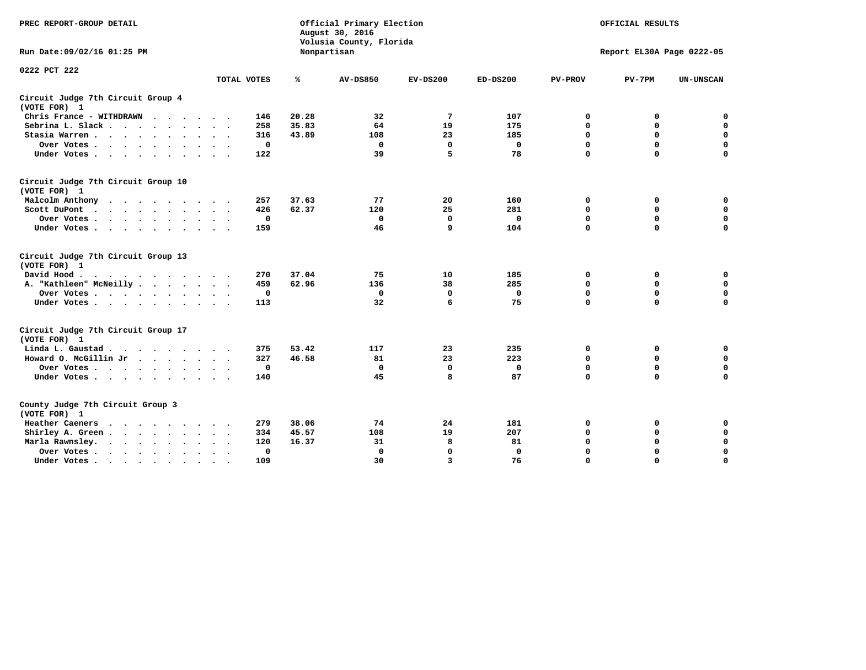| PREC REPORT-GROUP DETAIL                                   |                                  |       | Official Primary Election<br>August 30, 2016<br>Volusia County, Florida | OFFICIAL RESULTS |              |                |                           |                  |
|------------------------------------------------------------|----------------------------------|-------|-------------------------------------------------------------------------|------------------|--------------|----------------|---------------------------|------------------|
| Run Date: 09/02/16 01:25 PM                                |                                  |       | Nonpartisan                                                             |                  |              |                | Report EL30A Page 0222-05 |                  |
| 0222 PCT 222                                               | TOTAL VOTES                      | ℁     | <b>AV-DS850</b>                                                         | $EV-DS200$       | $ED-DS200$   | <b>PV-PROV</b> | $PV-7PM$                  | <b>UN-UNSCAN</b> |
|                                                            |                                  |       |                                                                         |                  |              |                |                           |                  |
| Circuit Judge 7th Circuit Group 4<br>(VOTE FOR) 1          |                                  |       |                                                                         |                  |              |                |                           |                  |
| Chris France - WITHDRAWN                                   | 146                              | 20.28 | 32                                                                      | 7                | 107          | 0              | 0                         | 0                |
| Sebrina L. Slack                                           | 258                              | 35.83 | 64                                                                      | 19               | 175          | $\mathbf 0$    | 0                         | $\mathbf 0$      |
| Stasia Warren                                              | 316                              | 43.89 | 108                                                                     | 23               | 185          | $\mathbf 0$    | $\mathbf 0$               | $\mathbf 0$      |
| Over Votes                                                 | $\mathbf 0$                      |       | $\mathbf 0$                                                             | $\mathbf 0$      | $\mathbf 0$  | 0              | $\mathbf 0$               | $\pmb{0}$        |
| Under Votes                                                | 122                              |       | 39                                                                      | 5                | 78           | $\Omega$       | $\Omega$                  | $\Omega$         |
| Circuit Judge 7th Circuit Group 10<br>(VOTE FOR) 1         |                                  |       |                                                                         |                  |              |                |                           |                  |
| Malcolm Anthony<br>.                                       | 257                              | 37.63 | 77                                                                      | 20               | 160          | 0              | 0                         | 0                |
| Scott DuPont                                               | 426                              | 62.37 | 120                                                                     | 25               | 281          | $\mathbf 0$    | $\mathbf 0$               | $\mathbf 0$      |
| Over Votes<br>$\sim$ $\sim$                                | 0                                |       | 0                                                                       | $\Omega$         | $\mathbf{0}$ | $\mathbf 0$    | $\Omega$                  | $\mathbf 0$      |
| Under Votes                                                | 159                              |       | 46                                                                      | 9                | 104          | $\mathbf 0$    | $\mathbf 0$               | 0                |
| Circuit Judge 7th Circuit Group 13<br>(VOTE FOR) 1         |                                  |       |                                                                         |                  |              |                |                           |                  |
| David Hood.                                                | 270                              | 37.04 | 75                                                                      | 10               | 185          | $\mathbf 0$    | 0                         | $\mathbf 0$      |
| A. "Kathleen" McNeilly                                     | 459                              | 62.96 | 136                                                                     | 38               | 285          | $\mathbf 0$    | $\mathbf 0$               | $\mathbf 0$      |
| Over Votes                                                 | 0                                |       | 0                                                                       | 0                | 0            | $\mathbf 0$    | $\mathbf 0$               | $\mathbf 0$      |
| Under Votes                                                | 113                              |       | 32                                                                      | 6                | 75           | $\mathbf 0$    | $\Omega$                  | 0                |
| Circuit Judge 7th Circuit Group 17<br>(VOTE FOR) 1         |                                  |       |                                                                         |                  |              |                |                           |                  |
| Linda L. Gaustad                                           | 375                              | 53.42 | 117                                                                     | 23               | 235          | 0              | 0                         | $\mathbf 0$      |
| Howard O. McGillin Jr                                      | 327                              | 46.58 | 81                                                                      | 23               | 223          | $\mathbf 0$    | $\mathbf 0$               | $\mathbf 0$      |
| Over Votes                                                 | $\mathbf 0$                      |       | $\mathbf{0}$                                                            | $\mathbf{0}$     | $\mathbf 0$  | $\mathbf 0$    | $\mathbf 0$               | 0                |
| Under Votes                                                | 140                              |       | 45                                                                      | 8                | 87           | $\mathbf 0$    | $\mathbf 0$               | $\mathbf 0$      |
| County Judge 7th Circuit Group 3<br>(VOTE FOR) 1           |                                  |       |                                                                         |                  |              |                |                           |                  |
| Heather Caeners<br>.                                       | 279                              | 38.06 | 74                                                                      | 24               | 181          | 0              | 0                         | $\mathbf 0$      |
| Shirley A. Green                                           | 334                              | 45.57 | 108                                                                     | 19               | 207          | $\mathbf 0$    | 0                         | $\mathbf 0$      |
| Marla Rawnsley.<br>$\cdots$                                | 120                              | 16.37 | 31                                                                      | 8                | 81           | 0              | $\mathbf 0$               | $\mathbf 0$      |
| Over Votes<br>$\ddot{\phantom{1}}$<br>$\ddot{\phantom{1}}$ | $\Omega$<br>$\ddot{\phantom{1}}$ |       | $\Omega$                                                                | $\mathbf{0}$     | $\mathbf{0}$ | $\mathbf 0$    | $\Omega$                  | $\mathbf 0$      |
| Under Votes<br>$\bullet$                                   | 109                              |       | 30                                                                      | 3                | 76           | $\mathbf 0$    | $\Omega$                  | $\Omega$         |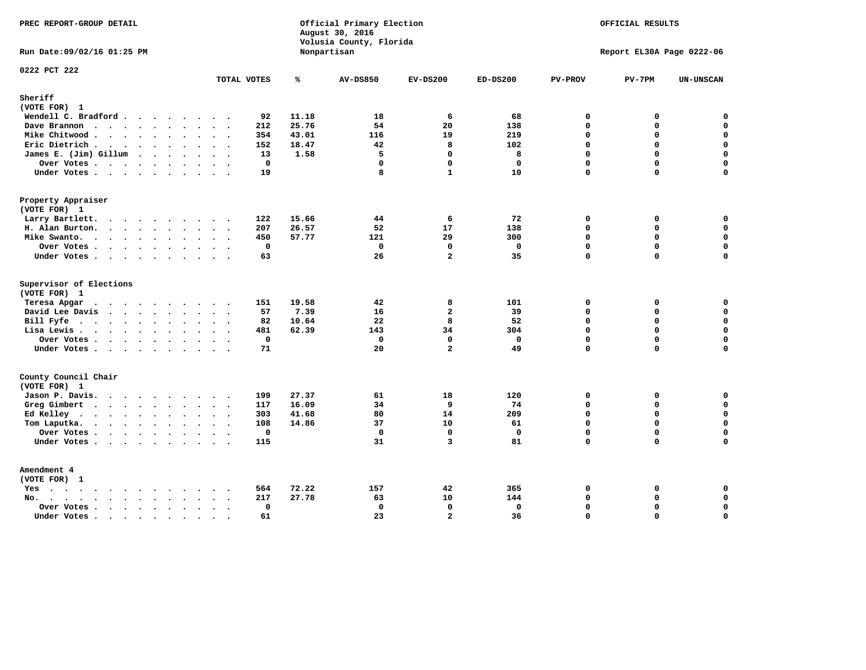| PREC REPORT-GROUP DETAIL                                                                                                                                                                                                                                             | Official Primary Election<br>August 30, 2016<br>Volusia County, Florida |       |                 | OFFICIAL RESULTS |              |                             |                           |                            |
|----------------------------------------------------------------------------------------------------------------------------------------------------------------------------------------------------------------------------------------------------------------------|-------------------------------------------------------------------------|-------|-----------------|------------------|--------------|-----------------------------|---------------------------|----------------------------|
| Run Date: 09/02/16 01:25 PM                                                                                                                                                                                                                                          |                                                                         |       | Nonpartisan     |                  |              |                             | Report EL30A Page 0222-06 |                            |
| 0222 PCT 222                                                                                                                                                                                                                                                         | TOTAL VOTES                                                             | ℁     | <b>AV-DS850</b> | $EV-DS200$       | $ED-DS200$   | <b>PV-PROV</b>              | $PV-7PM$                  | UN-UNSCAN                  |
| Sheriff<br>(VOTE FOR) 1                                                                                                                                                                                                                                              |                                                                         |       |                 |                  |              |                             |                           |                            |
| Wendell C. Bradford                                                                                                                                                                                                                                                  | 92                                                                      | 11.18 | 18              | 6                | 68           | $\Omega$                    | 0                         | 0                          |
| Dave Brannon                                                                                                                                                                                                                                                         | 212                                                                     | 25.76 | 54              | 20               | 138          | $\mathbf{0}$                | 0                         | $\mathbf 0$                |
| Mike Chitwood                                                                                                                                                                                                                                                        | 354                                                                     | 43.01 | 116             | 19               | 219          | $\Omega$                    | 0                         | 0                          |
| Eric Dietrich                                                                                                                                                                                                                                                        | 152                                                                     | 18.47 | 42              | 8                | 102          | $\mathbf 0$                 | 0                         | $\mathbf 0$                |
| James E. (Jim) Gillum                                                                                                                                                                                                                                                | 13                                                                      | 1.58  | 5               | $\Omega$         | 8            | $\Omega$                    | $\Omega$                  | $\mathbf 0$                |
| Over Votes                                                                                                                                                                                                                                                           | $\mathbf{0}$                                                            |       | $\mathbf 0$     | $\mathbf{0}$     | $\Omega$     | 0                           | 0                         | $\mathbf 0$                |
| Under Votes                                                                                                                                                                                                                                                          | 19                                                                      |       | 8               | $\mathbf{1}$     | 10           | $\Omega$                    | $\Omega$                  | $\Omega$                   |
| Property Appraiser                                                                                                                                                                                                                                                   |                                                                         |       |                 |                  |              |                             |                           |                            |
| (VOTE FOR) 1                                                                                                                                                                                                                                                         |                                                                         |       |                 |                  |              |                             |                           |                            |
| Larry Bartlett.                                                                                                                                                                                                                                                      | 122<br>$\cdot$ .                                                        | 15.66 | 44              | 6                | 72           | $\mathbf 0$                 | 0                         | 0                          |
| H. Alan Burton.                                                                                                                                                                                                                                                      | 207                                                                     | 26.57 | 52<br>121       | 17<br>29         | 138<br>300   | $\mathbf{0}$<br>$\mathbf 0$ | 0<br>0                    | $\mathbf 0$<br>$\mathbf 0$ |
| Mike Swanto.<br>Over Votes                                                                                                                                                                                                                                           | 450<br>$\mathbf 0$                                                      | 57.77 | $\mathbf 0$     | $\mathbf 0$      | $\mathbf{0}$ | $\mathbf{0}$                | $\mathbf 0$               | $\mathbf 0$                |
| Under Votes                                                                                                                                                                                                                                                          | 63                                                                      |       | 26              | $\overline{a}$   | 35           | $\Omega$                    | $\Omega$                  | $\mathbf 0$                |
|                                                                                                                                                                                                                                                                      |                                                                         |       |                 |                  |              |                             |                           |                            |
| Supervisor of Elections                                                                                                                                                                                                                                              |                                                                         |       |                 |                  |              |                             |                           |                            |
| (VOTE FOR) 1                                                                                                                                                                                                                                                         |                                                                         | 19.58 | 42              | 8                |              | $\mathbf 0$                 | 0                         | 0                          |
| Teresa Apgar<br>$\mathbf{r}$ . The set of the set of the set of the set of the set of the set of the set of the set of the set of the set of the set of the set of the set of the set of the set of the set of the set of the set of the set of t<br>David Lee Davis | 151<br>57                                                               | 7.39  | 16              | $\overline{a}$   | 101<br>39    | $\Omega$                    | 0                         | $\mathbf 0$                |
| Bill Fyfe.                                                                                                                                                                                                                                                           | 82                                                                      | 10.64 | 22              | 8                | 52           | $\Omega$                    | 0                         | $\mathbf 0$                |
| Lisa Lewis                                                                                                                                                                                                                                                           | 481                                                                     | 62.39 | 143             | 34               | 304          | $\mathbf 0$                 | 0                         | $\mathbf 0$                |
| Over Votes                                                                                                                                                                                                                                                           | $\mathbf 0$                                                             |       | $\mathbf 0$     | $\mathbf 0$      | $\mathbf 0$  | $\mathbf 0$                 | 0                         | $\pmb{0}$                  |
| Under Votes                                                                                                                                                                                                                                                          | 71                                                                      |       | 20              | $\overline{a}$   | 49           | $\Omega$                    | $\Omega$                  | $\Omega$                   |
| County Council Chair                                                                                                                                                                                                                                                 |                                                                         |       |                 |                  |              |                             |                           |                            |
| (VOTE FOR) 1                                                                                                                                                                                                                                                         |                                                                         |       |                 |                  |              |                             |                           |                            |
| Jason P. Davis.                                                                                                                                                                                                                                                      | 199                                                                     | 27.37 | 61              | 18               | 120          | 0                           | 0                         | $\mathbf 0$                |
| Greg Gimbert<br>$\cdots$                                                                                                                                                                                                                                             | 117                                                                     | 16.09 | 34              | 9                | 74           | $\Omega$                    | $\Omega$                  | 0                          |
| Ed Kelley                                                                                                                                                                                                                                                            | 303                                                                     | 41.68 | 80              | 14               | 209          | $\mathbf 0$                 | 0                         | $\mathbf 0$                |
| Tom Laputka.                                                                                                                                                                                                                                                         | 108                                                                     | 14.86 | 37              | 10               | 61           | $\Omega$                    | 0                         | $\mathbf 0$                |
| Over Votes                                                                                                                                                                                                                                                           | $\mathbf 0$<br>$\ddot{\phantom{a}}$                                     |       | $\mathbf 0$     | $\mathbf{0}$     | $\mathbf{0}$ | $\Omega$                    | 0                         | $\mathbf 0$                |
| Under Votes.                                                                                                                                                                                                                                                         | 115                                                                     |       | 31              | 3                | 81           | $\mathbf 0$                 | $\Omega$                  | $\mathbf 0$                |
| Amendment 4                                                                                                                                                                                                                                                          |                                                                         |       |                 |                  |              |                             |                           |                            |
| (VOTE FOR) 1                                                                                                                                                                                                                                                         |                                                                         |       |                 |                  |              |                             |                           |                            |
| Yes                                                                                                                                                                                                                                                                  | 564<br>$\cdot$ .                                                        | 72.22 | 157             | 42               | 365          | 0                           | 0                         | 0                          |
| No.                                                                                                                                                                                                                                                                  | 217                                                                     | 27.78 | 63              | 10               | 144          | $\Omega$                    | $\mathbf 0$               | $\mathbf 0$                |
| Over Votes                                                                                                                                                                                                                                                           | $\mathbf 0$<br>$\sim$                                                   |       | $\mathbf 0$     | $\mathbf 0$      | $\mathbf 0$  | $\mathbf 0$                 | 0                         | 0                          |
| Under Votes<br>$\sim$                                                                                                                                                                                                                                                | 61<br>$\ddot{\phantom{a}}$<br>$\overline{\phantom{a}}$                  |       | 23              | $\overline{a}$   | 36           | $\Omega$                    | $\Omega$                  | $\mathbf 0$                |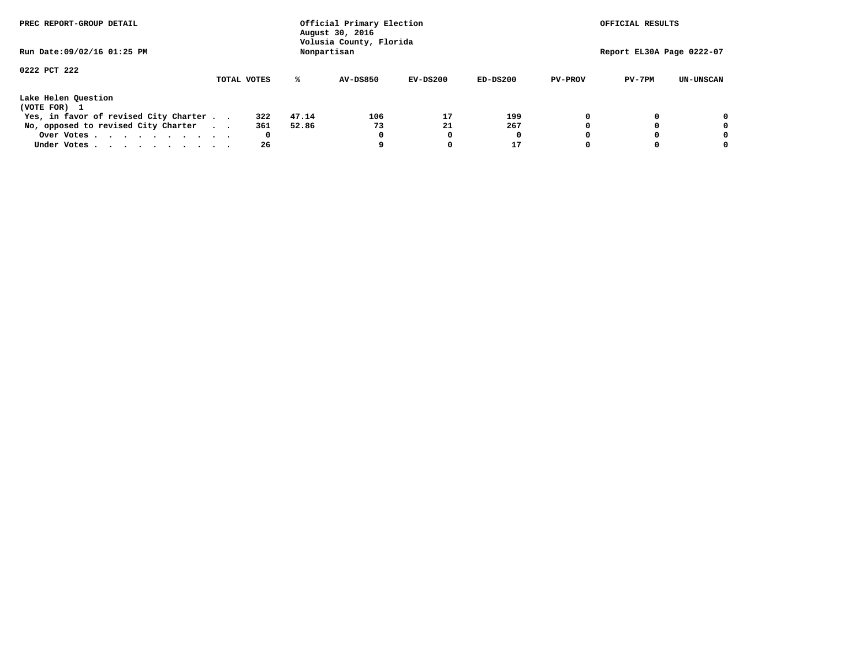| PREC REPORT-GROUP DETAIL<br>Run Date: 09/02/16 01:25 PM |  |             |       | Official Primary Election<br>August 30, 2016<br>Volusia County, Florida<br>Nonpartisan |            | OFFICIAL RESULTS<br>Report EL30A Page 0222-07 |                |          |                  |
|---------------------------------------------------------|--|-------------|-------|----------------------------------------------------------------------------------------|------------|-----------------------------------------------|----------------|----------|------------------|
|                                                         |  |             |       |                                                                                        |            |                                               |                |          |                  |
| 0222 PCT 222                                            |  |             |       |                                                                                        |            |                                               |                |          |                  |
|                                                         |  | TOTAL VOTES | ℁     | <b>AV-DS850</b>                                                                        | $EV-DS200$ | $ED-DS200$                                    | <b>PV-PROV</b> | $PV-7PM$ | <b>UN-UNSCAN</b> |
| Lake Helen Question                                     |  |             |       |                                                                                        |            |                                               |                |          |                  |
| (VOTE FOR) 1                                            |  |             |       |                                                                                        |            |                                               |                |          |                  |
| Yes, in favor of revised City Charter                   |  | 322         | 47.14 | 106                                                                                    | 17         | 199                                           | 0              |          | 0                |
| No, opposed to revised City Charter                     |  | 361         | 52.86 | 73                                                                                     | 21         | 267                                           | 0              |          | 0                |
| Over Votes                                              |  | 0           |       | 0                                                                                      | 0          |                                               | 0              |          | 0                |
| Under Votes.                                            |  | 26          |       |                                                                                        | 0          | 17                                            |                |          |                  |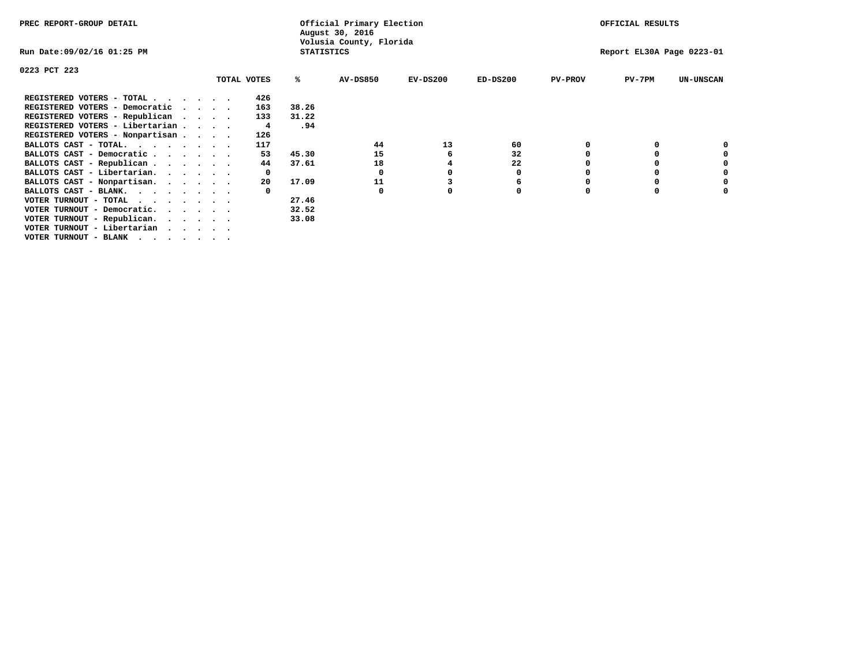| PREC REPORT-GROUP DETAIL               |             |              |                   | Official Primary Election<br>August 30, 2016 |            |             |                | OFFICIAL RESULTS          |                  |
|----------------------------------------|-------------|--------------|-------------------|----------------------------------------------|------------|-------------|----------------|---------------------------|------------------|
| Run Date:09/02/16 01:25 PM             |             |              | <b>STATISTICS</b> | Volusia County, Florida                      |            |             |                | Report EL30A Page 0223-01 |                  |
| 0223 PCT 223                           |             |              |                   |                                              |            |             |                |                           |                  |
|                                        | TOTAL VOTES |              | ℁                 | <b>AV-DS850</b>                              | $EV-DS200$ | $ED-DS200$  | <b>PV-PROV</b> | $PV-7PM$                  | <b>UN-UNSCAN</b> |
| REGISTERED VOTERS - TOTAL              |             | 426          |                   |                                              |            |             |                |                           |                  |
| REGISTERED VOTERS - Democratic         |             | 163          | 38.26             |                                              |            |             |                |                           |                  |
| REGISTERED VOTERS - Republican         |             | 133          | 31.22             |                                              |            |             |                |                           |                  |
| REGISTERED VOTERS - Libertarian        |             | 4            | .94               |                                              |            |             |                |                           |                  |
| REGISTERED VOTERS - Nonpartisan        |             | 126          |                   |                                              |            |             |                |                           |                  |
| BALLOTS CAST - TOTAL.                  |             | 117          |                   | 44                                           | 13         | 60          |                |                           |                  |
| BALLOTS CAST - Democratic              |             | 53           | 45.30             | 15                                           | 6          | 32          |                |                           |                  |
| BALLOTS CAST - Republican              |             | 44           | 37.61             | 18                                           |            | 22          |                |                           |                  |
| BALLOTS CAST - Libertarian.            |             | $\mathbf{o}$ |                   | 0                                            |            | 0           |                |                           |                  |
| BALLOTS CAST - Nonpartisan.            |             | 20           | 17.09             | 11                                           |            | 6           |                |                           |                  |
| BALLOTS CAST - BLANK.                  |             |              |                   | 0                                            |            | $\mathbf 0$ |                |                           |                  |
| VOTER TURNOUT - TOTAL                  |             |              | 27.46             |                                              |            |             |                |                           |                  |
| VOTER TURNOUT - Democratic.<br>$\cdot$ |             |              | 32.52             |                                              |            |             |                |                           |                  |
| VOTER TURNOUT - Republican.            |             |              | 33.08             |                                              |            |             |                |                           |                  |
| VOTER TURNOUT - Libertarian            |             |              |                   |                                              |            |             |                |                           |                  |
| VOTER TURNOUT - BLANK                  |             |              |                   |                                              |            |             |                |                           |                  |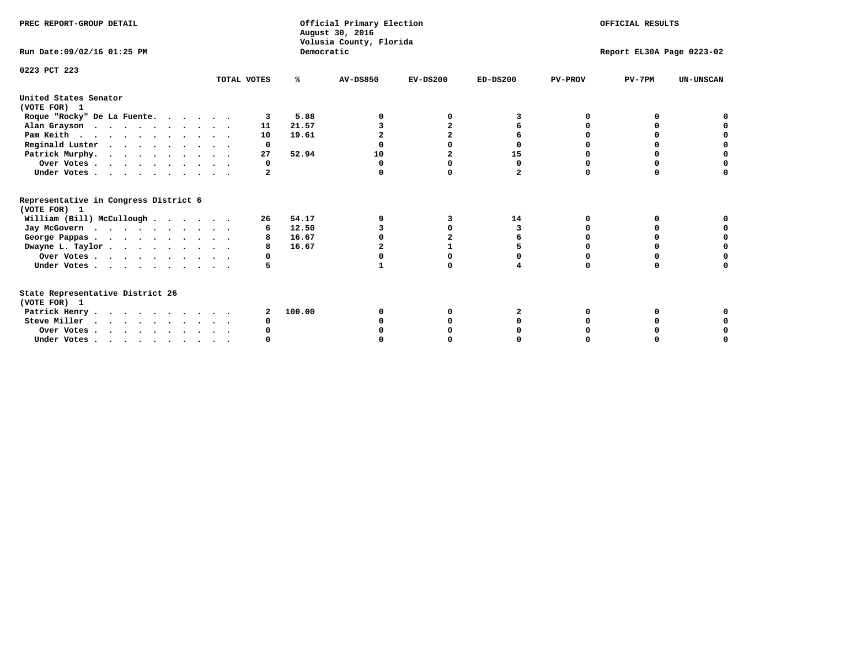| PREC REPORT-GROUP DETAIL                                                         |             |            | Official Primary Election<br>August 30, 2016<br>Volusia County, Florida | OFFICIAL RESULTS<br>Report EL30A Page 0223-02 |              |                |          |                  |
|----------------------------------------------------------------------------------|-------------|------------|-------------------------------------------------------------------------|-----------------------------------------------|--------------|----------------|----------|------------------|
| Run Date: 09/02/16 01:25 PM                                                      |             | Democratic |                                                                         |                                               |              |                |          |                  |
| 0223 PCT 223                                                                     | TOTAL VOTES | ℁          | <b>AV-DS850</b>                                                         | $EV-DS200$                                    | $ED-DS200$   | <b>PV-PROV</b> | $PV-7PM$ | <b>UN-UNSCAN</b> |
| United States Senator<br>(VOTE FOR) 1                                            |             |            |                                                                         |                                               |              |                |          |                  |
| Roque "Rocky" De La Fuente.                                                      |             | 5.88       |                                                                         |                                               |              | n              |          |                  |
| Alan Grayson                                                                     | 11          | 21.57      |                                                                         |                                               |              |                |          |                  |
| Pam Keith                                                                        | 10          | 19.61      |                                                                         |                                               |              |                |          |                  |
| Reginald Luster                                                                  | 0           |            |                                                                         |                                               |              |                |          |                  |
| Patrick Murphy.                                                                  | 27          | 52.94      | 10                                                                      | $\mathbf{2}$                                  | 15           |                | 0        |                  |
| Over Votes                                                                       | 0           |            | O                                                                       | n                                             | 0            |                | 0        |                  |
| Under Votes                                                                      | 2           |            |                                                                         | $\Omega$                                      | $\mathbf{2}$ | $\Omega$       | $\Omega$ |                  |
| Representative in Congress District 6<br>(VOTE FOR) 1                            |             |            |                                                                         |                                               |              |                |          |                  |
| William (Bill) McCullough                                                        | 26          | 54.17      |                                                                         | 3                                             | 14           | 0              | 0        |                  |
| Jay McGovern                                                                     | 6           | 12.50      |                                                                         | $\Omega$                                      | 3            | O              |          |                  |
| George Pappas.                                                                   |             | 16.67      |                                                                         |                                               |              |                | $\Omega$ |                  |
| Dwayne L. Taylor                                                                 | 8           | 16.67      |                                                                         |                                               |              |                |          |                  |
| Over Votes                                                                       | 0           |            |                                                                         |                                               |              |                |          |                  |
| Under Votes                                                                      | 5           |            |                                                                         | $\Omega$                                      |              | $\Omega$       | $\Omega$ | O                |
| State Representative District 26<br>(VOTE FOR) 1                                 |             |            |                                                                         |                                               |              |                |          |                  |
| Patrick Henry                                                                    | 2           | 100.00     |                                                                         |                                               |              |                |          |                  |
| Steve Miller                                                                     |             |            |                                                                         |                                               |              |                |          |                  |
| Over Votes                                                                       |             |            |                                                                         |                                               |              |                |          |                  |
| Under Votes, $\cdot$ , $\cdot$ , $\cdot$ , $\cdot$ , $\cdot$ , $\cdot$ , $\cdot$ |             |            |                                                                         |                                               |              |                |          |                  |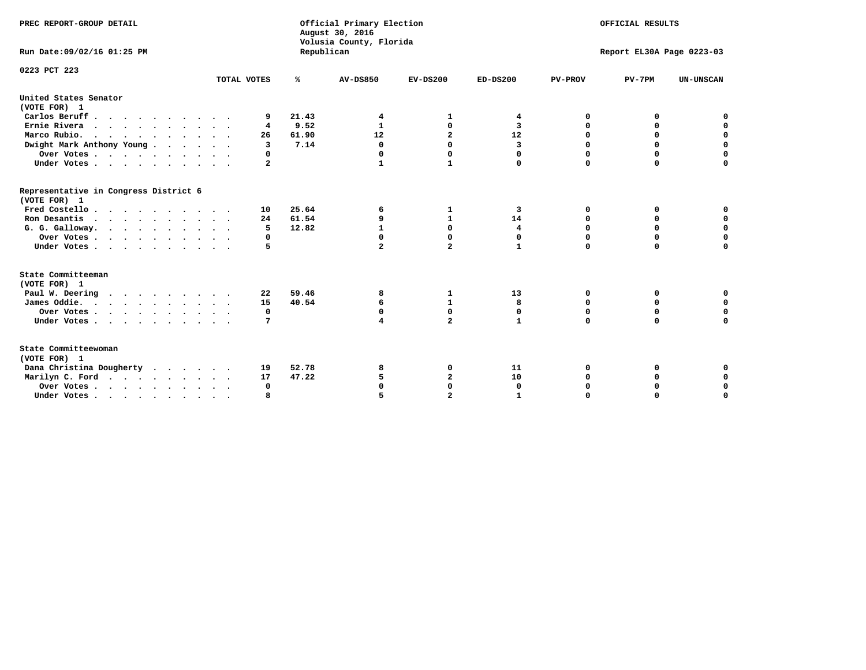| PREC REPORT-GROUP DETAIL                                               |                |            | Official Primary Election<br>August 30, 2016<br>Volusia County, Florida | OFFICIAL RESULTS        |              |                |                           |                  |
|------------------------------------------------------------------------|----------------|------------|-------------------------------------------------------------------------|-------------------------|--------------|----------------|---------------------------|------------------|
| Run Date:09/02/16 01:25 PM                                             |                | Republican |                                                                         |                         |              |                | Report EL30A Page 0223-03 |                  |
| 0223 PCT 223                                                           | TOTAL VOTES    | ℁          | AV-DS850                                                                | $EV-DS200$              | $ED-DS200$   |                | $PV-7PM$                  | <b>UN-UNSCAN</b> |
|                                                                        |                |            |                                                                         |                         |              | <b>PV-PROV</b> |                           |                  |
| United States Senator<br>(VOTE FOR) 1                                  |                |            |                                                                         |                         |              |                |                           |                  |
| Carlos Beruff                                                          | 9              | 21.43      | 4                                                                       | 1                       | 4            | 0              | 0                         | 0                |
| Ernie Rivera                                                           | 4              | 9.52       | 1                                                                       | 0                       | 3            | 0              | 0                         | $\mathbf 0$      |
| Marco Rubio.<br>$\cdots$                                               | 26             | 61.90      | 12                                                                      | $\mathbf{2}$            | 12           | 0              | 0                         | $\mathbf 0$      |
| Dwight Mark Anthony Young                                              | $\overline{3}$ | 7.14       | 0                                                                       | $\Omega$                | 3            | $\mathbf 0$    | $\mathbf 0$               | $\mathbf 0$      |
| Over Votes                                                             | 0              |            | $\Omega$                                                                | 0                       | $\Omega$     | $\mathbf 0$    | 0                         | 0                |
| Under Votes                                                            | 2              |            | 1                                                                       | $\mathbf{1}$            | 0            | $\mathbf 0$    | $\Omega$                  | $\mathbf 0$      |
| Representative in Congress District 6<br>(VOTE FOR) 1                  |                |            |                                                                         |                         |              |                |                           |                  |
| Fred Costello                                                          | 10             | 25.64      | 6                                                                       | 1                       | 3            | 0              | 0                         | 0                |
| Ron Desantis                                                           | 24             | 61.54      | 9                                                                       | $\mathbf{1}$            | 14           | $\Omega$       | $\Omega$                  | $\mathbf 0$      |
| G. G. Galloway.                                                        | 5              | 12.82      | $\mathbf{1}$                                                            | $\mathbf{0}$            | 4            | 0              | 0                         | $\mathbf 0$      |
| Over Votes                                                             | 0              |            | $\Omega$                                                                | $\mathbf 0$             | 0            | $\mathbf 0$    | $\mathbf 0$               | $\mathbf 0$      |
| Under Votes                                                            | 5              |            | $\overline{a}$                                                          | $\overline{a}$          | $\mathbf{1}$ | $\Omega$       | $\Omega$                  | $\Omega$         |
| State Committeeman                                                     |                |            |                                                                         |                         |              |                |                           |                  |
| (VOTE FOR) 1                                                           |                |            |                                                                         |                         |              |                |                           |                  |
| Paul W. Deering                                                        | 22             | 59.46      | 8                                                                       | 1                       | 13           | 0              | 0                         | 0                |
| James Oddie.                                                           | 15             | 40.54      | 6                                                                       | $\mathbf{1}$            | 8            | 0              | 0                         | $\mathbf 0$      |
| Over Votes                                                             | 0              |            | 0                                                                       | $\mathbf 0$             | 0            | 0              | 0                         | 0                |
| Under Votes                                                            | 7              |            | 4                                                                       | $\overline{a}$          | $\mathbf{1}$ | $\Omega$       | $\Omega$                  | $\Omega$         |
| State Committeewoman<br>(VOTE FOR) 1                                   |                |            |                                                                         |                         |              |                |                           |                  |
| Dana Christina Dougherty                                               | 19             | 52.78      | 8                                                                       | 0                       | 11           | 0              | 0                         | 0                |
| Marilyn C. Ford.                                                       | 17             | 47.22      | 5                                                                       | $\overline{\mathbf{2}}$ | 10           | 0              | 0                         | $\mathbf 0$      |
| Over Votes                                                             | $\Omega$       |            |                                                                         | $\mathbf{0}$            | $\mathbf 0$  | 0              | 0                         | 0                |
| Under Votes, $\cdot$ , $\cdot$ , $\cdot$ , $\cdot$ , $\cdot$ , $\cdot$ | R              |            |                                                                         | $\overline{a}$          |              | $\Omega$       | $\Omega$                  | $\Omega$         |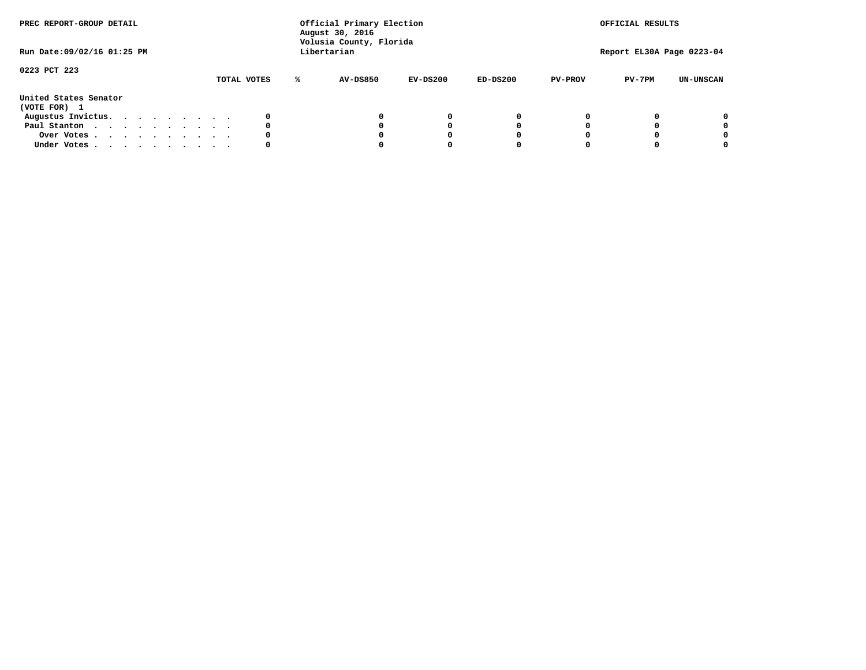| PREC REPORT-GROUP DETAIL<br>Run Date: 09/02/16 01:25 PM |  |  | Official Primary Election<br>August 30, 2016<br>Volusia County, Florida<br>Libertarian |  |  |             |   |                 | OFFICIAL RESULTS<br>Report EL30A Page 0223-04 |            |                |          |                  |
|---------------------------------------------------------|--|--|----------------------------------------------------------------------------------------|--|--|-------------|---|-----------------|-----------------------------------------------|------------|----------------|----------|------------------|
| 0223 PCT 223                                            |  |  |                                                                                        |  |  | TOTAL VOTES | ℁ | <b>AV-DS850</b> | $EV-DS200$                                    | $ED-DS200$ | <b>PV-PROV</b> | $PV-7PM$ | <b>UN-UNSCAN</b> |
| United States Senator<br>(VOTE FOR) 1                   |  |  |                                                                                        |  |  |             |   |                 |                                               |            |                |          |                  |
| Augustus Invictus.                                      |  |  |                                                                                        |  |  | 0           |   |                 | 0                                             | 0          |                |          | 0                |
| Paul Stanton                                            |  |  |                                                                                        |  |  | 0           |   |                 |                                               | 0          |                |          | 0                |
| Over Votes                                              |  |  |                                                                                        |  |  | 0           |   |                 |                                               | 0          |                |          | 0                |
| Under Votes                                             |  |  |                                                                                        |  |  | 0           |   |                 |                                               |            |                |          | 0                |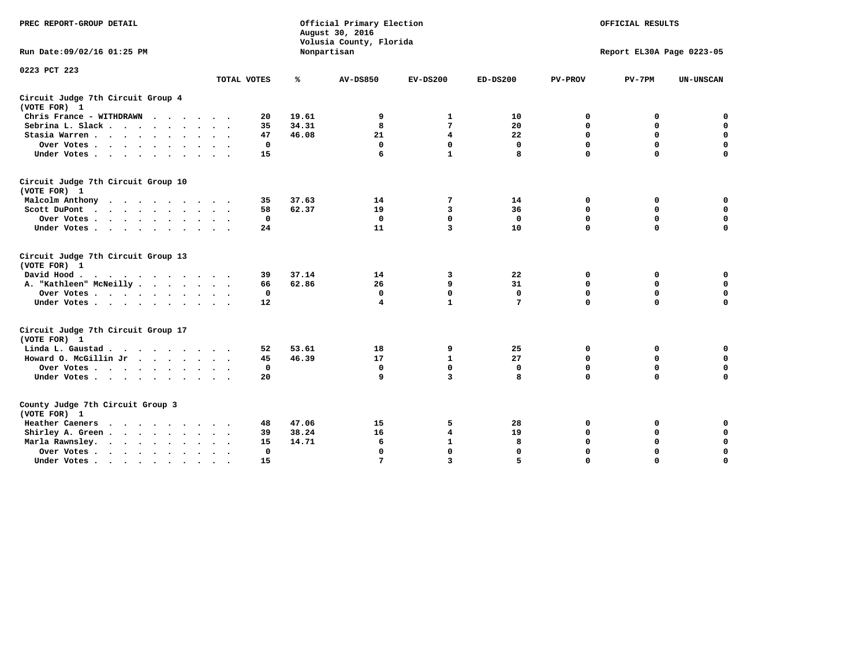| PREC REPORT-GROUP DETAIL                           |                                     | Official Primary Election<br>August 30, 2016<br>Volusia County, Florida | OFFICIAL RESULTS<br>Report EL30A Page 0223-05 |                         |                 |                |             |                  |
|----------------------------------------------------|-------------------------------------|-------------------------------------------------------------------------|-----------------------------------------------|-------------------------|-----------------|----------------|-------------|------------------|
| Run Date: 09/02/16 01:25 PM                        |                                     |                                                                         | Nonpartisan                                   |                         |                 |                |             |                  |
| 0223 PCT 223                                       | TOTAL VOTES                         | ℁                                                                       | AV-DS850                                      | $EV-DS200$              | $ED-DS200$      | <b>PV-PROV</b> | $PV-7PM$    | <b>UN-UNSCAN</b> |
| Circuit Judge 7th Circuit Group 4                  |                                     |                                                                         |                                               |                         |                 |                |             |                  |
| (VOTE FOR) 1                                       |                                     |                                                                         |                                               |                         |                 |                |             |                  |
| Chris France - WITHDRAWN                           | 20                                  | 19.61                                                                   | 9                                             | 1                       | 10              | 0              | 0           | 0                |
| Sebrina L. Slack.                                  | 35                                  | 34.31                                                                   | 8                                             | 7                       | 20              | $\mathbf 0$    | $\Omega$    | $\mathbf 0$      |
| Stasia Warren                                      | 47                                  | 46.08                                                                   | 21                                            | 4                       | 22              | 0              | $\mathbf 0$ | $\mathbf 0$      |
| Over Votes                                         | 0                                   |                                                                         | 0                                             | $\mathbf{0}$            | 0               | $\mathbf 0$    | $\mathbf 0$ | $\mathbf 0$      |
| Under Votes                                        | 15                                  |                                                                         | 6                                             | $\mathbf{1}$            | 8               | $\mathbf{o}$   | $\Omega$    | $\Omega$         |
| Circuit Judge 7th Circuit Group 10<br>(VOTE FOR) 1 |                                     |                                                                         |                                               |                         |                 |                |             |                  |
| Malcolm Anthony                                    | 35                                  | 37.63                                                                   | 14                                            | 7                       | 14              | 0              | 0           | 0                |
| Scott DuPont                                       | 58                                  | 62.37                                                                   | 19                                            | 3                       | 36              | $\mathbf 0$    | $\mathbf 0$ | $\mathbf 0$      |
| Over Votes                                         | 0                                   |                                                                         | $\mathbf{0}$                                  | $\mathbf 0$             | $\mathbf 0$     | $\mathbf 0$    | $\mathbf 0$ | $\mathbf 0$      |
| Under Votes                                        | 24                                  |                                                                         | 11                                            | 3                       | 10              | $\Omega$       | $\Omega$    | $\Omega$         |
|                                                    |                                     |                                                                         |                                               |                         |                 |                |             |                  |
| Circuit Judge 7th Circuit Group 13<br>(VOTE FOR) 1 |                                     |                                                                         |                                               |                         |                 |                |             |                  |
| David Hood.<br>.                                   | 39                                  | 37.14                                                                   | 14                                            | 3                       | 22              | 0              | 0           | $\mathbf 0$      |
| A. "Kathleen" McNeilly                             | 66                                  | 62.86                                                                   | 26                                            | 9                       | 31              | $\mathbf 0$    | 0           | $\mathbf 0$      |
| Over Votes                                         | 0                                   |                                                                         | $\mathbf 0$                                   | $\mathbf{0}$            | $\mathbf{0}$    | $\mathbf 0$    | $\mathbf 0$ | $\mathbf 0$      |
| Under Votes                                        | 12                                  |                                                                         | 4                                             | $\mathbf{1}$            | $7\phantom{.0}$ | $\mathbf 0$    | $\Omega$    | 0                |
|                                                    |                                     |                                                                         |                                               |                         |                 |                |             |                  |
| Circuit Judge 7th Circuit Group 17<br>(VOTE FOR) 1 |                                     |                                                                         |                                               |                         |                 |                |             |                  |
| Linda L. Gaustad                                   | 52                                  | 53.61                                                                   | 18                                            | 9                       | 25              | 0              | 0           | 0                |
| Howard O. McGillin Jr                              | 45                                  | 46.39                                                                   | 17                                            | $\mathbf{1}$            | 27              | $\mathbf 0$    | $\mathbf 0$ | $\mathbf 0$      |
| Over Votes                                         | $\mathbf{0}$                        |                                                                         | $\mathbf 0$                                   | $\mathbf 0$             | $\mathbf{0}$    | $\mathbf 0$    | $\Omega$    | $\mathbf 0$      |
| Under Votes                                        | 20                                  |                                                                         | 9                                             | $\overline{\mathbf{3}}$ | 8               | $\mathbf 0$    | $\Omega$    | $\Omega$         |
| County Judge 7th Circuit Group 3<br>(VOTE FOR) 1   |                                     |                                                                         |                                               |                         |                 |                |             |                  |
| Heather Caeners<br>.                               | 48                                  | 47.06                                                                   | 15                                            | 5                       | 28              | 0              | 0           | 0                |
| Shirley A. Green                                   | 39                                  | 38.24                                                                   | 16                                            | 4                       | 19              | $\mathbf 0$    | 0           | $\mathbf 0$      |
| Marla Rawnsley.                                    | 15                                  | 14.71                                                                   | 6                                             | $\mathbf{1}$            | 8               | 0              | $\mathbf 0$ | 0                |
| Over Votes                                         | $\mathbf 0$<br>$\ddot{\phantom{1}}$ |                                                                         | $\mathbf 0$                                   | $\mathbf 0$             | 0               | $\mathbf 0$    | $\Omega$    | $\mathbf 0$      |
| Under Votes                                        | 15                                  |                                                                         | 7                                             | $\overline{\mathbf{3}}$ | 5               | $\mathbf 0$    | $\Omega$    | $\mathbf 0$      |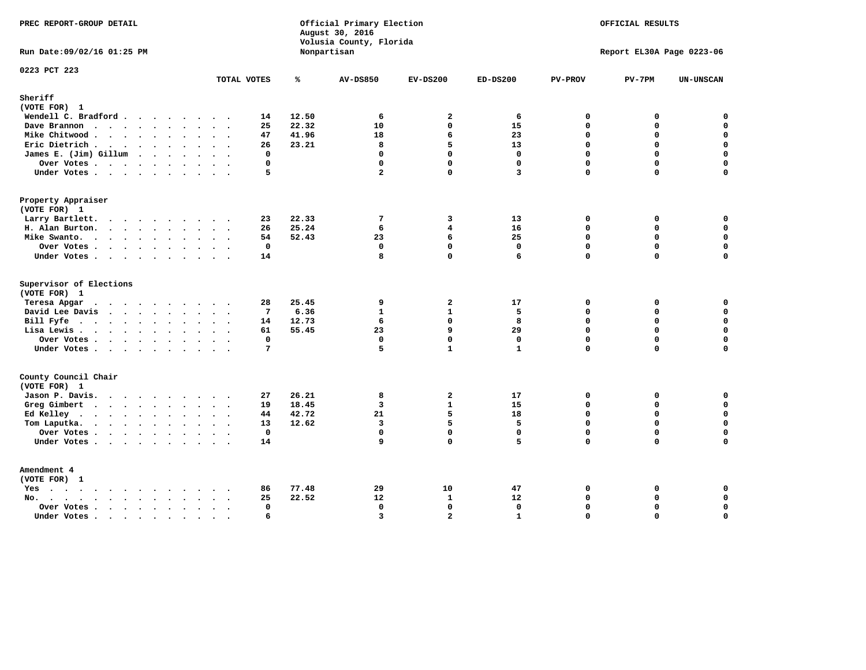| PREC REPORT-GROUP DETAIL                |           |                 |       | Official Primary Election<br>August 30, 2016<br>Volusia County, Florida |                         |                         |                | OFFICIAL RESULTS          |                  |
|-----------------------------------------|-----------|-----------------|-------|-------------------------------------------------------------------------|-------------------------|-------------------------|----------------|---------------------------|------------------|
| Run Date: 09/02/16 01:25 PM             |           |                 |       | Nonpartisan                                                             |                         |                         |                | Report EL30A Page 0223-06 |                  |
| 0223 PCT 223                            |           | TOTAL VOTES     | ℁     | <b>AV-DS850</b>                                                         | $EV-DS200$              | $ED-DS200$              | <b>PV-PROV</b> | $PV-7PM$                  | <b>UN-UNSCAN</b> |
| Sheriff                                 |           |                 |       |                                                                         |                         |                         |                |                           |                  |
| (VOTE FOR) 1                            |           |                 |       |                                                                         |                         |                         |                |                           |                  |
| Wendell C. Bradford                     |           | 14              | 12.50 | 6                                                                       | $\overline{a}$          | 6                       | $\mathbf 0$    | 0                         | $\mathbf 0$      |
| Dave Brannon                            |           | 25              | 22.32 | 10                                                                      | $\Omega$                | 15                      | $\Omega$       | 0                         | $\mathbf 0$      |
| Mike Chitwood                           |           | 47              | 41.96 | 18                                                                      | 6                       | 23                      | $\Omega$       | 0                         | $\mathbf 0$      |
| Eric Dietrich                           |           | 26              | 23.21 | 8                                                                       | 5.                      | 13                      | $\Omega$       | $\Omega$                  | $\mathbf 0$      |
| James E. (Jim) Gillum                   |           | $\mathbf{0}$    |       | $\mathbf 0$                                                             | $\mathbf 0$             | $\mathbf 0$             | $\mathbf 0$    | 0                         | $\mathbf 0$      |
| Over Votes                              |           | $\mathbf 0$     |       | $\mathbf{0}$                                                            | $\mathbf{0}$            | $\mathbf{0}$            | $\Omega$       | 0                         | $\mathbf 0$      |
| Under Votes                             |           | 5               |       | $\overline{a}$                                                          | $\Omega$                | $\overline{\mathbf{3}}$ | $\Omega$       | $\Omega$                  | $\mathbf 0$      |
| Property Appraiser                      |           |                 |       |                                                                         |                         |                         |                |                           |                  |
| (VOTE FOR) 1                            |           |                 |       |                                                                         |                         |                         |                |                           |                  |
| Larry Bartlett.                         |           | 23              | 22.33 | 7                                                                       | 3                       | 13                      | $\mathbf{0}$   | 0                         | 0                |
| H. Alan Burton.                         |           | 26              | 25.24 | 6                                                                       | $\overline{\mathbf{4}}$ | 16                      | $\Omega$       | $\Omega$                  | $\mathbf{0}$     |
| Mike Swanto.                            |           | 54              | 52.43 | 23                                                                      | 6                       | 25                      | $\mathbf{0}$   | 0                         | $\mathbf 0$      |
| Over Votes.                             |           | $\mathbf 0$     |       | $\mathbf 0$                                                             | 0                       | $\mathbf{0}$            | $\mathbf{0}$   | $\mathbf 0$               | 0                |
| Under Votes                             |           | 14              |       | 8                                                                       | $\Omega$                | 6                       | $\mathbf 0$    | 0                         | $\mathbf 0$      |
| Supervisor of Elections<br>(VOTE FOR) 1 |           |                 |       |                                                                         |                         |                         |                |                           |                  |
| Teresa Apgar                            |           | 28              | 25.45 | 9                                                                       | $\overline{a}$          | 17                      | 0              | 0                         | $\Omega$         |
| David Lee Davis                         |           | $7\phantom{.0}$ | 6.36  | $\mathbf{1}$                                                            | $\mathbf{1}$            | 5                       | $\Omega$       | 0                         | $\mathbf 0$      |
| Bill Fyfe.                              |           | 14              | 12.73 | 6                                                                       | $\mathbf 0$             | 8                       | $\mathbf 0$    | 0                         | $\mathbf 0$      |
| Lisa Lewis                              |           | 61              | 55.45 | 23                                                                      | 9                       | 29                      | $\mathbf 0$    | 0                         | $\mathbf 0$      |
| Over Votes                              |           | 0               |       | $\mathbf 0$                                                             | $\mathbf 0$             | $\mathbf 0$             | $\mathbf 0$    | 0                         | $\mathbf 0$      |
| Under Votes                             |           | $7\phantom{.0}$ |       | 5                                                                       | $\mathbf{1}$            | $\mathbf{1}$            | $\Omega$       | $\Omega$                  | $\mathbf 0$      |
| County Council Chair<br>(VOTE FOR) 1    |           |                 |       |                                                                         |                         |                         |                |                           |                  |
| Jason P. Davis.                         |           | 27              | 26.21 | 8                                                                       | $\overline{a}$          | 17                      | 0              | 0                         | 0                |
| Greg Gimbert                            |           | 19              | 18.45 | $\mathbf{3}$                                                            | $\mathbf{1}$            | 15                      | $\Omega$       | $\Omega$                  | $\mathbf 0$      |
| Ed Kelley                               |           | 44              | 42.72 | 21                                                                      | 5                       | 18                      | $\mathbf 0$    | 0                         | $\mathbf 0$      |
| Tom Laputka.                            |           | 13              | 12.62 | 3                                                                       | 5                       | 5                       | $\mathbf{0}$   | $\mathbf 0$               | 0                |
| Over Votes                              |           | $\mathbf{0}$    |       | $\mathbf 0$                                                             | $\mathbf 0$             | $\mathbf{0}$            | $\mathbf 0$    | 0                         | $\mathbf 0$      |
| Under Votes                             |           | 14              |       | 9                                                                       | $\Omega$                | 5                       | $\mathbf 0$    | $\Omega$                  | $\mathbf 0$      |
| Amendment 4                             |           |                 |       |                                                                         |                         |                         |                |                           |                  |
| (VOTE FOR) 1                            |           | 86              | 77.48 | 29                                                                      | 10                      | 47                      | $\mathbf 0$    | 0                         | 0                |
| Yes                                     |           |                 | 22.52 |                                                                         | $\mathbf{1}$            |                         | $\mathbf{0}$   | 0                         | $\mathbf 0$      |
| No.                                     |           | 25<br>$\Omega$  |       | 12<br>$\mathbf 0$                                                       | $\mathbf 0$             | 12<br>$\mathbf 0$       | $\mathbf 0$    | 0                         | $\mathbf 0$      |
| Over Votes<br>Under Votes               |           | 6               |       | $\overline{3}$                                                          | $\overline{a}$          | $\mathbf{1}$            | $\Omega$       | $\Omega$                  | $\Omega$         |
|                                         | $\bullet$ |                 |       |                                                                         |                         |                         |                |                           |                  |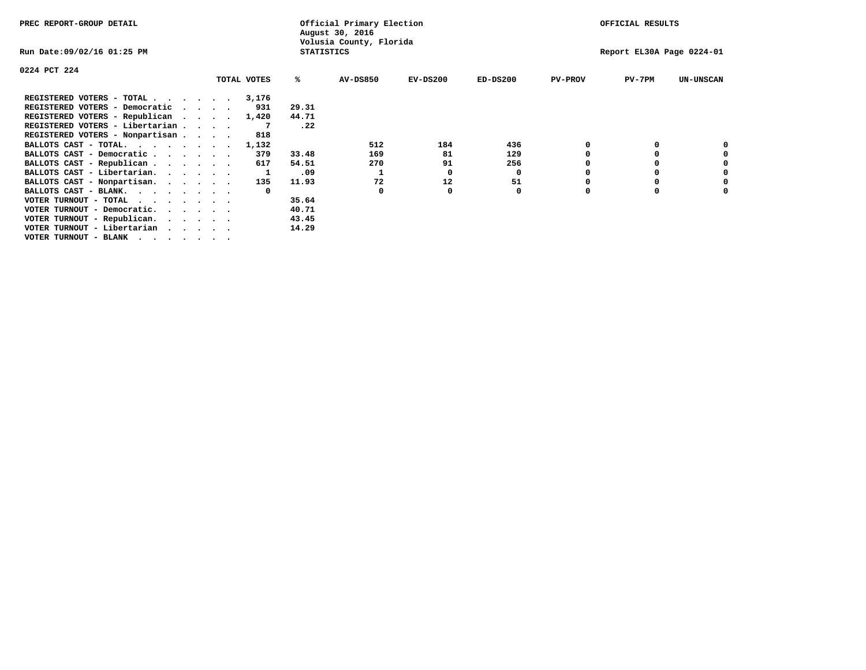| PREC REPORT-GROUP DETAIL        |  |             |       | Official Primary Election<br>August 30, 2016 |            |            |                | OFFICIAL RESULTS          |                  |
|---------------------------------|--|-------------|-------|----------------------------------------------|------------|------------|----------------|---------------------------|------------------|
| Run Date:09/02/16 01:25 PM      |  |             |       | Volusia County, Florida<br><b>STATISTICS</b> |            |            |                | Report EL30A Page 0224-01 |                  |
| 0224 PCT 224                    |  |             |       |                                              |            |            |                |                           |                  |
|                                 |  | TOTAL VOTES | ℁     | <b>AV-DS850</b>                              | $EV-DS200$ | $ED-DS200$ | <b>PV-PROV</b> | $PV-7PM$                  | <b>UN-UNSCAN</b> |
| REGISTERED VOTERS - TOTAL       |  | 3,176       |       |                                              |            |            |                |                           |                  |
| REGISTERED VOTERS - Democratic  |  | 931         | 29.31 |                                              |            |            |                |                           |                  |
| REGISTERED VOTERS - Republican  |  | 1,420       | 44.71 |                                              |            |            |                |                           |                  |
| REGISTERED VOTERS - Libertarian |  |             | .22   |                                              |            |            |                |                           |                  |
| REGISTERED VOTERS - Nonpartisan |  | 818         |       |                                              |            |            |                |                           |                  |
| BALLOTS CAST - TOTAL.           |  | 1,132       |       | 512                                          | 184        | 436        |                |                           |                  |
| BALLOTS CAST - Democratic       |  | 379         | 33.48 | 169                                          | 81         | 129        |                |                           |                  |
| BALLOTS CAST - Republican       |  | 617         | 54.51 | 270                                          | 91         | 256        |                |                           |                  |
| BALLOTS CAST - Libertarian.     |  |             | .09   |                                              | 0          | 0          |                |                           |                  |
| BALLOTS CAST - Nonpartisan.     |  | 135         | 11.93 | 72                                           | 12         | 51         |                |                           |                  |
| BALLOTS CAST - BLANK.           |  |             |       | <sup>0</sup>                                 |            | 0          |                |                           |                  |
| VOTER TURNOUT - TOTAL           |  |             | 35.64 |                                              |            |            |                |                           |                  |
| VOTER TURNOUT - Democratic.     |  |             | 40.71 |                                              |            |            |                |                           |                  |
| VOTER TURNOUT - Republican.     |  |             | 43.45 |                                              |            |            |                |                           |                  |
| VOTER TURNOUT - Libertarian     |  |             | 14.29 |                                              |            |            |                |                           |                  |
| VOTER TURNOUT - BLANK           |  |             |       |                                              |            |            |                |                           |                  |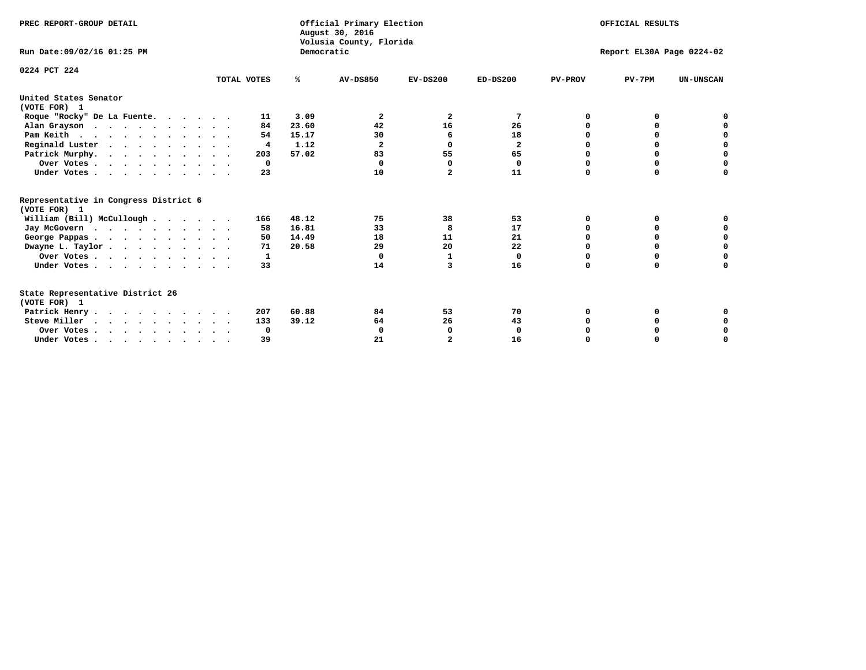| PREC REPORT-GROUP DETAIL                                                         |             | Democratic | Official Primary Election<br>August 30, 2016<br>Volusia County, Florida | OFFICIAL RESULTS<br>Report EL30A Page 0224-02 |              |                |          |                  |
|----------------------------------------------------------------------------------|-------------|------------|-------------------------------------------------------------------------|-----------------------------------------------|--------------|----------------|----------|------------------|
| Run Date: 09/02/16 01:25 PM                                                      |             |            |                                                                         |                                               |              |                |          |                  |
| 0224 PCT 224                                                                     | TOTAL VOTES | ℁          | <b>AV-DS850</b>                                                         | $EV-DS200$                                    | $ED-DS200$   | <b>PV-PROV</b> | $PV-7PM$ | <b>UN-UNSCAN</b> |
| United States Senator<br>(VOTE FOR) 1                                            |             |            |                                                                         |                                               |              |                |          |                  |
| Roque "Rocky" De La Fuente.                                                      | 11          | 3.09       | 2                                                                       | 2                                             | 7            | 0              | O        |                  |
| Alan Grayson                                                                     | 84          | 23.60      | 42                                                                      | 16                                            | 26           | $\Omega$       | $\Omega$ |                  |
| Pam Keith                                                                        | 54          | 15.17      | 30                                                                      | 6                                             | 18           | O              | 0        | 0                |
| Reginald Luster                                                                  | 4           | 1.12       | $\overline{\mathbf{2}}$                                                 | $\Omega$                                      | $\mathbf{z}$ | 0              | 0        | $\mathbf 0$      |
| Patrick Murphy.                                                                  | 203         | 57.02      | 83                                                                      | 55                                            | 65           | 0              | 0        | $\mathbf 0$      |
| Over Votes                                                                       | $\Omega$    |            | $\Omega$                                                                | $\Omega$                                      | 0            | $\Omega$       | $\Omega$ | $\Omega$         |
| Under Votes                                                                      | 23          |            | 10                                                                      | $\overline{a}$                                | 11           | $\Omega$       | $\Omega$ | 0                |
| Representative in Congress District 6<br>(VOTE FOR) 1                            |             |            |                                                                         |                                               |              |                |          |                  |
| William (Bill) McCullough                                                        | 166         | 48.12      | 75                                                                      | 38                                            | 53           | O              | 0        | o                |
| Jay McGovern                                                                     | 58          | 16.81      | 33                                                                      | 8                                             | 17           | O              | 0        | 0                |
| George Pappas.                                                                   | 50          | 14.49      | 18                                                                      | 11                                            | 21           | 0              | 0        | 0                |
| Dwayne L. Taylor                                                                 | 71          | 20.58      | 29                                                                      | 20                                            | 22           | $\Omega$       | $\Omega$ | $\mathbf 0$      |
| Over Votes                                                                       | 1           |            | $\mathbf 0$                                                             | 1                                             | 0            | 0              | 0        | $\mathbf 0$      |
| Under Votes                                                                      | 33          |            | 14                                                                      | 3                                             | 16           | $\Omega$       | 0        | O                |
| State Representative District 26<br>(VOTE FOR) 1                                 |             |            |                                                                         |                                               |              |                |          |                  |
| Patrick Henry                                                                    | 207         | 60.88      | 84                                                                      | 53                                            | 70           | 0              | 0        | 0                |
| Steve Miller                                                                     | 133         | 39.12      | 64                                                                      | 26                                            | 43           |                | 0        | 0                |
| Over Votes                                                                       | 0           |            | 0                                                                       | 0                                             | 0            |                | 0        | 0                |
| Under Votes, $\cdot$ , $\cdot$ , $\cdot$ , $\cdot$ , $\cdot$ , $\cdot$ , $\cdot$ | 39          |            | 21                                                                      |                                               | 16           | $\Omega$       |          | O                |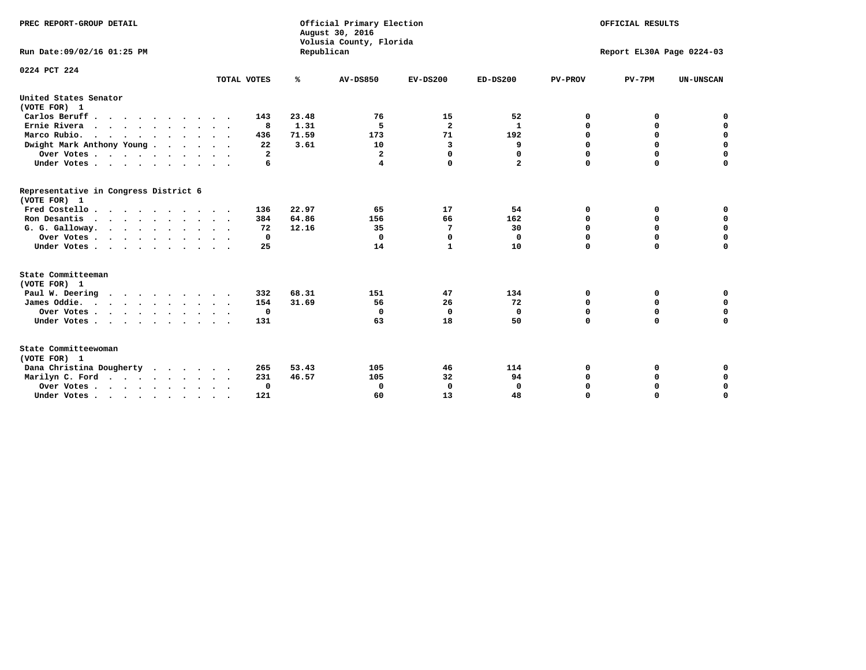| PREC REPORT-GROUP DETAIL<br>Run Date: 09/02/16 01:25 PM |              | Republican | Official Primary Election<br>August 30, 2016<br>Volusia County, Florida | OFFICIAL RESULTS<br>Report EL30A Page 0224-03 |                |                |             |                  |
|---------------------------------------------------------|--------------|------------|-------------------------------------------------------------------------|-----------------------------------------------|----------------|----------------|-------------|------------------|
| 0224 PCT 224                                            | TOTAL VOTES  | ℁          | <b>AV-DS850</b>                                                         | $EV-DS200$                                    | $ED-DS200$     | <b>PV-PROV</b> | $PV-7PM$    | <b>UN-UNSCAN</b> |
| United States Senator                                   |              |            |                                                                         |                                               |                |                |             |                  |
| (VOTE FOR) 1                                            |              |            |                                                                         |                                               |                |                |             |                  |
| Carlos Beruff                                           | 143          | 23.48      | 76                                                                      | 15                                            | 52             | 0              | 0           | 0                |
| Ernie Rivera                                            | 8            | 1.31       | -5                                                                      | $\overline{\mathbf{2}}$                       | 1              | $\Omega$       | 0           | $\mathbf 0$      |
| Marco Rubio.                                            | 436          | 71.59      | 173                                                                     | 71                                            | 192            | 0              | 0           | $\mathbf 0$      |
| Dwight Mark Anthony Young                               | 22           | 3.61       | 10                                                                      | 3                                             | 9              | 0              | $\mathbf 0$ | $\mathbf 0$      |
| Over Votes                                              | $\mathbf{2}$ |            | $\mathbf{2}$                                                            | $\Omega$                                      | 0              | 0              | $\mathbf 0$ | $\mathbf 0$      |
| Under Votes                                             | 6            |            | 4                                                                       | $\Omega$                                      | $\overline{a}$ | $\Omega$       | $\Omega$    | $\mathbf 0$      |
| Representative in Congress District 6<br>(VOTE FOR) 1   |              |            |                                                                         |                                               |                |                |             |                  |
| Fred Costello                                           | 136          | 22.97      | 65                                                                      | 17                                            | 54             | 0              | 0           | $\mathbf 0$      |
| Ron Desantis                                            | 384          | 64.86      | 156                                                                     | 66                                            | 162            | 0              | 0           | $\mathbf 0$      |
| G. G. Galloway.                                         | 72           | 12.16      | 35                                                                      | 7                                             | 30             | $\mathbf 0$    | $\Omega$    | $\mathbf 0$      |
| Over Votes                                              | 0            |            | $\Omega$                                                                | $\mathbf 0$                                   | 0              | $\mathbf 0$    | 0           | $\mathbf 0$      |
| Under Votes                                             | 25           |            | 14                                                                      | 1                                             | 10             | $\Omega$       | $\Omega$    | $\Omega$         |
| State Committeeman                                      |              |            |                                                                         |                                               |                |                |             |                  |
| (VOTE FOR) 1                                            |              |            |                                                                         |                                               |                |                |             |                  |
| Paul W. Deering<br>$\cdots$                             | 332          | 68.31      | 151                                                                     | 47                                            | 134            | 0              | 0           | 0                |
| James Oddie.                                            | 154          | 31.69      | 56                                                                      | 26                                            | 72             | 0              | 0           | $\mathbf 0$      |
| Over Votes                                              | 0            |            | 0                                                                       | 0                                             | 0              | 0              | $\mathbf 0$ | $\mathbf 0$      |
| Under Votes                                             | 131          |            | 63                                                                      | 18                                            | 50             | $\Omega$       | $\Omega$    | $\mathbf 0$      |
| State Committeewoman<br>(VOTE FOR) 1                    |              |            |                                                                         |                                               |                |                |             |                  |
| Dana Christina Dougherty                                | 265          | 53.43      | 105                                                                     | 46                                            | 114            | 0              | 0           | 0                |
| Marilyn C. Ford                                         | 231          | 46.57      | 105                                                                     | 32                                            | 94             | 0              | 0           | 0                |
| Over Votes                                              | $\Omega$     |            | $\Omega$                                                                | 0                                             | $\mathbf{0}$   | 0              | 0           | $\mathbf 0$      |
| Under Votes, , , , , , , , , ,                          | 121          |            | 60                                                                      | 13                                            | 48             | $\Omega$       | $\Omega$    | $\Omega$         |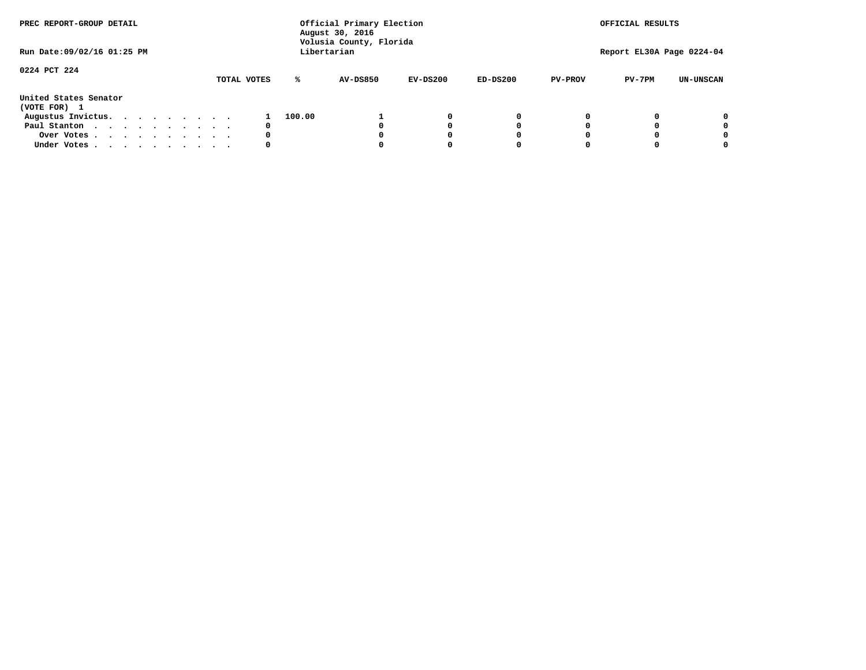| PREC REPORT-GROUP DETAIL              |  |  |  |  | Official Primary Election<br>August 30, 2016<br>Volusia County, Florida |             | OFFICIAL RESULTS<br>Report EL30A Page 0224-04 |                 |            |            |                |          |                  |
|---------------------------------------|--|--|--|--|-------------------------------------------------------------------------|-------------|-----------------------------------------------|-----------------|------------|------------|----------------|----------|------------------|
| Run Date: 09/02/16 01:25 PM           |  |  |  |  |                                                                         |             |                                               | Libertarian     |            |            |                |          |                  |
| 0224 PCT 224                          |  |  |  |  |                                                                         | TOTAL VOTES | ℁                                             | <b>AV-DS850</b> | $EV-DS200$ | $ED-DS200$ | <b>PV-PROV</b> | $PV-7PM$ | <b>UN-UNSCAN</b> |
| United States Senator<br>(VOTE FOR) 1 |  |  |  |  |                                                                         |             |                                               |                 |            |            |                |          |                  |
| Augustus Invictus.                    |  |  |  |  |                                                                         |             | 100.00                                        |                 | 0          | 0          |                |          | 0                |
| Paul Stanton                          |  |  |  |  |                                                                         | 0           |                                               |                 |            | 0          |                |          | 0                |
| Over Votes                            |  |  |  |  |                                                                         | 0           |                                               |                 |            | 0          |                |          | 0                |
| Under Votes                           |  |  |  |  |                                                                         | 0           |                                               |                 |            | 0          |                |          | 0                |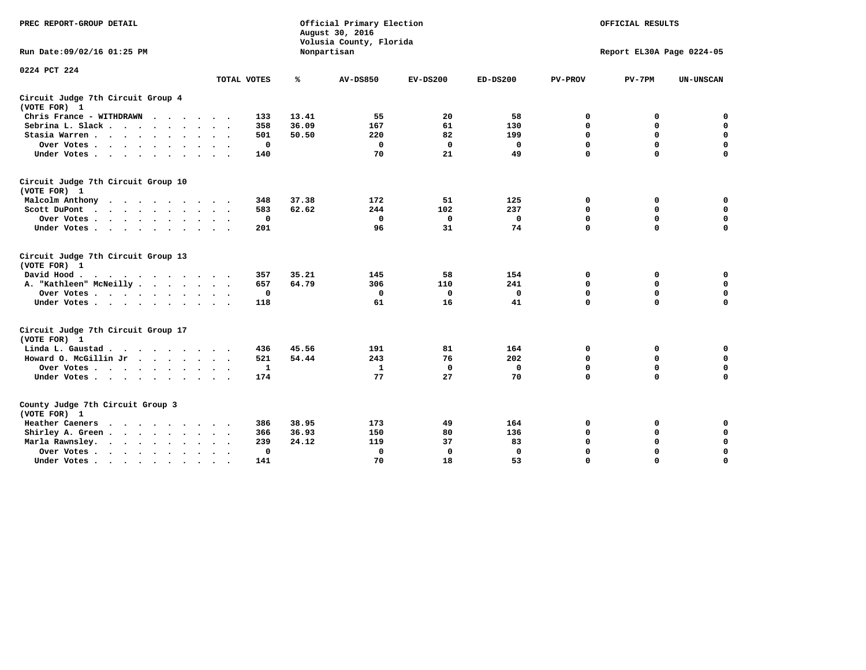| PREC REPORT-GROUP DETAIL                                                                                                                                                                                                                             |                    |       | Official Primary Election<br>August 30, 2016<br>Volusia County, Florida | OFFICIAL RESULTS<br>Report EL30A Page 0224-05 |             |                |             |                  |
|------------------------------------------------------------------------------------------------------------------------------------------------------------------------------------------------------------------------------------------------------|--------------------|-------|-------------------------------------------------------------------------|-----------------------------------------------|-------------|----------------|-------------|------------------|
| Run Date: 09/02/16 01:25 PM                                                                                                                                                                                                                          |                    |       | Nonpartisan                                                             |                                               |             |                |             |                  |
| 0224 PCT 224                                                                                                                                                                                                                                         |                    | ℁     |                                                                         |                                               |             |                |             |                  |
|                                                                                                                                                                                                                                                      | TOTAL VOTES        |       | <b>AV-DS850</b>                                                         | $EV-DS200$                                    | $ED-DS200$  | <b>PV-PROV</b> | $PV-7PM$    | <b>UN-UNSCAN</b> |
| Circuit Judge 7th Circuit Group 4<br>(VOTE FOR) 1                                                                                                                                                                                                    |                    |       |                                                                         |                                               |             |                |             |                  |
| Chris France - WITHDRAWN                                                                                                                                                                                                                             | 133                | 13.41 | 55                                                                      | 20                                            | 58          | 0              | 0           | 0                |
| Sebrina L. Slack<br>$\sim$                                                                                                                                                                                                                           | 358                | 36.09 | 167                                                                     | 61                                            | 130         | $\mathbf 0$    | $\mathbf 0$ | $\mathbf 0$      |
| Stasia Warren<br>$\sim$<br>$\sim$                                                                                                                                                                                                                    | 501                | 50.50 | 220                                                                     | 82                                            | 199         | $\mathbf 0$    | 0           | $\mathbf 0$      |
| Over Votes                                                                                                                                                                                                                                           | 0                  |       | 0                                                                       | $\mathbf 0$                                   | 0           | 0              | $\mathbf 0$ | $\mathbf 0$      |
| Under Votes                                                                                                                                                                                                                                          | 140                |       | 70                                                                      | 21                                            | 49          | $\mathbf 0$    | $\Omega$    | $\mathbf 0$      |
| Circuit Judge 7th Circuit Group 10<br>(VOTE FOR) 1                                                                                                                                                                                                   |                    |       |                                                                         |                                               |             |                |             |                  |
| Malcolm Anthony<br>.                                                                                                                                                                                                                                 | 348                | 37.38 | 172                                                                     | 51                                            | 125         | 0              | 0           | $\mathbf 0$      |
| Scott DuPont                                                                                                                                                                                                                                         | 583                | 62.62 | 244                                                                     | 102                                           | 237         | $\mathbf 0$    | $\mathbf 0$ | $\mathbf 0$      |
| Over Votes<br>$\sim$                                                                                                                                                                                                                                 | $\mathbf 0$        |       | $\mathbf{0}$                                                            | $\mathbf{0}$                                  | 0           | $\mathbf 0$    | $\Omega$    | $\mathbf 0$      |
| Under Votes                                                                                                                                                                                                                                          | 201                |       | 96                                                                      | 31                                            | 74          | $\mathbf 0$    | $\mathbf 0$ | $\Omega$         |
| Circuit Judge 7th Circuit Group 13<br>(VOTE FOR) 1                                                                                                                                                                                                   |                    |       |                                                                         |                                               |             |                |             |                  |
| David Hood.<br>$\cdots$                                                                                                                                                                                                                              | 357                | 35.21 | 145                                                                     | 58                                            | 154         | 0              | 0           | $\mathbf 0$      |
| A. "Kathleen" McNeilly                                                                                                                                                                                                                               | 657                | 64.79 | 306                                                                     | 110                                           | 241         | $\mathbf 0$    | $\mathbf 0$ | $\mathbf 0$      |
| Over Votes                                                                                                                                                                                                                                           | 0                  |       | 0                                                                       | 0                                             | 0           | $\mathbf 0$    | $\mathbf 0$ | $\mathbf 0$      |
| Under Votes                                                                                                                                                                                                                                          | 118                |       | 61                                                                      | 16                                            | 41          | $\mathbf 0$    | $\Omega$    | $\mathbf 0$      |
| Circuit Judge 7th Circuit Group 17<br>(VOTE FOR) 1                                                                                                                                                                                                   |                    |       |                                                                         |                                               |             |                |             |                  |
| Linda L. Gaustad                                                                                                                                                                                                                                     | 436                | 45.56 | 191                                                                     | 81                                            | 164         | 0              | 0           | 0                |
| Howard O. McGillin Jr                                                                                                                                                                                                                                | 521                | 54.44 | 243                                                                     | 76                                            | 202         | $\mathbf 0$    | $\mathbf 0$ | $\mathbf 0$      |
| Over Votes                                                                                                                                                                                                                                           | 1                  |       | 1                                                                       | $\mathbf 0$                                   | $\mathbf 0$ | $\mathbf 0$    | $\mathbf 0$ | $\pmb{0}$        |
| Under Votes                                                                                                                                                                                                                                          | 174                |       | 77                                                                      | 27                                            | 70          | $\mathbf 0$    | $\mathbf 0$ | $\Omega$         |
| County Judge 7th Circuit Group 3<br>(VOTE FOR) 1                                                                                                                                                                                                     |                    |       |                                                                         |                                               |             |                |             |                  |
| Heather Caeners<br>$\mathbf{r}$ . The contract of the contract of the contract of the contract of the contract of the contract of the contract of the contract of the contract of the contract of the contract of the contract of the contract of th | 386                | 38.95 | 173                                                                     | 49                                            | 164         | 0              | 0           | 0                |
| Shirley A. Green                                                                                                                                                                                                                                     | 366                | 36.93 | 150                                                                     | 80                                            | 136         | $\mathbf 0$    | 0           | $\mathbf 0$      |
| Marla Rawnsley.<br>$\cdot$ $\cdot$ $\cdot$ $\cdot$ $\cdot$                                                                                                                                                                                           | 239                | 24.12 | 119                                                                     | 37                                            | 83          | 0              | $\mathbf 0$ | $\pmb{0}$        |
| Over Votes.<br>$\cdot$<br>$\cdot$<br>$\cdot$                                                                                                                                                                                                         | 0<br>$\sim$ $\sim$ |       | $\mathbf 0$                                                             | $\mathbf 0$                                   | 0           | $\mathbf 0$    | $\Omega$    | $\mathbf 0$      |
| Under Votes<br>$\sim$<br>$\sim$                                                                                                                                                                                                                      | 141                |       | 70                                                                      | 18                                            | 53          | $\mathbf 0$    | $\mathbf 0$ | 0                |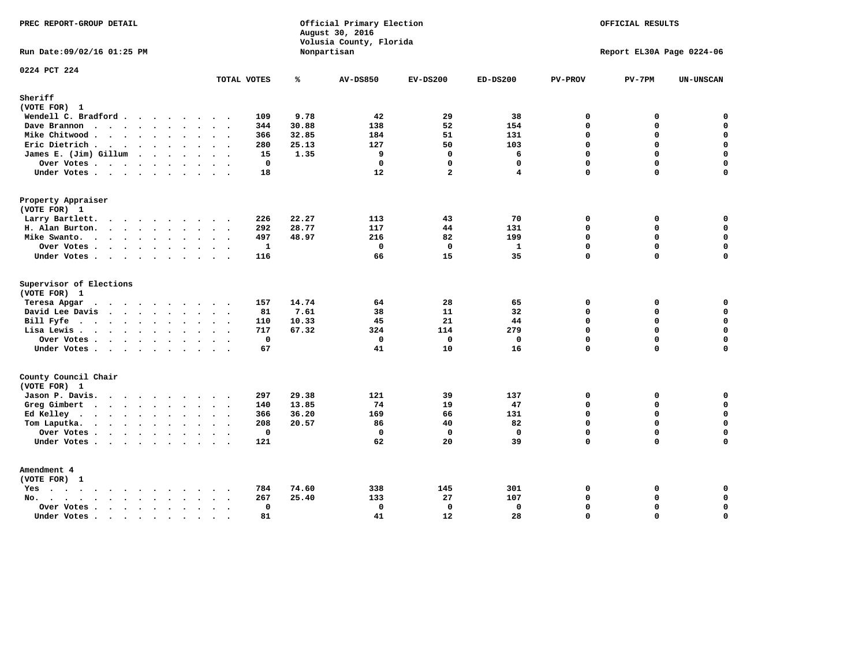| PREC REPORT-GROUP DETAIL                                                                                               |                                            |                | Official Primary Election<br>August 30, 2016<br>Volusia County, Florida |                | OFFICIAL RESULTS<br>Report EL30A Page 0224-06 |                         |               |                       |
|------------------------------------------------------------------------------------------------------------------------|--------------------------------------------|----------------|-------------------------------------------------------------------------|----------------|-----------------------------------------------|-------------------------|---------------|-----------------------|
| Run Date: 09/02/16 01:25 PM                                                                                            |                                            |                | Nonpartisan                                                             |                |                                               |                         |               |                       |
| 0224 PCT 224                                                                                                           | TOTAL VOTES                                | ℁              | <b>AV-DS850</b>                                                         | $EV-DS200$     | $ED-DS200$                                    | <b>PV-PROV</b>          | $PV-7PM$      | UN-UNSCAN             |
| Sheriff                                                                                                                |                                            |                |                                                                         |                |                                               |                         |               |                       |
| (VOTE FOR) 1                                                                                                           |                                            |                |                                                                         |                |                                               |                         |               |                       |
| Wendell C. Bradford                                                                                                    | 109                                        | 9.78           | 42                                                                      | 29             | 38                                            | $\mathbf 0$             | 0             | $\mathbf 0$           |
| Dave Brannon                                                                                                           | 344                                        | 30.88          | 138                                                                     | 52             | 154                                           | $\mathbf 0$             | 0             | $\mathbf 0$           |
| Mike Chitwood                                                                                                          | 366                                        | 32.85          | 184                                                                     | 51             | 131                                           | $\Omega$                | 0             | $\mathbf 0$           |
| Eric Dietrich.                                                                                                         | 280                                        | 25.13          | 127                                                                     | 50             | 103                                           | $\Omega$                | 0             | $\mathbf 0$           |
| James E. (Jim) Gillum                                                                                                  | 15                                         | 1.35           | 9                                                                       | $\mathbf 0$    | 6                                             | $\mathbf 0$             | $\mathbf 0$   | $\mathbf 0$           |
| Over Votes                                                                                                             | $\mathbf 0$                                |                | $\mathbf 0$                                                             | $\mathbf 0$    | $\mathbf{0}$                                  | $\Omega$                | 0             | 0                     |
| Under Votes                                                                                                            | 18                                         |                | 12                                                                      | $\overline{a}$ | 4                                             | $\Omega$                | $\Omega$      | $\Omega$              |
| Property Appraiser                                                                                                     |                                            |                |                                                                         |                |                                               |                         |               |                       |
| (VOTE FOR) 1                                                                                                           |                                            |                |                                                                         |                |                                               |                         |               |                       |
| Larry Bartlett.                                                                                                        | 226                                        | 22.27          | 113                                                                     | 43             | 70                                            | $\mathbf 0$             | 0             | 0                     |
| H. Alan Burton.                                                                                                        | 292                                        | 28.77          | 117                                                                     | 44             | 131                                           | $\Omega$                | 0             | $\mathbf 0$           |
| Mike Swanto.                                                                                                           | 497                                        | 48.97          | 216                                                                     | 82             | 199                                           | $\mathbf 0$             | 0             | 0                     |
| Over Votes                                                                                                             | $\mathbf{1}$                               |                | $\mathbf 0$                                                             | $\mathbf 0$    | $\mathbf{1}$                                  | $\Omega$                | $\mathbf 0$   | $\mathbf 0$           |
| Under Votes                                                                                                            | 116                                        |                | 66                                                                      | 15             | 35                                            | $\Omega$                | 0             | $\mathbf 0$           |
| Supervisor of Elections                                                                                                |                                            |                |                                                                         |                |                                               |                         |               |                       |
| (VOTE FOR) 1                                                                                                           |                                            |                |                                                                         |                |                                               |                         |               |                       |
| Teresa Apgar                                                                                                           | 157                                        | 14.74          | 64                                                                      | 28             | 65                                            | $\mathbf 0$             | 0             | $\mathbf 0$           |
| David Lee Davis                                                                                                        | 81                                         | 7.61           | 38                                                                      | 11             | 32                                            | $\mathbf 0$             | 0             | $\mathbf 0$           |
| Bill Fyfe.                                                                                                             | 110                                        | 10.33          | 45                                                                      | 21             | 44                                            | $\Omega$                | $\Omega$      | $\mathbf 0$           |
| Lisa Lewis                                                                                                             | 717                                        | 67.32          | 324                                                                     | 114            | 279                                           | $\mathbf 0$             | 0             | $\mathbf 0$           |
| Over Votes                                                                                                             | $\mathbf 0$                                |                | $\mathbf 0$<br>41                                                       | $\mathbf 0$    | $\mathbf 0$                                   | $\mathbf 0$             | 0             | $\pmb{0}$<br>$\Omega$ |
| Under Votes                                                                                                            | 67                                         |                |                                                                         | 10             | 16                                            | $\mathbf 0$             | 0             |                       |
| County Council Chair                                                                                                   |                                            |                |                                                                         |                |                                               |                         |               |                       |
| (VOTE FOR) 1                                                                                                           | 297                                        | 29.38          | 121                                                                     | 39             | 137                                           | $\mathbf 0$             |               |                       |
| Jason P. Davis.                                                                                                        | 140                                        | 13.85          | 74                                                                      | 19             | 47                                            | $\Omega$                | 0<br>$\Omega$ | 0<br>0                |
| Greg Gimbert                                                                                                           | 366                                        | 36.20          | 169                                                                     | 66             | 131                                           | $\mathbf 0$             | 0             | $\mathbf 0$           |
| Ed Kelley                                                                                                              | 208                                        | 20.57          | 86                                                                      | 40             | 82                                            | $\Omega$                | $\mathbf 0$   | 0                     |
| Tom Laputka.<br>$\mathbf{r}$ , $\mathbf{r}$ , $\mathbf{r}$ , $\mathbf{r}$ , $\mathbf{r}$ , $\mathbf{r}$ , $\mathbf{r}$ | $\mathbf 0$<br>$\overline{\phantom{a}}$    |                | $\mathbf 0$                                                             | $\mathbf 0$    | $\mathbf 0$                                   | $\mathbf 0$             | 0             | $\mathbf 0$           |
| Over Votes                                                                                                             | 121                                        |                | 62                                                                      | 20             | 39                                            | $\Omega$                | $\Omega$      | $\mathbf 0$           |
| Under Votes                                                                                                            |                                            |                |                                                                         |                |                                               |                         |               |                       |
| Amendment 4                                                                                                            |                                            |                |                                                                         |                |                                               |                         |               |                       |
| (VOTE FOR) 1                                                                                                           |                                            |                |                                                                         |                |                                               |                         |               |                       |
| $Yes \cdot \cdot \cdot \cdot \cdot \cdot \cdot \cdot$<br>$\bullet$                                                     | 784                                        | 74.60<br>25.40 | 338<br>133                                                              | 145<br>27      | 301                                           | $\mathbf 0$<br>$\Omega$ | 0<br>0        | 0<br>$\mathbf 0$      |
| $\cdots$<br>$No.$<br>$\sim$<br>$\ddot{\phantom{a}}$                                                                    | 267<br>$\sim$ $\sim$ $\sim$<br>$\mathbf 0$ |                |                                                                         | $\mathbf 0$    | 107                                           | $\Omega$                | 0             | $\pmb{\mathsf{o}}$    |
| Over Votes .<br>$\cdots$<br>$\ddot{\phantom{a}}$<br>Under Votes                                                        | $\sim$<br>81                               |                | 0<br>41                                                                 | 12             | 0<br>28                                       | $\mathbf 0$             | 0             | $\mathbf 0$           |
|                                                                                                                        | $\sim$<br>$\sim$                           |                |                                                                         |                |                                               |                         |               |                       |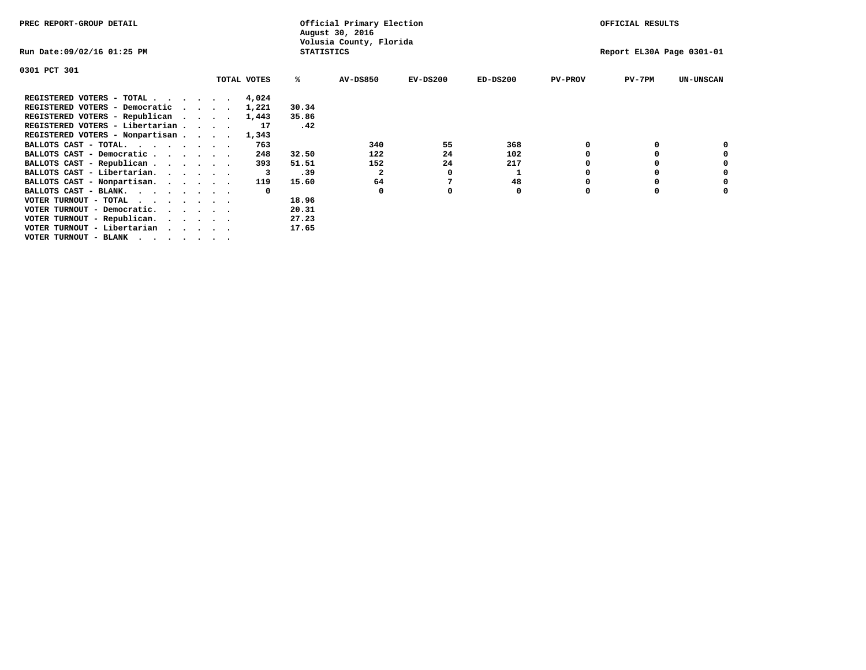| PREC REPORT-GROUP DETAIL        |  |             |                   | Official Primary Election<br>August 30, 2016 |            |            |                | OFFICIAL RESULTS          |                  |
|---------------------------------|--|-------------|-------------------|----------------------------------------------|------------|------------|----------------|---------------------------|------------------|
| Run Date:09/02/16 01:25 PM      |  |             | <b>STATISTICS</b> | Volusia County, Florida                      |            |            |                | Report EL30A Page 0301-01 |                  |
| 0301 PCT 301                    |  |             |                   |                                              |            |            |                |                           |                  |
|                                 |  | TOTAL VOTES | %ะ                | <b>AV-DS850</b>                              | $EV-DS200$ | $ED-DS200$ | <b>PV-PROV</b> | $PV-7PM$                  | <b>UN-UNSCAN</b> |
| REGISTERED VOTERS - TOTAL       |  | 4,024       |                   |                                              |            |            |                |                           |                  |
| REGISTERED VOTERS - Democratic  |  | 1,221       | 30.34             |                                              |            |            |                |                           |                  |
| REGISTERED VOTERS - Republican  |  | 1,443       | 35.86             |                                              |            |            |                |                           |                  |
| REGISTERED VOTERS - Libertarian |  | 17          | .42               |                                              |            |            |                |                           |                  |
| REGISTERED VOTERS - Nonpartisan |  | 1,343       |                   |                                              |            |            |                |                           |                  |
| BALLOTS CAST - TOTAL.           |  | 763         |                   | 340                                          | 55         | 368        |                |                           |                  |
| BALLOTS CAST - Democratic       |  | 248         | 32.50             | 122                                          | 24         | 102        |                |                           |                  |
| BALLOTS CAST - Republican       |  | 393         | 51.51             | 152                                          | 24         | 217        |                |                           |                  |
| BALLOTS CAST - Libertarian.     |  |             | .39               | 2                                            | 0          |            |                |                           |                  |
| BALLOTS CAST - Nonpartisan.     |  | 119         | 15.60             | 64                                           |            | 48         |                |                           | 0                |
| BALLOTS CAST - BLANK.           |  |             |                   | $\Omega$                                     |            | 0          | n              |                           |                  |
| VOTER TURNOUT - TOTAL           |  |             | 18.96             |                                              |            |            |                |                           |                  |
| VOTER TURNOUT - Democratic.     |  |             | 20.31             |                                              |            |            |                |                           |                  |
| VOTER TURNOUT - Republican.     |  |             | 27.23             |                                              |            |            |                |                           |                  |
| VOTER TURNOUT - Libertarian     |  |             | 17.65             |                                              |            |            |                |                           |                  |
| VOTER TURNOUT - BLANK           |  |             |                   |                                              |            |            |                |                           |                  |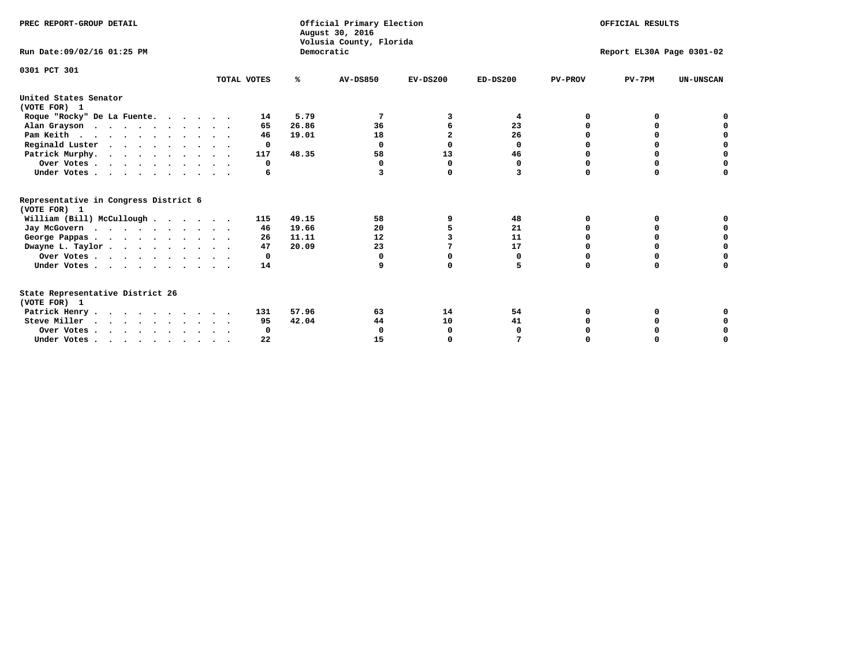| PREC REPORT-GROUP DETAIL<br>Run Date: 09/02/16 01:25 PM |             | Democratic | Official Primary Election<br>August 30, 2016<br>Volusia County, Florida | OFFICIAL RESULTS<br>Report EL30A Page 0301-02 |            |                |          |                  |
|---------------------------------------------------------|-------------|------------|-------------------------------------------------------------------------|-----------------------------------------------|------------|----------------|----------|------------------|
|                                                         |             |            |                                                                         |                                               |            |                |          |                  |
| 0301 PCT 301                                            | TOTAL VOTES | %ะ         | <b>AV-DS850</b>                                                         | $EV-DS200$                                    | $ED-DS200$ | <b>PV-PROV</b> | $PV-7PM$ | <b>UN-UNSCAN</b> |
| United States Senator<br>(VOTE FOR) 1                   |             |            |                                                                         |                                               |            |                |          |                  |
| Roque "Rocky" De La Fuente.                             | 14          | 5.79       |                                                                         | 3                                             | 4          | 0              |          |                  |
| Alan Grayson                                            | 65          | 26.86      | 36                                                                      | 6                                             | 23         | $\Omega$       | o        |                  |
| Pam Keith                                               | 46          | 19.01      | 18                                                                      | $\overline{a}$                                | 26         | O              | o        | o                |
| Reginald Luster                                         | $\Omega$    |            | $\mathbf 0$                                                             | $\Omega$                                      | 0          | 0              | 0        | 0                |
| Patrick Murphy.                                         | 117         | 48.35      | 58                                                                      | 13                                            | 46         | 0              | 0        | $\mathbf 0$      |
| Over Votes                                              | 0           |            | $\Omega$                                                                | $\Omega$                                      | 0          | O              | $\Omega$ | $\Omega$         |
| Under Votes                                             | 6           |            | 3                                                                       | 0                                             | 3          | $\Omega$       | $\Omega$ | $\Omega$         |
| Representative in Congress District 6<br>(VOTE FOR) 1   |             |            |                                                                         |                                               |            |                |          |                  |
| William (Bill) McCullough                               | 115         | 49.15      | 58                                                                      | 9                                             | 48         | O              | 0        |                  |
| Jay McGovern                                            | 46          | 19.66      | 20                                                                      | 5                                             | 21         | O              | o        | 0                |
| George Pappas.                                          | 26          | 11.11      | 12                                                                      |                                               | 11         | $\Omega$       | 0        | 0                |
| Dwayne L. Taylor                                        | 47          | 20.09      | 23                                                                      | 7                                             | 17         | $\Omega$       | $\Omega$ | $\mathbf 0$      |
| Over Votes                                              | 0           |            | $\Omega$                                                                | 0                                             | 0          | 0              | 0        | $\mathbf 0$      |
| Under Votes                                             | 14          |            | 9                                                                       | 0                                             | 5          | $\Omega$       | $\Omega$ | O                |
| State Representative District 26<br>(VOTE FOR) 1        |             |            |                                                                         |                                               |            |                |          |                  |
| Patrick Henry                                           | 131         | 57.96      | 63                                                                      | 14                                            | 54         | 0              |          |                  |
| Steve Miller                                            | 95          | 42.04      | 44                                                                      | 10                                            | 41         |                |          | 0                |
| Over Votes                                              | 0           |            | 0                                                                       | 0                                             | 0          |                | 0        | 0                |
| Under Votes.                                            | 22          |            | 15                                                                      | $\Omega$                                      |            |                |          | O                |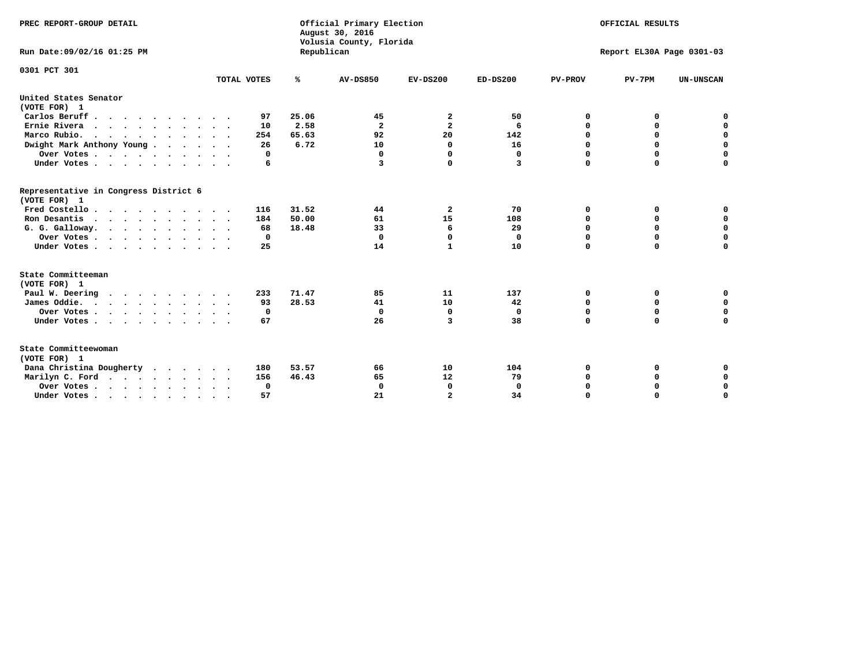| PREC REPORT-GROUP DETAIL<br>Run Date:09/02/16 01:25 PM                 |             | Republican | Official Primary Election<br>August 30, 2016<br>Volusia County, Florida | OFFICIAL RESULTS<br>Report EL30A Page 0301-03 |            |                |             |                  |
|------------------------------------------------------------------------|-------------|------------|-------------------------------------------------------------------------|-----------------------------------------------|------------|----------------|-------------|------------------|
| 0301 PCT 301                                                           |             |            |                                                                         |                                               |            |                |             |                  |
|                                                                        | TOTAL VOTES | ℁          | <b>AV-DS850</b>                                                         | $EV-DS200$                                    | $ED-DS200$ | <b>PV-PROV</b> | $PV-7PM$    | <b>UN-UNSCAN</b> |
| United States Senator<br>(VOTE FOR) 1                                  |             |            |                                                                         |                                               |            |                |             |                  |
| Carlos Beruff                                                          | 97          | 25.06      | 45                                                                      | 2                                             | 50         | 0              | 0           | 0                |
| Ernie Rivera<br>$\cdots$                                               | 10          | 2.58       | $\overline{\mathbf{2}}$                                                 | $\overline{\mathbf{2}}$                       | 6          | 0              | 0           | $\mathbf 0$      |
| Marco Rubio.                                                           | 254         | 65.63      | 92                                                                      | 20                                            | 142        | 0              | 0           | $\mathbf 0$      |
| Dwight Mark Anthony Young                                              | 26          | 6.72       | 10                                                                      | 0                                             | 16         | $\mathbf 0$    | $\mathbf 0$ | $\mathbf 0$      |
| Over Votes                                                             | 0           |            | $\mathbf 0$                                                             | 0                                             | 0          | $\mathbf 0$    | $\mathbf 0$ | $\mathbf 0$      |
| Under Votes                                                            | 6           |            | 3                                                                       | 0                                             | 3          | $\Omega$       | $\Omega$    | $\mathbf 0$      |
| Representative in Congress District 6<br>(VOTE FOR) 1                  |             |            |                                                                         |                                               |            |                |             |                  |
| Fred Costello                                                          | 116         | 31.52      | 44                                                                      | $\overline{\mathbf{2}}$                       | 70         | 0              | 0           | $\mathbf 0$      |
| Ron Desantis                                                           | 184         | 50.00      | 61                                                                      | 15                                            | 108        | 0              | 0           | $\mathbf 0$      |
| G. G. Galloway.                                                        | 68          | 18.48      | 33                                                                      | 6                                             | 29         | $\mathbf 0$    | $\mathbf 0$ | $\mathbf 0$      |
| Over Votes                                                             | 0           |            | $\Omega$                                                                | $\Omega$                                      | 0          | 0              | 0           | 0                |
| Under Votes                                                            | 25          |            | 14                                                                      | $\mathbf{1}$                                  | 10         | $\mathbf 0$    | $\Omega$    | $\mathbf 0$      |
| State Committeeman                                                     |             |            |                                                                         |                                               |            |                |             |                  |
| (VOTE FOR) 1                                                           |             |            |                                                                         |                                               |            |                |             |                  |
| Paul W. Deering                                                        | 233         | 71.47      | 85                                                                      | 11                                            | 137        | 0              | 0           | 0                |
| James Oddie.                                                           | 93          | 28.53      | 41                                                                      | 10                                            | 42         | 0              | 0           | $\mathbf 0$      |
| Over Votes                                                             | 0           |            | $\mathbf 0$                                                             | 0                                             | 0          | 0              | $\mathbf 0$ | $\mathbf 0$      |
| Under Votes                                                            | 67          |            | 26                                                                      | 3                                             | 38         | $\mathbf 0$    | $\mathbf 0$ | $\mathbf 0$      |
| State Committeewoman<br>(VOTE FOR) 1                                   |             |            |                                                                         |                                               |            |                |             |                  |
| Dana Christina Dougherty                                               | 180         | 53.57      | 66                                                                      | 10                                            | 104        | 0              | 0           | 0                |
| Marilyn C. Ford                                                        | 156         | 46.43      | 65                                                                      | 12                                            | 79         | 0              | 0           | 0                |
| Over Votes                                                             | $^{\circ}$  |            | $\mathbf 0$                                                             | 0                                             | 0          | $\mathbf 0$    | 0           | $\mathbf 0$      |
| Under Votes, $\cdot$ , $\cdot$ , $\cdot$ , $\cdot$ , $\cdot$ , $\cdot$ | 57          |            | 21                                                                      | $\overline{a}$                                | 34         | $\Omega$       | $\Omega$    | $\Omega$         |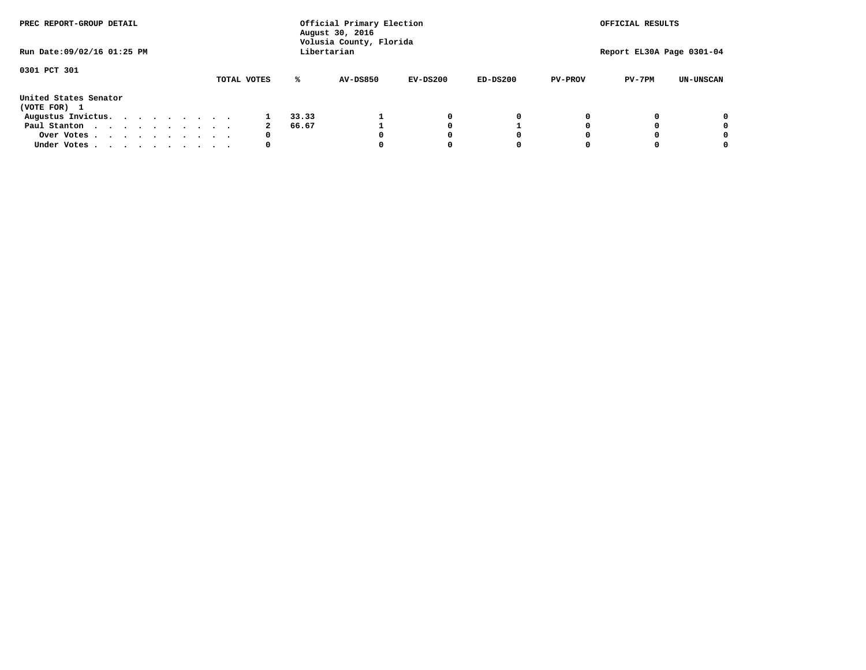| PREC REPORT-GROUP DETAIL<br>Run Date: 09/02/16 01:25 PM |  |  |  |  |  | Official Primary Election<br>August 30, 2016<br>Volusia County, Florida<br>Libertarian | OFFICIAL RESULTS<br>Report EL30A Page 0301-04 |       |          |            |            |                |          |                  |
|---------------------------------------------------------|--|--|--|--|--|----------------------------------------------------------------------------------------|-----------------------------------------------|-------|----------|------------|------------|----------------|----------|------------------|
|                                                         |  |  |  |  |  |                                                                                        |                                               |       |          |            |            |                |          |                  |
| 0301 PCT 301                                            |  |  |  |  |  |                                                                                        | TOTAL VOTES                                   | ℁     | AV-DS850 | $EV-DS200$ | $ED-DS200$ | <b>PV-PROV</b> | $PV-7PM$ | <b>UN-UNSCAN</b> |
| United States Senator<br>(VOTE FOR) 1                   |  |  |  |  |  |                                                                                        |                                               |       |          |            |            |                |          |                  |
| Augustus Invictus.                                      |  |  |  |  |  |                                                                                        |                                               | 33.33 |          | 0          | 0          |                |          | 0                |
| Paul Stanton<br>$\cdots$                                |  |  |  |  |  |                                                                                        |                                               | 66.67 |          | 0          |            |                |          | 0                |
| Over Votes                                              |  |  |  |  |  |                                                                                        | 0                                             |       |          | 0          |            |                |          | 0                |
| Under Votes                                             |  |  |  |  |  |                                                                                        | 0                                             |       |          | 0          |            |                |          | 0                |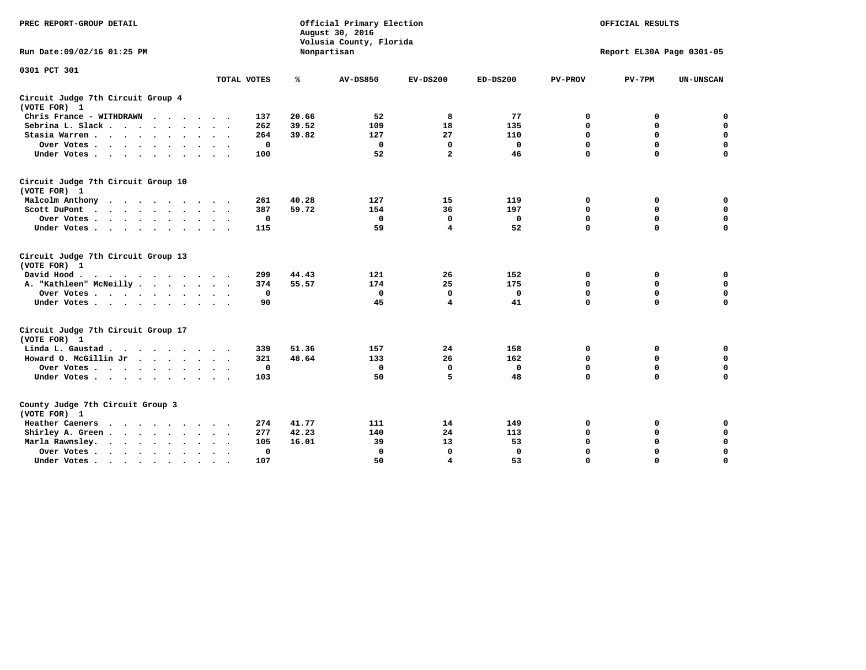| PREC REPORT-GROUP DETAIL                                                                                                                                                                                                                             |             |             | Official Primary Election<br>August 30, 2016<br>Volusia County, Florida | OFFICIAL RESULTS        |              |                |                           |                  |
|------------------------------------------------------------------------------------------------------------------------------------------------------------------------------------------------------------------------------------------------------|-------------|-------------|-------------------------------------------------------------------------|-------------------------|--------------|----------------|---------------------------|------------------|
| Run Date: 09/02/16 01:25 PM                                                                                                                                                                                                                          |             |             | Nonpartisan                                                             |                         |              |                | Report EL30A Page 0301-05 |                  |
| 0301 PCT 301                                                                                                                                                                                                                                         |             |             |                                                                         |                         |              |                |                           |                  |
|                                                                                                                                                                                                                                                      | TOTAL VOTES | ℁           | <b>AV-DS850</b>                                                         | $EV-DS200$              | $ED-DS200$   | <b>PV-PROV</b> | $PV-7PM$                  | <b>UN-UNSCAN</b> |
| Circuit Judge 7th Circuit Group 4<br>(VOTE FOR) 1                                                                                                                                                                                                    |             |             |                                                                         |                         |              |                |                           |                  |
| Chris France - WITHDRAWN                                                                                                                                                                                                                             | 137         | 20.66       | 52                                                                      | 8                       | 77           | 0              | 0                         | $\mathbf 0$      |
| Sebrina L. Slack                                                                                                                                                                                                                                     | 262         | 39.52       | 109                                                                     | 18                      | 135          | 0              | $\mathbf 0$               | $\mathbf 0$      |
| Stasia Warren                                                                                                                                                                                                                                        | 264         | 39.82       | 127                                                                     | 27                      | 110          | $\mathbf 0$    | $\mathbf 0$               | $\mathbf 0$      |
| Over Votes                                                                                                                                                                                                                                           |             | $\mathbf 0$ | $\mathbf 0$                                                             | $\mathbf 0$             | $\mathbf 0$  | 0              | $\mathbf 0$               | $\mathbf 0$      |
| Under Votes                                                                                                                                                                                                                                          | 100         |             | 52                                                                      | $\overline{a}$          | 46           | $\mathbf 0$    | $\mathbf 0$               | $\mathbf 0$      |
| Circuit Judge 7th Circuit Group 10<br>(VOTE FOR) 1                                                                                                                                                                                                   |             |             |                                                                         |                         |              |                |                           |                  |
| Malcolm Anthony                                                                                                                                                                                                                                      | 261         | 40.28       | 127                                                                     | 15                      | 119          | $\mathbf 0$    | 0                         | $\mathbf 0$      |
| Scott DuPont                                                                                                                                                                                                                                         | 387         | 59.72       | 154                                                                     | 36                      | 197          | $\mathbf 0$    | $\mathbf 0$               | $\mathbf 0$      |
| Over Votes<br>$\sim$ $\sim$                                                                                                                                                                                                                          |             | $\mathbf 0$ | $\Omega$                                                                | 0                       | 0            | $\mathbf 0$    | 0                         | $\mathbf 0$      |
| Under Votes                                                                                                                                                                                                                                          | 115         |             | 59                                                                      | $\overline{\mathbf{4}}$ | 52           | $\mathbf 0$    | $\mathbf 0$               | 0                |
| Circuit Judge 7th Circuit Group 13<br>(VOTE FOR) 1                                                                                                                                                                                                   |             |             |                                                                         |                         |              |                |                           |                  |
| David Hood.                                                                                                                                                                                                                                          | 299         | 44.43       | 121                                                                     | 26                      | 152          | $\mathbf 0$    | $\mathbf 0$               | $\mathbf 0$      |
| A. "Kathleen" McNeilly.<br>$\cdots$                                                                                                                                                                                                                  | 374         | 55.57       | 174                                                                     | 25                      | 175          | $\mathbf 0$    | $\mathbf 0$               | $\pmb{0}$        |
| Over Votes                                                                                                                                                                                                                                           |             | 0           | $\Omega$                                                                | 0                       | 0            | $\mathbf 0$    | $\mathbf 0$               | $\mathbf 0$      |
| Under Votes                                                                                                                                                                                                                                          |             | 90          | 45                                                                      | $\overline{\mathbf{4}}$ | 41           | $\mathbf 0$    | $\mathbf 0$               | 0                |
| Circuit Judge 7th Circuit Group 17<br>(VOTE FOR) 1                                                                                                                                                                                                   |             |             |                                                                         |                         |              |                |                           |                  |
| Linda L. Gaustad                                                                                                                                                                                                                                     | 339         | 51.36       | 157                                                                     | 24                      | 158          | 0              | 0                         | $\mathbf 0$      |
| Howard O. McGillin Jr                                                                                                                                                                                                                                | 321         | 48.64       | 133                                                                     | 26                      | 162          | $\mathbf 0$    | $\mathbf 0$               | $\mathbf 0$      |
| Over Votes                                                                                                                                                                                                                                           |             | $\mathbf 0$ | 0                                                                       | 0                       | 0            | $\mathbf 0$    | $\mathbf 0$               | 0                |
| Under Votes                                                                                                                                                                                                                                          | 103         |             | 50                                                                      | 5                       | 48           | $\mathbf 0$    | $\mathbf 0$               | $\mathbf 0$      |
| County Judge 7th Circuit Group 3<br>(VOTE FOR) 1                                                                                                                                                                                                     |             |             |                                                                         |                         |              |                |                           |                  |
| Heather Caeners<br>$\mathbf{r}$ , and a set of the set of the set of the set of the set of the set of the set of the set of the set of the set of the set of the set of the set of the set of the set of the set of the set of the set of the set of | 274         | 41.77       | 111                                                                     | 14                      | 149          | 0              | 0                         | 0                |
| Shirley A. Green                                                                                                                                                                                                                                     | 277         | 42.23       | 140                                                                     | 24                      | 113          | $\mathbf 0$    | $\mathbf 0$               | $\mathbf 0$      |
| Marla Rawnsley.                                                                                                                                                                                                                                      | 105         | 16.01       | 39                                                                      | 13                      | 53           | 0              | 0                         | $\mathbf 0$      |
| Over Votes<br>$\ddot{\phantom{1}}$<br>$\sim$                                                                                                                                                                                                         |             | 0           | $\Omega$                                                                | $\mathbf 0$             | $\mathbf{0}$ | 0              | $\mathbf 0$               | $\mathbf 0$      |
| Under Votes<br>$\bullet$                                                                                                                                                                                                                             | 107         |             | 50                                                                      | $\overline{\bf 4}$      | 53           | $\mathbf 0$    | $\mathbf 0$               | $\Omega$         |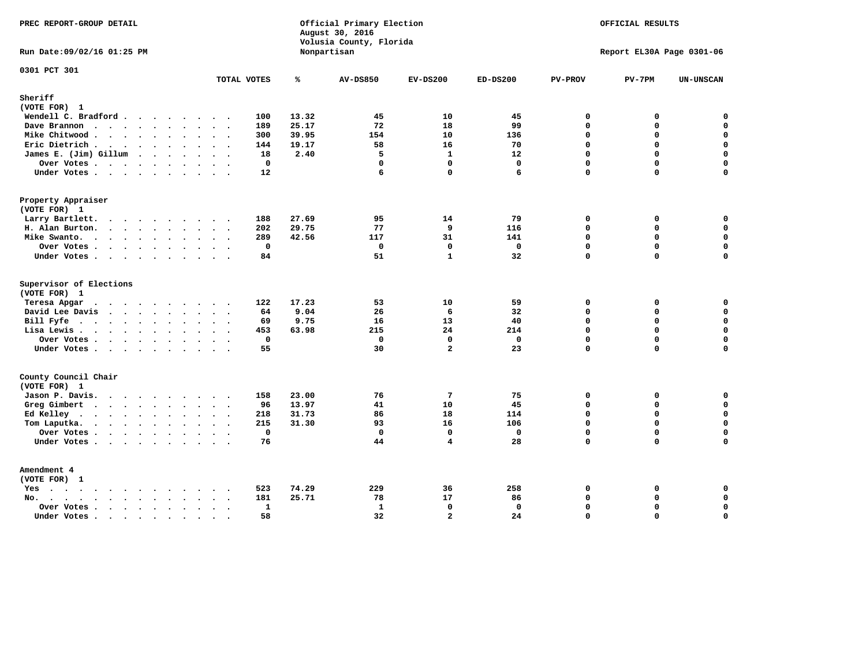| PREC REPORT-GROUP DETAIL                                                                                 |                                                        |       | Official Primary Election<br>August 30, 2016<br>Volusia County, Florida | OFFICIAL RESULTS        |              |                |                           |                  |
|----------------------------------------------------------------------------------------------------------|--------------------------------------------------------|-------|-------------------------------------------------------------------------|-------------------------|--------------|----------------|---------------------------|------------------|
| Run Date: 09/02/16 01:25 PM                                                                              |                                                        |       | Nonpartisan                                                             |                         |              |                | Report EL30A Page 0301-06 |                  |
| 0301 PCT 301                                                                                             | TOTAL VOTES                                            | ℁     | <b>AV-DS850</b>                                                         | $EV-DS200$              | $ED-DS200$   | <b>PV-PROV</b> | $PV-7PM$                  | <b>UN-UNSCAN</b> |
| Sheriff                                                                                                  |                                                        |       |                                                                         |                         |              |                |                           |                  |
| (VOTE FOR) 1                                                                                             |                                                        |       |                                                                         |                         |              |                |                           |                  |
| Wendell C. Bradford                                                                                      | 100                                                    | 13.32 | 45                                                                      | 10                      | 45           | 0              | 0                         | $\mathbf 0$      |
| Dave Brannon                                                                                             | 189                                                    | 25.17 | 72                                                                      | 18                      | 99           | $\Omega$       | 0                         | $\mathbf 0$      |
| Mike Chitwood                                                                                            | 300                                                    | 39.95 | 154                                                                     | 10                      | 136          | $\mathbf{0}$   | 0                         | $\mathbf 0$      |
| Eric Dietrich.                                                                                           | 144                                                    | 19.17 | 58                                                                      | 16                      | 70           | $\Omega$       | 0                         | $\mathbf 0$      |
| James E. (Jim) Gillum                                                                                    | 18                                                     | 2.40  | 5                                                                       | $\mathbf{1}$            | 12           | $\mathbf 0$    | 0                         | $\mathbf 0$      |
| Over Votes                                                                                               | $\mathbf 0$                                            |       | $\Omega$                                                                | $\Omega$                | $\Omega$     | $\Omega$       | $\Omega$                  | 0                |
| Under Votes                                                                                              | 12                                                     |       | 6                                                                       | 0                       | 6            | 0              | 0                         | $\Omega$         |
| Property Appraiser                                                                                       |                                                        |       |                                                                         |                         |              |                |                           |                  |
| (VOTE FOR) 1                                                                                             |                                                        |       |                                                                         |                         |              |                |                           |                  |
| Larry Bartlett.                                                                                          | 188                                                    | 27.69 | 95                                                                      | 14                      | 79           | $\mathbf{0}$   | 0                         | 0                |
| H. Alan Burton.                                                                                          | 202                                                    | 29.75 | 77                                                                      | 9                       | 116          | $\mathbf 0$    | 0                         | $\mathbf 0$      |
| Mike Swanto.                                                                                             | 289                                                    | 42.56 | 117                                                                     | 31                      | 141          | $\mathbf 0$    | 0                         | $\mathbf 0$      |
| Over Votes                                                                                               | $\mathbf{0}$                                           |       | $\Omega$                                                                | $\mathbf{0}$            | $\mathbf{0}$ | $\mathbf{0}$   | 0                         | 0                |
| Under Votes                                                                                              | 84                                                     |       | 51                                                                      | $\mathbf{1}$            | 32           | $\Omega$       | $\Omega$                  | $\mathbf 0$      |
| Supervisor of Elections                                                                                  |                                                        |       |                                                                         |                         |              |                |                           |                  |
| (VOTE FOR) 1                                                                                             |                                                        |       |                                                                         |                         |              |                |                           |                  |
| Teresa Apgar                                                                                             | 122                                                    | 17.23 | 53                                                                      | 10                      | 59           | $\mathbf 0$    | 0                         | $\mathbf 0$      |
| David Lee Davis                                                                                          | 64                                                     | 9.04  | 26                                                                      | 6                       | 32           | $\Omega$       | 0                         | $\mathbf 0$      |
| Bill Fyfe.                                                                                               | 69                                                     | 9.75  | 16                                                                      | 13                      | 40           | $\mathbf{0}$   | 0                         | $\mathbf 0$      |
| Lisa Lewis                                                                                               | 453                                                    | 63.98 | 215                                                                     | 24                      | 214          | $\Omega$       | $\Omega$                  | $\mathbf 0$      |
| Over Votes                                                                                               | $\mathbf 0$                                            |       | $\mathbf 0$                                                             | $\mathbf 0$             | $\mathbf 0$  | $\mathbf 0$    | 0                         | $\mathbf 0$      |
| Under Votes                                                                                              | 55                                                     |       | 30                                                                      | $\mathbf{z}$            | 23           | $\Omega$       | $\Omega$                  | $\mathbf 0$      |
| County Council Chair                                                                                     |                                                        |       |                                                                         |                         |              |                |                           |                  |
| (VOTE FOR) 1                                                                                             |                                                        |       |                                                                         |                         |              |                |                           |                  |
| Jason P. Davis.                                                                                          | 158                                                    | 23.00 | 76                                                                      | 7                       | 75           | 0              | 0                         | 0                |
| Greg Gimbert<br>$\mathbf{r}$ , and $\mathbf{r}$ , and $\mathbf{r}$ , and $\mathbf{r}$ , and $\mathbf{r}$ | 96                                                     | 13.97 | 41                                                                      | 10                      | 45           | $\Omega$       | $\Omega$                  | $\mathbf 0$      |
| Ed Kelley $\cdots$                                                                                       | 218                                                    | 31.73 | 86                                                                      | 18                      | 114          | $\mathbf 0$    | 0                         | $\mathbf 0$      |
| Tom Laputka.                                                                                             | 215                                                    | 31.30 | 93                                                                      | 16                      | 106          | $\mathbf 0$    | 0                         | $\mathbf 0$      |
| Over Votes                                                                                               | 0                                                      |       | $\Omega$                                                                | 0                       | $\mathbf 0$  | $\mathbf 0$    | 0                         | $\mathbf 0$      |
| Under Votes                                                                                              | 76                                                     |       | 44                                                                      | $\overline{\mathbf{4}}$ | 28           | $\Omega$       | $\Omega$                  | $\mathbf 0$      |
| Amendment 4                                                                                              |                                                        |       |                                                                         |                         |              |                |                           |                  |
| (VOTE FOR) 1                                                                                             |                                                        |       |                                                                         |                         |              |                |                           |                  |
| $Yes \cdot \cdot \cdot \cdot \cdot \cdot \cdot \cdot \cdot$                                              | 523<br>$\sim$ $\sim$<br>$\sim$                         | 74.29 | 229                                                                     | 36                      | 258          | 0              | 0                         | 0                |
| No.                                                                                                      | 181                                                    | 25.71 | 78                                                                      | 17                      | 86           | $\Omega$       | 0                         | $\mathbf 0$      |
| Over Votes<br>$\ddot{\phantom{0}}$                                                                       | $\mathbf{1}$<br>$\sim$                                 |       | $\mathbf{1}$                                                            | $\mathbf 0$             | $\mathbf 0$  | $\mathbf 0$    | 0                         | 0                |
| Under Votes<br>$\ddot{\phantom{1}}$                                                                      | 58<br>$\ddot{\phantom{a}}$<br>$\overline{\phantom{a}}$ |       | 32                                                                      | $\mathbf{z}$            | 24           | $\Omega$       | $\mathbf 0$               | $\mathbf 0$      |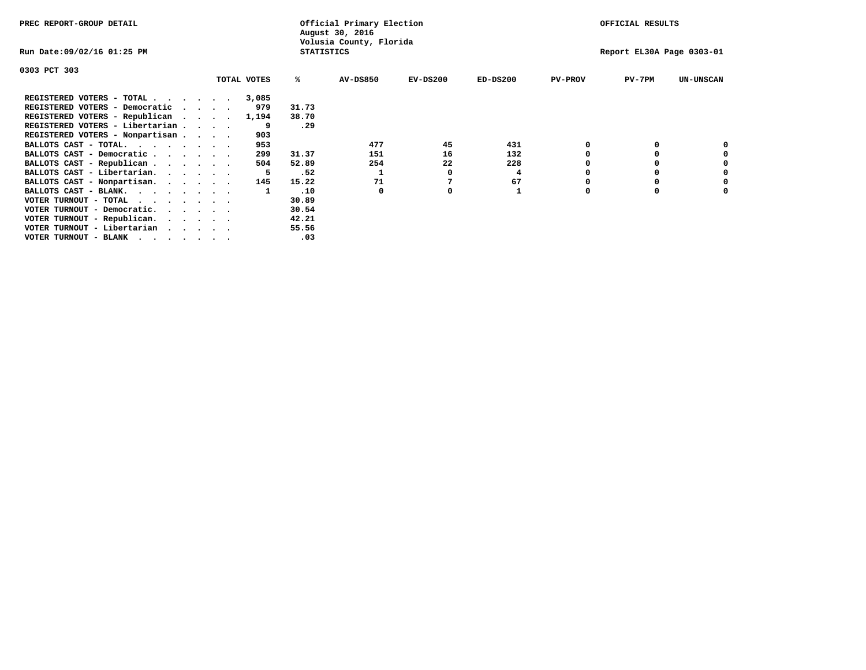| PREC REPORT-GROUP DETAIL                                                                                                                 |  |             |                   | Official Primary Election<br>August 30, 2016 |            |            |                | OFFICIAL RESULTS          |                  |
|------------------------------------------------------------------------------------------------------------------------------------------|--|-------------|-------------------|----------------------------------------------|------------|------------|----------------|---------------------------|------------------|
| Run Date:09/02/16 01:25 PM                                                                                                               |  |             | <b>STATISTICS</b> | Volusia County, Florida                      |            |            |                | Report EL30A Page 0303-01 |                  |
| 0303 PCT 303                                                                                                                             |  |             |                   |                                              |            |            |                |                           |                  |
|                                                                                                                                          |  | TOTAL VOTES | %ะ                | <b>AV-DS850</b>                              | $EV-DS200$ | $ED-DS200$ | <b>PV-PROV</b> | $PV-7PM$                  | <b>UN-UNSCAN</b> |
| REGISTERED VOTERS - TOTAL                                                                                                                |  | 3,085       |                   |                                              |            |            |                |                           |                  |
| REGISTERED VOTERS - Democratic<br>$\cdot$                                                                                                |  | 979         | 31.73             |                                              |            |            |                |                           |                  |
| REGISTERED VOTERS - Republican                                                                                                           |  | 1,194       | 38.70             |                                              |            |            |                |                           |                  |
| REGISTERED VOTERS - Libertarian                                                                                                          |  | 9           | .29               |                                              |            |            |                |                           |                  |
| REGISTERED VOTERS - Nonpartisan                                                                                                          |  | 903         |                   |                                              |            |            |                |                           |                  |
| BALLOTS CAST - TOTAL.                                                                                                                    |  | 953         |                   | 477                                          | 45         | 431        |                |                           |                  |
| BALLOTS CAST - Democratic                                                                                                                |  | 299         | 31.37             | 151                                          | 16         | 132        |                |                           |                  |
| BALLOTS CAST - Republican                                                                                                                |  | 504         | 52.89             | 254                                          | 22         | 228        |                |                           |                  |
| BALLOTS CAST - Libertarian.                                                                                                              |  |             | .52               |                                              |            | 4          |                |                           |                  |
| BALLOTS CAST - Nonpartisan.                                                                                                              |  | 145         | 15.22             | 71                                           |            | 67         |                |                           | 0                |
| BALLOTS CAST - BLANK.                                                                                                                    |  |             | .10               | 0                                            | o          |            | O              | $\Omega$                  |                  |
| VOTER TURNOUT - TOTAL<br>the contract of the contract of the contract of the contract of the contract of the contract of the contract of |  |             | 30.89             |                                              |            |            |                |                           |                  |
| VOTER TURNOUT - Democratic.                                                                                                              |  |             | 30.54             |                                              |            |            |                |                           |                  |
| VOTER TURNOUT - Republican.                                                                                                              |  |             | 42.21             |                                              |            |            |                |                           |                  |
| VOTER TURNOUT - Libertarian                                                                                                              |  |             | 55.56             |                                              |            |            |                |                           |                  |
| VOTER TURNOUT - BLANK<br>the contract of the contract of the contract of the contract of the contract of the contract of the contract of |  |             | .03               |                                              |            |            |                |                           |                  |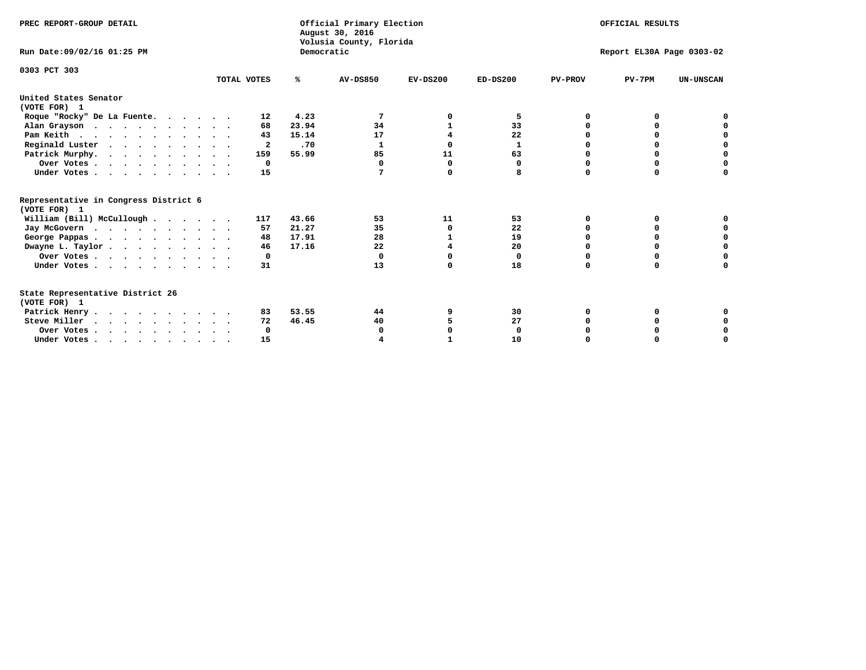| PREC REPORT-GROUP DETAIL<br>Run Date: 09/02/16 01:25 PM |             | Democratic | Official Primary Election<br>August 30, 2016<br>Volusia County, Florida | OFFICIAL RESULTS<br>Report EL30A Page 0303-02 |              |                |              |                  |
|---------------------------------------------------------|-------------|------------|-------------------------------------------------------------------------|-----------------------------------------------|--------------|----------------|--------------|------------------|
|                                                         |             |            |                                                                         |                                               |              |                |              |                  |
| 0303 PCT 303                                            | TOTAL VOTES | %ะ         | <b>AV-DS850</b>                                                         | $EV-DS200$                                    | $ED-DS200$   | <b>PV-PROV</b> | $PV-7PM$     | <b>UN-UNSCAN</b> |
| United States Senator<br>(VOTE FOR) 1                   |             |            |                                                                         |                                               |              |                |              |                  |
| Roque "Rocky" De La Fuente.                             | 12          | 4.23       | 7                                                                       | o                                             | 5            | O              | <sup>0</sup> |                  |
| Alan Grayson                                            | 68          | 23.94      | 34                                                                      | 1                                             | 33           | $\Omega$       | O            |                  |
| Pam Keith                                               | 43          | 15.14      | 17                                                                      | 4                                             | 22           | O              | 0            | o                |
| Reginald Luster                                         | 2           | .70        | 1                                                                       | 0                                             | $\mathbf{1}$ | O              | 0            | $\mathbf 0$      |
| Patrick Murphy.                                         | 159         | 55.99      | 85                                                                      | 11                                            | 63           | O              | 0            | $\mathbf 0$      |
| Over Votes                                              | 0           |            | $\Omega$                                                                | $\Omega$                                      | 0            | $\Omega$       | $\Omega$     | $\Omega$         |
| Under Votes                                             | 15          |            | 7                                                                       | 0                                             | 8            | $\Omega$       | $\Omega$     | 0                |
| Representative in Congress District 6                   |             |            |                                                                         |                                               |              |                |              |                  |
| (VOTE FOR) 1                                            |             |            |                                                                         |                                               |              |                |              |                  |
| William (Bill) McCullough                               | 117         | 43.66      | 53                                                                      | 11                                            | 53           | O              | 0            |                  |
| Jay McGovern                                            | 57          | 21.27      | 35                                                                      | $\Omega$                                      | 22           | O              | $\Omega$     | 0                |
| George Pappas                                           | 48          | 17.91      | 28                                                                      |                                               | 19           | $\Omega$       | 0            | $\mathbf 0$      |
| Dwayne L. Taylor                                        | 46          | 17.16      | 22                                                                      | 4                                             | 20           | 0              | 0            | $\mathbf 0$      |
| Over Votes                                              | 0           |            | $\mathbf 0$                                                             | 0                                             | 0            | 0              | 0            | 0                |
| Under Votes                                             | 31          |            | 13                                                                      | 0                                             | 18           | $\Omega$       | 0            | O                |
| State Representative District 26<br>(VOTE FOR) 1        |             |            |                                                                         |                                               |              |                |              |                  |
| Patrick Henry                                           | 83          | 53.55      | 44                                                                      | 9                                             | 30           | 0              | 0            |                  |
| Steve Miller                                            | 72          | 46.45      | 40                                                                      |                                               | 27           |                |              | 0                |
| Over Votes                                              | 0           |            | O                                                                       | O                                             | 0            |                | 0            | 0                |
| Under Votes.                                            | 15          |            |                                                                         |                                               | 10           | $\Omega$       |              | O                |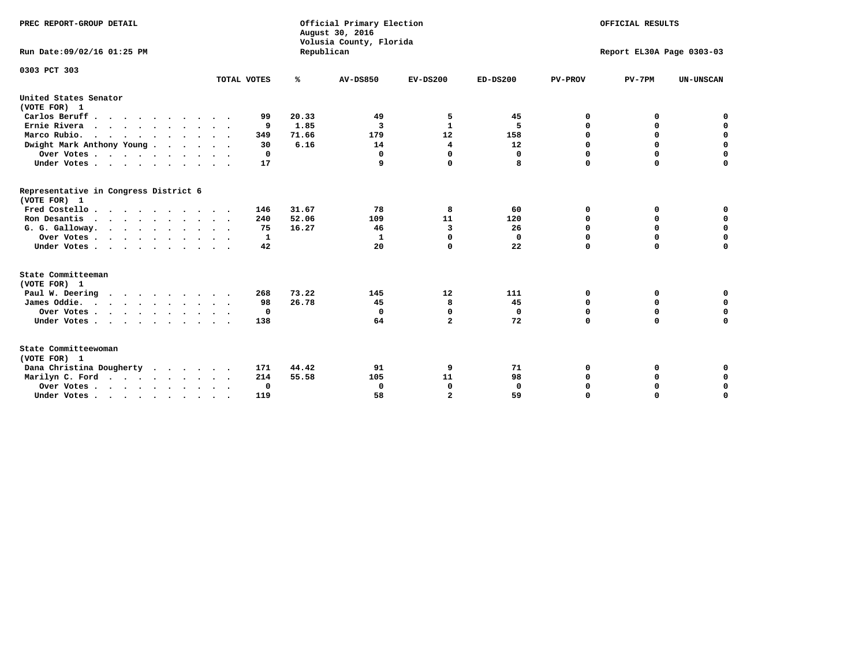| PREC REPORT-GROUP DETAIL<br>Run Date:09/02/16 01:25 PM |             | Republican | Official Primary Election<br>August 30, 2016<br>Volusia County, Florida | OFFICIAL RESULTS<br>Report EL30A Page 0303-03 |              |                |             |                  |
|--------------------------------------------------------|-------------|------------|-------------------------------------------------------------------------|-----------------------------------------------|--------------|----------------|-------------|------------------|
|                                                        |             |            |                                                                         |                                               |              |                |             |                  |
| 0303 PCT 303                                           | TOTAL VOTES | ℁          | <b>AV-DS850</b>                                                         | $EV-DS200$                                    | $ED-DS200$   | <b>PV-PROV</b> | $PV-7PM$    | <b>UN-UNSCAN</b> |
| United States Senator                                  |             |            |                                                                         |                                               |              |                |             |                  |
| (VOTE FOR) 1                                           | 99          | 20.33      |                                                                         |                                               |              | 0              | 0           |                  |
| Carlos Beruff<br>Ernie Rivera                          | 9           | 1.85       | 49<br>3                                                                 | 5<br>$\mathbf{1}$                             | 45<br>5      | 0              | 0           | 0<br>$\mathbf 0$ |
| $\cdots$<br>Marco Rubio.                               | 349         | 71.66      | 179                                                                     | 12                                            | 158          | 0              | 0           | $\mathbf 0$      |
| Dwight Mark Anthony Young                              | 30          | 6.16       | 14                                                                      | 4                                             | 12           | $\mathbf 0$    | $\mathbf 0$ | $\mathbf 0$      |
|                                                        | 0           |            | 0                                                                       | $\Omega$                                      | 0            | $\mathbf 0$    | $\mathbf 0$ | $\mathbf 0$      |
| Over Votes<br>Under Votes                              | 17          |            | 9                                                                       | $\Omega$                                      | 8            | $\Omega$       | $\Omega$    | $\mathbf 0$      |
|                                                        |             |            |                                                                         |                                               |              |                |             |                  |
| Representative in Congress District 6<br>(VOTE FOR) 1  |             |            |                                                                         |                                               |              |                |             |                  |
| Fred Costello                                          | 146         | 31.67      | 78                                                                      | 8                                             | 60           | 0              | 0           | $\mathbf 0$      |
| Ron Desantis                                           | 240         | 52.06      | 109                                                                     | 11                                            | 120          | 0              | 0           | $\mathbf 0$      |
| G. G. Galloway.                                        | 75          | 16.27      | 46                                                                      | 3                                             | 26           | $\mathbf 0$    | $\mathbf 0$ | $\mathbf 0$      |
| Over Votes                                             | 1           |            | 1                                                                       | $\Omega$                                      | 0            | $\mathbf 0$    | 0           | 0                |
| Under Votes                                            | 42          |            | 20                                                                      | 0                                             | 22           | $\mathbf 0$    | $\Omega$    | $\mathbf 0$      |
| State Committeeman                                     |             |            |                                                                         |                                               |              |                |             |                  |
| (VOTE FOR) 1<br>Paul W. Deering                        | 268         | 73.22      | 145                                                                     | 12                                            | 111          | 0              | 0           | 0                |
| James Oddie.                                           | 98          | 26.78      | 45                                                                      | 8                                             | 45           | 0              | 0           | $\mathbf 0$      |
| Over Votes                                             | 0           |            | 0                                                                       | $\mathbf 0$                                   | 0            | 0              | $\mathbf 0$ | $\mathbf 0$      |
| Under Votes                                            | 138         |            | 64                                                                      | $\overline{\mathbf{2}}$                       | 72           | $\Omega$       | $\Omega$    | $\mathbf 0$      |
|                                                        |             |            |                                                                         |                                               |              |                |             |                  |
| State Committeewoman<br>(VOTE FOR) 1                   |             |            |                                                                         |                                               |              |                |             |                  |
| Dana Christina Dougherty<br>.                          | 171         | 44.42      | 91                                                                      | 9                                             | 71           | 0              | 0           | 0                |
| Marilyn C. Ford                                        | 214         | 55.58      | 105                                                                     | 11                                            | 98           | 0              | 0           | 0                |
| Over Votes                                             | 0           |            | 0                                                                       | 0                                             | $\mathbf{0}$ | 0              | 0           | $\mathbf 0$      |
| Under Votes, , , , , , , , , ,                         | 119         |            | 58                                                                      | $\overline{a}$                                | 59           | $\Omega$       | $\Omega$    | $\Omega$         |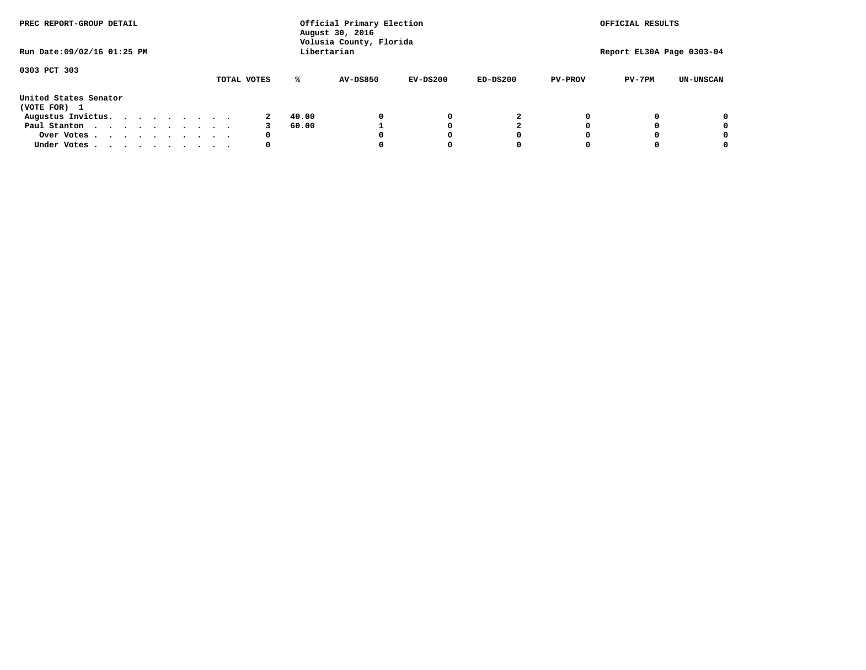| PREC REPORT-GROUP DETAIL              |  |  | Official Primary Election<br>August 30, 2016<br>Volusia County, Florida |  |             |       |                 |            | OFFICIAL RESULTS |                |                           |                  |
|---------------------------------------|--|--|-------------------------------------------------------------------------|--|-------------|-------|-----------------|------------|------------------|----------------|---------------------------|------------------|
| Run Date: 09/02/16 01:25 PM           |  |  |                                                                         |  |             |       | Libertarian     |            |                  |                | Report EL30A Page 0303-04 |                  |
| 0303 PCT 303                          |  |  |                                                                         |  | TOTAL VOTES | ℁     | <b>AV-DS850</b> | $EV-DS200$ | $ED-DS200$       | <b>PV-PROV</b> | $PV-7PM$                  | <b>UN-UNSCAN</b> |
| United States Senator<br>(VOTE FOR) 1 |  |  |                                                                         |  |             |       |                 |            |                  |                |                           |                  |
| Augustus Invictus.                    |  |  |                                                                         |  |             | 40.00 |                 | 0          | 2                |                |                           | 0                |
| Paul Stanton                          |  |  |                                                                         |  |             | 60.00 |                 |            |                  |                |                           | 0                |
| Over Votes                            |  |  |                                                                         |  | 0           |       |                 | O          | O                |                |                           | 0                |
| Under Votes                           |  |  |                                                                         |  | 0           |       |                 |            |                  |                |                           | 0                |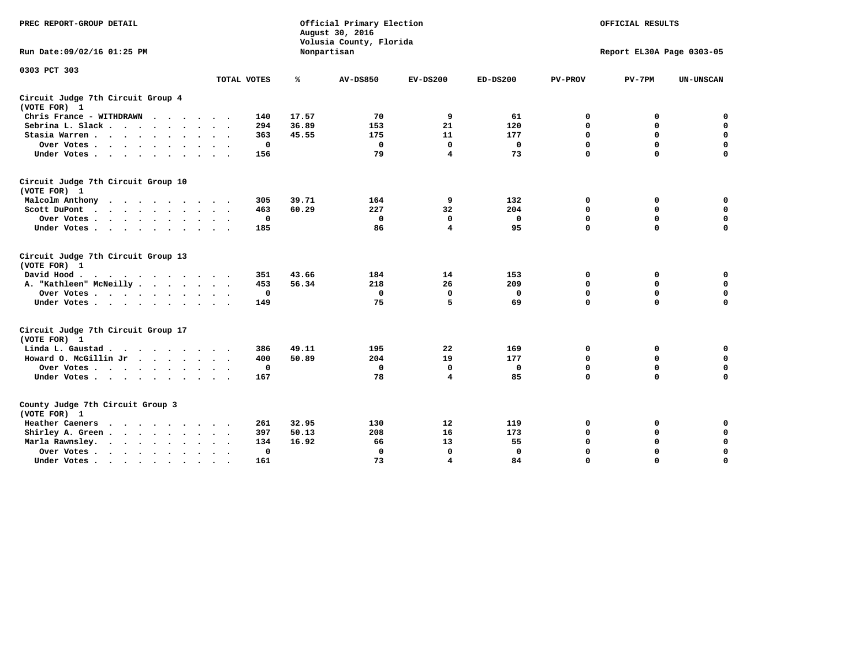| PREC REPORT-GROUP DETAIL                                                                                                           |             |       | Official Primary Election<br>August 30, 2016<br>Volusia County, Florida | OFFICIAL RESULTS |              |                |                           |                  |
|------------------------------------------------------------------------------------------------------------------------------------|-------------|-------|-------------------------------------------------------------------------|------------------|--------------|----------------|---------------------------|------------------|
| Run Date: 09/02/16 01:25 PM                                                                                                        |             |       | Nonpartisan                                                             |                  |              |                | Report EL30A Page 0303-05 |                  |
| 0303 PCT 303                                                                                                                       | TOTAL VOTES | ℁     | <b>AV-DS850</b>                                                         | $EV-DS200$       | $ED-DS200$   | <b>PV-PROV</b> | $PV-7PM$                  | <b>UN-UNSCAN</b> |
|                                                                                                                                    |             |       |                                                                         |                  |              |                |                           |                  |
| Circuit Judge 7th Circuit Group 4<br>(VOTE FOR) 1                                                                                  |             |       |                                                                         |                  |              |                |                           |                  |
| Chris France - WITHDRAWN<br>.                                                                                                      | 140         | 17.57 | 70                                                                      | 9                | 61           | 0              | 0                         | 0                |
| Sebrina L. Slack                                                                                                                   | 294         | 36.89 | 153                                                                     | 21               | 120          | 0              | $\mathbf 0$               | $\mathbf 0$      |
| Stasia Warren                                                                                                                      | 363         | 45.55 | 175                                                                     | 11               | 177          | $\mathbf 0$    | 0                         | $\mathbf 0$      |
| Over Votes                                                                                                                         | $\mathbf 0$ |       | $\mathbf 0$                                                             | 0                | 0            | 0              | $\mathbf 0$               | $\mathbf 0$      |
| Under Votes                                                                                                                        | 156         |       | 79                                                                      | 4                | 73           | $\mathbf 0$    | $\Omega$                  | $\mathbf 0$      |
| Circuit Judge 7th Circuit Group 10<br>(VOTE FOR) 1                                                                                 |             |       |                                                                         |                  |              |                |                           |                  |
| Malcolm Anthony<br>.                                                                                                               | 305         | 39.71 | 164                                                                     | 9                | 132          | 0              | 0                         | $\mathbf 0$      |
| Scott DuPont                                                                                                                       | 463         | 60.29 | 227                                                                     | 32               | 204          | 0              | $\mathbf 0$               | $\mathbf 0$      |
| Over Votes                                                                                                                         | $\mathbf 0$ |       | $\mathbf{0}$                                                            | $\Omega$         | 0            | $\mathbf 0$    | $\Omega$                  | $\mathbf 0$      |
| Under Votes                                                                                                                        | 185         |       | 86                                                                      | 4                | 95           | $\mathbf 0$    | $\mathbf 0$               | $\Omega$         |
| Circuit Judge 7th Circuit Group 13<br>(VOTE FOR) 1                                                                                 |             |       |                                                                         |                  |              |                |                           |                  |
| David Hood.                                                                                                                        | 351         | 43.66 | 184                                                                     | 14               | 153          | 0              | 0                         | $\mathbf 0$      |
| A. "Kathleen" McNeilly                                                                                                             | 453         | 56.34 | 218                                                                     | 26               | 209          | $\mathbf 0$    | $\mathbf 0$               | $\mathbf 0$      |
| Over Votes                                                                                                                         | $\mathbf 0$ |       | $\mathbf 0$                                                             | 0                | 0            | $\mathbf 0$    | $\mathbf 0$               | $\mathbf 0$      |
| Under Votes                                                                                                                        | 149         |       | 75                                                                      | 5                | 69           | $\Omega$       | $\Omega$                  | 0                |
| Circuit Judge 7th Circuit Group 17<br>(VOTE FOR) 1                                                                                 |             |       |                                                                         |                  |              |                |                           |                  |
| Linda L. Gaustad                                                                                                                   | 386         | 49.11 | 195                                                                     | 22               | 169          | 0              | 0                         | 0                |
| Howard O. McGillin Jr                                                                                                              | 400         | 50.89 | 204                                                                     | 19               | 177          | $\mathbf 0$    | $\mathbf 0$               | $\mathbf 0$      |
| Over Votes                                                                                                                         | $\mathbf 0$ |       | $\mathbf 0$                                                             | $\mathbf 0$      | $\mathbf 0$  | $\mathbf 0$    | $\mathbf 0$               | $\pmb{0}$        |
| Under Votes                                                                                                                        | 167         |       | 78                                                                      | $\overline{4}$   | 85           | $\mathbf 0$    | $\mathbf 0$               | $\Omega$         |
| County Judge 7th Circuit Group 3<br>(VOTE FOR) 1                                                                                   |             |       |                                                                         |                  |              |                |                           |                  |
| Heather Caeners<br>the contract of the contract of the contract of the contract of the contract of the contract of the contract of | 261         | 32.95 | 130                                                                     | 12               | 119          | 0              | 0                         | 0                |
| Shirley A. Green                                                                                                                   | 397         | 50.13 | 208                                                                     | 16               | 173          | $\mathbf 0$    | 0                         | $\mathbf 0$      |
| Marla Rawnsley.                                                                                                                    | 134         | 16.92 | 66                                                                      | 13               | 55           | 0              | $\mathbf 0$               | $\pmb{0}$        |
| Over Votes.<br>$\cdots$<br>$\ddot{\phantom{a}}$<br>$\sim$                                                                          | 0           |       | $\Omega$                                                                | $\mathbf 0$      | $\mathbf{0}$ | $\mathbf 0$    | $\mathbf 0$               | $\mathbf 0$      |
| Under Votes<br>$\sim$                                                                                                              | 161         |       | 73                                                                      | 4                | 84           | $\mathbf 0$    | $\mathbf 0$               | 0                |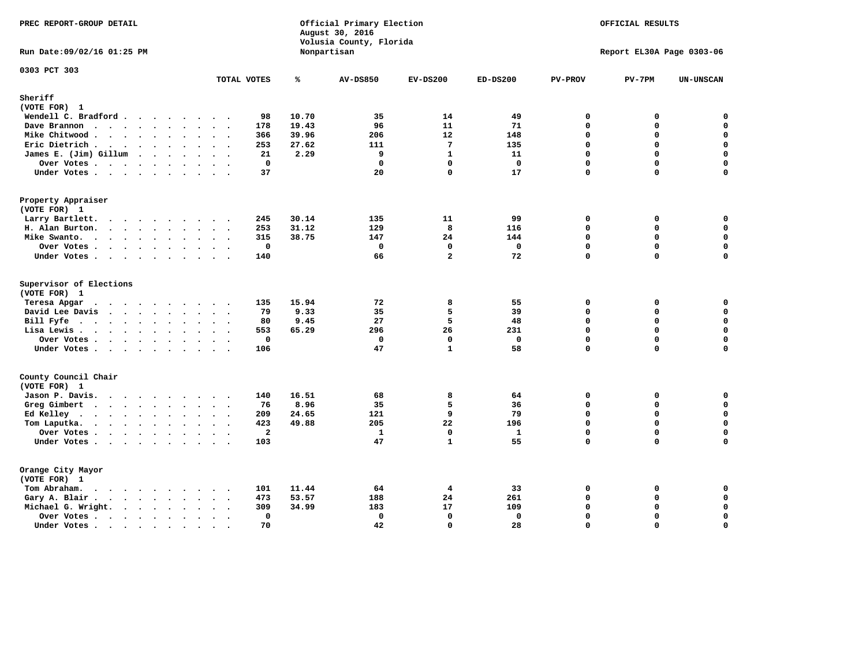| PREC REPORT-GROUP DETAIL                                                                                                                                                              |                                                                         |                         | Official Primary Election<br>August 30, 2016<br>Volusia County, Florida | OFFICIAL RESULTS |              |                |                           |                  |
|---------------------------------------------------------------------------------------------------------------------------------------------------------------------------------------|-------------------------------------------------------------------------|-------------------------|-------------------------------------------------------------------------|------------------|--------------|----------------|---------------------------|------------------|
| Run Date: 09/02/16 01:25 PM                                                                                                                                                           |                                                                         |                         | Nonpartisan                                                             |                  |              |                | Report EL30A Page 0303-06 |                  |
| 0303 PCT 303                                                                                                                                                                          | TOTAL VOTES                                                             | ℁                       | <b>AV-DS850</b>                                                         | $EV-DS200$       | $ED-DS200$   | <b>PV-PROV</b> | $PV-7PM$                  | <b>UN-UNSCAN</b> |
| Sheriff                                                                                                                                                                               |                                                                         |                         |                                                                         |                  |              |                |                           |                  |
| (VOTE FOR) 1                                                                                                                                                                          |                                                                         |                         |                                                                         |                  |              |                |                           |                  |
| Wendell C. Bradford                                                                                                                                                                   | 98                                                                      | 10.70                   | 35                                                                      | 14               | 49           | $\mathbf 0$    | 0                         | 0                |
| Dave Brannon                                                                                                                                                                          | 178                                                                     | 19.43                   | 96                                                                      | 11               | 71           | $\mathbf 0$    | 0                         | $\pmb{0}$        |
| Mike Chitwood                                                                                                                                                                         | 366                                                                     | 39.96                   | 206                                                                     | 12               | 148          | $\mathbf 0$    | 0                         | 0                |
| Eric Dietrich.<br>$\cdots$                                                                                                                                                            | 253                                                                     | 27.62                   | 111                                                                     | $7\phantom{.0}$  | 135          | $\Omega$       | 0                         | $\mathbf 0$      |
| James E. (Jim) Gillum                                                                                                                                                                 | 21                                                                      | 2.29                    | 9                                                                       | $\mathbf{1}$     | 11           | $\Omega$       | 0                         | $\pmb{0}$        |
| Over Votes                                                                                                                                                                            |                                                                         | $\mathbf 0$             | $\mathbf 0$                                                             | $\mathbf{0}$     | $\Omega$     | $\mathbf 0$    | $\mathbf 0$               | 0                |
| Under Votes                                                                                                                                                                           | 37                                                                      |                         | 20                                                                      | $\Omega$         | 17           | $\Omega$       | $\Omega$                  | $\mathbf 0$      |
| Property Appraiser                                                                                                                                                                    |                                                                         |                         |                                                                         |                  |              |                |                           |                  |
| (VOTE FOR) 1                                                                                                                                                                          |                                                                         |                         |                                                                         |                  |              |                |                           |                  |
| Larry Bartlett.                                                                                                                                                                       | 245<br>$\sim$ $\sim$                                                    | 30.14                   | 135                                                                     | 11               | 99           | $\mathbf 0$    | 0                         | 0                |
| H. Alan Burton.                                                                                                                                                                       | 253                                                                     | 31.12                   | 129                                                                     | 8                | 116          | $\mathbf 0$    | 0                         | $\mathbf 0$      |
| Mike Swanto.                                                                                                                                                                          | 315                                                                     | 38.75                   | 147                                                                     | 24               | 144          | $\Omega$       | 0                         | $\mathbf 0$      |
| Over Votes .<br>$\cdots$                                                                                                                                                              |                                                                         | $\mathbf 0$             | $\mathbf 0$                                                             | $\mathbf 0$      | $\mathbf 0$  | $\mathbf 0$    | $\mathbf 0$               | 0                |
| Under Votes                                                                                                                                                                           | 140                                                                     |                         | 66                                                                      | $\overline{a}$   | 72           | $\mathbf 0$    | 0                         | $\mathbf 0$      |
| Supervisor of Elections<br>(VOTE FOR) 1                                                                                                                                               |                                                                         |                         |                                                                         |                  |              |                |                           |                  |
| Teresa Apgar<br>$\cdots$                                                                                                                                                              | 135                                                                     | 15.94                   | 72                                                                      | 8                | 55           | $\mathbf 0$    | 0                         | 0                |
| David Lee Davis                                                                                                                                                                       | 79                                                                      | 9.33                    | 35                                                                      | 5                | 39           | $\mathbf{0}$   | 0                         | $\mathbf 0$      |
| Bill Fyfe $\cdots$ $\cdots$ $\cdots$ $\cdots$                                                                                                                                         | 80                                                                      | 9.45                    | 27                                                                      | 5                | 48           | $\mathbf 0$    | 0                         | 0                |
| Lisa Lewis                                                                                                                                                                            | 553                                                                     | 65.29                   | 296                                                                     | 26               | 231          | $\mathbf 0$    | 0                         | $\mathbf 0$      |
| Over Votes                                                                                                                                                                            |                                                                         | $\mathbf 0$             | $\mathbf 0$                                                             | $\mathbf 0$      | $\mathbf 0$  | $\mathbf 0$    | $\mathbf 0$               | $\mathbf 0$      |
| Under Votes                                                                                                                                                                           | 106                                                                     |                         | 47                                                                      | $\mathbf{1}$     | 58           | $\mathbf 0$    | 0                         | $\mathbf 0$      |
| County Council Chair                                                                                                                                                                  |                                                                         |                         |                                                                         |                  |              |                |                           |                  |
| (VOTE FOR) 1                                                                                                                                                                          |                                                                         |                         |                                                                         |                  |              |                |                           |                  |
| Jason P. Davis.                                                                                                                                                                       | 140                                                                     | 16.51                   | 68                                                                      | 8                | 64           | 0              | 0                         | 0                |
| Greg Gimbert                                                                                                                                                                          | 76<br>$\cdot$ .                                                         | 8.96                    | 35                                                                      | 5                | 36           | $\Omega$       | 0                         | $\mathbf 0$      |
| Ed Kelley $\cdots$                                                                                                                                                                    | 209<br>$\mathbf{z} = \mathbf{z} + \mathbf{z} + \mathbf{z} + \mathbf{z}$ | 24.65                   | 121                                                                     | 9                | 79           | $\mathbf 0$    | 0                         | $\mathbf 0$      |
| Tom Laputka.                                                                                                                                                                          | 423                                                                     | 49.88                   | 205                                                                     | 22               | 196          | $\Omega$       | $\mathbf 0$               | $\mathsf{o}\,$   |
| Over Votes.<br>$\cdots$                                                                                                                                                               |                                                                         | $\overline{\mathbf{2}}$ | $\mathbf{1}$                                                            | $\mathbf 0$      | $\mathbf{1}$ | $\mathbf 0$    | 0                         | 0                |
| Under Votes                                                                                                                                                                           | 103                                                                     |                         | 47                                                                      | $\mathbf{1}$     | 55           | $\Omega$       | $\Omega$                  | $\Omega$         |
| Orange City Mayor                                                                                                                                                                     |                                                                         |                         |                                                                         |                  |              |                |                           |                  |
| (VOTE FOR) 1                                                                                                                                                                          |                                                                         |                         |                                                                         |                  |              |                |                           |                  |
| Tom Abraham.<br>$\begin{array}{cccccccccccccc} \bullet & \bullet & \bullet & \bullet & \bullet & \bullet & \bullet & \bullet & \bullet & \bullet \end{array}$<br>$\ddot{\phantom{1}}$ | 101                                                                     | 11.44                   | 64                                                                      | 4                | 33           | $\mathbf 0$    | 0                         | 0                |
| Gary A. Blair.                                                                                                                                                                        | 473                                                                     | 53.57                   | 188                                                                     | 24               | 261          | $\mathbf 0$    | 0                         | $\mathbf 0$      |
|                                                                                                                                                                                       | 309                                                                     | 34.99                   | 183                                                                     | 17               | 109          | $\Omega$       | 0                         | 0                |
| Michael G. Wright.<br>$\cdots$                                                                                                                                                        | $\sim$<br>$\ddotsc$                                                     | $\mathbf{0}$            | $\mathbf 0$                                                             | $\mathbf 0$      | $\mathbf{0}$ | $\mathbf 0$    | 0                         | $\mathbf 0$      |
| Over Votes                                                                                                                                                                            | $\bullet$<br>$\bullet$<br>$\bullet$<br>70                               |                         | 42                                                                      | $\Omega$         | 28           | $\Omega$       | $\Omega$                  | $\mathbf 0$      |
| Under Votes<br>$\blacksquare$<br>$\bullet$                                                                                                                                            |                                                                         |                         |                                                                         |                  |              |                |                           |                  |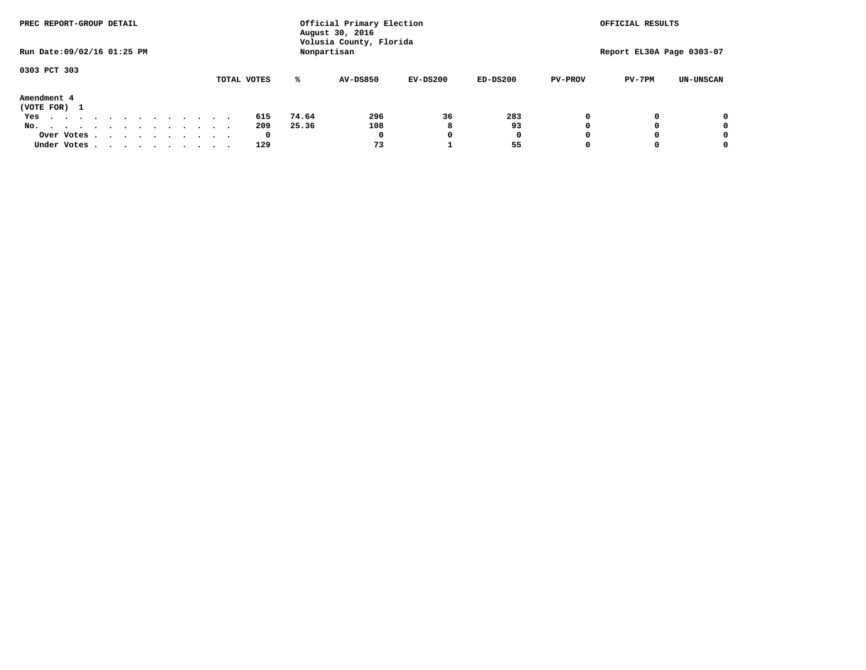| PREC REPORT-GROUP DETAIL         |             |             | Official Primary Election<br>August 30, 2016 |            |            |                | OFFICIAL RESULTS          |                  |
|----------------------------------|-------------|-------------|----------------------------------------------|------------|------------|----------------|---------------------------|------------------|
| Run Date: 09/02/16 01:25 PM      |             | Nonpartisan | Volusia County, Florida                      |            |            |                | Report EL30A Page 0303-07 |                  |
| 0303 PCT 303                     |             |             |                                              |            |            |                |                           |                  |
|                                  | TOTAL VOTES | ℁           | <b>AV-DS850</b>                              | $EV-DS200$ | $ED-DS200$ | <b>PV-PROV</b> | $PV-7PM$                  | <b>UN-UNSCAN</b> |
| Amendment 4<br>(VOTE FOR) 1      |             |             |                                              |            |            |                |                           |                  |
| Yes                              | 615         | 74.64       | 296                                          | 36         | 283        |                |                           | 0                |
| No.<br>.                         | 209         | 25.36       | 108                                          | 8          | 93         |                |                           | 0                |
| Over Votes                       | 0           |             | 0                                            |            | 0          |                |                           | 0                |
| Under Votes, , , , , , , , , , , | 129         |             | 73                                           |            | 55         |                |                           | 0                |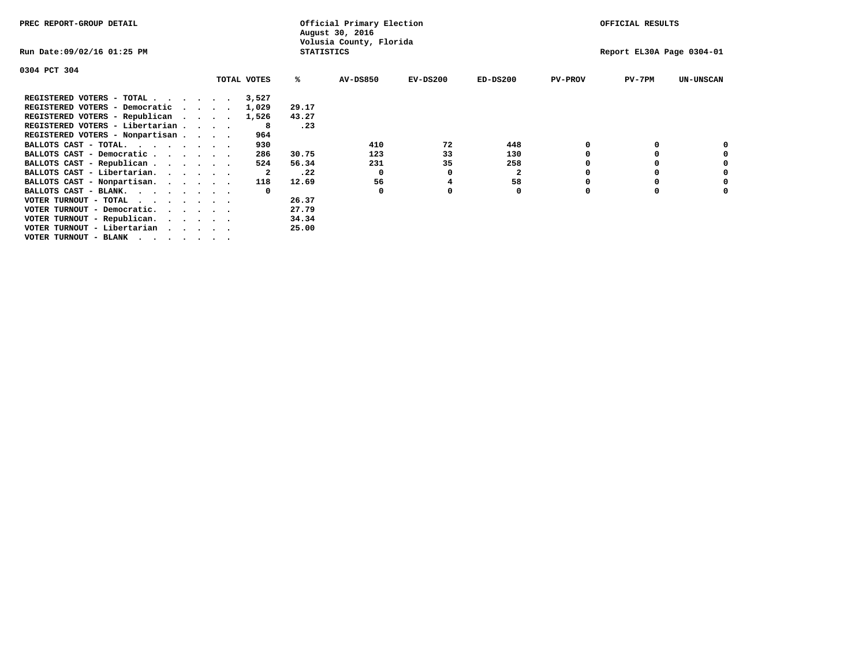| PREC REPORT-GROUP DETAIL        |  |             |                   | Official Primary Election<br>August 30, 2016 |            |                         |                | OFFICIAL RESULTS          |                  |
|---------------------------------|--|-------------|-------------------|----------------------------------------------|------------|-------------------------|----------------|---------------------------|------------------|
| Run Date:09/02/16 01:25 PM      |  |             | <b>STATISTICS</b> | Volusia County, Florida                      |            |                         |                | Report EL30A Page 0304-01 |                  |
| 0304 PCT 304                    |  |             |                   |                                              |            |                         |                |                           |                  |
|                                 |  | TOTAL VOTES | ℁                 | <b>AV-DS850</b>                              | $EV-DS200$ | $ED-DS200$              | <b>PV-PROV</b> | $PV-7PM$                  | <b>UN-UNSCAN</b> |
| REGISTERED VOTERS - TOTAL       |  | 3,527       |                   |                                              |            |                         |                |                           |                  |
| REGISTERED VOTERS - Democratic  |  | 1,029       | 29.17             |                                              |            |                         |                |                           |                  |
| REGISTERED VOTERS - Republican  |  | 1,526       | 43.27             |                                              |            |                         |                |                           |                  |
| REGISTERED VOTERS - Libertarian |  | 8           | .23               |                                              |            |                         |                |                           |                  |
| REGISTERED VOTERS - Nonpartisan |  | 964         |                   |                                              |            |                         |                |                           |                  |
| BALLOTS CAST - TOTAL.           |  | 930         |                   | 410                                          | 72         | 448                     |                |                           |                  |
| BALLOTS CAST - Democratic       |  | 286         | 30.75             | 123                                          | 33         | 130                     |                |                           |                  |
| BALLOTS CAST - Republican       |  | 524         | 56.34             | 231                                          | 35         | 258                     |                |                           |                  |
| BALLOTS CAST - Libertarian.     |  | 2           | .22               | $\Omega$                                     |            | $\overline{\mathbf{2}}$ |                |                           |                  |
| BALLOTS CAST - Nonpartisan.     |  | 118         | 12.69             | 56                                           |            | 58                      |                |                           |                  |
| BALLOTS CAST - BLANK.           |  | $\Omega$    |                   | <sup>0</sup>                                 |            | 0                       |                |                           |                  |
| VOTER TURNOUT - TOTAL           |  |             | 26.37             |                                              |            |                         |                |                           |                  |
| VOTER TURNOUT - Democratic.     |  |             | 27.79             |                                              |            |                         |                |                           |                  |
| VOTER TURNOUT - Republican.     |  |             | 34.34             |                                              |            |                         |                |                           |                  |
| VOTER TURNOUT - Libertarian     |  |             | 25.00             |                                              |            |                         |                |                           |                  |
| VOTER TURNOUT - BLANK           |  |             |                   |                                              |            |                         |                |                           |                  |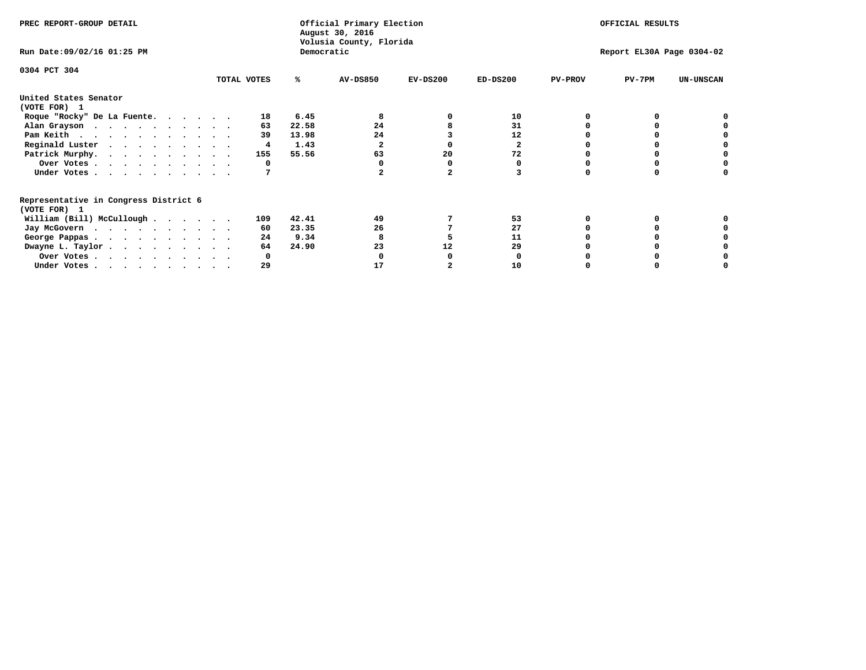| PREC REPORT-GROUP DETAIL                                               |             |            | Official Primary Election<br>August 30, 2016<br>Volusia County, Florida | OFFICIAL RESULTS |            |                |                           |                  |
|------------------------------------------------------------------------|-------------|------------|-------------------------------------------------------------------------|------------------|------------|----------------|---------------------------|------------------|
| Run Date: 09/02/16 01:25 PM                                            |             | Democratic |                                                                         |                  |            |                | Report EL30A Page 0304-02 |                  |
| 0304 PCT 304                                                           | TOTAL VOTES | ℁          | <b>AV-DS850</b>                                                         | $EV-DS200$       | $ED-DS200$ | <b>PV-PROV</b> | $PV-7PM$                  | <b>UN-UNSCAN</b> |
|                                                                        |             |            |                                                                         |                  |            |                |                           |                  |
| United States Senator<br>(VOTE FOR) 1                                  |             |            |                                                                         |                  |            |                |                           |                  |
| Roque "Rocky" De La Fuente.                                            | 18          | 6.45       |                                                                         |                  | 10         |                |                           |                  |
| Alan Grayson                                                           | 63          | 22.58      | 24                                                                      |                  | 31         |                |                           |                  |
| Pam Keith                                                              | 39          | 13.98      | 24                                                                      |                  | 12         |                |                           |                  |
| Reginald Luster                                                        | 4           | 1.43       |                                                                         |                  | 2          |                |                           |                  |
| Patrick Murphy.                                                        | 155         | 55.56      | 63                                                                      | 20               | 72         |                |                           |                  |
| Over Votes                                                             | 0           |            |                                                                         |                  |            |                |                           |                  |
| Under Votes                                                            |             |            |                                                                         |                  |            |                |                           |                  |
| Representative in Congress District 6                                  |             |            |                                                                         |                  |            |                |                           |                  |
| (VOTE FOR) 1                                                           |             |            |                                                                         |                  |            |                |                           |                  |
| William (Bill) McCullough                                              | 109         | 42.41      | 49                                                                      |                  | 53         |                |                           |                  |
| Jay McGovern                                                           | 60.         | 23.35      | 26                                                                      |                  | 27         |                |                           |                  |
| George Pappas.                                                         | 24          | 9.34       |                                                                         |                  | 11         |                |                           |                  |
| Dwayne L. Taylor.                                                      | 64          | 24.90      | 23                                                                      | 12               | 29         |                |                           |                  |
| Over Votes                                                             |             |            |                                                                         |                  |            |                |                           |                  |
| Under Votes, $\cdot$ , $\cdot$ , $\cdot$ , $\cdot$ , $\cdot$ , $\cdot$ | 29          |            | 17                                                                      |                  | 10         |                |                           |                  |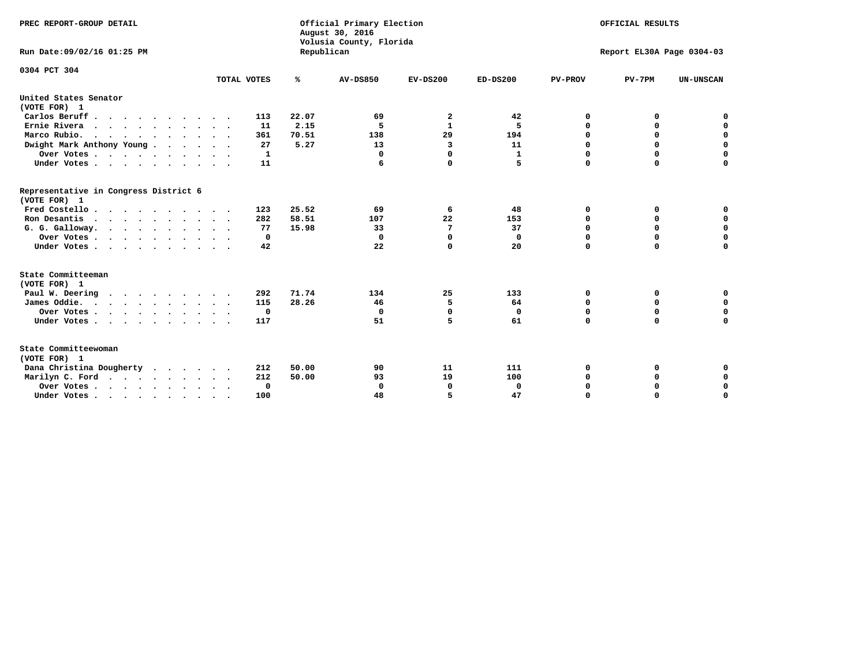| PREC REPORT-GROUP DETAIL<br>Run Date: 09/02/16 01:25 PM |              | Republican | Official Primary Election<br>August 30, 2016<br>Volusia County, Florida | OFFICIAL RESULTS<br>Report EL30A Page 0304-03 |              |                |             |                  |
|---------------------------------------------------------|--------------|------------|-------------------------------------------------------------------------|-----------------------------------------------|--------------|----------------|-------------|------------------|
| 0304 PCT 304                                            |              |            |                                                                         |                                               |              |                |             |                  |
|                                                         | TOTAL VOTES  | %          | <b>AV-DS850</b>                                                         | $EV-DS200$                                    | $ED-DS200$   | <b>PV-PROV</b> | $PV-7PM$    | <b>UN-UNSCAN</b> |
| United States Senator                                   |              |            |                                                                         |                                               |              |                |             |                  |
| (VOTE FOR) 1                                            |              |            |                                                                         |                                               |              |                |             |                  |
| Carlos Beruff.                                          | 113          | 22.07      | 69                                                                      | 2                                             | 42           | 0              | 0           | 0                |
| Ernie Rivera                                            | 11           | 2.15       | 5                                                                       | $\mathbf{1}$                                  | 5            | 0              | 0           | $\mathbf 0$      |
| Marco Rubio.                                            | 361          | 70.51      | 138                                                                     | 29                                            | 194          | $\mathbf 0$    | $\mathbf 0$ | $\mathbf 0$      |
| Dwight Mark Anthony Young                               | 27           | 5.27       | 13                                                                      | 3                                             | 11           | 0              | $\mathbf 0$ | $\pmb{0}$        |
| Over Votes                                              | $\mathbf{1}$ |            | 0                                                                       | $\Omega$                                      | $\mathbf{1}$ | $\mathbf 0$    | 0           | $\mathbf 0$      |
| Under Votes                                             | 11           |            | 6                                                                       | 0                                             | 5            | $\mathbf 0$    | $\Omega$    | $\mathbf 0$      |
| Representative in Congress District 6<br>(VOTE FOR) 1   |              |            |                                                                         |                                               |              |                |             |                  |
| Fred Costello                                           | 123          | 25.52      | 69                                                                      | 6                                             | 48           | 0              | 0           | 0                |
| Ron Desantis                                            | 282          | 58.51      | 107                                                                     | 22                                            | 153          | 0              | 0           | $\mathbf 0$      |
| G. G. Galloway.                                         | 77           | 15.98      | 33                                                                      | 7                                             | 37           | $\mathbf 0$    | $\Omega$    | $\mathbf 0$      |
| Over Votes                                              | $\Omega$     |            | 0                                                                       | $\Omega$                                      | 0            | $\mathbf 0$    | $\mathbf 0$ | $\mathbf 0$      |
| Under Votes                                             | 42           |            | 22                                                                      | 0                                             | 20           | $\mathbf 0$    | $\Omega$    | $\mathbf 0$      |
| State Committeeman                                      |              |            |                                                                         |                                               |              |                |             |                  |
| (VOTE FOR) 1<br>Paul W. Deering                         | 292          | 71.74      | 134                                                                     | 25                                            | 133          | 0              | 0           | 0                |
| James Oddie.                                            | 115          | 28.26      | 46                                                                      | 5                                             | 64           | 0              | 0           | $\mathbf 0$      |
| Over Votes                                              | 0            |            | 0                                                                       | $\Omega$                                      | 0            | 0              | $\mathbf 0$ | $\mathbf 0$      |
| Under Votes                                             | 117          |            | 51                                                                      | 5                                             | 61           | $\mathbf 0$    | 0           | $\mathbf 0$      |
|                                                         |              |            |                                                                         |                                               |              |                |             |                  |
| State Committeewoman<br>(VOTE FOR) 1                    |              |            |                                                                         |                                               |              |                |             |                  |
| Dana Christina Dougherty<br>$\cdot$                     | 212          | 50.00      | 90                                                                      | 11                                            | 111          | 0              | 0           | 0                |
| Marilyn C. Ford                                         | 212          | 50.00      | 93                                                                      | 19                                            | 100          | 0              | 0           | 0                |
| Over Votes                                              | 0            |            | $\mathbf 0$                                                             | 0                                             | 0            | 0              | 0           | $\mathbf 0$      |
| Under Votes, , , , , , , , , ,                          | 100          |            | 48                                                                      | 5                                             | 47           | $\Omega$       | $\Omega$    | $\Omega$         |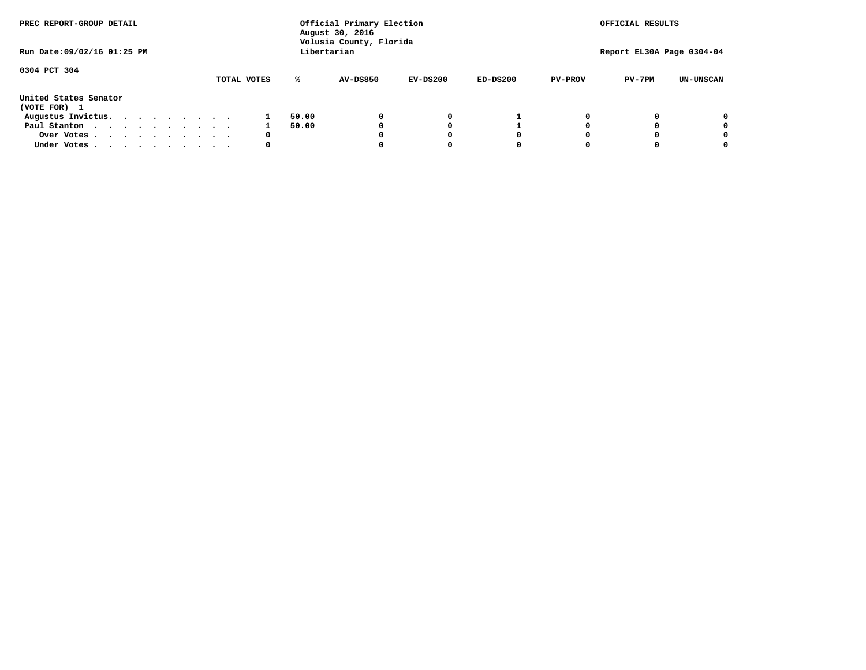| PREC REPORT-GROUP DETAIL              |  |  |  |  |  | Official Primary Election<br>August 30, 2016<br>Volusia County, Florida |       |                 |            | OFFICIAL RESULTS |                |                           |                  |
|---------------------------------------|--|--|--|--|--|-------------------------------------------------------------------------|-------|-----------------|------------|------------------|----------------|---------------------------|------------------|
| Run Date: 09/02/16 01:25 PM           |  |  |  |  |  |                                                                         |       | Libertarian     |            |                  |                | Report EL30A Page 0304-04 |                  |
| 0304 PCT 304                          |  |  |  |  |  | TOTAL VOTES                                                             | ℁     | <b>AV-DS850</b> | $EV-DS200$ | $ED-DS200$       | <b>PV-PROV</b> | $PV-7PM$                  | <b>UN-UNSCAN</b> |
| United States Senator<br>(VOTE FOR) 1 |  |  |  |  |  |                                                                         |       |                 |            |                  |                |                           |                  |
| Augustus Invictus.                    |  |  |  |  |  |                                                                         | 50.00 |                 | 0          |                  |                |                           | 0                |
| Paul Stanton<br>$\cdots$              |  |  |  |  |  |                                                                         | 50.00 |                 |            |                  |                |                           | 0                |
| Over Votes                            |  |  |  |  |  | 0                                                                       |       |                 |            | O                |                |                           | 0                |
| Under Votes                           |  |  |  |  |  | 0                                                                       |       |                 |            |                  |                |                           |                  |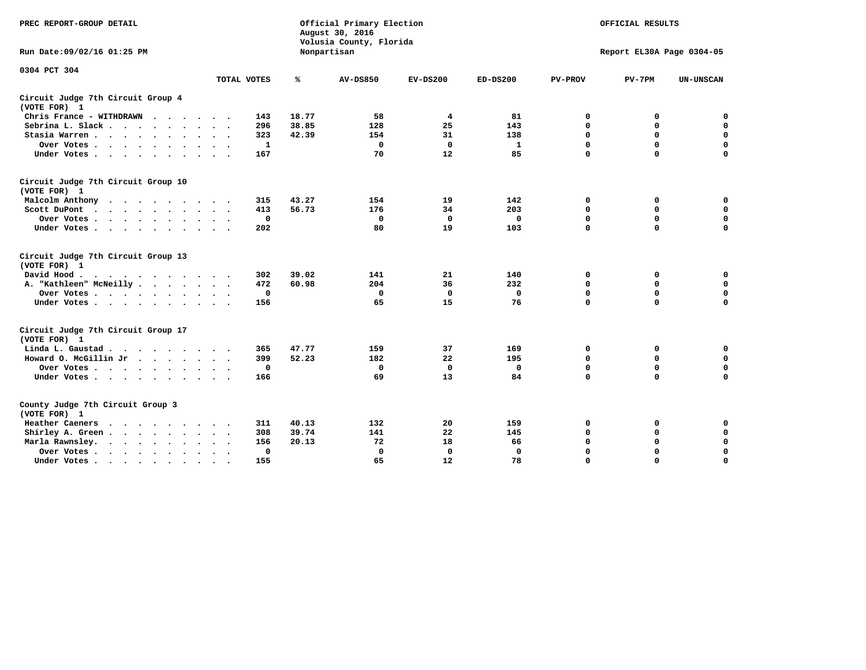| PREC REPORT-GROUP DETAIL                           |                    |       | Official Primary Election<br>August 30, 2016<br>Volusia County, Florida |              |              |                | OFFICIAL RESULTS          |                  |
|----------------------------------------------------|--------------------|-------|-------------------------------------------------------------------------|--------------|--------------|----------------|---------------------------|------------------|
| Run Date: 09/02/16 01:25 PM                        |                    |       | Nonpartisan                                                             |              |              |                | Report EL30A Page 0304-05 |                  |
| 0304 PCT 304                                       |                    |       |                                                                         |              |              |                |                           |                  |
|                                                    | TOTAL VOTES        | %     | <b>AV-DS850</b>                                                         | $EV-DS200$   | $ED-DS200$   | <b>PV-PROV</b> | $PV-7PM$                  | <b>UN-UNSCAN</b> |
| Circuit Judge 7th Circuit Group 4<br>(VOTE FOR) 1  |                    |       |                                                                         |              |              |                |                           |                  |
| Chris France - WITHDRAWN                           | 143                | 18.77 | 58                                                                      | 4            | 81           | 0              | 0                         | 0                |
| Sebrina L. Slack.                                  | 296                | 38.85 | 128                                                                     | 25           | 143          | $\mathbf 0$    | $\mathbf 0$               | $\mathbf 0$      |
| Stasia Warren<br>$\sim$ $\sim$                     | 323                | 42.39 | 154                                                                     | 31           | 138          | $\mathbf 0$    | $\mathbf 0$               | $\mathbf 0$      |
| Over Votes                                         | 1                  |       | $\mathbf 0$                                                             | $\mathbf{0}$ | 1            | $\mathbf 0$    | $\mathbf 0$               | $\mathbf 0$      |
| Under Votes                                        | 167                |       | 70                                                                      | 12           | 85           | $\mathbf 0$    | $\mathbf 0$               | $\mathbf 0$      |
| Circuit Judge 7th Circuit Group 10<br>(VOTE FOR) 1 |                    |       |                                                                         |              |              |                |                           |                  |
| Malcolm Anthony<br>.                               | 315                | 43.27 | 154                                                                     | 19           | 142          | 0              | 0                         | $\mathbf 0$      |
| Scott DuPont                                       | 413                | 56.73 | 176                                                                     | 34           | 203          | $\mathbf 0$    | $\mathbf 0$               | $\mathbf 0$      |
| Over Votes<br>$\ddot{\phantom{0}}$                 | 0                  |       | $\mathbf{0}$                                                            | $\mathbf 0$  | 0            | $\mathbf 0$    | $\mathbf 0$               | $\mathbf 0$      |
| Under Votes                                        | 202                |       | 80                                                                      | 19           | 103          | $\mathbf 0$    | $\Omega$                  | $\mathbf 0$      |
| Circuit Judge 7th Circuit Group 13<br>(VOTE FOR) 1 |                    |       |                                                                         |              |              |                |                           |                  |
| David Hood.                                        | 302                | 39.02 | 141                                                                     | 21           | 140          | 0              | 0                         | 0                |
| A. "Kathleen" McNeilly                             | 472                | 60.98 | 204                                                                     | 36           | 232          | $\mathbf 0$    | 0                         | $\mathbf 0$      |
| Over Votes                                         | 0                  |       | $\mathbf 0$                                                             | $\mathbf 0$  | 0            | 0              | $\mathbf 0$               | $\mathbf 0$      |
| Under Votes                                        | 156                |       | 65                                                                      | 15           | 76           | $\mathbf 0$    | $\mathbf 0$               | 0                |
| Circuit Judge 7th Circuit Group 17<br>(VOTE FOR) 1 |                    |       |                                                                         |              |              |                |                           |                  |
| Linda L. Gaustad                                   | 365                | 47.77 | 159                                                                     | 37           | 169          | 0              | 0                         | $\mathbf 0$      |
| Howard O. McGillin Jr                              | 399                | 52.23 | 182                                                                     | 22           | 195          | $\mathbf 0$    | $\mathbf 0$               | 0                |
| Over Votes                                         | 0                  |       | $\mathbf{0}$                                                            | $\mathbf{0}$ | $\mathbf{0}$ | $\mathbf 0$    | $\mathbf 0$               | $\mathbf 0$      |
| Under Votes                                        | 166                |       | 69                                                                      | 13           | 84           | $\mathbf 0$    | $\mathbf 0$               | $\mathbf 0$      |
| County Judge 7th Circuit Group 3<br>(VOTE FOR) 1   |                    |       |                                                                         |              |              |                |                           |                  |
| Heather Caeners<br>$\cdot$                         | 311                | 40.13 | 132                                                                     | 20           | 159          | 0              | 0                         | 0                |
| Shirley A. Green                                   | 308                | 39.74 | 141                                                                     | 22           | 145          | $\mathbf 0$    | $\mathbf 0$               | $\mathbf 0$      |
| Marla Rawnsley.<br>$\cdots$                        | 156                | 20.13 | 72                                                                      | 18           | 66           | 0              | $\mathbf 0$               | $\pmb{0}$        |
| Over Votes .<br>$\cdots$<br>$\cdot$<br>$\cdot$     | 0<br>$\sim$ $\sim$ |       | 0                                                                       | $\mathbf{0}$ | 0            | $\mathbf 0$    | $\mathbf 0$               | $\mathbf 0$      |
| Under Votes<br>$\sim$<br>$\sim$                    | 155                |       | 65                                                                      | 12           | 78           | $\mathbf 0$    | $\mathbf 0$               | 0                |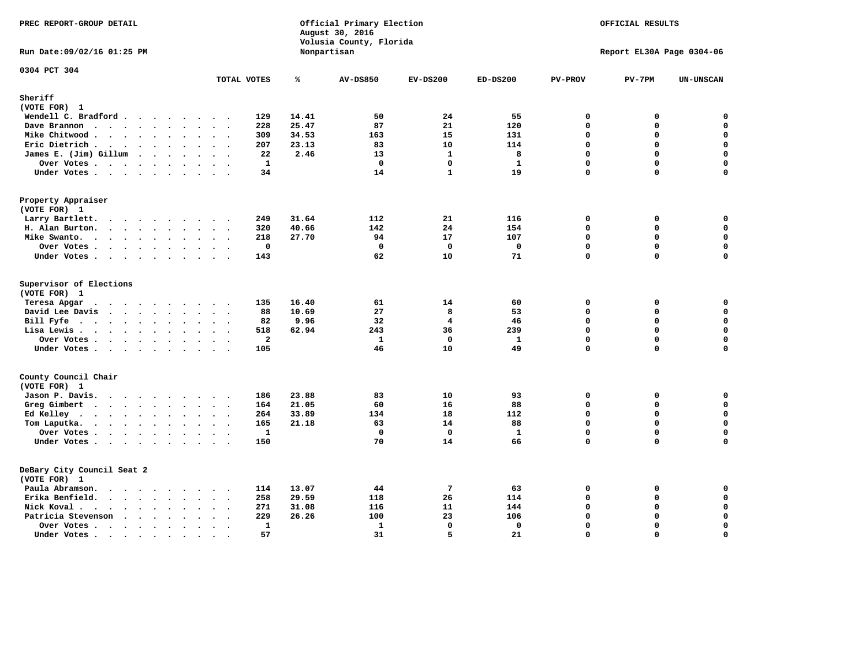|                                                        |                                                               |                         | August 30, 2016<br>Volusia County, Florida |                 |                    |                |                           |                  |
|--------------------------------------------------------|---------------------------------------------------------------|-------------------------|--------------------------------------------|-----------------|--------------------|----------------|---------------------------|------------------|
| Run Date: 09/02/16 01:25 PM                            |                                                               |                         | Nonpartisan                                |                 |                    |                | Report EL30A Page 0304-06 |                  |
| 0304 PCT 304                                           | TOTAL VOTES                                                   | ℁                       | <b>AV-DS850</b>                            | $EV-DS200$      | $ED-DS200$         | <b>PV-PROV</b> | $PV-7PM$                  | <b>UN-UNSCAN</b> |
| Sheriff                                                |                                                               |                         |                                            |                 |                    |                |                           |                  |
| (VOTE FOR) 1                                           |                                                               |                         |                                            |                 |                    |                |                           |                  |
| Wendell C. Bradford                                    | 129                                                           | 14.41                   | 50                                         | 24              | 55                 | $\mathbf 0$    | 0                         | 0                |
| Dave Brannon<br>$\cdots$                               | 228                                                           | 25.47                   | 87                                         | 21              | 120                | $\mathbf{0}$   | 0                         | 0                |
| Mike Chitwood                                          | 309                                                           | 34.53                   | 163                                        | 15              | 131                | $\Omega$       | 0                         | 0                |
| Eric Dietrich.                                         | 207                                                           | 23.13                   | 83                                         | 10              | 114                | $\mathbf 0$    | 0                         | $\mathbf 0$      |
| James E. (Jim) Gillum                                  |                                                               | 22<br>2.46              | 13                                         | $\mathbf{1}$    | 8                  | $\mathbf 0$    | 0                         | $\mathbf 0$      |
| Over Votes                                             | $\ddot{\phantom{a}}$                                          | 1                       | $\Omega$                                   | 0               | 1                  | $\mathbf 0$    | 0                         | $\mathbf 0$      |
| Under Votes                                            |                                                               | 34                      | 14                                         | $\mathbf{1}$    | 19                 | $\mathbf 0$    | 0                         | 0                |
| Property Appraiser<br>(VOTE FOR) 1                     |                                                               |                         |                                            |                 |                    |                |                           |                  |
| Larry Bartlett.<br>$\cdots$<br>$\sim$                  | 249<br>$\sim$<br>$\sim$ $\sim$                                | 31.64                   | 112                                        | 21              | 116                | $\mathbf 0$    | 0                         | 0                |
| H. Alan Burton.                                        | 320                                                           | 40.66                   | 142                                        | 24              | 154                | $\mathbf 0$    | 0                         | $\mathbf 0$      |
| Mike Swanto.                                           | 218                                                           | 27.70                   | 94                                         | 17              | 107                | $\Omega$       | $\Omega$                  | 0                |
| Over Votes<br>$\sim$ $\sim$                            | $\sim$                                                        | 0                       | 0                                          | $\mathbf 0$     | 0                  | $\mathbf 0$    | 0                         | 0                |
| Under Votes                                            | 143                                                           |                         | 62                                         | 10              | 71                 | $\mathbf 0$    | $\mathbf 0$               | $\mathbf 0$      |
|                                                        |                                                               |                         |                                            |                 |                    |                |                           |                  |
| Supervisor of Elections<br>(VOTE FOR) 1                |                                                               |                         |                                            |                 |                    |                |                           |                  |
| Teresa Apgar<br>$\cdot$                                | 135<br>$\cdots$                                               | 16.40                   | 61                                         | 14              | 60                 | $\mathbf 0$    | 0                         | 0                |
| David Lee Davis                                        |                                                               | 10.69<br>88             | 27                                         | 8               | 53                 | 0              | 0                         | $\mathbf 0$      |
| Bill Fyfe                                              |                                                               | 82<br>9.96              | 32                                         | 4               | 46                 | $\Omega$       | $\Omega$                  | 0                |
| Lisa Lewis                                             | 518                                                           | 62.94                   | 243                                        | 36              | 239                | $\mathbf 0$    | 0                         | $\pmb{0}$        |
| Over Votes                                             |                                                               | $\overline{\mathbf{2}}$ | $\mathbf{1}$                               | $\mathbf{0}$    | $\mathbf{1}$       | $\mathbf 0$    | $\mathbf 0$               | $\mathbf 0$      |
| Under Votes                                            | 105                                                           |                         | 46                                         | 10              | 49                 | $\Omega$       | $\Omega$                  | $\mathbf 0$      |
| County Council Chair<br>(VOTE FOR) 1                   |                                                               |                         |                                            |                 |                    |                |                           |                  |
|                                                        |                                                               | 23.88                   | 83                                         | 10              | 93                 | 0              |                           | 0                |
| Jason P. Davis.                                        | 186<br>164                                                    | 21.05                   | 60                                         | 16              | 88                 | $\Omega$       | 0<br>0                    | 0                |
| Greg Gimbert                                           | 264                                                           | 33.89                   | 134                                        | 18              | 112                | $\mathbf 0$    | 0                         | 0                |
| Ed Kelley                                              |                                                               |                         |                                            | 14              |                    | $\mathbf 0$    | 0                         | 0                |
| Tom Laputka.                                           | 165                                                           | 21.18                   | 63<br>$\mathbf 0$                          | $\Omega$        | 88<br>$\mathbf{1}$ | $\Omega$       | $\Omega$                  | 0                |
| Over Votes                                             |                                                               | $\mathbf{1}$            |                                            |                 |                    | $\mathbf 0$    | 0                         | $\mathbf 0$      |
| Under Votes                                            | 150                                                           |                         | 70                                         | 14              | 66                 |                |                           |                  |
| DeBary City Council Seat 2<br>(VOTE FOR) 1             |                                                               |                         |                                            |                 |                    |                |                           |                  |
| Paula Abramson.                                        | 114                                                           | 13.07                   | 44                                         | $7\phantom{.0}$ | 63                 | $\mathbf 0$    | 0                         | 0                |
| Erika Benfield.                                        | 258<br>$\sim$ $\sim$                                          | 29.59                   | 118                                        | 26              | 114                | $\mathbf 0$    | $\mathbf 0$               | $\mathbf 0$      |
| Nick Koval.                                            | 271                                                           | 31.08                   | 116                                        | 11              | 144                | $\mathbf 0$    | 0                         | 0                |
| Patricia Stevenson                                     | 229                                                           | 26.26                   | 100                                        | 23              | 106                | $\mathbf 0$    | 0                         | $\mathbf 0$      |
| Over Votes<br>$\bullet$                                | $\ddot{\phantom{0}}$<br>$\bullet$<br>$\overline{\phantom{a}}$ | $\mathbf{1}$            | $\mathbf{1}$                               | $\mathbf 0$     | $\mathbf{0}$       | $\mathbf 0$    | 0                         | $\mathbf 0$      |
| Under Votes.<br>$\cdots$<br>$\sim$ $\sim$<br>$\bullet$ | $\bullet$<br>$\bullet$                                        | 57                      | 31                                         | 5               | 21                 | $\Omega$       | $\Omega$                  | $\mathbf 0$      |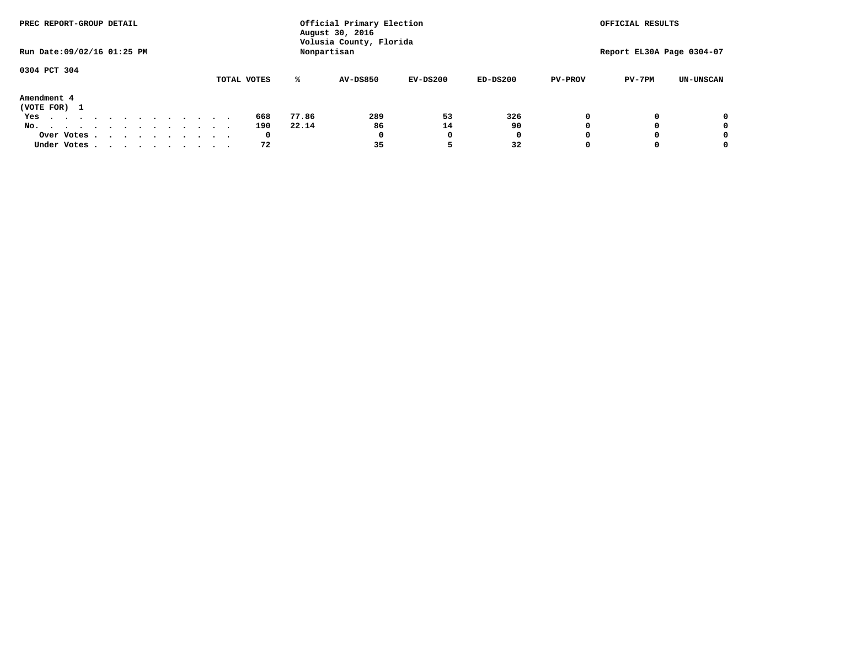| PREC REPORT-GROUP DETAIL                                               |  |  |  |             |       | Official Primary Election<br>August 30, 2016 |            |            |                | OFFICIAL RESULTS          |                  |
|------------------------------------------------------------------------|--|--|--|-------------|-------|----------------------------------------------|------------|------------|----------------|---------------------------|------------------|
| Run Date: 09/02/16 01:25 PM                                            |  |  |  |             |       | Volusia County, Florida<br>Nonpartisan       |            |            |                | Report EL30A Page 0304-07 |                  |
| 0304 PCT 304                                                           |  |  |  |             |       |                                              |            |            |                |                           |                  |
|                                                                        |  |  |  | TOTAL VOTES | ℁     | <b>AV-DS850</b>                              | $EV-DS200$ | $ED-DS200$ | <b>PV-PROV</b> | $PV-7PM$                  | <b>UN-UNSCAN</b> |
| Amendment 4<br>(VOTE FOR) 1                                            |  |  |  |             |       |                                              |            |            |                |                           |                  |
| Yes<br>.                                                               |  |  |  | 668         | 77.86 | 289                                          | 53         | 326        |                |                           | 0                |
| No.<br>.                                                               |  |  |  | 190         | 22.14 | 86                                           | 14         | 90         |                |                           | 0                |
| Over Votes                                                             |  |  |  | 0           |       | 0                                            |            | 0          |                |                           | 0                |
| Under Votes, $\cdot$ , $\cdot$ , $\cdot$ , $\cdot$ , $\cdot$ , $\cdot$ |  |  |  | 72          |       | 35                                           |            | 32         |                |                           | 0                |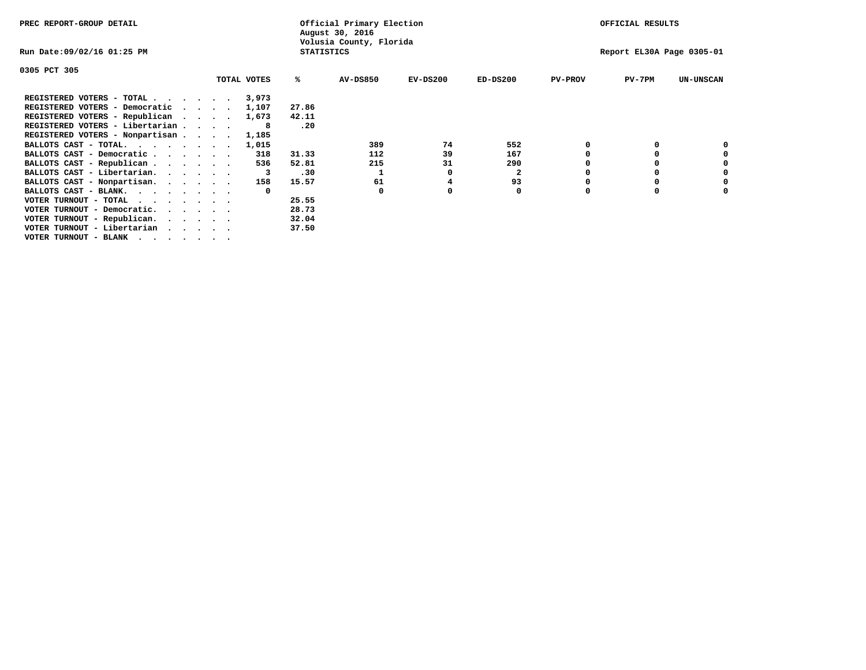| PREC REPORT-GROUP DETAIL        |  |             |                   | Official Primary Election<br>August 30, 2016 |            |                         |                | OFFICIAL RESULTS          |                  |
|---------------------------------|--|-------------|-------------------|----------------------------------------------|------------|-------------------------|----------------|---------------------------|------------------|
| Run Date:09/02/16 01:25 PM      |  |             | <b>STATISTICS</b> | Volusia County, Florida                      |            |                         |                | Report EL30A Page 0305-01 |                  |
| 0305 PCT 305                    |  |             |                   |                                              |            |                         |                |                           |                  |
|                                 |  | TOTAL VOTES | ℁                 | <b>AV-DS850</b>                              | $EV-DS200$ | $ED-DS200$              | <b>PV-PROV</b> | $PV-7PM$                  | <b>UN-UNSCAN</b> |
| REGISTERED VOTERS - TOTAL 3,973 |  |             |                   |                                              |            |                         |                |                           |                  |
| REGISTERED VOTERS - Democratic  |  | 1,107       | 27.86             |                                              |            |                         |                |                           |                  |
| REGISTERED VOTERS - Republican  |  | 1,673       | 42.11             |                                              |            |                         |                |                           |                  |
| REGISTERED VOTERS - Libertarian |  |             | .20               |                                              |            |                         |                |                           |                  |
| REGISTERED VOTERS - Nonpartisan |  | 1,185       |                   |                                              |            |                         |                |                           |                  |
| BALLOTS CAST - TOTAL.           |  | 1,015       |                   | 389                                          | 74         | 552                     |                |                           |                  |
| BALLOTS CAST - Democratic       |  | 318         | 31.33             | 112                                          | 39         | 167                     |                |                           |                  |
| BALLOTS CAST - Republican       |  | 536         | 52.81             | 215                                          | 31         | 290                     |                |                           |                  |
| BALLOTS CAST - Libertarian.     |  |             | .30               |                                              |            | $\overline{\mathbf{2}}$ |                |                           |                  |
| BALLOTS CAST - Nonpartisan.     |  | 158         | 15.57             | 61                                           |            | 93                      |                |                           |                  |
| BALLOTS CAST - BLANK.           |  |             |                   | <sup>0</sup>                                 |            | 0                       |                |                           |                  |
| VOTER TURNOUT - TOTAL           |  |             | 25.55             |                                              |            |                         |                |                           |                  |
| VOTER TURNOUT - Democratic.     |  |             | 28.73             |                                              |            |                         |                |                           |                  |
| VOTER TURNOUT - Republican.     |  |             | 32.04             |                                              |            |                         |                |                           |                  |
| VOTER TURNOUT - Libertarian     |  |             | 37.50             |                                              |            |                         |                |                           |                  |
| VOTER TURNOUT - BLANK           |  |             |                   |                                              |            |                         |                |                           |                  |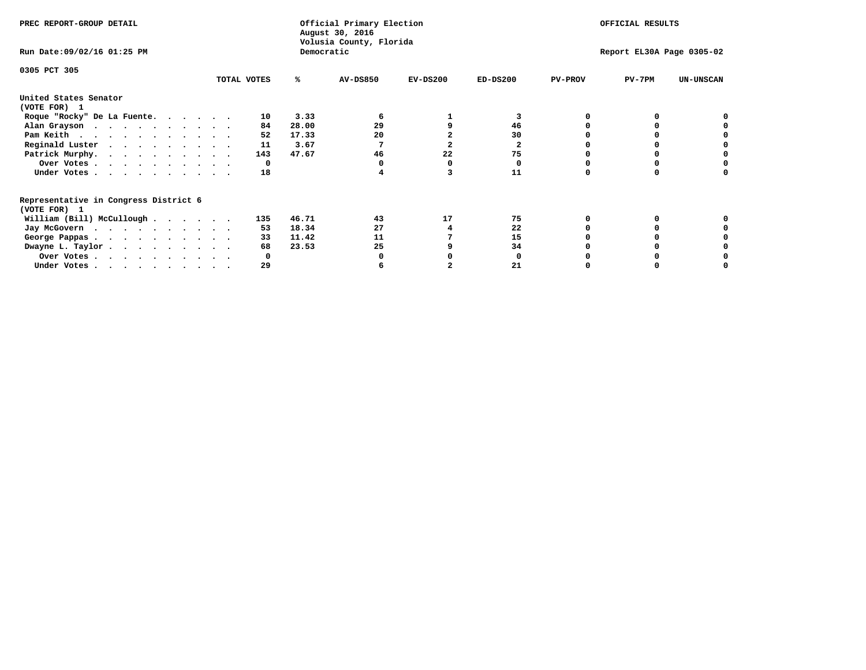| PREC REPORT-GROUP DETAIL                                               |             |            | Official Primary Election<br>August 30, 2016 |            | OFFICIAL RESULTS |                |                           |                  |
|------------------------------------------------------------------------|-------------|------------|----------------------------------------------|------------|------------------|----------------|---------------------------|------------------|
| Run Date: 09/02/16 01:25 PM                                            |             | Democratic | Volusia County, Florida                      |            |                  |                | Report EL30A Page 0305-02 |                  |
| 0305 PCT 305                                                           | TOTAL VOTES | ℁          | <b>AV-DS850</b>                              | $EV-DS200$ | $ED-DS200$       | <b>PV-PROV</b> | $PV-7PM$                  | <b>UN-UNSCAN</b> |
| United States Senator                                                  |             |            |                                              |            |                  |                |                           |                  |
| (VOTE FOR) 1                                                           |             |            |                                              |            |                  |                |                           |                  |
| Roque "Rocky" De La Fuente.                                            | 10          | 3.33       |                                              |            | 3                |                |                           |                  |
| Alan Grayson                                                           | 84          | 28.00      | 29                                           |            | 46               |                |                           |                  |
| Pam Keith                                                              | 52          | 17.33      | 20                                           |            | 30               |                |                           |                  |
| Reginald Luster                                                        | 11          | 3.67       |                                              |            | $\mathbf{2}$     |                |                           |                  |
| Patrick Murphy.                                                        | 143         | 47.67      | 46                                           | 22         | 75               |                |                           |                  |
| Over Votes                                                             | 0           |            |                                              |            |                  |                |                           |                  |
| Under Votes                                                            | 18          |            |                                              |            | 11               |                |                           |                  |
| Representative in Congress District 6                                  |             |            |                                              |            |                  |                |                           |                  |
| (VOTE FOR) 1                                                           |             |            |                                              |            |                  |                |                           |                  |
| William (Bill) McCullough $\cdots$ $\cdots$                            | 135         | 46.71      | 43                                           | 17         | 75               |                |                           |                  |
| Jay McGovern                                                           | 53          | 18.34      | 27                                           |            | 22               |                |                           |                  |
| George Pappas.                                                         | 33          | 11.42      | 11                                           |            | 15               |                |                           |                  |
| Dwayne L. Taylor                                                       | 68          | 23.53      | 25                                           |            | 34               |                |                           |                  |
| Over Votes                                                             |             |            |                                              |            |                  |                |                           |                  |
| Under Votes, $\cdot$ , $\cdot$ , $\cdot$ , $\cdot$ , $\cdot$ , $\cdot$ | 29          |            |                                              |            |                  |                |                           |                  |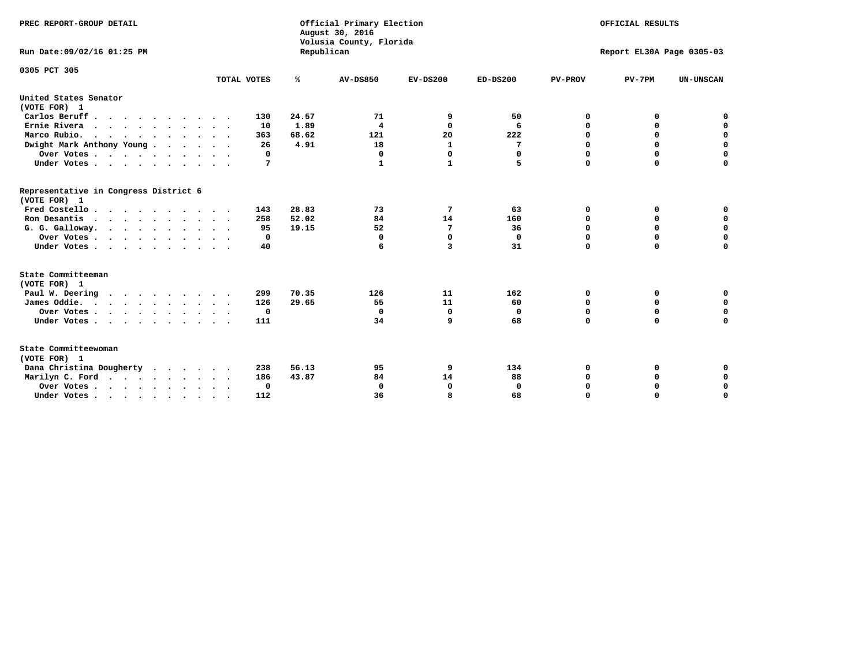| PREC REPORT-GROUP DETAIL<br>Run Date: 09/02/16 01:25 PM |             | Republican | Official Primary Election<br>August 30, 2016<br>Volusia County, Florida |             | OFFICIAL RESULTS<br>Report EL30A Page 0305-03 |                |             |                  |
|---------------------------------------------------------|-------------|------------|-------------------------------------------------------------------------|-------------|-----------------------------------------------|----------------|-------------|------------------|
|                                                         |             |            |                                                                         |             |                                               |                |             |                  |
| 0305 PCT 305                                            |             |            |                                                                         |             |                                               |                |             |                  |
|                                                         | TOTAL VOTES | ℁          | <b>AV-DS850</b>                                                         | $EV-DS200$  | $ED-DS200$                                    | <b>PV-PROV</b> | $PV-7PM$    | <b>UN-UNSCAN</b> |
| United States Senator<br>(VOTE FOR) 1                   |             |            |                                                                         |             |                                               |                |             |                  |
| Carlos Beruff.                                          | 130         | 24.57      | 71                                                                      | 9           | 50                                            | 0              | 0           | 0                |
| Ernie Rivera                                            | 10          | 1.89       | $\overline{\mathbf{4}}$                                                 | $\Omega$    | 6                                             | $\Omega$       | 0           | $\mathbf 0$      |
| Marco Rubio.                                            | 363         | 68.62      | 121                                                                     | 20          | 222                                           | 0              | $\mathbf 0$ | $\mathbf 0$      |
| Dwight Mark Anthony Young                               | 26          | 4.91       | 18                                                                      | 1           | 7                                             | 0              | $\mathbf 0$ | $\pmb{0}$        |
| Over Votes                                              | 0           |            | $\Omega$                                                                | $\Omega$    | $\Omega$                                      | 0              | 0           | 0                |
| Under Votes                                             | 7           |            | $\mathbf 1$                                                             | 1           | 5                                             | $\Omega$       | $\Omega$    | $\mathbf 0$      |
| Representative in Congress District 6<br>(VOTE FOR) 1   |             |            |                                                                         |             |                                               |                |             |                  |
| Fred Costello.                                          | 143         | 28.83      | 73                                                                      | 7           | 63                                            | 0              | 0           | 0                |
| Ron Desantis                                            | 258         | 52.02      | 84                                                                      | 14          | 160                                           | 0              | 0           | $\mathbf 0$      |
| G. G. Galloway.                                         | 95          | 19.15      | 52                                                                      | 7           | 36                                            | $\Omega$       | $\Omega$    | $\mathbf 0$      |
| Over Votes                                              | 0           |            | $\Omega$                                                                | $\mathbf 0$ | $\mathbf{0}$                                  | $\Omega$       | $\mathbf 0$ | $\mathbf 0$      |
| Under Votes                                             | 40          |            | 6                                                                       | 3           | 31                                            | $\Omega$       | $\Omega$    | $\Omega$         |
| State Committeeman                                      |             |            |                                                                         |             |                                               |                |             |                  |
| (VOTE FOR) 1                                            |             |            |                                                                         |             |                                               |                |             |                  |
| Paul W. Deering                                         | 299         | 70.35      | 126                                                                     | 11          | 162                                           | 0              | 0           | 0                |
| James Oddie.                                            | 126         | 29.65      | 55                                                                      | 11          | 60                                            | 0              | 0           | $\mathbf 0$      |
| Over Votes                                              | $\mathbf 0$ |            | $\Omega$                                                                | 0           | 0                                             | 0              | $\mathbf 0$ | $\mathbf 0$      |
| Under Votes                                             | 111         |            | 34                                                                      | 9           | 68                                            | $\Omega$       | 0           | $\mathbf 0$      |
| State Committeewoman<br>(VOTE FOR) 1                    |             |            |                                                                         |             |                                               |                |             |                  |
| Dana Christina Dougherty<br>.                           | 238         | 56.13      | 95                                                                      | 9           | 134                                           | 0              | 0           | 0                |
| Marilyn C. Ford                                         | 186         | 43.87      | 84                                                                      | 14          | 88                                            | 0              | 0           | 0                |
| Over Votes                                              | 0           |            | $\Omega$                                                                | 0           | 0                                             | 0              | 0           | 0                |
| Under Votes, , , , , , , , , ,                          | 112         |            | 36                                                                      | я           | 68                                            | $\Omega$       | $\Omega$    | $\Omega$         |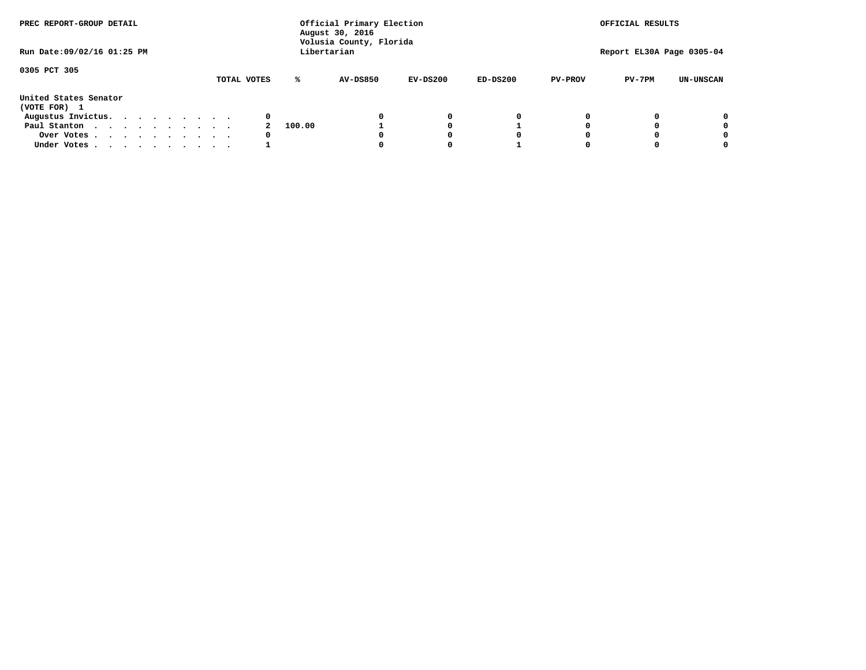| PREC REPORT-GROUP DETAIL<br>Run Date: 09/02/16 01:25 PM |  |  |  |  |  |             | Official Primary Election<br>August 30, 2016<br>Volusia County, Florida<br>Libertarian |                 |            | OFFICIAL RESULTS<br>Report EL30A Page 0305-04 |                |          |                  |
|---------------------------------------------------------|--|--|--|--|--|-------------|----------------------------------------------------------------------------------------|-----------------|------------|-----------------------------------------------|----------------|----------|------------------|
|                                                         |  |  |  |  |  |             |                                                                                        |                 |            |                                               |                |          |                  |
| 0305 PCT 305                                            |  |  |  |  |  | TOTAL VOTES | ℁                                                                                      | <b>AV-DS850</b> | $EV-DS200$ | $ED-DS200$                                    | <b>PV-PROV</b> | $PV-7PM$ | <b>UN-UNSCAN</b> |
|                                                         |  |  |  |  |  |             |                                                                                        |                 |            |                                               |                |          |                  |
| United States Senator<br>(VOTE FOR) 1                   |  |  |  |  |  |             |                                                                                        |                 |            |                                               |                |          |                  |
| Augustus Invictus.                                      |  |  |  |  |  | 0           |                                                                                        |                 | 0          | 0                                             |                |          | 0                |
| Paul Stanton                                            |  |  |  |  |  |             | 100.00                                                                                 |                 |            |                                               |                |          | 0                |
| Over Votes                                              |  |  |  |  |  | 0           |                                                                                        |                 |            | O                                             |                |          | 0                |
| Under Votes                                             |  |  |  |  |  |             |                                                                                        |                 |            |                                               |                |          |                  |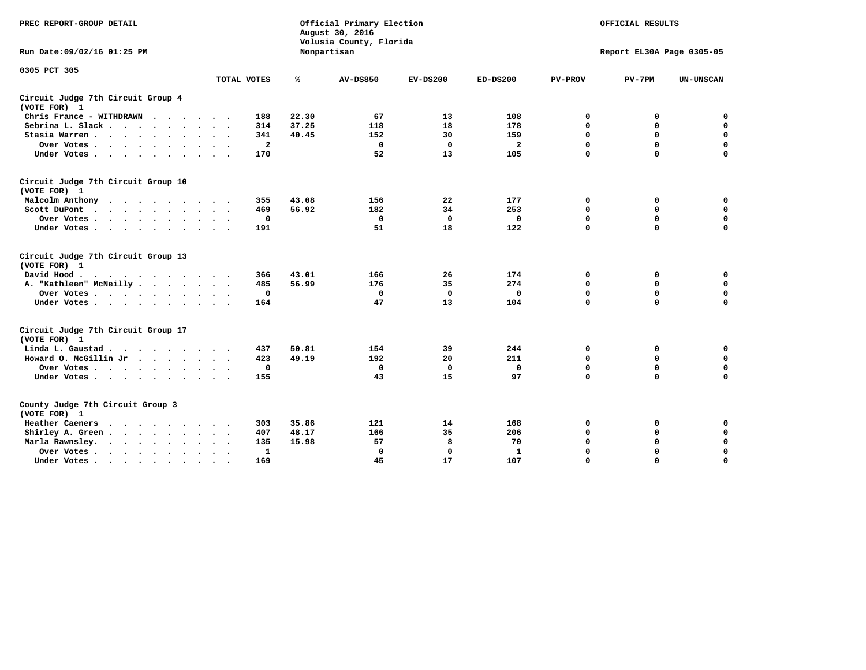| PREC REPORT-GROUP DETAIL                           |                           |       | Official Primary Election<br>August 30, 2016<br>Volusia County, Florida |             |                |                | OFFICIAL RESULTS          |                  |
|----------------------------------------------------|---------------------------|-------|-------------------------------------------------------------------------|-------------|----------------|----------------|---------------------------|------------------|
| Run Date: 09/02/16 01:25 PM                        |                           |       | Nonpartisan                                                             |             |                |                | Report EL30A Page 0305-05 |                  |
| 0305 PCT 305                                       | TOTAL VOTES               | ℁     | <b>AV-DS850</b>                                                         | $EV-DS200$  | $ED-DS200$     | <b>PV-PROV</b> | $PV-7PM$                  | <b>UN-UNSCAN</b> |
|                                                    |                           |       |                                                                         |             |                |                |                           |                  |
| Circuit Judge 7th Circuit Group 4<br>(VOTE FOR) 1  |                           |       |                                                                         |             |                |                |                           |                  |
| Chris France - WITHDRAWN                           | 188                       | 22.30 | 67                                                                      | 13          | 108            | 0              | 0                         | 0                |
| Sebrina L. Slack                                   | 314                       | 37.25 | 118                                                                     | 18          | 178            | 0              | $\mathbf 0$               | $\mathbf 0$      |
| Stasia Warren                                      | 341                       | 40.45 | 152                                                                     | 30          | 159            | $\mathbf 0$    | 0                         | $\mathbf 0$      |
| Over Votes                                         | $\overline{a}$            |       | $\mathbf 0$                                                             | $\mathbf 0$ | $\overline{a}$ | 0              | $\mathbf 0$               | $\mathbf 0$      |
| Under Votes                                        | 170                       |       | 52                                                                      | 13          | 105            | $\mathbf 0$    | $\Omega$                  | $\Omega$         |
| Circuit Judge 7th Circuit Group 10<br>(VOTE FOR) 1 |                           |       |                                                                         |             |                |                |                           |                  |
| Malcolm Anthony                                    | 355                       | 43.08 | 156                                                                     | 22          | 177            | 0              | 0                         | $\mathbf 0$      |
| Scott DuPont                                       | 469                       | 56.92 | 182                                                                     | 34          | 253            | 0              | $\mathbf 0$               | $\mathbf 0$      |
| Over Votes                                         | 0                         |       | $\mathbf{0}$                                                            | $\mathbf 0$ | 0              | $\mathbf 0$    | $\Omega$                  | $\mathbf 0$      |
| Under Votes                                        | 191                       |       | 51                                                                      | 18          | 122            | $\mathbf 0$    | $\mathbf 0$               | 0                |
| Circuit Judge 7th Circuit Group 13<br>(VOTE FOR) 1 |                           |       |                                                                         |             |                |                |                           |                  |
| David Hood.<br>$\cdots$                            | 366                       | 43.01 | 166                                                                     | 26          | 174            | 0              | 0                         | $\mathbf 0$      |
| A. "Kathleen" McNeilly                             | 485                       | 56.99 | 176                                                                     | 35          | 274            | $\mathbf 0$    | 0                         | $\mathbf 0$      |
| Over Votes                                         | $\mathbf 0$               |       | 0                                                                       | $\mathbf 0$ | 0              | 0              | $\mathbf 0$               | $\pmb{0}$        |
| Under Votes                                        | 164                       |       | 47                                                                      | 13          | 104            | $\mathbf 0$    | $\Omega$                  | 0                |
| Circuit Judge 7th Circuit Group 17                 |                           |       |                                                                         |             |                |                |                           |                  |
| (VOTE FOR) 1<br>Linda L. Gaustad                   | 437                       | 50.81 | 154                                                                     | 39          | 244            | 0              | 0                         | $\mathbf 0$      |
| Howard O. McGillin Jr                              | 423                       | 49.19 | 192                                                                     | 20          | 211            | 0              | 0                         | $\mathbf 0$      |
|                                                    | $\mathbf 0$               |       | $\mathbf 0$                                                             | $\mathbf 0$ | $\mathbf 0$    | 0              | $\mathbf 0$               | 0                |
| Over Votes<br>Under Votes                          | 155                       |       | 43                                                                      | 15          | 97             | $\mathbf 0$    | $\mathbf 0$               | $\Omega$         |
|                                                    |                           |       |                                                                         |             |                |                |                           |                  |
| County Judge 7th Circuit Group 3<br>(VOTE FOR) 1   |                           |       |                                                                         |             |                |                |                           |                  |
| Heather Caeners<br>.                               | 303                       | 35.86 | 121                                                                     | 14          | 168            | 0              | 0                         | $\mathbf 0$      |
| Shirley A. Green                                   | 407                       | 48.17 | 166                                                                     | 35          | 206            | $\mathbf 0$    | 0                         | $\mathbf 0$      |
| Marla Rawnsley.                                    | 135                       | 15.98 | 57                                                                      | 8           | 70             | 0              | 0                         | $\pmb{0}$        |
| Over Votes<br>$\sim$ $\sim$                        | 1<br>$\ddot{\phantom{1}}$ |       | $\Omega$                                                                | $\mathbf 0$ | $\mathbf{1}$   | 0              | $\mathbf 0$               | $\mathbf 0$      |
| Under Votes<br>$\bullet$                           | 169                       |       | 45                                                                      | 17          | 107            | $\mathbf 0$    | $\mathbf 0$               | $\Omega$         |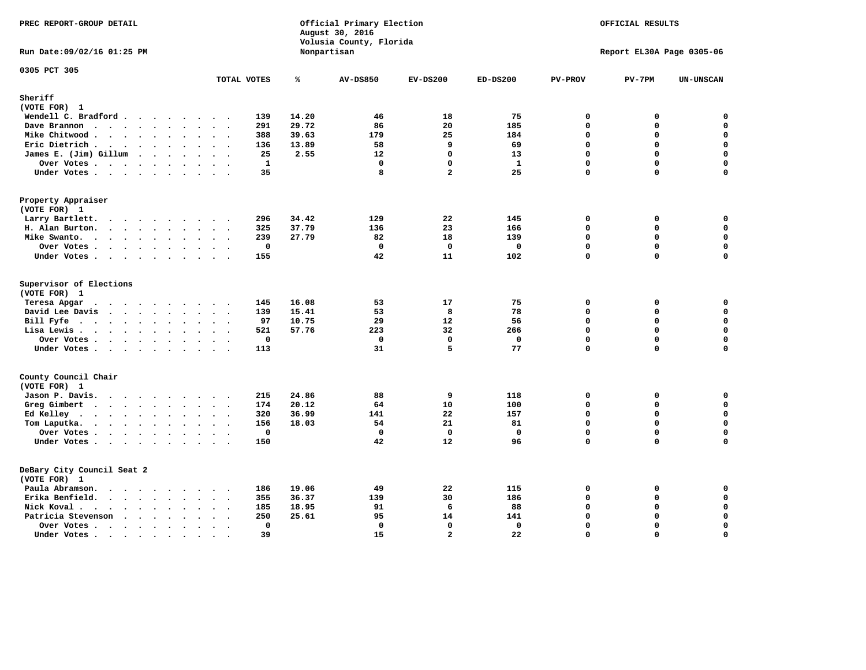| PREC REPORT-GROUP DETAIL                                                                                                                                                                                                                          |                                                     |       | Official Primary Election<br>August 30, 2016<br>Volusia County, Florida |                |              |                | OFFICIAL RESULTS          |                  |
|---------------------------------------------------------------------------------------------------------------------------------------------------------------------------------------------------------------------------------------------------|-----------------------------------------------------|-------|-------------------------------------------------------------------------|----------------|--------------|----------------|---------------------------|------------------|
| Run Date: 09/02/16 01:25 PM                                                                                                                                                                                                                       |                                                     |       | Nonpartisan                                                             |                |              |                | Report EL30A Page 0305-06 |                  |
| 0305 PCT 305                                                                                                                                                                                                                                      | TOTAL VOTES                                         | ℁     | <b>AV-DS850</b>                                                         | $EV-DS200$     | $ED-DS200$   | <b>PV-PROV</b> | $PV-7PM$                  | <b>UN-UNSCAN</b> |
| Sheriff                                                                                                                                                                                                                                           |                                                     |       |                                                                         |                |              |                |                           |                  |
| (VOTE FOR) 1                                                                                                                                                                                                                                      |                                                     |       |                                                                         |                |              |                |                           |                  |
| Wendell C. Bradford                                                                                                                                                                                                                               | 139                                                 | 14.20 | 46                                                                      | 18             | 75           | $\mathbf 0$    | 0                         | 0                |
| Dave Brannon<br>$\mathbf{r}$ . The set of the set of the set of the set of the set of the set of the set of the set of the set of the set of the set of the set of the set of the set of the set of the set of the set of the set of the set of t | 291                                                 | 29.72 | 86                                                                      | 20             | 185          | $\mathbf 0$    | 0                         | $\mathbf 0$      |
| Mike Chitwood .<br>$\cdots$                                                                                                                                                                                                                       | 388                                                 | 39.63 | 179                                                                     | 25             | 184          | $\Omega$       | 0                         | 0                |
| Eric Dietrich                                                                                                                                                                                                                                     | 136                                                 | 13.89 | 58                                                                      | 9              | 69           | $\mathbf 0$    | 0                         | $\mathsf{o}\,$   |
| James E. (Jim) Gillum                                                                                                                                                                                                                             | 25                                                  | 2.55  | 12                                                                      | $\mathbf{0}$   | 13           | 0              | 0                         | $\mathbf 0$      |
| Over Votes                                                                                                                                                                                                                                        | $\mathbf{1}$                                        |       | $\mathbf 0$                                                             | $\mathbf{0}$   | $\mathbf{1}$ | $\Omega$       | 0                         | $\mathbf 0$      |
| Under Votes                                                                                                                                                                                                                                       | 35                                                  |       | 8                                                                       | $\overline{a}$ | 25           | $\mathbf 0$    | 0                         | $\mathbf 0$      |
| Property Appraiser<br>(VOTE FOR) 1                                                                                                                                                                                                                |                                                     |       |                                                                         |                |              |                |                           |                  |
| Larry Bartlett.<br>$\cdots$<br>$\sim$                                                                                                                                                                                                             | 296<br>$\sim$<br>$\cdot$ .                          | 34.42 | 129                                                                     | 22             | 145          | $\mathbf 0$    | 0                         | 0                |
| H. Alan Burton.                                                                                                                                                                                                                                   | 325                                                 | 37.79 | 136                                                                     | 23             | 166          | $\mathbf 0$    | 0                         | $\mathbf 0$      |
| Mike Swanto.                                                                                                                                                                                                                                      | 239                                                 | 27.79 | 82                                                                      | 18             | 139          | $\Omega$       | 0                         | 0                |
| Over Votes<br>$\ddot{\phantom{1}}$                                                                                                                                                                                                                | $\mathbf 0$<br>$\sim$                               |       | $\mathbf 0$                                                             | $\mathbf 0$    | $\mathbf 0$  | $\mathbf 0$    | 0                         | $\mathbf 0$      |
| Under Votes                                                                                                                                                                                                                                       | 155                                                 |       | 42                                                                      | 11             | 102          | $\mathbf{0}$   | 0                         | $\Omega$         |
| Supervisor of Elections<br>(VOTE FOR) 1<br>Teresa Apgar<br>$\cdots$                                                                                                                                                                               | 145<br>$\sim$ $\sim$                                | 16.08 | 53                                                                      | 17             | 75           | $\mathbf 0$    | 0                         | 0                |
| David Lee Davis                                                                                                                                                                                                                                   | 139                                                 | 15.41 | 53                                                                      | 8              | 78           | $\mathbf 0$    | 0                         | $\mathbf 0$      |
| Bill Fyfe                                                                                                                                                                                                                                         | 97                                                  | 10.75 | 29                                                                      | 12             | 56           | $\Omega$       | $\Omega$                  | 0                |
| Lisa Lewis                                                                                                                                                                                                                                        | 521                                                 | 57.76 | 223                                                                     | 32             | 266          | $\mathbf 0$    | 0                         | $\mathbf 0$      |
| Over Votes                                                                                                                                                                                                                                        | 0                                                   |       | $\mathbf 0$                                                             | $\mathbf{0}$   | 0            | $\mathbf 0$    | 0                         | 0                |
| Under Votes                                                                                                                                                                                                                                       | 113                                                 |       | 31                                                                      | 5              | 77           | $\mathbf{0}$   | 0                         | 0                |
| County Council Chair<br>(VOTE FOR) 1                                                                                                                                                                                                              |                                                     |       |                                                                         |                |              |                |                           |                  |
| Jason P. Davis.                                                                                                                                                                                                                                   | 215<br>$\sim$ $\sim$                                | 24.86 | 88                                                                      | 9              | 118          | $\mathbf 0$    | 0                         | 0                |
| Greg Gimbert<br>$\mathbf{r}$ , and $\mathbf{r}$ , and $\mathbf{r}$ , and $\mathbf{r}$ , and $\mathbf{r}$                                                                                                                                          | 174                                                 | 20.12 | 64                                                                      | 10             | 100          | $\Omega$       | 0                         | $\mathbf 0$      |
| Ed Kelley                                                                                                                                                                                                                                         | 320                                                 | 36.99 | 141                                                                     | 22             | 157          | $\mathbf{0}$   | 0                         | $\mathbf 0$      |
| Tom Laputka.                                                                                                                                                                                                                                      | 156                                                 | 18.03 | 54                                                                      | 21             | 81           | $\mathbf 0$    | 0                         | 0                |
| Over Votes.                                                                                                                                                                                                                                       | $\mathbf 0$                                         |       | $\mathbf 0$                                                             | $\mathbf 0$    | $\mathbf 0$  | $\mathbf 0$    | 0                         | 0                |
| Under Votes                                                                                                                                                                                                                                       | 150                                                 |       | 42                                                                      | 12             | 96           | $\mathbf 0$    | 0                         | $\Omega$         |
|                                                                                                                                                                                                                                                   |                                                     |       |                                                                         |                |              |                |                           |                  |
| DeBary City Council Seat 2<br>(VOTE FOR) 1                                                                                                                                                                                                        |                                                     |       |                                                                         |                |              |                |                           |                  |
| Paula Abramson.                                                                                                                                                                                                                                   | 186                                                 | 19.06 | 49                                                                      | 22             | 115          | $\mathbf 0$    | 0                         | 0                |
| Erika Benfield.                                                                                                                                                                                                                                   | 355<br>$\ddot{\phantom{1}}$                         | 36.37 | 139                                                                     | 30             | 186          | $\mathbf{0}$   | 0                         | 0                |
| Nick Koval.                                                                                                                                                                                                                                       | 185<br>$\ddot{\phantom{a}}$<br>$\ddot{\phantom{1}}$ | 18.95 | 91                                                                      | 6              | 88           | $\mathbf 0$    | 0                         | $\mathbf 0$      |
| Patricia Stevenson                                                                                                                                                                                                                                | 250                                                 | 25.61 | 95                                                                      | 14             | 141          | $\Omega$       | 0                         | $\pmb{0}$        |
| Over Votes<br>$\ddot{\phantom{a}}$                                                                                                                                                                                                                | $\mathbf{0}$<br>$\bullet$<br>$\bullet$              |       | $\mathbf 0$                                                             | $\Omega$       | $\mathbf 0$  | $\Omega$       | 0                         | $\mathbf 0$      |
| Under Votes .<br>.                                                                                                                                                                                                                                | 39<br>$\cdot$ $\cdot$<br>$\bullet$                  |       | 15                                                                      | $\mathbf{z}$   | 22           | $\Omega$       | $\Omega$                  | $\mathbf{o}$     |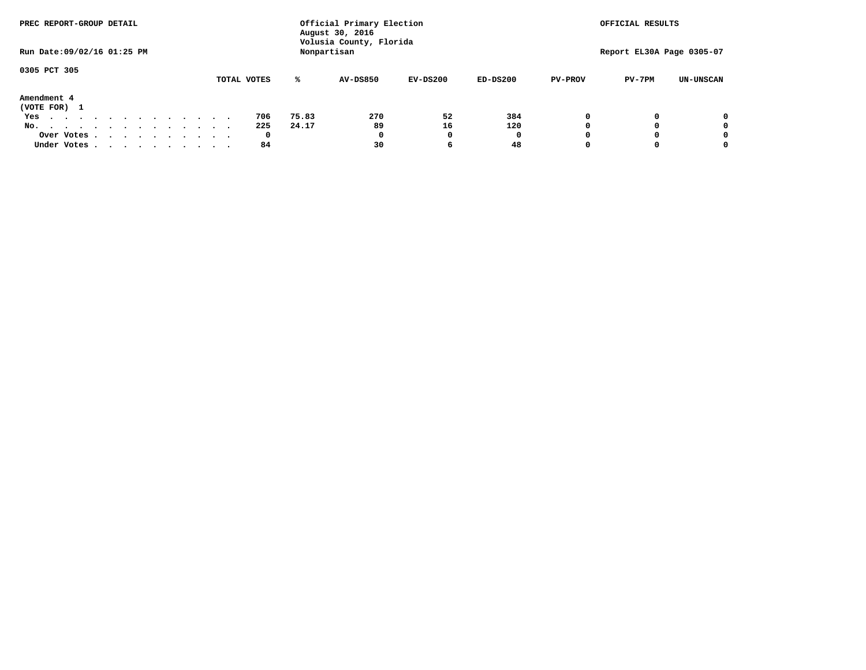| PREC REPORT-GROUP DETAIL       |  |  |             |       | Official Primary Election<br>August 30, 2016 |            |            |                | OFFICIAL RESULTS          |                  |
|--------------------------------|--|--|-------------|-------|----------------------------------------------|------------|------------|----------------|---------------------------|------------------|
| Run Date: 09/02/16 01:25 PM    |  |  |             |       | Volusia County, Florida<br>Nonpartisan       |            |            |                | Report EL30A Page 0305-07 |                  |
| 0305 PCT 305                   |  |  |             |       |                                              |            |            |                |                           |                  |
|                                |  |  | TOTAL VOTES | ℁     | <b>AV-DS850</b>                              | $EV-DS200$ | $ED-DS200$ | <b>PV-PROV</b> | $PV-7PM$                  | <b>UN-UNSCAN</b> |
| Amendment 4<br>(VOTE FOR) 1    |  |  |             |       |                                              |            |            |                |                           |                  |
| Yes                            |  |  | 706         | 75.83 | 270                                          | 52         | 384        |                |                           | 0                |
| No.<br>.                       |  |  | 225         | 24.17 | 89                                           | 16         | 120        |                |                           | 0                |
| Over Votes                     |  |  | 0           |       | 0                                            |            | 0          |                |                           | 0                |
| Under Votes, , , , , , , , , , |  |  | 84          |       | 30                                           | 6          | 48         |                |                           | 0                |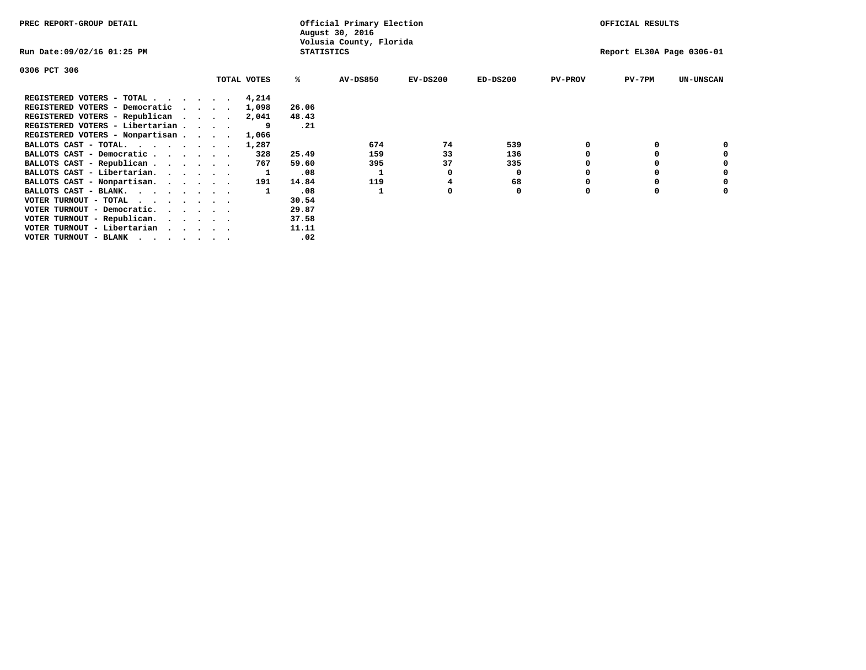| PREC REPORT-GROUP DETAIL                                                                                                                 |  |             |                   | Official Primary Election<br>August 30, 2016 |            |            |                | OFFICIAL RESULTS          |                  |
|------------------------------------------------------------------------------------------------------------------------------------------|--|-------------|-------------------|----------------------------------------------|------------|------------|----------------|---------------------------|------------------|
| Run Date:09/02/16 01:25 PM                                                                                                               |  |             | <b>STATISTICS</b> | Volusia County, Florida                      |            |            |                | Report EL30A Page 0306-01 |                  |
| 0306 PCT 306                                                                                                                             |  |             |                   |                                              |            |            |                |                           |                  |
|                                                                                                                                          |  | TOTAL VOTES | ℁                 | <b>AV-DS850</b>                              | $EV-DS200$ | $ED-DS200$ | <b>PV-PROV</b> | $PV-7PM$                  | <b>UN-UNSCAN</b> |
| REGISTERED VOTERS - TOTAL 4,214                                                                                                          |  |             |                   |                                              |            |            |                |                           |                  |
| REGISTERED VOTERS - Democratic<br>$\cdot$ $\cdot$ $\cdot$ $\cdot$                                                                        |  | 1,098       | 26.06             |                                              |            |            |                |                           |                  |
| REGISTERED VOTERS - Republican                                                                                                           |  | 2,041       | 48.43             |                                              |            |            |                |                           |                  |
| REGISTERED VOTERS - Libertarian                                                                                                          |  |             | .21               |                                              |            |            |                |                           |                  |
| REGISTERED VOTERS - Nonpartisan                                                                                                          |  | 1,066       |                   |                                              |            |            |                |                           |                  |
| BALLOTS CAST - TOTAL.                                                                                                                    |  | 1,287       |                   | 674                                          | 74         | 539        |                |                           |                  |
| BALLOTS CAST - Democratic                                                                                                                |  | 328         | 25.49             | 159                                          | 33         | 136        |                |                           |                  |
| BALLOTS CAST - Republican                                                                                                                |  | 767         | 59.60             | 395                                          | 37         | 335        |                |                           |                  |
| BALLOTS CAST - Libertarian.                                                                                                              |  |             | .08               |                                              |            | 0          |                |                           |                  |
| BALLOTS CAST - Nonpartisan.                                                                                                              |  | 191         | 14.84             | 119                                          |            | 68         |                |                           | 0                |
| BALLOTS CAST - BLANK.                                                                                                                    |  |             | .08               |                                              |            | 0          | O              | $\Omega$                  |                  |
| VOTER TURNOUT - TOTAL<br>the contract of the contract of the contract of the contract of the contract of the contract of the contract of |  |             | 30.54             |                                              |            |            |                |                           |                  |
| VOTER TURNOUT - Democratic.                                                                                                              |  |             | 29.87             |                                              |            |            |                |                           |                  |
| VOTER TURNOUT - Republican.                                                                                                              |  |             | 37.58             |                                              |            |            |                |                           |                  |
| VOTER TURNOUT - Libertarian                                                                                                              |  |             | 11.11             |                                              |            |            |                |                           |                  |
| VOTER TURNOUT - BLANK                                                                                                                    |  |             | .02               |                                              |            |            |                |                           |                  |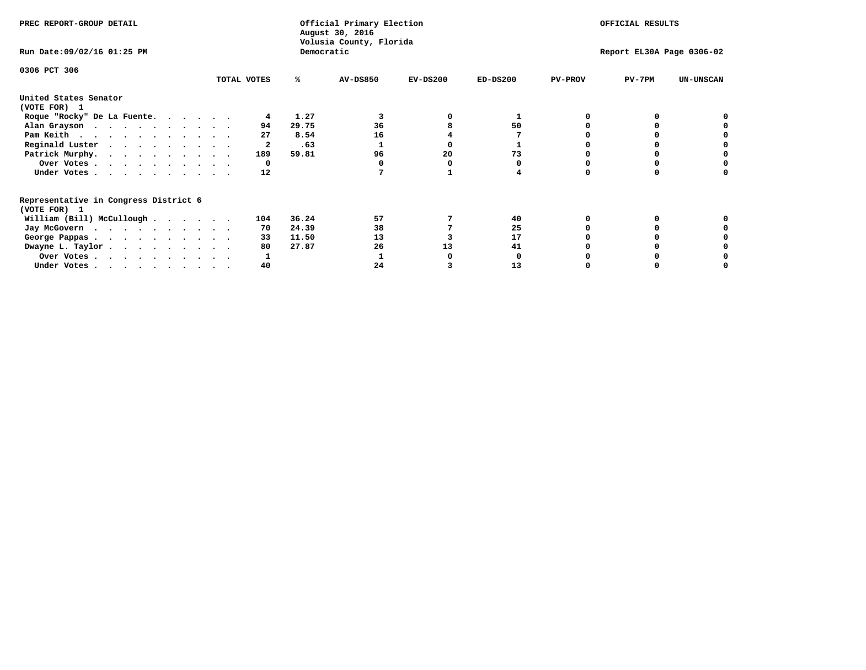| PREC REPORT-GROUP DETAIL                                               |             |            | Official Primary Election<br>August 30, 2016<br>Volusia County, Florida | OFFICIAL RESULTS |                           |                |          |                  |
|------------------------------------------------------------------------|-------------|------------|-------------------------------------------------------------------------|------------------|---------------------------|----------------|----------|------------------|
| Run Date: 09/02/16 01:25 PM                                            |             | Democratic |                                                                         |                  | Report EL30A Page 0306-02 |                |          |                  |
| 0306 PCT 306                                                           | TOTAL VOTES | ℁          | <b>AV-DS850</b>                                                         | $EV-DS200$       | $ED-DS200$                | <b>PV-PROV</b> | $PV-7PM$ | <b>UN-UNSCAN</b> |
|                                                                        |             |            |                                                                         |                  |                           |                |          |                  |
| United States Senator<br>(VOTE FOR) 1                                  |             |            |                                                                         |                  |                           |                |          |                  |
| Roque "Rocky" De La Fuente.                                            |             | 1.27       |                                                                         |                  |                           |                |          |                  |
| Alan Grayson                                                           | 94          | 29.75      | 36                                                                      |                  | 50                        |                |          |                  |
| Pam Keith                                                              | 27          | 8.54       | 16                                                                      |                  |                           |                |          |                  |
| Reginald Luster                                                        |             | .63        |                                                                         |                  |                           |                |          |                  |
| Patrick Murphy.                                                        | 189         | 59.81      | 96                                                                      | 20               | 73                        |                |          |                  |
| Over Votes                                                             | 0           |            |                                                                         |                  |                           |                |          |                  |
| Under Votes                                                            | 12          |            |                                                                         |                  |                           |                |          |                  |
| Representative in Congress District 6                                  |             |            |                                                                         |                  |                           |                |          |                  |
| (VOTE FOR) 1                                                           |             |            |                                                                         |                  |                           |                |          |                  |
| William (Bill) McCullough $\cdots$ $\cdots$                            | 104         | 36.24      | 57                                                                      |                  | 40                        |                |          |                  |
| Jay McGovern                                                           | 70          | 24.39      | 38                                                                      |                  | 25                        |                |          |                  |
| George Pappas.                                                         | 33          | 11.50      | 13                                                                      |                  | 17                        |                |          |                  |
| Dwayne L. Taylor                                                       | 80          | 27.87      | 26                                                                      | 13               | 41                        |                |          |                  |
| Over Votes                                                             |             |            |                                                                         |                  |                           |                |          |                  |
| Under Votes, $\cdot$ , $\cdot$ , $\cdot$ , $\cdot$ , $\cdot$ , $\cdot$ | 40          |            | 24                                                                      |                  | 13                        |                |          |                  |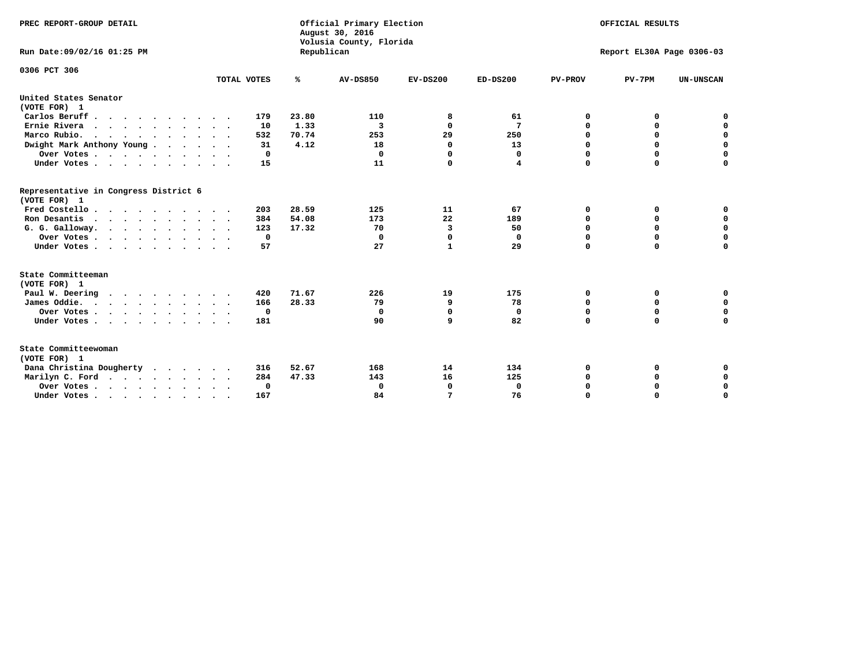| PREC REPORT-GROUP DETAIL<br>Run Date:09/02/16 01:25 PM                                |                            | Republican | Official Primary Election<br>August 30, 2016<br>Volusia County, Florida | OFFICIAL RESULTS<br>Report EL30A Page 0306-03 |             |                |             |                  |
|---------------------------------------------------------------------------------------|----------------------------|------------|-------------------------------------------------------------------------|-----------------------------------------------|-------------|----------------|-------------|------------------|
| 0306 PCT 306                                                                          | TOTAL VOTES                | ℁          | <b>AV-DS850</b>                                                         | $EV-DS200$                                    | $ED-DS200$  | <b>PV-PROV</b> | $PV-7PM$    | <b>UN-UNSCAN</b> |
| United States Senator                                                                 |                            |            |                                                                         |                                               |             |                |             |                  |
| (VOTE FOR) 1                                                                          |                            |            |                                                                         |                                               |             |                |             |                  |
| Carlos Beruff                                                                         | 179                        | 23.80      | 110                                                                     | 8                                             | 61          | 0              | 0           | 0                |
| Ernie Rivera<br>$\mathbf{r}$ , and $\mathbf{r}$ , and $\mathbf{r}$ , and $\mathbf{r}$ | 10                         | 1.33       | 3                                                                       | $\Omega$                                      | 7           | 0              | 0           | $\mathbf 0$      |
| Marco Rubio.                                                                          | 532                        | 70.74      | 253                                                                     | 29                                            | 250         | 0              | 0           | $\mathbf 0$      |
| Dwight Mark Anthony Young                                                             | 31                         | 4.12       | 18                                                                      | 0                                             | 13          | $\mathbf 0$    | $\mathbf 0$ | $\mathbf 0$      |
| Over Votes                                                                            | 0                          |            | 0                                                                       | 0                                             | 0           | $\mathbf 0$    | $\mathbf 0$ | $\mathbf 0$      |
| Under Votes                                                                           | 15<br>$\ddot{\phantom{1}}$ |            | 11                                                                      | $\Omega$                                      | 4           | $\Omega$       | $\Omega$    | $\mathbf 0$      |
| Representative in Congress District 6<br>(VOTE FOR) 1                                 |                            |            |                                                                         |                                               |             |                |             |                  |
| Fred Costello                                                                         | 203                        | 28.59      | 125                                                                     | 11                                            | 67          | 0              | 0           | $\mathbf 0$      |
| Ron Desantis                                                                          | 384                        | 54.08      | 173                                                                     | 22                                            | 189         | 0              | 0           | $\mathbf 0$      |
| G. G. Galloway.                                                                       | 123                        | 17.32      | 70                                                                      | 3                                             | 50          | $\mathbf 0$    | $\mathbf 0$ | $\mathbf 0$      |
| Over Votes                                                                            | 0                          |            | $\mathbf 0$                                                             | $\mathbf 0$                                   | 0           | 0              | 0           | 0                |
| Under Votes                                                                           | 57                         |            | 27                                                                      | $\mathbf{1}$                                  | 29          | $\mathbf 0$    | $\Omega$    | $\mathbf 0$      |
| State Committeeman                                                                    |                            |            |                                                                         |                                               |             |                |             |                  |
| (VOTE FOR) 1                                                                          |                            |            |                                                                         |                                               |             |                |             |                  |
| Paul W. Deering                                                                       | 420                        | 71.67      | 226                                                                     | 19                                            | 175         | 0              | 0           | 0                |
| James Oddie.                                                                          | 166                        | 28.33      | 79                                                                      | 9                                             | 78          | 0              | 0           | $\mathbf 0$      |
| Over Votes                                                                            | $\mathbf{o}$               |            | 0                                                                       | $\mathbf 0$                                   | 0           | 0              | $\mathbf 0$ | $\mathbf 0$      |
| Under Votes                                                                           | 181                        |            | 90                                                                      | 9                                             | 82          | $\mathbf 0$    | $\mathbf 0$ | $\mathbf 0$      |
| State Committeewoman<br>(VOTE FOR) 1                                                  |                            |            |                                                                         |                                               |             |                |             |                  |
| Dana Christina Dougherty<br>.                                                         | 316                        | 52.67      | 168                                                                     | 14                                            | 134         | 0              | 0           | 0                |
| Marilyn C. Ford                                                                       | 284                        | 47.33      | 143                                                                     | 16                                            | 125         | 0              | 0           | 0                |
| Over Votes                                                                            | $\Omega$                   |            | 0                                                                       | 0                                             | $\mathbf 0$ | 0              | 0           | $\mathbf 0$      |
| Under Votes, , , , , , , , , ,                                                        | 167                        |            | 84                                                                      | 7                                             | 76          | $\Omega$       | $\Omega$    | $\Omega$         |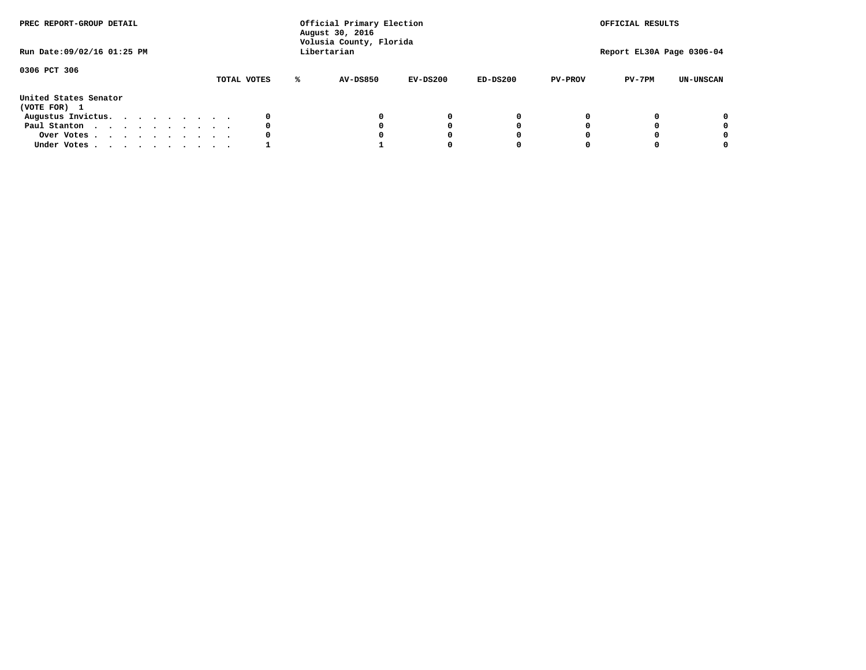| PREC REPORT-GROUP DETAIL<br>Run Date:09/02/16 01:25 PM |  |  |  | Official Primary Election<br>August 30, 2016<br>Volusia County, Florida<br>Libertarian |  |             | OFFICIAL RESULTS<br>Report EL30A Page 0306-04 |            |            |                |          |                  |
|--------------------------------------------------------|--|--|--|----------------------------------------------------------------------------------------|--|-------------|-----------------------------------------------|------------|------------|----------------|----------|------------------|
| 0306 PCT 306                                           |  |  |  |                                                                                        |  | TOTAL VOTES | <b>AV-DS850</b>                               | $EV-DS200$ | $ED-DS200$ | <b>PV-PROV</b> | $PV-7PM$ | <b>UN-UNSCAN</b> |
| United States Senator<br>(VOTE FOR) 1                  |  |  |  |                                                                                        |  |             |                                               |            |            |                |          |                  |
| Augustus Invictus.                                     |  |  |  |                                                                                        |  | 0           |                                               | 0          | 0          |                |          | 0                |
| Paul Stanton                                           |  |  |  |                                                                                        |  | 0           |                                               | 0          |            |                |          | 0                |
| Over Votes                                             |  |  |  |                                                                                        |  |             |                                               |            |            |                |          | 0                |
| Under Votes                                            |  |  |  |                                                                                        |  |             |                                               |            |            |                |          | 0                |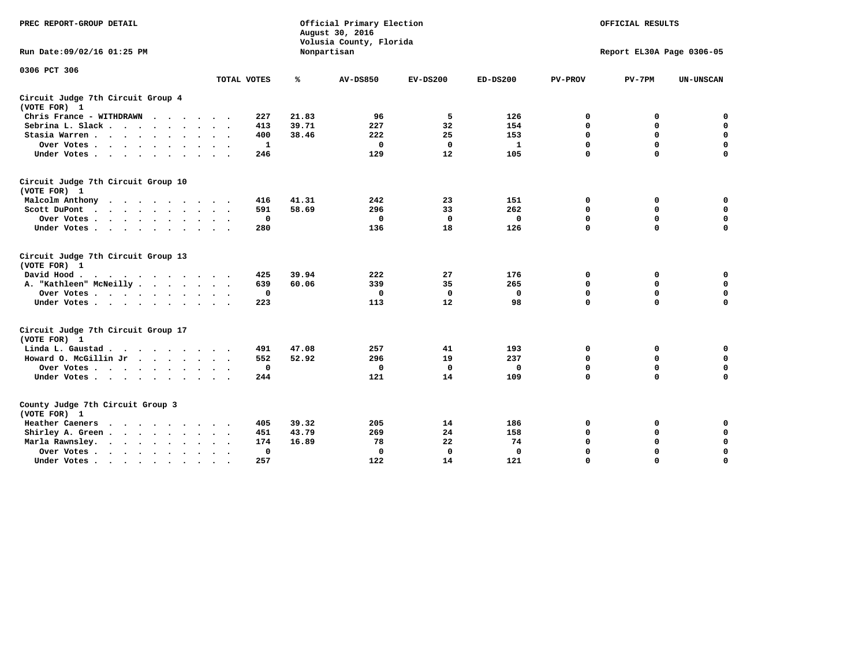| PREC REPORT-GROUP DETAIL                                                                                                           |             |       | Official Primary Election<br>August 30, 2016<br>Volusia County, Florida | OFFICIAL RESULTS |            |                |                           |                  |
|------------------------------------------------------------------------------------------------------------------------------------|-------------|-------|-------------------------------------------------------------------------|------------------|------------|----------------|---------------------------|------------------|
| Run Date: 09/02/16 01:25 PM                                                                                                        |             |       | Nonpartisan                                                             |                  |            |                | Report EL30A Page 0306-05 |                  |
| 0306 PCT 306                                                                                                                       |             |       |                                                                         |                  |            |                |                           |                  |
|                                                                                                                                    | TOTAL VOTES | ℁     | <b>AV-DS850</b>                                                         | $EV-DS200$       | $ED-DS200$ | <b>PV-PROV</b> | $PV-7PM$                  | <b>UN-UNSCAN</b> |
| Circuit Judge 7th Circuit Group 4<br>(VOTE FOR) 1                                                                                  |             |       |                                                                         |                  |            |                |                           |                  |
| Chris France - WITHDRAWN<br>$\cdots$                                                                                               | 227         | 21.83 | 96                                                                      | 5                | 126        | 0              | 0                         | 0                |
| Sebrina L. Slack                                                                                                                   | 413         | 39.71 | 227                                                                     | 32               | 154        | 0              | $\mathbf 0$               | $\mathbf 0$      |
| Stasia Warren<br>$\sim$ $\sim$                                                                                                     | 400         | 38.46 | 222                                                                     | 25               | 153        | $\mathbf 0$    | 0                         | $\mathbf 0$      |
| Over Votes                                                                                                                         | 1           |       | $\mathbf{0}$                                                            | $\mathbf 0$      | 1          | 0              | $\mathbf 0$               | $\mathbf 0$      |
| Under Votes                                                                                                                        | 246         |       | 129                                                                     | 12               | 105        | $\mathbf 0$    | $\Omega$                  | $\mathbf 0$      |
| Circuit Judge 7th Circuit Group 10<br>(VOTE FOR) 1                                                                                 |             |       |                                                                         |                  |            |                |                           |                  |
| Malcolm Anthony<br>.                                                                                                               | 416         | 41.31 | 242                                                                     | 23               | 151        | 0              | 0                         | $\mathbf 0$      |
| Scott DuPont                                                                                                                       | 591         | 58.69 | 296                                                                     | 33               | 262        | 0              | $\mathbf 0$               | $\mathbf 0$      |
| Over Votes                                                                                                                         | $\mathbf 0$ |       | $\mathbf{0}$                                                            | 0                | 0          | $\mathbf 0$    | $\Omega$                  | $\mathbf 0$      |
| Under Votes                                                                                                                        | 280         |       | 136                                                                     | 18               | 126        | $\mathbf 0$    | $\mathbf 0$               | $\Omega$         |
| Circuit Judge 7th Circuit Group 13<br>(VOTE FOR) 1                                                                                 |             |       |                                                                         |                  |            |                |                           |                  |
| David Hood.                                                                                                                        | 425         | 39.94 | 222                                                                     | 27               | 176        | 0              | 0                         | 0                |
| A. "Kathleen" McNeilly                                                                                                             | 639         | 60.06 | 339                                                                     | 35               | 265        | $\mathbf 0$    | $\mathbf 0$               | $\mathbf 0$      |
| Over Votes                                                                                                                         | $\mathbf 0$ |       | 0                                                                       | 0                | 0          | $\mathbf 0$    | $\mathbf 0$               | $\mathbf 0$      |
| Under Votes                                                                                                                        | 223         |       | 113                                                                     | 12               | 98         | $\Omega$       | $\Omega$                  | 0                |
| Circuit Judge 7th Circuit Group 17<br>(VOTE FOR) 1                                                                                 |             |       |                                                                         |                  |            |                |                           |                  |
| Linda L. Gaustad                                                                                                                   | 491         | 47.08 | 257                                                                     | 41               | 193        | 0              | 0                         | 0                |
| Howard O. McGillin Jr                                                                                                              | 552         | 52.92 | 296                                                                     | 19               | 237        | $\mathbf 0$    | $\mathbf 0$               | $\mathbf 0$      |
| Over Votes                                                                                                                         | $\mathbf 0$ |       | $\mathbf 0$                                                             | $\mathbf 0$      | 0          | $\mathbf 0$    | $\mathbf 0$               | $\pmb{0}$        |
| Under Votes                                                                                                                        | 244         |       | 121                                                                     | 14               | 109        | $\mathbf 0$    | $\mathbf 0$               | $\Omega$         |
| County Judge 7th Circuit Group 3<br>(VOTE FOR) 1                                                                                   |             |       |                                                                         |                  |            |                |                           |                  |
| Heather Caeners<br>the contract of the contract of the contract of the contract of the contract of the contract of the contract of | 405         | 39.32 | 205                                                                     | 14               | 186        | 0              | 0                         | 0                |
| Shirley A. Green                                                                                                                   | 451         | 43.79 | 269                                                                     | 24               | 158        | $\mathbf 0$    | 0                         | $\mathbf 0$      |
| Marla Rawnsley.                                                                                                                    | 174         | 16.89 | 78                                                                      | 22               | 74         | 0              | $\mathbf 0$               | $\pmb{0}$        |
| Over Votes.<br>$\ddot{\phantom{a}}$<br>$\ddot{\phantom{a}}$                                                                        | 0           |       | $\Omega$                                                                | 0                | 0          | $\Omega$       | $\Omega$                  | $\mathbf 0$      |
| Under Votes<br>$\sim$                                                                                                              | 257         |       | 122                                                                     | 14               | 121        | $\mathbf 0$    | $\mathbf 0$               | 0                |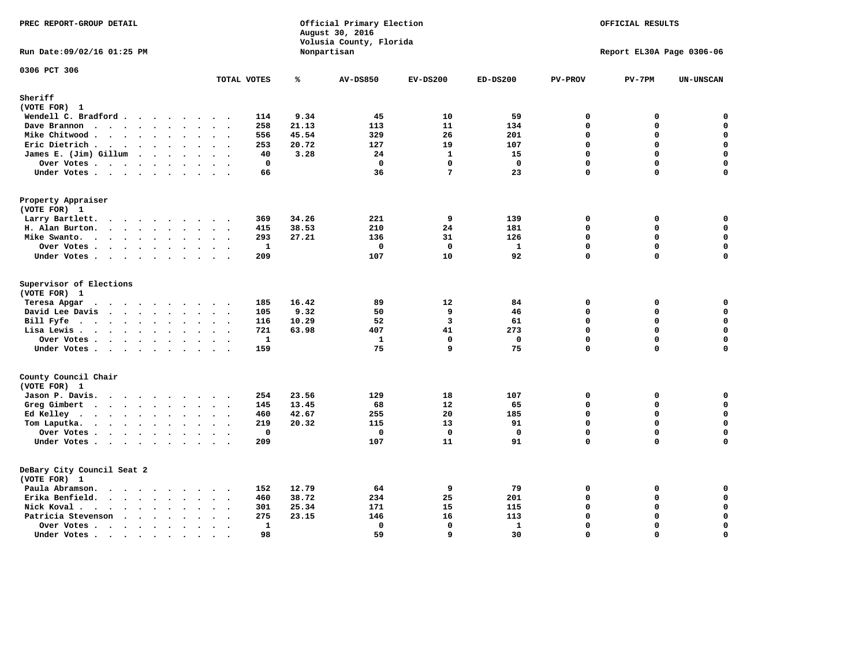| PREC REPORT-GROUP DETAIL                                                                                                                                                                                                                                                  |                                                                           |       | Official Primary Election<br>August 30, 2016<br>Volusia County, Florida | OFFICIAL RESULTS<br>Report EL30A Page 0306-06 |              |                |               |             |
|---------------------------------------------------------------------------------------------------------------------------------------------------------------------------------------------------------------------------------------------------------------------------|---------------------------------------------------------------------------|-------|-------------------------------------------------------------------------|-----------------------------------------------|--------------|----------------|---------------|-------------|
| Run Date: 09/02/16 01:25 PM                                                                                                                                                                                                                                               |                                                                           |       | Nonpartisan                                                             |                                               |              |                |               |             |
| 0306 PCT 306                                                                                                                                                                                                                                                              | TOTAL VOTES                                                               | ℁     | <b>AV-DS850</b>                                                         | $EV-DS200$                                    | $ED-DS200$   | <b>PV-PROV</b> | $PV-7PM$      | UN-UNSCAN   |
| Sheriff                                                                                                                                                                                                                                                                   |                                                                           |       |                                                                         |                                               |              |                |               |             |
| (VOTE FOR) 1                                                                                                                                                                                                                                                              |                                                                           |       |                                                                         |                                               |              |                |               |             |
| Wendell C. Bradford                                                                                                                                                                                                                                                       | 114                                                                       | 9.34  | 45                                                                      | 10                                            | 59           | 0              | 0             | $\mathbf 0$ |
| Dave Brannon                                                                                                                                                                                                                                                              | 258                                                                       | 21.13 | 113                                                                     | 11                                            | 134          | $\Omega$       | 0             | 0           |
| Mike Chitwood.<br>$\mathbf{r}$ . The set of the set of the set of the set of the set of the set of the set of the set of the set of the set of the set of the set of the set of the set of the set of the set of the set of the set of the set of t                       | 556                                                                       | 45.54 | 329                                                                     | 26                                            | 201          | $\mathbf 0$    | 0             | 0           |
| Eric Dietrich.                                                                                                                                                                                                                                                            | 253                                                                       | 20.72 | 127                                                                     | 19                                            | 107          | $\mathbf 0$    | 0             | $\mathbf 0$ |
| James E. (Jim) Gillum                                                                                                                                                                                                                                                     | 40                                                                        | 3.28  | 24                                                                      | $\mathbf{1}$                                  | 15           | $\Omega$       | $\Omega$      | $\mathbf 0$ |
| Over Votes<br>$\sim$                                                                                                                                                                                                                                                      | 0<br>$\sim$ $\sim$ $\sim$                                                 |       | 0                                                                       | $\mathbf 0$                                   | $\mathbf 0$  | $\mathbf 0$    | 0             | 0           |
| Under Votes                                                                                                                                                                                                                                                               | 66                                                                        |       | 36                                                                      | $7\phantom{.0}$                               | 23           | $\mathbf 0$    | $\mathbf 0$   | $\mathbf 0$ |
| Property Appraiser<br>(VOTE FOR) 1                                                                                                                                                                                                                                        |                                                                           |       |                                                                         |                                               |              |                |               |             |
| Larry Bartlett.<br>$\cdots$<br>$\sim$                                                                                                                                                                                                                                     | 369<br>$\sim$                                                             | 34.26 | 221                                                                     | 9                                             | 139          | $\mathbf 0$    | 0             | 0           |
| H. Alan Burton.                                                                                                                                                                                                                                                           | 415                                                                       | 38.53 | 210                                                                     | 24                                            | 181          | 0              | 0             | $\mathbf 0$ |
| Mike Swanto.                                                                                                                                                                                                                                                              | 293<br>$\cdot$ .                                                          | 27.21 | 136                                                                     | 31                                            | 126          | $\Omega$       | 0             | 0           |
| Over Votes<br>$\ddot{\phantom{a}}$                                                                                                                                                                                                                                        | $\mathbf{1}$<br>$\sim$                                                    |       | $\mathbf 0$                                                             | $\mathbf 0$                                   | $\mathbf{1}$ | $\mathbf 0$    | 0             | $\mathbf 0$ |
| Under Votes                                                                                                                                                                                                                                                               | 209                                                                       |       | 107                                                                     | 10                                            | 92           | $\mathbf{0}$   | 0             | $\mathbf 0$ |
|                                                                                                                                                                                                                                                                           |                                                                           |       |                                                                         |                                               |              |                |               |             |
| Supervisor of Elections<br>(VOTE FOR) 1                                                                                                                                                                                                                                   |                                                                           |       |                                                                         |                                               |              |                |               |             |
| Teresa Apgar<br>$\cdots$                                                                                                                                                                                                                                                  | 185<br>$\sim$ $\sim$                                                      | 16.42 | 89                                                                      | 12                                            | 84           | $\mathbf 0$    | 0             | 0           |
| David Lee Davis                                                                                                                                                                                                                                                           | 105                                                                       | 9.32  | 50                                                                      | 9                                             | 46           | 0              | 0             | $\mathbf 0$ |
| Bill Fyfe<br>$\mathbf{r}$ , $\mathbf{r}$ , $\mathbf{r}$ , $\mathbf{r}$ , $\mathbf{r}$                                                                                                                                                                                     | 116<br>$\cdot$ $\cdot$ $\cdot$ $\cdot$                                    | 10.29 | 52                                                                      | $\overline{3}$                                | 61           | $\Omega$       | $\Omega$      | $\mathbf 0$ |
| Lisa Lewis                                                                                                                                                                                                                                                                | 721                                                                       | 63.98 | 407                                                                     | 41                                            | 273          | $\mathbf 0$    | 0             | $\mathbf 0$ |
| Over Votes                                                                                                                                                                                                                                                                | $\mathbf{1}$                                                              |       | $\mathbf{1}$                                                            | $\mathbf 0$                                   | $\mathbf 0$  | $\mathbf 0$    | 0             | $\pmb{0}$   |
| Under Votes                                                                                                                                                                                                                                                               | 159                                                                       |       | 75                                                                      | 9                                             | 75           | $\Omega$       | $\Omega$      | 0           |
| County Council Chair                                                                                                                                                                                                                                                      |                                                                           |       |                                                                         |                                               |              |                |               |             |
| (VOTE FOR) 1                                                                                                                                                                                                                                                              |                                                                           | 23.56 | 129                                                                     | 18                                            | 107          |                |               |             |
| Jason P. Davis.                                                                                                                                                                                                                                                           | 254<br>$\sim$ $\sim$                                                      | 13.45 | 68                                                                      | 12                                            | 65           | 0<br>$\Omega$  | 0<br>$\Omega$ | 0<br>0      |
| Greg Gimbert                                                                                                                                                                                                                                                              | 145                                                                       | 42.67 | 255                                                                     | 20                                            | 185          | $\mathbf 0$    | 0             | $\mathbf 0$ |
| Ed Kelley                                                                                                                                                                                                                                                                 | 460                                                                       | 20.32 | 115                                                                     | 13                                            | 91           | $\Omega$       | $\mathbf 0$   | $\mathbf 0$ |
| Tom Laputka.<br>$\mathbf{r}$ . The set of the set of the set of the set of the set of the set of the set of the set of the set of the set of the set of the set of the set of the set of the set of the set of the set of the set of the set of t<br>$\ddot{\phantom{a}}$ | 219<br>$\mathbf 0$                                                        |       | $\mathbf{0}$                                                            | $\mathbf 0$                                   | $\mathbf{0}$ | $\mathbf 0$    | 0             | $\mathbf 0$ |
| Over Votes.                                                                                                                                                                                                                                                               |                                                                           |       |                                                                         |                                               |              | 0              | 0             | $\mathbf 0$ |
| Under Votes                                                                                                                                                                                                                                                               | 209                                                                       |       | 107                                                                     | 11                                            | 91           |                |               |             |
| DeBary City Council Seat 2<br>(VOTE FOR) 1                                                                                                                                                                                                                                |                                                                           |       |                                                                         |                                               |              |                |               |             |
| Paula Abramson.                                                                                                                                                                                                                                                           | 152<br>$\sim$ $\sim$                                                      | 12.79 | 64                                                                      | 9                                             | 79           | $\mathbf 0$    | 0             | 0           |
| Erika Benfield.                                                                                                                                                                                                                                                           | 460<br>$\sim$                                                             | 38.72 | 234                                                                     | 25                                            | 201          | $\mathbf 0$    | $\mathbf 0$   | $\mathbf 0$ |
| Nick Koval.                                                                                                                                                                                                                                                               | 301<br>$\ddotsc$                                                          | 25.34 | 171                                                                     | 15                                            | 115          | $\mathbf 0$    | 0             | 0           |
| Patricia Stevenson<br>$\cdot$ $\cdot$ $\cdot$ $\cdot$<br>$\ddot{\phantom{a}}$                                                                                                                                                                                             | 275<br>$\sim$ $\sim$<br>$\ddot{\phantom{0}}$                              | 23.15 | 146                                                                     | 16                                            | 113          | $\mathbf 0$    | 0             | $\mathbf 0$ |
| Over Votes<br>$\bullet$                                                                                                                                                                                                                                                   | $\mathbf{1}$<br>$\ddot{\phantom{0}}$<br>$\bullet$<br>$\ddot{\phantom{0}}$ |       | $\mathbf{0}$                                                            | $\mathbf 0$                                   | $\mathbf{1}$ | $\mathbf 0$    | 0             | $\mathbf 0$ |
| Under Votes.<br>$\cdots$<br>$\sim$<br>$\bullet$                                                                                                                                                                                                                           | 98<br>$\bullet$<br>$\bullet$                                              |       | 59                                                                      | 9                                             | 30           | $\Omega$       | $\Omega$      | $\mathbf 0$ |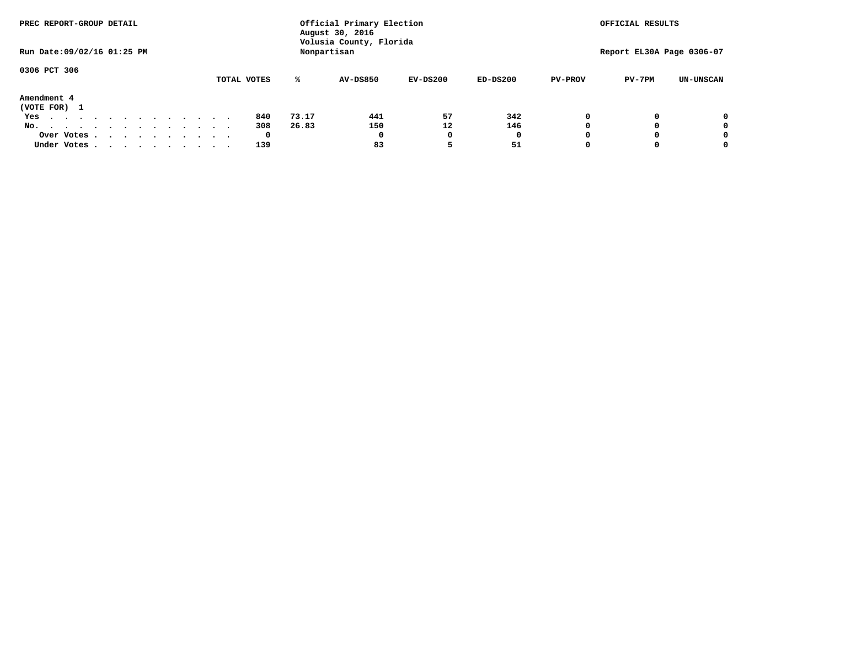| PREC REPORT-GROUP DETAIL         |             | Official Primary Election<br>August 30, 2016 | OFFICIAL RESULTS                       |            |            |                |                           |                  |
|----------------------------------|-------------|----------------------------------------------|----------------------------------------|------------|------------|----------------|---------------------------|------------------|
| Run Date: 09/02/16 01:25 PM      |             |                                              | Volusia County, Florida<br>Nonpartisan |            |            |                | Report EL30A Page 0306-07 |                  |
| 0306 PCT 306                     |             |                                              |                                        |            |            |                |                           |                  |
|                                  | TOTAL VOTES | ℁                                            | <b>AV-DS850</b>                        | $EV-DS200$ | $ED-DS200$ | <b>PV-PROV</b> | PV-7PM                    | <b>UN-UNSCAN</b> |
| Amendment 4<br>(VOTE FOR) 1      |             |                                              |                                        |            |            |                |                           |                  |
| Yes<br>.                         | 840         | 73.17                                        | 441                                    | 57         | 342        |                |                           | 0                |
| No.<br>.                         | 308         | 26.83                                        | 150                                    | 12         | 146        |                |                           | 0                |
| Over Votes                       | 0           |                                              | $\Omega$                               |            | 0          |                |                           | 0                |
| Under Votes, , , , , , , , , , , | 139         |                                              | 83                                     |            | 51         |                |                           | 0                |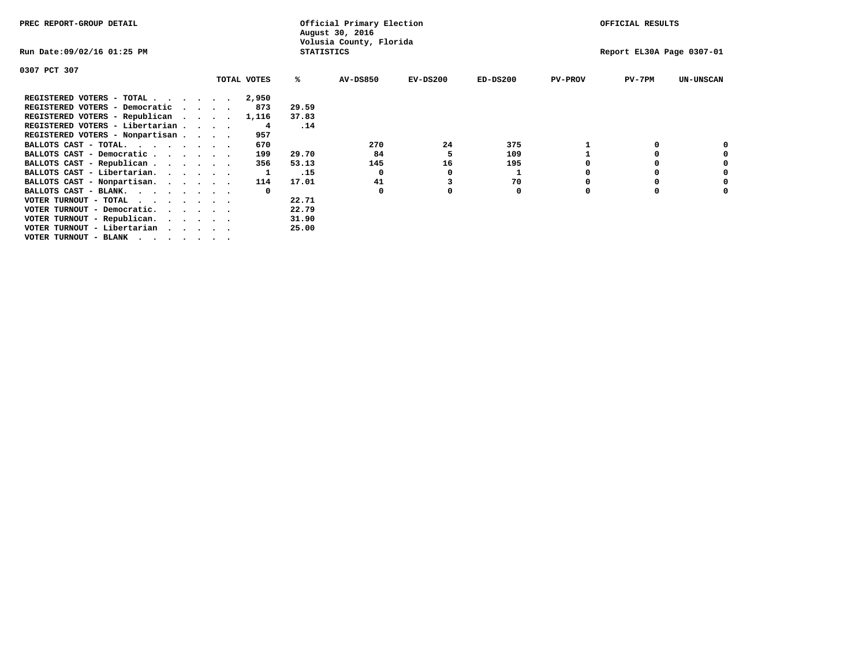| PREC REPORT-GROUP DETAIL                                                                                                                 |  |             |                   | Official Primary Election<br>August 30, 2016 |            |            |                | OFFICIAL RESULTS          |                  |
|------------------------------------------------------------------------------------------------------------------------------------------|--|-------------|-------------------|----------------------------------------------|------------|------------|----------------|---------------------------|------------------|
| Run Date:09/02/16 01:25 PM                                                                                                               |  |             | <b>STATISTICS</b> | Volusia County, Florida                      |            |            |                | Report EL30A Page 0307-01 |                  |
| 0307 PCT 307                                                                                                                             |  |             |                   |                                              |            |            |                |                           |                  |
|                                                                                                                                          |  | TOTAL VOTES | ℁                 | <b>AV-DS850</b>                              | $EV-DS200$ | $ED-DS200$ | <b>PV-PROV</b> | $PV-7PM$                  | <b>UN-UNSCAN</b> |
| REGISTERED VOTERS - TOTAL                                                                                                                |  | 2,950       |                   |                                              |            |            |                |                           |                  |
| REGISTERED VOTERS - Democratic                                                                                                           |  | 873         | 29.59             |                                              |            |            |                |                           |                  |
| REGISTERED VOTERS - Republican                                                                                                           |  | 1,116       | 37.83             |                                              |            |            |                |                           |                  |
| REGISTERED VOTERS - Libertarian                                                                                                          |  | 4           | .14               |                                              |            |            |                |                           |                  |
| REGISTERED VOTERS - Nonpartisan                                                                                                          |  | 957         |                   |                                              |            |            |                |                           |                  |
| BALLOTS CAST - TOTAL.                                                                                                                    |  | 670         |                   | 270                                          | 24         | 375        |                |                           |                  |
| BALLOTS CAST - Democratic                                                                                                                |  | 199         | 29.70             | 84                                           |            | 109        |                |                           |                  |
| BALLOTS CAST - Republican                                                                                                                |  | 356         | 53.13             | 145                                          | 16         | 195        |                |                           |                  |
| BALLOTS CAST - Libertarian.                                                                                                              |  |             | .15               | $\Omega$                                     |            |            |                |                           |                  |
| BALLOTS CAST - Nonpartisan.                                                                                                              |  | 114         | 17.01             | 41                                           |            | 70         |                |                           |                  |
| BALLOTS CAST - BLANK.                                                                                                                    |  | $\Omega$    |                   | 0                                            |            | 0          |                |                           |                  |
| VOTER TURNOUT - TOTAL<br>the contract of the contract of the contract of the contract of the contract of the contract of the contract of |  |             | 22.71             |                                              |            |            |                |                           |                  |
| VOTER TURNOUT - Democratic.                                                                                                              |  |             | 22.79             |                                              |            |            |                |                           |                  |
| VOTER TURNOUT - Republican.                                                                                                              |  |             | 31.90             |                                              |            |            |                |                           |                  |
| VOTER TURNOUT - Libertarian                                                                                                              |  |             | 25.00             |                                              |            |            |                |                           |                  |
| VOTER TURNOUT - BLANK                                                                                                                    |  |             |                   |                                              |            |            |                |                           |                  |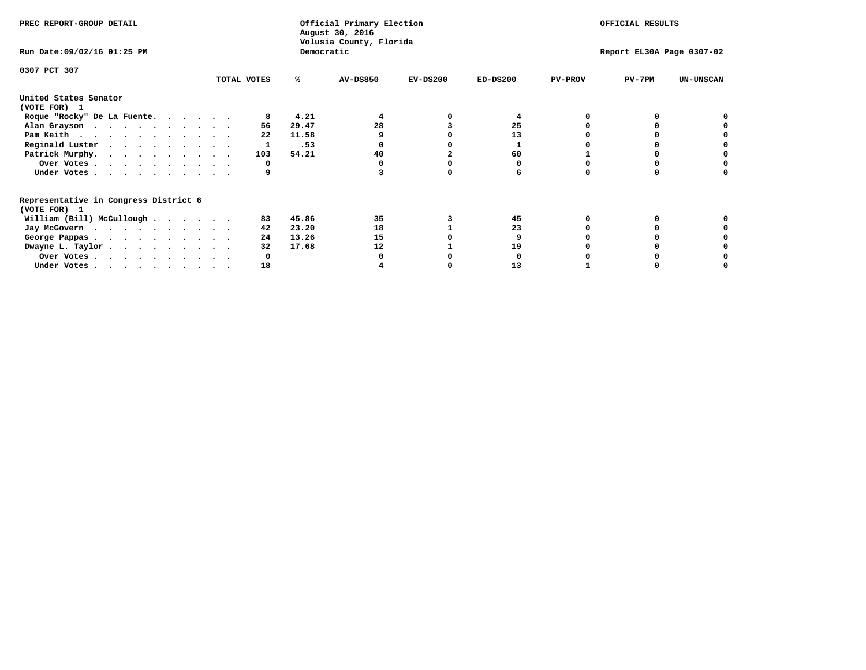| PREC REPORT-GROUP DETAIL                                               |             |            | Official Primary Election<br>August 30, 2016<br>Volusia County, Florida | OFFICIAL RESULTS |            |                           |          |                  |
|------------------------------------------------------------------------|-------------|------------|-------------------------------------------------------------------------|------------------|------------|---------------------------|----------|------------------|
| Run Date: 09/02/16 01:25 PM                                            |             | Democratic |                                                                         |                  |            | Report EL30A Page 0307-02 |          |                  |
| 0307 PCT 307                                                           | TOTAL VOTES | ℁          | <b>AV-DS850</b>                                                         | $EV-DS200$       | $ED-DS200$ | <b>PV-PROV</b>            | $PV-7PM$ | <b>UN-UNSCAN</b> |
|                                                                        |             |            |                                                                         |                  |            |                           |          |                  |
| United States Senator<br>(VOTE FOR) 1                                  |             |            |                                                                         |                  |            |                           |          |                  |
| Roque "Rocky" De La Fuente.                                            |             | 4.21       |                                                                         |                  |            |                           |          |                  |
| Alan Grayson                                                           | 56          | 29.47      | 28                                                                      |                  | 25         |                           |          |                  |
| Pam Keith                                                              | 22          | 11.58      |                                                                         |                  | 13         |                           |          |                  |
| Reginald Luster                                                        |             | .53        |                                                                         |                  |            |                           |          |                  |
| Patrick Murphy.                                                        | 103         | 54.21      | 40                                                                      |                  | 60         |                           |          |                  |
| Over Votes                                                             | O           |            |                                                                         |                  |            |                           |          |                  |
| Under Votes                                                            |             |            |                                                                         |                  |            |                           |          |                  |
| Representative in Congress District 6<br>(VOTE FOR) 1                  |             |            |                                                                         |                  |            |                           |          |                  |
| William (Bill) McCullough                                              | 83          | 45.86      | 35                                                                      |                  | 45         |                           |          |                  |
|                                                                        | 42          | 23.20      | 18                                                                      |                  | 23         |                           |          |                  |
| Jay McGovern                                                           | 24          |            |                                                                         |                  |            |                           |          |                  |
| George Pappas.                                                         |             | 13.26      | 15                                                                      |                  |            |                           |          |                  |
| Dwayne L. Taylor                                                       | 32          | 17.68      | 12                                                                      |                  | 19         |                           |          |                  |
| Over Votes                                                             |             |            |                                                                         |                  |            |                           |          |                  |
| Under Votes, $\cdot$ , $\cdot$ , $\cdot$ , $\cdot$ , $\cdot$ , $\cdot$ | 18          |            |                                                                         |                  | 13         |                           |          |                  |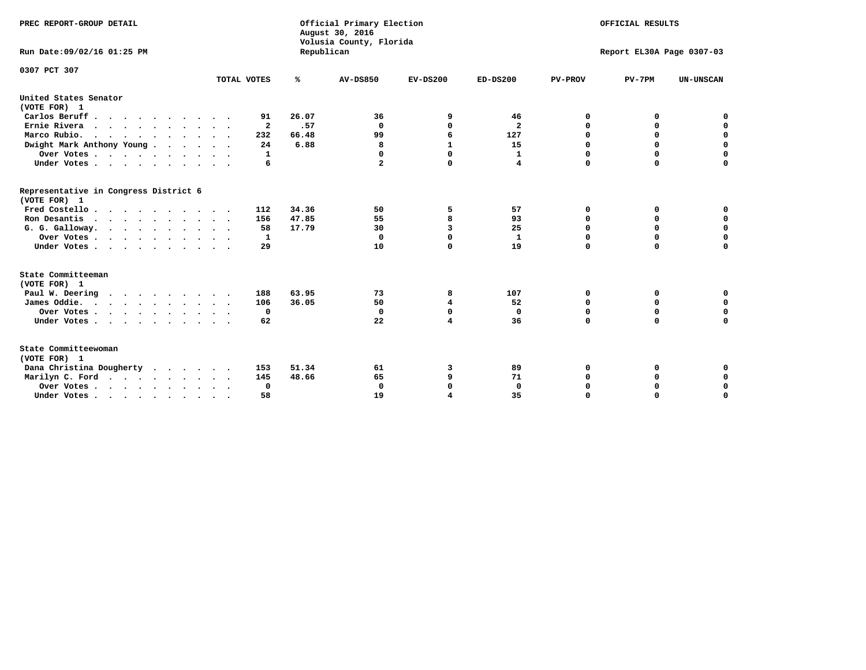| PREC REPORT-GROUP DETAIL<br>Run Date: 09/02/16 01:25 PM |              | Republican | Official Primary Election<br>August 30, 2016<br>Volusia County, Florida | OFFICIAL RESULTS<br>Report EL30A Page 0307-03 |                         |                |             |                  |
|---------------------------------------------------------|--------------|------------|-------------------------------------------------------------------------|-----------------------------------------------|-------------------------|----------------|-------------|------------------|
|                                                         |              |            |                                                                         |                                               |                         |                |             |                  |
| 0307 PCT 307                                            |              |            |                                                                         |                                               |                         |                |             |                  |
|                                                         | TOTAL VOTES  | ℁          | <b>AV-DS850</b>                                                         | $EV-DS200$                                    | $ED-DS200$              | <b>PV-PROV</b> | $PV-7PM$    | <b>UN-UNSCAN</b> |
| United States Senator<br>(VOTE FOR) 1                   |              |            |                                                                         |                                               |                         |                |             |                  |
| Carlos Beruff.                                          | 91           | 26.07      | 36                                                                      | 9                                             | 46                      | 0              | 0           | 0                |
| Ernie Rivera                                            | $\mathbf{2}$ | .57        | $\Omega$                                                                | 0                                             | $\overline{\mathbf{2}}$ | 0              | 0           | $\mathbf 0$      |
| Marco Rubio.                                            | 232          | 66.48      | 99                                                                      | 6                                             | 127                     | $\mathbf 0$    | $\mathbf 0$ | $\mathbf 0$      |
| Dwight Mark Anthony Young                               | 24           | 6.88       | 8                                                                       | $\mathbf{1}$                                  | 15                      | 0              | $\mathbf 0$ | $\pmb{0}$        |
| Over Votes                                              | 1            |            | 0                                                                       | $\Omega$                                      | $\mathbf{1}$            | 0              | 0           | $\mathbf 0$      |
| Under Votes                                             | 6            |            | $\mathbf{2}$                                                            | $\Omega$                                      | 4                       | $\mathbf 0$    | $\Omega$    | $\mathbf 0$      |
| Representative in Congress District 6<br>(VOTE FOR) 1   |              |            |                                                                         |                                               |                         |                |             |                  |
| Fred Costello                                           | 112          | 34.36      | 50                                                                      | 5                                             | 57                      | 0              | 0           | 0                |
| Ron Desantis                                            | 156          | 47.85      | 55                                                                      | 8                                             | 93                      | 0              | 0           | $\mathbf 0$      |
| G. G. Galloway.                                         | 58           | 17.79      | 30                                                                      | 3                                             | 25                      | $\mathbf 0$    | $\Omega$    | $\mathbf 0$      |
| Over Votes                                              | 1            |            | 0                                                                       | $\Omega$                                      | $\mathbf{1}$            | $\mathbf 0$    | $\mathbf 0$ | $\mathbf 0$      |
| Under Votes                                             | 29           |            | 10                                                                      | 0                                             | 19                      | $\mathbf 0$    | $\Omega$    | $\mathbf 0$      |
| State Committeeman                                      |              |            |                                                                         |                                               |                         |                |             |                  |
| (VOTE FOR) 1                                            |              |            |                                                                         |                                               |                         |                |             |                  |
| Paul W. Deering                                         | 188          | 63.95      | 73                                                                      | 8                                             | 107                     | 0              | 0           | 0                |
| James Oddie.                                            | 106          | 36.05      | 50                                                                      | 4                                             | 52                      | 0              | 0           | $\mathbf 0$      |
| Over Votes                                              | 0            |            | $\mathbf{0}$                                                            | 0                                             | 0                       | 0              | $\mathbf 0$ | $\mathbf 0$      |
| Under Votes                                             | 62           |            | 22                                                                      | 4                                             | 36                      | $\Omega$       | 0           | $\mathbf 0$      |
| State Committeewoman<br>(VOTE FOR) 1                    |              |            |                                                                         |                                               |                         |                |             |                  |
| Dana Christina Dougherty                                | 153          | 51.34      | 61                                                                      | з                                             | 89                      | 0              | 0           | 0                |
| Marilyn C. Ford                                         | 145          | 48.66      | 65                                                                      | 9                                             | 71                      | 0              | 0           | 0                |
| Over Votes                                              | 0            |            | $\mathbf 0$                                                             | 0                                             | $\mathbf 0$             | 0              | 0           | $\mathbf 0$      |
| Under Votes, , , , , , , , , ,                          | 58           |            | 19                                                                      | $\overline{\mathbf{A}}$                       | 35                      | $\Omega$       | $\Omega$    | $\Omega$         |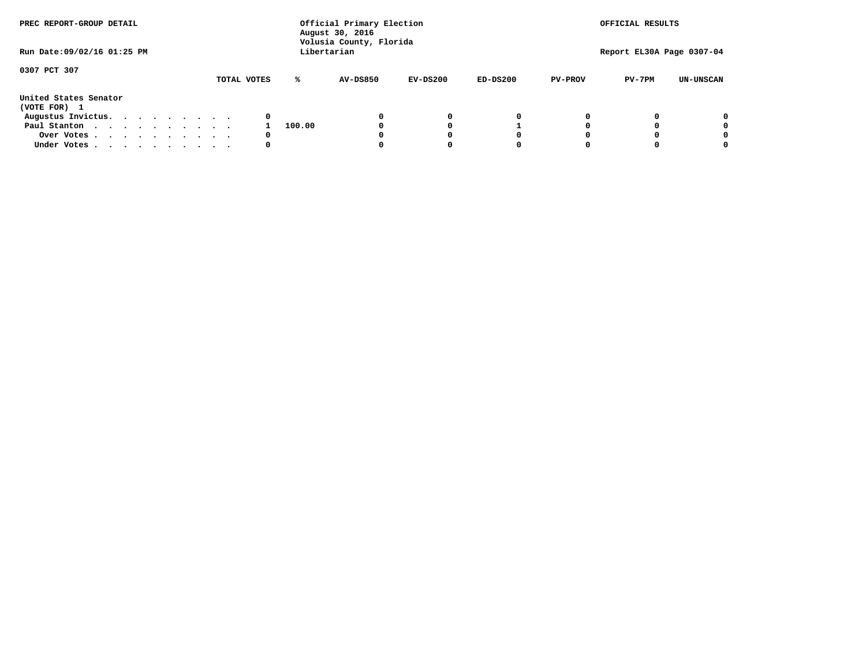| PREC REPORT-GROUP DETAIL<br>Run Date: 09/02/16 01:25 PM |  |  |  |  |  | Official Primary Election<br>August 30, 2016<br>Volusia County, Florida<br>Libertarian | OFFICIAL RESULTS<br>Report EL30A Page 0307-04 |                 |            |            |                |          |                  |
|---------------------------------------------------------|--|--|--|--|--|----------------------------------------------------------------------------------------|-----------------------------------------------|-----------------|------------|------------|----------------|----------|------------------|
|                                                         |  |  |  |  |  |                                                                                        |                                               |                 |            |            |                |          |                  |
| 0307 PCT 307                                            |  |  |  |  |  | TOTAL VOTES                                                                            | ℁                                             | <b>AV-DS850</b> | $EV-DS200$ | $ED-DS200$ | <b>PV-PROV</b> | $PV-7PM$ | <b>UN-UNSCAN</b> |
| United States Senator<br>(VOTE FOR) 1                   |  |  |  |  |  |                                                                                        |                                               |                 |            |            |                |          |                  |
| Augustus Invictus.                                      |  |  |  |  |  | 0                                                                                      |                                               |                 | 0          | 0          |                |          | 0                |
| Paul Stanton                                            |  |  |  |  |  |                                                                                        | 100.00                                        |                 |            |            |                |          | 0                |
| Over Votes                                              |  |  |  |  |  | 0                                                                                      |                                               |                 |            | O          |                |          | 0                |
| Under Votes                                             |  |  |  |  |  | 0                                                                                      |                                               |                 |            |            |                |          |                  |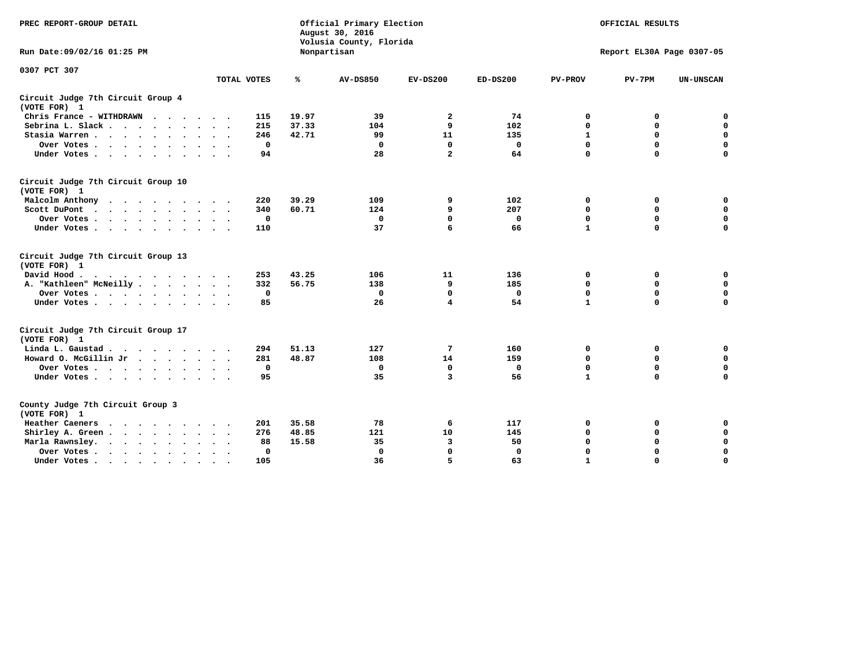| PREC REPORT-GROUP DETAIL                           |             |       | Official Primary Election<br>August 30, 2016<br>Volusia County, Florida | OFFICIAL RESULTS<br>Report EL30A Page 0307-05 |              |                |             |                  |
|----------------------------------------------------|-------------|-------|-------------------------------------------------------------------------|-----------------------------------------------|--------------|----------------|-------------|------------------|
| Run Date: 09/02/16 01:25 PM                        |             |       | Nonpartisan                                                             |                                               |              |                |             |                  |
| 0307 PCT 307                                       | TOTAL VOTES | ℁     | <b>AV-DS850</b>                                                         | $EV-DS200$                                    | $ED-DS200$   | <b>PV-PROV</b> | $PV-7PM$    | <b>UN-UNSCAN</b> |
|                                                    |             |       |                                                                         |                                               |              |                |             |                  |
| Circuit Judge 7th Circuit Group 4<br>(VOTE FOR) 1  |             |       |                                                                         |                                               |              |                |             |                  |
| Chris France - WITHDRAWN                           | 115         | 19.97 | 39                                                                      | 2                                             | 74           | 0              | 0           | 0                |
| Sebrina L. Slack                                   | 215         | 37.33 | 104                                                                     | 9                                             | 102          | $\mathbf 0$    | $\mathbf 0$ | $\mathbf 0$      |
| Stasia Warren                                      | 246         | 42.71 | 99                                                                      | 11                                            | 135          | $\mathbf{1}$   | 0           | $\mathbf 0$      |
| Over Votes                                         | $\mathbf 0$ |       | $\mathbf 0$                                                             | $\mathbf 0$                                   | $\mathbf 0$  | 0              | $\mathbf 0$ | $\mathbf 0$      |
| Under Votes                                        | 94          |       | 28                                                                      | $\overline{a}$                                | 64           | $\mathbf 0$    | $\Omega$    | $\Omega$         |
| Circuit Judge 7th Circuit Group 10<br>(VOTE FOR) 1 |             |       |                                                                         |                                               |              |                |             |                  |
| Malcolm Anthony                                    | 220         | 39.29 | 109                                                                     | 9                                             | 102          | 0              | 0           | $\mathbf 0$      |
| Scott DuPont                                       | 340         | 60.71 | 124                                                                     | 9                                             | 207          | 0              | $\mathbf 0$ | $\mathbf 0$      |
| Over Votes                                         | 0           |       | $\mathbf{0}$                                                            | $\Omega$                                      | 0            | $\mathbf 0$    | $\Omega$    | $\mathbf 0$      |
| Under Votes                                        | 110         |       | 37                                                                      | 6                                             | 66           | $\mathbf{1}$   | $\mathbf 0$ | 0                |
| Circuit Judge 7th Circuit Group 13<br>(VOTE FOR) 1 |             |       |                                                                         |                                               |              |                |             |                  |
| David Hood.<br>$\cdots$                            | 253         | 43.25 | 106                                                                     | 11                                            | 136          | 0              | 0           | $\mathbf 0$      |
| A. "Kathleen" McNeilly                             | 332         | 56.75 | 138                                                                     | 9                                             | 185          | $\mathbf 0$    | 0           | $\mathbf 0$      |
| Over Votes                                         | 0           |       | $\mathbf 0$                                                             | $\mathbf 0$                                   | 0            | 0              | $\mathbf 0$ | $\pmb{0}$        |
| Under Votes                                        | 85          |       | 26                                                                      | 4                                             | 54           | $\mathbf{1}$   | $\Omega$    | 0                |
| Circuit Judge 7th Circuit Group 17                 |             |       |                                                                         |                                               |              |                |             |                  |
| (VOTE FOR) 1                                       |             |       |                                                                         |                                               |              |                |             |                  |
| Linda L. Gaustad                                   | 294         | 51.13 | 127                                                                     | 7                                             | 160          | 0              | 0           | $\mathbf 0$      |
| Howard O. McGillin Jr                              | 281         | 48.87 | 108                                                                     | 14                                            | 159          | $\mathbf 0$    | $\mathbf 0$ | $\mathbf 0$      |
| Over Votes                                         | $\mathbf 0$ |       | $\mathbf 0$                                                             | $\mathbf 0$                                   | $\mathbf 0$  | 0              | $\mathbf 0$ | 0                |
| Under Votes                                        | 95          |       | 35                                                                      | $\overline{\mathbf{3}}$                       | 56           | $\mathbf{1}$   | $\mathbf 0$ | $\Omega$         |
| County Judge 7th Circuit Group 3<br>(VOTE FOR) 1   |             |       |                                                                         |                                               |              |                |             |                  |
| Heather Caeners<br>.                               | 201         | 35.58 | 78                                                                      | 6                                             | 117          | 0              | 0           | $\mathbf 0$      |
| Shirley A. Green                                   | 276         | 48.85 | 121                                                                     | 10                                            | 145          | $\mathbf 0$    | 0           | $\mathbf 0$      |
| Marla Rawnsley.                                    | 88          | 15.58 | 35                                                                      | 3                                             | 50           | 0              | 0           | $\pmb{0}$        |
| Over Votes<br>$\sim$ $\sim$                        | 0           |       | $\Omega$                                                                | $\mathbf 0$                                   | $\mathbf{0}$ | $\mathbf 0$    | $\mathbf 0$ | $\mathbf 0$      |
| Under Votes<br>$\bullet$                           | 105         |       | 36                                                                      | 5                                             | 63           | $\mathbf{1}$   | $\mathbf 0$ | $\Omega$         |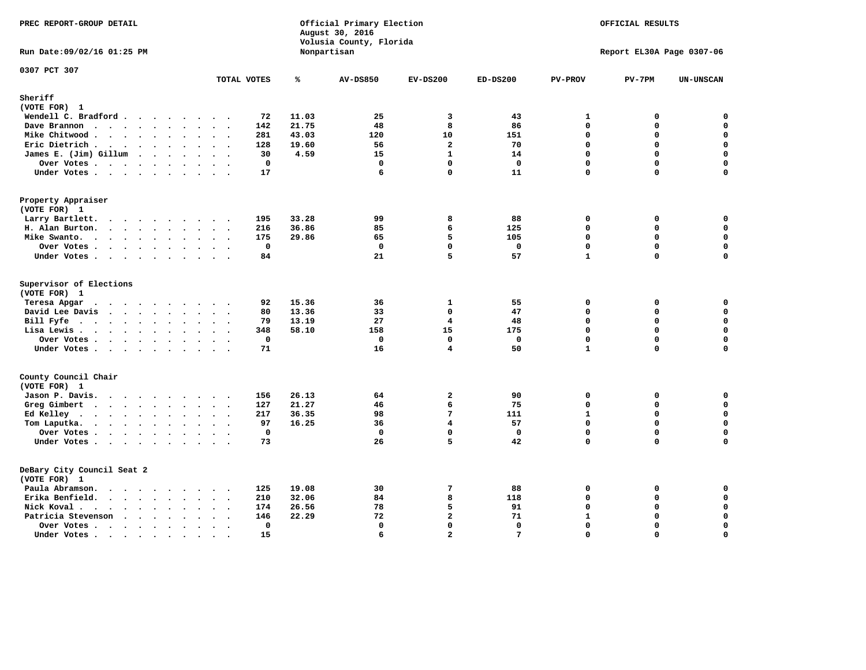| PREC REPORT-GROUP DETAIL                   |                                                             |       | Official Primary Election<br>August 30, 2016<br>Volusia County, Florida |                         |              |                | OFFICIAL RESULTS          |                  |
|--------------------------------------------|-------------------------------------------------------------|-------|-------------------------------------------------------------------------|-------------------------|--------------|----------------|---------------------------|------------------|
| Run Date: 09/02/16 01:25 PM                |                                                             |       | Nonpartisan                                                             |                         |              |                | Report EL30A Page 0307-06 |                  |
| 0307 PCT 307                               | TOTAL VOTES                                                 | ℁     | <b>AV-DS850</b>                                                         | $EV-DS200$              | $ED-DS200$   | <b>PV-PROV</b> | $PV-7PM$                  | <b>UN-UNSCAN</b> |
| Sheriff                                    |                                                             |       |                                                                         |                         |              |                |                           |                  |
| (VOTE FOR) 1                               |                                                             |       |                                                                         |                         |              |                |                           |                  |
| Wendell C. Bradford                        | 72                                                          | 11.03 | 25                                                                      | 3                       | 43           | 1              | 0                         | $\mathbf 0$      |
| Dave Brannon                               | 142                                                         | 21.75 | 48                                                                      | 8                       | 86           | $\mathbf 0$    | 0                         | $\pmb{0}$        |
| Mike Chitwood                              | 281                                                         | 43.03 | 120                                                                     | 10                      | 151          | $\Omega$       | 0                         | $\mathsf{o}\,$   |
| Eric Dietrich.                             | 128                                                         | 19.60 | 56                                                                      | $\overline{a}$          | 70           | $\Omega$       | $\mathbf 0$               | $\mathbf 0$      |
| James E. (Jim) Gillum                      | 30                                                          | 4.59  | 15                                                                      | $\mathbf{1}$            | 14           | $\Omega$       | 0                         | $\mathbf 0$      |
| Over Votes                                 | 0                                                           |       | $\Omega$                                                                | $\mathbf{0}$            | 0            | 0              | 0                         | $\mathbf 0$      |
| Under Votes                                | 17                                                          |       | 6                                                                       | $\mathbf 0$             | 11           | $\mathbf{0}$   | $\mathbf 0$               | 0                |
| Property Appraiser<br>(VOTE FOR) 1         |                                                             |       |                                                                         |                         |              |                |                           |                  |
| Larry Bartlett.                            | 195<br>$\sim$ $\sim$                                        | 33.28 | 99                                                                      | 8                       | 88           | $\mathbf 0$    | 0                         | 0                |
| H. Alan Burton.                            | 216                                                         | 36.86 | 85                                                                      | 6                       | 125          | $\mathbf 0$    | 0                         | $\mathbf 0$      |
| Mike Swanto.                               | 175                                                         | 29.86 | 65                                                                      | 5                       | 105          | $\mathbf{0}$   | 0                         | $\mathbf 0$      |
| Over Votes                                 | $\mathbf 0$                                                 |       | $\mathbf 0$                                                             | $\mathbf 0$             | $\mathbf 0$  | $\Omega$       | $\mathbf 0$               | $\mathbf 0$      |
| Under Votes                                | 84                                                          |       | 21                                                                      | 5                       | 57           | $\mathbf{1}$   | $\mathbf 0$               | 0                |
|                                            |                                                             |       |                                                                         |                         |              |                |                           |                  |
| Supervisor of Elections<br>(VOTE FOR) 1    |                                                             |       |                                                                         |                         |              |                |                           |                  |
| Teresa Apgar<br>$\cdots$<br>$\sim$         | 92<br>$\sim$                                                | 15.36 | 36                                                                      | $\mathbf{1}$            | 55           | $\mathbf 0$    | 0                         | 0                |
| David Lee Davis                            | 80                                                          | 13.36 | 33                                                                      | $\mathbf 0$             | 47           | $\mathbf 0$    | 0                         | $\mathbf 0$      |
| Bill Fyfe                                  | 79                                                          | 13.19 | 27                                                                      | 4                       | 48           | $\mathbf{0}$   | 0                         | $\mathbf 0$      |
| Lisa Lewis                                 | 348                                                         | 58.10 | 158                                                                     | 15                      | 175          | $\mathbf 0$    | 0                         | $\mathbf 0$      |
| Over Votes                                 | $\mathbf 0$                                                 |       | $\mathbf 0$                                                             | $\mathbf{0}$            | $\mathbf{0}$ | $\mathbf 0$    | $\mathbf 0$               | $\mathbf 0$      |
| Under Votes                                | 71                                                          |       | 16                                                                      | 4                       | 50           | $\mathbf{1}$   | $\Omega$                  | $\mathbf 0$      |
| County Council Chair<br>(VOTE FOR) 1       |                                                             |       |                                                                         |                         |              |                |                           |                  |
| Jason P. Davis.                            | 156                                                         | 26.13 | 64                                                                      | $\overline{a}$          | 90           | 0              | 0                         | $\mathbf 0$      |
| Greg Gimbert                               | 127                                                         | 21.27 | 46                                                                      | 6                       | 75           | $\Omega$       | $\Omega$                  | 0                |
| Ed Kelley                                  | 217                                                         | 36.35 | 98                                                                      | 7                       | 111          | $\mathbf{1}$   | 0                         | $\mathbf 0$      |
| Tom Laputka.                               | 97                                                          | 16.25 | 36                                                                      | $\overline{\mathbf{4}}$ | 57           | $\Omega$       | $\mathbf 0$               | $\mathbf 0$      |
| Over Votes                                 | $\mathbf 0$                                                 |       | $\mathbf 0$                                                             | $\Omega$                | $\mathbf 0$  | $\Omega$       | 0                         | $\mathbf 0$      |
| Under Votes                                | 73                                                          |       | 26                                                                      | 5                       | 42           | $\mathbf{0}$   | $\Omega$                  | $\Omega$         |
|                                            |                                                             |       |                                                                         |                         |              |                |                           |                  |
| DeBary City Council Seat 2<br>(VOTE FOR) 1 |                                                             |       |                                                                         |                         |              |                |                           |                  |
| Paula Abramson.                            | 125                                                         | 19.08 | 30                                                                      | 7                       | 88           | 0              | 0                         | 0                |
| Erika Benfield.                            | 210                                                         | 32.06 | 84                                                                      | 8                       | 118          | $\mathbf 0$    | 0                         | $\mathbf 0$      |
| Nick Koval.                                | 174                                                         | 26.56 | 78                                                                      | 5                       | 91           | $\mathbf 0$    | 0                         | $\mathbf 0$      |
| Patricia Stevenson                         | 146                                                         | 22.29 | 72                                                                      | $\overline{a}$          | 71           | $\mathbf{1}$   | 0                         | $\mathbf 0$      |
| Over Votes<br>$\bullet$                    | $\mathbf 0$<br>$\cdot$<br>$\bullet$<br>$\ddot{\phantom{a}}$ |       | $\mathbf 0$                                                             | $\Omega$                | $\mathbf 0$  | $\Omega$       | 0                         | $\mathbf 0$      |
| Under Votes.<br>.                          | 15<br>$\bullet$<br>$\bullet$                                |       | 6                                                                       | $\mathbf{z}$            | 7            | $\Omega$       | $\Omega$                  | $\mathbf{o}$     |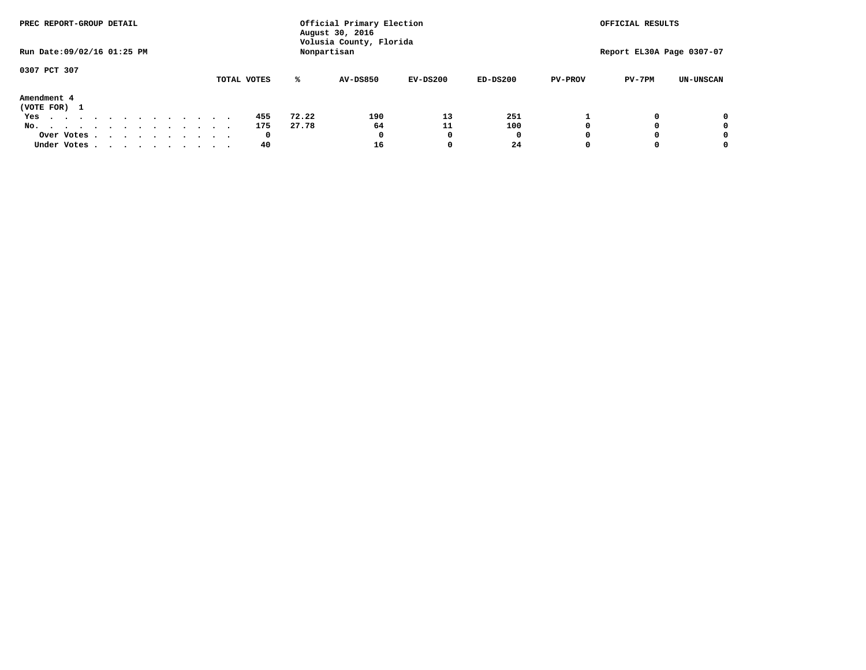| PREC REPORT-GROUP DETAIL                                                                   |  |  |  |  |  | Official Primary Election<br>August 30, 2016 |       |                                        | OFFICIAL RESULTS |            |                |                           |                  |
|--------------------------------------------------------------------------------------------|--|--|--|--|--|----------------------------------------------|-------|----------------------------------------|------------------|------------|----------------|---------------------------|------------------|
| Run Date: 09/02/16 01:25 PM                                                                |  |  |  |  |  |                                              |       | Volusia County, Florida<br>Nonpartisan |                  |            |                | Report EL30A Page 0307-07 |                  |
| 0307 PCT 307                                                                               |  |  |  |  |  | TOTAL VOTES                                  | ℁     | <b>AV-DS850</b>                        | $EV-DS200$       | $ED-DS200$ | <b>PV-PROV</b> | $PV-7PM$                  | <b>UN-UNSCAN</b> |
| Amendment 4<br>(VOTE FOR) 1                                                                |  |  |  |  |  |                                              |       |                                        |                  |            |                |                           |                  |
| Yes                                                                                        |  |  |  |  |  | 455                                          | 72.22 | 190                                    | 13               | 251        |                |                           | 0                |
| No.<br>.                                                                                   |  |  |  |  |  | 175                                          | 27.78 | 64                                     | 11               | 100        |                |                           | 0                |
| Over Votes                                                                                 |  |  |  |  |  | $\mathbf{o}$                                 |       | 0                                      | n                | 0          |                |                           | 0                |
| Under Votes, $\cdot$ , $\cdot$ , $\cdot$ , $\cdot$ , $\cdot$ , $\cdot$ , $\cdot$ , $\cdot$ |  |  |  |  |  | 40                                           |       | 16                                     | o                | 24         |                |                           | 0                |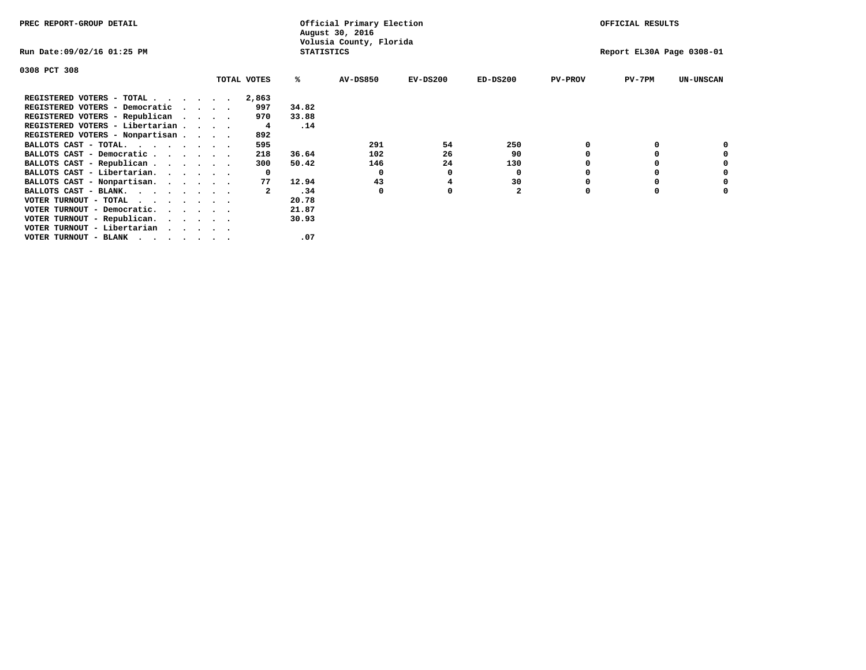| PREC REPORT-GROUP DETAIL                                                                                                                                                                                                                               |          |             |                   | Official Primary Election<br>August 30, 2016 |            |              |                | OFFICIAL RESULTS          |                  |
|--------------------------------------------------------------------------------------------------------------------------------------------------------------------------------------------------------------------------------------------------------|----------|-------------|-------------------|----------------------------------------------|------------|--------------|----------------|---------------------------|------------------|
| Run Date:09/02/16 01:25 PM                                                                                                                                                                                                                             |          |             | <b>STATISTICS</b> | Volusia County, Florida                      |            |              |                | Report EL30A Page 0308-01 |                  |
| 0308 PCT 308                                                                                                                                                                                                                                           |          |             |                   |                                              |            |              |                |                           |                  |
|                                                                                                                                                                                                                                                        |          | TOTAL VOTES | %ะ                | <b>AV-DS850</b>                              | $EV-DS200$ | $ED-DS200$   | <b>PV-PROV</b> | $PV-7PM$                  | <b>UN-UNSCAN</b> |
| REGISTERED VOTERS - TOTAL                                                                                                                                                                                                                              |          | 2,863       |                   |                                              |            |              |                |                           |                  |
| REGISTERED VOTERS - Democratic                                                                                                                                                                                                                         | $\cdots$ | 997         | 34.82             |                                              |            |              |                |                           |                  |
| REGISTERED VOTERS - Republican                                                                                                                                                                                                                         |          | 970         | 33.88             |                                              |            |              |                |                           |                  |
| REGISTERED VOTERS - Libertarian                                                                                                                                                                                                                        |          | 4           | .14               |                                              |            |              |                |                           |                  |
| REGISTERED VOTERS - Nonpartisan                                                                                                                                                                                                                        |          | 892         |                   |                                              |            |              |                |                           |                  |
| BALLOTS CAST - TOTAL.                                                                                                                                                                                                                                  |          | 595         |                   | 291                                          | 54         | 250          |                |                           |                  |
| BALLOTS CAST - Democratic                                                                                                                                                                                                                              |          | 218         | 36.64             | 102                                          | 26         | 90           |                |                           |                  |
| BALLOTS CAST - Republican                                                                                                                                                                                                                              |          | 300         | 50.42             | 146                                          | 24         | 130          |                |                           |                  |
| BALLOTS CAST - Libertarian.                                                                                                                                                                                                                            |          | $\Omega$    |                   | 0                                            |            | 0            |                |                           |                  |
| BALLOTS CAST - Nonpartisan.                                                                                                                                                                                                                            |          | 77          | 12.94             | 43                                           |            | 30           |                |                           | 0                |
| BALLOTS CAST - BLANK.                                                                                                                                                                                                                                  |          | 2           | .34               | 0                                            | O          | $\mathbf{2}$ | O              | 0                         |                  |
| VOTER TURNOUT - TOTAL<br>the contract of the contract of the contract of the contract of the contract of the contract of the contract of                                                                                                               |          |             | 20.78             |                                              |            |              |                |                           |                  |
| VOTER TURNOUT - Democratic.                                                                                                                                                                                                                            |          |             | 21.87             |                                              |            |              |                |                           |                  |
| VOTER TURNOUT - Republican.                                                                                                                                                                                                                            |          |             | 30.93             |                                              |            |              |                |                           |                  |
| VOTER TURNOUT - Libertarian                                                                                                                                                                                                                            |          |             |                   |                                              |            |              |                |                           |                  |
| VOTER TURNOUT - BLANK<br>. As in the contract of the contract of the contract of the contract of the contract of the contract of the contract of the contract of the contract of the contract of the contract of the contract of the contract of the c |          |             | .07               |                                              |            |              |                |                           |                  |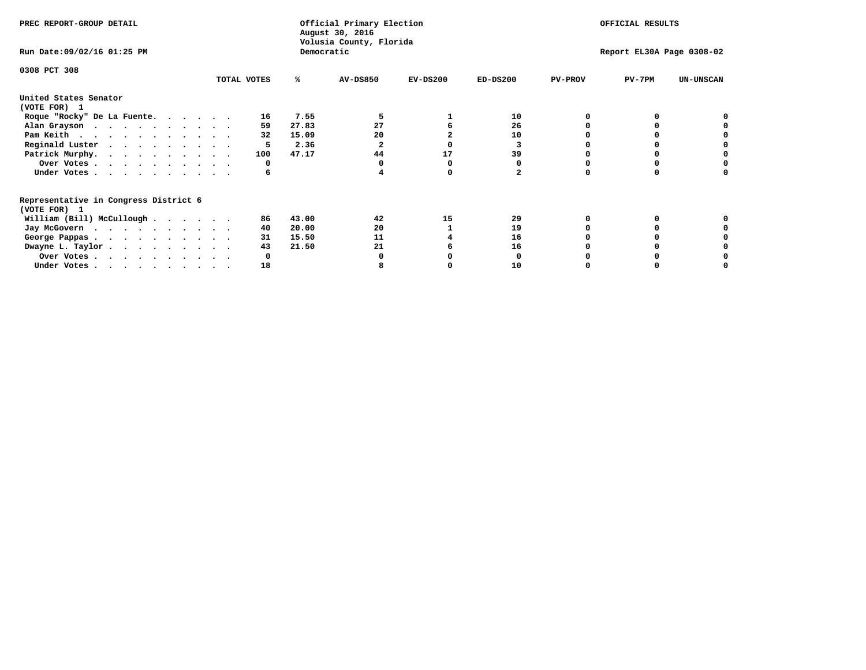| PREC REPORT-GROUP DETAIL                                               |             |            | Official Primary Election<br>August 30, 2016<br>Volusia County, Florida |            | OFFICIAL RESULTS |                |                           |                  |
|------------------------------------------------------------------------|-------------|------------|-------------------------------------------------------------------------|------------|------------------|----------------|---------------------------|------------------|
| Run Date: 09/02/16 01:25 PM                                            |             | Democratic |                                                                         |            |                  |                | Report EL30A Page 0308-02 |                  |
| 0308 PCT 308                                                           |             |            |                                                                         |            |                  |                |                           |                  |
|                                                                        | TOTAL VOTES | ℁          | <b>AV-DS850</b>                                                         | $EV-DS200$ | $ED-DS200$       | <b>PV-PROV</b> | $PV-7PM$                  | <b>UN-UNSCAN</b> |
| United States Senator<br>(VOTE FOR) 1                                  |             |            |                                                                         |            |                  |                |                           |                  |
| Roque "Rocky" De La Fuente.                                            | 16          | 7.55       |                                                                         |            | 10               |                |                           |                  |
| Alan Grayson                                                           | 59          | 27.83      | 27                                                                      |            | 26               |                |                           |                  |
| Pam Keith                                                              | 32          | 15.09      | 20                                                                      |            | 10               |                |                           |                  |
| Reginald Luster                                                        | 5           | 2.36       |                                                                         |            | 3                |                |                           |                  |
| Patrick Murphy.                                                        | 100         | 47.17      | 44                                                                      | 17         | 39               |                |                           |                  |
| Over Votes                                                             | 0           |            |                                                                         |            |                  |                |                           |                  |
| Under Votes.                                                           | 6           |            |                                                                         |            |                  |                |                           |                  |
| Representative in Congress District 6                                  |             |            |                                                                         |            |                  |                |                           |                  |
| (VOTE FOR) 1                                                           | 86          | 43.00      | 42                                                                      | 15         | 29               |                |                           |                  |
| William (Bill) McCullough                                              |             |            |                                                                         |            |                  |                |                           |                  |
| Jay McGovern                                                           | 40          | 20.00      | 20                                                                      |            | 19               |                |                           |                  |
| George Pappas.                                                         | 31          | 15.50      | 11                                                                      |            | 16               |                |                           |                  |
| Dwayne L. Taylor.                                                      | 43          | 21.50      | 21                                                                      |            | 16               |                |                           |                  |
| Over Votes                                                             |             |            |                                                                         |            |                  |                |                           |                  |
| Under Votes, $\cdot$ , $\cdot$ , $\cdot$ , $\cdot$ , $\cdot$ , $\cdot$ | 18          |            |                                                                         |            | 10               |                |                           |                  |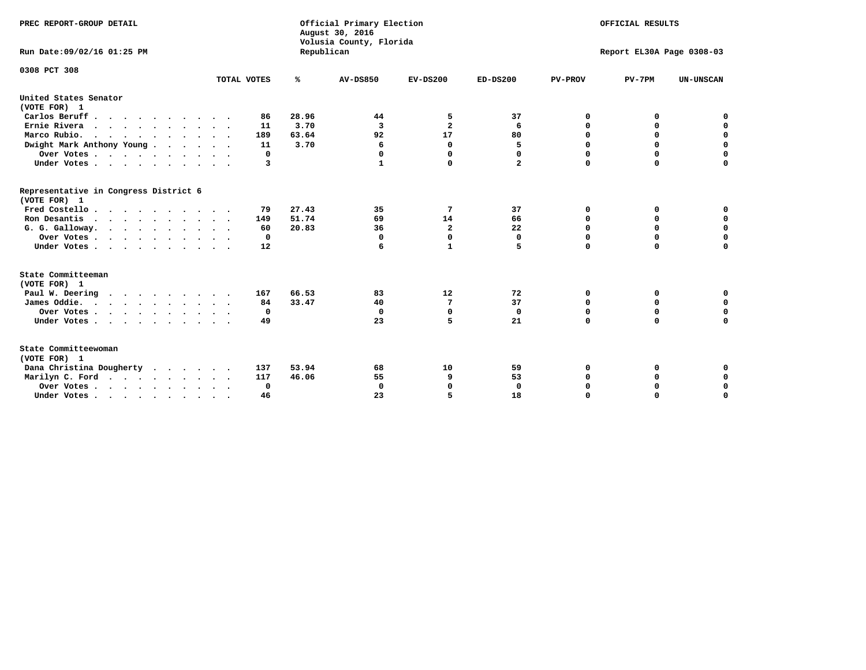| PREC REPORT-GROUP DETAIL<br>Run Date: 09/02/16 01:25 PM |             | Republican | Official Primary Election<br>August 30, 2016<br>Volusia County, Florida |                |              |                | OFFICIAL RESULTS<br>Report EL30A Page 0308-03 |                  |
|---------------------------------------------------------|-------------|------------|-------------------------------------------------------------------------|----------------|--------------|----------------|-----------------------------------------------|------------------|
|                                                         |             |            |                                                                         |                |              |                |                                               |                  |
| 0308 PCT 308                                            | TOTAL VOTES | ℁          | <b>AV-DS850</b>                                                         | $EV-DS200$     | $ED-DS200$   | <b>PV-PROV</b> | $PV-7PM$                                      | <b>UN-UNSCAN</b> |
| United States Senator                                   |             |            |                                                                         |                |              |                |                                               |                  |
| (VOTE FOR) 1                                            |             |            |                                                                         |                |              |                |                                               |                  |
| Carlos Beruff                                           | 86          | 28.96      | 44                                                                      | 5              | 37           | 0              | 0                                             | 0                |
| Ernie Rivera                                            | 11          | 3.70       | 3                                                                       | $\overline{2}$ | 6            | $\Omega$       | 0                                             | $\mathbf 0$      |
| Marco Rubio.                                            | 189         | 63.64      | 92                                                                      | 17             | 80           | $\mathbf 0$    | $\mathbf 0$                                   | $\mathbf 0$      |
| Dwight Mark Anthony Young                               | 11          | 3.70       | 6                                                                       | 0              | 5            | 0              | $\mathbf 0$                                   | $\pmb{0}$        |
| Over Votes                                              | 0           |            | 0                                                                       | $\Omega$       | 0            | 0              | 0                                             | 0                |
| Under Votes                                             | 3           |            |                                                                         | 0              | $\mathbf{2}$ | $\Omega$       | $\Omega$                                      | $\mathbf 0$      |
| Representative in Congress District 6<br>(VOTE FOR) 1   |             |            |                                                                         |                |              |                |                                               |                  |
| Fred Costello.                                          | 79          | 27.43      | 35                                                                      | 7              | 37           | 0              | 0                                             | 0                |
| Ron Desantis                                            | 149         | 51.74      | 69                                                                      | 14             | 66           | 0              | 0                                             | $\mathbf 0$      |
| G. G. Galloway.                                         | 60          | 20.83      | 36                                                                      | $\overline{a}$ | 22           | $\mathbf 0$    | $\Omega$                                      | $\mathbf 0$      |
| Over Votes                                              | $^{\circ}$  |            | $\mathbf{0}$                                                            | $\mathbf 0$    | $\mathbf{0}$ | $\mathbf 0$    | $\mathbf 0$                                   | $\mathbf 0$      |
| Under Votes                                             | 12          |            | 6                                                                       | 1              | 5            | $\mathbf 0$    | $\Omega$                                      | $\mathbf 0$      |
| State Committeeman                                      |             |            |                                                                         |                |              |                |                                               |                  |
| (VOTE FOR) 1                                            |             |            |                                                                         |                |              |                |                                               |                  |
| Paul W. Deering<br>$\cdots$                             | 167         | 66.53      | 83                                                                      | 12             | 72           | 0              | 0                                             | 0                |
| James Oddie.                                            | 84          | 33.47      | 40                                                                      | 7              | 37           | 0              | 0                                             | $\mathbf 0$      |
| Over Votes                                              | 0           |            | $\mathbf 0$                                                             | $\mathbf 0$    | $\mathbf 0$  | 0              | $\mathbf 0$                                   | $\mathbf 0$      |
| Under Votes                                             | 49          |            | 23                                                                      | 5              | 21           | $\Omega$       | 0                                             | $\mathbf 0$      |
| State Committeewoman<br>(VOTE FOR) 1                    |             |            |                                                                         |                |              |                |                                               |                  |
| Dana Christina Dougherty                                | 137         | 53.94      | 68                                                                      | 10             | 59           | 0              | 0                                             | 0                |
| Marilyn C. Ford                                         | 117         | 46.06      | 55                                                                      | 9              | 53           | 0              | 0                                             | 0                |
| Over Votes                                              | $\Omega$    |            | $\Omega$                                                                | $\Omega$       | 0            | 0              | 0                                             | $\mathbf 0$      |
| Under Votes, , , , , , , , , ,                          | 46          |            | 23                                                                      | 5              | 18           | $\Omega$       | $\Omega$                                      | $\Omega$         |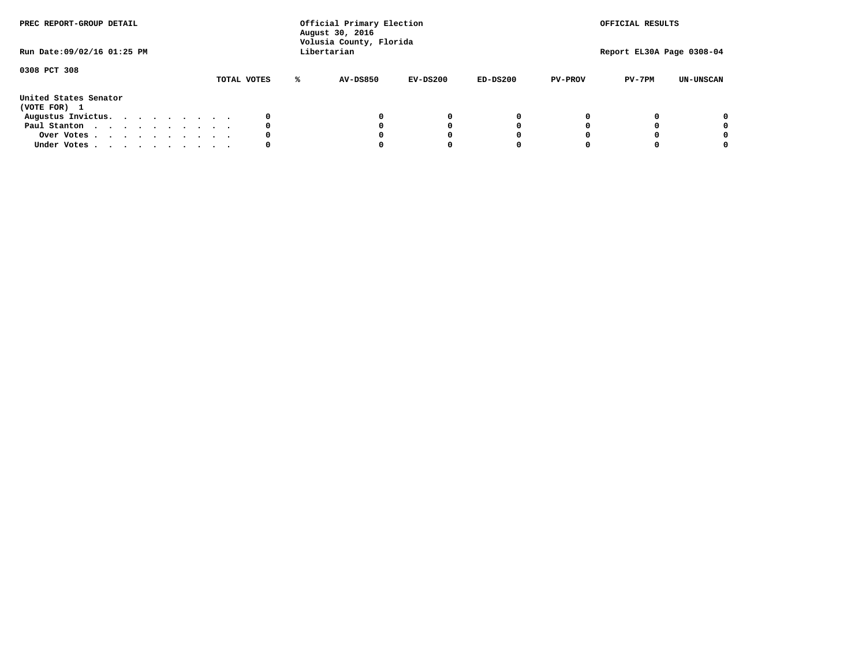| PREC REPORT-GROUP DETAIL<br>Run Date: 09/02/16 01:25 PM |  |  |  |  |  |  | Official Primary Election<br>August 30, 2016<br>Volusia County, Florida<br>Libertarian |   |                 |            | OFFICIAL RESULTS<br>Report EL30A Page 0308-04 |                |          |                  |
|---------------------------------------------------------|--|--|--|--|--|--|----------------------------------------------------------------------------------------|---|-----------------|------------|-----------------------------------------------|----------------|----------|------------------|
| 0308 PCT 308                                            |  |  |  |  |  |  | TOTAL VOTES                                                                            | ℁ | <b>AV-DS850</b> | $EV-DS200$ | $ED-DS200$                                    | <b>PV-PROV</b> | $PV-7PM$ | <b>UN-UNSCAN</b> |
| United States Senator<br>(VOTE FOR) 1                   |  |  |  |  |  |  |                                                                                        |   |                 |            |                                               |                |          |                  |
| Augustus Invictus.                                      |  |  |  |  |  |  | 0                                                                                      |   |                 | 0          | 0                                             |                |          | 0                |
| Paul Stanton                                            |  |  |  |  |  |  | 0                                                                                      |   |                 |            | 0                                             |                |          | 0                |
| Over Votes                                              |  |  |  |  |  |  | 0                                                                                      |   |                 |            | 0                                             |                |          | 0                |
| Under Votes                                             |  |  |  |  |  |  | 0                                                                                      |   |                 |            |                                               |                |          | 0                |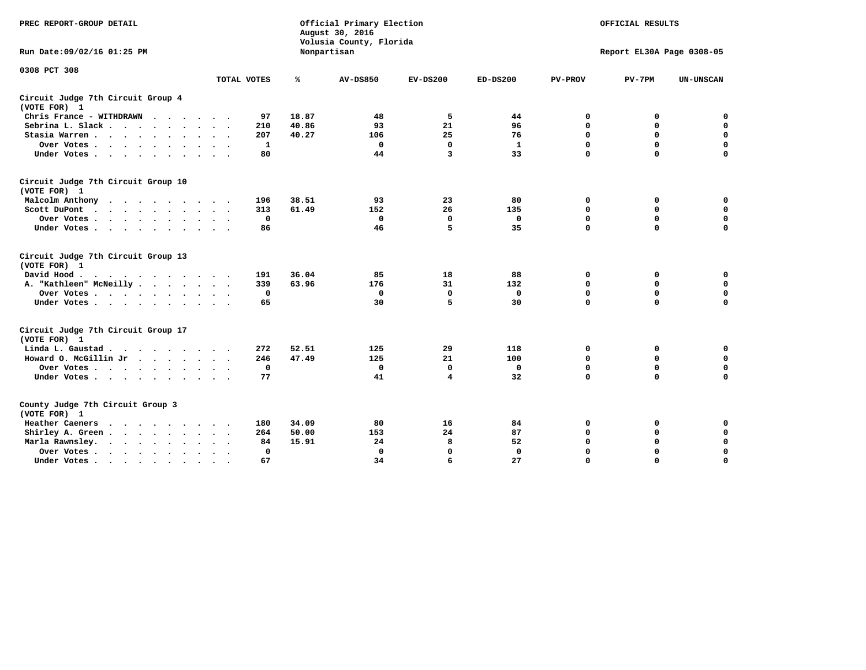| PREC REPORT-GROUP DETAIL                                                                                                           |             |              | Official Primary Election<br>August 30, 2016<br>Volusia County, Florida |             |              |                | OFFICIAL RESULTS          |                  |
|------------------------------------------------------------------------------------------------------------------------------------|-------------|--------------|-------------------------------------------------------------------------|-------------|--------------|----------------|---------------------------|------------------|
| Run Date: 09/02/16 01:25 PM                                                                                                        |             |              | Nonpartisan                                                             |             |              |                | Report EL30A Page 0308-05 |                  |
| 0308 PCT 308                                                                                                                       |             |              |                                                                         |             |              |                |                           |                  |
|                                                                                                                                    | TOTAL VOTES | ℁            | <b>AV-DS850</b>                                                         | $EV-DS200$  | $ED-DS200$   | <b>PV-PROV</b> | $PV-7PM$                  | <b>UN-UNSCAN</b> |
| Circuit Judge 7th Circuit Group 4<br>(VOTE FOR) 1                                                                                  |             |              |                                                                         |             |              |                |                           |                  |
| Chris France - WITHDRAWN<br>.                                                                                                      |             | 18.87<br>97  | 48                                                                      | 5           | 44           | 0              | 0                         | 0                |
| Sebrina L. Slack                                                                                                                   |             | 40.86<br>210 | 93                                                                      | 21          | 96           | $\Omega$       | $\mathbf 0$               | $\mathbf 0$      |
| Stasia Warren                                                                                                                      |             | 40.27<br>207 | 106                                                                     | 25          | 76           | $\mathbf 0$    | $\Omega$                  | $\mathbf 0$      |
| Over Votes                                                                                                                         |             | 1            | $\mathbf{0}$                                                            | $\mathbf 0$ | $\mathbf{1}$ | $\mathbf 0$    | $\mathbf 0$               | $\mathbf 0$      |
| Under Votes                                                                                                                        |             | 80           | 44                                                                      | 3           | 33           | $\mathbf 0$    | $\Omega$                  | $\mathbf 0$      |
| Circuit Judge 7th Circuit Group 10<br>(VOTE FOR) 1                                                                                 |             |              |                                                                         |             |              |                |                           |                  |
| Malcolm Anthony                                                                                                                    |             | 38.51<br>196 | 93                                                                      | 23          | 80           | 0              | 0                         | $\mathbf 0$      |
| Scott DuPont                                                                                                                       |             | 61.49<br>313 | 152                                                                     | 26          | 135          | $\mathbf 0$    | $\mathbf 0$               | $\mathbf 0$      |
| Over Votes<br>$\cdot$                                                                                                              |             | 0            | $\mathbf 0$                                                             | $\mathbf 0$ | 0            | 0              | $\mathbf 0$               | $\mathbf 0$      |
| Under Votes                                                                                                                        |             | 86           | 46                                                                      | 5           | 35           | $\mathbf 0$    | $\Omega$                  | 0                |
| Circuit Judge 7th Circuit Group 13<br>(VOTE FOR) 1                                                                                 |             |              |                                                                         |             |              |                |                           |                  |
| David Hood.                                                                                                                        |             | 36.04<br>191 | 85                                                                      | 18          | 88           | $\mathbf 0$    | 0                         | $\mathbf 0$      |
| A. "Kathleen" McNeilly                                                                                                             |             | 63.96<br>339 | 176                                                                     | 31          | 132          | $\Omega$       | $\Omega$                  | $\mathbf 0$      |
| Over Votes                                                                                                                         |             | $\mathbf 0$  | $\mathbf{0}$                                                            | $\mathbf 0$ | $\mathbf 0$  | 0              | $\mathbf 0$               | $\mathbf 0$      |
| Under Votes                                                                                                                        |             | 65           | 30                                                                      | 5           | 30           | $\mathbf 0$    | $\Omega$                  | 0                |
| Circuit Judge 7th Circuit Group 17<br>(VOTE FOR) 1                                                                                 |             |              |                                                                         |             |              |                |                           |                  |
| Linda L. Gaustad                                                                                                                   |             | 52.51<br>272 | 125                                                                     | 29          | 118          | 0              | 0                         | $\mathbf 0$      |
| Howard O. McGillin Jr                                                                                                              |             | 47.49<br>246 | 125                                                                     | 21          | 100          | 0              | 0                         | $\mathbf 0$      |
| Over Votes                                                                                                                         |             | $\mathbf 0$  | $\Omega$                                                                | 0           | 0            | $\mathbf 0$    | $\mathbf 0$               | 0                |
| Under Votes                                                                                                                        |             | 77           | 41                                                                      | 4           | 32           | $\mathbf 0$    | $\mathbf 0$               | $\mathbf 0$      |
| County Judge 7th Circuit Group 3<br>(VOTE FOR) 1                                                                                   |             |              |                                                                         |             |              |                |                           |                  |
| Heather Caeners<br>the contract of the contract of the contract of the contract of the contract of the contract of the contract of |             | 180<br>34.09 | 80                                                                      | 16          | 84           | 0              | 0                         | 0                |
| Shirley A. Green                                                                                                                   |             | 264<br>50.00 | 153                                                                     | 24          | 87           | $\mathbf 0$    | $\Omega$                  | $\mathbf 0$      |
| Marla Rawnsley.<br>$\cdot$ $\cdot$ $\cdot$ $\cdot$ $\cdot$                                                                         |             | 15.91<br>84  | 24                                                                      | 8           | 52           | 0              | $\mathbf 0$               | $\pmb{0}$        |
| Over Votes.<br>$\cdot$<br>$\ddot{\phantom{a}}$<br>$\ddot{\phantom{a}}$                                                             |             | 0            | $\Omega$                                                                | $\mathbf 0$ | $\mathbf{0}$ | $\mathbf 0$    | $\mathbf 0$               | $\mathbf 0$      |
| Under Votes<br>$\sim$                                                                                                              |             | 67           | 34                                                                      | 6           | 27           | $\mathbf 0$    | $\mathbf 0$               | 0                |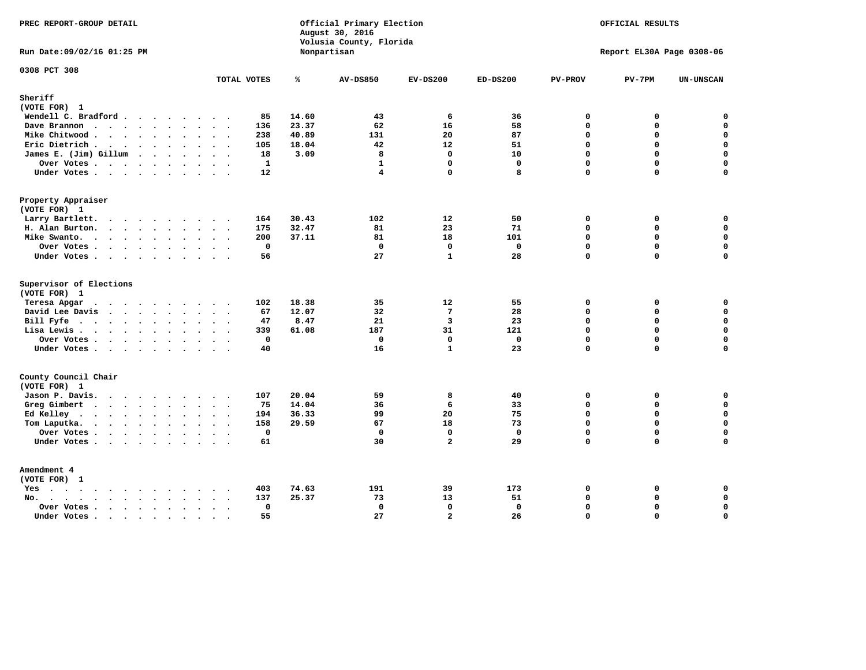| PREC REPORT-GROUP DETAIL                                                                                                                                                                                                                          |                            |       | Official Primary Election<br>August 30, 2016<br>Volusia County, Florida | OFFICIAL RESULTS<br>Report EL30A Page 0308-06 |                   |                         |               |                            |
|---------------------------------------------------------------------------------------------------------------------------------------------------------------------------------------------------------------------------------------------------|----------------------------|-------|-------------------------------------------------------------------------|-----------------------------------------------|-------------------|-------------------------|---------------|----------------------------|
| Run Date: 09/02/16 01:25 PM                                                                                                                                                                                                                       |                            |       | Nonpartisan                                                             |                                               |                   |                         |               |                            |
| 0308 PCT 308                                                                                                                                                                                                                                      | TOTAL VOTES                | ℁     | <b>AV-DS850</b>                                                         | $EV-DS200$                                    | $ED-DS200$        | <b>PV-PROV</b>          | $PV-7PM$      | <b>UN-UNSCAN</b>           |
| Sheriff<br>(VOTE FOR) 1                                                                                                                                                                                                                           |                            |       |                                                                         |                                               |                   |                         |               |                            |
| Wendell C. Bradford                                                                                                                                                                                                                               | 85                         | 14.60 | 43                                                                      | -6                                            | 36                | 0                       | 0             | $\mathbf 0$                |
| Dave Brannon                                                                                                                                                                                                                                      | 136                        | 23.37 | 62                                                                      | 16                                            | 58                | $\mathbf 0$             | 0             | $\mathbf 0$                |
| Mike Chitwood                                                                                                                                                                                                                                     | 238                        | 40.89 | 131                                                                     | 20                                            | 87                | $\Omega$                | 0             | 0                          |
| Eric Dietrich.                                                                                                                                                                                                                                    | 105                        | 18.04 | 42                                                                      | 12                                            | 51                | $\Omega$                | 0             | $\mathbf 0$                |
| James E. (Jim) Gillum                                                                                                                                                                                                                             | 18                         | 3.09  | 8                                                                       | $\Omega$                                      | 10                | $\Omega$                | $\Omega$      | 0                          |
| Over Votes                                                                                                                                                                                                                                        | $\mathbf{1}$               |       | $\mathbf{1}$                                                            | $\mathbf{0}$                                  | $\mathbf 0$       | $\Omega$                | 0             | $\mathbf 0$                |
| Under Votes                                                                                                                                                                                                                                       | 12                         |       | 4                                                                       | 0                                             | 8                 | $\mathbf 0$             | 0             | $\Omega$                   |
| Property Appraiser                                                                                                                                                                                                                                |                            |       |                                                                         |                                               |                   |                         |               |                            |
| (VOTE FOR) 1                                                                                                                                                                                                                                      |                            |       |                                                                         |                                               |                   |                         |               |                            |
| Larry Bartlett.                                                                                                                                                                                                                                   | 164                        | 30.43 | 102                                                                     | 12                                            | 50                | $\mathbf 0$             | 0             | 0                          |
| H. Alan Burton.                                                                                                                                                                                                                                   | 175                        | 32.47 | 81                                                                      | 23                                            | 71                | $\mathbf{0}$            | 0             | $\mathbf 0$                |
| Mike Swanto.                                                                                                                                                                                                                                      | 200                        | 37.11 | 81                                                                      | 18                                            | 101               | $\Omega$                | $\Omega$      | 0                          |
| Over Votes                                                                                                                                                                                                                                        | $\mathbf 0$                |       | $\mathbf 0$                                                             | $\mathbf 0$                                   | $\mathbf 0$       | $\mathbf 0$             | 0             | 0                          |
| Under Votes                                                                                                                                                                                                                                       | 56                         |       | 27                                                                      | $\mathbf{1}$                                  | 28                | $\Omega$                | $\Omega$      | $\mathbf 0$                |
| Supervisor of Elections                                                                                                                                                                                                                           |                            |       |                                                                         |                                               |                   |                         |               |                            |
| (VOTE FOR) 1                                                                                                                                                                                                                                      |                            |       |                                                                         |                                               |                   |                         |               |                            |
| Teresa Apgar<br>$\cdots$                                                                                                                                                                                                                          | 102                        | 18.38 | 35                                                                      | 12                                            | 55                | 0                       | 0             | $\mathbf 0$                |
| David Lee Davis                                                                                                                                                                                                                                   | 67                         | 12.07 | 32                                                                      | $7\phantom{.0}$                               | 28                | $\Omega$                | 0             | $\mathbf 0$<br>$\mathbf 0$ |
| Bill Fyfe                                                                                                                                                                                                                                         | 47                         | 8.47  | 21                                                                      | 3                                             | 23                | $\mathbf{0}$            | 0             |                            |
| Lisa Lewis                                                                                                                                                                                                                                        | 339                        | 61.08 | 187                                                                     | 31                                            | 121               | $\Omega$                | 0             | $\mathbf 0$                |
| Over Votes.                                                                                                                                                                                                                                       | $\mathbf 0$                |       | 0<br>16                                                                 | $\mathbf 0$<br>$\mathbf{1}$                   | $\mathbf 0$<br>23 | $\mathbf 0$<br>$\Omega$ | 0<br>$\Omega$ | $\mathbf 0$<br>$\mathbf 0$ |
| Under Votes                                                                                                                                                                                                                                       | 40                         |       |                                                                         |                                               |                   |                         |               |                            |
| County Council Chair<br>(VOTE FOR) 1                                                                                                                                                                                                              |                            |       |                                                                         |                                               |                   |                         |               |                            |
| Jason P. Davis.                                                                                                                                                                                                                                   | 107                        | 20.04 | 59                                                                      | 8                                             | 40                | $\mathbf 0$             | 0             | 0                          |
| Greg Gimbert<br>$\mathbf{r}$ . The contract of the contract of the contract of the contract of the contract of the contract of the contract of the contract of the contract of the contract of the contract of the contract of the contract of th | 75                         | 14.04 | 36                                                                      | 6                                             | 33                | $\Omega$                | 0             | $\mathbf 0$                |
| Ed Kelley                                                                                                                                                                                                                                         | 194                        | 36.33 | 99                                                                      | 20                                            | 75                | $\mathbf 0$             | 0             | $\mathbf 0$                |
| Tom Laputka.                                                                                                                                                                                                                                      | 158                        | 29.59 | 67                                                                      | 18                                            | 73                | $\Omega$                | $\mathbf 0$   | $\mathbf 0$                |
| Over Votes                                                                                                                                                                                                                                        | $\mathbf 0$                |       | $\mathbf 0$                                                             | $\mathbf{0}$                                  | $\mathbf{0}$      | $\mathbf 0$             | 0             | 0                          |
| Under Votes                                                                                                                                                                                                                                       | 61                         |       | 30                                                                      | $\mathbf{z}$                                  | 29                | $\Omega$                | $\Omega$      | $\Omega$                   |
| Amendment 4                                                                                                                                                                                                                                       |                            |       |                                                                         |                                               |                   |                         |               |                            |
| (VOTE FOR) 1                                                                                                                                                                                                                                      |                            |       |                                                                         |                                               |                   |                         |               |                            |
| $Yes \cdot \cdot \cdot \cdot \cdot \cdot \cdot \cdot \cdot$<br>$\bullet$ .<br><br><br><br><br>                                                                                                                                                    | 403                        | 74.63 | 191                                                                     | 39                                            | 173               | 0                       | 0             | 0                          |
| $\mathbf{r}$ , $\mathbf{r}$ , $\mathbf{r}$ , $\mathbf{r}$ , $\mathbf{r}$ , $\mathbf{r}$ , $\mathbf{r}$<br>No.<br>$\ddot{\phantom{a}}$                                                                                                             | 137                        | 25.37 | 73                                                                      | 13                                            | 51                | $\Omega$                | 0             | 0                          |
| Over Votes                                                                                                                                                                                                                                        | $\mathbf 0$<br>$\sim$      |       | $\mathbf 0$                                                             | $\mathbf{0}$                                  | $\mathbf{0}$      | $\mathbf 0$             | 0             | $\mathbf 0$                |
| Under Votes                                                                                                                                                                                                                                       | 55<br>$\ddot{\phantom{1}}$ |       | 27                                                                      | $\overline{2}$                                | 26                | $\Omega$                | $\Omega$      | $\mathbf 0$                |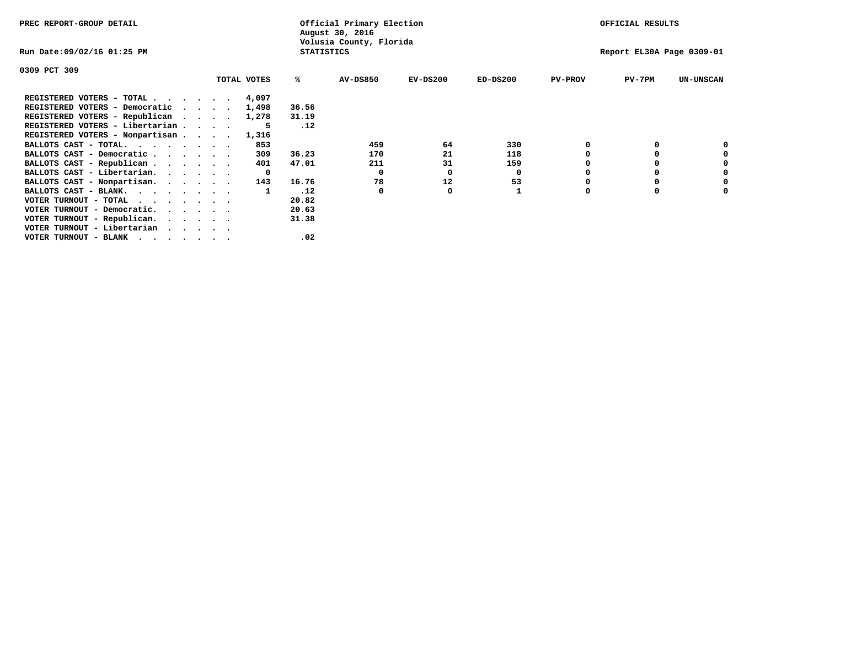| PREC REPORT-GROUP DETAIL        |         |             |                   | Official Primary Election<br>August 30, 2016 |            |            |                | OFFICIAL RESULTS          |                  |
|---------------------------------|---------|-------------|-------------------|----------------------------------------------|------------|------------|----------------|---------------------------|------------------|
| Run Date:09/02/16 01:25 PM      |         |             | <b>STATISTICS</b> | Volusia County, Florida                      |            |            |                | Report EL30A Page 0309-01 |                  |
| 0309 PCT 309                    |         |             |                   |                                              |            |            |                |                           |                  |
|                                 |         | TOTAL VOTES | ℁                 | <b>AV-DS850</b>                              | $EV-DS200$ | $ED-DS200$ | <b>PV-PROV</b> | PV-7PM                    | <b>UN-UNSCAN</b> |
| REGISTERED VOTERS - TOTAL 4,097 |         |             |                   |                                              |            |            |                |                           |                  |
| REGISTERED VOTERS - Democratic  | $\cdot$ | 1,498       | 36.56             |                                              |            |            |                |                           |                  |
| REGISTERED VOTERS - Republican  |         | 1,278       | 31.19             |                                              |            |            |                |                           |                  |
| REGISTERED VOTERS - Libertarian |         |             | .12               |                                              |            |            |                |                           |                  |
| REGISTERED VOTERS - Nonpartisan |         | 1,316       |                   |                                              |            |            |                |                           |                  |
| BALLOTS CAST - TOTAL.           |         | 853         |                   | 459                                          | 64         | 330        |                |                           |                  |
| BALLOTS CAST - Democratic       |         | 309         | 36.23             | 170                                          | 21         | 118        |                |                           |                  |
| BALLOTS CAST - Republican       |         | 401         | 47.01             | 211                                          | 31         | 159        |                |                           |                  |
| BALLOTS CAST - Libertarian.     |         | 0           |                   | 0                                            | 0          | 0          |                |                           |                  |
| BALLOTS CAST - Nonpartisan.     |         | 143         | 16.76             | 78                                           | 12         | 53         |                |                           | 0                |
| BALLOTS CAST - BLANK.           |         |             | .12               | 0                                            | O          |            | O              |                           |                  |
| VOTER TURNOUT - TOTAL           |         |             | 20.82             |                                              |            |            |                |                           |                  |
| VOTER TURNOUT - Democratic.     |         |             | 20.63             |                                              |            |            |                |                           |                  |
| VOTER TURNOUT - Republican.     |         |             | 31.38             |                                              |            |            |                |                           |                  |
| VOTER TURNOUT - Libertarian     |         |             |                   |                                              |            |            |                |                           |                  |
| VOTER TURNOUT - BLANK           |         |             | .02               |                                              |            |            |                |                           |                  |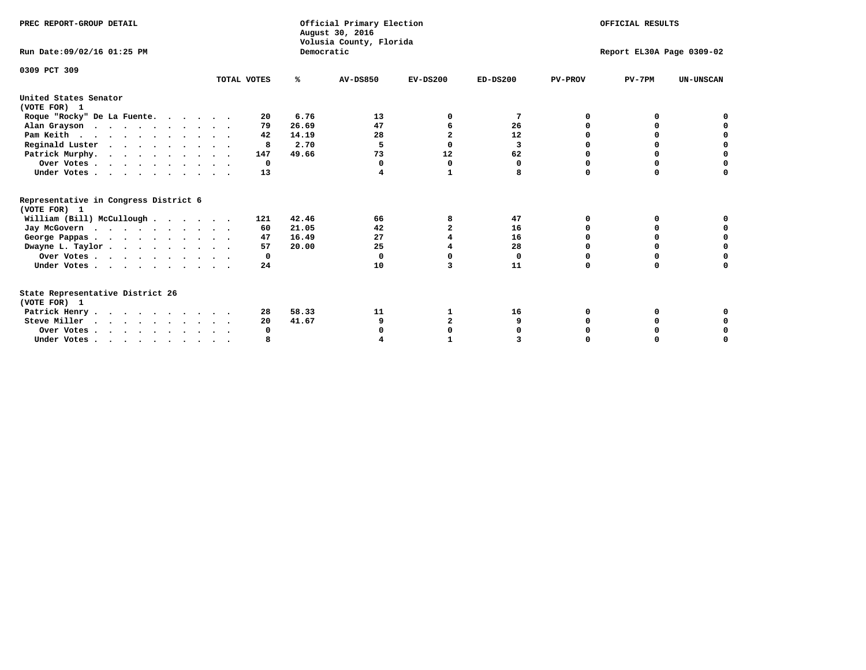| PREC REPORT-GROUP DETAIL                                                         |             |            | Official Primary Election<br>August 30, 2016<br>Volusia County, Florida |                |            |                | OFFICIAL RESULTS          |                  |
|----------------------------------------------------------------------------------|-------------|------------|-------------------------------------------------------------------------|----------------|------------|----------------|---------------------------|------------------|
| Run Date: 09/02/16 01:25 PM                                                      |             | Democratic |                                                                         |                |            |                | Report EL30A Page 0309-02 |                  |
| 0309 PCT 309                                                                     | TOTAL VOTES | %ะ         | <b>AV-DS850</b>                                                         | $EV-DS200$     | $ED-DS200$ | <b>PV-PROV</b> | $PV-7PM$                  | <b>UN-UNSCAN</b> |
| United States Senator                                                            |             |            |                                                                         |                |            |                |                           |                  |
| (VOTE FOR) 1                                                                     |             |            |                                                                         |                |            |                |                           |                  |
| Roque "Rocky" De La Fuente.                                                      | 20          | 6.76       | 13                                                                      | O              | 7          | O              | o                         |                  |
| Alan Grayson                                                                     | 79          | 26.69      | 47                                                                      |                | 26         |                |                           |                  |
| Pam Keith                                                                        | 42          | 14.19      | 28                                                                      | $\mathbf{2}$   | 12         |                | O                         |                  |
| Reginald Luster                                                                  | 8           | 2.70       | -5                                                                      | $\Omega$       | 3          |                | 0                         | O                |
| Patrick Murphy.                                                                  | 147         | 49.66      | 73                                                                      | 12             | 62         |                | 0                         | $\mathbf 0$      |
| Over Votes                                                                       | $^{\circ}$  |            | 0                                                                       | 0              | 0          | O              | 0                         | O                |
| Under Votes                                                                      | 13          |            | 4                                                                       | 1              | 8          | $\Omega$       | $\Omega$                  | U                |
| Representative in Congress District 6                                            |             |            |                                                                         |                |            |                |                           |                  |
| (VOTE FOR) 1                                                                     |             |            |                                                                         |                |            |                |                           |                  |
| William (Bill) McCullough                                                        | 121         | 42.46      | 66                                                                      | 8              | 47         | 0              | 0                         |                  |
| Jay McGovern                                                                     | 60          | 21.05      | 42                                                                      | $\overline{a}$ | 16         | n              | <sup>0</sup>              |                  |
| George Pappas.                                                                   | 47          | 16.49      | 27                                                                      |                | 16         | $\Omega$       | $\Omega$                  | 0                |
| Dwayne L. Taylor                                                                 | 57          | 20.00      | 25                                                                      |                | 28         | $\Omega$       | $\Omega$                  | $\mathbf 0$      |
| Over Votes                                                                       | 0           |            | $\Omega$                                                                | n              | 0          | O              | 0                         | 0                |
| Under Votes                                                                      | 24          |            | 10                                                                      | 3              | 11         | $\Omega$       | 0                         | O                |
| State Representative District 26                                                 |             |            |                                                                         |                |            |                |                           |                  |
| (VOTE FOR) 1                                                                     |             |            |                                                                         |                |            |                |                           |                  |
| Patrick Henry                                                                    | 28          | 58.33      | 11                                                                      | 1              | 16         | O              | 0                         |                  |
| Steve Miller                                                                     | 20          | 41.67      | 9                                                                       | $\mathbf{2}$   | 9          |                |                           | 0                |
| Over Votes                                                                       | 0           |            |                                                                         | O              |            |                | O                         | 0                |
| Under Votes, $\cdot$ , $\cdot$ , $\cdot$ , $\cdot$ , $\cdot$ , $\cdot$ , $\cdot$ |             |            |                                                                         |                |            |                |                           | U                |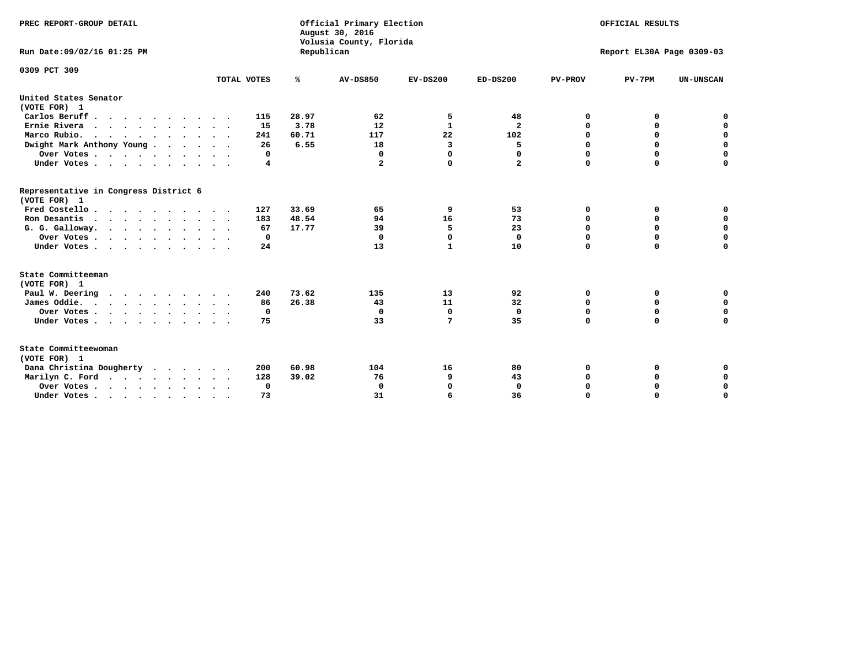| PREC REPORT-GROUP DETAIL<br>Run Date: 09/02/16 01:25 PM |             | Republican | Official Primary Election<br>August 30, 2016<br>Volusia County, Florida | OFFICIAL RESULTS<br>Report EL30A Page 0309-03 |                         |                  |                            |                  |
|---------------------------------------------------------|-------------|------------|-------------------------------------------------------------------------|-----------------------------------------------|-------------------------|------------------|----------------------------|------------------|
| 0309 PCT 309                                            | TOTAL VOTES | ℁          | <b>AV-DS850</b>                                                         | $EV-DS200$                                    | $ED-DS200$              | <b>PV-PROV</b>   | $PV-7PM$                   | <b>UN-UNSCAN</b> |
| United States Senator                                   |             |            |                                                                         |                                               |                         |                  |                            |                  |
| (VOTE FOR) 1                                            |             |            |                                                                         |                                               |                         |                  |                            |                  |
| Carlos Beruff                                           | 115         | 28.97      | 62                                                                      | 5                                             | 48                      | 0                | 0                          | 0                |
| Ernie Rivera                                            | 15          | 3.78       | 12                                                                      | $\mathbf{1}$                                  | $\overline{\mathbf{2}}$ | $\Omega$         | 0                          | $\mathbf 0$      |
| Marco Rubio.                                            | 241         | 60.71      | 117                                                                     | 22                                            | 102                     | 0                | 0                          | $\mathbf 0$      |
| Dwight Mark Anthony Young                               | 26          | 6.55       | 18                                                                      | 3                                             | 5                       | 0                | $\mathbf 0$                | $\mathbf 0$      |
| Over Votes                                              | 0           |            | $\Omega$                                                                | $\Omega$                                      | 0                       | 0                | $\mathbf 0$                | $\mathbf 0$      |
| Under Votes                                             | 4           |            | $\mathbf{2}$                                                            | $\Omega$                                      | $\mathbf{2}$            | $\Omega$         | $\Omega$                   | $\mathbf 0$      |
| Representative in Congress District 6<br>(VOTE FOR) 1   |             |            |                                                                         |                                               |                         |                  |                            |                  |
| Fred Costello                                           | 127         | 33.69      | 65                                                                      | 9                                             | 53                      | 0                | 0                          | $\mathbf 0$      |
| Ron Desantis                                            | 183         | 48.54      | 94                                                                      | 16                                            | 73                      | 0                | 0                          | $\mathbf 0$      |
| G. G. Galloway.                                         | 67          | 17.77      | 39                                                                      | 5                                             | 23                      | $\mathbf 0$      | $\mathbf 0$                | $\mathbf 0$      |
| Over Votes                                              | 0           |            | $\Omega$                                                                | $\mathbf 0$                                   | 0                       | $\mathbf 0$      | 0                          | 0                |
| Under Votes                                             | 24          |            | 13                                                                      | 1                                             | 10                      | $\mathbf 0$      | $\Omega$                   | $\mathbf 0$      |
| State Committeeman                                      |             |            |                                                                         |                                               |                         |                  |                            |                  |
| (VOTE FOR) 1                                            |             |            |                                                                         |                                               |                         |                  |                            |                  |
| Paul W. Deering<br>$\cdots$                             | 240         | 73.62      | 135                                                                     | 13                                            | 92                      | 0                | 0                          | 0                |
| James Oddie.                                            | 86          | 26.38      | 43                                                                      | 11                                            | 32                      | 0                | 0                          | $\mathbf 0$      |
| Over Votes                                              | 0<br>75     |            | 0<br>33                                                                 | 0<br>7                                        | $\mathbf 0$<br>35       | 0<br>$\mathbf 0$ | $\mathbf 0$<br>$\mathbf 0$ | $\mathbf 0$      |
| Under Votes                                             |             |            |                                                                         |                                               |                         |                  |                            | $\mathbf 0$      |
| State Committeewoman<br>(VOTE FOR) 1                    |             |            |                                                                         |                                               |                         |                  |                            |                  |
| Dana Christina Dougherty                                | 200         | 60.98      | 104                                                                     | 16                                            | 80                      | 0                | 0                          | 0                |
| Marilyn C. Ford                                         | 128         | 39.02      | 76                                                                      | 9                                             | 43                      | 0                | 0                          | 0                |
| Over Votes                                              | 0           |            | $\Omega$                                                                | 0                                             | $\mathbf{0}$            | 0                | 0                          | $\mathbf 0$      |
| Under Votes, , , , , , , , , ,                          | 73          |            | 31                                                                      | 6                                             | 36                      | $\Omega$         | $\Omega$                   | $\Omega$         |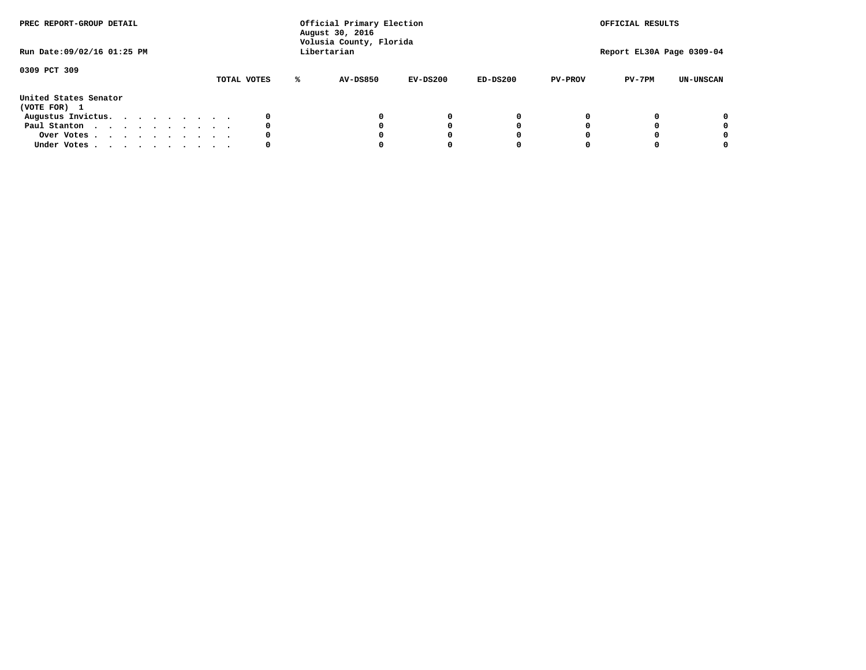| PREC REPORT-GROUP DETAIL<br>Run Date: 09/02/16 01:25 PM |  |  |  |  |  | Official Primary Election<br>August 30, 2016<br>Volusia County, Florida<br>Libertarian |             |   |                 | OFFICIAL RESULTS<br>Report EL30A Page 0309-04 |            |                |          |                  |
|---------------------------------------------------------|--|--|--|--|--|----------------------------------------------------------------------------------------|-------------|---|-----------------|-----------------------------------------------|------------|----------------|----------|------------------|
| 0309 PCT 309                                            |  |  |  |  |  |                                                                                        | TOTAL VOTES | ℁ | <b>AV-DS850</b> | $EV-DS200$                                    | $ED-DS200$ | <b>PV-PROV</b> | $PV-7PM$ | <b>UN-UNSCAN</b> |
| United States Senator<br>(VOTE FOR) 1                   |  |  |  |  |  |                                                                                        |             |   |                 |                                               |            |                |          |                  |
| Augustus Invictus.                                      |  |  |  |  |  |                                                                                        | 0           |   |                 | 0                                             | 0          |                |          | 0                |
| Paul Stanton                                            |  |  |  |  |  |                                                                                        | 0           |   |                 |                                               | 0          |                |          | 0                |
| Over Votes                                              |  |  |  |  |  |                                                                                        | 0           |   |                 |                                               | 0          |                |          | 0                |
| Under Votes                                             |  |  |  |  |  |                                                                                        | 0           |   |                 |                                               |            |                |          | 0                |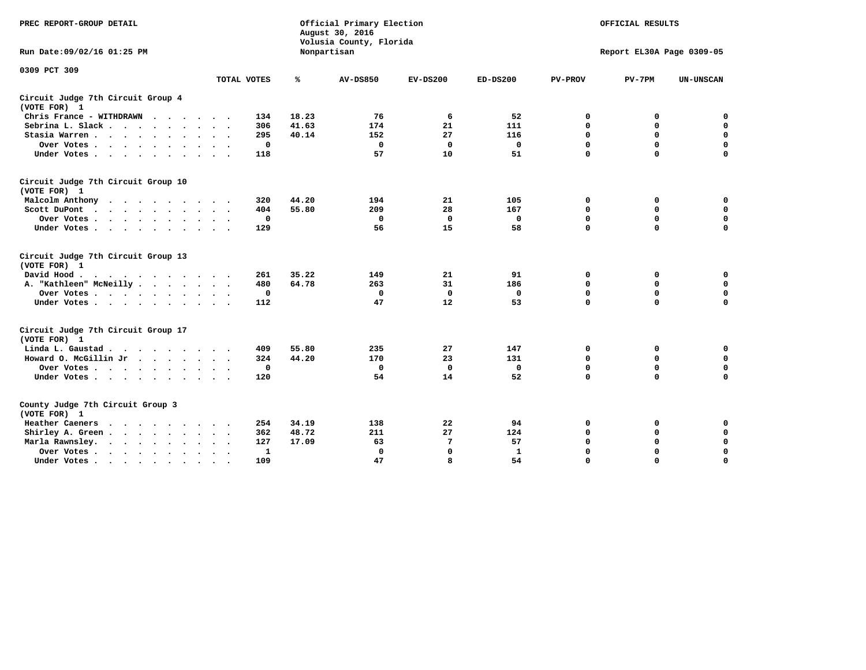| PREC REPORT-GROUP DETAIL                                                                                                                                          |             |       | Official Primary Election<br>August 30, 2016<br>Volusia County, Florida |             | OFFICIAL RESULTS<br>Report EL30A Page 0309-05 |                |             |                  |
|-------------------------------------------------------------------------------------------------------------------------------------------------------------------|-------------|-------|-------------------------------------------------------------------------|-------------|-----------------------------------------------|----------------|-------------|------------------|
| Run Date: 09/02/16 01:25 PM                                                                                                                                       |             |       | Nonpartisan                                                             |             |                                               |                |             |                  |
| 0309 PCT 309                                                                                                                                                      |             |       |                                                                         |             |                                               |                |             |                  |
|                                                                                                                                                                   | TOTAL VOTES | ℁     | <b>AV-DS850</b>                                                         | $EV-DS200$  | $ED-DS200$                                    | <b>PV-PROV</b> | $PV-7PM$    | <b>UN-UNSCAN</b> |
| Circuit Judge 7th Circuit Group 4<br>(VOTE FOR) 1                                                                                                                 |             |       |                                                                         |             |                                               |                |             |                  |
| Chris France - WITHDRAWN<br>.                                                                                                                                     | 134         | 18.23 | 76                                                                      | 6           | 52                                            | 0              | 0           | 0                |
| Sebrina L. Slack.                                                                                                                                                 | 306         | 41.63 | 174                                                                     | 21          | 111                                           | $\Omega$       | $\mathbf 0$ | $\mathbf 0$      |
| Stasia Warren                                                                                                                                                     | 295         | 40.14 | 152                                                                     | 27          | 116                                           | $\mathbf 0$    | $\mathbf 0$ | $\mathbf 0$      |
| Over Votes                                                                                                                                                        | $\mathbf 0$ |       | $\mathbf{0}$                                                            | 0           | 0                                             | $\mathbf 0$    | $\mathbf 0$ | $\mathbf 0$      |
| Under Votes                                                                                                                                                       | 118         |       | 57                                                                      | 10          | 51                                            | $\mathbf 0$    | $\mathbf 0$ | $\mathbf 0$      |
| Circuit Judge 7th Circuit Group 10<br>(VOTE FOR) 1                                                                                                                |             |       |                                                                         |             |                                               |                |             |                  |
| Malcolm Anthony                                                                                                                                                   | 320         | 44.20 | 194                                                                     | 21          | 105                                           | 0              | 0           | 0                |
| Scott DuPont                                                                                                                                                      | 404         | 55.80 | 209                                                                     | 28          | 167                                           | $\mathbf 0$    | $\mathbf 0$ | $\mathbf 0$      |
| Over Votes<br>$\cdot$                                                                                                                                             | $\mathbf 0$ |       | $\mathbf{0}$                                                            | $\mathbf 0$ | 0                                             | 0              | $\mathbf 0$ | $\mathbf 0$      |
| Under Votes                                                                                                                                                       | 129         |       | 56                                                                      | 15          | 58                                            | $\mathbf 0$    | $\Omega$    | 0                |
| Circuit Judge 7th Circuit Group 13<br>(VOTE FOR) 1                                                                                                                |             |       |                                                                         |             |                                               |                |             |                  |
| David Hood.                                                                                                                                                       | 261         | 35.22 | 149                                                                     | 21          | 91                                            | 0              | 0           | $\mathbf 0$      |
| A. "Kathleen" McNeilly                                                                                                                                            | 480         | 64.78 | 263                                                                     | 31          | 186                                           | $\mathbf 0$    | $\mathbf 0$ | $\mathbf 0$      |
| Over Votes                                                                                                                                                        | $\mathbf 0$ |       | $\mathbf{0}$                                                            | $\mathbf 0$ | $\mathbf 0$                                   | 0              | $\mathbf 0$ | $\mathbf 0$      |
| Under Votes                                                                                                                                                       | 112         |       | 47                                                                      | 12          | 53                                            | $\mathbf 0$    | $\mathbf 0$ | 0                |
| Circuit Judge 7th Circuit Group 17<br>(VOTE FOR) 1                                                                                                                |             |       |                                                                         |             |                                               |                |             |                  |
| Linda L. Gaustad                                                                                                                                                  | 409         | 55.80 | 235                                                                     | 27          | 147                                           | 0              | 0           | $\mathbf 0$      |
| Howard O. McGillin Jr                                                                                                                                             | 324         | 44.20 | 170                                                                     | 23          | 131                                           | 0              | 0           | 0                |
| Over Votes                                                                                                                                                        | $\mathbf 0$ |       | $\Omega$                                                                | 0           | $\mathbf{0}$                                  | $\mathbf 0$    | $\mathbf 0$ | 0                |
| Under Votes                                                                                                                                                       | 120         |       | 54                                                                      | 14          | 52                                            | $\mathbf 0$    | $\mathbf 0$ | $\mathbf 0$      |
| County Judge 7th Circuit Group 3<br>(VOTE FOR) 1                                                                                                                  |             |       |                                                                         |             |                                               |                |             |                  |
| Heather Caeners<br>the contract of the contract of the contract of the contract of the contract of the contract of the contract of                                | 254         | 34.19 | 138                                                                     | 22          | 94                                            | 0              | 0           | 0                |
| Shirley A. Green                                                                                                                                                  | 362         | 48.72 | 211                                                                     | 27          | 124                                           | $\mathbf 0$    | $\mathbf 0$ | $\mathbf 0$      |
| Marla Rawnsley.<br>$\cdot$                                                                                                                                        | 127         | 17.09 | 63                                                                      | 7           | 57                                            | 0              | $\mathbf 0$ | $\pmb{0}$        |
| Over Votes.<br>the contract of the contract of the contract of the contract of the contract of the contract of the contract of<br>$\ddot{\phantom{a}}$<br>$\cdot$ | 1           |       | $\Omega$                                                                | $\mathbf 0$ | $\mathbf{1}$                                  | $\mathbf 0$    | $\mathbf 0$ | $\mathbf 0$      |
| Under Votes<br>$\sim$                                                                                                                                             | 109         |       | 47                                                                      | 8           | 54                                            | $\mathbf 0$    | $\mathbf 0$ | 0                |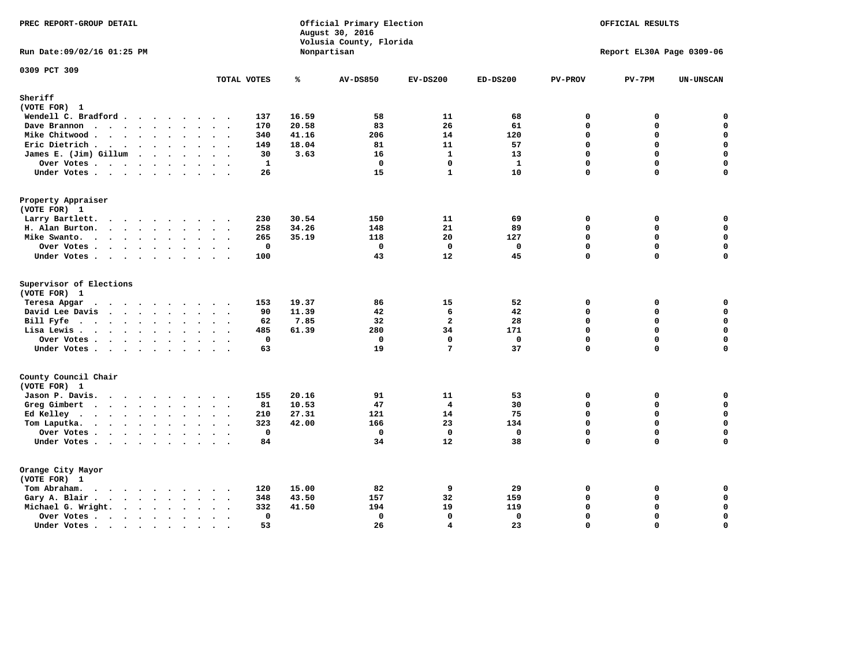| PREC REPORT-GROUP DETAIL                                                                                                                                                                                                                                |                                     |       | Official Primary Election<br>August 30, 2016<br>Volusia County, Florida | OFFICIAL RESULTS<br>Report EL30A Page 0309-06 |              |                |             |                  |
|---------------------------------------------------------------------------------------------------------------------------------------------------------------------------------------------------------------------------------------------------------|-------------------------------------|-------|-------------------------------------------------------------------------|-----------------------------------------------|--------------|----------------|-------------|------------------|
| Run Date: 09/02/16 01:25 PM                                                                                                                                                                                                                             |                                     |       | Nonpartisan                                                             |                                               |              |                |             |                  |
| 0309 PCT 309                                                                                                                                                                                                                                            | TOTAL VOTES                         | ℁     | <b>AV-DS850</b>                                                         | $EV-DS200$                                    | $ED-DS200$   | <b>PV-PROV</b> | $PV-7PM$    | <b>UN-UNSCAN</b> |
| Sheriff                                                                                                                                                                                                                                                 |                                     |       |                                                                         |                                               |              |                |             |                  |
| (VOTE FOR) 1                                                                                                                                                                                                                                            |                                     |       |                                                                         |                                               |              |                |             |                  |
| Wendell C. Bradford                                                                                                                                                                                                                                     | 137                                 | 16.59 | 58                                                                      | 11                                            | 68           | $\mathbf 0$    | 0           | 0                |
| Dave Brannon<br>.                                                                                                                                                                                                                                       | 170                                 | 20.58 | 83                                                                      | 26                                            | 61           | $\mathbf 0$    | 0           | $\mathbf 0$      |
| Mike Chitwood                                                                                                                                                                                                                                           | 340                                 | 41.16 | 206                                                                     | 14                                            | 120          | $\Omega$       | $\Omega$    | $\mathbf 0$      |
| Eric Dietrich.                                                                                                                                                                                                                                          | 149<br>$\ddot{\phantom{a}}$         | 18.04 | 81                                                                      | 11                                            | 57           | $\Omega$       | 0           | $\mathbf 0$      |
| James E. (Jim) Gillum                                                                                                                                                                                                                                   | 30                                  | 3.63  | 16                                                                      | $\mathbf{1}$                                  | 13           | $\mathbf 0$    | 0           | $\mathbf 0$      |
| Over Votes.                                                                                                                                                                                                                                             | $\mathbf{1}$                        |       | $\mathbf 0$                                                             | $\mathbf 0$                                   | $\mathbf{1}$ | $\mathbf 0$    | $\mathbf 0$ | $\mathbf 0$      |
| Under Votes                                                                                                                                                                                                                                             | 26                                  |       | 15                                                                      | $\mathbf{1}$                                  | 10           | $\mathbf 0$    | 0           | $\mathbf 0$      |
| Property Appraiser                                                                                                                                                                                                                                      |                                     |       |                                                                         |                                               |              |                |             |                  |
| (VOTE FOR) 1                                                                                                                                                                                                                                            |                                     |       |                                                                         |                                               |              |                |             |                  |
| Larry Bartlett.                                                                                                                                                                                                                                         | 230<br>$\sim$ $\sim$                | 30.54 | 150                                                                     | 11                                            | 69           | 0<br>$\Omega$  | 0           | 0                |
| H. Alan Burton.<br><u>in the contract of the contract of the contract of the contract of the contract of the contract of the contract of the contract of the contract of the contract of the contract of the contract of the contract of the contra</u> | 258                                 | 34.26 | 148                                                                     | 21                                            | 89           |                | 0           | $\mathbf 0$      |
| Mike Swanto.                                                                                                                                                                                                                                            | 265                                 | 35.19 | 118                                                                     | 20                                            | 127          | $\Omega$       | $\mathbf 0$ | $\mathbf 0$      |
| Over Votes .                                                                                                                                                                                                                                            | $\mathbf 0$                         |       | $\mathbf 0$                                                             | $\mathbf 0$                                   | $\mathbf 0$  | $\mathbf 0$    | 0           | $\mathbf 0$      |
| Under Votes                                                                                                                                                                                                                                             | 100                                 |       | 43                                                                      | 12                                            | 45           | $\mathbf 0$    | 0           | $\mathbf 0$      |
| Supervisor of Elections<br>(VOTE FOR) 1                                                                                                                                                                                                                 |                                     |       |                                                                         |                                               |              |                |             |                  |
| Teresa Apgar<br>.                                                                                                                                                                                                                                       | 153                                 | 19.37 | 86                                                                      | 15                                            | 52           | $\mathbf 0$    | 0           | 0                |
| David Lee Davis                                                                                                                                                                                                                                         | 90<br>$\ddot{\phantom{0}}$          | 11.39 | 42                                                                      | 6                                             | 42           | $\mathbf 0$    | 0           | $\mathbf 0$      |
| Bill Fyfe.                                                                                                                                                                                                                                              | 62                                  | 7.85  | 32                                                                      | $\overline{\mathbf{2}}$                       | 28           | $\Omega$       | 0           | $\mathbf 0$      |
| Lisa Lewis                                                                                                                                                                                                                                              | 485<br>$\cdot$ $\cdot$<br>$\sim$    | 61.39 | 280                                                                     | 34                                            | 171          | $\mathbf 0$    | 0           | $\mathbf 0$      |
| Over Votes                                                                                                                                                                                                                                              | $\mathbf 0$                         |       | $\mathbf 0$                                                             | $\mathbf 0$                                   | $\mathbf{0}$ | $\mathbf{0}$   | $\mathbf 0$ | $\mathbf 0$      |
| Under Votes                                                                                                                                                                                                                                             | 63<br>$\cdots$                      |       | 19                                                                      | 7                                             | 37           | $\mathbf 0$    | 0           | 0                |
| County Council Chair                                                                                                                                                                                                                                    |                                     |       |                                                                         |                                               |              |                |             |                  |
| (VOTE FOR) 1                                                                                                                                                                                                                                            |                                     |       |                                                                         |                                               |              |                |             |                  |
| Jason P. Davis.                                                                                                                                                                                                                                         | 155                                 | 20.16 | 91                                                                      | 11                                            | 53           | 0              | 0           | $\mathbf 0$      |
| Greg Gimbert<br>$\cdots$                                                                                                                                                                                                                                | 81<br>$\cdot$ .                     | 10.53 | 47                                                                      | 4                                             | 30           | $\Omega$       | 0           | 0                |
| Ed Kelley<br>$\bullet$                                                                                                                                                                                                                                  | 210<br>$\cdots$                     | 27.31 | 121                                                                     | 14                                            | 75           | $\mathbf 0$    | 0           | $\mathbf 0$      |
| Tom Laputka.                                                                                                                                                                                                                                            | 323                                 | 42.00 | 166                                                                     | 23                                            | 134          | $\Omega$       | $\mathbf 0$ | $\mathbf 0$      |
| Over Votes.                                                                                                                                                                                                                                             | $\mathbf 0$<br>$\ddot{\phantom{1}}$ |       | $\mathbf 0$                                                             | $\mathbf 0$                                   | $\mathbf 0$  | $\mathbf 0$    | 0           | $\mathbf 0$      |
| Under Votes                                                                                                                                                                                                                                             | 84                                  |       | 34                                                                      | 12                                            | 38           | $\mathbf 0$    | 0           | $\mathbf 0$      |
| Orange City Mayor                                                                                                                                                                                                                                       |                                     |       |                                                                         |                                               |              |                |             |                  |
| (VOTE FOR) 1                                                                                                                                                                                                                                            |                                     |       |                                                                         |                                               |              |                |             |                  |
| Tom Abraham.<br>$\sim$ $\sim$ $\sim$ $\sim$ $\sim$                                                                                                                                                                                                      | 120                                 | 15.00 | 82                                                                      | 9                                             | 29           | $\mathbf 0$    | 0           | 0                |
| $\cdot$<br>$\sim$<br>Gary A. Blair.                                                                                                                                                                                                                     | 348                                 | 43.50 | 157                                                                     | 32                                            | 159          | $\mathbf 0$    | 0           | $\mathbf 0$      |
|                                                                                                                                                                                                                                                         | 332                                 | 41.50 | 194                                                                     | 19                                            | 119          | $\Omega$       | 0           | 0                |
| Michael G. Wright.<br>$\cdots$                                                                                                                                                                                                                          | $\sim$<br>$\ddotsc$<br>$\mathbf{0}$ |       | $\mathbf 0$                                                             | $\mathbf 0$                                   | $\mathbf{0}$ | $\mathbf 0$    | 0           | $\mathbf 0$      |
| Over Votes<br>$\bullet$                                                                                                                                                                                                                                 | $\bullet$<br>$\bullet$<br>53        |       | 26                                                                      | 4                                             | 23           | $\Omega$       | $\Omega$    | $\mathbf 0$      |
| Under Votes<br>$\blacksquare$<br>$\bullet$                                                                                                                                                                                                              |                                     |       |                                                                         |                                               |              |                |             |                  |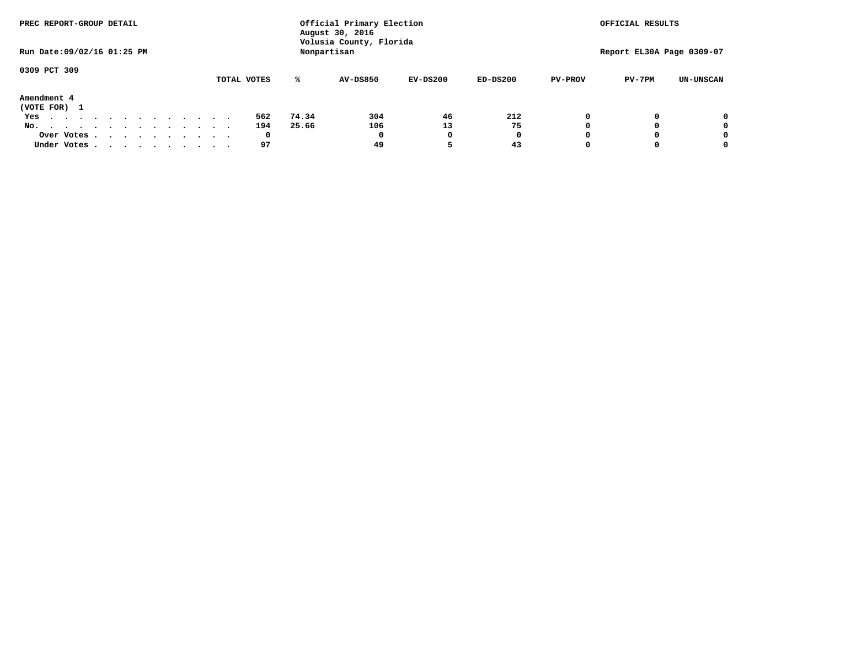| PREC REPORT-GROUP DETAIL                                               |             |       | Official Primary Election<br>August 30, 2016 |            |              |                | OFFICIAL RESULTS          |                  |
|------------------------------------------------------------------------|-------------|-------|----------------------------------------------|------------|--------------|----------------|---------------------------|------------------|
| Run Date: 09/02/16 01:25 PM                                            |             |       | Volusia County, Florida<br>Nonpartisan       |            |              |                | Report EL30A Page 0309-07 |                  |
| 0309 PCT 309                                                           |             | ℁     | <b>AV-DS850</b>                              | $EV-DS200$ | $ED-DS200$   |                |                           |                  |
|                                                                        | TOTAL VOTES |       |                                              |            |              | <b>PV-PROV</b> | $PV-7PM$                  | <b>UN-UNSCAN</b> |
| Amendment 4<br>(VOTE FOR) 1                                            |             |       |                                              |            |              |                |                           |                  |
| Yes<br>.                                                               | 562         | 74.34 | 304                                          | 46         | 212          |                |                           | 0                |
| No.<br>.                                                               | 194         | 25.66 | 106                                          | 13         | 75           |                |                           | 0                |
| Over Votes                                                             | 0           |       | $\Omega$                                     |            | $\mathbf{o}$ |                |                           | 0                |
| Under Votes, $\cdot$ , $\cdot$ , $\cdot$ , $\cdot$ , $\cdot$ , $\cdot$ | 97          |       | 49                                           |            | 43           |                |                           | 0                |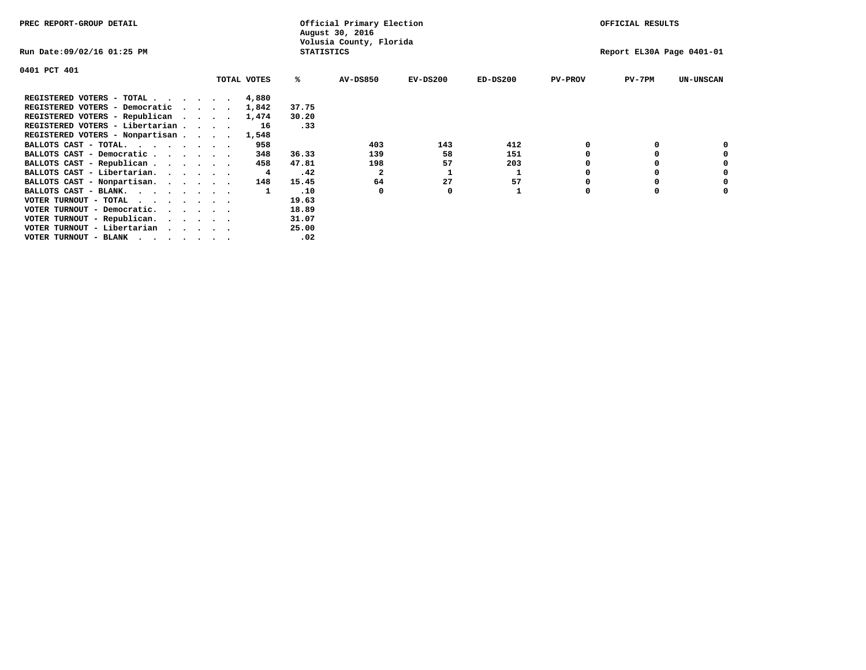| PREC REPORT-GROUP DETAIL                                                                                                                 |         |             |                   | Official Primary Election<br>August 30, 2016 |            |            |                | OFFICIAL RESULTS          |                  |
|------------------------------------------------------------------------------------------------------------------------------------------|---------|-------------|-------------------|----------------------------------------------|------------|------------|----------------|---------------------------|------------------|
| Run Date:09/02/16 01:25 PM                                                                                                               |         |             | <b>STATISTICS</b> | Volusia County, Florida                      |            |            |                | Report EL30A Page 0401-01 |                  |
| 0401 PCT 401                                                                                                                             |         |             |                   |                                              |            |            |                |                           |                  |
|                                                                                                                                          |         | TOTAL VOTES | %ะ                | <b>AV-DS850</b>                              | $EV-DS200$ | $ED-DS200$ | <b>PV-PROV</b> | $PV-7PM$                  | <b>UN-UNSCAN</b> |
| REGISTERED VOTERS - TOTAL                                                                                                                |         | 4,880       |                   |                                              |            |            |                |                           |                  |
| REGISTERED VOTERS - Democratic                                                                                                           | $\cdot$ | 1,842       | 37.75             |                                              |            |            |                |                           |                  |
| REGISTERED VOTERS - Republican                                                                                                           |         | 1,474       | 30.20             |                                              |            |            |                |                           |                  |
| REGISTERED VOTERS - Libertarian                                                                                                          |         | 16          | .33               |                                              |            |            |                |                           |                  |
| REGISTERED VOTERS - Nonpartisan                                                                                                          |         | 1,548       |                   |                                              |            |            |                |                           |                  |
| BALLOTS CAST - TOTAL.                                                                                                                    |         | 958         |                   | 403                                          | 143        | 412        |                |                           |                  |
| BALLOTS CAST - Democratic                                                                                                                |         | 348         | 36.33             | 139                                          | 58         | 151        |                |                           |                  |
| BALLOTS CAST - Republican                                                                                                                |         | 458         | 47.81             | 198                                          | 57         | 203        |                |                           |                  |
| BALLOTS CAST - Libertarian.                                                                                                              |         | 4           | .42               | $\mathbf{2}$                                 |            |            |                |                           |                  |
| BALLOTS CAST - Nonpartisan.                                                                                                              |         | 148         | 15.45             | 64                                           | 27         | 57         |                |                           | 0                |
| BALLOTS CAST - BLANK.                                                                                                                    |         |             | .10               | 0                                            | 0          |            | O              | $\Omega$                  |                  |
| VOTER TURNOUT - TOTAL<br>the contract of the contract of the contract of the contract of the contract of the contract of the contract of |         |             | 19.63             |                                              |            |            |                |                           |                  |
| VOTER TURNOUT - Democratic.                                                                                                              |         |             | 18.89             |                                              |            |            |                |                           |                  |
| VOTER TURNOUT - Republican.                                                                                                              |         |             | 31.07             |                                              |            |            |                |                           |                  |
| VOTER TURNOUT - Libertarian                                                                                                              |         |             | 25.00             |                                              |            |            |                |                           |                  |
| VOTER TURNOUT - BLANK                                                                                                                    |         |             | .02               |                                              |            |            |                |                           |                  |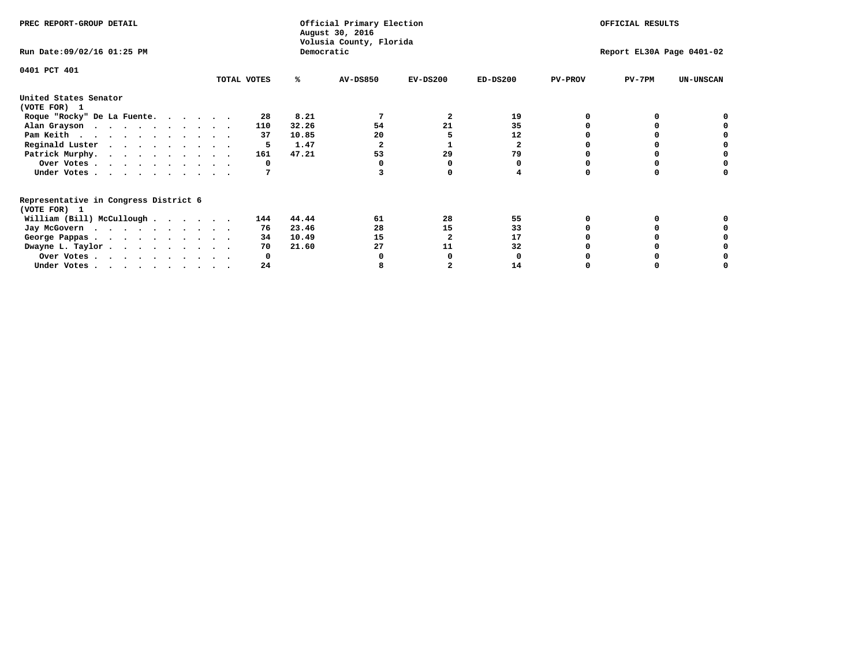| PREC REPORT-GROUP DETAIL                                               |             |            | Official Primary Election<br>August 30, 2016<br>Volusia County, Florida |            | OFFICIAL RESULTS |                           |          |                  |
|------------------------------------------------------------------------|-------------|------------|-------------------------------------------------------------------------|------------|------------------|---------------------------|----------|------------------|
| Run Date: 09/02/16 01:25 PM                                            |             | Democratic |                                                                         |            |                  | Report EL30A Page 0401-02 |          |                  |
| 0401 PCT 401                                                           | TOTAL VOTES | ℁          | <b>AV-DS850</b>                                                         | $EV-DS200$ | $ED-DS200$       | <b>PV-PROV</b>            | $PV-7PM$ | <b>UN-UNSCAN</b> |
|                                                                        |             |            |                                                                         |            |                  |                           |          |                  |
| United States Senator<br>(VOTE FOR) 1                                  |             |            |                                                                         |            |                  |                           |          |                  |
| Roque "Rocky" De La Fuente.                                            | 28          | 8.21       |                                                                         | 2          | 19               |                           |          |                  |
| Alan Grayson                                                           | 110         | 32.26      | 54                                                                      | 21         | 35               |                           |          |                  |
| Pam Keith                                                              | 37          | 10.85      | 20                                                                      |            | 12               |                           |          |                  |
| Reginald Luster                                                        | 5           | 1.47       |                                                                         |            | $\mathbf{2}$     |                           |          |                  |
| Patrick Murphy.                                                        | 161         | 47.21      | 53                                                                      | 29         | 79               |                           |          |                  |
| Over Votes                                                             | 0           |            |                                                                         |            |                  |                           |          |                  |
| Under Votes.                                                           |             |            |                                                                         |            |                  |                           |          |                  |
| Representative in Congress District 6                                  |             |            |                                                                         |            |                  |                           |          |                  |
| (VOTE FOR) 1                                                           | 144         | 44.44      | 61                                                                      | 28         | 55               |                           |          |                  |
| William (Bill) McCullough                                              |             | 23.46      | 28                                                                      | 15         | 33               |                           |          |                  |
| Jay McGovern                                                           | 76          |            |                                                                         |            |                  |                           |          |                  |
| George Pappas.                                                         | 34          | 10.49      | 15                                                                      |            | 17               |                           |          |                  |
| Dwayne L. Taylor.                                                      | 70          | 21.60      | 27                                                                      | 11         | 32               |                           |          |                  |
| Over Votes                                                             |             |            |                                                                         |            |                  |                           |          |                  |
| Under Votes, $\cdot$ , $\cdot$ , $\cdot$ , $\cdot$ , $\cdot$ , $\cdot$ | 24          |            |                                                                         |            | 14               |                           |          |                  |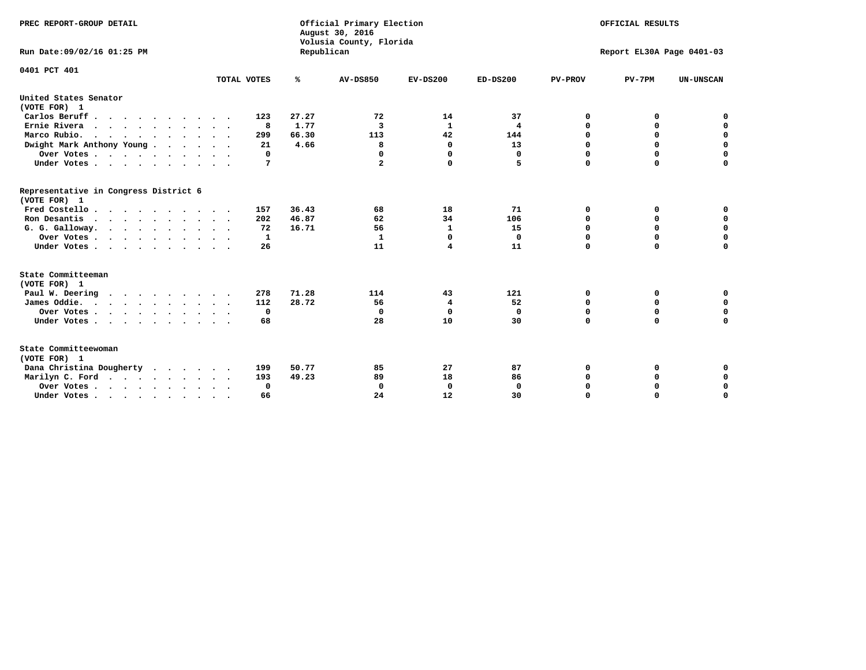| PREC REPORT-GROUP DETAIL<br>Run Date: 09/02/16 01:25 PM                          |             | Republican | Official Primary Election<br>August 30, 2016<br>Volusia County, Florida | OFFICIAL RESULTS<br>Report EL30A Page 0401-03 |              |                |             |                  |
|----------------------------------------------------------------------------------|-------------|------------|-------------------------------------------------------------------------|-----------------------------------------------|--------------|----------------|-------------|------------------|
|                                                                                  |             |            |                                                                         |                                               |              |                |             |                  |
| 0401 PCT 401                                                                     | TOTAL VOTES | ℁          | <b>AV-DS850</b>                                                         | $EV-DS200$                                    | $ED-DS200$   | <b>PV-PROV</b> | $PV-7PM$    | <b>UN-UNSCAN</b> |
| United States Senator<br>(VOTE FOR) 1                                            |             |            |                                                                         |                                               |              |                |             |                  |
| Carlos Beruff                                                                    | 123         | 27.27      | 72                                                                      | 14                                            | 37           | 0              | 0           | 0                |
| Ernie Rivera                                                                     | 8           | 1.77       | 3                                                                       | $\mathbf{1}$                                  | 4            | $\Omega$       | 0           | $\mathbf 0$      |
| Marco Rubio.                                                                     | 299         | 66.30      | 113                                                                     | 42                                            | 144          | 0              | 0           | $\mathbf 0$      |
| Dwight Mark Anthony Young                                                        | 21          | 4.66       | 8                                                                       | 0                                             | 13           | 0              | $\mathbf 0$ | $\mathbf 0$      |
| Over Votes                                                                       | 0           |            | 0                                                                       | $\Omega$                                      | $\mathbf{0}$ | 0              | $\mathbf 0$ | $\mathbf 0$      |
| Under Votes                                                                      | 7           |            | $\mathbf{2}$                                                            | $\Omega$                                      | 5            | $\Omega$       | $\Omega$    | $\mathbf 0$      |
| Representative in Congress District 6<br>(VOTE FOR) 1                            |             |            |                                                                         |                                               |              |                |             |                  |
| Fred Costello                                                                    | 157         | 36.43      | 68                                                                      | 18                                            | 71           | 0              | 0           | $\mathbf 0$      |
| Ron Desantis                                                                     | 202         | 46.87      | 62                                                                      | 34                                            | 106          | 0              | 0           | $\mathbf 0$      |
| G. G. Galloway.                                                                  | 72          | 16.71      | 56                                                                      | 1                                             | 15           | $\mathbf 0$    | $\mathbf 0$ | $\mathbf 0$      |
| Over Votes                                                                       | 1           |            | 1                                                                       | 0                                             | 0            | $\mathbf 0$    | 0           | 0                |
| Under Votes                                                                      | 26          |            | 11                                                                      | 4                                             | 11           | $\mathbf 0$    | $\Omega$    | $\mathbf 0$      |
| State Committeeman                                                               |             |            |                                                                         |                                               |              |                |             |                  |
| (VOTE FOR) 1                                                                     |             |            |                                                                         |                                               |              |                |             |                  |
| Paul W. Deering<br>$\cdots$                                                      | 278         | 71.28      | 114                                                                     | 43                                            | 121          | 0              | 0           | 0                |
| James Oddie.                                                                     | 112         | 28.72      | 56                                                                      | 4                                             | 52           | 0              | 0           | $\mathbf 0$      |
| Over Votes                                                                       | $\mathbf 0$ |            | 0                                                                       | $\mathbf 0$                                   | 0            | 0              | $\mathbf 0$ | $\mathbf 0$      |
| Under Votes                                                                      | 68          |            | 28                                                                      | 10                                            | 30           | 0              | $\mathbf 0$ | $\mathbf 0$      |
| State Committeewoman<br>(VOTE FOR) 1                                             |             |            |                                                                         |                                               |              |                |             |                  |
| Dana Christina Dougherty                                                         | 199         | 50.77      | 85                                                                      | 27                                            | 87           | 0              | 0           | 0                |
| Marilyn C. Ford                                                                  | 193         | 49.23      | 89                                                                      | 18                                            | 86           | 0              | 0           | 0                |
| Over Votes                                                                       | $\Omega$    |            | $\Omega$                                                                | 0                                             | 0            | 0              | 0           | $\mathbf 0$      |
| Under Votes, $\cdot$ , $\cdot$ , $\cdot$ , $\cdot$ , $\cdot$ , $\cdot$ , $\cdot$ | 66          |            | 24                                                                      | 12                                            | 30           | $\Omega$       | $\Omega$    | $\Omega$         |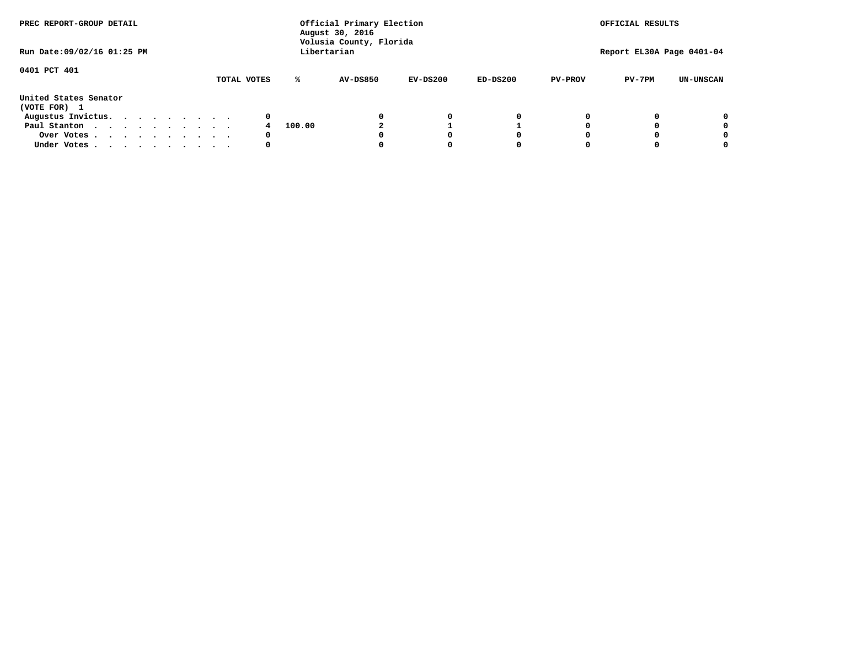| PREC REPORT-GROUP DETAIL<br>Run Date: 09/02/16 01:25 PM |  |  |  |  |  | Official Primary Election<br>August 30, 2016<br>Volusia County, Florida<br>Libertarian |             |        |                 |            |            | OFFICIAL RESULTS<br>Report EL30A Page 0401-04 |          |                  |
|---------------------------------------------------------|--|--|--|--|--|----------------------------------------------------------------------------------------|-------------|--------|-----------------|------------|------------|-----------------------------------------------|----------|------------------|
|                                                         |  |  |  |  |  |                                                                                        |             |        |                 |            |            |                                               |          |                  |
| 0401 PCT 401                                            |  |  |  |  |  |                                                                                        | TOTAL VOTES | ℁      | <b>AV-DS850</b> | $EV-DS200$ | $ED-DS200$ | <b>PV-PROV</b>                                | $PV-7PM$ | <b>UN-UNSCAN</b> |
| United States Senator<br>(VOTE FOR) 1                   |  |  |  |  |  |                                                                                        |             |        |                 |            |            |                                               |          |                  |
| Augustus Invictus.                                      |  |  |  |  |  |                                                                                        | 0           |        |                 | 0          | 0          |                                               |          | 0                |
| Paul Stanton                                            |  |  |  |  |  |                                                                                        |             | 100.00 |                 |            |            |                                               |          | 0                |
| Over Votes                                              |  |  |  |  |  |                                                                                        | 0           |        |                 |            | 0          |                                               |          | 0                |
| Under Votes                                             |  |  |  |  |  |                                                                                        | 0           |        |                 |            | 0          |                                               |          | 0                |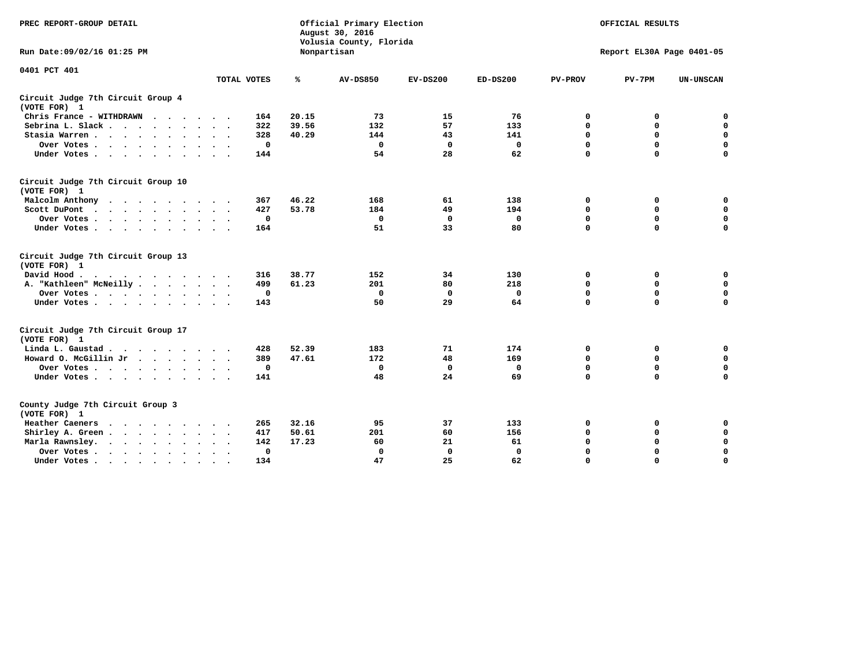| PREC REPORT-GROUP DETAIL                                                           |                                  |       | Official Primary Election<br>August 30, 2016<br>Volusia County, Florida |             | OFFICIAL RESULTS<br>Report EL30A Page 0401-05 |                |              |                  |
|------------------------------------------------------------------------------------|----------------------------------|-------|-------------------------------------------------------------------------|-------------|-----------------------------------------------|----------------|--------------|------------------|
| Run Date: 09/02/16 01:25 PM                                                        |                                  |       | Nonpartisan                                                             |             |                                               |                |              |                  |
| 0401 PCT 401                                                                       |                                  |       |                                                                         |             |                                               |                |              |                  |
|                                                                                    | TOTAL VOTES                      | %     | <b>AV-DS850</b>                                                         | $EV-DS200$  | $ED-DS200$                                    | <b>PV-PROV</b> | $PV-7PM$     | <b>UN-UNSCAN</b> |
| Circuit Judge 7th Circuit Group 4<br>(VOTE FOR) 1                                  |                                  |       |                                                                         |             |                                               |                |              |                  |
| Chris France - WITHDRAWN                                                           | 164                              | 20.15 | 73                                                                      | 15          | 76                                            | 0              | 0            | $\mathbf 0$      |
| Sebrina L. Slack                                                                   | 322                              | 39.56 | 132                                                                     | 57          | 133                                           | $\mathbf 0$    | $\mathbf 0$  | $\mathbf 0$      |
| Stasia Warren                                                                      | 328                              | 40.29 | 144                                                                     | 43          | 141                                           | $\mathbf 0$    | $\mathbf 0$  | $\mathbf 0$      |
| Over Votes                                                                         | 0                                |       | $\mathbf 0$                                                             | $\mathbf 0$ | $\mathbf 0$                                   | 0              | $\mathbf 0$  | $\mathbf 0$      |
| Under Votes                                                                        | 144                              |       | 54                                                                      | 28          | 62                                            | $\mathbf 0$    | $\mathbf 0$  | $\mathbf 0$      |
| Circuit Judge 7th Circuit Group 10<br>(VOTE FOR) 1                                 |                                  |       |                                                                         |             |                                               |                |              |                  |
| Malcolm Anthony                                                                    | 367                              | 46.22 | 168                                                                     | 61          | 138                                           | $\mathbf 0$    | 0            | $\mathbf 0$      |
| Scott DuPont                                                                       | 427                              | 53.78 | 184                                                                     | 49          | 194                                           | $\mathbf 0$    | $\mathbf 0$  | $\mathbf 0$      |
| Over Votes<br>$\cdot$<br>$\sim$                                                    | 0                                |       | $\Omega$                                                                | 0           | 0                                             | $\mathbf 0$    | 0            | 0                |
| Under Votes                                                                        | 164                              |       | 51                                                                      | 33          | 80                                            | $\mathbf 0$    | $\mathbf 0$  | 0                |
| Circuit Judge 7th Circuit Group 13<br>(VOTE FOR) 1                                 |                                  |       |                                                                         |             |                                               |                |              |                  |
| David Hood.<br>.                                                                   | 316                              | 38.77 | 152                                                                     | 34          | 130                                           | $\mathbf 0$    | $\mathbf 0$  | $\mathbf 0$      |
| A. "Kathleen" McNeilly                                                             | 499                              | 61.23 | 201                                                                     | 80          | 218                                           | $\mathbf 0$    | $\mathbf 0$  | $\mathbf 0$      |
| Over Votes                                                                         | 0                                |       | 0                                                                       | 0           | 0                                             | $\mathbf 0$    | $\mathbf 0$  | $\mathbf 0$      |
| Under Votes                                                                        | 143                              |       | 50                                                                      | 29          | 64                                            | $\mathbf 0$    | $\mathbf 0$  | 0                |
| Circuit Judge 7th Circuit Group 17<br>(VOTE FOR) 1                                 |                                  |       |                                                                         |             |                                               |                |              |                  |
| Linda L. Gaustad                                                                   | 428                              | 52.39 | 183                                                                     | 71          | 174                                           | 0              | 0            | 0                |
| Howard O. McGillin Jr                                                              | 389                              | 47.61 | 172                                                                     | 48          | 169                                           | 0              | $\mathbf 0$  | $\mathbf 0$      |
| Over Votes                                                                         | 0                                |       | 0                                                                       | $\mathbf 0$ | 0                                             | $\mathbf 0$    | $\mathbf 0$  | 0                |
| Under Votes                                                                        | 141                              |       | 48                                                                      | 24          | 69                                            | $\mathbf 0$    | $\mathbf{0}$ | $\mathbf 0$      |
| County Judge 7th Circuit Group 3<br>(VOTE FOR) 1                                   |                                  |       |                                                                         |             |                                               |                |              |                  |
| Heather Caeners                                                                    | 265                              | 32.16 | 95                                                                      | 37          | 133                                           | 0              | 0            | 0                |
| Shirley A. Green                                                                   | 417                              | 50.61 | 201                                                                     | 60          | 156                                           | $\mathbf 0$    | $\mathbf 0$  | $\mathbf 0$      |
| Marla Rawnsley.<br>$\cdot$ $\cdot$ $\cdot$ $\cdot$ $\cdot$<br>$\ddot{\phantom{0}}$ | 142                              | 17.23 | 60                                                                      | 21          | 61                                            | 0              | 0            | $\mathbf 0$      |
| Over Votes<br>$\ddot{\phantom{a}}$<br>$\ddot{\phantom{1}}$                         | $\Omega$<br>$\ddot{\phantom{0}}$ |       | $\mathbf 0$                                                             | $\mathbf 0$ | $\mathbf{0}$                                  | $\mathbf 0$    | $\mathbf 0$  | $\mathbf 0$      |
| Under Votes<br>$\bullet$                                                           | 134                              |       | 47                                                                      | 25          | 62                                            | $\mathbf 0$    | $\mathbf 0$  | $\Omega$         |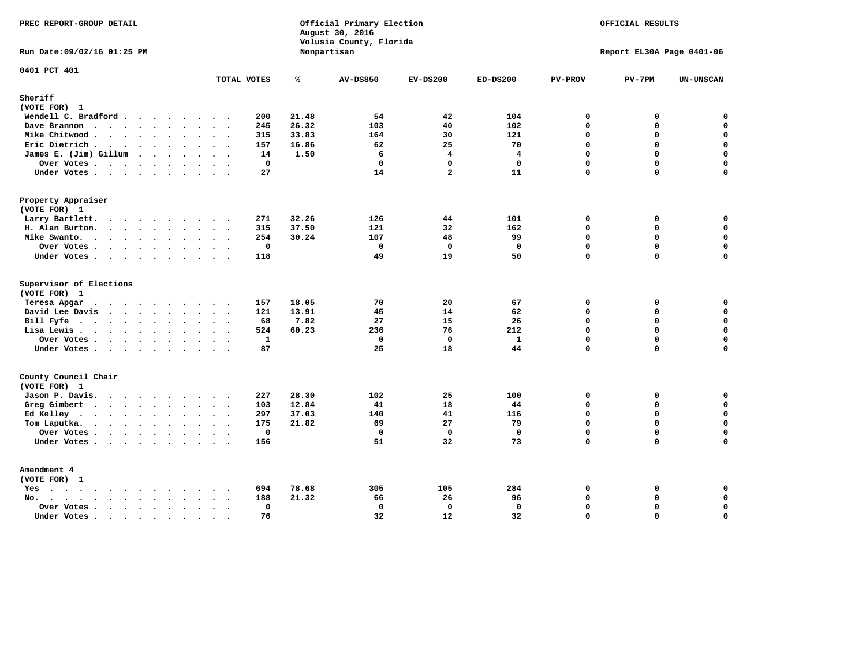| PREC REPORT-GROUP DETAIL                                              |                          |       | Official Primary Election<br>August 30, 2016<br>Volusia County, Florida |                |                | OFFICIAL RESULTS<br>Report EL30A Page 0401-06 |             |                    |
|-----------------------------------------------------------------------|--------------------------|-------|-------------------------------------------------------------------------|----------------|----------------|-----------------------------------------------|-------------|--------------------|
| Run Date: 09/02/16 01:25 PM                                           |                          |       | Nonpartisan                                                             |                |                |                                               |             |                    |
| 0401 PCT 401                                                          | TOTAL VOTES              | ℁     | <b>AV-DS850</b>                                                         | $EV-DS200$     | $ED-DS200$     | <b>PV-PROV</b>                                | $PV-7PM$    | <b>UN-UNSCAN</b>   |
| Sheriff                                                               |                          |       |                                                                         |                |                |                                               |             |                    |
| (VOTE FOR) 1                                                          |                          |       |                                                                         |                |                |                                               |             |                    |
| Wendell C. Bradford                                                   | 200                      | 21.48 | 54                                                                      | 42             | 104            | $\mathbf 0$                                   | 0           | $\mathbf 0$        |
| Dave Brannon                                                          | 245                      | 26.32 | 103                                                                     | 40             | 102            | $\mathbf{0}$                                  | 0           | $\mathbf 0$        |
| Mike Chitwood                                                         | 315                      | 33.83 | 164                                                                     | 30             | 121            | $\Omega$                                      | 0           | $\mathbf 0$        |
| Eric Dietrich.                                                        | 157                      | 16.86 | 62                                                                      | 25             | 70             | $\Omega$                                      | 0           | $\mathbf 0$        |
| James E. (Jim) Gillum                                                 | 14                       | 1.50  | 6                                                                       | $\overline{4}$ | $\overline{4}$ | $\Omega$                                      | $\Omega$    | $\pmb{0}$          |
| Over Votes                                                            | $\mathbf 0$              |       | $\mathbf 0$                                                             | $\Omega$       | $\mathbf{0}$   | $\Omega$                                      | $\Omega$    | 0                  |
| Under Votes                                                           | 27                       |       | 14                                                                      | $\overline{a}$ | 11             | 0                                             | 0           | $\mathbf 0$        |
| Property Appraiser                                                    |                          |       |                                                                         |                |                |                                               |             |                    |
| (VOTE FOR) 1                                                          |                          |       |                                                                         |                |                |                                               |             |                    |
| Larry Bartlett.                                                       | 271                      | 32.26 | 126                                                                     | 44             | 101            | $\mathbf 0$                                   | 0           | 0                  |
| H. Alan Burton.                                                       | 315                      | 37.50 | 121                                                                     | 32             | 162            | $\Omega$                                      | 0           | $\mathbf 0$        |
| Mike Swanto.                                                          | 254                      | 30.24 | 107                                                                     | 48             | 99             | $\mathbf 0$                                   | 0           | $\mathbf 0$        |
| Over Votes.                                                           | $\mathbf 0$              |       | $\mathbf 0$                                                             | $^{\circ}$     | $\mathbf{0}$   | $\mathbf{0}$                                  | 0           | $\mathbf 0$        |
| Under Votes                                                           | 118                      |       | 49                                                                      | 19             | 50             | $\Omega$                                      | $\Omega$    | $\mathbf 0$        |
| Supervisor of Elections                                               |                          |       |                                                                         |                |                |                                               |             |                    |
| (VOTE FOR) 1                                                          |                          |       |                                                                         |                |                |                                               |             |                    |
| Teresa Apgar                                                          | 157                      | 18.05 | 70                                                                      | 20             | 67             | $\mathbf 0$                                   | 0           | $\mathbf 0$        |
| David Lee Davis                                                       | 121                      | 13.91 | 45                                                                      | 14             | 62             | $\Omega$                                      | 0           | $\mathbf 0$        |
| Bill Fyfe.                                                            | 68                       | 7.82  | 27                                                                      | 15             | 26             | $\Omega$                                      | 0           | $\mathbf 0$        |
| Lisa Lewis                                                            | 524                      | 60.23 | 236                                                                     | 76             | 212            | $\mathbf 0$                                   | 0           | $\mathbf 0$        |
| Over Votes                                                            | $\mathbf{1}$             |       | $\mathbf{0}$                                                            | $\mathbf 0$    | $\mathbf{1}$   | $\mathbf 0$                                   | 0           | $\mathbf 0$        |
| Under Votes                                                           | 87                       |       | 25                                                                      | 18             | 44             | $\Omega$                                      | 0           | $\mathbf 0$        |
| County Council Chair<br>(VOTE FOR) 1                                  |                          |       |                                                                         |                |                |                                               |             |                    |
| Jason P. Davis.                                                       | 227                      | 28.30 | 102                                                                     | 25             | 100            | 0                                             | 0           | $\mathbf 0$        |
| Greg Gimbert                                                          | 103                      | 12.84 | 41                                                                      | 18             | 44             | $\Omega$                                      | $\Omega$    | $\mathbf 0$        |
|                                                                       | 297                      | 37.03 | 140                                                                     | 41             | 116            | $\mathbf 0$                                   | 0           | $\mathbf 0$        |
| Ed Kelley<br>Tom Laputka.                                             | 175                      | 21.82 | 69                                                                      | 27             | 79             | $\Omega$                                      | $\mathbf 0$ | 0                  |
| Over Votes                                                            | $\mathbf 0$<br>$\bullet$ |       | $\mathbf 0$                                                             | $\mathbf 0$    | $\mathbf 0$    | $\mathbf 0$                                   | 0           | $\pmb{0}$          |
| Under Votes                                                           | 156                      |       | 51                                                                      | 32             | 73             | $\Omega$                                      | $\Omega$    | $\mathbf 0$        |
|                                                                       |                          |       |                                                                         |                |                |                                               |             |                    |
| Amendment 4                                                           |                          |       |                                                                         |                |                |                                               |             |                    |
| (VOTE FOR) 1                                                          |                          |       |                                                                         |                |                |                                               |             |                    |
| $Yes \cdot \cdot \cdot \cdot \cdot \cdot \cdot \cdot \cdot$<br>$\sim$ | 694<br>$\sim$            | 78.68 | 305                                                                     | 105            | 284            | $\mathbf 0$                                   | 0           | 0                  |
| $No.$ $\cdot$ $\cdot$<br>$\sim$                                       | 188                      | 21.32 | 66                                                                      | 26             | 96             | $\Omega$                                      | 0           | $\mathbf 0$        |
| Over Votes .<br>$\cdots$                                              | 0                        |       | 0                                                                       | $\mathbf 0$    | $\mathbf 0$    | $\mathbf 0$                                   | 0           | $\pmb{\mathsf{o}}$ |
| Under Votes                                                           | 76<br>$\sim$             |       | 32                                                                      | 12             | 32             | $\mathbf 0$                                   | 0           | $\mathbf 0$        |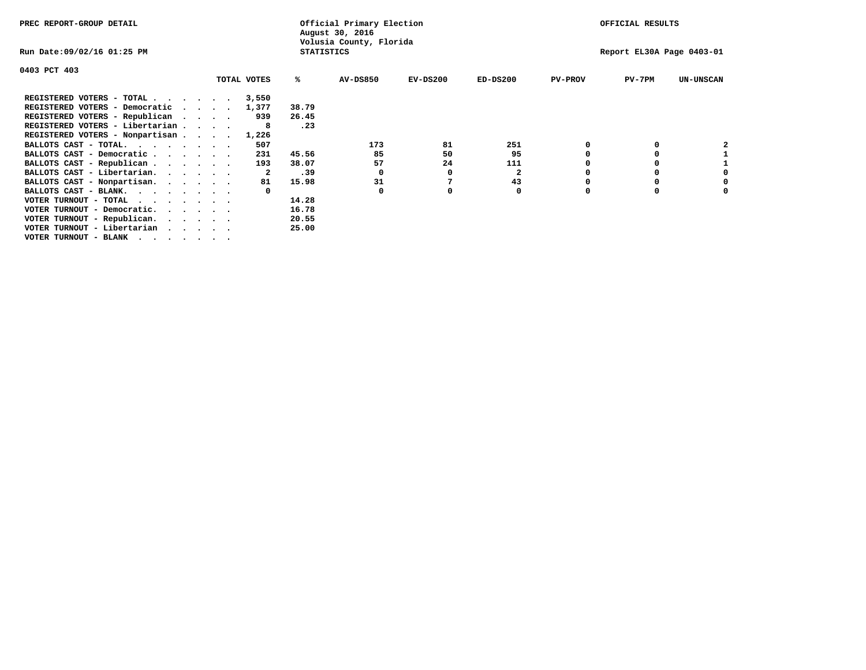| PREC REPORT-GROUP DETAIL        |             |                   | Official Primary Election<br>August 30, 2016 |          |              |                | OFFICIAL RESULTS          |                  |
|---------------------------------|-------------|-------------------|----------------------------------------------|----------|--------------|----------------|---------------------------|------------------|
| Run Date:09/02/16 01:25 PM      |             | <b>STATISTICS</b> | Volusia County, Florida                      |          |              |                | Report EL30A Page 0403-01 |                  |
| 0403 PCT 403                    |             |                   |                                              |          |              |                |                           |                  |
|                                 | TOTAL VOTES | %ะ                | <b>AV-DS850</b>                              | EV-DS200 | $ED-DS200$   | <b>PV-PROV</b> | $PV-7PM$                  | <b>UN-UNSCAN</b> |
| REGISTERED VOTERS - TOTAL       | 3,550       |                   |                                              |          |              |                |                           |                  |
| REGISTERED VOTERS - Democratic  | 1,377       | 38.79             |                                              |          |              |                |                           |                  |
| REGISTERED VOTERS - Republican  | 939         | 26.45             |                                              |          |              |                |                           |                  |
| REGISTERED VOTERS - Libertarian |             | .23               |                                              |          |              |                |                           |                  |
| REGISTERED VOTERS - Nonpartisan | 1,226       |                   |                                              |          |              |                |                           |                  |
| BALLOTS CAST - TOTAL.           | 507         |                   | 173                                          | 81       | 251          |                |                           |                  |
| BALLOTS CAST - Democratic       | 231         | 45.56             | 85                                           | 50       | 95           |                | 0                         |                  |
| BALLOTS CAST - Republican       | 193         | 38.07             | 57                                           | 24       | 111          |                |                           |                  |
| BALLOTS CAST - Libertarian.     |             | .39               | $\Omega$                                     | O        | $\mathbf{2}$ |                | 0                         |                  |
| BALLOTS CAST - Nonpartisan.     | 81          | 15.98             | 31                                           |          | 43           |                | 0                         | 0                |
| BALLOTS CAST - BLANK.           |             |                   | $\Omega$                                     |          | 0            | $\Omega$       | $\Omega$                  |                  |
| VOTER TURNOUT - TOTAL           |             | 14.28             |                                              |          |              |                |                           |                  |
| VOTER TURNOUT - Democratic.     |             | 16.78             |                                              |          |              |                |                           |                  |
| VOTER TURNOUT - Republican.     |             | 20.55             |                                              |          |              |                |                           |                  |
| VOTER TURNOUT - Libertarian     |             | 25.00             |                                              |          |              |                |                           |                  |
| VOTER TURNOUT - BLANK           |             |                   |                                              |          |              |                |                           |                  |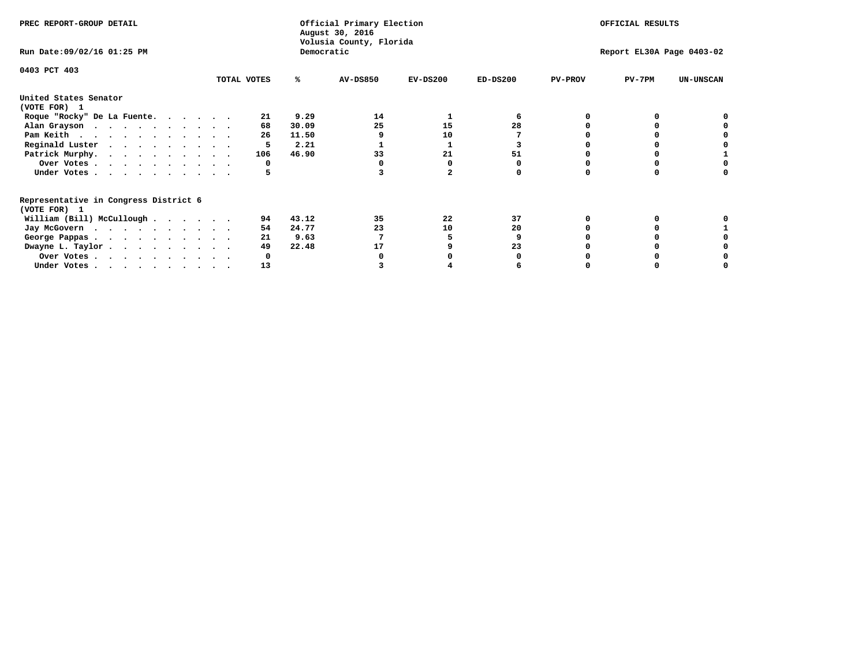| Democratic<br>Run Date: 09/02/16 01:25 PM<br>Report EL30A Page 0403-02<br>0403 PCT 403<br>$PV-7PM$<br>TOTAL VOTES<br><b>AV-DS850</b><br>$EV-DS200$<br>$ED-DS200$<br><b>PV-PROV</b><br><b>UN-UNSCAN</b><br>℁<br>United States Senator<br>(VOTE FOR) 1<br>9.29<br>14<br>Roque "Rocky" De La Fuente.<br>21<br>25<br>28<br>30.09<br>15<br>Alan Grayson<br>68<br>Pam Keith<br>26<br>11.50<br>10<br>Reginald Luster<br>2.21<br>Patrick Murphy.<br>33<br>51<br>46.90<br>21<br>106<br>Over Votes<br>O<br>Under Votes | OFFICIAL RESULTS |  |  |  | Official Primary Election<br>August 30, 2016<br>Volusia County, Florida |  |  |  |  |  |  |  | PREC REPORT-GROUP DETAIL |  |  |  |  |  |
|--------------------------------------------------------------------------------------------------------------------------------------------------------------------------------------------------------------------------------------------------------------------------------------------------------------------------------------------------------------------------------------------------------------------------------------------------------------------------------------------------------------|------------------|--|--|--|-------------------------------------------------------------------------|--|--|--|--|--|--|--|--------------------------|--|--|--|--|--|
|                                                                                                                                                                                                                                                                                                                                                                                                                                                                                                              |                  |  |  |  |                                                                         |  |  |  |  |  |  |  |                          |  |  |  |  |  |
|                                                                                                                                                                                                                                                                                                                                                                                                                                                                                                              |                  |  |  |  |                                                                         |  |  |  |  |  |  |  |                          |  |  |  |  |  |
|                                                                                                                                                                                                                                                                                                                                                                                                                                                                                                              |                  |  |  |  |                                                                         |  |  |  |  |  |  |  |                          |  |  |  |  |  |
|                                                                                                                                                                                                                                                                                                                                                                                                                                                                                                              |                  |  |  |  |                                                                         |  |  |  |  |  |  |  |                          |  |  |  |  |  |
|                                                                                                                                                                                                                                                                                                                                                                                                                                                                                                              |                  |  |  |  |                                                                         |  |  |  |  |  |  |  |                          |  |  |  |  |  |
|                                                                                                                                                                                                                                                                                                                                                                                                                                                                                                              |                  |  |  |  |                                                                         |  |  |  |  |  |  |  |                          |  |  |  |  |  |
|                                                                                                                                                                                                                                                                                                                                                                                                                                                                                                              |                  |  |  |  |                                                                         |  |  |  |  |  |  |  |                          |  |  |  |  |  |
|                                                                                                                                                                                                                                                                                                                                                                                                                                                                                                              |                  |  |  |  |                                                                         |  |  |  |  |  |  |  |                          |  |  |  |  |  |
|                                                                                                                                                                                                                                                                                                                                                                                                                                                                                                              |                  |  |  |  |                                                                         |  |  |  |  |  |  |  |                          |  |  |  |  |  |
|                                                                                                                                                                                                                                                                                                                                                                                                                                                                                                              |                  |  |  |  |                                                                         |  |  |  |  |  |  |  |                          |  |  |  |  |  |
|                                                                                                                                                                                                                                                                                                                                                                                                                                                                                                              |                  |  |  |  |                                                                         |  |  |  |  |  |  |  |                          |  |  |  |  |  |
| Representative in Congress District 6<br>(VOTE FOR) 1                                                                                                                                                                                                                                                                                                                                                                                                                                                        |                  |  |  |  |                                                                         |  |  |  |  |  |  |  |                          |  |  |  |  |  |
| 37<br>William (Bill) McCullough<br>43.12<br>35<br>22<br>94                                                                                                                                                                                                                                                                                                                                                                                                                                                   |                  |  |  |  |                                                                         |  |  |  |  |  |  |  |                          |  |  |  |  |  |
| 24.77<br>23<br>10<br>20<br>Jay McGovern<br>54                                                                                                                                                                                                                                                                                                                                                                                                                                                                |                  |  |  |  |                                                                         |  |  |  |  |  |  |  |                          |  |  |  |  |  |
| 9.63<br>21<br>George Pappas.                                                                                                                                                                                                                                                                                                                                                                                                                                                                                 |                  |  |  |  |                                                                         |  |  |  |  |  |  |  |                          |  |  |  |  |  |
| 22.48<br>Dwayne L. Taylor<br>49<br>23<br>17                                                                                                                                                                                                                                                                                                                                                                                                                                                                  |                  |  |  |  |                                                                         |  |  |  |  |  |  |  |                          |  |  |  |  |  |
| Over Votes                                                                                                                                                                                                                                                                                                                                                                                                                                                                                                   |                  |  |  |  |                                                                         |  |  |  |  |  |  |  |                          |  |  |  |  |  |
| 13<br>Under Votes, $\cdot$ , $\cdot$ , $\cdot$ , $\cdot$ , $\cdot$ , $\cdot$                                                                                                                                                                                                                                                                                                                                                                                                                                 |                  |  |  |  |                                                                         |  |  |  |  |  |  |  |                          |  |  |  |  |  |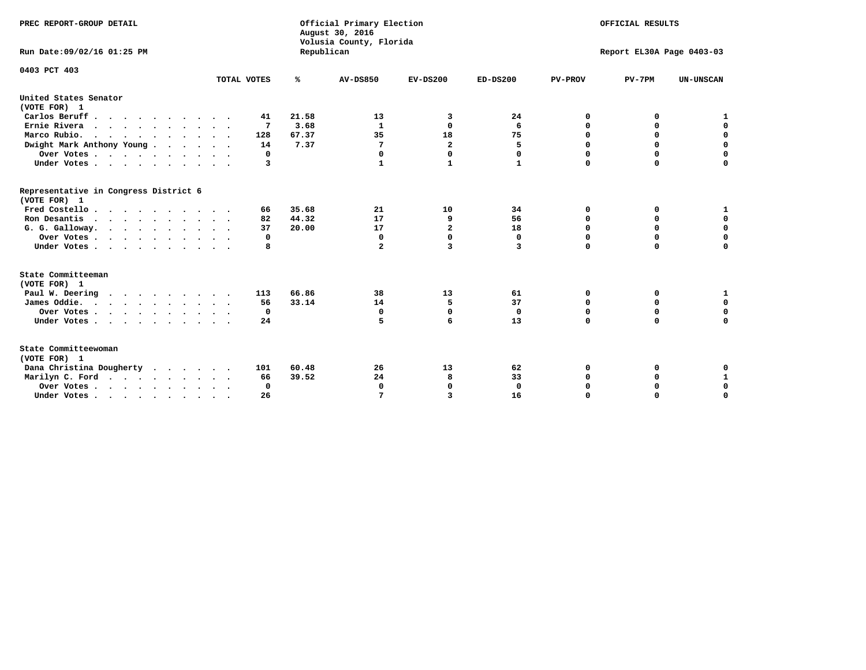| PREC REPORT-GROUP DETAIL<br>Run Date:09/02/16 01:25 PM |             | Republican | Official Primary Election<br>August 30, 2016<br>Volusia County, Florida | OFFICIAL RESULTS<br>Report EL30A Page 0403-03 |              |                |             |                  |
|--------------------------------------------------------|-------------|------------|-------------------------------------------------------------------------|-----------------------------------------------|--------------|----------------|-------------|------------------|
| 0403 PCT 403                                           | TOTAL VOTES | %          | <b>AV-DS850</b>                                                         | $EV-DS200$                                    | $ED-DS200$   | <b>PV-PROV</b> | $PV-7PM$    | <b>UN-UNSCAN</b> |
| United States Senator                                  |             |            |                                                                         |                                               |              |                |             |                  |
| (VOTE FOR) 1                                           |             |            |                                                                         |                                               |              |                |             |                  |
| Carlos Beruff                                          | 41          | 21.58      | 13                                                                      | 3                                             | 24           | 0              | 0           | 1                |
| Ernie Rivera                                           | 7           | 3.68       | 1                                                                       | 0                                             | 6            | 0              | 0           | $\mathbf 0$      |
| Marco Rubio.<br>$\cdots$                               | 128         | 67.37      | 35                                                                      | 18                                            | 75           | 0              | $\mathbf 0$ | $\mathbf 0$      |
| Dwight Mark Anthony Young                              | 14          | 7.37       | 7                                                                       | $\overline{\mathbf{2}}$                       | 5            | 0              | 0           | $\mathbf 0$      |
| Over Votes                                             | 0           |            | 0                                                                       | $\Omega$                                      | 0            | 0              | 0           | 0                |
| Under Votes                                            | 3           |            | 1                                                                       | $\mathbf{1}$                                  | $\mathbf{1}$ | $\mathbf 0$    | $\mathbf 0$ | $\mathbf 0$      |
| Representative in Congress District 6<br>(VOTE FOR) 1  |             |            |                                                                         |                                               |              |                |             |                  |
| Fred Costello                                          | 66          | 35.68      | 21                                                                      | 10                                            | 34           | 0              | 0           | 1                |
| Ron Desantis                                           | 82          | 44.32      | 17                                                                      | 9                                             | 56           | $\mathbf 0$    | 0           | $\mathbf 0$      |
| G. G. Galloway.                                        | 37          | 20.00      | 17                                                                      | $\mathbf{z}$                                  | 18           | $\mathbf 0$    | $\Omega$    | $\mathbf 0$      |
| Over Votes                                             | 0           |            | 0                                                                       | $\mathbf 0$                                   | 0            | 0              | 0           | 0                |
| Under Votes                                            | 8           |            | $\mathbf{2}$                                                            | 3                                             | 3            | $\mathbf 0$    | $\mathbf 0$ | $\mathbf 0$      |
| State Committeeman<br>(VOTE FOR) 1                     |             |            |                                                                         |                                               |              |                |             |                  |
| Paul W. Deering                                        | 113         | 66.86      | 38                                                                      | 13                                            | 61           | 0              | 0           | 1                |
| James Oddie.                                           | 56          | 33.14      | 14                                                                      | 5                                             | 37           | 0              | 0           | $\mathbf 0$      |
| Over Votes                                             | 0           |            | $\mathbf 0$                                                             | $\mathbf 0$                                   | $\mathbf 0$  | $\mathbf 0$    | $\mathbf 0$ | 0                |
| Under Votes                                            | 24          |            | 5                                                                       | 6                                             | 13           | $\mathbf 0$    | $\mathbf 0$ | $\mathbf 0$      |
| State Committeewoman<br>(VOTE FOR) 1                   |             |            |                                                                         |                                               |              |                |             |                  |
| Dana Christina Dougherty                               | 101         | 60.48      | 26                                                                      | 13                                            | 62           | 0              | 0           | 0                |
| Marilyn C. Ford                                        | 66          | 39.52      | 24                                                                      | 8                                             | 33           | 0              | 0           | $\mathbf{1}$     |
| Over Votes                                             | $\Omega$    |            | 0                                                                       | 0                                             | $\mathbf{0}$ | 0              | 0           | 0                |
| Under Votes, , , , , , , , , ,                         | 26          |            | 7                                                                       | 3                                             | 16           | $\Omega$       | $\Omega$    | $\Omega$         |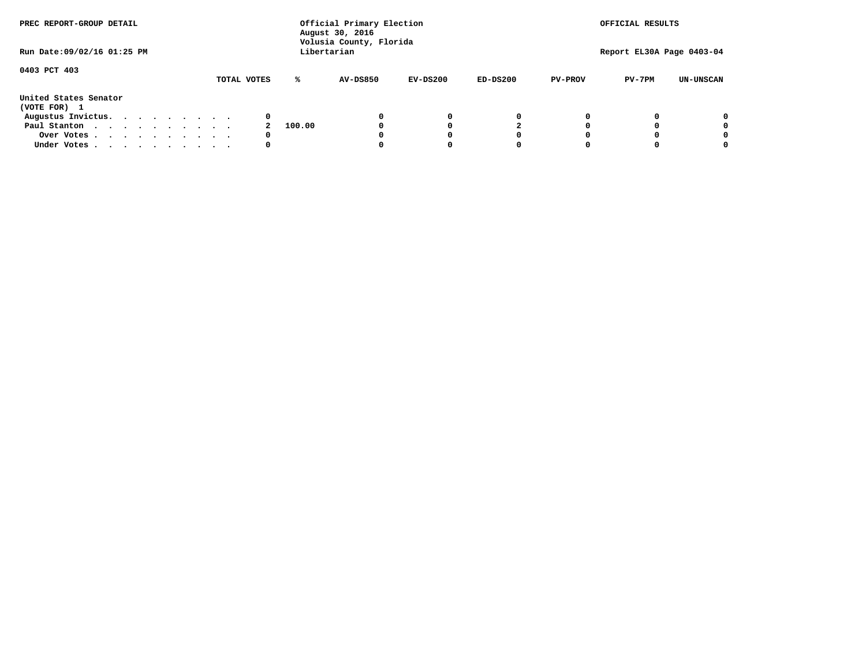| PREC REPORT-GROUP DETAIL              |  |  |             | Official Primary Election<br>August 30, 2016<br>Volusia County, Florida |        |                 |            |            | OFFICIAL RESULTS |                           |                  |  |
|---------------------------------------|--|--|-------------|-------------------------------------------------------------------------|--------|-----------------|------------|------------|------------------|---------------------------|------------------|--|
| Run Date: 09/02/16 01:25 PM           |  |  |             |                                                                         |        | Libertarian     |            |            |                  | Report EL30A Page 0403-04 |                  |  |
| 0403 PCT 403                          |  |  | TOTAL VOTES |                                                                         | ℁      | <b>AV-DS850</b> | $EV-DS200$ | $ED-DS200$ | <b>PV-PROV</b>   | $PV-7PM$                  | <b>UN-UNSCAN</b> |  |
| United States Senator<br>(VOTE FOR) 1 |  |  |             |                                                                         |        |                 |            |            |                  |                           |                  |  |
| Augustus Invictus.                    |  |  |             | 0                                                                       |        |                 | 0          | 0          |                  |                           | 0                |  |
| Paul Stanton                          |  |  |             |                                                                         | 100.00 |                 |            |            |                  |                           | 0                |  |
| Over Votes                            |  |  |             | 0                                                                       |        |                 |            | O          |                  |                           | 0                |  |
| Under Votes                           |  |  |             | 0                                                                       |        |                 |            |            |                  |                           |                  |  |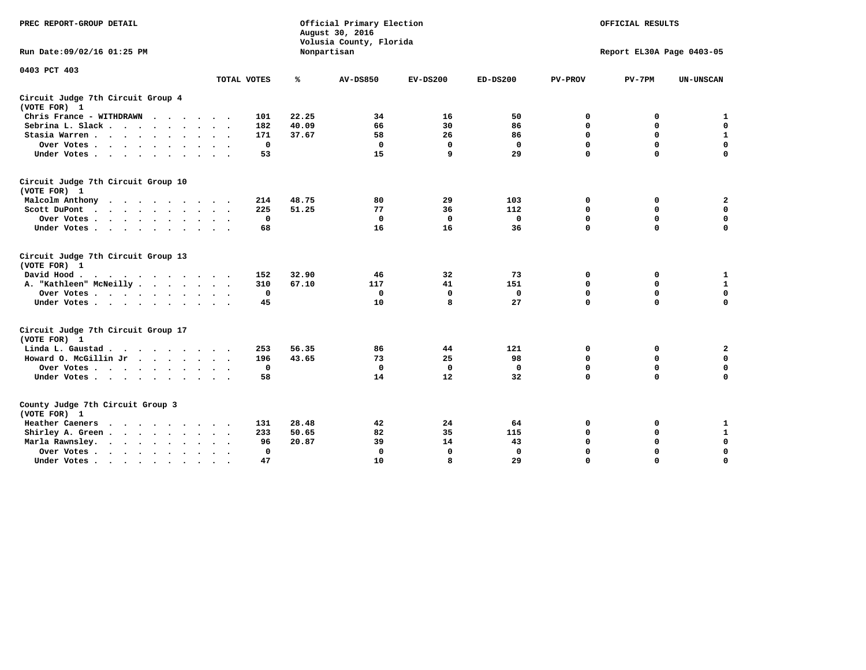| PREC REPORT-GROUP DETAIL                                                                                |              |       | Official Primary Election<br>August 30, 2016<br>Volusia County, Florida | OFFICIAL RESULTS<br>Report EL30A Page 0403-05 |              |                |             |                  |
|---------------------------------------------------------------------------------------------------------|--------------|-------|-------------------------------------------------------------------------|-----------------------------------------------|--------------|----------------|-------------|------------------|
| Run Date: 09/02/16 01:25 PM                                                                             |              |       | Nonpartisan                                                             |                                               |              |                |             |                  |
| 0403 PCT 403                                                                                            | TOTAL VOTES  | ℁     | <b>AV-DS850</b>                                                         | $EV-DS200$                                    | $ED-DS200$   | <b>PV-PROV</b> | $PV-7PM$    | <b>UN-UNSCAN</b> |
| Circuit Judge 7th Circuit Group 4<br>(VOTE FOR) 1                                                       |              |       |                                                                         |                                               |              |                |             |                  |
| Chris France - WITHDRAWN                                                                                | 101          | 22.25 | 34                                                                      | 16                                            | 50           | 0              | 0           | $\mathbf{1}$     |
| Sebrina L. Slack                                                                                        | 182          | 40.09 | 66                                                                      | 30                                            | 86           | 0              | 0           | $\mathbf 0$      |
| Stasia Warren                                                                                           | 171          | 37.67 | 58                                                                      | 26                                            | 86           | $\mathbf 0$    | 0           | $\mathbf{1}$     |
| Over Votes                                                                                              | $\mathbf 0$  |       | $\mathbf 0$                                                             | $\mathbf 0$                                   | $\mathbf 0$  | 0              | $\mathbf 0$ | $\mathbf 0$      |
| Under Votes                                                                                             | 53           |       | 15                                                                      | 9                                             | 29           | $\Omega$       | $\Omega$    | $\Omega$         |
| Circuit Judge 7th Circuit Group 10<br>(VOTE FOR) 1                                                      |              |       |                                                                         |                                               |              |                |             |                  |
| Malcolm Anthony                                                                                         | 214          | 48.75 | 80                                                                      | 29                                            | 103          | 0              | 0           | 2                |
| Scott DuPont<br>$\sim$                                                                                  | 225          | 51.25 | 77                                                                      | 36                                            | 112          | $\mathbf 0$    | $\mathbf 0$ | $\mathbf 0$      |
| Over Votes                                                                                              | 0            |       | $\mathbf{0}$                                                            | $\mathbf 0$                                   | $\mathbf 0$  | $\mathbf 0$    | $\mathbf 0$ | $\mathbf 0$      |
| Under Votes                                                                                             | 68           |       | 16                                                                      | 16                                            | 36           | $\mathbf 0$    | $\mathbf 0$ | $\mathbf 0$      |
| Circuit Judge 7th Circuit Group 13<br>(VOTE FOR) 1                                                      |              |       |                                                                         |                                               |              |                |             |                  |
| David Hood.<br>$\mathbf{r}$ , and $\mathbf{r}$ , and $\mathbf{r}$ , and $\mathbf{r}$ , and $\mathbf{r}$ | 152          | 32.90 | 46                                                                      | 32                                            | 73           | 0              | 0           | $\mathbf{1}$     |
| A. "Kathleen" McNeilly                                                                                  | 310          | 67.10 | 117                                                                     | 41                                            | 151          | $\mathbf 0$    | $\mathbf 0$ | $\mathbf{1}$     |
| Over Votes                                                                                              | $\Omega$     |       | $\mathbf{0}$                                                            | $\mathbf 0$                                   | 0            | $\mathbf 0$    | $\mathbf 0$ | $\mathbf 0$      |
| Under Votes                                                                                             | 45           |       | 10                                                                      | 8                                             | 27           | $\Omega$       | $\Omega$    | $\mathbf 0$      |
| Circuit Judge 7th Circuit Group 17<br>(VOTE FOR) 1                                                      |              |       |                                                                         |                                               |              |                |             |                  |
| Linda L. Gaustad                                                                                        | 253          | 56.35 | 86                                                                      | 44                                            | 121          | 0              | 0           | $\mathbf{2}$     |
| Howard O. McGillin Jr                                                                                   | 196          | 43.65 | 73                                                                      | 25                                            | 98           | $\mathbf 0$    | $\mathbf 0$ | $\mathbf 0$      |
| Over Votes                                                                                              | $\mathbf 0$  |       | $\mathbf{0}$                                                            | $\mathbf 0$                                   | $\mathbf{0}$ | $\mathbf 0$    | $\mathbf 0$ | $\mathbf 0$      |
| Under Votes                                                                                             | 58           |       | 14                                                                      | 12                                            | 32           | $\mathbf 0$    | $\mathbf 0$ | $\mathbf 0$      |
| County Judge 7th Circuit Group 3<br>(VOTE FOR) 1                                                        |              |       |                                                                         |                                               |              |                |             |                  |
| Heather Caeners                                                                                         | 131          | 28.48 | 42                                                                      | 24                                            | 64           | 0              | 0           | $\mathbf{1}$     |
| Shirley A. Green                                                                                        | 233          | 50.65 | 82                                                                      | 35                                            | 115          | $\mathbf 0$    | 0           | $\mathbf{1}$     |
| Marla Rawnsley.                                                                                         | 96           | 20.87 | 39                                                                      | 14                                            | 43           | 0              | $\mathbf 0$ | $\mathbf 0$      |
| Over Votes.<br>$\cdots$<br>$\sim$<br>$\sim$                                                             | $\mathbf{0}$ |       | $\Omega$                                                                | $\mathbf 0$                                   | $\mathbf{0}$ | $\mathbf 0$    | $\mathbf 0$ | $\mathbf 0$      |
| Under Votes                                                                                             | 47           |       | 10                                                                      | 8                                             | 29           | $\mathbf 0$    | $\mathbf 0$ | 0                |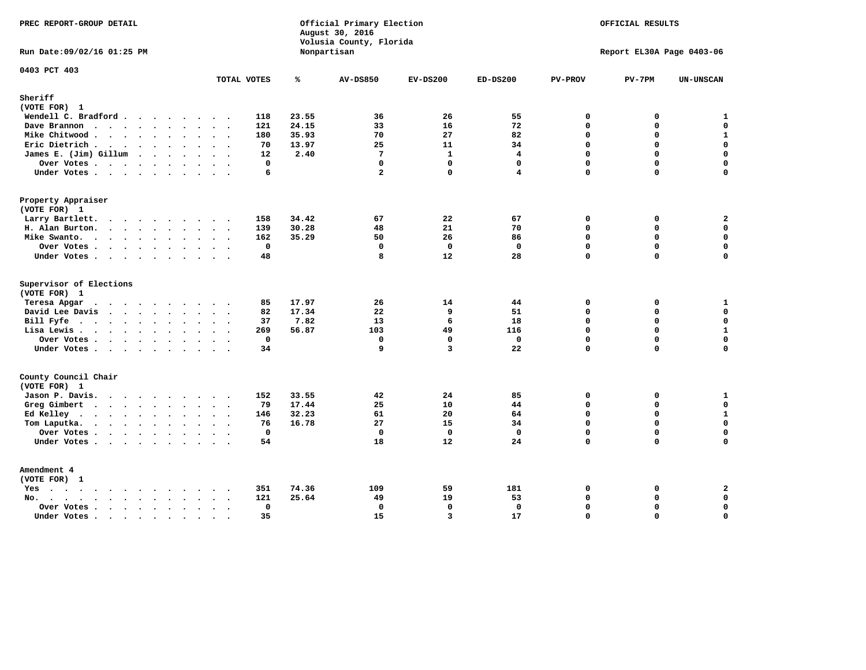| PREC REPORT-GROUP DETAIL<br>Official Primary Election<br>August 30, 2016<br>Volusia County, Florida<br>Nonpartisan                                                                                                                                |                        |              | OFFICIAL RESULTS<br>Report EL30A Page 0403-06 |                |                |                |          |                  |
|---------------------------------------------------------------------------------------------------------------------------------------------------------------------------------------------------------------------------------------------------|------------------------|--------------|-----------------------------------------------|----------------|----------------|----------------|----------|------------------|
| Run Date: 09/02/16 01:25 PM                                                                                                                                                                                                                       |                        |              |                                               |                |                |                |          |                  |
| 0403 PCT 403                                                                                                                                                                                                                                      | TOTAL VOTES            | ℁            | <b>AV-DS850</b>                               | $EV-DS200$     | $ED-DS200$     | <b>PV-PROV</b> | $PV-7PM$ | <b>UN-UNSCAN</b> |
| Sheriff                                                                                                                                                                                                                                           |                        |              |                                               |                |                |                |          |                  |
| (VOTE FOR) 1                                                                                                                                                                                                                                      |                        |              |                                               |                |                |                |          |                  |
| Wendell C. Bradford                                                                                                                                                                                                                               | 118                    | 23.55        | 36                                            | 26             | 55             | 0              | 0        | $\mathbf{1}$     |
| Dave Brannon                                                                                                                                                                                                                                      | 121                    | 24.15        | 33                                            | 16             | 72             | $\mathbf 0$    | 0        | $\mathbf 0$      |
| Mike Chitwood                                                                                                                                                                                                                                     | 180                    | 35.93        | 70                                            | 27             | 82             | 0              | 0        | $\mathbf{1}$     |
| Eric Dietrich                                                                                                                                                                                                                                     | 70                     | 13.97        | 25                                            | 11             | 34             | $\mathbf 0$    | 0        | $\mathbf 0$      |
| James E. (Jim) Gillum                                                                                                                                                                                                                             | 12                     | 2.40         | $7\phantom{.0}$                               | $\mathbf{1}$   | $\overline{4}$ | $\Omega$       | $\Omega$ | $\mathbf 0$      |
| Over Votes                                                                                                                                                                                                                                        |                        | $\mathbf 0$  | $\mathbf{0}$                                  | $\mathbf 0$    | $\mathbf 0$    | $\Omega$       | 0        | $\mathbf 0$      |
| Under Votes                                                                                                                                                                                                                                       |                        | 6            | $\mathbf{2}$                                  | $\Omega$       | 4              | $\Omega$       | $\Omega$ | $\Omega$         |
| Property Appraiser                                                                                                                                                                                                                                |                        |              |                                               |                |                |                |          |                  |
| (VOTE FOR) 1                                                                                                                                                                                                                                      |                        |              |                                               |                |                |                |          |                  |
| Larry Bartlett.                                                                                                                                                                                                                                   | 158                    | 34.42        | 67                                            | 22             | 67             | 0              | 0        | $\mathbf{2}$     |
| H. Alan Burton.                                                                                                                                                                                                                                   | 139                    | 30.28        | 48                                            | 21             | 70             | $\mathbf 0$    | 0        | $\mathbf 0$      |
| Mike Swanto.                                                                                                                                                                                                                                      | 162                    | 35.29        | 50                                            | 26             | 86             | $\Omega$       | $\Omega$ | $\mathbf 0$      |
| Over Votes                                                                                                                                                                                                                                        |                        | $\mathbf 0$  | $\mathbf 0$                                   | $\mathbf 0$    | $\mathbf 0$    | $\mathbf 0$    | 0        | $\mathbf 0$      |
| Under Votes                                                                                                                                                                                                                                       | 48                     |              | 8                                             | 12             | 28             | $\Omega$       | $\Omega$ | 0                |
| Supervisor of Elections                                                                                                                                                                                                                           |                        |              |                                               |                |                |                |          |                  |
| (VOTE FOR) 1                                                                                                                                                                                                                                      |                        |              |                                               |                |                |                |          |                  |
| Teresa Apgar<br>$\mathbf{r}$ . The state of the state $\mathbf{r}$                                                                                                                                                                                | 85                     | 17.97        | 26                                            | 14             | 44             | 0              | 0        | $\mathbf{1}$     |
| David Lee Davis                                                                                                                                                                                                                                   | 82                     | 17.34        | 22                                            | 9              | 51             | $\Omega$       | 0        | $\mathbf 0$      |
| Bill Fyfe                                                                                                                                                                                                                                         | 37                     | 7.82         | 13                                            | 6              | 18             | $\mathbf{0}$   | 0        | $\mathbf 0$      |
| Lisa Lewis                                                                                                                                                                                                                                        | 269                    | 56.87        | 103                                           | 49             | 116            | $\Omega$       | 0        | $\mathbf 1$      |
| Over Votes                                                                                                                                                                                                                                        |                        | $\mathbf 0$  | $\mathbf 0$                                   | $\mathbf 0$    | $\mathbf 0$    | $\mathbf 0$    | 0        | $\mathbf 0$      |
| Under Votes                                                                                                                                                                                                                                       | 34                     |              | 9                                             | $\overline{3}$ | 22             | $\Omega$       | $\Omega$ | $\mathbf 0$      |
| County Council Chair                                                                                                                                                                                                                              |                        |              |                                               |                |                |                |          |                  |
| (VOTE FOR) 1                                                                                                                                                                                                                                      |                        |              |                                               |                |                |                |          |                  |
| Jason P. Davis.                                                                                                                                                                                                                                   | 152                    | 33.55        | 42                                            | 24             | 85             | $\mathbf 0$    | 0        | ${\bf 1}$        |
| Greg Gimbert<br>$\mathbf{r}$ . The contract of the contract of the contract of the contract of the contract of the contract of the contract of the contract of the contract of the contract of the contract of the contract of the contract of th | 79                     | 17.44        | 25                                            | 10             | 44             | $\mathbf{0}$   | 0        | $\mathbf 0$      |
| Ed Kelley                                                                                                                                                                                                                                         | 146                    | 32.23        | 61                                            | 20             | 64             | $\Omega$       | 0        | $\mathbf 1$      |
| Tom Laputka.                                                                                                                                                                                                                                      | 76                     | 16.78        | 27                                            | 15             | 34             | $\mathbf 0$    | 0        | $\mathbf 0$      |
| Over Votes                                                                                                                                                                                                                                        |                        | $\mathbf{0}$ | $\mathbf 0$                                   | $\mathbf 0$    | $\mathbf{0}$   | $\mathbf 0$    | 0        | 0                |
| Under Votes                                                                                                                                                                                                                                       | 54                     |              | 18                                            | 12             | 24             | $\Omega$       | $\Omega$ | $\mathbf 0$      |
| Amendment 4                                                                                                                                                                                                                                       |                        |              |                                               |                |                |                |          |                  |
| (VOTE FOR) 1                                                                                                                                                                                                                                      |                        |              |                                               |                |                |                |          |                  |
| $Yes \cdot \cdot \cdot \cdot \cdot \cdot \cdot \cdot \cdot$                                                                                                                                                                                       | 351<br>$\cdot$ .       | 74.36        | 109                                           | 59             | 181            | 0              | 0        | 2                |
| No.<br>$\ddot{\phantom{a}}$                                                                                                                                                                                                                       | 121                    | 25.64        | 49                                            | 19             | 53             | $\Omega$       | 0        | $\mathbf 0$      |
| Over Votes .<br>$\cdots$<br>$\ddot{\phantom{1}}$                                                                                                                                                                                                  | $\ddot{\phantom{0}}$   | $\mathbf 0$  | $\mathbf 0$                                   | $\mathbf{0}$   | $\mathbf 0$    | $\mathbf 0$    | 0        | $\mathbf 0$      |
| Under Votes<br>$\sim$                                                                                                                                                                                                                             | 35<br>$\sim$<br>$\sim$ |              | 15                                            | $\overline{3}$ | 17             | $\mathbf 0$    | 0        | $\mathbf 0$      |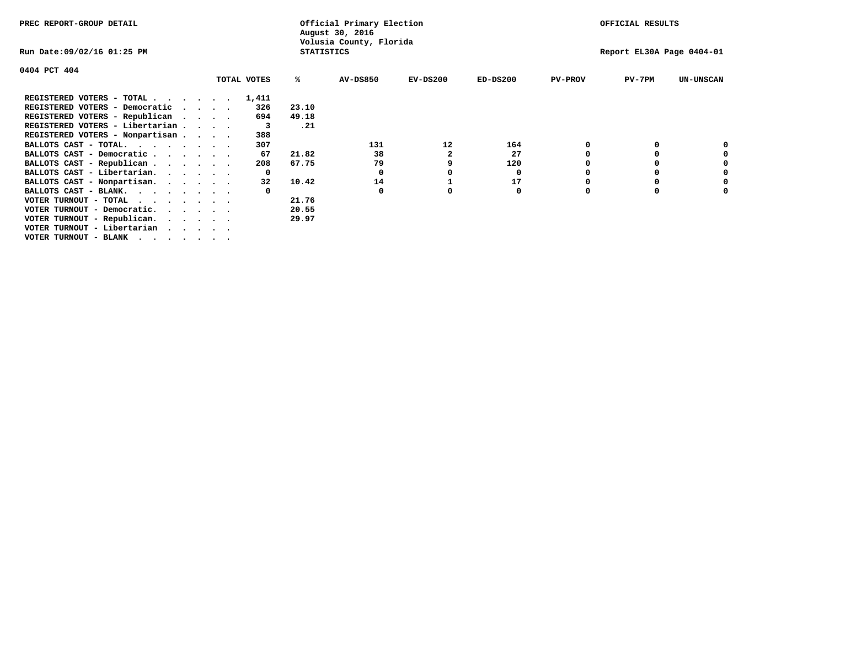| PREC REPORT-GROUP DETAIL                                               |              |                   | Official Primary Election<br>August 30, 2016 |            |            |                | OFFICIAL RESULTS          |                  |
|------------------------------------------------------------------------|--------------|-------------------|----------------------------------------------|------------|------------|----------------|---------------------------|------------------|
| Run Date:09/02/16 01:25 PM                                             |              | <b>STATISTICS</b> | Volusia County, Florida                      |            |            |                | Report EL30A Page 0404-01 |                  |
| 0404 PCT 404                                                           |              |                   |                                              |            |            |                |                           |                  |
|                                                                        | TOTAL VOTES  | ℁                 | <b>AV-DS850</b>                              | $EV-DS200$ | $ED-DS200$ | <b>PV-PROV</b> | $PV-7PM$                  | <b>UN-UNSCAN</b> |
| REGISTERED VOTERS - TOTAL                                              | 1,411        |                   |                                              |            |            |                |                           |                  |
| REGISTERED VOTERS - Democratic<br>$\cdots$                             | 326          | 23.10             |                                              |            |            |                |                           |                  |
| REGISTERED VOTERS - Republican                                         | 694          | 49.18             |                                              |            |            |                |                           |                  |
| REGISTERED VOTERS - Libertarian                                        | 3            | .21               |                                              |            |            |                |                           |                  |
| REGISTERED VOTERS - Nonpartisan                                        | 388          |                   |                                              |            |            |                |                           |                  |
| BALLOTS CAST - TOTAL.                                                  | 307          |                   | 131                                          | 12         | 164        |                |                           |                  |
| BALLOTS CAST - Democratic                                              | 67           | 21.82             | 38                                           |            | 27         |                |                           |                  |
| BALLOTS CAST - Republican                                              | 208          | 67.75             | 79                                           | 9          | 120        |                |                           |                  |
| BALLOTS CAST - Libertarian.                                            | $\mathbf{o}$ |                   | 0                                            |            | 0          |                |                           |                  |
| BALLOTS CAST - Nonpartisan.                                            | 32           | 10.42             | 14                                           |            | 17         |                |                           | 0                |
| BALLOTS CAST - BLANK.                                                  |              |                   | 0                                            |            | 0          | 0              |                           |                  |
| VOTER TURNOUT - TOTAL                                                  |              | 21.76             |                                              |            |            |                |                           |                  |
| VOTER TURNOUT - Democratic.<br>$\cdot$ $\cdot$ $\cdot$ $\cdot$ $\cdot$ |              | 20.55             |                                              |            |            |                |                           |                  |
| VOTER TURNOUT - Republican.                                            |              | 29.97             |                                              |            |            |                |                           |                  |
| VOTER TURNOUT - Libertarian                                            |              |                   |                                              |            |            |                |                           |                  |
| VOTER TURNOUT - BLANK                                                  |              |                   |                                              |            |            |                |                           |                  |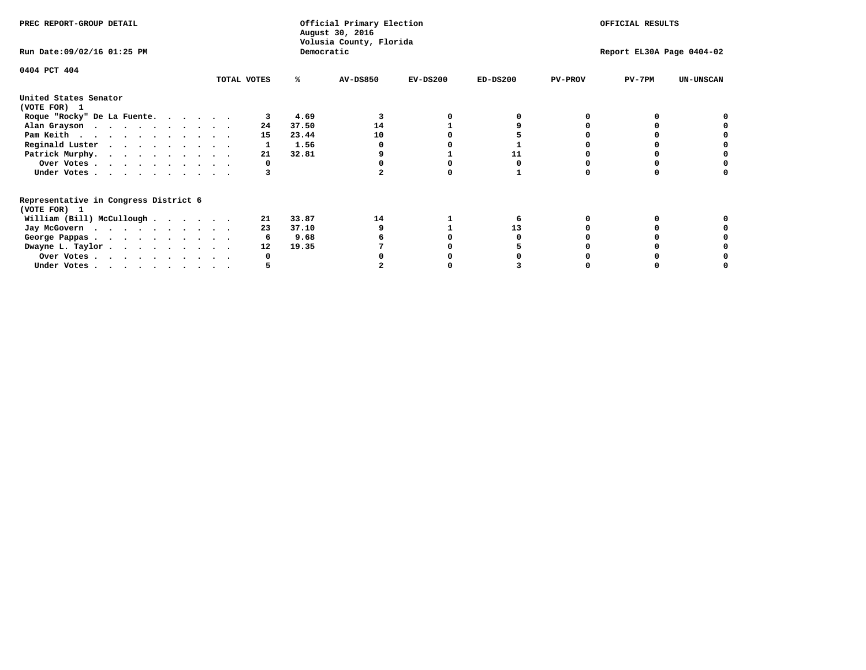|                                                                                                                                                                                                                                                                                                        |                               |                                 | OFFICIAL RESULTS                    |                                                      |                |          |                           |
|--------------------------------------------------------------------------------------------------------------------------------------------------------------------------------------------------------------------------------------------------------------------------------------------------------|-------------------------------|---------------------------------|-------------------------------------|------------------------------------------------------|----------------|----------|---------------------------|
|                                                                                                                                                                                                                                                                                                        |                               |                                 |                                     |                                                      |                |          |                           |
|                                                                                                                                                                                                                                                                                                        | %ะ                            | <b>AV-DS850</b>                 | $EV-DS200$                          | $ED-DS200$                                           | <b>PV-PROV</b> | $PV-7PM$ | <b>UN-UNSCAN</b>          |
|                                                                                                                                                                                                                                                                                                        |                               |                                 |                                     |                                                      |                |          |                           |
|                                                                                                                                                                                                                                                                                                        | 4.69                          |                                 |                                     |                                                      |                |          |                           |
| 24                                                                                                                                                                                                                                                                                                     | 37.50                         | 14                              |                                     |                                                      |                |          |                           |
| 15                                                                                                                                                                                                                                                                                                     | 23.44                         | 10                              |                                     |                                                      |                |          |                           |
|                                                                                                                                                                                                                                                                                                        | 1.56                          |                                 |                                     |                                                      |                |          |                           |
| 21                                                                                                                                                                                                                                                                                                     | 32.81                         |                                 |                                     | 11                                                   |                |          |                           |
|                                                                                                                                                                                                                                                                                                        |                               |                                 |                                     |                                                      |                |          |                           |
|                                                                                                                                                                                                                                                                                                        |                               |                                 |                                     |                                                      |                |          |                           |
|                                                                                                                                                                                                                                                                                                        |                               |                                 |                                     |                                                      |                |          |                           |
|                                                                                                                                                                                                                                                                                                        |                               |                                 |                                     |                                                      |                |          |                           |
|                                                                                                                                                                                                                                                                                                        |                               |                                 |                                     |                                                      |                |          |                           |
|                                                                                                                                                                                                                                                                                                        |                               |                                 |                                     |                                                      |                |          |                           |
|                                                                                                                                                                                                                                                                                                        |                               |                                 |                                     |                                                      |                |          |                           |
|                                                                                                                                                                                                                                                                                                        |                               |                                 |                                     |                                                      |                |          |                           |
|                                                                                                                                                                                                                                                                                                        |                               |                                 |                                     |                                                      |                |          |                           |
| Roque "Rocky" De La Fuente.<br>Alan Grayson<br>Pam Keith<br>Reginald Luster<br>Patrick Murphy.<br>Over Votes<br>Under Votes<br>William (Bill) McCullough<br>Jay McGovern<br>George Pappas.<br>Dwayne L. Taylor<br>Over Votes<br>Under Votes, $\cdot$ , $\cdot$ , $\cdot$ , $\cdot$ , $\cdot$ , $\cdot$ | TOTAL VOTES<br>21<br>23<br>12 | 33.87<br>37.10<br>9.68<br>19.35 | August 30, 2016<br>Democratic<br>14 | Official Primary Election<br>Volusia County, Florida | 13             |          | Report EL30A Page 0404-02 |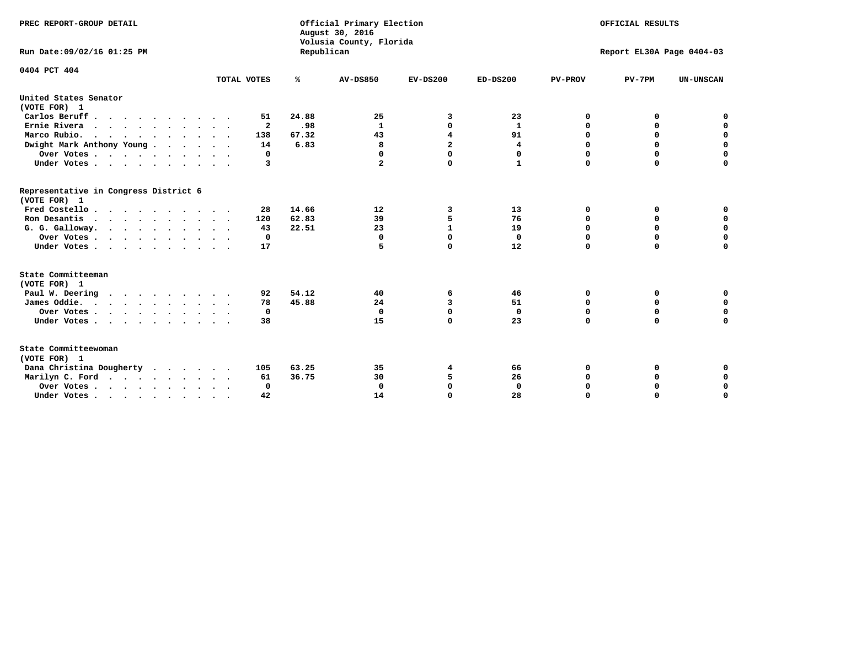| PREC REPORT-GROUP DETAIL                                                         |             |            | Official Primary Election<br>August 30, 2016<br>Volusia County, Florida | OFFICIAL RESULTS        |              |                           |             |                  |  |
|----------------------------------------------------------------------------------|-------------|------------|-------------------------------------------------------------------------|-------------------------|--------------|---------------------------|-------------|------------------|--|
| Run Date: 09/02/16 01:25 PM                                                      |             | Republican |                                                                         |                         |              | Report EL30A Page 0404-03 |             |                  |  |
| 0404 PCT 404                                                                     | TOTAL VOTES | ℁          | <b>AV-DS850</b>                                                         | $EV-DS200$              | $ED-DS200$   | <b>PV-PROV</b>            | $PV-7PM$    | <b>UN-UNSCAN</b> |  |
|                                                                                  |             |            |                                                                         |                         |              |                           |             |                  |  |
| United States Senator<br>(VOTE FOR) 1                                            |             |            |                                                                         |                         |              |                           |             |                  |  |
| Carlos Beruff                                                                    | 51          | 24.88      | 25                                                                      | 3                       | 23           | 0                         | 0           | 0                |  |
| Ernie Rivera                                                                     | 2           | .98        | 1                                                                       | 0                       | 1            | 0                         | 0           | $\mathbf 0$      |  |
| Marco Rubio.<br>.                                                                | 138         | 67.32      | 43                                                                      | $\overline{\mathbf{4}}$ | 91           | 0                         | $\mathbf 0$ | $\mathbf 0$      |  |
| Dwight Mark Anthony Young                                                        | 14          | 6.83       | 8                                                                       | $\overline{a}$          | 4            | 0                         | $\mathbf 0$ | $\mathbf 0$      |  |
| Over Votes                                                                       | 0           |            | 0                                                                       | $\mathbf 0$             | 0            | 0                         | $\Omega$    | 0                |  |
| Under Votes                                                                      | 3           |            | $\mathbf{2}$                                                            | $\Omega$                | $\mathbf{1}$ | $\Omega$                  | $\Omega$    | $\Omega$         |  |
| Representative in Congress District 6<br>(VOTE FOR) 1                            |             |            |                                                                         |                         |              |                           |             |                  |  |
| Fred Costello                                                                    | 28          | 14.66      | 12                                                                      | 3                       | 13           | 0                         | 0           | 0                |  |
| Ron Desantis                                                                     | 120         | 62.83      | 39                                                                      | 5                       | 76           | 0                         | 0           | $\mathbf 0$      |  |
| G. G. Galloway.                                                                  | 43          | 22.51      | 23                                                                      | $\mathbf{1}$            | 19           | 0                         | 0           | $\mathbf 0$      |  |
| Over Votes                                                                       | 0           |            | $\mathbf{0}$                                                            | $\mathbf 0$             | $\mathbf 0$  | 0                         | $\mathbf 0$ | $\mathbf 0$      |  |
| Under Votes                                                                      | 17          |            | 5                                                                       | $\Omega$                | 12           | $\Omega$                  | $\mathbf 0$ | $\Omega$         |  |
| State Committeeman                                                               |             |            |                                                                         |                         |              |                           |             |                  |  |
| (VOTE FOR) 1                                                                     |             |            |                                                                         |                         |              |                           |             |                  |  |
| Paul W. Deering                                                                  | 92          | 54.12      | 40                                                                      | 6                       | 46           | 0                         | 0           | 0                |  |
| James Oddie.                                                                     | 78          | 45.88      | 24                                                                      | 3                       | 51           | 0                         | 0           | 0                |  |
| Over Votes                                                                       | 0           |            | $\Omega$                                                                | $\Omega$                | $\mathbf 0$  | 0                         | $\mathbf 0$ | 0                |  |
| Under Votes                                                                      | 38          |            | 15                                                                      | $\Omega$                | 23           | $\mathbf 0$               | $\Omega$    | $\mathbf 0$      |  |
| State Committeewoman<br>(VOTE FOR) 1                                             |             |            |                                                                         |                         |              |                           |             |                  |  |
| Dana Christina Dougherty                                                         | 105         | 63.25      | 35                                                                      | 4                       | 66           | 0                         | 0           | 0                |  |
| Marilyn C. Ford                                                                  | 61          | 36.75      | 30                                                                      | 5                       | 26           | 0                         | 0           | 0                |  |
| Over Votes                                                                       | $\Omega$    |            | $\Omega$                                                                | $\mathbf 0$             | $\mathbf{0}$ | 0                         | 0           | $\mathbf 0$      |  |
| Under Votes, $\cdot$ , $\cdot$ , $\cdot$ , $\cdot$ , $\cdot$ , $\cdot$ , $\cdot$ | 42          |            | 14                                                                      | $\Omega$                | 28           | $\Omega$                  | $\Omega$    | $\Omega$         |  |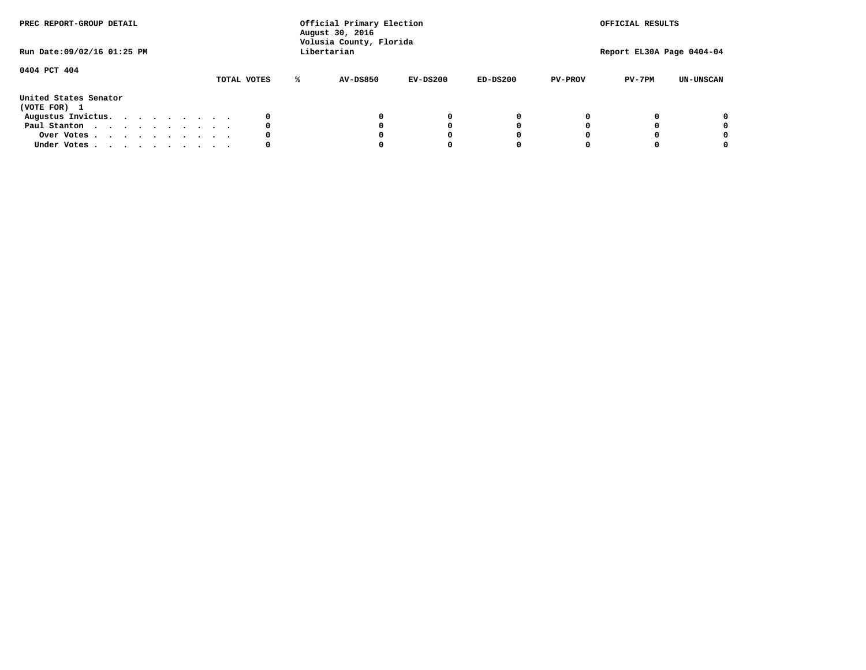| PREC REPORT-GROUP DETAIL<br>Run Date:09/02/16 01:25 PM |  |  |  |  | Official Primary Election<br>August 30, 2016<br>Volusia County, Florida<br>Libertarian |  |             |  |                 | OFFICIAL RESULTS<br>Report EL30A Page 0404-04 |            |                |          |                  |
|--------------------------------------------------------|--|--|--|--|----------------------------------------------------------------------------------------|--|-------------|--|-----------------|-----------------------------------------------|------------|----------------|----------|------------------|
| 0404 PCT 404                                           |  |  |  |  |                                                                                        |  | TOTAL VOTES |  | <b>AV-DS850</b> | $EV-DS200$                                    | $ED-DS200$ | <b>PV-PROV</b> | $PV-7PM$ | <b>UN-UNSCAN</b> |
| United States Senator<br>(VOTE FOR) 1                  |  |  |  |  |                                                                                        |  |             |  |                 |                                               |            |                |          |                  |
| Augustus Invictus.                                     |  |  |  |  |                                                                                        |  |             |  |                 | 0                                             | 0          |                |          | 0                |
| Paul Stanton                                           |  |  |  |  |                                                                                        |  | 0           |  |                 | 0                                             |            |                |          | 0                |
| Over Votes                                             |  |  |  |  |                                                                                        |  |             |  |                 |                                               |            |                |          | 0                |
| Under Votes                                            |  |  |  |  |                                                                                        |  | 0           |  |                 |                                               |            |                |          | 0                |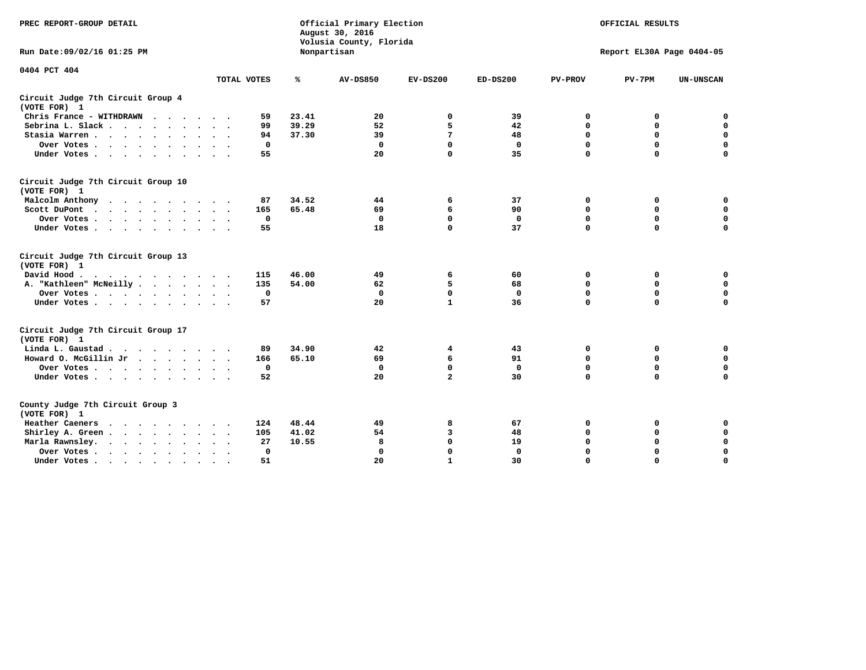| PREC REPORT-GROUP DETAIL                           |             |              | Official Primary Election<br>August 30, 2016<br>Volusia County, Florida |                | OFFICIAL RESULTS |                |                           |                  |
|----------------------------------------------------|-------------|--------------|-------------------------------------------------------------------------|----------------|------------------|----------------|---------------------------|------------------|
| Run Date: 09/02/16 01:25 PM                        |             |              | Nonpartisan                                                             |                |                  |                | Report EL30A Page 0404-05 |                  |
| 0404 PCT 404                                       |             |              |                                                                         |                |                  |                |                           |                  |
|                                                    | TOTAL VOTES | ℁            | <b>AV-DS850</b>                                                         | $EV-DS200$     | $ED-DS200$       | <b>PV-PROV</b> | $PV-7PM$                  | <b>UN-UNSCAN</b> |
| Circuit Judge 7th Circuit Group 4<br>(VOTE FOR) 1  |             |              |                                                                         |                |                  |                |                           |                  |
| Chris France - WITHDRAWN                           |             | 23.41<br>59  | 20                                                                      | $\mathbf 0$    | 39               | $\mathbf 0$    | $\mathbf 0$               | $\mathbf 0$      |
| Sebrina L. Slack.                                  |             | 39.29<br>99  | 52                                                                      | 5              | 42               | $\mathbf 0$    | $\mathbf 0$               | $\mathbf 0$      |
| Stasia Warren                                      |             | 37.30<br>94  | 39                                                                      | 7              | 48               | 0              | $\mathbf 0$               | $\pmb{0}$        |
| Over Votes<br>$\sim$                               |             | $\mathbf 0$  | $\mathbf 0$                                                             | 0              | $\mathbf 0$      | $\mathbf 0$    | $\mathbf 0$               | $\mathbf 0$      |
| Under Votes                                        |             | 55           | 20                                                                      | $\mathbf 0$    | 35               | $\mathbf 0$    | $\mathbf 0$               | $\mathbf 0$      |
| Circuit Judge 7th Circuit Group 10<br>(VOTE FOR) 1 |             |              |                                                                         |                |                  |                |                           |                  |
| Malcolm Anthony<br>$\cdots$                        |             | 87<br>34.52  | 44                                                                      | 6              | 37               | 0              | 0                         | 0                |
| Scott DuPont<br>$\cdots$                           |             | 65.48<br>165 | 69                                                                      | 6              | 90               | $\Omega$       | $\mathbf 0$               | $\mathbf 0$      |
| Over Votes                                         |             | $\mathbf 0$  | $\Omega$                                                                | $\mathbf 0$    | $\Omega$         | $\mathbf 0$    | $\mathbf 0$               | $\mathbf 0$      |
| Under Votes                                        |             | 55           | 18                                                                      | $\Omega$       | 37               | $\Omega$       | $\Omega$                  | $\mathbf 0$      |
| Circuit Judge 7th Circuit Group 13<br>(VOTE FOR) 1 |             |              |                                                                         |                |                  |                |                           |                  |
| David Hood                                         |             | 46.00<br>115 | 49                                                                      | 6              | 60               | 0              | 0                         | $\mathbf 0$      |
| A. "Kathleen" McNeilly                             |             | 135<br>54.00 | 62                                                                      | 5              | 68               | $\mathbf 0$    | 0                         | $\mathbf 0$      |
| Over Votes                                         |             | 0            | 0                                                                       | $\mathbf 0$    | 0                | $\mathbf 0$    | $\mathbf 0$               | $\mathbf 0$      |
| Under Votes                                        |             | 57           | 20                                                                      | $\mathbf{1}$   | 36               | $\mathbf 0$    | $\mathbf 0$               | $\mathbf 0$      |
| Circuit Judge 7th Circuit Group 17<br>(VOTE FOR) 1 |             |              |                                                                         |                |                  |                |                           |                  |
| Linda L. Gaustad                                   |             | 34.90<br>89  | 42                                                                      | 4              | 43               | 0              | 0                         | 0                |
| Howard O. McGillin Jr                              |             | 166<br>65.10 | 69                                                                      | 6              | 91               | 0              | $\mathbf 0$               | $\mathbf 0$      |
| Over Votes                                         |             | $\mathbf 0$  | $\mathbf 0$                                                             | 0              | $\mathbf 0$      | $\mathbf 0$    | $\mathbf 0$               | $\mathbf 0$      |
| Under Votes                                        |             | 52           | 20                                                                      | $\overline{a}$ | 30               | $\mathbf 0$    | $\Omega$                  | $\mathbf 0$      |
| County Judge 7th Circuit Group 3<br>(VOTE FOR) 1   |             |              |                                                                         |                |                  |                |                           |                  |
| Heather Caeners<br>$\cdots$                        |             | 124<br>48.44 | 49                                                                      | 8              | 67               | 0              | 0                         | 0                |
| Shirley A. Green                                   |             | 41.02<br>105 | 54                                                                      | 3              | 48               | $\mathbf 0$    | $\mathbf 0$               | $\mathbf 0$      |
| Marla Rawnsley.                                    |             | 10.55<br>27  | 8                                                                       | $\mathbf{0}$   | 19               | $\mathbf 0$    | $\mathbf 0$               | $\mathbf 0$      |
| Over Votes.<br>$\cdots$<br>$\ddot{\phantom{a}}$    | $\cdot$     | $\mathbf 0$  | $\mathbf 0$                                                             | $\mathbf{0}$   | $\mathbf{0}$     | $\mathbf 0$    | $\mathbf 0$               | $\mathbf 0$      |
| Under Votes                                        | $\sim$      | 51           | 20                                                                      | $\mathbf{1}$   | 30               | $\mathbf 0$    | $\mathbf 0$               | $\mathbf 0$      |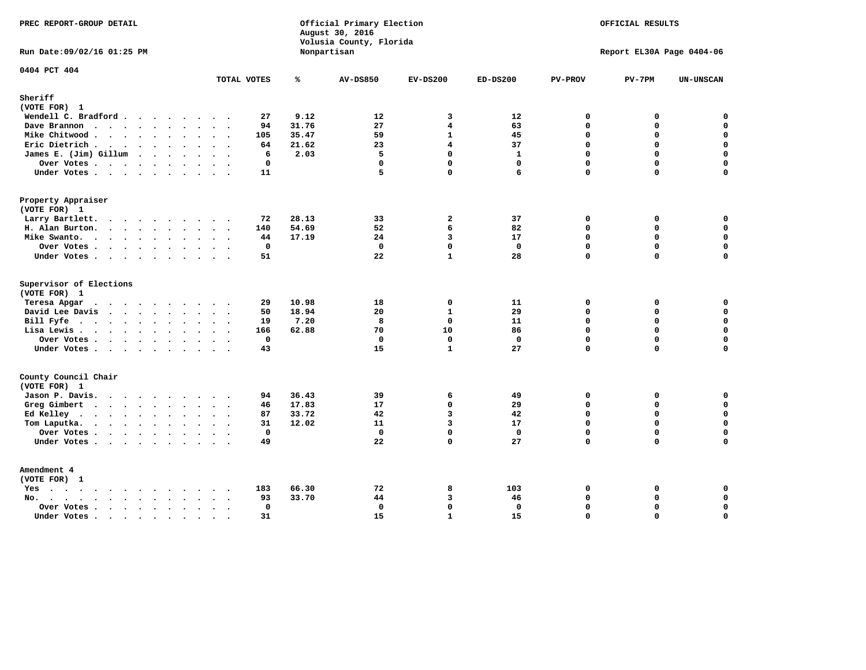| PREC REPORT-GROUP DETAIL                |                             |       | Official Primary Election<br>August 30, 2016<br>Volusia County, Florida |                     |                    |                         | OFFICIAL RESULTS          |                  |
|-----------------------------------------|-----------------------------|-------|-------------------------------------------------------------------------|---------------------|--------------------|-------------------------|---------------------------|------------------|
| Run Date: 09/02/16 01:25 PM             |                             |       | Nonpartisan                                                             |                     |                    |                         | Report EL30A Page 0404-06 |                  |
| 0404 PCT 404                            | TOTAL VOTES                 | ℁     | <b>AV-DS850</b>                                                         | $EV-DS200$          | $ED-DS200$         | <b>PV-PROV</b>          | $PV-7PM$                  | <b>UN-UNSCAN</b> |
| Sheriff                                 |                             |       |                                                                         |                     |                    |                         |                           |                  |
| (VOTE FOR) 1                            |                             |       |                                                                         |                     |                    |                         |                           |                  |
| Wendell C. Bradford                     | 27                          | 9.12  | 12                                                                      | 3                   | 12                 | $\mathbf 0$             | 0                         | 0                |
| Dave Brannon                            | 94                          | 31.76 | 27                                                                      | 4                   | 63                 | $\mathbf 0$             | 0                         | $\mathbf 0$      |
| Mike Chitwood                           | 105                         | 35.47 | 59                                                                      | $\mathbf{1}$        | 45                 | $\Omega$                | $\Omega$                  | $\mathbf{0}$     |
| Eric Dietrich.                          | 64                          | 21.62 | 23                                                                      | 4                   | 37                 | $\mathbf{0}$            | 0                         | $\mathbf 0$      |
| James E. (Jim) Gillum                   | 6                           | 2.03  | 5                                                                       | $\mathbf 0$         | $\mathbf{1}$       | $\mathbf 0$             | 0                         | $\mathbf 0$      |
| Over Votes                              | 0                           |       | $\mathbf 0$                                                             | 0                   | $\mathbf 0$        | $\mathbf 0$             | 0                         | $\pmb{0}$        |
| Under Votes.                            | 11                          |       | 5                                                                       | $\Omega$            | 6                  | 0                       | 0                         | 0                |
| Property Appraiser                      |                             |       |                                                                         |                     |                    |                         |                           |                  |
| (VOTE FOR) 1                            |                             |       |                                                                         |                     |                    |                         |                           |                  |
| Larry Bartlett.                         | 72                          | 28.13 | 33                                                                      | $\overline{a}$      | 37                 | $\mathbf 0$             | 0                         | 0                |
| H. Alan Burton.                         | 140                         | 54.69 | 52                                                                      | 6                   | 82                 | $\Omega$                | 0                         | $\mathbf 0$      |
| Mike Swanto.                            | 44                          | 17.19 | 24                                                                      | 3                   | 17                 | $\mathbf 0$             | $\mathbf 0$               | $\mathbf 0$      |
| Over Votes                              | 0                           |       | $\mathbf 0$                                                             | $\mathbf{0}$        | $\mathbf{0}$       | $\mathbf 0$             | 0                         | $\mathbf 0$      |
| Under Votes                             | 51                          |       | 22                                                                      | $\mathbf{1}$        | 28                 | $\Omega$                | $\Omega$                  | $\mathbf 0$      |
| Supervisor of Elections<br>(VOTE FOR) 1 |                             |       |                                                                         |                     |                    |                         |                           |                  |
| Teresa Apgar<br>$\cdots$                | 29                          | 10.98 | 18                                                                      | $\mathbf{0}$        | 11                 | $\mathbf{0}$            | 0                         | 0                |
| David Lee Davis                         | 50                          | 18.94 | 20                                                                      | $\mathbf{1}$        | 29                 | $\Omega$                | 0                         | $\mathbf 0$      |
| Bill Fyfe.                              | 19                          | 7.20  | 8                                                                       | $\mathbf 0$         | 11                 | $\mathbf 0$             | 0                         | $\mathbf 0$      |
| Lisa Lewis                              | 166                         | 62.88 | 70                                                                      | 10                  | 86                 | $\Omega$                | $\mathbf 0$               | $\mathbf 0$      |
| Over Votes                              | $\mathbf 0$                 |       | $\mathbf{0}$                                                            | $\mathbf{0}$        | $\mathbf{0}$       | $\Omega$                | 0                         | $\mathbf 0$      |
| Under Votes                             | 43                          |       | 15                                                                      | $\mathbf{1}$        | 27                 | $\Omega$                | $\Omega$                  | $\mathbf 0$      |
| County Council Chair                    |                             |       |                                                                         |                     |                    |                         |                           |                  |
| (VOTE FOR) 1                            |                             |       |                                                                         |                     |                    |                         |                           |                  |
| Jason P. Davis.                         | 94<br>$\sim$ $\sim$         | 36.43 | 39                                                                      | 6                   | 49                 | $\mathbf 0$             | 0                         | 0                |
| Greg Gimbert                            | 46                          | 17.83 | 17                                                                      | $\mathbf 0$         | 29                 | $\mathbf 0$             | $\mathbf 0$               | $\mathbf 0$      |
| Ed Kelley                               | 87                          | 33.72 | 42                                                                      | 3                   | 42                 | $\Omega$                | 0                         | $\mathbf 0$      |
| Tom Laputka.                            | 31                          | 12.02 | 11<br>$\mathbf 0$                                                       | $\overline{3}$<br>0 | 17<br>$\mathbf{0}$ | $\Omega$<br>$\mathbf 0$ | $\Omega$<br>0             | $\mathbf 0$<br>0 |
| Over Votes.                             | $\mathbf 0$                 |       |                                                                         |                     |                    |                         |                           |                  |
| Under Votes                             | 49                          |       | 22                                                                      | $\Omega$            | 27                 | $\Omega$                | $\Omega$                  | $\Omega$         |
| Amendment 4<br>(VOTE FOR) 1             |                             |       |                                                                         |                     |                    |                         |                           |                  |
| Yes                                     | 183<br>$\sim$ $\sim$ $\sim$ | 66.30 | 72                                                                      | 8                   | 103                | 0                       | 0                         | 0                |
| No.<br>$\sim$                           | 93                          | 33.70 | 44                                                                      | 3                   | 46                 | $\mathbf 0$             | 0                         | $\mathbf 0$      |
| Over Votes                              | $\mathbf 0$                 |       | $\mathbf 0$                                                             | 0                   | $\mathbf 0$        | $\mathbf 0$             | 0                         | $\mathbf 0$      |
| Under Votes                             | 31<br>$\sim$                |       | 15                                                                      | $\mathbf{1}$        | 15                 | $\Omega$                | $\Omega$                  | $\mathbf 0$      |
|                                         |                             |       |                                                                         |                     |                    |                         |                           |                  |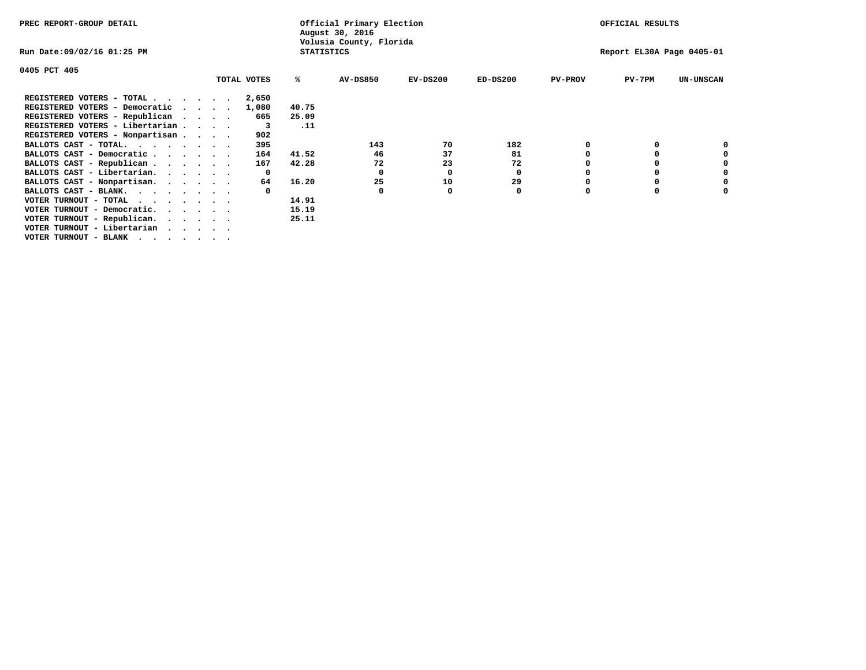| PREC REPORT-GROUP DETAIL                                               |                   | Official Primary Election<br>August 30, 2016 |            |            |                | OFFICIAL RESULTS          |                  |
|------------------------------------------------------------------------|-------------------|----------------------------------------------|------------|------------|----------------|---------------------------|------------------|
| Run Date:09/02/16 01:25 PM                                             | <b>STATISTICS</b> | Volusia County, Florida                      |            |            |                | Report EL30A Page 0405-01 |                  |
| 0405 PCT 405                                                           |                   |                                              |            |            |                |                           |                  |
| TOTAL VOTES                                                            | ℁                 | <b>AV-DS850</b>                              | $EV-DS200$ | $ED-DS200$ | <b>PV-PROV</b> | $PV-7PM$                  | <b>UN-UNSCAN</b> |
| REGISTERED VOTERS - TOTAL<br>2,650                                     |                   |                                              |            |            |                |                           |                  |
| REGISTERED VOTERS - Democratic<br>1,080<br>$\sim$ $\sim$ $\sim$ $\sim$ | 40.75             |                                              |            |            |                |                           |                  |
| REGISTERED VOTERS - Republican<br>665                                  | 25.09             |                                              |            |            |                |                           |                  |
| REGISTERED VOTERS - Libertarian<br>3                                   | .11               |                                              |            |            |                |                           |                  |
| REGISTERED VOTERS - Nonpartisan<br>902                                 |                   |                                              |            |            |                |                           |                  |
| BALLOTS CAST - TOTAL.<br>395                                           |                   | 143                                          | 70         | 182        |                |                           |                  |
| BALLOTS CAST - Democratic<br>164                                       | 41.52             | 46                                           | 37         | 81         |                |                           |                  |
| BALLOTS CAST - Republican<br>167                                       | 42.28             | 72                                           | 23         | 72         |                |                           |                  |
| BALLOTS CAST - Libertarian.<br>0                                       |                   | 0                                            | 0          | 0          |                |                           |                  |
| BALLOTS CAST - Nonpartisan.<br>64                                      | 16.20             | 25                                           | 10         | 29         |                |                           | 0                |
| BALLOTS CAST - BLANK.                                                  |                   | 0                                            | 0          | 0          | 0              |                           |                  |
| VOTER TURNOUT - TOTAL                                                  | 14.91             |                                              |            |            |                |                           |                  |
| VOTER TURNOUT - Democratic.<br>$\cdot$ $\cdot$ $\cdot$ $\cdot$ $\cdot$ | 15.19             |                                              |            |            |                |                           |                  |
| VOTER TURNOUT - Republican.                                            | 25.11             |                                              |            |            |                |                           |                  |
| VOTER TURNOUT - Libertarian                                            |                   |                                              |            |            |                |                           |                  |
| VOTER TURNOUT - BLANK                                                  |                   |                                              |            |            |                |                           |                  |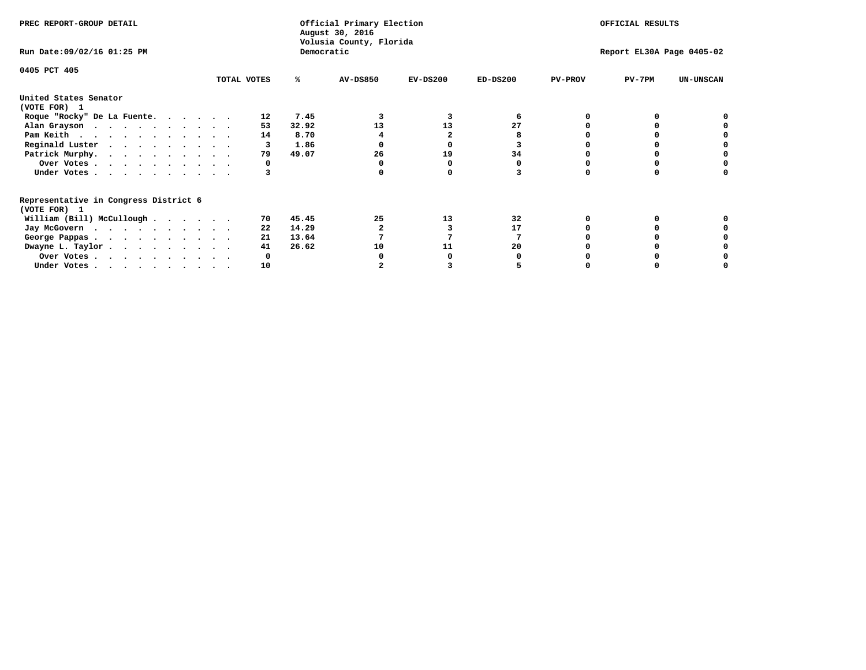| PREC REPORT-GROUP DETAIL                                               |             |       | Official Primary Election<br>August 30, 2016<br>Volusia County, Florida | OFFICIAL RESULTS |            |                           |          |                  |  |
|------------------------------------------------------------------------|-------------|-------|-------------------------------------------------------------------------|------------------|------------|---------------------------|----------|------------------|--|
| Run Date: 09/02/16 01:25 PM                                            |             |       | Democratic                                                              |                  |            | Report EL30A Page 0405-02 |          |                  |  |
| 0405 PCT 405                                                           | TOTAL VOTES | ℁     | <b>AV-DS850</b>                                                         | $EV-DS200$       | $ED-DS200$ | <b>PV-PROV</b>            | $PV-7PM$ | <b>UN-UNSCAN</b> |  |
|                                                                        |             |       |                                                                         |                  |            |                           |          |                  |  |
| United States Senator<br>(VOTE FOR) 1                                  |             |       |                                                                         |                  |            |                           |          |                  |  |
| Roque "Rocky" De La Fuente.                                            | 12          | 7.45  |                                                                         |                  |            |                           |          |                  |  |
| Alan Grayson                                                           | 53          | 32.92 | 13                                                                      | 13               | 27         |                           |          |                  |  |
| Pam Keith                                                              | 14          | 8.70  |                                                                         |                  |            |                           |          |                  |  |
| Reginald Luster                                                        |             | 1.86  |                                                                         |                  |            |                           |          |                  |  |
| Patrick Murphy.                                                        | 79          | 49.07 | 26                                                                      | 19               | 34         |                           |          |                  |  |
| Over Votes                                                             |             |       |                                                                         |                  |            |                           |          |                  |  |
| Under Votes                                                            |             |       |                                                                         |                  |            |                           |          |                  |  |
| Representative in Congress District 6                                  |             |       |                                                                         |                  |            |                           |          |                  |  |
| (VOTE FOR) 1                                                           |             |       |                                                                         |                  |            |                           |          |                  |  |
| William (Bill) McCullough $\cdots$ $\cdots$                            | 70          | 45.45 | 25                                                                      | 13               | 32         |                           |          |                  |  |
| Jay McGovern                                                           | 22          | 14.29 |                                                                         |                  | 17         |                           |          |                  |  |
| George Pappas.                                                         | 21          | 13.64 |                                                                         |                  |            |                           |          |                  |  |
| Dwayne L. Taylor                                                       | 41          | 26.62 | 10                                                                      | 11               | 20         |                           |          |                  |  |
| Over Votes                                                             |             |       |                                                                         |                  |            |                           |          |                  |  |
| Under Votes, $\cdot$ , $\cdot$ , $\cdot$ , $\cdot$ , $\cdot$ , $\cdot$ | 10          |       |                                                                         |                  |            |                           |          |                  |  |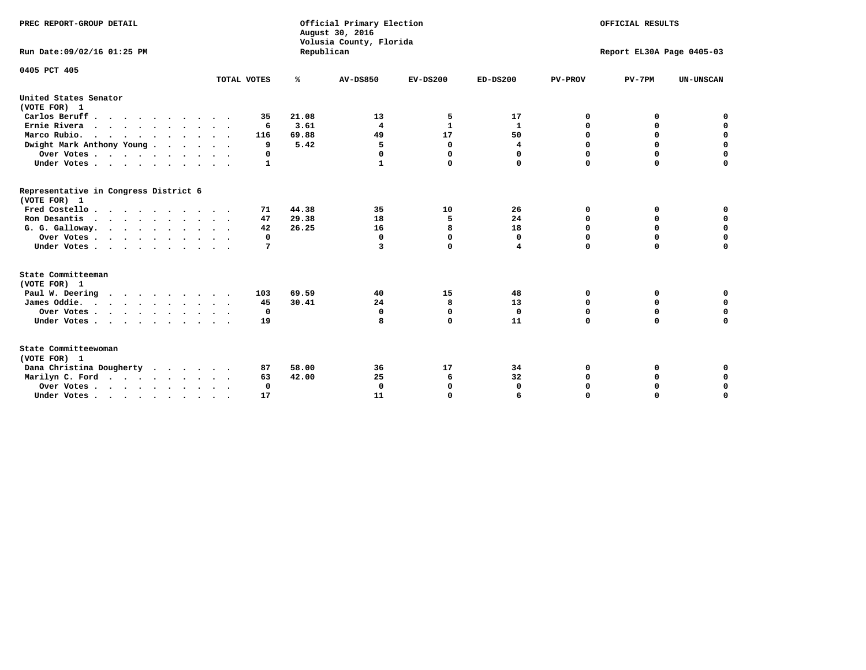| PREC REPORT-GROUP DETAIL<br>Run Date: 09/02/16 01:25 PM                |                            | Republican | Official Primary Election<br>August 30, 2016<br>Volusia County, Florida | OFFICIAL RESULTS<br>Report EL30A Page 0405-03 |              |                |             |                  |
|------------------------------------------------------------------------|----------------------------|------------|-------------------------------------------------------------------------|-----------------------------------------------|--------------|----------------|-------------|------------------|
|                                                                        |                            |            |                                                                         |                                               |              |                |             |                  |
| 0405 PCT 405                                                           | TOTAL VOTES                | %          | <b>AV-DS850</b>                                                         | $EV-DS200$                                    | $ED-DS200$   | <b>PV-PROV</b> | $PV-7PM$    | <b>UN-UNSCAN</b> |
| United States Senator<br>(VOTE FOR) 1                                  |                            |            |                                                                         |                                               |              |                |             |                  |
| Carlos Beruff                                                          | 35                         | 21.08      | 13                                                                      | 5                                             | 17           | 0              | 0           | 0                |
| Ernie Rivera                                                           | 6                          | 3.61       | 4                                                                       | $\mathbf{1}$                                  | 1            | 0              | 0           | $\mathbf 0$      |
| Marco Rubio.<br>$\cdots$                                               | 116                        | 69.88      | 49                                                                      | 17                                            | 50           | $\mathbf 0$    | $\mathbf 0$ | $\mathbf 0$      |
| Dwight Mark Anthony Young                                              | 9                          | 5.42       | 5                                                                       | $\mathbf{0}$                                  | 4            | $\mathbf 0$    | $\mathbf 0$ | $\mathbf 0$      |
| Over Votes                                                             | 0                          |            | 0                                                                       | 0                                             | 0            | $\mathbf 0$    | 0           | $\mathbf 0$      |
| Under Votes                                                            | $\mathbf{1}$               |            | 1                                                                       | $\Omega$                                      | 0            | $\Omega$       | $\Omega$    | $\Omega$         |
| Representative in Congress District 6<br>(VOTE FOR) 1                  |                            |            |                                                                         |                                               |              |                |             |                  |
| Fred Costello                                                          | 71                         | 44.38      | 35                                                                      | 10                                            | 26           | 0              | 0           | 0                |
| Ron Desantis                                                           | 47                         | 29.38      | 18                                                                      | 5                                             | 24           | $\Omega$       | 0           | $\mathbf 0$      |
| G. G. Galloway.                                                        | 42                         | 26.25      | 16                                                                      | 8                                             | 18           | $\mathbf 0$    | $\mathbf 0$ | $\Omega$         |
| Over Votes                                                             | 0                          |            | $\mathbf 0$                                                             | $\mathbf{0}$                                  | $\mathbf 0$  | $\mathbf 0$    | $\mathbf 0$ | $\mathbf 0$      |
| Under Votes                                                            | 7                          |            | 3                                                                       | 0                                             | 4            | $\mathbf 0$    | $\Omega$    | $\Omega$         |
| State Committeeman<br>(VOTE FOR) 1                                     |                            |            |                                                                         |                                               |              |                |             |                  |
| Paul W. Deering                                                        | 103                        | 69.59      | 40                                                                      | 15                                            | 48           | 0              | 0           | 0                |
| James Oddie.                                                           | 45                         | 30.41      | 24                                                                      | 8                                             | 13           | 0              | 0           | $\mathbf 0$      |
| Over Votes                                                             | 0                          |            | 0                                                                       | 0                                             | 0            | 0              | 0           | 0                |
| Under Votes                                                            | 19<br>$\ddot{\phantom{1}}$ |            | 8                                                                       | 0                                             | 11           | $\mathbf 0$    | $\mathbf 0$ | $\mathbf 0$      |
| State Committeewoman<br>(VOTE FOR) 1                                   |                            |            |                                                                         |                                               |              |                |             |                  |
| Dana Christina Dougherty                                               | 87                         | 58.00      | 36                                                                      | 17                                            | 34           | 0              | 0           | 0                |
| Marilyn C. Ford                                                        | 63                         | 42.00      | 25                                                                      | 6                                             | 32           | 0              | 0           | $\mathbf 0$      |
| Over Votes                                                             | $\Omega$                   |            | $\mathbf 0$                                                             | 0                                             | $\mathbf{0}$ | 0              | 0           | 0                |
| Under Votes, $\cdot$ , $\cdot$ , $\cdot$ , $\cdot$ , $\cdot$ , $\cdot$ | 17                         |            | 11                                                                      | $\Omega$                                      |              | $\Omega$       | $\Omega$    | $\Omega$         |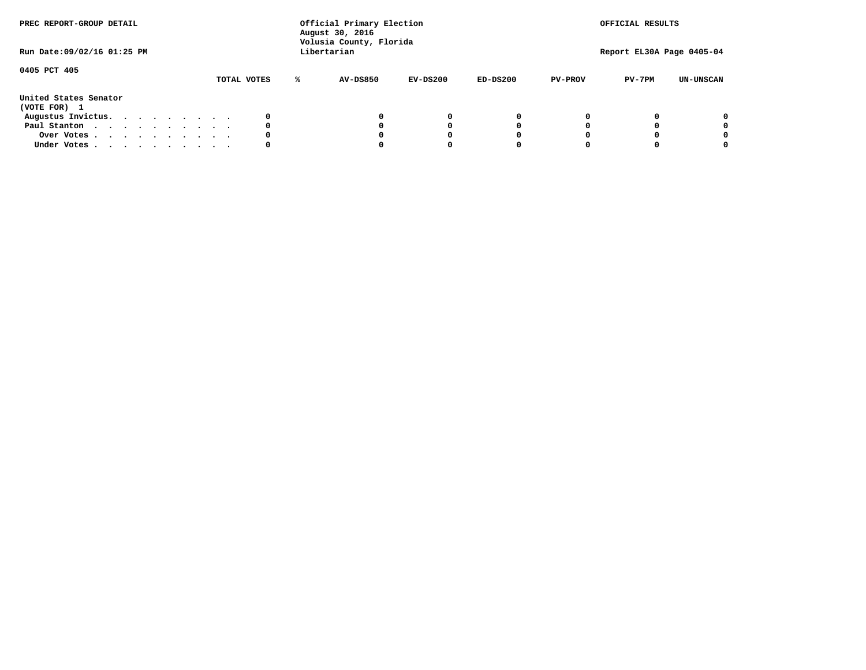| PREC REPORT-GROUP DETAIL<br>Run Date:09/02/16 01:25 PM |  |  |  |  | Official Primary Election<br>August 30, 2016<br>Volusia County, Florida<br>Libertarian |  |             | OFFICIAL RESULTS<br>Report EL30A Page 0405-04 |            |            |                |          |                  |
|--------------------------------------------------------|--|--|--|--|----------------------------------------------------------------------------------------|--|-------------|-----------------------------------------------|------------|------------|----------------|----------|------------------|
| 0405 PCT 405                                           |  |  |  |  |                                                                                        |  | TOTAL VOTES | <b>AV-DS850</b>                               | $EV-DS200$ | $ED-DS200$ | <b>PV-PROV</b> | $PV-7PM$ | <b>UN-UNSCAN</b> |
| United States Senator<br>(VOTE FOR) 1                  |  |  |  |  |                                                                                        |  |             |                                               |            |            |                |          |                  |
| Augustus Invictus.                                     |  |  |  |  |                                                                                        |  |             |                                               | $^{\circ}$ | 0          |                |          | 0                |
| Paul Stanton                                           |  |  |  |  |                                                                                        |  | 0           |                                               | 0          |            |                |          | 0                |
| Over Votes                                             |  |  |  |  |                                                                                        |  |             |                                               |            |            |                |          | 0                |
| Under Votes                                            |  |  |  |  |                                                                                        |  | 0           |                                               |            |            |                |          | 0                |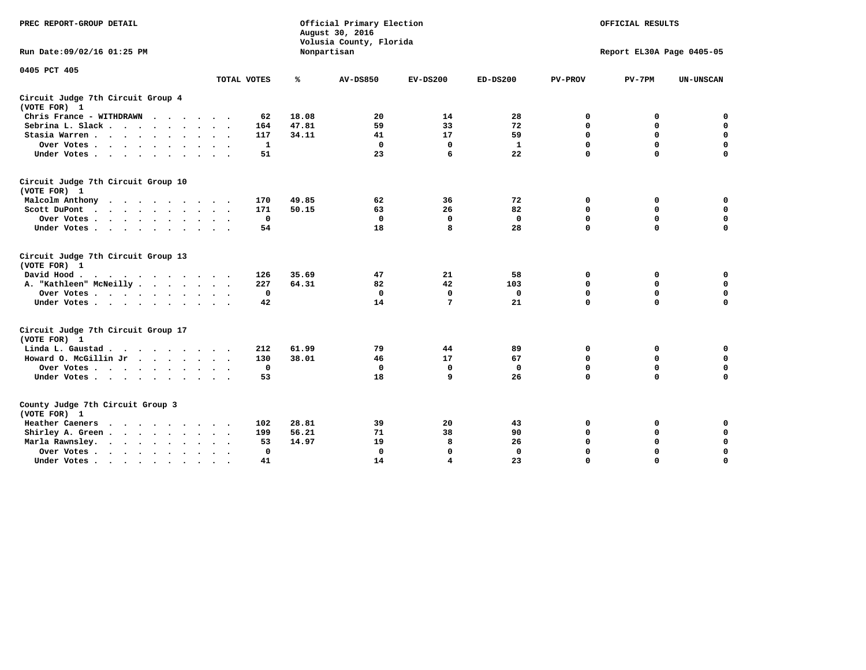| PREC REPORT-GROUP DETAIL                           |              |       | Official Primary Election<br>August 30, 2016<br>Volusia County, Florida | OFFICIAL RESULTS |              |                |                           |                  |
|----------------------------------------------------|--------------|-------|-------------------------------------------------------------------------|------------------|--------------|----------------|---------------------------|------------------|
| Run Date: 09/02/16 01:25 PM                        |              |       | Nonpartisan                                                             |                  |              |                | Report EL30A Page 0405-05 |                  |
| 0405 PCT 405                                       | TOTAL VOTES  | ℁     | <b>AV-DS850</b>                                                         | $EV-DS200$       | $ED-DS200$   | <b>PV-PROV</b> | $PV-7PM$                  | <b>UN-UNSCAN</b> |
| Circuit Judge 7th Circuit Group 4<br>(VOTE FOR) 1  |              |       |                                                                         |                  |              |                |                           |                  |
| Chris France - WITHDRAWN                           | 62           | 18.08 | 20                                                                      | 14               | 28           | 0              | 0                         | $\mathbf 0$      |
| Sebrina L. Slack.                                  | 164          | 47.81 | 59                                                                      | 33               | 72           | $\mathbf 0$    | $\mathbf 0$               | $\mathbf 0$      |
| Stasia Warren                                      | 117          | 34.11 | 41                                                                      | 17               | 59           | 0              | $\mathbf 0$               | $\mathbf 0$      |
| Over Votes                                         | 1            |       | 0                                                                       | $\mathbf 0$      | $\mathbf{1}$ | $\mathbf 0$    | $\mathbf 0$               | $\mathbf 0$      |
| Under Votes                                        | 51           |       | 23                                                                      | 6                | 22           | $\mathbf 0$    | $\Omega$                  | $\mathbf 0$      |
| Circuit Judge 7th Circuit Group 10<br>(VOTE FOR) 1 |              |       |                                                                         |                  |              |                |                           |                  |
| Malcolm Anthony                                    | 170          | 49.85 | 62                                                                      | 36               | 72           | 0              | 0                         | $\mathbf 0$      |
| Scott DuPont                                       | 171          | 50.15 | 63                                                                      | 26               | 82           | $\mathbf 0$    | $\mathbf 0$               | $\mathbf 0$      |
| Over Votes                                         | $\mathbf 0$  |       | $\Omega$                                                                | 0                | 0            | $\mathbf 0$    | 0                         | $\mathbf 0$      |
| Under Votes                                        | 54           |       | 18                                                                      | 8                | 28           | $\mathbf 0$    | $\mathbf 0$               | $\Omega$         |
| Circuit Judge 7th Circuit Group 13<br>(VOTE FOR) 1 |              |       |                                                                         |                  |              |                |                           |                  |
| David Hood.                                        | 126          | 35.69 | 47                                                                      | 21               | 58           | 0              | 0                         | $\mathbf 0$      |
| A. "Kathleen" McNeilly                             | 227          | 64.31 | 82                                                                      | 42               | 103          | $\mathbf 0$    | 0                         | $\mathbf 0$      |
| Over Votes                                         | $\mathbf 0$  |       | $\mathbf{0}$                                                            | $\mathbf 0$      | $\mathbf 0$  | 0              | $\mathbf 0$               | $\mathbf 0$      |
| Under Votes                                        | 42           |       | 14                                                                      | 7                | 21           | $\Omega$       | $\Omega$                  | $\Omega$         |
| Circuit Judge 7th Circuit Group 17<br>(VOTE FOR) 1 |              |       |                                                                         |                  |              |                |                           |                  |
| Linda L. Gaustad                                   | 212          | 61.99 | 79                                                                      | 44               | 89           | 0              | 0                         | 0                |
| Howard O. McGillin Jr                              | 130          | 38.01 | 46                                                                      | 17               | 67           | $\mathbf 0$    | $\mathbf 0$               | 0                |
| Over Votes                                         | $^{\circ}$   |       | $\mathbf{0}$                                                            | $\mathbf 0$      | $\mathbf{0}$ | $\mathbf 0$    | $\mathbf 0$               | $\mathbf 0$      |
| Under Votes                                        | 53           |       | 18                                                                      | 9                | 26           | $\mathbf 0$    | $\mathbf 0$               | $\Omega$         |
| County Judge 7th Circuit Group 3<br>(VOTE FOR) 1   |              |       |                                                                         |                  |              |                |                           |                  |
| Heather Caeners<br>$\cdots$                        | 102          | 28.81 | 39                                                                      | 20               | 43           | $\mathbf 0$    | 0                         | 0                |
| Shirley A. Green                                   | 199          | 56.21 | 71                                                                      | 38               | 90           | $\mathbf 0$    | 0                         | $\mathbf 0$      |
| Marla Rawnsley.                                    | 53           | 14.97 | 19                                                                      | 8                | 26           | 0              | $\mathbf 0$               | $\mathbf 0$      |
| Over Votes<br>$\ddot{\phantom{a}}$<br>$\sim$       | $\mathbf{0}$ |       | $\Omega$                                                                | $\mathbf 0$      | $\mathbf{0}$ | $\mathbf 0$    | $\mathbf 0$               | $\mathbf 0$      |
| Under Votes<br>$\sim$                              | 41           |       | 14                                                                      | 4                | 23           | $\mathbf 0$    | $\mathbf 0$               | 0                |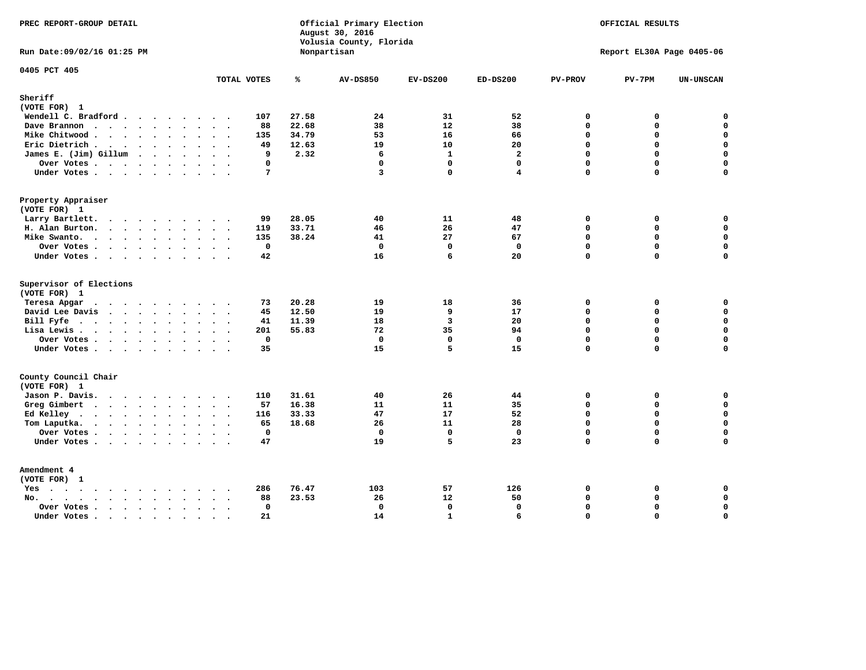| PREC REPORT-GROUP DETAIL                                           |                                           |       | Official Primary Election<br>August 30, 2016<br>Volusia County, Florida | OFFICIAL RESULTS<br>Report EL30A Page 0405-06 |                |                |             |                  |
|--------------------------------------------------------------------|-------------------------------------------|-------|-------------------------------------------------------------------------|-----------------------------------------------|----------------|----------------|-------------|------------------|
| Run Date: 09/02/16 01:25 PM                                        |                                           |       | Nonpartisan                                                             |                                               |                |                |             |                  |
| 0405 PCT 405                                                       | TOTAL VOTES                               | ℁     | <b>AV-DS850</b>                                                         | $EV-DS200$                                    | $ED-DS200$     | <b>PV-PROV</b> | $PV-7PM$    | <b>UN-UNSCAN</b> |
| Sheriff                                                            |                                           |       |                                                                         |                                               |                |                |             |                  |
| (VOTE FOR) 1                                                       |                                           |       |                                                                         |                                               |                |                |             |                  |
| Wendell C. Bradford                                                | 107                                       | 27.58 | 24                                                                      | 31                                            | 52             | $\mathbf 0$    | 0           | $\mathbf 0$      |
| Dave Brannon                                                       | 88                                        | 22.68 | 38                                                                      | 12                                            | 38             | $\mathbf 0$    | 0           | 0                |
| Mike Chitwood                                                      | 135                                       | 34.79 | 53                                                                      | 16                                            | 66             | $\mathbf 0$    | 0           | $\mathbf 0$      |
| Eric Dietrich                                                      | 49                                        | 12.63 | 19                                                                      | 10                                            | 20             | $\Omega$       | 0           | 0                |
| James E. (Jim) Gillum                                              | q                                         | 2.32  | 6                                                                       | $\mathbf{1}$                                  | $\overline{a}$ | $\Omega$       | $\Omega$    | $\mathbf 0$      |
| Over Votes                                                         | $\mathbf 0$                               |       | $\mathbf 0$                                                             | $\mathbf 0$                                   | $\mathbf 0$    | $\Omega$       | 0           | $\mathbf 0$      |
| Under Votes                                                        | 7                                         |       | 3                                                                       | $\Omega$                                      | 4              | $\Omega$       | $\Omega$    | $\mathbf 0$      |
| Property Appraiser                                                 |                                           |       |                                                                         |                                               |                |                |             |                  |
| (VOTE FOR) 1                                                       |                                           |       |                                                                         |                                               |                |                |             |                  |
| Larry Bartlett.                                                    | 99                                        | 28.05 | 40                                                                      | 11                                            | 48             | $\mathbf 0$    | 0           | 0                |
| H. Alan Burton.                                                    | 119                                       | 33.71 | 46                                                                      | 26                                            | 47             | $\mathbf{0}$   | 0           | $\mathbf 0$      |
| Mike Swanto.                                                       | 135                                       | 38.24 | 41                                                                      | 27                                            | 67             | $\Omega$       | $\Omega$    | $\mathbf 0$      |
| Over Votes                                                         | $\mathbf 0$                               |       | $\mathbf 0$                                                             | $\mathbf 0$                                   | $\mathbf 0$    | $\mathbf 0$    | 0           | $\mathbf 0$      |
| Under Votes                                                        | 42                                        |       | 16                                                                      | 6                                             | 20             | $\Omega$       | $\Omega$    | $\mathbf 0$      |
| Supervisor of Elections                                            |                                           |       |                                                                         |                                               |                |                |             |                  |
| (VOTE FOR) 1                                                       |                                           |       |                                                                         |                                               |                |                |             |                  |
| Teresa Apgar<br>$\mathbf{r}$ . The state of the state $\mathbf{r}$ | 73                                        | 20.28 | 19                                                                      | 18                                            | 36             | $\mathbf 0$    | 0           | 0                |
| David Lee Davis                                                    | 45                                        | 12.50 | 19                                                                      | 9                                             | 17             | $\Omega$       | $\Omega$    | $\mathbf 0$      |
| Bill Fyfe.                                                         | 41                                        | 11.39 | 18                                                                      | $\overline{\mathbf{3}}$                       | 20             | $\mathbf 0$    | 0           | $\mathbf 0$      |
| Lisa Lewis                                                         | 201                                       | 55.83 | 72                                                                      | 35                                            | 94             | $\Omega$       | 0           | $\mathbf 0$      |
| Over Votes                                                         | 0                                         |       | $\mathbf 0$                                                             | $\mathbf 0$                                   | $\mathbf 0$    | $\mathbf 0$    | 0           | $\pmb{0}$        |
| Under Votes                                                        | 35                                        |       | 15                                                                      | 5                                             | 15             | $\Omega$       | $\Omega$    | $\mathbf 0$      |
| County Council Chair<br>(VOTE FOR) 1                               |                                           |       |                                                                         |                                               |                |                |             |                  |
| Jason P. Davis.                                                    | 110<br>$\cdot$ .                          | 31.61 | 40                                                                      | 26                                            | 44             | $\mathbf 0$    | 0           | 0                |
| Greg Gimbert                                                       | 57                                        | 16.38 | 11                                                                      | 11                                            | 35             | $\mathbf 0$    | $\mathbf 0$ | $\mathbf 0$      |
| Ed Kelley                                                          | 116                                       | 33.33 | 47                                                                      | 17                                            | 52             | $\Omega$       | 0           | $\mathbf 0$      |
| Tom Laputka.                                                       | 65                                        | 18.68 | 26                                                                      | 11                                            | 28             | $\mathbf 0$    | $\mathbf 0$ | $\mathbf 0$      |
| Over Votes                                                         | $\mathbf{0}$                              |       | $\mathbf 0$                                                             | $\mathbf{0}$                                  | $\mathbf{0}$   | $\mathbf 0$    | 0           | 0                |
| Under Votes                                                        | 47                                        |       | 19                                                                      | 5                                             | 23             | $\mathbf 0$    | 0           | $\mathbf 0$      |
|                                                                    |                                           |       |                                                                         |                                               |                |                |             |                  |
| Amendment 4<br>(VOTE FOR) 1                                        |                                           |       |                                                                         |                                               |                |                |             |                  |
| $Yes \cdot \cdot \cdot \cdot \cdot \cdot \cdot \cdot \cdot$        | 286<br>$\ddot{\phantom{1}}$               | 76.47 | 103                                                                     | 57                                            | 126            | 0              | 0           | 0                |
| No.<br>$\ddot{\phantom{a}}$                                        | 88<br>$\sim$ $\sim$                       | 23.53 | 26                                                                      | 12                                            | 50             | $\Omega$       | 0           | 0                |
| Over Votes                                                         | $\mathbf 0$<br>$\mathcal{L}^{\text{max}}$ |       | $\mathbf{0}$                                                            | 0                                             | $\mathbf{0}$   | $\Omega$       | 0           | $\pmb{0}$        |
| Under Votes<br>$\sim$                                              | 21<br>$\ddot{\phantom{1}}$<br>$\sim$      |       | 14                                                                      | $\mathbf{1}$                                  | 6              | $\Omega$       | $\Omega$    | $\mathbf 0$      |
|                                                                    |                                           |       |                                                                         |                                               |                |                |             |                  |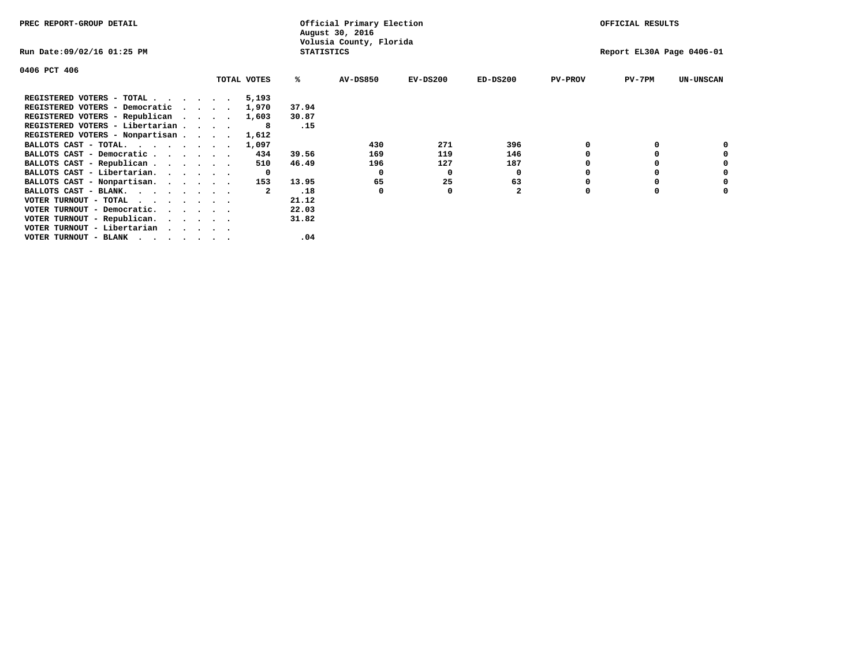| PREC REPORT-GROUP DETAIL        |         |             |                   | Official Primary Election<br>August 30, 2016 |            |                |                | OFFICIAL RESULTS          |                  |
|---------------------------------|---------|-------------|-------------------|----------------------------------------------|------------|----------------|----------------|---------------------------|------------------|
| Run Date:09/02/16 01:25 PM      |         |             | <b>STATISTICS</b> | Volusia County, Florida                      |            |                |                | Report EL30A Page 0406-01 |                  |
| 0406 PCT 406                    |         |             |                   |                                              |            |                |                |                           |                  |
|                                 |         | TOTAL VOTES | ℁                 | <b>AV-DS850</b>                              | $EV-DS200$ | $ED-DS200$     | <b>PV-PROV</b> | PV-7PM                    | <b>UN-UNSCAN</b> |
| REGISTERED VOTERS - TOTAL       |         | 5,193       |                   |                                              |            |                |                |                           |                  |
| REGISTERED VOTERS - Democratic  | $\cdot$ | 1,970       | 37.94             |                                              |            |                |                |                           |                  |
| REGISTERED VOTERS - Republican  |         | 1,603       | 30.87             |                                              |            |                |                |                           |                  |
| REGISTERED VOTERS - Libertarian |         | -8          | .15               |                                              |            |                |                |                           |                  |
| REGISTERED VOTERS - Nonpartisan |         | 1,612       |                   |                                              |            |                |                |                           |                  |
| BALLOTS CAST - TOTAL.           |         | 1,097       |                   | 430                                          | 271        | 396            |                |                           |                  |
| BALLOTS CAST - Democratic       |         | 434         | 39.56             | 169                                          | 119        | 146            |                |                           |                  |
| BALLOTS CAST - Republican       |         | 510         | 46.49             | 196                                          | 127        | 187            |                |                           |                  |
| BALLOTS CAST - Libertarian.     |         | 0           |                   | 0                                            | 0          | 0              |                |                           |                  |
| BALLOTS CAST - Nonpartisan.     |         | 153         | 13.95             | 65                                           | 25         | 63             |                |                           | 0                |
| BALLOTS CAST - BLANK.           |         |             | .18               | 0                                            | O          | $\overline{2}$ | O              |                           |                  |
| VOTER TURNOUT - TOTAL           |         |             | 21.12             |                                              |            |                |                |                           |                  |
| VOTER TURNOUT - Democratic.     |         |             | 22.03             |                                              |            |                |                |                           |                  |
| VOTER TURNOUT - Republican.     |         |             | 31.82             |                                              |            |                |                |                           |                  |
| VOTER TURNOUT - Libertarian     |         |             |                   |                                              |            |                |                |                           |                  |
| VOTER TURNOUT - BLANK           |         |             | .04               |                                              |            |                |                |                           |                  |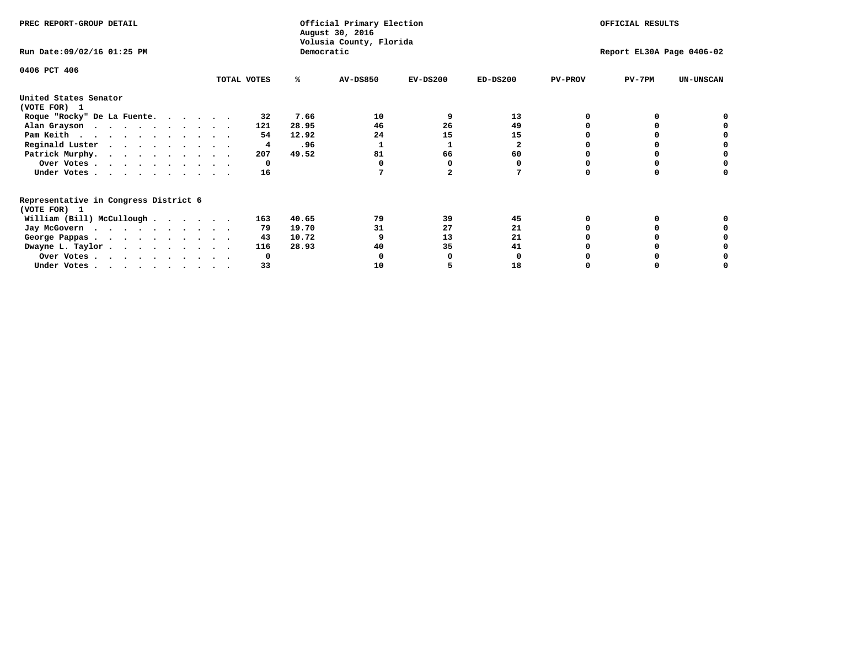| PREC REPORT-GROUP DETAIL                                               |             |            | Official Primary Election<br>August 30, 2016<br>Volusia County, Florida | OFFICIAL RESULTS |                           |                |          |                  |
|------------------------------------------------------------------------|-------------|------------|-------------------------------------------------------------------------|------------------|---------------------------|----------------|----------|------------------|
| Run Date: 09/02/16 01:25 PM                                            |             | Democratic |                                                                         |                  | Report EL30A Page 0406-02 |                |          |                  |
| 0406 PCT 406                                                           | TOTAL VOTES | ℁          | <b>AV-DS850</b>                                                         | $EV-DS200$       | $ED-DS200$                | <b>PV-PROV</b> | $PV-7PM$ | <b>UN-UNSCAN</b> |
|                                                                        |             |            |                                                                         |                  |                           |                |          |                  |
| United States Senator<br>(VOTE FOR) 1                                  |             |            |                                                                         |                  |                           |                |          |                  |
| Roque "Rocky" De La Fuente.                                            | 32          | 7.66       | 10                                                                      | 9                | 13                        |                |          |                  |
| Alan Grayson                                                           | 121         | 28.95      | 46                                                                      | 26               | 49                        |                |          |                  |
| Pam Keith                                                              | 54          | 12.92      | 24                                                                      | 15               | 15                        |                |          |                  |
| Reginald Luster                                                        | 4           | .96        |                                                                         |                  | 2                         |                |          |                  |
| Patrick Murphy.                                                        | 207         | 49.52      | 81                                                                      | 66               | 60                        |                |          |                  |
| Over Votes                                                             | 0           |            |                                                                         |                  |                           |                |          |                  |
| Under Votes                                                            | 16          |            |                                                                         |                  |                           |                |          |                  |
| Representative in Congress District 6                                  |             |            |                                                                         |                  |                           |                |          |                  |
| (VOTE FOR) 1                                                           |             |            |                                                                         |                  |                           |                |          |                  |
| William (Bill) McCullough $\cdots$ $\cdots$                            | 163         | 40.65      | 79                                                                      | 39               | 45                        |                |          |                  |
| Jay McGovern                                                           | 79          | 19.70      | 31                                                                      | 27               | 21                        |                |          |                  |
| George Pappas.                                                         | 43          | 10.72      |                                                                         | 13               | 21                        |                |          |                  |
| Dwayne L. Taylor                                                       | 116         | 28.93      | 40                                                                      | 35               | 41                        |                |          |                  |
| Over Votes                                                             |             |            |                                                                         |                  |                           |                |          |                  |
| Under Votes, $\cdot$ , $\cdot$ , $\cdot$ , $\cdot$ , $\cdot$ , $\cdot$ | 33          |            | 10                                                                      |                  | 18                        |                |          |                  |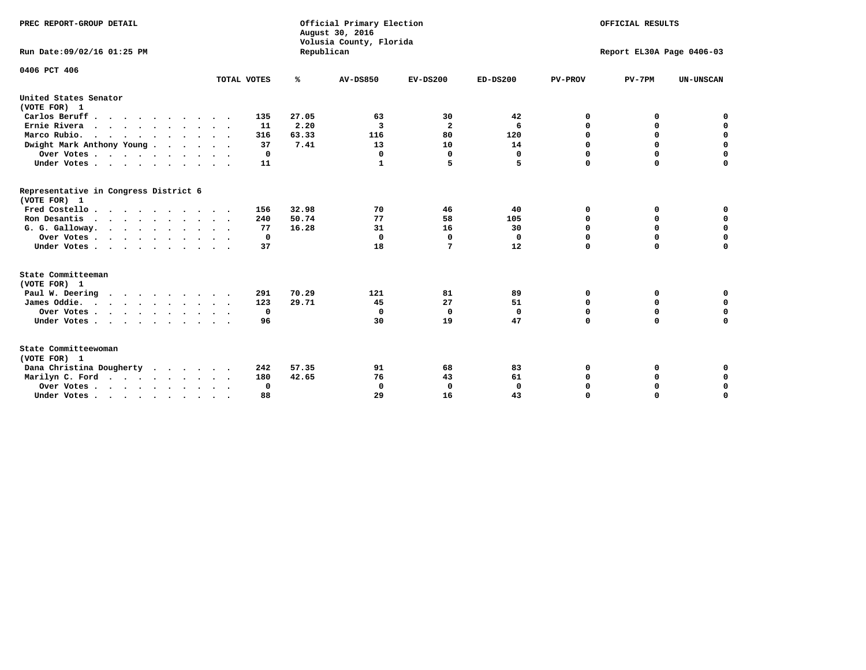| PREC REPORT-GROUP DETAIL<br>Run Date: 09/02/16 01:25 PM |             |            | Official Primary Election<br>August 30, 2016<br>Volusia County, Florida | OFFICIAL RESULTS<br>Report EL30A Page 0406-03 |                   |                  |                  |                  |
|---------------------------------------------------------|-------------|------------|-------------------------------------------------------------------------|-----------------------------------------------|-------------------|------------------|------------------|------------------|
|                                                         |             | Republican |                                                                         |                                               |                   |                  |                  |                  |
| 0406 PCT 406                                            |             |            |                                                                         |                                               |                   |                  |                  |                  |
|                                                         | TOTAL VOTES | %          | <b>AV-DS850</b>                                                         | $EV-DS200$                                    | $ED-DS200$        | <b>PV-PROV</b>   | $PV-7PM$         | <b>UN-UNSCAN</b> |
| United States Senator<br>(VOTE FOR) 1                   |             |            |                                                                         |                                               |                   |                  |                  |                  |
| Carlos Beruff.                                          | 135         | 27.05      | 63                                                                      | 30                                            | 42                | 0                | 0                | 0                |
| Ernie Rivera                                            | 11          | 2.20       | 3                                                                       | $\mathbf{2}$                                  | 6                 | 0                | 0                | $\mathbf 0$      |
| Marco Rubio.                                            | 316         | 63.33      | 116                                                                     | 80                                            | 120               | $\mathbf 0$      | $\mathbf 0$      | $\mathbf 0$      |
| Dwight Mark Anthony Young                               | 37          | 7.41       | 13                                                                      | 10                                            | 14                | 0                | $\mathbf 0$      | $\pmb{0}$        |
| Over Votes                                              | 0           |            | 0                                                                       | $\mathbf 0$                                   | $\mathbf 0$       | $\mathbf 0$      | 0                | $\mathbf 0$      |
| Under Votes                                             | 11          |            | 1                                                                       | 5                                             | 5                 | $\Omega$         | $\Omega$         | $\mathbf 0$      |
| Representative in Congress District 6<br>(VOTE FOR) 1   |             |            |                                                                         |                                               |                   |                  |                  |                  |
| Fred Costello                                           | 156         | 32.98      | 70                                                                      | 46                                            | 40                | 0                | 0                | 0                |
| Ron Desantis                                            | 240         | 50.74      | 77                                                                      | 58                                            | 105               | 0                | 0                | $\mathbf 0$      |
| G. G. Galloway.                                         | 77          | 16.28      | 31                                                                      | 16                                            | 30                | $\mathbf 0$      | $\Omega$         | $\mathbf 0$      |
| Over Votes                                              | $\Omega$    |            | 0                                                                       | $\mathbf 0$                                   | 0                 | $\mathbf 0$      | $\mathbf 0$      | $\mathbf 0$      |
| Under Votes                                             | 37          |            | 18                                                                      | 7                                             | 12                | $\mathbf 0$      | $\Omega$         | $\mathbf 0$      |
| State Committeeman                                      |             |            |                                                                         |                                               |                   |                  |                  |                  |
| (VOTE FOR) 1                                            |             |            |                                                                         |                                               |                   |                  |                  |                  |
| Paul W. Deering                                         | 291         | 70.29      | 121                                                                     | 81                                            | 89                | 0                | 0                | 0<br>$\mathbf 0$ |
| James Oddie.                                            | 123         | 29.71      | 45<br>$\mathbf 0$                                                       | 27                                            | 51                | 0                | 0                | $\mathbf 0$      |
| Over Votes                                              | 0           |            | 30                                                                      | $\mathbf 0$<br>19                             | $\mathbf 0$<br>47 | 0<br>$\mathbf 0$ | $\mathbf 0$<br>0 | $\mathbf 0$      |
| Under Votes<br>$\ddot{\phantom{0}}$                     | 96          |            |                                                                         |                                               |                   |                  |                  |                  |
| State Committeewoman<br>(VOTE FOR) 1                    |             |            |                                                                         |                                               |                   |                  |                  |                  |
| Dana Christina Dougherty<br>$\cdot$                     | 242         | 57.35      | 91                                                                      | 68                                            | 83                | 0                | 0                | 0                |
| Marilyn C. Ford                                         | 180         | 42.65      | 76                                                                      | 43                                            | 61                | 0                | 0                | 0                |
| Over Votes                                              | 0           |            | $\mathbf 0$                                                             | 0                                             | $\mathbf{0}$      | 0                | 0                | $\mathbf 0$      |
| Under Votes, , , , , , , , , ,                          | 88          |            | 29                                                                      | 16                                            | 43                | $\Omega$         | $\Omega$         | $\Omega$         |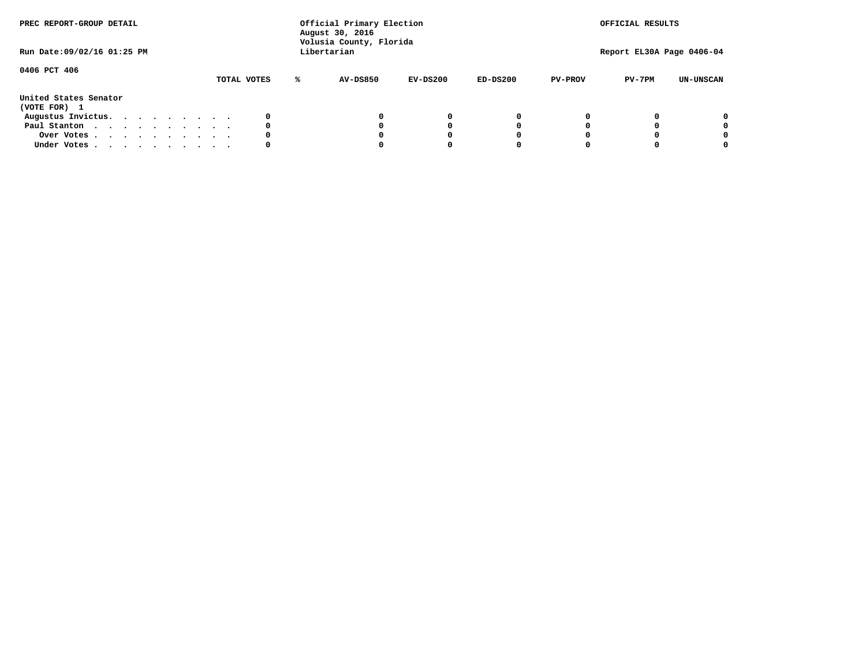| PREC REPORT-GROUP DETAIL<br>Run Date: 09/02/16 01:25 PM |  |  |  |  | Official Primary Election<br>August 30, 2016<br>Volusia County, Florida<br>Libertarian |  |             | OFFICIAL RESULTS<br>Report EL30A Page 0406-04 |            |            |                |          |                  |
|---------------------------------------------------------|--|--|--|--|----------------------------------------------------------------------------------------|--|-------------|-----------------------------------------------|------------|------------|----------------|----------|------------------|
| 0406 PCT 406                                            |  |  |  |  |                                                                                        |  | TOTAL VOTES | <b>AV-DS850</b>                               | $EV-DS200$ | $ED-DS200$ | <b>PV-PROV</b> | $PV-7PM$ | <b>UN-UNSCAN</b> |
| United States Senator<br>(VOTE FOR) 1                   |  |  |  |  |                                                                                        |  |             |                                               |            |            |                |          |                  |
| Augustus Invictus.                                      |  |  |  |  |                                                                                        |  |             |                                               | $^{\circ}$ | 0          |                |          | 0                |
| Paul Stanton                                            |  |  |  |  |                                                                                        |  | 0           |                                               | 0          |            |                |          | 0                |
| Over Votes                                              |  |  |  |  |                                                                                        |  |             |                                               |            |            |                |          | 0                |
| Under Votes                                             |  |  |  |  |                                                                                        |  | 0           |                                               |            |            |                |          | 0                |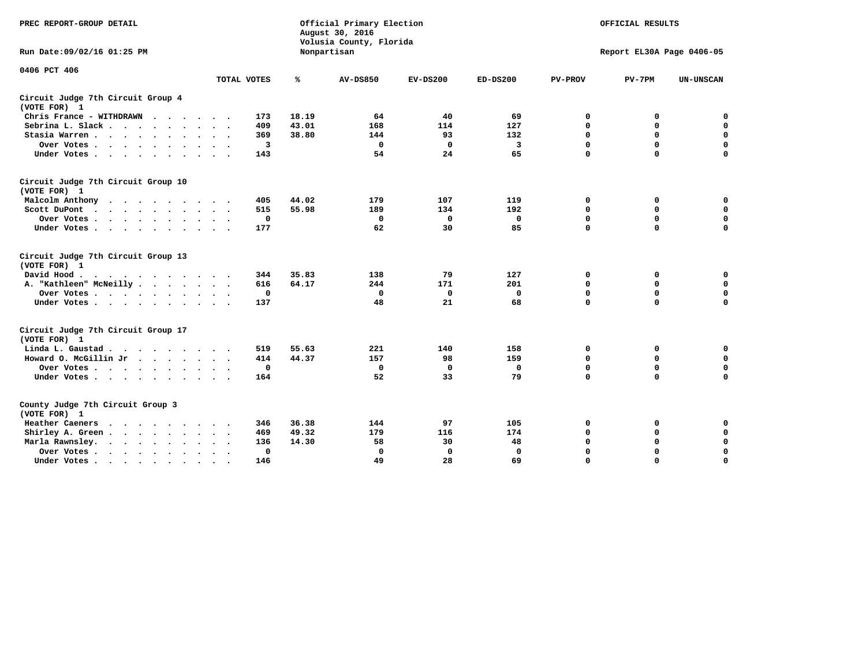| PREC REPORT-GROUP DETAIL                                                                 |             |       | Official Primary Election<br>August 30, 2016<br>Volusia County, Florida | OFFICIAL RESULTS |             |                |                           |                  |
|------------------------------------------------------------------------------------------|-------------|-------|-------------------------------------------------------------------------|------------------|-------------|----------------|---------------------------|------------------|
| Run Date: 09/02/16 01:25 PM                                                              |             |       | Nonpartisan                                                             |                  |             |                | Report EL30A Page 0406-05 |                  |
| 0406 PCT 406                                                                             |             |       |                                                                         |                  |             |                |                           |                  |
|                                                                                          | TOTAL VOTES | %     | <b>AV-DS850</b>                                                         | $EV-DS200$       | $ED-DS200$  | <b>PV-PROV</b> | $PV-7PM$                  | <b>UN-UNSCAN</b> |
| Circuit Judge 7th Circuit Group 4<br>(VOTE FOR) 1                                        |             |       |                                                                         |                  |             |                |                           |                  |
| Chris France - WITHDRAWN                                                                 | 173         | 18.19 | 64                                                                      | 40               | 69          | 0              | 0                         | 0                |
| Sebrina L. Slack.                                                                        | 409         | 43.01 | 168                                                                     | 114              | 127         | $\mathbf 0$    | $\mathbf 0$               | $\mathbf 0$      |
| Stasia Warren                                                                            | 369         | 38.80 | 144                                                                     | 93               | 132         | $\mathbf 0$    | $\mathbf 0$               | $\mathbf 0$      |
| Over Votes                                                                               | 3           |       | $\mathbf 0$                                                             | 0                | 3           | $\mathbf 0$    | $\mathbf 0$               | $\mathbf 0$      |
| Under Votes                                                                              | 143         |       | 54                                                                      | 24               | 65          | $\mathbf 0$    | $\mathbf 0$               | $\mathbf 0$      |
| Circuit Judge 7th Circuit Group 10<br>(VOTE FOR) 1                                       |             |       |                                                                         |                  |             |                |                           |                  |
| Malcolm Anthony<br>.                                                                     | 405         | 44.02 | 179                                                                     | 107              | 119         | 0              | 0                         | $\mathbf 0$      |
| Scott DuPont<br>$\sim$                                                                   | 515         | 55.98 | 189                                                                     | 134              | 192         | $\mathbf 0$    | $\mathbf 0$               | $\mathbf 0$      |
| Over Votes<br>$\ddot{\phantom{1}}$                                                       | 0           |       | $\mathbf 0$                                                             | $\mathbf 0$      | 0           | $\mathbf 0$    | $\mathbf 0$               | $\mathbf 0$      |
| Under Votes                                                                              | 177         |       | 62                                                                      | 30               | 85          | $\mathbf 0$    | $\Omega$                  | $\mathbf 0$      |
| Circuit Judge 7th Circuit Group 13<br>(VOTE FOR) 1                                       |             |       |                                                                         |                  |             |                |                           |                  |
| David Hood.                                                                              | 344         | 35.83 | 138                                                                     | 79               | 127         | 0              | 0                         | 0                |
| A. "Kathleen" McNeilly                                                                   | 616         | 64.17 | 244                                                                     | 171              | 201         | $\mathbf 0$    | 0                         | $\mathbf 0$      |
| Over Votes                                                                               | 0           |       | 0                                                                       | $\mathbf 0$      | $\mathbf 0$ | 0              | $\mathbf 0$               | $\mathbf 0$      |
| Under Votes.                                                                             | 137         |       | 48                                                                      | 21               | 68          | $\mathbf 0$    | $\mathbf 0$               | 0                |
| Circuit Judge 7th Circuit Group 17<br>(VOTE FOR) 1                                       |             |       |                                                                         |                  |             |                |                           |                  |
| Linda L. Gaustad                                                                         | 519         | 55.63 | 221                                                                     | 140              | 158         | 0              | 0                         | $\mathbf 0$      |
| Howard O. McGillin Jr                                                                    | 414         | 44.37 | 157                                                                     | 98               | 159         | 0              | $\mathbf 0$               | 0                |
| Over Votes                                                                               | $\mathbf 0$ |       | $\Omega$                                                                | $\mathbf{0}$     | 0           | $\mathbf 0$    | $\mathbf 0$               | $\mathbf 0$      |
| Under Votes                                                                              | 164         |       | 52                                                                      | 33               | 79          | $\mathbf 0$    | $\mathbf 0$               | $\mathbf 0$      |
| County Judge 7th Circuit Group 3<br>(VOTE FOR) 1                                         |             |       |                                                                         |                  |             |                |                           |                  |
| Heather Caeners<br>$\mathbf{r}$ , and $\mathbf{r}$ , and $\mathbf{r}$ , and $\mathbf{r}$ | 346         | 36.38 | 144                                                                     | 97               | 105         | 0              | 0                         | 0                |
| Shirley A. Green                                                                         | 469         | 49.32 | 179                                                                     | 116              | 174         | $\mathbf 0$    | $\mathbf 0$               | $\mathbf 0$      |
| Marla Rawnsley.                                                                          | 136         | 14.30 | 58                                                                      | 30               | 48          | 0              | $\mathbf 0$               | $\pmb{0}$        |
| Over Votes .<br>$\cdots$<br>$\cdot$<br>$\ddot{\phantom{a}}$                              | 0           |       | $\mathbf 0$                                                             | 0                | 0           | $\mathbf 0$    | $\mathbf 0$               | $\mathbf 0$      |
| Under Votes<br>$\sim$<br>$\sim$                                                          | 146         |       | 49                                                                      | 28               | 69          | $\mathbf 0$    | $\mathbf 0$               | 0                |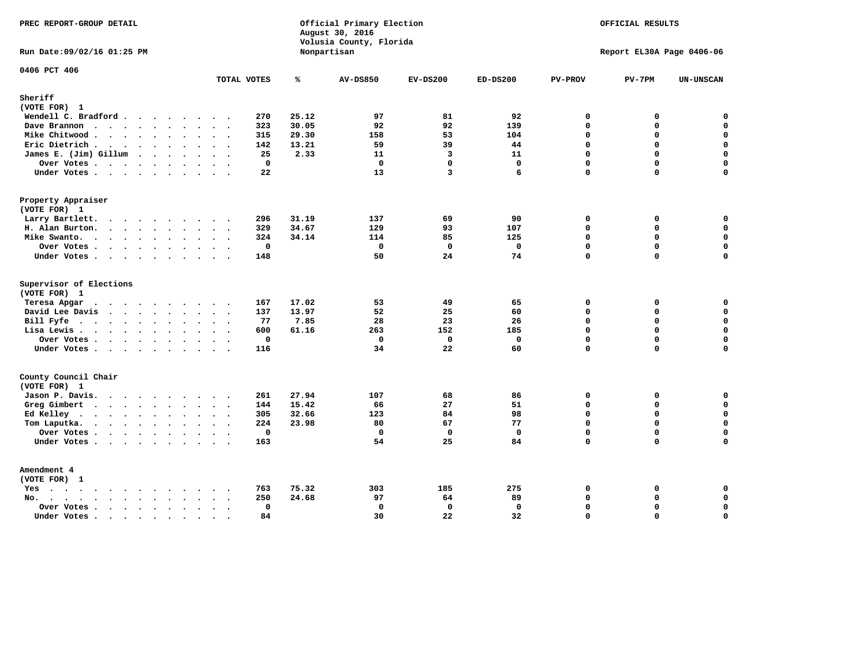| PREC REPORT-GROUP DETAIL                                                                               |                                                             |       | Official Primary Election<br>August 30, 2016<br>Volusia County, Florida | OFFICIAL RESULTS        |              |                |                           |                  |
|--------------------------------------------------------------------------------------------------------|-------------------------------------------------------------|-------|-------------------------------------------------------------------------|-------------------------|--------------|----------------|---------------------------|------------------|
| Run Date: 09/02/16 01:25 PM                                                                            |                                                             |       | Nonpartisan                                                             |                         |              |                | Report EL30A Page 0406-06 |                  |
| 0406 PCT 406                                                                                           | TOTAL VOTES                                                 | ℁     | <b>AV-DS850</b>                                                         | $EV-DS200$              | $ED-DS200$   | <b>PV-PROV</b> | $PV-7PM$                  | <b>UN-UNSCAN</b> |
| Sheriff                                                                                                |                                                             |       |                                                                         |                         |              |                |                           |                  |
| (VOTE FOR) 1                                                                                           |                                                             |       |                                                                         |                         |              |                |                           |                  |
| Wendell C. Bradford                                                                                    | 270                                                         | 25.12 | 97                                                                      | 81                      | 92           | $\mathbf 0$    | 0                         | $\mathbf 0$      |
| Dave Brannon                                                                                           | 323                                                         | 30.05 | 92                                                                      | 92                      | 139          | $\mathbf 0$    | 0                         | $\mathbf 0$      |
| Mike Chitwood                                                                                          | 315                                                         | 29.30 | 158                                                                     | 53                      | 104          | $\mathbf 0$    | 0                         | 0                |
| Eric Dietrich.                                                                                         | 142                                                         | 13.21 | 59                                                                      | 39                      | 44           | $\Omega$       | 0                         | $\mathbf 0$      |
| James E. (Jim) Gillum                                                                                  | 25                                                          | 2.33  | 11                                                                      | $\overline{\mathbf{3}}$ | 11           | $\mathbf 0$    | $\mathbf 0$               | $\mathbf 0$      |
| Over Votes                                                                                             | $\mathbf 0$                                                 |       | $\mathbf 0$                                                             | $\mathbf{0}$            | $\mathbf 0$  | 0              | 0                         | $\mathbf 0$      |
| Under Votes                                                                                            | 22                                                          |       | 13                                                                      | 3                       | 6            | $\Omega$       | 0                         | $\Omega$         |
| Property Appraiser                                                                                     |                                                             |       |                                                                         |                         |              |                |                           |                  |
| (VOTE FOR) 1                                                                                           |                                                             |       |                                                                         |                         |              |                |                           |                  |
| Larry Bartlett.<br>$\sim$                                                                              | 296<br>$\sim$                                               | 31.19 | 137                                                                     | 69                      | 90           | $\mathbf 0$    | 0                         | 0                |
| H. Alan Burton.                                                                                        | 329                                                         | 34.67 | 129                                                                     | 93                      | 107          | $\mathbf 0$    | 0                         | $\mathbf 0$      |
| Mike Swanto.                                                                                           | 324                                                         | 34.14 | 114                                                                     | 85                      | 125          | $\mathbf 0$    | 0                         | $\mathbf 0$      |
| Over Votes                                                                                             | $\mathbf{0}$                                                |       | $\mathbf 0$                                                             | $\mathbf 0$             | $\mathbf{0}$ | $\mathbf 0$    | $\mathbf 0$               | $\mathbf 0$      |
| Under Votes                                                                                            | 148                                                         |       | 50                                                                      | 24                      | 74           | $\mathbf 0$    | 0                         | 0                |
| Supervisor of Elections                                                                                |                                                             |       |                                                                         |                         |              |                |                           |                  |
| (VOTE FOR) 1                                                                                           |                                                             |       |                                                                         |                         |              |                |                           |                  |
| Teresa Apgar                                                                                           | 167                                                         | 17.02 | 53                                                                      | 49                      | 65           | $\Omega$       | 0                         | $\mathbf 0$      |
| David Lee Davis<br>$\mathbf{r}$ . The state of the state $\mathbf{r}$                                  | 137                                                         | 13.97 | 52                                                                      | 25                      | 60           | $\mathbf 0$    | 0                         | $\mathbf 0$      |
| Bill Fyfe.                                                                                             | 77                                                          | 7.85  | 28                                                                      | 23                      | 26           | $\Omega$       | $\Omega$                  | $\mathbf 0$      |
| Lisa Lewis                                                                                             | 600                                                         | 61.16 | 263                                                                     | 152                     | 185          | $\Omega$       | 0                         | $\mathbf 0$      |
| Over Votes                                                                                             | 0                                                           |       | $\mathbf 0$                                                             | $\mathbf 0$             | $\mathbf 0$  | $\mathbf 0$    | 0                         | $\pmb{0}$        |
| Under Votes                                                                                            | 116                                                         |       | 34                                                                      | 22                      | 60           | $\mathbf{0}$   | $\Omega$                  | $\mathbf 0$      |
| County Council Chair                                                                                   |                                                             |       |                                                                         |                         |              |                |                           |                  |
| (VOTE FOR) 1                                                                                           |                                                             |       |                                                                         |                         |              |                |                           |                  |
| Jason P. Davis.                                                                                        | 261                                                         | 27.94 | 107                                                                     | 68                      | 86           | $\mathbf 0$    | 0                         | 0                |
| Greg Gimbert                                                                                           | 144                                                         | 15.42 | 66                                                                      | 27                      | 51           | $\mathbf{0}$   | 0                         | $\mathbf 0$      |
| Ed Kelley $\cdots$ $\cdots$ $\cdots$                                                                   | 305<br>$\ddot{\phantom{0}}$                                 | 32.66 | 123                                                                     | 84                      | 98           | $\mathbf 0$    | 0                         | $\mathbf 0$      |
| Tom Laputka.<br>.                                                                                      | 224                                                         | 23.98 | 80                                                                      | 67                      | 77           | $\mathbf 0$    | 0                         | $\mathbf 0$      |
| Over Votes.                                                                                            | $\mathbf 0$                                                 |       | $\mathbf 0$                                                             | $\mathbf 0$             | $\mathbf 0$  | $\mathbf 0$    | 0                         | $\mathbf 0$      |
| Under Votes                                                                                            | 163                                                         |       | 54                                                                      | 25                      | 84           | $\Omega$       | $\Omega$                  | $\Omega$         |
| Amendment 4                                                                                            |                                                             |       |                                                                         |                         |              |                |                           |                  |
| (VOTE FOR) 1                                                                                           |                                                             |       |                                                                         |                         |              |                |                           |                  |
| Yes                                                                                                    | 763                                                         | 75.32 | 303                                                                     | 185                     | 275          | $\mathbf 0$    | 0                         | 0                |
| No.<br>$\cdot$ $\cdot$ $\cdot$ $\cdot$ $\cdot$ $\cdot$<br>$\ddot{\phantom{0}}$<br>$\ddot{\phantom{a}}$ | 250<br>$\ddot{\phantom{a}}$<br>$\sim$ $\sim$                | 24.68 | 97                                                                      | 64                      | 89           | $\mathbf 0$    | 0                         | 0                |
| Over Votes<br>$\cdot$<br>$\ddot{\phantom{1}}$<br>$\sim$                                                | $\mathbf 0$<br>$\ddot{\phantom{1}}$<br>$\ddot{\phantom{0}}$ |       | $\mathbf 0$                                                             | $\mathbf 0$             | 0            | $\Omega$       | 0                         | $\pmb{0}$        |
| Under Votes<br>$\sim$                                                                                  | 84<br>$\sim$<br>$\sim$                                      |       | 30                                                                      | 22                      | 32           | $\Omega$       | $\Omega$                  | 0                |
|                                                                                                        |                                                             |       |                                                                         |                         |              |                |                           |                  |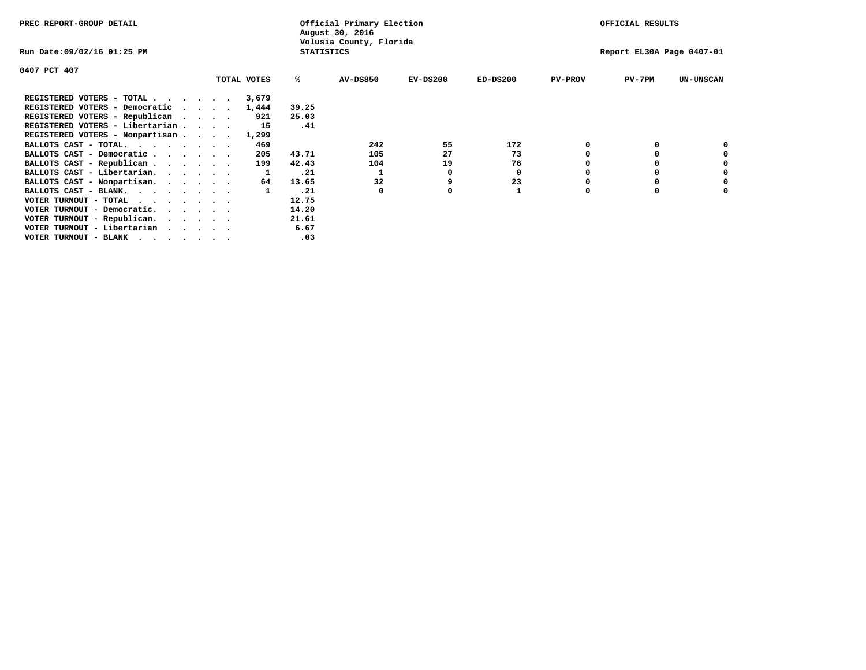| PREC REPORT-GROUP DETAIL                                               |          |             |                   | Official Primary Election<br>August 30, 2016 |            |                           |                | OFFICIAL RESULTS |                  |
|------------------------------------------------------------------------|----------|-------------|-------------------|----------------------------------------------|------------|---------------------------|----------------|------------------|------------------|
| Run Date:09/02/16 01:25 PM                                             |          |             | <b>STATISTICS</b> | Volusia County, Florida                      |            | Report EL30A Page 0407-01 |                |                  |                  |
| 0407 PCT 407                                                           |          |             |                   |                                              |            |                           |                |                  |                  |
|                                                                        |          | TOTAL VOTES | ℁                 | <b>AV-DS850</b>                              | $EV-DS200$ | $ED-DS200$                | <b>PV-PROV</b> | $PV-7PM$         | <b>UN-UNSCAN</b> |
| REGISTERED VOTERS - TOTAL                                              |          | 3,679       |                   |                                              |            |                           |                |                  |                  |
| REGISTERED VOTERS - Democratic                                         | $\cdots$ | 1,444       | 39.25             |                                              |            |                           |                |                  |                  |
| REGISTERED VOTERS - Republican                                         |          | 921         | 25.03             |                                              |            |                           |                |                  |                  |
| REGISTERED VOTERS - Libertarian                                        |          | 15          | .41               |                                              |            |                           |                |                  |                  |
| REGISTERED VOTERS - Nonpartisan                                        |          | 1,299       |                   |                                              |            |                           |                |                  |                  |
| BALLOTS CAST - TOTAL.                                                  |          | 469         |                   | 242                                          | 55         | 172                       | 0              |                  |                  |
| BALLOTS CAST - Democratic                                              |          | 205         | 43.71             | 105                                          | 27         | 73                        |                |                  |                  |
| BALLOTS CAST - Republican                                              |          | 199         | 42.43             | 104                                          | 19         | 76                        |                |                  |                  |
| BALLOTS CAST - Libertarian.                                            |          |             | .21               |                                              | 0          | 0                         |                |                  |                  |
| BALLOTS CAST - Nonpartisan.                                            |          | 64          | 13.65             | 32                                           |            | 23                        |                |                  |                  |
| BALLOTS CAST - BLANK.                                                  |          |             | .21               | 0                                            |            |                           | 0              | 0                |                  |
| VOTER TURNOUT - TOTAL<br>.                                             |          |             | 12.75             |                                              |            |                           |                |                  |                  |
| VOTER TURNOUT - Democratic.<br>$\cdot$ $\cdot$ $\cdot$ $\cdot$ $\cdot$ |          |             | 14.20             |                                              |            |                           |                |                  |                  |
| VOTER TURNOUT - Republican.                                            |          |             | 21.61             |                                              |            |                           |                |                  |                  |
| VOTER TURNOUT - Libertarian                                            |          |             | 6.67              |                                              |            |                           |                |                  |                  |
| VOTER TURNOUT - BLANK                                                  |          |             | .03               |                                              |            |                           |                |                  |                  |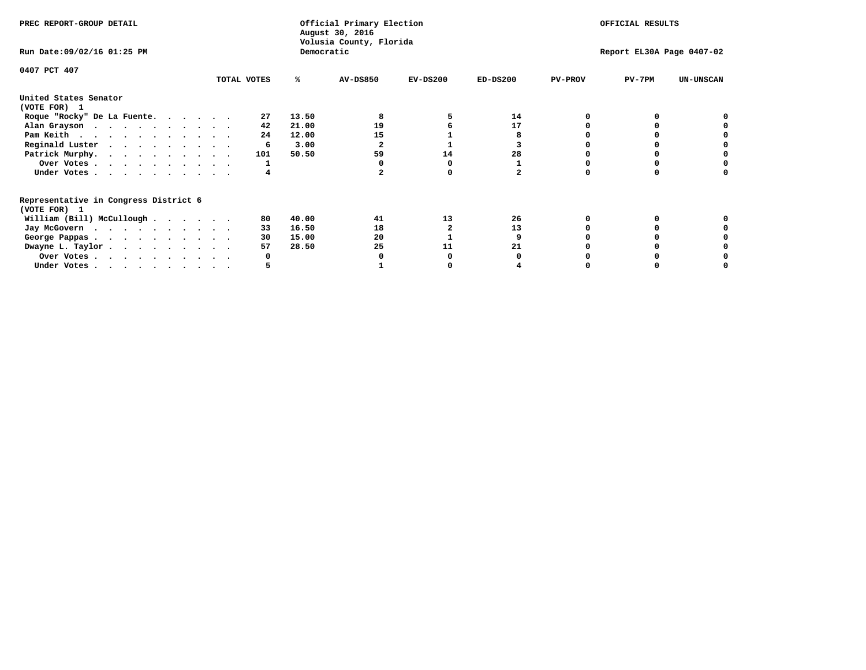| PREC REPORT-GROUP DETAIL                                               |             |            | Official Primary Election<br>August 30, 2016 | OFFICIAL RESULTS |                           |                |          |                  |
|------------------------------------------------------------------------|-------------|------------|----------------------------------------------|------------------|---------------------------|----------------|----------|------------------|
| Run Date: 09/02/16 01:25 PM                                            |             | Democratic | Volusia County, Florida                      |                  | Report EL30A Page 0407-02 |                |          |                  |
| 0407 PCT 407                                                           | TOTAL VOTES | ℁          | <b>AV-DS850</b>                              | $EV-DS200$       | $ED-DS200$                | <b>PV-PROV</b> | $PV-7PM$ | <b>UN-UNSCAN</b> |
| United States Senator                                                  |             |            |                                              |                  |                           |                |          |                  |
| (VOTE FOR) 1                                                           |             |            |                                              |                  |                           |                |          |                  |
| Roque "Rocky" De La Fuente.                                            | 27          | 13.50      |                                              |                  | 14                        |                |          |                  |
| Alan Grayson                                                           | 42          | 21.00      | 19                                           |                  | 17                        |                |          |                  |
| Pam Keith                                                              | 24          | 12.00      | 15                                           |                  |                           |                |          |                  |
| Reginald Luster                                                        | 6           | 3.00       |                                              |                  |                           |                |          |                  |
| Patrick Murphy.                                                        | 101         | 50.50      | 59                                           | 14               | 28                        |                |          |                  |
| Over Votes                                                             |             |            |                                              |                  |                           |                |          |                  |
| Under Votes                                                            |             |            |                                              |                  |                           |                |          |                  |
| Representative in Congress District 6                                  |             |            |                                              |                  |                           |                |          |                  |
| (VOTE FOR) 1                                                           |             |            |                                              |                  |                           |                |          |                  |
| William (Bill) McCullough $\cdots$ $\cdots$                            | 80          | 40.00      | 41                                           | 13               | 26                        |                |          |                  |
| Jay McGovern                                                           | 33          | 16.50      | 18                                           |                  | 13                        |                |          |                  |
| George Pappas.                                                         | 30          | 15.00      | 20                                           |                  |                           |                |          |                  |
| Dwayne L. Taylor.                                                      | 57          | 28.50      | 25                                           | 11               | 21                        |                |          |                  |
| Over Votes                                                             |             |            |                                              |                  |                           |                |          |                  |
| Under Votes, $\cdot$ , $\cdot$ , $\cdot$ , $\cdot$ , $\cdot$ , $\cdot$ |             |            |                                              |                  |                           |                |          |                  |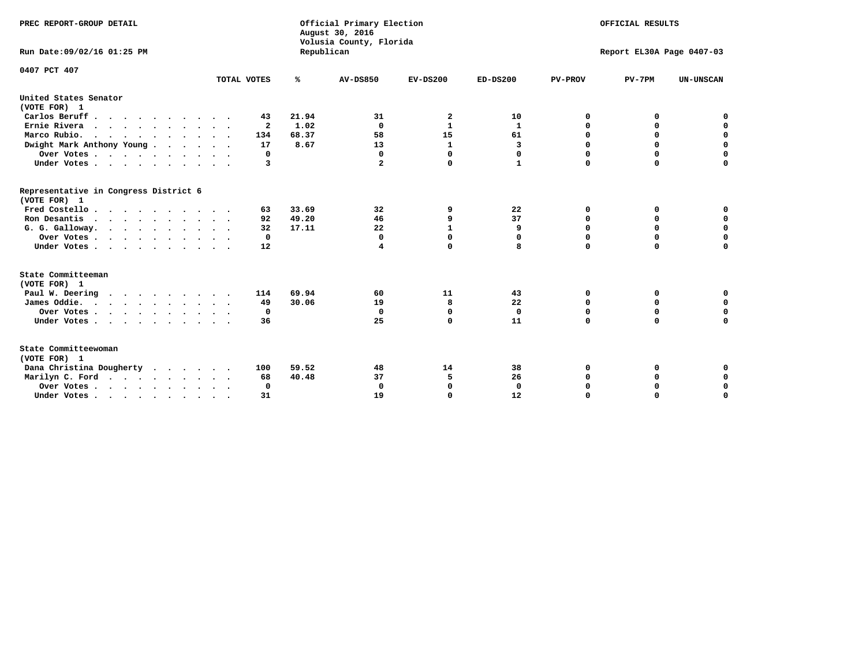| PREC REPORT-GROUP DETAIL<br>Run Date: 09/02/16 01:25 PM                          |              | Republican    | Official Primary Election<br>August 30, 2016<br>Volusia County, Florida | OFFICIAL RESULTS<br>Report EL30A Page 0407-03 |                   |                  |             |                            |
|----------------------------------------------------------------------------------|--------------|---------------|-------------------------------------------------------------------------|-----------------------------------------------|-------------------|------------------|-------------|----------------------------|
| 0407 PCT 407                                                                     | TOTAL VOTES  | ℁             | <b>AV-DS850</b>                                                         | $EV-DS200$                                    | $ED-DS200$        | <b>PV-PROV</b>   | $PV-7PM$    | <b>UN-UNSCAN</b>           |
| United States Senator                                                            |              |               |                                                                         |                                               |                   |                  |             |                            |
| (VOTE FOR) 1                                                                     |              |               |                                                                         |                                               |                   |                  |             |                            |
| Carlos Beruff                                                                    | 43           | 21.94         | 31                                                                      | 2                                             | 10                | 0                | 0           | 0                          |
| Ernie Rivera                                                                     | $\mathbf{2}$ | 1.02          | $\Omega$                                                                | $\mathbf{1}$                                  | 1                 | 0                | 0           | $\mathbf 0$<br>$\mathbf 0$ |
| Marco Rubio.<br>$\cdots$                                                         | 134          | 68.37<br>8.67 | 58<br>13                                                                | 15                                            | 61                | $\mathbf 0$<br>0 | $\mathbf 0$ | $\mathbf 0$                |
| Dwight Mark Anthony Young                                                        | 17           |               | $\Omega$                                                                | 1<br>0                                        | 3                 | 0                | 0<br>0      | 0                          |
| Over Votes                                                                       | 0<br>3       |               | $\mathbf{2}$                                                            | $\mathbf 0$                                   | 0<br>$\mathbf{1}$ | $\Omega$         | $\mathbf 0$ | $\mathbf 0$                |
| Under Votes                                                                      |              |               |                                                                         |                                               |                   |                  |             |                            |
| Representative in Congress District 6<br>(VOTE FOR) 1                            |              |               |                                                                         |                                               |                   |                  |             |                            |
| Fred Costello                                                                    | 63           | 33.69         | 32                                                                      | 9                                             | 22                | 0                | 0           | 0                          |
| Ron Desantis                                                                     | 92           | 49.20         | 46                                                                      | 9                                             | 37                | 0                | 0           | $\mathbf 0$                |
| G. G. Galloway.                                                                  | 32           | 17.11         | 22                                                                      | $\mathbf{1}$                                  | 9                 | $\mathbf 0$      | $\Omega$    | $\mathbf 0$                |
| Over Votes                                                                       | $\mathbf 0$  |               | $\Omega$                                                                | $\mathbf 0$                                   | 0                 | 0                | 0           | 0                          |
| Under Votes                                                                      | 12           |               | 4                                                                       | $\mathbf 0$                                   | 8                 | $\Omega$         | $\mathbf 0$ | $\mathbf 0$                |
| State Committeeman                                                               |              |               |                                                                         |                                               |                   |                  |             |                            |
| (VOTE FOR) 1                                                                     |              |               |                                                                         |                                               |                   |                  |             |                            |
| Paul W. Deering<br>$\cdots$                                                      | 114          | 69.94         | 60                                                                      | 11                                            | 43                | 0                | 0           | 0                          |
| James Oddie.                                                                     | 49           | 30.06         | 19                                                                      | 8                                             | 22                | 0                | $\mathbf 0$ | $\mathbf 0$                |
| Over Votes                                                                       | $\mathbf 0$  |               | $\mathbf 0$                                                             | $\mathbf 0$                                   | $\mathbf 0$       | $\mathbf 0$      | $\mathbf 0$ | $\mathbf 0$                |
| Under Votes                                                                      | 36           |               | 25                                                                      | $\Omega$                                      | 11                | 0                | $\Omega$    | $\Omega$                   |
| State Committeewoman<br>(VOTE FOR) 1                                             |              |               |                                                                         |                                               |                   |                  |             |                            |
| Dana Christina Dougherty                                                         | 100          | 59.52         | 48                                                                      | 14                                            | 38                | 0                | 0           | 0                          |
| Marilyn C. Ford                                                                  | 68           | 40.48         | 37                                                                      | 5                                             | 26                | 0                | 0           | 0                          |
| Over Votes                                                                       | $\Omega$     |               | $\Omega$                                                                | 0                                             | $\mathbf{0}$      | 0                | 0           | 0                          |
| Under Votes, $\cdot$ , $\cdot$ , $\cdot$ , $\cdot$ , $\cdot$ , $\cdot$ , $\cdot$ | 31           |               | 19                                                                      | $\Omega$                                      | 12                | $\Omega$         | $\Omega$    | $\Omega$                   |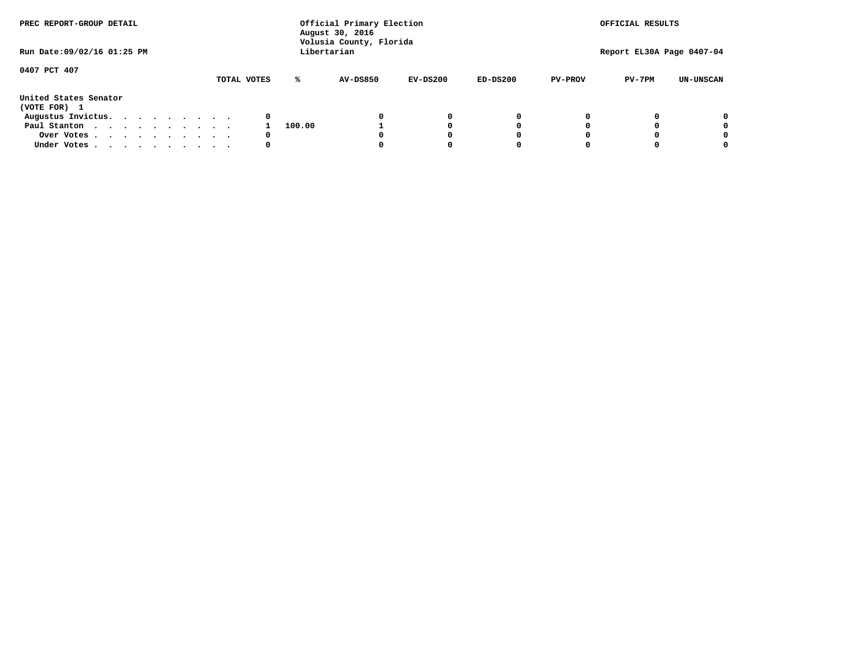| PREC REPORT-GROUP DETAIL<br>Run Date: 09/02/16 01:25 PM |  |  | Official Primary Election<br>August 30, 2016<br>Volusia County, Florida<br>Libertarian |  |  |             |        |          |            | OFFICIAL RESULTS |                           |          |                  |  |
|---------------------------------------------------------|--|--|----------------------------------------------------------------------------------------|--|--|-------------|--------|----------|------------|------------------|---------------------------|----------|------------------|--|
|                                                         |  |  |                                                                                        |  |  |             |        |          |            |                  | Report EL30A Page 0407-04 |          |                  |  |
| 0407 PCT 407                                            |  |  |                                                                                        |  |  | TOTAL VOTES | ℁      | AV-DS850 | $EV-DS200$ | $ED-DS200$       | <b>PV-PROV</b>            | $PV-7PM$ | <b>UN-UNSCAN</b> |  |
| United States Senator<br>(VOTE FOR) 1                   |  |  |                                                                                        |  |  |             |        |          |            |                  |                           |          |                  |  |
| Augustus Invictus.                                      |  |  |                                                                                        |  |  | 0           |        |          | 0          | 0                |                           |          | 0                |  |
| Paul Stanton                                            |  |  |                                                                                        |  |  |             | 100.00 |          |            | 0                |                           |          | 0                |  |
| Over Votes                                              |  |  |                                                                                        |  |  | 0           |        |          |            | O                |                           |          | 0                |  |
| Under Votes                                             |  |  |                                                                                        |  |  | 0           |        |          |            |                  |                           |          |                  |  |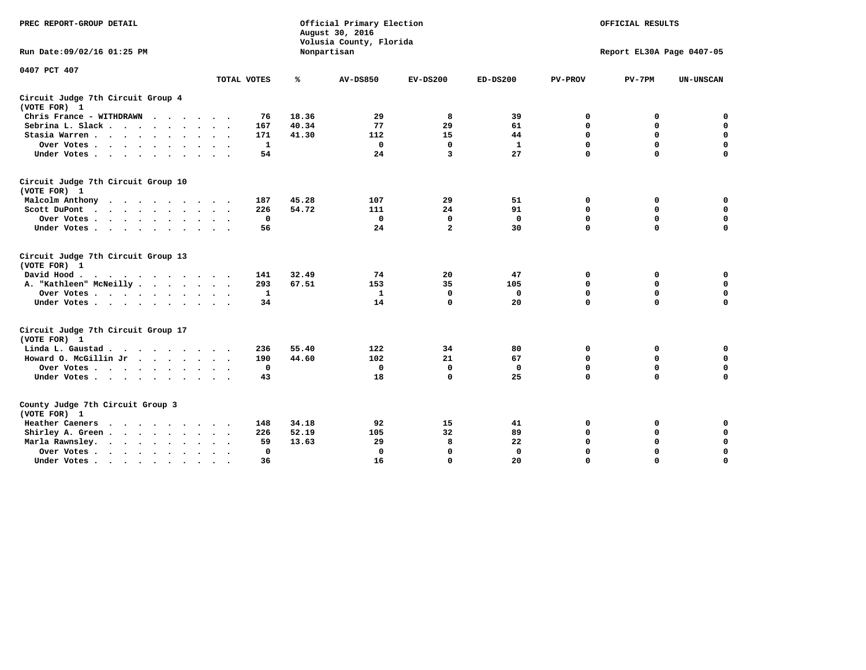| PREC REPORT-GROUP DETAIL                                               |             | Official Primary Election<br>August 30, 2016<br>Volusia County, Florida |                 | OFFICIAL RESULTS |              |                |                           |                  |
|------------------------------------------------------------------------|-------------|-------------------------------------------------------------------------|-----------------|------------------|--------------|----------------|---------------------------|------------------|
| Run Date: 09/02/16 01:25 PM                                            |             |                                                                         | Nonpartisan     |                  |              |                | Report EL30A Page 0407-05 |                  |
| 0407 PCT 407                                                           |             |                                                                         |                 |                  |              |                |                           |                  |
|                                                                        | TOTAL VOTES | ℁                                                                       | <b>AV-DS850</b> | $EV-DS200$       | $ED-DS200$   | <b>PV-PROV</b> | $PV-7PM$                  | <b>UN-UNSCAN</b> |
| Circuit Judge 7th Circuit Group 4<br>(VOTE FOR) 1                      |             |                                                                         |                 |                  |              |                |                           |                  |
| Chris France - WITHDRAWN<br>.                                          |             | 18.36<br>76                                                             | 29              | 8                | 39           | 0              | 0                         | 0                |
| Sebrina L. Slack                                                       |             | 40.34<br>167                                                            | 77              | 29               | 61           | $\Omega$       | $\mathbf 0$               | $\mathbf 0$      |
| Stasia Warren                                                          |             | 41.30<br>171                                                            | 112             | 15               | 44           | $\mathbf 0$    | $\mathbf 0$               | $\mathbf 0$      |
| Over Votes                                                             |             | 1                                                                       | $\mathbf{0}$    | $\mathbf 0$      | $\mathbf{1}$ | $\mathbf 0$    | $\mathbf 0$               | $\mathbf 0$      |
| Under Votes                                                            |             | 54                                                                      | 24              | 3                | 27           | $\mathbf 0$    | $\mathbf 0$               | $\mathbf 0$      |
| Circuit Judge 7th Circuit Group 10<br>(VOTE FOR) 1                     |             |                                                                         |                 |                  |              |                |                           |                  |
| Malcolm Anthony                                                        |             | 45.28<br>187                                                            | 107             | 29               | 51           | 0              | 0                         | $\mathbf 0$      |
| Scott DuPont                                                           |             | 54.72<br>226                                                            | 111             | 24               | 91           | $\mathbf 0$    | $\mathbf 0$               | $\mathbf 0$      |
| Over Votes<br>$\ddot{\phantom{1}}$                                     |             | 0                                                                       | $\mathbf{0}$    | 0                | $\mathbf 0$  | 0              | $\mathbf 0$               | $\mathbf 0$      |
| Under Votes                                                            |             | 56                                                                      | 24              | $\overline{a}$   | 30           | $\mathbf 0$    | $\Omega$                  | 0                |
| Circuit Judge 7th Circuit Group 13<br>(VOTE FOR) 1                     |             |                                                                         |                 |                  |              |                |                           |                  |
| David Hood.                                                            |             | 32.49<br>141                                                            | 74              | 20               | 47           | $\mathbf 0$    | 0                         | $\mathbf 0$      |
| A. "Kathleen" McNeilly                                                 |             | 67.51<br>293                                                            | 153             | 35               | 105          | $\mathbf 0$    | $\mathbf 0$               | $\mathbf 0$      |
| Over Votes                                                             |             | 1                                                                       | 1               | 0                | $\mathbf 0$  | 0              | $\mathbf 0$               | $\mathbf 0$      |
| Under Votes                                                            |             | 34                                                                      | 14              | $\mathbf 0$      | 20           | $\mathbf 0$    | $\mathbf 0$               | 0                |
| Circuit Judge 7th Circuit Group 17<br>(VOTE FOR) 1                     |             |                                                                         |                 |                  |              |                |                           |                  |
| Linda L. Gaustad                                                       |             | 55.40<br>236                                                            | 122             | 34               | 80           | 0              | 0                         | $\mathbf 0$      |
| Howard O. McGillin Jr                                                  |             | 44.60<br>190                                                            | 102             | 21               | 67           | 0              | 0                         | $\mathbf 0$      |
| Over Votes                                                             |             | 0                                                                       | $\Omega$        | 0                | 0            | $\mathbf 0$    | $\mathbf 0$               | 0                |
| Under Votes                                                            |             | 43                                                                      | 18              | $\mathbf 0$      | 25           | $\mathbf 0$    | $\mathbf 0$               | $\mathbf 0$      |
| County Judge 7th Circuit Group 3<br>(VOTE FOR) 1                       |             |                                                                         |                 |                  |              |                |                           |                  |
| Heather Caeners<br>$\cdots$                                            |             | 148<br>34.18                                                            | 92              | 15               | 41           | 0              | 0                         | 0                |
| Shirley A. Green                                                       |             | 52.19<br>226                                                            | 105             | 32               | 89           | $\mathbf 0$    | $\mathbf 0$               | $\mathbf 0$      |
| Marla Rawnsley.<br>$\cdot$                                             |             | 13.63<br>59                                                             | 29              | 8                | 22           | 0              | $\mathbf 0$               | $\pmb{0}$        |
| Over Votes.<br>$\cdot$<br>$\ddot{\phantom{a}}$<br>$\ddot{\phantom{a}}$ |             | 0                                                                       | $\Omega$        | $\mathbf 0$      | $\mathbf{0}$ | $\mathbf 0$    | $\mathbf 0$               | $\mathbf 0$      |
| Under Votes<br>$\sim$<br>$\sim$                                        |             | 36                                                                      | 16              | $\mathbf 0$      | 20           | $\mathbf 0$    | $\mathbf 0$               | 0                |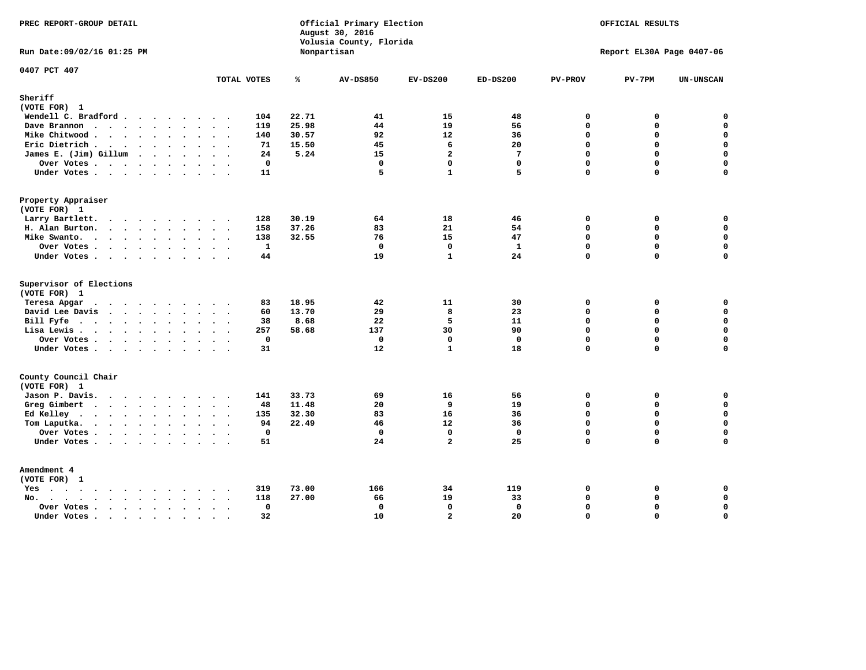| PREC REPORT-GROUP DETAIL                                               |                           |                | Official Primary Election<br>August 30, 2016<br>Volusia County, Florida | OFFICIAL RESULTS<br>Report EL30A Page 0407-06 |                    |                            |               |                            |
|------------------------------------------------------------------------|---------------------------|----------------|-------------------------------------------------------------------------|-----------------------------------------------|--------------------|----------------------------|---------------|----------------------------|
| Run Date: 09/02/16 01:25 PM                                            |                           |                | Nonpartisan                                                             |                                               |                    |                            |               |                            |
| 0407 PCT 407                                                           | TOTAL VOTES               | ℁              | <b>AV-DS850</b>                                                         | $EV-DS200$                                    | $ED-DS200$         | <b>PV-PROV</b>             | $PV-7PM$      | <b>UN-UNSCAN</b>           |
| Sheriff<br>(VOTE FOR) 1                                                |                           |                |                                                                         |                                               |                    |                            |               |                            |
| Wendell C. Bradford                                                    | 104                       | 22.71          | 41                                                                      | 15                                            | 48                 | $\mathbf 0$                | 0             | $\mathbf 0$                |
| Dave Brannon                                                           | 119                       | 25.98          | 44                                                                      | 19                                            | 56                 | $\mathbf 0$                | 0             | $\mathbf 0$                |
| Mike Chitwood                                                          | 140                       | 30.57          | 92                                                                      | 12                                            | 36                 | 0                          | 0             | $\mathbf 0$                |
| Eric Dietrich.                                                         | 71                        | 15.50          | 45                                                                      | 6                                             | 20                 | $\mathbf 0$                | 0             | $\mathbf 0$                |
| James E. (Jim) Gillum                                                  | 24                        | 5.24           | 15                                                                      | $\overline{a}$                                | $7\phantom{.0}$    | $\Omega$                   | 0             | $\mathbf 0$                |
| Over Votes                                                             | $\mathbf 0$               |                | $\mathbf 0$                                                             | $\mathbf 0$                                   | $\mathbf{0}$       | $\Omega$                   | 0             | $\mathbf 0$                |
| Under Votes                                                            | 11                        |                | 5                                                                       | $\mathbf{1}$                                  | 5                  | $\Omega$                   | 0             | $\mathbf 0$                |
| Property Appraiser                                                     |                           |                |                                                                         |                                               |                    |                            |               |                            |
| (VOTE FOR) 1                                                           |                           |                |                                                                         |                                               |                    |                            |               |                            |
| Larry Bartlett.                                                        | 128                       | 30.19          | 64                                                                      | 18                                            | 46                 | 0                          | 0             | 0                          |
| H. Alan Burton.                                                        | 158                       | 37.26          | 83                                                                      | 21                                            | 54                 | $\mathbf 0$                | 0             | $\mathbf 0$                |
| Mike Swanto.                                                           | 138<br>$\mathbf{1}$       | 32.55          | 76<br>$\mathbf 0$                                                       | 15<br>$\mathbf 0$                             | 47<br>$\mathbf{1}$ | $\Omega$<br>$\mathbf 0$    | $\Omega$<br>0 | 0<br>$\mathbf 0$           |
| Over Votes                                                             | 44                        |                | 19                                                                      | $\mathbf{1}$                                  | 24                 | $\mathbf 0$                | $\Omega$      | 0                          |
| Under Votes                                                            |                           |                |                                                                         |                                               |                    |                            |               |                            |
| Supervisor of Elections                                                |                           |                |                                                                         |                                               |                    |                            |               |                            |
| (VOTE FOR) 1                                                           |                           |                |                                                                         |                                               |                    |                            |               |                            |
| Teresa Apgar<br>$\mathbf{r}$ . The state of the state $\mathbf{r}$     | 83                        | 18.95          | 42                                                                      | 11<br>8                                       | 30                 | 0<br>$\Omega$              | 0<br>0        | $\mathbf 0$<br>$\mathbf 0$ |
| David Lee Davis<br>Bill Fyfe.                                          | 60<br>38                  | 13.70<br>8.68  | 29<br>22                                                                | 5                                             | 23<br>11           | $\mathbf 0$                | 0             | $\mathbf 0$                |
| Lisa Lewis                                                             | 257                       | 58.68          | 137                                                                     | 30                                            | 90                 | $\Omega$                   | 0             | $\mathsf{o}\,$             |
| Over Votes.                                                            | $\mathbf 0$               |                | $\mathbf 0$                                                             | $\mathbf 0$                                   | $\mathbf{0}$       | $\mathbf 0$                | 0             | $\mathbf 0$                |
| Under Votes                                                            | 31                        |                | 12                                                                      | $\mathbf{1}$                                  | 18                 | $\mathbf 0$                | 0             | 0                          |
|                                                                        |                           |                |                                                                         |                                               |                    |                            |               |                            |
| County Council Chair                                                   |                           |                |                                                                         |                                               |                    |                            |               |                            |
| (VOTE FOR) 1                                                           |                           |                |                                                                         |                                               |                    |                            |               |                            |
| Jason P. Davis.<br>Greg Gimbert                                        | 141<br>$\cdots$<br>48     | 33.73<br>11.48 | 69<br>20                                                                | 16<br>9                                       | 56<br>19           | $\mathbf 0$<br>$\mathbf 0$ | 0<br>0        | 0<br>$\mathbf 0$           |
| Ed Kelley                                                              | 135                       | 32.30          | 83                                                                      | 16                                            | 36                 | $\mathbf 0$                | 0             | $\mathbf 0$                |
| Tom Laputka.                                                           | 94                        | 22.49          | 46                                                                      | 12                                            | 36                 | $\mathbf 0$                | 0             | $\mathbf 0$                |
| Over Votes                                                             | $\mathbf 0$               |                | $\mathbf 0$                                                             | $\mathbf{0}$                                  | $\mathbf{0}$       | $\mathbf 0$                | 0             | 0                          |
| Under Votes                                                            | 51                        |                | 24                                                                      | $\overline{a}$                                | 25                 | $\Omega$                   | $\Omega$      | $\Omega$                   |
| Amendment 4                                                            |                           |                |                                                                         |                                               |                    |                            |               |                            |
| (VOTE FOR) 1                                                           |                           |                |                                                                         |                                               |                    |                            |               |                            |
| $Yes \cdot \cdot \cdot \cdot \cdot \cdot \cdot \cdot \cdot$<br>$\cdot$ | 319                       | 73.00          | 166                                                                     | 34                                            | 119                | 0                          | 0             | 0                          |
| No.<br>$\ddot{\phantom{a}}$                                            | 118<br>$\sim$ $\sim$      | 27.00          | 66                                                                      | 19                                            | 33                 | $\Omega$                   | 0             | 0                          |
| Over Votes                                                             | $\mathbf 0$<br>$\bullet$  |                | $\mathbf{0}$                                                            | 0                                             | $\mathbf{0}$       | $\mathbf 0$                | 0             | $\pmb{0}$                  |
| Under Votes<br>$\sim$                                                  | 32<br>$\cdot$ .<br>$\sim$ |                | 10                                                                      | $\overline{a}$                                | 20                 | $\Omega$                   | $\Omega$      | 0                          |
|                                                                        |                           |                |                                                                         |                                               |                    |                            |               |                            |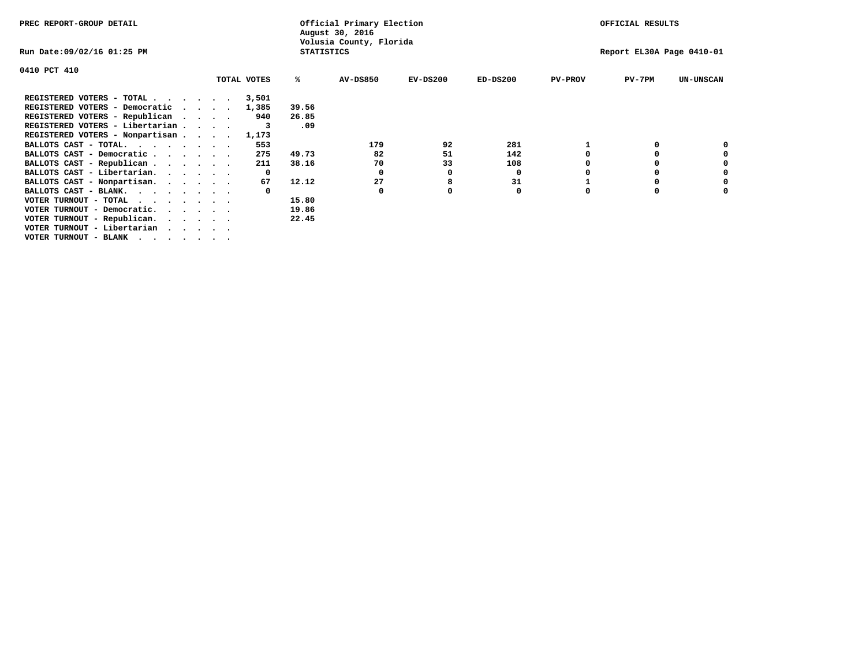| PREC REPORT-GROUP DETAIL                                               |                             | Official Primary Election<br>August 30, 2016 |                   | OFFICIAL RESULTS        |            |            |                |                           |                  |
|------------------------------------------------------------------------|-----------------------------|----------------------------------------------|-------------------|-------------------------|------------|------------|----------------|---------------------------|------------------|
| Run Date:09/02/16 01:25 PM                                             |                             |                                              | <b>STATISTICS</b> | Volusia County, Florida |            |            |                | Report EL30A Page 0410-01 |                  |
| 0410 PCT 410                                                           |                             |                                              |                   |                         |            |            |                |                           |                  |
|                                                                        |                             | TOTAL VOTES                                  | ℁                 | <b>AV-DS850</b>         | $EV-DS200$ | $ED-DS200$ | <b>PV-PROV</b> | $PV-7PM$                  | <b>UN-UNSCAN</b> |
| REGISTERED VOTERS - TOTAL                                              |                             | 3,501                                        |                   |                         |            |            |                |                           |                  |
| REGISTERED VOTERS - Democratic                                         | $\sim$ $\sim$ $\sim$ $\sim$ | 1,385                                        | 39.56             |                         |            |            |                |                           |                  |
| REGISTERED VOTERS - Republican                                         |                             | 940                                          | 26.85             |                         |            |            |                |                           |                  |
| REGISTERED VOTERS - Libertarian                                        |                             |                                              | .09               |                         |            |            |                |                           |                  |
| REGISTERED VOTERS - Nonpartisan                                        |                             | 1,173                                        |                   |                         |            |            |                |                           |                  |
| BALLOTS CAST - TOTAL.                                                  |                             | 553                                          |                   | 179                     | 92         | 281        |                |                           |                  |
| BALLOTS CAST - Democratic                                              |                             | 275                                          | 49.73             | 82                      | 51         | 142        |                |                           |                  |
| BALLOTS CAST - Republican                                              |                             | 211                                          | 38.16             | 70                      | 33         | 108        |                |                           |                  |
| BALLOTS CAST - Libertarian.                                            |                             | $\mathbf{o}$                                 |                   | 0                       | 0          | 0          |                |                           |                  |
| BALLOTS CAST - Nonpartisan.                                            |                             | 67                                           | 12.12             | 27                      | 8          | 31         |                |                           | 0                |
| BALLOTS CAST - BLANK.                                                  |                             |                                              |                   | 0                       |            | 0          | $\Omega$       |                           |                  |
| VOTER TURNOUT - TOTAL                                                  |                             |                                              | 15.80             |                         |            |            |                |                           |                  |
| VOTER TURNOUT - Democratic.<br>$\cdot$ $\cdot$ $\cdot$ $\cdot$ $\cdot$ |                             |                                              | 19.86             |                         |            |            |                |                           |                  |
| VOTER TURNOUT - Republican.                                            |                             |                                              | 22.45             |                         |            |            |                |                           |                  |
| VOTER TURNOUT - Libertarian                                            |                             |                                              |                   |                         |            |            |                |                           |                  |
| VOTER TURNOUT - BLANK                                                  |                             |                                              |                   |                         |            |            |                |                           |                  |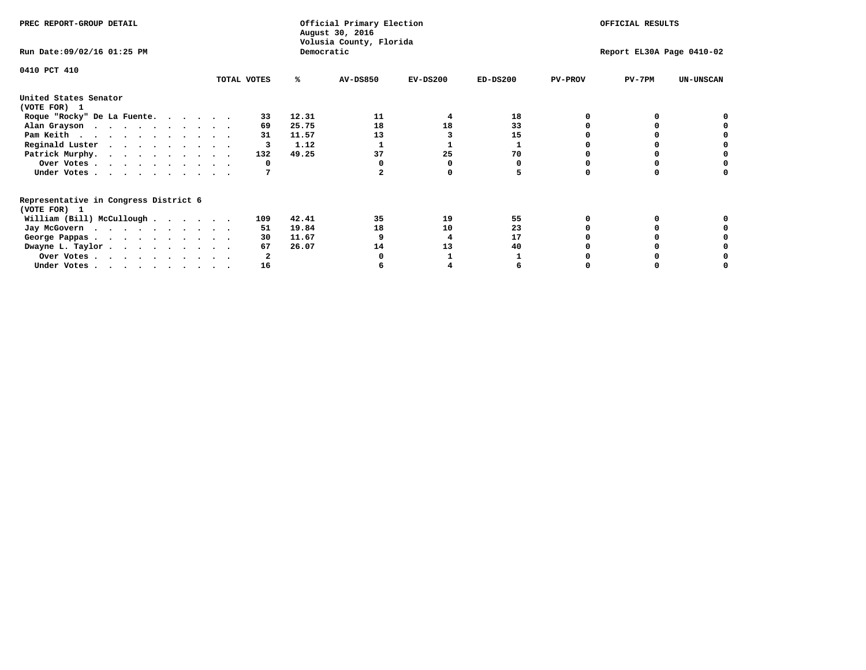| PREC REPORT-GROUP DETAIL                                               |             |            | Official Primary Election<br>August 30, 2016<br>Volusia County, Florida | OFFICIAL RESULTS |                           |                |          |                  |
|------------------------------------------------------------------------|-------------|------------|-------------------------------------------------------------------------|------------------|---------------------------|----------------|----------|------------------|
| Run Date: 09/02/16 01:25 PM                                            |             | Democratic |                                                                         |                  | Report EL30A Page 0410-02 |                |          |                  |
| 0410 PCT 410                                                           | TOTAL VOTES | ℁          | <b>AV-DS850</b>                                                         | $EV-DS200$       | $ED-DS200$                | <b>PV-PROV</b> | $PV-7PM$ | <b>UN-UNSCAN</b> |
|                                                                        |             |            |                                                                         |                  |                           |                |          |                  |
| United States Senator<br>(VOTE FOR) 1                                  |             |            |                                                                         |                  |                           |                |          |                  |
| Roque "Rocky" De La Fuente.                                            | 33          | 12.31      | 11                                                                      | 4                | 18                        |                |          |                  |
| Alan Grayson                                                           | 69          | 25.75      | 18                                                                      | 18               | 33                        |                |          |                  |
| Pam Keith                                                              | 31          | 11.57      | 13                                                                      |                  | 15                        |                |          |                  |
| Reginald Luster                                                        | 3           | 1.12       |                                                                         |                  |                           |                |          |                  |
| Patrick Murphy.                                                        | 132         | 49.25      | 37                                                                      | 25               | 70                        |                |          |                  |
| Over Votes                                                             | 0           |            |                                                                         |                  |                           |                |          |                  |
| Under Votes                                                            |             |            |                                                                         |                  |                           |                |          |                  |
| Representative in Congress District 6                                  |             |            |                                                                         |                  |                           |                |          |                  |
| (VOTE FOR) 1                                                           |             |            |                                                                         |                  |                           |                |          |                  |
| William (Bill) McCullough                                              | 109         | 42.41      | 35                                                                      | 19               | 55                        |                |          |                  |
| Jay McGovern                                                           | 51          | 19.84      | 18                                                                      | 10               | 23                        |                |          |                  |
| George Pappas.                                                         | 30          | 11.67      |                                                                         |                  | 17                        |                |          |                  |
| Dwayne L. Taylor                                                       | 67          | 26.07      | 14                                                                      | 13               | 40                        |                |          |                  |
| Over Votes                                                             |             |            |                                                                         |                  |                           |                |          |                  |
| Under Votes, $\cdot$ , $\cdot$ , $\cdot$ , $\cdot$ , $\cdot$ , $\cdot$ | 16          |            |                                                                         |                  |                           |                |          |                  |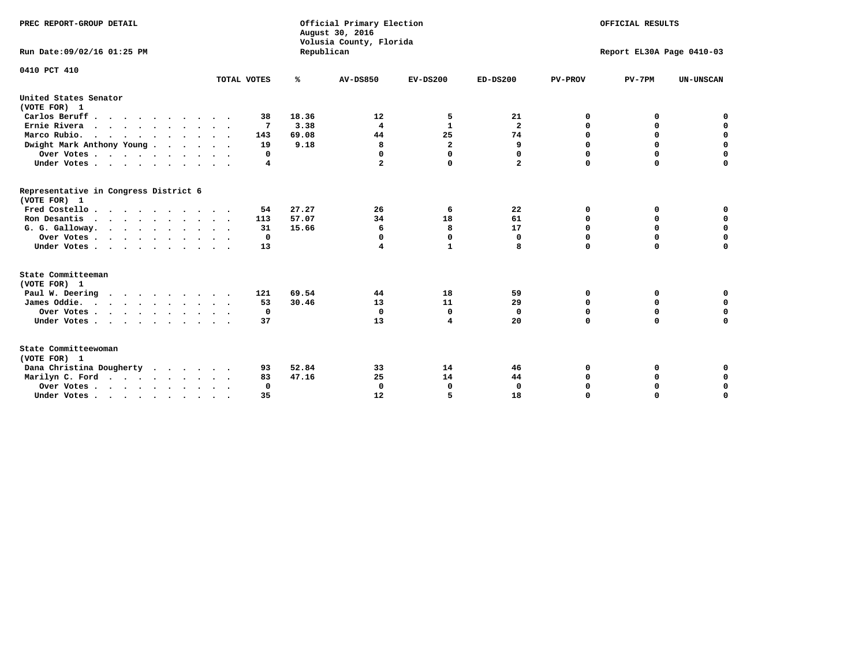| PREC REPORT-GROUP DETAIL                              |             |            | Official Primary Election<br>August 30, 2016<br>Volusia County, Florida | OFFICIAL RESULTS<br>Report EL30A Page 0410-03 |                         |                |             |                  |
|-------------------------------------------------------|-------------|------------|-------------------------------------------------------------------------|-----------------------------------------------|-------------------------|----------------|-------------|------------------|
| Run Date: 09/02/16 01:25 PM                           |             | Republican |                                                                         |                                               |                         |                |             |                  |
| 0410 PCT 410                                          |             |            |                                                                         |                                               |                         |                |             |                  |
|                                                       | TOTAL VOTES | ℁          | <b>AV-DS850</b>                                                         | $EV-DS200$                                    | $ED-DS200$              | <b>PV-PROV</b> | $PV-7PM$    | <b>UN-UNSCAN</b> |
| United States Senator<br>(VOTE FOR) 1                 |             |            |                                                                         |                                               |                         |                |             |                  |
| Carlos Beruff                                         | 38          | 18.36      | 12                                                                      | 5                                             | 21                      | 0              | 0           | 0                |
| Ernie Rivera                                          | 7           | 3.38       | $\overline{\mathbf{4}}$                                                 | $\mathbf{1}$                                  | $\overline{\mathbf{2}}$ | 0              | 0           | $\mathbf 0$      |
| Marco Rubio.                                          | 143         | 69.08      | 44                                                                      | 25                                            | 74                      | $\mathbf 0$    | $\mathbf 0$ | $\mathbf 0$      |
| Dwight Mark Anthony Young                             | 19          | 9.18       | 8                                                                       | $\overline{\mathbf{2}}$                       | 9                       | 0              | $\mathbf 0$ | $\pmb{0}$        |
| Over Votes                                            | 0           |            | 0                                                                       | $\mathbf 0$                                   | 0                       | 0              | 0           | 0                |
| Under Votes                                           | 4           |            | 2                                                                       | 0                                             | $\mathbf{2}$            | $\Omega$       | $\Omega$    | $\mathbf 0$      |
| Representative in Congress District 6<br>(VOTE FOR) 1 |             |            |                                                                         |                                               |                         |                |             |                  |
| Fred Costello.                                        | 54          | 27.27      | 26                                                                      | 6                                             | 22                      | 0              | 0           | 0                |
| Ron Desantis                                          | 113         | 57.07      | 34                                                                      | 18                                            | 61                      | 0              | 0           | $\mathbf 0$      |
| G. G. Galloway.                                       | 31          | 15.66      | 6                                                                       | 8                                             | 17                      | $\mathbf 0$    | $\Omega$    | $\mathbf 0$      |
| Over Votes                                            | $\Omega$    |            | $\mathbf 0$                                                             | 0                                             | $\mathbf{0}$            | $\mathbf 0$    | $\mathbf 0$ | $\mathbf 0$      |
| Under Votes                                           | 13          |            | 4                                                                       | 1                                             | 8                       | $\mathbf 0$    | $\Omega$    | $\mathbf 0$      |
| State Committeeman                                    |             |            |                                                                         |                                               |                         |                |             |                  |
| (VOTE FOR) 1                                          |             |            |                                                                         |                                               |                         |                |             |                  |
| Paul W. Deering<br>$\cdots$                           | 121         | 69.54      | 44                                                                      | 18                                            | 59                      | 0              | 0           | 0                |
| James Oddie.                                          | 53          | 30.46      | 13                                                                      | 11                                            | 29                      | 0              | 0           | $\mathbf 0$      |
| Over Votes                                            | 0           |            | $\mathbf{0}$                                                            | 0                                             | $\mathbf 0$             | 0              | $\mathbf 0$ | $\mathbf 0$      |
| Under Votes                                           | 37          |            | 13                                                                      | 4                                             | 20                      | $\Omega$       | $\mathbf 0$ | $\mathbf 0$      |
| State Committeewoman<br>(VOTE FOR) 1                  |             |            |                                                                         |                                               |                         |                |             |                  |
| Dana Christina Dougherty<br>$\cdots$                  | 93          | 52.84      | 33                                                                      | 14                                            | 46                      | 0              | 0           | 0                |
| Marilyn C. Ford                                       | 83          | 47.16      | 25                                                                      | 14                                            | 44                      | 0              | 0           | 0                |
| Over Votes                                            | $\Omega$    |            | $\Omega$                                                                | 0                                             | $\mathbf{0}$            | 0              | 0           | $\mathbf 0$      |
| Under Votes, , , , , , , , , ,                        | 35          |            | 12                                                                      | 5                                             | 18                      | $\Omega$       | $\Omega$    | $\Omega$         |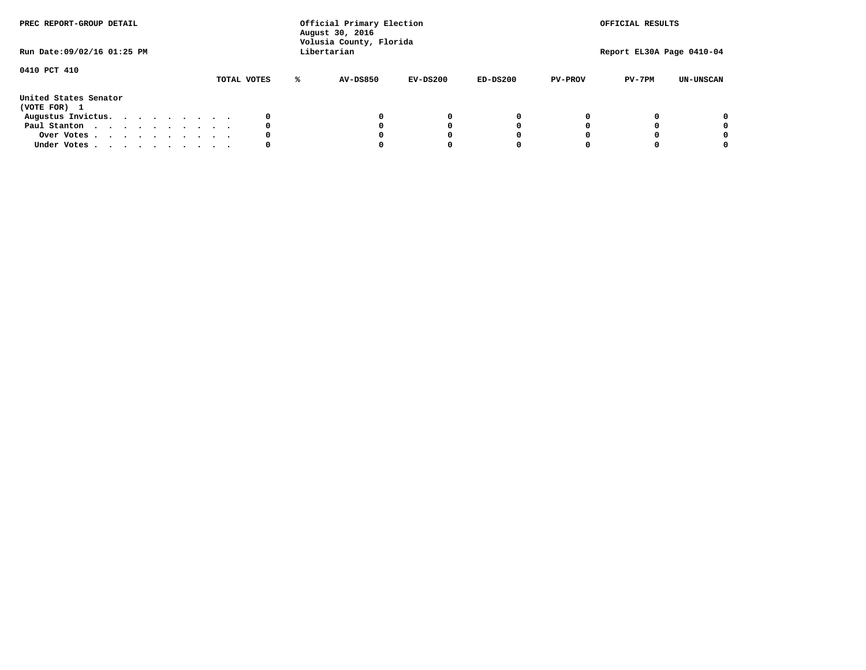| PREC REPORT-GROUP DETAIL<br>Run Date: 09/02/16 01:25 PM |  |  |  | Official Primary Election<br>August 30, 2016<br>Volusia County, Florida<br>Libertarian |  |  |             |   |                 |            | OFFICIAL RESULTS<br>Report EL30A Page 0410-04 |                |          |                  |
|---------------------------------------------------------|--|--|--|----------------------------------------------------------------------------------------|--|--|-------------|---|-----------------|------------|-----------------------------------------------|----------------|----------|------------------|
|                                                         |  |  |  |                                                                                        |  |  |             |   |                 |            |                                               |                |          |                  |
| 0410 PCT 410                                            |  |  |  |                                                                                        |  |  | TOTAL VOTES | ℁ | <b>AV-DS850</b> | $EV-DS200$ | $ED-DS200$                                    | <b>PV-PROV</b> | $PV-7PM$ | <b>UN-UNSCAN</b> |
| United States Senator<br>(VOTE FOR) 1                   |  |  |  |                                                                                        |  |  |             |   |                 |            |                                               |                |          |                  |
| Augustus Invictus.                                      |  |  |  |                                                                                        |  |  | 0           |   |                 | 0          | 0                                             |                |          | 0                |
| Paul Stanton                                            |  |  |  |                                                                                        |  |  | 0           |   |                 |            | 0                                             |                |          | 0                |
| Over Votes                                              |  |  |  |                                                                                        |  |  | 0           |   |                 |            | 0                                             |                |          | 0                |
| Under Votes                                             |  |  |  |                                                                                        |  |  | 0           |   |                 |            |                                               |                |          | 0                |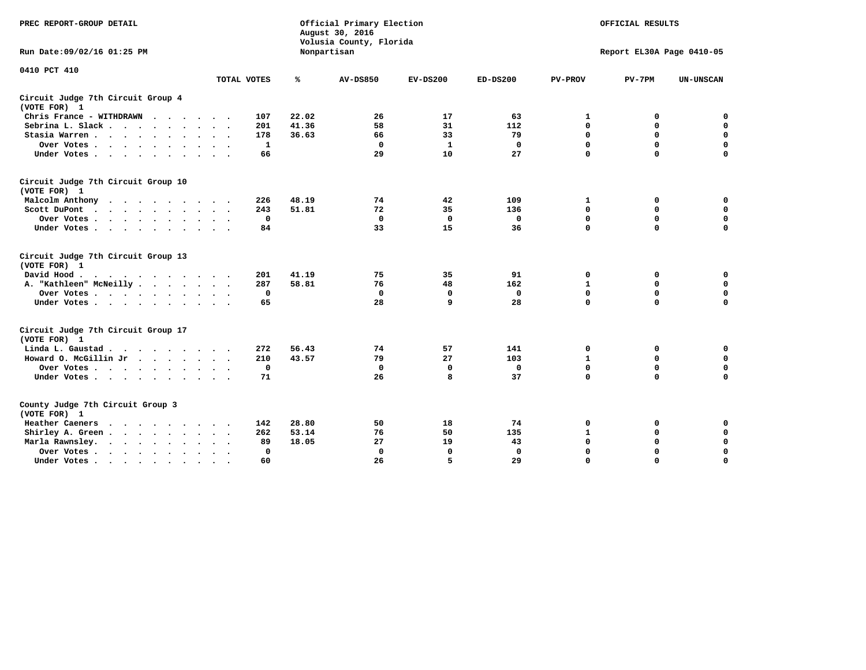| PREC REPORT-GROUP DETAIL                                                |             | Official Primary Election<br>August 30, 2016<br>Volusia County, Florida |                 | OFFICIAL RESULTS<br>Report EL30A Page 0410-05 |              |                |             |                  |
|-------------------------------------------------------------------------|-------------|-------------------------------------------------------------------------|-----------------|-----------------------------------------------|--------------|----------------|-------------|------------------|
| Run Date: 09/02/16 01:25 PM                                             |             |                                                                         | Nonpartisan     |                                               |              |                |             |                  |
| 0410 PCT 410                                                            | TOTAL VOTES | ℁                                                                       | <b>AV-DS850</b> | $EV-DS200$                                    | $ED-DS200$   | <b>PV-PROV</b> | $PV-7PM$    | <b>UN-UNSCAN</b> |
| Circuit Judge 7th Circuit Group 4                                       |             |                                                                         |                 |                                               |              |                |             |                  |
| (VOTE FOR) 1                                                            | 107         | 22.02                                                                   | 26              | 17                                            | 63           | 1              | 0           | $\mathbf 0$      |
| Chris France - WITHDRAWN<br>Sebrina L. Slack.                           | 201         | 41.36                                                                   | 58              | 31                                            | 112          | $\mathbf 0$    | $\mathbf 0$ | $\mathbf 0$      |
| Stasia Warren                                                           | 178         | 36.63                                                                   | 66              | 33                                            | 79           | 0              | $\mathbf 0$ | $\mathbf 0$      |
| Over Votes                                                              | 1           |                                                                         | 0               | $\mathbf{1}$                                  | 0            | $\mathbf 0$    | $\mathbf 0$ | $\mathbf 0$      |
| Under Votes                                                             | 66          |                                                                         | 29              | 10                                            | 27           | $\mathbf 0$    | $\Omega$    | $\mathbf 0$      |
| Circuit Judge 7th Circuit Group 10<br>(VOTE FOR) 1                      |             |                                                                         |                 |                                               |              |                |             |                  |
| Malcolm Anthony                                                         | 226         | 48.19                                                                   | 74              | 42                                            | 109          | 1              | 0           | $\mathbf 0$      |
| Scott DuPont<br>$\sim$                                                  | 243         | 51.81                                                                   | 72              | 35                                            | 136          | $\mathbf 0$    | $\mathbf 0$ | $\mathbf 0$      |
| Over Votes                                                              | $\mathbf 0$ |                                                                         | $\Omega$        | 0                                             | 0            | $\mathbf 0$    | 0           | $\mathbf 0$      |
| Under Votes                                                             | 84          |                                                                         | 33              | 15                                            | 36           | $\mathbf 0$    | $\mathbf 0$ | $\Omega$         |
| Circuit Judge 7th Circuit Group 13<br>(VOTE FOR) 1                      |             |                                                                         |                 |                                               |              |                |             |                  |
| David Hood.                                                             | 201         | 41.19                                                                   | 75              | 35                                            | 91           | 0              | 0           | $\mathbf 0$      |
| A. "Kathleen" McNeilly                                                  | 287         | 58.81                                                                   | 76              | 48                                            | 162          | $\mathbf{1}$   | 0           | $\mathbf 0$      |
| Over Votes                                                              | $\mathbf 0$ |                                                                         | $\mathbf 0$     | $\mathbf 0$                                   | $\mathbf 0$  | 0              | $\mathbf 0$ | $\mathbf 0$      |
| Under Votes                                                             | 65          |                                                                         | 28              | $\mathbf{q}$                                  | 28           | $\Omega$       | $\Omega$    | $\Omega$         |
| Circuit Judge 7th Circuit Group 17<br>(VOTE FOR) 1                      |             |                                                                         |                 |                                               |              |                |             |                  |
| Linda L. Gaustad                                                        | 272         | 56.43                                                                   | 74              | 57                                            | 141          | 0              | 0           | 0                |
| Howard O. McGillin Jr                                                   | 210         | 43.57                                                                   | 79              | 27                                            | 103          | $\mathbf{1}$   | $\mathbf 0$ | 0                |
| Over Votes                                                              | $\mathbf 0$ |                                                                         | $\mathbf{0}$    | 0                                             | $\mathbf{0}$ | $\mathbf 0$    | $\mathbf 0$ | $\mathbf 0$      |
| Under Votes                                                             | 71          |                                                                         | 26              | 8                                             | 37           | $\mathbf 0$    | $\mathbf 0$ | $\Omega$         |
| County Judge 7th Circuit Group 3<br>(VOTE FOR) 1                        |             |                                                                         |                 |                                               |              |                |             |                  |
| Heather Caeners<br>$\cdots$                                             | 142         | 28.80                                                                   | 50              | 18                                            | 74           | $\mathbf 0$    | 0           | 0                |
| Shirley A. Green                                                        | 262         | 53.14                                                                   | 76              | 50                                            | 135          | $\mathbf{1}$   | 0           | $\mathbf 0$      |
| Marla Rawnsley.                                                         | 89          | 18.05                                                                   | 27              | 19                                            | 43           | 0              | $\mathbf 0$ | $\mathbf 0$      |
| Over Votes.<br>$\cdots$<br>$\ddot{\phantom{a}}$<br>$\ddot{\phantom{a}}$ | 0           |                                                                         | $\Omega$        | $\mathbf 0$                                   | $\mathbf{0}$ | $\mathbf 0$    | $\mathbf 0$ | $\mathbf 0$      |
| Under Votes<br>$\sim$                                                   | 60          |                                                                         | 26              | 5                                             | 29           | $\mathbf 0$    | $\mathbf 0$ | 0                |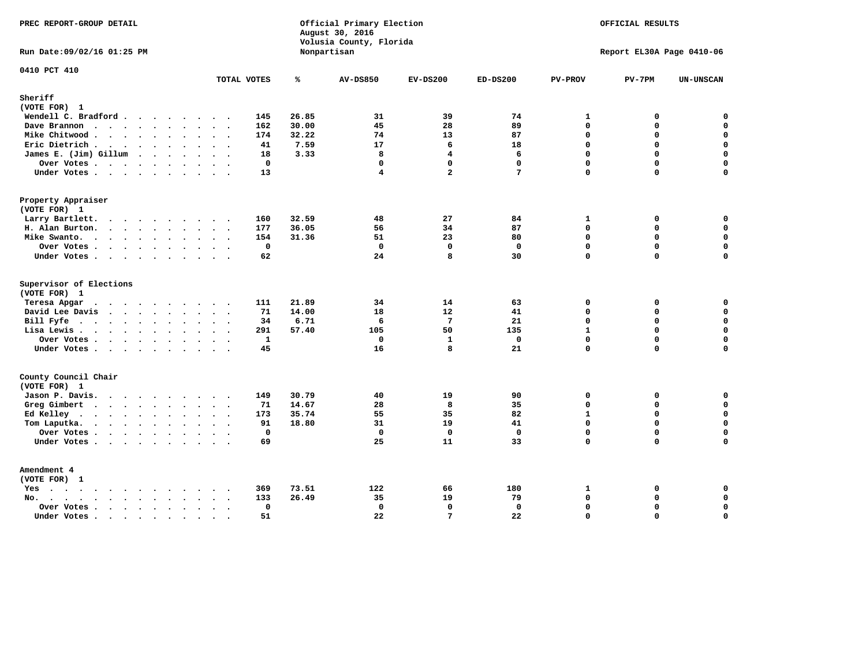| PREC REPORT-GROUP DETAIL                                                                                                                                                                                                                          |                                     |       | Official Primary Election<br>August 30, 2016<br>Volusia County, Florida | OFFICIAL RESULTS        |                   |                            |                           |                            |
|---------------------------------------------------------------------------------------------------------------------------------------------------------------------------------------------------------------------------------------------------|-------------------------------------|-------|-------------------------------------------------------------------------|-------------------------|-------------------|----------------------------|---------------------------|----------------------------|
| Run Date: 09/02/16 01:25 PM                                                                                                                                                                                                                       |                                     |       | Nonpartisan                                                             |                         |                   |                            | Report EL30A Page 0410-06 |                            |
| 0410 PCT 410                                                                                                                                                                                                                                      | TOTAL VOTES                         | ℁     | <b>AV-DS850</b>                                                         | $EV-DS200$              | $ED-DS200$        | <b>PV-PROV</b>             | $PV-7PM$                  | <b>UN-UNSCAN</b>           |
| Sheriff<br>(VOTE FOR) 1                                                                                                                                                                                                                           |                                     |       |                                                                         |                         |                   |                            |                           |                            |
| Wendell C. Bradford                                                                                                                                                                                                                               | 145                                 | 26.85 | 31                                                                      | 39                      | 74                | 1                          | 0                         | $\mathbf 0$                |
| Dave Brannon                                                                                                                                                                                                                                      | 162                                 | 30.00 | 45                                                                      | 28                      | 89                | $\Omega$                   | 0                         | 0                          |
| Mike Chitwood                                                                                                                                                                                                                                     | 174                                 | 32.22 | 74                                                                      | 13                      | 87                | $\mathbf{0}$               | 0                         | $\mathbf 0$                |
| Eric Dietrich.                                                                                                                                                                                                                                    | 41                                  | 7.59  | 17                                                                      | 6                       | 18                | $\Omega$                   | $\Omega$                  | $\mathbf 0$                |
| James E. (Jim) Gillum                                                                                                                                                                                                                             | 18                                  | 3.33  | 8                                                                       | $\overline{\mathbf{4}}$ | 6                 | $\mathbf 0$                | 0                         | $\mathbf 0$                |
| Over Votes                                                                                                                                                                                                                                        | $\mathbf 0$                         |       | $\mathbf 0$                                                             | $\mathbf{0}$            | $\mathbf{0}$      | $\mathbf 0$                | $\mathbf 0$               | 0                          |
| Under Votes                                                                                                                                                                                                                                       | 13                                  |       | $\overline{\mathbf{4}}$                                                 | $\overline{a}$          | $7\phantom{.0}$   | $\Omega$                   | 0                         | $\mathbf 0$                |
| Property Appraiser                                                                                                                                                                                                                                |                                     |       |                                                                         |                         |                   |                            |                           |                            |
| (VOTE FOR) 1                                                                                                                                                                                                                                      |                                     |       |                                                                         |                         |                   |                            |                           |                            |
| Larry Bartlett.                                                                                                                                                                                                                                   | 160                                 | 32.59 | 48                                                                      | 27                      | 84                | 1                          | 0                         | 0                          |
| H. Alan Burton.                                                                                                                                                                                                                                   | 177                                 | 36.05 | 56                                                                      | 34                      | 87                | $\Omega$                   | 0                         | $\mathbf 0$                |
| Mike Swanto.                                                                                                                                                                                                                                      | 154                                 | 31.36 | 51                                                                      | 23                      | 80                | $\mathbf 0$                | 0                         | $\mathbf 0$                |
| Over Votes.                                                                                                                                                                                                                                       | $\mathbf 0$                         |       | $\mathbf 0$                                                             | $\mathbf 0$             | $\mathbf 0$       | $\mathbf 0$                | 0                         | $\mathbf 0$                |
| Under Votes                                                                                                                                                                                                                                       | 62                                  |       | 24                                                                      | 8                       | 30                | $\Omega$                   | $\Omega$                  | $\mathbf 0$                |
| Supervisor of Elections                                                                                                                                                                                                                           |                                     |       |                                                                         |                         |                   |                            |                           |                            |
| (VOTE FOR) 1                                                                                                                                                                                                                                      |                                     |       |                                                                         |                         |                   |                            |                           |                            |
| Teresa Apgar<br>$\cdots$                                                                                                                                                                                                                          | 111                                 | 21.89 | 34                                                                      | 14                      | 63                | $\mathbf 0$                | 0                         | 0                          |
| David Lee Davis                                                                                                                                                                                                                                   | 71                                  | 14.00 | 18                                                                      | 12                      | 41                | $\Omega$                   | 0                         | $\mathbf 0$                |
| Bill Fyfe                                                                                                                                                                                                                                         | 34                                  | 6.71  | 6                                                                       | $7\phantom{.0}$         | 21                | $\Omega$                   | 0                         | $\mathbf 0$                |
| Lisa Lewis                                                                                                                                                                                                                                        | 291                                 | 57.40 | 105                                                                     | 50                      | 135               | $\mathbf{1}$               | 0                         | 0                          |
| Over Votes                                                                                                                                                                                                                                        | $\mathbf{1}$                        |       | $\mathbf 0$                                                             | $\mathbf{1}$            | $\mathbf{0}$      | $\Omega$                   | 0                         | $\mathbf 0$                |
| Under Votes                                                                                                                                                                                                                                       | 45                                  |       | 16                                                                      | 8                       | 21                | $\mathbf 0$                | 0                         | $\mathbf 0$                |
| County Council Chair                                                                                                                                                                                                                              |                                     |       |                                                                         |                         |                   |                            |                           |                            |
| (VOTE FOR) 1                                                                                                                                                                                                                                      |                                     |       |                                                                         |                         |                   |                            |                           |                            |
| Jason P. Davis.                                                                                                                                                                                                                                   | 149                                 | 30.79 | 40                                                                      | 19                      | 90                | $\mathbf 0$<br>$\mathbf 0$ | 0                         | 0<br>$\mathbf 0$           |
| Greg Gimbert<br>$\mathbf{r}$ . The contract of the contract of the contract of the contract of the contract of the contract of the contract of the contract of the contract of the contract of the contract of the contract of the contract of th | 71                                  | 14.67 | 28                                                                      | 8                       | 35                |                            | 0                         |                            |
| Ed Kelley                                                                                                                                                                                                                                         | 173                                 | 35.74 | 55                                                                      | 35                      | 82                | $\mathbf{1}$               | 0                         | $\mathbf 0$                |
| Tom Laputka.                                                                                                                                                                                                                                      | 91<br>$\mathbf 0$                   | 18.80 | 31<br>$\mathbf 0$                                                       | 19<br>$\mathbf 0$       | 41<br>$\mathbf 0$ | $\Omega$<br>$\mathbf 0$    | 0<br>0                    | $\mathbf 0$<br>$\mathbf 0$ |
| Over Votes.                                                                                                                                                                                                                                       | 69                                  |       | 25                                                                      | 11                      | 33                | $\Omega$                   | $\Omega$                  | $\mathbf 0$                |
| Under Votes                                                                                                                                                                                                                                       |                                     |       |                                                                         |                         |                   |                            |                           |                            |
| Amendment 4                                                                                                                                                                                                                                       |                                     |       |                                                                         |                         |                   |                            |                           |                            |
| (VOTE FOR) 1                                                                                                                                                                                                                                      |                                     |       |                                                                         |                         |                   |                            |                           |                            |
| $Yes \cdot \cdot \cdot \cdot \cdot \cdot \cdot \cdot \cdot$                                                                                                                                                                                       | 369<br>$\sim$ $\sim$ $\sim$         | 73.51 | 122                                                                     | 66                      | 180               | 1                          | 0                         | 0                          |
| No.<br>$\sim$                                                                                                                                                                                                                                     | 133                                 | 26.49 | 35                                                                      | 19                      | 79                | $\mathbf 0$                | 0                         | $\mathbf 0$                |
| Over Votes .<br>$\cdots$                                                                                                                                                                                                                          | $\mathbf 0$<br>$\ddot{\phantom{0}}$ |       | $\mathbf 0$                                                             | $\mathbf{0}$            | $\mathbf 0$       | $\mathbf 0$                | 0                         | $\mathbf 0$                |
| Under Votes                                                                                                                                                                                                                                       | 51<br>$\sim$<br>$\sim$              |       | 22                                                                      | $7\phantom{.0}$         | 22                | $\mathbf 0$                | 0                         | $\mathbf 0$                |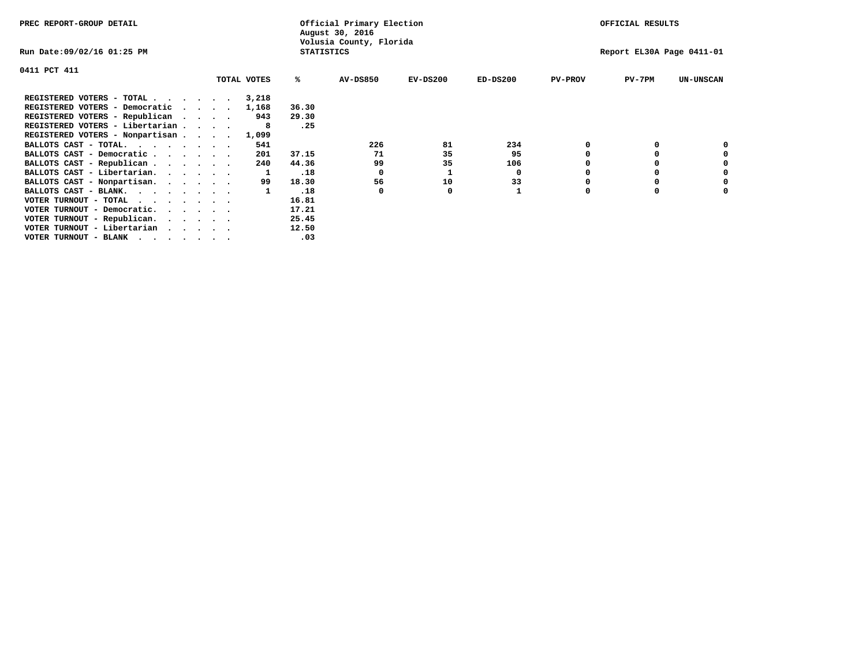| PREC REPORT-GROUP DETAIL                            |                   | Official Primary Election<br>August 30, 2016 |                           | OFFICIAL RESULTS |                |          |                  |
|-----------------------------------------------------|-------------------|----------------------------------------------|---------------------------|------------------|----------------|----------|------------------|
| Run Date:09/02/16 01:25 PM                          | <b>STATISTICS</b> | Volusia County, Florida                      | Report EL30A Page 0411-01 |                  |                |          |                  |
| 0411 PCT 411                                        |                   |                                              |                           |                  |                |          |                  |
| TOTAL VOTES                                         | ℁                 | <b>AV-DS850</b>                              | $EV-DS200$                | $ED-DS200$       | <b>PV-PROV</b> | $PV-7PM$ | <b>UN-UNSCAN</b> |
| REGISTERED VOTERS - TOTAL<br>3,218                  |                   |                                              |                           |                  |                |          |                  |
| REGISTERED VOTERS - Democratic<br>1,168<br>$\cdots$ | 36.30             |                                              |                           |                  |                |          |                  |
| REGISTERED VOTERS - Republican<br>943               | 29.30             |                                              |                           |                  |                |          |                  |
| REGISTERED VOTERS - Libertarian                     | .25               |                                              |                           |                  |                |          |                  |
| REGISTERED VOTERS - Nonpartisan<br>1,099            |                   |                                              |                           |                  |                |          |                  |
| 541<br>BALLOTS CAST - TOTAL.<br>.                   |                   | 226                                          | 81                        | 234              |                |          |                  |
| BALLOTS CAST - Democratic<br>201                    | 37.15             | -71                                          | 35                        | 95               |                |          |                  |
| BALLOTS CAST - Republican<br>240                    | 44.36             | 99                                           | 35                        | 106              |                |          |                  |
| BALLOTS CAST - Libertarian.                         | .18               | 0                                            |                           | 0                |                |          |                  |
| BALLOTS CAST - Nonpartisan.<br>99                   | 18.30             | 56                                           | 10                        | 33               |                |          | 0                |
| BALLOTS CAST - BLANK.                               | .18               | 0                                            | 0                         |                  | $\Omega$       |          |                  |
| VOTER TURNOUT - TOTAL                               | 16.81             |                                              |                           |                  |                |          |                  |
| VOTER TURNOUT - Democratic.                         | 17.21             |                                              |                           |                  |                |          |                  |
| VOTER TURNOUT - Republican.                         | 25.45             |                                              |                           |                  |                |          |                  |
| VOTER TURNOUT - Libertarian                         | 12.50             |                                              |                           |                  |                |          |                  |
| VOTER TURNOUT - BLANK                               | .03               |                                              |                           |                  |                |          |                  |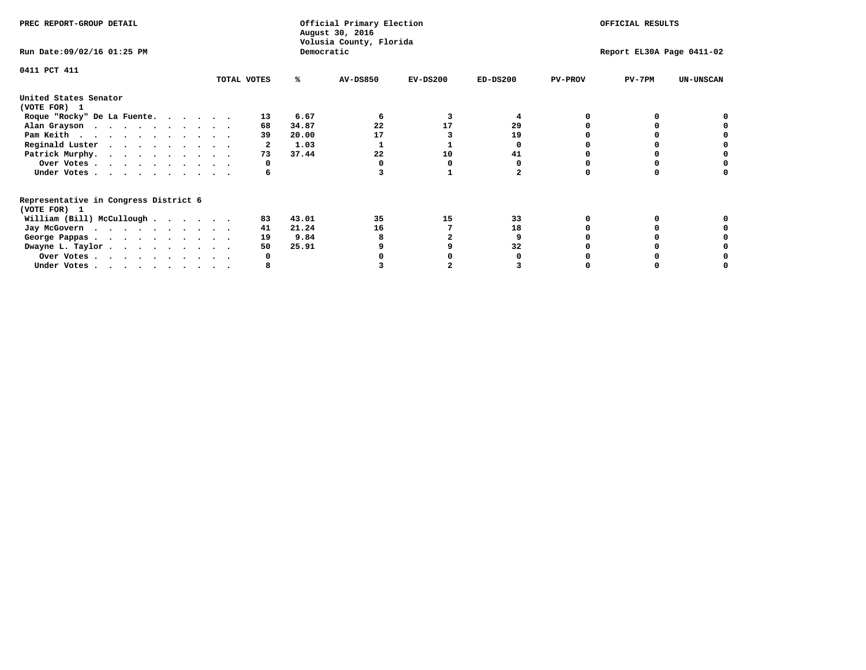| PREC REPORT-GROUP DETAIL                                               |             |       | Official Primary Election<br>August 30, 2016 | OFFICIAL RESULTS |                           |                |          |                  |
|------------------------------------------------------------------------|-------------|-------|----------------------------------------------|------------------|---------------------------|----------------|----------|------------------|
| Run Date: 09/02/16 01:25 PM                                            |             |       | Volusia County, Florida<br>Democratic        |                  | Report EL30A Page 0411-02 |                |          |                  |
| 0411 PCT 411                                                           | TOTAL VOTES | ℁     | <b>AV-DS850</b>                              | $EV-DS200$       | $ED-DS200$                | <b>PV-PROV</b> | $PV-7PM$ | <b>UN-UNSCAN</b> |
|                                                                        |             |       |                                              |                  |                           |                |          |                  |
| United States Senator<br>(VOTE FOR) 1                                  |             |       |                                              |                  |                           |                |          |                  |
| Roque "Rocky" De La Fuente.                                            | 13          | 6.67  |                                              |                  |                           |                |          |                  |
| Alan Grayson                                                           | 68          | 34.87 | 22                                           | 17               | 29                        |                |          |                  |
| Pam Keith                                                              | 39          | 20.00 | 17                                           |                  | 19                        |                |          |                  |
| Reginald Luster                                                        |             | 1.03  |                                              |                  |                           |                |          |                  |
| Patrick Murphy.                                                        | 73          | 37.44 | 22                                           | 10               | 41                        |                |          |                  |
| Over Votes                                                             |             |       |                                              |                  |                           |                |          |                  |
| Under Votes                                                            | 6           |       |                                              |                  |                           |                |          |                  |
| Representative in Congress District 6                                  |             |       |                                              |                  |                           |                |          |                  |
| (VOTE FOR) 1                                                           |             |       |                                              |                  |                           |                |          |                  |
| William (Bill) McCullough                                              | 83          | 43.01 | 35                                           | 15               | 33                        |                |          |                  |
| Jay McGovern                                                           | 41          | 21.24 | 16                                           |                  | 18                        |                |          |                  |
| George Pappas.                                                         | 19          | 9.84  |                                              |                  |                           |                |          |                  |
| Dwayne L. Taylor                                                       | 50          | 25.91 |                                              |                  | 32                        |                |          |                  |
| Over Votes                                                             |             |       |                                              |                  |                           |                |          |                  |
| Under Votes, $\cdot$ , $\cdot$ , $\cdot$ , $\cdot$ , $\cdot$ , $\cdot$ |             |       |                                              |                  |                           |                |          |                  |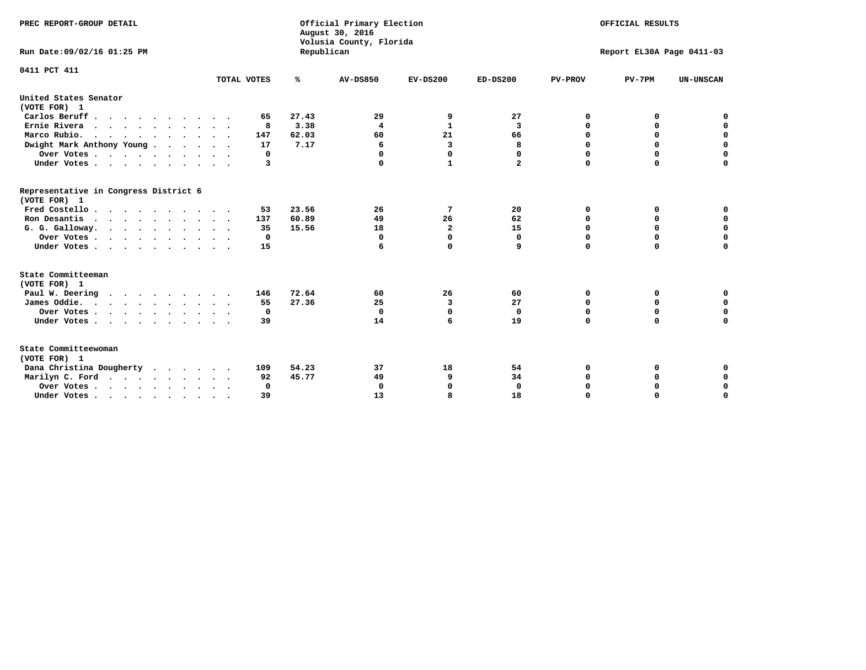| PREC REPORT-GROUP DETAIL<br>Run Date: 09/02/16 01:25 PM |             | Republican | Official Primary Election<br>August 30, 2016<br>Volusia County, Florida | OFFICIAL RESULTS<br>Report EL30A Page 0411-03 |              |                |             |                  |
|---------------------------------------------------------|-------------|------------|-------------------------------------------------------------------------|-----------------------------------------------|--------------|----------------|-------------|------------------|
| 0411 PCT 411                                            |             |            |                                                                         |                                               |              |                |             |                  |
|                                                         | TOTAL VOTES | ℁          | <b>AV-DS850</b>                                                         | $EV-DS200$                                    | $ED-DS200$   | <b>PV-PROV</b> | $PV-7PM$    | <b>UN-UNSCAN</b> |
| United States Senator<br>(VOTE FOR) 1                   |             |            |                                                                         |                                               |              |                |             |                  |
| Carlos Beruff                                           | 65          | 27.43      | 29                                                                      | 9                                             | 27           | 0              | 0           | 0                |
| Ernie Rivera                                            | 8           | 3.38       | $\overline{\mathbf{4}}$                                                 | $\mathbf{1}$                                  | 3            | $\Omega$       | 0           | $\mathbf 0$      |
| Marco Rubio.                                            | 147         | 62.03      | 60                                                                      | 21                                            | 66           | 0              | 0           | $\mathbf 0$      |
| Dwight Mark Anthony Young                               | 17          | 7.17       | 6                                                                       | 3                                             | 8            | 0              | $\mathbf 0$ | $\mathbf 0$      |
| Over Votes                                              | 0           |            | 0                                                                       | $\Omega$                                      | 0            | 0              | $\Omega$    | $\mathbf 0$      |
| Under Votes                                             | 3           |            | $\Omega$                                                                | 1                                             | $\mathbf{2}$ | $\Omega$       | $\Omega$    | $\Omega$         |
| Representative in Congress District 6<br>(VOTE FOR) 1   |             |            |                                                                         |                                               |              |                |             |                  |
| Fred Costello                                           | 53          | 23.56      | 26                                                                      | 7                                             | 20           | 0              | 0           | $\mathbf 0$      |
| Ron Desantis                                            | 137         | 60.89      | 49                                                                      | 26                                            | 62           | 0              | 0           | $\mathbf 0$      |
| G. G. Galloway.                                         | 35          | 15.56      | 18                                                                      | $\mathbf{2}$                                  | 15           | $\mathbf 0$    | $\Omega$    | $\mathbf 0$      |
| Over Votes                                              | 0           |            | $\Omega$                                                                | 0                                             | 0            | $\mathbf 0$    | 0           | 0                |
| Under Votes                                             | 15          |            | 6                                                                       | $\mathbf 0$                                   | 9            | $\mathbf 0$    | $\Omega$    | $\mathbf 0$      |
| State Committeeman                                      |             |            |                                                                         |                                               |              |                |             |                  |
| (VOTE FOR) 1<br>Paul W. Deering                         |             | 72.64      | 60                                                                      | 26                                            | 60           | 0              | 0           | 0                |
| .<br>James Oddie.                                       | 146<br>55   | 27.36      | 25                                                                      | 3                                             | 27           | 0              | 0           | $\mathbf 0$      |
|                                                         | 0           |            | $\mathbf{0}$                                                            | $\mathbf 0$                                   | $\mathbf 0$  | 0              | $\mathbf 0$ | $\mathbf 0$      |
| Over Votes<br>Under Votes                               | 39          |            | 14                                                                      | 6                                             | 19           | $\Omega$       | $\mathbf 0$ | $\mathbf 0$      |
|                                                         |             |            |                                                                         |                                               |              |                |             |                  |
| State Committeewoman<br>(VOTE FOR) 1                    |             |            |                                                                         |                                               |              |                |             |                  |
| Dana Christina Dougherty                                | 109         | 54.23      | 37                                                                      | 18                                            | 54           | 0              | 0           | 0                |
| Marilyn C. Ford                                         | 92          | 45.77      | 49                                                                      | 9                                             | 34           | 0              | 0           | 0                |
| Over Votes                                              | $\Omega$    |            | $\Omega$                                                                | $\Omega$                                      | $\mathbf{0}$ | 0              | 0           | $\mathbf 0$      |
| Under Votes, , , , , , , , , ,                          | 39          |            | 13                                                                      | я                                             | 18           | $\Omega$       | $\Omega$    | $\Omega$         |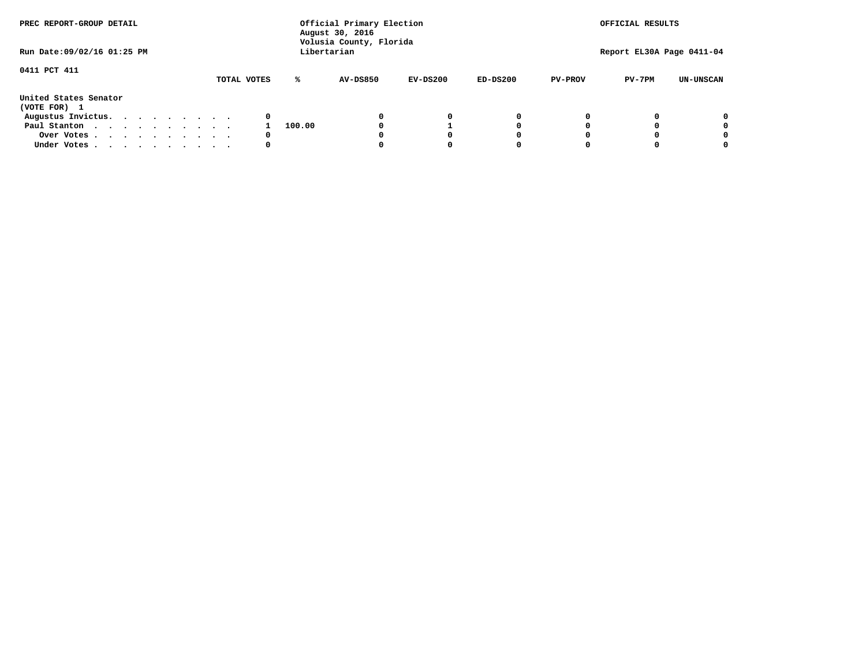| PREC REPORT-GROUP DETAIL              |             |        | Official Primary Election<br>August 30, 2016<br>Volusia County, Florida | OFFICIAL RESULTS |            |                |                           |                  |
|---------------------------------------|-------------|--------|-------------------------------------------------------------------------|------------------|------------|----------------|---------------------------|------------------|
| Run Date: 09/02/16 01:25 PM           |             |        | Libertarian                                                             |                  |            |                | Report EL30A Page 0411-04 |                  |
| 0411 PCT 411                          | TOTAL VOTES | ℁      | AV-DS850                                                                | $EV-DS200$       | $ED-DS200$ | <b>PV-PROV</b> | $PV-7PM$                  | <b>UN-UNSCAN</b> |
| United States Senator<br>(VOTE FOR) 1 |             |        |                                                                         |                  |            |                |                           |                  |
| Augustus Invictus.                    | 0           |        |                                                                         | 0                | 0          |                |                           | 0                |
| Paul Stanton                          |             | 100.00 |                                                                         |                  | 0          |                |                           | 0                |
| Over Votes                            | 0           |        |                                                                         |                  | O          |                |                           | 0                |
| Under Votes                           | 0           |        |                                                                         |                  |            |                |                           | 0                |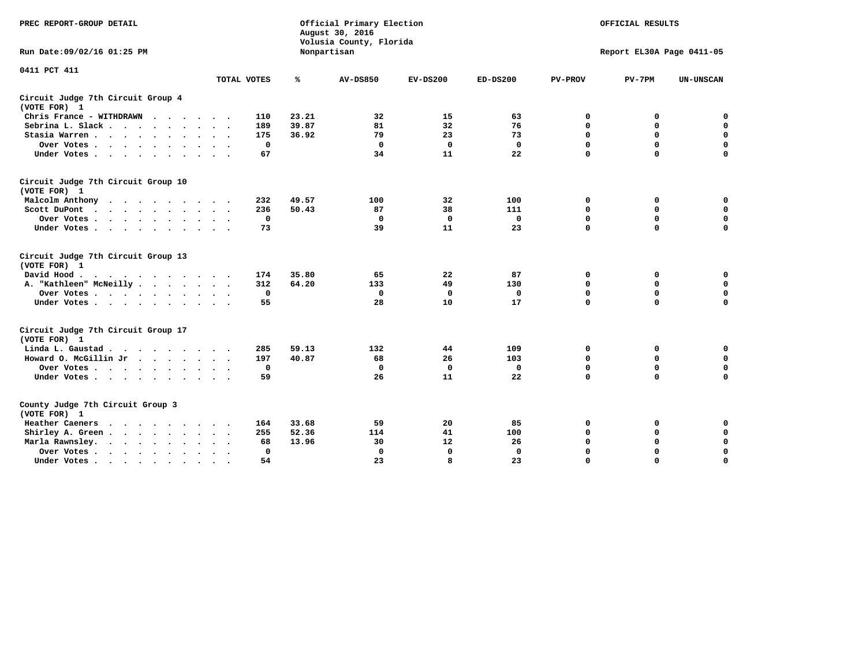| PREC REPORT-GROUP DETAIL                                                                                                           |              |       | Official Primary Election<br>August 30, 2016<br>Volusia County, Florida | OFFICIAL RESULTS<br>Report EL30A Page 0411-05 |              |                |             |                  |
|------------------------------------------------------------------------------------------------------------------------------------|--------------|-------|-------------------------------------------------------------------------|-----------------------------------------------|--------------|----------------|-------------|------------------|
| Run Date: 09/02/16 01:25 PM                                                                                                        |              |       | Nonpartisan                                                             |                                               |              |                |             |                  |
| 0411 PCT 411                                                                                                                       | TOTAL VOTES  | ℁     | <b>AV-DS850</b>                                                         | $EV-DS200$                                    | $ED-DS200$   | <b>PV-PROV</b> | $PV-7PM$    | <b>UN-UNSCAN</b> |
|                                                                                                                                    |              |       |                                                                         |                                               |              |                |             |                  |
| Circuit Judge 7th Circuit Group 4<br>(VOTE FOR) 1                                                                                  |              |       |                                                                         |                                               |              |                |             |                  |
| Chris France - WITHDRAWN                                                                                                           | 110          | 23.21 | 32                                                                      | 15                                            | 63           | 0              | 0           | $\mathbf 0$      |
| Sebrina L. Slack.                                                                                                                  | 189          | 39.87 | 81                                                                      | 32                                            | 76           | 0              | $\mathbf 0$ | $\mathbf 0$      |
| Stasia Warren<br>$\cdot$ $\cdot$                                                                                                   | 175          | 36.92 | 79                                                                      | 23                                            | 73           | $\mathbf 0$    | 0           | $\mathbf 0$      |
| Over Votes                                                                                                                         | $\mathbf 0$  |       | $\Omega$                                                                | $\mathbf 0$                                   | $\mathbf{0}$ | $\mathbf 0$    | $\mathbf 0$ | $\mathbf 0$      |
| Under Votes                                                                                                                        | 67           |       | 34                                                                      | 11                                            | 22           | $\Omega$       | $\Omega$    | $\mathbf 0$      |
| Circuit Judge 7th Circuit Group 10<br>(VOTE FOR) 1                                                                                 |              |       |                                                                         |                                               |              |                |             |                  |
| Malcolm Anthony                                                                                                                    | 232          | 49.57 | 100                                                                     | 32                                            | 100          | 0              | 0           | 0                |
| Scott DuPont                                                                                                                       | 236          | 50.43 | 87                                                                      | 38                                            | 111          | $\mathbf 0$    | $\mathbf 0$ | $\mathbf 0$      |
| Over Votes                                                                                                                         | $\mathbf 0$  |       | $\mathbf{0}$                                                            | $\mathbf 0$                                   | $\mathbf{0}$ | $\mathbf 0$    | $\mathbf 0$ | $\mathbf 0$      |
| Under Votes                                                                                                                        | 73           |       | 39                                                                      | 11                                            | 23           | $\mathbf 0$    | $\mathbf 0$ | $\Omega$         |
| Circuit Judge 7th Circuit Group 13<br>(VOTE FOR) 1                                                                                 |              |       |                                                                         |                                               |              |                |             |                  |
| David Hood.                                                                                                                        | 174          | 35.80 | 65                                                                      | 22                                            | 87           | 0              | 0           | $\mathbf 0$      |
| A. "Kathleen" McNeilly                                                                                                             | 312          | 64.20 | 133                                                                     | 49                                            | 130          | $\mathbf 0$    | 0           | $\mathbf 0$      |
| Over Votes                                                                                                                         | $\mathbf 0$  |       | $\mathbf 0$                                                             | $\mathbf 0$                                   | $\mathbf{0}$ | 0              | $\mathbf 0$ | $\mathbf 0$      |
| Under Votes                                                                                                                        | 55           |       | 28                                                                      | 10                                            | 17           | $\mathbf 0$    | $\mathbf 0$ | $\mathbf 0$      |
| Circuit Judge 7th Circuit Group 17<br>(VOTE FOR) 1                                                                                 |              |       |                                                                         |                                               |              |                |             |                  |
| Linda L. Gaustad                                                                                                                   | 285          | 59.13 | 132                                                                     | 44                                            | 109          | 0              | 0           | $\mathbf 0$      |
| Howard O. McGillin Jr                                                                                                              | 197          | 40.87 | 68                                                                      | 26                                            | 103          | $\mathbf 0$    | 0           | $\mathbf 0$      |
| Over Votes                                                                                                                         | $\mathbf 0$  |       | $\mathbf{0}$                                                            | $\mathbf 0$                                   | $\mathbf 0$  | $\mathbf 0$    | $\mathbf 0$ | $\pmb{0}$        |
| Under Votes                                                                                                                        | 59           |       | 26                                                                      | 11                                            | 22           | $\mathbf 0$    | $\mathbf 0$ | $\mathbf 0$      |
| County Judge 7th Circuit Group 3<br>(VOTE FOR) 1                                                                                   |              |       |                                                                         |                                               |              |                |             |                  |
| Heather Caeners<br>the contract of the contract of the contract of the contract of the contract of the contract of the contract of | 164          | 33.68 | 59                                                                      | 20                                            | 85           | 0              | 0           | 0                |
| Shirley A. Green                                                                                                                   | 255          | 52.36 | 114                                                                     | 41                                            | 100          | $\mathbf 0$    | 0           | $\mathbf 0$      |
| Marla Rawnsley.                                                                                                                    | 68           | 13.96 | 30                                                                      | 12                                            | 26           | 0              | $\mathbf 0$ | $\pmb{0}$        |
| Over Votes.<br>$\cdots$<br>$\ddot{\phantom{a}}$<br>$\ddot{\phantom{a}}$                                                            | $\mathbf{0}$ |       | $\Omega$                                                                | $\mathbf 0$                                   | $\mathbf{0}$ | $\mathbf 0$    | $\mathbf 0$ | $\mathbf 0$      |
| Under Votes<br>$\sim$                                                                                                              | 54           |       | 23                                                                      | 8                                             | 23           | $\mathbf 0$    | $\mathbf 0$ | 0                |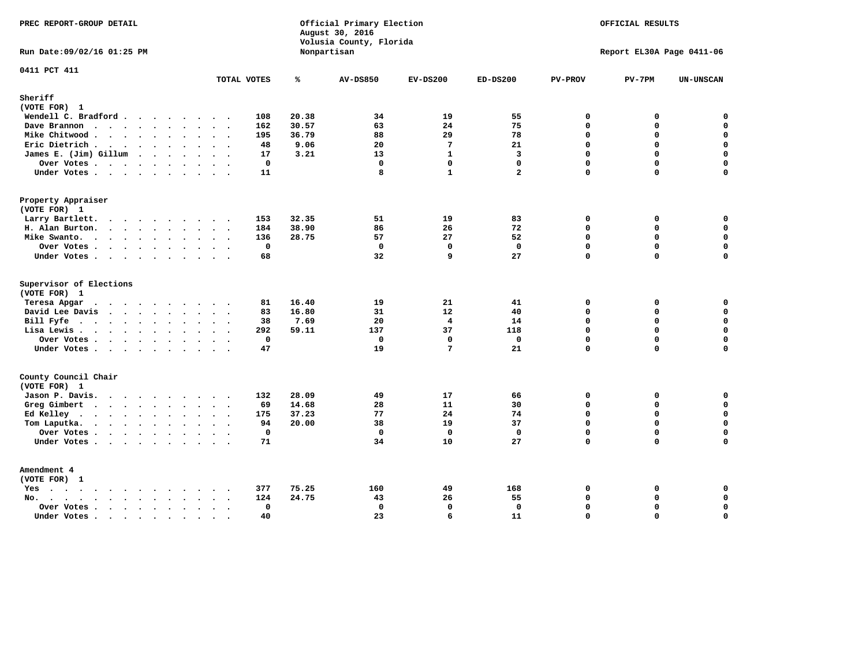| Official Primary Election<br>PREC REPORT-GROUP DETAIL<br>August 30, 2016<br>Volusia County, Florida                                                                                                                                               |                           | OFFICIAL RESULTS |                 |                                |                         |                         |                           |                            |
|---------------------------------------------------------------------------------------------------------------------------------------------------------------------------------------------------------------------------------------------------|---------------------------|------------------|-----------------|--------------------------------|-------------------------|-------------------------|---------------------------|----------------------------|
| Run Date: 09/02/16 01:25 PM                                                                                                                                                                                                                       |                           |                  | Nonpartisan     |                                |                         |                         | Report EL30A Page 0411-06 |                            |
| 0411 PCT 411                                                                                                                                                                                                                                      | TOTAL VOTES               | ℁                | <b>AV-DS850</b> | $EV-DS200$                     | $ED-DS200$              | <b>PV-PROV</b>          | $PV-7PM$                  | <b>UN-UNSCAN</b>           |
| Sheriff<br>(VOTE FOR) 1                                                                                                                                                                                                                           |                           |                  |                 |                                |                         |                         |                           |                            |
| Wendell C. Bradford                                                                                                                                                                                                                               | 108                       | 20.38            | 34              | 19                             | 55                      | 0                       | 0                         | $\mathbf 0$                |
| Dave Brannon                                                                                                                                                                                                                                      | 162                       | 30.57            | 63              | 24                             | 75                      | $\mathbf 0$             | 0                         | $\Omega$                   |
| Mike Chitwood                                                                                                                                                                                                                                     | 195                       | 36.79            | 88              | 29                             | 78                      | $\mathbf 0$             | 0                         | 0                          |
| Eric Dietrich.                                                                                                                                                                                                                                    | 48                        | 9.06             | 20              | $7\phantom{.0}$                | 21                      | $\Omega$                | 0                         | $\mathbf 0$                |
| James E. (Jim) Gillum                                                                                                                                                                                                                             | 17                        | 3.21             | 13              | $\mathbf{1}$                   | $\overline{\mathbf{3}}$ | $\Omega$                | $\Omega$                  | 0                          |
| Over Votes                                                                                                                                                                                                                                        | $\mathbf{0}$              |                  | $\mathbf 0$     | $\mathbf 0$                    | $\Omega$                | $\Omega$                | 0                         | $\mathbf 0$                |
| Under Votes                                                                                                                                                                                                                                       | 11                        |                  | 8               | $\mathbf{1}$                   | $\overline{a}$          | $\mathbf 0$             | 0                         | $\Omega$                   |
| Property Appraiser                                                                                                                                                                                                                                |                           |                  |                 |                                |                         |                         |                           |                            |
| (VOTE FOR) 1                                                                                                                                                                                                                                      |                           |                  |                 |                                |                         |                         |                           |                            |
| Larry Bartlett.                                                                                                                                                                                                                                   | 153                       | 32.35            | 51              | 19                             | 83                      | $\mathbf 0$             | 0                         | 0                          |
| H. Alan Burton.                                                                                                                                                                                                                                   | 184                       | 38.90            | 86              | 26                             | 72                      | $\mathbf{0}$            | 0                         | $\mathbf 0$                |
| Mike Swanto.                                                                                                                                                                                                                                      | 136                       | 28.75            | 57              | 27                             | 52                      | $\Omega$                | $\Omega$                  | 0                          |
| Over Votes                                                                                                                                                                                                                                        | $\mathbf 0$               |                  | $\mathbf 0$     | $\mathbf 0$                    | $\mathbf 0$             | $\mathbf 0$             | 0                         | 0                          |
| Under Votes                                                                                                                                                                                                                                       | 68                        |                  | 32              | q                              | 27                      | $\Omega$                | $\Omega$                  | $\mathbf 0$                |
| Supervisor of Elections                                                                                                                                                                                                                           |                           |                  |                 |                                |                         |                         |                           |                            |
| (VOTE FOR) 1                                                                                                                                                                                                                                      |                           |                  |                 |                                |                         |                         |                           |                            |
| Teresa Apgar<br>$\mathbf{r}$ . The state of the state $\mathbf{r}$                                                                                                                                                                                | 81                        | 16.40            | 19              | 21                             | 41                      | 0                       | 0                         | 0                          |
| David Lee Davis                                                                                                                                                                                                                                   | 83                        | 16.80            | 31              | 12                             | 40                      | $\Omega$                | 0                         | $\mathbf 0$                |
| Bill Fyfe                                                                                                                                                                                                                                         | 38                        | 7.69             | 20              | $\overline{4}$                 | 14                      | $\mathbf{0}$            | 0                         | $\mathbf 0$                |
| Lisa Lewis                                                                                                                                                                                                                                        | 292                       | 59.11            | 137             | 37                             | 118                     | $\Omega$                | 0                         | $\mathbf 0$                |
| Over Votes.                                                                                                                                                                                                                                       | $\mathbf 0$<br>47         |                  | 0<br>19         | $\mathbf 0$<br>$7\phantom{.0}$ | 0<br>21                 | $\mathbf 0$<br>$\Omega$ | 0<br>$\Omega$             | $\mathbf 0$<br>$\mathbf 0$ |
| Under Votes                                                                                                                                                                                                                                       |                           |                  |                 |                                |                         |                         |                           |                            |
| County Council Chair<br>(VOTE FOR) 1                                                                                                                                                                                                              |                           |                  |                 |                                |                         |                         |                           |                            |
| Jason P. Davis.                                                                                                                                                                                                                                   | 132                       | 28.09            | 49              | 17                             | 66                      | $\mathbf 0$             | 0                         | 0                          |
| Greg Gimbert<br>$\mathbf{r}$ . The contract of the contract of the contract of the contract of the contract of the contract of the contract of the contract of the contract of the contract of the contract of the contract of the contract of th | 69                        | 14.68            | 28              | 11                             | 30                      | $\mathbf 0$             | 0                         | $\mathbf 0$                |
| Ed Kelley                                                                                                                                                                                                                                         | 175                       | 37.23            | 77              | 24                             | 74                      | $\mathbf 0$             | 0                         | 0                          |
| Tom Laputka.                                                                                                                                                                                                                                      | 94                        | 20.00            | 38              | 19                             | 37                      | $\Omega$                | $\mathbf 0$               | $\mathbf 0$                |
| Over Votes.                                                                                                                                                                                                                                       | $\mathbf 0$               |                  | $\mathbf 0$     | $\mathbf 0$                    | $\mathbf{0}$            | $\mathbf 0$             | 0                         | 0                          |
| Under Votes                                                                                                                                                                                                                                       | 71                        |                  | 34              | 10                             | 27                      | $\Omega$                | $\Omega$                  | $\Omega$                   |
| Amendment 4                                                                                                                                                                                                                                       |                           |                  |                 |                                |                         |                         |                           |                            |
| (VOTE FOR) 1                                                                                                                                                                                                                                      |                           |                  |                 |                                |                         |                         |                           |                            |
| $Yes \cdot \cdot \cdot \cdot \cdot \cdot \cdot \cdot \cdot$<br>$\bullet$                                                                                                                                                                          | 377                       | 75.25            | 160             | 49                             | 168                     | 0                       | 0                         | 0                          |
| $\mathbf{r}$ , $\mathbf{r}$ , $\mathbf{r}$ , $\mathbf{r}$ , $\mathbf{r}$ , $\mathbf{r}$ , $\mathbf{r}$<br>No.<br>$\ddot{\phantom{a}}$                                                                                                             | 124                       | 24.75            | 43              | 26                             | 55                      | $\Omega$                | 0                         | 0                          |
| Over Votes                                                                                                                                                                                                                                        | $\mathbf{0}$<br>$\sim$    |                  | $\mathbf 0$     | $\mathbf{0}$                   | $\mathbf{0}$            | $\mathbf 0$             | 0                         | $\mathbf 0$                |
| Under Votes                                                                                                                                                                                                                                       | 40<br>$\sim$<br>$\cdot$ . |                  | 23              | 6                              | 11                      | $\Omega$                | $\Omega$                  | $\mathbf 0$                |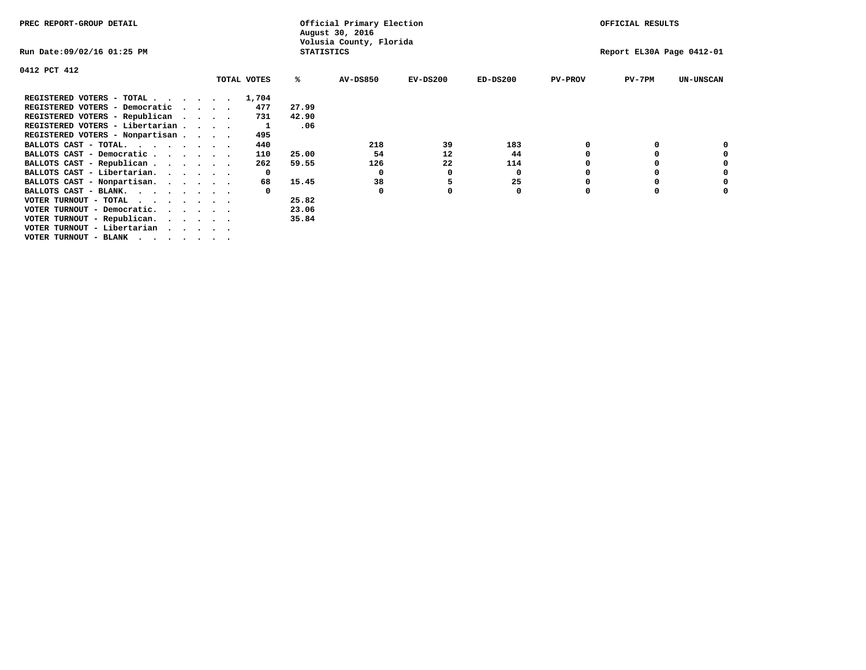| PREC REPORT-GROUP DETAIL                                               |          |              |                   | Official Primary Election<br>August 30, 2016 |            |            |                | OFFICIAL RESULTS          |                  |
|------------------------------------------------------------------------|----------|--------------|-------------------|----------------------------------------------|------------|------------|----------------|---------------------------|------------------|
| Run Date:09/02/16 01:25 PM                                             |          |              | <b>STATISTICS</b> | Volusia County, Florida                      |            |            |                | Report EL30A Page 0412-01 |                  |
| 0412 PCT 412                                                           |          |              |                   |                                              |            |            |                |                           |                  |
|                                                                        |          | TOTAL VOTES  | ℁                 | <b>AV-DS850</b>                              | $EV-DS200$ | $ED-DS200$ | <b>PV-PROV</b> | $PV-7PM$                  | <b>UN-UNSCAN</b> |
| REGISTERED VOTERS - TOTAL                                              |          | 1,704        |                   |                                              |            |            |                |                           |                  |
| REGISTERED VOTERS - Democratic                                         | $\cdots$ | 477          | 27.99             |                                              |            |            |                |                           |                  |
| REGISTERED VOTERS - Republican                                         |          | 731          | 42.90             |                                              |            |            |                |                           |                  |
| REGISTERED VOTERS - Libertarian                                        |          |              | .06               |                                              |            |            |                |                           |                  |
| REGISTERED VOTERS - Nonpartisan                                        |          | 495          |                   |                                              |            |            |                |                           |                  |
| BALLOTS CAST - TOTAL.                                                  |          | 440          |                   | 218                                          | 39         | 183        |                |                           |                  |
| BALLOTS CAST - Democratic                                              |          | 110          | 25.00             | 54                                           | 12         | 44         |                |                           |                  |
| BALLOTS CAST - Republican                                              |          | 262          | 59.55             | 126                                          | 22         | 114        |                |                           |                  |
| BALLOTS CAST - Libertarian.                                            |          | $\mathbf{o}$ |                   | 0                                            | 0          | 0          |                |                           |                  |
| BALLOTS CAST - Nonpartisan.                                            |          | 68           | 15.45             | 38                                           | 5          | 25         |                |                           | 0                |
| BALLOTS CAST - BLANK.                                                  |          |              |                   | 0                                            |            | 0          | $\Omega$       |                           |                  |
| VOTER TURNOUT - TOTAL                                                  |          |              | 25.82             |                                              |            |            |                |                           |                  |
| VOTER TURNOUT - Democratic.<br>$\cdot$ $\cdot$ $\cdot$ $\cdot$ $\cdot$ |          |              | 23.06             |                                              |            |            |                |                           |                  |
| VOTER TURNOUT - Republican.                                            |          |              | 35.84             |                                              |            |            |                |                           |                  |
| VOTER TURNOUT - Libertarian                                            |          |              |                   |                                              |            |            |                |                           |                  |
| VOTER TURNOUT - BLANK                                                  |          |              |                   |                                              |            |            |                |                           |                  |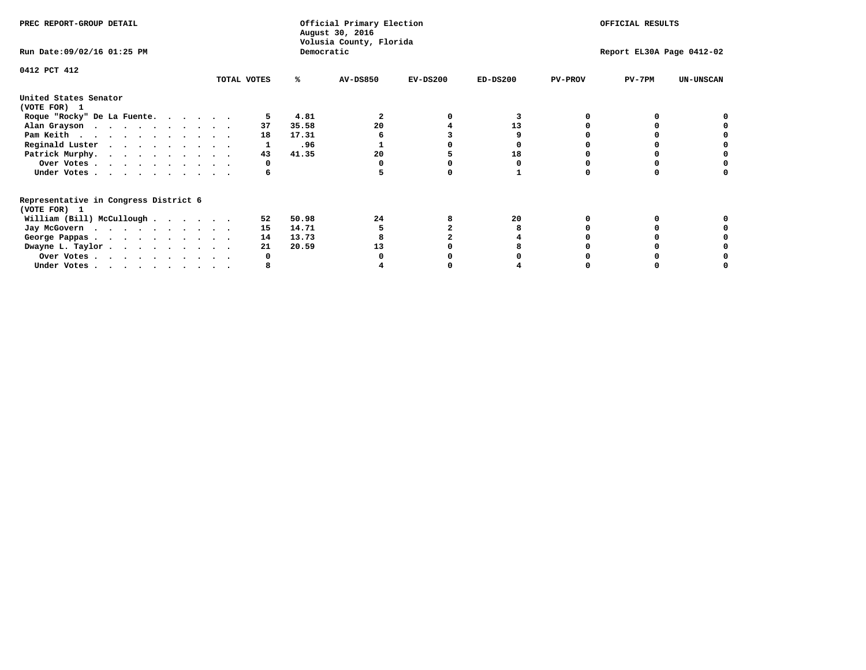| PREC REPORT-GROUP DETAIL                                               |             |            | Official Primary Election<br>August 30, 2016<br>Volusia County, Florida | OFFICIAL RESULTS |                           |                |          |                  |
|------------------------------------------------------------------------|-------------|------------|-------------------------------------------------------------------------|------------------|---------------------------|----------------|----------|------------------|
| Run Date: 09/02/16 01:25 PM                                            |             | Democratic |                                                                         |                  | Report EL30A Page 0412-02 |                |          |                  |
| 0412 PCT 412                                                           | TOTAL VOTES | %ะ         | <b>AV-DS850</b>                                                         | $EV-DS200$       | $ED-DS200$                | <b>PV-PROV</b> | $PV-7PM$ | <b>UN-UNSCAN</b> |
| United States Senator                                                  |             |            |                                                                         |                  |                           |                |          |                  |
| (VOTE FOR) 1                                                           |             |            |                                                                         |                  |                           |                |          |                  |
| Roque "Rocky" De La Fuente.                                            |             | 4.81       |                                                                         |                  |                           |                |          |                  |
| Alan Grayson                                                           | 37          | 35.58      | 20                                                                      |                  | 13                        |                |          |                  |
| Pam Keith                                                              | 18          | 17.31      |                                                                         |                  |                           |                |          |                  |
| Reginald Luster                                                        |             | .96        |                                                                         |                  |                           |                |          |                  |
| Patrick Murphy.                                                        | 43          | 41.35      | 20                                                                      |                  | 18                        |                |          |                  |
| Over Votes                                                             |             |            |                                                                         |                  |                           |                |          |                  |
| Under Votes                                                            | 6           |            |                                                                         |                  |                           |                |          |                  |
| Representative in Congress District 6                                  |             |            |                                                                         |                  |                           |                |          |                  |
| (VOTE FOR) 1                                                           |             |            |                                                                         |                  |                           |                |          |                  |
| William (Bill) McCullough                                              | 52          | 50.98      | 24                                                                      |                  | 20                        |                |          |                  |
| Jay McGovern                                                           | 15          | 14.71      |                                                                         |                  |                           |                |          |                  |
| George Pappas.                                                         | 14          | 13.73      |                                                                         |                  |                           |                |          |                  |
| Dwayne L. Taylor                                                       | 21          | 20.59      | 13                                                                      |                  |                           |                |          |                  |
| Over Votes                                                             |             |            |                                                                         |                  |                           |                |          |                  |
| Under Votes, $\cdot$ , $\cdot$ , $\cdot$ , $\cdot$ , $\cdot$ , $\cdot$ |             |            |                                                                         |                  |                           |                |          |                  |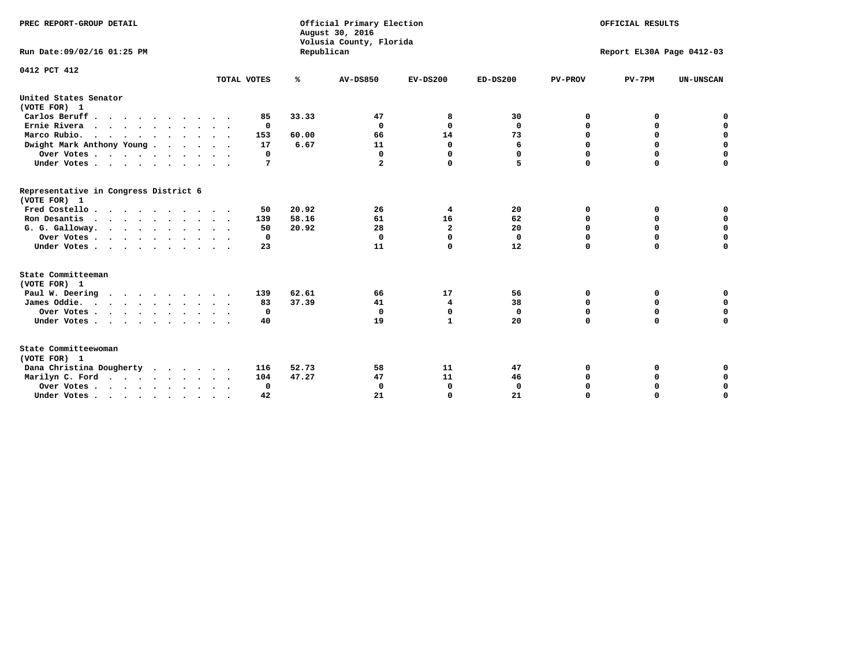| PREC REPORT-GROUP DETAIL                              |             |            | Official Primary Election<br>August 30, 2016<br>Volusia County, Florida | OFFICIAL RESULTS<br>Report EL30A Page 0412-03 |              |                |             |                  |
|-------------------------------------------------------|-------------|------------|-------------------------------------------------------------------------|-----------------------------------------------|--------------|----------------|-------------|------------------|
| Run Date: 09/02/16 01:25 PM                           |             | Republican |                                                                         |                                               |              |                |             |                  |
| 0412 PCT 412                                          |             |            |                                                                         |                                               |              |                |             |                  |
|                                                       | TOTAL VOTES | ℁          | <b>AV-DS850</b>                                                         | $EV-DS200$                                    | $ED-DS200$   | <b>PV-PROV</b> | $PV-7PM$    | <b>UN-UNSCAN</b> |
| United States Senator<br>(VOTE FOR) 1                 |             |            |                                                                         |                                               |              |                |             |                  |
| Carlos Beruff                                         | 85          | 33.33      | 47                                                                      | 8                                             | 30           | 0              | 0           | 0                |
| Ernie Rivera                                          | 0           |            | $\Omega$                                                                | $\Omega$                                      | 0            | $\Omega$       | 0           | $\mathbf 0$      |
| Marco Rubio.                                          | 153         | 60.00      | 66                                                                      | 14                                            | 73           | $\mathbf 0$    | $\mathbf 0$ | $\mathbf 0$      |
| Dwight Mark Anthony Young                             | 17          | 6.67       | 11                                                                      | $\mathbf 0$                                   | 6            | 0              | $\mathbf 0$ | $\pmb{0}$        |
| Over Votes                                            | 0           |            | $\Omega$                                                                | 0                                             | 0            | 0              | 0           | 0                |
| Under Votes                                           | 7           |            | $\mathbf{2}$                                                            | 0                                             | 5.           | $\Omega$       | $\Omega$    | $\mathbf 0$      |
| Representative in Congress District 6<br>(VOTE FOR) 1 |             |            |                                                                         |                                               |              |                |             |                  |
| Fred Costello.                                        | 50          | 20.92      | 26                                                                      | 4                                             | 20           | 0              | 0           | 0                |
| Ron Desantis                                          | 139         | 58.16      | 61                                                                      | 16                                            | 62           | 0              | 0           | $\mathbf 0$      |
| G. G. Galloway.                                       | 50          | 20.92      | 28                                                                      | $\overline{a}$                                | 20           | $\Omega$       | $\Omega$    | $\mathbf 0$      |
| Over Votes                                            | 0           |            | $\mathbf{0}$                                                            | $\mathbf 0$                                   | $\mathbf{0}$ | $\Omega$       | $\mathbf 0$ | $\mathbf 0$      |
| Under Votes                                           | 23          |            | 11                                                                      | 0                                             | 12           | $\Omega$       | $\Omega$    | $\Omega$         |
| State Committeeman                                    |             |            |                                                                         |                                               |              |                |             |                  |
| (VOTE FOR) 1<br>Paul W. Deering                       | 139         | 62.61      | 66                                                                      | 17                                            | 56           | 0              | 0           | 0                |
| $\cdots$                                              | 83          | 37.39      | 41                                                                      | 4                                             | 38           |                | 0           | $\mathbf 0$      |
| James Oddie.                                          | 0           |            | $\mathbf{0}$                                                            | $\mathbf 0$                                   | $\mathbf 0$  | 0<br>0         | $\mathbf 0$ | $\mathbf 0$      |
| Over Votes                                            |             |            | 19                                                                      | $\mathbf{1}$                                  | 20           | $\Omega$       | 0           | $\mathbf 0$      |
| Under Votes                                           | 40          |            |                                                                         |                                               |              |                |             |                  |
| State Committeewoman<br>(VOTE FOR) 1                  |             |            |                                                                         |                                               |              |                |             |                  |
| Dana Christina Dougherty                              | 116         | 52.73      | 58                                                                      | 11                                            | 47           | 0              | 0           | 0                |
| Marilyn C. Ford                                       | 104         | 47.27      | 47                                                                      | 11                                            | 46           | 0              | 0           | 0                |
| Over Votes                                            | $\Omega$    |            | $\Omega$                                                                | 0                                             | $\mathbf 0$  | 0              | 0           | $\mathbf 0$      |
| Under Votes, , , , , , , , , ,                        | 42          |            | 21                                                                      | $\Omega$                                      | 21           | $\Omega$       | $\Omega$    | $\Omega$         |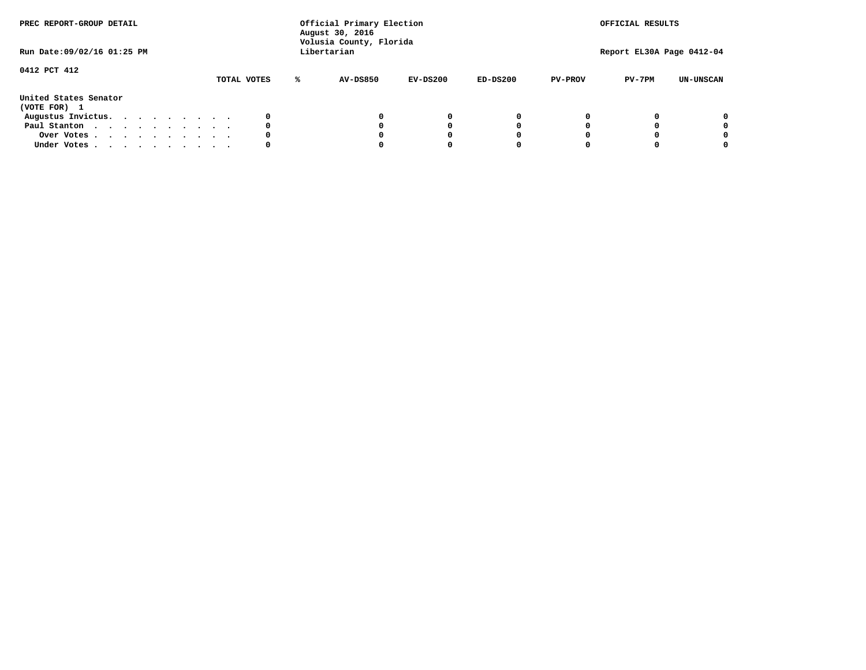| PREC REPORT-GROUP DETAIL<br>Run Date: 09/02/16 01:25 PM |  |  |  |  | Official Primary Election<br>August 30, 2016<br>Volusia County, Florida<br>Libertarian |  |             |  |          | OFFICIAL RESULTS<br>Report EL30A Page 0412-04 |            |                |          |                  |
|---------------------------------------------------------|--|--|--|--|----------------------------------------------------------------------------------------|--|-------------|--|----------|-----------------------------------------------|------------|----------------|----------|------------------|
| 0412 PCT 412                                            |  |  |  |  |                                                                                        |  | TOTAL VOTES |  | AV-DS850 | EV-DS200                                      | $ED-DS200$ | <b>PV-PROV</b> | $PV-7PM$ | <b>UN-UNSCAN</b> |
| United States Senator<br>(VOTE FOR) 1                   |  |  |  |  |                                                                                        |  |             |  |          |                                               |            |                |          |                  |
| Augustus Invictus.                                      |  |  |  |  |                                                                                        |  |             |  |          | 0                                             |            |                |          | 0                |
| Paul Stanton                                            |  |  |  |  |                                                                                        |  | 0           |  |          | O                                             |            |                |          | 0                |
| Over Votes                                              |  |  |  |  |                                                                                        |  |             |  |          |                                               |            |                |          | 0                |
| Under Votes                                             |  |  |  |  |                                                                                        |  | 0           |  |          |                                               |            |                |          | 0                |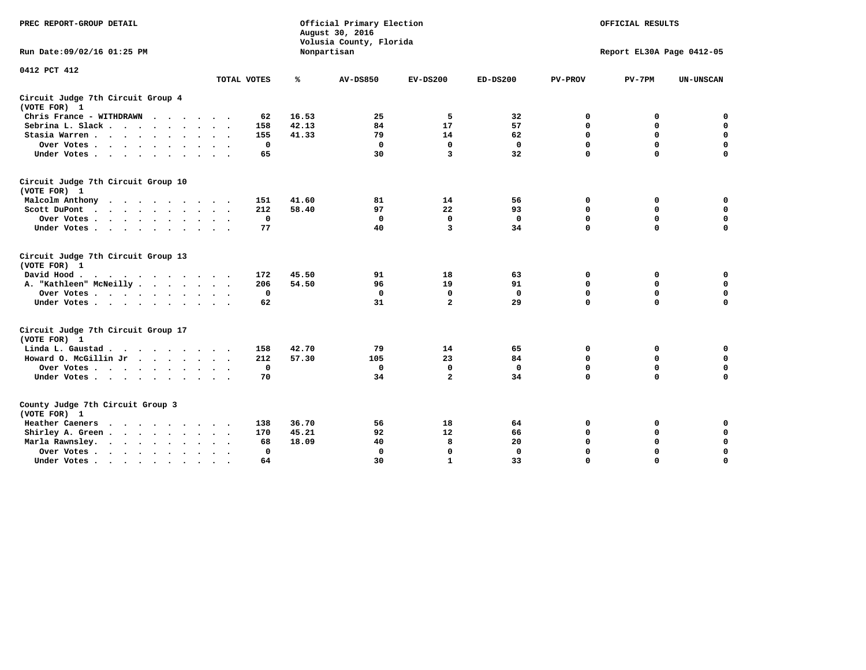| PREC REPORT-GROUP DETAIL                                                                                                                                                                                                                             |              |       | Official Primary Election<br>August 30, 2016<br>Volusia County, Florida | OFFICIAL RESULTS<br>Report EL30A Page 0412-05 |              |                |             |                  |
|------------------------------------------------------------------------------------------------------------------------------------------------------------------------------------------------------------------------------------------------------|--------------|-------|-------------------------------------------------------------------------|-----------------------------------------------|--------------|----------------|-------------|------------------|
| Run Date: 09/02/16 01:25 PM                                                                                                                                                                                                                          |              |       | Nonpartisan                                                             |                                               |              |                |             |                  |
| 0412 PCT 412                                                                                                                                                                                                                                         | TOTAL VOTES  | ℁     | <b>AV-DS850</b>                                                         | $EV-DS200$                                    | $ED-DS200$   | <b>PV-PROV</b> | $PV-7PM$    | <b>UN-UNSCAN</b> |
|                                                                                                                                                                                                                                                      |              |       |                                                                         |                                               |              |                |             |                  |
| Circuit Judge 7th Circuit Group 4<br>(VOTE FOR) 1                                                                                                                                                                                                    |              |       |                                                                         |                                               |              |                |             |                  |
| Chris France - WITHDRAWN                                                                                                                                                                                                                             | 62           | 16.53 | 25                                                                      | 5                                             | 32           | 0              | 0           | $\mathbf 0$      |
| Sebrina L. Slack.                                                                                                                                                                                                                                    | 158          | 42.13 | 84                                                                      | 17                                            | 57           | 0              | $\mathbf 0$ | $\mathbf 0$      |
| Stasia Warren                                                                                                                                                                                                                                        | 155          | 41.33 | 79                                                                      | 14                                            | 62           | $\mathbf 0$    | 0           | $\mathbf 0$      |
| Over Votes                                                                                                                                                                                                                                           | $\mathbf 0$  |       | $\Omega$                                                                | $\mathbf 0$                                   | $\mathbf 0$  | $\mathbf 0$    | $\mathbf 0$ | $\mathbf 0$      |
| Under Votes                                                                                                                                                                                                                                          | 65           |       | 30                                                                      | 3                                             | 32           | $\Omega$       | $\Omega$    | $\mathbf 0$      |
| Circuit Judge 7th Circuit Group 10<br>(VOTE FOR) 1                                                                                                                                                                                                   |              |       |                                                                         |                                               |              |                |             |                  |
| Malcolm Anthony                                                                                                                                                                                                                                      | 151          | 41.60 | 81                                                                      | 14                                            | 56           | 0              | 0           | 0                |
| Scott DuPont                                                                                                                                                                                                                                         | 212          | 58.40 | 97                                                                      | 22                                            | 93           | $\mathbf 0$    | $\mathbf 0$ | $\mathbf 0$      |
| Over Votes                                                                                                                                                                                                                                           | $\mathbf 0$  |       | $\mathbf{0}$                                                            | $\mathbf 0$                                   | $\mathbf 0$  | $\mathbf 0$    | $\mathbf 0$ | $\mathbf 0$      |
| Under Votes                                                                                                                                                                                                                                          | 77           |       | 40                                                                      | 3                                             | 34           | $\mathbf 0$    | $\mathbf 0$ | $\Omega$         |
| Circuit Judge 7th Circuit Group 13<br>(VOTE FOR) 1                                                                                                                                                                                                   |              |       |                                                                         |                                               |              |                |             |                  |
| David Hood.                                                                                                                                                                                                                                          | 172          | 45.50 | 91                                                                      | 18                                            | 63           | 0              | 0           | $\mathbf 0$      |
| A. "Kathleen" McNeilly                                                                                                                                                                                                                               | 206          | 54.50 | 96                                                                      | 19                                            | 91           | $\mathbf 0$    | 0           | $\mathbf 0$      |
| Over Votes                                                                                                                                                                                                                                           | $\mathbf 0$  |       | $\Omega$                                                                | $\mathbf 0$                                   | $\mathbf{0}$ | $\mathbf 0$    | $\mathbf 0$ | $\mathbf 0$      |
| Under Votes                                                                                                                                                                                                                                          | 62           |       | 31                                                                      | $\overline{a}$                                | 29           | $\Omega$       | $\mathbf 0$ | 0                |
| Circuit Judge 7th Circuit Group 17<br>(VOTE FOR) 1                                                                                                                                                                                                   |              |       |                                                                         |                                               |              |                |             |                  |
| Linda L. Gaustad                                                                                                                                                                                                                                     | 158          | 42.70 | 79                                                                      | 14                                            | 65           | 0              | 0           | $\mathbf 0$      |
| Howard O. McGillin Jr                                                                                                                                                                                                                                | 212          | 57.30 | 105                                                                     | 23                                            | 84           | $\mathbf 0$    | $\mathbf 0$ | $\mathbf 0$      |
| Over Votes                                                                                                                                                                                                                                           | $\mathbf 0$  |       | $\mathbf 0$                                                             | $\mathbf 0$                                   | $\mathbf 0$  | $\mathbf 0$    | $\Omega$    | $\pmb{0}$        |
| Under Votes                                                                                                                                                                                                                                          | 70           |       | 34                                                                      | $\overline{a}$                                | 34           | $\mathbf 0$    | $\mathbf 0$ | $\mathbf 0$      |
| County Judge 7th Circuit Group 3<br>(VOTE FOR) 1                                                                                                                                                                                                     |              |       |                                                                         |                                               |              |                |             |                  |
| Heather Caeners<br>$\mathbf{r}$ . The contract of the contract of the contract of the contract of the contract of the contract of the contract of the contract of the contract of the contract of the contract of the contract of the contract of th | 138          | 36.70 | 56                                                                      | 18                                            | 64           | 0              | 0           | $\mathbf 0$      |
| Shirley A. Green                                                                                                                                                                                                                                     | 170          | 45.21 | 92                                                                      | 12                                            | 66           | $\mathbf 0$    | 0           | $\mathbf 0$      |
| Marla Rawnsley.                                                                                                                                                                                                                                      | 68           | 18.09 | 40                                                                      | 8                                             | 20           | 0              | $\mathbf 0$ | $\pmb{0}$        |
| Over Votes<br>$\ddot{\phantom{0}}$<br>$\ddot{\phantom{a}}$                                                                                                                                                                                           | $\mathbf{0}$ |       | $\Omega$                                                                | $\mathbf 0$                                   | $\mathbf{0}$ | $\mathbf 0$    | $\mathbf 0$ | $\mathbf 0$      |
| Under Votes                                                                                                                                                                                                                                          | 64           |       | 30                                                                      | $\mathbf{1}$                                  | 33           | $\mathbf 0$    | $\mathbf 0$ | 0                |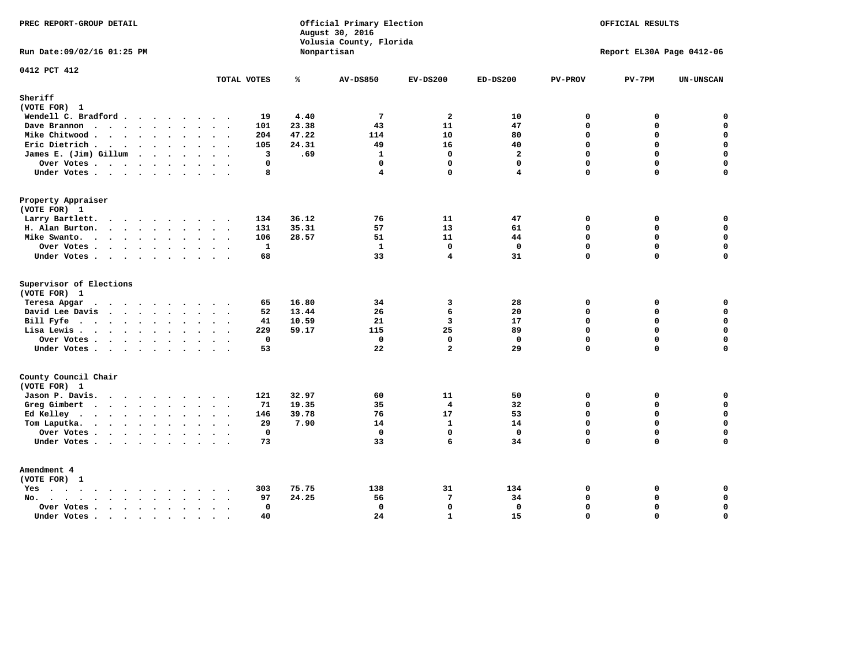| PREC REPORT-GROUP DETAIL                                           | Official Primary Election<br>August 30, 2016<br>Volusia County, Florida<br>Nonpartisan |       |                         | OFFICIAL RESULTS<br>Report EL30A Page 0412-06 |                         |                |             |                  |
|--------------------------------------------------------------------|----------------------------------------------------------------------------------------|-------|-------------------------|-----------------------------------------------|-------------------------|----------------|-------------|------------------|
| Run Date: 09/02/16 01:25 PM                                        |                                                                                        |       |                         |                                               |                         |                |             |                  |
| 0412 PCT 412                                                       | TOTAL VOTES                                                                            | ℁     | <b>AV-DS850</b>         | $EV-DS200$                                    | $ED-DS200$              | <b>PV-PROV</b> | $PV-7PM$    | <b>UN-UNSCAN</b> |
| Sheriff<br>(VOTE FOR) 1                                            |                                                                                        |       |                         |                                               |                         |                |             |                  |
| Wendell C. Bradford                                                | 19                                                                                     | 4.40  | $7\phantom{.0}$         | $\overline{a}$                                | 10                      | $\mathbf 0$    | 0           | $\mathbf 0$      |
| Dave Brannon                                                       | 101                                                                                    | 23.38 | 43                      | 11                                            | 47                      | $\mathbf 0$    | 0           | $\mathbf 0$      |
| Mike Chitwood                                                      | 204                                                                                    | 47.22 | 114                     | 10                                            | 80                      | 0              | 0           | $\mathbf 0$      |
| Eric Dietrich                                                      | 105                                                                                    | 24.31 | 49                      | 16                                            | 40                      | $\mathbf 0$    | 0           | $\mathbf 0$      |
| James E. (Jim) Gillum                                              | 3                                                                                      | .69   | $\mathbf{1}$            | $\mathbf 0$                                   | $\overline{\mathbf{2}}$ | $\Omega$       | 0           | $\mathbf 0$      |
| Over Votes                                                         | $\Omega$                                                                               |       | $\mathbf{0}$            | $\mathbf 0$                                   | $\mathbf{0}$            | $\Omega$       | 0           | $\mathbf 0$      |
| Under Votes                                                        | 8                                                                                      |       | $\overline{\mathbf{4}}$ | $\mathbf{0}$                                  | 4                       | $\Omega$       | 0           | $\mathbf 0$      |
| Property Appraiser                                                 |                                                                                        |       |                         |                                               |                         |                |             |                  |
| (VOTE FOR) 1                                                       |                                                                                        |       |                         |                                               |                         |                |             |                  |
| Larry Bartlett.                                                    | 134                                                                                    | 36.12 | 76                      | 11                                            | 47                      | 0              | 0           | 0                |
| H. Alan Burton.                                                    | 131                                                                                    | 35.31 | 57                      | 13                                            | 61                      | $\mathbf 0$    | 0           | $\mathbf 0$      |
| Mike Swanto.                                                       | 106                                                                                    | 28.57 | 51                      | 11                                            | 44                      | $\Omega$       | $\Omega$    | 0                |
| Over Votes                                                         | $\mathbf{1}$                                                                           |       | $\mathbf{1}$            | $\mathbf 0$                                   | $\mathbf 0$             | $\mathbf 0$    | 0           | $\mathbf 0$      |
| Under Votes                                                        | 68                                                                                     |       | 33                      | 4                                             | 31                      | $\Omega$       | $\Omega$    | 0                |
| Supervisor of Elections<br>(VOTE FOR) 1                            |                                                                                        |       |                         |                                               |                         |                |             |                  |
| Teresa Apgar<br>$\mathbf{r}$ . The state of the state $\mathbf{r}$ | 65                                                                                     | 16.80 | 34                      | 3                                             | 28                      | 0              | 0           | $\mathbf 0$      |
| David Lee Davis                                                    | 52                                                                                     | 13.44 | 26                      | 6                                             | 20                      | $\Omega$       | 0           | $\mathbf 0$      |
| Bill Fyfe.                                                         | 41                                                                                     | 10.59 | 21                      | 3                                             | 17                      | $\mathbf 0$    | 0           | $\mathbf 0$      |
| Lisa Lewis                                                         | 229                                                                                    | 59.17 | 115                     | 25                                            | 89                      | $\Omega$       | 0           | $\mathbf 0$      |
| Over Votes                                                         | $\mathbf 0$                                                                            |       | $\mathbf 0$             | $\mathbf{0}$                                  | $\mathbf{0}$            | $\mathbf 0$    | 0           | $\mathbf 0$      |
| Under Votes.                                                       | 53                                                                                     |       | 22                      | $\overline{a}$                                | 29                      | $\mathbf 0$    | 0           | 0                |
| County Council Chair                                               |                                                                                        |       |                         |                                               |                         |                |             |                  |
| (VOTE FOR) 1                                                       |                                                                                        |       |                         |                                               |                         |                |             |                  |
| Jason P. Davis.                                                    | 121<br>$\cdot$ .                                                                       | 32.97 | 60                      | 11                                            | 50                      | $\mathbf 0$    | 0           | 0                |
| Greg Gimbert                                                       | 71                                                                                     | 19.35 | 35                      | $\overline{\mathbf{4}}$                       | 32                      | $\mathbf 0$    | 0           | $\mathbf 0$      |
| Ed Kelley                                                          | 146                                                                                    | 39.78 | 76                      | 17                                            | 53                      | $\mathbf 0$    | 0           | $\mathbf 0$      |
| Tom Laputka.                                                       | 29                                                                                     | 7.90  | 14                      | $\mathbf{1}$                                  | 14                      | $\mathbf 0$    | $\mathbf 0$ | $\mathbf 0$      |
| Over Votes.                                                        | $\mathbf 0$                                                                            |       | $\mathbf 0$             | $\mathbf{0}$                                  | $\mathbf{0}$            | $\mathbf 0$    | 0           | 0                |
| Under Votes                                                        | 73                                                                                     |       | 33                      | 6                                             | 34                      | $\Omega$       | $\Omega$    | $\Omega$         |
| Amendment 4                                                        |                                                                                        |       |                         |                                               |                         |                |             |                  |
| (VOTE FOR) 1                                                       |                                                                                        |       |                         |                                               |                         |                |             |                  |
| $Yes \cdot \cdot \cdot \cdot \cdot \cdot \cdot \cdot \cdot$        | 303<br>$\bullet$                                                                       | 75.75 | 138                     | 31                                            | 134                     | 0              | 0           | 0                |
| No.<br>$\ddot{\phantom{0}}$                                        | 97<br>$\sim$ $\sim$                                                                    | 24.25 | 56                      | $7\phantom{.0}$                               | 34                      | $\Omega$       | 0           | 0                |
| Over Votes                                                         | $\Omega$<br>$\mathcal{L}^{\text{max}}$                                                 |       | $\mathbf{0}$            | $\mathbf{0}$                                  | $\mathbf{0}$            | $\mathbf 0$    | 0           | $\pmb{0}$        |
| Under Votes<br>$\sim$                                              | 40<br>$\cdot$ .<br>$\sim$                                                              |       | 24                      | $\mathbf{1}$                                  | 15                      | $\Omega$       | $\Omega$    | $\mathbf 0$      |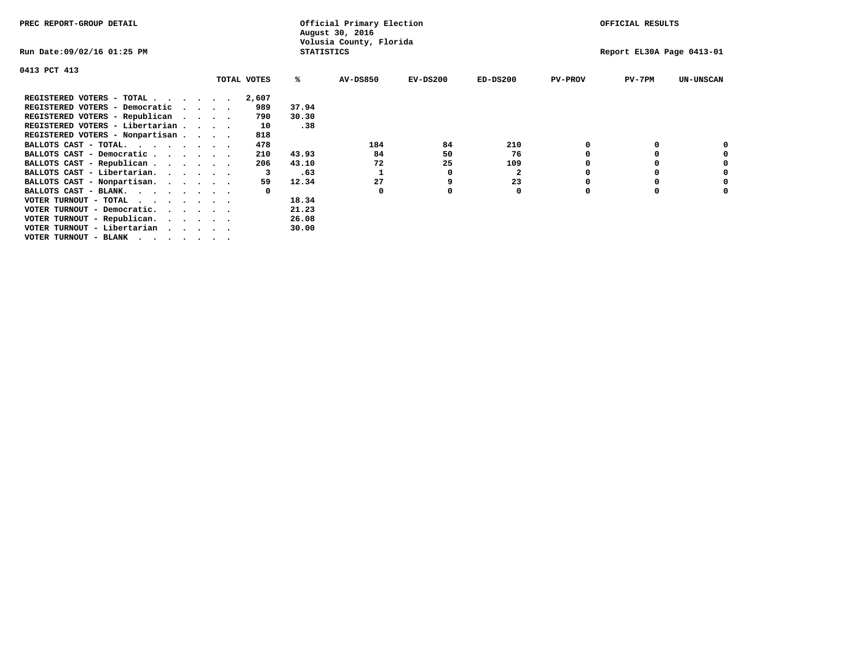| PREC REPORT-GROUP DETAIL                                                                                                                                                                                                                                         |             |       |                   | Official Primary Election<br>August 30, 2016 |            |              |                | OFFICIAL RESULTS          |                  |
|------------------------------------------------------------------------------------------------------------------------------------------------------------------------------------------------------------------------------------------------------------------|-------------|-------|-------------------|----------------------------------------------|------------|--------------|----------------|---------------------------|------------------|
| Run Date:09/02/16 01:25 PM                                                                                                                                                                                                                                       |             |       | <b>STATISTICS</b> | Volusia County, Florida                      |            |              |                | Report EL30A Page 0413-01 |                  |
| 0413 PCT 413                                                                                                                                                                                                                                                     |             |       |                   |                                              |            |              |                |                           |                  |
|                                                                                                                                                                                                                                                                  | TOTAL VOTES |       | %ะ                | <b>AV-DS850</b>                              | $EV-DS200$ | $ED-DS200$   | <b>PV-PROV</b> | $PV-7PM$                  | <b>UN-UNSCAN</b> |
| REGISTERED VOTERS - TOTAL                                                                                                                                                                                                                                        |             | 2,607 |                   |                                              |            |              |                |                           |                  |
| REGISTERED VOTERS - Democratic<br>and a state of the state of the state of the state of the state of the state of the state of the state of the state of the state of the state of the state of the state of the state of the state of the state of the state of |             | 989   | 37.94             |                                              |            |              |                |                           |                  |
| REGISTERED VOTERS - Republican                                                                                                                                                                                                                                   |             | 790   | 30.30             |                                              |            |              |                |                           |                  |
| REGISTERED VOTERS - Libertarian                                                                                                                                                                                                                                  |             | 10    | .38               |                                              |            |              |                |                           |                  |
| REGISTERED VOTERS - Nonpartisan                                                                                                                                                                                                                                  |             | 818   |                   |                                              |            |              |                |                           |                  |
| BALLOTS CAST - TOTAL.                                                                                                                                                                                                                                            |             | 478   |                   | 184                                          | 84         | 210          |                |                           |                  |
| BALLOTS CAST - Democratic                                                                                                                                                                                                                                        |             | 210   | 43.93             | 84                                           | 50         | 76           |                |                           |                  |
| BALLOTS CAST - Republican                                                                                                                                                                                                                                        |             | 206   | 43.10             | 72                                           | 25         | 109          |                |                           |                  |
| BALLOTS CAST - Libertarian.                                                                                                                                                                                                                                      |             |       | .63               |                                              | 0          | $\mathbf{2}$ |                |                           |                  |
| BALLOTS CAST - Nonpartisan.                                                                                                                                                                                                                                      |             | 59    | 12.34             | 27                                           |            | 23           |                |                           | 0                |
| BALLOTS CAST - BLANK.                                                                                                                                                                                                                                            |             |       |                   | $\Omega$                                     |            | 0            | n              |                           |                  |
| VOTER TURNOUT - TOTAL $\cdot \cdot \cdot \cdot \cdot \cdot$                                                                                                                                                                                                      |             |       | 18.34             |                                              |            |              |                |                           |                  |
| VOTER TURNOUT - Democratic.                                                                                                                                                                                                                                      |             |       | 21.23             |                                              |            |              |                |                           |                  |
| VOTER TURNOUT - Republican.                                                                                                                                                                                                                                      |             |       | 26.08             |                                              |            |              |                |                           |                  |
| VOTER TURNOUT - Libertarian                                                                                                                                                                                                                                      |             |       | 30.00             |                                              |            |              |                |                           |                  |
| VOTER TURNOUT - BLANK                                                                                                                                                                                                                                            |             |       |                   |                                              |            |              |                |                           |                  |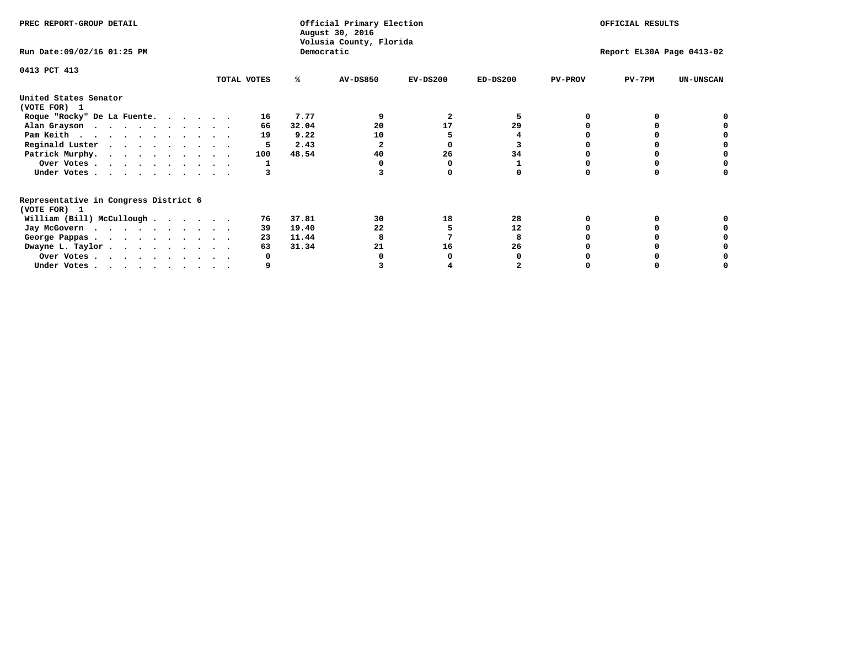| PREC REPORT-GROUP DETAIL                                               |             |            | Official Primary Election<br>August 30, 2016<br>Volusia County, Florida | OFFICIAL RESULTS |            |                           |          |                  |  |
|------------------------------------------------------------------------|-------------|------------|-------------------------------------------------------------------------|------------------|------------|---------------------------|----------|------------------|--|
| Run Date: 09/02/16 01:25 PM                                            |             | Democratic |                                                                         |                  |            | Report EL30A Page 0413-02 |          |                  |  |
| 0413 PCT 413                                                           |             |            |                                                                         |                  |            |                           |          |                  |  |
|                                                                        | TOTAL VOTES | ℁          | <b>AV-DS850</b>                                                         | $EV-DS200$       | $ED-DS200$ | <b>PV-PROV</b>            | $PV-7PM$ | <b>UN-UNSCAN</b> |  |
| United States Senator<br>(VOTE FOR) 1                                  |             |            |                                                                         |                  |            |                           |          |                  |  |
| Roque "Rocky" De La Fuente.                                            | 16          | 7.77       |                                                                         | 2                | 5          |                           |          |                  |  |
| Alan Grayson                                                           | 66          | 32.04      | 20                                                                      | 17               | 29         |                           |          |                  |  |
| Pam Keith                                                              | 19          | 9.22       | 10                                                                      |                  |            |                           |          |                  |  |
| Reginald Luster                                                        |             | 2.43       |                                                                         |                  |            |                           |          |                  |  |
| Patrick Murphy.                                                        | 100         | 48.54      | 40                                                                      | 26               | 34         |                           |          |                  |  |
| Over Votes                                                             |             |            |                                                                         |                  |            |                           |          |                  |  |
| Under Votes                                                            |             |            |                                                                         |                  |            |                           |          |                  |  |
| Representative in Congress District 6<br>(VOTE FOR) 1                  |             |            |                                                                         |                  |            |                           |          |                  |  |
| William (Bill) McCullough                                              | 76          | 37.81      | 30                                                                      | 18               | 28         |                           |          |                  |  |
|                                                                        | 39          | 19.40      | 22                                                                      |                  | 12         |                           |          |                  |  |
| Jay McGovern                                                           | 23          | 11.44      |                                                                         |                  |            |                           |          |                  |  |
| George Pappas.                                                         | 63          | 31.34      | 21                                                                      | 16               | 26         |                           |          |                  |  |
| Dwayne L. Taylor                                                       |             |            |                                                                         |                  |            |                           |          |                  |  |
| Over Votes                                                             |             |            |                                                                         |                  |            |                           |          |                  |  |
| Under Votes, $\cdot$ , $\cdot$ , $\cdot$ , $\cdot$ , $\cdot$ , $\cdot$ |             |            |                                                                         |                  |            |                           |          |                  |  |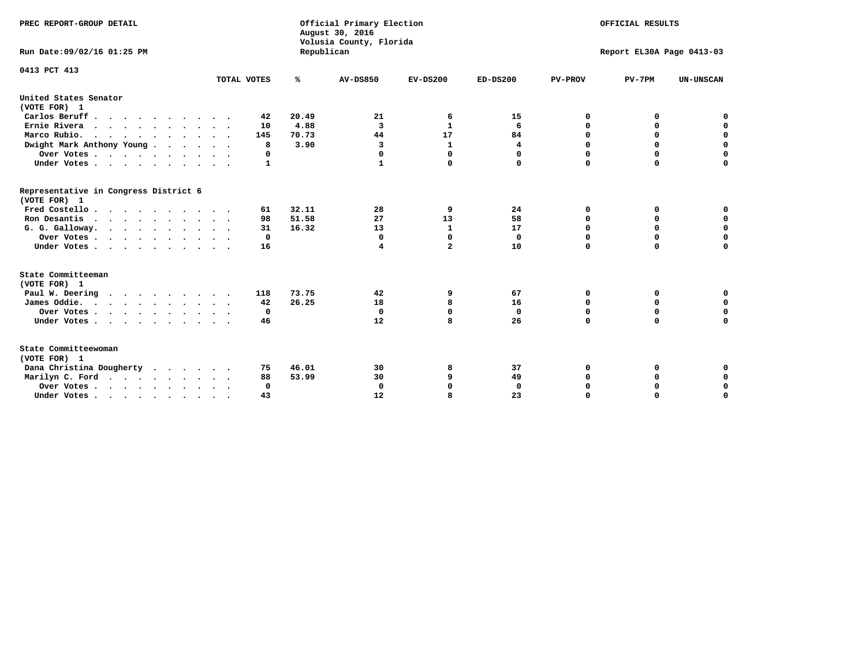| PREC REPORT-GROUP DETAIL<br>Run Date:09/02/16 01:25 PM           |              | Republican | Official Primary Election<br>August 30, 2016<br>Volusia County, Florida | OFFICIAL RESULTS<br>Report EL30A Page 0413-03 |             |                |             |                  |
|------------------------------------------------------------------|--------------|------------|-------------------------------------------------------------------------|-----------------------------------------------|-------------|----------------|-------------|------------------|
| 0413 PCT 413                                                     | TOTAL VOTES  | %          | AV-DS850                                                                | $EV-DS200$                                    | $ED-DS200$  | <b>PV-PROV</b> | $PV-7PM$    | <b>UN-UNSCAN</b> |
| United States Senator                                            |              |            |                                                                         |                                               |             |                |             |                  |
| (VOTE FOR) 1                                                     |              |            |                                                                         |                                               |             |                |             |                  |
| Carlos Beruff                                                    | 42           | 20.49      | 21                                                                      | 6                                             | 15          | 0              | 0           | 0                |
| Ernie Rivera                                                     | 10           | 4.88       | 3                                                                       | $\mathbf{1}$                                  | 6           | 0              | 0           | $\mathbf 0$      |
| Marco Rubio.<br>$\cdots$                                         | 145          | 70.73      | 44                                                                      | 17                                            | 84          | $\mathbf 0$    | $\mathbf 0$ | $\mathbf 0$      |
| Dwight Mark Anthony Young                                        | 8            | 3.90       | 3                                                                       | 1                                             | 4           | 0              | 0           | $\mathbf 0$      |
| Over Votes                                                       | 0            |            | 0                                                                       | $\Omega$                                      | 0           | 0              | 0           | 0                |
| Under Votes                                                      | $\mathbf{1}$ |            | 1                                                                       | 0                                             | 0           | $\mathbf 0$    | $\Omega$    | $\mathbf 0$      |
| Representative in Congress District 6<br>(VOTE FOR) 1            |              |            |                                                                         |                                               |             |                |             |                  |
| Fred Costello                                                    | 61           | 32.11      | 28                                                                      | 9                                             | 24          | 0              | 0           | 0                |
| Ron Desantis                                                     | 98           | 51.58      | 27                                                                      | 13                                            | 58          | $\mathbf 0$    | 0           | $\mathbf 0$      |
| G. G. Galloway.                                                  | 31           | 16.32      | 13                                                                      | $\mathbf{1}$                                  | 17          | $\Omega$       | $\Omega$    | $\mathbf 0$      |
| Over Votes                                                       | 0            |            | 0                                                                       | 0                                             | 0           | 0              | 0           | 0                |
| Under Votes                                                      | 16           |            | 4                                                                       | $\overline{a}$                                | 10          | $\Omega$       | $\Omega$    | $\Omega$         |
| State Committeeman<br>(VOTE FOR) 1                               |              |            |                                                                         |                                               |             |                |             |                  |
| Paul W. Deering                                                  | 118          | 73.75      | 42                                                                      | 9                                             | 67          | 0              | 0           | 0                |
| James Oddie.                                                     | 42           | 26.25      | 18                                                                      | 8                                             | 16          | 0              | 0           | $\mathbf 0$      |
| Over Votes                                                       | 0            |            | $\mathbf 0$                                                             | 0                                             | $\mathbf 0$ | $\mathbf 0$    | $\mathbf 0$ | $\mathbf 0$      |
| Under Votes                                                      | 46           |            | 12                                                                      | 8                                             | 26          | $\Omega$       | $\Omega$    | $\mathbf 0$      |
| State Committeewoman<br>(VOTE FOR) 1<br>Dana Christina Dougherty | 75           | 46.01      | 30                                                                      | 8                                             | 37          | 0              | 0           | 0                |
| Marilyn C. Ford                                                  | 88           | 53.99      | 30                                                                      | 9                                             | 49          | 0              | 0           | 0                |
| Over Votes                                                       | $\Omega$     |            | $\mathbf 0$                                                             | 0                                             | 0           | 0              | 0           | 0                |
| Under Votes, , , , , , , , , ,                                   | 43           |            | 12                                                                      | R                                             | 23          | $\Omega$       | $\Omega$    | $\Omega$         |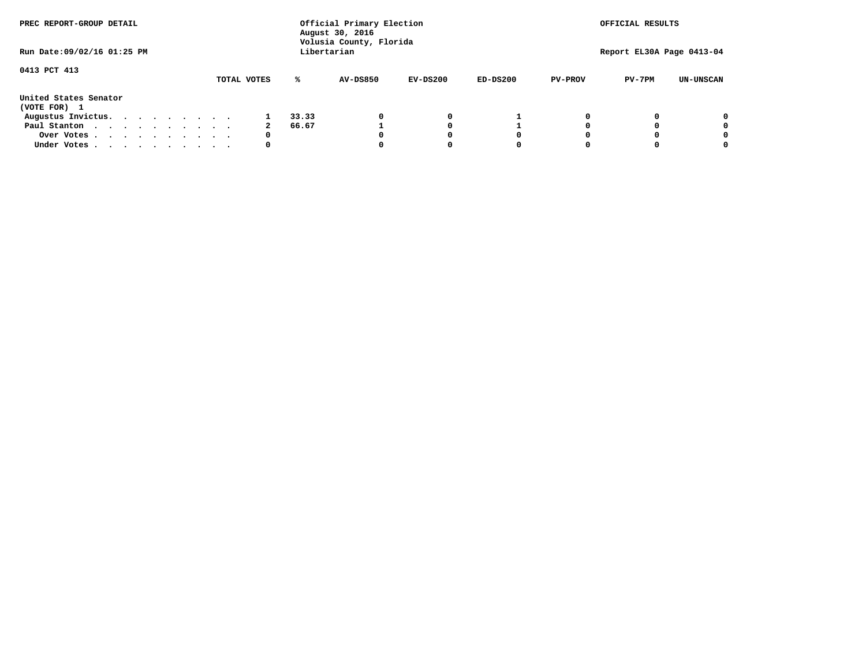| PREC REPORT-GROUP DETAIL              |  |  |  |  |             | Official Primary Election<br>August 30, 2016<br>Volusia County, Florida | OFFICIAL RESULTS |            |            |                |                           |                  |
|---------------------------------------|--|--|--|--|-------------|-------------------------------------------------------------------------|------------------|------------|------------|----------------|---------------------------|------------------|
| Run Date: 09/02/16 01:25 PM           |  |  |  |  |             |                                                                         | Libertarian      |            |            |                | Report EL30A Page 0413-04 |                  |
| 0413 PCT 413                          |  |  |  |  | TOTAL VOTES | ℁                                                                       | AV-DS850         | $EV-DS200$ | $ED-DS200$ | <b>PV-PROV</b> | $PV-7PM$                  | <b>UN-UNSCAN</b> |
| United States Senator<br>(VOTE FOR) 1 |  |  |  |  |             |                                                                         |                  |            |            |                |                           |                  |
| Augustus Invictus.                    |  |  |  |  |             | 33.33                                                                   |                  | 0          |            |                |                           | 0                |
| Paul Stanton                          |  |  |  |  | 2           | 66.67                                                                   |                  |            |            |                |                           | 0                |
| Over Votes                            |  |  |  |  | 0           |                                                                         |                  |            | O          |                |                           | 0                |
| Under Votes                           |  |  |  |  | 0           |                                                                         |                  |            |            |                |                           |                  |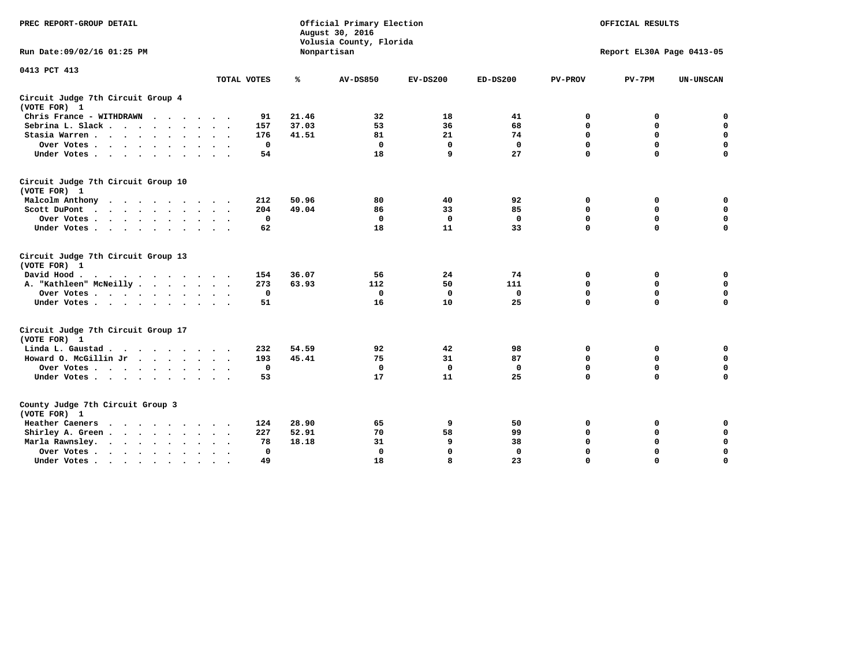| PREC REPORT-GROUP DETAIL                                                                                |              |       | Official Primary Election<br>August 30, 2016<br>Volusia County, Florida | OFFICIAL RESULTS<br>Report EL30A Page 0413-05 |              |                |             |                  |
|---------------------------------------------------------------------------------------------------------|--------------|-------|-------------------------------------------------------------------------|-----------------------------------------------|--------------|----------------|-------------|------------------|
| Run Date: 09/02/16 01:25 PM                                                                             |              |       | Nonpartisan                                                             |                                               |              |                |             |                  |
| 0413 PCT 413                                                                                            | TOTAL VOTES  | ℁     | <b>AV-DS850</b>                                                         | $EV-DS200$                                    | $ED-DS200$   | <b>PV-PROV</b> | $PV-7PM$    | <b>UN-UNSCAN</b> |
| Circuit Judge 7th Circuit Group 4<br>(VOTE FOR) 1                                                       |              |       |                                                                         |                                               |              |                |             |                  |
| Chris France - WITHDRAWN                                                                                | 91           | 21.46 | 32                                                                      | 18                                            | 41           | 0              | 0           | $\mathbf 0$      |
| Sebrina L. Slack                                                                                        | 157          | 37.03 | 53                                                                      | 36                                            | 68           | 0              | 0           | $\mathbf 0$      |
| Stasia Warren                                                                                           | 176          | 41.51 | 81                                                                      | 21                                            | 74           | $\mathbf 0$    | 0           | $\mathbf 0$      |
| Over Votes                                                                                              | $\mathbf 0$  |       | $\mathbf 0$                                                             | $\mathbf 0$                                   | $\mathbf 0$  | 0              | $\mathbf 0$ | $\pmb{0}$        |
| Under Votes                                                                                             | 54           |       | 18                                                                      | 9                                             | 27           | $\Omega$       | $\Omega$    | $\Omega$         |
| Circuit Judge 7th Circuit Group 10<br>(VOTE FOR) 1                                                      |              |       |                                                                         |                                               |              |                |             |                  |
| Malcolm Anthony                                                                                         | 212          | 50.96 | 80                                                                      | 40                                            | 92           | 0              | 0           | 0                |
| Scott DuPont<br>$\sim$                                                                                  | 204          | 49.04 | 86                                                                      | 33                                            | 85           | $\mathbf 0$    | $\mathbf 0$ | $\mathbf 0$      |
| Over Votes                                                                                              | $\mathbf 0$  |       | $\mathbf 0$                                                             | $\mathbf 0$                                   | $\mathbf 0$  | $\mathbf 0$    | $\mathbf 0$ | $\mathbf 0$      |
| Under Votes                                                                                             | 62           |       | 18                                                                      | 11                                            | 33           | $\Omega$       | $\mathbf 0$ | $\Omega$         |
| Circuit Judge 7th Circuit Group 13<br>(VOTE FOR) 1                                                      |              |       |                                                                         |                                               |              |                |             |                  |
| David Hood.<br>$\mathbf{r}$ , and $\mathbf{r}$ , and $\mathbf{r}$ , and $\mathbf{r}$ , and $\mathbf{r}$ | 154          | 36.07 | 56                                                                      | 24                                            | 74           | 0              | 0           | 0                |
| A. "Kathleen" McNeilly                                                                                  | 273          | 63.93 | 112                                                                     | 50                                            | 111          | $\mathbf 0$    | $\mathbf 0$ | $\mathbf 0$      |
| Over Votes                                                                                              | $\Omega$     |       | $\mathbf 0$                                                             | 0                                             | $\mathbf{0}$ | $\mathbf 0$    | $\mathbf 0$ | $\mathbf 0$      |
| Under Votes                                                                                             | 51           |       | 16                                                                      | 10                                            | 25           | $\Omega$       | $\Omega$    | $\Omega$         |
| Circuit Judge 7th Circuit Group 17<br>(VOTE FOR) 1                                                      |              |       |                                                                         |                                               |              |                |             |                  |
| Linda L. Gaustad                                                                                        | 232          | 54.59 | 92                                                                      | 42                                            | 98           | 0              | 0           | $\mathbf 0$      |
| Howard O. McGillin Jr                                                                                   | 193          | 45.41 | 75                                                                      | 31                                            | 87           | $\mathbf 0$    | $\mathbf 0$ | $\mathbf 0$      |
| Over Votes                                                                                              | $\mathbf 0$  |       | $\mathbf{0}$                                                            | $\mathbf 0$                                   | $\mathbf{0}$ | $\mathbf 0$    | $\Omega$    | $\mathbf 0$      |
| Under Votes                                                                                             | 53           |       | 17                                                                      | 11                                            | 25           | $\mathbf 0$    | $\mathbf 0$ | $\mathbf 0$      |
| County Judge 7th Circuit Group 3<br>(VOTE FOR) 1                                                        |              |       |                                                                         |                                               |              |                |             |                  |
| Heather Caeners                                                                                         | 124          | 28.90 | 65                                                                      | 9                                             | 50           | 0              | 0           | 0                |
| Shirley A. Green                                                                                        | 227          | 52.91 | 70                                                                      | 58                                            | 99           | $\mathbf 0$    | 0           | $\mathbf 0$      |
| Marla Rawnsley.                                                                                         | 78           | 18.18 | 31                                                                      | 9                                             | 38           | 0              | $\mathbf 0$ | $\pmb{0}$        |
| Over Votes<br>$\sim$<br>$\sim$                                                                          | $\mathbf{0}$ |       | $\Omega$                                                                | $\mathbf 0$                                   | $\mathbf{0}$ | $\mathbf 0$    | $\mathbf 0$ | $\mathbf 0$      |
| Under Votes                                                                                             | 49           |       | 18                                                                      | 8                                             | 23           | $\mathbf 0$    | $\mathbf 0$ | 0                |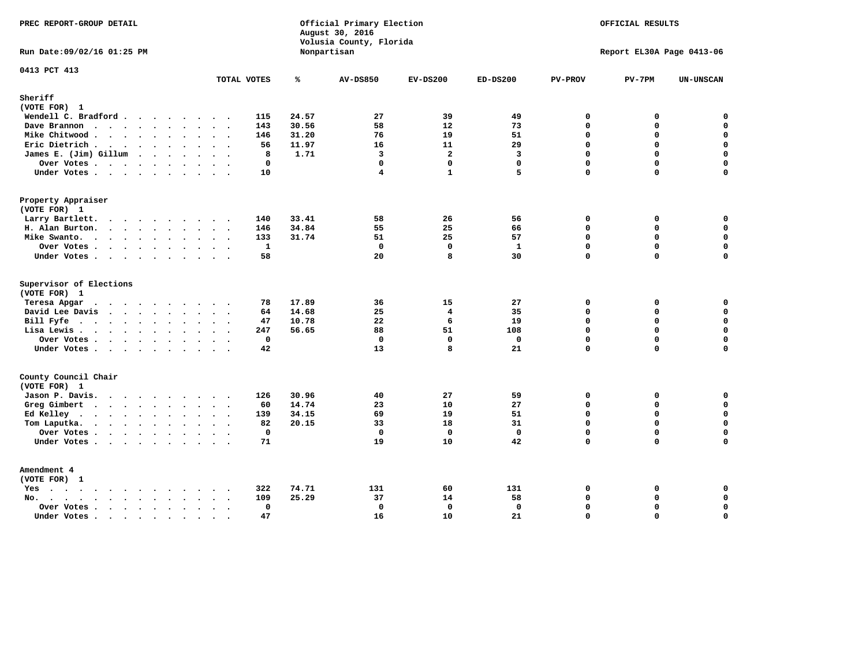| PREC REPORT-GROUP DETAIL                                                              |                                           |       | Official Primary Election<br>August 30, 2016<br>Volusia County, Florida | OFFICIAL RESULTS<br>Report EL30A Page 0413-06 |                   |                         |               |                  |
|---------------------------------------------------------------------------------------|-------------------------------------------|-------|-------------------------------------------------------------------------|-----------------------------------------------|-------------------|-------------------------|---------------|------------------|
| Run Date: 09/02/16 01:25 PM                                                           |                                           |       | Nonpartisan                                                             |                                               |                   |                         |               |                  |
| 0413 PCT 413                                                                          | TOTAL VOTES                               | ℁     | <b>AV-DS850</b>                                                         | $EV-DS200$                                    | $ED-DS200$        | <b>PV-PROV</b>          | $PV-7PM$      | <b>UN-UNSCAN</b> |
| Sheriff<br>(VOTE FOR) 1                                                               |                                           |       |                                                                         |                                               |                   |                         |               |                  |
| Wendell C. Bradford                                                                   | 115                                       | 24.57 | 27                                                                      | 39                                            | 49                | $\mathbf 0$             | 0             | $\mathbf 0$      |
| Dave Brannon                                                                          | 143                                       | 30.56 | 58                                                                      | 12                                            | 73                | $\mathbf 0$             | 0             | $\mathbf 0$      |
| Mike Chitwood                                                                         | 146                                       | 31.20 | 76                                                                      | 19                                            | 51                | 0                       | 0             | $\mathbf 0$      |
| Eric Dietrich.                                                                        | 56                                        | 11.97 | 16                                                                      | 11                                            | 29                | $\mathbf 0$             | 0             | $\mathbf 0$      |
| James E. (Jim) Gillum                                                                 | 8                                         | 1.71  | 3                                                                       | $\overline{a}$                                | 3                 | $\Omega$                | 0             | $\mathbf 0$      |
| Over Votes                                                                            | $\mathbf 0$                               |       | $\mathbf 0$                                                             | $\mathbf 0$                                   | $\mathbf{0}$      | $\Omega$                | 0             | $\mathbf 0$      |
| Under Votes                                                                           | 10                                        |       | $\overline{\mathbf{4}}$                                                 | $\mathbf{1}$                                  | 5                 | $\Omega$                | 0             | $\mathbf 0$      |
| Property Appraiser                                                                    |                                           |       |                                                                         |                                               |                   |                         |               |                  |
| (VOTE FOR) 1                                                                          |                                           |       |                                                                         |                                               |                   |                         |               |                  |
| Larry Bartlett.                                                                       | 140                                       | 33.41 | 58                                                                      | 26                                            | 56                | 0                       | 0             | 0                |
| H. Alan Burton.                                                                       | 146                                       | 34.84 | 55                                                                      | 25                                            | 66                | $\mathbf 0$             | 0             | $\mathbf 0$      |
| Mike Swanto.                                                                          | 133                                       | 31.74 | 51                                                                      | 25                                            | 57                | $\Omega$                | $\Omega$      | 0                |
| Over Votes                                                                            | $\mathbf{1}$                              |       | $\mathbf{0}$                                                            | $\mathbf 0$                                   | $\mathbf{1}$      | $\mathbf 0$             | 0             | $\mathbf 0$      |
| Under Votes                                                                           | 58                                        |       | 20                                                                      | 8                                             | 30                | $\mathbf 0$             | $\Omega$      | 0                |
| Supervisor of Elections                                                               |                                           |       |                                                                         |                                               |                   |                         |               |                  |
| (VOTE FOR) 1                                                                          | 78                                        | 17.89 | 36                                                                      | 15                                            | 27                | 0                       | 0             | $\mathbf 0$      |
| Teresa Apgar<br>$\mathbf{r}$ . The state of the state $\mathbf{r}$<br>David Lee Davis | 64                                        | 14.68 | 25                                                                      | $\overline{\mathbf{4}}$                       | 35                | $\Omega$                | 0             | $\mathbf 0$      |
| Bill Fyfe.                                                                            | 47                                        | 10.78 | 22                                                                      | 6                                             | 19                | $\mathbf 0$             | 0             | $\mathbf 0$      |
| Lisa Lewis                                                                            | 247                                       | 56.65 | 88                                                                      | 51                                            | 108               | $\mathbf 0$             | 0             | $\mathbf 0$      |
| Over Votes                                                                            | $\mathbf 0$                               |       | $\mathbf 0$                                                             | $\mathbf{0}$                                  | $\mathbf 0$       | $\mathbf 0$             | 0             | $\mathbf 0$      |
| Under Votes                                                                           | 42                                        |       | 13                                                                      | 8                                             | 21                | $\mathbf 0$             | 0             | 0                |
| County Council Chair                                                                  |                                           |       |                                                                         |                                               |                   |                         |               |                  |
| (VOTE FOR) 1                                                                          |                                           |       |                                                                         |                                               |                   |                         |               |                  |
| Jason P. Davis.                                                                       | 126<br>$\cdot$ .                          | 30.96 | 40                                                                      | 27                                            | 59                | $\mathbf 0$             | 0             | 0                |
| Greg Gimbert                                                                          | 60                                        | 14.74 | 23                                                                      | 10                                            | 27                | $\mathbf 0$             | 0             | $\mathbf 0$      |
| Ed Kelley                                                                             | 139                                       | 34.15 | 69                                                                      | 19                                            | 51                | $\mathbf 0$             | 0             | $\mathbf 0$      |
| Tom Laputka.                                                                          | 82                                        | 20.15 | 33                                                                      | 18                                            | 31                | $\mathbf 0$             | 0             | $\mathbf 0$      |
| Over Votes.                                                                           | $\mathbf 0$                               |       | $\mathbf 0$                                                             | $\mathbf 0$                                   | $\mathbf{0}$      | $\mathbf 0$             | 0             | 0                |
| Under Votes                                                                           | 71                                        |       | 19                                                                      | <b>10</b>                                     | 42                | $\Omega$                | $\Omega$      | $\Omega$         |
| Amendment 4                                                                           |                                           |       |                                                                         |                                               |                   |                         |               |                  |
| (VOTE FOR) 1                                                                          |                                           |       |                                                                         |                                               |                   |                         |               |                  |
| $Yes \cdot \cdot \cdot \cdot \cdot \cdot \cdot \cdot \cdot$                           | 322                                       | 74.71 | 131                                                                     | 60                                            | 131               | 0                       | 0             | 0                |
| No.<br>$\ddot{\phantom{a}}$                                                           | 109<br>$\sim$ $\sim$                      | 25.29 | 37                                                                      | 14                                            | 58                | $\mathbf 0$             | 0             | 0                |
| Over Votes                                                                            | $\mathbf 0$<br>$\ddot{\phantom{0}}$<br>47 |       | $\mathbf{0}$                                                            | 0<br>10                                       | $\mathbf 0$<br>21 | $\mathbf 0$<br>$\Omega$ | 0<br>$\Omega$ | $\pmb{0}$        |
| Under Votes<br>$\sim$                                                                 | $\cdot$ .<br>$\sim$                       |       | 16                                                                      |                                               |                   |                         |               | 0                |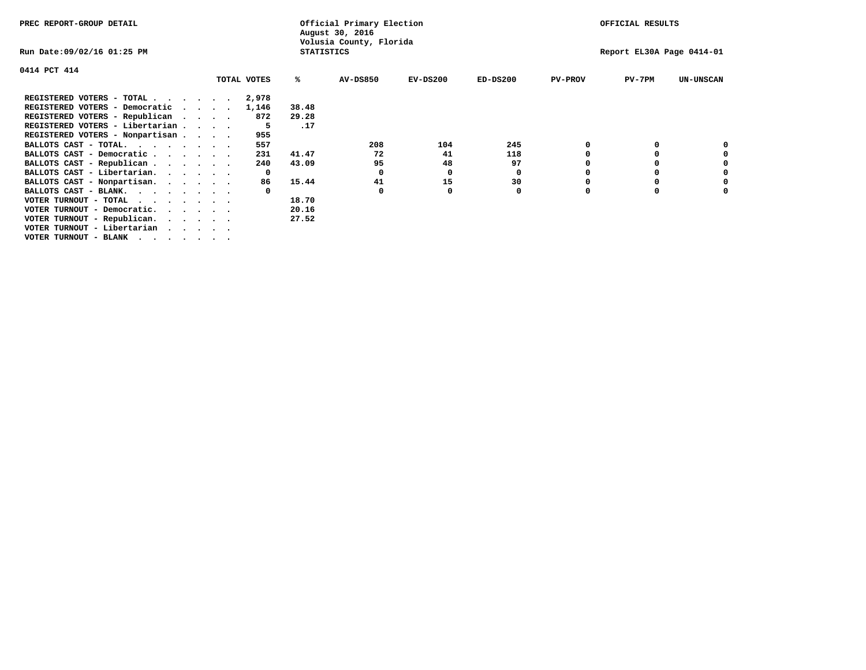| PREC REPORT-GROUP DETAIL                                               |                | Official Primary Election<br>August 30, 2016 |            |                           |                | OFFICIAL RESULTS |                  |
|------------------------------------------------------------------------|----------------|----------------------------------------------|------------|---------------------------|----------------|------------------|------------------|
| Run Date:09/02/16 01:25 PM                                             |                | Volusia County, Florida<br><b>STATISTICS</b> |            | Report EL30A Page 0414-01 |                |                  |                  |
| 0414 PCT 414                                                           |                |                                              |            |                           |                |                  |                  |
| TOTAL VOTES                                                            | ℁              | <b>AV-DS850</b>                              | $EV-DS200$ | $ED-DS200$                | <b>PV-PROV</b> | $PV-7PM$         | <b>UN-UNSCAN</b> |
| REGISTERED VOTERS - TOTAL                                              | 2,978          |                                              |            |                           |                |                  |                  |
| REGISTERED VOTERS - Democratic<br>$\sim$ $\sim$ $\sim$ $\sim$          | 1,146<br>38.48 |                                              |            |                           |                |                  |                  |
| REGISTERED VOTERS - Republican                                         | 29.28<br>872   |                                              |            |                           |                |                  |                  |
| REGISTERED VOTERS - Libertarian                                        |                | .17                                          |            |                           |                |                  |                  |
| REGISTERED VOTERS - Nonpartisan                                        | 955            |                                              |            |                           |                |                  |                  |
| BALLOTS CAST - TOTAL.                                                  | 557            | 208                                          | 104        | 245                       |                |                  |                  |
| BALLOTS CAST - Democratic                                              | 41.47<br>231   | 72                                           | 41         | 118                       |                |                  |                  |
| BALLOTS CAST - Republican                                              | 43.09<br>240   | 95                                           | 48         | 97                        |                |                  |                  |
| BALLOTS CAST - Libertarian.                                            | $\mathbf{o}$   | 0                                            | 0          | 0                         |                |                  |                  |
| BALLOTS CAST - Nonpartisan.                                            | 15.44<br>86    | 41                                           | 15         | 30                        |                |                  | 0                |
| BALLOTS CAST - BLANK.                                                  |                | 0                                            | 0          | 0                         | $\Omega$       |                  |                  |
| VOTER TURNOUT - TOTAL                                                  | 18.70          |                                              |            |                           |                |                  |                  |
| VOTER TURNOUT - Democratic.<br>$\cdot$ $\cdot$ $\cdot$ $\cdot$ $\cdot$ | 20.16          |                                              |            |                           |                |                  |                  |
| VOTER TURNOUT - Republican.                                            | 27.52          |                                              |            |                           |                |                  |                  |
| VOTER TURNOUT - Libertarian                                            |                |                                              |            |                           |                |                  |                  |
| VOTER TURNOUT - BLANK                                                  |                |                                              |            |                           |                |                  |                  |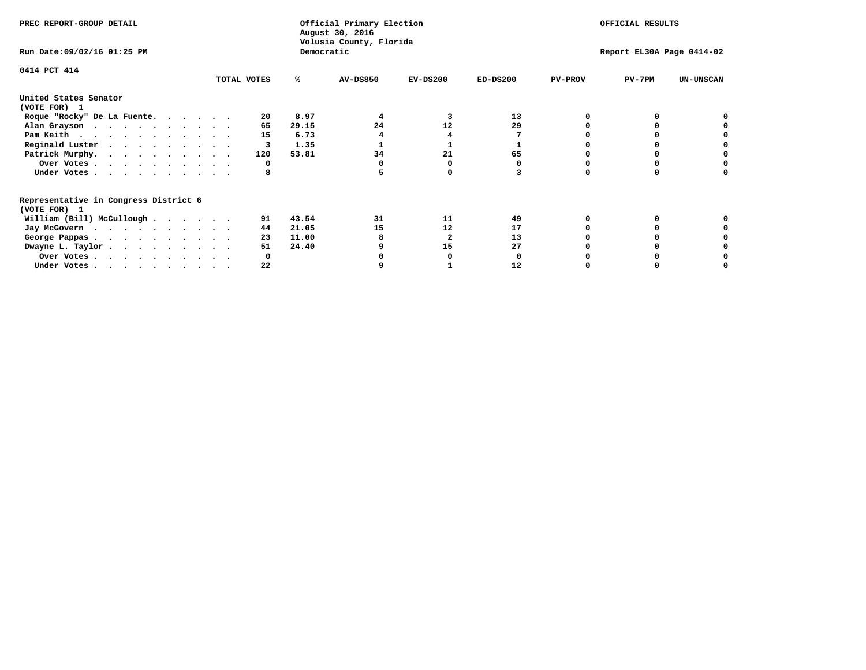| PREC REPORT-GROUP DETAIL                                               |             |            | Official Primary Election<br>August 30, 2016<br>Volusia County, Florida | OFFICIAL RESULTS |                           |                |          |                  |  |
|------------------------------------------------------------------------|-------------|------------|-------------------------------------------------------------------------|------------------|---------------------------|----------------|----------|------------------|--|
| Run Date: 09/02/16 01:25 PM                                            |             | Democratic |                                                                         |                  | Report EL30A Page 0414-02 |                |          |                  |  |
| 0414 PCT 414                                                           | TOTAL VOTES | ℁          | <b>AV-DS850</b>                                                         | $EV-DS200$       | $ED-DS200$                | <b>PV-PROV</b> | $PV-7PM$ | <b>UN-UNSCAN</b> |  |
|                                                                        |             |            |                                                                         |                  |                           |                |          |                  |  |
| United States Senator<br>(VOTE FOR) 1                                  |             |            |                                                                         |                  |                           |                |          |                  |  |
| Roque "Rocky" De La Fuente.                                            | 20          | 8.97       |                                                                         |                  | 13                        |                |          |                  |  |
| Alan Grayson                                                           | 65          | 29.15      | 24                                                                      | 12               | 29                        |                |          |                  |  |
| Pam Keith                                                              | 15          | 6.73       |                                                                         |                  |                           |                |          |                  |  |
| Reginald Luster                                                        | 3           | 1.35       |                                                                         |                  |                           |                |          |                  |  |
| Patrick Murphy.                                                        | 120         | 53.81      | 34                                                                      | 21               | 65                        |                |          |                  |  |
| Over Votes                                                             | 0           |            |                                                                         |                  |                           |                |          |                  |  |
| Under Votes.                                                           |             |            |                                                                         |                  |                           |                |          |                  |  |
| Representative in Congress District 6<br>(VOTE FOR) 1                  |             |            |                                                                         |                  |                           |                |          |                  |  |
| William (Bill) McCullough                                              | 91          | 43.54      | 31                                                                      | 11               | 49                        |                |          |                  |  |
|                                                                        | 44          | 21.05      | 15                                                                      | 12               | 17                        |                |          |                  |  |
| Jay McGovern                                                           | 23          | 11.00      |                                                                         |                  | 13                        |                |          |                  |  |
| George Pappas.                                                         | 51          | 24.40      |                                                                         | 15               | 27                        |                |          |                  |  |
| Dwayne L. Taylor.                                                      |             |            |                                                                         |                  |                           |                |          |                  |  |
| Over Votes                                                             |             |            |                                                                         |                  |                           |                |          |                  |  |
| Under Votes, $\cdot$ , $\cdot$ , $\cdot$ , $\cdot$ , $\cdot$ , $\cdot$ | 22          |            |                                                                         |                  | 12                        |                |          |                  |  |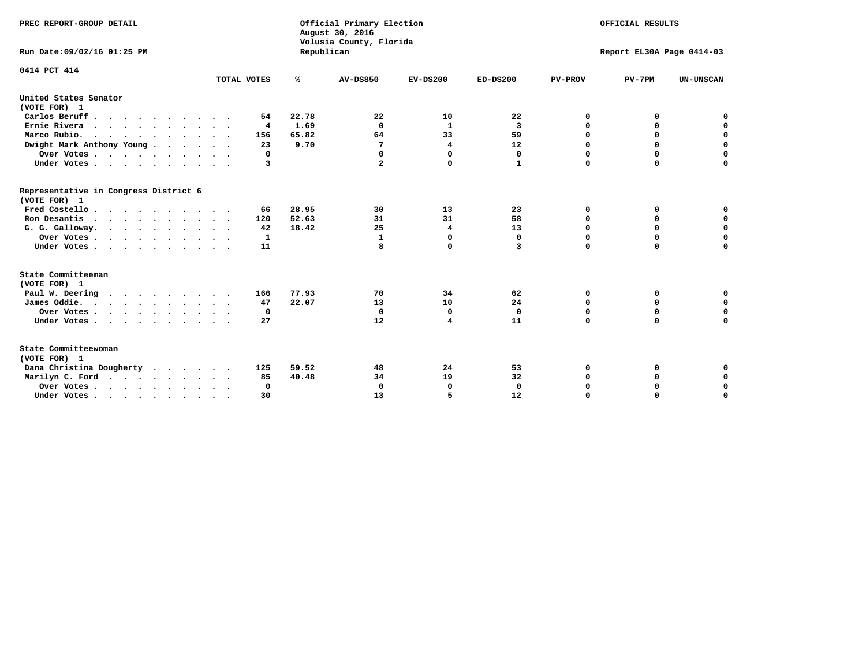| PREC REPORT-GROUP DETAIL                              |             |            | Official Primary Election<br>August 30, 2016<br>Volusia County, Florida | OFFICIAL RESULTS<br>Report EL30A Page 0414-03 |              |                |             |                  |  |  |
|-------------------------------------------------------|-------------|------------|-------------------------------------------------------------------------|-----------------------------------------------|--------------|----------------|-------------|------------------|--|--|
| Run Date: 09/02/16 01:25 PM                           |             | Republican |                                                                         |                                               |              |                |             |                  |  |  |
| 0414 PCT 414                                          |             |            |                                                                         |                                               |              |                |             |                  |  |  |
|                                                       | TOTAL VOTES | ℁          | <b>AV-DS850</b>                                                         | $EV-DS200$                                    | $ED-DS200$   | <b>PV-PROV</b> | $PV-7PM$    | <b>UN-UNSCAN</b> |  |  |
| United States Senator<br>(VOTE FOR) 1                 |             |            |                                                                         |                                               |              |                |             |                  |  |  |
| Carlos Beruff                                         | 54          | 22.78      | 22                                                                      | 10                                            | 22           | 0              | 0           | 0                |  |  |
| Ernie Rivera                                          | 4           | 1.69       | $\Omega$                                                                | 1                                             | 3            | $\Omega$       | 0           | $\mathbf 0$      |  |  |
| Marco Rubio.                                          | 156         | 65.82      | 64                                                                      | 33                                            | 59           | $\mathbf 0$    | $\mathbf 0$ | $\mathbf 0$      |  |  |
| Dwight Mark Anthony Young                             | 23          | 9.70       | 7                                                                       | 4                                             | 12           | 0              | $\mathbf 0$ | $\pmb{0}$        |  |  |
| Over Votes                                            | 0           |            | 0                                                                       | $\Omega$                                      | $\mathbf 0$  | 0              | 0           | 0                |  |  |
| Under Votes                                           | 3           |            | 2                                                                       | 0                                             | 1            | $\Omega$       | $\Omega$    | $\mathbf 0$      |  |  |
| Representative in Congress District 6<br>(VOTE FOR) 1 |             |            |                                                                         |                                               |              |                |             |                  |  |  |
| Fred Costello.                                        | 66          | 28.95      | 30                                                                      | 13                                            | 23           | 0              | 0           | 0                |  |  |
| Ron Desantis                                          | 120         | 52.63      | 31                                                                      | 31                                            | 58           | 0              | 0           | $\mathbf 0$      |  |  |
| G. G. Galloway.                                       | 42          | 18.42      | 25                                                                      | 4                                             | 13           | $\mathbf 0$    | $\Omega$    | $\mathbf 0$      |  |  |
| Over Votes                                            | 1           |            | $\mathbf{1}$                                                            | 0                                             | $\mathbf{0}$ | $\mathbf 0$    | $\mathbf 0$ | $\mathbf 0$      |  |  |
| Under Votes                                           | 11          |            | 8                                                                       | $\mathbf 0$                                   | 3            | $\mathbf 0$    | $\Omega$    | $\mathbf 0$      |  |  |
| State Committeeman                                    |             |            |                                                                         |                                               |              |                |             |                  |  |  |
| (VOTE FOR) 1                                          |             |            |                                                                         |                                               |              |                |             |                  |  |  |
| Paul W. Deering<br>$\cdots$                           | 166         | 77.93      | 70                                                                      | 34                                            | 62           | 0              | 0           | 0                |  |  |
| James Oddie.                                          | 47          | 22.07      | 13                                                                      | 10                                            | 24           | 0              | 0           | $\mathbf 0$      |  |  |
| Over Votes                                            | 0           |            | $\mathbf{0}$                                                            | 0                                             | $\mathbf 0$  | 0              | $\mathbf 0$ | $\mathbf 0$      |  |  |
| Under Votes                                           | 27          |            | 12                                                                      | 4                                             | 11           | $\Omega$       | $\Omega$    | $\mathbf 0$      |  |  |
| State Committeewoman<br>(VOTE FOR) 1                  |             |            |                                                                         |                                               |              |                |             |                  |  |  |
| Dana Christina Dougherty<br>.                         | 125         | 59.52      | 48                                                                      | 24                                            | 53           | 0              | 0           | 0                |  |  |
| Marilyn C. Ford                                       | 85          | 40.48      | 34                                                                      | 19                                            | 32           | 0              | 0           | 0                |  |  |
| Over Votes                                            | $\Omega$    |            | $\Omega$                                                                | 0                                             | $\mathbf 0$  | 0              | 0           | $\mathbf 0$      |  |  |
| Under Votes, , , , , , , , , ,                        | 30          |            | 13                                                                      | 5                                             | 12           | $\Omega$       | $\Omega$    | $\Omega$         |  |  |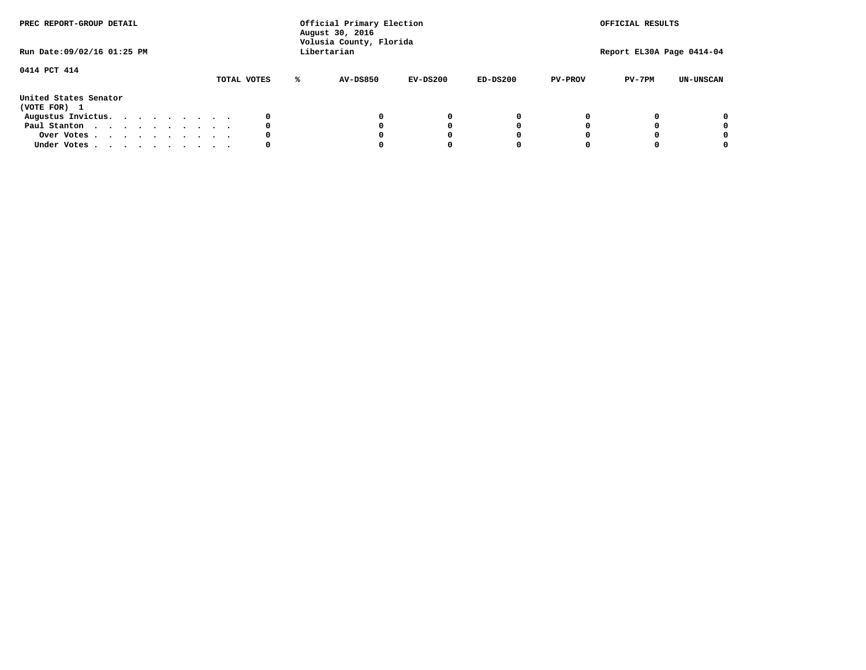| PREC REPORT-GROUP DETAIL<br>Run Date: 09/02/16 01:25 PM |  |  |  |  | Official Primary Election<br>August 30, 2016<br>Volusia County, Florida<br>Libertarian |             | OFFICIAL RESULTS<br>Report EL30A Page 0414-04 |          |            |                |          |                  |
|---------------------------------------------------------|--|--|--|--|----------------------------------------------------------------------------------------|-------------|-----------------------------------------------|----------|------------|----------------|----------|------------------|
| 0414 PCT 414                                            |  |  |  |  |                                                                                        | TOTAL VOTES | AV-DS850                                      | EV-DS200 | $ED-DS200$ | <b>PV-PROV</b> | $PV-7PM$ | <b>UN-UNSCAN</b> |
| United States Senator<br>(VOTE FOR) 1                   |  |  |  |  |                                                                                        |             |                                               |          |            |                |          |                  |
| Augustus Invictus.                                      |  |  |  |  |                                                                                        |             |                                               | 0        |            |                |          | 0                |
| Paul Stanton                                            |  |  |  |  |                                                                                        | 0           |                                               | O        |            |                |          | 0                |
| Over Votes                                              |  |  |  |  |                                                                                        |             |                                               |          |            |                |          | 0                |
| Under Votes                                             |  |  |  |  |                                                                                        | 0           |                                               |          |            |                |          | 0                |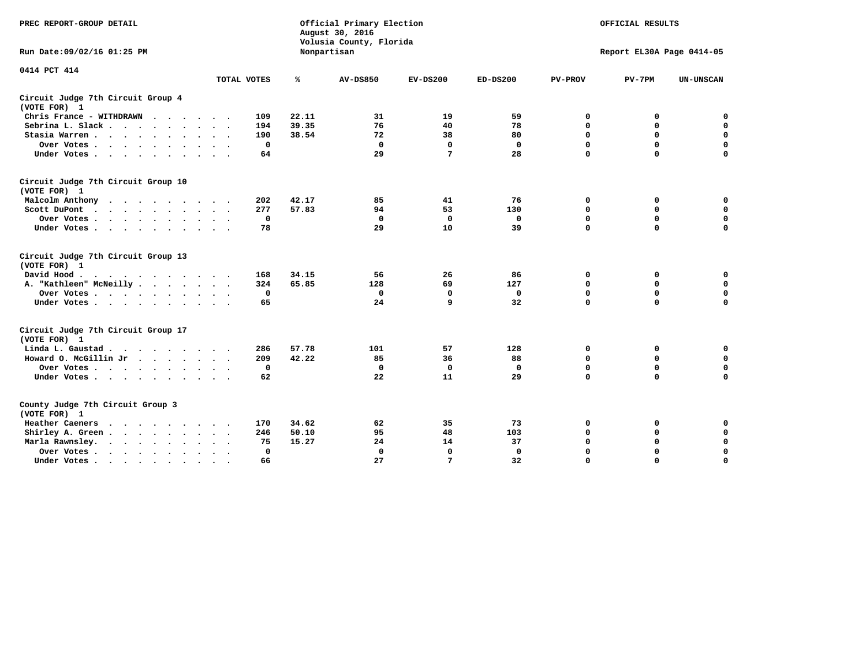| PREC REPORT-GROUP DETAIL                                    |             | Official Primary Election<br>August 30, 2016<br>Volusia County, Florida |                 | OFFICIAL RESULTS<br>Report EL30A Page 0414-05 |              |                |             |                  |
|-------------------------------------------------------------|-------------|-------------------------------------------------------------------------|-----------------|-----------------------------------------------|--------------|----------------|-------------|------------------|
| Run Date: 09/02/16 01:25 PM                                 |             |                                                                         | Nonpartisan     |                                               |              |                |             |                  |
| 0414 PCT 414                                                | TOTAL VOTES | ℁                                                                       | <b>AV-DS850</b> | $EV-DS200$                                    | $ED-DS200$   | <b>PV-PROV</b> | $PV-7PM$    | <b>UN-UNSCAN</b> |
| Circuit Judge 7th Circuit Group 4<br>(VOTE FOR) 1           |             |                                                                         |                 |                                               |              |                |             |                  |
| Chris France - WITHDRAWN                                    | 109         | 22.11                                                                   | 31              | 19                                            | 59           | 0              | 0           | $\mathbf 0$      |
| Sebrina L. Slack.                                           | 194         | 39.35                                                                   | 76              | 40                                            | 78           | $\mathbf 0$    | $\Omega$    | $\mathbf 0$      |
| Stasia Warren                                               | 190         | 38.54                                                                   | 72              | 38                                            | 80           | 0              | $\mathbf 0$ | $\mathbf 0$      |
| Over Votes                                                  |             | $\mathbf 0$                                                             | $\mathbf 0$     | $\mathbf 0$                                   | $\mathbf 0$  | $\mathbf 0$    | $\mathbf 0$ | $\mathbf 0$      |
| Under Votes                                                 | 64          |                                                                         | 29              | 7                                             | 28           | $\mathbf 0$    | $\Omega$    | $\Omega$         |
| Circuit Judge 7th Circuit Group 10<br>(VOTE FOR) 1          |             |                                                                         |                 |                                               |              |                |             |                  |
| Malcolm Anthony                                             | 202         | 42.17                                                                   | 85              | 41                                            | 76           | 0              | 0           | $\mathbf 0$      |
| Scott DuPont                                                | 277         | 57.83                                                                   | 94              | 53                                            | 130          | $\mathbf 0$    | $\mathbf 0$ | $\mathbf 0$      |
| Over Votes                                                  |             | $\mathbf 0$                                                             | $\Omega$        | 0                                             | 0            | $\mathbf 0$    | 0           | $\mathbf 0$      |
| Under Votes                                                 | 78          |                                                                         | 29              | 10                                            | 39           | $\mathbf 0$    | $\mathbf 0$ | $\Omega$         |
| Circuit Judge 7th Circuit Group 13<br>(VOTE FOR) 1          |             |                                                                         |                 |                                               |              |                |             |                  |
| David Hood.                                                 | 168         | 34.15                                                                   | 56              | 26                                            | 86           | 0              | 0           | $\mathbf 0$      |
| A. "Kathleen" McNeilly                                      | 324         | 65.85                                                                   | 128             | 69                                            | 127          | $\mathbf 0$    | 0           | $\mathbf 0$      |
| Over Votes                                                  |             | $\mathbf 0$                                                             | $\mathbf 0$     | $\mathbf 0$                                   | $\mathbf 0$  | 0              | $\mathbf 0$ | $\mathbf 0$      |
| Under Votes                                                 | 65          |                                                                         | 24              | $\mathbf{q}$                                  | 32           | $\Omega$       | $\Omega$    | $\Omega$         |
| Circuit Judge 7th Circuit Group 17<br>(VOTE FOR) 1          |             |                                                                         |                 |                                               |              |                |             |                  |
| Linda L. Gaustad                                            | 286         | 57.78                                                                   | 101             | 57                                            | 128          | 0              | 0           | 0                |
| Howard O. McGillin Jr<br>$\cdots$                           | 209         | 42.22                                                                   | 85              | 36                                            | 88           | $\mathbf 0$    | $\mathbf 0$ | 0                |
| Over Votes                                                  |             | $^{\circ}$                                                              | $\mathbf{0}$    | 0                                             | $\mathbf{0}$ | $\mathbf 0$    | $\mathbf 0$ | $\mathbf 0$      |
| Under Votes                                                 | 62          |                                                                         | 22              | 11                                            | 29           | $\mathbf 0$    | $\mathbf 0$ | $\Omega$         |
| County Judge 7th Circuit Group 3<br>(VOTE FOR) 1            |             |                                                                         |                 |                                               |              |                |             |                  |
| Heather Caeners<br>$\cdots$                                 | 170         | 34.62                                                                   | 62              | 35                                            | 73           | 0              | 0           | 0                |
| Shirley A. Green                                            | 246         | 50.10                                                                   | 95              | 48                                            | 103          | $\mathbf 0$    | 0           | $\mathbf 0$      |
| Marla Rawnsley.                                             | 75          | 15.27                                                                   | 24              | 14                                            | 37           | 0              | $\mathbf 0$ | $\mathbf 0$      |
| Over Votes.<br>$\ddot{\phantom{a}}$<br>$\ddot{\phantom{a}}$ |             | $\mathbf{0}$                                                            | $\mathbf{0}$    | $\mathbf 0$                                   | $\mathbf{0}$ | $\mathbf 0$    | $\mathbf 0$ | $\mathbf 0$      |
| Under Votes<br>$\sim$                                       | 66          |                                                                         | 27              | 7                                             | 32           | $\mathbf 0$    | $\mathbf 0$ | 0                |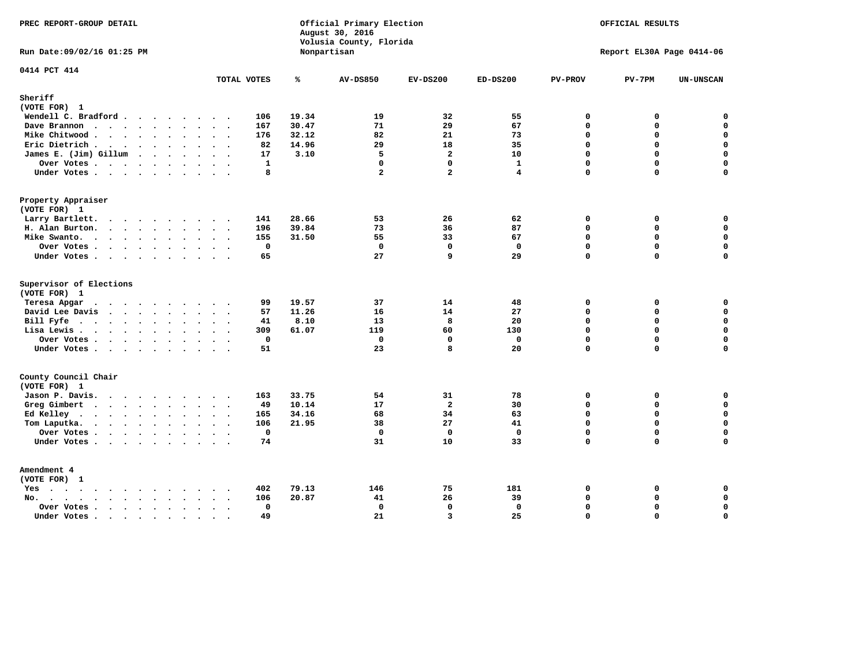| PREC REPORT-GROUP DETAIL                                                                                                              |                             |                | Official Primary Election<br>August 30, 2016<br>Volusia County, Florida | OFFICIAL RESULTS<br>Report EL30A Page 0414-06 |              |                            |             |                  |
|---------------------------------------------------------------------------------------------------------------------------------------|-----------------------------|----------------|-------------------------------------------------------------------------|-----------------------------------------------|--------------|----------------------------|-------------|------------------|
| Run Date: 09/02/16 01:25 PM                                                                                                           |                             |                | Nonpartisan                                                             |                                               |              |                            |             |                  |
| 0414 PCT 414                                                                                                                          | TOTAL VOTES                 | ℁              | <b>AV-DS850</b>                                                         | $EV-DS200$                                    | $ED-DS200$   | <b>PV-PROV</b>             | $PV-7PM$    | UN-UNSCAN        |
| Sheriff                                                                                                                               |                             |                |                                                                         |                                               |              |                            |             |                  |
| (VOTE FOR) 1                                                                                                                          |                             |                |                                                                         |                                               |              |                            |             |                  |
| Wendell C. Bradford                                                                                                                   | 106                         | 19.34          | 19                                                                      | 32                                            | 55           | $\mathbf 0$                | 0           | $\mathbf 0$      |
| Dave Brannon                                                                                                                          | 167                         | 30.47<br>32.12 | 71<br>82                                                                | 29<br>21                                      | 67<br>73     | $\mathbf 0$<br>$\mathbf 0$ | 0<br>0      | 0<br>$\mathbf 0$ |
| Mike Chitwood                                                                                                                         | 176                         | 82<br>14.96    | 29                                                                      | 18                                            | 35           | $\Omega$                   | 0           | 0                |
| Eric Dietrich<br>James E. (Jim) Gillum                                                                                                |                             | 17<br>3.10     | 5                                                                       | $\overline{a}$                                | 10           | $\Omega$                   | $\Omega$    | $\mathbf{o}$     |
|                                                                                                                                       |                             | $\mathbf{1}$   | $\mathbf 0$                                                             | $\mathbf 0$                                   | $\mathbf{1}$ | $\mathbf 0$                | 0           | $\mathbf 0$      |
| Over Votes<br>Under Votes                                                                                                             |                             | 8              | $\overline{a}$                                                          | $\mathbf{z}$                                  | 4            | $\Omega$                   | $\Omega$    | $\mathbf 0$      |
|                                                                                                                                       |                             |                |                                                                         |                                               |              |                            |             |                  |
| Property Appraiser                                                                                                                    |                             |                |                                                                         |                                               |              |                            |             |                  |
| (VOTE FOR) 1                                                                                                                          |                             |                |                                                                         |                                               |              |                            |             |                  |
| Larry Bartlett.                                                                                                                       | 141                         | 28.66          | 53                                                                      | 26                                            | 62           | $\mathbf 0$                | 0           | 0                |
| H. Alan Burton.                                                                                                                       | 196                         | 39.84          | 73                                                                      | 36                                            | 87           | $\mathbf{0}$               | 0           | $\mathbf 0$      |
| Mike Swanto.                                                                                                                          | 155                         | 31.50          | 55                                                                      | 33                                            | 67           | $\Omega$                   | $\Omega$    | $\mathbf 0$      |
| Over Votes.                                                                                                                           |                             | $\mathbf 0$    | $\mathbf 0$                                                             | $\mathbf 0$                                   | $\mathbf 0$  | $\mathbf 0$                | 0           | $\mathbf 0$      |
| Under Votes                                                                                                                           |                             | 65             | 27                                                                      | q                                             | 29           | $\Omega$                   | $\Omega$    | $\mathbf 0$      |
| Supervisor of Elections                                                                                                               |                             |                |                                                                         |                                               |              |                            |             |                  |
| (VOTE FOR) 1                                                                                                                          |                             |                |                                                                         |                                               |              |                            |             |                  |
| Teresa Apgar<br>$\mathbf{r}$ . The state of the state $\mathbf{r}$                                                                    |                             | 19.57<br>99    | 37                                                                      | 14                                            | 48           | $\mathbf 0$                | 0           | 0                |
| David Lee Davis                                                                                                                       |                             | 57<br>11.26    | 16                                                                      | 14                                            | 27           | $\Omega$                   | $\Omega$    | $\mathbf 0$      |
| Bill Fyfe.                                                                                                                            |                             | 8.10<br>41     | 13                                                                      | 8                                             | 20           | $\mathbf 0$                | 0           | $\mathbf 0$      |
| Lisa Lewis                                                                                                                            | 309                         | 61.07          | 119                                                                     | 60                                            | 130          | $\Omega$                   | 0           | $\mathbf 0$      |
| Over Votes                                                                                                                            |                             | 0              | $\mathbf 0$                                                             | $\mathbf 0$                                   | $\mathbf 0$  | $\mathbf 0$                | 0           | $\pmb{0}$        |
| Under Votes                                                                                                                           |                             | 51             | 23                                                                      | 8                                             | 20           | $\Omega$                   | $\Omega$    | $\mathbf 0$      |
| County Council Chair<br>(VOTE FOR) 1                                                                                                  |                             |                |                                                                         |                                               |              |                            |             |                  |
| Jason P. Davis.                                                                                                                       | 163<br>$\cdot$ .            | 33.75          | 54                                                                      | 31                                            | 78           | $\mathbf 0$                | 0           | 0                |
| Greg Gimbert                                                                                                                          |                             | 10.14<br>49    | 17                                                                      | $\overline{a}$                                | 30           | $\mathbf 0$                | $\mathbf 0$ | $\mathbf 0$      |
| Ed Kelley                                                                                                                             | 165                         | 34.16          | 68                                                                      | 34                                            | 63           | $\Omega$                   | 0           | $\mathbf 0$      |
| Tom Laputka.                                                                                                                          | 106                         | 21.95          | 38                                                                      | 27                                            | 41           | $\mathbf 0$                | $\mathbf 0$ | $\mathbf 0$      |
| Over Votes                                                                                                                            |                             | $\mathbf 0$    | $\mathbf 0$                                                             | $\mathbf 0$                                   | $\mathbf{0}$ | $\mathbf 0$                | 0           | 0                |
| Under Votes                                                                                                                           |                             | 74             | 31                                                                      | 10                                            | 33           | $\mathbf 0$                | 0           | $\mathbf 0$      |
|                                                                                                                                       |                             |                |                                                                         |                                               |              |                            |             |                  |
| Amendment 4<br>(VOTE FOR) 1                                                                                                           |                             |                |                                                                         |                                               |              |                            |             |                  |
| $Yes \cdot \cdot \cdot \cdot \cdot \cdot \cdot \cdot \cdot$                                                                           | 402<br>$\ddot{\phantom{a}}$ | 79.13          | 146                                                                     | 75                                            | 181          | 0                          | 0           | 0                |
| $\mathbf{r}$ , $\mathbf{r}$ , $\mathbf{r}$ , $\mathbf{r}$ , $\mathbf{r}$ , $\mathbf{r}$ , $\mathbf{r}$<br>No.<br>$\ddot{\phantom{a}}$ | 106                         | 20.87          | 41                                                                      | 26                                            | 39           | $\Omega$                   | $\mathbf 0$ | $\mathbf 0$      |
| Over Votes                                                                                                                            | $\ddot{\phantom{0}}$        | $\mathbf{0}$   | $\mathbf 0$                                                             | $\mathbf{0}$                                  | $\mathbf{0}$ | $\mathbf 0$                | 0           | $\pmb{0}$        |
| Under Votes<br>$\sim$                                                                                                                 | $\cdot$ .<br>$\sim$         | 49             | 21                                                                      | $\overline{3}$                                | 25           | $\Omega$                   | $\Omega$    | $\mathbf 0$      |
|                                                                                                                                       |                             |                |                                                                         |                                               |              |                            |             |                  |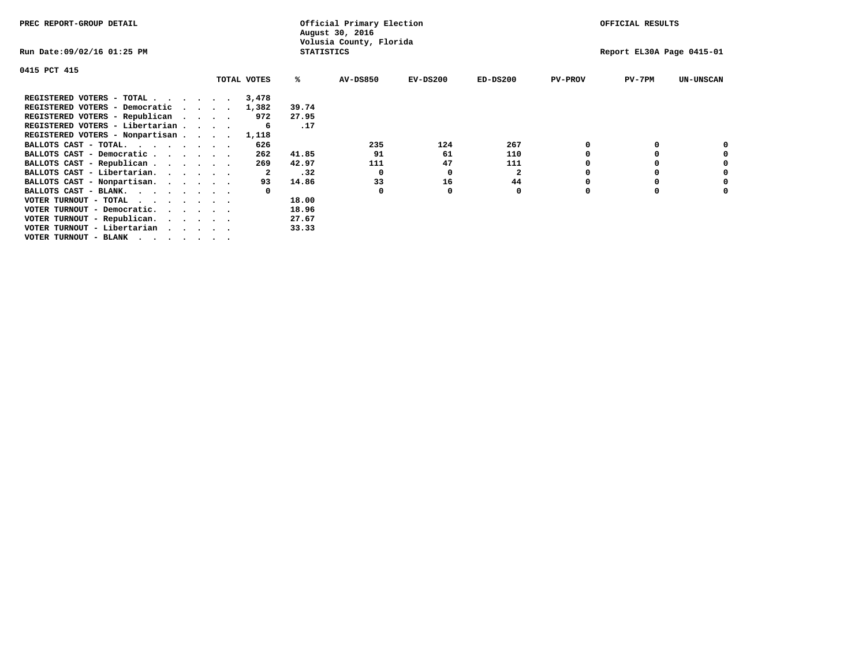| PREC REPORT-GROUP DETAIL        |                                              |       | Official Primary Election<br>August 30, 2016 |            |              |                | OFFICIAL RESULTS          |                  |  |  |
|---------------------------------|----------------------------------------------|-------|----------------------------------------------|------------|--------------|----------------|---------------------------|------------------|--|--|
| Run Date:09/02/16 01:25 PM      | Volusia County, Florida<br><b>STATISTICS</b> |       |                                              |            |              |                | Report EL30A Page 0415-01 |                  |  |  |
| 0415 PCT 415                    |                                              |       |                                              |            |              |                |                           |                  |  |  |
|                                 | TOTAL VOTES                                  | %ะ    | <b>AV-DS850</b>                              | $EV-DS200$ | $ED-DS200$   | <b>PV-PROV</b> | $PV-7PM$                  | <b>UN-UNSCAN</b> |  |  |
| REGISTERED VOTERS - TOTAL       | 3,478                                        |       |                                              |            |              |                |                           |                  |  |  |
| REGISTERED VOTERS - Democratic  | 1,382                                        | 39.74 |                                              |            |              |                |                           |                  |  |  |
| REGISTERED VOTERS - Republican  | 972                                          | 27.95 |                                              |            |              |                |                           |                  |  |  |
| REGISTERED VOTERS - Libertarian |                                              | .17   |                                              |            |              |                |                           |                  |  |  |
| REGISTERED VOTERS - Nonpartisan | 1,118                                        |       |                                              |            |              |                |                           |                  |  |  |
| BALLOTS CAST - TOTAL.           | 626                                          |       | 235                                          | 124        | 267          |                |                           |                  |  |  |
| BALLOTS CAST - Democratic       | 262                                          | 41.85 | 91                                           | 61         | 110          |                |                           |                  |  |  |
| BALLOTS CAST - Republican       | 269                                          | 42.97 | 111                                          | 47         | 111          |                |                           |                  |  |  |
| BALLOTS CAST - Libertarian.     | 2                                            | .32   | 0                                            | O          | $\mathbf{2}$ |                |                           |                  |  |  |
| BALLOTS CAST - Nonpartisan.     | 93                                           | 14.86 | 33                                           | 16         | 44           |                |                           | 0                |  |  |
| BALLOTS CAST - BLANK.           |                                              |       | $\Omega$                                     | O          | 0            | n              |                           |                  |  |  |
| VOTER TURNOUT - TOTAL           |                                              | 18.00 |                                              |            |              |                |                           |                  |  |  |
| VOTER TURNOUT - Democratic.     |                                              | 18.96 |                                              |            |              |                |                           |                  |  |  |
| VOTER TURNOUT - Republican.     |                                              | 27.67 |                                              |            |              |                |                           |                  |  |  |
| VOTER TURNOUT - Libertarian     |                                              | 33.33 |                                              |            |              |                |                           |                  |  |  |
| VOTER TURNOUT - BLANK           |                                              |       |                                              |            |              |                |                           |                  |  |  |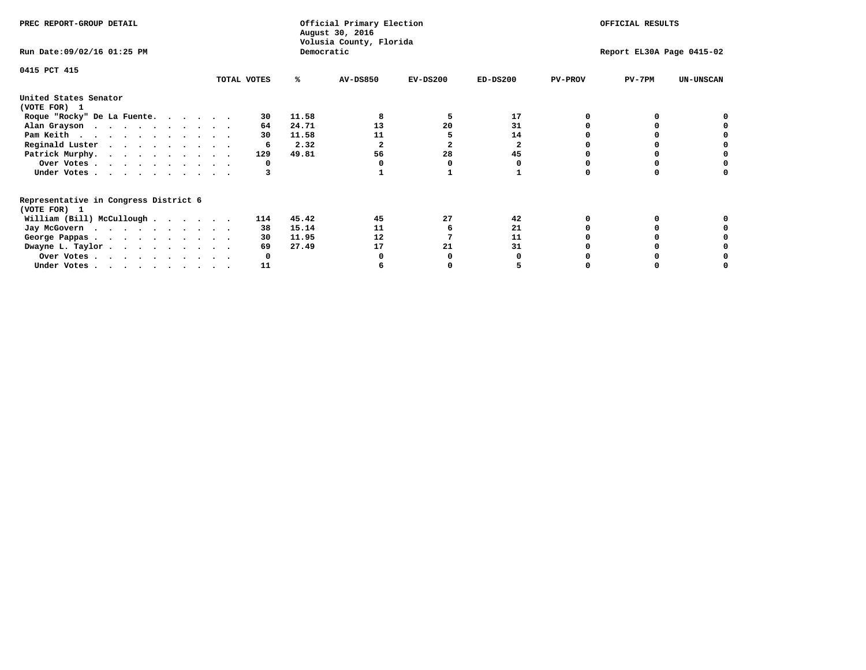| PREC REPORT-GROUP DETAIL                                               |             |            | Official Primary Election<br>August 30, 2016<br>Volusia County, Florida | OFFICIAL RESULTS |                           |                |          |                  |
|------------------------------------------------------------------------|-------------|------------|-------------------------------------------------------------------------|------------------|---------------------------|----------------|----------|------------------|
| Run Date: 09/02/16 01:25 PM                                            |             | Democratic |                                                                         |                  | Report EL30A Page 0415-02 |                |          |                  |
| 0415 PCT 415                                                           | TOTAL VOTES | ℁          | <b>AV-DS850</b>                                                         | $EV-DS200$       | $ED-DS200$                | <b>PV-PROV</b> | $PV-7PM$ | <b>UN-UNSCAN</b> |
|                                                                        |             |            |                                                                         |                  |                           |                |          |                  |
| United States Senator<br>(VOTE FOR) 1                                  |             |            |                                                                         |                  |                           |                |          |                  |
| Roque "Rocky" De La Fuente.                                            | 30          | 11.58      |                                                                         | 5                | 17                        |                |          |                  |
| Alan Grayson                                                           | 64          | 24.71      | 13                                                                      | 20               | 31                        |                |          |                  |
| Pam Keith                                                              | 30          | 11.58      | 11                                                                      |                  | 14                        |                |          |                  |
| Reginald Luster                                                        | 6           | 2.32       | 2                                                                       | $\overline{2}$   | 2                         |                |          |                  |
| Patrick Murphy.                                                        | 129         | 49.81      | 56                                                                      | 28               | 45                        |                |          |                  |
| Over Votes                                                             | 0           |            |                                                                         |                  |                           |                |          |                  |
| Under Votes                                                            |             |            |                                                                         |                  |                           |                |          |                  |
| Representative in Congress District 6                                  |             |            |                                                                         |                  |                           |                |          |                  |
| (VOTE FOR) 1                                                           |             |            |                                                                         |                  |                           |                |          |                  |
| William (Bill) McCullough                                              | 114         | 45.42      | 45                                                                      | 27               | 42                        |                |          |                  |
| Jay McGovern                                                           | 38          | 15.14      | 11                                                                      |                  | 21                        |                |          |                  |
| George Pappas.                                                         | 30          | 11.95      | 12                                                                      |                  | 11                        |                |          |                  |
| Dwayne L. Taylor                                                       | 69          | 27.49      | 17                                                                      | 21               | 31                        |                |          |                  |
| Over Votes                                                             |             |            |                                                                         |                  |                           |                |          |                  |
| Under Votes, $\cdot$ , $\cdot$ , $\cdot$ , $\cdot$ , $\cdot$ , $\cdot$ | 11          |            |                                                                         |                  |                           |                |          |                  |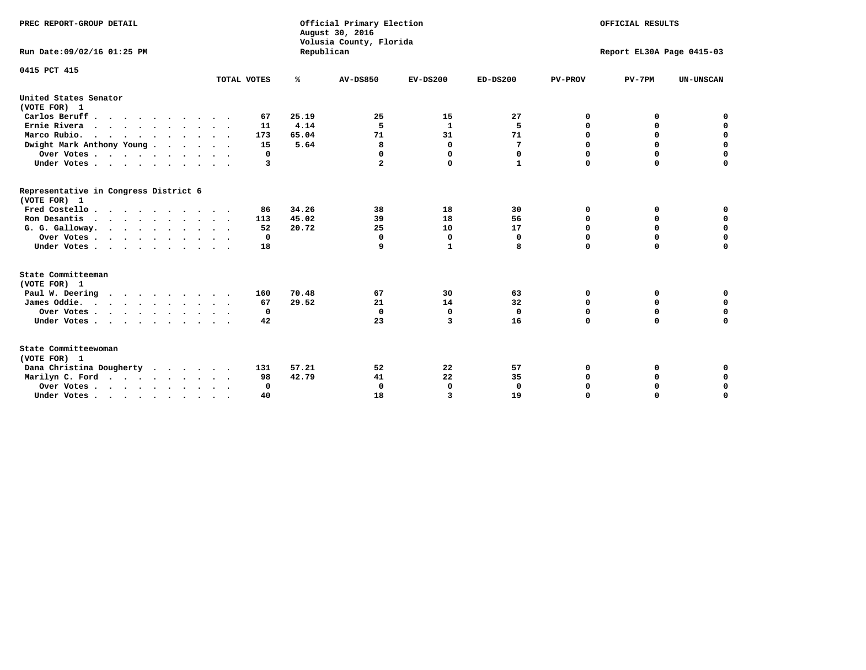| PREC REPORT-GROUP DETAIL<br>Run Date: 09/02/16 01:25 PM |             |            | Official Primary Election<br>August 30, 2016<br>Volusia County, Florida | OFFICIAL RESULTS<br>Report EL30A Page 0415-03 |              |                |             |                  |  |  |
|---------------------------------------------------------|-------------|------------|-------------------------------------------------------------------------|-----------------------------------------------|--------------|----------------|-------------|------------------|--|--|
|                                                         |             | Republican |                                                                         |                                               |              |                |             |                  |  |  |
| 0415 PCT 415                                            |             |            |                                                                         |                                               |              |                |             |                  |  |  |
|                                                         | TOTAL VOTES | ℁          | <b>AV-DS850</b>                                                         | $EV-DS200$                                    | $ED-DS200$   | <b>PV-PROV</b> | $PV-7PM$    | <b>UN-UNSCAN</b> |  |  |
| United States Senator<br>(VOTE FOR) 1                   |             |            |                                                                         |                                               |              |                |             |                  |  |  |
| Carlos Beruff                                           | 67          | 25.19      | 25                                                                      | 15                                            | 27           | 0              | 0           | 0                |  |  |
| Ernie Rivera                                            | 11          | 4.14       | 5                                                                       | $\mathbf{1}$                                  | 5            | $\Omega$       | 0           | $\mathbf 0$      |  |  |
| Marco Rubio.                                            | 173         | 65.04      | 71                                                                      | 31                                            | 71           | $\mathbf 0$    | $\mathbf 0$ | $\mathbf 0$      |  |  |
| Dwight Mark Anthony Young                               | 15          | 5.64       | 8                                                                       | $\mathbf 0$                                   | 7            | 0              | $\mathbf 0$ | $\pmb{0}$        |  |  |
| Over Votes                                              | 0           |            | 0                                                                       | $\Omega$                                      | 0            | 0              | 0           | 0                |  |  |
| Under Votes                                             | 3           |            | 2                                                                       | 0                                             | 1            | $\Omega$       | $\Omega$    | $\mathbf 0$      |  |  |
| Representative in Congress District 6<br>(VOTE FOR) 1   |             |            |                                                                         |                                               |              |                |             |                  |  |  |
| Fred Costello.                                          | 86          | 34.26      | 38                                                                      | 18                                            | 30           | 0              | 0           | 0                |  |  |
| Ron Desantis                                            | 113         | 45.02      | 39                                                                      | 18                                            | 56           | 0              | 0           | $\mathbf 0$      |  |  |
| G. G. Galloway.                                         | 52          | 20.72      | 25                                                                      | 10                                            | 17           | $\mathbf 0$    | $\Omega$    | $\mathbf 0$      |  |  |
| Over Votes                                              | $^{\circ}$  |            | $\mathbf{0}$                                                            | 0                                             | 0            | $\mathbf 0$    | $\mathbf 0$ | $\mathbf 0$      |  |  |
| Under Votes                                             | 18          |            | 9                                                                       | 1                                             | 8            | $\Omega$       | $\Omega$    | $\Omega$         |  |  |
| State Committeeman<br>(VOTE FOR) 1                      |             |            |                                                                         |                                               |              |                |             |                  |  |  |
| Paul W. Deering<br>$\cdots$                             | 160         | 70.48      | 67                                                                      | 30                                            | 63           | 0              | 0           | 0                |  |  |
| James Oddie.                                            | 67          | 29.52      | 21                                                                      | 14                                            | 32           | 0              | 0           | $\mathbf 0$      |  |  |
| Over Votes                                              | 0           |            | $\mathbf{0}$                                                            | 0                                             | $\mathbf 0$  | 0              | $\mathbf 0$ | $\mathbf 0$      |  |  |
| Under Votes                                             | 42          |            | 23                                                                      | 3                                             | 16           | $\Omega$       | 0           | $\mathbf 0$      |  |  |
| State Committeewoman<br>(VOTE FOR) 1                    |             |            |                                                                         |                                               |              |                |             |                  |  |  |
| Dana Christina Dougherty<br>.                           | 131         | 57.21      | 52                                                                      | 22                                            | 57           | 0              | 0           | 0                |  |  |
| Marilyn C. Ford                                         | 98          | 42.79      | 41                                                                      | 22                                            | 35           | 0              | 0           | 0                |  |  |
| Over Votes                                              | $\Omega$    |            | $\Omega$                                                                | 0                                             | $\mathbf{0}$ | 0              | 0           | $\mathbf 0$      |  |  |
| Under Votes, , , , , , , , , ,                          | 40          |            | 18                                                                      | 3                                             | 19           | $\Omega$       | $\Omega$    | $\Omega$         |  |  |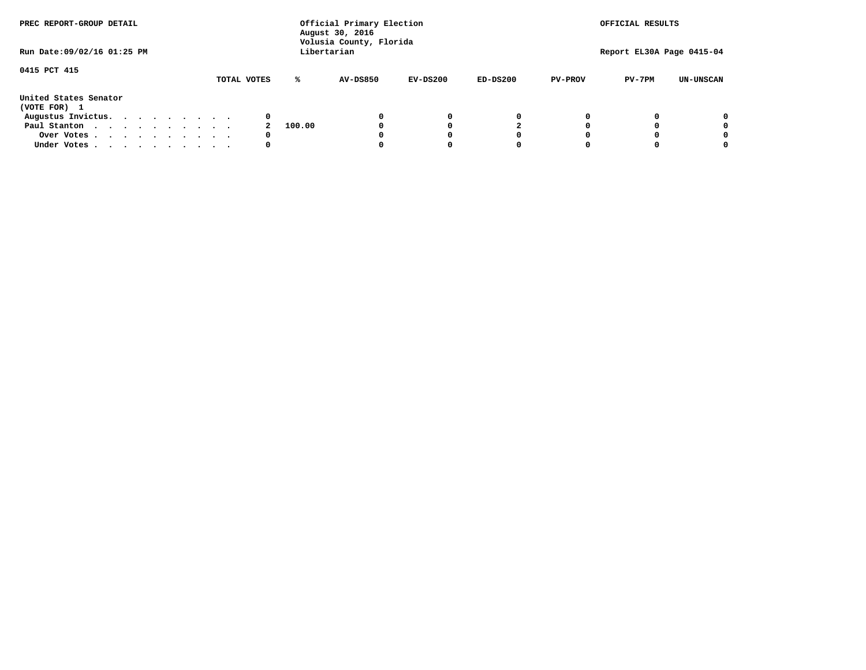| PREC REPORT-GROUP DETAIL<br>Run Date: 09/02/16 01:25 PM |  |  |  |  |  | Official Primary Election<br>August 30, 2016<br>Volusia County, Florida<br>Libertarian | OFFICIAL RESULTS<br>Report EL30A Page 0415-04 |                 |            |            |                |          |                  |
|---------------------------------------------------------|--|--|--|--|--|----------------------------------------------------------------------------------------|-----------------------------------------------|-----------------|------------|------------|----------------|----------|------------------|
|                                                         |  |  |  |  |  |                                                                                        |                                               |                 |            |            |                |          |                  |
| 0415 PCT 415                                            |  |  |  |  |  | TOTAL VOTES                                                                            | ℁                                             | <b>AV-DS850</b> | $EV-DS200$ | $ED-DS200$ | <b>PV-PROV</b> | $PV-7PM$ | <b>UN-UNSCAN</b> |
| United States Senator<br>(VOTE FOR) 1                   |  |  |  |  |  |                                                                                        |                                               |                 |            |            |                |          |                  |
| Augustus Invictus.                                      |  |  |  |  |  | 0                                                                                      |                                               |                 | 0          | 0          |                |          | 0                |
| Paul Stanton                                            |  |  |  |  |  |                                                                                        | 100.00                                        |                 |            |            |                |          | 0                |
| Over Votes                                              |  |  |  |  |  | 0                                                                                      |                                               |                 |            | O          |                |          | 0                |
| Under Votes                                             |  |  |  |  |  | 0                                                                                      |                                               |                 |            |            |                |          |                  |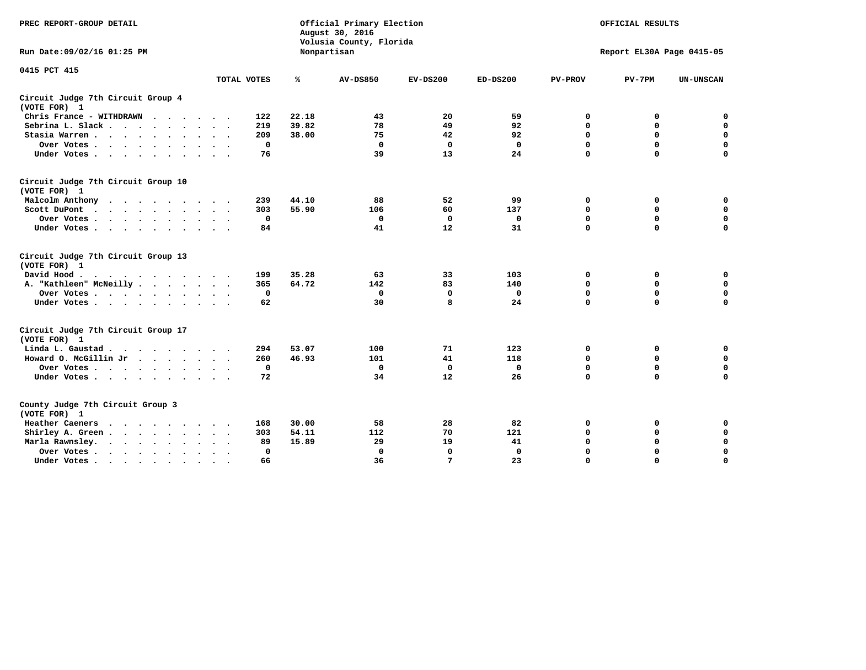| PREC REPORT-GROUP DETAIL                                         |             |              | Official Primary Election<br>August 30, 2016<br>Volusia County, Florida | OFFICIAL RESULTS |             |                |                           |                  |
|------------------------------------------------------------------|-------------|--------------|-------------------------------------------------------------------------|------------------|-------------|----------------|---------------------------|------------------|
| Run Date: 09/02/16 01:25 PM                                      |             |              | Nonpartisan                                                             |                  |             |                | Report EL30A Page 0415-05 |                  |
| 0415 PCT 415                                                     | TOTAL VOTES | ℁            | <b>AV-DS850</b>                                                         | $EV-DS200$       | $ED-DS200$  | <b>PV-PROV</b> | $PV-7PM$                  | <b>UN-UNSCAN</b> |
| Circuit Judge 7th Circuit Group 4                                |             |              |                                                                         |                  |             |                |                           |                  |
| (VOTE FOR) 1                                                     |             |              |                                                                         |                  |             |                |                           |                  |
| Chris France - WITHDRAWN                                         |             | 22.18<br>122 | 43                                                                      | 20               | 59          | 0              | 0                         | $\mathbf 0$      |
| Sebrina L. Slack                                                 |             | 219<br>39.82 | 78                                                                      | 49               | 92          | $\mathbf 0$    | $\mathbf 0$               | $\mathbf 0$      |
| Stasia Warren                                                    |             | 38.00<br>209 | 75                                                                      | 42               | 92          | 0              | $\mathbf 0$               | $\mathbf 0$      |
| Over Votes                                                       |             | $\mathbf 0$  | $\mathbf 0$                                                             | $\mathbf 0$      | $\mathbf 0$ | 0              | $\mathbf 0$               | $\pmb{0}$        |
| Under Votes                                                      |             | 76           | 39                                                                      | 13               | 24          | $\mathbf 0$    | $\mathbf 0$               | $\mathbf 0$      |
| Circuit Judge 7th Circuit Group 10<br>(VOTE FOR) 1               |             |              |                                                                         |                  |             |                |                           |                  |
| Malcolm Anthony                                                  |             | 44.10<br>239 | 88                                                                      | 52               | 99          | 0              | 0                         | 0                |
| Scott DuPont<br>$\sim$<br>$\ddot{\phantom{0}}$                   |             | 55.90<br>303 | 106                                                                     | 60               | 137         | 0              | $\mathbf 0$               | 0                |
| Over Votes<br>$\ddot{\phantom{0}}$<br>$\ddot{\phantom{1}}$       |             | 0            | 0                                                                       | $\mathbf 0$      | 0           | 0              | $\mathbf 0$               | $\mathbf 0$      |
| Under Votes                                                      |             | 84           | 41                                                                      | 12               | 31          | $\mathbf 0$    | $\mathbf 0$               | $\mathbf 0$      |
| Circuit Judge 7th Circuit Group 13<br>(VOTE FOR) 1               |             |              |                                                                         |                  |             |                |                           |                  |
| David Hood.                                                      |             | 35.28<br>199 | 63                                                                      | 33               | 103         | 0              | 0                         | 0                |
| A. "Kathleen" McNeilly                                           |             | 365<br>64.72 | 142                                                                     | 83               | 140         | $\mathbf 0$    | $\mathbf 0$               | $\mathbf 0$      |
| Over Votes                                                       |             | $\mathbf 0$  | $\Omega$                                                                | 0                | 0           | $\mathbf 0$    | 0                         | $\mathbf 0$      |
| Under Votes                                                      |             | 62           | 30                                                                      | 8                | 24          | $\mathbf 0$    | $\Omega$                  | $\mathbf 0$      |
| Circuit Judge 7th Circuit Group 17<br>(VOTE FOR) 1               |             |              |                                                                         |                  |             |                |                           |                  |
| Linda L. Gaustad                                                 |             | 53.07<br>294 | 100                                                                     | 71               | 123         | 0              | 0                         | $\mathbf 0$      |
| Howard O. McGillin Jr<br>$\cdots$                                |             | 46.93<br>260 | 101                                                                     | 41               | 118         | 0              | 0                         | 0                |
| Over Votes                                                       |             | $\Omega$     | $\Omega$                                                                | 0                | 0           | $\mathbf 0$    | $\mathbf{0}$              | $\mathbf 0$      |
| Under Votes                                                      |             | 72           | 34                                                                      | 12               | 26          | $\mathbf 0$    | $\mathbf 0$               | $\Omega$         |
| County Judge 7th Circuit Group 3<br>(VOTE FOR) 1                 |             |              |                                                                         |                  |             |                |                           |                  |
| Heather Caeners<br>$\cdots$<br>$\sim$                            |             | 168<br>30.00 | 58                                                                      | 28               | 82          | 0              | 0                         | 0                |
| Shirley A. Green<br>$\ddot{\phantom{0}}$<br>$\ddot{\phantom{a}}$ |             | 303<br>54.11 | 112                                                                     | 70               | 121         | $\mathbf 0$    | 0                         | $\mathbf 0$      |
| Marla Rawnsley.<br>$\cdots$                                      |             | 15.89<br>89  | 29                                                                      | 19               | 41          | $\mathbf 0$    | $\mathbf 0$               | $\mathbf 0$      |
| Over Votes                                                       |             | 0            | $\Omega$                                                                | $\mathbf 0$      | $\mathbf 0$ | $\mathbf 0$    | $\mathbf 0$               | $\mathbf 0$      |
| Under Votes                                                      |             | 66           | 36                                                                      | $7\phantom{.0}$  | 23          | 0              | $\Omega$                  | $\mathbf 0$      |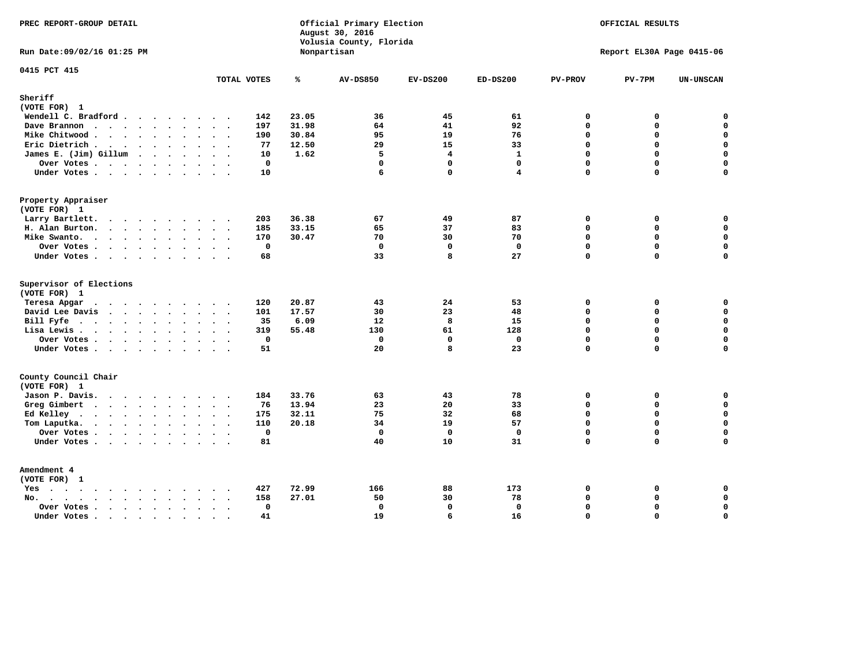| PREC REPORT-GROUP DETAIL                                           |                                                    |               | Official Primary Election<br>August 30, 2016<br>Volusia County, Florida | OFFICIAL RESULTS<br>Report EL30A Page 0415-06 |              |                         |          |                            |
|--------------------------------------------------------------------|----------------------------------------------------|---------------|-------------------------------------------------------------------------|-----------------------------------------------|--------------|-------------------------|----------|----------------------------|
| Run Date: 09/02/16 01:25 PM                                        |                                                    |               | Nonpartisan                                                             |                                               |              |                         |          |                            |
| 0415 PCT 415                                                       | TOTAL VOTES                                        | ℁             | <b>AV-DS850</b>                                                         | $EV-DS200$                                    | $ED-DS200$   | <b>PV-PROV</b>          | $PV-7PM$ | <b>UN-UNSCAN</b>           |
| Sheriff<br>(VOTE FOR) 1                                            |                                                    |               |                                                                         |                                               |              |                         |          |                            |
| Wendell C. Bradford                                                | 142                                                | 23.05         | 36                                                                      | 45                                            | 61           | $\mathbf 0$             | 0        | $\mathbf 0$                |
| Dave Brannon                                                       | 197                                                | 31.98         | 64                                                                      | 41                                            | 92           | $\mathbf 0$             | 0        | $\mathbf 0$                |
| Mike Chitwood                                                      | 190                                                | 30.84         | 95                                                                      | 19                                            | 76           | $\Omega$                | 0        | $\pmb{0}$                  |
| Eric Dietrich.                                                     | 77                                                 | 12.50         | 29                                                                      | 15                                            | 33           | $\mathbf 0$             | 0        | $\mathbf 0$                |
| James E. (Jim) Gillum                                              | 10                                                 | 1.62          | 5                                                                       | $\overline{\mathbf{4}}$                       | $\mathbf{1}$ | $\Omega$                | 0        | $\mathbf 0$                |
| Over Votes                                                         | $\mathbf 0$                                        |               | $\mathbf{0}$                                                            | $\mathbf 0$                                   | $\mathbf 0$  | $\Omega$                | 0        | $\mathbf 0$                |
| Under Votes                                                        | 10                                                 |               | 6                                                                       | $\mathbf{0}$                                  | 4            | $\Omega$                | 0        | $\mathbf 0$                |
| Property Appraiser                                                 |                                                    |               |                                                                         |                                               |              |                         |          |                            |
| (VOTE FOR) 1                                                       |                                                    |               |                                                                         |                                               |              |                         |          |                            |
| Larry Bartlett.                                                    | 203                                                | 36.38         | 67                                                                      | 49                                            | 87           | 0                       | 0        | 0                          |
| H. Alan Burton.                                                    | 185                                                | 33.15         | 65                                                                      | 37                                            | 83           | $\mathbf 0$             | 0        | $\mathbf 0$                |
| Mike Swanto.                                                       | 170                                                | 30.47         | 70                                                                      | 30                                            | 70           | $\Omega$                | $\Omega$ | 0                          |
| Over Votes                                                         | $\mathbf 0$                                        |               | $\mathbf 0$                                                             | $\mathbf 0$                                   | $\mathbf 0$  | $\mathbf 0$             | 0        | $\mathbf 0$                |
| Under Votes                                                        | 68                                                 |               | 33                                                                      | 8                                             | 27           | $\Omega$                | $\Omega$ | 0                          |
| Supervisor of Elections                                            |                                                    |               |                                                                         |                                               |              |                         |          |                            |
| (VOTE FOR) 1                                                       |                                                    |               |                                                                         |                                               |              |                         |          |                            |
| Teresa Apgar<br>$\mathbf{r}$ . The state of the state $\mathbf{r}$ | 120                                                | 20.87         | 43                                                                      | 24                                            | 53           | 0                       | 0        | $\mathbf 0$                |
| David Lee Davis                                                    | 101<br>35                                          | 17.57<br>6.09 | 30<br>$12 \overline{ }$                                                 | 23<br>8                                       | 48<br>15     | $\Omega$<br>$\mathbf 0$ | 0<br>0   | $\mathbf 0$<br>$\mathbf 0$ |
| Bill Fyfe.                                                         | 319                                                | 55.48         | 130                                                                     | 61                                            | 128          | $\mathbf 0$             | 0        | $\mathbf 0$                |
| Lisa Lewis                                                         | $\mathbf 0$                                        |               | $\mathbf 0$                                                             | $\mathbf{0}$                                  | $\mathbf 0$  | $\Omega$                | 0        | $\mathbf 0$                |
| Over Votes<br>Under Votes                                          | 51                                                 |               | 20                                                                      | 8                                             | 23           | $\mathbf 0$             | 0        | 0                          |
|                                                                    |                                                    |               |                                                                         |                                               |              |                         |          |                            |
| County Council Chair<br>(VOTE FOR) 1                               |                                                    |               |                                                                         |                                               |              |                         |          |                            |
| Jason P. Davis.                                                    | 184<br>$\cdots$                                    | 33.76         | 63                                                                      | 43                                            | 78           | $\mathbf 0$             | 0        | 0                          |
| Greg Gimbert                                                       | 76                                                 | 13.94         | 23                                                                      | 20                                            | 33           | $\mathbf 0$             | 0        | $\mathbf 0$                |
| Ed Kelley                                                          | 175                                                | 32.11         | 75                                                                      | 32                                            | 68           | $\mathbf 0$             | 0        | $\mathbf 0$                |
| Tom Laputka.<br>$\cdots$                                           | 110                                                | 20.18         | 34                                                                      | 19                                            | 57           | $\mathbf 0$             | 0        | $\mathbf 0$                |
| Over Votes                                                         | $\mathbf 0$                                        |               | $\mathbf 0$                                                             | $\mathbf 0$                                   | $\mathbf{0}$ | $\mathbf 0$             | 0        | 0                          |
| Under Votes                                                        | 81                                                 |               | 40                                                                      | 10                                            | 31           | $\Omega$                | $\Omega$ | $\Omega$                   |
| Amendment 4                                                        |                                                    |               |                                                                         |                                               |              |                         |          |                            |
| (VOTE FOR) 1                                                       |                                                    |               |                                                                         |                                               |              |                         |          |                            |
| $Yes \cdot \cdot \cdot \cdot \cdot \cdot \cdot \cdot \cdot$        | 427                                                | 72.99         | 166                                                                     | 88                                            | 173          | 0                       | 0        | 0                          |
| No.<br>$\ddot{\phantom{a}}$                                        | 158<br>$\sim$ $\sim$                               | 27.01         | 50                                                                      | 30                                            | 78           | $\Omega$                | 0        | 0                          |
| Over Votes                                                         | $\mathbf 0$<br>$\bullet$ .<br><br><br><br><br><br> |               | $\mathbf 0$                                                             | $\mathbf{0}$                                  | $\Omega$     | $\Omega$                | 0        | $\pmb{0}$                  |
| Under Votes<br>$\sim$                                              | 41<br>$\cdot$ .<br>$\sim$                          |               | 19                                                                      | 6                                             | 16           | $\Omega$                | $\Omega$ | 0                          |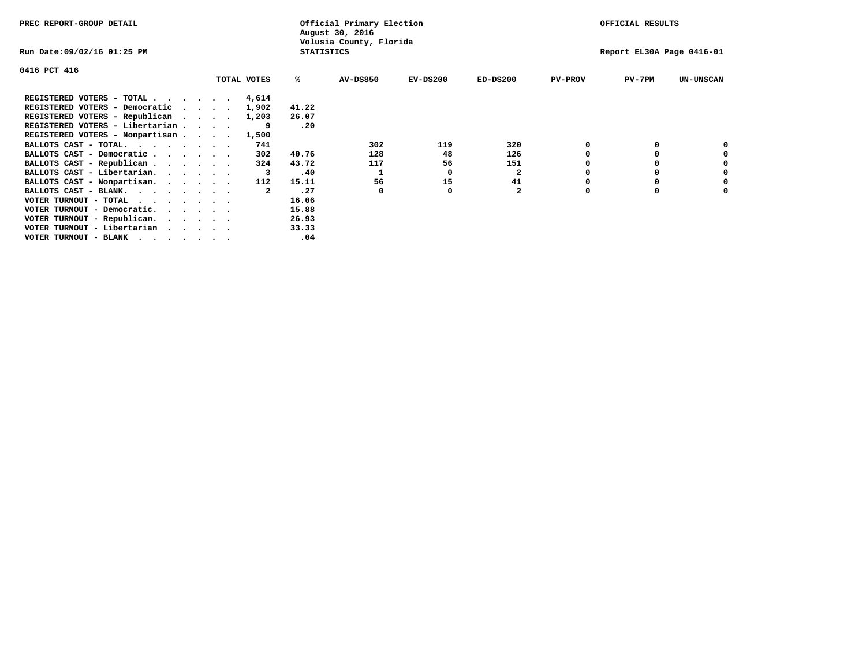| PREC REPORT-GROUP DETAIL                                                                                                                 |                                 |             |                   | Official Primary Election<br>August 30, 2016 |            |                |                | OFFICIAL RESULTS          |                  |
|------------------------------------------------------------------------------------------------------------------------------------------|---------------------------------|-------------|-------------------|----------------------------------------------|------------|----------------|----------------|---------------------------|------------------|
| Run Date:09/02/16 01:25 PM                                                                                                               |                                 |             | <b>STATISTICS</b> | Volusia County, Florida                      |            |                |                | Report EL30A Page 0416-01 |                  |
| 0416 PCT 416                                                                                                                             |                                 |             |                   |                                              |            |                |                |                           |                  |
|                                                                                                                                          |                                 | TOTAL VOTES | ℁                 | <b>AV-DS850</b>                              | $EV-DS200$ | $ED-DS200$     | <b>PV-PROV</b> | $PV-7PM$                  | <b>UN-UNSCAN</b> |
| REGISTERED VOTERS - TOTAL                                                                                                                |                                 | 4,614       |                   |                                              |            |                |                |                           |                  |
| REGISTERED VOTERS - Democratic                                                                                                           | $\cdot$ $\cdot$ $\cdot$ $\cdot$ | 1,902       | 41.22             |                                              |            |                |                |                           |                  |
| REGISTERED VOTERS - Republican                                                                                                           |                                 | 1,203       | 26.07             |                                              |            |                |                |                           |                  |
| REGISTERED VOTERS - Libertarian                                                                                                          |                                 |             | .20               |                                              |            |                |                |                           |                  |
| REGISTERED VOTERS - Nonpartisan                                                                                                          |                                 | 1,500       |                   |                                              |            |                |                |                           |                  |
| BALLOTS CAST - TOTAL.                                                                                                                    |                                 | 741         |                   | 302                                          | 119        | 320            |                |                           |                  |
| BALLOTS CAST - Democratic                                                                                                                |                                 | 302         | 40.76             | 128                                          | 48         | 126            |                |                           |                  |
| BALLOTS CAST - Republican                                                                                                                |                                 | 324         | 43.72             | 117                                          | 56         | 151            |                |                           |                  |
| BALLOTS CAST - Libertarian.                                                                                                              |                                 | 3           | .40               |                                              | O          | $\mathbf{2}$   |                |                           |                  |
| BALLOTS CAST - Nonpartisan.                                                                                                              |                                 | 112         | 15.11             | 56                                           | 15         | 41             |                |                           | 0                |
| BALLOTS CAST - BLANK.                                                                                                                    |                                 | 2           | .27               | 0                                            | O          | $\overline{a}$ | O              | $\Omega$                  |                  |
| VOTER TURNOUT - TOTAL<br>the contract of the contract of the contract of the contract of the contract of the contract of the contract of |                                 |             | 16.06             |                                              |            |                |                |                           |                  |
| VOTER TURNOUT - Democratic.                                                                                                              |                                 |             | 15.88             |                                              |            |                |                |                           |                  |
| VOTER TURNOUT - Republican.                                                                                                              |                                 |             | 26.93             |                                              |            |                |                |                           |                  |
| VOTER TURNOUT - Libertarian                                                                                                              |                                 |             | 33.33             |                                              |            |                |                |                           |                  |
| VOTER TURNOUT - BLANK                                                                                                                    |                                 |             | .04               |                                              |            |                |                |                           |                  |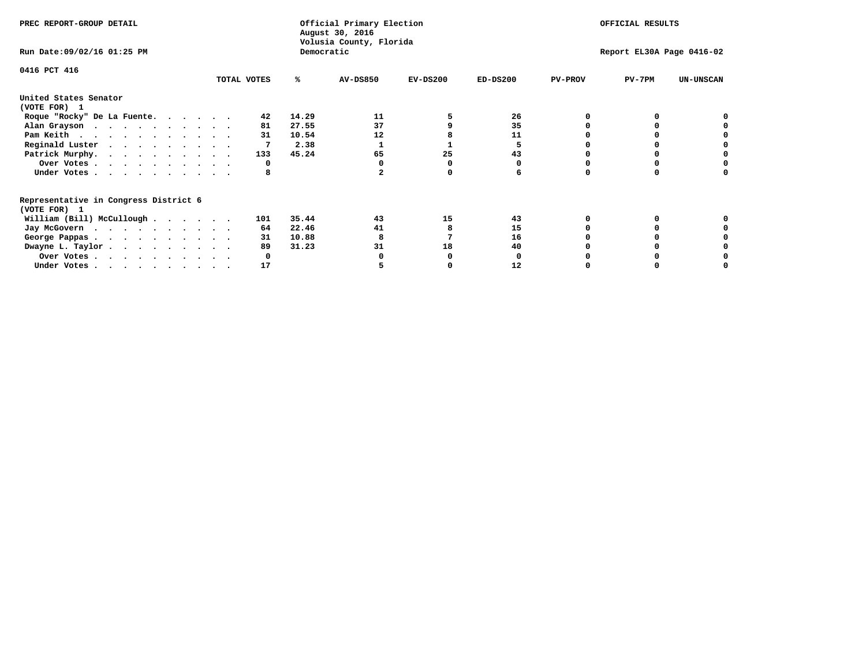| PREC REPORT-GROUP DETAIL                                               |             |            | Official Primary Election<br>August 30, 2016<br>Volusia County, Florida | OFFICIAL RESULTS |                           |                |          |                  |
|------------------------------------------------------------------------|-------------|------------|-------------------------------------------------------------------------|------------------|---------------------------|----------------|----------|------------------|
| Run Date: 09/02/16 01:25 PM                                            |             | Democratic |                                                                         |                  | Report EL30A Page 0416-02 |                |          |                  |
| 0416 PCT 416                                                           | TOTAL VOTES | ℁          | <b>AV-DS850</b>                                                         | $EV-DS200$       | $ED-DS200$                | <b>PV-PROV</b> | $PV-7PM$ | <b>UN-UNSCAN</b> |
|                                                                        |             |            |                                                                         |                  |                           |                |          |                  |
| United States Senator<br>(VOTE FOR) 1                                  |             |            |                                                                         |                  |                           |                |          |                  |
| Roque "Rocky" De La Fuente.                                            | 42          | 14.29      | 11                                                                      |                  | 26                        |                |          |                  |
| Alan Grayson                                                           | 81          | 27.55      | 37                                                                      |                  | 35                        |                |          |                  |
| Pam Keith                                                              | 31          | 10.54      | 12                                                                      |                  | 11                        |                |          |                  |
| Reginald Luster                                                        |             | 2.38       |                                                                         |                  | 5                         |                |          |                  |
| Patrick Murphy.                                                        | 133         | 45.24      | 65                                                                      | 25               | 43                        |                |          |                  |
| Over Votes                                                             | 0           |            |                                                                         |                  |                           |                |          |                  |
| Under Votes                                                            | 8           |            |                                                                         |                  |                           |                |          |                  |
| Representative in Congress District 6                                  |             |            |                                                                         |                  |                           |                |          |                  |
| (VOTE FOR) 1                                                           |             |            |                                                                         |                  |                           |                |          |                  |
| William (Bill) McCullough                                              | 101         | 35.44      | 43                                                                      | 15               | 43                        |                |          |                  |
| Jay McGovern                                                           | 64          | 22.46      | 41                                                                      |                  | 15                        |                |          |                  |
| George Pappas.                                                         | 31          | 10.88      |                                                                         |                  | 16                        |                |          |                  |
| Dwayne L. Taylor                                                       | 89          | 31.23      | 31                                                                      | 18               | 40                        |                |          |                  |
| Over Votes                                                             |             |            |                                                                         |                  |                           |                |          |                  |
| Under Votes, $\cdot$ , $\cdot$ , $\cdot$ , $\cdot$ , $\cdot$ , $\cdot$ | 17          |            |                                                                         |                  | 12                        |                |          |                  |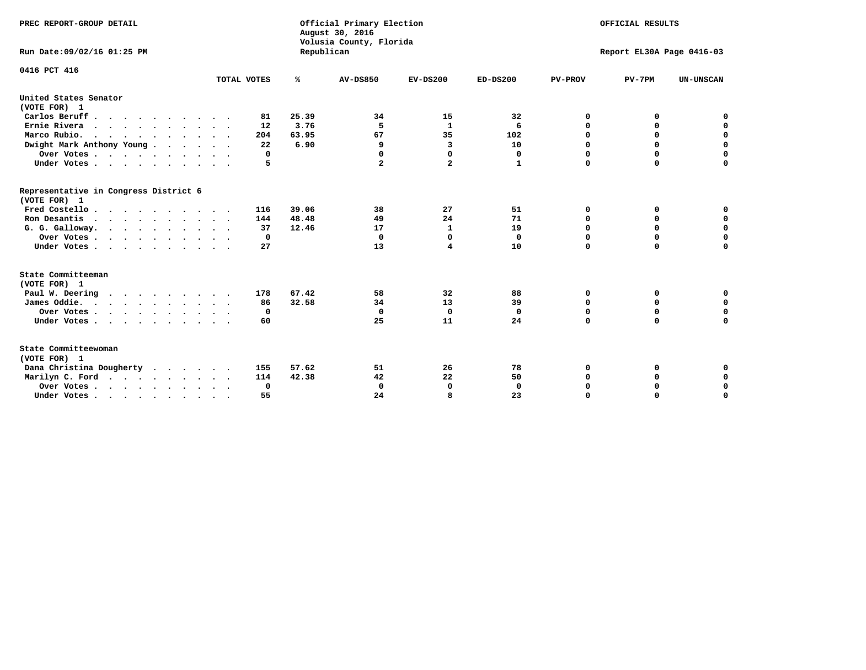| PREC REPORT-GROUP DETAIL<br>Run Date: 09/02/16 01:25 PM |             | Republican | Official Primary Election<br>August 30, 2016<br>Volusia County, Florida | OFFICIAL RESULTS<br>Report EL30A Page 0416-03 |              |                |             |                  |
|---------------------------------------------------------|-------------|------------|-------------------------------------------------------------------------|-----------------------------------------------|--------------|----------------|-------------|------------------|
| 0416 PCT 416                                            |             |            |                                                                         |                                               |              |                |             |                  |
|                                                         | TOTAL VOTES | %          | <b>AV-DS850</b>                                                         | $EV-DS200$                                    | $ED-DS200$   | <b>PV-PROV</b> | $PV-7PM$    | <b>UN-UNSCAN</b> |
| United States Senator<br>(VOTE FOR) 1                   |             |            |                                                                         |                                               |              |                |             |                  |
| Carlos Beruff.                                          | 81          | 25.39      | 34                                                                      | 15                                            | 32           | 0              | 0           | 0                |
| Ernie Rivera                                            | 12          | 3.76       | 5                                                                       | $\mathbf{1}$                                  | 6            | 0              | 0           | $\mathbf 0$      |
| Marco Rubio.                                            | 204         | 63.95      | 67                                                                      | 35                                            | 102          | $\mathbf 0$    | $\mathbf 0$ | $\mathbf 0$      |
| Dwight Mark Anthony Young                               | 22          | 6.90       | 9                                                                       | 3                                             | 10           | 0              | $\mathbf 0$ | $\pmb{0}$        |
| Over Votes                                              | 0           |            | 0                                                                       | $\Omega$                                      | 0            | $\mathbf 0$    | 0           | 0                |
| Under Votes                                             | 5           |            | $\mathbf{2}$                                                            | $\overline{a}$                                | 1            | $\mathbf 0$    | $\Omega$    | $\mathbf 0$      |
| Representative in Congress District 6<br>(VOTE FOR) 1   |             |            |                                                                         |                                               |              |                |             |                  |
| Fred Costello                                           | 116         | 39.06      | 38                                                                      | 27                                            | 51           | 0              | 0           | 0                |
| Ron Desantis                                            | 144         | 48.48      | 49                                                                      | 24                                            | 71           | 0              | 0           | $\mathbf 0$      |
| G. G. Galloway.                                         | 37          | 12.46      | 17                                                                      | $\mathbf{1}$                                  | 19           | $\mathbf 0$    | $\Omega$    | $\mathbf 0$      |
| Over Votes                                              | $^{\circ}$  |            | $\Omega$                                                                | 0                                             | 0            | $\mathbf 0$    | $\mathbf 0$ | $\mathbf 0$      |
| Under Votes                                             | 27          |            | 13                                                                      | 4                                             | 10           | $\mathbf 0$    | $\Omega$    | $\mathbf 0$      |
| State Committeeman                                      |             |            |                                                                         |                                               |              |                |             |                  |
| (VOTE FOR) 1                                            |             |            |                                                                         |                                               |              |                |             |                  |
| Paul W. Deering                                         | 178         | 67.42      | 58                                                                      | 32                                            | 88           | 0              | 0           | 0                |
| James Oddie.                                            | 86          | 32.58      | 34                                                                      | 13                                            | 39           | 0              | 0           | $\mathbf 0$      |
| Over Votes                                              | 0           |            | $\mathbf 0$                                                             | $\mathbf 0$                                   | $\mathbf 0$  | 0              | $\mathbf 0$ | $\mathbf 0$      |
| Under Votes                                             | 60          |            | 25                                                                      | 11                                            | 24           | $\mathbf 0$    | 0           | $\mathbf 0$      |
| State Committeewoman<br>(VOTE FOR) 1                    |             |            |                                                                         |                                               |              |                |             |                  |
| Dana Christina Dougherty<br>$\cdot$                     | 155         | 57.62      | 51                                                                      | 26                                            | 78           | 0              | 0           | 0                |
| Marilyn C. Ford                                         | 114         | 42.38      | 42                                                                      | 22                                            | 50           | 0              | 0           | 0                |
| Over Votes                                              | 0           |            | 0                                                                       | 0                                             | $\mathbf{0}$ | 0              | 0           | $\mathbf 0$      |
| Under Votes, , , , , , , , , ,                          | 55          |            | 24                                                                      | R                                             | 23           | $\Omega$       | $\Omega$    | $\Omega$         |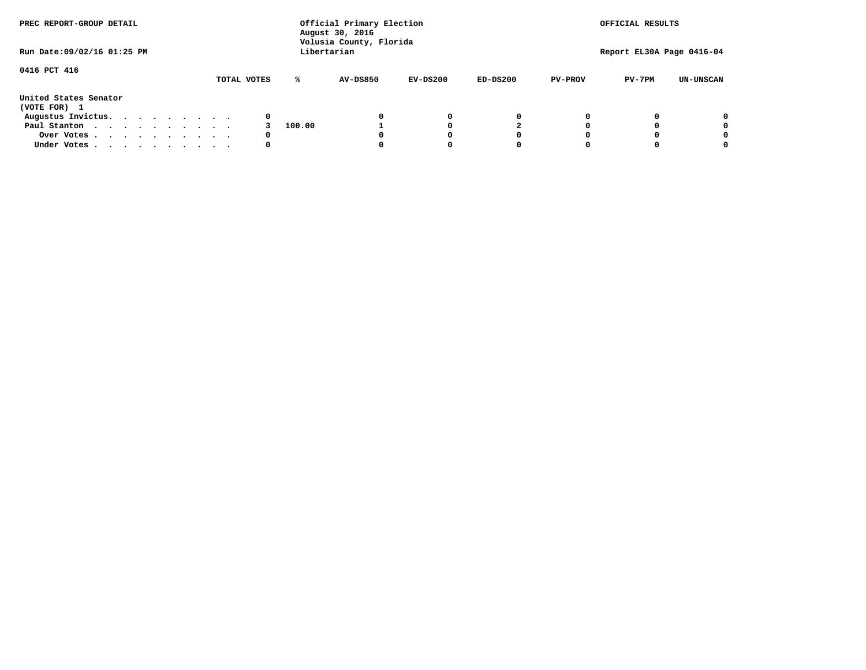| PREC REPORT-GROUP DETAIL<br>Run Date: 09/02/16 01:25 PM |  |  |  |  |  | Official Primary Election<br>August 30, 2016<br>Volusia County, Florida | OFFICIAL RESULTS<br>Report EL30A Page 0416-04 |        |                 |            |            |                |          |                  |
|---------------------------------------------------------|--|--|--|--|--|-------------------------------------------------------------------------|-----------------------------------------------|--------|-----------------|------------|------------|----------------|----------|------------------|
|                                                         |  |  |  |  |  |                                                                         |                                               |        | Libertarian     |            |            |                |          |                  |
| 0416 PCT 416                                            |  |  |  |  |  |                                                                         | TOTAL VOTES                                   | ℁      | <b>AV-DS850</b> | $EV-DS200$ | $ED-DS200$ | <b>PV-PROV</b> | $PV-7PM$ | <b>UN-UNSCAN</b> |
| United States Senator<br>(VOTE FOR) 1                   |  |  |  |  |  |                                                                         |                                               |        |                 |            |            |                |          |                  |
| Augustus Invictus.                                      |  |  |  |  |  |                                                                         | 0                                             |        |                 | 0          | 0          |                |          | 0                |
| Paul Stanton                                            |  |  |  |  |  |                                                                         |                                               | 100.00 |                 |            |            |                |          | 0                |
| Over Votes                                              |  |  |  |  |  |                                                                         | 0                                             |        |                 |            | 0          |                |          | 0                |
| Under Votes                                             |  |  |  |  |  |                                                                         | 0                                             |        |                 |            | 0          |                |          | 0                |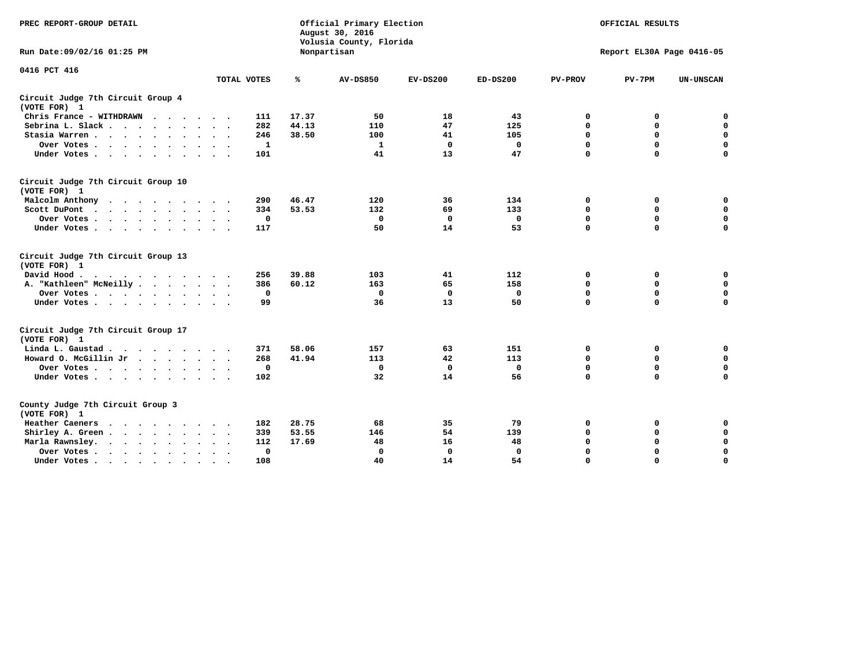| PREC REPORT-GROUP DETAIL                                                                                                           |             |       | Official Primary Election<br>August 30, 2016<br>Volusia County, Florida | OFFICIAL RESULTS<br>Report EL30A Page 0416-05 |             |                |             |                  |
|------------------------------------------------------------------------------------------------------------------------------------|-------------|-------|-------------------------------------------------------------------------|-----------------------------------------------|-------------|----------------|-------------|------------------|
| Run Date: 09/02/16 01:25 PM                                                                                                        |             |       | Nonpartisan                                                             |                                               |             |                |             |                  |
| 0416 PCT 416                                                                                                                       | TOTAL VOTES | ℁     | <b>AV-DS850</b>                                                         | $EV-DS200$                                    | $ED-DS200$  | <b>PV-PROV</b> | $PV-7PM$    | <b>UN-UNSCAN</b> |
|                                                                                                                                    |             |       |                                                                         |                                               |             |                |             |                  |
| Circuit Judge 7th Circuit Group 4<br>(VOTE FOR) 1                                                                                  |             |       |                                                                         |                                               |             |                |             |                  |
| Chris France - WITHDRAWN<br>$\cdots$                                                                                               | 111         | 17.37 | 50                                                                      | 18                                            | 43          | 0              | 0           | 0                |
| Sebrina L. Slack                                                                                                                   | 282         | 44.13 | 110                                                                     | 47                                            | 125         | $\mathbf 0$    | $\mathbf 0$ | $\mathbf 0$      |
| Stasia Warren<br>$\sim$ $\sim$                                                                                                     | 246         | 38.50 | 100                                                                     | 41                                            | 105         | $\mathbf 0$    | 0           | $\mathbf 0$      |
| Over Votes                                                                                                                         | 1           |       | $\mathbf{1}$                                                            | 0                                             | 0           | 0              | $\mathbf 0$ | $\mathbf 0$      |
| Under Votes                                                                                                                        | 101         |       | 41                                                                      | 13                                            | 47          | $\mathbf 0$    | $\Omega$    | $\mathbf 0$      |
| Circuit Judge 7th Circuit Group 10<br>(VOTE FOR) 1                                                                                 |             |       |                                                                         |                                               |             |                |             |                  |
| Malcolm Anthony<br>.                                                                                                               | 290         | 46.47 | 120                                                                     | 36                                            | 134         | 0              | 0           | $\mathbf 0$      |
| Scott DuPont                                                                                                                       | 334         | 53.53 | 132                                                                     | 69                                            | 133         | 0              | $\mathbf 0$ | $\mathbf 0$      |
| Over Votes                                                                                                                         | $\mathbf 0$ |       | $\mathbf{0}$                                                            | 0                                             | 0           | $\mathbf 0$    | $\mathbf 0$ | $\mathbf 0$      |
| Under Votes                                                                                                                        | 117         |       | 50                                                                      | 14                                            | 53          | $\mathbf 0$    | $\mathbf 0$ | $\Omega$         |
| Circuit Judge 7th Circuit Group 13<br>(VOTE FOR) 1                                                                                 |             |       |                                                                         |                                               |             |                |             |                  |
| David Hood.                                                                                                                        | 256         | 39.88 | 103                                                                     | 41                                            | 112         | 0              | 0           | $\mathbf 0$      |
| A. "Kathleen" McNeilly                                                                                                             | 386         | 60.12 | 163                                                                     | 65                                            | 158         | $\mathbf 0$    | $\mathbf 0$ | $\mathbf 0$      |
| Over Votes                                                                                                                         | $\mathbf 0$ |       | $\mathbf 0$                                                             | $\mathbf 0$                                   | 0           | $\mathbf 0$    | $\mathbf 0$ | $\mathbf 0$      |
| Under Votes                                                                                                                        | 99          |       | 36                                                                      | 13                                            | 50          | $\mathbf 0$    | $\Omega$    | $\mathbf 0$      |
| Circuit Judge 7th Circuit Group 17<br>(VOTE FOR) 1                                                                                 |             |       |                                                                         |                                               |             |                |             |                  |
| Linda L. Gaustad                                                                                                                   | 371         | 58.06 | 157                                                                     | 63                                            | 151         | 0              | 0           | 0                |
| Howard O. McGillin Jr                                                                                                              | 268         | 41.94 | 113                                                                     | 42                                            | 113         | $\mathbf 0$    | $\mathbf 0$ | $\mathbf 0$      |
| Over Votes                                                                                                                         | 0           |       | $\mathbf 0$                                                             | $\mathbf 0$                                   | $\mathbf 0$ | $\mathbf 0$    | $\mathbf 0$ | $\pmb{0}$        |
| Under Votes                                                                                                                        | 102         |       | 32                                                                      | 14                                            | 56          | $\mathbf 0$    | $\mathbf 0$ | $\Omega$         |
| County Judge 7th Circuit Group 3<br>(VOTE FOR) 1                                                                                   |             |       |                                                                         |                                               |             |                |             |                  |
| Heather Caeners<br>the contract of the contract of the contract of the contract of the contract of the contract of the contract of | 182         | 28.75 | 68                                                                      | 35                                            | 79          | 0              | 0           | 0                |
| Shirley A. Green                                                                                                                   | 339         | 53.55 | 146                                                                     | 54                                            | 139         | $\mathbf 0$    | 0           | $\mathbf 0$      |
| Marla Rawnsley.                                                                                                                    | 112         | 17.69 | 48                                                                      | 16                                            | 48          | 0              | $\mathbf 0$ | $\pmb{0}$        |
| Over Votes.<br>$\ddot{\phantom{a}}$<br>$\ddot{\phantom{a}}$                                                                        | 0           |       | $\Omega$                                                                | 0                                             | 0           | $\mathbf 0$    | $\mathbf 0$ | $\mathbf 0$      |
| Under Votes<br>$\sim$                                                                                                              | 108         |       | 40                                                                      | 14                                            | 54          | $\mathbf 0$    | $\mathbf 0$ | 0                |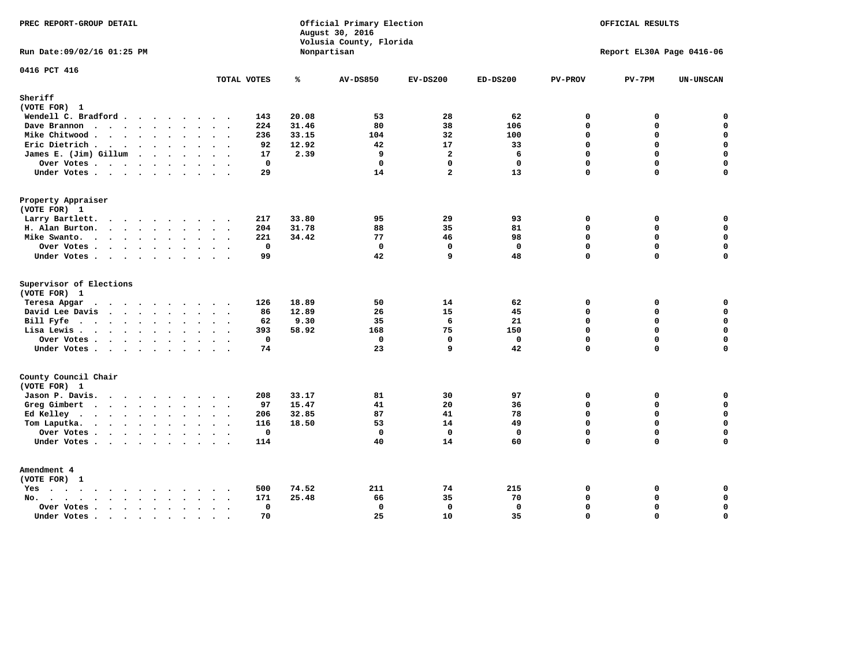| Run Date: 09/02/16 01:25 PM<br>Nonpartisan<br>0416 PCT 416                                                              | $PV-7PM$    | Report EL30A Page 0416-06<br>UN-UNSCAN |
|-------------------------------------------------------------------------------------------------------------------------|-------------|----------------------------------------|
|                                                                                                                         |             |                                        |
| TOTAL VOTES<br>℁<br><b>AV-DS850</b><br>$EV-DS200$<br>$ED-DS200$<br><b>PV-PROV</b>                                       |             |                                        |
| Sheriff                                                                                                                 |             |                                        |
| (VOTE FOR) 1<br>20.08<br>53<br>28<br>62<br>$\mathbf 0$                                                                  | 0           | $\mathbf 0$                            |
| Wendell C. Bradford<br>143<br>31.46<br>$\mathbf 0$<br>Dave Brannon<br>224<br>80<br>38<br>106                            | 0           | $\mathbf 0$                            |
| Mike Chitwood<br>33.15<br>32<br>100<br>$\Omega$<br>236<br>104                                                           | 0           | $\mathbf 0$                            |
| $\mathbf 0$<br>Eric Dietrich.<br>92<br>12.92<br>42<br>17<br>33                                                          | 0           | $\mathbf 0$                            |
| James E. (Jim) Gillum<br>2.39<br>9<br>$\overline{a}$<br>6<br>$\mathbf 0$<br>17                                          | 0           | $\mathbf 0$                            |
| $\mathbf 0$<br>Over Votes<br>$\mathbf{0}$<br>$\mathbf 0$<br>$\mathbf{0}$<br>$\mathbf{0}$                                | 0           | $\mathbf 0$                            |
| 29<br>14<br>$\overline{a}$<br>13<br>$\Omega$<br>Under Votes.                                                            | 0           | $\mathbf 0$                            |
| Property Appraiser                                                                                                      |             |                                        |
| (VOTE FOR) 1                                                                                                            |             |                                        |
| Larry Bartlett.<br>33.80<br>95<br>29<br>93<br>217<br>0<br>$\sim$ $\sim$                                                 | 0           | 0                                      |
| 31.78<br>35<br>81<br>$\mathbf 0$<br>H. Alan Burton.<br>204<br>88                                                        | 0           | $\mathbf 0$                            |
| Mike Swanto.<br>221<br>34.42<br>77<br>46<br>98<br>$\Omega$                                                              | $\Omega$    | 0                                      |
| $\mathbf 0$<br>$\mathbf{0}$<br>$\mathbf{0}$<br>$\mathbf 0$<br>Over Votes<br>$\mathbf{0}$                                | $\mathbf 0$ | $\mathbf 0$                            |
| 99<br>42<br>48<br>9<br>$\mathbf 0$<br>Under Votes                                                                       | $\Omega$    | $\mathbf 0$                            |
| Supervisor of Elections<br>(VOTE FOR) 1                                                                                 |             |                                        |
| 18.89<br>50<br>14<br>62<br>$\Omega$<br>Teresa Apgar<br>126                                                              | 0           | $\mathbf 0$                            |
| David Lee Davis<br>12.89<br>26<br>15<br>45<br>$\mathbf 0$<br>86                                                         | 0           | $\mathbf 0$                            |
| Bill Fyfe.<br>9.30<br>35<br>6<br>21<br>$\Omega$<br>62                                                                   | $\Omega$    | $\mathbf 0$                            |
| 58.92<br>$\mathbf 0$<br>Lisa Lewis<br>393<br>168<br>75<br>150                                                           | 0           | $\mathbf 0$                            |
| $\mathbf 0$<br>Over Votes<br>$\mathbf 0$<br>$\mathbf 0$<br>$\mathbf{0}$<br>$\mathbf{0}$                                 | 0           | $\mathbf 0$                            |
| 23<br>74<br>9<br>42<br>$\Omega$<br>Under Votes                                                                          | 0           | $\mathbf 0$                            |
| County Council Chair<br>(VOTE FOR) 1                                                                                    |             |                                        |
| Jason P. Davis.<br>81<br>30<br>97<br>208<br>33.17<br>0                                                                  | 0           | 0                                      |
| $\mathbf 0$<br>Greg Gimbert<br>97<br>15.47<br>41<br>20<br>36                                                            | 0           | $\mathbf 0$                            |
| 87<br>78<br>$\mathbf 0$<br>Ed Kelley<br>206<br>32.85<br>41                                                              | 0           | $\mathbf 0$                            |
| 18.50<br>53<br>14<br>49<br>$\Omega$<br>Tom Laputka.<br>116                                                              | $\mathbf 0$ | $\mathbf 0$                            |
| $\Omega$<br>$\mathbf 0$<br>$\mathbf 0$<br>$\mathbf 0$<br>$\mathbf{0}$<br>Over Votes                                     | 0           | 0                                      |
| 14<br>60<br>$\Omega$<br>Under Votes<br>114<br>40                                                                        | $\Omega$    | $\Omega$                               |
| Amendment 4<br>(VOTE FOR) 1                                                                                             |             |                                        |
| 211<br>74<br>500<br>74.52<br>215<br>0<br>$Yes \cdot \cdot \cdot \cdot \cdot \cdot \cdot \cdot \cdot$<br>$\cdot$ $\cdot$ | 0           | 0                                      |
| 25.48<br>$\Omega$<br>171<br>66<br>35<br>70<br>$No.$<br>$\sim$                                                           | 0           | $\mathbf 0$                            |
| $\mathbf 0$<br>$\mathbf 0$<br>$\mathbf 0$<br>$\mathbf 0$<br>$\mathbf 0$<br>Over Votes .<br>$\cdots$                     | 0           | $\mathbf 0$                            |
| 25<br>70<br>10<br>35<br>$\mathbf 0$<br>Under Votes<br>$\sim$                                                            | 0           | $\mathbf 0$                            |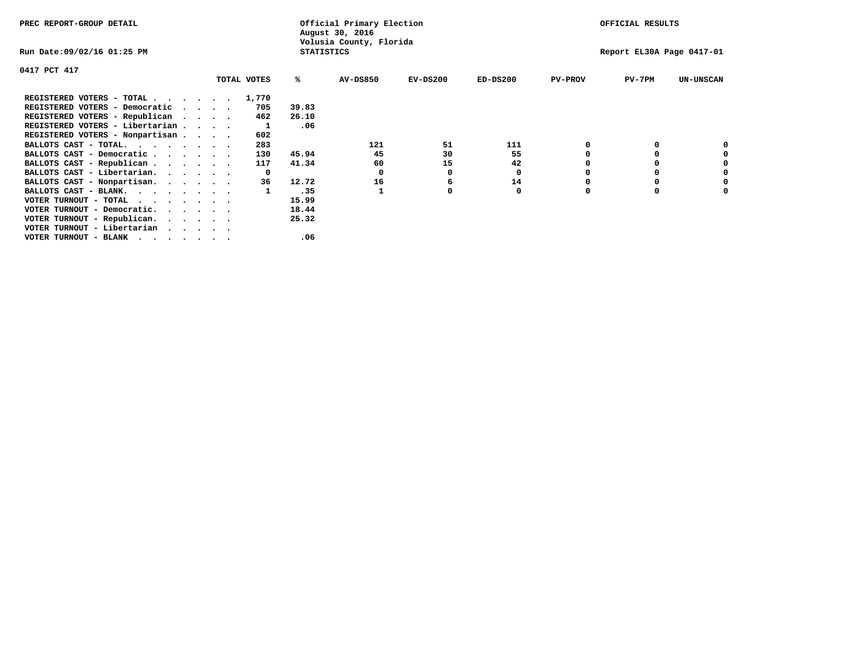| PREC REPORT-GROUP DETAIL                                                                                                                 |                             |             |                   | Official Primary Election<br>August 30, 2016 | OFFICIAL RESULTS          |            |                |          |                  |
|------------------------------------------------------------------------------------------------------------------------------------------|-----------------------------|-------------|-------------------|----------------------------------------------|---------------------------|------------|----------------|----------|------------------|
| Run Date:09/02/16 01:25 PM                                                                                                               |                             |             | <b>STATISTICS</b> | Volusia County, Florida                      | Report EL30A Page 0417-01 |            |                |          |                  |
| 0417 PCT 417                                                                                                                             |                             |             |                   |                                              |                           |            |                |          |                  |
|                                                                                                                                          |                             | TOTAL VOTES | ℁                 | <b>AV-DS850</b>                              | $EV-DS200$                | $ED-DS200$ | <b>PV-PROV</b> | $PV-7PM$ | <b>UN-UNSCAN</b> |
| REGISTERED VOTERS - TOTAL                                                                                                                |                             | 1,770       |                   |                                              |                           |            |                |          |                  |
| REGISTERED VOTERS - Democratic                                                                                                           | $\sim$ $\sim$ $\sim$ $\sim$ | 705         | 39.83             |                                              |                           |            |                |          |                  |
| REGISTERED VOTERS - Republican                                                                                                           | $\cdots$                    | 462         | 26.10             |                                              |                           |            |                |          |                  |
| REGISTERED VOTERS - Libertarian                                                                                                          |                             | 1           | .06               |                                              |                           |            |                |          |                  |
| REGISTERED VOTERS - Nonpartisan                                                                                                          |                             | 602         |                   |                                              |                           |            |                |          |                  |
| BALLOTS CAST - TOTAL.                                                                                                                    |                             | 283         |                   | 121                                          | 51                        | 111        |                |          |                  |
| BALLOTS CAST - Democratic                                                                                                                |                             | 130         | 45.94             | 45                                           | 30                        | 55         |                |          |                  |
| BALLOTS CAST - Republican                                                                                                                |                             | 117         | 41.34             | 60                                           | 15                        | 42         |                |          |                  |
| BALLOTS CAST - Libertarian.                                                                                                              |                             | 0           |                   | 0                                            | o                         | 0          |                |          |                  |
| BALLOTS CAST - Nonpartisan.                                                                                                              |                             | 36          | 12.72             | 16                                           | 6                         | 14         |                |          | 0                |
| BALLOTS CAST - BLANK.                                                                                                                    |                             |             | .35               |                                              | o                         | 0          | 0              | $\Omega$ |                  |
| VOTER TURNOUT - TOTAL<br>$\cdots$                                                                                                        |                             |             | 15.99             |                                              |                           |            |                |          |                  |
| VOTER TURNOUT - Democratic.                                                                                                              |                             |             | 18.44             |                                              |                           |            |                |          |                  |
| VOTER TURNOUT - Republican.                                                                                                              |                             |             | 25.32             |                                              |                           |            |                |          |                  |
| VOTER TURNOUT - Libertarian                                                                                                              |                             |             |                   |                                              |                           |            |                |          |                  |
| VOTER TURNOUT - BLANK<br>the contract of the contract of the contract of the contract of the contract of the contract of the contract of |                             |             | .06               |                                              |                           |            |                |          |                  |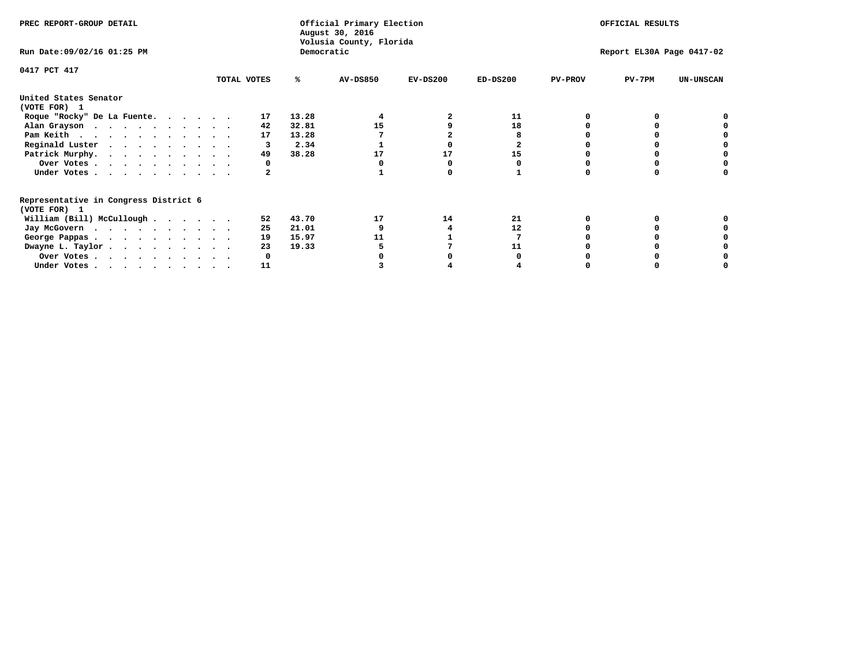| PREC REPORT-GROUP DETAIL                                               |             |            | Official Primary Election<br>August 30, 2016 | OFFICIAL RESULTS |            |                           |          |                  |  |  |
|------------------------------------------------------------------------|-------------|------------|----------------------------------------------|------------------|------------|---------------------------|----------|------------------|--|--|
| Run Date: 09/02/16 01:25 PM                                            |             | Democratic | Volusia County, Florida                      |                  |            | Report EL30A Page 0417-02 |          |                  |  |  |
| 0417 PCT 417                                                           | TOTAL VOTES | ℁          | <b>AV-DS850</b>                              | $EV-DS200$       | $ED-DS200$ | <b>PV-PROV</b>            | $PV-7PM$ | <b>UN-UNSCAN</b> |  |  |
| United States Senator                                                  |             |            |                                              |                  |            |                           |          |                  |  |  |
| (VOTE FOR) 1                                                           |             |            |                                              |                  |            |                           |          |                  |  |  |
| Roque "Rocky" De La Fuente.                                            | 17          | 13.28      |                                              |                  | 11         |                           |          |                  |  |  |
| Alan Grayson                                                           | 42          | 32.81      | 15                                           |                  | 18         |                           |          |                  |  |  |
| Pam Keith                                                              | 17          | 13.28      |                                              |                  |            |                           |          |                  |  |  |
| Reginald Luster                                                        |             | 2.34       |                                              |                  |            |                           |          |                  |  |  |
| Patrick Murphy.                                                        | 49          | 38.28      | 17                                           | 17               | 15         |                           |          |                  |  |  |
| Over Votes                                                             |             |            |                                              |                  |            |                           |          |                  |  |  |
| Under Votes                                                            |             |            |                                              |                  |            |                           |          |                  |  |  |
| Representative in Congress District 6                                  |             |            |                                              |                  |            |                           |          |                  |  |  |
| (VOTE FOR) 1                                                           |             |            |                                              |                  |            |                           |          |                  |  |  |
| William (Bill) McCullough $\cdots$ $\cdots$                            | 52          | 43.70      | 17                                           | 14               | 21         |                           |          |                  |  |  |
| Jay McGovern                                                           | 25          | 21.01      |                                              |                  | 12         |                           |          |                  |  |  |
| George Pappas.                                                         | 19          | 15.97      | 11                                           |                  |            |                           |          |                  |  |  |
| Dwayne L. Taylor                                                       | 23          | 19.33      |                                              |                  | 11         |                           |          |                  |  |  |
| Over Votes                                                             |             |            |                                              |                  |            |                           |          |                  |  |  |
| Under Votes, $\cdot$ , $\cdot$ , $\cdot$ , $\cdot$ , $\cdot$ , $\cdot$ | 11          |            |                                              |                  |            |                           |          |                  |  |  |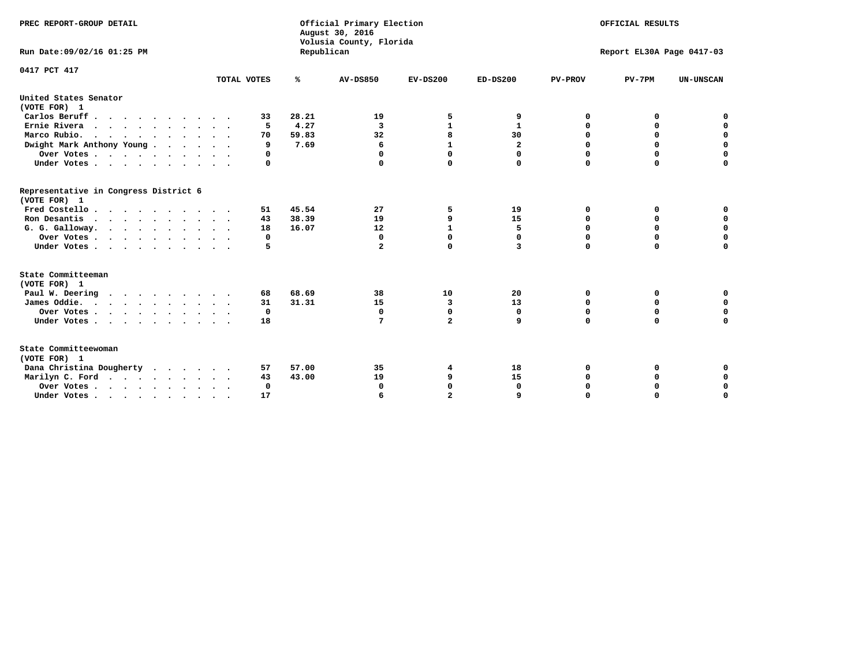| PREC REPORT-GROUP DETAIL<br>Run Date: 09/02/16 01:25 PM                          |             | Republican | Official Primary Election<br>August 30, 2016<br>Volusia County, Florida | OFFICIAL RESULTS<br>Report EL30A Page 0417-03 |              |                |             |                  |
|----------------------------------------------------------------------------------|-------------|------------|-------------------------------------------------------------------------|-----------------------------------------------|--------------|----------------|-------------|------------------|
|                                                                                  |             |            |                                                                         |                                               |              |                |             |                  |
| 0417 PCT 417                                                                     | TOTAL VOTES | ℁          | <b>AV-DS850</b>                                                         | $EV-DS200$                                    | $ED-DS200$   | <b>PV-PROV</b> | $PV-7PM$    | <b>UN-UNSCAN</b> |
| United States Senator<br>(VOTE FOR) 1                                            |             |            |                                                                         |                                               |              |                |             |                  |
| Carlos Beruff                                                                    | 33          | 28.21      | 19                                                                      | 5                                             | 9            | 0              | 0           | 0                |
| Ernie Rivera                                                                     | 5           | 4.27       | 3                                                                       | $\mathbf{1}$                                  | $\mathbf{1}$ | 0              | 0           | $\mathbf 0$      |
| Marco Rubio.                                                                     | 70          | 59.83      | 32                                                                      | 8                                             | 30           | 0              | $\mathbf 0$ | $\mathbf 0$      |
| Dwight Mark Anthony Young                                                        | 9           | 7.69       | 6                                                                       | $\mathbf{1}$                                  | 2            | 0              | $\mathbf 0$ | $\mathbf 0$      |
| Over Votes                                                                       | 0           |            | 0                                                                       | $\Omega$                                      | 0            | 0              | 0           | $\mathbf 0$      |
| Under Votes                                                                      | 0           |            |                                                                         | $\Omega$                                      | 0            | $\Omega$       | $\Omega$    | $\Omega$         |
| Representative in Congress District 6<br>(VOTE FOR) 1                            |             |            |                                                                         |                                               |              |                |             |                  |
| Fred Costello                                                                    | 51          | 45.54      | 27                                                                      | 5                                             | 19           | 0              | 0           | 0                |
| Ron Desantis                                                                     | 43          | 38.39      | 19                                                                      | 9                                             | 15           | $\Omega$       | 0           | $\mathbf 0$      |
| G. G. Galloway.                                                                  | 18          | 16.07      | 12                                                                      | $\mathbf{1}$                                  | 5            | $\mathbf 0$    | $\mathbf 0$ | $\Omega$         |
| Over Votes                                                                       | 0           |            | $\mathbf{0}$                                                            | $\mathbf 0$                                   | 0            | $\mathbf 0$    | $\mathbf 0$ | $\mathbf 0$      |
| Under Votes                                                                      | 5           |            | $\overline{a}$                                                          | $\Omega$                                      | 3            | $\Omega$       | $\Omega$    | $\Omega$         |
| State Committeeman                                                               |             |            |                                                                         |                                               |              |                |             |                  |
| (VOTE FOR) 1                                                                     |             |            |                                                                         |                                               |              |                |             |                  |
| Paul W. Deering                                                                  | 68          | 68.69      | 38                                                                      | 10                                            | 20           | 0              | 0           | 0                |
| James Oddie.                                                                     | 31          | 31.31      | 15                                                                      | 3                                             | 13           | 0              | 0           | $\mathbf 0$      |
| Over Votes                                                                       | 0           |            | 0                                                                       | $\mathbf 0$                                   | 0            | 0              | 0           | $\mathbf 0$      |
| Under Votes                                                                      | 18          |            | 7                                                                       | $\overline{a}$                                | 9            | $\Omega$       | $\mathbf 0$ | $\mathbf 0$      |
| State Committeewoman<br>(VOTE FOR) 1                                             |             |            |                                                                         |                                               |              |                |             |                  |
| Dana Christina Dougherty                                                         | 57          | 57.00      | 35                                                                      | 4                                             | 18           | 0              | 0           | 0                |
| Marilyn C. Ford                                                                  | 43          | 43.00      | 19                                                                      | 9                                             | 15           | 0              | 0           | $\mathbf 0$      |
| Over Votes                                                                       | $\Omega$    |            | $\Omega$                                                                | $\mathbf 0$                                   | $\mathbf{0}$ | 0              | 0           | $\mathbf 0$      |
| Under Votes, $\cdot$ , $\cdot$ , $\cdot$ , $\cdot$ , $\cdot$ , $\cdot$ , $\cdot$ | 17          |            |                                                                         | $\overline{a}$                                |              | $\Omega$       | $\Omega$    | $\Omega$         |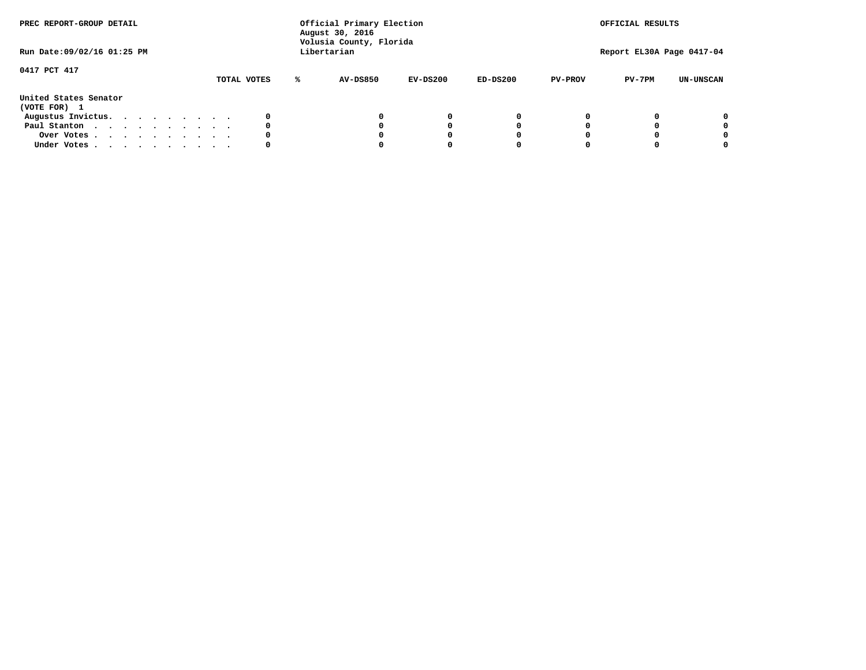| PREC REPORT-GROUP DETAIL<br>Run Date: 09/02/16 01:25 PM |  |  |  |  | Official Primary Election<br>August 30, 2016<br>Volusia County, Florida<br>Libertarian |             | OFFICIAL RESULTS<br>Report EL30A Page 0417-04 |          |            |                |          |                  |
|---------------------------------------------------------|--|--|--|--|----------------------------------------------------------------------------------------|-------------|-----------------------------------------------|----------|------------|----------------|----------|------------------|
| 0417 PCT 417                                            |  |  |  |  |                                                                                        | TOTAL VOTES | AV-DS850                                      | EV-DS200 | $ED-DS200$ | <b>PV-PROV</b> | $PV-7PM$ | <b>UN-UNSCAN</b> |
| United States Senator<br>(VOTE FOR) 1                   |  |  |  |  |                                                                                        |             |                                               |          |            |                |          |                  |
| Augustus Invictus.                                      |  |  |  |  |                                                                                        |             |                                               | 0        |            |                |          | 0                |
| Paul Stanton                                            |  |  |  |  |                                                                                        | 0           |                                               | O        |            |                |          | 0                |
| Over Votes                                              |  |  |  |  |                                                                                        |             |                                               |          |            |                |          | 0                |
| Under Votes                                             |  |  |  |  |                                                                                        | 0           |                                               |          |            |                |          | 0                |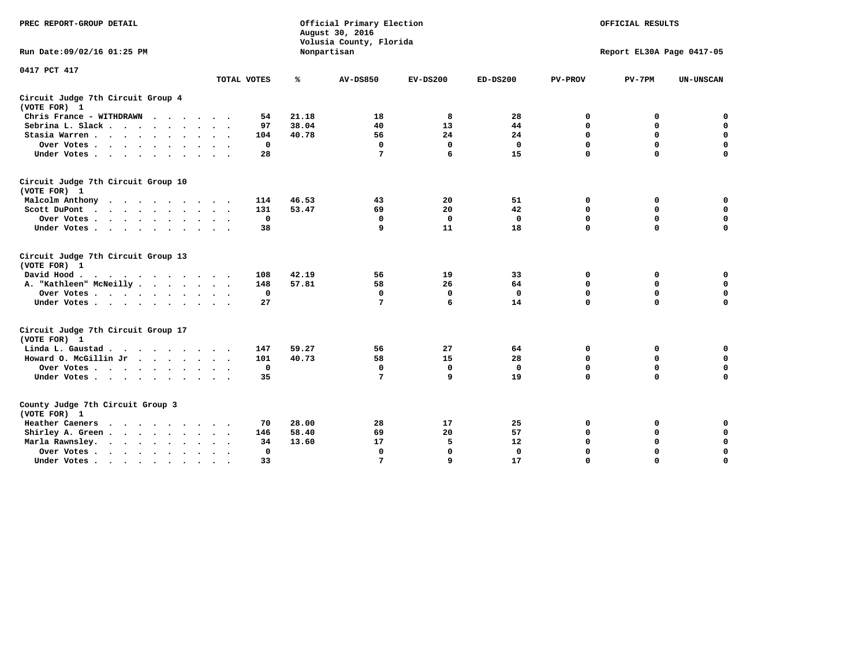| PREC REPORT-GROUP DETAIL                                   |                          |                | Official Primary Election<br>August 30, 2016<br>Volusia County, Florida | OFFICIAL RESULTS<br>Report EL30A Page 0417-05 |                    |                  |                  |                            |
|------------------------------------------------------------|--------------------------|----------------|-------------------------------------------------------------------------|-----------------------------------------------|--------------------|------------------|------------------|----------------------------|
| Run Date: 09/02/16 01:25 PM                                |                          |                | Nonpartisan                                                             |                                               |                    |                  |                  |                            |
| 0417 PCT 417                                               | TOTAL VOTES              | ℁              | AV-DS850                                                                | $EV-DS200$                                    | $ED-DS200$         | <b>PV-PROV</b>   | $PV-7PM$         | <b>UN-UNSCAN</b>           |
| Circuit Judge 7th Circuit Group 4                          |                          |                |                                                                         |                                               |                    |                  |                  |                            |
| (VOTE FOR) 1                                               |                          |                |                                                                         |                                               |                    |                  |                  |                            |
| Chris France - WITHDRAWN                                   | 54                       | 21.18          | 18                                                                      | 8                                             | 28                 | 0                | 0                | 0                          |
| Sebrina L. Slack                                           | 97                       | 38.04          | 40                                                                      | 13                                            | 44                 | $\mathbf 0$      | $\mathbf 0$      | $\mathbf 0$                |
| Stasia Warren                                              | 104                      | 40.78          | 56                                                                      | 24                                            | 24                 | $\mathbf 0$      | 0                | $\mathbf 0$                |
| Over Votes                                                 | $\mathbf 0$              |                | $\mathbf 0$                                                             | $\mathbf 0$                                   | $\mathbf 0$        | 0                | $\mathbf 0$      | $\mathbf 0$                |
| Under Votes                                                | 28                       |                | 7                                                                       | 6                                             | 15                 | $\mathbf 0$      | $\mathbf 0$      | $\Omega$                   |
| Circuit Judge 7th Circuit Group 10                         |                          |                |                                                                         |                                               |                    |                  |                  |                            |
| (VOTE FOR) 1                                               |                          |                |                                                                         |                                               |                    |                  |                  |                            |
| Malcolm Anthony<br>Scott DuPont                            | 114<br>131               | 46.53<br>53.47 | 43<br>69                                                                | 20<br>20                                      | 51<br>42           | 0<br>$\mathbf 0$ | 0<br>$\mathbf 0$ | $\mathbf 0$<br>$\mathbf 0$ |
|                                                            | $\Omega$                 |                | $\mathbf 0$                                                             | $\Omega$                                      | $\mathbf{0}$       | $\mathbf 0$      | 0                | $\mathbf 0$                |
| Over Votes<br>Under Votes                                  | 38                       |                | 9                                                                       | 11                                            | 18                 | $\mathbf 0$      | $\mathbf 0$      | $\Omega$                   |
|                                                            |                          |                |                                                                         |                                               |                    |                  |                  |                            |
| Circuit Judge 7th Circuit Group 13                         |                          |                |                                                                         |                                               |                    |                  |                  |                            |
| (VOTE FOR) 1                                               |                          |                |                                                                         |                                               |                    |                  |                  |                            |
| David Hood.<br>$\cdots$                                    | 108                      | 42.19          | 56<br>58                                                                | 19<br>26                                      | 33                 | 0<br>$\mathbf 0$ | 0<br>$\mathbf 0$ | $\mathbf 0$<br>$\mathbf 0$ |
| A. "Kathleen" McNeilly<br>Over Votes                       | 148<br>$\Omega$          | 57.81          | $\mathbf 0$                                                             | $\mathbf{0}$                                  | 64<br>$\mathbf{0}$ | $\mathbf 0$      | $\mathbf 0$      | $\mathbf 0$                |
| Under Votes                                                | 27                       |                | 7                                                                       | 6                                             | 14                 | $\mathbf 0$      | $\Omega$         | 0                          |
|                                                            |                          |                |                                                                         |                                               |                    |                  |                  |                            |
| Circuit Judge 7th Circuit Group 17                         |                          |                |                                                                         |                                               |                    |                  |                  |                            |
| (VOTE FOR) 1                                               |                          |                |                                                                         |                                               |                    |                  |                  |                            |
| Linda L. Gaustad                                           | 147                      | 59.27          | 56                                                                      | 27                                            | 64                 | 0                | 0                | $\mathbf 0$                |
| Howard O. McGillin Jr                                      | 101                      | 40.73          | 58                                                                      | 15                                            | 28                 | $\mathbf 0$      | $\mathbf 0$      | $\mathbf 0$                |
| Over Votes                                                 | $\mathbf 0$              |                | $\mathbf 0$                                                             | $\mathbf 0$                                   | $\mathbf 0$        | $\mathbf 0$      | $\mathbf 0$      | 0                          |
| Under Votes                                                | 35                       |                | 7                                                                       | 9                                             | 19                 | $\mathbf 0$      | $\mathbf{0}$     | $\mathbf 0$                |
| County Judge 7th Circuit Group 3<br>(VOTE FOR) 1           |                          |                |                                                                         |                                               |                    |                  |                  |                            |
| Heather Caeners<br>$\cdots$                                | 70                       | 28.00          | 28                                                                      | 17                                            | 25                 | 0                | 0                | 0                          |
| Shirley A. Green                                           | 146                      | 58.40          | 69                                                                      | 20                                            | 57                 | 0                | 0                | $\mathbf 0$                |
| Marla Rawnsley.<br>$\cdots$                                | 34                       | 13.60          | 17                                                                      | 5                                             | 12                 | 0                | $\mathbf 0$      | 0                          |
| Over Votes<br>$\ddot{\phantom{1}}$<br>$\ddot{\phantom{a}}$ | $\mathbf 0$<br>$\bullet$ |                | $\mathbf 0$                                                             | $\mathbf{0}$                                  | $\mathbf 0$        | $\mathbf 0$      | $\mathbf 0$      | $\mathbf 0$                |
| Under Votes                                                | 33                       |                | $\overline{7}$                                                          | q                                             | 17                 | $\Omega$         | $\Omega$         | $\Omega$                   |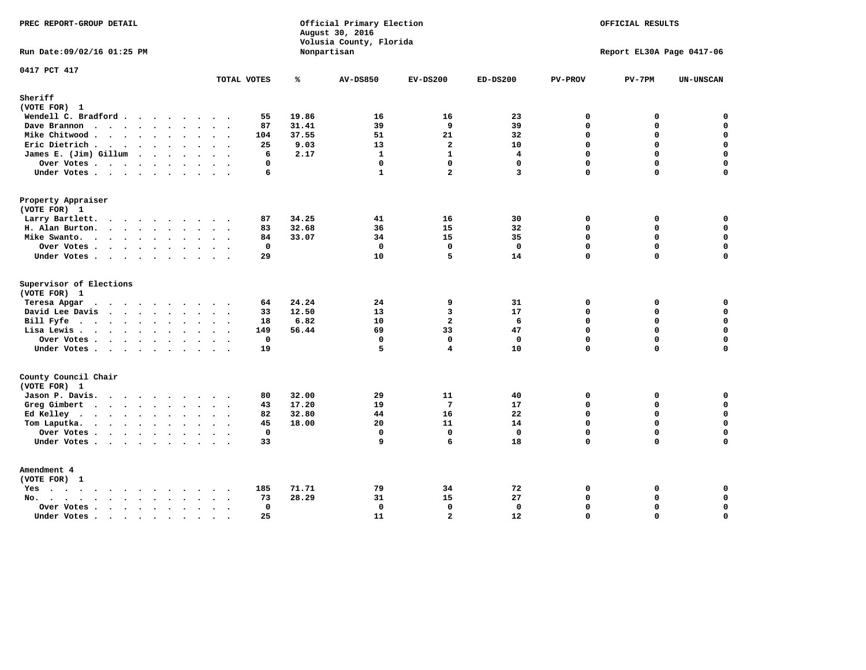| PREC REPORT-GROUP DETAIL                                                                                                                                                                                                                          |                        |                | Official Primary Election<br>August 30, 2016<br>Volusia County, Florida | OFFICIAL RESULTS<br>Report EL30A Page 0417-06 |              |                             |          |                            |
|---------------------------------------------------------------------------------------------------------------------------------------------------------------------------------------------------------------------------------------------------|------------------------|----------------|-------------------------------------------------------------------------|-----------------------------------------------|--------------|-----------------------------|----------|----------------------------|
| Run Date: 09/02/16 01:25 PM                                                                                                                                                                                                                       |                        |                | Nonpartisan                                                             |                                               |              |                             |          |                            |
| 0417 PCT 417                                                                                                                                                                                                                                      | TOTAL VOTES            | ℁              | <b>AV-DS850</b>                                                         | $EV-DS200$                                    | $ED-DS200$   | <b>PV-PROV</b>              | $PV-7PM$ | <b>UN-UNSCAN</b>           |
| Sheriff                                                                                                                                                                                                                                           |                        |                |                                                                         |                                               |              |                             |          |                            |
| (VOTE FOR) 1                                                                                                                                                                                                                                      |                        |                |                                                                         |                                               |              |                             |          |                            |
| Wendell C. Bradford                                                                                                                                                                                                                               | 55                     | 19.86          | 16                                                                      | 16                                            | 23           | 0                           | 0        | $\mathbf 0$                |
| Dave Brannon                                                                                                                                                                                                                                      | 87                     | 31.41<br>37.55 | 39<br>51                                                                | 9<br>21                                       | 39<br>32     | $\mathbf 0$<br>$\mathbf{0}$ | 0<br>0   | $\mathbf 0$<br>$\mathbf 0$ |
| Mike Chitwood<br>Eric Dietrich.                                                                                                                                                                                                                   | 104<br>25              | 9.03           | 13                                                                      | $\overline{a}$                                | 10           | $\mathbf 0$                 | 0        | $\mathbf 0$                |
| James E. (Jim) Gillum                                                                                                                                                                                                                             | 6                      | 2.17           | $\mathbf{1}$                                                            | $\mathbf{1}$                                  | 4            | $\Omega$                    | $\Omega$ | $\mathbf 0$                |
| Over Votes                                                                                                                                                                                                                                        | $\Omega$               |                | $\mathbf{0}$                                                            | $\Omega$                                      | $\mathbf 0$  | $\Omega$                    | 0        | $\mathbf 0$                |
| Under Votes                                                                                                                                                                                                                                       | 6                      |                | $\mathbf{1}$                                                            | $\overline{2}$                                | 3            | $\Omega$                    | $\Omega$ | $\Omega$                   |
| Property Appraiser                                                                                                                                                                                                                                |                        |                |                                                                         |                                               |              |                             |          |                            |
| (VOTE FOR) 1                                                                                                                                                                                                                                      |                        |                |                                                                         |                                               |              |                             |          |                            |
| Larry Bartlett.                                                                                                                                                                                                                                   | 87                     | 34.25          | 41                                                                      | 16                                            | 30           | $\Omega$                    | 0        | 0                          |
| H. Alan Burton.                                                                                                                                                                                                                                   | 83                     | 32.68          | 36                                                                      | 15                                            | 32           | $\mathbf 0$                 | 0        | $\mathbf 0$                |
| Mike Swanto.                                                                                                                                                                                                                                      | 84                     | 33.07          | 34                                                                      | 15                                            | 35           | $\Omega$                    | $\Omega$ | 0                          |
| Over Votes                                                                                                                                                                                                                                        | $\mathbf{0}$           |                | $\mathbf 0$                                                             | $\mathbf 0$                                   | $\mathbf{0}$ | $\mathbf 0$                 | 0        | $\mathbf 0$                |
| Under Votes                                                                                                                                                                                                                                       | 29                     |                | 10                                                                      | 5                                             | 14           | $\Omega$                    | $\Omega$ | 0                          |
| Supervisor of Elections                                                                                                                                                                                                                           |                        |                |                                                                         |                                               |              |                             |          |                            |
| (VOTE FOR) 1                                                                                                                                                                                                                                      | 64                     | 24.24          | 24                                                                      | 9                                             | 31           | 0                           | 0        | $\mathbf 0$                |
| Teresa Apgar<br>David Lee Davis                                                                                                                                                                                                                   | 33                     | 12.50          | 13                                                                      | 3                                             | 17           | $\Omega$                    | 0        | $\mathbf 0$                |
| Bill Fyfe.                                                                                                                                                                                                                                        | 18                     | 6.82           | 10                                                                      | $\overline{a}$                                | 6            | $\mathbf 0$                 | 0        | $\mathbf 0$                |
| Lisa Lewis                                                                                                                                                                                                                                        | 149                    | 56.44          | 69                                                                      | 33                                            | 47           | $\Omega$                    | 0        | $\mathbf 0$                |
| Over Votes                                                                                                                                                                                                                                        | $\mathbf 0$            |                | $\mathbf 0$                                                             | $\mathbf 0$                                   | $\mathbf{0}$ | $\mathbf 0$                 | 0        | $\mathbf 0$                |
| Under Votes                                                                                                                                                                                                                                       | 19                     |                | 5                                                                       | $\overline{\mathbf{4}}$                       | 10           | $\Omega$                    | $\Omega$ | $\mathbf 0$                |
| County Council Chair                                                                                                                                                                                                                              |                        |                |                                                                         |                                               |              |                             |          |                            |
| (VOTE FOR) 1                                                                                                                                                                                                                                      |                        |                |                                                                         |                                               |              |                             |          |                            |
| Jason P. Davis.                                                                                                                                                                                                                                   | 80                     | 32.00          | 29                                                                      | 11                                            | 40           | $\mathbf 0$                 | 0        | 0                          |
| Greg Gimbert<br>$\mathbf{r}$ . The contract of the contract of the contract of the contract of the contract of the contract of the contract of the contract of the contract of the contract of the contract of the contract of the contract of th | 43                     | 17.20          | 19                                                                      | 7                                             | 17           | $\mathbf{0}$                | 0        | $\mathbf 0$                |
| Ed Kelley                                                                                                                                                                                                                                         | 82                     | 32.80          | 44                                                                      | 16                                            | 22           | $\mathbf 0$                 | 0        | $\mathsf{o}\,$             |
| Tom Laputka.<br>$\cdots$                                                                                                                                                                                                                          | 45                     | 18.00          | 20                                                                      | 11                                            | 14           | $\mathbf 0$                 | 0        | $\mathbf 0$                |
| Over Votes                                                                                                                                                                                                                                        | $\mathbf 0$            |                | $\mathbf 0$                                                             | $\mathbf{0}$                                  | $\mathbf{0}$ | $\mathbf 0$                 | 0        | 0                          |
| Under Votes                                                                                                                                                                                                                                       | 33                     |                | 9                                                                       | 6                                             | 18           | $\Omega$                    | $\Omega$ | $\mathbf 0$                |
| Amendment 4<br>(VOTE FOR) 1                                                                                                                                                                                                                       |                        |                |                                                                         |                                               |              |                             |          |                            |
| Yes                                                                                                                                                                                                                                               | 185<br>$\sim$ $\sim$   | 71.71          | 79                                                                      | 34                                            | 72           | 0                           | 0        | 0                          |
| No.<br>$\sim$                                                                                                                                                                                                                                     | 73                     | 28.29          | 31                                                                      | 15                                            | 27           | $\Omega$                    | 0        | $\mathsf{o}\,$             |
| Over Votes                                                                                                                                                                                                                                        | $\mathbf 0$            |                | $\mathbf 0$                                                             | $\mathbf{0}$                                  | $\mathbf 0$  | $\mathbf 0$                 | 0        | $\mathsf{o}\,$             |
| Under Votes                                                                                                                                                                                                                                       | 25<br>$\sim$<br>$\sim$ |                | 11                                                                      | $\overline{2}$                                | 12           | $\Omega$                    | $\Omega$ | $\mathbf 0$                |
|                                                                                                                                                                                                                                                   |                        |                |                                                                         |                                               |              |                             |          |                            |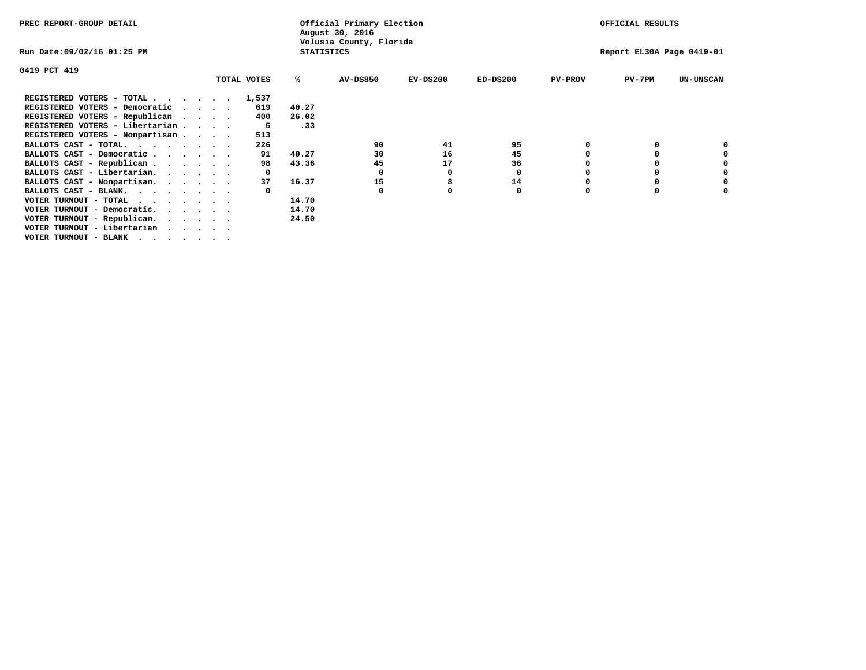| PREC REPORT-GROUP DETAIL                                               |  |  |             | Official Primary Election<br>August 30, 2016 |                         | OFFICIAL RESULTS |                           |                |          |                  |
|------------------------------------------------------------------------|--|--|-------------|----------------------------------------------|-------------------------|------------------|---------------------------|----------------|----------|------------------|
| Run Date:09/02/16 01:25 PM                                             |  |  |             | <b>STATISTICS</b>                            | Volusia County, Florida |                  | Report EL30A Page 0419-01 |                |          |                  |
| 0419 PCT 419                                                           |  |  |             |                                              |                         |                  |                           |                |          |                  |
|                                                                        |  |  | TOTAL VOTES | %ะ                                           | <b>AV-DS850</b>         | $EV-DS200$       | $ED-DS200$                | <b>PV-PROV</b> | $PV-7PM$ | <b>UN-UNSCAN</b> |
| REGISTERED VOTERS - TOTAL 1,537                                        |  |  |             |                                              |                         |                  |                           |                |          |                  |
| REGISTERED VOTERS - Democratic<br>$\cdots$                             |  |  | 619         | 40.27                                        |                         |                  |                           |                |          |                  |
| REGISTERED VOTERS - Republican                                         |  |  | 400         | 26.02                                        |                         |                  |                           |                |          |                  |
| REGISTERED VOTERS - Libertarian                                        |  |  |             | .33                                          |                         |                  |                           |                |          |                  |
| REGISTERED VOTERS - Nonpartisan                                        |  |  | 513         |                                              |                         |                  |                           |                |          |                  |
| BALLOTS CAST - TOTAL.                                                  |  |  | 226         |                                              | 90                      | 41               | 95                        |                |          |                  |
| BALLOTS CAST - Democratic                                              |  |  | 91          | 40.27                                        | 30                      | 16               | 45                        |                |          |                  |
| BALLOTS CAST - Republican                                              |  |  | 98          | 43.36                                        | 45                      | 17               | 36                        |                |          |                  |
| BALLOTS CAST - Libertarian.                                            |  |  |             |                                              | 0                       | 0                | 0                         |                |          |                  |
| BALLOTS CAST - Nonpartisan.                                            |  |  | 37          | 16.37                                        | 15                      | 8                | 14                        |                |          |                  |
| BALLOTS CAST - BLANK.                                                  |  |  |             |                                              |                         |                  | 0                         |                |          |                  |
| VOTER TURNOUT - TOTAL<br>$\cdots$                                      |  |  |             | 14.70                                        |                         |                  |                           |                |          |                  |
| VOTER TURNOUT - Democratic.<br>$\cdot$ $\cdot$ $\cdot$ $\cdot$ $\cdot$ |  |  |             | 14.70                                        |                         |                  |                           |                |          |                  |
| VOTER TURNOUT - Republican.                                            |  |  |             | 24.50                                        |                         |                  |                           |                |          |                  |
| VOTER TURNOUT - Libertarian                                            |  |  |             |                                              |                         |                  |                           |                |          |                  |
| VOTER TURNOUT - BLANK                                                  |  |  |             |                                              |                         |                  |                           |                |          |                  |
|                                                                        |  |  |             |                                              |                         |                  |                           |                |          |                  |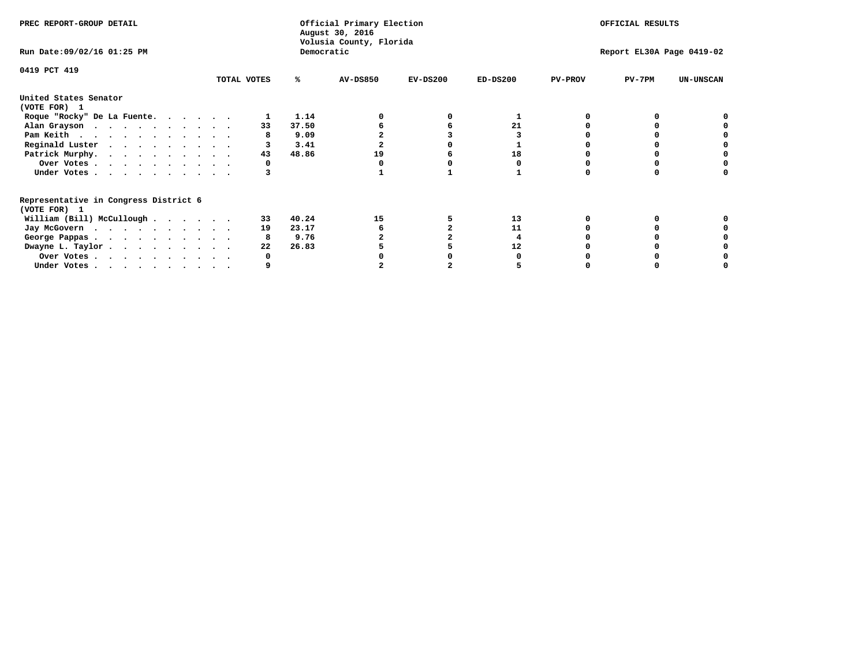| PREC REPORT-GROUP DETAIL                                               |             |    |       | Official Primary Election<br>August 30, 2016<br>Volusia County, Florida |            | OFFICIAL RESULTS |                |                           |                  |  |
|------------------------------------------------------------------------|-------------|----|-------|-------------------------------------------------------------------------|------------|------------------|----------------|---------------------------|------------------|--|
| Run Date: 09/02/16 01:25 PM                                            | Democratic  |    |       |                                                                         |            |                  |                | Report EL30A Page 0419-02 |                  |  |
| 0419 PCT 419                                                           | TOTAL VOTES |    | ℁     | <b>AV-DS850</b>                                                         | $EV-DS200$ | $ED-DS200$       | <b>PV-PROV</b> | $PV-7PM$                  | <b>UN-UNSCAN</b> |  |
| United States Senator<br>(VOTE FOR) 1                                  |             |    |       |                                                                         |            |                  |                |                           |                  |  |
| Roque "Rocky" De La Fuente.                                            |             |    | 1.14  |                                                                         |            |                  |                |                           |                  |  |
| Alan Grayson                                                           |             | 33 | 37.50 |                                                                         |            | 21               |                |                           |                  |  |
| Pam Keith                                                              |             |    | 9.09  |                                                                         |            |                  |                |                           |                  |  |
| Reginald Luster                                                        |             |    | 3.41  |                                                                         |            |                  |                |                           |                  |  |
| Patrick Murphy.                                                        |             | 43 | 48.86 | 19                                                                      |            | 18               |                |                           |                  |  |
| Over Votes                                                             |             |    |       |                                                                         |            |                  |                |                           |                  |  |
| Under Votes                                                            |             |    |       |                                                                         |            |                  |                |                           |                  |  |
| Representative in Congress District 6<br>(VOTE FOR) 1                  |             |    |       |                                                                         |            |                  |                |                           |                  |  |
| William (Bill) McCullough                                              |             | 33 | 40.24 | 15                                                                      |            | 13               |                |                           |                  |  |
| Jay McGovern                                                           |             | 19 | 23.17 |                                                                         |            | 11               |                |                           |                  |  |
| George Pappas.                                                         |             |    | 9.76  |                                                                         |            |                  |                |                           |                  |  |
| Dwayne L. Taylor                                                       |             | 22 | 26.83 |                                                                         |            | 12               |                |                           |                  |  |
| Over Votes                                                             |             |    |       |                                                                         |            |                  |                |                           |                  |  |
| Under Votes, $\cdot$ , $\cdot$ , $\cdot$ , $\cdot$ , $\cdot$ , $\cdot$ |             |    |       |                                                                         |            |                  |                |                           |                  |  |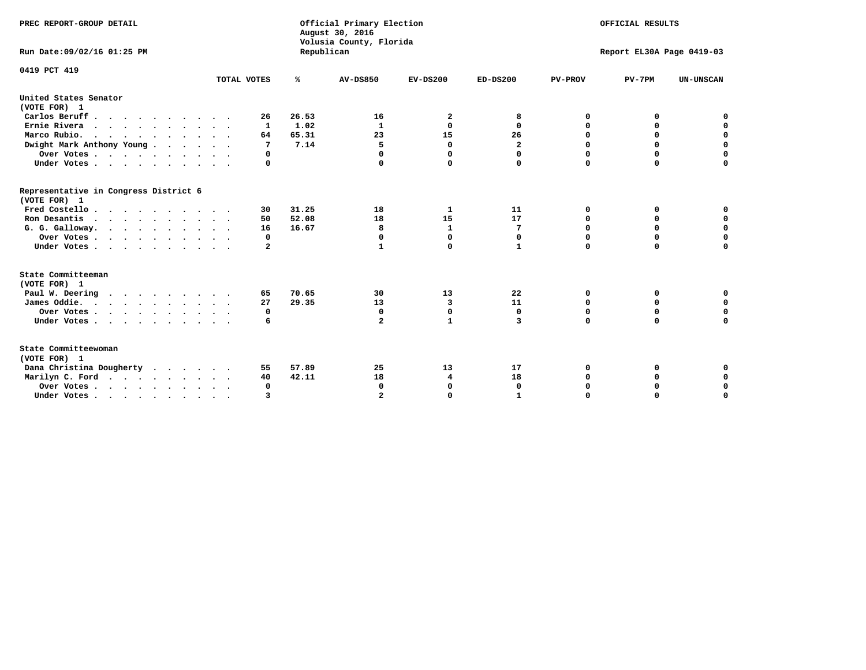| PREC REPORT-GROUP DETAIL<br>Run Date: 09/02/16 01:25 PM |             | Republican | Official Primary Election<br>August 30, 2016<br>Volusia County, Florida | OFFICIAL RESULTS<br>Report EL30A Page 0419-03 |              |                |             |                  |
|---------------------------------------------------------|-------------|------------|-------------------------------------------------------------------------|-----------------------------------------------|--------------|----------------|-------------|------------------|
|                                                         |             |            |                                                                         |                                               |              |                |             |                  |
| 0419 PCT 419                                            |             |            |                                                                         |                                               |              |                |             |                  |
|                                                         | TOTAL VOTES | ℁          | <b>AV-DS850</b>                                                         | $EV-DS200$                                    | $ED-DS200$   | <b>PV-PROV</b> | $PV-7PM$    | <b>UN-UNSCAN</b> |
| United States Senator<br>(VOTE FOR) 1                   |             |            |                                                                         |                                               |              |                |             |                  |
| Carlos Beruff                                           | 26          | 26.53      | 16                                                                      | 2                                             | 8            | 0              | 0           | 0                |
| Ernie Rivera                                            | 1           | 1.02       | 1                                                                       | 0                                             | 0            | 0              | 0           | $\mathbf 0$      |
| Marco Rubio.                                            | 64          | 65.31      | 23                                                                      | 15                                            | 26           | 0              | $\mathbf 0$ | $\mathbf 0$      |
| Dwight Mark Anthony Young                               | 7           | 7.14       | 5                                                                       | $\mathbf 0$                                   | 2            | 0              | $\mathbf 0$ | $\mathbf 0$      |
| Over Votes                                              | 0           |            | 0                                                                       | $\Omega$                                      | $\Omega$     | 0              | 0           | $\mathbf 0$      |
| Under Votes                                             | 0           |            |                                                                         | $\Omega$                                      | 0            | $\Omega$       | $\Omega$    | $\Omega$         |
| Representative in Congress District 6<br>(VOTE FOR) 1   |             |            |                                                                         |                                               |              |                |             |                  |
| Fred Costello                                           | 30          | 31.25      | 18                                                                      | 1                                             | 11           | 0              | 0           | 0                |
| Ron Desantis                                            | 50          | 52.08      | 18                                                                      | 15                                            | 17           | $\Omega$       | 0           | $\mathbf 0$      |
| G. G. Galloway.                                         | 16          | 16.67      | 8                                                                       | $\mathbf{1}$                                  | 7            | $\mathbf 0$    | $\mathbf 0$ | $\Omega$         |
| Over Votes                                              | 0           |            | $\mathbf{0}$                                                            | $\mathbf 0$                                   | $\mathbf 0$  | $\mathbf 0$    | $\mathbf 0$ | $\mathbf 0$      |
| Under Votes                                             | 2           |            | 1                                                                       | $\Omega$                                      | $\mathbf{1}$ | $\Omega$       | $\Omega$    | $\Omega$         |
| State Committeeman                                      |             |            |                                                                         |                                               |              |                |             |                  |
| (VOTE FOR) 1                                            |             |            |                                                                         |                                               |              |                |             |                  |
| Paul W. Deering                                         | 65          | 70.65      | 30                                                                      | 13                                            | 22           | 0              | 0           | 0                |
| James Oddie.                                            | 27          | 29.35      | 13                                                                      | 3                                             | 11           | 0              | 0           | $\mathbf 0$      |
| Over Votes                                              | 0           |            | 0                                                                       | $\mathbf 0$                                   | 0            | 0              | 0           | $\mathbf 0$      |
| Under Votes                                             | 6           |            | $\mathbf{2}$                                                            | $\mathbf{1}$                                  | 3            | $\mathbf 0$    | $\mathbf 0$ | $\mathbf 0$      |
| State Committeewoman<br>(VOTE FOR) 1                    |             |            |                                                                         |                                               |              |                |             |                  |
| Dana Christina Dougherty                                | 55          | 57.89      | 25                                                                      | 13                                            | 17           | 0              | 0           | 0                |
| Marilyn C. Ford                                         | 40          | 42.11      | 18                                                                      | 4                                             | 18           | 0              | 0           | $\mathbf 0$      |
| Over Votes                                              | $\Omega$    |            | $\Omega$                                                                | 0                                             | $\mathbf{0}$ | 0              | 0           | $\mathbf 0$      |
| Under Votes, , , , , , , , , ,                          | ঽ           |            |                                                                         | $\Omega$                                      |              | $\Omega$       | $\Omega$    | $\Omega$         |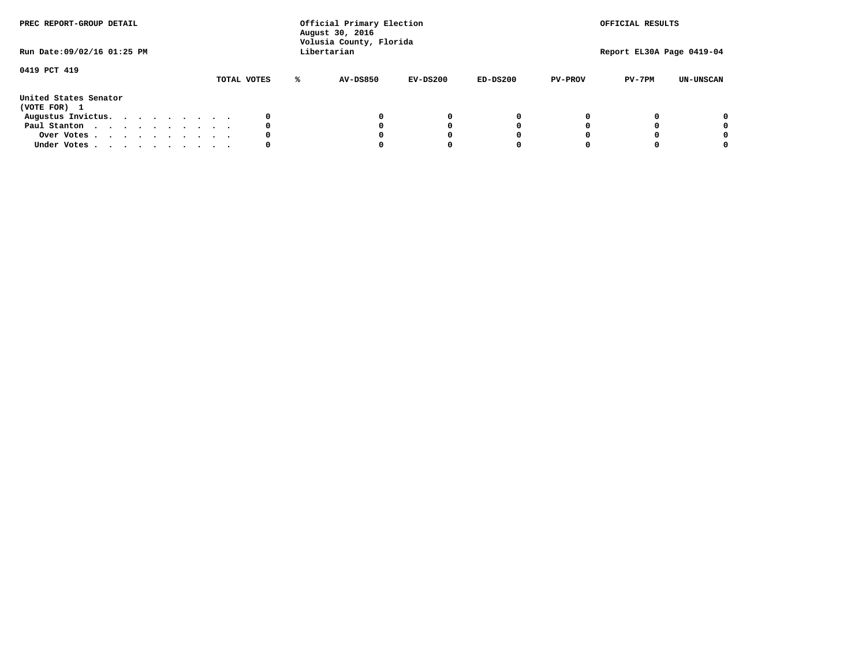| PREC REPORT-GROUP DETAIL<br>Run Date: 09/02/16 01:25 PM |  |  |  |  |  | Official Primary Election<br>August 30, 2016<br>Volusia County, Florida<br>Libertarian |             | OFFICIAL RESULTS<br>Report EL30A Page 0419-04 |                 |            |            |                |          |                  |
|---------------------------------------------------------|--|--|--|--|--|----------------------------------------------------------------------------------------|-------------|-----------------------------------------------|-----------------|------------|------------|----------------|----------|------------------|
| 0419 PCT 419                                            |  |  |  |  |  |                                                                                        | TOTAL VOTES | ℁                                             | <b>AV-DS850</b> | $EV-DS200$ | $ED-DS200$ | <b>PV-PROV</b> | $PV-7PM$ | <b>UN-UNSCAN</b> |
| United States Senator<br>(VOTE FOR) 1                   |  |  |  |  |  |                                                                                        |             |                                               |                 |            |            |                |          |                  |
| Augustus Invictus.                                      |  |  |  |  |  |                                                                                        | 0           |                                               |                 | 0          | 0          |                |          | 0                |
| Paul Stanton                                            |  |  |  |  |  |                                                                                        | 0           |                                               |                 |            | 0          |                |          | 0                |
| Over Votes                                              |  |  |  |  |  |                                                                                        | 0           |                                               |                 |            | 0          |                |          | 0                |
| Under Votes                                             |  |  |  |  |  |                                                                                        | 0           |                                               |                 |            |            |                |          | 0                |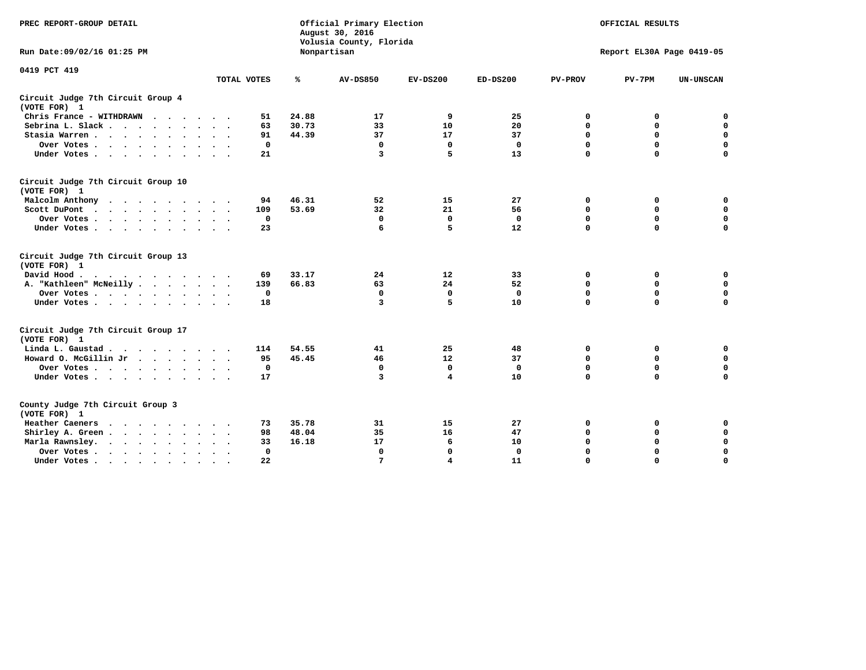| PREC REPORT-GROUP DETAIL                                                                                                                                                                                                                             |              |       | Official Primary Election<br>August 30, 2016<br>Volusia County, Florida | OFFICIAL RESULTS<br>Report EL30A Page 0419-05 |              |                |             |                  |
|------------------------------------------------------------------------------------------------------------------------------------------------------------------------------------------------------------------------------------------------------|--------------|-------|-------------------------------------------------------------------------|-----------------------------------------------|--------------|----------------|-------------|------------------|
| Run Date: 09/02/16 01:25 PM                                                                                                                                                                                                                          |              |       | Nonpartisan                                                             |                                               |              |                |             |                  |
| 0419 PCT 419                                                                                                                                                                                                                                         | TOTAL VOTES  | ℁     | <b>AV-DS850</b>                                                         | $EV-DS200$                                    | $ED-DS200$   | <b>PV-PROV</b> | $PV-7PM$    | <b>UN-UNSCAN</b> |
| Circuit Judge 7th Circuit Group 4                                                                                                                                                                                                                    |              |       |                                                                         |                                               |              |                |             |                  |
| (VOTE FOR) 1                                                                                                                                                                                                                                         |              |       |                                                                         |                                               |              |                |             |                  |
| Chris France - WITHDRAWN                                                                                                                                                                                                                             | 51           | 24.88 | 17                                                                      | 9                                             | 25           | 0              | 0           | $\mathbf 0$      |
| Sebrina L. Slack.                                                                                                                                                                                                                                    | 63           | 30.73 | 33                                                                      | 10                                            | 20           | 0              | $\mathbf 0$ | $\mathbf 0$      |
| Stasia Warren                                                                                                                                                                                                                                        | 91           | 44.39 | 37                                                                      | 17                                            | 37           | $\mathbf 0$    | 0           | $\mathbf 0$      |
| Over Votes                                                                                                                                                                                                                                           | $\mathbf 0$  |       | $\mathbf 0$                                                             | $\Omega$                                      | $\mathbf 0$  | $\mathbf 0$    | $\mathbf 0$ | $\mathbf 0$      |
| Under Votes                                                                                                                                                                                                                                          | 21           |       | 3                                                                       | 5                                             | 13           | $\Omega$       | $\Omega$    | $\mathbf 0$      |
| Circuit Judge 7th Circuit Group 10<br>(VOTE FOR) 1                                                                                                                                                                                                   |              |       |                                                                         |                                               |              |                |             |                  |
| Malcolm Anthony                                                                                                                                                                                                                                      | 94           | 46.31 | 52                                                                      | 15                                            | 27           | 0              | 0           | 0                |
| Scott DuPont                                                                                                                                                                                                                                         | 109          | 53.69 | 32                                                                      | 21                                            | 56           | $\mathbf 0$    | $\mathbf 0$ | $\mathbf 0$      |
| Over Votes                                                                                                                                                                                                                                           | $\mathbf 0$  |       | $\Omega$                                                                | $\mathbf 0$                                   | $\mathbf{0}$ | $\mathbf 0$    | $\mathbf 0$ | $\mathbf 0$      |
| Under Votes                                                                                                                                                                                                                                          | 23           |       | 6                                                                       | 5                                             | 12           | $\mathbf 0$    | $\mathbf 0$ | $\Omega$         |
| Circuit Judge 7th Circuit Group 13<br>(VOTE FOR) 1                                                                                                                                                                                                   |              |       |                                                                         |                                               |              |                |             |                  |
| David Hood.<br>$\cdot$                                                                                                                                                                                                                               | 69           | 33.17 | 24                                                                      | 12                                            | 33           | 0              | 0           | $\mathbf 0$      |
| A. "Kathleen" McNeilly                                                                                                                                                                                                                               | 139          | 66.83 | 63                                                                      | 24                                            | 52           | $\mathbf 0$    | 0           | $\mathbf 0$      |
| Over Votes                                                                                                                                                                                                                                           | $\mathbf 0$  |       | $\mathbf 0$                                                             | $\mathbf 0$                                   | $\mathbf{0}$ | $\mathbf 0$    | $\mathbf 0$ | $\mathbf 0$      |
| Under Votes                                                                                                                                                                                                                                          | 18           |       | 3                                                                       | 5                                             | 10           | $\Omega$       | $\mathbf 0$ | 0                |
| Circuit Judge 7th Circuit Group 17<br>(VOTE FOR) 1                                                                                                                                                                                                   |              |       |                                                                         |                                               |              |                |             |                  |
| Linda L. Gaustad                                                                                                                                                                                                                                     | 114          | 54.55 | 41                                                                      | 25                                            | 48           | 0              | 0           | $\mathbf 0$      |
| Howard O. McGillin Jr                                                                                                                                                                                                                                | 95           | 45.45 | 46                                                                      | 12                                            | 37           | $\mathbf 0$    | 0           | $\mathbf 0$      |
| Over Votes                                                                                                                                                                                                                                           | $\mathbf 0$  |       | $\Omega$                                                                | $\mathbf 0$                                   | $\mathbf 0$  | $\mathbf 0$    | $\Omega$    | $\pmb{0}$        |
| Under Votes                                                                                                                                                                                                                                          | 17           |       | 3                                                                       | $\overline{\mathbf{4}}$                       | 10           | $\mathbf 0$    | $\mathbf 0$ | $\mathbf 0$      |
| County Judge 7th Circuit Group 3<br>(VOTE FOR) 1                                                                                                                                                                                                     |              |       |                                                                         |                                               |              |                |             |                  |
| Heather Caeners<br>$\mathbf{r}$ . The contract of the contract of the contract of the contract of the contract of the contract of the contract of the contract of the contract of the contract of the contract of the contract of the contract of th | 73           | 35.78 | 31                                                                      | 15                                            | 27           | 0              | 0           | 0                |
| Shirley A. Green                                                                                                                                                                                                                                     | 98           | 48.04 | 35                                                                      | 16                                            | 47           | $\mathbf 0$    | 0           | $\mathbf 0$      |
| Marla Rawnsley.                                                                                                                                                                                                                                      | 33           | 16.18 | 17                                                                      | 6                                             | 10           | 0              | $\mathbf 0$ | $\pmb{0}$        |
| Over Votes<br>$\sim$<br>$\sim$                                                                                                                                                                                                                       | $\mathbf{0}$ |       | $\Omega$                                                                | $\mathbf 0$                                   | 0            | $\mathbf 0$    | $\mathbf 0$ | $\mathbf 0$      |
| Under Votes                                                                                                                                                                                                                                          | 22           |       | 7                                                                       | 4                                             | 11           | $\mathbf 0$    | $\mathbf 0$ | 0                |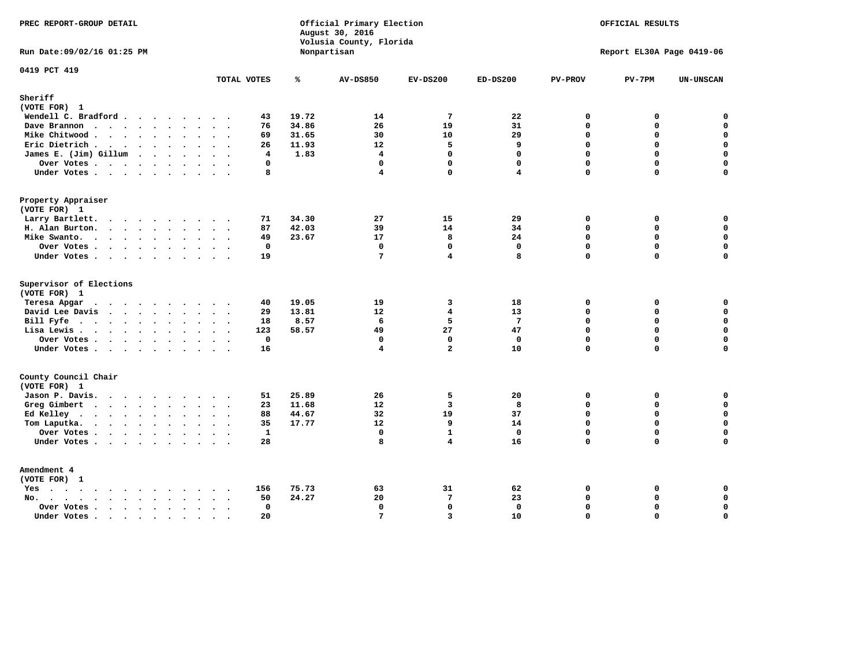| PREC REPORT-GROUP DETAIL             |                   |               | Official Primary Election<br>August 30, 2016<br>Volusia County, Florida |                               | OFFICIAL RESULTS<br>Report EL30A Page 0419-06 |                         |                         |                            |
|--------------------------------------|-------------------|---------------|-------------------------------------------------------------------------|-------------------------------|-----------------------------------------------|-------------------------|-------------------------|----------------------------|
| Run Date: 09/02/16 01:25 PM          |                   |               | Nonpartisan                                                             |                               |                                               |                         |                         |                            |
| 0419 PCT 419                         | TOTAL VOTES       | ℁             | <b>AV-DS850</b>                                                         | $EV-DS200$                    | $ED-DS200$                                    | <b>PV-PROV</b>          | $PV-7PM$                | <b>UN-UNSCAN</b>           |
| Sheriff<br>(VOTE FOR) 1              |                   |               |                                                                         |                               |                                               |                         |                         |                            |
| Wendell C. Bradford                  | 43                | 19.72         | 14                                                                      | $7\phantom{.0}$               | 22                                            | 0                       | 0                       | $\mathbf 0$                |
| Dave Brannon                         | 76                | 34.86         | 26                                                                      | 19                            | 31                                            | $\Omega$                | 0                       | $\mathbf 0$                |
| Mike Chitwood                        | 69                | 31.65         | 30                                                                      | 10                            | 29                                            | $\mathbf{0}$            | 0                       | $\mathbf 0$                |
| Eric Dietrich                        | 26                | 11.93         | 12                                                                      | 5                             | 9                                             | $\Omega$                | $\Omega$                | $\mathbf 0$                |
| James E. (Jim) Gillum                | 4                 | 1.83          | $\overline{\mathbf{4}}$                                                 | $\mathbf 0$                   | $\mathbf 0$                                   | $\mathbf 0$             | 0                       | $\mathbf 0$                |
| Over Votes                           | 0                 |               | $\mathbf{0}$                                                            | $\mathbf{0}$                  | $\mathbf{0}$                                  | $\mathbf 0$             | $\mathbf 0$             | 0                          |
| Under Votes                          | 8                 |               | $\overline{\mathbf{4}}$                                                 | $\Omega$                      | $\overline{\mathbf{4}}$                       | $\Omega$                | 0                       | $\mathbf 0$                |
| Property Appraiser                   |                   |               |                                                                         |                               |                                               |                         |                         |                            |
| (VOTE FOR) 1                         |                   |               |                                                                         |                               |                                               |                         |                         |                            |
| Larry Bartlett.                      | 71                | 34.30         | 27                                                                      | 15                            | 29                                            | $\mathbf 0$             | 0                       | 0                          |
| H. Alan Burton.                      | 87                | 42.03         | 39                                                                      | 14                            | 34                                            | $\Omega$                | 0                       | $\mathbf 0$                |
| Mike Swanto.                         | 49                | 23.67         | 17                                                                      | 8                             | 24                                            | $\mathbf 0$             | 0                       | $\mathbf 0$                |
| Over Votes.                          | $\mathbf 0$       |               | $\mathbf 0$                                                             | $\mathbf 0$                   | $\mathbf 0$                                   | $\mathbf 0$             | 0                       | $\mathbf 0$                |
| Under Votes                          | 19                |               | $7\phantom{.0}$                                                         | 4                             | 8                                             | $\Omega$                | $\Omega$                | $\mathbf 0$                |
| Supervisor of Elections              |                   |               |                                                                         |                               |                                               |                         |                         |                            |
| (VOTE FOR) 1                         |                   |               |                                                                         |                               |                                               |                         |                         |                            |
| Teresa Apgar                         | 40                | 19.05         | 19                                                                      | 3                             | 18                                            | $\mathbf 0$             | 0                       | 0                          |
| David Lee Davis                      | 29                | 13.81<br>8.57 | $12 \overline{ }$<br>6                                                  | 4<br>5                        | 13<br>$7\phantom{.0}$                         | $\Omega$<br>$\Omega$    | $\Omega$<br>$\mathbf 0$ | 0<br>$\mathbf 0$           |
| Bill Fyfe.                           | 18                |               |                                                                         |                               |                                               |                         | 0                       |                            |
| Lisa Lewis                           | 123               | 58.57         | 49                                                                      | 27                            | 47                                            | $\mathbf 0$             |                         | 0                          |
| Over Votes                           | $\mathbf 0$<br>16 |               | $\mathbf 0$<br>$\overline{\mathbf{4}}$                                  | $\mathbf 0$<br>$\overline{a}$ | $\mathbf{0}$<br>10                            | $\Omega$<br>$\mathbf 0$ | 0<br>$\Omega$           | $\mathbf 0$<br>$\mathbf 0$ |
| Under Votes                          |                   |               |                                                                         |                               |                                               |                         |                         |                            |
| County Council Chair<br>(VOTE FOR) 1 |                   |               |                                                                         |                               |                                               |                         |                         |                            |
|                                      | 51                | 25.89         | 26                                                                      | 5                             | 20                                            | $\mathbf 0$             | 0                       | 0                          |
| Jason P. Davis.                      | 23                | 11.68         | 12                                                                      | $\overline{3}$                | 8                                             | $\Omega$                | 0                       | $\mathbf 0$                |
| Greg Gimbert                         | 88                | 44.67         | 32                                                                      | 19                            | 37                                            | $\mathbf 0$             | 0                       | $\mathbf 0$                |
| Ed Kelley                            | 35                | 17.77         | 12                                                                      | 9                             | 14                                            | $\Omega$                | $\mathbf 0$             | $\mathbf 0$                |
| Tom Laputka.<br>Over Votes           | $\mathbf{1}$      |               | $\mathbf 0$                                                             | $\mathbf{1}$                  | $\mathbf 0$                                   | $\mathbf 0$             | 0                       | $\mathbf 0$                |
|                                      | 28                |               | 8                                                                       | 4                             | 16                                            | $\Omega$                | $\Omega$                | $\mathbf 0$                |
| Under Votes                          |                   |               |                                                                         |                               |                                               |                         |                         |                            |
| Amendment 4                          |                   |               |                                                                         |                               |                                               |                         |                         |                            |
| (VOTE FOR) 1                         |                   |               |                                                                         |                               |                                               |                         |                         |                            |
| Yes                                  | 156               | 75.73         | 63                                                                      | 31                            | 62                                            | 0                       | $\Omega$                | 0                          |
| No.<br>$\ddot{\phantom{0}}$          | 50                | 24.27         | 20                                                                      | $7\phantom{.0}$               | 23                                            | $\mathbf 0$             | 0                       | $\mathbf 0$                |
| Over Votes                           | $\Omega$          |               | $\mathbf 0$                                                             | 0                             | $\mathbf{0}$                                  | $\mathbf 0$<br>$\Omega$ | 0<br>$\Omega$           | $\mathbf 0$<br>$\mathbf 0$ |
| Under Votes                          | 20<br>$\sim$      |               | $7\phantom{.0}$                                                         | $\overline{3}$                | 10                                            |                         |                         |                            |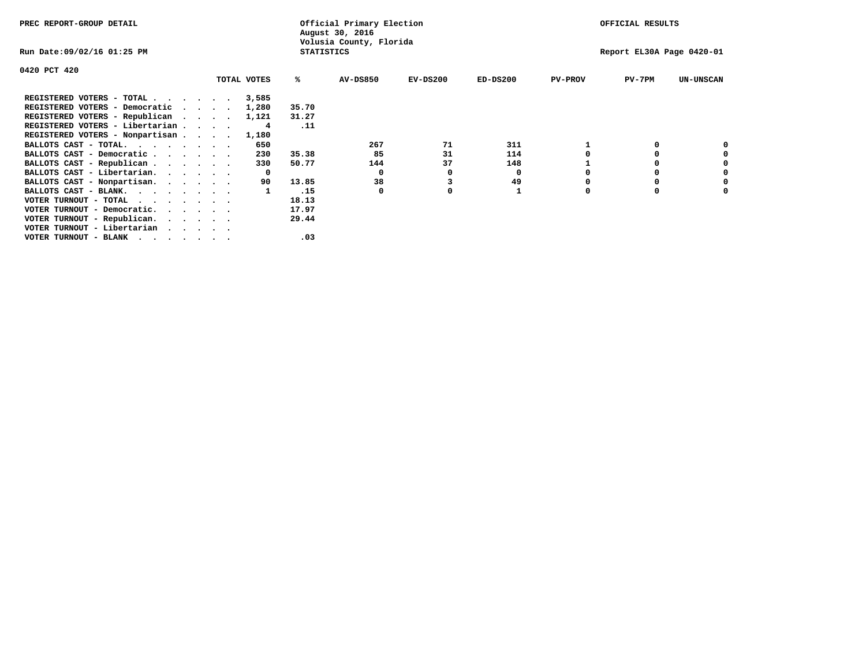| PREC REPORT-GROUP DETAIL                                                                                              |             |                   | Official Primary Election<br>August 30, 2016 |            |            |                | OFFICIAL RESULTS          |                  |
|-----------------------------------------------------------------------------------------------------------------------|-------------|-------------------|----------------------------------------------|------------|------------|----------------|---------------------------|------------------|
| Run Date:09/02/16 01:25 PM                                                                                            |             | <b>STATISTICS</b> | Volusia County, Florida                      |            |            |                | Report EL30A Page 0420-01 |                  |
| 0420 PCT 420                                                                                                          |             |                   |                                              |            |            |                |                           |                  |
|                                                                                                                       | TOTAL VOTES | ℁                 | <b>AV-DS850</b>                              | $EV-DS200$ | $ED-DS200$ | <b>PV-PROV</b> | $PV-7PM$                  | <b>UN-UNSCAN</b> |
| REGISTERED VOTERS - TOTAL                                                                                             | 3,585       |                   |                                              |            |            |                |                           |                  |
| REGISTERED VOTERS - Democratic                                                                                        | 1,280       | 35.70             |                                              |            |            |                |                           |                  |
| REGISTERED VOTERS - Republican                                                                                        | 1,121       | 31.27             |                                              |            |            |                |                           |                  |
| REGISTERED VOTERS - Libertarian                                                                                       | 4           | .11               |                                              |            |            |                |                           |                  |
| REGISTERED VOTERS - Nonpartisan                                                                                       | 1,180       |                   |                                              |            |            |                |                           |                  |
| BALLOTS CAST - TOTAL.                                                                                                 | 650         |                   | 267                                          | 71         | 311        |                |                           |                  |
| BALLOTS CAST - Democratic                                                                                             | 230         | 35.38             | 85                                           | 31         | 114        |                |                           |                  |
| BALLOTS CAST - Republican                                                                                             | 330         | 50.77             | 144                                          | 37         | 148        |                |                           |                  |
| BALLOTS CAST - Libertarian.                                                                                           | 0           |                   | 0                                            |            | 0          |                |                           |                  |
| BALLOTS CAST - Nonpartisan.                                                                                           | 90          | 13.85             | 38                                           |            | 49         |                |                           | 0                |
| BALLOTS CAST - BLANK.                                                                                                 |             | .15               | 0                                            | o          |            | O              | $\Omega$                  |                  |
| VOTER TURNOUT - TOTAL $\cdot$ , , , , , ,                                                                             |             | 18.13             |                                              |            |            |                |                           |                  |
| VOTER TURNOUT - Democratic.                                                                                           |             | 17.97             |                                              |            |            |                |                           |                  |
| VOTER TURNOUT - Republican.                                                                                           |             | 29.44             |                                              |            |            |                |                           |                  |
| VOTER TURNOUT - Libertarian                                                                                           |             |                   |                                              |            |            |                |                           |                  |
| VOTER TURNOUT - BLANK<br>. As a set of the set of the set of the set of the set of the set of the set of the $\alpha$ |             | .03               |                                              |            |            |                |                           |                  |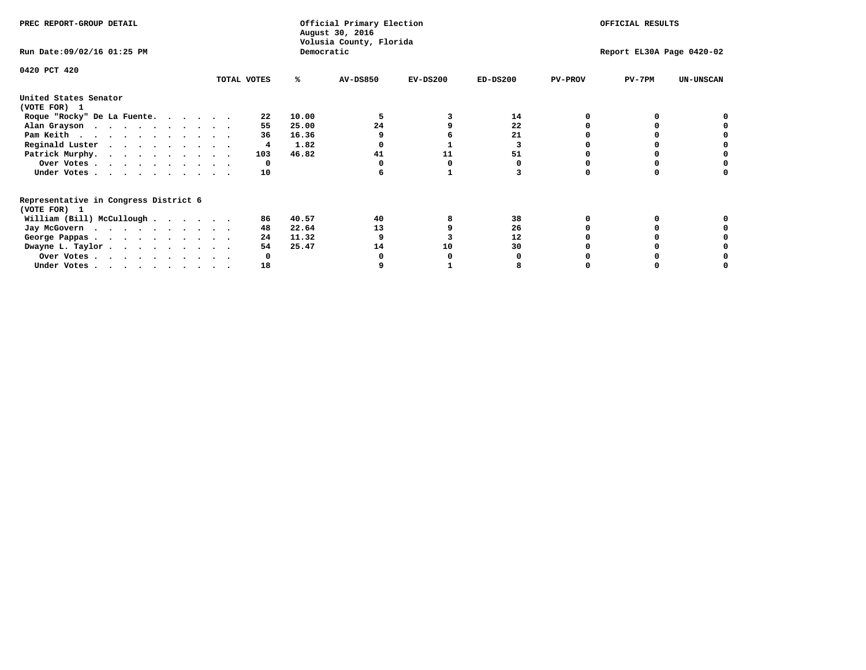| PREC REPORT-GROUP DETAIL                                               |             |            | Official Primary Election<br>August 30, 2016 |            | OFFICIAL RESULTS |                |                           |                  |
|------------------------------------------------------------------------|-------------|------------|----------------------------------------------|------------|------------------|----------------|---------------------------|------------------|
| Run Date: 09/02/16 01:25 PM                                            |             | Democratic | Volusia County, Florida                      |            |                  |                | Report EL30A Page 0420-02 |                  |
| 0420 PCT 420                                                           | TOTAL VOTES | ℁          | <b>AV-DS850</b>                              | $EV-DS200$ | $ED-DS200$       | <b>PV-PROV</b> | $PV-7PM$                  | <b>UN-UNSCAN</b> |
| United States Senator                                                  |             |            |                                              |            |                  |                |                           |                  |
| (VOTE FOR) 1                                                           |             |            |                                              |            |                  |                |                           |                  |
| Roque "Rocky" De La Fuente.                                            | 22          | 10.00      |                                              |            | 14               |                |                           |                  |
| Alan Grayson                                                           | 55          | 25.00      | 24                                           |            | 22               |                |                           |                  |
| Pam Keith                                                              | 36          | 16.36      |                                              |            | 21               |                |                           |                  |
| Reginald Luster                                                        | 4           | 1.82       |                                              |            |                  |                |                           |                  |
| Patrick Murphy.                                                        | 103         | 46.82      | 41                                           | 11         | 51               |                |                           |                  |
| Over Votes                                                             | 0           |            |                                              |            |                  |                |                           |                  |
| Under Votes                                                            | 10          |            |                                              |            |                  |                |                           |                  |
| Representative in Congress District 6                                  |             |            |                                              |            |                  |                |                           |                  |
| (VOTE FOR) 1                                                           |             |            |                                              |            |                  |                |                           |                  |
| William (Bill) McCullough $\cdots$ $\cdots$                            | 86          | 40.57      | 40                                           |            | 38               |                |                           |                  |
| Jay McGovern                                                           | 48          | 22.64      | 13                                           |            | 26               |                |                           |                  |
| George Pappas.                                                         | 24          | 11.32      |                                              |            | 12               |                |                           |                  |
| Dwayne L. Taylor                                                       | 54          | 25.47      | 14                                           | 10         | 30               |                |                           |                  |
| Over Votes                                                             |             |            |                                              |            |                  |                |                           |                  |
| Under Votes, $\cdot$ , $\cdot$ , $\cdot$ , $\cdot$ , $\cdot$ , $\cdot$ | 18          |            |                                              |            |                  |                |                           |                  |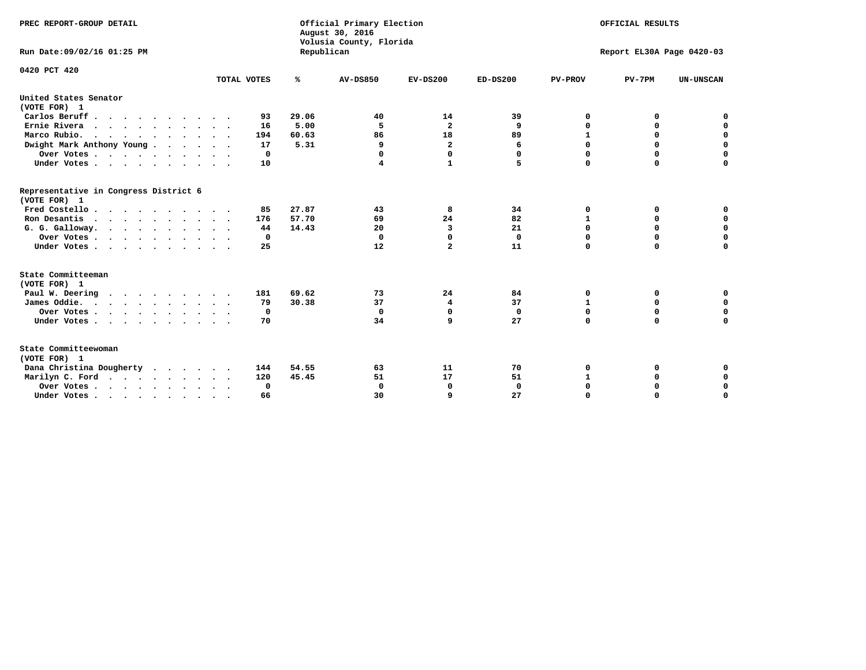| PREC REPORT-GROUP DETAIL<br>Run Date: 09/02/16 01:25 PM |             | Republican    | Official Primary Election<br>August 30, 2016<br>Volusia County, Florida | OFFICIAL RESULTS<br>Report EL30A Page 0420-03 |              |                   |                  |                            |
|---------------------------------------------------------|-------------|---------------|-------------------------------------------------------------------------|-----------------------------------------------|--------------|-------------------|------------------|----------------------------|
| 0420 PCT 420                                            | TOTAL VOTES | ℁             | <b>AV-DS850</b>                                                         | $EV-DS200$                                    | $ED-DS200$   | <b>PV-PROV</b>    | $PV-7PM$         | <b>UN-UNSCAN</b>           |
| United States Senator                                   |             |               |                                                                         |                                               |              |                   |                  |                            |
| (VOTE FOR) 1                                            |             |               |                                                                         |                                               |              |                   |                  |                            |
| Carlos Beruff                                           | 93          | 29.06         | 40                                                                      | 14                                            | 39           | 0                 | 0                | 0                          |
| Ernie Rivera<br>Marco Rubio.                            | 16<br>194   | 5.00<br>60.63 | -5<br>86                                                                | $\mathbf{2}$<br>18                            | 9<br>89      | 0<br>$\mathbf{1}$ | 0<br>$\mathbf 0$ | $\mathbf 0$<br>$\mathbf 0$ |
| .<br>Dwight Mark Anthony Young                          | 17          | 5.31          | 9                                                                       | $\overline{\mathbf{2}}$                       | 6            | 0                 | 0                | $\mathbf 0$                |
|                                                         | 0           |               | 0                                                                       | 0                                             | $\Omega$     | 0                 | 0                | 0                          |
| Over Votes<br>Under Votes                               | 10          |               | 4                                                                       | $\mathbf{1}$                                  | 5            | $\Omega$          | $\mathbf 0$      | $\mathbf 0$                |
|                                                         |             |               |                                                                         |                                               |              |                   |                  |                            |
| Representative in Congress District 6<br>(VOTE FOR) 1   |             |               |                                                                         |                                               |              |                   |                  |                            |
| Fred Costello                                           | 85          | 27.87         | 43                                                                      | 8                                             | 34           | 0                 | 0                | 0                          |
| Ron Desantis                                            | 176         | 57.70         | 69                                                                      | 24                                            | 82           | $\mathbf{1}$      | 0                | $\mathbf 0$                |
| G. G. Galloway.                                         | 44          | 14.43         | 20                                                                      | 3                                             | 21           | $\mathbf 0$       | $\Omega$         | $\mathbf 0$                |
| Over Votes                                              | 0           |               | $\Omega$                                                                | 0                                             | $\mathbf 0$  | 0                 | 0                | 0                          |
| Under Votes                                             | 25          |               | 12                                                                      | $\overline{a}$                                | 11           | $\mathbf 0$       | $\mathbf 0$      | $\mathbf 0$                |
| State Committeeman                                      |             |               |                                                                         |                                               |              |                   |                  |                            |
| (VOTE FOR) 1                                            |             |               |                                                                         |                                               |              |                   |                  |                            |
| Paul W. Deering<br>.                                    | 181         | 69.62         | 73                                                                      | 24                                            | 84           | 0                 | 0                | 0                          |
| James Oddie.                                            | 79          | 30.38         | 37                                                                      | 4                                             | 37           | 1                 | 0                | $\mathbf 0$                |
| Over Votes                                              | 0           |               | $\mathbf 0$                                                             | $\mathbf 0$                                   | $\mathbf 0$  | $\mathbf 0$       | $\mathbf 0$      | $\mathbf 0$                |
| Under Votes                                             | 70          |               | 34                                                                      | 9                                             | 27           | $\mathbf 0$       | $\mathbf 0$      | $\mathbf 0$                |
| State Committeewoman<br>(VOTE FOR) 1                    |             |               |                                                                         |                                               |              |                   |                  |                            |
| Dana Christina Dougherty                                | 144         | 54.55         | 63                                                                      | 11                                            | 70           | 0                 | 0                | 0                          |
| Marilyn C. Ford                                         | 120         | 45.45         | 51                                                                      | 17                                            | 51           | 1                 | 0                | 0                          |
| Over Votes                                              | $\Omega$    |               | $\Omega$                                                                | 0                                             | $\mathbf{0}$ | 0                 | 0                | $\mathbf 0$                |
| Under Votes, , , , , , , , , ,                          | 66          |               | 30                                                                      | q                                             | 27           | $\Omega$          | $\Omega$         | $\Omega$                   |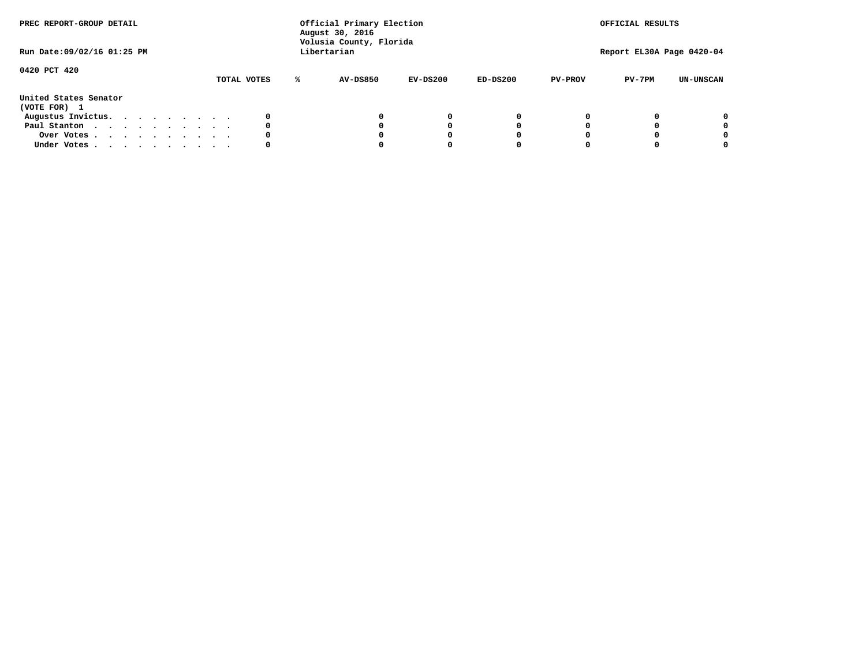| PREC REPORT-GROUP DETAIL<br>Run Date:09/02/16 01:25 PM |  |  |  |  | Official Primary Election<br>August 30, 2016<br>Volusia County, Florida<br>Libertarian |  |             | OFFICIAL RESULTS<br>Report EL30A Page 0420-04 |            |            |                |          |                  |
|--------------------------------------------------------|--|--|--|--|----------------------------------------------------------------------------------------|--|-------------|-----------------------------------------------|------------|------------|----------------|----------|------------------|
| 0420 PCT 420                                           |  |  |  |  |                                                                                        |  | TOTAL VOTES | <b>AV-DS850</b>                               | $EV-DS200$ | $ED-DS200$ | <b>PV-PROV</b> | $PV-7PM$ | <b>UN-UNSCAN</b> |
| United States Senator<br>(VOTE FOR) 1                  |  |  |  |  |                                                                                        |  |             |                                               |            |            |                |          |                  |
| Augustus Invictus.                                     |  |  |  |  |                                                                                        |  |             |                                               | $^{\circ}$ | 0          |                |          | 0                |
| Paul Stanton                                           |  |  |  |  |                                                                                        |  | 0           |                                               | 0          |            |                |          | 0                |
| Over Votes                                             |  |  |  |  |                                                                                        |  |             |                                               |            |            |                |          | 0                |
| Under Votes                                            |  |  |  |  |                                                                                        |  | 0           |                                               |            |            |                |          | 0                |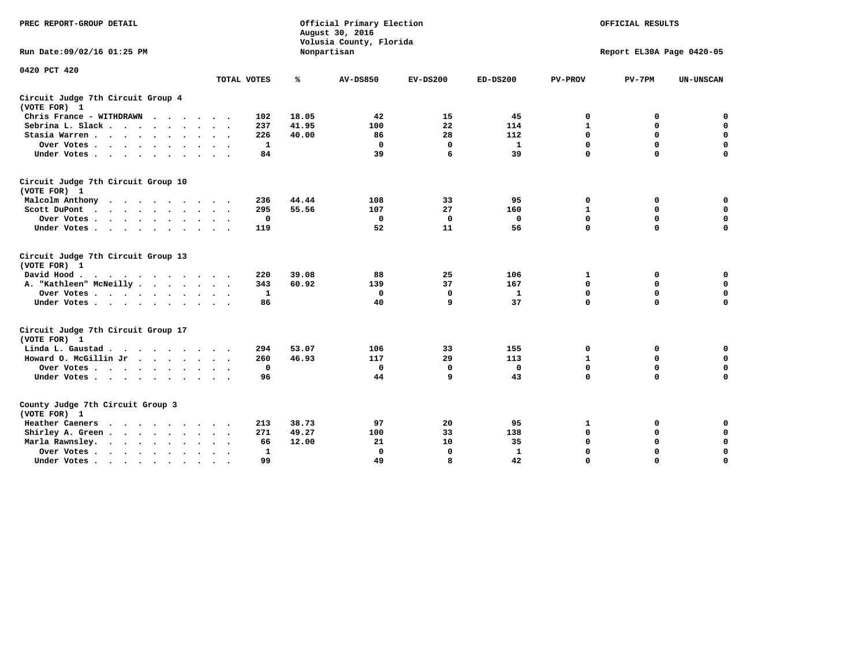| PREC REPORT-GROUP DETAIL                                               | Official Primary Election<br>August 30, 2016<br>Volusia County, Florida<br>Nonpartisan |              |                 |             |              |                | OFFICIAL RESULTS<br>Report EL30A Page 0420-05 |                  |  |  |
|------------------------------------------------------------------------|----------------------------------------------------------------------------------------|--------------|-----------------|-------------|--------------|----------------|-----------------------------------------------|------------------|--|--|
| Run Date: 09/02/16 01:25 PM                                            |                                                                                        |              |                 |             |              |                |                                               |                  |  |  |
| 0420 PCT 420                                                           |                                                                                        |              |                 |             |              |                |                                               |                  |  |  |
|                                                                        | TOTAL VOTES                                                                            | ℁            | <b>AV-DS850</b> | $EV-DS200$  | $ED-DS200$   | <b>PV-PROV</b> | $PV-7PM$                                      | <b>UN-UNSCAN</b> |  |  |
| Circuit Judge 7th Circuit Group 4<br>(VOTE FOR) 1                      |                                                                                        |              |                 |             |              |                |                                               |                  |  |  |
| Chris France - WITHDRAWN<br>.                                          | 102                                                                                    | 18.05        | 42              | 15          | 45           | 0              | 0                                             | 0                |  |  |
| Sebrina L. Slack                                                       | 237                                                                                    | 41.95        | 100             | 22          | 114          | $\mathbf{1}$   | $\mathbf 0$                                   | $\mathbf 0$      |  |  |
| Stasia Warren                                                          | 226                                                                                    | 40.00        | 86              | 28          | 112          | $\mathbf 0$    | $\Omega$                                      | $\mathbf 0$      |  |  |
| Over Votes                                                             |                                                                                        | 1            | $\mathbf{0}$    | 0           | 1            | $\mathbf 0$    | $\mathbf 0$                                   | $\mathbf 0$      |  |  |
| Under Votes                                                            |                                                                                        | 84           | 39              | 6           | 39           | $\mathbf 0$    | $\Omega$                                      | $\mathbf 0$      |  |  |
| Circuit Judge 7th Circuit Group 10<br>(VOTE FOR) 1                     |                                                                                        |              |                 |             |              |                |                                               |                  |  |  |
| Malcolm Anthony                                                        | 236                                                                                    | 44.44        | 108             | 33          | 95           | 0              | 0                                             | $\mathbf 0$      |  |  |
| Scott DuPont                                                           | 295                                                                                    | 55.56        | 107             | 27          | 160          | $\mathbf 1$    | $\mathbf 0$                                   | $\mathbf 0$      |  |  |
| Over Votes<br>$\bullet$<br>$\cdot$                                     |                                                                                        | 0            | $\mathbf 0$     | 0           | 0            | $\mathbf 0$    | 0                                             | $\mathbf 0$      |  |  |
| Under Votes                                                            | 119                                                                                    |              | 52              | 11          | 56           | $\mathbf 0$    | $\Omega$                                      | $\Omega$         |  |  |
| Circuit Judge 7th Circuit Group 13<br>(VOTE FOR) 1                     |                                                                                        |              |                 |             |              |                |                                               |                  |  |  |
| David Hood.                                                            | 220                                                                                    | 39.08        | 88              | 25          | 106          | $\mathbf{1}$   | 0                                             | $\mathbf 0$      |  |  |
| A. "Kathleen" McNeilly                                                 | 343                                                                                    | 60.92        | 139             | 37          | 167          | $\Omega$       | $\Omega$                                      | $\mathbf 0$      |  |  |
| Over Votes                                                             |                                                                                        | 1            | $\mathbf{0}$    | 0           | $\mathbf{1}$ | 0              | $\mathbf 0$                                   | $\mathbf 0$      |  |  |
| Under Votes                                                            |                                                                                        | 86           | 40              | 9           | 37           | $\mathbf 0$    | $\Omega$                                      | 0                |  |  |
| Circuit Judge 7th Circuit Group 17<br>(VOTE FOR) 1                     |                                                                                        |              |                 |             |              |                |                                               |                  |  |  |
| Linda L. Gaustad                                                       | 294                                                                                    | 53.07        | 106             | 33          | 155          | 0              | 0                                             | $\mathbf 0$      |  |  |
| Howard O. McGillin Jr                                                  | 260                                                                                    | 46.93        | 117             | 29          | 113          | 1              | 0                                             | $\mathbf 0$      |  |  |
| Over Votes                                                             |                                                                                        | 0            | $\mathbf{0}$    | 0           | $\mathbf{0}$ | $\mathbf 0$    | $\mathbf 0$                                   | 0                |  |  |
| Under Votes                                                            |                                                                                        | 96           | 44              | 9           | 43           | $\mathbf 0$    | $\mathbf 0$                                   | $\mathbf 0$      |  |  |
| County Judge 7th Circuit Group 3<br>(VOTE FOR) 1                       |                                                                                        |              |                 |             |              |                |                                               |                  |  |  |
| Heather Caeners<br>$\cdots$                                            | 213                                                                                    | 38.73        | 97              | 20          | 95           | 1              | 0                                             | 0                |  |  |
| Shirley A. Green                                                       | 271                                                                                    | 49.27        | 100             | 33          | 138          | $\mathbf 0$    | $\Omega$                                      | $\mathbf 0$      |  |  |
| Marla Rawnsley.<br>$\cdot$                                             |                                                                                        | 66<br>12.00  | 21              | 10          | 35           | 0              | $\mathbf 0$                                   | $\pmb{0}$        |  |  |
| Over Votes.<br>$\cdot$<br>$\ddot{\phantom{a}}$<br>$\ddot{\phantom{a}}$ |                                                                                        | $\mathbf{1}$ | $\Omega$        | $\mathbf 0$ | $\mathbf{1}$ | $\mathbf 0$    | $\Omega$                                      | $\mathbf 0$      |  |  |
| Under Votes<br>$\sim$                                                  |                                                                                        | 99           | 49              | 8           | 42           | $\mathbf 0$    | $\mathbf 0$                                   | 0                |  |  |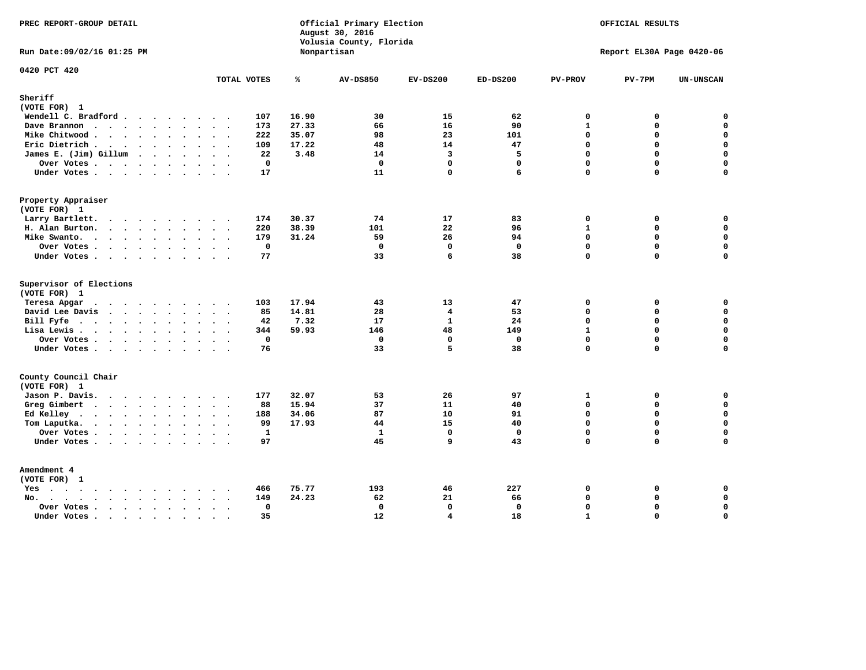| PREC REPORT-GROUP DETAIL                                                                                               |                                                    |             | Official Primary Election<br>August 30, 2016<br>Volusia County, Florida |                         |              |                | OFFICIAL RESULTS          |                  |
|------------------------------------------------------------------------------------------------------------------------|----------------------------------------------------|-------------|-------------------------------------------------------------------------|-------------------------|--------------|----------------|---------------------------|------------------|
| Run Date: 09/02/16 01:25 PM                                                                                            |                                                    | Nonpartisan |                                                                         |                         |              |                | Report EL30A Page 0420-06 |                  |
| 0420 PCT 420                                                                                                           | TOTAL VOTES                                        | ℁           | <b>AV-DS850</b>                                                         | $EV-DS200$              | $ED-DS200$   | <b>PV-PROV</b> | $PV-7PM$                  | <b>UN-UNSCAN</b> |
| Sheriff<br>(VOTE FOR) 1                                                                                                |                                                    |             |                                                                         |                         |              |                |                           |                  |
| Wendell C. Bradford                                                                                                    | 107                                                | 16.90       | 30                                                                      | 15                      | 62           | $\mathbf 0$    | 0                         | $\mathbf 0$      |
| Dave Brannon                                                                                                           | 173                                                | 27.33       | 66                                                                      | 16                      | 90           | $\mathbf{1}$   | 0                         | $\mathbf 0$      |
| Mike Chitwood                                                                                                          | 222                                                | 35.07       | 98                                                                      | 23                      | 101          | 0              | 0                         | $\pmb{0}$        |
| Eric Dietrich.                                                                                                         | 109                                                | 17.22       | 48                                                                      | 14                      | 47           | $\mathbf 0$    | 0                         | $\mathbf 0$      |
| James E. (Jim) Gillum                                                                                                  | 22                                                 | 3.48        | 14                                                                      | 3                       | 5            | $\Omega$       | 0                         | $\mathbf 0$      |
| Over Votes                                                                                                             | $\mathbf 0$                                        |             | $\mathbf 0$                                                             | $\mathbf 0$             | $\mathbf{0}$ | $\Omega$       | 0                         | $\mathbf 0$      |
| Under Votes                                                                                                            | 17                                                 |             | 11                                                                      | $\mathbf{0}$            | 6            | $\Omega$       | 0                         | $\mathbf 0$      |
| Property Appraiser                                                                                                     |                                                    |             |                                                                         |                         |              |                |                           |                  |
| (VOTE FOR) 1                                                                                                           |                                                    |             |                                                                         |                         |              |                |                           |                  |
| Larry Bartlett.                                                                                                        | 174                                                | 30.37       | 74                                                                      | 17                      | 83           | 0              | 0                         | 0                |
| H. Alan Burton.                                                                                                        | 220                                                | 38.39       | 101                                                                     | 22                      | 96           | $\mathbf{1}$   | 0                         | $\mathbf 0$      |
| Mike Swanto.                                                                                                           | 179                                                | 31.24       | 59                                                                      | 26                      | 94           | $\Omega$       | 0                         | 0                |
| Over Votes                                                                                                             | $\mathbf 0$                                        |             | $\mathbf 0$                                                             | $\mathbf 0$             | $\mathbf 0$  | $\mathbf 0$    | 0                         | $\mathbf 0$      |
| Under Votes                                                                                                            | 77                                                 |             | 33                                                                      | 6                       | 38           | $\mathbf 0$    | $\Omega$                  | 0                |
| Supervisor of Elections                                                                                                |                                                    |             |                                                                         |                         |              |                |                           |                  |
| (VOTE FOR) 1                                                                                                           |                                                    | 17.94       | 43                                                                      | 13                      |              | 0              | 0                         | $\mathbf 0$      |
| Teresa Apgar<br>$\mathbf{r}$ . The state of the state $\mathbf{r}$<br>David Lee Davis                                  | 103<br>85                                          | 14.81       | 28                                                                      | $\overline{\mathbf{4}}$ | 47<br>53     | $\Omega$       | 0                         | $\mathbf 0$      |
| Bill Fyfe.                                                                                                             | 42                                                 | 7.32        | 17                                                                      | $\mathbf{1}$            | 24           | $\mathbf 0$    | 0                         | $\mathbf 0$      |
| Lisa Lewis                                                                                                             | 344                                                | 59.93       | 146                                                                     | 48                      | 149          | $\mathbf{1}$   | 0                         | $\mathbf 0$      |
| Over Votes.                                                                                                            | $\mathbf 0$                                        |             | $\mathbf 0$                                                             | $\mathbf{0}$            | $\mathbf{0}$ | $\mathbf 0$    | 0                         | $\mathbf 0$      |
| Under Votes                                                                                                            | 76                                                 |             | 33                                                                      | 5                       | 38           | $\mathbf 0$    | 0                         | 0                |
| County Council Chair                                                                                                   |                                                    |             |                                                                         |                         |              |                |                           |                  |
| (VOTE FOR) 1                                                                                                           |                                                    |             |                                                                         |                         |              |                |                           |                  |
| Jason P. Davis.                                                                                                        | 177<br>$\cdot$ .                                   | 32.07       | 53                                                                      | 26                      | 97           | 1              | 0                         | 0                |
| Greg Gimbert                                                                                                           | 88                                                 | 15.94       | 37                                                                      | 11                      | 40           | $\mathbf 0$    | 0                         | $\mathbf 0$      |
| Ed Kelley                                                                                                              | 188                                                | 34.06       | 87                                                                      | 10                      | 91           | $\mathbf 0$    | 0                         | $\mathbf 0$      |
| Tom Laputka.<br>$\cdots$                                                                                               | 99                                                 | 17.93       | 44                                                                      | 15                      | 40           | $\mathbf 0$    | 0                         | $\mathbf 0$      |
| Over Votes                                                                                                             | $\mathbf{1}$                                       |             | $\mathbf{1}$                                                            | $\mathbf{0}$            | $\mathbf{0}$ | $\mathbf 0$    | 0                         | 0                |
| Under Votes                                                                                                            | 97                                                 |             | 45                                                                      | 9                       | 43           | $\Omega$       | $\Omega$                  | $\Omega$         |
| Amendment 4                                                                                                            |                                                    |             |                                                                         |                         |              |                |                           |                  |
| (VOTE FOR) 1                                                                                                           |                                                    |             |                                                                         |                         |              |                |                           |                  |
| $Yes \cdot \cdot \cdot \cdot \cdot \cdot \cdot \cdot \cdot$                                                            | 466                                                | 75.77       | 193                                                                     | 46                      | 227          | 0              | 0                         | 0                |
| $\mathbf{r}$ , $\mathbf{r}$ , $\mathbf{r}$ , $\mathbf{r}$ , $\mathbf{r}$ , $\mathbf{r}$<br>No.<br>$\ddot{\phantom{a}}$ | 149<br>$\sim$ $\sim$                               | 24.23       | 62                                                                      | 21                      | 66           | $\mathbf 0$    | 0                         | 0                |
| Over Votes<br>$\cdots$<br>$\sim$                                                                                       | $\mathbf 0$<br>$\bullet$ .<br><br><br><br><br><br> |             | $\mathbf 0$                                                             | 0                       | $\mathbf 0$  | $\mathbf 0$    | 0                         | $\pmb{0}$        |
| Under Votes<br>$\ddot{\phantom{a}}$                                                                                    | 35<br>$\cdot$ .<br>$\sim$                          |             | 12                                                                      | 4                       | 18           | $\mathbf{1}$   | $\Omega$                  | 0                |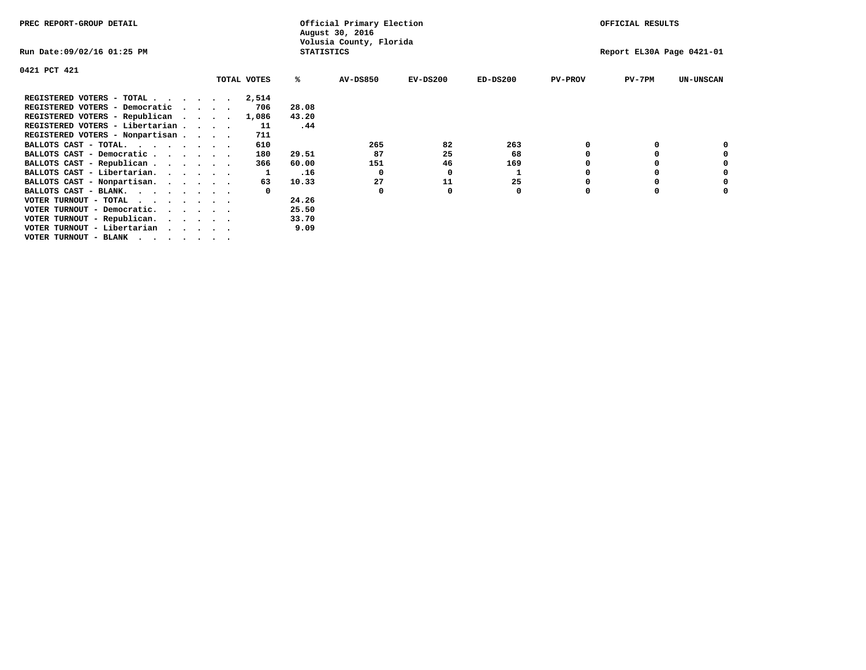| PREC REPORT-GROUP DETAIL                                                                                                                 |  |             |                   | Official Primary Election<br>August 30, 2016 |            |            |                | OFFICIAL RESULTS          |                  |
|------------------------------------------------------------------------------------------------------------------------------------------|--|-------------|-------------------|----------------------------------------------|------------|------------|----------------|---------------------------|------------------|
| Run Date:09/02/16 01:25 PM                                                                                                               |  |             | <b>STATISTICS</b> | Volusia County, Florida                      |            |            |                | Report EL30A Page 0421-01 |                  |
| 0421 PCT 421                                                                                                                             |  |             |                   |                                              |            |            |                |                           |                  |
|                                                                                                                                          |  | TOTAL VOTES | ℁                 | AV-DS850                                     | $EV-DS200$ | $ED-DS200$ | <b>PV-PROV</b> | $PV-7PM$                  | <b>UN-UNSCAN</b> |
| REGISTERED VOTERS - TOTAL $\cdot$ $\cdot$ $\cdot$ $\cdot$ $\cdot$ $\cdot$                                                                |  | 2,514       |                   |                                              |            |            |                |                           |                  |
| REGISTERED VOTERS - Democratic                                                                                                           |  | 706         | 28.08             |                                              |            |            |                |                           |                  |
| REGISTERED VOTERS - Republican                                                                                                           |  | 1,086       | 43.20             |                                              |            |            |                |                           |                  |
| REGISTERED VOTERS - Libertarian                                                                                                          |  | 11          | .44               |                                              |            |            |                |                           |                  |
| REGISTERED VOTERS - Nonpartisan                                                                                                          |  | 711         |                   |                                              |            |            |                |                           |                  |
| BALLOTS CAST - TOTAL.                                                                                                                    |  | 610         |                   | 265                                          | 82         | 263        |                |                           |                  |
| BALLOTS CAST - Democratic                                                                                                                |  | 180         | 29.51             | 87                                           | 25         | 68         |                |                           |                  |
| BALLOTS CAST - Republican                                                                                                                |  | 366         | 60.00             | 151                                          | 46         | 169        |                |                           |                  |
| BALLOTS CAST - Libertarian.                                                                                                              |  |             | .16               | $\Omega$                                     | 0          |            |                |                           |                  |
| BALLOTS CAST - Nonpartisan.                                                                                                              |  | 63          | 10.33             | 27                                           | 11         | 25         |                |                           |                  |
| BALLOTS CAST - BLANK.                                                                                                                    |  |             |                   | 0                                            |            | 0          | O              |                           |                  |
| VOTER TURNOUT - TOTAL<br>the contract of the contract of the contract of the contract of the contract of the contract of the contract of |  |             | 24.26             |                                              |            |            |                |                           |                  |
| VOTER TURNOUT - Democratic.                                                                                                              |  |             | 25.50             |                                              |            |            |                |                           |                  |
| VOTER TURNOUT - Republican.                                                                                                              |  |             | 33.70             |                                              |            |            |                |                           |                  |
| VOTER TURNOUT - Libertarian                                                                                                              |  |             | 9.09              |                                              |            |            |                |                           |                  |
| VOTER TURNOUT - BLANK                                                                                                                    |  |             |                   |                                              |            |            |                |                           |                  |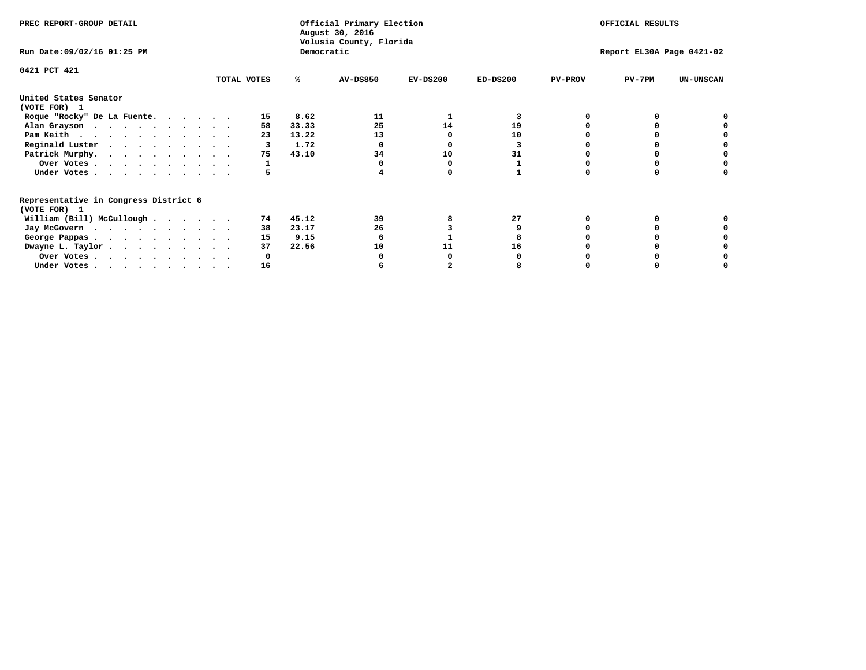| PREC REPORT-GROUP DETAIL                                               |             |       | Official Primary Election<br>August 30, 2016<br>Volusia County, Florida |            | OFFICIAL RESULTS |                |                           |                  |
|------------------------------------------------------------------------|-------------|-------|-------------------------------------------------------------------------|------------|------------------|----------------|---------------------------|------------------|
| Run Date: 09/02/16 01:25 PM                                            |             |       | Democratic                                                              |            |                  |                | Report EL30A Page 0421-02 |                  |
| 0421 PCT 421                                                           | TOTAL VOTES | ℁     | <b>AV-DS850</b>                                                         | $EV-DS200$ | $ED-DS200$       | <b>PV-PROV</b> | $PV-7PM$                  | <b>UN-UNSCAN</b> |
|                                                                        |             |       |                                                                         |            |                  |                |                           |                  |
| United States Senator<br>(VOTE FOR) 1                                  |             |       |                                                                         |            |                  |                |                           |                  |
| Roque "Rocky" De La Fuente.                                            | 15          | 8.62  | 11                                                                      |            |                  |                |                           |                  |
| Alan Grayson                                                           | 58          | 33.33 | 25                                                                      | 14         | 19               |                |                           |                  |
| Pam Keith                                                              | 23          | 13.22 | 13                                                                      | ∩          | 10               |                |                           |                  |
| Reginald Luster                                                        | 3           | 1.72  |                                                                         |            |                  |                |                           |                  |
| Patrick Murphy.                                                        | 75          | 43.10 | 34                                                                      | 10         | 31               |                |                           |                  |
| Over Votes                                                             |             |       |                                                                         |            |                  |                |                           |                  |
| Under Votes                                                            |             |       |                                                                         |            |                  |                |                           |                  |
| Representative in Congress District 6                                  |             |       |                                                                         |            |                  |                |                           |                  |
| (VOTE FOR) 1                                                           |             |       |                                                                         |            |                  |                |                           |                  |
| William (Bill) McCullough $\cdots$ $\cdots$                            | 74          | 45.12 | 39                                                                      |            | 27               |                |                           |                  |
| Jay McGovern                                                           | 38          | 23.17 | 26                                                                      |            |                  |                |                           |                  |
| George Pappas.                                                         | 15          | 9.15  |                                                                         |            |                  |                |                           |                  |
| Dwayne L. Taylor                                                       | 37          | 22.56 | 10                                                                      | 11         | 16               |                |                           |                  |
| Over Votes                                                             |             |       |                                                                         |            |                  |                |                           |                  |
| Under Votes, $\cdot$ , $\cdot$ , $\cdot$ , $\cdot$ , $\cdot$ , $\cdot$ | 16          |       |                                                                         |            |                  |                |                           |                  |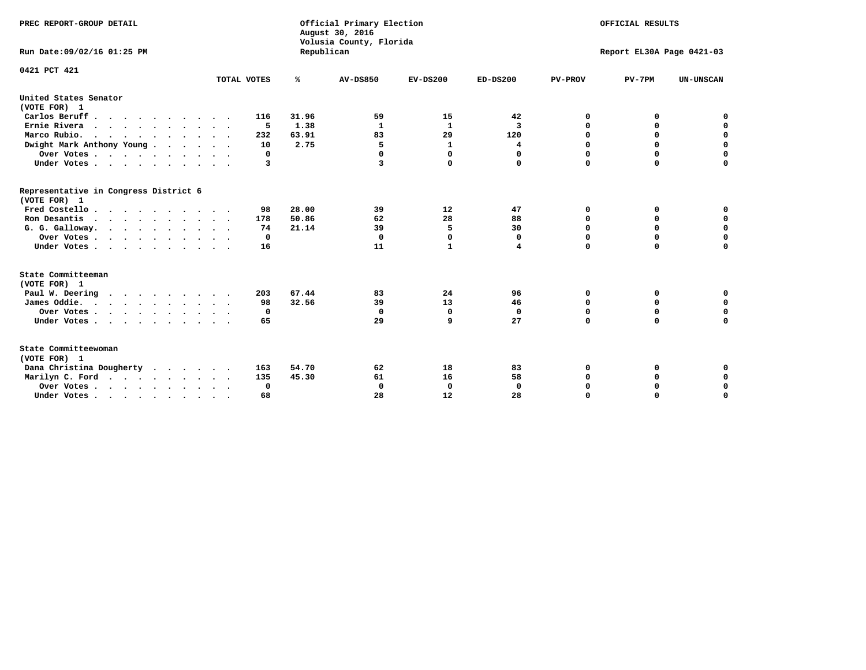| PREC REPORT-GROUP DETAIL<br>Run Date: 09/02/16 01:25 PM |             | Republican | Official Primary Election<br>August 30, 2016<br>Volusia County, Florida | OFFICIAL RESULTS<br>Report EL30A Page 0421-03 |             |                |             |                  |
|---------------------------------------------------------|-------------|------------|-------------------------------------------------------------------------|-----------------------------------------------|-------------|----------------|-------------|------------------|
|                                                         |             |            |                                                                         |                                               |             |                |             |                  |
| 0421 PCT 421                                            | TOTAL VOTES | ℁          | <b>AV-DS850</b>                                                         | $EV-DS200$                                    | $ED-DS200$  | <b>PV-PROV</b> | $PV-7PM$    | <b>UN-UNSCAN</b> |
|                                                         |             |            |                                                                         |                                               |             |                |             |                  |
| United States Senator<br>(VOTE FOR) 1                   |             |            |                                                                         |                                               |             |                |             |                  |
| Carlos Beruff.                                          | 116         | 31.96      | 59                                                                      | 15                                            | 42          | 0              | 0           | 0                |
| Ernie Rivera                                            | -5          | 1.38       | 1                                                                       | $\mathbf{1}$                                  | 3           | 0              | 0           | $\mathbf 0$      |
| Marco Rubio.                                            | 232         | 63.91      | 83                                                                      | 29                                            | 120         | $\mathbf 0$    | $\mathbf 0$ | $\mathbf 0$      |
| Dwight Mark Anthony Young                               | 10          | 2.75       | 5                                                                       | 1                                             | 4           | 0              | $\mathbf 0$ | $\pmb{0}$        |
| Over Votes                                              | 0           |            | 0                                                                       | $\Omega$                                      | 0           | $\mathbf 0$    | 0           | $\mathbf 0$      |
| Under Votes                                             | 3           |            | 3                                                                       | 0                                             | 0           | $\mathbf 0$    | $\Omega$    | $\mathbf 0$      |
| Representative in Congress District 6<br>(VOTE FOR) 1   |             |            |                                                                         |                                               |             |                |             |                  |
| Fred Costello                                           | 98          | 28.00      | 39                                                                      | 12                                            | 47          | 0              | 0           | 0                |
| Ron Desantis                                            | 178         | 50.86      | 62                                                                      | 28                                            | 88          | 0              | 0           | $\mathbf 0$      |
| G. G. Galloway.                                         | 74          | 21.14      | 39                                                                      | 5                                             | 30          | $\mathbf 0$    | $\Omega$    | $\mathbf 0$      |
| Over Votes                                              | 0           |            | $\Omega$                                                                | $\mathbf{0}$                                  | 0           | $\mathbf 0$    | $\mathbf 0$ | $\mathbf 0$      |
| Under Votes                                             | 16          |            | 11                                                                      | $\mathbf{1}$                                  | 4           | $\mathbf 0$    | $\Omega$    | $\mathbf 0$      |
| State Committeeman                                      |             |            |                                                                         |                                               |             |                |             |                  |
| (VOTE FOR) 1                                            |             |            |                                                                         |                                               |             |                |             |                  |
| Paul W. Deering                                         | 203         | 67.44      | 83                                                                      | 24                                            | 96          | 0              | 0           | 0                |
| James Oddie.                                            | 98          | 32.56      | 39                                                                      | 13                                            | 46          | 0              | 0           | $\mathbf 0$      |
| Over Votes                                              | 0           |            | 0                                                                       | $\mathbf 0$                                   | $\mathbf 0$ | 0              | $\mathbf 0$ | $\mathbf 0$      |
| Under Votes                                             | 65          |            | 29                                                                      | 9                                             | 27          | $\mathbf 0$    | 0           | $\mathbf 0$      |
| State Committeewoman<br>(VOTE FOR) 1                    |             |            |                                                                         |                                               |             |                |             |                  |
| Dana Christina Dougherty<br>.                           | 163         | 54.70      | 62                                                                      | 18                                            | 83          | 0              | 0           | 0                |
| Marilyn C. Ford                                         | 135         | 45.30      | 61                                                                      | 16                                            | 58          | 0              | 0           | 0                |
| Over Votes                                              | 0           |            | 0                                                                       | 0                                             | 0           | 0              | 0           | $\mathbf 0$      |
| Under Votes, , , , , , , , , ,                          | 68          |            | 28                                                                      | 12                                            | 28          | $\Omega$       | $\Omega$    | $\Omega$         |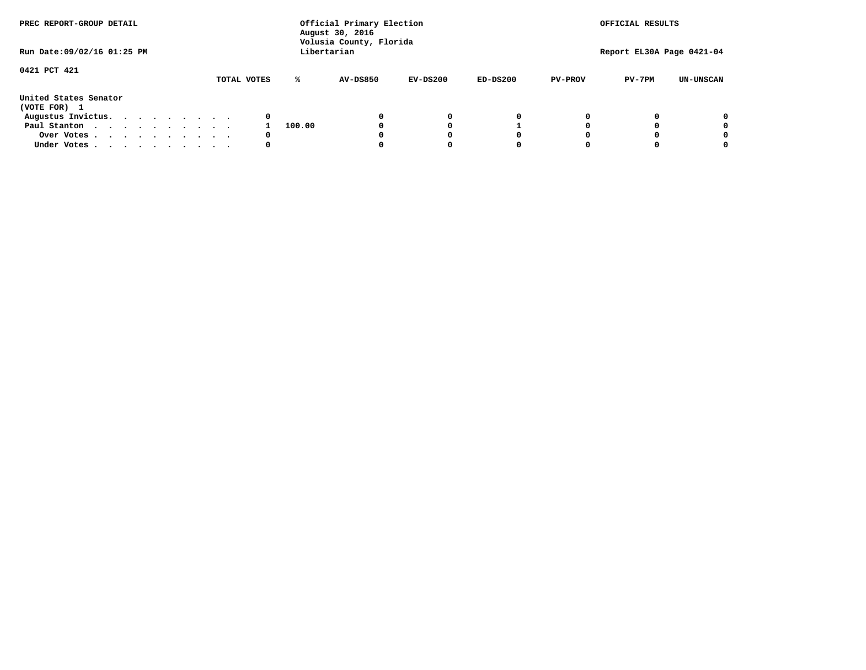| PREC REPORT-GROUP DETAIL<br>Run Date: 09/02/16 01:25 PM |  |  |  |  | Official Primary Election<br>August 30, 2016<br>Volusia County, Florida | OFFICIAL RESULTS<br>Report EL30A Page 0421-04 |        |                 |            |            |                |          |                  |
|---------------------------------------------------------|--|--|--|--|-------------------------------------------------------------------------|-----------------------------------------------|--------|-----------------|------------|------------|----------------|----------|------------------|
|                                                         |  |  |  |  |                                                                         |                                               |        | Libertarian     |            |            |                |          |                  |
| 0421 PCT 421                                            |  |  |  |  |                                                                         | TOTAL VOTES                                   | ℁      | <b>AV-DS850</b> | $EV-DS200$ | $ED-DS200$ | <b>PV-PROV</b> | $PV-7PM$ | <b>UN-UNSCAN</b> |
| United States Senator<br>(VOTE FOR) 1                   |  |  |  |  |                                                                         |                                               |        |                 |            |            |                |          |                  |
| Augustus Invictus.                                      |  |  |  |  |                                                                         | 0                                             |        |                 | 0          | 0          |                |          | 0                |
| Paul Stanton                                            |  |  |  |  |                                                                         |                                               | 100.00 |                 |            |            |                |          | 0                |
| Over Votes                                              |  |  |  |  |                                                                         | 0                                             |        |                 |            | 0          |                |          | 0                |
| Under Votes                                             |  |  |  |  |                                                                         | 0                                             |        |                 |            | 0          |                |          | 0                |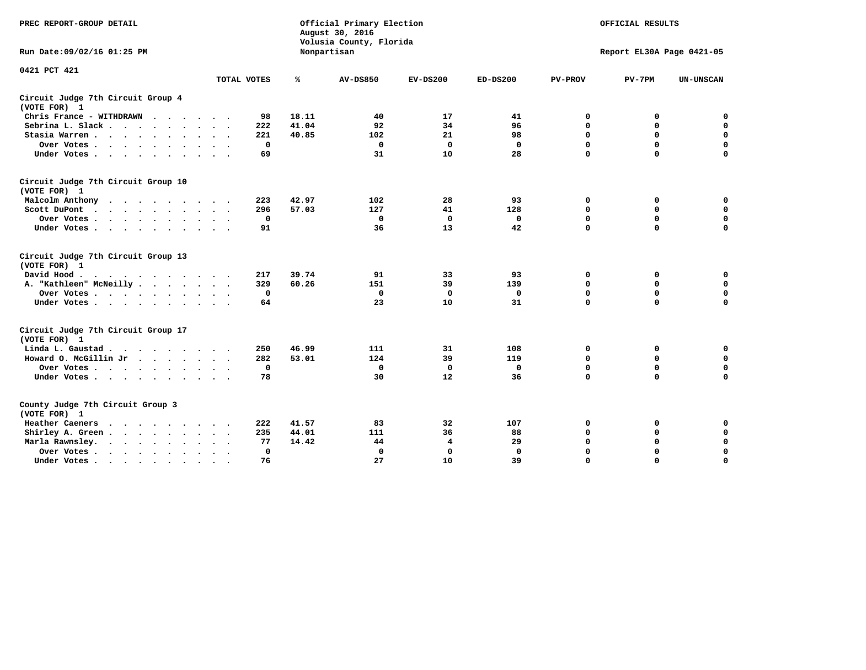| PREC REPORT-GROUP DETAIL<br>Run Date: 09/02/16 01:25 PM                                                 |              |       | Official Primary Election<br>August 30, 2016<br>Volusia County, Florida |             |              |                | OFFICIAL RESULTS<br>Report EL30A Page 0421-05 |                  |  |
|---------------------------------------------------------------------------------------------------------|--------------|-------|-------------------------------------------------------------------------|-------------|--------------|----------------|-----------------------------------------------|------------------|--|
|                                                                                                         |              |       | Nonpartisan                                                             |             |              |                |                                               |                  |  |
| 0421 PCT 421                                                                                            | TOTAL VOTES  | ℁     | <b>AV-DS850</b>                                                         | $EV-DS200$  | $ED-DS200$   | <b>PV-PROV</b> | $PV-7PM$                                      | <b>UN-UNSCAN</b> |  |
| Circuit Judge 7th Circuit Group 4<br>(VOTE FOR) 1                                                       |              |       |                                                                         |             |              |                |                                               |                  |  |
| Chris France - WITHDRAWN                                                                                | 98           | 18.11 | 40                                                                      | 17          | 41           | 0              | 0                                             | $\mathbf 0$      |  |
| Sebrina L. Slack                                                                                        | 222          | 41.04 | 92                                                                      | 34          | 96           | 0              | 0                                             | $\mathbf 0$      |  |
| Stasia Warren                                                                                           | 221          | 40.85 | 102                                                                     | 21          | 98           | $\mathbf 0$    | 0                                             | $\mathbf 0$      |  |
| Over Votes                                                                                              | $\mathbf 0$  |       | $\mathbf 0$                                                             | $\mathbf 0$ | $\mathbf 0$  | 0              | $\mathbf 0$                                   | $\pmb{0}$        |  |
| Under Votes                                                                                             | 69           |       | 31                                                                      | 10          | 28           | $\Omega$       | $\Omega$                                      | $\Omega$         |  |
| Circuit Judge 7th Circuit Group 10<br>(VOTE FOR) 1                                                      |              |       |                                                                         |             |              |                |                                               |                  |  |
| Malcolm Anthony                                                                                         | 223          | 42.97 | 102                                                                     | 28          | 93           | 0              | 0                                             | 0                |  |
| Scott DuPont<br>$\sim$                                                                                  | 296          | 57.03 | 127                                                                     | 41          | 128          | $\mathbf 0$    | $\mathbf 0$                                   | $\mathbf 0$      |  |
| Over Votes                                                                                              | $\mathbf 0$  |       | $\mathbf 0$                                                             | $\mathbf 0$ | $\mathbf 0$  | $\mathbf 0$    | $\mathbf 0$                                   | $\mathbf 0$      |  |
| Under Votes                                                                                             | 91           |       | 36                                                                      | 13          | 42           | $\Omega$       | $\mathbf 0$                                   | $\Omega$         |  |
| Circuit Judge 7th Circuit Group 13<br>(VOTE FOR) 1                                                      |              |       |                                                                         |             |              |                |                                               |                  |  |
| David Hood.<br>$\mathbf{r}$ , and $\mathbf{r}$ , and $\mathbf{r}$ , and $\mathbf{r}$ , and $\mathbf{r}$ | 217          | 39.74 | 91                                                                      | 33          | 93           | 0              | 0                                             | 0                |  |
| A. "Kathleen" McNeilly                                                                                  | 329          | 60.26 | 151                                                                     | 39          | 139          | $\mathbf 0$    | $\mathbf 0$                                   | $\mathbf 0$      |  |
| Over Votes                                                                                              | $^{\circ}$   |       | $\mathbf 0$                                                             | 0           | 0            | $\mathbf 0$    | $\mathbf 0$                                   | $\mathbf 0$      |  |
| Under Votes                                                                                             | 64           |       | 23                                                                      | 10          | 31           | $\Omega$       | $\Omega$                                      | $\Omega$         |  |
| Circuit Judge 7th Circuit Group 17<br>(VOTE FOR) 1                                                      |              |       |                                                                         |             |              |                |                                               |                  |  |
| Linda L. Gaustad                                                                                        | 250          | 46.99 | 111                                                                     | 31          | 108          | 0              | 0                                             | $\mathbf 0$      |  |
| Howard O. McGillin Jr                                                                                   | 282          | 53.01 | 124                                                                     | 39          | 119          | $\mathbf 0$    | $\mathbf 0$                                   | $\mathbf 0$      |  |
| Over Votes                                                                                              | $\mathbf 0$  |       | $\mathbf{0}$                                                            | $\mathbf 0$ | $\mathbf{0}$ | $\mathbf 0$    | $\Omega$                                      | $\mathbf 0$      |  |
| Under Votes                                                                                             | 78           |       | 30                                                                      | 12          | 36           | $\mathbf 0$    | $\mathbf 0$                                   | $\Omega$         |  |
| County Judge 7th Circuit Group 3<br>(VOTE FOR) 1                                                        |              |       |                                                                         |             |              |                |                                               |                  |  |
| Heather Caeners                                                                                         | 222          | 41.57 | 83                                                                      | 32          | 107          | 0              | 0                                             | 0                |  |
| Shirley A. Green                                                                                        | 235          | 44.01 | 111                                                                     | 36          | 88           | $\mathbf 0$    | 0                                             | $\mathbf 0$      |  |
| Marla Rawnsley.                                                                                         | 77           | 14.42 | 44                                                                      | 4           | 29           | 0              | $\mathbf 0$                                   | $\pmb{0}$        |  |
| Over Votes<br>$\sim$<br>$\sim$                                                                          | $\mathbf{0}$ |       | $\Omega$                                                                | 0           | 0            | $\Omega$       | $\Omega$                                      | $\mathbf 0$      |  |
| Under Votes                                                                                             | 76           |       | 27                                                                      | 10          | 39           | $\mathbf 0$    | $\mathbf 0$                                   | 0                |  |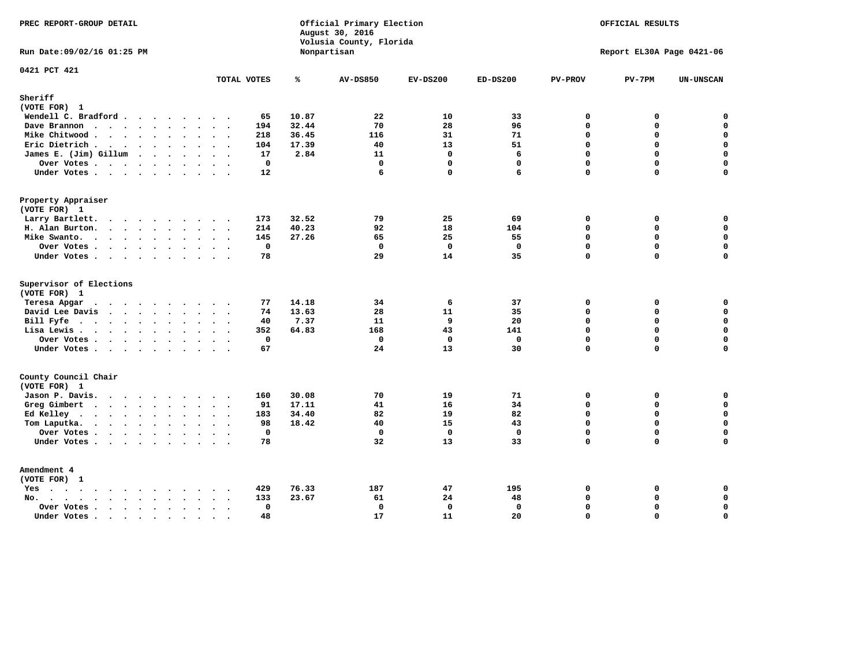| PREC REPORT-GROUP DETAIL                                                                                                                                                                                                                          |                        | August 30, 2016 | Official Primary Election<br>Volusia County, Florida |                   |                   |                             | OFFICIAL RESULTS          |                            |
|---------------------------------------------------------------------------------------------------------------------------------------------------------------------------------------------------------------------------------------------------|------------------------|-----------------|------------------------------------------------------|-------------------|-------------------|-----------------------------|---------------------------|----------------------------|
| Run Date: 09/02/16 01:25 PM                                                                                                                                                                                                                       |                        | Nonpartisan     |                                                      |                   |                   |                             | Report EL30A Page 0421-06 |                            |
| 0421 PCT 421                                                                                                                                                                                                                                      | TOTAL VOTES            | ℁               | <b>AV-DS850</b>                                      | $EV-DS200$        | $ED-DS200$        | <b>PV-PROV</b>              | $PV-7PM$                  | <b>UN-UNSCAN</b>           |
| Sheriff<br>(VOTE FOR) 1                                                                                                                                                                                                                           |                        |                 |                                                      |                   |                   |                             |                           |                            |
| Wendell C. Bradford                                                                                                                                                                                                                               | 65                     | 10.87           | 22                                                   | 10                | 33                | $\Omega$                    | 0                         | $\Omega$                   |
| Dave Brannon                                                                                                                                                                                                                                      | 194                    | 32.44           | 70                                                   | 28                | 96                | $\mathbf 0$                 | 0                         | $\mathbf 0$                |
| Mike Chitwood                                                                                                                                                                                                                                     | 218                    | 36.45           | 116                                                  | 31                | 71                | $\Omega$                    | 0                         | $\mathbf 0$                |
| Eric Dietrich.                                                                                                                                                                                                                                    | 104                    | 17.39           | 40                                                   | 13                | 51                | $\mathbf 0$                 | 0                         | $\mathbf 0$                |
| James E. (Jim) Gillum                                                                                                                                                                                                                             | 17                     | 2.84            | 11                                                   | $\Omega$          | 6                 | $\Omega$                    | $\Omega$                  | $\mathbf 0$                |
| Over Votes                                                                                                                                                                                                                                        | $\mathbf 0$            |                 | $\mathbf 0$                                          | $\mathbf{0}$      | $\mathbf{0}$      | $\Omega$                    | 0                         | $\mathbf 0$                |
| Under Votes                                                                                                                                                                                                                                       | 12                     |                 | 6                                                    | $\Omega$          | 6                 | $\Omega$                    | $\Omega$                  | $\Omega$                   |
| Property Appraiser                                                                                                                                                                                                                                |                        |                 |                                                      |                   |                   |                             |                           |                            |
| (VOTE FOR) 1                                                                                                                                                                                                                                      |                        |                 |                                                      |                   |                   |                             |                           |                            |
| Larry Bartlett.                                                                                                                                                                                                                                   | 173                    | 32.52           | 79                                                   | 25                | 69                | $\mathbf 0$                 | 0                         | 0                          |
| H. Alan Burton.                                                                                                                                                                                                                                   | 214                    | 40.23           | 92                                                   | 18                | 104               | $\mathbf{0}$                | 0                         | $\mathbf 0$                |
| Mike Swanto.                                                                                                                                                                                                                                      | 145                    | 27.26           | 65                                                   | 25                | 55                | $\Omega$                    | $\Omega$                  | 0                          |
| Over Votes.                                                                                                                                                                                                                                       | $\mathbf 0$            |                 | $\mathbf 0$                                          | $\mathbf 0$       | $\mathbf 0$       | $\mathbf 0$                 | 0                         | 0                          |
| Under Votes                                                                                                                                                                                                                                       | 78                     |                 | 29                                                   | 14                | 35                | $\Omega$                    | $\Omega$                  | $\mathbf 0$                |
| Supervisor of Elections                                                                                                                                                                                                                           |                        |                 |                                                      |                   |                   |                             |                           |                            |
| (VOTE FOR) 1                                                                                                                                                                                                                                      |                        |                 |                                                      |                   |                   |                             |                           |                            |
| Teresa Apgar<br>$\cdots$                                                                                                                                                                                                                          | 77<br>$\sim$ $\sim$    | 14.18           | 34                                                   | 6                 | 37                | $\mathbf 0$                 | 0                         | 0                          |
| David Lee Davis                                                                                                                                                                                                                                   | 74                     | 13.63           | 28                                                   | 11                | 35                | $\mathbf 0$<br>$\mathbf 0$  | 0<br>0                    | $\mathbf 0$<br>$\mathbf 0$ |
| Bill Fyfe.                                                                                                                                                                                                                                        | 40                     | 7.37            | 11                                                   | 9                 | 20                | $\Omega$                    | 0                         | $\mathbf 0$                |
| Lisa Lewis                                                                                                                                                                                                                                        | 352                    | 64.83           | 168                                                  | 43                | 141               |                             |                           |                            |
| Over Votes<br>Under Votes                                                                                                                                                                                                                         | $\mathbf 0$<br>67      |                 | $\mathbf 0$<br>24                                    | $\mathbf 0$<br>13 | $\mathbf 0$<br>30 | $\mathbf 0$<br>$\mathbf{0}$ | 0<br>$\Omega$             | $\pmb{0}$<br>$\mathbf 0$   |
|                                                                                                                                                                                                                                                   |                        |                 |                                                      |                   |                   |                             |                           |                            |
| County Council Chair<br>(VOTE FOR) 1                                                                                                                                                                                                              |                        |                 |                                                      |                   |                   |                             |                           |                            |
| Jason P. Davis.                                                                                                                                                                                                                                   | 160                    | 30.08           | 70                                                   | 19                | 71                | $\mathbf 0$                 | 0                         | 0                          |
| Greg Gimbert<br>$\mathbf{r}$ . The contract of the contract of the contract of the contract of the contract of the contract of the contract of the contract of the contract of the contract of the contract of the contract of the contract of th | 91                     | 17.11           | 41                                                   | 16                | 34                | $\mathbf{0}$                | 0                         | $\mathbf 0$                |
| Ed Kelley                                                                                                                                                                                                                                         | 183                    | 34.40           | 82                                                   | 19                | 82                | $\mathbf 0$                 | 0                         | $\mathbf 0$                |
| Tom Laputka.                                                                                                                                                                                                                                      | 98                     | 18.42           | 40                                                   | 15                | 43                | $\Omega$                    | $\mathbf 0$               | $\mathbf 0$                |
| Over Votes                                                                                                                                                                                                                                        | $\mathbf 0$            |                 | $\mathbf 0$                                          | $\mathbf 0$       | $\mathbf{0}$      | $\mathbf 0$                 | 0                         | 0                          |
| Under Votes                                                                                                                                                                                                                                       | 78                     |                 | 32                                                   | 13                | 33                | $\Omega$                    | $\Omega$                  | $\mathbf 0$                |
| Amendment 4                                                                                                                                                                                                                                       |                        |                 |                                                      |                   |                   |                             |                           |                            |
| (VOTE FOR) 1                                                                                                                                                                                                                                      |                        |                 |                                                      |                   |                   |                             |                           |                            |
| $Yes \cdot \cdot \cdot \cdot \cdot \cdot \cdot \cdot \cdot$                                                                                                                                                                                       | 429<br>$\cdot$ $\cdot$ | 76.33<br>23.67  | 187<br>61                                            | 47<br>24          | 195               | 0<br>$\Omega$               | 0<br>0                    | 0<br>$\mathbf 0$           |
| $No.$<br>$\ddot{\phantom{a}}$                                                                                                                                                                                                                     | 133<br>$\mathbf 0$     |                 | $\mathbf 0$                                          | $\mathbf 0$       | 48<br>$\mathbf 0$ | $\mathbf 0$                 | 0                         | $\mathbf 0$                |
| Over Votes .<br>$\cdots$<br>Under Votes                                                                                                                                                                                                           | $\sim$<br>48           |                 | 17                                                   | 11                | 20                | $\mathbf 0$                 | 0                         | $\mathbf 0$                |
| $\sim$                                                                                                                                                                                                                                            | $\sim$<br>$\sim$       |                 |                                                      |                   |                   |                             |                           |                            |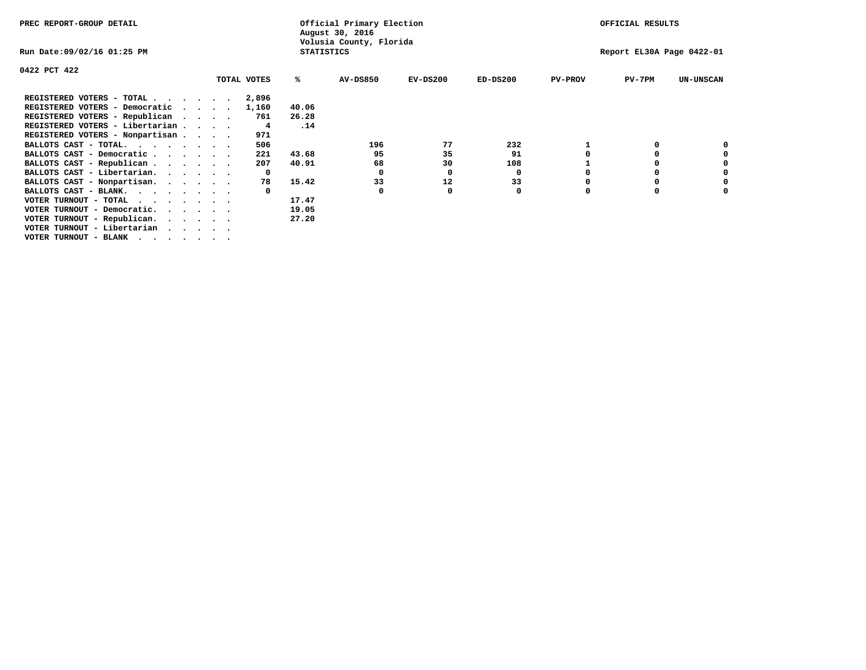| PREC REPORT-GROUP DETAIL                                               |  | Official Primary Election<br>August 30, 2016<br>Volusia County, Florida |  |             |                   |                 |            | OFFICIAL RESULTS |                |                           |                  |
|------------------------------------------------------------------------|--|-------------------------------------------------------------------------|--|-------------|-------------------|-----------------|------------|------------------|----------------|---------------------------|------------------|
| Run Date:09/02/16 01:25 PM                                             |  |                                                                         |  |             | <b>STATISTICS</b> |                 |            |                  |                | Report EL30A Page 0422-01 |                  |
| 0422 PCT 422                                                           |  |                                                                         |  |             |                   |                 |            |                  |                |                           |                  |
|                                                                        |  |                                                                         |  | TOTAL VOTES | ℁                 | <b>AV-DS850</b> | $EV-DS200$ | $ED-DS200$       | <b>PV-PROV</b> | $PV-7PM$                  | <b>UN-UNSCAN</b> |
| REGISTERED VOTERS - TOTAL                                              |  |                                                                         |  | 2,896       |                   |                 |            |                  |                |                           |                  |
| REGISTERED VOTERS - Democratic                                         |  |                                                                         |  | 1,160       | 40.06             |                 |            |                  |                |                           |                  |
| REGISTERED VOTERS - Republican                                         |  |                                                                         |  | 761         | 26.28             |                 |            |                  |                |                           |                  |
| REGISTERED VOTERS - Libertarian                                        |  |                                                                         |  | 4           | .14               |                 |            |                  |                |                           |                  |
| REGISTERED VOTERS - Nonpartisan                                        |  |                                                                         |  | 971         |                   |                 |            |                  |                |                           |                  |
| BALLOTS CAST - TOTAL.<br>$\cdots$                                      |  |                                                                         |  | 506         |                   | 196             | 77         | 232              |                |                           |                  |
| BALLOTS CAST - Democratic                                              |  |                                                                         |  | 221         | 43.68             | 95              | 35         | 91               |                |                           |                  |
| BALLOTS CAST - Republican                                              |  |                                                                         |  | 207         | 40.91             | 68              | 30         | 108              |                |                           |                  |
| BALLOTS CAST - Libertarian.                                            |  |                                                                         |  | $\Omega$    |                   | 0               | 0          | 0                |                |                           |                  |
| BALLOTS CAST - Nonpartisan.                                            |  |                                                                         |  | 78          | 15.42             | 33              | 12         | 33               |                |                           |                  |
| BALLOTS CAST - BLANK.                                                  |  |                                                                         |  |             |                   | 0               | 0          | 0                |                |                           |                  |
| VOTER TURNOUT - TOTAL $\cdot \cdot \cdot \cdot \cdot \cdot$            |  |                                                                         |  |             | 17.47             |                 |            |                  |                |                           |                  |
| VOTER TURNOUT - Democratic.<br>$\cdot$ $\cdot$ $\cdot$ $\cdot$ $\cdot$ |  |                                                                         |  |             | 19.05             |                 |            |                  |                |                           |                  |
| VOTER TURNOUT - Republican.                                            |  |                                                                         |  |             | 27.20             |                 |            |                  |                |                           |                  |
| VOTER TURNOUT - Libertarian                                            |  |                                                                         |  |             |                   |                 |            |                  |                |                           |                  |
| VOTER TURNOUT - BLANK                                                  |  |                                                                         |  |             |                   |                 |            |                  |                |                           |                  |
|                                                                        |  |                                                                         |  |             |                   |                 |            |                  |                |                           |                  |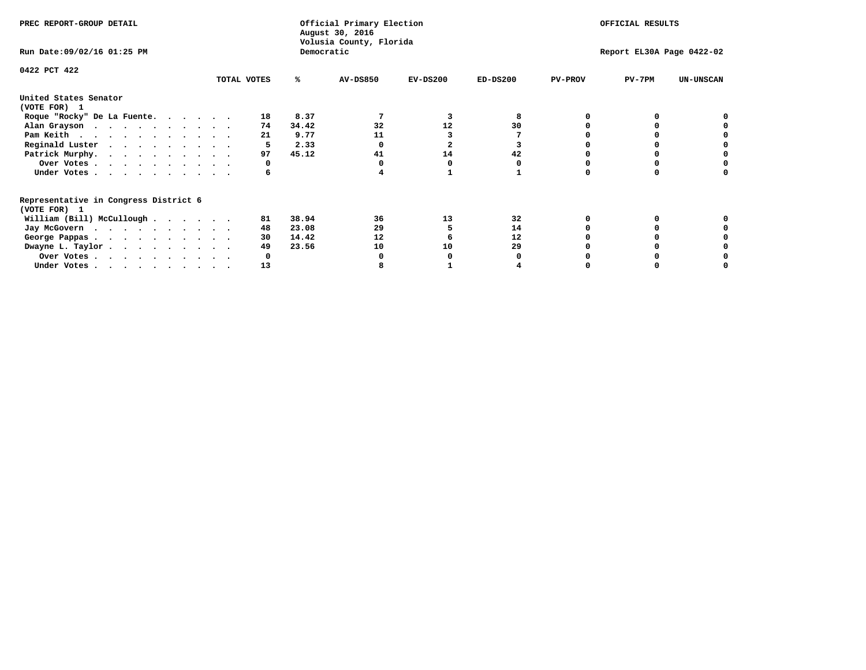| PREC REPORT-GROUP DETAIL                                               |             |            | Official Primary Election<br>August 30, 2016<br>Volusia County, Florida |                         | OFFICIAL RESULTS |                |                           |                  |
|------------------------------------------------------------------------|-------------|------------|-------------------------------------------------------------------------|-------------------------|------------------|----------------|---------------------------|------------------|
| Run Date: 09/02/16 01:25 PM                                            |             | Democratic |                                                                         |                         |                  |                | Report EL30A Page 0422-02 |                  |
| 0422 PCT 422                                                           | TOTAL VOTES | ℁          | <b>AV-DS850</b>                                                         | $EV-DS200$              | $ED-DS200$       | <b>PV-PROV</b> | $PV-7PM$                  | <b>UN-UNSCAN</b> |
|                                                                        |             |            |                                                                         |                         |                  |                |                           |                  |
| United States Senator<br>(VOTE FOR) 1                                  |             |            |                                                                         |                         |                  |                |                           |                  |
| Roque "Rocky" De La Fuente.                                            | 18          | 8.37       |                                                                         |                         | 8                |                |                           |                  |
| Alan Grayson                                                           | 74          | 34.42      | 32                                                                      | 12                      | 30               |                |                           |                  |
| Pam Keith                                                              | 21          | 9.77       | 11                                                                      |                         |                  |                |                           |                  |
| Reginald Luster                                                        |             | 2.33       |                                                                         | $\overline{\mathbf{2}}$ |                  |                |                           |                  |
| Patrick Murphy.                                                        | 97          | 45.12      | 41                                                                      | 14                      | 42               |                |                           |                  |
| Over Votes                                                             |             |            |                                                                         |                         |                  |                |                           |                  |
| Under Votes                                                            | 6           |            |                                                                         |                         |                  |                |                           |                  |
| Representative in Congress District 6                                  |             |            |                                                                         |                         |                  |                |                           |                  |
| (VOTE FOR) 1                                                           | 81          | 38.94      | 36                                                                      | 13                      | 32               |                |                           |                  |
| William (Bill) McCullough $\cdots$ $\cdots$                            |             | 23.08      | 29                                                                      |                         | 14               |                |                           |                  |
| Jay McGovern                                                           | 48          |            |                                                                         |                         |                  |                |                           |                  |
| George Pappas.                                                         | 30          | 14.42      | 12                                                                      |                         | 12               |                |                           |                  |
| Dwayne L. Taylor.                                                      | 49          | 23.56      | 10                                                                      | 10                      | 29               |                |                           |                  |
| Over Votes                                                             |             |            |                                                                         |                         |                  |                |                           |                  |
| Under Votes, $\cdot$ , $\cdot$ , $\cdot$ , $\cdot$ , $\cdot$ , $\cdot$ | 13          |            |                                                                         |                         |                  |                |                           |                  |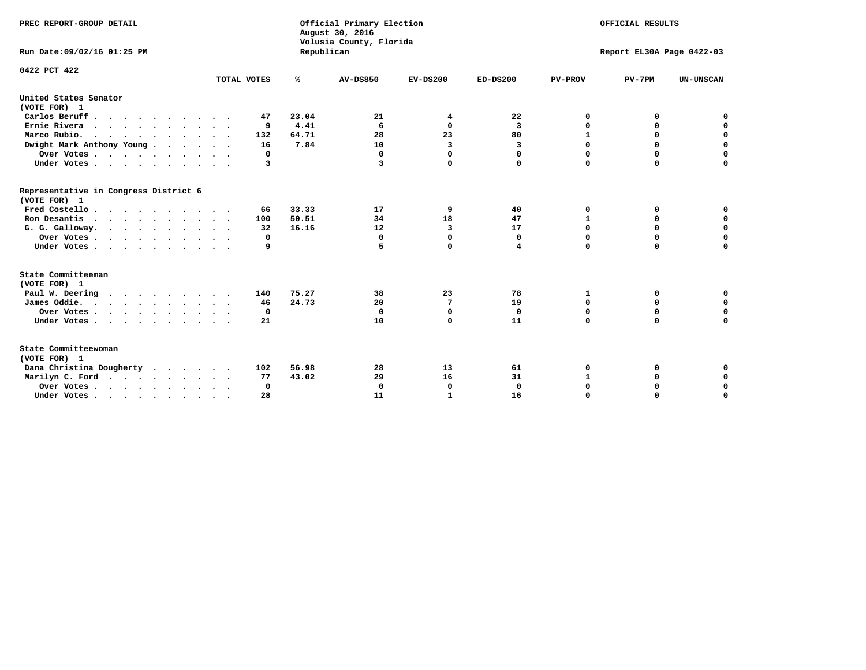| PREC REPORT-GROUP DETAIL<br>Run Date: 09/02/16 01:25 PM |                     | Republican | Official Primary Election<br>August 30, 2016<br>Volusia County, Florida | OFFICIAL RESULTS<br>Report EL30A Page 0422-03 |              |                |             |                  |
|---------------------------------------------------------|---------------------|------------|-------------------------------------------------------------------------|-----------------------------------------------|--------------|----------------|-------------|------------------|
|                                                         |                     |            |                                                                         |                                               |              |                |             |                  |
| 0422 PCT 422                                            | TOTAL VOTES         | ℁          | <b>AV-DS850</b>                                                         | $EV-DS200$                                    | $ED-DS200$   | <b>PV-PROV</b> | $PV-7PM$    | <b>UN-UNSCAN</b> |
| United States Senator<br>(VOTE FOR) 1                   |                     |            |                                                                         |                                               |              |                |             |                  |
| Carlos Beruff                                           | 47                  | 23.04      | 21                                                                      | 4                                             | 22           | 0              | 0           | 0                |
| Ernie Rivera                                            | 9                   | 4.41       | 6                                                                       | 0                                             | 3            | 0              | 0           | $\mathbf 0$      |
| Marco Rubio.                                            | 132                 | 64.71      | 28                                                                      | 23                                            | 80           | $\mathbf{1}$   | $\mathbf 0$ | $\mathbf 0$      |
| Dwight Mark Anthony Young                               | 16                  | 7.84       | 10                                                                      | 3                                             | 3            | 0              | $\mathbf 0$ | $\mathbf 0$      |
| Over Votes                                              | 0                   |            | 0                                                                       | $\Omega$                                      | $\Omega$     | 0              | 0           | $\mathbf 0$      |
| Under Votes                                             | 3                   |            | 3                                                                       | $\Omega$                                      | 0            | $\Omega$       | $\Omega$    | $\Omega$         |
| Representative in Congress District 6<br>(VOTE FOR) 1   |                     |            |                                                                         |                                               |              |                |             |                  |
| Fred Costello                                           | 66                  | 33.33      | 17                                                                      | 9                                             | 40           | 0              | 0           | 0                |
| Ron Desantis                                            | 100                 | 50.51      | 34                                                                      | 18                                            | 47           | 1              | 0           | $\mathbf 0$      |
| G. G. Galloway.                                         | 32                  | 16.16      | 12                                                                      | 3                                             | 17           | $\mathbf 0$    | $\mathbf 0$ | $\Omega$         |
| Over Votes                                              | 0                   |            | $\mathbf{0}$                                                            | $\mathbf 0$                                   | $\mathbf 0$  | $\mathbf 0$    | $\Omega$    | $\mathbf 0$      |
| Under Votes                                             | 9                   |            | 5                                                                       | $\Omega$                                      | 4            | $\Omega$       | $\Omega$    | $\Omega$         |
| State Committeeman                                      |                     |            |                                                                         |                                               |              |                |             |                  |
| (VOTE FOR) 1                                            |                     |            |                                                                         |                                               |              |                |             |                  |
| Paul W. Deering                                         | 140                 | 75.27      | 38                                                                      | 23                                            | 78           | 1              | 0           | 0                |
| James Oddie.                                            | 46                  | 24.73      | 20                                                                      | 7                                             | 19           | 0              | 0           | $\mathbf 0$      |
| Over Votes                                              | 0                   |            | $\Omega$                                                                | $\mathbf 0$                                   | 0            | 0              | 0           | 0                |
| Under Votes                                             | 21<br>$\sim$ $\sim$ |            | 10                                                                      | $\Omega$                                      | 11           | $\mathbf 0$    | $\Omega$    | $\Omega$         |
| State Committeewoman<br>(VOTE FOR) 1                    |                     |            |                                                                         |                                               |              |                |             |                  |
| Dana Christina Dougherty                                | 102                 | 56.98      | 28                                                                      | 13                                            | 61           | 0              | 0           | $\mathbf 0$      |
| Marilyn C. Ford                                         | 77                  | 43.02      | 29                                                                      | 16                                            | 31           | $\mathbf{1}$   | 0           | $\mathbf 0$      |
| Over Votes                                              | $\Omega$            |            | $\Omega$                                                                | 0                                             | $\mathbf{0}$ | 0              | 0           | 0                |
| Under Votes, , , , , , , , , ,                          | 28                  |            | 11                                                                      | 1                                             | 16           | $\Omega$       | $\Omega$    | $\Omega$         |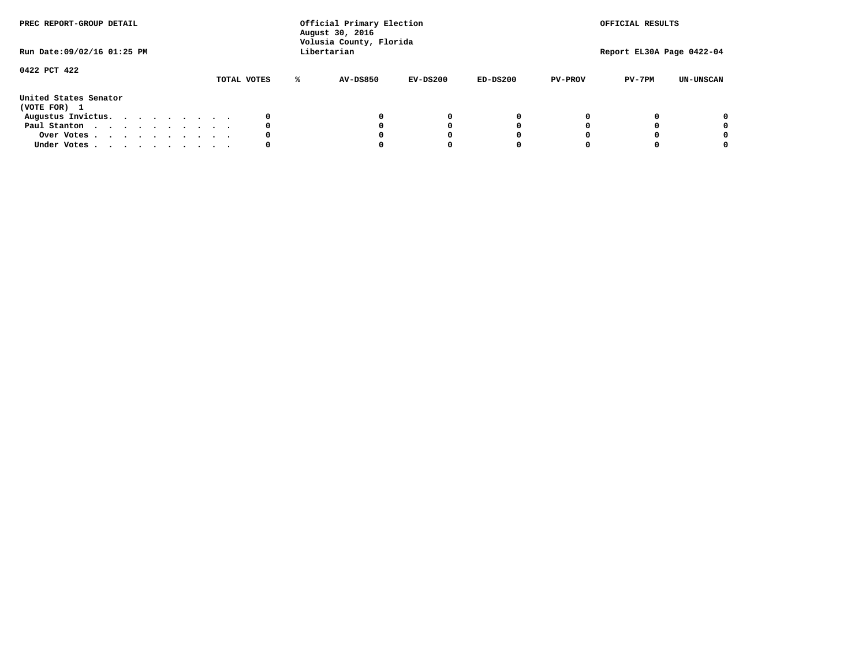| PREC REPORT-GROUP DETAIL<br>Run Date:09/02/16 01:25 PM |  |  |  |  | Official Primary Election<br>August 30, 2016<br>Volusia County, Florida<br>Libertarian |  |             |  |                 | OFFICIAL RESULTS<br>Report EL30A Page 0422-04 |            |                |          |                  |
|--------------------------------------------------------|--|--|--|--|----------------------------------------------------------------------------------------|--|-------------|--|-----------------|-----------------------------------------------|------------|----------------|----------|------------------|
| 0422 PCT 422                                           |  |  |  |  |                                                                                        |  | TOTAL VOTES |  | <b>AV-DS850</b> | $EV-DS200$                                    | $ED-DS200$ | <b>PV-PROV</b> | $PV-7PM$ | <b>UN-UNSCAN</b> |
| United States Senator<br>(VOTE FOR) 1                  |  |  |  |  |                                                                                        |  |             |  |                 |                                               |            |                |          |                  |
| Augustus Invictus.                                     |  |  |  |  |                                                                                        |  |             |  |                 | 0                                             | 0          |                |          | 0                |
| Paul Stanton                                           |  |  |  |  |                                                                                        |  | 0           |  |                 | 0                                             |            |                |          | 0                |
| Over Votes                                             |  |  |  |  |                                                                                        |  |             |  |                 |                                               |            |                |          | 0                |
| Under Votes                                            |  |  |  |  |                                                                                        |  | 0           |  |                 |                                               |            |                |          | 0                |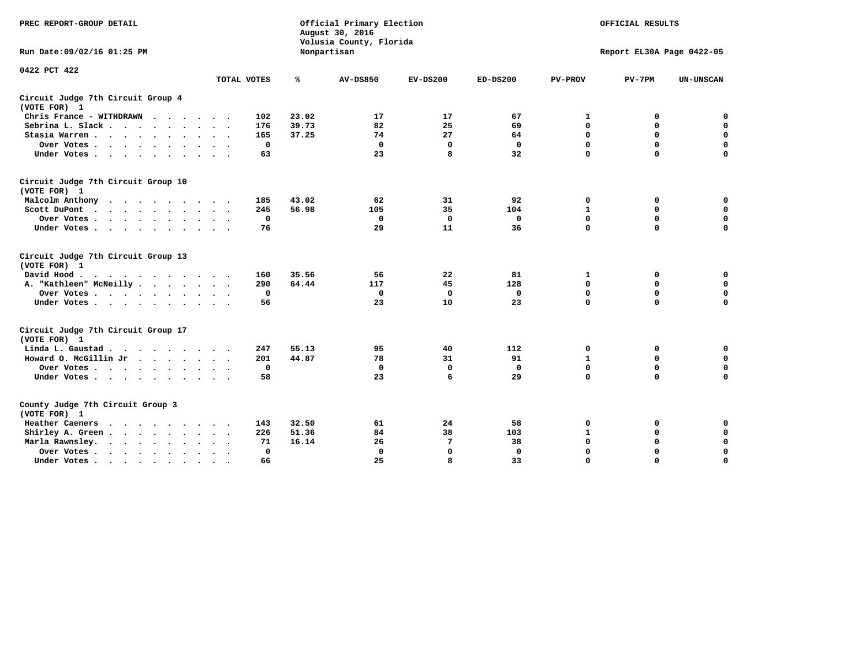| PREC REPORT-GROUP DETAIL                                                                                |              |       | Official Primary Election<br>August 30, 2016<br>Volusia County, Florida | OFFICIAL RESULTS |              |                |                           |                  |
|---------------------------------------------------------------------------------------------------------|--------------|-------|-------------------------------------------------------------------------|------------------|--------------|----------------|---------------------------|------------------|
| Run Date: 09/02/16 01:25 PM                                                                             |              |       | Nonpartisan                                                             |                  |              |                | Report EL30A Page 0422-05 |                  |
| 0422 PCT 422                                                                                            | TOTAL VOTES  | ℁     | <b>AV-DS850</b>                                                         | $EV-DS200$       | $ED-DS200$   | <b>PV-PROV</b> | $PV-7PM$                  | <b>UN-UNSCAN</b> |
| Circuit Judge 7th Circuit Group 4<br>(VOTE FOR) 1                                                       |              |       |                                                                         |                  |              |                |                           |                  |
| Chris France - WITHDRAWN                                                                                | 102          | 23.02 | 17                                                                      | 17               | 67           | 1              | 0                         | $\mathbf 0$      |
| Sebrina L. Slack                                                                                        | 176          | 39.73 | 82                                                                      | 25               | 69           | 0              | 0                         | $\mathbf 0$      |
| Stasia Warren                                                                                           | 165          | 37.25 | 74                                                                      | 27               | 64           | 0              | 0                         | $\mathbf 0$      |
| Over Votes                                                                                              | $\mathbf 0$  |       | $\mathbf 0$                                                             | $\mathbf 0$      | $\mathbf 0$  | 0              | $\mathbf 0$               | $\pmb{0}$        |
| Under Votes                                                                                             | 63           |       | 23                                                                      | 8                | 32           | $\Omega$       | $\Omega$                  | $\Omega$         |
| Circuit Judge 7th Circuit Group 10<br>(VOTE FOR) 1                                                      |              |       |                                                                         |                  |              |                |                           |                  |
| Malcolm Anthony                                                                                         | 185          | 43.02 | 62                                                                      | 31               | 92           | 0              | 0                         | 0                |
| Scott DuPont<br>$\sim$                                                                                  | 245          | 56.98 | 105                                                                     | 35               | 104          | $\mathbf{1}$   | $\mathbf 0$               | $\mathbf 0$      |
| Over Votes                                                                                              | $\mathbf 0$  |       | $\mathbf 0$                                                             | $\mathbf 0$      | $\mathbf 0$  | $\mathbf 0$    | $\mathbf 0$               | $\mathbf 0$      |
| Under Votes                                                                                             | 76           |       | 29                                                                      | 11               | 36           | $\Omega$       | $\mathbf 0$               | $\Omega$         |
| Circuit Judge 7th Circuit Group 13<br>(VOTE FOR) 1                                                      |              |       |                                                                         |                  |              |                |                           |                  |
| David Hood.<br>$\mathbf{r}$ , and $\mathbf{r}$ , and $\mathbf{r}$ , and $\mathbf{r}$ , and $\mathbf{r}$ | 160          | 35.56 | 56                                                                      | 22               | 81           | 1              | 0                         | 0                |
| A. "Kathleen" McNeilly                                                                                  | 290          | 64.44 | 117                                                                     | 45               | 128          | $\mathbf 0$    | $\mathbf 0$               | $\mathbf 0$      |
| Over Votes                                                                                              | $\Omega$     |       | $\mathbf{0}$                                                            | $\mathbf 0$      | 0            | $\mathbf 0$    | $\mathbf 0$               | $\mathbf 0$      |
| Under Votes                                                                                             | 56           |       | 23                                                                      | 10               | 23           | $\Omega$       | $\Omega$                  | $\Omega$         |
| Circuit Judge 7th Circuit Group 17<br>(VOTE FOR) 1                                                      |              |       |                                                                         |                  |              |                |                           |                  |
| Linda L. Gaustad                                                                                        | 247          | 55.13 | 95                                                                      | 40               | 112          | 0              | 0                         | $\mathbf 0$      |
| Howard O. McGillin Jr                                                                                   | 201          | 44.87 | 78                                                                      | 31               | 91           | $\mathbf{1}$   | $\mathbf 0$               | $\mathbf 0$      |
| Over Votes                                                                                              | $\mathbf 0$  |       | $\mathbf{0}$                                                            | $\mathbf 0$      | $\mathbf{0}$ | $\mathbf 0$    | $\Omega$                  | $\mathbf 0$      |
| Under Votes                                                                                             | 58           |       | 23                                                                      | 6                | 29           | $\mathbf 0$    | $\mathbf 0$               | $\mathbf 0$      |
| County Judge 7th Circuit Group 3<br>(VOTE FOR) 1                                                        |              |       |                                                                         |                  |              |                |                           |                  |
| Heather Caeners                                                                                         | 143          | 32.50 | 61                                                                      | 24               | 58           | 0              | 0                         | 0                |
| Shirley A. Green                                                                                        | 226          | 51.36 | 84                                                                      | 38               | 103          | $\mathbf{1}$   | 0                         | $\mathbf 0$      |
| Marla Rawnsley.                                                                                         | 71           | 16.14 | 26                                                                      | 7                | 38           | 0              | $\mathbf 0$               | $\pmb{0}$        |
| Over Votes<br>$\sim$<br>$\sim$                                                                          | $\mathbf{0}$ |       | $\Omega$                                                                | $\mathbf 0$      | $\mathbf{0}$ | $\mathbf 0$    | $\mathbf 0$               | $\mathbf 0$      |
| Under Votes                                                                                             | 66           |       | 25                                                                      | 8                | 33           | $\mathbf 0$    | $\mathbf 0$               | 0                |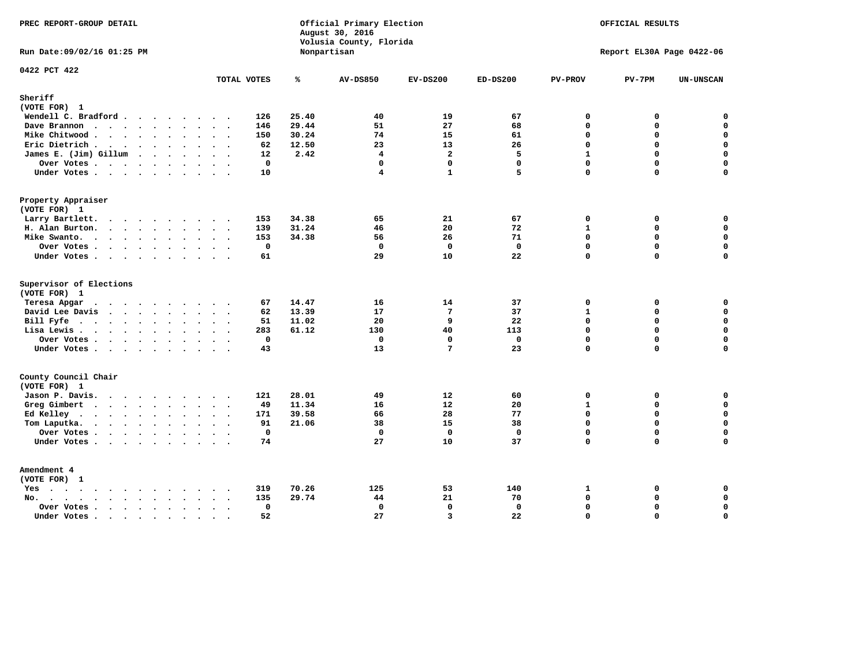| PREC REPORT-GROUP DETAIL                                    |                                                |       | Official Primary Election<br>August 30, 2016<br>Volusia County, Florida |                 | OFFICIAL RESULTS |                |                           |                  |
|-------------------------------------------------------------|------------------------------------------------|-------|-------------------------------------------------------------------------|-----------------|------------------|----------------|---------------------------|------------------|
| Run Date: 09/02/16 01:25 PM                                 |                                                |       | Nonpartisan                                                             |                 |                  |                | Report EL30A Page 0422-06 |                  |
| 0422 PCT 422                                                | TOTAL VOTES                                    | ℁     | <b>AV-DS850</b>                                                         | $EV-DS200$      | $ED-DS200$       | <b>PV-PROV</b> | $PV-7PM$                  | <b>UN-UNSCAN</b> |
| Sheriff<br>(VOTE FOR) 1                                     |                                                |       |                                                                         |                 |                  |                |                           |                  |
| Wendell C. Bradford                                         | 126                                            | 25.40 | 40                                                                      | 19              | 67               | $\mathbf 0$    | 0                         | $\mathbf 0$      |
| Dave Brannon                                                | 146                                            | 29.44 | 51                                                                      | 27              | 68               | $\Omega$       | 0                         | $\mathsf{o}\,$   |
| Mike Chitwood                                               | 150                                            | 30.24 | 74                                                                      | 15              | 61               | $\mathbf{0}$   | 0                         | $\mathbf 0$      |
| Eric Dietrich.                                              | 62                                             | 12.50 | 23                                                                      | 13              | 26               | $\Omega$       | 0                         | $\mathbf 0$      |
| James E. (Jim) Gillum                                       | 12                                             | 2.42  | $\overline{4}$                                                          | $\overline{a}$  | 5                | $\mathbf{1}$   | 0                         | $\mathbf 0$      |
| Over Votes                                                  | $\mathbf 0$                                    |       | $\mathbf 0$                                                             | $\mathbf 0$     | $\mathbf{0}$     | $\Omega$       | 0                         | $\mathbf 0$      |
| Under Votes                                                 | 10                                             |       | $\overline{4}$                                                          | $\mathbf{1}$    | 5                | 0              | 0                         | $\Omega$         |
| Property Appraiser                                          |                                                |       |                                                                         |                 |                  |                |                           |                  |
| (VOTE FOR) 1                                                |                                                |       |                                                                         |                 |                  |                |                           |                  |
| Larry Bartlett.                                             | 153                                            | 34.38 | 65                                                                      | 21              | 67               | $\mathbf{0}$   | 0                         | 0                |
| H. Alan Burton.                                             | 139                                            | 31.24 | 46                                                                      | 20              | 72               | $\mathbf{1}$   | 0                         | $\mathbf 0$      |
| Mike Swanto.                                                | 153                                            | 34.38 | 56                                                                      | 26              | 71               | $\Omega$       | 0                         | $\mathbf 0$      |
| Over Votes                                                  | $\mathbf 0$                                    |       | $\mathbf 0$                                                             | $\mathbf 0$     | $\Omega$         | $\Omega$       | $\mathbf 0$               | $\mathbf 0$      |
| Under Votes                                                 | 61                                             |       | 29                                                                      | 10              | 22               | 0              | 0                         | $\Omega$         |
| Supervisor of Elections<br>(VOTE FOR) 1                     |                                                |       |                                                                         |                 |                  |                |                           |                  |
| Teresa Apgar                                                | 67                                             | 14.47 | 16                                                                      | 14              | 37               | $\mathbf{0}$   | 0                         | 0                |
| David Lee Davis                                             | 62                                             | 13.39 | 17                                                                      | $7\phantom{.0}$ | 37               | $\mathbf{1}$   | 0                         | $\mathbf 0$      |
| Bill Fyfe.                                                  | 51                                             | 11.02 | 20                                                                      | 9               | 22               | $\mathbf 0$    | 0                         | $\mathbf 0$      |
| Lisa Lewis                                                  | 283                                            | 61.12 | 130                                                                     | 40              | 113              | $\Omega$       | $\mathbf 0$               | $\mathbf 0$      |
| Over Votes                                                  | $\mathbf 0$                                    |       | $\mathbf{0}$                                                            | $\mathbf{0}$    | $\mathbf{0}$     | $\mathbf 0$    | 0                         | $\mathbf 0$      |
| Under Votes                                                 | 43                                             |       | 13                                                                      | 7               | 23               | $\Omega$       | $\Omega$                  | $\mathbf 0$      |
| County Council Chair<br>(VOTE FOR) 1                        |                                                |       |                                                                         |                 |                  |                |                           |                  |
| Jason P. Davis.                                             | 121                                            | 28.01 | 49                                                                      | 12              | 60               | $\mathbf 0$    | 0                         | 0                |
| Greg Gimbert                                                | $\sim$ $\sim$<br>49                            | 11.34 | 16                                                                      | 12              | 20               | $\mathbf{1}$   | 0                         | $\mathbf 0$      |
| Ed Kelley                                                   | 171                                            | 39.58 | 66                                                                      | 28              | 77               | $\Omega$       | 0                         | $\mathbf 0$      |
|                                                             | 91                                             | 21.06 | 38                                                                      | 15              | 38               | $\mathbf 0$    | 0                         | $\mathbf 0$      |
| Tom Laputka.                                                | $\mathbf{0}$                                   |       | $\mathbf 0$                                                             | $\Omega$        | $\mathbf{0}$     | $\Omega$       | $\Omega$                  | 0                |
| Over Votes                                                  | 74                                             |       | 27                                                                      | 10              | 37               | 0              | 0                         | $\Omega$         |
| Under Votes                                                 |                                                |       |                                                                         |                 |                  |                |                           |                  |
| Amendment 4<br>(VOTE FOR) 1                                 |                                                |       |                                                                         |                 |                  |                |                           |                  |
| $Yes \cdot \cdot \cdot \cdot \cdot \cdot \cdot \cdot \cdot$ | 319<br>$\sim$ $\sim$                           | 70.26 | 125                                                                     | 53              | 140              | 1              | 0                         | 0                |
| No.<br>$\ddot{\phantom{a}}$                                 | 135                                            | 29.74 | 44                                                                      | 21              | 70               | $\Omega$       | $\mathbf 0$               | $\mathbf 0$      |
| Over Votes                                                  | $\mathbf{0}$<br>$\sim$<br>$\ddot{\phantom{a}}$ |       | $\mathbf{0}$                                                            | $\mathbf{0}$    | $\mathbf{0}$     | $\mathbf 0$    | 0                         | $\pmb{0}$        |
| Under Votes                                                 | 52<br>$\sim$<br>$\cdot$ .                      |       | 27                                                                      | $\overline{3}$  | 22               | $\Omega$       | $\Omega$                  | 0                |
|                                                             |                                                |       |                                                                         |                 |                  |                |                           |                  |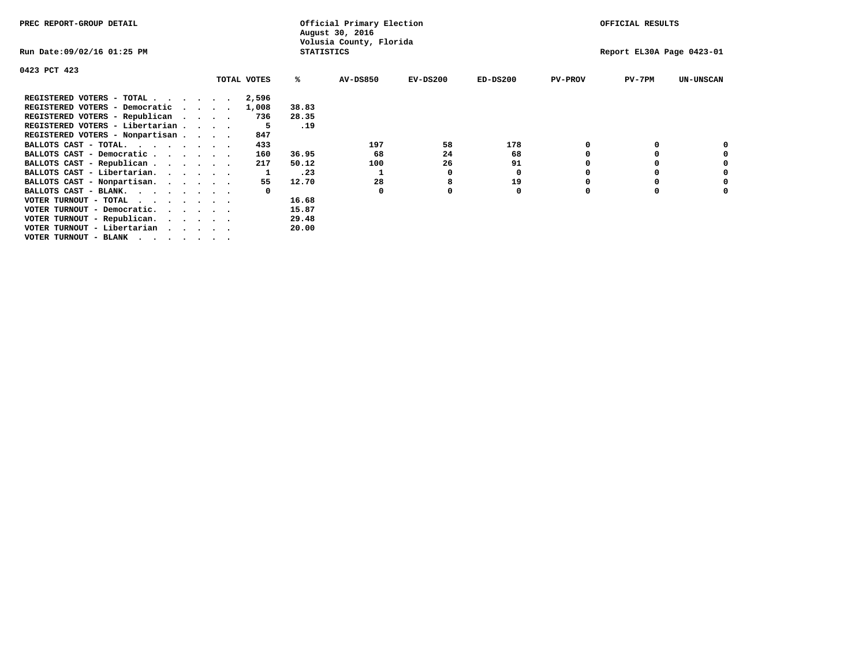| PREC REPORT-GROUP DETAIL                                             |  |             |                   | Official Primary Election<br>August 30, 2016 |            |            |                | OFFICIAL RESULTS          |                  |
|----------------------------------------------------------------------|--|-------------|-------------------|----------------------------------------------|------------|------------|----------------|---------------------------|------------------|
| Run Date:09/02/16 01:25 PM                                           |  |             | <b>STATISTICS</b> | Volusia County, Florida                      |            |            |                | Report EL30A Page 0423-01 |                  |
| 0423 PCT 423                                                         |  |             |                   |                                              |            |            |                |                           |                  |
|                                                                      |  | TOTAL VOTES | %ะ                | <b>AV-DS850</b>                              | $EV-DS200$ | $ED-DS200$ | <b>PV-PROV</b> | $PV-7PM$                  | <b>UN-UNSCAN</b> |
| REGISTERED VOTERS - TOTAL                                            |  | 2,596       |                   |                                              |            |            |                |                           |                  |
| REGISTERED VOTERS - Democratic<br>$\sim$ $\sim$ $\sim$ $\sim$ $\sim$ |  | 1,008       | 38.83             |                                              |            |            |                |                           |                  |
| REGISTERED VOTERS - Republican                                       |  | 736         | 28.35             |                                              |            |            |                |                           |                  |
| REGISTERED VOTERS - Libertarian                                      |  |             | .19               |                                              |            |            |                |                           |                  |
| REGISTERED VOTERS - Nonpartisan                                      |  | 847         |                   |                                              |            |            |                |                           |                  |
| BALLOTS CAST - TOTAL.                                                |  | 433         |                   | 197                                          | 58         | 178        |                |                           |                  |
| BALLOTS CAST - Democratic                                            |  | 160         | 36.95             | 68                                           | 24         | 68         |                |                           |                  |
| BALLOTS CAST - Republican                                            |  | 217         | 50.12             | 100                                          | 26         | 91         |                |                           |                  |
| BALLOTS CAST - Libertarian.                                          |  |             | .23               |                                              | O          | 0          |                |                           |                  |
| BALLOTS CAST - Nonpartisan.                                          |  | 55          | 12.70             | 28                                           |            | 19         |                |                           | 0                |
| BALLOTS CAST - BLANK.                                                |  |             |                   | $\Omega$                                     |            | 0          | n              |                           |                  |
| VOTER TURNOUT - TOTAL                                                |  |             | 16.68             |                                              |            |            |                |                           |                  |
| VOTER TURNOUT - Democratic.                                          |  |             | 15.87             |                                              |            |            |                |                           |                  |
| VOTER TURNOUT - Republican.                                          |  |             | 29.48             |                                              |            |            |                |                           |                  |
| VOTER TURNOUT - Libertarian                                          |  |             | 20.00             |                                              |            |            |                |                           |                  |
| VOTER TURNOUT - BLANK                                                |  |             |                   |                                              |            |            |                |                           |                  |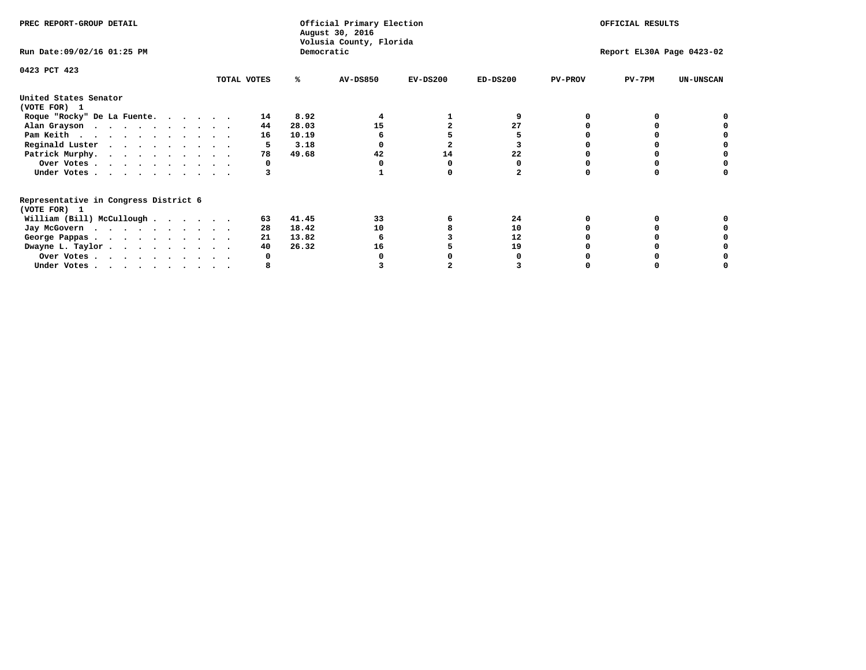| PREC REPORT-GROUP DETAIL                                               |             |            | Official Primary Election<br>August 30, 2016<br>Volusia County, Florida | OFFICIAL RESULTS |                           |                |          |                  |
|------------------------------------------------------------------------|-------------|------------|-------------------------------------------------------------------------|------------------|---------------------------|----------------|----------|------------------|
| Run Date: 09/02/16 01:25 PM                                            |             | Democratic |                                                                         |                  | Report EL30A Page 0423-02 |                |          |                  |
| 0423 PCT 423                                                           |             |            |                                                                         |                  |                           |                |          |                  |
|                                                                        | TOTAL VOTES | ℁          | <b>AV-DS850</b>                                                         | $EV-DS200$       | $ED-DS200$                | <b>PV-PROV</b> | $PV-7PM$ | <b>UN-UNSCAN</b> |
| United States Senator<br>(VOTE FOR) 1                                  |             |            |                                                                         |                  |                           |                |          |                  |
| Roque "Rocky" De La Fuente.                                            | 14          | 8.92       |                                                                         |                  |                           |                |          |                  |
| Alan Grayson                                                           | 44          | 28.03      | 15                                                                      |                  | 27                        |                |          |                  |
| Pam Keith                                                              | 16          | 10.19      |                                                                         |                  |                           |                |          |                  |
| Reginald Luster                                                        |             | 3.18       |                                                                         |                  |                           |                |          |                  |
| Patrick Murphy.                                                        | 78          | 49.68      | 42                                                                      | 14               | 22                        |                |          |                  |
| Over Votes                                                             |             |            |                                                                         |                  |                           |                |          |                  |
| Under Votes                                                            |             |            |                                                                         |                  |                           |                |          |                  |
| Representative in Congress District 6<br>(VOTE FOR) 1                  |             |            |                                                                         |                  |                           |                |          |                  |
| William (Bill) McCullough                                              | 63          | 41.45      | 33                                                                      |                  | 24                        |                |          |                  |
| Jay McGovern                                                           | 28          | 18.42      | 10                                                                      |                  | 10                        |                |          |                  |
| George Pappas.                                                         | 21          | 13.82      |                                                                         |                  | 12                        |                |          |                  |
| Dwayne L. Taylor                                                       | 40          | 26.32      | 16                                                                      |                  | 19                        |                |          |                  |
| Over Votes                                                             |             |            |                                                                         |                  |                           |                |          |                  |
| Under Votes, $\cdot$ , $\cdot$ , $\cdot$ , $\cdot$ , $\cdot$ , $\cdot$ |             |            |                                                                         |                  |                           |                |          |                  |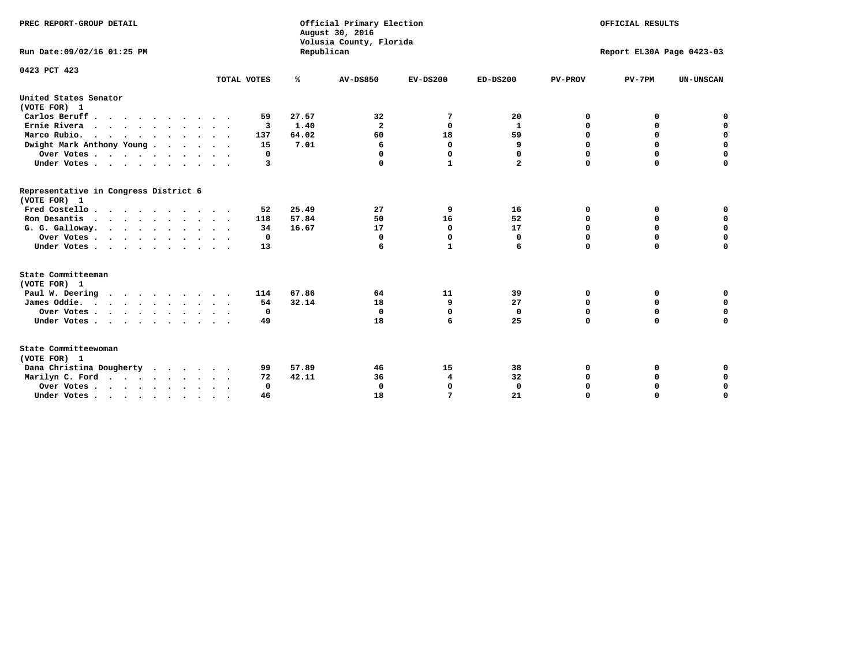| PREC REPORT-GROUP DETAIL<br>Run Date:09/02/16 01:25 PM |             | Republican | Official Primary Election<br>August 30, 2016<br>Volusia County, Florida | OFFICIAL RESULTS<br>Report EL30A Page 0423-03 |                            |                  |                  |                  |
|--------------------------------------------------------|-------------|------------|-------------------------------------------------------------------------|-----------------------------------------------|----------------------------|------------------|------------------|------------------|
| 0423 PCT 423                                           | TOTAL VOTES | %          | <b>AV-DS850</b>                                                         | $EV-DS200$                                    | $ED-DS200$                 | <b>PV-PROV</b>   | $PV-7PM$         | <b>UN-UNSCAN</b> |
| United States Senator                                  |             |            |                                                                         |                                               |                            |                  |                  |                  |
| (VOTE FOR) 1                                           |             |            |                                                                         |                                               |                            |                  |                  |                  |
| Carlos Beruff                                          | 59          | 27.57      | 32                                                                      | 7                                             | 20                         | 0                | 0                | 0                |
| Ernie Rivera                                           | 3           | 1.40       | $\mathbf{2}$                                                            | 0                                             | $\mathbf{1}$               | 0                | 0                | $\mathbf 0$      |
| Marco Rubio.<br>$\cdots$                               | 137         | 64.02      | 60                                                                      | 18                                            | 59                         | $\mathbf 0$      | $\mathbf 0$      | $\mathbf 0$      |
| Dwight Mark Anthony Young                              | 15          | 7.01       | 6                                                                       | $\mathbf 0$                                   | 9                          | 0                | 0                | $\mathbf 0$      |
| Over Votes                                             | 0           |            | $\Omega$<br>$\Omega$                                                    | $\Omega$<br>$\mathbf{1}$                      | $\Omega$<br>$\overline{a}$ | 0<br>$\mathbf 0$ | 0<br>$\mathbf 0$ | 0<br>$\mathbf 0$ |
| Under Votes                                            | 3           |            |                                                                         |                                               |                            |                  |                  |                  |
| Representative in Congress District 6<br>(VOTE FOR) 1  |             |            |                                                                         |                                               |                            |                  |                  |                  |
| Fred Costello                                          | 52          | 25.49      | 27                                                                      | 9                                             | 16                         | 0                | 0                | 0                |
| Ron Desantis                                           | 118         | 57.84      | 50                                                                      | 16                                            | 52                         | $\mathbf 0$      | 0                | $\mathbf 0$      |
| G. G. Galloway.                                        | 34          | 16.67      | 17                                                                      | $\mathbf{0}$                                  | 17                         | $\mathbf 0$      | $\Omega$         | $\mathbf 0$      |
| Over Votes                                             | 0           |            | 0                                                                       | 0                                             | 0                          | 0                | 0                | 0                |
| Under Votes                                            | 13          |            | 6                                                                       | $\mathbf{1}$                                  | 6                          | $\mathbf 0$      | $\mathbf 0$      | $\mathbf 0$      |
| State Committeeman<br>(VOTE FOR) 1                     |             |            |                                                                         |                                               |                            |                  |                  |                  |
| Paul W. Deering                                        | 114         | 67.86      | 64                                                                      | 11                                            | 39                         | 0                | 0                | 0                |
| James Oddie.                                           | 54          | 32.14      | 18                                                                      | 9                                             | 27                         | 0                | 0                | $\mathbf 0$      |
| Over Votes                                             | 0           |            | $\mathbf 0$                                                             | $\mathbf 0$                                   | $\mathbf 0$                | $\mathbf 0$      | $\mathbf 0$      | $\mathbf 0$      |
| Under Votes                                            | 49          |            | 18                                                                      | 6                                             | 25                         | $\mathbf 0$      | 0                | $\mathbf 0$      |
| State Committeewoman<br>(VOTE FOR) 1                   |             |            |                                                                         |                                               |                            |                  |                  |                  |
| Dana Christina Dougherty                               | 99          | 57.89      | 46                                                                      | 15                                            | 38                         | 0                | 0                | 0                |
| Marilyn C. Ford                                        | 72          | 42.11      | 36                                                                      | 4                                             | 32                         | 0                | 0                | 0                |
| Over Votes                                             | $\Omega$    |            | $\mathbf 0$                                                             | 0                                             | $\mathbf 0$                | 0                | 0                | 0                |
| Under Votes, , , , , , , , , ,                         | 46          |            | 18                                                                      | 7                                             | 21                         | $\Omega$         | O                | $\Omega$         |
|                                                        |             |            |                                                                         |                                               |                            |                  |                  |                  |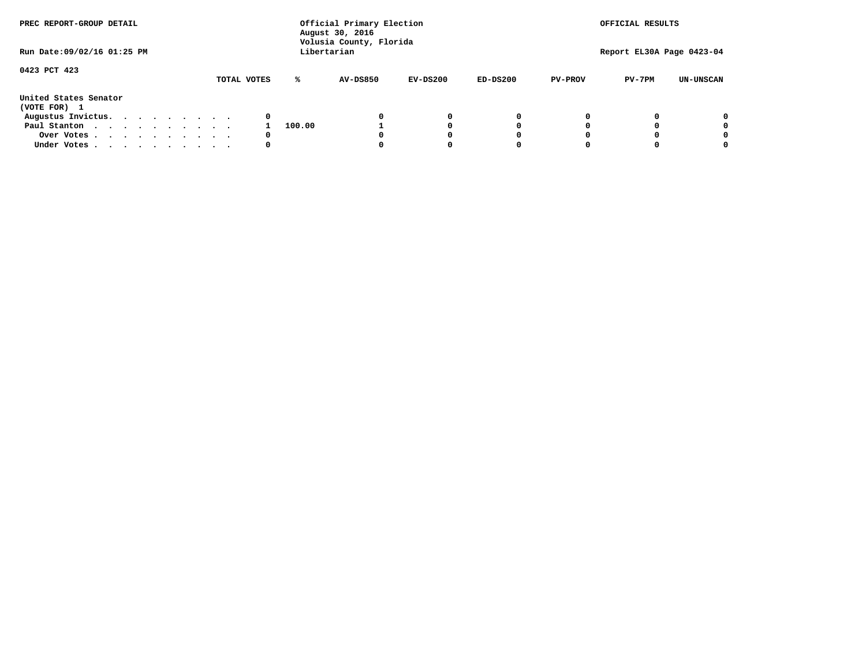| PREC REPORT-GROUP DETAIL<br>Run Date: 09/02/16 01:25 PM |  |  |  |  |             | Official Primary Election<br>August 30, 2016<br>Volusia County, Florida<br>Libertarian |                 | OFFICIAL RESULTS<br>Report EL30A Page 0423-04 |            |                |          |                  |
|---------------------------------------------------------|--|--|--|--|-------------|----------------------------------------------------------------------------------------|-----------------|-----------------------------------------------|------------|----------------|----------|------------------|
|                                                         |  |  |  |  |             |                                                                                        |                 |                                               |            |                |          |                  |
| 0423 PCT 423                                            |  |  |  |  | TOTAL VOTES | ℁                                                                                      | <b>AV-DS850</b> | $EV-DS200$                                    | $ED-DS200$ | <b>PV-PROV</b> | $PV-7PM$ | <b>UN-UNSCAN</b> |
| United States Senator<br>(VOTE FOR) 1                   |  |  |  |  |             |                                                                                        |                 |                                               |            |                |          |                  |
| Augustus Invictus.                                      |  |  |  |  | 0           |                                                                                        |                 | 0                                             | 0          |                |          | 0                |
| Paul Stanton                                            |  |  |  |  |             | 100.00                                                                                 |                 |                                               | 0          |                |          | 0                |
| Over Votes                                              |  |  |  |  | 0           |                                                                                        |                 |                                               | O          |                |          | 0                |
| Under Votes                                             |  |  |  |  | 0           |                                                                                        |                 |                                               |            |                |          |                  |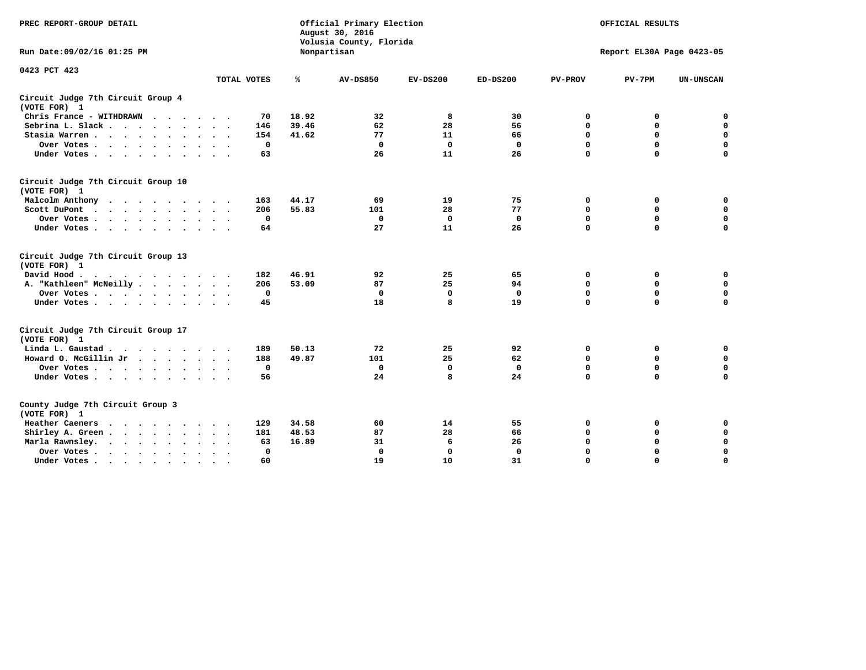| PREC REPORT-GROUP DETAIL                                                                                                                                                                                                                                |              |       | Official Primary Election<br>August 30, 2016<br>Volusia County, Florida | OFFICIAL RESULTS<br>Report EL30A Page 0423-05 |              |                |             |                  |
|---------------------------------------------------------------------------------------------------------------------------------------------------------------------------------------------------------------------------------------------------------|--------------|-------|-------------------------------------------------------------------------|-----------------------------------------------|--------------|----------------|-------------|------------------|
| Run Date: 09/02/16 01:25 PM                                                                                                                                                                                                                             |              |       | Nonpartisan                                                             |                                               |              |                |             |                  |
| 0423 PCT 423                                                                                                                                                                                                                                            | TOTAL VOTES  | ℁     | <b>AV-DS850</b>                                                         | $EV-DS200$                                    | $ED-DS200$   | <b>PV-PROV</b> | $PV-7PM$    | <b>UN-UNSCAN</b> |
|                                                                                                                                                                                                                                                         |              |       |                                                                         |                                               |              |                |             |                  |
| Circuit Judge 7th Circuit Group 4<br>(VOTE FOR) 1                                                                                                                                                                                                       |              |       |                                                                         |                                               |              |                |             |                  |
| Chris France - WITHDRAWN                                                                                                                                                                                                                                | 70           | 18.92 | 32                                                                      | 8                                             | 30           | 0              | 0           | $\mathbf 0$      |
| Sebrina L. Slack.                                                                                                                                                                                                                                       | 146          | 39.46 | 62                                                                      | 28                                            | 56           | 0              | $\mathbf 0$ | $\mathbf 0$      |
| Stasia Warren<br>$\sim$ $\sim$                                                                                                                                                                                                                          | 154          | 41.62 | 77                                                                      | 11                                            | 66           | $\mathbf 0$    | 0           | $\mathbf 0$      |
| Over Votes                                                                                                                                                                                                                                              | $\mathbf 0$  |       | $\Omega$                                                                | $\mathbf 0$                                   | $\mathbf 0$  | $\mathbf 0$    | $\mathbf 0$ | $\mathbf 0$      |
| Under Votes                                                                                                                                                                                                                                             | 63           |       | 26                                                                      | 11                                            | 26           | $\Omega$       | $\Omega$    | $\mathbf 0$      |
| Circuit Judge 7th Circuit Group 10<br>(VOTE FOR) 1                                                                                                                                                                                                      |              |       |                                                                         |                                               |              |                |             |                  |
| Malcolm Anthony                                                                                                                                                                                                                                         | 163          | 44.17 | 69                                                                      | 19                                            | 75           | 0              | 0           | 0                |
| Scott DuPont                                                                                                                                                                                                                                            | 206          | 55.83 | 101                                                                     | 28                                            | 77           | $\mathbf 0$    | $\mathbf 0$ | $\mathbf 0$      |
| Over Votes                                                                                                                                                                                                                                              | $\mathbf 0$  |       | $\mathbf{0}$                                                            | $\mathbf 0$                                   | $\mathbf{0}$ | $\mathbf 0$    | $\mathbf 0$ | $\mathbf 0$      |
| Under Votes                                                                                                                                                                                                                                             | 64           |       | 27                                                                      | 11                                            | 26           | $\mathbf 0$    | $\mathbf 0$ | $\Omega$         |
| Circuit Judge 7th Circuit Group 13<br>(VOTE FOR) 1                                                                                                                                                                                                      |              |       |                                                                         |                                               |              |                |             |                  |
| David Hood.<br>$\cdot$                                                                                                                                                                                                                                  | 182          | 46.91 | 92                                                                      | 25                                            | 65           | 0              | 0           | $\mathbf 0$      |
| A. "Kathleen" McNeilly                                                                                                                                                                                                                                  | 206          | 53.09 | 87                                                                      | 25                                            | 94           | $\mathbf 0$    | 0           | $\mathbf 0$      |
| Over Votes                                                                                                                                                                                                                                              | $\mathbf 0$  |       | $\mathbf{0}$                                                            | $\mathbf 0$                                   | $\mathbf{0}$ | $\mathbf 0$    | $\mathbf 0$ | $\mathbf 0$      |
| Under Votes                                                                                                                                                                                                                                             | 45           |       | 18                                                                      | 8                                             | 19           | $\mathbf 0$    | $\mathbf 0$ | 0                |
| Circuit Judge 7th Circuit Group 17<br>(VOTE FOR) 1                                                                                                                                                                                                      |              |       |                                                                         |                                               |              |                |             |                  |
| Linda L. Gaustad                                                                                                                                                                                                                                        | 189          | 50.13 | 72                                                                      | 25                                            | 92           | 0              | 0           | $\mathbf 0$      |
| Howard O. McGillin Jr                                                                                                                                                                                                                                   | 188          | 49.87 | 101                                                                     | 25                                            | 62           | $\mathbf 0$    | $\mathbf 0$ | $\mathbf 0$      |
| Over Votes                                                                                                                                                                                                                                              | $\mathbf 0$  |       | $\mathbf 0$                                                             | $\mathbf 0$                                   | $\mathbf 0$  | $\mathbf 0$    | $\Omega$    | $\pmb{0}$        |
| Under Votes                                                                                                                                                                                                                                             | 56           |       | 24                                                                      | 8                                             | 24           | $\mathbf 0$    | $\mathbf 0$ | $\mathbf 0$      |
| County Judge 7th Circuit Group 3<br>(VOTE FOR) 1                                                                                                                                                                                                        |              |       |                                                                         |                                               |              |                |             |                  |
| Heather Caeners<br><u>in the contract of the contract of the contract of the contract of the contract of the contract of the contract of the contract of the contract of the contract of the contract of the contract of the contract of the contra</u> | 129          | 34.58 | 60                                                                      | 14                                            | 55           | 0              | 0           | 0                |
| Shirley A. Green                                                                                                                                                                                                                                        | 181          | 48.53 | 87                                                                      | 28                                            | 66           | $\mathbf 0$    | 0           | $\mathbf 0$      |
| Marla Rawnsley.                                                                                                                                                                                                                                         | 63           | 16.89 | 31                                                                      | 6                                             | 26           | 0              | $\mathbf 0$ | $\pmb{0}$        |
| Over Votes<br>$\ddot{\phantom{a}}$<br>$\sim$                                                                                                                                                                                                            | $\mathbf{0}$ |       | $\Omega$                                                                | 0                                             | $\mathbf{0}$ | $\Omega$       | $\Omega$    | $\mathbf 0$      |
| Under Votes                                                                                                                                                                                                                                             | 60           |       | 19                                                                      | 10                                            | 31           | $\mathbf 0$    | $\mathbf 0$ | 0                |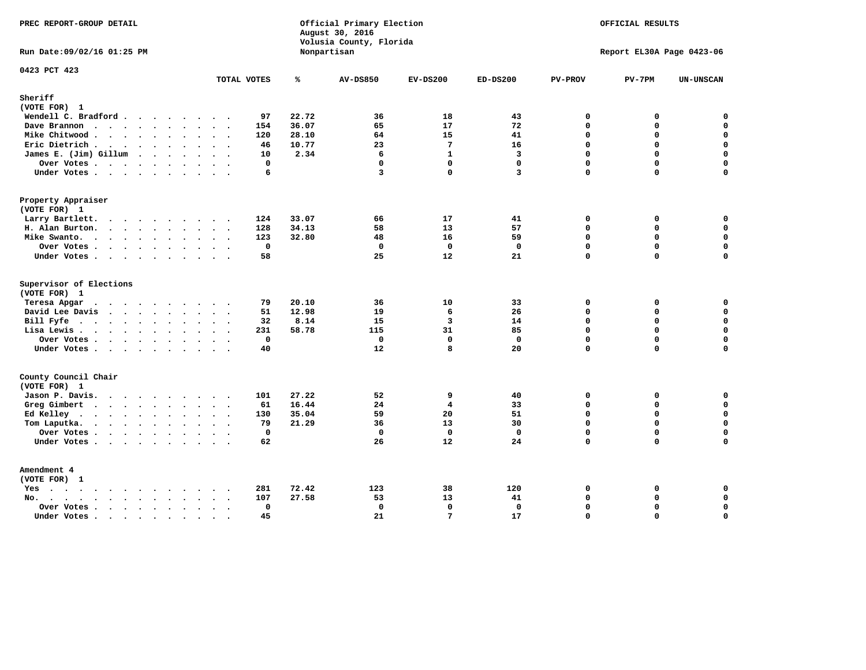| PREC REPORT-GROUP DETAIL<br>Run Date: 09/02/16 01:25 PM                                                                                                                                                                                           |                  |              |       | Official Primary Election<br>August 30, 2016<br>Volusia County, Florida | OFFICIAL RESULTS<br>Report EL30A Page 0423-06 |                         |                          |             |                  |
|---------------------------------------------------------------------------------------------------------------------------------------------------------------------------------------------------------------------------------------------------|------------------|--------------|-------|-------------------------------------------------------------------------|-----------------------------------------------|-------------------------|--------------------------|-------------|------------------|
|                                                                                                                                                                                                                                                   |                  |              |       | Nonpartisan                                                             |                                               |                         |                          |             |                  |
| 0423 PCT 423                                                                                                                                                                                                                                      |                  | TOTAL VOTES  | ℁     | <b>AV-DS850</b>                                                         | $EV-DS200$                                    | $ED-DS200$              | <b>PV-PROV</b>           | $PV-7PM$    | <b>UN-UNSCAN</b> |
| Sheriff                                                                                                                                                                                                                                           |                  |              |       |                                                                         |                                               |                         |                          |             |                  |
| (VOTE FOR) 1                                                                                                                                                                                                                                      |                  |              |       |                                                                         |                                               |                         |                          |             |                  |
| Wendell C. Bradford                                                                                                                                                                                                                               |                  | 97           | 22.72 | 36                                                                      | 18                                            | 43                      | 0                        | 0           | $\mathbf 0$      |
| Dave Brannon                                                                                                                                                                                                                                      |                  | 154          | 36.07 | 65                                                                      | 17                                            | 72                      | $\Omega$                 | 0           | 0                |
| Mike Chitwood                                                                                                                                                                                                                                     |                  | 120          | 28.10 | 64                                                                      | 15                                            | 41                      | $\mathbf{0}$<br>$\Omega$ | 0           | $\mathbf 0$      |
| Eric Dietrich.                                                                                                                                                                                                                                    |                  | 46           | 10.77 | 23                                                                      | 7                                             | 16                      |                          | $\Omega$    | $\mathbf 0$      |
| James E. (Jim) Gillum                                                                                                                                                                                                                             |                  | 10           | 2.34  | 6                                                                       | $\mathbf{1}$                                  | $\overline{\mathbf{3}}$ | $\mathbf 0$              | 0           | $\mathbf 0$      |
| Over Votes                                                                                                                                                                                                                                        |                  | $\mathbf{0}$ |       | $\mathbf 0$                                                             | $\mathbf{0}$                                  | $\mathbf{0}$            | $\Omega$                 | $\mathbf 0$ | 0                |
| Under Votes                                                                                                                                                                                                                                       |                  | 6            |       | $\overline{\mathbf{3}}$                                                 | $\Omega$                                      | $\overline{\mathbf{3}}$ | $\Omega$                 | 0           | $\mathbf 0$      |
| Property Appraiser                                                                                                                                                                                                                                |                  |              |       |                                                                         |                                               |                         |                          |             |                  |
| (VOTE FOR) 1                                                                                                                                                                                                                                      |                  |              |       |                                                                         |                                               |                         |                          |             |                  |
| Larry Bartlett.                                                                                                                                                                                                                                   |                  | 124          | 33.07 | 66                                                                      | 17                                            | 41                      | $\mathbf 0$              | 0           | 0                |
| H. Alan Burton.                                                                                                                                                                                                                                   |                  | 128          | 34.13 | 58                                                                      | 13                                            | 57                      | $\Omega$                 | 0           | $\mathbf 0$      |
| Mike Swanto.                                                                                                                                                                                                                                      |                  | 123          | 32.80 | 48                                                                      | 16                                            | 59                      | $\mathbf 0$              | 0           | $\mathbf 0$      |
| Over Votes.                                                                                                                                                                                                                                       |                  | $\mathbf 0$  |       | $\mathbf 0$                                                             | $\mathbf 0$                                   | $\mathbf 0$             | $\mathbf 0$              | 0           | $\mathbf 0$      |
| Under Votes                                                                                                                                                                                                                                       |                  | 58           |       | 25                                                                      | 12                                            | 21                      | $\Omega$                 | $\Omega$    | $\mathbf 0$      |
| Supervisor of Elections                                                                                                                                                                                                                           |                  |              |       |                                                                         |                                               |                         |                          |             |                  |
| (VOTE FOR) 1                                                                                                                                                                                                                                      |                  |              |       |                                                                         |                                               |                         |                          |             |                  |
| Teresa Apgar                                                                                                                                                                                                                                      |                  | 79           | 20.10 | 36                                                                      | 10                                            | 33                      | $\mathbf 0$              | 0           | 0                |
| David Lee Davis                                                                                                                                                                                                                                   |                  | 51           | 12.98 | 19                                                                      | 6                                             | 26                      | $\Omega$                 | 0           | $\mathbf 0$      |
| Bill Fyfe                                                                                                                                                                                                                                         |                  | 32           | 8.14  | 15                                                                      | $\overline{3}$                                | 14                      | $\Omega$                 | 0           | $\mathbf 0$      |
| Lisa Lewis                                                                                                                                                                                                                                        |                  | 231          | 58.78 | 115                                                                     | 31                                            | 85                      | $\Omega$                 | 0           | 0                |
| Over Votes                                                                                                                                                                                                                                        |                  | $\mathbf 0$  |       | $\mathbf 0$                                                             | $\mathbf{0}$                                  | $\mathbf{0}$            | $\Omega$                 | 0           | $\mathbf 0$      |
| Under Votes                                                                                                                                                                                                                                       |                  | 40           |       | 12                                                                      | 8                                             | 20                      | $\mathbf 0$              | $\Omega$    | $\mathbf 0$      |
| County Council Chair                                                                                                                                                                                                                              |                  |              |       |                                                                         |                                               |                         |                          |             |                  |
| (VOTE FOR) 1                                                                                                                                                                                                                                      |                  |              |       |                                                                         |                                               |                         |                          |             |                  |
| Jason P. Davis.                                                                                                                                                                                                                                   |                  | 101          | 27.22 | 52                                                                      | 9                                             | 40                      | $\mathbf 0$              | 0           | 0                |
| Greg Gimbert<br>$\mathbf{r}$ . The contract of the contract of the contract of the contract of the contract of the contract of the contract of the contract of the contract of the contract of the contract of the contract of the contract of th |                  | 61           | 16.44 | 24                                                                      | 4                                             | 33                      | $\mathbf 0$              | 0           | $\mathbf 0$      |
| Ed Kelley                                                                                                                                                                                                                                         |                  | 130          | 35.04 | 59                                                                      | 20                                            | 51                      | $\mathbf 0$              | 0           | $\mathbf 0$      |
| Tom Laputka.                                                                                                                                                                                                                                      |                  | 79           | 21.29 | 36                                                                      | 13                                            | 30                      | $\Omega$                 | $\mathbf 0$ | $\mathbf 0$      |
| Over Votes.                                                                                                                                                                                                                                       |                  | $\mathbf 0$  |       | $\mathbf 0$                                                             | $\mathbf 0$                                   | $\mathbf 0$             | 0                        | 0           | $\mathbf 0$      |
| Under Votes                                                                                                                                                                                                                                       |                  | 62           |       | 26                                                                      | 12                                            | 24                      | $\Omega$                 | $\Omega$    | $\mathbf 0$      |
| Amendment 4                                                                                                                                                                                                                                       |                  |              |       |                                                                         |                                               |                         |                          |             |                  |
| (VOTE FOR) 1                                                                                                                                                                                                                                      |                  |              |       |                                                                         |                                               |                         |                          |             |                  |
| Yes                                                                                                                                                                                                                                               |                  | 281          | 72.42 | 123                                                                     | 38                                            | 120                     | 0                        | 0           | 0                |
| No.<br>$\sim$                                                                                                                                                                                                                                     |                  | 107          | 27.58 | 53                                                                      | 13                                            | 41                      | $\mathbf 0$              | 0           | $\mathbf 0$      |
| Over Votes.<br>$\cdots$                                                                                                                                                                                                                           |                  | $\mathbf 0$  |       | $\mathbf 0$                                                             | $\mathbf{0}$                                  | $\mathbf 0$             | $\Omega$                 | 0           | $\mathbf 0$      |
| Under Votes                                                                                                                                                                                                                                       | $\sim$<br>$\sim$ | 45           |       | 21                                                                      | $7\phantom{.0}$                               | 17                      | $\Omega$                 | $\Omega$    | $\mathbf 0$      |
|                                                                                                                                                                                                                                                   |                  |              |       |                                                                         |                                               |                         |                          |             |                  |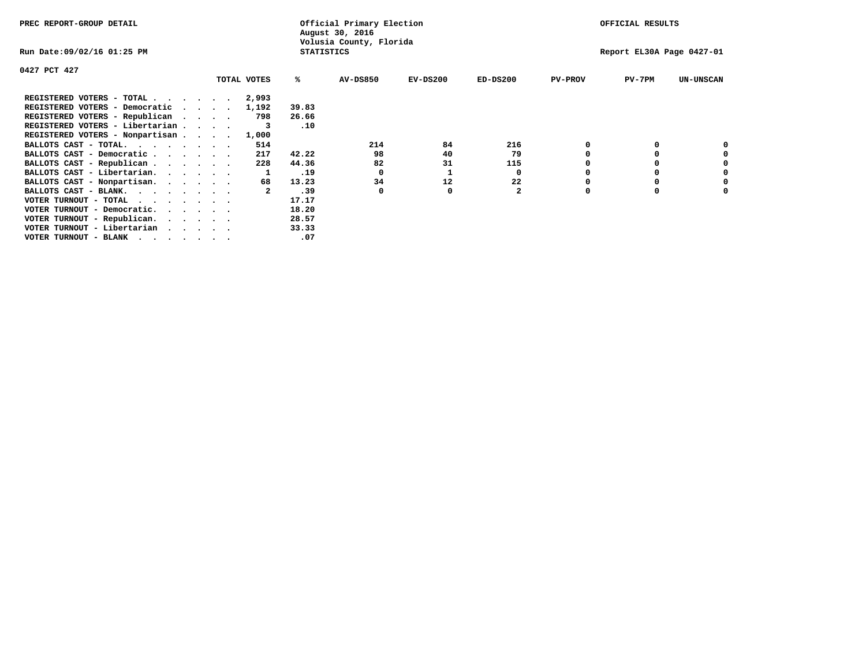| PREC REPORT-GROUP DETAIL        |             |                   | Official Primary Election<br>August 30, 2016 |            |              | OFFICIAL RESULTS |                           |                  |  |
|---------------------------------|-------------|-------------------|----------------------------------------------|------------|--------------|------------------|---------------------------|------------------|--|
| Run Date:09/02/16 01:25 PM      |             | <b>STATISTICS</b> | Volusia County, Florida                      |            |              |                  | Report EL30A Page 0427-01 |                  |  |
| 0427 PCT 427                    |             |                   |                                              |            |              |                  |                           |                  |  |
|                                 | TOTAL VOTES | ℁                 | <b>AV-DS850</b>                              | $EV-DS200$ | $ED-DS200$   | <b>PV-PROV</b>   | $PV-7PM$                  | <b>UN-UNSCAN</b> |  |
| REGISTERED VOTERS - TOTAL       | 2,993       |                   |                                              |            |              |                  |                           |                  |  |
| REGISTERED VOTERS - Democratic  | 1,192       | 39.83             |                                              |            |              |                  |                           |                  |  |
| REGISTERED VOTERS - Republican  | 798         | 26.66             |                                              |            |              |                  |                           |                  |  |
| REGISTERED VOTERS - Libertarian |             | .10               |                                              |            |              |                  |                           |                  |  |
| REGISTERED VOTERS - Nonpartisan | 1,000       |                   |                                              |            |              |                  |                           |                  |  |
| BALLOTS CAST - TOTAL.           | 514         |                   | 214                                          | 84         | 216          |                  |                           |                  |  |
| BALLOTS CAST - Democratic       | 217         | 42.22             | 98                                           | 40         | 79           |                  |                           |                  |  |
| BALLOTS CAST - Republican       | 228         | 44.36             | 82                                           | 31         | 115          |                  |                           |                  |  |
| BALLOTS CAST - Libertarian.     |             | .19               | 0                                            |            | 0            |                  |                           |                  |  |
| BALLOTS CAST - Nonpartisan.     | 68          | 13.23             | 34                                           | 12         | 22           |                  |                           | 0                |  |
| BALLOTS CAST - BLANK.           |             | .39               | 0                                            | 0          | $\mathbf{z}$ | $\Omega$         |                           |                  |  |
| VOTER TURNOUT - TOTAL           |             | 17.17             |                                              |            |              |                  |                           |                  |  |
| VOTER TURNOUT - Democratic.     |             | 18.20             |                                              |            |              |                  |                           |                  |  |
| VOTER TURNOUT - Republican.     |             | 28.57             |                                              |            |              |                  |                           |                  |  |
| VOTER TURNOUT - Libertarian     |             | 33.33             |                                              |            |              |                  |                           |                  |  |
| VOTER TURNOUT - BLANK           |             | .07               |                                              |            |              |                  |                           |                  |  |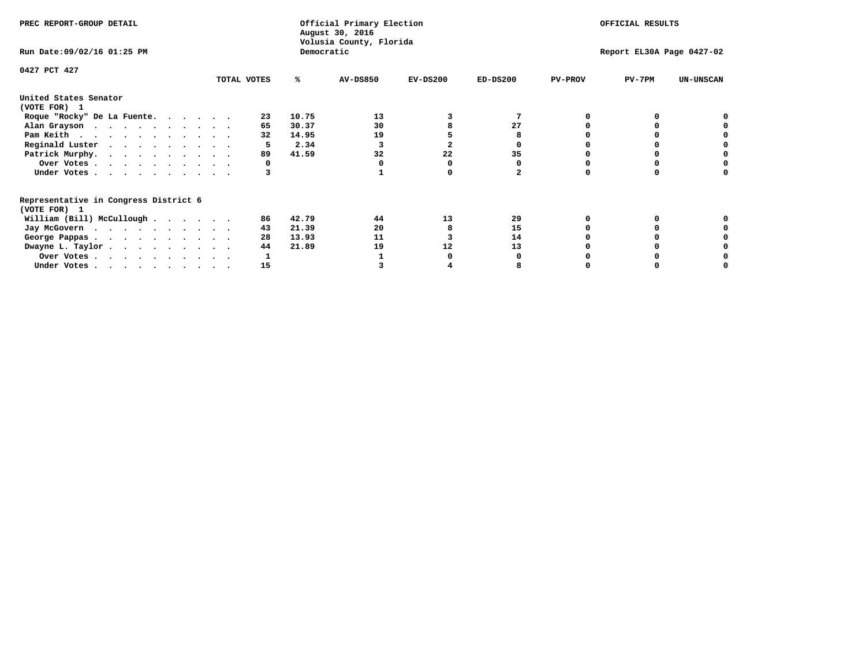| PREC REPORT-GROUP DETAIL                                               |             |            | Official Primary Election<br>August 30, 2016 | OFFICIAL RESULTS |                           |                |          |                  |
|------------------------------------------------------------------------|-------------|------------|----------------------------------------------|------------------|---------------------------|----------------|----------|------------------|
| Run Date: 09/02/16 01:25 PM                                            |             | Democratic | Volusia County, Florida                      |                  | Report EL30A Page 0427-02 |                |          |                  |
| 0427 PCT 427                                                           | TOTAL VOTES | ℁          | <b>AV-DS850</b>                              | $EV-DS200$       | $ED-DS200$                | <b>PV-PROV</b> | $PV-7PM$ | <b>UN-UNSCAN</b> |
| United States Senator                                                  |             |            |                                              |                  |                           |                |          |                  |
| (VOTE FOR) 1                                                           |             |            |                                              |                  |                           |                |          |                  |
| Roque "Rocky" De La Fuente.                                            | 23          | 10.75      | 13                                           |                  |                           |                |          |                  |
| Alan Grayson                                                           | 65          | 30.37      | 30                                           |                  | 27                        |                |          |                  |
| Pam Keith                                                              | 32          | 14.95      | 19                                           |                  |                           |                |          |                  |
| Reginald Luster                                                        |             | 2.34       |                                              |                  |                           |                |          |                  |
| Patrick Murphy.                                                        | 89          | 41.59      | 32                                           | 22               | 35                        |                |          |                  |
| Over Votes                                                             | 0           |            |                                              |                  |                           |                |          |                  |
| Under Votes                                                            |             |            |                                              |                  |                           |                |          |                  |
| Representative in Congress District 6                                  |             |            |                                              |                  |                           |                |          |                  |
| (VOTE FOR) 1                                                           |             |            |                                              |                  |                           |                |          |                  |
| William (Bill) McCullough $\cdots$ $\cdots$                            | 86          | 42.79      | 44                                           | 13               | 29                        |                |          |                  |
| Jay McGovern                                                           | 43          | 21.39      | 20                                           |                  | 15                        |                |          |                  |
| George Pappas.                                                         | 28          | 13.93      | 11                                           |                  | 14                        |                |          |                  |
| Dwayne L. Taylor.                                                      | 44          | 21.89      | 19                                           | 12               | 13                        |                |          |                  |
| Over Votes                                                             |             |            |                                              |                  |                           |                |          |                  |
| Under Votes, $\cdot$ , $\cdot$ , $\cdot$ , $\cdot$ , $\cdot$ , $\cdot$ | 15          |            |                                              |                  |                           |                |          |                  |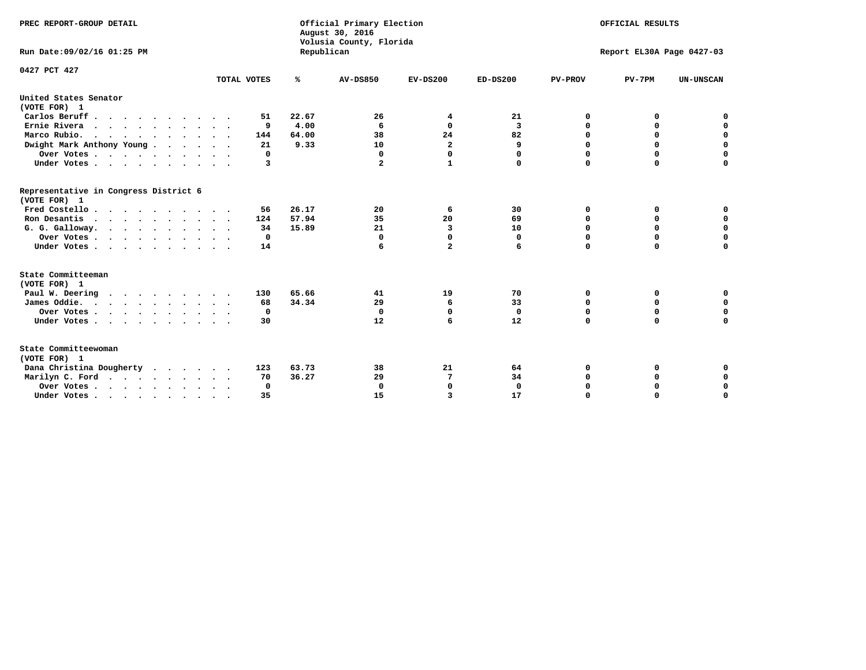| PREC REPORT-GROUP DETAIL<br>Run Date:09/02/16 01:25 PM                 |             | Republican | Official Primary Election<br>August 30, 2016<br>Volusia County, Florida | OFFICIAL RESULTS<br>Report EL30A Page 0427-03 |             |                |             |                  |
|------------------------------------------------------------------------|-------------|------------|-------------------------------------------------------------------------|-----------------------------------------------|-------------|----------------|-------------|------------------|
| 0427 PCT 427                                                           | TOTAL VOTES | %          | <b>AV-DS850</b>                                                         | $EV-DS200$                                    | $ED-DS200$  | <b>PV-PROV</b> | $PV-7PM$    | <b>UN-UNSCAN</b> |
| United States Senator                                                  |             |            |                                                                         |                                               |             |                |             |                  |
| (VOTE FOR) 1                                                           |             |            |                                                                         |                                               |             |                |             |                  |
| Carlos Beruff                                                          | 51          | 22.67      | 26                                                                      | 4                                             | 21          | 0              | 0           | 0                |
| Ernie Rivera                                                           | 9           | 4.00       | 6                                                                       | 0                                             | 3           | 0              | 0           | $\mathbf 0$      |
| Marco Rubio.<br>$\cdots$                                               | 144         | 64.00      | 38                                                                      | 24                                            | 82          | $\mathbf 0$    | $\mathbf 0$ | $\mathbf 0$      |
| Dwight Mark Anthony Young                                              | 21          | 9.33       | 10                                                                      | $\overline{\mathbf{2}}$                       | 9           | 0              | 0           | $\mathbf 0$      |
| Over Votes $\ldots$ $\ldots$ $\ldots$ $\ldots$                         | 0           |            | 0                                                                       | $\Omega$                                      | 0           | 0              | 0           | 0                |
| Under Votes                                                            | 3           |            | $\mathbf{2}$                                                            | $\mathbf{1}$                                  | 0           | $\mathbf 0$    | $\mathbf 0$ | $\mathbf 0$      |
| Representative in Congress District 6<br>(VOTE FOR) 1                  |             |            |                                                                         |                                               |             |                |             |                  |
| Fred Costello                                                          | 56          | 26.17      | 20                                                                      | 6                                             | 30          | 0              | 0           | 0                |
| Ron Desantis                                                           | 124         | 57.94      | 35                                                                      | 20                                            | 69          | $\mathbf 0$    | 0           | $\mathbf 0$      |
| G. G. Galloway.                                                        | 34          | 15.89      | 21                                                                      | 3                                             | 10          | $\mathbf 0$    | $\Omega$    | $\mathbf 0$      |
| Over Votes                                                             | 0           |            | 0                                                                       | 0                                             | 0           | 0              | 0           | 0                |
| Under Votes                                                            | 14          |            | 6                                                                       | $\overline{a}$                                | 6           | $\mathbf 0$    | $\mathbf 0$ | $\mathbf 0$      |
| State Committeeman                                                     |             |            |                                                                         |                                               |             |                |             |                  |
| (VOTE FOR) 1<br>Paul W. Deering                                        | 130         | 65.66      | 41                                                                      | 19                                            | 70          | 0              | 0           | 0                |
| James Oddie.                                                           | 68          | 34.34      | 29                                                                      | 6                                             | 33          | 0              | 0           | $\mathbf 0$      |
| Over Votes                                                             | 0           |            | $\mathbf 0$                                                             | $\mathbf 0$                                   | $\mathbf 0$ | $\mathbf 0$    | $\mathbf 0$ | $\mathbf 0$      |
| Under Votes                                                            | 30          |            | 12                                                                      | 6                                             | 12          | $\mathbf 0$    | $\mathbf 0$ | $\mathbf 0$      |
|                                                                        |             |            |                                                                         |                                               |             |                |             |                  |
| State Committeewoman<br>(VOTE FOR) 1                                   |             |            |                                                                         |                                               |             |                |             |                  |
| Dana Christina Dougherty                                               | 123         | 63.73      | 38                                                                      | 21                                            | 64          | 0              | 0           | 0                |
| Marilyn C. Ford                                                        | 70          | 36.27      | 29                                                                      | 7                                             | 34          | 0              | 0           | 0                |
| Over Votes                                                             | $\Omega$    |            | $\mathbf 0$                                                             | 0                                             | $\mathbf 0$ | 0              | 0           | 0                |
| Under Votes, $\cdot$ , $\cdot$ , $\cdot$ , $\cdot$ , $\cdot$ , $\cdot$ | 35          |            | 15                                                                      | 3                                             | 17          | $\Omega$       | O           | $\Omega$         |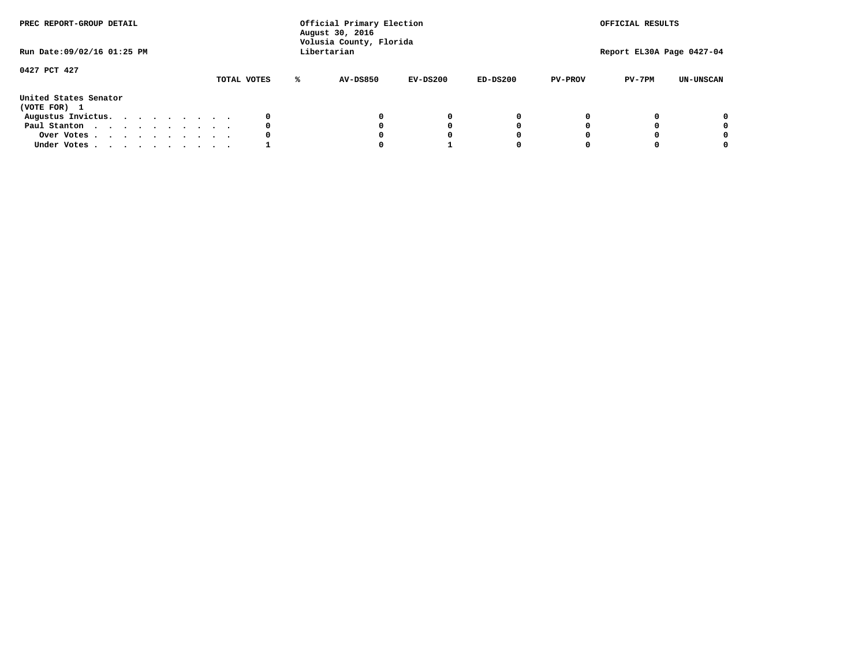| PREC REPORT-GROUP DETAIL<br>Run Date: 09/02/16 01:25 PM |  |  |  |  |  | Official Primary Election<br>August 30, 2016<br>Volusia County, Florida<br>Libertarian |   | OFFICIAL RESULTS<br>Report EL30A Page 0427-04 |            |            |                |          |                  |
|---------------------------------------------------------|--|--|--|--|--|----------------------------------------------------------------------------------------|---|-----------------------------------------------|------------|------------|----------------|----------|------------------|
|                                                         |  |  |  |  |  |                                                                                        |   |                                               |            |            |                |          |                  |
| 0427 PCT 427                                            |  |  |  |  |  | TOTAL VOTES                                                                            | ℁ | <b>AV-DS850</b>                               | $EV-DS200$ | $ED-DS200$ | <b>PV-PROV</b> | $PV-7PM$ | <b>UN-UNSCAN</b> |
| United States Senator<br>(VOTE FOR) 1                   |  |  |  |  |  |                                                                                        |   |                                               |            |            |                |          |                  |
| Augustus Invictus.                                      |  |  |  |  |  | 0                                                                                      |   |                                               | 0          | 0          |                |          | 0                |
| Paul Stanton                                            |  |  |  |  |  | 0                                                                                      |   |                                               |            | 0          |                |          | 0                |
| Over Votes                                              |  |  |  |  |  | 0                                                                                      |   |                                               |            | 0          |                |          | 0                |
| Under Votes                                             |  |  |  |  |  |                                                                                        |   |                                               |            |            |                |          | 0                |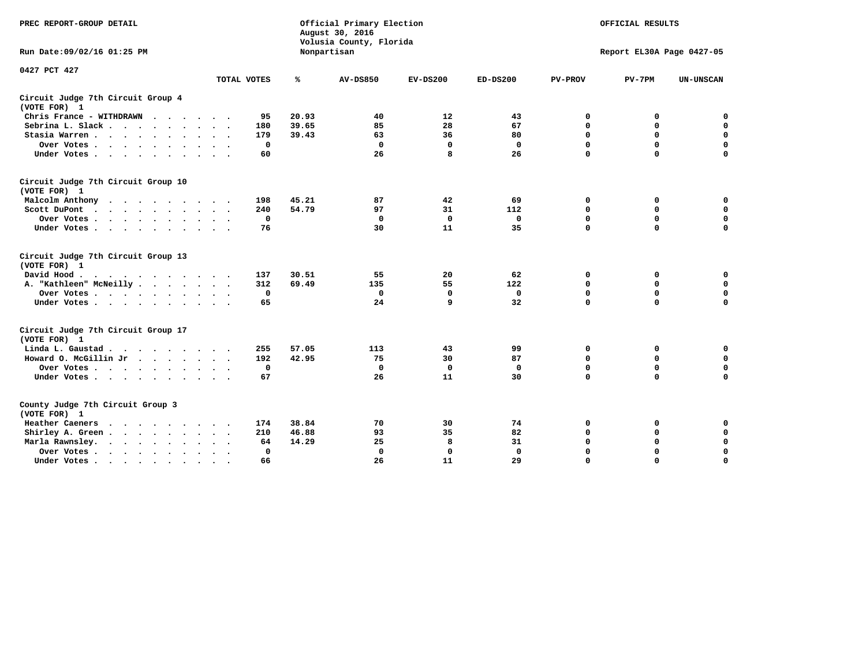| PREC REPORT-GROUP DETAIL                                   |                      |       | Official Primary Election<br>August 30, 2016<br>Volusia County, Florida | OFFICIAL RESULTS |              |                |                           |                  |
|------------------------------------------------------------|----------------------|-------|-------------------------------------------------------------------------|------------------|--------------|----------------|---------------------------|------------------|
| Run Date: 09/02/16 01:25 PM                                |                      |       | Nonpartisan                                                             |                  |              |                | Report EL30A Page 0427-05 |                  |
| 0427 PCT 427                                               | TOTAL VOTES          | ℁     | <b>AV-DS850</b>                                                         | $EV-DS200$       | $ED-DS200$   | <b>PV-PROV</b> | $PV-7PM$                  | <b>UN-UNSCAN</b> |
| Circuit Judge 7th Circuit Group 4                          |                      |       |                                                                         |                  |              |                |                           |                  |
| (VOTE FOR) 1                                               |                      |       |                                                                         |                  |              |                |                           |                  |
| Chris France - WITHDRAWN                                   | 95                   | 20.93 | 40                                                                      | 12               | 43           | 0              | 0                         | $\mathbf 0$      |
| Sebrina L. Slack                                           | 180<br>$\sim$ $\sim$ | 39.65 | 85                                                                      | 28               | 67           | $\mathbf 0$    | $\mathbf 0$               | $\mathbf 0$      |
| Stasia Warren<br>$\ddot{\phantom{1}}$                      | 179                  | 39.43 | 63                                                                      | 36               | 80           | 0              | $\mathbf 0$               | $\mathbf 0$      |
| Over Votes                                                 | 0                    |       | $\mathbf 0$                                                             | $\mathbf 0$      | 0            | $\mathbf 0$    | $\mathbf 0$               | $\mathbf 0$      |
| Under Votes                                                | 60                   |       | 26                                                                      | 8                | 26           | $\mathbf 0$    | $\Omega$                  | $\mathbf 0$      |
| Circuit Judge 7th Circuit Group 10<br>(VOTE FOR) 1         |                      |       |                                                                         |                  |              |                |                           |                  |
| Malcolm Anthony                                            | 198                  | 45.21 | 87                                                                      | 42               | 69           | 0              | 0                         | $\mathbf 0$      |
| Scott DuPont<br>$\sim$                                     | 240                  | 54.79 | 97                                                                      | 31               | 112          | $\mathbf 0$    | $\mathbf 0$               | $\mathbf 0$      |
| Over Votes<br>$\ddot{\phantom{0}}$<br>$\cdot$              | 0                    |       | $\Omega$                                                                | 0                | 0            | $\mathbf 0$    | 0                         | $\mathbf 0$      |
| Under Votes                                                | 76                   |       | 30                                                                      | 11               | 35           | $\mathbf 0$    | $\mathbf 0$               | $\Omega$         |
| Circuit Judge 7th Circuit Group 13<br>(VOTE FOR) 1         |                      |       |                                                                         |                  |              |                |                           |                  |
| David Hood.                                                | 137                  | 30.51 | 55                                                                      | 20               | 62           | 0              | 0                         | $\mathbf 0$      |
| A. "Kathleen" McNeilly                                     | 312                  | 69.49 | 135                                                                     | 55               | 122          | $\mathbf 0$    | 0                         | $\mathbf 0$      |
| Over Votes                                                 | 0                    |       | $\mathbf 0$                                                             | $\mathbf 0$      | $\mathbf 0$  | 0              | $\mathbf 0$               | $\mathbf 0$      |
| Under Votes                                                | 65                   |       | 24                                                                      | q                | 32           | $\Omega$       | $\Omega$                  | $\Omega$         |
| Circuit Judge 7th Circuit Group 17<br>(VOTE FOR) 1         |                      |       |                                                                         |                  |              |                |                           |                  |
| Linda L. Gaustad                                           | 255                  | 57.05 | 113                                                                     | 43               | 99           | 0              | 0                         | 0                |
| Howard O. McGillin Jr<br>$\cdots$                          | 192                  | 42.95 | 75                                                                      | 30               | 87           | $\mathbf 0$    | $\mathbf 0$               | 0                |
| Over Votes                                                 | $\mathbf 0$          |       | $\Omega$                                                                | $\mathbf{0}$     | $\mathbf{0}$ | $\mathbf 0$    | $\mathbf 0$               | $\mathbf 0$      |
| Under Votes                                                | 67                   |       | 26                                                                      | 11               | 30           | $\mathbf 0$    | $\mathbf 0$               | $\Omega$         |
| County Judge 7th Circuit Group 3<br>(VOTE FOR) 1           |                      |       |                                                                         |                  |              |                |                           |                  |
| <b>Heather Caeners</b><br>$\cdots$                         | 174                  | 38.84 | 70                                                                      | 30               | 74           | $\mathbf 0$    | 0                         | 0                |
| Shirley A. Green                                           | 210                  | 46.88 | 93                                                                      | 35               | 82           | $\mathbf 0$    | 0                         | $\mathbf 0$      |
| Marla Rawnsley.<br>$\cdot$ $\cdot$ $\cdot$ $\cdot$ $\cdot$ | 64                   | 14.29 | 25                                                                      | 8                | 31           | 0              | $\mathbf 0$               | $\mathbf 0$      |
| Over Votes.<br>$\cdot$<br>$\cdot$<br>$\cdot$               | $\mathbf{0}$         |       | 0                                                                       | $\mathbf{0}$     | $\mathbf{0}$ | $\Omega$       | $\Omega$                  | $\mathbf 0$      |
| Under Votes<br>$\sim$<br>$\bullet$                         | 66                   |       | 26                                                                      | 11               | 29           | $\mathbf 0$    | $\mathbf 0$               | 0                |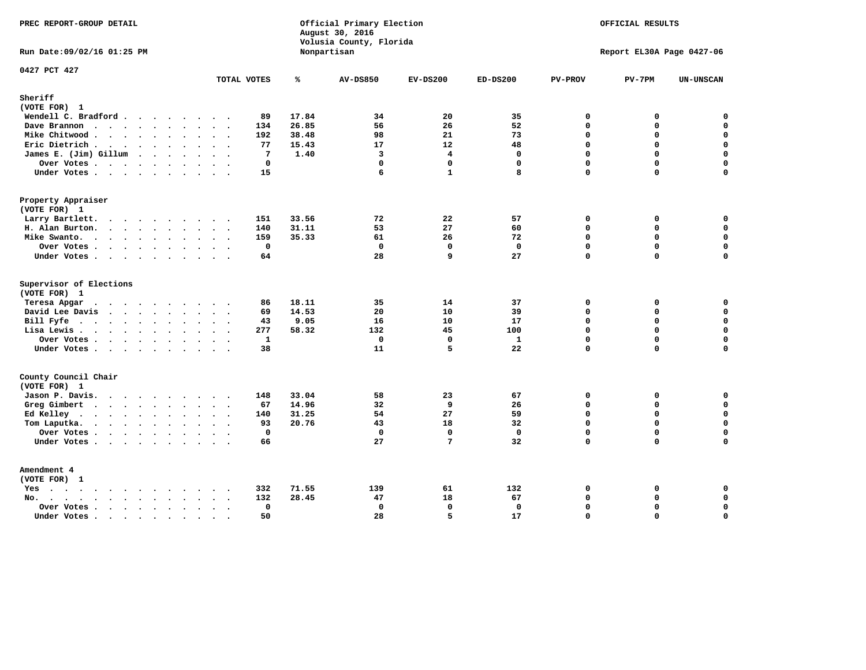| PREC REPORT-GROUP DETAIL                                                                                                                                                                                                                          |                                      |       | Official Primary Election<br>August 30, 2016<br>Volusia County, Florida |                | OFFICIAL RESULTS<br>Report EL30A Page 0427-06 |                          |             |                  |
|---------------------------------------------------------------------------------------------------------------------------------------------------------------------------------------------------------------------------------------------------|--------------------------------------|-------|-------------------------------------------------------------------------|----------------|-----------------------------------------------|--------------------------|-------------|------------------|
| Run Date: 09/02/16 01:25 PM                                                                                                                                                                                                                       |                                      |       | Nonpartisan                                                             |                |                                               |                          |             |                  |
| 0427 PCT 427                                                                                                                                                                                                                                      | TOTAL VOTES                          | ℁     | <b>AV-DS850</b>                                                         | $EV-DS200$     | $ED-DS200$                                    | <b>PV-PROV</b>           | $PV-7PM$    | <b>UN-UNSCAN</b> |
| Sheriff                                                                                                                                                                                                                                           |                                      |       |                                                                         |                |                                               |                          |             |                  |
| (VOTE FOR) 1                                                                                                                                                                                                                                      |                                      |       |                                                                         |                |                                               |                          |             |                  |
| Wendell C. Bradford                                                                                                                                                                                                                               | 89                                   | 17.84 | 34                                                                      | 20             | 35                                            | $\mathbf 0$<br>$\Omega$  | 0           | $\mathbf 0$      |
| Dave Brannon                                                                                                                                                                                                                                      | 134                                  | 26.85 | 56                                                                      | 26             | 52                                            |                          | 0           | $\mathbf 0$      |
| Mike Chitwood                                                                                                                                                                                                                                     | 192                                  | 38.48 | 98                                                                      | 21             | 73                                            | $\mathbf{0}$<br>$\Omega$ | 0           | $\mathbf 0$      |
| Eric Dietrich.                                                                                                                                                                                                                                    | 77                                   | 15.43 | 17                                                                      | 12             | 48                                            |                          | 0           | $\mathbf 0$      |
| James E. (Jim) Gillum                                                                                                                                                                                                                             | 7                                    | 1.40  | $\overline{\mathbf{3}}$                                                 | $\overline{4}$ | $\mathbf{0}$                                  | $\mathbf 0$              | 0           | $\mathbf 0$      |
| Over Votes                                                                                                                                                                                                                                        | $\mathbf{0}$                         |       | $\mathbf 0$                                                             | $\mathbf 0$    | $\mathbf{0}$                                  | $\Omega$                 | $\mathbf 0$ | 0                |
| Under Votes                                                                                                                                                                                                                                       | 15                                   |       | 6                                                                       | $\mathbf{1}$   | 8                                             | $\Omega$                 | 0           | $\Omega$         |
| Property Appraiser                                                                                                                                                                                                                                |                                      |       |                                                                         |                |                                               |                          |             |                  |
| (VOTE FOR) 1                                                                                                                                                                                                                                      |                                      |       |                                                                         |                |                                               |                          |             |                  |
| Larry Bartlett.                                                                                                                                                                                                                                   | 151                                  | 33.56 | 72                                                                      | 22             | 57                                            | $\mathbf 0$              | 0           | 0                |
| H. Alan Burton.                                                                                                                                                                                                                                   | 140                                  | 31.11 | 53                                                                      | 27             | 60                                            | $\mathbf 0$              | $\mathbf 0$ | $\mathbf 0$      |
| Mike Swanto.                                                                                                                                                                                                                                      | 159                                  | 35.33 | 61                                                                      | 26             | 72                                            | $\mathbf 0$              | 0           | $\mathbf 0$      |
| Over Votes                                                                                                                                                                                                                                        | $\mathbf 0$                          |       | $\mathbf 0$                                                             | $\mathbf{0}$   | $\mathbf 0$                                   | $\Omega$                 | $\mathbf 0$ | $\mathbf 0$      |
| Under Votes                                                                                                                                                                                                                                       | 64                                   |       | 28                                                                      | 9              | 27                                            | 0                        | 0           | $\Omega$         |
| Supervisor of Elections<br>(VOTE FOR) 1                                                                                                                                                                                                           |                                      |       |                                                                         |                |                                               |                          |             |                  |
| Teresa Apgar<br>$\mathbf{r}$ . The contract of the contract of the contract of the contract of the contract of the contract of the contract of the contract of the contract of the contract of the contract of the contract of the contract of th | 86                                   | 18.11 | 35                                                                      | 14             | 37                                            | $\mathbf{0}$             | 0           | 0                |
| David Lee Davis                                                                                                                                                                                                                                   | 69                                   | 14.53 | 20                                                                      | 10             | 39                                            | $\Omega$                 | 0           | $\mathbf 0$      |
| Bill Fyfe.                                                                                                                                                                                                                                        | 43                                   | 9.05  | 16                                                                      | 10             | 17                                            | $\mathbf 0$              | 0           | $\mathbf 0$      |
| Lisa Lewis                                                                                                                                                                                                                                        | 277                                  | 58.32 | 132                                                                     | 45             | 100                                           | $\Omega$                 | $\mathbf 0$ | $\mathbf 0$      |
| Over Votes                                                                                                                                                                                                                                        | 1                                    |       | $\mathbf 0$                                                             | $\mathbf{0}$   | $\mathbf{1}$                                  | $\Omega$                 | 0           | $\mathbf 0$      |
| Under Votes                                                                                                                                                                                                                                       | 38                                   |       | 11                                                                      | 5              | 22                                            | $\Omega$                 | $\Omega$    | $\mathbf 0$      |
| County Council Chair<br>(VOTE FOR) 1                                                                                                                                                                                                              |                                      |       |                                                                         |                |                                               |                          |             |                  |
| Jason P. Davis.                                                                                                                                                                                                                                   | 148<br>$\sim$ $\sim$                 | 33.04 | 58                                                                      | 23             | 67                                            | $\mathbf 0$              | 0           | 0                |
| Greg Gimbert                                                                                                                                                                                                                                      | 67                                   | 14.96 | 32                                                                      | 9              | 26                                            | $\mathbf 0$              | $\mathbf 0$ | $\mathbf 0$      |
| Ed Kelley                                                                                                                                                                                                                                         | 140                                  | 31.25 | 54                                                                      | 27             | 59                                            | $\Omega$                 | 0           | $\mathbf 0$      |
| Tom Laputka.                                                                                                                                                                                                                                      | 93                                   | 20.76 | 43                                                                      | 18             | 32                                            | $\mathbf 0$              | 0           | $\mathbf 0$      |
| Over Votes                                                                                                                                                                                                                                        | $\mathbf{0}$                         |       | $\Omega$                                                                | $\Omega$       | $\Omega$                                      | $\Omega$                 | $\Omega$    | 0                |
| Under Votes                                                                                                                                                                                                                                       | 66                                   |       | 27                                                                      | 7              | 32                                            | 0                        | 0           | $\Omega$         |
| Amendment 4<br>(VOTE FOR) 1                                                                                                                                                                                                                       |                                      |       |                                                                         |                |                                               |                          |             |                  |
| $Yes \cdot \cdot \cdot \cdot \cdot \cdot \cdot \cdot \cdot$                                                                                                                                                                                       | 332<br>$\sim$ $\sim$                 | 71.55 | 139                                                                     | 61             | 132                                           | $\mathbf 0$              | 0           | 0                |
| No.<br>$\ddot{\phantom{a}}$                                                                                                                                                                                                                       | 132                                  | 28.45 | 47                                                                      | 18             | 67                                            | $\Omega$                 | $\mathbf 0$ | $\mathbf 0$      |
| Over Votes                                                                                                                                                                                                                                        | $\mathbf{0}$<br>$\ddot{\phantom{0}}$ |       | $\mathbf{0}$                                                            | $\mathbf{0}$   | $\mathbf{0}$                                  | $\Omega$                 | 0           | $\pmb{0}$        |
| Under Votes<br>$\sim$                                                                                                                                                                                                                             | 50<br>$\cdot$ .<br>$\sim$            |       | 28                                                                      | 5              | 17                                            | $\Omega$                 | $\Omega$    | $\mathbf 0$      |
|                                                                                                                                                                                                                                                   |                                      |       |                                                                         |                |                                               |                          |             |                  |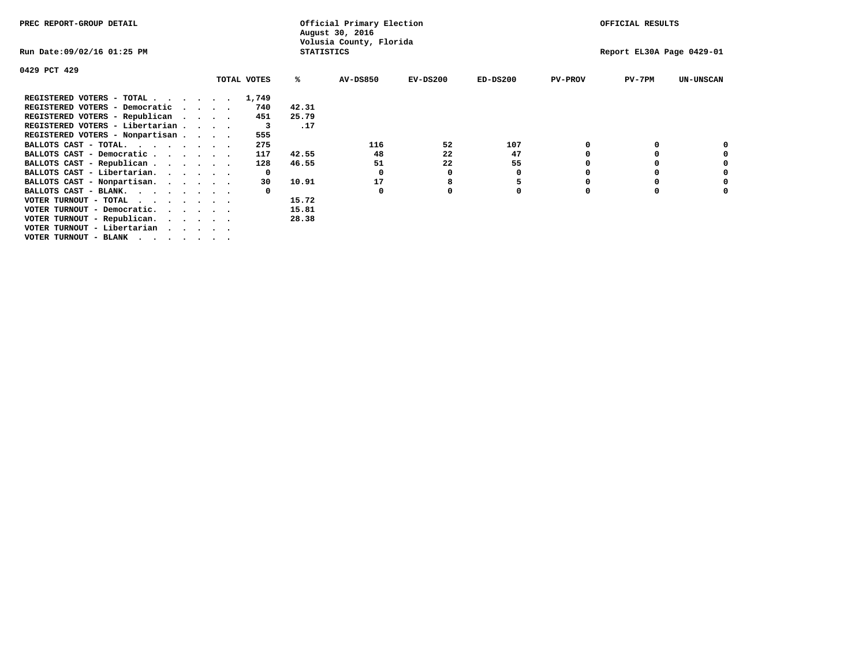| PREC REPORT-GROUP DETAIL                                               |          |              |                   | Official Primary Election<br>August 30, 2016 |            |             |                | OFFICIAL RESULTS          |                  |
|------------------------------------------------------------------------|----------|--------------|-------------------|----------------------------------------------|------------|-------------|----------------|---------------------------|------------------|
| Run Date:09/02/16 01:25 PM                                             |          |              | <b>STATISTICS</b> | Volusia County, Florida                      |            |             |                | Report EL30A Page 0429-01 |                  |
| 0429 PCT 429                                                           |          |              |                   |                                              |            |             |                |                           |                  |
|                                                                        |          | TOTAL VOTES  | ℁                 | <b>AV-DS850</b>                              | $EV-DS200$ | $ED-DS200$  | <b>PV-PROV</b> | $PV-7PM$                  | <b>UN-UNSCAN</b> |
| REGISTERED VOTERS - TOTAL 1,749                                        |          |              |                   |                                              |            |             |                |                           |                  |
| REGISTERED VOTERS - Democratic                                         | $\cdots$ | 740          | 42.31             |                                              |            |             |                |                           |                  |
| REGISTERED VOTERS - Republican                                         |          | 451          | 25.79             |                                              |            |             |                |                           |                  |
| REGISTERED VOTERS - Libertarian                                        |          | 3            | .17               |                                              |            |             |                |                           |                  |
| REGISTERED VOTERS - Nonpartisan                                        |          | 555          |                   |                                              |            |             |                |                           |                  |
| BALLOTS CAST - TOTAL.                                                  |          | 275          |                   | 116                                          | 52         | 107         |                |                           |                  |
| BALLOTS CAST - Democratic                                              |          | 117          | 42.55             | 48                                           | 22         | 47          |                |                           |                  |
| BALLOTS CAST - Republican                                              |          | 128          | 46.55             | 51                                           | 22         | 55          |                |                           |                  |
| BALLOTS CAST - Libertarian.                                            |          | $\mathbf{o}$ |                   | 0                                            | 0          | 0           |                |                           |                  |
| BALLOTS CAST - Nonpartisan.                                            |          | 30           | 10.91             | 17                                           | 8          | 5           |                |                           |                  |
| BALLOTS CAST - BLANK.                                                  |          |              |                   | 0                                            |            | $\mathbf 0$ | $\Omega$       |                           |                  |
| VOTER TURNOUT - TOTAL                                                  |          |              | 15.72             |                                              |            |             |                |                           |                  |
| VOTER TURNOUT - Democratic.<br>$\cdot$ $\cdot$ $\cdot$ $\cdot$ $\cdot$ |          |              | 15.81             |                                              |            |             |                |                           |                  |
| VOTER TURNOUT - Republican.                                            |          |              | 28.38             |                                              |            |             |                |                           |                  |
| VOTER TURNOUT - Libertarian                                            |          |              |                   |                                              |            |             |                |                           |                  |
| VOTER TURNOUT - BLANK                                                  |          |              |                   |                                              |            |             |                |                           |                  |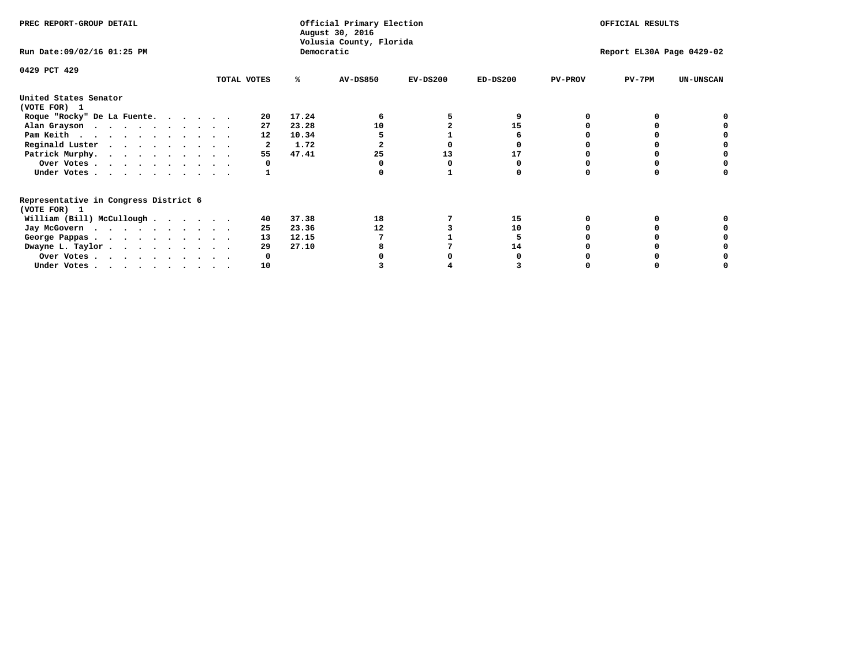| PREC REPORT-GROUP DETAIL                                               |             |       | Official Primary Election<br>August 30, 2016<br>Volusia County, Florida | OFFICIAL RESULTS |                           |                |          |                  |  |
|------------------------------------------------------------------------|-------------|-------|-------------------------------------------------------------------------|------------------|---------------------------|----------------|----------|------------------|--|
| Run Date: 09/02/16 01:25 PM                                            |             |       | Democratic                                                              |                  | Report EL30A Page 0429-02 |                |          |                  |  |
| 0429 PCT 429                                                           | TOTAL VOTES | %ะ    | <b>AV-DS850</b>                                                         | $EV-DS200$       | $ED-DS200$                | <b>PV-PROV</b> | $PV-7PM$ | <b>UN-UNSCAN</b> |  |
|                                                                        |             |       |                                                                         |                  |                           |                |          |                  |  |
| United States Senator<br>(VOTE FOR) 1                                  |             |       |                                                                         |                  |                           |                |          |                  |  |
| Roque "Rocky" De La Fuente.                                            | 20          | 17.24 |                                                                         |                  |                           |                |          |                  |  |
| Alan Grayson                                                           | 27          | 23.28 | 10                                                                      |                  | 15                        |                |          |                  |  |
| Pam Keith                                                              | 12          | 10.34 |                                                                         |                  |                           |                |          |                  |  |
| Reginald Luster                                                        |             | 1.72  |                                                                         |                  |                           |                |          |                  |  |
| Patrick Murphy.                                                        | 55          | 47.41 | 25                                                                      | 13               | 17                        |                |          |                  |  |
| Over Votes                                                             |             |       |                                                                         |                  |                           |                |          |                  |  |
| Under Votes                                                            |             |       |                                                                         |                  |                           |                |          |                  |  |
| Representative in Congress District 6                                  |             |       |                                                                         |                  |                           |                |          |                  |  |
| (VOTE FOR) 1                                                           |             |       |                                                                         |                  |                           |                |          |                  |  |
| William (Bill) McCullough                                              | 40          | 37.38 | 18                                                                      |                  | 15                        |                |          |                  |  |
| Jay McGovern                                                           | 25          | 23.36 | 12                                                                      |                  | 10                        |                |          |                  |  |
| George Pappas.                                                         | 13          | 12.15 |                                                                         |                  |                           |                |          |                  |  |
| Dwayne L. Taylor.                                                      | 29          | 27.10 |                                                                         |                  | 14                        |                |          |                  |  |
| Over Votes                                                             |             |       |                                                                         |                  |                           |                |          |                  |  |
| Under Votes, $\cdot$ , $\cdot$ , $\cdot$ , $\cdot$ , $\cdot$ , $\cdot$ | 10          |       |                                                                         |                  |                           |                |          |                  |  |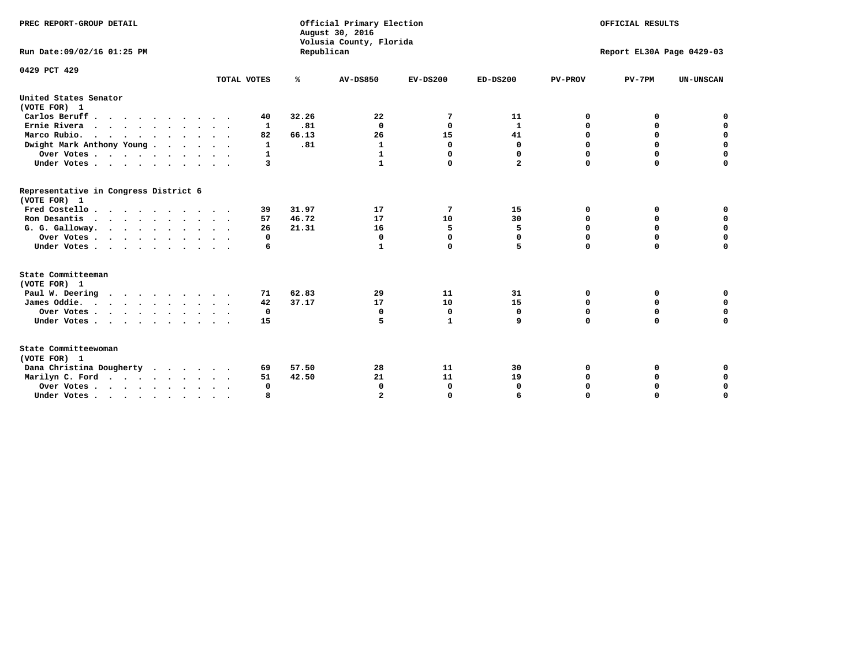| PREC REPORT-GROUP DETAIL                              |              |            | Official Primary Election<br>August 30, 2016<br>Volusia County, Florida | OFFICIAL RESULTS |                         |                           |             |                  |  |  |
|-------------------------------------------------------|--------------|------------|-------------------------------------------------------------------------|------------------|-------------------------|---------------------------|-------------|------------------|--|--|
| Run Date: 09/02/16 01:25 PM                           |              | Republican |                                                                         |                  |                         | Report EL30A Page 0429-03 |             |                  |  |  |
| 0429 PCT 429                                          | TOTAL VOTES  | ℁          | <b>AV-DS850</b>                                                         | $EV-DS200$       | $ED-DS200$              | <b>PV-PROV</b>            | $PV-7PM$    | <b>UN-UNSCAN</b> |  |  |
| United States Senator                                 |              |            |                                                                         |                  |                         |                           |             |                  |  |  |
| (VOTE FOR) 1                                          |              |            |                                                                         |                  |                         |                           |             |                  |  |  |
| Carlos Beruff                                         | 40           | 32.26      | 22                                                                      | 7                | 11                      | 0                         | 0           | 0                |  |  |
| Ernie Rivera                                          | 1            | .81        | 0                                                                       | 0                | 1                       | 0                         | 0           | $\mathbf 0$      |  |  |
| Marco Rubio.<br>.                                     | 82           | 66.13      | 26                                                                      | 15               | 41                      | 0                         | $\mathbf 0$ | $\mathbf 0$      |  |  |
| Dwight Mark Anthony Young                             | $\mathbf{1}$ | .81        | $\mathbf{1}$                                                            | $\mathbf 0$      | $\mathbf{0}$            | 0                         | $\mathbf 0$ | $\mathbf 0$      |  |  |
| Over Votes                                            | 1            |            | 1                                                                       | $\Omega$         | 0                       | 0                         | $\mathbf 0$ | 0                |  |  |
| Under Votes                                           | 3            |            | $\mathbf{1}$                                                            | $\Omega$         | $\overline{\mathbf{2}}$ | $\Omega$                  | $\Omega$    | $\Omega$         |  |  |
| Representative in Congress District 6<br>(VOTE FOR) 1 |              |            |                                                                         |                  |                         |                           |             |                  |  |  |
| Fred Costello                                         | 39           | 31.97      | 17                                                                      | 7                | 15                      | 0                         | 0           | 0                |  |  |
| Ron Desantis                                          | 57           | 46.72      | 17                                                                      | 10               | 30                      | 0                         | 0           | $\mathbf 0$      |  |  |
| G. G. Galloway.                                       | 26           | 21.31      | 16                                                                      | 5                | 5                       | 0                         | 0           | $\mathbf 0$      |  |  |
| Over Votes                                            | 0            |            | 0                                                                       | 0                | 0                       | $\mathbf 0$               | $\mathbf 0$ | $\mathbf 0$      |  |  |
| Under Votes                                           | 6            |            | 1                                                                       | $\mathbf 0$      | 5                       | $\mathbf 0$               | $\mathbf 0$ | $\mathbf 0$      |  |  |
| State Committeeman                                    |              |            |                                                                         |                  |                         |                           |             |                  |  |  |
| (VOTE FOR) 1                                          |              | 62.83      | 29                                                                      | 11               |                         |                           | 0           |                  |  |  |
| Paul W. Deering<br>James Oddie.                       | 71<br>42     | 37.17      | 17                                                                      | 10               | 31<br>15                | 0<br>0                    | 0           | 0<br>$\mathbf 0$ |  |  |
| Over Votes                                            | 0            |            | 0                                                                       | 0                | 0                       | 0                         | 0           | 0                |  |  |
| Under Votes                                           | 15           |            | 5                                                                       | $\mathbf{1}$     | 9                       | $\Omega$                  | $\mathbf 0$ | $\mathbf 0$      |  |  |
|                                                       |              |            |                                                                         |                  |                         |                           |             |                  |  |  |
| State Committeewoman<br>(VOTE FOR) 1                  |              |            |                                                                         |                  |                         |                           |             |                  |  |  |
| Dana Christina Dougherty                              | 69           | 57.50      | 28                                                                      | 11               | 30                      | 0                         | 0           | 0                |  |  |
| Marilyn C. Ford                                       | 51           | 42.50      | 21                                                                      | 11               | 19                      | 0                         | 0           | 0                |  |  |
| Over Votes                                            | $\Omega$     |            | $\Omega$                                                                | 0                | 0                       | 0                         | 0           | $\mathbf 0$      |  |  |
| Under Votes, , , , , , , , , ,                        |              |            |                                                                         | $\Omega$         |                         | $\Omega$                  | $\Omega$    | $\Omega$         |  |  |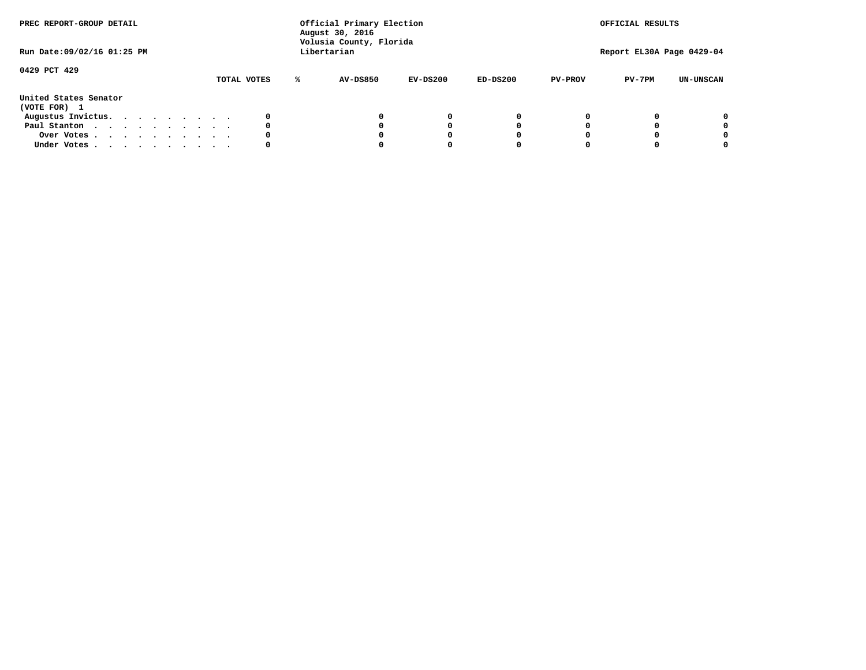| PREC REPORT-GROUP DETAIL<br>Run Date: 09/02/16 01:25 PM |  |  |  |  |  | Official Primary Election<br>August 30, 2016<br>Volusia County, Florida<br>Libertarian |             |   | OFFICIAL RESULTS<br>Report EL30A Page 0429-04 |            |            |                |          |                  |
|---------------------------------------------------------|--|--|--|--|--|----------------------------------------------------------------------------------------|-------------|---|-----------------------------------------------|------------|------------|----------------|----------|------------------|
| 0429 PCT 429                                            |  |  |  |  |  |                                                                                        | TOTAL VOTES | ℁ | <b>AV-DS850</b>                               | $EV-DS200$ | $ED-DS200$ | <b>PV-PROV</b> | $PV-7PM$ | <b>UN-UNSCAN</b> |
| United States Senator<br>(VOTE FOR) 1                   |  |  |  |  |  |                                                                                        |             |   |                                               |            |            |                |          |                  |
| Augustus Invictus.                                      |  |  |  |  |  |                                                                                        | 0           |   |                                               | 0          | 0          |                |          | 0                |
| Paul Stanton                                            |  |  |  |  |  |                                                                                        | 0           |   |                                               |            | 0          |                |          | 0                |
| Over Votes                                              |  |  |  |  |  |                                                                                        | 0           |   |                                               |            | 0          |                |          | 0                |
| Under Votes                                             |  |  |  |  |  |                                                                                        | 0           |   |                                               |            |            |                |          | 0                |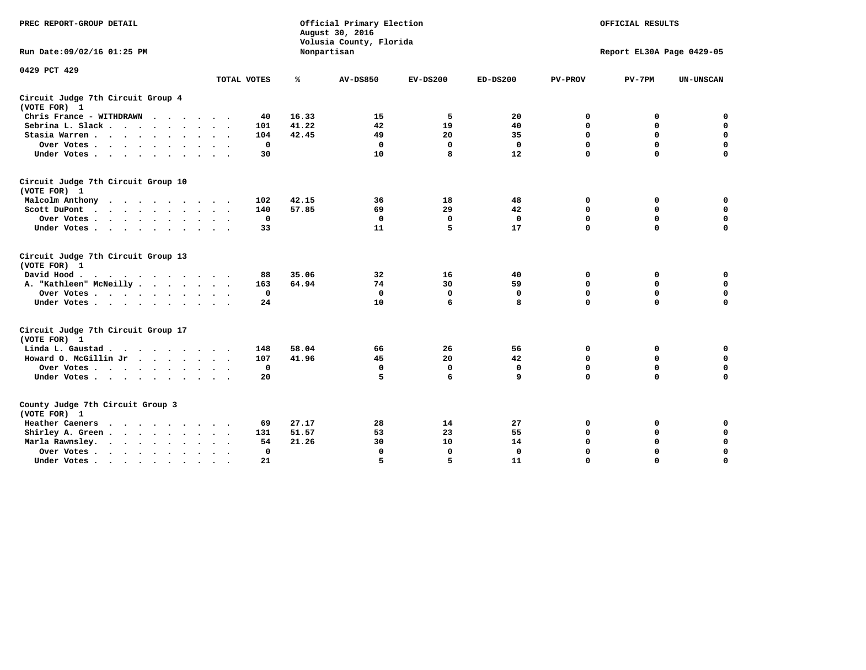| PREC REPORT-GROUP DETAIL                           |             |              | Official Primary Election<br>August 30, 2016<br>Volusia County, Florida | OFFICIAL RESULTS<br>Report EL30A Page 0429-05 |              |                |             |                  |
|----------------------------------------------------|-------------|--------------|-------------------------------------------------------------------------|-----------------------------------------------|--------------|----------------|-------------|------------------|
| Run Date: 09/02/16 01:25 PM                        |             |              | Nonpartisan                                                             |                                               |              |                |             |                  |
| 0429 PCT 429                                       | TOTAL VOTES | ℁            | <b>AV-DS850</b>                                                         | $EV-DS200$                                    | $ED-DS200$   | <b>PV-PROV</b> | $PV-7PM$    | <b>UN-UNSCAN</b> |
| Circuit Judge 7th Circuit Group 4<br>(VOTE FOR) 1  |             |              |                                                                         |                                               |              |                |             |                  |
| Chris France - WITHDRAWN                           | 40          | 16.33        | 15                                                                      | 5                                             | 20           | 0              | 0           | $\mathbf 0$      |
| Sebrina L. Slack.                                  | 101         | 41.22        | 42                                                                      | 19                                            | 40           | 0              | $\Omega$    | $\mathbf 0$      |
| Stasia Warren                                      | 104         | 42.45        | 49                                                                      | 20                                            | 35           | 0              | $\mathbf 0$ | $\mathbf 0$      |
| Over Votes                                         |             | $\mathbf 0$  | $\mathbf 0$                                                             | $\mathbf 0$                                   | $\mathbf 0$  | $\mathbf 0$    | $\mathbf 0$ | $\mathbf 0$      |
| Under Votes                                        | 30          |              | 10                                                                      | 8                                             | 12           | $\mathbf 0$    | $\Omega$    | $\Omega$         |
| Circuit Judge 7th Circuit Group 10<br>(VOTE FOR) 1 |             |              |                                                                         |                                               |              |                |             |                  |
| Malcolm Anthony                                    | 102         | 42.15        | 36                                                                      | 18                                            | 48           | 0              | 0           | $\mathbf 0$      |
| Scott DuPont                                       | 140         | 57.85        | 69                                                                      | 29                                            | 42           | 0              | $\mathbf 0$ | $\mathbf 0$      |
| Over Votes                                         |             | $\mathbf 0$  | $\Omega$                                                                | 0                                             | 0            | $\mathbf 0$    | 0           | $\mathbf 0$      |
| Under Votes                                        | 33          |              | 11                                                                      | 5                                             | 17           | $\mathbf 0$    | $\mathbf 0$ | $\Omega$         |
| Circuit Judge 7th Circuit Group 13<br>(VOTE FOR) 1 |             |              |                                                                         |                                               |              |                |             |                  |
| David Hood.<br>$\cdot$                             | 88          | 35.06        | 32                                                                      | 16                                            | 40           | 0              | 0           | $\mathbf 0$      |
| A. "Kathleen" McNeilly                             | 163         | 64.94        | 74                                                                      | 30                                            | 59           | $\mathbf 0$    | 0           | $\mathbf 0$      |
| Over Votes                                         |             | $\mathbf 0$  | $\mathbf{0}$                                                            | $\mathbf 0$                                   | $\mathbf 0$  | 0              | $\mathbf 0$ | $\mathbf 0$      |
| Under Votes                                        | 24          |              | 10                                                                      | 6                                             | 8            | $\Omega$       | $\Omega$    | $\Omega$         |
| Circuit Judge 7th Circuit Group 17<br>(VOTE FOR) 1 |             |              |                                                                         |                                               |              |                |             |                  |
| Linda L. Gaustad                                   | 148         | 58.04        | 66                                                                      | 26                                            | 56           | 0              | 0           | 0                |
| Howard O. McGillin Jr                              | 107         | 41.96        | 45                                                                      | 20                                            | 42           | $\mathbf 0$    | $\mathbf 0$ | 0                |
| Over Votes                                         |             | $^{\circ}$   | $\Omega$                                                                | $\mathbf 0$                                   | $\mathbf 0$  | $\mathbf 0$    | $\mathbf 0$ | $\mathbf 0$      |
| Under Votes                                        | 20          |              | 5                                                                       | 6                                             | 9            | $\mathbf 0$    | $\mathbf 0$ | $\Omega$         |
| County Judge 7th Circuit Group 3<br>(VOTE FOR) 1   |             |              |                                                                         |                                               |              |                |             |                  |
| Heather Caeners<br>$\cdots$                        | 69          | 27.17        | 28                                                                      | 14                                            | 27           | $\mathbf 0$    | 0           | 0                |
| Shirley A. Green                                   | 131         | 51.57        | 53                                                                      | 23                                            | 55           | $\mathbf 0$    | 0           | $\mathbf 0$      |
| Marla Rawnsley.                                    | 54          | 21.26        | 30                                                                      | 10                                            | 14           | 0              | $\mathbf 0$ | $\mathbf 0$      |
| Over Votes<br>$\sim$<br>$\sim$                     |             | $\mathbf{0}$ | 0                                                                       | $\mathbf 0$                                   | $\mathbf{0}$ | $\mathbf 0$    | $\mathbf 0$ | $\mathbf 0$      |
| Under Votes<br>$\sim$                              | 21          |              | 5                                                                       | 5                                             | 11           | $\mathbf 0$    | $\mathbf 0$ | 0                |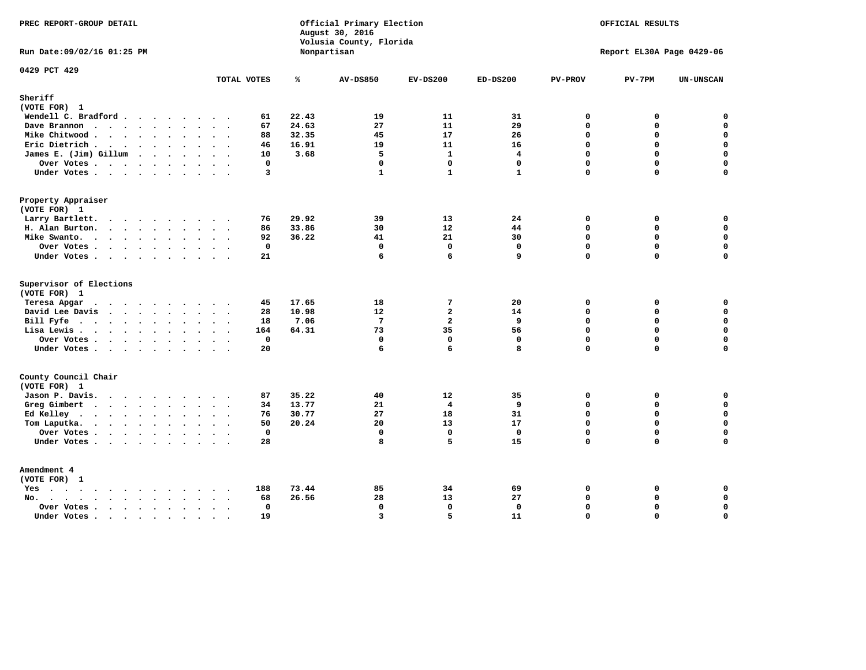| PREC REPORT-GROUP DETAIL<br>Run Date: 09/02/16 01:25 PM |                     |                | Official Primary Election<br>August 30, 2016<br>Volusia County, Florida | OFFICIAL RESULTS<br>Report EL30A Page 0429-06 |                |                      |             |                  |
|---------------------------------------------------------|---------------------|----------------|-------------------------------------------------------------------------|-----------------------------------------------|----------------|----------------------|-------------|------------------|
|                                                         |                     |                | Nonpartisan                                                             |                                               |                |                      |             |                  |
| 0429 PCT 429                                            | TOTAL VOTES         | ℁              | <b>AV-DS850</b>                                                         | $EV-DS200$                                    | $ED-DS200$     | <b>PV-PROV</b>       | $PV-7PM$    | <b>UN-UNSCAN</b> |
| Sheriff<br>(VOTE FOR) 1                                 |                     |                |                                                                         |                                               |                |                      |             |                  |
| Wendell C. Bradford                                     | 61                  | 22.43          | 19                                                                      | 11                                            | 31             | $\mathbf 0$          | 0           | $\mathbf 0$      |
| Dave Brannon                                            | 67                  | 24.63          | 27                                                                      | 11                                            | 29             | $\Omega$             | 0           | $\mathbf 0$      |
| Mike Chitwood                                           | 88                  | 32.35          | 45                                                                      | 17                                            | 26             | $\mathbf 0$          | 0           | $\mathbf 0$      |
| Eric Dietrich.                                          | 46                  | 16.91          | 19                                                                      | 11                                            | 16             | $\Omega$             | 0           | $\mathbf 0$      |
| James E. (Jim) Gillum                                   | 10                  | 3.68           | 5                                                                       | $\mathbf{1}$                                  | $\overline{4}$ | $\mathbf 0$          | 0           | $\mathbf 0$      |
| Over Votes                                              | $\mathbf{0}$        |                | $\mathbf 0$                                                             | $\mathbf 0$                                   | $\mathbf{0}$   | $\Omega$             | $\mathbf 0$ | 0                |
| Under Votes                                             | 3                   |                | $\mathbf{1}$                                                            | $\mathbf{1}$                                  | $\mathbf{1}$   | $\mathbf 0$          | 0           | $\Omega$         |
| Property Appraiser                                      |                     |                |                                                                         |                                               |                |                      |             |                  |
| (VOTE FOR) 1                                            |                     |                |                                                                         |                                               |                |                      |             |                  |
| Larry Bartlett.                                         | 76                  | 29.92          | 39                                                                      | 13                                            | 24             | $\mathbf 0$          | 0           | 0                |
| H. Alan Burton.                                         | 86                  | 33.86          | 30                                                                      | 12                                            | 44             | $\mathbf 0$          | $\mathbf 0$ | $\mathbf 0$      |
| Mike Swanto.                                            | 92                  | 36.22          | 41                                                                      | 21                                            | 30             | $\mathbf 0$          | 0           | $\mathbf 0$      |
| Over Votes                                              | $\mathbf 0$         |                | $\Omega$                                                                | $\mathbf 0$                                   | $\mathbf 0$    | $\Omega$             | $\mathbf 0$ | $\mathbf 0$      |
| Under Votes                                             | 21                  |                | 6                                                                       | 6                                             | 9              | $\mathbf 0$          | 0           | $\Omega$         |
| Supervisor of Elections                                 |                     |                |                                                                         |                                               |                |                      |             |                  |
| (VOTE FOR) 1                                            |                     |                |                                                                         |                                               |                |                      |             |                  |
| Teresa Apgar<br>$\cdots$                                | 45<br>28            | 17.65<br>10.98 | 18<br>12                                                                | 7<br>$\overline{a}$                           | 20<br>14       | $\Omega$<br>$\Omega$ | 0<br>0      | 0<br>$\mathbf 0$ |
| David Lee Davis<br>Bill Fyfe.                           | 18                  | 7.06           | $\overline{7}$                                                          | $\overline{a}$                                | 9              | $\mathbf 0$          | 0           | $\mathbf 0$      |
| Lisa Lewis                                              | 164                 | 64.31          | 73                                                                      | 35                                            | 56             | $\Omega$             | 0           | $\mathbf 0$      |
| Over Votes                                              | $\mathbf 0$         |                | $\mathbf{0}$                                                            | $\mathbf 0$                                   | $\mathbf{0}$   | $\Omega$             | 0           | $\mathbf 0$      |
| Under Votes                                             | 20                  |                | 6                                                                       | 6                                             | 8              | $\Omega$             | $\Omega$    | $\mathbf 0$      |
| County Council Chair                                    |                     |                |                                                                         |                                               |                |                      |             |                  |
| (VOTE FOR) 1                                            |                     |                |                                                                         |                                               |                |                      |             |                  |
| Jason P. Davis.                                         | 87                  | 35.22          | 40                                                                      | 12                                            | 35             | $\mathbf 0$          | 0           | 0                |
| Greg Gimbert                                            | 34                  | 13.77          | 21                                                                      | $\overline{4}$                                | 9              | $\mathbf 0$          | 0           | $\mathbf 0$      |
| Ed Kelley                                               | 76                  | 30.77          | 27                                                                      | 18                                            | 31             | $\Omega$             | 0           | $\mathbf 0$      |
| Tom Laputka.                                            | 50                  | 20.24          | 20                                                                      | 13                                            | 17             | $\mathbf 0$          | 0           | $\mathbf 0$      |
| Over Votes                                              | $\mathbf 0$         |                | $\mathbf 0$                                                             | $\Omega$                                      | $\Omega$       | $\Omega$             | $\Omega$    | 0                |
| Under Votes                                             | 28                  |                | 8                                                                       | 5                                             | 15             | 0                    | 0           | $\Omega$         |
| Amendment 4                                             |                     |                |                                                                         |                                               |                |                      |             |                  |
| (VOTE FOR) 1                                            |                     |                |                                                                         |                                               |                |                      |             |                  |
| Yes                                                     | 188                 | 73.44          | 85                                                                      | 34                                            | 69             | 0                    | 0           | 0                |
| No.<br>$\sim$                                           | 68                  | 26.56          | 28                                                                      | 13                                            | 27             | $\Omega$             | $\mathbf 0$ | $\mathbf 0$      |
| Over Votes                                              | $\Omega$<br>$\sim$  |                | $\mathbf 0$                                                             | $\mathbf{0}$                                  | $\mathbf{0}$   | $\mathbf 0$          | 0           | $\pmb{0}$        |
| Under Votes                                             | 19<br>$\sim$ $\sim$ |                | $\overline{\mathbf{3}}$                                                 | 5                                             | 11             | $\Omega$             | $\Omega$    | $\mathbf 0$      |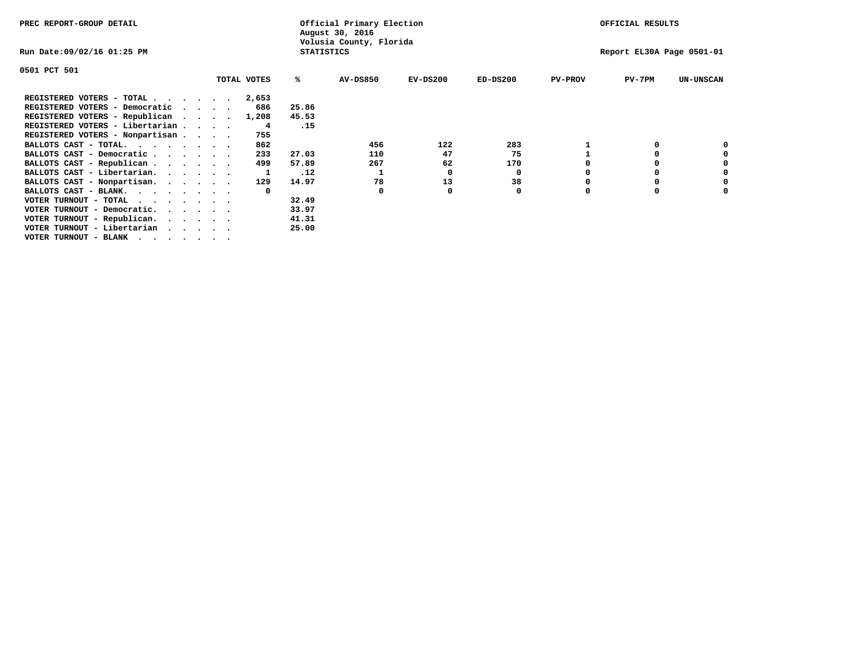| PREC REPORT-GROUP DETAIL                                                                                                                                                                                                                                      |  |             |                   | Official Primary Election<br>August 30, 2016 |            |            |                | OFFICIAL RESULTS          |                  |
|---------------------------------------------------------------------------------------------------------------------------------------------------------------------------------------------------------------------------------------------------------------|--|-------------|-------------------|----------------------------------------------|------------|------------|----------------|---------------------------|------------------|
| Run Date:09/02/16 01:25 PM                                                                                                                                                                                                                                    |  |             | <b>STATISTICS</b> | Volusia County, Florida                      |            |            |                | Report EL30A Page 0501-01 |                  |
| 0501 PCT 501                                                                                                                                                                                                                                                  |  |             |                   |                                              |            |            |                |                           |                  |
|                                                                                                                                                                                                                                                               |  | TOTAL VOTES | ℁                 | <b>AV-DS850</b>                              | $EV-DS200$ | $ED-DS200$ | <b>PV-PROV</b> | $PV-7PM$                  | <b>UN-UNSCAN</b> |
| REGISTERED VOTERS - TOTAL $\cdot$ $\cdot$ $\cdot$ $\cdot$ $\cdot$ $\cdot$                                                                                                                                                                                     |  | 2,653       |                   |                                              |            |            |                |                           |                  |
| REGISTERED VOTERS - Democratic                                                                                                                                                                                                                                |  | 686         | 25.86             |                                              |            |            |                |                           |                  |
| REGISTERED VOTERS - Republican                                                                                                                                                                                                                                |  | 1,208       | 45.53             |                                              |            |            |                |                           |                  |
| REGISTERED VOTERS - Libertarian                                                                                                                                                                                                                               |  | 4           | .15               |                                              |            |            |                |                           |                  |
| REGISTERED VOTERS - Nonpartisan                                                                                                                                                                                                                               |  | 755         |                   |                                              |            |            |                |                           |                  |
| BALLOTS CAST - TOTAL.                                                                                                                                                                                                                                         |  | 862         |                   | 456                                          | 122        | 283        |                |                           |                  |
| BALLOTS CAST - Democratic                                                                                                                                                                                                                                     |  | 233         | 27.03             | 110                                          | 47         | 75         |                |                           |                  |
| BALLOTS CAST - Republican                                                                                                                                                                                                                                     |  | 499         | 57.89             | 267                                          | 62         | 170        |                |                           |                  |
| BALLOTS CAST - Libertarian.                                                                                                                                                                                                                                   |  |             | .12               |                                              | 0          | 0          |                |                           |                  |
| BALLOTS CAST - Nonpartisan.                                                                                                                                                                                                                                   |  | 129         | 14.97             | 78                                           | 13         | 38         |                |                           | 0                |
| BALLOTS CAST - BLANK.                                                                                                                                                                                                                                         |  |             |                   | 0                                            |            | 0          | O              |                           |                  |
| VOTER TURNOUT - TOTAL<br><u>in the contract of the contract of the contract of the contract of the contract of the contract of the contract of the contract of the contract of the contract of the contract of the contract of the contract of the contra</u> |  |             | 32.49             |                                              |            |            |                |                           |                  |
| VOTER TURNOUT - Democratic.                                                                                                                                                                                                                                   |  |             | 33.97             |                                              |            |            |                |                           |                  |
| VOTER TURNOUT - Republican.                                                                                                                                                                                                                                   |  |             | 41.31             |                                              |            |            |                |                           |                  |
| VOTER TURNOUT - Libertarian                                                                                                                                                                                                                                   |  |             | 25.00             |                                              |            |            |                |                           |                  |
| VOTER TURNOUT - BLANK                                                                                                                                                                                                                                         |  |             |                   |                                              |            |            |                |                           |                  |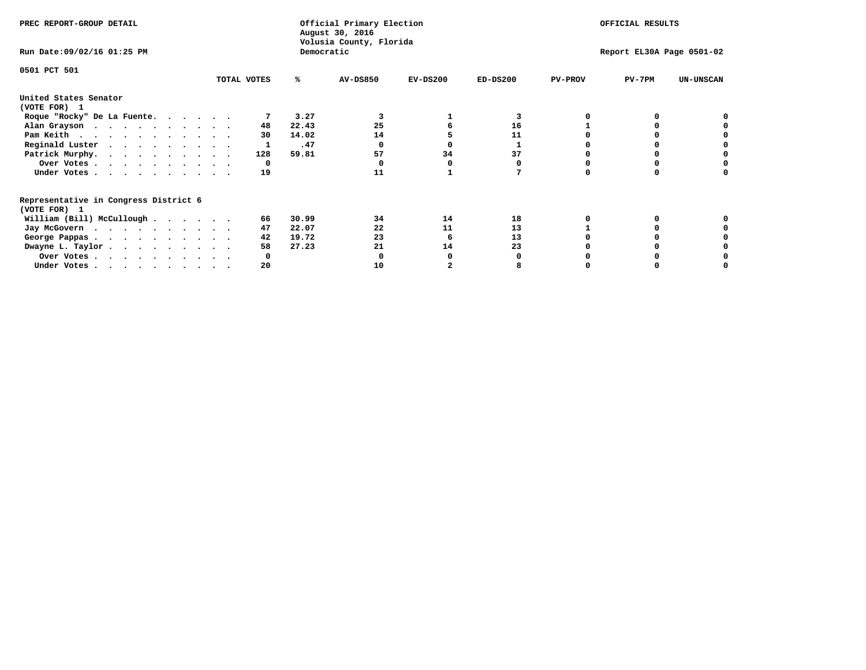| PREC REPORT-GROUP DETAIL                                               |             |            | Official Primary Election<br>August 30, 2016<br>Volusia County, Florida | OFFICIAL RESULTS |                           |                |          |                  |
|------------------------------------------------------------------------|-------------|------------|-------------------------------------------------------------------------|------------------|---------------------------|----------------|----------|------------------|
| Run Date: 09/02/16 01:25 PM                                            |             | Democratic |                                                                         |                  | Report EL30A Page 0501-02 |                |          |                  |
| 0501 PCT 501                                                           |             |            |                                                                         |                  |                           |                |          |                  |
|                                                                        | TOTAL VOTES | ℁          | <b>AV-DS850</b>                                                         | $EV-DS200$       | $ED-DS200$                | <b>PV-PROV</b> | $PV-7PM$ | <b>UN-UNSCAN</b> |
| United States Senator                                                  |             |            |                                                                         |                  |                           |                |          |                  |
| (VOTE FOR) 1                                                           |             |            |                                                                         |                  |                           |                |          |                  |
| Roque "Rocky" De La Fuente.                                            |             | 3.27       |                                                                         |                  |                           |                |          |                  |
| Alan Grayson                                                           | 48          | 22.43      | 25                                                                      |                  | 16                        |                |          |                  |
| Pam Keith                                                              | 30          | 14.02      | 14                                                                      |                  | 11                        |                |          |                  |
| Reginald Luster                                                        |             | .47        |                                                                         |                  |                           |                |          |                  |
| Patrick Murphy.                                                        | 128         | 59.81      | 57                                                                      | 34               | 37                        |                |          |                  |
| Over Votes                                                             | $\Omega$    |            |                                                                         |                  |                           |                |          |                  |
| Under Votes.                                                           | 19          |            | 11                                                                      |                  |                           |                |          |                  |
| Representative in Congress District 6                                  |             |            |                                                                         |                  |                           |                |          |                  |
| (VOTE FOR) 1                                                           |             | 30.99      | 34                                                                      | 14               | 18                        |                |          |                  |
| William (Bill) McCullough                                              | 66          |            |                                                                         |                  |                           |                |          |                  |
| Jay McGovern                                                           | 47          | 22.07      | 22                                                                      | 11               | 13                        |                |          |                  |
| George Pappas.                                                         | 42          | 19.72      | 23                                                                      | 6                | 13                        |                |          |                  |
| Dwayne L. Taylor.                                                      | 58          | 27.23      | 21                                                                      | 14               | 23                        |                |          |                  |
| Over Votes                                                             |             |            |                                                                         |                  |                           |                |          |                  |
| Under Votes, $\cdot$ , $\cdot$ , $\cdot$ , $\cdot$ , $\cdot$ , $\cdot$ | 20          |            | 10                                                                      |                  |                           |                |          |                  |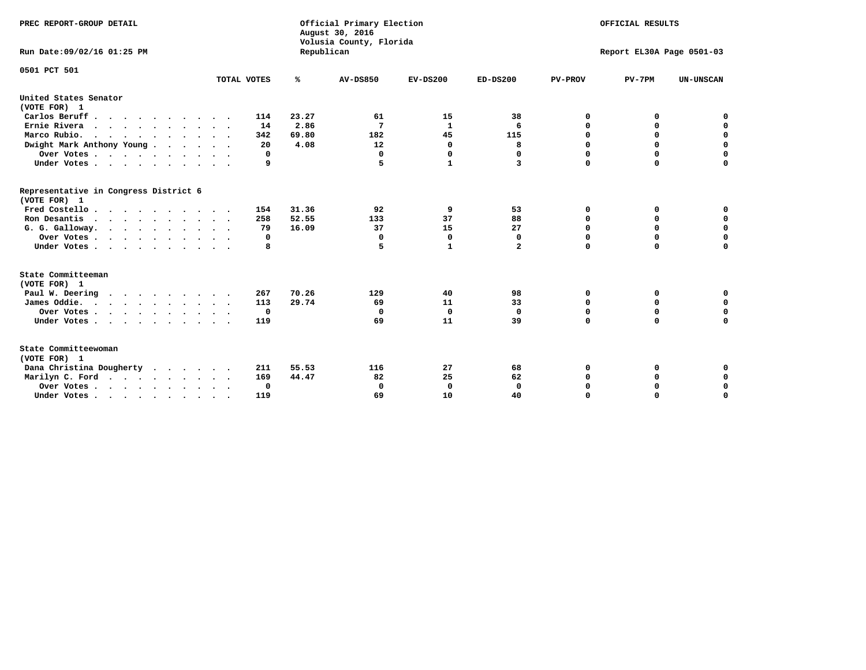| PREC REPORT-GROUP DETAIL<br>Run Date:09/02/16 01:25 PM |             | Republican | Official Primary Election<br>August 30, 2016<br>Volusia County, Florida | OFFICIAL RESULTS<br>Report EL30A Page 0501-03 |              |                |             |                  |
|--------------------------------------------------------|-------------|------------|-------------------------------------------------------------------------|-----------------------------------------------|--------------|----------------|-------------|------------------|
|                                                        |             |            |                                                                         |                                               |              |                |             |                  |
| 0501 PCT 501                                           | TOTAL VOTES | ℁          | <b>AV-DS850</b>                                                         | $EV-DS200$                                    | $ED-DS200$   | <b>PV-PROV</b> | $PV-7PM$    | <b>UN-UNSCAN</b> |
| United States Senator                                  |             |            |                                                                         |                                               |              |                |             |                  |
| (VOTE FOR) 1                                           |             |            |                                                                         |                                               |              |                |             |                  |
| Carlos Beruff                                          | 114         | 23.27      | 61                                                                      | 15                                            | 38           | 0              | 0           | 0                |
| Ernie Rivera                                           | 14          | 2.86       | 7                                                                       | $\mathbf{1}$                                  | 6            | $\mathbf 0$    | 0           | $\mathbf 0$      |
| Marco Rubio.                                           | 342         | 69.80      | 182                                                                     | 45                                            | 115          | 0              | 0           | $\mathbf 0$      |
| Dwight Mark Anthony Young                              | 20          | 4.08       | 12                                                                      | 0                                             | 8            | 0              | $\mathbf 0$ | $\mathbf 0$      |
| Over Votes                                             | 0           |            | $\mathbf 0$                                                             | $\mathbf 0$                                   | 0            | $\mathbf 0$    | $\mathbf 0$ | $\mathbf 0$      |
| Under Votes                                            | 9           |            | 5                                                                       | $\mathbf{1}$                                  | 3            | $\Omega$       | $\Omega$    | $\mathbf 0$      |
| Representative in Congress District 6<br>(VOTE FOR) 1  |             |            |                                                                         |                                               |              |                |             |                  |
| Fred Costello                                          | 154         | 31.36      | 92                                                                      | 9                                             | 53           | 0              | 0           | 0                |
| Ron Desantis                                           | 258         | 52.55      | 133                                                                     | 37                                            | 88           | $\mathbf 0$    | $\mathbf 0$ | $\mathbf 0$      |
| G. G. Galloway.                                        | 79          | 16.09      | 37                                                                      | 15                                            | 27           | 0              | 0           | $\mathbf 0$      |
| Over Votes                                             | 0           |            | $\mathbf 0$                                                             | $\Omega$                                      | 0            | $\mathbf 0$    | $\mathbf 0$ | $\mathbf 0$      |
| Under Votes                                            | 8           |            | 5                                                                       | $\mathbf{1}$                                  | $\mathbf{2}$ | $\Omega$       | $\Omega$    | 0                |
| State Committeeman                                     |             |            |                                                                         |                                               |              |                |             |                  |
| (VOTE FOR) 1                                           |             |            |                                                                         |                                               |              |                |             |                  |
| Paul W. Deering                                        | 267         | 70.26      | 129                                                                     | 40                                            | 98           | 0              | 0           | 0                |
| James Oddie.                                           | 113         | 29.74      | 69                                                                      | 11                                            | 33           | 0              | $\mathbf 0$ | $\mathbf 0$      |
| Over Votes                                             | 0           |            | 0                                                                       | 0                                             | 0            | $\mathbf 0$    | $\mathbf 0$ | $\mathbf 0$      |
| Under Votes<br>$\sim$                                  | 119         |            | 69                                                                      | 11                                            | 39           | $\mathbf 0$    | $\mathbf 0$ | $\mathbf 0$      |
| State Committeewoman<br>(VOTE FOR) 1                   |             |            |                                                                         |                                               |              |                |             |                  |
| Dana Christina Dougherty                               | 211         | 55.53      | 116                                                                     | 27                                            | 68           | 0              | 0           | 0                |
| Marilyn C. Ford                                        | 169         | 44.47      | 82                                                                      | 25                                            | 62           | 0              | 0           | 0                |
| Over Votes                                             | 0           |            | $\mathbf 0$                                                             | 0                                             | 0            | 0              | 0           | $\mathbf 0$      |
| Under Votes, , , , , , , , , ,                         | 119         |            | 69                                                                      | 10                                            | 40           | $\Omega$       | $\Omega$    | $\Omega$         |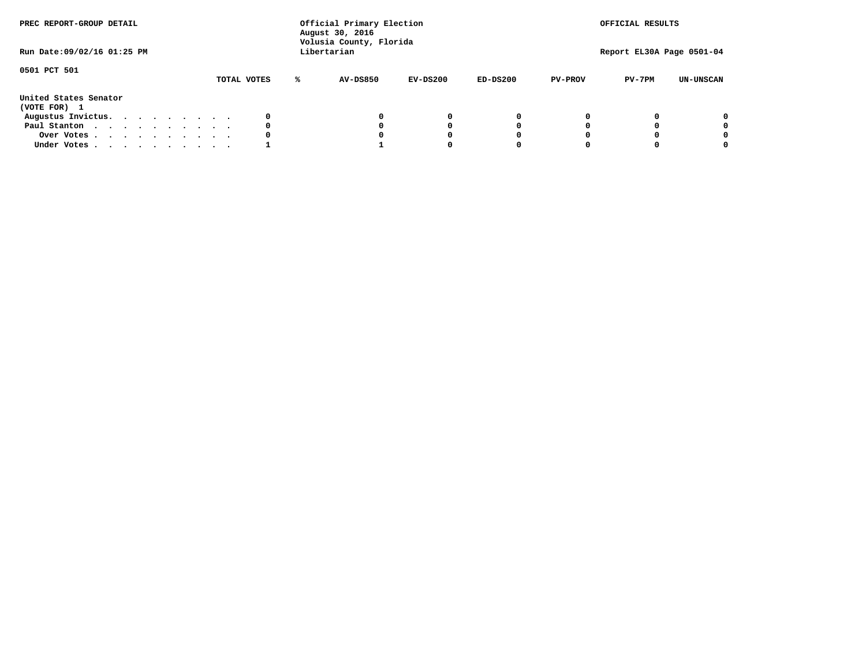| PREC REPORT-GROUP DETAIL<br>Run Date:09/02/16 01:25 PM |  |  |  |  |  | Official Primary Election<br>August 30, 2016<br>Volusia County, Florida<br>Libertarian |   |          | OFFICIAL RESULTS<br>Report EL30A Page 0501-04 |            |                |          |                  |
|--------------------------------------------------------|--|--|--|--|--|----------------------------------------------------------------------------------------|---|----------|-----------------------------------------------|------------|----------------|----------|------------------|
| 0501 PCT 501                                           |  |  |  |  |  | TOTAL VOTES                                                                            | ℁ | AV-DS850 | EV-DS200                                      | $ED-DS200$ | <b>PV-PROV</b> | $PV-7PM$ | <b>UN-UNSCAN</b> |
| United States Senator<br>(VOTE FOR) 1                  |  |  |  |  |  |                                                                                        |   |          |                                               |            |                |          |                  |
| Augustus Invictus.                                     |  |  |  |  |  |                                                                                        |   |          | 0                                             | 0          |                |          | 0                |
| Paul Stanton                                           |  |  |  |  |  | 0                                                                                      |   |          | 0                                             |            |                |          | 0                |
| Over Votes                                             |  |  |  |  |  |                                                                                        |   |          | 0                                             |            |                |          | 0                |
| Under Votes                                            |  |  |  |  |  |                                                                                        |   |          |                                               |            |                |          | 0                |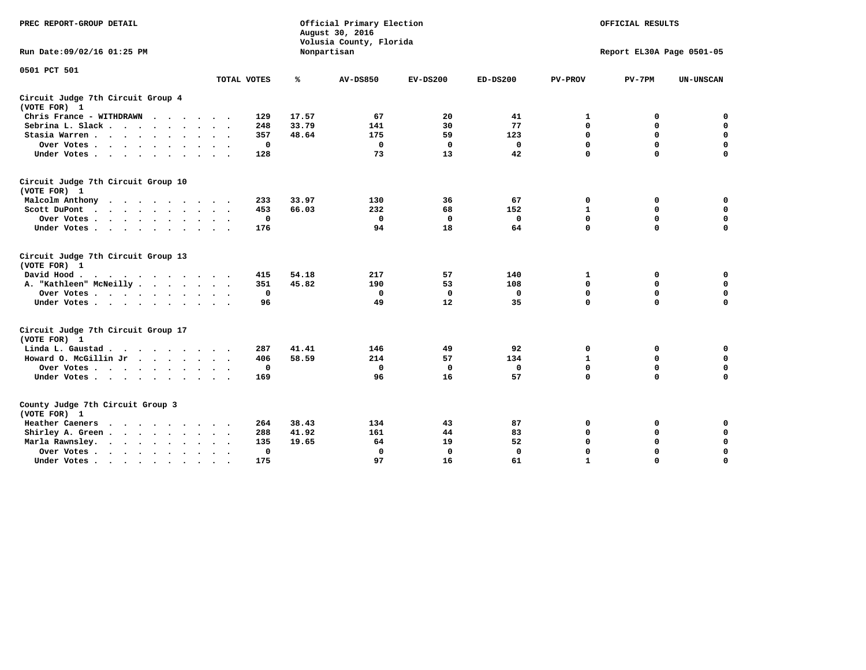| PREC REPORT-GROUP DETAIL                                                           |                                  | Official Primary Election<br>August 30, 2016<br>Volusia County, Florida |                 | OFFICIAL RESULTS |              |                           |              |                  |  |  |
|------------------------------------------------------------------------------------|----------------------------------|-------------------------------------------------------------------------|-----------------|------------------|--------------|---------------------------|--------------|------------------|--|--|
| Run Date: 09/02/16 01:25 PM                                                        |                                  |                                                                         | Nonpartisan     |                  |              | Report EL30A Page 0501-05 |              |                  |  |  |
| 0501 PCT 501                                                                       |                                  |                                                                         |                 |                  |              |                           |              |                  |  |  |
|                                                                                    | TOTAL VOTES                      | %                                                                       | <b>AV-DS850</b> | $EV-DS200$       | $ED-DS200$   | <b>PV-PROV</b>            | $PV-7PM$     | <b>UN-UNSCAN</b> |  |  |
| Circuit Judge 7th Circuit Group 4<br>(VOTE FOR) 1                                  |                                  |                                                                         |                 |                  |              |                           |              |                  |  |  |
| Chris France - WITHDRAWN                                                           | 129                              | 17.57                                                                   | 67              | 20               | 41           | 1                         | 0            | $\mathbf 0$      |  |  |
| Sebrina L. Slack                                                                   | 248                              | 33.79                                                                   | 141             | 30               | 77           | $\mathbf 0$               | $\mathbf 0$  | $\mathbf 0$      |  |  |
| Stasia Warren                                                                      | 357                              | 48.64                                                                   | 175             | 59               | 123          | $\mathbf 0$               | $\mathbf 0$  | $\mathbf 0$      |  |  |
| Over Votes                                                                         | 0                                |                                                                         | $\mathbf 0$     | $\mathbf 0$      | $\mathbf 0$  | 0                         | $\mathbf 0$  | $\mathbf 0$      |  |  |
| Under Votes                                                                        | 128                              |                                                                         | 73              | 13               | 42           | $\mathbf 0$               | $\mathbf 0$  | $\mathbf 0$      |  |  |
| Circuit Judge 7th Circuit Group 10<br>(VOTE FOR) 1                                 |                                  |                                                                         |                 |                  |              |                           |              |                  |  |  |
| Malcolm Anthony                                                                    | 233                              | 33.97                                                                   | 130             | 36               | 67           | $\mathbf 0$               | 0            | $\mathbf 0$      |  |  |
| Scott DuPont                                                                       | 453                              | 66.03                                                                   | 232             | 68               | 152          | 1                         | $\mathbf 0$  | $\mathbf 0$      |  |  |
| Over Votes<br>$\cdot$<br>$\sim$                                                    | 0                                |                                                                         | $\Omega$        | 0                | 0            | $\mathbf 0$               | 0            | 0                |  |  |
| Under Votes                                                                        | 176                              |                                                                         | 94              | 18               | 64           | $\mathbf 0$               | $\mathbf 0$  | 0                |  |  |
| Circuit Judge 7th Circuit Group 13<br>(VOTE FOR) 1                                 |                                  |                                                                         |                 |                  |              |                           |              |                  |  |  |
| David Hood.<br>.                                                                   | 415                              | 54.18                                                                   | 217             | 57               | 140          | 1                         | $\mathbf 0$  | $\mathbf 0$      |  |  |
| A. "Kathleen" McNeilly                                                             | 351                              | 45.82                                                                   | 190             | 53               | 108          | $\mathbf 0$               | $\mathbf 0$  | $\mathbf 0$      |  |  |
| Over Votes                                                                         | 0                                |                                                                         | 0               | 0                | 0            | 0                         | $\mathbf 0$  | $\mathbf 0$      |  |  |
| Under Votes                                                                        | 96                               |                                                                         | 49              | 12               | 35           | $\mathbf 0$               | $\mathbf 0$  | 0                |  |  |
| Circuit Judge 7th Circuit Group 17<br>(VOTE FOR) 1                                 |                                  |                                                                         |                 |                  |              |                           |              |                  |  |  |
| Linda L. Gaustad                                                                   | 287                              | 41.41                                                                   | 146             | 49               | 92           | 0                         | 0            | 0                |  |  |
| Howard O. McGillin Jr                                                              | 406                              | 58.59                                                                   | 214             | 57               | 134          | $\mathbf{1}$              | $\mathbf 0$  | $\mathbf 0$      |  |  |
| Over Votes                                                                         | 0                                |                                                                         | $\mathbf 0$     | $\mathbf 0$      | $\mathbf 0$  | $\mathbf 0$               | $\mathbf 0$  | 0                |  |  |
| Under Votes                                                                        | 169                              |                                                                         | 96              | 16               | 57           | $\mathbf 0$               | $\mathbf{0}$ | $\mathbf 0$      |  |  |
| County Judge 7th Circuit Group 3<br>(VOTE FOR) 1                                   |                                  |                                                                         |                 |                  |              |                           |              |                  |  |  |
| Heather Caeners<br>$\cdots$                                                        | 264                              | 38.43                                                                   | 134             | 43               | 87           | 0                         | 0            | 0                |  |  |
| Shirley A. Green                                                                   | 288                              | 41.92                                                                   | 161             | 44               | 83           | $\mathbf 0$               | $\mathbf 0$  | $\mathbf 0$      |  |  |
| Marla Rawnsley.<br>$\cdot$ $\cdot$ $\cdot$ $\cdot$ $\cdot$<br>$\ddot{\phantom{0}}$ | 135                              | 19.65                                                                   | 64              | 19               | 52           | 0                         | 0            | $\mathbf 0$      |  |  |
| Over Votes<br>$\ddot{\phantom{0}}$<br>$\ddot{\phantom{1}}$                         | $\Omega$<br>$\ddot{\phantom{1}}$ |                                                                         | $\mathbf 0$     | $\mathbf{0}$     | $\mathbf{0}$ | $\mathbf 0$               | $\mathbf 0$  | $\mathbf 0$      |  |  |
| Under Votes<br>$\bullet$                                                           | 175                              |                                                                         | 97              | 16               | 61           | $\mathbf{1}$              | $\mathbf 0$  | $\Omega$         |  |  |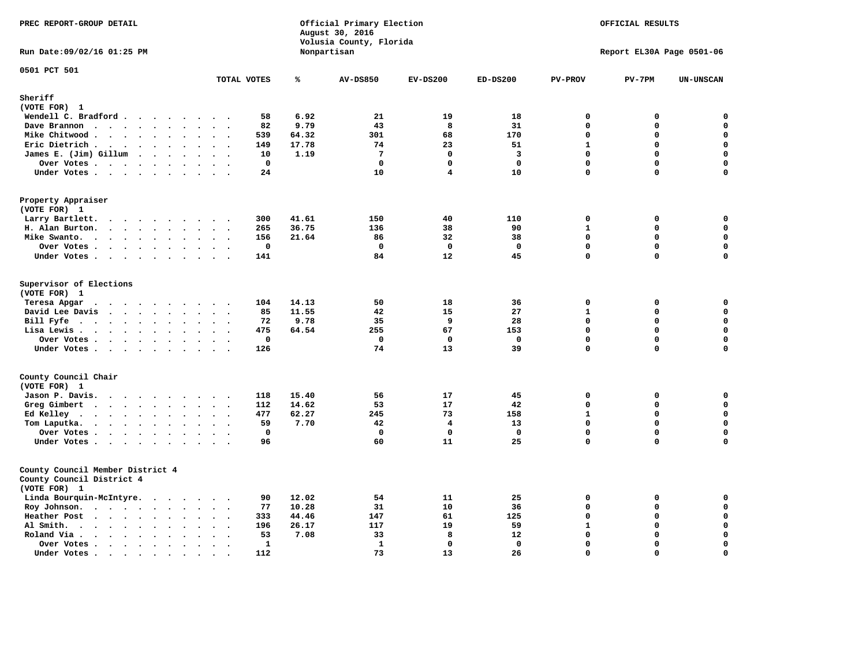| PREC REPORT-GROUP DETAIL<br>Run Date: 09/02/16 01:25 PM                                                                                                                                                                                                                                            |                                          |       | Official Primary Election<br>August 30, 2016<br>Volusia County, Florida<br>Nonpartisan | OFFICIAL RESULTS<br>Report EL30A Page 0501-06 |                         |                |                            |                            |
|----------------------------------------------------------------------------------------------------------------------------------------------------------------------------------------------------------------------------------------------------------------------------------------------------|------------------------------------------|-------|----------------------------------------------------------------------------------------|-----------------------------------------------|-------------------------|----------------|----------------------------|----------------------------|
|                                                                                                                                                                                                                                                                                                    |                                          |       |                                                                                        |                                               |                         |                |                            |                            |
| 0501 PCT 501                                                                                                                                                                                                                                                                                       | TOTAL VOTES                              | ℁     | <b>AV-DS850</b>                                                                        | $EV-DS200$                                    | $ED-DS200$              | <b>PV-PROV</b> | $PV-7PM$                   | <b>UN-UNSCAN</b>           |
| Sheriff<br>(VOTE FOR) 1                                                                                                                                                                                                                                                                            |                                          |       |                                                                                        |                                               |                         |                |                            |                            |
| Wendell C. Bradford                                                                                                                                                                                                                                                                                | 58                                       | 6.92  | 21                                                                                     | 19                                            | 18                      | $\mathbf 0$    | 0                          | 0                          |
| Dave Brannon<br>$\ddot{\phantom{a}}$<br>$\ddot{\phantom{a}}$                                                                                                                                                                                                                                       | 82                                       | 9.79  | 43                                                                                     | 8                                             | 31                      | $\mathbf 0$    | $\mathbf 0$                | $\mathbf 0$                |
| Mike Chitwood                                                                                                                                                                                                                                                                                      | 539                                      | 64.32 | 301                                                                                    | 68                                            | 170                     | $\mathbf 0$    | $\mathbf 0$                | $\mathbf 0$                |
| Eric Dietrich.<br>$\cdots$                                                                                                                                                                                                                                                                         | 149                                      | 17.78 | 74                                                                                     | 23                                            | 51                      | $\mathbf{1}$   | $\mathbf{0}$               | $\mathbf 0$                |
| James E. (Jim) Gillum                                                                                                                                                                                                                                                                              | 10                                       | 1.19  | $7\phantom{.0}$                                                                        | $\mathbf 0$                                   | $\overline{\mathbf{3}}$ | $\mathbf 0$    | $\Omega$                   | $\mathbf 0$                |
| Over Votes.                                                                                                                                                                                                                                                                                        | $\mathbf 0$                              |       | $\mathbf 0$                                                                            | $\mathbf 0$                                   | $\mathbf 0$             | $\mathbf{0}$   | $\mathbf{0}$               | $\mathbf 0$                |
| Under Votes                                                                                                                                                                                                                                                                                        | 24                                       |       | 10                                                                                     | $\overline{\mathbf{4}}$                       | 10                      | 0              | $\mathbf 0$                | 0                          |
| Property Appraiser<br>(VOTE FOR) 1                                                                                                                                                                                                                                                                 |                                          |       |                                                                                        |                                               |                         |                |                            |                            |
| Larry Bartlett.<br>$\sim$<br>$\cdots$<br>$\cdot$                                                                                                                                                                                                                                                   | 300                                      | 41.61 | 150                                                                                    | 40                                            | 110                     | $\mathbf 0$    | 0                          | 0                          |
| H. Alan Burton.<br>$\sim$ $\sim$                                                                                                                                                                                                                                                                   | 265                                      | 36.75 | 136                                                                                    | 38                                            | 90                      | $\mathbf{1}$   | $\mathbf 0$                | $\mathbf 0$                |
| Mike Swanto.<br>$\ddot{\phantom{a}}$<br>$\ddot{\phantom{a}}$<br>$\bullet$                                                                                                                                                                                                                          | 156<br>$\ddot{\phantom{1}}$              | 21.64 | 86                                                                                     | 32                                            | 38                      | $\mathbf 0$    | $\mathbf 0$                | $\mathbf 0$                |
| Over Votes                                                                                                                                                                                                                                                                                         | 0                                        |       | 0                                                                                      | 0                                             | 0                       | 0              | $\mathbf 0$                | $\mathbf 0$                |
| Under Votes                                                                                                                                                                                                                                                                                        | 141                                      |       | 84                                                                                     | $12 \overline{ }$                             | 45                      | 0              | $\mathbf{0}$               | 0                          |
| Supervisor of Elections<br>(VOTE FOR) 1                                                                                                                                                                                                                                                            |                                          |       |                                                                                        |                                               |                         |                |                            |                            |
| Teresa Apgar<br>$\cdots$                                                                                                                                                                                                                                                                           | 104                                      | 14.13 | 50                                                                                     | 18                                            | 36                      | $\mathbf 0$    | $\mathbf 0$                | $\mathbf 0$                |
| David Lee Davis<br>$\sim$ $\sim$                                                                                                                                                                                                                                                                   | 85                                       | 11.55 | 42                                                                                     | 15                                            | 27                      | $\mathbf{1}$   | 0                          | $\mathbf 0$                |
| Bill Fyfe<br>$\sim$ $\sim$ $\sim$<br>$\sim$ $\sim$                                                                                                                                                                                                                                                 | 72                                       | 9.78  | 35                                                                                     | 9                                             | 28                      | $\Omega$       | $\Omega$                   | $\mathbf 0$                |
| Lisa Lewis<br>$\ddot{\phantom{1}}$                                                                                                                                                                                                                                                                 | 475                                      | 64.54 | 255                                                                                    | 67                                            | 153                     | $\mathbf 0$    | $\mathbf 0$                | $\mathbf 0$                |
| Over Votes<br>Under Votes                                                                                                                                                                                                                                                                          | $\mathbf 0$<br>126                       |       | $\mathbf 0$<br>74                                                                      | $\mathbf 0$<br>13                             | $\mathbf 0$<br>39       | 0<br>0         | $\mathbf 0$<br>$\mathbf 0$ | $\mathbf 0$<br>$\mathbf 0$ |
| County Council Chair                                                                                                                                                                                                                                                                               |                                          |       |                                                                                        |                                               |                         |                |                            |                            |
| (VOTE FOR) 1                                                                                                                                                                                                                                                                                       |                                          |       |                                                                                        |                                               |                         |                |                            |                            |
| Jason P. Davis.                                                                                                                                                                                                                                                                                    | 118                                      | 15.40 | 56                                                                                     | 17                                            | 45                      | 0              | $\mathbf 0$                | 0                          |
| Greg Gimbert<br><u>in the community of the community of the community of the community of the community of the community of the community of the community of the community of the community of the community of the community of the community </u><br>$\mathbf{r}$ , $\mathbf{r}$ , $\mathbf{r}$ | 112                                      | 14.62 | 53                                                                                     | 17                                            | 42                      | $\Omega$       | $\mathbf{0}$               | $\mathbf 0$                |
| Ed Kelley $\cdots$ $\cdots$ $\cdots$<br>$\mathbf{a}$ , and $\mathbf{a}$ , and $\mathbf{a}$                                                                                                                                                                                                         | 477                                      | 62.27 | 245                                                                                    | 73                                            | 158                     | $\mathbf{1}$   | $\mathbf 0$                | $\mathbf{0}$               |
| Tom Laputka.                                                                                                                                                                                                                                                                                       | 59                                       | 7.70  | 42                                                                                     | $\overline{\mathbf{4}}$                       | 13                      | $\mathbf 0$    | $\Omega$                   | $\mathbf 0$                |
| Over Votes<br>$\sim$<br>$\bullet$ .                                                                                                                                                                                                                                                                | $\mathbf{0}$                             |       | $\mathbf{0}$                                                                           | $\Omega$                                      | $\Omega$                | $\mathbf{0}$   | $\Omega$                   | $\mathbf 0$                |
| Under Votes<br>$\sim$<br>$\sim$<br>$\sim$<br>$\sim$                                                                                                                                                                                                                                                | 96                                       |       | 60                                                                                     | 11                                            | 25                      | $\Omega$       | $\Omega$                   | $\mathbf 0$                |
| County Council Member District 4<br>County Council District 4<br>(VOTE FOR) 1                                                                                                                                                                                                                      |                                          |       |                                                                                        |                                               |                         |                |                            |                            |
| Linda Bourquin-McIntyre.                                                                                                                                                                                                                                                                           | 90                                       | 12.02 | 54                                                                                     | 11                                            | 25                      | $\mathbf 0$    | $\mathbf 0$                | 0                          |
| Roy Johnson.<br>$\ddot{\phantom{a}}$<br>$\sim$<br>$\ddot{\phantom{1}}$                                                                                                                                                                                                                             | 77                                       | 10.28 | 31                                                                                     | 10                                            | 36                      | $\Omega$       | $\mathbf 0$                | $\mathbf 0$                |
| Heather Post<br>$\sim$ $\sim$ $\sim$ $\sim$                                                                                                                                                                                                                                                        | 333                                      | 44.46 | 147                                                                                    | 61                                            | 125                     | $\Omega$       | $\mathbf 0$                | $\mathbf 0$                |
| Al Smith.<br>$\ddot{\phantom{a}}$<br>$\bullet$<br>$\sim$                                                                                                                                                                                                                                           | 196<br>$\ddot{\phantom{a}}$              | 26.17 | 117                                                                                    | 19                                            | 59                      | $\mathbf{1}$   | $\mathbf{0}$               | $\mathbf 0$                |
| Roland Via .<br>$\cdot$ $\cdot$ $\cdot$ $\cdot$<br>$\ddot{\phantom{a}}$<br>$\Delta$<br>$\ddot{\phantom{a}}$<br>$\ddot{\phantom{a}}$                                                                                                                                                                | 53                                       | 7.08  | 33                                                                                     | 8                                             | 12                      | $\Omega$       | $\Omega$                   | $\mathbf 0$                |
| Over Votes<br>$\ddot{\phantom{a}}$<br>$\ddot{\phantom{a}}$<br>$\bullet$<br>$\ddot{\phantom{a}}$<br>$\ddot{\phantom{a}}$                                                                                                                                                                            | $\mathbf{1}$<br>$\overline{\phantom{a}}$ |       | $\mathbf{1}$                                                                           | $\Omega$                                      | $\mathbf 0$             | $\Omega$       | $\Omega$                   | $\mathbf 0$                |
| Under Votes.<br>$\cdots$<br>$\bullet$<br>$\bullet$<br>$\bullet$                                                                                                                                                                                                                                    | 112                                      |       | 73                                                                                     | 13                                            | 26                      | $\Omega$       | $\Omega$                   | $\mathbf 0$                |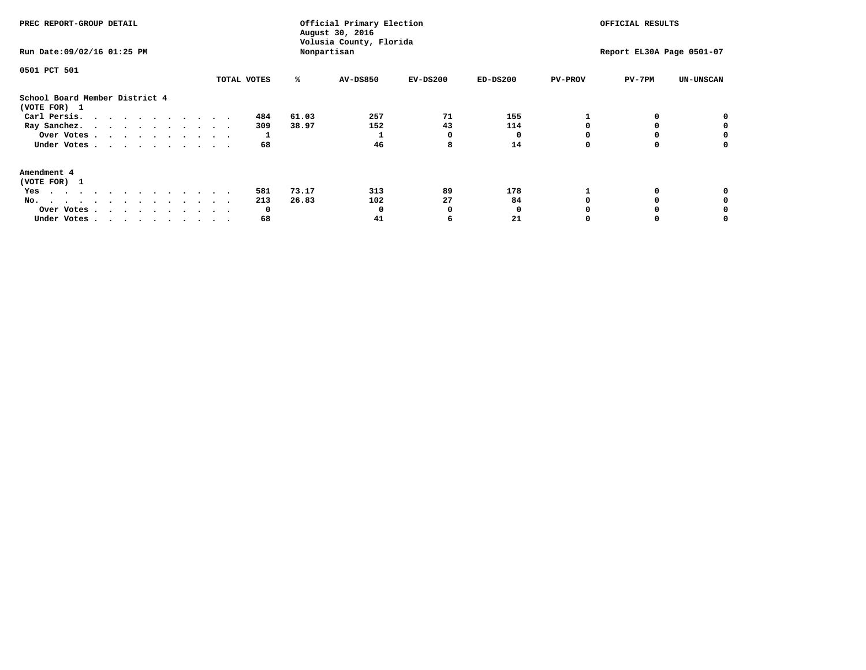| PREC REPORT-GROUP DETAIL                                                                                                                                                                                                                                                                            |             |       | Official Primary Election<br>August 30, 2016<br>Volusia County, Florida | OFFICIAL RESULTS          |            |                |          |                  |
|-----------------------------------------------------------------------------------------------------------------------------------------------------------------------------------------------------------------------------------------------------------------------------------------------------|-------------|-------|-------------------------------------------------------------------------|---------------------------|------------|----------------|----------|------------------|
| Run Date: 09/02/16 01:25 PM                                                                                                                                                                                                                                                                         |             |       | Nonpartisan                                                             | Report EL30A Page 0501-07 |            |                |          |                  |
| 0501 PCT 501                                                                                                                                                                                                                                                                                        |             |       |                                                                         |                           |            |                |          |                  |
|                                                                                                                                                                                                                                                                                                     | TOTAL VOTES | ℁     | AV-DS850                                                                | $EV-DS200$                | $ED-DS200$ | <b>PV-PROV</b> | $PV-7PM$ | <b>UN-UNSCAN</b> |
| School Board Member District 4<br>(VOTE FOR) 1                                                                                                                                                                                                                                                      |             |       |                                                                         |                           |            |                |          |                  |
| Carl Persis.                                                                                                                                                                                                                                                                                        | 484         | 61.03 | 257                                                                     | 71                        | 155        |                |          |                  |
| Ray Sanchez.                                                                                                                                                                                                                                                                                        | 309         | 38.97 | 152                                                                     | 43                        | 114        |                |          |                  |
| Over Votes                                                                                                                                                                                                                                                                                          |             |       |                                                                         | O                         |            |                |          | 0                |
| Under Votes                                                                                                                                                                                                                                                                                         | 68          |       | 46                                                                      | 8                         | 14         |                |          | 0                |
| Amendment 4                                                                                                                                                                                                                                                                                         |             |       |                                                                         |                           |            |                |          |                  |
| (VOTE FOR) 1                                                                                                                                                                                                                                                                                        |             |       |                                                                         |                           |            |                |          |                  |
| Yes<br>$\mathbf{a} \cdot \mathbf{a} \cdot \mathbf{a} \cdot \mathbf{a} \cdot \mathbf{a} \cdot \mathbf{a} \cdot \mathbf{a} \cdot \mathbf{a} \cdot \mathbf{a} \cdot \mathbf{a} \cdot \mathbf{a} \cdot \mathbf{a} \cdot \mathbf{a} \cdot \mathbf{a} \cdot \mathbf{a} \cdot \mathbf{a} \cdot \mathbf{a}$ | 581         | 73.17 | 313                                                                     | 89                        | 178        |                |          |                  |
| No.<br>.                                                                                                                                                                                                                                                                                            | 213         | 26.83 | 102                                                                     | 27                        | 84         |                |          |                  |
| Over Votes                                                                                                                                                                                                                                                                                          | 0           |       |                                                                         | O                         |            |                |          |                  |
| Under Votes                                                                                                                                                                                                                                                                                         | 68          |       | 41                                                                      |                           | 21         |                |          |                  |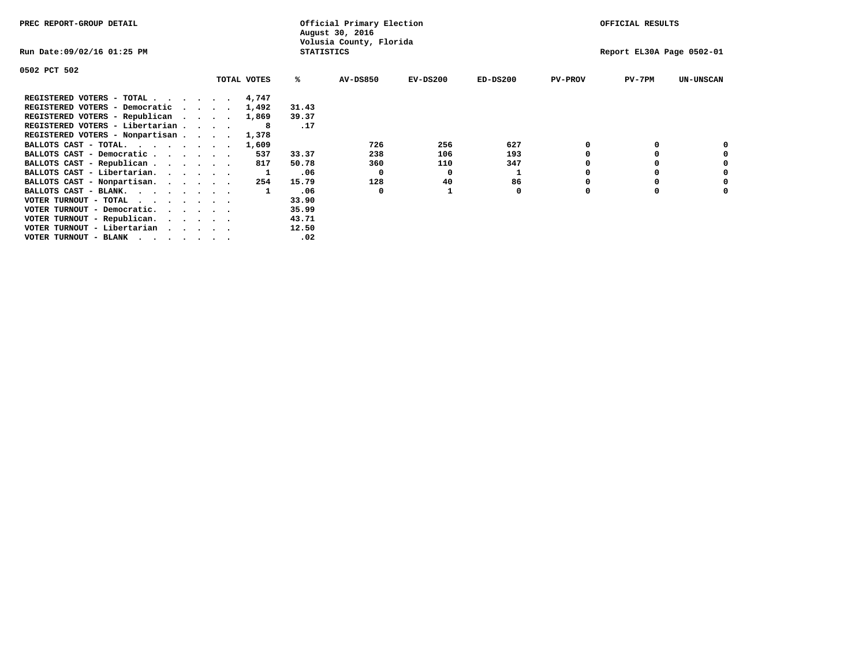| PREC REPORT-GROUP DETAIL                                                                                                                 |  |             |                   | Official Primary Election<br>August 30, 2016 |                           | OFFICIAL RESULTS |                |          |                  |
|------------------------------------------------------------------------------------------------------------------------------------------|--|-------------|-------------------|----------------------------------------------|---------------------------|------------------|----------------|----------|------------------|
| Run Date:09/02/16 01:25 PM                                                                                                               |  |             | <b>STATISTICS</b> | Volusia County, Florida                      | Report EL30A Page 0502-01 |                  |                |          |                  |
| 0502 PCT 502                                                                                                                             |  |             |                   |                                              |                           |                  |                |          |                  |
|                                                                                                                                          |  | TOTAL VOTES | %ะ                | <b>AV-DS850</b>                              | $EV-DS200$                | $ED-DS200$       | <b>PV-PROV</b> | $PV-7PM$ | <b>UN-UNSCAN</b> |
| REGISTERED VOTERS - TOTAL 4,747                                                                                                          |  |             |                   |                                              |                           |                  |                |          |                  |
| REGISTERED VOTERS - Democratic<br>$\cdot$                                                                                                |  | 1,492       | 31.43             |                                              |                           |                  |                |          |                  |
| REGISTERED VOTERS - Republican                                                                                                           |  | 1,869       | 39.37             |                                              |                           |                  |                |          |                  |
| REGISTERED VOTERS - Libertarian                                                                                                          |  | -8          | .17               |                                              |                           |                  |                |          |                  |
| REGISTERED VOTERS - Nonpartisan                                                                                                          |  | 1,378       |                   |                                              |                           |                  |                |          |                  |
| BALLOTS CAST - TOTAL.                                                                                                                    |  | 1,609       |                   | 726                                          | 256                       | 627              |                |          |                  |
| BALLOTS CAST - Democratic                                                                                                                |  | 537         | 33.37             | 238                                          | 106                       | 193              |                |          |                  |
| BALLOTS CAST - Republican                                                                                                                |  | 817         | 50.78             | 360                                          | 110                       | 347              |                |          |                  |
| BALLOTS CAST - Libertarian.                                                                                                              |  |             | .06               | 0                                            | O                         |                  |                |          |                  |
| BALLOTS CAST - Nonpartisan.                                                                                                              |  | 254         | 15.79             | 128                                          | 40                        | 86               |                |          | 0                |
| BALLOTS CAST - BLANK.                                                                                                                    |  |             | .06               | 0                                            |                           | 0                | O              | $\Omega$ |                  |
| VOTER TURNOUT - TOTAL<br>the contract of the contract of the contract of the contract of the contract of the contract of the contract of |  |             | 33.90             |                                              |                           |                  |                |          |                  |
| VOTER TURNOUT - Democratic.                                                                                                              |  |             | 35.99             |                                              |                           |                  |                |          |                  |
| VOTER TURNOUT - Republican.                                                                                                              |  |             | 43.71             |                                              |                           |                  |                |          |                  |
| VOTER TURNOUT - Libertarian                                                                                                              |  |             | 12.50             |                                              |                           |                  |                |          |                  |
| VOTER TURNOUT - BLANK<br>the contract of the contract of the contract of the contract of the contract of the contract of the contract of |  |             | .02               |                                              |                           |                  |                |          |                  |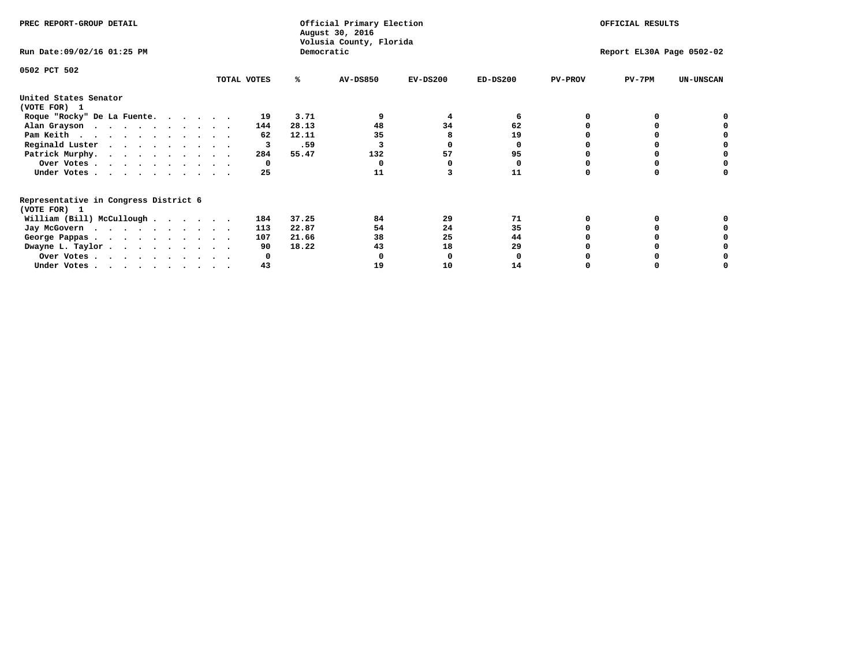| PREC REPORT-GROUP DETAIL                                               |             |            | Official Primary Election<br>August 30, 2016 |            | OFFICIAL RESULTS          |                |          |                  |  |
|------------------------------------------------------------------------|-------------|------------|----------------------------------------------|------------|---------------------------|----------------|----------|------------------|--|
| Run Date: 09/02/16 01:25 PM                                            |             | Democratic | Volusia County, Florida                      |            | Report EL30A Page 0502-02 |                |          |                  |  |
| 0502 PCT 502                                                           |             |            |                                              |            |                           |                |          |                  |  |
|                                                                        | TOTAL VOTES | ℁          | <b>AV-DS850</b>                              | $EV-DS200$ | $ED-DS200$                | <b>PV-PROV</b> | $PV-7PM$ | <b>UN-UNSCAN</b> |  |
| United States Senator                                                  |             |            |                                              |            |                           |                |          |                  |  |
| (VOTE FOR) 1                                                           |             |            |                                              |            |                           |                |          |                  |  |
| Roque "Rocky" De La Fuente.                                            | 19          | 3.71       |                                              | 4          | 6                         |                |          |                  |  |
| Alan Grayson                                                           | 144         | 28.13      | 48                                           | 34         | 62                        |                |          |                  |  |
| Pam Keith                                                              | 62          | 12.11      | 35                                           |            | 19                        |                |          |                  |  |
| Reginald Luster                                                        |             | .59<br>3   |                                              |            | o                         |                |          |                  |  |
| Patrick Murphy.                                                        | 284         | 55.47      | 132                                          | 57         | 95                        |                |          |                  |  |
| Over Votes                                                             |             | 0          |                                              |            | 0                         |                |          |                  |  |
| Under Votes                                                            | 25          |            | 11                                           |            | 11                        |                |          |                  |  |
| Representative in Congress District 6<br>(VOTE FOR) 1                  |             |            |                                              |            |                           |                |          |                  |  |
| William (Bill) McCullough                                              | 184         | 37.25      | 84                                           | 29         | 71                        |                |          |                  |  |
|                                                                        |             |            | 54                                           | 24         |                           |                |          |                  |  |
| Jay McGovern                                                           | 113         | 22.87      |                                              |            | 35                        |                |          |                  |  |
| George Pappas.                                                         | 107         | 21.66      | 38                                           | 25         | 44                        |                |          |                  |  |
| Dwayne L. Taylor.                                                      | 90          | 18.22      | 43                                           | 18         | 29                        |                |          |                  |  |
| Over Votes                                                             |             |            |                                              |            |                           |                |          |                  |  |
| Under Votes, $\cdot$ , $\cdot$ , $\cdot$ , $\cdot$ , $\cdot$ , $\cdot$ | 43          |            | 19                                           | 10         | 14                        |                |          |                  |  |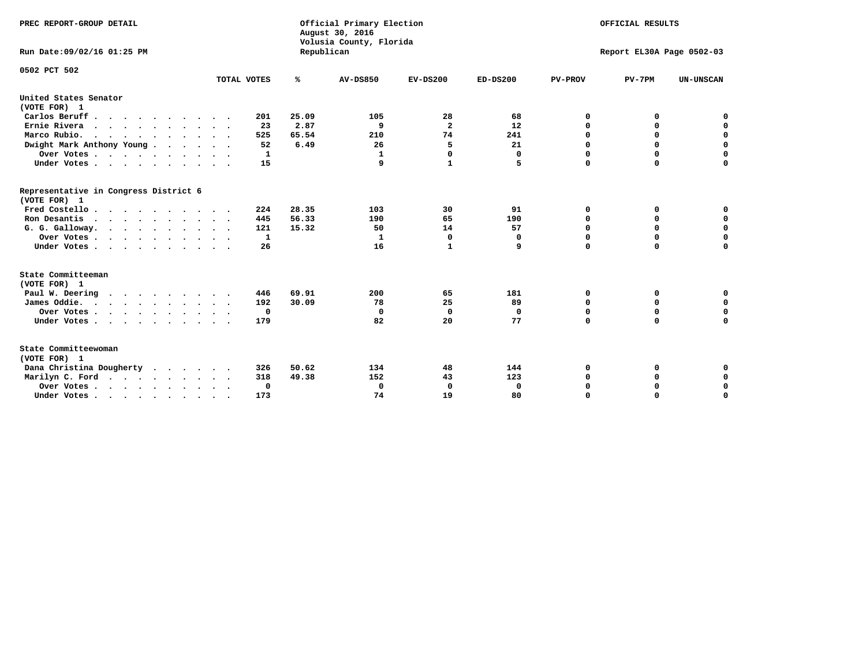| PREC REPORT-GROUP DETAIL<br>Run Date:09/02/16 01:25 PM                                     |                            | Republican | Official Primary Election<br>August 30, 2016<br>Volusia County, Florida | OFFICIAL RESULTS<br>Report EL30A Page 0502-03 |             |                |             |                  |
|--------------------------------------------------------------------------------------------|----------------------------|------------|-------------------------------------------------------------------------|-----------------------------------------------|-------------|----------------|-------------|------------------|
| 0502 PCT 502                                                                               | TOTAL VOTES                | ℁          | <b>AV-DS850</b>                                                         | $EV-DS200$                                    | $ED-DS200$  | <b>PV-PROV</b> | $PV-7PM$    | <b>UN-UNSCAN</b> |
|                                                                                            |                            |            |                                                                         |                                               |             |                |             |                  |
| United States Senator<br>(VOTE FOR) 1                                                      |                            |            |                                                                         |                                               |             |                |             |                  |
| Carlos Beruff                                                                              | 201                        | 25.09      | 105                                                                     | 28                                            | 68          | 0              | 0           | 0                |
| Ernie Rivera<br>$\cdots$                                                                   | 23                         | 2.87       | 9                                                                       | $\overline{\mathbf{2}}$                       | 12          | 0              | 0           | $\mathbf 0$      |
| Marco Rubio.                                                                               | 525                        | 65.54      | 210                                                                     | 74                                            | 241         | 0              | 0           | $\mathbf 0$      |
| Dwight Mark Anthony Young                                                                  | 52                         | 6.49       | 26                                                                      | 5                                             | 21          | $\mathbf 0$    | $\mathbf 0$ | $\mathbf 0$      |
| Over Votes                                                                                 | 1                          |            | 1                                                                       | $\Omega$                                      | 0           | $\mathbf 0$    | $\Omega$    | $\mathbf 0$      |
| Under Votes                                                                                | 15<br>$\ddot{\phantom{1}}$ |            | 9                                                                       | $\mathbf{1}$                                  | 5           | $\Omega$       | $\Omega$    | $\Omega$         |
| Representative in Congress District 6<br>(VOTE FOR) 1                                      |                            |            |                                                                         |                                               |             |                |             |                  |
| Fred Costello                                                                              | 224                        | 28.35      | 103                                                                     | 30                                            | 91          | 0              | 0           | $\mathbf 0$      |
| Ron Desantis                                                                               | 445                        | 56.33      | 190                                                                     | 65                                            | 190         | 0              | 0           | $\mathbf 0$      |
| G. G. Galloway.                                                                            | 121                        | 15.32      | 50                                                                      | 14                                            | 57          | $\mathbf 0$    | $\mathbf 0$ | $\mathbf 0$      |
| Over Votes                                                                                 | 1                          |            | 1                                                                       | $\mathbf 0$                                   | 0           | 0              | 0           | 0                |
| Under Votes                                                                                | 26                         |            | 16                                                                      | $\mathbf{1}$                                  | 9           | $\mathbf 0$    | $\Omega$    | $\mathbf 0$      |
| State Committeeman                                                                         |                            |            |                                                                         |                                               |             |                |             |                  |
| (VOTE FOR) 1                                                                               |                            |            |                                                                         |                                               |             |                |             |                  |
| Paul W. Deering                                                                            | 446                        | 69.91      | 200                                                                     | 65                                            | 181         | 0              | 0           | 0                |
| James Oddie.                                                                               | 192                        | 30.09      | 78                                                                      | 25                                            | 89          | 0              | 0           | $\mathbf 0$      |
| Over Votes                                                                                 | 0                          |            | 0                                                                       | $\mathbf 0$                                   | 0           | 0              | $\mathbf 0$ | $\mathbf 0$      |
| Under Votes                                                                                | 179                        |            | 82                                                                      | 20                                            | 77          | $\mathbf 0$    | $\mathbf 0$ | $\mathbf 0$      |
| State Committeewoman<br>(VOTE FOR) 1                                                       |                            |            |                                                                         |                                               |             |                |             |                  |
| Dana Christina Dougherty<br>$\cdot$                                                        | 326                        | 50.62      | 134                                                                     | 48                                            | 144         | 0              | 0           | 0                |
| Marilyn C. Ford                                                                            | 318                        | 49.38      | 152                                                                     | 43                                            | 123         | 0              | 0           | 0                |
| Over Votes                                                                                 | $\Omega$                   |            | 0                                                                       | 0                                             | $\mathbf 0$ | 0              | 0           | $\mathbf 0$      |
| Under Votes, $\cdot$ , $\cdot$ , $\cdot$ , $\cdot$ , $\cdot$ , $\cdot$ , $\cdot$ , $\cdot$ | 173                        |            | 74                                                                      | 19                                            | 80          | $\Omega$       | $\Omega$    | $\Omega$         |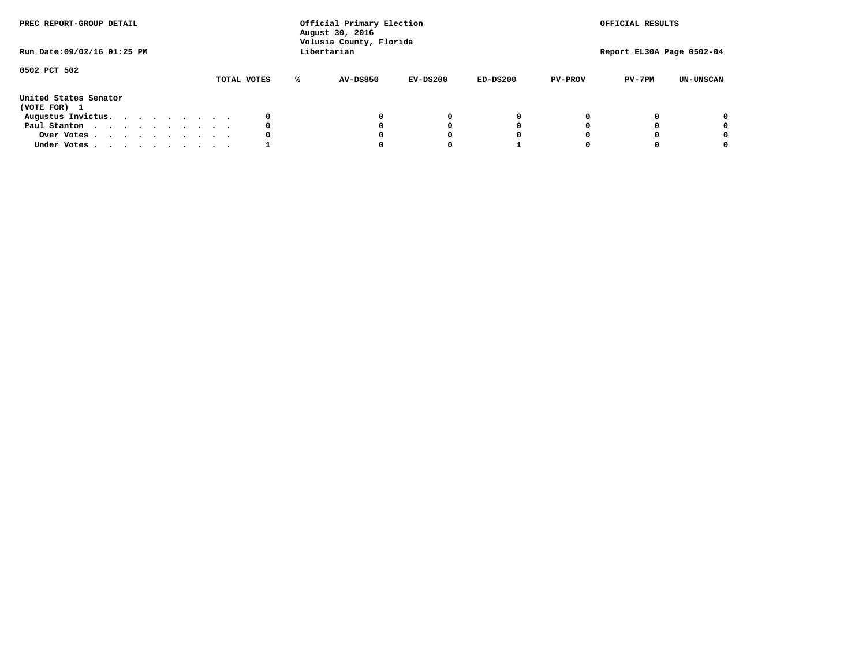| PREC REPORT-GROUP DETAIL<br>Run Date: 09/02/16 01:25 PM |  |  |  |  |  | Official Primary Election<br>August 30, 2016<br>Volusia County, Florida<br>Libertarian |   | OFFICIAL RESULTS<br>Report EL30A Page 0502-04 |            |            |                |          |                  |
|---------------------------------------------------------|--|--|--|--|--|----------------------------------------------------------------------------------------|---|-----------------------------------------------|------------|------------|----------------|----------|------------------|
| 0502 PCT 502                                            |  |  |  |  |  | TOTAL VOTES                                                                            | ℁ | <b>AV-DS850</b>                               | $EV-DS200$ | $ED-DS200$ | <b>PV-PROV</b> | $PV-7PM$ | <b>UN-UNSCAN</b> |
| United States Senator<br>(VOTE FOR) 1                   |  |  |  |  |  |                                                                                        |   |                                               |            |            |                |          |                  |
| Augustus Invictus.                                      |  |  |  |  |  | 0                                                                                      |   |                                               | 0          | 0          |                |          | 0                |
| Paul Stanton                                            |  |  |  |  |  | 0                                                                                      |   |                                               |            | 0          |                |          | 0                |
| Over Votes                                              |  |  |  |  |  | 0                                                                                      |   |                                               |            | 0          |                |          | 0                |
| Under Votes                                             |  |  |  |  |  |                                                                                        |   |                                               |            |            |                |          | 0                |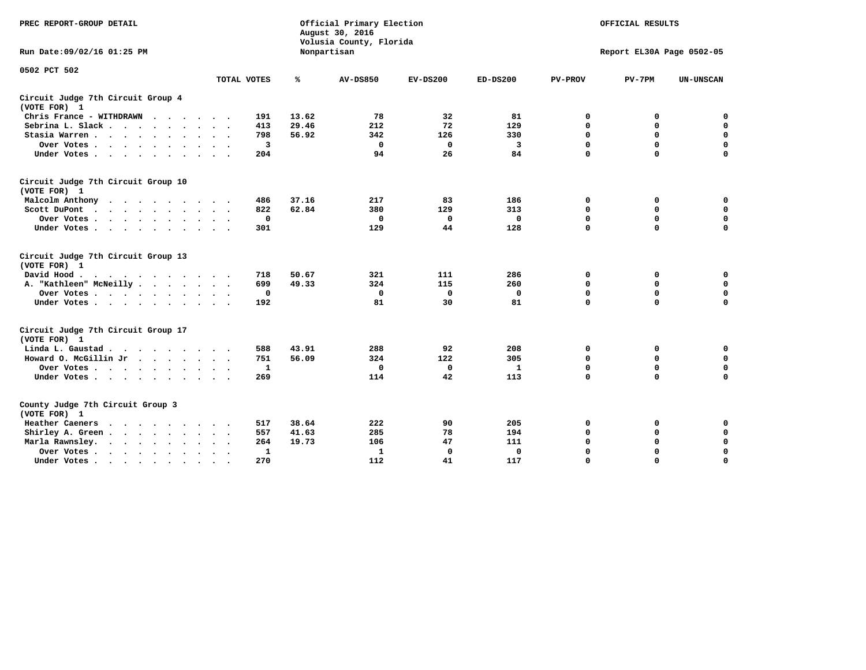| PREC REPORT-GROUP DETAIL                                   |                             | Official Primary Election<br>August 30, 2016<br>Volusia County, Florida |                 | OFFICIAL RESULTS |            |                           |             |                  |  |  |
|------------------------------------------------------------|-----------------------------|-------------------------------------------------------------------------|-----------------|------------------|------------|---------------------------|-------------|------------------|--|--|
| Run Date: 09/02/16 01:25 PM                                |                             |                                                                         | Nonpartisan     |                  |            | Report EL30A Page 0502-05 |             |                  |  |  |
| 0502 PCT 502                                               |                             |                                                                         |                 |                  |            |                           |             |                  |  |  |
|                                                            | TOTAL VOTES                 | %                                                                       | <b>AV-DS850</b> | $EV-DS200$       | $ED-DS200$ | <b>PV-PROV</b>            | $PV-7PM$    | <b>UN-UNSCAN</b> |  |  |
| Circuit Judge 7th Circuit Group 4<br>(VOTE FOR) 1          |                             |                                                                         |                 |                  |            |                           |             |                  |  |  |
| Chris France - WITHDRAWN                                   | 191                         | 13.62                                                                   | 78              | 32               | 81         | 0                         | 0           | 0                |  |  |
| Sebrina L. Slack.                                          | 413                         | 29.46                                                                   | 212             | 72               | 129        | $\mathbf 0$               | $\mathbf 0$ | $\mathbf 0$      |  |  |
| Stasia Warren<br>$\sim$ $\sim$                             | 798                         | 56.92                                                                   | 342             | 126              | 330        | $\mathbf 0$               | $\mathbf 0$ | $\mathbf 0$      |  |  |
| Over Votes                                                 | 3                           |                                                                         | $\mathbf 0$     | 0                | 3          | $\mathbf 0$               | $\mathbf 0$ | $\mathbf 0$      |  |  |
| Under Votes                                                | 204                         |                                                                         | 94              | 26               | 84         | $\mathbf 0$               | $\mathbf 0$ | $\mathbf 0$      |  |  |
| Circuit Judge 7th Circuit Group 10<br>(VOTE FOR) 1         |                             |                                                                         |                 |                  |            |                           |             |                  |  |  |
| Malcolm Anthony<br>.                                       | 486                         | 37.16                                                                   | 217             | 83               | 186        | 0                         | 0           | 0                |  |  |
| Scott DuPont                                               | 822                         | 62.84                                                                   | 380             | 129              | 313        | $\mathbf 0$               | $\mathbf 0$ | $\mathbf 0$      |  |  |
| Over Votes<br>$\ddot{\phantom{0}}$                         | 0                           |                                                                         | $\mathbf{0}$    | 0                | 0          | $\mathbf 0$               | $\mathbf 0$ | $\mathbf 0$      |  |  |
| Under Votes                                                | 301                         |                                                                         | 129             | 44               | 128        | $\mathbf 0$               | $\Omega$    | $\mathbf 0$      |  |  |
| Circuit Judge 7th Circuit Group 13<br>(VOTE FOR) 1         |                             |                                                                         |                 |                  |            |                           |             |                  |  |  |
| David Hood.                                                | 718                         | 50.67                                                                   | 321             | 111              | 286        | 0                         | 0           | 0                |  |  |
| A. "Kathleen" McNeilly                                     | 699                         | 49.33                                                                   | 324             | 115              | 260        | $\mathbf 0$               | 0           | $\mathbf 0$      |  |  |
| Over Votes                                                 | 0                           |                                                                         | $\mathbf 0$     | 0                | 0          | 0                         | $\mathbf 0$ | $\mathbf 0$      |  |  |
| Under Votes                                                | 192                         |                                                                         | 81              | 30               | 81         | $\mathbf 0$               | $\mathbf 0$ | 0                |  |  |
| Circuit Judge 7th Circuit Group 17<br>(VOTE FOR) 1         |                             |                                                                         |                 |                  |            |                           |             |                  |  |  |
| Linda L. Gaustad                                           | 588                         | 43.91                                                                   | 288             | 92               | 208        | 0                         | 0           | $\mathbf 0$      |  |  |
| Howard O. McGillin Jr                                      | 751                         | 56.09                                                                   | 324             | 122              | 305        | $\mathbf 0$               | $\mathbf 0$ | 0                |  |  |
| Over Votes                                                 | 1                           |                                                                         | $\Omega$        | $\mathbf{0}$     | 1          | $\mathbf 0$               | $\mathbf 0$ | $\mathbf 0$      |  |  |
| Under Votes                                                | 269                         |                                                                         | 114             | 42               | 113        | $\mathbf 0$               | $\mathbf 0$ | $\mathbf 0$      |  |  |
| County Judge 7th Circuit Group 3<br>(VOTE FOR) 1           |                             |                                                                         |                 |                  |            |                           |             |                  |  |  |
| Heather Caeners                                            | 517                         | 38.64                                                                   | 222             | 90               | 205        | 0                         | 0           | 0                |  |  |
| Shirley A. Green                                           | 557<br>$\ddot{\phantom{1}}$ | 41.63                                                                   | 285             | 78               | 194        | $\mathbf 0$               | $\mathbf 0$ | $\mathbf 0$      |  |  |
| Marla Rawnsley.<br>$\cdot$ $\cdot$ $\cdot$ $\cdot$ $\cdot$ | 264                         | 19.73                                                                   | 106             | 47               | 111        | 0                         | $\mathbf 0$ | $\pmb{0}$        |  |  |
| Over Votes .<br>$\cdot$<br>$\sim$<br>$\cdot$<br>$\cdot$    | 1<br>$\sim$ $\sim$          |                                                                         | 1               | $\mathbf 0$      | 0          | $\mathbf 0$               | $\mathbf 0$ | $\mathbf 0$      |  |  |
| Under Votes<br>$\sim$<br>$\sim$                            | 270                         |                                                                         | 112             | 41               | 117        | $\mathbf 0$               | $\mathbf 0$ | 0                |  |  |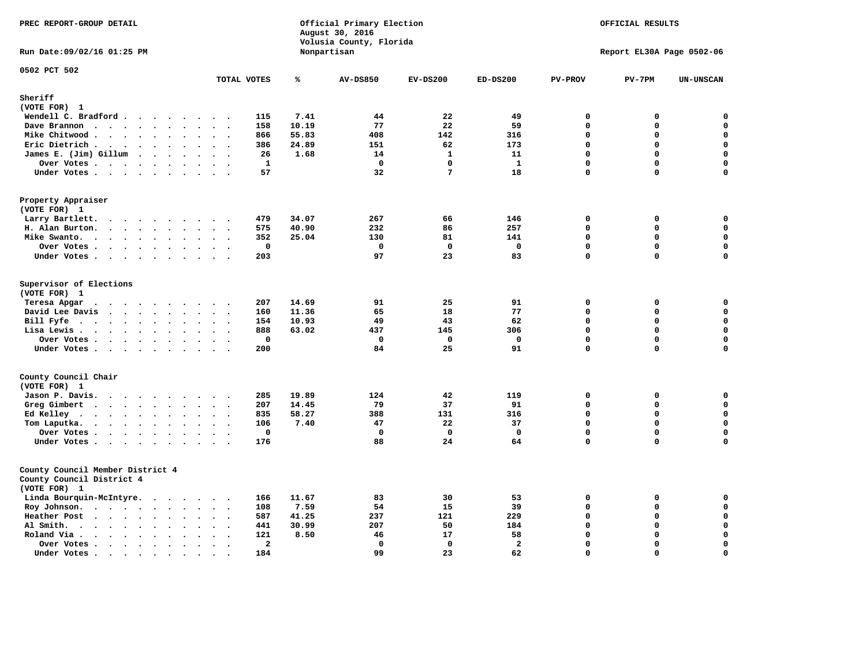| PREC REPORT-GROUP DETAIL                                                                                                                                                                                                                                                            |                                        |       | Official Primary Election<br>August 30, 2016<br>Volusia County, Florida | OFFICIAL RESULTS<br>Report EL30A Page 0502-06 |                |                |             |                  |
|-------------------------------------------------------------------------------------------------------------------------------------------------------------------------------------------------------------------------------------------------------------------------------------|----------------------------------------|-------|-------------------------------------------------------------------------|-----------------------------------------------|----------------|----------------|-------------|------------------|
| Run Date: 09/02/16 01:25 PM                                                                                                                                                                                                                                                         |                                        |       | Nonpartisan                                                             |                                               |                |                |             |                  |
| 0502 PCT 502                                                                                                                                                                                                                                                                        | TOTAL VOTES                            | ℁     | <b>AV-DS850</b>                                                         | $EV-DS200$                                    | $ED-DS200$     | <b>PV-PROV</b> | $PV-7PM$    | <b>UN-UNSCAN</b> |
| Sheriff                                                                                                                                                                                                                                                                             |                                        |       |                                                                         |                                               |                |                |             |                  |
| (VOTE FOR) 1                                                                                                                                                                                                                                                                        |                                        |       |                                                                         |                                               |                |                |             |                  |
| Wendell C. Bradford                                                                                                                                                                                                                                                                 | 115                                    | 7.41  | 44                                                                      | 22                                            | 49             | 0              | 0           | 0                |
| Dave Brannon<br>$\ddot{\phantom{a}}$<br>$\ddot{\phantom{a}}$                                                                                                                                                                                                                        | 158                                    | 10.19 | 77                                                                      | 22                                            | 59             | $\mathbf 0$    | 0           | $\mathbf 0$      |
| Mike Chitwood                                                                                                                                                                                                                                                                       | 866                                    | 55.83 | 408                                                                     | 142                                           | 316            | $\mathbf{0}$   | 0           | $\mathbf 0$      |
| Eric Dietrich.<br>$\cdots$                                                                                                                                                                                                                                                          | 386                                    | 24.89 | 151                                                                     | 62                                            | 173            | $\mathbf{0}$   | 0           | $\mathbf 0$      |
| James E. (Jim) Gillum                                                                                                                                                                                                                                                               | 26                                     | 1.68  | 14                                                                      | $\mathbf{1}$                                  | 11             | $\Omega$       | 0           | $\mathbf 0$      |
| Over Votes                                                                                                                                                                                                                                                                          | $\mathbf{1}$<br>$\sim$ $\sim$          |       | $\Omega$                                                                | $\Omega$                                      | $\mathbf{1}$   | $\mathbf{0}$   | 0           | 0                |
| Under Votes<br>$\sim$                                                                                                                                                                                                                                                               | 57<br>$\ddot{\phantom{1}}$             |       | 32                                                                      | $7\phantom{.0}$                               | 18             | $\mathbf 0$    | 0           | 0                |
| Property Appraiser<br>(VOTE FOR) 1                                                                                                                                                                                                                                                  |                                        |       |                                                                         |                                               |                |                |             |                  |
| Larry Bartlett.<br>$\ddot{\phantom{1}}$<br>$\ddot{\phantom{1}}$                                                                                                                                                                                                                     | 479                                    | 34.07 | 267                                                                     | 66                                            | 146            | $\mathbf 0$    | 0           | 0                |
| $\sim$<br>$\cdot \cdot \cdot \cdot$<br>H. Alan Burton.                                                                                                                                                                                                                              | 575<br>$\sim$ $\sim$                   | 40.90 | 232                                                                     | 86                                            | 257            | $\mathbf 0$    | 0           | $\mathbf 0$      |
| Mike Swanto.<br>$\bullet$<br>$\bullet$<br>$\bullet$                                                                                                                                                                                                                                 | 352<br>$\overline{\phantom{a}}$        | 25.04 | 130                                                                     | 81                                            | 141            | $\mathbf 0$    | 0           | 0                |
| Over Votes                                                                                                                                                                                                                                                                          | 0<br>$\ddot{\phantom{1}}$              |       | 0                                                                       | $\mathbf{o}$                                  | 0              | $\mathbf 0$    | 0           | $\pmb{0}$        |
| Under Votes                                                                                                                                                                                                                                                                         | 203                                    |       | 97                                                                      | 23                                            | 83             | $\mathbf{0}$   | 0           | 0                |
|                                                                                                                                                                                                                                                                                     |                                        |       |                                                                         |                                               |                |                |             |                  |
| Supervisor of Elections<br>(VOTE FOR) 1                                                                                                                                                                                                                                             |                                        |       |                                                                         |                                               |                |                |             |                  |
| Teresa Apgar                                                                                                                                                                                                                                                                        | 207                                    | 14.69 | 91                                                                      | 25                                            | 91             | $\mathbf 0$    | $\mathbf 0$ | 0                |
| David Lee Davis                                                                                                                                                                                                                                                                     | 160                                    | 11.36 | 65                                                                      | 18                                            | 77             | $\Omega$       | 0           | 0                |
| Bill Fyfe<br>$\mathbf{a}$ , and $\mathbf{a}$ , and $\mathbf{a}$                                                                                                                                                                                                                     | 154                                    | 10.93 | 49                                                                      | 43                                            | 62             | $\Omega$       | $\Omega$    | $\mathbf 0$      |
| Lisa Lewis<br>$\sim$                                                                                                                                                                                                                                                                | 888<br>$\sim$ $\sim$                   | 63.02 | 437                                                                     | 145                                           | 306            | $\mathbf 0$    | 0           | $\mathbf 0$      |
| Over Votes                                                                                                                                                                                                                                                                          | $\mathbf 0$<br>$\sim$                  |       | $\mathbf 0$                                                             | $\mathbf 0$                                   | $\mathbf 0$    | $\mathbf 0$    | 0           | $\mathbf 0$      |
| Under Votes<br>$\sim$                                                                                                                                                                                                                                                               | 200                                    |       | 84                                                                      | 25                                            | 91             | $\mathbf 0$    | 0           | $\mathbf 0$      |
| County Council Chair                                                                                                                                                                                                                                                                |                                        |       |                                                                         |                                               |                |                |             |                  |
| (VOTE FOR) 1                                                                                                                                                                                                                                                                        |                                        |       |                                                                         |                                               |                |                |             |                  |
| Jason P. Davis.                                                                                                                                                                                                                                                                     | 285                                    | 19.89 | 124                                                                     | 42                                            | 119            | $\mathbf 0$    | 0           | 0                |
| Greg Gimbert<br><u>in the community of the community of the community of the community of the community of the community of the community of the community of the community of the community of the community of the community of the community </u><br>$\sim$ $\sim$ $\sim$ $\sim$ | 207                                    | 14.45 | 79                                                                      | 37                                            | 91             | $\Omega$       | 0           | $\mathbf 0$      |
| Ed Kelley $\cdots$ $\cdots$ $\cdots$<br>$\bullet$<br>$\sim$                                                                                                                                                                                                                         | 835                                    | 58.27 | 388                                                                     | 131                                           | 316            | $\mathbf 0$    | $\mathbf 0$ | $\mathbf 0$      |
| Tom Laputka.<br>$\mathbf{r}$ , and $\mathbf{r}$ , and $\mathbf{r}$ , and $\mathbf{r}$<br>$\ddot{\phantom{a}}$                                                                                                                                                                       | 106                                    | 7.40  | 47                                                                      | 22                                            | 37             | $\Omega$       | $\mathbf 0$ | $\mathbf 0$      |
| Over Votes<br>$\ddot{\phantom{1}}$<br>$\bullet$                                                                                                                                                                                                                                     | $\mathbf 0$                            |       | $\Omega$                                                                | $\Omega$                                      | $\mathbf{0}$   | $\Omega$       | $\mathbf 0$ | 0                |
| Under Votes<br>$\sim$<br>$\ddot{\phantom{0}}$<br>$\ddot{\phantom{a}}$<br>$\ddot{\phantom{a}}$                                                                                                                                                                                       | 176                                    |       | 88                                                                      | 24                                            | 64             | $\Omega$       | 0           | $\Omega$         |
| County Council Member District 4<br>County Council District 4<br>(VOTE FOR) 1                                                                                                                                                                                                       |                                        |       |                                                                         |                                               |                |                |             |                  |
| Linda Bourquin-McIntyre.                                                                                                                                                                                                                                                            | 166                                    | 11.67 | 83                                                                      | 30                                            | 53             | $\mathbf 0$    | 0           | $\mathbf 0$      |
| Roy Johnson.<br>$\ddot{\phantom{a}}$<br>$\ddot{\phantom{0}}$                                                                                                                                                                                                                        | 108<br>$\ddot{\phantom{1}}$            | 7.59  | 54                                                                      | 15                                            | 39             | $\mathbf 0$    | 0           | $\mathbf 0$      |
| Heather Post<br>$\sim$ $\sim$ $\sim$ $\sim$                                                                                                                                                                                                                                         | 587                                    | 41.25 | 237                                                                     | 121                                           | 229            | $\mathbf 0$    | 0           | $\mathbf 0$      |
| Al Smith.<br>$\cdots$<br>$\ddot{\phantom{a}}$<br>$\bullet$<br>$\ddot{\phantom{a}}$                                                                                                                                                                                                  | 441                                    | 30.99 | 207                                                                     | 50                                            | 184            | $\mathbf 0$    | $\mathbf 0$ | $\mathbf 0$      |
| Roland Via .<br>$\ddot{\phantom{a}}$<br>$\ddot{\phantom{a}}$<br>$\Delta$<br>$\ddot{\phantom{a}}$<br>$\ddot{\phantom{a}}$                                                                                                                                                            | 121                                    | 8.50  | 46                                                                      | 17                                            | 58             | $\Omega$       | $\mathbf 0$ | $\mathbf 0$      |
| Over Votes<br>$\ddot{\phantom{0}}$<br>$\ddot{\phantom{a}}$<br>$\bullet$<br>$\ddot{\phantom{a}}$<br>$\cdot$                                                                                                                                                                          | $\overline{a}$<br>$\ddot{\phantom{0}}$ |       | $\Omega$                                                                | $^{\circ}$                                    | $\overline{a}$ | $\Omega$       | $\mathbf 0$ | $\Omega$         |
| Under Votes.<br>$\cdot$ $\cdot$ $\cdot$ $\cdot$<br>$\sim$<br>$\bullet$<br>$\bullet$                                                                                                                                                                                                 | 184                                    |       | 99                                                                      | 23                                            | 62             | $\Omega$       | $\Omega$    | $\mathbf 0$      |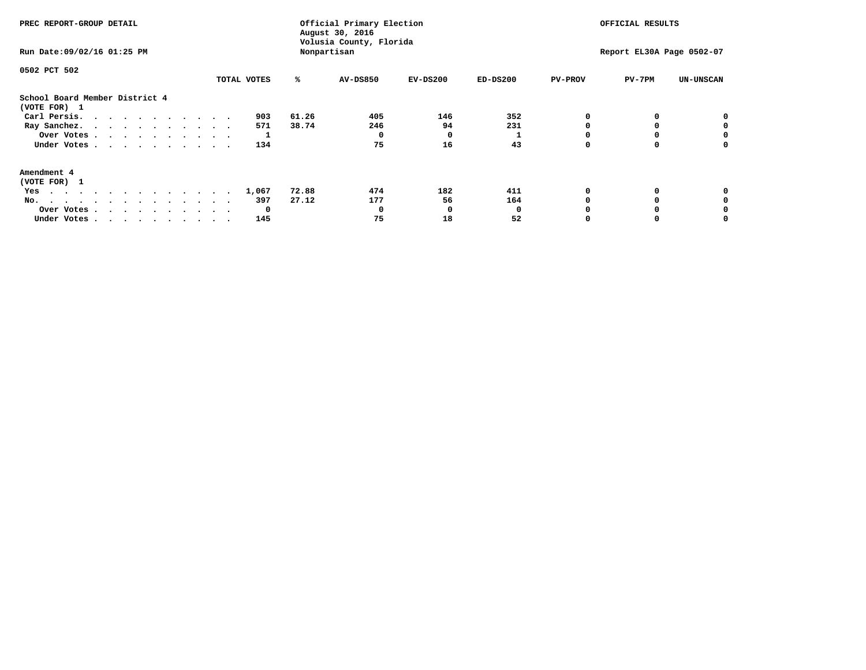| PREC REPORT-GROUP DETAIL<br>Run Date: 09/02/16 01:25 PM |             | Official Primary Election<br>August 30, 2016<br>Volusia County, Florida<br>Nonpartisan | OFFICIAL RESULTS<br>Report EL30A Page 0502-07 |            |            |                |          |                  |
|---------------------------------------------------------|-------------|----------------------------------------------------------------------------------------|-----------------------------------------------|------------|------------|----------------|----------|------------------|
| 0502 PCT 502                                            | TOTAL VOTES | ℁                                                                                      | <b>AV-DS850</b>                               | $EV-DS200$ | $ED-DS200$ | <b>PV-PROV</b> | $PV-7PM$ | <b>UN-UNSCAN</b> |
| School Board Member District 4<br>(VOTE FOR) 1          |             |                                                                                        |                                               |            |            |                |          |                  |
| Carl Persis.                                            | 903         | 61.26                                                                                  | 405                                           | 146        | 352        |                |          | 0                |
| Ray Sanchez.                                            | 571         | 38.74                                                                                  | 246                                           | 94         | 231        |                |          |                  |
| Over Votes                                              |             |                                                                                        |                                               | $\Omega$   |            |                |          | 0                |
| Under Votes                                             | 134         |                                                                                        | 75                                            | 16         | 43         |                |          | 0                |
| Amendment 4                                             |             |                                                                                        |                                               |            |            |                |          |                  |
| (VOTE FOR) 1                                            |             |                                                                                        |                                               |            |            |                |          |                  |
| Yes                                                     | 1,067       | 72.88                                                                                  | 474                                           | 182        | 411        |                |          |                  |
| No.                                                     | 397         | 27.12                                                                                  | 177                                           | 56         | 164        |                |          |                  |
| Over Votes                                              | $\Omega$    |                                                                                        |                                               | O          |            |                |          |                  |
| Under Votes                                             | 145         |                                                                                        | 75                                            | 18         | 52         |                |          |                  |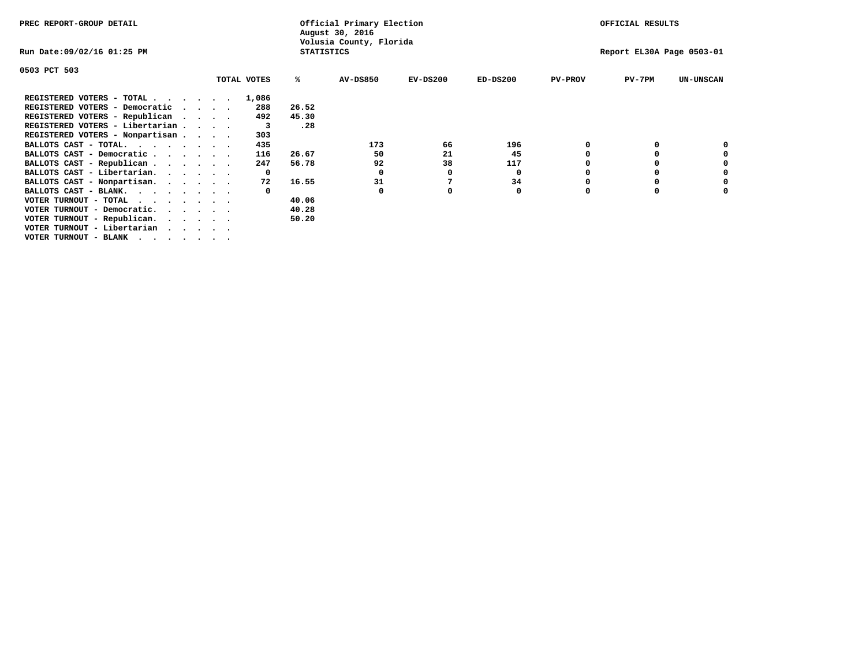| PREC REPORT-GROUP DETAIL                                      |              |                   | Official Primary Election<br>August 30, 2016 |            | OFFICIAL RESULTS          |                |          |                  |  |
|---------------------------------------------------------------|--------------|-------------------|----------------------------------------------|------------|---------------------------|----------------|----------|------------------|--|
| Run Date:09/02/16 01:25 PM                                    |              | <b>STATISTICS</b> | Volusia County, Florida                      |            | Report EL30A Page 0503-01 |                |          |                  |  |
| 0503 PCT 503                                                  |              |                   |                                              |            |                           |                |          |                  |  |
|                                                               | TOTAL VOTES  | ℁                 | <b>AV-DS850</b>                              | $EV-DS200$ | $ED-DS200$                | <b>PV-PROV</b> | $PV-7PM$ | <b>UN-UNSCAN</b> |  |
| REGISTERED VOTERS - TOTAL                                     | 1,086        |                   |                                              |            |                           |                |          |                  |  |
| REGISTERED VOTERS - Democratic<br>$\sim$ $\sim$ $\sim$ $\sim$ | 288          | 26.52             |                                              |            |                           |                |          |                  |  |
| REGISTERED VOTERS - Republican                                | 492          | 45.30             |                                              |            |                           |                |          |                  |  |
| REGISTERED VOTERS - Libertarian                               | 3            | .28               |                                              |            |                           |                |          |                  |  |
| REGISTERED VOTERS - Nonpartisan                               | 303          |                   |                                              |            |                           |                |          |                  |  |
| BALLOTS CAST - TOTAL.                                         | 435          |                   | 173                                          | 66         | 196                       |                |          |                  |  |
| BALLOTS CAST - Democratic                                     | 116          | 26.67             | 50                                           | 21         | 45                        |                |          |                  |  |
| BALLOTS CAST - Republican                                     | 247          | 56.78             | 92                                           | 38         | 117                       |                |          |                  |  |
| BALLOTS CAST - Libertarian.                                   | $\mathbf{o}$ |                   | 0                                            | 0          | 0                         |                |          |                  |  |
| BALLOTS CAST - Nonpartisan.                                   | 72           | 16.55             | 31                                           |            | 34                        |                |          | 0                |  |
| BALLOTS CAST - BLANK.                                         |              |                   | 0                                            | 0          | 0                         | $\Omega$       |          |                  |  |
| VOTER TURNOUT - TOTAL                                         |              | 40.06             |                                              |            |                           |                |          |                  |  |
| VOTER TURNOUT - Democratic.<br>$\cdot$                        |              | 40.28             |                                              |            |                           |                |          |                  |  |
| VOTER TURNOUT - Republican.                                   |              | 50.20             |                                              |            |                           |                |          |                  |  |
| VOTER TURNOUT - Libertarian                                   |              |                   |                                              |            |                           |                |          |                  |  |
| VOTER TURNOUT - BLANK                                         |              |                   |                                              |            |                           |                |          |                  |  |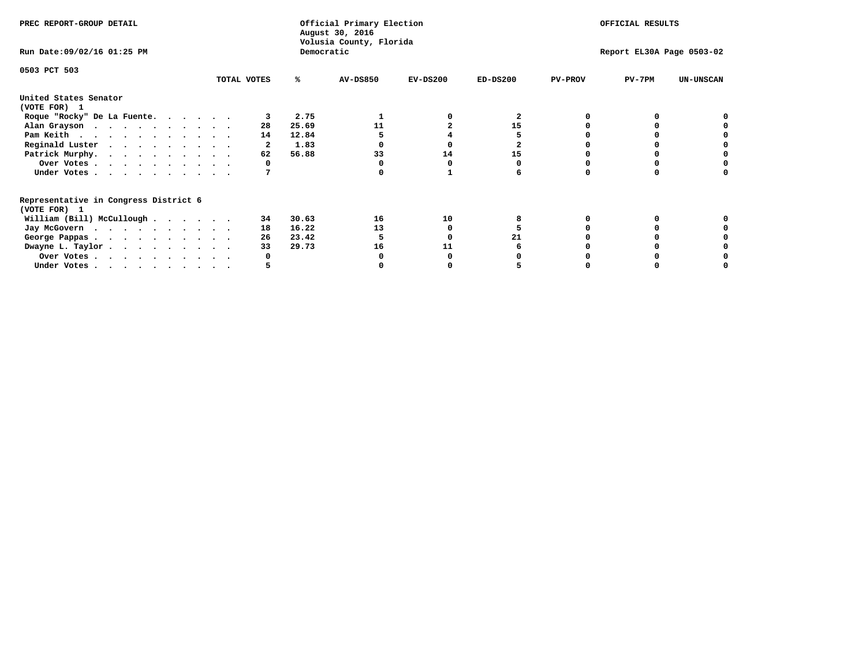| PREC REPORT-GROUP DETAIL                                               |             |       | Official Primary Election<br>August 30, 2016<br>Volusia County, Florida |            |            |                | OFFICIAL RESULTS          |                  |
|------------------------------------------------------------------------|-------------|-------|-------------------------------------------------------------------------|------------|------------|----------------|---------------------------|------------------|
| Run Date: 09/02/16 01:25 PM                                            |             |       | Democratic                                                              |            |            |                | Report EL30A Page 0503-02 |                  |
| 0503 PCT 503                                                           | TOTAL VOTES | ℁     | <b>AV-DS850</b>                                                         | $EV-DS200$ | $ED-DS200$ | <b>PV-PROV</b> | $PV-7PM$                  | <b>UN-UNSCAN</b> |
|                                                                        |             |       |                                                                         |            |            |                |                           |                  |
| United States Senator<br>(VOTE FOR) 1                                  |             |       |                                                                         |            |            |                |                           |                  |
| Roque "Rocky" De La Fuente.                                            |             | 2.75  |                                                                         |            |            |                |                           |                  |
| Alan Grayson                                                           | 28          | 25.69 | 11                                                                      |            | 15         |                |                           |                  |
| Pam Keith                                                              | 14          | 12.84 |                                                                         |            |            |                |                           |                  |
| Reginald Luster                                                        |             | 1.83  |                                                                         |            |            |                |                           |                  |
| Patrick Murphy.                                                        | 62          | 56.88 | 33                                                                      | 14         | 15         |                |                           |                  |
| Over Votes                                                             |             |       |                                                                         |            |            |                |                           |                  |
| Under Votes                                                            |             |       |                                                                         |            |            |                |                           |                  |
| Representative in Congress District 6                                  |             |       |                                                                         |            |            |                |                           |                  |
| (VOTE FOR) 1                                                           |             |       |                                                                         |            |            |                |                           |                  |
| William (Bill) McCullough $\cdots$ $\cdots$                            | 34          | 30.63 | 16                                                                      | 10         |            |                |                           |                  |
| Jay McGovern                                                           | 18          | 16.22 | 13                                                                      |            |            |                |                           |                  |
| George Pappas.                                                         | 26          | 23.42 |                                                                         |            | 21         |                |                           |                  |
| Dwayne L. Taylor                                                       | 33          | 29.73 | 16                                                                      | 11         |            |                |                           |                  |
| Over Votes                                                             |             |       |                                                                         |            |            |                |                           |                  |
| Under Votes, $\cdot$ , $\cdot$ , $\cdot$ , $\cdot$ , $\cdot$ , $\cdot$ |             |       |                                                                         |            |            |                |                           |                  |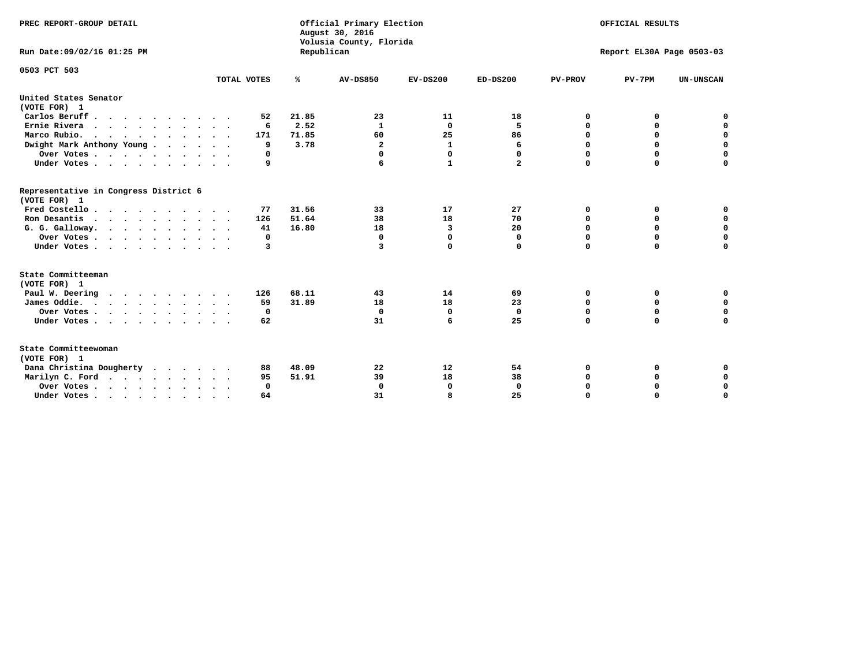| PREC REPORT-GROUP DETAIL<br>Run Date: 09/02/16 01:25 PM |             | Republican | Official Primary Election<br>August 30, 2016<br>Volusia County, Florida | OFFICIAL RESULTS<br>Report EL30A Page 0503-03 |              |                |             |                  |
|---------------------------------------------------------|-------------|------------|-------------------------------------------------------------------------|-----------------------------------------------|--------------|----------------|-------------|------------------|
|                                                         |             |            |                                                                         |                                               |              |                |             |                  |
| 0503 PCT 503                                            | TOTAL VOTES | ℁          | <b>AV-DS850</b>                                                         | $EV-DS200$                                    | $ED-DS200$   | <b>PV-PROV</b> | $PV-7PM$    | <b>UN-UNSCAN</b> |
| United States Senator                                   |             |            |                                                                         |                                               |              |                |             |                  |
| (VOTE FOR) 1                                            |             |            |                                                                         |                                               |              |                |             |                  |
| Carlos Beruff                                           | 52          | 21.85      | 23                                                                      | 11                                            | 18           | 0              | 0           | 0                |
| Ernie Rivera                                            | 6           | 2.52       | 1                                                                       | $\Omega$                                      | 5            | $\Omega$       | 0           | $\mathbf 0$      |
| Marco Rubio.                                            | 171         | 71.85      | 60                                                                      | 25                                            | 86           | $\mathbf 0$    | $\mathbf 0$ | $\mathbf 0$      |
| Dwight Mark Anthony Young                               | 9           | 3.78       | $\mathbf{2}$                                                            | $\mathbf 1$                                   | 6            | 0              | $\mathbf 0$ | $\pmb{0}$        |
| Over Votes                                              | O           |            | 0                                                                       | $\Omega$                                      | 0            | 0              | 0           | 0                |
| Under Votes                                             | 9           |            | 6                                                                       | 1                                             | $\mathbf{2}$ | $\Omega$       | $\Omega$    | $\mathbf 0$      |
| Representative in Congress District 6<br>(VOTE FOR) 1   |             |            |                                                                         |                                               |              |                |             |                  |
| Fred Costello.                                          | 77          | 31.56      | 33                                                                      | 17                                            | 27           | 0              | 0           | 0                |
| Ron Desantis                                            | 126         | 51.64      | 38                                                                      | 18                                            | 70           | 0              | 0           | $\mathbf 0$      |
| G. G. Galloway.                                         | 41          | 16.80      | 18                                                                      | 3                                             | 20           | $\mathbf 0$    | $\Omega$    | $\mathbf 0$      |
| Over Votes                                              | 0           |            | $\mathbf{0}$                                                            | $\mathbf 0$                                   | 0            | $\mathbf 0$    | $\mathbf 0$ | $\mathbf 0$      |
| Under Votes                                             | 3           |            | 3                                                                       | 0                                             | 0            | $\mathbf 0$    | $\Omega$    | $\mathbf 0$      |
| State Committeeman                                      |             |            |                                                                         |                                               |              |                |             |                  |
| (VOTE FOR) 1                                            |             |            |                                                                         |                                               |              |                |             |                  |
| Paul W. Deering<br>$\cdots$                             | 126         | 68.11      | 43                                                                      | 14                                            | 69           | 0              | 0           | 0                |
| James Oddie.                                            | 59          | 31.89      | 18                                                                      | 18                                            | 23           | 0              | 0           | $\mathbf 0$      |
| Over Votes                                              | 0           |            | $\mathbf{0}$                                                            | $\mathbf 0$                                   | $\mathbf{0}$ | 0              | $\mathbf 0$ | $\mathbf 0$      |
| Under Votes                                             | 62          |            | 31                                                                      | 6                                             | 25           | $\Omega$       | 0           | $\mathbf 0$      |
| State Committeewoman<br>(VOTE FOR) 1                    |             |            |                                                                         |                                               |              |                |             |                  |
| Dana Christina Dougherty                                | 88          | 48.09      | 22                                                                      | 12                                            | 54           | 0              | 0           | 0                |
| Marilyn C. Ford                                         | 95          | 51.91      | 39                                                                      | 18                                            | 38           | 0              | 0           | 0                |
| Over Votes                                              | $\Omega$    |            | $\Omega$                                                                | 0                                             | $\mathbf{0}$ | 0              | 0           | $\mathbf 0$      |
| Under Votes, , , , , , , , , ,                          | 64          |            | 31                                                                      | я                                             | 25           | $\Omega$       | $\Omega$    | $\Omega$         |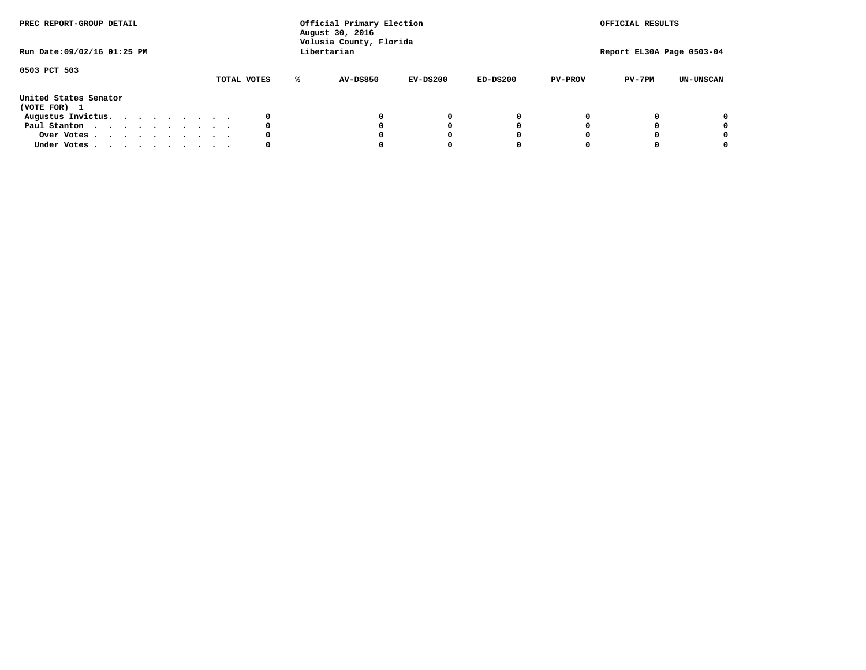| PREC REPORT-GROUP DETAIL<br>Run Date: 09/02/16 01:25 PM |  |  |  |             |   | Official Primary Election<br>August 30, 2016<br>Volusia County, Florida<br>Libertarian |            |            |                | OFFICIAL RESULTS<br>Report EL30A Page 0503-04 |                  |
|---------------------------------------------------------|--|--|--|-------------|---|----------------------------------------------------------------------------------------|------------|------------|----------------|-----------------------------------------------|------------------|
|                                                         |  |  |  |             |   |                                                                                        |            |            |                |                                               |                  |
| 0503 PCT 503                                            |  |  |  | TOTAL VOTES | ℁ | <b>AV-DS850</b>                                                                        | $EV-DS200$ | $ED-DS200$ | <b>PV-PROV</b> | $PV-7PM$                                      | <b>UN-UNSCAN</b> |
| United States Senator<br>(VOTE FOR) 1                   |  |  |  |             |   |                                                                                        |            |            |                |                                               |                  |
| Augustus Invictus.                                      |  |  |  | 0           |   |                                                                                        | 0          | 0          |                |                                               | 0                |
| Paul Stanton                                            |  |  |  | 0           |   |                                                                                        |            | 0          |                |                                               | 0                |
| Over Votes                                              |  |  |  | 0           |   |                                                                                        |            | 0          |                |                                               | 0                |
| Under Votes                                             |  |  |  | 0           |   |                                                                                        |            |            |                |                                               | 0                |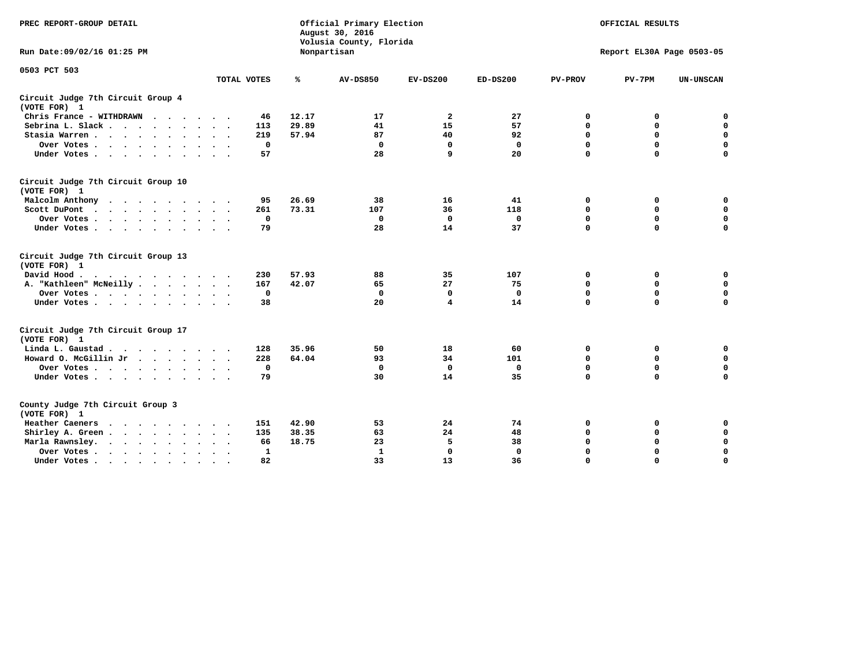| PREC REPORT-GROUP DETAIL                                                                                |              | Official Primary Election<br>August 30, 2016<br>Volusia County, Florida | OFFICIAL RESULTS<br>Report EL30A Page 0503-05 |                |              |                |             |                  |
|---------------------------------------------------------------------------------------------------------|--------------|-------------------------------------------------------------------------|-----------------------------------------------|----------------|--------------|----------------|-------------|------------------|
| Run Date: 09/02/16 01:25 PM                                                                             |              |                                                                         | Nonpartisan                                   |                |              |                |             |                  |
| 0503 PCT 503                                                                                            | TOTAL VOTES  | ℁                                                                       | <b>AV-DS850</b>                               | $EV-DS200$     | $ED-DS200$   | <b>PV-PROV</b> | $PV-7PM$    | <b>UN-UNSCAN</b> |
| Circuit Judge 7th Circuit Group 4<br>(VOTE FOR) 1                                                       |              |                                                                         |                                               |                |              |                |             |                  |
| Chris France - WITHDRAWN                                                                                | 46           | 12.17                                                                   | 17                                            | $\overline{a}$ | 27           | 0              | 0           | $\mathbf 0$      |
| Sebrina L. Slack                                                                                        | 113          | 29.89                                                                   | 41                                            | 15             | 57           | 0              | 0           | $\mathbf 0$      |
| Stasia Warren                                                                                           | 219          | 57.94                                                                   | 87                                            | 40             | 92           | 0              | 0           | $\mathbf 0$      |
| Over Votes                                                                                              | $\mathbf 0$  |                                                                         | $\mathbf 0$                                   | $\mathbf 0$    | $\mathbf 0$  | 0              | $\mathbf 0$ | $\pmb{0}$        |
| Under Votes                                                                                             | 57           |                                                                         | 28                                            | 9              | 20           | $\Omega$       | $\Omega$    | $\Omega$         |
| Circuit Judge 7th Circuit Group 10<br>(VOTE FOR) 1                                                      |              |                                                                         |                                               |                |              |                |             |                  |
| Malcolm Anthony                                                                                         | 95           | 26.69                                                                   | 38                                            | 16             | 41           | 0              | 0           | 0                |
| Scott DuPont<br>$\sim$                                                                                  | 261          | 73.31                                                                   | 107                                           | 36             | 118          | $\mathbf 0$    | $\mathbf 0$ | $\mathbf 0$      |
| Over Votes<br>$\sim$ $\sim$                                                                             | $\mathbf 0$  |                                                                         | $\mathbf 0$                                   | $\mathbf 0$    | $\mathbf 0$  | $\mathbf 0$    | $\mathbf 0$ | $\mathbf 0$      |
| Under Votes                                                                                             | 79           |                                                                         | 28                                            | 14             | 37           | $\Omega$       | $\mathbf 0$ | $\mathbf 0$      |
| Circuit Judge 7th Circuit Group 13<br>(VOTE FOR) 1                                                      |              |                                                                         |                                               |                |              |                |             |                  |
| David Hood.<br>$\mathbf{r}$ , and $\mathbf{r}$ , and $\mathbf{r}$ , and $\mathbf{r}$ , and $\mathbf{r}$ | 230          | 57.93                                                                   | 88                                            | 35             | 107          | 0              | 0           | 0                |
| A. "Kathleen" McNeilly                                                                                  | 167          | 42.07                                                                   | 65                                            | 27             | 75           | $\mathbf 0$    | $\mathbf 0$ | $\mathbf 0$      |
| Over Votes                                                                                              | $^{\circ}$   |                                                                         | $\mathbf{0}$                                  | 0              | 0            | $\mathbf 0$    | $\mathbf 0$ | $\mathbf 0$      |
| Under Votes                                                                                             | 38           |                                                                         | 20                                            | 4              | 14           | $\Omega$       | $\Omega$    | $\Omega$         |
| Circuit Judge 7th Circuit Group 17<br>(VOTE FOR) 1                                                      |              |                                                                         |                                               |                |              |                |             |                  |
| Linda L. Gaustad                                                                                        | 128          | 35.96                                                                   | 50                                            | 18             | 60           | 0              | 0           | $\mathbf 0$      |
| Howard O. McGillin Jr                                                                                   | 228          | 64.04                                                                   | 93                                            | 34             | 101          | $\mathbf 0$    | $\mathbf 0$ | $\mathbf 0$      |
| Over Votes                                                                                              | $\mathbf 0$  |                                                                         | $\mathbf{0}$                                  | $\mathbf 0$    | $\mathbf 0$  | $\mathbf 0$    | $\Omega$    | $\mathbf 0$      |
| Under Votes                                                                                             | 79           |                                                                         | 30                                            | 14             | 35           | $\mathbf 0$    | $\mathbf 0$ | $\mathbf 0$      |
| County Judge 7th Circuit Group 3<br>(VOTE FOR) 1                                                        |              |                                                                         |                                               |                |              |                |             |                  |
| Heather Caeners                                                                                         | 151          | 42.90                                                                   | 53                                            | 24             | 74           | 0              | 0           | 0                |
| Shirley A. Green                                                                                        | 135          | 38.35                                                                   | 63                                            | 24             | 48           | $\mathbf 0$    | 0           | $\mathbf 0$      |
| Marla Rawnsley.                                                                                         | 66           | 18.75                                                                   | 23                                            | 5              | 38           | 0              | $\mathbf 0$ | $\pmb{0}$        |
| Over Votes.<br>$\cdots$<br>$\sim$<br>$\sim$                                                             | $\mathbf{1}$ |                                                                         | 1                                             | $\mathbf 0$    | $\mathbf{0}$ | $\Omega$       | $\Omega$    | $\mathbf 0$      |
| Under Votes<br>$\sim$                                                                                   | 82           |                                                                         | 33                                            | 13             | 36           | $\mathbf 0$    | $\mathbf 0$ | 0                |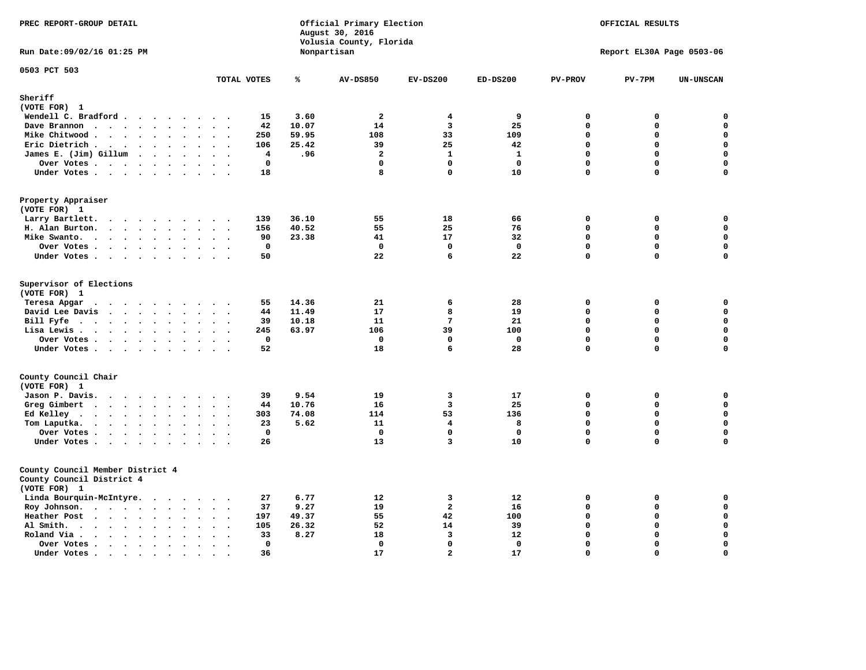| PREC REPORT-GROUP DETAIL                                                                                 |                                                                         |       | Official Primary Election<br>August 30, 2016<br>Volusia County, Florida | OFFICIAL RESULTS<br>Report EL30A Page 0503-06 |              |                |             |                  |
|----------------------------------------------------------------------------------------------------------|-------------------------------------------------------------------------|-------|-------------------------------------------------------------------------|-----------------------------------------------|--------------|----------------|-------------|------------------|
| Run Date: 09/02/16 01:25 PM                                                                              |                                                                         |       | Nonpartisan                                                             |                                               |              |                |             |                  |
| 0503 PCT 503                                                                                             | TOTAL VOTES                                                             | ℁     | <b>AV-DS850</b>                                                         | $EV-DS200$                                    | $ED-DS200$   | <b>PV-PROV</b> | $PV-7PM$    | <b>UN-UNSCAN</b> |
| Sheriff                                                                                                  |                                                                         |       |                                                                         |                                               |              |                |             |                  |
| (VOTE FOR) 1                                                                                             |                                                                         |       |                                                                         |                                               |              |                |             |                  |
| Wendell C. Bradford                                                                                      | 15                                                                      | 3.60  | $\overline{a}$                                                          | 4                                             | 9            | $\Omega$       | 0           | $\mathbf 0$      |
| Dave Brannon                                                                                             | 42                                                                      | 10.07 | 14                                                                      | $\overline{\mathbf{3}}$                       | 25           | $\Omega$       | 0           | 0                |
| Mike Chitwood                                                                                            | 250                                                                     | 59.95 | 108                                                                     | 33                                            | 109          | $\Omega$       | 0           | $\mathbf 0$      |
| Eric Dietrich.<br>$\cdots$                                                                               | 106                                                                     | 25.42 | 39                                                                      | 25                                            | 42           | $\mathbf 0$    | 0           | $\mathbf 0$      |
| James E. (Jim) Gillum                                                                                    | 4                                                                       | .96   | $\overline{a}$                                                          | $\mathbf{1}$                                  | $\mathbf{1}$ | $\mathbf 0$    | $\mathbf 0$ | $\mathbf 0$      |
| Over Votes                                                                                               | $\mathbf 0$                                                             |       | $\mathbf 0$                                                             | $\mathbf 0$                                   | $\mathbf 0$  | $\mathbf 0$    | 0           | $\mathbf 0$      |
| Under Votes                                                                                              | 18                                                                      |       | 8                                                                       | $\Omega$                                      | 10           | $\Omega$       | 0           | 0                |
| Property Appraiser<br>(VOTE FOR) 1                                                                       |                                                                         |       |                                                                         |                                               |              |                |             |                  |
| Larry Bartlett.                                                                                          | 139                                                                     | 36.10 | 55                                                                      | 18                                            | 66           | $\Omega$       | 0           | 0                |
| H. Alan Burton.                                                                                          | 156                                                                     | 40.52 | 55                                                                      | 25                                            | 76           | $\Omega$       | $\mathbf 0$ | $\mathbf 0$      |
| Mike Swanto.                                                                                             | 90<br>$\sim$ $\sim$                                                     | 23.38 | 41                                                                      | 17                                            | 32           | $\mathbf 0$    | $\mathbf 0$ | $\mathbf 0$      |
| Over Votes.                                                                                              | $\mathbf 0$                                                             |       | $\mathbf 0$                                                             | $\mathbf{0}$                                  | $\mathbf 0$  | $\mathbf 0$    | $\mathbf 0$ | $\mathbf 0$      |
| Under Votes                                                                                              | 50                                                                      |       | 22                                                                      | 6                                             | 22           | $\mathbf 0$    | $\mathbf 0$ | $\mathbf 0$      |
| Supervisor of Elections<br>(VOTE FOR) 1<br>Teresa Apgar<br>$\cdots$                                      | 55                                                                      | 14.36 | 21                                                                      | 6                                             | 28           | 0              | 0           | 0                |
| David Lee Davis                                                                                          | 44                                                                      | 11.49 | 17                                                                      | 8                                             | 19           | $\mathbf 0$    | 0           | 0                |
| Bill Fyfe. $\ldots$                                                                                      | 39<br>$\cdot$ $\cdot$ $\cdot$ $\cdot$                                   | 10.18 | 11                                                                      | 7                                             | 21           | $\mathbf 0$    | 0           | $\mathbf 0$      |
| Lisa Lewis                                                                                               | 245                                                                     | 63.97 | 106                                                                     | 39                                            | 100          | $\Omega$       | $\mathbf 0$ | $\mathbf 0$      |
| Over Votes                                                                                               | $\mathbf 0$                                                             |       | $\mathbf 0$                                                             | $\mathbf{0}$                                  | $\mathbf 0$  | $\mathbf 0$    | $\mathbf 0$ | $\mathbf 0$      |
| Under Votes                                                                                              | 52<br>$\ddot{\phantom{a}}$                                              |       | 18                                                                      | 6                                             | 28           | $\mathbf 0$    | 0           | $\mathbf 0$      |
| County Council Chair                                                                                     |                                                                         |       |                                                                         |                                               |              |                |             |                  |
| (VOTE FOR) 1                                                                                             |                                                                         |       |                                                                         |                                               |              |                |             |                  |
| Jason P. Davis.                                                                                          | 39<br>$\sim$ $\sim$                                                     | 9.54  | 19                                                                      | 3                                             | 17           | $\mathbf 0$    | 0           | $\mathbf 0$      |
| Greg Gimbert<br>$\mathbf{r}$ , and $\mathbf{r}$ , and $\mathbf{r}$ , and $\mathbf{r}$ , and $\mathbf{r}$ | 44                                                                      | 10.76 | 16                                                                      | $\overline{\mathbf{3}}$                       | 25           | $\mathbf 0$    | 0           | $\mathbf 0$      |
| Ed Kelley                                                                                                | 303                                                                     | 74.08 | 114                                                                     | 53                                            | 136          | $\mathbf 0$    | 0           | $\mathbf 0$      |
| Tom Laputka.<br>.                                                                                        | 23                                                                      | 5.62  | 11                                                                      | 4                                             | 8            | $\mathbf 0$    | 0           | $\mathbf 0$      |
| Over Votes                                                                                               | $^{\circ}$                                                              |       | $\Omega$                                                                | $\Omega$                                      | $\mathbf{0}$ | $\mathbf{0}$   | 0           | 0                |
| Under Votes<br>$\ddot{\phantom{0}}$                                                                      | 26<br>$\sim$<br>$\sim$ $\sim$                                           |       | 13                                                                      | $\overline{\mathbf{3}}$                       | 10           | $\Omega$       | 0           | $\Omega$         |
| County Council Member District 4<br>County Council District 4<br>(VOTE FOR) 1                            |                                                                         |       |                                                                         |                                               |              |                |             |                  |
| Linda Bourquin-McIntyre.                                                                                 | 27                                                                      | 6.77  | 12                                                                      | 3                                             | 12           | $\mathbf 0$    | 0           | 0                |
| Roy Johnson.                                                                                             | 37<br>$\ddot{\phantom{0}}$<br>$\sim$ $\sim$                             | 9.27  | 19                                                                      | $\overline{a}$                                | 16           | $\mathbf 0$    | 0           | $\mathbf 0$      |
| Heather Post                                                                                             | 197                                                                     | 49.37 | 55                                                                      | 42                                            | 100          | $\mathbf 0$    | 0           | $\mathbf 0$      |
| Al Smith.<br>$\bullet$                                                                                   | 105<br>$\ddot{\phantom{a}}$<br>$\mathbf{r}$<br>$\ddot{\phantom{a}}$     | 26.32 | 52                                                                      | 14                                            | 39           | $\mathbf 0$    | $\mathbf 0$ | $\mathbf 0$      |
| Roland Via .<br>$\cdot \cdot \cdot \cdot$<br>$\ddot{\phantom{a}}$<br>$\Delta$<br>$\ddot{\phantom{a}}$    | 33<br>$\ddot{\phantom{a}}$                                              | 8.27  | 18                                                                      | $\overline{3}$                                | 12           | $\Omega$       | $\mathbf 0$ | $\mathbf 0$      |
| Over Votes<br>$\sim$<br>$\ddot{\phantom{a}}$<br>$\ddot{\phantom{a}}$                                     | $\mathbf{0}$<br>$\ddot{\phantom{a}}$<br>$\ddot{\phantom{a}}$<br>$\cdot$ |       | $\mathbf 0$                                                             | $\Omega$                                      | $\mathbf{0}$ | $\Omega$       | $\mathbf 0$ | $\Omega$         |
| Under Votes.<br>$\cdots$<br>$\bullet$                                                                    | 36<br>$\bullet$                                                         |       | 17                                                                      | $\overline{2}$                                | 17           | $\Omega$       | $\Omega$    | $\mathbf 0$      |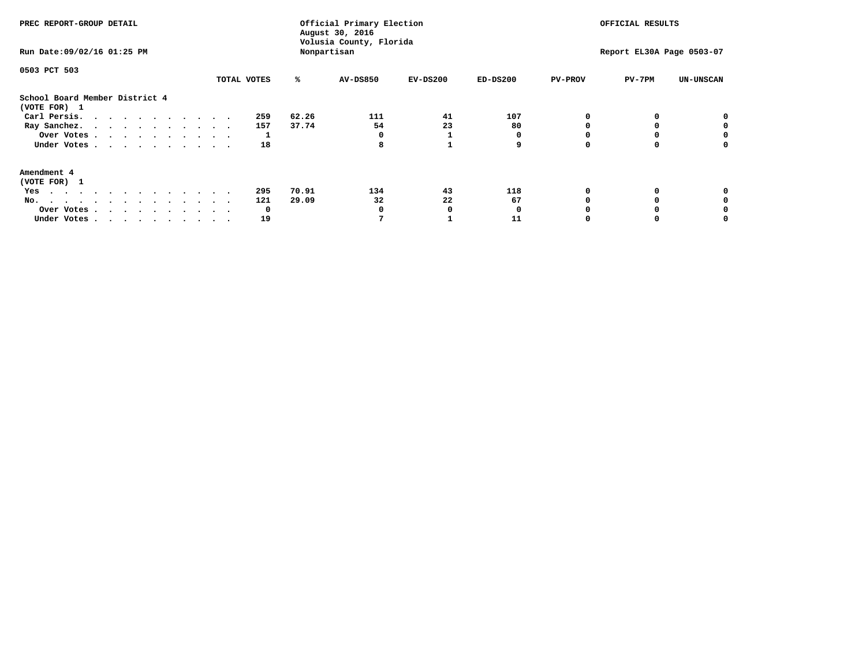| PREC REPORT-GROUP DETAIL<br>Run Date: 09/02/16 01:25 PM |             | Official Primary Election<br>August 30, 2016<br>Volusia County, Florida<br>Nonpartisan |                          | OFFICIAL RESULTS<br>Report EL30A Page 0503-07 |                  |  |
|---------------------------------------------------------|-------------|----------------------------------------------------------------------------------------|--------------------------|-----------------------------------------------|------------------|--|
| 0503 PCT 503                                            | TOTAL VOTES | %ะ<br><b>AV-DS850</b>                                                                  | $EV-DS200$<br>$ED-DS200$ | <b>PV-PROV</b><br>$PV-7PM$                    | <b>UN-UNSCAN</b> |  |
| School Board Member District 4<br>(VOTE FOR) 1          |             |                                                                                        |                          |                                               |                  |  |
| Carl Persis.                                            | 259         | 62.26<br>111                                                                           | 41<br>107                |                                               |                  |  |
| Ray Sanchez.                                            | 157         | 37.74<br>54                                                                            | 23<br>80                 |                                               |                  |  |
| Over Votes                                              |             |                                                                                        |                          |                                               |                  |  |
| Under Votes                                             | 18          | 8                                                                                      | 9                        | O<br>0                                        |                  |  |
| Amendment 4                                             |             |                                                                                        |                          |                                               |                  |  |
| (VOTE FOR) 1                                            |             |                                                                                        |                          |                                               |                  |  |
| Yes                                                     | 295         | 134<br>70.91                                                                           | 43<br>118                | O<br>0                                        |                  |  |
| No.                                                     | 121         | 29.09<br>32                                                                            | 22<br>67                 |                                               |                  |  |
| Over Votes                                              | 0           | 0                                                                                      | 0                        |                                               |                  |  |
| Under Votes                                             | 19          | 7                                                                                      | 11                       | O<br>0                                        |                  |  |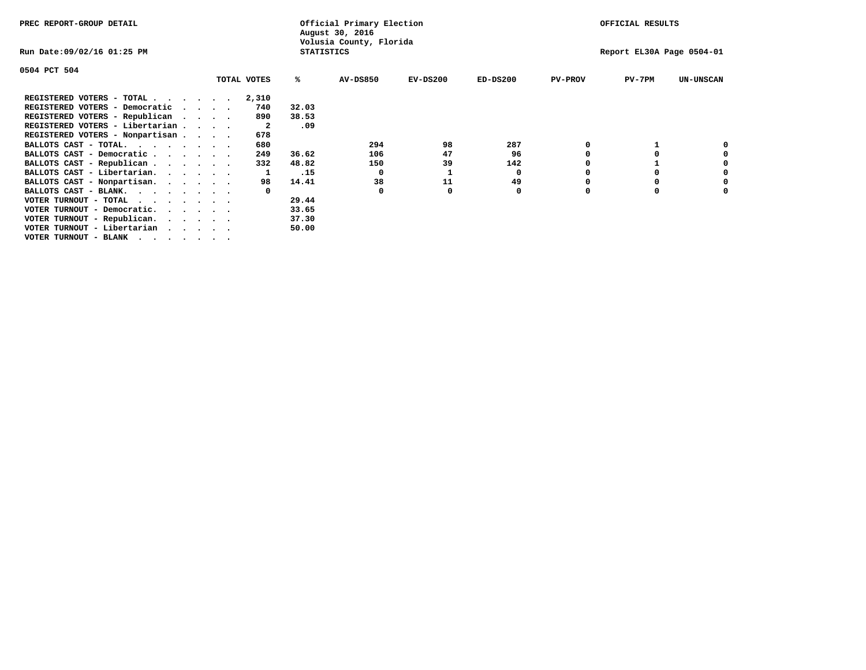| PREC REPORT-GROUP DETAIL                  |  |             |                   | Official Primary Election<br>August 30, 2016 |            | OFFICIAL RESULTS |                           |          |                  |  |
|-------------------------------------------|--|-------------|-------------------|----------------------------------------------|------------|------------------|---------------------------|----------|------------------|--|
| Run Date:09/02/16 01:25 PM                |  |             | <b>STATISTICS</b> | Volusia County, Florida                      |            |                  | Report EL30A Page 0504-01 |          |                  |  |
| 0504 PCT 504                              |  |             |                   |                                              |            |                  |                           |          |                  |  |
|                                           |  | TOTAL VOTES | ℁                 | <b>AV-DS850</b>                              | $EV-DS200$ | $ED-DS200$       | <b>PV-PROV</b>            | $PV-7PM$ | <b>UN-UNSCAN</b> |  |
| REGISTERED VOTERS - TOTAL                 |  | 2,310       |                   |                                              |            |                  |                           |          |                  |  |
| REGISTERED VOTERS - Democratic<br>$\cdot$ |  | 740         | 32.03             |                                              |            |                  |                           |          |                  |  |
| REGISTERED VOTERS - Republican            |  | 890         | 38.53             |                                              |            |                  |                           |          |                  |  |
| REGISTERED VOTERS - Libertarian           |  | -2          | .09               |                                              |            |                  |                           |          |                  |  |
| REGISTERED VOTERS - Nonpartisan           |  | 678         |                   |                                              |            |                  |                           |          |                  |  |
| BALLOTS CAST - TOTAL.                     |  | 680         |                   | 294                                          | 98         | 287              |                           |          |                  |  |
| BALLOTS CAST - Democratic                 |  | 249         | 36.62             | 106                                          | 47         | 96               |                           |          |                  |  |
| BALLOTS CAST - Republican                 |  | 332         | 48.82             | 150                                          | 39         | 142              |                           |          |                  |  |
| BALLOTS CAST - Libertarian.               |  |             | .15               | $\Omega$                                     |            | 0                |                           |          |                  |  |
| BALLOTS CAST - Nonpartisan.               |  | 98          | 14.41             | 38                                           | 11         | 49               |                           |          |                  |  |
| BALLOTS CAST - BLANK.                     |  |             |                   | $\Omega$                                     |            | 0                |                           |          |                  |  |
| VOTER TURNOUT - TOTAL<br>.                |  |             | 29.44             |                                              |            |                  |                           |          |                  |  |
| VOTER TURNOUT - Democratic.               |  |             | 33.65             |                                              |            |                  |                           |          |                  |  |
| VOTER TURNOUT - Republican.               |  |             | 37.30             |                                              |            |                  |                           |          |                  |  |
| VOTER TURNOUT - Libertarian               |  |             | 50.00             |                                              |            |                  |                           |          |                  |  |
| VOTER TURNOUT - BLANK                     |  |             |                   |                                              |            |                  |                           |          |                  |  |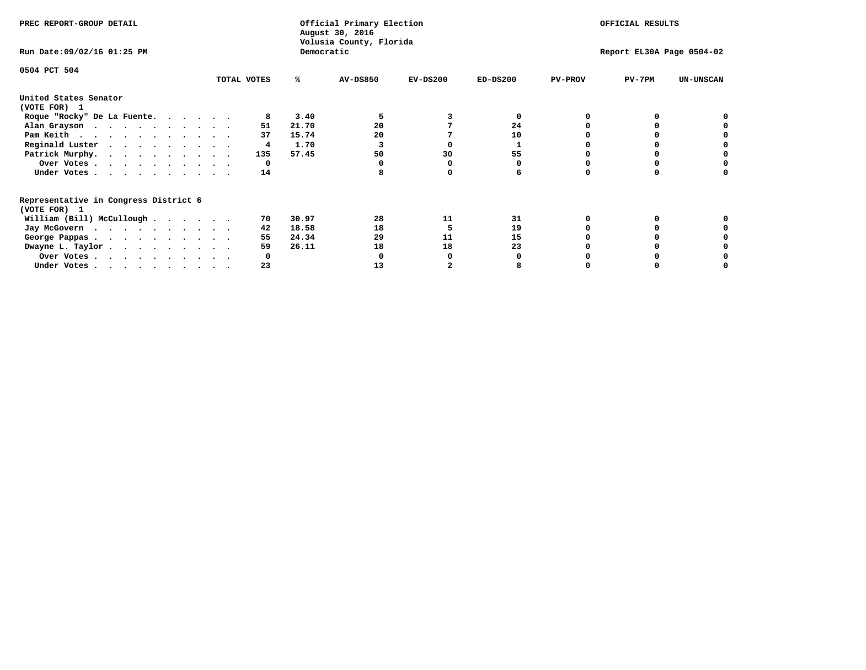| PREC REPORT-GROUP DETAIL                                               |             |       | Official Primary Election<br>August 30, 2016<br>Volusia County, Florida | OFFICIAL RESULTS |                           |                |          |                  |  |
|------------------------------------------------------------------------|-------------|-------|-------------------------------------------------------------------------|------------------|---------------------------|----------------|----------|------------------|--|
| Run Date: 09/02/16 01:25 PM                                            |             |       | Democratic                                                              |                  | Report EL30A Page 0504-02 |                |          |                  |  |
| 0504 PCT 504                                                           | TOTAL VOTES | ℁     | <b>AV-DS850</b>                                                         | $EV-DS200$       | $ED-DS200$                | <b>PV-PROV</b> | $PV-7PM$ | <b>UN-UNSCAN</b> |  |
|                                                                        |             |       |                                                                         |                  |                           |                |          |                  |  |
| United States Senator<br>(VOTE FOR) 1                                  |             |       |                                                                         |                  |                           |                |          |                  |  |
| Roque "Rocky" De La Fuente.                                            |             | 3.40  |                                                                         |                  | O                         |                |          |                  |  |
| Alan Grayson                                                           | 51          | 21.70 | 20                                                                      |                  | 24                        |                |          |                  |  |
| Pam Keith                                                              | 37          | 15.74 | 20                                                                      |                  | 10                        |                |          |                  |  |
| Reginald Luster                                                        | 4           | 1.70  |                                                                         |                  |                           |                |          |                  |  |
| Patrick Murphy.                                                        | 135         | 57.45 | 50                                                                      | 30               | 55                        |                |          |                  |  |
| Over Votes                                                             | 0           |       |                                                                         |                  |                           |                |          |                  |  |
| Under Votes                                                            | 14          |       |                                                                         |                  |                           |                |          |                  |  |
| Representative in Congress District 6                                  |             |       |                                                                         |                  |                           |                |          |                  |  |
| (VOTE FOR) 1                                                           |             |       |                                                                         |                  |                           |                |          |                  |  |
| William (Bill) McCullough $\cdots$ $\cdots$                            | 70.         | 30.97 | 28                                                                      | 11               | 31                        |                |          |                  |  |
| Jay McGovern                                                           | 42          | 18.58 | 18                                                                      |                  | 19                        |                |          |                  |  |
| George Pappas.                                                         | 55          | 24.34 | 29                                                                      | 11               | 15                        |                |          |                  |  |
| Dwayne L. Taylor.                                                      | 59          | 26.11 | 18                                                                      | 18               | 23                        |                |          |                  |  |
| Over Votes                                                             |             |       |                                                                         |                  |                           |                |          |                  |  |
| Under Votes, $\cdot$ , $\cdot$ , $\cdot$ , $\cdot$ , $\cdot$ , $\cdot$ | 23          |       | 13                                                                      |                  |                           |                |          |                  |  |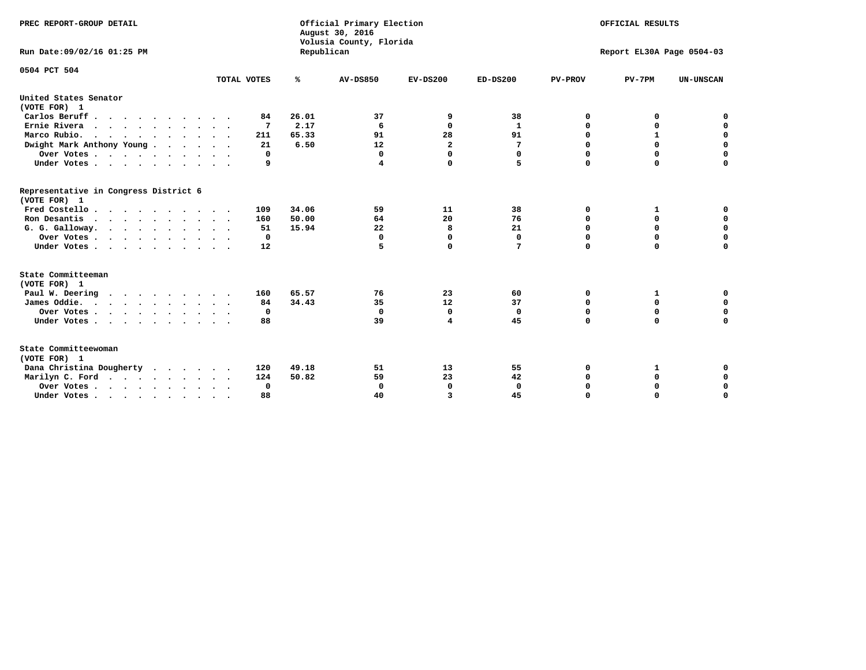| PREC REPORT-GROUP DETAIL<br>Run Date:09/02/16 01:25 PM |             | Republican | Official Primary Election<br>August 30, 2016<br>Volusia County, Florida | OFFICIAL RESULTS<br>Report EL30A Page 0504-03 |              |                |              |                  |
|--------------------------------------------------------|-------------|------------|-------------------------------------------------------------------------|-----------------------------------------------|--------------|----------------|--------------|------------------|
| 0504 PCT 504                                           | TOTAL VOTES | %          | AV-DS850                                                                | $EV-DS200$                                    | $ED-DS200$   | <b>PV-PROV</b> | $PV-7PM$     | <b>UN-UNSCAN</b> |
| United States Senator                                  |             |            |                                                                         |                                               |              |                |              |                  |
| (VOTE FOR) 1                                           |             |            |                                                                         |                                               |              |                |              |                  |
| Carlos Beruff                                          | 84          | 26.01      | 37                                                                      | 9                                             | 38           | 0              | 0            | 0                |
| Ernie Rivera                                           | 7           | 2.17       | 6                                                                       | 0                                             | 1            | 0              | 0            | $\mathbf 0$      |
| Marco Rubio.<br>$\cdots$                               | 211         | 65.33      | 91                                                                      | 28                                            | 91           | $\mathbf 0$    | $\mathbf{1}$ | $\mathbf 0$      |
| Dwight Mark Anthony Young                              | 21          | 6.50       | 12                                                                      | $\overline{\mathbf{2}}$                       | 7            | 0              | $\mathbf 0$  | $\mathbf 0$      |
| Over Votes $\ldots$ $\ldots$ $\ldots$ $\ldots$         | $\Omega$    |            | 0                                                                       | $\Omega$                                      | 0            | 0              | 0            | 0                |
| Under Votes                                            | 9           |            | 4                                                                       | 0                                             | 5            | $\mathbf 0$    | $\mathbf 0$  | $\mathbf 0$      |
| Representative in Congress District 6<br>(VOTE FOR) 1  |             |            |                                                                         |                                               |              |                |              |                  |
| Fred Costello                                          | 109         | 34.06      | 59                                                                      | 11                                            | 38           | 0              | 1            | 0                |
| Ron Desantis                                           | 160         | 50.00      | 64                                                                      | 20                                            | 76           | $\mathbf 0$    | $\mathbf 0$  | $\mathbf 0$      |
| G. G. Galloway.                                        | 51          | 15.94      | 22                                                                      | 8                                             | 21           | $\mathbf 0$    | $\Omega$     | $\mathbf 0$      |
| Over Votes                                             | 0           |            | 0                                                                       | 0                                             | 0            | 0              | 0            | 0                |
| Under Votes                                            | 12          |            | 5                                                                       | 0                                             | 7            | $\mathbf 0$    | $\mathbf 0$  | $\mathbf 0$      |
| State Committeeman                                     |             |            |                                                                         |                                               |              |                |              |                  |
| (VOTE FOR) 1<br>Paul W. Deering                        | 160         | 65.57      | 76                                                                      | 23                                            | 60           | 0              | 1            | 0                |
| James Oddie.                                           | 84          | 34.43      | 35                                                                      | 12                                            | 37           | 0              | $\mathbf 0$  | $\mathbf 0$      |
| Over Votes                                             | 0           |            | $\mathbf 0$                                                             | $\mathbf 0$                                   | $\mathbf 0$  | $\mathbf 0$    | $\mathbf 0$  | $\mathbf 0$      |
| Under Votes                                            | 88          |            | 39                                                                      | 4                                             | 45           | $\mathbf 0$    | $\mathbf 0$  | $\mathbf 0$      |
|                                                        |             |            |                                                                         |                                               |              |                |              |                  |
| State Committeewoman<br>(VOTE FOR) 1                   |             |            |                                                                         |                                               |              |                |              |                  |
| Dana Christina Dougherty<br>$\cdot$                    | 120         | 49.18      | 51                                                                      | 13                                            | 55           | 0              | 1            | 0                |
| Marilyn C. Ford                                        | 124         | 50.82      | 59                                                                      | 23                                            | 42           | 0              | 0            | 0                |
| Over Votes                                             | 0           |            | $\mathbf 0$                                                             | 0                                             | $\mathbf{0}$ | 0              | 0            | 0                |
| Under Votes, , , , , , , , , ,                         | 88          |            | 40                                                                      | 3                                             | 45           | $\Omega$       | $\Omega$     | $\Omega$         |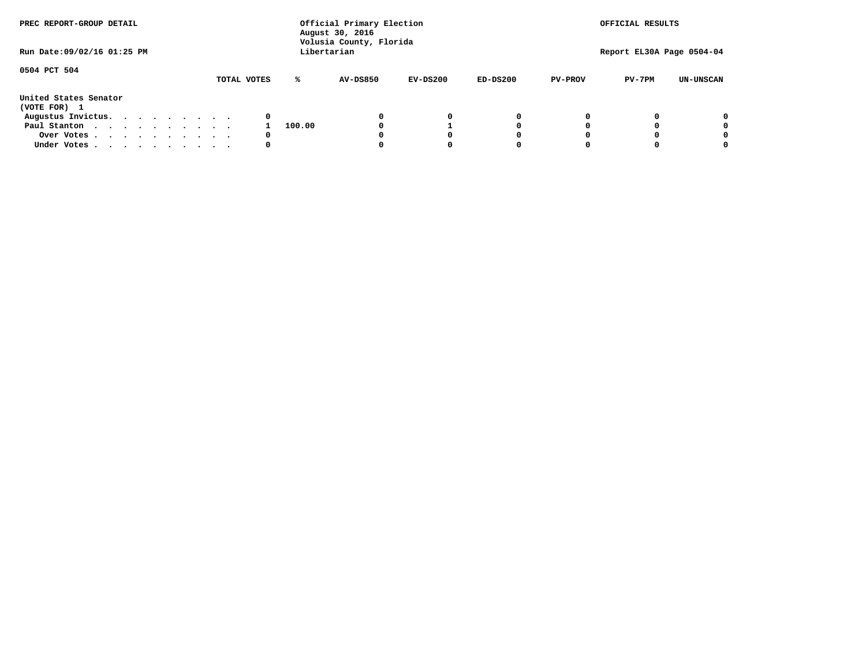| PREC REPORT-GROUP DETAIL<br>Run Date: 09/02/16 01:25 PM |  |  |  |  |             |        | Official Primary Election<br>August 30, 2016<br>Volusia County, Florida<br>Libertarian |            |            |                | OFFICIAL RESULTS<br>Report EL30A Page 0504-04 |                  |
|---------------------------------------------------------|--|--|--|--|-------------|--------|----------------------------------------------------------------------------------------|------------|------------|----------------|-----------------------------------------------|------------------|
|                                                         |  |  |  |  |             |        |                                                                                        |            |            |                |                                               |                  |
| 0504 PCT 504                                            |  |  |  |  | TOTAL VOTES | ℁      | <b>AV-DS850</b>                                                                        | $EV-DS200$ | $ED-DS200$ | <b>PV-PROV</b> | $PV-7PM$                                      | <b>UN-UNSCAN</b> |
| United States Senator<br>(VOTE FOR) 1                   |  |  |  |  |             |        |                                                                                        |            |            |                |                                               |                  |
| Augustus Invictus.                                      |  |  |  |  | 0           |        |                                                                                        | 0          | 0          |                |                                               | 0                |
| Paul Stanton                                            |  |  |  |  |             | 100.00 |                                                                                        |            | 0          |                |                                               | 0                |
| Over Votes                                              |  |  |  |  | 0           |        |                                                                                        |            | 0          |                |                                               | 0                |
| Under Votes                                             |  |  |  |  | 0           |        |                                                                                        |            | 0          |                |                                               | 0                |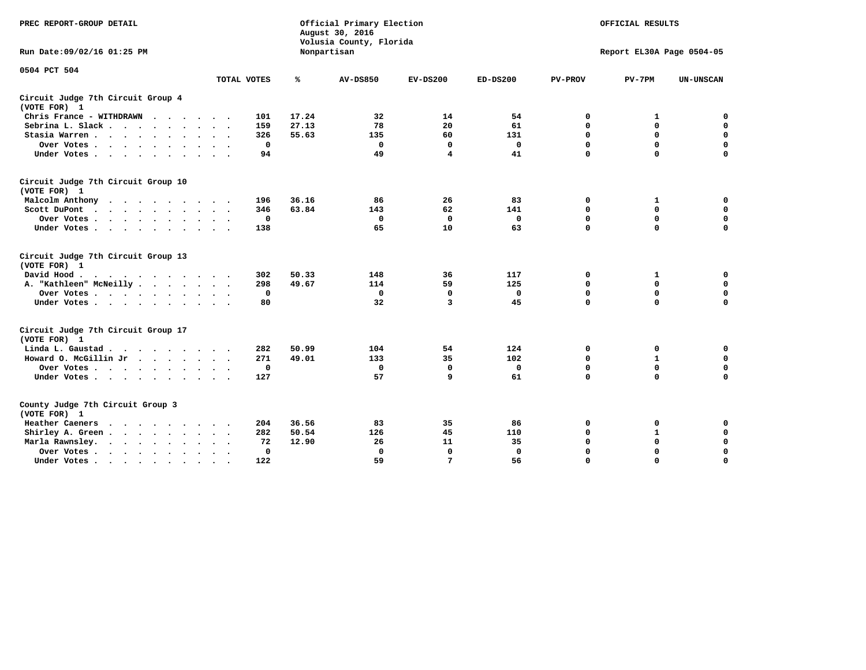| PREC REPORT-GROUP DETAIL                                   |             | Official Primary Election<br>August 30, 2016<br>Volusia County, Florida |                 | OFFICIAL RESULTS<br>Report EL30A Page 0504-05 |              |                |              |                  |
|------------------------------------------------------------|-------------|-------------------------------------------------------------------------|-----------------|-----------------------------------------------|--------------|----------------|--------------|------------------|
| Run Date: 09/02/16 01:25 PM                                |             |                                                                         | Nonpartisan     |                                               |              |                |              |                  |
| 0504 PCT 504                                               |             |                                                                         |                 |                                               |              |                |              |                  |
|                                                            | TOTAL VOTES | %                                                                       | <b>AV-DS850</b> | $EV-DS200$                                    | $ED-DS200$   | <b>PV-PROV</b> | $PV-7PM$     | <b>UN-UNSCAN</b> |
| Circuit Judge 7th Circuit Group 4<br>(VOTE FOR) 1          |             |                                                                         |                 |                                               |              |                |              |                  |
| Chris France - WITHDRAWN                                   | 101         | 17.24                                                                   | 32              | 14                                            | 54           | 0              | 1            | 0                |
| Sebrina L. Slack                                           | 159         | 27.13                                                                   | 78              | 20                                            | 61           | $\mathbf 0$    | $\mathbf 0$  | $\mathbf 0$      |
| Stasia Warren<br>$\sim$ $\sim$                             | 326         | 55.63                                                                   | 135             | 60                                            | 131          | $\mathbf 0$    | $\Omega$     | $\mathbf 0$      |
| Over Votes                                                 | 0           |                                                                         | 0               | 0                                             | $\mathbf{0}$ | $\mathbf 0$    | $\mathbf 0$  | $\mathbf 0$      |
| Under Votes                                                | 94          |                                                                         | 49              | $\overline{\mathbf{4}}$                       | 41           | $\mathbf 0$    | $\Omega$     | $\mathbf 0$      |
| Circuit Judge 7th Circuit Group 10<br>(VOTE FOR) 1         |             |                                                                         |                 |                                               |              |                |              |                  |
| Malcolm Anthony<br>.                                       | 196         | 36.16                                                                   | 86              | 26                                            | 83           | 0              | 1            | 0                |
| Scott DuPont                                               | 346         | 63.84                                                                   | 143             | 62                                            | 141          | $\mathbf 0$    | $\mathbf 0$  | $\mathbf 0$      |
| Over Votes<br>$\bullet$                                    | 0           |                                                                         | $\mathbf 0$     | $\mathbf 0$                                   | $\mathbf 0$  | $\mathbf 0$    | $\mathbf 0$  | $\mathbf 0$      |
| Under Votes                                                | 138         |                                                                         | 65              | 10                                            | 63           | $\mathbf 0$    | $\Omega$     | $\Omega$         |
| Circuit Judge 7th Circuit Group 13<br>(VOTE FOR) 1         |             |                                                                         |                 |                                               |              |                |              |                  |
| David Hood.                                                | 302         | 50.33                                                                   | 148             | 36                                            | 117          | 0              | 1            | 0                |
| A. "Kathleen" McNeilly                                     | 298         | 49.67                                                                   | 114             | 59                                            | 125          | $\Omega$       | $\Omega$     | $\mathbf 0$      |
| Over Votes                                                 | $\mathbf 0$ |                                                                         | $\mathbf 0$     | $\mathbf 0$                                   | 0            | 0              | $\mathbf 0$  | $\mathbf 0$      |
| Under Votes                                                | 80          |                                                                         | 32              | 3                                             | 45           | $\mathbf 0$    | $\Omega$     | 0                |
| Circuit Judge 7th Circuit Group 17<br>(VOTE FOR) 1         |             |                                                                         |                 |                                               |              |                |              |                  |
| Linda L. Gaustad                                           | 282         | 50.99                                                                   | 104             | 54                                            | 124          | 0              | 0            | $\mathbf 0$      |
| Howard O. McGillin Jr<br>$\cdots$                          | 271         | 49.01                                                                   | 133             | 35                                            | 102          | 0              | $\mathbf{1}$ | 0                |
| Over Votes                                                 | $\mathbf 0$ |                                                                         | $\Omega$        | $\mathbf{0}$                                  | $\mathbf 0$  | $\mathbf 0$    | $\mathbf{0}$ | $\mathbf 0$      |
| Under Votes                                                | 127         |                                                                         | 57              | 9                                             | 61           | $\mathbf 0$    | $\mathbf 0$  | $\Omega$         |
| County Judge 7th Circuit Group 3<br>(VOTE FOR) 1           |             |                                                                         |                 |                                               |              |                |              |                  |
| Heather Caeners<br>$\cdot$                                 | 204         | 36.56                                                                   | 83              | 35                                            | 86           | 0              | 0            | 0                |
| Shirley A. Green                                           | 282         | 50.54                                                                   | 126             | 45                                            | 110          | $\mathbf 0$    | $\mathbf{1}$ | $\mathbf 0$      |
| Marla Rawnsley.<br>$\cdot$ $\cdot$ $\cdot$ $\cdot$ $\cdot$ | 72          | 12.90                                                                   | 26              | 11                                            | 35           | 0              | $\mathbf 0$  | $\pmb{0}$        |
| Over Votes.<br>$\cdots$<br>$\cdot$<br>$\ddot{\phantom{a}}$ | 0           |                                                                         | $\mathbf 0$     | $\mathbf{0}$                                  | 0            | $\mathbf 0$    | $\Omega$     | $\mathbf 0$      |
| Under Votes<br>$\sim$<br>$\sim$                            | 122         |                                                                         | 59              | 7                                             | 56           | $\mathbf 0$    | $\mathbf 0$  | 0                |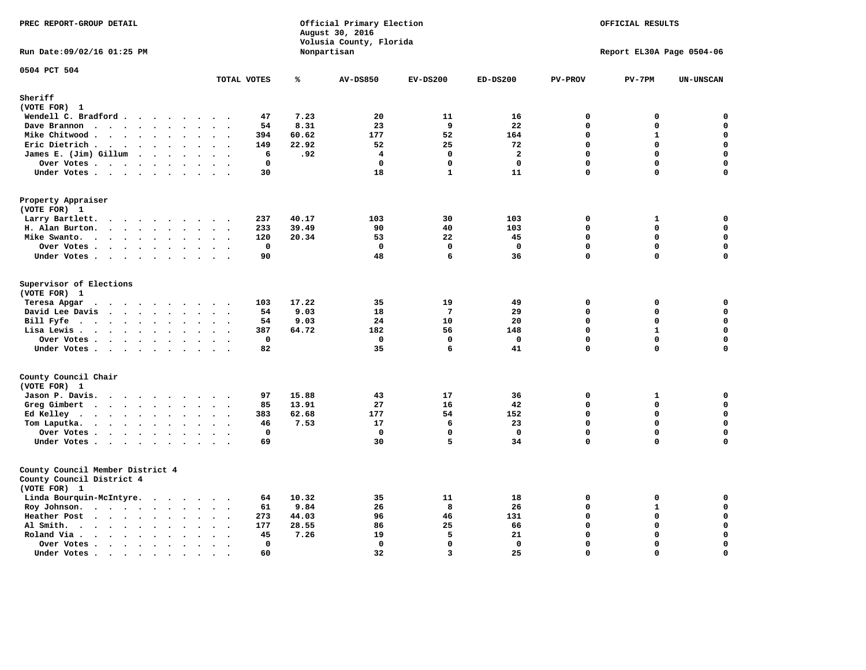| PREC REPORT-GROUP DETAIL                                                                                                                                               |                                                                               |                | Official Primary Election<br>August 30, 2016<br>Volusia County, Florida | OFFICIAL RESULTS<br>Report EL30A Page 0504-06 |                |                            |              |                            |
|------------------------------------------------------------------------------------------------------------------------------------------------------------------------|-------------------------------------------------------------------------------|----------------|-------------------------------------------------------------------------|-----------------------------------------------|----------------|----------------------------|--------------|----------------------------|
| Run Date: 09/02/16 01:25 PM                                                                                                                                            |                                                                               |                | Nonpartisan                                                             |                                               |                |                            |              |                            |
| 0504 PCT 504                                                                                                                                                           | TOTAL VOTES                                                                   | ℁              | <b>AV-DS850</b>                                                         | $EV-DS200$                                    | $ED-DS200$     | <b>PV-PROV</b>             | $PV-7PM$     | <b>UN-UNSCAN</b>           |
| Sheriff                                                                                                                                                                |                                                                               |                |                                                                         |                                               |                |                            |              |                            |
| (VOTE FOR) 1                                                                                                                                                           |                                                                               |                |                                                                         |                                               |                |                            |              |                            |
| Wendell C. Bradford                                                                                                                                                    | 47                                                                            | 7.23           | 20                                                                      | 11                                            | 16             | $\Omega$                   | 0            | $\mathbf 0$                |
| Dave Brannon                                                                                                                                                           | 54<br>$\cdot$ .                                                               | 8.31           | 23                                                                      | 9                                             | 22             | $\mathbf 0$                | 0            | $\mathbf 0$                |
| Mike Chitwood                                                                                                                                                          | 394                                                                           | 60.62          | 177                                                                     | 52                                            | 164            | $\mathbf 0$                | $\mathbf{1}$ | $\mathbf 0$                |
| Eric Dietrich.<br>$\cdots$                                                                                                                                             | 149<br>$\sim$<br>$\ddot{\phantom{a}}$                                         | 22.92          | 52                                                                      | 25                                            | 72             | $\mathbf 0$                | $\mathbf 0$  | $\mathbf 0$                |
| James E. (Jim) Gillum                                                                                                                                                  | 6                                                                             | .92            | 4                                                                       | $\Omega$                                      | $\overline{2}$ | $\Omega$                   | $\mathbf 0$  | $\mathbf 0$                |
| Over Votes                                                                                                                                                             | $\mathbf 0$                                                                   |                | $\mathbf{0}$                                                            | $\mathbf 0$                                   | $\mathbf{0}$   | $\mathbf{0}$               | 0            | $\mathbf 0$                |
| Under Votes                                                                                                                                                            | 30                                                                            |                | 18                                                                      | $\mathbf{1}$                                  | 11             | $\Omega$                   | 0            | 0                          |
| Property Appraiser<br>(VOTE FOR) 1                                                                                                                                     |                                                                               |                |                                                                         |                                               |                |                            |              |                            |
| Larry Bartlett.                                                                                                                                                        | 237<br>$\sim$                                                                 | 40.17          | 103                                                                     | 30                                            | 103            | $\mathbf 0$                | $\mathbf{1}$ | 0                          |
| H. Alan Burton.                                                                                                                                                        | 233<br>$\sim$ $\sim$                                                          | 39.49          | 90                                                                      | 40                                            | 103            | $\Omega$                   | 0            | $\mathbf 0$                |
| Mike Swanto.<br>$\sim$                                                                                                                                                 | 120<br>$\ddot{\phantom{a}}$<br>$\bullet$ .<br>$\ddot{\phantom{1}}$            | 20.34          | 53                                                                      | 22                                            | 45             | $\mathbf 0$                | 0            | $\mathbf 0$                |
| Over Votes                                                                                                                                                             | $\mathbf 0$                                                                   |                | $\Omega$                                                                | $\Omega$                                      | $\mathbf 0$    | $\mathbf 0$                | $\mathbf 0$  | $\mathbf 0$                |
| Under Votes                                                                                                                                                            | 90                                                                            |                | 48                                                                      | 6                                             | 36             | $\mathbf{0}$               | $\mathbf 0$  | $\Omega$                   |
|                                                                                                                                                                        |                                                                               |                |                                                                         |                                               |                |                            |              |                            |
| Supervisor of Elections<br>(VOTE FOR) 1                                                                                                                                |                                                                               |                |                                                                         |                                               |                |                            |              |                            |
| Teresa Apgar<br>.                                                                                                                                                      | 103                                                                           | 17.22          | 35                                                                      | 19                                            | 49             | 0                          | 0            | $\mathbf 0$                |
| David Lee Davis                                                                                                                                                        | 54                                                                            | 9.03           | 18                                                                      | $7\phantom{.0}$                               | 29             | $\Omega$                   | 0            | $\mathbf 0$                |
| Bill Fyfe. $\ldots$                                                                                                                                                    | 54                                                                            | 9.03           | 24                                                                      | 10                                            | 20             | $\mathbf{0}$               | 0            | $\mathbf 0$                |
| Lisa Lewis                                                                                                                                                             | 387                                                                           | 64.72          | 182                                                                     | 56                                            | 148            | $\mathbf 0$                | $\mathbf{1}$ | 0                          |
| Over Votes                                                                                                                                                             | $\mathbf 0$<br>$\sim$                                                         |                | $\mathbf 0$                                                             | $\mathbf 0$                                   | $\mathbf 0$    | $\mathbf 0$                | $\mathbf 0$  | $\mathsf{o}\,$             |
| Under Votes                                                                                                                                                            | 82                                                                            |                | 35                                                                      | 6                                             | 41             | $\mathbf 0$                | 0            | $\mathbf 0$                |
| County Council Chair                                                                                                                                                   |                                                                               |                |                                                                         |                                               |                |                            |              |                            |
| (VOTE FOR) 1                                                                                                                                                           |                                                                               |                |                                                                         |                                               |                |                            |              |                            |
| Jason P. Davis.<br>Greg Gimbert                                                                                                                                        | 97<br>85                                                                      | 15.88<br>13.91 | 43<br>27                                                                | 17<br>16                                      | 36<br>42       | $\mathbf 0$<br>$\mathbf 0$ | 1<br>0       | $\mathbf 0$<br>$\mathbf 0$ |
| $\mathbf{r}$ , and $\mathbf{r}$ , and $\mathbf{r}$ , and $\mathbf{r}$ , and $\mathbf{r}$<br>Ed Kelley                                                                  | 383                                                                           | 62.68          | 177                                                                     | 54                                            | 152            | $\mathbf 0$                | $\mathbf 0$  | $\mathbf 0$                |
| Tom Laputka.<br>$\mathbf{r}$ , and $\mathbf{r}$ , and $\mathbf{r}$ , and $\mathbf{r}$                                                                                  | $\cdot$ $\cdot$ $\cdot$ $\cdot$<br>46                                         | 7.53           | 17                                                                      | 6                                             | 23             | $\Omega$                   | $\mathbf 0$  | 0                          |
| $\ddot{\phantom{a}}$<br>Over Votes                                                                                                                                     | $\Omega$<br>$\sim$ $\sim$ $\sim$                                              |                | $\Omega$                                                                | $\Omega$                                      | $\mathbf 0$    | $\mathbf{0}$               | 0            | 0                          |
| Under Votes<br>$\ddot{\phantom{a}}$                                                                                                                                    | 69<br>$\ddot{\phantom{0}}$                                                    |                | 30                                                                      | 5                                             | 34             | $\mathbf 0$                | 0            | $\Omega$                   |
|                                                                                                                                                                        |                                                                               |                |                                                                         |                                               |                |                            |              |                            |
| County Council Member District 4<br>County Council District 4<br>(VOTE FOR) 1                                                                                          |                                                                               |                |                                                                         |                                               |                |                            |              |                            |
| Linda Bourquin-McIntyre.                                                                                                                                               | 64                                                                            | 10.32          | 35                                                                      | 11                                            | 18             | 0                          | 0            | 0                          |
| Roy Johnson.<br>$\bullet$                                                                                                                                              | 61<br>$\sim$<br>$\sim$ $\sim$                                                 | 9.84           | 26                                                                      | 8                                             | 26             | $\mathbf 0$                | $\mathbf{1}$ | $\pmb{0}$                  |
| Heather Post                                                                                                                                                           | 273                                                                           | 44.03          | 96                                                                      | 46                                            | 131            | $\mathbf 0$                | $\mathbf 0$  | $\mathbf 0$                |
| Al Smith.<br>$\langle \cdot \rangle$                                                                                                                                   | 177<br>$\bullet$                                                              | 28.55          | 86                                                                      | 25                                            | 66             | $\Omega$                   | $\Omega$     | $\mathbf 0$                |
| Roland Via .<br>$\mathcal{L}^{\text{max}}$ , and $\mathcal{L}^{\text{max}}$ , and $\mathcal{L}^{\text{max}}$<br>$\sim$<br>$\ddot{\phantom{a}}$<br>$\ddot{\phantom{a}}$ | 45                                                                            | 7.26           | 19                                                                      | 5                                             | 21             | $\Omega$                   | 0            | $\mathbf 0$                |
| Over Votes<br>$\ddot{\phantom{a}}$                                                                                                                                     | $\mathbf{0}$<br>$\ddot{\phantom{a}}$<br>$\bullet$<br>$\overline{\phantom{a}}$ |                | $\mathbf 0$                                                             | $\mathbf 0$                                   | $\mathbf 0$    | $\mathbf 0$                | 0            | $\mathbf 0$                |
| Under Votes .<br>.                                                                                                                                                     | 60<br>$\bullet$<br>$\bullet$                                                  |                | 32                                                                      | $\overline{3}$                                | 25             | $\Omega$                   | 0            | $\mathbf 0$                |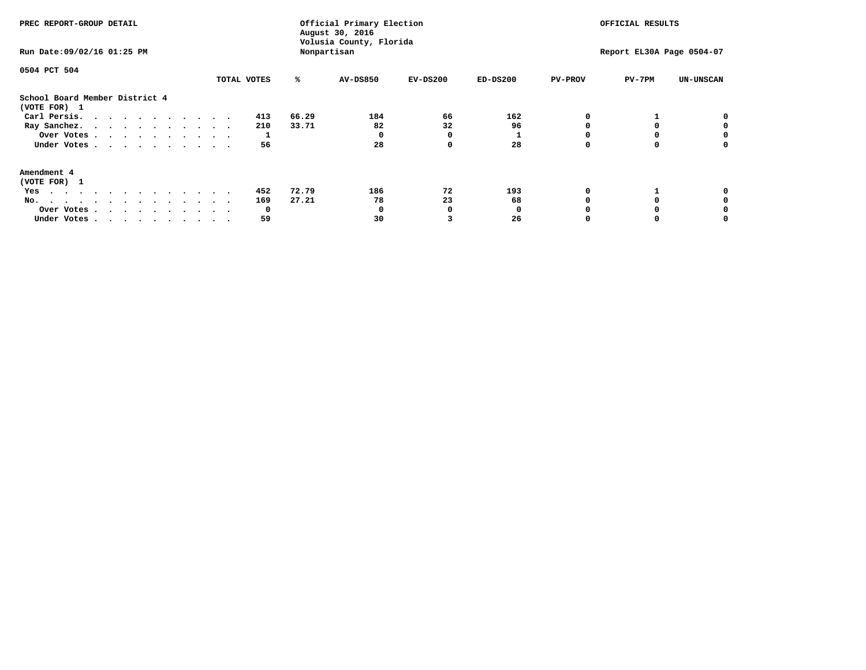| PREC REPORT-GROUP DETAIL<br>Run Date: 09/02/16 01:25 PM                                                                                                                                                                                  |             | Official Primary Election<br>August 30, 2016<br>Volusia County, Florida<br>Nonpartisan | OFFICIAL RESULTS<br>Report EL30A Page 0504-07 |            |            |                |          |                  |
|------------------------------------------------------------------------------------------------------------------------------------------------------------------------------------------------------------------------------------------|-------------|----------------------------------------------------------------------------------------|-----------------------------------------------|------------|------------|----------------|----------|------------------|
| 0504 PCT 504                                                                                                                                                                                                                             | TOTAL VOTES | ℁                                                                                      | <b>AV-DS850</b>                               | $EV-DS200$ | $ED-DS200$ | <b>PV-PROV</b> | $PV-7PM$ | <b>UN-UNSCAN</b> |
| School Board Member District 4<br>(VOTE FOR) 1                                                                                                                                                                                           |             |                                                                                        |                                               |            |            |                |          |                  |
| Carl Persis.                                                                                                                                                                                                                             | 413         | 66.29                                                                                  | 184                                           | 66         | 162        |                |          | 0                |
| Ray Sanchez.                                                                                                                                                                                                                             | 210         | 33.71                                                                                  | 82                                            | 32         | 96         |                |          |                  |
| Over Votes                                                                                                                                                                                                                               |             |                                                                                        |                                               | 0          |            |                |          | 0                |
| Under Votes                                                                                                                                                                                                                              | 56          |                                                                                        | 28                                            | $\Omega$   | 28         |                |          | 0                |
| Amendment 4                                                                                                                                                                                                                              |             |                                                                                        |                                               |            |            |                |          |                  |
| (VOTE FOR) 1                                                                                                                                                                                                                             |             |                                                                                        |                                               |            |            |                |          |                  |
| Yes<br>$\mathbf{a}$ . The contribution of the contribution of the contribution of the contribution of the contribution of the contribution of the contribution of the contribution of the contribution of the contribution of the contri | 452         | 72.79                                                                                  | 186                                           | 72         | 193        |                |          |                  |
| No.<br>.                                                                                                                                                                                                                                 | 169         | 27.21                                                                                  | 78                                            | 23         | 68         |                |          |                  |
| Over Votes                                                                                                                                                                                                                               | O           |                                                                                        |                                               |            |            |                |          |                  |
| Under Votes                                                                                                                                                                                                                              | 59          |                                                                                        | 30                                            |            | 26         |                |          |                  |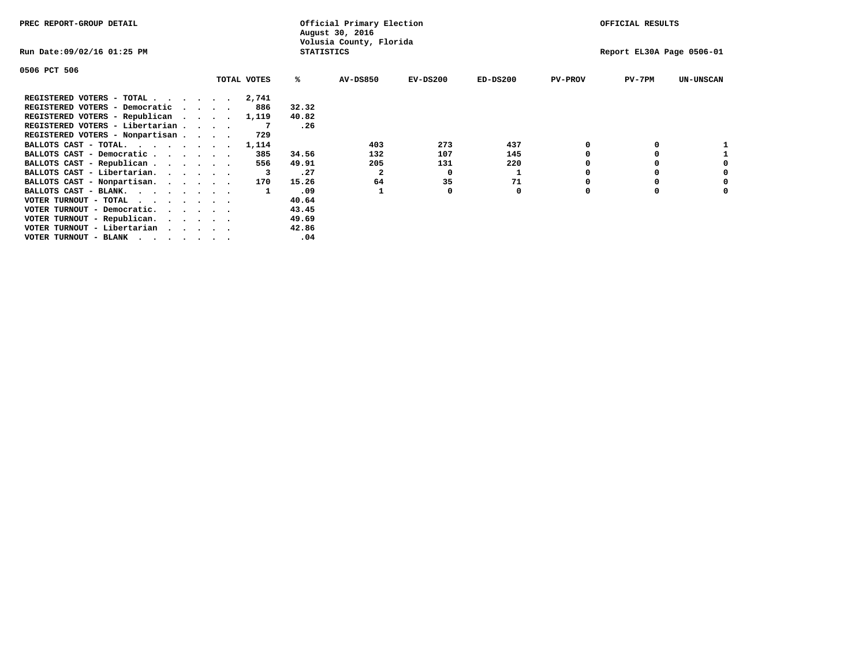| PREC REPORT-GROUP DETAIL                                                                                                                 |                             | Official Primary Election<br>August 30, 2016 |                   |                         | OFFICIAL RESULTS |                           |                |          |                  |
|------------------------------------------------------------------------------------------------------------------------------------------|-----------------------------|----------------------------------------------|-------------------|-------------------------|------------------|---------------------------|----------------|----------|------------------|
| Run Date:09/02/16 01:25 PM                                                                                                               |                             |                                              | <b>STATISTICS</b> | Volusia County, Florida |                  | Report EL30A Page 0506-01 |                |          |                  |
| 0506 PCT 506                                                                                                                             |                             |                                              |                   |                         |                  |                           |                |          |                  |
|                                                                                                                                          |                             | TOTAL VOTES                                  | ℁                 | <b>AV-DS850</b>         | $EV-DS200$       | $ED-DS200$                | <b>PV-PROV</b> | $PV-7PM$ | <b>UN-UNSCAN</b> |
| REGISTERED VOTERS - TOTAL $\cdot$ $\cdot$ $\cdot$ $\cdot$ $\cdot$ $\cdot$                                                                |                             | 2,741                                        |                   |                         |                  |                           |                |          |                  |
| REGISTERED VOTERS - Democratic                                                                                                           | $\sim$ $\sim$ $\sim$ $\sim$ | 886                                          | 32.32             |                         |                  |                           |                |          |                  |
| REGISTERED VOTERS - Republican                                                                                                           |                             | 1,119                                        | 40.82             |                         |                  |                           |                |          |                  |
| REGISTERED VOTERS - Libertarian                                                                                                          |                             |                                              | .26               |                         |                  |                           |                |          |                  |
| REGISTERED VOTERS - Nonpartisan                                                                                                          |                             | 729                                          |                   |                         |                  |                           |                |          |                  |
| BALLOTS CAST - TOTAL.                                                                                                                    |                             | 1,114                                        |                   | 403                     | 273              | 437                       |                |          |                  |
| BALLOTS CAST - Democratic                                                                                                                |                             | 385                                          | 34.56             | 132                     | 107              | 145                       |                |          |                  |
| BALLOTS CAST - Republican                                                                                                                |                             | 556                                          | 49.91             | 205                     | 131              | 220                       |                |          |                  |
| BALLOTS CAST - Libertarian.                                                                                                              |                             |                                              | .27               | 2                       | 0                |                           |                |          |                  |
| BALLOTS CAST - Nonpartisan.                                                                                                              |                             | 170                                          | 15.26             | 64                      | 35               | 71                        |                |          | 0                |
| BALLOTS CAST - BLANK.                                                                                                                    |                             |                                              | .09               |                         | O                | 0                         | O              | $\Omega$ |                  |
| VOTER TURNOUT - TOTAL<br>.                                                                                                               |                             |                                              | 40.64             |                         |                  |                           |                |          |                  |
| VOTER TURNOUT - Democratic.                                                                                                              |                             |                                              | 43.45             |                         |                  |                           |                |          |                  |
| VOTER TURNOUT - Republican.                                                                                                              |                             |                                              | 49.69             |                         |                  |                           |                |          |                  |
| VOTER TURNOUT - Libertarian                                                                                                              |                             |                                              | 42.86             |                         |                  |                           |                |          |                  |
| VOTER TURNOUT - BLANK<br>the contract of the contract of the contract of the contract of the contract of the contract of the contract of |                             |                                              | .04               |                         |                  |                           |                |          |                  |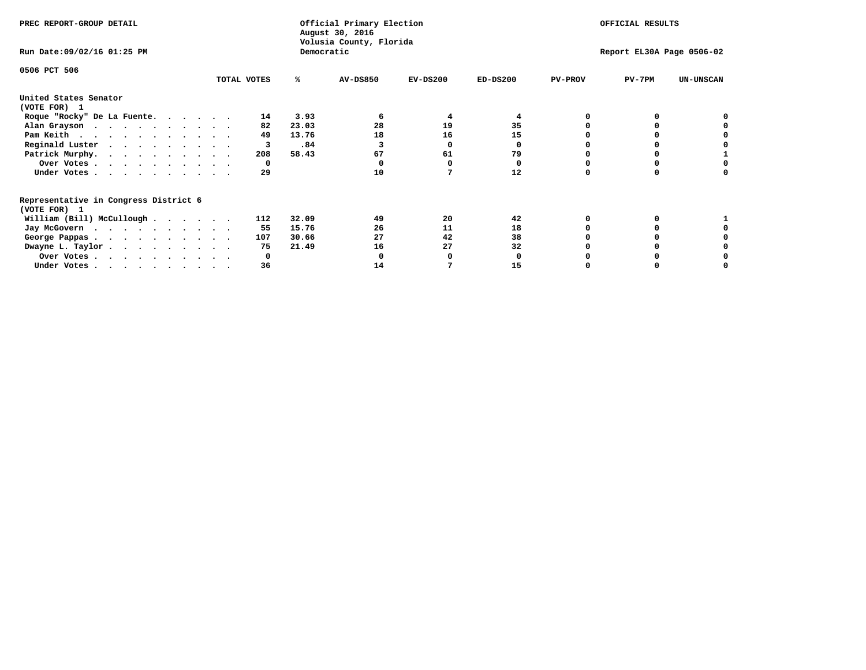| PREC REPORT-GROUP DETAIL                                               |             |       | Official Primary Election<br>August 30, 2016<br>Volusia County, Florida |            | OFFICIAL RESULTS |                |                           |                  |
|------------------------------------------------------------------------|-------------|-------|-------------------------------------------------------------------------|------------|------------------|----------------|---------------------------|------------------|
| Run Date: 09/02/16 01:25 PM                                            |             |       | Democratic                                                              |            |                  |                | Report EL30A Page 0506-02 |                  |
| 0506 PCT 506                                                           |             |       |                                                                         |            |                  |                |                           |                  |
|                                                                        | TOTAL VOTES | ℁     | <b>AV-DS850</b>                                                         | $EV-DS200$ | $ED-DS200$       | <b>PV-PROV</b> | $PV-7PM$                  | <b>UN-UNSCAN</b> |
| United States Senator<br>(VOTE FOR) 1                                  |             |       |                                                                         |            |                  |                |                           |                  |
| Roque "Rocky" De La Fuente.                                            | 14          | 3.93  | 6                                                                       | 4          |                  |                |                           |                  |
| Alan Grayson                                                           | 82          | 23.03 | 28                                                                      | 19         | 35               |                |                           |                  |
| Pam Keith                                                              | 49          | 13.76 | 18                                                                      | 16         | 15               |                |                           |                  |
| Reginald Luster                                                        | 3           | .84   |                                                                         | O          | 0                |                |                           |                  |
| Patrick Murphy.                                                        | 208         | 58.43 | 67                                                                      | 61         | 79               |                |                           |                  |
| Over Votes                                                             | 0           |       |                                                                         |            | 0                |                |                           |                  |
| Under Votes.                                                           | 29          |       | 10                                                                      |            | 12               |                |                           |                  |
| Representative in Congress District 6                                  |             |       |                                                                         |            |                  |                |                           |                  |
| (VOTE FOR) 1<br>William (Bill) McCullough                              | 112         | 32.09 | 49                                                                      | 20         | 42               |                |                           |                  |
|                                                                        | 55          | 15.76 | 26                                                                      | 11         | 18               |                |                           |                  |
| Jay McGovern                                                           |             |       |                                                                         |            |                  |                |                           |                  |
| George Pappas.                                                         | 107         | 30.66 | 27                                                                      | 42         | 38               |                |                           |                  |
| Dwayne L. Taylor.                                                      | 75          | 21.49 | 16                                                                      | 27         | 32               |                |                           |                  |
| Over Votes                                                             |             |       |                                                                         |            |                  |                |                           |                  |
| Under Votes, $\cdot$ , $\cdot$ , $\cdot$ , $\cdot$ , $\cdot$ , $\cdot$ | 36          |       | 14                                                                      |            | 15               |                |                           |                  |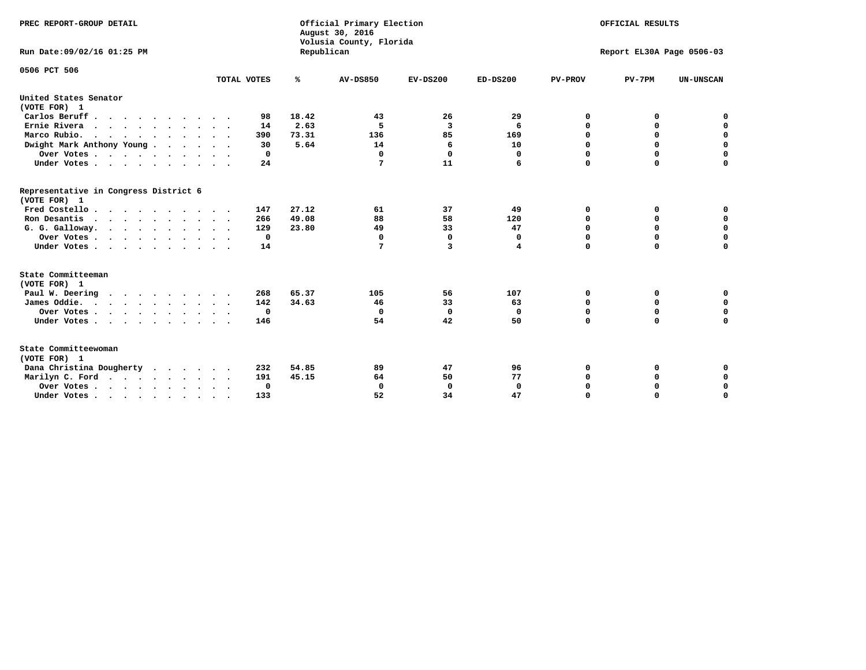| PREC REPORT-GROUP DETAIL<br>Run Date: 09/02/16 01:25 PM |             | Republican | Official Primary Election<br>August 30, 2016<br>Volusia County, Florida | OFFICIAL RESULTS<br>Report EL30A Page 0506-03 |              |                |             |                  |
|---------------------------------------------------------|-------------|------------|-------------------------------------------------------------------------|-----------------------------------------------|--------------|----------------|-------------|------------------|
| 0506 PCT 506                                            |             |            |                                                                         |                                               |              |                |             |                  |
|                                                         | TOTAL VOTES | ℁          | <b>AV-DS850</b>                                                         | $EV-DS200$                                    | $ED-DS200$   | <b>PV-PROV</b> | $PV-7PM$    | <b>UN-UNSCAN</b> |
| United States Senator<br>(VOTE FOR) 1                   |             |            |                                                                         |                                               |              |                |             |                  |
| Carlos Beruff                                           | 98          | 18.42      | 43                                                                      | 26                                            | 29           | 0              | 0           | 0                |
| Ernie Rivera                                            | 14          | 2.63       | -5                                                                      | 3                                             | 6            | $\Omega$       | 0           | $\mathbf 0$      |
| Marco Rubio.                                            | 390         | 73.31      | 136                                                                     | 85                                            | 169          | 0              | 0           | $\mathbf 0$      |
| Dwight Mark Anthony Young                               | 30          | 5.64       | 14                                                                      | 6                                             | 10           | 0              | $\mathbf 0$ | $\mathbf 0$      |
| Over Votes                                              | 0           |            | $\mathbf{0}$                                                            | $\mathbf 0$                                   | 0            | 0              | $\mathbf 0$ | $\mathbf 0$      |
| Under Votes                                             | 24          |            | 7                                                                       | 11                                            | 6            | $\Omega$       | $\Omega$    | $\mathbf 0$      |
| Representative in Congress District 6<br>(VOTE FOR) 1   |             |            |                                                                         |                                               |              |                |             |                  |
| Fred Costello                                           | 147         | 27.12      | 61                                                                      | 37                                            | 49           | 0              | 0           | $\mathbf 0$      |
| Ron Desantis                                            | 266         | 49.08      | 88                                                                      | 58                                            | 120          | 0              | 0           | $\mathbf 0$      |
| G. G. Galloway.                                         | 129         | 23.80      | 49                                                                      | 33                                            | 47           | $\mathbf 0$    | $\Omega$    | $\mathbf 0$      |
| Over Votes                                              | $\mathbf 0$ |            | $\Omega$                                                                | 0                                             | 0            | 0              | 0           | 0                |
| Under Votes                                             | 14          |            | 7                                                                       | 3                                             | 4            | $\Omega$       | $\Omega$    | $\Omega$         |
| State Committeeman                                      |             |            |                                                                         |                                               |              |                |             |                  |
| (VOTE FOR) 1                                            |             |            |                                                                         |                                               |              |                |             |                  |
| Paul W. Deering                                         | 268         | 65.37      | 105                                                                     | 56                                            | 107          | 0              | 0           | 0                |
| James Oddie.                                            | 142         | 34.63      | 46                                                                      | 33                                            | 63           | 0              | 0           | $\mathbf 0$      |
| Over Votes                                              | $\mathbf 0$ |            | 0                                                                       | $\mathbf 0$                                   | 0            | 0              | $\mathbf 0$ | $\mathbf 0$      |
| Under Votes                                             | 146         |            | 54                                                                      | 42                                            | 50           | 0              | $\Omega$    | $\mathbf 0$      |
| State Committeewoman<br>(VOTE FOR) 1                    |             |            |                                                                         |                                               |              |                |             |                  |
| Dana Christina Dougherty<br>.                           | 232         | 54.85      | 89                                                                      | 47                                            | 96           | 0              | 0           | 0                |
| Marilyn C. Ford                                         | 191         | 45.15      | 64                                                                      | 50                                            | 77           | 0              | 0           | 0                |
| Over Votes                                              | 0           |            | $\Omega$                                                                | 0                                             | $\mathbf{0}$ | 0              | 0           | $\mathbf 0$      |
| Under Votes, , , , , , , , , ,                          | 133         |            | 52                                                                      | 34                                            | 47           | $\Omega$       | $\Omega$    | $\Omega$         |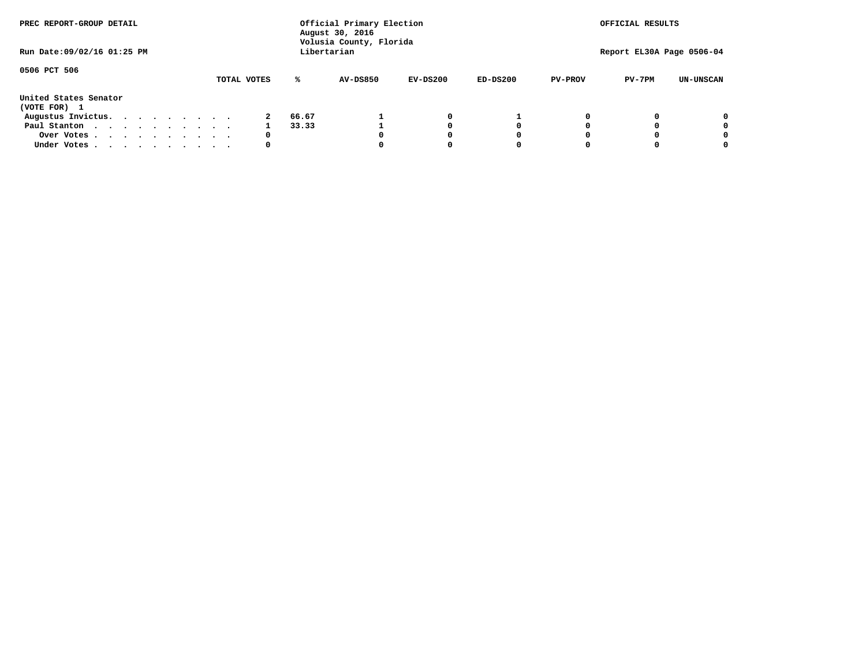| PREC REPORT-GROUP DETAIL              |  |  |  |  |  | Official Primary Election<br>August 30, 2016<br>Volusia County, Florida | OFFICIAL RESULTS |                 |            |            |                           |          |                  |
|---------------------------------------|--|--|--|--|--|-------------------------------------------------------------------------|------------------|-----------------|------------|------------|---------------------------|----------|------------------|
| Run Date: 09/02/16 01:25 PM           |  |  |  |  |  |                                                                         | Libertarian      |                 |            |            | Report EL30A Page 0506-04 |          |                  |
| 0506 PCT 506                          |  |  |  |  |  | TOTAL VOTES                                                             | ℁                | <b>AV-DS850</b> | $EV-DS200$ | $ED-DS200$ | <b>PV-PROV</b>            | $PV-7PM$ | <b>UN-UNSCAN</b> |
| United States Senator<br>(VOTE FOR) 1 |  |  |  |  |  |                                                                         |                  |                 |            |            |                           |          |                  |
| Augustus Invictus.                    |  |  |  |  |  |                                                                         | 66.67            |                 | 0          |            |                           |          | 0                |
| Paul Stanton<br>$\cdots$              |  |  |  |  |  |                                                                         | 33.33            |                 |            | 0          |                           |          | 0                |
| Over Votes                            |  |  |  |  |  | 0                                                                       |                  |                 |            | 0          |                           |          | 0                |
| Under Votes                           |  |  |  |  |  | 0                                                                       |                  |                 |            |            |                           |          |                  |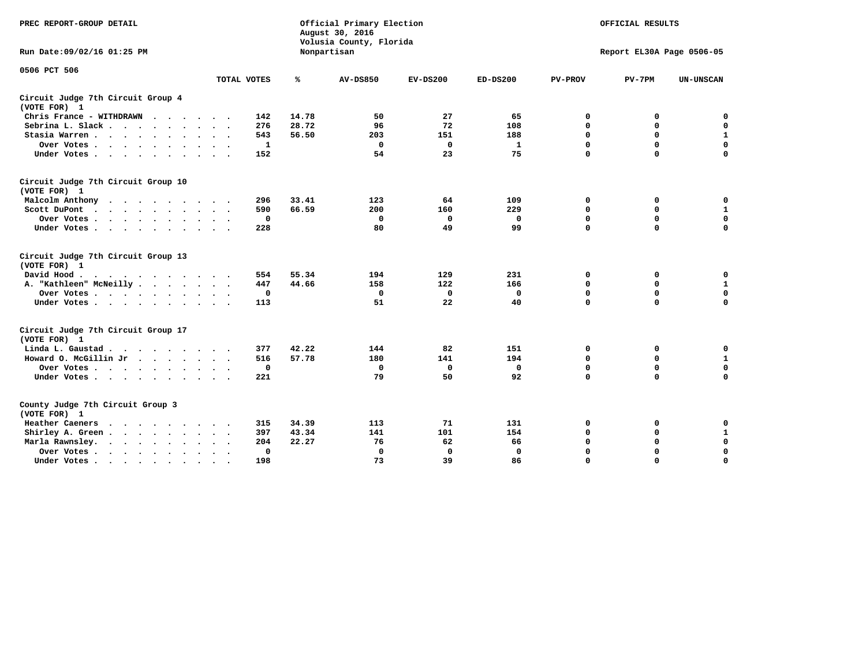| PREC REPORT-GROUP DETAIL                                                |             |       | Official Primary Election<br>August 30, 2016<br>Volusia County, Florida |             |              |                | OFFICIAL RESULTS          |                  |
|-------------------------------------------------------------------------|-------------|-------|-------------------------------------------------------------------------|-------------|--------------|----------------|---------------------------|------------------|
| Run Date: 09/02/16 01:25 PM                                             |             |       | Nonpartisan                                                             |             |              |                | Report EL30A Page 0506-05 |                  |
| 0506 PCT 506                                                            |             |       |                                                                         |             |              |                |                           |                  |
|                                                                         | TOTAL VOTES | ℁     | <b>AV-DS850</b>                                                         | $EV-DS200$  | $ED-DS200$   | <b>PV-PROV</b> | $PV-7PM$                  | <b>UN-UNSCAN</b> |
| Circuit Judge 7th Circuit Group 4<br>(VOTE FOR) 1                       |             |       |                                                                         |             |              |                |                           |                  |
| Chris France - WITHDRAWN<br>$\cdots$                                    | 142         | 14.78 | 50                                                                      | 27          | 65           | 0              | 0                         | $\mathbf 0$      |
| Sebrina L. Slack                                                        | 276         | 28.72 | 96                                                                      | 72          | 108          | 0              | 0                         | $\mathbf 0$      |
| Stasia Warren<br>$\sim$ $\sim$                                          | 543         | 56.50 | 203                                                                     | 151         | 188          | $\mathbf 0$    | $\Omega$                  | ${\bf 1}$        |
| Over Votes                                                              | 1           |       | $\mathbf 0$                                                             | 0           | 1            | $\mathbf 0$    | $\mathbf 0$               | $\mathbf 0$      |
| Under Votes                                                             | 152         |       | 54                                                                      | 23          | 75           | $\mathbf 0$    | $\Omega$                  | $\Omega$         |
| Circuit Judge 7th Circuit Group 10<br>(VOTE FOR) 1                      |             |       |                                                                         |             |              |                |                           |                  |
| Malcolm Anthony<br>.                                                    | 296         | 33.41 | 123                                                                     | 64          | 109          | 0              | 0                         | 0                |
| Scott DuPont                                                            | 590         | 66.59 | 200                                                                     | 160         | 229          | 0              | $\mathbf 0$               | $\mathbf{1}$     |
| Over Votes<br>$\sim$ $\sim$                                             | $\mathbf 0$ |       | $\mathbf{0}$                                                            | $\mathbf 0$ | $\mathbf{0}$ | $\mathbf 0$    | $\Omega$                  | 0                |
| Under Votes                                                             | 228         |       | 80                                                                      | 49          | 99           | $\mathbf 0$    | $\mathbf 0$               | 0                |
| Circuit Judge 7th Circuit Group 13<br>(VOTE FOR) 1                      |             |       |                                                                         |             |              |                |                           |                  |
| David Hood.<br>.                                                        | 554         | 55.34 | 194                                                                     | 129         | 231          | 0              | 0                         | $\mathbf 0$      |
| A. "Kathleen" McNeilly.<br>$\cdots$                                     | 447         | 44.66 | 158                                                                     | 122         | 166          | 0              | $\mathbf 0$               | $\mathbf 1$      |
| Over Votes                                                              | $\mathbf 0$ |       | 0                                                                       | 0           | 0            | 0              | $\mathbf 0$               | $\mathbf 0$      |
| Under Votes.                                                            | 113         |       | 51                                                                      | 22          | 40           | $\mathbf 0$    | $\Omega$                  | 0                |
| Circuit Judge 7th Circuit Group 17<br>(VOTE FOR) 1                      |             |       |                                                                         |             |              |                |                           |                  |
| Linda L. Gaustad                                                        | 377         | 42.22 | 144                                                                     | 82          | 151          | 0              | 0                         | $\mathbf 0$      |
| Howard O. McGillin Jr                                                   | 516         | 57.78 | 180                                                                     | 141         | 194          | 0              | $\mathbf 0$               | ${\bf 1}$        |
| Over Votes                                                              | $\mathbf 0$ |       | $\mathbf{0}$                                                            | $\mathbf 0$ | $\mathbf 0$  | $\mathbf 0$    | $\mathbf 0$               | 0                |
| Under Votes                                                             | 221         |       | 79                                                                      | 50          | 92           | $\mathbf 0$    | $\mathbf 0$               | $\mathbf 0$      |
| County Judge 7th Circuit Group 3<br>(VOTE FOR) 1                        |             |       |                                                                         |             |              |                |                           |                  |
| Heather Caeners<br>$\cdots$                                             | 315         | 34.39 | 113                                                                     | 71          | 131          | 0              | 0                         | 0                |
| Shirley A. Green                                                        | 397         | 43.34 | 141                                                                     | 101         | 154          | $\mathbf 0$    | $\Omega$                  | ${\bf 1}$        |
| Marla Rawnsley.                                                         | 204         | 22.27 | 76                                                                      | 62          | 66           | 0              | $\mathbf 0$               | $\pmb{0}$        |
| Over Votes.<br>$\cdots$<br>$\ddot{\phantom{a}}$<br>$\ddot{\phantom{a}}$ | 0           |       | $\Omega$                                                                | 0           | 0            | $\mathbf 0$    | $\Omega$                  | $\mathbf 0$      |
| Under Votes<br>$\sim$                                                   | 198         |       | 73                                                                      | 39          | 86           | $\mathbf 0$    | $\mathbf 0$               | 0                |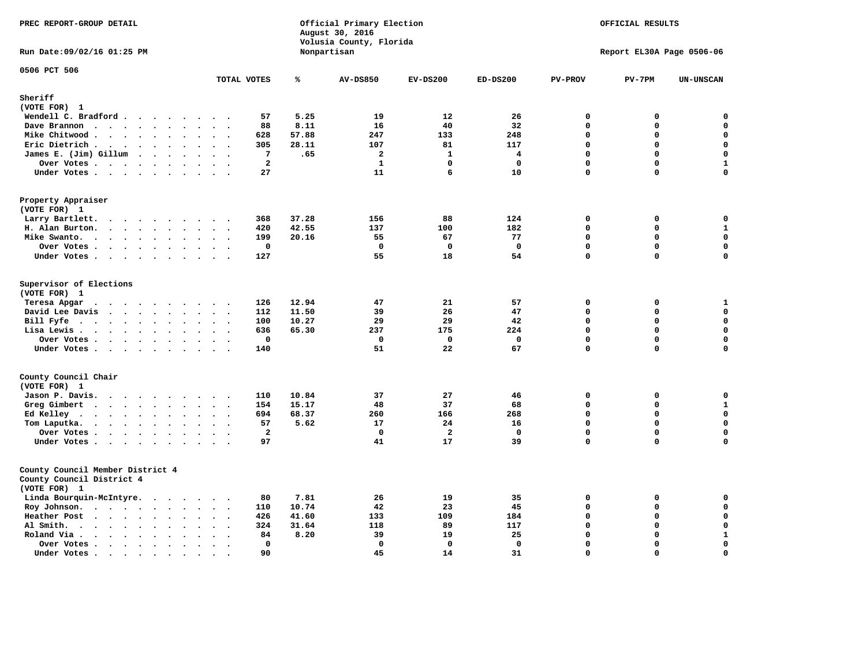| PREC REPORT-GROUP DETAIL                                                                                    |                                                     |       | Official Primary Election<br>August 30, 2016<br>Volusia County, Florida |                | OFFICIAL RESULTS<br>Report EL30A Page 0506-06 |                |             |                  |
|-------------------------------------------------------------------------------------------------------------|-----------------------------------------------------|-------|-------------------------------------------------------------------------|----------------|-----------------------------------------------|----------------|-------------|------------------|
| Run Date: 09/02/16 01:25 PM                                                                                 |                                                     |       | Nonpartisan                                                             |                |                                               |                |             |                  |
| 0506 PCT 506                                                                                                | TOTAL VOTES                                         | ℁     | <b>AV-DS850</b>                                                         | $EV-DS200$     | $ED-DS200$                                    | <b>PV-PROV</b> | $PV-7PM$    | <b>UN-UNSCAN</b> |
| Sheriff                                                                                                     |                                                     |       |                                                                         |                |                                               |                |             |                  |
| (VOTE FOR) 1                                                                                                |                                                     |       |                                                                         |                |                                               |                |             |                  |
| Wendell C. Bradford                                                                                         | 57                                                  | 5.25  | 19                                                                      | 12             | 26                                            | $\mathbf 0$    | 0           | 0                |
| Dave Brannon<br>$\ddot{\phantom{a}}$<br>$\sim$                                                              | 88                                                  | 8.11  | 16                                                                      | 40             | 32                                            | $\mathbf 0$    | 0           | 0                |
| Mike Chitwood                                                                                               | 628                                                 | 57.88 | 247                                                                     | 133            | 248                                           | $\mathbf 0$    | 0           | $\mathbf 0$      |
| Eric Dietrich.<br>$\cdot$                                                                                   | 305<br>$\sim$<br>$\overline{\phantom{a}}$           | 28.11 | 107                                                                     | 81             | 117                                           | $\mathbf 0$    | 0           | $\mathbf 0$      |
| James E. (Jim) Gillum                                                                                       | 7                                                   | .65   | $\overline{a}$                                                          | $\mathbf{1}$   | 4                                             | $\Omega$       | $\mathbf 0$ | $\mathbf 0$      |
| Over Votes                                                                                                  | $\mathbf{2}$                                        |       | $\mathbf{1}$                                                            | $\Omega$       | $\mathbf 0$                                   | $\mathbf{0}$   | 0           | $\mathbf 1$      |
| Under Votes<br>$\sim$                                                                                       | 27<br>$\sim$ $\sim$                                 |       | 11                                                                      | 6              | 10                                            | $\Omega$       | 0           | $\mathbf 0$      |
| Property Appraiser<br>(VOTE FOR) 1                                                                          |                                                     |       |                                                                         |                |                                               |                |             |                  |
| Larry Bartlett.<br>$\sim$                                                                                   | 368<br>$\cdot$ .                                    | 37.28 | 156                                                                     | 88             | 124                                           | 0              | 0           | 0                |
| H. Alan Burton.                                                                                             | 420<br>$\sim$ $\sim$                                | 42.55 | 137                                                                     | 100            | 182                                           | $\mathbf 0$    | 0           | $\mathbf 1$      |
| Mike Swanto.<br>$\bullet$<br>$\ddot{\phantom{a}}$                                                           | 199<br>$\ddot{\phantom{a}}$<br>$\ddot{\phantom{a}}$ | 20.16 | 55                                                                      | 67             | 77                                            | $\mathbf 0$    | 0           | $\mathbf 0$      |
| Over Votes                                                                                                  | 0<br>$\sim$ $\sim$                                  |       | $\mathbf 0$                                                             | $\mathbf{o}$   | $\mathbf 0$                                   | $\mathbf 0$    | 0           | $\mathbf 0$      |
| Under Votes                                                                                                 | 127                                                 |       | 55                                                                      | 18             | 54                                            | $\mathbf 0$    | 0           | $\mathbf 0$      |
|                                                                                                             |                                                     |       |                                                                         |                |                                               |                |             |                  |
| Supervisor of Elections<br>(VOTE FOR) 1                                                                     |                                                     |       |                                                                         |                |                                               |                |             |                  |
| Teresa Apgar                                                                                                | 126                                                 | 12.94 | 47                                                                      | 21             | 57                                            | $\mathbf 0$    | 0           | $\mathbf{1}$     |
| David Lee Davis                                                                                             | 112                                                 | 11.50 | 39                                                                      | 26             | 47                                            | $\mathbf 0$    | $\mathbf 0$ | $\mathbf 0$      |
| Bill Fyfe<br>$\bullet$                                                                                      | 100<br>$\sim$ $\sim$ $\sim$                         | 10.27 | 29                                                                      | 29             | 42                                            | $\mathbf 0$    | $\mathbf 0$ | $\mathbf 0$      |
| Lisa Lewis                                                                                                  | 636                                                 | 65.30 | 237                                                                     | 175            | 224                                           | $\Omega$       | $\mathbf 0$ | $\mathbf 0$      |
| Over Votes                                                                                                  | $\mathbf 0$                                         |       | $\mathbf 0$                                                             | $\mathbf 0$    | $\mathbf 0$                                   | $\Omega$       | $\Omega$    | 0                |
| Under Votes<br>$\sim$                                                                                       | 140                                                 |       | 51                                                                      | 22             | 67                                            | $\mathbf 0$    | $\mathbf 0$ | $\mathbf 0$      |
| County Council Chair                                                                                        |                                                     |       |                                                                         |                |                                               |                |             |                  |
| (VOTE FOR) 1                                                                                                |                                                     |       |                                                                         |                |                                               |                |             |                  |
| Jason P. Davis.                                                                                             | 110<br>$\sim$ $\sim$                                | 10.84 | 37                                                                      | 27             | 46                                            | $\mathbf 0$    | 0           | $\mathbf 0$      |
| Greg Gimbert<br>$\mathbf{r}$ , and $\mathbf{r}$ , and $\mathbf{r}$ , and $\mathbf{r}$ , and $\mathbf{r}$    | 154                                                 | 15.17 | 48                                                                      | 37             | 68                                            | $\Omega$       | 0           | $\mathbf{1}$     |
| Ed Kelley $\cdots$ $\cdots$ $\cdots$<br>$\ddot{\phantom{a}}$<br>$\sim$                                      | 694<br>$\ddot{\phantom{1}}$                         | 68.37 | 260                                                                     | 166            | 268                                           | $\mathbf 0$    | $\mathbf 0$ | $\mathbf 0$      |
| Tom Laputka.                                                                                                | 57                                                  | 5.62  | 17                                                                      | 24             | 16                                            | $\mathbf 0$    | $\mathbf 0$ | $\mathbf 0$      |
| Over Votes.<br>$\bullet$<br>$\ddot{\phantom{a}}$                                                            | $\overline{a}$<br>$\bullet$                         |       | $\Omega$                                                                | $\overline{2}$ | $\mathbf{0}$                                  | $\mathbf{0}$   | 0           | 0                |
| Under Votes<br>$\ddot{\phantom{0}}$<br>$\sim$                                                               | 97<br>$\cdot$ .                                     |       | 41                                                                      | 17             | 39                                            | $\Omega$       | $\mathbf 0$ | $\Omega$         |
| County Council Member District 4<br>County Council District 4<br>(VOTE FOR) 1                               |                                                     |       |                                                                         |                |                                               |                |             |                  |
| Linda Bourquin-McIntyre.                                                                                    | 80                                                  | 7.81  | 26                                                                      | 19             | 35                                            | $\Omega$       | 0           | $\mathbf 0$      |
| Roy Johnson.<br>$\sim$<br>$\ddot{\phantom{a}}$                                                              | 110<br>$\ddot{\phantom{1}}$                         | 10.74 | 42                                                                      | 23             | 45                                            | $\mathbf 0$    | 0           | $\mathbf 0$      |
| Heather Post                                                                                                | 426<br>$\sim$ $\sim$                                | 41.60 | 133                                                                     | 109            | 184                                           | $\mathbf 0$    | 0           | $\mathbf 0$      |
| Al Smith.<br>$\bullet$<br>$\ddot{\phantom{a}}$                                                              | 324<br>$\ddot{\phantom{a}}$                         | 31.64 | 118                                                                     | 89             | 117                                           | $\mathbf 0$    | $\mathbf 0$ | $\mathbf 0$      |
| Roland Via .<br>$\cdot$ $\cdot$ $\cdot$ $\cdot$ $\cdot$<br>$\Delta$<br>$\ddot{\phantom{a}}$<br>$\mathbf{r}$ | 84                                                  | 8.20  | 39                                                                      | 19             | 25                                            | $\Omega$       | $\mathbf 0$ | $\mathbf 1$      |
| Over Votes<br>$\ddot{\phantom{a}}$<br>$\bullet$                                                             | $\mathbf{0}$<br>$\bullet$<br>$\,$ .                 |       | $\mathbf{0}$                                                            | $^{\circ}$     | $\mathbf 0$                                   | 0              | 0           | $\mathbf 0$      |
| Under Votes.<br>$\ddot{\phantom{0}}$<br>$\bullet$<br>$\bullet$<br>$\bullet$<br>$\bullet$                    | 90                                                  |       | 45                                                                      | 14             | 31                                            | $\Omega$       | $\Omega$    | $\mathbf 0$      |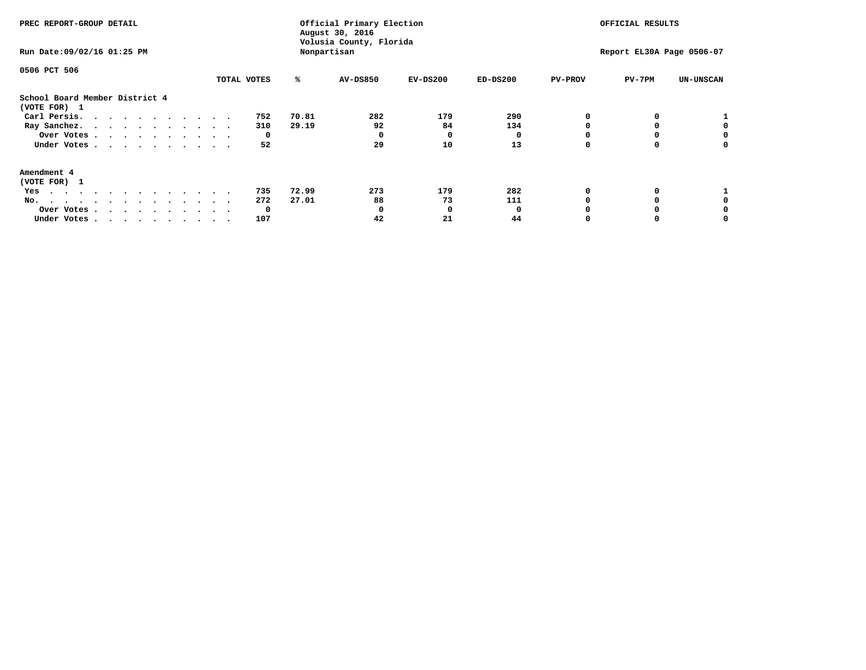| PREC REPORT-GROUP DETAIL<br>Run Date: 09/02/16 01:25 PM                                                     |  |  |  | Nonpartisan | Official Primary Election<br>August 30, 2016<br>Volusia County, Florida |  |             | OFFICIAL RESULTS<br>Report EL30A Page 0506-07 |                |                               |                             |                  |                |        |                  |
|-------------------------------------------------------------------------------------------------------------|--|--|--|-------------|-------------------------------------------------------------------------|--|-------------|-----------------------------------------------|----------------|-------------------------------|-----------------------------|------------------|----------------|--------|------------------|
| 0506 PCT 506                                                                                                |  |  |  |             |                                                                         |  | TOTAL VOTES |                                               | ℁              | <b>AV-DS850</b>               | $EV-DS200$                  | $ED-DS200$       | <b>PV-PROV</b> | PV-7PM | <b>UN-UNSCAN</b> |
| School Board Member District 4<br>(VOTE FOR) 1<br>Carl Persis.<br>Ray Sanchez.<br>Over Votes<br>Under Votes |  |  |  |             |                                                                         |  |             | 752<br>310<br>0<br>52                         | 70.81<br>29.19 | 282<br>92<br>$^{\circ}$<br>29 | 179<br>84<br>$\Omega$<br>10 | 290<br>134<br>13 |                |        |                  |
| Amendment 4<br>(VOTE FOR) 1<br>Yes<br>No.<br>Over Votes.<br>Under Votes                                     |  |  |  |             |                                                                         |  |             | 735<br>272<br>$\mathbf 0$<br>107              | 72.99<br>27.01 | 273<br>88<br>0<br>42          | 179<br>73<br>- 0<br>21      | 282<br>111<br>44 |                |        |                  |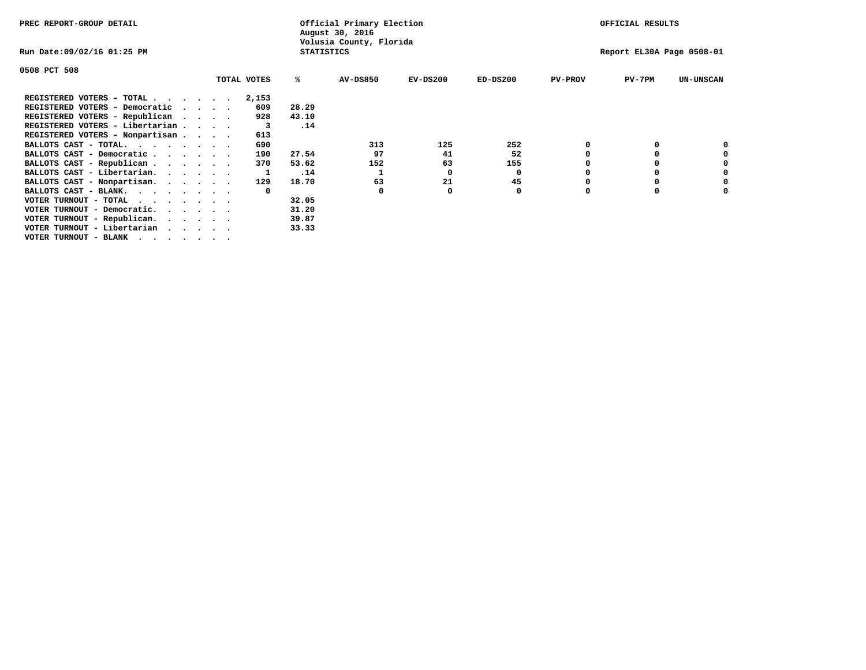| PREC REPORT-GROUP DETAIL                                                                                                                 |  |  |             |                   | Official Primary Election<br>August 30, 2016 |            | OFFICIAL RESULTS |                |                           |                  |
|------------------------------------------------------------------------------------------------------------------------------------------|--|--|-------------|-------------------|----------------------------------------------|------------|------------------|----------------|---------------------------|------------------|
| Run Date:09/02/16 01:25 PM                                                                                                               |  |  |             | <b>STATISTICS</b> | Volusia County, Florida                      |            |                  |                | Report EL30A Page 0508-01 |                  |
| 0508 PCT 508                                                                                                                             |  |  |             |                   |                                              |            |                  |                |                           |                  |
|                                                                                                                                          |  |  | TOTAL VOTES | ℁                 | <b>AV-DS850</b>                              | $EV-DS200$ | $ED-DS200$       | <b>PV-PROV</b> | $PV-7PM$                  | <b>UN-UNSCAN</b> |
| REGISTERED VOTERS - TOTAL                                                                                                                |  |  | 2,153       |                   |                                              |            |                  |                |                           |                  |
| REGISTERED VOTERS - Democratic                                                                                                           |  |  | 609         | 28.29             |                                              |            |                  |                |                           |                  |
| REGISTERED VOTERS - Republican                                                                                                           |  |  | 928         | 43.10             |                                              |            |                  |                |                           |                  |
| REGISTERED VOTERS - Libertarian                                                                                                          |  |  | - 3         | .14               |                                              |            |                  |                |                           |                  |
| REGISTERED VOTERS - Nonpartisan                                                                                                          |  |  | 613         |                   |                                              |            |                  |                |                           |                  |
| BALLOTS CAST - TOTAL.                                                                                                                    |  |  | 690         |                   | 313                                          | 125        | 252              |                |                           |                  |
| BALLOTS CAST - Democratic                                                                                                                |  |  | 190         | 27.54             | 97                                           | 41         | 52               |                |                           |                  |
| BALLOTS CAST - Republican                                                                                                                |  |  | 370         | 53.62             | 152                                          | 63         | 155              |                |                           |                  |
| BALLOTS CAST - Libertarian.                                                                                                              |  |  |             | .14               |                                              | 0          | 0                |                |                           |                  |
| BALLOTS CAST - Nonpartisan.                                                                                                              |  |  | 129         | 18.70             | 63                                           | 21         | 45               |                |                           | 0                |
| BALLOTS CAST - BLANK.                                                                                                                    |  |  |             |                   | 0                                            |            | 0                |                |                           |                  |
| VOTER TURNOUT - TOTAL<br>the contract of the contract of the contract of the contract of the contract of the contract of the contract of |  |  |             | 32.05             |                                              |            |                  |                |                           |                  |
| VOTER TURNOUT - Democratic.                                                                                                              |  |  |             | 31.20             |                                              |            |                  |                |                           |                  |
| VOTER TURNOUT - Republican.                                                                                                              |  |  |             | 39.87             |                                              |            |                  |                |                           |                  |
| VOTER TURNOUT - Libertarian                                                                                                              |  |  |             | 33.33             |                                              |            |                  |                |                           |                  |
| VOTER TURNOUT - BLANK                                                                                                                    |  |  |             |                   |                                              |            |                  |                |                           |                  |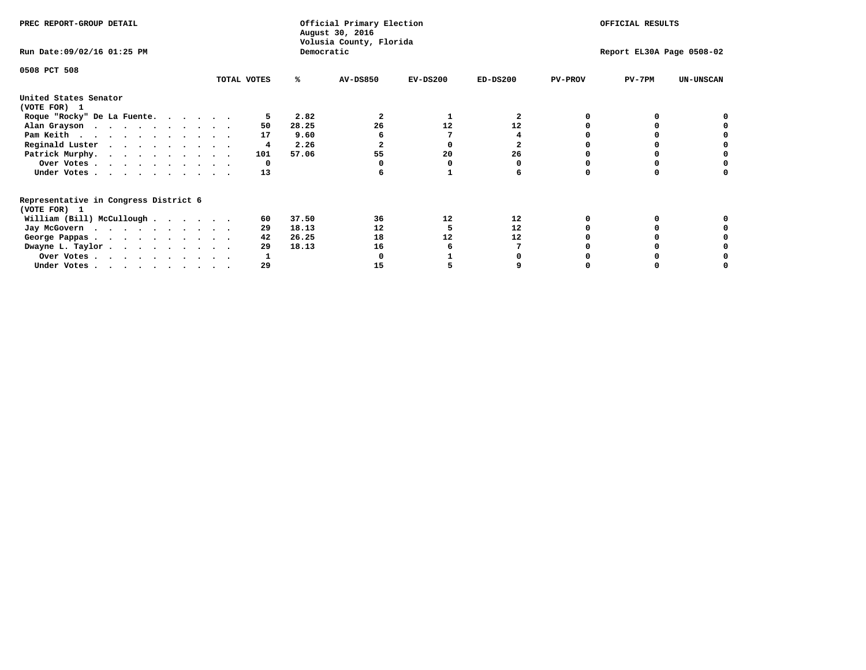| PREC REPORT-GROUP DETAIL                                               |             |            | Official Primary Election<br>August 30, 2016<br>Volusia County, Florida | OFFICIAL RESULTS |            |                |                           |                  |
|------------------------------------------------------------------------|-------------|------------|-------------------------------------------------------------------------|------------------|------------|----------------|---------------------------|------------------|
| Run Date: 09/02/16 01:25 PM                                            |             | Democratic |                                                                         |                  |            |                | Report EL30A Page 0508-02 |                  |
| 0508 PCT 508                                                           | TOTAL VOTES | ℁          | <b>AV-DS850</b>                                                         | $EV-DS200$       | $ED-DS200$ | <b>PV-PROV</b> | $PV-7PM$                  | <b>UN-UNSCAN</b> |
|                                                                        |             |            |                                                                         |                  |            |                |                           |                  |
| United States Senator<br>(VOTE FOR) 1                                  |             |            |                                                                         |                  |            |                |                           |                  |
| Roque "Rocky" De La Fuente.                                            |             | 2.82       |                                                                         |                  | 2          |                |                           |                  |
| Alan Grayson                                                           | 50          | 28.25      | 26                                                                      | 12               | 12         |                |                           |                  |
| Pam Keith                                                              | 17          | 9.60       |                                                                         |                  |            |                |                           |                  |
| Reginald Luster                                                        | 4           | 2.26       |                                                                         |                  |            |                |                           |                  |
| Patrick Murphy.                                                        | 101         | 57.06      | 55                                                                      | 20               | 26         |                |                           |                  |
| Over Votes                                                             | 0           |            |                                                                         |                  |            |                |                           |                  |
| Under Votes                                                            | 13          |            |                                                                         |                  |            |                |                           |                  |
| Representative in Congress District 6                                  |             |            |                                                                         |                  |            |                |                           |                  |
| (VOTE FOR) 1<br>William (Bill) McCullough                              | 60          | 37.50      | 36                                                                      | 12               | 12         |                |                           |                  |
|                                                                        |             | 18.13      | 12                                                                      |                  | 12         |                |                           |                  |
| Jay McGovern                                                           | 29          |            |                                                                         |                  |            |                |                           |                  |
| George Pappas.                                                         | 42          | 26.25      | 18                                                                      | 12               | 12         |                |                           |                  |
| Dwayne L. Taylor                                                       | 29          | 18.13      | 16                                                                      |                  |            |                |                           |                  |
| Over Votes                                                             |             |            |                                                                         |                  |            |                |                           |                  |
| Under Votes, $\cdot$ , $\cdot$ , $\cdot$ , $\cdot$ , $\cdot$ , $\cdot$ | 29          |            | 15                                                                      |                  |            |                |                           |                  |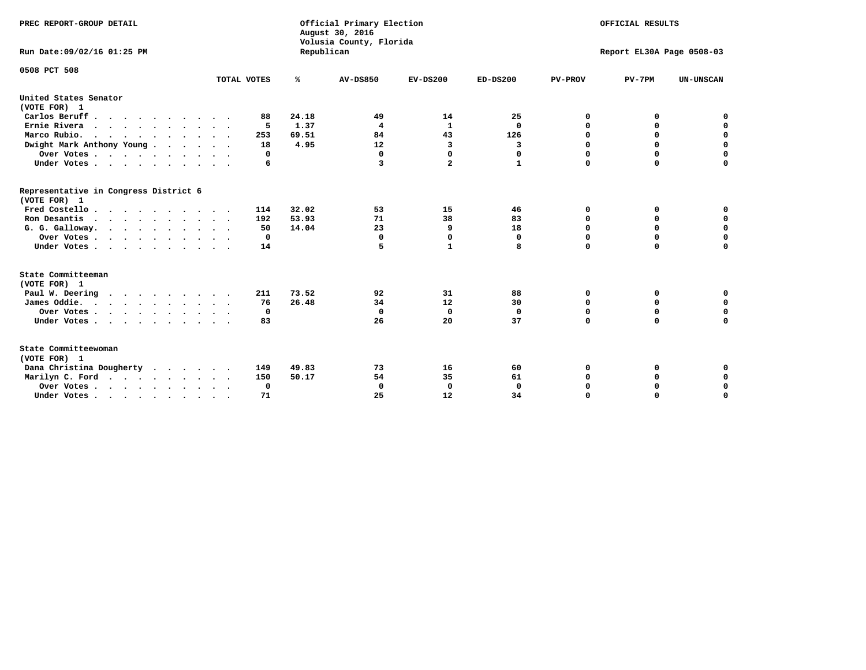| PREC REPORT-GROUP DETAIL<br>Run Date: 09/02/16 01:25 PM                          |             | Republican | Official Primary Election<br>August 30, 2016<br>Volusia County, Florida | OFFICIAL RESULTS<br>Report EL30A Page 0508-03 |              |                |             |                  |
|----------------------------------------------------------------------------------|-------------|------------|-------------------------------------------------------------------------|-----------------------------------------------|--------------|----------------|-------------|------------------|
|                                                                                  |             |            |                                                                         |                                               |              |                |             |                  |
| 0508 PCT 508                                                                     |             |            |                                                                         |                                               |              |                |             |                  |
|                                                                                  | TOTAL VOTES | ℁          | <b>AV-DS850</b>                                                         | $EV-DS200$                                    | $ED-DS200$   | <b>PV-PROV</b> | $PV-7PM$    | <b>UN-UNSCAN</b> |
| United States Senator<br>(VOTE FOR) 1                                            |             |            |                                                                         |                                               |              |                |             |                  |
| Carlos Beruff                                                                    | 88          | 24.18      | 49                                                                      | 14                                            | 25           | 0              | 0           | 0                |
| Ernie Rivera                                                                     | 5           | 1.37       | $\overline{\mathbf{4}}$                                                 | 1                                             | 0            | $\Omega$       | 0           | $\mathbf 0$      |
| Marco Rubio.                                                                     | 253         | 69.51      | 84                                                                      | 43                                            | 126          | $\mathbf 0$    | $\mathbf 0$ | $\mathbf 0$      |
| Dwight Mark Anthony Young                                                        | 18          | 4.95       | 12                                                                      | 3                                             | 3            | 0              | $\mathbf 0$ | $\pmb{0}$        |
| Over Votes                                                                       | 0           |            | $\Omega$                                                                | $\mathbf 0$                                   | 0            | 0              | 0           | 0                |
| Under Votes                                                                      | 6           |            | 3                                                                       | $\mathbf{2}$                                  | $\mathbf{1}$ | $\Omega$       | $\Omega$    | $\mathbf 0$      |
| Representative in Congress District 6<br>(VOTE FOR) 1                            |             |            |                                                                         |                                               |              |                |             |                  |
| Fred Costello.                                                                   | 114         | 32.02      | 53                                                                      | 15                                            | 46           | 0              | 0           | 0                |
| Ron Desantis                                                                     | 192         | 53.93      | 71                                                                      | 38                                            | 83           | 0              | 0           | $\mathbf 0$      |
| G. G. Galloway.                                                                  | 50          | 14.04      | 23                                                                      | 9                                             | 18           | $\mathbf 0$    | $\Omega$    | $\mathbf 0$      |
| Over Votes                                                                       | $\Omega$    |            | $\mathbf{0}$                                                            | 0                                             | 0            | $\mathbf 0$    | $\mathbf 0$ | $\mathbf 0$      |
| Under Votes                                                                      | 14          |            | 5                                                                       | 1                                             | 8            | $\mathbf 0$    | $\Omega$    | $\mathbf 0$      |
| State Committeeman                                                               |             |            |                                                                         |                                               |              |                |             |                  |
| (VOTE FOR) 1                                                                     |             |            |                                                                         |                                               |              |                |             |                  |
| Paul W. Deering<br>$\cdots$                                                      | 211         | 73.52      | 92                                                                      | 31                                            | 88           | 0              | 0           | 0                |
| James Oddie.                                                                     | 76          | 26.48      | 34                                                                      | 12                                            | 30           | 0              | 0           | $\mathbf 0$      |
| Over Votes                                                                       | 0           |            | $\mathbf{0}$                                                            | $\mathbf 0$                                   | $\mathbf 0$  | 0              | $\mathbf 0$ | $\mathbf 0$      |
| Under Votes                                                                      | 83          |            | 26                                                                      | 20                                            | 37           | $\Omega$       | 0           | $\mathbf 0$      |
| State Committeewoman<br>(VOTE FOR) 1                                             |             |            |                                                                         |                                               |              |                |             |                  |
| Dana Christina Dougherty<br>.                                                    | 149         | 49.83      | 73                                                                      | 16                                            | 60           | 0              | 0           | 0                |
| Marilyn C. Ford                                                                  | 150         | 50.17      | 54                                                                      | 35                                            | 61           | 0              | 0           | 0                |
| Over Votes                                                                       | 0           |            | $\Omega$                                                                | 0                                             | $\mathbf{0}$ | 0              | 0           | $\mathbf 0$      |
| Under Votes, $\cdot$ , $\cdot$ , $\cdot$ , $\cdot$ , $\cdot$ , $\cdot$ , $\cdot$ | 71          |            | 25                                                                      | 12                                            | 34           | $\Omega$       | $\Omega$    | $\Omega$         |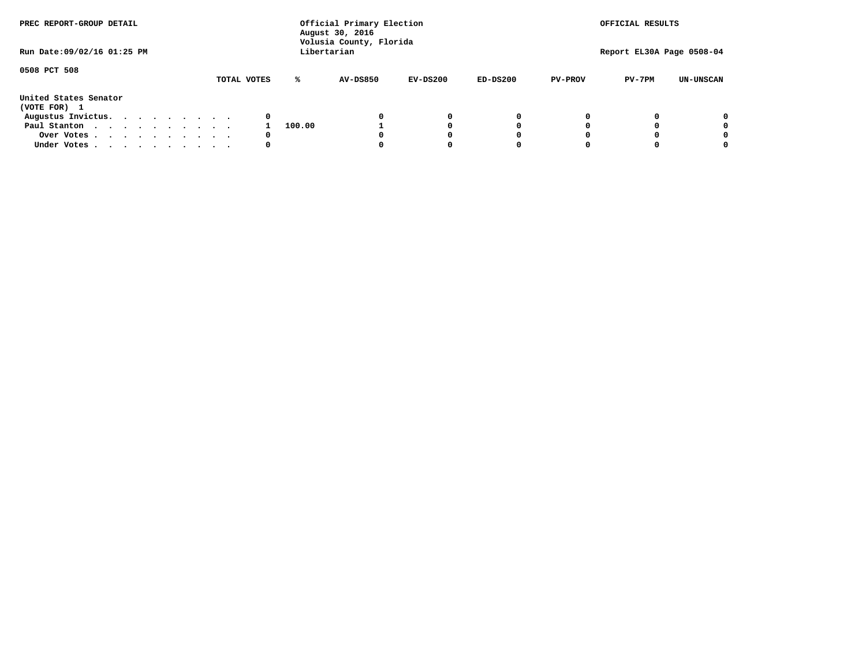| PREC REPORT-GROUP DETAIL              |             |        | Official Primary Election<br>August 30, 2016<br>Volusia County, Florida |            |            | OFFICIAL RESULTS |                           |                  |  |
|---------------------------------------|-------------|--------|-------------------------------------------------------------------------|------------|------------|------------------|---------------------------|------------------|--|
| Run Date: 09/02/16 01:25 PM           |             |        | Libertarian                                                             |            |            |                  | Report EL30A Page 0508-04 |                  |  |
| 0508 PCT 508                          | TOTAL VOTES | ℁      | <b>AV-DS850</b>                                                         | $EV-DS200$ | $ED-DS200$ | <b>PV-PROV</b>   | $PV-7PM$                  | <b>UN-UNSCAN</b> |  |
| United States Senator<br>(VOTE FOR) 1 |             |        |                                                                         |            |            |                  |                           |                  |  |
| Augustus Invictus.                    | 0           |        |                                                                         | 0          | 0          |                  |                           | 0                |  |
| Paul Stanton                          |             | 100.00 |                                                                         |            | 0          |                  |                           | 0                |  |
| Over Votes                            | 0           |        |                                                                         |            | O          |                  |                           | 0                |  |
| Under Votes                           | 0           |        |                                                                         |            |            |                  |                           | 0                |  |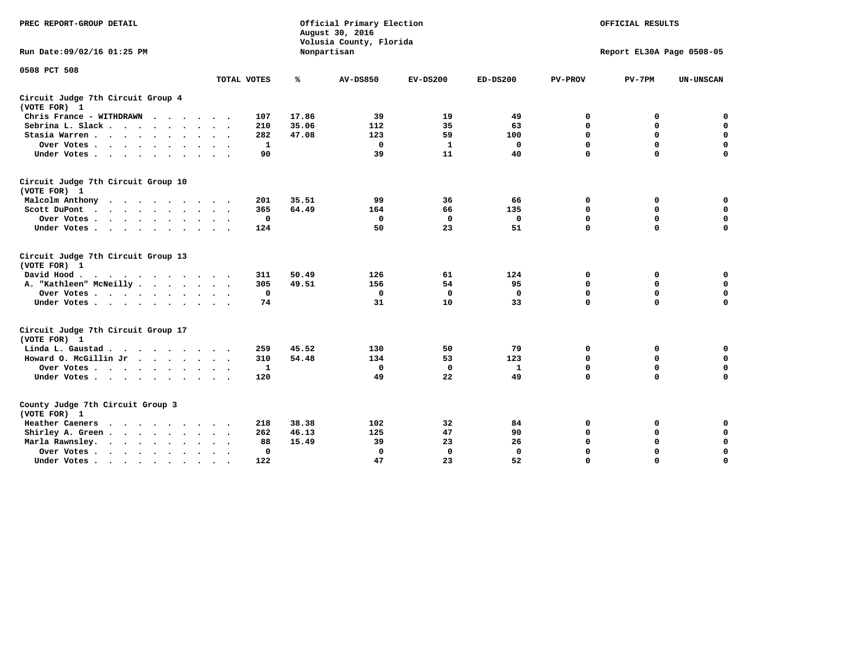| PREC REPORT-GROUP DETAIL                                   |             |       | Official Primary Election<br>August 30, 2016<br>Volusia County, Florida | OFFICIAL RESULTS |              |                |                           |                  |
|------------------------------------------------------------|-------------|-------|-------------------------------------------------------------------------|------------------|--------------|----------------|---------------------------|------------------|
| Run Date: 09/02/16 01:25 PM                                |             |       | Nonpartisan                                                             |                  |              |                | Report EL30A Page 0508-05 |                  |
| 0508 PCT 508                                               | TOTAL VOTES | ℁     | <b>AV-DS850</b>                                                         | $EV-DS200$       | $ED-DS200$   | <b>PV-PROV</b> | $PV-7PM$                  | <b>UN-UNSCAN</b> |
|                                                            |             |       |                                                                         |                  |              |                |                           |                  |
| Circuit Judge 7th Circuit Group 4<br>(VOTE FOR) 1          |             |       |                                                                         |                  |              |                |                           |                  |
| Chris France - WITHDRAWN                                   | 107         | 17.86 | 39                                                                      | 19               | 49           | 0              | 0                         | 0                |
| Sebrina L. Slack                                           | 210         | 35.06 | 112                                                                     | 35               | 63           | $\mathbf 0$    | $\mathbf 0$               | $\mathbf 0$      |
| Stasia Warren<br>$\sim$<br>$\sim$                          | 282         | 47.08 | 123                                                                     | 59               | 100          | $\mathbf 0$    | 0                         | $\mathbf 0$      |
| Over Votes                                                 | 1           |       | 0                                                                       | $\mathbf{1}$     | 0            | 0              | $\mathbf 0$               | $\mathbf 0$      |
| Under Votes                                                | 90          |       | 39                                                                      | 11               | 40           | $\mathbf 0$    | $\Omega$                  | $\mathbf 0$      |
| Circuit Judge 7th Circuit Group 10<br>(VOTE FOR) 1         |             |       |                                                                         |                  |              |                |                           |                  |
| Malcolm Anthony<br>.                                       | 201         | 35.51 | 99                                                                      | 36               | 66           | 0              | 0                         | $\mathbf 0$      |
| Scott DuPont<br>$\sim$                                     | 365         | 64.49 | 164                                                                     | 66               | 135          | $\mathbf 0$    | $\mathbf 0$               | $\mathbf 0$      |
| Over Votes<br>$\sim$                                       | 0           |       | $\Omega$                                                                | $\mathbf{0}$     | 0            | $\mathbf 0$    | $\Omega$                  | $\mathbf 0$      |
| Under Votes                                                | 124         |       | 50                                                                      | 23               | 51           | $\mathbf 0$    | $\mathbf 0$               | $\Omega$         |
| Circuit Judge 7th Circuit Group 13<br>(VOTE FOR) 1         |             |       |                                                                         |                  |              |                |                           |                  |
| David Hood.<br>$\cdots$                                    | 311         | 50.49 | 126                                                                     | 61               | 124          | 0              | 0                         | $\mathbf 0$      |
| A. "Kathleen" McNeilly                                     | 305         | 49.51 | 156                                                                     | 54               | 95           | $\mathbf 0$    | $\mathbf 0$               | $\mathbf 0$      |
| Over Votes                                                 | $\mathbf 0$ |       | 0                                                                       | $\mathbf 0$      | $\mathbf 0$  | $\mathbf 0$    | $\mathbf 0$               | $\mathbf 0$      |
| Under Votes.                                               | 74          |       | 31                                                                      | 10               | 33           | $\mathbf 0$    | $\Omega$                  | 0                |
| Circuit Judge 7th Circuit Group 17<br>(VOTE FOR) 1         |             |       |                                                                         |                  |              |                |                           |                  |
| Linda L. Gaustad                                           | 259         | 45.52 | 130                                                                     | 50               | 79           | 0              | 0                         | 0                |
| Howard O. McGillin Jr                                      | 310         | 54.48 | 134                                                                     | 53               | 123          | $\mathbf 0$    | $\mathbf 0$               | $\mathbf 0$      |
| Over Votes                                                 | 1           |       | $\mathbf 0$                                                             | $\mathbf 0$      | $\mathbf{1}$ | 0              | $\mathbf 0$               | $\pmb{0}$        |
| Under Votes                                                | 120         |       | 49                                                                      | 22               | 49           | $\mathbf 0$    | $\mathbf 0$               | $\Omega$         |
| County Judge 7th Circuit Group 3<br>(VOTE FOR) 1           |             |       |                                                                         |                  |              |                |                           |                  |
| Heather Caeners                                            | 218         | 38.38 | 102                                                                     | 32               | 84           | 0              | 0                         | 0                |
| Shirley A. Green                                           | 262         | 46.13 | 125                                                                     | 47               | 90           | $\mathbf 0$    | 0                         | $\mathbf 0$      |
| Marla Rawnsley.<br>$\cdot$ $\cdot$ $\cdot$ $\cdot$ $\cdot$ | 88          | 15.49 | 39                                                                      | 23               | 26           | 0              | $\mathbf 0$               | $\pmb{0}$        |
| Over Votes.<br>$\cdots$<br>$\cdot$<br>$\cdot$              | 0           |       | $\mathbf 0$                                                             | $\mathbf{0}$     | 0            | $\mathbf 0$    | $\Omega$                  | $\mathbf 0$      |
| Under Votes<br>$\sim$<br>$\sim$                            | 122         |       | 47                                                                      | 23               | 52           | $\mathbf 0$    | $\mathbf 0$               | 0                |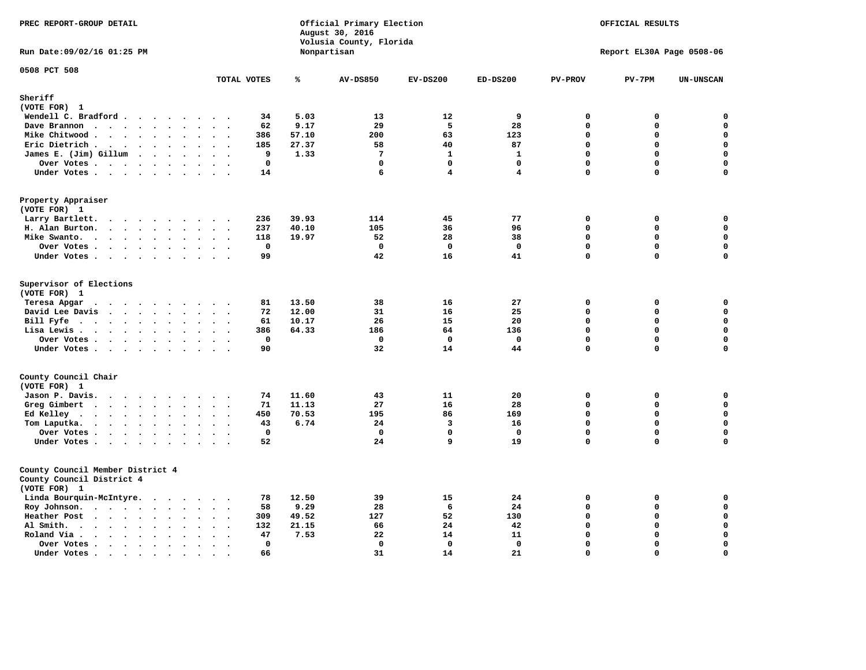| PREC REPORT-GROUP DETAIL                                                                      |                                                     |       | Official Primary Election<br>August 30, 2016<br>Volusia County, Florida | OFFICIAL RESULTS<br>Report EL30A Page 0508-06 |                         |                |             |                    |
|-----------------------------------------------------------------------------------------------|-----------------------------------------------------|-------|-------------------------------------------------------------------------|-----------------------------------------------|-------------------------|----------------|-------------|--------------------|
| Run Date: 09/02/16 01:25 PM                                                                   |                                                     |       | Nonpartisan                                                             |                                               |                         |                |             |                    |
| 0508 PCT 508                                                                                  | TOTAL VOTES                                         | ℁     | <b>AV-DS850</b>                                                         | $EV-DS200$                                    | $ED-DS200$              | <b>PV-PROV</b> | $PV-7PM$    | <b>UN-UNSCAN</b>   |
| Sheriff                                                                                       |                                                     |       |                                                                         |                                               |                         |                |             |                    |
| (VOTE FOR) 1                                                                                  |                                                     |       |                                                                         |                                               |                         |                |             |                    |
| Wendell C. Bradford                                                                           | 34                                                  | 5.03  | 13                                                                      | 12                                            | 9                       | 0              | 0           | 0                  |
| Dave Brannon                                                                                  | 62<br>$\sim$ $\sim$                                 | 9.17  | 29                                                                      | 5                                             | 28                      | $\mathbf 0$    | 0           | $\mathsf{o}\,$     |
| Mike Chitwood                                                                                 | 386                                                 | 57.10 | 200                                                                     | 63                                            | 123                     | $\Omega$       | 0           | $\mathbf 0$        |
| Eric Dietrich.<br>$\cdots$                                                                    | 185<br>$\sim$<br>$\bullet$                          | 27.37 | 58                                                                      | 40                                            | 87                      | $\mathbf 0$    | 0           | $\pmb{\mathsf{o}}$ |
| James E. (Jim) Gillum                                                                         | 9                                                   | 1.33  | $7\phantom{.0}$                                                         | $\mathbf{1}$                                  | $\mathbf{1}$            | $\mathbf 0$    | 0           | $\mathbf 0$        |
| Over Votes                                                                                    | $\mathbf 0$                                         |       | $\mathbf{0}$                                                            | $\mathbf 0$                                   | $\mathbf{0}$            | $\mathbf 0$    | $\mathbf 0$ | $\mathbf 0$        |
| Under Votes                                                                                   | 14                                                  |       | 6                                                                       | $\overline{\mathbf{4}}$                       | $\overline{\mathbf{4}}$ | $\Omega$       | $\Omega$    | $\mathbf 0$        |
| Property Appraiser<br>(VOTE FOR) 1                                                            |                                                     |       |                                                                         |                                               |                         |                |             |                    |
| Larry Bartlett.                                                                               | 236                                                 | 39.93 | 114                                                                     | 45                                            | 77                      | $\Omega$       | 0           | $\mathbf 0$        |
| H. Alan Burton.                                                                               | 237                                                 | 40.10 | 105                                                                     | 36                                            | 96                      | $\mathbf{0}$   | 0           | $\mathbf 0$        |
| Mike Swanto.                                                                                  | 118<br>$\sim$<br>$\ddot{\phantom{1}}$               | 19.97 | 52                                                                      | 28                                            | 38                      | $\mathbf 0$    | $\mathbf 0$ | $\mathbf 0$        |
| Over Votes                                                                                    | $\mathbf 0$                                         |       | $\mathbf{0}$                                                            | $^{\circ}$                                    | $\mathbf{0}$            | $\mathbf 0$    | $\mathbf 0$ | 0                  |
| Under Votes                                                                                   | 99                                                  |       | 42                                                                      | 16                                            | 41                      | $\mathbf 0$    | $\mathbf 0$ | $\Omega$           |
| Supervisor of Elections<br>(VOTE FOR) 1<br>Teresa Apgar<br>$\cdots$                           | 81                                                  | 13.50 | 38                                                                      | 16                                            | 27                      | 0              | 0           | 0                  |
| David Lee Davis                                                                               | 72                                                  | 12.00 | 31                                                                      | 16                                            | 25                      | $\mathbf 0$    | 0           | 0                  |
| Bill Fyfe. $\ldots$                                                                           | 61<br>$\cdot$ $\cdot$ $\cdot$ $\cdot$               | 10.17 | 26                                                                      | 15                                            | 20                      | $\mathbf 0$    | 0           | $\mathbf 0$        |
| Lisa Lewis                                                                                    | 386                                                 | 64.33 | 186                                                                     | 64                                            | 136                     | $\Omega$       | $\mathbf 0$ | $\mathbf 0$        |
| Over Votes                                                                                    | $\mathbf{0}$                                        |       | $\Omega$                                                                | $^{\circ}$                                    | $\mathbf{0}$            | $\mathbf{0}$   | 0           | 0                  |
| Under Votes                                                                                   | 90<br>$\ddot{\phantom{0}}$<br>$\sim$                |       | 32                                                                      | 14                                            | 44                      | $\mathbf 0$    | 0           | $\mathbf 0$        |
| County Council Chair                                                                          |                                                     |       |                                                                         |                                               |                         |                |             |                    |
| (VOTE FOR) 1                                                                                  |                                                     |       |                                                                         |                                               |                         |                |             |                    |
| Jason P. Davis.                                                                               | 74<br>$\ddot{\phantom{1}}$                          | 11.60 | 43                                                                      | 11                                            | 20                      | 0              | 0           | 0                  |
| Greg Gimbert<br>$\mathbf{r}$ , and $\mathbf{r}$ , and $\mathbf{r}$ , and $\mathbf{r}$         | 71<br>$\sim$ $\sim$                                 | 11.13 | 27                                                                      | 16                                            | 28                      | $\Omega$       | 0           | 0                  |
| Ed Kelley $\cdots$ $\cdots$ $\cdots$<br>$\ddot{\phantom{a}}$                                  | 450<br>$\sim$ $\sim$<br>$\sim$ $\sim$               | 70.53 | 195                                                                     | 86                                            | 169                     | $\mathbf 0$    | 0           | $\mathbf 0$        |
| Tom Laputka.                                                                                  | 43                                                  | 6.74  | 24                                                                      | $\overline{\mathbf{3}}$                       | 16                      | $\mathbf 0$    | 0           | $\mathbf 0$        |
| Over Votes<br>$\ddot{\phantom{0}}$                                                            | $\mathbf{0}$<br>$\ddot{\phantom{0}}$<br>$\bullet$ . |       | $\mathbf{0}$                                                            | $\Omega$                                      | $\mathbf{0}$            | $\mathbf{0}$   | $\mathbf 0$ | 0                  |
| Under Votes<br>$\sim$                                                                         | 52<br>$\cdots$                                      |       | 24                                                                      | 9                                             | 19                      | $\Omega$       | $\Omega$    | $\Omega$           |
| County Council Member District 4<br>County Council District 4<br>(VOTE FOR) 1                 |                                                     |       |                                                                         |                                               |                         |                |             |                    |
| Linda Bourquin-McIntyre.                                                                      | 78                                                  | 12.50 | 39                                                                      | 15                                            | 24                      | $\Omega$       | 0           | $\mathbf 0$        |
| Roy Johnson.                                                                                  | 58<br>$\sim$ $\sim$ $\sim$ $\sim$                   | 9.29  | 28                                                                      | 6                                             | 24                      | $\mathbf 0$    | 0           | $\mathbf 0$        |
| Heather Post                                                                                  | 309<br>$\sim$ $\sim$                                | 49.52 | 127                                                                     | 52                                            | 130                     | $\mathbf 0$    | 0           | $\mathbf 0$        |
| Al Smith.<br>$\bullet$                                                                        | 132<br>$\bullet$<br>$\ddot{\phantom{a}}$            | 21.15 | 66                                                                      | 24                                            | 42                      | $\mathbf 0$    | $\mathbf 0$ | $\mathbf 0$        |
| Roland Via .<br>$\cdots$<br>$\Delta$<br>$\ddot{\phantom{a}}$                                  | 47<br>$\sim$                                        | 7.53  | 22                                                                      | 14                                            | 11                      | $\Omega$       | $\mathbf 0$ | $\mathbf 0$        |
| Over Votes<br>$\cdot$                                                                         | $\mathbf{0}$<br>$\bullet$<br>$\cdot$<br>$\cdot$     |       | $\mathbf{0}$                                                            | $\Omega$                                      | $\mathbf{0}$            | 0              | 0           | $\mathbf 0$        |
| Under Votes.<br>$\ddot{\phantom{0}}$<br>$\bullet$<br>$\blacksquare$<br>$\bullet$<br>$\bullet$ | 66                                                  |       | 31                                                                      | 14                                            | 21                      | $\Omega$       | $\Omega$    | $\mathbf 0$        |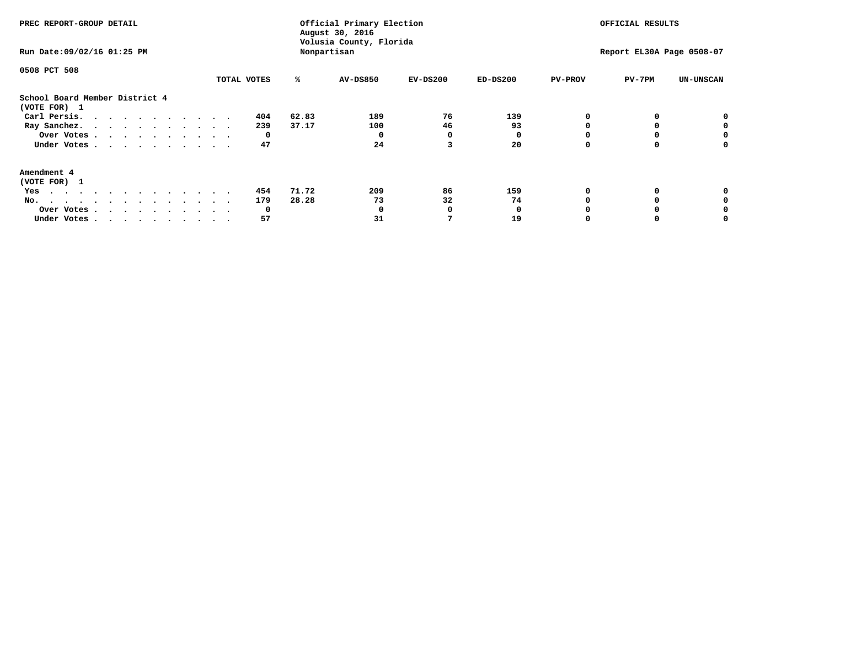| PREC REPORT-GROUP DETAIL<br>Run Date: 09/02/16 01:25 PM                                                                                                                                                                                                                                                              |             |       | Official Primary Election<br>August 30, 2016<br>Volusia County, Florida<br>Nonpartisan |            | OFFICIAL RESULTS<br>Report EL30A Page 0508-07 |                |          |                  |
|----------------------------------------------------------------------------------------------------------------------------------------------------------------------------------------------------------------------------------------------------------------------------------------------------------------------|-------------|-------|----------------------------------------------------------------------------------------|------------|-----------------------------------------------|----------------|----------|------------------|
|                                                                                                                                                                                                                                                                                                                      |             |       |                                                                                        |            |                                               |                |          |                  |
| 0508 PCT 508                                                                                                                                                                                                                                                                                                         |             |       |                                                                                        |            |                                               |                |          |                  |
|                                                                                                                                                                                                                                                                                                                      | TOTAL VOTES | ℁     | AV-DS850                                                                               | $EV-DS200$ | $ED-DS200$                                    | <b>PV-PROV</b> | $PV-7PM$ | <b>UN-UNSCAN</b> |
| School Board Member District 4<br>(VOTE FOR) 1                                                                                                                                                                                                                                                                       |             |       |                                                                                        |            |                                               |                |          |                  |
| Carl Persis.<br>. The contract of the contract of the contract of the contract of the contract of the contract of the contract of the contract of the contract of the contract of the contract of the contract of the contract of the contrac                                                                        | 404         | 62.83 | 189                                                                                    | 76         | 139                                           |                |          |                  |
| Ray Sanchez.                                                                                                                                                                                                                                                                                                         | 239         | 37.17 | 100                                                                                    | 46         | 93                                            |                |          |                  |
| Over Votes                                                                                                                                                                                                                                                                                                           | 0           |       |                                                                                        | 0          |                                               |                |          | 0                |
| Under Votes                                                                                                                                                                                                                                                                                                          | 47          |       | 24                                                                                     |            | 20                                            |                |          |                  |
| Amendment 4                                                                                                                                                                                                                                                                                                          |             |       |                                                                                        |            |                                               |                |          |                  |
| (VOTE FOR) 1                                                                                                                                                                                                                                                                                                         |             |       |                                                                                        |            |                                               |                |          |                  |
| Yes<br>$\mathbf{a} \cdot \mathbf{a} \cdot \mathbf{a} \cdot \mathbf{a} \cdot \mathbf{a} \cdot \mathbf{a} \cdot \mathbf{a} \cdot \mathbf{a} \cdot \mathbf{a} \cdot \mathbf{a} \cdot \mathbf{a} \cdot \mathbf{a} \cdot \mathbf{a} \cdot \mathbf{a} \cdot \mathbf{a} \cdot \mathbf{a} \cdot \mathbf{a} \cdot \mathbf{a}$ | 454         | 71.72 | 209                                                                                    | 86         | 159                                           |                |          |                  |
| No.<br>.                                                                                                                                                                                                                                                                                                             | 179         | 28.28 | 73                                                                                     | 32         | 74                                            |                |          |                  |
| Over Votes                                                                                                                                                                                                                                                                                                           | 0           |       |                                                                                        | n          |                                               |                |          |                  |
| Under Votes                                                                                                                                                                                                                                                                                                          | 57          |       | 31                                                                                     |            | 19                                            |                |          |                  |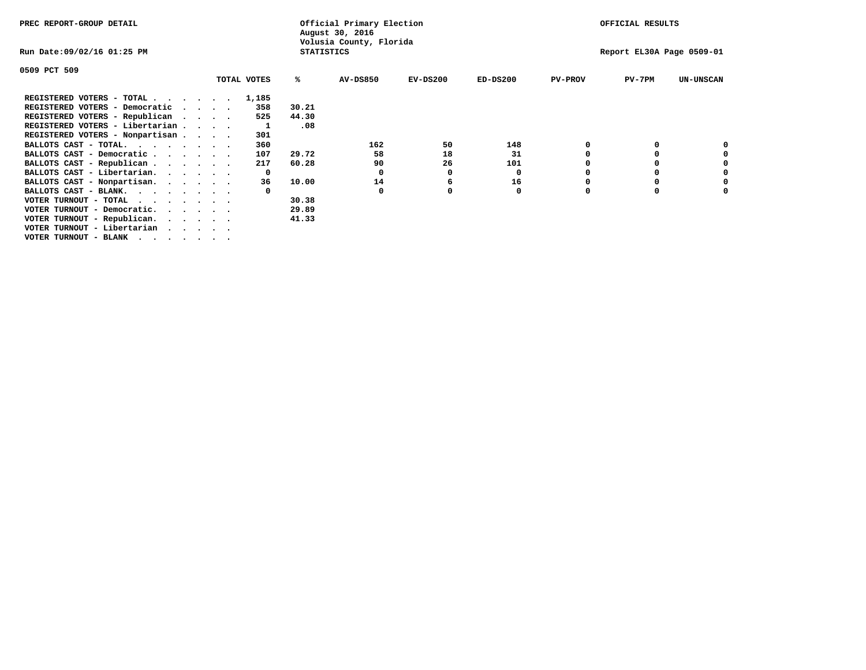| PREC REPORT-GROUP DETAIL                                             |                   | Official Primary Election<br>August 30, 2016 |            |            |                | OFFICIAL RESULTS          |                  |
|----------------------------------------------------------------------|-------------------|----------------------------------------------|------------|------------|----------------|---------------------------|------------------|
| Run Date:09/02/16 01:25 PM                                           | <b>STATISTICS</b> | Volusia County, Florida                      |            |            |                | Report EL30A Page 0509-01 |                  |
| 0509 PCT 509                                                         |                   |                                              |            |            |                |                           |                  |
| TOTAL VOTES                                                          | ℁                 | <b>AV-DS850</b>                              | $EV-DS200$ | $ED-DS200$ | <b>PV-PROV</b> | $PV-7PM$                  | <b>UN-UNSCAN</b> |
| REGISTERED VOTERS - TOTAL<br>1,185                                   |                   |                                              |            |            |                |                           |                  |
| REGISTERED VOTERS - Democratic<br>358<br>$\sim$ $\sim$ $\sim$ $\sim$ | 30.21             |                                              |            |            |                |                           |                  |
| REGISTERED VOTERS - Republican<br>525<br>$\cdots$                    | 44.30             |                                              |            |            |                |                           |                  |
| REGISTERED VOTERS - Libertarian                                      | .08               |                                              |            |            |                |                           |                  |
| REGISTERED VOTERS - Nonpartisan<br>301                               |                   |                                              |            |            |                |                           |                  |
| BALLOTS CAST - TOTAL.<br>360                                         |                   | 162                                          | 50         | 148        |                |                           |                  |
| BALLOTS CAST - Democratic<br>107                                     | 29.72             | 58                                           | 18         | 31         |                |                           |                  |
| BALLOTS CAST - Republican<br>217                                     | 60.28             | 90                                           | 26         | 101        |                |                           |                  |
| BALLOTS CAST - Libertarian.<br>$\mathbf{o}$                          |                   | 0                                            | 0          | 0          |                |                           |                  |
| BALLOTS CAST - Nonpartisan.<br>36                                    | 10.00             | 14                                           | 6          | 16         |                |                           | 0                |
| BALLOTS CAST - BLANK.                                                |                   | 0                                            |            | 0          | $\Omega$       |                           |                  |
| VOTER TURNOUT - TOTAL                                                | 30.38             |                                              |            |            |                |                           |                  |
| VOTER TURNOUT - Democratic.<br>$\cdot$                               | 29.89             |                                              |            |            |                |                           |                  |
| VOTER TURNOUT - Republican.                                          | 41.33             |                                              |            |            |                |                           |                  |
| VOTER TURNOUT - Libertarian                                          |                   |                                              |            |            |                |                           |                  |
| VOTER TURNOUT - BLANK                                                |                   |                                              |            |            |                |                           |                  |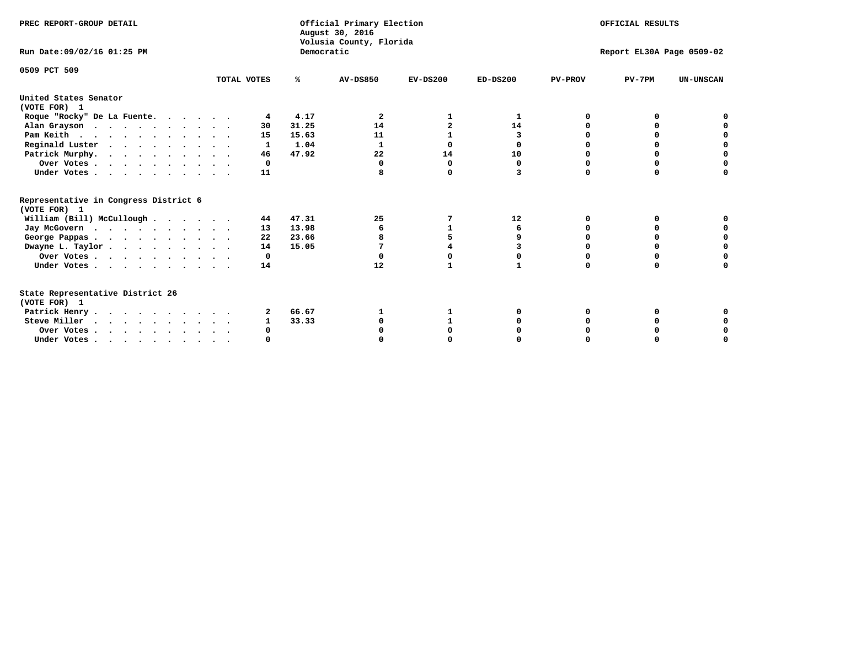| PREC REPORT-GROUP DETAIL                                                         |             |            | Official Primary Election<br>August 30, 2016<br>Volusia County, Florida | OFFICIAL RESULTS |            |                |                           |                  |
|----------------------------------------------------------------------------------|-------------|------------|-------------------------------------------------------------------------|------------------|------------|----------------|---------------------------|------------------|
| Run Date: 09/02/16 01:25 PM                                                      |             | Democratic |                                                                         |                  |            |                | Report EL30A Page 0509-02 |                  |
| 0509 PCT 509                                                                     | TOTAL VOTES | ℁          | <b>AV-DS850</b>                                                         | $EV-DS200$       | $ED-DS200$ | <b>PV-PROV</b> | $PV-7PM$                  | <b>UN-UNSCAN</b> |
| United States Senator<br>(VOTE FOR) 1                                            |             |            |                                                                         |                  |            |                |                           |                  |
| Roque "Rocky" De La Fuente.                                                      | 4           | 4.17       | 2                                                                       |                  | 1          | n              | n                         |                  |
| Alan Grayson                                                                     | 30          | 31.25      | 14                                                                      |                  | 14         |                |                           |                  |
| Pam Keith                                                                        | 15          | 15.63      | 11                                                                      |                  | 3          |                | O                         |                  |
| Reginald Luster                                                                  | 1           | 1.04       | 1                                                                       | 0                | 0          |                | 0                         | $\mathbf 0$      |
| Patrick Murphy.                                                                  | 46          | 47.92      | 22                                                                      | 14               | 10         | O              | 0                         | $\mathbf 0$      |
| Over Votes                                                                       | 0           |            | $\Omega$                                                                | 0                | 0          |                | $\Omega$                  |                  |
| Under Votes                                                                      | 11          |            |                                                                         | $\Omega$         | 3          | $\Omega$       | $\Omega$                  | U                |
| Representative in Congress District 6<br>(VOTE FOR) 1                            |             |            |                                                                         |                  |            |                |                           |                  |
| William (Bill) McCullough                                                        | 44          | 47.31      | 25                                                                      | 7                | 12         | O              | 0                         |                  |
| Jay McGovern                                                                     | 13          | 13.98      | 6                                                                       |                  | 6          | O              | $\Omega$                  |                  |
| George Pappas.                                                                   | 22          | 23.66      |                                                                         |                  | 9          |                |                           | O                |
| Dwayne L. Taylor                                                                 | 14          | 15.05      | 7                                                                       |                  |            |                | 0                         | $\mathbf 0$      |
| Over Votes                                                                       | 0           |            |                                                                         |                  |            |                |                           | 0                |
| Under Votes                                                                      | 14          |            | 12                                                                      |                  |            | $\Omega$       | $\Omega$                  | O                |
| State Representative District 26<br>(VOTE FOR) 1                                 |             |            |                                                                         |                  |            |                |                           |                  |
| Patrick Henry                                                                    | 2           | 66.67      |                                                                         |                  |            |                | 0                         |                  |
| Steve Miller                                                                     |             | 33.33      |                                                                         |                  |            |                |                           |                  |
| Over Votes                                                                       | 0           |            |                                                                         |                  |            |                |                           | 0                |
| Under Votes, $\cdot$ , $\cdot$ , $\cdot$ , $\cdot$ , $\cdot$ , $\cdot$ , $\cdot$ |             |            |                                                                         |                  |            |                |                           | U                |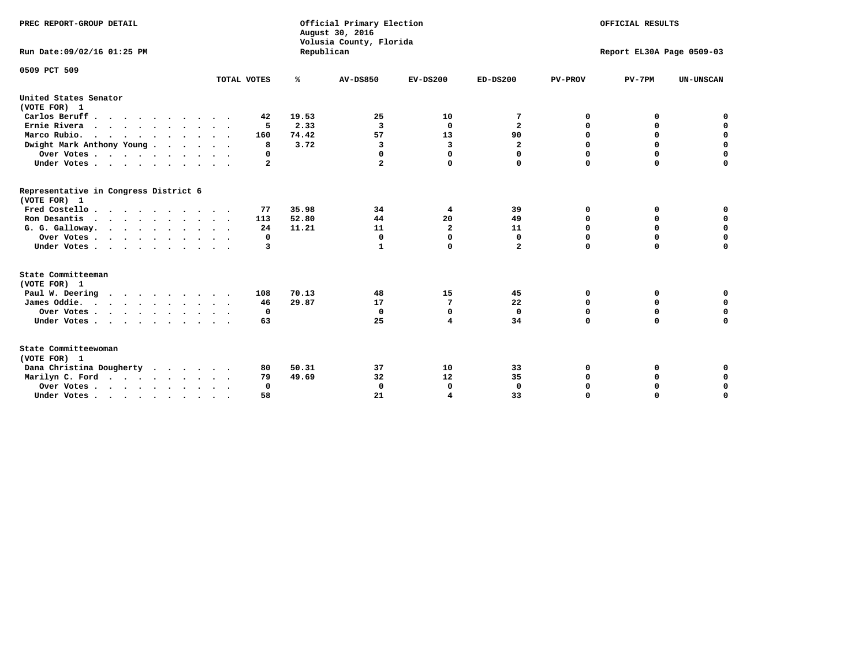| PREC REPORT-GROUP DETAIL                              |              |            | Official Primary Election<br>August 30, 2016<br>Volusia County, Florida | OFFICIAL RESULTS<br>Report EL30A Page 0509-03 |                         |                |             |                  |
|-------------------------------------------------------|--------------|------------|-------------------------------------------------------------------------|-----------------------------------------------|-------------------------|----------------|-------------|------------------|
| Run Date: 09/02/16 01:25 PM                           |              | Republican |                                                                         |                                               |                         |                |             |                  |
| 0509 PCT 509                                          |              |            |                                                                         |                                               |                         |                |             |                  |
|                                                       | TOTAL VOTES  | ℁          | <b>AV-DS850</b>                                                         | $EV-DS200$                                    | $ED-DS200$              | <b>PV-PROV</b> | $PV-7PM$    | <b>UN-UNSCAN</b> |
| United States Senator<br>(VOTE FOR) 1                 |              |            |                                                                         |                                               |                         |                |             |                  |
| Carlos Beruff.                                        | 42           | 19.53      | 25                                                                      | 10                                            | 7                       | 0              | 0           | 0                |
| Ernie Rivera                                          | 5            | 2.33       | $\overline{\mathbf{3}}$                                                 | 0                                             | $\overline{\mathbf{2}}$ | 0              | 0           | $\mathbf 0$      |
| Marco Rubio.                                          | 160          | 74.42      | 57                                                                      | 13                                            | 90                      | $\mathbf 0$    | $\mathbf 0$ | $\mathbf 0$      |
| Dwight Mark Anthony Young                             | 8            | 3.72       | 3                                                                       | 3                                             | $\overline{\mathbf{2}}$ | 0              | $\mathbf 0$ | $\pmb{0}$        |
| Over Votes                                            | 0            |            | 0                                                                       | $\Omega$                                      | 0                       | $\mathbf 0$    | 0           | 0                |
| Under Votes                                           | $\mathbf{2}$ |            | $\mathbf{2}$                                                            | 0                                             | 0                       | $\Omega$       | $\Omega$    | $\mathbf 0$      |
| Representative in Congress District 6<br>(VOTE FOR) 1 |              |            |                                                                         |                                               |                         |                |             |                  |
| Fred Costello                                         | 77           | 35.98      | 34                                                                      | 4                                             | 39                      | 0              | 0           | 0                |
| Ron Desantis                                          | 113          | 52.80      | 44                                                                      | 20                                            | 49                      | 0              | 0           | $\mathbf 0$      |
| G. G. Galloway.                                       | 24           | 11.21      | 11                                                                      | $\overline{\mathbf{2}}$                       | 11                      | $\Omega$       | $\Omega$    | $\mathbf 0$      |
| Over Votes                                            | $\Omega$     |            | 0                                                                       | $\mathbf{0}$                                  | $\mathbf{0}$            | $\Omega$       | $\Omega$    | $\mathbf 0$      |
| Under Votes                                           | 3            |            | 1                                                                       | 0                                             | $\mathbf{2}$            | $\Omega$       | $\Omega$    | $\Omega$         |
| State Committeeman<br>(VOTE FOR) 1                    |              |            |                                                                         |                                               |                         |                |             |                  |
| Paul W. Deering                                       | 108          | 70.13      | 48                                                                      | 15                                            | 45                      | 0              | 0           | 0                |
| James Oddie.                                          | 46           | 29.87      | 17                                                                      | 7                                             | 22                      | 0              | 0           | $\mathbf 0$      |
| Over Votes                                            | 0            |            | $\mathbf 0$                                                             | $\mathbf 0$                                   | $\mathbf 0$             | 0              | $\mathbf 0$ | $\mathbf 0$      |
| Under Votes                                           | 63           |            | 25                                                                      | 4                                             | 34                      | $\mathbf 0$    | 0           | $\mathbf 0$      |
|                                                       |              |            |                                                                         |                                               |                         |                |             |                  |
| State Committeewoman<br>(VOTE FOR) 1                  |              |            |                                                                         |                                               |                         |                |             |                  |
| Dana Christina Dougherty                              | 80           | 50.31      | 37                                                                      | 10                                            | 33                      | 0              | 0           | 0                |
| Marilyn C. Ford                                       | 79           | 49.69      | 32                                                                      | 12                                            | 35                      | 0              | 0           | 0                |
| Over Votes                                            | $\Omega$     |            | 0                                                                       | 0                                             | $\mathbf 0$             | 0              | 0           | $\mathbf 0$      |
| Under Votes, , , , , , , , , ,                        | 58           |            | 21                                                                      | $\overline{4}$                                | 33                      | $\Omega$       | $\Omega$    | $\Omega$         |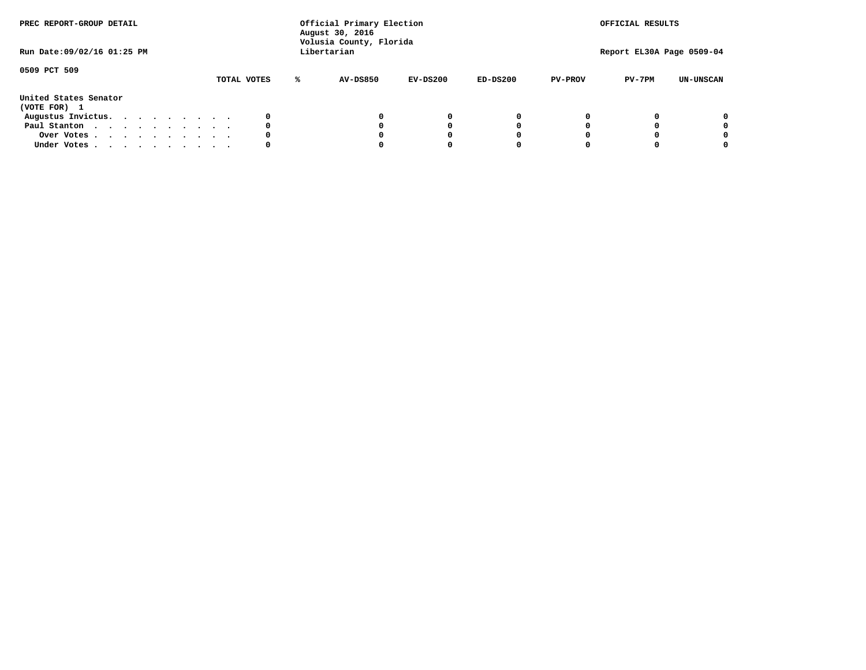| PREC REPORT-GROUP DETAIL<br>Run Date: 09/02/16 01:25 PM |  |  |  |  | Official Primary Election<br>August 30, 2016<br>Volusia County, Florida<br>Libertarian |  |             | OFFICIAL RESULTS<br>Report EL30A Page 0509-04 |            |            |                |          |                  |
|---------------------------------------------------------|--|--|--|--|----------------------------------------------------------------------------------------|--|-------------|-----------------------------------------------|------------|------------|----------------|----------|------------------|
| 0509 PCT 509                                            |  |  |  |  |                                                                                        |  | TOTAL VOTES | <b>AV-DS850</b>                               | $EV-DS200$ | $ED-DS200$ | <b>PV-PROV</b> | $PV-7PM$ | <b>UN-UNSCAN</b> |
| United States Senator<br>(VOTE FOR) 1                   |  |  |  |  |                                                                                        |  |             |                                               |            |            |                |          |                  |
| Augustus Invictus.                                      |  |  |  |  |                                                                                        |  |             |                                               | $^{\circ}$ | 0          |                |          | 0                |
| Paul Stanton                                            |  |  |  |  |                                                                                        |  | 0           |                                               | 0          |            |                |          | 0                |
| Over Votes                                              |  |  |  |  |                                                                                        |  |             |                                               |            |            |                |          | 0                |
| Under Votes                                             |  |  |  |  |                                                                                        |  | 0           |                                               |            |            |                |          | 0                |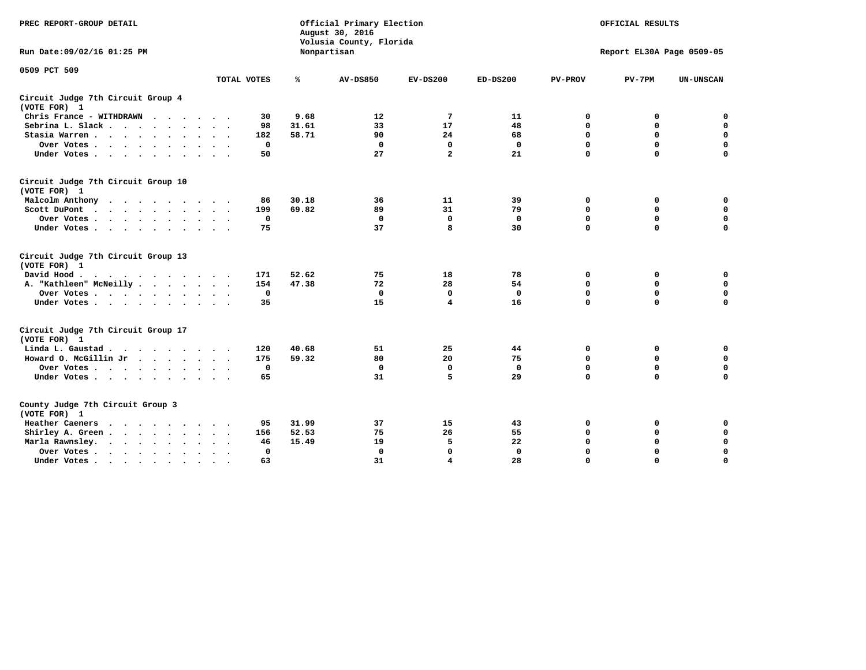| PREC REPORT-GROUP DETAIL                                   |                             | Official Primary Election<br>August 30, 2016<br>Volusia County, Florida |                 | OFFICIAL RESULTS<br>Report EL30A Page 0509-05 |              |                |             |                  |
|------------------------------------------------------------|-----------------------------|-------------------------------------------------------------------------|-----------------|-----------------------------------------------|--------------|----------------|-------------|------------------|
| Run Date: 09/02/16 01:25 PM                                |                             |                                                                         | Nonpartisan     |                                               |              |                |             |                  |
| 0509 PCT 509                                               | TOTAL VOTES                 | ℁                                                                       | <b>AV-DS850</b> | $EV-DS200$                                    | $ED-DS200$   | <b>PV-PROV</b> | $PV-7PM$    | <b>UN-UNSCAN</b> |
|                                                            |                             |                                                                         |                 |                                               |              |                |             |                  |
| Circuit Judge 7th Circuit Group 4<br>(VOTE FOR) 1          |                             |                                                                         |                 |                                               |              |                |             |                  |
| Chris France - WITHDRAWN                                   | 30                          | 9.68                                                                    | 12              | 7                                             | 11           | 0              | 0           | $\mathbf 0$      |
| Sebrina L. Slack                                           | 98<br>$\ddot{\phantom{1}}$  | 31.61                                                                   | 33              | 17                                            | 48           | $\mathbf 0$    | $\mathbf 0$ | $\mathbf 0$      |
| Stasia Warren<br>$\ddot{\phantom{0}}$                      | 182<br>$\ddot{\phantom{1}}$ | 58.71                                                                   | 90              | 24                                            | 68           | 0              | $\mathbf 0$ | $\mathbf 0$      |
| Over Votes                                                 | 0                           |                                                                         | 0               | $\mathbf 0$                                   | $\mathbf 0$  | $\mathbf 0$    | $\mathbf 0$ | $\mathbf 0$      |
| Under Votes                                                | 50                          |                                                                         | 27              | $\overline{a}$                                | 21           | $\mathbf 0$    | $\Omega$    | $\mathbf 0$      |
| Circuit Judge 7th Circuit Group 10<br>(VOTE FOR) 1         |                             |                                                                         |                 |                                               |              |                |             |                  |
| Malcolm Anthony                                            | 86                          | 30.18                                                                   | 36              | 11                                            | 39           | 0              | 0           | $\mathbf 0$      |
| Scott DuPont                                               | 199                         | 69.82                                                                   | 89              | 31                                            | 79           | $\mathbf 0$    | $\mathbf 0$ | $\mathbf 0$      |
| Over Votes<br>$\ddot{\phantom{1}}$                         | 0                           |                                                                         | $\Omega$        | 0                                             | 0            | $\mathbf 0$    | 0           | $\mathbf 0$      |
| Under Votes                                                | 75                          |                                                                         | 37              | 8                                             | 30           | $\mathbf 0$    | $\mathbf 0$ | $\Omega$         |
| Circuit Judge 7th Circuit Group 13<br>(VOTE FOR) 1         |                             |                                                                         |                 |                                               |              |                |             |                  |
| David Hood.                                                | 171                         | 52.62                                                                   | 75              | 18                                            | 78           | 0              | 0           | $\mathbf 0$      |
| A. "Kathleen" McNeilly                                     | 154                         | 47.38                                                                   | 72              | 28                                            | 54           | $\mathbf 0$    | 0           | $\mathbf 0$      |
| Over Votes                                                 | $\mathbf 0$                 |                                                                         | $\mathbf 0$     | $\mathbf 0$                                   | $\mathbf 0$  | 0              | $\mathbf 0$ | 0                |
| Under Votes                                                | 35                          |                                                                         | 15              | 4                                             | 16           | $\Omega$       | $\Omega$    | $\Omega$         |
| Circuit Judge 7th Circuit Group 17<br>(VOTE FOR) 1         |                             |                                                                         |                 |                                               |              |                |             |                  |
| Linda L. Gaustad                                           | 120                         | 40.68                                                                   | 51              | 25                                            | 44           | 0              | 0           | 0                |
| Howard O. McGillin Jr<br>$\cdots$                          | 175                         | 59.32                                                                   | 80              | 20                                            | 75           | $\mathbf 0$    | $\mathbf 0$ | 0                |
| Over Votes                                                 | $\mathbf 0$                 |                                                                         | $\Omega$        | $\mathbf{0}$                                  | $\mathbf{0}$ | $\mathbf 0$    | $\mathbf 0$ | $\mathbf 0$      |
| Under Votes                                                | 65                          |                                                                         | 31              | 5                                             | 29           | $\mathbf 0$    | $\mathbf 0$ | $\Omega$         |
| County Judge 7th Circuit Group 3<br>(VOTE FOR) 1           |                             |                                                                         |                 |                                               |              |                |             |                  |
| <b>Heather Caeners</b><br>$\cdots$                         | 95                          | 31.99                                                                   | 37              | 15                                            | 43           | $\mathbf 0$    | 0           | 0                |
| Shirley A. Green                                           | 156                         | 52.53                                                                   | 75              | 26                                            | 55           | $\mathbf 0$    | 0           | $\mathbf 0$      |
| Marla Rawnsley.<br>$\cdot$ $\cdot$ $\cdot$ $\cdot$ $\cdot$ | 46                          | 15.49                                                                   | 19              | 5                                             | 22           | 0              | $\mathbf 0$ | $\mathbf 0$      |
| Over Votes.<br>$\cdot$<br>$\cdot$<br>$\cdot$               | $\mathbf{0}$                |                                                                         | $\mathbf 0$     | $\mathbf{0}$                                  | $\mathbf{0}$ | $\Omega$       | $\Omega$    | $\mathbf 0$      |
| Under Votes<br>$\sim$<br>$\bullet$                         | 63                          |                                                                         | 31              | 4                                             | 28           | $\mathbf 0$    | $\mathbf 0$ | 0                |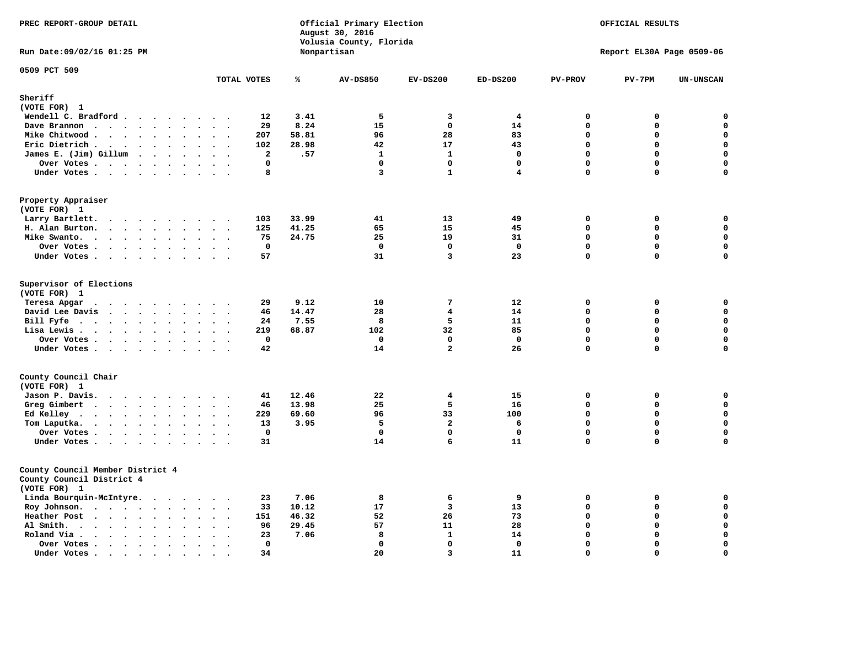| PREC REPORT-GROUP DETAIL                                                                                                                                                                                                                          | August 30, 2016<br>Volusia County, Florida                   |                       |                         | Official Primary Election | OFFICIAL RESULTS<br>Report EL30A Page 0509-06 |                |             |                  |
|---------------------------------------------------------------------------------------------------------------------------------------------------------------------------------------------------------------------------------------------------|--------------------------------------------------------------|-----------------------|-------------------------|---------------------------|-----------------------------------------------|----------------|-------------|------------------|
| Run Date: 09/02/16 01:25 PM                                                                                                                                                                                                                       |                                                              |                       | Nonpartisan             |                           |                                               |                |             |                  |
| 0509 PCT 509                                                                                                                                                                                                                                      | TOTAL VOTES                                                  | ℁                     | <b>AV-DS850</b>         | $EV-DS200$                | $ED-DS200$                                    | <b>PV-PROV</b> | $PV-7PM$    | <b>UN-UNSCAN</b> |
| Sheriff                                                                                                                                                                                                                                           |                                                              |                       |                         |                           |                                               |                |             |                  |
| (VOTE FOR) 1                                                                                                                                                                                                                                      |                                                              |                       |                         |                           |                                               |                |             |                  |
| Wendell C. Bradford                                                                                                                                                                                                                               |                                                              | 12<br>3.41            | 5                       | 3                         | 4                                             | 0              | 0           | $\mathbf 0$      |
| Dave Brannon                                                                                                                                                                                                                                      |                                                              | 29<br>8.24            | 15                      | $\Omega$                  | 14                                            | $\Omega$       | 0           | $\mathbf 0$      |
| Mike Chitwood                                                                                                                                                                                                                                     |                                                              | 207<br>58.81          | 96                      | 28                        | 83                                            | $\mathbf{0}$   | 0           | 0                |
| Eric Dietrich.                                                                                                                                                                                                                                    |                                                              | 102<br>28.98          | 42                      | 17                        | 43                                            | $\mathbf{0}$   | 0           | $\mathbf 0$      |
| James E. (Jim) Gillum                                                                                                                                                                                                                             |                                                              | $\overline{a}$<br>.57 | $\mathbf{1}$            | $\mathbf{1}$              | $\mathbf 0$                                   | $\mathbf 0$    | 0           | $\mathbf 0$      |
| Over Votes                                                                                                                                                                                                                                        | $\sim$                                                       | 0                     | 0                       | $\mathbf 0$               | $\mathbf 0$                                   | $\mathbf 0$    | 0           | $\pmb{0}$        |
| Under Votes                                                                                                                                                                                                                                       |                                                              | 8                     | $\overline{\mathbf{3}}$ | $\mathbf{1}$              | 4                                             | $\mathbf 0$    | $\Omega$    | $\mathbf 0$      |
| Property Appraiser                                                                                                                                                                                                                                |                                                              |                       |                         |                           |                                               |                |             |                  |
| (VOTE FOR) 1                                                                                                                                                                                                                                      |                                                              |                       |                         |                           |                                               |                |             |                  |
| Larry Bartlett.                                                                                                                                                                                                                                   |                                                              | 33.99<br>103          | 41                      | 13                        | 49                                            | 0              | 0           | $\mathbf 0$      |
| H. Alan Burton.                                                                                                                                                                                                                                   |                                                              | 125<br>41.25          | 65                      | 15                        | 45                                            | $\mathbf{0}$   | 0           | $\mathbf 0$      |
| Mike Swanto.                                                                                                                                                                                                                                      |                                                              | 24.75<br>75           | 25                      | 19                        | 31                                            | $\mathbf{0}$   | 0           | 0                |
| Over Votes.                                                                                                                                                                                                                                       |                                                              | $\mathbf{0}$          | $\Omega$                | $\Omega$                  | $\mathbf 0$                                   | $\mathbf{0}$   | 0           | 0                |
| Under Votes                                                                                                                                                                                                                                       |                                                              | 57                    | 31                      | $\overline{\mathbf{3}}$   | 23                                            | $\mathbf 0$    | 0           | 0                |
| Supervisor of Elections                                                                                                                                                                                                                           |                                                              |                       |                         |                           |                                               |                |             |                  |
| (VOTE FOR) 1                                                                                                                                                                                                                                      |                                                              |                       |                         |                           |                                               |                |             |                  |
| Teresa Apgar<br>$\cdots$                                                                                                                                                                                                                          |                                                              | 9.12<br>29            | 10                      | $7\phantom{.0}$           | 12                                            | $\mathbf 0$    | 0           | 0                |
| David Lee Davis                                                                                                                                                                                                                                   |                                                              | 14.47<br>46           | 28                      | 4                         | 14                                            | $\mathbf{0}$   | 0           | $\mathbf 0$      |
| Bill Fyfe. $\ldots$                                                                                                                                                                                                                               |                                                              | 24<br>7.55            | 8                       | 5                         | 11                                            | $\mathbf 0$    | 0           | $\mathbf 0$      |
| Lisa Lewis                                                                                                                                                                                                                                        |                                                              | 219<br>68.87          | 102                     | 32                        | 85                                            | $\mathbf 0$    | 0           | $\mathbf 0$      |
| Over Votes                                                                                                                                                                                                                                        |                                                              | $\mathbf 0$           | $\mathbf{0}$            | $\Omega$                  | $\mathbf 0$                                   | $\Omega$       | $\mathbf 0$ | 0                |
| Under Votes                                                                                                                                                                                                                                       |                                                              | 42                    | 14                      | $\overline{a}$            | 26                                            | $\mathbf 0$    | 0           | $\mathbf 0$      |
| County Council Chair                                                                                                                                                                                                                              |                                                              |                       |                         |                           |                                               |                |             |                  |
| (VOTE FOR) 1                                                                                                                                                                                                                                      |                                                              |                       |                         |                           |                                               |                |             |                  |
| Jason P. Davis.                                                                                                                                                                                                                                   | $\cdot$ .                                                    | 12.46<br>41           | 22                      | $\overline{\mathbf{4}}$   | 15                                            | $\mathbf 0$    | 0           | 0                |
| Greg Gimbert                                                                                                                                                                                                                                      |                                                              | 13.98<br>46           | 25                      | 5                         | 16                                            | $\Omega$       | 0           | $\mathbf 0$      |
| Ed Kelley                                                                                                                                                                                                                                         |                                                              | 229<br>69.60          | 96                      | 33                        | 100                                           | $\mathbf 0$    | $\mathbf 0$ | $\mathbf 0$      |
| Tom Laputka.<br>$\mathbf{r}$ . The contract of the contract of the contract of the contract of the contract of the contract of the contract of the contract of the contract of the contract of the contract of the contract of the contract of th |                                                              | 13<br>3.95            | 5                       | $\overline{a}$            | 6                                             | $\mathbf 0$    | $\mathbf 0$ | $\mathbf 0$      |
| Over Votes                                                                                                                                                                                                                                        |                                                              | $\mathbf{0}$          | $\mathbf{0}$            | $\Omega$                  | $\mathbf{0}$                                  | $\mathbf{0}$   | 0           | 0                |
| Under Votes                                                                                                                                                                                                                                       |                                                              | 31                    | 14                      | 6                         | 11                                            | $\Omega$       | $\mathbf 0$ | $\Omega$         |
|                                                                                                                                                                                                                                                   |                                                              |                       |                         |                           |                                               |                |             |                  |
| County Council Member District 4<br>County Council District 4<br>(VOTE FOR) 1                                                                                                                                                                     |                                                              |                       |                         |                           |                                               |                |             |                  |
| Linda Bourquin-McIntyre.                                                                                                                                                                                                                          |                                                              | 7.06<br>23            | 8                       | 6                         | 9                                             | $\mathbf 0$    | 0           | 0                |
| Roy Johnson.                                                                                                                                                                                                                                      |                                                              | 33<br>10.12           | 17                      | 3                         | 13                                            | $\mathbf 0$    | 0           | $\mathbf 0$      |
| Heather Post                                                                                                                                                                                                                                      |                                                              | 46.32<br>151          | 52                      | 26                        | 73                                            | $\mathbf 0$    | $\mathbf 0$ | $\mathbf 0$      |
| Al Smith.                                                                                                                                                                                                                                         | $\ddot{\phantom{a}}$<br>$\mathbf{r}$<br>$\ddot{\phantom{a}}$ | 96<br>29.45           | 57                      | 11                        | 28                                            | $\mathbf 0$    | $\mathbf 0$ | $\mathbf{o}$     |
| Roland Via<br>$\ddot{\phantom{a}}$                                                                                                                                                                                                                | $\ddot{\phantom{a}}$                                         | 7.06<br>23            | 8                       | $\mathbf{1}$              | 14                                            | $\Omega$       | $\mathbf 0$ | $\mathbf 0$      |
| Over Votes<br>$\ddot{\phantom{a}}$                                                                                                                                                                                                                | $\bullet$<br>$\ddot{\phantom{a}}$<br>$\cdot$                 | $\mathbf{0}$          | $\Omega$                | $\Omega$                  | $\mathbf{0}$                                  | $\Omega$       | $\mathbf 0$ | $\Omega$         |
| Under Votes .<br>$\cdots$<br>$\bullet$                                                                                                                                                                                                            | $\bullet$                                                    | 34                    | 20                      | 3                         | 11                                            | $\Omega$       | $\Omega$    | $\mathbf 0$      |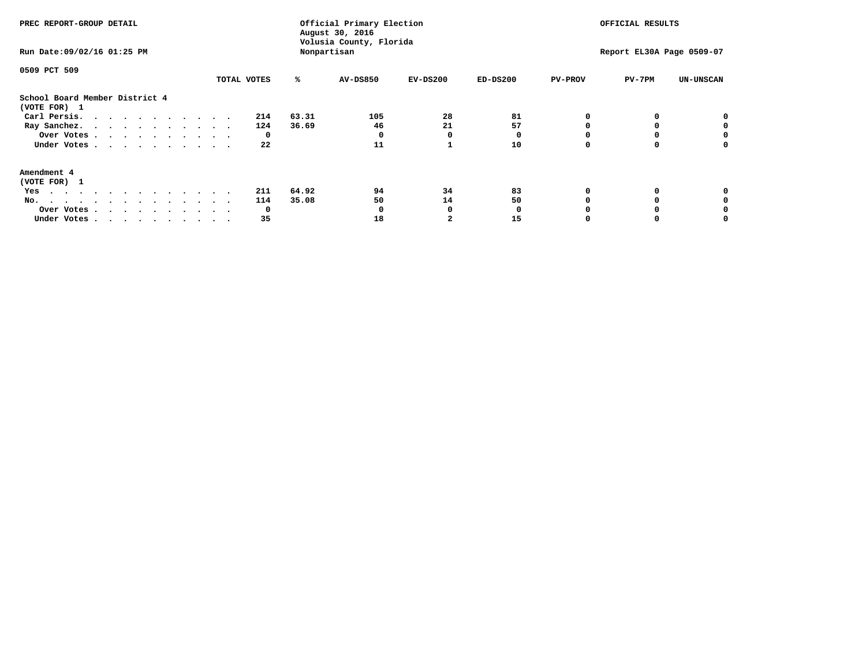| PREC REPORT-GROUP DETAIL<br>Run Date: 09/02/16 01:25 PM                                                                                                                                                                                  |             | Official Primary Election<br>August 30, 2016<br>Volusia County, Florida<br>Nonpartisan | OFFICIAL RESULTS<br>Report EL30A Page 0509-07 |            |            |                |        |                  |
|------------------------------------------------------------------------------------------------------------------------------------------------------------------------------------------------------------------------------------------|-------------|----------------------------------------------------------------------------------------|-----------------------------------------------|------------|------------|----------------|--------|------------------|
| 0509 PCT 509                                                                                                                                                                                                                             | TOTAL VOTES | ℁                                                                                      | <b>AV-DS850</b>                               | $EV-DS200$ | $ED-DS200$ | <b>PV-PROV</b> | PV-7PM | <b>UN-UNSCAN</b> |
| School Board Member District 4<br>(VOTE FOR) 1                                                                                                                                                                                           |             |                                                                                        |                                               |            |            |                |        |                  |
| Carl Persis.                                                                                                                                                                                                                             | 214         | 63.31                                                                                  | 105                                           | 28         | 81         |                |        |                  |
| Ray Sanchez.                                                                                                                                                                                                                             | 124         | 36.69                                                                                  | 46                                            | 21         | 57         |                |        |                  |
| Over Votes                                                                                                                                                                                                                               | 0           |                                                                                        |                                               | O          |            |                |        | 0                |
| Under Votes                                                                                                                                                                                                                              | 22          |                                                                                        | 11                                            |            | 10         |                |        | o                |
| Amendment 4                                                                                                                                                                                                                              |             |                                                                                        |                                               |            |            |                |        |                  |
| (VOTE FOR) 1                                                                                                                                                                                                                             |             |                                                                                        |                                               |            |            |                |        |                  |
| Yes<br>$\mathbf{a}$ . The contribution of the contribution of the contribution of the contribution of the contribution of the contribution of the contribution of the contribution of the contribution of the contribution of the contri | 211         | 64.92                                                                                  | 94                                            | 34         | 83         |                |        |                  |
| No.<br>.                                                                                                                                                                                                                                 | 114         | 35.08                                                                                  | 50                                            | 14         | 50         |                |        |                  |
| Over Votes                                                                                                                                                                                                                               | O           |                                                                                        |                                               |            |            |                |        |                  |
| Under Votes                                                                                                                                                                                                                              | 35          |                                                                                        | 18                                            |            | 15         |                |        |                  |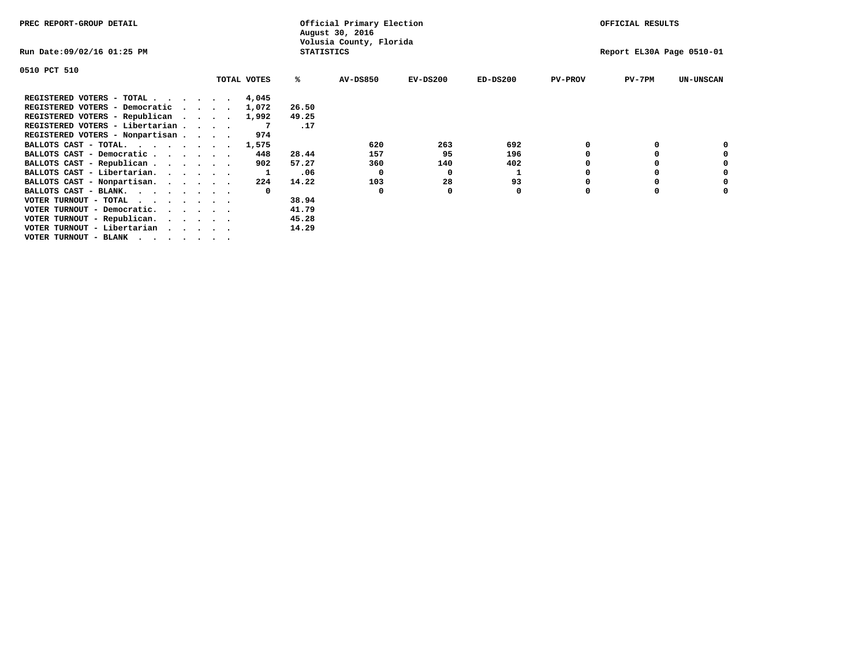| PREC REPORT-GROUP DETAIL                      |  |             |                   | Official Primary Election<br>August 30, 2016 |            |            |                | OFFICIAL RESULTS          |                  |
|-----------------------------------------------|--|-------------|-------------------|----------------------------------------------|------------|------------|----------------|---------------------------|------------------|
| Run Date:09/02/16 01:25 PM                    |  |             | <b>STATISTICS</b> | Volusia County, Florida                      |            |            |                | Report EL30A Page 0510-01 |                  |
| 0510 PCT 510                                  |  |             |                   |                                              |            |            |                |                           |                  |
|                                               |  | TOTAL VOTES | ℁                 | <b>AV-DS850</b>                              | $EV-DS200$ | $ED-DS200$ | <b>PV-PROV</b> | $PV-7PM$                  | <b>UN-UNSCAN</b> |
| REGISTERED VOTERS - TOTAL                     |  | 4,045       |                   |                                              |            |            |                |                           |                  |
| REGISTERED VOTERS - Democratic                |  | 1,072       | 26.50             |                                              |            |            |                |                           |                  |
| REGISTERED VOTERS - Republican                |  | 1,992       | 49.25             |                                              |            |            |                |                           |                  |
| REGISTERED VOTERS - Libertarian               |  |             | .17               |                                              |            |            |                |                           |                  |
| REGISTERED VOTERS - Nonpartisan               |  | 974         |                   |                                              |            |            |                |                           |                  |
| BALLOTS CAST - TOTAL.                         |  | 1,575       |                   | 620                                          | 263        | 692        |                |                           |                  |
| BALLOTS CAST - Democratic                     |  | 448         | 28.44             | 157                                          | 95         | 196        |                |                           |                  |
| BALLOTS CAST - Republican                     |  | 902         | 57.27             | 360                                          | 140        | 402        |                |                           |                  |
| BALLOTS CAST - Libertarian.                   |  |             | .06               | 0                                            | 0          |            |                |                           |                  |
| BALLOTS CAST - Nonpartisan.                   |  | 224         | 14.22             | 103                                          | 28         | 93         |                |                           |                  |
| BALLOTS CAST - BLANK.                         |  | $^{\circ}$  |                   | 0                                            |            | 0          |                |                           |                  |
| VOTER TURNOUT - TOTAL<br>$\cdots$             |  |             | 38.94             |                                              |            |            |                |                           |                  |
| VOTER TURNOUT - Democratic.                   |  |             | 41.79             |                                              |            |            |                |                           |                  |
| VOTER TURNOUT - Republican.                   |  |             | 45.28             |                                              |            |            |                |                           |                  |
| VOTER TURNOUT - Libertarian                   |  |             | 14.29             |                                              |            |            |                |                           |                  |
| VOTER TURNOUT - BLANK $\cdot$ , , , , , , , , |  |             |                   |                                              |            |            |                |                           |                  |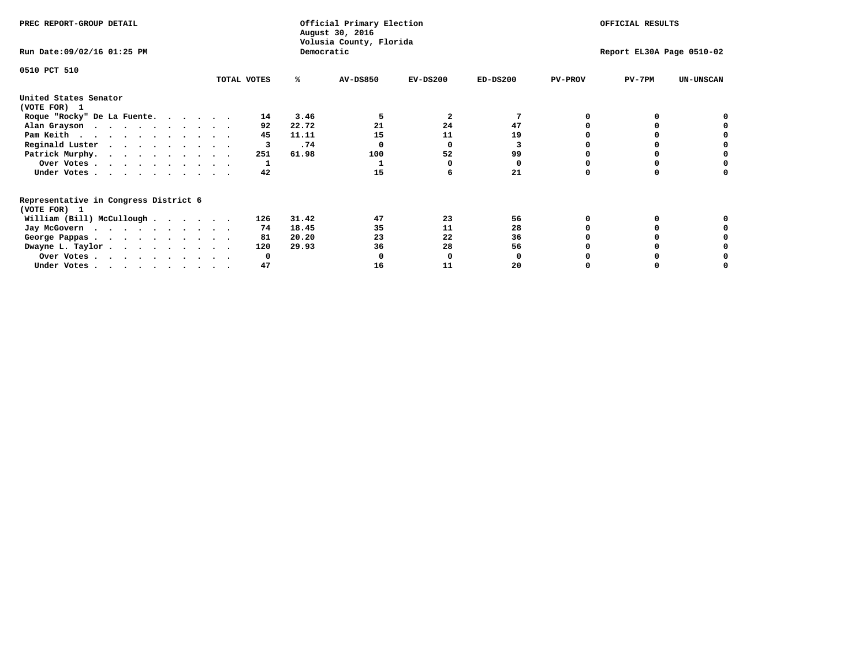| PREC REPORT-GROUP DETAIL                                               |             |       | Official Primary Election<br>August 30, 2016 |              | OFFICIAL RESULTS |                |                           |                  |
|------------------------------------------------------------------------|-------------|-------|----------------------------------------------|--------------|------------------|----------------|---------------------------|------------------|
| Run Date: 09/02/16 01:25 PM                                            |             |       | Volusia County, Florida<br>Democratic        |              |                  |                | Report EL30A Page 0510-02 |                  |
| 0510 PCT 510                                                           |             |       |                                              |              |                  |                |                           |                  |
|                                                                        | TOTAL VOTES | ℁     | <b>AV-DS850</b>                              | $EV-DS200$   | $ED-DS200$       | <b>PV-PROV</b> | $PV-7PM$                  | <b>UN-UNSCAN</b> |
| United States Senator                                                  |             |       |                                              |              |                  |                |                           |                  |
| (VOTE FOR) 1                                                           |             |       |                                              |              |                  |                |                           |                  |
| Roque "Rocky" De La Fuente.                                            | 14          | 3.46  |                                              | $\mathbf{2}$ |                  |                |                           |                  |
| Alan Grayson                                                           | 92          | 22.72 | 21                                           | 24           | 47               |                |                           |                  |
| Pam Keith                                                              | 45          | 11.11 | 15                                           | 11           | 19               |                |                           |                  |
| Reginald Luster                                                        | 3           | .74   |                                              | O            | 3                |                |                           |                  |
| Patrick Murphy.                                                        | 251         | 61.98 | 100                                          | 52           | 99               |                |                           |                  |
| Over Votes                                                             |             |       |                                              |              | $\Omega$         |                |                           |                  |
| Under Votes                                                            | 42          |       | 15                                           |              | 21               |                |                           |                  |
| Representative in Congress District 6                                  |             |       |                                              |              |                  |                |                           |                  |
| (VOTE FOR) 1                                                           |             |       |                                              |              |                  |                |                           |                  |
| William (Bill) McCullough                                              | 126         | 31.42 | 47                                           | 23           | 56               |                |                           |                  |
| Jay McGovern                                                           | 74          | 18.45 | 35                                           | 11           | 28               |                |                           |                  |
| George Pappas.                                                         | 81          | 20.20 | 23                                           | 22           | 36               |                |                           |                  |
| Dwayne L. Taylor.                                                      | 120         | 29.93 | 36                                           | 28           | 56               |                |                           |                  |
| Over Votes                                                             | O           |       |                                              |              |                  |                |                           |                  |
| Under Votes, $\cdot$ , $\cdot$ , $\cdot$ , $\cdot$ , $\cdot$ , $\cdot$ | 47          |       | 16                                           | 11           | 20               |                |                           |                  |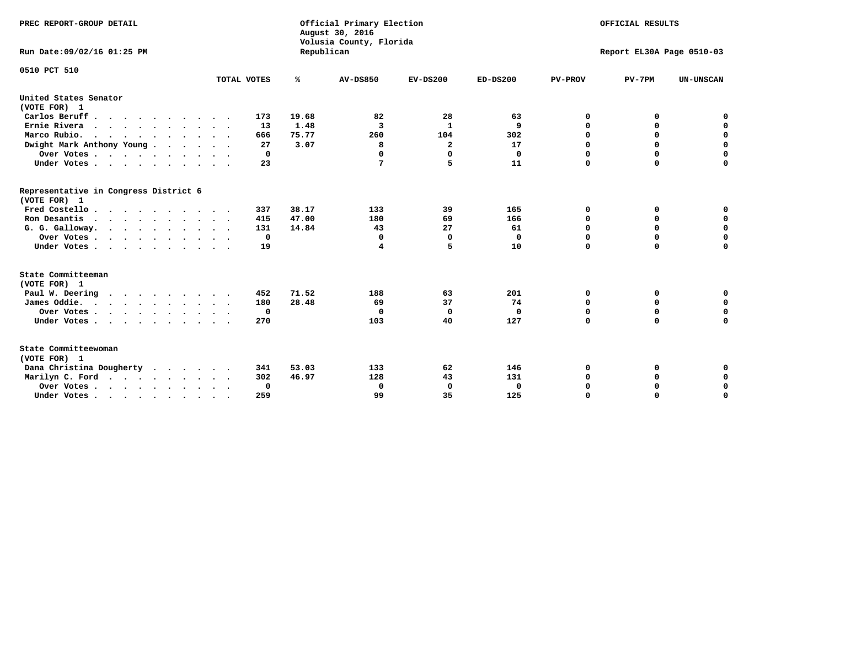| PREC REPORT-GROUP DETAIL<br>Run Date: 09/02/16 01:25 PM     |             | Republican | Official Primary Election<br>August 30, 2016<br>Volusia County, Florida | OFFICIAL RESULTS<br>Report EL30A Page 0510-03 |              |                |             |                  |
|-------------------------------------------------------------|-------------|------------|-------------------------------------------------------------------------|-----------------------------------------------|--------------|----------------|-------------|------------------|
| 0510 PCT 510                                                |             |            |                                                                         |                                               |              |                |             |                  |
|                                                             | TOTAL VOTES | %          | <b>AV-DS850</b>                                                         | $EV-DS200$                                    | $ED-DS200$   | <b>PV-PROV</b> | $PV-7PM$    | <b>UN-UNSCAN</b> |
| United States Senator<br>(VOTE FOR) 1                       |             |            |                                                                         |                                               |              |                |             |                  |
| Carlos Beruff.                                              | 173         | 19.68      | 82                                                                      | 28                                            | 63           | 0              | 0           | 0                |
| Ernie Rivera                                                | 13          | 1.48       | 3                                                                       | $\mathbf{1}$                                  | 9            | 0              | 0           | $\mathbf 0$      |
| Marco Rubio.                                                | 666         | 75.77      | 260                                                                     | 104                                           | 302          | $\mathbf 0$    | $\mathbf 0$ | $\mathbf 0$      |
| Dwight Mark Anthony Young                                   | 27          | 3.07       | 8                                                                       | 2                                             | 17           | 0              | $\mathbf 0$ | $\pmb{0}$        |
| Over Votes                                                  | 0           |            | $\Omega$                                                                | $\Omega$                                      | $\mathbf 0$  | $\mathbf 0$    | 0           | $\mathbf 0$      |
| Under Votes                                                 | 23          |            | 7                                                                       | 5                                             | 11           | $\mathbf 0$    | $\Omega$    | $\mathbf 0$      |
| Representative in Congress District 6<br>(VOTE FOR) 1       |             |            |                                                                         |                                               |              |                |             |                  |
| Fred Costello                                               | 337         | 38.17      | 133                                                                     | 39                                            | 165          | 0              | 0           | 0                |
| Ron Desantis                                                | 415         | 47.00      | 180                                                                     | 69                                            | 166          | 0              | 0           | $\mathbf 0$      |
| G. G. Galloway.                                             | 131         | 14.84      | 43                                                                      | 27                                            | 61           | $\mathbf 0$    | $\Omega$    | $\mathbf 0$      |
| Over Votes                                                  | 0           |            | 0                                                                       | $\mathbf 0$                                   | 0            | $\mathbf 0$    | $\mathbf 0$ | $\mathbf 0$      |
| Under Votes                                                 | 19          |            | 4                                                                       | 5                                             | 10           | $\mathbf 0$    | $\Omega$    | $\mathbf 0$      |
| State Committeeman                                          |             |            |                                                                         |                                               |              |                |             |                  |
| (VOTE FOR) 1                                                |             |            |                                                                         |                                               |              |                |             |                  |
| Paul W. Deering                                             | 452         | 71.52      | 188                                                                     | 63                                            | 201          | 0              | 0           | 0                |
| James Oddie.                                                | 180         | 28.48      | 69                                                                      | 37                                            | 74           | 0              | 0           | $\mathbf 0$      |
| Over Votes                                                  | 0           |            | 0                                                                       | $\Omega$                                      | $\mathbf 0$  | 0              | $\mathbf 0$ | $\mathbf 0$      |
| Under Votes<br>$\sim$<br>$\ddot{\phantom{a}}$               | 270         |            | 103                                                                     | 40                                            | 127          | $\mathbf 0$    | 0           | $\mathbf 0$      |
| State Committeewoman<br>(VOTE FOR) 1                        |             |            |                                                                         |                                               |              |                |             |                  |
| Dana Christina Dougherty<br>$\cdot$ $\cdot$ $\cdot$ $\cdot$ | 341         | 53.03      | 133                                                                     | 62                                            | 146          | 0              | 0           | 0                |
| Marilyn C. Ford                                             | 302         | 46.97      | 128                                                                     | 43                                            | 131          | 0              | 0           | 0                |
| Over Votes                                                  | 0           |            | $\mathbf 0$                                                             | 0                                             | $\mathbf{0}$ | 0              | 0           | $\mathbf 0$      |
| Under Votes, , , , , , , , , ,                              | 259         |            | 99                                                                      | 35                                            | 125          | $\Omega$       | $\Omega$    | $\Omega$         |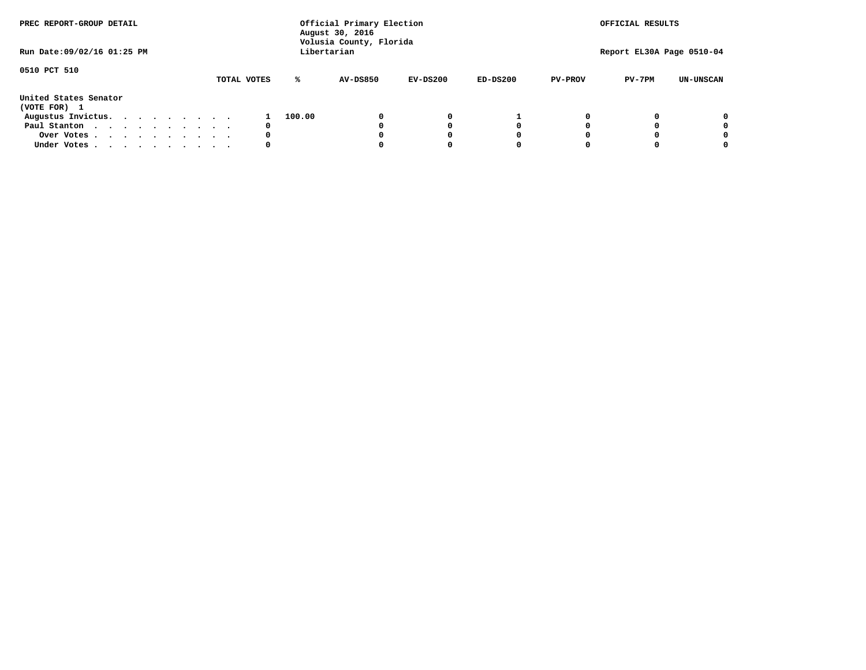| PREC REPORT-GROUP DETAIL              |  |  |  |  |  | Official Primary Election<br>August 30, 2016<br>Volusia County, Florida | OFFICIAL RESULTS |        |                 |            |            |                |                           |                  |
|---------------------------------------|--|--|--|--|--|-------------------------------------------------------------------------|------------------|--------|-----------------|------------|------------|----------------|---------------------------|------------------|
| Run Date: 09/02/16 01:25 PM           |  |  |  |  |  |                                                                         |                  |        | Libertarian     |            |            |                | Report EL30A Page 0510-04 |                  |
| 0510 PCT 510                          |  |  |  |  |  |                                                                         | TOTAL VOTES      | ℁      | <b>AV-DS850</b> | $EV-DS200$ | $ED-DS200$ | <b>PV-PROV</b> | $PV-7PM$                  | <b>UN-UNSCAN</b> |
| United States Senator<br>(VOTE FOR) 1 |  |  |  |  |  |                                                                         |                  |        |                 |            |            |                |                           |                  |
| Augustus Invictus.                    |  |  |  |  |  |                                                                         |                  | 100.00 |                 | 0          |            |                |                           | 0                |
| Paul Stanton                          |  |  |  |  |  |                                                                         | 0                |        |                 |            | 0          |                |                           | 0                |
| Over Votes                            |  |  |  |  |  |                                                                         | 0                |        |                 |            | 0          |                |                           | 0                |
| Under Votes                           |  |  |  |  |  |                                                                         | 0                |        |                 |            | 0          |                |                           | 0                |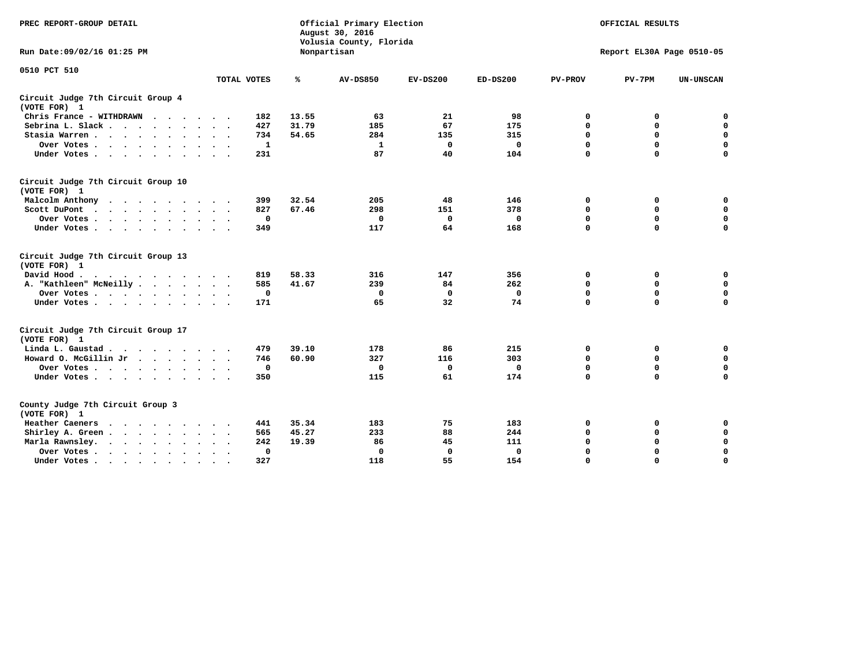| PREC REPORT-GROUP DETAIL                                    |             |       | Official Primary Election<br>August 30, 2016<br>Volusia County, Florida | OFFICIAL RESULTS |              |                |                           |                  |
|-------------------------------------------------------------|-------------|-------|-------------------------------------------------------------------------|------------------|--------------|----------------|---------------------------|------------------|
| Run Date: 09/02/16 01:25 PM                                 |             |       | Nonpartisan                                                             |                  |              |                | Report EL30A Page 0510-05 |                  |
| 0510 PCT 510                                                |             |       |                                                                         |                  |              |                |                           |                  |
|                                                             | TOTAL VOTES | ℁     | <b>AV-DS850</b>                                                         | $EV-DS200$       | $ED-DS200$   | <b>PV-PROV</b> | $PV-7PM$                  | <b>UN-UNSCAN</b> |
| Circuit Judge 7th Circuit Group 4<br>(VOTE FOR) 1           |             |       |                                                                         |                  |              |                |                           |                  |
| Chris France - WITHDRAWN<br>$\cdots$                        | 182         | 13.55 | 63                                                                      | 21               | 98           | 0              | 0                         | 0                |
| Sebrina L. Slack                                            | 427         | 31.79 | 185                                                                     | 67               | 175          | $\Omega$       | $\mathbf 0$               | $\mathbf 0$      |
| Stasia Warren                                               | 734         | 54.65 | 284                                                                     | 135              | 315          | $\mathbf 0$    | $\Omega$                  | $\mathbf 0$      |
| Over Votes                                                  | 1           |       | 1                                                                       | 0                | $\mathbf{0}$ | $\mathbf 0$    | $\mathbf 0$               | $\mathbf 0$      |
| Under Votes                                                 | 231         |       | 87                                                                      | 40               | 104          | $\mathbf 0$    | $\Omega$                  | $\mathbf 0$      |
| Circuit Judge 7th Circuit Group 10<br>(VOTE FOR) 1          |             |       |                                                                         |                  |              |                |                           |                  |
| Malcolm Anthony                                             | 399         | 32.54 | 205                                                                     | 48               | 146          | 0              | 0                         | 0                |
| Scott DuPont                                                | 827         | 67.46 | 298                                                                     | 151              | 378          | 0              | $\mathbf 0$               | $\mathbf 0$      |
| Over Votes<br>$\ddot{\phantom{1}}$                          | 0           |       | 0                                                                       | 0                | 0            | 0              | $\mathbf 0$               | $\mathbf 0$      |
| Under Votes                                                 | 349         |       | 117                                                                     | 64               | 168          | $\mathbf 0$    | $\Omega$                  | $\Omega$         |
| Circuit Judge 7th Circuit Group 13<br>(VOTE FOR) 1          |             |       |                                                                         |                  |              |                |                           |                  |
| David Hood.                                                 | 819         | 58.33 | 316                                                                     | 147              | 356          | $\mathbf 0$    | 0                         | $\mathbf 0$      |
| A. "Kathleen" McNeilly                                      | 585         | 41.67 | 239                                                                     | 84               | 262          | $\Omega$       | $\Omega$                  | $\mathbf 0$      |
| Over Votes                                                  | $\mathbf 0$ |       | $\mathbf{0}$                                                            | 0                | $\mathbf{0}$ | 0              | $\mathbf 0$               | $\mathbf 0$      |
| Under Votes                                                 | 171         |       | 65                                                                      | 32               | 74           | $\mathbf 0$    | $\Omega$                  | 0                |
| Circuit Judge 7th Circuit Group 17<br>(VOTE FOR) 1          |             |       |                                                                         |                  |              |                |                           |                  |
| Linda L. Gaustad                                            | 479         | 39.10 | 178                                                                     | 86               | 215          | 0              | 0                         | $\mathbf 0$      |
| Howard O. McGillin Jr                                       | 746         | 60.90 | 327                                                                     | 116              | 303          | 0              | 0                         | 0                |
| Over Votes                                                  | $\mathbf 0$ |       | $\Omega$                                                                | 0                | 0            | $\mathbf 0$    | $\mathbf 0$               | 0                |
| Under Votes                                                 | 350         |       | 115                                                                     | 61               | 174          | $\mathbf 0$    | $\mathbf 0$               | $\mathbf 0$      |
| County Judge 7th Circuit Group 3<br>(VOTE FOR) 1            |             |       |                                                                         |                  |              |                |                           |                  |
| Heather Caeners<br>$\cdots$                                 | 441         | 35.34 | 183                                                                     | 75               | 183          | 0              | 0                         | 0                |
| Shirley A. Green                                            | 565         | 45.27 | 233                                                                     | 88               | 244          | $\mathbf 0$    | $\Omega$                  | $\mathbf 0$      |
| Marla Rawnsley.<br>$\cdots$                                 | 242         | 19.39 | 86                                                                      | 45               | 111          | 0              | $\mathbf 0$               | $\pmb{0}$        |
| Over Votes.<br>$\ddot{\phantom{a}}$<br>$\ddot{\phantom{a}}$ | 0           |       | $\Omega$                                                                | 0                | 0            | $\mathbf 0$    | $\Omega$                  | $\mathbf 0$      |
| Under Votes<br>$\sim$<br>$\sim$                             | 327         |       | 118                                                                     | 55               | 154          | $\mathbf 0$    | $\mathbf 0$               | 0                |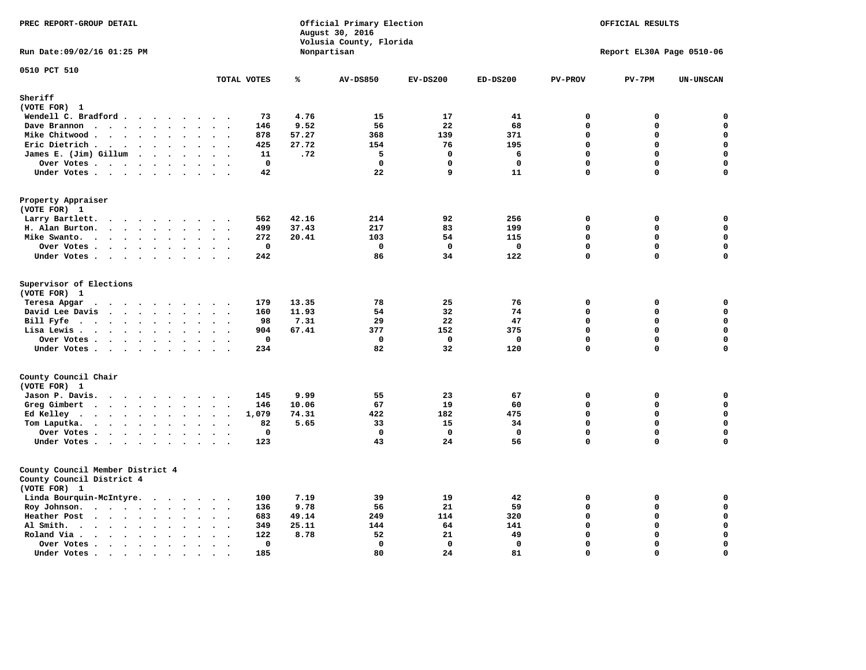| PREC REPORT-GROUP DETAIL                                                                                                        |                                                  | Official Primary Election<br>August 30, 2016<br>Volusia County, Florida |                 | OFFICIAL RESULTS<br>Report EL30A Page 0510-06 |             |                |             |                  |
|---------------------------------------------------------------------------------------------------------------------------------|--------------------------------------------------|-------------------------------------------------------------------------|-----------------|-----------------------------------------------|-------------|----------------|-------------|------------------|
| Run Date: 09/02/16 01:25 PM                                                                                                     |                                                  |                                                                         | Nonpartisan     |                                               |             |                |             |                  |
| 0510 PCT 510                                                                                                                    | TOTAL VOTES                                      | ℁                                                                       | <b>AV-DS850</b> | $EV-DS200$                                    | $ED-DS200$  | <b>PV-PROV</b> | $PV-7PM$    | <b>UN-UNSCAN</b> |
| Sheriff                                                                                                                         |                                                  |                                                                         |                 |                                               |             |                |             |                  |
| (VOTE FOR) 1                                                                                                                    |                                                  |                                                                         |                 |                                               |             |                |             |                  |
| Wendell C. Bradford                                                                                                             | 73                                               | 4.76                                                                    | 15              | 17                                            | 41          | 0              | 0           | 0                |
| Dave Brannon<br>$\ddot{\phantom{a}}$<br>$\ddot{\phantom{a}}$                                                                    | 146<br>$\sim$                                    | 9.52                                                                    | 56              | 22                                            | 68          | $\mathbf 0$    | 0           | $\mathbf 0$      |
| Mike Chitwood                                                                                                                   | 878                                              | 57.27                                                                   | 368             | 139                                           | 371         | $\mathbf 0$    | 0           | $\mathbf 0$      |
| Eric Dietrich.<br>$\cdots$                                                                                                      | 425<br>$\ddot{\phantom{1}}$                      | 27.72                                                                   | 154             | 76                                            | 195         | $\mathbf{0}$   | $\mathbf 0$ | $\mathbf 0$      |
| James E. (Jim) Gillum                                                                                                           | 11                                               | .72                                                                     | 5               | $\mathbf 0$                                   | 6           | $\mathbf 0$    | 0           | $\mathbf 0$      |
| Over Votes                                                                                                                      | $\mathbf 0$                                      |                                                                         | $\mathbf 0$     | $\mathbf 0$                                   | $\mathbf 0$ | $\mathbf 0$    | 0           | $\mathbf 0$      |
| Under Votes                                                                                                                     | 42                                               |                                                                         | 22              | 9                                             | 11          | $\mathbf 0$    | 0           | $\mathbf 0$      |
| Property Appraiser<br>(VOTE FOR) 1                                                                                              |                                                  |                                                                         |                 |                                               |             |                |             |                  |
| Larry Bartlett.<br>$\cdots$<br>$\overline{\phantom{a}}$<br>$\overline{\phantom{a}}$                                             | 562                                              | 42.16                                                                   | 214             | 92                                            | 256         | $\mathbf 0$    | 0           | 0                |
| H. Alan Burton.                                                                                                                 | 499<br>$\ddot{\phantom{1}}$                      | 37.43                                                                   | 217             | 83                                            | 199         | $\mathbf 0$    | 0           | $\mathbf 0$      |
| Mike Swanto.<br>$\bullet$<br>$\ddot{\phantom{a}}$                                                                               | 272<br>$\bullet$<br>$\blacksquare$               | 20.41                                                                   | 103             | 54                                            | 115         | $\mathbf 0$    | $\mathbf 0$ | $\mathbf 0$      |
| Over Votes                                                                                                                      | $\mathbf 0$<br>$\sim$ $\sim$                     |                                                                         | $\Omega$        | $^{\circ}$                                    | $\mathbf 0$ | $\mathbf{0}$   | $\mathbf 0$ | $\mathbf 0$      |
| Under Votes                                                                                                                     | 242                                              |                                                                         | 86              | 34                                            | 122         | $\Omega$       | $\Omega$    | $\mathbf 0$      |
| Supervisor of Elections<br>(VOTE FOR) 1                                                                                         | 179                                              | 13.35                                                                   | 78              | 25                                            | 76          | $\Omega$       | 0           | $\mathbf 0$      |
| Teresa Apgar<br>David Lee Davis                                                                                                 | 160<br>$\sim$ $\sim$                             | 11.93                                                                   | 54              | 32                                            | 74          | $\Omega$       | 0           | $\mathbf 0$      |
| Bill Fyfe<br>$\sim$<br>$\ddot{\phantom{a}}$                                                                                     | 98<br>$\sim$ $\sim$                              | 7.31                                                                    | 29              | 22                                            | 47          | $\Omega$       | 0           | 0                |
| Lisa Lewis<br>$\ddot{\phantom{a}}$<br>$\ddot{\phantom{a}}$                                                                      | 904<br>$\ddot{\phantom{a}}$                      | 67.41                                                                   | 377             | 152                                           | 375         | $\mathbf 0$    | 0           | $\mathbf 0$      |
| Over Votes                                                                                                                      | $\mathbf 0$<br>$\sim$                            |                                                                         | 0               | 0                                             | $\mathbf 0$ | $\mathbf 0$    | 0           | $\mathbf 0$      |
| Under Votes                                                                                                                     | 234<br>$\sim$                                    |                                                                         | 82              | 32                                            | 120         | $\mathbf 0$    | 0           | $\mathbf 0$      |
| County Council Chair                                                                                                            |                                                  |                                                                         |                 |                                               |             |                |             |                  |
| (VOTE FOR) 1                                                                                                                    |                                                  |                                                                         |                 |                                               |             |                |             |                  |
| Jason P. Davis.                                                                                                                 | 145<br>$\ddot{\phantom{1}}$                      | 9.99                                                                    | 55              | 23                                            | 67          | 0              | 0           | $\mathbf 0$      |
| Greg Gimbert<br>$\cdots$                                                                                                        | 146<br>$\ddot{\phantom{1}}$                      | 10.06                                                                   | 67              | 19                                            | 60          | $\mathbf 0$    | 0           | $\mathbf 0$      |
| Ed Kelley<br>$\ddot{\phantom{a}}$                                                                                               | 1,079<br>$\bullet$<br>$\overline{\phantom{a}}$   | 74.31                                                                   | 422             | 182                                           | 475         | $\mathbf{0}$   | 0           | $\mathbf 0$      |
| Tom Laputka.<br>$\cdot$ $\cdot$ $\cdot$ $\cdot$ $\cdot$<br>$\ddot{\phantom{0}}$<br>$\ddot{\phantom{0}}$<br>$\ddot{\phantom{a}}$ | 82<br>$\bullet$<br>$\ddot{\phantom{0}}$          | 5.65                                                                    | 33              | 15                                            | 34          | $\mathbf{0}$   | 0           | $\mathbf 0$      |
| Over Votes.<br>$\cdots$<br>$\bullet$<br>$\cdot$                                                                                 | $\mathbf 0$                                      |                                                                         | $\mathbf 0$     | $\Omega$                                      | $\mathbf 0$ | $\mathbf 0$    | $\mathbf 0$ | $\mathbf 0$      |
| Under Votes<br>$\cdot$<br>$\sim$                                                                                                | 123<br>$\ddot{\phantom{1}}$                      |                                                                         | 43              | 24                                            | 56          | $\mathbf 0$    | 0           | $\mathbf 0$      |
| County Council Member District 4<br>County Council District 4<br>(VOTE FOR) 1                                                   |                                                  |                                                                         |                 |                                               |             |                |             |                  |
| Linda Bourquin-McIntyre.                                                                                                        | 100                                              | 7.19                                                                    | 39              | 19                                            | 42          | $\mathbf 0$    | 0           | 0                |
| Roy Johnson.<br>$\bullet$<br>$\bullet$                                                                                          | 136<br>$\ddotsc$                                 | 9.78                                                                    | 56              | 21                                            | 59          | $\mathbf 0$    | $\mathbf 0$ | $\pmb{0}$        |
| Heather Post                                                                                                                    | 683<br>$\sim$ $\sim$                             | 49.14                                                                   | 249             | 114                                           | 320         | $\mathbf 0$    | 0           | $\mathbf 0$      |
| Al Smith.<br>$\cdots$<br>$\langle \rangle$<br>$\bullet$                                                                         | 349                                              | 25.11                                                                   | 144             | 64                                            | 141         | $\Omega$       | $\Omega$    | $\mathbf 0$      |
| Roland Via .<br>$\mathbf{r} = \mathbf{r} + \mathbf{r}$ . The $\mathbf{r}$<br>$\ddot{\phantom{0}}$<br>$\ddot{\phantom{a}}$       | 122                                              | 8.78                                                                    | 52              | 21                                            | 49          | $\mathbf 0$    | 0           | $\mathbf 0$      |
| Over Votes<br>$\bullet$<br>$\bullet$                                                                                            | $\mathbf 0$<br>$\bullet$<br>$\ddot{\phantom{1}}$ |                                                                         | $\mathbf 0$     | $\mathbf{0}$                                  | $\mathbf 0$ | $\Omega$       | 0           | $\mathbf 0$      |
| Under Votes.<br>.<br>$\bullet$                                                                                                  | 185<br>$\bullet$                                 |                                                                         | 80              | 24                                            | 81          | $\Omega$       | 0           | $\mathbf 0$      |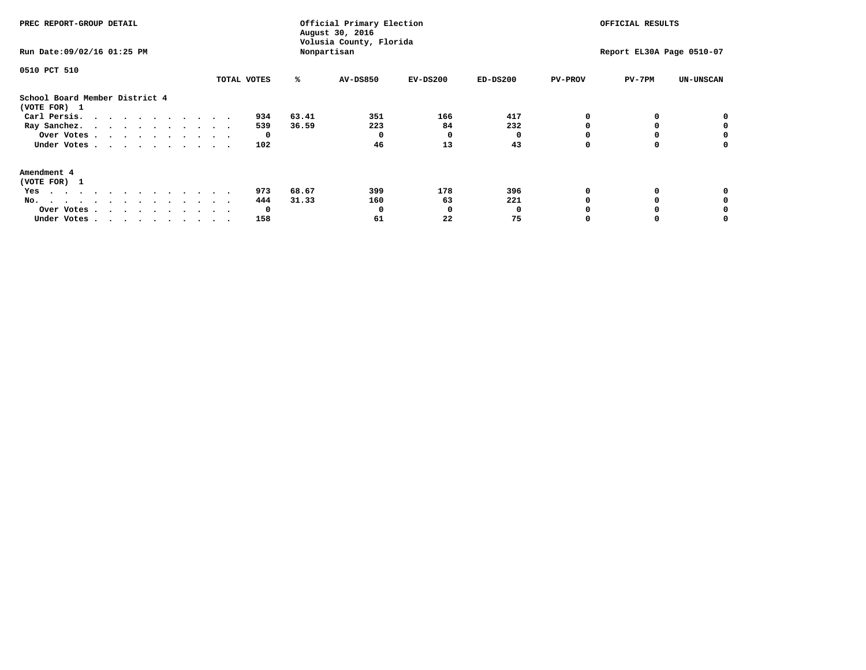| PREC REPORT-GROUP DETAIL                                                                                                                                                                                                                 |             |       | Official Primary Election<br>August 30, 2016<br>Volusia County, Florida | OFFICIAL RESULTS |            |                |                           |                  |
|------------------------------------------------------------------------------------------------------------------------------------------------------------------------------------------------------------------------------------------|-------------|-------|-------------------------------------------------------------------------|------------------|------------|----------------|---------------------------|------------------|
| Run Date: 09/02/16 01:25 PM                                                                                                                                                                                                              |             |       | Nonpartisan                                                             |                  |            |                | Report EL30A Page 0510-07 |                  |
| 0510 PCT 510                                                                                                                                                                                                                             |             |       |                                                                         |                  |            |                |                           |                  |
|                                                                                                                                                                                                                                          | TOTAL VOTES | ℁     | AV-DS850                                                                | $EV-DS200$       | $ED-DS200$ | <b>PV-PROV</b> | $PV-7PM$                  | <b>UN-UNSCAN</b> |
| School Board Member District 4<br>(VOTE FOR) 1                                                                                                                                                                                           |             |       |                                                                         |                  |            |                |                           |                  |
| Carl Persis.                                                                                                                                                                                                                             | 934         | 63.41 | 351                                                                     | 166              | 417        |                |                           | 0                |
| Ray Sanchez.                                                                                                                                                                                                                             | 539         | 36.59 | 223                                                                     | 84               | 232        |                |                           |                  |
| Over Votes                                                                                                                                                                                                                               | 0           |       | 0                                                                       | 0                |            |                |                           | 0                |
| Under Votes                                                                                                                                                                                                                              | 102         |       | 46                                                                      | 13               | 43         |                |                           | 0                |
| Amendment 4                                                                                                                                                                                                                              |             |       |                                                                         |                  |            |                |                           |                  |
| (VOTE FOR) 1                                                                                                                                                                                                                             |             |       |                                                                         |                  |            |                |                           |                  |
| Yes<br>$\mathbf{a}$ . The contribution of the contribution of the contribution of the contribution of the contribution of the contribution of the contribution of the contribution of the contribution of the contribution of the contri | 973         | 68.67 | 399                                                                     | 178              | 396        |                |                           |                  |
| No.<br>.                                                                                                                                                                                                                                 | 444         | 31.33 | 160                                                                     | 63               | 221        |                |                           |                  |
| Over Votes                                                                                                                                                                                                                               | 0           |       |                                                                         | O                |            |                |                           |                  |
| Under Votes                                                                                                                                                                                                                              | 158         |       | 61                                                                      | 22               | 75         |                |                           |                  |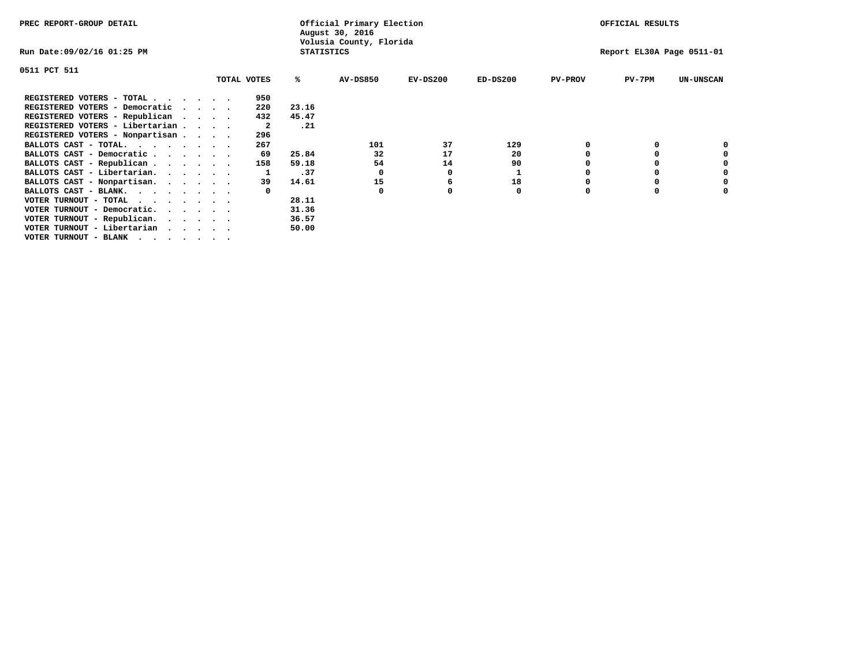| PREC REPORT-GROUP DETAIL                                    |                                              |             |       | Official Primary Election<br>August 30, 2016 |            |            |                | OFFICIAL RESULTS          |                  |  |  |
|-------------------------------------------------------------|----------------------------------------------|-------------|-------|----------------------------------------------|------------|------------|----------------|---------------------------|------------------|--|--|
| Run Date:09/02/16 01:25 PM                                  | Volusia County, Florida<br><b>STATISTICS</b> |             |       |                                              |            |            |                | Report EL30A Page 0511-01 |                  |  |  |
| 0511 PCT 511                                                |                                              |             |       |                                              |            |            |                |                           |                  |  |  |
|                                                             |                                              | TOTAL VOTES | %ะ    | <b>AV-DS850</b>                              | $EV-DS200$ | $ED-DS200$ | <b>PV-PROV</b> | $PV-7PM$                  | <b>UN-UNSCAN</b> |  |  |
| REGISTERED VOTERS - TOTAL                                   |                                              | 950         |       |                                              |            |            |                |                           |                  |  |  |
| REGISTERED VOTERS - Democratic                              |                                              | 220         | 23.16 |                                              |            |            |                |                           |                  |  |  |
| REGISTERED VOTERS - Republican                              |                                              | 432         | 45.47 |                                              |            |            |                |                           |                  |  |  |
| REGISTERED VOTERS - Libertarian                             |                                              | -2          | .21   |                                              |            |            |                |                           |                  |  |  |
| REGISTERED VOTERS - Nonpartisan                             |                                              | 296         |       |                                              |            |            |                |                           |                  |  |  |
| BALLOTS CAST - TOTAL.                                       |                                              | 267         |       | 101                                          | 37         | 129        |                |                           |                  |  |  |
| BALLOTS CAST - Democratic                                   |                                              | 69          | 25.84 | 32                                           | 17         | 20         |                |                           |                  |  |  |
| BALLOTS CAST - Republican                                   |                                              | 158         | 59.18 | 54                                           | 14         | 90         |                |                           |                  |  |  |
| BALLOTS CAST - Libertarian.                                 |                                              |             | .37   | 0                                            | O          |            |                |                           |                  |  |  |
| BALLOTS CAST - Nonpartisan.                                 |                                              | 39          | 14.61 | 15                                           | 6          | 18         |                |                           | 0                |  |  |
| BALLOTS CAST - BLANK.                                       |                                              |             |       | $\Omega$                                     |            | 0          | n              |                           |                  |  |  |
| VOTER TURNOUT - TOTAL $\cdot \cdot \cdot \cdot \cdot \cdot$ |                                              |             | 28.11 |                                              |            |            |                |                           |                  |  |  |
| VOTER TURNOUT - Democratic.                                 |                                              |             | 31.36 |                                              |            |            |                |                           |                  |  |  |
| VOTER TURNOUT - Republican.                                 |                                              |             | 36.57 |                                              |            |            |                |                           |                  |  |  |
| VOTER TURNOUT - Libertarian                                 |                                              |             | 50.00 |                                              |            |            |                |                           |                  |  |  |
| VOTER TURNOUT - BLANK                                       |                                              |             |       |                                              |            |            |                |                           |                  |  |  |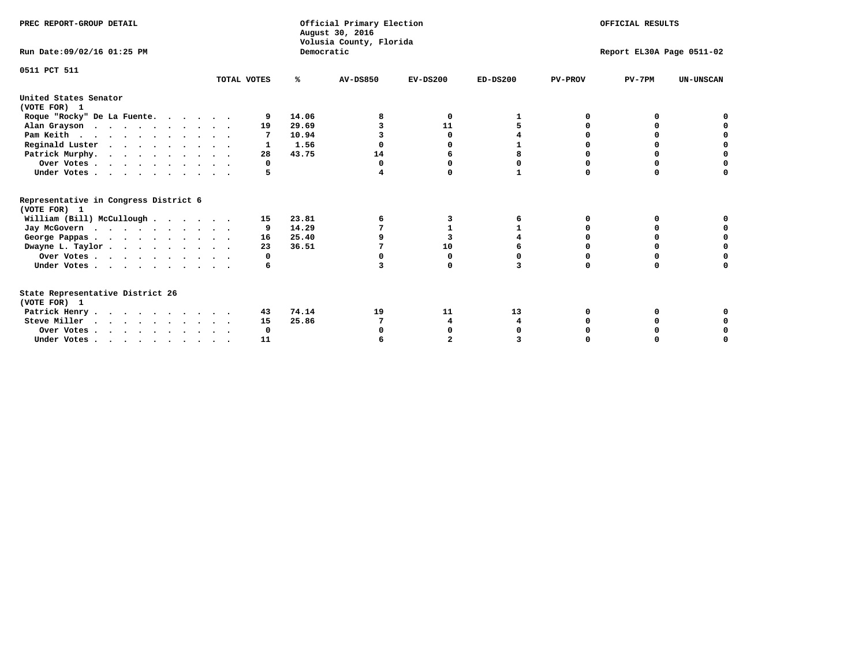| PREC REPORT-GROUP DETAIL<br>Run Date: 09/02/16 01:25 PM |             | Democratic | Official Primary Election<br>August 30, 2016<br>Volusia County, Florida | OFFICIAL RESULTS<br>Report EL30A Page 0511-02 |              |                |          |                  |
|---------------------------------------------------------|-------------|------------|-------------------------------------------------------------------------|-----------------------------------------------|--------------|----------------|----------|------------------|
|                                                         |             |            |                                                                         |                                               |              |                |          |                  |
| 0511 PCT 511                                            | TOTAL VOTES | %ะ         | <b>AV-DS850</b>                                                         | $EV-DS200$                                    | $ED-DS200$   | <b>PV-PROV</b> | $PV-7PM$ | <b>UN-UNSCAN</b> |
| United States Senator<br>(VOTE FOR) 1                   |             |            |                                                                         |                                               |              |                |          |                  |
| Roque "Rocky" De La Fuente.                             | 9           | 14.06      |                                                                         | 0                                             |              | O              |          |                  |
| Alan Grayson                                            | 19          | 29.69      |                                                                         | 11                                            |              |                |          |                  |
| Pam Keith                                               |             | 10.94      |                                                                         | 0                                             |              |                | o        |                  |
| Reginald Luster                                         |             | 1.56       |                                                                         | 0                                             |              |                | 0        | 0                |
| Patrick Murphy.                                         | 28          | 43.75      | 14                                                                      | 6                                             | 8            | O              | 0        | $\mathbf 0$      |
| Over Votes                                              | 0           |            | $\Omega$                                                                | $\Omega$                                      | 0            | O              | $\Omega$ |                  |
| Under Votes                                             | 5           |            |                                                                         | $\Omega$                                      | $\mathbf{1}$ | $\Omega$       | $\Omega$ | O                |
| Representative in Congress District 6                   |             |            |                                                                         |                                               |              |                |          |                  |
| (VOTE FOR) 1                                            |             | 23.81      |                                                                         |                                               |              | O              | o        |                  |
| William (Bill) McCullough                               | 15          |            | 6                                                                       | 3<br>1                                        | 6<br>1       | n              | n        |                  |
| Jay McGovern                                            | 9           | 14.29      |                                                                         |                                               |              |                |          |                  |
| George Pappas.                                          | 16          | 25.40      |                                                                         | 3                                             |              |                |          | 0                |
| Dwayne L. Taylor                                        | 23          | 36.51      |                                                                         | 10                                            |              | $\Omega$       | $\Omega$ | $\Omega$         |
| Over Votes                                              | 0           |            |                                                                         | 0                                             |              | 0              | 0        | 0                |
| Under Votes                                             | 6           |            | 3                                                                       | O                                             |              | $\Omega$       | $\Omega$ | O                |
| State Representative District 26<br>(VOTE FOR) 1        |             |            |                                                                         |                                               |              |                |          |                  |
| Patrick Henry                                           | 43          | 74.14      | 19                                                                      | 11                                            | 13           | 0              |          |                  |
| Steve Miller                                            | 15          | 25.86      |                                                                         | 4                                             | 4            |                |          |                  |
| Over Votes                                              | 0           |            |                                                                         | 0                                             |              |                |          | 0                |
| Under Votes.                                            | 11          |            |                                                                         |                                               |              |                |          |                  |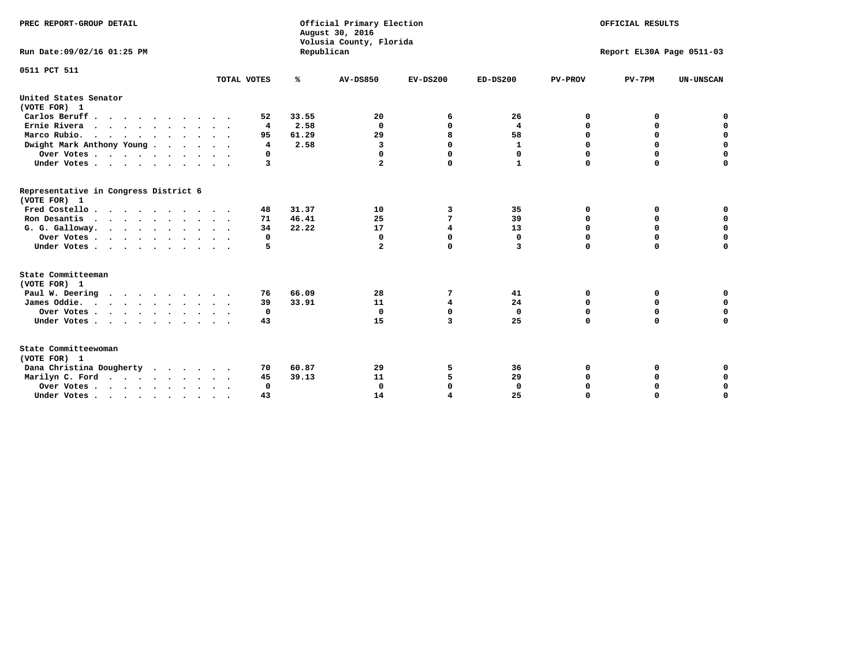| PREC REPORT-GROUP DETAIL<br>Run Date: 09/02/16 01:25 PM |             | Republican    | Official Primary Election<br>August 30, 2016<br>Volusia County, Florida | OFFICIAL RESULTS<br>Report EL30A Page 0511-03 |                   |                  |             |                            |
|---------------------------------------------------------|-------------|---------------|-------------------------------------------------------------------------|-----------------------------------------------|-------------------|------------------|-------------|----------------------------|
| 0511 PCT 511                                            | TOTAL VOTES | ℁             | <b>AV-DS850</b>                                                         | $EV-DS200$                                    | $ED-DS200$        | <b>PV-PROV</b>   | $PV-7PM$    | <b>UN-UNSCAN</b>           |
| United States Senator                                   |             |               |                                                                         |                                               |                   |                  |             |                            |
| (VOTE FOR) 1                                            |             |               |                                                                         |                                               |                   |                  |             |                            |
| Carlos Beruff                                           | 52          | 33.55         | 20                                                                      | 6                                             | 26                | 0                | 0           | 0                          |
| Ernie Rivera                                            | 4           | 2.58          | $\Omega$                                                                | 0                                             | 4                 | 0                | 0           | $\mathbf 0$<br>$\mathbf 0$ |
| Marco Rubio.<br>$\cdots$                                | 95          | 61.29<br>2.58 | 29                                                                      | 8<br>$\Omega$                                 | 58                | $\mathbf 0$<br>0 | $\mathbf 0$ | $\mathbf 0$                |
| Dwight Mark Anthony Young                               | 4<br>0      |               | 3<br>0                                                                  | $\Omega$                                      | 1                 | 0                | 0<br>0      |                            |
| Over Votes<br>Under Votes                               | 3           |               | $\overline{a}$                                                          | $\Omega$                                      | 0<br>$\mathbf{1}$ | $\Omega$         | $\Omega$    | 0<br>$\Omega$              |
|                                                         |             |               |                                                                         |                                               |                   |                  |             |                            |
| Representative in Congress District 6<br>(VOTE FOR) 1   |             |               |                                                                         |                                               |                   |                  |             |                            |
| Fred Costello                                           | 48          | 31.37         | 10                                                                      | 3                                             | 35                | 0                | 0           | 0                          |
| Ron Desantis                                            | 71          | 46.41         | 25                                                                      | 7                                             | 39                | 0                | 0           | $\mathbf 0$                |
| G. G. Galloway.                                         | 34          | 22.22         | 17                                                                      | 4                                             | 13                | $\mathbf 0$      | $\Omega$    | $\mathbf 0$                |
| Over Votes                                              | 0           |               | $\Omega$                                                                | $\mathbf 0$                                   | 0                 | 0                | 0           | 0                          |
| Under Votes                                             | 5           |               | $\overline{a}$                                                          | $\mathbf 0$                                   | 3                 | $\mathbf 0$      | $\mathbf 0$ | $\mathbf 0$                |
| State Committeeman                                      |             |               |                                                                         |                                               |                   |                  |             |                            |
| (VOTE FOR) 1                                            |             |               |                                                                         |                                               |                   |                  |             |                            |
| Paul W. Deering                                         | 76          | 66.09         | 28                                                                      | 7                                             | 41                | 0                | 0           | 0                          |
| James Oddie.                                            | 39          | 33.91         | 11                                                                      | $\overline{\mathbf{4}}$                       | 24                | 0                | 0           | $\mathbf 0$                |
| Over Votes                                              | 0           |               | $\mathbf 0$                                                             | $\mathbf 0$                                   | $\mathbf 0$       | $\mathbf 0$      | $\mathbf 0$ | $\mathbf 0$                |
| Under Votes                                             | 43          |               | 15                                                                      | 3                                             | 25                | $\mathbf 0$      | 0           | $\mathbf 0$                |
| State Committeewoman<br>(VOTE FOR) 1                    |             |               |                                                                         |                                               |                   |                  |             |                            |
| Dana Christina Dougherty                                | 70          | 60.87         | 29                                                                      | 5                                             | 36                | 0                | 0           | 0                          |
| Marilyn C. Ford                                         | 45          | 39.13         | 11                                                                      | 5                                             | 29                | 0                | 0           | 0                          |
| Over Votes                                              | $\Omega$    |               | $\Omega$                                                                | $\mathbf 0$                                   | $\mathbf{0}$      | 0                | 0           | 0                          |
| Under Votes, , , , , , , , , ,                          | 43          |               | 14                                                                      |                                               | 25                | $\Omega$         | $\Omega$    | $\Omega$                   |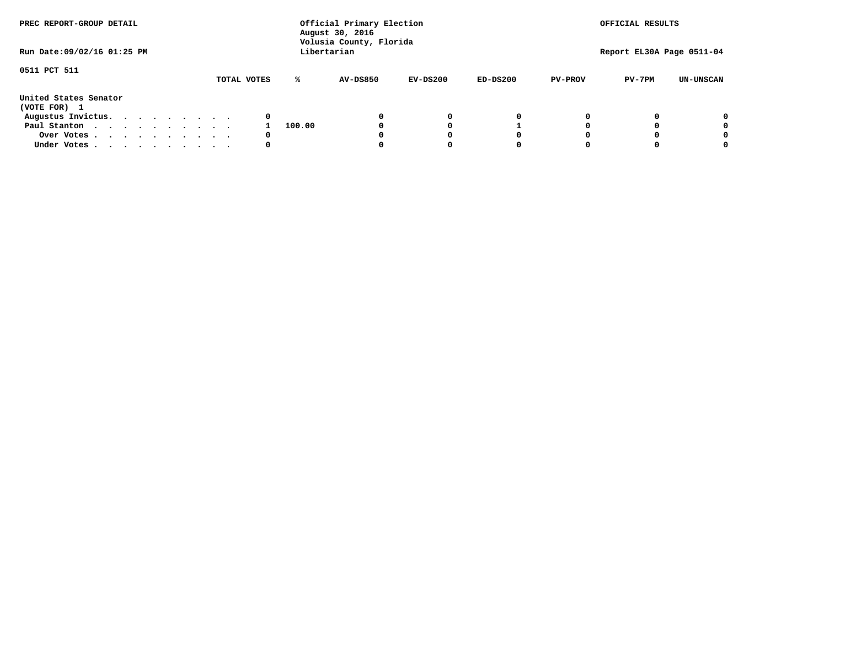| PREC REPORT-GROUP DETAIL<br>Run Date: 09/02/16 01:25 PM |  |  |  |  | Official Primary Election<br>August 30, 2016<br>Volusia County, Florida<br>Libertarian | OFFICIAL RESULTS<br>Report EL30A Page 0511-04 |        |                 |            |            |                |          |                  |
|---------------------------------------------------------|--|--|--|--|----------------------------------------------------------------------------------------|-----------------------------------------------|--------|-----------------|------------|------------|----------------|----------|------------------|
|                                                         |  |  |  |  |                                                                                        |                                               |        |                 |            |            |                |          |                  |
| 0511 PCT 511                                            |  |  |  |  |                                                                                        | TOTAL VOTES                                   | ℁      | <b>AV-DS850</b> | $EV-DS200$ | $ED-DS200$ | <b>PV-PROV</b> | $PV-7PM$ | <b>UN-UNSCAN</b> |
| United States Senator<br>(VOTE FOR) 1                   |  |  |  |  |                                                                                        |                                               |        |                 |            |            |                |          |                  |
| Augustus Invictus.                                      |  |  |  |  |                                                                                        | 0                                             |        |                 | 0          | 0          |                |          | 0                |
| Paul Stanton                                            |  |  |  |  |                                                                                        |                                               | 100.00 |                 |            |            |                |          | 0                |
| Over Votes                                              |  |  |  |  |                                                                                        | 0                                             |        |                 |            | 0          |                |          | 0                |
| Under Votes                                             |  |  |  |  |                                                                                        | 0                                             |        |                 |            | 0          |                |          | 0                |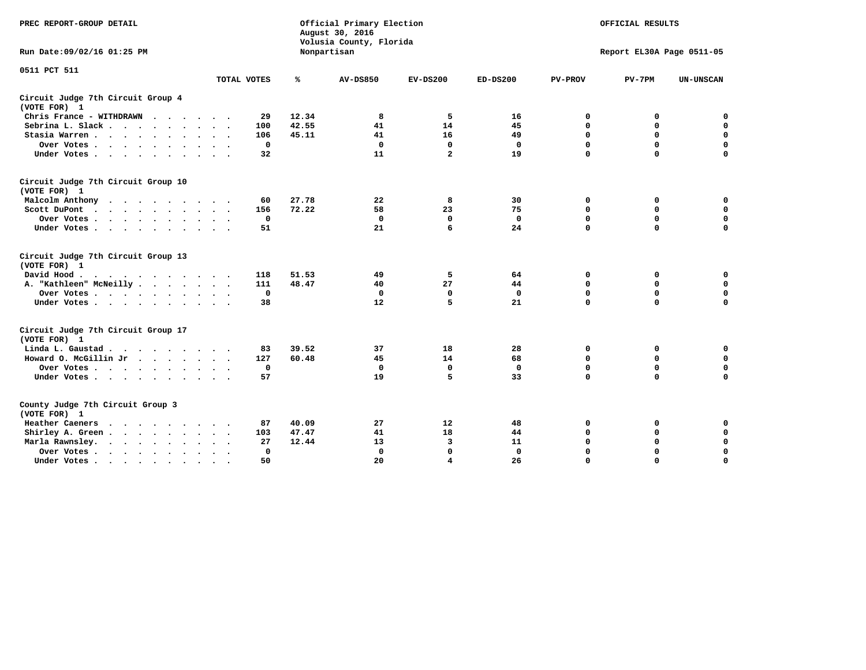| PREC REPORT-GROUP DETAIL                           |             |       | Official Primary Election<br>August 30, 2016<br>Volusia County, Florida | OFFICIAL RESULTS<br>Report EL30A Page 0511-05 |              |                |             |                  |
|----------------------------------------------------|-------------|-------|-------------------------------------------------------------------------|-----------------------------------------------|--------------|----------------|-------------|------------------|
| Run Date: 09/02/16 01:25 PM                        |             |       | Nonpartisan                                                             |                                               |              |                |             |                  |
| 0511 PCT 511                                       |             |       |                                                                         |                                               |              |                |             |                  |
|                                                    | TOTAL VOTES | ℁     | <b>AV-DS850</b>                                                         | $EV-DS200$                                    | $ED-DS200$   | <b>PV-PROV</b> | $PV-7PM$    | <b>UN-UNSCAN</b> |
| Circuit Judge 7th Circuit Group 4<br>(VOTE FOR) 1  |             |       |                                                                         |                                               |              |                |             |                  |
| Chris France - WITHDRAWN                           | 29          | 12.34 | 8                                                                       | 5                                             | 16           | 0              | 0           | 0                |
| Sebrina L. Slack                                   | 100         | 42.55 | 41                                                                      | 14                                            | 45           | $\mathbf 0$    | $\mathbf 0$ | $\mathbf 0$      |
| Stasia Warren                                      | 106         | 45.11 | 41                                                                      | 16                                            | 49           | $\mathbf 0$    | 0           | $\mathbf 0$      |
| Over Votes                                         | $\mathbf 0$ |       | $\Omega$                                                                | $\mathbf 0$                                   | $\mathbf 0$  | 0              | $\mathbf 0$ | $\mathbf 0$      |
| Under Votes                                        | 32          |       | 11                                                                      | $\overline{a}$                                | 19           | $\mathbf 0$    | $\mathbf 0$ | $\mathbf 0$      |
| Circuit Judge 7th Circuit Group 10<br>(VOTE FOR) 1 |             |       |                                                                         |                                               |              |                |             |                  |
| Malcolm Anthony                                    | 60          | 27.78 | 22                                                                      | 8                                             | 30           | 0              | 0           | $\mathbf 0$      |
| Scott DuPont                                       | 156         | 72.22 | 58                                                                      | 23                                            | 75           | 0              | $\mathbf 0$ | $\mathbf 0$      |
| Over Votes                                         | $\mathbf 0$ |       | $\mathbf{0}$                                                            | $\mathbf 0$                                   | $\mathbf{0}$ | $\mathbf 0$    | $\mathbf 0$ | $\mathbf 0$      |
| Under Votes                                        | 51          |       | 21                                                                      | 6                                             | 24           | $\mathbf 0$    | $\mathbf 0$ | 0                |
| Circuit Judge 7th Circuit Group 13<br>(VOTE FOR) 1 |             |       |                                                                         |                                               |              |                |             |                  |
| David Hood.                                        | 118         | 51.53 | 49                                                                      | 5                                             | 64           | 0              | 0           | $\mathbf 0$      |
| A. "Kathleen" McNeilly                             | 111         | 48.47 | 40                                                                      | 27                                            | 44           | $\mathbf 0$    | 0           | $\mathbf 0$      |
| Over Votes                                         | 0           |       | $\mathbf 0$                                                             | 0                                             | $\mathbf 0$  | 0              | $\mathbf 0$ | $\pmb{0}$        |
| Under Votes                                        | 38          |       | 12                                                                      | 5                                             | 21           | $\mathbf 0$    | $\mathbf 0$ | 0                |
| Circuit Judge 7th Circuit Group 17<br>(VOTE FOR) 1 |             |       |                                                                         |                                               |              |                |             |                  |
| Linda L. Gaustad                                   | 83          | 39.52 | 37                                                                      | 18                                            | 28           | 0              | 0           | $\mathbf 0$      |
| Howard O. McGillin Jr.                             | 127         | 60.48 | 45                                                                      | 14                                            | 68           | $\mathbf 0$    | $\mathbf 0$ | $\mathbf 0$      |
| Over Votes                                         | $\mathbf 0$ |       | $\mathbf 0$                                                             | $\mathbf 0$                                   | $\mathbf 0$  | $\mathbf 0$    | $\mathbf 0$ | 0                |
| Under Votes                                        | 57          |       | 19                                                                      | 5                                             | 33           | $\mathbf 0$    | $\mathbf 0$ | $\mathbf 0$      |
| County Judge 7th Circuit Group 3<br>(VOTE FOR) 1   |             |       |                                                                         |                                               |              |                |             |                  |
| Heather Caeners<br>.                               | 87          | 40.09 | 27                                                                      | 12                                            | 48           | 0              | 0           | 0                |
| Shirley A. Green                                   | 103         | 47.47 | 41                                                                      | 18                                            | 44           | $\mathbf 0$    | 0           | $\mathbf 0$      |
| Marla Rawnsley.                                    | 27          | 12.44 | 13                                                                      | 3                                             | 11           | 0              | 0           | $\mathbf 0$      |
| Over Votes                                         | 0           |       | $\mathbf{0}$                                                            | $\mathbf 0$                                   | $\mathbf{0}$ | 0              | $\mathbf 0$ | $\mathbf 0$      |
| Under Votes<br>$\bullet$                           | 50          |       | 20                                                                      | $\overline{\bf 4}$                            | 26           | $\mathbf 0$    | $\mathbf 0$ | $\Omega$         |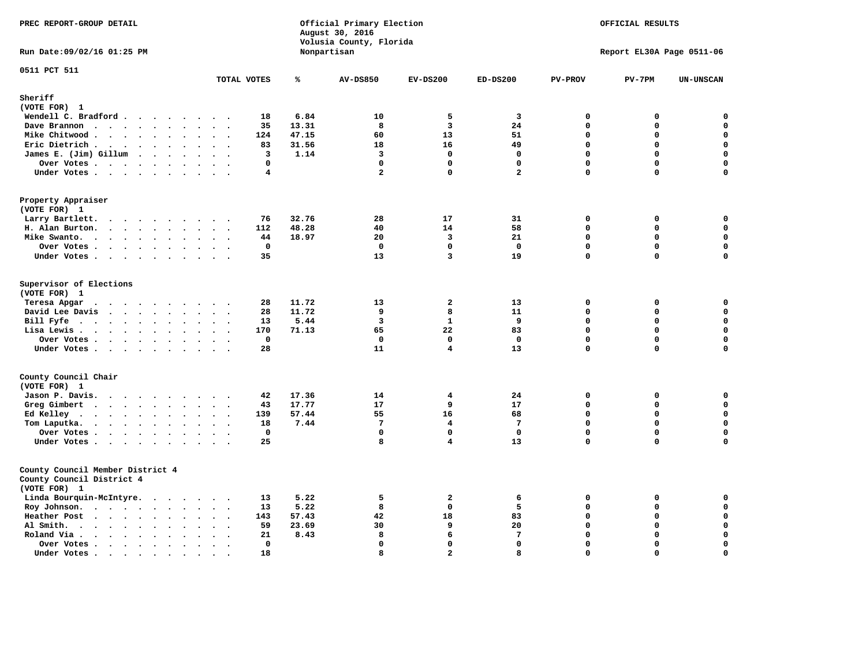| PREC REPORT-GROUP DETAIL                                                      |                                                       |       | Official Primary Election<br>August 30, 2016<br>Volusia County, Florida | OFFICIAL RESULTS<br>Report EL30A Page 0511-06 |                         |                |             |                  |
|-------------------------------------------------------------------------------|-------------------------------------------------------|-------|-------------------------------------------------------------------------|-----------------------------------------------|-------------------------|----------------|-------------|------------------|
| Run Date: 09/02/16 01:25 PM                                                   |                                                       |       | Nonpartisan                                                             |                                               |                         |                |             |                  |
| 0511 PCT 511                                                                  | TOTAL VOTES                                           | ℁     | <b>AV-DS850</b>                                                         | $EV-DS200$                                    | $ED-DS200$              | <b>PV-PROV</b> | $PV-7PM$    | <b>UN-UNSCAN</b> |
| Sheriff                                                                       |                                                       |       |                                                                         |                                               |                         |                |             |                  |
| (VOTE FOR) 1                                                                  |                                                       |       |                                                                         |                                               |                         |                |             |                  |
| Wendell C. Bradford                                                           | 18                                                    | 6.84  | 10                                                                      | 5                                             | $\overline{\mathbf{3}}$ | 0              | 0           | $\mathbf 0$      |
| Dave Brannon                                                                  | 35                                                    | 13.31 | 8                                                                       | $\overline{\mathbf{3}}$                       | 24                      | $\Omega$       | 0           | $\mathbf 0$      |
| Mike Chitwood                                                                 | 124                                                   | 47.15 | 60                                                                      | 13                                            | 51                      | $\mathbf 0$    | $\mathbf 0$ | $\mathbf 0$      |
| Eric Dietrich.                                                                | 83                                                    | 31.56 | 18                                                                      | 16                                            | 49                      | $\Omega$       | 0           | $\mathbf 0$      |
| James E. (Jim) Gillum                                                         | 3                                                     | 1.14  | $\overline{3}$                                                          | $\mathbf 0$                                   | $\mathbf 0$             | $\mathbf 0$    | $\mathbf 0$ | $\mathbf 0$      |
| Over Votes                                                                    | $\mathbf 0$                                           |       | $\mathbf 0$                                                             | $\mathbf 0$                                   | $\mathbf 0$             | $\mathbf 0$    | $\mathbf 0$ | $\mathbf 0$      |
| Under Votes                                                                   | 4                                                     |       | $\overline{a}$                                                          | $\Omega$                                      | $\overline{a}$          | $\mathbf{0}$   | 0           | $\mathbf 0$      |
| Property Appraiser<br>(VOTE FOR) 1                                            |                                                       |       |                                                                         |                                               |                         |                |             |                  |
| Larry Bartlett.                                                               | 76                                                    | 32.76 | 28                                                                      | 17                                            | 31                      | 0              | 0           | 0                |
| H. Alan Burton.                                                               | 112                                                   | 48.28 | 40                                                                      | 14                                            | 58                      | $\mathbf 0$    | $\mathbf 0$ | $\mathbf 0$      |
| Mike Swanto.                                                                  | 44                                                    | 18.97 | 20                                                                      | $\overline{\mathbf{3}}$                       | 21                      | $\mathbf 0$    | 0           | $\mathbf 0$      |
| Over Votes                                                                    | $\mathbf 0$                                           |       | $\mathbf{0}$                                                            | $\Omega$                                      | $\mathbf 0$             | $\Omega$       | $\Omega$    | $\mathbf 0$      |
| Under Votes                                                                   | 35                                                    |       | 13                                                                      | $\overline{3}$                                | 19                      | $\mathbf 0$    | $\mathbf 0$ | $\mathbf 0$      |
| Supervisor of Elections<br>(VOTE FOR) 1                                       | 28                                                    | 11.72 | 13                                                                      | $\mathbf{2}$                                  | 13                      | 0              | 0           | 0                |
| Teresa Apgar<br>David Lee Davis                                               | 28                                                    | 11.72 | 9                                                                       | 8                                             | 11                      | $\mathbf{0}$   | 0           | $\mathbf 0$      |
| Bill Fyfe $\cdots$ $\cdots$ $\cdots$ $\cdots$                                 | 13                                                    | 5.44  | $\overline{\mathbf{3}}$                                                 | $\mathbf{1}$                                  | 9                       | $\mathbf 0$    | 0           | $\mathbf 0$      |
| Lisa Lewis                                                                    | 170                                                   | 71.13 | 65                                                                      | 22                                            | 83                      | $\Omega$       | 0           | $\mathbf 0$      |
| Over Votes                                                                    | $\mathbf 0$                                           |       | $\mathbf{0}$                                                            | $\Omega$                                      | $\mathbf 0$             | $\Omega$       | $\Omega$    | $\mathbf 0$      |
| Under Votes                                                                   | 28                                                    |       | 11                                                                      | $\overline{\mathbf{4}}$                       | 13                      | $\mathbf 0$    | $\mathbf 0$ | $\mathbf 0$      |
| County Council Chair                                                          |                                                       |       |                                                                         |                                               |                         |                |             |                  |
| (VOTE FOR) 1                                                                  |                                                       |       |                                                                         |                                               |                         |                |             |                  |
| Jason P. Davis.                                                               | 42                                                    | 17.36 | 14                                                                      | 4                                             | 24                      | $\mathbf 0$    | 0           | 0                |
| Greg Gimbert                                                                  | 43                                                    | 17.77 | 17                                                                      | 9                                             | 17                      | $\mathbf{0}$   | 0           | 0                |
| Ed Kelley $\cdots$                                                            | 139                                                   | 57.44 | 55                                                                      | 16                                            | 68                      | $\mathbf 0$    | 0           | $\mathbf 0$      |
| Tom Laputka.                                                                  | 18                                                    | 7.44  | $7\phantom{.0}$                                                         | $\overline{\mathbf{4}}$                       | $7\phantom{.0}$         | $\mathbf 0$    | $\mathbf 0$ | $\mathbf 0$      |
| Over Votes                                                                    | $\Omega$                                              |       | $\Omega$                                                                | $\Omega$                                      | $\Omega$                | $\Omega$       | $\Omega$    | 0                |
| Under Votes                                                                   | 25                                                    |       | 8                                                                       | $\overline{\mathbf{4}}$                       | 13                      | $\mathbf 0$    | 0           | $\mathbf 0$      |
| County Council Member District 4<br>County Council District 4<br>(VOTE FOR) 1 |                                                       |       |                                                                         |                                               |                         |                |             |                  |
| Linda Bourquin-McIntyre.                                                      | 13                                                    | 5.22  | 5                                                                       | $\overline{a}$                                | 6                       | 0              | 0           | 0                |
| Roy Johnson.                                                                  | 13                                                    | 5.22  | 8                                                                       | $\mathbf 0$                                   | 5                       | $\mathbf 0$    | 0           | $\mathbf 0$      |
| Heather Post                                                                  | 143                                                   | 57.43 | 42                                                                      | 18                                            | 83                      | $\mathbf 0$    | 0           | $\mathbf 0$      |
| Al Smith.                                                                     | 59<br>$\ddot{\phantom{a}}$                            | 23.69 | 30                                                                      | 9                                             | 20                      | $\Omega$       | $\Omega$    | $\mathbf 0$      |
| Roland Via<br>$\bullet$                                                       | 21                                                    | 8.43  | 8                                                                       | 6                                             | $7\phantom{.0}$         | $\Omega$       | $\mathbf 0$ | $\pmb{0}$        |
| Over Votes<br>$\ddot{\phantom{a}}$                                            | $\mathbf{0}$<br>$\ddot{\phantom{0}}$<br>$\sim$ $\sim$ |       | $\mathbf 0$                                                             | $\Omega$                                      | $\mathbf 0$             | $\Omega$       | $\mathbf 0$ | $\mathbf 0$      |
| Under Votes.<br>.                                                             | 18<br>$\bullet$                                       |       | 8                                                                       | $\overline{a}$                                | 8                       | $\Omega$       | 0           | $\mathbf 0$      |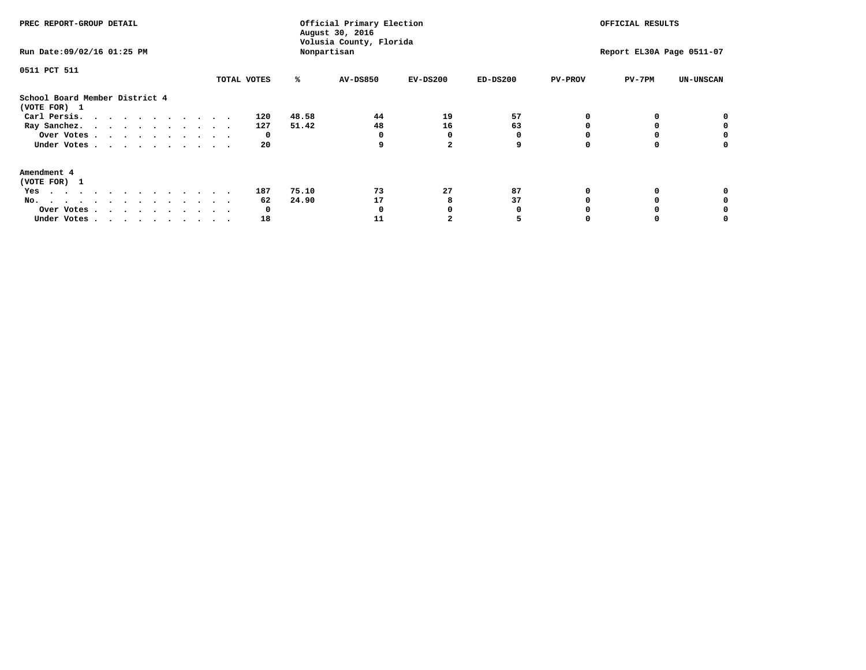| PREC REPORT-GROUP DETAIL<br>Run Date: 09/02/16 01:25 PM                                                                                                                                                                                  |             | Official Primary Election<br>August 30, 2016<br>Volusia County, Florida<br>Nonpartisan | OFFICIAL RESULTS<br>Report EL30A Page 0511-07 |            |            |                |          |                  |
|------------------------------------------------------------------------------------------------------------------------------------------------------------------------------------------------------------------------------------------|-------------|----------------------------------------------------------------------------------------|-----------------------------------------------|------------|------------|----------------|----------|------------------|
| 0511 PCT 511                                                                                                                                                                                                                             | TOTAL VOTES | ℁                                                                                      | AV-DS850                                      | $EV-DS200$ | $ED-DS200$ | <b>PV-PROV</b> | $PV-7PM$ | <b>UN-UNSCAN</b> |
| School Board Member District 4<br>(VOTE FOR) 1                                                                                                                                                                                           |             |                                                                                        |                                               |            |            |                |          |                  |
| Carl Persis.                                                                                                                                                                                                                             | 120         | 48.58                                                                                  | 44                                            | 19         | 57         |                |          |                  |
| Ray Sanchez.                                                                                                                                                                                                                             | 127         | 51.42                                                                                  | 48                                            | 16         | 63         |                |          |                  |
| Over Votes                                                                                                                                                                                                                               | 0           |                                                                                        |                                               | 0          |            |                |          |                  |
| Under Votes                                                                                                                                                                                                                              | 20          |                                                                                        | 9                                             |            | 9          |                |          | o                |
| Amendment 4                                                                                                                                                                                                                              |             |                                                                                        |                                               |            |            |                |          |                  |
| (VOTE FOR) 1                                                                                                                                                                                                                             |             |                                                                                        |                                               |            |            |                |          |                  |
| Yes<br>$\mathbf{a}$ . The contribution of the contribution of the contribution of the contribution of the contribution of the contribution of the contribution of the contribution of the contribution of the contribution of the contri | 187         | 75.10                                                                                  | 73                                            | 27         | 87         |                |          |                  |
| No.<br>.                                                                                                                                                                                                                                 | 62          | 24.90                                                                                  | 17                                            | 8          | 37         |                |          |                  |
| Over Votes                                                                                                                                                                                                                               | 0           |                                                                                        |                                               |            |            |                |          |                  |
| Under Votes                                                                                                                                                                                                                              | 18          |                                                                                        | 11                                            |            |            |                |          |                  |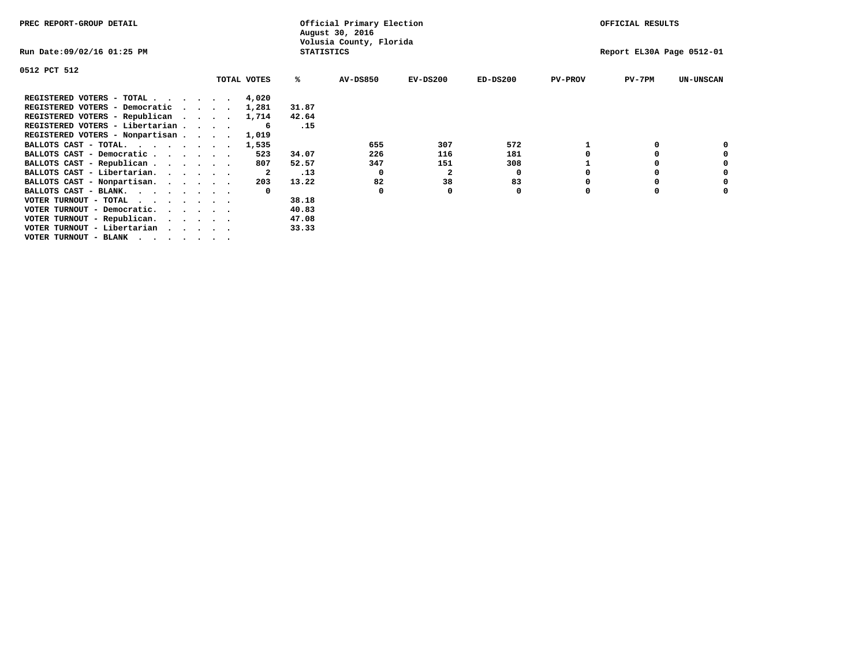| PREC REPORT-GROUP DETAIL        |                                              |  |             |       | Official Primary Election<br>August 30, 2016 |            |            |                | OFFICIAL RESULTS          |                  |
|---------------------------------|----------------------------------------------|--|-------------|-------|----------------------------------------------|------------|------------|----------------|---------------------------|------------------|
| Run Date:09/02/16 01:25 PM      | Volusia County, Florida<br><b>STATISTICS</b> |  |             |       |                                              |            |            |                | Report EL30A Page 0512-01 |                  |
| 0512 PCT 512                    |                                              |  |             |       |                                              |            |            |                |                           |                  |
|                                 |                                              |  | TOTAL VOTES | %ะ    | <b>AV-DS850</b>                              | $EV-DS200$ | $ED-DS200$ | <b>PV-PROV</b> | $PV-7PM$                  | <b>UN-UNSCAN</b> |
| REGISTERED VOTERS - TOTAL       |                                              |  | 4,020       |       |                                              |            |            |                |                           |                  |
| REGISTERED VOTERS - Democratic  |                                              |  | 1,281       | 31.87 |                                              |            |            |                |                           |                  |
| REGISTERED VOTERS - Republican  |                                              |  | 1,714       | 42.64 |                                              |            |            |                |                           |                  |
| REGISTERED VOTERS - Libertarian |                                              |  |             | .15   |                                              |            |            |                |                           |                  |
| REGISTERED VOTERS - Nonpartisan |                                              |  | 1,019       |       |                                              |            |            |                |                           |                  |
| BALLOTS CAST - TOTAL.           |                                              |  | 1,535       |       | 655                                          | 307        | 572        |                |                           |                  |
| BALLOTS CAST - Democratic       |                                              |  | 523         | 34.07 | 226                                          | 116        | 181        |                | 0                         |                  |
| BALLOTS CAST - Republican       |                                              |  | 807         | 52.57 | 347                                          | 151        | 308        |                | O                         |                  |
| BALLOTS CAST - Libertarian.     |                                              |  | 2           | .13   | $\Omega$                                     | 2          | 0          |                | 0                         | 0                |
| BALLOTS CAST - Nonpartisan.     |                                              |  | 203         | 13.22 | 82                                           | 38         | 83         |                | 0                         | 0                |
| BALLOTS CAST - BLANK.           |                                              |  |             |       | 0                                            |            | 0          | O              | 0                         |                  |
| VOTER TURNOUT - TOTAL<br>.      |                                              |  |             | 38.18 |                                              |            |            |                |                           |                  |
| VOTER TURNOUT - Democratic.     |                                              |  |             | 40.83 |                                              |            |            |                |                           |                  |
| VOTER TURNOUT - Republican.     |                                              |  |             | 47.08 |                                              |            |            |                |                           |                  |
| VOTER TURNOUT - Libertarian     |                                              |  |             | 33.33 |                                              |            |            |                |                           |                  |
| VOTER TURNOUT - BLANK           |                                              |  |             |       |                                              |            |            |                |                           |                  |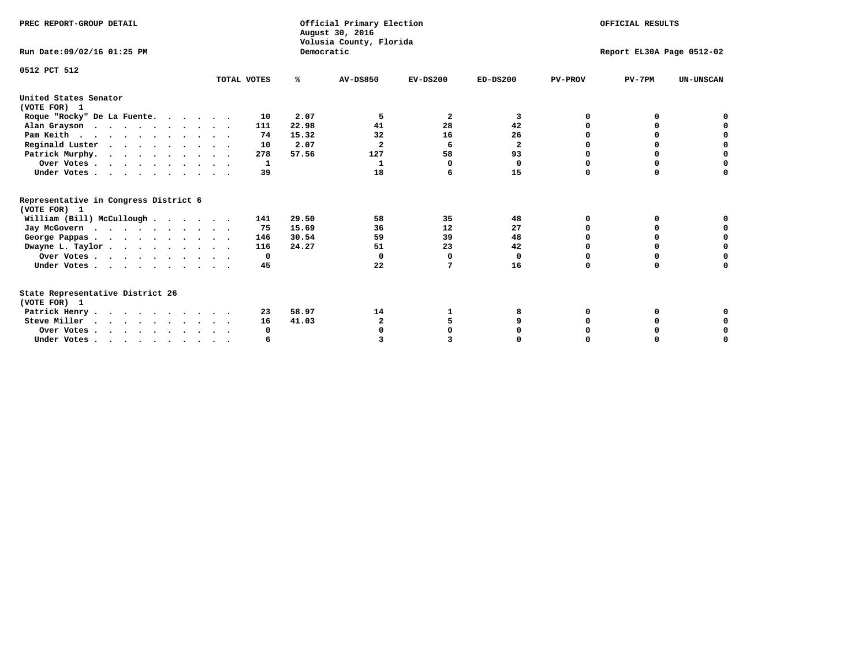| PREC REPORT-GROUP DETAIL<br>Run Date: 09/02/16 01:25 PM                |             | Democratic | Official Primary Election<br>August 30, 2016<br>Volusia County, Florida |                         | OFFICIAL RESULTS<br>Report EL30A Page 0512-02 |                |          |                  |
|------------------------------------------------------------------------|-------------|------------|-------------------------------------------------------------------------|-------------------------|-----------------------------------------------|----------------|----------|------------------|
|                                                                        |             |            |                                                                         |                         |                                               |                |          |                  |
| 0512 PCT 512                                                           | TOTAL VOTES | %ะ         | <b>AV-DS850</b>                                                         | $EV-DS200$              | $ED-DS200$                                    | <b>PV-PROV</b> | $PV-7PM$ | <b>UN-UNSCAN</b> |
| United States Senator                                                  |             |            |                                                                         |                         |                                               |                |          |                  |
| (VOTE FOR) 1                                                           |             |            |                                                                         |                         |                                               |                |          |                  |
| Roque "Rocky" De La Fuente.                                            | 10          | 2.07       | 5                                                                       | $\overline{\mathbf{2}}$ | 3                                             | O              | 0        |                  |
| Alan Grayson                                                           | 111         | 22.98      | 41                                                                      | 28                      | 42                                            | O              | 0        | O                |
| Pam Keith                                                              | 74          | 15.32      | 32                                                                      | 16                      | 26                                            |                | 0        | 0                |
| Reginald Luster                                                        | 10          | 2.07       | $\mathbf{2}$                                                            | 6                       | $\overline{\mathbf{2}}$                       | 0              | 0        | $\mathbf 0$      |
| Patrick Murphy.                                                        | 278         | 57.56      | 127                                                                     | 58                      | 93                                            | $\Omega$       | $\Omega$ | $\mathbf 0$      |
| Over Votes                                                             | 1           |            | 1                                                                       | $\Omega$                | 0                                             | $\Omega$       | $\Omega$ | $\mathbf 0$      |
| Under Votes.                                                           | 39          |            | 18                                                                      | 6                       | 15                                            | $\Omega$       | $\Omega$ | 0                |
| Representative in Congress District 6<br>(VOTE FOR) 1                  |             |            |                                                                         |                         |                                               |                |          |                  |
| William (Bill) McCullough                                              | 141         | 29.50      | 58                                                                      | 35                      | 48                                            | O              | 0        |                  |
|                                                                        | 75          | 15.69      | 36                                                                      | 12                      | 27                                            | O              | $\Omega$ | 0                |
| Jay McGovern                                                           |             | 30.54      | 59                                                                      | 39                      | 48                                            | $\Omega$       | 0        | $\mathbf 0$      |
| George Pappas.                                                         | 146<br>116  | 24.27      | 51                                                                      | 23                      | 42                                            | $\Omega$       | 0        | $\mathbf 0$      |
| Dwayne L. Taylor                                                       |             |            | $\Omega$                                                                | $\Omega$                |                                               | 0              | 0        | $\mathbf 0$      |
| Over Votes                                                             | 0           |            |                                                                         |                         | 0                                             | $\Omega$       |          | U                |
| Under Votes                                                            | 45          |            | 22                                                                      | 7                       | 16                                            |                | 0        |                  |
| State Representative District 26<br>(VOTE FOR) 1                       |             |            |                                                                         |                         |                                               |                |          |                  |
| Patrick Henry                                                          | 23          | 58.97      | 14                                                                      |                         |                                               | O              | 0        | 0                |
| Steve Miller                                                           | 16          | 41.03      | $\mathbf{2}$                                                            | 5                       |                                               |                | 0        | 0                |
| Over Votes                                                             | 0           |            |                                                                         | O                       |                                               |                | 0        | 0                |
| Under Votes, $\cdot$ , $\cdot$ , $\cdot$ , $\cdot$ , $\cdot$ , $\cdot$ | 6           |            |                                                                         |                         |                                               |                |          | $\Omega$         |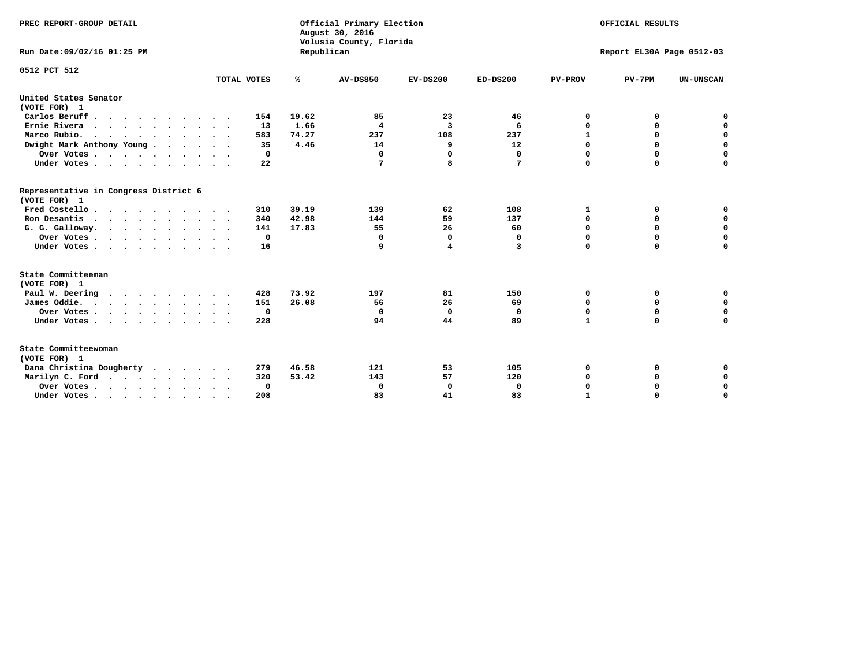| PREC REPORT-GROUP DETAIL<br>Run Date:09/02/16 01:25 PM                                |                            | Republican | Official Primary Election<br>August 30, 2016<br>Volusia County, Florida | OFFICIAL RESULTS<br>Report EL30A Page 0512-03 |            |                   |                            |                            |
|---------------------------------------------------------------------------------------|----------------------------|------------|-------------------------------------------------------------------------|-----------------------------------------------|------------|-------------------|----------------------------|----------------------------|
| 0512 PCT 512                                                                          | TOTAL VOTES                | ℁          | <b>AV-DS850</b>                                                         | $EV-DS200$                                    | $ED-DS200$ | <b>PV-PROV</b>    | $PV-7PM$                   | <b>UN-UNSCAN</b>           |
|                                                                                       |                            |            |                                                                         |                                               |            |                   |                            |                            |
| United States Senator<br>(VOTE FOR) 1                                                 |                            |            |                                                                         |                                               |            |                   |                            |                            |
| Carlos Beruff                                                                         | 154                        | 19.62      | 85                                                                      | 23                                            | 46         | 0                 | 0                          | 0                          |
| Ernie Rivera<br>$\mathbf{r}$ , and $\mathbf{r}$ , and $\mathbf{r}$ , and $\mathbf{r}$ | 13                         | 1.66       | 4                                                                       | 3                                             | 6          | 0                 | 0                          | $\mathbf 0$                |
| Marco Rubio.                                                                          | 583                        | 74.27      | 237                                                                     | 108                                           | 237        | $\mathbf{1}$      | 0                          | $\mathbf 0$                |
| Dwight Mark Anthony Young                                                             | 35                         | 4.46       | 14                                                                      | 9                                             | 12         | $\mathbf 0$       | $\mathbf 0$                | $\mathbf 0$                |
| Over Votes                                                                            | 0                          |            | 0                                                                       | 0                                             | 0          | $\mathbf 0$       | $\mathbf 0$                | $\mathbf 0$                |
| Under Votes                                                                           | 22<br>$\ddot{\phantom{1}}$ |            | 7                                                                       | 8                                             | 7          | $\Omega$          | $\Omega$                   | $\mathbf 0$                |
| Representative in Congress District 6<br>(VOTE FOR) 1                                 |                            |            |                                                                         |                                               |            |                   |                            |                            |
| Fred Costello                                                                         | 310                        | 39.19      | 139                                                                     | 62                                            | 108        | 1                 | 0                          | $\mathbf 0$                |
| Ron Desantis                                                                          | 340                        | 42.98      | 144                                                                     | 59                                            | 137        | $\mathbf 0$       | 0                          | $\mathbf 0$                |
| G. G. Galloway.                                                                       | 141                        | 17.83      | 55                                                                      | 26                                            | 60         | $\mathbf 0$       | $\mathbf 0$                | $\mathbf 0$                |
| Over Votes                                                                            | 0                          |            | 0                                                                       | 0                                             | 0          | $\mathbf 0$       | 0                          | $\mathbf 0$                |
| Under Votes                                                                           | 16                         |            | 9                                                                       | 4                                             | 3          | $\mathbf 0$       | $\Omega$                   | $\mathbf 0$                |
| State Committeeman                                                                    |                            |            |                                                                         |                                               |            |                   |                            |                            |
| (VOTE FOR) 1                                                                          |                            |            |                                                                         |                                               |            |                   |                            |                            |
| Paul W. Deering                                                                       | 428                        | 73.92      | 197                                                                     | 81                                            | 150        | 0                 | 0                          | 0<br>$\mathbf 0$           |
| James Oddie.                                                                          | 151                        | 26.08      | 56                                                                      | 26                                            | 69         | 0                 | 0                          |                            |
| Over Votes                                                                            | 0<br>228                   |            | 0<br>94                                                                 | $\mathbf 0$<br>44                             | 0<br>89    | 0<br>$\mathbf{1}$ | $\mathbf 0$<br>$\mathbf 0$ | $\mathbf 0$<br>$\mathbf 0$ |
| Under Votes                                                                           |                            |            |                                                                         |                                               |            |                   |                            |                            |
| State Committeewoman<br>(VOTE FOR) 1                                                  |                            |            |                                                                         |                                               |            |                   |                            |                            |
| Dana Christina Dougherty<br>$\cdot$                                                   | 279                        | 46.58      | 121                                                                     | 53                                            | 105        | 0                 | 0                          | 0                          |
| Marilyn C. Ford                                                                       | 320                        | 53.42      | 143                                                                     | 57                                            | 120        | 0                 | 0                          | 0                          |
| Over Votes                                                                            | 0                          |            | $\mathbf 0$                                                             | 0                                             | 0          | $\mathbf 0$       | 0                          | $\mathbf 0$                |
| Under Votes, , , , , , , , , ,                                                        | 208                        |            | 83                                                                      | 41                                            | 83         | $\mathbf{I}$      | $\Omega$                   | $\Omega$                   |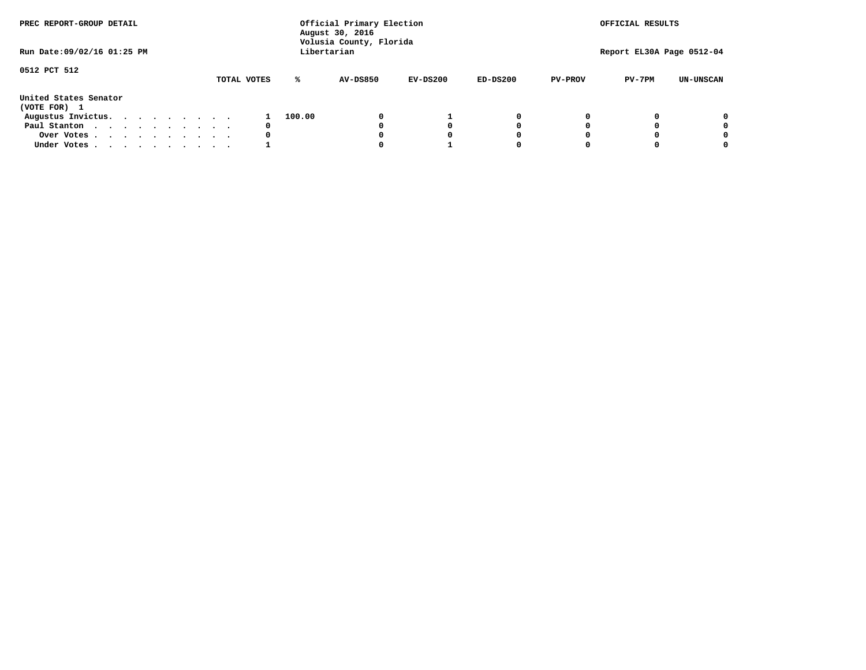| PREC REPORT-GROUP DETAIL              |  |  |  |  |  | Official Primary Election<br>August 30, 2016<br>Volusia County, Florida | OFFICIAL RESULTS |        |                 |            |            |                |                           |                  |
|---------------------------------------|--|--|--|--|--|-------------------------------------------------------------------------|------------------|--------|-----------------|------------|------------|----------------|---------------------------|------------------|
| Run Date: 09/02/16 01:25 PM           |  |  |  |  |  |                                                                         |                  |        | Libertarian     |            |            |                | Report EL30A Page 0512-04 |                  |
| 0512 PCT 512                          |  |  |  |  |  |                                                                         | TOTAL VOTES      | ℁      | <b>AV-DS850</b> | $EV-DS200$ | $ED-DS200$ | <b>PV-PROV</b> | $PV-7PM$                  | <b>UN-UNSCAN</b> |
| United States Senator<br>(VOTE FOR) 1 |  |  |  |  |  |                                                                         |                  |        |                 |            |            |                |                           |                  |
| Augustus Invictus.                    |  |  |  |  |  |                                                                         |                  | 100.00 |                 |            | 0          |                |                           | 0                |
| Paul Stanton                          |  |  |  |  |  |                                                                         | 0                |        |                 |            | 0          |                |                           | 0                |
| Over Votes                            |  |  |  |  |  |                                                                         | 0                |        |                 |            | 0          |                |                           | 0                |
| Under Votes                           |  |  |  |  |  |                                                                         |                  |        |                 |            | 0          |                |                           | 0                |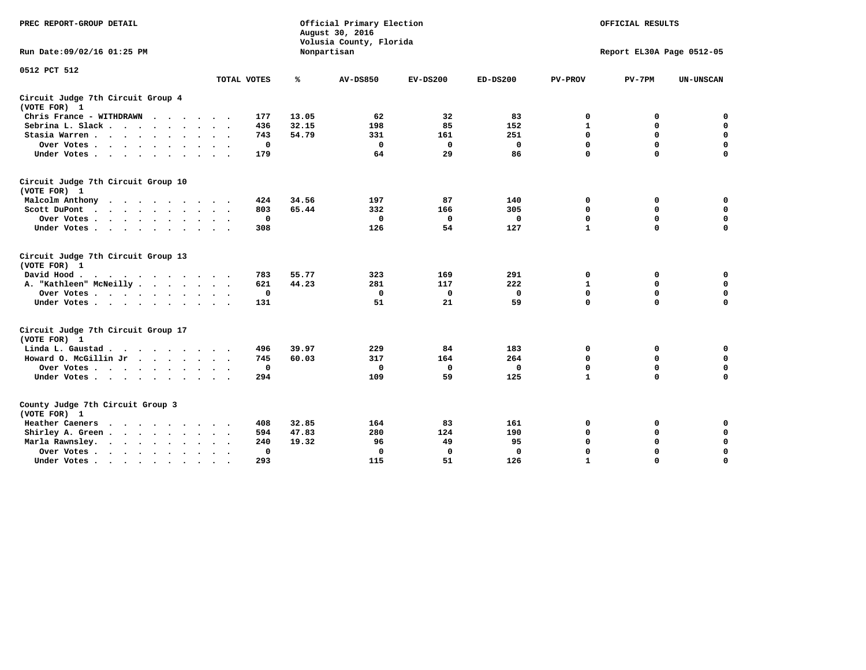| PREC REPORT-GROUP DETAIL                                                                                    |                                  | Official Primary Election<br>August 30, 2016<br>Volusia County, Florida | OFFICIAL RESULTS<br>Report EL30A Page 0512-05 |             |             |                |              |                  |
|-------------------------------------------------------------------------------------------------------------|----------------------------------|-------------------------------------------------------------------------|-----------------------------------------------|-------------|-------------|----------------|--------------|------------------|
| Run Date: 09/02/16 01:25 PM                                                                                 |                                  |                                                                         | Nonpartisan                                   |             |             |                |              |                  |
| 0512 PCT 512                                                                                                |                                  |                                                                         |                                               |             |             |                |              |                  |
|                                                                                                             | TOTAL VOTES                      | %                                                                       | <b>AV-DS850</b>                               | $EV-DS200$  | $ED-DS200$  | <b>PV-PROV</b> | $PV-7PM$     | <b>UN-UNSCAN</b> |
| Circuit Judge 7th Circuit Group 4<br>(VOTE FOR) 1                                                           |                                  |                                                                         |                                               |             |             |                |              |                  |
| Chris France - WITHDRAWN                                                                                    | 177                              | 13.05                                                                   | 62                                            | 32          | 83          | 0              | 0            | $\mathbf 0$      |
| Sebrina L. Slack                                                                                            | 436                              | 32.15                                                                   | 198                                           | 85          | 152         | $\mathbf 1$    | $\mathbf 0$  | $\mathbf 0$      |
| Stasia Warren                                                                                               | 743                              | 54.79                                                                   | 331                                           | 161         | 251         | $\mathbf 0$    | $\mathbf 0$  | $\mathbf 0$      |
| Over Votes                                                                                                  | 0                                |                                                                         | $\mathbf{0}$                                  | $\mathbf 0$ | $\mathbf 0$ | 0              | $\mathbf 0$  | $\mathbf 0$      |
| Under Votes                                                                                                 | 179                              |                                                                         | 64                                            | 29          | 86          | $\mathbf 0$    | $\mathbf 0$  | $\mathbf 0$      |
| Circuit Judge 7th Circuit Group 10<br>(VOTE FOR) 1                                                          |                                  |                                                                         |                                               |             |             |                |              |                  |
| Malcolm Anthony<br>$\mathbf{a}$ , and $\mathbf{a}$ , and $\mathbf{a}$ , and $\mathbf{a}$ , and $\mathbf{a}$ | 424                              | 34.56                                                                   | 197                                           | 87          | 140         | $\mathbf 0$    | 0            | $\mathbf 0$      |
| Scott DuPont                                                                                                | 803                              | 65.44                                                                   | 332                                           | 166         | 305         | $\mathbf 0$    | $\mathbf 0$  | $\mathbf 0$      |
| Over Votes<br>$\cdot$<br>$\overline{\phantom{a}}$                                                           | 0                                |                                                                         | $\Omega$                                      | 0           | 0           | $\mathbf 0$    | 0            | $\mathbf 0$      |
| Under Votes                                                                                                 | 308                              |                                                                         | 126                                           | 54          | 127         | $\mathbf{1}$   | $\mathbf 0$  | 0                |
| Circuit Judge 7th Circuit Group 13<br>(VOTE FOR) 1                                                          |                                  |                                                                         |                                               |             |             |                |              |                  |
| David Hood.                                                                                                 | 783                              | 55.77                                                                   | 323                                           | 169         | 291         | $\mathbf 0$    | $\mathbf 0$  | $\mathbf 0$      |
| A. "Kathleen" McNeilly.<br>$\cdots$                                                                         | 621                              | 44.23                                                                   | 281                                           | 117         | 222         | $\mathbf{1}$   | $\mathbf 0$  | $\mathbf 0$      |
| Over Votes                                                                                                  | 0                                |                                                                         | 0                                             | 0           | 0           | $\mathbf 0$    | $\mathbf 0$  | $\mathbf 0$      |
| Under Votes                                                                                                 | 131                              |                                                                         | 51                                            | 21          | 59          | $\mathbf 0$    | $\mathbf 0$  | 0                |
| Circuit Judge 7th Circuit Group 17<br>(VOTE FOR) 1                                                          |                                  |                                                                         |                                               |             |             |                |              |                  |
| Linda L. Gaustad                                                                                            | 496                              | 39.97                                                                   | 229                                           | 84          | 183         | 0              | 0            | 0                |
| Howard O. McGillin Jr<br>$\cdot$ $\cdot$ $\cdot$ $\cdot$ $\cdot$                                            | 745                              | 60.03                                                                   | 317                                           | 164         | 264         | $\mathbf 0$    | $\mathbf 0$  | $\mathbf 0$      |
| Over Votes                                                                                                  | $\mathbf 0$                      |                                                                         | 0                                             | $\mathbf 0$ | 0           | $\mathbf 0$    | $\mathbf 0$  | 0                |
| Under Votes                                                                                                 | 294                              |                                                                         | 109                                           | 59          | 125         | $\mathbf{1}$   | $\mathbf{0}$ | $\mathbf 0$      |
| County Judge 7th Circuit Group 3<br>(VOTE FOR) 1                                                            |                                  |                                                                         |                                               |             |             |                |              |                  |
| Heather Caeners<br>$\cdots$                                                                                 | 408                              | 32.85                                                                   | 164                                           | 83          | 161         | 0              | 0            | 0                |
| Shirley A. Green<br>$\ddot{\phantom{0}}$                                                                    | 594                              | 47.83                                                                   | 280                                           | 124         | 190         | $\mathbf 0$    | $\mathbf 0$  | $\mathbf 0$      |
| Marla Rawnsley.<br>$\cdot$ $\cdot$ $\cdot$ $\cdot$ $\cdot$<br>$\ddot{\phantom{0}}$                          | 240                              | 19.32                                                                   | 96                                            | 49          | 95          | 0              | 0            | $\mathbf 0$      |
| Over Votes<br>$\ddot{\phantom{a}}$<br>$\ddot{\phantom{1}}$                                                  | $\Omega$<br>$\ddot{\phantom{1}}$ |                                                                         | $\mathbf 0$                                   | $\Omega$    | $\mathbf 0$ | $\mathbf 0$    | $\mathbf 0$  | $\mathbf 0$      |
| Under Votes<br>$\bullet$                                                                                    | 293                              |                                                                         | 115                                           | 51          | 126         | $\mathbf{1}$   | $\mathbf 0$  | $\Omega$         |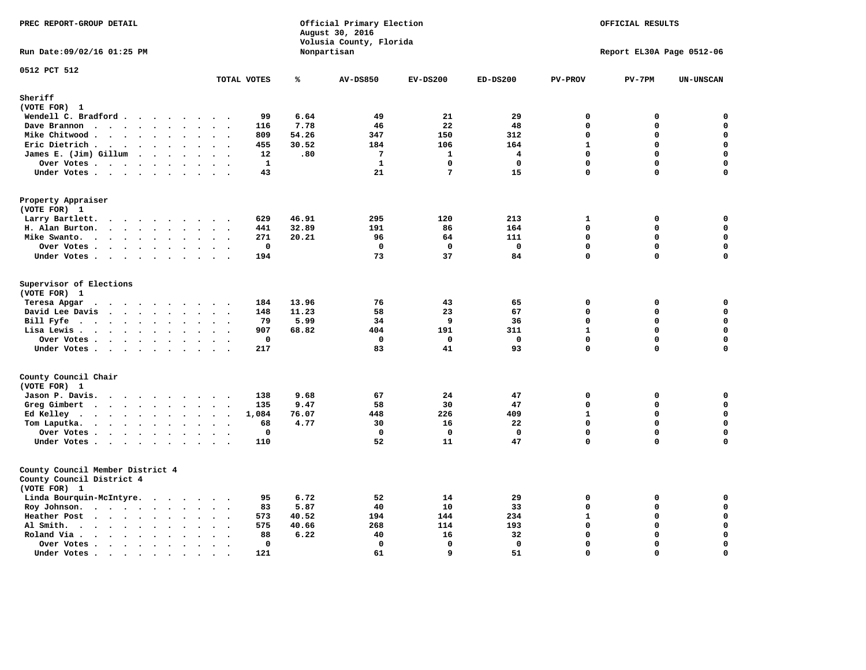| PREC REPORT-GROUP DETAIL                                                                                                                                                                                                                                                                                                                                          |                                                                  |                                 | Official Primary Election<br>August 30, 2016<br>Volusia County, Florida | OFFICIAL RESULTS<br>Report EL30A Page 0512-06 |                         |                                               |                            |                                                |
|-------------------------------------------------------------------------------------------------------------------------------------------------------------------------------------------------------------------------------------------------------------------------------------------------------------------------------------------------------------------|------------------------------------------------------------------|---------------------------------|-------------------------------------------------------------------------|-----------------------------------------------|-------------------------|-----------------------------------------------|----------------------------|------------------------------------------------|
| Run Date: 09/02/16 01:25 PM                                                                                                                                                                                                                                                                                                                                       |                                                                  |                                 | Nonpartisan                                                             |                                               |                         |                                               |                            |                                                |
| 0512 PCT 512                                                                                                                                                                                                                                                                                                                                                      | TOTAL VOTES                                                      | ℁                               | <b>AV-DS850</b>                                                         | $EV-DS200$                                    | $ED-DS200$              | <b>PV-PROV</b>                                | $PV-7PM$                   | <b>UN-UNSCAN</b>                               |
| Sheriff                                                                                                                                                                                                                                                                                                                                                           |                                                                  |                                 |                                                                         |                                               |                         |                                               |                            |                                                |
| (VOTE FOR) 1                                                                                                                                                                                                                                                                                                                                                      |                                                                  |                                 |                                                                         |                                               |                         |                                               |                            |                                                |
| Wendell C. Bradford                                                                                                                                                                                                                                                                                                                                               | 99                                                               | 6.64                            | 49                                                                      | 21                                            | 29                      | $\mathbf 0$                                   | 0                          | 0                                              |
| Dave Brannon<br>$\ddot{\phantom{a}}$<br>$\ddot{\phantom{a}}$                                                                                                                                                                                                                                                                                                      | 116                                                              | 7.78                            | 46                                                                      | 22                                            | 48                      | $\mathbf 0$                                   | 0                          | $\mathbf 0$                                    |
| Mike Chitwood                                                                                                                                                                                                                                                                                                                                                     | 809                                                              | 54.26                           | 347                                                                     | 150                                           | 312                     | $\mathbf 0$                                   | 0                          | $\mathbf 0$                                    |
| Eric Dietrich.<br>$\mathbf{r}$ , $\mathbf{r}$ , $\mathbf{r}$ , $\mathbf{r}$ , $\mathbf{r}$ , $\mathbf{r}$                                                                                                                                                                                                                                                         | 455<br>$\cdot$ .                                                 | 30.52                           | 184                                                                     | 106                                           | 164                     | $\mathbf{1}$                                  | 0                          | $\mathbf 0$                                    |
| James E. (Jim) Gillum                                                                                                                                                                                                                                                                                                                                             | 12                                                               | .80                             | $7\phantom{.0}$                                                         | $\mathbf{1}$                                  | $\overline{\mathbf{4}}$ | $\Omega$                                      | $\mathbf 0$                | $\mathbf 0$                                    |
| Over Votes                                                                                                                                                                                                                                                                                                                                                        | $\mathbf{1}$<br>$\sim$ $\sim$                                    |                                 | $\mathbf{1}$                                                            | $\Omega$                                      | $\mathbf{0}$            | $\mathbf 0$                                   | 0                          | $\Omega$                                       |
| Under Votes<br>$\sim$                                                                                                                                                                                                                                                                                                                                             | 43<br>$\ddot{\phantom{1}}$                                       |                                 | 21                                                                      | $7\phantom{.0}$                               | 15                      | $\Omega$                                      | 0                          | 0                                              |
| Property Appraiser<br>(VOTE FOR) 1                                                                                                                                                                                                                                                                                                                                |                                                                  |                                 |                                                                         |                                               |                         |                                               |                            |                                                |
| Larry Bartlett.<br>$\sim$ $\sim$ $\sim$ $\sim$<br>$\sim$<br>$\ddot{\phantom{0}}$<br>$\sim$                                                                                                                                                                                                                                                                        | 629                                                              | 46.91                           | 295                                                                     | 120                                           | 213                     | $\mathbf{1}$                                  | 0                          | 0                                              |
| H. Alan Burton.<br>$\sim$<br>$\ddot{\phantom{a}}$                                                                                                                                                                                                                                                                                                                 | 441<br>$\sim$ $\sim$                                             | 32.89                           | 191                                                                     | 86                                            | 164                     | $\mathbf 0$                                   | 0                          | $\mathbf 0$                                    |
| Mike Swanto.<br>$\ddot{\phantom{a}}$<br>$\ddot{\phantom{a}}$                                                                                                                                                                                                                                                                                                      | 271<br>$\ddot{\phantom{a}}$<br>$\overline{\phantom{a}}$          | 20.21                           | 96                                                                      | 64                                            | 111                     | $\mathbf 0$                                   | $\mathbf 0$                | $\mathbf 0$                                    |
| Over Votes                                                                                                                                                                                                                                                                                                                                                        | $\mathbf 0$<br>$\sim$ $\sim$                                     |                                 | $\mathbf 0$                                                             | $^{\circ}$                                    | $\mathbf{0}$            | $\mathbf 0$                                   | 0                          | $\mathbf 0$                                    |
| Under Votes                                                                                                                                                                                                                                                                                                                                                       | 194                                                              |                                 | 73                                                                      | 37                                            | 84                      | $\mathbf{0}$                                  | 0                          | $\Omega$                                       |
| Supervisor of Elections<br>(VOTE FOR) 1<br>Teresa Apgar<br>David Lee Davis<br>$\mathbf{r}$ . The set of the set of the set of the set of the set of the set of the set of the set of the set of the set of the set of the set of the set of the set of the set of the set of the set of the set of the set of t<br>Bill Fyfe<br>$\bullet$<br>$\sim$<br>Lisa Lewis | 184<br>148<br>$\ddot{\phantom{1}}$<br>79<br>907<br>$\sim$ $\sim$ | 13.96<br>11.23<br>5.99<br>68.82 | 76<br>58<br>34<br>404                                                   | 43<br>23<br>9<br>191                          | 65<br>67<br>36<br>311   | 0<br>$\Omega$<br>$\mathbf{0}$<br>$\mathbf{1}$ | 0<br>$\mathbf 0$<br>0<br>0 | $\mathbf 0$<br>$\mathbf 0$<br>$\mathbf 0$<br>0 |
| Over Votes.<br>$\cdots$                                                                                                                                                                                                                                                                                                                                           | $\mathbf 0$                                                      |                                 | $\mathbf 0$                                                             | $\Omega$                                      | $\mathbf 0$             | $\mathbf 0$                                   | 0                          | 0                                              |
| Under Votes<br>$\sim$<br>$\sim$                                                                                                                                                                                                                                                                                                                                   | 217                                                              |                                 | 83                                                                      | 41                                            | 93                      | $\mathbf 0$                                   | 0                          | $\mathbf 0$                                    |
| County Council Chair<br>(VOTE FOR) 1                                                                                                                                                                                                                                                                                                                              |                                                                  |                                 |                                                                         |                                               |                         |                                               |                            |                                                |
| Jason P. Davis.                                                                                                                                                                                                                                                                                                                                                   | 138<br>$\bullet$                                                 | 9.68                            | 67                                                                      | 24                                            | 47                      | $\mathbf 0$                                   | 0                          | $\mathbf 0$                                    |
| Greg Gimbert<br>$\cdots$                                                                                                                                                                                                                                                                                                                                          | 135<br>$\ddot{\phantom{1}}$                                      | 9.47                            | 58                                                                      | 30                                            | 47                      | $\mathbf 0$                                   | 0                          | 0                                              |
| Ed Kelley                                                                                                                                                                                                                                                                                                                                                         | 1,084<br>$\ddot{\phantom{1}}$                                    | 76.07                           | 448                                                                     | 226                                           | 409                     | $\mathbf{1}$                                  | 0                          | $\mathbf 0$                                    |
| Tom Laputka.<br>$\cdots$<br>$\ddot{\phantom{a}}$                                                                                                                                                                                                                                                                                                                  | 68<br>$\ddot{\phantom{1}}$                                       | 4.77                            | 30                                                                      | 16                                            | 22                      | $\mathbf 0$                                   | 0                          | $\mathbf 0$                                    |
| Over Votes .<br>$\cdots$<br>$\ddot{\phantom{1}}$<br>$\bullet$                                                                                                                                                                                                                                                                                                     | $\mathbf 0$                                                      |                                 | $\Omega$                                                                | $^{\circ}$                                    | $\mathbf{0}$            | $\mathbf{0}$                                  | 0                          | 0                                              |
| Under Votes<br>$\sim$<br>$\ddot{\phantom{0}}$<br>$\sim$                                                                                                                                                                                                                                                                                                           | 110<br>$\sim$ $\sim$                                             |                                 | 52                                                                      | 11                                            | 47                      | $\Omega$                                      | 0                          | $\Omega$                                       |
| County Council Member District 4<br>County Council District 4<br>(VOTE FOR) 1                                                                                                                                                                                                                                                                                     |                                                                  |                                 |                                                                         |                                               |                         |                                               |                            |                                                |
| Linda Bourquin-McIntyre.                                                                                                                                                                                                                                                                                                                                          | 95                                                               | 6.72                            | 52                                                                      | 14                                            | 29                      | $\Omega$                                      | 0                          | $\mathbf 0$                                    |
| Roy Johnson.<br>$\ddot{\phantom{a}}$<br>$\sim$                                                                                                                                                                                                                                                                                                                    | 83                                                               | 5.87                            | 40                                                                      | 10                                            | 33                      | $\mathbf 0$                                   | 0                          | $\mathbf 0$                                    |
| Heather Post<br>$\sim$<br>$\ddot{\phantom{a}}$                                                                                                                                                                                                                                                                                                                    | 573<br>$\ddot{\phantom{1}}$                                      | 40.52                           | 194                                                                     | 144                                           | 234                     | $\mathbf{1}$                                  | 0                          | 0                                              |
| Al Smith.<br>$\ddot{\phantom{a}}$<br>$\ddot{\phantom{a}}$                                                                                                                                                                                                                                                                                                         | 575<br>$\ddot{\phantom{a}}$                                      | 40.66                           | 268                                                                     | 114                                           | 193                     | $\mathbf 0$                                   | $\mathbf 0$                | $\mathbf 0$                                    |
| Roland Via .<br>$\cdot$ $\cdot$ $\cdot$ $\cdot$ $\cdot$ $\cdot$<br>$\sim$<br>$\bullet$<br>$\mathbf{r}$                                                                                                                                                                                                                                                            | 88                                                               | 6.22                            | 40                                                                      | 16                                            | 32                      | $\Omega$                                      | $\mathbf 0$                | $\mathbf 0$                                    |
| Over Votes.<br>$\sim$ $\sim$ $\sim$ $\sim$ $\sim$ $\sim$<br>$\bullet$ .<br>$\bullet$<br>$\bullet$<br>$\bullet$                                                                                                                                                                                                                                                    | $\mathbf{0}$<br>$\cdot$<br>$\cdot$                               |                                 | $\mathbf{0}$                                                            | $\Omega$                                      | $\mathbf{0}$            | $\mathbf{0}$                                  | 0                          | $\mathbf 0$                                    |
| Under Votes.<br>$\bullet$<br>$\bullet$<br>$\bullet$<br>$\bullet$<br>$\bullet$                                                                                                                                                                                                                                                                                     | 121                                                              |                                 | 61                                                                      | $\mathbf{q}$                                  | 51                      | $\Omega$                                      | $\Omega$                   | $\mathbf 0$                                    |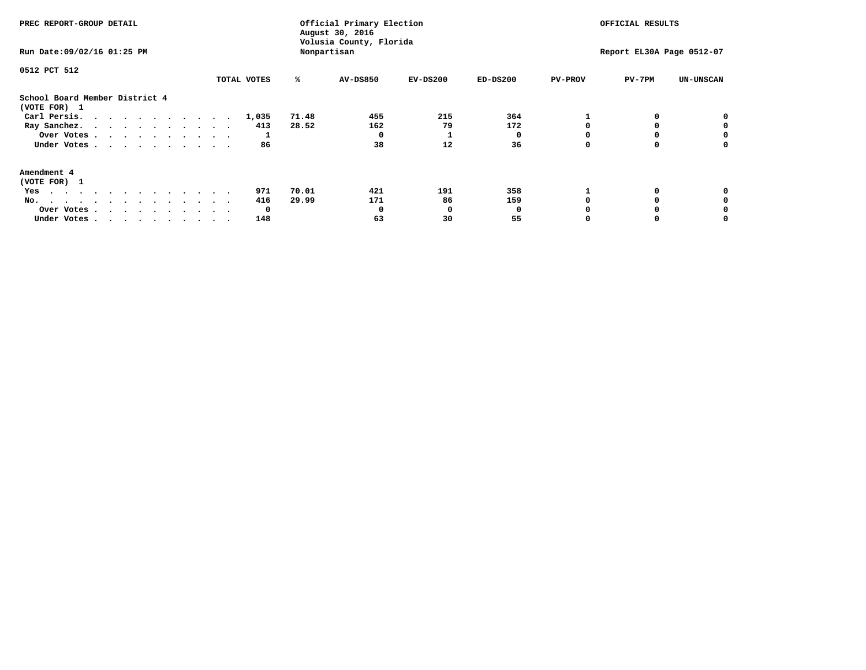| PREC REPORT-GROUP DETAIL<br>Run Date: 09/02/16 01:25 PM | Official Primary Election<br>August 30, 2016<br>Volusia County, Florida<br>Nonpartisan |       |                 |            |            | OFFICIAL RESULTS<br>Report EL30A Page 0512-07 |          |                  |
|---------------------------------------------------------|----------------------------------------------------------------------------------------|-------|-----------------|------------|------------|-----------------------------------------------|----------|------------------|
| 0512 PCT 512                                            | TOTAL VOTES                                                                            | ℁     | <b>AV-DS850</b> | $EV-DS200$ | $ED-DS200$ | <b>PV-PROV</b>                                | $PV-7PM$ | <b>UN-UNSCAN</b> |
| School Board Member District 4<br>(VOTE FOR) 1          |                                                                                        |       |                 |            |            |                                               |          |                  |
| Carl Persis.                                            | 1,035                                                                                  | 71.48 | 455             | 215        | 364        |                                               |          | 0                |
| Ray Sanchez.                                            | 413                                                                                    | 28.52 | 162             | 79         | 172        |                                               |          |                  |
| Over Votes                                              |                                                                                        |       |                 |            |            |                                               |          | 0                |
| Under Votes                                             | 86                                                                                     |       | 38              | 12         | 36         |                                               |          | 0                |
| Amendment 4                                             |                                                                                        |       |                 |            |            |                                               |          |                  |
| (VOTE FOR) 1                                            |                                                                                        |       |                 |            |            |                                               |          |                  |
| Yes                                                     | 971                                                                                    | 70.01 | 421             | 191        | 358        |                                               |          |                  |
| No.                                                     | 416                                                                                    | 29.99 | 171             | 86         | 159        |                                               |          |                  |
| Over Votes                                              | O                                                                                      |       |                 | O          |            |                                               |          |                  |
| Under Votes                                             | 148                                                                                    |       | 63              | 30         | 55         |                                               |          |                  |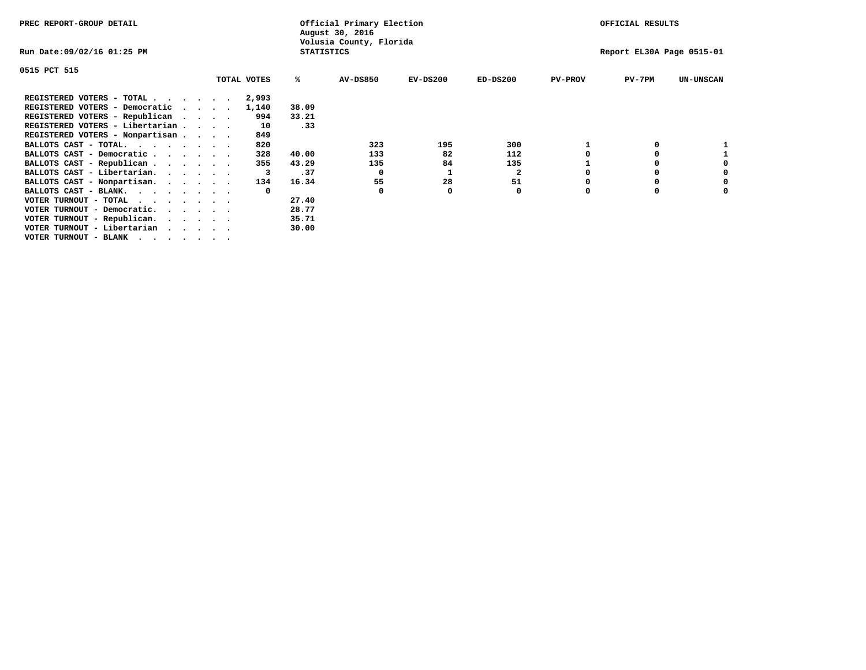| PREC REPORT-GROUP DETAIL        |         |             |       | Official Primary Election<br>August 30, 2016 |            |                           |                | OFFICIAL RESULTS |                  |
|---------------------------------|---------|-------------|-------|----------------------------------------------|------------|---------------------------|----------------|------------------|------------------|
| Run Date:09/02/16 01:25 PM      |         |             |       | Volusia County, Florida<br><b>STATISTICS</b> |            | Report EL30A Page 0515-01 |                |                  |                  |
| 0515 PCT 515                    |         |             |       |                                              |            |                           |                |                  |                  |
|                                 |         | TOTAL VOTES | %ะ    | <b>AV-DS850</b>                              | $EV-DS200$ | $ED-DS200$                | <b>PV-PROV</b> | PV-7PM           | <b>UN-UNSCAN</b> |
| REGISTERED VOTERS - TOTAL       |         | 2,993       |       |                                              |            |                           |                |                  |                  |
| REGISTERED VOTERS - Democratic  | $\cdot$ | 1,140       | 38.09 |                                              |            |                           |                |                  |                  |
| REGISTERED VOTERS - Republican  |         | 994         | 33.21 |                                              |            |                           |                |                  |                  |
| REGISTERED VOTERS - Libertarian |         | 10          | .33   |                                              |            |                           |                |                  |                  |
| REGISTERED VOTERS - Nonpartisan |         | 849         |       |                                              |            |                           |                |                  |                  |
| BALLOTS CAST - TOTAL.           |         | 820         |       | 323                                          | 195        | 300                       |                |                  |                  |
| BALLOTS CAST - Democratic       |         | 328         | 40.00 | 133                                          | 82         | 112                       |                | 0                |                  |
| BALLOTS CAST - Republican       |         | 355         | 43.29 | 135                                          | 84         | 135                       |                | O                |                  |
| BALLOTS CAST - Libertarian.     |         |             | .37   | 0                                            |            | $\mathbf{2}$              |                | 0                | 0                |
| BALLOTS CAST - Nonpartisan.     |         | 134         | 16.34 | 55                                           | 28         | 51                        |                | 0                | 0                |
| BALLOTS CAST - BLANK.           |         |             |       | 0                                            |            | 0                         | O              | 0                |                  |
| VOTER TURNOUT - TOTAL<br>.      |         |             | 27.40 |                                              |            |                           |                |                  |                  |
| VOTER TURNOUT - Democratic.     |         |             | 28.77 |                                              |            |                           |                |                  |                  |
| VOTER TURNOUT - Republican.     |         |             | 35.71 |                                              |            |                           |                |                  |                  |
| VOTER TURNOUT - Libertarian     |         |             | 30.00 |                                              |            |                           |                |                  |                  |
| VOTER TURNOUT - BLANK           |         |             |       |                                              |            |                           |                |                  |                  |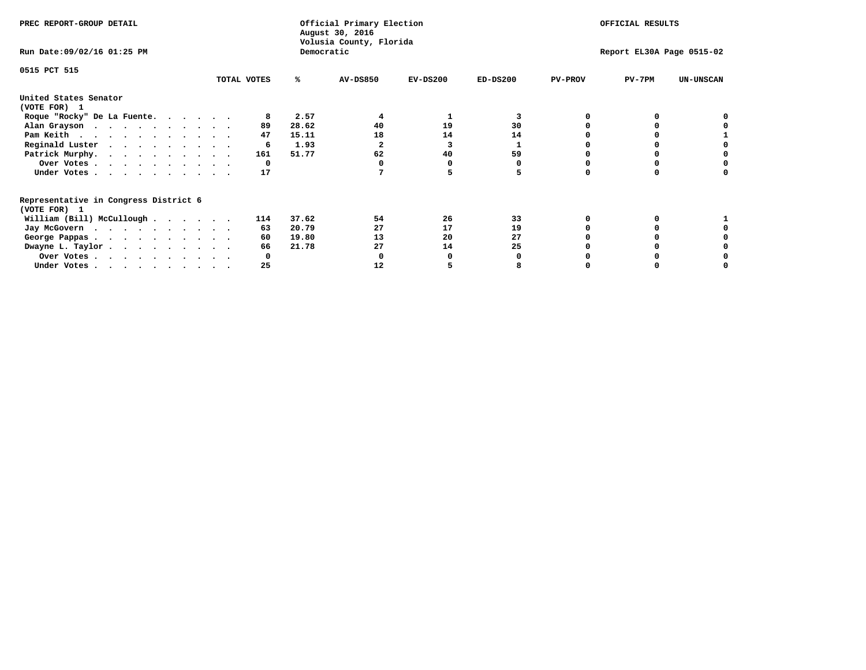| PREC REPORT-GROUP DETAIL                                               |             |            | Official Primary Election<br>August 30, 2016<br>Volusia County, Florida |            | OFFICIAL RESULTS |                           |          |                  |
|------------------------------------------------------------------------|-------------|------------|-------------------------------------------------------------------------|------------|------------------|---------------------------|----------|------------------|
| Run Date: 09/02/16 01:25 PM                                            |             | Democratic |                                                                         |            |                  | Report EL30A Page 0515-02 |          |                  |
| 0515 PCT 515                                                           | TOTAL VOTES | ℁          | <b>AV-DS850</b>                                                         | $EV-DS200$ | $ED-DS200$       | <b>PV-PROV</b>            | $PV-7PM$ | <b>UN-UNSCAN</b> |
|                                                                        |             |            |                                                                         |            |                  |                           |          |                  |
| United States Senator<br>(VOTE FOR) 1                                  |             |            |                                                                         |            |                  |                           |          |                  |
| Roque "Rocky" De La Fuente.                                            |             | 2.57       |                                                                         |            | 3                |                           |          |                  |
| Alan Grayson                                                           | 89          | 28.62      | 40                                                                      | 19         | 30               |                           |          |                  |
| Pam Keith                                                              | 47          | 15.11      | 18                                                                      | 14         | 14               |                           |          |                  |
| Reginald Luster                                                        | 6           | 1.93       |                                                                         | 3          |                  |                           |          |                  |
| Patrick Murphy.                                                        | 161         | 51.77      | 62                                                                      | 40         | 59               |                           |          |                  |
| Over Votes                                                             | 0           |            |                                                                         |            |                  |                           |          |                  |
| Under Votes                                                            | 17          |            |                                                                         |            |                  |                           |          |                  |
| Representative in Congress District 6                                  |             |            |                                                                         |            |                  |                           |          |                  |
| (VOTE FOR) 1                                                           |             |            |                                                                         |            |                  |                           |          |                  |
| William (Bill) McCullough                                              | 114         | 37.62      | 54                                                                      | 26         | 33               |                           |          |                  |
| Jay McGovern                                                           | 63          | 20.79      | 27                                                                      | 17         | 19               |                           |          |                  |
| George Pappas.                                                         | 60          | 19.80      | 13                                                                      | 20         | 27               |                           |          |                  |
| Dwayne L. Taylor.                                                      | 66          | 21.78      | 27                                                                      | 14         | 25               |                           |          |                  |
| Over Votes                                                             |             |            |                                                                         |            |                  |                           |          |                  |
| Under Votes, $\cdot$ , $\cdot$ , $\cdot$ , $\cdot$ , $\cdot$ , $\cdot$ | 25          |            | 12                                                                      |            |                  |                           |          |                  |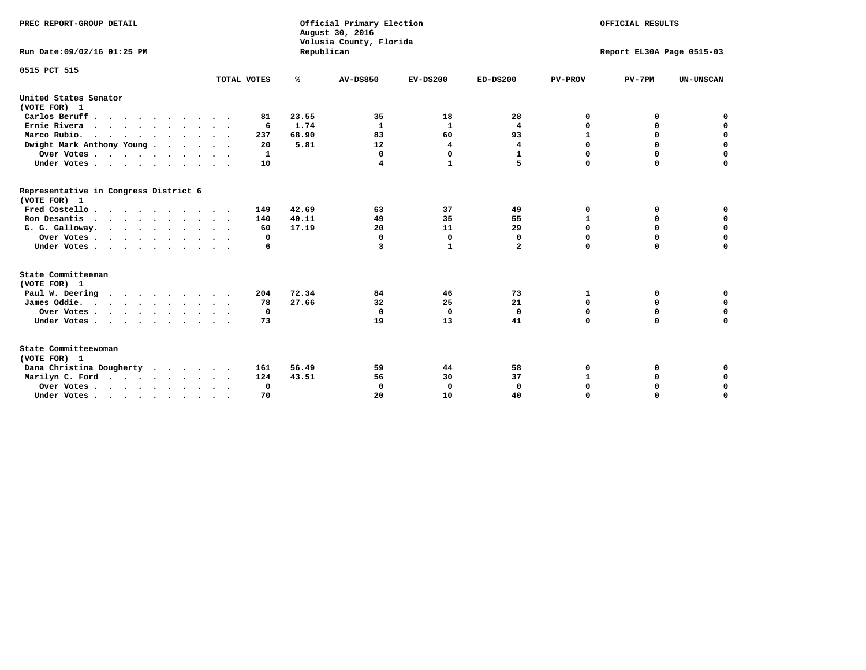| PREC REPORT-GROUP DETAIL<br>Run Date: 09/02/16 01:25 PM |             | Republican | Official Primary Election<br>August 30, 2016<br>Volusia County, Florida | OFFICIAL RESULTS<br>Report EL30A Page 0515-03 |              |                |             |                  |
|---------------------------------------------------------|-------------|------------|-------------------------------------------------------------------------|-----------------------------------------------|--------------|----------------|-------------|------------------|
|                                                         |             |            |                                                                         |                                               |              |                |             |                  |
| 0515 PCT 515                                            |             |            |                                                                         |                                               |              |                |             |                  |
|                                                         | TOTAL VOTES | ℁          | <b>AV-DS850</b>                                                         | $EV-DS200$                                    | $ED-DS200$   | <b>PV-PROV</b> | $PV-7PM$    | <b>UN-UNSCAN</b> |
| United States Senator<br>(VOTE FOR) 1                   |             |            |                                                                         |                                               |              |                |             |                  |
| Carlos Beruff                                           | 81          | 23.55      | 35                                                                      | 18                                            | 28           | 0              | 0           | 0                |
| Ernie Rivera                                            | 6           | 1.74       | 1                                                                       | 1                                             | 4            | $\Omega$       | 0           | $\mathbf 0$      |
| Marco Rubio.                                            | 237         | 68.90      | 83                                                                      | 60                                            | 93           | $\mathbf{1}$   | $\mathbf 0$ | $\mathbf 0$      |
| Dwight Mark Anthony Young                               | 20          | 5.81       | 12                                                                      | 4                                             | 4            | 0              | $\mathbf 0$ | $\pmb{0}$        |
| Over Votes                                              | 1           |            | $\Omega$                                                                | 0                                             | $\mathbf{1}$ | 0              | 0           | 0                |
| Under Votes                                             | 10          |            | 4                                                                       | 1                                             | 5.           | $\Omega$       | $\Omega$    | $\mathbf 0$      |
| Representative in Congress District 6<br>(VOTE FOR) 1   |             |            |                                                                         |                                               |              |                |             |                  |
| Fred Costello.                                          | 149         | 42.69      | 63                                                                      | 37                                            | 49           | 0              | 0           | 0                |
| Ron Desantis                                            | 140         | 40.11      | 49                                                                      | 35                                            | 55           | 1              | 0           | $\mathbf 0$      |
| G. G. Galloway.                                         | 60          | 17.19      | 20                                                                      | 11                                            | 29           | $\mathbf 0$    | $\Omega$    | $\mathbf 0$      |
| Over Votes                                              | 0           |            | $\mathbf{0}$                                                            | $\mathbf 0$                                   | 0            | $\mathbf 0$    | $\mathbf 0$ | $\mathbf 0$      |
| Under Votes                                             | 6           |            | 3                                                                       | 1                                             | $\mathbf{2}$ | $\mathbf 0$    | $\Omega$    | $\Omega$         |
| State Committeeman                                      |             |            |                                                                         |                                               |              |                |             |                  |
| (VOTE FOR) 1                                            |             |            |                                                                         |                                               |              |                |             |                  |
| Paul W. Deering<br>$\cdots$                             | 204         | 72.34      | 84                                                                      | 46                                            | 73           | 1              | 0           | 0                |
| James Oddie.                                            | 78          | 27.66      | 32                                                                      | 25                                            | 21           | 0              | 0           | $\mathbf 0$      |
| Over Votes                                              | 0           |            | $\mathbf{0}$                                                            | $\mathbf 0$                                   | $\mathbf{0}$ | 0              | $\mathbf 0$ | $\mathbf 0$      |
| Under Votes                                             | 73          |            | 19                                                                      | 13                                            | 41           | $\Omega$       | 0           | $\mathbf 0$      |
| State Committeewoman<br>(VOTE FOR) 1                    |             |            |                                                                         |                                               |              |                |             |                  |
| Dana Christina Dougherty<br>$\cdots$                    | 161         | 56.49      | 59                                                                      | 44                                            | 58           | 0              | 0           | 0                |
| Marilyn C. Ford                                         | 124         | 43.51      | 56                                                                      | 30                                            | 37           | $\mathbf{1}$   | 0           | 0                |
| Over Votes                                              | 0           |            | $\Omega$                                                                | 0                                             | $\mathbf{0}$ | 0              | 0           | $\mathbf 0$      |
| Under Votes, , , , , , , , , ,                          | 70          |            | 20                                                                      | 10                                            | 40           | $\Omega$       | $\Omega$    | $\Omega$         |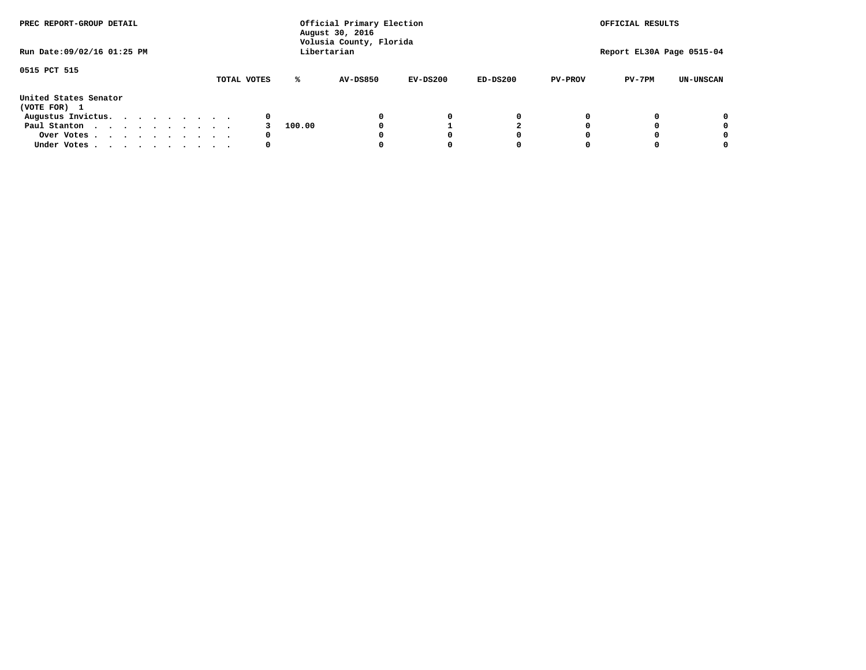| PREC REPORT-GROUP DETAIL<br>Run Date: 09/02/16 01:25 PM |  |  |  |  |  | Official Primary Election<br>August 30, 2016<br>Volusia County, Florida<br>Libertarian | OFFICIAL RESULTS<br>Report EL30A Page 0515-04 |        |                 |            |            |                |          |                  |
|---------------------------------------------------------|--|--|--|--|--|----------------------------------------------------------------------------------------|-----------------------------------------------|--------|-----------------|------------|------------|----------------|----------|------------------|
|                                                         |  |  |  |  |  |                                                                                        |                                               |        |                 |            |            |                |          |                  |
| 0515 PCT 515                                            |  |  |  |  |  |                                                                                        | TOTAL VOTES                                   | ℁      | <b>AV-DS850</b> | $EV-DS200$ | $ED-DS200$ | <b>PV-PROV</b> | $PV-7PM$ | <b>UN-UNSCAN</b> |
| United States Senator<br>(VOTE FOR) 1                   |  |  |  |  |  |                                                                                        |                                               |        |                 |            |            |                |          |                  |
| Augustus Invictus.                                      |  |  |  |  |  |                                                                                        | 0                                             |        |                 | 0          | 0          |                |          | 0                |
| Paul Stanton                                            |  |  |  |  |  |                                                                                        |                                               | 100.00 |                 |            |            |                |          | 0                |
| Over Votes                                              |  |  |  |  |  |                                                                                        | 0                                             |        |                 |            | 0          |                |          | 0                |
| Under Votes                                             |  |  |  |  |  |                                                                                        | 0                                             |        |                 |            | 0          |                |          | 0                |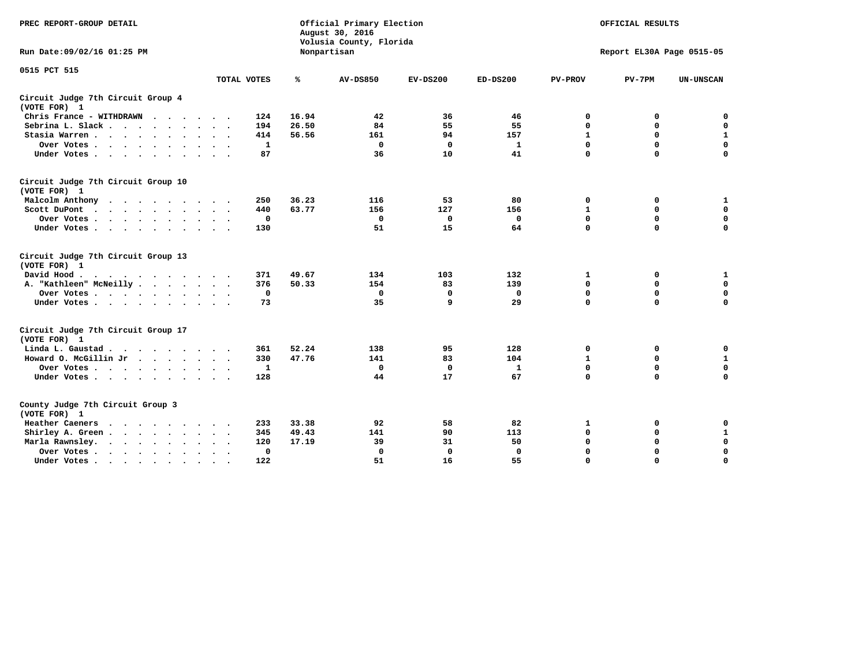| PREC REPORT-GROUP DETAIL                                                                                                                                                                                                                             |                             |       | Official Primary Election<br>August 30, 2016<br>Volusia County, Florida | OFFICIAL RESULTS<br>Report EL30A Page 0515-05 |              |                |             |                  |
|------------------------------------------------------------------------------------------------------------------------------------------------------------------------------------------------------------------------------------------------------|-----------------------------|-------|-------------------------------------------------------------------------|-----------------------------------------------|--------------|----------------|-------------|------------------|
| Run Date: 09/02/16 01:25 PM                                                                                                                                                                                                                          |                             |       | Nonpartisan                                                             |                                               |              |                |             |                  |
| 0515 PCT 515                                                                                                                                                                                                                                         |                             |       |                                                                         |                                               |              |                |             |                  |
|                                                                                                                                                                                                                                                      | TOTAL VOTES                 | ℁     | <b>AV-DS850</b>                                                         | $EV-DS200$                                    | $ED-DS200$   | <b>PV-PROV</b> | $PV-7PM$    | <b>UN-UNSCAN</b> |
| Circuit Judge 7th Circuit Group 4<br>(VOTE FOR) 1                                                                                                                                                                                                    |                             |       |                                                                         |                                               |              |                |             |                  |
| Chris France - WITHDRAWN                                                                                                                                                                                                                             | 124                         | 16.94 | 42                                                                      | 36                                            | 46           | 0              | 0           | 0                |
| Sebrina L. Slack                                                                                                                                                                                                                                     | 194                         | 26.50 | 84                                                                      | 55                                            | 55           | $\mathbf 0$    | $\mathbf 0$ | $\mathbf 0$      |
| Stasia Warren<br>$\sim$<br>$\sim$                                                                                                                                                                                                                    | 414                         | 56.56 | 161                                                                     | 94                                            | 157          | $\mathbf{1}$   | 0           | $\mathbf{1}$     |
| Over Votes                                                                                                                                                                                                                                           | 1                           |       | $\mathbf{0}$                                                            | $\mathbf 0$                                   | $\mathbf{1}$ | 0              | $\mathbf 0$ | $\mathbf 0$      |
| Under Votes                                                                                                                                                                                                                                          | 87                          |       | 36                                                                      | 10                                            | 41           | $\mathbf 0$    | $\Omega$    | $\mathbf 0$      |
| Circuit Judge 7th Circuit Group 10<br>(VOTE FOR) 1                                                                                                                                                                                                   |                             |       |                                                                         |                                               |              |                |             |                  |
| Malcolm Anthony<br>.                                                                                                                                                                                                                                 | 250                         | 36.23 | 116                                                                     | 53                                            | 80           | $\mathbf 0$    | 0           | $\mathbf{1}$     |
| Scott DuPont                                                                                                                                                                                                                                         | 440                         | 63.77 | 156                                                                     | 127                                           | 156          | $\mathbf 1$    | $\mathbf 0$ | $\mathbf 0$      |
| Over Votes<br>$\sim$                                                                                                                                                                                                                                 | 0                           |       | $\mathbf{0}$                                                            | 0                                             | 0            | $\mathbf 0$    | $\Omega$    | $\mathbf 0$      |
| Under Votes                                                                                                                                                                                                                                          | 130                         |       | 51                                                                      | 15                                            | 64           | $\mathbf 0$    | $\mathbf 0$ | $\Omega$         |
| Circuit Judge 7th Circuit Group 13<br>(VOTE FOR) 1                                                                                                                                                                                                   |                             |       |                                                                         |                                               |              |                |             |                  |
| David Hood.<br>$\cdots$                                                                                                                                                                                                                              | 371                         | 49.67 | 134                                                                     | 103                                           | 132          | 1              | 0           | 1                |
| A. "Kathleen" McNeilly                                                                                                                                                                                                                               | 376                         | 50.33 | 154                                                                     | 83                                            | 139          | $\mathbf 0$    | $\mathbf 0$ | $\mathbf 0$      |
| Over Votes                                                                                                                                                                                                                                           | 0                           |       | 0                                                                       | 0                                             | 0            | $\mathbf 0$    | $\mathbf 0$ | $\mathbf 0$      |
| Under Votes                                                                                                                                                                                                                                          | 73                          |       | 35                                                                      | 9                                             | 29           | $\mathbf 0$    | $\Omega$    | 0                |
| Circuit Judge 7th Circuit Group 17<br>(VOTE FOR) 1                                                                                                                                                                                                   |                             |       |                                                                         |                                               |              |                |             |                  |
| Linda L. Gaustad                                                                                                                                                                                                                                     | 361                         | 52.24 | 138                                                                     | 95                                            | 128          | 0              | 0           | 0                |
| Howard O. McGillin Jr                                                                                                                                                                                                                                | 330                         | 47.76 | 141                                                                     | 83                                            | 104          | $\mathbf 1$    | $\mathbf 0$ | ${\bf 1}$        |
| Over Votes                                                                                                                                                                                                                                           | $\mathbf{1}$                |       | $\mathbf{0}$                                                            | $\mathbf 0$                                   | $\mathbf{1}$ | $\mathbf 0$    | $\mathbf 0$ | $\mathbf 0$      |
| Under Votes                                                                                                                                                                                                                                          | 128                         |       | 44                                                                      | 17                                            | 67           | $\mathbf 0$    | $\mathbf 0$ | $\Omega$         |
| County Judge 7th Circuit Group 3<br>(VOTE FOR) 1                                                                                                                                                                                                     |                             |       |                                                                         |                                               |              |                |             |                  |
| Heather Caeners<br>$\mathbf{r}$ . The contract of the contract of the contract of the contract of the contract of the contract of the contract of the contract of the contract of the contract of the contract of the contract of the contract of th | 233                         | 33.38 | 92                                                                      | 58                                            | 82           | 1              | 0           | 0                |
| Shirley A. Green                                                                                                                                                                                                                                     | 345<br>$\ddot{\phantom{1}}$ | 49.43 | 141                                                                     | 90                                            | 113          | $\mathbf 0$    | 0           | $\mathbf{1}$     |
| Marla Rawnsley.                                                                                                                                                                                                                                      | 120                         | 17.19 | 39                                                                      | 31                                            | 50           | 0              | $\mathbf 0$ | $\pmb{0}$        |
| Over Votes.<br>$\cdots$<br>$\ddot{\phantom{a}}$<br>$\cdot$                                                                                                                                                                                           | 0<br>$\sim$ $\sim$          |       | $\mathbf 0$                                                             | $\mathbf{0}$                                  | 0            | $\mathbf 0$    | $\Omega$    | $\mathbf 0$      |
| Under Votes<br>$\sim$<br>$\sim$                                                                                                                                                                                                                      | 122<br>$\ddot{\phantom{a}}$ |       | 51                                                                      | 16                                            | 55           | $\mathbf 0$    | $\mathbf 0$ | 0                |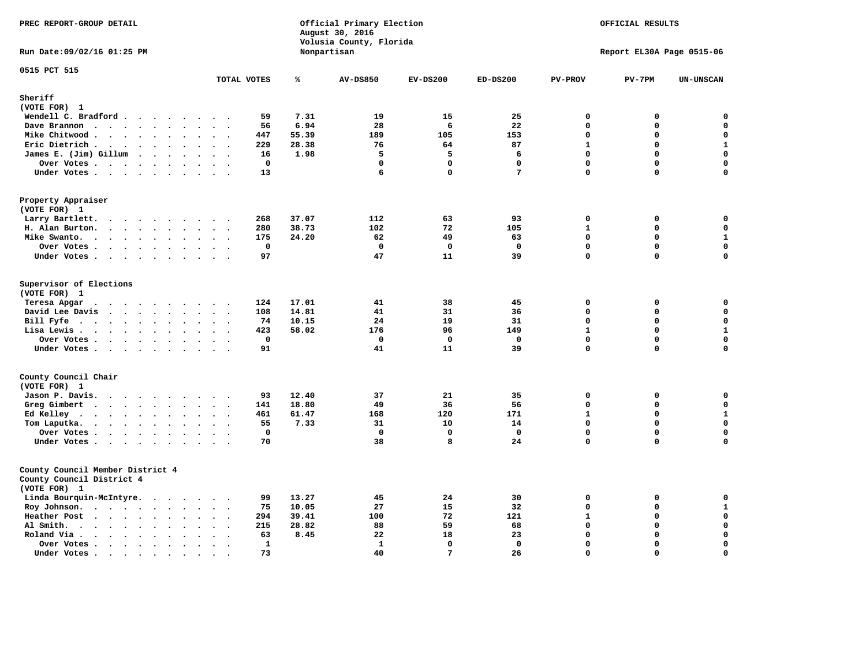| Official Primary Election<br>PREC REPORT-GROUP DETAIL<br>August 30, 2016<br>Volusia County, Florida   |                                                               |       |                   | OFFICIAL RESULTS  |                   |                            |                           |                            |
|-------------------------------------------------------------------------------------------------------|---------------------------------------------------------------|-------|-------------------|-------------------|-------------------|----------------------------|---------------------------|----------------------------|
| Run Date: 09/02/16 01:25 PM                                                                           |                                                               |       | Nonpartisan       |                   |                   |                            | Report EL30A Page 0515-06 |                            |
| 0515 PCT 515                                                                                          | TOTAL VOTES                                                   | ℁     | <b>AV-DS850</b>   | $EV-DS200$        | $ED-DS200$        | <b>PV-PROV</b>             | $PV-7PM$                  | <b>UN-UNSCAN</b>           |
| Sheriff                                                                                               |                                                               |       |                   |                   |                   |                            |                           |                            |
| (VOTE FOR) 1                                                                                          |                                                               |       |                   |                   |                   |                            |                           |                            |
| Wendell C. Bradford                                                                                   | 59                                                            | 7.31  | 19                | 15                | 25                | $\mathbf 0$                | 0                         | 0                          |
| Dave Brannon                                                                                          | 56                                                            | 6.94  | 28                | 6                 | 22                | $\mathbf 0$                | 0                         | $\mathbf 0$                |
| Mike Chitwood                                                                                         | 447                                                           | 55.39 | 189               | 105               | 153               | $\mathbf 0$                | 0                         | $\mathbf 0$                |
| Eric Dietrich.<br>$\cdots$                                                                            | 229                                                           | 28.38 | 76                | 64                | 87                | $\mathbf{1}$               | 0                         | $\mathbf{1}$               |
| James E. (Jim) Gillum                                                                                 | 16                                                            | 1.98  | 5                 | 5                 | 6                 | $\mathbf 0$                | $\mathbf 0$               | $\mathbf 0$                |
| Over Votes                                                                                            | $\mathbf 0$                                                   |       | $\mathbf 0$       | $\mathbf 0$       | $\mathbf 0$       | $\Omega$                   | 0                         | 0                          |
| Under Votes                                                                                           | 13<br>$\sim$ $\sim$ $\sim$ $\sim$                             |       | 6                 | $\Omega$          | $7\phantom{.0}$   | $\Omega$                   | $\Omega$                  | $\mathbf 0$                |
| Property Appraiser                                                                                    |                                                               |       |                   |                   |                   |                            |                           |                            |
| (VOTE FOR) 1                                                                                          |                                                               |       |                   |                   |                   |                            |                           |                            |
| Larry Bartlett.                                                                                       | 268<br>$\sim$                                                 | 37.07 | 112               | 63                | 93                | $\Omega$                   | 0                         | $\mathbf 0$                |
| H. Alan Burton.                                                                                       | 280<br>$\ddot{\phantom{1}}$                                   | 38.73 | 102               | 72                | 105               | $\mathbf{1}$               | $\mathbf 0$               | $\mathbf 0$                |
| Mike Swanto.<br>$\ddot{\phantom{a}}$                                                                  | 175<br>$\ddot{\phantom{a}}$<br>$\sim$<br>$\ddot{\phantom{a}}$ | 24.20 | 62                | 49                | 63                | $\mathbf 0$                | $\mathbf 0$               | $\mathbf{1}$               |
| Over Votes.                                                                                           | $\mathbf 0$                                                   |       | $\mathbf 0$       | $^{\circ}$        | $\mathbf 0$       | $\mathbf 0$                | $\mathbf 0$               | $\mathbf 0$                |
| Under Votes                                                                                           | 97                                                            |       | 47                | 11                | 39                | $\mathbf{0}$               | $\mathbf 0$               | $\Omega$                   |
| Supervisor of Elections<br>(VOTE FOR) 1                                                               |                                                               |       |                   |                   |                   |                            |                           |                            |
| Teresa Apgar                                                                                          | 124                                                           | 17.01 | 41                | 38                | 45                | 0                          | 0                         | $\mathbf 0$                |
| David Lee Davis                                                                                       | 108                                                           | 14.81 | 41                | 31                | 36                | $\Omega$                   | 0                         | $\mathbf 0$                |
| Bill Fyfe. $\ldots$                                                                                   | 74                                                            | 10.15 | 24                | 19                | 31                | $\mathbf{0}$               | 0                         | $\mathbf 0$                |
| Lisa Lewis                                                                                            | 423                                                           | 58.02 | 176               | 96                | 149               | $\mathbf{1}$               | 0                         | $\mathbf 1$                |
| Over Votes<br>Under Votes                                                                             | $\mathbf 0$<br>91                                             |       | $\mathbf 0$<br>41 | $\mathbf 0$<br>11 | $\mathbf 0$<br>39 | $\mathbf 0$<br>$\mathbf 0$ | $\mathbf 0$<br>0          | $\mathbf 0$<br>$\mathbf 0$ |
|                                                                                                       |                                                               |       |                   |                   |                   |                            |                           |                            |
| County Council Chair<br>(VOTE FOR) 1                                                                  |                                                               |       |                   |                   |                   |                            |                           |                            |
| Jason P. Davis.                                                                                       | 93<br>$\ddot{\phantom{1}}$                                    | 12.40 | 37                | 21                | 35                | 0                          | 0                         | 0                          |
| Greg Gimbert<br>$\cdots$                                                                              | 141                                                           | 18.80 | 49                | 36                | 56                | $\mathbf 0$                | 0                         | $\mathsf{o}\,$             |
| Ed Kelley $\cdots$                                                                                    | 461                                                           | 61.47 | 168               | 120               | 171               | $\mathbf{1}$               | 0                         | $\mathbf 1$                |
| Tom Laputka.<br>.                                                                                     | 55                                                            | 7.33  | 31                | 10                | 14                | $\mathbf 0$                | 0                         | $\mathbf 0$                |
| Over Votes                                                                                            | $\mathbf 0$                                                   |       | $\Omega$          | $\Omega$          | $\Omega$          | $\Omega$                   | $\Omega$                  | 0                          |
| Under Votes<br>$\sim$ $\sim$<br>$\ddot{\phantom{0}}$                                                  | 70<br>$\sim$                                                  |       | 38                | 8                 | 24                | $\mathbf 0$                | 0                         | $\mathbf 0$                |
| County Council Member District 4<br>County Council District 4<br>(VOTE FOR) 1                         |                                                               |       |                   |                   |                   |                            |                           |                            |
| Linda Bourquin-McIntyre.                                                                              | 99                                                            | 13.27 | 45                | 24                | 30                | $\Omega$                   | 0                         | $\mathbf 0$                |
| Roy Johnson.<br>$\ddot{\phantom{a}}$                                                                  | 75<br>$\ddot{\phantom{0}}$<br>$\ddot{\phantom{1}}$            | 10.05 | 27                | 15                | 32                | $\mathbf 0$                | 0                         | $\mathbf{1}$               |
| Heather Post                                                                                          | 294                                                           | 39.41 | 100               | 72                | 121               | $\mathbf{1}$               | 0                         | $\mathbf 0$                |
| Al Smith.<br>$\sim$                                                                                   | 215<br>$\ddot{\phantom{a}}$<br>$\ddot{\phantom{a}}$           | 28.82 | 88                | 59                | 68                | $\mathbf 0$                | $\mathbf 0$               | $\mathbf 0$                |
| Roland Via .<br>$\cdot \cdot \cdot \cdot$<br>$\ddot{\phantom{0}}$<br>$\Delta$<br>$\ddot{\phantom{a}}$ | 63<br>$\ddot{\phantom{a}}$                                    | 8.45  | 22                | 18                | 23                | $\Omega$                   | $\mathbf 0$               | $\mathbf 0$                |
| Over Votes<br>$\sim$<br>$\ddot{\phantom{a}}$<br>$\ddot{\phantom{a}}$                                  | $\mathbf{1}$<br>$\bullet$<br>$\cdot$<br>$\ddot{\phantom{0}}$  |       | $\mathbf{1}$      | $\Omega$          | $\mathbf{0}$      | $\Omega$                   | $\mathbf 0$               | $\Omega$                   |
| Under Votes.<br>$\cdots$<br>$\bullet$                                                                 | 73<br>$\bullet$                                               |       | 40                | 7                 | 26                | $\Omega$                   | $\Omega$                  | $\mathbf 0$                |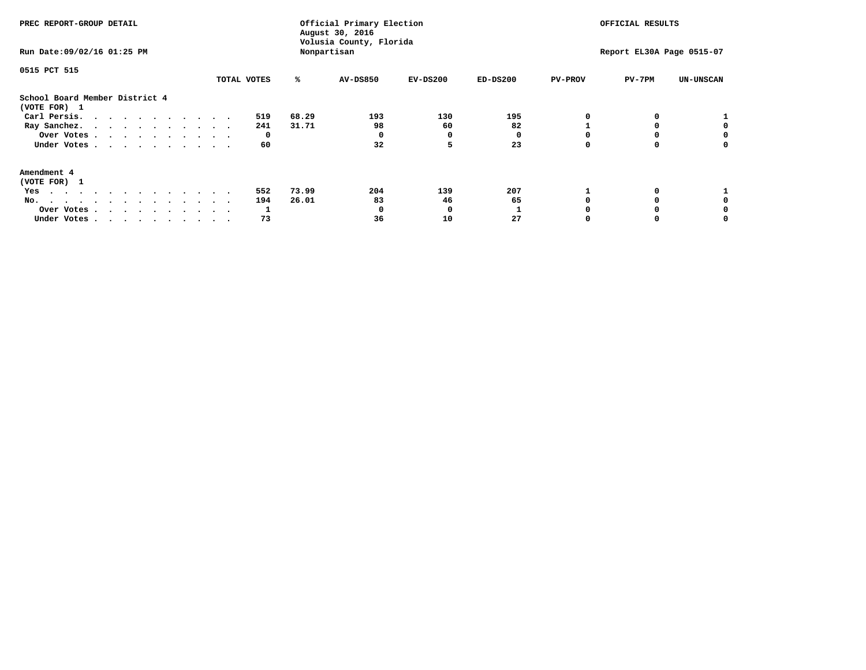| PREC REPORT-GROUP DETAIL<br>Run Date: 09/02/16 01:25 PM                                                                                                                                                                                  |             |       | Official Primary Election<br>August 30, 2016<br>Volusia County, Florida<br>Nonpartisan |            | OFFICIAL RESULTS<br>Report EL30A Page 0515-07 |                |        |                  |
|------------------------------------------------------------------------------------------------------------------------------------------------------------------------------------------------------------------------------------------|-------------|-------|----------------------------------------------------------------------------------------|------------|-----------------------------------------------|----------------|--------|------------------|
| 0515 PCT 515                                                                                                                                                                                                                             | TOTAL VOTES | ℁     | <b>AV-DS850</b>                                                                        | $EV-DS200$ | $ED-DS200$                                    | <b>PV-PROV</b> | PV-7PM | <b>UN-UNSCAN</b> |
| School Board Member District 4<br>(VOTE FOR) 1                                                                                                                                                                                           |             |       |                                                                                        |            |                                               |                |        |                  |
| Carl Persis.                                                                                                                                                                                                                             | 519         | 68.29 | 193                                                                                    | 130        | 195                                           |                |        |                  |
| Ray Sanchez.                                                                                                                                                                                                                             | 241         | 31.71 | 98                                                                                     | 60         | 82                                            |                |        |                  |
| Over Votes                                                                                                                                                                                                                               | 0           |       |                                                                                        | O          |                                               |                |        | 0                |
| Under Votes                                                                                                                                                                                                                              | 60          |       | 32                                                                                     | 5          | 23                                            |                |        | 0                |
| Amendment 4                                                                                                                                                                                                                              |             |       |                                                                                        |            |                                               |                |        |                  |
| (VOTE FOR) 1                                                                                                                                                                                                                             |             |       |                                                                                        |            |                                               |                |        |                  |
| Yes<br>$\mathbf{a}$ . The contribution of the contribution of the contribution of the contribution of the contribution of the contribution of the contribution of the contribution of the contribution of the contribution of the contri | 552         | 73.99 | 204                                                                                    | 139        | 207                                           |                |        |                  |
| No.<br>.                                                                                                                                                                                                                                 | 194         | 26.01 | 83                                                                                     | 46         | 65                                            |                |        |                  |
| Over Votes                                                                                                                                                                                                                               |             |       |                                                                                        | O          |                                               |                |        |                  |
| Under Votes                                                                                                                                                                                                                              | 73          |       | 36                                                                                     | 10         | 27                                            |                |        |                  |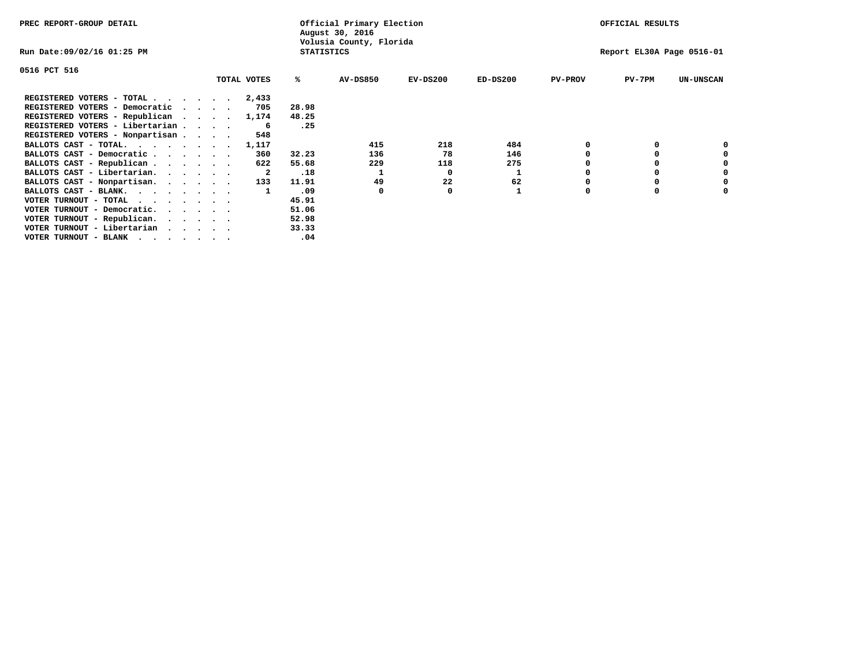| PREC REPORT-GROUP DETAIL                                                                                                                 |                                              |             |       | Official Primary Election<br>August 30, 2016 |            |            |                           | OFFICIAL RESULTS |                  |  |
|------------------------------------------------------------------------------------------------------------------------------------------|----------------------------------------------|-------------|-------|----------------------------------------------|------------|------------|---------------------------|------------------|------------------|--|
| Run Date:09/02/16 01:25 PM                                                                                                               | Volusia County, Florida<br><b>STATISTICS</b> |             |       |                                              |            |            | Report EL30A Page 0516-01 |                  |                  |  |
| 0516 PCT 516                                                                                                                             |                                              |             |       |                                              |            |            |                           |                  |                  |  |
|                                                                                                                                          |                                              | TOTAL VOTES | ℁     | <b>AV-DS850</b>                              | $EV-DS200$ | $ED-DS200$ | <b>PV-PROV</b>            | $PV-7PM$         | <b>UN-UNSCAN</b> |  |
| REGISTERED VOTERS - TOTAL                                                                                                                |                                              | 2,433       |       |                                              |            |            |                           |                  |                  |  |
| REGISTERED VOTERS - Democratic                                                                                                           |                                              | 705         | 28.98 |                                              |            |            |                           |                  |                  |  |
| REGISTERED VOTERS - Republican                                                                                                           |                                              | 1,174       | 48.25 |                                              |            |            |                           |                  |                  |  |
| REGISTERED VOTERS - Libertarian                                                                                                          |                                              | -6          | .25   |                                              |            |            |                           |                  |                  |  |
| REGISTERED VOTERS - Nonpartisan                                                                                                          |                                              | 548         |       |                                              |            |            |                           |                  |                  |  |
| BALLOTS CAST - TOTAL.                                                                                                                    |                                              | 1,117       |       | 415                                          | 218        | 484        |                           |                  |                  |  |
| BALLOTS CAST - Democratic                                                                                                                |                                              | 360         | 32.23 | 136                                          | 78         | 146        |                           |                  |                  |  |
| BALLOTS CAST - Republican                                                                                                                |                                              | 622         | 55.68 | 229                                          | 118        | 275        |                           |                  |                  |  |
| BALLOTS CAST - Libertarian.                                                                                                              |                                              | -2          | .18   |                                              | O          |            |                           |                  |                  |  |
| BALLOTS CAST - Nonpartisan.                                                                                                              |                                              | 133         | 11.91 | 49                                           | 22         | 62         |                           |                  | 0                |  |
| BALLOTS CAST - BLANK.                                                                                                                    |                                              |             | .09   | 0                                            | O          |            | O                         | $\Omega$         |                  |  |
| VOTER TURNOUT - TOTAL<br>the contract of the contract of the contract of the contract of the contract of the contract of the contract of |                                              |             | 45.91 |                                              |            |            |                           |                  |                  |  |
| VOTER TURNOUT - Democratic.                                                                                                              |                                              |             | 51.06 |                                              |            |            |                           |                  |                  |  |
| VOTER TURNOUT - Republican.                                                                                                              |                                              |             | 52.98 |                                              |            |            |                           |                  |                  |  |
| VOTER TURNOUT - Libertarian                                                                                                              |                                              |             | 33.33 |                                              |            |            |                           |                  |                  |  |
| VOTER TURNOUT - BLANK<br>the contract of the contract of the contract of the contract of the contract of the contract of the contract of |                                              |             | .04   |                                              |            |            |                           |                  |                  |  |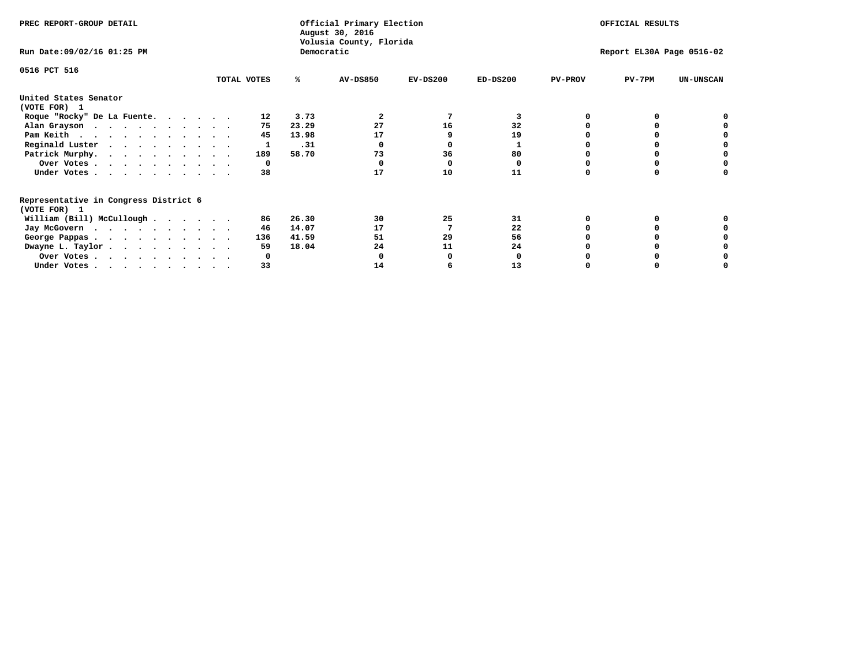| PREC REPORT-GROUP DETAIL                                               |             |       | Official Primary Election<br>August 30, 2016<br>Volusia County, Florida | OFFICIAL RESULTS<br>Report EL30A Page 0516-02 |            |                |          |                  |
|------------------------------------------------------------------------|-------------|-------|-------------------------------------------------------------------------|-----------------------------------------------|------------|----------------|----------|------------------|
| Run Date: 09/02/16 01:25 PM                                            |             |       | Democratic                                                              |                                               |            |                |          |                  |
| 0516 PCT 516                                                           | TOTAL VOTES | ℁     | <b>AV-DS850</b>                                                         | $EV-DS200$                                    | $ED-DS200$ | <b>PV-PROV</b> | $PV-7PM$ | <b>UN-UNSCAN</b> |
|                                                                        |             |       |                                                                         |                                               |            |                |          |                  |
| United States Senator<br>(VOTE FOR) 1                                  |             |       |                                                                         |                                               |            |                |          |                  |
| Roque "Rocky" De La Fuente.                                            | 12          | 3.73  | 2                                                                       |                                               | 3          |                |          |                  |
| Alan Grayson                                                           | 75          | 23.29 | 27                                                                      | 16                                            | 32         |                |          |                  |
| Pam Keith                                                              | 45          | 13.98 | 17                                                                      |                                               | 19         |                |          |                  |
| Reginald Luster                                                        |             | .31   |                                                                         |                                               |            |                |          |                  |
| Patrick Murphy.                                                        | 189         | 58.70 | 73                                                                      | 36                                            | 80         |                |          |                  |
| Over Votes                                                             |             | 0     |                                                                         |                                               | 0          |                |          |                  |
| Under Votes                                                            | 38          |       | 17                                                                      | 10                                            | 11         |                |          |                  |
| Representative in Congress District 6                                  |             |       |                                                                         |                                               |            |                |          |                  |
| (VOTE FOR) 1                                                           |             |       |                                                                         |                                               |            |                |          |                  |
| William (Bill) McCullough                                              | 86          | 26.30 | 30                                                                      | 25                                            | 31         |                |          |                  |
| Jay McGovern                                                           | 46          | 14.07 | 17                                                                      |                                               | 22         |                |          |                  |
| George Pappas.                                                         | 136         | 41.59 | 51                                                                      | 29                                            | 56         |                |          |                  |
| Dwayne L. Taylor.                                                      | 59          | 18.04 | 24                                                                      | 11                                            | 24         |                |          |                  |
| Over Votes                                                             |             |       |                                                                         |                                               |            |                |          |                  |
| Under Votes, $\cdot$ , $\cdot$ , $\cdot$ , $\cdot$ , $\cdot$ , $\cdot$ | 33          |       | 14                                                                      |                                               | 13         |                |          |                  |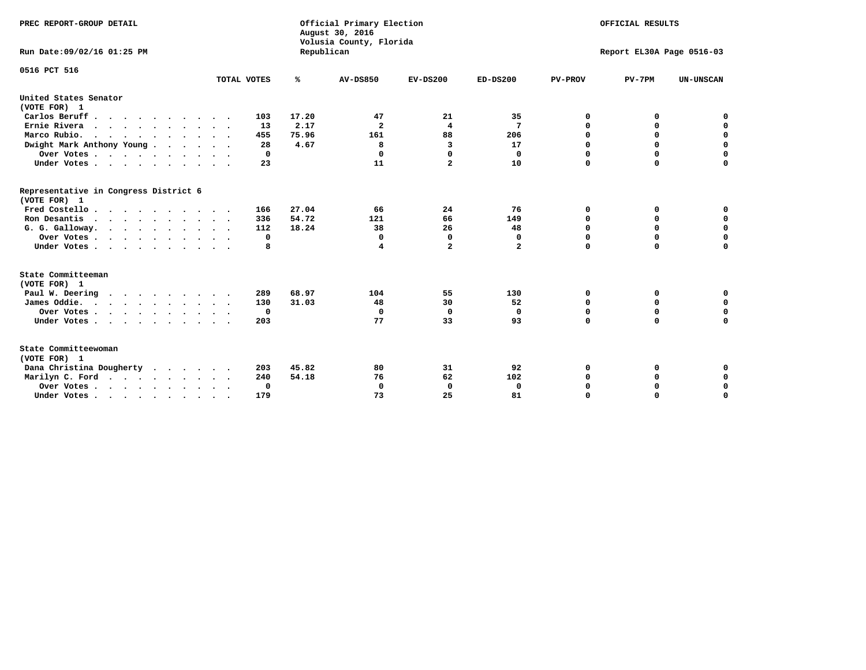| PREC REPORT-GROUP DETAIL<br>Run Date: 09/02/16 01:25 PM |             | Republican | Official Primary Election<br>August 30, 2016<br>Volusia County, Florida | OFFICIAL RESULTS<br>Report EL30A Page 0516-03 |                |                |             |                  |
|---------------------------------------------------------|-------------|------------|-------------------------------------------------------------------------|-----------------------------------------------|----------------|----------------|-------------|------------------|
| 0516 PCT 516                                            |             |            |                                                                         |                                               |                |                |             |                  |
|                                                         | TOTAL VOTES | ℁          | <b>AV-DS850</b>                                                         | $EV-DS200$                                    | $ED-DS200$     | <b>PV-PROV</b> | $PV-7PM$    | <b>UN-UNSCAN</b> |
| United States Senator<br>(VOTE FOR) 1                   |             |            |                                                                         |                                               |                |                |             |                  |
| Carlos Beruff                                           | 103         | 17.20      | 47                                                                      | 21                                            | 35             | 0              | 0           | 0                |
| Ernie Rivera                                            | 13          | 2.17       | $\mathbf{2}$                                                            | 4                                             | 7              | $\Omega$       | 0           | $\mathbf 0$      |
| Marco Rubio.                                            | 455         | 75.96      | 161                                                                     | 88                                            | 206            | 0              | 0           | $\mathbf 0$      |
| Dwight Mark Anthony Young                               | 28          | 4.67       | 8                                                                       | 3                                             | 17             | 0              | $\mathbf 0$ | $\mathbf 0$      |
| Over Votes                                              | 0           |            | $\Omega$                                                                | $\Omega$                                      | $\mathbf{0}$   | 0              | $\mathbf 0$ | $\mathbf 0$      |
| Under Votes                                             | 23          |            | 11                                                                      | $\overline{a}$                                | 10             | $\Omega$       | $\Omega$    | $\mathbf 0$      |
| Representative in Congress District 6<br>(VOTE FOR) 1   |             |            |                                                                         |                                               |                |                |             |                  |
| Fred Costello                                           | 166         | 27.04      | 66                                                                      | 24                                            | 76             | 0              | 0           | $\mathbf 0$      |
| Ron Desantis                                            | 336         | 54.72      | 121                                                                     | 66                                            | 149            | 0              | 0           | $\mathbf 0$      |
| G. G. Galloway.                                         | 112         | 18.24      | 38                                                                      | 26                                            | 48             | $\mathbf 0$    | $\mathbf 0$ | $\mathbf 0$      |
| Over Votes                                              | 0           |            | $\Omega$                                                                | 0                                             | 0              | $\mathbf 0$    | 0           | $\mathbf 0$      |
| Under Votes                                             | 8           |            | 4                                                                       | $\overline{a}$                                | $\overline{a}$ | $\mathbf 0$    | $\Omega$    | $\mathbf 0$      |
| State Committeeman                                      |             |            |                                                                         |                                               |                |                |             |                  |
| (VOTE FOR) 1                                            |             |            |                                                                         |                                               |                |                |             |                  |
| Paul W. Deering                                         | 289         | 68.97      | 104                                                                     | 55                                            | 130            | 0              | 0           | 0                |
| James Oddie.                                            | 130         | 31.03      | 48                                                                      | 30                                            | 52             | 0              | 0           | $\mathbf 0$      |
| Over Votes                                              | $\mathbf 0$ |            | $\mathbf 0$                                                             | $\mathbf 0$                                   | 0              | 0              | $\mathbf 0$ | $\mathbf 0$      |
| Under Votes                                             | 203         |            | 77                                                                      | 33                                            | 93             | $\mathbf 0$    | $\mathbf 0$ | $\mathbf 0$      |
| State Committeewoman<br>(VOTE FOR) 1                    |             |            |                                                                         |                                               |                |                |             |                  |
| Dana Christina Dougherty<br>.                           | 203         | 45.82      | 80                                                                      | 31                                            | 92             | 0              | 0           | 0                |
| Marilyn C. Ford                                         | 240         | 54.18      | 76                                                                      | 62                                            | 102            | 0              | 0           | 0                |
| Over Votes                                              | $\Omega$    |            | $\Omega$                                                                | 0                                             | $\mathbf 0$    | 0              | 0           | $\mathbf 0$      |
| Under Votes, , , , , , , , , ,                          | 179         |            | 73                                                                      | 25                                            | 81             | $\Omega$       | $\Omega$    | $\Omega$         |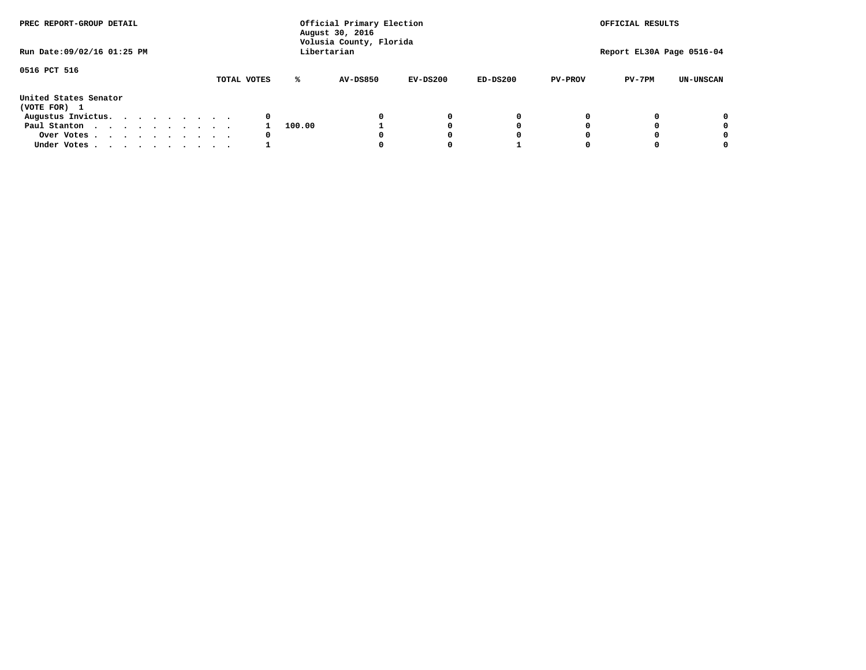| PREC REPORT-GROUP DETAIL              | Official Primary Election<br>August 30, 2016<br>Volusia County, Florida |        |                 |            |            | OFFICIAL RESULTS          |          |                  |  |
|---------------------------------------|-------------------------------------------------------------------------|--------|-----------------|------------|------------|---------------------------|----------|------------------|--|
| Run Date: 09/02/16 01:25 PM           | Libertarian                                                             |        |                 |            |            | Report EL30A Page 0516-04 |          |                  |  |
| 0516 PCT 516                          | TOTAL VOTES                                                             | ℁      | <b>AV-DS850</b> | $EV-DS200$ | $ED-DS200$ | <b>PV-PROV</b>            | $PV-7PM$ | <b>UN-UNSCAN</b> |  |
| United States Senator<br>(VOTE FOR) 1 |                                                                         |        |                 |            |            |                           |          |                  |  |
| Augustus Invictus.                    | 0                                                                       |        |                 | 0          | 0          |                           |          | 0                |  |
| Paul Stanton                          |                                                                         | 100.00 |                 |            | 0          |                           |          | 0                |  |
| Over Votes                            | 0                                                                       |        |                 |            | 0          |                           |          | 0                |  |
| Under Votes                           |                                                                         |        |                 |            |            |                           |          | 0                |  |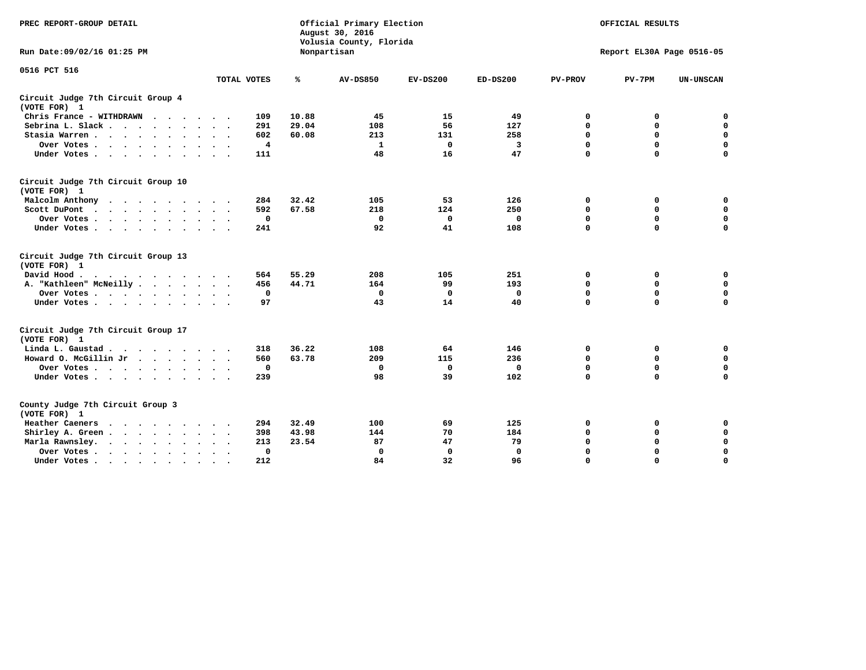| PREC REPORT-GROUP DETAIL                                               |                | Official Primary Election<br>August 30, 2016<br>Volusia County, Florida | OFFICIAL RESULTS |                           |            |                |             |                  |
|------------------------------------------------------------------------|----------------|-------------------------------------------------------------------------|------------------|---------------------------|------------|----------------|-------------|------------------|
| Run Date: 09/02/16 01:25 PM                                            |                |                                                                         | Nonpartisan      | Report EL30A Page 0516-05 |            |                |             |                  |
| 0516 PCT 516                                                           |                |                                                                         |                  |                           |            |                |             |                  |
|                                                                        | TOTAL VOTES    | ℁                                                                       | <b>AV-DS850</b>  | $EV-DS200$                | $ED-DS200$ | <b>PV-PROV</b> | $PV-7PM$    | <b>UN-UNSCAN</b> |
| Circuit Judge 7th Circuit Group 4<br>(VOTE FOR) 1                      |                |                                                                         |                  |                           |            |                |             |                  |
| Chris France - WITHDRAWN<br>.                                          | 109            | 10.88                                                                   | 45               | 15                        | 49         | 0              | 0           | 0                |
| Sebrina L. Slack                                                       | 291            | 29.04                                                                   | 108              | 56                        | 127        | $\Omega$       | $\mathbf 0$ | $\mathbf 0$      |
| Stasia Warren                                                          | 602            | 60.08                                                                   | 213              | 131                       | 258        | $\mathbf 0$    | $\mathbf 0$ | $\mathbf 0$      |
| Over Votes                                                             | $\overline{4}$ |                                                                         | $\mathbf{1}$     | 0                         | 3          | $\mathbf 0$    | $\mathbf 0$ | $\mathbf 0$      |
| Under Votes                                                            | 111            |                                                                         | 48               | 16                        | 47         | $\mathbf 0$    | $\mathbf 0$ | $\mathbf 0$      |
| Circuit Judge 7th Circuit Group 10<br>(VOTE FOR) 1                     |                |                                                                         |                  |                           |            |                |             |                  |
| Malcolm Anthony                                                        | 284            | 32.42                                                                   | 105              | 53                        | 126        | 0              | 0           | 0                |
| Scott DuPont                                                           | 592            | 67.58                                                                   | 218              | 124                       | 250        | 0              | $\mathbf 0$ | $\mathbf 0$      |
| Over Votes<br>$\ddot{\phantom{1}}$                                     | 0              |                                                                         | $\mathbf 0$      | 0                         | 0          | $\mathbf 0$    | $\mathbf 0$ | $\mathbf 0$      |
| Under Votes                                                            | 241            |                                                                         | 92               | 41                        | 108        | $\mathbf 0$    | $\Omega$    | $\mathbf 0$      |
| Circuit Judge 7th Circuit Group 13<br>(VOTE FOR) 1                     |                |                                                                         |                  |                           |            |                |             |                  |
| David Hood.                                                            | 564            | 55.29                                                                   | 208              | 105                       | 251        | $\mathbf 0$    | 0           | $\mathbf 0$      |
| A. "Kathleen" McNeilly                                                 | 456            | 44.71                                                                   | 164              | 99                        | 193        | $\mathbf 0$    | $\mathbf 0$ | $\mathbf 0$      |
| Over Votes                                                             | 0              |                                                                         | $\mathbf{0}$     | 0                         | 0          | 0              | $\mathbf 0$ | $\mathbf 0$      |
| Under Votes                                                            | 97             |                                                                         | 43               | 14                        | 40         | $\Omega$       | $\mathbf 0$ | 0                |
| Circuit Judge 7th Circuit Group 17<br>(VOTE FOR) 1                     |                |                                                                         |                  |                           |            |                |             |                  |
| Linda L. Gaustad                                                       | 318            | 36.22                                                                   | 108              | 64                        | 146        | 0              | 0           | $\mathbf 0$      |
| Howard O. McGillin Jr                                                  | 560            | 63.78                                                                   | 209              | 115                       | 236        | 0              | 0           | $\mathbf 0$      |
| Over Votes                                                             | 0              |                                                                         | $\Omega$         | 0                         | 0          | $\mathbf 0$    | $\mathbf 0$ | $\mathbf 0$      |
| Under Votes                                                            | 239            |                                                                         | 98               | 39                        | 102        | $\mathbf 0$    | $\mathbf 0$ | $\mathbf 0$      |
| County Judge 7th Circuit Group 3<br>(VOTE FOR) 1                       |                |                                                                         |                  |                           |            |                |             |                  |
| Heather Caeners<br>$\cdots$                                            | 294            | 32.49                                                                   | 100              | 69                        | 125        | 0              | 0           | 0                |
| Shirley A. Green                                                       | 398            | 43.98                                                                   | 144              | 70                        | 184        | $\mathbf 0$    | $\mathbf 0$ | $\mathbf 0$      |
| Marla Rawnsley.<br>$\cdot$ $\cdot$ $\cdot$ $\cdot$ $\cdot$             | 213            | 23.54                                                                   | 87               | 47                        | 79         | 0              | $\mathbf 0$ | $\pmb{0}$        |
| Over Votes.<br>$\cdot$<br>$\ddot{\phantom{a}}$<br>$\ddot{\phantom{a}}$ | 0              |                                                                         | $\Omega$         | 0                         | 0          | $\mathbf 0$    | $\Omega$    | $\mathbf 0$      |
| Under Votes<br>$\sim$<br>$\sim$                                        | 212            |                                                                         | 84               | 32                        | 96         | $\mathbf 0$    | $\mathbf 0$ | 0                |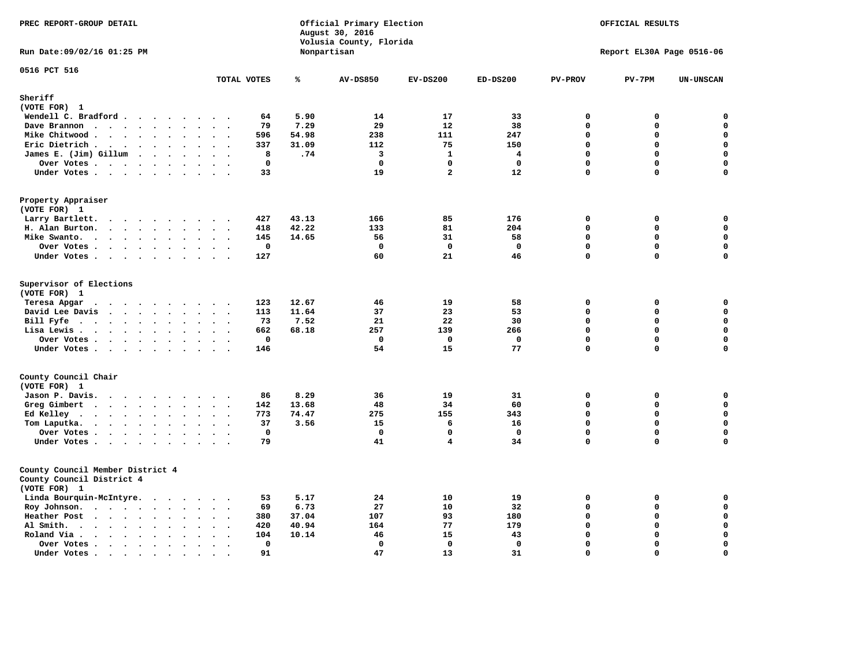| PREC REPORT-GROUP DETAIL                                                                      |                                                                  |       | Official Primary Election<br>August 30, 2016<br>Volusia County, Florida | OFFICIAL RESULTS |              |                |                           |                  |
|-----------------------------------------------------------------------------------------------|------------------------------------------------------------------|-------|-------------------------------------------------------------------------|------------------|--------------|----------------|---------------------------|------------------|
| Run Date: 09/02/16 01:25 PM                                                                   |                                                                  |       | Nonpartisan                                                             |                  |              |                | Report EL30A Page 0516-06 |                  |
| 0516 PCT 516                                                                                  | TOTAL VOTES                                                      | ℁     | <b>AV-DS850</b>                                                         | $EV-DS200$       | $ED-DS200$   | <b>PV-PROV</b> | $PV-7PM$                  | <b>UN-UNSCAN</b> |
| Sheriff                                                                                       |                                                                  |       |                                                                         |                  |              |                |                           |                  |
| (VOTE FOR) 1                                                                                  |                                                                  |       |                                                                         |                  |              |                |                           |                  |
| Wendell C. Bradford                                                                           | 64                                                               | 5.90  | 14                                                                      | 17               | 33           | $\mathbf 0$    | 0                         | 0                |
| Dave Brannon<br>$\ddot{\phantom{a}}$                                                          | 79<br>$\sim$                                                     | 7.29  | 29                                                                      | 12               | 38           | $\mathbf 0$    | 0                         | 0                |
| Mike Chitwood                                                                                 | 596                                                              | 54.98 | 238                                                                     | 111              | 247          | $\mathbf 0$    | 0                         | 0                |
| Eric Dietrich.<br>$\cdot$                                                                     | 337<br>$\sim$<br>$\overline{\phantom{a}}$                        | 31.09 | 112                                                                     | 75               | 150          | $\mathbf 0$    | 0                         | $\mathbf 0$      |
| James E. (Jim) Gillum                                                                         | 8                                                                | .74   | 3                                                                       | $\mathbf{1}$     | 4            | $\Omega$       | $\mathbf 0$               | $\mathbf 0$      |
| Over Votes                                                                                    | $\mathbf 0$                                                      |       | $\Omega$                                                                | $\Omega$         | $\mathbf{0}$ | $\mathbf{0}$   | 0                         | $\mathbf 0$      |
| Under Votes                                                                                   | 33<br>$\sim$<br>$\sim$ $\sim$                                    |       | 19                                                                      | $\overline{a}$   | 12           | $\Omega$       | 0                         | 0                |
| Property Appraiser<br>(VOTE FOR) 1                                                            |                                                                  |       |                                                                         |                  |              |                |                           |                  |
| Larry Bartlett.                                                                               | 427<br>$\sim$<br>$\ddot{\phantom{1}}$ .                          | 43.13 | 166                                                                     | 85               | 176          | 0              | 0                         | 0                |
| H. Alan Burton.<br>$\sim$ $\sim$                                                              | 418<br>$\ddot{\phantom{1}}$                                      | 42.22 | 133                                                                     | 81               | 204          | $\mathbf 0$    | 0                         | $\mathbf 0$      |
| Mike Swanto.<br>$\bullet$                                                                     | 145<br>$\ddot{\phantom{a}}$<br>$\bullet$<br>$\ddot{\phantom{a}}$ | 14.65 | 56                                                                      | 31               | 58           | $\mathbf 0$    | 0                         | $\mathbf 0$      |
| Over Votes                                                                                    | $\mathbf 0$<br>$\sim$ $\sim$                                     |       | $\mathbf 0$                                                             | $\mathbf{o}$     | $\mathbf 0$  | $\mathbf 0$    | 0                         | $\mathbf 0$      |
| Under Votes                                                                                   | 127                                                              |       | 60                                                                      | 21               | 46           | $\mathbf 0$    | 0                         | $\mathbf 0$      |
| Supervisor of Elections<br>(VOTE FOR) 1<br>Teresa Apgar                                       | 123                                                              | 12.67 | 46                                                                      | 19               | 58           | $\mathbf 0$    | 0                         | 0                |
| David Lee Davis                                                                               | 113                                                              | 11.64 | 37                                                                      | 23               | 53           | $\mathbf 0$    | $\mathbf 0$               | 0                |
| Bill Fyfe<br>$\bullet$                                                                        | 73<br>$\sim 100$ km s $^{-1}$<br>$\ddot{\phantom{1}}$            | 7.52  | 21                                                                      | 22               | 30           | $\mathbf 0$    | $\mathbf 0$               | $\mathbf 0$      |
| Lisa Lewis                                                                                    | 662                                                              | 68.18 | 257                                                                     | 139              | 266          | $\Omega$       | $\mathbf 0$               | $\mathbf 0$      |
| Over Votes                                                                                    | $\mathbf 0$                                                      |       | $\mathbf 0$                                                             | $\mathbf 0$      | $\mathbf 0$  | $\Omega$       | $\Omega$                  | $\mathbf 0$      |
| Under Votes                                                                                   | 146<br>$\sim$                                                    |       | 54                                                                      | 15               | 77           | $\mathbf 0$    | $\mathbf 0$               | $\Omega$         |
| County Council Chair                                                                          |                                                                  |       |                                                                         |                  |              |                |                           |                  |
| (VOTE FOR) 1                                                                                  |                                                                  |       |                                                                         |                  |              |                |                           |                  |
| Jason P. Davis.                                                                               | 86<br>$\sim$ $\sim$                                              | 8.29  | 36                                                                      | 19               | 31           | $\mathbf 0$    | 0                         | $\mathbf 0$      |
| Greg Gimbert<br>$\cdots$                                                                      | 142                                                              | 13.68 | 48                                                                      | 34               | 60           | $\Omega$       | 0                         | 0                |
| Ed Kelley $\cdots$ $\cdots$ $\cdots$<br>$\ddot{\phantom{a}}$                                  | 773<br>$\sim$<br>$\ddot{\phantom{1}}$                            | 74.47 | 275                                                                     | 155              | 343          | $\mathbf 0$    | $\mathbf 0$               | $\mathbf 0$      |
| Tom Laputka.                                                                                  | 37                                                               | 3.56  | 15                                                                      | 6                | 16           | $\mathbf 0$    | $\mathbf 0$               | $\mathbf 0$      |
| Over Votes.<br>$\ddot{\phantom{a}}$                                                           | $\mathbf{0}$<br>$\ddot{\phantom{a}}$                             |       | $\mathbf{0}$                                                            | $\Omega$         | $\mathbf{0}$ | $\mathbf{0}$   | 0                         | 0                |
| Under Votes<br>$\ddot{\phantom{0}}$                                                           | 79<br>$\ddot{\phantom{1}}$<br>$\cdot$ .                          |       | 41                                                                      | 4                | 34           | $\Omega$       | $\mathbf 0$               | $\Omega$         |
| County Council Member District 4<br>County Council District 4<br>(VOTE FOR) 1                 |                                                                  |       |                                                                         |                  |              |                |                           |                  |
| Linda Bourquin-McIntyre.                                                                      | 53                                                               | 5.17  | 24                                                                      | 10               | 19           | $\Omega$       | 0                         | $\mathbf 0$      |
| Roy Johnson.<br>$\ddot{\phantom{a}}$                                                          | 69<br>$\sim$                                                     | 6.73  | 27                                                                      | 10               | 32           | $\mathbf 0$    | 0                         | $\mathbf 0$      |
| Heather Post                                                                                  | 380<br>$\sim$ $\sim$                                             | 37.04 | 107                                                                     | 93               | 180          | $\mathbf 0$    | 0                         | $\mathbf 0$      |
| Al Smith.<br>$\bullet$                                                                        | 420<br>$\ddot{\phantom{a}}$<br>$\ddot{\phantom{a}}$              | 40.94 | 164                                                                     | 77               | 179          | $\mathbf 0$    | $\mathbf 0$               | $\mathbf 0$      |
| Roland Via .<br>$\cdot$ $\cdot$ $\cdot$ $\cdot$ $\cdot$<br>$\Delta$<br>$\ddot{\phantom{a}}$   | 104<br>$\sim$                                                    | 10.14 | 46                                                                      | 15               | 43           | $\Omega$       | $\mathbf 0$               | $\mathbf 0$      |
| Over Votes<br>$\cdot$                                                                         | $\mathbf{0}$<br>$\bullet$<br>$\cdot$<br>$\ddot{\phantom{0}}$     |       | $\mathbf{0}$                                                            | $^{\circ}$       | $\mathbf{0}$ | $\mathbf{0}$   | 0                         | $\mathbf 0$      |
| Under Votes.<br>$\ddot{\phantom{0}}$<br>$\bullet$<br>$\blacksquare$<br>$\bullet$<br>$\bullet$ | 91                                                               |       | 47                                                                      | 13               | 31           | $\Omega$       | $\Omega$                  | $\mathbf 0$      |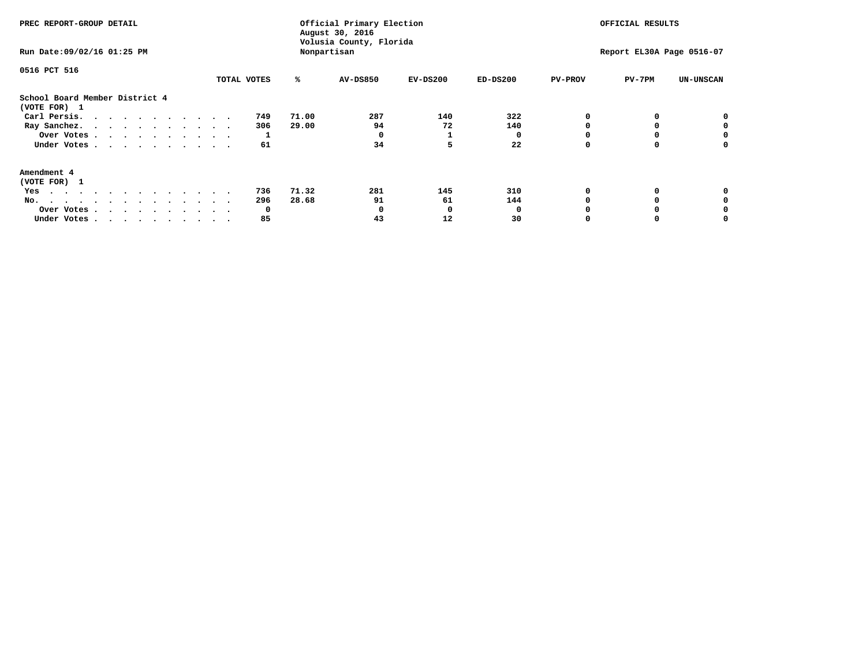| PREC REPORT-GROUP DETAIL<br>Run Date: 09/02/16 01:25 PM                                                                                                                                                                                  |             | Official Primary Election<br>August 30, 2016<br>Volusia County, Florida<br>Nonpartisan |                 | OFFICIAL RESULTS<br>Report EL30A Page 0516-07 |            |                |        |                  |
|------------------------------------------------------------------------------------------------------------------------------------------------------------------------------------------------------------------------------------------|-------------|----------------------------------------------------------------------------------------|-----------------|-----------------------------------------------|------------|----------------|--------|------------------|
| 0516 PCT 516                                                                                                                                                                                                                             | TOTAL VOTES | ℁                                                                                      | <b>AV-DS850</b> | $EV-DS200$                                    | $ED-DS200$ | <b>PV-PROV</b> | PV-7PM | <b>UN-UNSCAN</b> |
| School Board Member District 4<br>(VOTE FOR) 1                                                                                                                                                                                           |             |                                                                                        |                 |                                               |            |                |        |                  |
| Carl Persis.                                                                                                                                                                                                                             | 749         | 71.00                                                                                  | 287             | 140                                           | 322        |                |        | 0                |
| Ray Sanchez.                                                                                                                                                                                                                             | 306         | 29.00                                                                                  | 94              | 72                                            | 140        |                |        |                  |
| Over Votes                                                                                                                                                                                                                               |             |                                                                                        |                 |                                               |            |                |        | 0                |
| Under Votes                                                                                                                                                                                                                              | 61          |                                                                                        | 34              | 5                                             | 22         |                |        | 0                |
| Amendment 4                                                                                                                                                                                                                              |             |                                                                                        |                 |                                               |            |                |        |                  |
| (VOTE FOR) 1                                                                                                                                                                                                                             |             |                                                                                        |                 |                                               |            |                |        |                  |
| Yes<br>$\mathbf{a}$ . The contribution of the contribution of the contribution of the contribution of the contribution of the contribution of the contribution of the contribution of the contribution of the contribution of the contri | 736         | 71.32                                                                                  | 281             | 145                                           | 310        |                |        |                  |
| No.<br>.                                                                                                                                                                                                                                 | 296         | 28.68                                                                                  | 91              | 61                                            | 144        |                |        |                  |
| Over Votes                                                                                                                                                                                                                               | O           |                                                                                        |                 | O                                             |            |                |        |                  |
| Under Votes                                                                                                                                                                                                                              | 85          |                                                                                        | 43              | 12                                            | 30         |                |        |                  |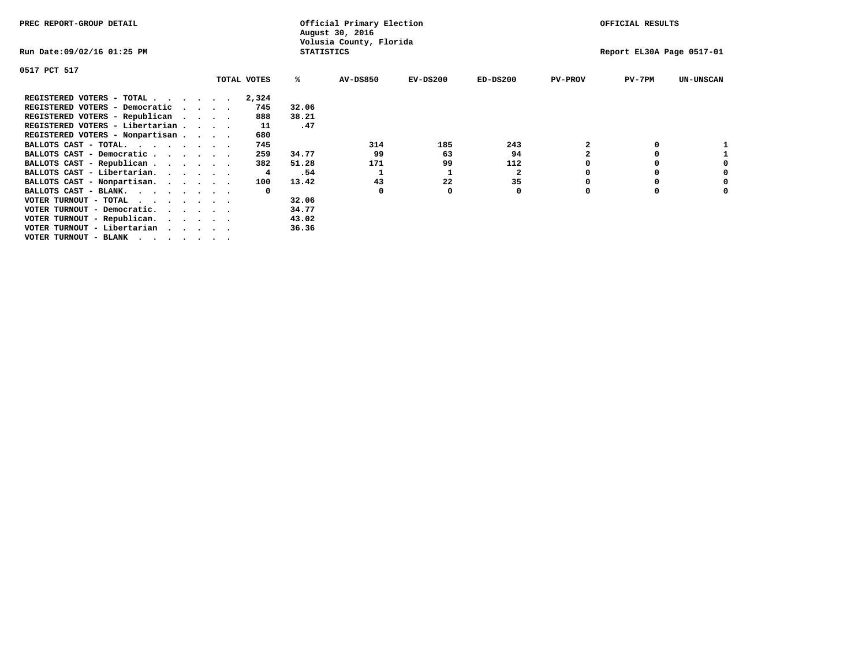| PREC REPORT-GROUP DETAIL                                                    |  |             |                   | Official Primary Election<br>August 30, 2016 |                           |              |                | OFFICIAL RESULTS |                  |
|-----------------------------------------------------------------------------|--|-------------|-------------------|----------------------------------------------|---------------------------|--------------|----------------|------------------|------------------|
| Run Date:09/02/16 01:25 PM                                                  |  |             | <b>STATISTICS</b> | Volusia County, Florida                      | Report EL30A Page 0517-01 |              |                |                  |                  |
| 0517 PCT 517                                                                |  |             |                   |                                              |                           |              |                |                  |                  |
|                                                                             |  | TOTAL VOTES | ℁                 | <b>AV-DS850</b>                              | $EV-DS200$                | $ED-DS200$   | <b>PV-PROV</b> | $PV-7PM$         | <b>UN-UNSCAN</b> |
| REGISTERED VOTERS - TOTAL                                                   |  | 2,324       |                   |                                              |                           |              |                |                  |                  |
| REGISTERED VOTERS - Democratic                                              |  | 745         | 32.06             |                                              |                           |              |                |                  |                  |
| REGISTERED VOTERS - Republican                                              |  | 888         | 38.21             |                                              |                           |              |                |                  |                  |
| REGISTERED VOTERS - Libertarian                                             |  | 11          | .47               |                                              |                           |              |                |                  |                  |
| REGISTERED VOTERS - Nonpartisan                                             |  | 680         |                   |                                              |                           |              |                |                  |                  |
| BALLOTS CAST - TOTAL.                                                       |  | 745         |                   | 314                                          | 185                       | 243          |                |                  |                  |
| BALLOTS CAST - Democratic                                                   |  | 259         | 34.77             | 99                                           | 63                        | 94           |                |                  |                  |
| BALLOTS CAST - Republican                                                   |  | 382         | 51.28             | 171                                          | 99                        | 112          |                |                  |                  |
| BALLOTS CAST - Libertarian.                                                 |  | 4           | .54               |                                              |                           | $\mathbf{2}$ |                |                  |                  |
| BALLOTS CAST - Nonpartisan.                                                 |  | 100         | 13.42             | 43                                           | 22                        | 35           |                |                  | 0                |
| BALLOTS CAST - BLANK.                                                       |  | $\Omega$    |                   | 0                                            |                           | 0            | O              |                  |                  |
| VOTER TURNOUT - TOTAL<br><u>in the second contract of the second second</u> |  |             | 32.06             |                                              |                           |              |                |                  |                  |
| VOTER TURNOUT - Democratic.                                                 |  |             | 34.77             |                                              |                           |              |                |                  |                  |
| VOTER TURNOUT - Republican.                                                 |  |             | 43.02             |                                              |                           |              |                |                  |                  |
| VOTER TURNOUT - Libertarian                                                 |  |             | 36.36             |                                              |                           |              |                |                  |                  |
| VOTER TURNOUT - BLANK                                                       |  |             |                   |                                              |                           |              |                |                  |                  |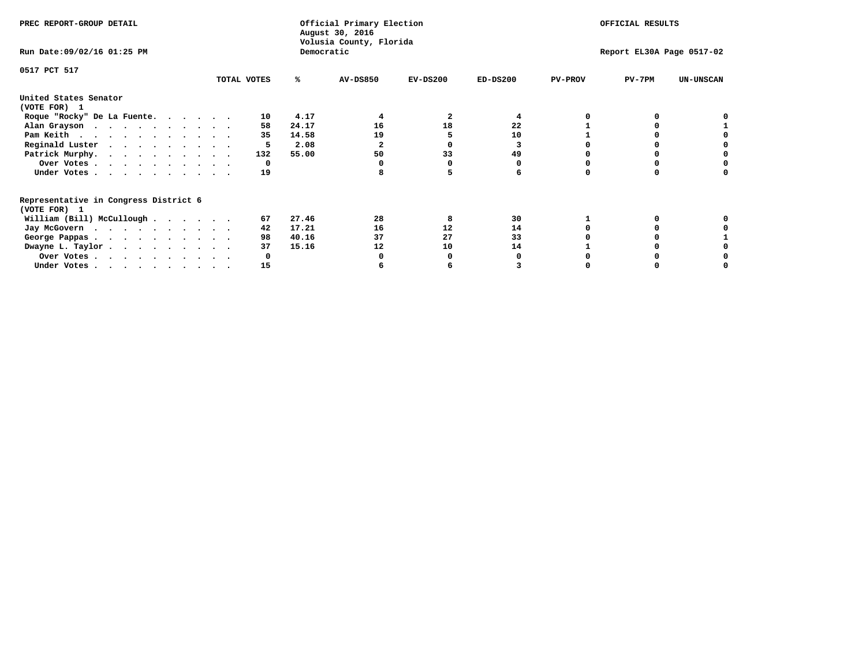| PREC REPORT-GROUP DETAIL                                               |             |            | Official Primary Election<br>August 30, 2016<br>Volusia County, Florida | OFFICIAL RESULTS |                           |                |          |                  |
|------------------------------------------------------------------------|-------------|------------|-------------------------------------------------------------------------|------------------|---------------------------|----------------|----------|------------------|
| Run Date: 09/02/16 01:25 PM                                            |             | Democratic |                                                                         |                  | Report EL30A Page 0517-02 |                |          |                  |
| 0517 PCT 517                                                           | TOTAL VOTES | ℁          | <b>AV-DS850</b>                                                         | $EV-DS200$       | $ED-DS200$                | <b>PV-PROV</b> | $PV-7PM$ | <b>UN-UNSCAN</b> |
|                                                                        |             |            |                                                                         |                  |                           |                |          |                  |
| United States Senator<br>(VOTE FOR) 1                                  |             |            |                                                                         |                  |                           |                |          |                  |
| Roque "Rocky" De La Fuente.                                            | 10          | 4.17       |                                                                         |                  |                           |                |          |                  |
| Alan Grayson                                                           | 58          | 24.17      | 16                                                                      | 18               | 22                        |                |          |                  |
| Pam Keith                                                              | 35          | 14.58      | 19                                                                      |                  | 10                        |                |          |                  |
| Reginald Luster                                                        | 5           | 2.08       | 2                                                                       |                  |                           |                |          |                  |
| Patrick Murphy.                                                        | 132         | 55.00      | 50                                                                      | 33               | 49                        |                |          |                  |
| Over Votes                                                             | 0           |            |                                                                         |                  |                           |                |          |                  |
| Under Votes                                                            | 19          |            |                                                                         |                  |                           |                |          |                  |
| Representative in Congress District 6                                  |             |            |                                                                         |                  |                           |                |          |                  |
| (VOTE FOR) 1                                                           |             |            |                                                                         |                  |                           |                |          |                  |
| William (Bill) McCullough                                              | 67          | 27.46      | 28                                                                      | 8                | 30                        |                |          |                  |
| Jay McGovern                                                           | 42          | 17.21      | 16                                                                      | 12               | 14                        |                |          |                  |
| George Pappas.                                                         | 98          | 40.16      | 37                                                                      | 27               | 33                        |                |          |                  |
| Dwayne L. Taylor                                                       | 37          | 15.16      | 12                                                                      | 10               | 14                        |                |          |                  |
| Over Votes                                                             |             |            |                                                                         |                  |                           |                |          |                  |
| Under Votes, $\cdot$ , $\cdot$ , $\cdot$ , $\cdot$ , $\cdot$ , $\cdot$ | 15          |            |                                                                         |                  |                           |                |          |                  |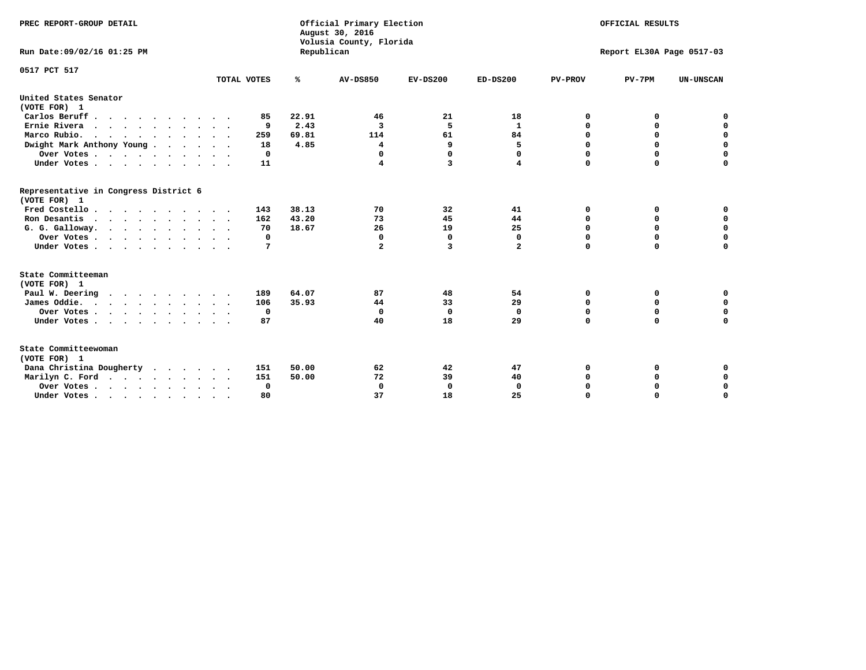| PREC REPORT-GROUP DETAIL<br>Run Date:09/02/16 01:25 PM |             | Republican | Official Primary Election<br>August 30, 2016<br>Volusia County, Florida | OFFICIAL RESULTS<br>Report EL30A Page 0517-03 |                |                |             |                  |
|--------------------------------------------------------|-------------|------------|-------------------------------------------------------------------------|-----------------------------------------------|----------------|----------------|-------------|------------------|
| 0517 PCT 517                                           |             |            |                                                                         |                                               |                |                |             |                  |
|                                                        | TOTAL VOTES | ℁          | <b>AV-DS850</b>                                                         | $EV-DS200$                                    | $ED-DS200$     | <b>PV-PROV</b> | $PV-7PM$    | <b>UN-UNSCAN</b> |
| United States Senator<br>(VOTE FOR) 1                  |             |            |                                                                         |                                               |                |                |             |                  |
| Carlos Beruff                                          | 85          | 22.91      | 46                                                                      | 21                                            | 18             | 0              | 0           | 0                |
| Ernie Rivera<br>$\cdots$                               | 9           | 2.43       | 3                                                                       | 5                                             | $\mathbf{1}$   | 0              | 0           | $\mathbf 0$      |
| Marco Rubio.                                           | 259         | 69.81      | 114                                                                     | 61                                            | 84             | 0              | 0           | $\mathbf 0$      |
| Dwight Mark Anthony Young                              | 18          | 4.85       | 4                                                                       | 9                                             | 5              | $\mathbf 0$    | $\mathbf 0$ | $\mathbf 0$      |
| Over Votes                                             | 0           |            | 0                                                                       | $\Omega$                                      | 0              | $\mathbf 0$    | $\mathbf 0$ | $\mathbf 0$      |
| Under Votes                                            | 11          |            | 4                                                                       | 3                                             | 4              | $\Omega$       | $\Omega$    | $\mathbf 0$      |
| Representative in Congress District 6<br>(VOTE FOR) 1  |             |            |                                                                         |                                               |                |                |             |                  |
| Fred Costello                                          | 143         | 38.13      | 70                                                                      | 32                                            | 41             | 0              | 0           | $\mathbf 0$      |
| Ron Desantis                                           | 162         | 43.20      | 73                                                                      | 45                                            | 44             | 0              | 0           | $\mathbf 0$      |
| G. G. Galloway.                                        | 70          | 18.67      | 26                                                                      | 19                                            | 25             | $\mathbf 0$    | $\mathbf 0$ | $\mathbf 0$      |
| Over Votes                                             | 0           |            | 0                                                                       | 0                                             | 0              | $\mathbf 0$    | 0           | 0                |
| Under Votes                                            | 7           |            | $\overline{a}$                                                          | 3                                             | $\overline{a}$ | $\mathbf 0$    | $\Omega$    | $\mathbf 0$      |
| State Committeeman                                     |             |            |                                                                         |                                               |                |                |             |                  |
| (VOTE FOR) 1                                           |             |            |                                                                         |                                               |                |                |             |                  |
| Paul W. Deering                                        | 189         | 64.07      | 87                                                                      | 48                                            | 54             | 0              | 0           | 0                |
| James Oddie.                                           | 106         | 35.93      | 44                                                                      | 33                                            | 29             | 0              | 0           | $\mathbf 0$      |
| Over Votes                                             | 0           |            | 0                                                                       | $\mathbf 0$                                   | 0              | 0              | $\mathbf 0$ | $\mathbf 0$      |
| Under Votes                                            | 87          |            | 40                                                                      | 18                                            | 29             | $\mathbf 0$    | $\mathbf 0$ | $\mathbf 0$      |
| State Committeewoman<br>(VOTE FOR) 1                   |             |            |                                                                         |                                               |                |                |             |                  |
| Dana Christina Dougherty                               | 151         | 50.00      | 62                                                                      | 42                                            | 47             | 0              | 0           | 0                |
| Marilyn C. Ford                                        | 151         | 50.00      | 72                                                                      | 39                                            | 40             | 0              | 0           | 0                |
| Over Votes                                             | $\Omega$    |            | $\mathbf 0$                                                             | 0                                             | 0              | 0              | 0           | $\mathbf 0$      |
| Under Votes, , , , , , , , , ,                         | 80          |            | 37                                                                      | 18                                            | 25             | $\Omega$       | $\Omega$    | $\Omega$         |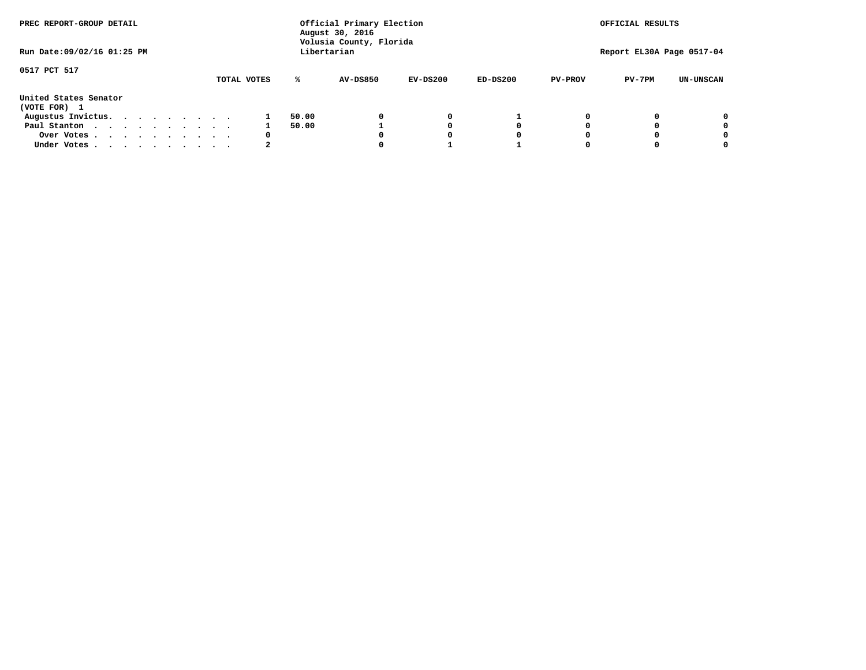| PREC REPORT-GROUP DETAIL              |  |  |  |  |  | Official Primary Election<br>August 30, 2016<br>Volusia County, Florida | OFFICIAL RESULTS |                 |            |            |                |                           |                  |
|---------------------------------------|--|--|--|--|--|-------------------------------------------------------------------------|------------------|-----------------|------------|------------|----------------|---------------------------|------------------|
| Run Date: 09/02/16 01:25 PM           |  |  |  |  |  |                                                                         |                  | Libertarian     |            |            |                | Report EL30A Page 0517-04 |                  |
| 0517 PCT 517                          |  |  |  |  |  | TOTAL VOTES                                                             | ℁                | <b>AV-DS850</b> | $EV-DS200$ | $ED-DS200$ | <b>PV-PROV</b> | $PV-7PM$                  | <b>UN-UNSCAN</b> |
| United States Senator<br>(VOTE FOR) 1 |  |  |  |  |  |                                                                         |                  |                 |            |            |                |                           |                  |
| Augustus Invictus.                    |  |  |  |  |  |                                                                         | 50.00            |                 | 0          |            |                |                           | 0                |
| Paul Stanton<br>$\cdots$              |  |  |  |  |  |                                                                         | 50.00            |                 |            | 0          |                |                           | 0                |
| Over Votes                            |  |  |  |  |  | 0                                                                       |                  |                 | O          | 0          |                |                           | 0                |
| Under Votes                           |  |  |  |  |  |                                                                         |                  |                 |            |            |                |                           |                  |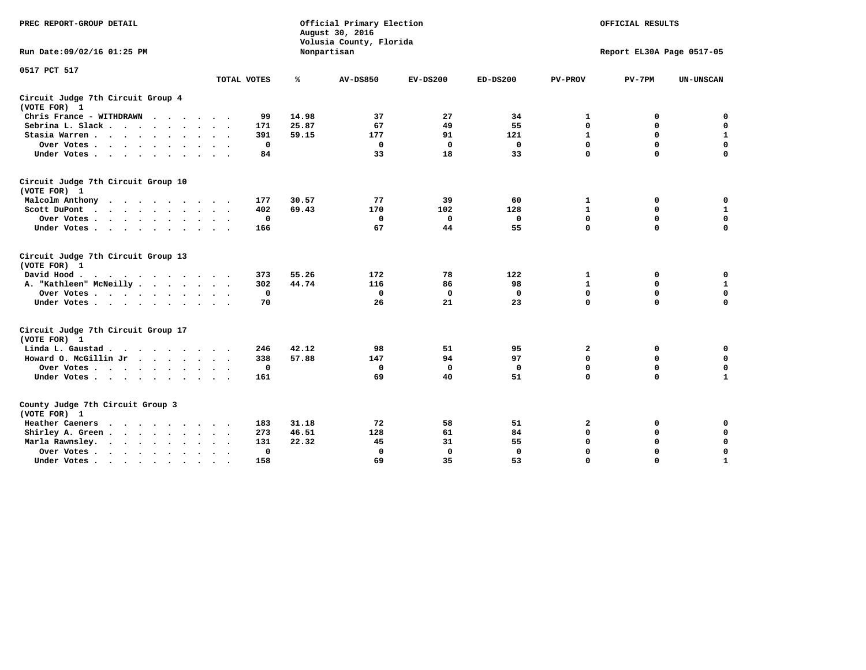| PREC REPORT-GROUP DETAIL                                                                 | Official Primary Election<br>August 30, 2016<br>Volusia County, Florida |              |                 |             |              |                | OFFICIAL RESULTS          |                  |  |  |
|------------------------------------------------------------------------------------------|-------------------------------------------------------------------------|--------------|-----------------|-------------|--------------|----------------|---------------------------|------------------|--|--|
| Run Date: 09/02/16 01:25 PM                                                              |                                                                         |              | Nonpartisan     |             |              |                | Report EL30A Page 0517-05 |                  |  |  |
| 0517 PCT 517                                                                             |                                                                         |              |                 |             |              |                |                           |                  |  |  |
|                                                                                          | TOTAL VOTES                                                             | ℁            | <b>AV-DS850</b> | $EV-DS200$  | $ED-DS200$   | <b>PV-PROV</b> | $PV-7PM$                  | <b>UN-UNSCAN</b> |  |  |
| Circuit Judge 7th Circuit Group 4<br>(VOTE FOR) 1                                        |                                                                         |              |                 |             |              |                |                           |                  |  |  |
| Chris France - WITHDRAWN                                                                 | 99                                                                      | 14.98        | 37              | 27          | 34           | 1              | 0                         | $\mathbf 0$      |  |  |
| Sebrina L. Slack                                                                         | 171                                                                     | 25.87        | 67              | 49          | 55           | $\mathbf 0$    | $\mathbf 0$               | $\mathbf 0$      |  |  |
| Stasia Warren                                                                            | 391                                                                     | 59.15        | 177             | 91          | 121          | $\mathbf{1}$   | $\mathbf 0$               | $\mathbf{1}$     |  |  |
| Over Votes                                                                               |                                                                         | $\mathbf 0$  | $\mathbf 0$     | $\mathbf 0$ | $\mathbf 0$  | $\mathbf 0$    | $\mathbf 0$               | $\mathbf 0$      |  |  |
| Under Votes                                                                              | 84                                                                      |              | 33              | 18          | 33           | $\mathbf 0$    | $\mathbf 0$               | $\mathbf 0$      |  |  |
| Circuit Judge 7th Circuit Group 10<br>(VOTE FOR) 1                                       |                                                                         |              |                 |             |              |                |                           |                  |  |  |
| Malcolm Anthony                                                                          | 177                                                                     | 30.57        | 77              | 39          | 60           | 1              | 0                         | 0                |  |  |
| Scott DuPont                                                                             | 402                                                                     | 69.43        | 170             | 102         | 128          | $\mathbf{1}$   | $\mathbf 0$               | $\mathbf 1$      |  |  |
| Over Votes<br>$\sim$ $\sim$                                                              |                                                                         | $\mathbf 0$  | $\Omega$        | 0           | 0            | $\mathbf 0$    | 0                         | $\mathbf 0$      |  |  |
| Under Votes                                                                              | 166                                                                     |              | 67              | 44          | 55           | $\mathbf 0$    | $\mathbf 0$               | 0                |  |  |
| Circuit Judge 7th Circuit Group 13<br>(VOTE FOR) 1                                       |                                                                         |              |                 |             |              |                |                           |                  |  |  |
| David Hood.                                                                              | 373                                                                     | 55.26        | 172             | 78          | 122          | 1              | $\mathbf 0$               | $\mathbf 0$      |  |  |
| A. "Kathleen" McNeilly.<br>$\cdots$                                                      | 302                                                                     | 44.74        | 116             | 86          | 98           | $\mathbf{1}$   | $\mathbf 0$               | $\mathbf 1$      |  |  |
| Over Votes                                                                               |                                                                         | $\mathbf 0$  | $\Omega$        | 0           | 0            | $\mathbf 0$    | $\mathbf 0$               | $\mathbf 0$      |  |  |
| Under Votes                                                                              | 70                                                                      |              | 26              | 21          | 23           | $\mathbf 0$    | $\mathbf 0$               | 0                |  |  |
| Circuit Judge 7th Circuit Group 17<br>(VOTE FOR) 1                                       |                                                                         |              |                 |             |              |                |                           |                  |  |  |
| Linda L. Gaustad                                                                         | 246                                                                     | 42.12        | 98              | 51          | 95           | $\mathbf{2}$   | 0                         | 0                |  |  |
| Howard O. McGillin Jr                                                                    | 338                                                                     | 57.88        | 147             | 94          | 97           | $\mathbf 0$    | $\mathbf 0$               | $\mathbf 0$      |  |  |
| Over Votes                                                                               |                                                                         | $\mathbf 0$  | 0               | 0           | $\mathbf 0$  | $\mathbf 0$    | $\mathbf 0$               | 0                |  |  |
| Under Votes                                                                              | 161                                                                     |              | 69              | 40          | 51           | $\mathbf 0$    | $\mathbf 0$               | $\mathbf{1}$     |  |  |
| County Judge 7th Circuit Group 3<br>(VOTE FOR) 1                                         |                                                                         |              |                 |             |              |                |                           |                  |  |  |
| Heather Caeners<br>$\mathbf{r}$ , and $\mathbf{r}$ , and $\mathbf{r}$ , and $\mathbf{r}$ | 183                                                                     | 31.18        | 72              | 58          | 51           | 2              | 0                         | 0                |  |  |
| Shirley A. Green                                                                         | 273                                                                     | 46.51        | 128             | 61          | 84           | $\mathbf 0$    | $\mathbf 0$               | $\mathbf 0$      |  |  |
| Marla Rawnsley.<br>$\cdot$ $\cdot$ $\cdot$ $\cdot$ $\cdot$                               | 131                                                                     | 22.32        | 45              | 31          | 55           | 0              | 0                         | $\mathbf 0$      |  |  |
| Over Votes<br>$\ddot{\phantom{1}}$<br>$\ddot{\phantom{1}}$                               |                                                                         | $\mathbf{0}$ | $\Omega$        | $\mathbf 0$ | $\mathbf{0}$ | 0              | $\mathbf 0$               | $\mathbf 0$      |  |  |
| Under Votes<br>$\bullet$                                                                 | 158                                                                     |              | 69              | 35          | 53           | $\mathbf 0$    | $\mathbf 0$               | $\mathbf{1}$     |  |  |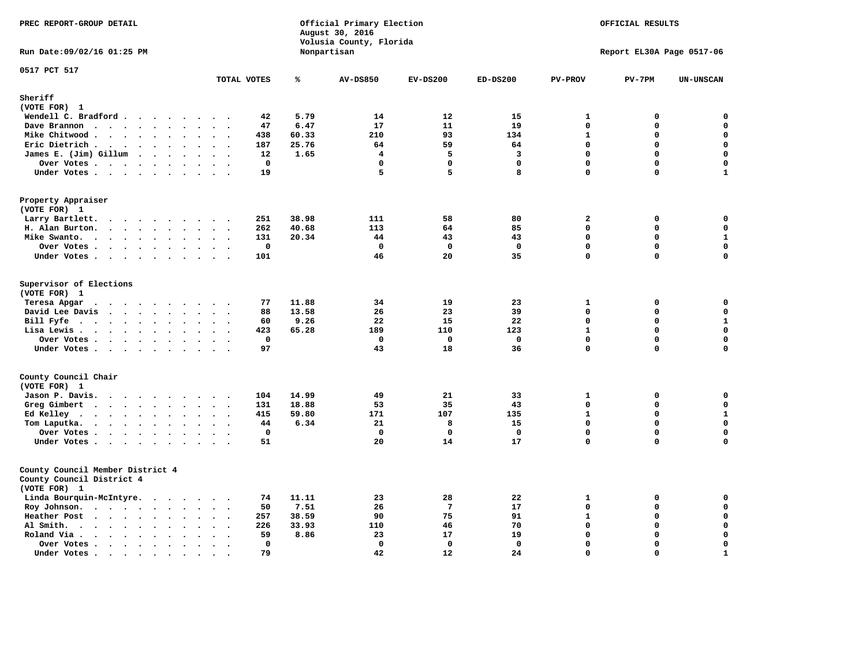| PREC REPORT-GROUP DETAIL                                                                                 |                                                                          |                | Official Primary Election<br>August 30, 2016<br>Volusia County, Florida | OFFICIAL RESULTS |              |                         |                           |                  |
|----------------------------------------------------------------------------------------------------------|--------------------------------------------------------------------------|----------------|-------------------------------------------------------------------------|------------------|--------------|-------------------------|---------------------------|------------------|
| Run Date: 09/02/16 01:25 PM                                                                              |                                                                          |                | Nonpartisan                                                             |                  |              |                         | Report EL30A Page 0517-06 |                  |
| 0517 PCT 517                                                                                             | TOTAL VOTES                                                              | ℁              | <b>AV-DS850</b>                                                         | $EV-DS200$       | $ED-DS200$   | <b>PV-PROV</b>          | $PV-7PM$                  | <b>UN-UNSCAN</b> |
| Sheriff                                                                                                  |                                                                          |                |                                                                         |                  |              |                         |                           |                  |
| (VOTE FOR) 1                                                                                             |                                                                          |                |                                                                         |                  |              |                         |                           |                  |
| Wendell C. Bradford                                                                                      | 42                                                                       | 5.79           | 14                                                                      | 12               | 15           | 1                       | 0                         | 0                |
| Dave Brannon                                                                                             | 47                                                                       | 6.47           | 17                                                                      | 11               | 19           | $\mathbf 0$             | 0                         | 0                |
| Mike Chitwood                                                                                            | 438                                                                      | 60.33          | 210                                                                     | 93               | 134          | $\mathbf{1}$            | 0                         | $\mathbf 0$      |
| Eric Dietrich.<br>$\cdots$                                                                               | 187<br>$\sim$<br>$\overline{\phantom{a}}$                                | 25.76          | 64                                                                      | 59               | 64           | $\mathbf 0$             | 0                         | $\mathbf 0$      |
| James E. (Jim) Gillum                                                                                    | 12                                                                       | 1.65           | 4                                                                       | 5                | 3            | $\mathbf{0}$            | $\mathbf 0$               | $\mathbf 0$      |
| Over Votes                                                                                               | $\mathbf 0$                                                              |                | $\mathbf{0}$                                                            | $\mathbf 0$      | $\mathbf 0$  | $\mathbf{0}$            | 0                         | $\mathbf 0$      |
| Under Votes                                                                                              | 19<br>$\cdots$                                                           |                | 5                                                                       | 5                | 8            | $\Omega$                | 0                         | $\mathbf{1}$     |
| Property Appraiser                                                                                       |                                                                          |                |                                                                         |                  |              |                         |                           |                  |
| (VOTE FOR) 1                                                                                             | 251                                                                      | 38.98          | 111                                                                     | 58               | 80           | $\overline{\mathbf{2}}$ |                           | 0                |
| Larry Bartlett.<br>$\sim$<br>H. Alan Burton.                                                             | $\cdot$ .<br>262                                                         | 40.68          | 113                                                                     | 64               | 85           | $\mathbf 0$             | 0<br>0                    | $\mathbf 0$      |
| Mike Swanto.                                                                                             | $\sim$ $\sim$<br>131                                                     | 20.34          | 44                                                                      | 43               | 43           | $\mathbf 0$             | 0                         | $\mathbf 1$      |
| $\bullet$<br>Over Votes.                                                                                 | $\ddot{\phantom{a}}$<br>$\ddot{\phantom{a}}$<br>$\bullet$<br>$\mathbf 0$ |                | $\mathbf 0$                                                             | $\mathbf{o}$     | $\mathbf 0$  | $\mathbf 0$             | 0                         | $\mathbf 0$      |
| Under Votes                                                                                              | 101                                                                      |                | 46                                                                      | 20               | 35           | $\mathbf 0$             | 0                         | $\mathbf 0$      |
|                                                                                                          |                                                                          |                |                                                                         |                  |              |                         |                           |                  |
| Supervisor of Elections<br>(VOTE FOR) 1                                                                  |                                                                          |                |                                                                         |                  |              |                         |                           |                  |
| Teresa Apgar                                                                                             | 77<br>$\ddot{\phantom{1}}$                                               | 11.88          | 34                                                                      | 19               | 23           | $\mathbf{1}$            | 0                         | 0                |
| David Lee Davis                                                                                          | 88<br>$\sim$ $\sim$                                                      | 13.58          | 26                                                                      | 23               | 39           | $\mathbf 0$             | $\mathbf 0$               | 0                |
| Bill Fyfe<br>$\bullet$                                                                                   | 60<br>$\sim 100$ km s $^{-1}$<br>$\sim$ $\sim$                           | 9.26           | 22                                                                      | 15               | 22           | $\mathbf 0$             | $\mathbf 0$               | $\mathbf 1$      |
| Lisa Lewis                                                                                               | 423                                                                      | 65.28          | 189                                                                     | 110              | 123          | $\mathbf{1}$            | $\mathbf 0$               | $\mathbf 0$      |
| Over Votes                                                                                               | $\mathbf 0$                                                              |                | $\mathbf 0$                                                             | $\mathbf 0$      | $\mathbf 0$  | $\Omega$                | $\Omega$                  | $\mathbf 0$      |
| Under Votes<br>$\sim$                                                                                    | 97                                                                       |                | 43                                                                      | 18               | 36           | $\mathbf 0$             | $\mathbf 0$               | $\mathbf 0$      |
| County Council Chair                                                                                     |                                                                          |                |                                                                         |                  |              |                         |                           |                  |
| (VOTE FOR) 1                                                                                             |                                                                          |                |                                                                         |                  |              |                         |                           |                  |
| Jason P. Davis.                                                                                          | 104<br>$\sim$ $\sim$                                                     | 14.99<br>18.88 | 49<br>53                                                                | 21<br>35         | 33<br>43     | 1<br>$\Omega$           | 0<br>0                    | $\mathbf 0$<br>0 |
| Greg Gimbert<br>$\mathbf{r}$ , and $\mathbf{r}$ , and $\mathbf{r}$ , and $\mathbf{r}$ , and $\mathbf{r}$ | 131                                                                      |                | 171                                                                     |                  |              | $\mathbf{1}$            | $\mathbf 0$               | $\mathbf{1}$     |
| Ed Kelley $\cdots$ $\cdots$ $\cdots$<br>$\ddot{\phantom{a}}$                                             | 415<br>$\sim$ $\sim$<br>$\ddot{\phantom{1}}$<br>44                       | 59.80<br>6.34  | 21                                                                      | 107<br>8         | 135<br>15    | $\mathbf 0$             | $\mathbf 0$               | $\mathbf 0$      |
| Tom Laputka.                                                                                             | $\mathbf{0}$                                                             |                | $\mathbf{0}$                                                            | $^{\circ}$       | $\mathbf{0}$ | $\mathbf{0}$            | 0                         | 0                |
| Over Votes<br>$\sim$<br>Under Votes                                                                      | $\ddot{\phantom{0}}$<br>51                                               |                | 20                                                                      | 14               | 17           | $\Omega$                | $\mathbf 0$               | $\Omega$         |
| $\ddot{\phantom{1}}$                                                                                     | $\cdots$                                                                 |                |                                                                         |                  |              |                         |                           |                  |
| County Council Member District 4<br>County Council District 4<br>(VOTE FOR) 1                            |                                                                          |                |                                                                         |                  |              |                         |                           |                  |
| Linda Bourquin-McIntyre.                                                                                 | 74                                                                       | 11.11          | 23                                                                      | 28               | 22           | $\mathbf{1}$            | 0                         | $\mathbf 0$      |
| Roy Johnson.<br>$\ddot{\phantom{a}}$<br>$\sim$                                                           | 50                                                                       | 7.51           | 26                                                                      | $7\phantom{.0}$  | 17           | $\mathbf 0$             | 0                         | $\mathbf 0$      |
| Heather Post                                                                                             | 257<br>$\sim$ $\sim$                                                     | 38.59          | 90                                                                      | 75               | 91           | $\mathbf{1}$            | 0                         | $\mathbf 0$      |
| Al Smith.<br>$\bullet$                                                                                   | 226<br>$\bullet$<br>$\ddot{\phantom{a}}$                                 | 33.93          | 110                                                                     | 46               | 70           | $\mathbf 0$             | $\mathbf 0$               | $\mathbf 0$      |
| Roland Via .<br>$\cdots$<br>$\Delta$<br>$\ddot{\phantom{a}}$                                             | 59<br>$\sim$                                                             | 8.86           | 23                                                                      | 17               | 19           | $\Omega$                | $\mathbf 0$               | $\mathbf 0$      |
| Over Votes<br>$\ddot{\phantom{a}}$                                                                       | $\mathbf{0}$<br>$\bullet$<br>$\cdot$<br>$\cdot$                          |                | $\Omega$                                                                | $^{\circ}$       | $\mathbf{0}$ | $\mathbf{0}$            | 0                         | $\mathbf 0$      |
| Under Votes.<br>$\ddot{\phantom{0}}$<br>$\bullet$<br>$\bullet$<br>$\bullet$<br>$\bullet$                 | 79                                                                       |                | 42                                                                      | 12               | 24           | $\Omega$                | $\Omega$                  | $\mathbf{1}$     |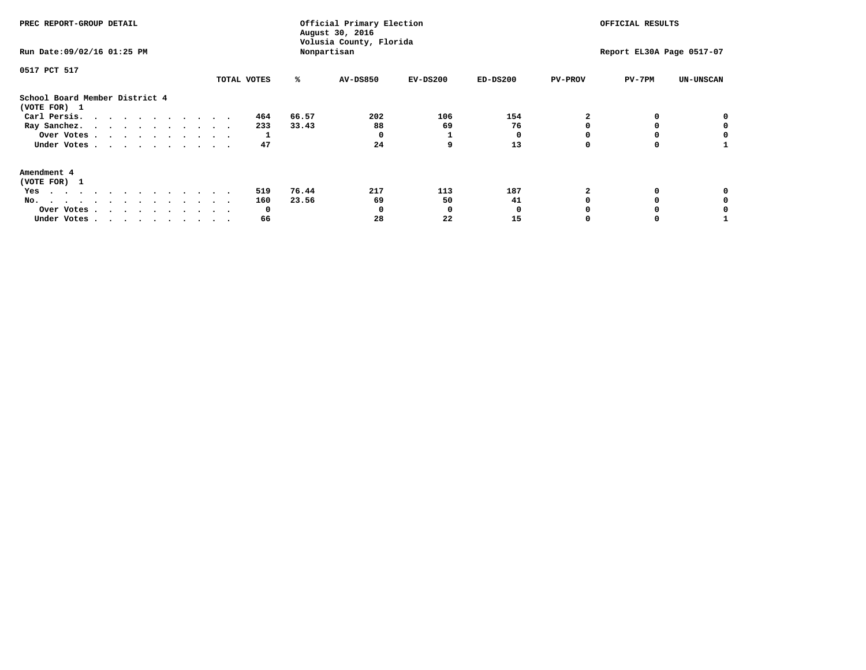| PREC REPORT-GROUP DETAIL<br>Run Date: 09/02/16 01:25 PM |             |       | Official Primary Election<br>August 30, 2016<br>Volusia County, Florida<br>Nonpartisan | OFFICIAL RESULTS<br>Report EL30A Page 0517-07 |            |                |          |                  |
|---------------------------------------------------------|-------------|-------|----------------------------------------------------------------------------------------|-----------------------------------------------|------------|----------------|----------|------------------|
| 0517 PCT 517                                            | TOTAL VOTES | ℁     | <b>AV-DS850</b>                                                                        | $EV-DS200$                                    | $ED-DS200$ | <b>PV-PROV</b> | $PV-7PM$ | <b>UN-UNSCAN</b> |
| School Board Member District 4<br>(VOTE FOR) 1          |             |       |                                                                                        |                                               |            |                |          |                  |
| Carl Persis.                                            | 464         | 66.57 | 202                                                                                    | 106                                           | 154        |                |          |                  |
| Ray Sanchez.                                            | 233         | 33.43 | 88                                                                                     | 69                                            | 76         |                |          |                  |
| Over Votes                                              |             |       |                                                                                        |                                               |            |                |          |                  |
| Under Votes                                             | 47          |       | 24                                                                                     | 9                                             | 13         |                |          |                  |
| Amendment 4                                             |             |       |                                                                                        |                                               |            |                |          |                  |
| (VOTE FOR) 1                                            |             |       |                                                                                        |                                               |            |                |          |                  |
| Yes                                                     | 519         | 76.44 | 217                                                                                    | 113                                           | 187        |                |          |                  |
| No.                                                     | 160         | 23.56 | 69                                                                                     | 50                                            | 41         |                |          |                  |
| Over Votes                                              | O           |       |                                                                                        | O                                             |            |                |          |                  |
| Under Votes                                             | 66          |       | 28                                                                                     | 22                                            | 15         |                |          |                  |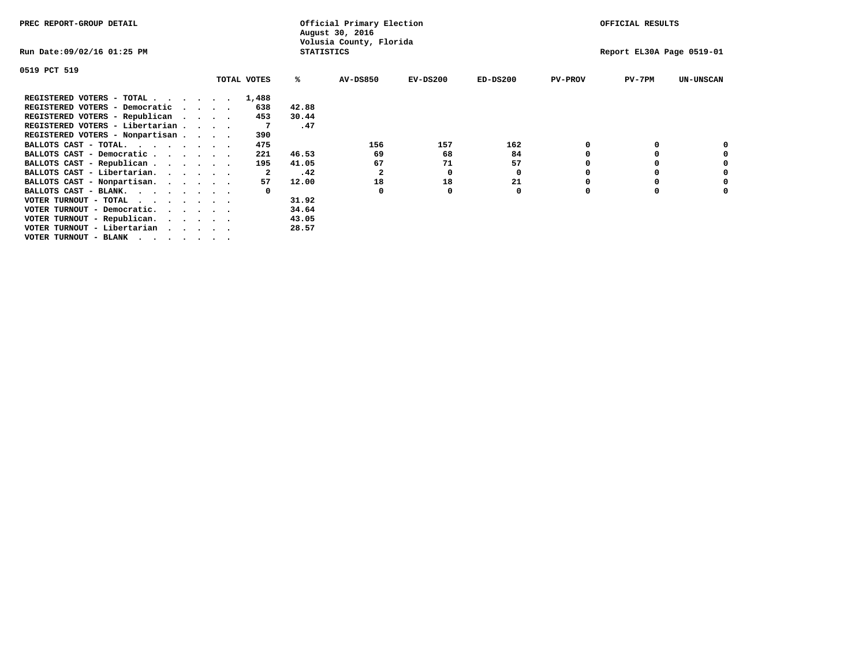| PREC REPORT-GROUP DETAIL        |                             |             |                   | Official Primary Election<br>August 30, 2016 |            |            |                | OFFICIAL RESULTS          |                  |
|---------------------------------|-----------------------------|-------------|-------------------|----------------------------------------------|------------|------------|----------------|---------------------------|------------------|
| Run Date:09/02/16 01:25 PM      |                             |             | <b>STATISTICS</b> | Volusia County, Florida                      |            |            |                | Report EL30A Page 0519-01 |                  |
| 0519 PCT 519                    |                             |             |                   |                                              |            |            |                |                           |                  |
|                                 |                             | TOTAL VOTES | ℁                 | <b>AV-DS850</b>                              | $EV-DS200$ | $ED-DS200$ | <b>PV-PROV</b> | $PV-7PM$                  | <b>UN-UNSCAN</b> |
| REGISTERED VOTERS - TOTAL       |                             | 1,488       |                   |                                              |            |            |                |                           |                  |
| REGISTERED VOTERS - Democratic  | $\sim$ $\sim$ $\sim$ $\sim$ | 638         | 42.88             |                                              |            |            |                |                           |                  |
| REGISTERED VOTERS - Republican  |                             | 453         | 30.44             |                                              |            |            |                |                           |                  |
| REGISTERED VOTERS - Libertarian |                             |             | .47               |                                              |            |            |                |                           |                  |
| REGISTERED VOTERS - Nonpartisan |                             | 390         |                   |                                              |            |            |                |                           |                  |
| BALLOTS CAST - TOTAL.           |                             | 475         |                   | 156                                          | 157        | 162        |                |                           |                  |
| BALLOTS CAST - Democratic       |                             | 221         | 46.53             | 69                                           | 68         | 84         |                |                           |                  |
| BALLOTS CAST - Republican       |                             | 195         | 41.05             | 67                                           | 71         | 57         |                |                           |                  |
| BALLOTS CAST - Libertarian.     |                             | 2           | .42               | 2                                            | 0          | 0          |                |                           |                  |
| BALLOTS CAST - Nonpartisan.     |                             | 57          | 12.00             | 18                                           | 18         | 21         |                |                           | 0                |
| BALLOTS CAST - BLANK.           |                             |             |                   | $\Omega$                                     | O          | 0          | O              |                           |                  |
| VOTER TURNOUT - TOTAL<br>.      |                             |             | 31.92             |                                              |            |            |                |                           |                  |
| VOTER TURNOUT - Democratic.     |                             |             | 34.64             |                                              |            |            |                |                           |                  |
| VOTER TURNOUT - Republican.     |                             |             | 43.05             |                                              |            |            |                |                           |                  |
| VOTER TURNOUT - Libertarian     |                             |             | 28.57             |                                              |            |            |                |                           |                  |
| VOTER TURNOUT - BLANK           |                             |             |                   |                                              |            |            |                |                           |                  |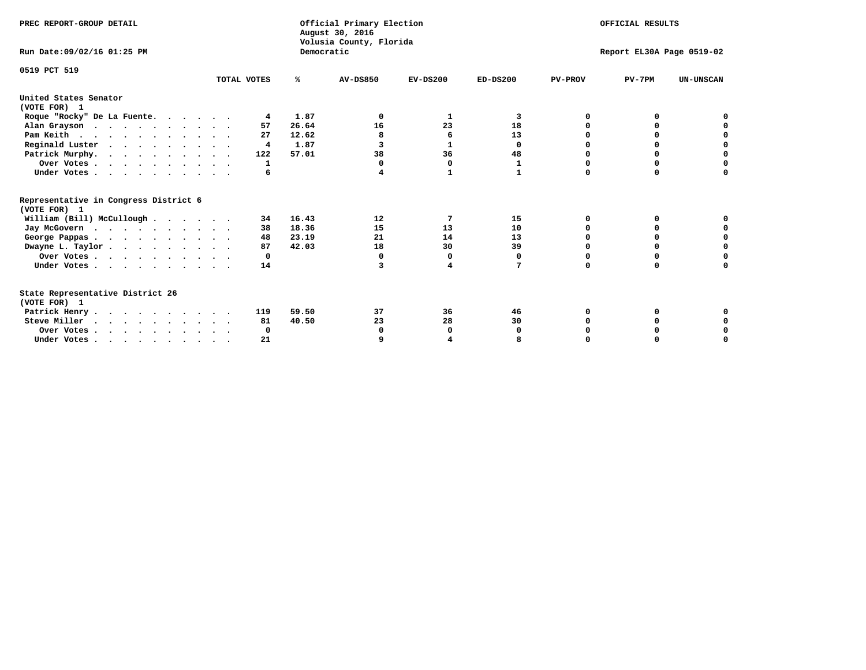| PREC REPORT-GROUP DETAIL                                                         |             |            | Official Primary Election<br>August 30, 2016<br>Volusia County, Florida | OFFICIAL RESULTS |              |                           |          |                  |  |
|----------------------------------------------------------------------------------|-------------|------------|-------------------------------------------------------------------------|------------------|--------------|---------------------------|----------|------------------|--|
| Run Date: 09/02/16 01:25 PM                                                      |             | Democratic |                                                                         |                  |              | Report EL30A Page 0519-02 |          |                  |  |
| 0519 PCT 519                                                                     | TOTAL VOTES | %ะ         | <b>AV-DS850</b>                                                         | $EV-DS200$       | $ED-DS200$   | <b>PV-PROV</b>            | $PV-7PM$ | <b>UN-UNSCAN</b> |  |
| United States Senator<br>(VOTE FOR) 1                                            |             |            |                                                                         |                  |              |                           |          |                  |  |
| Roque "Rocky" De La Fuente.                                                      | 4           | 1.87       | 0                                                                       | 1                | 3            | O                         | O        |                  |  |
| Alan Grayson                                                                     | 57          | 26.64      | 16                                                                      | 23               | 18           |                           |          |                  |  |
| Pam Keith                                                                        | 27          | 12.62      | 8                                                                       | 6                | 13           |                           |          |                  |  |
| Reginald Luster                                                                  | 4           | 1.87       | 3                                                                       | 1                | 0            |                           | 0        | O                |  |
| Patrick Murphy.                                                                  | 122         | 57.01      | 38                                                                      | 36               | 48           |                           | 0        | $\Omega$         |  |
| Over Votes                                                                       | 1           |            | 0                                                                       | 0                | $\mathbf{1}$ | O                         | 0        | O                |  |
| Under Votes                                                                      | 6           |            | 4                                                                       | 1                | $\mathbf{1}$ | $\Omega$                  | $\Omega$ | U                |  |
| Representative in Congress District 6<br>(VOTE FOR) 1                            |             |            |                                                                         |                  |              |                           |          |                  |  |
| William (Bill) McCullough                                                        | 34          | 16.43      | 12                                                                      | 7                | 15           | 0                         | 0        |                  |  |
| Jay McGovern                                                                     | 38          | 18.36      | 15                                                                      | 13               | 10           | n                         | n        |                  |  |
| George Pappas.                                                                   | 48          | 23.19      | 21                                                                      | 14               | 13           | $\Omega$                  | $\Omega$ | 0                |  |
| Dwayne L. Taylor                                                                 | 87          | 42.03      | 18                                                                      | 30               | 39           | $\Omega$                  | $\Omega$ | $\Omega$         |  |
| Over Votes                                                                       | 0           |            | 0                                                                       | 0                | 0            | O                         | 0        | O                |  |
| Under Votes                                                                      | 14          |            | 3                                                                       | 4                | 7            | $\Omega$                  | 0        | O                |  |
| State Representative District 26<br>(VOTE FOR) 1                                 |             |            |                                                                         |                  |              |                           |          |                  |  |
| Patrick Henry                                                                    | 119         | 59.50      | 37                                                                      | 36               | 46           | O                         | 0        |                  |  |
| Steve Miller                                                                     | 81          | 40.50      | 23                                                                      | 28               | 30           |                           |          | 0                |  |
| Over Votes                                                                       | 0           |            | O                                                                       | 0                | O            |                           |          | 0                |  |
| Under Votes, $\cdot$ , $\cdot$ , $\cdot$ , $\cdot$ , $\cdot$ , $\cdot$ , $\cdot$ | 21          |            |                                                                         |                  |              |                           |          | U                |  |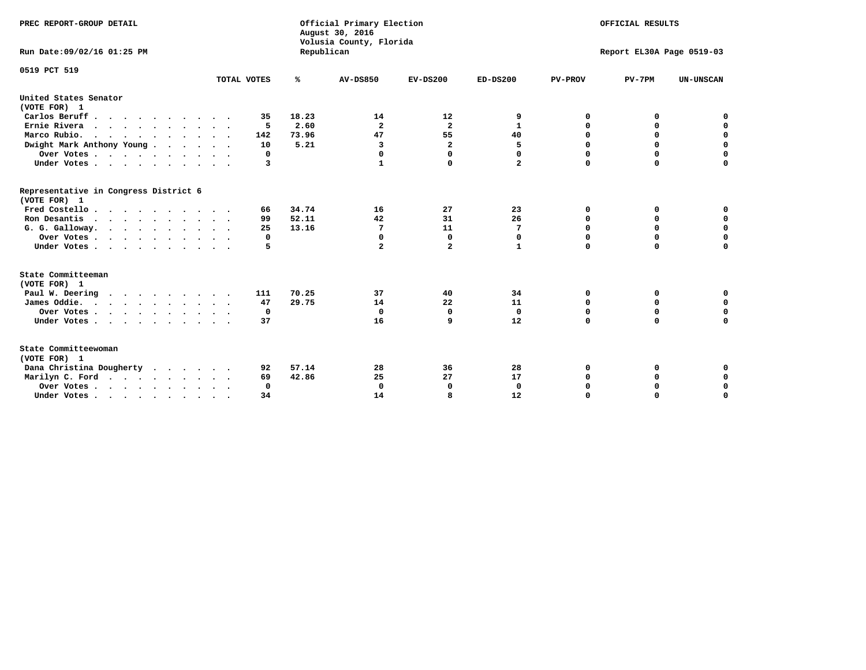| PREC REPORT-GROUP DETAIL                                                                   |             |            | Official Primary Election<br>August 30, 2016<br>Volusia County, Florida | OFFICIAL RESULTS        |              |                           |             |                  |  |  |
|--------------------------------------------------------------------------------------------|-------------|------------|-------------------------------------------------------------------------|-------------------------|--------------|---------------------------|-------------|------------------|--|--|
| Run Date: 09/02/16 01:25 PM                                                                |             | Republican |                                                                         |                         |              | Report EL30A Page 0519-03 |             |                  |  |  |
| 0519 PCT 519                                                                               |             |            |                                                                         |                         |              |                           |             |                  |  |  |
|                                                                                            | TOTAL VOTES | ℁          | <b>AV-DS850</b>                                                         | $EV-DS200$              | $ED-DS200$   | <b>PV-PROV</b>            | $PV-7PM$    | <b>UN-UNSCAN</b> |  |  |
| United States Senator<br>(VOTE FOR) 1                                                      |             |            |                                                                         |                         |              |                           |             |                  |  |  |
| Carlos Beruff.                                                                             | 35          | 18.23      | 14                                                                      | 12                      | 9            | 0                         | 0           | 0                |  |  |
| Ernie Rivera                                                                               | 5           | 2.60       | $\overline{\mathbf{2}}$                                                 | $\mathbf{2}$            | $\mathbf{1}$ | 0                         | 0           | $\mathbf 0$      |  |  |
| Marco Rubio.                                                                               | 142         | 73.96      | 47                                                                      | 55                      | 40           | $\mathbf 0$               | $\mathbf 0$ | $\mathbf 0$      |  |  |
| Dwight Mark Anthony Young                                                                  | 10          | 5.21       | 3                                                                       | $\overline{\mathbf{2}}$ | 5            | 0                         | $\mathbf 0$ | $\pmb{0}$        |  |  |
| Over Votes                                                                                 | 0           |            | 0                                                                       | $\Omega$                | 0            | $\mathbf 0$               | 0           | 0                |  |  |
| Under Votes                                                                                | 3           |            | 1                                                                       | 0                       | $\mathbf{2}$ | $\mathbf 0$               | $\Omega$    | $\mathbf 0$      |  |  |
| Representative in Congress District 6<br>(VOTE FOR) 1                                      |             |            |                                                                         |                         |              |                           |             |                  |  |  |
| Fred Costello                                                                              | 66          | 34.74      | 16                                                                      | 27                      | 23           | 0                         | 0           | 0                |  |  |
| Ron Desantis                                                                               | 99          | 52.11      | 42                                                                      | 31                      | 26           | 0                         | 0           | $\mathbf 0$      |  |  |
| G. G. Galloway.                                                                            | 25          | 13.16      | 7                                                                       | 11                      | 7            | $\mathbf 0$               | $\Omega$    | $\mathbf 0$      |  |  |
| Over Votes                                                                                 | 0           |            | $\mathbf 0$                                                             | $\mathbf{0}$            | 0            | $\mathbf 0$               | $\mathbf 0$ | $\mathbf 0$      |  |  |
| Under Votes                                                                                | 5           |            | $\overline{a}$                                                          | $\mathbf{2}$            | $\mathbf{1}$ | $\mathbf 0$               | $\Omega$    | $\mathbf 0$      |  |  |
| State Committeeman                                                                         |             |            |                                                                         |                         |              |                           |             |                  |  |  |
| (VOTE FOR) 1<br>Paul W. Deering                                                            | 111         | 70.25      | 37                                                                      | 40                      | 34           | 0                         | 0           | 0                |  |  |
| James Oddie.                                                                               | 47          | 29.75      | 14                                                                      | 22                      | 11           | 0                         | 0           | $\mathbf 0$      |  |  |
| Over Votes                                                                                 | 0           |            | $\mathbf 0$                                                             | 0                       | $\mathbf 0$  | 0                         | $\mathbf 0$ | $\mathbf 0$      |  |  |
| Under Votes                                                                                | 37          |            | 16                                                                      | 9                       | 12           | $\mathbf 0$               | 0           | $\mathbf 0$      |  |  |
| $\ddot{\phantom{1}}$                                                                       |             |            |                                                                         |                         |              |                           |             |                  |  |  |
| State Committeewoman<br>(VOTE FOR) 1                                                       |             |            |                                                                         |                         |              |                           |             |                  |  |  |
| Dana Christina Dougherty                                                                   | 92          | 57.14      | 28                                                                      | 36                      | 28           | 0                         | 0           | 0                |  |  |
| Marilyn C. Ford                                                                            | 69          | 42.86      | 25                                                                      | 27                      | 17           | 0                         | 0           | 0                |  |  |
| Over Votes                                                                                 | $\Omega$    |            | $\mathbf 0$                                                             | 0                       | $\mathbf 0$  | $\mathbf 0$               | 0           | $\mathbf 0$      |  |  |
| Under Votes, $\cdot$ , $\cdot$ , $\cdot$ , $\cdot$ , $\cdot$ , $\cdot$ , $\cdot$ , $\cdot$ | 34          |            | 14                                                                      | R                       | 12           | $\Omega$                  | $\Omega$    | $\Omega$         |  |  |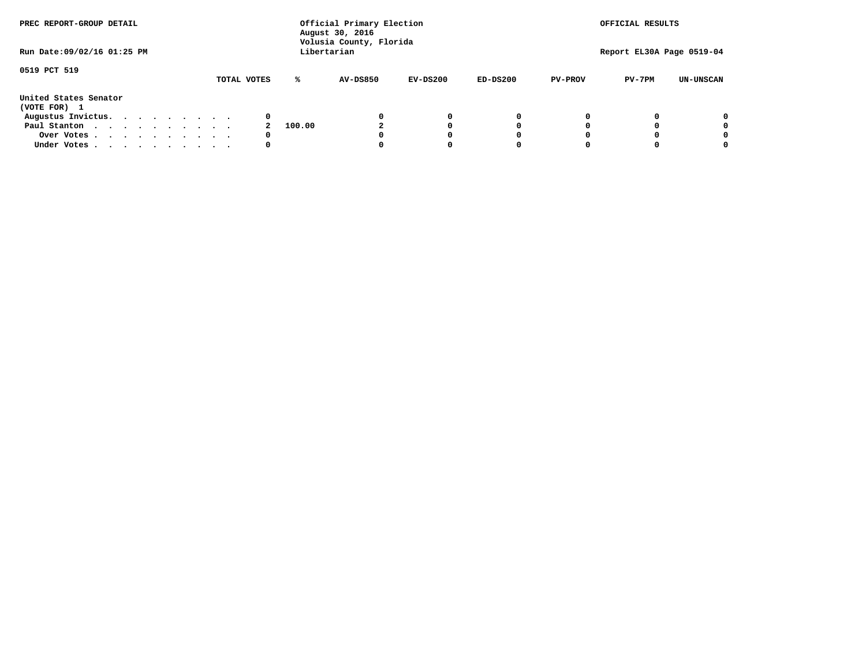| PREC REPORT-GROUP DETAIL              |             |        | Official Primary Election<br>August 30, 2016<br>Volusia County, Florida | OFFICIAL RESULTS |            |                |                           |                  |
|---------------------------------------|-------------|--------|-------------------------------------------------------------------------|------------------|------------|----------------|---------------------------|------------------|
| Run Date: 09/02/16 01:25 PM           |             |        | Libertarian                                                             |                  |            |                | Report EL30A Page 0519-04 |                  |
| 0519 PCT 519                          | TOTAL VOTES | ℁      | <b>AV-DS850</b>                                                         | $EV-DS200$       | $ED-DS200$ | <b>PV-PROV</b> | $PV-7PM$                  | <b>UN-UNSCAN</b> |
| United States Senator<br>(VOTE FOR) 1 |             |        |                                                                         |                  |            |                |                           |                  |
| Augustus Invictus.                    | 0           |        |                                                                         | 0                | 0          |                |                           | 0                |
| Paul Stanton                          |             | 100.00 |                                                                         |                  | 0          |                |                           | 0                |
| Over Votes                            | 0           |        |                                                                         |                  | O          |                |                           | 0                |
| Under Votes                           | 0           |        |                                                                         |                  |            |                |                           |                  |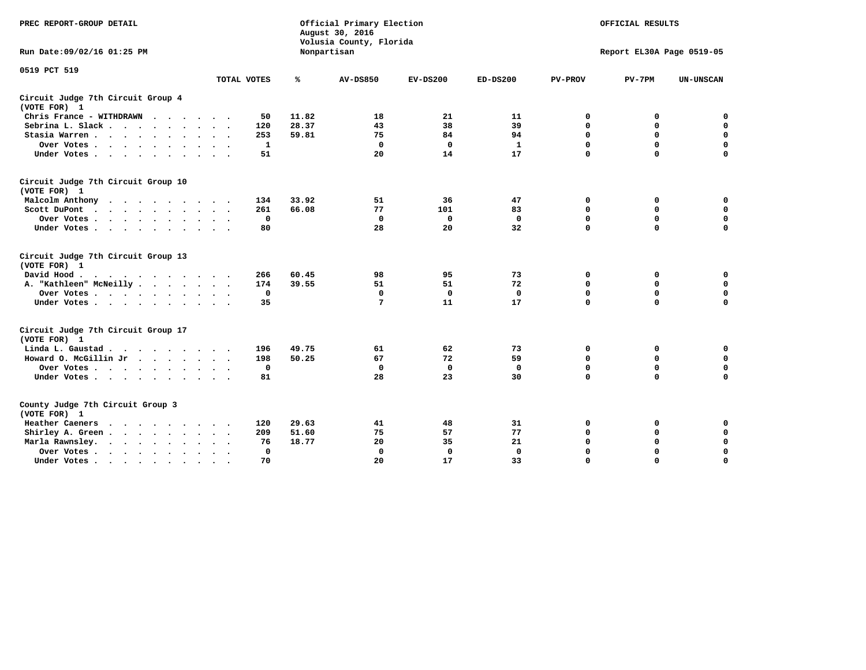| PREC REPORT-GROUP DETAIL                                    |             |              | Official Primary Election<br>August 30, 2016<br>Volusia County, Florida |             | OFFICIAL RESULTS |                |                           |                  |
|-------------------------------------------------------------|-------------|--------------|-------------------------------------------------------------------------|-------------|------------------|----------------|---------------------------|------------------|
| Run Date: 09/02/16 01:25 PM                                 |             |              | Nonpartisan                                                             |             |                  |                | Report EL30A Page 0519-05 |                  |
| 0519 PCT 519                                                | TOTAL VOTES | ℁            | <b>AV-DS850</b>                                                         | $EV-DS200$  | $ED-DS200$       | <b>PV-PROV</b> | $PV-7PM$                  | <b>UN-UNSCAN</b> |
| Circuit Judge 7th Circuit Group 4<br>(VOTE FOR) 1           |             |              |                                                                         |             |                  |                |                           |                  |
| Chris France - WITHDRAWN                                    |             | 11.82<br>50  | 18                                                                      | 21          | 11               | 0              | 0                         | $\mathbf 0$      |
| Sebrina L. Slack.                                           | 120         | 28.37        | 43                                                                      | 38          | 39               | $\mathbf 0$    | $\mathbf 0$               | $\mathbf 0$      |
| Stasia Warren                                               |             | 253<br>59.81 | 75                                                                      | 84          | 94               | 0              | $\mathbf 0$               | $\mathbf 0$      |
| Over Votes                                                  |             | 1            | $\mathbf 0$                                                             | $\mathbf 0$ | $\mathbf{1}$     | $\mathbf 0$    | $\mathbf 0$               | $\mathbf 0$      |
| Under Votes                                                 |             | 51           | 20                                                                      | 14          | 17               | $\mathbf 0$    | $\Omega$                  | $\mathbf 0$      |
| Circuit Judge 7th Circuit Group 10<br>(VOTE FOR) 1          |             |              |                                                                         |             |                  |                |                           |                  |
| Malcolm Anthony                                             | 134         | 33.92        | 51                                                                      | 36          | 47               | 0              | 0                         | $\mathbf 0$      |
| Scott DuPont<br>$\ddot{\phantom{0}}$                        |             | 66.08<br>261 | 77                                                                      | 101         | 83               | $\mathbf 0$    | $\mathbf 0$               | $\mathbf 0$      |
| Over Votes                                                  |             | $\mathbf 0$  | $\Omega$                                                                | 0           | 0                | $\mathbf 0$    | 0                         | $\mathbf 0$      |
| Under Votes                                                 |             | 80           | 28                                                                      | 20          | 32               | $\mathbf 0$    | $\mathbf 0$               | $\Omega$         |
| Circuit Judge 7th Circuit Group 13<br>(VOTE FOR) 1          |             |              |                                                                         |             |                  |                |                           |                  |
| David Hood.                                                 |             | 266<br>60.45 | 98                                                                      | 95          | 73               | 0              | 0                         | $\mathbf 0$      |
| A. "Kathleen" McNeilly                                      | 174         | 39.55        | 51                                                                      | 51          | 72               | $\mathbf 0$    | 0                         | $\mathbf 0$      |
| Over Votes                                                  |             | $\mathbf 0$  | $\mathbf 0$                                                             | $\mathbf 0$ | $\mathbf 0$      | 0              | 0                         | 0                |
| Under Votes                                                 |             | 35           | 7                                                                       | 11          | 17               | $\Omega$       | $\Omega$                  | $\Omega$         |
| Circuit Judge 7th Circuit Group 17<br>(VOTE FOR) 1          |             |              |                                                                         |             |                  |                |                           |                  |
| Linda L. Gaustad                                            | 196         | 49.75        | 61                                                                      | 62          | 73               | 0              | 0                         | 0                |
| Howard O. McGillin Jr                                       | 198         | 50.25        | 67                                                                      | 72          | 59               | $\mathbf 0$    | $\mathbf 0$               | 0                |
| Over Votes                                                  |             | $^{\circ}$   | $\mathbf{0}$                                                            | $\mathbf 0$ | $\mathbf{0}$     | $\mathbf 0$    | $\mathbf 0$               | $\mathbf 0$      |
| Under Votes                                                 |             | 81           | 28                                                                      | 23          | 30               | $\mathbf 0$    | $\mathbf 0$               | $\Omega$         |
| County Judge 7th Circuit Group 3<br>(VOTE FOR) 1            |             |              |                                                                         |             |                  |                |                           |                  |
| Heather Caeners<br>$\cdots$                                 | 120         | 29.63        | 41                                                                      | 48          | 31               | 0              | 0                         | 0                |
| Shirley A. Green                                            |             | 51.60<br>209 | 75                                                                      | 57          | 77               | $\mathbf 0$    | 0                         | $\mathbf 0$      |
| Marla Rawnsley.                                             |             | 18.77<br>76  | 20                                                                      | 35          | 21               | 0              | $\mathbf 0$               | $\mathbf 0$      |
| Over Votes.<br>$\ddot{\phantom{a}}$<br>$\ddot{\phantom{a}}$ |             | $\mathbf{0}$ | $\Omega$                                                                | 0           | $\mathbf{0}$     | $\mathbf 0$    | $\mathbf 0$               | $\mathbf 0$      |
| Under Votes<br>$\sim$                                       |             | 70           | 20                                                                      | 17          | 33               | $\mathbf 0$    | $\mathbf 0$               | 0                |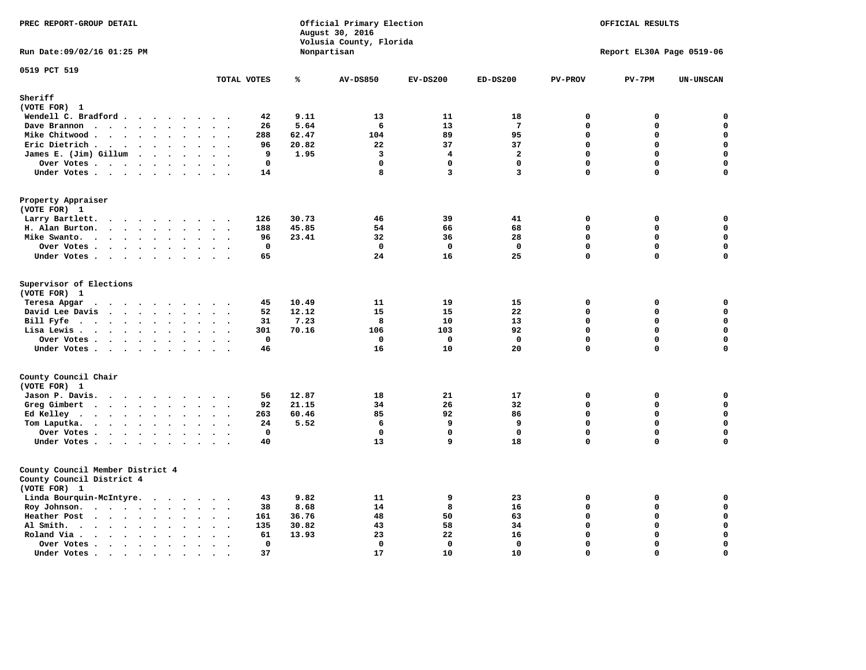| PREC REPORT-GROUP DETAIL<br>Run Date: 09/02/16 01:25 PM                       |                                                                  |       | Official Primary Election<br>August 30, 2016<br>Volusia County, Florida<br>Nonpartisan | OFFICIAL RESULTS<br>Report EL30A Page 0519-06 |                                         |                            |                  |                            |
|-------------------------------------------------------------------------------|------------------------------------------------------------------|-------|----------------------------------------------------------------------------------------|-----------------------------------------------|-----------------------------------------|----------------------------|------------------|----------------------------|
|                                                                               |                                                                  |       |                                                                                        |                                               |                                         |                            |                  |                            |
| 0519 PCT 519                                                                  | TOTAL VOTES                                                      | ℁     | <b>AV-DS850</b>                                                                        | $EV-DS200$                                    | $ED-DS200$                              | <b>PV-PROV</b>             | $PV-7PM$         | <b>UN-UNSCAN</b>           |
| Sheriff                                                                       |                                                                  |       |                                                                                        |                                               |                                         |                            |                  |                            |
| (VOTE FOR) 1                                                                  |                                                                  |       |                                                                                        |                                               |                                         |                            |                  |                            |
| Wendell C. Bradford                                                           | 42                                                               | 9.11  | 13                                                                                     | 11                                            | 18                                      | 0                          | 0                | 0                          |
| Dave Brannon                                                                  | 26<br>$\sim$ $\sim$                                              | 5.64  | 6                                                                                      | 13                                            | $7\phantom{.0}$                         | $\mathbf 0$                | 0                | $\mathbf 0$                |
| Mike Chitwood                                                                 | 288                                                              | 62.47 | 104                                                                                    | 89                                            | 95                                      | $\Omega$                   | 0                | $\mathbf 0$                |
| Eric Dietrich                                                                 | 96<br>$\sim$<br>$\bullet$                                        | 20.82 | 22                                                                                     | 37                                            | 37                                      | $\mathbf 0$                | 0                | $\pmb{\mathsf{o}}$         |
| James E. (Jim) Gillum                                                         | 9                                                                | 1.95  | 3                                                                                      | 4                                             | $\overline{\mathbf{2}}$                 | $\mathbf 0$<br>$\mathbf 0$ | 0<br>$\mathbf 0$ | $\mathbf 0$<br>$\mathbf 0$ |
| Over Votes                                                                    | $\mathbf 0$                                                      |       | $\mathbf{0}$<br>8                                                                      | $\Omega$<br>$\overline{3}$                    | $\mathbf{0}$<br>$\overline{\mathbf{3}}$ | $\Omega$                   | $\Omega$         | $\mathbf 0$                |
| Under Votes                                                                   | 14                                                               |       |                                                                                        |                                               |                                         |                            |                  |                            |
| Property Appraiser<br>(VOTE FOR) 1                                            |                                                                  |       |                                                                                        |                                               |                                         |                            |                  |                            |
| Larry Bartlett.                                                               | 126                                                              | 30.73 | 46                                                                                     | 39                                            | 41                                      | $\Omega$                   | $\mathbf 0$      | $\mathbf 0$                |
| H. Alan Burton.                                                               | 188                                                              | 45.85 | 54                                                                                     | 66                                            | 68                                      | $\mathbf{0}$               | 0                | $\mathbf 0$                |
| Mike Swanto.                                                                  | 96<br>$\sim$ $\sim$                                              | 23.41 | 32                                                                                     | 36                                            | 28                                      | $\mathbf 0$                | $\mathbf 0$      | $\mathbf 0$                |
| Over Votes.                                                                   | $\mathbf 0$                                                      |       | $\mathbf{0}$                                                                           | $^{\circ}$                                    | $\mathbf 0$                             | $\mathbf 0$                | $\mathbf 0$      | 0                          |
| Under Votes                                                                   | 65                                                               |       | 24                                                                                     | 16                                            | 25                                      | $\mathbf 0$                | $\mathbf 0$      | $\mathbf 0$                |
| Supervisor of Elections<br>(VOTE FOR) 1                                       |                                                                  | 10.49 | 11                                                                                     | 19                                            | 15                                      |                            |                  | 0                          |
| Teresa Apgar<br>$\cdots$<br>David Lee Davis                                   | 45<br>52                                                         | 12.12 | 15                                                                                     | 15                                            | 22                                      | 0<br>$\mathbf 0$           | 0<br>0           | 0                          |
| Bill Fyfe. $\ldots$                                                           | 31                                                               | 7.23  | 8                                                                                      | 10                                            | 13                                      | $\mathbf 0$                | 0                | $\mathbf 0$                |
| Lisa Lewis                                                                    | 301                                                              | 70.16 | 106                                                                                    | 103                                           | 92                                      | $\mathbf{0}$               | 0                | $\mathbf 0$                |
| Over Votes                                                                    | $\mathbf 0$                                                      |       | $\mathbf{0}$                                                                           | $^{\circ}$                                    | $\mathbf{0}$                            | $\mathbf{0}$               | 0                | 0                          |
| Under Votes                                                                   | 46<br>$\sim$ $\sim$                                              |       | 16                                                                                     | 10                                            | 20                                      | $\mathbf 0$                | 0                | $\mathbf 0$                |
| County Council Chair                                                          |                                                                  |       |                                                                                        |                                               |                                         |                            |                  |                            |
| (VOTE FOR) 1                                                                  |                                                                  |       |                                                                                        |                                               |                                         |                            |                  |                            |
| Jason P. Davis.                                                               | 56                                                               | 12.87 | 18                                                                                     | 21                                            | 17                                      | 0                          | 0                | 0                          |
| Greg Gimbert                                                                  | 92                                                               | 21.15 | 34                                                                                     | 26                                            | 32                                      | $\Omega$                   | 0                | $\mathbf 0$                |
| Ed Kelley $\cdots$ $\cdots$ $\cdots$                                          | 263<br>$\sim$ $\sim$<br>$\ddot{\phantom{1}}$                     | 60.46 | 85                                                                                     | 92                                            | 86                                      | $\mathbf 0$                | 0                | $\mathbf 0$                |
| Tom Laputka.<br>$\cdots$                                                      | 24                                                               | 5.52  | 6                                                                                      | 9                                             | 9                                       | $\mathbf 0$                | 0                | $\mathbf 0$                |
| Over Votes                                                                    | $\mathbf{0}$<br>$\bullet$ .                                      |       | $\mathbf{0}$                                                                           | $\Omega$                                      | $\mathbf{0}$                            | $\mathbf{0}$               | $\mathbf 0$      | $\mathbf 0$                |
| Under Votes                                                                   | 40                                                               |       | 13                                                                                     | 9                                             | 18                                      | $\Omega$                   | $\Omega$         | $\Omega$                   |
| County Council Member District 4<br>County Council District 4<br>(VOTE FOR) 1 |                                                                  |       |                                                                                        |                                               |                                         |                            |                  |                            |
| Linda Bourquin-McIntyre.                                                      | 43                                                               | 9.82  | 11                                                                                     | 9                                             | 23                                      | $\Omega$                   | 0                | $\mathbf 0$                |
| Roy Johnson.                                                                  | 38                                                               | 8.68  | 14                                                                                     | 8                                             | 16                                      | $\mathbf 0$                | 0                | $\mathbf 0$                |
| Heather Post                                                                  | 161                                                              | 36.76 | 48                                                                                     | 50                                            | 63                                      | $\mathbf 0$                | 0                | $\mathbf 0$                |
| Al Smith.<br>$\bullet$                                                        | 135<br>$\bullet$<br>$\bullet$<br>$\overline{\phantom{a}}$        | 30.82 | 43                                                                                     | 58                                            | 34                                      | $\mathbf 0$                | $\mathbf 0$      | $\mathbf 0$                |
| Roland Via .<br>$\cdots$<br>$\sim$<br>$\bullet$                               | 61<br>$\sim$                                                     | 13.93 | 23                                                                                     | 22                                            | 16                                      | $\Omega$                   | $\mathbf 0$      | $\mathbf 0$                |
| Over Votes<br>$\bullet$                                                       | $\mathbf{0}$<br>$\bullet$<br>$\cdot$<br>$\overline{\phantom{a}}$ |       | $\Omega$                                                                               | $^{\circ}$                                    | $\mathbf{0}$                            | $\mathbf{0}$               | 0                | $\mathbf 0$                |
| Under Votes.<br>$\sim$ $\sim$<br>$\sim$ $\sim$<br>$\bullet$<br>$\bullet$      | 37                                                               |       | 17                                                                                     | 10                                            | 10                                      | $\Omega$                   | $\Omega$         | $\mathbf 0$                |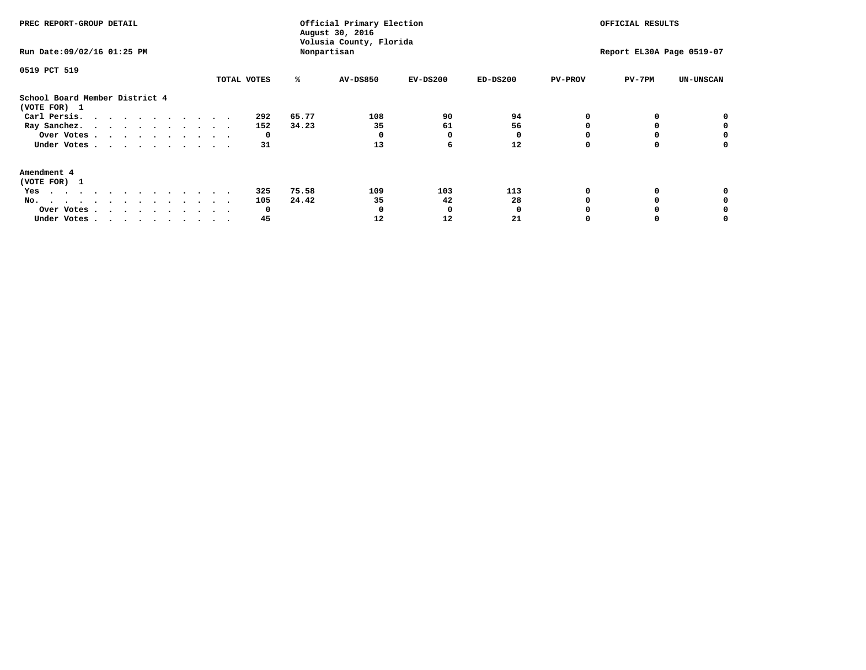| PREC REPORT-GROUP DETAIL<br>Run Date: 09/02/16 01:25 PM                                                                                                                                                                                  |             |       | Official Primary Election<br>August 30, 2016<br>Volusia County, Florida<br>Nonpartisan | OFFICIAL RESULTS<br>Report EL30A Page 0519-07 |            |                |        |                  |
|------------------------------------------------------------------------------------------------------------------------------------------------------------------------------------------------------------------------------------------|-------------|-------|----------------------------------------------------------------------------------------|-----------------------------------------------|------------|----------------|--------|------------------|
| 0519 PCT 519                                                                                                                                                                                                                             | TOTAL VOTES | ℁     | <b>AV-DS850</b>                                                                        | $EV-DS200$                                    | $ED-DS200$ | <b>PV-PROV</b> | PV-7PM | <b>UN-UNSCAN</b> |
| School Board Member District 4<br>(VOTE FOR) 1                                                                                                                                                                                           |             |       |                                                                                        |                                               |            |                |        |                  |
| Carl Persis.                                                                                                                                                                                                                             | 292         | 65.77 | 108                                                                                    | 90                                            | 94         |                |        |                  |
| Ray Sanchez.                                                                                                                                                                                                                             | 152         | 34.23 | 35                                                                                     | 61                                            | 56         |                |        |                  |
| Over Votes                                                                                                                                                                                                                               | 0           |       |                                                                                        | O                                             |            |                |        | 0                |
| Under Votes                                                                                                                                                                                                                              | 31          |       | 13                                                                                     | 6                                             | 12         |                |        | 0                |
| Amendment 4                                                                                                                                                                                                                              |             |       |                                                                                        |                                               |            |                |        |                  |
| (VOTE FOR) 1                                                                                                                                                                                                                             |             |       |                                                                                        |                                               |            |                |        |                  |
| Yes<br>$\mathbf{a}$ . The contribution of the contribution of the contribution of the contribution of the contribution of the contribution of the contribution of the contribution of the contribution of the contribution of the contri | 325         | 75.58 | 109                                                                                    | 103                                           | 113        |                |        |                  |
| No.<br>.                                                                                                                                                                                                                                 | 105         | 24.42 | 35                                                                                     | 42                                            | 28         |                |        |                  |
| Over Votes                                                                                                                                                                                                                               | O           |       |                                                                                        | n                                             |            |                |        |                  |
| Under Votes                                                                                                                                                                                                                              | 45          |       | 12                                                                                     | 12                                            | 21         |                |        |                  |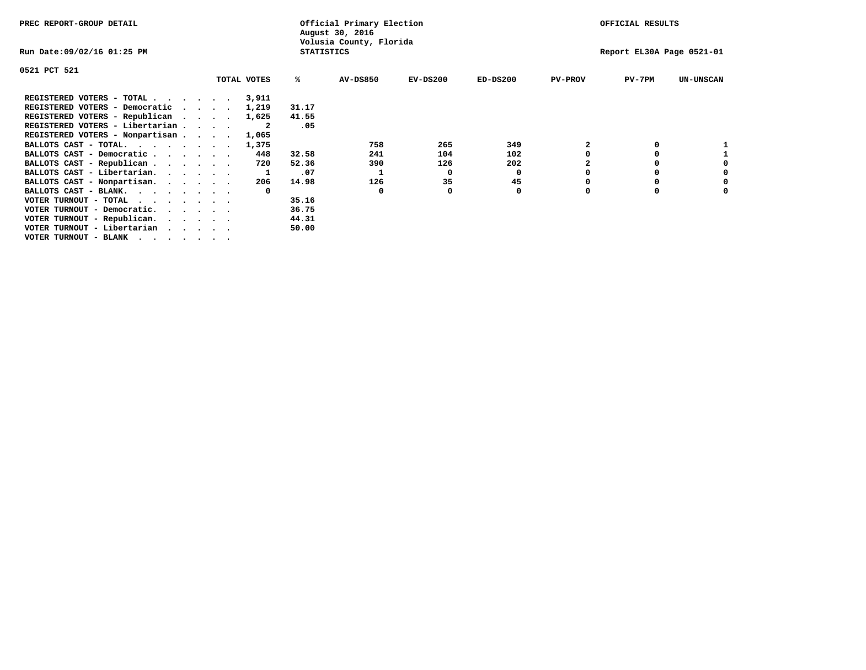| PREC REPORT-GROUP DETAIL                                                  |  |  |  |             |                   | Official Primary Election<br>August 30, 2016 |            | OFFICIAL RESULTS |                |                           |                  |  |
|---------------------------------------------------------------------------|--|--|--|-------------|-------------------|----------------------------------------------|------------|------------------|----------------|---------------------------|------------------|--|
| Run Date:09/02/16 01:25 PM                                                |  |  |  |             | <b>STATISTICS</b> | Volusia County, Florida                      |            |                  |                | Report EL30A Page 0521-01 |                  |  |
| 0521 PCT 521                                                              |  |  |  |             |                   |                                              |            |                  |                |                           |                  |  |
|                                                                           |  |  |  | TOTAL VOTES | ℁                 | <b>AV-DS850</b>                              | $EV-DS200$ | $ED-DS200$       | <b>PV-PROV</b> | $PV-7PM$                  | <b>UN-UNSCAN</b> |  |
| REGISTERED VOTERS - TOTAL $\cdot$ $\cdot$ $\cdot$ $\cdot$ $\cdot$ $\cdot$ |  |  |  | 3,911       |                   |                                              |            |                  |                |                           |                  |  |
| REGISTERED VOTERS - Democratic                                            |  |  |  | 1,219       | 31.17             |                                              |            |                  |                |                           |                  |  |
| REGISTERED VOTERS - Republican                                            |  |  |  | 1,625       | 41.55             |                                              |            |                  |                |                           |                  |  |
| REGISTERED VOTERS - Libertarian                                           |  |  |  |             | .05               |                                              |            |                  |                |                           |                  |  |
| REGISTERED VOTERS - Nonpartisan                                           |  |  |  | 1,065       |                   |                                              |            |                  |                |                           |                  |  |
| BALLOTS CAST - TOTAL.                                                     |  |  |  | 1,375       |                   | 758                                          | 265        | 349              |                |                           |                  |  |
| BALLOTS CAST - Democratic                                                 |  |  |  | 448         | 32.58             | 241                                          | 104        | 102              |                | 0                         |                  |  |
| BALLOTS CAST - Republican                                                 |  |  |  | 720         | 52.36             | 390                                          | 126        | 202              |                | 0                         |                  |  |
| BALLOTS CAST - Libertarian.                                               |  |  |  |             | .07               |                                              | 0          | 0                |                | 0                         | 0                |  |
| BALLOTS CAST - Nonpartisan.                                               |  |  |  | 206         | 14.98             | 126                                          | 35         | 45               |                | 0                         | 0                |  |
| BALLOTS CAST - BLANK.                                                     |  |  |  |             |                   | 0                                            |            | 0                | $\Omega$       | $\Omega$                  |                  |  |
| VOTER TURNOUT - TOTAL<br>$\cdots$                                         |  |  |  |             | 35.16             |                                              |            |                  |                |                           |                  |  |
| VOTER TURNOUT - Democratic.                                               |  |  |  |             | 36.75             |                                              |            |                  |                |                           |                  |  |
| VOTER TURNOUT - Republican.                                               |  |  |  |             | 44.31             |                                              |            |                  |                |                           |                  |  |
| VOTER TURNOUT - Libertarian                                               |  |  |  |             | 50.00             |                                              |            |                  |                |                           |                  |  |
| VOTER TURNOUT - BLANK $\cdot$ , , , , , , , ,                             |  |  |  |             |                   |                                              |            |                  |                |                           |                  |  |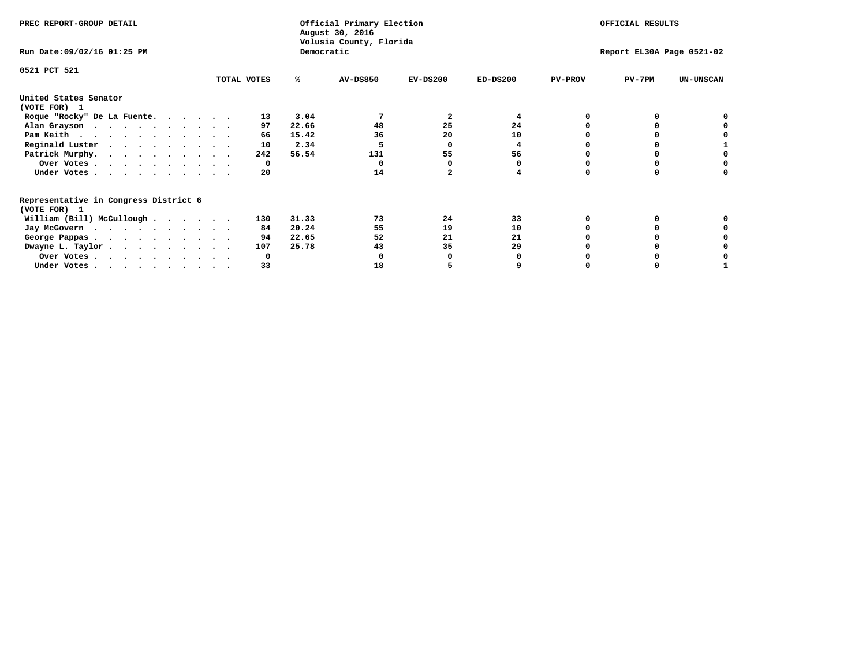| PREC REPORT-GROUP DETAIL                                    |             |              | Official Primary Election<br>August 30, 2016 | OFFICIAL RESULTS |                           |                |              |                  |
|-------------------------------------------------------------|-------------|--------------|----------------------------------------------|------------------|---------------------------|----------------|--------------|------------------|
| Run Date: 09/02/16 01:25 PM                                 |             | Democratic   | Volusia County, Florida                      |                  | Report EL30A Page 0521-02 |                |              |                  |
| 0521 PCT 521                                                | TOTAL VOTES | ℁            | <b>AV-DS850</b>                              | $EV-DS200$       | $ED-DS200$                | <b>PV-PROV</b> | $PV-7PM$     | <b>UN-UNSCAN</b> |
|                                                             |             |              |                                              |                  |                           |                |              |                  |
| United States Senator<br>(VOTE FOR) 1                       |             |              |                                              |                  |                           |                |              |                  |
| Roque "Rocky" De La Fuente.                                 |             | 3.04<br>13   |                                              | 2                | 4                         |                |              |                  |
| Alan Grayson                                                |             | 22.66<br>97  | 48                                           | 25               | 24                        |                |              |                  |
| Pam Keith                                                   |             | 15.42<br>66  | 36                                           | 20               | 10                        |                |              |                  |
| Reginald Luster                                             |             | 2.34<br>10   |                                              | O                | 4                         |                |              |                  |
| Patrick Murphy.                                             |             | 56.54<br>242 | 131                                          | 55               | 56                        |                |              |                  |
| Over Votes                                                  |             | 0            |                                              |                  |                           |                |              |                  |
| Under Votes                                                 |             | 20           | 14                                           |                  |                           |                |              |                  |
| Representative in Congress District 6                       |             |              |                                              |                  |                           |                |              |                  |
| (VOTE FOR) 1<br>William (Bill) McCullough $\cdots$ $\cdots$ |             | 31.33<br>130 | 73                                           | 24               | 33                        |                | <sup>0</sup> |                  |
|                                                             |             | 20.24<br>84  | 55                                           | 19               | 10                        |                |              |                  |
| Jay McGovern                                                |             |              |                                              |                  |                           |                |              |                  |
| George Pappas.                                              |             | 94<br>22.65  | 52                                           | 21               | 21                        |                |              |                  |
| Dwayne L. Taylor                                            |             | 25.78<br>107 | 43                                           | 35               | 29                        |                |              |                  |
| Over Votes                                                  |             | <sup>0</sup> |                                              |                  |                           |                |              |                  |
| Under Votes.                                                |             | 33           | 18                                           |                  |                           |                |              |                  |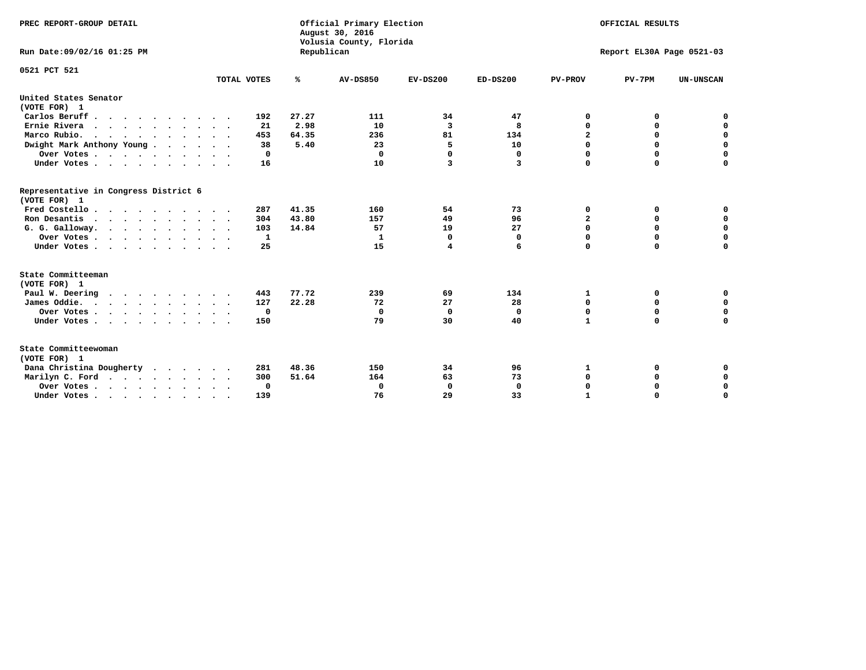| PREC REPORT-GROUP DETAIL<br>Run Date:09/02/16 01:25 PM |             | Republican | Official Primary Election<br>August 30, 2016<br>Volusia County, Florida | OFFICIAL RESULTS<br>Report EL30A Page 0521-03 |             |                |             |                  |
|--------------------------------------------------------|-------------|------------|-------------------------------------------------------------------------|-----------------------------------------------|-------------|----------------|-------------|------------------|
|                                                        |             |            |                                                                         |                                               |             |                |             |                  |
| 0521 PCT 521                                           | TOTAL VOTES | ℁          | AV-DS850                                                                | $EV-DS200$                                    | $ED-DS200$  | <b>PV-PROV</b> | $PV-7PM$    | <b>UN-UNSCAN</b> |
| United States Senator                                  |             |            |                                                                         |                                               |             |                |             |                  |
| (VOTE FOR) 1                                           |             |            |                                                                         |                                               |             |                |             |                  |
| Carlos Beruff                                          | 192         | 27.27      | 111                                                                     | 34                                            | 47          | 0              | 0           | 0                |
| Ernie Rivera                                           | 21          | 2.98       | 10                                                                      | 3                                             | 8           | $\mathbf 0$    | 0           | $\mathbf 0$      |
| Marco Rubio.                                           | 453         | 64.35      | 236                                                                     | 81                                            | 134         | 2              | 0           | $\mathbf 0$      |
| Dwight Mark Anthony Young                              | 38          | 5.40       | 23                                                                      | 5                                             | 10          | $\mathbf 0$    | $\mathbf 0$ | 0                |
| Over Votes                                             | 0           |            | $\mathbf 0$                                                             | $\Omega$                                      | $\mathbf 0$ | $\mathbf 0$    | $\mathbf 0$ | $\mathbf 0$      |
| Under Votes                                            | 16          |            | 10                                                                      | 3                                             | 3           | $\Omega$       | $\Omega$    | $\mathbf 0$      |
| Representative in Congress District 6<br>(VOTE FOR) 1  |             |            |                                                                         |                                               |             |                |             |                  |
| Fred Costello                                          | 287         | 41.35      | 160                                                                     | 54                                            | 73          | 0              | 0           | 0                |
| Ron Desantis                                           | 304         | 43.80      | 157                                                                     | 49                                            | 96          | $\mathbf{2}$   | $\mathbf 0$ | $\mathbf 0$      |
| G. G. Galloway.                                        | 103         | 14.84      | 57                                                                      | 19                                            | 27          | $\mathbf 0$    | 0           | $\mathbf 0$      |
| Over Votes                                             | 1           |            | 1                                                                       | $\Omega$                                      | 0           | $\mathbf 0$    | $\mathbf 0$ | $\mathbf 0$      |
| Under Votes                                            | 25          |            | 15                                                                      | 4                                             | 6           | $\Omega$       | $\Omega$    | 0                |
| State Committeeman                                     |             |            |                                                                         |                                               |             |                |             |                  |
| (VOTE FOR) 1                                           |             |            |                                                                         |                                               |             |                |             |                  |
| Paul W. Deering                                        | 443         | 77.72      | 239                                                                     | 69                                            | 134         | 1              | 0           | 0                |
| James Oddie.                                           | 127         | 22.28      | 72                                                                      | 27                                            | 28          | 0              | $\mathbf 0$ | $\mathbf 0$      |
| Over Votes                                             | 0           |            | 0                                                                       | 0                                             | 0           | 0              | $\mathbf 0$ | $\mathbf 0$      |
| Under Votes<br>$\sim$                                  | 150         |            | 79                                                                      | 30                                            | 40          | $\mathbf{1}$   | $\Omega$    | $\Omega$         |
| State Committeewoman<br>(VOTE FOR) 1                   |             |            |                                                                         |                                               |             |                |             |                  |
| Dana Christina Dougherty                               | 281         | 48.36      | 150                                                                     | 34                                            | 96          | 1              | 0           | 0                |
| Marilyn C. Ford                                        | 300         | 51.64      | 164                                                                     | 63                                            | 73          | 0              | 0           | 0                |
| Over Votes                                             | $\Omega$    |            | 0                                                                       | 0                                             | $\mathbf 0$ | $\mathbf 0$    | 0           | $\mathbf 0$      |
| Under Votes, , , , , , , , , ,                         | 139         |            | 76                                                                      | 29                                            | 33          | $\mathbf{I}$   | $\Omega$    | $\Omega$         |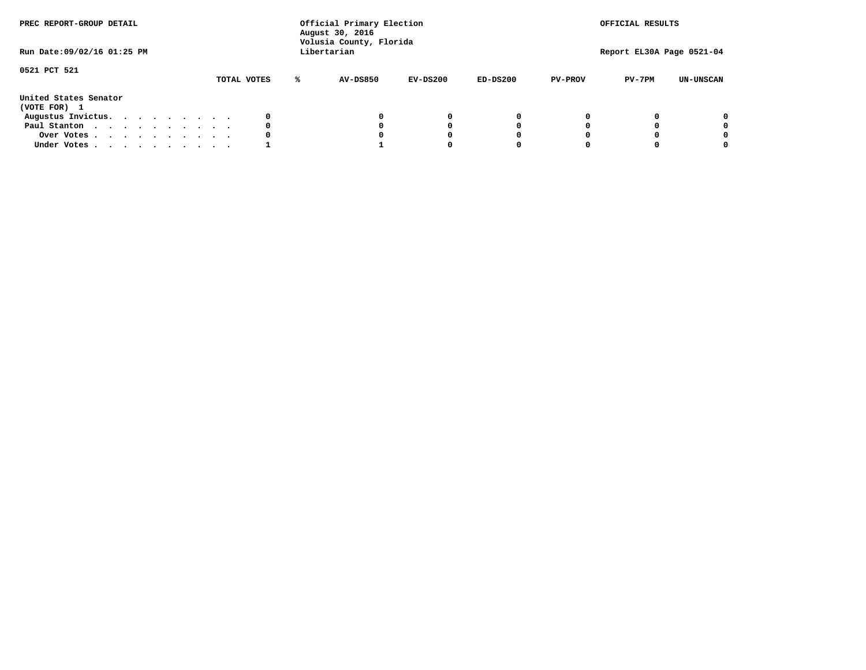| PREC REPORT-GROUP DETAIL<br>Run Date: 09/02/16 01:25 PM |             | Official Primary Election<br>August 30, 2016<br>Volusia County, Florida<br>Libertarian |          |            |                | OFFICIAL RESULTS<br>Report EL30A Page 0521-04 |                  |
|---------------------------------------------------------|-------------|----------------------------------------------------------------------------------------|----------|------------|----------------|-----------------------------------------------|------------------|
|                                                         |             |                                                                                        |          |            |                |                                               |                  |
| 0521 PCT 521                                            | TOTAL VOTES | AV-DS850<br>℁                                                                          | EV-DS200 | $ED-DS200$ | <b>PV-PROV</b> | $PV-7PM$                                      | <b>UN-UNSCAN</b> |
| United States Senator<br>(VOTE FOR) 1                   |             |                                                                                        |          |            |                |                                               |                  |
| Augustus Invictus.                                      |             |                                                                                        | 0        | 0          |                |                                               | 0                |
| Paul Stanton                                            | 0           |                                                                                        | 0        |            |                |                                               | 0                |
| Over Votes                                              |             |                                                                                        |          |            |                |                                               | 0                |
| Under Votes                                             |             |                                                                                        |          |            |                |                                               | 0                |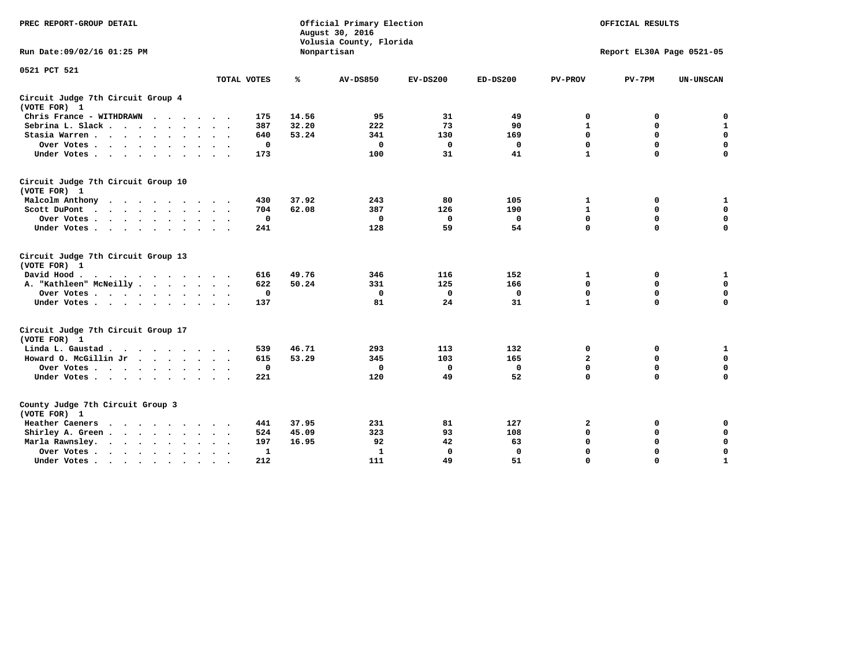| PREC REPORT-GROUP DETAIL                           |             | Official Primary Election<br>August 30, 2016<br>Volusia County, Florida |                 | OFFICIAL RESULTS |             |                |                           |                  |
|----------------------------------------------------|-------------|-------------------------------------------------------------------------|-----------------|------------------|-------------|----------------|---------------------------|------------------|
| Run Date: 09/02/16 01:25 PM                        |             |                                                                         | Nonpartisan     |                  |             |                | Report EL30A Page 0521-05 |                  |
| 0521 PCT 521                                       |             |                                                                         |                 |                  |             |                |                           |                  |
|                                                    | TOTAL VOTES | ℁                                                                       | <b>AV-DS850</b> | $EV-DS200$       | $ED-DS200$  | <b>PV-PROV</b> | $PV-7PM$                  | <b>UN-UNSCAN</b> |
| Circuit Judge 7th Circuit Group 4<br>(VOTE FOR) 1  |             |                                                                         |                 |                  |             |                |                           |                  |
| Chris France - WITHDRAWN<br>$\cdots$               | 175         | 14.56                                                                   | 95              | 31               | 49          | 0              | 0                         | 0                |
| Sebrina L. Slack                                   | 387         | 32.20                                                                   | 222             | 73               | 90          | 1              | 0                         | ${\bf 1}$        |
| Stasia Warren                                      | 640         | 53.24                                                                   | 341             | 130              | 169         | $\mathbf 0$    | $\Omega$                  | $\pmb{0}$        |
| Over Votes                                         | $\mathbf 0$ |                                                                         | 0               | 0                | 0           | 0              | $\mathbf 0$               | $\mathbf 0$      |
| Under Votes                                        | 173         |                                                                         | 100             | 31               | 41          | $\mathbf{1}$   | $\Omega$                  | $\Omega$         |
| Circuit Judge 7th Circuit Group 10<br>(VOTE FOR) 1 |             |                                                                         |                 |                  |             |                |                           |                  |
| Malcolm Anthony<br>.                               | 430         | 37.92                                                                   | 243             | 80               | 105         | $\mathbf{1}$   | 0                         | $\mathbf{1}$     |
| Scott DuPont                                       | 704         | 62.08                                                                   | 387             | 126              | 190         | $\mathbf{1}$   | $\mathbf 0$               | $\mathbf 0$      |
| Over Votes<br>$\sim$ $\sim$                        | $\mathbf 0$ |                                                                         | $\mathbf{0}$    | $\mathbf 0$      | $\mathbf 0$ | $\mathbf 0$    | $\Omega$                  | 0                |
| Under Votes                                        | 241         |                                                                         | 128             | 59               | 54          | $\mathbf 0$    | $\mathbf 0$               | 0                |
| Circuit Judge 7th Circuit Group 13<br>(VOTE FOR) 1 |             |                                                                         |                 |                  |             |                |                           |                  |
| David Hood.<br>.                                   | 616         | 49.76                                                                   | 346             | 116              | 152         | 1              | 0                         | $\mathbf{1}$     |
| A. "Kathleen" McNeilly.<br>$\cdots$                | 622         | 50.24                                                                   | 331             | 125              | 166         | $\mathbf 0$    | $\mathbf 0$               | $\mathbf 0$      |
| Over Votes                                         | $\mathbf 0$ |                                                                         | 0               | 0                | 0           | 0              | $\mathbf 0$               | $\mathbf 0$      |
| Under Votes.                                       | 137         |                                                                         | 81              | 24               | 31          | $\mathbf{1}$   | $\Omega$                  | 0                |
| Circuit Judge 7th Circuit Group 17<br>(VOTE FOR) 1 |             |                                                                         |                 |                  |             |                |                           |                  |
| Linda L. Gaustad                                   | 539         | 46.71                                                                   | 293             | 113              | 132         | 0              | 0                         | $\mathbf{1}$     |
| Howard O. McGillin Jr                              | 615         | 53.29                                                                   | 345             | 103              | 165         | 2              | $\mathbf 0$               | $\mathbf 0$      |
| Over Votes                                         | $\mathbf 0$ |                                                                         | $\mathbf 0$     | $\mathbf 0$      | $\mathbf 0$ | $\mathbf 0$    | $\mathbf 0$               | 0                |
| Under Votes                                        | 221         |                                                                         | 120             | 49               | 52          | $\mathbf 0$    | $\mathbf 0$               | $\mathbf 0$      |
| County Judge 7th Circuit Group 3<br>(VOTE FOR) 1   |             |                                                                         |                 |                  |             |                |                           |                  |
| Heather Caeners<br>$\cdots$                        | 441         | 37.95                                                                   | 231             | 81               | 127         | 2              | 0                         | 0                |
| Shirley A. Green                                   | 524         | 45.09                                                                   | 323             | 93               | 108         | $\mathbf 0$    | $\Omega$                  | $\mathbf 0$      |
| Marla Rawnsley.                                    | 197         | 16.95                                                                   | 92              | 42               | 63          | 0              | $\mathbf 0$               | $\pmb{0}$        |
| Over Votes.<br>$\ddot{\phantom{a}}$<br>$\sim$      | 1           |                                                                         | 1               | 0                | 0           | $\mathbf 0$    | $\Omega$                  | $\mathbf 0$      |
| Under Votes                                        | 212         |                                                                         | 111             | 49               | 51          | $\mathbf 0$    | $\mathbf 0$               | $\mathbf{1}$     |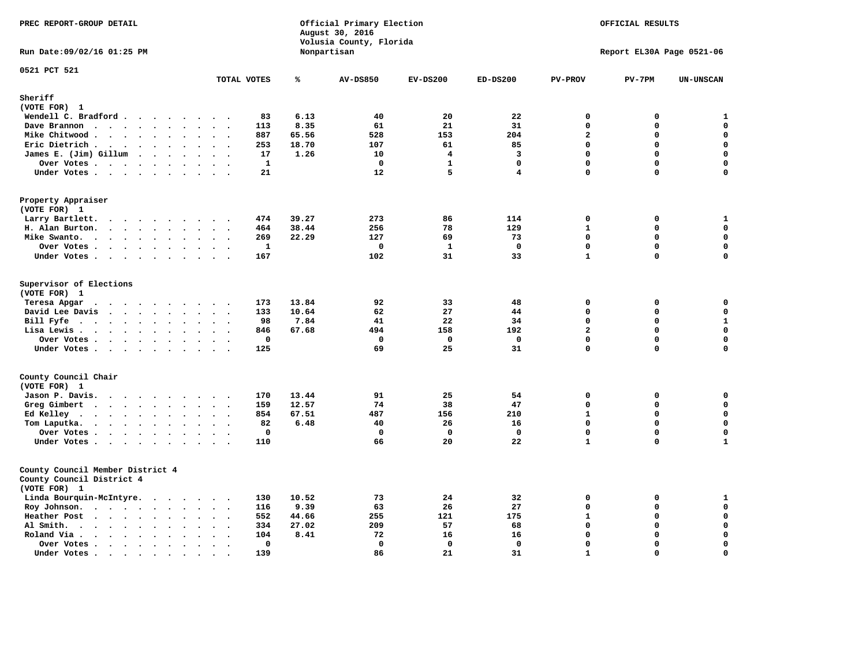| PREC REPORT-GROUP DETAIL                                                                                                                                                                                                                                                            |                                              |               | Official Primary Election<br>August 30, 2016<br>Volusia County, Florida | OFFICIAL RESULTS<br>Report EL30A Page 0521-06 |                   |                               |                            |                            |
|-------------------------------------------------------------------------------------------------------------------------------------------------------------------------------------------------------------------------------------------------------------------------------------|----------------------------------------------|---------------|-------------------------------------------------------------------------|-----------------------------------------------|-------------------|-------------------------------|----------------------------|----------------------------|
| Run Date: 09/02/16 01:25 PM                                                                                                                                                                                                                                                         |                                              |               | Nonpartisan                                                             |                                               |                   |                               |                            |                            |
| 0521 PCT 521                                                                                                                                                                                                                                                                        | TOTAL VOTES                                  | ℁             | <b>AV-DS850</b>                                                         | $EV-DS200$                                    | $ED-DS200$        | <b>PV-PROV</b>                | $PV-7PM$                   | <b>UN-UNSCAN</b>           |
| Sheriff<br>(VOTE FOR) 1                                                                                                                                                                                                                                                             |                                              |               |                                                                         |                                               |                   |                               |                            |                            |
| Wendell C. Bradford                                                                                                                                                                                                                                                                 | 83                                           | 6.13          | 40                                                                      | 20                                            | 22                | 0                             | 0                          | $\mathbf{1}$               |
| Dave Brannon<br>$\ddot{\phantom{a}}$<br>$\ddot{\phantom{a}}$                                                                                                                                                                                                                        | 113<br>$\sim$                                | 8.35          | 61                                                                      | 21                                            | 31                | $\Omega$                      | 0                          | $\mathbf 0$                |
| Mike Chitwood                                                                                                                                                                                                                                                                       | 887                                          | 65.56         | 528                                                                     | 153                                           | 204               | $\overline{a}$                | 0                          | $\mathbf 0$                |
| Eric Dietrich.<br>$\cdots$                                                                                                                                                                                                                                                          | 253                                          | 18.70         | 107                                                                     | 61                                            | 85                | $\Omega$                      | 0                          | $\mathbf 0$                |
| James E. (Jim) Gillum                                                                                                                                                                                                                                                               | 17                                           | 1.26          | 10                                                                      | $\overline{4}$                                | 3                 | $\Omega$                      | $\mathbf 0$                | $\mathbf 0$                |
| Over Votes                                                                                                                                                                                                                                                                          | 1<br>$\ddot{\phantom{1}}$                    |               | $\mathbf 0$                                                             | $\mathbf{1}$                                  | $\mathbf{0}$      | 0                             | $\mathbf 0$                | $\mathbf 0$                |
| Under Votes                                                                                                                                                                                                                                                                         | 21<br>$\cdot$ .                              |               | 12                                                                      | 5                                             | 4                 | $\Omega$                      | 0                          | 0                          |
| Property Appraiser<br>(VOTE FOR) 1                                                                                                                                                                                                                                                  |                                              |               |                                                                         |                                               |                   |                               |                            |                            |
| Larry Bartlett.<br>$\sim$<br>$\cdot$ $\cdot$ $\cdot$ $\cdot$<br>$\cdot$<br>$\overline{\phantom{a}}$                                                                                                                                                                                 | 474                                          | 39.27         | 273                                                                     | 86                                            | 114               | $\mathbf 0$                   | 0                          | $\mathbf{1}$               |
| H. Alan Burton.<br>$\sim$ $\sim$                                                                                                                                                                                                                                                    | 464<br>$\ddot{\phantom{0}}$                  | 38.44         | 256                                                                     | 78                                            | 129               | $\mathbf{1}$                  | $\mathbf 0$                | $\mathbf 0$                |
| Mike Swanto.<br>$\bullet$<br>$\bullet$                                                                                                                                                                                                                                              | 269<br>$\bullet$<br>$\ddot{\phantom{1}}$     | 22.29         | 127                                                                     | 69                                            | 73                | $\Omega$                      | $\mathbf 0$                | $\mathbf 0$                |
| Over Votes                                                                                                                                                                                                                                                                          | 1<br>$\sim$ $\sim$                           |               | 0                                                                       | 1                                             | 0                 | $\mathbf 0$                   | $\mathbf 0$                | $\mathbf 0$                |
| Under Votes                                                                                                                                                                                                                                                                         | 167                                          |               | 102                                                                     | 31                                            | 33                | $\mathbf{1}$                  | 0                          | 0                          |
| Supervisor of Elections<br>(VOTE FOR) 1                                                                                                                                                                                                                                             |                                              |               |                                                                         |                                               |                   |                               |                            |                            |
| Teresa Apgar<br>.                                                                                                                                                                                                                                                                   | 173                                          | 13.84         | 92                                                                      | 33                                            | 48                | $\mathbf 0$                   | $\mathbf 0$                | 0                          |
| David Lee Davis<br>$\cdots$                                                                                                                                                                                                                                                         | 133                                          | 10.64         | 62                                                                      | 27                                            | 44                | $\Omega$<br>$\Omega$          | $\Omega$<br>$\Omega$       | $\mathbf 0$                |
| Bill Fyfe<br>$\sim$ $\sim$ $\sim$                                                                                                                                                                                                                                                   | 98<br>$\ddot{\phantom{1}}$                   | 7.84          | 41                                                                      | 22                                            | 34                |                               |                            | $\mathbf 1$                |
| Lisa Lewis<br>$\ddot{\phantom{0}}$<br>$\sim$                                                                                                                                                                                                                                        | 846<br>$\sim$<br>$\ddot{\phantom{1}}$        | 67.68         | 494                                                                     | 158                                           | 192               | $\overline{a}$<br>$\mathbf 0$ | $\mathbf 0$<br>$\mathbf 0$ | $\mathbf 0$                |
| Over Votes<br>Under Votes                                                                                                                                                                                                                                                           | $\mathbf 0$<br>$\sim$<br>125                 |               | $\mathbf 0$<br>69                                                       | $\mathbf 0$<br>25                             | $\mathbf 0$<br>31 | $\mathbf 0$                   | $\mathbf 0$                | $\mathbf 0$<br>0           |
| County Council Chair                                                                                                                                                                                                                                                                |                                              |               |                                                                         |                                               |                   |                               |                            |                            |
| (VOTE FOR) 1                                                                                                                                                                                                                                                                        |                                              |               |                                                                         |                                               |                   |                               |                            |                            |
| Jason P. Davis.                                                                                                                                                                                                                                                                     | 170<br>$\sim$ $\sim$                         | 13.44         | 91                                                                      | 25                                            | 54                | $\mathbf{0}$                  | 0                          | 0                          |
| Greg Gimbert<br><u>in the community of the community of the community of the community of the community of the community of the community of the community of the community of the community of the community of the community of the community </u><br>$\sim$ $\sim$ $\sim$ $\sim$ | 159                                          | 12.57         | 74                                                                      | 38                                            | 47                | $\Omega$                      | 0                          | $\mathbf 0$                |
|                                                                                                                                                                                                                                                                                     | 854                                          |               | 487                                                                     | 156                                           | 210               | $\mathbf{1}$                  | $\mathbf{0}$               | $\mathbf 0$                |
|                                                                                                                                                                                                                                                                                     |                                              |               |                                                                         |                                               |                   | $\Omega$                      | $\mathbf 0$                | $\mathbf 0$                |
|                                                                                                                                                                                                                                                                                     | $\mathbf 0$                                  |               | $\mathbf{0}$                                                            | $\Omega$                                      | $\mathbf{0}$      | $\Omega$                      | $\mathbf 0$                | $\mathbf 0$                |
| Under Votes<br>$\sim$<br>$\ddot{\phantom{0}}$<br>$\ddot{\phantom{a}}$<br>$\sim$                                                                                                                                                                                                     | 110                                          |               | 66                                                                      | 20                                            | 22                | $\mathbf{1}$                  | $\Omega$                   | $\mathbf{1}$               |
| Ed Kelley.<br>$\bullet$<br>$\sim$<br>Tom Laputka.<br>$\begin{array}{cccccccccccccccccc} . & . & . & . & . & . & . & . & . & . & . & . & . \end{array}$<br>Over Votes<br>$\ddot{\phantom{0}}$<br>$\bullet$                                                                           | $\ddot{\phantom{0}}$<br>82                   | 67.51<br>6.48 | 40                                                                      | 26                                            | 16                |                               |                            |                            |
| County Council Member District 4<br>County Council District 4<br>(VOTE FOR) 1                                                                                                                                                                                                       |                                              |               | 73                                                                      | 24                                            | 32                |                               |                            |                            |
| Linda Bourquin-McIntyre.                                                                                                                                                                                                                                                            | 130                                          | 10.52<br>9.39 |                                                                         |                                               | 27                | $\mathbf 0$<br>$\Omega$       | $\mathbf 0$                | $\mathbf{1}$               |
| Roy Johnson.<br>$\ddot{\phantom{a}}$<br>$\sim$<br>Heather Post<br>$\sim$ $\sim$ $\sim$ $\sim$                                                                                                                                                                                       | 116<br>$\ddot{\phantom{1}}$<br>552           | 44.66         | 63<br>255                                                               | 26<br>121                                     | 175               | $\mathbf{1}$                  | $\mathbf 0$<br>$\mathbf 0$ | $\mathbf 0$<br>$\mathbf 0$ |
| Al Smith.                                                                                                                                                                                                                                                                           | 334                                          | 27.02         | 209                                                                     | 57                                            | 68                | $\Omega$                      | $\mathbf 0$                | $\mathbf 0$                |
| $\cdots$<br>$\ddot{\phantom{a}}$<br>$\bullet$<br>Roland Via .<br>$\Delta$                                                                                                                                                                                                           | $\sim$<br>$\ddot{\phantom{a}}$<br>104        | 8.41          | 72                                                                      |                                               | 16                | $\Omega$                      | $\Omega$                   | $\mathbf 0$                |
| $\mathbf{r}$ , and $\mathbf{r}$ , and $\mathbf{r}$<br>$\ddot{\phantom{a}}$<br>$\ddot{\phantom{a}}$<br>$\ddot{\phantom{a}}$<br>Over Votes                                                                                                                                            | $\mathbf{0}$                                 |               | $\mathbf{0}$                                                            | 16<br>$\Omega$                                | $\mathbf{0}$      | $\Omega$                      | $\mathbf 0$                | $\mathbf 0$                |
| $\ddot{\phantom{a}}$<br>$\bullet$<br>$\bullet$<br>$\cdot$                                                                                                                                                                                                                           | $\ddot{\phantom{a}}$<br>$\ddot{\phantom{0}}$ |               |                                                                         | 21                                            |                   | $\mathbf{1}$                  | $\Omega$                   | 0                          |
| Under Votes.<br>$\cdots$<br>$\bullet$<br>$\bullet$                                                                                                                                                                                                                                  | 139                                          |               | 86                                                                      |                                               | 31                |                               |                            |                            |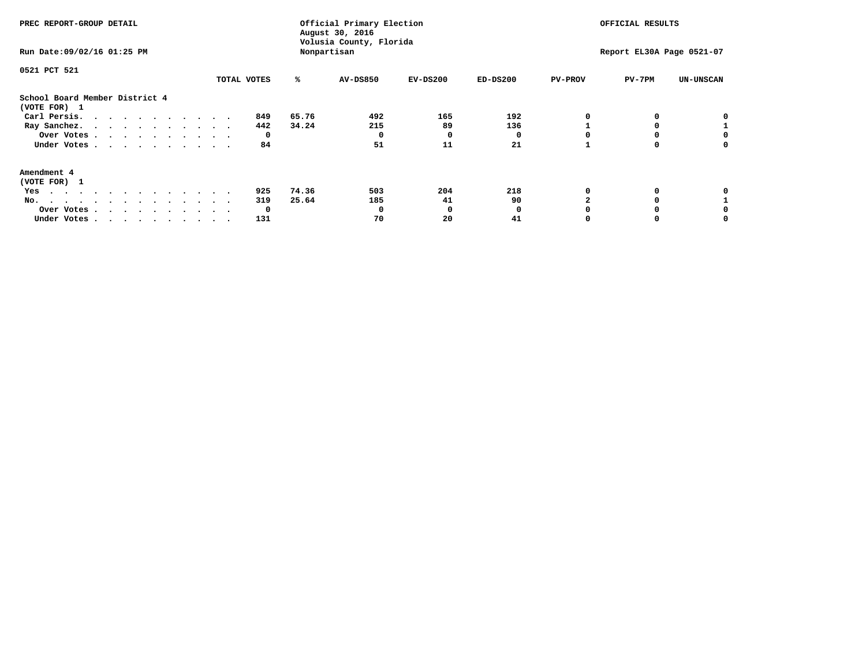| PREC REPORT-GROUP DETAIL                                                                                                                                                                                                                 |             |       | Official Primary Election<br>August 30, 2016<br>Volusia County, Florida | OFFICIAL RESULTS |            |                |                           |                  |
|------------------------------------------------------------------------------------------------------------------------------------------------------------------------------------------------------------------------------------------|-------------|-------|-------------------------------------------------------------------------|------------------|------------|----------------|---------------------------|------------------|
| Run Date: 09/02/16 01:25 PM                                                                                                                                                                                                              |             |       | Nonpartisan                                                             |                  |            |                | Report EL30A Page 0521-07 |                  |
| 0521 PCT 521                                                                                                                                                                                                                             |             |       |                                                                         |                  |            |                |                           |                  |
|                                                                                                                                                                                                                                          | TOTAL VOTES | ℁     | AV-DS850                                                                | $EV-DS200$       | $ED-DS200$ | <b>PV-PROV</b> | $PV-7PM$                  | <b>UN-UNSCAN</b> |
| School Board Member District 4<br>(VOTE FOR) 1                                                                                                                                                                                           |             |       |                                                                         |                  |            |                |                           |                  |
| Carl Persis.                                                                                                                                                                                                                             | 849         | 65.76 | 492                                                                     | 165              | 192        |                |                           |                  |
| Ray Sanchez.                                                                                                                                                                                                                             | 442         | 34.24 | 215                                                                     | 89               | 136        |                |                           |                  |
| Over Votes                                                                                                                                                                                                                               | 0           |       | O                                                                       | 0                |            |                |                           |                  |
| Under Votes                                                                                                                                                                                                                              | 84          |       | 51                                                                      | 11               | 21         |                |                           | 0                |
| Amendment 4                                                                                                                                                                                                                              |             |       |                                                                         |                  |            |                |                           |                  |
| (VOTE FOR) 1                                                                                                                                                                                                                             |             |       |                                                                         |                  |            |                |                           |                  |
| Yes<br>$\mathbf{a}$ . The contribution of the contribution of the contribution of the contribution of the contribution of the contribution of the contribution of the contribution of the contribution of the contribution of the contri | 925         | 74.36 | 503                                                                     | 204              | 218        |                |                           |                  |
| No.<br>.                                                                                                                                                                                                                                 | 319         | 25.64 | 185                                                                     | 41               | 90         |                |                           |                  |
| Over Votes                                                                                                                                                                                                                               | 0           |       |                                                                         | O                |            |                |                           |                  |
| Under Votes                                                                                                                                                                                                                              | 131         |       | 70                                                                      | 20               | 41         |                |                           |                  |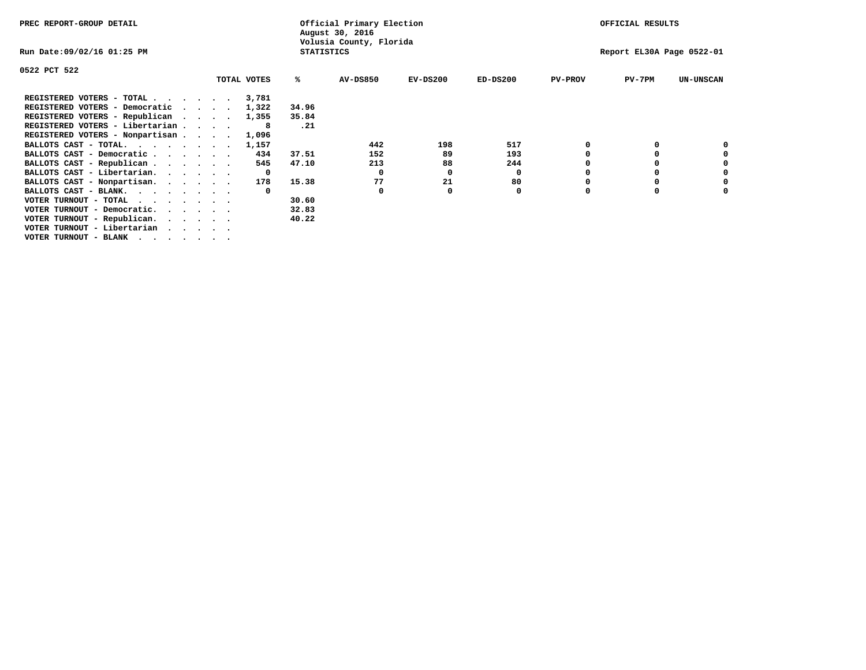| PREC REPORT-GROUP DETAIL                                                   |                   | Official Primary Election<br>August 30, 2016 |            |            |                | OFFICIAL RESULTS          |                  |
|----------------------------------------------------------------------------|-------------------|----------------------------------------------|------------|------------|----------------|---------------------------|------------------|
| Run Date:09/02/16 01:25 PM                                                 | <b>STATISTICS</b> | Volusia County, Florida                      |            |            |                | Report EL30A Page 0522-01 |                  |
| 0522 PCT 522                                                               |                   |                                              |            |            |                |                           |                  |
| TOTAL VOTES                                                                | ℁                 | <b>AV-DS850</b>                              | $EV-DS200$ | $ED-DS200$ | <b>PV-PROV</b> | $PV-7PM$                  | <b>UN-UNSCAN</b> |
| REGISTERED VOTERS - TOTAL<br>3,781                                         |                   |                                              |            |            |                |                           |                  |
| REGISTERED VOTERS - Democratic<br>1,322<br>$\cdot$ $\cdot$ $\cdot$ $\cdot$ | 34.96             |                                              |            |            |                |                           |                  |
| REGISTERED VOTERS - Republican<br>1,355                                    | 35.84             |                                              |            |            |                |                           |                  |
| REGISTERED VOTERS - Libertarian<br>8                                       | .21               |                                              |            |            |                |                           |                  |
| REGISTERED VOTERS - Nonpartisan<br>1,096                                   |                   |                                              |            |            |                |                           |                  |
| BALLOTS CAST - TOTAL.<br>1,157                                             |                   | 442                                          | 198        | 517        |                |                           |                  |
| BALLOTS CAST - Democratic<br>434                                           | 37.51             | 152                                          | 89         | 193        |                |                           |                  |
| BALLOTS CAST - Republican<br>545                                           | 47.10             | 213                                          | 88         | 244        |                |                           |                  |
| BALLOTS CAST - Libertarian.<br>- 0                                         |                   | 0                                            | 0          | 0          |                |                           |                  |
| BALLOTS CAST - Nonpartisan.<br>178                                         | 15.38             | 77                                           | 21         | 80         |                |                           |                  |
| BALLOTS CAST - BLANK.                                                      |                   | 0                                            |            | 0          | $\Omega$       |                           |                  |
| VOTER TURNOUT - TOTAL                                                      | 30.60             |                                              |            |            |                |                           |                  |
| VOTER TURNOUT - Democratic.<br>$\cdot$ $\cdot$ $\cdot$ $\cdot$ $\cdot$     | 32.83             |                                              |            |            |                |                           |                  |
| VOTER TURNOUT - Republican.                                                | 40.22             |                                              |            |            |                |                           |                  |
| VOTER TURNOUT - Libertarian                                                |                   |                                              |            |            |                |                           |                  |
| VOTER TURNOUT - BLANK                                                      |                   |                                              |            |            |                |                           |                  |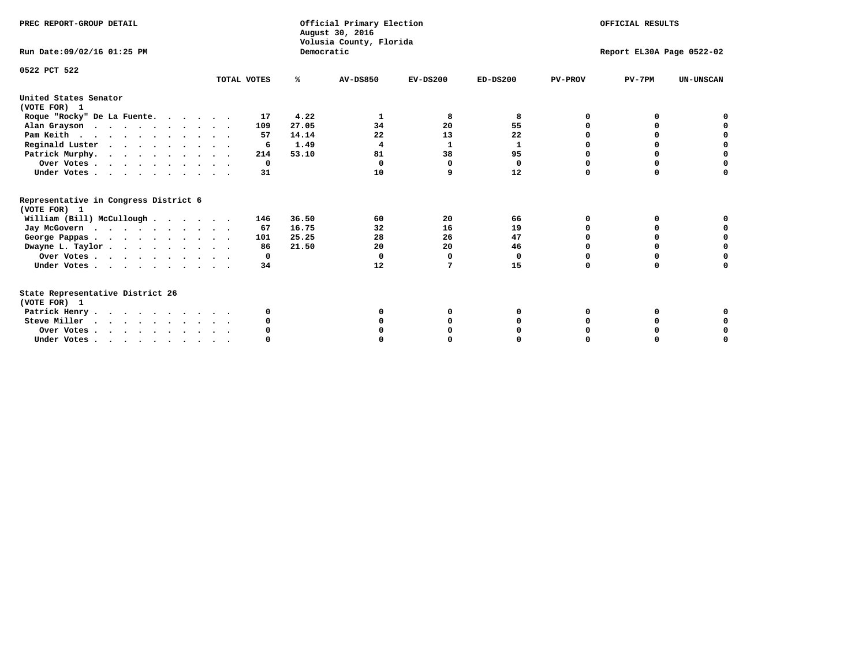| PREC REPORT-GROUP DETAIL<br>Run Date: 09/02/16 01:25 PM |             | Democratic | Official Primary Election<br>August 30, 2016<br>Volusia County, Florida |            |              |                | OFFICIAL RESULTS<br>Report EL30A Page 0522-02 |                  |
|---------------------------------------------------------|-------------|------------|-------------------------------------------------------------------------|------------|--------------|----------------|-----------------------------------------------|------------------|
|                                                         |             |            |                                                                         |            |              |                |                                               |                  |
| 0522 PCT 522                                            | TOTAL VOTES | %ะ         | <b>AV-DS850</b>                                                         | $EV-DS200$ | $ED-DS200$   | <b>PV-PROV</b> | $PV-7PM$                                      | <b>UN-UNSCAN</b> |
| United States Senator<br>(VOTE FOR) 1                   |             |            |                                                                         |            |              |                |                                               |                  |
| Roque "Rocky" De La Fuente.                             | 17          | 4.22       | 1                                                                       | 8          | 8            | O              | <sup>0</sup>                                  |                  |
| Alan Grayson                                            | 109         | 27.05      | 34                                                                      | 20         | 55           | $\Omega$       | O                                             |                  |
| Pam Keith                                               | 57          | 14.14      | 22                                                                      | 13         | 22           | O              | 0                                             | o                |
| Reginald Luster                                         | 6           | 1.49       | $\overline{4}$                                                          | 1          | $\mathbf{1}$ | O              | 0                                             | 0                |
| Patrick Murphy.                                         | 214         | 53.10      | 81                                                                      | 38         | 95           | O              | 0                                             | $\Omega$         |
| Over Votes                                              | 0           |            | $\Omega$                                                                | $\Omega$   | 0            | $\Omega$       | $\Omega$                                      | $\Omega$         |
| Under Votes                                             | 31          |            | 10                                                                      | 9          | 12           | $\Omega$       | $\Omega$                                      | $\Omega$         |
| Representative in Congress District 6                   |             |            |                                                                         |            |              |                |                                               |                  |
| (VOTE FOR) 1                                            |             |            |                                                                         |            |              |                |                                               |                  |
| William (Bill) McCullough                               | 146         | 36.50      | 60                                                                      | 20         | 66           | O              | 0                                             |                  |
| Jay McGovern                                            | 67          | 16.75      | 32                                                                      | 16         | 19           | O              | $\Omega$                                      | 0                |
| George Pappas.                                          | 101         | 25.25      | 28                                                                      | 26         | 47           | $\Omega$       | 0                                             | 0                |
| Dwayne L. Taylor                                        | 86          | 21.50      | 20                                                                      | 20         | 46           | $\Omega$       | 0                                             | 0                |
| Over Votes                                              | 0           |            | $\mathbf 0$                                                             | 0          | 0            | 0              | 0                                             | 0                |
| Under Votes                                             | 34          |            | 12                                                                      | 7          | 15           | $\Omega$       | 0                                             | O                |
| State Representative District 26<br>(VOTE FOR) 1        |             |            |                                                                         |            |              |                |                                               |                  |
|                                                         | 0           |            | O                                                                       | 0          | 0            | 0              | 0                                             | 0                |
| Patrick Henry<br>Steve Miller                           |             |            |                                                                         |            |              |                | 0                                             | 0                |
|                                                         |             |            |                                                                         | O          |              |                |                                               |                  |
| Over Votes                                              |             |            |                                                                         |            |              |                | 0                                             | 0                |
| Under Votes, , , , , , , , , ,                          |             |            |                                                                         |            |              | $\Omega$       |                                               | O                |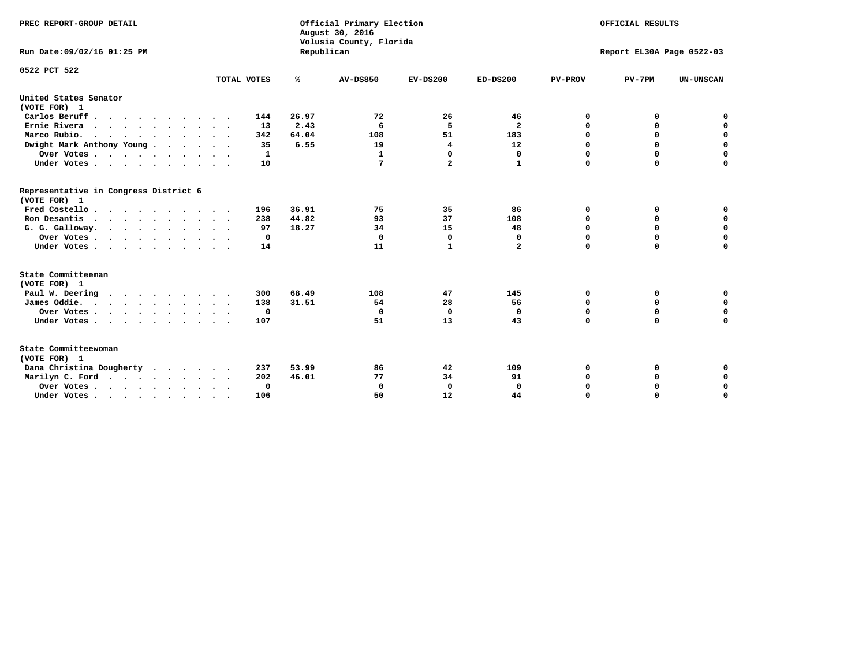| PREC REPORT-GROUP DETAIL<br>Run Date: 09/02/16 01:25 PM                          |             | Republican | Official Primary Election<br>August 30, 2016<br>Volusia County, Florida | OFFICIAL RESULTS<br>Report EL30A Page 0522-03 |                         |                |             |                  |
|----------------------------------------------------------------------------------|-------------|------------|-------------------------------------------------------------------------|-----------------------------------------------|-------------------------|----------------|-------------|------------------|
| 0522 PCT 522                                                                     |             |            |                                                                         |                                               |                         |                |             |                  |
|                                                                                  | TOTAL VOTES | ℁          | <b>AV-DS850</b>                                                         | $EV-DS200$                                    | $ED-DS200$              | <b>PV-PROV</b> | $PV-7PM$    | <b>UN-UNSCAN</b> |
| United States Senator<br>(VOTE FOR) 1                                            |             |            |                                                                         |                                               |                         |                |             |                  |
| Carlos Beruff                                                                    | 144         | 26.97      | 72                                                                      | 26                                            | 46                      | 0              | 0           | 0                |
| Ernie Rivera                                                                     | 13          | 2.43       | 6                                                                       | 5                                             | $\overline{\mathbf{2}}$ | $\Omega$       | 0           | $\mathbf 0$      |
| Marco Rubio.                                                                     | 342         | 64.04      | 108                                                                     | 51                                            | 183                     | $\mathbf 0$    | $\mathbf 0$ | $\mathbf 0$      |
| Dwight Mark Anthony Young                                                        | 35          | 6.55       | 19                                                                      | 4                                             | 12                      | 0              | $\mathbf 0$ | $\pmb{0}$        |
| Over Votes                                                                       | 1           |            | 1                                                                       | $\mathbf 0$                                   | 0                       | 0              | 0           | 0                |
| Under Votes                                                                      | 10          |            | 7                                                                       | $\overline{a}$                                | 1                       | $\Omega$       | $\Omega$    | $\mathbf 0$      |
| Representative in Congress District 6<br>(VOTE FOR) 1                            |             |            |                                                                         |                                               |                         |                |             |                  |
| Fred Costello.                                                                   | 196         | 36.91      | 75                                                                      | 35                                            | 86                      | 0              | 0           | 0                |
| Ron Desantis                                                                     | 238         | 44.82      | 93                                                                      | 37                                            | 108                     | 0              | 0           | $\mathbf 0$      |
| G. G. Galloway.                                                                  | 97          | 18.27      | 34                                                                      | 15                                            | 48                      | $\mathbf 0$    | $\Omega$    | $\mathbf 0$      |
| Over Votes                                                                       | $\Omega$    |            | $\Omega$                                                                | $\mathbf 0$                                   | 0                       | $\mathbf 0$    | $\mathbf 0$ | $\mathbf 0$      |
| Under Votes                                                                      | 14          |            | 11                                                                      | 1                                             | $\mathbf{2}$            | $\Omega$       | $\Omega$    | $\Omega$         |
| State Committeeman                                                               |             |            |                                                                         |                                               |                         |                |             |                  |
| (VOTE FOR) 1                                                                     |             |            |                                                                         |                                               |                         |                |             |                  |
| Paul W. Deering                                                                  | 300         | 68.49      | 108                                                                     | 47                                            | 145                     | 0              | 0           | 0                |
| James Oddie.                                                                     | 138         | 31.51      | 54                                                                      | 28                                            | 56                      | 0              | 0           | $\mathbf 0$      |
| Over Votes                                                                       | $\mathbf 0$ |            | $\mathbf{0}$                                                            | 0                                             | 0                       | 0              | $\mathbf 0$ | $\mathbf 0$      |
| Under Votes                                                                      | 107         |            | 51                                                                      | 13                                            | 43                      | $\Omega$       | 0           | $\mathbf 0$      |
| State Committeewoman<br>(VOTE FOR) 1                                             |             |            |                                                                         |                                               |                         |                |             |                  |
| Dana Christina Dougherty<br>.                                                    | 237         | 53.99      | 86                                                                      | 42                                            | 109                     | 0              | 0           | 0                |
| Marilyn C. Ford                                                                  | 202         | 46.01      | 77                                                                      | 34                                            | 91                      | 0              | 0           | 0                |
| Over Votes                                                                       | $\Omega$    |            | $\Omega$                                                                | 0                                             | $\mathbf{0}$            | 0              | 0           | $\mathbf 0$      |
| Under Votes, $\cdot$ , $\cdot$ , $\cdot$ , $\cdot$ , $\cdot$ , $\cdot$ , $\cdot$ | 106         |            | 50                                                                      | 12                                            | 44                      | $\Omega$       | $\Omega$    | $\Omega$         |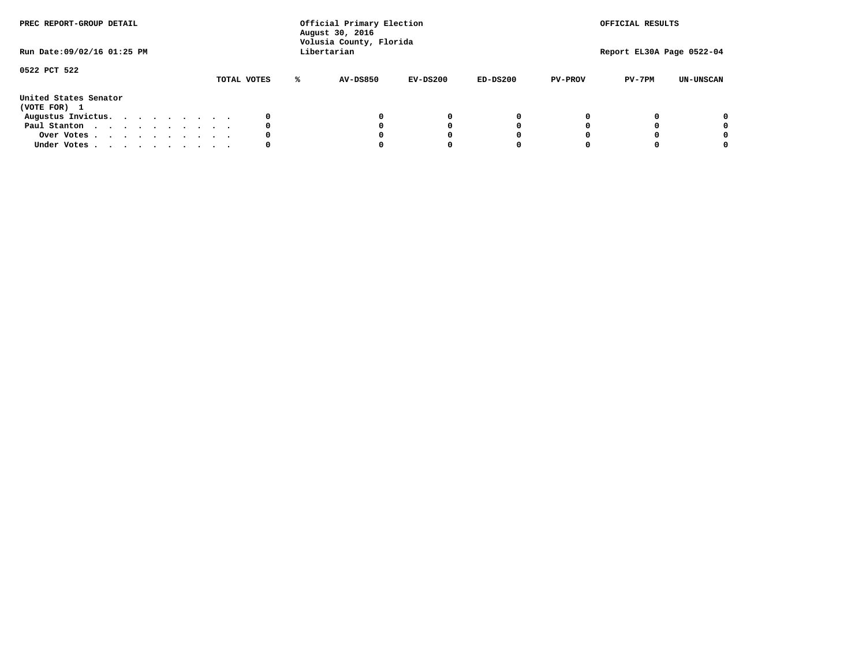| PREC REPORT-GROUP DETAIL<br>Run Date: 09/02/16 01:25 PM |  |  |  |  |             | Official Primary Election<br>August 30, 2016<br>Volusia County, Florida<br>Libertarian |            |            |                | OFFICIAL RESULTS<br>Report EL30A Page 0522-04 |                  |
|---------------------------------------------------------|--|--|--|--|-------------|----------------------------------------------------------------------------------------|------------|------------|----------------|-----------------------------------------------|------------------|
| 0522 PCT 522                                            |  |  |  |  | TOTAL VOTES | <b>AV-DS850</b>                                                                        | $EV-DS200$ | $ED-DS200$ | <b>PV-PROV</b> | $PV-7PM$                                      | <b>UN-UNSCAN</b> |
| United States Senator<br>(VOTE FOR) 1                   |  |  |  |  |             |                                                                                        |            |            |                |                                               |                  |
| Augustus Invictus.                                      |  |  |  |  |             |                                                                                        | $^{\circ}$ | 0          |                |                                               | 0                |
| Paul Stanton                                            |  |  |  |  | 0           |                                                                                        | 0          |            |                |                                               | 0                |
| Over Votes                                              |  |  |  |  |             |                                                                                        |            |            |                |                                               | 0                |
| Under Votes                                             |  |  |  |  | 0           |                                                                                        |            |            |                |                                               | 0                |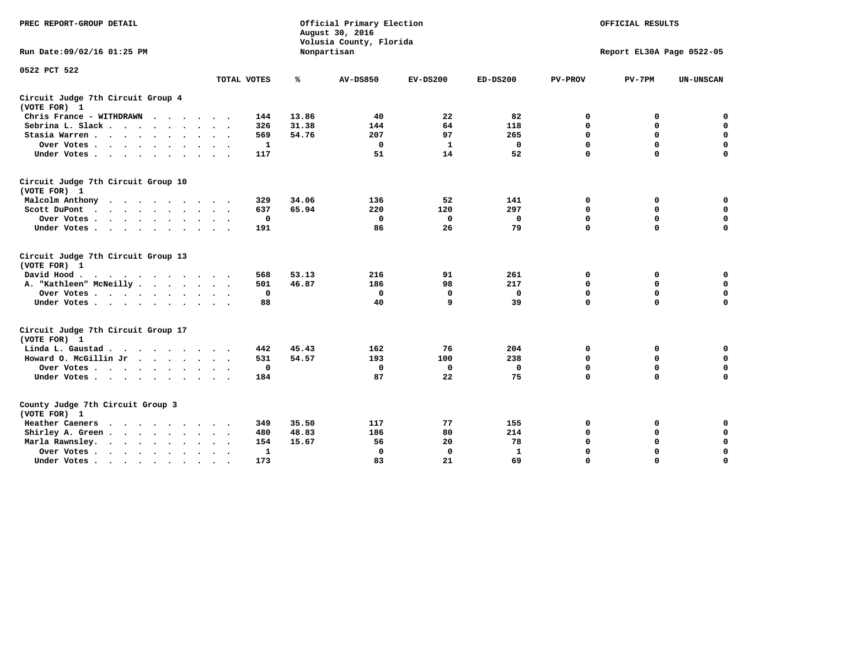| PREC REPORT-GROUP DETAIL                                                                                                           |             | Official Primary Election<br>August 30, 2016<br>Volusia County, Florida |                 | OFFICIAL RESULTS |            |                |                           |                  |
|------------------------------------------------------------------------------------------------------------------------------------|-------------|-------------------------------------------------------------------------|-----------------|------------------|------------|----------------|---------------------------|------------------|
| Run Date: 09/02/16 01:25 PM                                                                                                        |             |                                                                         | Nonpartisan     |                  |            |                | Report EL30A Page 0522-05 |                  |
| 0522 PCT 522                                                                                                                       |             |                                                                         |                 |                  |            |                |                           |                  |
|                                                                                                                                    | TOTAL VOTES | ℁                                                                       | <b>AV-DS850</b> | $EV-DS200$       | $ED-DS200$ | <b>PV-PROV</b> | $PV-7PM$                  | <b>UN-UNSCAN</b> |
| Circuit Judge 7th Circuit Group 4<br>(VOTE FOR) 1                                                                                  |             |                                                                         |                 |                  |            |                |                           |                  |
| Chris France - WITHDRAWN<br>$\cdots$                                                                                               | 144         | 13.86                                                                   | 40              | 22               | 82         | 0              | 0                         | 0                |
| Sebrina L. Slack                                                                                                                   | 326         | 31.38                                                                   | 144             | 64               | 118        | $\Omega$       | $\mathbf 0$               | $\mathbf 0$      |
| Stasia Warren                                                                                                                      | 569         | 54.76                                                                   | 207             | 97               | 265        | $\mathbf 0$    | $\Omega$                  | $\mathbf 0$      |
| Over Votes                                                                                                                         | 1           |                                                                         | $\mathbf{0}$    | 1                | 0          | $\mathbf 0$    | $\mathbf 0$               | $\mathbf 0$      |
| Under Votes                                                                                                                        | 117         |                                                                         | 51              | 14               | 52         | $\mathbf 0$    | $\Omega$                  | $\mathbf 0$      |
| Circuit Judge 7th Circuit Group 10<br>(VOTE FOR) 1                                                                                 |             |                                                                         |                 |                  |            |                |                           |                  |
| Malcolm Anthony                                                                                                                    | 329         | 34.06                                                                   | 136             | 52               | 141        | 0              | 0                         | 0                |
| Scott DuPont                                                                                                                       | 637         | 65.94                                                                   | 220             | 120              | 297        | $\mathbf 0$    | $\mathbf 0$               | $\mathbf 0$      |
| Over Votes<br>$\bullet$<br>$\cdot$                                                                                                 | 0           |                                                                         | $\mathbf{0}$    | 0                | 0          | 0              | $\mathbf 0$               | $\mathbf 0$      |
| Under Votes                                                                                                                        | 191         |                                                                         | 86              | 26               | 79         | $\mathbf 0$    | $\Omega$                  | $\Omega$         |
| Circuit Judge 7th Circuit Group 13<br>(VOTE FOR) 1                                                                                 |             |                                                                         |                 |                  |            |                |                           |                  |
| David Hood.                                                                                                                        | 568         | 53.13                                                                   | 216             | 91               | 261        | $\mathbf 0$    | 0                         | $\mathbf 0$      |
| A. "Kathleen" McNeilly.<br>$\cdots$                                                                                                | 501         | 46.87                                                                   | 186             | 98               | 217        | $\Omega$       | $\Omega$                  | $\mathbf 0$      |
| Over Votes                                                                                                                         | $\mathbf 0$ |                                                                         | $\mathbf{0}$    | $\mathbf 0$      | 0          | 0              | $\mathbf 0$               | $\mathbf 0$      |
| Under Votes                                                                                                                        | 88          |                                                                         | 40              | 9                | 39         | $\mathbf 0$    | $\Omega$                  | 0                |
| Circuit Judge 7th Circuit Group 17<br>(VOTE FOR) 1                                                                                 |             |                                                                         |                 |                  |            |                |                           |                  |
| Linda L. Gaustad                                                                                                                   | 442         | 45.43                                                                   | 162             | 76               | 204        | 0              | 0                         | $\mathbf 0$      |
| Howard O. McGillin Jr                                                                                                              | 531         | 54.57                                                                   | 193             | 100              | 238        | 0              | 0                         | $\mathbf 0$      |
| Over Votes                                                                                                                         | $\mathbf 0$ |                                                                         | $\Omega$        | 0                | 0          | $\mathbf 0$    | $\mathbf 0$               | 0                |
| Under Votes                                                                                                                        | 184         |                                                                         | 87              | 22               | 75         | $\mathbf 0$    | $\mathbf 0$               | $\mathbf 0$      |
| County Judge 7th Circuit Group 3<br>(VOTE FOR) 1                                                                                   |             |                                                                         |                 |                  |            |                |                           |                  |
| Heather Caeners<br>$\cdots$                                                                                                        | 349         | 35.50                                                                   | 117             | 77               | 155        | 0              | 0                         | 0                |
| Shirley A. Green                                                                                                                   | 480         | 48.83                                                                   | 186             | 80               | 214        | $\mathbf 0$    | $\Omega$                  | $\mathbf 0$      |
| Marla Rawnsley.<br>the contract of the contract of the contract of the contract of the contract of the contract of the contract of | 154         | 15.67                                                                   | 56              | 20               | 78         | 0              | $\mathbf 0$               | $\pmb{0}$        |
| Over Votes.<br>$\ddot{\phantom{a}}$<br>$\ddot{\phantom{a}}$                                                                        | 1           |                                                                         | $\Omega$        | 0                | 1          | $\mathbf 0$    | $\Omega$                  | $\mathbf 0$      |
| Under Votes<br>$\sim$<br>$\sim$                                                                                                    | 173         |                                                                         | 83              | 21               | 69         | $\mathbf 0$    | $\mathbf 0$               | 0                |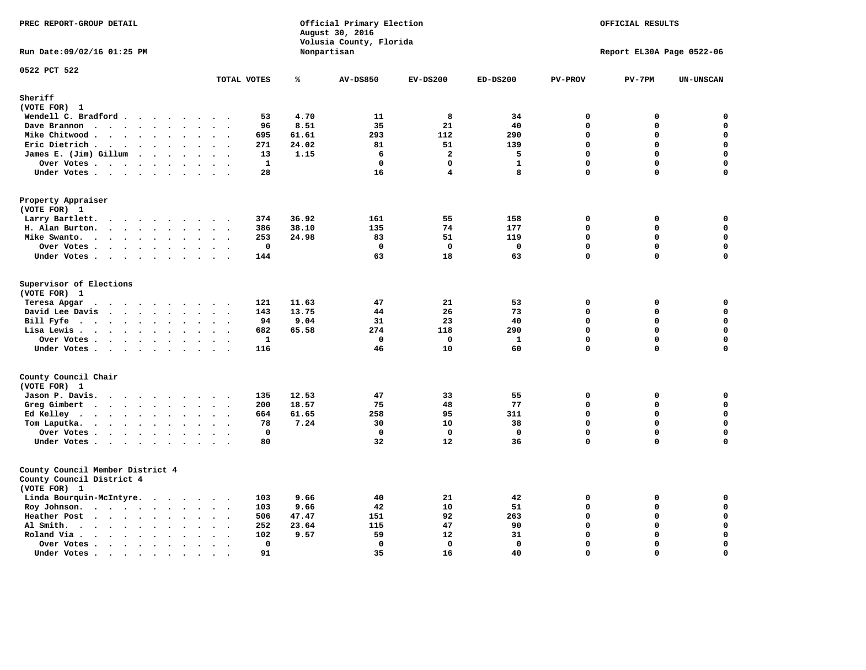| PREC REPORT-GROUP DETAIL                                                                 |                                                       |       | Official Primary Election<br>August 30, 2016<br>Volusia County, Florida | OFFICIAL RESULTS   |                 |                      |                           |                            |
|------------------------------------------------------------------------------------------|-------------------------------------------------------|-------|-------------------------------------------------------------------------|--------------------|-----------------|----------------------|---------------------------|----------------------------|
| Run Date: 09/02/16 01:25 PM                                                              |                                                       |       | Nonpartisan                                                             |                    |                 |                      | Report EL30A Page 0522-06 |                            |
| 0522 PCT 522                                                                             | TOTAL VOTES                                           | ℁     | <b>AV-DS850</b>                                                         | $EV-DS200$         | $ED-DS200$      | <b>PV-PROV</b>       | $PV-7PM$                  | <b>UN-UNSCAN</b>           |
| Sheriff                                                                                  |                                                       |       |                                                                         |                    |                 |                      |                           |                            |
| (VOTE FOR) 1                                                                             |                                                       |       |                                                                         |                    |                 |                      |                           |                            |
| Wendell C. Bradford                                                                      | 53                                                    | 4.70  | 11                                                                      | 8                  | 34              | $\mathbf 0$          | 0                         | 0                          |
| Dave Brannon                                                                             | 96                                                    | 8.51  | 35                                                                      | 21                 | 40              | $\mathbf 0$          | 0                         | 0                          |
| Mike Chitwood                                                                            | 695                                                   | 61.61 | 293                                                                     | 112                | 290             | $\mathbf 0$          | 0                         | 0                          |
| Eric Dietrich.<br>$\cdots$                                                               | 271<br>$\sim$<br>$\overline{\phantom{a}}$             | 24.02 | 81                                                                      | 51                 | 139             | $\mathbf 0$          | 0                         | $\mathbf 0$                |
| James E. (Jim) Gillum                                                                    | 13                                                    | 1.15  | 6                                                                       | $\overline{a}$     | 5               | $\Omega$             | $\mathbf 0$               | $\mathbf 0$                |
| Over Votes                                                                               | 1                                                     |       | $\mathbf{0}$                                                            | $\mathbf 0$        | $\mathbf{1}$    | $\mathbf{0}$         | 0                         | $\mathbf 0$                |
| Under Votes                                                                              | 28                                                    |       | 16                                                                      | 4                  | 8               | $\Omega$             | 0                         | 0                          |
| Property Appraiser                                                                       |                                                       |       |                                                                         |                    |                 |                      |                           |                            |
| (VOTE FOR) 1                                                                             |                                                       |       |                                                                         |                    |                 |                      |                           |                            |
| Larry Bartlett.<br>$\sim$                                                                | 374<br>$\cdot$ .                                      | 36.92 | 161                                                                     | 55                 | 158             | 0                    | 0                         | 0                          |
| H. Alan Burton.                                                                          | 386<br>$\sim$ $\sim$                                  | 38.10 | 135                                                                     | 74                 | 177             | $\mathbf 0$          | 0                         | $\mathbf 0$                |
| Mike Swanto.<br>$\bullet$                                                                | 253<br>$\ddot{\phantom{a}}$<br>$\bullet$<br>$\bullet$ | 24.98 | 83                                                                      | 51                 | 119             | $\mathbf 0$          | 0                         | $\mathbf 0$                |
| Over Votes                                                                               | $\mathbf 0$<br>$\sim$ $\sim$                          |       | $\mathbf 0$                                                             | $\mathbf{o}$       | 0               | $\mathbf 0$          | 0                         | $\mathbf 0$                |
| Under Votes                                                                              | 144                                                   |       | 63                                                                      | 18                 | 63              | $\mathbf 0$          | 0                         | $\mathbf 0$                |
| Supervisor of Elections<br>(VOTE FOR) 1                                                  |                                                       |       |                                                                         |                    |                 |                      |                           |                            |
| Teresa Apgar                                                                             | 121                                                   | 11.63 | 47                                                                      | 21                 | 53              | $\mathbf 0$          | 0                         | 0                          |
| David Lee Davis                                                                          | 143                                                   | 13.75 | 44                                                                      | 26                 | 73              | $\mathbf 0$          | $\mathbf 0$               | 0                          |
| Bill Fyfe<br>$\sim$ $\sim$ $\sim$                                                        | 94<br>$\ddot{\phantom{1}}$                            | 9.04  | 31                                                                      | 23                 | 40              | $\mathbf 0$          | $\mathbf 0$               | $\mathbf 0$                |
| Lisa Lewis                                                                               | 682                                                   | 65.58 | 274<br>$\mathbf 0$                                                      | 118<br>$\mathbf 0$ | 290             | $\Omega$<br>$\Omega$ | $\mathbf 0$<br>$\Omega$   | $\mathbf 0$<br>$\mathbf 0$ |
| Over Votes<br>Under Votes<br>$\sim$                                                      | $\mathbf{1}$<br>116                                   |       | 46                                                                      | 10                 | ${\bf 1}$<br>60 | $\mathbf 0$          | $\mathbf 0$               | $\mathbf 0$                |
|                                                                                          |                                                       |       |                                                                         |                    |                 |                      |                           |                            |
| County Council Chair                                                                     |                                                       |       |                                                                         |                    |                 |                      |                           |                            |
| (VOTE FOR) 1                                                                             | 135                                                   | 12.53 | 47                                                                      | 33                 | 55              | $\mathbf 0$          | 0                         | $\mathbf 0$                |
| Jason P. Davis.<br>Greg Gimbert<br>$\mathbf{r}$ . The state of the state $\mathbf{r}$    | $\sim$ $\sim$<br>200                                  | 18.57 | 75                                                                      | 48                 | 77              | $\Omega$             | 0                         | 0                          |
| Ed Kelley $\cdots$ $\cdots$ $\cdots$<br>$\ddot{\phantom{a}}$                             | 664<br>$\sim$ $\sim$<br>$\sim$ $\sim$                 | 61.65 | 258                                                                     | 95                 | 311             | $\mathbf 0$          | $\mathbf 0$               | $\mathbf 0$                |
| Tom Laputka.                                                                             | 78                                                    | 7.24  | 30                                                                      | 10                 | 38              | $\mathbf 0$          | $\mathbf 0$               | $\mathbf 0$                |
| Over Votes.<br>$\ddot{\phantom{a}}$<br>$\ddot{\phantom{a}}$                              | $\mathbf{0}$                                          |       | $\Omega$                                                                | $^{\circ}$         | $\mathbf{0}$    | $\mathbf{0}$         | 0                         | 0                          |
| Under Votes<br>$\ddot{\phantom{0}}$                                                      | 80<br>$\cdots$                                        |       | 32                                                                      | 12                 | 36              | $\Omega$             | $\mathbf 0$               | $\Omega$                   |
|                                                                                          |                                                       |       |                                                                         |                    |                 |                      |                           |                            |
| County Council Member District 4<br>County Council District 4<br>(VOTE FOR) 1            |                                                       |       |                                                                         |                    |                 |                      |                           |                            |
| Linda Bourquin-McIntyre.                                                                 | 103                                                   | 9.66  | 40                                                                      | 21                 | 42              | $\Omega$             | 0                         | $\mathbf 0$                |
| Roy Johnson.                                                                             | 103                                                   | 9.66  | 42                                                                      | 10                 | 51              | $\mathbf 0$          | 0                         | $\mathbf 0$                |
| Heather Post                                                                             | 506<br>$\sim$ $\sim$                                  | 47.47 | 151                                                                     | 92                 | 263             | $\mathbf 0$          | 0                         | $\mathbf 0$                |
| Al Smith.<br>$\bullet$                                                                   | 252<br>$\ddot{\phantom{a}}$<br>$\ddot{\phantom{a}}$   | 23.64 | 115                                                                     | 47                 | 90              | $\mathbf 0$          | $\mathbf 0$               | $\mathbf 0$                |
| Roland Via .<br>$\cdots$<br>$\Delta$<br>$\ddot{\phantom{a}}$<br>$\sim$                   | 102                                                   | 9.57  | 59                                                                      | 12                 | 31              | $\Omega$             | $\mathbf 0$               | $\mathbf 0$                |
| Over Votes<br>$\cdot$<br>$\bullet$                                                       | $\mathbf{0}$<br>$\cdot$<br>$\cdot$                    |       | $\mathbf{0}$                                                            | $\Omega$           | $\mathbf{0}$    | $\mathbf{0}$         | 0                         | $\mathbf 0$                |
| Under Votes.<br>$\ddot{\phantom{0}}$<br>$\bullet$<br>$\bullet$<br>$\bullet$<br>$\bullet$ | 91                                                    |       | 35                                                                      | 16                 | 40              | $\Omega$             | $\Omega$                  | $\mathbf 0$                |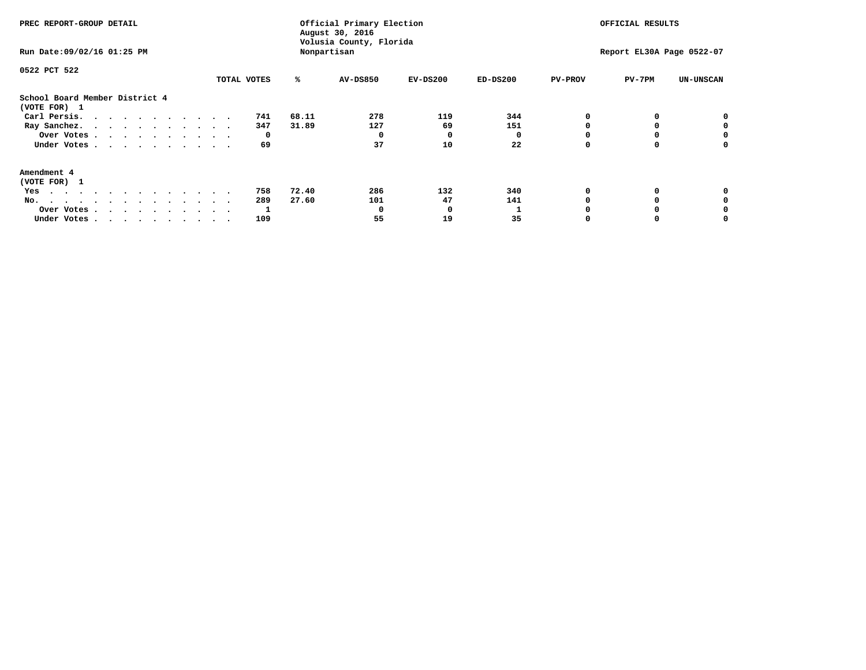| PREC REPORT-GROUP DETAIL                                                                                                                                                                                                                 |             |       | Official Primary Election<br>August 30, 2016<br>Volusia County, Florida | OFFICIAL RESULTS |            |                |                           |                  |
|------------------------------------------------------------------------------------------------------------------------------------------------------------------------------------------------------------------------------------------|-------------|-------|-------------------------------------------------------------------------|------------------|------------|----------------|---------------------------|------------------|
| Run Date: 09/02/16 01:25 PM                                                                                                                                                                                                              |             |       | Nonpartisan                                                             |                  |            |                | Report EL30A Page 0522-07 |                  |
| 0522 PCT 522                                                                                                                                                                                                                             |             |       |                                                                         |                  |            |                |                           |                  |
|                                                                                                                                                                                                                                          | TOTAL VOTES | ℁     | AV-DS850                                                                | $EV-DS200$       | $ED-DS200$ | <b>PV-PROV</b> | $PV-7PM$                  | <b>UN-UNSCAN</b> |
| School Board Member District 4<br>(VOTE FOR) 1                                                                                                                                                                                           |             |       |                                                                         |                  |            |                |                           |                  |
| Carl Persis.                                                                                                                                                                                                                             | 741         | 68.11 | 278                                                                     | 119              | 344        |                |                           | 0                |
| Ray Sanchez.                                                                                                                                                                                                                             | 347         | 31.89 | 127                                                                     | 69               | 151        |                |                           |                  |
| Over Votes                                                                                                                                                                                                                               | 0           |       | 0                                                                       | 0                |            |                |                           | 0                |
| Under Votes                                                                                                                                                                                                                              | 69          |       | 37                                                                      | 10               | 22         |                |                           | 0                |
| Amendment 4                                                                                                                                                                                                                              |             |       |                                                                         |                  |            |                |                           |                  |
| (VOTE FOR) 1                                                                                                                                                                                                                             |             |       |                                                                         |                  |            |                |                           |                  |
| Yes<br>$\mathbf{a}$ . The contribution of the contribution of the contribution of the contribution of the contribution of the contribution of the contribution of the contribution of the contribution of the contribution of the contri | 758         | 72.40 | 286                                                                     | 132              | 340        |                |                           |                  |
| No.<br>.                                                                                                                                                                                                                                 | 289         | 27.60 | 101                                                                     | 47               | 141        |                |                           |                  |
| Over Votes                                                                                                                                                                                                                               |             |       | O                                                                       | O                |            |                |                           |                  |
| Under Votes                                                                                                                                                                                                                              | 109         |       | 55                                                                      | 19               | 35         |                |                           |                  |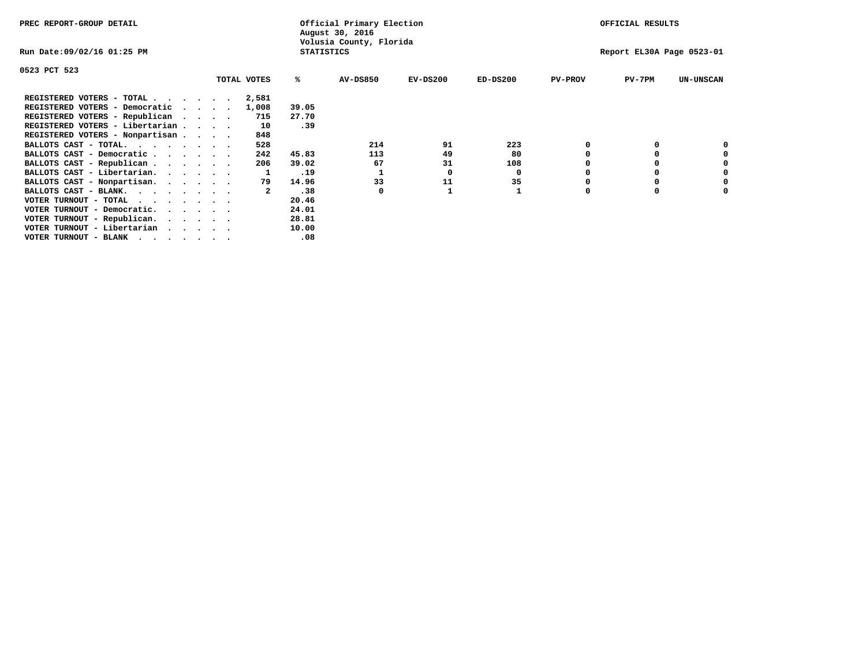| PREC REPORT-GROUP DETAIL                                               |                   | Official Primary Election<br>August 30, 2016 |                           | OFFICIAL RESULTS |                |          |                  |
|------------------------------------------------------------------------|-------------------|----------------------------------------------|---------------------------|------------------|----------------|----------|------------------|
| Run Date:09/02/16 01:25 PM                                             | <b>STATISTICS</b> | Volusia County, Florida                      | Report EL30A Page 0523-01 |                  |                |          |                  |
| 0523 PCT 523                                                           |                   |                                              |                           |                  |                |          |                  |
| TOTAL VOTES                                                            | ℁                 | <b>AV-DS850</b>                              | $EV-DS200$                | $ED-DS200$       | <b>PV-PROV</b> | $PV-7PM$ | <b>UN-UNSCAN</b> |
| REGISTERED VOTERS - TOTAL<br>2,581                                     |                   |                                              |                           |                  |                |          |                  |
| REGISTERED VOTERS - Democratic<br>1,008<br>$\cdots$                    | 39.05             |                                              |                           |                  |                |          |                  |
| REGISTERED VOTERS - Republican<br>715                                  | 27.70             |                                              |                           |                  |                |          |                  |
| REGISTERED VOTERS - Libertarian<br>10                                  | .39               |                                              |                           |                  |                |          |                  |
| REGISTERED VOTERS - Nonpartisan<br>848                                 |                   |                                              |                           |                  |                |          |                  |
| 528<br>BALLOTS CAST - TOTAL.                                           |                   | 214                                          | 91                        | 223              |                |          |                  |
| BALLOTS CAST - Democratic<br>242                                       | 45.83             | 113                                          | 49                        | 80               |                |          |                  |
| BALLOTS CAST - Republican<br>206                                       | 39.02             | 67                                           | 31                        | 108              |                |          |                  |
| BALLOTS CAST - Libertarian.                                            | .19               |                                              | 0                         | 0                |                |          |                  |
| BALLOTS CAST - Nonpartisan.<br>79                                      | 14.96             | 33                                           | 11                        | 35               |                |          | 0                |
| BALLOTS CAST - BLANK.                                                  | .38               | 0                                            |                           |                  | $\Omega$       |          |                  |
| VOTER TURNOUT - TOTAL<br>$\cdots$                                      | 20.46             |                                              |                           |                  |                |          |                  |
| VOTER TURNOUT - Democratic.<br>$\cdot$ $\cdot$ $\cdot$ $\cdot$ $\cdot$ | 24.01             |                                              |                           |                  |                |          |                  |
| VOTER TURNOUT - Republican.                                            | 28.81             |                                              |                           |                  |                |          |                  |
| VOTER TURNOUT - Libertarian                                            | 10.00             |                                              |                           |                  |                |          |                  |
| VOTER TURNOUT - BLANK                                                  | .08               |                                              |                           |                  |                |          |                  |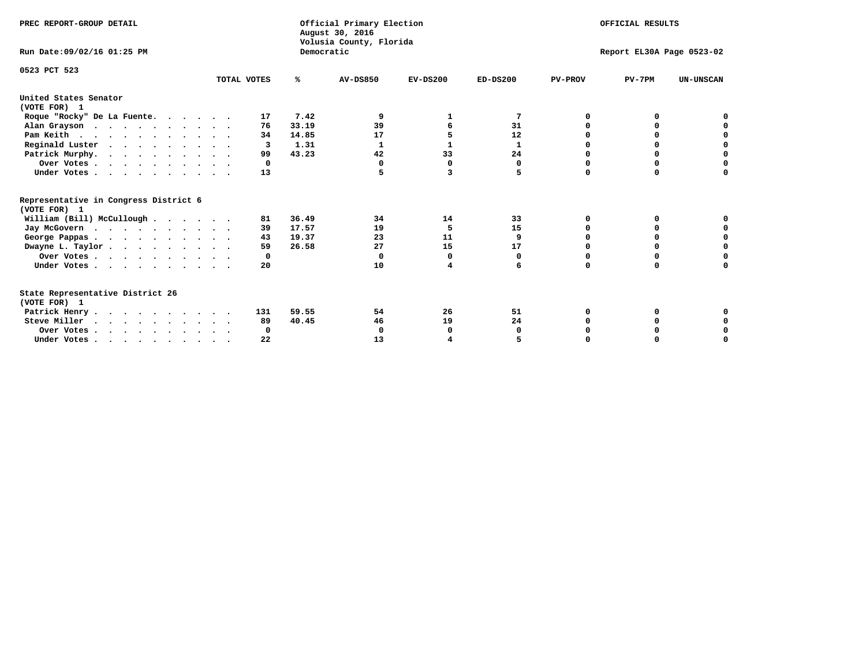| PREC REPORT-GROUP DETAIL<br>Run Date: 09/02/16 01:25 PM |             | Democratic | Official Primary Election<br>August 30, 2016<br>Volusia County, Florida | OFFICIAL RESULTS<br>Report EL30A Page 0523-02 |             |                |          |                  |  |  |
|---------------------------------------------------------|-------------|------------|-------------------------------------------------------------------------|-----------------------------------------------|-------------|----------------|----------|------------------|--|--|
|                                                         |             |            |                                                                         |                                               |             |                |          |                  |  |  |
| 0523 PCT 523                                            | TOTAL VOTES | ℁          | <b>AV-DS850</b>                                                         | $EV-DS200$                                    | $ED-DS200$  | <b>PV-PROV</b> | $PV-7PM$ | <b>UN-UNSCAN</b> |  |  |
| United States Senator<br>(VOTE FOR) 1                   |             |            |                                                                         |                                               |             |                |          |                  |  |  |
| Roque "Rocky" De La Fuente.                             | 17          | 7.42       | 9                                                                       | 1                                             | 7           | O              | o        |                  |  |  |
| Alan Grayson                                            | 76          | 33.19      | 39                                                                      |                                               | 31          | O              |          |                  |  |  |
| Pam Keith                                               | 34          | 14.85      | 17                                                                      | 5                                             | 12          | O              | 0        | o                |  |  |
| Reginald Luster                                         | 3           | 1.31       | 1                                                                       | 1                                             | 1           | 0              | 0        | $\mathbf 0$      |  |  |
| Patrick Murphy.                                         | 99          | 43.23      | 42                                                                      | 33                                            | 24          | 0              | 0        | $\mathbf 0$      |  |  |
| Over Votes                                              | 0           |            | $\Omega$                                                                | $\mathbf 0$                                   | $\mathbf 0$ | $\Omega$       | $\Omega$ | $\Omega$         |  |  |
| Under Votes                                             | 13          |            |                                                                         | 3                                             | 5           | $\Omega$       | $\Omega$ | 0                |  |  |
| Representative in Congress District 6<br>(VOTE FOR) 1   |             |            |                                                                         |                                               |             |                |          |                  |  |  |
| William (Bill) McCullough                               | 81          | 36.49      | 34                                                                      | 14                                            | 33          | O              | 0        |                  |  |  |
| Jay McGovern                                            | 39          | 17.57      | 19                                                                      | 5                                             | 15          | O              | 0        | 0                |  |  |
| George Pappas.                                          | 43          | 19.37      | 23                                                                      | 11                                            | 9           | O              | O        | 0                |  |  |
| Dwayne L. Taylor                                        | 59          | 26.58      | 27                                                                      | 15                                            | 17          | $\Omega$       | 0        | $\mathbf 0$      |  |  |
| Over Votes                                              | 0           |            | $\mathbf 0$                                                             | 0                                             | 0           | 0              | 0        | 0                |  |  |
| Under Votes                                             | 20          |            | 10                                                                      | 4                                             | 6           | $\Omega$       | $\Omega$ | O                |  |  |
| State Representative District 26<br>(VOTE FOR) 1        |             |            |                                                                         |                                               |             |                |          |                  |  |  |
| Patrick Henry                                           | 131         | 59.55      | 54                                                                      | 26                                            | 51          | 0              | 0        |                  |  |  |
| Steve Miller                                            | 89          | 40.45      | 46                                                                      | 19                                            | 24          |                |          | 0                |  |  |
| Over Votes                                              | 0           |            | 0                                                                       | 0                                             | 0           |                | 0        | 0                |  |  |
| Under Votes.                                            | 22          |            | 13                                                                      |                                               |             |                |          | O                |  |  |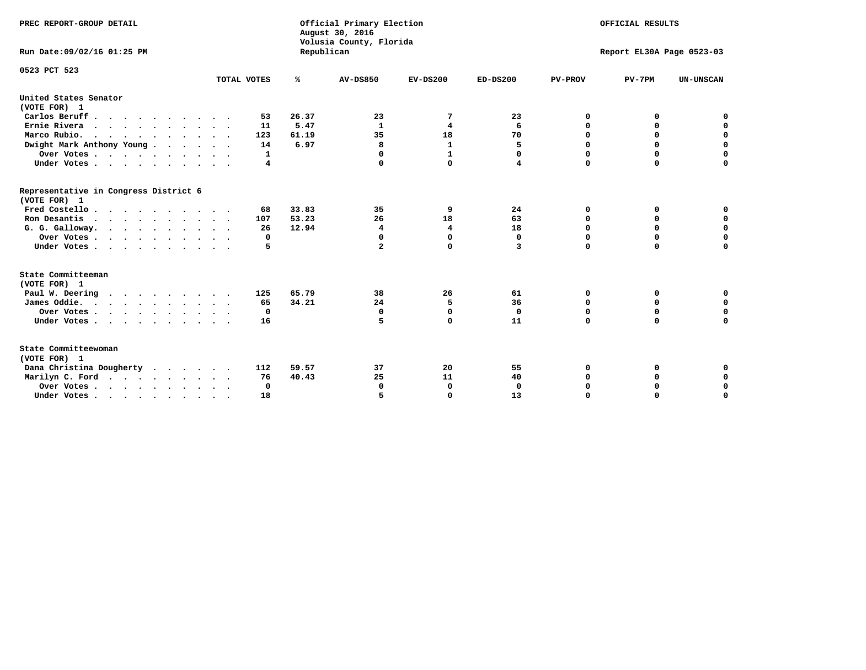| PREC REPORT-GROUP DETAIL                                                         |             |            | Official Primary Election<br>August 30, 2016<br>Volusia County, Florida | OFFICIAL RESULTS |              |                |                           |                  |
|----------------------------------------------------------------------------------|-------------|------------|-------------------------------------------------------------------------|------------------|--------------|----------------|---------------------------|------------------|
| Run Date: 09/02/16 01:25 PM                                                      |             | Republican |                                                                         |                  |              |                | Report EL30A Page 0523-03 |                  |
| 0523 PCT 523                                                                     |             |            |                                                                         |                  |              |                |                           |                  |
|                                                                                  | TOTAL VOTES | ℁          | <b>AV-DS850</b>                                                         | $EV-DS200$       | $ED-DS200$   | <b>PV-PROV</b> | $PV-7PM$                  | <b>UN-UNSCAN</b> |
| United States Senator<br>(VOTE FOR) 1                                            |             |            |                                                                         |                  |              |                |                           |                  |
| Carlos Beruff                                                                    | 53          | 26.37      | 23                                                                      | 7                | 23           | 0              | 0                         | 0                |
| Ernie Rivera                                                                     | 11          | 5.47       | $\mathbf{1}$                                                            | 4                | 6            | $\Omega$       | 0                         | $\mathbf 0$      |
| Marco Rubio.                                                                     | 123         | 61.19      | 35                                                                      | 18               | 70           | $\mathbf 0$    | $\mathbf 0$               | $\mathbf 0$      |
| Dwight Mark Anthony Young                                                        | 14          | 6.97       | 8                                                                       | $\mathbf 1$      | 5            | 0              | $\mathbf 0$               | $\pmb{0}$        |
| Over Votes                                                                       | 1           |            | 0                                                                       | $\mathbf{1}$     | 0            | 0              | 0                         | 0                |
| Under Votes                                                                      | 4           |            | $\Omega$                                                                | $\Omega$         | 4            | $\Omega$       | $\Omega$                  | $\mathbf 0$      |
| Representative in Congress District 6<br>(VOTE FOR) 1                            |             |            |                                                                         |                  |              |                |                           |                  |
| Fred Costello.                                                                   | 68          | 33.83      | 35                                                                      | 9                | 24           | 0              | 0                         | 0                |
| Ron Desantis                                                                     | 107         | 53.23      | 26                                                                      | 18               | 63           | 0              | 0                         | $\mathbf 0$      |
| G. G. Galloway.                                                                  | 26          | 12.94      | 4                                                                       | 4                | 18           | $\Omega$       | $\Omega$                  | $\mathbf 0$      |
| Over Votes                                                                       | 0           |            | $\Omega$                                                                | 0                | $\mathbf{0}$ | $\mathbf 0$    | $\Omega$                  | $\mathbf 0$      |
| Under Votes                                                                      | 5           |            | $\overline{a}$                                                          | $\Omega$         | 3            | $\Omega$       | $\Omega$                  | $\Omega$         |
| State Committeeman<br>(VOTE FOR) 1                                               |             |            |                                                                         |                  |              |                |                           |                  |
| Paul W. Deering<br>$\cdots$                                                      | 125         | 65.79      | 38                                                                      | 26               | 61           | 0              | 0                         | 0                |
| James Oddie.                                                                     | 65          | 34.21      | 24                                                                      | 5                | 36           | 0              | 0                         | $\mathbf 0$      |
| Over Votes                                                                       | 0           |            | $\mathbf 0$                                                             | $\mathbf 0$      | $\mathbf 0$  | 0              | $\mathbf 0$               | $\mathbf 0$      |
| Under Votes                                                                      | 16          |            | 5                                                                       | $\Omega$         | 11           | $\Omega$       | 0                         | $\mathbf 0$      |
| State Committeewoman<br>(VOTE FOR) 1                                             |             |            |                                                                         |                  |              |                |                           |                  |
| Dana Christina Dougherty                                                         | 112         | 59.57      | 37                                                                      | 20               | 55           | 0              | 0                         | 0                |
| Marilyn C. Ford                                                                  | 76          | 40.43      | 25                                                                      | 11               | 40           | 0              | 0                         | 0                |
| Over Votes                                                                       | $\Omega$    |            | $\Omega$                                                                | 0                | 0            | 0              | 0                         | $\mathbf 0$      |
| Under Votes, $\cdot$ , $\cdot$ , $\cdot$ , $\cdot$ , $\cdot$ , $\cdot$ , $\cdot$ | 18          |            |                                                                         | $\Omega$         | 13           | $\Omega$       | $\Omega$                  | $\Omega$         |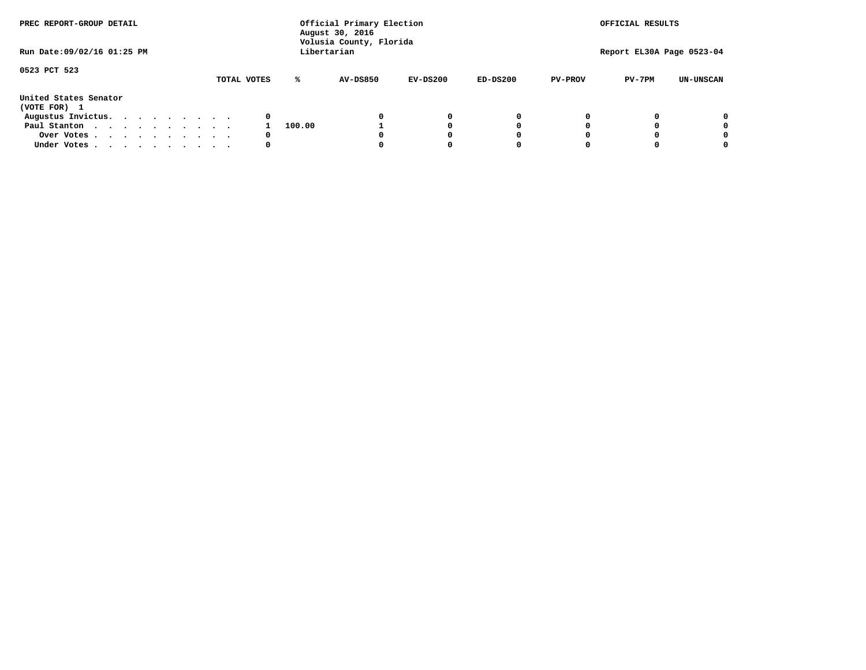| PREC REPORT-GROUP DETAIL<br>Run Date: 09/02/16 01:25 PM |  |  |  |  |  | Official Primary Election<br>August 30, 2016<br>Volusia County, Florida |        | OFFICIAL RESULTS<br>Report EL30A Page 0523-04 |            |            |                |          |                  |
|---------------------------------------------------------|--|--|--|--|--|-------------------------------------------------------------------------|--------|-----------------------------------------------|------------|------------|----------------|----------|------------------|
|                                                         |  |  |  |  |  |                                                                         |        | Libertarian                                   |            |            |                |          |                  |
| 0523 PCT 523                                            |  |  |  |  |  | TOTAL VOTES                                                             | ℁      | AV-DS850                                      | $EV-DS200$ | $ED-DS200$ | <b>PV-PROV</b> | $PV-7PM$ | <b>UN-UNSCAN</b> |
| United States Senator<br>(VOTE FOR) 1                   |  |  |  |  |  |                                                                         |        |                                               |            |            |                |          |                  |
| Augustus Invictus.                                      |  |  |  |  |  | 0                                                                       |        |                                               | 0          | 0          |                |          | 0                |
| Paul Stanton                                            |  |  |  |  |  |                                                                         | 100.00 |                                               |            | 0          |                |          | 0                |
| Over Votes                                              |  |  |  |  |  | 0                                                                       |        |                                               |            | O          |                |          | 0                |
| Under Votes                                             |  |  |  |  |  | 0                                                                       |        |                                               |            |            |                |          |                  |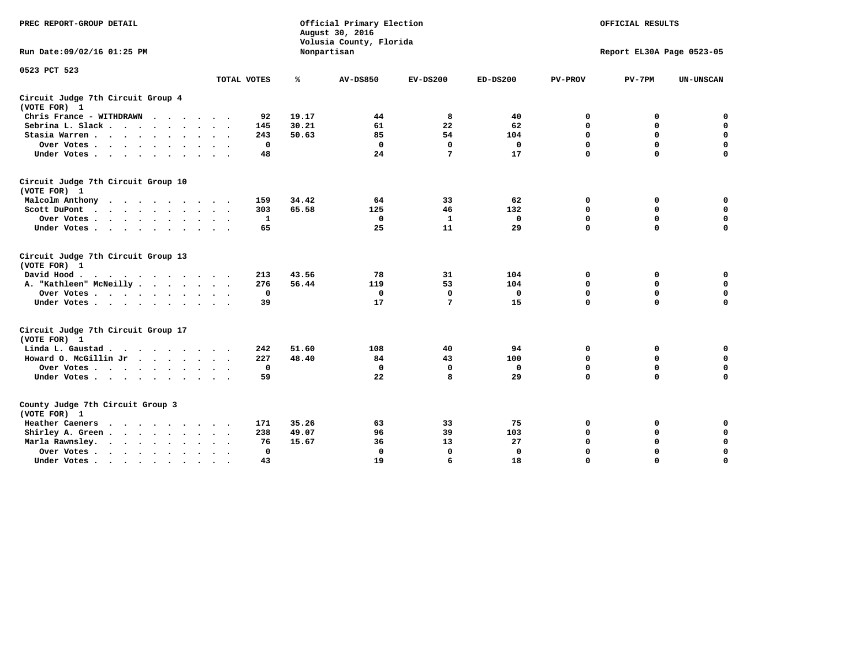| PREC REPORT-GROUP DETAIL                                                                    |                               |       | Official Primary Election<br>August 30, 2016<br>Volusia County, Florida | OFFICIAL RESULTS |             |                |                           |                  |
|---------------------------------------------------------------------------------------------|-------------------------------|-------|-------------------------------------------------------------------------|------------------|-------------|----------------|---------------------------|------------------|
| Run Date: 09/02/16 01:25 PM                                                                 |                               |       | Nonpartisan                                                             |                  |             |                | Report EL30A Page 0523-05 |                  |
| 0523 PCT 523                                                                                | TOTAL VOTES                   | ℁     | <b>AV-DS850</b>                                                         | $EV-DS200$       | $ED-DS200$  | <b>PV-PROV</b> | $PV-7PM$                  | <b>UN-UNSCAN</b> |
|                                                                                             |                               |       |                                                                         |                  |             |                |                           |                  |
| Circuit Judge 7th Circuit Group 4<br>(VOTE FOR) 1                                           |                               |       |                                                                         |                  |             |                |                           |                  |
| Chris France - WITHDRAWN                                                                    | 92                            | 19.17 | 44                                                                      | 8                | 40          | 0              | 0                         | $\mathbf 0$      |
| Sebrina L. Slack                                                                            | 145                           | 30.21 | 61                                                                      | 22               | 62          | $\mathbf 0$    | $\mathbf 0$               | $\mathbf 0$      |
| Stasia Warren<br>$\sim$                                                                     | 243                           | 50.63 | 85                                                                      | 54               | 104         | $\mathbf 0$    | 0                         | $\mathbf 0$      |
| Over Votes                                                                                  | $\mathbf 0$                   |       | $\Omega$                                                                | $\mathbf 0$      | $\mathbf 0$ | $\mathbf 0$    | $\mathbf 0$               | $\mathbf 0$      |
| Under Votes                                                                                 | 48                            |       | 24                                                                      | 7                | 17          | $\Omega$       | $\Omega$                  | $\mathbf 0$      |
| Circuit Judge 7th Circuit Group 10<br>(VOTE FOR) 1                                          |                               |       |                                                                         |                  |             |                |                           |                  |
| Malcolm Anthony<br>.                                                                        | 159                           | 34.42 | 64                                                                      | 33               | 62          | 0              | 0                         | 0                |
| Scott DuPont<br>$\sim$                                                                      | 303                           | 65.58 | 125                                                                     | 46               | 132         | $\mathbf 0$    | $\mathbf 0$               | $\mathbf 0$      |
| Over Votes<br>$\ddot{\phantom{1}}$                                                          | 1                             |       | $\mathbf{0}$                                                            | ${\bf 1}$        | $\mathbf 0$ | $\mathbf 0$    | $\mathbf 0$               | $\mathbf 0$      |
| Under Votes                                                                                 | 65                            |       | 25                                                                      | 11               | 29          | $\mathbf 0$    | $\mathbf 0$               | $\Omega$         |
| Circuit Judge 7th Circuit Group 13<br>(VOTE FOR) 1                                          |                               |       |                                                                         |                  |             |                |                           |                  |
| David Hood.                                                                                 | 213                           | 43.56 | 78                                                                      | 31               | 104         | 0              | 0                         | $\mathbf 0$      |
| A. "Kathleen" McNeilly                                                                      | 276                           | 56.44 | 119                                                                     | 53               | 104         | $\mathbf 0$    | 0                         | $\mathbf 0$      |
| Over Votes                                                                                  | $\mathbf 0$                   |       | $\mathbf 0$                                                             | $\Omega$         | $\mathbf 0$ | 0              | $\mathbf 0$               | $\mathbf 0$      |
| Under Votes                                                                                 | 39                            |       | 17                                                                      | 7                | 15          | $\Omega$       | $\mathbf 0$               | 0                |
| Circuit Judge 7th Circuit Group 17<br>(VOTE FOR) 1                                          |                               |       |                                                                         |                  |             |                |                           |                  |
| Linda L. Gaustad                                                                            | 242                           | 51.60 | 108                                                                     | 40               | 94          | 0              | 0                         | $\mathbf 0$      |
| Howard O. McGillin Jr                                                                       | 227                           | 48.40 | 84                                                                      | 43               | 100         | $\mathbf 0$    | $\mathbf 0$               | $\mathbf 0$      |
| Over Votes                                                                                  | $\mathbf 0$                   |       | $\mathbf{0}$                                                            | $\mathbf 0$      | $\mathbf 0$ | $\mathbf 0$    | $\Omega$                  | $\mathbf 0$      |
| Under Votes                                                                                 | 59                            |       | 22                                                                      | 8                | 29          | $\mathbf 0$    | $\mathbf 0$               | $\mathbf 0$      |
| County Judge 7th Circuit Group 3<br>(VOTE FOR) 1                                            |                               |       |                                                                         |                  |             |                |                           |                  |
| Heather Caeners<br>$\mathbf{r}$ , $\mathbf{r}$ , $\mathbf{r}$ , $\mathbf{r}$ , $\mathbf{r}$ | 171                           | 35.26 | 63                                                                      | 33               | 75          | 0              | 0                         | 0                |
| Shirley A. Green                                                                            | 238                           | 49.07 | 96                                                                      | 39               | 103         | $\mathbf 0$    | 0                         | $\mathbf 0$      |
| Marla Rawnsley.<br>$\cdot$                                                                  | 76                            | 15.67 | 36                                                                      | 13               | 27          | 0              | $\mathbf 0$               | $\pmb{0}$        |
| Over Votes.<br>$\cdots$<br>$\cdot$<br>$\cdot$                                               | $\mathbf{0}$<br>$\sim$ $\sim$ |       | $\mathbf 0$                                                             | $\mathbf{0}$     | 0           | $\mathbf 0$    | $\mathbf 0$               | $\mathbf 0$      |
| Under Votes<br>$\sim$                                                                       | 43                            |       | 19                                                                      | 6                | 18          | $\mathbf 0$    | $\mathbf 0$               | 0                |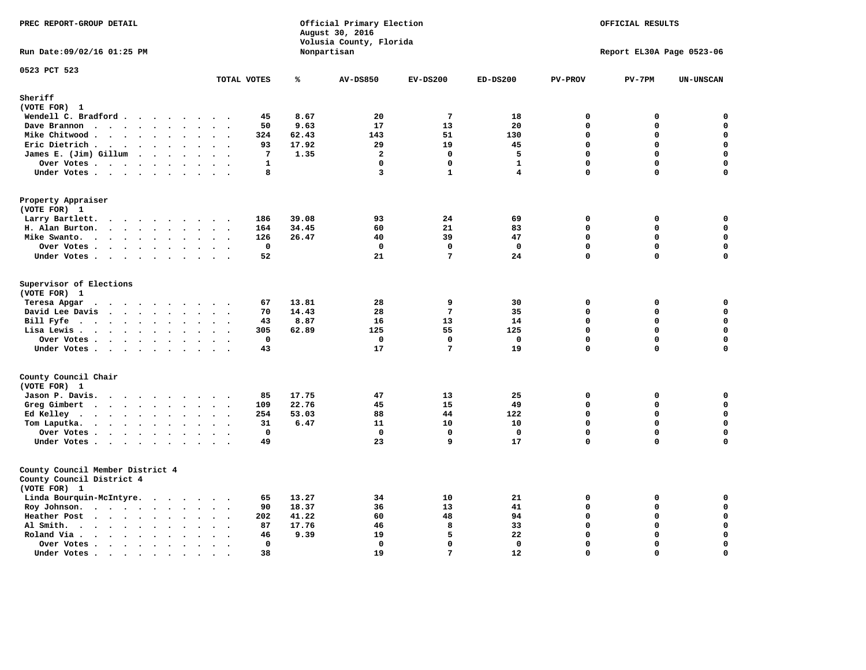| PREC REPORT-GROUP DETAIL<br>Run Date: 09/02/16 01:25 PM                                                                                                           |                                                                    |       | Official Primary Election<br>August 30, 2016<br>Volusia County, Florida<br>Nonpartisan | OFFICIAL RESULTS<br>Report EL30A Page 0523-06 |              |                |             |                  |
|-------------------------------------------------------------------------------------------------------------------------------------------------------------------|--------------------------------------------------------------------|-------|----------------------------------------------------------------------------------------|-----------------------------------------------|--------------|----------------|-------------|------------------|
|                                                                                                                                                                   |                                                                    |       |                                                                                        |                                               |              |                |             |                  |
| 0523 PCT 523                                                                                                                                                      | TOTAL VOTES                                                        | ℁     | <b>AV-DS850</b>                                                                        | $EV-DS200$                                    | $ED-DS200$   | <b>PV-PROV</b> | $PV-7PM$    | <b>UN-UNSCAN</b> |
| Sheriff                                                                                                                                                           |                                                                    |       |                                                                                        |                                               |              |                |             |                  |
| (VOTE FOR) 1                                                                                                                                                      |                                                                    |       |                                                                                        |                                               |              |                |             |                  |
| Wendell C. Bradford                                                                                                                                               | 45                                                                 | 8.67  | 20                                                                                     | $\overline{7}$                                | 18           | $\Omega$       | 0           | $\mathbf 0$      |
| Dave Brannon                                                                                                                                                      | 50<br>$\cdot$ .                                                    | 9.63  | 17                                                                                     | 13                                            | 20           | $\mathbf 0$    | 0           | $\mathbf 0$      |
| Mike Chitwood                                                                                                                                                     | 324                                                                | 62.43 | 143                                                                                    | 51                                            | 130          | $\mathbf 0$    | 0           | $\mathbf 0$      |
| Eric Dietrich.<br>$\cdots$                                                                                                                                        | 93<br>$\sim$<br>$\ddot{\phantom{a}}$                               | 17.92 | 29                                                                                     | 19                                            | 45           | $\mathbf 0$    | $\mathbf 0$ | $\mathbf 0$      |
| James E. (Jim) Gillum                                                                                                                                             | 7                                                                  | 1.35  | $\overline{a}$                                                                         | $\Omega$                                      | 5            | $\Omega$       | 0           | $\mathbf 0$      |
| Over Votes                                                                                                                                                        | $\mathbf{1}$                                                       |       | $\mathbf{0}$                                                                           | $\mathbf 0$                                   | $\mathbf{1}$ | $\mathbf{0}$   | 0           | $\mathbf 0$      |
| Under Votes                                                                                                                                                       | 8                                                                  |       | 3                                                                                      | $\mathbf{1}$                                  | 4            | $\Omega$       | 0           | 0                |
| Property Appraiser<br>(VOTE FOR) 1                                                                                                                                |                                                                    |       |                                                                                        |                                               |              |                |             |                  |
| Larry Bartlett.                                                                                                                                                   | 186<br>$\cdot$ .                                                   | 39.08 | 93                                                                                     | 24                                            | 69           | $\mathbf 0$    | 0           | 0                |
| H. Alan Burton.                                                                                                                                                   | 164<br>$\sim$ $\sim$                                               | 34.45 | 60                                                                                     | 21                                            | 83           | $\mathbf 0$    | 0           | $\mathbf 0$      |
| Mike Swanto.<br>$\sim$                                                                                                                                            | 126<br>$\ddot{\phantom{a}}$<br>$\bullet$ .<br>$\ddot{\phantom{1}}$ | 26.47 | 40                                                                                     | 39                                            | 47           | $\mathbf 0$    | 0           | $\mathbf 0$      |
| Over Votes                                                                                                                                                        | $\mathbf 0$                                                        |       | $\mathbf 0$                                                                            | $\Omega$                                      | $\mathbf 0$  | $\mathbf 0$    | $\mathbf 0$ | $\mathbf 0$      |
| Under Votes                                                                                                                                                       | 52                                                                 |       | 21                                                                                     | $7\phantom{.0}$                               | 24           | $\mathbf 0$    | $\mathbf 0$ | $\Omega$         |
|                                                                                                                                                                   |                                                                    |       |                                                                                        |                                               |              |                |             |                  |
| Supervisor of Elections<br>(VOTE FOR) 1                                                                                                                           |                                                                    |       |                                                                                        |                                               |              |                |             |                  |
| Teresa Apgar<br>.                                                                                                                                                 | 67                                                                 | 13.81 | 28                                                                                     | 9                                             | 30           | 0              | 0           | $\mathbf 0$      |
| David Lee Davis                                                                                                                                                   | 70                                                                 | 14.43 | 28                                                                                     | $7\phantom{.0}$                               | 35           | $\Omega$       | 0           | $\mathbf 0$      |
| Bill Fyfe. $\ldots$                                                                                                                                               | 43                                                                 | 8.87  | 16                                                                                     | 13                                            | 14           | $\mathbf{0}$   | 0           | $\mathbf 0$      |
| Lisa Lewis                                                                                                                                                        | 305                                                                | 62.89 | 125                                                                                    | 55                                            | 125          | $\mathbf 0$    | 0           | 0                |
| Over Votes                                                                                                                                                        | $\mathbf 0$<br>$\sim$                                              |       | $\mathbf 0$                                                                            | $\mathbf 0$                                   | $\mathbf 0$  | $\mathbf 0$    | $\mathbf 0$ | $\mathsf{o}\,$   |
| Under Votes                                                                                                                                                       | 43                                                                 |       | 17                                                                                     | $7\phantom{.0}$                               | 19           | $\mathbf 0$    | 0           | $\mathbf 0$      |
| County Council Chair                                                                                                                                              |                                                                    |       |                                                                                        |                                               |              |                |             |                  |
| (VOTE FOR) 1                                                                                                                                                      |                                                                    |       |                                                                                        |                                               |              |                |             |                  |
| Jason P. Davis.                                                                                                                                                   | 85                                                                 | 17.75 | 47                                                                                     | 13                                            | 25           | $\mathbf 0$    | 0           | $\mathbf 0$      |
| Greg Gimbert<br>$\mathbf{r}$ , and $\mathbf{r}$ , and $\mathbf{r}$ , and $\mathbf{r}$ , and $\mathbf{r}$                                                          | 109                                                                | 22.76 | 45                                                                                     | 15                                            | 49           | $\mathbf 0$    | 0           | $\mathbf 0$      |
| Ed Kelley                                                                                                                                                         | 254                                                                | 53.03 | 88                                                                                     | 44                                            | 122          | $\mathbf 0$    | 0           | $\mathbf 0$      |
| Tom Laputka.<br>$\mathbf{r}$ , and $\mathbf{r}$ , and $\mathbf{r}$ , and $\mathbf{r}$<br>$\ddot{\phantom{a}}$                                                     | 31                                                                 | 6.47  | 11                                                                                     | 10                                            | 10           | $\Omega$       | $\mathbf 0$ | 0                |
| Over Votes                                                                                                                                                        | $\Omega$                                                           |       | $\Omega$                                                                               | $\Omega$                                      | $\mathbf 0$  | $\mathbf{0}$   | 0           | 0                |
| Under Votes<br>$\ddot{\phantom{a}}$                                                                                                                               | 49<br>$\ddot{\phantom{0}}$                                         |       | 23                                                                                     | 9                                             | 17           | $\mathbf 0$    | 0           | $\Omega$         |
| County Council Member District 4<br>County Council District 4<br>(VOTE FOR) 1                                                                                     |                                                                    |       |                                                                                        |                                               |              |                |             |                  |
| Linda Bourquin-McIntyre.                                                                                                                                          | 65                                                                 | 13.27 | 34                                                                                     | 10                                            | 21           | 0              | 0           | 0                |
| Roy Johnson.<br>$\bullet$                                                                                                                                         | 90<br>$\sim$<br>$\sim$ $\sim$                                      | 18.37 | 36                                                                                     | 13                                            | 41           | $\mathbf 0$    | 0           | $\pmb{0}$        |
| Heather Post                                                                                                                                                      | 202                                                                | 41.22 | 60                                                                                     | 48                                            | 94           | $\mathbf 0$    | 0           | $\mathsf{o}\,$   |
| Al Smith.<br>$\langle \cdot \rangle$                                                                                                                              | 87<br>$\bullet$                                                    | 17.76 | 46                                                                                     | 8                                             | 33           | $\Omega$       | $\Omega$    | $\mathbf 0$      |
| Roland Via .<br>$\mathcal{L}^{\text{max}}$ , and $\mathcal{L}^{\text{max}}$ , and $\mathcal{L}^{\text{max}}$<br>$\Delta$<br>$\bullet$<br>$\overline{\phantom{a}}$ | 46                                                                 | 9.39  | 19                                                                                     | 5                                             | 22           | $\Omega$       | 0           | $\mathbf 0$      |
| Over Votes<br>$\ddot{\phantom{a}}$                                                                                                                                | $\mathbf 0$<br>$\ddot{\phantom{a}}$<br>$\bullet$<br>$\cdot$        |       | $\mathbf{0}$                                                                           | $\mathbf 0$                                   | $\mathbf 0$  | $\mathbf 0$    | 0           | $\mathbf 0$      |
| Under Votes.<br>.                                                                                                                                                 | 38<br>$\bullet$                                                    |       | 19                                                                                     | 7                                             | 12           | $\Omega$       | 0           | $\mathbf 0$      |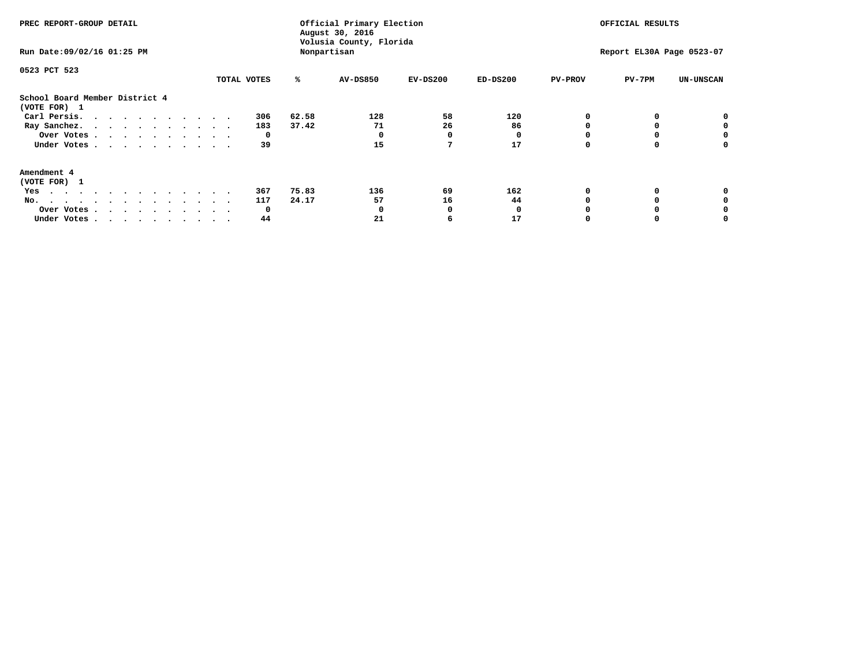| PREC REPORT-GROUP DETAIL<br>Run Date: 09/02/16 01:25 PM                                                                                                                                                                                  |             |       | Official Primary Election<br>August 30, 2016<br>Volusia County, Florida<br>Nonpartisan |            | OFFICIAL RESULTS<br>Report EL30A Page 0523-07 |                |        |                  |
|------------------------------------------------------------------------------------------------------------------------------------------------------------------------------------------------------------------------------------------|-------------|-------|----------------------------------------------------------------------------------------|------------|-----------------------------------------------|----------------|--------|------------------|
| 0523 PCT 523                                                                                                                                                                                                                             | TOTAL VOTES | ℁     | <b>AV-DS850</b>                                                                        | $EV-DS200$ | $ED-DS200$                                    | <b>PV-PROV</b> | PV-7PM | <b>UN-UNSCAN</b> |
| School Board Member District 4<br>(VOTE FOR) 1                                                                                                                                                                                           |             |       |                                                                                        |            |                                               |                |        |                  |
| Carl Persis.                                                                                                                                                                                                                             | 306         | 62.58 | 128                                                                                    | 58         | 120                                           |                |        |                  |
| Ray Sanchez.                                                                                                                                                                                                                             | 183         | 37.42 | 71                                                                                     | 26         | 86                                            |                |        |                  |
| Over Votes                                                                                                                                                                                                                               | 0           |       |                                                                                        | O          |                                               |                |        | 0                |
| Under Votes                                                                                                                                                                                                                              | 39          |       | 15                                                                                     |            | 17                                            |                |        | 0                |
| Amendment 4                                                                                                                                                                                                                              |             |       |                                                                                        |            |                                               |                |        |                  |
| (VOTE FOR) 1                                                                                                                                                                                                                             |             |       |                                                                                        |            |                                               |                |        |                  |
| Yes<br>$\mathbf{a}$ . The contribution of the contribution of the contribution of the contribution of the contribution of the contribution of the contribution of the contribution of the contribution of the contribution of the contri | 367         | 75.83 | 136                                                                                    | 69         | 162                                           |                |        |                  |
| No.                                                                                                                                                                                                                                      | 117         | 24.17 | 57                                                                                     | 16         | 44                                            |                |        |                  |
| Over Votes                                                                                                                                                                                                                               | O           |       |                                                                                        | O          |                                               |                |        |                  |
| Under Votes                                                                                                                                                                                                                              | 44          |       | 21                                                                                     |            | 17                                            |                |        |                  |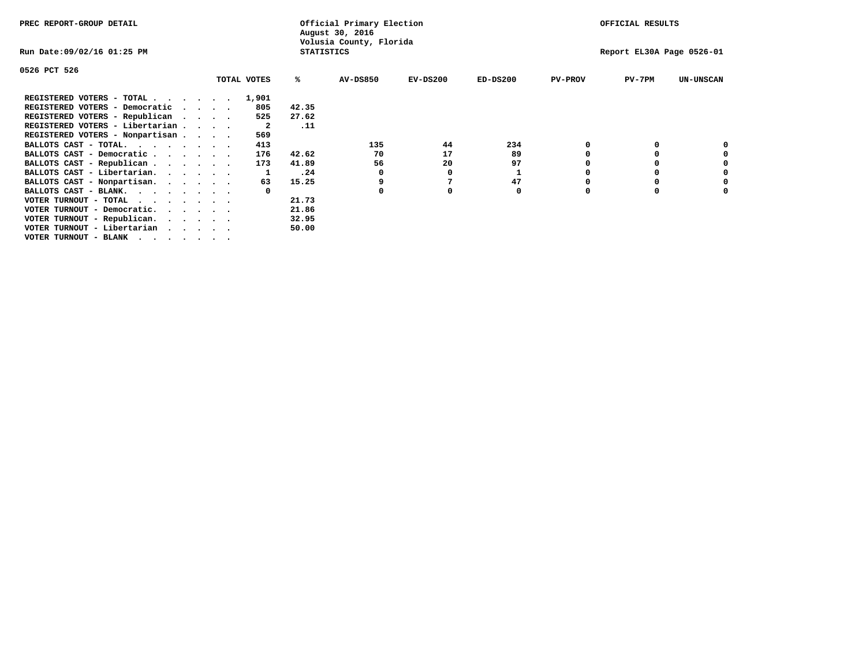| PREC REPORT-GROUP DETAIL                   |                                              |  |  |             |       | Official Primary Election<br>August 30, 2016 |            | OFFICIAL RESULTS |                |                           |                  |  |
|--------------------------------------------|----------------------------------------------|--|--|-------------|-------|----------------------------------------------|------------|------------------|----------------|---------------------------|------------------|--|
| Run Date:09/02/16 01:25 PM                 | Volusia County, Florida<br><b>STATISTICS</b> |  |  |             |       |                                              |            |                  |                | Report EL30A Page 0526-01 |                  |  |
| 0526 PCT 526                               |                                              |  |  |             |       |                                              |            |                  |                |                           |                  |  |
|                                            |                                              |  |  | TOTAL VOTES | ℁     | AV-DS850                                     | $EV-DS200$ | $ED-DS200$       | <b>PV-PROV</b> | $PV-7PM$                  | <b>UN-UNSCAN</b> |  |
| REGISTERED VOTERS - TOTAL                  |                                              |  |  | 1,901       |       |                                              |            |                  |                |                           |                  |  |
| REGISTERED VOTERS - Democratic<br>$\cdots$ |                                              |  |  | 805         | 42.35 |                                              |            |                  |                |                           |                  |  |
| REGISTERED VOTERS - Republican             |                                              |  |  | 525         | 27.62 |                                              |            |                  |                |                           |                  |  |
| REGISTERED VOTERS - Libertarian            |                                              |  |  | - 2         | .11   |                                              |            |                  |                |                           |                  |  |
| REGISTERED VOTERS - Nonpartisan            |                                              |  |  | 569         |       |                                              |            |                  |                |                           |                  |  |
| BALLOTS CAST - TOTAL.                      |                                              |  |  | 413         |       | 135                                          | 44         | 234              |                |                           |                  |  |
| BALLOTS CAST - Democratic                  |                                              |  |  | 176         | 42.62 | 70                                           | 17         | 89               |                |                           |                  |  |
| BALLOTS CAST - Republican                  |                                              |  |  | 173         | 41.89 | 56                                           | 20         | 97               |                |                           |                  |  |
| BALLOTS CAST - Libertarian.                |                                              |  |  |             | .24   | 0                                            | 0          |                  |                |                           |                  |  |
| BALLOTS CAST - Nonpartisan.                |                                              |  |  | 63          | 15.25 |                                              |            | 47               |                |                           | 0                |  |
| BALLOTS CAST - BLANK.                      |                                              |  |  |             |       | <sup>0</sup>                                 |            | 0                | n              |                           |                  |  |
| VOTER TURNOUT - TOTAL                      |                                              |  |  |             | 21.73 |                                              |            |                  |                |                           |                  |  |
| VOTER TURNOUT - Democratic.                |                                              |  |  |             | 21.86 |                                              |            |                  |                |                           |                  |  |
| VOTER TURNOUT - Republican.                |                                              |  |  |             | 32.95 |                                              |            |                  |                |                           |                  |  |
| VOTER TURNOUT - Libertarian                |                                              |  |  |             | 50.00 |                                              |            |                  |                |                           |                  |  |
| VOTER TURNOUT - BLANK                      |                                              |  |  |             |       |                                              |            |                  |                |                           |                  |  |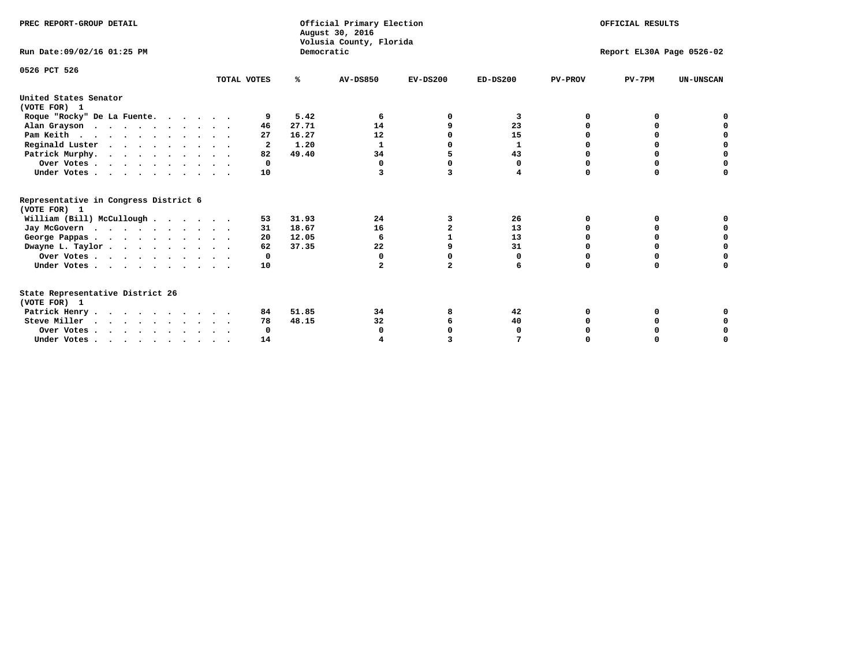| PREC REPORT-GROUP DETAIL                                                         |                         |            | Official Primary Election<br>August 30, 2016<br>Volusia County, Florida | OFFICIAL RESULTS |              |                           |              |                  |  |  |
|----------------------------------------------------------------------------------|-------------------------|------------|-------------------------------------------------------------------------|------------------|--------------|---------------------------|--------------|------------------|--|--|
| Run Date: 09/02/16 01:25 PM                                                      |                         | Democratic |                                                                         |                  |              | Report EL30A Page 0526-02 |              |                  |  |  |
| 0526 PCT 526                                                                     | TOTAL VOTES             | %ะ         | <b>AV-DS850</b>                                                         | $EV-DS200$       | $ED-DS200$   | <b>PV-PROV</b>            | $PV-7PM$     | <b>UN-UNSCAN</b> |  |  |
| United States Senator                                                            |                         |            |                                                                         |                  |              |                           |              |                  |  |  |
| (VOTE FOR) 1                                                                     |                         |            |                                                                         |                  |              |                           |              |                  |  |  |
| Roque "Rocky" De La Fuente.                                                      | 9                       | 5.42       | -6                                                                      | ∩                | 3            | O                         | O            |                  |  |  |
| Alan Grayson                                                                     | 46                      | 27.71      | 14                                                                      |                  | 23           |                           |              |                  |  |  |
| Pam Keith                                                                        | 27                      | 16.27      | 12                                                                      |                  | 15           |                           | O            |                  |  |  |
| Reginald Luster                                                                  | $\overline{\mathbf{2}}$ | 1.20       | $\mathbf{1}$                                                            |                  | $\mathbf{1}$ |                           | 0            | O                |  |  |
| Patrick Murphy.                                                                  | 82                      | 49.40      | 34                                                                      | 5                | 43           |                           | 0            | $\mathbf 0$      |  |  |
| Over Votes                                                                       | $\Omega$                |            | 0                                                                       | n                | 0            | O                         | 0            | O                |  |  |
| Under Votes                                                                      | 10                      |            | 3                                                                       | 3                | 4            | $\Omega$                  | $\Omega$     | U                |  |  |
| Representative in Congress District 6                                            |                         |            |                                                                         |                  |              |                           |              |                  |  |  |
| (VOTE FOR) 1                                                                     |                         |            |                                                                         |                  |              |                           |              |                  |  |  |
| William (Bill) McCullough                                                        | 53                      | 31.93      | 24                                                                      | 3                | 26           | 0                         | 0            |                  |  |  |
| Jay McGovern                                                                     | 31                      | 18.67      | 16                                                                      | $\overline{a}$   | 13           | n                         | <sup>0</sup> |                  |  |  |
| George Pappas.                                                                   | 20                      | 12.05      | 6                                                                       |                  | 13           | $\Omega$                  | $\Omega$     | 0                |  |  |
| Dwayne L. Taylor                                                                 | 62                      | 37.35      | 22                                                                      | 9                | 31           | $\Omega$                  | $\Omega$     | $\mathbf 0$      |  |  |
| Over Votes                                                                       | 0                       |            | 0                                                                       | O                | 0            | O                         | 0            | O                |  |  |
| Under Votes                                                                      | 10                      |            | $\overline{a}$                                                          | $\overline{a}$   | 6            | $\Omega$                  | 0            | O                |  |  |
| State Representative District 26                                                 |                         |            |                                                                         |                  |              |                           |              |                  |  |  |
| (VOTE FOR) 1                                                                     |                         |            |                                                                         |                  |              |                           |              |                  |  |  |
| Patrick Henry                                                                    | 84                      | 51.85      | 34                                                                      | 8                | 42           | O                         | 0            |                  |  |  |
| Steve Miller                                                                     | 78                      | 48.15      | 32                                                                      |                  | 40           |                           |              | 0                |  |  |
| Over Votes                                                                       | 0                       |            | 0                                                                       |                  | O            |                           |              | 0                |  |  |
| Under Votes, $\cdot$ , $\cdot$ , $\cdot$ , $\cdot$ , $\cdot$ , $\cdot$ , $\cdot$ | 14                      |            |                                                                         |                  |              |                           |              | U                |  |  |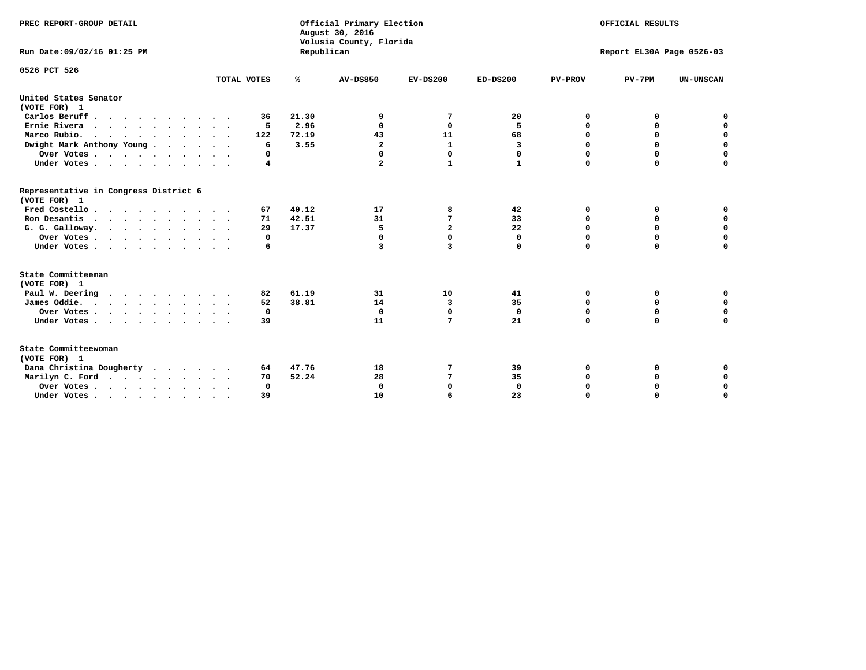| PREC REPORT-GROUP DETAIL<br>Run Date: 09/02/16 01:25 PM                          |                            | Republican | Official Primary Election<br>August 30, 2016<br>Volusia County, Florida | OFFICIAL RESULTS<br>Report EL30A Page 0526-03 |              |                |             |                  |
|----------------------------------------------------------------------------------|----------------------------|------------|-------------------------------------------------------------------------|-----------------------------------------------|--------------|----------------|-------------|------------------|
| 0526 PCT 526                                                                     |                            |            |                                                                         |                                               |              |                |             |                  |
|                                                                                  | TOTAL VOTES                | ℁          | <b>AV-DS850</b>                                                         | $EV-DS200$                                    | $ED-DS200$   | <b>PV-PROV</b> | $PV-7PM$    | <b>UN-UNSCAN</b> |
| United States Senator<br>(VOTE FOR) 1                                            |                            |            |                                                                         |                                               |              |                |             |                  |
| Carlos Beruff                                                                    | 36                         | 21.30      | 9                                                                       | 7                                             | 20           | 0              | 0           | 0                |
| Ernie Rivera                                                                     | 5                          | 2.96       | $\Omega$                                                                | 0                                             | 5            | 0              | 0           | $\mathbf 0$      |
| Marco Rubio.<br>$\cdots$                                                         | 122                        | 72.19      | 43                                                                      | 11                                            | 68           | 0              | $\mathbf 0$ | 0                |
| Dwight Mark Anthony Young                                                        | 6                          | 3.55       | $\overline{\mathbf{2}}$                                                 | $\mathbf{1}$                                  | 3            | 0              | $\mathbf 0$ | $\mathbf 0$      |
| Over Votes                                                                       | 0                          |            | 0                                                                       | $\Omega$                                      | 0            | 0              | 0           | $\mathbf 0$      |
| Under Votes                                                                      | 4                          |            | $\overline{a}$                                                          | $\mathbf{1}$                                  | $\mathbf{1}$ | $\Omega$       | $\Omega$    | $\Omega$         |
| Representative in Congress District 6<br>(VOTE FOR) 1                            |                            |            |                                                                         |                                               |              |                |             |                  |
| Fred Costello                                                                    | 67                         | 40.12      | 17                                                                      | 8                                             | 42           | 0              | 0           | 0                |
| Ron Desantis                                                                     | 71                         | 42.51      | 31                                                                      | 7                                             | 33           | $\Omega$       | 0           | $\mathbf 0$      |
| G. G. Galloway.                                                                  | 29                         | 17.37      | 5                                                                       | $\overline{a}$                                | 22           | $\mathbf 0$    | $\mathbf 0$ | $\Omega$         |
| Over Votes                                                                       | 0                          |            | $\mathbf 0$                                                             | $\mathbf 0$                                   | $\mathbf 0$  | $\mathbf 0$    | $\mathbf 0$ | $\mathbf 0$      |
| Under Votes                                                                      | 6                          |            | 3                                                                       | $\overline{\mathbf{3}}$                       | 0            | $\Omega$       | $\Omega$    | $\Omega$         |
| State Committeeman                                                               |                            |            |                                                                         |                                               |              |                |             |                  |
| (VOTE FOR) 1                                                                     |                            |            |                                                                         |                                               |              |                |             |                  |
| Paul W. Deering                                                                  | 82                         | 61.19      | 31                                                                      | 10                                            | 41           | 0              | 0           | 0                |
| James Oddie.                                                                     | 52                         | 38.81      | 14                                                                      | 3                                             | 35           | 0              | 0           | $\mathbf 0$      |
| Over Votes                                                                       | 0                          |            | $\Omega$                                                                | 0                                             | 0            | 0              | 0           | 0                |
| Under Votes                                                                      | 39<br>$\ddot{\phantom{1}}$ |            | 11                                                                      | $7\phantom{.0}$                               | 21           | $\mathbf 0$    | $\mathbf 0$ | $\mathbf 0$      |
| State Committeewoman<br>(VOTE FOR) 1                                             |                            |            |                                                                         |                                               |              |                |             |                  |
| Dana Christina Dougherty                                                         | 64                         | 47.76      | 18                                                                      | 7                                             | 39           | 0              | 0           | $\mathbf 0$      |
| Marilyn C. Ford                                                                  | 70                         | 52.24      | 28                                                                      | 7                                             | 35           | 0              | 0           | $\mathbf 0$      |
| Over Votes                                                                       | $\Omega$                   |            | $\Omega$                                                                | $\mathbf 0$                                   | $\mathbf{0}$ | 0              | 0           | $\mathbf 0$      |
| Under Votes, $\cdot$ , $\cdot$ , $\cdot$ , $\cdot$ , $\cdot$ , $\cdot$ , $\cdot$ | 39                         |            | 10                                                                      | 6                                             | 23           | $\Omega$       | $\Omega$    | $\Omega$         |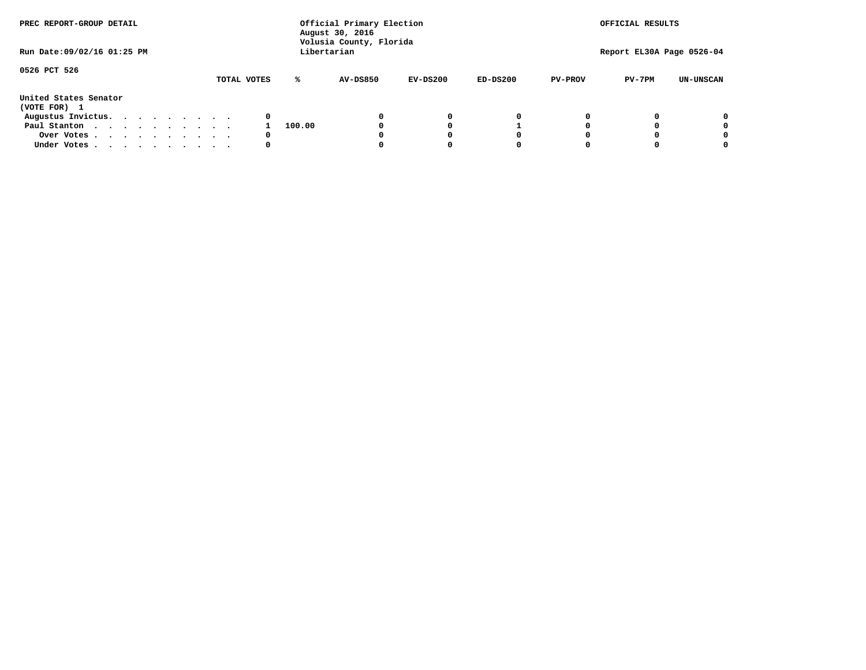| PREC REPORT-GROUP DETAIL<br>Run Date: 09/02/16 01:25 PM |  |  |  |  |  | Official Primary Election<br>August 30, 2016<br>Volusia County, Florida<br>Libertarian | OFFICIAL RESULTS<br>Report EL30A Page 0526-04 |          |            |            |                |          |                  |
|---------------------------------------------------------|--|--|--|--|--|----------------------------------------------------------------------------------------|-----------------------------------------------|----------|------------|------------|----------------|----------|------------------|
|                                                         |  |  |  |  |  |                                                                                        |                                               |          |            |            |                |          |                  |
| 0526 PCT 526                                            |  |  |  |  |  | TOTAL VOTES                                                                            | ℁                                             | AV-DS850 | $EV-DS200$ | $ED-DS200$ | <b>PV-PROV</b> | $PV-7PM$ | <b>UN-UNSCAN</b> |
| United States Senator<br>(VOTE FOR) 1                   |  |  |  |  |  |                                                                                        |                                               |          |            |            |                |          |                  |
| Augustus Invictus.                                      |  |  |  |  |  | 0                                                                                      |                                               |          | 0          | 0          |                |          | 0                |
| Paul Stanton                                            |  |  |  |  |  |                                                                                        | 100.00                                        |          |            |            |                |          | 0                |
| Over Votes                                              |  |  |  |  |  | 0                                                                                      |                                               |          |            | O          |                |          | 0                |
| Under Votes                                             |  |  |  |  |  | 0                                                                                      |                                               |          |            |            |                |          |                  |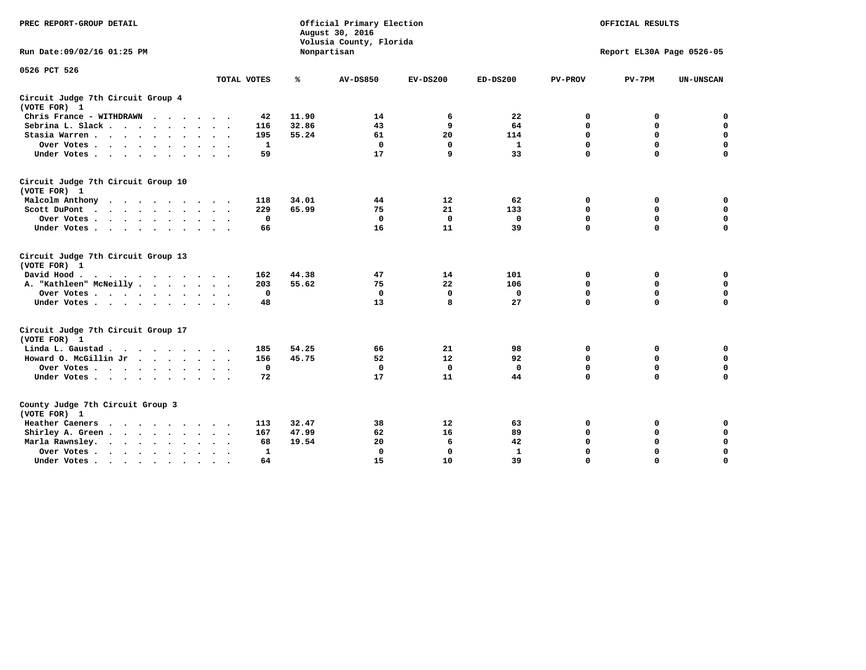| PREC REPORT-GROUP DETAIL                           |             | Official Primary Election<br>August 30, 2016<br>Volusia County, Florida |                 | OFFICIAL RESULTS |              |                |                           |                  |  |  |  |
|----------------------------------------------------|-------------|-------------------------------------------------------------------------|-----------------|------------------|--------------|----------------|---------------------------|------------------|--|--|--|
| Run Date: 09/02/16 01:25 PM                        |             | Nonpartisan                                                             |                 |                  |              |                | Report EL30A Page 0526-05 |                  |  |  |  |
| 0526 PCT 526                                       | TOTAL VOTES | ℁                                                                       | <b>AV-DS850</b> | $EV-DS200$       | $ED-DS200$   | <b>PV-PROV</b> | $PV-7PM$                  | <b>UN-UNSCAN</b> |  |  |  |
| Circuit Judge 7th Circuit Group 4<br>(VOTE FOR) 1  |             |                                                                         |                 |                  |              |                |                           |                  |  |  |  |
| Chris France - WITHDRAWN                           |             | 11.90<br>42                                                             | 14              | 6                | 22           | 0              | 0                         | $\mathbf 0$      |  |  |  |
| Sebrina L. Slack.                                  | 116         | 32.86                                                                   | 43              | 9                | 64           | $\mathbf 0$    | $\mathbf 0$               | $\mathbf 0$      |  |  |  |
| Stasia Warren                                      | 195         | 55.24                                                                   | 61              | 20               | 114          | 0              | $\mathbf 0$               | $\mathbf 0$      |  |  |  |
| Over Votes                                         |             | $\mathbf{1}$                                                            | $\mathbf 0$     | $\mathbf 0$      | $\mathbf{1}$ | $\mathbf 0$    | $\mathbf 0$               | $\mathbf 0$      |  |  |  |
| Under Votes                                        |             | 59                                                                      | 17              | 9                | 33           | $\mathbf 0$    | $\Omega$                  | $\mathbf 0$      |  |  |  |
| Circuit Judge 7th Circuit Group 10<br>(VOTE FOR) 1 |             |                                                                         |                 |                  |              |                |                           |                  |  |  |  |
| Malcolm Anthony                                    | 118         | 34.01                                                                   | 44              | 12               | 62           | 0              | 0                         | $\mathbf 0$      |  |  |  |
| Scott DuPont<br>$\sim$                             | 229         | 65.99                                                                   | 75              | 21               | 133          | $\mathbf 0$    | $\mathbf 0$               | $\mathbf 0$      |  |  |  |
| Over Votes                                         |             | $\mathbf 0$                                                             | $\Omega$        | 0                | 0            | $\mathbf 0$    | 0                         | $\mathbf 0$      |  |  |  |
| Under Votes                                        |             | 66                                                                      | 16              | 11               | 39           | $\mathbf 0$    | $\mathbf 0$               | $\Omega$         |  |  |  |
| Circuit Judge 7th Circuit Group 13<br>(VOTE FOR) 1 |             |                                                                         |                 |                  |              |                |                           |                  |  |  |  |
| David Hood.                                        | 162         | 44.38                                                                   | 47              | 14               | 101          | 0              | 0                         | $\mathbf 0$      |  |  |  |
| A. "Kathleen" McNeilly                             | 203         | 55.62                                                                   | 75              | 22               | 106          | $\mathbf 0$    | 0                         | $\mathbf 0$      |  |  |  |
| Over Votes                                         |             | $\mathbf 0$                                                             | $\mathbf 0$     | $\mathbf 0$      | 0            | 0              | $\mathbf 0$               | 0                |  |  |  |
| Under Votes                                        |             | 48                                                                      | 13              | 8                | 27           | $\Omega$       | $\Omega$                  | $\Omega$         |  |  |  |
| Circuit Judge 7th Circuit Group 17<br>(VOTE FOR) 1 |             |                                                                         |                 |                  |              |                |                           |                  |  |  |  |
| Linda L. Gaustad                                   | 185         | 54.25                                                                   | 66              | 21               | 98           | 0              | 0                         | 0                |  |  |  |
| Howard O. McGillin Jr                              | 156         | 45.75                                                                   | 52              | 12               | 92           | $\mathbf 0$    | $\mathbf 0$               | 0                |  |  |  |
| Over Votes                                         |             | $\mathbf 0$                                                             | $\mathbf{0}$    | $\mathbf 0$      | $\mathbf{0}$ | $\mathbf 0$    | $\mathbf 0$               | $\mathbf 0$      |  |  |  |
| Under Votes                                        |             | 72                                                                      | 17              | 11               | 44           | $\mathbf 0$    | $\mathbf 0$               | $\Omega$         |  |  |  |
| County Judge 7th Circuit Group 3<br>(VOTE FOR) 1   |             |                                                                         |                 |                  |              |                |                           |                  |  |  |  |
| Heather Caeners<br>$\cdots$                        | 113         | 32.47                                                                   | 38              | 12               | 63           | $\mathbf 0$    | 0                         | 0                |  |  |  |
| Shirley A. Green                                   | 167         | 47.99                                                                   | 62              | 16               | 89           | $\mathbf 0$    | 0                         | $\mathbf 0$      |  |  |  |
| Marla Rawnsley.                                    |             | 19.54<br>68                                                             | 20              | 6                | 42           | 0              | $\mathbf 0$               | $\mathbf 0$      |  |  |  |
| Over Votes<br>$\ddot{\phantom{a}}$<br>$\sim$       |             | $\mathbf{1}$                                                            | $\Omega$        | 0                | $\mathbf{1}$ | $\mathbf 0$    | $\mathbf 0$               | $\mathbf 0$      |  |  |  |
| Under Votes<br>$\sim$                              |             | 64                                                                      | 15              | 10               | 39           | $\mathbf 0$    | $\mathbf 0$               | 0                |  |  |  |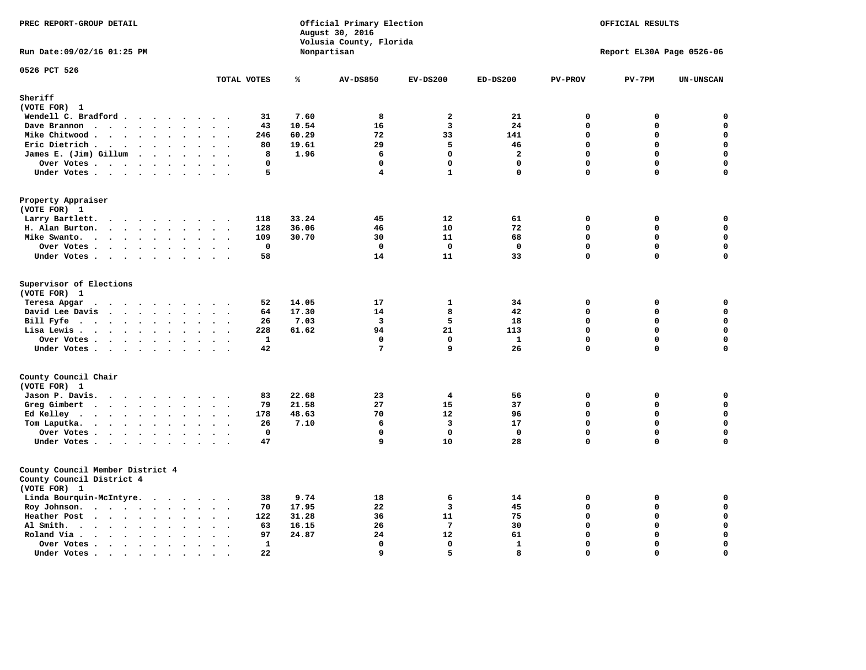| PREC REPORT-GROUP DETAIL<br>Run Date: 09/02/16 01:25 PM                       |                                              | Official Primary Election<br>August 30, 2016<br>Volusia County, Florida<br>Nonpartisan |       |                 |                         |                |                | OFFICIAL RESULTS<br>Report EL30A Page 0526-06 |                  |  |
|-------------------------------------------------------------------------------|----------------------------------------------|----------------------------------------------------------------------------------------|-------|-----------------|-------------------------|----------------|----------------|-----------------------------------------------|------------------|--|
|                                                                               |                                              |                                                                                        |       |                 |                         |                |                |                                               |                  |  |
| 0526 PCT 526                                                                  | TOTAL VOTES                                  |                                                                                        | ℁     | <b>AV-DS850</b> | $EV-DS200$              | $ED-DS200$     | <b>PV-PROV</b> | $PV-7PM$                                      | <b>UN-UNSCAN</b> |  |
| Sheriff                                                                       |                                              |                                                                                        |       |                 |                         |                |                |                                               |                  |  |
| (VOTE FOR) 1                                                                  |                                              |                                                                                        |       |                 |                         |                |                |                                               |                  |  |
| Wendell C. Bradford                                                           |                                              | 31                                                                                     | 7.60  | 8               | $\overline{a}$          | 21             | 0              | 0                                             | $\mathbf 0$      |  |
| Dave Brannon                                                                  |                                              | 43                                                                                     | 10.54 | 16              | $\overline{\mathbf{3}}$ | 24             | $\Omega$       | 0                                             | $\mathbf 0$      |  |
| Mike Chitwood                                                                 |                                              | 246                                                                                    | 60.29 | 72              | 33                      | 141            | $\mathbf 0$    | $\mathbf 0$                                   | $\mathbf 0$      |  |
| Eric Dietrich.                                                                |                                              | 80                                                                                     | 19.61 | 29              | 5                       | 46             | $\Omega$       | 0                                             | $\mathbf 0$      |  |
| James E. (Jim) Gillum                                                         |                                              | 8                                                                                      | 1.96  | 6               | $\mathbf{0}$            | $\overline{a}$ | $\mathbf 0$    | $\mathbf 0$                                   | $\mathbf 0$      |  |
| Over Votes                                                                    |                                              | $\mathbf 0$                                                                            |       | $\mathbf 0$     | $\mathbf 0$             | $\mathbf 0$    | $\mathbf 0$    | 0                                             | $\mathbf 0$      |  |
| Under Votes                                                                   |                                              | 5                                                                                      |       | $\overline{4}$  | $\mathbf{1}$            | $\mathbf 0$    | $\Omega$       | 0                                             | $\mathbf 0$      |  |
| Property Appraiser<br>(VOTE FOR) 1                                            |                                              |                                                                                        |       |                 |                         |                |                |                                               |                  |  |
| Larry Bartlett.                                                               |                                              | 118                                                                                    | 33.24 | 45              | 12                      | 61             | 0              | 0                                             | 0                |  |
| H. Alan Burton.                                                               |                                              | 128                                                                                    | 36.06 | 46              | 10                      | 72             | $\mathbf 0$    | 0                                             | $\mathbf 0$      |  |
| Mike Swanto.                                                                  |                                              | 109                                                                                    | 30.70 | 30              | 11                      | 68             | $\mathbf 0$    | 0                                             | $\mathbf 0$      |  |
| Over Votes                                                                    |                                              | $\mathbf 0$                                                                            |       | $\mathbf 0$     | $\Omega$                | $\mathbf 0$    | $\Omega$       | $\Omega$                                      | $\mathbf 0$      |  |
| Under Votes                                                                   |                                              | 58                                                                                     |       | 14              | 11                      | 33             | $\mathbf 0$    | $\mathbf 0$                                   | $\mathbf 0$      |  |
| Supervisor of Elections<br>(VOTE FOR) 1                                       |                                              |                                                                                        | 14.05 | 17              | 1                       | 34             | 0              | 0                                             | 0                |  |
| Teresa Apgar<br>.<br>David Lee Davis                                          |                                              | 52<br>64                                                                               | 17.30 | 14              | 8                       | 42             | $\mathbf{0}$   | 0                                             | $\mathbf 0$      |  |
| Bill Fyfe $\cdots$ $\cdots$ $\cdots$ $\cdots$                                 |                                              | 26                                                                                     | 7.03  | 3               | 5                       | 18             | $\mathbf 0$    | 0                                             | $\mathbf 0$      |  |
| Lisa Lewis                                                                    |                                              | 228                                                                                    | 61.62 | 94              | 21                      | 113            | $\Omega$       | 0                                             | $\mathbf 0$      |  |
| Over Votes                                                                    |                                              | $\mathbf{1}$                                                                           |       | $\mathbf 0$     | $\Omega$                | $\mathbf{1}$   | $\Omega$       | $\Omega$                                      | $\mathbf 0$      |  |
| Under Votes                                                                   | $\sim$                                       | 42                                                                                     |       | 7               | 9                       | 26             | $\mathbf 0$    | $\mathbf 0$                                   | $\mathbf 0$      |  |
| County Council Chair                                                          |                                              |                                                                                        |       |                 |                         |                |                |                                               |                  |  |
| (VOTE FOR) 1                                                                  |                                              |                                                                                        |       |                 |                         |                |                |                                               |                  |  |
| Jason P. Davis.                                                               |                                              | 83                                                                                     | 22.68 | 23              | $\overline{4}$          | 56             | $\mathbf 0$    | 0                                             | 0                |  |
| Greg Gimbert                                                                  |                                              | 79                                                                                     | 21.58 | 27              | 15                      | 37             | $\mathbf{0}$   | 0                                             | 0                |  |
| Ed Kelley $\cdots$                                                            |                                              | 178                                                                                    | 48.63 | 70              | 12                      | 96             | $\mathbf 0$    | 0                                             | $\mathbf 0$      |  |
| Tom Laputka.                                                                  |                                              | 26                                                                                     | 7.10  | 6               | $\overline{\mathbf{3}}$ | 17             | $\mathbf 0$    | 0                                             | $\mathbf 0$      |  |
| Over Votes                                                                    |                                              | $\mathbf 0$                                                                            |       | $\mathbf{0}$    | $\Omega$                | $\mathbf{0}$   | $\Omega$       | $\Omega$                                      | 0                |  |
| Under Votes<br>$\sim$                                                         | $\cdots$                                     | 47                                                                                     |       | 9               | 10                      | 28             | $\mathbf 0$    | 0                                             | $\mathbf 0$      |  |
| County Council Member District 4<br>County Council District 4<br>(VOTE FOR) 1 |                                              |                                                                                        |       |                 |                         |                |                |                                               |                  |  |
| Linda Bourquin-McIntyre.                                                      |                                              | 38                                                                                     | 9.74  | 18              | 6                       | 14             | $\mathbf 0$    | 0                                             | 0                |  |
| Roy Johnson.<br>$\ddot{\phantom{a}}$                                          | $\cdots$                                     | 70                                                                                     | 17.95 | 22              | $\overline{\mathbf{3}}$ | 45             | $\mathbf 0$    | 0                                             | $\mathbf 0$      |  |
| Heather Post                                                                  |                                              | 122                                                                                    | 31.28 | 36              | 11                      | 75             | $\mathbf 0$    | 0                                             | $\mathbf 0$      |  |
| Al Smith.<br>$\ddot{\phantom{0}}$                                             | $\ddot{\phantom{a}}$                         | 63                                                                                     | 16.15 | 26              | $7\phantom{.0}$         | 30             | $\Omega$       | $\Omega$                                      | $\mathbf 0$      |  |
| Roland Via .<br>$\sim$ $\sim$ $\sim$ $\sim$<br>$\sim$<br>$\sim$<br>$\bullet$  |                                              | 97                                                                                     | 24.87 | 24              | 12                      | 61             | $\Omega$       | 0                                             | $\pmb{0}$        |  |
| Over Votes<br>$\bullet$                                                       | $\ddot{\phantom{a}}$<br>$\ddot{\phantom{0}}$ | $\mathbf{1}$                                                                           |       | $\mathbf 0$     | $\mathbf{0}$            | $\mathbf{1}$   | $\Omega$       | 0                                             | $\mathbf 0$      |  |
| Under Votes .<br>.                                                            | $\cdot$ $\cdot$<br>$\bullet$                 | 22                                                                                     |       | 9               | 5                       | 8              | $\Omega$       | 0                                             | $\mathbf 0$      |  |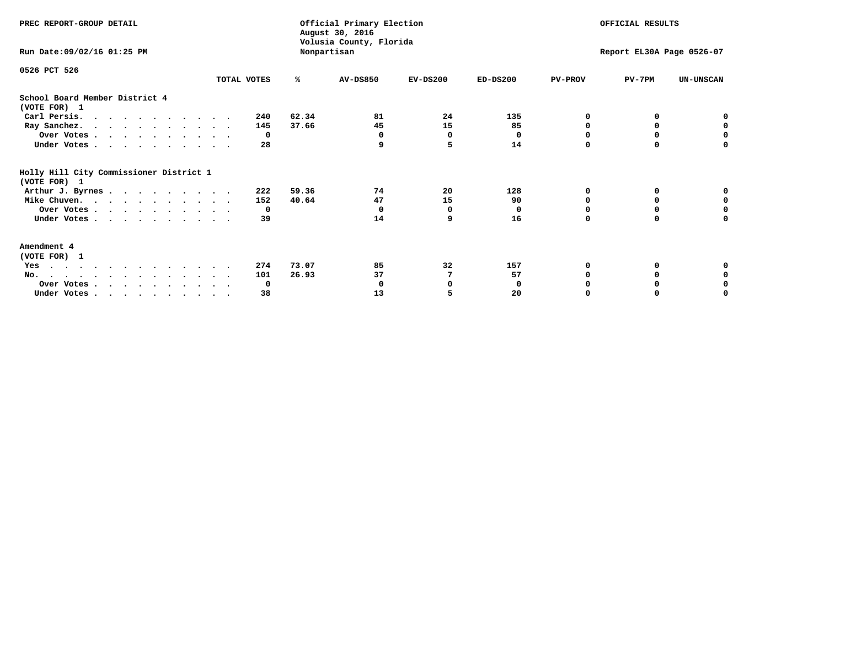| PREC REPORT-GROUP DETAIL                                |             |       | Official Primary Election<br>August 30, 2016<br>Volusia County, Florida | OFFICIAL RESULTS |            |                           |          |                  |
|---------------------------------------------------------|-------------|-------|-------------------------------------------------------------------------|------------------|------------|---------------------------|----------|------------------|
| Run Date: 09/02/16 01:25 PM                             |             |       | Nonpartisan                                                             |                  |            | Report EL30A Page 0526-07 |          |                  |
| 0526 PCT 526                                            |             |       |                                                                         |                  |            |                           |          |                  |
|                                                         | TOTAL VOTES | ℁     | <b>AV-DS850</b>                                                         | $EV-DS200$       | $ED-DS200$ | <b>PV-PROV</b>            | $PV-7PM$ | <b>UN-UNSCAN</b> |
| School Board Member District 4<br>(VOTE FOR) 1          |             |       |                                                                         |                  |            |                           |          |                  |
| Carl Persis.                                            | 240         | 62.34 | 81                                                                      | 24               | 135        | O                         |          |                  |
| Ray Sanchez.                                            | 145         | 37.66 | 45                                                                      | 15               | 85         |                           | 0        | 0                |
| Over Votes                                              | 0           |       | 0                                                                       | 0                | 0          |                           |          | 0                |
| Under Votes                                             | 28          |       | 9                                                                       | 5                | 14         | $\Omega$                  | $\Omega$ | O                |
| Holly Hill City Commissioner District 1<br>(VOTE FOR) 1 |             |       |                                                                         |                  |            |                           |          |                  |
| Arthur J. Byrnes                                        | 222         | 59.36 | 74                                                                      | 20               | 128        | O                         | 0        | o                |
| Mike Chuven.                                            | 152         | 40.64 | 47                                                                      | 15               | 90         | n                         | 0        | 0                |
| Over Votes                                              | 0           |       | $\Omega$                                                                | 0                | $\Omega$   |                           |          | 0                |
| Under Votes                                             | 39          |       | 14                                                                      | 9                | 16         | $\Omega$                  | $\Omega$ | U                |
| Amendment 4<br>(VOTE FOR) 1                             |             |       |                                                                         |                  |            |                           |          |                  |
| Yes                                                     | 274         | 73.07 | 85                                                                      | 32               | 157        |                           |          |                  |
| No.                                                     | 101         | 26.93 | 37                                                                      | 7                | 57         |                           | 0        |                  |
| Over Votes                                              | 0           |       |                                                                         |                  | 0          |                           |          |                  |
| Under Votes                                             | 38          |       | 13                                                                      |                  | 20         |                           |          | O                |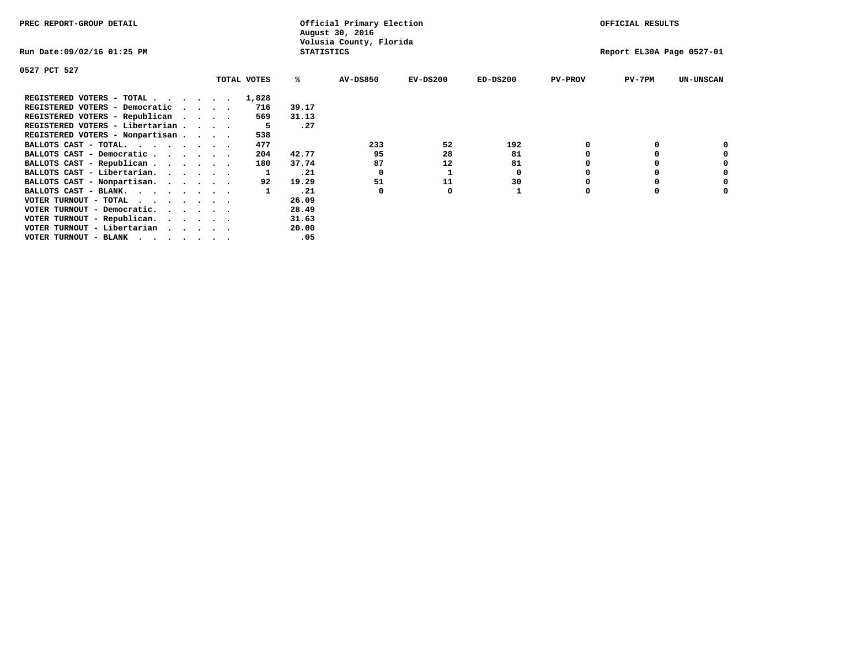| PREC REPORT-GROUP DETAIL                                               |          |             |                   | Official Primary Election<br>August 30, 2016 | OFFICIAL RESULTS |            |                |                           |                  |
|------------------------------------------------------------------------|----------|-------------|-------------------|----------------------------------------------|------------------|------------|----------------|---------------------------|------------------|
| Run Date:09/02/16 01:25 PM                                             |          |             | <b>STATISTICS</b> | Volusia County, Florida                      |                  |            |                | Report EL30A Page 0527-01 |                  |
| 0527 PCT 527                                                           |          |             |                   |                                              |                  |            |                |                           |                  |
|                                                                        |          | TOTAL VOTES | ℁                 | <b>AV-DS850</b>                              | $EV-DS200$       | $ED-DS200$ | <b>PV-PROV</b> | $PV-7PM$                  | <b>UN-UNSCAN</b> |
| REGISTERED VOTERS - TOTAL                                              |          | 1,828       |                   |                                              |                  |            |                |                           |                  |
| REGISTERED VOTERS - Democratic                                         | $\cdots$ | 716         | 39.17             |                                              |                  |            |                |                           |                  |
| REGISTERED VOTERS - Republican                                         |          | 569         | 31.13             |                                              |                  |            |                |                           |                  |
| REGISTERED VOTERS - Libertarian                                        |          |             | .27               |                                              |                  |            |                |                           |                  |
| REGISTERED VOTERS - Nonpartisan                                        |          | 538         |                   |                                              |                  |            |                |                           |                  |
| BALLOTS CAST - TOTAL.<br>$\cdots$                                      |          | 477         |                   | 233                                          | 52               | 192        | 0              |                           |                  |
| BALLOTS CAST - Democratic                                              |          | 204         | 42.77             | 95                                           | 28               | 81         |                |                           |                  |
| BALLOTS CAST - Republican                                              |          | 180         | 37.74             | 87                                           | 12               | 81         |                |                           |                  |
| BALLOTS CAST - Libertarian.                                            |          |             | .21               | 0                                            |                  | 0          |                |                           |                  |
| BALLOTS CAST - Nonpartisan.                                            |          | 92          | 19.29             | 51                                           | 11               | 30         |                |                           | 0                |
| BALLOTS CAST - BLANK.                                                  |          |             | .21               | $\Omega$                                     | 0                |            | 0              |                           |                  |
| VOTER TURNOUT - TOTAL                                                  |          |             | 26.09             |                                              |                  |            |                |                           |                  |
| VOTER TURNOUT - Democratic.<br>$\cdot$ $\cdot$ $\cdot$ $\cdot$ $\cdot$ |          |             | 28.49             |                                              |                  |            |                |                           |                  |
| VOTER TURNOUT - Republican.                                            |          |             | 31.63             |                                              |                  |            |                |                           |                  |
| VOTER TURNOUT - Libertarian                                            |          |             | 20.00             |                                              |                  |            |                |                           |                  |
| VOTER TURNOUT - BLANK<br>.                                             |          |             | .05               |                                              |                  |            |                |                           |                  |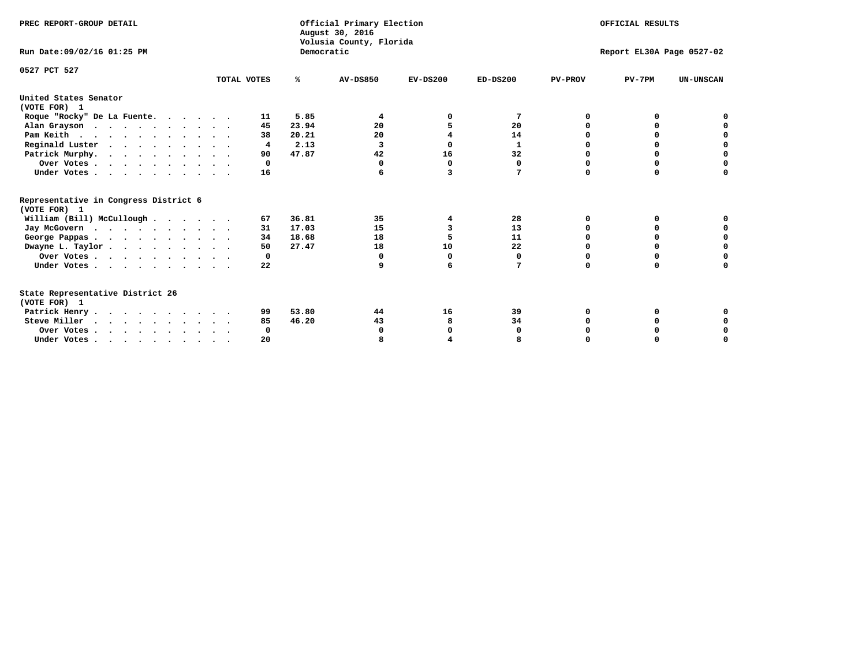| PREC REPORT-GROUP DETAIL                              |             |            | Official Primary Election<br>August 30, 2016<br>Volusia County, Florida | OFFICIAL RESULTS |              |                           |          |                  |  |  |
|-------------------------------------------------------|-------------|------------|-------------------------------------------------------------------------|------------------|--------------|---------------------------|----------|------------------|--|--|
| Run Date: 09/02/16 01:25 PM                           |             | Democratic |                                                                         |                  |              | Report EL30A Page 0527-02 |          |                  |  |  |
| 0527 PCT 527                                          | TOTAL VOTES | ℁          | <b>AV-DS850</b>                                                         | $EV-DS200$       | $ED-DS200$   | <b>PV-PROV</b>            | $PV-7PM$ | <b>UN-UNSCAN</b> |  |  |
|                                                       |             |            |                                                                         |                  |              |                           |          |                  |  |  |
| United States Senator<br>(VOTE FOR) 1                 |             |            |                                                                         |                  |              |                           |          |                  |  |  |
| Roque "Rocky" De La Fuente.                           | 11          | 5.85       | 4                                                                       |                  | 7            | O                         | o        |                  |  |  |
| Alan Grayson                                          | 45          | 23.94      | 20                                                                      |                  | 20           | O                         |          |                  |  |  |
| Pam Keith                                             | 38          | 20.21      | 20                                                                      |                  | 14           | n                         | 0        | o                |  |  |
| Reginald Luster                                       | 4           | 2.13       | 3                                                                       | 0                | $\mathbf{1}$ | O                         | 0        | $\mathbf 0$      |  |  |
| Patrick Murphy.                                       | 90          | 47.87      | 42                                                                      | 16               | 32           | 0                         | 0        | $\mathbf 0$      |  |  |
| Over Votes                                            | $\Omega$    |            | 0                                                                       | $\mathbf 0$      | $\mathbf 0$  | $\Omega$                  | $\Omega$ | $\Omega$         |  |  |
| Under Votes                                           | 16          |            |                                                                         | 3                | 7            | $\Omega$                  | $\Omega$ | O                |  |  |
| Representative in Congress District 6<br>(VOTE FOR) 1 |             |            |                                                                         |                  |              |                           |          |                  |  |  |
| William (Bill) McCullough                             | 67          | 36.81      | 35                                                                      | 4                | 28           | O                         | 0        |                  |  |  |
|                                                       | 31          | 17.03      | 15                                                                      | 3                | 13           | O                         | O        | 0                |  |  |
| Jay McGovern                                          | 34          | 18.68      | 18                                                                      | 5                | 11           | O                         | O        | 0                |  |  |
| George Pappas.                                        | 50          | 27.47      | 18                                                                      | 10               | 22           | $\Omega$                  | 0        | $\mathbf 0$      |  |  |
| Dwayne L. Taylor                                      | 0           |            | $\Omega$                                                                | 0                | 0            | 0                         | O        | 0                |  |  |
| Over Votes                                            |             |            | 9                                                                       | 6                | 7            | $\Omega$                  | $\Omega$ | O                |  |  |
| Under Votes                                           | 22          |            |                                                                         |                  |              |                           |          |                  |  |  |
| State Representative District 26                      |             |            |                                                                         |                  |              |                           |          |                  |  |  |
| (VOTE FOR) 1                                          |             |            |                                                                         |                  |              |                           |          |                  |  |  |
| Patrick Henry                                         | 99          | 53.80      | 44                                                                      | 16               | 39           | 0                         | 0        |                  |  |  |
| Steve Miller                                          | 85          | 46.20      | 43                                                                      | 8                | 34           |                           |          | 0                |  |  |
| Over Votes                                            | 0           |            | 0                                                                       | 0                | 0            |                           |          | 0                |  |  |
| Under Votes.                                          | 20          |            |                                                                         |                  |              |                           |          | O                |  |  |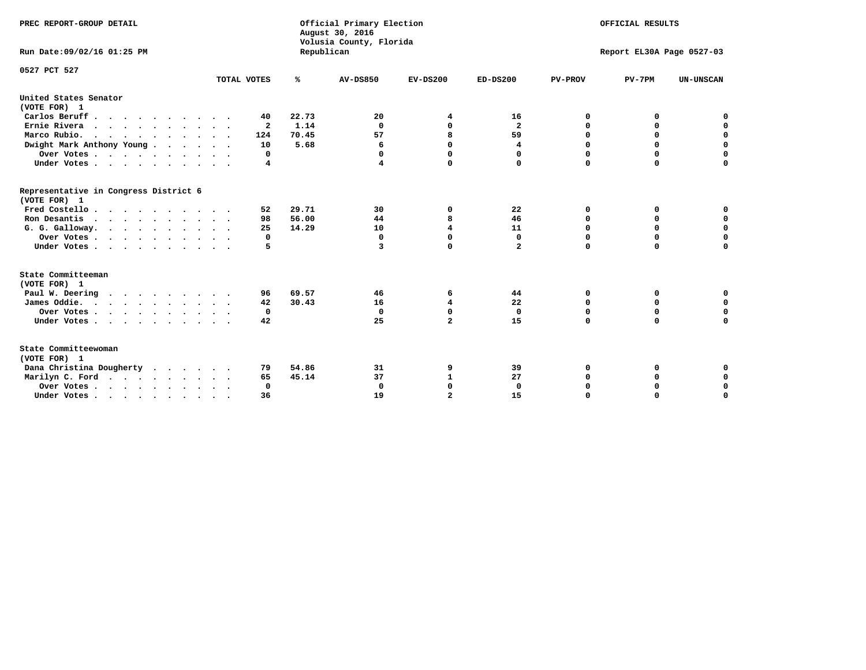| PREC REPORT-GROUP DETAIL                                                         |              |            | Official Primary Election<br>August 30, 2016<br>Volusia County, Florida | OFFICIAL RESULTS        |                           |                |             |                  |
|----------------------------------------------------------------------------------|--------------|------------|-------------------------------------------------------------------------|-------------------------|---------------------------|----------------|-------------|------------------|
| Run Date: 09/02/16 01:25 PM                                                      |              | Republican |                                                                         |                         | Report EL30A Page 0527-03 |                |             |                  |
| 0527 PCT 527                                                                     |              |            |                                                                         |                         |                           |                |             |                  |
|                                                                                  | TOTAL VOTES  | ℁          | <b>AV-DS850</b>                                                         | $EV-DS200$              | $ED-DS200$                | <b>PV-PROV</b> | $PV-7PM$    | <b>UN-UNSCAN</b> |
| United States Senator<br>(VOTE FOR) 1                                            |              |            |                                                                         |                         |                           |                |             |                  |
| Carlos Beruff                                                                    | 40           | 22.73      | 20                                                                      | 4                       | 16                        | 0              | 0           | 0                |
| Ernie Rivera                                                                     | $\mathbf{2}$ | 1.14       | $\Omega$                                                                | $\mathbf 0$             | $\overline{\mathbf{2}}$   | $\Omega$       | 0           | $\mathbf 0$      |
| Marco Rubio.                                                                     | 124          | 70.45      | 57                                                                      | 8                       | 59                        | $\mathbf 0$    | $\mathbf 0$ | $\mathbf 0$      |
| Dwight Mark Anthony Young                                                        | 10           | 5.68       | 6                                                                       | $\mathbf 0$             | 4                         | 0              | $\mathbf 0$ | $\pmb{0}$        |
| Over Votes                                                                       | 0            |            | 0                                                                       | $\mathbf 0$             | 0                         | 0              | 0           | 0                |
| Under Votes                                                                      | 4            |            | 4                                                                       | $\mathbf 0$             | $\Omega$                  | $\Omega$       | $\Omega$    | $\mathbf 0$      |
| Representative in Congress District 6<br>(VOTE FOR) 1                            |              |            |                                                                         |                         |                           |                |             |                  |
| Fred Costello.                                                                   | 52           | 29.71      | 30                                                                      | 0                       | 22                        | 0              | 0           | 0                |
| Ron Desantis                                                                     | 98           | 56.00      | 44                                                                      | 8                       | 46                        | 0              | 0           | $\mathbf 0$      |
| G. G. Galloway.                                                                  | 25           | 14.29      | 10                                                                      | 4                       | 11                        | $\mathbf 0$    | $\Omega$    | $\mathbf 0$      |
| Over Votes                                                                       | 0            |            | $\mathbf{0}$                                                            | $\mathbf 0$             | $\mathbf{0}$              | $\mathbf 0$    | $\mathbf 0$ | $\mathbf 0$      |
| Under Votes                                                                      | 5            |            | 3                                                                       | $\Omega$                | $\mathbf{2}$              | $\mathbf 0$    | $\Omega$    | $\mathbf 0$      |
| State Committeeman                                                               |              |            |                                                                         |                         |                           |                |             |                  |
| (VOTE FOR) 1                                                                     |              |            |                                                                         |                         |                           |                |             |                  |
| Paul W. Deering<br>$\cdots$                                                      | 96           | 69.57      | 46                                                                      | 6                       | 44                        | 0              | 0           | 0                |
| James Oddie.                                                                     | 42           | 30.43      | 16                                                                      | 4                       | 22                        | 0              | 0           | $\mathbf 0$      |
| Over Votes                                                                       | 0            |            | $\mathbf{0}$                                                            | $\mathbf 0$             | $\mathbf 0$               | 0              | $\mathbf 0$ | $\mathbf 0$      |
| Under Votes                                                                      | 42           |            | 25                                                                      | $\overline{\mathbf{2}}$ | 15                        | $\Omega$       | 0           | $\mathbf 0$      |
| State Committeewoman<br>(VOTE FOR) 1                                             |              |            |                                                                         |                         |                           |                |             |                  |
| Dana Christina Dougherty                                                         | 79           | 54.86      | 31                                                                      | 9                       | 39                        | 0              | 0           | 0                |
| Marilyn C. Ford                                                                  | 65           | 45.14      | 37                                                                      | 1                       | 27                        | 0              | 0           | 0                |
| Over Votes                                                                       | $\Omega$     |            | $\Omega$                                                                | $\mathbf 0$             | $\mathbf{0}$              | 0              | 0           | $\mathbf 0$      |
| Under Votes, $\cdot$ , $\cdot$ , $\cdot$ , $\cdot$ , $\cdot$ , $\cdot$ , $\cdot$ | 36           |            | 19                                                                      | $\overline{a}$          | 15                        | $\Omega$       | $\Omega$    | $\Omega$         |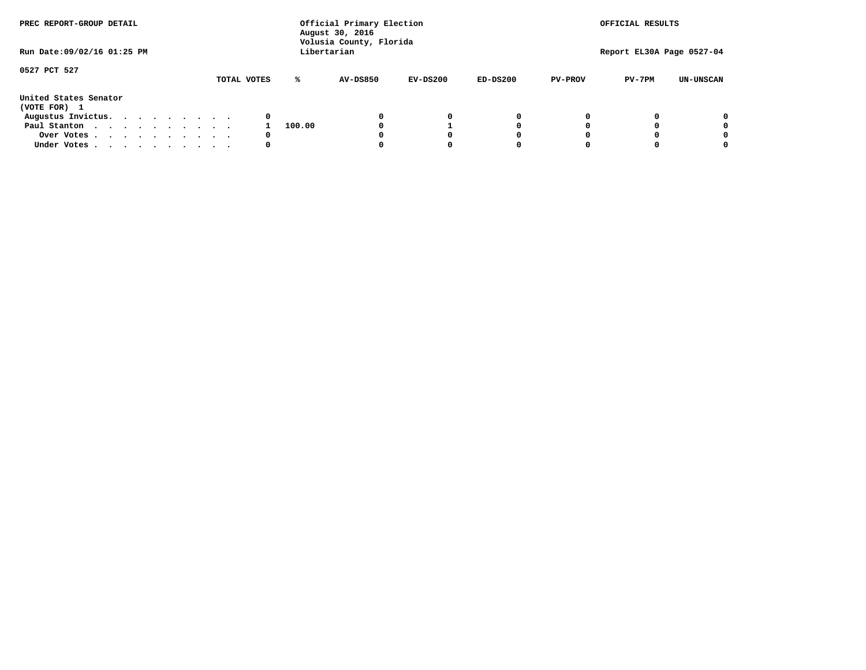| PREC REPORT-GROUP DETAIL              |  |  | Official Primary Election<br>August 30, 2016<br>Volusia County, Florida |  |             |        | OFFICIAL RESULTS |            |            |                |                           |                  |
|---------------------------------------|--|--|-------------------------------------------------------------------------|--|-------------|--------|------------------|------------|------------|----------------|---------------------------|------------------|
| Run Date: 09/02/16 01:25 PM           |  |  |                                                                         |  |             |        | Libertarian      |            |            |                | Report EL30A Page 0527-04 |                  |
| 0527 PCT 527                          |  |  |                                                                         |  | TOTAL VOTES | ℁      | <b>AV-DS850</b>  | $EV-DS200$ | $ED-DS200$ | <b>PV-PROV</b> | $PV-7PM$                  | <b>UN-UNSCAN</b> |
| United States Senator<br>(VOTE FOR) 1 |  |  |                                                                         |  |             |        |                  |            |            |                |                           |                  |
| Augustus Invictus.                    |  |  |                                                                         |  | 0           |        |                  | 0          | 0          |                |                           | 0                |
| Paul Stanton                          |  |  |                                                                         |  |             | 100.00 |                  |            | 0          |                |                           | 0                |
| Over Votes                            |  |  |                                                                         |  | 0           |        |                  |            | O          |                |                           | 0                |
| Under Votes                           |  |  |                                                                         |  | 0           |        |                  |            |            |                |                           |                  |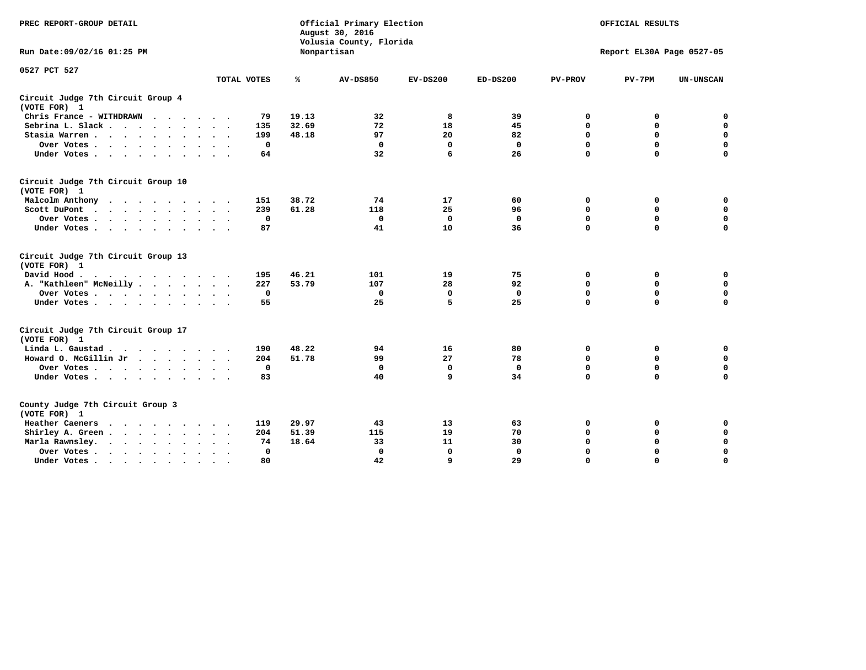| PREC REPORT-GROUP DETAIL                           |             | Official Primary Election<br>August 30, 2016<br>Volusia County, Florida | OFFICIAL RESULTS |             |              |                           |             |                  |  |  |
|----------------------------------------------------|-------------|-------------------------------------------------------------------------|------------------|-------------|--------------|---------------------------|-------------|------------------|--|--|
| Run Date: 09/02/16 01:25 PM                        | Nonpartisan |                                                                         |                  |             |              | Report EL30A Page 0527-05 |             |                  |  |  |
| 0527 PCT 527                                       | TOTAL VOTES | ℁                                                                       | <b>AV-DS850</b>  | $EV-DS200$  | $ED-DS200$   | <b>PV-PROV</b>            | $PV-7PM$    | <b>UN-UNSCAN</b> |  |  |
|                                                    |             |                                                                         |                  |             |              |                           |             |                  |  |  |
| Circuit Judge 7th Circuit Group 4<br>(VOTE FOR) 1  |             |                                                                         |                  |             |              |                           |             |                  |  |  |
| Chris France - WITHDRAWN                           | 79          | 19.13                                                                   | 32               | 8           | 39           | 0                         | 0           | 0                |  |  |
| Sebrina L. Slack.                                  | 135         | 32.69                                                                   | 72               | 18          | 45           | 0                         | 0           | $\mathbf 0$      |  |  |
| Stasia Warren                                      | 199         | 48.18                                                                   | 97               | 20          | 82           | $\mathbf 0$               | $\mathbf 0$ | $\mathbf 0$      |  |  |
| Over Votes                                         | $\mathbf 0$ |                                                                         | $\mathbf 0$      | $\mathbf 0$ | $\mathbf 0$  | 0                         | $\mathbf 0$ | $\pmb{0}$        |  |  |
| Under Votes                                        | 64          |                                                                         | 32               | 6           | 26           | $\Omega$                  | $\Omega$    | $\Omega$         |  |  |
| Circuit Judge 7th Circuit Group 10<br>(VOTE FOR) 1 |             |                                                                         |                  |             |              |                           |             |                  |  |  |
| Malcolm Anthony                                    | 151         | 38.72                                                                   | 74               | 17          | 60           | 0                         | 0           | 0                |  |  |
| Scott DuPont                                       | 239         | 61.28                                                                   | 118              | 25          | 96           | $\Omega$                  | $\mathbf 0$ | $\mathbf 0$      |  |  |
| Over Votes                                         | $^{\circ}$  |                                                                         | $\mathbf{0}$     | $\mathbf 0$ | $\mathbf{0}$ | $\mathbf 0$               | $\mathbf 0$ | $\mathbf 0$      |  |  |
| Under Votes                                        | 87          |                                                                         | 41               | 10          | 36           | $\mathbf 0$               | $\mathbf 0$ | 0                |  |  |
| Circuit Judge 7th Circuit Group 13<br>(VOTE FOR) 1 |             |                                                                         |                  |             |              |                           |             |                  |  |  |
| David Hood.<br>.                                   | 195         | 46.21                                                                   | 101              | 19          | 75           | $\mathbf 0$               | $\mathbf 0$ | $\mathbf 0$      |  |  |
| A. "Kathleen" McNeilly                             | 227         | 53.79                                                                   | 107              | 28          | 92           | $\mathbf 0$               | $\mathbf 0$ | $\mathbf 0$      |  |  |
| Over Votes                                         | $\mathbf 0$ |                                                                         | $\Omega$         | 0           | 0            | $\mathbf 0$               | $\mathbf 0$ | $\mathbf 0$      |  |  |
| Under Votes                                        | 55          |                                                                         | 25               | 5           | 25           | $\Omega$                  | $\mathbf 0$ | 0                |  |  |
| Circuit Judge 7th Circuit Group 17<br>(VOTE FOR) 1 |             |                                                                         |                  |             |              |                           |             |                  |  |  |
| Linda L. Gaustad                                   | 190         | 48.22                                                                   | 94               | 16          | 80           | 0                         | 0           | $\mathbf 0$      |  |  |
| Howard O. McGillin Jr                              | 204         | 51.78                                                                   | 99               | 27          | 78           | $\mathbf 0$               | $\mathbf 0$ | $\mathbf 0$      |  |  |
| Over Votes                                         | $\mathbf 0$ |                                                                         | $\mathbf{0}$     | $\mathbf 0$ | $\mathbf{0}$ | $\mathbf 0$               | $\mathbf 0$ | 0                |  |  |
| Under Votes                                        | 83          |                                                                         | 40               | 9           | 34           | $\mathbf 0$               | $\mathbf 0$ | $\mathbf 0$      |  |  |
| County Judge 7th Circuit Group 3<br>(VOTE FOR) 1   |             |                                                                         |                  |             |              |                           |             |                  |  |  |
| Heather Caeners<br>.                               | 119         | 29.97                                                                   | 43               | 13          | 63           | 0                         | 0           | $\mathbf 0$      |  |  |
| Shirley A. Green                                   | 204         | 51.39                                                                   | 115              | 19          | 70           | $\mathbf 0$               | 0           | $\mathbf 0$      |  |  |
| Marla Rawnsley.                                    | 74          | 18.64                                                                   | 33               | 11          | 30           | 0                         | $\mathbf 0$ | $\mathbf 0$      |  |  |
| Over Votes<br>$\sim$ $\sim$                        | 0           |                                                                         | $\Omega$         | $\mathbf 0$ | $\mathbf{0}$ | 0                         | $\mathbf 0$ | $\mathbf 0$      |  |  |
| Under Votes<br>$\bullet$                           | 80          |                                                                         | 42               | 9           | 29           | $\mathbf 0$               | $\Omega$    | $\Omega$         |  |  |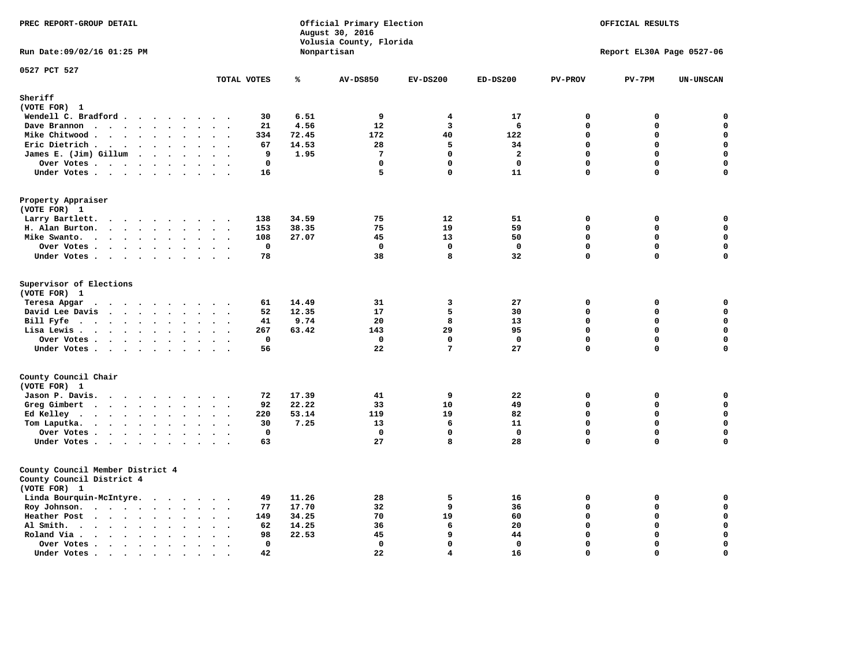| PREC REPORT-GROUP DETAIL<br>Run Date: 09/02/16 01:25 PM                                                            |                                                                               |                | Official Primary Election<br>August 30, 2016<br>Volusia County, Florida<br>Nonpartisan | OFFICIAL RESULTS<br>Report EL30A Page 0527-06 |                |                            |             |                            |
|--------------------------------------------------------------------------------------------------------------------|-------------------------------------------------------------------------------|----------------|----------------------------------------------------------------------------------------|-----------------------------------------------|----------------|----------------------------|-------------|----------------------------|
|                                                                                                                    |                                                                               |                |                                                                                        |                                               |                |                            |             |                            |
| 0527 PCT 527                                                                                                       | TOTAL VOTES                                                                   | ℁              | <b>AV-DS850</b>                                                                        | $EV-DS200$                                    | $ED-DS200$     | <b>PV-PROV</b>             | $PV-7PM$    | <b>UN-UNSCAN</b>           |
| Sheriff                                                                                                            |                                                                               |                |                                                                                        |                                               |                |                            |             |                            |
| (VOTE FOR) 1                                                                                                       |                                                                               |                |                                                                                        |                                               |                |                            |             |                            |
| Wendell C. Bradford                                                                                                | 30                                                                            | 6.51           | 9                                                                                      | $\overline{\mathbf{4}}$                       | 17             | $\Omega$                   | 0           | $\mathbf 0$                |
| Dave Brannon                                                                                                       | 21<br>$\sim$ $\sim$                                                           | 4.56           | 12                                                                                     | $\overline{3}$                                | 6              | $\mathbf 0$                | 0           | $\mathbf 0$                |
| Mike Chitwood                                                                                                      | 334                                                                           | 72.45          | 172                                                                                    | 40                                            | 122            | $\mathbf 0$                | $\mathbf 0$ | $\mathbf 0$                |
| Eric Dietrich.<br>$\cdots$                                                                                         | 67<br>$\ddot{\phantom{a}}$                                                    | 14.53          | 28                                                                                     | 5                                             | 34             | $\mathbf 0$                | $\mathbf 0$ | $\mathbf 0$                |
| James E. (Jim) Gillum                                                                                              | 9                                                                             | 1.95           | 7                                                                                      | 0                                             | $\overline{2}$ | $\Omega$                   | 0           | $\mathbf 0$                |
| Over Votes                                                                                                         | $\mathbf 0$                                                                   |                | $\mathbf{0}$                                                                           | $\Omega$                                      | $\mathbf{0}$   | $\mathbf{0}$               | 0           | $\mathbf 0$                |
| Under Votes                                                                                                        | 16                                                                            |                | 5                                                                                      | 0                                             | 11             | $\Omega$                   | 0           | 0                          |
| Property Appraiser<br>(VOTE FOR) 1                                                                                 |                                                                               |                |                                                                                        |                                               |                |                            |             |                            |
| Larry Bartlett.                                                                                                    | 138<br>$\sim$ $\sim$                                                          | 34.59          | 75                                                                                     | 12                                            | 51             | $\mathbf 0$                | 0           | 0                          |
| H. Alan Burton.                                                                                                    | 153<br>$\sim$ $\sim$                                                          | 38.35          | 75                                                                                     | 19                                            | 59             | $\Omega$                   | 0           | $\mathbf 0$                |
| Mike Swanto.<br>$\ddot{\phantom{a}}$                                                                               | 108<br>$\sim$<br>$\bullet$ .<br>$\overline{\phantom{a}}$                      | 27.07          | 45                                                                                     | 13                                            | 50             | $\mathbf 0$                | 0           | $\mathbf 0$                |
| Over Votes                                                                                                         | $\mathbf 0$                                                                   |                | $\Omega$                                                                               | $\Omega$                                      | $\mathbf 0$    | $\mathbf 0$                | $\mathbf 0$ | $\mathbf 0$                |
| Under Votes                                                                                                        | 78                                                                            |                | 38                                                                                     | 8                                             | 32             | $\mathbf 0$                | $\mathbf 0$ | $\Omega$                   |
| Supervisor of Elections                                                                                            |                                                                               |                |                                                                                        |                                               |                |                            |             |                            |
| (VOTE FOR) 1                                                                                                       |                                                                               |                |                                                                                        |                                               |                |                            |             |                            |
| Teresa Apgar<br>.                                                                                                  | 61                                                                            | 14.49          | 31                                                                                     | 3                                             | 27             | 0                          | 0           | $\mathbf 0$                |
| David Lee Davis                                                                                                    | 52                                                                            | 12.35          | 17                                                                                     | 5                                             | 30             | $\Omega$                   | 0           | $\mathbf 0$                |
| Bill Fyfe. $\ldots$                                                                                                | 41                                                                            | 9.74           | 20                                                                                     | 8                                             | 13             | $\mathbf{0}$               | 0           | $\mathbf 0$                |
| Lisa Lewis                                                                                                         | 267                                                                           | 63.42          | 143                                                                                    | 29                                            | 95             | $\mathbf 0$                | 0           | 0                          |
| Over Votes                                                                                                         | $\mathbf 0$                                                                   |                | $\mathbf 0$                                                                            | $\mathbf 0$                                   | $\mathbf 0$    | $\mathbf 0$                | $\mathbf 0$ | $\mathbf 0$                |
| Under Votes                                                                                                        | 56                                                                            |                | 22                                                                                     | $7\phantom{.0}$                               | 27             | $\mathbf 0$                | 0           | $\mathbf 0$                |
| County Council Chair                                                                                               |                                                                               |                |                                                                                        |                                               |                |                            |             |                            |
| (VOTE FOR) 1                                                                                                       |                                                                               |                |                                                                                        |                                               |                |                            |             |                            |
| Jason P. Davis.                                                                                                    | 72                                                                            | 17.39          | 41                                                                                     | 9                                             | 22<br>49       | $\mathbf 0$<br>$\mathbf 0$ | 0<br>0      | $\mathbf 0$<br>$\mathbf 0$ |
| Greg Gimbert                                                                                                       | 92<br>220                                                                     | 22.22<br>53.14 | 33<br>119                                                                              | 10<br>19                                      | 82             | $\mathbf 0$                | $\mathbf 0$ | $\mathbf 0$                |
| Ed Kelley                                                                                                          |                                                                               | 7.25           | 13                                                                                     |                                               | 11             | $\Omega$                   | $\mathbf 0$ | 0                          |
| Tom Laputka.<br>$\begin{array}{cccccccccccccccccc} . & . & . & . & . & . & . & . & . & . & . & . & . \end{array}$  | 30<br>$\Omega$                                                                |                | $\Omega$                                                                               | 6<br>$\Omega$                                 | $\mathbf{0}$   | $\mathbf{0}$               | 0           | 0                          |
| Over Votes<br>Under Votes                                                                                          | 63                                                                            |                | 27                                                                                     | 8                                             | 28             | $\mathbf 0$                | 0           | $\Omega$                   |
| $\ddot{\phantom{a}}$                                                                                               | $\sim$                                                                        |                |                                                                                        |                                               |                |                            |             |                            |
| County Council Member District 4<br>County Council District 4<br>(VOTE FOR) 1                                      |                                                                               |                |                                                                                        |                                               |                |                            |             |                            |
| Linda Bourquin-McIntyre.                                                                                           | 49                                                                            | 11.26          | 28                                                                                     | 5                                             | 16             | 0                          | 0           | 0                          |
| Roy Johnson.<br>$\bullet$                                                                                          | 77<br>$\sim$<br>$\sim$ $\sim$                                                 | 17.70          | 32                                                                                     | 9                                             | 36             | $\mathbf 0$                | 0           | $\pmb{0}$                  |
| Heather Post                                                                                                       | 149                                                                           | 34.25          | 70                                                                                     | 19                                            | 60             | $\mathbf 0$                | 0           | $\mathbf 0$                |
| Al Smith.<br>$\ddot{\phantom{a}}$                                                                                  | 62<br>$\bullet$                                                               | 14.25          | 36                                                                                     | 6                                             | 20             | $\Omega$                   | $\Omega$    | $\mathbf 0$                |
| Roland Via .<br>$\mathcal{L}=\mathcal{L}=\mathcal{L}=\mathcal{L}$ .<br>$\sim$<br>$\bullet$<br>$\ddot{\phantom{a}}$ | 98                                                                            | 22.53          | 45                                                                                     | 9                                             | 44             | $\Omega$                   | 0           | $\mathbf 0$                |
| Over Votes<br>$\ddot{\phantom{a}}$                                                                                 | $\mathbf{0}$<br>$\ddot{\phantom{a}}$<br>$\bullet$<br>$\overline{\phantom{a}}$ |                | $\mathbf{0}$                                                                           | $\mathbf 0$                                   | $\mathbf 0$    | $\mathbf 0$                | 0           | $\mathbf 0$                |
| Under Votes.<br>.                                                                                                  | 42<br>$\bullet$<br>$\bullet$                                                  |                | 22                                                                                     | 4                                             | 16             | $\Omega$                   | 0           | $\mathbf 0$                |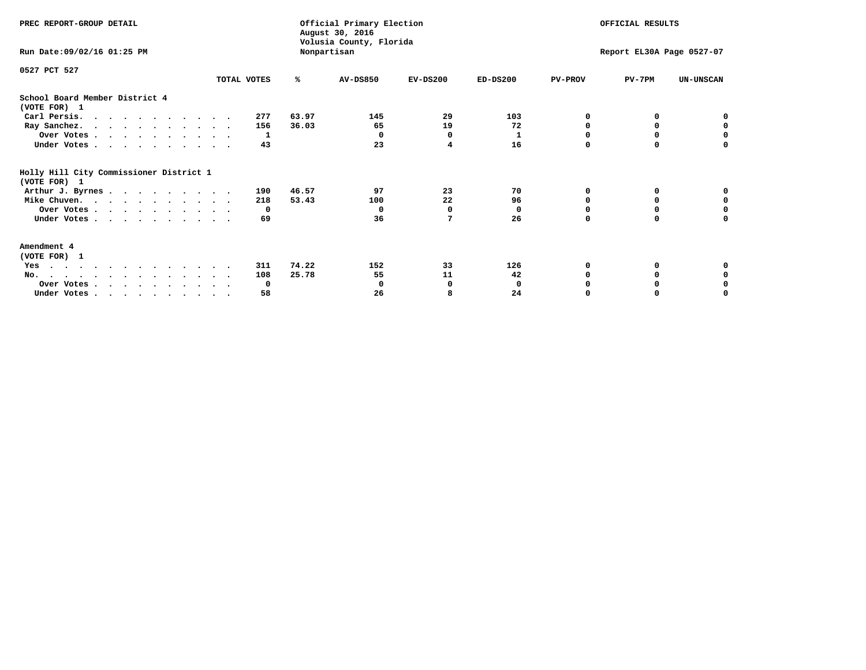| PREC REPORT-GROUP DETAIL                                |             |       | Official Primary Election<br>August 30, 2016<br>Volusia County, Florida |            |            | OFFICIAL RESULTS          |          |                  |
|---------------------------------------------------------|-------------|-------|-------------------------------------------------------------------------|------------|------------|---------------------------|----------|------------------|
| Run Date: 09/02/16 01:25 PM                             |             |       | Nonpartisan                                                             |            |            | Report EL30A Page 0527-07 |          |                  |
| 0527 PCT 527                                            |             |       |                                                                         |            |            |                           |          |                  |
|                                                         | TOTAL VOTES | ℁     | <b>AV-DS850</b>                                                         | $EV-DS200$ | $ED-DS200$ | <b>PV-PROV</b>            | $PV-7PM$ | <b>UN-UNSCAN</b> |
| School Board Member District 4<br>(VOTE FOR) 1          |             |       |                                                                         |            |            |                           |          |                  |
| Carl Persis.                                            | 277         | 63.97 | 145                                                                     | 29         | 103        | O                         |          |                  |
| Ray Sanchez.                                            | 156         | 36.03 | 65                                                                      | 19         | 72         | n                         | 0        | $\mathbf 0$      |
| Over Votes                                              | 1           |       | 0                                                                       | 0          | 1          |                           |          | 0                |
| Under Votes                                             | 43          |       | 23                                                                      | 4          | 16         | $\Omega$                  | $\Omega$ | $\Omega$         |
| Holly Hill City Commissioner District 1<br>(VOTE FOR) 1 |             |       |                                                                         |            |            |                           |          |                  |
| Arthur J. Byrnes                                        | 190         | 46.57 | 97                                                                      | 23         | 70         | O                         | 0        | o                |
| Mike Chuven.                                            | 218         | 53.43 | 100                                                                     | 22         | 96         | n                         | 0        | $\mathbf 0$      |
| Over Votes                                              | 0           |       | $\Omega$                                                                | 0          | $\Omega$   |                           |          | 0                |
| Under Votes                                             | 69          |       | 36                                                                      | 7          | 26         | $\Omega$                  | $\Omega$ | U                |
| Amendment 4<br>(VOTE FOR) 1                             |             |       |                                                                         |            |            |                           |          |                  |
| Yes<br>$\cdot$                                          | 311         | 74.22 | 152                                                                     | 33         | 126        |                           |          |                  |
| No.                                                     | 108         | 25.78 | 55                                                                      | 11         | 42         |                           | 0        |                  |
| Over Votes                                              | 0           |       | n                                                                       | 0          | 0          |                           |          | 0                |
| Under Votes                                             | 58          |       | 26                                                                      | 8          | 24         |                           |          | O                |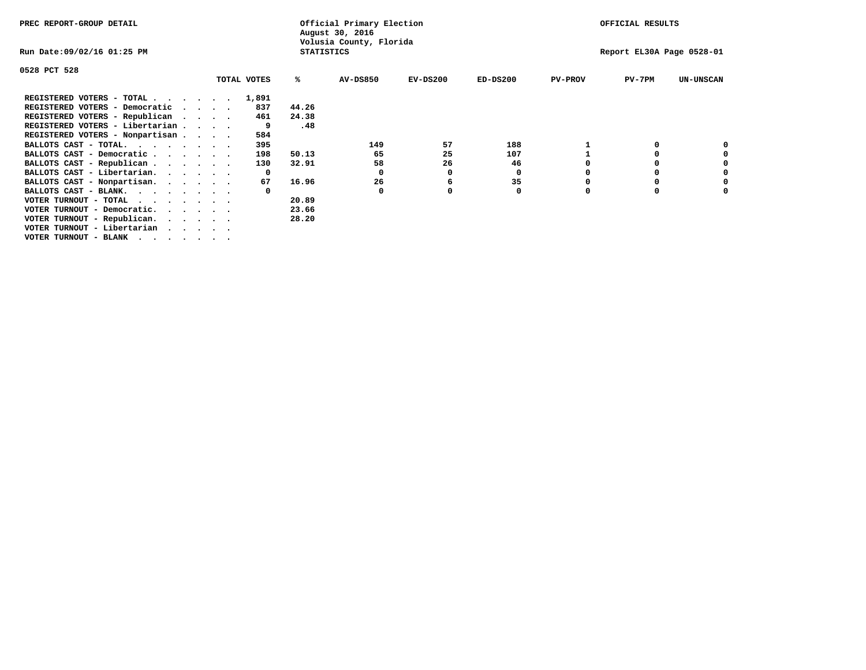| PREC REPORT-GROUP DETAIL                                               |                   | Official Primary Election<br>August 30, 2016 |            |            |                | OFFICIAL RESULTS          |                  |
|------------------------------------------------------------------------|-------------------|----------------------------------------------|------------|------------|----------------|---------------------------|------------------|
| Run Date:09/02/16 01:25 PM                                             | <b>STATISTICS</b> | Volusia County, Florida                      |            |            |                | Report EL30A Page 0528-01 |                  |
| 0528 PCT 528                                                           |                   |                                              |            |            |                |                           |                  |
| TOTAL VOTES                                                            | %ะ                | <b>AV-DS850</b>                              | $EV-DS200$ | $ED-DS200$ | <b>PV-PROV</b> | $PV-7PM$                  | <b>UN-UNSCAN</b> |
| REGISTERED VOTERS - TOTAL<br>1,891                                     |                   |                                              |            |            |                |                           |                  |
| REGISTERED VOTERS - Democratic<br>$\sim$ $\sim$ $\sim$ $\sim$          | 44.26<br>837      |                                              |            |            |                |                           |                  |
| REGISTERED VOTERS - Republican                                         | 24.38<br>461      |                                              |            |            |                |                           |                  |
| REGISTERED VOTERS - Libertarian                                        | .48<br>9          |                                              |            |            |                |                           |                  |
| REGISTERED VOTERS - Nonpartisan                                        | 584               |                                              |            |            |                |                           |                  |
| BALLOTS CAST - TOTAL.                                                  | 395               | 149                                          | 57         | 188        |                |                           |                  |
| BALLOTS CAST - Democratic                                              | 50.13<br>198      | 65                                           | 25         | 107        |                |                           |                  |
| BALLOTS CAST - Republican                                              | 130<br>32.91      | 58                                           | 26         | 46         |                |                           |                  |
| BALLOTS CAST - Libertarian.                                            | $\mathbf{o}$      | 0                                            | 0          | 0          |                |                           |                  |
| BALLOTS CAST - Nonpartisan.                                            | 16.96<br>67       | 26                                           | 6          | 35         |                |                           |                  |
| BALLOTS CAST - BLANK.                                                  |                   | 0                                            |            | 0          |                |                           |                  |
| VOTER TURNOUT - TOTAL<br>.                                             | 20.89             |                                              |            |            |                |                           |                  |
| VOTER TURNOUT - Democratic.<br>$\cdot$ $\cdot$ $\cdot$ $\cdot$ $\cdot$ | 23.66             |                                              |            |            |                |                           |                  |
| VOTER TURNOUT - Republican.                                            | 28.20             |                                              |            |            |                |                           |                  |
| VOTER TURNOUT - Libertarian                                            |                   |                                              |            |            |                |                           |                  |
| VOTER TURNOUT - BLANK                                                  |                   |                                              |            |            |                |                           |                  |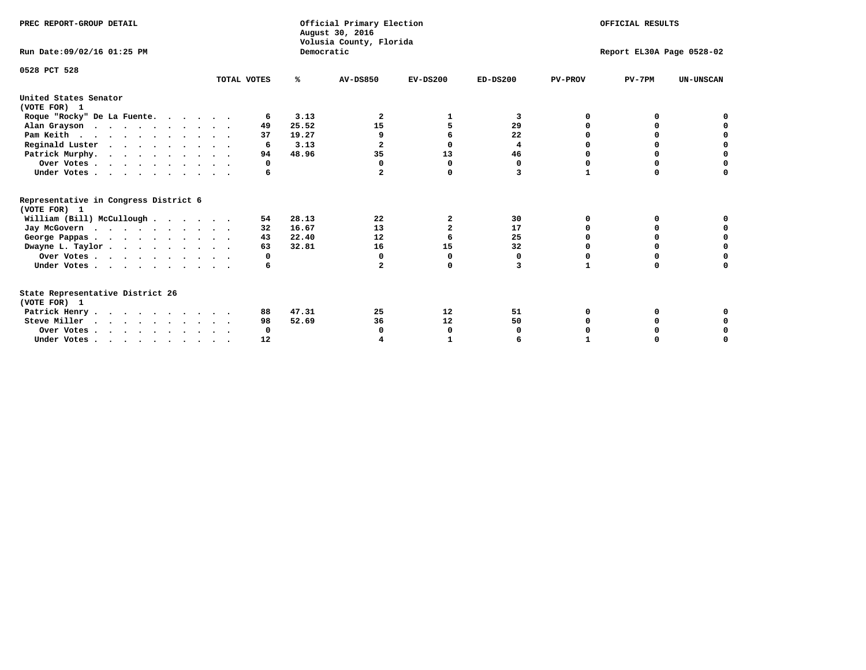| PREC REPORT-GROUP DETAIL                                                         |             |            | Official Primary Election<br>August 30, 2016<br>Volusia County, Florida | OFFICIAL RESULTS |                           |                |          |                  |  |
|----------------------------------------------------------------------------------|-------------|------------|-------------------------------------------------------------------------|------------------|---------------------------|----------------|----------|------------------|--|
| Run Date: 09/02/16 01:25 PM                                                      |             | Democratic |                                                                         |                  | Report EL30A Page 0528-02 |                |          |                  |  |
| 0528 PCT 528                                                                     | TOTAL VOTES | %ะ         | <b>AV-DS850</b>                                                         | $EV-DS200$       | $ED-DS200$                | <b>PV-PROV</b> | $PV-7PM$ | <b>UN-UNSCAN</b> |  |
| United States Senator<br>(VOTE FOR) 1                                            |             |            |                                                                         |                  |                           |                |          |                  |  |
| Roque "Rocky" De La Fuente.                                                      | 6           | 3.13       | 2                                                                       |                  | 3                         | O              |          |                  |  |
| Alan Grayson                                                                     | 49          | 25.52      | 15                                                                      |                  | 29                        |                |          |                  |  |
| Pam Keith                                                                        | 37          | 19.27      | 9                                                                       |                  | 22                        |                |          |                  |  |
| Reginald Luster                                                                  | 6           | 3.13       | $\mathbf{2}$                                                            | $\Omega$         | 4                         |                | $\Omega$ | O                |  |
| Patrick Murphy.                                                                  | 94          | 48.96      | 35                                                                      | 13               | 46                        |                | 0        | 0                |  |
| Over Votes                                                                       | 0           |            | 0                                                                       | 0                | 0                         | O              | 0        | O                |  |
| Under Votes                                                                      | 6           |            | $\mathbf{2}$                                                            | 0                | 3                         | 1              | $\Omega$ | U                |  |
| Representative in Congress District 6<br>(VOTE FOR) 1                            |             |            |                                                                         |                  |                           |                |          |                  |  |
| William (Bill) McCullough                                                        | 54          | 28.13      | 22                                                                      | 2                | 30                        | 0              | 0        |                  |  |
| Jay McGovern                                                                     | 32          | 16.67      | 13                                                                      | $\overline{a}$   | 17                        | O              | $\Omega$ |                  |  |
| George Pappas.                                                                   | 43          | 22.40      | 12                                                                      |                  | 25                        | O              | $\Omega$ | 0                |  |
| Dwayne L. Taylor                                                                 | 63          | 32.81      | 16                                                                      | 15               | 32                        |                |          | $\Omega$         |  |
| Over Votes                                                                       | 0           |            | 0                                                                       | $\Omega$         | 0                         |                |          | O                |  |
| Under Votes                                                                      | 6           |            | $\mathbf{z}$                                                            | $\Omega$         | 3                         | 1              | 0        | O                |  |
| State Representative District 26<br>(VOTE FOR) 1                                 |             |            |                                                                         |                  |                           |                |          |                  |  |
| Patrick Henry                                                                    | 88          | 47.31      | 25                                                                      | 12               | 51                        | O              |          |                  |  |
| Steve Miller                                                                     | 98          | 52.69      | 36                                                                      | 12               | 50                        |                |          | 0                |  |
| Over Votes                                                                       | 0           |            | 0                                                                       | 0                |                           |                |          | 0                |  |
| Under Votes, $\cdot$ , $\cdot$ , $\cdot$ , $\cdot$ , $\cdot$ , $\cdot$ , $\cdot$ | 12          |            |                                                                         |                  |                           |                |          | U                |  |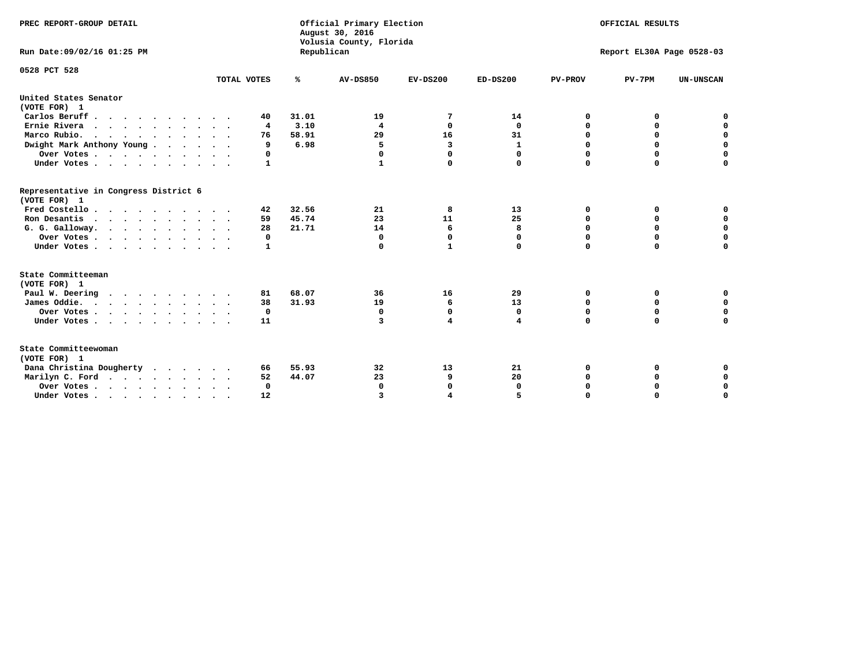| PREC REPORT-GROUP DETAIL<br>Run Date: 09/02/16 01:25 PM |              | Republican | Official Primary Election<br>August 30, 2016<br>Volusia County, Florida | OFFICIAL RESULTS<br>Report EL30A Page 0528-03 |              |                |             |                  |
|---------------------------------------------------------|--------------|------------|-------------------------------------------------------------------------|-----------------------------------------------|--------------|----------------|-------------|------------------|
|                                                         |              |            |                                                                         |                                               |              |                |             |                  |
| 0528 PCT 528                                            |              |            |                                                                         |                                               |              |                |             |                  |
|                                                         | TOTAL VOTES  | ℁          | <b>AV-DS850</b>                                                         | $EV-DS200$                                    | $ED-DS200$   | <b>PV-PROV</b> | $PV-7PM$    | <b>UN-UNSCAN</b> |
| United States Senator<br>(VOTE FOR) 1                   |              |            |                                                                         |                                               |              |                |             |                  |
| Carlos Beruff                                           | 40           | 31.01      | 19                                                                      | 7                                             | 14           | 0              | 0           | 0                |
| Ernie Rivera                                            | 4            | 3.10       | 4                                                                       | 0                                             | $\mathbf 0$  | 0              | 0           | $\mathbf 0$      |
| Marco Rubio.<br>$\cdots$                                | 76           | 58.91      | 29                                                                      | 16                                            | 31           | 0              | $\mathbf 0$ | $\mathbf 0$      |
| Dwight Mark Anthony Young                               | 9            | 6.98       | 5                                                                       | 3                                             | $\mathbf{1}$ | 0              | $\mathbf 0$ | $\mathbf 0$      |
| Over Votes                                              | 0            |            | 0                                                                       | $\Omega$                                      | 0            | 0              | 0           | $\mathbf 0$      |
| Under Votes                                             | $\mathbf{1}$ |            | $\mathbf{1}$                                                            | $\Omega$                                      | 0            | $\Omega$       | $\Omega$    | $\Omega$         |
| Representative in Congress District 6<br>(VOTE FOR) 1   |              |            |                                                                         |                                               |              |                |             |                  |
| Fred Costello                                           | 42           | 32.56      | 21                                                                      | 8                                             | 13           | 0              | 0           | 0                |
| Ron Desantis                                            | 59           | 45.74      | 23                                                                      | 11                                            | 25           | $\Omega$       | 0           | $\mathbf 0$      |
| G. G. Galloway.                                         | 28           | 21.71      | 14                                                                      | 6                                             | 8            | $\mathbf 0$    | $\mathbf 0$ | $\Omega$         |
| Over Votes                                              | 0            |            | $\mathbf{0}$                                                            | $\mathbf 0$                                   | 0            | $\mathbf 0$    | $\mathbf 0$ | $\mathbf 0$      |
| Under Votes                                             | 1            |            | 0                                                                       | $\mathbf{1}$                                  | 0            | $\Omega$       | $\Omega$    | $\Omega$         |
| State Committeeman                                      |              |            |                                                                         |                                               |              |                |             |                  |
| (VOTE FOR) 1                                            |              |            |                                                                         |                                               |              |                |             |                  |
| Paul W. Deering                                         | 81           | 68.07      | 36                                                                      | 16                                            | 29           | 0              | 0           | 0                |
| James Oddie.                                            | 38           | 31.93      | 19                                                                      | 6                                             | 13           | 0              | 0           | $\mathbf 0$      |
| Over Votes                                              | 0            |            | 0                                                                       | 0                                             | 0            | 0              | 0           | $\mathbf 0$      |
| Under Votes                                             | 11           |            | 3                                                                       | 4                                             | 4            | $\mathbf 0$    | $\mathbf 0$ | $\mathbf 0$      |
| State Committeewoman<br>(VOTE FOR) 1                    |              |            |                                                                         |                                               |              |                |             |                  |
| Dana Christina Dougherty                                | 66           | 55.93      | 32                                                                      | 13                                            | 21           | 0              | 0           | 0                |
| Marilyn C. Ford                                         | 52           | 44.07      | 23                                                                      | 9                                             | 20           | 0              | 0           | $\mathbf 0$      |
| Over Votes                                              | $\Omega$     |            | $\Omega$                                                                | $\mathbf 0$                                   | 0            | 0              | 0           | $\mathbf 0$      |
| Under Votes, , , , , , , , , ,                          | 12           |            | $\overline{\mathbf{z}}$                                                 | 4                                             |              | $\Omega$       | $\Omega$    | $\Omega$         |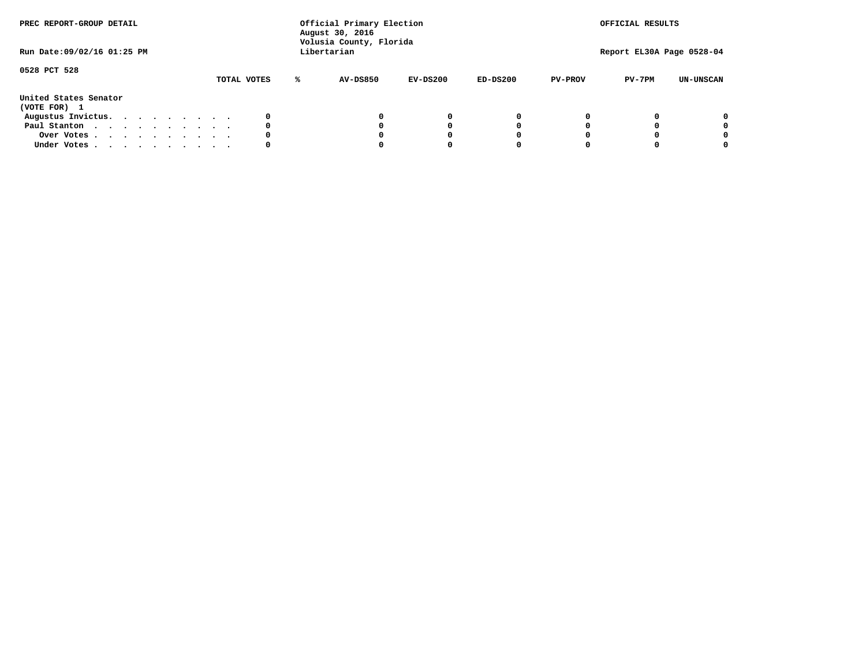| PREC REPORT-GROUP DETAIL<br>Run Date: 09/02/16 01:25 PM |  |  |  |  |  | Official Primary Election<br>August 30, 2016<br>Volusia County, Florida<br>Libertarian |             |   | OFFICIAL RESULTS<br>Report EL30A Page 0528-04 |            |            |                |          |                  |
|---------------------------------------------------------|--|--|--|--|--|----------------------------------------------------------------------------------------|-------------|---|-----------------------------------------------|------------|------------|----------------|----------|------------------|
| 0528 PCT 528                                            |  |  |  |  |  |                                                                                        | TOTAL VOTES | ℁ | <b>AV-DS850</b>                               | $EV-DS200$ | $ED-DS200$ | <b>PV-PROV</b> | $PV-7PM$ | <b>UN-UNSCAN</b> |
| United States Senator<br>(VOTE FOR) 1                   |  |  |  |  |  |                                                                                        |             |   |                                               |            |            |                |          |                  |
| Augustus Invictus.                                      |  |  |  |  |  |                                                                                        | 0           |   |                                               | 0          | 0          |                |          | 0                |
| Paul Stanton                                            |  |  |  |  |  |                                                                                        | 0           |   |                                               |            | 0          |                |          | 0                |
| Over Votes                                              |  |  |  |  |  |                                                                                        | 0           |   |                                               |            | 0          |                |          | 0                |
| Under Votes                                             |  |  |  |  |  |                                                                                        | 0           |   |                                               |            |            |                |          | 0                |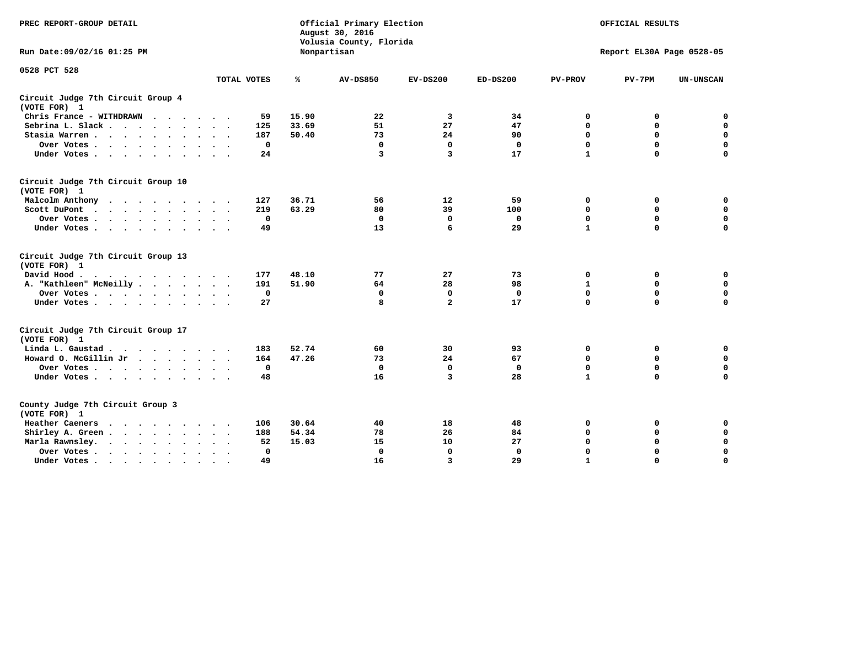| PREC REPORT-GROUP DETAIL                                                                                                           |              |       | Official Primary Election<br>August 30, 2016<br>Volusia County, Florida |                         |              |                | OFFICIAL RESULTS          |                  |
|------------------------------------------------------------------------------------------------------------------------------------|--------------|-------|-------------------------------------------------------------------------|-------------------------|--------------|----------------|---------------------------|------------------|
| Run Date: 09/02/16 01:25 PM                                                                                                        |              |       | Nonpartisan                                                             |                         |              |                | Report EL30A Page 0528-05 |                  |
| 0528 PCT 528                                                                                                                       | TOTAL VOTES  | ℁     | <b>AV-DS850</b>                                                         | $EV-DS200$              | $ED-DS200$   | <b>PV-PROV</b> | $PV-7PM$                  | <b>UN-UNSCAN</b> |
| Circuit Judge 7th Circuit Group 4                                                                                                  |              |       |                                                                         |                         |              |                |                           |                  |
| (VOTE FOR) 1                                                                                                                       |              |       |                                                                         |                         |              |                |                           |                  |
| Chris France - WITHDRAWN                                                                                                           | 59           | 15.90 | 22                                                                      | 3                       | 34           | 0              | 0                         | $\mathbf 0$      |
| Sebrina L. Slack.                                                                                                                  | 125          | 33.69 | 51                                                                      | 27                      | 47           | 0              | $\mathbf 0$               | $\mathbf 0$      |
| Stasia Warren                                                                                                                      | 187          | 50.40 | 73                                                                      | 24                      | 90           | $\mathbf 0$    | 0                         | $\mathbf 0$      |
| Over Votes                                                                                                                         | $\mathbf 0$  |       | $\mathbf 0$                                                             | $\mathbf 0$             | $\mathbf 0$  | 0              | $\mathbf 0$               | $\mathbf 0$      |
| Under Votes                                                                                                                        | 24           |       | 3                                                                       | 3                       | 17           | $\mathbf{1}$   | $\Omega$                  | $\mathbf 0$      |
| Circuit Judge 7th Circuit Group 10<br>(VOTE FOR) 1                                                                                 |              |       |                                                                         |                         |              |                |                           |                  |
| Malcolm Anthony                                                                                                                    | 127          | 36.71 | 56                                                                      | 12                      | 59           | 0              | 0                         | 0                |
| Scott DuPont                                                                                                                       | 219          | 63.29 | 80                                                                      | 39                      | 100          | $\mathbf 0$    | $\mathbf 0$               | $\mathbf 0$      |
| Over Votes                                                                                                                         | $\mathbf 0$  |       | $\mathbf{0}$                                                            | $\mathbf 0$             | $\mathbf 0$  | $\mathbf 0$    | $\mathbf 0$               | $\mathbf 0$      |
| Under Votes                                                                                                                        | 49           |       | 13                                                                      | 6                       | 29           | $\mathbf{1}$   | $\mathbf 0$               | $\Omega$         |
| Circuit Judge 7th Circuit Group 13<br>(VOTE FOR) 1                                                                                 |              |       |                                                                         |                         |              |                |                           |                  |
| David Hood.                                                                                                                        | 177          | 48.10 | 77                                                                      | 27                      | 73           | 0              | 0                         | $\mathbf 0$      |
| A. "Kathleen" McNeilly                                                                                                             | 191          | 51.90 | 64                                                                      | 28                      | 98           | $\mathbf{1}$   | 0                         | $\mathbf 0$      |
| Over Votes                                                                                                                         | $\mathbf 0$  |       | $\mathbf{0}$                                                            | $\mathbf 0$             | $\mathbf{0}$ | $\mathbf 0$    | $\mathbf 0$               | $\mathbf 0$      |
| Under Votes                                                                                                                        | 27           |       | 8                                                                       | $\overline{\mathbf{2}}$ | 17           | $\mathbf 0$    | $\mathbf 0$               | 0                |
| Circuit Judge 7th Circuit Group 17<br>(VOTE FOR) 1                                                                                 |              |       |                                                                         |                         |              |                |                           |                  |
| Linda L. Gaustad                                                                                                                   | 183          | 52.74 | 60                                                                      | 30                      | 93           | 0              | 0                         | $\mathbf 0$      |
| Howard O. McGillin Jr                                                                                                              | 164          | 47.26 | 73                                                                      | 24                      | 67           | $\mathbf 0$    | 0                         | $\mathbf 0$      |
| Over Votes                                                                                                                         | $\mathbf 0$  |       | $\mathbf{0}$                                                            | $\mathbf 0$             | $\mathbf 0$  | $\mathbf 0$    | $\mathbf 0$               | $\pmb{0}$        |
| Under Votes                                                                                                                        | 48           |       | 16                                                                      | 3                       | 28           | $\mathbf{1}$   | $\mathbf 0$               | $\mathbf 0$      |
| County Judge 7th Circuit Group 3<br>(VOTE FOR) 1                                                                                   |              |       |                                                                         |                         |              |                |                           |                  |
| Heather Caeners<br>the contract of the contract of the contract of the contract of the contract of the contract of the contract of | 106          | 30.64 | 40                                                                      | 18                      | 48           | 0              | 0                         | $\mathbf 0$      |
| Shirley A. Green                                                                                                                   | 188          | 54.34 | 78                                                                      | 26                      | 84           | $\mathbf 0$    | 0                         | $\mathbf 0$      |
| Marla Rawnsley.                                                                                                                    | 52           | 15.03 | 15                                                                      | 10                      | 27           | 0              | $\mathbf 0$               | $\pmb{0}$        |
| Over Votes<br>$\ddot{\phantom{a}}$<br>$\sim$                                                                                       | $\mathbf{0}$ |       | $\Omega$                                                                | $\mathbf 0$             | $\mathbf{0}$ | $\mathbf 0$    | $\mathbf 0$               | $\mathbf 0$      |
| Under Votes                                                                                                                        | 49           |       | 16                                                                      | $\overline{\mathbf{3}}$ | 29           | $\mathbf{1}$   | $\mathbf 0$               | 0                |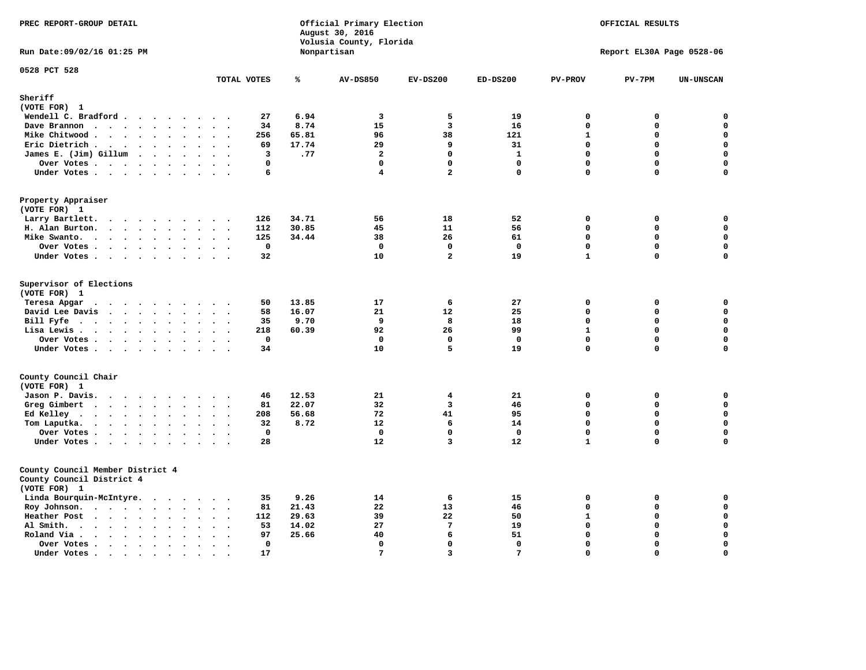| PREC REPORT-GROUP DETAIL<br>Run Date: 09/02/16 01:25 PM                       |                                                       |       | Official Primary Election<br>August 30, 2016<br>Volusia County, Florida<br>Nonpartisan | OFFICIAL RESULTS<br>Report EL30A Page 0528-06 |              |                |             |                  |
|-------------------------------------------------------------------------------|-------------------------------------------------------|-------|----------------------------------------------------------------------------------------|-----------------------------------------------|--------------|----------------|-------------|------------------|
|                                                                               |                                                       |       |                                                                                        |                                               |              |                |             |                  |
| 0528 PCT 528                                                                  | TOTAL VOTES                                           | ℁     | <b>AV-DS850</b>                                                                        | $EV-DS200$                                    | $ED-DS200$   | <b>PV-PROV</b> | $PV-7PM$    | <b>UN-UNSCAN</b> |
| Sheriff                                                                       |                                                       |       |                                                                                        |                                               |              |                |             |                  |
| (VOTE FOR) 1                                                                  |                                                       |       |                                                                                        |                                               |              |                |             |                  |
| Wendell C. Bradford                                                           | 27                                                    | 6.94  | 3                                                                                      | 5                                             | 19           | 0              | 0           | $\mathbf 0$      |
| Dave Brannon                                                                  | 34                                                    | 8.74  | 15                                                                                     | $\overline{\mathbf{3}}$                       | 16           | $\Omega$       | 0           | $\mathbf 0$      |
| Mike Chitwood                                                                 | 256                                                   | 65.81 | 96                                                                                     | 38                                            | 121          | $\mathbf{1}$   | $\mathbf 0$ | $\mathbf 0$      |
| Eric Dietrich.                                                                | 69                                                    | 17.74 | 29                                                                                     | 9                                             | 31           | $\Omega$       | 0           | $\mathbf 0$      |
| James E. (Jim) Gillum                                                         | 3                                                     | .77   | $\mathbf{2}$                                                                           | $\mathbf 0$                                   | $\mathbf{1}$ | $\mathbf 0$    | $\mathbf 0$ | $\mathbf 0$      |
| Over Votes                                                                    | $\mathbf 0$                                           |       | $\mathbf 0$                                                                            | $\mathbf 0$                                   | $\mathbf 0$  | $\mathbf 0$    | 0           | $\mathbf 0$      |
| Under Votes                                                                   | 6                                                     |       | $\overline{\mathbf{4}}$                                                                | $\overline{a}$                                | $\mathbf 0$  | $\Omega$       | 0           | $\mathbf 0$      |
| Property Appraiser<br>(VOTE FOR) 1                                            |                                                       |       |                                                                                        |                                               |              |                |             |                  |
| Larry Bartlett.                                                               | 126                                                   | 34.71 | 56                                                                                     | 18                                            | 52           | 0              | 0           | 0                |
| H. Alan Burton.                                                               | 112                                                   | 30.85 | 45                                                                                     | 11                                            | 56           | $\mathbf 0$    | 0           | $\mathbf 0$      |
| Mike Swanto.                                                                  | 125                                                   | 34.44 | 38                                                                                     | 26                                            | 61           | $\mathbf 0$    | 0           | $\mathbf 0$      |
| Over Votes                                                                    | $\mathbf 0$                                           |       | $\mathbf{0}$                                                                           | $\Omega$                                      | $\mathbf 0$  | $\Omega$       | $\Omega$    | $\mathbf 0$      |
| Under Votes                                                                   | 32                                                    |       | 10                                                                                     | $\overline{a}$                                | 19           | $\mathbf{1}$   | $\mathbf 0$ | $\mathbf 0$      |
| Supervisor of Elections<br>(VOTE FOR) 1                                       |                                                       | 13.85 | 17                                                                                     | 6                                             | 27           | 0              | 0           | 0                |
| Teresa Apgar<br>.<br>David Lee Davis                                          | 50<br>58                                              | 16.07 | 21                                                                                     | 12                                            | 25           | $\mathbf 0$    | 0           | $\mathbf 0$      |
| Bill Fyfe $\cdots$ $\cdots$ $\cdots$ $\cdots$                                 | 35                                                    | 9.70  | 9                                                                                      | 8                                             | 18           | $\mathbf 0$    | 0           | $\mathbf 0$      |
| Lisa Lewis                                                                    | 218                                                   | 60.39 | 92                                                                                     | 26                                            | 99           | $\mathbf{1}$   | 0           | $\mathbf 0$      |
| Over Votes                                                                    | $\mathbf 0$                                           |       | $\mathbf{0}$                                                                           | $\Omega$                                      | $\mathbf 0$  | $\Omega$       | $\Omega$    | $\mathbf 0$      |
| Under Votes                                                                   | 34<br>$\sim$                                          |       | 10                                                                                     | 5                                             | 19           | $\mathbf 0$    | $\mathbf 0$ | $\mathbf 0$      |
| County Council Chair                                                          |                                                       |       |                                                                                        |                                               |              |                |             |                  |
| (VOTE FOR) 1                                                                  |                                                       |       |                                                                                        |                                               |              |                |             |                  |
| Jason P. Davis.                                                               | 46                                                    | 12.53 | 21                                                                                     | 4                                             | 21           | $\mathbf 0$    | 0           | 0                |
| Greg Gimbert                                                                  | 81                                                    | 22.07 | 32                                                                                     | 3                                             | 46           | $\mathbf{0}$   | 0           | 0                |
| Ed Kelley $\cdots$                                                            | 208                                                   | 56.68 | 72                                                                                     | 41                                            | 95           | $\mathbf 0$    | 0           | $\mathbf 0$      |
| Tom Laputka.                                                                  | 32                                                    | 8.72  | 12                                                                                     | 6                                             | 14           | $\mathbf 0$    | 0           | $\mathbf 0$      |
| Over Votes                                                                    | $\Omega$                                              |       | $\Omega$                                                                               | $\Omega$                                      | $\Omega$     | $\Omega$       | $\Omega$    | 0                |
| Under Votes<br>$\sim$                                                         | 28<br>$\cdots$                                        |       | 12                                                                                     | $\overline{\mathbf{3}}$                       | 12           | $\mathbf{1}$   | 0           | $\mathbf 0$      |
| County Council Member District 4<br>County Council District 4<br>(VOTE FOR) 1 |                                                       |       |                                                                                        |                                               |              |                |             |                  |
| Linda Bourquin-McIntyre.                                                      | 35                                                    | 9.26  | 14                                                                                     | 6                                             | 15           | $\mathbf 0$    | 0           | 0                |
| Roy Johnson.                                                                  | 81                                                    | 21.43 | 22                                                                                     | 13                                            | 46           | $\mathbf 0$    | 0           | $\mathbf 0$      |
| Heather Post                                                                  | 112                                                   | 29.63 | 39                                                                                     | 22                                            | 50           | $\mathbf{1}$   | 0           | $\mathbf 0$      |
| Al Smith.<br>$\ddot{\phantom{0}}$                                             | 53<br>$\ddot{\phantom{a}}$                            | 14.02 | 27                                                                                     | $7\phantom{.0}$                               | 19           | $\Omega$       | $\Omega$    | $\mathbf 0$      |
| Roland Via .<br>$\ddot{\phantom{1}}$<br>$\sim$<br>$\bullet$                   | 97                                                    | 25.66 | 40                                                                                     | 6                                             | 51           | $\Omega$       | 0           | $\pmb{0}$        |
| Over Votes<br>$\bullet$                                                       | $\mathbf{0}$<br>$\ddot{\phantom{a}}$<br>$\sim$ $\sim$ |       | $\mathbf{0}$                                                                           | $\mathbf 0$                                   | $\mathbf 0$  | $\Omega$       | 0           | $\mathbf 0$      |
| Under Votes .<br>.                                                            | 17<br>$\bullet$                                       |       | 7                                                                                      | $\overline{3}$                                | 7            | $\Omega$       | 0           | $\mathbf 0$      |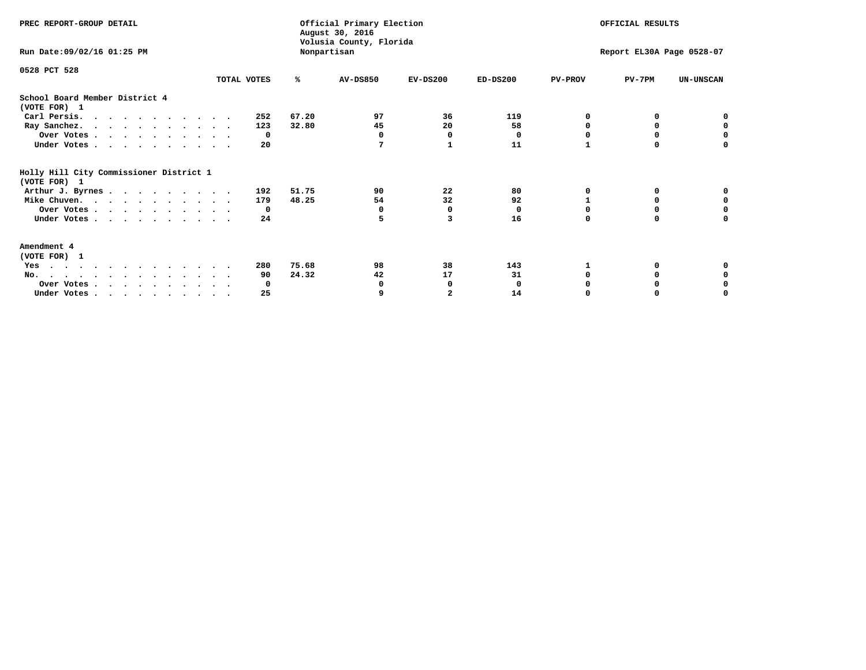| PREC REPORT-GROUP DETAIL                                |             |       | Official Primary Election<br>August 30, 2016<br>Volusia County, Florida |                | OFFICIAL RESULTS<br>Report EL30A Page 0528-07 |                |          |                  |
|---------------------------------------------------------|-------------|-------|-------------------------------------------------------------------------|----------------|-----------------------------------------------|----------------|----------|------------------|
| Run Date: 09/02/16 01:25 PM                             |             |       | Nonpartisan                                                             |                |                                               |                |          |                  |
| 0528 PCT 528                                            |             |       |                                                                         |                |                                               |                |          |                  |
|                                                         | TOTAL VOTES | ℁     | <b>AV-DS850</b>                                                         | $EV-DS200$     | $ED-DS200$                                    | <b>PV-PROV</b> | $PV-7PM$ | <b>UN-UNSCAN</b> |
| School Board Member District 4<br>(VOTE FOR) 1          |             |       |                                                                         |                |                                               |                |          |                  |
| Carl Persis.                                            | 252         | 67.20 | 97                                                                      | 36             | 119                                           |                |          |                  |
| Ray Sanchez.                                            | 123         | 32.80 | 45                                                                      | 20             | 58                                            |                | 0        | 0                |
| Over Votes                                              | 0           |       | 0                                                                       | 0              | 0                                             |                |          | O                |
| Under Votes                                             | 20          |       | 7                                                                       |                | 11                                            | 1              | $\Omega$ | O                |
| Holly Hill City Commissioner District 1<br>(VOTE FOR) 1 |             |       |                                                                         |                |                                               |                |          |                  |
| Arthur J. Byrnes                                        | 192         | 51.75 | 90                                                                      | 22             | 80                                            | O              | 0        |                  |
| Mike Chuven.                                            | 179         | 48.25 | 54                                                                      | 32             | 92                                            |                | 0        | 0                |
| Over Votes                                              | 0           |       | 0                                                                       | 0              | $\Omega$                                      |                |          | 0                |
| Under Votes                                             | 24          |       | 5                                                                       | 3              | 16                                            | $\Omega$       | $\Omega$ | U                |
| Amendment 4<br>(VOTE FOR) 1                             |             |       |                                                                         |                |                                               |                |          |                  |
| Yes                                                     | 280         | 75.68 | 98                                                                      | 38             | 143                                           |                |          |                  |
| No.                                                     | 90          | 24.32 | 42                                                                      | 17             | 31                                            |                | 0        |                  |
| Over Votes                                              | 0           |       |                                                                         | 0              | 0                                             |                |          |                  |
| Under Votes                                             | 25          |       | 9                                                                       | $\overline{2}$ | 14                                            |                |          | O                |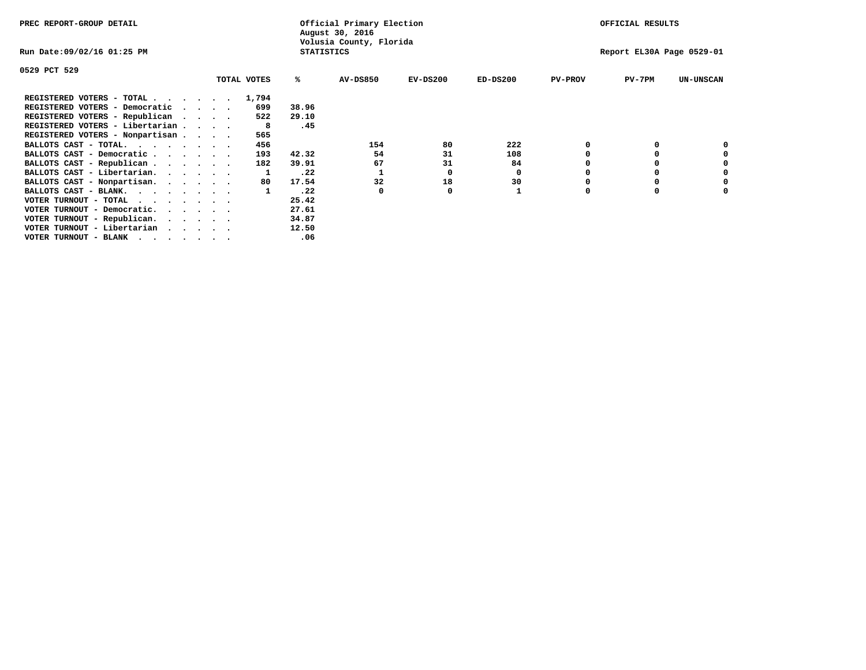| PREC REPORT-GROUP DETAIL                          |                   | Official Primary Election<br>August 30, 2016 |            | OFFICIAL RESULTS |                |                           |                  |
|---------------------------------------------------|-------------------|----------------------------------------------|------------|------------------|----------------|---------------------------|------------------|
| Run Date:09/02/16 01:25 PM                        | <b>STATISTICS</b> | Volusia County, Florida                      |            |                  |                | Report EL30A Page 0529-01 |                  |
| 0529 PCT 529                                      |                   |                                              |            |                  |                |                           |                  |
| TOTAL VOTES                                       | ℁                 | <b>AV-DS850</b>                              | $EV-DS200$ | $ED-DS200$       | <b>PV-PROV</b> | $PV-7PM$                  | <b>UN-UNSCAN</b> |
| REGISTERED VOTERS - TOTAL 1,794                   |                   |                                              |            |                  |                |                           |                  |
| REGISTERED VOTERS - Democratic<br>699<br>$\cdots$ | 38.96             |                                              |            |                  |                |                           |                  |
| REGISTERED VOTERS - Republican<br>522             | 29.10             |                                              |            |                  |                |                           |                  |
| REGISTERED VOTERS - Libertarian<br>-8             | .45               |                                              |            |                  |                |                           |                  |
| REGISTERED VOTERS - Nonpartisan<br>565            |                   |                                              |            |                  |                |                           |                  |
| BALLOTS CAST - TOTAL.<br>456<br>$\cdots$          |                   | 154                                          | 80         | 222              |                |                           |                  |
| BALLOTS CAST - Democratic<br>193                  | 42.32             | 54                                           | 31         | 108              |                |                           |                  |
| BALLOTS CAST - Republican<br>182                  | 39.91             | 67                                           | 31         | 84               |                |                           |                  |
| BALLOTS CAST - Libertarian.                       | .22               |                                              | 0          | 0                |                |                           |                  |
| BALLOTS CAST - Nonpartisan.<br>80                 | 17.54             | 32                                           | 18         | 30               |                |                           | 0                |
| BALLOTS CAST - BLANK.                             | .22               | 0                                            | 0          |                  | $\Omega$       |                           |                  |
| VOTER TURNOUT - TOTAL                             | 25.42             |                                              |            |                  |                |                           |                  |
| VOTER TURNOUT - Democratic.<br>$\cdots$           | 27.61             |                                              |            |                  |                |                           |                  |
| VOTER TURNOUT - Republican.                       | 34.87             |                                              |            |                  |                |                           |                  |
| VOTER TURNOUT - Libertarian                       | 12.50             |                                              |            |                  |                |                           |                  |
| VOTER TURNOUT - BLANK                             | .06               |                                              |            |                  |                |                           |                  |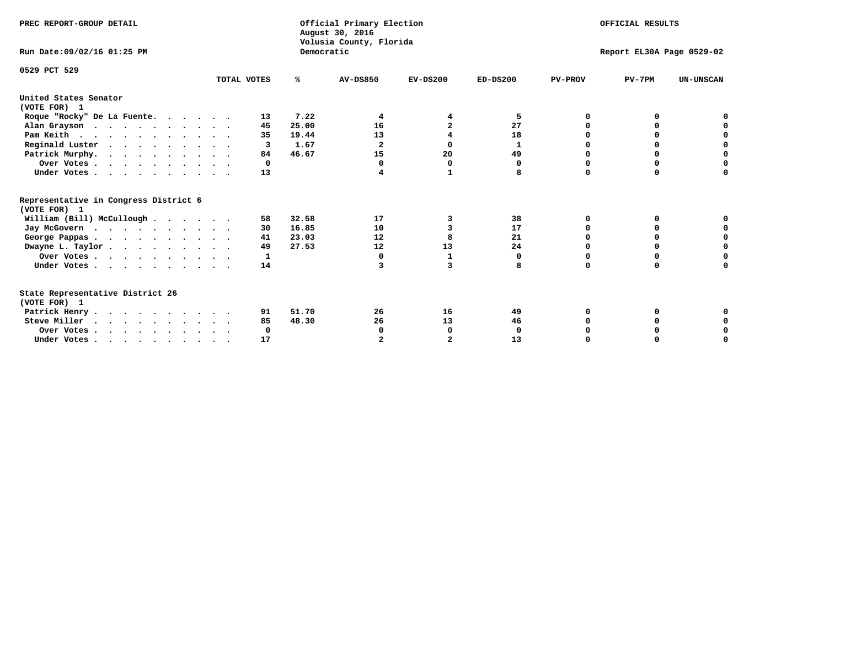| PREC REPORT-GROUP DETAIL<br>Run Date: 09/02/16 01:25 PM |             | Democratic | Official Primary Election<br>August 30, 2016<br>Volusia County, Florida | OFFICIAL RESULTS<br>Report EL30A Page 0529-02 |            |                |          |                  |
|---------------------------------------------------------|-------------|------------|-------------------------------------------------------------------------|-----------------------------------------------|------------|----------------|----------|------------------|
|                                                         |             |            |                                                                         |                                               |            |                |          |                  |
| 0529 PCT 529                                            | TOTAL VOTES | ℁          | <b>AV-DS850</b>                                                         | $EV-DS200$                                    | $ED-DS200$ | <b>PV-PROV</b> | $PV-7PM$ | <b>UN-UNSCAN</b> |
| United States Senator<br>(VOTE FOR) 1                   |             |            |                                                                         |                                               |            |                |          |                  |
| Roque "Rocky" De La Fuente.                             | 13          | 7.22       | 4                                                                       | 4                                             | 5          | O              | o        |                  |
| Alan Grayson                                            | 45          | 25.00      | 16                                                                      | 2                                             | 27         | O              |          |                  |
| Pam Keith                                               | 35          | 19.44      | 13                                                                      |                                               | 18         | n              | 0        | o                |
| Reginald Luster                                         | 3           | 1.67       | $\mathbf{2}$                                                            | 0                                             | 1          |                | 0        | $\mathbf 0$      |
| Patrick Murphy.                                         | 84          | 46.67      | 15                                                                      | 20                                            | 49         | O              | 0        | $\mathbf 0$      |
| Over Votes                                              | $\Omega$    |            | 0                                                                       | $\mathbf 0$                                   | 0          | O              | $\Omega$ | $\Omega$         |
| Under Votes                                             | 13          |            | 4                                                                       | 1                                             | 8          | $\Omega$       | $\Omega$ | O                |
| Representative in Congress District 6<br>(VOTE FOR) 1   |             |            |                                                                         |                                               |            |                |          |                  |
| William (Bill) McCullough                               | 58          | 32.58      | 17                                                                      | 3                                             | 38         | O              | 0        |                  |
| Jay McGovern                                            | 30          | 16.85      | 10                                                                      | 3                                             | 17         | O              | O        | 0                |
| George Pappas.                                          | 41          | 23.03      | 12                                                                      | 8                                             | 21         | O              | O        | 0                |
| Dwayne L. Taylor                                        | 49          | 27.53      | 12                                                                      | 13                                            | 24         | $\Omega$       | 0        | $\mathbf 0$      |
| Over Votes                                              | 1           |            | 0                                                                       | 1                                             | 0          | 0              | O        | 0                |
| Under Votes                                             | 14          |            | 3                                                                       | 3                                             | 8          | $\Omega$       | $\Omega$ | O                |
| State Representative District 26<br>(VOTE FOR) 1        |             |            |                                                                         |                                               |            |                |          |                  |
| Patrick Henry                                           | 91          | 51.70      | 26                                                                      | 16                                            | 49         | O              |          |                  |
| Steve Miller                                            | 85          | 48.30      | 26                                                                      | 13                                            | 46         |                |          | 0                |
| Over Votes                                              | 0           |            | 0                                                                       | 0                                             | 0          |                | 0        | 0                |
| Under Votes.                                            | 17          |            |                                                                         |                                               | 13         |                |          | O                |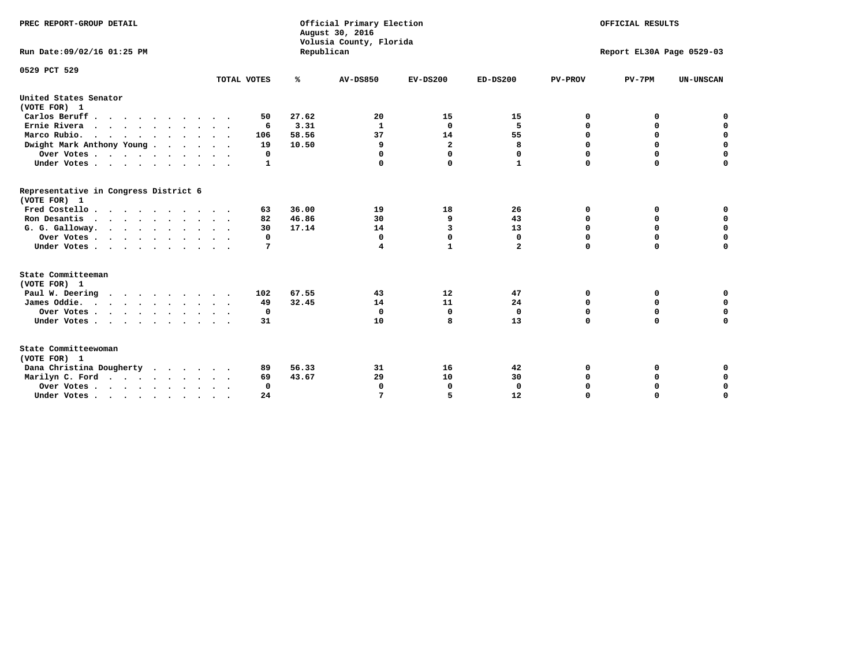| PREC REPORT-GROUP DETAIL<br>Run Date: 09/02/16 01:25 PM |                            | Republican | Official Primary Election<br>August 30, 2016<br>Volusia County, Florida | OFFICIAL RESULTS<br>Report EL30A Page 0529-03 |              |                |             |                  |
|---------------------------------------------------------|----------------------------|------------|-------------------------------------------------------------------------|-----------------------------------------------|--------------|----------------|-------------|------------------|
| 0529 PCT 529                                            | TOTAL VOTES                | ℁          | <b>AV-DS850</b>                                                         | $EV-DS200$                                    | $ED-DS200$   | <b>PV-PROV</b> | $PV-7PM$    | <b>UN-UNSCAN</b> |
|                                                         |                            |            |                                                                         |                                               |              |                |             |                  |
| United States Senator<br>(VOTE FOR) 1                   |                            |            |                                                                         |                                               |              |                |             |                  |
| Carlos Beruff                                           | 50                         | 27.62      | 20                                                                      | 15                                            | 15           | 0              | 0           | 0                |
| Ernie Rivera                                            | 6                          | 3.31       | 1                                                                       | 0                                             | 5            | 0              | 0           | $\mathbf 0$      |
| Marco Rubio.<br>$\cdots$                                | 106                        | 58.56      | 37                                                                      | 14                                            | 55           | 0              | $\mathbf 0$ | 0                |
| Dwight Mark Anthony Young                               | 19                         | 10.50      | 9                                                                       | $\overline{\mathbf{2}}$                       | 8            | 0              | $\mathbf 0$ | $\mathbf 0$      |
| Over Votes                                              | 0                          |            | $\Omega$                                                                | $\Omega$                                      | 0            | 0              | 0           | $\mathbf 0$      |
| Under Votes                                             | 1                          |            |                                                                         | $\Omega$                                      | $\mathbf{1}$ | $\Omega$       | $\Omega$    | $\Omega$         |
| Representative in Congress District 6<br>(VOTE FOR) 1   |                            |            |                                                                         |                                               |              |                |             |                  |
| Fred Costello                                           | 63                         | 36.00      | 19                                                                      | 18                                            | 26           | 0              | 0           | 0                |
| Ron Desantis                                            | 82                         | 46.86      | 30                                                                      | 9                                             | 43           | $\Omega$       | 0           | $\mathbf 0$      |
| G. G. Galloway.                                         | 30                         | 17.14      | 14                                                                      | 3                                             | 13           | $\mathbf 0$    | $\mathbf 0$ | $\Omega$         |
| Over Votes                                              | 0                          |            | $\mathbf{0}$                                                            | $\mathbf 0$                                   | $\mathbf 0$  | $\mathbf 0$    | $\mathbf 0$ | $\mathbf 0$      |
| Under Votes                                             | 7                          |            | 4                                                                       | $\mathbf{1}$                                  | $\mathbf{2}$ | $\Omega$       | $\Omega$    | $\Omega$         |
| State Committeeman                                      |                            |            |                                                                         |                                               |              |                |             |                  |
| (VOTE FOR) 1                                            |                            |            |                                                                         |                                               |              |                |             |                  |
| Paul W. Deering                                         | 102                        | 67.55      | 43                                                                      | 12                                            | 47           | 0              | 0           | 0                |
| James Oddie.                                            | 49                         | 32.45      | 14                                                                      | 11                                            | 24           | 0              | 0           | $\mathbf 0$      |
| Over Votes                                              | 0                          |            | 0                                                                       | 0                                             | 0            | 0              | 0           | 0                |
| Under Votes                                             | 31<br>$\ddot{\phantom{1}}$ |            | 10                                                                      | 8                                             | 13           | $\mathbf 0$    | $\mathbf 0$ | $\mathbf 0$      |
| State Committeewoman<br>(VOTE FOR) 1                    |                            |            |                                                                         |                                               |              |                |             |                  |
| Dana Christina Dougherty                                | 89                         | 56.33      | 31                                                                      | 16                                            | 42           | 0              | 0           | $\mathbf 0$      |
| Marilyn C. Ford                                         | 69                         | 43.67      | 29                                                                      | 10                                            | 30           | 0              | 0           | 0                |
| Over Votes                                              | $\Omega$                   |            | $\Omega$                                                                | 0                                             | $\mathbf{0}$ | 0              | 0           | $\mathbf 0$      |
| Under Votes, , , , , , , , , ,                          | 24                         |            |                                                                         | 5                                             | 12           | $\Omega$       | $\Omega$    | $\Omega$         |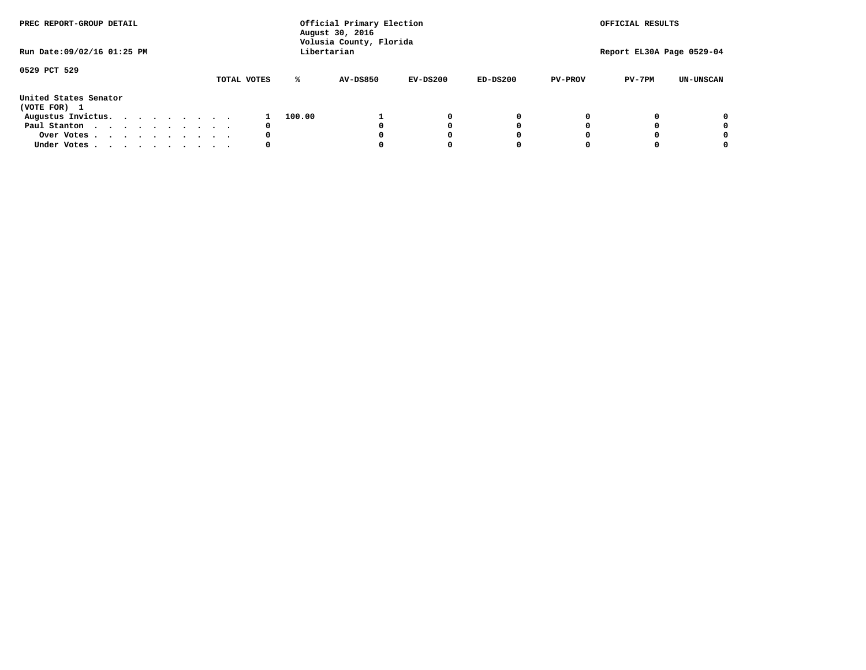| PREC REPORT-GROUP DETAIL              |  |  |  |  |             |        | Official Primary Election<br>August 30, 2016<br>Volusia County, Florida |            |            |                | OFFICIAL RESULTS          |                  |
|---------------------------------------|--|--|--|--|-------------|--------|-------------------------------------------------------------------------|------------|------------|----------------|---------------------------|------------------|
| Run Date: 09/02/16 01:25 PM           |  |  |  |  |             |        | Libertarian                                                             |            |            |                | Report EL30A Page 0529-04 |                  |
| 0529 PCT 529                          |  |  |  |  | TOTAL VOTES | ℁      | <b>AV-DS850</b>                                                         | $EV-DS200$ | $ED-DS200$ | <b>PV-PROV</b> | $PV-7PM$                  | <b>UN-UNSCAN</b> |
| United States Senator<br>(VOTE FOR) 1 |  |  |  |  |             |        |                                                                         |            |            |                |                           |                  |
| Augustus Invictus.                    |  |  |  |  |             | 100.00 |                                                                         | 0          | 0          |                |                           | 0                |
| Paul Stanton                          |  |  |  |  | 0           |        |                                                                         |            | 0          |                |                           | 0                |
| Over Votes                            |  |  |  |  | 0           |        |                                                                         |            | 0          |                |                           | 0                |
| Under Votes                           |  |  |  |  | 0           |        |                                                                         |            | 0          |                |                           | 0                |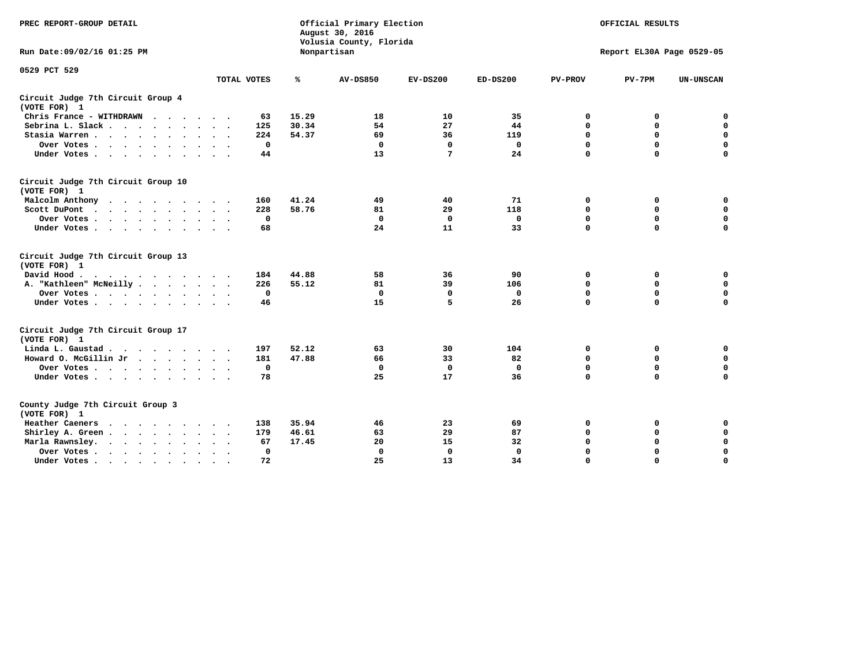| PREC REPORT-GROUP DETAIL                                                                                |              |       | Official Primary Election<br>August 30, 2016<br>Volusia County, Florida | OFFICIAL RESULTS<br>Report EL30A Page 0529-05 |              |                |             |                  |
|---------------------------------------------------------------------------------------------------------|--------------|-------|-------------------------------------------------------------------------|-----------------------------------------------|--------------|----------------|-------------|------------------|
| Run Date: 09/02/16 01:25 PM                                                                             |              |       | Nonpartisan                                                             |                                               |              |                |             |                  |
| 0529 PCT 529                                                                                            | TOTAL VOTES  | ℁     | <b>AV-DS850</b>                                                         | $EV-DS200$                                    | $ED-DS200$   | <b>PV-PROV</b> | $PV-7PM$    | <b>UN-UNSCAN</b> |
| Circuit Judge 7th Circuit Group 4<br>(VOTE FOR) 1                                                       |              |       |                                                                         |                                               |              |                |             |                  |
| Chris France - WITHDRAWN                                                                                | 63           | 15.29 | 18                                                                      | 10                                            | 35           | 0              | 0           | $\mathbf 0$      |
| Sebrina L. Slack                                                                                        | 125          | 30.34 | 54                                                                      | 27                                            | 44           | 0              | 0           | $\mathbf 0$      |
| Stasia Warren                                                                                           | 224          | 54.37 | 69                                                                      | 36                                            | 119          | $\mathbf 0$    | 0           | $\mathbf 0$      |
| Over Votes                                                                                              | $\mathbf 0$  |       | $\mathbf 0$                                                             | $\mathbf 0$                                   | $\mathbf 0$  | 0              | $\mathbf 0$ | $\pmb{0}$        |
| Under Votes                                                                                             | 44           |       | 13                                                                      | 7                                             | 24           | $\Omega$       | $\Omega$    | $\Omega$         |
| Circuit Judge 7th Circuit Group 10<br>(VOTE FOR) 1                                                      |              |       |                                                                         |                                               |              |                |             |                  |
| Malcolm Anthony                                                                                         | 160          | 41.24 | 49                                                                      | 40                                            | 71           | 0              | 0           | 0                |
| Scott DuPont<br>$\sim$                                                                                  | 228          | 58.76 | 81                                                                      | 29                                            | 118          | $\mathbf 0$    | $\mathbf 0$ | $\mathbf 0$      |
| Over Votes<br>$\sim$ $\sim$                                                                             | 0            |       | $\mathbf{0}$                                                            | $\mathbf 0$                                   | $\mathbf 0$  | $\mathbf 0$    | $\mathbf 0$ | $\mathbf 0$      |
| Under Votes                                                                                             | 68           |       | 24                                                                      | 11                                            | 33           | $\Omega$       | $\mathbf 0$ | $\mathbf 0$      |
| Circuit Judge 7th Circuit Group 13<br>(VOTE FOR) 1                                                      |              |       |                                                                         |                                               |              |                |             |                  |
| David Hood.<br>$\mathbf{r}$ , and $\mathbf{r}$ , and $\mathbf{r}$ , and $\mathbf{r}$ , and $\mathbf{r}$ | 184          | 44.88 | 58                                                                      | 36                                            | 90           | 0              | 0           | 0                |
| A. "Kathleen" McNeilly                                                                                  | 226          | 55.12 | 81                                                                      | 39                                            | 106          | $\mathbf 0$    | $\mathbf 0$ | $\mathbf 0$      |
| Over Votes                                                                                              | 0            |       | $\mathbf{0}$                                                            | 0                                             | 0            | $\mathbf 0$    | $\mathbf 0$ | $\mathbf 0$      |
| Under Votes                                                                                             | 46           |       | 15                                                                      | 5                                             | 26           | $\Omega$       | $\Omega$    | $\Omega$         |
| Circuit Judge 7th Circuit Group 17<br>(VOTE FOR) 1                                                      |              |       |                                                                         |                                               |              |                |             |                  |
| Linda L. Gaustad                                                                                        | 197          | 52.12 | 63                                                                      | 30                                            | 104          | 0              | 0           | $\mathbf 0$      |
| Howard O. McGillin Jr                                                                                   | 181          | 47.88 | 66                                                                      | 33                                            | 82           | $\mathbf 0$    | $\mathbf 0$ | $\mathbf 0$      |
| Over Votes                                                                                              | $\mathbf 0$  |       | $\mathbf{0}$                                                            | $\mathbf 0$                                   | $\mathbf{0}$ | $\mathbf 0$    | $\mathbf 0$ | $\mathbf 0$      |
| Under Votes                                                                                             | 78           |       | 25                                                                      | 17                                            | 36           | $\mathbf 0$    | $\mathbf 0$ | $\mathbf 0$      |
| County Judge 7th Circuit Group 3<br>(VOTE FOR) 1                                                        |              |       |                                                                         |                                               |              |                |             |                  |
| Heather Caeners                                                                                         | 138          | 35.94 | 46                                                                      | 23                                            | 69           | 0              | 0           | 0                |
| Shirley A. Green                                                                                        | 179          | 46.61 | 63                                                                      | 29                                            | 87           | $\mathbf 0$    | 0           | $\mathbf 0$      |
| Marla Rawnsley.                                                                                         | 67           | 17.45 | 20                                                                      | 15                                            | 32           | 0              | $\mathbf 0$ | $\pmb{0}$        |
| Over Votes.<br>$\cdots$<br>$\sim$<br>$\sim$                                                             | $\mathbf{0}$ |       | $\Omega$                                                                | $\mathbf 0$                                   | $\mathbf{0}$ | $\mathbf 0$    | $\mathbf 0$ | $\mathbf 0$      |
| Under Votes                                                                                             | 72           |       | 25                                                                      | 13                                            | 34           | $\mathbf 0$    | $\mathbf 0$ | 0                |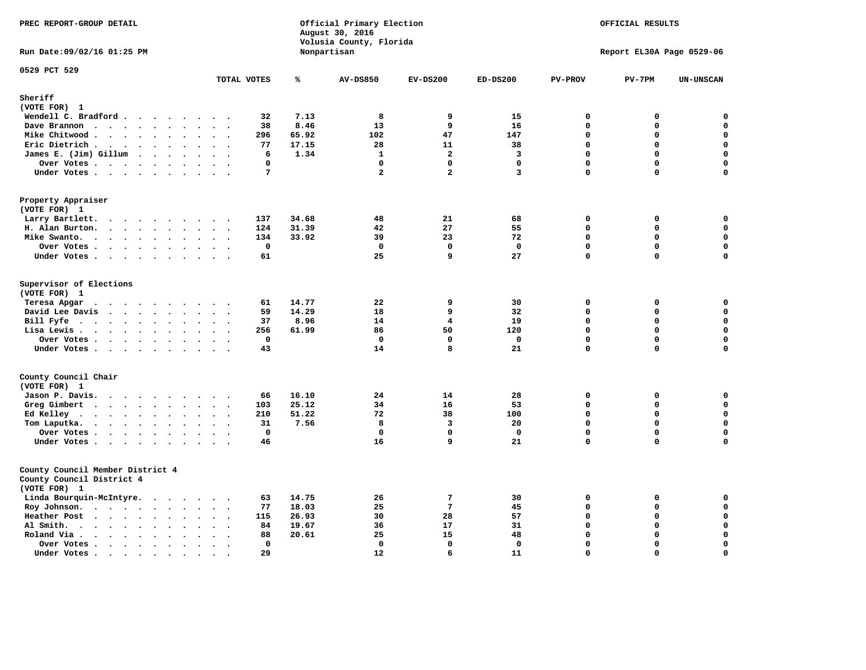| PREC REPORT-GROUP DETAIL                                                                                                                                                                                                                      |                                                    |       | Official Primary Election<br>August 30, 2016<br>Volusia County, Florida | OFFICIAL RESULTS<br>Report EL30A Page 0529-06 |              |              |             |                    |
|-----------------------------------------------------------------------------------------------------------------------------------------------------------------------------------------------------------------------------------------------|----------------------------------------------------|-------|-------------------------------------------------------------------------|-----------------------------------------------|--------------|--------------|-------------|--------------------|
| Run Date: 09/02/16 01:25 PM                                                                                                                                                                                                                   |                                                    |       | Nonpartisan                                                             |                                               |              |              |             |                    |
| 0529 PCT 529                                                                                                                                                                                                                                  | TOTAL VOTES                                        | ℁     | <b>AV-DS850</b>                                                         | $EV-DS200$                                    | $ED-DS200$   | PV-PROV      | $PV-7PM$    | <b>UN-UNSCAN</b>   |
| Sheriff                                                                                                                                                                                                                                       |                                                    |       |                                                                         |                                               |              |              |             |                    |
| (VOTE FOR) 1                                                                                                                                                                                                                                  |                                                    |       |                                                                         |                                               |              |              |             |                    |
| Wendell C. Bradford                                                                                                                                                                                                                           | 32                                                 | 7.13  | 8                                                                       | 9                                             | 15           | $\Omega$     | $\mathbf 0$ | $\mathbf 0$        |
| Dave Brannon                                                                                                                                                                                                                                  | 38                                                 | 8.46  | 13                                                                      | 9                                             | 16           | $\Omega$     | 0           | $\mathbf 0$        |
| Mike Chitwood                                                                                                                                                                                                                                 | 296                                                | 65.92 | 102                                                                     | 47                                            | 147          | $\Omega$     | 0           | $\mathbf 0$        |
| Eric Dietrich.                                                                                                                                                                                                                                | 77                                                 | 17.15 | 28                                                                      | 11                                            | 38           | $\mathbf 0$  | $\mathbf 0$ | $\mathbf 0$        |
| James E. (Jim) Gillum                                                                                                                                                                                                                         | 6                                                  | 1.34  | $\mathbf{1}$                                                            | $\overline{a}$                                | 3            | $\mathbf 0$  | $\mathbf 0$ | $\mathbf 0$        |
| Over Votes                                                                                                                                                                                                                                    | 0<br>$\sim$                                        |       | $\mathbf 0$                                                             | $\mathbf 0$                                   | $\mathbf 0$  | $\mathbf 0$  | 0           | $\mathbf 0$        |
| Under Votes                                                                                                                                                                                                                                   | 7                                                  |       | $\overline{a}$                                                          | $\overline{a}$                                | 3            | $\Omega$     | 0           | $\Omega$           |
| Property Appraiser<br>(VOTE FOR) 1                                                                                                                                                                                                            |                                                    |       |                                                                         |                                               |              |              |             |                    |
| Larry Bartlett.                                                                                                                                                                                                                               | 137                                                | 34.68 | 48                                                                      | 21                                            | 68           | 0            | 0           | 0                  |
| H. Alan Burton.                                                                                                                                                                                                                               | 124                                                | 31.39 | 42                                                                      | 27                                            | 55           | $\mathbf{0}$ | 0           | $\mathbf 0$        |
| Mike Swanto.                                                                                                                                                                                                                                  | 134                                                | 33.92 | 39                                                                      | 23                                            | 72           | $\mathbf{0}$ | 0           | 0                  |
| Over Votes                                                                                                                                                                                                                                    | $\mathbf 0$                                        |       | $\mathbf{0}$                                                            | $\mathbf 0$                                   | $\mathbf 0$  | $\mathbf 0$  | $\mathbf 0$ | $\mathbf 0$        |
| Under Votes                                                                                                                                                                                                                                   | 61<br>$\sim$ $\sim$ $\sim$                         |       | 25                                                                      | 9                                             | 27           | $\mathbf 0$  | $\mathbf 0$ | $\mathbf 0$        |
| Supervisor of Elections<br>(VOTE FOR) 1<br>Teresa Apgar                                                                                                                                                                                       | 61                                                 | 14.77 | 22                                                                      | 9                                             | 30           | $\mathbf 0$  | 0           | $\mathbf 0$        |
| David Lee Davis                                                                                                                                                                                                                               | 59<br>$\cdot$ $\cdot$                              | 14.29 | 18                                                                      | 9                                             | 32           | $\Omega$     | 0           | $\mathbf 0$        |
| Bill Fyfe                                                                                                                                                                                                                                     | 37<br>$\ddot{\phantom{1}}$<br>$\sim$ $\sim$        | 8.96  | 14                                                                      | 4                                             | 19           | $\mathbf 0$  | $\mathbf 0$ | $\mathbf 0$        |
| Lisa Lewis                                                                                                                                                                                                                                    | 256                                                | 61.99 | 86                                                                      | 50                                            | 120          | $\mathbf{0}$ | 0           | $\mathbf 0$        |
| Over Votes                                                                                                                                                                                                                                    | $\mathbf 0$                                        |       | $\Omega$                                                                | $\Omega$                                      | $\mathbf{0}$ | $\mathbf 0$  | $\Omega$    | 0                  |
| Under Votes                                                                                                                                                                                                                                   | 43<br>$\sim$ $\sim$                                |       | 14                                                                      | 8                                             | 21           | $\mathbf 0$  | 0           | $\mathbf 0$        |
| County Council Chair                                                                                                                                                                                                                          |                                                    |       |                                                                         |                                               |              |              |             |                    |
| (VOTE FOR) 1                                                                                                                                                                                                                                  |                                                    |       |                                                                         |                                               |              |              |             |                    |
| Jason P. Davis.                                                                                                                                                                                                                               | 66<br>$\sim$ $\sim$                                | 16.10 | 24                                                                      | 14                                            | 28           | $\mathbf 0$  | 0           | $\mathbf 0$        |
| Greg Gimbert<br>. The contract of the contract of the contract of the contract of the contract of the contract of the contract of the contract of the contract of the contract of the contract of the contract of the contract of the contrac | 103                                                | 25.12 | 34                                                                      | 16                                            | 53           | $\mathbf{0}$ | 0           | $\mathbf 0$        |
| Ed Kelley                                                                                                                                                                                                                                     | 210                                                | 51.22 | 72                                                                      | 38                                            | 100          | $\mathbf 0$  | 0           | $\pmb{\mathsf{o}}$ |
| Tom Laputka.                                                                                                                                                                                                                                  | 31                                                 | 7.56  | 8                                                                       | $\overline{\mathbf{3}}$                       | 20           | $\mathbf 0$  | 0           | $\mathbf 0$        |
| Over Votes                                                                                                                                                                                                                                    | $\mathbf 0$<br>$\sim$<br>$\overline{\phantom{a}}$  |       | 0                                                                       | 0                                             | 0            | $\mathbf 0$  | 0           | $\pmb{0}$          |
| Under Votes                                                                                                                                                                                                                                   | 46                                                 |       | 16                                                                      | 9                                             | 21           | $\Omega$     | $\mathbf 0$ | $\mathbf 0$        |
| County Council Member District 4<br>County Council District 4<br>(VOTE FOR) 1                                                                                                                                                                 |                                                    |       |                                                                         |                                               |              |              |             |                    |
| Linda Bourquin-McIntyre.                                                                                                                                                                                                                      | 63                                                 | 14.75 | 26                                                                      | $\overline{7}$                                | 30           | $\Omega$     | 0           | $\mathbf 0$        |
| Roy Johnson.                                                                                                                                                                                                                                  | 77                                                 | 18.03 | 25                                                                      | $7\phantom{.0}$                               | 45           | $\mathbf 0$  | 0           | $\mathbf 0$        |
| Heather Post                                                                                                                                                                                                                                  | 115<br>$\sim$ $\sim$                               | 26.93 | 30                                                                      | 28                                            | 57           | $\mathbf 0$  | $\mathbf 0$ | $\mathbf 0$        |
| Al Smith.<br>$\bullet$                                                                                                                                                                                                                        | 84<br>$\ddot{\phantom{a}}$<br>$\ddot{\phantom{a}}$ | 19.67 | 36                                                                      | 17                                            | 31           | $\mathbf 0$  | $\mathbf 0$ | $\mathbf 0$        |
| Roland Via .<br>$\cdots$<br>$\sim$<br>$\ddot{\phantom{a}}$                                                                                                                                                                                    | 88<br>$\sim$                                       | 20.61 | 25                                                                      | 15                                            | 48           | $\Omega$     | $\mathbf 0$ | $\mathbf 0$        |
| Over Votes<br>$\cdot$                                                                                                                                                                                                                         | $\mathbf{0}$<br>$\cdot$<br>$\cdot$                 |       | $\Omega$                                                                | $\Omega$                                      | $\mathbf{0}$ | $\mathbf{0}$ | 0           | $\mathbf 0$        |
| Under Votes.<br>$\ddot{\phantom{0}}$<br>$\bullet$<br>$\blacksquare$<br>$\bullet$<br>$\bullet$                                                                                                                                                 | 29                                                 |       | 12                                                                      | 6                                             | 11           | $\Omega$     | $\Omega$    | $\mathbf 0$        |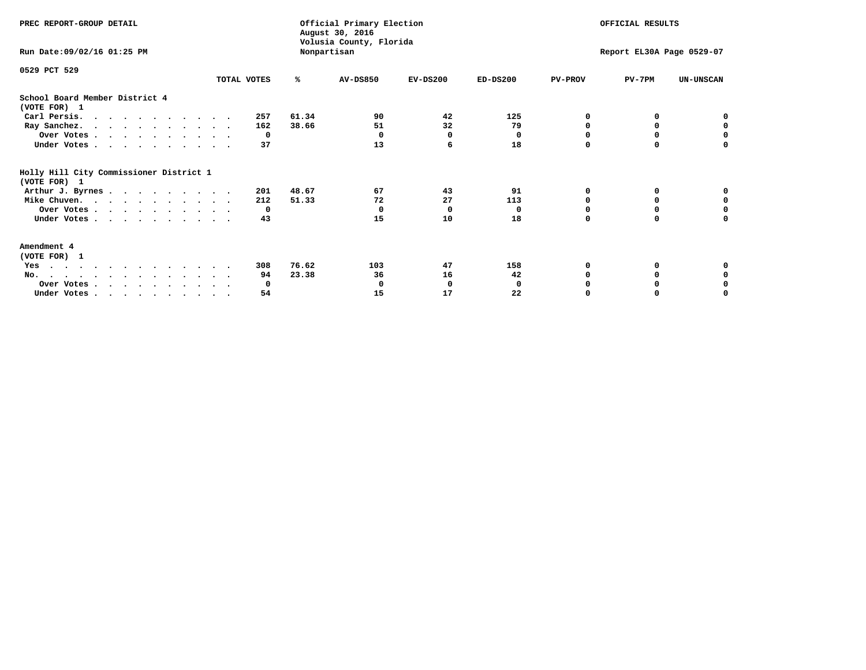| PREC REPORT-GROUP DETAIL                                |             |       | Official Primary Election<br>August 30, 2016<br>Volusia County, Florida |            |            | OFFICIAL RESULTS<br>Report EL30A Page 0529-07 |          |                  |
|---------------------------------------------------------|-------------|-------|-------------------------------------------------------------------------|------------|------------|-----------------------------------------------|----------|------------------|
| Run Date: 09/02/16 01:25 PM                             |             |       | Nonpartisan                                                             |            |            |                                               |          |                  |
| 0529 PCT 529                                            |             |       |                                                                         |            |            |                                               |          |                  |
|                                                         | TOTAL VOTES | ℁     | <b>AV-DS850</b>                                                         | $EV-DS200$ | $ED-DS200$ | <b>PV-PROV</b>                                | $PV-7PM$ | <b>UN-UNSCAN</b> |
| School Board Member District 4<br>(VOTE FOR) 1          |             |       |                                                                         |            |            |                                               |          |                  |
| Carl Persis.                                            | 257         | 61.34 | 90                                                                      | 42         | 125        | O                                             |          |                  |
| Ray Sanchez.                                            | 162         | 38.66 | 51                                                                      | 32         | 79         | n                                             | 0        | $\mathbf 0$      |
| Over Votes                                              | 0           |       | $\Omega$                                                                | 0          | 0          |                                               |          | 0                |
| Under Votes                                             | 37          |       | 13                                                                      | 6          | 18         | $\Omega$                                      | $\Omega$ | $\Omega$         |
| Holly Hill City Commissioner District 1<br>(VOTE FOR) 1 |             |       |                                                                         |            |            |                                               |          |                  |
| Arthur J. Byrnes                                        | 201         | 48.67 | 67                                                                      | 43         | 91         | O                                             | 0        | o                |
| Mike Chuven.                                            | 212         | 51.33 | 72                                                                      | 27         | 113        | n                                             | 0        | $\mathbf 0$      |
| Over Votes                                              | 0           |       | $\Omega$                                                                | 0          | $\Omega$   |                                               |          | 0                |
| Under Votes                                             | 43          |       | 15                                                                      | 10         | 18         | $\Omega$                                      | $\Omega$ | U                |
| Amendment 4<br>(VOTE FOR) 1                             |             |       |                                                                         |            |            |                                               |          |                  |
| Yes                                                     | 308         | 76.62 | 103                                                                     | 47         | 158        |                                               |          |                  |
| No.                                                     | 94          | 23.38 | 36                                                                      | 16         | 42         |                                               | 0        |                  |
| Over Votes                                              | 0           |       | O                                                                       | 0          | 0          |                                               |          | 0                |
| Under Votes.                                            | 54          |       | 15                                                                      | 17         | 22         |                                               |          | O                |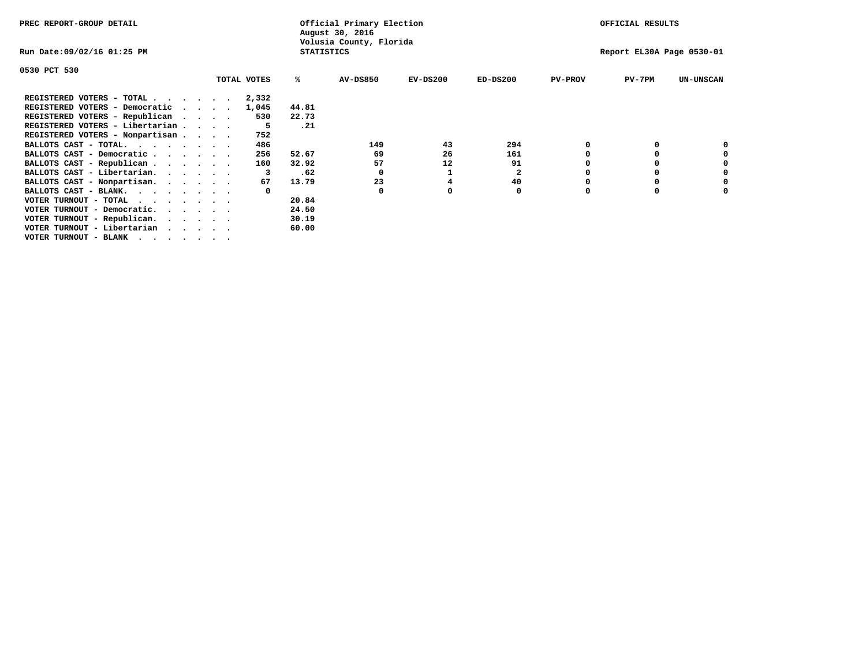| PREC REPORT-GROUP DETAIL                                    |         |             |                   | Official Primary Election<br>August 30, 2016 |                           | OFFICIAL RESULTS |                |          |                  |
|-------------------------------------------------------------|---------|-------------|-------------------|----------------------------------------------|---------------------------|------------------|----------------|----------|------------------|
| Run Date:09/02/16 01:25 PM                                  |         |             | <b>STATISTICS</b> | Volusia County, Florida                      | Report EL30A Page 0530-01 |                  |                |          |                  |
| 0530 PCT 530                                                |         |             |                   |                                              |                           |                  |                |          |                  |
|                                                             |         | TOTAL VOTES | %ะ                | <b>AV-DS850</b>                              | $EV-DS200$                | $ED-DS200$       | <b>PV-PROV</b> | $PV-7PM$ | <b>UN-UNSCAN</b> |
| REGISTERED VOTERS - TOTAL                                   |         | 2,332       |                   |                                              |                           |                  |                |          |                  |
| REGISTERED VOTERS - Democratic                              | $\cdot$ | 1,045       | 44.81             |                                              |                           |                  |                |          |                  |
| REGISTERED VOTERS - Republican                              |         | 530         | 22.73             |                                              |                           |                  |                |          |                  |
| REGISTERED VOTERS - Libertarian                             |         | -5          | .21               |                                              |                           |                  |                |          |                  |
| REGISTERED VOTERS - Nonpartisan                             |         | 752         |                   |                                              |                           |                  |                |          |                  |
| BALLOTS CAST - TOTAL.                                       |         | 486         |                   | 149                                          | 43                        | 294              |                |          |                  |
| BALLOTS CAST - Democratic                                   |         | 256         | 52.67             | 69                                           | 26                        | 161              |                |          |                  |
| BALLOTS CAST - Republican                                   |         | 160         | 32.92             | 57                                           | 12                        | 91               |                |          |                  |
| BALLOTS CAST - Libertarian.                                 |         |             | .62               |                                              |                           | $\mathbf{2}$     |                |          |                  |
| BALLOTS CAST - Nonpartisan.                                 |         | 67          | 13.79             | 23                                           |                           | 40               |                |          | 0                |
| BALLOTS CAST - BLANK.                                       |         |             |                   | $\Omega$                                     |                           | 0                | n              |          |                  |
| VOTER TURNOUT - TOTAL $\cdot \cdot \cdot \cdot \cdot \cdot$ |         |             | 20.84             |                                              |                           |                  |                |          |                  |
| VOTER TURNOUT - Democratic.                                 |         |             | 24.50             |                                              |                           |                  |                |          |                  |
| VOTER TURNOUT - Republican.                                 |         |             | 30.19             |                                              |                           |                  |                |          |                  |
| VOTER TURNOUT - Libertarian                                 |         |             | 60.00             |                                              |                           |                  |                |          |                  |
| VOTER TURNOUT - BLANK                                       |         |             |                   |                                              |                           |                  |                |          |                  |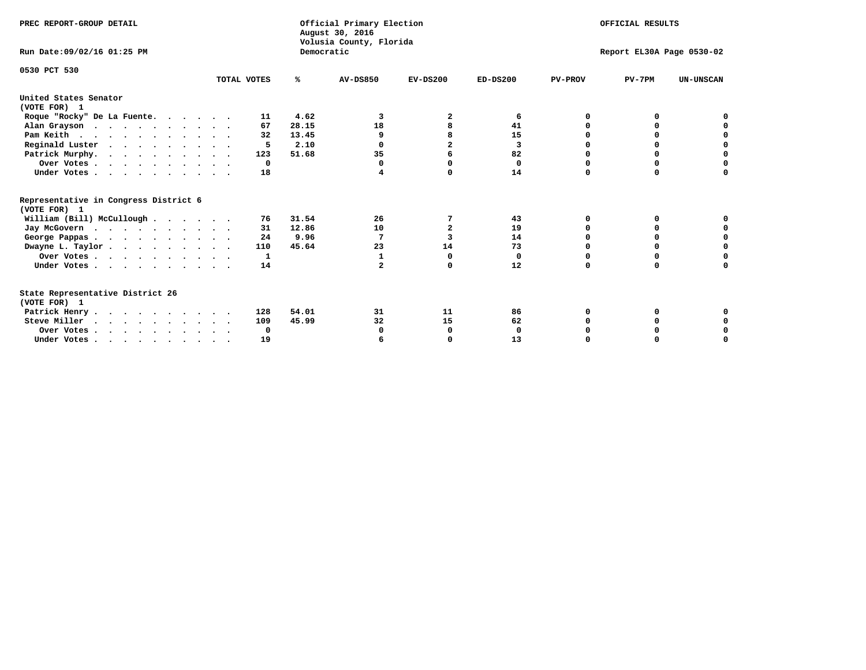| PREC REPORT-GROUP DETAIL                                                         |             |            | Official Primary Election<br>August 30, 2016<br>Volusia County, Florida | OFFICIAL RESULTS<br>Report EL30A Page 0530-02 |              |                |              |                  |
|----------------------------------------------------------------------------------|-------------|------------|-------------------------------------------------------------------------|-----------------------------------------------|--------------|----------------|--------------|------------------|
| Run Date: 09/02/16 01:25 PM                                                      |             | Democratic |                                                                         |                                               |              |                |              |                  |
| 0530 PCT 530                                                                     | TOTAL VOTES | %ะ         | <b>AV-DS850</b>                                                         | $EV-DS200$                                    | $ED-DS200$   | <b>PV-PROV</b> | $PV-7PM$     | <b>UN-UNSCAN</b> |
| United States Senator                                                            |             |            |                                                                         |                                               |              |                |              |                  |
| (VOTE FOR) 1                                                                     |             |            |                                                                         |                                               |              |                |              |                  |
| Roque "Rocky" De La Fuente.                                                      | 11          | 4.62       | 3                                                                       | 2                                             | 6            | O              | O            |                  |
| Alan Grayson                                                                     | 67          | 28.15      | 18                                                                      |                                               | 41           |                |              |                  |
| Pam Keith                                                                        | 32          | 13.45      | 9                                                                       |                                               | 15           |                | O            | n                |
| Reginald Luster                                                                  | 5           | 2.10       |                                                                         | $\overline{a}$                                | 3            |                | 0            | 0                |
| Patrick Murphy.                                                                  | 123         | 51.68      | 35                                                                      | 6                                             | 82           |                | 0            | $\mathbf 0$      |
| Over Votes                                                                       | $\Omega$    |            | 0                                                                       | n                                             | $\mathbf{0}$ | O              | 0            | $\Omega$         |
| Under Votes                                                                      | 18          |            | 4                                                                       | $\Omega$                                      | 14           | $\Omega$       | $\Omega$     | U                |
| Representative in Congress District 6                                            |             |            |                                                                         |                                               |              |                |              |                  |
| (VOTE FOR) 1                                                                     |             |            |                                                                         |                                               |              |                |              |                  |
| William (Bill) McCullough                                                        | 76          | 31.54      | 26                                                                      | 7                                             | 43           | 0              | 0            |                  |
| Jay McGovern                                                                     | 31          | 12.86      | 10                                                                      | $\overline{a}$                                | 19           | n              | <sup>0</sup> |                  |
| George Pappas.                                                                   | 24          | 9.96       | 7                                                                       | 3                                             | 14           | $\Omega$       | $\Omega$     | 0                |
| Dwayne L. Taylor                                                                 | 110         | 45.64      | 23                                                                      | 14                                            | 73           | $\Omega$       | $\Omega$     | $\Omega$         |
| Over Votes                                                                       | 1           |            | 1                                                                       | 0                                             | 0            | O              | 0            | 0                |
| Under Votes                                                                      | 14          |            | $\overline{a}$                                                          | O                                             | 12           | $\Omega$       | 0            | O                |
| State Representative District 26                                                 |             |            |                                                                         |                                               |              |                |              |                  |
| (VOTE FOR) 1                                                                     |             |            |                                                                         |                                               |              |                |              |                  |
| Patrick Henry                                                                    | 128         | 54.01      | 31                                                                      | 11                                            | 86           | O              | 0            |                  |
| Steve Miller                                                                     | 109         | 45.99      | 32                                                                      | 15                                            | 62           |                |              | 0                |
| Over Votes                                                                       | 0           |            | 0                                                                       | 0                                             | 0            |                | O            | 0                |
| Under Votes, $\cdot$ , $\cdot$ , $\cdot$ , $\cdot$ , $\cdot$ , $\cdot$ , $\cdot$ | 19          |            |                                                                         | n                                             | 13           |                |              | U                |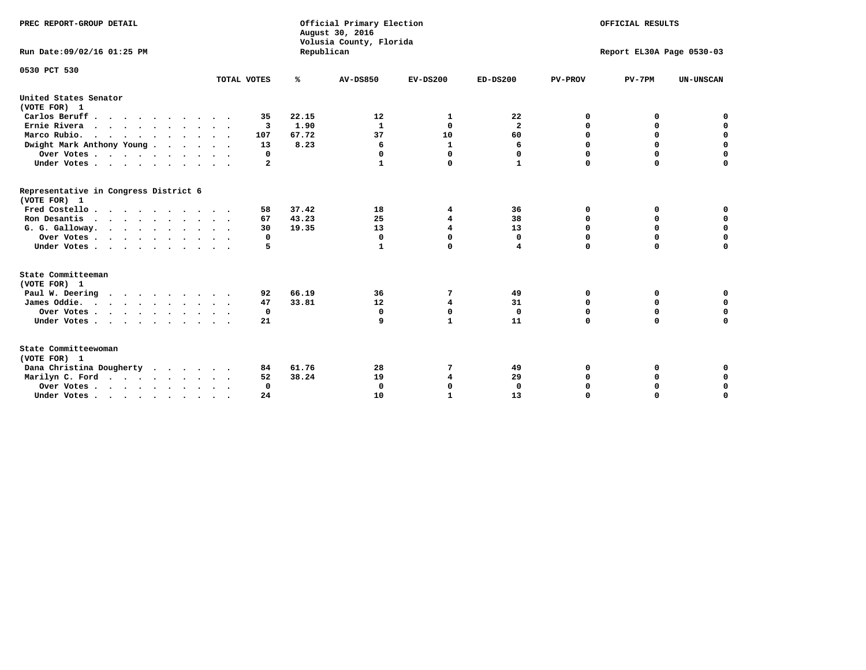| PREC REPORT-GROUP DETAIL<br>Run Date: 09/02/16 01:25 PM |             | Republican | Official Primary Election<br>August 30, 2016<br>Volusia County, Florida | OFFICIAL RESULTS<br>Report EL30A Page 0530-03 |                         |                |             |                  |
|---------------------------------------------------------|-------------|------------|-------------------------------------------------------------------------|-----------------------------------------------|-------------------------|----------------|-------------|------------------|
|                                                         |             |            |                                                                         |                                               |                         |                |             |                  |
| 0530 PCT 530                                            |             |            |                                                                         |                                               |                         |                |             |                  |
|                                                         | TOTAL VOTES | ℁          | <b>AV-DS850</b>                                                         | $EV-DS200$                                    | $ED-DS200$              | <b>PV-PROV</b> | $PV-7PM$    | <b>UN-UNSCAN</b> |
| United States Senator<br>(VOTE FOR) 1                   |             |            |                                                                         |                                               |                         |                |             |                  |
| Carlos Beruff                                           | 35          | 22.15      | 12                                                                      | 1                                             | 22                      | 0              | 0           | 0                |
| Ernie Rivera                                            | 3           | 1.90       | 1                                                                       | $\Omega$                                      | $\overline{\mathbf{2}}$ | $\Omega$       | 0           | $\mathbf 0$      |
| Marco Rubio.                                            | 107         | 67.72      | 37                                                                      | 10                                            | 60                      | $\mathbf 0$    | $\mathbf 0$ | $\mathbf 0$      |
| Dwight Mark Anthony Young                               | 13          | 8.23       | 6                                                                       | ${\bf 1}$                                     | 6                       | 0              | $\mathbf 0$ | $\pmb{0}$        |
| Over Votes                                              | 0           |            | 0                                                                       | $\Omega$                                      | 0                       | 0              | 0           | 0                |
| Under Votes                                             | 2           |            |                                                                         | 0                                             | 1                       | $\Omega$       | $\Omega$    | $\mathbf 0$      |
| Representative in Congress District 6<br>(VOTE FOR) 1   |             |            |                                                                         |                                               |                         |                |             |                  |
| Fred Costello.                                          | 58          | 37.42      | 18                                                                      | 4                                             | 36                      | 0              | 0           | 0                |
| Ron Desantis                                            | 67          | 43.23      | 25                                                                      | 4                                             | 38                      | 0              | 0           | $\mathbf 0$      |
| G. G. Galloway.                                         | 30          | 19.35      | 13                                                                      | 4                                             | 13                      | $\Omega$       | $\Omega$    | $\mathbf 0$      |
| Over Votes                                              | 0           |            | $\mathbf{0}$                                                            | $\Omega$                                      | $\mathbf{0}$            | $\mathbf 0$    | $\mathbf 0$ | $\mathbf 0$      |
| Under Votes                                             | 5           |            | 1                                                                       | $\Omega$                                      | 4                       | $\mathbf 0$    | $\Omega$    | $\mathbf 0$      |
| State Committeeman                                      |             |            |                                                                         |                                               |                         |                |             |                  |
| (VOTE FOR) 1                                            |             |            |                                                                         |                                               |                         |                |             |                  |
| Paul W. Deering<br>.                                    | 92          | 66.19      | 36                                                                      | 7                                             | 49                      | 0              | 0           | 0                |
| James Oddie.                                            | 47          | 33.81      | 12                                                                      | $\overline{\mathbf{4}}$                       | 31                      | 0              | 0           | $\mathbf 0$      |
| Over Votes                                              | 0           |            | $\mathbf 0$                                                             | $\mathbf 0$                                   | $\mathbf 0$             | 0              | $\mathbf 0$ | $\mathbf 0$      |
| Under Votes                                             | 21          |            | 9                                                                       | $\mathbf{1}$                                  | 11                      | $\Omega$       | 0           | $\mathbf 0$      |
| State Committeewoman<br>(VOTE FOR) 1                    |             |            |                                                                         |                                               |                         |                |             |                  |
| Dana Christina Dougherty                                | 84          | 61.76      | 28                                                                      | 7                                             | 49                      | 0              | 0           | 0                |
| Marilyn C. Ford                                         | 52          | 38.24      | 19                                                                      | 4                                             | 29                      | 0              | 0           | 0                |
| Over Votes                                              | $\Omega$    |            | $\Omega$                                                                | 0                                             | $\mathbf{0}$            | 0              | 0           | $\mathbf 0$      |
| Under Votes, , , , , , , , , ,                          | 24          |            | 10                                                                      | $\mathbf{1}$                                  | 13                      | $\Omega$       | $\Omega$    | $\Omega$         |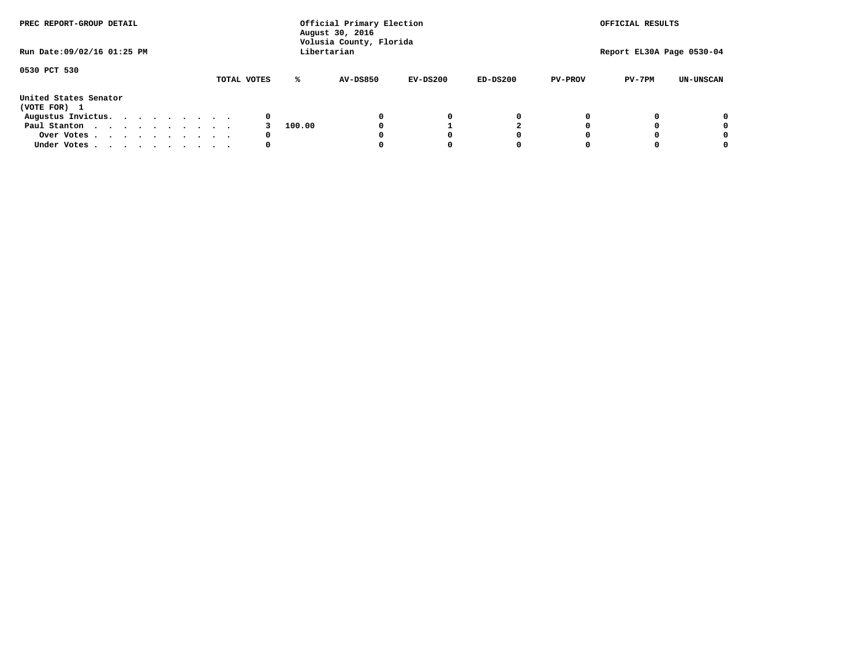| PREC REPORT-GROUP DETAIL              |  |  |  | Official Primary Election<br>August 30, 2016<br>Volusia County, Florida<br>Libertarian |  |  |             |   |        |                 |  | OFFICIAL RESULTS<br>Report EL30A Page 0530-04 |            |   |                |          |                  |
|---------------------------------------|--|--|--|----------------------------------------------------------------------------------------|--|--|-------------|---|--------|-----------------|--|-----------------------------------------------|------------|---|----------------|----------|------------------|
| Run Date: 09/02/16 01:25 PM           |  |  |  |                                                                                        |  |  |             |   |        |                 |  |                                               |            |   |                |          |                  |
| 0530 PCT 530                          |  |  |  |                                                                                        |  |  | TOTAL VOTES |   | ℁      | <b>AV-DS850</b> |  | $EV-DS200$                                    | $ED-DS200$ |   | <b>PV-PROV</b> | $PV-7PM$ | <b>UN-UNSCAN</b> |
| United States Senator<br>(VOTE FOR) 1 |  |  |  |                                                                                        |  |  |             |   |        |                 |  |                                               |            |   |                |          |                  |
| Augustus Invictus.                    |  |  |  |                                                                                        |  |  |             | 0 |        |                 |  | 0                                             |            | 0 |                |          | 0                |
| Paul Stanton                          |  |  |  |                                                                                        |  |  |             |   | 100.00 |                 |  |                                               |            |   |                |          | 0                |
| Over Votes                            |  |  |  |                                                                                        |  |  |             | 0 |        |                 |  |                                               |            | 0 |                |          | 0                |
| Under Votes                           |  |  |  |                                                                                        |  |  |             | 0 |        |                 |  |                                               |            | 0 |                |          | 0                |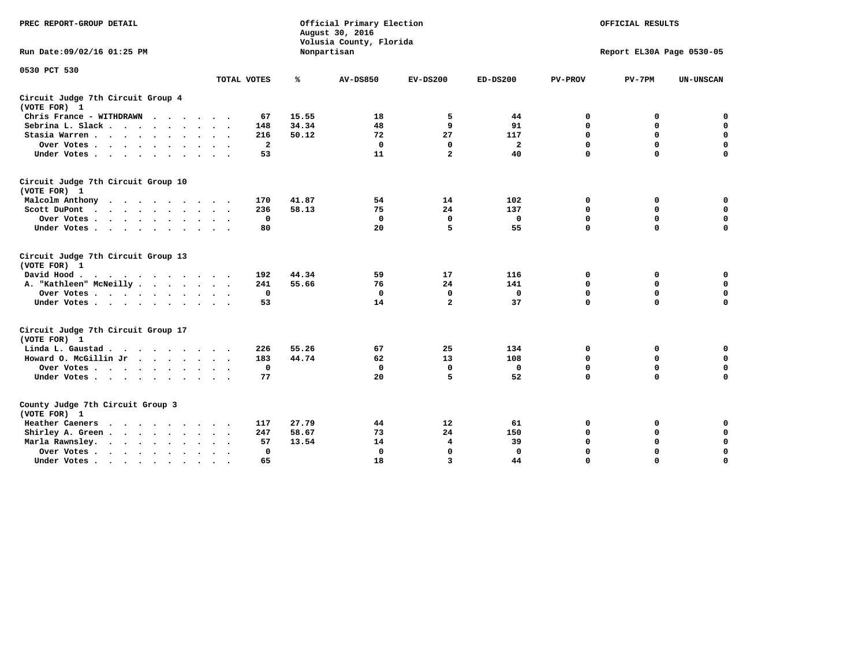| PREC REPORT-GROUP DETAIL                                                                                |                              | Official Primary Election<br>August 30, 2016<br>Volusia County, Florida | OFFICIAL RESULTS<br>Report EL30A Page 0530-05 |                         |                |                |             |                  |
|---------------------------------------------------------------------------------------------------------|------------------------------|-------------------------------------------------------------------------|-----------------------------------------------|-------------------------|----------------|----------------|-------------|------------------|
| Run Date:09/02/16 01:25 PM                                                                              |                              |                                                                         | Nonpartisan                                   |                         |                |                |             |                  |
| 0530 PCT 530                                                                                            | TOTAL VOTES                  | ℁                                                                       | <b>AV-DS850</b>                               | $EV-DS200$              | $ED-DS200$     | <b>PV-PROV</b> | $PV-7PM$    | <b>UN-UNSCAN</b> |
| Circuit Judge 7th Circuit Group 4<br>(VOTE FOR) 1                                                       |                              |                                                                         |                                               |                         |                |                |             |                  |
| Chris France - WITHDRAWN                                                                                | 67                           | 15.55                                                                   | 18                                            | 5                       | 44             | 0              | 0           | $\mathbf 0$      |
| Sebrina L. Slack                                                                                        | 148                          | 34.34                                                                   | 48                                            | 9                       | 91             | $\mathbf 0$    | 0           | $\mathbf 0$      |
| Stasia Warren                                                                                           | 216                          | 50.12                                                                   | 72                                            | 27                      | 117            | 0              | 0           | $\mathbf 0$      |
| Over Votes                                                                                              | $\overline{a}$               |                                                                         | $\mathbf 0$                                   | $\mathbf 0$             | $\overline{a}$ | $\mathbf 0$    | $\mathbf 0$ | 0                |
| Under Votes                                                                                             | 53                           |                                                                         | 11                                            | $\overline{a}$          | 40             | $\Omega$       | $\Omega$    | $\Omega$         |
| Circuit Judge 7th Circuit Group 10<br>(VOTE FOR) 1                                                      |                              |                                                                         |                                               |                         |                |                |             |                  |
| Malcolm Anthony<br>.                                                                                    | 170                          | 41.87                                                                   | 54                                            | 14                      | 102            | 0              | 0           | 0                |
| Scott DuPont                                                                                            | 236                          | 58.13                                                                   | 75                                            | 24                      | 137            | $\mathbf 0$    | $\mathbf 0$ | 0                |
| Over Votes                                                                                              | 0                            |                                                                         | $\mathbf{0}$                                  | $\mathbf 0$             | $\mathbf 0$    | $\mathbf 0$    | $\mathbf 0$ | $\mathbf 0$      |
| Under Votes                                                                                             | 80                           |                                                                         | 20                                            | 5                       | 55             | $\Omega$       | $\Omega$    | $\Omega$         |
| Circuit Judge 7th Circuit Group 13<br>(VOTE FOR) 1                                                      |                              |                                                                         |                                               |                         |                |                |             |                  |
| David Hood.<br>$\mathbf{r}$ , and $\mathbf{r}$ , and $\mathbf{r}$ , and $\mathbf{r}$ , and $\mathbf{r}$ | 192                          | 44.34                                                                   | 59                                            | 17                      | 116            | 0              | 0           | 0                |
| A. "Kathleen" McNeilly                                                                                  | 241                          | 55.66                                                                   | 76                                            | 24                      | 141            | $\mathbf 0$    | $\mathbf 0$ | $\mathbf 0$      |
| Over Votes                                                                                              | $^{\circ}$                   |                                                                         | 0                                             | 0                       | 0              | $\mathbf 0$    | $\mathbf 0$ | $\mathbf 0$      |
| Under Votes                                                                                             | 53                           |                                                                         | 14                                            | $\overline{a}$          | 37             | $\Omega$       | $\Omega$    | $\Omega$         |
| Circuit Judge 7th Circuit Group 17<br>(VOTE FOR) 1                                                      |                              |                                                                         |                                               |                         |                |                |             |                  |
| Linda L. Gaustad                                                                                        | 226                          | 55.26                                                                   | 67                                            | 25                      | 134            | 0              | 0           | $\mathbf 0$      |
| Howard O. McGillin Jr                                                                                   | 183                          | 44.74                                                                   | 62                                            | 13                      | 108            | $\mathbf 0$    | $\mathbf 0$ | $\mathbf 0$      |
| Over Votes                                                                                              | $\mathbf 0$                  |                                                                         | $\mathbf{0}$                                  | $\mathbf{0}$            | $\mathbf 0$    | $\mathbf 0$    | $\mathbf 0$ | $\mathbf 0$      |
| Under Votes                                                                                             | 77                           |                                                                         | 20                                            | 5                       | 52             | $\mathbf 0$    | $\mathbf 0$ | $\mathbf 0$      |
| County Judge 7th Circuit Group 3<br>(VOTE FOR) 1                                                        |                              |                                                                         |                                               |                         |                |                |             |                  |
| <b>Heather Caeners</b><br>$\cdot$                                                                       | 117                          | 27.79                                                                   | 44                                            | 12                      | 61             | 0              | 0           | 0                |
| Shirley A. Green                                                                                        | 247                          | 58.67                                                                   | 73                                            | 24                      | 150            | $\mathbf 0$    | 0           | $\mathbf 0$      |
| Marla Rawnsley.<br>$\cdot$ $\cdot$ $\cdot$ $\cdot$ $\cdot$                                              | 57                           | 13.54                                                                   | 14                                            | 4                       | 39             | 0              | $\mathbf 0$ | $\pmb{0}$        |
| Over Votes.<br>$\ddot{\phantom{a}}$<br>$\cdot$                                                          | $\mathbf 0$<br>$\sim$ $\sim$ |                                                                         | $\mathbf 0$                                   | $\mathbf{0}$            | $\mathbf{0}$   | $\mathbf 0$    | $\mathbf 0$ | $\mathbf 0$      |
| Under Votes<br>$\sim$                                                                                   | 65                           |                                                                         | 18                                            | $\overline{\mathbf{3}}$ | 44             | $\mathbf 0$    | $\mathbf 0$ | 0                |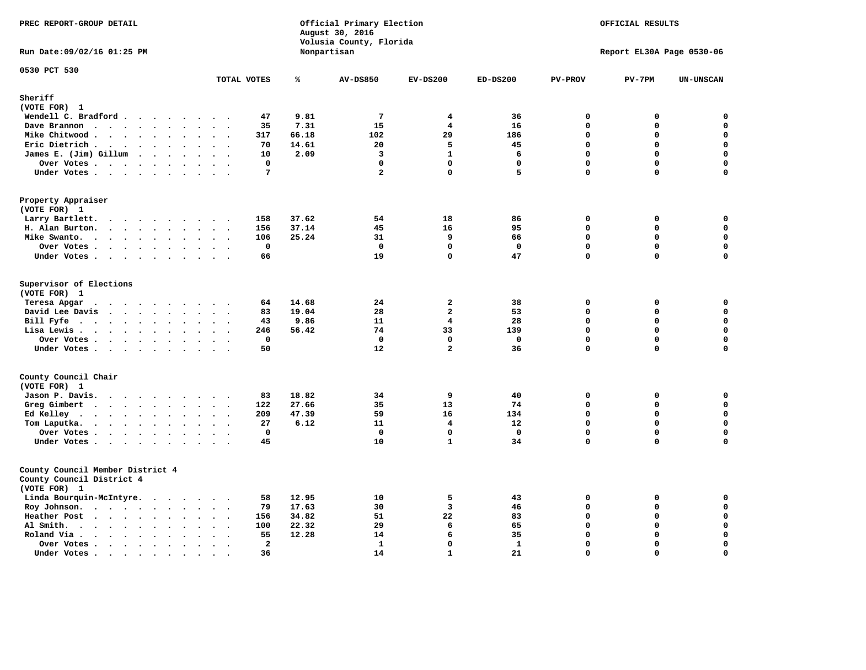| PREC REPORT-GROUP DETAIL                                                      |                                                                             |       | Official Primary Election<br>August 30, 2016<br>Volusia County, Florida | OFFICIAL RESULTS<br>Report EL30A Page 0530-06 |                   |                            |                            |                  |
|-------------------------------------------------------------------------------|-----------------------------------------------------------------------------|-------|-------------------------------------------------------------------------|-----------------------------------------------|-------------------|----------------------------|----------------------------|------------------|
| Run Date: 09/02/16 01:25 PM                                                   | Nonpartisan                                                                 |       |                                                                         |                                               |                   |                            |                            |                  |
| 0530 PCT 530                                                                  | TOTAL VOTES                                                                 | ℁     | <b>AV-DS850</b>                                                         | $EV-DS200$                                    | $ED-DS200$        | PV-PROV                    | $PV-7PM$                   | <b>UN-UNSCAN</b> |
| Sheriff                                                                       |                                                                             |       |                                                                         |                                               |                   |                            |                            |                  |
| (VOTE FOR) 1                                                                  |                                                                             |       |                                                                         |                                               |                   |                            |                            |                  |
| Wendell C. Bradford                                                           | 47                                                                          | 9.81  | $7\phantom{.0}$                                                         | $\overline{4}$                                | 36                | $\Omega$                   | 0                          | $\mathbf 0$      |
| Dave Brannon                                                                  | 35                                                                          | 7.31  | 15                                                                      | 4                                             | 16                | $\Omega$                   | 0                          | 0                |
| Mike Chitwood                                                                 | 317                                                                         | 66.18 | 102                                                                     | 29                                            | 186               | $\Omega$                   | 0                          | $\mathbf 0$      |
| Eric Dietrich.                                                                | 70                                                                          | 14.61 | 20                                                                      | 5                                             | 45                | $\mathbf 0$                | 0                          | 0                |
| James E. (Jim) Gillum                                                         | 10                                                                          | 2.09  | 3                                                                       | $\mathbf{1}$                                  | 6                 | $\mathbf 0$                | $\mathbf 0$                | $\mathbf 0$      |
| Over Votes                                                                    | 0                                                                           |       | $\mathbf 0$                                                             | $\mathbf 0$                                   | 0                 | $\mathbf 0$                | 0                          | $\mathbf 0$      |
| Under Votes                                                                   | 7                                                                           |       | $\overline{a}$                                                          | $\Omega$                                      | 5                 | $\Omega$                   | 0                          | 0                |
| Property Appraiser                                                            |                                                                             |       |                                                                         |                                               |                   |                            |                            |                  |
| (VOTE FOR) 1                                                                  |                                                                             |       |                                                                         |                                               |                   |                            |                            |                  |
| Larry Bartlett.                                                               | 158                                                                         | 37.62 | 54                                                                      | 18                                            | 86                | $\Omega$                   | 0                          | 0                |
| H. Alan Burton.                                                               | 156                                                                         | 37.14 | 45                                                                      | 16                                            | 95                | $\Omega$                   | $\mathbf 0$                | $\mathbf 0$      |
| Mike Swanto.                                                                  | 106<br>$\mathbf 0$                                                          | 25.24 | 31<br>$\mathbf{0}$                                                      | 9<br>$\mathbf 0$                              | 66<br>$\mathbf 0$ | $\mathbf 0$<br>$\mathbf 0$ | $\mathbf 0$<br>$\mathbf 0$ | $\mathbf 0$<br>0 |
| Over Votes.                                                                   | 66                                                                          |       | 19                                                                      | $\Omega$                                      | 47                | $\mathbf 0$                | $\mathbf 0$                | $\mathbf 0$      |
| Under Votes                                                                   |                                                                             |       |                                                                         |                                               |                   |                            |                            |                  |
| Supervisor of Elections<br>(VOTE FOR) 1                                       |                                                                             |       |                                                                         |                                               |                   |                            |                            |                  |
| Teresa Apgar<br>$\cdots$                                                      | 64                                                                          | 14.68 | 24                                                                      | $\overline{a}$                                | 38                | 0                          | 0                          | 0                |
| David Lee Davis                                                               | 83                                                                          | 19.04 | 28                                                                      | $\overline{a}$                                | 53                | $\mathbf 0$                | 0                          | 0                |
| Bill Fyfe $\cdots$ $\cdots$ $\cdots$ $\cdots$                                 | 43                                                                          | 9.86  | 11                                                                      | 4                                             | 28                | $\mathbf 0$                | 0                          | $\mathbf 0$      |
| Lisa Lewis                                                                    | 246                                                                         | 56.42 | 74                                                                      | 33                                            | 139               | $\Omega$                   | 0                          | $\mathbf 0$      |
| Over Votes                                                                    | $\mathbf 0$                                                                 |       | $\mathbf{0}$                                                            | $\mathbf 0$                                   | $\mathbf 0$       | $\mathbf 0$                | $\mathbf 0$                | $\mathbf 0$      |
| Under Votes                                                                   | 50<br>$\ddot{\phantom{0}}$                                                  |       | 12                                                                      | $\overline{a}$                                | 36                | $\mathbf 0$                | 0                          | $\mathbf 0$      |
| County Council Chair                                                          |                                                                             |       |                                                                         |                                               |                   |                            |                            |                  |
| (VOTE FOR) 1                                                                  |                                                                             |       |                                                                         |                                               |                   |                            |                            |                  |
| Jason P. Davis.                                                               | 83<br>$\sim$ $\sim$                                                         | 18.82 | 34                                                                      | 9                                             | 40                | $\mathbf 0$                | 0                          | $\mathbf 0$      |
| Greg Gimbert<br>$\mathbf{r}$ . The state of the state $\mathbf{r}$            | 122                                                                         | 27.66 | 35                                                                      | 13                                            | 74                | $\mathbf 0$                | 0                          | 0                |
| Ed Kelley                                                                     | 209                                                                         | 47.39 | 59                                                                      | 16                                            | 134               | $\mathbf 0$                | 0                          | $\mathbf 0$      |
| Tom Laputka.                                                                  | 27                                                                          | 6.12  | 11                                                                      | 4                                             | 12                | $\mathbf 0$                | 0                          | $\mathbf 0$      |
| Over Votes                                                                    | $\mathbf 0$                                                                 |       | $\mathbf{0}$                                                            | $\Omega$                                      | $\mathbf{0}$      | $\mathbf{0}$               | 0                          | 0                |
| Under Votes                                                                   | 45<br>$\cdots$                                                              |       | 10                                                                      | $\mathbf{1}$                                  | 34                | $\Omega$                   | 0                          | $\Omega$         |
| County Council Member District 4<br>County Council District 4<br>(VOTE FOR) 1 |                                                                             |       |                                                                         |                                               |                   |                            |                            |                  |
| Linda Bourquin-McIntyre.                                                      | 58                                                                          | 12.95 | 10                                                                      | 5                                             | 43                | $\mathbf 0$                | 0                          | 0                |
| Roy Johnson.<br>$\sim$ $\sim$                                                 | 79<br>$\sim$ $\sim$                                                         | 17.63 | 30                                                                      | $\overline{3}$                                | 46                | $\mathbf 0$                | 0                          | $\mathbf 0$      |
| Heather Post                                                                  | 156                                                                         | 34.82 | 51                                                                      | 22                                            | 83                | $\mathbf 0$                | 0                          | $\mathbf 0$      |
| Al Smith.<br>$\ddot{\phantom{0}}$                                             | 100<br>$\ddot{\phantom{a}}$<br>$\ddot{\phantom{a}}$<br>$\ddot{\phantom{a}}$ | 22.32 | 29                                                                      | 6                                             | 65                | $\mathbf 0$                | $\mathbf 0$                | $\mathbf 0$      |
| Roland Via .<br>$\cdots$<br>$\sim$<br>$\ddot{\phantom{a}}$                    | 55<br>$\ddot{\phantom{a}}$                                                  | 12.28 | 14                                                                      | 6                                             | 35                | $\Omega$                   | $\mathbf 0$                | $\mathbf 0$      |
| Over Votes<br>$\bullet$ .<br>$\sim$<br>$\ddot{\phantom{a}}$                   | $\overline{a}$<br>$\bullet$<br>$\ddot{\phantom{a}}$<br>$\cdot$              |       | $\mathbf{1}$                                                            | $\mathbf 0$                                   | $\mathbf{1}$      | $\Omega$                   | $\mathbf 0$                | $\Omega$         |
| Under Votes.<br>$\cdots$<br>$\bullet$                                         | 36<br>$\bullet$                                                             |       | 14                                                                      | $\mathbf{1}$                                  | 21                | $\Omega$                   | $\Omega$                   | $\mathbf 0$      |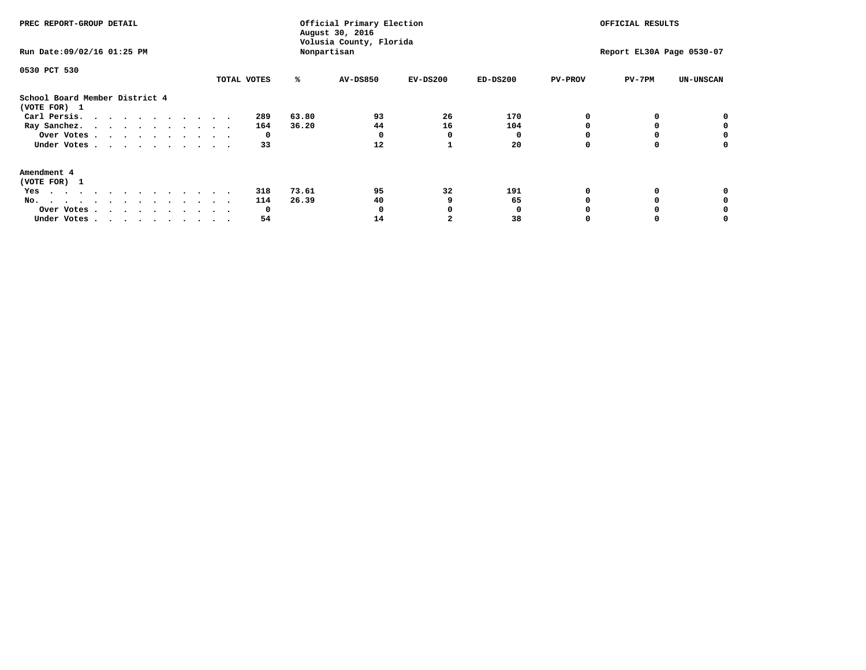| PREC REPORT-GROUP DETAIL                                                                                                                                                                                                                                                                            |             | Official Primary Election<br>August 30, 2016<br>Volusia County, Florida<br>Nonpartisan | OFFICIAL RESULTS<br>Report EL30A Page 0530-07 |            |            |                |          |                  |
|-----------------------------------------------------------------------------------------------------------------------------------------------------------------------------------------------------------------------------------------------------------------------------------------------------|-------------|----------------------------------------------------------------------------------------|-----------------------------------------------|------------|------------|----------------|----------|------------------|
| Run Date: 09/02/16 01:25 PM                                                                                                                                                                                                                                                                         |             |                                                                                        |                                               |            |            |                |          |                  |
| 0530 PCT 530                                                                                                                                                                                                                                                                                        |             |                                                                                        |                                               |            |            |                |          |                  |
|                                                                                                                                                                                                                                                                                                     | TOTAL VOTES | ℁                                                                                      | AV-DS850                                      | $EV-DS200$ | $ED-DS200$ | <b>PV-PROV</b> | $PV-7PM$ | <b>UN-UNSCAN</b> |
| School Board Member District 4<br>(VOTE FOR) 1                                                                                                                                                                                                                                                      |             |                                                                                        |                                               |            |            |                |          |                  |
| Carl Persis.                                                                                                                                                                                                                                                                                        | 289         | 63.80                                                                                  | 93                                            | 26         | 170        |                |          |                  |
| Ray Sanchez.                                                                                                                                                                                                                                                                                        | 164         | 36.20                                                                                  | 44                                            | 16         | 104        |                |          |                  |
| Over Votes                                                                                                                                                                                                                                                                                          | 0           |                                                                                        | o                                             | 0          |            |                |          |                  |
| Under Votes                                                                                                                                                                                                                                                                                         | 33          |                                                                                        | 12                                            |            | 20         |                |          | 0                |
| Amendment 4                                                                                                                                                                                                                                                                                         |             |                                                                                        |                                               |            |            |                |          |                  |
| (VOTE FOR) 1                                                                                                                                                                                                                                                                                        |             |                                                                                        |                                               |            |            |                |          |                  |
| Yes<br>$\mathbf{a} \cdot \mathbf{a} \cdot \mathbf{a} \cdot \mathbf{a} \cdot \mathbf{a} \cdot \mathbf{a} \cdot \mathbf{a} \cdot \mathbf{a} \cdot \mathbf{a} \cdot \mathbf{a} \cdot \mathbf{a} \cdot \mathbf{a} \cdot \mathbf{a} \cdot \mathbf{a} \cdot \mathbf{a} \cdot \mathbf{a} \cdot \mathbf{a}$ | 318         | 73.61                                                                                  | 95                                            | 32         | 191        |                |          |                  |
| No.<br>.                                                                                                                                                                                                                                                                                            | 114         | 26.39                                                                                  | 40                                            |            | 65         |                |          |                  |
| Over Votes                                                                                                                                                                                                                                                                                          | 0           |                                                                                        |                                               |            |            |                |          |                  |
| Under Votes                                                                                                                                                                                                                                                                                         | 54          |                                                                                        | 14                                            |            | 38         |                |          |                  |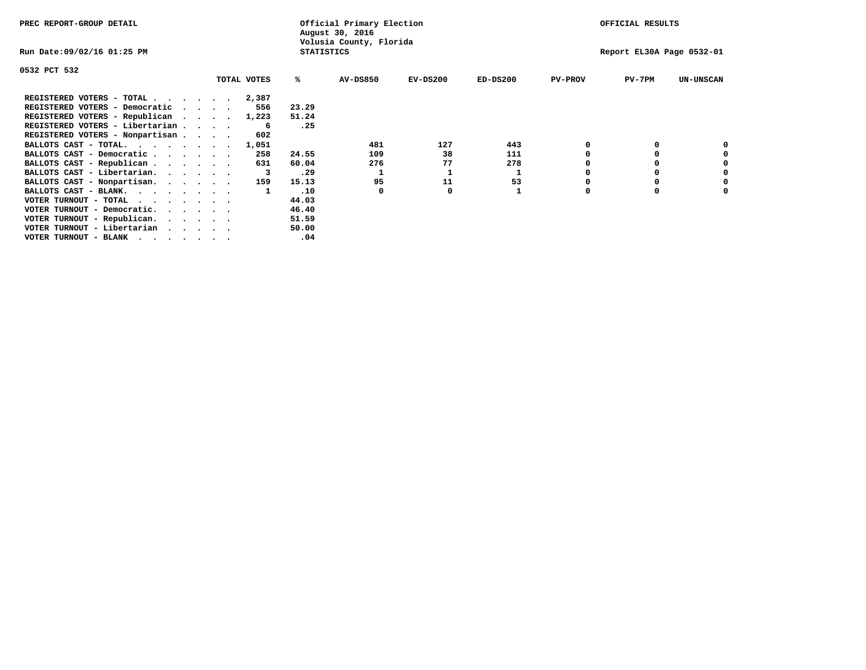| PREC REPORT-GROUP DETAIL                                    |             |                   | Official Primary Election<br>August 30, 2016 |                           | OFFICIAL RESULTS |                |          |                  |
|-------------------------------------------------------------|-------------|-------------------|----------------------------------------------|---------------------------|------------------|----------------|----------|------------------|
| Run Date:09/02/16 01:25 PM                                  |             | <b>STATISTICS</b> | Volusia County, Florida                      | Report EL30A Page 0532-01 |                  |                |          |                  |
| 0532 PCT 532                                                |             |                   |                                              |                           |                  |                |          |                  |
|                                                             | TOTAL VOTES | ℁                 | AV-DS850                                     | $EV-DS200$                | $ED-DS200$       | <b>PV-PROV</b> | $PV-7PM$ | <b>UN-UNSCAN</b> |
| REGISTERED VOTERS - TOTAL 2,387                             |             |                   |                                              |                           |                  |                |          |                  |
| REGISTERED VOTERS - Democratic                              | 556         | 23.29             |                                              |                           |                  |                |          |                  |
| REGISTERED VOTERS - Republican                              | 1,223       | 51.24             |                                              |                           |                  |                |          |                  |
| REGISTERED VOTERS - Libertarian                             | -6          | .25               |                                              |                           |                  |                |          |                  |
| REGISTERED VOTERS - Nonpartisan                             | 602         |                   |                                              |                           |                  |                |          |                  |
| BALLOTS CAST - TOTAL.                                       | 1,051       |                   | 481                                          | 127                       | 443              |                |          |                  |
| BALLOTS CAST - Democratic                                   | 258         | 24.55             | 109                                          | 38                        | 111              |                |          |                  |
| BALLOTS CAST - Republican                                   | 631         | 60.04             | 276                                          | 77                        | 278              |                |          |                  |
| BALLOTS CAST - Libertarian.                                 |             | .29               |                                              |                           | 1                |                |          |                  |
| BALLOTS CAST - Nonpartisan.                                 | 159         | 15.13             | 95                                           | 11                        | 53               |                |          |                  |
| BALLOTS CAST - BLANK.                                       |             | .10               | 0                                            |                           |                  | $\Omega$       |          |                  |
| VOTER TURNOUT - TOTAL $\cdot \cdot \cdot \cdot \cdot \cdot$ |             | 44.03             |                                              |                           |                  |                |          |                  |
| VOTER TURNOUT - Democratic.<br>$\cdot$                      |             | 46.40             |                                              |                           |                  |                |          |                  |
| VOTER TURNOUT - Republican.                                 |             | 51.59             |                                              |                           |                  |                |          |                  |
| VOTER TURNOUT - Libertarian                                 |             | 50.00             |                                              |                           |                  |                |          |                  |
| VOTER TURNOUT - BLANK                                       |             | .04               |                                              |                           |                  |                |          |                  |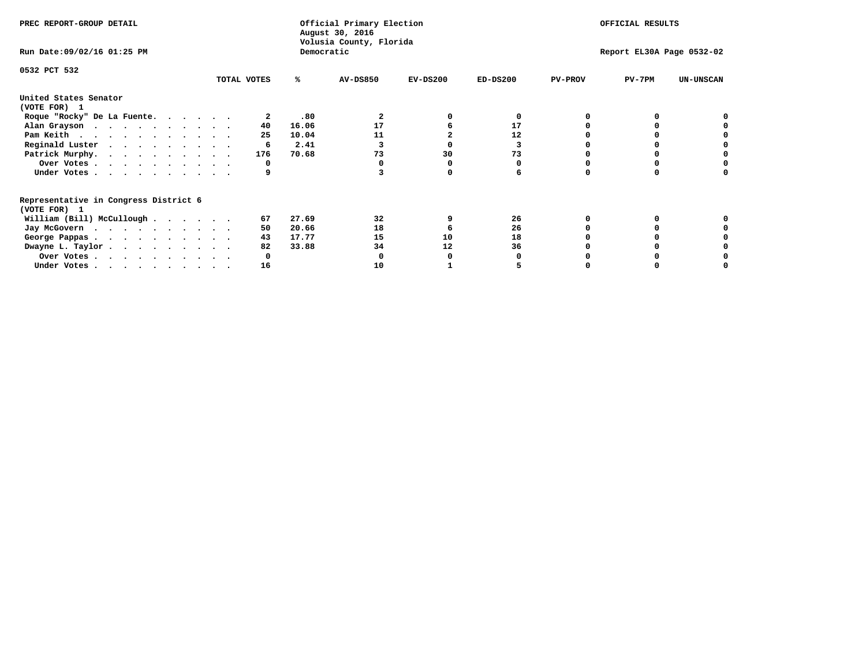| PREC REPORT-GROUP DETAIL                                               |             |            | Official Primary Election<br>August 30, 2016 | OFFICIAL RESULTS |                           |                |          |                  |
|------------------------------------------------------------------------|-------------|------------|----------------------------------------------|------------------|---------------------------|----------------|----------|------------------|
| Run Date: 09/02/16 01:25 PM                                            |             | Democratic | Volusia County, Florida                      |                  | Report EL30A Page 0532-02 |                |          |                  |
| 0532 PCT 532                                                           | TOTAL VOTES | ℁          | <b>AV-DS850</b>                              | $EV-DS200$       | $ED-DS200$                | <b>PV-PROV</b> | $PV-7PM$ | <b>UN-UNSCAN</b> |
|                                                                        |             |            |                                              |                  |                           |                |          |                  |
| United States Senator<br>(VOTE FOR) 1                                  |             |            |                                              |                  |                           |                |          |                  |
| Roque "Rocky" De La Fuente.                                            |             | .80        |                                              |                  | O                         |                |          |                  |
| Alan Grayson                                                           | 40          | 16.06      | 17                                           |                  | 17                        |                |          |                  |
| Pam Keith                                                              | 25          | 10.04      | 11                                           |                  | 12                        |                |          |                  |
| Reginald Luster                                                        | 6           | 2.41       |                                              |                  | 3                         |                |          |                  |
| Patrick Murphy.                                                        | 176         | 70.68      | 73                                           | 30               | 73                        |                |          |                  |
| Over Votes                                                             | 0           |            |                                              |                  |                           |                |          |                  |
| Under Votes                                                            |             |            |                                              |                  |                           |                |          |                  |
| Representative in Congress District 6                                  |             |            |                                              |                  |                           |                |          |                  |
| (VOTE FOR) 1                                                           |             |            |                                              |                  |                           |                |          |                  |
| William (Bill) McCullough                                              | 67          | 27.69      | 32                                           |                  | 26                        |                |          |                  |
| Jay McGovern                                                           | 50          | 20.66      | 18                                           |                  | 26                        |                |          |                  |
| George Pappas.                                                         | 43          | 17.77      | 15                                           | 10               | 18                        |                |          |                  |
| Dwayne L. Taylor                                                       | 82          | 33.88      | 34                                           | 12               | 36                        |                |          |                  |
| Over Votes                                                             |             |            |                                              |                  |                           |                |          |                  |
| Under Votes, $\cdot$ , $\cdot$ , $\cdot$ , $\cdot$ , $\cdot$ , $\cdot$ | 16          |            | 1 O                                          |                  |                           |                |          |                  |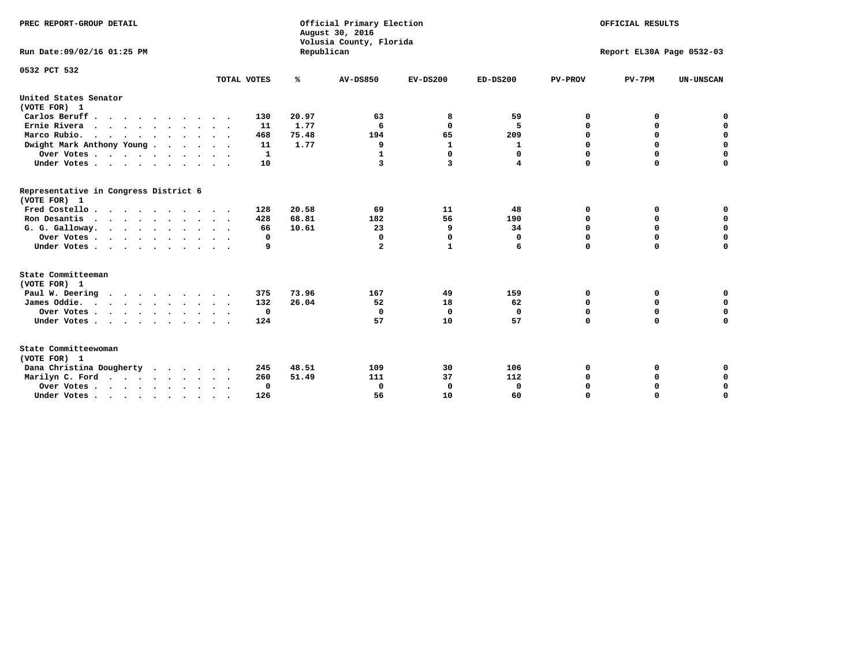| PREC REPORT-GROUP DETAIL<br>Run Date: 09/02/16 01:25 PM |              | Republican | Official Primary Election<br>August 30, 2016<br>Volusia County, Florida | OFFICIAL RESULTS<br>Report EL30A Page 0532-03 |              |                |             |                  |
|---------------------------------------------------------|--------------|------------|-------------------------------------------------------------------------|-----------------------------------------------|--------------|----------------|-------------|------------------|
|                                                         |              |            |                                                                         |                                               |              |                |             |                  |
| 0532 PCT 532                                            | TOTAL VOTES  | ℁          | <b>AV-DS850</b>                                                         | $EV-DS200$                                    | $ED-DS200$   | <b>PV-PROV</b> | $PV-7PM$    | <b>UN-UNSCAN</b> |
| United States Senator                                   |              |            |                                                                         |                                               |              |                |             |                  |
| (VOTE FOR) 1                                            |              |            |                                                                         |                                               |              |                |             |                  |
| Carlos Beruff                                           | 130          | 20.97      | 63                                                                      | 8                                             | 59           | 0              | 0           | 0                |
| Ernie Rivera                                            | 11           | 1.77       | 6                                                                       | $\Omega$                                      | 5            | $\Omega$       | 0           | $\mathbf 0$      |
| Marco Rubio.                                            | 468          | 75.48      | 194                                                                     | 65                                            | 209          | 0              | 0           | $\mathbf 0$      |
| Dwight Mark Anthony Young                               | 11           | 1.77       | 9                                                                       | 1                                             | 1            | 0              | $\mathbf 0$ | $\mathbf 0$      |
| Over Votes                                              | $\mathbf{1}$ |            | 1                                                                       | $\Omega$                                      | 0            | 0<br>$\Omega$  | $\mathbf 0$ | $\mathbf 0$      |
| Under Votes                                             | 10           |            | 3                                                                       | 3                                             | 4            |                | $\Omega$    | $\mathbf 0$      |
| Representative in Congress District 6<br>(VOTE FOR) 1   |              |            |                                                                         |                                               |              |                |             |                  |
| Fred Costello                                           | 128          | 20.58      | 69                                                                      | 11                                            | 48           | 0              | 0           | $\mathbf 0$      |
| Ron Desantis                                            | 428          | 68.81      | 182                                                                     | 56                                            | 190          | 0              | 0           | $\mathbf 0$      |
| G. G. Galloway.                                         | 66           | 10.61      | 23                                                                      | 9                                             | 34           | $\mathbf 0$    | $\mathbf 0$ | $\mathbf 0$      |
| Over Votes                                              | 0            |            | $\Omega$                                                                | 0                                             | 0            | $\mathbf 0$    | 0           | $\mathbf 0$      |
| Under Votes                                             | 9            |            | $\overline{a}$                                                          | $\mathbf{1}$                                  | 6            | $\mathbf 0$    | $\Omega$    | $\mathbf 0$      |
| State Committeeman                                      |              |            |                                                                         |                                               |              |                |             |                  |
| (VOTE FOR) 1                                            |              |            |                                                                         |                                               |              |                |             |                  |
| Paul W. Deering<br>$\cdots$                             | 375          | 73.96      | 167                                                                     | 49                                            | 159          | 0              | 0           | 0                |
| James Oddie.                                            | 132          | 26.04      | 52                                                                      | 18                                            | 62           | 0              | 0           | $\mathbf 0$      |
| Over Votes                                              | $\mathbf 0$  |            | 0                                                                       | 0                                             | 0            | 0              | $\mathbf 0$ | $\mathbf 0$      |
| Under Votes                                             | 124          |            | 57                                                                      | 10                                            | 57           | $\Omega$       | $\mathbf 0$ | $\mathbf 0$      |
| State Committeewoman<br>(VOTE FOR) 1                    |              |            |                                                                         |                                               |              |                |             |                  |
| Dana Christina Dougherty                                | 245          | 48.51      | 109                                                                     | 30                                            | 106          | 0              | 0           | 0                |
| Marilyn C. Ford                                         | 260          | 51.49      | 111                                                                     | 37                                            | 112          | 0              | 0           | $\mathbf 0$      |
| Over Votes                                              | $\Omega$     |            | $\Omega$                                                                | 0                                             | $\mathbf{0}$ | 0              | 0           | $\mathbf 0$      |
| Under Votes, , , , , , , , , ,                          | 126          |            | 56                                                                      | 10                                            | 60           | $\Omega$       | $\Omega$    | $\Omega$         |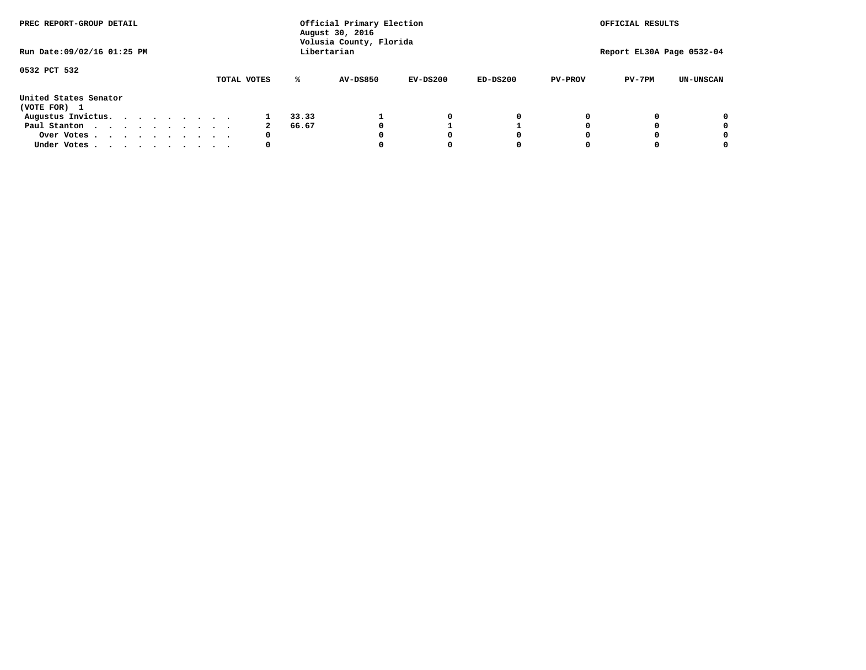| PREC REPORT-GROUP DETAIL              |  |  |  |  | Official Primary Election<br>August 30, 2016<br>Volusia County, Florida | OFFICIAL RESULTS |       |                 |            |            |                |                           |                  |
|---------------------------------------|--|--|--|--|-------------------------------------------------------------------------|------------------|-------|-----------------|------------|------------|----------------|---------------------------|------------------|
| Run Date: 09/02/16 01:25 PM           |  |  |  |  |                                                                         |                  |       | Libertarian     |            |            |                | Report EL30A Page 0532-04 |                  |
| 0532 PCT 532                          |  |  |  |  |                                                                         | TOTAL VOTES      | ℁     | <b>AV-DS850</b> | $EV-DS200$ | $ED-DS200$ | <b>PV-PROV</b> | $PV-7PM$                  | <b>UN-UNSCAN</b> |
| United States Senator<br>(VOTE FOR) 1 |  |  |  |  |                                                                         |                  |       |                 |            |            |                |                           |                  |
| Augustus Invictus.                    |  |  |  |  |                                                                         |                  | 33.33 |                 | 0          | 0          |                |                           | 0                |
| Paul Stanton                          |  |  |  |  |                                                                         | 2                | 66.67 |                 |            |            |                |                           | 0                |
| Over Votes                            |  |  |  |  |                                                                         | 0                |       |                 | O          | O          |                |                           | 0                |
| Under Votes                           |  |  |  |  |                                                                         | 0                |       |                 |            |            |                |                           |                  |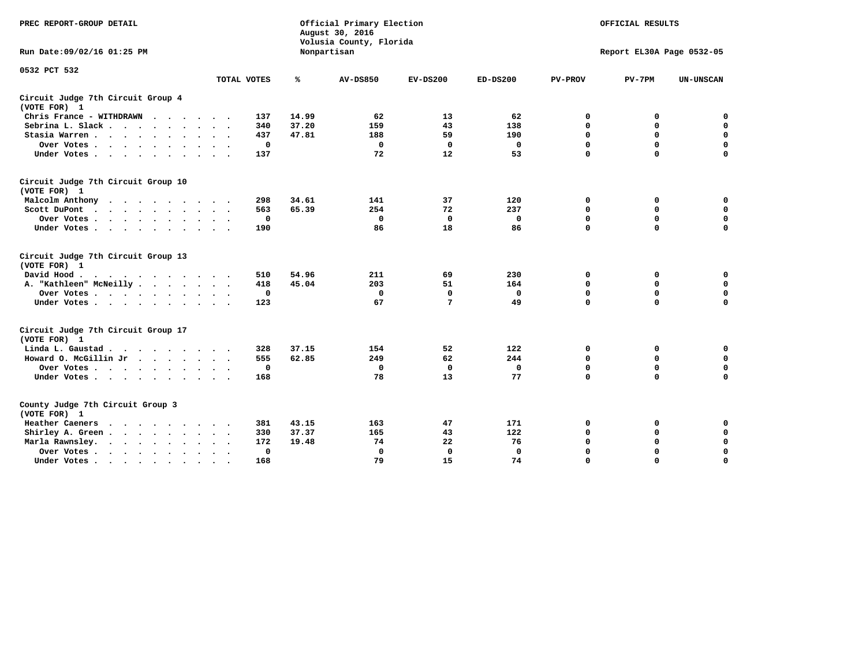| PREC REPORT-GROUP DETAIL                                   |                             | Official Primary Election<br>August 30, 2016<br>Volusia County, Florida |                 | OFFICIAL RESULTS<br>Report EL30A Page 0532-05 |              |                |             |                  |
|------------------------------------------------------------|-----------------------------|-------------------------------------------------------------------------|-----------------|-----------------------------------------------|--------------|----------------|-------------|------------------|
| Run Date: 09/02/16 01:25 PM                                |                             |                                                                         | Nonpartisan     |                                               |              |                |             |                  |
| 0532 PCT 532                                               |                             |                                                                         |                 |                                               |              |                |             |                  |
|                                                            | TOTAL VOTES                 | %                                                                       | <b>AV-DS850</b> | $EV-DS200$                                    | $ED-DS200$   | <b>PV-PROV</b> | $PV-7PM$    | <b>UN-UNSCAN</b> |
| Circuit Judge 7th Circuit Group 4<br>(VOTE FOR) 1          |                             |                                                                         |                 |                                               |              |                |             |                  |
| Chris France - WITHDRAWN                                   | 137                         | 14.99                                                                   | 62              | 13                                            | 62           | 0              | 0           | 0                |
| Sebrina L. Slack.                                          | 340                         | 37.20                                                                   | 159             | 43                                            | 138          | $\mathbf 0$    | $\mathbf 0$ | $\mathbf 0$      |
| Stasia Warren<br>$\sim$ $\sim$                             | 437                         | 47.81                                                                   | 188             | 59                                            | 190          | $\mathbf 0$    | $\mathbf 0$ | $\mathbf 0$      |
| Over Votes                                                 | 0                           |                                                                         | 0               | 0                                             | 0            | $\mathbf 0$    | $\mathbf 0$ | $\mathbf 0$      |
| Under Votes                                                | 137                         |                                                                         | 72              | 12                                            | 53           | $\mathbf 0$    | $\mathbf 0$ | $\mathbf 0$      |
| Circuit Judge 7th Circuit Group 10<br>(VOTE FOR) 1         |                             |                                                                         |                 |                                               |              |                |             |                  |
| Malcolm Anthony<br>.                                       | 298                         | 34.61                                                                   | 141             | 37                                            | 120          | 0              | 0           | $\mathbf 0$      |
| Scott DuPont                                               | 563                         | 65.39                                                                   | 254             | 72                                            | 237          | $\mathbf 0$    | $\mathbf 0$ | $\mathbf 0$      |
| Over Votes<br>$\bullet$                                    | 0                           |                                                                         | $\mathbf{0}$    | $\mathbf 0$                                   | 0            | $\mathbf 0$    | $\mathbf 0$ | $\mathbf 0$      |
| Under Votes                                                | 190                         |                                                                         | 86              | 18                                            | 86           | $\mathbf 0$    | $\Omega$    | $\Omega$         |
| Circuit Judge 7th Circuit Group 13<br>(VOTE FOR) 1         |                             |                                                                         |                 |                                               |              |                |             |                  |
| David Hood.                                                | 510                         | 54.96                                                                   | 211             | 69                                            | 230          | 0              | 0           | 0                |
| A. "Kathleen" McNeilly                                     | 418                         | 45.04                                                                   | 203             | 51                                            | 164          | $\Omega$       | 0           | $\mathbf 0$      |
| Over Votes                                                 | 0                           |                                                                         | $\mathbf 0$     | $\mathbf{0}$                                  | 0            | 0              | $\mathbf 0$ | $\mathbf 0$      |
| Under Votes                                                | 123                         |                                                                         | 67              | 7                                             | 49           | $\mathbf 0$    | $\Omega$    | 0                |
| Circuit Judge 7th Circuit Group 17<br>(VOTE FOR) 1         |                             |                                                                         |                 |                                               |              |                |             |                  |
| Linda L. Gaustad                                           | 328                         | 37.15                                                                   | 154             | 52                                            | 122          | 0              | 0           | $\mathbf 0$      |
| Howard O. McGillin Jr                                      | 555                         | 62.85                                                                   | 249             | 62                                            | 244          | $\mathbf 0$    | $\mathbf 0$ | 0                |
| Over Votes                                                 | 0                           |                                                                         | $\Omega$        | $\mathbf{0}$                                  | $\mathbf{0}$ | $\mathbf 0$    | $\Omega$    | $\mathbf 0$      |
| Under Votes                                                | 168                         |                                                                         | 78              | 13                                            | 77           | $\mathbf 0$    | $\mathbf 0$ | $\Omega$         |
| County Judge 7th Circuit Group 3<br>(VOTE FOR) 1           |                             |                                                                         |                 |                                               |              |                |             |                  |
| Heather Caeners<br>$\cdots$                                | 381                         | 43.15                                                                   | 163             | 47                                            | 171          | 0              | 0           | 0                |
| Shirley A. Green                                           | 330<br>$\ddot{\phantom{1}}$ | 37.37                                                                   | 165             | 43                                            | 122          | $\mathbf 0$    | $\Omega$    | $\mathbf 0$      |
| Marla Rawnsley.<br>$\cdot$ $\cdot$ $\cdot$ $\cdot$ $\cdot$ | 172                         | 19.48                                                                   | 74              | 22                                            | 76           | 0              | $\mathbf 0$ | $\pmb{0}$        |
| Over Votes.<br>$\cdots$<br>$\cdot$<br>$\ddot{\phantom{a}}$ | 0<br>$\sim$ $\sim$          |                                                                         | 0               | $\mathbf{0}$                                  | 0            | $\mathbf 0$    | $\Omega$    | $\mathbf 0$      |
| Under Votes<br>$\sim$<br>$\sim$                            | 168                         |                                                                         | 79              | 15                                            | 74           | $\mathbf 0$    | $\mathbf 0$ | 0                |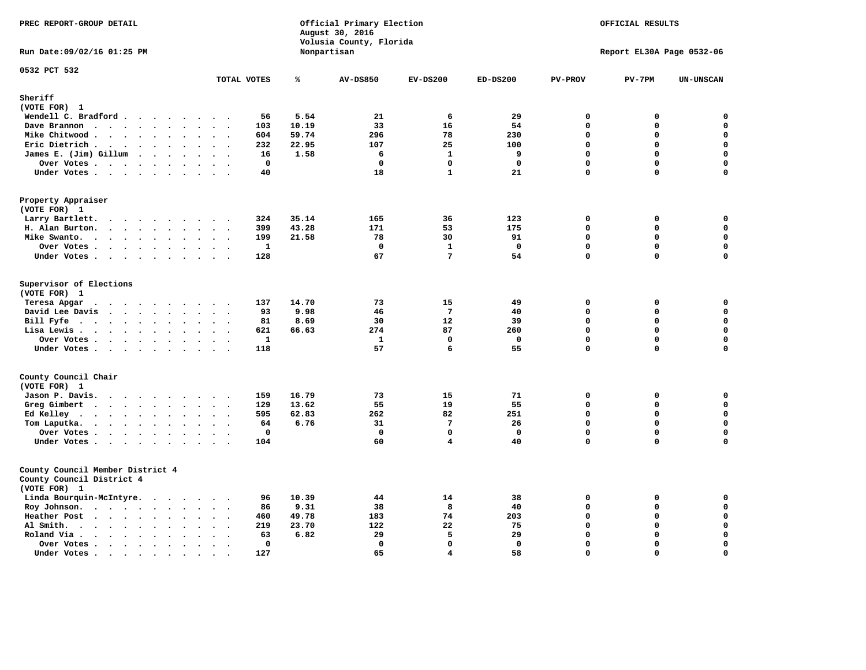| PREC REPORT-GROUP DETAIL                                                                                                                                                                                                                             |                                                                | Official Primary Election<br>August 30, 2016<br>Volusia County, Florida |                 |                 |              |                |                           | OFFICIAL RESULTS |
|------------------------------------------------------------------------------------------------------------------------------------------------------------------------------------------------------------------------------------------------------|----------------------------------------------------------------|-------------------------------------------------------------------------|-----------------|-----------------|--------------|----------------|---------------------------|------------------|
| Run Date: 09/02/16 01:25 PM                                                                                                                                                                                                                          |                                                                |                                                                         | Nonpartisan     |                 |              |                | Report EL30A Page 0532-06 |                  |
| 0532 PCT 532                                                                                                                                                                                                                                         | TOTAL VOTES                                                    | ℁                                                                       | <b>AV-DS850</b> | $EV-DS200$      | $ED-DS200$   | <b>PV-PROV</b> | $PV-7PM$                  | <b>UN-UNSCAN</b> |
| Sheriff                                                                                                                                                                                                                                              |                                                                |                                                                         |                 |                 |              |                |                           |                  |
| (VOTE FOR) 1                                                                                                                                                                                                                                         |                                                                |                                                                         |                 |                 |              |                |                           |                  |
| Wendell C. Bradford                                                                                                                                                                                                                                  | 56                                                             | 5.54                                                                    | 21              | 6               | 29           | $\mathbf 0$    | 0                         | 0                |
| Dave Brannon<br>$\ddot{\phantom{a}}$                                                                                                                                                                                                                 | $\ddot{\phantom{a}}$<br>103<br>$\sim$                          | 10.19                                                                   | 33              | 16              | 54           | $\mathbf 0$    | 0                         | $\mathbf 0$      |
| Mike Chitwood                                                                                                                                                                                                                                        | 604                                                            | 59.74                                                                   | 296             | 78              | 230          | $\mathbf 0$    | 0                         | $\mathbf 0$      |
| Eric Dietrich.<br>$\cdots$                                                                                                                                                                                                                           | 232                                                            | 22.95                                                                   | 107             | 25              | 100          | $\mathbf{0}$   | 0                         | $\mathbf 0$      |
| James E. (Jim) Gillum                                                                                                                                                                                                                                | 16                                                             | 1.58                                                                    | 6               | $\mathbf{1}$    | 9            | $\Omega$       | $\mathbf 0$               | $\mathbf 0$      |
| Over Votes                                                                                                                                                                                                                                           | $\Omega$                                                       |                                                                         | $\Omega$        | $\Omega$        | $\mathbf{0}$ | $\mathbf{0}$   | $\mathbf 0$               | $\Omega$         |
| Under Votes<br>$\sim$                                                                                                                                                                                                                                | 40<br>$\ddot{\phantom{1}}$                                     |                                                                         | 18              | $\mathbf{1}$    | 21           | $\Omega$       | 0                         | 0                |
| Property Appraiser<br>(VOTE FOR) 1                                                                                                                                                                                                                   |                                                                |                                                                         |                 |                 |              |                |                           |                  |
| Larry Bartlett.<br>$\ddot{\phantom{0}}$<br>$\sim$                                                                                                                                                                                                    | 324                                                            | 35.14                                                                   | 165             | 36              | 123          | $\mathbf 0$    | 0                         | 0                |
| H. Alan Burton.                                                                                                                                                                                                                                      | 399<br>$\ddot{\phantom{1}}$                                    | 43.28                                                                   | 171             | 53              | 175          | $\mathbf 0$    | 0                         | $\mathbf 0$      |
| Mike Swanto.<br>$\ddot{\phantom{a}}$                                                                                                                                                                                                                 | 199<br>$\bullet$<br>$\bullet$<br>$\overline{\phantom{a}}$      | 21.58                                                                   | 78              | 30              | 91           | $\mathbf 0$    | $\mathbf 0$               | $\mathbf 0$      |
| Over Votes                                                                                                                                                                                                                                           | $\mathbf{1}$                                                   |                                                                         | $\mathbf 0$     | $\mathbf{1}$    | $\mathbf 0$  | $\mathbf 0$    | 0                         | $\mathbf 0$      |
| Under Votes                                                                                                                                                                                                                                          | 128                                                            |                                                                         | 67              | 7               | 54           | $\mathbf{0}$   | 0                         | $\Omega$         |
| Supervisor of Elections<br>(VOTE FOR) 1<br>Teresa Apgar                                                                                                                                                                                              | 137                                                            | 14.70                                                                   | 73              | 15              | 49           | 0              | 0                         | $\mathbf 0$      |
| David Lee Davis<br>$\mathbf{r}$ . The set of the set of the set of the set of the set of the set of the set of the set of the set of the set of the set of the set of the set of the set of the set of the set of the set of the set of the set of t | 93<br>$\sim$ $\sim$                                            | 9.98                                                                    | 46              | $7\phantom{.0}$ | 40           | $\Omega$       | $\mathbf 0$               | $\mathbf 0$      |
| Bill Fyfe<br>$\bullet$<br>$\sim$                                                                                                                                                                                                                     | 81                                                             | 8.69                                                                    | 30              | 12              | 39           | $\mathbf{0}$   | 0                         | $\mathbf 0$      |
| Lisa Lewis                                                                                                                                                                                                                                           | 621                                                            | 66.63                                                                   | 274             | 87              | 260          | $\Omega$       | 0                         | 0                |
| Over Votes.<br>$\cdots$                                                                                                                                                                                                                              | $\mathbf{1}$                                                   |                                                                         | $\mathbf{1}$    | $\Omega$        | $\mathbf 0$  | $\mathbf 0$    | 0                         | 0                |
| Under Votes<br>$\sim$                                                                                                                                                                                                                                | 118                                                            |                                                                         | 57              | 6               | 55           | $\mathbf 0$    | 0                         | $\mathbf 0$      |
| County Council Chair                                                                                                                                                                                                                                 |                                                                |                                                                         |                 |                 |              |                |                           |                  |
| (VOTE FOR) 1                                                                                                                                                                                                                                         |                                                                |                                                                         |                 |                 |              |                |                           |                  |
| Jason P. Davis.                                                                                                                                                                                                                                      | 159<br>$\ddot{\phantom{1}}$                                    | 16.79                                                                   | 73              | 15              | 71           | $\mathbf 0$    | 0                         | $\mathbf 0$      |
| Greg Gimbert<br>$\mathbf{r}$ . The state of the state $\mathbf{r}$                                                                                                                                                                                   | 129                                                            | 13.62                                                                   | 55              | 19              | 55           | $\mathbf 0$    | 0                         | 0                |
| Ed Kelley $\cdots$ $\cdots$ $\cdots$<br>$\ddot{\phantom{1}}$                                                                                                                                                                                         | 595<br>$\sim$ $\sim$                                           | 62.83                                                                   | 262             | 82              | 251          | $\mathbf 0$    | 0                         | $\mathbf 0$      |
| Tom Laputka.<br>$\mathbf{r}$ , and $\mathbf{r}$ , and $\mathbf{r}$ , and $\mathbf{r}$<br>$\ddot{\phantom{a}}$                                                                                                                                        | 64                                                             | 6.76                                                                    | 31              | $7\phantom{.0}$ | 26           | $\mathbf{0}$   | 0                         | $\mathbf 0$      |
| Over Votes.<br>$\ddot{\phantom{a}}$                                                                                                                                                                                                                  | $\mathbf{0}$<br>$\ddot{\phantom{a}}$                           |                                                                         | $\mathbf{0}$    | $\Omega$        | $\mathbf{0}$ | $\mathbf{0}$   | 0                         | $\mathbf 0$      |
| Under Votes<br>$\ddot{\phantom{0}}$<br>$\sim$                                                                                                                                                                                                        | 104<br>$\cdot$ .                                               |                                                                         | 60              | 4               | 40           | $\Omega$       | 0                         | $\Omega$         |
| County Council Member District 4<br>County Council District 4<br>(VOTE FOR) 1                                                                                                                                                                        |                                                                |                                                                         |                 |                 |              |                |                           |                  |
| Linda Bourquin-McIntyre.                                                                                                                                                                                                                             | 96                                                             | 10.39                                                                   | 44              | 14              | 38           | $\Omega$       | 0                         | $\mathbf 0$      |
| Roy Johnson.<br>$\ddot{\phantom{a}}$<br>$\sim$                                                                                                                                                                                                       | 86                                                             | 9.31                                                                    | 38              | 8               | 40           | $\mathbf 0$    | 0                         | $\mathbf 0$      |
| Heather Post                                                                                                                                                                                                                                         | 460<br>$\sim$ $\sim$                                           | 49.78                                                                   | 183             | 74              | 203          | $\mathbf 0$    | 0                         | 0                |
| Al Smith.<br>$\bullet$                                                                                                                                                                                                                               | 219<br>$\ddot{\phantom{a}}$<br>$\ddot{\phantom{a}}$            | 23.70                                                                   | 122             | 22              | 75           | $\mathbf 0$    | $\mathbf 0$               | $\mathbf 0$      |
| Roland Via .<br>$\cdot$ $\cdot$ $\cdot$ $\cdot$ $\cdot$<br>$\Delta$<br>$\ddot{\phantom{a}}$                                                                                                                                                          | 63<br>$\mathbf{r}$                                             | 6.82                                                                    | 29              | 5               | 29           | $\Omega$       | $\mathbf 0$               | $\mathbf 0$      |
| Over Votes.<br>$\sim$ $\sim$ $\sim$ $\sim$ $\sim$ $\sim$<br>$\bullet$ .<br>$\bullet$<br>$\bullet$                                                                                                                                                    | $\mathbf{0}$<br>$\bullet$<br>$\bullet$<br>$\ddot{\phantom{1}}$ |                                                                         | $\mathbf{0}$    | $\Omega$        | $\mathbf{0}$ | $\mathbf{0}$   | 0                         | $\mathbf 0$      |
| Under Votes.<br>$\bullet$<br>$\bullet$<br>$\bullet$<br>$\bullet$<br>$\bullet$                                                                                                                                                                        | 127                                                            |                                                                         | 65              | 4               | 58           | $\Omega$       | $\Omega$                  | $\mathbf 0$      |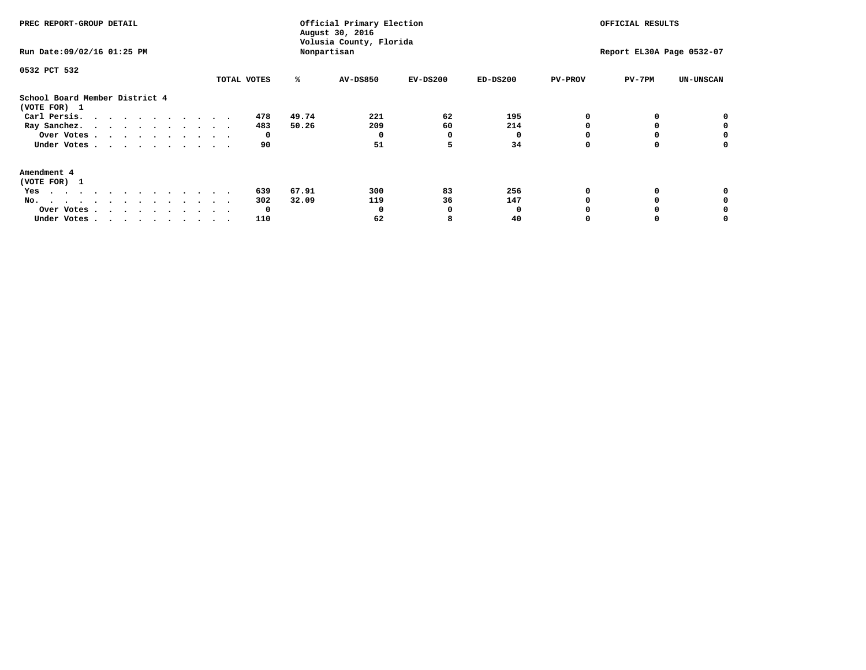| PREC REPORT-GROUP DETAIL                       |             |       |             | Official Primary Election<br>Volusia County, Florida | OFFICIAL RESULTS |                |                           |                  |
|------------------------------------------------|-------------|-------|-------------|------------------------------------------------------|------------------|----------------|---------------------------|------------------|
| Run Date: 09/02/16 01:25 PM                    |             |       | Nonpartisan |                                                      |                  |                | Report EL30A Page 0532-07 |                  |
| 0532 PCT 532                                   |             |       |             |                                                      |                  |                |                           |                  |
|                                                | TOTAL VOTES | ℁     | AV-DS850    | $EV-DS200$                                           | $ED-DS200$       | <b>PV-PROV</b> | $PV-7PM$                  | <b>UN-UNSCAN</b> |
| School Board Member District 4<br>(VOTE FOR) 1 |             |       |             |                                                      |                  |                |                           |                  |
| Carl Persis.                                   | 478         | 49.74 | 221         | 62                                                   | 195              |                |                           |                  |
| Ray Sanchez.                                   | 483         | 50.26 | 209         | 60                                                   | 214              |                |                           |                  |
| Over Votes                                     | 0           |       |             | 0                                                    |                  |                |                           | 0                |
| Under Votes                                    | 90          |       | 51          | 5                                                    | 34               |                |                           | 0                |
| Amendment 4                                    |             |       |             |                                                      |                  |                |                           |                  |
| (VOTE FOR) 1                                   |             |       |             |                                                      |                  |                |                           |                  |
| Yes                                            | 639         | 67.91 | 300         | 83                                                   | 256              |                |                           |                  |
| No.<br>.                                       | 302         | 32.09 | 119         | 36                                                   | 147              |                |                           |                  |
| Over Votes                                     | 0           |       |             | n                                                    |                  |                |                           |                  |
| Under Votes                                    | 110         |       | 62          |                                                      | 40               |                |                           |                  |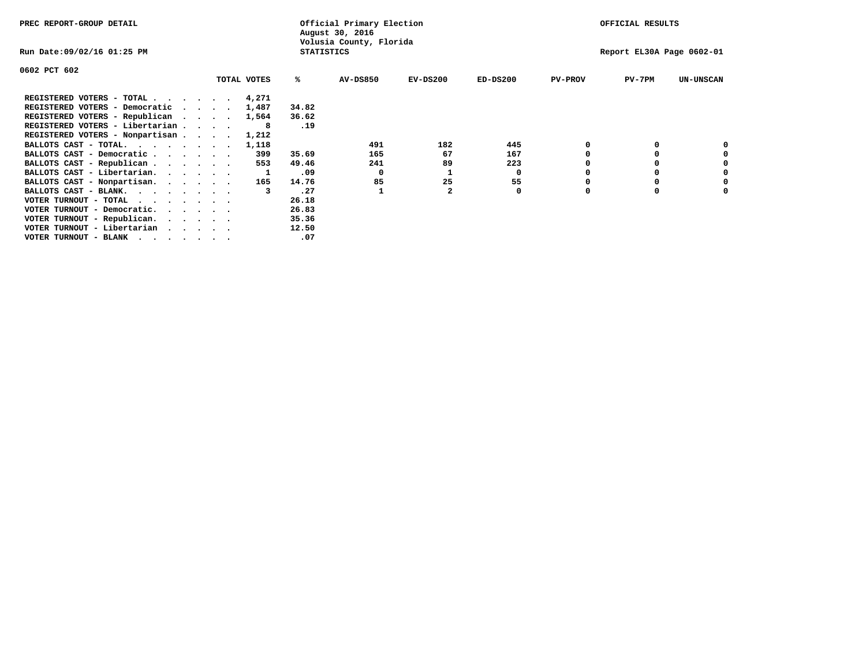| PREC REPORT-GROUP DETAIL                                                                                                                 |             |       | Official Primary Election<br>August 30, 2016 |            |            |                | OFFICIAL RESULTS          |                  |
|------------------------------------------------------------------------------------------------------------------------------------------|-------------|-------|----------------------------------------------|------------|------------|----------------|---------------------------|------------------|
| Run Date:09/02/16 01:25 PM                                                                                                               |             |       | Volusia County, Florida<br><b>STATISTICS</b> |            |            |                | Report EL30A Page 0602-01 |                  |
| 0602 PCT 602                                                                                                                             |             |       |                                              |            |            |                |                           |                  |
|                                                                                                                                          | TOTAL VOTES | ℁     | <b>AV-DS850</b>                              | $EV-DS200$ | $ED-DS200$ | <b>PV-PROV</b> | $PV-7PM$                  | <b>UN-UNSCAN</b> |
| REGISTERED VOTERS - TOTAL 4,271                                                                                                          |             |       |                                              |            |            |                |                           |                  |
| REGISTERED VOTERS - Democratic<br>$\cdot$                                                                                                | 1,487       | 34.82 |                                              |            |            |                |                           |                  |
| REGISTERED VOTERS - Republican                                                                                                           | 1,564       | 36.62 |                                              |            |            |                |                           |                  |
| REGISTERED VOTERS - Libertarian                                                                                                          | 8           | .19   |                                              |            |            |                |                           |                  |
| REGISTERED VOTERS - Nonpartisan                                                                                                          | 1,212       |       |                                              |            |            |                |                           |                  |
| BALLOTS CAST - TOTAL.                                                                                                                    | 1,118       |       | 491                                          | 182        | 445        |                |                           |                  |
| BALLOTS CAST - Democratic                                                                                                                | 399         | 35.69 | 165                                          | 67         | 167        |                |                           |                  |
| BALLOTS CAST - Republican                                                                                                                | 553         | 49.46 | 241                                          | 89         | 223        |                |                           |                  |
| BALLOTS CAST - Libertarian.                                                                                                              |             | .09   | 0                                            |            | 0          |                |                           |                  |
| BALLOTS CAST - Nonpartisan.                                                                                                              | 165         | 14.76 | 85                                           | 25         | 55         |                |                           | 0                |
| BALLOTS CAST - BLANK.                                                                                                                    |             | .27   |                                              |            | 0          | O              | $\Omega$                  |                  |
| VOTER TURNOUT - TOTAL<br>the contract of the contract of the contract of the contract of the contract of the contract of the contract of |             | 26.18 |                                              |            |            |                |                           |                  |
| VOTER TURNOUT - Democratic.                                                                                                              |             | 26.83 |                                              |            |            |                |                           |                  |
| VOTER TURNOUT - Republican.                                                                                                              |             | 35.36 |                                              |            |            |                |                           |                  |
| VOTER TURNOUT - Libertarian                                                                                                              |             | 12.50 |                                              |            |            |                |                           |                  |
| VOTER TURNOUT - BLANK                                                                                                                    |             | .07   |                                              |            |            |                |                           |                  |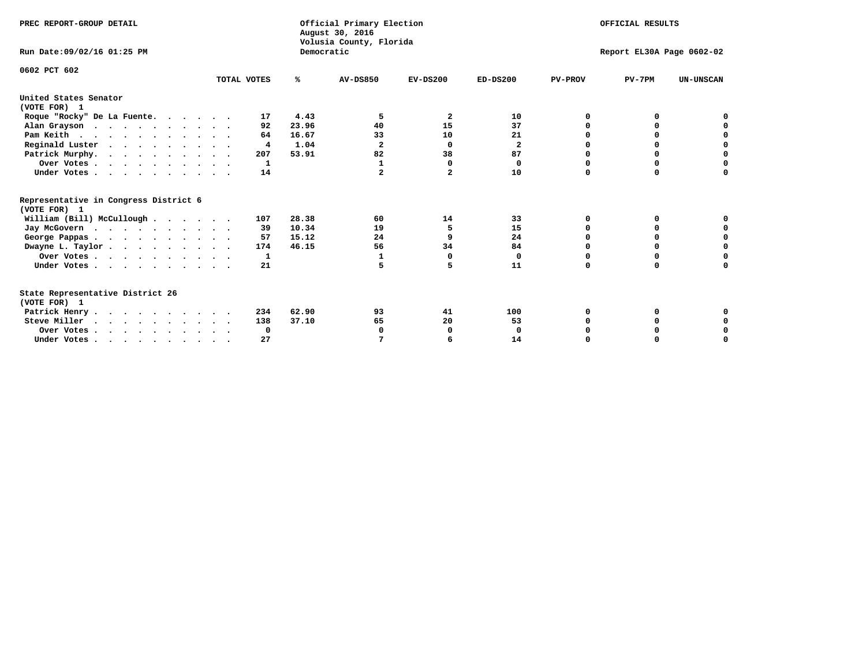| PREC REPORT-GROUP DETAIL<br>Run Date: 09/02/16 01:25 PM                          |             | Democratic | Official Primary Election<br>August 30, 2016<br>Volusia County, Florida |                | OFFICIAL RESULTS<br>Report EL30A Page 0602-02 |                |             |                  |  |  |
|----------------------------------------------------------------------------------|-------------|------------|-------------------------------------------------------------------------|----------------|-----------------------------------------------|----------------|-------------|------------------|--|--|
|                                                                                  |             |            |                                                                         |                |                                               |                |             |                  |  |  |
| 0602 PCT 602                                                                     | TOTAL VOTES | %ะ         | <b>AV-DS850</b>                                                         | $EV-DS200$     | $ED-DS200$                                    | <b>PV-PROV</b> | $PV-7PM$    | <b>UN-UNSCAN</b> |  |  |
| United States Senator<br>(VOTE FOR) 1                                            |             |            |                                                                         |                |                                               |                |             |                  |  |  |
| Roque "Rocky" De La Fuente.                                                      | 17          | 4.43       | 5                                                                       | 2              | 10                                            | O              | 0           |                  |  |  |
| Alan Grayson                                                                     | 92          | 23.96      | 40                                                                      | 15             | 37                                            |                | $\Omega$    |                  |  |  |
| Pam Keith                                                                        | 64          | 16.67      | 33                                                                      | 10             | 21                                            |                | 0           | 0                |  |  |
| Reginald Luster                                                                  | 4           | 1.04       | $\mathbf{2}$                                                            | 0              | $\mathbf{2}$                                  | O              | 0           | $\mathbf 0$      |  |  |
| Patrick Murphy.                                                                  | 207         | 53.91      | 82                                                                      | 38             | 87                                            | O              | $\mathbf 0$ | $\mathbf 0$      |  |  |
| Over Votes                                                                       | 1           |            | 1                                                                       | $\Omega$       | 0                                             | $\Omega$       | 0           | $\mathbf 0$      |  |  |
| Under Votes.                                                                     | 14          |            |                                                                         | $\overline{a}$ | 10                                            | $\Omega$       | 0           | 0                |  |  |
| Representative in Congress District 6<br>(VOTE FOR) 1                            |             |            |                                                                         |                |                                               |                |             |                  |  |  |
| William (Bill) McCullough                                                        | 107         | 28.38      | 60                                                                      | 14             | 33                                            | 0              | 0           |                  |  |  |
| Jay McGovern                                                                     | 39          | 10.34      | 19                                                                      | 5              | 15                                            | $\Omega$       | $\Omega$    | 0                |  |  |
| George Pappas                                                                    | 57          | 15.12      | 24                                                                      | 9              | 24                                            | 0              | 0           | 0                |  |  |
| Dwayne L. Taylor                                                                 | 174         | 46.15      | 56                                                                      | 34             | 84                                            | $\Omega$       | 0           | 0                |  |  |
| Over Votes                                                                       | 1           |            | 1                                                                       | $\Omega$       | 0                                             | 0              | 0           | 0                |  |  |
| Under Votes                                                                      | 21          |            | 5                                                                       | 5              | 11                                            | $\Omega$       | 0           | O                |  |  |
| State Representative District 26<br>(VOTE FOR) 1                                 |             |            |                                                                         |                |                                               |                |             |                  |  |  |
| Patrick Henry                                                                    | 234         | 62.90      | 93                                                                      | 41             | 100                                           | O              | 0           | 0                |  |  |
| Steve Miller                                                                     | 138         | 37.10      | 65                                                                      | 20             | 53                                            |                | 0           | 0                |  |  |
| Over Votes                                                                       | 0           |            | 0                                                                       | 0              | $\Omega$                                      |                | 0           | 0                |  |  |
| Under Votes, $\cdot$ , $\cdot$ , $\cdot$ , $\cdot$ , $\cdot$ , $\cdot$ , $\cdot$ | 27          |            |                                                                         | 6              | 14                                            | $\Omega$       |             | $\Omega$         |  |  |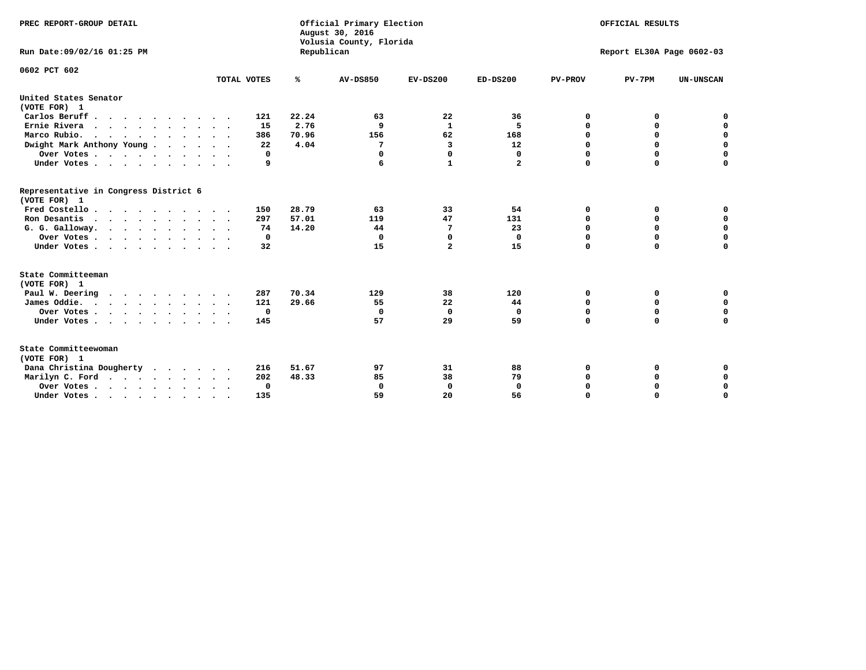| PREC REPORT-GROUP DETAIL<br>Run Date:09/02/16 01:25 PM |             | Republican | Official Primary Election<br>August 30, 2016<br>Volusia County, Florida | OFFICIAL RESULTS<br>Report EL30A Page 0602-03 |              |                |             |                  |
|--------------------------------------------------------|-------------|------------|-------------------------------------------------------------------------|-----------------------------------------------|--------------|----------------|-------------|------------------|
| 0602 PCT 602                                           |             |            | <b>AV-DS850</b>                                                         |                                               |              |                |             |                  |
|                                                        | TOTAL VOTES | ℁          |                                                                         | $EV-DS200$                                    | $ED-DS200$   | <b>PV-PROV</b> | $PV-7PM$    | <b>UN-UNSCAN</b> |
| United States Senator<br>(VOTE FOR) 1                  |             |            |                                                                         |                                               |              |                |             |                  |
| Carlos Beruff                                          | 121         | 22.24      | 63                                                                      | 22                                            | 36           | 0              | 0           | 0                |
| Ernie Rivera<br>$\cdots$                               | 15          | 2.76       | 9                                                                       | $\mathbf{1}$                                  | 5            | 0              | 0           | $\mathbf 0$      |
| Marco Rubio.                                           | 386         | 70.96      | 156                                                                     | 62                                            | 168          | 0              | 0           | $\mathbf 0$      |
| Dwight Mark Anthony Young                              | 22          | 4.04       | 7                                                                       | 3                                             | 12           | $\mathbf 0$    | $\mathbf 0$ | $\mathbf 0$      |
| Over Votes                                             | 0           |            | 0                                                                       | 0                                             | 0            | $\mathbf 0$    | $\mathbf 0$ | $\mathbf 0$      |
| Under Votes                                            | 9           |            | 6                                                                       | $\mathbf{1}$                                  | $\mathbf{2}$ | $\Omega$       | $\Omega$    | $\mathbf 0$      |
| Representative in Congress District 6<br>(VOTE FOR) 1  |             |            |                                                                         |                                               |              |                |             |                  |
| Fred Costello                                          | 150         | 28.79      | 63                                                                      | 33                                            | 54           | 0              | 0           | $\mathbf 0$      |
| Ron Desantis                                           | 297         | 57.01      | 119                                                                     | 47                                            | 131          | 0              | 0           | $\mathbf 0$      |
| G. G. Galloway.                                        | 74          | 14.20      | 44                                                                      | 7                                             | 23           | $\mathbf 0$    | $\mathbf 0$ | $\mathbf 0$      |
| Over Votes                                             | 0           |            | 0                                                                       | $\mathbf 0$                                   | 0            | 0              | 0           | 0                |
| Under Votes                                            | 32          |            | 15                                                                      | $\overline{a}$                                | 15           | $\mathbf 0$    | $\Omega$    | $\mathbf 0$      |
| State Committeeman                                     |             |            |                                                                         |                                               |              |                |             |                  |
| (VOTE FOR) 1<br>Paul W. Deering                        | 287         | 70.34      | 129                                                                     | 38                                            | 120          | 0              | 0           | 0                |
| James Oddie.                                           | 121         | 29.66      | 55                                                                      | 22                                            | 44           | 0              | 0           | $\mathbf 0$      |
| Over Votes                                             | 0           |            | $\Omega$                                                                | $\mathbf 0$                                   | 0            | 0              | $\mathbf 0$ | $\mathbf 0$      |
| Under Votes                                            | 145         |            | 57                                                                      | 29                                            | 59           | $\mathbf 0$    | $\mathbf 0$ | $\mathbf 0$      |
|                                                        |             |            |                                                                         |                                               |              |                |             |                  |
| State Committeewoman<br>(VOTE FOR) 1                   |             |            |                                                                         |                                               |              |                |             |                  |
| Dana Christina Dougherty<br>.                          | 216         | 51.67      | 97                                                                      | 31                                            | 88           | 0              | 0           | 0                |
| Marilyn C. Ford                                        | 202         | 48.33      | 85                                                                      | 38                                            | 79           | 0              | 0           | 0                |
| Over Votes                                             | $\Omega$    |            | $\mathbf 0$                                                             | 0                                             | $\mathbf{0}$ | $\mathbf 0$    | 0           | $\mathbf 0$      |
| Under Votes, , , , , , , , , ,                         | 135         |            | 59                                                                      | 20                                            | 56           | $\Omega$       | $\Omega$    | $\Omega$         |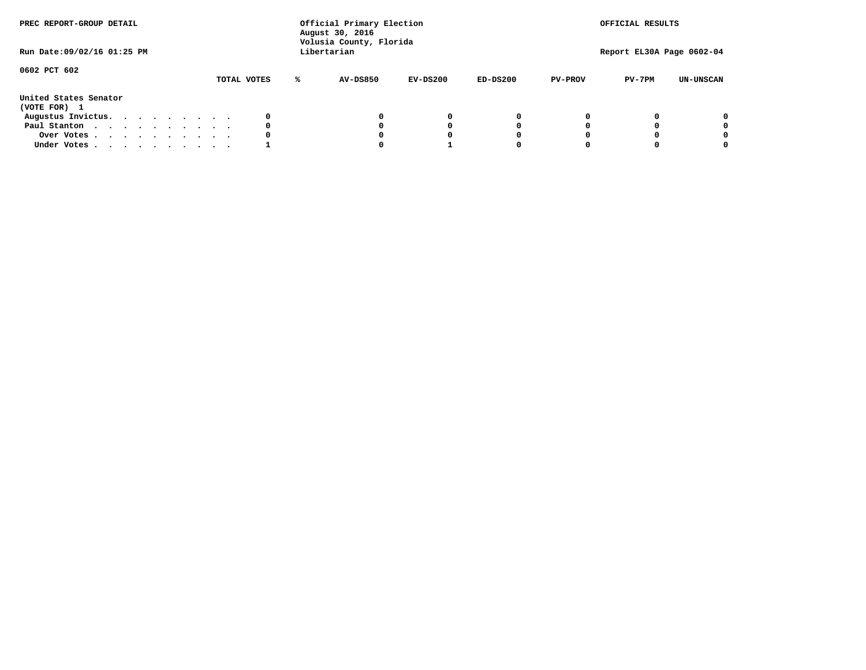| PREC REPORT-GROUP DETAIL<br>Run Date: 09/02/16 01:25 PM |  |  |  | Official Primary Election<br>August 30, 2016<br>Volusia County, Florida<br>Libertarian |  |             |   |                 | OFFICIAL RESULTS<br>Report EL30A Page 0602-04 |            |                |          |                  |
|---------------------------------------------------------|--|--|--|----------------------------------------------------------------------------------------|--|-------------|---|-----------------|-----------------------------------------------|------------|----------------|----------|------------------|
| 0602 PCT 602                                            |  |  |  |                                                                                        |  | TOTAL VOTES | ℁ | <b>AV-DS850</b> | $EV-DS200$                                    | $ED-DS200$ | <b>PV-PROV</b> | $PV-7PM$ | <b>UN-UNSCAN</b> |
| United States Senator<br>(VOTE FOR) 1                   |  |  |  |                                                                                        |  |             |   |                 |                                               |            |                |          |                  |
| Augustus Invictus.                                      |  |  |  |                                                                                        |  | 0           |   |                 | 0                                             | 0          |                |          | 0                |
| Paul Stanton                                            |  |  |  |                                                                                        |  | 0           |   |                 |                                               | 0          |                |          | 0                |
| Over Votes                                              |  |  |  |                                                                                        |  | 0           |   |                 |                                               | 0          |                |          | 0                |
| Under Votes                                             |  |  |  |                                                                                        |  |             |   |                 |                                               |            |                |          | 0                |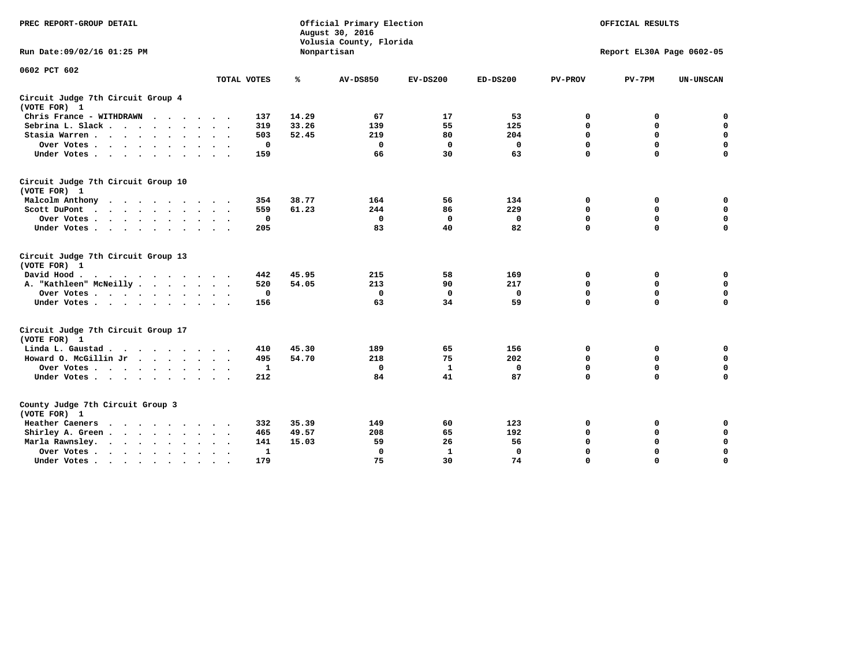| PREC REPORT-GROUP DETAIL                                                                                                                                                                                                                             |                               | Official Primary Election<br>August 30, 2016<br>Volusia County, Florida | OFFICIAL RESULTS<br>Report EL30A Page 0602-05 |              |             |                |             |                  |
|------------------------------------------------------------------------------------------------------------------------------------------------------------------------------------------------------------------------------------------------------|-------------------------------|-------------------------------------------------------------------------|-----------------------------------------------|--------------|-------------|----------------|-------------|------------------|
| Run Date: 09/02/16 01:25 PM                                                                                                                                                                                                                          |                               |                                                                         | Nonpartisan                                   |              |             |                |             |                  |
| 0602 PCT 602                                                                                                                                                                                                                                         | TOTAL VOTES                   | ℁                                                                       | <b>AV-DS850</b>                               | $EV-DS200$   | $ED-DS200$  | <b>PV-PROV</b> | $PV-7PM$    | <b>UN-UNSCAN</b> |
|                                                                                                                                                                                                                                                      |                               |                                                                         |                                               |              |             |                |             |                  |
| Circuit Judge 7th Circuit Group 4<br>(VOTE FOR) 1                                                                                                                                                                                                    |                               |                                                                         |                                               |              |             |                |             |                  |
| Chris France - WITHDRAWN                                                                                                                                                                                                                             | 137                           | 14.29                                                                   | 67                                            | 17           | 53          | 0              | 0           | 0                |
| Sebrina L. Slack                                                                                                                                                                                                                                     | 319                           | 33.26                                                                   | 139                                           | 55           | 125         | $\mathbf 0$    | $\mathbf 0$ | $\mathbf 0$      |
| Stasia Warren<br>$\sim$<br>$\sim$                                                                                                                                                                                                                    | 503                           | 52.45                                                                   | 219                                           | 80           | 204         | $\mathbf 0$    | 0           | $\mathbf 0$      |
| Over Votes                                                                                                                                                                                                                                           | 0                             |                                                                         | $\Omega$                                      | $\mathbf 0$  | 0           | 0              | $\mathbf 0$ | $\mathbf 0$      |
| Under Votes                                                                                                                                                                                                                                          | 159                           |                                                                         | 66                                            | 30           | 63          | $\mathbf 0$    | $\Omega$    | $\mathbf 0$      |
| Circuit Judge 7th Circuit Group 10<br>(VOTE FOR) 1                                                                                                                                                                                                   |                               |                                                                         |                                               |              |             |                |             |                  |
| Malcolm Anthony<br>.                                                                                                                                                                                                                                 | 354                           | 38.77                                                                   | 164                                           | 56           | 134         | 0              | 0           | $\mathbf 0$      |
| Scott DuPont                                                                                                                                                                                                                                         | 559                           | 61.23                                                                   | 244                                           | 86           | 229         | $\mathbf 0$    | $\mathbf 0$ | $\mathbf 0$      |
| Over Votes<br>$\sim$                                                                                                                                                                                                                                 | 0                             |                                                                         | $\mathbf{0}$                                  | $\mathbf{0}$ | 0           | $\mathbf 0$    | $\Omega$    | $\mathbf 0$      |
| Under Votes                                                                                                                                                                                                                                          | 205                           |                                                                         | 83                                            | 40           | 82          | $\mathbf 0$    | $\mathbf 0$ | $\Omega$         |
| Circuit Judge 7th Circuit Group 13<br>(VOTE FOR) 1                                                                                                                                                                                                   |                               |                                                                         |                                               |              |             |                |             |                  |
| David Hood.<br>$\cdots$                                                                                                                                                                                                                              | 442                           | 45.95                                                                   | 215                                           | 58           | 169         | 0              | 0           | $\mathbf 0$      |
| A. "Kathleen" McNeilly                                                                                                                                                                                                                               | 520                           | 54.05                                                                   | 213                                           | 90           | 217         | $\mathbf 0$    | $\mathbf 0$ | $\mathbf 0$      |
| Over Votes                                                                                                                                                                                                                                           | 0                             |                                                                         | 0                                             | $\mathbf 0$  | 0           | $\mathbf 0$    | $\mathbf 0$ | $\mathbf 0$      |
| Under Votes.                                                                                                                                                                                                                                         | 156                           |                                                                         | 63                                            | 34           | 59          | $\mathbf 0$    | $\Omega$    | $\mathbf 0$      |
| Circuit Judge 7th Circuit Group 17<br>(VOTE FOR) 1                                                                                                                                                                                                   |                               |                                                                         |                                               |              |             |                |             |                  |
| Linda L. Gaustad                                                                                                                                                                                                                                     | 410                           | 45.30                                                                   | 189                                           | 65           | 156         | 0              | 0           | 0                |
| Howard O. McGillin Jr                                                                                                                                                                                                                                | 495                           | 54.70                                                                   | 218                                           | 75           | 202         | $\mathbf 0$    | $\mathbf 0$ | $\mathbf 0$      |
| Over Votes                                                                                                                                                                                                                                           | $\mathbf{1}$                  |                                                                         | $\mathbf{0}$                                  | $\mathbf{1}$ | $\mathbf 0$ | 0              | $\mathbf 0$ | $\pmb{0}$        |
| Under Votes                                                                                                                                                                                                                                          | 212                           |                                                                         | 84                                            | 41           | 87          | $\mathbf 0$    | $\mathbf 0$ | $\mathbf 0$      |
| County Judge 7th Circuit Group 3<br>(VOTE FOR) 1                                                                                                                                                                                                     |                               |                                                                         |                                               |              |             |                |             |                  |
| Heather Caeners<br>$\mathbf{r}$ . The contract of the contract of the contract of the contract of the contract of the contract of the contract of the contract of the contract of the contract of the contract of the contract of the contract of th | 332                           | 35.39                                                                   | 149                                           | 60           | 123         | 0              | 0           | 0                |
| Shirley A. Green                                                                                                                                                                                                                                     | 465                           | 49.57                                                                   | 208                                           | 65           | 192         | $\mathbf 0$    | 0           | $\mathbf 0$      |
| Marla Rawnsley.<br>$\cdot$ $\cdot$ $\cdot$ $\cdot$ $\cdot$                                                                                                                                                                                           | 141                           | 15.03                                                                   | 59                                            | 26           | 56          | 0              | $\mathbf 0$ | $\pmb{0}$        |
| Over Votes.<br>$\cdot$<br>$\cdot$<br>$\cdot$                                                                                                                                                                                                         | $\mathbf{1}$<br>$\sim$ $\sim$ |                                                                         | $\mathbf 0$                                   | $\mathbf{1}$ | 0           | $\mathbf 0$    | $\mathbf 0$ | $\mathbf 0$      |
| Under Votes<br>$\sim$<br>$\sim$                                                                                                                                                                                                                      | 179                           |                                                                         | 75                                            | 30           | 74          | $\mathbf 0$    | $\mathbf 0$ | 0                |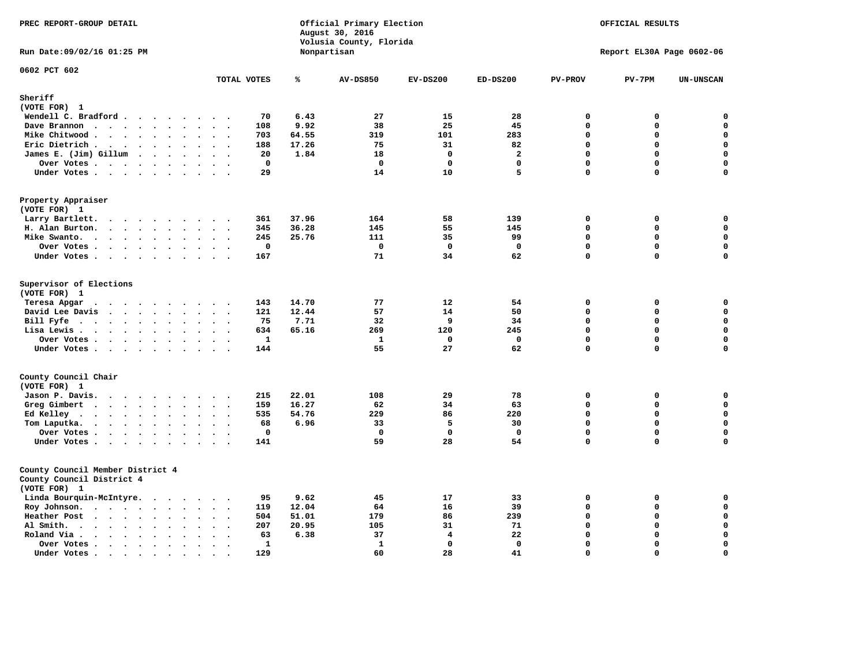| PREC REPORT-GROUP DETAIL                                                                              | Official Primary Election<br>August 30, 2016<br>Volusia County, Florida |                 |             |                |                | OFFICIAL RESULTS          |             |  |
|-------------------------------------------------------------------------------------------------------|-------------------------------------------------------------------------|-----------------|-------------|----------------|----------------|---------------------------|-------------|--|
| Run Date: 09/02/16 01:25 PM                                                                           |                                                                         | Nonpartisan     |             |                |                | Report EL30A Page 0602-06 |             |  |
| 0602 PCT 602<br>TOTAL VOTES                                                                           | ℁                                                                       | <b>AV-DS850</b> | $EV-DS200$  | $ED-DS200$     | <b>PV-PROV</b> | $PV-7PM$                  | UN-UNSCAN   |  |
| Sheriff                                                                                               |                                                                         |                 |             |                |                |                           |             |  |
| (VOTE FOR) 1                                                                                          |                                                                         |                 |             |                |                |                           |             |  |
| Wendell C. Bradford                                                                                   | 70<br>6.43                                                              | 27              | 15          | 28             | $\mathbf 0$    | 0                         | 0           |  |
| Dave Brannon<br>$\mathbf{A}$<br>$\sim$<br>$\sim$ $\sim$                                               | 9.92<br>108                                                             | 38              | 25          | 45             | $\mathbf{0}$   | 0                         | $\mathbf 0$ |  |
| Mike Chitwood                                                                                         | 703<br>64.55                                                            | 319             | 101         | 283            | $\mathbf{0}$   | 0                         | $\mathbf 0$ |  |
| Eric Dietrich.<br>$\cdots$                                                                            | 17.26<br>188                                                            | 75              | 31          | 82             | $\Omega$       | $\Omega$                  | $\mathbf 0$ |  |
| James E. (Jim) Gillum                                                                                 | 20<br>1.84                                                              | 18              | $\mathbf 0$ | $\overline{a}$ | $\mathbf 0$    | 0                         | $\pmb{0}$   |  |
| Over Votes                                                                                            | $\mathbf 0$                                                             | $\mathbf{0}$    | $\mathbf 0$ | $\mathbf 0$    | $\mathbf 0$    | $\mathbf 0$               | $\mathbf 0$ |  |
| Under Votes                                                                                           | 29                                                                      | 14              | 10          | 5              | $\mathbf 0$    | 0                         | $\mathbf 0$ |  |
| Property Appraiser<br>(VOTE FOR) 1                                                                    |                                                                         |                 |             |                |                |                           |             |  |
| Larry Bartlett.<br>$\sim$ $\sim$<br>$\cdots$<br>$\cdot$<br>$\cdot$                                    | 37.96<br>361                                                            | 164             | 58          | 139            | $\mathbf 0$    | 0                         | 0           |  |
| H. Alan Burton.<br>$\sim$ $\sim$                                                                      | 36.28<br>345                                                            | 145             | 55          | 145            | $\mathbf 0$    | 0                         | $\mathbf 0$ |  |
| Mike Swanto.<br>$\bullet$<br>$\bullet$<br>$\sim$<br>$\overline{\phantom{a}}$                          | 245<br>25.76                                                            | 111             | 35          | 99             | $\mathbf 0$    | 0                         | $\mathbf 0$ |  |
| Over Votes                                                                                            | $\mathbf 0$                                                             | $\mathbf 0$     | $\mathbf 0$ | $\mathbf 0$    | $\mathbf 0$    | 0                         | $\mathbf 0$ |  |
| Under Votes                                                                                           | 167                                                                     | 71              | 34          | 62             | $\mathbf 0$    | $\mathbf 0$               | $\mathbf 0$ |  |
| Supervisor of Elections<br>(VOTE FOR) 1                                                               |                                                                         |                 |             |                |                |                           |             |  |
| Teresa Apgar<br>.                                                                                     | 143<br>14.70                                                            | 77              | 12          | 54             | 0              | 0                         | $\mathbf 0$ |  |
| David Lee Davis                                                                                       | 121<br>12.44                                                            | 57              | 14          | 50             | $\Omega$       | 0                         | 0           |  |
| Bill Fyfe. $\ldots$                                                                                   | 75<br>7.71                                                              | 32              | 9           | 34             | $\mathbf 0$    | $\mathbf 0$               | $\mathbf 0$ |  |
| Lisa Lewis                                                                                            | 634<br>65.16                                                            | 269             | 120         | 245            | $\mathbf 0$    | 0                         | $\mathbf 0$ |  |
| Over Votes<br>$\sim$                                                                                  | $\mathbf{1}$                                                            | $\mathbf{1}$    | 0           | $\mathbf 0$    | $\mathbf 0$    | 0                         | $\mathbf 0$ |  |
| Under Votes                                                                                           | 144                                                                     | 55              | 27          | 62             | $\mathbf 0$    | 0                         | $\mathbf 0$ |  |
| County Council Chair<br>(VOTE FOR) 1                                                                  |                                                                         |                 |             |                |                |                           |             |  |
| Jason P. Davis.<br>$\ddot{\phantom{1}}$                                                               | 22.01<br>215                                                            | 108             | 29          | 78             | 0              | 0                         | 0           |  |
| Greg Gimbert<br>$\cdots$                                                                              | 16.27<br>159                                                            | 62              | 34          | 63             | $\mathbf{0}$   | 0                         | $\mathbf 0$ |  |
| Ed Kelley $\cdots$                                                                                    | 54.76<br>535                                                            | 229             | 86          | 220            | $\mathbf 0$    | 0                         | $\mathbf 0$ |  |
| Tom Laputka.                                                                                          | 68<br>6.96                                                              | 33              | 5           | 30             | $\mathbf{0}$   | 0                         | 0           |  |
| Over Votes<br>$\ddot{\phantom{a}}$                                                                    | $\mathbf 0$                                                             | $\Omega$        | $^{\circ}$  | $\mathbf{0}$   | $\mathbf{0}$   | 0                         | 0           |  |
| Under Votes<br>$\ddot{\phantom{0}}$<br>$\ddot{\phantom{0}}$<br>$\ddot{\phantom{1}}$                   | 141                                                                     | 59              | 28          | 54             | $\Omega$       | 0                         | $\mathbf 0$ |  |
| County Council Member District 4<br>County Council District 4<br>(VOTE FOR) 1                         |                                                                         |                 |             |                |                |                           |             |  |
| Linda Bourquin-McIntyre.                                                                              | 9.62<br>95                                                              | 45              | 17          | 33             | $\Omega$       | 0                         | 0           |  |
| Roy Johnson.<br>$\sim$ $\sim$                                                                         | 12.04<br>119                                                            | 64              | 16          | 39             | $\mathbf 0$    | 0                         | $\mathbf 0$ |  |
| Heather Post                                                                                          | 51.01<br>504                                                            | 179             | 86          | 239            | $\mathbf 0$    | 0                         | 0           |  |
| Al Smith.<br>$\bullet$<br>$\bullet$<br>$\ddot{\phantom{a}}$                                           | 207<br>20.95                                                            | 105             | 31          | 71             | $\mathbf 0$    | $\mathbf 0$               | $\mathbf 0$ |  |
| Roland Via .<br>$\cdot$ $\cdot$ $\cdot$ $\cdot$ $\cdot$<br>$\Delta$<br>$\ddot{\phantom{a}}$<br>$\sim$ | 6.38<br>63                                                              | 37              | 4           | 22             | $\Omega$       | $\mathbf 0$               | $\mathbf 0$ |  |
| Over Votes<br>$\bullet$<br>$\bullet$<br>$\bullet$<br>$\bullet$<br>$\ddot{\phantom{1}}$                | $\mathbf{1}$                                                            | $\mathbf{1}$    | $\Omega$    | $\mathbf 0$    | 0              | 0                         | $\mathbf 0$ |  |
| Under Votes.<br>$\ddot{\phantom{0}}$<br>$\bullet$<br>$\bullet$<br>$\bullet$<br>$\bullet$              | 129                                                                     | 60              | 28          | 41             | $\Omega$       | $\Omega$                  | $\mathbf 0$ |  |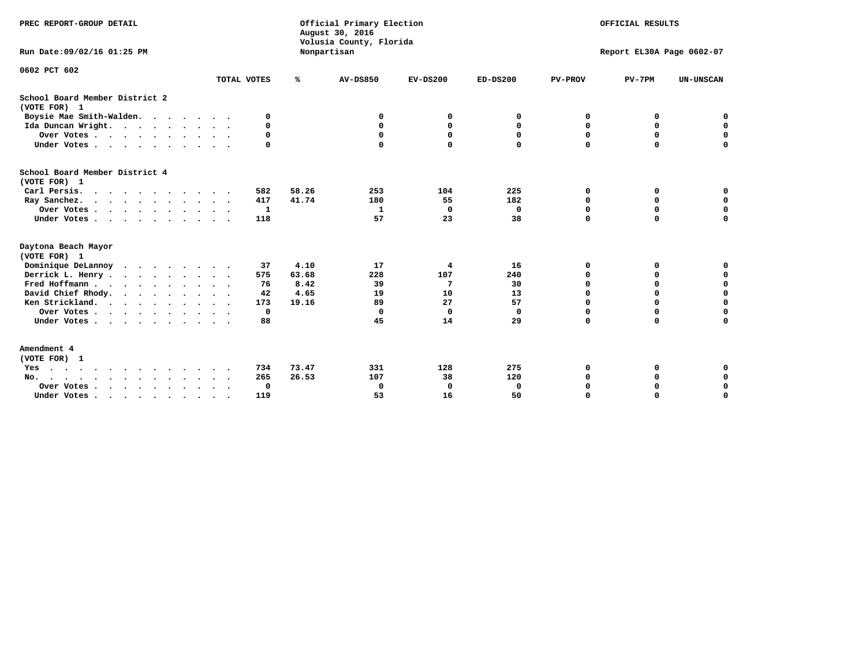| PREC REPORT-GROUP DETAIL<br>Run Date: 09/02/16 01:25 PM |                            |       | Official Primary Election<br>August 30, 2016<br>Volusia County, Florida<br>Nonpartisan | OFFICIAL RESULTS<br>Report EL30A Page 0602-07 |              |                |             |                  |
|---------------------------------------------------------|----------------------------|-------|----------------------------------------------------------------------------------------|-----------------------------------------------|--------------|----------------|-------------|------------------|
| 0602 PCT 602                                            | TOTAL VOTES                | ℁     | AV-DS850                                                                               | $EV-DS200$                                    | $ED-DS200$   | <b>PV-PROV</b> | $PV-7PM$    | <b>UN-UNSCAN</b> |
|                                                         |                            |       |                                                                                        |                                               |              |                |             |                  |
| School Board Member District 2<br>(VOTE FOR) 1          |                            |       |                                                                                        |                                               |              |                |             |                  |
| Boysie Mae Smith-Walden.                                | 0                          |       | 0                                                                                      | 0                                             | 0            | 0              | 0           | 0                |
| Ida Duncan Wright.                                      | $\Omega$                   |       | 0                                                                                      | $\mathbf{0}$                                  | $\mathbf{0}$ | 0              | 0           | $\mathbf 0$      |
| Over Votes                                              | 0                          |       | 0                                                                                      | $\mathbf{0}$                                  | $\mathbf 0$  | $\mathbf 0$    | 0           | $\mathbf 0$      |
| Under Votes                                             | $\mathbf 0$                |       | $\Omega$                                                                               | $\mathbf 0$                                   | $\Omega$     | $\Omega$       | 0           | $\Omega$         |
| School Board Member District 4<br>(VOTE FOR) 1          |                            |       |                                                                                        |                                               |              |                |             |                  |
| Carl Persis.<br>$\cdots$                                | 582                        | 58.26 | 253                                                                                    | 104                                           | 225          | 0              | 0           | 0                |
| Ray Sanchez.                                            | 417                        | 41.74 | 180                                                                                    | 55                                            | 182          | 0              | 0           | $\mathbf 0$      |
| Over Votes                                              | $\mathbf{1}$               |       | $\mathbf{1}$                                                                           | $\mathbf 0$                                   | 0            | $\Omega$       | $\mathbf 0$ | $\mathbf 0$      |
| Under Votes                                             | 118                        |       | 57                                                                                     | 23                                            | 38           | $\Omega$       | 0           | 0                |
| Daytona Beach Mayor<br>(VOTE FOR) 1                     |                            |       |                                                                                        |                                               |              |                |             |                  |
| Dominique DeLannoy                                      | 37                         | 4.10  | 17                                                                                     | 4                                             | 16           | O              | 0           | 0                |
| Derrick L. Henry                                        | 575<br>$\sim$ $\sim$       | 63.68 | 228                                                                                    | 107                                           | 240          | $\Omega$       | 0           | $\mathbf 0$      |
| Fred Hoffmann                                           | 76                         | 8.42  | 39                                                                                     | 7                                             | 30           | $\Omega$       | $\Omega$    | 0                |
| David Chief Rhody.                                      | 42<br>$\ddot{\phantom{1}}$ | 4.65  | 19                                                                                     | 10                                            | 13           | $\Omega$       | 0           | $\mathbf 0$      |
| Ken Strickland.                                         | 173                        | 19.16 | 89                                                                                     | 27                                            | 57           | 0              | 0           | $\mathbf 0$      |
| Over Votes                                              | 0                          |       | $\mathbf 0$                                                                            | $\Omega$                                      | $\mathbf 0$  | $\Omega$       | 0           | $\Omega$         |
| Under Votes                                             | 88                         |       | 45                                                                                     | 14                                            | 29           | $\Omega$       | $\Omega$    | $\Omega$         |
| Amendment 4<br>(VOTE FOR) 1                             |                            |       |                                                                                        |                                               |              |                |             |                  |
| Yes                                                     | 734                        | 73.47 | 331                                                                                    | 128                                           | 275          | O              | 0           | 0                |
| No.                                                     | 265                        | 26.53 | 107                                                                                    | 38                                            | 120          | $\Omega$       | 0           | 0                |
| Over Votes .<br>$\cdots$                                | 0                          |       | 0                                                                                      | 0                                             | 0            | $\Omega$       | $\Omega$    | $\mathbf 0$      |
| Under Votes, , , , , , , , , ,                          | 119                        |       | 53                                                                                     | 16                                            | 50           |                | $\Omega$    | $\Omega$         |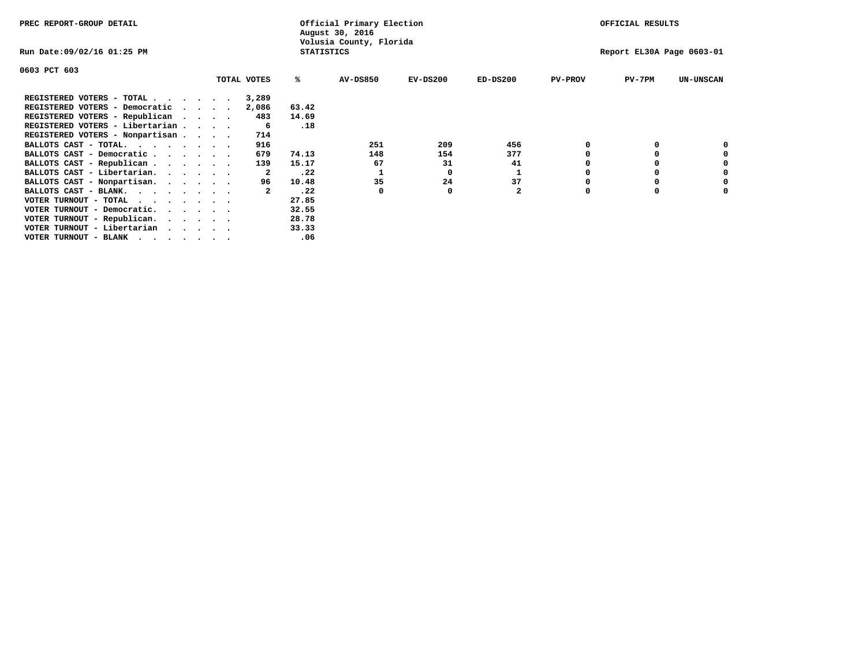| PREC REPORT-GROUP DETAIL                                               |             |              | Official Primary Election<br>August 30, 2016 |            |                |                | OFFICIAL RESULTS          |                  |
|------------------------------------------------------------------------|-------------|--------------|----------------------------------------------|------------|----------------|----------------|---------------------------|------------------|
| Run Date:09/02/16 01:25 PM                                             |             |              | Volusia County, Florida<br><b>STATISTICS</b> |            |                |                | Report EL30A Page 0603-01 |                  |
| 0603 PCT 603                                                           |             |              |                                              |            |                |                |                           |                  |
|                                                                        | TOTAL VOTES | ℁            | <b>AV-DS850</b>                              | $EV-DS200$ | $ED-DS200$     | <b>PV-PROV</b> | $PV-7PM$                  | <b>UN-UNSCAN</b> |
| REGISTERED VOTERS - TOTAL                                              | 3,289       |              |                                              |            |                |                |                           |                  |
| REGISTERED VOTERS - Democratic                                         | 2,086       | 63.42        |                                              |            |                |                |                           |                  |
| REGISTERED VOTERS - Republican                                         |             | 14.69<br>483 |                                              |            |                |                |                           |                  |
| REGISTERED VOTERS - Libertarian                                        |             | .18<br>-6    |                                              |            |                |                |                           |                  |
| REGISTERED VOTERS - Nonpartisan                                        | 714         |              |                                              |            |                |                |                           |                  |
| BALLOTS CAST - TOTAL.<br>$\cdots$                                      | 916         |              | 251                                          | 209        | 456            |                |                           |                  |
| BALLOTS CAST - Democratic                                              | 679         | 74.13        | 148                                          | 154        | 377            |                |                           |                  |
| BALLOTS CAST - Republican                                              | 139         | 15.17        | 67                                           | 31         | 41             |                |                           |                  |
| BALLOTS CAST - Libertarian.                                            |             | .22          |                                              | 0          | 1              |                |                           |                  |
| BALLOTS CAST - Nonpartisan.                                            |             | 10.48<br>96  | 35                                           | 24         | 37             |                |                           | 0                |
| BALLOTS CAST - BLANK.                                                  |             | .22          | 0                                            | 0          | $\overline{a}$ | $\Omega$       |                           |                  |
| VOTER TURNOUT - TOTAL                                                  |             | 27.85        |                                              |            |                |                |                           |                  |
| VOTER TURNOUT - Democratic.<br>$\cdot$ $\cdot$ $\cdot$ $\cdot$ $\cdot$ |             | 32.55        |                                              |            |                |                |                           |                  |
| VOTER TURNOUT - Republican.                                            |             | 28.78        |                                              |            |                |                |                           |                  |
| VOTER TURNOUT - Libertarian                                            |             | 33.33        |                                              |            |                |                |                           |                  |
| VOTER TURNOUT - BLANK                                                  |             | .06          |                                              |            |                |                |                           |                  |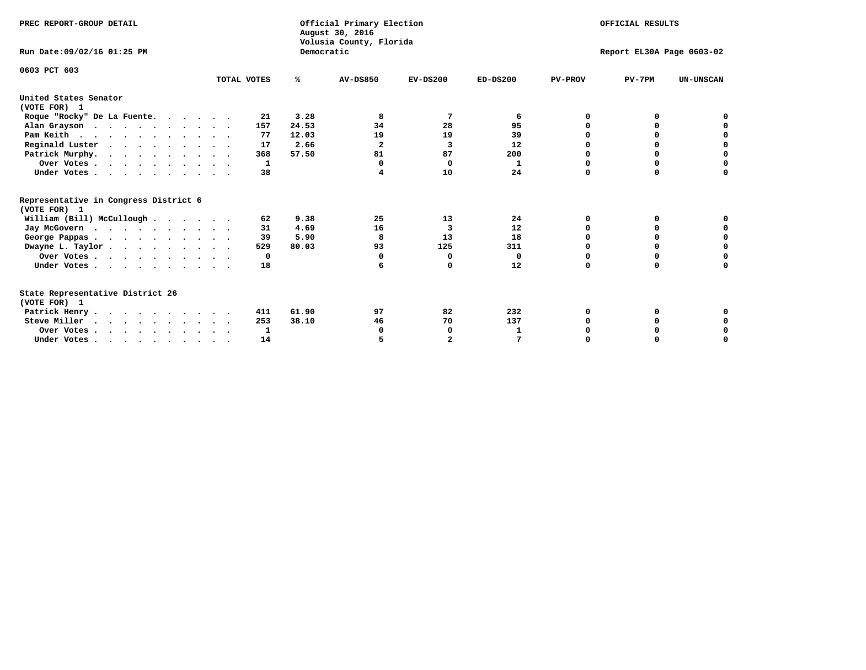| PREC REPORT-GROUP DETAIL<br>Run Date: 09/02/16 01:25 PM |             | Democratic | Official Primary Election<br>August 30, 2016<br>Volusia County, Florida | OFFICIAL RESULTS<br>Report EL30A Page 0603-02 |            |                |          |                  |  |  |
|---------------------------------------------------------|-------------|------------|-------------------------------------------------------------------------|-----------------------------------------------|------------|----------------|----------|------------------|--|--|
|                                                         |             |            |                                                                         |                                               |            |                |          |                  |  |  |
| 0603 PCT 603                                            | TOTAL VOTES | %ะ         | <b>AV-DS850</b>                                                         | $EV-DS200$                                    | $ED-DS200$ | <b>PV-PROV</b> | $PV-7PM$ | <b>UN-UNSCAN</b> |  |  |
| United States Senator<br>(VOTE FOR) 1                   |             |            |                                                                         |                                               |            |                |          |                  |  |  |
| Roque "Rocky" De La Fuente.                             | 21          | 3.28       | 8                                                                       | 7                                             | 6          | O              | 0        |                  |  |  |
| Alan Grayson                                            | 157         | 24.53      | 34                                                                      | 28                                            | 95         | $\Omega$       | O        |                  |  |  |
| Pam Keith                                               | 77          | 12.03      | 19                                                                      | 19                                            | 39         | O              | 0        | 0                |  |  |
| Reginald Luster                                         | 17          | 2.66       | $\overline{\mathbf{2}}$                                                 | 3                                             | 12         | O              | 0        | $\Omega$         |  |  |
| Patrick Murphy.                                         | 368         | 57.50      | 81                                                                      | 87                                            | 200        | O              | $\Omega$ | $\Omega$         |  |  |
| Over Votes                                              | 1           |            | $\Omega$                                                                | $\mathbf 0$                                   | 1          | $\Omega$       | $\Omega$ | $\Omega$         |  |  |
| Under Votes                                             | 38          |            |                                                                         | 10                                            | 24         | $\Omega$       | $\Omega$ | 0                |  |  |
| Representative in Congress District 6<br>(VOTE FOR) 1   |             |            |                                                                         |                                               |            |                |          |                  |  |  |
| William (Bill) McCullough                               | 62          | 9.38       | 25                                                                      | 13                                            | 24         | $\Omega$       | 0        |                  |  |  |
| Jay McGovern                                            | 31          | 4.69       | 16                                                                      | 3                                             | 12         | 0              | O        | 0                |  |  |
| George Pappas.                                          | 39          | 5.90       | 8                                                                       | 13                                            | 18         | 0              | 0        | 0                |  |  |
| Dwayne L. Taylor                                        | 529         | 80.03      | 93                                                                      | 125                                           | 311        | $\Omega$       | $\Omega$ | 0                |  |  |
| Over Votes                                              | 0           |            | $\Omega$                                                                | 0                                             | 0          | 0              | 0        | 0                |  |  |
| Under Votes                                             | 18          |            | 6                                                                       | O                                             | 12         | $\Omega$       | $\Omega$ | O                |  |  |
| State Representative District 26<br>(VOTE FOR) 1        |             |            |                                                                         |                                               |            |                |          |                  |  |  |
| Patrick Henry                                           | 411         | 61.90      | 97                                                                      | 82                                            | 232        | 0              | 0        | 0                |  |  |
| Steve Miller                                            | 253         | 38.10      | 46                                                                      | 70                                            | 137        | 0              | 0        | 0                |  |  |
| Over Votes                                              | 1           |            | O                                                                       | $\Omega$                                      | 1          |                | 0        | 0                |  |  |
| Under Votes.                                            | 14          |            |                                                                         | $\overline{a}$                                |            | $\Omega$       |          | O                |  |  |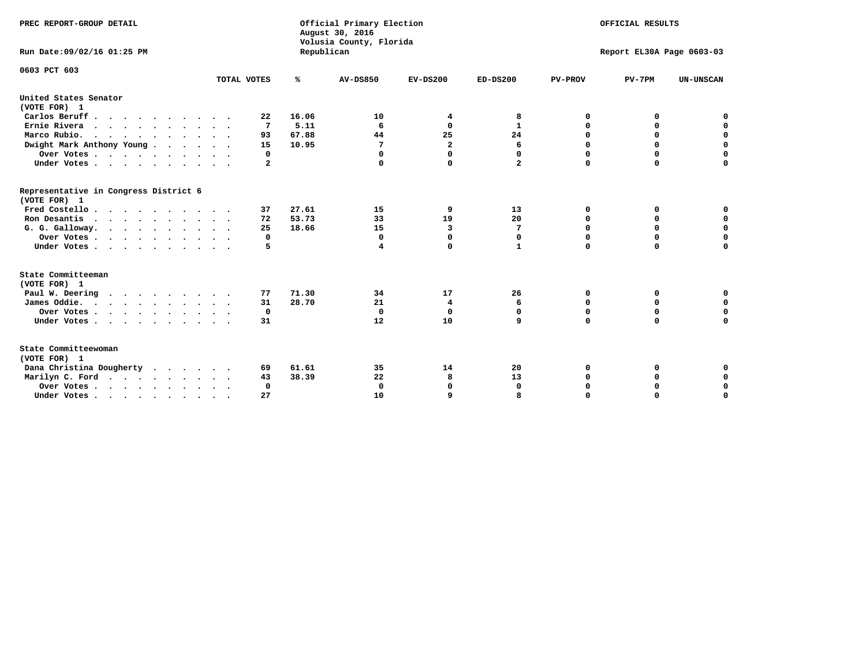| PREC REPORT-GROUP DETAIL                              |              |       | Official Primary Election<br>August 30, 2016<br>Volusia County, Florida | OFFICIAL RESULTS        |              |                           |             |                  |  |
|-------------------------------------------------------|--------------|-------|-------------------------------------------------------------------------|-------------------------|--------------|---------------------------|-------------|------------------|--|
| Run Date: 09/02/16 01:25 PM                           |              |       | Republican                                                              |                         |              | Report EL30A Page 0603-03 |             |                  |  |
| 0603 PCT 603                                          |              |       |                                                                         |                         |              |                           |             |                  |  |
|                                                       | TOTAL VOTES  | ℁     | <b>AV-DS850</b>                                                         | $EV-DS200$              | $ED-DS200$   | <b>PV-PROV</b>            | $PV-7PM$    | <b>UN-UNSCAN</b> |  |
| United States Senator<br>(VOTE FOR) 1                 |              |       |                                                                         |                         |              |                           |             |                  |  |
| Carlos Beruff.                                        | 22           | 16.06 | 10                                                                      | 4                       | 8            | 0                         | 0           | 0                |  |
| Ernie Rivera                                          | 7            | 5.11  | 6                                                                       | 0                       | $\mathbf{1}$ | 0                         | 0           | $\mathbf 0$      |  |
| Marco Rubio.                                          | 93           | 67.88 | 44                                                                      | 25                      | 24           | $\mathbf 0$               | $\mathbf 0$ | $\mathbf 0$      |  |
| Dwight Mark Anthony Young                             | 15           | 10.95 | 7                                                                       | $\overline{\mathbf{2}}$ | 6            | 0                         | $\mathbf 0$ | $\pmb{0}$        |  |
| Over Votes                                            | 0            |       | 0                                                                       | 0                       | 0            | $\mathbf 0$               | 0           | $\mathbf 0$      |  |
| Under Votes                                           | $\mathbf{2}$ |       | $\Omega$                                                                | 0                       | $\mathbf{2}$ | $\mathbf 0$               | $\Omega$    | $\mathbf 0$      |  |
| Representative in Congress District 6<br>(VOTE FOR) 1 |              |       |                                                                         |                         |              |                           |             |                  |  |
| Fred Costello.                                        | 37           | 27.61 | 15                                                                      | 9                       | 13           | 0                         | 0           | 0                |  |
| Ron Desantis                                          | 72           | 53.73 | 33                                                                      | 19                      | 20           | 0                         | 0           | $\mathbf 0$      |  |
| G. G. Galloway.                                       | 25           | 18.66 | 15                                                                      | 3                       | 7            | $\mathbf 0$               | $\Omega$    | $\mathbf 0$      |  |
| Over Votes                                            | 0            |       | 0                                                                       | $\mathbf{0}$            | 0            | $\mathbf 0$               | 0           | $\mathbf 0$      |  |
| Under Votes                                           | 5            |       | 4                                                                       | 0                       | $\mathbf{1}$ | $\mathbf 0$               | $\Omega$    | $\mathbf 0$      |  |
| State Committeeman<br>(VOTE FOR) 1                    |              |       |                                                                         |                         |              |                           |             |                  |  |
| Paul W. Deering                                       | 77           | 71.30 | 34                                                                      | 17                      | 26           | 0                         | 0           | 0                |  |
| James Oddie.                                          | 31           | 28.70 | 21                                                                      | 4                       | 6            | 0                         | 0           | $\mathbf 0$      |  |
| Over Votes                                            | 0            |       | $\mathbf 0$                                                             | $\mathbf 0$             | $\mathbf 0$  | 0                         | $\mathbf 0$ | $\mathbf 0$      |  |
| Under Votes                                           | 31           |       | 12                                                                      | 10                      | 9            | $\Omega$                  | 0           | $\mathbf 0$      |  |
|                                                       |              |       |                                                                         |                         |              |                           |             |                  |  |
| State Committeewoman<br>(VOTE FOR) 1                  |              |       |                                                                         |                         |              |                           |             |                  |  |
| Dana Christina Dougherty                              | 69           | 61.61 | 35                                                                      | 14                      | 20           | 0                         | 0           | 0                |  |
| Marilyn C. Ford                                       | 43           | 38.39 | 22                                                                      | 8                       | 13           | 0                         | 0           | 0                |  |
| Over Votes                                            | $\Omega$     |       | 0                                                                       | 0                       | $\mathbf{0}$ | 0                         | 0           | $\mathbf 0$      |  |
| Under Votes, , , , , , , , , ,                        | 27           |       | 10                                                                      | q                       |              | $\Omega$                  | $\Omega$    | $\Omega$         |  |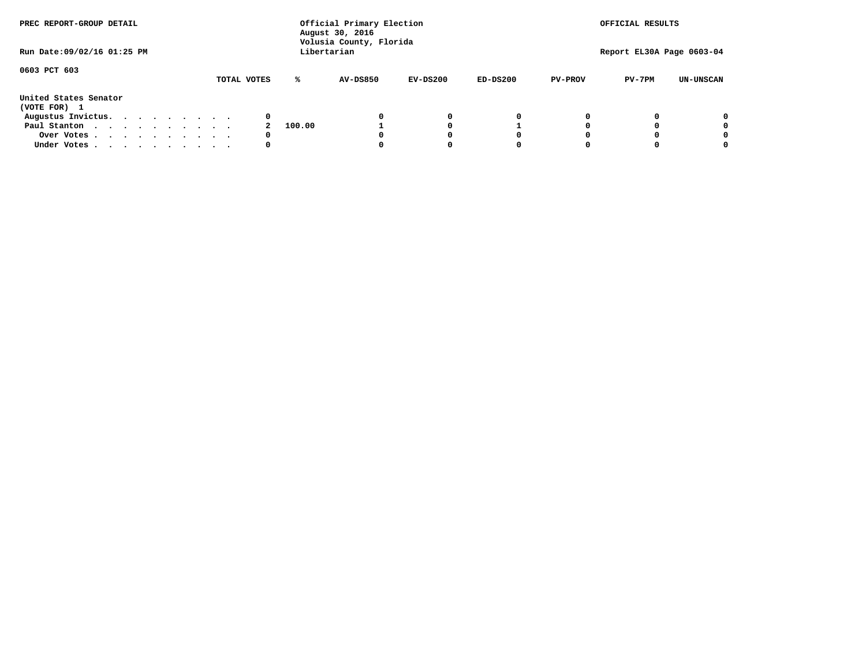| PREC REPORT-GROUP DETAIL<br>Run Date: 09/02/16 01:25 PM |  |  |  | Official Primary Election<br>August 30, 2016<br>Volusia County, Florida<br>Libertarian |  |  |             |        |                 |            | OFFICIAL RESULTS<br>Report EL30A Page 0603-04 |                |          |                  |
|---------------------------------------------------------|--|--|--|----------------------------------------------------------------------------------------|--|--|-------------|--------|-----------------|------------|-----------------------------------------------|----------------|----------|------------------|
|                                                         |  |  |  |                                                                                        |  |  |             |        |                 |            |                                               |                |          |                  |
| 0603 PCT 603                                            |  |  |  |                                                                                        |  |  | TOTAL VOTES | ℁      | <b>AV-DS850</b> | $EV-DS200$ | $ED-DS200$                                    | <b>PV-PROV</b> | $PV-7PM$ | <b>UN-UNSCAN</b> |
| United States Senator<br>(VOTE FOR) 1                   |  |  |  |                                                                                        |  |  |             |        |                 |            |                                               |                |          |                  |
| Augustus Invictus.                                      |  |  |  |                                                                                        |  |  | 0           |        |                 | 0          | 0                                             |                |          | 0                |
| Paul Stanton                                            |  |  |  |                                                                                        |  |  |             | 100.00 |                 |            |                                               |                |          | 0                |
| Over Votes                                              |  |  |  |                                                                                        |  |  | 0           |        |                 |            | 0                                             |                |          | 0                |
| Under Votes                                             |  |  |  |                                                                                        |  |  | 0           |        |                 |            | 0                                             |                |          | 0                |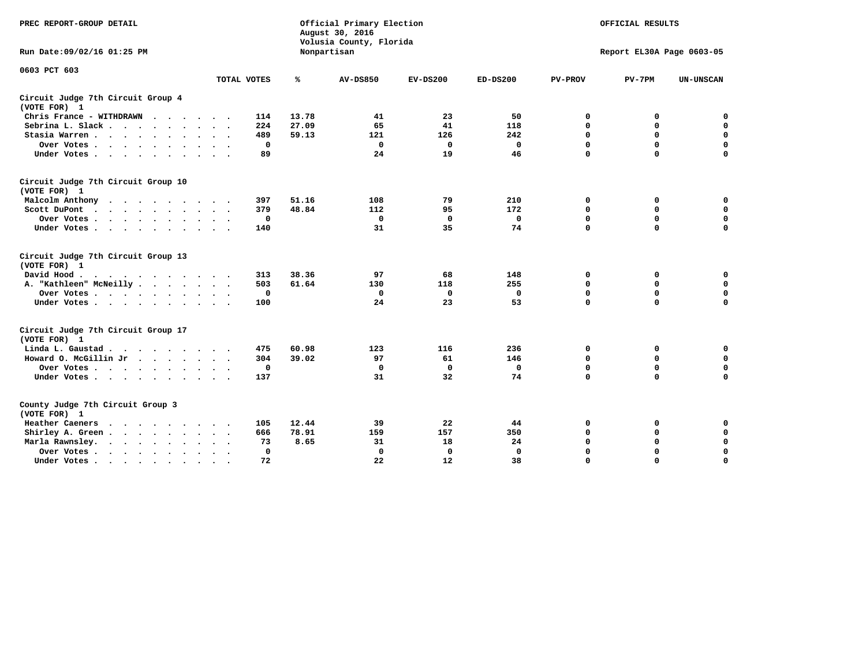| PREC REPORT-GROUP DETAIL                                                                   |                                      |       | Official Primary Election<br>August 30, 2016<br>Volusia County, Florida | OFFICIAL RESULTS |              |                |                           |                  |
|--------------------------------------------------------------------------------------------|--------------------------------------|-------|-------------------------------------------------------------------------|------------------|--------------|----------------|---------------------------|------------------|
| Run Date:09/02/16 01:25 PM                                                                 |                                      |       | Nonpartisan                                                             |                  |              |                | Report EL30A Page 0603-05 |                  |
| 0603 PCT 603                                                                               |                                      |       |                                                                         |                  |              |                |                           |                  |
|                                                                                            | TOTAL VOTES                          | ℁     | <b>AV-DS850</b>                                                         | $EV-DS200$       | $ED-DS200$   | <b>PV-PROV</b> | $PV-7PM$                  | <b>UN-UNSCAN</b> |
| Circuit Judge 7th Circuit Group 4<br>(VOTE FOR) 1                                          |                                      |       |                                                                         |                  |              |                |                           |                  |
| Chris France - WITHDRAWN                                                                   | 114                                  | 13.78 | 41                                                                      | 23               | 50           | 0              | 0                         | 0                |
| Sebrina L. Slack                                                                           | 224                                  | 27.09 | 65                                                                      | 41               | 118          | $\mathbf 0$    | $\mathbf 0$               | $\mathbf 0$      |
| Stasia Warren<br>$\sim$                                                                    | 489                                  | 59.13 | 121                                                                     | 126              | 242          | $\mathbf 0$    | 0                         | $\pmb{0}$        |
| Over Votes                                                                                 | 0                                    |       | $\Omega$                                                                | 0                | 0            | $\mathbf 0$    | $\mathbf 0$               | $\mathbf 0$      |
| Under Votes                                                                                | 89<br>$\sim$ $\sim$                  |       | 24                                                                      | 19               | 46           | $\mathbf 0$    | $\Omega$                  | $\mathbf 0$      |
| Circuit Judge 7th Circuit Group 10<br>(VOTE FOR) 1                                         |                                      |       |                                                                         |                  |              |                |                           |                  |
| Malcolm Anthony<br>.                                                                       | 397                                  | 51.16 | 108                                                                     | 79               | 210          | 0              | 0                         | 0                |
| Scott DuPont                                                                               | 379                                  | 48.84 | 112                                                                     | 95               | 172          | 0              | $\mathbf 0$               | $\mathbf 0$      |
| Over Votes                                                                                 | 0                                    |       | 0                                                                       | 0                | 0            | 0              | 0                         | 0                |
| Under Votes                                                                                | 140                                  |       | 31                                                                      | 35               | 74           | $\mathbf 0$    | $\Omega$                  | $\Omega$         |
| Circuit Judge 7th Circuit Group 13<br>(VOTE FOR) 1                                         |                                      |       |                                                                         |                  |              |                |                           |                  |
| David Hood.<br>. As the state of the state of the state of the state $\alpha$              | 313                                  | 38.36 | 97                                                                      | 68               | 148          | 0              | 0                         | 0                |
| A. "Kathleen" McNeilly                                                                     | 503                                  | 61.64 | 130                                                                     | 118              | 255          | $\mathbf 0$    | 0                         | 0                |
| Over Votes                                                                                 | 0                                    |       | 0                                                                       | 0                | $\mathbf 0$  | 0              | $\mathbf 0$               | 0                |
| Under Votes                                                                                | 100                                  |       | 24                                                                      | 23               | 53           | $\mathbf 0$    | $\Omega$                  | 0                |
| Circuit Judge 7th Circuit Group 17<br>(VOTE FOR) 1                                         |                                      |       |                                                                         |                  |              |                |                           |                  |
| Linda L. Gaustad                                                                           | 475                                  | 60.98 | 123                                                                     | 116              | 236          | 0              | 0                         | $\mathbf 0$      |
| Howard O. McGillin Jr                                                                      | 304                                  | 39.02 | 97                                                                      | 61               | 146          | 0              | $\mathbf 0$               | 0                |
| Over Votes                                                                                 | 0                                    |       | $\Omega$                                                                | $\mathbf{0}$     | 0            | $\mathbf 0$    | 0                         | 0                |
| Under Votes                                                                                | 137                                  |       | 31                                                                      | 32               | 74           | $\mathbf 0$    | $\mathbf 0$               | $\mathbf 0$      |
| County Judge 7th Circuit Group 3<br>(VOTE FOR) 1                                           |                                      |       |                                                                         |                  |              |                |                           |                  |
| Heather Caeners                                                                            | 105                                  | 12.44 | 39                                                                      | 22               | 44           | 0              | 0                         | 0                |
| Shirley A. Green                                                                           | 666                                  | 78.91 | 159                                                                     | 157              | 350          | $\mathbf 0$    | $\Omega$                  | $\mathbf 0$      |
| Marla Rawnsley.<br>$\cdot$ $\cdot$ $\cdot$ $\cdot$ $\cdot$ $\cdot$<br>$\ddot{\phantom{1}}$ | 73                                   | 8.65  | 31                                                                      | 18               | 24           | 0              | 0                         | 0                |
| Over Votes<br>$\bullet$                                                                    | $\mathbf{0}$<br>$\ddot{\phantom{1}}$ |       | $\mathbf 0$                                                             | $\mathbf{0}$     | $\mathbf{0}$ | $\mathbf 0$    | $\Omega$                  | $\mathbf 0$      |
| Under Votes<br>$\bullet$                                                                   | 72                                   |       | 22                                                                      | 12               | 38           | $\mathbf 0$    | $\mathbf 0$               | $\Omega$         |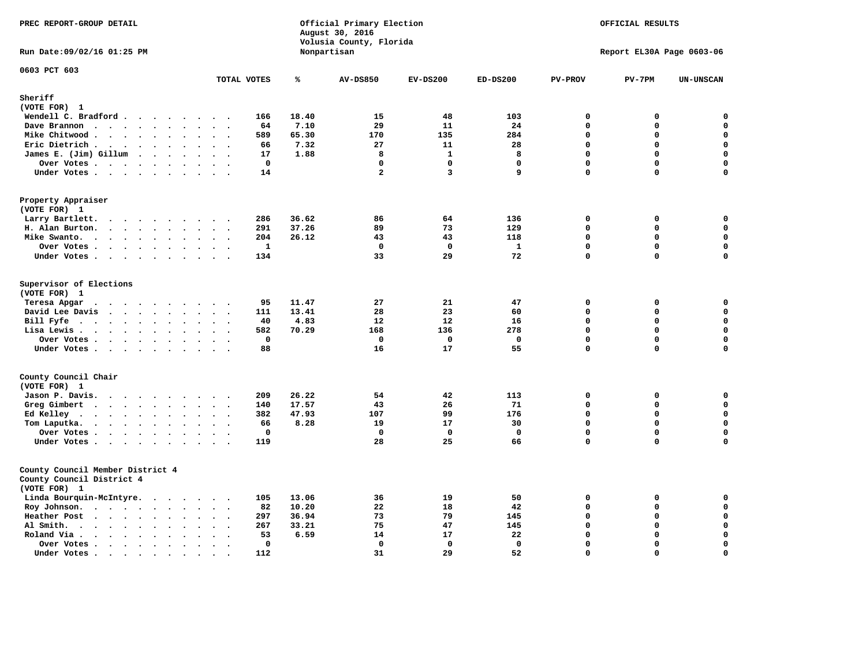| PREC REPORT-GROUP DETAIL                                                                                                                                                                                                                             |                                                         |       | Official Primary Election<br>August 30, 2016<br>Volusia County, Florida | OFFICIAL RESULTS<br>Report EL30A Page 0603-06 |             |                |              |                  |
|------------------------------------------------------------------------------------------------------------------------------------------------------------------------------------------------------------------------------------------------------|---------------------------------------------------------|-------|-------------------------------------------------------------------------|-----------------------------------------------|-------------|----------------|--------------|------------------|
| Run Date: 09/02/16 01:25 PM                                                                                                                                                                                                                          |                                                         |       | Nonpartisan                                                             |                                               |             |                |              |                  |
| 0603 PCT 603                                                                                                                                                                                                                                         | TOTAL VOTES                                             | ℁     | <b>AV-DS850</b>                                                         | $EV-DS200$                                    | $ED-DS200$  | <b>PV-PROV</b> | $PV-7PM$     | <b>UN-UNSCAN</b> |
| Sheriff                                                                                                                                                                                                                                              |                                                         |       |                                                                         |                                               |             |                |              |                  |
| (VOTE FOR) 1<br>Wendell C. Bradford                                                                                                                                                                                                                  | 166                                                     | 18.40 | 15                                                                      | 48                                            | 103         | $\mathbf 0$    | $\mathbf 0$  | 0                |
| Dave Brannon<br>$\ddot{\phantom{a}}$<br>$\ddot{\phantom{a}}$                                                                                                                                                                                         | 64                                                      | 7.10  | 29                                                                      | 11                                            | 24          | $\Omega$       | 0            | $\mathbf 0$      |
| Mike Chitwood                                                                                                                                                                                                                                        | 589                                                     | 65.30 | 170                                                                     | 135                                           | 284         | $\Omega$       | $\mathbf 0$  | $\mathbf 0$      |
| Eric Dietrich.<br>$\cdots$                                                                                                                                                                                                                           | 66<br>$\sim$<br>$\overline{\phantom{a}}$                | 7.32  | 27                                                                      | 11                                            | 28          | $\Omega$       | 0            | $\mathbf 0$      |
| James E. (Jim) Gillum                                                                                                                                                                                                                                | 17                                                      | 1.88  | 8                                                                       | $\mathbf{1}$                                  | 8           | $\Omega$       | $\Omega$     | $\mathbf 0$      |
| Over Votes                                                                                                                                                                                                                                           | $\mathbf{0}$<br>$\ddot{\phantom{1}}$                    |       | $\mathbf 0$                                                             | $\Omega$                                      | $\mathbf 0$ | $\mathbf 0$    | $\mathbf 0$  | $\mathbf 0$      |
| Under Votes<br>$\sim$                                                                                                                                                                                                                                | 14<br>$\ddot{\phantom{1}}$                              |       | $\overline{a}$                                                          | $\overline{\mathbf{3}}$                       | 9           | $\Omega$       | $\Omega$     | 0                |
| Property Appraiser                                                                                                                                                                                                                                   |                                                         |       |                                                                         |                                               |             |                |              |                  |
| (VOTE FOR) 1                                                                                                                                                                                                                                         |                                                         |       |                                                                         |                                               |             |                |              |                  |
| Larry Bartlett.<br>$\sim$<br>$\sim$                                                                                                                                                                                                                  | 286                                                     | 36.62 | 86                                                                      | 64                                            | 136         | $\mathbf{0}$   | $\mathbf 0$  | 0                |
| H. Alan Burton.                                                                                                                                                                                                                                      | 291<br>$\sim$                                           | 37.26 | 89                                                                      | 73                                            | 129         | $\Omega$       | 0            | $\mathbf 0$      |
| Mike Swanto.<br>$\bullet$<br>$\bullet$                                                                                                                                                                                                               | 204<br>$\ddot{\phantom{0}}$<br>$\overline{\phantom{a}}$ | 26.12 | 43                                                                      | 43                                            | 118         | $\Omega$       | $\mathbf 0$  | $\mathbf 0$      |
| Over Votes                                                                                                                                                                                                                                           | $\mathbf{1}$<br>$\sim$ $\sim$                           |       | $\mathbf 0$                                                             | $\mathbf 0$                                   | 1           | $\Omega$       | 0            | $\mathbf 0$      |
| Under Votes                                                                                                                                                                                                                                          | 134                                                     |       | 33                                                                      | 29                                            | 72          | $\Omega$       | $\mathbf{0}$ | $\Omega$         |
| Supervisor of Elections<br>(VOTE FOR) 1<br>Teresa Apgar<br>.                                                                                                                                                                                         | 95                                                      | 11.47 | 27                                                                      | 21                                            | 47          | 0              | 0            | $\mathbf 0$      |
| David Lee Davis<br>$\mathbf{r}$ . The set of the set of the set of the set of the set of the set of the set of the set of the set of the set of the set of the set of the set of the set of the set of the set of the set of the set of the set of t | 111<br>$\cdot$ $\cdot$                                  | 13.41 | 28                                                                      | 23                                            | 60          | $\mathbf 0$    | $\Omega$     | $\mathbf 0$      |
| Bill Fyfe<br>$\ddot{\phantom{a}}$<br>$\sim$                                                                                                                                                                                                          | 40                                                      | 4.83  | 12                                                                      | 12                                            | 16          | 0              | $\mathbf 0$  | $\mathbf 0$      |
| Lisa Lewis                                                                                                                                                                                                                                           | 582<br>$\sim$ $\sim$                                    | 70.29 | 168                                                                     | 136                                           | 278         | $\mathbf 0$    | $\mathbf 0$  | $\mathbf 0$      |
| Over Votes.<br>$\cdots$                                                                                                                                                                                                                              | $\mathbf 0$                                             |       | $\mathbf 0$                                                             | $\mathbf 0$                                   | $\mathbf 0$ | $\Omega$       | $\mathbf 0$  | 0                |
| Under Votes<br>$\ddot{\phantom{1}}$<br>$\sim$                                                                                                                                                                                                        | 88                                                      |       | 16                                                                      | 17                                            | 55          | $\mathbf 0$    | $\mathbf 0$  | 0                |
| County Council Chair<br>(VOTE FOR) 1                                                                                                                                                                                                                 |                                                         |       |                                                                         |                                               |             |                |              |                  |
| Jason P. Davis.                                                                                                                                                                                                                                      | 209<br>$\ddot{\phantom{1}}$                             | 26.22 | 54                                                                      | 42                                            | 113         | $\mathbf 0$    | 0            | $\mathbf 0$      |
| Greg Gimbert<br>$\cdots$                                                                                                                                                                                                                             | 140                                                     | 17.57 | 43                                                                      | 26                                            | 71          | $\mathbf 0$    | 0            | $\mathbf 0$      |
| Ed Kelley $\cdots$ $\cdots$ $\cdots$<br>$\ddot{\phantom{a}}$<br>$\sim$ $\sim$                                                                                                                                                                        | 382<br>$\sim$ $\sim$                                    | 47.93 | 107                                                                     | 99                                            | 176         | $\mathbf 0$    | $\mathbf 0$  | $\mathbf 0$      |
| Tom Laputka.<br>$\mathbf{r}$ , and $\mathbf{r}$ , and $\mathbf{r}$ , and $\mathbf{r}$<br>$\sim$                                                                                                                                                      | 66                                                      | 8.28  | 19                                                                      | 17                                            | 30          | $\mathbf 0$    | $\mathbf 0$  | $\mathbf 0$      |
| Over Votes.<br>$\bullet$<br>$\bullet$                                                                                                                                                                                                                | $\mathbf 0$                                             |       | $\mathbf{0}$                                                            | $^{\circ}$                                    | $\mathbf 0$ | $\mathbf 0$    | $\mathbf 0$  | 0                |
| Under Votes<br>$\ddot{\phantom{a}}$<br>$\ddot{\phantom{1}}$                                                                                                                                                                                          | 119<br>$\sim$ $\sim$                                    |       | 28                                                                      | 25                                            | 66          | $\mathbf 0$    | 0            | $\Omega$         |
| County Council Member District 4<br>County Council District 4<br>(VOTE FOR) 1                                                                                                                                                                        |                                                         |       |                                                                         |                                               |             |                |              |                  |
| Linda Bourquin-McIntyre.                                                                                                                                                                                                                             | 105                                                     | 13.06 | 36                                                                      | 19                                            | 50          | $\mathbf{0}$   | $\mathbf 0$  | 0                |
| Roy Johnson.<br>$\ddot{\phantom{a}}$<br>$\sim$                                                                                                                                                                                                       | 82                                                      | 10.20 | 22                                                                      | 18                                            | 42          | $\mathbf 0$    | $\mathbf 0$  | $\mathbf 0$      |
| Heather Post<br>$\ddot{\phantom{1}}$                                                                                                                                                                                                                 | 297<br>$\sim$ $\sim$                                    | 36.94 | 73                                                                      | 79                                            | 145         | $\Omega$       | $\mathbf 0$  | $\mathbf 0$      |
| Al Smith.<br>$\ddot{\phantom{a}}$<br>$\ddot{\phantom{a}}$                                                                                                                                                                                            | 267<br>$\ddot{\phantom{a}}$                             | 33.21 | 75                                                                      | 47                                            | 145         | $\Omega$       | $\mathbf 0$  | $\mathbf 0$      |
| Roland Via .<br>$\cdots$<br>$\Delta$<br>$\bullet$<br>$\mathbf{r}$                                                                                                                                                                                    | 53                                                      | 6.59  | 14                                                                      | 17                                            | 22          | $\mathbf 0$    | 0            | $\mathbf 0$      |
| Over Votes.<br><b>Contract Contract Contract</b><br>$\bullet$ .<br>$\bullet$<br>$\bullet$<br>$\bullet$                                                                                                                                               | $\mathbf{0}$<br>$\bullet$<br>$\overline{\phantom{a}}$   |       | $\mathbf{0}$                                                            | $\Omega$                                      | $^{\circ}$  | $\mathbf 0$    | $\mathbf 0$  | $\mathbf 0$      |
| Under Votes.<br>$\bullet$<br>$\bullet$<br>$\bullet$<br>$\bullet$<br>$\bullet$                                                                                                                                                                        | 112                                                     |       | 31                                                                      | 29                                            | 52          | $\Omega$       | $\Omega$     | $\mathbf 0$      |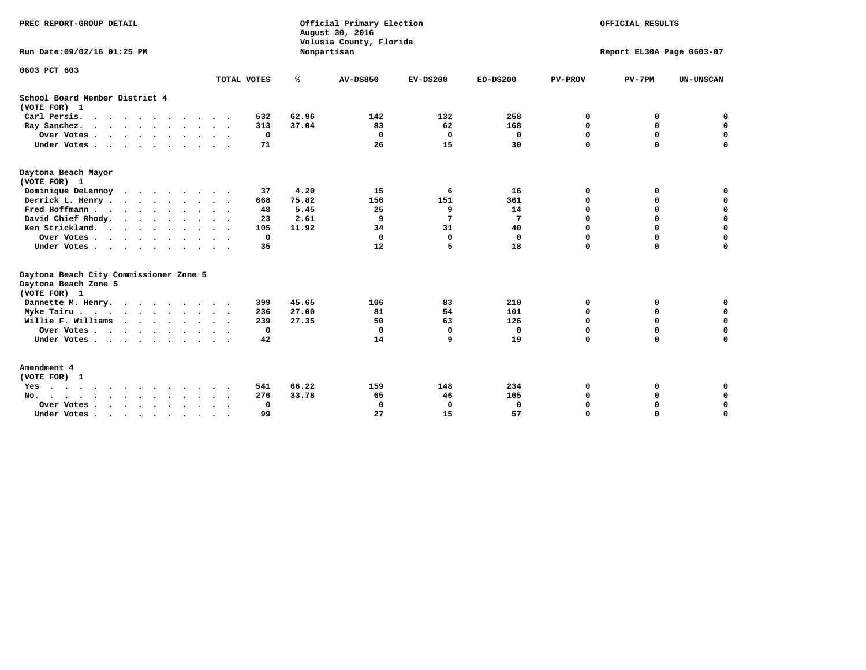| PREC REPORT-GROUP DETAIL                                                                 |                      |              |       | Official Primary Election<br>August 30, 2016<br>Volusia County, Florida | OFFICIAL RESULTS |             |                           |             |             |  |
|------------------------------------------------------------------------------------------|----------------------|--------------|-------|-------------------------------------------------------------------------|------------------|-------------|---------------------------|-------------|-------------|--|
| Run Date: 09/02/16 01:25 PM                                                              |                      |              |       | Nonpartisan                                                             |                  |             | Report EL30A Page 0603-07 |             |             |  |
| 0603 PCT 603                                                                             |                      | TOTAL VOTES  | ℁     | <b>AV-DS850</b>                                                         | $EV-DS200$       | $ED-DS200$  | <b>PV-PROV</b>            | $PV-7PM$    | UN-UNSCAN   |  |
| School Board Member District 4                                                           |                      |              |       |                                                                         |                  |             |                           |             |             |  |
| (VOTE FOR) 1<br>Carl Persis.                                                             |                      | 532          | 62.96 | 142                                                                     | 132              | 258         | 0                         | 0           | 0           |  |
| $\cdots$                                                                                 |                      | 313          | 37.04 | 83                                                                      | 62               | 168         |                           | $\mathbf 0$ | $\mathbf 0$ |  |
| Ray Sanchez.<br>Over Votes                                                               | $\ddot{\phantom{1}}$ | 0            |       | 0                                                                       | $\mathbf 0$      | 0           | 0<br>0                    | 0           | $\mathbf 0$ |  |
| Under Votes                                                                              |                      | 71           |       | 26                                                                      | 15               | 30          | $\Omega$                  | $\Omega$    | 0           |  |
| Daytona Beach Mayor<br>(VOTE FOR) 1                                                      |                      |              |       |                                                                         |                  |             |                           |             |             |  |
| Dominique DeLannoy<br>$\cdot$ $\cdot$ $\cdot$ $\cdot$ $\cdot$ $\cdot$ $\cdot$            | $\ddot{\phantom{1}}$ | 37           | 4.20  | 15                                                                      | 6                | 16          | 0                         | 0           | 0           |  |
| Derrick L. Henry                                                                         |                      | 668          | 75.82 | 156                                                                     | 151              | 361         | 0                         | 0           | $\mathbf 0$ |  |
| Fred Hoffmann                                                                            |                      | 48           | 5.45  | 25                                                                      | 9                | 14          | 0                         | $\mathbf 0$ | $\mathbf 0$ |  |
| David Chief Rhody.                                                                       | $\sim$ $\sim$        | 23           | 2.61  | 9                                                                       | 7                | 7           | 0                         | $\mathbf 0$ | $\mathbf 0$ |  |
| Ken Strickland.                                                                          |                      | 105          | 11.92 | 34                                                                      | 31               | 40          | 0                         | 0           | $\Omega$    |  |
| Over Votes                                                                               |                      | 0            |       | $\Omega$                                                                | $\mathbf{0}$     | $\mathbf 0$ | 0                         | $\mathbf 0$ | $\mathbf 0$ |  |
| Under Votes                                                                              |                      | 35           |       | 12                                                                      | 5                | 18          | $\Omega$                  | $\mathbf 0$ | $\mathbf 0$ |  |
| Daytona Beach City Commissioner Zone 5<br>Daytona Beach Zone 5<br>(VOTE FOR) 1           |                      |              |       |                                                                         |                  |             |                           |             |             |  |
| Dannette M. Henry.                                                                       |                      | 399          | 45.65 | 106                                                                     | 83               | 210         | $\mathbf 0$               | 0           | $\mathbf 0$ |  |
| Myke Tairu.                                                                              |                      | 236          | 27.00 | 81                                                                      | 54               | 101         | 0                         | $\mathbf 0$ | $\mathbf 0$ |  |
| Willie F. Williams                                                                       |                      | 239          | 27.35 | 50                                                                      | 63               | 126         | 0                         | $\mathbf 0$ | $\mathbf 0$ |  |
| Over Votes                                                                               |                      | 0            |       | 0                                                                       | $\mathbf 0$      | 0           | 0                         | $\mathbf 0$ | $\mathbf 0$ |  |
| Under Votes                                                                              | $\cdot$ $\cdot$      | 42           |       | 14                                                                      | 9                | 19          | $\Omega$                  | $\Omega$    | $\mathbf 0$ |  |
| Amendment 4<br>(VOTE FOR) 1                                                              |                      |              |       |                                                                         |                  |             |                           |             |             |  |
| Yes                                                                                      |                      | 541          | 66.22 | 159                                                                     | 148              | 234         | 0                         | 0           | 0           |  |
| $\text{No.}$<br>$\mathbf{r}$ , $\mathbf{r}$ , $\mathbf{r}$ , $\mathbf{r}$ , $\mathbf{r}$ |                      | 276          | 33.78 | 65                                                                      | 46               | 165         | 0                         | $\mathbf 0$ | $\mathbf 0$ |  |
| Over Votes .<br>$\cdots$                                                                 |                      | $\mathbf{0}$ |       | $\mathbf 0$                                                             | 0                | 0           | 0                         | 0           | $\mathbf 0$ |  |
| Under Votes, , , , , , , , , ,                                                           |                      | 99           |       | 27                                                                      | 15               | 57          | $\Omega$                  | $\Omega$    | $\Omega$    |  |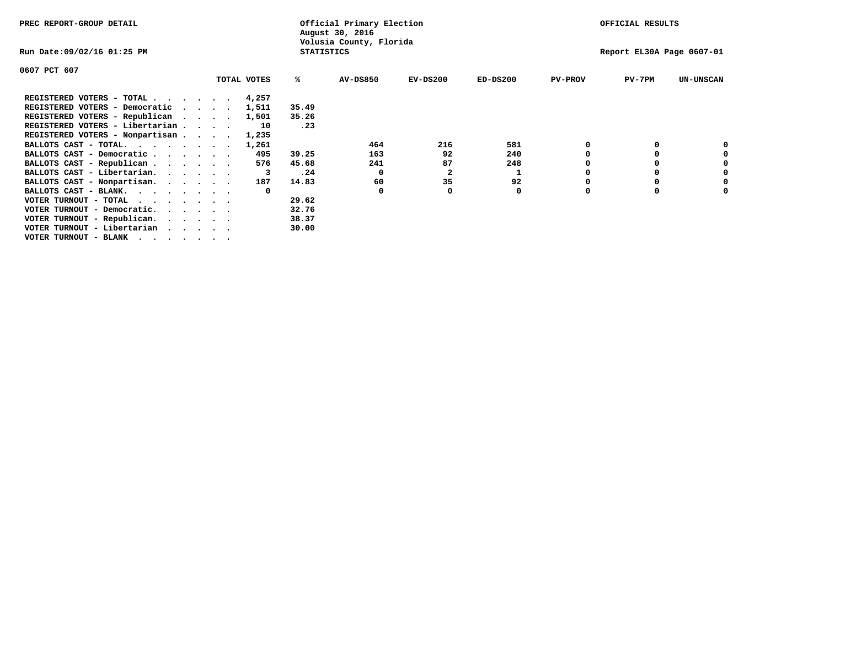| PREC REPORT-GROUP DETAIL                      |  |  |             |                   | Official Primary Election<br>August 30, 2016 |            | OFFICIAL RESULTS |                |                           |                  |
|-----------------------------------------------|--|--|-------------|-------------------|----------------------------------------------|------------|------------------|----------------|---------------------------|------------------|
| Run Date:09/02/16 01:25 PM                    |  |  |             | <b>STATISTICS</b> | Volusia County, Florida                      |            |                  |                | Report EL30A Page 0607-01 |                  |
| 0607 PCT 607                                  |  |  |             |                   |                                              |            |                  |                |                           |                  |
|                                               |  |  | TOTAL VOTES | ℁                 | <b>AV-DS850</b>                              | $EV-DS200$ | $ED-DS200$       | <b>PV-PROV</b> | $PV-7PM$                  | <b>UN-UNSCAN</b> |
| REGISTERED VOTERS - TOTAL 4,257               |  |  |             |                   |                                              |            |                  |                |                           |                  |
| REGISTERED VOTERS - Democratic                |  |  | 1,511       | 35.49             |                                              |            |                  |                |                           |                  |
| REGISTERED VOTERS - Republican                |  |  | 1,501       | 35.26             |                                              |            |                  |                |                           |                  |
| REGISTERED VOTERS - Libertarian               |  |  | 10          | .23               |                                              |            |                  |                |                           |                  |
| REGISTERED VOTERS - Nonpartisan               |  |  | 1,235       |                   |                                              |            |                  |                |                           |                  |
| BALLOTS CAST - TOTAL.                         |  |  | 1,261       |                   | 464                                          | 216        | 581              |                |                           |                  |
| BALLOTS CAST - Democratic                     |  |  | 495         | 39.25             | 163                                          | 92         | 240              |                |                           |                  |
| BALLOTS CAST - Republican                     |  |  | 576         | 45.68             | 241                                          | 87         | 248              |                |                           |                  |
| BALLOTS CAST - Libertarian.                   |  |  |             | .24               | 0                                            | 2          |                  |                |                           |                  |
| BALLOTS CAST - Nonpartisan.                   |  |  | 187         | 14.83             | 60                                           | 35         | 92               |                |                           |                  |
| BALLOTS CAST - BLANK.                         |  |  | $\Omega$    |                   |                                              |            | 0                |                |                           |                  |
| VOTER TURNOUT - TOTAL<br>$\cdots$             |  |  |             | 29.62             |                                              |            |                  |                |                           |                  |
| VOTER TURNOUT - Democratic.                   |  |  |             | 32.76             |                                              |            |                  |                |                           |                  |
| VOTER TURNOUT - Republican.                   |  |  |             | 38.37             |                                              |            |                  |                |                           |                  |
| VOTER TURNOUT - Libertarian                   |  |  |             | 30.00             |                                              |            |                  |                |                           |                  |
| VOTER TURNOUT - BLANK $\cdot$ , , , , , , , , |  |  |             |                   |                                              |            |                  |                |                           |                  |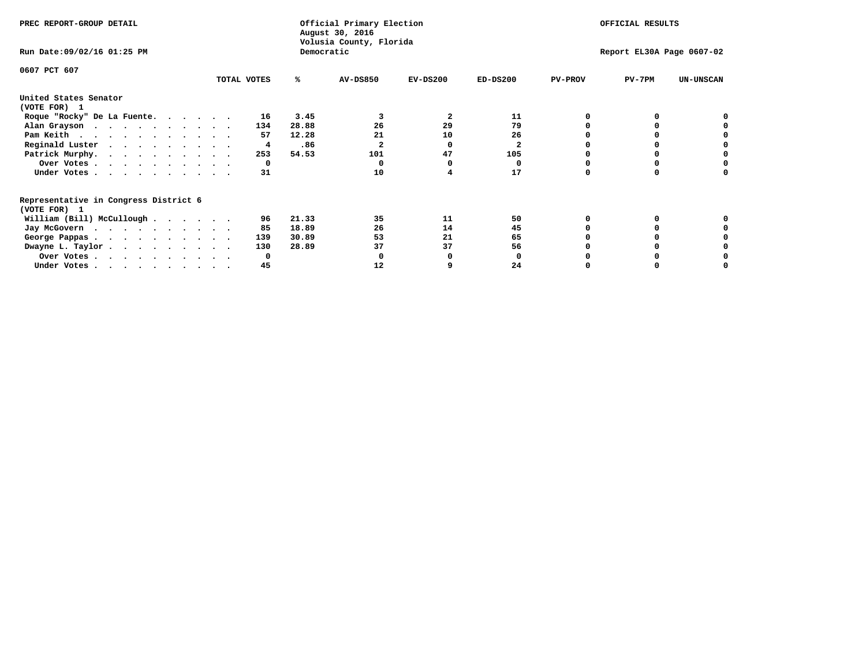| PREC REPORT-GROUP DETAIL                                               |              |            | Official Primary Election<br>August 30, 2016 | OFFICIAL RESULTS |                           |                |          |                  |
|------------------------------------------------------------------------|--------------|------------|----------------------------------------------|------------------|---------------------------|----------------|----------|------------------|
| Run Date: 09/02/16 01:25 PM                                            |              | Democratic | Volusia County, Florida                      |                  | Report EL30A Page 0607-02 |                |          |                  |
| 0607 PCT 607                                                           |              |            |                                              |                  |                           |                |          |                  |
|                                                                        | TOTAL VOTES  | ℁          | AV-DS850                                     | $EV-DS200$       | $ED-DS200$                | <b>PV-PROV</b> | $PV-7PM$ | <b>UN-UNSCAN</b> |
| United States Senator                                                  |              |            |                                              |                  |                           |                |          |                  |
| (VOTE FOR) 1                                                           |              |            |                                              |                  |                           |                |          |                  |
| Roque "Rocky" De La Fuente.                                            | 16           | 3.45       |                                              | $\mathbf{2}$     | 11                        |                |          |                  |
| Alan Grayson                                                           | 134          | 28.88      | 26                                           | 29               | 79                        |                |          |                  |
| Pam Keith                                                              | 57           | 12.28      | 21                                           | 10               | 26                        |                |          |                  |
| Reginald Luster                                                        | 4            | .86        |                                              | O                | 2                         |                |          |                  |
| Patrick Murphy.                                                        | 253          | 54.53      | 101                                          | 47               | 105                       |                |          |                  |
| Over Votes                                                             | 0            |            |                                              |                  | 0                         |                |          |                  |
| Under Votes                                                            | 31           |            | 10                                           |                  | 17                        |                |          |                  |
| Representative in Congress District 6                                  |              |            |                                              |                  |                           |                |          |                  |
| (VOTE FOR) 1                                                           |              |            |                                              |                  |                           |                |          |                  |
| William (Bill) McCullough                                              | 96           | 21.33      | 35                                           | 11               | 50                        |                |          |                  |
| Jay McGovern                                                           | 85           | 18.89      | 26                                           | 14               | 45                        |                |          |                  |
| George Pappas.                                                         | 139          | 30.89      | 53                                           | 21               | 65                        |                |          |                  |
| Dwayne L. Taylor                                                       | 130          | 28.89      | 37                                           | 37               | 56                        |                |          |                  |
| Over Votes                                                             | <sup>0</sup> |            |                                              |                  |                           |                |          |                  |
| Under Votes, $\cdot$ , $\cdot$ , $\cdot$ , $\cdot$ , $\cdot$ , $\cdot$ | 45           |            | 12                                           |                  | 24                        |                |          |                  |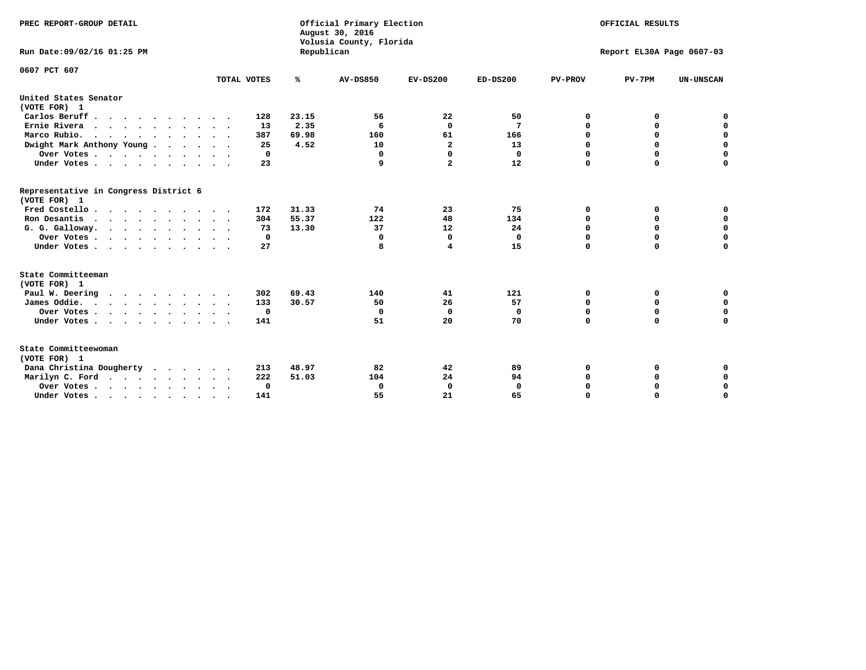| PREC REPORT-GROUP DETAIL<br>Run Date:09/02/16 01:25 PM |                            | Republican | Official Primary Election<br>August 30, 2016<br>Volusia County, Florida | OFFICIAL RESULTS<br>Report EL30A Page 0607-03 |              |                |             |                  |
|--------------------------------------------------------|----------------------------|------------|-------------------------------------------------------------------------|-----------------------------------------------|--------------|----------------|-------------|------------------|
| 0607 PCT 607                                           |                            |            |                                                                         |                                               |              |                |             |                  |
|                                                        | TOTAL VOTES                | ℁          | <b>AV-DS850</b>                                                         | $EV-DS200$                                    | $ED-DS200$   | <b>PV-PROV</b> | $PV-7PM$    | <b>UN-UNSCAN</b> |
| United States Senator<br>(VOTE FOR) 1                  |                            |            |                                                                         |                                               |              |                |             |                  |
| Carlos Beruff                                          | 128                        | 23.15      | 56                                                                      | 22                                            | 50           | 0              | 0           | 0                |
| Ernie Rivera<br>$\cdots$                               | 13                         | 2.35       | 6                                                                       | $\mathbf{0}$                                  | 7            | 0              | 0           | $\mathbf 0$      |
| Marco Rubio.                                           | 387                        | 69.98      | 160                                                                     | 61                                            | 166          | 0              | 0           | $\mathbf 0$      |
| Dwight Mark Anthony Young                              | 25                         | 4.52       | 10                                                                      | $\overline{\mathbf{2}}$                       | 13           | $\mathbf 0$    | $\mathbf 0$ | $\mathbf 0$      |
| Over Votes                                             | 0                          |            | 0                                                                       | 0                                             | $\mathbf{0}$ | $\mathbf 0$    | $\Omega$    | $\mathbf 0$      |
| Under Votes                                            | 23<br>$\ddot{\phantom{1}}$ |            | 9                                                                       | $\overline{a}$                                | 12           | $\Omega$       | $\Omega$    | $\Omega$         |
| Representative in Congress District 6<br>(VOTE FOR) 1  |                            |            |                                                                         |                                               |              |                |             |                  |
| Fred Costello                                          | 172                        | 31.33      | 74                                                                      | 23                                            | 75           | 0              | 0           | $\mathbf 0$      |
| Ron Desantis                                           | 304                        | 55.37      | 122                                                                     | 48                                            | 134          | 0              | 0           | $\mathbf 0$      |
| G. G. Galloway.                                        | 73                         | 13.30      | 37                                                                      | 12                                            | 24           | $\mathbf 0$    | $\Omega$    | $\mathbf 0$      |
| Over Votes                                             | 0                          |            | 0                                                                       | 0                                             | 0            | 0              | 0           | 0                |
| Under Votes                                            | 27                         |            | 8                                                                       | 4                                             | 15           | $\Omega$       | $\Omega$    | $\Omega$         |
| State Committeeman                                     |                            |            |                                                                         |                                               |              |                |             |                  |
| (VOTE FOR) 1<br>Paul W. Deering                        | 302                        | 69.43      | 140                                                                     | 41                                            | 121          | 0              | 0           | 0                |
| James Oddie.                                           | 133                        | 30.57      | 50                                                                      | 26                                            | 57           | 0              | 0           | $\mathbf 0$      |
| Over Votes                                             | 0                          |            | 0                                                                       | $\mathbf 0$                                   | 0            | 0              | $\mathbf 0$ | $\mathbf 0$      |
| Under Votes                                            | 141                        |            | 51                                                                      | 20                                            | 70           | $\Omega$       | $\Omega$    | $\mathbf 0$      |
| State Committeewoman<br>(VOTE FOR) 1                   |                            |            |                                                                         |                                               |              |                |             |                  |
| Dana Christina Dougherty<br>$\cdot$                    | 213                        | 48.97      | 82                                                                      | 42                                            | 89           | 0              | 0           | 0                |
| Marilyn C. Ford                                        | 222                        | 51.03      | 104                                                                     | 24                                            | 94           | 0              | 0           | 0                |
| Over Votes                                             | 0                          |            | 0                                                                       | 0                                             | $\mathbf{0}$ | 0              | 0           | $\mathbf 0$      |
| Under Votes, , , , , , , , , ,                         | 141                        |            | 55                                                                      | 21                                            | 65           | $\Omega$       | $\Omega$    | $\Omega$         |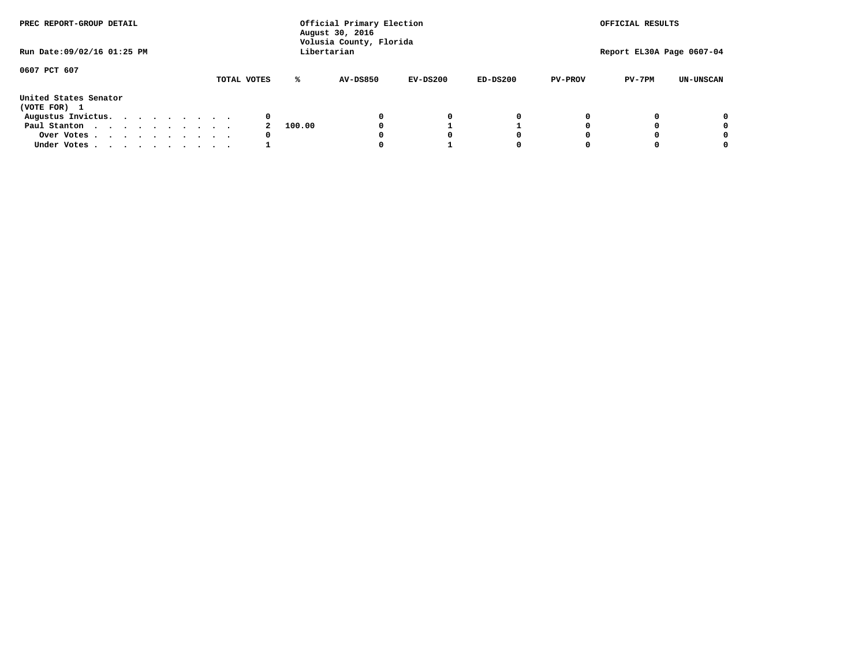| PREC REPORT-GROUP DETAIL              |  |             | Official Primary Election<br>August 30, 2016<br>Volusia County, Florida | OFFICIAL RESULTS |            |            |                |                           |                  |
|---------------------------------------|--|-------------|-------------------------------------------------------------------------|------------------|------------|------------|----------------|---------------------------|------------------|
| Run Date: 09/02/16 01:25 PM           |  |             |                                                                         | Libertarian      |            |            |                | Report EL30A Page 0607-04 |                  |
| 0607 PCT 607                          |  | TOTAL VOTES | ℁                                                                       | <b>AV-DS850</b>  | $EV-DS200$ | $ED-DS200$ | <b>PV-PROV</b> | $PV-7PM$                  | <b>UN-UNSCAN</b> |
| United States Senator<br>(VOTE FOR) 1 |  |             |                                                                         |                  |            |            |                |                           |                  |
| Augustus Invictus.                    |  |             | 0                                                                       |                  | 0          | 0          |                |                           | 0                |
| Paul Stanton                          |  |             | 100.00                                                                  |                  |            |            |                |                           | 0                |
| Over Votes                            |  |             | 0                                                                       |                  | O          | O          |                |                           | 0                |
| Under Votes                           |  |             |                                                                         |                  |            |            |                |                           | 0                |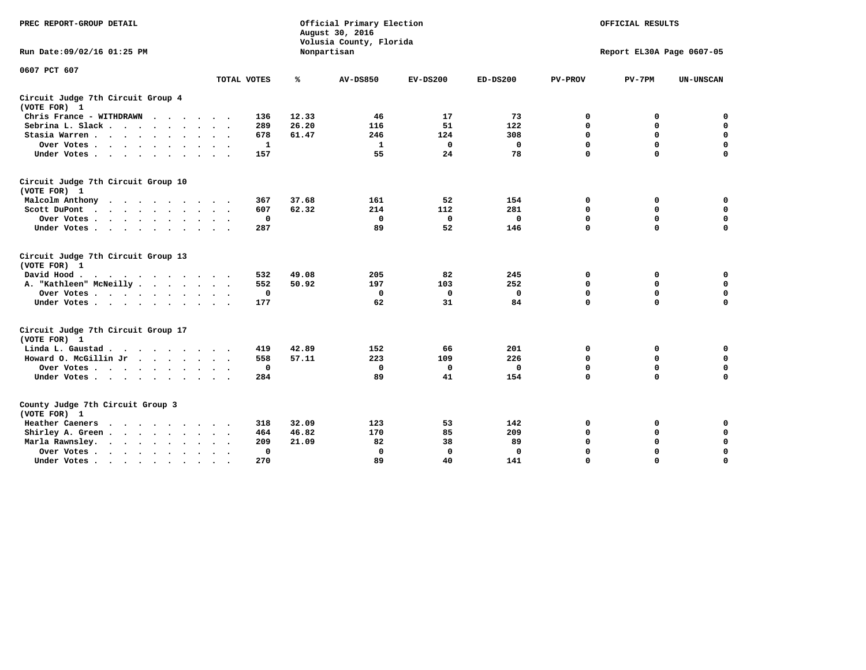| PREC REPORT-GROUP DETAIL                                   |             | Official Primary Election<br>August 30, 2016<br>Volusia County, Florida | OFFICIAL RESULTS |             |              |                |                           |                  |
|------------------------------------------------------------|-------------|-------------------------------------------------------------------------|------------------|-------------|--------------|----------------|---------------------------|------------------|
| Run Date: 09/02/16 01:25 PM                                |             |                                                                         | Nonpartisan      |             |              |                | Report EL30A Page 0607-05 |                  |
| 0607 PCT 607                                               | TOTAL VOTES | ℁                                                                       | <b>AV-DS850</b>  | $EV-DS200$  | $ED-DS200$   | <b>PV-PROV</b> | $PV-7PM$                  | <b>UN-UNSCAN</b> |
|                                                            |             |                                                                         |                  |             |              |                |                           |                  |
| Circuit Judge 7th Circuit Group 4<br>(VOTE FOR) 1          |             |                                                                         |                  |             |              |                |                           |                  |
| Chris France - WITHDRAWN<br>$\cdots$                       | 136         | 12.33                                                                   | 46               | 17          | 73           | 0              | 0                         | 0                |
| Sebrina L. Slack                                           | 289         | 26.20                                                                   | 116              | 51          | 122          | 0              | $\mathbf 0$               | $\mathbf 0$      |
| Stasia Warren                                              | 678         | 61.47                                                                   | 246              | 124         | 308          | $\mathbf 0$    | 0                         | $\mathbf 0$      |
| Over Votes                                                 | 1           |                                                                         | $\mathbf{1}$     | $\mathbf 0$ | $\mathbf 0$  | 0              | $\mathbf 0$               | $\mathbf 0$      |
| Under Votes                                                | 157         |                                                                         | 55               | 24          | 78           | $\mathbf 0$    | $\mathbf 0$               | $\mathbf 0$      |
| Circuit Judge 7th Circuit Group 10<br>(VOTE FOR) 1         |             |                                                                         |                  |             |              |                |                           |                  |
| Malcolm Anthony                                            | 367         | 37.68                                                                   | 161              | 52          | 154          | 0              | 0                         | $\mathbf 0$      |
| Scott DuPont                                               | 607         | 62.32                                                                   | 214              | 112         | 281          | 0              | $\mathbf 0$               | $\mathbf 0$      |
| Over Votes<br>$\sim$ $\sim$                                | $\mathbf 0$ |                                                                         | $\mathbf{0}$     | $\mathbf 0$ | $\mathbf{0}$ | $\mathbf 0$    | $\mathbf 0$               | $\mathbf 0$      |
| Under Votes                                                | 287         |                                                                         | 89               | 52          | 146          | $\mathbf 0$    | $\mathbf 0$               | $\mathbf 0$      |
| Circuit Judge 7th Circuit Group 13<br>(VOTE FOR) 1         |             |                                                                         |                  |             |              |                |                           |                  |
| David Hood.                                                | 532         | 49.08                                                                   | 205              | 82          | 245          | 0              | 0                         | $\mathbf 0$      |
| A. "Kathleen" McNeilly                                     | 552         | 50.92                                                                   | 197              | 103         | 252          | $\mathbf 0$    | 0                         | $\mathbf 0$      |
| Over Votes                                                 | 0           |                                                                         | 0                | 0           | 0            | 0              | $\mathbf 0$               | $\pmb{0}$        |
| Under Votes                                                | 177         |                                                                         | 62               | 31          | 84           | $\mathbf 0$    | $\mathbf 0$               | 0                |
| Circuit Judge 7th Circuit Group 17                         |             |                                                                         |                  |             |              |                |                           |                  |
| (VOTE FOR) 1                                               | 419         | 42.89                                                                   | 152              | 66          | 201          | 0              | 0                         | $\mathbf 0$      |
| Linda L. Gaustad                                           | 558         | 57.11                                                                   | 223              | 109         | 226          | $\mathbf 0$    | $\mathbf 0$               | $\mathbf 0$      |
| Howard O. McGillin Jr.                                     | $\mathbf 0$ |                                                                         | $\mathbf 0$      | $\mathbf 0$ | $\mathbf 0$  | $\mathbf 0$    | $\mathbf 0$               | 0                |
| Over Votes                                                 | 284         |                                                                         | 89               | 41          | 154          | $\mathbf 0$    | $\mathbf 0$               | $\mathbf 0$      |
| Under Votes                                                |             |                                                                         |                  |             |              |                |                           |                  |
| County Judge 7th Circuit Group 3<br>(VOTE FOR) 1           |             |                                                                         |                  |             |              |                |                           |                  |
| Heather Caeners<br>.                                       | 318         | 32.09                                                                   | 123              | 53          | 142          | 0              | 0                         | $\mathbf 0$      |
| Shirley A. Green                                           | 464         | 46.82                                                                   | 170              | 85          | 209          | $\mathbf 0$    | 0                         | $\mathbf 0$      |
| Marla Rawnsley.                                            | 209         | 21.09                                                                   | 82               | 38          | 89           | 0              | $\mathbf 0$               | $\pmb{0}$        |
| Over Votes<br>$\ddot{\phantom{1}}$<br>$\ddot{\phantom{1}}$ | 0           |                                                                         | $\Omega$         | $\mathbf 0$ | $\mathbf 0$  | 0              | $\mathbf 0$               | $\mathbf 0$      |
| Under Votes<br>$\bullet$                                   | 270         |                                                                         | 89               | 40          | 141          | $\Omega$       | $\mathbf 0$               | $\Omega$         |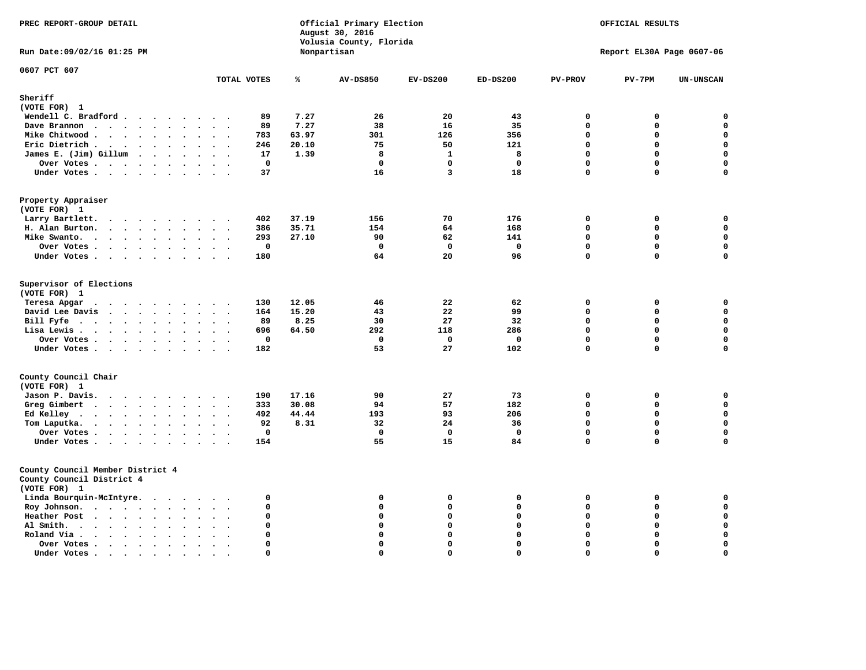| PREC REPORT-GROUP DETAIL                                                                                                       |             |       | Official Primary Election<br>August 30, 2016<br>Volusia County, Florida | OFFICIAL RESULTS |              |                |                           |                  |
|--------------------------------------------------------------------------------------------------------------------------------|-------------|-------|-------------------------------------------------------------------------|------------------|--------------|----------------|---------------------------|------------------|
| Run Date: 09/02/16 01:25 PM                                                                                                    |             |       | Nonpartisan                                                             |                  |              |                | Report EL30A Page 0607-06 |                  |
| 0607 PCT 607                                                                                                                   | TOTAL VOTES | ℁     | <b>AV-DS850</b>                                                         | $EV-DS200$       | $ED-DS200$   | <b>PV-PROV</b> | $PV-7PM$                  | <b>UN-UNSCAN</b> |
| Sheriff                                                                                                                        |             |       |                                                                         |                  |              |                |                           |                  |
| (VOTE FOR) 1                                                                                                                   |             |       |                                                                         |                  |              |                |                           |                  |
| Wendell C. Bradford                                                                                                            | 89          | 7.27  | 26                                                                      | 20               | 43           | $\mathbf 0$    | 0                         | 0                |
| Dave Brannon<br>$\sim$<br>$\mathbf{A}$                                                                                         | 89          | 7.27  | 38                                                                      | 16               | 35           | $\mathbf 0$    | 0                         | $\mathbf 0$      |
| Mike Chitwood                                                                                                                  | 783         | 63.97 | 301                                                                     | 126              | 356          | $\mathbf{0}$   | 0                         | $\mathbf 0$      |
| Eric Dietrich<br>$\cdot$ .                                                                                                     | 246         | 20.10 | 75                                                                      | 50               | 121          | $\Omega$       | $\Omega$                  | $\mathbf 0$      |
| James E. (Jim) Gillum                                                                                                          | 17          | 1.39  | 8                                                                       | $\mathbf{1}$     | 8            | $\mathbf 0$    | $\mathbf 0$               | $\mathbf 0$      |
| Over Votes                                                                                                                     | $\mathbf 0$ |       | $\mathbf 0$                                                             | $\mathbf 0$      | $\mathbf 0$  | $\mathbf 0$    | $\mathbf 0$               | 0                |
| Under Votes                                                                                                                    | 37          |       | 16                                                                      | $\overline{3}$   | 18           | $\Omega$       | $\mathbf 0$               | $\mathbf 0$      |
|                                                                                                                                |             |       |                                                                         |                  |              |                |                           |                  |
| Property Appraiser<br>(VOTE FOR) 1                                                                                             |             |       |                                                                         |                  |              |                |                           |                  |
| Larry Bartlett.<br>$\cdot$<br>$\sim$<br>$\cdot$ .                                                                              | 402         | 37.19 | 156                                                                     | 70               | 176          | $\mathbf 0$    | 0                         | $\mathsf{o}\,$   |
| H. Alan Burton.                                                                                                                | 386         | 35.71 | 154                                                                     | 64               | 168          | $\mathbf 0$    | 0                         | $\mathbf 0$      |
| Mike Swanto.<br>$\ddot{\phantom{a}}$<br>$\ddot{\phantom{0}}$                                                                   | 293         | 27.10 | 90                                                                      | 62               | 141          | $\mathbf 0$    | $\mathbf 0$               | $\mathbf 0$      |
| Over Votes                                                                                                                     | $\mathbf 0$ |       | $\mathbf 0$                                                             | $\mathbf 0$      | $\mathbf 0$  | $\mathbf 0$    | 0                         | 0                |
| $\sim$ $\sim$<br>$\ddotsc$                                                                                                     | 180         |       | 64                                                                      | 20               | 96           | $\Omega$       | $\Omega$                  | 0                |
| Under Votes                                                                                                                    |             |       |                                                                         |                  |              |                |                           |                  |
| Supervisor of Elections<br>(VOTE FOR) 1                                                                                        |             |       |                                                                         |                  |              |                |                           |                  |
| Teresa Apgar<br>.                                                                                                              | 130         | 12.05 | 46                                                                      | 22               | 62           | $\Omega$       | 0                         | $\mathbf 0$      |
| David Lee Davis                                                                                                                | 164         | 15.20 | 43                                                                      | 22               | 99           | $\mathbf 0$    | 0                         | $\mathbf 0$      |
| Bill Fyfe.                                                                                                                     | 89          | 8.25  | 30                                                                      | 27               | 32           | $\mathbf 0$    | 0                         | $\mathbf 0$      |
| Lisa Lewis<br>$\sim$<br>$\sim$<br>$\sim$<br>$\overline{\phantom{a}}$                                                           | 696         | 64.50 | 292                                                                     | 118              | 286          | $\mathbf 0$    | $\mathbf 0$               | $\mathbf 0$      |
| Over Votes                                                                                                                     | $\mathbf 0$ |       | $\mathbf 0$                                                             | $^{\circ}$       | $\mathbf{0}$ | $\mathbf{0}$   | 0                         | $\mathbf 0$      |
| Under Votes                                                                                                                    | 182         |       | 53                                                                      | 27               | 102          | $\mathbf{0}$   | 0                         | $\mathbf 0$      |
| County Council Chair                                                                                                           |             |       |                                                                         |                  |              |                |                           |                  |
| (VOTE FOR) 1                                                                                                                   |             |       |                                                                         |                  |              |                |                           |                  |
| Jason P. Davis.                                                                                                                | 190         | 17.16 | 90                                                                      | 27               | 73           | $\mathbf 0$    | 0                         | 0                |
| Greg Gimbert                                                                                                                   | 333         | 30.08 | 94                                                                      | 57               | 182          | $\Omega$       | 0                         | 0                |
| Ed Kelley $\cdots$ $\cdots$ $\cdots$<br>$\cdot$ $\cdot$                                                                        | 492         | 44.44 | 193                                                                     | 93               | 206          | $\Omega$       | $\mathbf 0$               | $\mathbf 0$      |
| Tom Laputka.<br>$\cdots$<br>$\bullet$<br>$\bullet$<br>$\ddot{\phantom{a}}$<br>$\overline{\phantom{a}}$                         | 92          | 8.31  | 32                                                                      | 24               | 36           | $\mathbf 0$    | $\mathbf 0$               | $\mathbf 0$      |
| Over Votes<br>$\sim$ $\sim$                                                                                                    | $\mathbf 0$ |       | $\Omega$                                                                | $^{\circ}$       | $\mathbf{0}$ | $\Omega$       | $\mathbf 0$               | $\mathbf 0$      |
| Under Votes                                                                                                                    | 154         |       | 55                                                                      | 15               | 84           | $\mathbf{0}$   | 0                         | $\Omega$         |
|                                                                                                                                |             |       |                                                                         |                  |              |                |                           |                  |
| County Council Member District 4<br>County Council District 4<br>(VOTE FOR) 1                                                  |             |       |                                                                         |                  |              |                |                           |                  |
| Linda Bourquin-McIntyre<br>$\ddot{\phantom{0}}$<br>$\cdot$<br>$\sim$                                                           | 0           |       | 0                                                                       | 0                | 0            | $\mathbf 0$    | 0                         | 0                |
| Roy Johnson.                                                                                                                   | $\mathbf 0$ |       | $\mathbf 0$                                                             | 0                | $\mathbf 0$  | $\mathbf{0}$   | 0                         | $\mathbf 0$      |
| Heather Post<br>$\ddot{\phantom{1}}$<br>$\ddot{\phantom{a}}$<br>$\ddot{\phantom{a}}$                                           | 0           |       | $\mathbf 0$                                                             | 0                | $\mathbf 0$  | $\mathbf 0$    | 0                         | $\mathbf 0$      |
| Al Smith.<br>$\cdots$<br>$\bullet$                                                                                             | $\mathbf 0$ |       | $\mathbf 0$                                                             | 0                | $\mathbf 0$  | $\mathbf 0$    | 0                         | $\mathbf 0$      |
| Roland Via .<br>$\sim$ $\sim$ $\sim$ $\sim$<br>$\bullet$<br>$\ddot{\phantom{a}}$                                               | $\mathbf 0$ |       | $\mathbf 0$                                                             | 0                | $\mathbf 0$  | $\mathbf 0$    | 0                         | $\mathbf 0$      |
| Over Votes<br>$\ddot{\phantom{0}}$<br>$\ddot{\phantom{0}}$<br>$\bullet$<br>$\bullet$<br>$\bullet$<br>$\ddot{\phantom{1}}$      | $\mathbf 0$ |       | $\mathbf 0$                                                             | $\mathbf 0$      | $\mathbf 0$  | $\Omega$       | 0                         | $\pmb{0}$        |
| Under Votes<br>the contract of the contract of the contract of the contract of the contract of the contract of the contract of | $\Omega$    |       | $\Omega$                                                                | $\Omega$         | $\Omega$     | $\Omega$       | $\Omega$                  | $\Omega$         |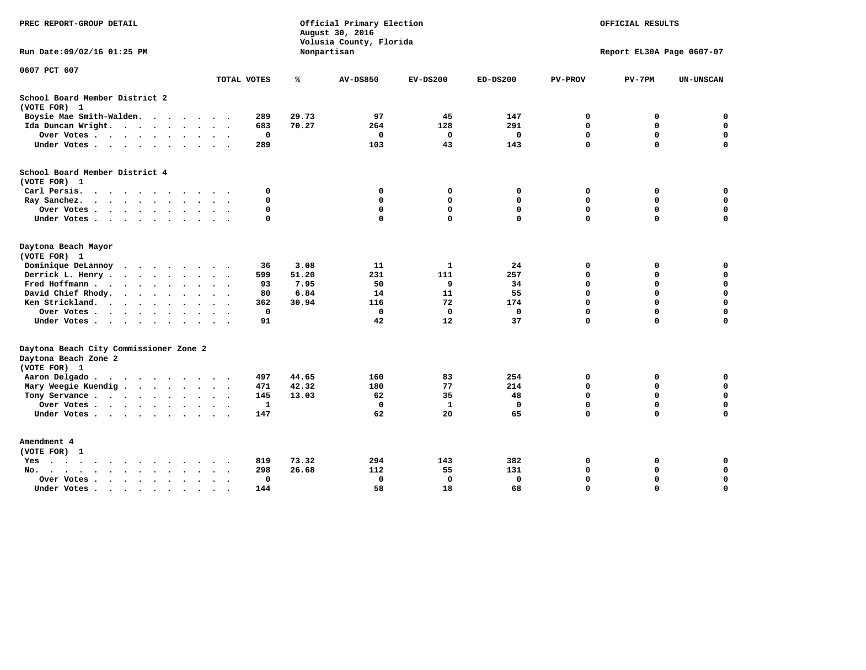| PREC REPORT-GROUP DETAIL                                                                                                                                                                                                                                                 |                    |       | Official Primary Election<br>August 30, 2016<br>Volusia County, Florida | OFFICIAL RESULTS   |              |                           |                  |                          |  |  |
|--------------------------------------------------------------------------------------------------------------------------------------------------------------------------------------------------------------------------------------------------------------------------|--------------------|-------|-------------------------------------------------------------------------|--------------------|--------------|---------------------------|------------------|--------------------------|--|--|
| Run Date: 09/02/16 01:25 PM                                                                                                                                                                                                                                              |                    |       | Nonpartisan                                                             |                    |              | Report EL30A Page 0607-07 |                  |                          |  |  |
| 0607 PCT 607                                                                                                                                                                                                                                                             | TOTAL VOTES        | ℁     | <b>AV-DS850</b>                                                         | $EV-DS200$         | $ED-DS200$   | <b>PV-PROV</b>            | $PV-7PM$         | <b>UN-UNSCAN</b>         |  |  |
|                                                                                                                                                                                                                                                                          |                    |       |                                                                         |                    |              |                           |                  |                          |  |  |
| School Board Member District 2<br>(VOTE FOR) 1                                                                                                                                                                                                                           |                    |       |                                                                         |                    |              |                           |                  |                          |  |  |
|                                                                                                                                                                                                                                                                          |                    |       |                                                                         |                    |              |                           |                  |                          |  |  |
| Boysie Mae Smith-Walden.<br>.                                                                                                                                                                                                                                            | 289                | 29.73 | 97                                                                      | 45                 | 147<br>291   | 0                         | 0<br>$\mathbf 0$ | $\mathbf 0$<br>$\pmb{0}$ |  |  |
| Ida Duncan Wright.                                                                                                                                                                                                                                                       | 683<br>$\mathbf 0$ | 70.27 | 264<br>$\mathbf 0$                                                      | 128<br>$\mathbf 0$ | $\mathbf 0$  | 0<br>$\mathbf 0$          | $\mathbf 0$      | $\pmb{0}$                |  |  |
| Over Votes                                                                                                                                                                                                                                                               |                    |       |                                                                         |                    |              | $\mathbf 0$               | $\mathbf 0$      | $\Omega$                 |  |  |
| Under Votes                                                                                                                                                                                                                                                              | 289                |       | 103                                                                     | 43                 | 143          |                           |                  |                          |  |  |
| School Board Member District 4                                                                                                                                                                                                                                           |                    |       |                                                                         |                    |              |                           |                  |                          |  |  |
| (VOTE FOR) 1                                                                                                                                                                                                                                                             |                    |       |                                                                         |                    |              |                           |                  |                          |  |  |
| Carl Persis.                                                                                                                                                                                                                                                             | 0                  |       | 0                                                                       | 0                  | 0            | 0                         | 0                | $\mathbf 0$              |  |  |
| Ray Sanchez.<br>$\cdots$                                                                                                                                                                                                                                                 | 0                  |       | 0                                                                       | 0                  | 0            | $\mathbf 0$               | $\mathbf 0$      | $\mathbf 0$              |  |  |
| Over Votes                                                                                                                                                                                                                                                               | $\mathbf 0$        |       | $\mathbf{0}$                                                            | $\mathbf 0$        | $\mathbf{0}$ | $\mathbf 0$               | $\mathbf 0$      | $\mathbf 0$              |  |  |
| Under Votes                                                                                                                                                                                                                                                              | $\mathbf 0$        |       | $\mathbf 0$                                                             | $\mathbf 0$        | $\mathbf{0}$ | $\mathbf 0$               | $\mathbf 0$      | 0                        |  |  |
| Daytona Beach Mayor                                                                                                                                                                                                                                                      |                    |       |                                                                         |                    |              |                           |                  |                          |  |  |
| (VOTE FOR) 1                                                                                                                                                                                                                                                             |                    |       |                                                                         |                    |              |                           |                  |                          |  |  |
| Dominique DeLannoy<br>$\cdot$                                                                                                                                                                                                                                            | 36                 | 3.08  | 11                                                                      | 1                  | 24           | 0                         | 0                | 0                        |  |  |
| Derrick L. Henry .<br>$\mathbf{r}$ . The contract of the contract of the contract of the contract of the contract of the contract of the contract of the contract of the contract of the contract of the contract of the contract of the contract of th<br>$\sim$ $\sim$ | 599                | 51.20 | 231                                                                     | 111                | 257          | $\mathbf 0$               | $\mathbf 0$      | $\mathbf 0$              |  |  |
| Fred Hoffmann                                                                                                                                                                                                                                                            | 93                 | 7.95  | 50                                                                      | 9                  | 34           | $\mathbf 0$               | $\mathbf 0$      | $\pmb{0}$                |  |  |
| David Chief Rhody.<br>$\cdots$<br>$\sim$ $\sim$                                                                                                                                                                                                                          | 80                 | 6.84  | 14                                                                      | 11                 | 55           | $\mathbf 0$               | $\mathbf 0$      | $\mathbf 0$              |  |  |
| Ken Strickland.<br>$\ddot{\phantom{0}}$<br>$\sim$                                                                                                                                                                                                                        | 362                | 30.94 | 116                                                                     | 72                 | 174          | $\mathbf 0$               | $\mathbf 0$      | $\mathbf 0$              |  |  |
| Over Votes<br>$\ddot{\phantom{a}}$<br>$\ddot{\phantom{0}}$                                                                                                                                                                                                               | $\mathbf 0$        |       | 0                                                                       | 0                  | 0            | $\mathbf 0$               | $\mathbf 0$      | $\mathbf 0$              |  |  |
| Under Votes                                                                                                                                                                                                                                                              | 91                 |       | 42                                                                      | 12                 | 37           | $\Omega$                  | $\mathbf 0$      | $\mathbf 0$              |  |  |
| Daytona Beach City Commissioner Zone 2                                                                                                                                                                                                                                   |                    |       |                                                                         |                    |              |                           |                  |                          |  |  |
| Daytona Beach Zone 2                                                                                                                                                                                                                                                     |                    |       |                                                                         |                    |              |                           |                  |                          |  |  |
| (VOTE FOR) 1                                                                                                                                                                                                                                                             |                    |       |                                                                         |                    |              |                           |                  |                          |  |  |
| Aaron Delgado                                                                                                                                                                                                                                                            | 497                | 44.65 | 160                                                                     | 83                 | 254          | 0                         | 0                | 0                        |  |  |
| Mary Weegie Kuendig                                                                                                                                                                                                                                                      | 471                | 42.32 | 180                                                                     | 77                 | 214          | $\mathbf 0$               | $\mathbf 0$      | $\mathbf 0$              |  |  |
| Tony Servance                                                                                                                                                                                                                                                            | 145                | 13.03 | 62                                                                      | 35                 | 48           | $\mathbf 0$               | $\mathbf 0$      | $\mathbf 0$              |  |  |
| Over Votes                                                                                                                                                                                                                                                               | 1                  |       | $\Omega$                                                                | $\mathbf{1}$       | 0            | $\mathbf 0$               | $\mathbf 0$      | $\mathbf 0$              |  |  |
| Under Votes                                                                                                                                                                                                                                                              | 147                |       | 62                                                                      | 20                 | 65           | $\mathbf 0$               | $\Omega$         | $\Omega$                 |  |  |
| Amendment 4                                                                                                                                                                                                                                                              |                    |       |                                                                         |                    |              |                           |                  |                          |  |  |
| (VOTE FOR) 1                                                                                                                                                                                                                                                             |                    |       |                                                                         |                    |              |                           |                  |                          |  |  |
| Yes<br>$\cdots$<br>$\sim$ $\sim$ $\sim$<br>$\ddot{\phantom{1}}$<br>$\sim$<br>$\ddot{\phantom{1}}$<br>$\ddot{\phantom{1}}$                                                                                                                                                | 819                | 73.32 | 294                                                                     | 143                | 382          | 0                         | 0                | 0                        |  |  |
| $No.$<br>$\sim$<br>$\ddot{\phantom{a}}$                                                                                                                                                                                                                                  | 298                | 26.68 | 112                                                                     | 55                 | 131          | 0                         | 0                | $\mathbf 0$              |  |  |
| Over Votes<br>$\cdot$ $\cdot$ $\cdot$ $\cdot$ $\cdot$<br>$\ddot{\phantom{a}}$<br>$\cdot$<br>$\cdot$                                                                                                                                                                      | 0                  |       | 0                                                                       | $\mathbf 0$        | $\mathbf 0$  | 0                         | $\mathbf 0$      | $\mathbf 0$              |  |  |
| Under Votes<br>$\bullet$<br>$\sim$                                                                                                                                                                                                                                       | 144                |       | 58                                                                      | 18                 | 68           | $\mathbf 0$               | $\mathbf 0$      | $\mathbf 0$              |  |  |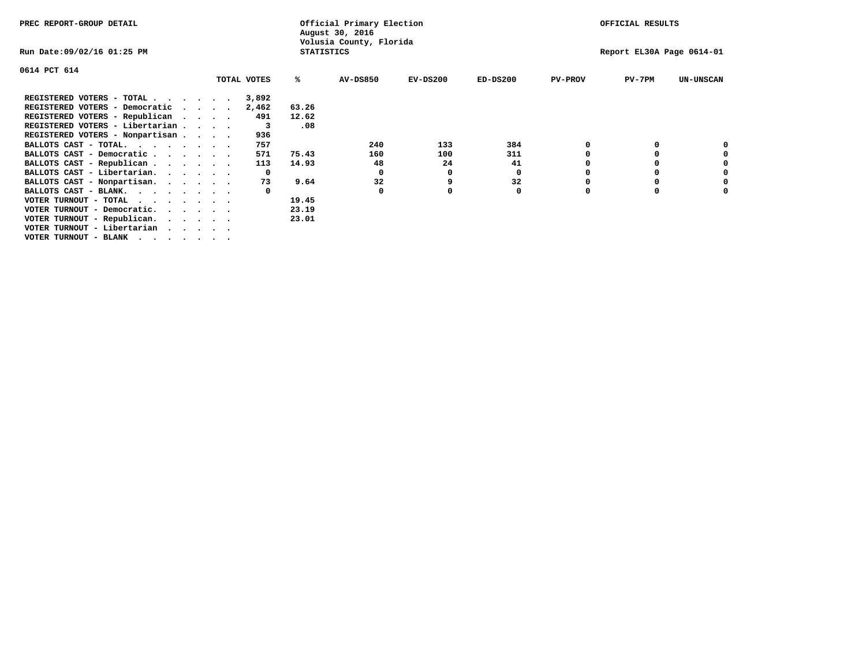| PREC REPORT-GROUP DETAIL               |              | Official Primary Election<br>August 30, 2016 |                         | OFFICIAL RESULTS |                           |                |          |                  |
|----------------------------------------|--------------|----------------------------------------------|-------------------------|------------------|---------------------------|----------------|----------|------------------|
| Run Date:09/02/16 01:25 PM             |              | <b>STATISTICS</b>                            | Volusia County, Florida |                  | Report EL30A Page 0614-01 |                |          |                  |
| 0614 PCT 614                           |              |                                              |                         |                  |                           |                |          |                  |
|                                        | TOTAL VOTES  | ℁                                            | <b>AV-DS850</b>         | $EV-DS200$       | $ED-DS200$                | <b>PV-PROV</b> | $PV-7PM$ | <b>UN-UNSCAN</b> |
| REGISTERED VOTERS - TOTAL              | 3,892        |                                              |                         |                  |                           |                |          |                  |
| REGISTERED VOTERS - Democratic         | 2,462        | 63.26                                        |                         |                  |                           |                |          |                  |
| REGISTERED VOTERS - Republican         | 491          | 12.62                                        |                         |                  |                           |                |          |                  |
| REGISTERED VOTERS - Libertarian        | 3            | .08                                          |                         |                  |                           |                |          |                  |
| REGISTERED VOTERS - Nonpartisan        | 936          |                                              |                         |                  |                           |                |          |                  |
| BALLOTS CAST - TOTAL.                  | 757          |                                              | 240                     | 133              | 384                       |                |          |                  |
| BALLOTS CAST - Democratic              | 571          | 75.43                                        | 160                     | 100              | 311                       |                |          |                  |
| BALLOTS CAST - Republican              | 113          | 14.93                                        | 48                      | 24               | 41                        |                |          |                  |
| BALLOTS CAST - Libertarian.            | $\mathbf{o}$ |                                              | 0                       | 0                | 0                         |                |          |                  |
| BALLOTS CAST - Nonpartisan.            | 73           | 9.64                                         | 32                      |                  | 32                        |                |          | 0                |
| BALLOTS CAST - BLANK.                  |              |                                              | 0                       |                  | 0                         | $\Omega$       |          |                  |
| VOTER TURNOUT - TOTAL                  |              | 19.45                                        |                         |                  |                           |                |          |                  |
| VOTER TURNOUT - Democratic.<br>$\cdot$ |              | 23.19                                        |                         |                  |                           |                |          |                  |
| VOTER TURNOUT - Republican.            |              | 23.01                                        |                         |                  |                           |                |          |                  |
| VOTER TURNOUT - Libertarian            |              |                                              |                         |                  |                           |                |          |                  |
| VOTER TURNOUT - BLANK                  |              |                                              |                         |                  |                           |                |          |                  |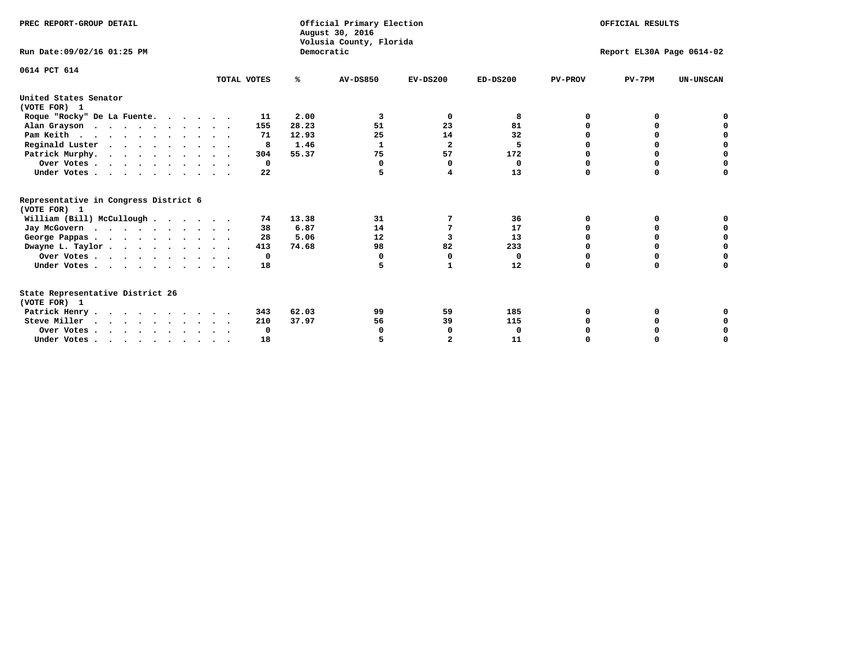| PREC REPORT-GROUP DETAIL                                                         |             | Democratic | Official Primary Election<br>August 30, 2016<br>Volusia County, Florida | OFFICIAL RESULTS<br>Report EL30A Page 0614-02 |            |                |          |                  |  |
|----------------------------------------------------------------------------------|-------------|------------|-------------------------------------------------------------------------|-----------------------------------------------|------------|----------------|----------|------------------|--|
| Run Date: 09/02/16 01:25 PM                                                      |             |            |                                                                         |                                               |            |                |          |                  |  |
| 0614 PCT 614                                                                     | TOTAL VOTES | ℁          | <b>AV-DS850</b>                                                         | $EV-DS200$                                    | $ED-DS200$ | <b>PV-PROV</b> | $PV-7PM$ | <b>UN-UNSCAN</b> |  |
| United States Senator<br>(VOTE FOR) 1                                            |             |            |                                                                         |                                               |            |                |          |                  |  |
| Roque "Rocky" De La Fuente.                                                      | 11          | 2.00       | 3                                                                       | 0                                             | 8          | 0              | O        |                  |  |
| Alan Grayson                                                                     | 155         | 28.23      | 51                                                                      | 23                                            | 81         | $\Omega$       | $\Omega$ |                  |  |
| Pam Keith                                                                        | 71          | 12.93      | 25                                                                      | 14                                            | 32         | O              | 0        | 0                |  |
| Reginald Luster                                                                  | 8           | 1.46       | 1                                                                       | $\overline{2}$                                | 5          | 0              | 0        | 0                |  |
| Patrick Murphy.                                                                  | 304         | 55.37      | 75                                                                      | 57                                            | 172        | O              | 0        | $\mathbf 0$      |  |
| Over Votes                                                                       | $\Omega$    |            | $\Omega$                                                                | <sup>0</sup>                                  | 0          | $\Omega$       | $\Omega$ | $\Omega$         |  |
| Under Votes                                                                      | 22          |            |                                                                         | 4                                             | 13         | $\Omega$       | $\Omega$ | 0                |  |
| Representative in Congress District 6<br>(VOTE FOR) 1                            |             |            |                                                                         |                                               |            |                |          |                  |  |
| William (Bill) McCullough                                                        | 74          | 13.38      | 31                                                                      | 7                                             | 36         | O              | 0        |                  |  |
| Jay McGovern                                                                     | 38          | 6.87       | 14                                                                      | 7                                             | 17         | O              | 0        | 0                |  |
| George Pappas.                                                                   | 28          | 5.06       | 12                                                                      | 3                                             | 13         | 0              | 0        | 0                |  |
| Dwayne L. Taylor                                                                 | 413         | 74.68      | 98                                                                      | 82                                            | 233        | $\Omega$       | $\Omega$ | $\mathbf 0$      |  |
| Over Votes                                                                       | 0           |            | 0                                                                       | 0                                             | 0          | 0              | 0        | $\mathbf 0$      |  |
| Under Votes                                                                      | 18          |            | 5                                                                       | 1                                             | 12         | $\Omega$       | 0        | O                |  |
| State Representative District 26<br>(VOTE FOR) 1                                 |             |            |                                                                         |                                               |            |                |          |                  |  |
| Patrick Henry                                                                    | 343         | 62.03      | 99                                                                      | 59                                            | 185        | 0              | 0        |                  |  |
| Steve Miller                                                                     | 210         | 37.97      | 56                                                                      | 39                                            | 115        |                | 0        | 0                |  |
| Over Votes                                                                       | 0           |            | 0                                                                       | 0                                             | 0          |                | 0        | 0                |  |
| Under Votes, $\cdot$ , $\cdot$ , $\cdot$ , $\cdot$ , $\cdot$ , $\cdot$ , $\cdot$ | 18          |            |                                                                         |                                               | 11         |                |          | O                |  |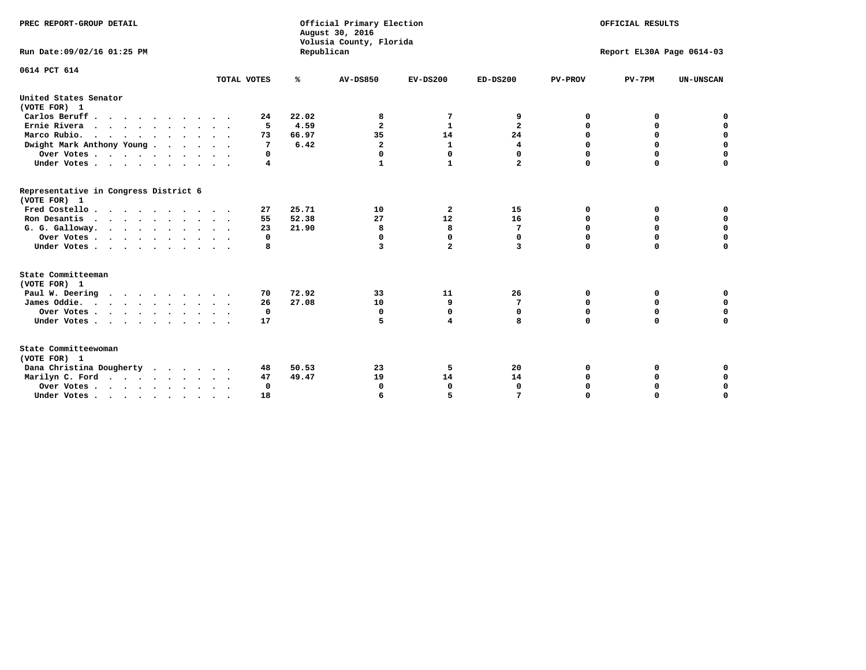| PREC REPORT-GROUP DETAIL<br>Run Date: 09/02/16 01:25 PM                |             | Republican | Official Primary Election<br>August 30, 2016<br>Volusia County, Florida | OFFICIAL RESULTS<br>Report EL30A Page 0614-03 |                |                |             |                  |
|------------------------------------------------------------------------|-------------|------------|-------------------------------------------------------------------------|-----------------------------------------------|----------------|----------------|-------------|------------------|
|                                                                        |             |            |                                                                         |                                               |                |                |             |                  |
| 0614 PCT 614                                                           | TOTAL VOTES | %          | <b>AV-DS850</b>                                                         | $EV-DS200$                                    | $ED-DS200$     | <b>PV-PROV</b> | $PV-7PM$    | <b>UN-UNSCAN</b> |
| United States Senator<br>(VOTE FOR) 1                                  |             |            |                                                                         |                                               |                |                |             |                  |
| Carlos Beruff                                                          | 24          | 22.02      | 8                                                                       | 7                                             | 9              | 0              | 0           | 0                |
| Ernie Rivera                                                           | 5           | 4.59       | $\overline{\mathbf{2}}$                                                 | 1                                             | $\overline{a}$ | 0              | 0           | $\mathbf 0$      |
| Marco Rubio.                                                           | 73          | 66.97      | 35                                                                      | 14                                            | 24             | $\mathbf 0$    | $\mathbf 0$ | 0                |
| Dwight Mark Anthony Young                                              | 7           | 6.42       | $\mathbf{2}$                                                            | $\mathbf{1}$                                  | 4              | $\mathbf 0$    | $\mathbf 0$ | $\mathbf 0$      |
| Over Votes                                                             | 0           |            | 0                                                                       | 0                                             | 0              | $\mathbf 0$    | 0           | $\mathbf 0$      |
| Under Votes                                                            | 4           |            | 1                                                                       | $\mathbf{1}$                                  | $\overline{a}$ | $\Omega$       | $\Omega$    | $\Omega$         |
| Representative in Congress District 6<br>(VOTE FOR) 1                  |             |            |                                                                         |                                               |                |                |             |                  |
| Fred Costello                                                          | 27          | 25.71      | 10                                                                      | $\overline{\mathbf{2}}$                       | 15             | 0              | 0           | 0                |
| Ron Desantis                                                           | 55          | 52.38      | 27                                                                      | 12                                            | 16             | 0              | 0           | $\mathbf 0$      |
| G. G. Galloway.                                                        | 23          | 21.90      | 8                                                                       | 8                                             | 7              | $\mathbf 0$    | $\mathbf 0$ | $\Omega$         |
| Over Votes                                                             | 0           |            | $\mathbf 0$                                                             | $\mathbf{0}$                                  | $\mathbf 0$    | $\mathbf 0$    | $\mathbf 0$ | $\mathbf 0$      |
| Under Votes                                                            | 8           |            | 3                                                                       | $\overline{a}$                                | 3              | $\mathbf 0$    | $\Omega$    | $\Omega$         |
| State Committeeman<br>(VOTE FOR) 1                                     |             |            |                                                                         |                                               |                |                |             |                  |
| Paul W. Deering                                                        | 70          | 72.92      | 33                                                                      | 11                                            | 26             | 0              | 0           | 0                |
| James Oddie.                                                           | 26          | 27.08      | 10                                                                      | 9                                             | 7              | 0              | 0           | $\mathbf 0$      |
| Over Votes                                                             | 0           |            | 0                                                                       | 0                                             | 0              | 0              | 0           | 0                |
| Under Votes                                                            | 17          |            | 5                                                                       | 4                                             | 8              | $\mathbf 0$    | $\mathbf 0$ | $\mathbf 0$      |
| State Committeewoman<br>(VOTE FOR) 1                                   |             |            |                                                                         |                                               |                |                |             |                  |
| Dana Christina Dougherty                                               | 48          | 50.53      | 23                                                                      | 5                                             | 20             | 0              | 0           | 0                |
| Marilyn C. Ford                                                        | 47          | 49.47      | 19                                                                      | 14                                            | 14             | 0              | 0           | $\mathbf 0$      |
| Over Votes                                                             | $\Omega$    |            | 0                                                                       | $\mathbf{0}$                                  | $\mathbf{0}$   | 0              | 0           | $\mathbf 0$      |
| Under Votes, $\cdot$ , $\cdot$ , $\cdot$ , $\cdot$ , $\cdot$ , $\cdot$ | 18          |            | 6                                                                       | 5                                             |                | $\Omega$       | $\Omega$    | $\Omega$         |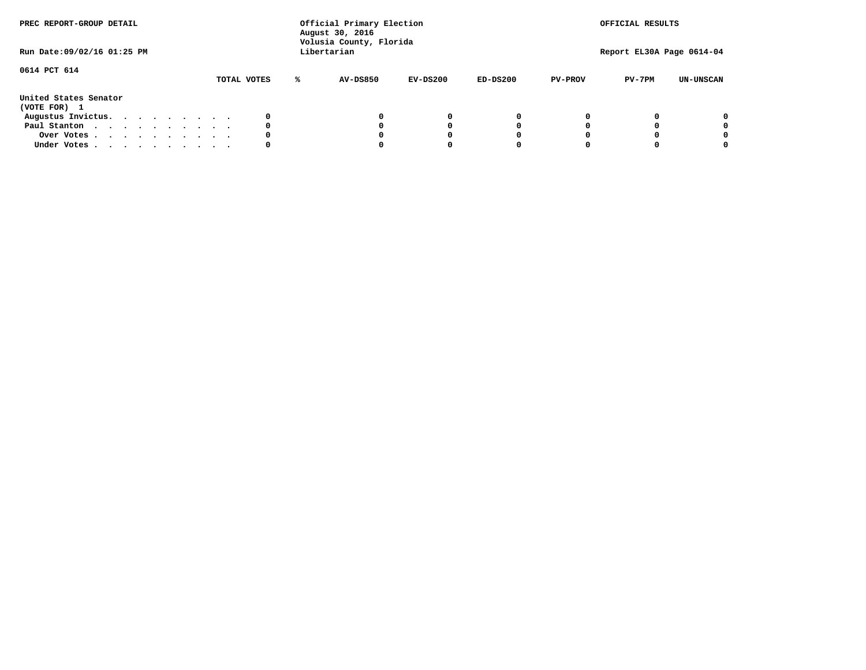| PREC REPORT-GROUP DETAIL<br>Run Date: 09/02/16 01:25 PM |  |  |  |  |  | Official Primary Election<br>August 30, 2016<br>Volusia County, Florida<br>Libertarian |   | OFFICIAL RESULTS<br>Report EL30A Page 0614-04 |            |            |                |          |                  |
|---------------------------------------------------------|--|--|--|--|--|----------------------------------------------------------------------------------------|---|-----------------------------------------------|------------|------------|----------------|----------|------------------|
| 0614 PCT 614                                            |  |  |  |  |  | TOTAL VOTES                                                                            | ℁ | <b>AV-DS850</b>                               | $EV-DS200$ | $ED-DS200$ | <b>PV-PROV</b> | $PV-7PM$ | <b>UN-UNSCAN</b> |
| United States Senator<br>(VOTE FOR) 1                   |  |  |  |  |  |                                                                                        |   |                                               |            |            |                |          |                  |
| Augustus Invictus.                                      |  |  |  |  |  | 0                                                                                      |   |                                               | 0          | 0          |                |          | 0                |
| Paul Stanton                                            |  |  |  |  |  | 0                                                                                      |   |                                               |            | 0          |                |          | 0                |
| Over Votes                                              |  |  |  |  |  | 0                                                                                      |   |                                               |            | 0          |                |          | 0                |
| Under Votes                                             |  |  |  |  |  | 0                                                                                      |   |                                               |            |            |                |          | 0                |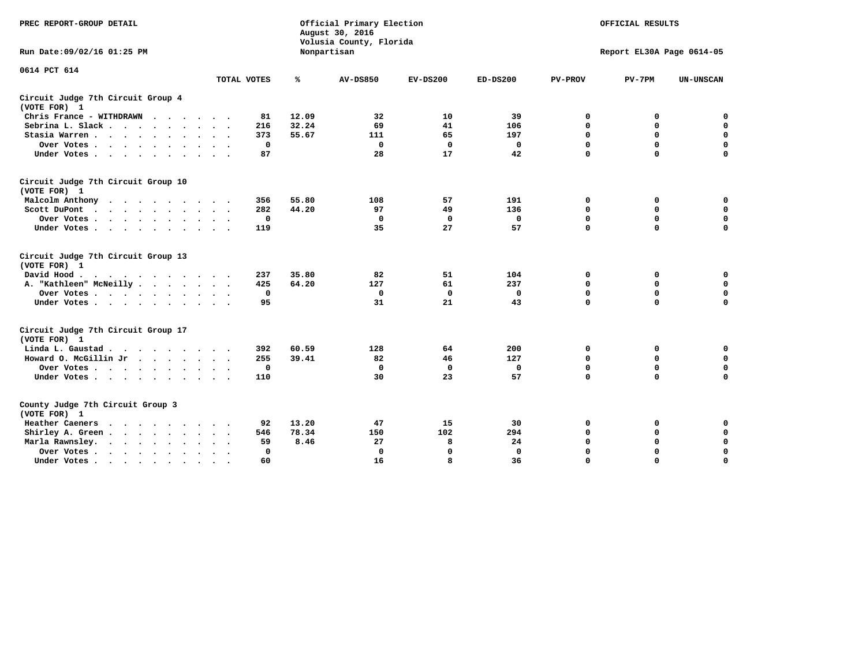| PREC REPORT-GROUP DETAIL                           |             |             | Official Primary Election<br>August 30, 2016<br>Volusia County, Florida | OFFICIAL RESULTS<br>Report EL30A Page 0614-05 |              |                |             |                  |
|----------------------------------------------------|-------------|-------------|-------------------------------------------------------------------------|-----------------------------------------------|--------------|----------------|-------------|------------------|
| Run Date: 09/02/16 01:25 PM                        |             |             | Nonpartisan                                                             |                                               |              |                |             |                  |
| 0614 PCT 614                                       |             |             |                                                                         |                                               |              |                |             |                  |
|                                                    | TOTAL VOTES | ℁           | <b>AV-DS850</b>                                                         | $EV-DS200$                                    | $ED-DS200$   | <b>PV-PROV</b> | $PV-7PM$    | <b>UN-UNSCAN</b> |
| Circuit Judge 7th Circuit Group 4<br>(VOTE FOR) 1  |             |             |                                                                         |                                               |              |                |             |                  |
| Chris France - WITHDRAWN                           | 81          | 12.09       | 32                                                                      | 10                                            | 39           | 0              | 0           | $\mathbf 0$      |
| Sebrina L. Slack                                   | 216         | 32.24       | 69                                                                      | 41                                            | 106          | 0              | $\mathbf 0$ | $\mathbf 0$      |
| Stasia Warren                                      | 373         | 55.67       | 111                                                                     | 65                                            | 197          | $\mathbf 0$    | $\mathbf 0$ | $\mathbf 0$      |
| Over Votes                                         |             | $\mathbf 0$ | $\mathbf 0$                                                             | $\mathbf 0$                                   | $\mathbf 0$  | 0              | $\mathbf 0$ | $\mathbf 0$      |
| Under Votes                                        | 87          |             | 28                                                                      | 17                                            | 42           | $\mathbf 0$    | $\mathbf 0$ | $\mathbf 0$      |
| Circuit Judge 7th Circuit Group 10<br>(VOTE FOR) 1 |             |             |                                                                         |                                               |              |                |             |                  |
| Malcolm Anthony                                    | 356         | 55.80       | 108                                                                     | 57                                            | 191          | $\mathbf 0$    | 0           | $\mathbf 0$      |
| Scott DuPont                                       | 282         | 44.20       | 97                                                                      | 49                                            | 136          | $\mathbf 0$    | $\mathbf 0$ | $\mathbf 0$      |
| Over Votes<br>$\sim$ $\sim$                        |             | $\mathbf 0$ | $\Omega$                                                                | 0                                             | 0            | $\mathbf 0$    | 0           | $\mathbf 0$      |
| Under Votes                                        | 119         |             | 35                                                                      | 27                                            | 57           | $\mathbf 0$    | $\mathbf 0$ | 0                |
| Circuit Judge 7th Circuit Group 13<br>(VOTE FOR) 1 |             |             |                                                                         |                                               |              |                |             |                  |
| David Hood.                                        | 237         | 35.80       | 82                                                                      | 51                                            | 104          | $\mathbf 0$    | $\mathbf 0$ | $\mathbf 0$      |
| A. "Kathleen" McNeilly.<br>$\cdots$                | 425         | 64.20       | 127                                                                     | 61                                            | 237          | $\mathbf 0$    | $\mathbf 0$ | $\pmb{0}$        |
| Over Votes                                         |             | $\mathbf 0$ | $\Omega$                                                                | 0                                             | 0            | $\mathbf 0$    | $\mathbf 0$ | $\mathbf 0$      |
| Under Votes                                        | 95          |             | 31                                                                      | 21                                            | 43           | $\mathbf 0$    | $\Omega$    | 0                |
| Circuit Judge 7th Circuit Group 17<br>(VOTE FOR) 1 |             |             |                                                                         |                                               |              |                |             |                  |
| Linda L. Gaustad                                   | 392         | 60.59       | 128                                                                     | 64                                            | 200          | 0              | 0           | $\mathbf 0$      |
| Howard O. McGillin Jr                              | 255         | 39.41       | 82                                                                      | 46                                            | 127          | $\mathbf 0$    | $\mathbf 0$ | $\mathbf 0$      |
| Over Votes                                         |             | 0           | 0                                                                       | $\mathbf 0$                                   | 0            | $\mathbf 0$    | $\mathbf 0$ | 0                |
| Under Votes                                        | 110         |             | 30                                                                      | 23                                            | 57           | $\mathbf 0$    | $\mathbf 0$ | $\Omega$         |
| County Judge 7th Circuit Group 3<br>(VOTE FOR) 1   |             |             |                                                                         |                                               |              |                |             |                  |
| Heather Caeners                                    | 92          | 13.20       | 47                                                                      | 15                                            | 30           | 0              | 0           | 0                |
| Shirley A. Green                                   | 546         | 78.34       | 150                                                                     | 102                                           | 294          | $\mathbf 0$    | $\Omega$    | $\mathbf 0$      |
| Marla Rawnsley.                                    | 59          | 8.46        | 27                                                                      | 8                                             | 24           | 0              | 0           | $\mathbf 0$      |
| Over Votes<br>$\ddot{\phantom{1}}$<br>$\bullet$    |             | 0           | $\Omega$                                                                | $\mathbf 0$                                   | $\mathbf{0}$ | 0              | $\Omega$    | $\mathbf 0$      |
| Under Votes<br>$\bullet$                           | 60          |             | 16                                                                      | 8                                             | 36           | $\mathbf 0$    | $\mathbf 0$ | $\Omega$         |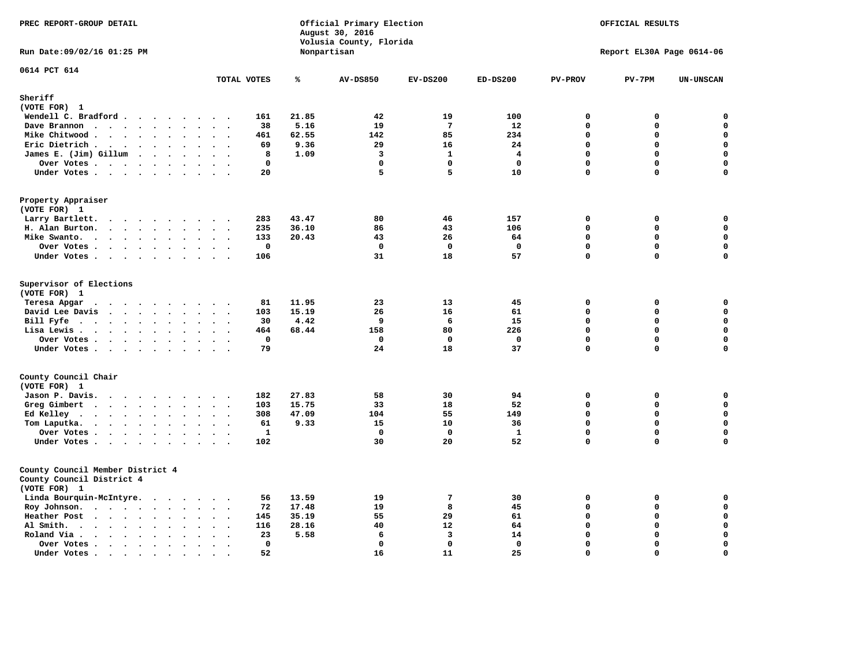| PREC REPORT-GROUP DETAIL                                                                 |                                                       |       | Official Primary Election<br>August 30, 2016<br>Volusia County, Florida |                         |                         |                | OFFICIAL RESULTS          |                  |
|------------------------------------------------------------------------------------------|-------------------------------------------------------|-------|-------------------------------------------------------------------------|-------------------------|-------------------------|----------------|---------------------------|------------------|
| Run Date: 09/02/16 01:25 PM                                                              |                                                       |       | Nonpartisan                                                             |                         |                         |                | Report EL30A Page 0614-06 |                  |
| 0614 PCT 614                                                                             | TOTAL VOTES                                           | ℁     | <b>AV-DS850</b>                                                         | $EV-DS200$              | $ED-DS200$              | <b>PV-PROV</b> | $PV-7PM$                  | <b>UN-UNSCAN</b> |
| Sheriff                                                                                  |                                                       |       |                                                                         |                         |                         |                |                           |                  |
| (VOTE FOR) 1                                                                             |                                                       |       |                                                                         |                         |                         |                |                           |                  |
| Wendell C. Bradford                                                                      | 161                                                   | 21.85 | 42                                                                      | 19                      | 100                     | $\mathbf 0$    | 0                         | 0                |
| Dave Brannon                                                                             | 38                                                    | 5.16  | 19                                                                      | $7\phantom{.0}$         | 12                      | $\mathbf 0$    | 0                         | 0                |
| Mike Chitwood                                                                            | 461                                                   | 62.55 | 142                                                                     | 85                      | 234                     | $\mathbf 0$    | 0                         | 0                |
| Eric Dietrich.<br>$\cdots$                                                               | 69<br>$\sim$<br>$\overline{\phantom{a}}$              | 9.36  | 29                                                                      | 16                      | 24                      | $\mathbf 0$    | 0                         | $\mathbf 0$      |
| James E. (Jim) Gillum                                                                    | 8                                                     | 1.09  | 3                                                                       | $\mathbf{1}$            | $\overline{\mathbf{4}}$ | $\Omega$       | $\mathbf 0$               | $\mathbf 0$      |
| Over Votes                                                                               | $\mathbf 0$                                           |       | $\mathbf{0}$                                                            | $\Omega$                | $\mathbf 0$             | $\mathbf{0}$   | 0                         | $\mathbf 0$      |
| Under Votes                                                                              | 20<br>$\cdots$                                        |       | 5                                                                       | 5                       | 10                      | $\Omega$       | 0                         | 0                |
| Property Appraiser<br>(VOTE FOR) 1                                                       |                                                       |       |                                                                         |                         |                         |                |                           |                  |
| Larry Bartlett.                                                                          | 283<br>$\cdot$ .                                      | 43.47 | 80                                                                      | 46                      | 157                     | 0              | 0                         | 0                |
| H. Alan Burton.                                                                          | 235<br>$\sim$ $\sim$                                  | 36.10 | 86                                                                      | 43                      | 106                     | $\mathbf 0$    | 0                         | $\mathbf 0$      |
| Mike Swanto.<br>$\ddot{\phantom{a}}$                                                     | 133<br>$\ddot{\phantom{a}}$<br>$\bullet$<br>$\bullet$ | 20.43 | 43                                                                      | 26                      | 64                      | $\mathbf 0$    | 0                         | $\mathbf 0$      |
| Over Votes.                                                                              | $\mathbf 0$                                           |       | $\mathbf 0$                                                             | $\mathbf{o}$            | $\mathbf 0$             | $\mathbf 0$    | 0                         | $\mathbf 0$      |
| Under Votes                                                                              | 106                                                   |       | 31                                                                      | 18                      | 57                      | $\mathbf 0$    | 0                         | $\mathbf 0$      |
| Supervisor of Elections<br>(VOTE FOR) 1                                                  |                                                       |       |                                                                         |                         |                         |                |                           |                  |
| Teresa Apgar                                                                             | 81                                                    | 11.95 | 23                                                                      | 13                      | 45                      | $\mathbf 0$    | 0                         | 0                |
| David Lee Davis                                                                          | 103                                                   | 15.19 | 26                                                                      | 16                      | 61                      | $\mathbf 0$    | $\mathbf 0$               | 0                |
| Bill Fyfe                                                                                | 30<br>$\ddot{\phantom{1}}$                            | 4.42  | 9                                                                       | 6                       | 15                      | $\mathbf 0$    | $\mathbf 0$               | $\mathbf 0$      |
| Lisa Lewis                                                                               | 464                                                   | 68.44 | 158                                                                     | 80                      | 226                     | $\Omega$       | $\mathbf 0$               | $\mathbf 0$      |
| Over Votes                                                                               | $\mathbf 0$                                           |       | $\mathbf 0$                                                             | $\mathbf 0$             | $\mathbf 0$             | $\Omega$       | $\Omega$                  | $\mathbf 0$      |
| Under Votes                                                                              | 79                                                    |       | 24                                                                      | 18                      | 37                      | $\mathbf 0$    | $\mathbf 0$               | $\mathbf 0$      |
| County Council Chair<br>(VOTE FOR) 1                                                     |                                                       |       |                                                                         |                         |                         |                |                           |                  |
| Jason P. Davis.                                                                          | 182<br>$\sim$ $\sim$                                  | 27.83 | 58                                                                      | 30                      | 94                      | $\mathbf 0$    | 0                         | $\mathbf 0$      |
| Greg Gimbert<br>$\mathbf{r}$ . The state of the state $\mathbf{r}$                       | 103                                                   | 15.75 | 33                                                                      | 18                      | 52                      | $\Omega$       | 0                         | 0                |
| Ed Kelley                                                                                | 308                                                   | 47.09 | 104                                                                     | 55                      | 149                     | $\mathbf 0$    | $\mathbf 0$               | $\mathbf 0$      |
| Tom Laputka.                                                                             | 61                                                    | 9.33  | 15                                                                      | 10                      | 36                      | $\mathbf 0$    | $\mathbf 0$               | $\mathbf 0$      |
| Over Votes                                                                               | $\mathbf{1}$<br>$\sim$                                |       | $\Omega$                                                                | $^{\circ}$              | $\mathbf{1}$            | $\mathbf{0}$   | 0                         | 0                |
| Under Votes                                                                              | 102                                                   |       | 30                                                                      | 20                      | 52                      | $\Omega$       | $\mathbf 0$               | $\Omega$         |
| County Council Member District 4<br>County Council District 4<br>(VOTE FOR) 1            |                                                       |       |                                                                         |                         |                         |                |                           |                  |
| Linda Bourquin-McIntyre.                                                                 | 56                                                    | 13.59 | 19                                                                      | $\overline{7}$          | 30                      | $\Omega$       | 0                         | $\mathbf 0$      |
| Roy Johnson.                                                                             | 72                                                    | 17.48 | 19                                                                      | 8                       | 45                      | $\mathbf 0$    | 0                         | $\mathbf 0$      |
| Heather Post                                                                             | 145<br>$\sim$ $\sim$                                  | 35.19 | 55                                                                      | 29                      | 61                      | $\mathbf 0$    | 0                         | $\mathbf 0$      |
| Al Smith.<br>$\bullet$                                                                   | 116<br>$\bullet$<br>$\ddot{\phantom{a}}$              | 28.16 | 40                                                                      | 12                      | 64                      | $\mathbf 0$    | $\mathbf 0$               | $\mathbf 0$      |
| Roland Via .<br>$\cdots$<br>$\sim$<br>$\ddot{\phantom{a}}$                               | 23<br>$\sim$                                          | 5.58  | 6                                                                       | $\overline{\mathbf{3}}$ | 14                      | $\Omega$       | $\mathbf 0$               | $\mathbf 0$      |
| Over Votes<br>$\bullet$                                                                  | $\mathbf{0}$<br>$\bullet$<br>$\cdot$<br>$\cdot$       |       | $\mathbf{0}$                                                            | $\Omega$                | $\mathbf{0}$            | $\mathbf{0}$   | 0                         | $\mathbf 0$      |
| Under Votes.<br>$\ddot{\phantom{0}}$<br>$\bullet$<br>$\bullet$<br>$\bullet$<br>$\bullet$ | 52                                                    |       | 16                                                                      | 11                      | 25                      | $\Omega$       | $\Omega$                  | $\mathbf 0$      |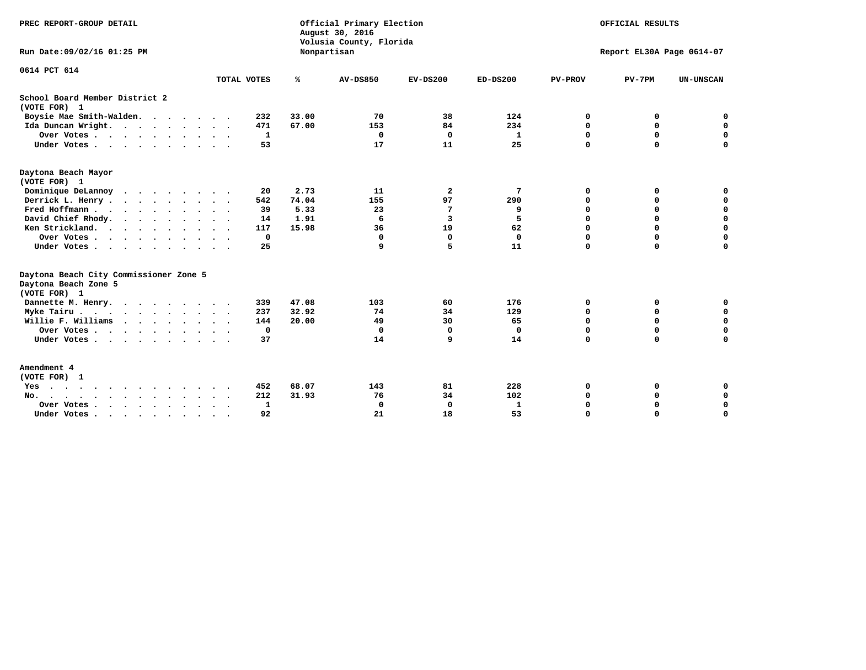| PREC REPORT-GROUP DETAIL                                                                                                                                                                                                                                |                      |              |       | Official Primary Election<br>August 30, 2016<br>Volusia County, Florida | OFFICIAL RESULTS<br>Report EL30A Page 0614-07 |                 |                |             |                  |
|---------------------------------------------------------------------------------------------------------------------------------------------------------------------------------------------------------------------------------------------------------|----------------------|--------------|-------|-------------------------------------------------------------------------|-----------------------------------------------|-----------------|----------------|-------------|------------------|
| Run Date: 09/02/16 01:25 PM                                                                                                                                                                                                                             |                      |              |       | Nonpartisan                                                             |                                               |                 |                |             |                  |
| 0614 PCT 614                                                                                                                                                                                                                                            | TOTAL VOTES          |              | ℁     | <b>AV-DS850</b>                                                         | $EV-DS200$                                    | <b>ED-DS200</b> | <b>PV-PROV</b> | $PV-7PM$    | <b>UN-UNSCAN</b> |
| School Board Member District 2<br>(VOTE FOR) 1                                                                                                                                                                                                          |                      |              |       |                                                                         |                                               |                 |                |             |                  |
| Boysie Mae Smith-Walden.                                                                                                                                                                                                                                |                      | 232          | 33.00 | 70                                                                      | 38                                            | 124             | 0              | 0           | 0                |
| Ida Duncan Wright.                                                                                                                                                                                                                                      |                      | 471          | 67.00 | 153                                                                     | 84                                            | 234             | 0              | $\mathbf 0$ | $\mathbf 0$      |
| Over Votes                                                                                                                                                                                                                                              |                      | $\mathbf{1}$ |       | $\mathbf 0$                                                             | $\mathbf 0$                                   | $\mathbf{1}$    | 0              | $\mathbf 0$ | 0                |
| Under Votes                                                                                                                                                                                                                                             |                      | 53           |       | 17                                                                      | 11                                            | 25              | $\mathbf 0$    | $\mathbf 0$ | 0                |
| Daytona Beach Mayor<br>(VOTE FOR) 1                                                                                                                                                                                                                     |                      |              |       |                                                                         |                                               |                 |                |             |                  |
| Dominique DeLannoy                                                                                                                                                                                                                                      |                      | 20           | 2.73  | 11                                                                      | $\overline{\mathbf{2}}$                       | 7               | 0              | 0           | 0                |
| Derrick L. Henry                                                                                                                                                                                                                                        |                      | 542          | 74.04 | 155                                                                     | 97                                            | 290             | 0              | $\mathbf 0$ | $\mathbf 0$      |
| Fred Hoffmann                                                                                                                                                                                                                                           |                      | 39           | 5.33  | 23                                                                      | 7                                             | 9               | 0              | 0           | 0                |
| David Chief Rhody.<br>$\begin{array}{cccccccccccccc} \bullet & \bullet & \bullet & \bullet & \bullet & \bullet & \bullet & \bullet & \bullet & \bullet \end{array}$                                                                                     | $\cdot$ $\cdot$      | 14           | 1.91  | 6                                                                       | $\overline{\mathbf{3}}$                       | 5               | $\Omega$       | $\Omega$    | $\mathbf 0$      |
| Ken Strickland.                                                                                                                                                                                                                                         |                      | 117          | 15.98 | 36                                                                      | 19                                            | 62              | 0              | $\mathbf 0$ | $\mathbf 0$      |
| Over Votes                                                                                                                                                                                                                                              |                      | $\mathbf 0$  |       | $\mathbf 0$                                                             | $\Omega$                                      | $\mathbf 0$     | 0              | $\mathbf 0$ | $\mathbf 0$      |
| Under Votes                                                                                                                                                                                                                                             |                      | 25           |       | 9                                                                       | 5                                             | 11              | $\Omega$       | $\Omega$    | $\mathbf 0$      |
| Daytona Beach City Commissioner Zone 5<br>Daytona Beach Zone 5<br>(VOTE FOR) 1                                                                                                                                                                          |                      |              |       |                                                                         |                                               |                 |                |             |                  |
| Dannette M. Henry.                                                                                                                                                                                                                                      |                      | 339          | 47.08 | 103                                                                     | 60                                            | 176             | 0              | 0           | 0                |
| Myke Tairu.                                                                                                                                                                                                                                             |                      | 237          | 32.92 | 74                                                                      | 34                                            | 129             | 0              | $\mathbf 0$ | $\mathbf 0$      |
| Willie F. Williams<br>$\mathbf{r}$ . The set of the set of the set of the set of the set of the set of the set of the set of the set of the set of the set of the set of the set of the set of the set of the set of the set of the set of the set of t |                      | 144          | 20.00 | 49                                                                      | 30                                            | 65              | 0              | $\mathbf 0$ | 0                |
| Over Votes                                                                                                                                                                                                                                              |                      | $\mathbf 0$  |       | $\mathbf 0$                                                             | $\Omega$                                      | $\mathbf 0$     | 0              | $\mathbf 0$ | $\mathbf 0$      |
| Under Votes                                                                                                                                                                                                                                             |                      | 37           |       | 14                                                                      | 9                                             | 14              | $\Omega$       | $\Omega$    | $\mathbf 0$      |
| Amendment 4<br>(VOTE FOR) 1                                                                                                                                                                                                                             |                      |              |       |                                                                         |                                               |                 |                |             |                  |
| Yes                                                                                                                                                                                                                                                     |                      | 452          | 68.07 | 143                                                                     | 81                                            | 228             | 0              | 0           | 0                |
| No.                                                                                                                                                                                                                                                     |                      | 212          | 31.93 | 76                                                                      | 34                                            | 102             | 0              | 0           | $\mathbf 0$      |
| Over Votes .<br>$\cdots$                                                                                                                                                                                                                                | $\ddot{\phantom{1}}$ | $\mathbf{1}$ |       | $\Omega$                                                                | $\Omega$                                      | 1               | 0              | $\Omega$    | 0                |
| Under Votes                                                                                                                                                                                                                                             |                      | 92           |       | 21                                                                      | 18                                            | 53              | $\Omega$       | $\Omega$    | $\mathbf 0$      |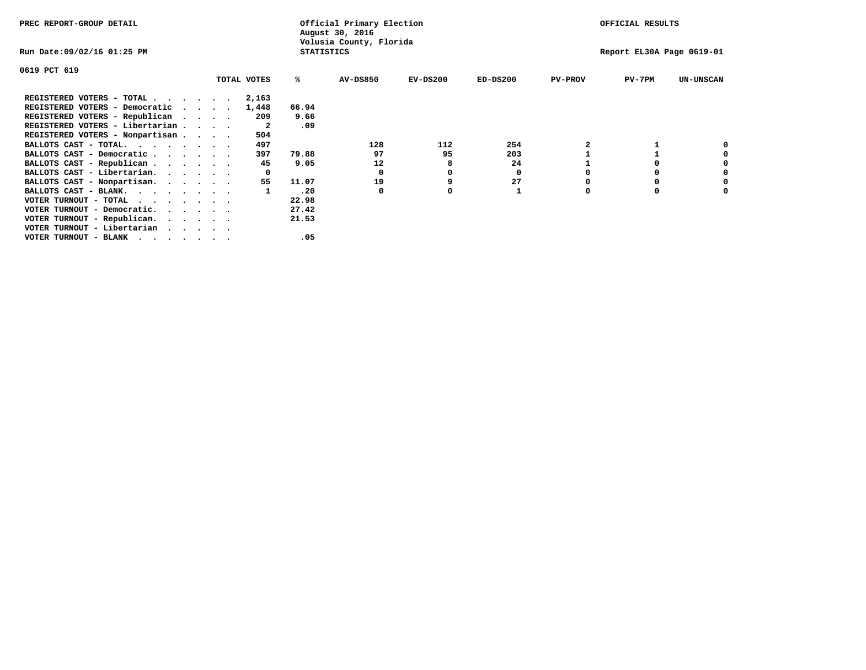| PREC REPORT-GROUP DETAIL                                                                                                                 |  |             |                   | Official Primary Election<br>August 30, 2016 |            | OFFICIAL RESULTS |                |                           |                  |
|------------------------------------------------------------------------------------------------------------------------------------------|--|-------------|-------------------|----------------------------------------------|------------|------------------|----------------|---------------------------|------------------|
| Run Date:09/02/16 01:25 PM                                                                                                               |  |             | <b>STATISTICS</b> | Volusia County, Florida                      |            |                  |                | Report EL30A Page 0619-01 |                  |
| 0619 PCT 619                                                                                                                             |  |             |                   |                                              |            |                  |                |                           |                  |
|                                                                                                                                          |  | TOTAL VOTES | %ะ                | <b>AV-DS850</b>                              | $EV-DS200$ | $ED-DS200$       | <b>PV-PROV</b> | $PV-7PM$                  | <b>UN-UNSCAN</b> |
| REGISTERED VOTERS - TOTAL                                                                                                                |  | 2,163       |                   |                                              |            |                  |                |                           |                  |
| REGISTERED VOTERS - Democratic<br>$\cdot$                                                                                                |  | 1,448       | 66.94             |                                              |            |                  |                |                           |                  |
| REGISTERED VOTERS - Republican                                                                                                           |  | 209         | 9.66              |                                              |            |                  |                |                           |                  |
| REGISTERED VOTERS - Libertarian                                                                                                          |  | -2          | .09               |                                              |            |                  |                |                           |                  |
| REGISTERED VOTERS - Nonpartisan                                                                                                          |  | 504         |                   |                                              |            |                  |                |                           |                  |
| BALLOTS CAST - TOTAL.                                                                                                                    |  | 497         |                   | 128                                          | 112        | 254              |                |                           |                  |
| BALLOTS CAST - Democratic                                                                                                                |  | 397         | 79.88             | 97                                           | 95         | 203              |                |                           |                  |
| BALLOTS CAST - Republican                                                                                                                |  | 45          | 9.05              | 12                                           |            | 24               |                |                           |                  |
| BALLOTS CAST - Libertarian.                                                                                                              |  |             |                   | 0                                            |            | 0                |                |                           |                  |
| BALLOTS CAST - Nonpartisan.                                                                                                              |  | 55          | 11.07             | 19                                           |            | 27               |                |                           | 0                |
| BALLOTS CAST - BLANK.                                                                                                                    |  |             | .20               | 0                                            | O          |                  | O              | $\Omega$                  |                  |
| VOTER TURNOUT - TOTAL<br>the contract of the contract of the contract of the contract of the contract of the contract of the contract of |  |             | 22.98             |                                              |            |                  |                |                           |                  |
| VOTER TURNOUT - Democratic.                                                                                                              |  |             | 27.42             |                                              |            |                  |                |                           |                  |
| VOTER TURNOUT - Republican.                                                                                                              |  |             | 21.53             |                                              |            |                  |                |                           |                  |
|                                                                                                                                          |  |             |                   |                                              |            |                  |                |                           |                  |
|                                                                                                                                          |  |             | .05               |                                              |            |                  |                |                           |                  |
| VOTER TURNOUT - Libertarian<br>VOTER TURNOUT - BLANK                                                                                     |  |             |                   |                                              |            |                  |                |                           |                  |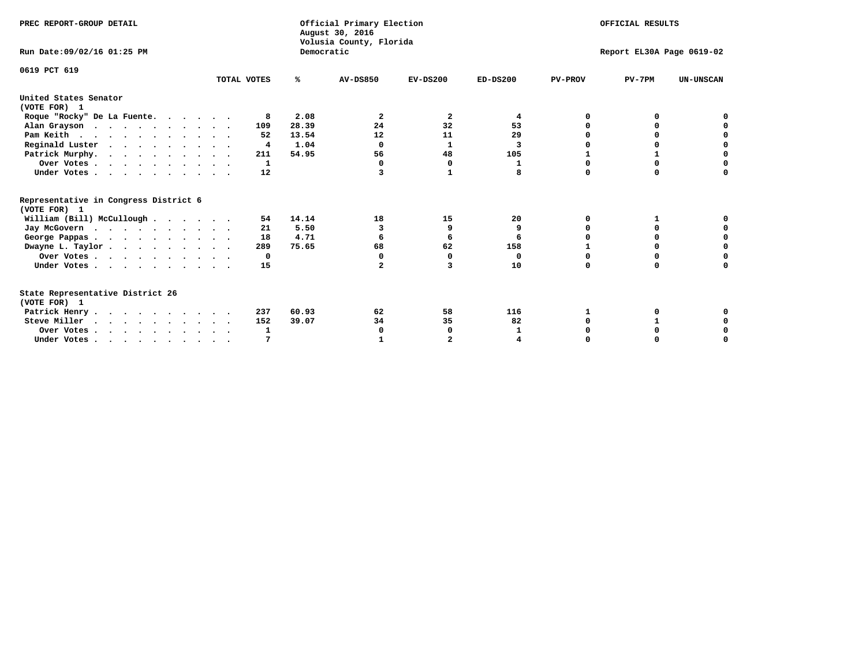| PREC REPORT-GROUP DETAIL                                                         |             |            | Official Primary Election<br>August 30, 2016<br>Volusia County, Florida |            |              |                | OFFICIAL RESULTS          |                  |
|----------------------------------------------------------------------------------|-------------|------------|-------------------------------------------------------------------------|------------|--------------|----------------|---------------------------|------------------|
| Run Date: 09/02/16 01:25 PM                                                      |             | Democratic |                                                                         |            |              |                | Report EL30A Page 0619-02 |                  |
| 0619 PCT 619                                                                     | TOTAL VOTES | %ะ         | <b>AV-DS850</b>                                                         | $EV-DS200$ | $ED-DS200$   | <b>PV-PROV</b> | $PV-7PM$                  | <b>UN-UNSCAN</b> |
| United States Senator<br>(VOTE FOR) 1                                            |             |            |                                                                         |            |              |                |                           |                  |
| Roque "Rocky" De La Fuente.                                                      | 8           | 2.08       | 2                                                                       | 2          | 4            | O              | O                         |                  |
| Alan Grayson                                                                     | 109         | 28.39      | 24                                                                      | 32         | 53           |                | O                         |                  |
| Pam Keith                                                                        | 52          | 13.54      | 12                                                                      | 11         | 29           |                | 0                         | o                |
| Reginald Luster                                                                  | 4           | 1.04       | $\Omega$                                                                | 1          | 3            |                | 0                         | $\Omega$         |
| Patrick Murphy.                                                                  | 211         | 54.95      | 56                                                                      | 48         | 105          |                | $\mathbf{1}$              | $\Omega$         |
| Over Votes                                                                       | 1           |            | $\Omega$                                                                | $\Omega$   | $\mathbf{1}$ | $\Omega$       | $\Omega$                  | O                |
| Under Votes.                                                                     | 12          |            | 3                                                                       | 1          | 8            | $\Omega$       | $\Omega$                  | $\Omega$         |
| Representative in Congress District 6<br>(VOTE FOR) 1                            |             |            |                                                                         |            |              |                |                           |                  |
| William (Bill) McCullough                                                        | 54          | 14.14      | 18                                                                      | 15         | 20           | O              | 1                         |                  |
| Jay McGovern                                                                     | 21          | 5.50       | 3                                                                       | 9          | 9            | O              | $\Omega$                  | O                |
| George Pappas.                                                                   | 18          | 4.71       |                                                                         | 6          | 6            |                | $\Omega$                  | $\mathbf 0$      |
| Dwayne L. Taylor                                                                 | 289         | 75.65      | 68                                                                      | 62         | 158          |                | 0                         | $\Omega$         |
| Over Votes                                                                       | 0           |            | $\Omega$                                                                | $\Omega$   | 0            | 0              | 0                         | 0                |
| Under Votes                                                                      | 15          |            | $\mathbf{2}$                                                            | 3          | 10           | $\Omega$       | 0                         | O                |
| State Representative District 26<br>(VOTE FOR) 1                                 |             |            |                                                                         |            |              |                |                           |                  |
| Patrick Henry                                                                    | 237         | 60.93      | 62                                                                      | 58         | 116          | 1              |                           |                  |
| Steve Miller                                                                     | 152         | 39.07      | 34                                                                      | 35         | 82           |                |                           | 0                |
| Over Votes                                                                       | 1           |            | 0                                                                       | 0          | 1            |                | 0                         | 0                |
| Under Votes, $\cdot$ , $\cdot$ , $\cdot$ , $\cdot$ , $\cdot$ , $\cdot$ , $\cdot$ |             |            |                                                                         |            |              |                |                           | O                |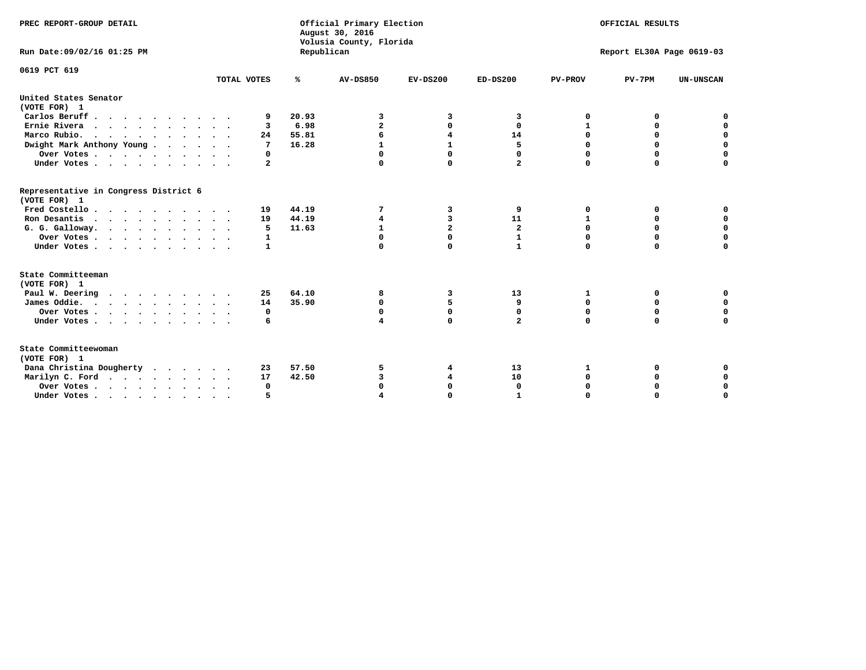| PREC REPORT-GROUP DETAIL                              |                |            | Official Primary Election<br>August 30, 2016<br>Volusia County, Florida | OFFICIAL RESULTS |                |                |                           |                  |
|-------------------------------------------------------|----------------|------------|-------------------------------------------------------------------------|------------------|----------------|----------------|---------------------------|------------------|
| Run Date: 09/02/16 01:25 PM                           |                | Republican |                                                                         |                  |                |                | Report EL30A Page 0619-03 |                  |
| 0619 PCT 619                                          | TOTAL VOTES    | ℁          | <b>AV-DS850</b>                                                         | $EV-DS200$       | $ED-DS200$     | <b>PV-PROV</b> | $PV-7PM$                  | <b>UN-UNSCAN</b> |
|                                                       |                |            |                                                                         |                  |                |                |                           |                  |
| United States Senator<br>(VOTE FOR) 1                 |                |            |                                                                         |                  |                |                |                           |                  |
| Carlos Beruff                                         | 9              | 20.93      | 3                                                                       | 3                | 3              | 0              | 0                         | 0                |
| Ernie Rivera                                          | 3              | 6.98       | $\mathbf{z}$                                                            | 0                | 0              | 1              | 0                         | $\mathbf 0$      |
| Marco Rubio.                                          | 24             | 55.81      | 6                                                                       | 4                | 14             | 0              | 0                         | 0                |
| Dwight Mark Anthony Young                             | 7              | 16.28      | 1                                                                       |                  | 5              | 0              | $\Omega$                  | $\mathbf 0$      |
| Over Votes                                            | 0              |            |                                                                         | $\Omega$         | $\Omega$       | $\Omega$       | $\Omega$                  | 0                |
| Under Votes                                           | $\overline{a}$ |            | $\Omega$                                                                | $\mathbf 0$      | $\overline{a}$ | $\mathbf 0$    | $\Omega$                  | $\mathbf 0$      |
| Representative in Congress District 6<br>(VOTE FOR) 1 |                |            |                                                                         |                  |                |                |                           |                  |
| Fred Costello                                         | 19             | 44.19      | 7                                                                       | 3                | 9              | 0              | 0                         | 0                |
| Ron Desantis                                          | 19             | 44.19      | 4                                                                       | 3                | 11             | $\mathbf{1}$   | $\mathbf 0$               | $\mathbf 0$      |
| G. G. Galloway.                                       | 5              | 11.63      | $\mathbf{1}$                                                            | $\overline{a}$   | $\overline{a}$ | $\mathbf 0$    | $\mathbf 0$               | $\mathbf 0$      |
| Over Votes                                            | 1              |            | 0                                                                       | $\mathbf 0$      | 1              | 0              | 0                         | $\mathbf 0$      |
| Under Votes                                           | 1              |            | $\Omega$                                                                | $\Omega$         | $\mathbf{1}$   | $\Omega$       | $\Omega$                  | $\mathbf 0$      |
| State Committeeman<br>(VOTE FOR) 1                    |                |            |                                                                         |                  |                |                |                           |                  |
| Paul W. Deering                                       | 25             | 64.10      | 8                                                                       | 3                | 13             | 1              | 0                         | 0                |
| James Oddie.                                          | 14             | 35.90      | $\mathbf 0$                                                             | 5                | 9              | 0              | $\mathbf 0$               | $\mathbf 0$      |
| Over Votes                                            | 0              |            | 0                                                                       | $\mathbf 0$      | 0              | 0              | 0                         | 0                |
| Under Votes                                           | 6              |            | 4                                                                       | $\Omega$         | $\overline{a}$ | 0              | $\Omega$                  | $\Omega$         |
| State Committeewoman<br>(VOTE FOR) 1                  |                |            |                                                                         |                  |                |                |                           |                  |
| Dana Christina Dougherty                              | 23             | 57.50      | 5                                                                       | 4                | 13             | 1              | 0                         | 0                |
| Marilyn C. Ford.                                      | 17             | 42.50      | 3                                                                       | 4                | 10             | 0              | 0                         | $\mathbf 0$      |
| Over Votes                                            | $\Omega$       |            |                                                                         | $\Omega$         | $\mathbf{0}$   | 0              | 0                         | $\mathbf 0$      |
| Under Votes, , , , , , , , , ,                        |                |            |                                                                         | $\Omega$         |                | $\Omega$       | $\Omega$                  | $\Omega$         |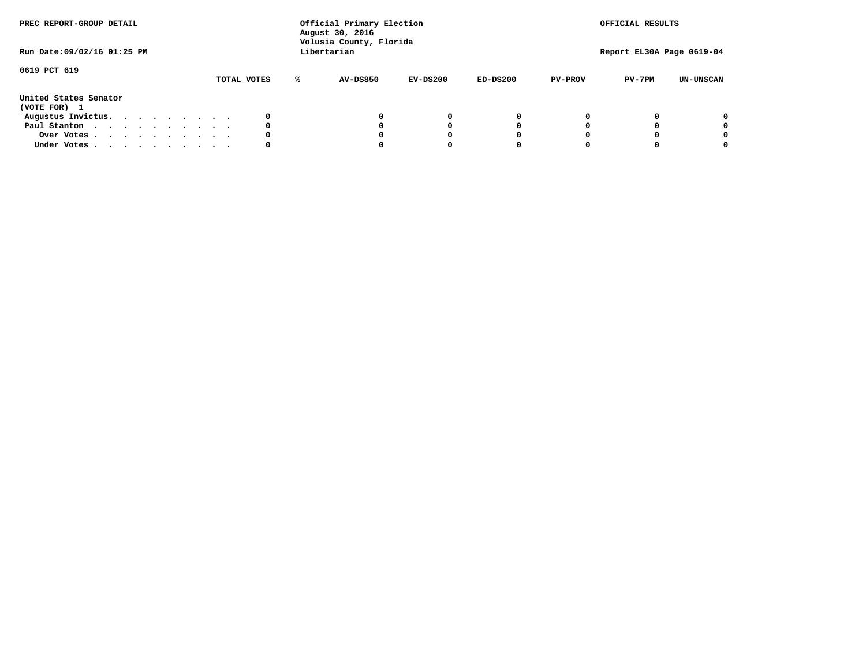| PREC REPORT-GROUP DETAIL<br>Run Date: 09/02/16 01:25 PM |  |  |  |  |  | Official Primary Election<br>August 30, 2016<br>Volusia County, Florida<br>Libertarian |             | OFFICIAL RESULTS<br>Report EL30A Page 0619-04 |                 |            |            |                |          |                  |
|---------------------------------------------------------|--|--|--|--|--|----------------------------------------------------------------------------------------|-------------|-----------------------------------------------|-----------------|------------|------------|----------------|----------|------------------|
| 0619 PCT 619                                            |  |  |  |  |  |                                                                                        | TOTAL VOTES | ℁                                             | <b>AV-DS850</b> | $EV-DS200$ | $ED-DS200$ | <b>PV-PROV</b> | $PV-7PM$ | <b>UN-UNSCAN</b> |
| United States Senator<br>(VOTE FOR) 1                   |  |  |  |  |  |                                                                                        |             |                                               |                 |            |            |                |          |                  |
| Augustus Invictus.                                      |  |  |  |  |  |                                                                                        | 0           |                                               |                 | 0          | 0          |                |          | 0                |
| Paul Stanton                                            |  |  |  |  |  |                                                                                        | 0           |                                               |                 |            | 0          |                |          | 0                |
| Over Votes                                              |  |  |  |  |  |                                                                                        | 0           |                                               |                 |            | 0          |                |          | 0                |
| Under Votes                                             |  |  |  |  |  |                                                                                        | 0           |                                               |                 |            |            |                |          | 0                |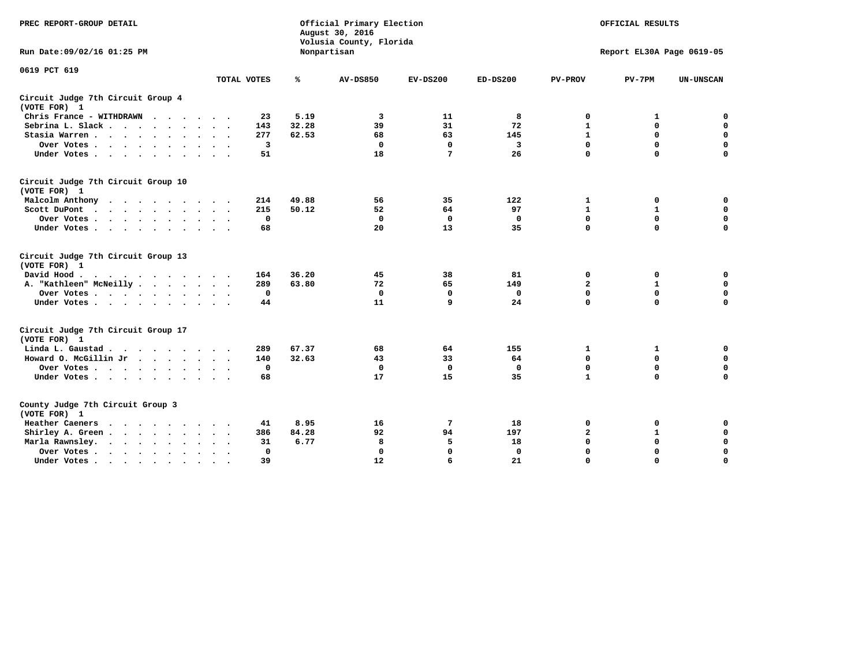| PREC REPORT-GROUP DETAIL                                                                                                                                                                                                                             |             |       | Official Primary Election<br>August 30, 2016<br>Volusia County, Florida | OFFICIAL RESULTS<br>Report EL30A Page 0619-05 |              |                         |              |                  |
|------------------------------------------------------------------------------------------------------------------------------------------------------------------------------------------------------------------------------------------------------|-------------|-------|-------------------------------------------------------------------------|-----------------------------------------------|--------------|-------------------------|--------------|------------------|
| Run Date: 09/02/16 01:25 PM                                                                                                                                                                                                                          |             |       | Nonpartisan                                                             |                                               |              |                         |              |                  |
| 0619 PCT 619                                                                                                                                                                                                                                         | TOTAL VOTES | ℁     | <b>AV-DS850</b>                                                         | $EV-DS200$                                    | $ED-DS200$   | <b>PV-PROV</b>          | $PV-7PM$     | <b>UN-UNSCAN</b> |
|                                                                                                                                                                                                                                                      |             |       |                                                                         |                                               |              |                         |              |                  |
| Circuit Judge 7th Circuit Group 4<br>(VOTE FOR) 1                                                                                                                                                                                                    |             |       |                                                                         |                                               |              |                         |              |                  |
| Chris France - WITHDRAWN                                                                                                                                                                                                                             | 23          | 5.19  | 3                                                                       | 11                                            | 8            | 0                       | 1            | $\mathbf 0$      |
| Sebrina L. Slack.                                                                                                                                                                                                                                    | 143         | 32.28 | 39                                                                      | 31                                            | 72           | $\mathbf{1}$            | $\mathbf 0$  | $\mathbf 0$      |
| Stasia Warren                                                                                                                                                                                                                                        | 277         | 62.53 | 68                                                                      | 63                                            | 145          | $\mathbf{1}$            | 0            | $\mathbf 0$      |
| Over Votes                                                                                                                                                                                                                                           | 3           |       | $\mathbf 0$                                                             | $\Omega$                                      | 3            | $\mathbf 0$             | $\mathbf 0$  | $\mathbf 0$      |
| Under Votes                                                                                                                                                                                                                                          | 51          |       | 18                                                                      | 7                                             | 26           | $\mathbf 0$             | $\Omega$     | $\mathbf 0$      |
| Circuit Judge 7th Circuit Group 10<br>(VOTE FOR) 1                                                                                                                                                                                                   |             |       |                                                                         |                                               |              |                         |              |                  |
| Malcolm Anthony                                                                                                                                                                                                                                      | 214         | 49.88 | 56                                                                      | 35                                            | 122          | 1                       | 0            | 0                |
| Scott DuPont                                                                                                                                                                                                                                         | 215         | 50.12 | 52                                                                      | 64                                            | 97           | $\mathbf{1}$            | $\mathbf{1}$ | $\mathbf 0$      |
| Over Votes                                                                                                                                                                                                                                           | $\mathbf 0$ |       | $\mathbf 0$                                                             | $\mathbf 0$                                   | $\mathbf{0}$ | $\mathbf 0$             | $\mathbf 0$  | $\mathbf 0$      |
| Under Votes                                                                                                                                                                                                                                          | 68          |       | 20                                                                      | 13                                            | 35           | $\mathbf 0$             | $\mathbf 0$  | $\Omega$         |
| Circuit Judge 7th Circuit Group 13<br>(VOTE FOR) 1                                                                                                                                                                                                   |             |       |                                                                         |                                               |              |                         |              |                  |
| David Hood.                                                                                                                                                                                                                                          | 164         | 36.20 | 45                                                                      | 38                                            | 81           | 0                       | 0            | $\mathbf 0$      |
| A. "Kathleen" McNeilly                                                                                                                                                                                                                               | 289         | 63.80 | 72                                                                      | 65                                            | 149          | $\overline{\mathbf{2}}$ | $\mathbf{1}$ | $\mathbf 0$      |
| Over Votes                                                                                                                                                                                                                                           | $\mathbf 0$ |       | $\Omega$                                                                | $\Omega$                                      | $\mathbf{0}$ | $\mathbf 0$             | $\mathbf 0$  | $\mathbf 0$      |
| Under Votes                                                                                                                                                                                                                                          | 44          |       | 11                                                                      | 9                                             | 24           | $\mathbf 0$             | $\mathbf 0$  | 0                |
| Circuit Judge 7th Circuit Group 17<br>(VOTE FOR) 1                                                                                                                                                                                                   |             |       |                                                                         |                                               |              |                         |              |                  |
| Linda L. Gaustad                                                                                                                                                                                                                                     | 289         | 67.37 | 68                                                                      | 64                                            | 155          | 1                       | 1            | $\mathbf 0$      |
| Howard O. McGillin Jr                                                                                                                                                                                                                                | 140         | 32.63 | 43                                                                      | 33                                            | 64           | $\mathbf 0$             | $\mathbf 0$  | $\mathbf 0$      |
| Over Votes                                                                                                                                                                                                                                           | $\mathbf 0$ |       | $\mathbf{0}$                                                            | $\mathbf 0$                                   | $\mathbf{0}$ | $\mathbf 0$             | $\Omega$     | $\pmb{0}$        |
| Under Votes                                                                                                                                                                                                                                          | 68          |       | 17                                                                      | 15                                            | 35           | $\mathbf{1}$            | $\mathbf 0$  | $\mathbf 0$      |
| County Judge 7th Circuit Group 3<br>(VOTE FOR) 1                                                                                                                                                                                                     |             |       |                                                                         |                                               |              |                         |              |                  |
| Heather Caeners<br>$\mathbf{r}$ . The set of the set of the set of the set of the set of the set of the set of the set of the set of the set of the set of the set of the set of the set of the set of the set of the set of the set of the set of t | 41          | 8.95  | 16                                                                      | 7                                             | 18           | 0                       | 0            | $\mathbf 0$      |
| Shirley A. Green                                                                                                                                                                                                                                     | 386         | 84.28 | 92                                                                      | 94                                            | 197          | $\mathbf{2}$            | 1            | $\mathbf 0$      |
| Marla Rawnsley.                                                                                                                                                                                                                                      | 31          | 6.77  | 8                                                                       | 5                                             | 18           | 0                       | $\mathbf 0$  | $\pmb{0}$        |
| Over Votes<br>$\ddot{\phantom{a}}$<br>$\ddot{\phantom{a}}$                                                                                                                                                                                           | 0           |       | $\Omega$                                                                | $\mathbf 0$                                   | $\mathbf{0}$ | $\mathbf 0$             | $\mathbf 0$  | $\mathbf 0$      |
| Under Votes<br>$\sim$                                                                                                                                                                                                                                | 39          |       | 12                                                                      | 6                                             | 21           | $\mathbf 0$             | $\mathbf 0$  | 0                |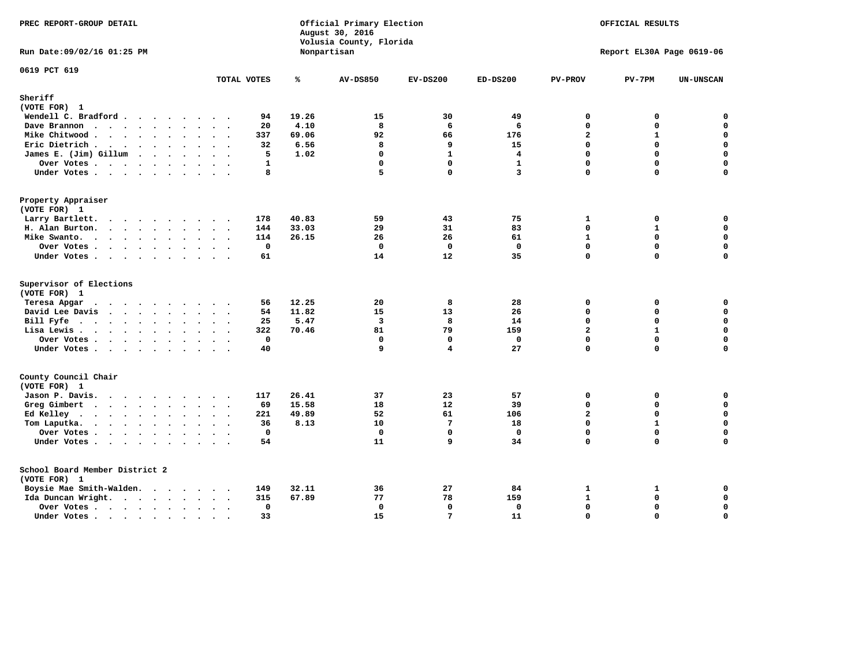| PREC REPORT-GROUP DETAIL                                                                                                           |             |                                                                               | Official Primary Election<br>August 30, 2016<br>Volusia County, Florida |                                         |                                            |                                                                         | OFFICIAL RESULTS                                                  |                                                                    |
|------------------------------------------------------------------------------------------------------------------------------------|-------------|-------------------------------------------------------------------------------|-------------------------------------------------------------------------|-----------------------------------------|--------------------------------------------|-------------------------------------------------------------------------|-------------------------------------------------------------------|--------------------------------------------------------------------|
| Run Date: 09/02/16 01:25 PM                                                                                                        |             |                                                                               | Nonpartisan                                                             |                                         |                                            |                                                                         | Report EL30A Page 0619-06                                         |                                                                    |
| 0619 PCT 619                                                                                                                       | TOTAL VOTES | ℁                                                                             | <b>AV-DS850</b>                                                         | $EV-DS200$                              | $ED-DS200$                                 | <b>PV-PROV</b>                                                          | $PV-7PM$                                                          | <b>UN-UNSCAN</b>                                                   |
| Sheriff                                                                                                                            |             |                                                                               |                                                                         |                                         |                                            |                                                                         |                                                                   |                                                                    |
| (VOTE FOR) 1                                                                                                                       |             |                                                                               |                                                                         |                                         |                                            |                                                                         |                                                                   |                                                                    |
| Wendell C. Bradford                                                                                                                |             | 19.26<br>94                                                                   | 15                                                                      | 30                                      | 49                                         | 0                                                                       | 0                                                                 | $\mathbf 0$                                                        |
| Dave Brannon                                                                                                                       |             | 4.10<br>20                                                                    | 8                                                                       | 6                                       | 6                                          | $\Omega$                                                                | 0                                                                 | 0                                                                  |
| Mike Chitwood                                                                                                                      |             | 69.06<br>337                                                                  | 92                                                                      | 66                                      | 176                                        | $\overline{a}$                                                          | $\mathbf{1}$                                                      | $\mathbf 0$                                                        |
| Eric Dietrich                                                                                                                      |             | 6.56<br>32                                                                    | 8                                                                       | 9                                       | 15                                         | $\Omega$                                                                | $\Omega$                                                          | $\mathbf 0$                                                        |
| James E. (Jim) Gillum                                                                                                              |             | 5<br>1.02                                                                     | $\mathbf 0$                                                             | $\mathbf{1}$                            | 4                                          | 0                                                                       | $\Omega$                                                          | $\mathbf 0$                                                        |
| Over Votes                                                                                                                         |             | $\mathbf{1}$                                                                  | $\mathbf 0$                                                             | $\mathbf 0$                             | $\mathbf{1}$                               | $\Omega$                                                                | $\Omega$                                                          | $\mathbf 0$                                                        |
| Under Votes                                                                                                                        |             | 8                                                                             | 5                                                                       | $\mathbf 0$                             | $\overline{\mathbf{3}}$                    | 0                                                                       | $\Omega$                                                          | $\Omega$                                                           |
| Property Appraiser                                                                                                                 |             |                                                                               |                                                                         |                                         |                                            |                                                                         |                                                                   |                                                                    |
| (VOTE FOR) 1                                                                                                                       |             |                                                                               |                                                                         |                                         |                                            |                                                                         |                                                                   |                                                                    |
| Larry Bartlett.                                                                                                                    | 178         | 40.83                                                                         | 59                                                                      | 43                                      | 75                                         | 1                                                                       | 0                                                                 | 0                                                                  |
| H. Alan Burton.                                                                                                                    | 144         | 33.03                                                                         | 29                                                                      | 31                                      | 83                                         | $\mathbf 0$                                                             | $\mathbf{1}$                                                      | $\mathbf 0$                                                        |
| Mike Swanto.                                                                                                                       | 114         | 26.15                                                                         | 26                                                                      | 26                                      | 61                                         | $\mathbf{1}$                                                            | $\Omega$                                                          | $\mathbf 0$                                                        |
| Over Votes                                                                                                                         |             | $\mathbf 0$                                                                   | $\Omega$                                                                | $\Omega$                                | $\mathbf 0$                                | 0                                                                       | 0                                                                 | $\mathbf 0$                                                        |
| Under Votes                                                                                                                        |             | 61                                                                            | 14                                                                      | 12                                      | 35                                         | 0                                                                       | 0                                                                 | $\Omega$                                                           |
| Supervisor of Elections<br>(VOTE FOR) 1<br>Teresa Apgar<br>David Lee Davis<br>Bill Fyfe<br>Lisa Lewis<br>Over Votes<br>Under Votes |             | 12.25<br>56<br>11.82<br>54<br>5.47<br>25<br>322<br>70.46<br>$\mathbf 0$<br>40 | 20<br>15<br>$\overline{\mathbf{3}}$<br>81<br>$\mathbf{0}$<br>9          | 8<br>13<br>8<br>79<br>$\mathbf{0}$<br>4 | 28<br>26<br>14<br>159<br>$\mathbf 0$<br>27 | $\mathbf{0}$<br>$\Omega$<br>0<br>$\overline{a}$<br>$\Omega$<br>$\Omega$ | 0<br>$\Omega$<br>$\Omega$<br>$\mathbf{1}$<br>$\Omega$<br>$\Omega$ | 0<br>0<br>$\mathbf 0$<br>$\mathbf 0$<br>$\mathbf 0$<br>$\mathbf 0$ |
| County Council Chair<br>(VOTE FOR) 1                                                                                               |             |                                                                               |                                                                         |                                         |                                            |                                                                         |                                                                   |                                                                    |
| Jason P. Davis.                                                                                                                    | 117         | 26.41                                                                         | 37                                                                      | 23                                      | 57                                         | $\mathbf{0}$                                                            | 0                                                                 | 0                                                                  |
| Greg Gimbert                                                                                                                       |             | 15.58<br>69                                                                   | 18                                                                      | 12                                      | 39                                         | 0                                                                       | 0                                                                 | $\mathbf 0$                                                        |
| Ed Kelley                                                                                                                          | 221         | 49.89                                                                         | 52                                                                      | 61                                      | 106                                        | $\overline{a}$                                                          | $\Omega$                                                          | $\mathbf 0$                                                        |
| Tom Laputka.                                                                                                                       |             | 8.13<br>36                                                                    | 10                                                                      | 7                                       | 18                                         | 0                                                                       | $\mathbf{1}$                                                      | $\mathbf 0$                                                        |
| Over Votes                                                                                                                         |             | $\mathbf 0$                                                                   | $\Omega$                                                                | $\mathbf{0}$                            | $\Omega$                                   | $\Omega$                                                                | $\Omega$                                                          | 0                                                                  |
| Under Votes                                                                                                                        |             | 54                                                                            | 11                                                                      | 9                                       | 34                                         | 0                                                                       | $\Omega$                                                          | $\Omega$                                                           |
| School Board Member District 2<br>(VOTE FOR) 1                                                                                     |             |                                                                               |                                                                         |                                         |                                            |                                                                         |                                                                   |                                                                    |
| Boysie Mae Smith-Walden.                                                                                                           | 149         | 32.11                                                                         | 36                                                                      | 27                                      | 84                                         | $\mathbf{1}$                                                            | 1                                                                 | 0                                                                  |
| Ida Duncan Wright.                                                                                                                 | 315         | 67.89                                                                         | 77                                                                      | 78                                      | 159                                        | $\mathbf{1}$                                                            | $\mathbf 0$                                                       | $\mathbf 0$                                                        |
| Over Votes.                                                                                                                        |             | 0                                                                             | 0                                                                       | $\Omega$                                | 0                                          | 0                                                                       | 0                                                                 | $\pmb{0}$                                                          |
| Under Votes                                                                                                                        |             | 33                                                                            | 15                                                                      | 7                                       | 11                                         | $\Omega$                                                                | $\Omega$                                                          | $\mathbf 0$                                                        |
|                                                                                                                                    |             |                                                                               |                                                                         |                                         |                                            |                                                                         |                                                                   |                                                                    |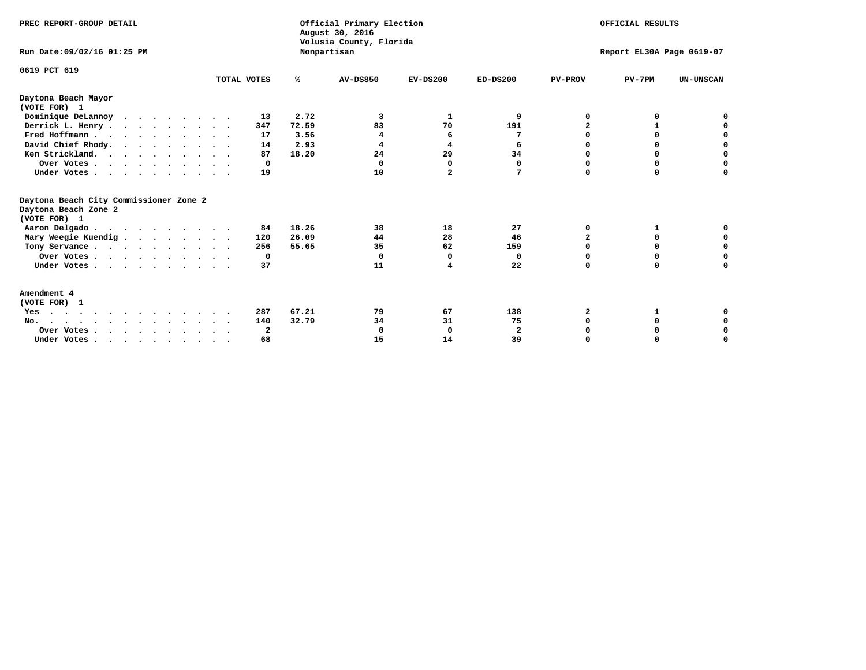| PREC REPORT-GROUP DETAIL<br>Run Date: 09/02/16 01:25 PM                                                                                                                                                                                                                                                                                                                  |             |       | Official Primary Election<br>August 30, 2016<br>Volusia County, Florida<br>Nonpartisan | OFFICIAL RESULTS<br>Report EL30A Page 0619-07 |              |                |          |                  |
|--------------------------------------------------------------------------------------------------------------------------------------------------------------------------------------------------------------------------------------------------------------------------------------------------------------------------------------------------------------------------|-------------|-------|----------------------------------------------------------------------------------------|-----------------------------------------------|--------------|----------------|----------|------------------|
| 0619 PCT 619                                                                                                                                                                                                                                                                                                                                                             | TOTAL VOTES | ℁     | <b>AV-DS850</b>                                                                        | $EV-DS200$                                    | $ED-DS200$   | <b>PV-PROV</b> | $PV-7PM$ | <b>UN-UNSCAN</b> |
| Daytona Beach Mayor                                                                                                                                                                                                                                                                                                                                                      |             |       |                                                                                        |                                               |              |                |          |                  |
| (VOTE FOR) 1                                                                                                                                                                                                                                                                                                                                                             |             |       |                                                                                        |                                               |              |                |          |                  |
| Dominique DeLannoy                                                                                                                                                                                                                                                                                                                                                       | 13          | 2.72  | 3                                                                                      | 1                                             | 9            | O              | 0        |                  |
| Derrick L. Henry.                                                                                                                                                                                                                                                                                                                                                        | 347         | 72.59 | 83                                                                                     | 70                                            | 191          |                |          |                  |
| Fred Hoffmann                                                                                                                                                                                                                                                                                                                                                            | 17          | 3.56  | 4                                                                                      | 6                                             | 7            | O              | 0        | $\mathbf 0$      |
| David Chief Rhody.                                                                                                                                                                                                                                                                                                                                                       | 14          | 2.93  | 4                                                                                      | 4                                             | 6            | O              | 0        | $\mathbf 0$      |
| Ken Strickland.                                                                                                                                                                                                                                                                                                                                                          | 87          | 18.20 | 24                                                                                     | 29                                            | 34           | $\Omega$       | $\Omega$ | $\mathbf 0$      |
| Over Votes                                                                                                                                                                                                                                                                                                                                                               | 0           |       | $\Omega$                                                                               | $\Omega$                                      | 0            | $\Omega$       | $\Omega$ | $\mathbf 0$      |
| Under Votes                                                                                                                                                                                                                                                                                                                                                              | 19          |       | 10                                                                                     | $\mathbf{2}$                                  | 7            | $\Omega$       | 0        | 0                |
| Daytona Beach City Commissioner Zone 2<br>Daytona Beach Zone 2<br>(VOTE FOR) 1                                                                                                                                                                                                                                                                                           |             |       |                                                                                        |                                               |              |                |          |                  |
| Aaron Delgado                                                                                                                                                                                                                                                                                                                                                            | 84          | 18.26 | 38                                                                                     | 18                                            | 27           | 0              |          | 0                |
| Mary Weegie Kuendig                                                                                                                                                                                                                                                                                                                                                      | 120         | 26.09 | 44                                                                                     | 28                                            | 46           | $\overline{a}$ | 0        | 0                |
| Tony Servance                                                                                                                                                                                                                                                                                                                                                            | 256         | 55.65 | 35                                                                                     | 62                                            | 159          | 0              | 0        | $\mathbf 0$      |
| Over Votes                                                                                                                                                                                                                                                                                                                                                               | 0           |       | $\Omega$                                                                               | 0                                             | 0            | 0              | 0        | $\mathbf 0$      |
| Under Votes                                                                                                                                                                                                                                                                                                                                                              | 37          |       | 11                                                                                     | 4                                             | 22           | $\Omega$       | $\Omega$ | $\Omega$         |
| Amendment 4<br>(VOTE FOR) 1                                                                                                                                                                                                                                                                                                                                              |             |       |                                                                                        |                                               |              |                |          |                  |
| Yes                                                                                                                                                                                                                                                                                                                                                                      | 287         | 67.21 | 79                                                                                     | 67                                            | 138          | 2              | 1        | 0                |
| No.                                                                                                                                                                                                                                                                                                                                                                      | 140         | 32.79 | 34                                                                                     | 31                                            | 75           | 0              | 0        | 0                |
| Over Votes                                                                                                                                                                                                                                                                                                                                                               | 2           |       | $\Omega$                                                                               | 0                                             | $\mathbf{2}$ |                | 0        | 0                |
| Under Votes, $\cdot$ , $\cdot$ , $\cdot$ , $\cdot$ , $\cdot$ , $\cdot$ , $\cdot$ , $\cdot$ , $\cdot$ , $\cdot$ , $\cdot$ , $\cdot$ , $\cdot$ , $\cdot$ , $\cdot$ , $\cdot$ , $\cdot$ , $\cdot$ , $\cdot$ , $\cdot$ , $\cdot$ , $\cdot$ , $\cdot$ , $\cdot$ , $\cdot$ , $\cdot$ , $\cdot$ , $\cdot$ , $\cdot$ , $\cdot$ , $\cdot$ , $\cdot$ , $\cdot$ , $\cdot$ , $\cdot$ | 68          |       | 15                                                                                     | 14                                            | 39           | $\Omega$       | $\Omega$ | O                |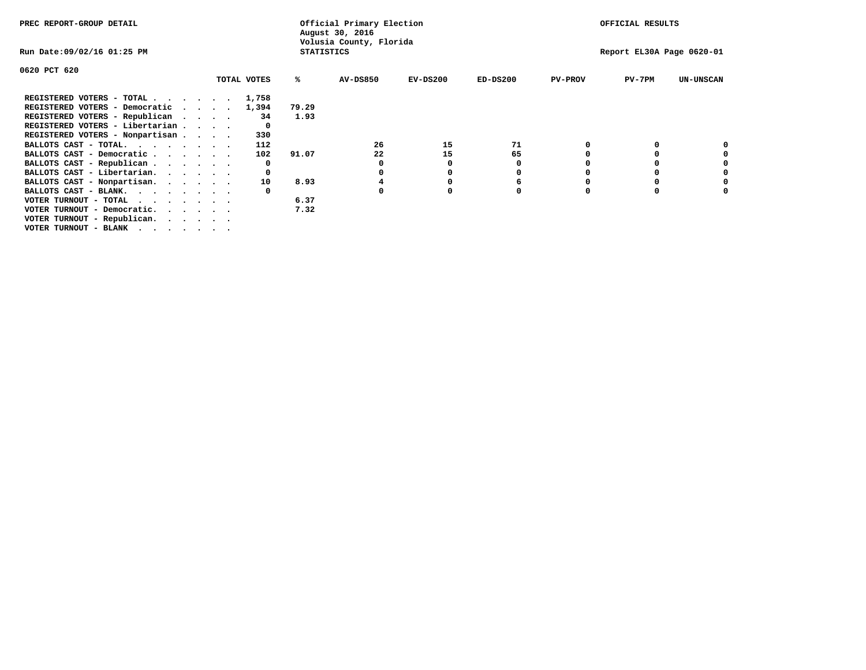| PREC REPORT-GROUP DETAIL          |  |  |                                            |             |                   | Official Primary Election<br>August 30, 2016 | OFFICIAL RESULTS |            |                |                           |                  |
|-----------------------------------|--|--|--------------------------------------------|-------------|-------------------|----------------------------------------------|------------------|------------|----------------|---------------------------|------------------|
| Run Date:09/02/16 01:25 PM        |  |  |                                            |             | <b>STATISTICS</b> | Volusia County, Florida                      |                  |            |                | Report EL30A Page 0620-01 |                  |
| 0620 PCT 620                      |  |  |                                            |             |                   |                                              |                  |            |                |                           |                  |
|                                   |  |  |                                            | TOTAL VOTES | %ะ                | <b>AV-DS850</b>                              | $EV-DS200$       | $ED-DS200$ | <b>PV-PROV</b> | $PV-7PM$                  | <b>UN-UNSCAN</b> |
| REGISTERED VOTERS - TOTAL.        |  |  | $\cdot$ $\cdot$ $\cdot$ $\cdot$ $\cdot$    | 1,758       |                   |                                              |                  |            |                |                           |                  |
| REGISTERED VOTERS - Democratic    |  |  | <b>Contract Contract Contract Contract</b> | 1,394       | 79.29             |                                              |                  |            |                |                           |                  |
| REGISTERED VOTERS - Republican    |  |  |                                            | 34          | 1.93              |                                              |                  |            |                |                           |                  |
| REGISTERED VOTERS - Libertarian   |  |  |                                            |             |                   |                                              |                  |            |                |                           |                  |
| REGISTERED VOTERS - Nonpartisan   |  |  |                                            | 330         |                   |                                              |                  |            |                |                           |                  |
| BALLOTS CAST - TOTAL.             |  |  |                                            | 112         |                   | 26                                           | 15               | 71         |                |                           |                  |
| BALLOTS CAST - Democratic         |  |  |                                            | 102         | 91.07             | 22                                           | 15               | 65         |                |                           |                  |
| BALLOTS CAST - Republican         |  |  |                                            |             |                   |                                              |                  | 0          |                |                           |                  |
| BALLOTS CAST - Libertarian.       |  |  |                                            |             |                   |                                              |                  | o          |                | 0                         |                  |
| BALLOTS CAST - Nonpartisan.       |  |  |                                            | 10          | 8.93              |                                              |                  | 6          |                | 0                         |                  |
| BALLOTS CAST - BLANK.             |  |  |                                            |             |                   | n                                            |                  |            | n              | $\Omega$                  |                  |
| VOTER TURNOUT - TOTAL<br>$\cdots$ |  |  |                                            |             | 6.37              |                                              |                  |            |                |                           |                  |
| VOTER TURNOUT - Democratic.       |  |  |                                            |             | 7.32              |                                              |                  |            |                |                           |                  |
| VOTER TURNOUT - Republican.       |  |  |                                            |             |                   |                                              |                  |            |                |                           |                  |
| VOTER TURNOUT - BLANK             |  |  |                                            |             |                   |                                              |                  |            |                |                           |                  |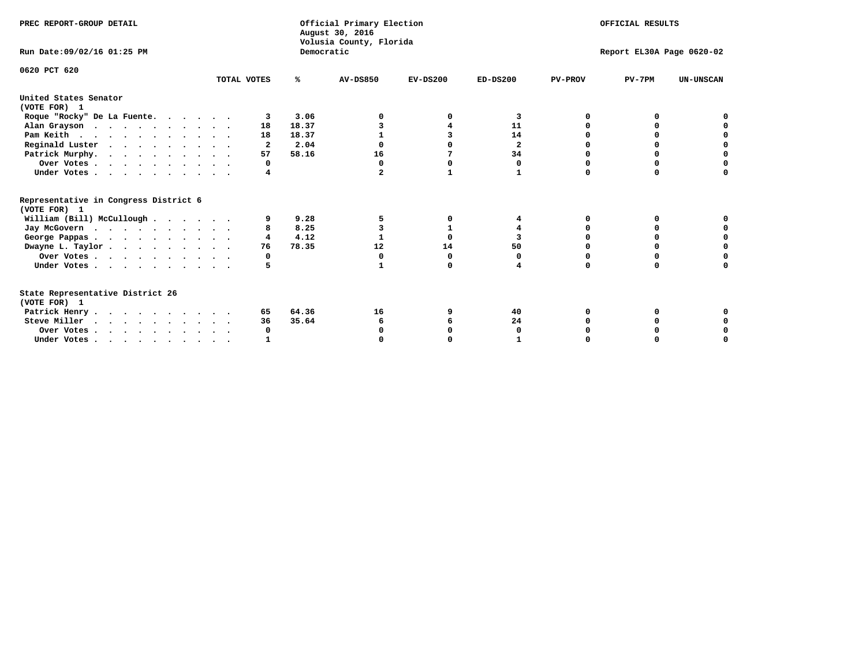| PREC REPORT-GROUP DETAIL                                                         |             |            | Official Primary Election<br>August 30, 2016<br>Volusia County, Florida | OFFICIAL RESULTS<br>Report EL30A Page 0620-02 |                |                |          |                  |
|----------------------------------------------------------------------------------|-------------|------------|-------------------------------------------------------------------------|-----------------------------------------------|----------------|----------------|----------|------------------|
| Run Date: 09/02/16 01:25 PM                                                      |             | Democratic |                                                                         |                                               |                |                |          |                  |
| 0620 PCT 620                                                                     | TOTAL VOTES | ℁          | <b>AV-DS850</b>                                                         | $EV-DS200$                                    | $ED-DS200$     | <b>PV-PROV</b> | $PV-7PM$ | <b>UN-UNSCAN</b> |
| United States Senator<br>(VOTE FOR) 1                                            |             |            |                                                                         |                                               |                |                |          |                  |
| Roque "Rocky" De La Fuente.                                                      | 3           | 3.06       |                                                                         |                                               | 3              | O              |          |                  |
| Alan Grayson                                                                     | 18          | 18.37      |                                                                         |                                               | 11             |                |          |                  |
| Pam Keith                                                                        | 18          | 18.37      |                                                                         |                                               | 14             |                |          |                  |
| Reginald Luster                                                                  | 2           | 2.04       |                                                                         |                                               | $\overline{a}$ |                |          |                  |
| Patrick Murphy.                                                                  | 57          | 58.16      | 16                                                                      | 7                                             | 34             |                | 0        | O                |
| Over Votes                                                                       | 0           |            | $\Omega$                                                                | 0                                             | 0              |                | 0        |                  |
| Under Votes                                                                      | 4           |            | $\mathbf{2}$                                                            | 1                                             | $\mathbf{1}$   | $\Omega$       | $\Omega$ |                  |
| Representative in Congress District 6<br>(VOTE FOR) 1                            |             |            |                                                                         |                                               |                |                |          |                  |
| William (Bill) McCullough                                                        | 9           | 9.28       |                                                                         | 0                                             | 4              | 0              | 0        |                  |
| Jay McGovern                                                                     |             | 8.25       |                                                                         | 1                                             | 4              | n              | O        |                  |
| George Pappas.                                                                   | 4           | 4.12       |                                                                         | $\Omega$                                      | 3              |                | $\Omega$ |                  |
| Dwayne L. Taylor                                                                 | 76          | 78.35      | 12                                                                      | 14                                            | 50             |                |          |                  |
| Over Votes                                                                       | 0           |            | 0                                                                       | $\Omega$                                      | 0              |                |          |                  |
| Under Votes                                                                      | 5           |            |                                                                         | $\Omega$                                      |                | $\Omega$       | $\Omega$ | O                |
| State Representative District 26<br>(VOTE FOR) 1                                 |             |            |                                                                         |                                               |                |                |          |                  |
| Patrick Henry                                                                    | 65          | 64.36      | 16                                                                      |                                               | 40             |                |          |                  |
| Steve Miller                                                                     | 36          | 35.64      | 6                                                                       |                                               | 24             |                |          |                  |
| Over Votes                                                                       | 0           |            |                                                                         |                                               | O              |                |          |                  |
| Under Votes, $\cdot$ , $\cdot$ , $\cdot$ , $\cdot$ , $\cdot$ , $\cdot$ , $\cdot$ |             |            |                                                                         |                                               |                |                |          |                  |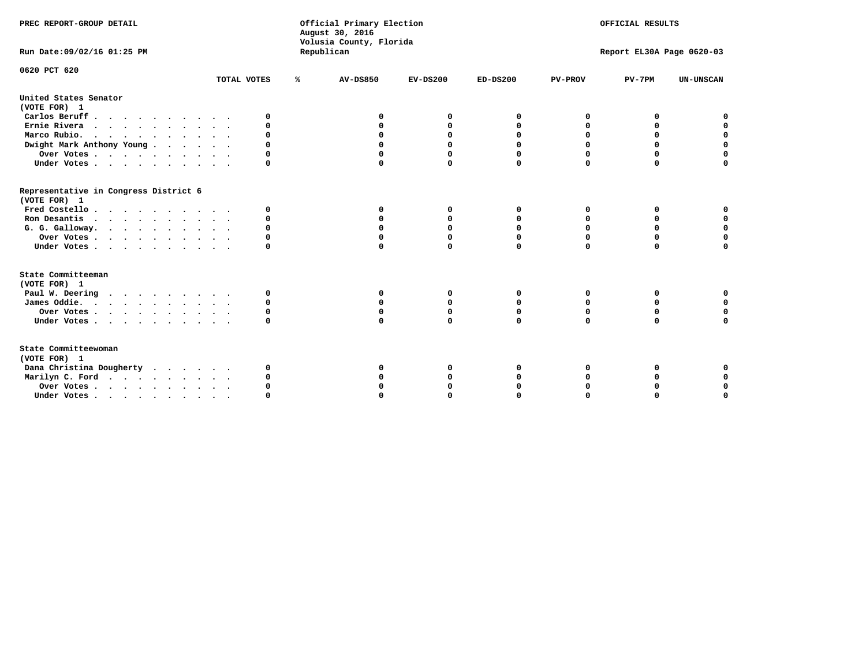| PREC REPORT-GROUP DETAIL                                                         |             | Official Primary Election<br>August 30, 2016<br>Volusia County, Florida |                 |             | OFFICIAL RESULTS |                |                           |                  |  |  |
|----------------------------------------------------------------------------------|-------------|-------------------------------------------------------------------------|-----------------|-------------|------------------|----------------|---------------------------|------------------|--|--|
| Run Date: 09/02/16 01:25 PM                                                      |             | Republican                                                              |                 |             |                  |                | Report EL30A Page 0620-03 |                  |  |  |
| 0620 PCT 620                                                                     |             |                                                                         |                 |             |                  |                |                           |                  |  |  |
|                                                                                  | TOTAL VOTES | ℁                                                                       | <b>AV-DS850</b> | $EV-DS200$  | $ED-DS200$       | <b>PV-PROV</b> | $PV-7PM$                  | <b>UN-UNSCAN</b> |  |  |
| United States Senator<br>(VOTE FOR) 1                                            |             |                                                                         |                 |             |                  |                |                           |                  |  |  |
| Carlos Beruff                                                                    | O           |                                                                         | 0               | 0           | 0                | O              |                           | 0                |  |  |
| Ernie Rivera                                                                     | $\Omega$    |                                                                         | O               | 0           | O                |                | 0                         | $\mathbf 0$      |  |  |
| Marco Rubio.                                                                     | $\Omega$    |                                                                         | O               | 0           | 0                | $\Omega$       | 0                         | $\mathbf 0$      |  |  |
| Dwight Mark Anthony Young                                                        | 0           |                                                                         | O               | $\mathbf 0$ | $\mathbf 0$      | 0              | 0                         | $\Omega$         |  |  |
| Over Votes                                                                       |             |                                                                         | O               | $\Omega$    | 0                | $\Omega$       | 0                         | $\mathbf 0$      |  |  |
| Under Votes                                                                      | O           |                                                                         | n               | $\Omega$    | $\Omega$         | $\Omega$       |                           | $\mathbf 0$      |  |  |
| Representative in Congress District 6<br>(VOTE FOR) 1                            |             |                                                                         |                 |             |                  |                |                           |                  |  |  |
| Fred Costello.                                                                   | $\Omega$    |                                                                         | 0               | 0           | 0                | 0              | 0                         | 0                |  |  |
| Ron Desantis                                                                     | $\Omega$    |                                                                         | O               | 0           | $\Omega$         | $\Omega$       | 0                         | $\mathbf 0$      |  |  |
| G. G. Galloway.                                                                  | O           |                                                                         | O               | 0           | $\Omega$         | $\Omega$       | $\Omega$                  | $\mathbf 0$      |  |  |
| Over Votes                                                                       | $\Omega$    |                                                                         | $\Omega$        | $\mathbf 0$ | $\Omega$         | $\mathbf 0$    | $\Omega$                  | $\mathbf 0$      |  |  |
| Under Votes                                                                      | 0           |                                                                         | 0               | $\mathbf 0$ | $\Omega$         | $\Omega$       | $\Omega$                  | $\mathbf 0$      |  |  |
| State Committeeman                                                               |             |                                                                         |                 |             |                  |                |                           |                  |  |  |
| (VOTE FOR) 1                                                                     |             |                                                                         |                 |             |                  |                |                           |                  |  |  |
| Paul W. Deering                                                                  | O           |                                                                         | 0               | 0           | 0                | 0              | 0                         | 0                |  |  |
| James Oddie.                                                                     | O           |                                                                         | 0               | 0           | 0                | 0              | 0                         | $\mathbf 0$      |  |  |
| Over Votes                                                                       | 0           |                                                                         | 0               | $\mathbf 0$ | $\mathbf 0$      | 0              | $\mathbf 0$               | $\Omega$         |  |  |
| Under Votes                                                                      | $\Omega$    |                                                                         | o               | $\Omega$    | $\Omega$         | $\Omega$       | $\Omega$                  | $\mathbf 0$      |  |  |
| State Committeewoman<br>(VOTE FOR) 1                                             |             |                                                                         |                 |             |                  |                |                           |                  |  |  |
| Dana Christina Dougherty                                                         | 0           |                                                                         | 0               | 0           |                  | O              |                           | 0                |  |  |
| Marilyn C. Ford.                                                                 | $\Omega$    |                                                                         | 0               | $\Omega$    |                  |                |                           | 0                |  |  |
| Over Votes                                                                       | O           |                                                                         | O               | $\Omega$    |                  | O              | O                         | $\mathbf 0$      |  |  |
| Under Votes, $\cdot$ , $\cdot$ , $\cdot$ , $\cdot$ , $\cdot$ , $\cdot$ , $\cdot$ |             |                                                                         | $\Omega$        | $\Omega$    |                  |                |                           | $\Omega$         |  |  |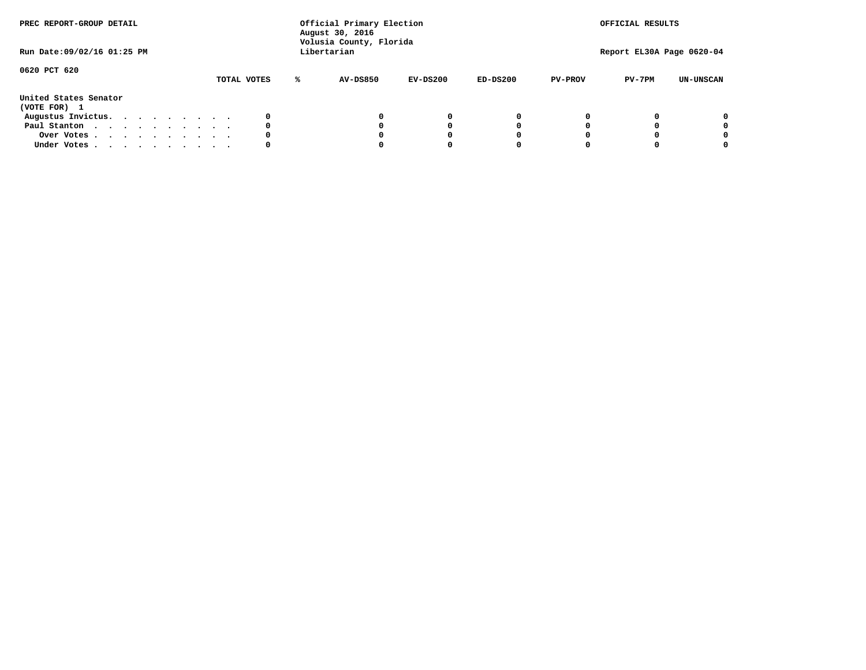| PREC REPORT-GROUP DETAIL              |  |  |  |  |             |   | Official Primary Election<br>August 30, 2016<br>Volusia County, Florida |            | OFFICIAL RESULTS |                |                           |                  |
|---------------------------------------|--|--|--|--|-------------|---|-------------------------------------------------------------------------|------------|------------------|----------------|---------------------------|------------------|
| Run Date: 09/02/16 01:25 PM           |  |  |  |  |             |   | Libertarian                                                             |            |                  |                | Report EL30A Page 0620-04 |                  |
| 0620 PCT 620                          |  |  |  |  |             |   |                                                                         |            |                  |                |                           |                  |
|                                       |  |  |  |  | TOTAL VOTES | ℁ | <b>AV-DS850</b>                                                         | $EV-DS200$ | $ED-DS200$       | <b>PV-PROV</b> | $PV-7PM$                  | <b>UN-UNSCAN</b> |
| United States Senator<br>(VOTE FOR) 1 |  |  |  |  |             |   |                                                                         |            |                  |                |                           |                  |
| Augustus Invictus.                    |  |  |  |  | 0           |   |                                                                         | 0          | 0                |                |                           | 0                |
| Paul Stanton                          |  |  |  |  | 0           |   |                                                                         |            | 0                |                |                           | 0                |
| Over Votes                            |  |  |  |  | 0           |   |                                                                         |            | 0                |                |                           | 0                |
| Under Votes                           |  |  |  |  | 0           |   |                                                                         |            |                  |                |                           | 0                |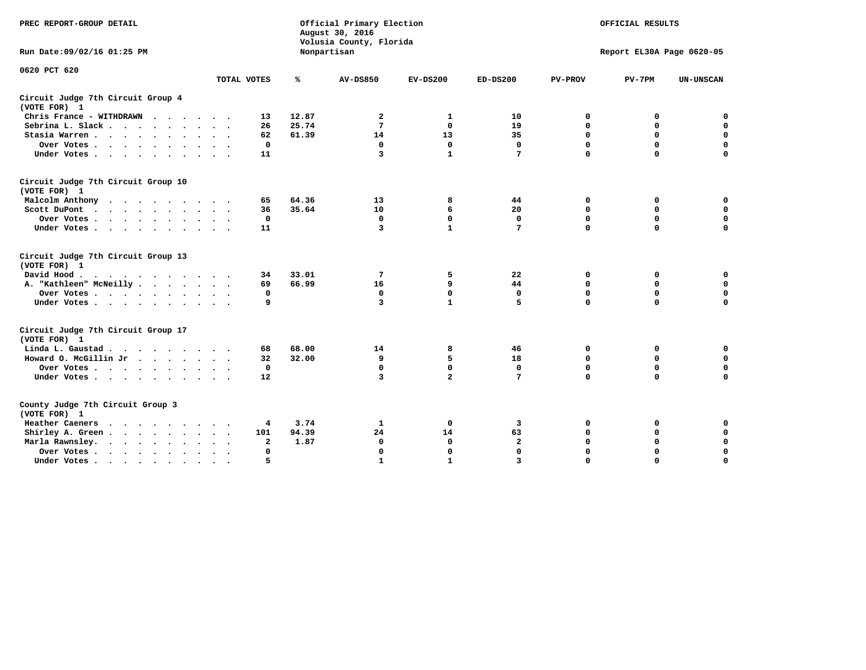| PREC REPORT-GROUP DETAIL                           |                           | Official Primary Election<br>August 30, 2016<br>Volusia County, Florida |                 | OFFICIAL RESULTS<br>Report EL30A Page 0620-05 |                 |                  |                  |                  |
|----------------------------------------------------|---------------------------|-------------------------------------------------------------------------|-----------------|-----------------------------------------------|-----------------|------------------|------------------|------------------|
| Run Date: 09/02/16 01:25 PM                        |                           |                                                                         | Nonpartisan     |                                               |                 |                  |                  |                  |
| 0620 PCT 620                                       | TOTAL VOTES               | ℁                                                                       | <b>AV-DS850</b> | $EV-DS200$                                    | $ED-DS200$      | <b>PV-PROV</b>   | $PV-7PM$         | <b>UN-UNSCAN</b> |
| Circuit Judge 7th Circuit Group 4                  |                           |                                                                         |                 |                                               |                 |                  |                  |                  |
| (VOTE FOR) 1                                       |                           |                                                                         |                 |                                               |                 |                  |                  |                  |
| Chris France - WITHDRAWN                           | 13                        | 12.87                                                                   | $\mathbf{2}$    | 1                                             | 10              | 0                | 0                | 0                |
| Sebrina L. Slack.                                  | 26                        | 25.74                                                                   | 7               | $\mathbf 0$                                   | 19              | $\mathbf 0$      | $\mathbf 0$      | $\mathbf 0$      |
| Stasia Warren                                      | 62                        | 61.39                                                                   | 14              | 13                                            | 35              | 0                | $\mathbf 0$      | $\mathbf 0$      |
| Over Votes                                         | 0                         |                                                                         | 0               | $\mathbf{0}$                                  | 0               | $\mathbf 0$      | $\mathbf 0$      | $\mathbf 0$      |
| Under Votes                                        | 11                        |                                                                         | 3               | $\mathbf{1}$                                  | $7\phantom{.0}$ | $\Omega$         | $\Omega$         | $\Omega$         |
| Circuit Judge 7th Circuit Group 10<br>(VOTE FOR) 1 |                           |                                                                         |                 |                                               |                 |                  |                  |                  |
| Malcolm Anthony                                    | 65                        | 64.36                                                                   | 13              | 8                                             | 44              | 0                | 0                | 0                |
| Scott DuPont                                       | 36                        | 35.64                                                                   | 10              | 6                                             | 20              | $\mathbf 0$      | $\mathbf 0$      | $\mathbf 0$      |
| Over Votes                                         | 0                         |                                                                         | $\mathbf 0$     | $\mathbf 0$                                   | $\mathbf 0$     | $\mathbf 0$      | $\mathbf 0$      | $\mathbf 0$      |
| Under Votes.                                       | 11                        |                                                                         | 3               | $\mathbf{1}$                                  | 7               | $\Omega$         | $\Omega$         | $\Omega$         |
|                                                    |                           |                                                                         |                 |                                               |                 |                  |                  |                  |
| Circuit Judge 7th Circuit Group 13<br>(VOTE FOR) 1 |                           |                                                                         |                 |                                               |                 |                  |                  |                  |
| David Hood.<br>.                                   | 34                        | 33.01                                                                   | 7               | 5                                             | 22              | 0                | 0                | $\mathbf 0$      |
| A. "Kathleen" McNeilly                             | 69                        | 66.99                                                                   | 16              | 9                                             | 44              | $\mathbf 0$      | 0                | $\mathbf 0$      |
| Over Votes                                         | 0                         |                                                                         | 0               | $\mathbf{0}$                                  | $\mathbf 0$     | $\mathbf 0$      | $\mathbf 0$      | $\mathbf 0$      |
| Under Votes                                        | 9                         |                                                                         | 3               | $\mathbf{1}$                                  | 5               | $\mathbf 0$      | $\Omega$         | 0                |
|                                                    |                           |                                                                         |                 |                                               |                 |                  |                  |                  |
| Circuit Judge 7th Circuit Group 17                 |                           |                                                                         |                 |                                               |                 |                  |                  |                  |
| (VOTE FOR) 1                                       |                           | 68.00                                                                   | 14              |                                               | 46              |                  |                  | 0                |
| Linda L. Gaustad<br>Howard O. McGillin Jr          | 68<br>32                  | 32.00                                                                   | 9               | 8<br>5                                        | 18              | 0<br>$\mathbf 0$ | 0<br>$\mathbf 0$ | $\mathbf 0$      |
| Over Votes                                         | $\mathbf 0$               |                                                                         | $\mathbf 0$     | $\mathbf 0$                                   | $\mathbf{0}$    | $\mathbf 0$      | $\mathbf 0$      | $\mathbf 0$      |
| Under Votes                                        | 12                        |                                                                         | $\overline{3}$  | $\overline{a}$                                | 7               | $\mathbf 0$      | $\mathbf 0$      | $\mathbf 0$      |
|                                                    |                           |                                                                         |                 |                                               |                 |                  |                  |                  |
| County Judge 7th Circuit Group 3<br>(VOTE FOR) 1   |                           |                                                                         |                 |                                               |                 |                  |                  |                  |
| Heather Caeners<br>.                               | 4                         | 3.74                                                                    | 1               | 0                                             | 3               | 0                | 0                | 0                |
| Shirley A. Green                                   | 101                       | 94.39                                                                   | 24              | 14                                            | 63              | $\mathbf 0$      | 0                | $\mathbf 0$      |
| Marla Rawnsley.<br>$\cdots$                        | 2                         | 1.87                                                                    | $\mathbf 0$     | $\mathbf 0$                                   | $\mathbf{2}$    | 0                | $\mathbf 0$      | 0                |
| Over Votes                                         | 0<br>$\ddot{\phantom{1}}$ |                                                                         | $\mathbf 0$     | $\mathbf{0}$                                  | $\mathbf{0}$    | $\mathbf 0$      | $\Omega$         | $\mathbf 0$      |
| Under Votes                                        | 5                         |                                                                         | $\mathbf{1}$    | $\mathbf{1}$                                  | $\overline{3}$  | $\mathbf 0$      | $\Omega$         | $\Omega$         |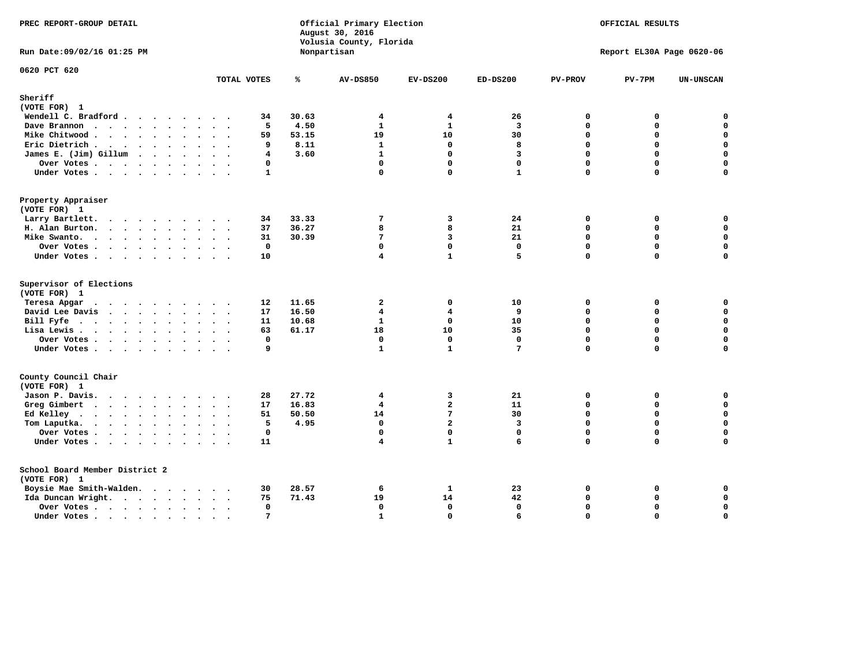| PREC REPORT-GROUP DETAIL                                                                                                            |                          |                                |                                  |                                                                          | Official Primary Election<br>Volusia County, Florida                   |                                         | OFFICIAL RESULTS                                |                                          |                                                                    |  |
|-------------------------------------------------------------------------------------------------------------------------------------|--------------------------|--------------------------------|----------------------------------|--------------------------------------------------------------------------|------------------------------------------------------------------------|-----------------------------------------|-------------------------------------------------|------------------------------------------|--------------------------------------------------------------------|--|
| Run Date: 09/02/16 01:25 PM                                                                                                         |                          |                                |                                  | Nonpartisan                                                              |                                                                        |                                         |                                                 | Report EL30A Page 0620-06                |                                                                    |  |
| 0620 PCT 620                                                                                                                        |                          | TOTAL VOTES                    | ℁                                | <b>AV-DS850</b>                                                          | $EV-DS200$                                                             | $ED-DS200$                              | <b>PV-PROV</b>                                  | $PV-7PM$                                 | <b>UN-UNSCAN</b>                                                   |  |
| Sheriff                                                                                                                             |                          |                                |                                  |                                                                          |                                                                        |                                         |                                                 |                                          |                                                                    |  |
| (VOTE FOR) 1                                                                                                                        |                          |                                |                                  |                                                                          |                                                                        |                                         |                                                 |                                          |                                                                    |  |
| Wendell C. Bradford                                                                                                                 |                          | 34                             | 30.63                            | $\overline{4}$                                                           | 4                                                                      | 26                                      | 0                                               | 0                                        | 0                                                                  |  |
| Dave Brannon                                                                                                                        |                          | 5                              | 4.50                             | $\mathbf{1}$                                                             | $\mathbf{1}$                                                           | $\mathbf{3}$                            | 0                                               | 0                                        | $\mathbf 0$                                                        |  |
| Mike Chitwood                                                                                                                       |                          | 59                             | 53.15                            | 19                                                                       | 10                                                                     | 30                                      | $\Omega$                                        | 0                                        | $\mathbf 0$                                                        |  |
| Eric Dietrich.                                                                                                                      |                          | 9                              | 8.11                             | $\mathbf{1}$                                                             | $\mathbf{0}$                                                           | 8                                       | $\mathbf{0}$                                    | 0                                        | $\mathbf 0$                                                        |  |
| James E. (Jim) Gillum                                                                                                               |                          | 4                              | 3.60                             | $\mathbf{1}$                                                             | $\mathbf 0$                                                            | $\overline{3}$                          | 0                                               | $\Omega$                                 | $\mathbf 0$                                                        |  |
| Over Votes                                                                                                                          |                          | 0                              |                                  | $\mathbf{0}$                                                             | $\mathbf 0$                                                            | $\mathbf 0$                             | 0                                               | 0                                        | $\mathbf 0$                                                        |  |
| Under Votes                                                                                                                         |                          | $\mathbf{1}$                   |                                  | $\mathbf 0$                                                              | $\Omega$                                                               | $\mathbf{1}$                            | $\Omega$                                        | $\Omega$                                 | 0                                                                  |  |
|                                                                                                                                     |                          |                                |                                  |                                                                          |                                                                        |                                         |                                                 |                                          |                                                                    |  |
| Property Appraiser                                                                                                                  |                          |                                |                                  |                                                                          |                                                                        |                                         |                                                 |                                          |                                                                    |  |
| (VOTE FOR) 1                                                                                                                        |                          |                                |                                  |                                                                          |                                                                        |                                         |                                                 |                                          |                                                                    |  |
| Larry Bartlett.                                                                                                                     |                          | 34                             | 33.33                            | 7                                                                        | 3                                                                      | 24                                      | $\mathbf 0$                                     | 0                                        | 0                                                                  |  |
| H. Alan Burton.                                                                                                                     |                          | 37                             | 36.27                            | 8                                                                        | 8                                                                      | 21                                      | $\Omega$                                        | 0                                        | $\mathbf 0$                                                        |  |
| Mike Swanto.                                                                                                                        |                          | 31                             | 30.39                            | 7                                                                        | 3                                                                      | 21                                      | 0                                               | $\mathbf 0$                              | $\mathbf 0$                                                        |  |
| Over Votes                                                                                                                          |                          | 0                              |                                  | $\mathbf 0$                                                              | $\mathbf 0$                                                            | $\mathbf 0$                             | 0                                               | 0                                        | $\mathbf 0$                                                        |  |
| Under Votes                                                                                                                         |                          | 10                             |                                  | $\overline{\mathbf{4}}$                                                  | $\mathbf{1}$                                                           | 5.                                      | $\Omega$                                        | $\Omega$                                 | $\mathbf 0$                                                        |  |
| Supervisor of Elections<br>(VOTE FOR) 1<br>Teresa Apgar<br>David Lee Davis<br>Bill Fyfe.<br>Lisa Lewis<br>Over Votes<br>Under Votes |                          | 12<br>17<br>11<br>63<br>0<br>9 | 11.65<br>16.50<br>10.68<br>61.17 | $\overline{a}$<br>4<br>$\mathbf{1}$<br>18<br>$\mathbf 0$<br>$\mathbf{1}$ | $\mathbf{0}$<br>4<br>$\mathbf{0}$<br>10<br>$\mathbf 0$<br>$\mathbf{1}$ | 10<br>9<br>10<br>35<br>$\mathbf 0$<br>7 | 0<br>$\Omega$<br>0<br>$\Omega$<br>0<br>$\Omega$ | 0<br>0<br>$\Omega$<br>0<br>0<br>$\Omega$ | 0<br>0<br>$\mathbf 0$<br>$\mathbf 0$<br>$\mathbf 0$<br>$\mathbf 0$ |  |
| County Council Chair<br>(VOTE FOR) 1                                                                                                |                          |                                |                                  |                                                                          |                                                                        |                                         |                                                 |                                          |                                                                    |  |
| Jason P. Davis.                                                                                                                     |                          | 28                             | 27.72                            | $\overline{\mathbf{4}}$                                                  | 3                                                                      | 21                                      | $\mathbf{0}$                                    | 0                                        | 0                                                                  |  |
| Greg Gimbert                                                                                                                        |                          | 17                             | 16.83                            | 4                                                                        | $\overline{a}$                                                         | 11                                      | 0                                               | 0                                        | $\mathbf 0$                                                        |  |
| Ed Kelley                                                                                                                           |                          | 51                             | 50.50                            | 14                                                                       | 7                                                                      | 30                                      | 0                                               | 0                                        | $\mathbf 0$                                                        |  |
| Tom Laputka.                                                                                                                        |                          | 5                              | 4.95                             | $\mathbf 0$                                                              | $\overline{a}$                                                         | 3                                       | 0                                               | $\Omega$                                 | $\mathbf 0$                                                        |  |
| Over Votes                                                                                                                          |                          | $\mathbf 0$                    |                                  | $\mathbf{0}$                                                             | $\mathbf{0}$                                                           | $\mathbf 0$                             | 0                                               | 0                                        | 0                                                                  |  |
|                                                                                                                                     |                          | 11                             |                                  | 4                                                                        | $\mathbf{1}$                                                           | 6                                       | $\Omega$                                        | $\Omega$                                 | $\Omega$                                                           |  |
| Under Votes                                                                                                                         |                          |                                |                                  |                                                                          |                                                                        |                                         |                                                 |                                          |                                                                    |  |
| School Board Member District 2                                                                                                      |                          |                                |                                  |                                                                          |                                                                        |                                         |                                                 |                                          |                                                                    |  |
| (VOTE FOR) 1                                                                                                                        |                          |                                |                                  |                                                                          |                                                                        |                                         |                                                 |                                          |                                                                    |  |
| Boysie Mae Smith-Walden.                                                                                                            |                          | 30                             | 28.57                            | 6                                                                        | $\mathbf{1}$                                                           | 23                                      | 0                                               | 0                                        | 0                                                                  |  |
| Ida Duncan Wright.                                                                                                                  |                          | 75                             | 71.43                            | 19                                                                       | 14                                                                     | 42                                      | 0                                               | 0                                        | $\mathbf 0$                                                        |  |
| Over Votes                                                                                                                          |                          | 0                              |                                  | $\mathbf 0$                                                              | $\mathbf{0}$                                                           | $\mathbf 0$                             | 0                                               | 0                                        | $\mathbf 0$                                                        |  |
| Under Votes                                                                                                                         | $\overline{\phantom{a}}$ | $7\phantom{.0}$                |                                  | $\mathbf{1}$                                                             | $\Omega$                                                               | 6                                       | $\Omega$                                        | $\Omega$                                 | $\mathbf 0$                                                        |  |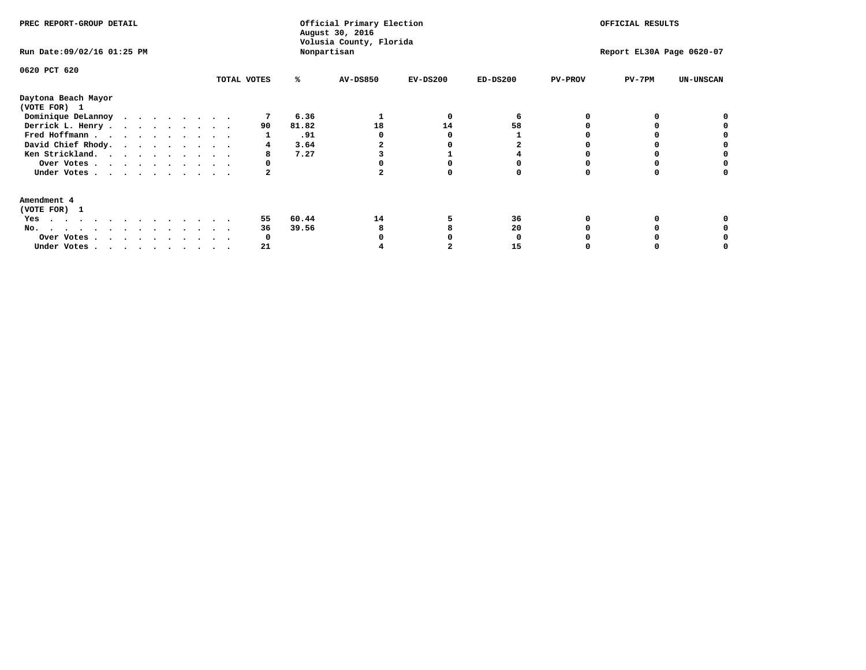| PREC REPORT-GROUP DETAIL<br>Run Date: 09/02/16 01:25 PM                |             |       | Official Primary Election<br>August 30, 2016<br>Volusia County, Florida<br>Nonpartisan | OFFICIAL RESULTS<br>Report EL30A Page 0620-07 |            |                |          |                  |
|------------------------------------------------------------------------|-------------|-------|----------------------------------------------------------------------------------------|-----------------------------------------------|------------|----------------|----------|------------------|
| 0620 PCT 620                                                           | TOTAL VOTES | %ะ    | <b>AV-DS850</b>                                                                        | $EV-DS200$                                    | $ED-DS200$ | <b>PV-PROV</b> | $PV-7PM$ | <b>UN-UNSCAN</b> |
| Daytona Beach Mayor<br>(VOTE FOR) 1                                    |             |       |                                                                                        |                                               |            |                |          |                  |
| Dominique DeLannoy                                                     |             | 6.36  |                                                                                        | O                                             |            |                |          |                  |
| Derrick L. Henry                                                       | 90          | 81.82 | 18                                                                                     | 14                                            | 58         |                |          |                  |
| Fred Hoffmann                                                          |             | .91   |                                                                                        |                                               |            |                |          |                  |
| David Chief Rhody.                                                     |             | 3.64  |                                                                                        |                                               |            |                |          |                  |
| Ken Strickland.                                                        | 8           | 7.27  |                                                                                        |                                               |            |                |          |                  |
| Over Votes                                                             | O           |       |                                                                                        |                                               |            |                |          |                  |
| Under Votes                                                            |             |       |                                                                                        |                                               |            |                |          |                  |
| Amendment 4<br>(VOTE FOR) 1                                            |             |       |                                                                                        |                                               |            |                |          |                  |
| Yes                                                                    | 55          | 60.44 | 14                                                                                     |                                               | 36         |                |          |                  |
| No.                                                                    | 36          | 39.56 |                                                                                        |                                               | 20         |                |          |                  |
| Over Votes                                                             | O           |       |                                                                                        |                                               |            |                |          |                  |
| Under Votes, $\cdot$ , $\cdot$ , $\cdot$ , $\cdot$ , $\cdot$ , $\cdot$ | 21          |       |                                                                                        |                                               | 15         |                |          |                  |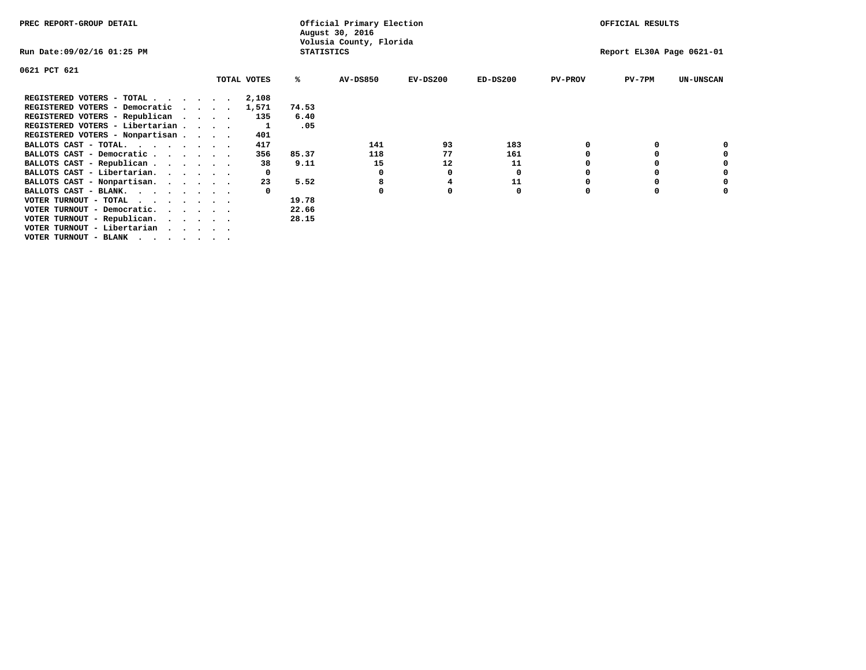| PREC REPORT-GROUP DETAIL                                               |                             |             | Official Primary Election<br>August 30, 2016 |                         | OFFICIAL RESULTS |            |                |                           |                  |
|------------------------------------------------------------------------|-----------------------------|-------------|----------------------------------------------|-------------------------|------------------|------------|----------------|---------------------------|------------------|
| Run Date:09/02/16 01:25 PM                                             |                             |             | <b>STATISTICS</b>                            | Volusia County, Florida |                  |            |                | Report EL30A Page 0621-01 |                  |
| 0621 PCT 621                                                           |                             |             |                                              |                         |                  |            |                |                           |                  |
|                                                                        |                             | TOTAL VOTES | ℁                                            | <b>AV-DS850</b>         | $EV-DS200$       | $ED-DS200$ | <b>PV-PROV</b> | $PV-7PM$                  | <b>UN-UNSCAN</b> |
| REGISTERED VOTERS - TOTAL                                              |                             | 2,108       |                                              |                         |                  |            |                |                           |                  |
| REGISTERED VOTERS - Democratic                                         | $\sim$ $\sim$ $\sim$ $\sim$ | 1,571       | 74.53                                        |                         |                  |            |                |                           |                  |
| REGISTERED VOTERS - Republican                                         |                             | 135         | 6.40                                         |                         |                  |            |                |                           |                  |
| REGISTERED VOTERS - Libertarian                                        |                             |             | .05                                          |                         |                  |            |                |                           |                  |
| REGISTERED VOTERS - Nonpartisan                                        |                             | 401         |                                              |                         |                  |            |                |                           |                  |
| BALLOTS CAST - TOTAL.                                                  |                             | 417         |                                              | 141                     | 93               | 183        |                |                           |                  |
| BALLOTS CAST - Democratic                                              |                             | 356         | 85.37                                        | 118                     | 77               | 161        |                |                           |                  |
| BALLOTS CAST - Republican                                              |                             | 38          | 9.11                                         | 15                      | 12               | 11         |                |                           |                  |
| BALLOTS CAST - Libertarian.                                            |                             |             |                                              | 0                       | 0                | 0          |                |                           |                  |
| BALLOTS CAST - Nonpartisan.                                            |                             | 23          | 5.52                                         | 8                       |                  | 11         |                |                           | 0                |
| BALLOTS CAST - BLANK.                                                  |                             |             |                                              |                         | 0                | 0          | 0              |                           |                  |
| VOTER TURNOUT - TOTAL                                                  |                             |             | 19.78                                        |                         |                  |            |                |                           |                  |
| VOTER TURNOUT - Democratic.<br>$\cdot$ $\cdot$ $\cdot$ $\cdot$ $\cdot$ |                             |             | 22.66                                        |                         |                  |            |                |                           |                  |
| VOTER TURNOUT - Republican.                                            |                             |             | 28.15                                        |                         |                  |            |                |                           |                  |
| VOTER TURNOUT - Libertarian                                            |                             |             |                                              |                         |                  |            |                |                           |                  |
| VOTER TURNOUT - BLANK                                                  |                             |             |                                              |                         |                  |            |                |                           |                  |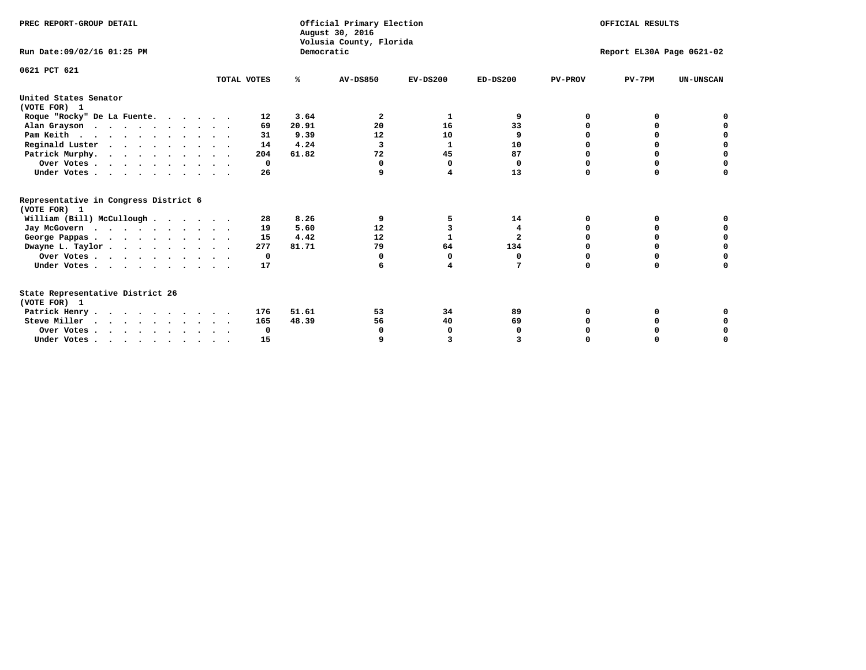| PREC REPORT-GROUP DETAIL                                                                   |             |            | Official Primary Election<br>August 30, 2016<br>Volusia County, Florida | OFFICIAL RESULTS |                         |                |                           |                  |
|--------------------------------------------------------------------------------------------|-------------|------------|-------------------------------------------------------------------------|------------------|-------------------------|----------------|---------------------------|------------------|
| Run Date: 09/02/16 01:25 PM                                                                |             | Democratic |                                                                         |                  |                         |                | Report EL30A Page 0621-02 |                  |
| 0621 PCT 621                                                                               | TOTAL VOTES | %ะ         | <b>AV-DS850</b>                                                         | $EV-DS200$       | $ED-DS200$              | <b>PV-PROV</b> | $PV-7PM$                  | <b>UN-UNSCAN</b> |
| United States Senator<br>(VOTE FOR) 1                                                      |             |            |                                                                         |                  |                         |                |                           |                  |
| Roque "Rocky" De La Fuente.                                                                | 12          | 3.64       | 2                                                                       | 1                | 9                       | O              | O                         |                  |
| Alan Grayson                                                                               | 69          | 20.91      | 20                                                                      | 16               | 33                      | O              | $\Omega$                  |                  |
| Pam Keith                                                                                  | 31          | 9.39       | 12                                                                      | 10               | 9                       |                | 0                         | o                |
| Reginald Luster                                                                            | 14          | 4.24       | $\overline{3}$                                                          | 1                | 10                      |                | 0                         | $\mathbf 0$      |
| Patrick Murphy.                                                                            | 204         | 61.82      | 72                                                                      | 45               | 87                      | n              | 0                         | $\mathbf 0$      |
| Over Votes                                                                                 | $\Omega$    |            | $\Omega$                                                                | $\Omega$         | 0                       | $\Omega$       | $\Omega$                  | O                |
| Under Votes.                                                                               | 26          |            | 9                                                                       | 4                | 13                      | $\Omega$       | $\Omega$                  | $\Omega$         |
| Representative in Congress District 6<br>(VOTE FOR) 1                                      |             |            |                                                                         |                  |                         |                |                           |                  |
| William (Bill) McCullough                                                                  | 28          | 8.26       | 9                                                                       | 5                | 14                      | O              | 0                         |                  |
| Jay McGovern                                                                               | 19          | 5.60       | 12                                                                      | 3                | 4                       | O              | $\Omega$                  | 0                |
| George Pappas.                                                                             | 15          | 4.42       | 12                                                                      | 1                | $\overline{\mathbf{2}}$ | $\Omega$       | 0                         | $\mathbf 0$      |
| Dwayne L. Taylor                                                                           | 277         | 81.71      | 79                                                                      | 64               | 134                     | $\Omega$       | 0                         | $\mathbf 0$      |
| Over Votes                                                                                 | 0           |            | 0                                                                       | $\Omega$         | 0                       | 0              | 0                         | 0                |
| Under Votes                                                                                | 17          |            | 6                                                                       | 4                | 7                       | $\Omega$       | 0                         | O                |
| State Representative District 26<br>(VOTE FOR) 1                                           |             |            |                                                                         |                  |                         |                |                           |                  |
| Patrick Henry                                                                              | 176         | 51.61      | 53                                                                      | 34               | 89                      | 0              | 0                         |                  |
| Steve Miller                                                                               | 165         | 48.39      | 56                                                                      | 40               | 69                      |                |                           | 0                |
| Over Votes                                                                                 | 0           |            | 0                                                                       | 0                | 0                       |                | 0                         | 0                |
| Under Votes, $\cdot$ , $\cdot$ , $\cdot$ , $\cdot$ , $\cdot$ , $\cdot$ , $\cdot$ , $\cdot$ | 15          |            |                                                                         | 3                |                         |                |                           | O                |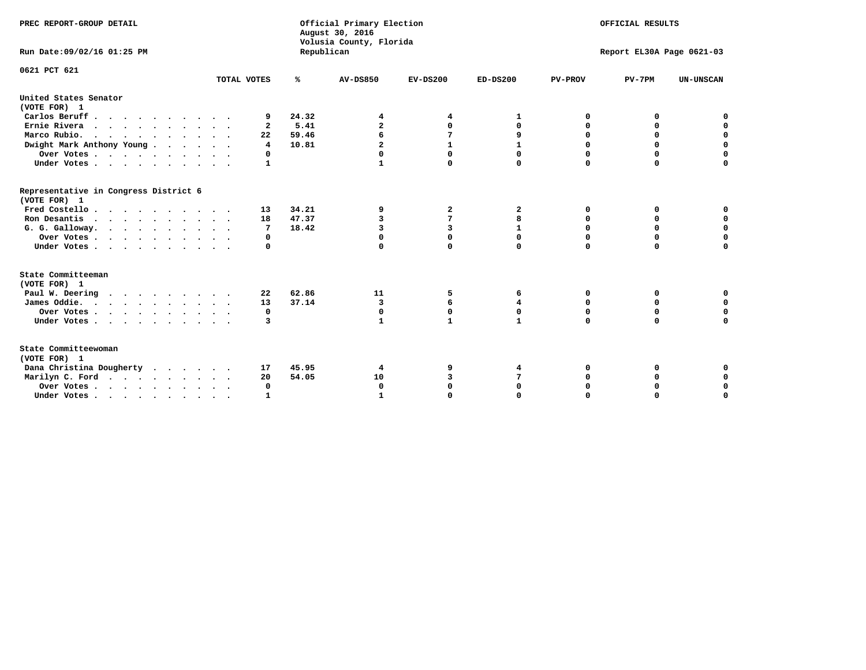| PREC REPORT-GROUP DETAIL                                                         |              |            | Official Primary Election<br>August 30, 2016<br>Volusia County, Florida | OFFICIAL RESULTS |              |                           |             |                  |  |
|----------------------------------------------------------------------------------|--------------|------------|-------------------------------------------------------------------------|------------------|--------------|---------------------------|-------------|------------------|--|
| Run Date: 09/02/16 01:25 PM                                                      |              | Republican |                                                                         |                  |              | Report EL30A Page 0621-03 |             |                  |  |
| 0621 PCT 621                                                                     |              |            |                                                                         |                  |              |                           |             |                  |  |
|                                                                                  | TOTAL VOTES  | ℁          | <b>AV-DS850</b>                                                         | $EV-DS200$       | $ED-DS200$   | <b>PV-PROV</b>            | $PV-7PM$    | <b>UN-UNSCAN</b> |  |
| United States Senator<br>(VOTE FOR) 1                                            |              |            |                                                                         |                  |              |                           |             |                  |  |
| Carlos Beruff                                                                    | 9            | 24.32      | 4                                                                       | 4                | 1            | 0                         | 0           | 0                |  |
| Ernie Rivera                                                                     | $\mathbf{2}$ | 5.41       | $\overline{a}$                                                          | 0                | 0            | 0                         | 0           | $\mathbf 0$      |  |
| Marco Rubio.<br>$\cdots$                                                         | 22           | 59.46      | 6                                                                       | 7                | 9            | 0                         | 0           | $\mathbf 0$      |  |
| Dwight Mark Anthony Young                                                        | 4            | 10.81      | $\overline{a}$                                                          | $\mathbf{1}$     |              | 0                         | $\mathbf 0$ | $\mathbf 0$      |  |
| Over Votes                                                                       | 0            |            |                                                                         | $\mathbf 0$      | 0            | 0                         | 0           | 0                |  |
| Under Votes                                                                      | 1            |            | 1                                                                       | $\Omega$         | 0            | $\Omega$                  | $\Omega$    | $\mathbf 0$      |  |
| Representative in Congress District 6<br>(VOTE FOR) 1                            |              |            |                                                                         |                  |              |                           |             |                  |  |
| Fred Costello                                                                    | 13           | 34.21      | 9                                                                       | 2                | $\mathbf{2}$ | 0                         | 0           | 0                |  |
| Ron Desantis                                                                     | 18           | 47.37      | 3                                                                       | 7                | 8            | $\Omega$                  | $\Omega$    | $\mathbf 0$      |  |
| G. G. Galloway.                                                                  | 7            | 18.42      | 3                                                                       | 3                | $\mathbf{1}$ | 0                         | 0           | $\mathbf 0$      |  |
| Over Votes                                                                       | 0            |            | 0                                                                       | $\mathbf 0$      | 0            | $\mathbf 0$               | $\mathbf 0$ | $\mathbf 0$      |  |
| Under Votes                                                                      | 0            |            | $\mathbf 0$                                                             | $\mathbf 0$      | 0            | $\Omega$                  | $\mathbf 0$ | $\mathbf 0$      |  |
| State Committeeman<br>(VOTE FOR) 1                                               |              |            |                                                                         |                  |              |                           |             |                  |  |
| Paul W. Deering                                                                  | 22           | 62.86      | 11                                                                      | 5                | 6            | 0                         | 0           | 0                |  |
| James Oddie.                                                                     | 13           | 37.14      | 3                                                                       | 6                | 4            | 0                         | 0           | $\mathbf 0$      |  |
| Over Votes                                                                       | 0            |            | 0                                                                       | 0                | 0            | 0                         | 0           | 0                |  |
| Under Votes                                                                      | 3            |            | 1                                                                       | $\mathbf{1}$     | $\mathbf{1}$ | $\Omega$                  | $\Omega$    | $\mathbf 0$      |  |
| State Committeewoman<br>(VOTE FOR) 1                                             |              |            |                                                                         |                  |              |                           |             |                  |  |
| Dana Christina Dougherty                                                         | 17           | 45.95      | 4                                                                       | 9                | 4            | 0                         | 0           | 0                |  |
| Marilyn C. Ford.                                                                 | 20           | 54.05      | 10                                                                      | 3                | 7            | 0                         | 0           | $\mathbf 0$      |  |
| Over Votes                                                                       | $\Omega$     |            | $\Omega$                                                                | $\mathbf 0$      | 0            | 0                         | 0           | $\mathbf 0$      |  |
| Under Votes, $\cdot$ , $\cdot$ , $\cdot$ , $\cdot$ , $\cdot$ , $\cdot$ , $\cdot$ |              |            | $\mathbf{I}$                                                            | $\Omega$         |              | $\Omega$                  | $\Omega$    | $\Omega$         |  |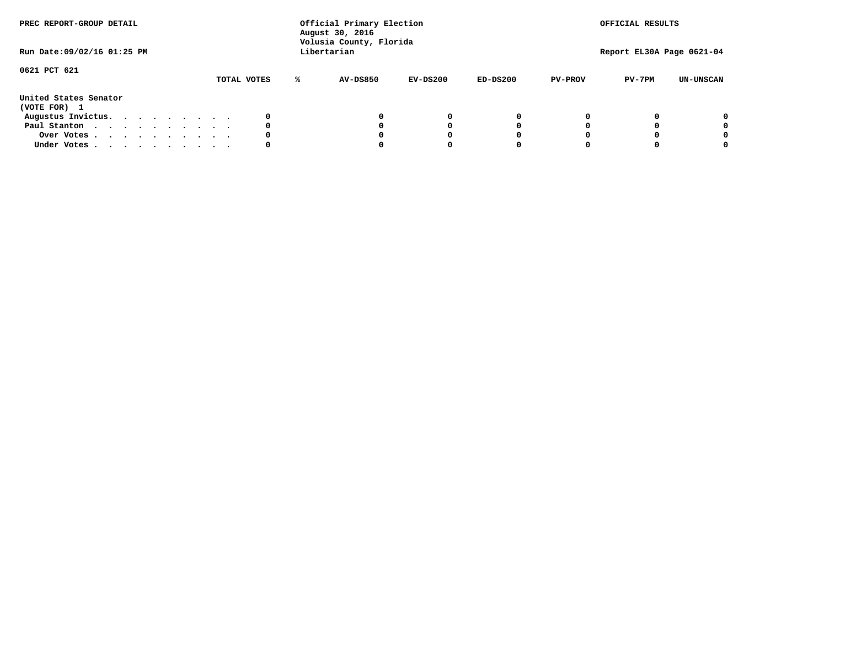| PREC REPORT-GROUP DETAIL<br>Run Date: 09/02/16 01:25 PM |  |  |  |  |  |             | Official Primary Election<br>August 30, 2016<br>Volusia County, Florida<br>Libertarian |          | OFFICIAL RESULTS<br>Report EL30A Page 0621-04 |            |                |          |                  |
|---------------------------------------------------------|--|--|--|--|--|-------------|----------------------------------------------------------------------------------------|----------|-----------------------------------------------|------------|----------------|----------|------------------|
| 0621 PCT 621                                            |  |  |  |  |  |             |                                                                                        |          |                                               |            |                |          |                  |
|                                                         |  |  |  |  |  | TOTAL VOTES | ℁                                                                                      | AV-DS850 | EV-DS200                                      | $ED-DS200$ | <b>PV-PROV</b> | $PV-7PM$ | <b>UN-UNSCAN</b> |
| United States Senator<br>(VOTE FOR) 1                   |  |  |  |  |  |             |                                                                                        |          |                                               |            |                |          |                  |
| Augustus Invictus.                                      |  |  |  |  |  |             |                                                                                        |          | 0                                             | 0          |                |          | 0                |
| Paul Stanton                                            |  |  |  |  |  | 0           |                                                                                        |          | 0                                             |            |                |          | 0                |
| Over Votes                                              |  |  |  |  |  |             |                                                                                        |          |                                               |            |                |          | 0                |
| Under Votes                                             |  |  |  |  |  | 0           |                                                                                        |          |                                               |            |                |          | 0                |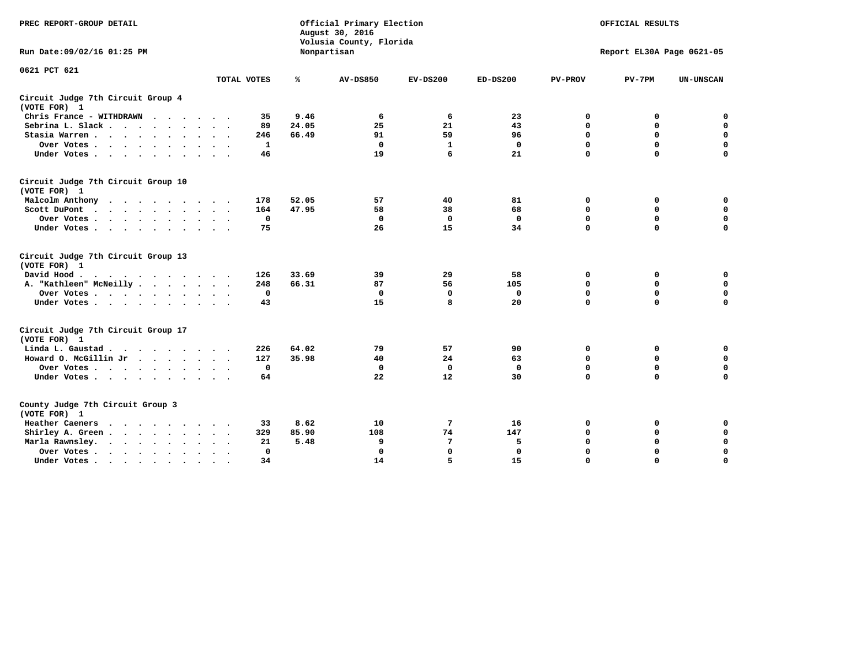| PREC REPORT-GROUP DETAIL                                                                                                                                                                                                                             |             |              | Official Primary Election<br>August 30, 2016<br>Volusia County, Florida | OFFICIAL RESULTS<br>Report EL30A Page 0621-05 |              |                |             |                  |
|------------------------------------------------------------------------------------------------------------------------------------------------------------------------------------------------------------------------------------------------------|-------------|--------------|-------------------------------------------------------------------------|-----------------------------------------------|--------------|----------------|-------------|------------------|
| Run Date: 09/02/16 01:25 PM                                                                                                                                                                                                                          |             |              | Nonpartisan                                                             |                                               |              |                |             |                  |
| 0621 PCT 621                                                                                                                                                                                                                                         |             |              |                                                                         |                                               |              |                |             |                  |
|                                                                                                                                                                                                                                                      | TOTAL VOTES | ℁            | <b>AV-DS850</b>                                                         | $EV-DS200$                                    | $ED-DS200$   | <b>PV-PROV</b> | $PV-7PM$    | <b>UN-UNSCAN</b> |
| Circuit Judge 7th Circuit Group 4<br>(VOTE FOR) 1                                                                                                                                                                                                    |             |              |                                                                         |                                               |              |                |             |                  |
| Chris France - WITHDRAWN<br>$\cdots$                                                                                                                                                                                                                 |             | 9.46<br>35   | 6                                                                       | 6                                             | 23           | 0              | 0           | 0                |
| Sebrina L. Slack.                                                                                                                                                                                                                                    |             | 89<br>24.05  | 25                                                                      | 21                                            | 43           | $\Omega$       | $\mathbf 0$ | $\mathbf 0$      |
| Stasia Warren                                                                                                                                                                                                                                        |             | 66.49<br>246 | 91                                                                      | 59                                            | 96           | $\mathbf 0$    | $\mathbf 0$ | $\mathbf 0$      |
| Over Votes                                                                                                                                                                                                                                           |             | 1            | $\mathbf{0}$                                                            | 1                                             | $\mathbf{0}$ | $\mathbf 0$    | $\mathbf 0$ | $\mathbf 0$      |
| Under Votes                                                                                                                                                                                                                                          |             | 46           | 19                                                                      | 6                                             | 21           | $\mathbf 0$    | $\mathbf 0$ | $\mathbf 0$      |
| Circuit Judge 7th Circuit Group 10<br>(VOTE FOR) 1                                                                                                                                                                                                   |             |              |                                                                         |                                               |              |                |             |                  |
| Malcolm Anthony                                                                                                                                                                                                                                      |             | 52.05<br>178 | 57                                                                      | 40                                            | 81           | 0              | 0           | 0                |
| Scott DuPont                                                                                                                                                                                                                                         |             | 47.95<br>164 | 58                                                                      | 38                                            | 68           | $\mathbf 0$    | $\mathbf 0$ | $\mathbf 0$      |
| Over Votes<br>$\ddot{\phantom{a}}$<br>$\sim$                                                                                                                                                                                                         |             | 0            | $\mathbf{0}$                                                            | $\mathbf 0$                                   | $\mathbf 0$  | 0              | $\mathbf 0$ | $\mathbf 0$      |
| Under Votes                                                                                                                                                                                                                                          |             | 75           | 26                                                                      | 15                                            | 34           | $\mathbf 0$    | $\Omega$    | 0                |
| Circuit Judge 7th Circuit Group 13<br>(VOTE FOR) 1                                                                                                                                                                                                   |             |              |                                                                         |                                               |              |                |             |                  |
| David Hood.                                                                                                                                                                                                                                          |             | 33.69<br>126 | 39                                                                      | 29                                            | 58           | $\mathbf 0$    | 0           | 0                |
| A. "Kathleen" McNeilly                                                                                                                                                                                                                               |             | 66.31<br>248 | 87                                                                      | 56                                            | 105          | $\mathbf 0$    | $\mathbf 0$ | $\mathbf 0$      |
| Over Votes                                                                                                                                                                                                                                           |             | $\mathbf 0$  | $\mathbf{0}$                                                            | 0                                             | $\mathbf 0$  | 0              | $\mathbf 0$ | $\mathbf 0$      |
| Under Votes                                                                                                                                                                                                                                          |             | 43           | 15                                                                      | 8                                             | 20           | $\mathbf 0$    | $\mathbf 0$ | 0                |
| Circuit Judge 7th Circuit Group 17<br>(VOTE FOR) 1                                                                                                                                                                                                   |             |              |                                                                         |                                               |              |                |             |                  |
| Linda L. Gaustad                                                                                                                                                                                                                                     |             | 64.02<br>226 | 79                                                                      | 57                                            | 90           | 0              | 0           | $\mathbf 0$      |
| Howard O. McGillin Jr                                                                                                                                                                                                                                |             | 35.98<br>127 | 40                                                                      | 24                                            | 63           | 0              | 0           | 0                |
| Over Votes                                                                                                                                                                                                                                           |             | 0            | $\Omega$                                                                | 0                                             | 0            | $\mathbf 0$    | $\mathbf 0$ | 0                |
| Under Votes                                                                                                                                                                                                                                          |             | 64           | 22                                                                      | 12                                            | 30           | $\mathbf 0$    | $\mathbf 0$ | $\mathbf 0$      |
| County Judge 7th Circuit Group 3<br>(VOTE FOR) 1                                                                                                                                                                                                     |             |              |                                                                         |                                               |              |                |             |                  |
| Heather Caeners<br>$\mathbf{r}$ . The contract of the contract of the contract of the contract of the contract of the contract of the contract of the contract of the contract of the contract of the contract of the contract of the contract of th |             | 8.62<br>33   | 10                                                                      | 7                                             | 16           | 0              | 0           | 0                |
| Shirley A. Green                                                                                                                                                                                                                                     |             | 85.90<br>329 | 108                                                                     | 74                                            | 147          | $\mathbf 0$    | $\mathbf 0$ | $\mathbf 0$      |
| Marla Rawnsley.                                                                                                                                                                                                                                      |             | 5.48<br>21   | 9                                                                       | 7                                             | 5            | 0              | $\mathbf 0$ | $\pmb{0}$        |
| Over Votes.<br>$\cdots$<br>$\ddot{\phantom{a}}$<br>$\cdot$                                                                                                                                                                                           |             | 0            | റ                                                                       | $\mathbf 0$                                   | 0            | $\mathbf 0$    | $\mathbf 0$ | $\mathbf 0$      |
| Under Votes<br>$\sim$<br>$\sim$                                                                                                                                                                                                                      |             | 34           | 14                                                                      | 5                                             | 15           | $\mathbf 0$    | $\mathbf 0$ | 0                |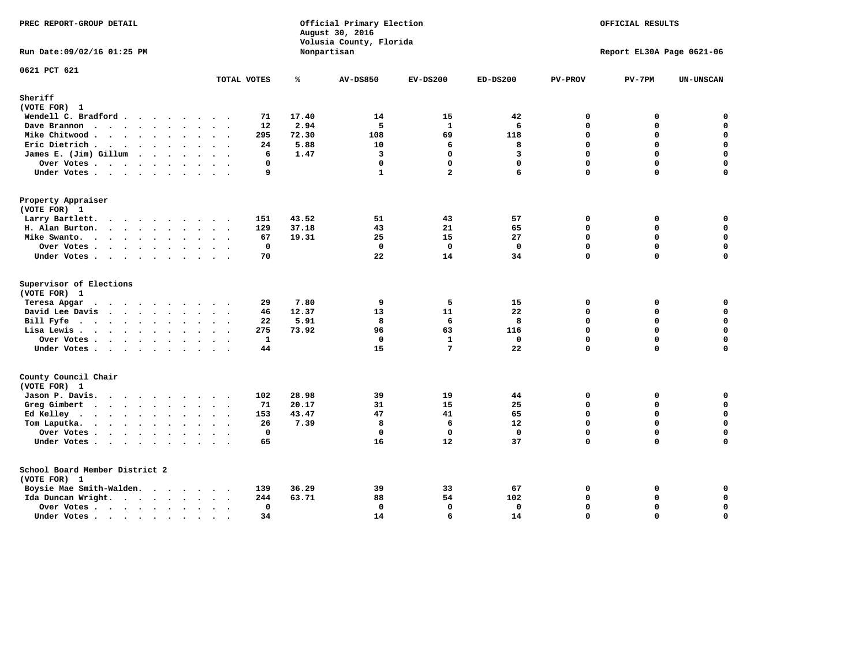| PREC REPORT-GROUP DETAIL             |                      |                    |       | Official Primary Election<br>August 30, 2016<br>Volusia County, Florida |                                 |                   |                | OFFICIAL RESULTS          |                  |
|--------------------------------------|----------------------|--------------------|-------|-------------------------------------------------------------------------|---------------------------------|-------------------|----------------|---------------------------|------------------|
| Run Date: 09/02/16 01:25 PM          |                      |                    |       | Nonpartisan                                                             |                                 |                   |                | Report EL30A Page 0621-06 |                  |
| 0621 PCT 621                         |                      | TOTAL VOTES        | ℁     | <b>AV-DS850</b>                                                         | $EV-DS200$                      | $ED-DS200$        | <b>PV-PROV</b> | $PV-7PM$                  | <b>UN-UNSCAN</b> |
| Sheriff                              |                      |                    |       |                                                                         |                                 |                   |                |                           |                  |
| (VOTE FOR) 1                         |                      |                    |       |                                                                         |                                 |                   |                |                           |                  |
| Wendell C. Bradford                  |                      | 71                 | 17.40 | 14                                                                      | 15                              | 42                | $\Omega$       | 0                         | $\mathbf 0$      |
| Dave Brannon                         |                      | 12                 | 2.94  | 5                                                                       | $\mathbf{1}$                    | 6                 | 0              | $\Omega$                  | $\mathbf 0$      |
| Mike Chitwood                        |                      | 295                | 72.30 | 108                                                                     | 69                              | 118               | 0              | 0                         | $\pmb{0}$        |
| Eric Dietrich.                       |                      | 24                 | 5.88  | 10                                                                      | 6                               | 8                 | $\Omega$       | $\Omega$                  | $\mathbf 0$      |
| James E. (Jim) Gillum                |                      | 6                  | 1.47  | 3                                                                       | $\mathbf 0$                     | 3                 | $\Omega$       | $\Omega$                  | $\mathbf 0$      |
| Over Votes                           | $\ddot{\phantom{a}}$ | 0                  |       | $\mathbf{0}$                                                            | $\mathbf 0$                     | $\mathbf{0}$      | $\Omega$       | $\Omega$                  | 0                |
| Under Votes                          |                      | 9                  |       | $\mathbf{1}$                                                            | $\overline{a}$                  | 6                 | $\Omega$       | $\Omega$                  | $\mathbf 0$      |
| Property Appraiser                   |                      |                    |       |                                                                         |                                 |                   |                |                           |                  |
| (VOTE FOR) 1                         |                      |                    |       |                                                                         |                                 |                   |                |                           |                  |
| Larry Bartlett.                      |                      | 151                | 43.52 | 51                                                                      | 43                              | 57                | 0              | 0                         | 0                |
| H. Alan Burton.                      |                      | 129                | 37.18 | 43                                                                      | 21                              | 65                | 0              | 0                         | $\mathbf 0$      |
| Mike Swanto.                         |                      | 67                 | 19.31 | 25                                                                      | 15                              | 27                | $\Omega$       | 0                         | 0                |
| Over Votes                           |                      | 0                  |       | $\Omega$                                                                | $\mathbf{0}$                    | $\mathbf 0$       | 0              | $\Omega$                  | 0                |
| Under Votes                          |                      | 70                 |       | 22                                                                      | 14                              | 34                | 0              | 0                         | 0                |
| Supervisor of Elections              |                      |                    |       |                                                                         |                                 |                   |                |                           |                  |
| (VOTE FOR) 1                         |                      |                    |       |                                                                         |                                 |                   |                |                           |                  |
| Teresa Apgar                         |                      | 29                 | 7.80  | 9                                                                       | 5                               | 15                | 0              | 0                         | $\mathbf 0$      |
| David Lee Davis                      |                      | 46                 | 12.37 | 13<br>8                                                                 | 11                              | 22                | $\Omega$<br>0  | 0<br>$\Omega$             | 0<br>$\mathbf 0$ |
| Bill Fyfe                            |                      | 22                 | 5.91  |                                                                         | 6                               | 8                 |                |                           | 0                |
| Lisa Lewis                           |                      | 275                | 73.92 | 96                                                                      | 63                              | 116               | 0              | 0                         |                  |
| Over Votes                           |                      | $\mathbf{1}$<br>44 |       | $\Omega$<br>15                                                          | $\mathbf{1}$<br>$7\phantom{.0}$ | $\mathbf 0$<br>22 | 0<br>0         | $\Omega$<br>$\Omega$      | $\mathbf 0$<br>0 |
| Under Votes                          |                      |                    |       |                                                                         |                                 |                   |                |                           |                  |
| County Council Chair<br>(VOTE FOR) 1 |                      |                    |       |                                                                         |                                 |                   |                |                           |                  |
| Jason P. Davis.                      |                      | 102                | 28.98 | 39                                                                      | 19                              | 44                | $\mathbf{0}$   | 0                         | 0                |
| Greg Gimbert                         |                      | 71                 | 20.17 | 31                                                                      | 15                              | 25                | $\Omega$       | 0                         | $\mathbf 0$      |
| Ed Kelley                            |                      | 153                | 43.47 | 47                                                                      | 41                              | 65                | 0              | 0                         | 0                |
| Tom Laputka.                         |                      | 26                 | 7.39  | 8                                                                       | 6                               | 12                | 0              | 0                         | $\mathbf 0$      |
| Over Votes                           |                      | $\mathbf 0$        |       | $\mathbf{0}$                                                            | $\mathbf{0}$                    | $\mathbf 0$       | 0              | 0                         | 0                |
| Under Votes                          |                      | 65                 |       | 16                                                                      | 12                              | 37                | $\Omega$       | $\Omega$                  | $\Omega$         |
| School Board Member District 2       |                      |                    |       |                                                                         |                                 |                   |                |                           |                  |
| (VOTE FOR) 1                         |                      |                    |       |                                                                         |                                 |                   |                |                           |                  |
| Boysie Mae Smith-Walden.             |                      | 139                | 36.29 | 39                                                                      | 33                              | 67                | 0              | 0                         | 0                |
| Ida Duncan Wright.                   |                      | 244                | 63.71 | 88                                                                      | 54                              | 102               | 0              | 0                         | 0                |
| Over Votes.                          |                      | 0                  |       | 0                                                                       | $\mathbf{0}$                    | 0                 | 0              | 0                         | 0                |
| Under Votes                          | $\sim$               | 34                 |       | 14                                                                      | 6                               | 14                | $\Omega$       | $\Omega$                  | $\mathbf 0$      |
|                                      |                      |                    |       |                                                                         |                                 |                   |                |                           |                  |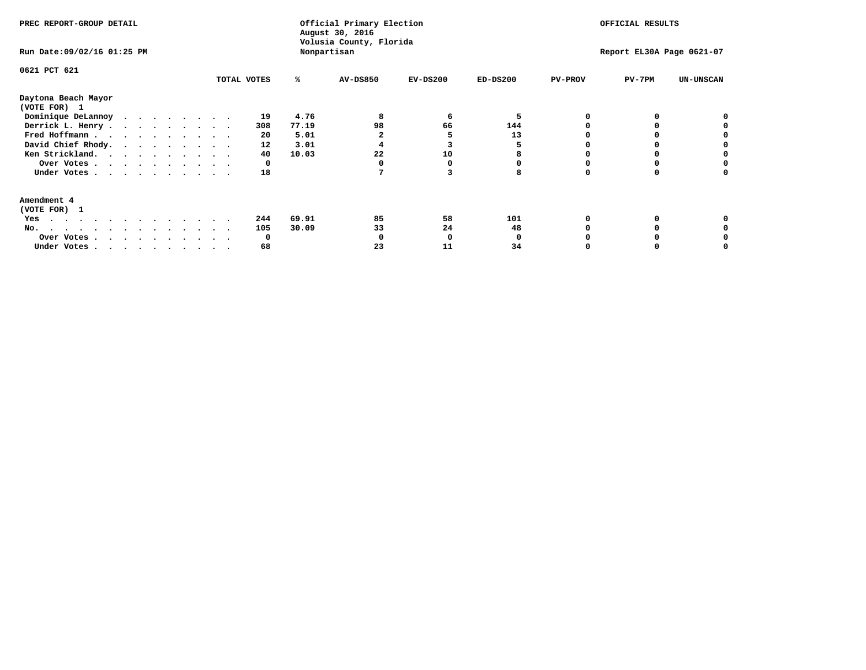| PREC REPORT-GROUP DETAIL<br>Run Date: 09/02/16 01:25 PM |              | Official Primary Election<br>August 30, 2016<br>Volusia County, Florida<br>Nonpartisan |          |            | OFFICIAL RESULTS<br>Report EL30A Page 0621-07 |                |          |                  |
|---------------------------------------------------------|--------------|----------------------------------------------------------------------------------------|----------|------------|-----------------------------------------------|----------------|----------|------------------|
| 0621 PCT 621                                            | TOTAL VOTES  | ℁                                                                                      | AV-DS850 | $EV-DS200$ | $ED-DS200$                                    | <b>PV-PROV</b> | $PV-7PM$ | <b>UN-UNSCAN</b> |
| Daytona Beach Mayor<br>(VOTE FOR) 1                     |              |                                                                                        |          |            |                                               |                |          |                  |
| Dominique DeLannoy                                      | 19           | 4.76                                                                                   |          | 6          |                                               |                |          |                  |
| Derrick L. Henry                                        | 308          | 77.19                                                                                  | 98       | 66         | 144                                           |                |          |                  |
| Fred Hoffmann                                           | 20           | 5.01                                                                                   |          |            | 13                                            |                |          |                  |
| David Chief Rhody.                                      | 12           | 3.01                                                                                   |          |            |                                               |                |          |                  |
| Ken Strickland.                                         | 40           | 10.03                                                                                  | 22       | 10         |                                               |                |          |                  |
| Over Votes                                              | 0            |                                                                                        |          |            |                                               |                |          |                  |
| Under Votes                                             | 18           |                                                                                        |          |            |                                               |                |          |                  |
| Amendment 4                                             |              |                                                                                        |          |            |                                               |                |          |                  |
| (VOTE FOR) 1                                            |              |                                                                                        |          |            |                                               |                |          |                  |
| Yes<br>.                                                | 244          | 69.91                                                                                  | 85       | 58         | 101                                           |                |          |                  |
| No.<br>.                                                | 105          | 30.09                                                                                  | 33       | 24         | 48                                            |                |          |                  |
| Over Votes                                              | <sup>0</sup> |                                                                                        |          |            |                                               |                |          |                  |
| Under Votes, , , , , , , , , ,                          | 68           |                                                                                        | 23       | 11         | 34                                            |                |          |                  |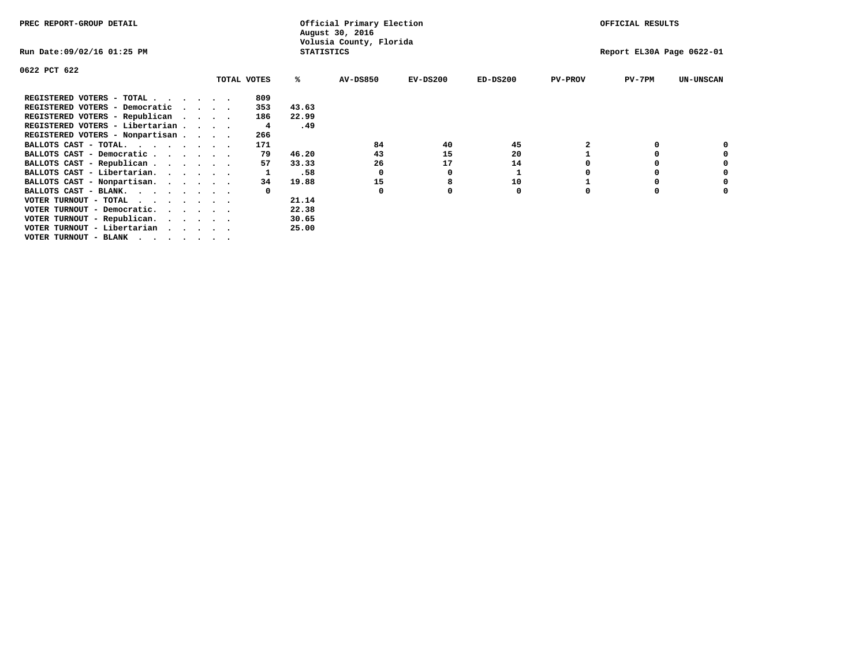| PREC REPORT-GROUP DETAIL        |  |             |                   | Official Primary Election<br>August 30, 2016 |            |            |                | OFFICIAL RESULTS          |                  |
|---------------------------------|--|-------------|-------------------|----------------------------------------------|------------|------------|----------------|---------------------------|------------------|
| Run Date:09/02/16 01:25 PM      |  |             | <b>STATISTICS</b> | Volusia County, Florida                      |            |            |                | Report EL30A Page 0622-01 |                  |
| 0622 PCT 622                    |  |             |                   |                                              |            |            |                |                           |                  |
|                                 |  | TOTAL VOTES | ℁                 | <b>AV-DS850</b>                              | $EV-DS200$ | $ED-DS200$ | <b>PV-PROV</b> | $PV-7PM$                  | <b>UN-UNSCAN</b> |
| REGISTERED VOTERS - TOTAL       |  | 809         |                   |                                              |            |            |                |                           |                  |
| REGISTERED VOTERS - Democratic  |  | 353         | 43.63             |                                              |            |            |                |                           |                  |
| REGISTERED VOTERS - Republican  |  | 186         | 22.99             |                                              |            |            |                |                           |                  |
| REGISTERED VOTERS - Libertarian |  | 4           | .49               |                                              |            |            |                |                           |                  |
| REGISTERED VOTERS - Nonpartisan |  | 266         |                   |                                              |            |            |                |                           |                  |
| BALLOTS CAST - TOTAL.           |  | 171         |                   | 84                                           | 40         | 45         |                |                           |                  |
| BALLOTS CAST - Democratic       |  | 79          | 46.20             | 43                                           | 15         | 20         |                |                           |                  |
| BALLOTS CAST - Republican       |  | 57          | 33.33             | 26                                           | 17         | 14         |                |                           |                  |
| BALLOTS CAST - Libertarian.     |  |             | .58               | 0                                            | O          |            |                |                           |                  |
| BALLOTS CAST - Nonpartisan.     |  | 34          | 19.88             | 15                                           |            | 10         |                |                           | 0                |
| BALLOTS CAST - BLANK.           |  |             |                   | $\Omega$                                     |            | 0          | O              |                           |                  |
| VOTER TURNOUT - TOTAL           |  |             | 21.14             |                                              |            |            |                |                           |                  |
| VOTER TURNOUT - Democratic.     |  |             | 22.38             |                                              |            |            |                |                           |                  |
| VOTER TURNOUT - Republican.     |  |             | 30.65             |                                              |            |            |                |                           |                  |
| VOTER TURNOUT - Libertarian     |  |             | 25.00             |                                              |            |            |                |                           |                  |
| VOTER TURNOUT - BLANK           |  |             |                   |                                              |            |            |                |                           |                  |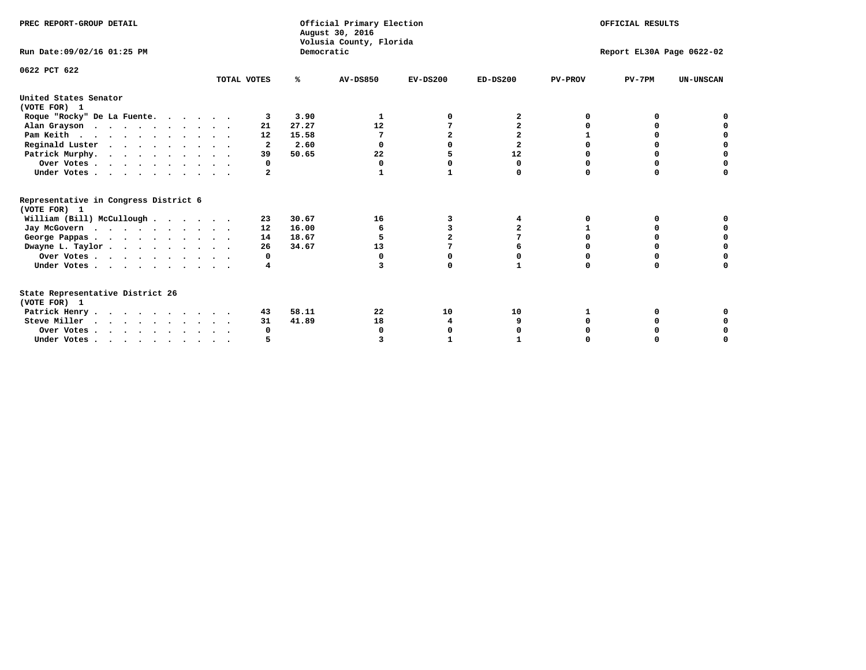| PREC REPORT-GROUP DETAIL                                                         |                         |            | Official Primary Election<br>August 30, 2016<br>Volusia County, Florida |                |                |                | OFFICIAL RESULTS          |                  |
|----------------------------------------------------------------------------------|-------------------------|------------|-------------------------------------------------------------------------|----------------|----------------|----------------|---------------------------|------------------|
| Run Date: 09/02/16 01:25 PM                                                      |                         | Democratic |                                                                         |                |                |                | Report EL30A Page 0622-02 |                  |
| 0622 PCT 622                                                                     | TOTAL VOTES             | %ะ         | <b>AV-DS850</b>                                                         | $EV-DS200$     | $ED-DS200$     | <b>PV-PROV</b> | $PV-7PM$                  | <b>UN-UNSCAN</b> |
| United States Senator                                                            |                         |            |                                                                         |                |                |                |                           |                  |
| (VOTE FOR) 1                                                                     |                         |            |                                                                         |                |                |                |                           |                  |
| Roque "Rocky" De La Fuente.                                                      | 3                       | 3.90       | 1                                                                       | O              | 2              | n              |                           |                  |
| Alan Grayson                                                                     | 21                      | 27.27      | 12                                                                      |                |                |                |                           |                  |
| Pam Keith                                                                        | 12                      | 15.58      | 7                                                                       | $\overline{a}$ | 2              |                |                           |                  |
| Reginald Luster                                                                  | $\overline{\mathbf{2}}$ | 2.60       | $\Omega$                                                                |                | $\overline{a}$ |                |                           |                  |
| Patrick Murphy.                                                                  | 39                      | 50.65      | 22                                                                      |                | 12             |                | 0                         | O                |
| Over Votes                                                                       | 0                       |            | 0                                                                       | <sup>0</sup>   | 0              |                | 0                         |                  |
| Under Votes                                                                      | 2                       |            | 1                                                                       | 1.             | 0              | $\Omega$       |                           | n                |
| Representative in Congress District 6                                            |                         |            |                                                                         |                |                |                |                           |                  |
| (VOTE FOR) 1                                                                     |                         |            |                                                                         |                |                |                |                           |                  |
| William (Bill) McCullough                                                        | 23                      | 30.67      | 16                                                                      | 3              | 4              | O              | 0                         |                  |
| Jay McGovern                                                                     | 12                      | 16.00      | 6                                                                       | 3              |                |                | n                         |                  |
| George Pappas.                                                                   | 14                      | 18.67      |                                                                         | $\overline{a}$ |                |                | $\Omega$                  |                  |
| Dwayne L. Taylor                                                                 | 26                      | 34.67      | 13                                                                      |                |                |                | $\Omega$                  | $\mathbf 0$      |
| Over Votes                                                                       | 0                       |            | 0                                                                       | O              |                |                |                           |                  |
| Under Votes                                                                      | 4                       |            | 3                                                                       | $\Omega$       |                | $\Omega$       | $\Omega$                  | O                |
| State Representative District 26                                                 |                         |            |                                                                         |                |                |                |                           |                  |
| (VOTE FOR) 1                                                                     |                         |            |                                                                         |                |                |                |                           |                  |
| Patrick Henry                                                                    | 43                      | 58.11      | 22                                                                      | 10             | 10             |                |                           |                  |
| Steve Miller                                                                     | 31                      | 41.89      | 18                                                                      | 4              | 9              |                |                           | 0                |
| Over Votes                                                                       | 0                       |            | O                                                                       | 0              |                |                |                           | 0                |
| Under Votes, $\cdot$ , $\cdot$ , $\cdot$ , $\cdot$ , $\cdot$ , $\cdot$ , $\cdot$ |                         |            |                                                                         |                |                |                |                           |                  |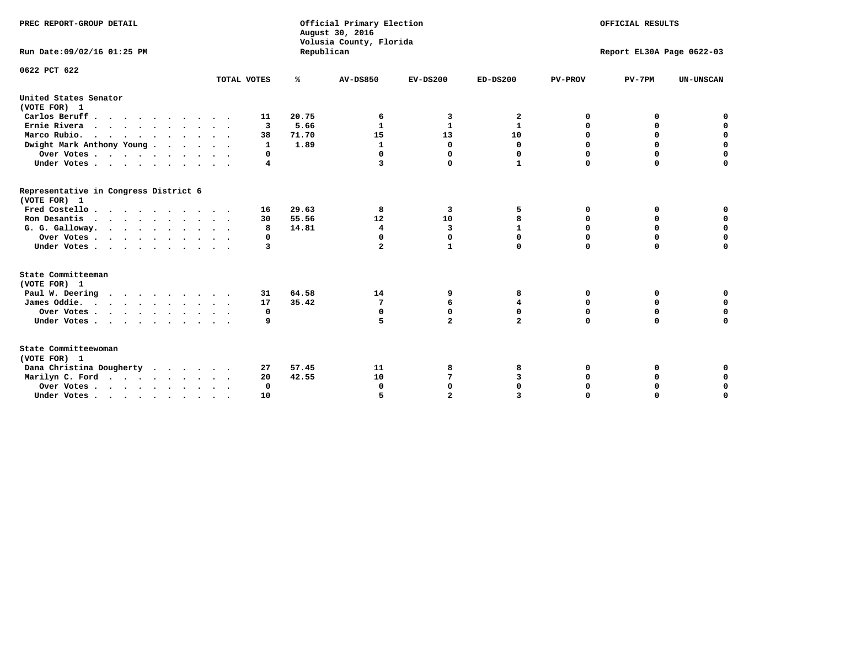| PREC REPORT-GROUP DETAIL<br>Run Date: 09/02/16 01:25 PM                          |              | Republican | Official Primary Election<br>August 30, 2016<br>Volusia County, Florida | OFFICIAL RESULTS<br>Report EL30A Page 0622-03 |                |                |             |                  |
|----------------------------------------------------------------------------------|--------------|------------|-------------------------------------------------------------------------|-----------------------------------------------|----------------|----------------|-------------|------------------|
|                                                                                  |              |            |                                                                         |                                               |                |                |             |                  |
| 0622 PCT 622                                                                     | TOTAL VOTES  | ℁          | <b>AV-DS850</b>                                                         | $EV-DS200$                                    | $ED-DS200$     | <b>PV-PROV</b> | $PV-7PM$    | <b>UN-UNSCAN</b> |
|                                                                                  |              |            |                                                                         |                                               |                |                |             |                  |
| United States Senator<br>(VOTE FOR) 1                                            |              |            |                                                                         |                                               |                |                |             |                  |
| Carlos Beruff                                                                    | 11           | 20.75      | 6                                                                       | 3                                             | 2              | 0              | 0           | 0                |
| Ernie Rivera                                                                     | 3            | 5.66       | 1                                                                       | 1                                             | 1              | 0              | 0           | $\mathbf 0$      |
| Marco Rubio.                                                                     | 38           | 71.70      | 15                                                                      | 13                                            | 10             | 0              | $\mathbf 0$ | $\mathbf 0$      |
| Dwight Mark Anthony Young                                                        | $\mathbf{1}$ | 1.89       | $\mathbf{1}$                                                            | $\mathbf 0$                                   | 0              | 0              | $\mathbf 0$ | $\mathbf 0$      |
| Over Votes                                                                       | 0            |            | 0                                                                       | $\Omega$                                      | 0              | 0              | 0           | $\mathbf 0$      |
| Under Votes                                                                      | 4            |            | 3                                                                       | $\Omega$                                      | $\mathbf{1}$   | $\Omega$       | $\Omega$    | $\Omega$         |
| Representative in Congress District 6<br>(VOTE FOR) 1                            |              |            |                                                                         |                                               |                |                |             |                  |
| Fred Costello                                                                    | 16           | 29.63      | 8                                                                       | 3                                             | 5              | 0              | 0           | 0                |
| Ron Desantis                                                                     | 30           | 55.56      | 12                                                                      | 10                                            | 8              | $\Omega$       | 0           | $\mathbf 0$      |
| G. G. Galloway.                                                                  | 8            | 14.81      | $\overline{\mathbf{4}}$                                                 | 3                                             | $\mathbf{1}$   | $\mathbf 0$    | $\mathbf 0$ | $\Omega$         |
| Over Votes                                                                       | 0            |            | $\mathbf 0$                                                             | $\mathbf 0$                                   | 0              | $\mathbf 0$    | $\mathbf 0$ | $\mathbf 0$      |
| Under Votes                                                                      | 3            |            | $\overline{a}$                                                          | $\mathbf{1}$                                  | 0              | $\Omega$       | $\Omega$    | $\Omega$         |
| State Committeeman                                                               |              |            |                                                                         |                                               |                |                |             |                  |
| (VOTE FOR) 1                                                                     |              |            |                                                                         |                                               |                |                |             |                  |
| Paul W. Deering                                                                  | 31           | 64.58      | 14                                                                      | 9                                             | 8              | 0              | 0           | 0                |
| James Oddie.                                                                     | 17           | 35.42      | 7                                                                       | 6                                             | 4              | 0              | 0           | $\mathbf 0$      |
| Over Votes                                                                       | 0            |            | $\mathbf 0$                                                             | $\mathbf 0$                                   | 0              | 0              | 0           | $\mathbf 0$      |
| Under Votes                                                                      | 9            |            | 5                                                                       | $\overline{a}$                                | $\overline{a}$ | $\Omega$       | $\mathbf 0$ | $\mathbf 0$      |
| State Committeewoman<br>(VOTE FOR) 1                                             |              |            |                                                                         |                                               |                |                |             |                  |
| Dana Christina Dougherty                                                         | 27           | 57.45      | 11                                                                      | 8                                             | 8              | 0              | 0           | 0                |
| Marilyn C. Ford                                                                  | 20           | 42.55      | 10                                                                      | 7                                             | 3              | 0              | 0           | $\mathbf 0$      |
| Over Votes                                                                       | $\Omega$     |            | $\Omega$                                                                | $\Omega$                                      | 0              | 0              | 0           | $\mathbf 0$      |
| Under Votes, $\cdot$ , $\cdot$ , $\cdot$ , $\cdot$ , $\cdot$ , $\cdot$ , $\cdot$ | <b>10</b>    |            |                                                                         | $\overline{a}$                                |                | $\Omega$       | $\Omega$    | $\Omega$         |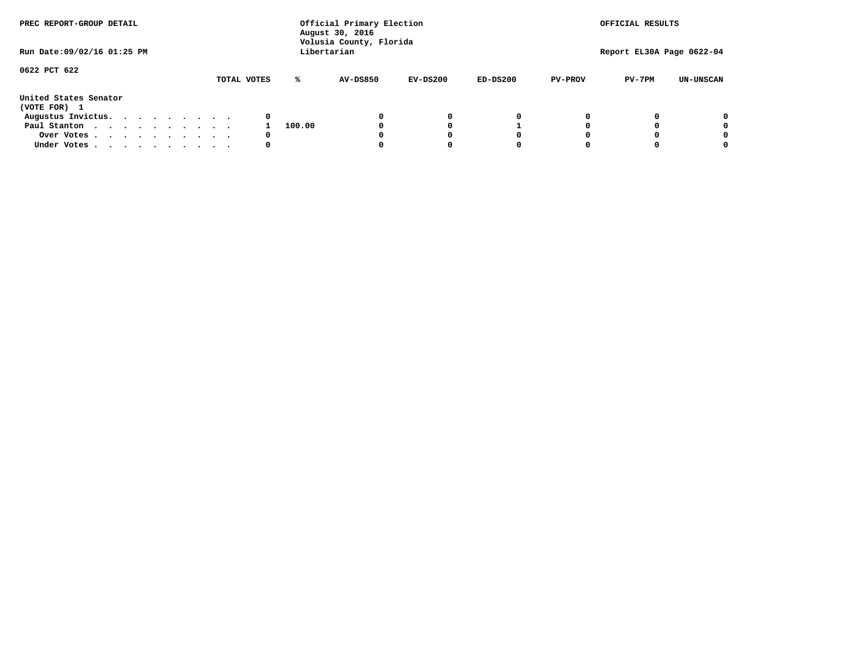| PREC REPORT-GROUP DETAIL<br>Run Date: 09/02/16 01:25 PM |  |  |  |  | Official Primary Election<br>August 30, 2016<br>Volusia County, Florida<br>Libertarian |             | OFFICIAL RESULTS<br>Report EL30A Page 0622-04 |          |            |            |                |          |                  |
|---------------------------------------------------------|--|--|--|--|----------------------------------------------------------------------------------------|-------------|-----------------------------------------------|----------|------------|------------|----------------|----------|------------------|
|                                                         |  |  |  |  |                                                                                        |             |                                               |          |            |            |                |          |                  |
| 0622 PCT 622                                            |  |  |  |  |                                                                                        | TOTAL VOTES | ℁                                             | AV-DS850 | $EV-DS200$ | $ED-DS200$ | <b>PV-PROV</b> | $PV-7PM$ | <b>UN-UNSCAN</b> |
| United States Senator<br>(VOTE FOR) 1                   |  |  |  |  |                                                                                        |             |                                               |          |            |            |                |          |                  |
| Augustus Invictus.                                      |  |  |  |  |                                                                                        | 0           |                                               |          | 0          | 0          |                |          | 0                |
| Paul Stanton                                            |  |  |  |  |                                                                                        |             | 100.00                                        |          |            |            |                |          | 0                |
| Over Votes                                              |  |  |  |  |                                                                                        | 0           |                                               |          |            | 0          |                |          | 0                |
| Under Votes                                             |  |  |  |  |                                                                                        | 0           |                                               |          |            | 0          |                |          | 0                |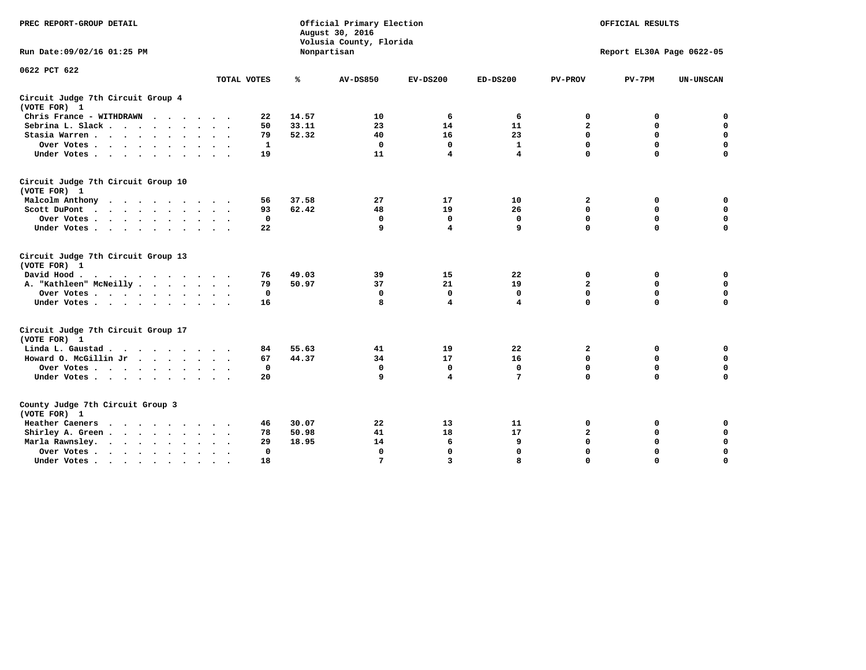| PREC REPORT-GROUP DETAIL                           |             |       | Official Primary Election<br>August 30, 2016<br>Volusia County, Florida |                         |                |                         | OFFICIAL RESULTS          |                  |
|----------------------------------------------------|-------------|-------|-------------------------------------------------------------------------|-------------------------|----------------|-------------------------|---------------------------|------------------|
| Run Date: 09/02/16 01:25 PM                        |             |       | Nonpartisan                                                             |                         |                |                         | Report EL30A Page 0622-05 |                  |
| 0622 PCT 622                                       | TOTAL VOTES | ℁     | <b>AV-DS850</b>                                                         | $EV-DS200$              | $ED-DS200$     | <b>PV-PROV</b>          | $PV-7PM$                  | <b>UN-UNSCAN</b> |
| Circuit Judge 7th Circuit Group 4<br>(VOTE FOR) 1  |             |       |                                                                         |                         |                |                         |                           |                  |
| Chris France - WITHDRAWN                           | 22          | 14.57 | 10                                                                      | 6                       | 6              | 0                       | 0                         | 0                |
| Sebrina L. Slack                                   | 50          | 33.11 | 23                                                                      | 14                      | 11             | $\mathbf{2}$            | $\mathbf 0$               | $\mathbf 0$      |
| Stasia Warren                                      | 79          | 52.32 | 40                                                                      | 16                      | 23             | 0                       | $\mathbf 0$               | $\mathbf 0$      |
| Over Votes                                         | 1           |       | $\Omega$                                                                | $\mathbf 0$             | $\mathbf{1}$   | $\mathbf 0$             | $\mathbf 0$               | $\mathbf 0$      |
| Under Votes                                        | 19          |       | 11                                                                      | $\overline{\mathbf{4}}$ | $\overline{4}$ | $\mathbf 0$             | $\Omega$                  | $\Omega$         |
| Circuit Judge 7th Circuit Group 10<br>(VOTE FOR) 1 |             |       |                                                                         |                         |                |                         |                           |                  |
| Malcolm Anthony                                    | 56          | 37.58 | 27                                                                      | 17                      | 10             | $\mathbf{2}$            | 0                         | 0                |
| Scott DuPont                                       | 93          | 62.42 | 48                                                                      | 19                      | 26             | $\mathbf 0$             | $\mathbf 0$               | $\mathbf 0$      |
| Over Votes                                         | 0           |       | $\mathbf{0}$                                                            | $\mathbf 0$             | $\mathbf 0$    | $\mathbf 0$             | $\mathbf 0$               | $\mathbf 0$      |
| Under Votes                                        | 22          |       | 9                                                                       | 4                       | 9              | $\Omega$                | $\Omega$                  | $\Omega$         |
| Circuit Judge 7th Circuit Group 13<br>(VOTE FOR) 1 |             |       |                                                                         |                         |                |                         |                           |                  |
| David Hood.                                        | 76          | 49.03 | 39                                                                      | 15                      | 22             | 0                       | 0                         | $\mathbf 0$      |
| A. "Kathleen" McNeilly                             | 79          | 50.97 | 37                                                                      | 21                      | 19             | $\overline{\mathbf{2}}$ | 0                         | $\mathbf 0$      |
| Over Votes                                         | $\mathbf 0$ |       | $\mathbf{0}$                                                            | 0                       | 0              | $\mathbf 0$             | $\mathbf 0$               | $\mathbf 0$      |
| Under Votes                                        | 16          |       | 8                                                                       | $\overline{\mathbf{4}}$ | 4              | $\mathbf 0$             | $\Omega$                  | 0                |
| Circuit Judge 7th Circuit Group 17<br>(VOTE FOR) 1 |             |       |                                                                         |                         |                |                         |                           |                  |
| Linda L. Gaustad                                   | 84          | 55.63 | 41                                                                      | 19                      | 22             | $\mathbf{2}$            | 0                         | 0                |
| Howard O. McGillin Jr                              | 67          | 44.37 | 34                                                                      | 17                      | 16             | $\mathbf 0$             | $\mathbf 0$               | $\mathbf 0$      |
| Over Votes                                         | 0           |       | $\mathbf{0}$                                                            | $\mathbf 0$             | $\mathbf{0}$   | $\mathbf 0$             | $\mathbf 0$               | $\mathbf 0$      |
| Under Votes                                        | 20          |       | 9                                                                       | 4                       | 7              | $\mathbf 0$             | $\mathbf 0$               | $\mathbf 0$      |
| County Judge 7th Circuit Group 3<br>(VOTE FOR) 1   |             |       |                                                                         |                         |                |                         |                           |                  |
| Heather Caeners<br>.                               | 46          | 30.07 | 22                                                                      | 13                      | 11             | 0                       | 0                         | 0                |
| Shirley A. Green                                   | 78          | 50.98 | 41                                                                      | 18                      | 17             | $\overline{\mathbf{2}}$ | 0                         | $\mathbf 0$      |
| Marla Rawnsley.                                    | 29          | 18.95 | 14                                                                      | 6                       | 9              | 0                       | $\mathbf 0$               | 0                |
| Over Votes                                         | 0           |       | $\mathbf{0}$                                                            | $\mathbf 0$             | 0              | $\mathbf 0$             | $\mathbf 0$               | $\mathbf 0$      |
| Under Votes<br>$\bullet$                           | 18          |       | 7                                                                       | $\overline{\mathbf{3}}$ | 8              | $\mathbf 0$             | $\Omega$                  | $\Omega$         |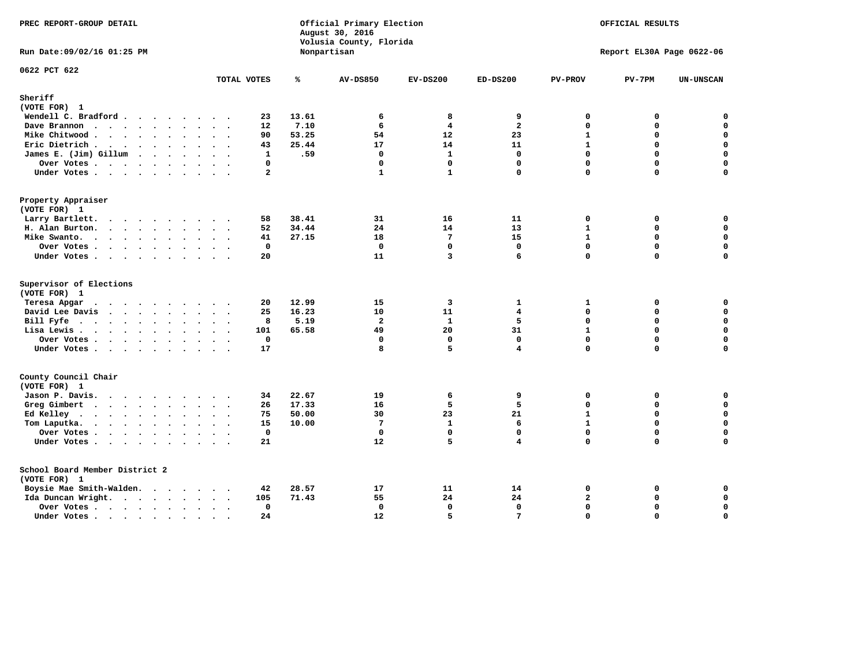| PREC REPORT-GROUP DETAIL                       |                |       | Official Primary Election<br>August 30, 2016<br>Volusia County, Florida |                         |                 |                | OFFICIAL RESULTS          |                  |
|------------------------------------------------|----------------|-------|-------------------------------------------------------------------------|-------------------------|-----------------|----------------|---------------------------|------------------|
| Run Date: 09/02/16 01:25 PM                    |                |       | Nonpartisan                                                             |                         |                 |                | Report EL30A Page 0622-06 |                  |
| 0622 PCT 622                                   | TOTAL VOTES    | ℁     | <b>AV-DS850</b>                                                         | $EV-DS200$              | $ED-DS200$      | <b>PV-PROV</b> | $PV-7PM$                  | <b>UN-UNSCAN</b> |
| Sheriff                                        |                |       |                                                                         |                         |                 |                |                           |                  |
| (VOTE FOR) 1                                   |                |       |                                                                         |                         |                 |                |                           |                  |
| Wendell C. Bradford                            | 23             | 13.61 | 6                                                                       | 8                       | 9               | 0              | 0                         | $\mathbf 0$      |
| Dave Brannon                                   | 12             | 7.10  | 6                                                                       | $\overline{4}$          | $\overline{a}$  | $\Omega$       | 0                         | $\mathbf 0$      |
| Mike Chitwood                                  | 90             | 53.25 | 54                                                                      | 12                      | 23              | $\mathbf{1}$   | 0                         | 0                |
| Eric Dietrich.                                 | 43             | 25.44 | 17                                                                      | 14                      | 11              | $\mathbf{1}$   | $\Omega$                  | $\mathbf 0$      |
| James E. (Jim) Gillum                          | $\mathbf{1}$   | .59   | $\mathbf 0$                                                             | $\mathbf{1}$            | $\mathbf 0$     | 0              | $\mathbf 0$               | $\mathbf 0$      |
| Over Votes                                     | $\mathbf{0}$   |       | $\mathbf{0}$                                                            | $\mathbf{0}$            | $\mathbf 0$     | 0              | $\Omega$                  | $\mathbf 0$      |
| Under Votes                                    | $\overline{a}$ |       | $\mathbf{1}$                                                            | $\mathbf{1}$            | $\mathbf 0$     | $\Omega$       | $\Omega$                  | $\mathbf 0$      |
| Property Appraiser                             |                |       |                                                                         |                         |                 |                |                           |                  |
| (VOTE FOR) 1                                   |                |       |                                                                         |                         |                 |                |                           |                  |
| Larry Bartlett.                                | 58             | 38.41 | 31                                                                      | 16                      | 11              | $\mathbf 0$    | 0                         | 0                |
| H. Alan Burton.                                | 52             | 34.44 | 24                                                                      | 14                      | 13              | $\mathbf{1}$   | 0                         | $\mathbf 0$      |
| Mike Swanto.                                   | 41             | 27.15 | 18                                                                      | $7\phantom{.0}$         | 15              | $\mathbf{1}$   | 0                         | $\mathbf 0$      |
| Over Votes                                     | 0              |       | $\Omega$                                                                | $\mathbf 0$             | $\mathbf{0}$    | 0              | 0                         | $\mathbf 0$      |
| Under Votes                                    | 20             |       | 11                                                                      | $\overline{\mathbf{3}}$ | 6               | $\Omega$       | $\Omega$                  | $\mathbf 0$      |
| Supervisor of Elections<br>(VOTE FOR) 1        |                |       |                                                                         |                         |                 |                |                           |                  |
| Teresa Apgar                                   | 20             | 12.99 | 15                                                                      | 3                       | 1               | 1              | 0                         | 0                |
| David Lee Davis                                | 25             | 16.23 | 10                                                                      | 11                      | $\overline{4}$  | $\Omega$       | 0                         | $\mathbf 0$      |
| Bill Fyfe                                      | 8              | 5.19  | $\overline{a}$                                                          | $\mathbf{1}$            | 5               | 0              | $\Omega$                  | $\mathbf 0$      |
| Lisa Lewis                                     | 101            | 65.58 | 49                                                                      | 20                      | 31              | $\mathbf{1}$   | 0                         | $\mathbf 0$      |
| Over Votes.                                    | $\mathbf{0}$   |       | $\mathbf{0}$                                                            | $\mathbf 0$             | $\mathbf 0$     | 0              | $\Omega$                  | $\mathbf 0$      |
| Under Votes                                    | 17             |       | 8                                                                       | 5                       | $\overline{4}$  | $\Omega$       | $\Omega$                  | $\mathbf 0$      |
| County Council Chair<br>(VOTE FOR) 1           |                |       |                                                                         |                         |                 |                |                           |                  |
| Jason P. Davis.                                | 34             | 22.67 | 19                                                                      | 6                       | 9               | 0              | 0                         | 0                |
| Greg Gimbert                                   | 26             | 17.33 | 16                                                                      | 5                       | 5               | 0              | $\Omega$                  | $\mathbf 0$      |
| Ed Kelley                                      | 75             | 50.00 | 30                                                                      | 23                      | 21              | $\mathbf{1}$   | 0                         | $\mathbf 0$      |
| Tom Laputka.                                   | 15             | 10.00 | $7\phantom{.0}$                                                         | $\mathbf{1}$            | 6               | $\mathbf{1}$   | $\Omega$                  | $\mathbf 0$      |
| Over Votes                                     | $\mathbf 0$    |       | $\Omega$                                                                | $\Omega$                | $\Omega$        | $\Omega$       | 0                         | 0                |
| Under Votes                                    | 21             |       | 12                                                                      | 5                       | 4               | 0              | $\Omega$                  | $\Omega$         |
| School Board Member District 2<br>(VOTE FOR) 1 |                |       |                                                                         |                         |                 |                |                           |                  |
| Boysie Mae Smith-Walden.                       | 42             | 28.57 | 17                                                                      | 11                      | 14              | 0              | 0                         | $\mathbf 0$      |
| Ida Duncan Wright.                             | 105            | 71.43 | 55                                                                      | 24                      | 24              | 2              | 0                         | $\mathbf 0$      |
| Over Votes.                                    | $\mathbf{0}$   |       | $\mathbf{0}$                                                            | $\mathbf{0}$            | $\mathbf{0}$    | $\Omega$       | 0                         | $\pmb{0}$        |
|                                                | 24             |       | 12                                                                      | 5                       | $7\phantom{.0}$ | $\Omega$       | $\Omega$                  | $\mathbf 0$      |
| Under Votes                                    |                |       |                                                                         |                         |                 |                |                           |                  |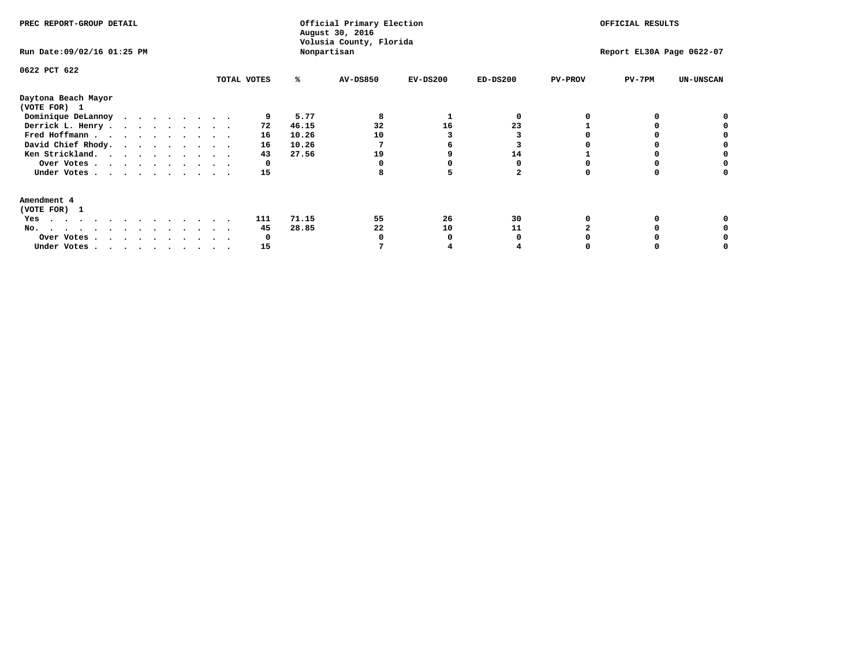| PREC REPORT-GROUP DETAIL<br>Run Date: 09/02/16 01:25 PM                                                                                                               |  |  |  |  |  |  | Nonpartisan                | Official Primary Election<br>August 30, 2016<br>Volusia County, Florida |                                          |                          |            | OFFICIAL RESULTS<br>Report EL30A Page 0622-07 |                |          |           |  |
|-----------------------------------------------------------------------------------------------------------------------------------------------------------------------|--|--|--|--|--|--|----------------------------|-------------------------------------------------------------------------|------------------------------------------|--------------------------|------------|-----------------------------------------------|----------------|----------|-----------|--|
| 0622 PCT 622                                                                                                                                                          |  |  |  |  |  |  | TOTAL VOTES                |                                                                         | %ะ                                       | AV-DS850                 | $EV-DS200$ | $ED-DS200$                                    | <b>PV-PROV</b> | $PV-7PM$ | UN-UNSCAN |  |
| Daytona Beach Mayor<br>(VOTE FOR) 1<br>Dominique DeLannoy<br>Derrick L. Henry.<br>Fred Hoffmann<br>David Chief Rhody.<br>Ken Strickland.<br>Over Votes<br>Under Votes |  |  |  |  |  |  | 72<br>16<br>16<br>43<br>15 | $^{\circ}$                                                              | 5.77<br>46.15<br>10.26<br>10.26<br>27.56 | 8<br>32<br>10<br>19<br>8 | 16         | 23<br>14<br>2                                 |                |          |           |  |
| Amendment 4<br>(VOTE FOR) 1<br>Yes<br>No.<br>Over Votes.<br>Under Votes                                                                                               |  |  |  |  |  |  | 111<br>45<br>15            | $\mathbf{o}$                                                            | 71.15<br>28.85                           | 55<br>22                 | 26<br>10   | 30<br>11                                      |                |          |           |  |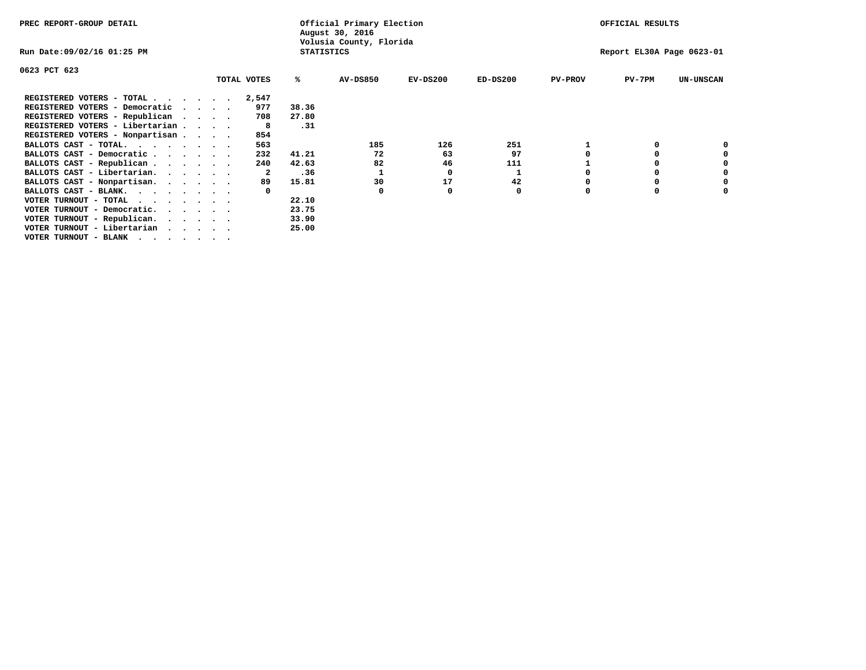| PREC REPORT-GROUP DETAIL                                                                                                                 |  |             |                   | Official Primary Election<br>August 30, 2016 |            |            |                | OFFICIAL RESULTS          |                  |
|------------------------------------------------------------------------------------------------------------------------------------------|--|-------------|-------------------|----------------------------------------------|------------|------------|----------------|---------------------------|------------------|
| Run Date:09/02/16 01:25 PM                                                                                                               |  |             | <b>STATISTICS</b> | Volusia County, Florida                      |            |            |                | Report EL30A Page 0623-01 |                  |
| 0623 PCT 623                                                                                                                             |  |             |                   |                                              |            |            |                |                           |                  |
|                                                                                                                                          |  | TOTAL VOTES | ℁                 | <b>AV-DS850</b>                              | $EV-DS200$ | $ED-DS200$ | <b>PV-PROV</b> | $PV-7PM$                  | <b>UN-UNSCAN</b> |
| REGISTERED VOTERS - TOTAL $\cdot$ $\cdot$ $\cdot$ $\cdot$ $\cdot$ $\cdot$                                                                |  | 2,547       |                   |                                              |            |            |                |                           |                  |
| REGISTERED VOTERS - Democratic<br>$\sim$ $\sim$ $\sim$ $\sim$                                                                            |  | 977         | 38.36             |                                              |            |            |                |                           |                  |
| REGISTERED VOTERS - Republican                                                                                                           |  | 708         | 27.80             |                                              |            |            |                |                           |                  |
| REGISTERED VOTERS - Libertarian                                                                                                          |  | -8          | .31               |                                              |            |            |                |                           |                  |
| REGISTERED VOTERS - Nonpartisan                                                                                                          |  | 854         |                   |                                              |            |            |                |                           |                  |
| BALLOTS CAST - TOTAL.                                                                                                                    |  | 563         |                   | 185                                          | 126        | 251        |                |                           |                  |
| BALLOTS CAST - Democratic                                                                                                                |  | 232         | 41.21             | 72                                           | 63         | 97         |                |                           |                  |
| BALLOTS CAST - Republican                                                                                                                |  | 240         | 42.63             | 82                                           | 46         | 111        |                |                           |                  |
| BALLOTS CAST - Libertarian.                                                                                                              |  | 2           | .36               |                                              | 0          |            |                |                           |                  |
| BALLOTS CAST - Nonpartisan.                                                                                                              |  | 89          | 15.81             | 30                                           | 17         | 42         |                |                           | 0                |
| BALLOTS CAST - BLANK.                                                                                                                    |  |             |                   | 0                                            |            | 0          | O              |                           |                  |
| VOTER TURNOUT - TOTAL<br>the contract of the contract of the contract of the contract of the contract of the contract of the contract of |  |             | 22.10             |                                              |            |            |                |                           |                  |
| VOTER TURNOUT - Democratic.                                                                                                              |  |             | 23.75             |                                              |            |            |                |                           |                  |
| VOTER TURNOUT - Republican.                                                                                                              |  |             | 33.90             |                                              |            |            |                |                           |                  |
| VOTER TURNOUT - Libertarian                                                                                                              |  |             | 25.00             |                                              |            |            |                |                           |                  |
| VOTER TURNOUT - BLANK                                                                                                                    |  |             |                   |                                              |            |            |                |                           |                  |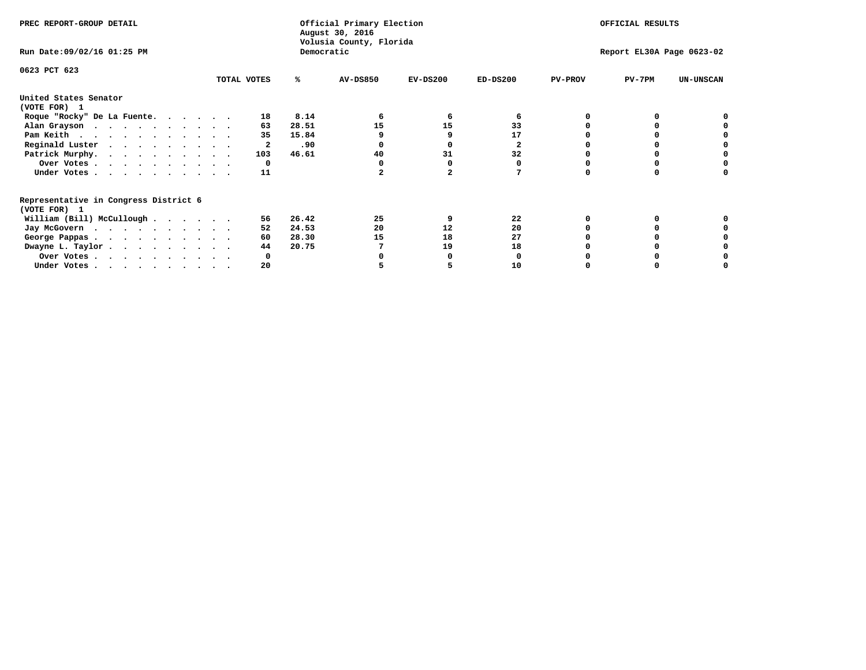| PREC REPORT-GROUP DETAIL                                               |             |       | Official Primary Election<br>August 30, 2016<br>Volusia County, Florida | OFFICIAL RESULTS |              |                |                           |                  |
|------------------------------------------------------------------------|-------------|-------|-------------------------------------------------------------------------|------------------|--------------|----------------|---------------------------|------------------|
| Run Date: 09/02/16 01:25 PM                                            |             |       | Democratic                                                              |                  |              |                | Report EL30A Page 0623-02 |                  |
| 0623 PCT 623                                                           | TOTAL VOTES | ℁     | <b>AV-DS850</b>                                                         | $EV-DS200$       | $ED-DS200$   | <b>PV-PROV</b> | $PV-7PM$                  | <b>UN-UNSCAN</b> |
| United States Senator                                                  |             |       |                                                                         |                  |              |                |                           |                  |
| (VOTE FOR) 1                                                           |             |       |                                                                         |                  |              |                |                           |                  |
| Roque "Rocky" De La Fuente.                                            | 18          | 8.14  |                                                                         | 6                | 6            |                |                           |                  |
| Alan Grayson                                                           | 63          | 28.51 | 15                                                                      | 15               | 33           |                |                           |                  |
| Pam Keith                                                              | 35          | 15.84 |                                                                         |                  | 17           |                |                           |                  |
| Reginald Luster                                                        | 2           | .90   |                                                                         |                  | $\mathbf{2}$ |                |                           |                  |
| Patrick Murphy.                                                        | 103         | 46.61 | 40                                                                      | 31               | 32           |                |                           |                  |
| Over Votes                                                             | 0           |       |                                                                         |                  |              |                |                           |                  |
| Under Votes.                                                           | 11          |       |                                                                         |                  |              |                |                           |                  |
| Representative in Congress District 6                                  |             |       |                                                                         |                  |              |                |                           |                  |
| (VOTE FOR) 1                                                           |             |       |                                                                         |                  |              |                |                           |                  |
| William (Bill) McCullough                                              | 56          | 26.42 | 25                                                                      |                  | 22           |                |                           |                  |
| Jay McGovern                                                           | 52          | 24.53 | 20                                                                      | 12               | 20           |                |                           |                  |
| George Pappas.                                                         | 60          | 28.30 | 15                                                                      | 18               | 27           |                |                           |                  |
| Dwayne L. Taylor.                                                      | 44          | 20.75 |                                                                         | 19               | 18           |                |                           |                  |
| Over Votes                                                             |             |       |                                                                         |                  |              |                |                           |                  |
| Under Votes, $\cdot$ , $\cdot$ , $\cdot$ , $\cdot$ , $\cdot$ , $\cdot$ | 20          |       |                                                                         |                  | 10           |                |                           |                  |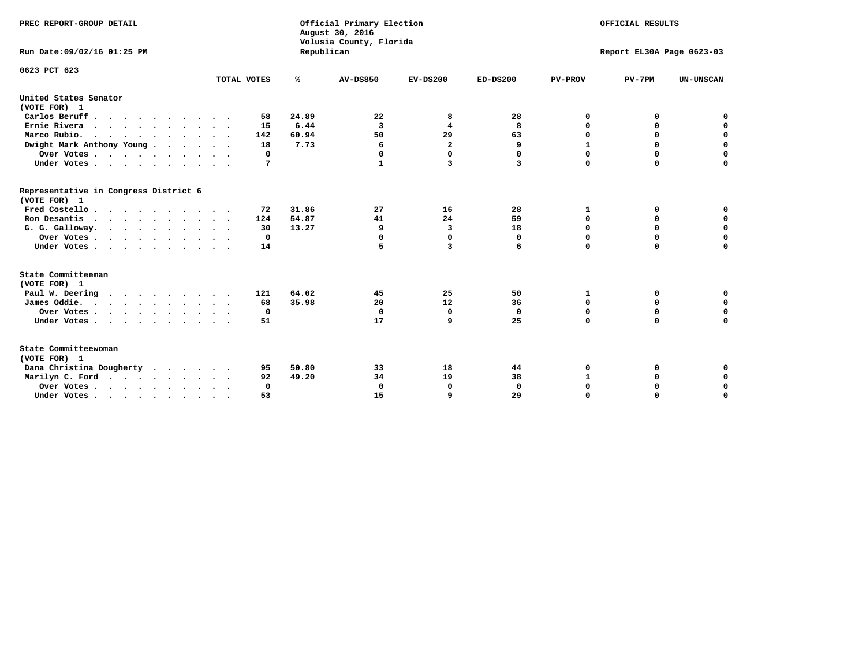| PREC REPORT-GROUP DETAIL<br>Run Date: 09/02/16 01:25 PM                                                                                |                                      | Republican              | Official Primary Election<br>August 30, 2016<br>Volusia County, Florida | OFFICIAL RESULTS<br>Report EL30A Page 0623-03 |                          |                                                     |                                        |                                                     |
|----------------------------------------------------------------------------------------------------------------------------------------|--------------------------------------|-------------------------|-------------------------------------------------------------------------|-----------------------------------------------|--------------------------|-----------------------------------------------------|----------------------------------------|-----------------------------------------------------|
| 0623 PCT 623                                                                                                                           | TOTAL VOTES                          | ℁                       | <b>AV-DS850</b>                                                         | $EV-DS200$                                    | $ED-DS200$               | <b>PV-PROV</b>                                      | $PV-7PM$                               | <b>UN-UNSCAN</b>                                    |
| United States Senator                                                                                                                  |                                      |                         |                                                                         |                                               |                          |                                                     |                                        |                                                     |
| (VOTE FOR) 1                                                                                                                           |                                      | 24.89                   | 22                                                                      |                                               | 28                       |                                                     |                                        | 0                                                   |
| Carlos Beruff<br>Ernie Rivera                                                                                                          | 58                                   | 6.44                    | 3                                                                       | 8<br>4                                        | 8                        | 0<br>0                                              | 0                                      | $\mathbf 0$                                         |
| Marco Rubio.                                                                                                                           | 15<br>142                            | 60.94                   | 50                                                                      | 29                                            | 63                       | $\mathbf 0$                                         | 0<br>$\mathbf 0$                       | $\mathbf 0$                                         |
| $\cdots$<br>Dwight Mark Anthony Young                                                                                                  | 18                                   | 7.73                    | 6                                                                       | $\overline{a}$                                | 9                        | $\mathbf{1}$                                        | 0                                      | $\mathbf 0$                                         |
| Over Votes                                                                                                                             | 0                                    |                         | 0                                                                       | $\Omega$                                      | $\Omega$                 | 0                                                   | 0                                      | 0                                                   |
| Under Votes                                                                                                                            | 7                                    |                         | 1                                                                       | 3                                             | 3                        | $\Omega$                                            | $\mathbf 0$                            | $\mathbf 0$                                         |
| Representative in Congress District 6<br>(VOTE FOR) 1<br>Fred Costello<br>Ron Desantis<br>G. G. Galloway.<br>Over Votes<br>Under Votes | 72<br>124<br>30<br>$\mathbf 0$<br>14 | 31.86<br>54.87<br>13.27 | 27<br>41<br>9<br>0<br>5                                                 | 16<br>24<br>3<br>0<br>3                       | 28<br>59<br>18<br>0<br>6 | 1<br>$\mathbf 0$<br>$\mathbf 0$<br>0<br>$\mathbf 0$ | 0<br>0<br>$\Omega$<br>0<br>$\mathbf 0$ | 0<br>$\mathbf 0$<br>$\mathbf 0$<br>0<br>$\mathbf 0$ |
| State Committeeman                                                                                                                     |                                      |                         |                                                                         |                                               |                          |                                                     |                                        |                                                     |
| (VOTE FOR) 1                                                                                                                           |                                      |                         |                                                                         |                                               |                          |                                                     |                                        |                                                     |
| Paul W. Deering<br>$\cdots$                                                                                                            | 121                                  | 64.02                   | 45                                                                      | 25                                            | 50                       | 1                                                   | 0                                      | 0                                                   |
| James Oddie.                                                                                                                           | 68                                   | 35.98                   | 20                                                                      | 12                                            | 36                       | 0                                                   | $\mathbf 0$                            | $\mathbf 0$                                         |
| Over Votes                                                                                                                             | $\mathbf 0$                          |                         | $\mathbf 0$                                                             | $\mathbf 0$                                   | $\mathbf 0$              | $\mathbf 0$                                         | $\mathbf 0$                            | $\mathbf 0$                                         |
| Under Votes                                                                                                                            | 51                                   |                         | 17                                                                      | 9                                             | 25                       | $\mathbf 0$                                         | $\mathbf 0$                            | $\mathbf 0$                                         |
| State Committeewoman<br>(VOTE FOR) 1                                                                                                   |                                      |                         |                                                                         |                                               |                          |                                                     |                                        |                                                     |
| Dana Christina Dougherty                                                                                                               | 95                                   | 50.80                   | 33                                                                      | 18                                            | 44                       | 0                                                   | 0                                      | 0                                                   |
| Marilyn C. Ford                                                                                                                        | 92                                   | 49.20                   | 34                                                                      | 19                                            | 38                       | $\mathbf{1}$                                        | 0                                      | 0                                                   |
| Over Votes                                                                                                                             | $\Omega$                             |                         | $\Omega$                                                                | 0                                             | $\mathbf{0}$             | 0                                                   | 0                                      | 0                                                   |
| Under Votes, , , , , , , , , ,                                                                                                         | 53                                   |                         | 15                                                                      | Q                                             | 29                       | $\Omega$                                            | $\Omega$                               | $\Omega$                                            |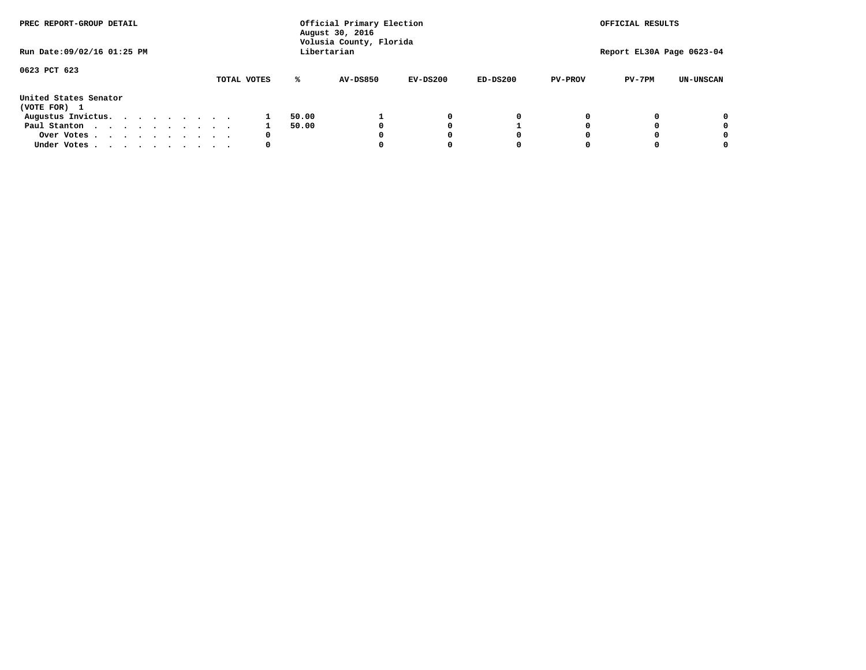| PREC REPORT-GROUP DETAIL              |  |  |  |  |  |             |       | Official Primary Election<br>August 30, 2016<br>Volusia County, Florida | OFFICIAL RESULTS |            |                |                           |                  |
|---------------------------------------|--|--|--|--|--|-------------|-------|-------------------------------------------------------------------------|------------------|------------|----------------|---------------------------|------------------|
| Run Date: 09/02/16 01:25 PM           |  |  |  |  |  |             |       | Libertarian                                                             |                  |            |                | Report EL30A Page 0623-04 |                  |
| 0623 PCT 623                          |  |  |  |  |  | TOTAL VOTES | ℁     | AV-DS850                                                                | $EV-DS200$       | $ED-DS200$ | <b>PV-PROV</b> | $PV-7PM$                  | <b>UN-UNSCAN</b> |
| United States Senator<br>(VOTE FOR) 1 |  |  |  |  |  |             |       |                                                                         |                  |            |                |                           |                  |
| Augustus Invictus.                    |  |  |  |  |  |             | 50.00 |                                                                         | 0                | 0          |                |                           | 0                |
| Paul Stanton<br>$\cdots$              |  |  |  |  |  |             | 50.00 |                                                                         | O                |            |                |                           | 0                |
| Over Votes                            |  |  |  |  |  | 0           |       |                                                                         |                  | O          |                |                           | 0                |
| Under Votes                           |  |  |  |  |  | 0           |       |                                                                         |                  |            |                |                           |                  |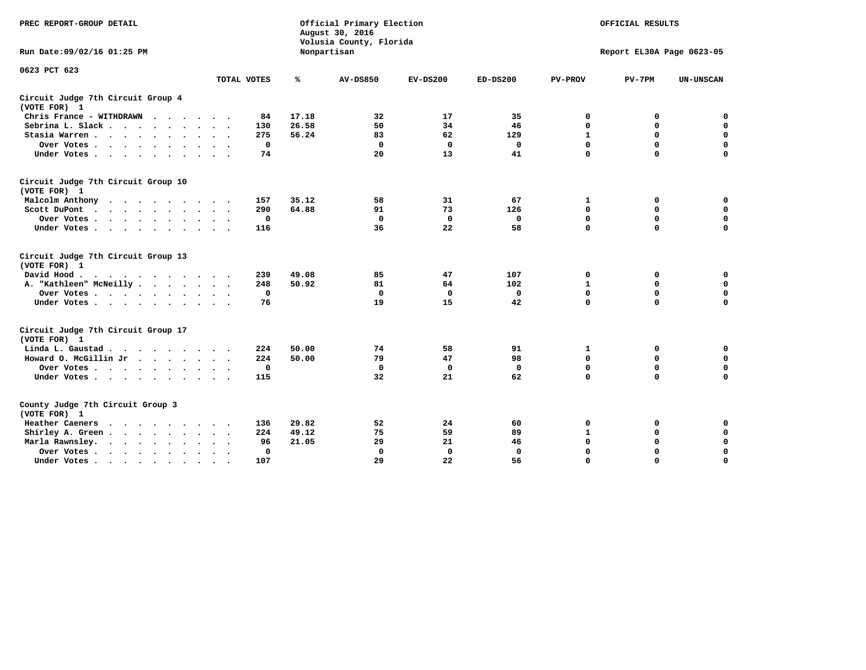| PREC REPORT-GROUP DETAIL                           |             | Official Primary Election<br>August 30, 2016<br>Volusia County, Florida | OFFICIAL RESULTS |             |              |                |                           |                  |
|----------------------------------------------------|-------------|-------------------------------------------------------------------------|------------------|-------------|--------------|----------------|---------------------------|------------------|
| Run Date: 09/02/16 01:25 PM                        |             |                                                                         | Nonpartisan      |             |              |                | Report EL30A Page 0623-05 |                  |
| 0623 PCT 623                                       | TOTAL VOTES | ℁                                                                       | <b>AV-DS850</b>  | $EV-DS200$  | $ED-DS200$   | <b>PV-PROV</b> | $PV-7PM$                  | <b>UN-UNSCAN</b> |
| Circuit Judge 7th Circuit Group 4<br>(VOTE FOR) 1  |             |                                                                         |                  |             |              |                |                           |                  |
| Chris France - WITHDRAWN                           |             | 17.18<br>84                                                             | 32               | 17          | 35           | 0              | 0                         | $\mathbf 0$      |
| Sebrina L. Slack.                                  | 130         | 26.58                                                                   | 50               | 34          | 46           | $\mathbf 0$    | $\mathbf 0$               | $\mathbf 0$      |
| Stasia Warren                                      | 275         | 56.24                                                                   | 83               | 62          | 129          | 1              | $\mathbf 0$               | $\mathbf 0$      |
| Over Votes                                         |             | $\mathbf 0$                                                             | $\mathbf 0$      | $\mathbf 0$ | 0            | $\mathbf 0$    | $\mathbf 0$               | $\mathbf 0$      |
| Under Votes                                        |             | 74                                                                      | 20               | 13          | 41           | $\mathbf 0$    | $\Omega$                  | $\mathbf 0$      |
| Circuit Judge 7th Circuit Group 10<br>(VOTE FOR) 1 |             |                                                                         |                  |             |              |                |                           |                  |
| Malcolm Anthony                                    | 157         | 35.12                                                                   | 58               | 31          | 67           | 1              | 0                         | $\mathbf 0$      |
| Scott DuPont                                       | 290         | 64.88                                                                   | 91               | 73          | 126          | $\mathbf 0$    | $\mathbf 0$               | $\mathbf 0$      |
| Over Votes                                         |             | $\mathbf 0$                                                             | $\Omega$         | 0           | 0            | $\mathbf 0$    | 0                         | $\mathbf 0$      |
| Under Votes                                        | 116         |                                                                         | 36               | 22          | 58           | $\mathbf 0$    | $\mathbf 0$               | $\Omega$         |
| Circuit Judge 7th Circuit Group 13<br>(VOTE FOR) 1 |             |                                                                         |                  |             |              |                |                           |                  |
| David Hood.                                        | 239         | 49.08                                                                   | 85               | 47          | 107          | 0              | 0                         | $\mathbf 0$      |
| A. "Kathleen" McNeilly                             | 248         | 50.92                                                                   | 81               | 64          | 102          | $\mathbf{1}$   | 0                         | $\mathbf 0$      |
| Over Votes                                         |             | $\mathbf 0$                                                             | $\mathbf{0}$     | $\mathbf 0$ | 0            | 0              | 0                         | $\mathbf 0$      |
| Under Votes                                        |             | 76                                                                      | 19               | 15          | 42           | $\Omega$       | $\Omega$                  | $\Omega$         |
| Circuit Judge 7th Circuit Group 17<br>(VOTE FOR) 1 |             |                                                                         |                  |             |              |                |                           |                  |
| Linda L. Gaustad                                   | 224         | 50.00                                                                   | 74               | 58          | 91           | 1              | 0                         | 0                |
| Howard O. McGillin Jr<br>$\cdots$                  | 224         | 50.00                                                                   | 79               | 47          | 98           | $\mathbf 0$    | $\mathbf 0$               | 0                |
| Over Votes                                         |             | $\mathbf 0$                                                             | $\mathbf{0}$     | 0           | $\mathbf{0}$ | $\mathbf 0$    | $\mathbf 0$               | $\mathbf 0$      |
| Under Votes                                        | 115         |                                                                         | 32               | 21          | 62           | $\mathbf 0$    | $\mathbf 0$               | $\Omega$         |
| County Judge 7th Circuit Group 3<br>(VOTE FOR) 1   |             |                                                                         |                  |             |              |                |                           |                  |
| Heather Caeners<br>$\cdots$                        | 136         | 29.82                                                                   | 52               | 24          | 60           | $\mathbf 0$    | 0                         | 0                |
| Shirley A. Green                                   | 224         | 49.12                                                                   | 75               | 59          | 89           | $\mathbf{1}$   | 0                         | $\mathbf 0$      |
| Marla Rawnsley.                                    |             | 21.05<br>96                                                             | 29               | 21          | 46           | 0              | $\mathbf 0$               | $\mathbf 0$      |
| Over Votes.<br>$\ddot{\phantom{a}}$<br>$\cdot$     |             | 0                                                                       | $\Omega$         | 0           | $\mathbf{0}$ | $\mathbf 0$    | $\mathbf 0$               | $\mathbf 0$      |
| Under Votes<br>$\sim$                              | 107         |                                                                         | 29               | 22          | 56           | $\mathbf 0$    | $\mathbf 0$               | 0                |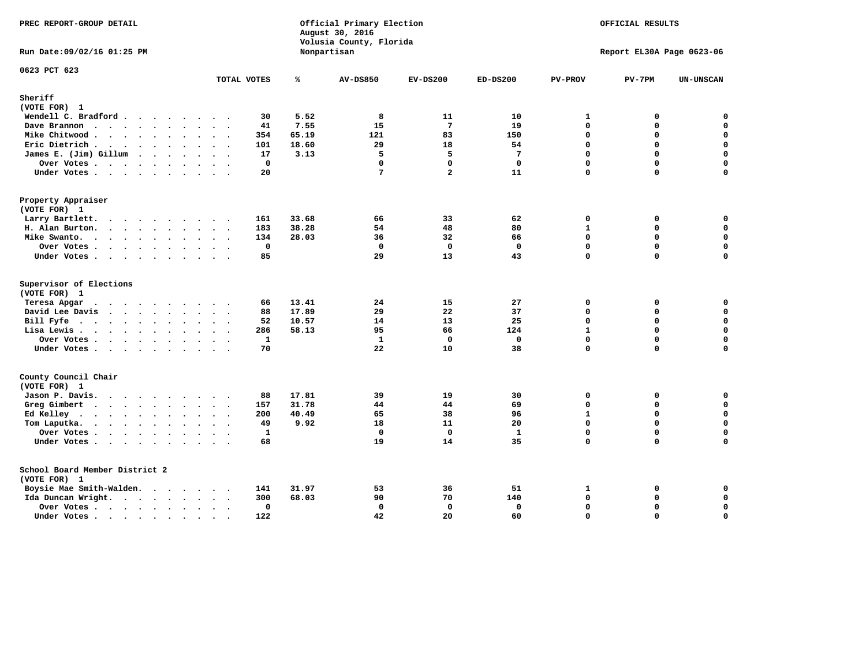| PREC REPORT-GROUP DETAIL                |               |              | Official Primary Election<br>August 30, 2016<br>Volusia County, Florida | OFFICIAL RESULTS<br>Report EL30A Page 0623-06 |                 |                |          |                  |
|-----------------------------------------|---------------|--------------|-------------------------------------------------------------------------|-----------------------------------------------|-----------------|----------------|----------|------------------|
| Run Date: 09/02/16 01:25 PM             |               |              | Nonpartisan                                                             |                                               |                 |                |          |                  |
| 0623 PCT 623                            | TOTAL VOTES   | ℁            | <b>AV-DS850</b>                                                         | $EV-DS200$                                    | $ED-DS200$      | <b>PV-PROV</b> | $PV-7PM$ | <b>UN-UNSCAN</b> |
| Sheriff                                 |               |              |                                                                         |                                               |                 |                |          |                  |
| (VOTE FOR) 1                            |               |              |                                                                         |                                               |                 |                |          |                  |
| Wendell C. Bradford                     | 30            | 5.52         | 8                                                                       | 11                                            | 10              | $\mathbf{1}$   | 0        | $\mathbf 0$      |
| Dave Brannon                            | 41            | 7.55         | 15                                                                      | $7\phantom{.0}$                               | 19              | 0              | $\Omega$ | $\mathbf 0$      |
| Mike Chitwood                           | 354           | 65.19        | 121                                                                     | 83                                            | 150             | 0              | 0        | $\pmb{0}$        |
| Eric Dietrich.                          | 101           | 18.60        | 29                                                                      | 18                                            | 54              | $\Omega$       | $\Omega$ | $\mathbf 0$      |
| James E. (Jim) Gillum                   | 17            | 3.13         | 5                                                                       | 5                                             | $7\phantom{.0}$ | $\Omega$       | $\Omega$ | $\mathbf 0$      |
| Over Votes                              |               | $\mathbf 0$  | $\mathbf{0}$                                                            | $\mathbf{0}$                                  | $\mathbf 0$     | $\Omega$       | $\Omega$ | $\mathbf 0$      |
| Under Votes                             | 20            |              | $7\phantom{.0}$                                                         | $\overline{a}$                                | 11              | 0              | $\Omega$ | $\mathbf 0$      |
| Property Appraiser                      |               |              |                                                                         |                                               |                 |                |          |                  |
| (VOTE FOR) 1                            |               |              |                                                                         |                                               |                 |                |          |                  |
| Larry Bartlett.                         | 161           | 33.68        | 66                                                                      | 33                                            | 62              | 0              | 0        | 0                |
| H. Alan Burton.                         | 183           | 38.28        | 54                                                                      | 48                                            | 80              | $\mathbf{1}$   | 0        | $\mathbf 0$      |
| Mike Swanto.                            | 134           | 28.03        | 36                                                                      | 32                                            | 66              | $\Omega$       | 0        | 0                |
| Over Votes.                             |               | $\mathbf 0$  | $\Omega$                                                                | $\mathbf{0}$                                  | $\mathbf 0$     | 0              | $\Omega$ | $\mathbf 0$      |
| Under Votes                             | 85            |              | 29                                                                      | 13                                            | 43              | 0              | 0        | 0                |
| Supervisor of Elections<br>(VOTE FOR) 1 |               |              |                                                                         |                                               |                 |                |          |                  |
| Teresa Apgar                            | 66            | 13.41        | 24                                                                      | 15                                            | 27              | 0              | 0        | $\mathbf 0$      |
| David Lee Davis                         | 88            | 17.89        | 29                                                                      | 22                                            | 37              | $\Omega$       | 0        | $\mathbf 0$      |
| Bill Fyfe                               |               | 10.57<br>52  | 14                                                                      | 13                                            | 25              | 0              | $\Omega$ | $\mathbf 0$      |
| Lisa Lewis                              | 286           | 58.13        | 95                                                                      | 66                                            | 124             | $\mathbf{1}$   | 0        | $\mathbf 0$      |
| Over Votes                              |               | $\mathbf{1}$ | $\mathbf{1}$                                                            | $\mathbf{0}$                                  | $\mathbf{0}$    | 0              | 0        | $\mathbf 0$      |
| Under Votes                             | 70            |              | 22                                                                      | 10                                            | 38              | 0              | $\Omega$ | 0                |
| County Council Chair                    |               |              |                                                                         |                                               |                 |                |          |                  |
| (VOTE FOR) 1                            |               |              |                                                                         |                                               |                 |                |          |                  |
| Jason P. Davis.                         | 88            | 17.81        | 39                                                                      | 19                                            | 30              | $\mathbf{0}$   | 0        | 0                |
| Greg Gimbert                            | 157           | 31.78        | 44                                                                      | 44                                            | 69              | 0              | 0        | $\mathbf 0$      |
| Ed Kelley                               | 200           | 40.49        | 65                                                                      | 38                                            | 96              | $\mathbf{1}$   | 0        | $\mathbf 0$      |
| Tom Laputka.<br>$\cdots$                | 49            | 9.92         | 18                                                                      | 11                                            | 20              | 0              | 0        | $\mathbf 0$      |
| Over Votes                              |               | $\mathbf{1}$ | $\Omega$                                                                | $\mathbf{0}$                                  | $\mathbf{1}$    | 0              | 0        | 0                |
| Under Votes                             | 68            |              | 19                                                                      | 14                                            | 35              | $\Omega$       | $\Omega$ | $\Omega$         |
| School Board Member District 2          |               |              |                                                                         |                                               |                 |                |          |                  |
| (VOTE FOR) 1                            |               |              |                                                                         |                                               |                 |                |          |                  |
| Boysie Mae Smith-Walden.                | 141           | 31.97        | 53                                                                      | 36                                            | 51              | $\mathbf{1}$   | 0        | 0                |
| Ida Duncan Wright.                      | 300           | 68.03        | 90                                                                      | 70                                            | 140             | 0              | 0        | 0                |
| Over Votes                              | $\cdot$       | 0            | 0                                                                       | $\mathbf 0$                                   | 0               | 0              | 0        | 0                |
| Under Votes                             | 122<br>$\sim$ |              | 42                                                                      | 20                                            | 60              | $\Omega$       | $\Omega$ | $\mathbf 0$      |
|                                         |               |              |                                                                         |                                               |                 |                |          |                  |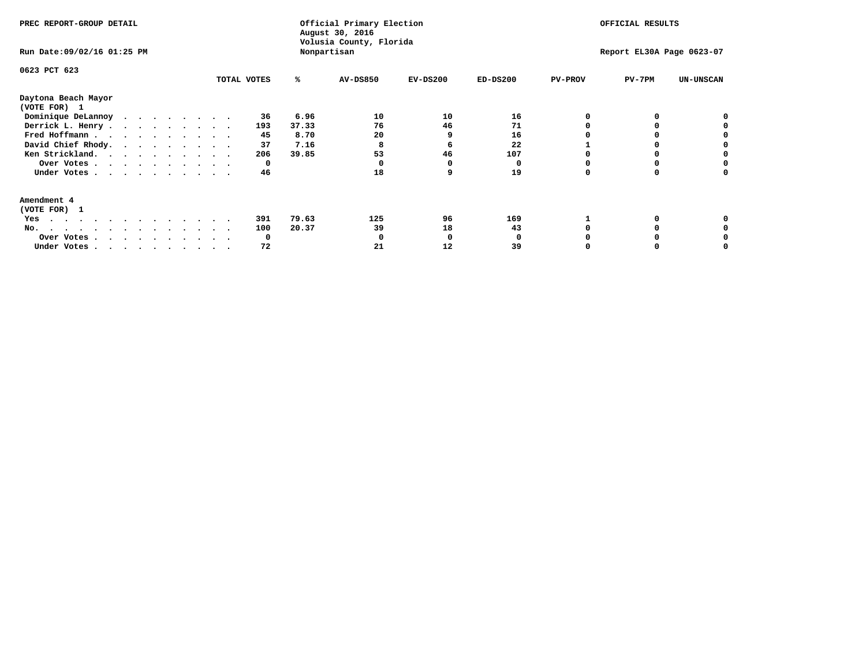| PREC REPORT-GROUP DETAIL<br>Run Date: 09/02/16 01:25 PM |              |       | Official Primary Election<br>August 30, 2016<br>Volusia County, Florida<br>Nonpartisan | OFFICIAL RESULTS<br>Report EL30A Page 0623-07 |            |                |          |                  |
|---------------------------------------------------------|--------------|-------|----------------------------------------------------------------------------------------|-----------------------------------------------|------------|----------------|----------|------------------|
| 0623 PCT 623                                            | TOTAL VOTES  | ℁     | AV-DS850                                                                               | $EV-DS200$                                    | $ED-DS200$ | <b>PV-PROV</b> | $PV-7PM$ | <b>UN-UNSCAN</b> |
| Daytona Beach Mayor<br>(VOTE FOR) 1                     |              |       |                                                                                        |                                               |            |                |          |                  |
| Dominique DeLannoy                                      | 36           | 6.96  | 10                                                                                     | 10                                            | 16         |                |          |                  |
| Derrick L. Henry                                        | 193          | 37.33 | 76                                                                                     | 46                                            | 71         |                |          |                  |
| Fred Hoffmann                                           | 45           | 8.70  | 20                                                                                     |                                               | 16         |                |          |                  |
| David Chief Rhody.                                      | 37           | 7.16  | 8                                                                                      | 6                                             | 22         |                |          |                  |
| Ken Strickland.                                         | 206          | 39.85 | 53                                                                                     | 46                                            | 107        |                |          |                  |
| Over Votes                                              | 0            |       |                                                                                        |                                               |            |                |          |                  |
| Under Votes                                             | 46           |       | 18                                                                                     |                                               | 19         |                |          |                  |
| Amendment 4                                             |              |       |                                                                                        |                                               |            |                |          |                  |
| (VOTE FOR) 1                                            |              |       |                                                                                        |                                               |            |                |          |                  |
| Yes<br>.                                                | 391          | 79.63 | 125                                                                                    | 96                                            | 169        |                |          |                  |
| No.<br>.                                                | 100          | 20.37 | 39                                                                                     | 18                                            | 43         |                |          |                  |
| Over Votes                                              | <sup>0</sup> |       |                                                                                        |                                               |            |                |          |                  |
| Under Votes, , , , , , , , , ,                          | 72           |       | 21                                                                                     | 12                                            | 39         |                |          |                  |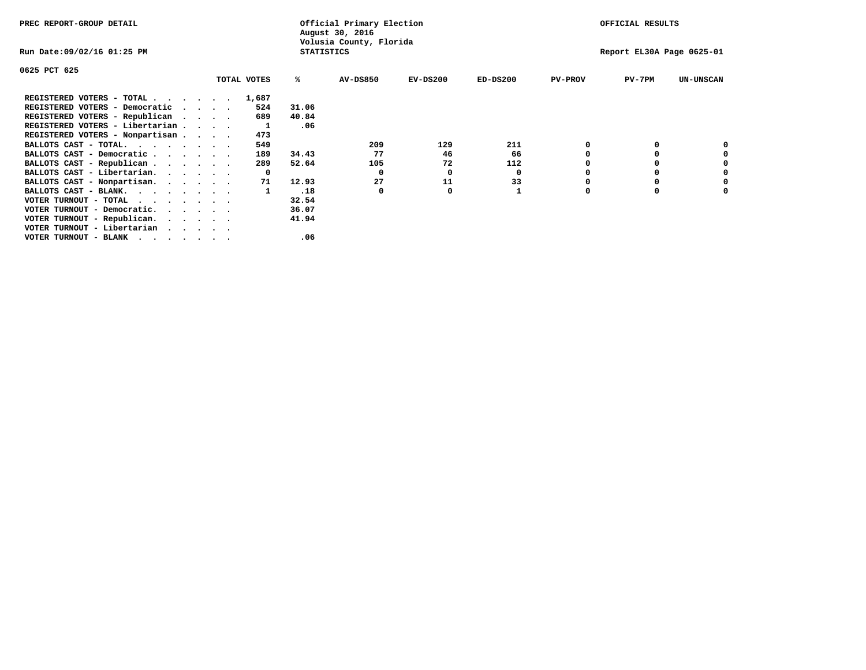| PREC REPORT-GROUP DETAIL        |                             |             |                   | Official Primary Election<br>August 30, 2016 |                           |            |                | OFFICIAL RESULTS |                  |
|---------------------------------|-----------------------------|-------------|-------------------|----------------------------------------------|---------------------------|------------|----------------|------------------|------------------|
| Run Date:09/02/16 01:25 PM      |                             |             | <b>STATISTICS</b> | Volusia County, Florida                      | Report EL30A Page 0625-01 |            |                |                  |                  |
| 0625 PCT 625                    |                             |             |                   |                                              |                           |            |                |                  |                  |
|                                 |                             | TOTAL VOTES | ℁                 | <b>AV-DS850</b>                              | $EV-DS200$                | $ED-DS200$ | <b>PV-PROV</b> | PV-7PM           | <b>UN-UNSCAN</b> |
| REGISTERED VOTERS - TOTAL       |                             | 1,687       |                   |                                              |                           |            |                |                  |                  |
| REGISTERED VOTERS - Democratic  | $\sim$ $\sim$ $\sim$ $\sim$ | 524         | 31.06             |                                              |                           |            |                |                  |                  |
| REGISTERED VOTERS - Republican  |                             | 689         | 40.84             |                                              |                           |            |                |                  |                  |
| REGISTERED VOTERS - Libertarian |                             |             | .06               |                                              |                           |            |                |                  |                  |
| REGISTERED VOTERS - Nonpartisan |                             | 473         |                   |                                              |                           |            |                |                  |                  |
| BALLOTS CAST - TOTAL.           |                             | 549         |                   | 209                                          | 129                       | 211        |                |                  |                  |
| BALLOTS CAST - Democratic       |                             | 189         | 34.43             | 77                                           | 46                        | 66         |                |                  |                  |
| BALLOTS CAST - Republican       |                             | 289         | 52.64             | 105                                          | 72                        | 112        |                |                  |                  |
| BALLOTS CAST - Libertarian.     |                             | 0           |                   | 0                                            | 0                         | 0          |                |                  |                  |
| BALLOTS CAST - Nonpartisan.     |                             | 71          | 12.93             | 27                                           | 11                        | 33         |                |                  | 0                |
| BALLOTS CAST - BLANK.           |                             |             | .18               | 0                                            | O                         |            | O              |                  |                  |
| VOTER TURNOUT - TOTAL<br>.      |                             |             | 32.54             |                                              |                           |            |                |                  |                  |
| VOTER TURNOUT - Democratic.     |                             |             | 36.07             |                                              |                           |            |                |                  |                  |
| VOTER TURNOUT - Republican.     |                             |             | 41.94             |                                              |                           |            |                |                  |                  |
| VOTER TURNOUT - Libertarian     |                             |             |                   |                                              |                           |            |                |                  |                  |
| VOTER TURNOUT - BLANK           |                             |             | .06               |                                              |                           |            |                |                  |                  |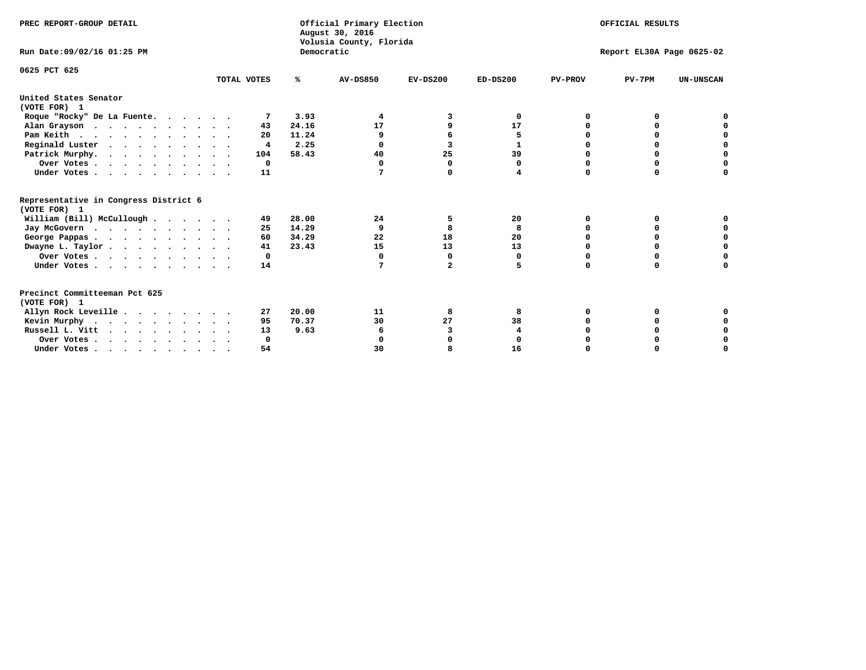| PREC REPORT-GROUP DETAIL                              |             |            | Official Primary Election<br>August 30, 2016<br>Volusia County, Florida |              | OFFICIAL RESULTS |                           |          |                  |  |  |
|-------------------------------------------------------|-------------|------------|-------------------------------------------------------------------------|--------------|------------------|---------------------------|----------|------------------|--|--|
| Run Date: 09/02/16 01:25 PM                           |             | Democratic |                                                                         |              |                  | Report EL30A Page 0625-02 |          |                  |  |  |
| 0625 PCT 625                                          | TOTAL VOTES | %ะ         | <b>AV-DS850</b>                                                         | $EV-DS200$   | $ED-DS200$       | <b>PV-PROV</b>            | $PV-7PM$ | <b>UN-UNSCAN</b> |  |  |
| United States Senator<br>(VOTE FOR) 1                 |             |            |                                                                         |              |                  |                           |          |                  |  |  |
| Roque "Rocky" De La Fuente.                           | 7           | 3.93       | 4                                                                       | 3            | 0                | O                         | O        |                  |  |  |
| Alan Grayson                                          | 43          | 24.16      | 17                                                                      | 9            | 17               |                           |          |                  |  |  |
| Pam Keith                                             | 20          | 11.24      |                                                                         | 6            | 5                |                           | O        | o                |  |  |
| Reginald Luster                                       | 4           | 2.25       | $\Omega$                                                                | 3            | 1                |                           | 0        | 0                |  |  |
| Patrick Murphy.                                       | 104         | 58.43      | 40                                                                      | 25           | 39               | O                         | 0        | 0                |  |  |
| Over Votes                                            | 0           |            | 0                                                                       | 0            | 0                | $\Omega$                  | 0        | O                |  |  |
| Under Votes                                           | 11          |            | 7                                                                       | 0            | 4                | $\Omega$                  | $\Omega$ | U                |  |  |
| Representative in Congress District 6<br>(VOTE FOR) 1 |             |            |                                                                         |              |                  |                           |          |                  |  |  |
| William (Bill) McCullough                             | 49          | 28.00      | 24                                                                      | 5            | 20               | $\Omega$                  | 0        |                  |  |  |
| Jay McGovern                                          | 25          | 14.29      | 9                                                                       | 8            | 8                |                           | 0        | O                |  |  |
| George Pappas.                                        | 60          | 34.29      | 22                                                                      | 18           | 20               | O                         | 0        | $\mathbf 0$      |  |  |
| Dwayne L. Taylor                                      | 41          | 23.43      | 15                                                                      | 13           | 13               | O                         | 0        | $\mathbf 0$      |  |  |
| Over Votes                                            | $\Omega$    |            | 0                                                                       | 0            | 0                | O                         | 0        | $\Omega$         |  |  |
| Under Votes                                           | 14          |            | 7                                                                       | $\mathbf{2}$ | 5                | $\Omega$                  | $\Omega$ | $\Omega$         |  |  |
| Precinct Committeeman Pct 625<br>(VOTE FOR) 1         |             |            |                                                                         |              |                  |                           |          |                  |  |  |
| Allyn Rock Leveille                                   | 27          | 20.00      | 11                                                                      | 8            | 8                | O                         | 0        |                  |  |  |
| Kevin Murphy                                          | 95          | 70.37      | 30                                                                      | 27           | 38               |                           |          | 0                |  |  |
| Russell L. Vitt                                       | 13          | 9.63       | 6                                                                       | 3            | 4                |                           |          | 0                |  |  |
| Over Votes                                            | 0           |            | <sup>0</sup>                                                            | 0            | O                |                           |          | 0                |  |  |
| Under Votes.                                          | 54          |            | 30                                                                      | 8            | 16               | $\Omega$                  | n        | $\Omega$         |  |  |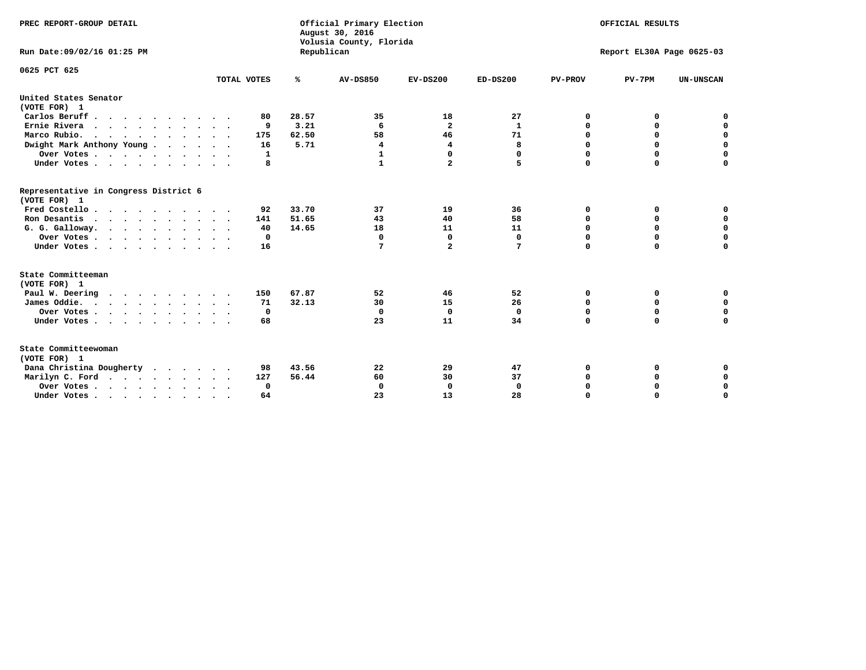| PREC REPORT-GROUP DETAIL<br>Run Date: 09/02/16 01:25 PM |             | Republican    | Official Primary Election<br>August 30, 2016<br>Volusia County, Florida | OFFICIAL RESULTS<br>Report EL30A Page 0625-03 |              |                  |             |                            |
|---------------------------------------------------------|-------------|---------------|-------------------------------------------------------------------------|-----------------------------------------------|--------------|------------------|-------------|----------------------------|
| 0625 PCT 625                                            | TOTAL VOTES | ℁             | <b>AV-DS850</b>                                                         | $EV-DS200$                                    | $ED-DS200$   | <b>PV-PROV</b>   | $PV-7PM$    | <b>UN-UNSCAN</b>           |
| United States Senator                                   |             |               |                                                                         |                                               |              |                  |             |                            |
| (VOTE FOR) 1                                            |             |               |                                                                         |                                               |              |                  |             |                            |
| Carlos Beruff                                           | 80          | 28.57         | 35                                                                      | 18                                            | 27           | 0                | 0           | 0                          |
| Ernie Rivera                                            | 9           | 3.21          | 6                                                                       | $\mathbf{2}$                                  | 1            | 0                | 0           | $\mathbf 0$<br>$\mathbf 0$ |
| Marco Rubio.<br>.                                       | 175         | 62.50<br>5.71 | 58                                                                      | 46                                            | 71           | $\mathbf 0$<br>0 | $\mathbf 0$ | $\mathbf 0$                |
| Dwight Mark Anthony Young                               | 16          |               | 4<br>1                                                                  | 4<br>0                                        | 8<br>0       | 0                | 0<br>0      | 0                          |
| Over Votes                                              | 1<br>8      |               | 1                                                                       | $\overline{a}$                                | 5            | $\Omega$         | $\mathbf 0$ | $\mathbf 0$                |
| Under Votes                                             |             |               |                                                                         |                                               |              |                  |             |                            |
| Representative in Congress District 6<br>(VOTE FOR) 1   |             |               |                                                                         |                                               |              |                  |             |                            |
| Fred Costello                                           | 92          | 33.70         | 37                                                                      | 19                                            | 36           | 0                | 0           | 0                          |
| Ron Desantis                                            | 141         | 51.65         | 43                                                                      | 40                                            | 58           | 0                | 0           | $\mathbf 0$                |
| G. G. Galloway.                                         | 40          | 14.65         | 18                                                                      | 11                                            | 11           | $\mathbf 0$      | $\Omega$    | $\mathbf 0$                |
| Over Votes                                              | 0           |               | $\Omega$                                                                | 0                                             | 0            | 0                | 0           | 0                          |
| Under Votes                                             | 16          |               | 7                                                                       | $\overline{a}$                                | 7            | $\Omega$         | $\mathbf 0$ | $\mathbf 0$                |
| State Committeeman                                      |             |               |                                                                         |                                               |              |                  |             |                            |
| (VOTE FOR) 1                                            |             |               |                                                                         |                                               |              |                  |             |                            |
| Paul W. Deering<br>.                                    | 150         | 67.87         | 52                                                                      | 46                                            | 52           | 0                | 0           | 0                          |
| James Oddie.                                            | 71          | 32.13         | 30                                                                      | 15                                            | 26           | 0                | $\mathbf 0$ | $\mathbf 0$                |
| Over Votes                                              | 0           |               | $\mathbf 0$                                                             | $\mathbf 0$                                   | $\mathbf 0$  | $\mathbf 0$      | $\mathbf 0$ | $\mathbf 0$                |
| Under Votes                                             | 68          |               | 23                                                                      | 11                                            | 34           | $\mathbf 0$      | 0           | $\mathbf 0$                |
| State Committeewoman<br>(VOTE FOR) 1                    |             |               |                                                                         |                                               |              |                  |             |                            |
| Dana Christina Dougherty                                | 98          | 43.56         | 22                                                                      | 29                                            | 47           | 0                | 0           | 0                          |
| Marilyn C. Ford                                         | 127         | 56.44         | 60                                                                      | 30                                            | 37           | 0                | 0           | 0                          |
| Over Votes                                              | $\Omega$    |               | $\Omega$                                                                | 0                                             | $\mathbf{0}$ | 0                | 0           | 0                          |
| Under Votes, , , , , , , , , ,                          | 64          |               | 23                                                                      | 13                                            | 28           | $\Omega$         | $\Omega$    | $\Omega$                   |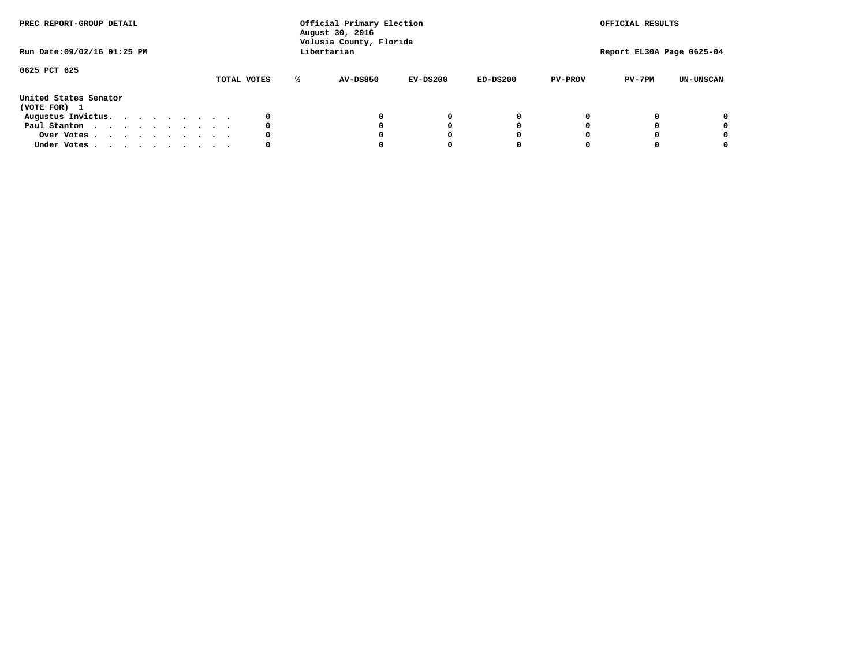| PREC REPORT-GROUP DETAIL<br>Run Date: 09/02/16 01:25 PM |  |  |  |  | Official Primary Election<br>August 30, 2016<br>Volusia County, Florida<br>Libertarian |             |   | OFFICIAL RESULTS<br>Report EL30A Page 0625-04 |          |            |                |          |                  |
|---------------------------------------------------------|--|--|--|--|----------------------------------------------------------------------------------------|-------------|---|-----------------------------------------------|----------|------------|----------------|----------|------------------|
| 0625 PCT 625                                            |  |  |  |  |                                                                                        | TOTAL VOTES | ° | AV-DS850                                      | EV-DS200 | $ED-DS200$ | <b>PV-PROV</b> | $PV-7PM$ | <b>UN-UNSCAN</b> |
| United States Senator<br>(VOTE FOR) 1                   |  |  |  |  |                                                                                        |             |   |                                               |          |            |                |          |                  |
| Augustus Invictus.                                      |  |  |  |  |                                                                                        |             |   |                                               | 0        |            |                |          | 0                |
| Paul Stanton                                            |  |  |  |  |                                                                                        | 0           |   |                                               | O        |            |                |          | 0                |
| Over Votes                                              |  |  |  |  |                                                                                        |             |   |                                               |          |            |                |          | 0                |
| Under Votes                                             |  |  |  |  |                                                                                        | 0           |   |                                               |          |            |                |          | 0                |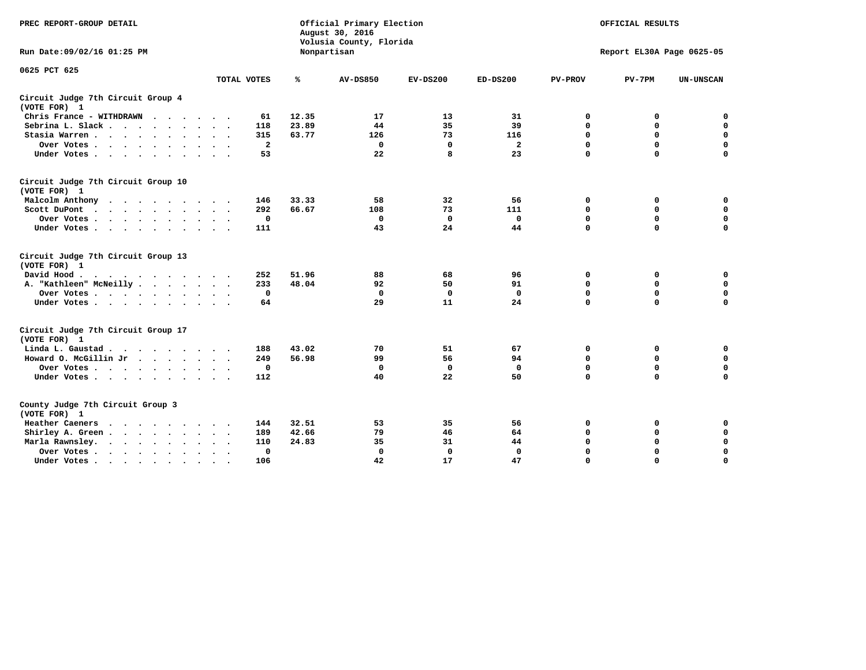| PREC REPORT-GROUP DETAIL                                                                                         |                | Official Primary Election<br>August 30, 2016<br>Volusia County, Florida | OFFICIAL RESULTS<br>Report EL30A Page 0625-05 |             |                |                |             |                  |
|------------------------------------------------------------------------------------------------------------------|----------------|-------------------------------------------------------------------------|-----------------------------------------------|-------------|----------------|----------------|-------------|------------------|
| Run Date: 09/02/16 01:25 PM                                                                                      |                |                                                                         | Nonpartisan                                   |             |                |                |             |                  |
| 0625 PCT 625                                                                                                     | TOTAL VOTES    | ℁                                                                       | <b>AV-DS850</b>                               | $EV-DS200$  | $ED-DS200$     | <b>PV-PROV</b> | $PV-7PM$    | <b>UN-UNSCAN</b> |
|                                                                                                                  |                |                                                                         |                                               |             |                |                |             |                  |
| Circuit Judge 7th Circuit Group 4<br>(VOTE FOR) 1                                                                |                |                                                                         |                                               |             |                |                |             |                  |
| Chris France - WITHDRAWN                                                                                         | 61             | 12.35                                                                   | 17                                            | 13          | 31             | 0              | 0           | 0                |
| Sebrina L. Slack                                                                                                 | 118            | 23.89                                                                   | 44                                            | 35          | 39             | 0              | $\mathbf 0$ | $\mathbf 0$      |
| Stasia Warren                                                                                                    | 315            | 63.77                                                                   | 126                                           | 73          | 116            | $\mathbf 0$    | 0           | $\mathbf 0$      |
| Over Votes                                                                                                       | $\overline{a}$ |                                                                         | $\mathbf 0$                                   | $\mathbf 0$ | $\overline{a}$ | 0              | $\mathbf 0$ | $\mathbf 0$      |
| Under Votes                                                                                                      | 53             |                                                                         | 22                                            | 8           | 23             | $\mathbf 0$    | $\mathbf 0$ | $\mathbf 0$      |
| Circuit Judge 7th Circuit Group 10<br>(VOTE FOR) 1                                                               |                |                                                                         |                                               |             |                |                |             |                  |
| Malcolm Anthony                                                                                                  | 146            | 33.33                                                                   | 58                                            | 32          | 56             | 0              | 0           | $\mathbf 0$      |
| Scott DuPont                                                                                                     | 292            | 66.67                                                                   | 108                                           | 73          | 111            | 0              | $\mathbf 0$ | $\mathbf 0$      |
| Over Votes                                                                                                       | $\mathbf 0$    |                                                                         | $\mathbf{0}$                                  | $\mathbf 0$ | $\mathbf 0$    | $\mathbf 0$    | $\mathbf 0$ | $\mathbf 0$      |
| Under Votes                                                                                                      | 111            |                                                                         | 43                                            | 24          | 44             | $\mathbf 0$    | $\mathbf 0$ | 0                |
| Circuit Judge 7th Circuit Group 13<br>(VOTE FOR) 1                                                               |                |                                                                         |                                               |             |                |                |             |                  |
| David Hood.<br>. As the contract of the contract of the contract of the contract of the contract of the $\alpha$ | 252            | 51.96                                                                   | 88                                            | 68          | 96             | 0              | 0           | $\mathbf 0$      |
| A. "Kathleen" McNeilly                                                                                           | 233            | 48.04                                                                   | 92                                            | 50          | 91             | $\mathbf 0$    | 0           | $\mathbf 0$      |
| Over Votes                                                                                                       | $\mathbf 0$    |                                                                         | $\mathbf 0$                                   | 0           | $\mathbf 0$    | 0              | $\mathbf 0$ | $\pmb{0}$        |
| Under Votes                                                                                                      | 64             |                                                                         | 29                                            | 11          | 24             | $\mathbf 0$    | $\mathbf 0$ | 0                |
| Circuit Judge 7th Circuit Group 17<br>(VOTE FOR) 1                                                               |                |                                                                         |                                               |             |                |                |             |                  |
| Linda L. Gaustad                                                                                                 | 188            | 43.02                                                                   | 70                                            | 51          | 67             | 0              | 0           | $\mathbf 0$      |
| Howard O. McGillin Jr.                                                                                           | 249            | 56.98                                                                   | 99                                            | 56          | 94             | 0              | 0           | $\mathbf 0$      |
| Over Votes                                                                                                       | 0              |                                                                         | 0                                             | $\mathbf 0$ | $\mathbf 0$    | 0              | $\mathbf 0$ | 0                |
| Under Votes                                                                                                      | 112            |                                                                         | 40                                            | 22          | 50             | $\mathbf 0$    | $\mathbf 0$ | $\mathbf 0$      |
| County Judge 7th Circuit Group 3<br>(VOTE FOR) 1                                                                 |                |                                                                         |                                               |             |                |                |             |                  |
| Heather Caeners<br>.                                                                                             | 144            | 32.51                                                                   | 53                                            | 35          | 56             | 0              | 0           | 0                |
| Shirley A. Green                                                                                                 | 189            | 42.66                                                                   | 79                                            | 46          | 64             | $\mathbf 0$    | 0           | $\mathbf 0$      |
| Marla Rawnsley.                                                                                                  | 110            | 24.83                                                                   | 35                                            | 31          | 44             | 0              | 0           | $\pmb{0}$        |
| Over Votes<br>$\ddot{\phantom{0}}$<br>$\ddot{\phantom{0}}$                                                       | 0              |                                                                         | $\Omega$                                      | $\mathbf 0$ | $\mathbf{0}$   | 0              | $\mathbf 0$ | $\mathbf 0$      |
| Under Votes<br>$\bullet$                                                                                         | 106            |                                                                         | 42                                            | 17          | 47             | $\mathbf 0$    | $\mathbf 0$ | $\Omega$         |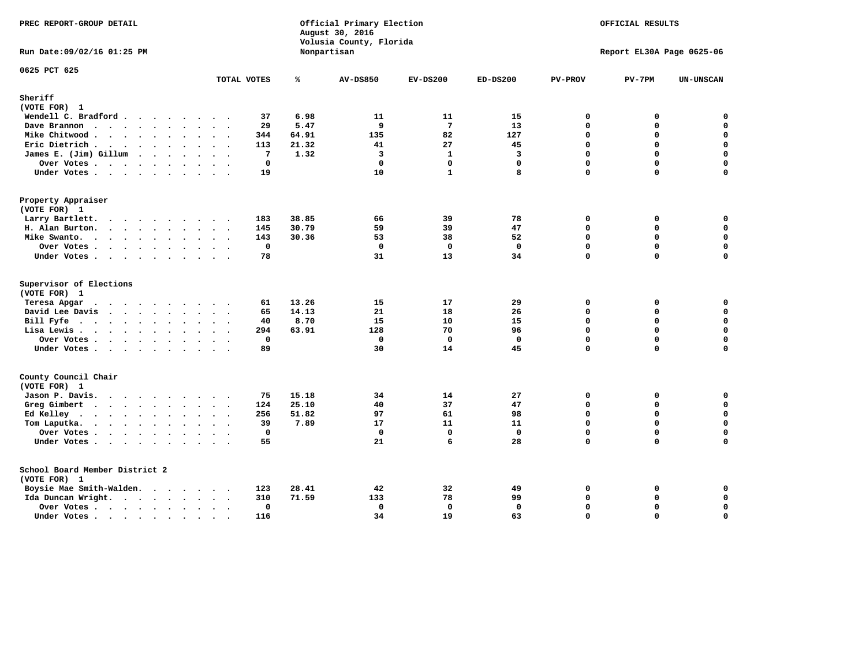| PREC REPORT-GROUP DETAIL                       |                      |                            | Official Primary Election<br>August 30, 2016<br>Volusia County, Florida | OFFICIAL RESULTS<br>Report EL30A Page 0625-06 |              |                      |               |                            |
|------------------------------------------------|----------------------|----------------------------|-------------------------------------------------------------------------|-----------------------------------------------|--------------|----------------------|---------------|----------------------------|
| Run Date: 09/02/16 01:25 PM                    |                      |                            | Nonpartisan                                                             |                                               |              |                      |               |                            |
| 0625 PCT 625                                   | TOTAL VOTES          | ℁                          | <b>AV-DS850</b>                                                         | $EV-DS200$                                    | $ED-DS200$   | <b>PV-PROV</b>       | $PV-7PM$      | <b>UN-UNSCAN</b>           |
| Sheriff                                        |                      |                            |                                                                         |                                               |              |                      |               |                            |
| (VOTE FOR) 1                                   |                      |                            |                                                                         |                                               |              |                      |               |                            |
| Wendell C. Bradford                            |                      | 6.98<br>37                 | 11                                                                      | 11<br>$7\phantom{.0}$                         | 15           | $\Omega$<br>$\Omega$ | 0<br>$\Omega$ | $\mathbf 0$<br>$\mathbf 0$ |
| Dave Brannon                                   |                      | 5.47<br>29<br>344<br>64.91 | 9<br>135                                                                | 82                                            | 13<br>127    | 0                    | 0             | $\pmb{0}$                  |
| Mike Chitwood<br>Eric Dietrich.                |                      | 21.32<br>113               | 41                                                                      | 27                                            | 45           | $\Omega$             | $\Omega$      | $\mathbf 0$                |
| James E. (Jim) Gillum                          |                      | $7\phantom{.0}$<br>1.32    | $\overline{\mathbf{3}}$                                                 | $\mathbf{1}$                                  | 3            | $\Omega$             | $\Omega$      | $\mathbf 0$                |
| Over Votes                                     | $\ddot{\phantom{a}}$ | $\mathbf 0$                | $\Omega$                                                                | $\mathbf 0$                                   | $\mathbf{0}$ | $\Omega$             | $\Omega$      | $\mathbf 0$                |
| Under Votes                                    |                      | 19                         | 10                                                                      | $\mathbf{1}$                                  | 8            | $\Omega$             | $\Omega$      | $\mathbf 0$                |
| Property Appraiser                             |                      |                            |                                                                         |                                               |              |                      |               |                            |
| (VOTE FOR) 1                                   |                      |                            |                                                                         |                                               |              |                      |               |                            |
| Larry Bartlett.                                |                      | 183<br>38.85               | 66                                                                      | 39                                            | 78           | 0                    | 0             | 0                          |
| H. Alan Burton.                                |                      | 145<br>30.79               | 59                                                                      | 39                                            | 47           | 0                    | 0             | $\mathbf 0$                |
| Mike Swanto.                                   |                      | 30.36<br>143               | 53                                                                      | 38                                            | 52           | $\Omega$             | 0             | 0                          |
| Over Votes.                                    |                      | $\mathbf 0$                | $\mathbf 0$                                                             | $\Omega$                                      | $\mathbf 0$  | 0                    | $\Omega$      | $\mathbf 0$                |
| Under Votes                                    |                      | 78                         | 31                                                                      | 13                                            | 34           | 0                    | 0             | 0                          |
| Supervisor of Elections<br>(VOTE FOR) 1        |                      |                            |                                                                         |                                               |              |                      |               |                            |
| Teresa Apgar                                   |                      | 13.26<br>61                | 15                                                                      | 17                                            | 29           | 0                    | 0             | $\mathbf 0$                |
| David Lee Davis                                |                      | 14.13<br>65                | 21                                                                      | 18                                            | 26           | $\Omega$             | 0             | $\mathbf 0$                |
| Bill Fyfe                                      |                      | 8.70<br>40                 | 15                                                                      | 10                                            | 15           | 0                    | $\Omega$      | $\mathbf 0$                |
| Lisa Lewis                                     |                      | 63.91<br>294               | 128                                                                     | 70                                            | 96           | 0                    | 0             | $\mathbf 0$                |
| Over Votes                                     |                      | $\mathbf 0$                | $\mathbf{0}$                                                            | $\mathbf{0}$                                  | $\mathbf{0}$ | 0                    | $\Omega$      | $\mathbf 0$                |
| Under Votes                                    |                      | 89                         | 30                                                                      | 14                                            | 45           | 0                    | $\Omega$      | 0                          |
| County Council Chair<br>(VOTE FOR) 1           |                      |                            |                                                                         |                                               |              |                      |               |                            |
| Jason P. Davis.                                |                      | 15.18<br>75                | 34                                                                      | 14                                            | 27           | $\mathbf{0}$         | 0             | 0                          |
| Greg Gimbert                                   |                      | 25.10<br>124               | 40                                                                      | 37                                            | 47           | $\Omega$             | 0             | $\mathbf 0$                |
| Ed Kelley                                      |                      | 256<br>51.82               | 97                                                                      | 61                                            | 98           | 0                    | 0             | $\mathbf 0$                |
| Tom Laputka.<br>$\cdots$                       |                      | 39<br>7.89                 | 17                                                                      | 11                                            | 11           | 0                    | 0             | $\mathbf 0$                |
| Over Votes                                     |                      | $\mathbf 0$                | $\Omega$                                                                | $\mathbf{0}$                                  | $\mathbf 0$  | 0                    | 0             | 0                          |
| Under Votes                                    |                      | 55                         | 21                                                                      | 6                                             | 28           | $\Omega$             | $\Omega$      | $\Omega$                   |
| School Board Member District 2<br>(VOTE FOR) 1 |                      |                            |                                                                         |                                               |              |                      |               |                            |
| Boysie Mae Smith-Walden.                       |                      | 123<br>28.41               | 42                                                                      | 32                                            | 49           | 0                    | 0             | 0                          |
| Ida Duncan Wright.                             |                      | 310<br>71.59               | 133                                                                     | 78                                            | 99           | 0                    | 0             | 0                          |
| Over Votes                                     | $\cdot$              | 0                          | 0                                                                       | $\mathbf 0$                                   | 0            | 0                    | 0             | 0                          |
| Under Votes                                    | $\sim$               | 116                        | 34                                                                      | 19                                            | 63           | $\Omega$             | $\Omega$      | $\mathbf 0$                |
|                                                |                      |                            |                                                                         |                                               |              |                      |               |                            |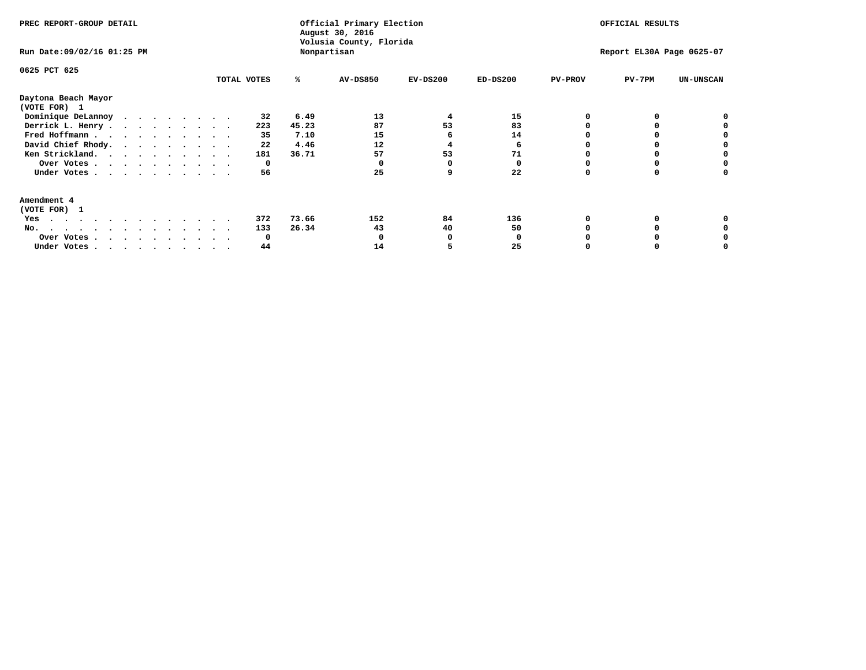| PREC REPORT-GROUP DETAIL<br>Run Date: 09/02/16 01:25 PM |              |       | Official Primary Election<br>August 30, 2016<br>Volusia County, Florida<br>Nonpartisan | OFFICIAL RESULTS<br>Report EL30A Page 0625-07 |            |                |          |                  |
|---------------------------------------------------------|--------------|-------|----------------------------------------------------------------------------------------|-----------------------------------------------|------------|----------------|----------|------------------|
| 0625 PCT 625                                            | TOTAL VOTES  | ℁     | AV-DS850                                                                               | $EV-DS200$                                    | $ED-DS200$ | <b>PV-PROV</b> | $PV-7PM$ | <b>UN-UNSCAN</b> |
| Daytona Beach Mayor<br>(VOTE FOR) 1                     |              |       |                                                                                        |                                               |            |                |          |                  |
| Dominique DeLannoy                                      | 32           | 6.49  | 13                                                                                     | 4                                             | 15         |                |          |                  |
| Derrick L. Henry                                        | 223          | 45.23 | 87                                                                                     | 53                                            | 83         |                |          |                  |
| Fred Hoffmann                                           | 35           | 7.10  | 15                                                                                     |                                               | 14         |                |          |                  |
| David Chief Rhody.                                      | 22           | 4.46  | 12                                                                                     |                                               | 6          |                |          |                  |
| Ken Strickland.                                         | 181          | 36.71 | 57                                                                                     | 53                                            | 71         |                |          |                  |
| Over Votes                                              | 0            |       |                                                                                        |                                               |            |                |          |                  |
| Under Votes                                             | 56           |       | 25                                                                                     |                                               | 22         |                |          |                  |
| Amendment 4                                             |              |       |                                                                                        |                                               |            |                |          |                  |
| (VOTE FOR) 1                                            |              |       |                                                                                        |                                               |            |                |          |                  |
| Yes<br>.                                                | 372          | 73.66 | 152                                                                                    | 84                                            | 136        |                |          |                  |
| No.<br>.                                                | 133          | 26.34 | 43                                                                                     | 40                                            | 50         |                |          |                  |
| Over Votes                                              | <sup>0</sup> |       |                                                                                        |                                               |            |                |          |                  |
| Under Votes, , , , , , , , , ,                          | 44           |       | 14                                                                                     |                                               | 25         |                |          |                  |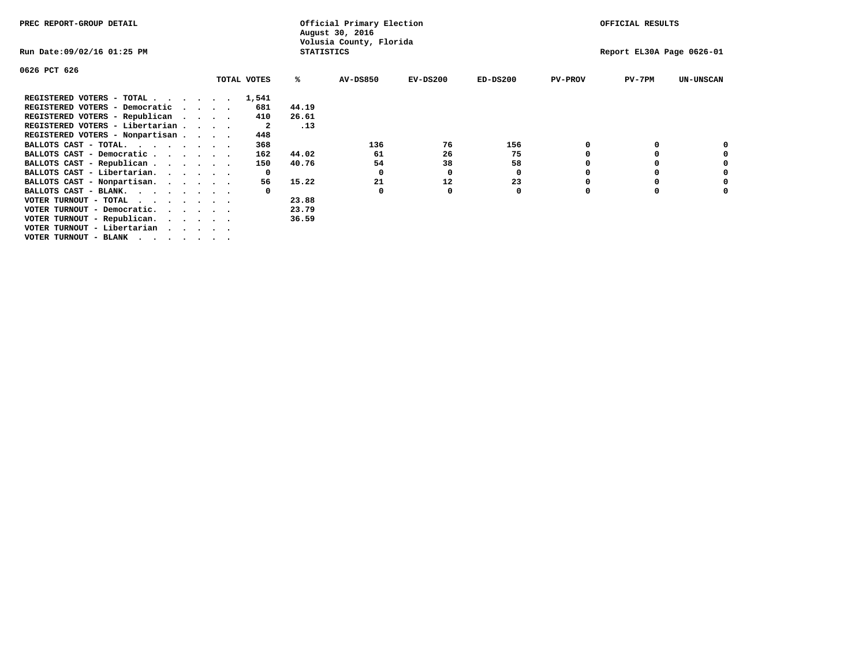| PREC REPORT-GROUP DETAIL                                                                                |                                 |             | Official Primary Election<br>August 30, 2016 |                         | OFFICIAL RESULTS |            |                |                           |                  |
|---------------------------------------------------------------------------------------------------------|---------------------------------|-------------|----------------------------------------------|-------------------------|------------------|------------|----------------|---------------------------|------------------|
| Run Date:09/02/16 01:25 PM                                                                              |                                 |             | <b>STATISTICS</b>                            | Volusia County, Florida |                  |            |                | Report EL30A Page 0626-01 |                  |
| 0626 PCT 626                                                                                            |                                 |             |                                              |                         |                  |            |                |                           |                  |
|                                                                                                         |                                 | TOTAL VOTES | ℁                                            | <b>AV-DS850</b>         | $EV-DS200$       | $ED-DS200$ | <b>PV-PROV</b> | $PV-7PM$                  | <b>UN-UNSCAN</b> |
| REGISTERED VOTERS - TOTAL.                                                                              | $\cdot$ $\cdot$ $\cdot$ $\cdot$ | 1,541       |                                              |                         |                  |            |                |                           |                  |
| REGISTERED VOTERS - Democratic                                                                          | $\sim$ $\sim$ $\sim$ $\sim$     | 681         | 44.19                                        |                         |                  |            |                |                           |                  |
| REGISTERED VOTERS - Republican<br>$\cdot$ $\cdot$ $\cdot$ $\cdot$                                       |                                 | 410         | 26.61                                        |                         |                  |            |                |                           |                  |
| REGISTERED VOTERS - Libertarian                                                                         |                                 | 2           | .13                                          |                         |                  |            |                |                           |                  |
| REGISTERED VOTERS - Nonpartisan                                                                         |                                 | 448         |                                              |                         |                  |            |                |                           |                  |
| BALLOTS CAST - TOTAL.                                                                                   |                                 | 368         |                                              | 136                     | 76               | 156        |                |                           |                  |
| BALLOTS CAST - Democratic                                                                               |                                 | 162         | 44.02                                        | 61                      | 26               | 75         |                |                           |                  |
| BALLOTS CAST - Republican                                                                               |                                 | 150         | 40.76                                        | 54                      | 38               | 58         |                |                           |                  |
| BALLOTS CAST - Libertarian.                                                                             |                                 | 0           |                                              | 0                       | 0                | 0          |                |                           |                  |
| BALLOTS CAST - Nonpartisan.                                                                             |                                 | 56          | 15.22                                        | 21                      | 12               | 23         |                |                           |                  |
| BALLOTS CAST - BLANK.                                                                                   |                                 |             |                                              | 0                       | 0                | 0          | $\Omega$       |                           |                  |
| VOTER TURNOUT - TOTAL                                                                                   |                                 |             | 23.88                                        |                         |                  |            |                |                           |                  |
| VOTER TURNOUT - Democratic.<br>$\mathbf{r}$ , $\mathbf{r}$ , $\mathbf{r}$ , $\mathbf{r}$ , $\mathbf{r}$ |                                 |             | 23.79                                        |                         |                  |            |                |                           |                  |
| VOTER TURNOUT - Republican.                                                                             |                                 |             | 36.59                                        |                         |                  |            |                |                           |                  |
| VOTER TURNOUT - Libertarian                                                                             |                                 |             |                                              |                         |                  |            |                |                           |                  |
| VOTER TURNOUT - BLANK                                                                                   |                                 |             |                                              |                         |                  |            |                |                           |                  |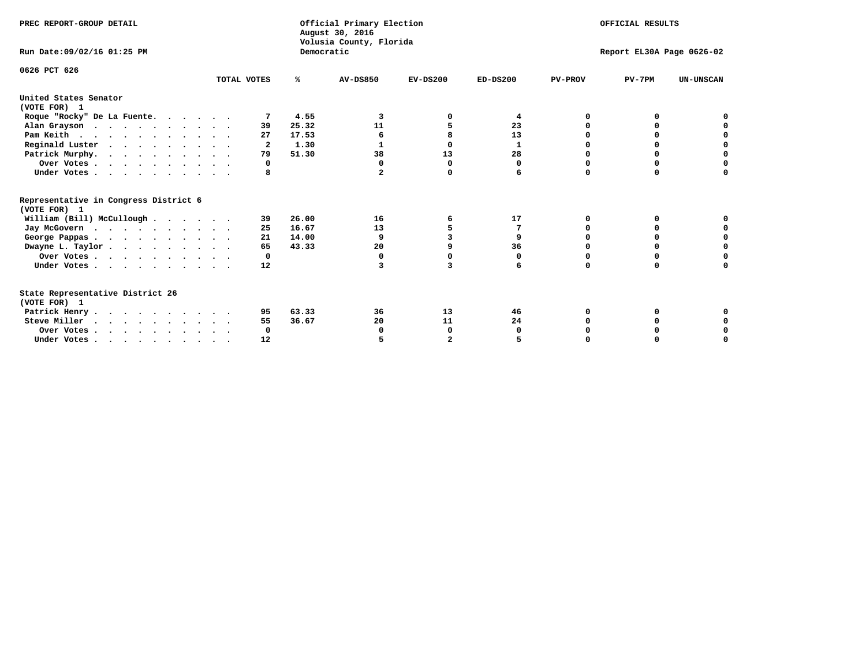| PREC REPORT-GROUP DETAIL                              |              |            | Official Primary Election<br>August 30, 2016<br>Volusia County, Florida | OFFICIAL RESULTS<br>Report EL30A Page 0626-02 |            |                |          |                  |
|-------------------------------------------------------|--------------|------------|-------------------------------------------------------------------------|-----------------------------------------------|------------|----------------|----------|------------------|
| Run Date: 09/02/16 01:25 PM                           |              | Democratic |                                                                         |                                               |            |                |          |                  |
| 0626 PCT 626                                          | TOTAL VOTES  | %ะ         | <b>AV-DS850</b>                                                         | $EV-DS200$                                    | $ED-DS200$ | <b>PV-PROV</b> | $PV-7PM$ | <b>UN-UNSCAN</b> |
|                                                       |              |            |                                                                         |                                               |            |                |          |                  |
| United States Senator<br>(VOTE FOR) 1                 |              |            |                                                                         |                                               |            |                |          |                  |
| Roque "Rocky" De La Fuente.                           |              | 4.55       | 3                                                                       |                                               | 4          | O              | o        |                  |
| Alan Grayson                                          | 39           | 25.32      | 11                                                                      |                                               | 23         |                |          |                  |
| Pam Keith                                             | 27           | 17.53      | 6                                                                       |                                               | 13         | n              | o        |                  |
| Reginald Luster                                       | $\mathbf{2}$ | 1.30       |                                                                         | $\Omega$                                      | 1          |                |          | O                |
| Patrick Murphy.                                       | 79           | 51.30      | 38                                                                      | 13                                            | 28         |                | 0        | $\mathbf 0$      |
| Over Votes                                            | 0            |            | 0                                                                       | $\Omega$                                      | 0          | n              | 0        |                  |
| Under Votes                                           | 8            |            | $\overline{a}$                                                          | O                                             | 6          | $\Omega$       | $\Omega$ | U                |
| Representative in Congress District 6<br>(VOTE FOR) 1 |              |            |                                                                         |                                               |            |                |          |                  |
| William (Bill) McCullough                             | 39           | 26.00      | 16                                                                      | 6                                             | 17         | 0              | 0        |                  |
| Jay McGovern                                          | 25           | 16.67      | 13                                                                      | 5                                             | 7          | n              | n        |                  |
| George Pappas.                                        | 21           | 14.00      | 9                                                                       | 3                                             | 9          | $\Omega$       | O        | 0                |
| Dwayne L. Taylor                                      | 65           | 43.33      | 20                                                                      |                                               | 36         | $\Omega$       | $\Omega$ | $\mathbf 0$      |
| Over Votes                                            | 0            |            | 0                                                                       | O                                             | 0          | 0              |          | O                |
| Under Votes                                           | 12           |            |                                                                         | 3                                             | 6          | $\Omega$       | 0        | O                |
| State Representative District 26                      |              |            |                                                                         |                                               |            |                |          |                  |
| (VOTE FOR) 1                                          |              |            |                                                                         |                                               |            |                |          |                  |
| Patrick Henry                                         | 95           | 63.33      | 36                                                                      | 13                                            | 46         | O              |          |                  |
| Steve Miller                                          | 55           | 36.67      | 20                                                                      | 11                                            | 24         |                |          | 0                |
| Over Votes                                            | 0            |            | O                                                                       | 0                                             | 0          |                |          | 0                |
| Under Votes.                                          | 12           |            |                                                                         | $\overline{a}$                                |            |                |          | U                |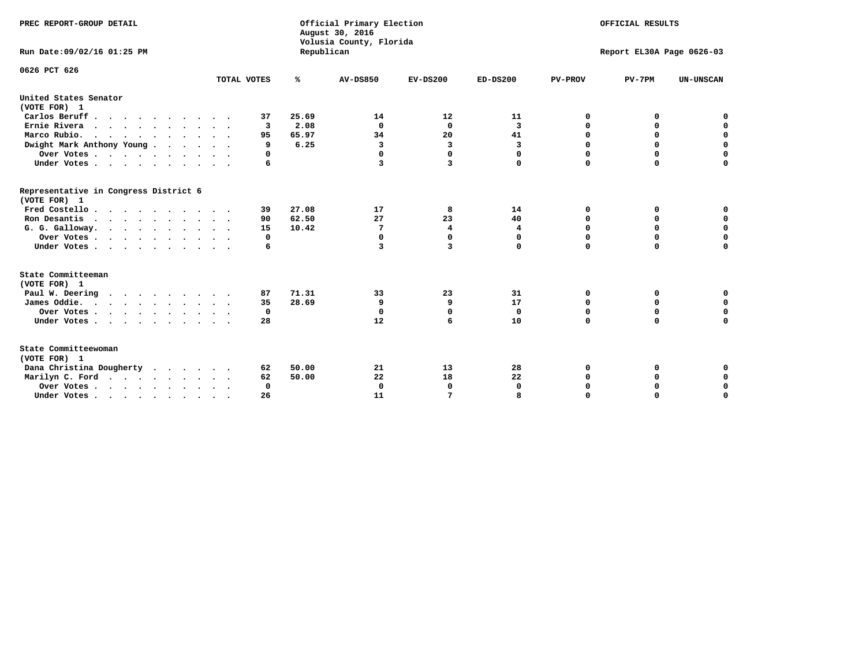| PREC REPORT-GROUP DETAIL<br>Run Date: 09/02/16 01:25 PM |             | Republican | Official Primary Election<br>August 30, 2016<br>Volusia County, Florida | OFFICIAL RESULTS<br>Report EL30A Page 0626-03 |             |                         |             |                  |
|---------------------------------------------------------|-------------|------------|-------------------------------------------------------------------------|-----------------------------------------------|-------------|-------------------------|-------------|------------------|
| 0626 PCT 626                                            | TOTAL VOTES | ℁          | <b>AV-DS850</b>                                                         | $EV-DS200$                                    | $ED-DS200$  | <b>PV-PROV</b>          | $PV-7PM$    | <b>UN-UNSCAN</b> |
| United States Senator                                   |             |            |                                                                         |                                               |             |                         |             |                  |
| (VOTE FOR) 1                                            |             |            |                                                                         |                                               |             |                         |             |                  |
| Carlos Beruff                                           | 37          | 25.69      | 14                                                                      | 12                                            | 11          | 0                       | 0           | 0                |
| Ernie Rivera                                            | 3           | 2.08       | $\Omega$                                                                | 0                                             | 3           | 0                       | 0           | $\mathbf 0$      |
| Marco Rubio.<br>$\cdots$                                | 95          | 65.97      | 34                                                                      | 20                                            | 41          | $\mathbf 0$             | $\mathbf 0$ | $\mathbf 0$      |
| Dwight Mark Anthony Young                               | 9           | 6.25       | 3                                                                       | 3                                             | 3           | 0                       | 0           | $\mathbf 0$      |
| Over Votes                                              | 0           |            | 0                                                                       | $\Omega$                                      | 0           | 0                       | 0           | 0                |
| Under Votes                                             | 6           |            | 3                                                                       | 3                                             | 0           | $\Omega$                | $\mathbf 0$ | $\mathbf 0$      |
| Representative in Congress District 6<br>(VOTE FOR) 1   |             |            |                                                                         |                                               |             |                         |             |                  |
| Fred Costello                                           | 39          | 27.08      | 17                                                                      | 8                                             | 14          | 0                       | 0           | 0                |
| Ron Desantis                                            | 90          | 62.50      | 27                                                                      | 23                                            | 40          | 0                       | 0           | $\mathbf 0$      |
| G. G. Galloway.                                         | 15          | 10.42      | 7                                                                       | 4                                             | 4           | $\mathbf 0$             | $\Omega$    | $\mathbf 0$      |
| Over Votes                                              | 0           |            | 0                                                                       | 0                                             | 0           | 0                       | 0           | 0                |
| Under Votes                                             | 6           |            | 3                                                                       | 3                                             | 0           | $\Omega$                | $\mathbf 0$ | $\mathbf 0$      |
| State Committeeman                                      |             |            |                                                                         |                                               |             |                         |             |                  |
| (VOTE FOR) 1                                            |             |            |                                                                         |                                               |             |                         |             |                  |
| Paul W. Deering                                         | 87          | 71.31      | 33                                                                      | 23                                            | 31          | 0                       | 0           | 0                |
| James Oddie.                                            | 35          | 28.69      | 9                                                                       | 9                                             | 17          | 0                       | $\mathbf 0$ | $\mathbf 0$      |
| Over Votes                                              | 0           |            | $\mathbf 0$                                                             | $\mathbf 0$                                   | $\mathbf 0$ | $\mathbf 0$<br>$\Omega$ | $\mathbf 0$ | $\mathbf 0$      |
| Under Votes                                             | 28          |            | 12                                                                      | 6                                             | 10          |                         | 0           | $\mathbf 0$      |
| State Committeewoman<br>(VOTE FOR) 1                    |             |            |                                                                         |                                               |             |                         |             |                  |
| Dana Christina Dougherty                                | 62          | 50.00      | 21                                                                      | 13                                            | 28          | 0                       | 0           | 0                |
| Marilyn C. Ford                                         | 62          | 50.00      | 22                                                                      | 18                                            | 22          | 0                       | 0           | 0                |
| Over Votes                                              | $\Omega$    |            | $\Omega$                                                                | 0                                             | 0           | 0                       | 0           | 0                |
| Under Votes, , , , , , , , , ,                          | 26          |            | 11                                                                      | 7                                             |             | $\Omega$                | $\Omega$    | $\Omega$         |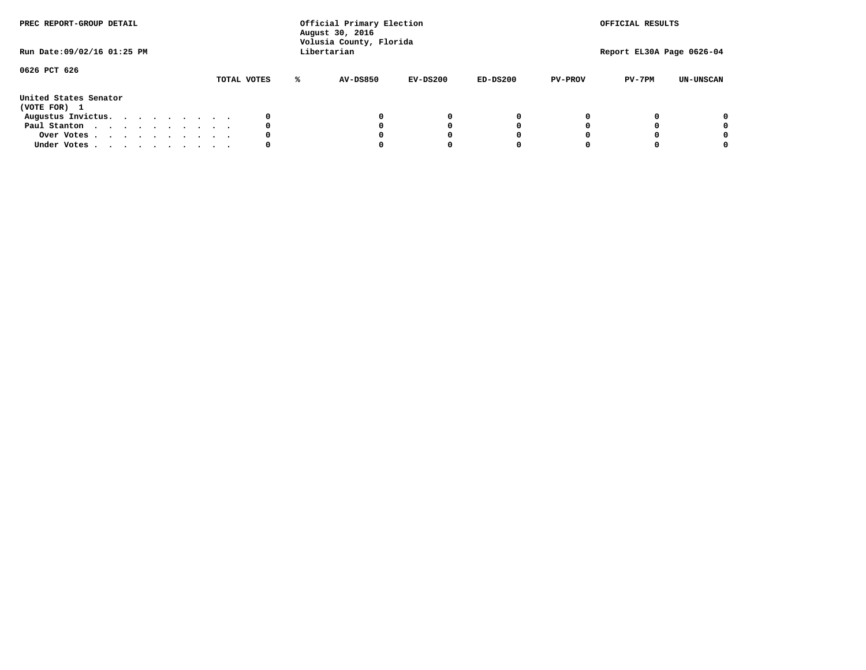| PREC REPORT-GROUP DETAIL<br>Run Date: 09/02/16 01:25 PM |  |  |  | Official Primary Election<br>August 30, 2016<br>Volusia County, Florida<br>Libertarian |  |             | OFFICIAL RESULTS<br>Report EL30A Page 0626-04 |            |            |                |          |                  |
|---------------------------------------------------------|--|--|--|----------------------------------------------------------------------------------------|--|-------------|-----------------------------------------------|------------|------------|----------------|----------|------------------|
| 0626 PCT 626                                            |  |  |  |                                                                                        |  | TOTAL VOTES | <b>AV-DS850</b>                               | $EV-DS200$ | $ED-DS200$ | <b>PV-PROV</b> | $PV-7PM$ | <b>UN-UNSCAN</b> |
| United States Senator<br>(VOTE FOR) 1                   |  |  |  |                                                                                        |  |             |                                               |            |            |                |          |                  |
| Augustus Invictus.                                      |  |  |  |                                                                                        |  |             |                                               | $^{\circ}$ | 0          |                |          | 0                |
| Paul Stanton                                            |  |  |  |                                                                                        |  | 0           |                                               | 0          |            |                |          | 0                |
| Over Votes                                              |  |  |  |                                                                                        |  |             |                                               |            |            |                |          | 0                |
| Under Votes                                             |  |  |  |                                                                                        |  | 0           |                                               |            |            |                |          | 0                |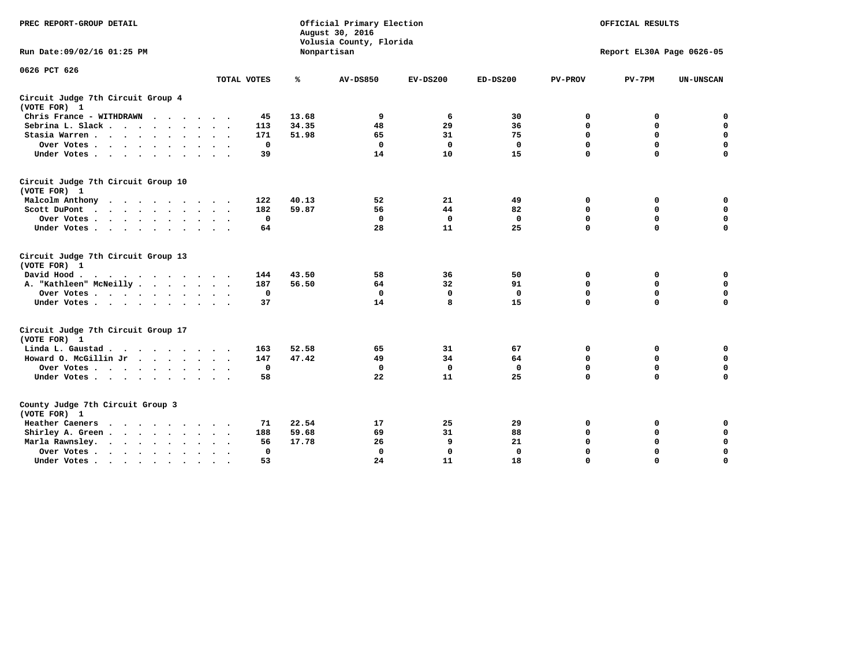| PREC REPORT-GROUP DETAIL                                                                                                           |              |       | Official Primary Election<br>August 30, 2016<br>Volusia County, Florida | OFFICIAL RESULTS<br>Report EL30A Page 0626-05 |              |                |             |                  |
|------------------------------------------------------------------------------------------------------------------------------------|--------------|-------|-------------------------------------------------------------------------|-----------------------------------------------|--------------|----------------|-------------|------------------|
| Run Date: 09/02/16 01:25 PM                                                                                                        |              |       | Nonpartisan                                                             |                                               |              |                |             |                  |
| 0626 PCT 626                                                                                                                       | TOTAL VOTES  | ℁     | <b>AV-DS850</b>                                                         | $EV-DS200$                                    | $ED-DS200$   | <b>PV-PROV</b> | $PV-7PM$    | <b>UN-UNSCAN</b> |
|                                                                                                                                    |              |       |                                                                         |                                               |              |                |             |                  |
| Circuit Judge 7th Circuit Group 4<br>(VOTE FOR) 1                                                                                  |              |       |                                                                         |                                               |              |                |             |                  |
| Chris France - WITHDRAWN                                                                                                           | 45           | 13.68 | 9                                                                       | 6                                             | 30           | 0              | 0           | $\mathbf 0$      |
| Sebrina L. Slack.                                                                                                                  | 113          | 34.35 | 48                                                                      | 29                                            | 36           | 0              | $\mathbf 0$ | $\mathbf 0$      |
| Stasia Warren<br>$\sim$<br>$\sim$                                                                                                  | 171          | 51.98 | 65                                                                      | 31                                            | 75           | $\mathbf 0$    | 0           | $\mathbf 0$      |
| Over Votes                                                                                                                         | $\mathbf 0$  |       | $\Omega$                                                                | $\Omega$                                      | $\mathbf{0}$ | $\mathbf 0$    | $\mathbf 0$ | $\mathbf 0$      |
| Under Votes                                                                                                                        | 39           |       | 14                                                                      | 10                                            | 15           | $\Omega$       | $\Omega$    | $\mathbf 0$      |
| Circuit Judge 7th Circuit Group 10<br>(VOTE FOR) 1                                                                                 |              |       |                                                                         |                                               |              |                |             |                  |
| Malcolm Anthony                                                                                                                    | 122          | 40.13 | 52                                                                      | 21                                            | 49           | 0              | 0           | 0                |
| Scott DuPont                                                                                                                       | 182          | 59.87 | 56                                                                      | 44                                            | 82           | $\Omega$       | $\mathbf 0$ | $\mathbf 0$      |
| Over Votes                                                                                                                         | $\mathbf 0$  |       | $\mathbf{0}$                                                            | $\mathbf 0$                                   | $\mathbf 0$  | $\mathbf 0$    | $\mathbf 0$ | $\mathbf 0$      |
| Under Votes                                                                                                                        | 64           |       | 28                                                                      | 11                                            | 25           | $\mathbf 0$    | $\mathbf 0$ | $\Omega$         |
| Circuit Judge 7th Circuit Group 13<br>(VOTE FOR) 1                                                                                 |              |       |                                                                         |                                               |              |                |             |                  |
| David Hood.<br>$\cdot$                                                                                                             | 144          | 43.50 | 58                                                                      | 36                                            | 50           | 0              | 0           | $\mathbf 0$      |
| A. "Kathleen" McNeilly                                                                                                             | 187          | 56.50 | 64                                                                      | 32                                            | 91           | $\mathbf 0$    | 0           | $\mathbf 0$      |
| Over Votes                                                                                                                         | $\mathbf 0$  |       | $\mathbf{0}$                                                            | $\mathbf 0$                                   | $\mathbf{0}$ | $\mathbf 0$    | $\mathbf 0$ | $\mathbf 0$      |
| Under Votes                                                                                                                        | 37           |       | 14                                                                      | 8                                             | 15           | $\mathbf 0$    | $\Omega$    | 0                |
| Circuit Judge 7th Circuit Group 17<br>(VOTE FOR) 1                                                                                 |              |       |                                                                         |                                               |              |                |             |                  |
| Linda L. Gaustad                                                                                                                   | 163          | 52.58 | 65                                                                      | 31                                            | 67           | 0              | 0           | $\mathbf 0$      |
| Howard O. McGillin Jr.                                                                                                             | 147          | 47.42 | 49                                                                      | 34                                            | 64           | $\mathbf 0$    | 0           | $\mathbf 0$      |
| Over Votes                                                                                                                         | $\mathbf 0$  |       | $\mathbf{0}$                                                            | $\mathbf 0$                                   | $\mathbf 0$  | $\mathbf 0$    | $\Omega$    | $\pmb{0}$        |
| Under Votes                                                                                                                        | 58           |       | 22                                                                      | 11                                            | 25           | $\mathbf 0$    | $\mathbf 0$ | $\mathbf 0$      |
| County Judge 7th Circuit Group 3<br>(VOTE FOR) 1                                                                                   |              |       |                                                                         |                                               |              |                |             |                  |
| Heather Caeners<br>the contract of the contract of the contract of the contract of the contract of the contract of the contract of | 71           | 22.54 | 17                                                                      | 25                                            | 29           | 0              | 0           | 0                |
| Shirley A. Green                                                                                                                   | 188          | 59.68 | 69                                                                      | 31                                            | 88           | $\mathbf 0$    | 0           | $\mathbf 0$      |
| Marla Rawnsley.                                                                                                                    | 56           | 17.78 | 26                                                                      | 9                                             | 21           | 0              | $\mathbf 0$ | $\pmb{0}$        |
| Over Votes<br>$\ddot{\phantom{a}}$<br>$\ddot{\phantom{a}}$                                                                         | $\mathbf{0}$ |       | $\Omega$                                                                | 0                                             | $\mathbf{0}$ | $\Omega$       | $\Omega$    | $\mathbf 0$      |
| Under Votes<br>$\sim$                                                                                                              | 53           |       | 24                                                                      | 11                                            | 18           | $\mathbf 0$    | $\mathbf 0$ | 0                |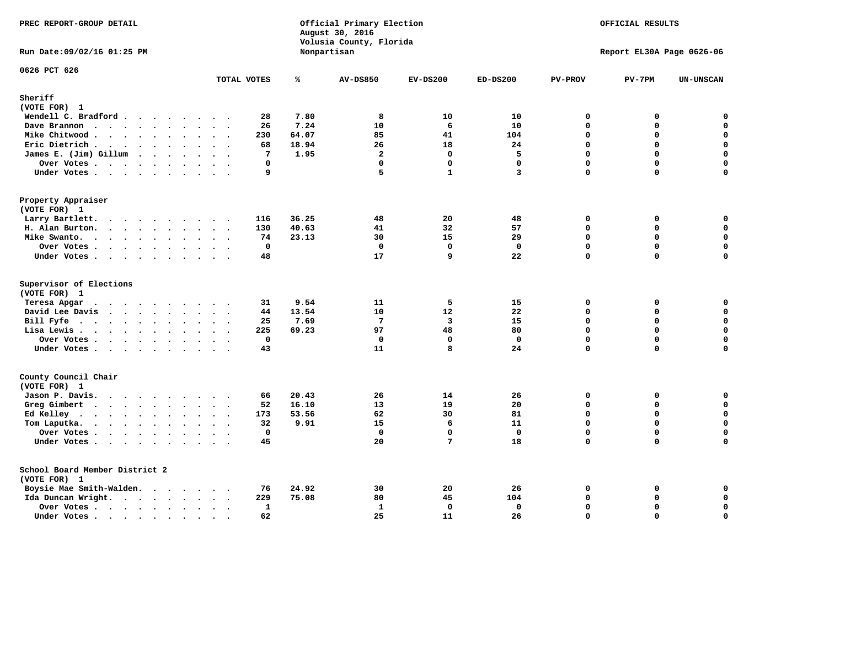| PREC REPORT-GROUP DETAIL                       |                      |              | Official Primary Election<br>August 30, 2016<br>Volusia County, Florida | OFFICIAL RESULTS<br>Report EL30A Page 0626-06 |                   |                |               |                            |
|------------------------------------------------|----------------------|--------------|-------------------------------------------------------------------------|-----------------------------------------------|-------------------|----------------|---------------|----------------------------|
| Run Date: 09/02/16 01:25 PM                    |                      |              | Nonpartisan                                                             |                                               |                   |                |               |                            |
| 0626 PCT 626                                   | TOTAL VOTES          | ℁            | <b>AV-DS850</b>                                                         | $EV-DS200$                                    | $ED-DS200$        | <b>PV-PROV</b> | $PV-7PM$      | <b>UN-UNSCAN</b>           |
| Sheriff                                        |                      |              |                                                                         |                                               |                   |                |               |                            |
| (VOTE FOR) 1                                   |                      |              |                                                                         |                                               |                   |                |               |                            |
| Wendell C. Bradford                            |                      | 7.80<br>28   | 8                                                                       | 10                                            | 10                | 0              | 0             | $\Omega$                   |
| Dave Brannon                                   |                      | 7.24<br>26   | 10                                                                      | 6                                             | 10                | 0              | 0             | $\mathbf 0$                |
| Mike Chitwood                                  |                      | 64.07<br>230 | 85                                                                      | 41                                            | 104               | 0              | 0             | $\mathbf 0$                |
| Eric Dietrich                                  |                      | 18.94<br>68  | 26                                                                      | 18                                            | 24                | 0              | 0             | $\mathbf 0$                |
| James E. (Jim) Gillum                          |                      | 1.95<br>7    | $\overline{a}$                                                          | $\Omega$                                      | 5                 | $\Omega$       | $\Omega$      | $\mathbf 0$                |
| Over Votes $\cdots$ $\cdots$ $\cdots$ $\cdots$ | $\ddot{\phantom{1}}$ | 0            | $\mathbf 0$                                                             | $\mathbf 0$                                   | $\mathbf 0$       | $\Omega$       | $\Omega$      | $\mathbf 0$                |
| Under Votes                                    |                      | 9            | 5                                                                       | $\mathbf{1}$                                  | 3                 | 0              | 0             | $\mathbf 0$                |
| Property Appraiser                             |                      |              |                                                                         |                                               |                   |                |               |                            |
| (VOTE FOR) 1                                   |                      |              |                                                                         |                                               |                   |                |               |                            |
| Larry Bartlett.                                |                      | 116<br>36.25 | 48                                                                      | 20<br>32                                      | 48                | 0<br>0         | 0<br>0        | 0<br>$\mathbf 0$           |
| H. Alan Burton.                                |                      | 130<br>40.63 | 41                                                                      |                                               | 57                | $\Omega$       |               |                            |
| Mike Swanto.                                   |                      | 23.13<br>74  | 30<br>$\mathbf{0}$                                                      | 15<br>$\mathbf 0$                             | 29<br>$\mathbf 0$ | 0              | 0<br>$\Omega$ | 0<br>$\mathbf 0$           |
| Over Votes                                     |                      | 0<br>48      | 17                                                                      | 9                                             | 22                | 0              | 0             | 0                          |
| Under Votes                                    |                      |              |                                                                         |                                               |                   |                |               |                            |
| Supervisor of Elections                        |                      |              |                                                                         |                                               |                   |                |               |                            |
| (VOTE FOR) 1                                   |                      |              |                                                                         |                                               |                   |                |               |                            |
| Teresa Apgar                                   |                      | 9.54<br>31   | 11                                                                      | 5                                             | 15                | 0              | 0             | $\mathbf 0$                |
| David Lee Davis                                |                      | 13.54<br>44  | 10                                                                      | 12                                            | 22                | $\Omega$       | 0             | $\mathbf 0$                |
| Bill Fyfe                                      |                      | 7.69<br>25   | $7\phantom{.0}$                                                         | $\overline{\mathbf{3}}$                       | 15                | 0              | 0             | $\mathbf 0$                |
| Lisa Lewis                                     | $\ddot{\phantom{a}}$ | 225<br>69.23 | 97                                                                      | 48                                            | 80                | 0              | $\Omega$      | $\mathbf 0$                |
| Over Votes                                     | $\sim$               | 0            | $\mathbf 0$<br>11                                                       | $\mathbf 0$<br>8                              | $\mathbf 0$<br>24 | 0<br>0         | 0<br>$\Omega$ | $\mathbf 0$<br>$\mathbf 0$ |
| Under Votes                                    |                      | 43           |                                                                         |                                               |                   |                |               |                            |
| County Council Chair                           |                      |              |                                                                         |                                               |                   |                |               |                            |
| (VOTE FOR) 1                                   |                      |              |                                                                         |                                               |                   |                |               |                            |
| Jason P. Davis.                                |                      | 20.43<br>66  | 26                                                                      | 14                                            | 26                | $\mathbf 0$    | 0             | 0                          |
| Greg Gimbert                                   |                      | 16.10<br>52  | 13                                                                      | 19                                            | 20                | 0              | 0             | $\mathbf 0$                |
| Ed Kelley                                      | $\sim$ $\sim$        | 173<br>53.56 | 62                                                                      | 30                                            | 81                | 0              | $\Omega$      | $\mathbf 0$                |
| Tom Laputka.                                   | $\ddot{\phantom{1}}$ | 9.91<br>32   | 15                                                                      | 6                                             | 11                | 0              | 0             | $\mathbf 0$                |
| Over Votes                                     |                      | $\mathbf 0$  | $\Omega$                                                                | $\mathbf 0$                                   | $\mathbf 0$       | $\Omega$       | $\Omega$      | $\mathbf 0$                |
| Under Votes                                    |                      | 45           | 20                                                                      | 7                                             | 18                | 0              | $\Omega$      | $\mathbf 0$                |
| School Board Member District 2                 |                      |              |                                                                         |                                               |                   |                |               |                            |
| (VOTE FOR) 1                                   |                      |              |                                                                         |                                               |                   |                |               |                            |
| Boysie Mae Smith-Walden.                       |                      | 76<br>24.92  | 30                                                                      | 20                                            | 26                | 0              | 0             | 0                          |
| Ida Duncan Wright.                             |                      | 75.08<br>229 | 80                                                                      | 45                                            | 104               | $\Omega$       | 0             | $\mathbf 0$                |
| Over Votes                                     |                      | 1            | $\mathbf{1}$                                                            | 0                                             | $\mathbf 0$       | 0              | 0             | $\mathbf 0$                |
| Under Votes                                    | $\sim$               | 62           | 25                                                                      | 11                                            | 26                | 0              | $\Omega$      | $\mathbf 0$                |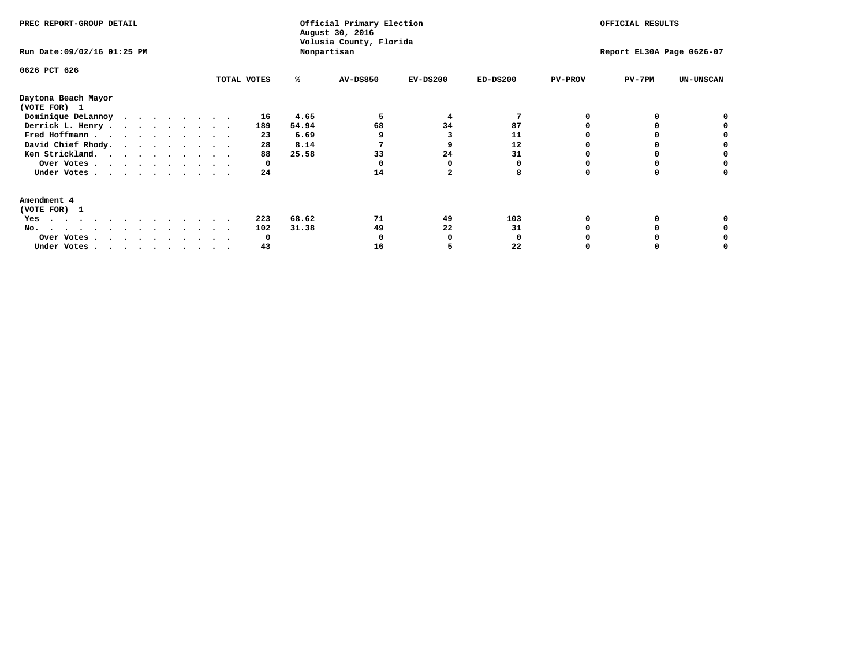| PREC REPORT-GROUP DETAIL<br>Run Date: 09/02/16 01:25 PM                |              |       | Official Primary Election<br>August 30, 2016<br>Volusia County, Florida<br>Nonpartisan | OFFICIAL RESULTS<br>Report EL30A Page 0626-07 |            |                |          |                  |
|------------------------------------------------------------------------|--------------|-------|----------------------------------------------------------------------------------------|-----------------------------------------------|------------|----------------|----------|------------------|
| 0626 PCT 626                                                           | TOTAL VOTES  | ℁     | AV-DS850                                                                               | $EV-DS200$                                    | $ED-DS200$ | <b>PV-PROV</b> | $PV-7PM$ | <b>UN-UNSCAN</b> |
| Daytona Beach Mayor<br>(VOTE FOR) 1                                    |              |       |                                                                                        |                                               |            |                |          |                  |
| Dominique DeLannoy                                                     | 16           | 4.65  |                                                                                        | 4                                             |            |                |          |                  |
| Derrick L. Henry                                                       | 189          | 54.94 | 68                                                                                     | 34                                            | 87         |                |          |                  |
| Fred Hoffmann                                                          | 23           | 6.69  |                                                                                        |                                               | 11         |                |          |                  |
| David Chief Rhody.                                                     | 28           | 8.14  |                                                                                        |                                               | 12         |                |          |                  |
| Ken Strickland.                                                        | 88           | 25.58 | 33                                                                                     | 24                                            | 31         |                |          |                  |
| Over Votes                                                             | 0            |       |                                                                                        |                                               |            |                |          |                  |
| Under Votes                                                            | 24           |       | 14                                                                                     |                                               | 8          |                |          |                  |
| Amendment 4<br>(VOTE FOR) 1                                            |              |       |                                                                                        |                                               |            |                |          |                  |
| Yes                                                                    | 223          | 68.62 | 71                                                                                     | 49                                            | 103        |                |          |                  |
| No.<br>.                                                               | 102          | 31.38 | 49                                                                                     | 22                                            | 31         |                |          |                  |
| Over Votes                                                             | <sup>0</sup> |       |                                                                                        |                                               |            |                |          |                  |
| Under Votes, $\cdot$ , $\cdot$ , $\cdot$ , $\cdot$ , $\cdot$ , $\cdot$ | 43           |       | 16                                                                                     |                                               | 22         |                |          |                  |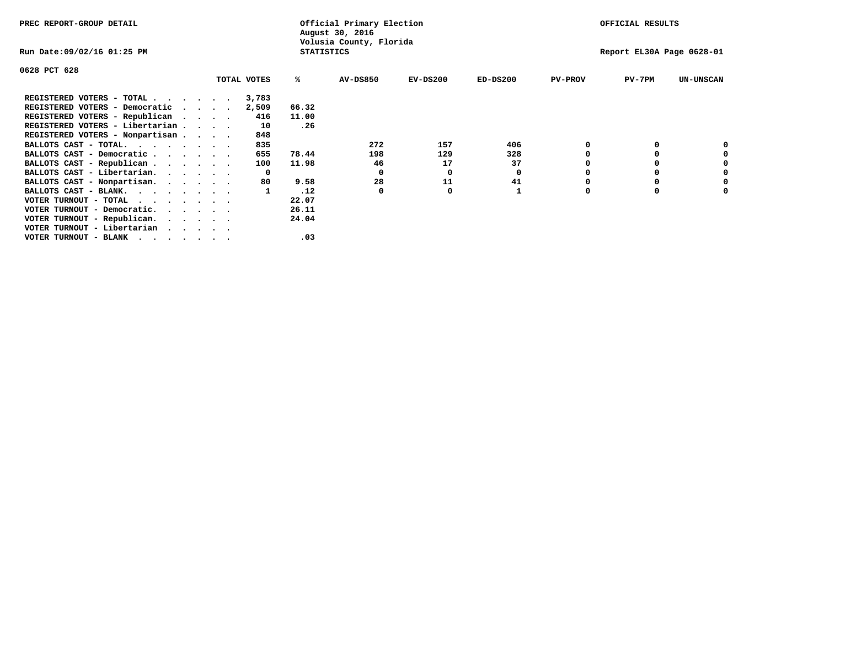| PREC REPORT-GROUP DETAIL                                                                                                                 |         |             |                   | Official Primary Election<br>August 30, 2016 |            |            |                | OFFICIAL RESULTS          |                  |
|------------------------------------------------------------------------------------------------------------------------------------------|---------|-------------|-------------------|----------------------------------------------|------------|------------|----------------|---------------------------|------------------|
| Run Date:09/02/16 01:25 PM                                                                                                               |         |             | <b>STATISTICS</b> | Volusia County, Florida                      |            |            |                | Report EL30A Page 0628-01 |                  |
| 0628 PCT 628                                                                                                                             |         |             |                   |                                              |            |            |                |                           |                  |
|                                                                                                                                          |         | TOTAL VOTES | %ะ                | <b>AV-DS850</b>                              | $EV-DS200$ | $ED-DS200$ | <b>PV-PROV</b> | $PV-7PM$                  | <b>UN-UNSCAN</b> |
| REGISTERED VOTERS - TOTAL                                                                                                                |         | 3,783       |                   |                                              |            |            |                |                           |                  |
| REGISTERED VOTERS - Democratic                                                                                                           | $\cdot$ | 2,509       | 66.32             |                                              |            |            |                |                           |                  |
| REGISTERED VOTERS - Republican                                                                                                           |         | 416         | 11.00             |                                              |            |            |                |                           |                  |
| REGISTERED VOTERS - Libertarian                                                                                                          |         | 10          | .26               |                                              |            |            |                |                           |                  |
| REGISTERED VOTERS - Nonpartisan                                                                                                          |         | 848         |                   |                                              |            |            |                |                           |                  |
| BALLOTS CAST - TOTAL.                                                                                                                    |         | 835         |                   | 272                                          | 157        | 406        |                |                           |                  |
| BALLOTS CAST - Democratic                                                                                                                |         | 655         | 78.44             | 198                                          | 129        | 328        |                |                           |                  |
| BALLOTS CAST - Republican                                                                                                                |         | 100         | 11.98             | 46                                           | 17         | 37         |                |                           |                  |
| BALLOTS CAST - Libertarian.                                                                                                              |         | $\Omega$    |                   | 0                                            | 0          | 0          |                |                           |                  |
| BALLOTS CAST - Nonpartisan.                                                                                                              |         | 80          | 9.58              | 28                                           | 11         | 41         |                |                           | 0                |
| BALLOTS CAST - BLANK.                                                                                                                    |         |             | .12               | 0                                            | 0          |            | O              | $\Omega$                  |                  |
| VOTER TURNOUT - TOTAL<br>the contract of the contract of the contract of the contract of the contract of the contract of the contract of |         |             | 22.07             |                                              |            |            |                |                           |                  |
| VOTER TURNOUT - Democratic.                                                                                                              |         |             | 26.11             |                                              |            |            |                |                           |                  |
| VOTER TURNOUT - Republican.                                                                                                              |         |             | 24.04             |                                              |            |            |                |                           |                  |
| VOTER TURNOUT - Libertarian                                                                                                              |         |             |                   |                                              |            |            |                |                           |                  |
| VOTER TURNOUT - BLANK<br>the company of the company of the company of                                                                    |         |             | .03               |                                              |            |            |                |                           |                  |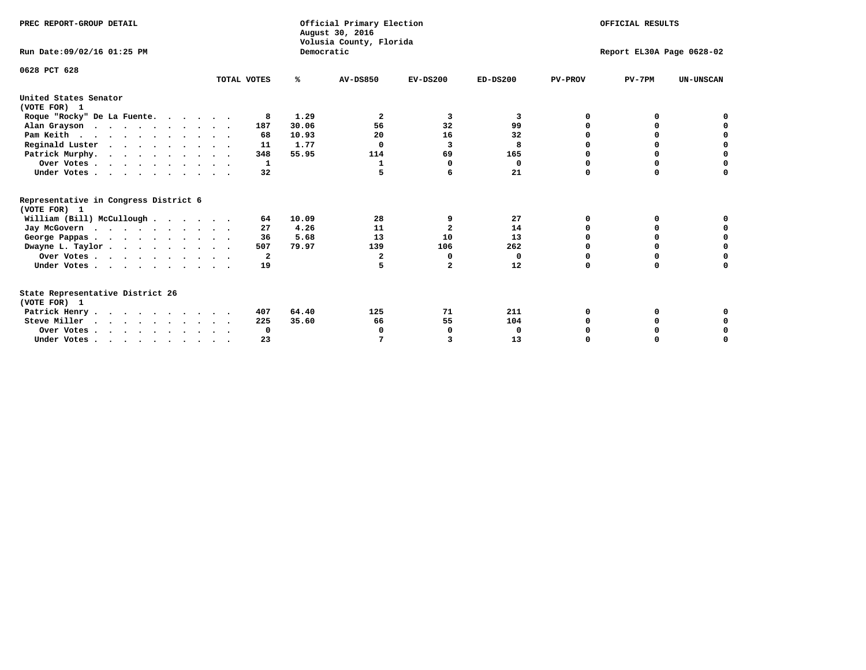| PREC REPORT-GROUP DETAIL<br>Run Date: 09/02/16 01:25 PM                          |             | Democratic | Official Primary Election<br>August 30, 2016<br>Volusia County, Florida | OFFICIAL RESULTS<br>Report EL30A Page 0628-02 |            |                |             |                  |
|----------------------------------------------------------------------------------|-------------|------------|-------------------------------------------------------------------------|-----------------------------------------------|------------|----------------|-------------|------------------|
|                                                                                  |             |            |                                                                         |                                               |            |                |             |                  |
| 0628 PCT 628                                                                     | TOTAL VOTES | %ะ         | <b>AV-DS850</b>                                                         | $EV-DS200$                                    | $ED-DS200$ | <b>PV-PROV</b> | $PV-7PM$    | <b>UN-UNSCAN</b> |
| United States Senator<br>(VOTE FOR) 1                                            |             |            |                                                                         |                                               |            |                |             |                  |
| Roque "Rocky" De La Fuente.                                                      | 8           | 1.29       | 2                                                                       | 3                                             | 3          | O              | 0           |                  |
| Alan Grayson                                                                     | 187         | 30.06      | 56                                                                      | 32                                            | 99         |                | $\Omega$    |                  |
| Pam Keith                                                                        | 68          | 10.93      | 20                                                                      | 16                                            | 32         |                | 0           | 0                |
| Reginald Luster                                                                  | 11          | 1.77       | $\Omega$                                                                | $\overline{\mathbf{3}}$                       | 8          | O              | 0           | $\mathbf 0$      |
| Patrick Murphy.                                                                  | 348         | 55.95      | 114                                                                     | 69                                            | 165        | O              | $\mathbf 0$ | $\mathbf 0$      |
| Over Votes                                                                       | 1           |            | 1                                                                       | $\Omega$                                      | 0          | $\Omega$       | 0           | $\mathbf 0$      |
| Under Votes.                                                                     | 32          |            |                                                                         | 6                                             | 21         | $\Omega$       | $\Omega$    | 0                |
| Representative in Congress District 6<br>(VOTE FOR) 1                            |             |            |                                                                         |                                               |            |                |             |                  |
| William (Bill) McCullough                                                        | 64          | 10.09      | 28                                                                      | 9                                             | 27         | 0              | 0           |                  |
| Jay McGovern                                                                     | 27          | 4.26       | 11                                                                      | $\mathbf{2}$                                  | 14         | $\Omega$       | $\Omega$    | 0                |
| George Pappas                                                                    | 36          | 5.68       | 13                                                                      | 10                                            | 13         | 0              | 0           | 0                |
| Dwayne L. Taylor                                                                 | 507         | 79.97      | 139                                                                     | 106                                           | 262        | $\Omega$       | 0           | 0                |
| Over Votes                                                                       | 2           |            | $\mathbf{2}$                                                            | 0                                             | 0          | 0              | 0           | 0                |
| Under Votes                                                                      | 19          |            | 5                                                                       | 2                                             | 12         | $\Omega$       | 0           | O                |
| State Representative District 26<br>(VOTE FOR) 1                                 |             |            |                                                                         |                                               |            |                |             |                  |
| Patrick Henry                                                                    | 407         | 64.40      | 125                                                                     | 71                                            | 211        | O              | 0           |                  |
| Steve Miller                                                                     | 225         | 35.60      | 66                                                                      | 55                                            | 104        |                | 0           | 0                |
| Over Votes                                                                       | 0           |            | 0                                                                       | 0                                             | $\Omega$   |                | 0           | 0                |
| Under Votes, $\cdot$ , $\cdot$ , $\cdot$ , $\cdot$ , $\cdot$ , $\cdot$ , $\cdot$ | 23          |            |                                                                         | 3                                             | 13         | $\Omega$       |             | $\Omega$         |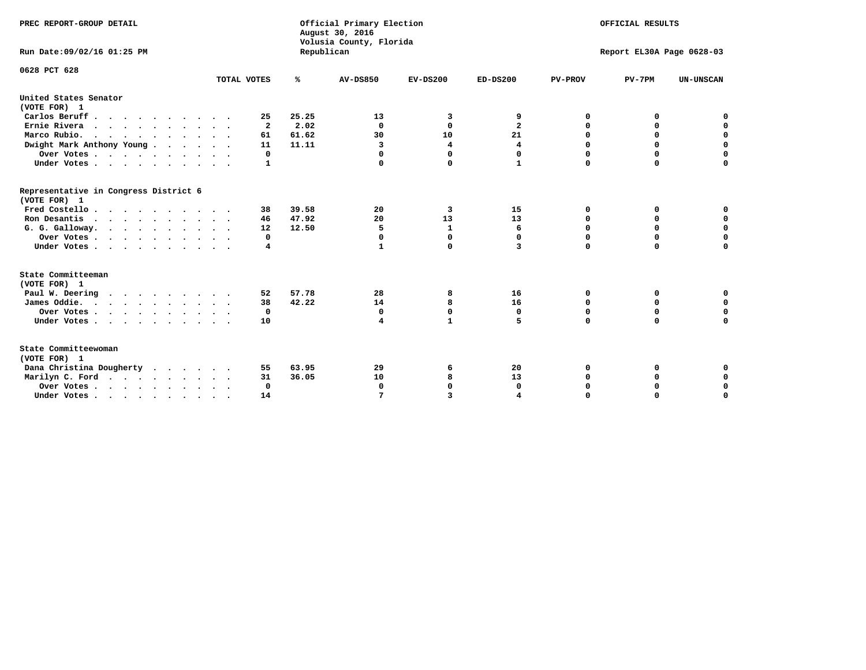| PREC REPORT-GROUP DETAIL<br>Run Date: 09/02/16 01:25 PM                |                         | Republican | Official Primary Election<br>August 30, 2016<br>Volusia County, Florida | OFFICIAL RESULTS<br>Report EL30A Page 0628-03 |                |                |             |                  |
|------------------------------------------------------------------------|-------------------------|------------|-------------------------------------------------------------------------|-----------------------------------------------|----------------|----------------|-------------|------------------|
|                                                                        |                         |            |                                                                         |                                               |                |                |             |                  |
| 0628 PCT 628                                                           | TOTAL VOTES             | %          | <b>AV-DS850</b>                                                         | $EV-DS200$                                    | $ED-DS200$     | <b>PV-PROV</b> | $PV-7PM$    | <b>UN-UNSCAN</b> |
| United States Senator                                                  |                         |            |                                                                         |                                               |                |                |             |                  |
| (VOTE FOR) 1                                                           |                         |            |                                                                         |                                               |                |                |             |                  |
| Carlos Beruff                                                          | 25                      | 25.25      | 13                                                                      | 3                                             | 9              | 0              | 0           | 0                |
| Ernie Rivera                                                           | $\overline{\mathbf{2}}$ | 2.02       | $\Omega$                                                                | $\mathbf{0}$                                  | $\overline{a}$ | 0              | 0           | $\mathbf 0$      |
| Marco Rubio.                                                           | 61                      | 61.62      | 30                                                                      | 10                                            | 21             | 0              | $\mathbf 0$ | $\mathbf 0$      |
| Dwight Mark Anthony Young                                              | 11                      | 11.11      | 3                                                                       | 4                                             | 4              | 0              | $\mathbf 0$ | $\mathbf 0$      |
| Over Votes                                                             | 0                       |            | $\Omega$                                                                | 0                                             | 0              | $\mathbf 0$    | 0           | $\mathbf 0$      |
| Under Votes                                                            | 1                       |            |                                                                         | $\Omega$                                      | $\mathbf{1}$   | $\Omega$       | $\Omega$    | $\Omega$         |
| Representative in Congress District 6<br>(VOTE FOR) 1                  |                         |            |                                                                         |                                               |                |                |             |                  |
| Fred Costello                                                          | 38                      | 39.58      | 20                                                                      | 3                                             | 15             | 0              | 0           | 0                |
| Ron Desantis                                                           | 46                      | 47.92      | 20                                                                      | 13                                            | 13             | $\Omega$       | 0           | $\mathbf 0$      |
| G. G. Galloway.                                                        | 12                      | 12.50      | 5                                                                       | $\mathbf{1}$                                  | 6              | $\mathbf 0$    | $\mathbf 0$ | $\Omega$         |
| Over Votes                                                             | 0                       |            | $\mathbf 0$                                                             | $\mathbf{0}$                                  | 0              | $\mathbf 0$    | $\mathbf 0$ | $\mathbf 0$      |
| Under Votes                                                            | 4                       |            | 1                                                                       | 0                                             | 3              | $\mathbf 0$    | $\Omega$    | $\Omega$         |
| State Committeeman                                                     |                         |            |                                                                         |                                               |                |                |             |                  |
| (VOTE FOR) 1                                                           |                         |            |                                                                         |                                               |                |                |             |                  |
| Paul W. Deering                                                        | 52                      | 57.78      | 28                                                                      | 8                                             | 16             | 0              | 0           | 0                |
| James Oddie.                                                           | 38                      | 42.22      | 14                                                                      | 8                                             | 16             | 0              | 0           | $\mathbf 0$      |
| Over Votes                                                             | 0                       |            | 0                                                                       | $\mathbf 0$                                   | 0              | 0              | 0           | $\mathbf 0$      |
| Under Votes                                                            | 10                      |            | 4                                                                       | $\mathbf{1}$                                  | 5              | $\mathbf 0$    | $\mathbf 0$ | $\mathbf 0$      |
| State Committeewoman<br>(VOTE FOR) 1                                   |                         |            |                                                                         |                                               |                |                |             |                  |
| Dana Christina Dougherty                                               | 55                      | 63.95      | 29                                                                      | 6                                             | 20             | 0              | 0           | 0                |
| Marilyn C. Ford                                                        | 31                      | 36.05      | 10                                                                      | 8                                             | 13             | 0              | 0           | $\mathbf 0$      |
| Over Votes                                                             | $\Omega$                |            | $\mathbf 0$                                                             | 0                                             | $\mathbf{0}$   | 0              | 0           | 0                |
| Under Votes, $\cdot$ , $\cdot$ , $\cdot$ , $\cdot$ , $\cdot$ , $\cdot$ | 14                      |            |                                                                         | 3                                             |                | $\Omega$       | $\Omega$    | $\Omega$         |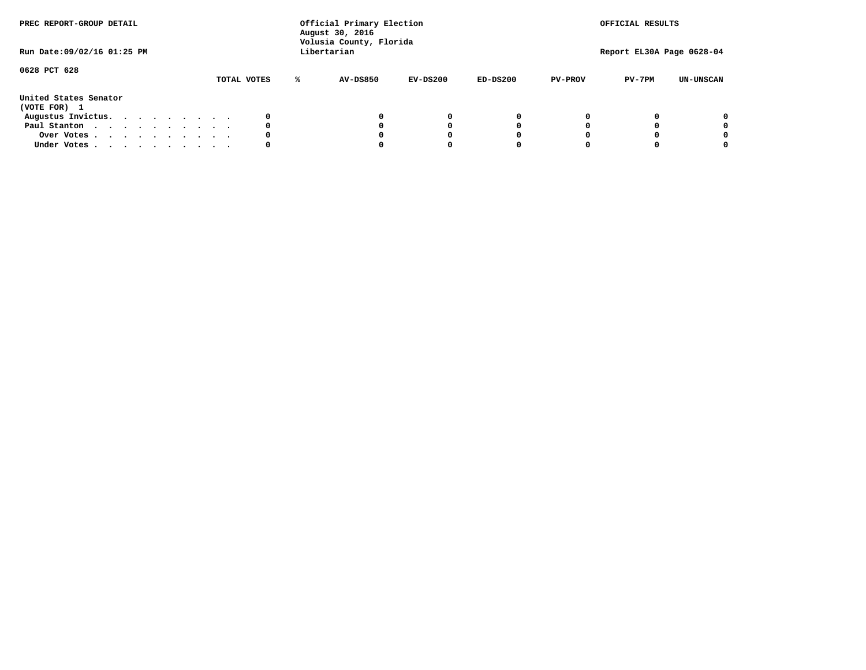| PREC REPORT-GROUP DETAIL<br>Run Date: 09/02/16 01:25 PM |  |  |  | Official Primary Election<br>August 30, 2016<br>Volusia County, Florida<br>Libertarian |  |  |             |   |                 | OFFICIAL RESULTS<br>Report EL30A Page 0628-04 |            |                |          |                  |
|---------------------------------------------------------|--|--|--|----------------------------------------------------------------------------------------|--|--|-------------|---|-----------------|-----------------------------------------------|------------|----------------|----------|------------------|
| 0628 PCT 628                                            |  |  |  |                                                                                        |  |  | TOTAL VOTES | ℁ | <b>AV-DS850</b> | $EV-DS200$                                    | $ED-DS200$ | <b>PV-PROV</b> | $PV-7PM$ | <b>UN-UNSCAN</b> |
| United States Senator<br>(VOTE FOR) 1                   |  |  |  |                                                                                        |  |  |             |   |                 |                                               |            |                |          |                  |
| Augustus Invictus.                                      |  |  |  |                                                                                        |  |  | 0           |   |                 | 0                                             | 0          |                |          | 0                |
| Paul Stanton                                            |  |  |  |                                                                                        |  |  | 0           |   |                 |                                               | 0          |                |          | 0                |
| Over Votes                                              |  |  |  |                                                                                        |  |  | 0           |   |                 |                                               | 0          |                |          | 0                |
| Under Votes                                             |  |  |  |                                                                                        |  |  | 0           |   |                 |                                               |            |                |          | 0                |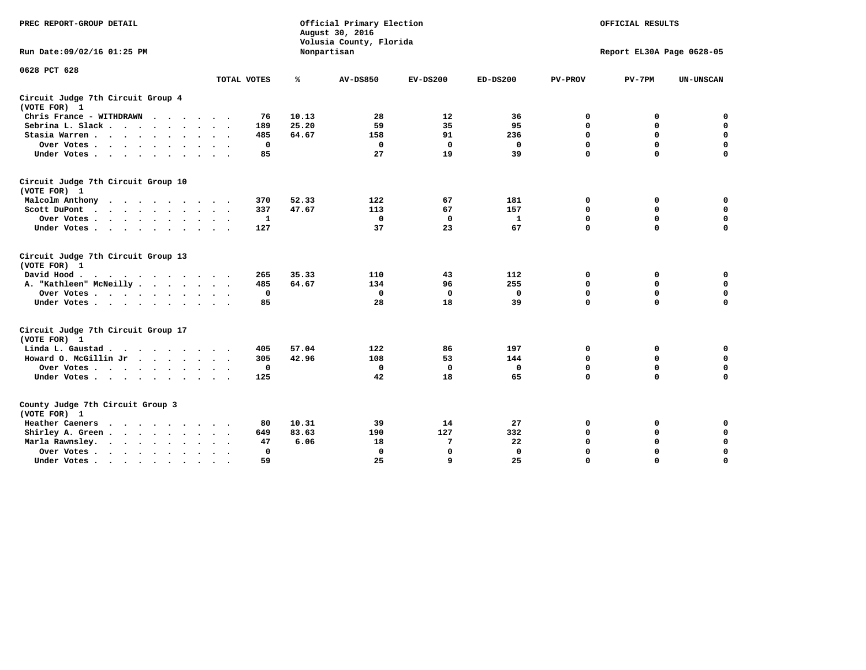| PREC REPORT-GROUP DETAIL                                   |             | Official Primary Election<br>August 30, 2016<br>Volusia County, Florida |                 | OFFICIAL RESULTS |              |                |                           |                  |
|------------------------------------------------------------|-------------|-------------------------------------------------------------------------|-----------------|------------------|--------------|----------------|---------------------------|------------------|
| Run Date: 09/02/16 01:25 PM                                |             |                                                                         | Nonpartisan     |                  |              |                | Report EL30A Page 0628-05 |                  |
| 0628 PCT 628                                               |             |                                                                         |                 |                  |              |                |                           |                  |
|                                                            | TOTAL VOTES | ℁                                                                       | <b>AV-DS850</b> | $EV-DS200$       | $ED-DS200$   | <b>PV-PROV</b> | $PV-7PM$                  | <b>UN-UNSCAN</b> |
| Circuit Judge 7th Circuit Group 4<br>(VOTE FOR) 1          |             |                                                                         |                 |                  |              |                |                           |                  |
| Chris France - WITHDRAWN<br>$\cdots$                       | 76          | 10.13                                                                   | 28              | 12               | 36           | 0              | 0                         | 0                |
| Sebrina L. Slack.                                          | 189         | 25.20                                                                   | 59              | 35               | 95           | $\Omega$       | $\mathbf 0$               | $\mathbf 0$      |
| Stasia Warren<br>$\sim$ $\sim$                             | 485         | 64.67                                                                   | 158             | 91               | 236          | $\mathbf 0$    | $\mathbf 0$               | $\mathbf 0$      |
| Over Votes                                                 | 0           |                                                                         | $\mathbf{0}$    | $\mathbf 0$      | 0            | $\mathbf 0$    | $\mathbf 0$               | $\mathbf 0$      |
| Under Votes                                                | 85          |                                                                         | 27              | 19               | 39           | $\mathbf 0$    | $\mathbf 0$               | $\mathbf 0$      |
| Circuit Judge 7th Circuit Group 10<br>(VOTE FOR) 1         |             |                                                                         |                 |                  |              |                |                           |                  |
| Malcolm Anthony                                            | 370         | 52.33                                                                   | 122             | 67               | 181          | 0              | 0                         | 0                |
| Scott DuPont                                               | 337         | 47.67                                                                   | 113             | 67               | 157          | $\mathbf 0$    | $\mathbf 0$               | $\mathbf 0$      |
| Over Votes<br>$\bullet$<br>$\cdot$                         | 1           |                                                                         | $\mathbf 0$     | 0                | 1            | 0              | $\mathbf 0$               | $\mathbf 0$      |
| Under Votes                                                | 127         |                                                                         | 37              | 23               | 67           | $\mathbf 0$    | $\Omega$                  | 0                |
| Circuit Judge 7th Circuit Group 13<br>(VOTE FOR) 1         |             |                                                                         |                 |                  |              |                |                           |                  |
| David Hood.                                                | 265         | 35.33                                                                   | 110             | 43               | 112          | 0              | 0                         | $\mathbf 0$      |
| A. "Kathleen" McNeilly.<br>$\cdots$                        | 485         | 64.67                                                                   | 134             | 96               | 255          | $\mathbf 0$    | $\mathbf 0$               | $\mathbf 0$      |
| Over Votes                                                 | $\mathbf 0$ |                                                                         | $\mathbf{0}$    | $\mathbf 0$      | 0            | 0              | $\mathbf 0$               | $\mathbf 0$      |
| Under Votes                                                | 85          |                                                                         | 28              | 18               | 39           | $\mathbf 0$    | $\mathbf 0$               | 0                |
| Circuit Judge 7th Circuit Group 17<br>(VOTE FOR) 1         |             |                                                                         |                 |                  |              |                |                           |                  |
| Linda L. Gaustad                                           | 405         | 57.04                                                                   | 122             | 86               | 197          | 0              | 0                         | $\mathbf 0$      |
| Howard O. McGillin Jr                                      | 305         | 42.96                                                                   | 108             | 53               | 144          | 0              | 0                         | 0                |
| Over Votes                                                 | $\mathbf 0$ |                                                                         | $\Omega$        | 0                | 0            | $\mathbf 0$    | $\mathbf 0$               | 0                |
| Under Votes                                                | 125         |                                                                         | 42              | 18               | 65           | $\mathbf 0$    | $\mathbf 0$               | $\mathbf 0$      |
| County Judge 7th Circuit Group 3<br>(VOTE FOR) 1           |             |                                                                         |                 |                  |              |                |                           |                  |
| Heather Caeners<br>$\cdots$                                | 80          | 10.31                                                                   | 39              | 14               | 27           | 0              | 0                         | 0                |
| Shirley A. Green                                           | 649         | 83.63                                                                   | 190             | 127              | 332          | $\mathbf 0$    | $\mathbf 0$               | $\mathbf 0$      |
| Marla Rawnsley.<br>$\cdot$ $\cdot$ $\cdot$ $\cdot$ $\cdot$ | 47          | 6.06                                                                    | 18              | 7                | 22           | 0              | $\mathbf 0$               | $\pmb{0}$        |
| Over Votes.<br>$\cdots$<br>$\cdot$<br>$\sim$               | 0           |                                                                         | $\Omega$        | $\mathbf 0$      | $\mathbf{0}$ | $\mathbf 0$    | $\mathbf 0$               | $\mathbf 0$      |
| Under Votes<br>$\sim$<br>$\sim$                            | 59          |                                                                         | 25              | 9                | 25           | $\mathbf 0$    | $\mathbf 0$               | 0                |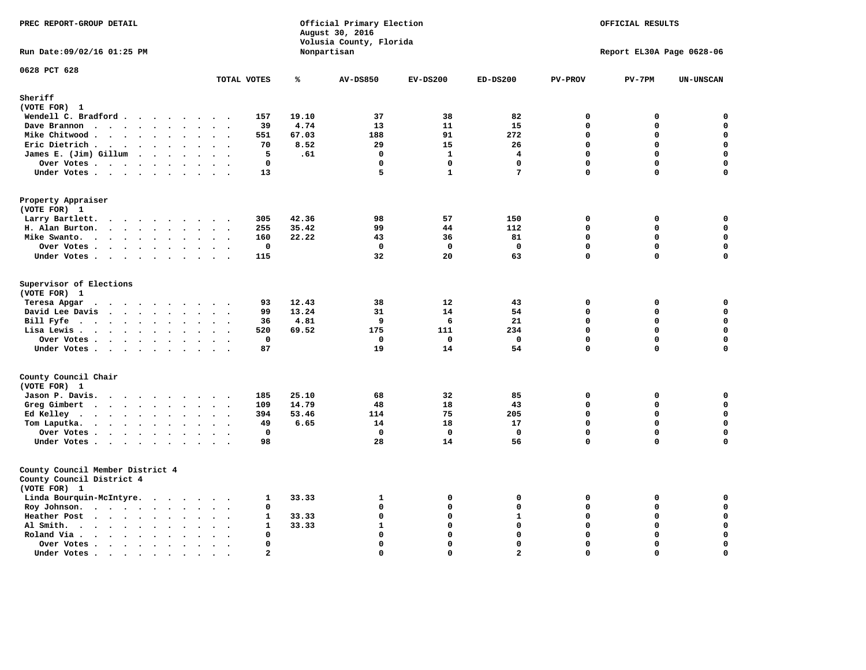| Official Primary Election<br>PREC REPORT-GROUP DETAIL<br>August 30, 2016<br>Volusia County, Florida<br>Nonpartisan |                                                                   |                |                 | OFFICIAL RESULTS<br>Report EL30A Page 0628-06 |                 |                  |             |                            |
|--------------------------------------------------------------------------------------------------------------------|-------------------------------------------------------------------|----------------|-----------------|-----------------------------------------------|-----------------|------------------|-------------|----------------------------|
| Run Date: 09/02/16 01:25 PM                                                                                        |                                                                   |                |                 |                                               |                 |                  |             |                            |
| 0628 PCT 628                                                                                                       | TOTAL VOTES                                                       | ℁              | <b>AV-DS850</b> | $EV-DS200$                                    | $ED-DS200$      | PV-PROV          | $PV-7PM$    | UN-UNSCAN                  |
| Sheriff                                                                                                            |                                                                   |                |                 |                                               |                 |                  |             |                            |
| (VOTE FOR) 1                                                                                                       |                                                                   |                |                 |                                               |                 |                  |             |                            |
| Wendell C. Bradford                                                                                                | 157                                                               | 19.10          | 37              | 38                                            | 82              | $\Omega$         | 0           | $\mathbf 0$                |
| Dave Brannon                                                                                                       | 39                                                                | 4.74           | 13              | 11                                            | 15              | $\mathbf 0$      | 0           | 0                          |
| Mike Chitwood                                                                                                      | 551                                                               | 67.03          | 188             | 91                                            | 272             | $\mathbf 0$      | 0           | $\mathbf 0$                |
| Eric Dietrich.<br>$\cdots$                                                                                         | 70                                                                | 8.52           | 29              | 15                                            | 26              | $\mathbf 0$      | 0           | $\mathbf 0$                |
| James E. (Jim) Gillum                                                                                              | 5                                                                 | .61            | $\Omega$        | $\mathbf{1}$                                  | 4               | $\mathbf{0}$     | 0           | $\mathbf 0$                |
| Over Votes                                                                                                         | $\mathbf 0$                                                       |                | $\mathbf{0}$    | $\mathbf 0$                                   | $\mathbf 0$     | $\mathbf{0}$     | 0           | $\mathbf 0$                |
| Under Votes                                                                                                        | 13                                                                |                | 5               | $\mathbf{1}$                                  | $7\phantom{.0}$ | $\Omega$         | 0           | $\mathbf 0$                |
| Property Appraiser<br>(VOTE FOR) 1                                                                                 |                                                                   |                |                 |                                               |                 |                  |             |                            |
| Larry Bartlett.                                                                                                    | 305<br>$\ddot{\phantom{0}}$                                       | 42.36          | 98              | 57                                            | 150             | $\mathbf 0$      | 0           | 0                          |
| H. Alan Burton.                                                                                                    | 255<br>$\sim$ $\sim$                                              | 35.42          | 99              | 44                                            | 112             | $\mathbf 0$      | 0           | $\mathbf 0$                |
| Mike Swanto.<br>$\ddot{\phantom{a}}$                                                                               | 160<br>$\ddot{\phantom{a}}$<br>$\sim$<br>$\overline{\phantom{a}}$ | 22.22          | 43              | 36                                            | 81              | $\mathbf 0$      | $\mathbf 0$ | $\mathbf 0$                |
| Over Votes                                                                                                         | 0                                                                 |                | $\mathbf 0$     | $^{\circ}$                                    | $\mathbf 0$     | $\mathbf 0$      | 0           | $\mathbf 0$                |
| Under Votes                                                                                                        | 115                                                               |                | 32              | 20                                            | 63              | $\mathbf{0}$     | 0           | $\mathbf 0$                |
| Supervisor of Elections<br>(VOTE FOR) 1<br>Teresa Apgar                                                            | 93                                                                | 12.43          | 38              | 12                                            | 43              | $\mathbf 0$      | $\mathbf 0$ | 0                          |
| David Lee Davis                                                                                                    | 99                                                                | 13.24          | 31              | 14                                            | 54              | $\Omega$         | 0           | 0                          |
| Bill Fyfe                                                                                                          | 36                                                                | 4.81           | 9               | 6                                             | 21              | $\Omega$         | $\mathbf 0$ | $\mathbf 0$                |
| Lisa Lewis                                                                                                         | 520                                                               | 69.52          | 175             | 111                                           | 234             | $\mathbf 0$      | $\mathbf 0$ | $\mathbf 0$                |
| Over Votes                                                                                                         | $\mathbf 0$<br>$\sim$                                             |                | $\mathbf 0$     | $\Omega$                                      | $\mathbf{0}$    | $\mathbf 0$      | $\mathbf 0$ | $\mathbf 0$                |
| Under Votes                                                                                                        | 87<br>$\sim$                                                      |                | 19              | 14                                            | 54              | $\mathbf 0$      | $\mathbf 0$ | $\mathbf 0$                |
| County Council Chair                                                                                               |                                                                   |                |                 |                                               |                 |                  |             |                            |
| (VOTE FOR) 1                                                                                                       |                                                                   |                |                 |                                               |                 |                  |             |                            |
| Jason P. Davis.                                                                                                    | 185<br>109                                                        | 25.10<br>14.79 | 68<br>48        | 32<br>18                                      | 85<br>43        | 0<br>$\mathbf 0$ | 0<br>0      | $\mathbf 0$<br>$\mathbf 0$ |
| Greg Gimbert                                                                                                       | 394                                                               | 53.46          | 114             | 75                                            | 205             | $\Omega$         | $\Omega$    | $\mathbf 0$                |
| Ed Kelley                                                                                                          | 49                                                                | 6.65           | 14              | 18                                            | 17              | $\mathbf 0$      | $\mathbf 0$ | $\mathbf 0$                |
| Tom Laputka.                                                                                                       | $\mathbf{0}$                                                      |                | $\Omega$        | $^{\circ}$                                    | $\mathbf 0$     | $\mathbf 0$      | 0           | 0                          |
| Over Votes                                                                                                         | 98                                                                |                | 28              | 14                                            | 56              | $\mathbf 0$      | $\mathbf 0$ | $\mathbf 0$                |
| Under Votes                                                                                                        |                                                                   |                |                 |                                               |                 |                  |             |                            |
| County Council Member District 4<br>County Council District 4<br>(VOTE FOR) 1                                      |                                                                   |                |                 |                                               |                 |                  |             |                            |
| Linda Bourquin-McIntyre.                                                                                           | 1                                                                 | 33.33          | 1               | 0                                             | 0               | 0                | 0           | 0                          |
| Roy Johnson.<br>$\bullet$                                                                                          | 0<br>$\bullet$                                                    |                | $\mathbf 0$     | 0                                             | $\mathbf 0$     | $\mathbf{0}$     | 0           | $\mathbf 0$                |
| Heather Post                                                                                                       | $\mathbf{1}$<br>$\sim$<br>$\sim$ $\sim$                           | 33.33          | $\mathbf 0$     | 0                                             | ${\bf 1}$       | $\Omega$         | 0           | $\mathbf 0$                |
| Al Smith.<br>$\cdots$<br>$\ddot{\phantom{a}}$                                                                      | $\mathbf{1}$                                                      | 33.33          | $\mathbf{1}$    | $\Omega$                                      | $\Omega$        | $\Omega$         | $\Omega$    | $\mathbf 0$                |
| Roland Via .<br>$\cdot$ $\cdot$ $\cdot$ $\cdot$ $\cdot$<br>$\cdot$                                                 | $\mathbf 0$                                                       |                | $\mathbf 0$     | 0                                             | $\mathbf 0$     | $\mathbf 0$      | 0           | $\pmb{\mathsf{o}}$         |
| Over Votes<br>$\bullet$                                                                                            | $\mathbf 0$<br>$\ddot{\phantom{0}}$<br>$\ddotsc$                  |                | $\mathbf 0$     | $\mathbf 0$                                   | $\mathbf 0$     | $\mathbf 0$      | $\mathbf 0$ | $\mathbf 0$                |
| Under Votes                                                                                                        | $\overline{a}$                                                    |                | $\Omega$        | $\Omega$                                      | $\overline{2}$  | $\Omega$         | $\Omega$    | $\mathbf 0$                |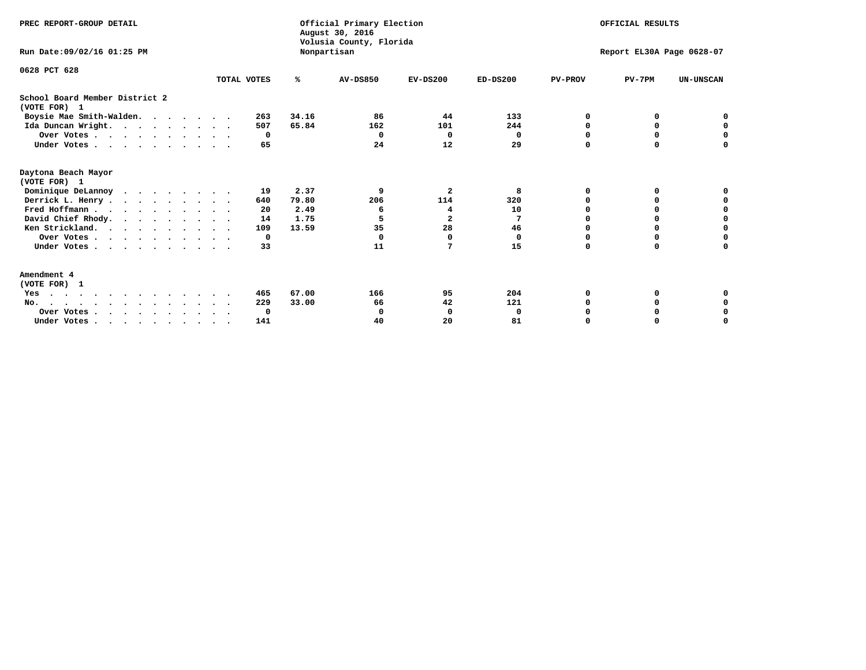| PREC REPORT-GROUP DETAIL                       |             |       | Official Primary Election<br>August 30, 2016<br>Volusia County, Florida | OFFICIAL RESULTS<br>Report EL30A Page 0628-07 |            |                |          |                  |
|------------------------------------------------|-------------|-------|-------------------------------------------------------------------------|-----------------------------------------------|------------|----------------|----------|------------------|
| Run Date: 09/02/16 01:25 PM                    |             |       | Nonpartisan                                                             |                                               |            |                |          |                  |
| 0628 PCT 628                                   |             |       |                                                                         |                                               |            |                |          |                  |
|                                                | TOTAL VOTES | ℁     | <b>AV-DS850</b>                                                         | $EV-DS200$                                    | $ED-DS200$ | <b>PV-PROV</b> | $PV-7PM$ | <b>UN-UNSCAN</b> |
| School Board Member District 2<br>(VOTE FOR) 1 |             |       |                                                                         |                                               |            |                |          |                  |
| Boysie Mae Smith-Walden.                       | 263         | 34.16 | 86                                                                      | 44                                            | 133        | ∩              |          |                  |
| Ida Duncan Wright.                             | 507         | 65.84 | 162                                                                     | 101                                           | 244        |                |          |                  |
| Over Votes                                     | 0           |       | $\Omega$                                                                | 0                                             | 0          |                |          |                  |
| Under Votes                                    | 65          |       | 24                                                                      | 12                                            | 29         | $\Omega$       | $\Omega$ | O                |
| Daytona Beach Mayor<br>(VOTE FOR) 1            |             |       |                                                                         |                                               |            |                |          |                  |
| Dominique DeLannoy                             | 19          | 2.37  | 9                                                                       | $\overline{\mathbf{2}}$                       | 8          |                |          |                  |
| Derrick L. Henry                               | 640         | 79.80 | 206                                                                     | 114                                           | 320        |                |          |                  |
| Fred Hoffmann                                  | 20          | 2.49  | 6                                                                       | 4                                             | 10         |                | 0        | O                |
| David Chief Rhody.<br>.                        | 14          | 1.75  | 5                                                                       | $\mathbf{2}$                                  | 7          |                | 0        | $\Omega$         |
| Ken Strickland.                                | 109         | 13.59 | 35                                                                      | 28                                            | 46         |                |          | 0                |
| Over Votes                                     | 0           |       | $\Omega$                                                                | 0                                             | 0          |                |          | O                |
| Under Votes                                    | 33          |       | 11                                                                      | 7                                             | 15         | $\Omega$       | $\Omega$ | O                |
| Amendment 4                                    |             |       |                                                                         |                                               |            |                |          |                  |
| (VOTE FOR) 1                                   |             |       |                                                                         |                                               |            |                |          |                  |
| Yes<br>.                                       | 465         | 67.00 | 166                                                                     | 95                                            | 204        | ∩              |          |                  |
| No.<br>$\sim$                                  | 229         | 33.00 | 66                                                                      | 42                                            | 121        |                |          |                  |
| Over Votes                                     | 0           |       | O                                                                       | 0                                             | 0          |                |          | 0                |
| Under Votes                                    | 141         |       | 40                                                                      | 20                                            | 81         |                |          | O                |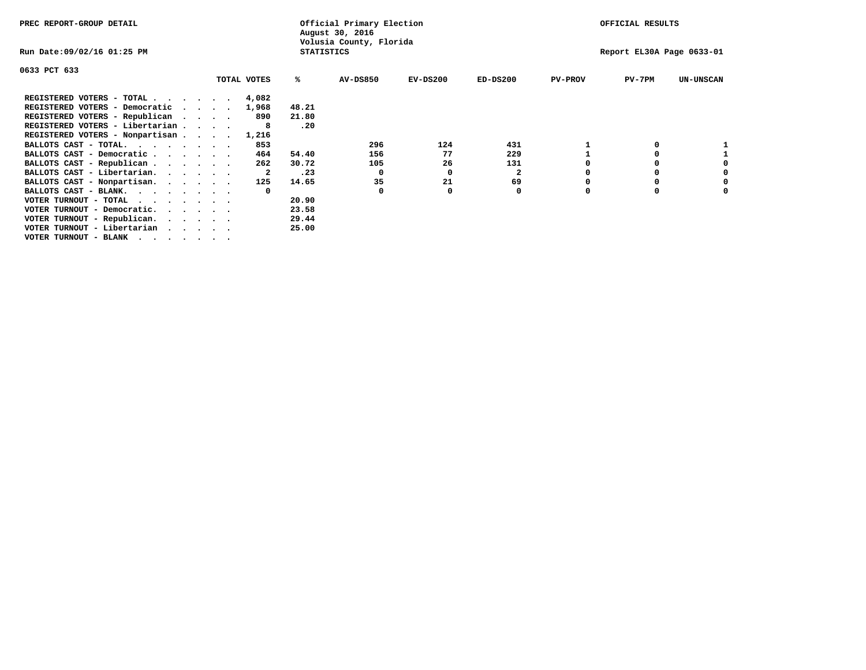| PREC REPORT-GROUP DETAIL              |             |                   | Official Primary Election<br>August 30, 2016 |            |              |                | OFFICIAL RESULTS          |                  |
|---------------------------------------|-------------|-------------------|----------------------------------------------|------------|--------------|----------------|---------------------------|------------------|
| Run Date:09/02/16 01:25 PM            |             | <b>STATISTICS</b> | Volusia County, Florida                      |            |              |                | Report EL30A Page 0633-01 |                  |
| 0633 PCT 633                          |             |                   |                                              |            |              |                |                           |                  |
|                                       | TOTAL VOTES | ‱                 | <b>AV-DS850</b>                              | $EV-DS200$ | $ED-DS200$   | <b>PV-PROV</b> | $PV-7PM$                  | <b>UN-UNSCAN</b> |
| REGISTERED VOTERS - TOTAL             | 4,082       |                   |                                              |            |              |                |                           |                  |
| REGISTERED VOTERS - Democratic        | 1,968       | 48.21             |                                              |            |              |                |                           |                  |
| REGISTERED VOTERS - Republican        | 890         | 21.80             |                                              |            |              |                |                           |                  |
| REGISTERED VOTERS - Libertarian       | 8           | .20               |                                              |            |              |                |                           |                  |
| REGISTERED VOTERS - Nonpartisan       | 1,216       |                   |                                              |            |              |                |                           |                  |
| BALLOTS CAST - TOTAL.                 | 853         |                   | 296                                          | 124        | 431          |                |                           |                  |
| BALLOTS CAST - Democratic             | 464         | 54.40             | 156                                          | 77         | 229          |                | 0                         |                  |
| BALLOTS CAST - Republican             | 262         | 30.72             | 105                                          | 26         | 131          |                | 0                         |                  |
| BALLOTS CAST - Libertarian.           | 2           | .23               | 0                                            | 0          | $\mathbf{2}$ |                | 0                         | 0                |
| BALLOTS CAST - Nonpartisan.           | 125         | 14.65             | 35                                           | 21         | 69           |                | 0                         | 0                |
| BALLOTS CAST - BLANK.                 |             |                   | $\Omega$                                     | 0          | 0            | O              | $\Omega$                  |                  |
| VOTER TURNOUT - TOTAL<br>$\cdots$     |             | 20.90             |                                              |            |              |                |                           |                  |
| VOTER TURNOUT - Democratic.           |             | 23.58             |                                              |            |              |                |                           |                  |
| VOTER TURNOUT - Republican.           |             | 29.44             |                                              |            |              |                |                           |                  |
| VOTER TURNOUT - Libertarian           |             | 25.00             |                                              |            |              |                |                           |                  |
| VOTER TURNOUT - BLANK , , , , , , , , |             |                   |                                              |            |              |                |                           |                  |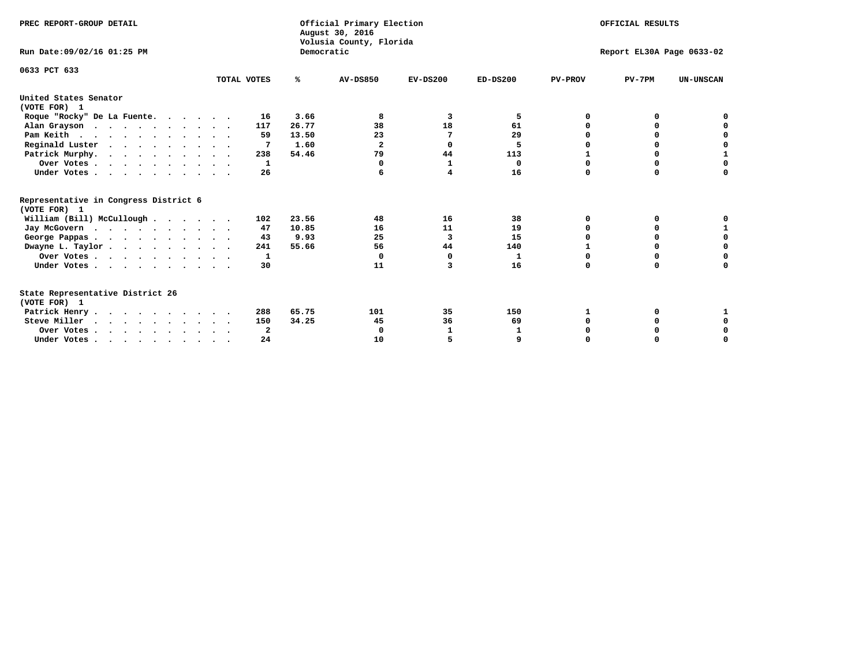| PREC REPORT-GROUP DETAIL<br>Run Date: 09/02/16 01:25 PM                          |             | Democratic | Official Primary Election<br>August 30, 2016<br>Volusia County, Florida | OFFICIAL RESULTS<br>Report EL30A Page 0633-02 |            |                |             |                  |  |  |
|----------------------------------------------------------------------------------|-------------|------------|-------------------------------------------------------------------------|-----------------------------------------------|------------|----------------|-------------|------------------|--|--|
|                                                                                  |             |            |                                                                         |                                               |            |                |             |                  |  |  |
| 0633 PCT 633                                                                     | TOTAL VOTES | %ะ         | <b>AV-DS850</b>                                                         | $EV-DS200$                                    | $ED-DS200$ | <b>PV-PROV</b> | $PV-7PM$    | <b>UN-UNSCAN</b> |  |  |
| United States Senator<br>(VOTE FOR) 1                                            |             |            |                                                                         |                                               |            |                |             |                  |  |  |
| Roque "Rocky" De La Fuente.                                                      | 16          | 3.66       | 8                                                                       | 3                                             | 5          | O              | 0           |                  |  |  |
| Alan Grayson                                                                     | 117         | 26.77      | 38                                                                      | 18                                            | 61         |                | $\Omega$    |                  |  |  |
| Pam Keith                                                                        | 59          | 13.50      | 23                                                                      | 7                                             | 29         |                | 0           | 0                |  |  |
| Reginald Luster                                                                  | 7           | 1.60       | $\overline{2}$                                                          | 0                                             | 5          | O              | 0           | $\mathbf 0$      |  |  |
| Patrick Murphy.                                                                  | 238         | 54.46      | 79                                                                      | 44                                            | 113        |                | $\mathbf 0$ | $\mathbf{1}$     |  |  |
| Over Votes                                                                       | 1           |            | $\Omega$                                                                | $\mathbf 1$                                   | 0          | $\Omega$       | 0           | $\Omega$         |  |  |
| Under Votes.                                                                     | 26          |            |                                                                         | 4                                             | 16         | $\Omega$       | 0           | 0                |  |  |
| Representative in Congress District 6<br>(VOTE FOR) 1                            |             |            |                                                                         |                                               |            |                |             |                  |  |  |
| William (Bill) McCullough                                                        | 102         | 23.56      | 48                                                                      | 16                                            | 38         | $\Omega$       | 0           |                  |  |  |
| Jay McGovern                                                                     | 47          | 10.85      | 16                                                                      | 11                                            | 19         | $\Omega$       | $\Omega$    | 1                |  |  |
| George Pappas                                                                    | 43          | 9.93       | 25                                                                      | 3                                             | 15         | 0              | 0           | $\mathbf 0$      |  |  |
| Dwayne L. Taylor                                                                 | 241         | 55.66      | 56                                                                      | 44                                            | 140        |                | 0           | $\mathbf 0$      |  |  |
| Over Votes                                                                       | 1           |            | $\Omega$                                                                | $\Omega$                                      | 1          | 0              | 0           | 0                |  |  |
| Under Votes                                                                      | 30          |            | 11                                                                      | 3                                             | 16         | $\Omega$       | 0           | O                |  |  |
| State Representative District 26<br>(VOTE FOR) 1                                 |             |            |                                                                         |                                               |            |                |             |                  |  |  |
| Patrick Henry                                                                    | 288         | 65.75      | 101                                                                     | 35                                            | 150        | 1              | 0           |                  |  |  |
| Steve Miller                                                                     | 150         | 34.25      | 45                                                                      | 36                                            | 69         | 0              | 0           | 0                |  |  |
| Over Votes                                                                       | 2           |            | $\Omega$                                                                | 1                                             | 1          |                | 0           | 0                |  |  |
| Under Votes, $\cdot$ , $\cdot$ , $\cdot$ , $\cdot$ , $\cdot$ , $\cdot$ , $\cdot$ | 24          |            | 10                                                                      |                                               |            | $\Omega$       |             | O                |  |  |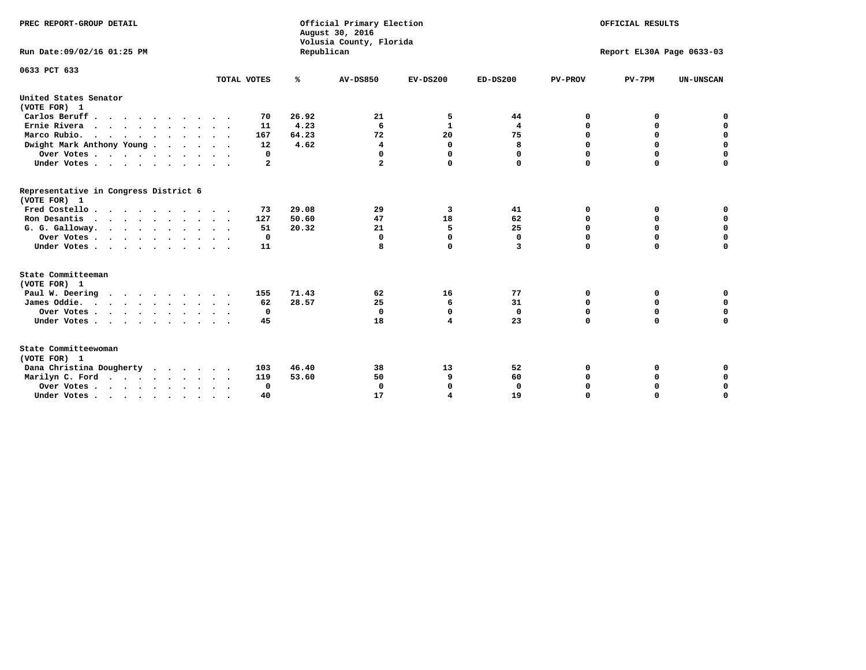| PREC REPORT-GROUP DETAIL<br>Run Date: 09/02/16 01:25 PM |             | Republican | Official Primary Election<br>August 30, 2016<br>Volusia County, Florida | OFFICIAL RESULTS<br>Report EL30A Page 0633-03 |              |                |             |                  |
|---------------------------------------------------------|-------------|------------|-------------------------------------------------------------------------|-----------------------------------------------|--------------|----------------|-------------|------------------|
|                                                         |             |            |                                                                         |                                               |              |                |             |                  |
| 0633 PCT 633                                            | TOTAL VOTES | ℁          | <b>AV-DS850</b>                                                         | $EV-DS200$                                    | $ED-DS200$   | <b>PV-PROV</b> | $PV-7PM$    | <b>UN-UNSCAN</b> |
|                                                         |             |            |                                                                         |                                               |              |                |             |                  |
| United States Senator<br>(VOTE FOR) 1                   |             |            |                                                                         |                                               |              |                |             |                  |
| Carlos Beruff                                           | 70          | 26.92      | 21                                                                      | 5                                             | 44           | 0              | 0           | 0                |
| Ernie Rivera                                            | 11          | 4.23       | 6                                                                       | $\mathbf{1}$                                  | 4            | $\Omega$       | 0           | $\mathbf 0$      |
| Marco Rubio.                                            | 167         | 64.23      | 72                                                                      | 20                                            | 75           | $\mathbf 0$    | $\mathbf 0$ | $\mathbf 0$      |
| Dwight Mark Anthony Young                               | 12          | 4.62       | 4                                                                       | 0                                             | 8            | 0              | $\mathbf 0$ | $\pmb{0}$        |
| Over Votes                                              | 0           |            | 0                                                                       | $\Omega$                                      | 0            | 0              | 0           | 0                |
| Under Votes                                             | 2           |            | 2                                                                       | 0                                             | $\Omega$     | $\Omega$       | $\Omega$    | $\mathbf 0$      |
| Representative in Congress District 6<br>(VOTE FOR) 1   |             |            |                                                                         |                                               |              |                |             |                  |
| Fred Costello.                                          | 73          | 29.08      | 29                                                                      | 3                                             | 41           | 0              | 0           | 0                |
| Ron Desantis                                            | 127         | 50.60      | 47                                                                      | 18                                            | 62           | 0              | 0           | $\mathbf 0$      |
| G. G. Galloway.                                         | 51          | 20.32      | 21                                                                      | 5                                             | 25           | $\Omega$       | $\Omega$    | $\mathbf 0$      |
| Over Votes                                              | 0           |            | $\Omega$                                                                | $\mathbf 0$                                   | $\mathbf{0}$ | $\mathbf 0$    | $\mathbf 0$ | $\mathbf 0$      |
| Under Votes                                             | 11          |            | 8                                                                       | 0                                             | 3            | $\mathbf 0$    | $\Omega$    | $\mathbf 0$      |
| State Committeeman                                      |             |            |                                                                         |                                               |              |                |             |                  |
| (VOTE FOR) 1                                            |             |            |                                                                         |                                               |              |                |             |                  |
| Paul W. Deering                                         | 155         | 71.43      | 62                                                                      | 16                                            | 77           | 0              | 0           | 0                |
| James Oddie.                                            | 62          | 28.57      | 25                                                                      | 6                                             | 31           | 0              | 0           | $\mathbf 0$      |
| Over Votes                                              | 0           |            | $\mathbf{0}$                                                            | $\mathbf 0$                                   | $\mathbf 0$  | 0              | $\mathbf 0$ | $\mathbf 0$      |
| Under Votes                                             | 45          |            | 18                                                                      | 4                                             | 23           | $\Omega$       | 0           | $\mathbf 0$      |
| State Committeewoman<br>(VOTE FOR) 1                    |             |            |                                                                         |                                               |              |                |             |                  |
| Dana Christina Dougherty                                | 103         | 46.40      | 38                                                                      | 13                                            | 52           | 0              | 0           | 0                |
| Marilyn C. Ford                                         | 119         | 53.60      | 50                                                                      | 9                                             | 60           | 0              | 0           | 0                |
| Over Votes                                              | $\Omega$    |            | $\Omega$                                                                | 0                                             | 0            | 0              | 0           | $\mathbf 0$      |
| Under Votes, , , , , , , , , ,                          | 40          |            | 17                                                                      | 4                                             | 19           | $\Omega$       | $\Omega$    | $\Omega$         |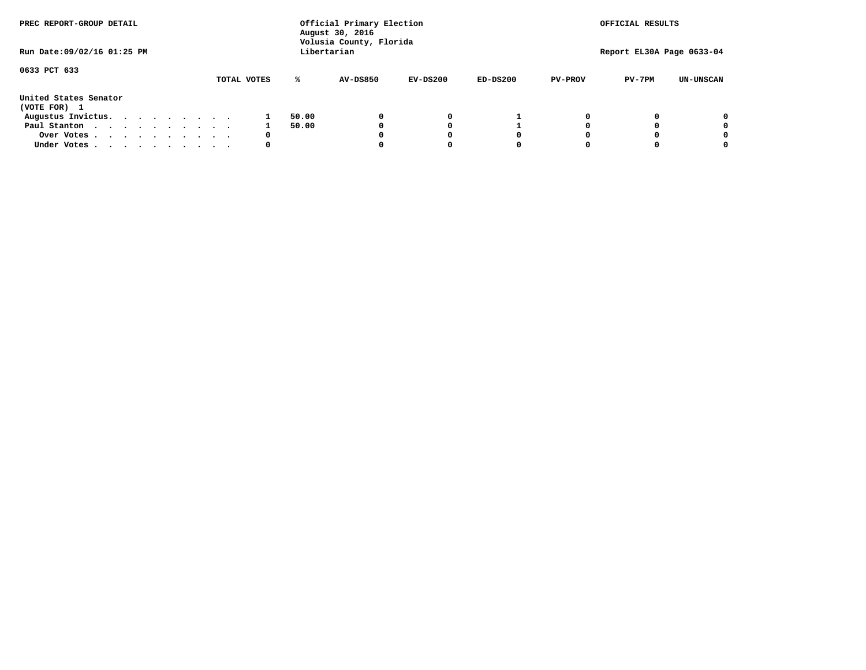| PREC REPORT-GROUP DETAIL              |  |  |  | Official Primary Election<br>August 30, 2016<br>Volusia County, Florida |             |       |             |            | OFFICIAL RESULTS |                |                           |                  |
|---------------------------------------|--|--|--|-------------------------------------------------------------------------|-------------|-------|-------------|------------|------------------|----------------|---------------------------|------------------|
| Run Date: 09/02/16 01:25 PM           |  |  |  |                                                                         |             |       | Libertarian |            |                  |                | Report EL30A Page 0633-04 |                  |
| 0633 PCT 633                          |  |  |  |                                                                         | TOTAL VOTES | ℁     | AV-DS850    | $EV-DS200$ | $ED-DS200$       | <b>PV-PROV</b> | $PV-7PM$                  | <b>UN-UNSCAN</b> |
| United States Senator<br>(VOTE FOR) 1 |  |  |  |                                                                         |             |       |             |            |                  |                |                           |                  |
| Augustus Invictus.                    |  |  |  |                                                                         |             | 50.00 |             | 0          |                  |                |                           | 0                |
| Paul Stanton                          |  |  |  |                                                                         |             | 50.00 |             |            |                  |                |                           | 0                |
| Over Votes                            |  |  |  |                                                                         | 0           |       |             |            | O                |                |                           | 0                |
| Under Votes                           |  |  |  |                                                                         | 0           |       |             |            |                  |                |                           |                  |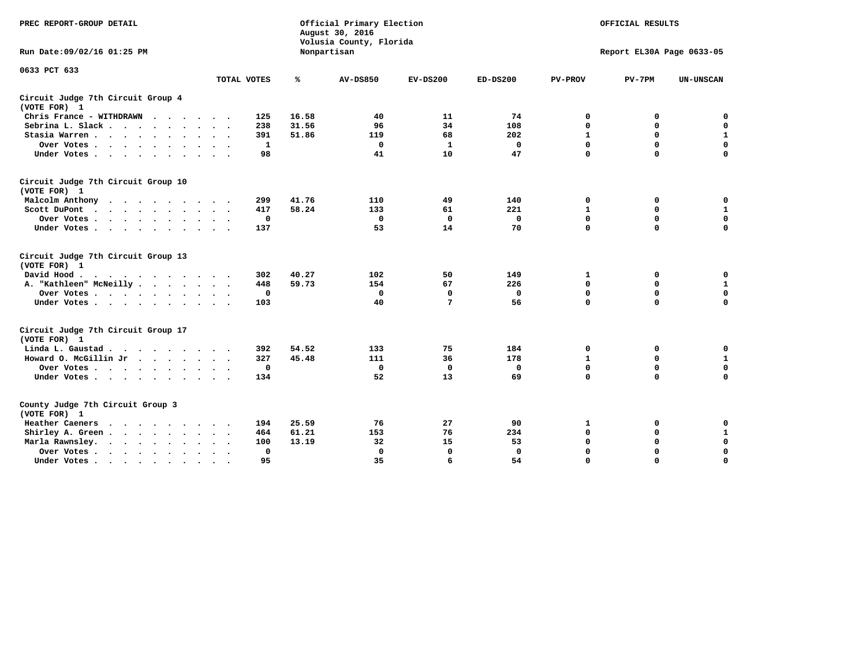| PREC REPORT-GROUP DETAIL                                                                                                                                                                                                                             |                               |       | Official Primary Election<br>August 30, 2016<br>Volusia County, Florida | OFFICIAL RESULTS<br>Report EL30A Page 0633-05 |              |                |             |                  |
|------------------------------------------------------------------------------------------------------------------------------------------------------------------------------------------------------------------------------------------------------|-------------------------------|-------|-------------------------------------------------------------------------|-----------------------------------------------|--------------|----------------|-------------|------------------|
| Run Date: 09/02/16 01:25 PM                                                                                                                                                                                                                          |                               |       | Nonpartisan                                                             |                                               |              |                |             |                  |
| 0633 PCT 633                                                                                                                                                                                                                                         | TOTAL VOTES                   | ℁     | <b>AV-DS850</b>                                                         | $EV-DS200$                                    | $ED-DS200$   | <b>PV-PROV</b> | $PV-7PM$    | <b>UN-UNSCAN</b> |
|                                                                                                                                                                                                                                                      |                               |       |                                                                         |                                               |              |                |             |                  |
| Circuit Judge 7th Circuit Group 4<br>(VOTE FOR) 1                                                                                                                                                                                                    |                               |       |                                                                         |                                               |              |                |             |                  |
| Chris France - WITHDRAWN                                                                                                                                                                                                                             | 125                           | 16.58 | 40                                                                      | 11                                            | 74           | 0              | 0           | $\mathbf 0$      |
| Sebrina L. Slack                                                                                                                                                                                                                                     | 238                           | 31.56 | 96                                                                      | 34                                            | 108          | $\mathbf 0$    | $\mathbf 0$ | $\mathbf 0$      |
| Stasia Warren<br>$\sim$                                                                                                                                                                                                                              | 391                           | 51.86 | 119                                                                     | 68                                            | 202          | $\mathbf{1}$   | 0           | 1                |
| Over Votes                                                                                                                                                                                                                                           | 1                             |       | $\mathbf 0$                                                             | $\mathbf{1}$                                  | $\mathbf 0$  | $\mathbf 0$    | $\mathbf 0$ | $\mathbf 0$      |
| Under Votes                                                                                                                                                                                                                                          | 98                            |       | 41                                                                      | 10                                            | 47           | $\Omega$       | $\Omega$    | $\mathbf 0$      |
| Circuit Judge 7th Circuit Group 10<br>(VOTE FOR) 1                                                                                                                                                                                                   |                               |       |                                                                         |                                               |              |                |             |                  |
| Malcolm Anthony<br>.                                                                                                                                                                                                                                 | 299                           | 41.76 | 110                                                                     | 49                                            | 140          | 0              | 0           | 0                |
| Scott DuPont<br>$\ddot{\phantom{0}}$                                                                                                                                                                                                                 | 417                           | 58.24 | 133                                                                     | 61                                            | 221          | 1              | $\mathbf 0$ | ${\bf 1}$        |
| Over Votes<br>$\ddot{\phantom{1}}$                                                                                                                                                                                                                   | $\mathbf 0$                   |       | $\mathbf{0}$                                                            | $\mathbf 0$                                   | $\mathbf{0}$ | $\mathbf 0$    | $\mathbf 0$ | $\mathbf 0$      |
| Under Votes                                                                                                                                                                                                                                          | 137                           |       | 53                                                                      | 14                                            | 70           | $\mathbf 0$    | $\mathbf 0$ | $\Omega$         |
| Circuit Judge 7th Circuit Group 13<br>(VOTE FOR) 1                                                                                                                                                                                                   |                               |       |                                                                         |                                               |              |                |             |                  |
| David Hood.                                                                                                                                                                                                                                          | 302                           | 40.27 | 102                                                                     | 50                                            | 149          | 1              | 0           | 0                |
| A. "Kathleen" McNeilly                                                                                                                                                                                                                               | 448                           | 59.73 | 154                                                                     | 67                                            | 226          | $\mathbf 0$    | 0           | $\mathbf{1}$     |
| Over Votes                                                                                                                                                                                                                                           | $\mathbf 0$                   |       | $\mathbf 0$                                                             | $\Omega$                                      | $\mathbf 0$  | 0              | $\mathbf 0$ | $\mathbf 0$      |
| Under Votes                                                                                                                                                                                                                                          | 103                           |       | 40                                                                      | 7                                             | 56           | $\mathbf 0$    | $\mathbf 0$ | 0                |
| Circuit Judge 7th Circuit Group 17<br>(VOTE FOR) 1                                                                                                                                                                                                   |                               |       |                                                                         |                                               |              |                |             |                  |
| Linda L. Gaustad                                                                                                                                                                                                                                     | 392                           | 54.52 | 133                                                                     | 75                                            | 184          | 0              | 0           | $\mathbf 0$      |
| Howard O. McGillin Jr                                                                                                                                                                                                                                | 327                           | 45.48 | 111                                                                     | 36                                            | 178          | $\mathbf{1}$   | 0           | $\mathbf{1}$     |
| Over Votes                                                                                                                                                                                                                                           | $\mathbf 0$                   |       | $\mathbf 0$                                                             | $\mathbf 0$                                   | $\mathbf 0$  | $\mathbf 0$    | $\mathbf 0$ | $\mathbf 0$      |
| Under Votes                                                                                                                                                                                                                                          | 134                           |       | 52                                                                      | 13                                            | 69           | $\mathbf 0$    | $\mathbf 0$ | $\mathbf 0$      |
| County Judge 7th Circuit Group 3<br>(VOTE FOR) 1                                                                                                                                                                                                     |                               |       |                                                                         |                                               |              |                |             |                  |
| Heather Caeners<br>$\mathbf{r}$ . The contract of the contract of the contract of the contract of the contract of the contract of the contract of the contract of the contract of the contract of the contract of the contract of the contract of th | 194                           | 25.59 | 76                                                                      | 27                                            | 90           | $\mathbf{1}$   | 0           | 0                |
| Shirley A. Green                                                                                                                                                                                                                                     | 464<br>$\ddot{\phantom{1}}$   | 61.21 | 153                                                                     | 76                                            | 234          | $\mathbf 0$    | 0           | $\mathbf{1}$     |
| Marla Rawnsley.<br>$\cdots$                                                                                                                                                                                                                          | 100                           | 13.19 | 32                                                                      | 15                                            | 53           | 0              | $\mathbf 0$ | $\pmb{0}$        |
| Over Votes.<br>$\cdot$<br>$\cdot$<br>$\cdot$                                                                                                                                                                                                         | $\mathbf{0}$<br>$\sim$ $\sim$ |       | 0                                                                       | $\mathbf{0}$                                  | $\mathbf{0}$ | $\mathbf 0$    | $\mathbf 0$ | $\mathbf 0$      |
| Under Votes<br>$\sim$                                                                                                                                                                                                                                | 95                            |       | 35                                                                      | 6                                             | 54           | $\mathbf 0$    | $\mathbf 0$ | 0                |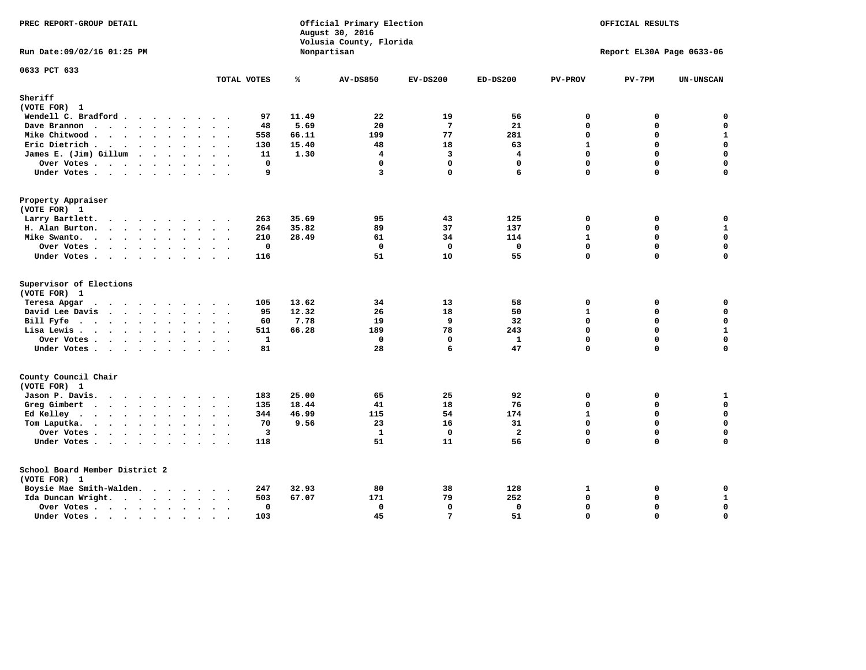| PREC REPORT-GROUP DETAIL                |                                     |       | Official Primary Election<br>August 30, 2016<br>Volusia County, Florida | OFFICIAL RESULTS<br>Report EL30A Page 0633-06 |                |                   |                      |                            |
|-----------------------------------------|-------------------------------------|-------|-------------------------------------------------------------------------|-----------------------------------------------|----------------|-------------------|----------------------|----------------------------|
| Run Date: 09/02/16 01:25 PM             |                                     |       | Nonpartisan                                                             |                                               |                |                   |                      |                            |
| 0633 PCT 633                            | TOTAL VOTES                         | ℁     | <b>AV-DS850</b>                                                         | $EV-DS200$                                    | $ED-DS200$     | <b>PV-PROV</b>    | $PV-7PM$             | <b>UN-UNSCAN</b>           |
| Sheriff                                 |                                     |       |                                                                         |                                               |                |                   |                      |                            |
| (VOTE FOR) 1                            |                                     |       |                                                                         |                                               |                |                   |                      |                            |
| Wendell C. Bradford                     | 97                                  | 11.49 | 22                                                                      | 19                                            | 56             | $\Omega$          | 0                    | $\mathbf 0$                |
| Dave Brannon                            | 48                                  | 5.69  | 20                                                                      | $7\phantom{.0}$                               | 21             | $\Omega$          | $\Omega$             | $\mathbf 0$                |
| Mike Chitwood                           | 558                                 | 66.11 | 199                                                                     | 77                                            | 281            | 0                 | 0                    | $\mathbf 1$                |
| Eric Dietrich.                          | 130                                 | 15.40 | 48                                                                      | 18                                            | 63             | $\mathbf{1}$      | $\Omega$             | $\mathbf 0$                |
| James E. (Jim) Gillum                   | 11                                  | 1.30  | 4<br>$\mathbf 0$                                                        | 3                                             | 4              | 0<br>$\Omega$     | $\Omega$<br>$\Omega$ | $\mathbf 0$<br>$\mathbf 0$ |
| Over Votes                              | $\mathbf 0$<br>$\ddot{\phantom{a}}$ |       |                                                                         | $\mathbf{0}$                                  | $\mathbf 0$    |                   |                      |                            |
| Under Votes                             | 9                                   |       | 3                                                                       | $\mathbf 0$                                   | 6              | 0                 | $\Omega$             | $\mathbf 0$                |
| Property Appraiser                      |                                     |       |                                                                         |                                               |                |                   |                      |                            |
| (VOTE FOR) 1                            |                                     |       |                                                                         |                                               |                |                   |                      |                            |
| Larry Bartlett.                         | 263                                 | 35.69 | 95                                                                      | 43                                            | 125            | 0<br>0            | 0                    | 0<br>$\mathbf{1}$          |
| H. Alan Burton.                         | 264                                 | 35.82 | 89                                                                      | 37                                            | 137            |                   | 0                    |                            |
| Mike Swanto.                            | 210                                 | 28.49 | 61<br>$\Omega$                                                          | 34<br>$\mathbf{0}$                            | 114            | $\mathbf{1}$<br>0 | 0<br>$\Omega$        | 0<br>$\mathbf 0$           |
| Over Votes                              | $\mathbf 0$                         |       |                                                                         |                                               | $\mathbf 0$    | 0                 | 0                    | 0                          |
| Under Votes                             | 116                                 |       | 51                                                                      | 10                                            | 55             |                   |                      |                            |
| Supervisor of Elections<br>(VOTE FOR) 1 |                                     |       |                                                                         |                                               |                |                   |                      |                            |
| Teresa Apgar                            | 105                                 | 13.62 | 34                                                                      | 13                                            | 58             | 0                 | 0                    | $\mathbf 0$                |
| David Lee Davis                         | 95                                  | 12.32 | 26                                                                      | 18                                            | 50             | $\mathbf{1}$      | 0                    | $\mathbf 0$                |
| Bill Fyfe                               | 60                                  | 7.78  | 19                                                                      | 9                                             | 32             | 0                 | $\Omega$             | $\mathbf 0$                |
| Lisa Lewis                              | 511                                 | 66.28 | 189                                                                     | 78                                            | 243            | 0                 | 0                    | $\mathbf 1$                |
| Over Votes                              | $\mathbf{1}$                        |       | $\mathbf{0}$                                                            | $\mathbf{0}$                                  | $\mathbf{1}$   | 0                 | $\Omega$             | $\mathbf 0$                |
| Under Votes                             | 81                                  |       | 28                                                                      | 6                                             | 47             | 0                 | $\Omega$             | 0                          |
| County Council Chair                    |                                     |       |                                                                         |                                               |                |                   |                      |                            |
| (VOTE FOR) 1                            |                                     |       |                                                                         |                                               |                |                   |                      |                            |
| Jason P. Davis.                         | 183                                 | 25.00 | 65                                                                      | 25                                            | 92             | $\mathbf{0}$      | 0                    | $\mathbf{1}$               |
| Greg Gimbert                            | 135                                 | 18.44 | 41                                                                      | 18                                            | 76             | 0                 | 0                    | $\mathbf 0$                |
| Ed Kelley                               | 344                                 | 46.99 | 115                                                                     | 54                                            | 174            | $\mathbf{1}$      | 0                    | $\mathbf 0$                |
| Tom Laputka.<br>$\cdots$                | 70                                  | 9.56  | 23                                                                      | 16                                            | 31             | 0                 | 0                    | $\mathbf 0$                |
| Over Votes                              | $\overline{\mathbf{3}}$             |       | $\mathbf{1}$                                                            | $\mathbf{0}$                                  | $\overline{a}$ | 0                 | 0                    | 0                          |
| Under Votes                             | 118                                 |       | 51                                                                      | 11                                            | 56             | $\Omega$          | $\Omega$             | $\Omega$                   |
| School Board Member District 2          |                                     |       |                                                                         |                                               |                |                   |                      |                            |
| (VOTE FOR) 1                            |                                     |       |                                                                         |                                               |                |                   |                      |                            |
| Boysie Mae Smith-Walden.                | 247                                 | 32.93 | 80                                                                      | 38                                            | 128            | 1                 | 0                    | 0                          |
| Ida Duncan Wright.                      | 503                                 | 67.07 | 171                                                                     | 79                                            | 252            | 0                 | 0                    | $\mathbf{1}$               |
| Over Votes.                             | 0                                   |       | 0                                                                       | $\mathbf 0$                                   | 0              | 0                 | 0                    | $\pmb{0}$                  |
| Under Votes                             | 103                                 |       | 45                                                                      | 7                                             | 51             | $\Omega$          | $\Omega$             | $\mathbf 0$                |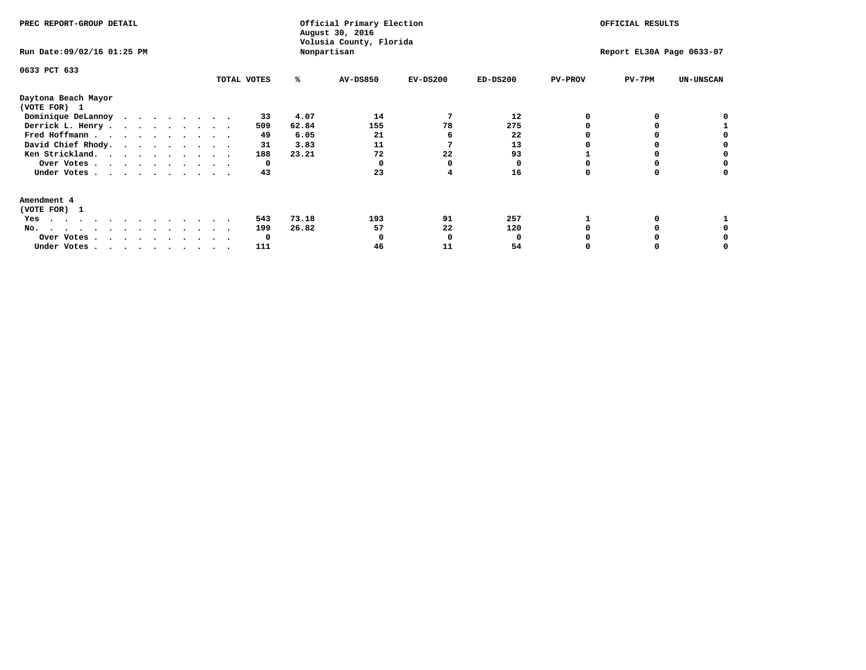| PREC REPORT-GROUP DETAIL<br>Run Date: 09/02/16 01:25 PM |              | Official Primary Election<br>August 30, 2016<br>Volusia County, Florida<br>Nonpartisan | OFFICIAL RESULTS<br>Report EL30A Page 0633-07 |            |            |                |          |                  |
|---------------------------------------------------------|--------------|----------------------------------------------------------------------------------------|-----------------------------------------------|------------|------------|----------------|----------|------------------|
| 0633 PCT 633                                            | TOTAL VOTES  | %ะ                                                                                     | AV-DS850                                      | $EV-DS200$ | $ED-DS200$ | <b>PV-PROV</b> | $PV-7PM$ | <b>UN-UNSCAN</b> |
| Daytona Beach Mayor<br>(VOTE FOR) 1                     |              |                                                                                        |                                               |            |            |                |          |                  |
| Dominique DeLannoy                                      | 33           | 4.07                                                                                   | 14                                            |            | 12         |                |          |                  |
| Derrick L. Henry                                        | 509          | 62.84                                                                                  | 155                                           | 78         | 275        |                |          |                  |
| Fred Hoffmann                                           | 49           | 6.05                                                                                   | 21                                            |            | 22         |                |          |                  |
| David Chief Rhody.                                      | 31           | 3.83                                                                                   | 11                                            |            | 13         |                |          |                  |
| Ken Strickland.                                         | 188          | 23.21                                                                                  | 72                                            | 22         | 93         |                |          |                  |
| Over Votes                                              | 0            |                                                                                        |                                               | O          | O          |                |          |                  |
| Under Votes.                                            | 43           |                                                                                        | 23                                            |            | 16         |                |          |                  |
| Amendment 4                                             |              |                                                                                        |                                               |            |            |                |          |                  |
| (VOTE FOR) 1                                            |              |                                                                                        |                                               |            |            |                |          |                  |
| Yes<br>.                                                | 543          | 73.18                                                                                  | 193                                           | 91         | 257        |                |          |                  |
| No.<br>.                                                | 199          | 26.82                                                                                  | 57                                            | 22         | 120        |                |          |                  |
| Over Votes                                              | <sup>0</sup> |                                                                                        |                                               | O          |            |                |          |                  |
| Under Votes, , , , , , , , , ,                          | 111          |                                                                                        | 46                                            | 11         | 54         |                |          |                  |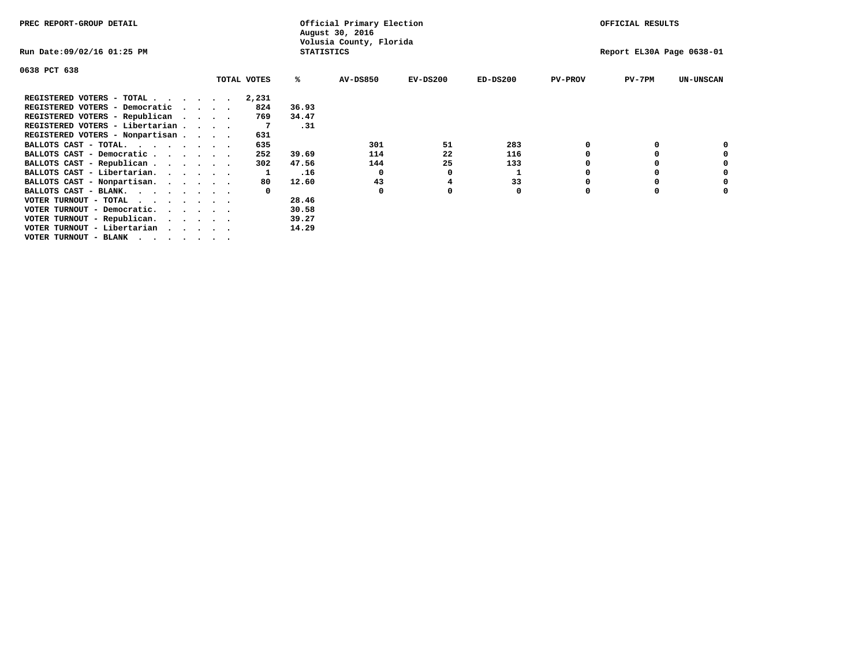| PREC REPORT-GROUP DETAIL        |             |                   | Official Primary Election<br>August 30, 2016 |            |            |                | OFFICIAL RESULTS          |                  |
|---------------------------------|-------------|-------------------|----------------------------------------------|------------|------------|----------------|---------------------------|------------------|
| Run Date:09/02/16 01:25 PM      |             | <b>STATISTICS</b> | Volusia County, Florida                      |            |            |                | Report EL30A Page 0638-01 |                  |
| 0638 PCT 638                    |             |                   |                                              |            |            |                |                           |                  |
|                                 | TOTAL VOTES | %ะ                | <b>AV-DS850</b>                              | $EV-DS200$ | $ED-DS200$ | <b>PV-PROV</b> | $PV-7PM$                  | <b>UN-UNSCAN</b> |
| REGISTERED VOTERS - TOTAL       | 2,231       |                   |                                              |            |            |                |                           |                  |
| REGISTERED VOTERS - Democratic  | 824         | 36.93             |                                              |            |            |                |                           |                  |
| REGISTERED VOTERS - Republican  | 769         | 34.47             |                                              |            |            |                |                           |                  |
| REGISTERED VOTERS - Libertarian |             | .31               |                                              |            |            |                |                           |                  |
| REGISTERED VOTERS - Nonpartisan | 631         |                   |                                              |            |            |                |                           |                  |
| BALLOTS CAST - TOTAL.           | 635         |                   | 301                                          | 51         | 283        |                |                           |                  |
| BALLOTS CAST - Democratic       | 252         | 39.69             | 114                                          | 22         | 116        |                |                           |                  |
| BALLOTS CAST - Republican       | 302         | 47.56             | 144                                          | 25         | 133        |                |                           |                  |
| BALLOTS CAST - Libertarian.     |             | .16               | $\Omega$                                     |            |            |                |                           |                  |
| BALLOTS CAST - Nonpartisan.     | 80          | 12.60             | 43                                           |            | 33         |                |                           | 0                |
| BALLOTS CAST - BLANK.           |             |                   | $\Omega$                                     |            | 0          | n              |                           |                  |
| VOTER TURNOUT - TOTAL $\cdot$   |             | 28.46             |                                              |            |            |                |                           |                  |
| VOTER TURNOUT - Democratic.     |             | 30.58             |                                              |            |            |                |                           |                  |
| VOTER TURNOUT - Republican.     |             | 39.27             |                                              |            |            |                |                           |                  |
| VOTER TURNOUT - Libertarian     |             | 14.29             |                                              |            |            |                |                           |                  |
| VOTER TURNOUT - BLANK           |             |                   |                                              |            |            |                |                           |                  |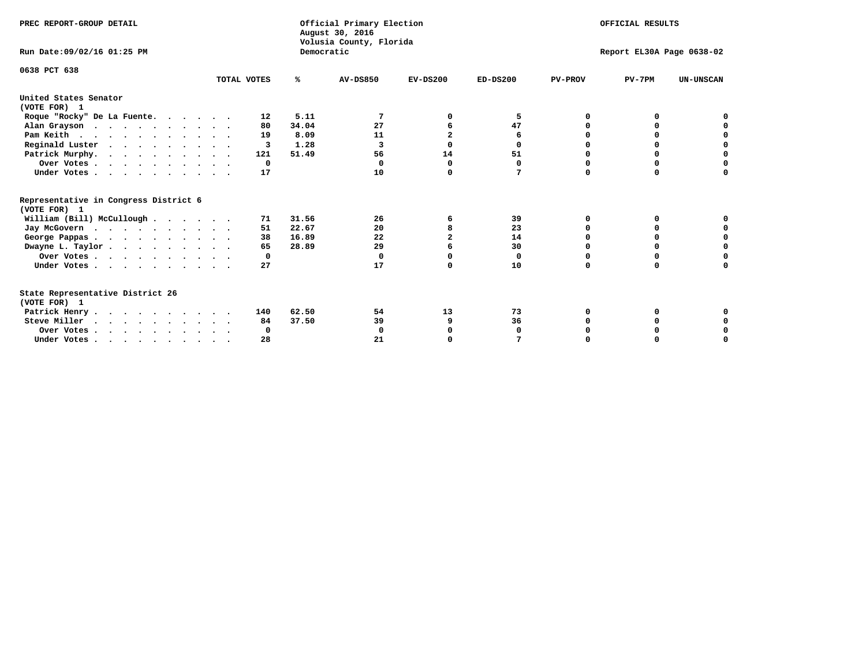| PREC REPORT-GROUP DETAIL<br>Run Date: 09/02/16 01:25 PM                          |              | Democratic | Official Primary Election<br>August 30, 2016<br>Volusia County, Florida | OFFICIAL RESULTS<br>Report EL30A Page 0638-02 |            |                |          |                  |  |  |
|----------------------------------------------------------------------------------|--------------|------------|-------------------------------------------------------------------------|-----------------------------------------------|------------|----------------|----------|------------------|--|--|
|                                                                                  |              |            |                                                                         |                                               |            |                |          |                  |  |  |
| 0638 PCT 638                                                                     | TOTAL VOTES  | ℁          | <b>AV-DS850</b>                                                         | $EV-DS200$                                    | $ED-DS200$ | <b>PV-PROV</b> | $PV-7PM$ | <b>UN-UNSCAN</b> |  |  |
| United States Senator<br>(VOTE FOR) 1                                            |              |            |                                                                         |                                               |            |                |          |                  |  |  |
| Roque "Rocky" De La Fuente.                                                      | 12           | 5.11       |                                                                         | O                                             | 5          | O              | O        |                  |  |  |
| Alan Grayson                                                                     | 80           | 34.04      | 27                                                                      |                                               | 47         |                |          |                  |  |  |
| Pam Keith                                                                        | 19           | 8.09       | 11                                                                      | $\overline{2}$                                | 6          |                | 0        | 0                |  |  |
| Reginald Luster                                                                  | 3            | 1.28       | 3                                                                       | 0                                             | 0          |                | 0        | $\mathbf 0$      |  |  |
| Patrick Murphy.                                                                  | 121          | 51.49      | 56                                                                      | 14                                            | 51         | 0              | 0        | $\mathbf 0$      |  |  |
| Over Votes                                                                       | $\mathbf{o}$ |            | $\Omega$                                                                | 0                                             | 0          | $\Omega$       | 0        | $\Omega$         |  |  |
| Under Votes                                                                      | 17           |            | 10                                                                      | $\Omega$                                      | 7          | $\Omega$       | $\Omega$ | 0                |  |  |
| Representative in Congress District 6<br>(VOTE FOR) 1                            |              |            |                                                                         |                                               |            |                |          |                  |  |  |
| William (Bill) McCullough                                                        | 71           | 31.56      | 26                                                                      | 6                                             | 39         | O              | 0        |                  |  |  |
| Jay McGovern                                                                     | 51           | 22.67      | 20                                                                      | 8                                             | 23         | $\Omega$       | $\Omega$ | 0                |  |  |
| George Pappas.                                                                   | 38           | 16.89      | 22                                                                      | $\overline{a}$                                | 14         | $\Omega$       | $\Omega$ | 0                |  |  |
| Dwayne L. Taylor                                                                 | 65           | 28.89      | 29                                                                      |                                               | 30         | $\Omega$       | 0        | $\mathbf 0$      |  |  |
| Over Votes                                                                       | 0            |            | $\Omega$                                                                | $\Omega$                                      | 0          | $\Omega$       | 0        | 0                |  |  |
| Under Votes                                                                      | 27           |            | 17                                                                      | $\Omega$                                      | 10         | $\Omega$       | $\Omega$ | O                |  |  |
| State Representative District 26<br>(VOTE FOR) 1                                 |              |            |                                                                         |                                               |            |                |          |                  |  |  |
| Patrick Henry                                                                    | 140          | 62.50      | 54                                                                      | 13                                            | 73         | 0              | 0        |                  |  |  |
| Steve Miller                                                                     | 84           | 37.50      | 39                                                                      | 9                                             | 36         |                |          | 0                |  |  |
| Over Votes                                                                       | 0            |            | $\Omega$                                                                | 0                                             | 0          |                | 0        | 0                |  |  |
| Under Votes, $\cdot$ , $\cdot$ , $\cdot$ , $\cdot$ , $\cdot$ , $\cdot$ , $\cdot$ | 28           |            | 21                                                                      | $\Omega$                                      |            |                |          | $\Omega$         |  |  |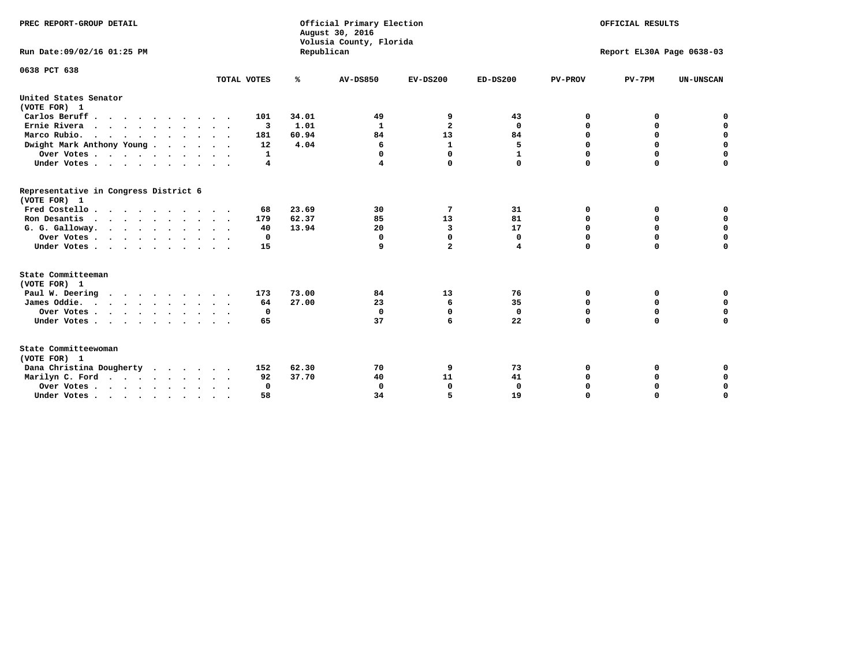| PREC REPORT-GROUP DETAIL<br>Run Date: 09/02/16 01:25 PM                          |             |            | Official Primary Election<br>August 30, 2016<br>Volusia County, Florida | OFFICIAL RESULTS<br>Report EL30A Page 0638-03 |              |                |             |                  |  |
|----------------------------------------------------------------------------------|-------------|------------|-------------------------------------------------------------------------|-----------------------------------------------|--------------|----------------|-------------|------------------|--|
|                                                                                  |             | Republican |                                                                         |                                               |              |                |             |                  |  |
| 0638 PCT 638                                                                     |             |            |                                                                         |                                               |              |                |             |                  |  |
|                                                                                  | TOTAL VOTES | ℁          | <b>AV-DS850</b>                                                         | $EV-DS200$                                    | $ED-DS200$   | <b>PV-PROV</b> | $PV-7PM$    | <b>UN-UNSCAN</b> |  |
| United States Senator<br>(VOTE FOR) 1                                            |             |            |                                                                         |                                               |              |                |             |                  |  |
| Carlos Beruff                                                                    | 101         | 34.01      | 49                                                                      | 9                                             | 43           | 0              | 0           | 0                |  |
| Ernie Rivera                                                                     | 3           | 1.01       | 1                                                                       | $\overline{\mathbf{2}}$                       | 0            | $\Omega$       | 0           | $\mathbf 0$      |  |
| Marco Rubio.                                                                     | 181         | 60.94      | 84                                                                      | 13                                            | 84           | $\mathbf 0$    | $\mathbf 0$ | $\mathbf 0$      |  |
| Dwight Mark Anthony Young                                                        | 12          | 4.04       | 6                                                                       | $\mathbf 1$                                   | 5            | 0              | $\mathbf 0$ | $\pmb{0}$        |  |
| Over Votes                                                                       | 1           |            | 0                                                                       | $\Omega$                                      | $\mathbf{1}$ | 0              | 0           | 0                |  |
| Under Votes                                                                      | 4           |            | 4                                                                       | 0                                             | $\Omega$     | $\Omega$       | $\Omega$    | $\mathbf 0$      |  |
| Representative in Congress District 6<br>(VOTE FOR) 1                            |             |            |                                                                         |                                               |              |                |             |                  |  |
| Fred Costello.                                                                   | 68          | 23.69      | 30                                                                      | 7                                             | 31           | 0              | 0           | 0                |  |
| Ron Desantis                                                                     | 179         | 62.37      | 85                                                                      | 13                                            | 81           | 0              | 0           | $\mathbf 0$      |  |
| G. G. Galloway.                                                                  | 40          | 13.94      | 20                                                                      | $\overline{\mathbf{3}}$                       | 17           | $\mathbf 0$    | $\Omega$    | $\mathbf 0$      |  |
| Over Votes                                                                       | $\Omega$    |            | $\mathbf{0}$                                                            | 0                                             | 0            | $\mathbf 0$    | $\mathbf 0$ | $\mathbf 0$      |  |
| Under Votes                                                                      | 15          |            | 9                                                                       | $\overline{a}$                                | 4            | $\mathbf 0$    | $\Omega$    | $\mathbf 0$      |  |
| State Committeeman                                                               |             |            |                                                                         |                                               |              |                |             |                  |  |
| (VOTE FOR) 1                                                                     |             |            |                                                                         |                                               |              |                |             |                  |  |
| Paul W. Deering                                                                  | 173         | 73.00      | 84                                                                      | 13                                            | 76           | 0              | 0           | 0                |  |
| James Oddie.                                                                     | 64          | 27.00      | 23                                                                      | 6                                             | 35           | 0              | 0           | $\mathbf 0$      |  |
| Over Votes                                                                       | 0           |            | $\mathbf{0}$                                                            | $\mathbf 0$                                   | $\mathbf 0$  | 0              | $\mathbf 0$ | $\mathbf 0$      |  |
| Under Votes                                                                      | 65          |            | 37                                                                      | 6                                             | 22           | $\Omega$       | 0           | $\mathbf 0$      |  |
| State Committeewoman<br>(VOTE FOR) 1                                             |             |            |                                                                         |                                               |              |                |             |                  |  |
| Dana Christina Dougherty                                                         | 152         | 62.30      | 70                                                                      | 9                                             | 73           | 0              | 0           | 0                |  |
| Marilyn C. Ford                                                                  | 92          | 37.70      | 40                                                                      | 11                                            | 41           | 0              | 0           | 0                |  |
| Over Votes                                                                       | $\Omega$    |            | $\Omega$                                                                | 0                                             | $\mathbf{0}$ | 0              | 0           | $\mathbf 0$      |  |
| Under Votes, $\cdot$ , $\cdot$ , $\cdot$ , $\cdot$ , $\cdot$ , $\cdot$ , $\cdot$ | 58          |            | 34                                                                      | 5                                             | 19           | $\Omega$       | $\Omega$    | $\Omega$         |  |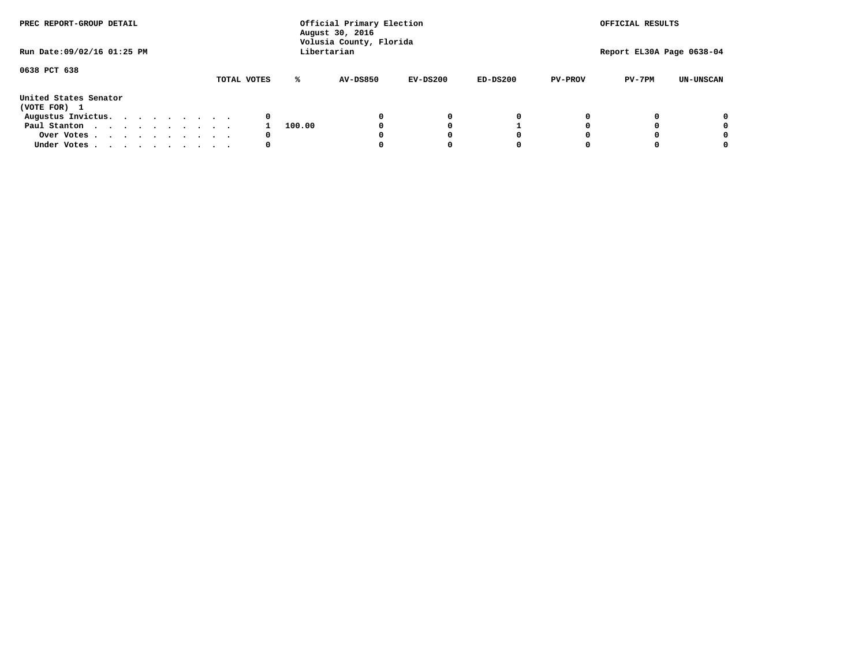| PREC REPORT-GROUP DETAIL<br>Run Date: 09/02/16 01:25 PM |  |  |  |  |  |             | Official Primary Election<br>August 30, 2016<br>Volusia County, Florida<br>Libertarian | OFFICIAL RESULTS<br>Report EL30A Page 0638-04 |            |            |                |          |                  |
|---------------------------------------------------------|--|--|--|--|--|-------------|----------------------------------------------------------------------------------------|-----------------------------------------------|------------|------------|----------------|----------|------------------|
|                                                         |  |  |  |  |  |             |                                                                                        |                                               |            |            |                |          |                  |
| 0638 PCT 638                                            |  |  |  |  |  |             |                                                                                        |                                               |            |            |                |          |                  |
|                                                         |  |  |  |  |  | TOTAL VOTES | ℁                                                                                      | AV-DS850                                      | $EV-DS200$ | $ED-DS200$ | <b>PV-PROV</b> | $PV-7PM$ | <b>UN-UNSCAN</b> |
| United States Senator<br>(VOTE FOR) 1                   |  |  |  |  |  |             |                                                                                        |                                               |            |            |                |          |                  |
| Augustus Invictus.                                      |  |  |  |  |  | 0           |                                                                                        |                                               | 0          | 0          |                |          | 0                |
| Paul Stanton                                            |  |  |  |  |  |             | 100.00                                                                                 |                                               |            |            |                |          | 0                |
| Over Votes                                              |  |  |  |  |  | 0           |                                                                                        |                                               |            | O          |                |          | 0                |
| Under Votes                                             |  |  |  |  |  | 0           |                                                                                        |                                               |            |            |                |          |                  |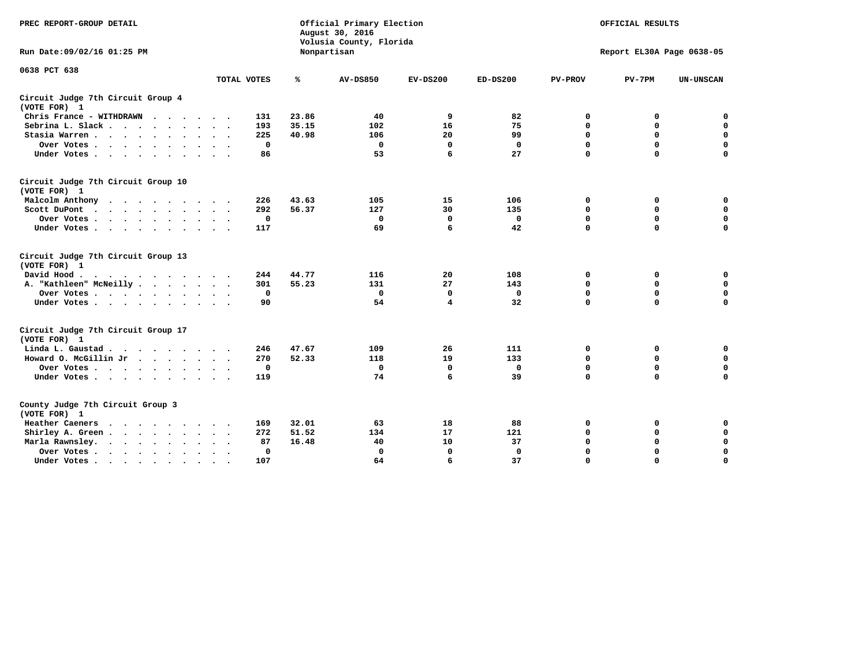| PREC REPORT-GROUP DETAIL                                                                                                           |             | Official Primary Election<br>August 30, 2016<br>Volusia County, Florida | OFFICIAL RESULTS<br>Report EL30A Page 0638-05 |             |              |                |             |                  |
|------------------------------------------------------------------------------------------------------------------------------------|-------------|-------------------------------------------------------------------------|-----------------------------------------------|-------------|--------------|----------------|-------------|------------------|
| Run Date: 09/02/16 01:25 PM                                                                                                        |             |                                                                         | Nonpartisan                                   |             |              |                |             |                  |
| 0638 PCT 638                                                                                                                       | TOTAL VOTES | ℁                                                                       | <b>AV-DS850</b>                               | $EV-DS200$  | $ED-DS200$   | <b>PV-PROV</b> | $PV-7PM$    | <b>UN-UNSCAN</b> |
|                                                                                                                                    |             |                                                                         |                                               |             |              |                |             |                  |
| Circuit Judge 7th Circuit Group 4<br>(VOTE FOR) 1                                                                                  |             |                                                                         |                                               |             |              |                |             |                  |
| Chris France - WITHDRAWN                                                                                                           | 131         | 23.86                                                                   | 40                                            | 9           | 82           | 0              | 0           | $\mathbf 0$      |
| Sebrina L. Slack.                                                                                                                  | 193         | 35.15                                                                   | 102                                           | 16          | 75           | 0              | $\mathbf 0$ | $\mathbf 0$      |
| Stasia Warren<br>$\sim$<br>$\sim$                                                                                                  | 225         | 40.98                                                                   | 106                                           | 20          | 99           | $\mathbf 0$    | 0           | $\mathbf 0$      |
| Over Votes                                                                                                                         | $\mathbf 0$ |                                                                         | $\mathbf 0$                                   | $\mathbf 0$ | $\mathbf{0}$ | $\mathbf 0$    | $\mathbf 0$ | $\mathbf 0$      |
| Under Votes                                                                                                                        | 86          |                                                                         | 53                                            | 6           | 27           | $\Omega$       | $\Omega$    | $\mathbf 0$      |
| Circuit Judge 7th Circuit Group 10<br>(VOTE FOR) 1                                                                                 |             |                                                                         |                                               |             |              |                |             |                  |
| Malcolm Anthony                                                                                                                    | 226         | 43.63                                                                   | 105                                           | 15          | 106          | 0              | 0           | 0                |
| Scott DuPont                                                                                                                       | 292         | 56.37                                                                   | 127                                           | 30          | 135          | $\mathbf 0$    | $\mathbf 0$ | $\mathbf 0$      |
| Over Votes                                                                                                                         | $\mathbf 0$ |                                                                         | $\mathbf{0}$                                  | $\Omega$    | $\mathbf{0}$ | $\mathbf 0$    | $\mathbf 0$ | $\mathbf 0$      |
| Under Votes                                                                                                                        | 117         |                                                                         | 69                                            | 6           | 42           | $\mathbf 0$    | $\mathbf 0$ | $\Omega$         |
| Circuit Judge 7th Circuit Group 13<br>(VOTE FOR) 1                                                                                 |             |                                                                         |                                               |             |              |                |             |                  |
| David Hood.                                                                                                                        | 244         | 44.77                                                                   | 116                                           | 20          | 108          | 0              | 0           | $\mathbf 0$      |
| A. "Kathleen" McNeilly                                                                                                             | 301         | 55.23                                                                   | 131                                           | 27          | 143          | $\mathbf 0$    | 0           | $\mathbf 0$      |
| Over Votes                                                                                                                         | $\mathbf 0$ |                                                                         | $\mathbf 0$                                   | $\mathbf 0$ | $\mathbf{0}$ | $\mathbf 0$    | $\mathbf 0$ | $\mathbf 0$      |
| Under Votes                                                                                                                        | 90          |                                                                         | 54                                            | 4           | 32           | $\Omega$       | $\mathbf 0$ | $\mathbf 0$      |
| Circuit Judge 7th Circuit Group 17<br>(VOTE FOR) 1                                                                                 |             |                                                                         |                                               |             |              |                |             |                  |
| Linda L. Gaustad                                                                                                                   | 246         | 47.67                                                                   | 109                                           | 26          | 111          | 0              | 0           | $\mathbf 0$      |
| Howard O. McGillin Jr.                                                                                                             | 270         | 52.33                                                                   | 118                                           | 19          | 133          | $\mathbf 0$    | 0           | $\mathbf 0$      |
| Over Votes                                                                                                                         | $\mathbf 0$ |                                                                         | $\mathbf{0}$                                  | $\mathbf 0$ | $\mathbf 0$  | $\mathbf 0$    | $\mathbf 0$ | $\pmb{0}$        |
| Under Votes                                                                                                                        | 119         |                                                                         | 74                                            | 6           | 39           | $\mathbf 0$    | $\mathbf 0$ | $\mathbf 0$      |
| County Judge 7th Circuit Group 3<br>(VOTE FOR) 1                                                                                   |             |                                                                         |                                               |             |              |                |             |                  |
| Heather Caeners<br>the contract of the contract of the contract of the contract of the contract of the contract of the contract of | 169         | 32.01                                                                   | 63                                            | 18          | 88           | 0              | 0           | $\mathbf 0$      |
| Shirley A. Green                                                                                                                   | 272         | 51.52                                                                   | 134                                           | 17          | 121          | $\mathbf 0$    | 0           | $\mathbf 0$      |
| Marla Rawnsley.                                                                                                                    | 87          | 16.48                                                                   | 40                                            | 10          | 37           | 0              | $\mathbf 0$ | $\pmb{0}$        |
| Over Votes.<br>$\cdots$<br>$\ddot{\phantom{a}}$<br>$\sim$                                                                          | 0           |                                                                         | $\Omega$                                      | 0           | $\mathbf{0}$ | $\mathbf 0$    | $\mathbf 0$ | $\mathbf 0$      |
| Under Votes<br>$\sim$                                                                                                              | 107         |                                                                         | 64                                            | 6           | 37           | $\mathbf 0$    | $\mathbf 0$ | 0                |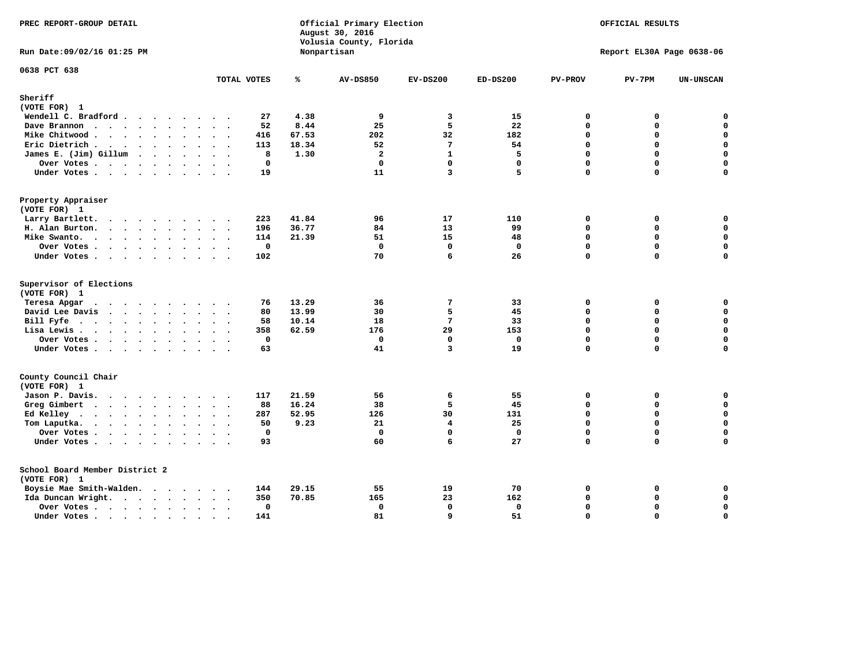| PREC REPORT-GROUP DETAIL                       |                          |             |       | Official Primary Election<br>August 30, 2016<br>Volusia County, Florida | OFFICIAL RESULTS<br>Report EL30A Page 0638-06 |              |                |             |                    |
|------------------------------------------------|--------------------------|-------------|-------|-------------------------------------------------------------------------|-----------------------------------------------|--------------|----------------|-------------|--------------------|
| Run Date: 09/02/16 01:25 PM                    |                          |             |       | Nonpartisan                                                             |                                               |              |                |             |                    |
| 0638 PCT 638                                   |                          | TOTAL VOTES | ℁     | <b>AV-DS850</b>                                                         | $EV-DS200$                                    | $ED-DS200$   | <b>PV-PROV</b> | $PV-7PM$    | <b>UN-UNSCAN</b>   |
| Sheriff                                        |                          |             |       |                                                                         |                                               |              |                |             |                    |
| (VOTE FOR) 1                                   |                          |             |       |                                                                         |                                               |              |                |             |                    |
| Wendell C. Bradford                            |                          | 27          | 4.38  | 9                                                                       | 3                                             | 15           | $\Omega$       | 0           | $\mathbf 0$        |
| Dave Brannon                                   |                          | 52          | 8.44  | 25                                                                      | 5                                             | 22           | 0              | 0           | $\mathbf 0$        |
| Mike Chitwood                                  |                          | 416         | 67.53 | 202                                                                     | 32                                            | 182          | 0              | 0           | $\mathbf 0$        |
| Eric Dietrich                                  |                          | 113         | 18.34 | 52                                                                      | $7\phantom{.0}$                               | 54           | 0              | 0           | $\mathbf 0$        |
| James E. (Jim) Gillum                          |                          | 8           | 1.30  | $\overline{2}$                                                          | $\mathbf{1}$                                  | 5            | $\Omega$       | $\Omega$    | $\mathbf 0$        |
| Over Votes                                     | $\overline{\phantom{a}}$ | 0           |       | $^{\circ}$                                                              | $\mathbf{0}$                                  | $\mathbf 0$  | 0              | $\mathbf 0$ | $\mathbf 0$        |
| Under Votes                                    |                          | 19          |       | 11                                                                      | 3                                             | 5            | 0              | $\Omega$    | $\Omega$           |
| Property Appraiser                             |                          |             |       |                                                                         |                                               |              |                |             |                    |
| (VOTE FOR) 1                                   |                          |             |       |                                                                         |                                               |              |                |             |                    |
| Larry Bartlett.                                |                          | 223         | 41.84 | 96                                                                      | 17                                            | 110          | $\mathbf 0$    | 0           | 0                  |
| H. Alan Burton.                                |                          | 196         | 36.77 | 84                                                                      | 13                                            | 99           | 0              | 0           | $\mathbf 0$        |
| Mike Swanto.                                   |                          | 114         | 21.39 | 51                                                                      | 15                                            | 48           | $\Omega$       | $\Omega$    | 0                  |
| Over Votes                                     |                          | $\mathbf 0$ |       | $\mathbf 0$                                                             | $\mathbf 0$                                   | $\mathbf 0$  | 0              | 0           | 0                  |
| Under Votes                                    |                          | 102         |       | 70                                                                      | 6                                             | 26           | 0              | $\Omega$    | $\mathbf 0$        |
| Supervisor of Elections<br>(VOTE FOR) 1        |                          |             |       |                                                                         |                                               |              |                |             |                    |
| Teresa Apgar                                   |                          | 76          | 13.29 | 36                                                                      | 7                                             | 33           | 0              | 0           | 0                  |
| David Lee Davis                                |                          | 80          | 13.99 | 30                                                                      | 5                                             | 45           | $\Omega$       | 0           | $\mathbf 0$        |
| Bill Fyfe.                                     |                          | 58          | 10.14 | 18                                                                      | $7\phantom{.0}$                               | 33           | 0              | $\Omega$    | $\mathbf 0$        |
| Lisa Lewis                                     |                          | 358         | 62.59 | 176                                                                     | 29                                            | 153          | 0              | $\Omega$    | $\mathbf 0$        |
| Over Votes                                     |                          | 0           |       | $\mathbf 0$                                                             | $\mathbf 0$                                   | $\mathbf 0$  | 0              | 0           | $\pmb{0}$          |
| Under Votes                                    |                          | 63          |       | 41                                                                      | $\overline{3}$                                | 19           | 0              | $\Omega$    | $\mathbf 0$        |
| County Council Chair<br>(VOTE FOR) 1           |                          |             |       |                                                                         |                                               |              |                |             |                    |
| Jason P. Davis.                                |                          | 117         | 21.59 | 56                                                                      | 6                                             | 55           | $\mathbf{0}$   | 0           | 0                  |
| Greg Gimbert                                   |                          | 88          | 16.24 | 38                                                                      | 5                                             | 45           | 0              | 0           | $\mathbf 0$        |
| Ed Kelley                                      | $\cdot$ $\cdot$          | 287         | 52.95 | 126                                                                     | 30                                            | 131          | 0              | $\Omega$    | $\mathbf 0$        |
| Tom Laputka.                                   | $\ddot{\phantom{0}}$     | 50          | 9.23  | 21                                                                      | $\overline{\mathbf{4}}$                       | 25           | 0              | 0           | $\pmb{\mathsf{o}}$ |
| Over Votes                                     |                          | $\mathbf 0$ |       | $\Omega$                                                                | $\mathbf{0}$                                  | $\mathbf{0}$ | $\Omega$       | $\Omega$    | 0                  |
| Under Votes                                    |                          | 93          |       | 60                                                                      | 6                                             | 27           | $\Omega$       | $\Omega$    | $\mathbf 0$        |
| School Board Member District 2<br>(VOTE FOR) 1 |                          |             |       |                                                                         |                                               |              |                |             |                    |
| Boysie Mae Smith-Walden.                       |                          | 144         | 29.15 | 55                                                                      | 19                                            | 70           | 0              | 0           | 0                  |
| Ida Duncan Wright.                             |                          | 350         | 70.85 | 165                                                                     | 23                                            | 162          | $\Omega$       | 0           | $\mathbf 0$        |
| Over Votes                                     |                          | 0           |       | $\mathbf 0$                                                             | $\mathbf 0$                                   | $\mathbf 0$  | 0              | 0           | $\mathbf 0$        |
| Under Votes                                    | $\sim$                   | 141         |       | 81                                                                      | 9                                             | 51           | 0              | $\Omega$    | $\mathbf 0$        |
|                                                |                          |             |       |                                                                         |                                               |              |                |             |                    |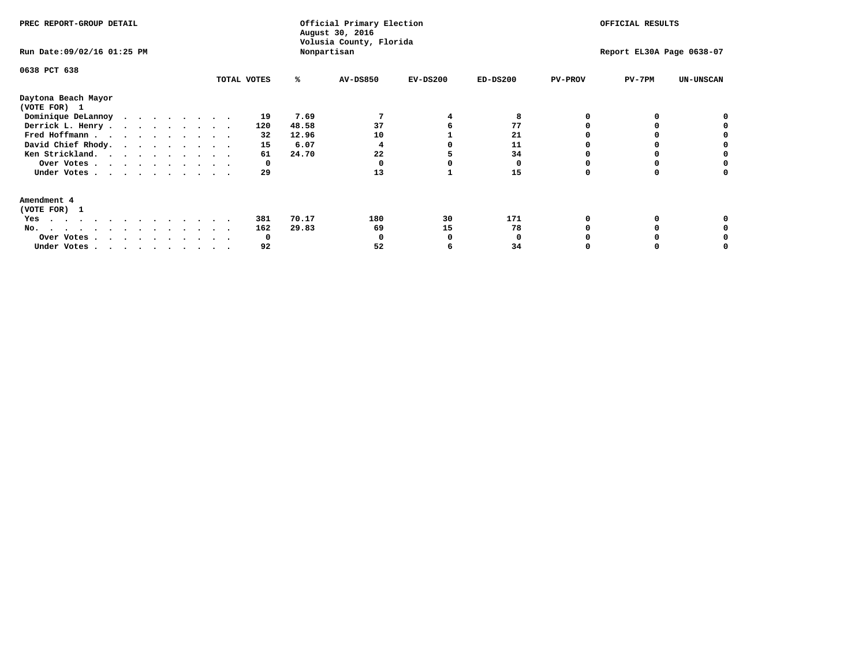| PREC REPORT-GROUP DETAIL<br>Run Date: 09/02/16 01:25 PM                |             |       | Official Primary Election<br>August 30, 2016<br>Volusia County, Florida<br>Nonpartisan |            | OFFICIAL RESULTS<br>Report EL30A Page 0638-07 |                |          |                  |
|------------------------------------------------------------------------|-------------|-------|----------------------------------------------------------------------------------------|------------|-----------------------------------------------|----------------|----------|------------------|
| 0638 PCT 638                                                           | TOTAL VOTES | %ะ    | <b>AV-DS850</b>                                                                        | $EV-DS200$ | $ED-DS200$                                    | <b>PV-PROV</b> | $PV-7PM$ | <b>UN-UNSCAN</b> |
| Daytona Beach Mayor<br>(VOTE FOR) 1                                    |             |       |                                                                                        |            |                                               |                |          |                  |
| Dominique DeLannoy                                                     | 19          | 7.69  |                                                                                        |            |                                               |                |          |                  |
| Derrick L. Henry                                                       | 120         | 48.58 | 37                                                                                     |            | 77                                            |                |          |                  |
| Fred Hoffmann                                                          | 32          | 12.96 | 10                                                                                     |            | 21                                            |                |          |                  |
| David Chief Rhody.                                                     | 15          | 6.07  |                                                                                        |            | 11                                            |                |          |                  |
| Ken Strickland.                                                        | 61          | 24.70 | 22                                                                                     |            | 34                                            |                |          |                  |
| Over Votes                                                             | 0           |       |                                                                                        |            |                                               |                |          |                  |
| Under Votes                                                            | 29          |       | 13                                                                                     |            | 15                                            |                |          |                  |
| Amendment 4<br>(VOTE FOR) 1                                            |             |       |                                                                                        |            |                                               |                |          |                  |
| Yes                                                                    | 381         | 70.17 | 180                                                                                    | 30         | 171                                           |                |          |                  |
| No.<br>.                                                               | 162         | 29.83 | 69                                                                                     | 15         | 78                                            |                |          |                  |
| Over Votes                                                             | O           |       |                                                                                        |            |                                               |                |          |                  |
| Under Votes, $\cdot$ , $\cdot$ , $\cdot$ , $\cdot$ , $\cdot$ , $\cdot$ | 92          |       | 52                                                                                     |            | 34                                            |                |          |                  |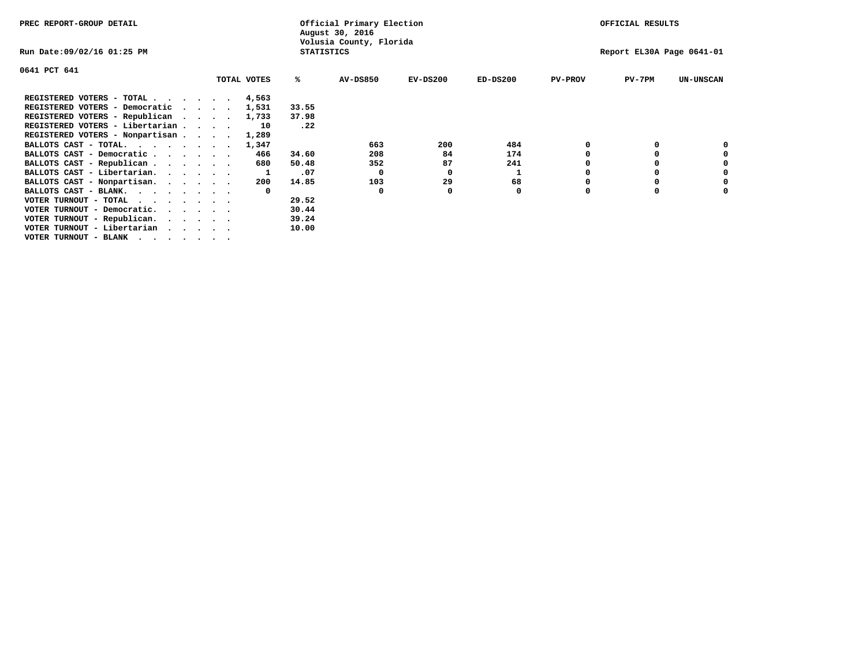| PREC REPORT-GROUP DETAIL          |  |  |             |                   | Official Primary Election<br>August 30, 2016 |            | OFFICIAL RESULTS          |                |          |                  |
|-----------------------------------|--|--|-------------|-------------------|----------------------------------------------|------------|---------------------------|----------------|----------|------------------|
| Run Date:09/02/16 01:25 PM        |  |  |             | <b>STATISTICS</b> | Volusia County, Florida                      |            | Report EL30A Page 0641-01 |                |          |                  |
| 0641 PCT 641                      |  |  |             |                   |                                              |            |                           |                |          |                  |
|                                   |  |  | TOTAL VOTES | ℁                 | AV-DS850                                     | $EV-DS200$ | $ED-DS200$                | <b>PV-PROV</b> | $PV-7PM$ | <b>UN-UNSCAN</b> |
| REGISTERED VOTERS - TOTAL 4,563   |  |  |             |                   |                                              |            |                           |                |          |                  |
| REGISTERED VOTERS - Democratic    |  |  | 1,531       | 33.55             |                                              |            |                           |                |          |                  |
| REGISTERED VOTERS - Republican    |  |  | 1,733       | 37.98             |                                              |            |                           |                |          |                  |
| REGISTERED VOTERS - Libertarian   |  |  | 10          | .22               |                                              |            |                           |                |          |                  |
| REGISTERED VOTERS - Nonpartisan   |  |  | 1,289       |                   |                                              |            |                           |                |          |                  |
| BALLOTS CAST - TOTAL.             |  |  | 1,347       |                   | 663                                          | 200        | 484                       |                |          |                  |
| BALLOTS CAST - Democratic         |  |  | 466         | 34.60             | 208                                          | 84         | 174                       |                |          |                  |
| BALLOTS CAST - Republican         |  |  | 680         | 50.48             | 352                                          | 87         | 241                       |                |          |                  |
| BALLOTS CAST - Libertarian.       |  |  |             | .07               | 0                                            | 0          |                           |                |          |                  |
| BALLOTS CAST - Nonpartisan.       |  |  | 200         | 14.85             | 103                                          | 29         | 68                        |                |          | 0                |
| BALLOTS CAST - BLANK.             |  |  |             |                   | 0                                            |            | 0                         | O              |          |                  |
| VOTER TURNOUT - TOTAL<br>$\cdots$ |  |  |             | 29.52             |                                              |            |                           |                |          |                  |
| VOTER TURNOUT - Democratic.       |  |  |             | 30.44             |                                              |            |                           |                |          |                  |
| VOTER TURNOUT - Republican.       |  |  |             | 39.24             |                                              |            |                           |                |          |                  |
| VOTER TURNOUT - Libertarian       |  |  |             | 10.00             |                                              |            |                           |                |          |                  |
| VOTER TURNOUT - BLANK             |  |  |             |                   |                                              |            |                           |                |          |                  |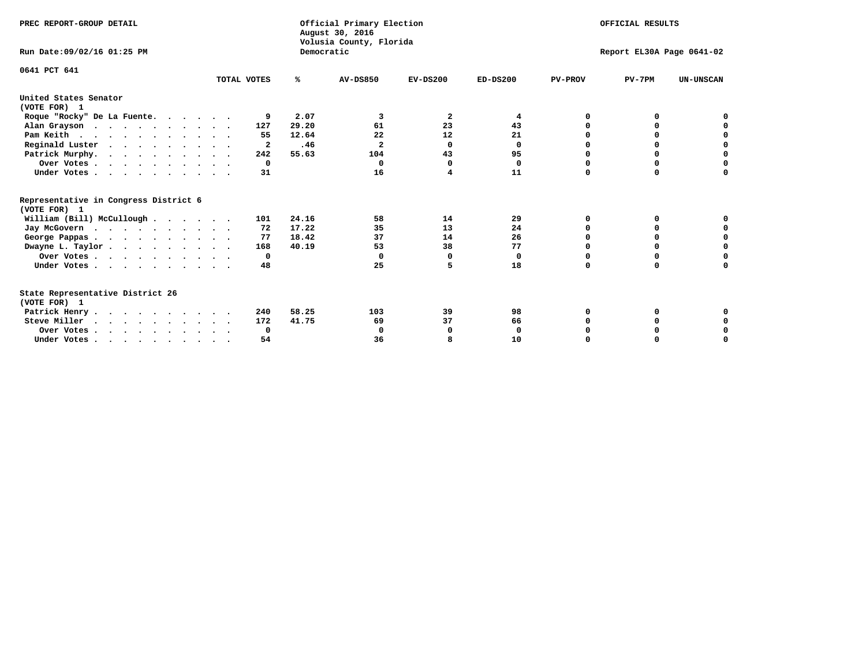| PREC REPORT-GROUP DETAIL                              |              |            | Official Primary Election<br>August 30, 2016<br>Volusia County, Florida |            | OFFICIAL RESULTS<br>Report EL30A Page 0641-02 |                |             |                  |  |
|-------------------------------------------------------|--------------|------------|-------------------------------------------------------------------------|------------|-----------------------------------------------|----------------|-------------|------------------|--|
| Run Date: 09/02/16 01:25 PM                           |              | Democratic |                                                                         |            |                                               |                |             |                  |  |
| 0641 PCT 641                                          | TOTAL VOTES  | ℁          | <b>AV-DS850</b>                                                         | $EV-DS200$ | $ED-DS200$                                    | <b>PV-PROV</b> | $PV-7PM$    | <b>UN-UNSCAN</b> |  |
|                                                       |              |            |                                                                         |            |                                               |                |             |                  |  |
| United States Senator<br>(VOTE FOR) 1                 |              |            |                                                                         |            |                                               |                |             |                  |  |
| Roque "Rocky" De La Fuente.                           | 9            | 2.07       | 3                                                                       | 2          | 4                                             | 0              | o           |                  |  |
| Alan Grayson                                          | 127          | 29.20      | 61                                                                      | 23         | 43                                            |                | O           |                  |  |
| Pam Keith                                             | 55           | 12.64      | 22                                                                      | 12         | 21                                            |                | 0           | 0                |  |
| Reginald Luster                                       | 2            | .46        | $\mathbf{2}$                                                            | 0          | 0                                             | O              | O           | $\mathbf 0$      |  |
| Patrick Murphy.                                       | 242          | 55.63      | 104                                                                     | 43         | 95                                            | <sup>0</sup>   | $\Omega$    | $\mathbf 0$      |  |
| Over Votes                                            | $^{\circ}$   |            | $\Omega$                                                                | $\Omega$   | 0                                             | $\Omega$       | $\Omega$    | $\mathbf 0$      |  |
| Under Votes                                           | 31           |            | 16                                                                      | 4          | 11                                            | 0              | $\Omega$    | 0                |  |
| Representative in Congress District 6<br>(VOTE FOR) 1 |              |            |                                                                         |            |                                               |                |             |                  |  |
| William (Bill) McCullough                             | 101          | 24.16      | 58                                                                      | 14         | 29                                            | 0              | 0           | 0                |  |
| Jay McGovern                                          | 72           | 17.22      | 35                                                                      | 13         | 24                                            | 0              | 0           | $\Omega$         |  |
| George Pappas.                                        | 77           | 18.42      | 37                                                                      | 14         | 26                                            | <sup>0</sup>   | $\Omega$    | $\mathbf 0$      |  |
| Dwayne L. Taylor                                      | 168          | 40.19      | 53                                                                      | 38         | 77                                            | 0              | $\Omega$    | $\mathbf 0$      |  |
| Over Votes                                            | $\mathbf{o}$ |            | 0                                                                       | 0          | 0                                             | 0              | 0           | $\mathbf 0$      |  |
| Under Votes                                           | 48           |            | 25                                                                      | 5          | 18                                            | $\Omega$       | $\Omega$    | $\Omega$         |  |
| State Representative District 26                      |              |            |                                                                         |            |                                               |                |             |                  |  |
| (VOTE FOR) 1                                          |              |            |                                                                         |            |                                               |                |             |                  |  |
| Patrick Henry                                         | 240          | 58.25      | 103                                                                     | 39         | 98                                            | 0              | O           | 0                |  |
| Steve Miller                                          | 172          | 41.75      | 69                                                                      | 37         | 66                                            | 0              | $\Omega$    | 0                |  |
| Over Votes                                            | $\mathbf{o}$ |            | 0                                                                       | 0          | 0                                             | $\Omega$       | O           | 0                |  |
| Under Votes                                           | 54           |            | 36                                                                      | 8          | 10                                            | $\Omega$       | $\mathbf 0$ | 0                |  |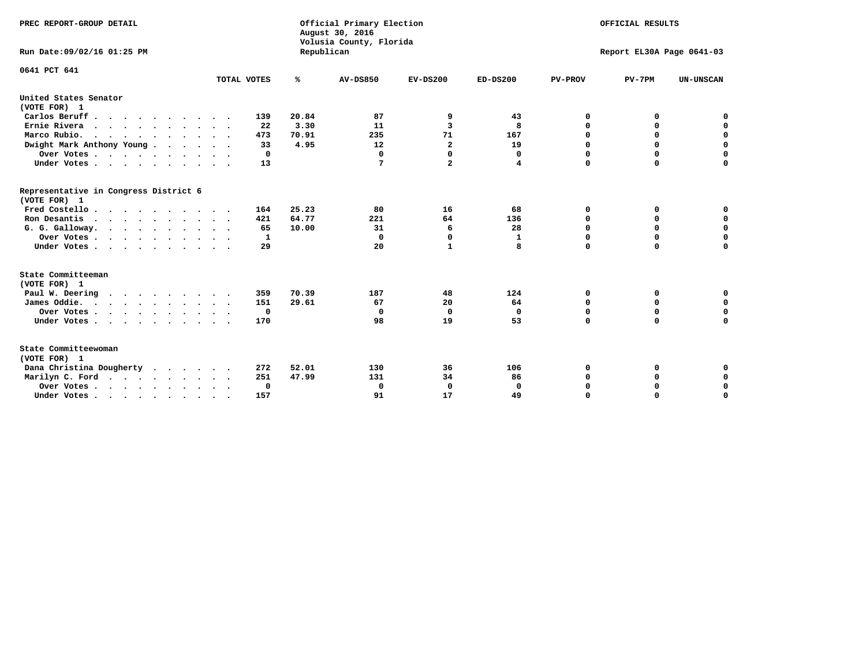| PREC REPORT-GROUP DETAIL<br>Run Date: 09/02/16 01:25 PM                          |              | Republican | Official Primary Election<br>August 30, 2016<br>Volusia County, Florida | OFFICIAL RESULTS<br>Report EL30A Page 0641-03 |            |                |             |                  |
|----------------------------------------------------------------------------------|--------------|------------|-------------------------------------------------------------------------|-----------------------------------------------|------------|----------------|-------------|------------------|
| 0641 PCT 641                                                                     | TOTAL VOTES  | ℁          | <b>AV-DS850</b>                                                         | $EV-DS200$                                    | $ED-DS200$ | <b>PV-PROV</b> | $PV-7PM$    | <b>UN-UNSCAN</b> |
|                                                                                  |              |            |                                                                         |                                               |            |                |             |                  |
| United States Senator<br>(VOTE FOR) 1                                            |              |            |                                                                         |                                               |            |                |             |                  |
| Carlos Beruff                                                                    | 139          | 20.84      | 87                                                                      | 9                                             | 43         | 0              | 0           | 0                |
| Ernie Rivera                                                                     | 22           | 3.30       | 11                                                                      | 3                                             | 8          | $\Omega$       | 0           | $\mathbf 0$      |
| Marco Rubio.                                                                     | 473          | 70.91      | 235                                                                     | 71                                            | 167        | 0              | 0           | $\mathbf 0$      |
| Dwight Mark Anthony Young                                                        | 33           | 4.95       | 12                                                                      | $\mathbf{2}$                                  | 19         | 0              | $\mathbf 0$ | $\mathbf 0$      |
| Over Votes                                                                       | 0            |            | $\mathbf{0}$                                                            | $\Omega$                                      | 0          | 0              | $\Omega$    | $\mathbf 0$      |
| Under Votes                                                                      | 13           |            | 7                                                                       | $\overline{a}$                                | 4          | $\Omega$       | $\Omega$    | $\Omega$         |
| Representative in Congress District 6<br>(VOTE FOR) 1                            |              |            |                                                                         |                                               |            |                |             |                  |
| Fred Costello                                                                    | 164          | 25.23      | 80                                                                      | 16                                            | 68         | 0              | 0           | $\mathbf 0$      |
| Ron Desantis                                                                     | 421          | 64.77      | 221                                                                     | 64                                            | 136        | 0              | 0           | $\mathbf 0$      |
| G. G. Galloway.                                                                  | 65           | 10.00      | 31                                                                      | 6                                             | 28         | $\mathbf 0$    | $\Omega$    | $\mathbf 0$      |
| Over Votes                                                                       | 1            |            | $\Omega$                                                                | 0                                             | 1          | $\mathbf 0$    | 0           | $\mathbf 0$      |
| Under Votes                                                                      | 29           |            | 20                                                                      | $\mathbf{1}$                                  | 8          | $\Omega$       | $\Omega$    | $\Omega$         |
| State Committeeman                                                               |              |            |                                                                         |                                               |            |                |             |                  |
| (VOTE FOR) 1                                                                     |              |            |                                                                         |                                               |            |                |             |                  |
| Paul W. Deering                                                                  | 359          | 70.39      | 187                                                                     | 48                                            | 124        | 0              | 0           | 0                |
| James Oddie.                                                                     | 151          | 29.61      | 67                                                                      | 20                                            | 64         | 0              | 0           | $\mathbf 0$      |
| Over Votes                                                                       | $\mathbf{o}$ |            | 0                                                                       | 0                                             | 0          | 0              | $\mathbf 0$ | $\mathbf 0$      |
| Under Votes                                                                      | 170          |            | 98                                                                      | 19                                            | 53         | $\mathbf 0$    | $\mathbf 0$ | $\mathbf 0$      |
| State Committeewoman<br>(VOTE FOR) 1                                             |              |            |                                                                         |                                               |            |                |             |                  |
| Dana Christina Dougherty<br>.                                                    | 272          | 52.01      | 130                                                                     | 36                                            | 106        | 0              | 0           | 0                |
| Marilyn C. Ford                                                                  | 251          | 47.99      | 131                                                                     | 34                                            | 86         | 0              | 0           | 0                |
| Over Votes                                                                       | 0            |            | $\Omega$                                                                | 0                                             | 0          | 0              | 0           | $\mathbf 0$      |
| Under Votes, $\cdot$ , $\cdot$ , $\cdot$ , $\cdot$ , $\cdot$ , $\cdot$ , $\cdot$ | 157          |            | 91                                                                      | 17                                            | 49         | $\Omega$       | $\Omega$    | $\Omega$         |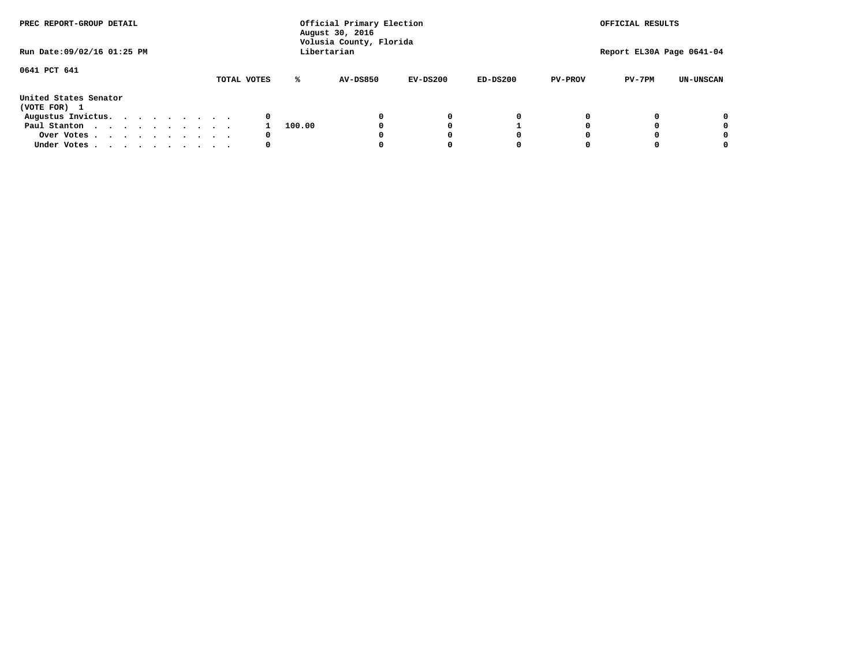| PREC REPORT-GROUP DETAIL<br>Run Date: 09/02/16 01:25 PM |  |  |  |  |  |             | Official Primary Election<br>August 30, 2016<br>Volusia County, Florida<br>Libertarian | OFFICIAL RESULTS<br>Report EL30A Page 0641-04 |            |            |                |          |                  |
|---------------------------------------------------------|--|--|--|--|--|-------------|----------------------------------------------------------------------------------------|-----------------------------------------------|------------|------------|----------------|----------|------------------|
|                                                         |  |  |  |  |  |             |                                                                                        |                                               |            |            |                |          |                  |
| 0641 PCT 641                                            |  |  |  |  |  |             |                                                                                        |                                               |            |            |                |          |                  |
|                                                         |  |  |  |  |  | TOTAL VOTES | ℁                                                                                      | <b>AV-DS850</b>                               | $EV-DS200$ | $ED-DS200$ | <b>PV-PROV</b> | $PV-7PM$ | <b>UN-UNSCAN</b> |
| United States Senator<br>(VOTE FOR) 1                   |  |  |  |  |  |             |                                                                                        |                                               |            |            |                |          |                  |
| Augustus Invictus.                                      |  |  |  |  |  | 0           |                                                                                        |                                               | 0          | 0          |                |          | 0                |
| Paul Stanton                                            |  |  |  |  |  |             | 100.00                                                                                 |                                               |            |            |                |          | 0                |
| Over Votes                                              |  |  |  |  |  | 0           |                                                                                        |                                               |            | 0          |                |          | 0                |
| Under Votes                                             |  |  |  |  |  | 0           |                                                                                        |                                               |            | 0          |                |          | 0                |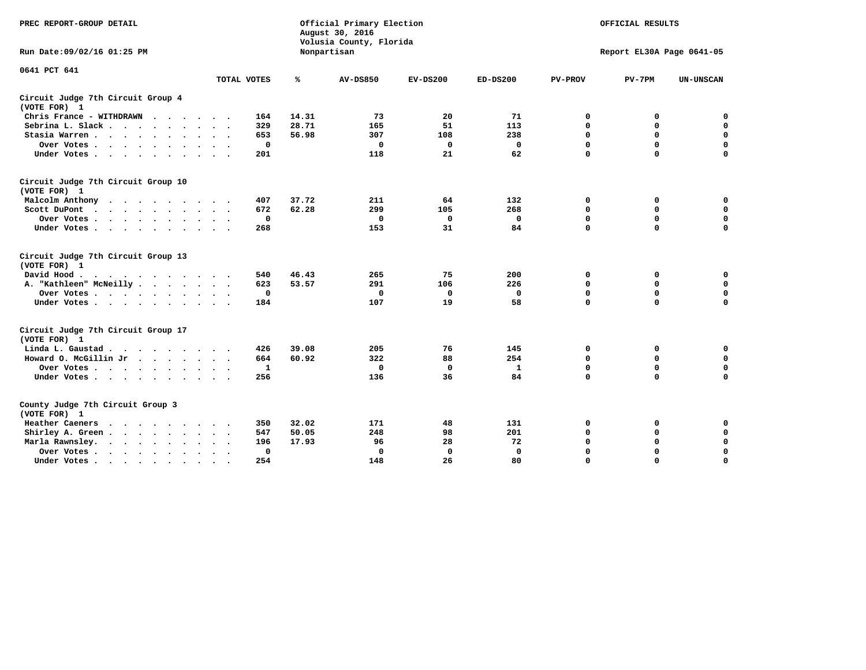| PREC REPORT-GROUP DETAIL                           |                    |       | Official Primary Election<br>August 30, 2016<br>Volusia County, Florida | OFFICIAL RESULTS<br>Report EL30A Page 0641-05 |              |                |             |                  |
|----------------------------------------------------|--------------------|-------|-------------------------------------------------------------------------|-----------------------------------------------|--------------|----------------|-------------|------------------|
| Run Date:09/02/16 01:25 PM                         |                    |       | Nonpartisan                                                             |                                               |              |                |             |                  |
| 0641 PCT 641                                       |                    |       |                                                                         |                                               |              |                |             |                  |
|                                                    | TOTAL VOTES        | ℁     | <b>AV-DS850</b>                                                         | $EV-DS200$                                    | $ED-DS200$   | <b>PV-PROV</b> | $PV-7PM$    | <b>UN-UNSCAN</b> |
| Circuit Judge 7th Circuit Group 4<br>(VOTE FOR) 1  |                    |       |                                                                         |                                               |              |                |             |                  |
| Chris France - WITHDRAWN                           | 164                | 14.31 | 73                                                                      | 20                                            | 71           | 0              | 0           | 0                |
| Sebrina L. Slack                                   | 329                | 28.71 | 165                                                                     | 51                                            | 113          | $\mathbf 0$    | 0           | $\mathbf 0$      |
| Stasia Warren<br>$\ddot{\phantom{0}}$              | 653                | 56.98 | 307                                                                     | 108                                           | 238          | $\mathbf 0$    | $\mathbf 0$ | $\pmb{0}$        |
| Over Votes                                         | 0                  |       | 0                                                                       | 0                                             | 0            | $\mathbf 0$    | $\mathbf 0$ | $\mathbf 0$      |
| Under Votes                                        | 201                |       | 118                                                                     | 21                                            | 62           | $\mathbf 0$    | $\Omega$    | $\mathbf 0$      |
| Circuit Judge 7th Circuit Group 10<br>(VOTE FOR) 1 |                    |       |                                                                         |                                               |              |                |             |                  |
| Malcolm Anthony<br>.                               | 407                | 37.72 | 211                                                                     | 64                                            | 132          | 0              | 0           | 0                |
| Scott DuPont<br>$\cdot$                            | 672                | 62.28 | 299                                                                     | 105                                           | 268          | 0              | $\mathbf 0$ | $\mathbf 0$      |
| Over Votes<br>$\bullet$<br>$\cdot$                 | $\mathbf 0$        |       | $\mathbf{0}$                                                            | $\mathbf 0$                                   | $\mathbf 0$  | $\mathbf 0$    | $\mathbf 0$ | 0                |
| Under Votes                                        | 268                |       | 153                                                                     | 31                                            | 84           | $\mathbf 0$    | $\mathbf 0$ | $\mathbf 0$      |
| Circuit Judge 7th Circuit Group 13<br>(VOTE FOR) 1 |                    |       |                                                                         |                                               |              |                |             |                  |
| David Hood.                                        | 540                | 46.43 | 265                                                                     | 75                                            | 200          | 0              | 0           | $\mathbf 0$      |
| A. "Kathleen" McNeilly.<br>$\cdots$                | 623                | 53.57 | 291                                                                     | 106                                           | 226          | $\mathbf 0$    | $\mathbf 0$ | $\mathbf 0$      |
| Over Votes                                         | 0                  |       | 0                                                                       | 0                                             | 0            | 0              | 0           | $\pmb{0}$        |
| Under Votes                                        | 184                |       | 107                                                                     | 19                                            | 58           | $\mathbf 0$    | $\Omega$    | 0                |
| Circuit Judge 7th Circuit Group 17<br>(VOTE FOR) 1 |                    |       |                                                                         |                                               |              |                |             |                  |
| Linda L. Gaustad                                   | 426                | 39.08 | 205                                                                     | 76                                            | 145          | 0              | 0           | $\mathbf 0$      |
| Howard O. McGillin Jr                              | 664                | 60.92 | 322                                                                     | 88                                            | 254          | $\mathbf 0$    | $\mathbf 0$ | $\mathbf 0$      |
| Over Votes                                         | $\mathbf{1}$       |       | $\mathbf{0}$                                                            | $\mathbf 0$                                   | $\mathbf{1}$ | $\mathbf 0$    | $\mathbf 0$ | 0                |
| Under Votes                                        | 256                |       | 136                                                                     | 36                                            | 84           | $\mathbf 0$    | $\mathbf 0$ | $\mathbf 0$      |
| County Judge 7th Circuit Group 3<br>(VOTE FOR) 1   |                    |       |                                                                         |                                               |              |                |             |                  |
| Heather Caeners                                    | 350                | 32.02 | 171                                                                     | 48                                            | 131          | 0              | 0           | 0                |
| Shirley A. Green                                   | 547                | 50.05 | 248                                                                     | 98                                            | 201          | $\mathbf 0$    | $\Omega$    | $\mathbf 0$      |
| Marla Rawnsley.                                    | 196                | 17.93 | 96                                                                      | 28                                            | 72           | 0              | $\mathbf 0$ | $\pmb{0}$        |
| Over Votes.<br>$\cdots$<br>$\cdot$<br>$\cdot$      | 0<br>$\sim$ $\sim$ |       | $\mathbf 0$                                                             | $\mathbf{0}$                                  | 0            | $\mathbf 0$    | 0           | $\mathbf 0$      |
| Under Votes<br>$\sim$<br>$\sim$                    | 254                |       | 148                                                                     | 26                                            | 80           | $\mathbf 0$    | $\mathbf 0$ | 0                |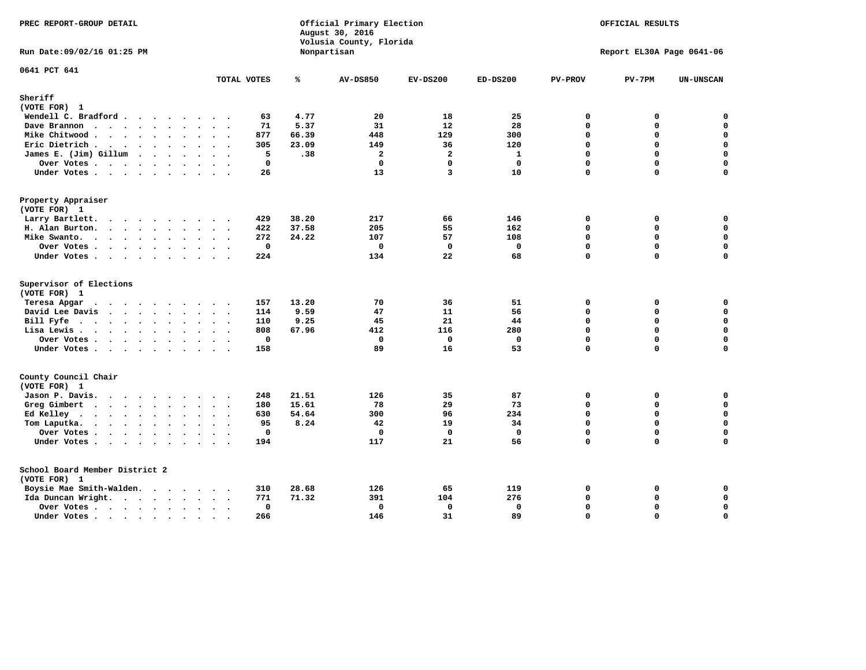| PREC REPORT-GROUP DETAIL                                                              |                      |             |       | Official Primary Election<br>August 30, 2016<br>Volusia County, Florida | OFFICIAL RESULTS<br>Report EL30A Page 0641-06 |              |                |          |                  |
|---------------------------------------------------------------------------------------|----------------------|-------------|-------|-------------------------------------------------------------------------|-----------------------------------------------|--------------|----------------|----------|------------------|
| Run Date: 09/02/16 01:25 PM                                                           |                      |             |       | Nonpartisan                                                             |                                               |              |                |          |                  |
| 0641 PCT 641                                                                          |                      | TOTAL VOTES | ℁     | <b>AV-DS850</b>                                                         | $EV-DS200$                                    | $ED-DS200$   | <b>PV-PROV</b> | $PV-7PM$ | <b>UN-UNSCAN</b> |
| Sheriff                                                                               |                      |             |       |                                                                         |                                               |              |                |          |                  |
| (VOTE FOR) 1                                                                          |                      |             |       |                                                                         |                                               |              |                |          |                  |
| Wendell C. Bradford                                                                   |                      | 63          | 4.77  | 20                                                                      | 18                                            | 25           | $\mathbf{0}$   | 0        | $\mathbf 0$      |
| Dave Brannon                                                                          |                      | 71          | 5.37  | 31                                                                      | 12                                            | 28           | $\Omega$       | 0        | $\mathbf 0$      |
| Mike Chitwood                                                                         | $\ddot{\phantom{0}}$ | 877         | 66.39 | 448                                                                     | 129                                           | 300          | 0              | 0        | 0                |
| Eric Dietrich                                                                         |                      | 305         | 23.09 | 149                                                                     | 36                                            | 120          | $\Omega$       | 0        | $\mathbf 0$      |
| James E. (Jim) Gillum                                                                 |                      | 5           | .38   | $\overline{a}$                                                          | $\overline{a}$                                | $\mathbf{1}$ | 0              | $\Omega$ | $\mathbf 0$      |
| Over Votes                                                                            |                      | $\mathbf 0$ |       | $\Omega$                                                                | $\mathbf{0}$                                  | $\mathbf 0$  | $\Omega$       | $\Omega$ | $\mathbf 0$      |
| Under Votes                                                                           |                      | 26          |       | 13                                                                      | 3                                             | 10           | $\Omega$       | $\Omega$ | $\Omega$         |
| Property Appraiser                                                                    |                      |             |       |                                                                         |                                               |              |                |          |                  |
| (VOTE FOR) 1                                                                          |                      |             |       |                                                                         |                                               |              |                |          |                  |
| Larry Bartlett.                                                                       |                      | 429         | 38.20 | 217                                                                     | 66                                            | 146          | $\mathbf 0$    | 0        | 0                |
| H. Alan Burton.                                                                       |                      | 422         | 37.58 | 205                                                                     | 55                                            | 162          | 0              | 0        | $\mathbf 0$      |
| Mike Swanto.<br>$\sim$                                                                | $\sim$<br>$\sim$     | 272         | 24.22 | 107                                                                     | 57                                            | 108          | 0              | 0        | $\mathbf 0$      |
| Over Votes                                                                            |                      | $\mathbf 0$ |       | $\Omega$                                                                | $\mathbf 0$                                   | $\mathbf 0$  | 0              | $\Omega$ | $\mathbf 0$      |
| Under Votes                                                                           |                      | 224         |       | 134                                                                     | 22                                            | 68           | 0              | $\Omega$ | 0                |
| Supervisor of Elections<br>(VOTE FOR) 1                                               |                      |             |       |                                                                         |                                               |              |                |          |                  |
| Teresa Apgar                                                                          |                      | 157         | 13.20 | 70                                                                      | 36                                            | 51           | 0              | 0        | $\mathbf 0$      |
| David Lee Davis                                                                       |                      | 114         | 9.59  | 47                                                                      | 11                                            | 56           | 0              | 0        | $\mathbf 0$      |
| Bill Fyfe.                                                                            |                      | 110         | 9.25  | 45                                                                      | 21                                            | 44           | $\Omega$       | 0        | $\mathbf 0$      |
| Lisa Lewis                                                                            |                      | 808         | 67.96 | 412                                                                     | 116                                           | 280          | $\Omega$       | $\Omega$ | $\mathbf 0$      |
| Over Votes                                                                            | $\ddot{\phantom{0}}$ | $\mathbf 0$ |       | $\mathbf 0$                                                             | $\mathbf 0$                                   | $\mathbf 0$  | 0              | 0        | $\pmb{0}$        |
| Under Votes                                                                           |                      | 158         |       | 89                                                                      | 16                                            | 53           | 0              | $\Omega$ | $\mathbf 0$      |
| County Council Chair<br>(VOTE FOR) 1                                                  |                      |             |       |                                                                         |                                               |              |                |          |                  |
| Jason P. Davis.                                                                       |                      | 248         | 21.51 | 126                                                                     | 35                                            | 87           | $\mathbf 0$    | 0        | 0                |
| Greg Gimbert                                                                          |                      | 180         | 15.61 | 78                                                                      | 29                                            | 73           | 0              | 0        | $\mathbf 0$      |
| Ed Kelley                                                                             | $\sim$ $\sim$        | 630         | 54.64 | 300                                                                     | 96                                            | 234          | 0              | 0        | $\mathbf 0$      |
| Tom Laputka.<br>$\mathbf{r}$ , and $\mathbf{r}$ , and $\mathbf{r}$ , and $\mathbf{r}$ | $\ddot{\phantom{1}}$ | 95          | 8.24  | 42                                                                      | 19                                            | 34           | 0              | $\Omega$ | $\mathbf 0$      |
| Over Votes                                                                            |                      | $\mathbf 0$ |       | $\mathbf 0$                                                             | $\mathbf 0$                                   | $\mathbf 0$  | 0              | 0        | $\mathbf 0$      |
| Under Votes                                                                           |                      | 194         |       | 117                                                                     | 21                                            | 56           | $\Omega$       | $\Omega$ | $\Omega$         |
| School Board Member District 2<br>(VOTE FOR) 1                                        |                      |             |       |                                                                         |                                               |              |                |          |                  |
| Boysie Mae Smith-Walden.                                                              |                      | 310         | 28.68 | 126                                                                     | 65                                            | 119          | 0              | 0        | 0                |
| Ida Duncan Wright.                                                                    |                      | 771         | 71.32 | 391                                                                     | 104                                           | 276          | 0              | 0        | 0                |
|                                                                                       |                      | 0           |       | 0                                                                       | 0                                             | 0            | 0              | 0        | $\pmb{0}$        |
| Over Votes.                                                                           |                      | 266         |       | 146                                                                     | 31                                            | 89           | $\Omega$       | $\Omega$ | $\mathbf 0$      |
| Under Votes                                                                           | $\sim$               |             |       |                                                                         |                                               |              |                |          |                  |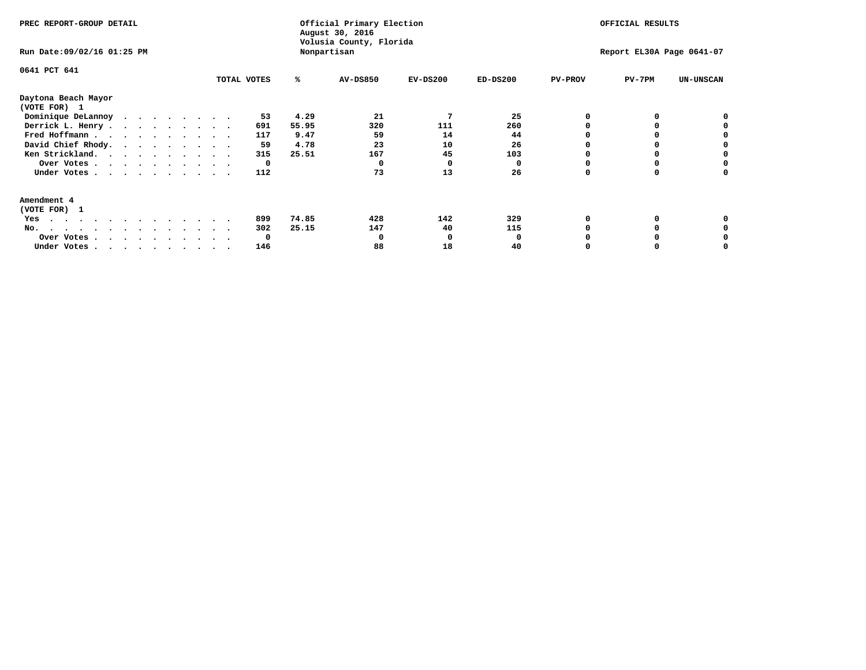| PREC REPORT-GROUP DETAIL<br>Run Date: 09/02/16 01:25 PM |              |       | Official Primary Election<br>August 30, 2016<br>Volusia County, Florida<br>Nonpartisan |            | OFFICIAL RESULTS<br>Report EL30A Page 0641-07 |                |              |                  |
|---------------------------------------------------------|--------------|-------|----------------------------------------------------------------------------------------|------------|-----------------------------------------------|----------------|--------------|------------------|
| 0641 PCT 641                                            | TOTAL VOTES  | ℁     | AV-DS850                                                                               | $EV-DS200$ | $ED-DS200$                                    | <b>PV-PROV</b> | $PV-7PM$     | <b>UN-UNSCAN</b> |
| Daytona Beach Mayor<br>(VOTE FOR) 1                     |              |       |                                                                                        |            |                                               |                |              |                  |
| Dominique DeLannoy                                      | 53           | 4.29  | 21                                                                                     |            | 25                                            |                | 0            |                  |
| Derrick L. Henry                                        | 691          | 55.95 | 320                                                                                    | 111        | 260                                           |                |              |                  |
| Fred Hoffmann                                           | 117          | 9.47  | 59                                                                                     | 14         | 44                                            |                |              |                  |
| David Chief Rhody.                                      | 59           | 4.78  | 23                                                                                     | 10         | 26                                            |                |              |                  |
| Ken Strickland.                                         | 315          | 25.51 | 167                                                                                    | 45         | 103                                           |                |              |                  |
| Over Votes                                              | 0            |       |                                                                                        | O          | n                                             |                |              |                  |
| Under Votes.                                            | 112          |       | 73                                                                                     | 13         | 26                                            |                | <sup>0</sup> |                  |
| Amendment 4                                             |              |       |                                                                                        |            |                                               |                |              |                  |
| (VOTE FOR) 1                                            |              |       |                                                                                        |            |                                               |                |              |                  |
| Yes<br>.                                                | 899          | 74.85 | 428                                                                                    | 142        | 329                                           |                |              |                  |
| No.<br>.                                                | 302          | 25.15 | 147                                                                                    | 40         | 115                                           |                |              |                  |
| Over Votes                                              | <sup>0</sup> |       |                                                                                        | O          | O                                             |                |              |                  |
| Under Votes, , , , , , , , , ,                          | 146          |       | 88                                                                                     | 18         | 40                                            |                |              |                  |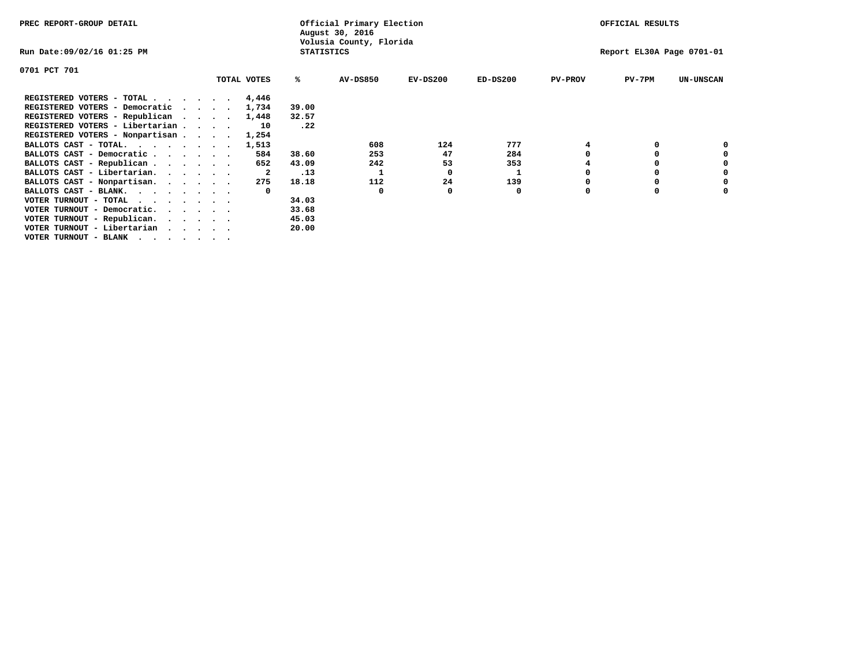| PREC REPORT-GROUP DETAIL          |  |  |             |                   | Official Primary Election<br>August 30, 2016 |            | OFFICIAL RESULTS |                |                           |                  |  |
|-----------------------------------|--|--|-------------|-------------------|----------------------------------------------|------------|------------------|----------------|---------------------------|------------------|--|
| Run Date:09/02/16 01:25 PM        |  |  |             | <b>STATISTICS</b> | Volusia County, Florida                      |            |                  |                | Report EL30A Page 0701-01 |                  |  |
| 0701 PCT 701                      |  |  |             |                   |                                              |            |                  |                |                           |                  |  |
|                                   |  |  | TOTAL VOTES | ℁                 | AV-DS850                                     | $EV-DS200$ | $ED-DS200$       | <b>PV-PROV</b> | $PV-7PM$                  | <b>UN-UNSCAN</b> |  |
| REGISTERED VOTERS - TOTAL         |  |  | 4,446       |                   |                                              |            |                  |                |                           |                  |  |
| REGISTERED VOTERS - Democratic    |  |  | 1,734       | 39.00             |                                              |            |                  |                |                           |                  |  |
| REGISTERED VOTERS - Republican    |  |  | 1,448       | 32.57             |                                              |            |                  |                |                           |                  |  |
| REGISTERED VOTERS - Libertarian   |  |  | 10          | .22               |                                              |            |                  |                |                           |                  |  |
| REGISTERED VOTERS - Nonpartisan   |  |  | 1,254       |                   |                                              |            |                  |                |                           |                  |  |
| BALLOTS CAST - TOTAL.             |  |  | 1,513       |                   | 608                                          | 124        | 777              |                |                           |                  |  |
| BALLOTS CAST - Democratic         |  |  | 584         | 38.60             | 253                                          | 47         | 284              |                |                           |                  |  |
| BALLOTS CAST - Republican         |  |  | 652         | 43.09             | 242                                          | 53         | 353              |                |                           |                  |  |
| BALLOTS CAST - Libertarian.       |  |  | -2          | .13               |                                              | 0          |                  |                |                           |                  |  |
| BALLOTS CAST - Nonpartisan.       |  |  | 275         | 18.18             | 112                                          | 24         | 139              |                |                           | 0                |  |
| BALLOTS CAST - BLANK.             |  |  |             |                   | 0                                            |            | 0                | O              |                           |                  |  |
| VOTER TURNOUT - TOTAL<br>$\cdots$ |  |  |             | 34.03             |                                              |            |                  |                |                           |                  |  |
| VOTER TURNOUT - Democratic.       |  |  |             | 33.68             |                                              |            |                  |                |                           |                  |  |
| VOTER TURNOUT - Republican.       |  |  |             | 45.03             |                                              |            |                  |                |                           |                  |  |
| VOTER TURNOUT - Libertarian       |  |  |             | 20.00             |                                              |            |                  |                |                           |                  |  |
| VOTER TURNOUT - BLANK             |  |  |             |                   |                                              |            |                  |                |                           |                  |  |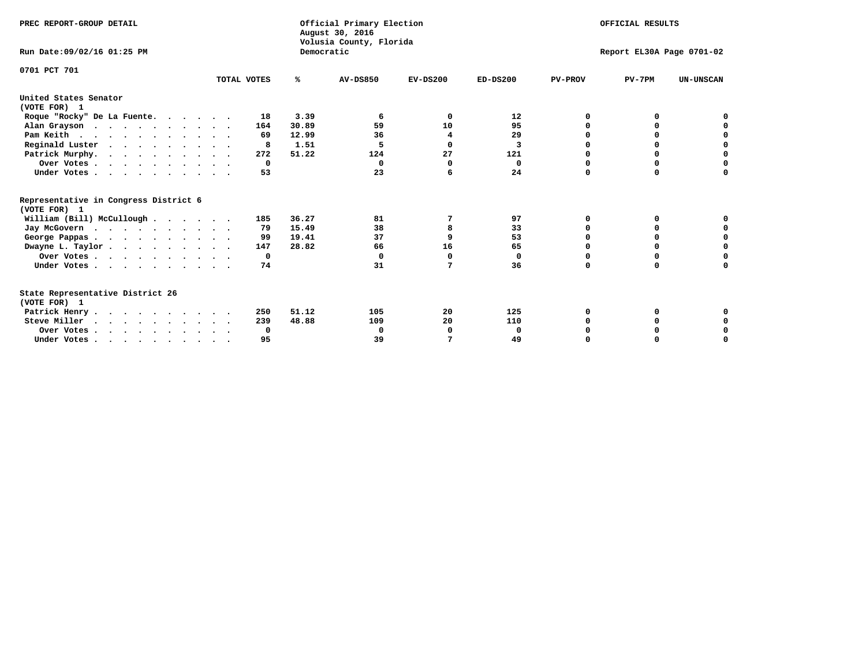| PREC REPORT-GROUP DETAIL<br>Run Date: 09/02/16 01:25 PM                          |             | Democratic | Official Primary Election<br>August 30, 2016<br>Volusia County, Florida |            |                |                | OFFICIAL RESULTS<br>Report EL30A Page 0701-02 |                  |
|----------------------------------------------------------------------------------|-------------|------------|-------------------------------------------------------------------------|------------|----------------|----------------|-----------------------------------------------|------------------|
|                                                                                  |             |            |                                                                         |            |                |                |                                               |                  |
| 0701 PCT 701                                                                     | TOTAL VOTES | %ะ         | <b>AV-DS850</b>                                                         | $EV-DS200$ | $ED-DS200$     | <b>PV-PROV</b> | $PV-7PM$                                      | <b>UN-UNSCAN</b> |
| United States Senator                                                            |             |            |                                                                         |            |                |                |                                               |                  |
| (VOTE FOR) 1                                                                     |             |            |                                                                         |            |                |                |                                               |                  |
| Roque "Rocky" De La Fuente.                                                      | 18          | 3.39       | 6                                                                       | 0          | 12             | O              | 0                                             |                  |
| Alan Grayson                                                                     | 164         | 30.89      | 59                                                                      | 10         | 95             | $\Omega$       | 0                                             | 0                |
| Pam Keith                                                                        | 69          | 12.99      | 36                                                                      | 4          | 29             | 0              | 0                                             | 0                |
| Reginald Luster                                                                  | 8           | 1.51       | 5                                                                       | 0          | $\overline{3}$ | O              | 0                                             | $\mathbf 0$      |
| Patrick Murphy.                                                                  | 272         | 51.22      | 124                                                                     | 27         | 121            | $\Omega$       | $\Omega$                                      | $\mathbf 0$      |
| Over Votes                                                                       | $\Omega$    |            | 0                                                                       | n          | 0              | $\Omega$       | $\Omega$                                      | $\mathbf 0$      |
| Under Votes                                                                      | 53          |            | 23                                                                      | 6          | 24             | $\Omega$       | 0                                             | 0                |
| Representative in Congress District 6<br>(VOTE FOR) 1                            |             |            |                                                                         |            |                |                |                                               |                  |
| William (Bill) McCullough                                                        | 185         | 36.27      | 81                                                                      | 7          | 97             | 0              | 0                                             |                  |
| Jay McGovern                                                                     | 79          | 15.49      | 38                                                                      | 8          | 33             | 0              | $\Omega$                                      | 0                |
| George Pappas.                                                                   | 99          | 19.41      | 37                                                                      | 9          | 53             | 0              | 0                                             | 0                |
| Dwayne L. Taylor                                                                 | 147         | 28.82      | 66                                                                      | 16         | 65             | $\Omega$       | 0                                             | 0                |
| Over Votes                                                                       | 0           |            | $\Omega$                                                                | $\Omega$   | 0              | 0              | 0                                             | 0                |
| Under Votes                                                                      | 74          |            | 31                                                                      | 7          | 36             | $\Omega$       | 0                                             | O                |
| State Representative District 26                                                 |             |            |                                                                         |            |                |                |                                               |                  |
| (VOTE FOR) 1                                                                     |             |            |                                                                         |            |                |                |                                               |                  |
| Patrick Henry                                                                    | 250         | 51.12      | 105                                                                     | 20         | 125            | 0              | 0                                             | 0                |
| Steve Miller                                                                     | 239         | 48.88      | 109                                                                     | 20         | 110            |                | 0                                             | 0                |
| Over Votes                                                                       | $\Omega$    |            | $\Omega$                                                                | 0          | $\Omega$       |                | 0                                             | 0                |
| Under Votes, $\cdot$ , $\cdot$ , $\cdot$ , $\cdot$ , $\cdot$ , $\cdot$ , $\cdot$ | 95          |            | 39                                                                      | 7          | 49             | $\Omega$       | $\Omega$                                      | O                |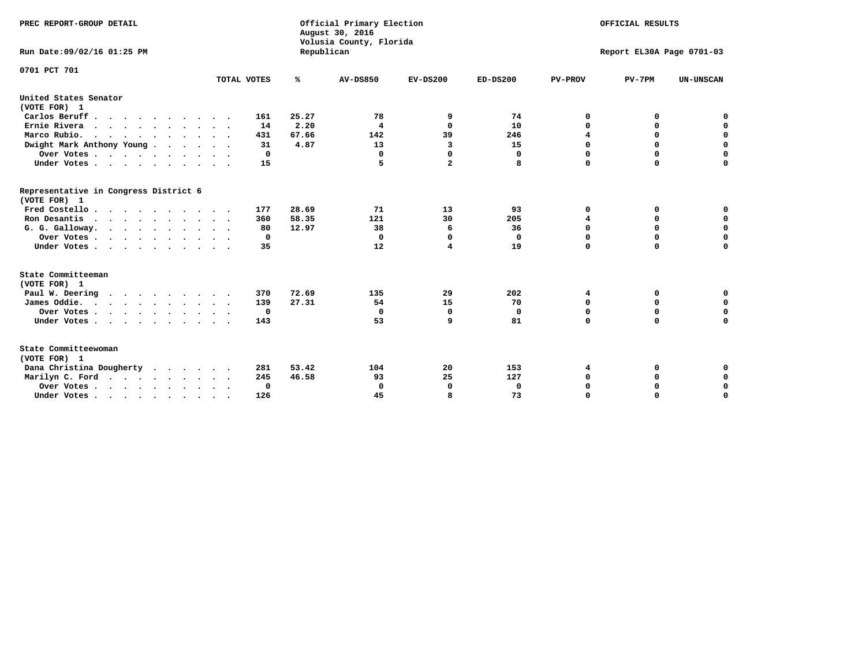| PREC REPORT-GROUP DETAIL<br>Run Date:09/02/16 01:25 PM |                            | Republican | Official Primary Election<br>August 30, 2016<br>Volusia County, Florida | OFFICIAL RESULTS<br>Report EL30A Page 0701-03 |            |                |             |                  |
|--------------------------------------------------------|----------------------------|------------|-------------------------------------------------------------------------|-----------------------------------------------|------------|----------------|-------------|------------------|
| 0701 PCT 701                                           | TOTAL VOTES                | ℁          | <b>AV-DS850</b>                                                         | $EV-DS200$                                    | $ED-DS200$ | <b>PV-PROV</b> | $PV-7PM$    | <b>UN-UNSCAN</b> |
|                                                        |                            |            |                                                                         |                                               |            |                |             |                  |
| United States Senator<br>(VOTE FOR) 1                  |                            |            |                                                                         |                                               |            |                |             |                  |
| Carlos Beruff                                          | 161                        | 25.27      | 78                                                                      | 9                                             | 74         | 0              | 0           | 0                |
| Ernie Rivera<br>$\cdots$                               | 14                         | 2.20       | 4                                                                       | $\mathbf{0}$                                  | 10         | $\Omega$       | 0           | $\mathbf 0$      |
| Marco Rubio.                                           | 431                        | 67.66      | 142                                                                     | 39                                            | 246        | 4              | 0           | $\mathbf 0$      |
| Dwight Mark Anthony Young                              | 31                         | 4.87       | 13                                                                      | 3                                             | 15         | $\mathbf 0$    | $\mathbf 0$ | $\mathbf 0$      |
| Over Votes                                             | 0                          |            | 0                                                                       | $\Omega$                                      | 0          | $\mathbf 0$    | $\Omega$    | $\mathbf 0$      |
| Under Votes                                            | 15<br>$\ddot{\phantom{1}}$ |            | 5                                                                       | $\overline{a}$                                | 8          | $\Omega$       | $\Omega$    | $\Omega$         |
| Representative in Congress District 6<br>(VOTE FOR) 1  |                            |            |                                                                         |                                               |            |                |             |                  |
| Fred Costello                                          | 177                        | 28.69      | 71                                                                      | 13                                            | 93         | 0              | 0           | $\mathbf 0$      |
| Ron Desantis                                           | 360                        | 58.35      | 121                                                                     | 30                                            | 205        | 4              | 0           | $\mathbf 0$      |
| G. G. Galloway.                                        | 80                         | 12.97      | 38                                                                      | 6                                             | 36         | $\mathbf 0$    | $\mathbf 0$ | $\mathbf 0$      |
| Over Votes                                             | 0                          |            | $\Omega$                                                                | $\Omega$                                      | 0          | 0              | 0           | 0                |
| Under Votes                                            | 35                         |            | 12                                                                      | 4                                             | 19         | $\mathbf 0$    | $\Omega$    | $\mathbf 0$      |
| State Committeeman                                     |                            |            |                                                                         |                                               |            |                |             |                  |
| (VOTE FOR) 1<br>Paul W. Deering                        | 370                        | 72.69      | 135                                                                     | 29                                            | 202        | 4              | 0           | 0                |
| James Oddie.                                           | 139                        | 27.31      | 54                                                                      | 15                                            | 70         | 0              | 0           | $\mathbf 0$      |
| Over Votes                                             | 0                          |            | 0                                                                       | 0                                             | 0          | 0              | $\mathbf 0$ | $\mathbf 0$      |
| Under Votes                                            | 143                        |            | 53                                                                      | 9                                             | 81         | $\mathbf 0$    | $\mathbf 0$ | $\mathbf 0$      |
|                                                        |                            |            |                                                                         |                                               |            |                |             |                  |
| State Committeewoman<br>(VOTE FOR) 1                   |                            |            |                                                                         |                                               |            |                |             |                  |
| Dana Christina Dougherty<br>.                          | 281                        | 53.42      | 104                                                                     | 20                                            | 153        | 4              | 0           | 0                |
| Marilyn C. Ford                                        | 245                        | 46.58      | 93                                                                      | 25                                            | 127        | 0              | 0           | 0                |
| Over Votes                                             | $\Omega$                   |            | $\mathbf 0$                                                             | 0                                             | 0          | 0              | 0           | $\mathbf 0$      |
| Under Votes, , , , , , , , , ,                         | 126                        |            | 45                                                                      | R                                             | 73         | $\Omega$       | $\Omega$    | $\Omega$         |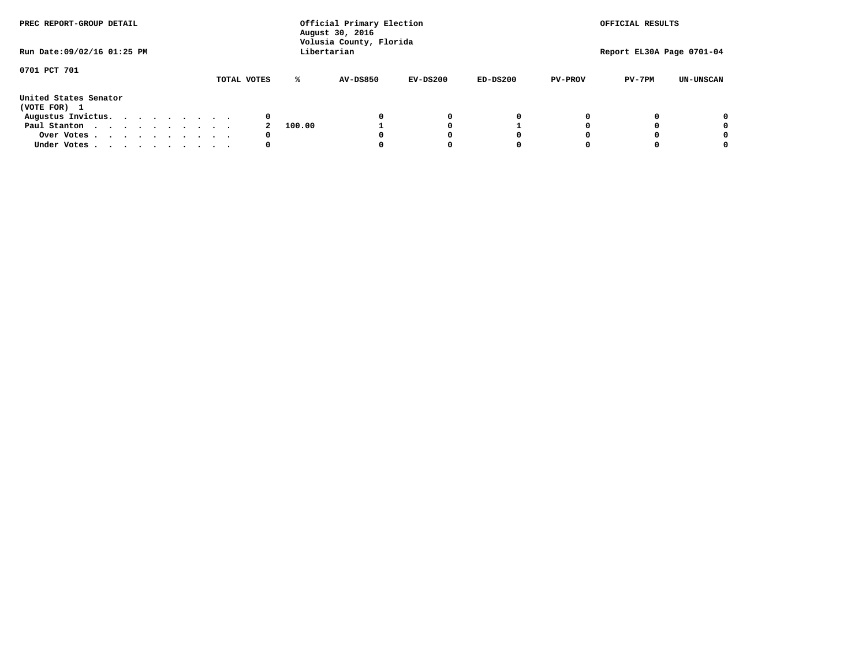| PREC REPORT-GROUP DETAIL              |  |  |  |  |  | Official Primary Election<br>August 30, 2016<br>Volusia County, Florida | OFFICIAL RESULTS<br>Report EL30A Page 0701-04 |                 |            |            |                |          |                  |
|---------------------------------------|--|--|--|--|--|-------------------------------------------------------------------------|-----------------------------------------------|-----------------|------------|------------|----------------|----------|------------------|
| Run Date: 09/02/16 01:25 PM           |  |  |  |  |  |                                                                         |                                               | Libertarian     |            |            |                |          |                  |
| 0701 PCT 701                          |  |  |  |  |  | TOTAL VOTES                                                             | ℁                                             | <b>AV-DS850</b> | $EV-DS200$ | $ED-DS200$ | <b>PV-PROV</b> | $PV-7PM$ | <b>UN-UNSCAN</b> |
| United States Senator<br>(VOTE FOR) 1 |  |  |  |  |  |                                                                         |                                               |                 |            |            |                |          |                  |
| Augustus Invictus.                    |  |  |  |  |  | 0                                                                       |                                               |                 | 0          | 0          |                |          | 0                |
| Paul Stanton                          |  |  |  |  |  |                                                                         | 100.00                                        |                 |            |            |                |          | 0                |
| Over Votes                            |  |  |  |  |  | 0                                                                       |                                               |                 |            | 0          |                |          | 0                |
| Under Votes                           |  |  |  |  |  | 0                                                                       |                                               |                 |            | 0          |                |          | 0                |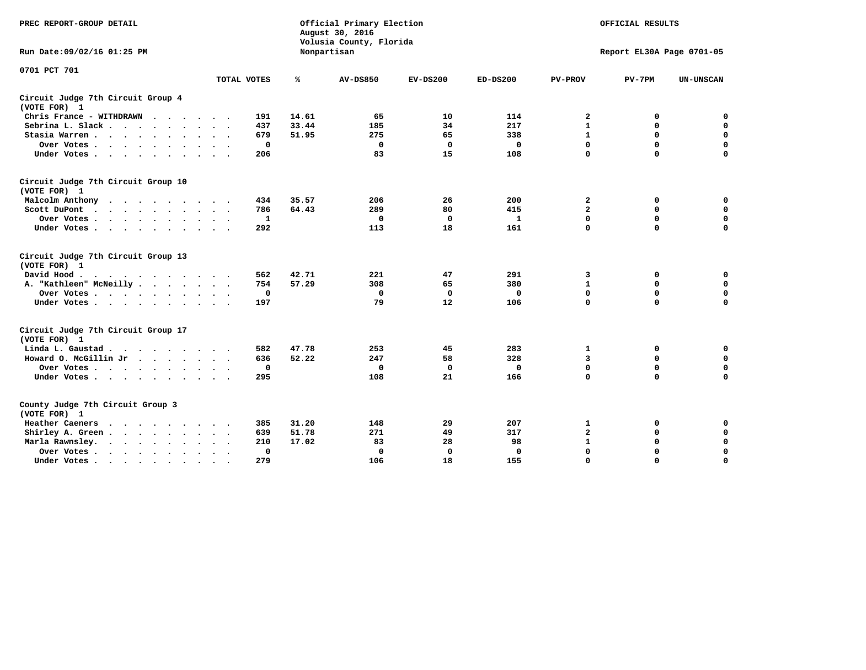| PREC REPORT-GROUP DETAIL                                   |             |       | Official Primary Election<br>August 30, 2016<br>Volusia County, Florida | OFFICIAL RESULTS<br>Report EL30A Page 0701-05 |              |                |             |                  |
|------------------------------------------------------------|-------------|-------|-------------------------------------------------------------------------|-----------------------------------------------|--------------|----------------|-------------|------------------|
| Run Date: 09/02/16 01:25 PM                                |             |       | Nonpartisan                                                             |                                               |              |                |             |                  |
| 0701 PCT 701                                               |             |       |                                                                         |                                               |              |                |             |                  |
|                                                            | TOTAL VOTES | ℁     | <b>AV-DS850</b>                                                         | $EV-DS200$                                    | $ED-DS200$   | <b>PV-PROV</b> | $PV-7PM$    | <b>UN-UNSCAN</b> |
| Circuit Judge 7th Circuit Group 4<br>(VOTE FOR) 1          |             |       |                                                                         |                                               |              |                |             |                  |
| Chris France - WITHDRAWN                                   | 191         | 14.61 | 65                                                                      | 10                                            | 114          | $\mathbf{2}$   | 0           | 0                |
| Sebrina L. Slack                                           | 437         | 33.44 | 185                                                                     | 34                                            | 217          | $\mathbf{1}$   | $\mathbf 0$ | $\mathbf 0$      |
| Stasia Warren                                              | 679         | 51.95 | 275                                                                     | 65                                            | 338          | $\mathbf{1}$   | $\Omega$    | $\mathbf 0$      |
| Over Votes                                                 | $\mathbf 0$ |       | $\mathbf{0}$                                                            | 0                                             | 0            | $\mathbf 0$    | $\mathbf 0$ | $\mathbf 0$      |
| Under Votes                                                | 206         |       | 83                                                                      | 15                                            | 108          | $\mathbf 0$    | $\Omega$    | $\mathbf 0$      |
| Circuit Judge 7th Circuit Group 10<br>(VOTE FOR) 1         |             |       |                                                                         |                                               |              |                |             |                  |
| Malcolm Anthony                                            | 434         | 35.57 | 206                                                                     | 26                                            | 200          | 2              | 0           | 0                |
| Scott DuPont                                               | 786         | 64.43 | 289                                                                     | 80                                            | 415          | 2              | $\mathbf 0$ | $\mathbf 0$      |
| Over Votes<br>$\ddot{\phantom{1}}$                         | 1           |       | $\Omega$                                                                | 0                                             | 1            | $\mathbf 0$    | 0           | $\mathbf 0$      |
| Under Votes                                                | 292         |       | 113                                                                     | 18                                            | 161          | $\mathbf 0$    | $\Omega$    | $\Omega$         |
| Circuit Judge 7th Circuit Group 13<br>(VOTE FOR) 1         |             |       |                                                                         |                                               |              |                |             |                  |
| David Hood.                                                | 562         | 42.71 | 221                                                                     | 47                                            | 291          | 3              | 0           | $\mathbf 0$      |
| A. "Kathleen" McNeilly                                     | 754         | 57.29 | 308                                                                     | 65                                            | 380          | $\mathbf{1}$   | 0           | $\mathbf 0$      |
| Over Votes                                                 | $\mathbf 0$ |       | $\mathbf{0}$                                                            | $\mathbf 0$                                   | $\mathbf{0}$ | 0              | $\mathbf 0$ | $\mathbf 0$      |
| Under Votes                                                | 197         |       | 79                                                                      | 12                                            | 106          | $\mathbf 0$    | $\Omega$    | 0                |
| Circuit Judge 7th Circuit Group 17<br>(VOTE FOR) 1         |             |       |                                                                         |                                               |              |                |             |                  |
| Linda L. Gaustad                                           | 582         | 47.78 | 253                                                                     | 45                                            | 283          | 1              | 0           | $\mathbf 0$      |
| Howard O. McGillin Jr                                      | 636         | 52.22 | 247                                                                     | 58                                            | 328          | 3              | 0           | 0                |
| Over Votes                                                 | $\mathbf 0$ |       | $\Omega$                                                                | 0                                             | 0            | $\mathbf 0$    | $\mathbf 0$ | 0                |
| Under Votes                                                | 295         |       | 108                                                                     | 21                                            | 166          | $\mathbf 0$    | $\mathbf 0$ | $\Omega$         |
| County Judge 7th Circuit Group 3<br>(VOTE FOR) 1           |             |       |                                                                         |                                               |              |                |             |                  |
| Heather Caeners<br>$\cdots$                                | 385         | 31.20 | 148                                                                     | 29                                            | 207          | 1              | 0           | 0                |
| Shirley A. Green                                           | 639         | 51.78 | 271                                                                     | 49                                            | 317          | $\mathbf{2}$   | $\Omega$    | $\mathbf 0$      |
| Marla Rawnsley.<br>$\cdot$ $\cdot$ $\cdot$ $\cdot$ $\cdot$ | 210         | 17.02 | 83                                                                      | 28                                            | 98           | $\mathbf 1$    | $\mathbf 0$ | $\pmb{0}$        |
| Over Votes.<br>$\ddot{\phantom{a}}$<br>$\cdot$             | 0           |       | $\Omega$                                                                | 0                                             | 0            | $\mathbf 0$    | 0           | $\mathbf 0$      |
| Under Votes<br>$\sim$<br>$\sim$                            | 279         |       | 106                                                                     | 18                                            | 155          | $\mathbf 0$    | $\mathbf 0$ | 0                |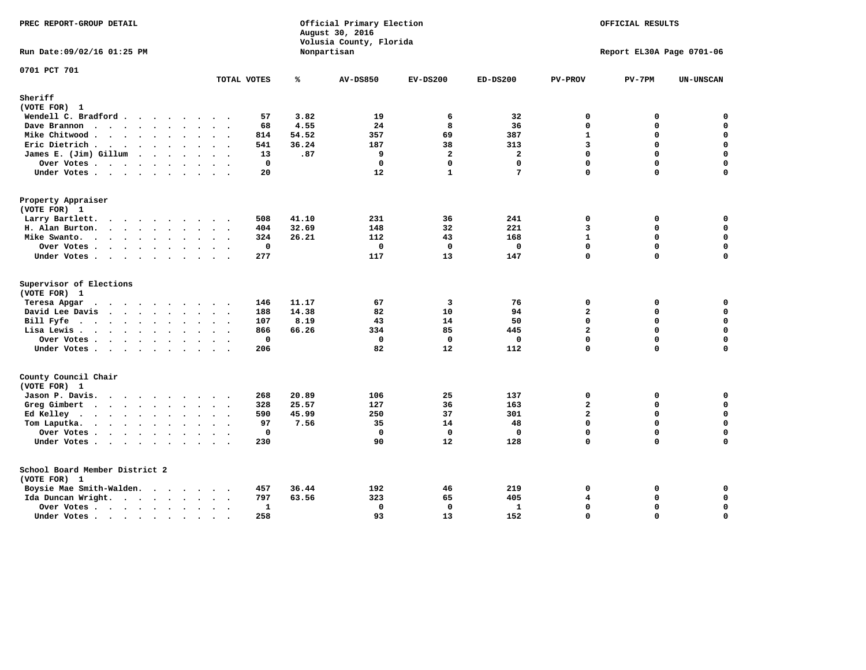| PREC REPORT-GROUP DETAIL                |                             |             |       | Official Primary Election<br>August 30, 2016<br>Volusia County, Florida | OFFICIAL RESULTS<br>Report EL30A Page 0701-06 |                 |                               |             |                  |
|-----------------------------------------|-----------------------------|-------------|-------|-------------------------------------------------------------------------|-----------------------------------------------|-----------------|-------------------------------|-------------|------------------|
| Run Date: 09/02/16 01:25 PM             |                             |             |       | Nonpartisan                                                             |                                               |                 |                               |             |                  |
| 0701 PCT 701                            |                             | TOTAL VOTES | ℁     | <b>AV-DS850</b>                                                         | $EV-DS200$                                    | $ED-DS200$      | <b>PV-PROV</b>                | $PV-7PM$    | UN-UNSCAN        |
| Sheriff                                 |                             |             |       |                                                                         |                                               |                 |                               |             |                  |
| (VOTE FOR) 1                            |                             |             |       |                                                                         |                                               |                 |                               |             |                  |
| Wendell C. Bradford                     |                             | 57          | 3.82  | 19                                                                      | 6                                             | 32              | $\mathbf 0$                   | 0           | 0                |
| Dave Brannon                            |                             | 68          | 4.55  | 24                                                                      | 8                                             | 36              | 0                             | 0           | $\mathbf 0$      |
| Mike Chitwood                           | $\ddot{\phantom{a}}$        | 814         | 54.52 | 357                                                                     | 69                                            | 387             | $\mathbf{1}$                  | 0           | $\mathbf 0$      |
| Eric Dietrich.                          |                             | 541         | 36.24 | 187                                                                     | 38                                            | 313             | $\overline{3}$                | $\Omega$    | $\mathbf 0$      |
| James E. (Jim) Gillum                   |                             | 13          | .87   | 9                                                                       | $\overline{a}$                                | $\overline{a}$  | 0                             | 0           | $\mathbf 0$      |
| Over Votes                              | $\cdot$                     | $\mathbf 0$ |       | $\Omega$                                                                | $\mathbf{0}$                                  | $\mathbf{0}$    | 0                             | $\Omega$    | $\mathbf 0$      |
| Under Votes                             |                             | 20          |       | 12                                                                      | $\mathbf{1}$                                  | $7\phantom{.0}$ | 0                             | $\Omega$    | $\mathbf 0$      |
| Property Appraiser                      |                             |             |       |                                                                         |                                               |                 |                               |             |                  |
| (VOTE FOR) 1                            |                             |             |       |                                                                         |                                               |                 |                               |             |                  |
| Larry Bartlett.                         |                             | 508         | 41.10 | 231                                                                     | 36                                            | 241             | 0                             | 0           | 0                |
| H. Alan Burton.                         |                             | 404         | 32.69 | 148                                                                     | 32                                            | 221             | $\overline{3}$                | 0           | $\mathbf 0$      |
| Mike Swanto.                            |                             | 324         | 26.21 | 112                                                                     | 43                                            | 168             | $\mathbf{1}$                  | 0           | 0                |
| Over Votes                              |                             | $\mathbf 0$ |       | $\mathbf{0}$                                                            | $\mathbf{0}$                                  | $\mathbf 0$     | 0                             | $\Omega$    | 0                |
| Under Votes                             |                             | 277         |       | 117                                                                     | 13                                            | 147             | 0                             | $\Omega$    | 0                |
| Supervisor of Elections<br>(VOTE FOR) 1 |                             |             |       |                                                                         |                                               |                 |                               |             |                  |
| Teresa Apgar                            |                             | 146         | 11.17 | 67                                                                      | $\overline{\mathbf{3}}$                       | 76              | 0                             | 0           | $\mathbf 0$      |
| David Lee Davis                         |                             | 188         | 14.38 | 82                                                                      | 10                                            | 94              | $\overline{\mathbf{2}}$       | 0           | $\mathbf 0$      |
| Bill Fyfe                               |                             | 107         | 8.19  | 43                                                                      | 14                                            | 50              | $\Omega$                      | 0           | 0                |
| Lisa Lewis                              |                             | 866         | 66.26 | 334                                                                     | 85                                            | 445             | $\overline{a}$                | $\mathbf 0$ | $\mathbf 0$      |
| Over Votes                              |                             | $\mathbf 0$ |       | $\mathbf{0}$                                                            | $\mathbf 0$                                   | $\mathbf 0$     | 0                             | 0           | $\mathbf 0$      |
| Under Votes                             |                             | 206         |       | 82                                                                      | 12                                            | 112             | 0                             | $\Omega$    | $\mathbf 0$      |
|                                         |                             |             |       |                                                                         |                                               |                 |                               |             |                  |
| County Council Chair<br>(VOTE FOR) 1    |                             |             |       |                                                                         |                                               |                 |                               |             |                  |
|                                         |                             |             |       |                                                                         |                                               |                 |                               |             |                  |
| Jason P. Davis.                         |                             | 268         | 20.89 | 106<br>127                                                              | 25<br>36                                      | 137<br>163      | $\mathbf 0$<br>$\overline{a}$ | 0<br>0      | 0<br>$\mathbf 0$ |
| Greg Gimbert                            |                             | 328         | 25.57 |                                                                         |                                               |                 | $\overline{a}$                | $\Omega$    | $\mathbf 0$      |
| Ed Kelley                               | $\sim$ $\sim$ $\sim$ $\sim$ | 590         | 45.99 | 250                                                                     | 37                                            | 301             |                               |             |                  |
| Tom Laputka.                            |                             | 97          | 7.56  | 35                                                                      | 14                                            | 48              | 0<br>0                        | 0<br>0      | $\mathbf 0$<br>0 |
| Over Votes                              |                             | $\mathbf 0$ |       | $^{\circ}$                                                              | 0                                             | $\Omega$        | $\Omega$                      | $\Omega$    | $\Omega$         |
| Under Votes                             |                             | 230         |       | 90                                                                      | 12                                            | 128             |                               |             |                  |
| School Board Member District 2          |                             |             |       |                                                                         |                                               |                 |                               |             |                  |
| (VOTE FOR) 1                            |                             |             |       |                                                                         |                                               |                 |                               |             |                  |
| Boysie Mae Smith-Walden.                |                             | 457         | 36.44 | 192                                                                     | 46                                            | 219             | 0                             | 0           | 0                |
| Ida Duncan Wright.                      |                             | 797         | 63.56 | 323                                                                     | 65                                            | 405             | $\overline{4}$                | 0           | $\mathbf 0$      |
| Over Votes                              |                             | 1           |       | 0                                                                       | $\mathbf 0$                                   | 1               | 0                             | 0           | $\mathbf 0$      |
| Under Votes                             | $\sim$                      | 258         |       | 93                                                                      | 13                                            | 152             | 0                             | $\Omega$    | $\mathbf 0$      |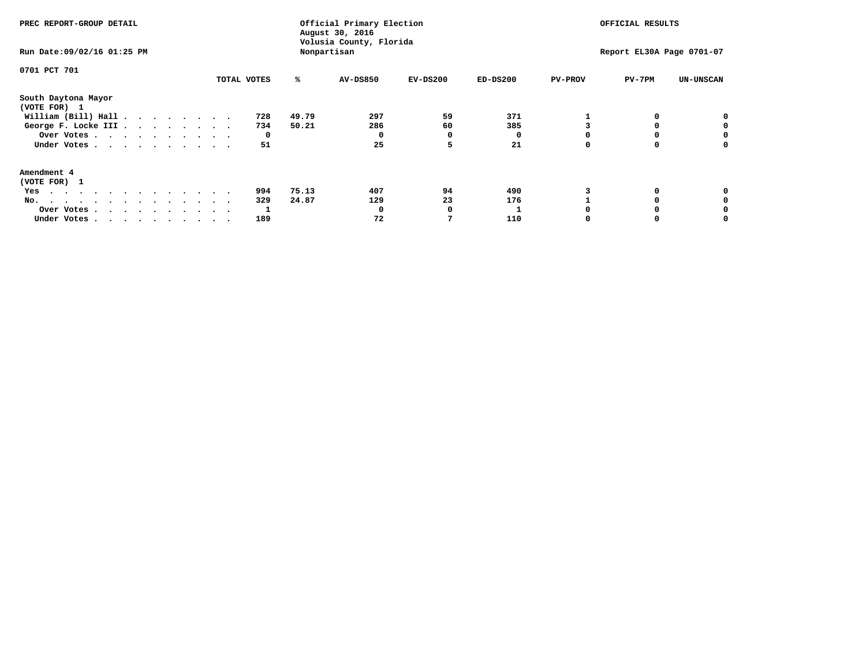| PREC REPORT-GROUP DETAIL                                                                                                                                                                                                                 |             |       | Official Primary Election<br>August 30, 2016<br>Volusia County, Florida | OFFICIAL RESULTS |            |                |                           |                  |
|------------------------------------------------------------------------------------------------------------------------------------------------------------------------------------------------------------------------------------------|-------------|-------|-------------------------------------------------------------------------|------------------|------------|----------------|---------------------------|------------------|
| Run Date: 09/02/16 01:25 PM                                                                                                                                                                                                              |             |       | Nonpartisan                                                             |                  |            |                | Report EL30A Page 0701-07 |                  |
| 0701 PCT 701                                                                                                                                                                                                                             |             |       |                                                                         |                  |            |                |                           |                  |
|                                                                                                                                                                                                                                          | TOTAL VOTES | ℁     | <b>AV-DS850</b>                                                         | $EV-DS200$       | $ED-DS200$ | <b>PV-PROV</b> | PV-7PM                    | <b>UN-UNSCAN</b> |
| South Daytona Mayor<br>(VOTE FOR) 1                                                                                                                                                                                                      |             |       |                                                                         |                  |            |                |                           |                  |
| William (Bill) Hall $\cdot \cdot \cdot \cdot \cdot \cdot \cdot$                                                                                                                                                                          | 728         | 49.79 | 297                                                                     | 59               | 371        |                |                           | 0                |
| George F. Locke III                                                                                                                                                                                                                      | 734         | 50.21 | 286                                                                     | 60               | 385        |                |                           |                  |
| Over Votes                                                                                                                                                                                                                               | 0           |       | 0                                                                       |                  |            |                |                           | 0                |
| Under Votes                                                                                                                                                                                                                              | 51          |       | 25                                                                      |                  | 21         |                |                           | 0                |
| Amendment 4                                                                                                                                                                                                                              |             |       |                                                                         |                  |            |                |                           |                  |
| (VOTE FOR) 1                                                                                                                                                                                                                             |             |       |                                                                         |                  |            |                |                           |                  |
| Yes<br>$\mathbf{a}$ . The contribution of the contribution of the contribution of the contribution of the contribution of the contribution of the contribution of the contribution of the contribution of the contribution of the contri | 994         | 75.13 | 407                                                                     | 94               | 490        |                |                           |                  |
| No.                                                                                                                                                                                                                                      | 329         | 24.87 | 129                                                                     | 23               | 176        |                |                           |                  |
| Over Votes                                                                                                                                                                                                                               |             |       | O                                                                       |                  |            |                |                           |                  |
| Under Votes                                                                                                                                                                                                                              | 189         |       | 72                                                                      |                  | 110        |                |                           |                  |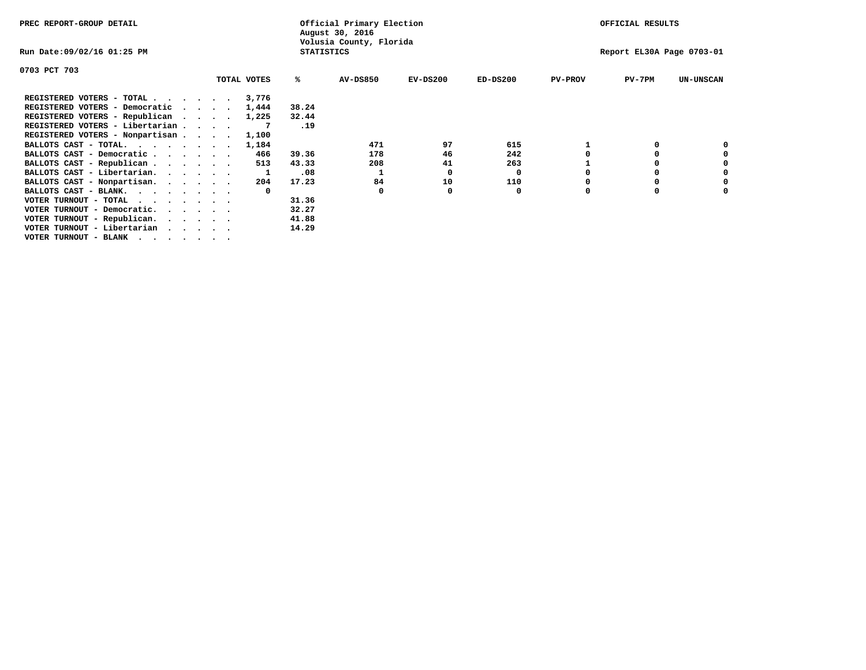| PREC REPORT-GROUP DETAIL        |  |             |                   | Official Primary Election<br>August 30, 2016 |            | OFFICIAL RESULTS |                |                           |                  |  |
|---------------------------------|--|-------------|-------------------|----------------------------------------------|------------|------------------|----------------|---------------------------|------------------|--|
| Run Date:09/02/16 01:25 PM      |  |             | <b>STATISTICS</b> | Volusia County, Florida                      |            |                  |                | Report EL30A Page 0703-01 |                  |  |
| 0703 PCT 703                    |  |             |                   |                                              |            |                  |                |                           |                  |  |
|                                 |  | TOTAL VOTES | ℁                 | <b>AV-DS850</b>                              | $EV-DS200$ | $ED-DS200$       | <b>PV-PROV</b> | $PV-7PM$                  | <b>UN-UNSCAN</b> |  |
| REGISTERED VOTERS - TOTAL       |  | 3,776       |                   |                                              |            |                  |                |                           |                  |  |
| REGISTERED VOTERS - Democratic  |  | 1,444       | 38.24             |                                              |            |                  |                |                           |                  |  |
| REGISTERED VOTERS - Republican  |  | 1,225       | 32.44             |                                              |            |                  |                |                           |                  |  |
| REGISTERED VOTERS - Libertarian |  |             | .19               |                                              |            |                  |                |                           |                  |  |
| REGISTERED VOTERS - Nonpartisan |  | 1,100       |                   |                                              |            |                  |                |                           |                  |  |
| BALLOTS CAST - TOTAL.           |  | 1,184       |                   | 471                                          | 97         | 615              |                |                           |                  |  |
| BALLOTS CAST - Democratic       |  | 466         | 39.36             | 178                                          | 46         | 242              |                |                           |                  |  |
| BALLOTS CAST - Republican       |  | 513         | 43.33             | 208                                          | 41         | 263              |                |                           |                  |  |
| BALLOTS CAST - Libertarian.     |  |             | .08               |                                              | 0          | 0                |                |                           |                  |  |
| BALLOTS CAST - Nonpartisan.     |  | 204         | 17.23             | 84                                           | 10         | 110              |                |                           |                  |  |
| BALLOTS CAST - BLANK.           |  | $\Omega$    |                   | <sup>0</sup>                                 |            | 0                |                |                           |                  |  |
| VOTER TURNOUT - TOTAL           |  |             | 31.36             |                                              |            |                  |                |                           |                  |  |
| VOTER TURNOUT - Democratic.     |  |             | 32.27             |                                              |            |                  |                |                           |                  |  |
| VOTER TURNOUT - Republican.     |  |             | 41.88             |                                              |            |                  |                |                           |                  |  |
| VOTER TURNOUT - Libertarian     |  |             | 14.29             |                                              |            |                  |                |                           |                  |  |
| VOTER TURNOUT - BLANK           |  |             |                   |                                              |            |                  |                |                           |                  |  |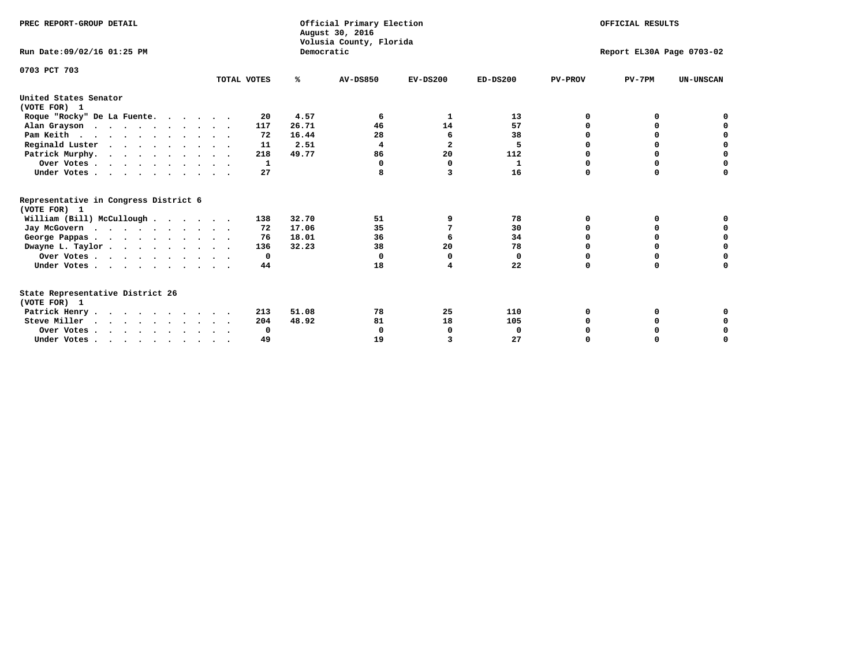| PREC REPORT-GROUP DETAIL<br>Run Date: 09/02/16 01:25 PM                          |             | Democratic | Official Primary Election<br>August 30, 2016<br>Volusia County, Florida | OFFICIAL RESULTS<br>Report EL30A Page 0703-02 |              |                |             |                  |
|----------------------------------------------------------------------------------|-------------|------------|-------------------------------------------------------------------------|-----------------------------------------------|--------------|----------------|-------------|------------------|
|                                                                                  |             |            |                                                                         |                                               |              |                |             |                  |
| 0703 PCT 703                                                                     | TOTAL VOTES | %ะ         | <b>AV-DS850</b>                                                         | $EV-DS200$                                    | $ED-DS200$   | <b>PV-PROV</b> | $PV-7PM$    | <b>UN-UNSCAN</b> |
| United States Senator<br>(VOTE FOR) 1                                            |             |            |                                                                         |                                               |              |                |             |                  |
| Roque "Rocky" De La Fuente.                                                      | 20          | 4.57       | 6                                                                       | 1                                             | 13           | O              | 0           |                  |
| Alan Grayson                                                                     | 117         | 26.71      | 46                                                                      | 14                                            | 57           |                | $\Omega$    |                  |
| Pam Keith                                                                        | 72          | 16.44      | 28                                                                      | 6                                             | 38           |                | 0           | 0                |
| Reginald Luster                                                                  | 11          | 2.51       | $\overline{4}$                                                          | $\overline{a}$                                | 5            | O              | 0           | $\mathbf 0$      |
| Patrick Murphy.                                                                  | 218         | 49.77      | 86                                                                      | 20                                            | 112          | O              | $\mathbf 0$ | $\mathbf 0$      |
| Over Votes                                                                       | 1           |            | 0                                                                       | $\Omega$                                      | $\mathbf{1}$ | $\Omega$       | 0           | $\mathbf 0$      |
| Under Votes.                                                                     | 27          |            |                                                                         | 3                                             | 16           | $\Omega$       | 0           | 0                |
| Representative in Congress District 6<br>(VOTE FOR) 1                            |             |            |                                                                         |                                               |              |                |             |                  |
| William (Bill) McCullough                                                        | 138         | 32.70      | 51                                                                      | 9                                             | 78           | $\Omega$       | 0           |                  |
| Jay McGovern                                                                     | 72          | 17.06      | 35                                                                      | 7                                             | 30           | $\Omega$       | $\Omega$    | 0                |
| George Pappas.                                                                   | 76          | 18.01      | 36                                                                      | 6                                             | 34           | 0              | 0           | 0                |
| Dwayne L. Taylor                                                                 | 136         | 32.23      | 38                                                                      | 20                                            | 78           | $\Omega$       | 0           | 0                |
| Over Votes                                                                       | 0           |            | $\Omega$                                                                | 0                                             | 0            | 0              | 0           | 0                |
| Under Votes                                                                      | 44          |            | 18                                                                      | 4                                             | 22           | $\Omega$       | 0           | O                |
| State Representative District 26<br>(VOTE FOR) 1                                 |             |            |                                                                         |                                               |              |                |             |                  |
| Patrick Henry                                                                    | 213         | 51.08      | 78                                                                      | 25                                            | 110          | O              | 0           | 0                |
| Steve Miller                                                                     | 204         | 48.92      | 81                                                                      | 18                                            | 105          |                | 0           | 0                |
| Over Votes                                                                       | $\Omega$    |            | $\Omega$                                                                | 0                                             | $\Omega$     |                | 0           | 0                |
| Under Votes, $\cdot$ , $\cdot$ , $\cdot$ , $\cdot$ , $\cdot$ , $\cdot$ , $\cdot$ | 49          |            | 19                                                                      |                                               | 27           | $\Omega$       |             | $\Omega$         |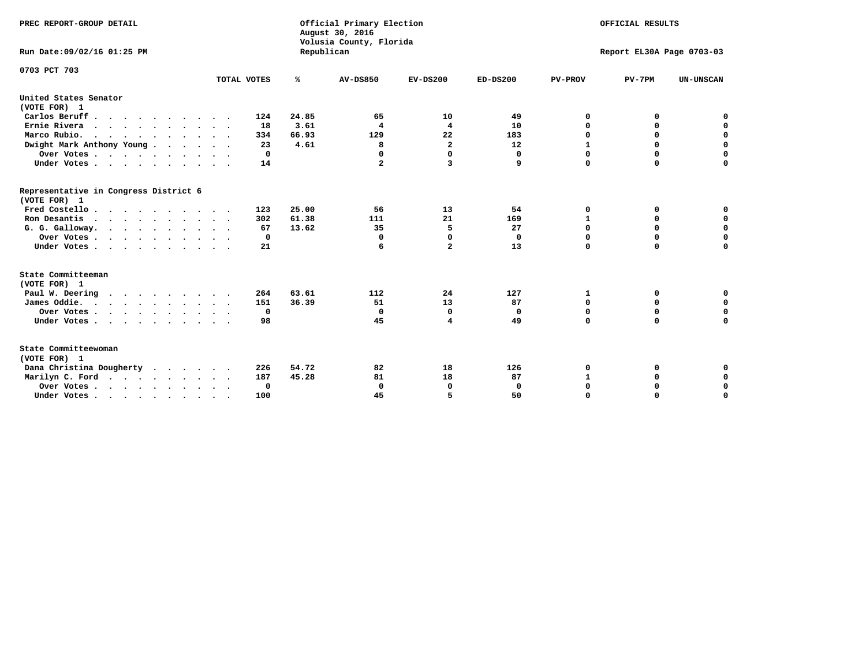| PREC REPORT-GROUP DETAIL<br>Run Date: 09/02/16 01:25 PM |             |            | Official Primary Election<br>August 30, 2016<br>Volusia County, Florida | OFFICIAL RESULTS<br>Report EL30A Page 0703-03 |              |                |             |                  |
|---------------------------------------------------------|-------------|------------|-------------------------------------------------------------------------|-----------------------------------------------|--------------|----------------|-------------|------------------|
|                                                         |             | Republican |                                                                         |                                               |              |                |             |                  |
| 0703 PCT 703                                            |             |            |                                                                         |                                               |              |                |             |                  |
|                                                         | TOTAL VOTES | ℁          | <b>AV-DS850</b>                                                         | $EV-DS200$                                    | $ED-DS200$   | <b>PV-PROV</b> | $PV-7PM$    | <b>UN-UNSCAN</b> |
| United States Senator<br>(VOTE FOR) 1                   |             |            |                                                                         |                                               |              |                |             |                  |
| Carlos Beruff.                                          | 124         | 24.85      | 65                                                                      | 10                                            | 49           | 0              | 0           | 0                |
| Ernie Rivera                                            | 18          | 3.61       | $\overline{\mathbf{4}}$                                                 | 4                                             | 10           | $\Omega$       | 0           | $\mathbf 0$      |
| Marco Rubio.                                            | 334         | 66.93      | 129                                                                     | 22                                            | 183          | $\mathbf 0$    | $\mathbf 0$ | $\mathbf 0$      |
| Dwight Mark Anthony Young                               | 23          | 4.61       | 8                                                                       | $\mathbf{2}$                                  | 12           | $\mathbf 1$    | $\mathbf 0$ | $\pmb{0}$        |
| Over Votes                                              | 0           |            | 0                                                                       | $\Omega$                                      | 0            | 0              | 0           | 0                |
| Under Votes                                             | 14          |            | $\mathbf{2}$                                                            | 3                                             | 9            | $\Omega$       | $\Omega$    | $\mathbf 0$      |
| Representative in Congress District 6<br>(VOTE FOR) 1   |             |            |                                                                         |                                               |              |                |             |                  |
| Fred Costello.                                          | 123         | 25.00      | 56                                                                      | 13                                            | 54           | 0              | 0           | 0                |
| Ron Desantis                                            | 302         | 61.38      | 111                                                                     | 21                                            | 169          | 1              | 0           | $\mathbf 0$      |
| G. G. Galloway.                                         | 67          | 13.62      | 35                                                                      | 5                                             | 27           | $\mathbf 0$    | $\Omega$    | $\mathbf 0$      |
| Over Votes                                              | $^{\circ}$  |            | $\Omega$                                                                | $\mathbf 0$                                   | $\mathbf{0}$ | $\mathbf 0$    | $\mathbf 0$ | $\mathbf 0$      |
| Under Votes                                             | 21          |            | 6                                                                       | $\overline{a}$                                | 13           | $\mathbf 0$    | $\Omega$    | $\mathbf 0$      |
| State Committeeman                                      |             |            |                                                                         |                                               |              |                |             |                  |
| (VOTE FOR) 1                                            |             |            |                                                                         |                                               |              |                |             |                  |
| Paul W. Deering                                         | 264         | 63.61      | 112                                                                     | 24                                            | 127          | 1              | 0           | 0                |
| James Oddie.                                            | 151         | 36.39      | 51                                                                      | 13                                            | 87           | 0              | 0           | $\mathbf 0$      |
| Over Votes                                              | 0           |            | $\mathbf{0}$                                                            | $\mathbf 0$                                   | 0            | 0              | $\mathbf 0$ | $\mathbf 0$      |
| Under Votes                                             | 98          |            | 45                                                                      | 4                                             | 49           | $\Omega$       | $\mathbf 0$ | $\mathbf 0$      |
| State Committeewoman<br>(VOTE FOR) 1                    |             |            |                                                                         |                                               |              |                |             |                  |
| Dana Christina Dougherty<br>.                           | 226         | 54.72      | 82                                                                      | 18                                            | 126          | 0              | 0           | 0                |
| Marilyn C. Ford                                         | 187         | 45.28      | 81                                                                      | 18                                            | 87           | $\mathbf{1}$   | 0           | 0                |
| Over Votes                                              | $\Omega$    |            | $\Omega$                                                                | 0                                             | 0            | 0              | 0           | $\mathbf 0$      |
| Under Votes, , , , , , , , , ,                          | 100         |            | 45                                                                      | 5                                             | 50           | $\Omega$       | $\Omega$    | $\Omega$         |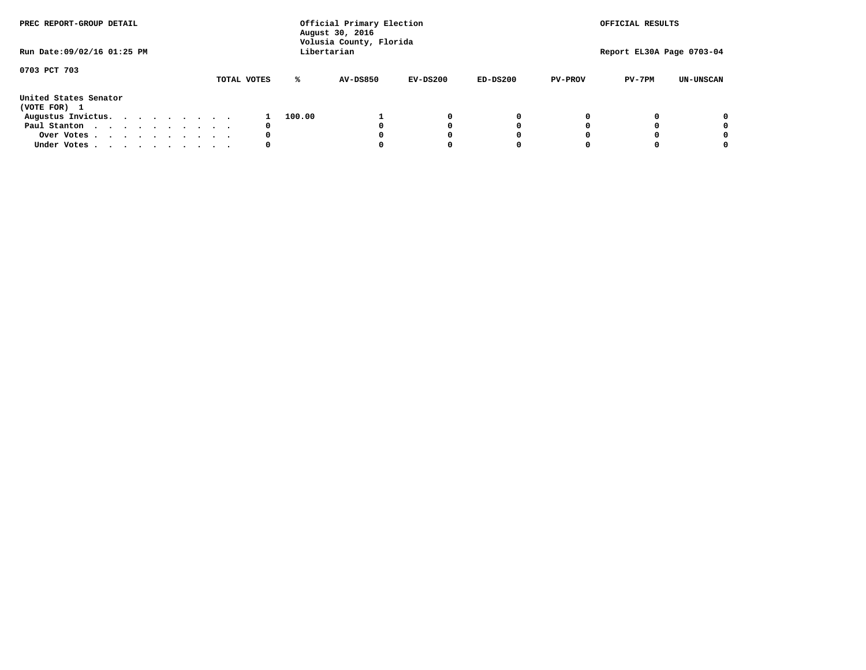| PREC REPORT-GROUP DETAIL<br>Run Date: 09/02/16 01:25 PM |  |  |  |  |  | Official Primary Election<br>August 30, 2016<br>Volusia County, Florida<br>Libertarian | OFFICIAL RESULTS<br>Report EL30A Page 0703-04 |                 |            |            |                |          |                  |
|---------------------------------------------------------|--|--|--|--|--|----------------------------------------------------------------------------------------|-----------------------------------------------|-----------------|------------|------------|----------------|----------|------------------|
| 0703 PCT 703                                            |  |  |  |  |  | TOTAL VOTES                                                                            | ℁                                             | <b>AV-DS850</b> | $EV-DS200$ | $ED-DS200$ | <b>PV-PROV</b> | $PV-7PM$ | <b>UN-UNSCAN</b> |
| United States Senator<br>(VOTE FOR) 1                   |  |  |  |  |  |                                                                                        |                                               |                 |            |            |                |          |                  |
| Augustus Invictus.                                      |  |  |  |  |  |                                                                                        | 100.00                                        |                 | 0          | 0          |                |          | 0                |
| Paul Stanton                                            |  |  |  |  |  | 0                                                                                      |                                               |                 |            | 0          |                |          | 0                |
| Over Votes                                              |  |  |  |  |  | 0                                                                                      |                                               |                 |            | 0          |                |          | 0                |
| Under Votes                                             |  |  |  |  |  | 0                                                                                      |                                               |                 |            | 0          |                |          | 0                |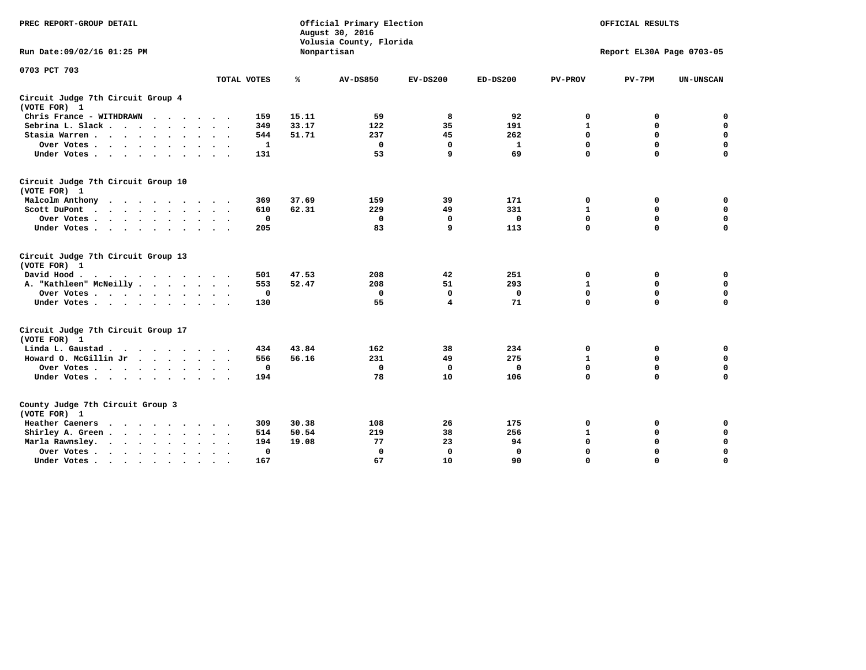| PREC REPORT-GROUP DETAIL                                                                                                                                                                                                                     |                      | Official Primary Election<br>August 30, 2016<br>Volusia County, Florida | OFFICIAL RESULTS |             |              |                |                           |                  |
|----------------------------------------------------------------------------------------------------------------------------------------------------------------------------------------------------------------------------------------------|----------------------|-------------------------------------------------------------------------|------------------|-------------|--------------|----------------|---------------------------|------------------|
| Run Date: 09/02/16 01:25 PM                                                                                                                                                                                                                  |                      |                                                                         | Nonpartisan      |             |              |                | Report EL30A Page 0703-05 |                  |
| 0703 PCT 703                                                                                                                                                                                                                                 |                      |                                                                         |                  |             |              |                |                           |                  |
|                                                                                                                                                                                                                                              | TOTAL VOTES          | %                                                                       | <b>AV-DS850</b>  | $EV-DS200$  | $ED-DS200$   | <b>PV-PROV</b> | $PV-7PM$                  | <b>UN-UNSCAN</b> |
| Circuit Judge 7th Circuit Group 4<br>(VOTE FOR) 1                                                                                                                                                                                            |                      |                                                                         |                  |             |              |                |                           |                  |
| Chris France - WITHDRAWN                                                                                                                                                                                                                     | 159                  | 15.11                                                                   | 59               | 8           | 92           | 0              | 0                         | 0                |
| Sebrina L. Slack.                                                                                                                                                                                                                            | 349                  | 33.17                                                                   | 122              | 35          | 191          | $\mathbf 1$    | $\mathbf 0$               | $\pmb{0}$        |
| Stasia Warren                                                                                                                                                                                                                                | 544                  | 51.71                                                                   | 237              | 45          | 262          | $\mathbf 0$    | 0                         | $\pmb{0}$        |
| Over Votes                                                                                                                                                                                                                                   | 1                    |                                                                         | 0                | 0           | 1            | 0              | $\mathbf 0$               | $\mathbf 0$      |
| Under Votes                                                                                                                                                                                                                                  | 131                  |                                                                         | 53               | 9           | 69           | $\mathbf 0$    | $\mathbf 0$               | $\mathbf 0$      |
| Circuit Judge 7th Circuit Group 10<br>(VOTE FOR) 1                                                                                                                                                                                           |                      |                                                                         |                  |             |              |                |                           |                  |
| Malcolm Anthony                                                                                                                                                                                                                              | 369                  | 37.69                                                                   | 159              | 39          | 171          | 0              | 0                         | 0                |
| Scott DuPont                                                                                                                                                                                                                                 | 610                  | 62.31                                                                   | 229              | 49          | 331          | $\mathbf{1}$   | $\mathbf 0$               | $\mathbf 0$      |
| Over Votes                                                                                                                                                                                                                                   | $\mathbf 0$          |                                                                         | 0                | 0           | 0            | $\mathbf 0$    | 0                         | 0                |
| Under Votes                                                                                                                                                                                                                                  | 205                  |                                                                         | 83               | 9           | 113          | $\mathbf 0$    | $\Omega$                  | $\mathbf 0$      |
| Circuit Judge 7th Circuit Group 13<br>(VOTE FOR) 1                                                                                                                                                                                           |                      |                                                                         |                  |             |              |                |                           |                  |
| David Hood.<br>. The contract of the contract of the contract of the contract of the contract of the contract of the contract of the contract of the contract of the contract of the contract of the contract of the contract of the contrac | 501                  | 47.53                                                                   | 208              | 42          | 251          | 0              | 0                         | $\mathbf 0$      |
| A. "Kathleen" McNeilly                                                                                                                                                                                                                       | 553                  | 52.47                                                                   | 208              | 51          | 293          | $\mathbf{1}$   | 0                         | 0                |
| Over Votes                                                                                                                                                                                                                                   | $\mathbf 0$          |                                                                         | 0                | $\mathbf 0$ | 0            | 0              | $\mathbf 0$               | 0                |
| Under Votes                                                                                                                                                                                                                                  | 130                  |                                                                         | 55               | 4           | 71           | $\mathbf 0$    | $\mathbf 0$               | 0                |
| Circuit Judge 7th Circuit Group 17<br>(VOTE FOR) 1                                                                                                                                                                                           |                      |                                                                         |                  |             |              |                |                           |                  |
| Linda L. Gaustad                                                                                                                                                                                                                             | 434                  | 43.84                                                                   | 162              | 38          | 234          | 0              | 0                         | $\mathbf 0$      |
| Howard O. McGillin Jr                                                                                                                                                                                                                        | 556                  | 56.16                                                                   | 231              | 49          | 275          | 1              | 0                         | 0                |
| Over Votes                                                                                                                                                                                                                                   |                      | 0                                                                       | $\Omega$         | 0           | 0            | $\mathbf 0$    | 0                         | 0                |
| Under Votes                                                                                                                                                                                                                                  | 194                  |                                                                         | 78               | 10          | 106          | $\mathbf 0$    | $\mathbf 0$               | $\mathbf 0$      |
| County Judge 7th Circuit Group 3<br>(VOTE FOR) 1                                                                                                                                                                                             |                      |                                                                         |                  |             |              |                |                           |                  |
| Heather Caeners<br>$\mathbf{r}$ , and $\mathbf{r}$ , and $\mathbf{r}$ , and $\mathbf{r}$ , and $\mathbf{r}$                                                                                                                                  | 309                  | 30.38                                                                   | 108              | 26          | 175          | 0              | 0                         | 0                |
| Shirley A. Green                                                                                                                                                                                                                             | 514                  | 50.54                                                                   | 219              | 38          | 256          | $\mathbf{1}$   | $\mathbf 0$               | $\mathbf 0$      |
| Marla Rawnsley.                                                                                                                                                                                                                              | 194                  | 19.08                                                                   | 77               | 23          | 94           | 0              | 0                         | $\mathbf 0$      |
| Over Votes                                                                                                                                                                                                                                   | $\ddot{\phantom{1}}$ | 0                                                                       | $\Omega$         | $\Omega$    | $\mathbf{0}$ | 0              | $\mathbf 0$               | $\mathbf 0$      |
| Under Votes<br>$\bullet$                                                                                                                                                                                                                     | 167                  |                                                                         | 67               | 10          | 90           | $\mathbf 0$    | $\mathbf 0$               | $\Omega$         |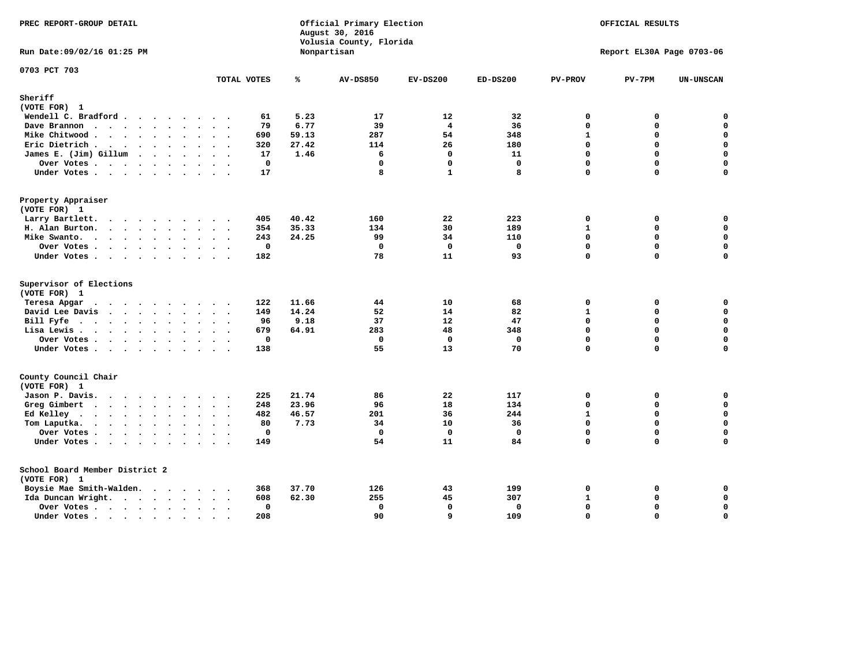| PREC REPORT-GROUP DETAIL             |                         |                            | Official Primary Election<br>August 30, 2016<br>Volusia County, Florida | OFFICIAL RESULTS<br>Report EL30A Page 0703-06 |              |                   |          |                  |
|--------------------------------------|-------------------------|----------------------------|-------------------------------------------------------------------------|-----------------------------------------------|--------------|-------------------|----------|------------------|
| Run Date: 09/02/16 01:25 PM          |                         |                            | Nonpartisan                                                             |                                               |              |                   |          |                  |
| 0703 PCT 703                         | TOTAL VOTES             | ℁                          | <b>AV-DS850</b>                                                         | $EV-DS200$                                    | $ED-DS200$   | <b>PV-PROV</b>    | $PV-7PM$ | <b>UN-UNSCAN</b> |
| Sheriff                              |                         |                            |                                                                         |                                               |              |                   |          |                  |
| (VOTE FOR) 1                         |                         |                            |                                                                         |                                               |              |                   |          |                  |
| Wendell C. Bradford                  |                         | 5.23<br>61                 | 17                                                                      | 12                                            | 32           | $\mathbf{0}$      | 0        | $\mathbf 0$      |
| Dave Brannon                         |                         | 6.77<br>79                 | 39                                                                      | $\overline{\mathbf{4}}$                       | 36           | 0                 | 0        | $\mathbf 0$      |
| Mike Chitwood                        | $\cdot$                 | 690<br>59.13               | 287                                                                     | 54                                            | 348          | $\mathbf{1}$      | 0        | 0                |
| Eric Dietrich                        |                         | 320<br>27.42               | 114                                                                     | 26                                            | 180          | $\Omega$          | 0        | $\mathbf 0$      |
| James E. (Jim) Gillum                |                         | 1.46<br>17                 | 6                                                                       | $\mathbf 0$                                   | 11           | 0                 | $\Omega$ | $\mathbf 0$      |
| Over Votes                           |                         | $\mathbf 0$                | $\mathbf{0}$                                                            | $\mathbf 0$                                   | $\mathbf{0}$ | $\Omega$          | $\Omega$ | $\mathbf 0$      |
| Under Votes                          |                         | 17                         | 8                                                                       | $\mathbf{1}$                                  | 8            | $\Omega$          | $\Omega$ | $\Omega$         |
| Property Appraiser                   |                         |                            |                                                                         |                                               |              |                   |          |                  |
| (VOTE FOR) 1                         |                         |                            |                                                                         |                                               |              |                   |          |                  |
| Larry Bartlett.                      |                         | 405<br>40.42               | 160                                                                     | 22                                            | 223          | $\mathbf 0$       | 0        | 0                |
| H. Alan Burton.                      |                         | 35.33<br>354               | 134                                                                     | 30                                            | 189          | $\mathbf{1}$      | 0        | $\mathbf 0$      |
| Mike Swanto.                         |                         | 24.25<br>243               | 99                                                                      | 34                                            | 110          | 0                 | 0        | $\mathbf 0$      |
| Over Votes                           |                         | $\mathbf 0$                | $\Omega$                                                                | $\Omega$                                      | $\mathbf 0$  | $\mathbf 0$       | $\Omega$ | $\mathbf 0$      |
| Under Votes                          |                         | 182                        | 78                                                                      | 11                                            | 93           | 0                 | $\Omega$ | 0                |
| Supervisor of Elections              |                         |                            |                                                                         |                                               |              |                   |          |                  |
| (VOTE FOR) 1                         |                         |                            |                                                                         |                                               |              |                   |          |                  |
| Teresa Apgar                         |                         | 11.66<br>122               | 44                                                                      | 10                                            | 68           | 0<br>$\mathbf{1}$ | 0        | $\mathbf 0$<br>0 |
| David Lee Davis                      |                         | 14.24<br>149<br>96<br>9.18 | 52<br>37                                                                | 14<br>12                                      | 82<br>47     | $\Omega$          | 0<br>0   | $\mathbf 0$      |
| Bill Fyfe.                           |                         | 64.91<br>679               | 283                                                                     | 48                                            | 348          | 0                 | $\Omega$ | $\mathbf 0$      |
| Lisa Lewis                           |                         |                            | $\mathbf 0$                                                             | $\mathbf 0$                                   | $\mathbf 0$  | 0                 | 0        | $\pmb{0}$        |
| Over Votes<br>Under Votes            |                         | 0<br>138                   | 55                                                                      | 13                                            | 70           | 0                 | $\Omega$ | $\mathbf 0$      |
|                                      |                         |                            |                                                                         |                                               |              |                   |          |                  |
| County Council Chair<br>(VOTE FOR) 1 |                         |                            |                                                                         |                                               |              |                   |          |                  |
| Jason P. Davis.                      |                         | 225<br>21.74               | 86                                                                      | 22                                            | 117          | 0                 | 0        | 0                |
| Greg Gimbert                         |                         | 23.96<br>248               | 96                                                                      | 18                                            | 134          | 0                 | 0        | $\mathbf 0$      |
| Ed Kelley                            | $\cdot$ $\cdot$ $\cdot$ | 482<br>46.57               | 201                                                                     | 36                                            | 244          | $\mathbf{1}$      | 0        | $\mathbf 0$      |
| Tom Laputka.<br>$\cdots$             |                         | 80<br>7.73                 | 34                                                                      | 10                                            | 36           | 0                 | $\Omega$ | $\mathbf 0$      |
| Over Votes                           |                         | $\mathbf 0$                | $\Omega$                                                                | $\mathbf 0$                                   | $\mathbf 0$  | 0                 | 0        | $\mathbf 0$      |
| Under Votes                          |                         | 149                        | 54                                                                      | 11                                            | 84           | $\Omega$          | $\Omega$ | $\Omega$         |
| School Board Member District 2       |                         |                            |                                                                         |                                               |              |                   |          |                  |
| (VOTE FOR) 1                         |                         |                            |                                                                         |                                               |              |                   |          |                  |
| Boysie Mae Smith-Walden.             |                         | 37.70<br>368               | 126                                                                     | 43                                            | 199          | 0                 | 0        | 0                |
| Ida Duncan Wright.                   |                         | 608<br>62.30               | 255                                                                     | 45                                            | 307          | $\mathbf{1}$      | 0        | 0                |
| Over Votes.                          |                         | 0                          | 0                                                                       | $\mathbf 0$                                   | 0            | 0                 | 0        | $\pmb{0}$        |
| Under Votes                          |                         | 208                        | 90                                                                      | 9                                             | 109          | $\Omega$          | $\Omega$ | $\mathbf 0$      |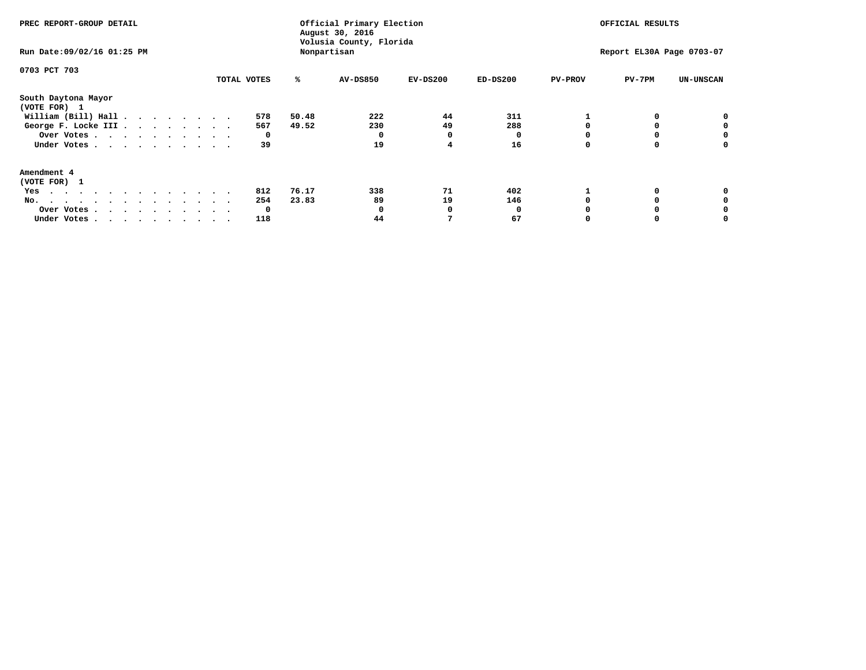| PREC REPORT-GROUP DETAIL<br>Run Date: 09/02/16 01:25 PM                                                                                                                                                                                  |             |       | Official Primary Election<br>August 30, 2016<br>Volusia County, Florida<br>Nonpartisan | OFFICIAL RESULTS<br>Report EL30A Page 0703-07 |            |                |        |                  |
|------------------------------------------------------------------------------------------------------------------------------------------------------------------------------------------------------------------------------------------|-------------|-------|----------------------------------------------------------------------------------------|-----------------------------------------------|------------|----------------|--------|------------------|
| 0703 PCT 703                                                                                                                                                                                                                             | TOTAL VOTES | ℁     | <b>AV-DS850</b>                                                                        | $EV-DS200$                                    | $ED-DS200$ | <b>PV-PROV</b> | PV-7PM | <b>UN-UNSCAN</b> |
|                                                                                                                                                                                                                                          |             |       |                                                                                        |                                               |            |                |        |                  |
| South Daytona Mayor<br>(VOTE FOR) 1                                                                                                                                                                                                      |             |       |                                                                                        |                                               |            |                |        |                  |
| William (Bill) Hall $\cdot \cdot \cdot \cdot \cdot \cdot \cdot$                                                                                                                                                                          | 578         | 50.48 | 222                                                                                    | 44                                            | 311        |                |        |                  |
| George F. Locke III                                                                                                                                                                                                                      | 567         | 49.52 | 230                                                                                    | 49                                            | 288        |                |        |                  |
| Over Votes                                                                                                                                                                                                                               | 0           |       | 0                                                                                      |                                               |            |                |        | 0                |
| Under Votes                                                                                                                                                                                                                              | 39          |       | 19                                                                                     |                                               | 16         |                |        | 0                |
| Amendment 4                                                                                                                                                                                                                              |             |       |                                                                                        |                                               |            |                |        |                  |
| (VOTE FOR) 1                                                                                                                                                                                                                             |             |       |                                                                                        |                                               |            |                |        |                  |
| Yes<br>$\mathbf{a}$ . The contribution of the contribution of the contribution of the contribution of the contribution of the contribution of the contribution of the contribution of the contribution of the contribution of the contri | 812         | 76.17 | 338                                                                                    | 71                                            | 402        |                |        |                  |
| No.                                                                                                                                                                                                                                      | 254         | 23.83 | 89                                                                                     | 19                                            | 146        |                |        |                  |
| Over Votes                                                                                                                                                                                                                               | 0           |       |                                                                                        |                                               |            |                |        |                  |
| Under Votes                                                                                                                                                                                                                              | 118         |       | 44                                                                                     |                                               | 67         |                |        |                  |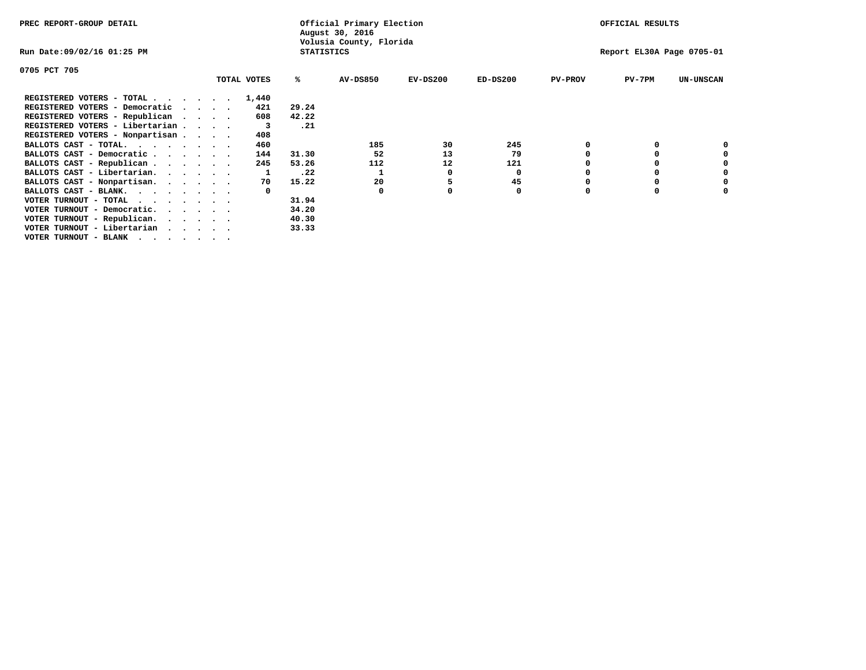| PREC REPORT-GROUP DETAIL                                                  |  |             |                   | Official Primary Election<br>August 30, 2016 |            |            |                | OFFICIAL RESULTS          |                  |
|---------------------------------------------------------------------------|--|-------------|-------------------|----------------------------------------------|------------|------------|----------------|---------------------------|------------------|
| Run Date:09/02/16 01:25 PM                                                |  |             | <b>STATISTICS</b> | Volusia County, Florida                      |            |            |                | Report EL30A Page 0705-01 |                  |
| 0705 PCT 705                                                              |  |             |                   |                                              |            |            |                |                           |                  |
|                                                                           |  | TOTAL VOTES | %ะ                | <b>AV-DS850</b>                              | $EV-DS200$ | $ED-DS200$ | <b>PV-PROV</b> | $PV-7PM$                  | <b>UN-UNSCAN</b> |
| REGISTERED VOTERS - TOTAL $\cdot$ $\cdot$ $\cdot$ $\cdot$ $\cdot$ $\cdot$ |  | 1,440       |                   |                                              |            |            |                |                           |                  |
| REGISTERED VOTERS - Democratic                                            |  | 421         | 29.24             |                                              |            |            |                |                           |                  |
| REGISTERED VOTERS - Republican                                            |  | 608         | 42.22             |                                              |            |            |                |                           |                  |
| REGISTERED VOTERS - Libertarian                                           |  |             | .21               |                                              |            |            |                |                           |                  |
| REGISTERED VOTERS - Nonpartisan                                           |  | 408         |                   |                                              |            |            |                |                           |                  |
| BALLOTS CAST - TOTAL.                                                     |  | 460         |                   | 185                                          | 30         | 245        |                |                           |                  |
| BALLOTS CAST - Democratic                                                 |  | 144         | 31.30             | 52                                           | 13         | 79         |                |                           |                  |
| BALLOTS CAST - Republican                                                 |  | 245         | 53.26             | 112                                          | 12         | 121        |                |                           |                  |
| BALLOTS CAST - Libertarian.                                               |  |             | .22               |                                              | 0          | 0          |                |                           |                  |
| BALLOTS CAST - Nonpartisan.                                               |  | 70          | 15.22             | 20                                           |            | 45         |                |                           | 0                |
| BALLOTS CAST - BLANK.                                                     |  |             |                   | $\Omega$                                     |            | 0          | O              |                           |                  |
| VOTER TURNOUT - TOTAL                                                     |  |             | 31.94             |                                              |            |            |                |                           |                  |
| VOTER TURNOUT - Democratic.                                               |  |             | 34.20             |                                              |            |            |                |                           |                  |
| VOTER TURNOUT - Republican.                                               |  |             | 40.30             |                                              |            |            |                |                           |                  |
| VOTER TURNOUT - Libertarian                                               |  |             | 33.33             |                                              |            |            |                |                           |                  |
| VOTER TURNOUT - BLANK                                                     |  |             |                   |                                              |            |            |                |                           |                  |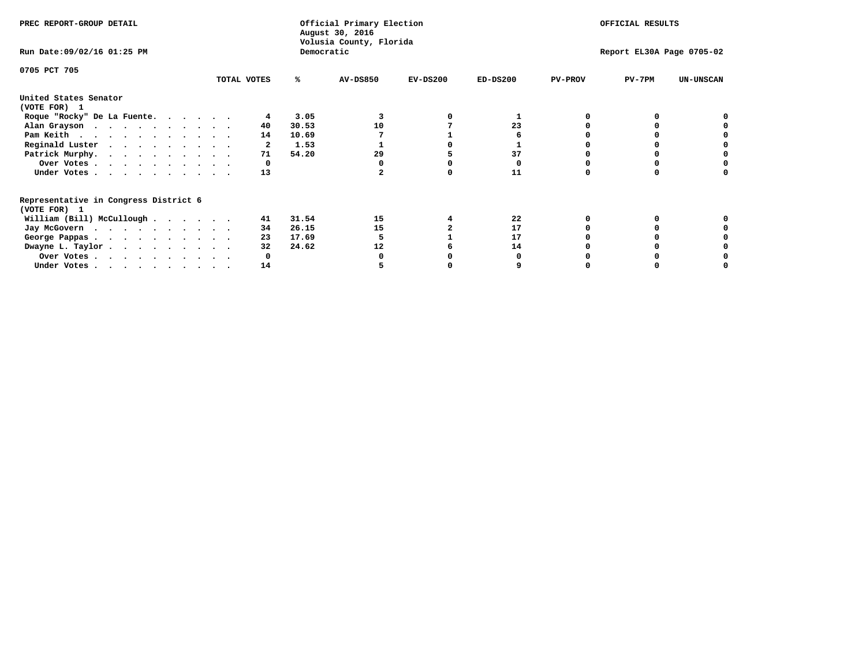| Volusia County, Florida<br>Democratic<br>Run Date: 09/02/16 01:25 PM<br>Report EL30A Page 0705-02<br>0705 PCT 705<br>$PV-7PM$<br>TOTAL VOTES<br><b>AV-DS850</b><br>$EV-DS200$<br>$ED-DS200$<br><b>PV-PROV</b><br><b>UN-UNSCAN</b><br>℁<br>United States Senator<br>(VOTE FOR) 1<br>3.05<br>Roque "Rocky" De La Fuente.<br>30.53<br>23<br>Alan Grayson<br>10<br>40 |  |
|-------------------------------------------------------------------------------------------------------------------------------------------------------------------------------------------------------------------------------------------------------------------------------------------------------------------------------------------------------------------|--|
|                                                                                                                                                                                                                                                                                                                                                                   |  |
|                                                                                                                                                                                                                                                                                                                                                                   |  |
|                                                                                                                                                                                                                                                                                                                                                                   |  |
|                                                                                                                                                                                                                                                                                                                                                                   |  |
|                                                                                                                                                                                                                                                                                                                                                                   |  |
|                                                                                                                                                                                                                                                                                                                                                                   |  |
| Pam Keith<br>10.69<br>14                                                                                                                                                                                                                                                                                                                                          |  |
| Reginald Luster<br>1.53<br>2                                                                                                                                                                                                                                                                                                                                      |  |
| Patrick Murphy.<br>37<br>54.20<br>29<br>71                                                                                                                                                                                                                                                                                                                        |  |
| Over Votes                                                                                                                                                                                                                                                                                                                                                        |  |
| 13<br>11<br>Under Votes.                                                                                                                                                                                                                                                                                                                                          |  |
| Representative in Congress District 6<br>(VOTE FOR) 1                                                                                                                                                                                                                                                                                                             |  |
| William (Bill) McCullough<br>31.54<br>15<br>22<br>41                                                                                                                                                                                                                                                                                                              |  |
| 17<br>26.15<br>15<br>Jay McGovern<br>34                                                                                                                                                                                                                                                                                                                           |  |
| 17.69<br>17<br>23<br>George Pappas.                                                                                                                                                                                                                                                                                                                               |  |
| 24.62<br>Dwayne L. Taylor<br>32<br>12<br>14                                                                                                                                                                                                                                                                                                                       |  |
| Over Votes                                                                                                                                                                                                                                                                                                                                                        |  |
| 14<br>Under Votes, $\cdot$ , $\cdot$ , $\cdot$ , $\cdot$ , $\cdot$ , $\cdot$                                                                                                                                                                                                                                                                                      |  |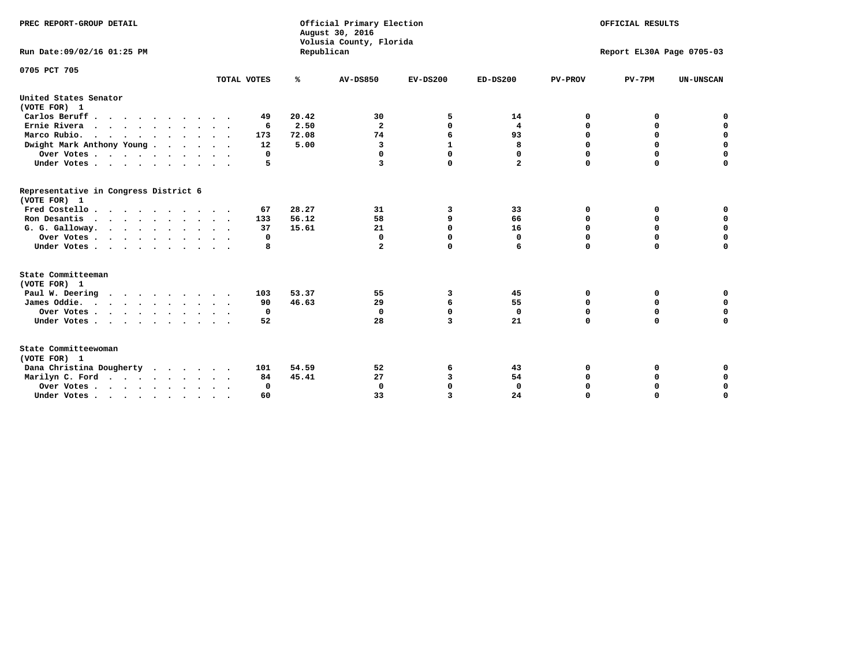| PREC REPORT-GROUP DETAIL                              |                            |            | Official Primary Election<br>August 30, 2016<br>Volusia County, Florida | OFFICIAL RESULTS |                |                           |             |                  |  |
|-------------------------------------------------------|----------------------------|------------|-------------------------------------------------------------------------|------------------|----------------|---------------------------|-------------|------------------|--|
| Run Date: 09/02/16 01:25 PM                           |                            | Republican |                                                                         |                  |                | Report EL30A Page 0705-03 |             |                  |  |
| 0705 PCT 705                                          | TOTAL VOTES                | %          | <b>AV-DS850</b>                                                         | $EV-DS200$       | $ED-DS200$     | <b>PV-PROV</b>            | $PV-7PM$    | <b>UN-UNSCAN</b> |  |
|                                                       |                            |            |                                                                         |                  |                |                           |             |                  |  |
| United States Senator<br>(VOTE FOR) 1                 |                            |            |                                                                         |                  |                |                           |             |                  |  |
| Carlos Beruff                                         | 49                         | 20.42      | 30                                                                      | 5                | 14             | 0                         | 0           | 0                |  |
| Ernie Rivera                                          | 6                          | 2.50       | $\mathbf{2}$                                                            | 0                | 4              | 0                         | 0           | $\mathbf 0$      |  |
| Marco Rubio.<br>$\cdots$                              | 173                        | 72.08      | 74                                                                      | 6                | 93             | $\mathbf 0$               | $\mathbf 0$ | 0                |  |
| Dwight Mark Anthony Young                             | 12                         | 5.00       | 3                                                                       | $\mathbf{1}$     | 8              | $\mathbf 0$               | $\mathbf 0$ | $\mathbf 0$      |  |
| Over Votes                                            | 0                          |            | $\Omega$                                                                | $\Omega$         | 0              | $\mathbf 0$               | 0           | $\mathbf 0$      |  |
| Under Votes                                           | 5                          |            | 3                                                                       | $\Omega$         | $\overline{a}$ | $\Omega$                  | $\Omega$    | $\Omega$         |  |
| Representative in Congress District 6<br>(VOTE FOR) 1 |                            |            |                                                                         |                  |                |                           |             |                  |  |
| Fred Costello                                         | 67                         | 28.27      | 31                                                                      | 3                | 33             | 0                         | 0           | 0                |  |
| Ron Desantis                                          | 133                        | 56.12      | 58                                                                      | 9                | 66             | $\mathbf 0$               | 0           | $\mathbf 0$      |  |
| G. G. Galloway.                                       | 37                         | 15.61      | 21                                                                      | $\Omega$         | 16             | $\mathbf 0$               | $\mathbf 0$ | $\mathbf 0$      |  |
| Over Votes                                            | 0                          |            | $\mathbf 0$                                                             | 0                | $\mathbf 0$    | $\mathbf 0$               | $\mathbf 0$ | $\mathbf 0$      |  |
| Under Votes                                           | 8                          |            | $\mathbf{2}$                                                            | $\Omega$         | 6              | $\mathbf 0$               | $\Omega$    | $\Omega$         |  |
| State Committeeman<br>(VOTE FOR) 1                    |                            |            |                                                                         |                  |                |                           |             |                  |  |
| Paul W. Deering                                       | 103                        | 53.37      | 55                                                                      | 3                | 45             | 0                         | 0           | 0                |  |
| James Oddie.                                          | 90                         | 46.63      | 29                                                                      | 6                | 55             | 0                         | 0           | $\mathbf 0$      |  |
| Over Votes                                            | 0                          |            | 0                                                                       | 0                | 0              | 0                         | 0           | 0                |  |
| Under Votes                                           | 52<br>$\ddot{\phantom{1}}$ |            | 28                                                                      | 3                | 21             | $\mathbf 0$               | $\mathbf 0$ | $\mathbf 0$      |  |
| State Committeewoman<br>(VOTE FOR) 1                  |                            |            |                                                                         |                  |                |                           |             |                  |  |
| Dana Christina Dougherty                              | 101                        | 54.59      | 52                                                                      | 6                | 43             | 0                         | 0           | 0                |  |
| Marilyn C. Ford                                       | 84                         | 45.41      | 27                                                                      | 3                | 54             | 0                         | 0           | $\mathbf 0$      |  |
| Over Votes                                            | $\Omega$                   |            | $\mathbf 0$                                                             | 0                | $\mathbf{0}$   | 0                         | 0           | $\mathbf 0$      |  |
| Under Votes, , , , , , , , , ,                        | 60                         |            | 33                                                                      | 3                | 24             | $\Omega$                  | $\Omega$    | $\Omega$         |  |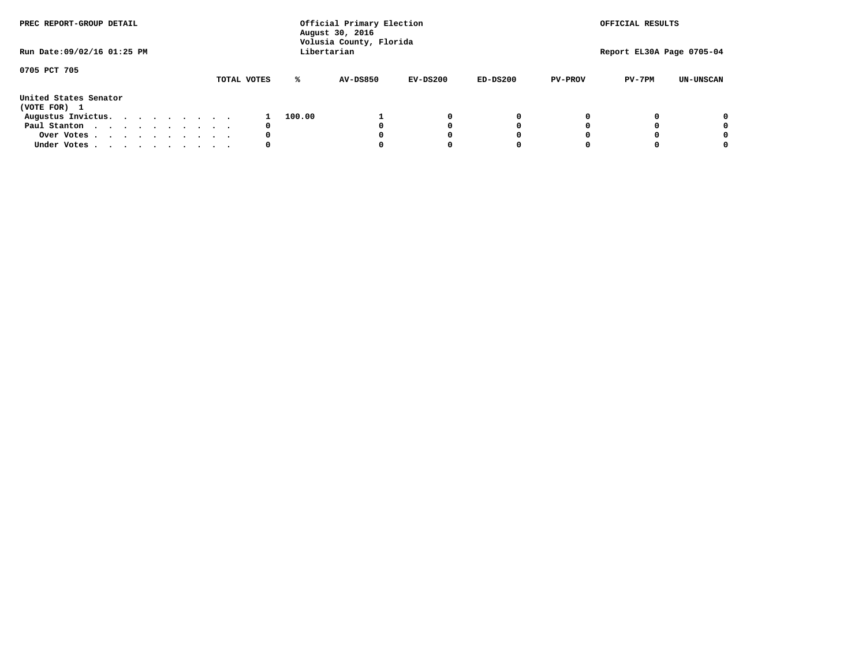| PREC REPORT-GROUP DETAIL<br>Run Date: 09/02/16 01:25 PM |  |  |  |  | Official Primary Election<br>August 30, 2016<br>Volusia County, Florida<br>Libertarian |  |             |        |  |                 |  |            | OFFICIAL RESULTS<br>Report EL30A Page 0705-04 |   |                |          |                  |
|---------------------------------------------------------|--|--|--|--|----------------------------------------------------------------------------------------|--|-------------|--------|--|-----------------|--|------------|-----------------------------------------------|---|----------------|----------|------------------|
|                                                         |  |  |  |  |                                                                                        |  |             |        |  |                 |  |            |                                               |   |                |          |                  |
| 0705 PCT 705                                            |  |  |  |  |                                                                                        |  | TOTAL VOTES | ℁      |  | <b>AV-DS850</b> |  | $EV-DS200$ | $ED-DS200$                                    |   | <b>PV-PROV</b> | $PV-7PM$ | <b>UN-UNSCAN</b> |
| United States Senator<br>(VOTE FOR) 1                   |  |  |  |  |                                                                                        |  |             |        |  |                 |  |            |                                               |   |                |          |                  |
| Augustus Invictus.                                      |  |  |  |  |                                                                                        |  |             | 100.00 |  |                 |  | 0          |                                               | 0 |                |          | 0                |
| Paul Stanton                                            |  |  |  |  |                                                                                        |  |             | 0      |  |                 |  |            |                                               | 0 |                |          | 0                |
| Over Votes                                              |  |  |  |  |                                                                                        |  |             | 0      |  |                 |  |            |                                               | 0 |                |          | 0                |
| Under Votes                                             |  |  |  |  |                                                                                        |  |             | 0      |  |                 |  |            |                                               | 0 |                |          | 0                |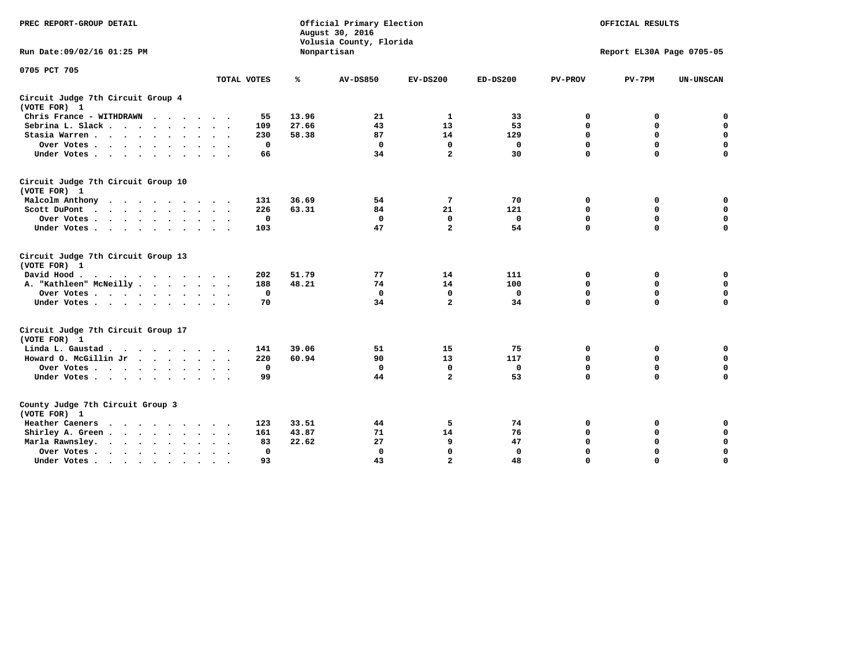| PREC REPORT-GROUP DETAIL                                                                                                                                                                                                                                   |             | Official Primary Election<br>August 30, 2016<br>Volusia County, Florida |                 | OFFICIAL RESULTS<br>Report EL30A Page 0705-05 |              |                |             |                  |
|------------------------------------------------------------------------------------------------------------------------------------------------------------------------------------------------------------------------------------------------------------|-------------|-------------------------------------------------------------------------|-----------------|-----------------------------------------------|--------------|----------------|-------------|------------------|
| Run Date:09/02/16 01:25 PM                                                                                                                                                                                                                                 |             |                                                                         | Nonpartisan     |                                               |              |                |             |                  |
| 0705 PCT 705                                                                                                                                                                                                                                               | TOTAL VOTES | ℁                                                                       | <b>AV-DS850</b> | $EV-DS200$                                    | $ED-DS200$   | <b>PV-PROV</b> | $PV-7PM$    | <b>UN-UNSCAN</b> |
| Circuit Judge 7th Circuit Group 4<br>(VOTE FOR) 1                                                                                                                                                                                                          |             |                                                                         |                 |                                               |              |                |             |                  |
| Chris France - WITHDRAWN                                                                                                                                                                                                                                   | 55          | 13.96                                                                   | 21              | 1                                             | 33           | 0              | 0           | $\mathbf 0$      |
| Sebrina L. Slack                                                                                                                                                                                                                                           | 109         | 27.66                                                                   | 43              | 13                                            | 53           | $\mathbf 0$    | 0           | $\mathbf 0$      |
| Stasia Warren                                                                                                                                                                                                                                              | 230         | 58.38                                                                   | 87              | 14                                            | 129          | 0              | 0           | $\mathbf 0$      |
| Over Votes                                                                                                                                                                                                                                                 | $\mathbf 0$ |                                                                         | $\mathbf 0$     | $\mathbf 0$                                   | $\mathbf 0$  | 0              | $\mathbf 0$ | 0                |
| Under Votes                                                                                                                                                                                                                                                | 66          |                                                                         | 34              | $\overline{a}$                                | 30           | $\Omega$       | $\Omega$    | $\Omega$         |
| Circuit Judge 7th Circuit Group 10<br>(VOTE FOR) 1                                                                                                                                                                                                         |             |                                                                         |                 |                                               |              |                |             |                  |
| Malcolm Anthony<br>.                                                                                                                                                                                                                                       | 131         | 36.69                                                                   | 54              | 7                                             | 70           | 0              | 0           | 0                |
| Scott DuPont<br>$\cdots$                                                                                                                                                                                                                                   | 226         | 63.31                                                                   | 84              | 21                                            | 121          | $\mathbf 0$    | $\mathbf 0$ | 0                |
| Over Votes<br>$\ddot{\phantom{0}}$<br>$\bullet$                                                                                                                                                                                                            | 0           |                                                                         | $\mathbf 0$     | $\mathbf 0$                                   | $\mathbf 0$  | $\mathbf 0$    | $\mathbf 0$ | $\mathbf 0$      |
| Under Votes                                                                                                                                                                                                                                                | 103         |                                                                         | 47              | $\overline{a}$                                | 54           | $\Omega$       | $\Omega$    | $\Omega$         |
| Circuit Judge 7th Circuit Group 13<br>(VOTE FOR) 1                                                                                                                                                                                                         |             |                                                                         |                 |                                               |              |                |             |                  |
| David Hood.                                                                                                                                                                                                                                                | 202         | 51.79                                                                   | 77              | 14                                            | 111          | 0              | 0           | 0                |
| A. "Kathleen" McNeilly                                                                                                                                                                                                                                     | 188         | 48.21                                                                   | 74              | 14                                            | 100          | $\mathbf 0$    | $\mathbf 0$ | $\mathbf 0$      |
| Over Votes                                                                                                                                                                                                                                                 | $\Omega$    |                                                                         | $\mathbf 0$     | $\mathbf{0}$                                  | 0            | $\mathbf 0$    | $\mathbf 0$ | $\mathbf 0$      |
| Under Votes                                                                                                                                                                                                                                                | 70          |                                                                         | 34              | $\overline{\mathbf{2}}$                       | 34           | $\Omega$       | $\Omega$    | $\Omega$         |
| Circuit Judge 7th Circuit Group 17<br>(VOTE FOR) 1                                                                                                                                                                                                         |             |                                                                         |                 |                                               |              |                |             |                  |
| Linda L. Gaustad                                                                                                                                                                                                                                           | 141         | 39.06                                                                   | 51              | 15                                            | 75           | 0              | 0           | $\mathbf 0$      |
| Howard O. McGillin Jr<br>$\mathbf{r}$ . The set of the set of the set of the set of the set of the set of the set of the set of the set of the set of the set of the set of the set of the set of the set of the set of the set of the set of the set of t | 220         | 60.94                                                                   | 90              | 13                                            | 117          | $\mathbf 0$    | $\mathbf 0$ | $\mathbf 0$      |
| Over Votes                                                                                                                                                                                                                                                 | $\mathbf 0$ |                                                                         | $\mathbf{0}$    | $\mathbf{0}$                                  | $\mathbf 0$  | $\mathbf 0$    | $\mathbf 0$ | $\mathbf 0$      |
| Under Votes                                                                                                                                                                                                                                                | 99          |                                                                         | 44              | $\overline{a}$                                | 53           | $\mathbf 0$    | $\mathbf 0$ | $\mathbf 0$      |
| County Judge 7th Circuit Group 3<br>(VOTE FOR) 1                                                                                                                                                                                                           |             |                                                                         |                 |                                               |              |                |             |                  |
| <b>Heather Caeners</b><br>$\cdot$                                                                                                                                                                                                                          | 123         | 33.51                                                                   | 44              | 5                                             | 74           | 0              | 0           | 0                |
| Shirley A. Green                                                                                                                                                                                                                                           | 161         | 43.87                                                                   | 71              | 14                                            | 76           | $\mathbf 0$    | 0           | $\mathbf 0$      |
| Marla Rawnsley.                                                                                                                                                                                                                                            | 83          | 22.62                                                                   | 27              | 9                                             | 47           | 0              | $\mathbf 0$ | $\pmb{0}$        |
| Over Votes.<br>$\cdots$<br>$\cdot$<br>$\cdot$                                                                                                                                                                                                              | $\mathbf 0$ |                                                                         | $\mathbf 0$     | $\mathbf{0}$                                  | $\mathbf{0}$ | $\mathbf 0$    | $\Omega$    | $\mathbf 0$      |
| Under Votes<br>$\sim$                                                                                                                                                                                                                                      | 93          |                                                                         | 43              | $\overline{a}$                                | 48           | $\mathbf 0$    | $\mathbf 0$ | 0                |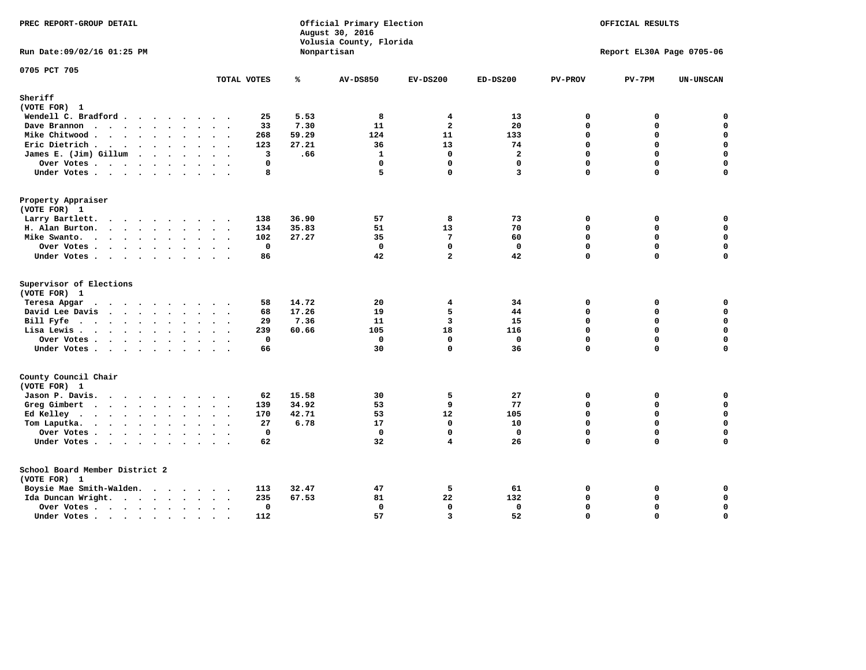| PREC REPORT-GROUP DETAIL                |                         |       | Official Primary Election<br>August 30, 2016<br>Volusia County, Florida | OFFICIAL RESULTS<br>Report EL30A Page 0705-06 |                         |                |             |                  |
|-----------------------------------------|-------------------------|-------|-------------------------------------------------------------------------|-----------------------------------------------|-------------------------|----------------|-------------|------------------|
| Run Date: 09/02/16 01:25 PM             |                         |       | Nonpartisan                                                             |                                               |                         |                |             |                  |
| 0705 PCT 705                            | TOTAL VOTES             | ℁     | <b>AV-DS850</b>                                                         | $EV-DS200$                                    | $ED-DS200$              | <b>PV-PROV</b> | $PV-7PM$    | <b>UN-UNSCAN</b> |
| Sheriff                                 |                         |       |                                                                         |                                               |                         |                |             |                  |
| (VOTE FOR) 1                            |                         |       |                                                                         |                                               |                         |                |             |                  |
| Wendell C. Bradford                     | 25                      | 5.53  | 8                                                                       | 4                                             | 13                      | 0              | 0           | $\Omega$         |
| Dave Brannon                            | 33                      | 7.30  | 11                                                                      | $\overline{a}$                                | 20                      | 0              | 0           | 0                |
| Mike Chitwood                           | 268                     | 59.29 | 124                                                                     | 11                                            | 133                     | 0              | 0           | $\mathbf 0$      |
| Eric Dietrich                           | 123                     | 27.21 | 36                                                                      | 13                                            | 74                      | 0              | 0           | 0                |
| James E. (Jim) Gillum                   | $\overline{\mathbf{3}}$ | .66   | $\mathbf{1}$                                                            | $\Omega$                                      | $\overline{\mathbf{2}}$ | $\Omega$       | $\Omega$    | $\mathbf 0$      |
| Over Votes                              | 0                       |       | $\mathbf 0$                                                             | $\mathbf 0$                                   | $\mathbf 0$             | 0              | 0           | $\mathbf 0$      |
| Under Votes                             | 8                       |       | 5                                                                       | $\mathbf{0}$                                  | 3                       | 0              | $\Omega$    | $\mathbf 0$      |
| Property Appraiser                      |                         |       |                                                                         |                                               |                         |                |             |                  |
| (VOTE FOR) 1                            |                         |       |                                                                         |                                               |                         |                |             |                  |
| Larry Bartlett.                         | 138                     | 36.90 | 57                                                                      | 8                                             | 73                      | $\mathbf 0$    | 0           | 0                |
| H. Alan Burton.                         | 134                     | 35.83 | 51                                                                      | 13                                            | 70                      | $\mathbf{0}$   | 0           | $\mathbf 0$      |
| Mike Swanto.                            | 102                     | 27.27 | 35                                                                      | $7\phantom{.0}$                               | 60                      | $\Omega$       | $\Omega$    | $\mathbf 0$      |
| Over Votes                              | $\mathbf 0$             |       | $\mathbf 0$                                                             | $\mathbf 0$                                   | $\mathbf 0$             | 0              | 0           | $\mathbf 0$      |
| Under Votes                             | 86                      |       | 42                                                                      | $\overline{2}$                                | 42                      | 0              | $\Omega$    | $\mathbf 0$      |
| Supervisor of Elections<br>(VOTE FOR) 1 |                         |       |                                                                         |                                               |                         |                |             |                  |
| Teresa Apgar                            | 58                      | 14.72 | 20                                                                      | 4                                             | 34                      | 0              | 0           | 0                |
| David Lee Davis                         | 68                      | 17.26 | 19                                                                      | 5                                             | 44                      | $\Omega$       | 0           | 0                |
| Bill Fyfe                               | 29                      | 7.36  | 11                                                                      | 3                                             | 15                      | 0              | 0           | $\mathbf 0$      |
| Lisa Lewis                              | 239                     | 60.66 | 105                                                                     | 18                                            | 116                     | 0              | 0           | 0                |
| Over Votes                              | $\mathbf 0$             |       | $\mathbf{0}$                                                            | $\mathbf 0$                                   | $\mathbf 0$             | 0              | 0           | $\pmb{0}$        |
| Under Votes                             | 66                      |       | 30                                                                      | $\Omega$                                      | 36                      | 0              | $\Omega$    | $\mathbf 0$      |
| County Council Chair                    |                         |       |                                                                         |                                               |                         |                |             |                  |
| (VOTE FOR) 1                            |                         |       |                                                                         |                                               |                         |                |             |                  |
| Jason P. Davis.                         | 62                      | 15.58 | 30                                                                      | 5                                             | 27                      | $\mathbf{0}$   | 0           | 0                |
| Greg Gimbert                            | 139                     | 34.92 | 53                                                                      | 9                                             | 77                      | 0              | 0           | $\mathbf 0$      |
| Ed Kelley                               | 170                     | 42.71 | 53                                                                      | 12                                            | 105                     | $\Omega$       | 0           | $\mathbf 0$      |
| Tom Laputka.                            | 27                      | 6.78  | 17                                                                      | $\mathbf 0$                                   | 10                      | $\Omega$       | 0           | $\mathbf 0$      |
| Over Votes                              | $\mathbf 0$             |       | $\Omega$                                                                | $\mathbf{0}$                                  | $\mathbf 0$             | 0              | 0           | 0                |
| Under Votes                             | 62                      |       | 32                                                                      | $\overline{4}$                                | 26                      | 0              | $\mathbf 0$ | $\mathbf 0$      |
| School Board Member District 2          |                         |       |                                                                         |                                               |                         |                |             |                  |
| (VOTE FOR) 1                            |                         |       |                                                                         |                                               |                         |                |             |                  |
| Boysie Mae Smith-Walden.                | 113                     | 32.47 | 47                                                                      | 5                                             | 61                      | 0              | 0           | 0                |
| Ida Duncan Wright.                      | 235                     | 67.53 | 81                                                                      | 22                                            | 132                     | 0              | 0           | 0                |
| Over Votes.                             | 0                       |       | $\mathbf{0}$                                                            | $\mathbf{0}$                                  | $\mathbf 0$             | 0              | 0           | 0                |
| Under Votes                             | 112                     |       | 57                                                                      | 3                                             | 52                      | $\Omega$       | $\Omega$    | $\mathbf 0$      |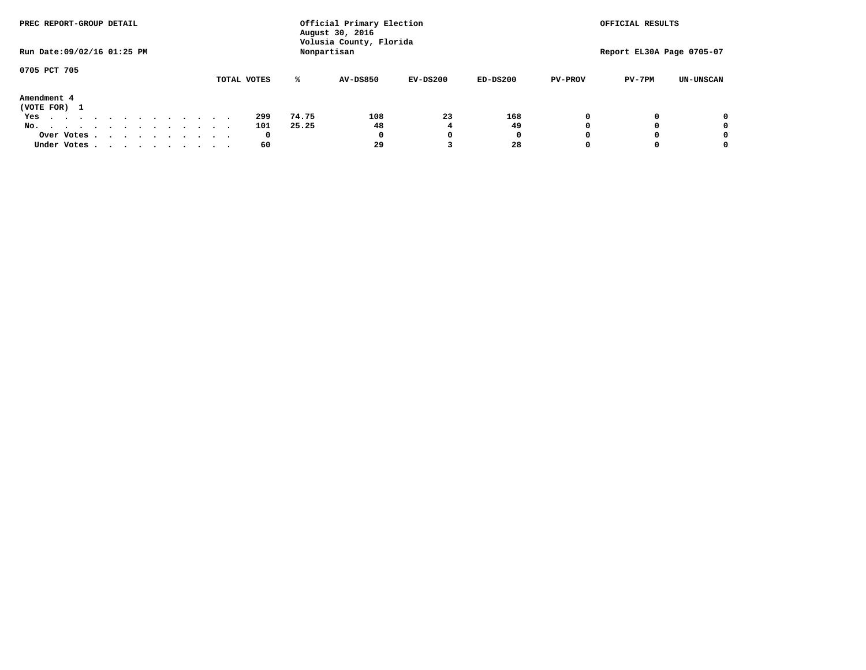| PREC REPORT-GROUP DETAIL       |             |       | Official Primary Election<br>August 30, 2016 |            | OFFICIAL RESULTS |                |                           |                  |
|--------------------------------|-------------|-------|----------------------------------------------|------------|------------------|----------------|---------------------------|------------------|
| Run Date: 09/02/16 01:25 PM    |             |       | Volusia County, Florida<br>Nonpartisan       |            |                  |                | Report EL30A Page 0705-07 |                  |
| 0705 PCT 705                   |             |       |                                              |            |                  |                |                           |                  |
|                                | TOTAL VOTES | ℁     | <b>AV-DS850</b>                              | $EV-DS200$ | $ED-DS200$       | <b>PV-PROV</b> | $PV-7PM$                  | <b>UN-UNSCAN</b> |
| Amendment 4<br>(VOTE FOR) 1    |             |       |                                              |            |                  |                |                           |                  |
| Yes                            | 299         | 74.75 | 108                                          | 23         | 168              |                |                           | 0                |
| No.<br>.                       | 101         | 25.25 | 48                                           |            | 49               |                |                           | 0                |
| Over Votes                     | 0           |       | 0                                            |            | 0                |                |                           | 0                |
| Under Votes, , , , , , , , , , | 60          |       | 29                                           |            | 28               |                |                           | 0                |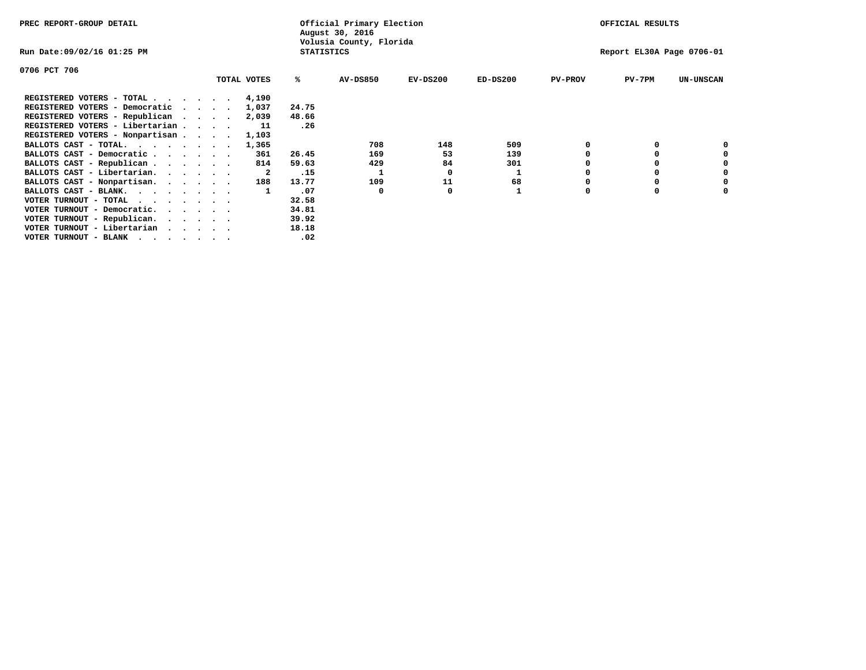| PREC REPORT-GROUP DETAIL                                                                                                                 |         |             |                   | Official Primary Election<br>August 30, 2016 |            |            |                | OFFICIAL RESULTS          |                  |
|------------------------------------------------------------------------------------------------------------------------------------------|---------|-------------|-------------------|----------------------------------------------|------------|------------|----------------|---------------------------|------------------|
| Run Date:09/02/16 01:25 PM                                                                                                               |         |             | <b>STATISTICS</b> | Volusia County, Florida                      |            |            |                | Report EL30A Page 0706-01 |                  |
| 0706 PCT 706                                                                                                                             |         |             |                   |                                              |            |            |                |                           |                  |
|                                                                                                                                          |         | TOTAL VOTES | %ะ                | <b>AV-DS850</b>                              | $EV-DS200$ | $ED-DS200$ | <b>PV-PROV</b> | $PV-7PM$                  | <b>UN-UNSCAN</b> |
| REGISTERED VOTERS - TOTAL 4,190                                                                                                          |         |             |                   |                                              |            |            |                |                           |                  |
| REGISTERED VOTERS - Democratic                                                                                                           | $\cdot$ | 1,037       | 24.75             |                                              |            |            |                |                           |                  |
| REGISTERED VOTERS - Republican                                                                                                           |         | 2,039       | 48.66             |                                              |            |            |                |                           |                  |
| REGISTERED VOTERS - Libertarian                                                                                                          |         | 11          | .26               |                                              |            |            |                |                           |                  |
| REGISTERED VOTERS - Nonpartisan                                                                                                          |         | 1,103       |                   |                                              |            |            |                |                           |                  |
| BALLOTS CAST - TOTAL.                                                                                                                    |         | 1,365       |                   | 708                                          | 148        | 509        |                |                           |                  |
| BALLOTS CAST - Democratic                                                                                                                |         | 361         | 26.45             | 169                                          | 53         | 139        |                |                           |                  |
| BALLOTS CAST - Republican                                                                                                                |         | 814         | 59.63             | 429                                          | 84         | 301        |                |                           |                  |
| BALLOTS CAST - Libertarian.                                                                                                              |         | -2          | .15               |                                              | O          | 1          |                |                           |                  |
| BALLOTS CAST - Nonpartisan.                                                                                                              |         | 188         | 13.77             | 109                                          | 11         | 68         |                |                           | 0                |
| BALLOTS CAST - BLANK.                                                                                                                    |         |             | .07               | 0                                            | O          |            | O              | $\Omega$                  |                  |
| VOTER TURNOUT - TOTAL<br>the contract of the contract of the contract of the contract of the contract of the contract of the contract of |         |             | 32.58             |                                              |            |            |                |                           |                  |
| VOTER TURNOUT - Democratic.                                                                                                              |         |             | 34.81             |                                              |            |            |                |                           |                  |
| VOTER TURNOUT - Republican.                                                                                                              |         |             | 39.92             |                                              |            |            |                |                           |                  |
| VOTER TURNOUT - Libertarian                                                                                                              |         |             | 18.18             |                                              |            |            |                |                           |                  |
| VOTER TURNOUT - BLANK<br>the contract of the contract of the contract of the contract of the contract of the contract of the contract of |         |             | .02               |                                              |            |            |                |                           |                  |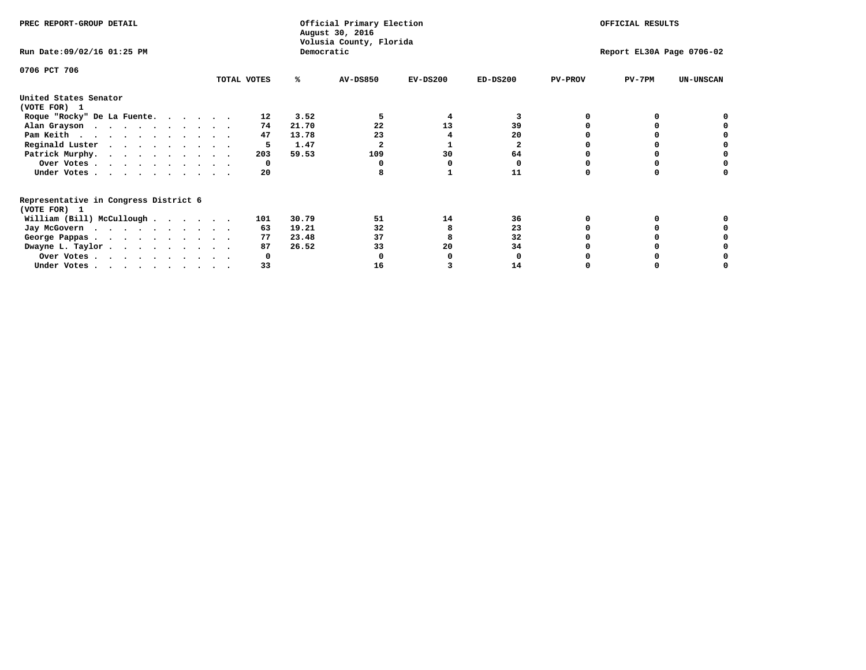| PREC REPORT-GROUP DETAIL                                               |             |            | Official Primary Election<br>August 30, 2016<br>Volusia County, Florida | OFFICIAL RESULTS |              |                           |          |                  |
|------------------------------------------------------------------------|-------------|------------|-------------------------------------------------------------------------|------------------|--------------|---------------------------|----------|------------------|
| Run Date: 09/02/16 01:25 PM                                            |             | Democratic |                                                                         |                  |              | Report EL30A Page 0706-02 |          |                  |
| 0706 PCT 706                                                           |             |            |                                                                         |                  |              |                           |          |                  |
|                                                                        | TOTAL VOTES | ℁          | <b>AV-DS850</b>                                                         | $EV-DS200$       | $ED-DS200$   | <b>PV-PROV</b>            | $PV-7PM$ | <b>UN-UNSCAN</b> |
| United States Senator                                                  |             |            |                                                                         |                  |              |                           |          |                  |
| (VOTE FOR) 1                                                           |             |            |                                                                         |                  |              |                           |          |                  |
| Roque "Rocky" De La Fuente.                                            | 12          | 3.52       |                                                                         | 4                | 3            |                           |          |                  |
| Alan Grayson                                                           | 74          | 21.70      | 22                                                                      | 13               | 39           |                           |          |                  |
| Pam Keith                                                              | 47          | 13.78      | 23                                                                      |                  | 20           |                           |          |                  |
| Reginald Luster                                                        | 5           | 1.47       |                                                                         |                  | $\mathbf{2}$ |                           |          |                  |
| Patrick Murphy.                                                        | 203         | 59.53      | 109                                                                     | 30               | 64           |                           |          |                  |
| Over Votes                                                             | 0           |            |                                                                         |                  | 0            |                           |          |                  |
| Under Votes.                                                           | 20          |            |                                                                         |                  | 11           |                           |          |                  |
| Representative in Congress District 6<br>(VOTE FOR) 1                  |             |            |                                                                         |                  |              |                           |          |                  |
| William (Bill) McCullough                                              | 101         | 30.79      | 51                                                                      | 14               | 36           |                           |          |                  |
|                                                                        |             |            |                                                                         |                  |              |                           |          |                  |
| Jay McGovern                                                           | 63          | 19.21      | 32                                                                      |                  | 23           |                           |          |                  |
| George Pappas.                                                         | 77          | 23.48      | 37                                                                      |                  | 32           |                           |          |                  |
| Dwayne L. Taylor.                                                      | 87          | 26.52      | 33                                                                      | 20               | 34           |                           |          |                  |
| Over Votes                                                             | O           |            |                                                                         |                  |              |                           |          |                  |
| Under Votes, $\cdot$ , $\cdot$ , $\cdot$ , $\cdot$ , $\cdot$ , $\cdot$ | 33          |            | 16                                                                      |                  | 14           |                           |          |                  |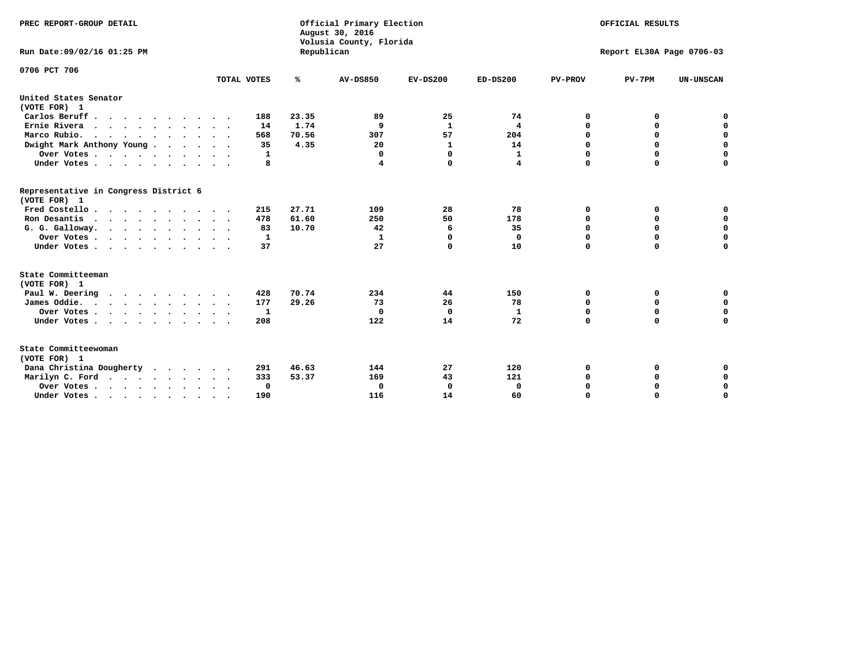| PREC REPORT-GROUP DETAIL<br>Run Date:09/02/16 01:25 PM |             | Republican | Official Primary Election<br>August 30, 2016<br>Volusia County, Florida | OFFICIAL RESULTS<br>Report EL30A Page 0706-03 |                    |                  |                            |                            |
|--------------------------------------------------------|-------------|------------|-------------------------------------------------------------------------|-----------------------------------------------|--------------------|------------------|----------------------------|----------------------------|
| 0706 PCT 706                                           | TOTAL VOTES | ℁          | <b>AV-DS850</b>                                                         | $EV-DS200$                                    | $ED-DS200$         | <b>PV-PROV</b>   | $PV-7PM$                   | <b>UN-UNSCAN</b>           |
| United States Senator                                  |             |            |                                                                         |                                               |                    |                  |                            |                            |
| (VOTE FOR) 1                                           |             |            |                                                                         |                                               |                    |                  |                            |                            |
| Carlos Beruff                                          | 188         | 23.35      | 89                                                                      | 25                                            | 74                 | 0                | 0                          | 0                          |
| Ernie Rivera<br>$\cdots$                               | 14          | 1.74       | 9                                                                       | $\mathbf{1}$                                  | 4                  | 0                | 0                          | $\mathbf 0$                |
| Marco Rubio.                                           | 568         | 70.56      | 307                                                                     | 57                                            | 204                | 0                | 0                          | $\mathbf 0$                |
| Dwight Mark Anthony Young                              | 35          | 4.35       | 20                                                                      | 1                                             | 14                 | $\mathbf 0$      | $\mathbf 0$                | $\mathbf 0$                |
| Over Votes                                             | 1           |            | 0                                                                       | $\Omega$                                      | $\mathbf{1}$       | $\mathbf 0$      | $\mathbf 0$                | $\mathbf 0$                |
| Under Votes                                            | 8           |            | 4                                                                       | 0                                             | 4                  | $\Omega$         | $\Omega$                   | $\mathbf 0$                |
| Representative in Congress District 6<br>(VOTE FOR) 1  |             |            |                                                                         |                                               |                    |                  |                            |                            |
| Fred Costello                                          | 215         | 27.71      | 109                                                                     | 28                                            | 78                 | 0                | 0                          | $\mathbf 0$                |
| Ron Desantis                                           | 478         | 61.60      | 250                                                                     | 50                                            | 178                | 0                | 0                          | $\mathbf 0$                |
| G. G. Galloway.                                        | 83          | 10.70      | 42                                                                      | 6                                             | 35                 | $\mathbf 0$      | $\mathbf 0$                | $\mathbf 0$                |
| Over Votes                                             | 1           |            | 1                                                                       | $\Omega$                                      | 0                  | 0                | 0                          | 0                          |
| Under Votes                                            | 37          |            | 27                                                                      | 0                                             | 10                 | $\mathbf 0$      | $\Omega$                   | $\mathbf 0$                |
| State Committeeman                                     |             |            |                                                                         |                                               |                    |                  |                            |                            |
| (VOTE FOR) 1                                           |             | 70.74      | 234                                                                     |                                               | 150                |                  |                            |                            |
| Paul W. Deering                                        | 428<br>177  | 29.26      | 73                                                                      | 44                                            | 78                 | 0                | 0                          | 0<br>$\mathbf 0$           |
| James Oddie.                                           |             |            |                                                                         | 26                                            |                    | 0                | 0                          |                            |
| Over Votes                                             | 1<br>208    |            | 0<br>122                                                                | $\mathbf 0$<br>14                             | $\mathbf{1}$<br>72 | 0<br>$\mathbf 0$ | $\mathbf 0$<br>$\mathbf 0$ | $\mathbf 0$<br>$\mathbf 0$ |
| Under Votes                                            |             |            |                                                                         |                                               |                    |                  |                            |                            |
| State Committeewoman<br>(VOTE FOR) 1                   |             |            |                                                                         |                                               |                    |                  |                            |                            |
| Dana Christina Dougherty<br>.                          | 291         | 46.63      | 144                                                                     | 27                                            | 120                | 0                | 0                          | 0                          |
| Marilyn C. Ford                                        | 333         | 53.37      | 169                                                                     | 43                                            | 121                | 0                | 0                          | 0                          |
| Over Votes                                             | $\Omega$    |            | $\mathbf 0$                                                             | 0                                             | $\mathbf 0$        | 0                | 0                          | $\mathbf 0$                |
| Under Votes, , , , , , , , , ,                         | 190         |            | 116                                                                     | 14                                            | 60                 | $\Omega$         | $\Omega$                   | $\Omega$                   |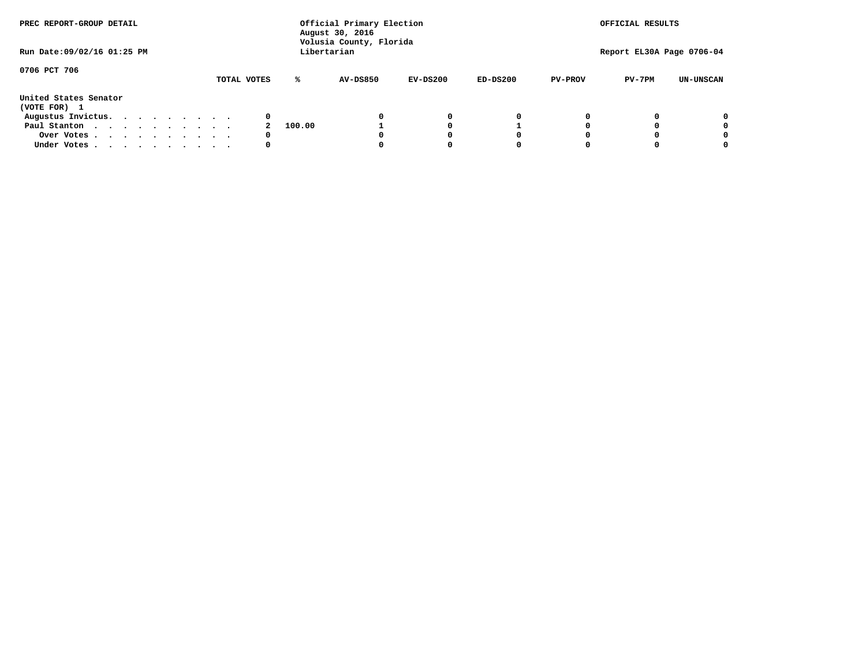| PREC REPORT-GROUP DETAIL<br>Run Date: 09/02/16 01:25 PM |  |  |  |  |  |  | Official Primary Election<br>August 30, 2016<br>Volusia County, Florida<br>Libertarian | OFFICIAL RESULTS<br>Report EL30A Page 0706-04 |          |            |            |                |          |                  |
|---------------------------------------------------------|--|--|--|--|--|--|----------------------------------------------------------------------------------------|-----------------------------------------------|----------|------------|------------|----------------|----------|------------------|
|                                                         |  |  |  |  |  |  |                                                                                        |                                               |          |            |            |                |          |                  |
| 0706 PCT 706                                            |  |  |  |  |  |  | TOTAL VOTES                                                                            | ℁                                             | AV-DS850 | $EV-DS200$ | $ED-DS200$ | <b>PV-PROV</b> | $PV-7PM$ | <b>UN-UNSCAN</b> |
| United States Senator<br>(VOTE FOR) 1                   |  |  |  |  |  |  |                                                                                        |                                               |          |            |            |                |          |                  |
| Augustus Invictus.                                      |  |  |  |  |  |  | 0                                                                                      |                                               |          | 0          | 0          |                |          | 0                |
| Paul Stanton                                            |  |  |  |  |  |  |                                                                                        | 100.00                                        |          |            |            |                |          | 0                |
| Over Votes                                              |  |  |  |  |  |  | 0                                                                                      |                                               |          |            | O          |                |          | 0                |
| Under Votes                                             |  |  |  |  |  |  | 0                                                                                      |                                               |          |            |            |                |          |                  |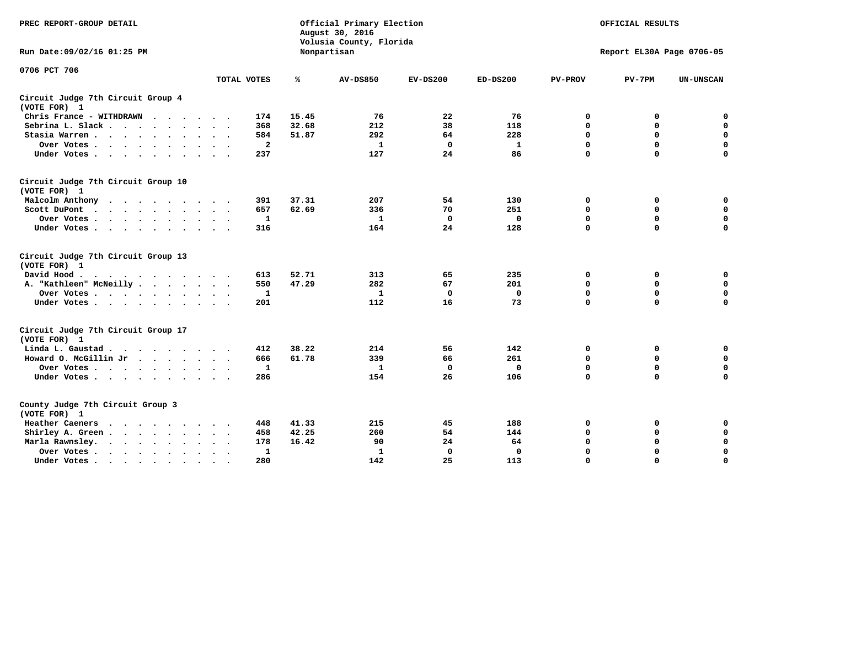| PREC REPORT-GROUP DETAIL                                                                                                                                                                                                                             |              |       | Official Primary Election<br>August 30, 2016<br>Volusia County, Florida | OFFICIAL RESULTS |              |                |                           |                  |
|------------------------------------------------------------------------------------------------------------------------------------------------------------------------------------------------------------------------------------------------------|--------------|-------|-------------------------------------------------------------------------|------------------|--------------|----------------|---------------------------|------------------|
| Run Date: 09/02/16 01:25 PM                                                                                                                                                                                                                          |              |       | Nonpartisan                                                             |                  |              |                | Report EL30A Page 0706-05 |                  |
| 0706 PCT 706                                                                                                                                                                                                                                         | TOTAL VOTES  | ℁     | <b>AV-DS850</b>                                                         | $EV-DS200$       | $ED-DS200$   | <b>PV-PROV</b> | $PV-7PM$                  | <b>UN-UNSCAN</b> |
|                                                                                                                                                                                                                                                      |              |       |                                                                         |                  |              |                |                           |                  |
| Circuit Judge 7th Circuit Group 4<br>(VOTE FOR) 1                                                                                                                                                                                                    |              |       |                                                                         |                  |              |                |                           |                  |
| Chris France - WITHDRAWN                                                                                                                                                                                                                             | 174          | 15.45 | 76                                                                      | 22               | 76           | 0              | 0                         | 0                |
| Sebrina L. Slack.                                                                                                                                                                                                                                    | 368          | 32.68 | 212                                                                     | 38               | 118          | 0              | 0                         | $\mathbf 0$      |
| Stasia Warren<br>$\sim$<br>$\sim$                                                                                                                                                                                                                    | 584          | 51.87 | 292                                                                     | 64               | 228          | $\mathbf 0$    | 0                         | $\mathbf 0$      |
| Over Votes                                                                                                                                                                                                                                           | $\mathbf{2}$ |       | $\mathbf{1}$                                                            | $\mathbf 0$      | $\mathbf{1}$ | 0              | $\mathbf 0$               | $\mathbf 0$      |
| Under Votes                                                                                                                                                                                                                                          | 237          |       | 127                                                                     | 24               | 86           | $\Omega$       | $\Omega$                  | $\mathbf 0$      |
| Circuit Judge 7th Circuit Group 10<br>(VOTE FOR) 1                                                                                                                                                                                                   |              |       |                                                                         |                  |              |                |                           |                  |
| Malcolm Anthony                                                                                                                                                                                                                                      | 391          | 37.31 | 207                                                                     | 54               | 130          | 0              | 0                         | 0                |
| Scott DuPont                                                                                                                                                                                                                                         | 657          | 62.69 | 336                                                                     | 70               | 251          | $\mathbf 0$    | 0                         | $\mathbf 0$      |
| Over Votes                                                                                                                                                                                                                                           | 1            |       | $\mathbf{1}$                                                            | $\mathbf 0$      | $\mathbf{0}$ | $\mathbf 0$    | $\mathbf 0$               | $\mathbf 0$      |
| Under Votes                                                                                                                                                                                                                                          | 316          |       | 164                                                                     | 24               | 128          | $\Omega$       | $\mathbf 0$               | $\Omega$         |
| Circuit Judge 7th Circuit Group 13<br>(VOTE FOR) 1                                                                                                                                                                                                   |              |       |                                                                         |                  |              |                |                           |                  |
| David Hood.                                                                                                                                                                                                                                          | 613          | 52.71 | 313                                                                     | 65               | 235          | 0              | 0                         | $\mathbf 0$      |
| A. "Kathleen" McNeilly                                                                                                                                                                                                                               | 550          | 47.29 | 282                                                                     | 67               | 201          | $\mathbf 0$    | 0                         | $\mathbf 0$      |
| Over Votes                                                                                                                                                                                                                                           | 1            |       | $\mathbf{1}$                                                            | $\mathbf 0$      | $\mathbf{0}$ | 0              | $\mathbf 0$               | $\mathbf 0$      |
| Under Votes                                                                                                                                                                                                                                          | 201          |       | 112                                                                     | 16               | 73           | $\mathbf 0$    | $\mathbf 0$               | $\mathbf 0$      |
| Circuit Judge 7th Circuit Group 17<br>(VOTE FOR) 1                                                                                                                                                                                                   |              |       |                                                                         |                  |              |                |                           |                  |
| Linda L. Gaustad                                                                                                                                                                                                                                     | 412          | 38.22 | 214                                                                     | 56               | 142          | 0              | 0                         | $\mathbf 0$      |
| Howard O. McGillin Jr.                                                                                                                                                                                                                               | 666          | 61.78 | 339                                                                     | 66               | 261          | $\mathbf 0$    | 0                         | $\mathbf 0$      |
| Over Votes                                                                                                                                                                                                                                           | $\mathbf{1}$ |       | $\mathbf{1}$                                                            | $\mathbf 0$      | $\mathbf 0$  | $\mathbf 0$    | $\mathbf 0$               | $\mathbf 0$      |
| Under Votes                                                                                                                                                                                                                                          | 286          |       | 154                                                                     | 26               | 106          | $\mathbf 0$    | $\mathbf 0$               | $\mathbf 0$      |
| County Judge 7th Circuit Group 3<br>(VOTE FOR) 1                                                                                                                                                                                                     |              |       |                                                                         |                  |              |                |                           |                  |
| Heather Caeners<br>$\mathbf{r}$ . The set of the set of the set of the set of the set of the set of the set of the set of the set of the set of the set of the set of the set of the set of the set of the set of the set of the set of the set of t | 448          | 41.33 | 215                                                                     | 45               | 188          | 0              | 0                         | $\mathbf 0$      |
| Shirley A. Green                                                                                                                                                                                                                                     | 458          | 42.25 | 260                                                                     | 54               | 144          | $\mathbf 0$    | 0                         | $\mathbf 0$      |
| Marla Rawnsley.<br>$\cdots$                                                                                                                                                                                                                          | 178          | 16.42 | 90                                                                      | 24               | 64           | 0              | $\mathbf 0$               | $\pmb{0}$        |
| Over Votes.<br>$\ddot{\phantom{a}}$<br>$\ddot{\phantom{a}}$                                                                                                                                                                                          | 1            |       | 1                                                                       | 0                | 0            | $\mathbf 0$    | $\mathbf 0$               | $\mathbf 0$      |
| Under Votes<br>$\sim$                                                                                                                                                                                                                                | 280          |       | 142                                                                     | 25               | 113          | $\mathbf 0$    | $\mathbf 0$               | 0                |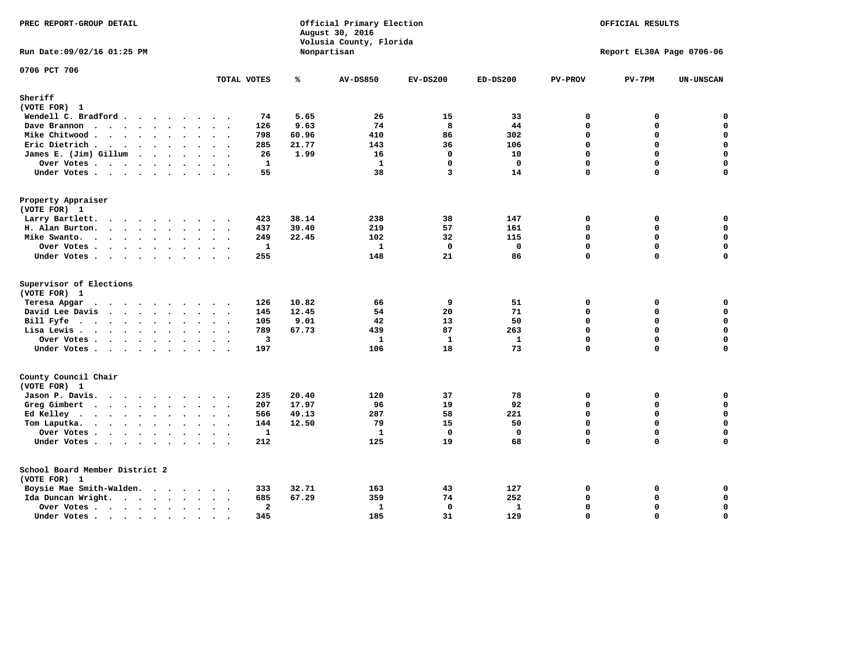| PREC REPORT-GROUP DETAIL                                                              |                                 |                |       | Official Primary Election<br>August 30, 2016<br>Volusia County, Florida | OFFICIAL RESULTS |              |                |                           |                  |
|---------------------------------------------------------------------------------------|---------------------------------|----------------|-------|-------------------------------------------------------------------------|------------------|--------------|----------------|---------------------------|------------------|
| Run Date: 09/02/16 01:25 PM                                                           |                                 |                |       | Nonpartisan                                                             |                  |              |                | Report EL30A Page 0706-06 |                  |
| 0706 PCT 706                                                                          |                                 | TOTAL VOTES    | ℁     | <b>AV-DS850</b>                                                         | $EV-DS200$       | $ED-DS200$   | <b>PV-PROV</b> | $PV-7PM$                  | <b>UN-UNSCAN</b> |
| Sheriff                                                                               |                                 |                |       |                                                                         |                  |              |                |                           |                  |
| (VOTE FOR) 1                                                                          |                                 |                |       |                                                                         |                  |              |                |                           |                  |
| Wendell C. Bradford                                                                   |                                 | 74             | 5.65  | 26                                                                      | 15               | 33           | $\mathbf{0}$   | 0                         | $\mathbf 0$      |
| Dave Brannon                                                                          |                                 | 126            | 9.63  | 74                                                                      | 8                | 44           | $\Omega$       | 0                         | $\mathbf 0$      |
| Mike Chitwood                                                                         | $\cdot$                         | 798            | 60.96 | 410                                                                     | 86               | 302          | 0              | 0                         | 0                |
| Eric Dietrich                                                                         |                                 | 285            | 21.77 | 143                                                                     | 36               | 106          | $\Omega$       | 0                         | $\pmb{0}$        |
| James E. (Jim) Gillum                                                                 |                                 | 26             | 1.99  | 16                                                                      | $\mathbf{0}$     | 10           | 0              | $\Omega$                  | $\mathbf 0$      |
| Over Votes                                                                            |                                 | $\mathbf{1}$   |       | $\mathbf{1}$                                                            | $\mathbf{0}$     | $\mathbf 0$  | $\Omega$       | $\Omega$                  | $\mathbf 0$      |
| Under Votes                                                                           |                                 | 55             |       | 38                                                                      | 3                | 14           | $\Omega$       | $\Omega$                  | $\Omega$         |
| Property Appraiser                                                                    |                                 |                |       |                                                                         |                  |              |                |                           |                  |
| (VOTE FOR) 1                                                                          |                                 |                |       |                                                                         |                  |              |                |                           |                  |
| Larry Bartlett.                                                                       |                                 | 423            | 38.14 | 238                                                                     | 38               | 147          | $\mathbf 0$    | 0                         | 0                |
| H. Alan Burton.                                                                       |                                 | 437            | 39.40 | 219                                                                     | 57               | 161          | 0              | 0                         | $\mathbf 0$      |
| Mike Swanto.                                                                          |                                 | 249            | 22.45 | 102                                                                     | 32               | 115          | 0              | 0                         | $\mathbf 0$      |
| Over Votes                                                                            |                                 | 1              |       | $\mathbf{1}$                                                            | $\Omega$         | $\mathbf 0$  | 0              | $\Omega$                  | $\mathbf 0$      |
| Under Votes                                                                           |                                 | 255            |       | 148                                                                     | 21               | 86           | 0              | $\Omega$                  | 0                |
| Supervisor of Elections<br>(VOTE FOR) 1                                               |                                 |                |       |                                                                         |                  |              |                |                           |                  |
| Teresa Apgar                                                                          |                                 | 126            | 10.82 | 66                                                                      | 9                | 51           | 0              | 0                         | $\mathbf 0$      |
| David Lee Davis                                                                       |                                 | 145            | 12.45 | 54                                                                      | 20               | 71           | 0              | 0                         | $\mathbf 0$      |
| Bill Fyfe.                                                                            |                                 | 105            | 9.01  | 42                                                                      | 13               | 50           | $\Omega$       | 0                         | $\mathbf 0$      |
| Lisa Lewis                                                                            |                                 | 789            | 67.73 | 439                                                                     | 87               | 263          | $\Omega$       | $\Omega$                  | $\mathbf 0$      |
| Over Votes                                                                            |                                 | 3              |       | 1                                                                       | 1                | $\mathbf{1}$ | 0              | 0                         | $\pmb{0}$        |
| Under Votes                                                                           |                                 | 197            |       | 106                                                                     | 18               | 73           | 0              | 0                         | $\mathbf 0$      |
| County Council Chair                                                                  |                                 |                |       |                                                                         |                  |              |                |                           |                  |
| (VOTE FOR) 1                                                                          |                                 |                |       |                                                                         |                  |              |                |                           |                  |
| Jason P. Davis.                                                                       |                                 | 235            | 20.40 | 120                                                                     | 37               | 78           | $\mathbf 0$    | 0                         | 0                |
| Greg Gimbert                                                                          |                                 | 207            | 17.97 | 96                                                                      | 19               | 92           | 0              | 0                         | $\mathbf 0$      |
| Ed Kelley                                                                             | $\cdot$ $\cdot$ $\cdot$ $\cdot$ | 566            | 49.13 | 287                                                                     | 58               | 221          | 0              | 0                         | $\mathbf 0$      |
| Tom Laputka.<br>$\mathbf{r}$ , and $\mathbf{r}$ , and $\mathbf{r}$ , and $\mathbf{r}$ | $\ddot{\phantom{a}}$            | 144            | 12.50 | 79                                                                      | 15               | 50           | 0              | $\Omega$                  | $\mathbf 0$      |
| Over Votes                                                                            |                                 | $\mathbf{1}$   |       | $\mathbf{1}$                                                            | $\mathbf 0$      | $\mathbf 0$  | 0              | 0                         | $\mathbf 0$      |
| Under Votes                                                                           |                                 | 212            |       | 125                                                                     | 19               | 68           | $\Omega$       | $\Omega$                  | $\Omega$         |
| School Board Member District 2                                                        |                                 |                |       |                                                                         |                  |              |                |                           |                  |
| (VOTE FOR) 1                                                                          |                                 |                |       |                                                                         |                  |              |                |                           |                  |
| Boysie Mae Smith-Walden.                                                              |                                 | 333            | 32.71 | 163                                                                     | 43               | 127          | 0              | 0                         | 0                |
| Ida Duncan Wright.                                                                    |                                 | 685            | 67.29 | 359                                                                     | 74               | 252          | 0              | 0                         | 0                |
| Over Votes                                                                            | $\cdot$                         | $\overline{a}$ |       | 1                                                                       | 0                | 1            | 0              | 0                         | $\pmb{0}$        |
| Under Votes                                                                           | $\sim$                          | 345            |       | 185                                                                     | 31               | 129          | $\Omega$       | $\Omega$                  | $\mathbf 0$      |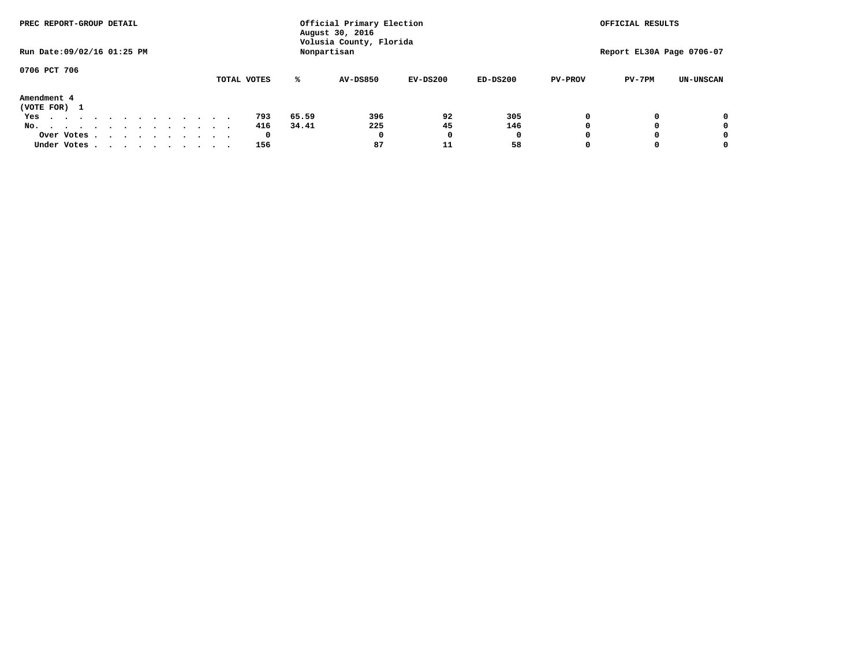| PREC REPORT-GROUP DETAIL         |                                        | Official Primary Election<br>August 30, 2016 |                 |            |            |                | OFFICIAL RESULTS |                           |  |  |
|----------------------------------|----------------------------------------|----------------------------------------------|-----------------|------------|------------|----------------|------------------|---------------------------|--|--|
| Run Date: 09/02/16 01:25 PM      | Volusia County, Florida<br>Nonpartisan |                                              |                 |            |            |                |                  | Report EL30A Page 0706-07 |  |  |
| 0706 PCT 706                     |                                        |                                              |                 |            |            |                |                  |                           |  |  |
|                                  | TOTAL VOTES                            | ℁                                            | <b>AV-DS850</b> | $EV-DS200$ | $ED-DS200$ | <b>PV-PROV</b> | $PV-7PM$         | <b>UN-UNSCAN</b>          |  |  |
| Amendment 4<br>(VOTE FOR) 1      |                                        |                                              |                 |            |            |                |                  |                           |  |  |
| Yes<br>.                         | 793                                    | 65.59                                        | 396             | 92         | 305        |                |                  | 0                         |  |  |
| No.<br>.                         | 416                                    | 34.41                                        | 225             | 45         | 146        |                |                  | 0                         |  |  |
| Over Votes                       | 0                                      |                                              | $\Omega$        |            | 0          |                |                  | 0                         |  |  |
| Under Votes, , , , , , , , , , , | 156                                    |                                              | 87              | 11         | 58         |                |                  | 0                         |  |  |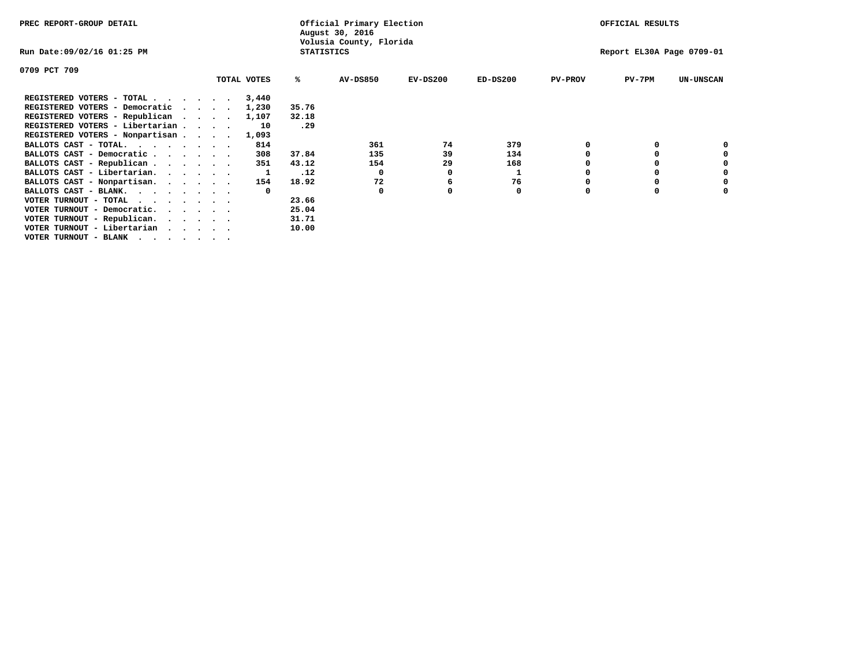| PREC REPORT-GROUP DETAIL        |  |  | Official Primary Election<br>August 30, 2016 |             |                   |                         |            |            | OFFICIAL RESULTS |                           |                  |  |
|---------------------------------|--|--|----------------------------------------------|-------------|-------------------|-------------------------|------------|------------|------------------|---------------------------|------------------|--|
| Run Date:09/02/16 01:25 PM      |  |  |                                              |             | <b>STATISTICS</b> | Volusia County, Florida |            |            |                  | Report EL30A Page 0709-01 |                  |  |
| 0709 PCT 709                    |  |  |                                              |             |                   |                         |            |            |                  |                           |                  |  |
|                                 |  |  |                                              | TOTAL VOTES | ℁                 | <b>AV-DS850</b>         | $EV-DS200$ | $ED-DS200$ | <b>PV-PROV</b>   | $PV-7PM$                  | <b>UN-UNSCAN</b> |  |
| REGISTERED VOTERS - TOTAL       |  |  |                                              | 3,440       |                   |                         |            |            |                  |                           |                  |  |
| REGISTERED VOTERS - Democratic  |  |  |                                              | 1,230       | 35.76             |                         |            |            |                  |                           |                  |  |
| REGISTERED VOTERS - Republican  |  |  |                                              | 1,107       | 32.18             |                         |            |            |                  |                           |                  |  |
| REGISTERED VOTERS - Libertarian |  |  |                                              | 10          | .29               |                         |            |            |                  |                           |                  |  |
| REGISTERED VOTERS - Nonpartisan |  |  |                                              | 1,093       |                   |                         |            |            |                  |                           |                  |  |
| BALLOTS CAST - TOTAL.           |  |  |                                              | 814         |                   | 361                     | 74         | 379        |                  |                           |                  |  |
| BALLOTS CAST - Democratic       |  |  |                                              | 308         | 37.84             | 135                     | 39         | 134        |                  |                           |                  |  |
| BALLOTS CAST - Republican       |  |  |                                              | 351         | 43.12             | 154                     | 29         | 168        |                  |                           |                  |  |
| BALLOTS CAST - Libertarian.     |  |  |                                              |             | .12               | $^{\circ}$              |            |            |                  |                           |                  |  |
| BALLOTS CAST - Nonpartisan.     |  |  |                                              | 154         | 18.92             | 72                      | 6          | 76         |                  |                           |                  |  |
| BALLOTS CAST - BLANK.           |  |  |                                              | $\Omega$    |                   | $\Omega$                |            | 0          |                  |                           |                  |  |
| VOTER TURNOUT - TOTAL           |  |  |                                              |             | 23.66             |                         |            |            |                  |                           |                  |  |
| VOTER TURNOUT - Democratic.     |  |  |                                              |             | 25.04             |                         |            |            |                  |                           |                  |  |
| VOTER TURNOUT - Republican.     |  |  |                                              |             | 31.71             |                         |            |            |                  |                           |                  |  |
| VOTER TURNOUT - Libertarian     |  |  |                                              |             | 10.00             |                         |            |            |                  |                           |                  |  |
| VOTER TURNOUT - BLANK           |  |  |                                              |             |                   |                         |            |            |                  |                           |                  |  |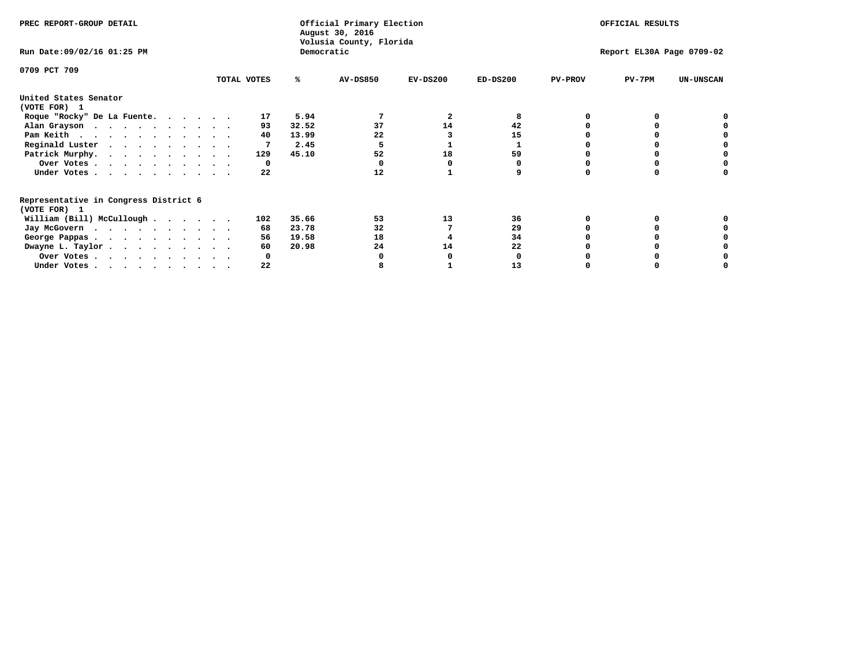| PREC REPORT-GROUP DETAIL                                               |             |            | Official Primary Election<br>August 30, 2016<br>Volusia County, Florida | OFFICIAL RESULTS |                           |                |          |                  |
|------------------------------------------------------------------------|-------------|------------|-------------------------------------------------------------------------|------------------|---------------------------|----------------|----------|------------------|
| Run Date: 09/02/16 01:25 PM                                            |             | Democratic |                                                                         |                  | Report EL30A Page 0709-02 |                |          |                  |
| 0709 PCT 709                                                           | TOTAL VOTES | ℁          | <b>AV-DS850</b>                                                         | $EV-DS200$       | $ED-DS200$                | <b>PV-PROV</b> | $PV-7PM$ | <b>UN-UNSCAN</b> |
|                                                                        |             |            |                                                                         |                  |                           |                |          |                  |
| United States Senator<br>(VOTE FOR) 1                                  |             |            |                                                                         |                  |                           |                |          |                  |
| Roque "Rocky" De La Fuente.                                            | 17          | 5.94       |                                                                         | 2                | 8                         |                |          |                  |
| Alan Grayson                                                           | 93          | 32.52      | 37                                                                      | 14               | 42                        |                |          |                  |
| Pam Keith                                                              | 40          | 13.99      | 22                                                                      |                  | 15                        |                |          |                  |
| Reginald Luster                                                        |             | 2.45       |                                                                         |                  |                           |                |          |                  |
| Patrick Murphy.                                                        | 129         | 45.10      | 52                                                                      | 18               | 59                        |                |          |                  |
| Over Votes                                                             | 0           |            |                                                                         |                  |                           |                |          |                  |
| Under Votes                                                            | 22          |            | 12                                                                      |                  |                           |                |          |                  |
| Representative in Congress District 6                                  |             |            |                                                                         |                  |                           |                |          |                  |
| (VOTE FOR) 1                                                           |             |            |                                                                         |                  |                           |                |          |                  |
| William (Bill) McCullough $\cdots$ $\cdots$                            | 102         | 35.66      | 53                                                                      | 13               | 36                        |                |          |                  |
| Jay McGovern                                                           | 68          | 23.78      | 32                                                                      |                  | 29                        |                |          |                  |
| George Pappas.                                                         | 56          | 19.58      | 18                                                                      |                  | 34                        |                |          |                  |
| Dwayne L. Taylor.                                                      | 60          | 20.98      | 24                                                                      | 14               | 22                        |                |          |                  |
| Over Votes                                                             |             |            |                                                                         |                  |                           |                |          |                  |
| Under Votes, $\cdot$ , $\cdot$ , $\cdot$ , $\cdot$ , $\cdot$ , $\cdot$ | 22          |            |                                                                         |                  | 13                        |                |          |                  |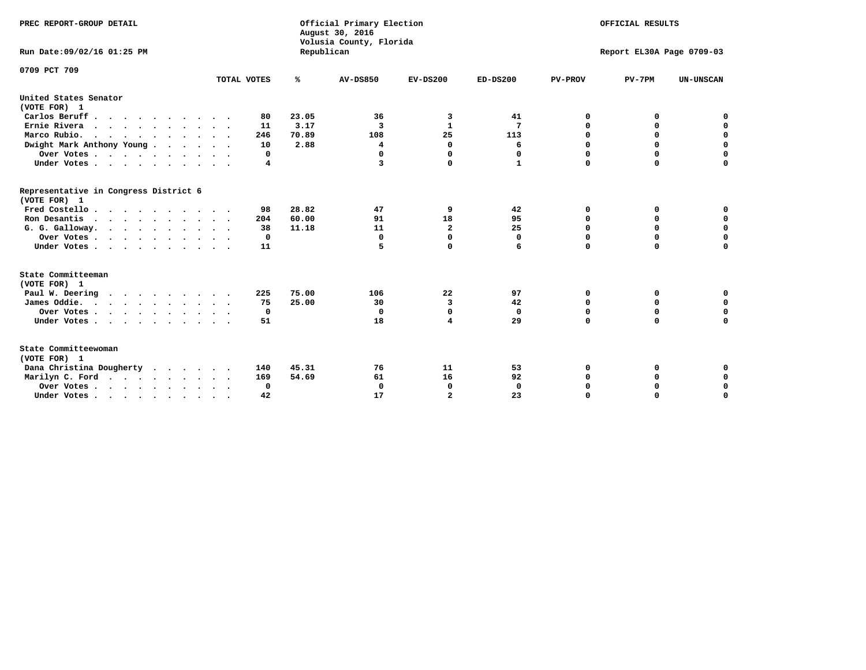| PREC REPORT-GROUP DETAIL<br>Run Date: 09/02/16 01:25 PM |             | Republican | Official Primary Election<br>August 30, 2016<br>Volusia County, Florida | OFFICIAL RESULTS<br>Report EL30A Page 0709-03 |                 |                |             |                  |
|---------------------------------------------------------|-------------|------------|-------------------------------------------------------------------------|-----------------------------------------------|-----------------|----------------|-------------|------------------|
|                                                         |             |            |                                                                         |                                               |                 |                |             |                  |
| 0709 PCT 709                                            | TOTAL VOTES | ℁          | <b>AV-DS850</b>                                                         | $EV-DS200$                                    | $ED-DS200$      | <b>PV-PROV</b> | $PV-7PM$    | <b>UN-UNSCAN</b> |
|                                                         |             |            |                                                                         |                                               |                 |                |             |                  |
| United States Senator<br>(VOTE FOR) 1                   |             |            |                                                                         |                                               |                 |                |             |                  |
| Carlos Beruff.                                          | 80          | 23.05      | 36                                                                      | 3                                             | 41              | 0              | 0           | 0                |
| Ernie Rivera                                            | 11          | 3.17       | 3                                                                       | $\mathbf{1}$                                  | $7\phantom{.0}$ | 0              | 0           | $\mathbf 0$      |
| Marco Rubio.                                            | 246         | 70.89      | 108                                                                     | 25                                            | 113             | $\mathbf 0$    | $\mathbf 0$ | $\mathbf 0$      |
| Dwight Mark Anthony Young                               | 10          | 2.88       | 4                                                                       | $\mathbf 0$                                   | 6               | 0              | $\mathbf 0$ | $\pmb{0}$        |
| Over Votes                                              | 0           |            | $\Omega$                                                                | $\Omega$                                      | 0               | $\mathbf 0$    | 0           | $\mathbf 0$      |
| Under Votes                                             | 4           |            | 3                                                                       | 0                                             | 1               | $\Omega$       | $\Omega$    | $\mathbf 0$      |
| Representative in Congress District 6<br>(VOTE FOR) 1   |             |            |                                                                         |                                               |                 |                |             |                  |
| Fred Costello.                                          | 98          | 28.82      | 47                                                                      | 9                                             | 42              | 0              | 0           | 0                |
| Ron Desantis                                            | 204         | 60.00      | 91                                                                      | 18                                            | 95              | 0              | 0           | $\mathbf 0$      |
| G. G. Galloway.                                         | 38          | 11.18      | 11                                                                      | $\overline{\mathbf{2}}$                       | 25              | $\mathbf 0$    | $\Omega$    | $\mathbf 0$      |
| Over Votes                                              | $\Omega$    |            | 0                                                                       | $\mathbf{0}$                                  | $\mathbf{0}$    | $\mathbf 0$    | $\Omega$    | $\mathbf 0$      |
| Under Votes                                             | 11          |            | 5                                                                       | $\mathbf{0}$                                  | 6               | $\Omega$       | $\Omega$    | $\Omega$         |
| State Committeeman<br>(VOTE FOR) 1                      |             |            |                                                                         |                                               |                 |                |             |                  |
| Paul W. Deering                                         | 225         | 75.00      | 106                                                                     | 22                                            | 97              | 0              | 0           | 0                |
| James Oddie.                                            | 75          | 25.00      | 30                                                                      | 3                                             | 42              | 0              | 0           | $\mathbf 0$      |
| Over Votes                                              | 0           |            | 0                                                                       | $\mathbf 0$                                   | $\mathbf 0$     | 0              | $\mathbf 0$ | $\mathbf 0$      |
| Under Votes                                             | 51          |            | 18                                                                      | 4                                             | 29              | $\mathbf 0$    | 0           | $\mathbf 0$      |
|                                                         |             |            |                                                                         |                                               |                 |                |             |                  |
| State Committeewoman<br>(VOTE FOR) 1                    |             |            |                                                                         |                                               |                 |                |             |                  |
| Dana Christina Dougherty<br>$\cdot$                     | 140         | 45.31      | 76                                                                      | 11                                            | 53              | 0              | 0           | 0                |
| Marilyn C. Ford                                         | 169         | 54.69      | 61                                                                      | 16                                            | 92              | 0              | 0           | 0                |
| Over Votes                                              | $\Omega$    |            | $\mathbf 0$                                                             | 0                                             | $\mathbf 0$     | 0              | 0           | $\mathbf 0$      |
| Under Votes, , , , , , , , , ,                          | 42          |            | 17                                                                      | $\overline{a}$                                | 23              | $\Omega$       | $\Omega$    | $\Omega$         |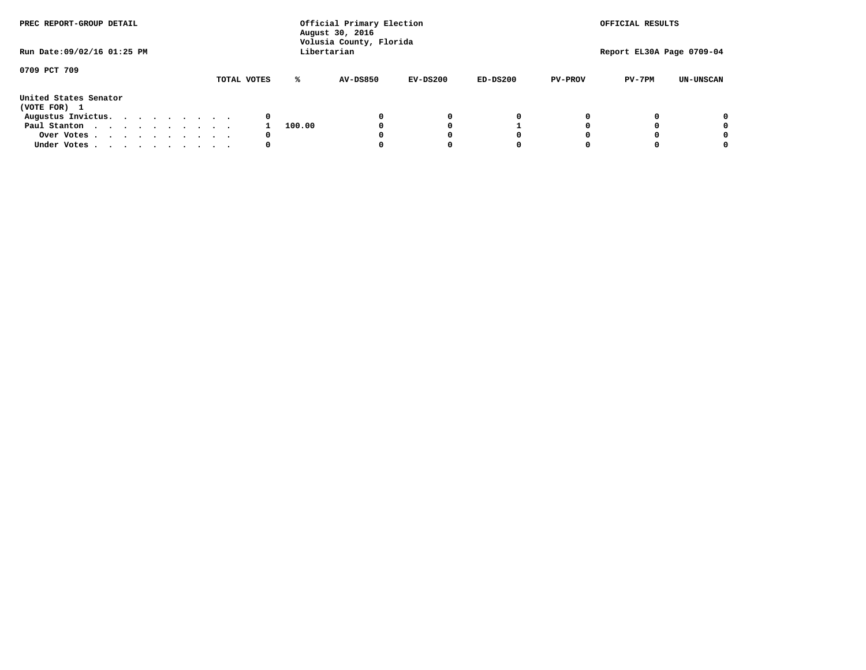| PREC REPORT-GROUP DETAIL<br>Run Date: 09/02/16 01:25 PM |  |  | Official Primary Election<br>August 30, 2016<br>Volusia County, Florida<br>Libertarian |  |             |        |          |            | OFFICIAL RESULTS<br>Report EL30A Page 0709-04 |                |          |                  |
|---------------------------------------------------------|--|--|----------------------------------------------------------------------------------------|--|-------------|--------|----------|------------|-----------------------------------------------|----------------|----------|------------------|
|                                                         |  |  |                                                                                        |  |             |        |          |            |                                               |                |          |                  |
| 0709 PCT 709                                            |  |  |                                                                                        |  | TOTAL VOTES | ℁      | AV-DS850 | $EV-DS200$ | $ED-DS200$                                    | <b>PV-PROV</b> | $PV-7PM$ | <b>UN-UNSCAN</b> |
| United States Senator<br>(VOTE FOR) 1                   |  |  |                                                                                        |  |             |        |          |            |                                               |                |          |                  |
| Augustus Invictus.                                      |  |  |                                                                                        |  | 0           |        |          | 0          | 0                                             |                |          | 0                |
| Paul Stanton                                            |  |  |                                                                                        |  |             | 100.00 |          |            |                                               |                |          | 0                |
| Over Votes                                              |  |  |                                                                                        |  | 0           |        |          |            | O                                             |                |          | 0                |
| Under Votes                                             |  |  |                                                                                        |  | 0           |        |          |            |                                               |                |          |                  |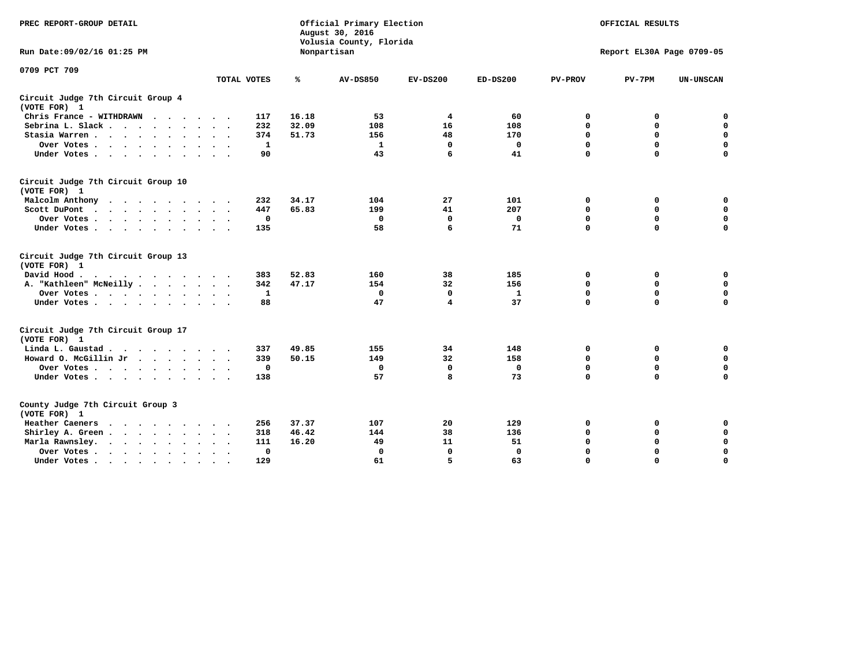| PREC REPORT-GROUP DETAIL                                                                                                                                                       |             |             | Official Primary Election<br>August 30, 2016<br>Volusia County, Florida | OFFICIAL RESULTS |              |                |                           |                  |
|--------------------------------------------------------------------------------------------------------------------------------------------------------------------------------|-------------|-------------|-------------------------------------------------------------------------|------------------|--------------|----------------|---------------------------|------------------|
| Run Date: 09/02/16 01:25 PM                                                                                                                                                    |             |             | Nonpartisan                                                             |                  |              |                | Report EL30A Page 0709-05 |                  |
| 0709 PCT 709                                                                                                                                                                   |             |             |                                                                         |                  |              |                |                           |                  |
|                                                                                                                                                                                | TOTAL VOTES | ℁           | <b>AV-DS850</b>                                                         | $EV-DS200$       | $ED-DS200$   | <b>PV-PROV</b> | $PV-7PM$                  | <b>UN-UNSCAN</b> |
| Circuit Judge 7th Circuit Group 4<br>(VOTE FOR) 1                                                                                                                              |             |             |                                                                         |                  |              |                |                           |                  |
| Chris France - WITHDRAWN<br>.                                                                                                                                                  | 117         | 16.18       | 53                                                                      | 4                | 60           | 0              | 0                         | 0                |
| Sebrina L. Slack                                                                                                                                                               | 232         | 32.09       | 108                                                                     | 16               | 108          | $\Omega$       | $\mathbf 0$               | $\mathbf 0$      |
| Stasia Warren                                                                                                                                                                  | 374         | 51.73       | 156                                                                     | 48               | 170          | $\mathbf 0$    | $\mathbf 0$               | $\mathbf 0$      |
| Over Votes                                                                                                                                                                     |             | 1           | $\mathbf{1}$                                                            | 0                | 0            | $\mathbf 0$    | $\mathbf 0$               | $\mathbf 0$      |
| Under Votes                                                                                                                                                                    |             | 90          | 43                                                                      | 6                | 41           | $\mathbf 0$    | $\Omega$                  | $\mathbf 0$      |
| Circuit Judge 7th Circuit Group 10<br>(VOTE FOR) 1                                                                                                                             |             |             |                                                                         |                  |              |                |                           |                  |
| Malcolm Anthony                                                                                                                                                                | 232         | 34.17       | 104                                                                     | 27               | 101          | 0              | 0                         | $\mathbf 0$      |
| Scott DuPont                                                                                                                                                                   | 447         | 65.83       | 199                                                                     | 41               | 207          | $\mathbf 0$    | $\mathbf 0$               | $\mathbf 0$      |
| Over Votes<br>$\ddot{\phantom{1}}$<br>$\sim$                                                                                                                                   |             | 0           | 0                                                                       | 0                | 0            | $\mathbf 0$    | $\mathbf 0$               | $\mathbf 0$      |
| Under Votes                                                                                                                                                                    | 135         |             | 58                                                                      | 6                | 71           | $\mathbf 0$    | $\Omega$                  | 0                |
| Circuit Judge 7th Circuit Group 13<br>(VOTE FOR) 1                                                                                                                             |             |             |                                                                         |                  |              |                |                           |                  |
| David Hood.                                                                                                                                                                    | 383         | 52.83       | 160                                                                     | 38               | 185          | $\mathbf 0$    | 0                         | $\mathbf 0$      |
| A. "Kathleen" McNeilly                                                                                                                                                         | 342         | 47.17       | 154                                                                     | 32               | 156          | $\mathbf 0$    | $\mathbf 0$               | $\mathbf 0$      |
| Over Votes                                                                                                                                                                     |             | 1           | $\mathbf{0}$                                                            | $\mathbf 0$      | 1            | 0              | $\mathbf 0$               | $\mathbf 0$      |
| Under Votes                                                                                                                                                                    |             | 88          | 47                                                                      | 4                | 37           | $\mathbf 0$    | $\mathbf 0$               | 0                |
| Circuit Judge 7th Circuit Group 17<br>(VOTE FOR) 1                                                                                                                             |             |             |                                                                         |                  |              |                |                           |                  |
| Linda L. Gaustad                                                                                                                                                               | 337         | 49.85       | 155                                                                     | 34               | 148          | 0              | 0                         | $\mathbf 0$      |
| Howard O. McGillin Jr                                                                                                                                                          | 339         | 50.15       | 149                                                                     | 32               | 158          | 0              | 0                         | $\mathbf 0$      |
| Over Votes                                                                                                                                                                     |             | $\mathbf 0$ | $\Omega$                                                                | 0                | $\mathbf{0}$ | $\mathbf 0$    | $\mathbf 0$               | 0                |
| Under Votes                                                                                                                                                                    | 138         |             | 57                                                                      | 8                | 73           | $\mathbf 0$    | $\mathbf 0$               | $\mathbf 0$      |
| County Judge 7th Circuit Group 3<br>(VOTE FOR) 1                                                                                                                               |             |             |                                                                         |                  |              |                |                           |                  |
| Heather Caeners<br>the contract of the contract of the contract of the contract of the contract of the contract of the contract of                                             | 256         | 37.37       | 107                                                                     | 20               | 129          | 0              | 0                         | 0                |
| Shirley A. Green                                                                                                                                                               | 318         | 46.42       | 144                                                                     | 38               | 136          | $\mathbf 0$    | $\Omega$                  | $\mathbf 0$      |
| Marla Rawnsley.<br>$\cdot$ $\cdot$ $\cdot$ $\cdot$ $\cdot$                                                                                                                     | 111         | 16.20       | 49                                                                      | 11               | 51           | 0              | $\mathbf 0$               | $\pmb{0}$        |
| Over Votes.<br>the contract of the contract of the contract of the contract of the contract of the contract of the contract of<br>$\ddot{\phantom{a}}$<br>$\ddot{\phantom{a}}$ |             | 0           | $\Omega$                                                                | $\mathbf 0$      | $\mathbf{0}$ | $\mathbf 0$    | $\Omega$                  | $\mathbf 0$      |
| Under Votes<br>$\sim$<br>$\sim$                                                                                                                                                | 129         |             | 61                                                                      | 5                | 63           | $\mathbf 0$    | $\mathbf 0$               | 0                |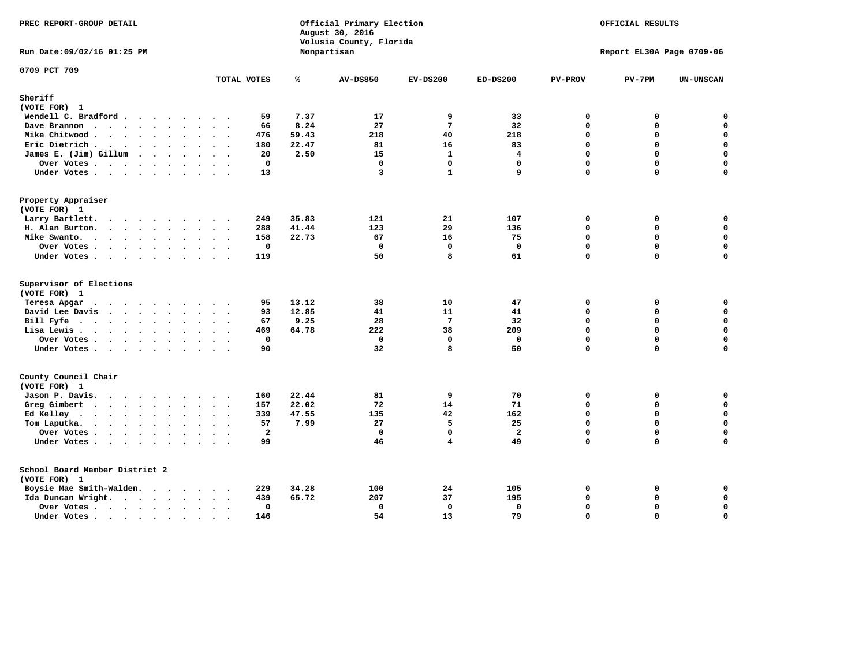| PREC REPORT-GROUP DETAIL                |                |                | Official Primary Election<br>August 30, 2016<br>Volusia County, Florida | OFFICIAL RESULTS |                |                |                           |                  |
|-----------------------------------------|----------------|----------------|-------------------------------------------------------------------------|------------------|----------------|----------------|---------------------------|------------------|
| Run Date: 09/02/16 01:25 PM             |                |                | Nonpartisan                                                             |                  |                |                | Report EL30A Page 0709-06 |                  |
| 0709 PCT 709                            | TOTAL VOTES    | ℁              | <b>AV-DS850</b>                                                         | $EV-DS200$       | $ED-DS200$     | <b>PV-PROV</b> | $PV-7PM$                  | <b>UN-UNSCAN</b> |
| Sheriff                                 |                |                |                                                                         |                  |                |                |                           |                  |
| (VOTE FOR) 1                            |                |                |                                                                         |                  |                |                |                           |                  |
| Wendell C. Bradford                     | 59             | 7.37           | 17                                                                      | 9                | 33             | 0              | 0                         | $\Omega$         |
| Dave Brannon                            | 66             | 8.24           | 27                                                                      | $7\phantom{.0}$  | 32             | 0              | 0                         | 0                |
| Mike Chitwood                           | 476            | 59.43          | 218                                                                     | 40               | 218            | 0              | 0                         | $\mathbf 0$      |
| Eric Dietrich                           | 180            | 22.47          | 81                                                                      | 16               | 83             | 0              | 0                         | 0                |
| James E. (Jim) Gillum                   | 20             | 2.50           | 15                                                                      | $\mathbf{1}$     | 4              | $\Omega$       | $\Omega$                  | $\mathbf 0$      |
| Over Votes                              | 0              |                | $\mathbf 0$                                                             | $\mathbf 0$      | $\mathbf 0$    | 0              | 0                         | $\pmb{0}$        |
| Under Votes                             | 13             |                | 3                                                                       | $\mathbf{1}$     | 9              | 0              | $\Omega$                  | $\mathbf 0$      |
| Property Appraiser                      |                |                |                                                                         |                  |                |                |                           |                  |
| (VOTE FOR) 1                            |                |                |                                                                         |                  |                |                |                           |                  |
| Larry Bartlett.                         | 249            | 35.83          | 121                                                                     | 21               | 107            | $\mathbf 0$    | 0                         | 0                |
| H. Alan Burton.                         | 288            | 41.44          | 123                                                                     | 29               | 136            | 0              | 0                         | $\mathbf 0$      |
| Mike Swanto.                            | 158            | 22.73          | 67                                                                      | 16               | 75             | $\Omega$       | $\Omega$                  | $\mathbf 0$      |
| Over Votes                              | 0              |                | $\mathbf 0$                                                             | $\mathbf 0$      | $\mathbf 0$    | 0              | 0                         | $\mathbf 0$      |
| Under Votes                             | 119            |                | 50                                                                      | R                | 61             | 0              | $\Omega$                  | $\mathbf 0$      |
| Supervisor of Elections<br>(VOTE FOR) 1 |                |                |                                                                         |                  |                |                |                           |                  |
| Teresa Apgar                            | 95             | 13.12          | 38                                                                      | 10               | 47             | 0              | 0                         | 0                |
| David Lee Davis                         | 93             | 12.85          | 41                                                                      | 11               | 41             | $\Omega$       | 0                         | 0                |
| Bill Fyfe                               | 67             | 9.25           | 28                                                                      | $7\phantom{.0}$  | 32             | 0              | 0                         | $\mathbf 0$      |
| Lisa Lewis                              | 469            | 64.78          | 222                                                                     | 38               | 209            | 0              | 0                         | 0                |
| Over Votes                              | $\mathbf 0$    |                | $\mathbf{0}$                                                            | $\mathbf 0$      | $\mathbf 0$    | 0              | 0                         | $\pmb{0}$        |
| Under Votes                             | 90             |                | 32                                                                      | 8                | 50             | 0              | $\Omega$                  | $\mathbf 0$      |
| County Council Chair<br>(VOTE FOR) 1    |                |                |                                                                         |                  |                |                |                           |                  |
| Jason P. Davis.                         | 160            | 22.44          | 81                                                                      | 9                | 70             | $\mathbf{0}$   | 0                         | 0                |
| Greg Gimbert                            | 157            | 22.02          | 72                                                                      | 14               | 71             | $\Omega$       | 0                         | $\mathbf 0$      |
| Ed Kelley                               | 339            | 47.55          | 135                                                                     | 42               | 162            | 0              | 0                         | $\mathbf 0$      |
| Tom Laputka.                            | 57             | 7.99           | 27                                                                      | 5                | 25             | $\Omega$       | 0                         | $\mathbf 0$      |
| Over Votes                              | $\overline{a}$ |                | $\Omega$                                                                | $\mathbf{0}$     | $\overline{a}$ | 0              | 0                         | 0                |
| Under Votes                             | 99             |                | 46                                                                      | $\overline{4}$   | 49             | 0              | $\mathbf 0$               | $\mathbf 0$      |
| School Board Member District 2          |                |                |                                                                         |                  |                |                |                           |                  |
| (VOTE FOR) 1                            |                |                |                                                                         |                  |                |                |                           |                  |
| Boysie Mae Smith-Walden.                | 229            | 34.28<br>65.72 | 100<br>207                                                              | 24<br>37         | 105            | 0              | 0<br>0                    | 0<br>0           |
| Ida Duncan Wright.                      | 439            |                |                                                                         |                  | 195            | 0              |                           |                  |
| Over Votes.                             | 0              |                | 0                                                                       | $\mathbf{0}$     | 0              | 0<br>$\Omega$  | 0                         | 0                |
| Under Votes                             | 146<br>$\sim$  |                | 54                                                                      | 13               | 79             |                | $\Omega$                  | $\mathbf 0$      |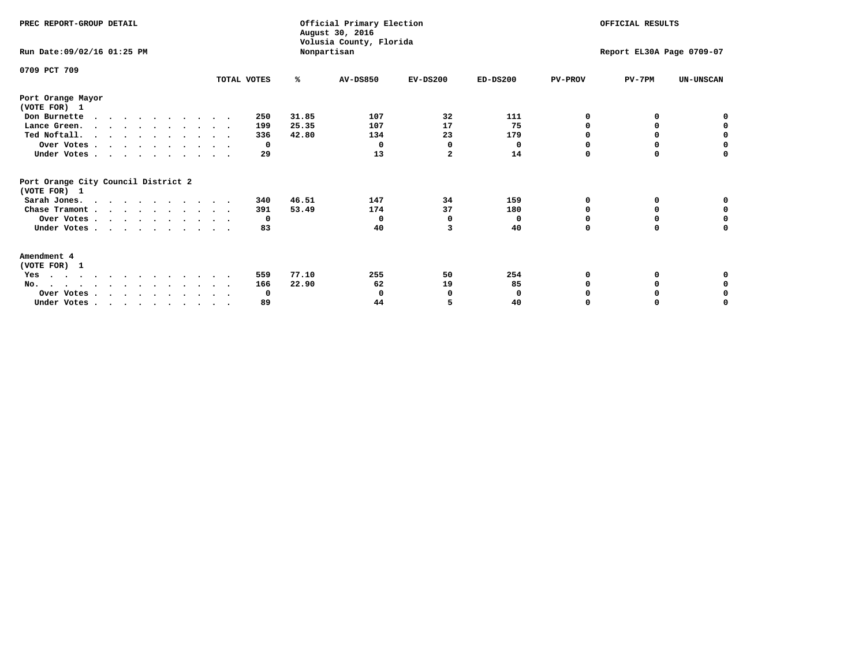| PREC REPORT-GROUP DETAIL                            |             |             | Official Primary Election<br>August 30, 2016<br>Volusia County, Florida |                           | OFFICIAL RESULTS |                |          |                  |
|-----------------------------------------------------|-------------|-------------|-------------------------------------------------------------------------|---------------------------|------------------|----------------|----------|------------------|
| Run Date: 09/02/16 01:25 PM                         |             | Nonpartisan |                                                                         | Report EL30A Page 0709-07 |                  |                |          |                  |
| 0709 PCT 709                                        | TOTAL VOTES | %           | <b>AV-DS850</b>                                                         | $EV-DS200$                | $ED-DS200$       | <b>PV-PROV</b> | $PV-7PM$ | <b>UN-UNSCAN</b> |
|                                                     |             |             |                                                                         |                           |                  |                |          |                  |
| Port Orange Mayor<br>(VOTE FOR) 1                   |             |             |                                                                         |                           |                  |                |          |                  |
| Don Burnette<br>$\cdots$                            | 250         | 31.85       | 107                                                                     | 32                        | 111              | O              | 0        | 0                |
| Lance Green.                                        | 199         | 25.35       | 107                                                                     | 17                        | 75               | O              | 0        | 0                |
| Ted Noftall.                                        | 336         | 42.80       | 134                                                                     | 23                        | 179              | 0              |          | 0                |
| Over Votes                                          | 0           |             | $\Omega$                                                                | $\mathbf 0$               | 0                | $\Omega$       | $\Omega$ | $\Omega$         |
| Under Votes                                         | 29          |             | 13                                                                      | 2                         | 14               | 0              | 0        | 0                |
| Port Orange City Council District 2<br>(VOTE FOR) 1 |             |             |                                                                         |                           |                  |                |          |                  |
| Sarah Jones.                                        | 340         | 46.51       | 147                                                                     | 34                        | 159              | 0              | 0        | 0                |
| Chase Tramont                                       | 391         | 53.49       | 174                                                                     | 37                        | 180              | O              | 0        | 0                |
| Over Votes                                          | 0           |             | $\Omega$                                                                | 0                         | 0                | O              | o        | $\Omega$         |
| Under Votes                                         | 83          |             | 40                                                                      | 3                         | 40               | 0              | 0        | 0                |
| Amendment 4                                         |             |             |                                                                         |                           |                  |                |          |                  |
| (VOTE FOR) 1                                        |             |             |                                                                         |                           |                  |                |          |                  |
| Yes<br>.                                            | 559         | 77.10       | 255                                                                     | 50                        | 254              | 0              |          | 0                |
| No.                                                 | 166         | 22.90       | 62                                                                      | 19                        | 85               |                | 0        | 0                |
| Over Votes                                          | 0           |             | 0                                                                       | 0                         | 0                |                |          | 0                |
| Under Votes, , , , , , , , , , ,                    | 89          |             | 44                                                                      |                           | 40               | $\Omega$       |          | O                |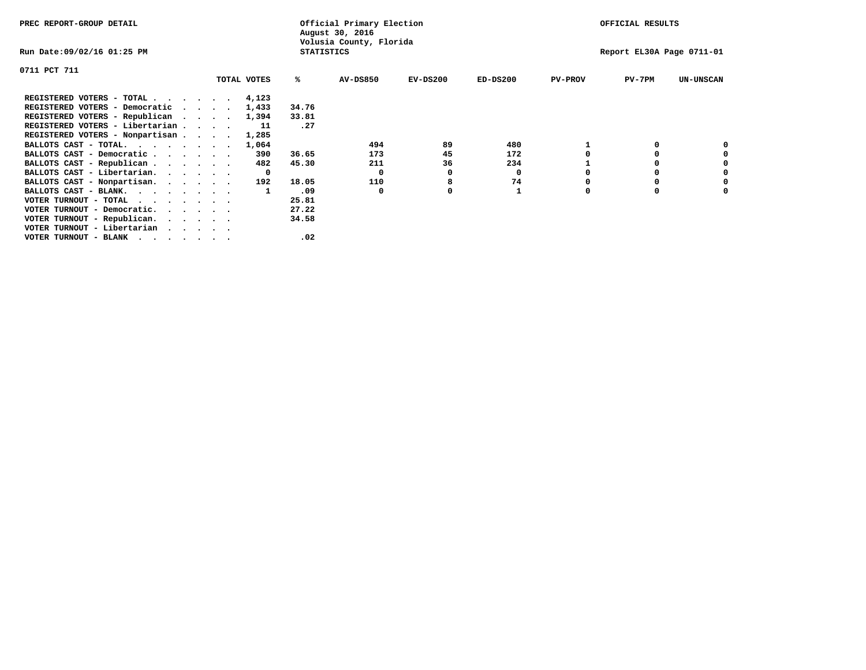| PREC REPORT-GROUP DETAIL                  |  |              |                   | Official Primary Election<br>August 30, 2016 |            |            |                | OFFICIAL RESULTS          |                  |
|-------------------------------------------|--|--------------|-------------------|----------------------------------------------|------------|------------|----------------|---------------------------|------------------|
| Run Date:09/02/16 01:25 PM                |  |              | <b>STATISTICS</b> | Volusia County, Florida                      |            |            |                | Report EL30A Page 0711-01 |                  |
| 0711 PCT 711                              |  |              |                   |                                              |            |            |                |                           |                  |
|                                           |  | TOTAL VOTES  | ℁                 | <b>AV-DS850</b>                              | $EV-DS200$ | $ED-DS200$ | <b>PV-PROV</b> | PV-7PM                    | <b>UN-UNSCAN</b> |
| REGISTERED VOTERS - TOTAL 4,123           |  |              |                   |                                              |            |            |                |                           |                  |
| REGISTERED VOTERS - Democratic<br>$\cdot$ |  | 1,433        | 34.76             |                                              |            |            |                |                           |                  |
| REGISTERED VOTERS - Republican            |  | 1,394        | 33.81             |                                              |            |            |                |                           |                  |
| REGISTERED VOTERS - Libertarian           |  | 11           | .27               |                                              |            |            |                |                           |                  |
| REGISTERED VOTERS - Nonpartisan           |  | 1,285        |                   |                                              |            |            |                |                           |                  |
| BALLOTS CAST - TOTAL.                     |  | 1,064        |                   | 494                                          | 89         | 480        |                |                           |                  |
| BALLOTS CAST - Democratic                 |  | 390          | 36.65             | 173                                          | 45         | 172        |                |                           |                  |
| BALLOTS CAST - Republican                 |  | 482          | 45.30             | 211                                          | 36         | 234        |                |                           |                  |
| BALLOTS CAST - Libertarian.               |  | $\mathbf{o}$ |                   | 0                                            | 0          | 0          |                |                           |                  |
| BALLOTS CAST - Nonpartisan.               |  | 192          | 18.05             | 110                                          |            | 74         |                |                           | 0                |
| BALLOTS CAST - BLANK.                     |  |              | .09               | $\Omega$                                     | O          |            | O              |                           |                  |
| VOTER TURNOUT - TOTAL                     |  |              | 25.81             |                                              |            |            |                |                           |                  |
| VOTER TURNOUT - Democratic.               |  |              | 27.22             |                                              |            |            |                |                           |                  |
| VOTER TURNOUT - Republican.               |  |              | 34.58             |                                              |            |            |                |                           |                  |
| VOTER TURNOUT - Libertarian               |  |              |                   |                                              |            |            |                |                           |                  |
| VOTER TURNOUT - BLANK                     |  |              | .02               |                                              |            |            |                |                           |                  |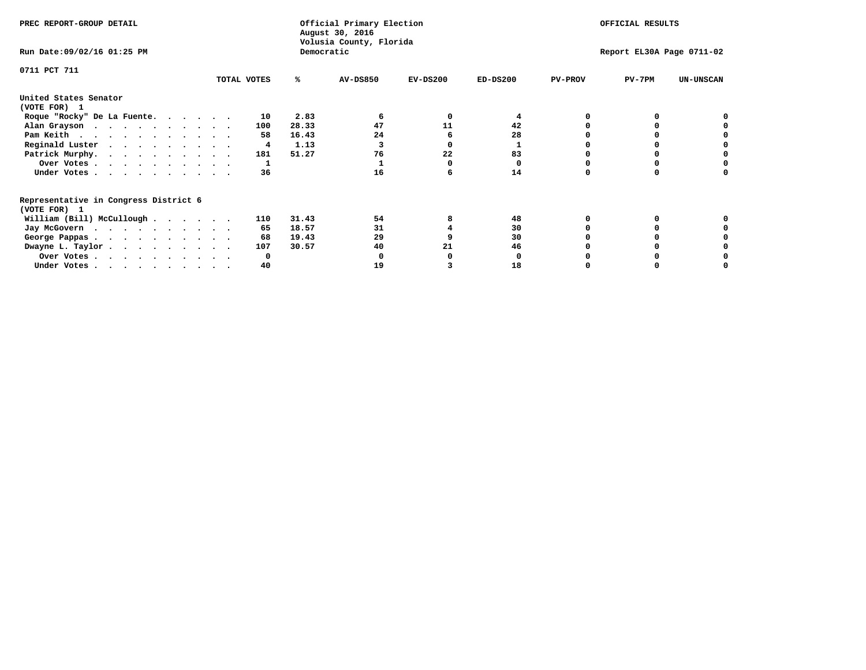| PREC REPORT-GROUP DETAIL                                               |             |     |            | Official Primary Election<br>August 30, 2016<br>Volusia County, Florida | OFFICIAL RESULTS |                           |                |          |                  |
|------------------------------------------------------------------------|-------------|-----|------------|-------------------------------------------------------------------------|------------------|---------------------------|----------------|----------|------------------|
| Run Date: 09/02/16 01:25 PM                                            |             |     | Democratic |                                                                         |                  | Report EL30A Page 0711-02 |                |          |                  |
| 0711 PCT 711                                                           |             |     |            |                                                                         |                  |                           |                |          |                  |
|                                                                        | TOTAL VOTES |     | ℁          | <b>AV-DS850</b>                                                         | $EV-DS200$       | $ED-DS200$                | <b>PV-PROV</b> | $PV-7PM$ | <b>UN-UNSCAN</b> |
| United States Senator                                                  |             |     |            |                                                                         |                  |                           |                |          |                  |
| (VOTE FOR) 1                                                           |             |     |            |                                                                         |                  |                           |                |          |                  |
| Roque "Rocky" De La Fuente.                                            |             | 10  | 2.83       |                                                                         | O                |                           |                |          |                  |
| Alan Grayson                                                           |             | 100 | 28.33      | 47                                                                      | 11               | 42                        |                |          |                  |
| Pam Keith                                                              |             | 58  | 16.43      | 24                                                                      |                  | 28                        |                |          |                  |
| Reginald Luster                                                        |             | 4   | 1.13       |                                                                         |                  |                           |                |          |                  |
| Patrick Murphy.                                                        |             | 181 | 51.27      | 76                                                                      | 22               | 83                        |                |          |                  |
| Over Votes                                                             |             |     |            |                                                                         |                  | O                         |                |          |                  |
| Under Votes                                                            |             | 36  |            | 16                                                                      |                  | 14                        |                |          |                  |
| Representative in Congress District 6                                  |             |     |            |                                                                         |                  |                           |                |          |                  |
| (VOTE FOR) 1                                                           |             |     |            |                                                                         |                  |                           |                |          |                  |
| William (Bill) McCullough                                              |             | 110 | 31.43      | 54                                                                      |                  | 48                        |                |          |                  |
| Jay McGovern                                                           |             | 65  | 18.57      | 31                                                                      |                  | 30                        |                |          |                  |
| George Pappas.                                                         |             | 68  | 19.43      | 29                                                                      |                  | 30                        |                |          |                  |
| Dwayne L. Taylor                                                       |             | 107 | 30.57      | 40                                                                      | 21               | 46                        |                |          |                  |
| Over Votes                                                             |             |     |            |                                                                         |                  |                           |                |          |                  |
| Under Votes, $\cdot$ , $\cdot$ , $\cdot$ , $\cdot$ , $\cdot$ , $\cdot$ |             | 40  |            | 19                                                                      |                  | 18                        |                |          |                  |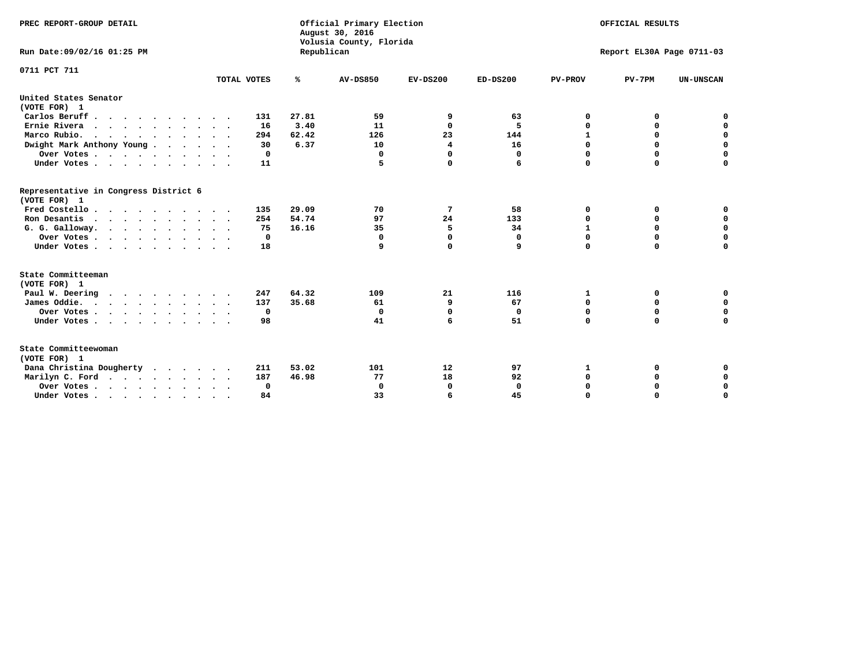| PREC REPORT-GROUP DETAIL<br>Run Date: 09/02/16 01:25 PM |             | Republican | Official Primary Election<br>August 30, 2016<br>Volusia County, Florida | OFFICIAL RESULTS<br>Report EL30A Page 0711-03 |              |                |             |                  |
|---------------------------------------------------------|-------------|------------|-------------------------------------------------------------------------|-----------------------------------------------|--------------|----------------|-------------|------------------|
| 0711 PCT 711                                            |             |            |                                                                         |                                               |              |                |             |                  |
|                                                         | TOTAL VOTES | ℁          | <b>AV-DS850</b>                                                         | $EV-DS200$                                    | $ED-DS200$   | <b>PV-PROV</b> | $PV-7PM$    | <b>UN-UNSCAN</b> |
| United States Senator<br>(VOTE FOR) 1                   |             |            |                                                                         |                                               |              |                |             |                  |
| Carlos Beruff.                                          | 131         | 27.81      | 59                                                                      | 9                                             | 63           | 0              | 0           | 0                |
| Ernie Rivera                                            | 16          | 3.40       | 11                                                                      | $\Omega$                                      | 5            | $\Omega$       | 0           | $\mathbf 0$      |
| Marco Rubio.                                            | 294         | 62.42      | 126                                                                     | 23                                            | 144          | $\mathbf{1}$   | 0           | $\mathbf 0$      |
| Dwight Mark Anthony Young                               | 30          | 6.37       | 10                                                                      | 4                                             | 16           | 0              | $\mathbf 0$ | $\pmb{0}$        |
| Over Votes                                              | 0           |            | $\mathbf{0}$                                                            | $\mathbf 0$                                   | 0            | 0              | $\mathbf 0$ | $\mathbf 0$      |
| Under Votes                                             | 11          |            | 5                                                                       | $\Omega$                                      | 6            | $\Omega$       | $\Omega$    | $\mathbf 0$      |
| Representative in Congress District 6<br>(VOTE FOR) 1   |             |            |                                                                         |                                               |              |                |             |                  |
| Fred Costello                                           | 135         | 29.09      | 70                                                                      | 7                                             | 58           | 0              | 0           | $\mathbf 0$      |
| Ron Desantis                                            | 254         | 54.74      | 97                                                                      | 24                                            | 133          | 0              | 0           | $\mathbf 0$      |
| G. G. Galloway.                                         | 75          | 16.16      | 35                                                                      | 5                                             | 34           | $\mathbf{1}$   | $\mathbf 0$ | $\mathbf 0$      |
| Over Votes                                              | 0           |            | $\Omega$                                                                | $\mathbf 0$                                   | 0            | $\mathbf 0$    | 0           | $\mathbf 0$      |
| Under Votes                                             | 18          |            | 9                                                                       | $\mathbf 0$                                   | 9            | $\mathbf 0$    | $\Omega$    | $\mathbf 0$      |
| State Committeeman                                      |             |            |                                                                         |                                               |              |                |             |                  |
| (VOTE FOR) 1                                            |             |            |                                                                         |                                               |              |                |             |                  |
| Paul W. Deering                                         | 247         | 64.32      | 109                                                                     | 21                                            | 116          | 1              | 0           | 0                |
| James Oddie.                                            | 137         | 35.68      | 61                                                                      | 9                                             | 67           | 0              | 0           | $\mathbf 0$      |
| Over Votes                                              | 0           |            | $\Omega$                                                                | $\mathbf 0$                                   | 0            | 0              | $\mathbf 0$ | $\mathbf 0$      |
| Under Votes                                             | 98          |            | 41                                                                      | 6                                             | 51           | $\mathbf 0$    | $\mathbf 0$ | $\mathbf 0$      |
| State Committeewoman<br>(VOTE FOR) 1                    |             |            |                                                                         |                                               |              |                |             |                  |
| Dana Christina Dougherty                                | 211         | 53.02      | 101                                                                     | 12                                            | 97           | 1              | 0           | 0                |
| Marilyn C. Ford                                         | 187         | 46.98      | 77                                                                      | 18                                            | 92           | 0              | 0           | 0                |
| Over Votes                                              | $\Omega$    |            | $\Omega$                                                                | 0                                             | $\mathbf{0}$ | 0              | 0           | $\mathbf 0$      |
| Under Votes, , , , , , , , , ,                          | 84          |            | 33                                                                      | 6                                             | 45           | $\Omega$       | $\Omega$    | $\Omega$         |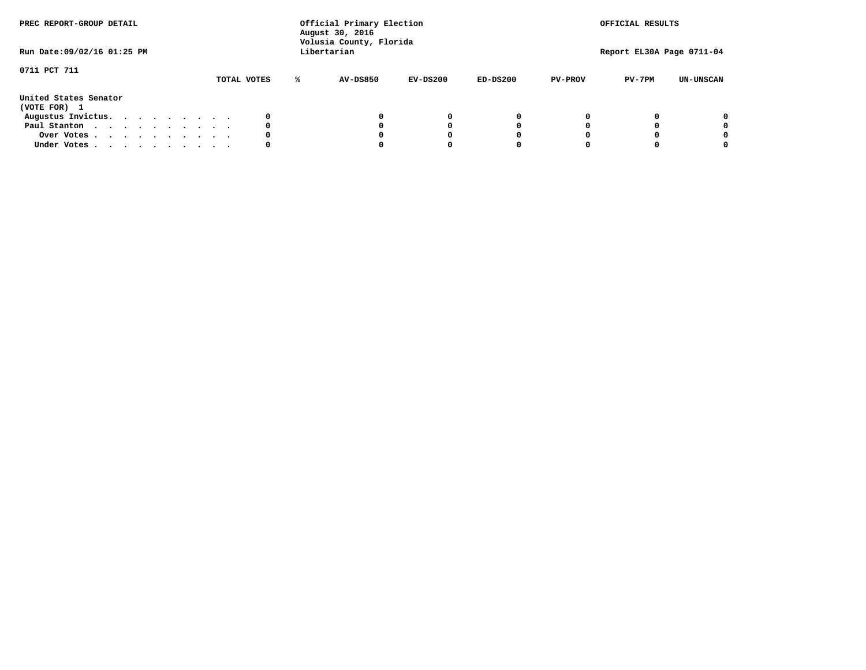| PREC REPORT-GROUP DETAIL              |  |  |  |  | Official Primary Election<br>August 30, 2016<br>Volusia County, Florida |  |             |   |             |          | OFFICIAL RESULTS |                |                           |                  |
|---------------------------------------|--|--|--|--|-------------------------------------------------------------------------|--|-------------|---|-------------|----------|------------------|----------------|---------------------------|------------------|
| Run Date: 09/02/16 01:25 PM           |  |  |  |  |                                                                         |  |             |   | Libertarian |          |                  |                | Report EL30A Page 0711-04 |                  |
| 0711 PCT 711                          |  |  |  |  |                                                                         |  |             |   |             |          |                  |                |                           |                  |
|                                       |  |  |  |  |                                                                         |  | TOTAL VOTES | ℁ | AV-DS850    | EV-DS200 | $ED-DS200$       | <b>PV-PROV</b> | $PV-7PM$                  | <b>UN-UNSCAN</b> |
| United States Senator<br>(VOTE FOR) 1 |  |  |  |  |                                                                         |  |             |   |             |          |                  |                |                           |                  |
| Augustus Invictus.                    |  |  |  |  |                                                                         |  |             |   |             | 0        |                  |                |                           | 0                |
| Paul Stanton                          |  |  |  |  |                                                                         |  | 0           |   |             | O        |                  |                |                           | 0                |
| Over Votes                            |  |  |  |  |                                                                         |  |             |   |             |          |                  |                |                           | 0                |
| Under Votes                           |  |  |  |  |                                                                         |  | 0           |   |             |          |                  |                |                           | 0                |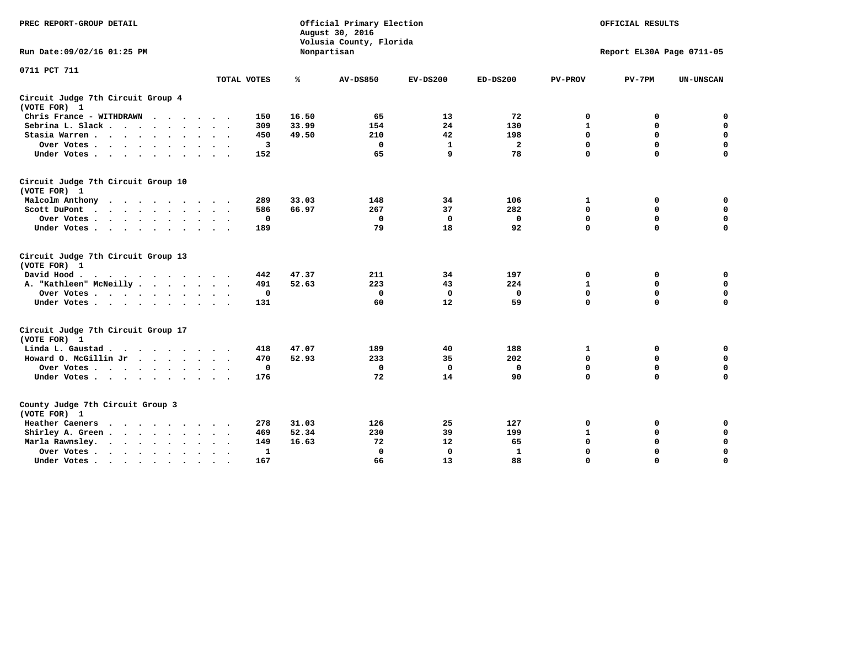| PREC REPORT-GROUP DETAIL                                                                                                                                                       |             |             | Official Primary Election<br>August 30, 2016<br>Volusia County, Florida | OFFICIAL RESULTS |                |                |                           |                  |
|--------------------------------------------------------------------------------------------------------------------------------------------------------------------------------|-------------|-------------|-------------------------------------------------------------------------|------------------|----------------|----------------|---------------------------|------------------|
| Run Date: 09/02/16 01:25 PM                                                                                                                                                    |             |             | Nonpartisan                                                             |                  |                |                | Report EL30A Page 0711-05 |                  |
| 0711 PCT 711                                                                                                                                                                   |             |             |                                                                         |                  |                |                |                           |                  |
|                                                                                                                                                                                | TOTAL VOTES | ℁           | <b>AV-DS850</b>                                                         | $EV-DS200$       | $ED-DS200$     | <b>PV-PROV</b> | $PV-7PM$                  | <b>UN-UNSCAN</b> |
| Circuit Judge 7th Circuit Group 4<br>(VOTE FOR) 1                                                                                                                              |             |             |                                                                         |                  |                |                |                           |                  |
| Chris France - WITHDRAWN                                                                                                                                                       | 150         | 16.50       | 65                                                                      | 13               | 72             | 0              | 0                         | 0                |
| Sebrina L. Slack                                                                                                                                                               | 309         | 33.99       | 154                                                                     | 24               | 130            | $\mathbf{1}$   | $\mathbf 0$               | $\mathbf 0$      |
| Stasia Warren                                                                                                                                                                  | 450         | 49.50       | 210                                                                     | 42               | 198            | $\mathbf 0$    | $\mathbf 0$               | $\mathbf 0$      |
| Over Votes                                                                                                                                                                     |             | 3           | $\mathbf{0}$                                                            | 1                | $\overline{a}$ | $\mathbf 0$    | $\mathbf 0$               | $\mathbf 0$      |
| Under Votes                                                                                                                                                                    | 152         |             | 65                                                                      | 9                | 78             | $\mathbf 0$    | $\mathbf 0$               | $\mathbf 0$      |
| Circuit Judge 7th Circuit Group 10<br>(VOTE FOR) 1                                                                                                                             |             |             |                                                                         |                  |                |                |                           |                  |
| Malcolm Anthony                                                                                                                                                                | 289         | 33.03       | 148                                                                     | 34               | 106            | 1              | 0                         | 0                |
| Scott DuPont                                                                                                                                                                   | 586         | 66.97       | 267                                                                     | 37               | 282            | $\mathbf 0$    | $\mathbf 0$               | $\mathbf 0$      |
| Over Votes<br>$\ddot{\phantom{a}}$<br>$\sim$                                                                                                                                   |             | $\mathbf 0$ | $\mathbf 0$                                                             | 0                | 0              | 0              | $\mathbf 0$               | $\mathbf 0$      |
| Under Votes                                                                                                                                                                    | 189         |             | 79                                                                      | 18               | 92             | $\mathbf 0$    | $\Omega$                  | $\mathbf 0$      |
| Circuit Judge 7th Circuit Group 13<br>(VOTE FOR) 1                                                                                                                             |             |             |                                                                         |                  |                |                |                           |                  |
| David Hood.                                                                                                                                                                    | 442         | 47.37       | 211                                                                     | 34               | 197            | $\mathbf 0$    | 0                         | $\mathbf 0$      |
| A. "Kathleen" McNeilly                                                                                                                                                         | 491         | 52.63       | 223                                                                     | 43               | 224            | $\mathbf{1}$   | $\mathbf 0$               | $\mathbf 0$      |
| Over Votes                                                                                                                                                                     |             | $\mathbf 0$ | $\mathbf{0}$                                                            | $\mathbf 0$      | 0              | 0              | $\mathbf 0$               | $\mathbf 0$      |
| Under Votes                                                                                                                                                                    | 131         |             | 60                                                                      | 12               | 59             | $\mathbf 0$    | $\mathbf 0$               | 0                |
| Circuit Judge 7th Circuit Group 17<br>(VOTE FOR) 1                                                                                                                             |             |             |                                                                         |                  |                |                |                           |                  |
| Linda L. Gaustad                                                                                                                                                               | 418         | 47.07       | 189                                                                     | 40               | 188            | 1              | 0                         | $\mathbf 0$      |
| Howard O. McGillin Jr                                                                                                                                                          | 470         | 52.93       | 233                                                                     | 35               | 202            | 0              | 0                         | $\mathbf 0$      |
| Over Votes                                                                                                                                                                     |             | $\mathbf 0$ | $\Omega$                                                                | 0                | 0              | $\mathbf 0$    | $\mathbf 0$               | 0                |
| Under Votes                                                                                                                                                                    | 176         |             | 72                                                                      | 14               | 90             | $\mathbf 0$    | $\mathbf 0$               | $\mathbf 0$      |
| County Judge 7th Circuit Group 3<br>(VOTE FOR) 1                                                                                                                               |             |             |                                                                         |                  |                |                |                           |                  |
| Heather Caeners<br>$\cdots$                                                                                                                                                    | 278         | 31.03       | 126                                                                     | 25               | 127            | 0              | 0                         | 0                |
| Shirley A. Green                                                                                                                                                               | 469         | 52.34       | 230                                                                     | 39               | 199            | $\mathbf{1}$   | $\mathbf 0$               | $\mathbf 0$      |
| Marla Rawnsley.<br>$\cdot$ $\cdot$ $\cdot$ $\cdot$ $\cdot$                                                                                                                     | 149         | 16.63       | 72                                                                      | 12               | 65             | 0              | $\mathbf 0$               | $\pmb{0}$        |
| Over Votes.<br>the contract of the contract of the contract of the contract of the contract of the contract of the contract of<br>$\ddot{\phantom{a}}$<br>$\ddot{\phantom{a}}$ |             | 1           | $\Omega$                                                                | 0                | 1              | $\mathbf 0$    | $\mathbf 0$               | $\mathbf 0$      |
| Under Votes<br>$\sim$                                                                                                                                                          | 167         |             | 66                                                                      | 13               | 88             | $\mathbf 0$    | $\mathbf 0$               | 0                |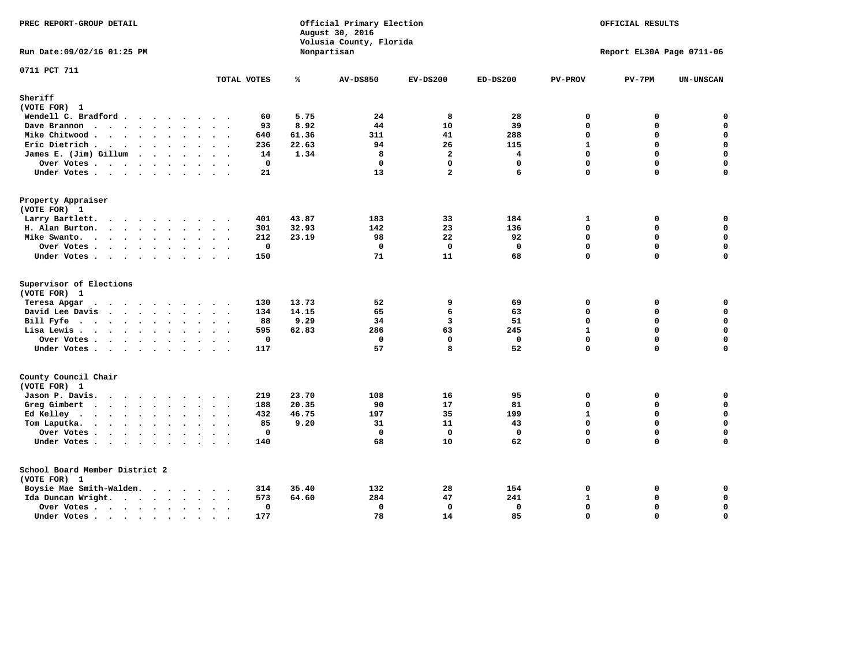| PREC REPORT-GROUP DETAIL                                                                                                                                                                                                                                                                       |                                           |       | Official Primary Election<br>August 30, 2016<br>Volusia County, Florida | OFFICIAL RESULTS |                         |                           |              |                  |  |
|------------------------------------------------------------------------------------------------------------------------------------------------------------------------------------------------------------------------------------------------------------------------------------------------|-------------------------------------------|-------|-------------------------------------------------------------------------|------------------|-------------------------|---------------------------|--------------|------------------|--|
| Run Date:09/02/16 01:25 PM                                                                                                                                                                                                                                                                     |                                           |       | Nonpartisan                                                             |                  |                         | Report EL30A Page 0711-06 |              |                  |  |
| 0711 PCT 711                                                                                                                                                                                                                                                                                   | TOTAL VOTES                               | ℁     | <b>AV-DS850</b>                                                         | $EV-DS200$       | ED-DS200                | <b>PV-PROV</b>            | $PV-7PM$     | <b>UN-UNSCAN</b> |  |
|                                                                                                                                                                                                                                                                                                |                                           |       |                                                                         |                  |                         |                           |              |                  |  |
| Sheriff                                                                                                                                                                                                                                                                                        |                                           |       |                                                                         |                  |                         |                           |              |                  |  |
| (VOTE FOR) 1                                                                                                                                                                                                                                                                                   |                                           |       |                                                                         |                  |                         |                           |              |                  |  |
| Wendell C. Bradford                                                                                                                                                                                                                                                                            | 60<br>$\cdot$ .                           | 5.75  | 24                                                                      | 8                | 28                      | $\mathbf 0$               | 0            | $\mathbf 0$      |  |
| Dave Brannon<br>$\bullet$<br>$\ddot{\phantom{a}}$                                                                                                                                                                                                                                              | 93<br>$\ddot{\phantom{a}}$                | 8.92  | 44                                                                      | 10               | 39                      | $\mathbf 0$               | $\mathbf 0$  | $\mathbf 0$      |  |
| Mike Chitwood<br>$\ddot{\phantom{a}}$<br>$\ddot{\phantom{a}}$                                                                                                                                                                                                                                  | 640<br>$\sim$<br>$\cdot$                  | 61.36 | 311                                                                     | 41               | 288                     | $\mathbf 0$               | $\mathbf 0$  | $\mathbf 0$      |  |
| Eric Dietrich                                                                                                                                                                                                                                                                                  | 236<br>$\sim$                             | 22.63 | 94                                                                      | 26               | 115                     | $\mathbf{1}$              | $\Omega$     | $\mathbf 0$      |  |
| James E. (Jim) Gillum                                                                                                                                                                                                                                                                          | 14                                        | 1.34  | 8                                                                       | $\overline{a}$   | $\overline{\mathbf{4}}$ | $\mathbf 0$               | $\mathbf 0$  | $\mathbf 0$      |  |
| Over Votes                                                                                                                                                                                                                                                                                     | $\mathbf 0$<br>$\bullet$                  |       | $\mathbf 0$                                                             | $\mathbf{0}$     | 0                       | $\Omega$                  | $\mathbf 0$  | $\mathbf 0$      |  |
| Under Votes                                                                                                                                                                                                                                                                                    | 21                                        |       | 13                                                                      | $\overline{a}$   | 6                       | $\Omega$                  | 0            | $\Omega$         |  |
| Property Appraiser                                                                                                                                                                                                                                                                             |                                           |       |                                                                         |                  |                         |                           |              |                  |  |
| (VOTE FOR) 1                                                                                                                                                                                                                                                                                   |                                           |       |                                                                         |                  |                         |                           |              |                  |  |
| Larry Bartlett.<br>.                                                                                                                                                                                                                                                                           | 401                                       | 43.87 | 183                                                                     | 33               | 184                     | $\mathbf{1}$              | 0            | $\mathbf 0$      |  |
| H. Alan Burton.                                                                                                                                                                                                                                                                                | 301<br>$\sim$                             | 32.93 | 142                                                                     | 23               | 136                     | $\mathbf 0$               | $\mathbf{0}$ | $\mathbf 0$      |  |
| Mike Swanto.<br><b><i>Charles Committee Committee States</i></b><br>$\ddot{\phantom{a}}$                                                                                                                                                                                                       | 212                                       | 23.19 | 98                                                                      | 22               | 92                      | $\mathbf 0$               | $\mathbf{0}$ | $\mathbf 0$      |  |
| Over Votes<br>$\bullet$<br>$\ddot{\phantom{1}}$                                                                                                                                                                                                                                                | $\mathbf{0}$                              |       | $\mathbf 0$                                                             | $\Omega$         | $\mathbf{0}$            | $\Omega$                  | $\mathbf 0$  | $\mathbf 0$      |  |
| Under Votes                                                                                                                                                                                                                                                                                    | 150<br>$\ddot{\phantom{1}}$               |       | 71                                                                      | 11               | 68                      | $\Omega$                  | 0            | 0                |  |
| Supervisor of Elections                                                                                                                                                                                                                                                                        |                                           |       |                                                                         |                  |                         |                           |              |                  |  |
| (VOTE FOR) 1                                                                                                                                                                                                                                                                                   |                                           |       |                                                                         |                  |                         |                           |              |                  |  |
| Teresa Apgar<br>$\cdot$ $\cdot$ $\cdot$ $\cdot$ $\cdot$ $\cdot$<br>$\sim$ $\sim$                                                                                                                                                                                                               | 130<br>$\sim$                             | 13.73 | 52                                                                      | 9                | 69                      | 0                         | 0            | $\mathbf 0$      |  |
| David Lee Davis<br>and the second control of the second second the second second second the second second second second second second second second second second second second second second second second second second second second second se<br>$\cdot$ $\cdot$                           | 134<br>$\sim$<br>$\overline{\phantom{a}}$ | 14.15 | 65                                                                      | 6                | 63                      | $\mathbf 0$               | 0            | $\mathbf 0$      |  |
| Bill Fyfe<br>$\ddot{\phantom{a}}$                                                                                                                                                                                                                                                              | 88                                        | 9.29  | 34                                                                      | 3                | 51                      | $\mathbf{0}$              | $\mathbf{0}$ | $\Omega$         |  |
| Lisa Lewis<br>$\bullet$<br>$\bullet$                                                                                                                                                                                                                                                           | 595<br>$\cdot$                            | 62.83 | 286                                                                     | 63               | 245                     | $\mathbf{1}$              | $\mathbf{0}$ | $\mathbf 0$      |  |
| Over Votes<br>$\ddot{\phantom{a}}$<br>$\bullet$                                                                                                                                                                                                                                                | 0                                         |       | $\mathbf 0$                                                             | 0                | 0                       | $\mathbf 0$               | $\mathbf 0$  | 0                |  |
| Under Votes                                                                                                                                                                                                                                                                                    | 117<br>$\sim$ $\sim$                      |       | 57                                                                      | 8                | 52                      | $\Omega$                  | $\Omega$     | $\Omega$         |  |
| County Council Chair                                                                                                                                                                                                                                                                           |                                           |       |                                                                         |                  |                         |                           |              |                  |  |
| (VOTE FOR) 1                                                                                                                                                                                                                                                                                   |                                           |       |                                                                         |                  |                         |                           |              |                  |  |
| Jason P. Davis.<br>$\sim$                                                                                                                                                                                                                                                                      | 219                                       | 23.70 | 108                                                                     | 16               | 95                      | $\mathbf 0$               | $\mathbf 0$  | $\mathbf 0$      |  |
| Greg Gimbert<br>$\cdots$<br>$\ddot{\phantom{a}}$<br>$\sim$                                                                                                                                                                                                                                     | 188<br>$\sim$ $\sim$                      | 20.35 | 90                                                                      | 17               | 81                      | $\Omega$                  | $\mathbf{0}$ | $\mathbf 0$      |  |
| Ed Kelley<br>$\mathbf{r}$ . The set of the set of the set of the set of the set of the set of the set of the set of the set of the set of the set of the set of the set of the set of the set of the set of the set of the set of the set of t<br>$\ddot{\phantom{a}}$<br>$\ddot{\phantom{a}}$ | 432                                       | 46.75 | 197                                                                     | 35               | 199                     | $\mathbf{1}$              | $\mathbf 0$  | $\pmb{0}$        |  |
| Tom Laputka.<br>$\begin{array}{cccccccccccccc} \bullet & \bullet & \bullet & \bullet & \bullet & \bullet & \bullet & \bullet & \bullet \end{array}$<br>$\bullet$<br>$\ddot{\phantom{a}}$                                                                                                       | 85<br>$\bullet$                           | 9.20  | 31                                                                      | 11               | 43                      | $\mathbf 0$               | $\mathbf{0}$ | $\mathbf 0$      |  |
| Over Votes .<br>$\cdots$<br>$\cdot$<br>$\cdot$                                                                                                                                                                                                                                                 | $\mathbf 0$                               |       | $\mathbf 0$                                                             | $\mathbf 0$      | $\mathbf 0$             | $\mathbf 0$               | 0            | 0                |  |
| Under Votes<br>$\cdot$<br>$\sim$                                                                                                                                                                                                                                                               | 140                                       |       | 68                                                                      | 10               | 62                      | $\Omega$                  | $\Omega$     | $\Omega$         |  |
|                                                                                                                                                                                                                                                                                                |                                           |       |                                                                         |                  |                         |                           |              |                  |  |
| School Board Member District 2<br>(VOTE FOR) 1                                                                                                                                                                                                                                                 |                                           |       |                                                                         |                  |                         |                           |              |                  |  |
| Boysie Mae Smith-Walden.                                                                                                                                                                                                                                                                       | 314                                       | 35.40 | 132                                                                     | 28               | 154                     | $\mathbf 0$               | 0            | 0                |  |
| Ida Duncan Wright.                                                                                                                                                                                                                                                                             | 573<br>$\sim$                             | 64.60 | 284                                                                     | 47               | 241                     | $\mathbf{1}$              | $\mathbf 0$  | $\mathbf 0$      |  |
|                                                                                                                                                                                                                                                                                                |                                           |       |                                                                         |                  | $\mathbf 0$             | $\mathbf 0$               | $\mathbf 0$  | $\pmb{0}$        |  |
| Over Votes<br>$\sim$<br>Under Votes                                                                                                                                                                                                                                                            | 0<br>177                                  |       | 0<br>78                                                                 | 0<br>14          | 85                      | $\Omega$                  | $\Omega$     | $\mathbf 0$      |  |
|                                                                                                                                                                                                                                                                                                |                                           |       |                                                                         |                  |                         |                           |              |                  |  |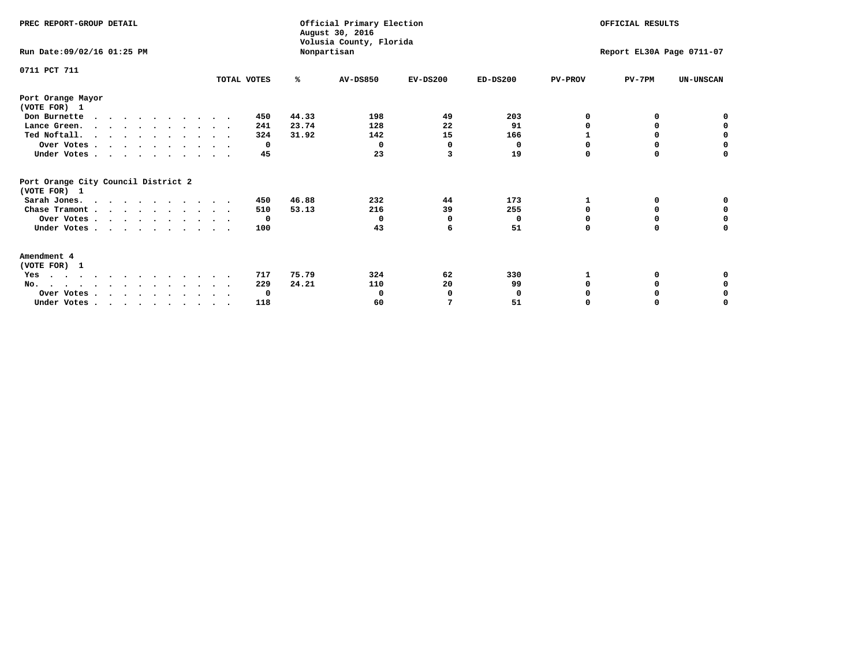| PREC REPORT-GROUP DETAIL                                                         |             |             | Official Primary Election<br>August 30, 2016<br>Volusia County, Florida |                           |            | OFFICIAL RESULTS |          |                  |
|----------------------------------------------------------------------------------|-------------|-------------|-------------------------------------------------------------------------|---------------------------|------------|------------------|----------|------------------|
| Run Date: 09/02/16 01:25 PM                                                      |             | Nonpartisan |                                                                         | Report EL30A Page 0711-07 |            |                  |          |                  |
| 0711 PCT 711                                                                     | TOTAL VOTES | ℁           | <b>AV-DS850</b>                                                         | $EV-DS200$                | $ED-DS200$ | <b>PV-PROV</b>   | $PV-7PM$ | <b>UN-UNSCAN</b> |
| Port Orange Mayor<br>(VOTE FOR) 1                                                |             |             |                                                                         |                           |            |                  |          |                  |
| Don Burnette<br>$\cdots$                                                         | 450         | 44.33       | 198                                                                     | 49                        | 203        | O                | 0        | 0                |
| Lance Green.                                                                     | 241         | 23.74       | 128                                                                     | 22                        | 91         | O                | 0        | 0                |
| Ted Noftall.                                                                     | 324         | 31.92       | 142                                                                     | 15                        | 166        |                  |          | 0                |
| Over Votes                                                                       | 0           |             | $\Omega$                                                                | <sup>0</sup>              | 0          | O                | $\Omega$ | $\mathbf 0$      |
| Under Votes                                                                      | 45          |             | 23                                                                      | 3                         | 19         | $\Omega$         | 0        | 0                |
| Port Orange City Council District 2<br>(VOTE FOR) 1                              |             |             |                                                                         |                           |            |                  |          |                  |
| Sarah Jones.                                                                     | 450         | 46.88       | 232                                                                     | 44                        | 173        | 1                | 0        | 0                |
| Chase Tramont                                                                    | 510         | 53.13       | 216                                                                     | 39                        | 255        | 0                | 0        | 0                |
| Over Votes                                                                       | $\mathbf 0$ |             | 0                                                                       | O                         | 0          | $\Omega$         | $\Omega$ | $\mathbf 0$      |
| Under Votes                                                                      | 100         |             | 43                                                                      | 6                         | 51         | $\Omega$         | 0        | 0                |
| Amendment 4<br>(VOTE FOR) 1                                                      |             |             |                                                                         |                           |            |                  |          |                  |
| Yes                                                                              | 717         | 75.79       | 324                                                                     | 62                        | 330        |                  | 0        | 0                |
| No.                                                                              | 229         | 24.21       | 110                                                                     | 20                        | 99         | O                | 0        | 0                |
| Over Votes                                                                       | 0           |             | $\mathbf 0$                                                             | $\Omega$                  | 0          |                  |          | 0                |
| Under Votes, $\cdot$ , $\cdot$ , $\cdot$ , $\cdot$ , $\cdot$ , $\cdot$ , $\cdot$ | 118         |             | 60                                                                      | 7                         | 51         | $\Omega$         |          | O                |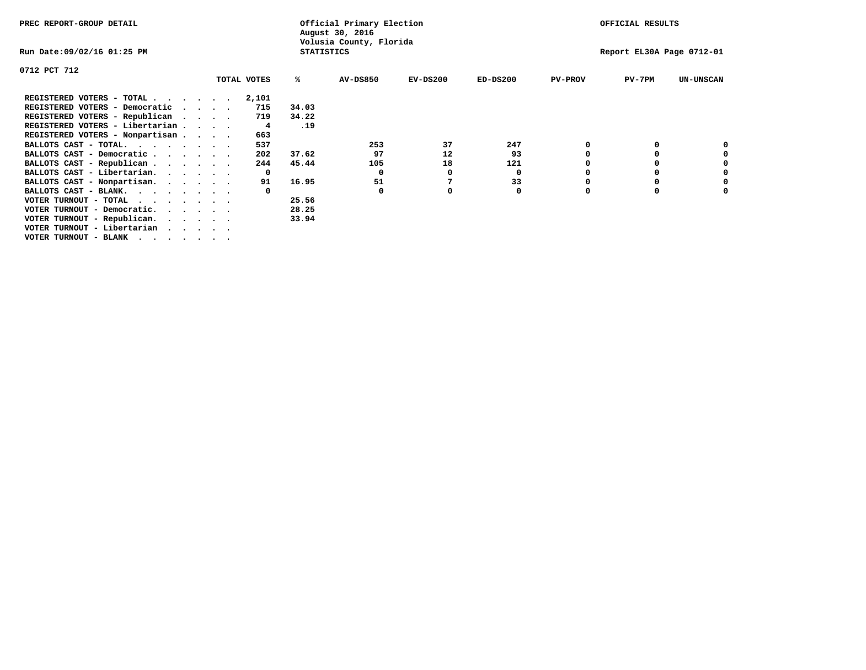| PREC REPORT-GROUP DETAIL                                               |  |             | Official Primary Election<br>August 30, 2016 |                         | OFFICIAL RESULTS          |            |                |          |                  |
|------------------------------------------------------------------------|--|-------------|----------------------------------------------|-------------------------|---------------------------|------------|----------------|----------|------------------|
| Run Date:09/02/16 01:25 PM                                             |  |             | <b>STATISTICS</b>                            | Volusia County, Florida | Report EL30A Page 0712-01 |            |                |          |                  |
| 0712 PCT 712                                                           |  |             |                                              |                         |                           |            |                |          |                  |
|                                                                        |  | TOTAL VOTES | ℁                                            | <b>AV-DS850</b>         | $EV-DS200$                | $ED-DS200$ | <b>PV-PROV</b> | $PV-7PM$ | <b>UN-UNSCAN</b> |
| REGISTERED VOTERS - TOTAL                                              |  | 2,101       |                                              |                         |                           |            |                |          |                  |
| REGISTERED VOTERS - Democratic<br>$\cdots$                             |  | 715         | 34.03                                        |                         |                           |            |                |          |                  |
| REGISTERED VOTERS - Republican                                         |  | 719         | 34.22                                        |                         |                           |            |                |          |                  |
| REGISTERED VOTERS - Libertarian                                        |  | 4           | .19                                          |                         |                           |            |                |          |                  |
| REGISTERED VOTERS - Nonpartisan                                        |  | 663         |                                              |                         |                           |            |                |          |                  |
| BALLOTS CAST - TOTAL.                                                  |  | 537         |                                              | 253                     | 37                        | 247        |                |          |                  |
| BALLOTS CAST - Democratic                                              |  | 202         | 37.62                                        | 97                      | 12                        | 93         |                |          |                  |
| BALLOTS CAST - Republican                                              |  | 244         | 45.44                                        | 105                     | 18                        | 121        |                |          |                  |
| BALLOTS CAST - Libertarian.                                            |  | 0           |                                              | 0                       | 0                         | 0          |                |          |                  |
| BALLOTS CAST - Nonpartisan.                                            |  | 91          | 16.95                                        | 51                      |                           | 33         |                |          |                  |
| BALLOTS CAST - BLANK.                                                  |  |             |                                              | 0                       | 0                         | 0          | 0              |          |                  |
| VOTER TURNOUT - TOTAL $\cdot \cdot \cdot \cdot \cdot \cdot$            |  |             | 25.56                                        |                         |                           |            |                |          |                  |
| VOTER TURNOUT - Democratic.<br>$\cdot$ $\cdot$ $\cdot$ $\cdot$ $\cdot$ |  |             | 28.25                                        |                         |                           |            |                |          |                  |
| VOTER TURNOUT - Republican.                                            |  |             | 33.94                                        |                         |                           |            |                |          |                  |
| VOTER TURNOUT - Libertarian                                            |  |             |                                              |                         |                           |            |                |          |                  |
| VOTER TURNOUT - BLANK                                                  |  |             |                                              |                         |                           |            |                |          |                  |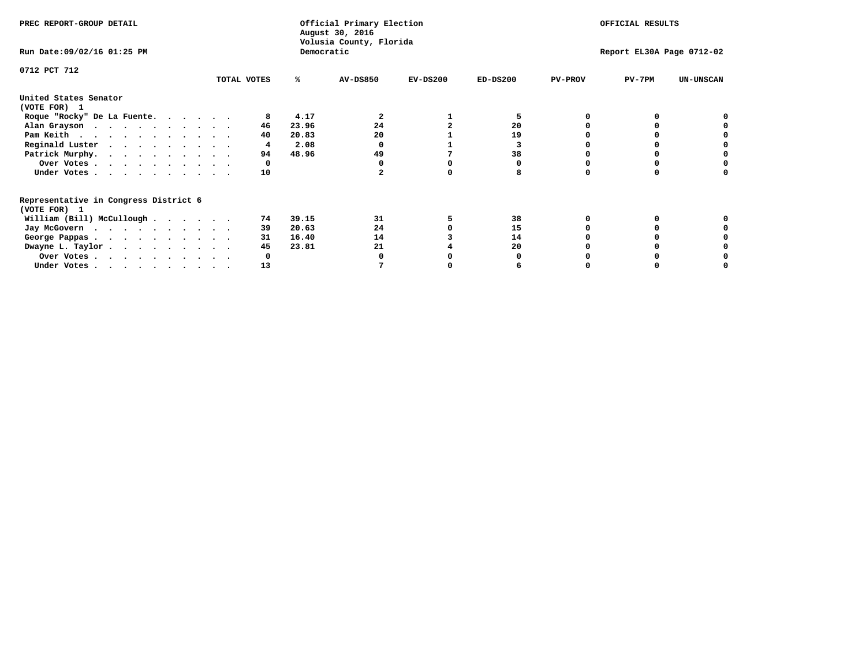| PREC REPORT-GROUP DETAIL                                               |             |       | Official Primary Election<br>August 30, 2016<br>Volusia County, Florida | OFFICIAL RESULTS |                           |                |          |                  |
|------------------------------------------------------------------------|-------------|-------|-------------------------------------------------------------------------|------------------|---------------------------|----------------|----------|------------------|
| Run Date: 09/02/16 01:25 PM                                            |             |       | Democratic                                                              |                  | Report EL30A Page 0712-02 |                |          |                  |
| 0712 PCT 712                                                           |             |       |                                                                         |                  |                           |                |          |                  |
|                                                                        | TOTAL VOTES | ℁     | <b>AV-DS850</b>                                                         | $EV-DS200$       | $ED-DS200$                | <b>PV-PROV</b> | $PV-7PM$ | <b>UN-UNSCAN</b> |
| United States Senator<br>(VOTE FOR) 1                                  |             |       |                                                                         |                  |                           |                |          |                  |
| Roque "Rocky" De La Fuente.                                            | 8           | 4.17  | 2                                                                       |                  | 5                         |                |          |                  |
| Alan Grayson                                                           | 46          | 23.96 | 24                                                                      |                  | 20                        |                |          |                  |
| Pam Keith                                                              | 40          | 20.83 | 20                                                                      |                  | 19                        |                |          |                  |
| Reginald Luster                                                        | 4           | 2.08  |                                                                         |                  |                           |                |          |                  |
| Patrick Murphy.                                                        | 94          | 48.96 | 49                                                                      |                  | 38                        |                |          |                  |
| Over Votes                                                             | 0           |       |                                                                         |                  |                           |                |          |                  |
| Under Votes                                                            | 10          |       |                                                                         |                  |                           |                |          |                  |
| Representative in Congress District 6<br>(VOTE FOR) 1                  |             |       |                                                                         |                  |                           |                |          |                  |
| William (Bill) McCullough                                              | 74          | 39.15 | 31                                                                      |                  | 38                        |                |          |                  |
|                                                                        | 39          | 20.63 | 24                                                                      |                  | 15                        |                |          |                  |
| Jay McGovern                                                           | 31          | 16.40 | 14                                                                      |                  | 14                        |                |          |                  |
| George Pappas.                                                         | 45          | 23.81 | 21                                                                      |                  | 20                        |                |          |                  |
| Dwayne L. Taylor                                                       |             |       |                                                                         |                  |                           |                |          |                  |
| Over Votes                                                             |             |       |                                                                         |                  |                           |                |          |                  |
| Under Votes, $\cdot$ , $\cdot$ , $\cdot$ , $\cdot$ , $\cdot$ , $\cdot$ | 13          |       |                                                                         |                  |                           |                |          |                  |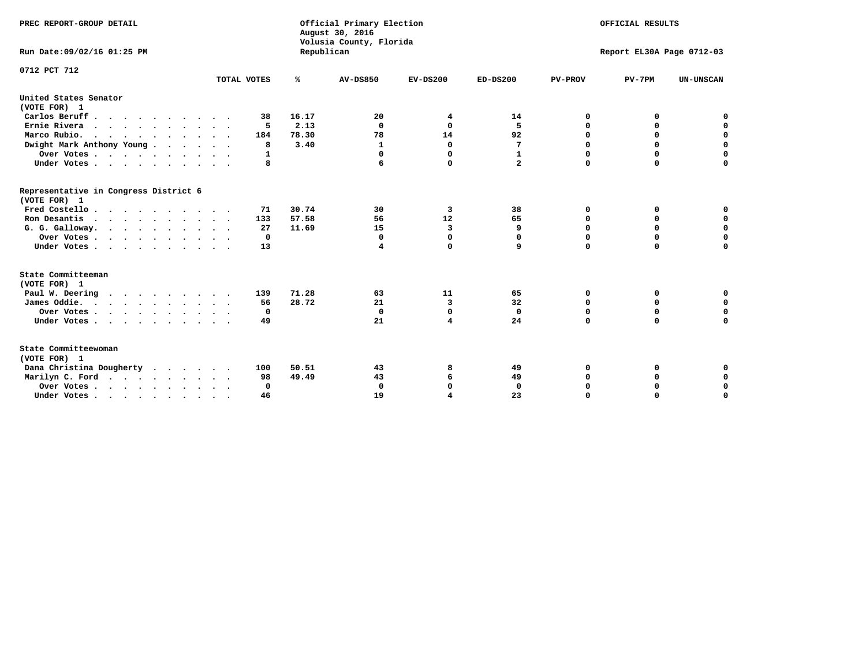| PREC REPORT-GROUP DETAIL<br>Run Date: 09/02/16 01:25 PM |             | Republican | Official Primary Election<br>August 30, 2016<br>Volusia County, Florida | OFFICIAL RESULTS<br>Report EL30A Page 0712-03 |                |                |             |                  |
|---------------------------------------------------------|-------------|------------|-------------------------------------------------------------------------|-----------------------------------------------|----------------|----------------|-------------|------------------|
|                                                         |             |            |                                                                         |                                               |                |                |             |                  |
| 0712 PCT 712                                            | TOTAL VOTES | ℁          | <b>AV-DS850</b>                                                         | $EV-DS200$                                    | $ED-DS200$     | <b>PV-PROV</b> | $PV-7PM$    | <b>UN-UNSCAN</b> |
| United States Senator<br>(VOTE FOR) 1                   |             |            |                                                                         |                                               |                |                |             |                  |
| Carlos Beruff.                                          | 38          | 16.17      | 20                                                                      | 4                                             | 14             | 0              | 0           | 0                |
| Ernie Rivera                                            | 5           | 2.13       | 0                                                                       | $\Omega$                                      | 5              | 0              | 0           | $\mathbf 0$      |
| Marco Rubio.                                            | 184         | 78.30      | 78                                                                      | 14                                            | 92             | $\mathbf 0$    | $\mathbf 0$ | $\mathbf 0$      |
| Dwight Mark Anthony Young                               | 8           | 3.40       | 1                                                                       | $\mathbf{0}$                                  | 7              | 0              | $\mathbf 0$ | $\pmb{0}$        |
| Over Votes                                              | 1           |            | 0                                                                       | $\Omega$                                      | $\mathbf{1}$   | $\mathbf 0$    | 0           | $\mathbf 0$      |
| Under Votes                                             | 8           |            |                                                                         | 0                                             | $\overline{a}$ | $\mathbf 0$    | $\Omega$    | $\mathbf 0$      |
| Representative in Congress District 6<br>(VOTE FOR) 1   |             |            |                                                                         |                                               |                |                |             |                  |
| Fred Costello                                           | 71          | 30.74      | 30                                                                      | 3                                             | 38             | 0              | 0           | 0                |
| Ron Desantis                                            | 133         | 57.58      | 56                                                                      | 12                                            | 65             | 0              | 0           | $\mathbf 0$      |
| G. G. Galloway.                                         | 27          | 11.69      | 15                                                                      | 3                                             | 9              | $\mathbf 0$    | $\Omega$    | $\mathbf 0$      |
| Over Votes                                              | $^{\circ}$  |            | 0                                                                       | $\mathbf{0}$                                  | 0              | $\mathbf 0$    | $\mathbf 0$ | $\mathbf 0$      |
| Under Votes                                             | 13          |            | 4                                                                       | 0                                             | 9              | $\mathbf 0$    | $\Omega$    | $\mathbf 0$      |
| State Committeeman                                      |             |            |                                                                         |                                               |                |                |             |                  |
| (VOTE FOR) 1                                            |             |            |                                                                         |                                               |                |                |             |                  |
| Paul W. Deering                                         | 139         | 71.28      | 63                                                                      | 11                                            | 65             | 0              | 0           | 0                |
| James Oddie.                                            | 56          | 28.72      | 21                                                                      | 3                                             | 32             | 0              | 0           | $\mathbf 0$      |
| Over Votes                                              | 0           |            | $\mathbf 0$                                                             | $\mathbf 0$                                   | $\mathbf 0$    | 0              | $\mathbf 0$ | $\mathbf 0$      |
| Under Votes                                             | 49          |            | 21                                                                      | 4                                             | 24             | $\mathbf 0$    | 0           | $\mathbf 0$      |
| State Committeewoman<br>(VOTE FOR) 1                    |             |            |                                                                         |                                               |                |                |             |                  |
| Dana Christina Dougherty                                | 100         | 50.51      | 43                                                                      | 8                                             | 49             | 0              | 0           | 0                |
| Marilyn C. Ford                                         | 98          | 49.49      | 43                                                                      | 6                                             | 49             | 0              | 0           | 0                |
| Over Votes                                              | $\Omega$    |            | $\mathbf 0$                                                             | 0                                             | 0              | 0              | 0           | $\mathbf 0$      |
| Under Votes, , , , , , , , , ,                          | 46          |            | 19                                                                      | $\overline{\mathbf{A}}$                       | 23             | $\Omega$       | $\Omega$    | $\Omega$         |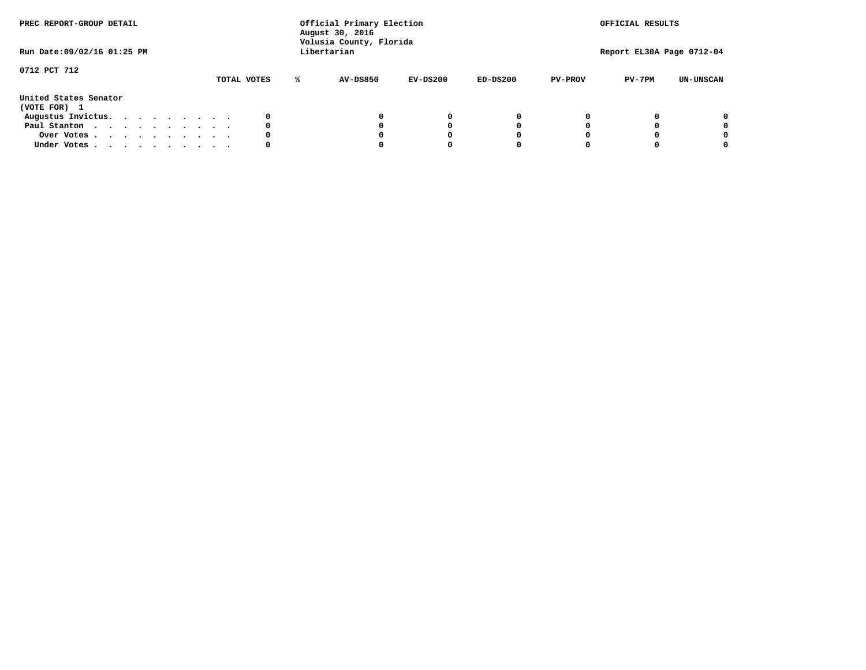| PREC REPORT-GROUP DETAIL<br>Run Date: 09/02/16 01:25 PM |  |  |  |  | Official Primary Election<br>August 30, 2016<br>Volusia County, Florida<br>Libertarian |             |   | OFFICIAL RESULTS<br>Report EL30A Page 0712-04 |            |            |                |          |                  |
|---------------------------------------------------------|--|--|--|--|----------------------------------------------------------------------------------------|-------------|---|-----------------------------------------------|------------|------------|----------------|----------|------------------|
| 0712 PCT 712                                            |  |  |  |  |                                                                                        | TOTAL VOTES | ℁ | <b>AV-DS850</b>                               | $EV-DS200$ | $ED-DS200$ | <b>PV-PROV</b> | $PV-7PM$ | <b>UN-UNSCAN</b> |
| United States Senator<br>(VOTE FOR) 1                   |  |  |  |  |                                                                                        |             |   |                                               |            |            |                |          |                  |
| Augustus Invictus.                                      |  |  |  |  |                                                                                        | 0           |   |                                               | 0          | 0          |                |          | 0                |
| Paul Stanton                                            |  |  |  |  |                                                                                        | 0           |   |                                               |            | 0          |                |          | 0                |
| Over Votes                                              |  |  |  |  |                                                                                        | 0           |   |                                               |            | 0          |                |          | 0                |
| Under Votes                                             |  |  |  |  |                                                                                        | 0           |   |                                               |            |            |                |          | 0                |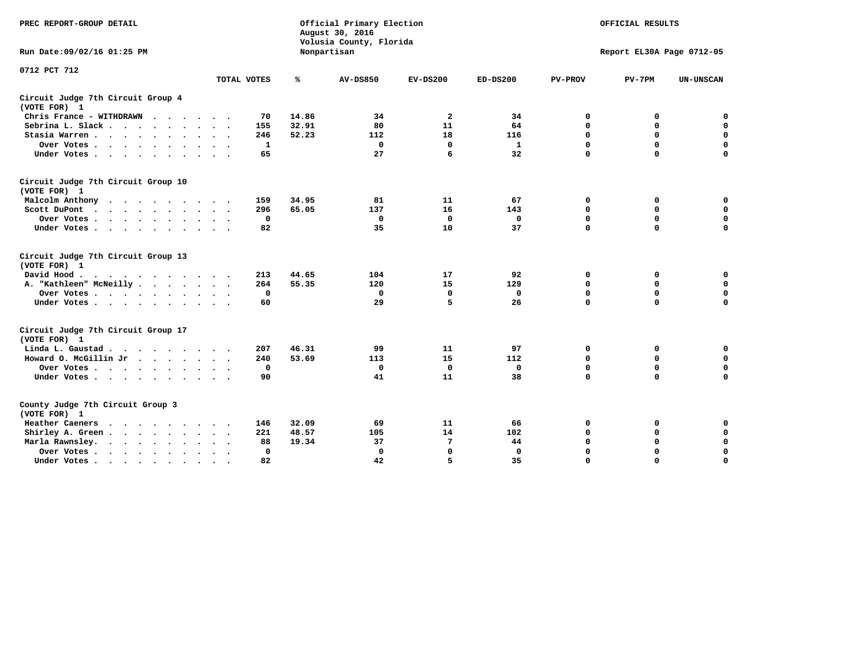| PREC REPORT-GROUP DETAIL                                               |             |       | Official Primary Election<br>August 30, 2016<br>Volusia County, Florida | OFFICIAL RESULTS |              |                |                           |                  |  |  |  |
|------------------------------------------------------------------------|-------------|-------|-------------------------------------------------------------------------|------------------|--------------|----------------|---------------------------|------------------|--|--|--|
| Run Date: 09/02/16 01:25 PM                                            |             |       | Nonpartisan                                                             |                  |              |                | Report EL30A Page 0712-05 |                  |  |  |  |
| 0712 PCT 712                                                           |             |       |                                                                         |                  |              |                |                           |                  |  |  |  |
|                                                                        | TOTAL VOTES | ℁     | <b>AV-DS850</b>                                                         | $EV-DS200$       | $ED-DS200$   | <b>PV-PROV</b> | $PV-7PM$                  | <b>UN-UNSCAN</b> |  |  |  |
| Circuit Judge 7th Circuit Group 4<br>(VOTE FOR) 1                      |             |       |                                                                         |                  |              |                |                           |                  |  |  |  |
| Chris France - WITHDRAWN<br>$\cdots$                                   | 70          | 14.86 | 34                                                                      | $\overline{2}$   | 34           | 0              | 0                         | 0                |  |  |  |
| Sebrina L. Slack                                                       | 155         | 32.91 | 80                                                                      | 11               | 64           | $\Omega$       | $\mathbf 0$               | $\mathbf 0$      |  |  |  |
| Stasia Warren                                                          | 246         | 52.23 | 112                                                                     | 18               | 116          | $\mathbf 0$    | $\mathbf 0$               | $\mathbf 0$      |  |  |  |
| Over Votes                                                             | 1           |       | $\mathbf{0}$                                                            | 0                | 1            | $\mathbf 0$    | $\mathbf 0$               | $\mathbf 0$      |  |  |  |
| Under Votes                                                            | 65          |       | 27                                                                      | 6                | 32           | $\mathbf 0$    | $\mathbf 0$               | $\mathbf 0$      |  |  |  |
| Circuit Judge 7th Circuit Group 10<br>(VOTE FOR) 1                     |             |       |                                                                         |                  |              |                |                           |                  |  |  |  |
| Malcolm Anthony                                                        | 159         | 34.95 | 81                                                                      | 11               | 67           | 0              | 0                         | 0                |  |  |  |
| Scott DuPont                                                           | 296         | 65.05 | 137                                                                     | 16               | 143          | $\mathbf 0$    | $\mathbf 0$               | $\mathbf 0$      |  |  |  |
| Over Votes<br>$\cdot$                                                  | 0           |       | $\mathbf 0$                                                             | $\mathbf 0$      | 0            | 0              | $\mathbf 0$               | $\mathbf 0$      |  |  |  |
| Under Votes                                                            | 82          |       | 35                                                                      | 10               | 37           | $\mathbf 0$    | $\Omega$                  | $\mathbf 0$      |  |  |  |
| Circuit Judge 7th Circuit Group 13<br>(VOTE FOR) 1                     |             |       |                                                                         |                  |              |                |                           |                  |  |  |  |
| David Hood.                                                            | 213         | 44.65 | 104                                                                     | 17               | 92           | $\mathbf 0$    | 0                         | $\mathbf 0$      |  |  |  |
| A. "Kathleen" McNeilly                                                 | 264         | 55.35 | 120                                                                     | 15               | 129          | $\mathbf 0$    | $\mathbf 0$               | $\mathbf 0$      |  |  |  |
| Over Votes                                                             | 0           |       | $\mathbf{0}$                                                            | $\mathbf 0$      | $\mathbf{0}$ | 0              | $\mathbf 0$               | $\mathbf 0$      |  |  |  |
| Under Votes                                                            | 60          |       | 29                                                                      | 5                | 26           | $\mathbf 0$    | $\mathbf 0$               | 0                |  |  |  |
| Circuit Judge 7th Circuit Group 17<br>(VOTE FOR) 1                     |             |       |                                                                         |                  |              |                |                           |                  |  |  |  |
| Linda L. Gaustad                                                       | 207         | 46.31 | 99                                                                      | 11               | 97           | 0              | 0                         | $\mathbf 0$      |  |  |  |
| Howard O. McGillin Jr                                                  | 240         | 53.69 | 113                                                                     | 15               | 112          | 0              | 0                         | $\mathbf 0$      |  |  |  |
| Over Votes                                                             | 0           |       | $\Omega$                                                                | 0                | 0            | $\mathbf 0$    | $\mathbf 0$               | 0                |  |  |  |
| Under Votes                                                            | 90          |       | 41                                                                      | 11               | 38           | $\mathbf 0$    | $\mathbf 0$               | $\mathbf 0$      |  |  |  |
| County Judge 7th Circuit Group 3<br>(VOTE FOR) 1                       |             |       |                                                                         |                  |              |                |                           |                  |  |  |  |
| Heather Caeners<br>$\cdots$                                            | 146         | 32.09 | 69                                                                      | 11               | 66           | 0              | 0                         | 0                |  |  |  |
| Shirley A. Green                                                       | 221         | 48.57 | 105                                                                     | 14               | 102          | $\mathbf 0$    | $\mathbf 0$               | $\mathbf 0$      |  |  |  |
| Marla Rawnsley.<br>$\cdot$                                             | 88          | 19.34 | 37                                                                      | 7                | 44           | 0              | $\mathbf 0$               | $\pmb{0}$        |  |  |  |
| Over Votes.<br>$\cdot$<br>$\ddot{\phantom{a}}$<br>$\ddot{\phantom{a}}$ | 0           |       | $\Omega$                                                                | $\mathbf 0$      | $\mathbf{0}$ | $\mathbf 0$    | $\mathbf 0$               | $\mathbf 0$      |  |  |  |
| Under Votes<br>$\sim$<br>$\sim$                                        | 82          |       | 42                                                                      | 5                | 35           | $\mathbf 0$    | $\mathbf 0$               | 0                |  |  |  |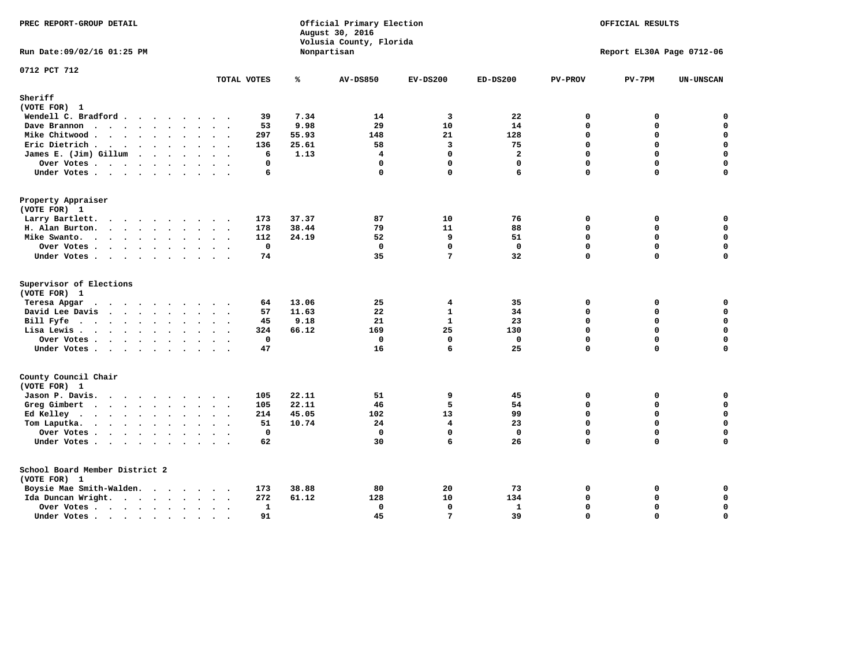| PREC REPORT-GROUP DETAIL                                                                                                                                                                                                                          |                           |               | Official Primary Election<br>August 30, 2016<br>Volusia County, Florida | OFFICIAL RESULTS<br>Report EL30A Page 0712-06 |                      |                |               |                            |
|---------------------------------------------------------------------------------------------------------------------------------------------------------------------------------------------------------------------------------------------------|---------------------------|---------------|-------------------------------------------------------------------------|-----------------------------------------------|----------------------|----------------|---------------|----------------------------|
| Run Date: 09/02/16 01:25 PM                                                                                                                                                                                                                       |                           |               | Nonpartisan                                                             |                                               |                      |                |               |                            |
| 0712 PCT 712                                                                                                                                                                                                                                      | TOTAL VOTES               | ℁             | <b>AV-DS850</b>                                                         | $EV-DS200$                                    | $ED-DS200$           | <b>PV-PROV</b> | $PV-7PM$      | <b>UN-UNSCAN</b>           |
| Sheriff                                                                                                                                                                                                                                           |                           |               |                                                                         |                                               |                      |                |               |                            |
| (VOTE FOR) 1                                                                                                                                                                                                                                      |                           |               |                                                                         |                                               |                      |                |               |                            |
| Wendell C. Bradford                                                                                                                                                                                                                               | 39                        | 7.34          | 14                                                                      | $\overline{\mathbf{3}}$                       | 22                   | $\Omega$       | 0             | $\mathbf 0$                |
| Dave Brannon                                                                                                                                                                                                                                      | 53                        | 9.98          | 29                                                                      | 10                                            | 14                   | $\Omega$<br>0  | $\Omega$      | $\mathbf 0$<br>$\pmb{0}$   |
| Mike Chitwood                                                                                                                                                                                                                                     | 297                       | 55.93         | 148                                                                     | 21<br>3                                       | 128                  | $\Omega$       | 0<br>$\Omega$ | $\mathbf 0$                |
| Eric Dietrich.                                                                                                                                                                                                                                    | 136                       | 25.61<br>1.13 | 58<br>$\overline{\mathbf{4}}$                                           | $\mathbf 0$                                   | 75<br>$\overline{a}$ | $\Omega$       | $\Omega$      | $\mathbf 0$                |
| James E. (Jim) Gillum                                                                                                                                                                                                                             | 6<br>0                    |               | $\mathbf{0}$                                                            | $\mathbf{0}$                                  | $\mathbf{0}$         | $\Omega$       | $\Omega$      | $\mathbf 0$                |
| Over Votes                                                                                                                                                                                                                                        | $\ddot{\phantom{a}}$<br>6 |               | $\mathbf 0$                                                             | $\mathbf 0$                                   | 6                    | $\Omega$       | $\Omega$      | $\mathbf 0$                |
| Under Votes                                                                                                                                                                                                                                       |                           |               |                                                                         |                                               |                      |                |               |                            |
| Property Appraiser                                                                                                                                                                                                                                |                           |               |                                                                         |                                               |                      |                |               |                            |
| (VOTE FOR) 1                                                                                                                                                                                                                                      |                           |               |                                                                         |                                               |                      |                |               |                            |
| Larry Bartlett.                                                                                                                                                                                                                                   | 173                       | 37.37         | 87                                                                      | 10                                            | 76                   | 0<br>0         | 0             | 0<br>$\mathbf 0$           |
| H. Alan Burton.                                                                                                                                                                                                                                   | 178                       | 38.44         | 79                                                                      | 11                                            | 88                   | $\Omega$       | 0             |                            |
| Mike Swanto.                                                                                                                                                                                                                                      | 112                       | 24.19         | 52<br>$\mathbf{0}$                                                      | 9<br>$\mathbf 0$                              | 51<br>$\mathbf 0$    | 0              | 0<br>$\Omega$ | 0<br>$\mathbf 0$           |
| Over Votes                                                                                                                                                                                                                                        | $\mathbf 0$               |               |                                                                         | 7                                             |                      | 0              | 0             | 0                          |
| Under Votes                                                                                                                                                                                                                                       | 74                        |               | 35                                                                      |                                               | 32                   |                |               |                            |
| Supervisor of Elections                                                                                                                                                                                                                           |                           |               |                                                                         |                                               |                      |                |               |                            |
| (VOTE FOR) 1                                                                                                                                                                                                                                      |                           |               |                                                                         |                                               |                      |                |               |                            |
| Teresa Apgar                                                                                                                                                                                                                                      | 64                        | 13.06         | 25                                                                      | 4                                             | 35                   | 0              | 0             | $\mathbf 0$                |
| David Lee Davis<br>Bill Fyfe                                                                                                                                                                                                                      | 57<br>45                  | 11.63<br>9.18 | 22<br>21                                                                | $\mathbf{1}$<br>$\mathbf{1}$                  | 34<br>23             | $\Omega$<br>0  | 0<br>$\Omega$ | $\mathbf 0$<br>$\mathbf 0$ |
| Lisa Lewis                                                                                                                                                                                                                                        | 324                       | 66.12         | 169                                                                     | 25                                            | 130                  | 0              | 0             | $\mathbf 0$                |
| Over Votes                                                                                                                                                                                                                                        | $\mathbf 0$               |               | $\mathbf{0}$                                                            | $\mathbf{0}$                                  | $\mathbf{0}$         | 0              | $\Omega$      | $\mathbf 0$                |
| Under Votes                                                                                                                                                                                                                                       | 47                        |               | 16                                                                      | 6                                             | 25                   | 0              | $\Omega$      | 0                          |
|                                                                                                                                                                                                                                                   |                           |               |                                                                         |                                               |                      |                |               |                            |
| County Council Chair<br>(VOTE FOR) 1                                                                                                                                                                                                              |                           |               |                                                                         |                                               |                      |                |               |                            |
| Jason P. Davis.                                                                                                                                                                                                                                   | 105                       | 22.11         | 51                                                                      | 9                                             | 45                   | $\mathbf{0}$   | 0             | 0                          |
| Greg Gimbert                                                                                                                                                                                                                                      | 105                       | 22.11         | 46                                                                      | 5                                             | 54                   | $\Omega$       | 0             | $\mathbf 0$                |
| Ed Kelley                                                                                                                                                                                                                                         | 214                       | 45.05         | 102                                                                     | 13                                            | 99                   | 0              | 0             | $\mathbf 0$                |
| Tom Laputka.<br>$\mathbf{r}$ . The set of the set of the set of the set of the set of the set of the set of the set of the set of the set of the set of the set of the set of the set of the set of the set of the set of the set of the set of t | 51                        | 10.74         | 24                                                                      | 4                                             | 23                   | 0              | 0             | $\mathbf 0$                |
| Over Votes                                                                                                                                                                                                                                        | $\mathbf 0$               |               | $\Omega$                                                                | $\mathbf{0}$                                  | $\mathbf 0$          | 0              | 0             | 0                          |
| Under Votes                                                                                                                                                                                                                                       | 62                        |               | 30                                                                      | 6                                             | 26                   | $\Omega$       | $\Omega$      | $\Omega$                   |
|                                                                                                                                                                                                                                                   |                           |               |                                                                         |                                               |                      |                |               |                            |
| School Board Member District 2                                                                                                                                                                                                                    |                           |               |                                                                         |                                               |                      |                |               |                            |
| (VOTE FOR) 1                                                                                                                                                                                                                                      |                           |               |                                                                         |                                               |                      |                |               |                            |
| Boysie Mae Smith-Walden.                                                                                                                                                                                                                          | 173                       | 38.88         | 80                                                                      | 20                                            | 73                   | 0              | 0             | 0                          |
| Ida Duncan Wright.                                                                                                                                                                                                                                | 272                       | 61.12         | 128                                                                     | 10                                            | 134                  | 0              | 0             | 0                          |
| Over Votes                                                                                                                                                                                                                                        | 1                         |               | 0                                                                       | $\mathbf{0}$                                  | $\mathbf{1}$         | 0              | 0             | 0                          |
| Under Votes                                                                                                                                                                                                                                       | 91                        |               | 45                                                                      | 7                                             | 39                   | $\Omega$       | $\Omega$      | $\mathbf 0$                |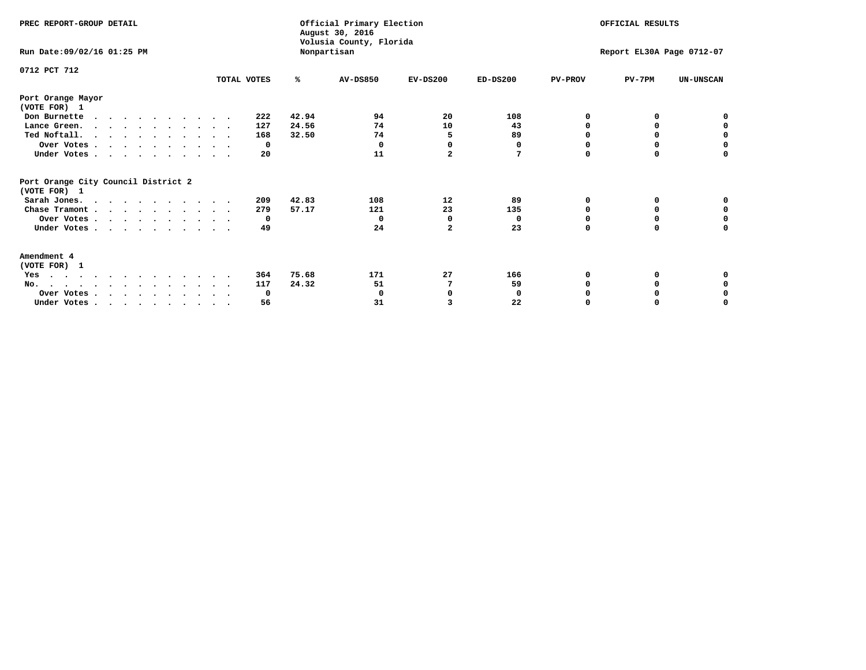| PREC REPORT-GROUP DETAIL<br>Run Date:09/02/16 01:25 PM |                                                                                  |             |       | Official Primary Election<br>August 30, 2016<br>Volusia County, Florida<br>Nonpartisan | OFFICIAL RESULTS<br>Report EL30A Page 0712-07 |            |                |          |                  |
|--------------------------------------------------------|----------------------------------------------------------------------------------|-------------|-------|----------------------------------------------------------------------------------------|-----------------------------------------------|------------|----------------|----------|------------------|
|                                                        |                                                                                  |             |       |                                                                                        |                                               |            |                |          |                  |
| 0712 PCT 712                                           |                                                                                  | TOTAL VOTES | %     | <b>AV-DS850</b>                                                                        | $EV-DS200$                                    | $ED-DS200$ | <b>PV-PROV</b> | $PV-7PM$ | <b>UN-UNSCAN</b> |
|                                                        |                                                                                  |             |       |                                                                                        |                                               |            |                |          |                  |
| Port Orange Mayor<br>(VOTE FOR) 1                      |                                                                                  |             |       |                                                                                        |                                               |            |                |          |                  |
| Don Burnette                                           | $\cdots$                                                                         | 222         | 42.94 | 94                                                                                     | 20                                            | 108        | 0              | 0        | 0                |
|                                                        | Lance Green.                                                                     | 127         | 24.56 | 74                                                                                     | 10                                            | 43         | O              | 0        | 0                |
|                                                        | Ted Noftall.                                                                     | 168         | 32.50 | 74                                                                                     | 5                                             | 89         | $\Omega$       |          | 0                |
|                                                        | Over Votes                                                                       | 0           |       | 0                                                                                      | 0                                             | 0          | O              | 0        | $\mathbf 0$      |
|                                                        | Under Votes                                                                      | 20          |       | 11                                                                                     | $\overline{a}$                                | 7          | $\Omega$       | $\Omega$ | 0                |
| (VOTE FOR) 1                                           | Port Orange City Council District 2                                              |             |       |                                                                                        |                                               |            |                |          |                  |
|                                                        | Sarah Jones.                                                                     | 209         | 42.83 | 108                                                                                    | 12                                            | 89         | 0              | 0        | 0                |
|                                                        | Chase Tramont                                                                    | 279         | 57.17 | 121                                                                                    | 23                                            | 135        | O              | 0        | 0                |
|                                                        | Over Votes                                                                       | 0           |       | 0                                                                                      | O                                             | 0          | $\Omega$       | n        | 0                |
|                                                        | Under Votes                                                                      | 49          |       | 24                                                                                     | $\mathbf{2}$                                  | 23         | 0              | 0        | 0                |
| <b>Amendment 4</b>                                     |                                                                                  |             |       |                                                                                        |                                               |            |                |          |                  |
| (VOTE FOR) 1                                           |                                                                                  |             |       |                                                                                        |                                               |            |                |          |                  |
| Yes                                                    | .                                                                                | 364         | 75.68 | 171                                                                                    | 27                                            | 166        | O              |          |                  |
| $No.$                                                  |                                                                                  | 117         | 24.32 | 51                                                                                     |                                               | 59         |                | 0        | 0                |
|                                                        | Over Votes                                                                       | 0           |       | 0                                                                                      | $\Omega$                                      | 0          |                |          | 0                |
|                                                        | Under Votes, $\cdot$ , $\cdot$ , $\cdot$ , $\cdot$ , $\cdot$ , $\cdot$ , $\cdot$ | 56          |       | 31                                                                                     | ર                                             | 22         |                |          | O                |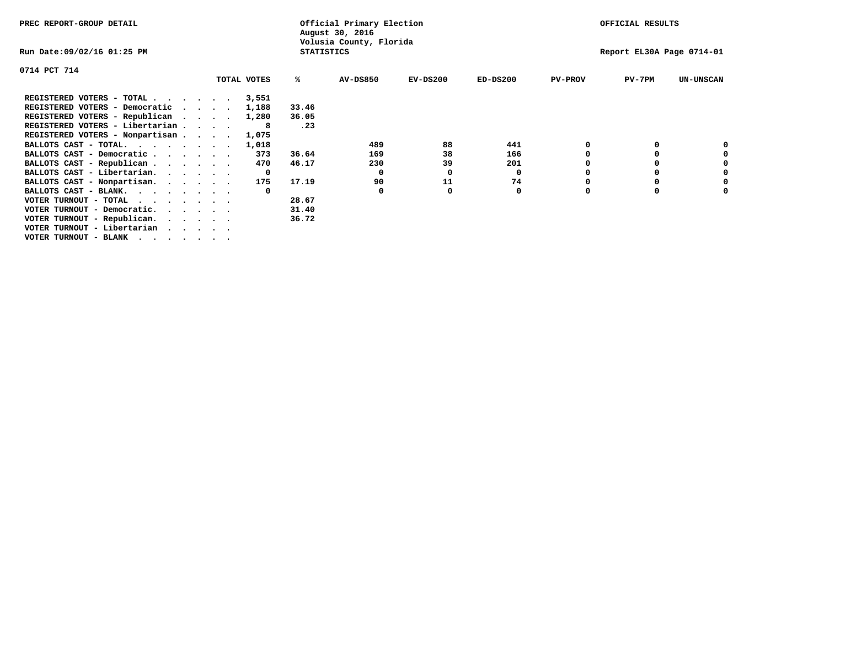| PREC REPORT-GROUP DETAIL                                               |  |             | Official Primary Election<br>August 30, 2016 |                         | OFFICIAL RESULTS |            |                |                           |                  |
|------------------------------------------------------------------------|--|-------------|----------------------------------------------|-------------------------|------------------|------------|----------------|---------------------------|------------------|
| Run Date:09/02/16 01:25 PM                                             |  |             | <b>STATISTICS</b>                            | Volusia County, Florida |                  |            |                | Report EL30A Page 0714-01 |                  |
| 0714 PCT 714                                                           |  |             |                                              |                         |                  |            |                |                           |                  |
|                                                                        |  | TOTAL VOTES | ℁                                            | <b>AV-DS850</b>         | $EV-DS200$       | $ED-DS200$ | <b>PV-PROV</b> | $PV-7PM$                  | <b>UN-UNSCAN</b> |
| REGISTERED VOTERS - TOTAL                                              |  | 3,551       |                                              |                         |                  |            |                |                           |                  |
| REGISTERED VOTERS - Democratic<br>$\cdots$                             |  | 1,188       | 33.46                                        |                         |                  |            |                |                           |                  |
| REGISTERED VOTERS - Republican                                         |  | 1,280       | 36.05                                        |                         |                  |            |                |                           |                  |
| REGISTERED VOTERS - Libertarian                                        |  |             | .23                                          |                         |                  |            |                |                           |                  |
| REGISTERED VOTERS - Nonpartisan                                        |  | 1,075       |                                              |                         |                  |            |                |                           |                  |
| BALLOTS CAST - TOTAL.                                                  |  | 1,018       |                                              | 489                     | 88               | 441        |                |                           |                  |
| BALLOTS CAST - Democratic                                              |  | 373         | 36.64                                        | 169                     | 38               | 166        |                |                           |                  |
| BALLOTS CAST - Republican                                              |  | 470         | 46.17                                        | 230                     | 39               | 201        |                |                           |                  |
| BALLOTS CAST - Libertarian.                                            |  | 0           |                                              | 0                       | 0                | 0          |                |                           |                  |
| BALLOTS CAST - Nonpartisan.                                            |  | 175         | 17.19                                        | 90                      | 11               | 74         |                |                           | 0                |
| BALLOTS CAST - BLANK.                                                  |  |             |                                              | 0                       | 0                | 0          | 0              |                           |                  |
| VOTER TURNOUT - TOTAL $\cdot \cdot \cdot \cdot \cdot \cdot$            |  |             | 28.67                                        |                         |                  |            |                |                           |                  |
| VOTER TURNOUT - Democratic.<br>$\cdot$ $\cdot$ $\cdot$ $\cdot$ $\cdot$ |  |             | 31.40                                        |                         |                  |            |                |                           |                  |
| VOTER TURNOUT - Republican.                                            |  |             | 36.72                                        |                         |                  |            |                |                           |                  |
| VOTER TURNOUT - Libertarian                                            |  |             |                                              |                         |                  |            |                |                           |                  |
| VOTER TURNOUT - BLANK                                                  |  |             |                                              |                         |                  |            |                |                           |                  |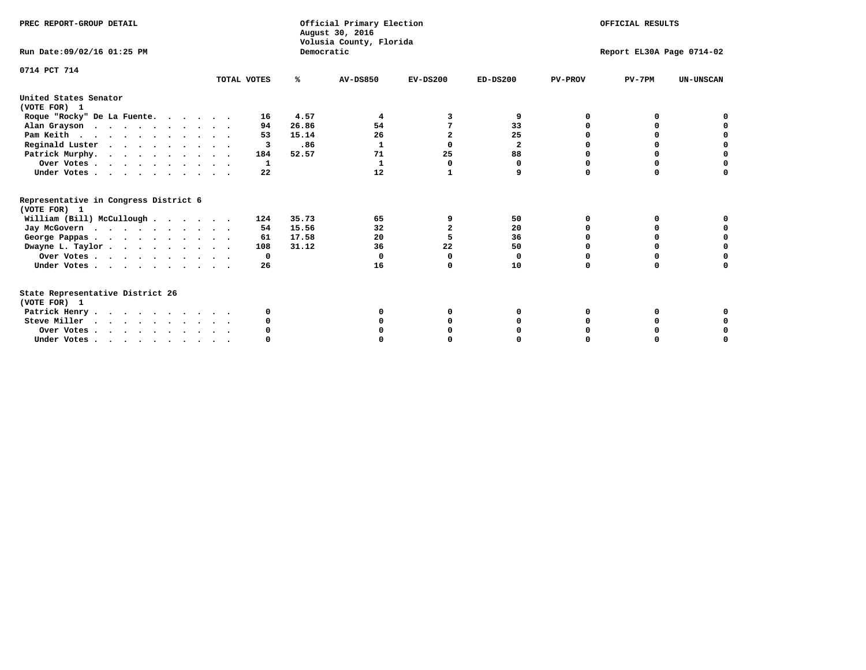| PREC REPORT-GROUP DETAIL                                                                                                                                                                                                                                                                                                                                                 |             |            | Official Primary Election<br>August 30, 2016<br>Volusia County, Florida | OFFICIAL RESULTS |                           |                |          |                  |  |
|--------------------------------------------------------------------------------------------------------------------------------------------------------------------------------------------------------------------------------------------------------------------------------------------------------------------------------------------------------------------------|-------------|------------|-------------------------------------------------------------------------|------------------|---------------------------|----------------|----------|------------------|--|
| Run Date: 09/02/16 01:25 PM                                                                                                                                                                                                                                                                                                                                              |             | Democratic |                                                                         |                  | Report EL30A Page 0714-02 |                |          |                  |  |
| 0714 PCT 714                                                                                                                                                                                                                                                                                                                                                             | TOTAL VOTES | ℁          | <b>AV-DS850</b>                                                         | $EV-DS200$       | $ED-DS200$                | <b>PV-PROV</b> | $PV-7PM$ | <b>UN-UNSCAN</b> |  |
| United States Senator<br>(VOTE FOR) 1                                                                                                                                                                                                                                                                                                                                    |             |            |                                                                         |                  |                           |                |          |                  |  |
| Roque "Rocky" De La Fuente.                                                                                                                                                                                                                                                                                                                                              | 16          | 4.57       | 4                                                                       | 3                | 9                         | O              | O        |                  |  |
| Alan Grayson                                                                                                                                                                                                                                                                                                                                                             | 94          | 26.86      | 54                                                                      |                  | 33                        |                |          |                  |  |
| Pam Keith                                                                                                                                                                                                                                                                                                                                                                | 53          | 15.14      | 26                                                                      | $\overline{2}$   | 25                        |                | 0        |                  |  |
| Reginald Luster                                                                                                                                                                                                                                                                                                                                                          | 3           | .86        | 1                                                                       | 0                | 2                         |                | 0        | $\mathbf 0$      |  |
| Patrick Murphy.                                                                                                                                                                                                                                                                                                                                                          | 184         | 52.57      | 71                                                                      | 25               | 88                        | $\Omega$       | 0        | $\mathbf 0$      |  |
| Over Votes                                                                                                                                                                                                                                                                                                                                                               | 1           |            | $\mathbf{1}$                                                            | 0                | 0                         | O              | 0        | $\Omega$         |  |
| Under Votes                                                                                                                                                                                                                                                                                                                                                              | 22          |            | 12                                                                      | 1                | 9                         | $\Omega$       | $\Omega$ | U                |  |
| Representative in Congress District 6<br>(VOTE FOR) 1                                                                                                                                                                                                                                                                                                                    |             |            |                                                                         |                  |                           |                |          |                  |  |
| William (Bill) McCullough                                                                                                                                                                                                                                                                                                                                                | 124         | 35.73      | 65                                                                      | 9                | 50                        | O              | 0        |                  |  |
| Jay McGovern                                                                                                                                                                                                                                                                                                                                                             | 54          | 15.56      | 32                                                                      | $\overline{a}$   | 20                        | O              | $\Omega$ | O                |  |
| George Pappas.                                                                                                                                                                                                                                                                                                                                                           | 61          | 17.58      | 20                                                                      |                  | 36                        |                | $\Omega$ | 0                |  |
| Dwayne L. Taylor                                                                                                                                                                                                                                                                                                                                                         | 108         | 31.12      | 36                                                                      | 22               | 50                        | $\Omega$       | 0        | $\mathbf 0$      |  |
| Over Votes                                                                                                                                                                                                                                                                                                                                                               | 0           |            | $\Omega$                                                                | $\Omega$         | 0                         | $\Omega$       | $\Omega$ | 0                |  |
| Under Votes                                                                                                                                                                                                                                                                                                                                                              | 26          |            | 16                                                                      | O                | 10                        | $\Omega$       | $\Omega$ | O                |  |
| State Representative District 26<br>(VOTE FOR) 1                                                                                                                                                                                                                                                                                                                         |             |            |                                                                         |                  |                           |                |          |                  |  |
| Patrick Henry                                                                                                                                                                                                                                                                                                                                                            | 0           |            | O                                                                       |                  | O                         | O              | 0        |                  |  |
| Steve Miller                                                                                                                                                                                                                                                                                                                                                             |             |            |                                                                         |                  |                           |                |          | 0                |  |
| Over Votes                                                                                                                                                                                                                                                                                                                                                               |             |            |                                                                         |                  |                           |                |          | 0                |  |
| Under Votes, $\cdot$ , $\cdot$ , $\cdot$ , $\cdot$ , $\cdot$ , $\cdot$ , $\cdot$ , $\cdot$ , $\cdot$ , $\cdot$ , $\cdot$ , $\cdot$ , $\cdot$ , $\cdot$ , $\cdot$ , $\cdot$ , $\cdot$ , $\cdot$ , $\cdot$ , $\cdot$ , $\cdot$ , $\cdot$ , $\cdot$ , $\cdot$ , $\cdot$ , $\cdot$ , $\cdot$ , $\cdot$ , $\cdot$ , $\cdot$ , $\cdot$ , $\cdot$ , $\cdot$ , $\cdot$ , $\cdot$ |             |            |                                                                         |                  |                           |                |          | U                |  |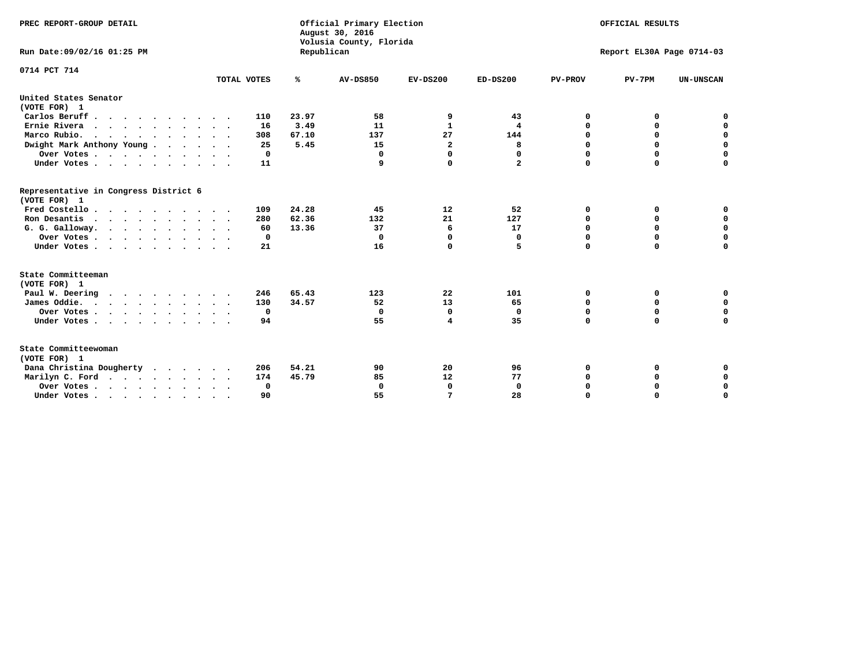| PREC REPORT-GROUP DETAIL<br>Run Date: 09/02/16 01:25 PM                          |             | Republican | Official Primary Election<br>August 30, 2016<br>Volusia County, Florida | OFFICIAL RESULTS<br>Report EL30A Page 0714-03 |              |                |             |                  |
|----------------------------------------------------------------------------------|-------------|------------|-------------------------------------------------------------------------|-----------------------------------------------|--------------|----------------|-------------|------------------|
| 0714 PCT 714                                                                     |             |            |                                                                         |                                               |              |                |             |                  |
|                                                                                  | TOTAL VOTES | ℁          | <b>AV-DS850</b>                                                         | $EV-DS200$                                    | $ED-DS200$   | <b>PV-PROV</b> | $PV-7PM$    | <b>UN-UNSCAN</b> |
| United States Senator<br>(VOTE FOR) 1                                            |             |            |                                                                         |                                               |              |                |             |                  |
| Carlos Beruff                                                                    | 110         | 23.97      | 58                                                                      | 9                                             | 43           | 0              | 0           | 0                |
| Ernie Rivera                                                                     | 16          | 3.49       | 11                                                                      | $\mathbf{1}$                                  | 4            | $\Omega$       | 0           | $\mathbf 0$      |
| Marco Rubio.                                                                     | 308         | 67.10      | 137                                                                     | 27                                            | 144          | 0              | 0           | $\mathbf 0$      |
| Dwight Mark Anthony Young                                                        | 25          | 5.45       | 15                                                                      | $\mathbf{2}$                                  | 8            | 0              | $\mathbf 0$ | $\mathbf 0$      |
| Over Votes                                                                       | 0           |            | $\mathbf{0}$                                                            | $\mathbf 0$                                   | 0            | 0              | $\mathbf 0$ | $\mathbf 0$      |
| Under Votes                                                                      | 11          |            | 9                                                                       | $\Omega$                                      | $\mathbf{2}$ | $\Omega$       | $\Omega$    | $\mathbf 0$      |
| Representative in Congress District 6<br>(VOTE FOR) 1                            |             |            |                                                                         |                                               |              |                |             |                  |
| Fred Costello                                                                    | 109         | 24.28      | 45                                                                      | 12                                            | 52           | 0              | 0           | $\mathbf 0$      |
| Ron Desantis                                                                     | 280         | 62.36      | 132                                                                     | 21                                            | 127          | 0              | 0           | $\mathbf 0$      |
| G. G. Galloway.                                                                  | 60          | 13.36      | 37                                                                      | 6                                             | 17           | $\mathbf 0$    | $\Omega$    | $\mathbf 0$      |
| Over Votes                                                                       | 0           |            | $\Omega$                                                                | 0                                             | 0            | $\mathbf 0$    | 0           | $\mathbf 0$      |
| Under Votes                                                                      | 21          |            | 16                                                                      | $\Omega$                                      | 5            | $\Omega$       | $\Omega$    | $\Omega$         |
| State Committeeman                                                               |             |            |                                                                         |                                               |              |                |             |                  |
| (VOTE FOR) 1                                                                     |             |            |                                                                         |                                               |              |                |             |                  |
| Paul W. Deering                                                                  | 246         | 65.43      | 123                                                                     | 22                                            | 101          | 0              | 0           | 0                |
| James Oddie.                                                                     | 130         | 34.57      | 52                                                                      | 13                                            | 65           | 0              | 0           | $\mathbf 0$      |
| Over Votes                                                                       | $\mathbf 0$ |            | 0                                                                       | 0                                             | 0            | 0              | $\mathbf 0$ | $\mathbf 0$      |
| Under Votes                                                                      | 94          |            | 55                                                                      | 4                                             | 35           | $\Omega$       | $\Omega$    | $\mathbf 0$      |
| State Committeewoman<br>(VOTE FOR) 1                                             |             |            |                                                                         |                                               |              |                |             |                  |
| Dana Christina Dougherty                                                         | 206         | 54.21      | 90                                                                      | 20                                            | 96           | 0              | 0           | 0                |
| Marilyn C. Ford                                                                  | 174         | 45.79      | 85                                                                      | 12                                            | 77           | 0              | 0           | 0                |
| Over Votes                                                                       | 0           |            | $\Omega$                                                                | 0                                             | $\mathbf{0}$ | 0              | 0           | $\mathbf 0$      |
| Under Votes, $\cdot$ , $\cdot$ , $\cdot$ , $\cdot$ , $\cdot$ , $\cdot$ , $\cdot$ | 90          |            | 55                                                                      | 7                                             | 28           | $\Omega$       | $\Omega$    | $\Omega$         |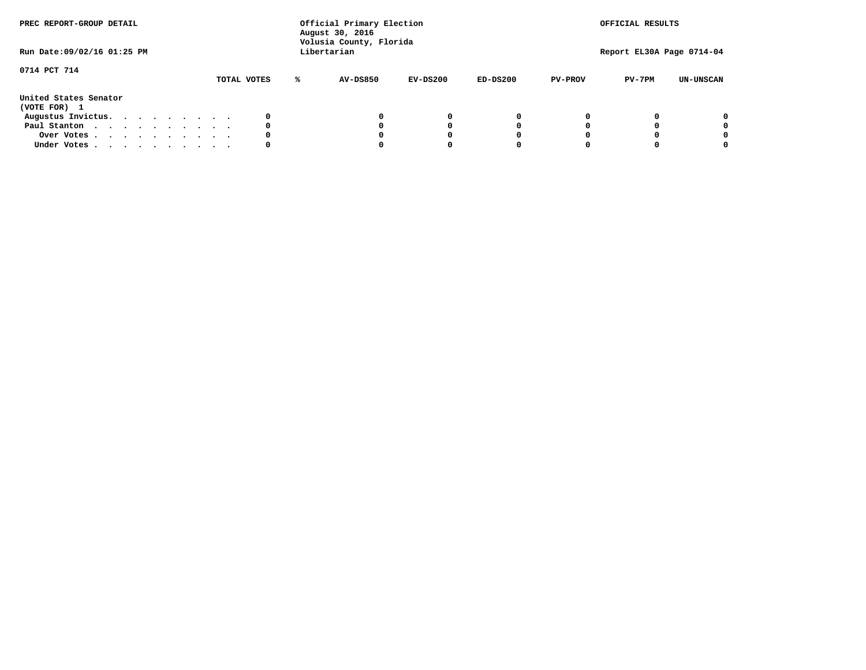| PREC REPORT-GROUP DETAIL<br>Run Date: 09/02/16 01:25 PM |  |  |  |  |  | Official Primary Election<br>August 30, 2016<br>Volusia County, Florida<br>Libertarian |   | OFFICIAL RESULTS<br>Report EL30A Page 0714-04 |            |            |                |          |                  |
|---------------------------------------------------------|--|--|--|--|--|----------------------------------------------------------------------------------------|---|-----------------------------------------------|------------|------------|----------------|----------|------------------|
| 0714 PCT 714                                            |  |  |  |  |  | TOTAL VOTES                                                                            | ℁ | <b>AV-DS850</b>                               | $EV-DS200$ | $ED-DS200$ | <b>PV-PROV</b> | $PV-7PM$ | <b>UN-UNSCAN</b> |
| United States Senator<br>(VOTE FOR) 1                   |  |  |  |  |  |                                                                                        |   |                                               |            |            |                |          |                  |
| Augustus Invictus.                                      |  |  |  |  |  | 0                                                                                      |   |                                               | 0          | 0          |                |          | 0                |
| Paul Stanton                                            |  |  |  |  |  | 0                                                                                      |   |                                               |            | 0          |                |          | 0                |
| Over Votes                                              |  |  |  |  |  | 0                                                                                      |   |                                               |            | 0          |                |          | 0                |
| Under Votes                                             |  |  |  |  |  | 0                                                                                      |   |                                               |            |            |                |          | 0                |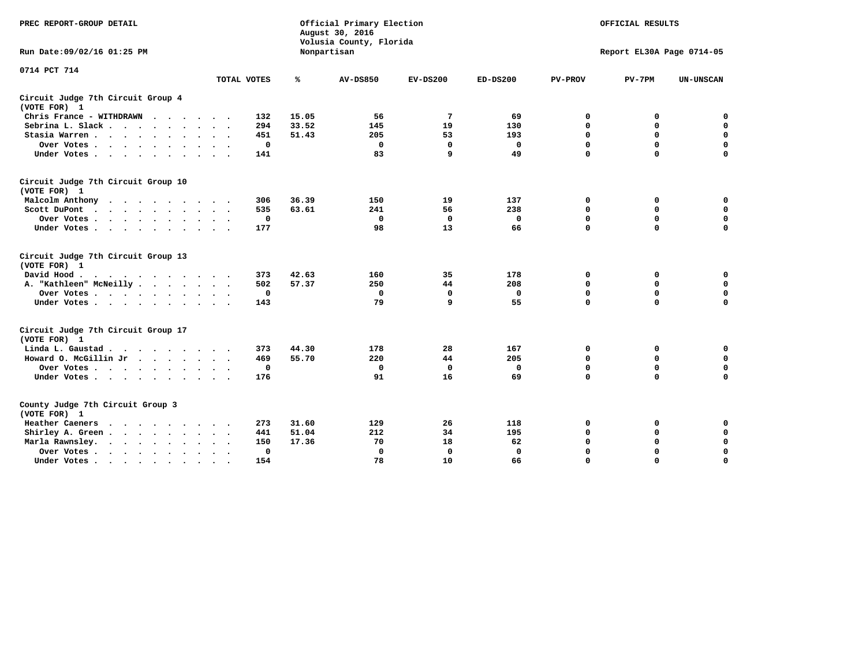| PREC REPORT-GROUP DETAIL                           |             |       | Official Primary Election<br>August 30, 2016<br>Volusia County, Florida | OFFICIAL RESULTS<br>Report EL30A Page 0714-05 |              |                |             |                  |
|----------------------------------------------------|-------------|-------|-------------------------------------------------------------------------|-----------------------------------------------|--------------|----------------|-------------|------------------|
| Run Date: 09/02/16 01:25 PM                        |             |       | Nonpartisan                                                             |                                               |              |                |             |                  |
| 0714 PCT 714                                       | TOTAL VOTES | ℁     | <b>AV-DS850</b>                                                         | $EV-DS200$                                    | $ED-DS200$   | <b>PV-PROV</b> | $PV-7PM$    | <b>UN-UNSCAN</b> |
|                                                    |             |       |                                                                         |                                               |              |                |             |                  |
| Circuit Judge 7th Circuit Group 4<br>(VOTE FOR) 1  |             |       |                                                                         |                                               |              |                |             |                  |
| Chris France - WITHDRAWN                           | 132         | 15.05 | 56                                                                      | 7                                             | 69           | 0              | 0           | 0                |
| Sebrina L. Slack                                   | 294         | 33.52 | 145                                                                     | 19                                            | 130          | 0              | 0           | $\mathbf 0$      |
| Stasia Warren                                      | 451         | 51.43 | 205                                                                     | 53                                            | 193          | $\mathbf 0$    | $\mathbf 0$ | $\mathbf 0$      |
| Over Votes                                         | $\mathbf 0$ |       | $\mathbf 0$                                                             | $\mathbf 0$                                   | $\mathbf 0$  | 0              | $\mathbf 0$ | $\pmb{0}$        |
| Under Votes                                        | 141         |       | 83                                                                      | 9                                             | 49           | $\Omega$       | $\Omega$    | $\Omega$         |
| Circuit Judge 7th Circuit Group 10<br>(VOTE FOR) 1 |             |       |                                                                         |                                               |              |                |             |                  |
| Malcolm Anthony                                    | 306         | 36.39 | 150                                                                     | 19                                            | 137          | 0              | 0           | 0                |
| Scott DuPont                                       | 535         | 63.61 | 241                                                                     | 56                                            | 238          | $\Omega$       | $\mathbf 0$ | $\mathbf 0$      |
| Over Votes                                         | $\mathbf 0$ |       | $\mathbf{0}$                                                            | $\mathbf 0$                                   | 0            | $\mathbf 0$    | $\Omega$    | $\mathbf 0$      |
| Under Votes                                        | 177         |       | 98                                                                      | 13                                            | 66           | $\mathbf 0$    | $\mathbf 0$ | $\Omega$         |
| Circuit Judge 7th Circuit Group 13<br>(VOTE FOR) 1 |             |       |                                                                         |                                               |              |                |             |                  |
| David Hood.<br>.                                   | 373         | 42.63 | 160                                                                     | 35                                            | 178          | $\mathbf 0$    | $\mathbf 0$ | $\mathbf 0$      |
| A. "Kathleen" McNeilly                             | 502         | 57.37 | 250                                                                     | 44                                            | 208          | $\mathbf 0$    | $\mathbf 0$ | $\mathbf 0$      |
| Over Votes                                         | $\mathbf 0$ |       | $\Omega$                                                                | 0                                             | $\Omega$     | $\mathbf 0$    | $\mathbf 0$ | $\mathbf 0$      |
| Under Votes                                        | 143         |       | 79                                                                      | 9                                             | 55           | $\Omega$       | $\Omega$    | 0                |
| Circuit Judge 7th Circuit Group 17<br>(VOTE FOR) 1 |             |       |                                                                         |                                               |              |                |             |                  |
| Linda L. Gaustad                                   | 373         | 44.30 | 178                                                                     | 28                                            | 167          | 0              | 0           | $\mathbf 0$      |
| Howard O. McGillin Jr                              | 469         | 55.70 | 220                                                                     | 44                                            | 205          | 0              | $\mathbf 0$ | $\mathbf 0$      |
| Over Votes                                         | $\mathbf 0$ |       | $\mathbf{0}$                                                            | $\mathbf 0$                                   | $\mathbf 0$  | $\mathbf 0$    | $\mathbf 0$ | 0                |
| Under Votes                                        | 176         |       | 91                                                                      | 16                                            | 69           | $\mathbf 0$    | $\mathbf 0$ | $\mathbf 0$      |
| County Judge 7th Circuit Group 3<br>(VOTE FOR) 1   |             |       |                                                                         |                                               |              |                |             |                  |
| Heather Caeners<br>.                               | 273         | 31.60 | 129                                                                     | 26                                            | 118          | 0              | 0           | $\mathbf 0$      |
| Shirley A. Green                                   | 441         | 51.04 | 212                                                                     | 34                                            | 195          | $\mathbf 0$    | 0           | $\mathbf 0$      |
| Marla Rawnsley.                                    | 150         | 17.36 | 70                                                                      | 18                                            | 62           | 0              | $\mathbf 0$ | $\pmb{0}$        |
| Over Votes<br>$\sim$ $\sim$                        | 0           |       | $\Omega$                                                                | $\mathbf 0$                                   | $\mathbf{0}$ | 0              | $\Omega$    | $\mathbf 0$      |
| Under Votes<br>$\bullet$                           | 154         |       | 78                                                                      | 10                                            | 66           | $\mathbf 0$    | $\Omega$    | $\Omega$         |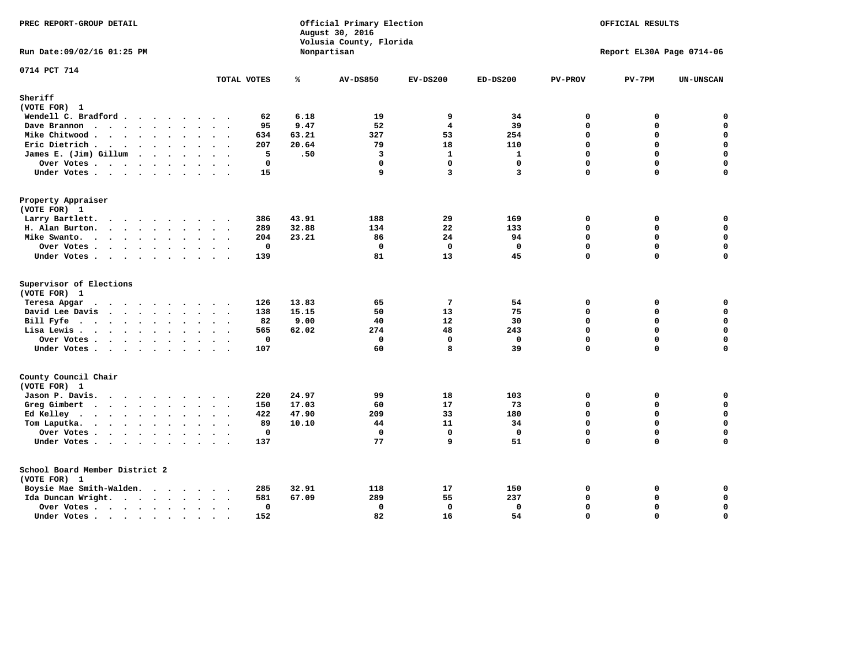| PREC REPORT-GROUP DETAIL                |         |             |       | Official Primary Election<br>August 30, 2016<br>Volusia County, Florida | OFFICIAL RESULTS |              |                |                           |                  |
|-----------------------------------------|---------|-------------|-------|-------------------------------------------------------------------------|------------------|--------------|----------------|---------------------------|------------------|
| Run Date: 09/02/16 01:25 PM             |         |             |       | Nonpartisan                                                             |                  |              |                | Report EL30A Page 0714-06 |                  |
| 0714 PCT 714                            |         | TOTAL VOTES | ℁     | <b>AV-DS850</b>                                                         | $EV-DS200$       | $ED-DS200$   | <b>PV-PROV</b> | $PV-7PM$                  | <b>UN-UNSCAN</b> |
| Sheriff                                 |         |             |       |                                                                         |                  |              |                |                           |                  |
| (VOTE FOR) 1                            |         |             |       |                                                                         |                  |              |                |                           |                  |
| Wendell C. Bradford                     |         | 62          | 6.18  | 19                                                                      | 9                | 34           | 0              | 0                         | $\mathbf 0$      |
| Dave Brannon                            |         | 95          | 9.47  | 52                                                                      | $\overline{4}$   | 39           | 0              | $\Omega$                  | $\mathbf 0$      |
| Mike Chitwood                           |         | 634         | 63.21 | 327                                                                     | 53               | 254          | 0              | 0                         | 0                |
| Eric Dietrich                           |         | 207         | 20.64 | 79                                                                      | 18               | 110          | $\Omega$       | $\Omega$                  | $\mathbf 0$      |
| James E. (Jim) Gillum                   |         | 5           | .50   | $\overline{\mathbf{3}}$                                                 | $\mathbf{1}$     | $\mathbf{1}$ | 0              | $\Omega$                  | 0                |
| Over Votes                              |         | $\mathbf 0$ |       | $\mathbf{0}$                                                            | $\mathbf 0$      | $\mathbf{0}$ | $\Omega$       | $\Omega$                  | $\mathbf 0$      |
| Under Votes                             |         | 15          |       | 9                                                                       | 3                | 3            | 0              | $\Omega$                  | $\Omega$         |
| Property Appraiser                      |         |             |       |                                                                         |                  |              |                |                           |                  |
| (VOTE FOR) 1                            |         |             |       |                                                                         |                  |              |                |                           |                  |
| Larry Bartlett.                         |         | 386         | 43.91 | 188                                                                     | 29               | 169          | 0              | 0                         | 0                |
| H. Alan Burton.                         |         | 289         | 32.88 | 134                                                                     | 22               | 133          | 0              | 0                         | $\mathbf 0$      |
| Mike Swanto.                            |         | 204         | 23.21 | 86                                                                      | 24               | 94           | $\Omega$       | $\Omega$                  | 0                |
| Over Votes                              |         | 0           |       | $\mathbf 0$                                                             | $\mathbf 0$      | $\mathbf 0$  | 0              | 0                         | 0                |
| Under Votes                             |         | 139         |       | 81                                                                      | 13               | 45           | 0              | $\Omega$                  | $\mathbf 0$      |
| Supervisor of Elections<br>(VOTE FOR) 1 |         |             |       |                                                                         |                  |              |                |                           |                  |
| Teresa Apgar                            |         | 126         | 13.83 | 65                                                                      | 7                | 54           | 0              | 0                         | 0                |
| David Lee Davis                         |         | 138         | 15.15 | 50                                                                      | 13               | 75           | $\Omega$       | 0                         | 0                |
| Bill Fyfe. $\ldots$                     |         | 82          | 9.00  | 40                                                                      | 12               | 30           | 0              | 0                         | $\mathbf 0$      |
| Lisa Lewis                              |         | 565         | 62.02 | 274                                                                     | 48               | 243          | $\Omega$       | $\Omega$                  | $\mathbf 0$      |
| Over Votes                              | $\cdot$ | 0           |       | 0                                                                       | $\mathbf 0$      | 0            | 0              | 0                         | $\mathbf 0$      |
| Under Votes                             |         | 107         |       | 60                                                                      | 8                | 39           | $\Omega$       | $\Omega$                  | $\mathbf 0$      |
| County Council Chair<br>(VOTE FOR) 1    |         |             |       |                                                                         |                  |              |                |                           |                  |
| Jason P. Davis.                         |         | 220         | 24.97 | 99                                                                      | 18               | 103          | 0              | 0                         | 0                |
| Greg Gimbert                            |         | 150         | 17.03 | 60                                                                      | 17               | 73           | $\Omega$       | 0                         | $\mathbf 0$      |
| Ed Kelley                               |         | 422         | 47.90 | 209                                                                     | 33               | 180          | 0              | 0                         | 0                |
| Tom Laputka.<br>$\cdots$                |         | 89          | 10.10 | 44                                                                      | 11               | 34           | $\Omega$       | $\Omega$                  | $\mathbf 0$      |
| Over Votes                              |         | 0           |       | 0                                                                       | $\mathbf{0}$     | $\mathbf 0$  | 0              | 0                         | 0                |
| Under Votes                             |         | 137         |       | 77                                                                      | 9                | 51           | $\Omega$       | $\Omega$                  | $\Omega$         |
| School Board Member District 2          |         |             |       |                                                                         |                  |              |                |                           |                  |
| (VOTE FOR) 1                            |         |             |       |                                                                         |                  |              |                |                           |                  |
| Boysie Mae Smith-Walden.                |         | 285         | 32.91 | 118                                                                     | 17               | 150          | 0              | 0                         | 0                |
| Ida Duncan Wright.                      |         | 581         | 67.09 | 289                                                                     | 55               | 237          | 0              | 0                         | 0                |
| Over Votes                              |         | $\mathbf 0$ |       | $\mathbf{0}$                                                            | $\mathbf 0$      | 0            | 0              | 0                         | 0                |
| Under Votes                             |         | 152         |       | 82                                                                      | 16               | 54           | $\Omega$       | $\Omega$                  | $\mathbf 0$      |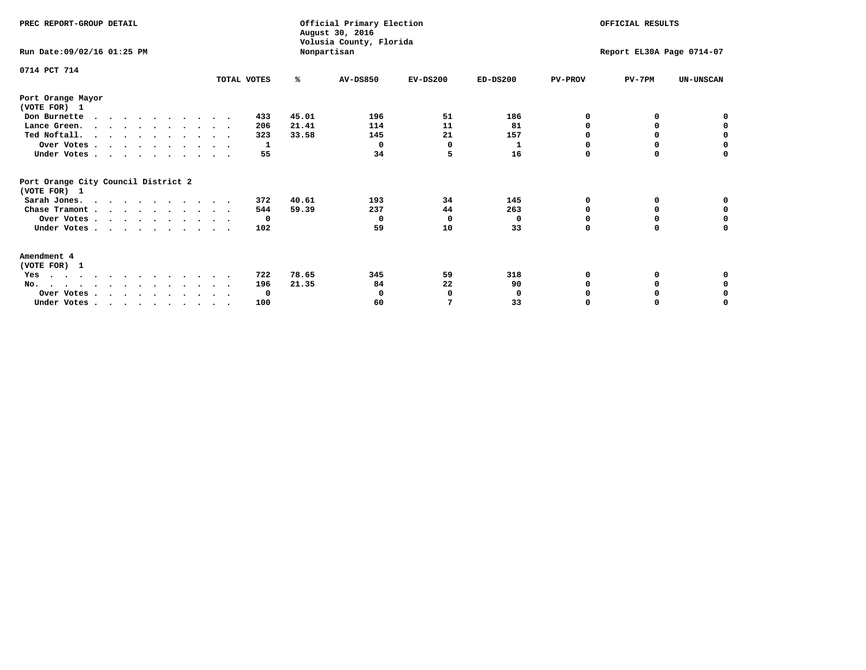| PREC REPORT-GROUP DETAIL                                                         |              |       | Official Primary Election<br>August 30, 2016<br>Volusia County, Florida |              |            | OFFICIAL RESULTS          |          |                  |
|----------------------------------------------------------------------------------|--------------|-------|-------------------------------------------------------------------------|--------------|------------|---------------------------|----------|------------------|
| Run Date: 09/02/16 01:25 PM                                                      |              |       | Nonpartisan                                                             |              |            | Report EL30A Page 0714-07 |          |                  |
| 0714 PCT 714                                                                     | TOTAL VOTES  | ℁     | <b>AV-DS850</b>                                                         | $EV-DS200$   | $ED-DS200$ | <b>PV-PROV</b>            | $PV-7PM$ | <b>UN-UNSCAN</b> |
| Port Orange Mayor<br>(VOTE FOR) 1                                                |              |       |                                                                         |              |            |                           |          |                  |
| Don Burnette<br>$\cdots$                                                         | 433          | 45.01 | 196                                                                     | 51           | 186        | 0                         | 0        | 0                |
| Lance Green.                                                                     | 206          | 21.41 | 114                                                                     | 11           | 81         | O                         | 0        | 0                |
| Ted Noftall.                                                                     | 323          | 33.58 | 145                                                                     | 21           | 157        | 0                         |          | 0                |
| Over Votes                                                                       | 1            |       | $\Omega$                                                                | <sup>0</sup> | 1          | $\Omega$                  | $\Omega$ | $\mathbf 0$      |
| Under Votes                                                                      | 55           |       | 34                                                                      | 5            | 16         | $\Omega$                  | 0        | 0                |
| Port Orange City Council District 2<br>(VOTE FOR) 1                              |              |       |                                                                         |              |            |                           |          |                  |
| Sarah Jones.                                                                     | 372          | 40.61 | 193                                                                     | 34           | 145        | 0                         | 0        | 0                |
| Chase Tramont                                                                    | 544          | 59.39 | 237                                                                     | 44           | 263        | O                         | 0        | 0                |
| Over Votes                                                                       | $\mathbf{o}$ |       | 0                                                                       | $\mathbf 0$  | 0          | $\Omega$                  | $\Omega$ | $\mathbf 0$      |
| Under Votes                                                                      | 102          |       | 59                                                                      | 10           | 33         | $\Omega$                  | 0        | 0                |
| Amendment 4<br>(VOTE FOR) 1                                                      |              |       |                                                                         |              |            |                           |          |                  |
| Yes<br>.                                                                         | 722          | 78.65 | 345                                                                     | 59           | 318        |                           | 0        | 0                |
| No.                                                                              | 196          | 21.35 | 84                                                                      | 22           | 90         | O                         | 0        | 0                |
| Over Votes                                                                       | 0            |       | 0                                                                       | $\Omega$     | 0          |                           |          | 0                |
| Under Votes, $\cdot$ , $\cdot$ , $\cdot$ , $\cdot$ , $\cdot$ , $\cdot$ , $\cdot$ | 100          |       | 60                                                                      | 7            | 33         | $\Omega$                  |          | $\Omega$         |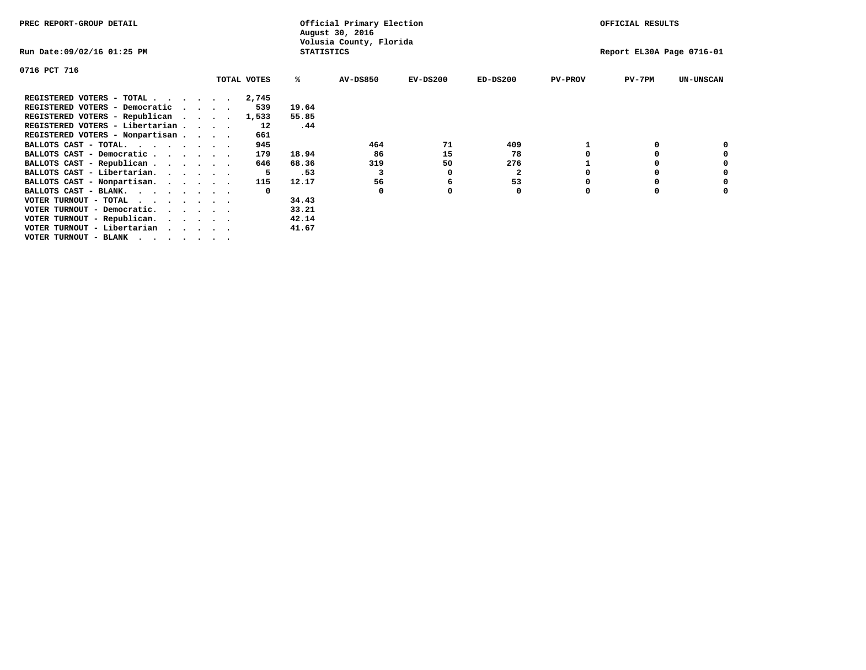| PREC REPORT-GROUP DETAIL        |  |             |                   | Official Primary Election<br>August 30, 2016 |            |              |                | OFFICIAL RESULTS          |                  |
|---------------------------------|--|-------------|-------------------|----------------------------------------------|------------|--------------|----------------|---------------------------|------------------|
| Run Date:09/02/16 01:25 PM      |  |             | <b>STATISTICS</b> | Volusia County, Florida                      |            |              |                | Report EL30A Page 0716-01 |                  |
| 0716 PCT 716                    |  |             |                   |                                              |            |              |                |                           |                  |
|                                 |  | TOTAL VOTES | ℁                 | <b>AV-DS850</b>                              | $EV-DS200$ | $ED-DS200$   | <b>PV-PROV</b> | $PV-7PM$                  | <b>UN-UNSCAN</b> |
| REGISTERED VOTERS - TOTAL 2,745 |  |             |                   |                                              |            |              |                |                           |                  |
| REGISTERED VOTERS - Democratic  |  | 539         | 19.64             |                                              |            |              |                |                           |                  |
| REGISTERED VOTERS - Republican  |  | 1,533       | 55.85             |                                              |            |              |                |                           |                  |
| REGISTERED VOTERS - Libertarian |  | 12          | .44               |                                              |            |              |                |                           |                  |
| REGISTERED VOTERS - Nonpartisan |  | 661         |                   |                                              |            |              |                |                           |                  |
| BALLOTS CAST - TOTAL.           |  | 945         |                   | 464                                          | 71         | 409          |                |                           |                  |
| BALLOTS CAST - Democratic       |  | 179         | 18.94             | 86                                           | 15         | 78           |                |                           |                  |
| BALLOTS CAST - Republican       |  | 646         | 68.36             | 319                                          | 50         | 276          |                |                           |                  |
| BALLOTS CAST - Libertarian.     |  | 5           | .53               |                                              |            | $\mathbf{2}$ |                |                           |                  |
| BALLOTS CAST - Nonpartisan.     |  | 115         | 12.17             | 56                                           | 6          | 53           |                |                           | 0                |
| BALLOTS CAST - BLANK.           |  | $\Omega$    |                   | $\Omega$                                     |            | 0            | O              |                           |                  |
| VOTER TURNOUT - TOTAL           |  |             | 34.43             |                                              |            |              |                |                           |                  |
| VOTER TURNOUT - Democratic.     |  |             | 33.21             |                                              |            |              |                |                           |                  |
| VOTER TURNOUT - Republican.     |  |             | 42.14             |                                              |            |              |                |                           |                  |
| VOTER TURNOUT - Libertarian     |  |             | 41.67             |                                              |            |              |                |                           |                  |
| VOTER TURNOUT - BLANK           |  |             |                   |                                              |            |              |                |                           |                  |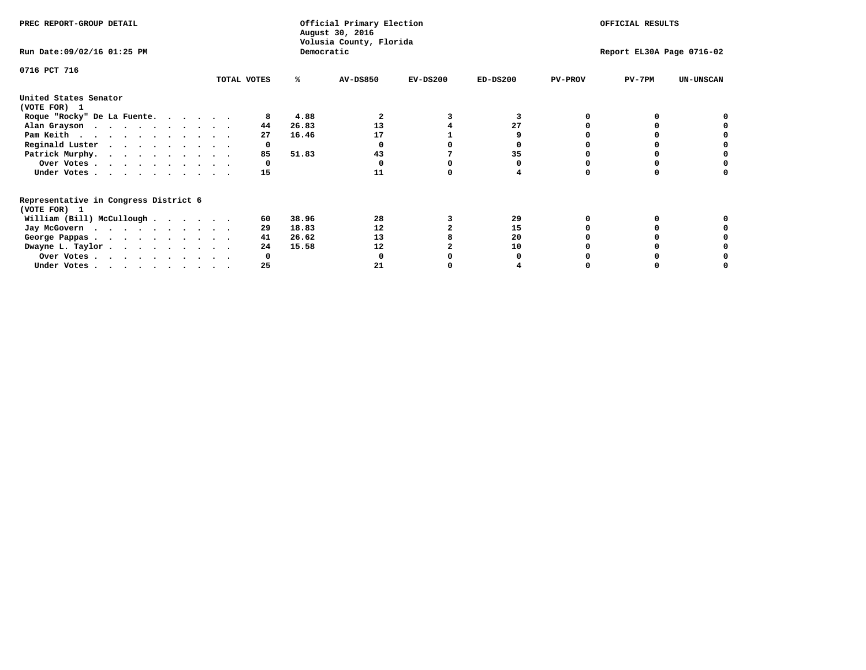| PREC REPORT-GROUP DETAIL                                               |             |       | Official Primary Election<br>August 30, 2016<br>Volusia County, Florida | OFFICIAL RESULTS |                           |                |          |                  |
|------------------------------------------------------------------------|-------------|-------|-------------------------------------------------------------------------|------------------|---------------------------|----------------|----------|------------------|
| Run Date: 09/02/16 01:25 PM                                            |             |       | Democratic                                                              |                  | Report EL30A Page 0716-02 |                |          |                  |
| 0716 PCT 716                                                           | TOTAL VOTES | ℁     | <b>AV-DS850</b>                                                         | $EV-DS200$       | $ED-DS200$                | <b>PV-PROV</b> | $PV-7PM$ | <b>UN-UNSCAN</b> |
| United States Senator                                                  |             |       |                                                                         |                  |                           |                |          |                  |
| (VOTE FOR) 1                                                           |             |       |                                                                         |                  |                           |                |          |                  |
| Roque "Rocky" De La Fuente.                                            |             | 4.88  |                                                                         |                  |                           |                |          |                  |
| Alan Grayson                                                           | 44          | 26.83 | 13                                                                      |                  | 27                        |                |          |                  |
| Pam Keith                                                              | 27          | 16.46 | 17                                                                      |                  |                           |                |          |                  |
| Reginald Luster                                                        | 0           |       |                                                                         |                  |                           |                |          |                  |
| Patrick Murphy.                                                        | 85          | 51.83 | 43                                                                      |                  | 35                        |                |          |                  |
| Over Votes                                                             | 0           |       |                                                                         |                  |                           |                |          |                  |
| Under Votes                                                            | 15          |       | 11                                                                      |                  |                           |                |          |                  |
| Representative in Congress District 6                                  |             |       |                                                                         |                  |                           |                |          |                  |
| (VOTE FOR) 1                                                           |             |       |                                                                         |                  |                           |                |          |                  |
| William (Bill) McCullough $\cdots$ $\cdots$                            | 60          | 38.96 | 28                                                                      |                  | 29                        |                |          |                  |
| Jay McGovern                                                           | 29          | 18.83 | 12                                                                      |                  | 15                        |                |          |                  |
| George Pappas.                                                         | 41          | 26.62 | 13                                                                      |                  | 20                        |                |          |                  |
| Dwayne L. Taylor                                                       | 24          | 15.58 | 12                                                                      |                  | 10                        |                |          |                  |
| Over Votes                                                             |             |       |                                                                         |                  |                           |                |          |                  |
| Under Votes, $\cdot$ , $\cdot$ , $\cdot$ , $\cdot$ , $\cdot$ , $\cdot$ | 25          |       | 21                                                                      |                  |                           |                |          |                  |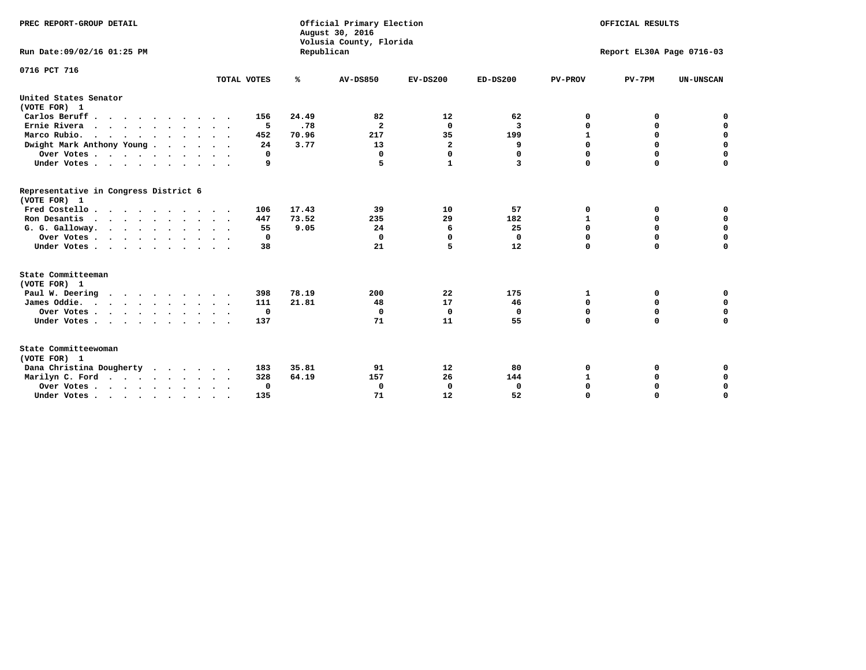| PREC REPORT-GROUP DETAIL<br>Run Date: 09/02/16 01:25 PM                          |             | Republican | Official Primary Election<br>August 30, 2016<br>Volusia County, Florida | OFFICIAL RESULTS<br>Report EL30A Page 0716-03 |             |                |             |                  |
|----------------------------------------------------------------------------------|-------------|------------|-------------------------------------------------------------------------|-----------------------------------------------|-------------|----------------|-------------|------------------|
| 0716 PCT 716                                                                     |             |            |                                                                         |                                               |             |                |             |                  |
|                                                                                  | TOTAL VOTES | ℁          | <b>AV-DS850</b>                                                         | $EV-DS200$                                    | $ED-DS200$  | <b>PV-PROV</b> | $PV-7PM$    | <b>UN-UNSCAN</b> |
| United States Senator<br>(VOTE FOR) 1                                            |             |            |                                                                         |                                               |             |                |             |                  |
| Carlos Beruff                                                                    | 156         | 24.49      | 82                                                                      | 12                                            | 62          | 0              | 0           | 0                |
| Ernie Rivera                                                                     | 5           | .78        | $\mathbf{2}$                                                            | $\Omega$                                      | 3           | $\Omega$       | 0           | $\mathbf 0$      |
| Marco Rubio.                                                                     | 452         | 70.96      | 217                                                                     | 35                                            | 199         | $\mathbf{1}$   | 0           | $\mathbf 0$      |
| Dwight Mark Anthony Young                                                        | 24          | 3.77       | 13                                                                      | $\overline{\mathbf{2}}$                       | 9           | 0              | $\mathbf 0$ | $\mathbf 0$      |
| Over Votes                                                                       | 0           |            | $\Omega$                                                                | $\mathbf 0$                                   | 0           | 0              | $\mathbf 0$ | $\mathbf 0$      |
| Under Votes                                                                      | 9           |            | 5                                                                       | 1                                             | 3           | $\Omega$       | $\Omega$    | $\mathbf 0$      |
| Representative in Congress District 6<br>(VOTE FOR) 1                            |             |            |                                                                         |                                               |             |                |             |                  |
| Fred Costello                                                                    | 106         | 17.43      | 39                                                                      | 10                                            | 57          | 0              | 0           | $\mathbf 0$      |
| Ron Desantis                                                                     | 447         | 73.52      | 235                                                                     | 29                                            | 182         | $\mathbf{1}$   | 0           | $\mathbf 0$      |
| G. G. Galloway.                                                                  | 55          | 9.05       | 24                                                                      | 6                                             | 25          | $\mathbf 0$    | $\mathbf 0$ | $\mathbf 0$      |
| Over Votes                                                                       | 0           |            | $\Omega$                                                                | $\Omega$                                      | 0           | 0              | 0           | $\mathbf 0$      |
| Under Votes                                                                      | 38          |            | 21                                                                      | 5                                             | 12          | $\mathbf 0$    | $\Omega$    | $\mathbf 0$      |
| State Committeeman                                                               |             |            |                                                                         |                                               |             |                |             |                  |
| (VOTE FOR) 1                                                                     |             |            |                                                                         |                                               |             |                |             |                  |
| Paul W. Deering                                                                  | 398         | 78.19      | 200                                                                     | 22                                            | 175         | 1              | 0           | 0                |
| James Oddie.                                                                     | 111         | 21.81      | 48                                                                      | 17                                            | 46          | 0              | 0           | $\mathbf 0$      |
| Over Votes                                                                       | 0           |            | 0                                                                       | $\mathbf 0$                                   | 0           | 0              | $\mathbf 0$ | $\mathbf 0$      |
| Under Votes                                                                      | 137         |            | 71                                                                      | 11                                            | 55          | $\mathbf 0$    | $\mathbf 0$ | $\mathbf 0$      |
| State Committeewoman<br>(VOTE FOR) 1                                             |             |            |                                                                         |                                               |             |                |             |                  |
| Dana Christina Dougherty<br>.                                                    | 183         | 35.81      | 91                                                                      | 12                                            | 80          | 0              | 0           | 0                |
| Marilyn C. Ford                                                                  | 328         | 64.19      | 157                                                                     | 26                                            | 144         | 1              | 0           | 0                |
| Over Votes                                                                       | $\Omega$    |            | $\Omega$                                                                | 0                                             | $\mathbf 0$ | 0              | 0           | $\mathbf 0$      |
| Under Votes, $\cdot$ , $\cdot$ , $\cdot$ , $\cdot$ , $\cdot$ , $\cdot$ , $\cdot$ | 135         |            | 71                                                                      | 12                                            | 52          | $\Omega$       | $\Omega$    | $\Omega$         |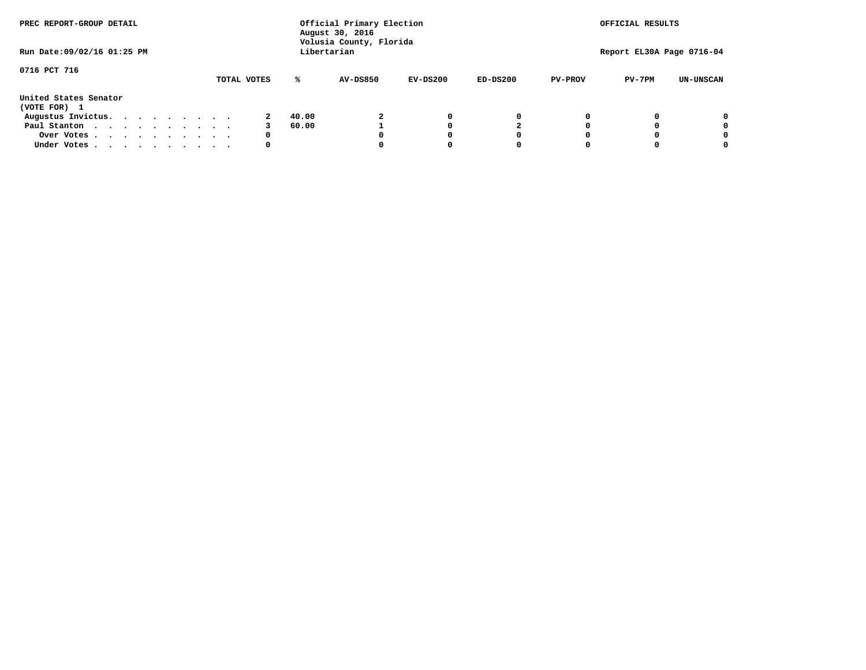| PREC REPORT-GROUP DETAIL              |  |  |  |  |  |             | Official Primary Election<br>August 30, 2016<br>Volusia County, Florida | OFFICIAL RESULTS |            |            |                |                           |                  |
|---------------------------------------|--|--|--|--|--|-------------|-------------------------------------------------------------------------|------------------|------------|------------|----------------|---------------------------|------------------|
| Run Date: 09/02/16 01:25 PM           |  |  |  |  |  |             |                                                                         | Libertarian      |            |            |                | Report EL30A Page 0716-04 |                  |
| 0716 PCT 716                          |  |  |  |  |  | TOTAL VOTES | ℁                                                                       | <b>AV-DS850</b>  | $EV-DS200$ | $ED-DS200$ | <b>PV-PROV</b> | $PV-7PM$                  | <b>UN-UNSCAN</b> |
| United States Senator<br>(VOTE FOR) 1 |  |  |  |  |  |             |                                                                         |                  |            |            |                |                           |                  |
| Augustus Invictus.                    |  |  |  |  |  |             | 40.00                                                                   |                  | 0          | 0          |                |                           | 0                |
| Paul Stanton<br>$\cdots$              |  |  |  |  |  |             | 60.00                                                                   |                  |            |            |                |                           | 0                |
| Over Votes                            |  |  |  |  |  | 0           |                                                                         |                  |            | O          |                |                           | 0                |
| Under Votes                           |  |  |  |  |  | 0           |                                                                         |                  |            |            |                |                           |                  |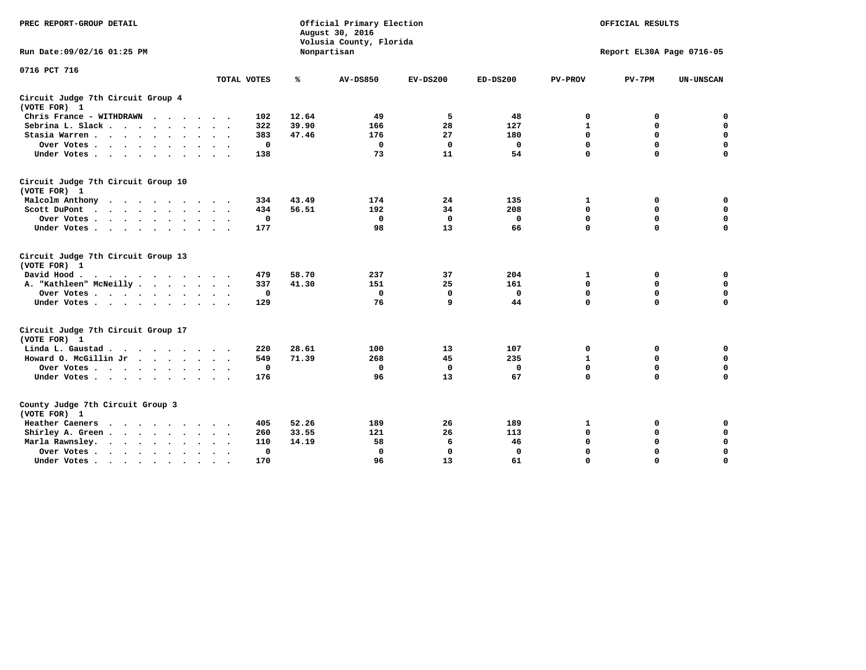| PREC REPORT-GROUP DETAIL                                                |             | Official Primary Election<br>August 30, 2016<br>Volusia County, Florida | OFFICIAL RESULTS |             |              |                |                           |                  |
|-------------------------------------------------------------------------|-------------|-------------------------------------------------------------------------|------------------|-------------|--------------|----------------|---------------------------|------------------|
| Run Date: 09/02/16 01:25 PM                                             |             |                                                                         | Nonpartisan      |             |              |                | Report EL30A Page 0716-05 |                  |
| 0716 PCT 716                                                            |             |                                                                         |                  |             |              |                |                           |                  |
|                                                                         | TOTAL VOTES | ℁                                                                       | <b>AV-DS850</b>  | $EV-DS200$  | $ED-DS200$   | <b>PV-PROV</b> | $PV-7PM$                  | <b>UN-UNSCAN</b> |
| Circuit Judge 7th Circuit Group 4<br>(VOTE FOR) 1                       |             |                                                                         |                  |             |              |                |                           |                  |
| Chris France - WITHDRAWN<br>.                                           | 102         | 12.64                                                                   | 49               | 5           | 48           | 0              | 0                         | $\mathbf 0$      |
| Sebrina L. Slack                                                        | 322         | 39.90                                                                   | 166              | 28          | 127          | 1              | 0                         | $\mathbf 0$      |
| Stasia Warren                                                           | 383         | 47.46                                                                   | 176              | 27          | 180          | $\mathbf 0$    | $\mathbf 0$               | $\pmb{0}$        |
| Over Votes                                                              |             | $\mathbf 0$                                                             | $\mathbf 0$      | 0           | 0            | $\mathbf 0$    | $\mathbf 0$               | $\mathbf 0$      |
| Under Votes                                                             | 138         |                                                                         | 73               | 11          | 54           | $\mathbf 0$    | $\Omega$                  | $\mathbf 0$      |
| Circuit Judge 7th Circuit Group 10<br>(VOTE FOR) 1                      |             |                                                                         |                  |             |              |                |                           |                  |
| Malcolm Anthony                                                         | 334         | 43.49                                                                   | 174              | 24          | 135          | 1              | 0                         | 0                |
| Scott DuPont                                                            | 434         | 56.51                                                                   | 192              | 34          | 208          | 0              | $\mathbf 0$               | $\mathbf 0$      |
| Over Votes                                                              |             | $\mathbf 0$                                                             | $\mathbf{0}$     | $\mathbf 0$ | $\mathbf{0}$ | $\mathbf 0$    | $\mathbf 0$               | 0                |
| Under Votes                                                             | 177         |                                                                         | 98               | 13          | 66           | $\mathbf 0$    | $\mathbf 0$               | 0                |
| Circuit Judge 7th Circuit Group 13<br>(VOTE FOR) 1                      |             |                                                                         |                  |             |              |                |                           |                  |
| David Hood.<br>.                                                        | 479         | 58.70                                                                   | 237              | 37          | 204          | 1              | 0                         | $\mathbf 0$      |
| A. "Kathleen" McNeilly                                                  | 337         | 41.30                                                                   | 151              | 25          | 161          | $\mathbf 0$    | $\mathbf 0$               | $\mathbf 0$      |
| Over Votes                                                              |             | 0                                                                       | 0                | 0           | $\mathbf 0$  | 0              | $\mathbf 0$               | $\pmb{0}$        |
| Under Votes.                                                            | 129         |                                                                         | 76               | 9           | 44           | $\mathbf 0$    | $\Omega$                  | 0                |
| Circuit Judge 7th Circuit Group 17<br>(VOTE FOR) 1                      |             |                                                                         |                  |             |              |                |                           |                  |
| Linda L. Gaustad                                                        | 220         | 28.61                                                                   | 100              | 13          | 107          | 0              | 0                         | $\mathbf 0$      |
| Howard O. McGillin Jr                                                   | 549         | 71.39                                                                   | 268              | 45          | 235          | $\mathbf 1$    | $\mathbf 0$               | $\mathbf 0$      |
| Over Votes                                                              |             | $\mathbf 0$                                                             | $\mathbf{0}$     | $\mathbf 0$ | $\mathbf 0$  | $\mathbf 0$    | $\mathbf 0$               | 0                |
| Under Votes                                                             | 176         |                                                                         | 96               | 13          | 67           | $\mathbf 0$    | $\mathbf 0$               | $\mathbf 0$      |
| County Judge 7th Circuit Group 3<br>(VOTE FOR) 1                        |             |                                                                         |                  |             |              |                |                           |                  |
| Heather Caeners<br>$\cdots$                                             | 405         | 52.26                                                                   | 189              | 26          | 189          | 1              | 0                         | 0                |
| Shirley A. Green                                                        | 260         | 33.55                                                                   | 121              | 26          | 113          | $\mathbf 0$    | $\mathbf 0$               | $\mathbf 0$      |
| Marla Rawnsley.                                                         | 110         | 14.19                                                                   | 58               | 6           | 46           | 0              | $\mathbf 0$               | $\pmb{0}$        |
| Over Votes.<br>$\cdots$<br>$\ddot{\phantom{a}}$<br>$\ddot{\phantom{0}}$ |             | 0                                                                       | $\Omega$         | 0           | 0            | $\mathbf 0$    | $\mathbf 0$               | $\mathbf 0$      |
| Under Votes                                                             | 170         |                                                                         | 96               | 13          | 61           | $\mathbf 0$    | $\mathbf 0$               | 0                |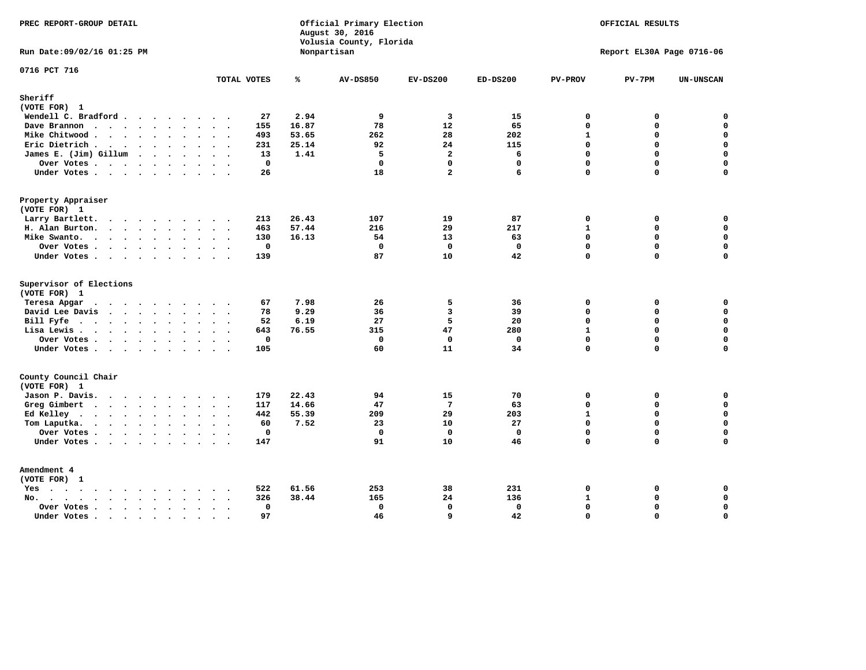| PREC REPORT-GROUP DETAIL                                                                                               | Official Primary Election<br>August 30, 2016<br>Volusia County, Florida |       |                 |                         | OFFICIAL RESULTS |                |                           |                  |
|------------------------------------------------------------------------------------------------------------------------|-------------------------------------------------------------------------|-------|-----------------|-------------------------|------------------|----------------|---------------------------|------------------|
| Run Date: 09/02/16 01:25 PM                                                                                            |                                                                         |       | Nonpartisan     |                         |                  |                | Report EL30A Page 0716-06 |                  |
| 0716 PCT 716                                                                                                           | TOTAL VOTES                                                             | ℁     | <b>AV-DS850</b> | $EV-DS200$              | $ED-DS200$       | <b>PV-PROV</b> | $PV-7PM$                  | <b>UN-UNSCAN</b> |
| Sheriff                                                                                                                |                                                                         |       |                 |                         |                  |                |                           |                  |
| (VOTE FOR) 1                                                                                                           |                                                                         |       |                 |                         |                  |                |                           |                  |
| Wendell C. Bradford                                                                                                    | 27                                                                      | 2.94  | 9               | $\overline{\mathbf{3}}$ | 15               | $\mathbf 0$    | 0                         | $\mathbf 0$      |
| Dave Brannon                                                                                                           | 155                                                                     | 16.87 | 78              | 12                      | 65               | $\Omega$       | 0                         | $\mathbf 0$      |
| Mike Chitwood                                                                                                          | 493                                                                     | 53.65 | 262             | 28                      | 202              | $\mathbf{1}$   | 0                         | 0                |
| Eric Dietrich.                                                                                                         | 231                                                                     | 25.14 | 92              | 24                      | 115              | $\Omega$       | 0                         | $\mathbf 0$      |
| James E. (Jim) Gillum                                                                                                  | 13                                                                      | 1.41  | 5               | $\overline{a}$          | 6                | $\mathbf 0$    | $\mathbf 0$               | $\mathbf 0$      |
| Over Votes                                                                                                             | $\mathbf{0}$                                                            |       | $\Omega$        | $\Omega$                | $\Omega$         | $\Omega$       | $\Omega$                  | $\mathbf 0$      |
| Under Votes                                                                                                            | 26                                                                      |       | 18              | $\overline{a}$          | 6                | $\Omega$       | 0                         | $\Omega$         |
| Property Appraiser                                                                                                     |                                                                         |       |                 |                         |                  |                |                           |                  |
| (VOTE FOR) 1                                                                                                           |                                                                         |       |                 |                         |                  |                |                           |                  |
| Larry Bartlett.<br>$\sim$                                                                                              | 213<br>$\sim$                                                           | 26.43 | 107             | 19                      | 87               | $\mathbf 0$    | 0                         | 0                |
| H. Alan Burton.                                                                                                        | 463                                                                     | 57.44 | 216             | 29                      | 217              | $\mathbf{1}$   | 0                         | $\mathbf 0$      |
| Mike Swanto.                                                                                                           | 130                                                                     | 16.13 | 54              | 13                      | 63               | $\Omega$       | 0                         | $\mathbf 0$      |
| Over Votes                                                                                                             | $\mathbf 0$                                                             |       | $\Omega$        | $\mathbf 0$             | $\Omega$         | $\mathbf{0}$   | 0                         | $\mathbf 0$      |
| Under Votes                                                                                                            | 139                                                                     |       | 87              | 10                      | 42               | $\Omega$       | $\Omega$                  | $\mathbf 0$      |
| Supervisor of Elections                                                                                                |                                                                         |       |                 |                         |                  |                |                           |                  |
| (VOTE FOR) 1                                                                                                           |                                                                         |       |                 |                         |                  |                |                           |                  |
| Teresa Apgar<br>$\cdots$                                                                                               | 67<br>$\sim$ $\sim$                                                     | 7.98  | 26              | 5                       | 36               | 0              | 0                         | 0                |
| David Lee Davis                                                                                                        | 78                                                                      | 9.29  | 36              | 3                       | 39               | $\Omega$       | 0                         | $\mathbf 0$      |
| Bill Fyfe.                                                                                                             | 52                                                                      | 6.19  | 27              | 5                       | 20               | $\Omega$       | 0                         | $\mathbf 0$      |
| Lisa Lewis                                                                                                             | 643                                                                     | 76.55 | 315             | 47                      | 280              | $\mathbf{1}$   | 0                         | $\mathbf 0$      |
| Over Votes                                                                                                             | $\mathbf 0$                                                             |       | $\mathbf 0$     | $\mathbf 0$             | $\mathbf 0$      | $\mathbf 0$    | 0                         | $\mathbf 0$      |
| Under Votes                                                                                                            | 105                                                                     |       | 60              | 11                      | 34               | $\Omega$       | $\Omega$                  | $\mathbf 0$      |
| County Council Chair<br>(VOTE FOR) 1                                                                                   |                                                                         |       |                 |                         |                  |                |                           |                  |
| Jason P. Davis.                                                                                                        | 179                                                                     | 22.43 | 94              | 15                      | 70               | 0              | 0                         | 0                |
| Greg Gimbert<br>$\cdots$                                                                                               | 117                                                                     | 14.66 | 47              | 7                       | 63               | $\Omega$       | $\Omega$                  | $\mathbf{0}$     |
| Ed Kelley $\cdots$                                                                                                     | 442                                                                     | 55.39 | 209             | 29                      | 203              | $\mathbf{1}$   | 0                         | $\mathbf 0$      |
| Tom Laputka.<br>$\mathbf{r}$ , $\mathbf{r}$ , $\mathbf{r}$ , $\mathbf{r}$ , $\mathbf{r}$ , $\mathbf{r}$ , $\mathbf{r}$ | 60                                                                      | 7.52  | 23              | 10                      | 27               | $\Omega$       | $\mathbf 0$               | $\mathbf 0$      |
| Over Votes                                                                                                             | $\mathbf 0$<br>$\ddot{\phantom{a}}$                                     |       | $\mathbf 0$     | $\Omega$                | $\mathbf{0}$     | $\mathbf{0}$   | 0                         | 0                |
| Under Votes                                                                                                            | 147                                                                     |       | 91              | 10                      | 46               | $\Omega$       | $\Omega$                  | $\mathbf 0$      |
| Amendment 4                                                                                                            |                                                                         |       |                 |                         |                  |                |                           |                  |
| (VOTE FOR) 1                                                                                                           |                                                                         |       |                 |                         |                  |                |                           |                  |
| $Yes \cdot \cdot \cdot \cdot \cdot \cdot \cdot \cdot \cdot$<br>$\bullet$                                               | 522                                                                     | 61.56 | 253             | 38                      | 231              | 0              | 0                         | 0                |
| $\cdot$ $\cdot$ $\cdot$ $\cdot$ $\cdot$<br>$No.$<br>$\ddot{\phantom{a}}$<br>$\ddot{\phantom{a}}$                       | 326<br>$\sim$ $\sim$<br>$\cdot$ $\cdot$                                 | 38.44 | 165             | 24                      | 136              | $\mathbf{1}$   | $\mathbf 0$               | $\mathbf 0$      |
| Over Votes .<br>$\cdots$<br>$\ddot{\phantom{a}}$                                                                       | $\mathbf 0$<br>$\ddot{\phantom{a}}$                                     |       | 0               | $\mathbf{0}$            | 0                | $\mathbf 0$    | 0                         | $\mathbf 0$      |
| Under Votes<br>$\sim$                                                                                                  | 97<br>$\sim$<br>$\sim$                                                  |       | 46              | 9                       | 42               | $\mathbf 0$    | 0                         | $\mathbf 0$      |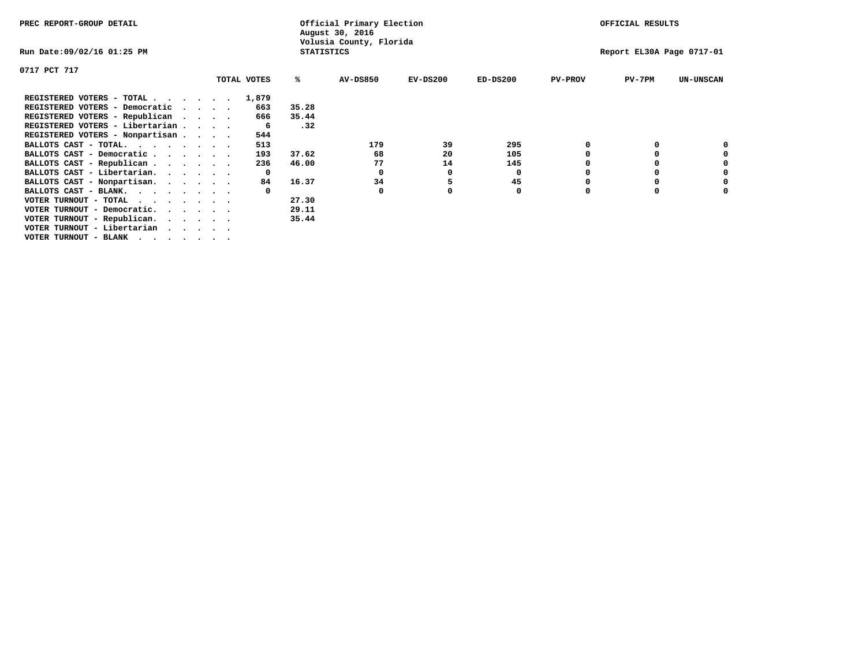| Volusia County, Florida<br>Run Date:09/02/16 01:25 PM<br><b>STATISTICS</b><br>0717 PCT 717<br>TOTAL VOTES<br><b>AV-DS850</b><br>$EV-DS200$<br>$ED-DS200$<br>%ะ<br><b>PV-PROV</b><br>$PV-7PM$<br>REGISTERED VOTERS - TOTAL<br>1,879<br>35.28<br>REGISTERED VOTERS - Democratic<br>663<br>$\sim$ $\sim$ $\sim$ $\sim$<br>REGISTERED VOTERS - Republican<br>35.44<br>666<br>REGISTERED VOTERS - Libertarian<br>.32<br>-6<br>REGISTERED VOTERS - Nonpartisan<br>544<br>513<br>179<br>39<br>295<br>BALLOTS CAST - TOTAL.<br>105<br>BALLOTS CAST - Democratic<br>193<br>37.62<br>68<br>20<br>77<br>BALLOTS CAST - Republican<br>46.00<br>14<br>145<br>236<br>BALLOTS CAST - Libertarian.<br>0<br>0<br>0<br>0<br>45<br>BALLOTS CAST - Nonpartisan.<br>16.37<br>34<br>5<br>84<br>BALLOTS CAST - BLANK.<br>0<br>27.30<br>VOTER TURNOUT - TOTAL<br>.<br>29.11<br>VOTER TURNOUT - Democratic.<br>$\cdot$<br>VOTER TURNOUT - Republican.<br>35.44<br>VOTER TURNOUT - Libertarian | PREC REPORT-GROUP DETAIL |  |  | Official Primary Election<br>August 30, 2016 |  |                           | OFFICIAL RESULTS |  |                  |
|----------------------------------------------------------------------------------------------------------------------------------------------------------------------------------------------------------------------------------------------------------------------------------------------------------------------------------------------------------------------------------------------------------------------------------------------------------------------------------------------------------------------------------------------------------------------------------------------------------------------------------------------------------------------------------------------------------------------------------------------------------------------------------------------------------------------------------------------------------------------------------------------------------------------------------------------------------------------|--------------------------|--|--|----------------------------------------------|--|---------------------------|------------------|--|------------------|
|                                                                                                                                                                                                                                                                                                                                                                                                                                                                                                                                                                                                                                                                                                                                                                                                                                                                                                                                                                      |                          |  |  |                                              |  | Report EL30A Page 0717-01 |                  |  |                  |
|                                                                                                                                                                                                                                                                                                                                                                                                                                                                                                                                                                                                                                                                                                                                                                                                                                                                                                                                                                      |                          |  |  |                                              |  |                           |                  |  |                  |
|                                                                                                                                                                                                                                                                                                                                                                                                                                                                                                                                                                                                                                                                                                                                                                                                                                                                                                                                                                      |                          |  |  |                                              |  |                           |                  |  | <b>UN-UNSCAN</b> |
|                                                                                                                                                                                                                                                                                                                                                                                                                                                                                                                                                                                                                                                                                                                                                                                                                                                                                                                                                                      |                          |  |  |                                              |  |                           |                  |  |                  |
|                                                                                                                                                                                                                                                                                                                                                                                                                                                                                                                                                                                                                                                                                                                                                                                                                                                                                                                                                                      |                          |  |  |                                              |  |                           |                  |  |                  |
|                                                                                                                                                                                                                                                                                                                                                                                                                                                                                                                                                                                                                                                                                                                                                                                                                                                                                                                                                                      |                          |  |  |                                              |  |                           |                  |  |                  |
|                                                                                                                                                                                                                                                                                                                                                                                                                                                                                                                                                                                                                                                                                                                                                                                                                                                                                                                                                                      |                          |  |  |                                              |  |                           |                  |  |                  |
|                                                                                                                                                                                                                                                                                                                                                                                                                                                                                                                                                                                                                                                                                                                                                                                                                                                                                                                                                                      |                          |  |  |                                              |  |                           |                  |  |                  |
|                                                                                                                                                                                                                                                                                                                                                                                                                                                                                                                                                                                                                                                                                                                                                                                                                                                                                                                                                                      |                          |  |  |                                              |  |                           |                  |  |                  |
|                                                                                                                                                                                                                                                                                                                                                                                                                                                                                                                                                                                                                                                                                                                                                                                                                                                                                                                                                                      |                          |  |  |                                              |  |                           |                  |  |                  |
|                                                                                                                                                                                                                                                                                                                                                                                                                                                                                                                                                                                                                                                                                                                                                                                                                                                                                                                                                                      |                          |  |  |                                              |  |                           |                  |  |                  |
|                                                                                                                                                                                                                                                                                                                                                                                                                                                                                                                                                                                                                                                                                                                                                                                                                                                                                                                                                                      |                          |  |  |                                              |  |                           |                  |  |                  |
|                                                                                                                                                                                                                                                                                                                                                                                                                                                                                                                                                                                                                                                                                                                                                                                                                                                                                                                                                                      |                          |  |  |                                              |  |                           |                  |  |                  |
|                                                                                                                                                                                                                                                                                                                                                                                                                                                                                                                                                                                                                                                                                                                                                                                                                                                                                                                                                                      |                          |  |  |                                              |  |                           |                  |  |                  |
|                                                                                                                                                                                                                                                                                                                                                                                                                                                                                                                                                                                                                                                                                                                                                                                                                                                                                                                                                                      |                          |  |  |                                              |  |                           |                  |  |                  |
|                                                                                                                                                                                                                                                                                                                                                                                                                                                                                                                                                                                                                                                                                                                                                                                                                                                                                                                                                                      |                          |  |  |                                              |  |                           |                  |  |                  |
|                                                                                                                                                                                                                                                                                                                                                                                                                                                                                                                                                                                                                                                                                                                                                                                                                                                                                                                                                                      |                          |  |  |                                              |  |                           |                  |  |                  |
|                                                                                                                                                                                                                                                                                                                                                                                                                                                                                                                                                                                                                                                                                                                                                                                                                                                                                                                                                                      |                          |  |  |                                              |  |                           |                  |  |                  |
| VOTER TURNOUT - BLANK                                                                                                                                                                                                                                                                                                                                                                                                                                                                                                                                                                                                                                                                                                                                                                                                                                                                                                                                                |                          |  |  |                                              |  |                           |                  |  |                  |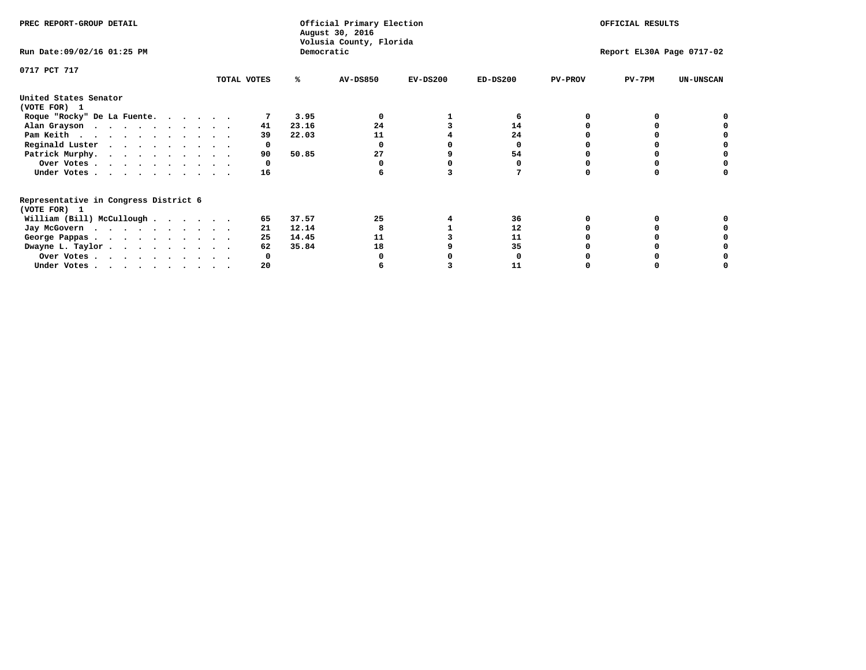| PREC REPORT-GROUP DETAIL                                               |                                       |       | Official Primary Election<br>August 30, 2016 |            | OFFICIAL RESULTS |                |                           |                  |  |  |
|------------------------------------------------------------------------|---------------------------------------|-------|----------------------------------------------|------------|------------------|----------------|---------------------------|------------------|--|--|
| Run Date: 09/02/16 01:25 PM                                            | Volusia County, Florida<br>Democratic |       |                                              |            |                  |                | Report EL30A Page 0717-02 |                  |  |  |
| 0717 PCT 717                                                           | TOTAL VOTES                           | ℁     | AV-DS850                                     | $EV-DS200$ | $ED-DS200$       | <b>PV-PROV</b> | $PV-7PM$                  | <b>UN-UNSCAN</b> |  |  |
|                                                                        |                                       |       |                                              |            |                  |                |                           |                  |  |  |
| United States Senator<br>(VOTE FOR) 1                                  |                                       |       |                                              |            |                  |                |                           |                  |  |  |
| Roque "Rocky" De La Fuente.                                            |                                       | 3.95  |                                              |            |                  |                |                           |                  |  |  |
| Alan Grayson                                                           | 41                                    | 23.16 | 24                                           |            | 14               |                |                           |                  |  |  |
| Pam Keith                                                              | 39                                    | 22.03 | 11                                           |            | 24               |                |                           |                  |  |  |
| Reginald Luster                                                        | 0                                     |       |                                              |            | O                |                |                           |                  |  |  |
| Patrick Murphy.                                                        | 90                                    | 50.85 | 27                                           |            | 54               |                |                           |                  |  |  |
| Over Votes                                                             |                                       |       |                                              |            |                  |                |                           |                  |  |  |
| Under Votes                                                            | 16                                    |       |                                              |            |                  |                |                           |                  |  |  |
| Representative in Congress District 6                                  |                                       |       |                                              |            |                  |                |                           |                  |  |  |
| (VOTE FOR) 1                                                           |                                       |       |                                              |            |                  |                |                           |                  |  |  |
| William (Bill) McCullough                                              | 65                                    | 37.57 | 25                                           |            | 36               |                |                           |                  |  |  |
| Jay McGovern                                                           | 21                                    | 12.14 |                                              |            | 12               |                |                           |                  |  |  |
| George Pappas.                                                         | 25                                    | 14.45 | 11                                           |            | 11               |                |                           |                  |  |  |
| Dwayne L. Taylor                                                       | 62                                    | 35.84 | 18                                           |            | 35               |                |                           |                  |  |  |
| Over Votes                                                             |                                       |       |                                              |            |                  |                |                           |                  |  |  |
| Under Votes, $\cdot$ , $\cdot$ , $\cdot$ , $\cdot$ , $\cdot$ , $\cdot$ | 20                                    |       |                                              |            | 11               |                |                           |                  |  |  |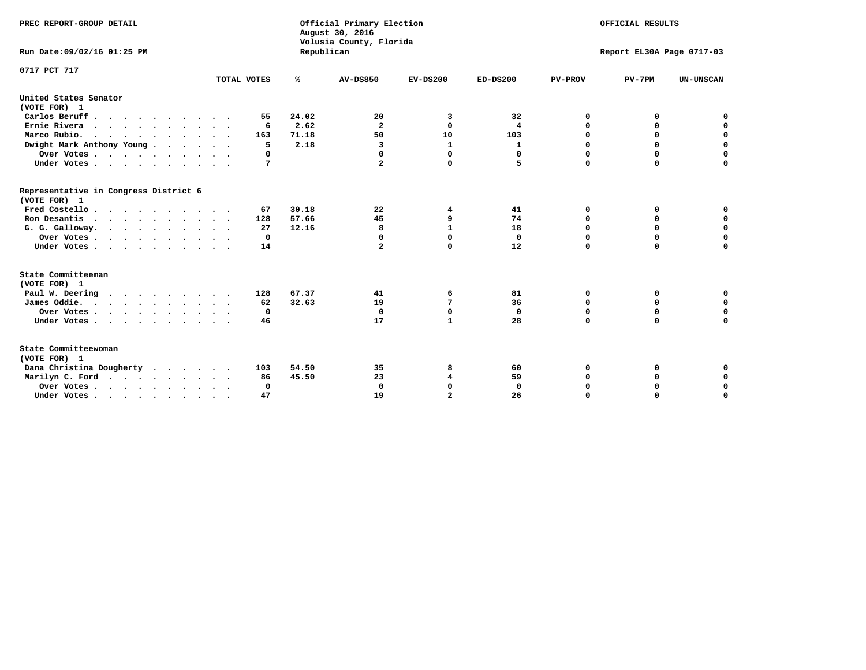| PREC REPORT-GROUP DETAIL<br>Run Date: 09/02/16 01:25 PM                                |             | Republican     | Official Primary Election<br>August 30, 2016<br>Volusia County, Florida | OFFICIAL RESULTS<br>Report EL30A Page 0717-03 |             |                  |                  |                  |
|----------------------------------------------------------------------------------------|-------------|----------------|-------------------------------------------------------------------------|-----------------------------------------------|-------------|------------------|------------------|------------------|
| 0717 PCT 717                                                                           | TOTAL VOTES | ℁              | <b>AV-DS850</b>                                                         | $EV-DS200$                                    | $ED-DS200$  | <b>PV-PROV</b>   | $PV-7PM$         | <b>UN-UNSCAN</b> |
| United States Senator                                                                  |             |                |                                                                         |                                               |             |                  |                  |                  |
| (VOTE FOR) 1                                                                           |             |                |                                                                         |                                               |             |                  |                  |                  |
| Carlos Beruff                                                                          | 55          | 24.02<br>2.62  | 20<br>$\overline{\mathbf{2}}$                                           | 3<br>$\mathbf 0$                              | 32          | 0                | 0                | 0<br>$\mathbf 0$ |
| Ernie Rivera<br>Marco Rubio.                                                           | 6<br>163    | 71.18          | 50                                                                      | 10                                            | 4<br>103    | 0<br>$\mathbf 0$ | 0<br>$\mathbf 0$ | $\mathbf 0$      |
| $\cdots$<br>Dwight Mark Anthony Young                                                  | 5           | 2.18           | 3                                                                       | 1                                             | 1           | 0                | 0                | $\mathbf 0$      |
| Over Votes                                                                             | 0           |                | 0                                                                       | $\Omega$                                      | 0           | 0                | 0                | 0                |
| Under Votes                                                                            | 7           |                | $\overline{a}$                                                          | $\mathbf 0$                                   | 5           | $\Omega$         | $\mathbf 0$      | $\mathbf 0$      |
| Representative in Congress District 6<br>(VOTE FOR) 1<br>Fred Costello<br>Ron Desantis | 67<br>128   | 30.18<br>57.66 | 22<br>45                                                                | 4<br>9                                        | 41<br>74    | 0<br>0           | 0<br>0           | 0<br>$\mathbf 0$ |
| G. G. Galloway.                                                                        | 27          | 12.16          | 8                                                                       | $\mathbf{1}$                                  | 18          | $\mathbf 0$      | $\Omega$         | $\mathbf 0$      |
| Over Votes                                                                             | $\mathbf 0$ |                | 0                                                                       | $\mathbf 0$                                   | 0           | 0                | 0                | 0                |
| Under Votes                                                                            | 14          |                | $\overline{a}$                                                          | $\mathbf 0$                                   | 12          | $\Omega$         | $\mathbf 0$      | $\mathbf 0$      |
| State Committeeman<br>(VOTE FOR) 1                                                     |             |                |                                                                         |                                               |             |                  |                  |                  |
| Paul W. Deering                                                                        | 128         | 67.37          | 41                                                                      | 6                                             | 81          | 0                | 0                | 0                |
| James Oddie.                                                                           | 62          | 32.63          | 19                                                                      | 7                                             | 36          | 0                | $\mathbf 0$      | $\mathbf 0$      |
| Over Votes                                                                             | $\mathbf 0$ |                | $\mathbf 0$                                                             | $\mathbf 0$                                   | $\mathbf 0$ | $\mathbf 0$      | $\mathbf 0$      | $\mathbf 0$      |
| Under Votes                                                                            | 46          |                | 17                                                                      | $\mathbf{1}$                                  | 28          | 0                | 0                | $\mathbf 0$      |
| State Committeewoman<br>(VOTE FOR) 1                                                   |             |                |                                                                         |                                               |             |                  |                  |                  |
| Dana Christina Dougherty                                                               | 103         | 54.50          | 35                                                                      | 8                                             | 60          | 0                | 0                | 0                |
| Marilyn C. Ford                                                                        | 86          | 45.50          | 23                                                                      | 4                                             | 59          | 0                | 0                | 0                |
| Over Votes                                                                             | $\Omega$    |                | $\Omega$                                                                | $\mathbf 0$                                   | 0           | 0                | 0                | 0                |
| Under Votes, , , , , , , , , ,                                                         | 47          |                | 19                                                                      | $\overline{a}$                                | 26          | $\Omega$         | $\Omega$         | $\Omega$         |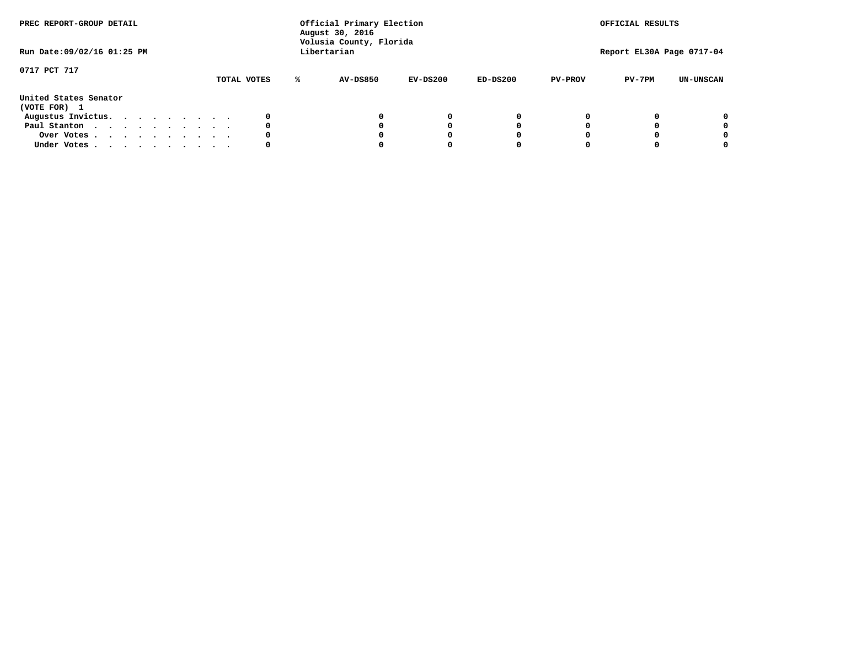| PREC REPORT-GROUP DETAIL              | Run Date: 09/02/16 01:25 PM |               |          | Official Primary Election<br>August 30, 2016<br>Volusia County, Florida<br>Libertarian |                |                           |                  |  |
|---------------------------------------|-----------------------------|---------------|----------|----------------------------------------------------------------------------------------|----------------|---------------------------|------------------|--|
|                                       |                             |               |          |                                                                                        |                | Report EL30A Page 0717-04 |                  |  |
| 0717 PCT 717                          | TOTAL VOTES                 | AV-DS850<br>℁ | EV-DS200 | $ED-DS200$                                                                             | <b>PV-PROV</b> | $PV-7PM$                  | <b>UN-UNSCAN</b> |  |
| United States Senator<br>(VOTE FOR) 1 |                             |               |          |                                                                                        |                |                           |                  |  |
| Augustus Invictus.                    |                             |               | 0        | 0                                                                                      |                |                           | 0                |  |
| Paul Stanton                          | 0                           |               | 0        |                                                                                        |                |                           | 0                |  |
| Over Votes                            |                             |               |          |                                                                                        |                |                           | 0                |  |
| Under Votes                           | 0                           |               |          |                                                                                        |                |                           | 0                |  |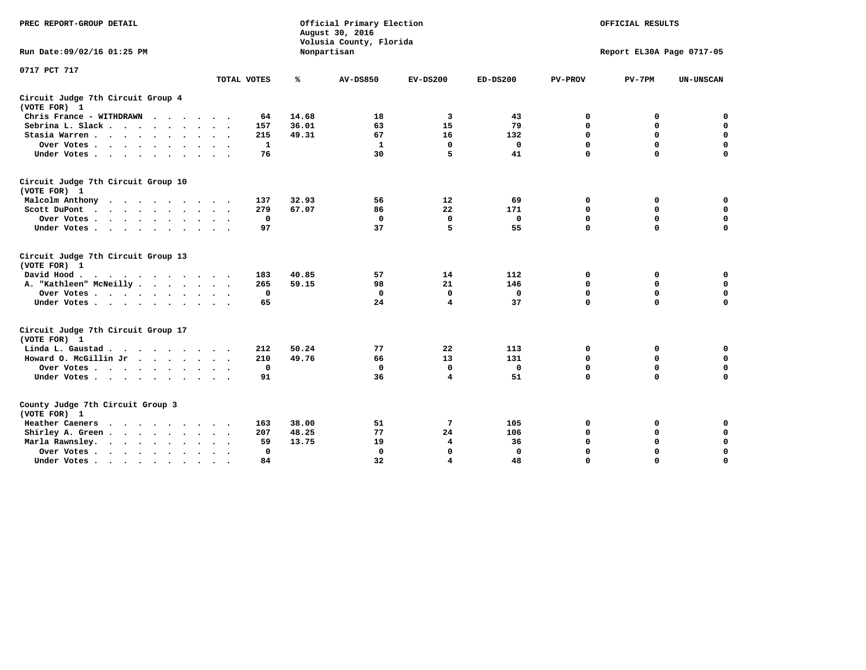| PREC REPORT-GROUP DETAIL                                                                                |              |       | Official Primary Election<br>August 30, 2016<br>Volusia County, Florida |                           | OFFICIAL RESULTS |                |             |                  |
|---------------------------------------------------------------------------------------------------------|--------------|-------|-------------------------------------------------------------------------|---------------------------|------------------|----------------|-------------|------------------|
| Run Date: 09/02/16 01:25 PM                                                                             |              |       | Nonpartisan                                                             | Report EL30A Page 0717-05 |                  |                |             |                  |
| 0717 PCT 717                                                                                            | TOTAL VOTES  | ℁     | <b>AV-DS850</b>                                                         | $EV-DS200$                | $ED-DS200$       | <b>PV-PROV</b> | $PV-7PM$    | <b>UN-UNSCAN</b> |
| Circuit Judge 7th Circuit Group 4<br>(VOTE FOR) 1                                                       |              |       |                                                                         |                           |                  |                |             |                  |
| Chris France - WITHDRAWN                                                                                | 64           | 14.68 | 18                                                                      | 3                         | 43               | 0              | 0           | $\mathbf 0$      |
| Sebrina L. Slack                                                                                        | 157          | 36.01 | 63                                                                      | 15                        | 79               | 0              | 0           | $\mathbf 0$      |
| Stasia Warren                                                                                           | 215          | 49.31 | 67                                                                      | 16                        | 132              | 0              | 0           | $\mathbf 0$      |
| Over Votes                                                                                              | $\mathbf{1}$ |       | $\mathbf{1}$                                                            | $\mathbf 0$               | $\mathbf 0$      | 0              | $\mathbf 0$ | $\pmb{0}$        |
| Under Votes                                                                                             | 76           |       | 30                                                                      | 5                         | 41               | $\Omega$       | $\Omega$    | $\Omega$         |
| Circuit Judge 7th Circuit Group 10<br>(VOTE FOR) 1                                                      |              |       |                                                                         |                           |                  |                |             |                  |
| Malcolm Anthony                                                                                         | 137          | 32.93 | 56                                                                      | 12                        | 69               | 0              | 0           | 0                |
| Scott DuPont<br>$\cdots$                                                                                | 279          | 67.07 | 86                                                                      | 22                        | 171              | $\mathbf 0$    | $\mathbf 0$ | $\mathbf 0$      |
| Over Votes                                                                                              | $\mathbf 0$  |       | $\mathbf 0$                                                             | $\mathbf 0$               | $\mathbf 0$      | $\mathbf 0$    | $\mathbf 0$ | $\mathbf 0$      |
| Under Votes                                                                                             | 97           |       | 37                                                                      | 5                         | 55               | $\Omega$       | $\mathbf 0$ | $\Omega$         |
| Circuit Judge 7th Circuit Group 13<br>(VOTE FOR) 1                                                      |              |       |                                                                         |                           |                  |                |             |                  |
| David Hood.<br>$\mathbf{r}$ , and $\mathbf{r}$ , and $\mathbf{r}$ , and $\mathbf{r}$ , and $\mathbf{r}$ | 183          | 40.85 | 57                                                                      | 14                        | 112              | 0              | 0           | 0                |
| A. "Kathleen" McNeilly                                                                                  | 265          | 59.15 | 98                                                                      | 21                        | 146              | $\mathbf 0$    | $\mathbf 0$ | $\mathbf 0$      |
| Over Votes                                                                                              | $\Omega$     |       | $\mathbf{0}$                                                            | $\mathbf 0$               | 0                | $\mathbf 0$    | $\mathbf 0$ | $\mathbf 0$      |
| Under Votes                                                                                             | 65           |       | 24                                                                      | $\overline{\mathbf{4}}$   | 37               | $\Omega$       | $\Omega$    | $\Omega$         |
| Circuit Judge 7th Circuit Group 17<br>(VOTE FOR) 1                                                      |              |       |                                                                         |                           |                  |                |             |                  |
| Linda L. Gaustad                                                                                        | 212          | 50.24 | 77                                                                      | 22                        | 113              | 0              | 0           | $\mathbf 0$      |
| Howard O. McGillin Jr                                                                                   | 210          | 49.76 | 66                                                                      | 13                        | 131              | $\mathbf 0$    | $\mathbf 0$ | $\mathbf 0$      |
| Over Votes                                                                                              | $\mathbf 0$  |       | $\mathbf{0}$                                                            | $\mathbf 0$               | $\mathbf 0$      | $\mathbf 0$    | $\Omega$    | $\mathbf 0$      |
| Under Votes                                                                                             | 91           |       | 36                                                                      | $\overline{4}$            | 51               | $\mathbf 0$    | $\mathbf 0$ | $\mathbf 0$      |
| County Judge 7th Circuit Group 3<br>(VOTE FOR) 1                                                        |              |       |                                                                         |                           |                  |                |             |                  |
| Heather Caeners                                                                                         | 163          | 38.00 | 51                                                                      | 7                         | 105              | $\mathbf 0$    | 0           | 0                |
| Shirley A. Green                                                                                        | 207          | 48.25 | 77                                                                      | 24                        | 106              | $\mathbf 0$    | 0           | $\mathbf 0$      |
| Marla Rawnsley.                                                                                         | 59           | 13.75 | 19                                                                      | 4                         | 36               | 0              | $\mathbf 0$ | $\pmb{0}$        |
| Over Votes<br>$\sim$<br>$\sim$                                                                          | 0            |       | $\Omega$                                                                | $\Omega$                  | $\mathbf{0}$     | $\Omega$       | $\Omega$    | $\mathbf 0$      |
| Under Votes<br>$\sim$                                                                                   | 84           |       | 32                                                                      | 4                         | 48               | $\mathbf 0$    | $\mathbf 0$ | 0                |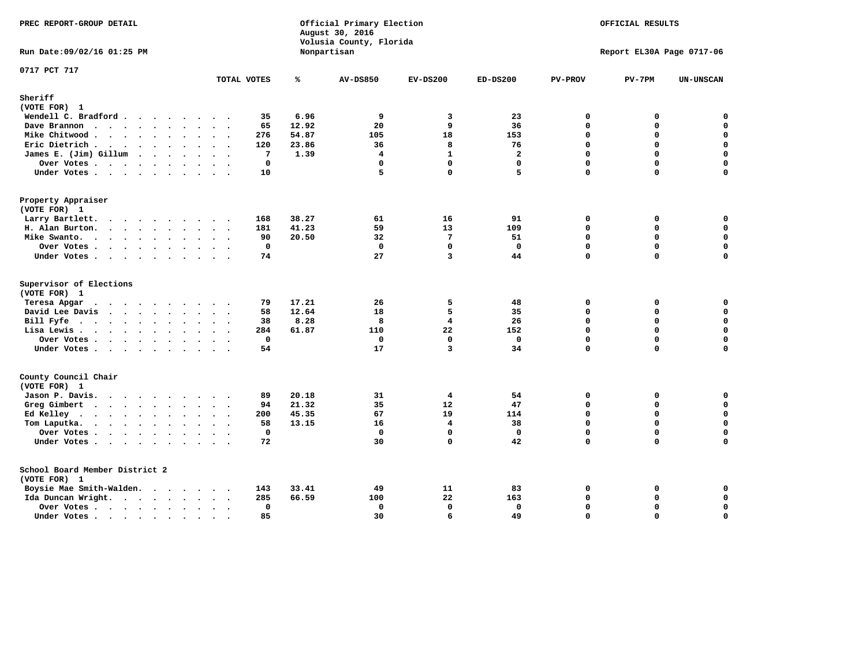| PREC REPORT-GROUP DETAIL                |                                |       | Official Primary Election<br>August 30, 2016<br>Volusia County, Florida | OFFICIAL RESULTS |                      |                |                           |                          |
|-----------------------------------------|--------------------------------|-------|-------------------------------------------------------------------------|------------------|----------------------|----------------|---------------------------|--------------------------|
| Run Date: 09/02/16 01:25 PM             |                                |       | Nonpartisan                                                             |                  |                      |                | Report EL30A Page 0717-06 |                          |
| 0717 PCT 717                            | TOTAL VOTES                    | ℁     | <b>AV-DS850</b>                                                         | $EV-DS200$       | $ED-DS200$           | <b>PV-PROV</b> | $PV-7PM$                  | <b>UN-UNSCAN</b>         |
| Sheriff                                 |                                |       |                                                                         |                  |                      |                |                           |                          |
| (VOTE FOR) 1                            |                                |       |                                                                         |                  |                      |                |                           |                          |
| Wendell C. Bradford                     | 35                             | 6.96  | 9                                                                       | 3                | 23                   | $\Omega$       | 0                         | $\mathbf 0$              |
| Dave Brannon                            | 65                             | 12.92 | 20                                                                      | 9                | 36                   | 0<br>0         | $\Omega$                  | $\mathbf 0$<br>$\pmb{0}$ |
| Mike Chitwood                           | 276                            | 54.87 | 105                                                                     | 18<br>8          | 153                  | $\Omega$       | 0<br>$\Omega$             | $\mathbf 0$              |
| Eric Dietrich.                          | 120                            | 23.86 | 36                                                                      | $\mathbf{1}$     | 76<br>$\overline{a}$ | $\Omega$       | $\Omega$                  | $\mathbf 0$              |
| James E. (Jim) Gillum                   | $7\phantom{.0}$<br>$\mathbf 0$ | 1.39  | 4<br>$\mathbf 0$                                                        | $\mathbf 0$      | $\mathbf{0}$         | $\Omega$       | $\Omega$                  | $\mathbf 0$              |
| Over Votes                              | 10                             |       | 5                                                                       | $\mathbf 0$      | 5                    | $\Omega$       | $\Omega$                  | $\mathbf 0$              |
| Under Votes                             |                                |       |                                                                         |                  |                      |                |                           |                          |
| Property Appraiser                      |                                |       |                                                                         |                  |                      |                |                           |                          |
| (VOTE FOR) 1                            |                                |       |                                                                         |                  |                      |                |                           |                          |
| Larry Bartlett.                         | 168                            | 38.27 | 61<br>59                                                                | 16               | 91                   | 0<br>0         | 0<br>0                    | 0<br>$\mathbf 0$         |
| H. Alan Burton.                         | 181                            | 41.23 |                                                                         | 13<br>7          | 109<br>51            | $\Omega$       | 0                         | 0                        |
| Mike Swanto.<br>Over Votes              | 90<br>0                        | 20.50 | 32<br>$\mathbf{0}$                                                      | $\mathbf{0}$     | $\mathbf 0$          | 0              | $\Omega$                  | $\mathbf 0$              |
|                                         | 74                             |       | 27                                                                      | 3                | 44                   | 0              | 0                         | 0                        |
| Under Votes                             |                                |       |                                                                         |                  |                      |                |                           |                          |
| Supervisor of Elections<br>(VOTE FOR) 1 |                                |       |                                                                         |                  |                      |                |                           |                          |
| Teresa Apgar                            | 79                             | 17.21 | 26                                                                      | 5                | 48                   | 0              | 0                         | $\mathbf 0$              |
| David Lee Davis                         | 58                             | 12.64 | 18                                                                      | 5                | 35                   | $\Omega$       | 0                         | $\mathbf 0$              |
| Bill Fyfe                               | 38                             | 8.28  | 8                                                                       | 4                | 26                   | 0              | $\Omega$                  | $\mathbf 0$              |
| Lisa Lewis                              | 284                            | 61.87 | 110                                                                     | 22               | 152                  | 0              | 0                         | $\mathbf 0$              |
| Over Votes                              | $\mathbf 0$                    |       | $\mathbf{0}$                                                            | $\mathbf 0$      | $\mathbf 0$          | 0              | $\Omega$                  | $\mathbf 0$              |
| Under Votes                             | 54                             |       | 17                                                                      | 3                | 34                   | 0              | $\Omega$                  | 0                        |
| County Council Chair                    |                                |       |                                                                         |                  |                      |                |                           |                          |
| (VOTE FOR) 1                            |                                |       |                                                                         |                  |                      |                |                           |                          |
| Jason P. Davis.                         | 89                             | 20.18 | 31                                                                      | 4                | 54                   | $\mathbf{0}$   | 0                         | 0                        |
| Greg Gimbert                            | 94                             | 21.32 | 35                                                                      | 12               | 47                   | $\Omega$       | 0                         | $\mathbf 0$              |
| Ed Kelley                               | 200                            | 45.35 | 67                                                                      | 19               | 114                  | 0              | 0                         | $\mathbf 0$              |
| Tom Laputka.<br>$\cdots$                | 58                             | 13.15 | 16                                                                      | 4                | 38                   | 0              | 0                         | $\mathbf 0$              |
| Over Votes                              | $\mathbf 0$                    |       | $\Omega$                                                                | $\mathbf{0}$     | $\mathbf 0$          | 0              | 0                         | 0                        |
| Under Votes                             | 72                             |       | 30                                                                      | $\Omega$         | 42                   | $\Omega$       | $\Omega$                  | $\Omega$                 |
| School Board Member District 2          |                                |       |                                                                         |                  |                      |                |                           |                          |
| (VOTE FOR) 1                            |                                |       |                                                                         |                  |                      |                |                           |                          |
| Boysie Mae Smith-Walden.                | 143                            | 33.41 | 49                                                                      | 11               | 83                   | 0              | 0                         | 0                        |
| Ida Duncan Wright.                      | 285                            | 66.59 | 100                                                                     | 22               | 163                  | 0              | 0                         | 0                        |
| Over Votes                              | 0                              |       | 0                                                                       | $\mathbf{0}$     | 0                    | 0              | 0                         | 0                        |
| Under Votes                             | 85<br>$\sim$                   |       | 30                                                                      | 6                | 49                   | $\Omega$       | $\Omega$                  | $\mathbf 0$              |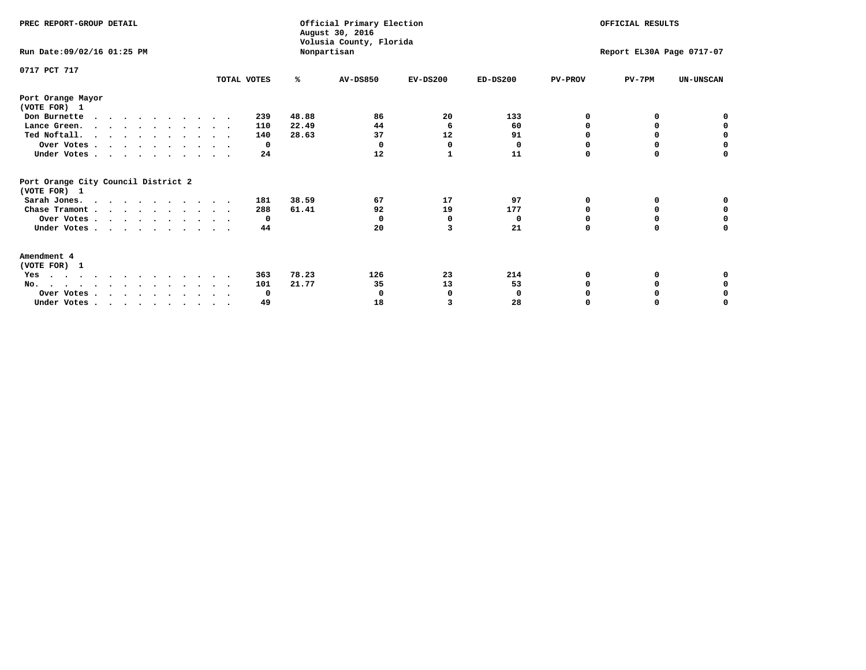| PREC REPORT-GROUP DETAIL                            |             |       | Official Primary Election<br>August 30, 2016<br>Volusia County, Florida | OFFICIAL RESULTS |                           |                |              |                  |
|-----------------------------------------------------|-------------|-------|-------------------------------------------------------------------------|------------------|---------------------------|----------------|--------------|------------------|
| Run Date: 09/02/16 01:25 PM                         |             |       | Nonpartisan                                                             |                  | Report EL30A Page 0717-07 |                |              |                  |
| 0717 PCT 717                                        | TOTAL VOTES | %     | <b>AV-DS850</b>                                                         | $EV-DS200$       | $ED-DS200$                | <b>PV-PROV</b> | $PV-7PM$     | <b>UN-UNSCAN</b> |
| Port Orange Mayor                                   |             |       |                                                                         |                  |                           |                |              |                  |
| (VOTE FOR) 1                                        |             |       |                                                                         |                  |                           |                |              |                  |
| Don Burnette<br>$\cdots$                            | 239         | 48.88 | 86                                                                      | 20               | 133                       | O              | 0            | o                |
| Lance Green.                                        | 110         | 22.49 | 44                                                                      | 6                | 60                        | O              | <sup>0</sup> | 0                |
| Ted Noftall.                                        | 140         | 28.63 | 37                                                                      | 12               | 91                        |                |              | 0                |
| Over Votes                                          | 0           |       | $\Omega$                                                                | $\Omega$         | 0                         | O              | $\Omega$     | $\mathbf 0$      |
| Under Votes                                         | 24          |       | 12                                                                      | 1                | 11                        | 0              | 0            | 0                |
| Port Orange City Council District 2<br>(VOTE FOR) 1 |             |       |                                                                         |                  |                           |                |              |                  |
| Sarah Jones.                                        | 181         | 38.59 | 67                                                                      | 17               | 97                        | 0              | 0            | 0                |
| Chase Tramont                                       | 288         | 61.41 | 92                                                                      | 19               | 177                       | O              | 0            | 0                |
| Over Votes                                          | 0           |       | 0                                                                       | O                | 0                         | O              |              | 0                |
| Under Votes                                         | 44          |       | 20                                                                      | 3                | 21                        | 0              | 0            | 0                |
| Amendment 4                                         |             |       |                                                                         |                  |                           |                |              |                  |
| (VOTE FOR) 1                                        |             |       |                                                                         |                  |                           |                |              |                  |
| Yes                                                 | 363         | 78.23 | 126                                                                     | 23               | 214                       | 0              |              |                  |
| No.                                                 | 101         | 21.77 | 35                                                                      | 13               | 53                        |                | 0            | 0                |
| Over Votes                                          | 0           |       |                                                                         | 0                | 0                         |                |              | 0                |
| Under Votes, , , , , , , , , , ,                    | 49          |       | 18                                                                      | 3                | 28                        |                |              | O                |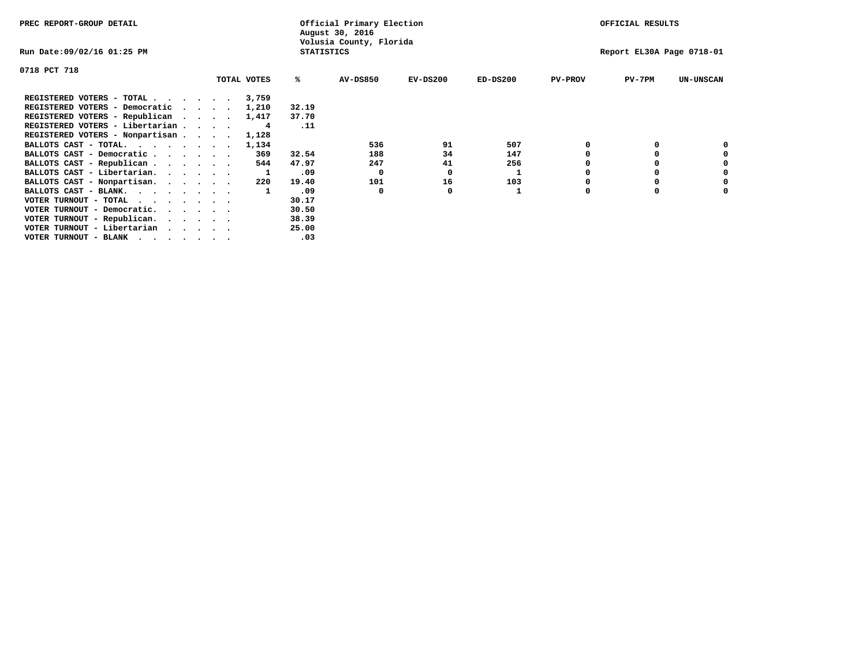| PREC REPORT-GROUP DETAIL                                               |              | Official Primary Election<br>August 30, 2016 |            |            | OFFICIAL RESULTS<br>Report EL30A Page 0718-01 |          |                  |  |
|------------------------------------------------------------------------|--------------|----------------------------------------------|------------|------------|-----------------------------------------------|----------|------------------|--|
| Run Date:09/02/16 01:25 PM                                             |              | Volusia County, Florida<br><b>STATISTICS</b> |            |            |                                               |          |                  |  |
| 0718 PCT 718                                                           |              |                                              |            |            |                                               |          |                  |  |
| TOTAL VOTES                                                            | ℁            | AV-DS850                                     | $EV-DS200$ | $ED-DS200$ | <b>PV-PROV</b>                                | $PV-7PM$ | <b>UN-UNSCAN</b> |  |
| REGISTERED VOTERS - TOTAL<br>3,759                                     |              |                                              |            |            |                                               |          |                  |  |
| REGISTERED VOTERS - Democratic<br>1,210                                | 32.19        |                                              |            |            |                                               |          |                  |  |
| REGISTERED VOTERS - Republican<br>1,417                                | 37.70        |                                              |            |            |                                               |          |                  |  |
| REGISTERED VOTERS - Libertarian                                        | .11<br>4     |                                              |            |            |                                               |          |                  |  |
| REGISTERED VOTERS - Nonpartisan<br>1,128                               |              |                                              |            |            |                                               |          |                  |  |
| BALLOTS CAST - TOTAL.<br>1,134                                         |              | 536                                          | 91         | 507        |                                               |          |                  |  |
| BALLOTS CAST - Democratic                                              | 369<br>32.54 | 188                                          | 34         | 147        |                                               |          |                  |  |
| BALLOTS CAST - Republican                                              | 47.97<br>544 | 247                                          | 41         | 256        |                                               |          |                  |  |
| BALLOTS CAST - Libertarian.                                            | .09          | 0                                            | 0          | 1          |                                               |          |                  |  |
| BALLOTS CAST - Nonpartisan.                                            | 19.40<br>220 | 101                                          | 16         | 103        |                                               |          |                  |  |
| BALLOTS CAST - BLANK.                                                  | .09          | 0                                            |            |            | $\Omega$                                      |          |                  |  |
| VOTER TURNOUT - TOTAL<br>$\cdots$                                      | 30.17        |                                              |            |            |                                               |          |                  |  |
| VOTER TURNOUT - Democratic.<br>$\cdot$ $\cdot$ $\cdot$ $\cdot$ $\cdot$ | 30.50        |                                              |            |            |                                               |          |                  |  |
| VOTER TURNOUT - Republican.                                            | 38.39        |                                              |            |            |                                               |          |                  |  |
| VOTER TURNOUT - Libertarian                                            | 25.00        |                                              |            |            |                                               |          |                  |  |
| VOTER TURNOUT - BLANK                                                  | .03          |                                              |            |            |                                               |          |                  |  |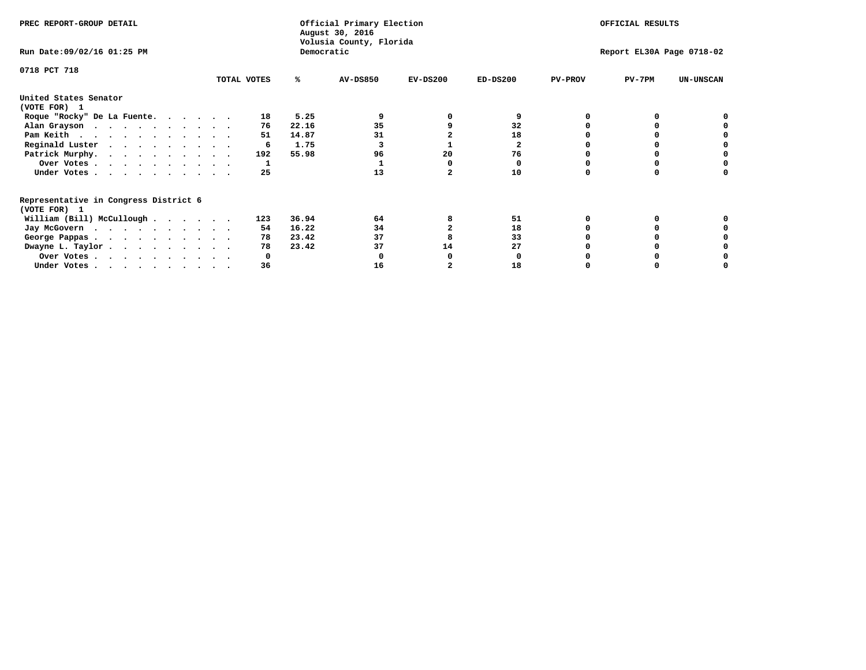| PREC REPORT-GROUP DETAIL                                               |             |              | Official Primary Election<br>August 30, 2016<br>Volusia County, Florida | OFFICIAL RESULTS |                           |                |          |                  |
|------------------------------------------------------------------------|-------------|--------------|-------------------------------------------------------------------------|------------------|---------------------------|----------------|----------|------------------|
| Run Date: 09/02/16 01:25 PM                                            |             |              | Democratic                                                              |                  | Report EL30A Page 0718-02 |                |          |                  |
| 0718 PCT 718                                                           |             |              |                                                                         |                  |                           |                |          |                  |
|                                                                        | TOTAL VOTES | ℁            | <b>AV-DS850</b>                                                         | $EV-DS200$       | $ED-DS200$                | <b>PV-PROV</b> | $PV-7PM$ | <b>UN-UNSCAN</b> |
| United States Senator<br>(VOTE FOR) 1                                  |             |              |                                                                         |                  |                           |                |          |                  |
| Roque "Rocky" De La Fuente.                                            |             | 18           | 5.25                                                                    |                  | 9                         |                |          |                  |
| Alan Grayson                                                           |             | 22.16<br>76  | 35                                                                      |                  | 32                        |                |          |                  |
| Pam Keith                                                              |             | 14.87<br>51  | 31                                                                      |                  | 18                        |                |          |                  |
| Reginald Luster                                                        |             | 1.75<br>6    |                                                                         |                  | $\mathbf{2}$              |                |          |                  |
| Patrick Murphy.                                                        |             | 55.98<br>192 | 96                                                                      | 20               | 76                        |                |          |                  |
| Over Votes                                                             |             |              |                                                                         |                  | O                         |                |          |                  |
| Under Votes                                                            |             | 25           | 13                                                                      |                  | 10                        |                |          |                  |
| Representative in Congress District 6<br>(VOTE FOR) 1                  |             |              |                                                                         |                  |                           |                |          |                  |
| William (Bill) McCullough                                              |             | 36.94<br>123 | 64                                                                      |                  | 51                        |                |          |                  |
| Jay McGovern                                                           |             | 16.22<br>54  | 34                                                                      |                  | 18                        |                |          |                  |
|                                                                        |             | 23.42<br>78  | 37                                                                      |                  | 33                        |                |          |                  |
| George Pappas.                                                         |             | 23.42<br>78  | 37                                                                      | 14               | 27                        |                |          |                  |
| Dwayne L. Taylor                                                       |             |              |                                                                         |                  |                           |                |          |                  |
| Over Votes                                                             |             |              |                                                                         |                  |                           |                |          |                  |
| Under Votes, $\cdot$ , $\cdot$ , $\cdot$ , $\cdot$ , $\cdot$ , $\cdot$ |             | 36           | 16                                                                      |                  | 18                        |                |          |                  |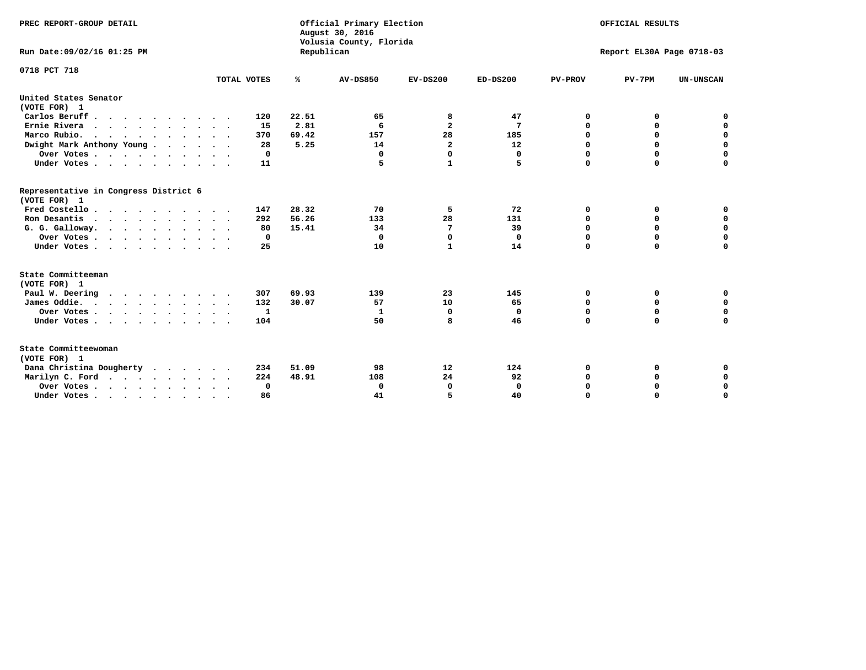| PREC REPORT-GROUP DETAIL<br>Run Date:09/02/16 01:25 PM                                |             | Republican | Official Primary Election<br>August 30, 2016<br>Volusia County, Florida | OFFICIAL RESULTS<br>Report EL30A Page 0718-03 |              |                |             |                  |
|---------------------------------------------------------------------------------------|-------------|------------|-------------------------------------------------------------------------|-----------------------------------------------|--------------|----------------|-------------|------------------|
| 0718 PCT 718                                                                          | TOTAL VOTES | ℁          | <b>AV-DS850</b>                                                         | $EV-DS200$                                    | $ED-DS200$   | <b>PV-PROV</b> | $PV-7PM$    | <b>UN-UNSCAN</b> |
| United States Senator                                                                 |             |            |                                                                         |                                               |              |                |             |                  |
| (VOTE FOR) 1                                                                          |             |            |                                                                         |                                               |              |                |             |                  |
| Carlos Beruff                                                                         | 120         | 22.51      | 65                                                                      | 8                                             | 47           | 0              | 0           | 0                |
| Ernie Rivera<br>$\mathbf{r}$ , and $\mathbf{r}$ , and $\mathbf{r}$ , and $\mathbf{r}$ | 15          | 2.81       | 6                                                                       | $\overline{\mathbf{2}}$                       | 7            | 0              | 0           | $\mathbf 0$      |
| Marco Rubio.                                                                          | 370         | 69.42      | 157                                                                     | 28                                            | 185          | 0              | 0           | $\mathbf 0$      |
| Dwight Mark Anthony Young                                                             | 28          | 5.25       | 14                                                                      | $\overline{\mathbf{2}}$                       | 12           | $\mathbf 0$    | $\mathbf 0$ | $\mathbf 0$      |
| Over Votes                                                                            | 0           |            | 0                                                                       | $\Omega$                                      | 0            | $\mathbf 0$    | $\mathbf 0$ | $\mathbf 0$      |
| Under Votes                                                                           | 11          |            | 5                                                                       | $\mathbf{1}$                                  | 5            | $\Omega$       | $\Omega$    | $\mathbf 0$      |
| Representative in Congress District 6<br>(VOTE FOR) 1                                 |             |            |                                                                         |                                               |              |                |             |                  |
| Fred Costello                                                                         | 147         | 28.32      | 70                                                                      | 5                                             | 72           | 0              | 0           | $\mathbf 0$      |
| Ron Desantis                                                                          | 292         | 56.26      | 133                                                                     | 28                                            | 131          | 0              | 0           | $\mathbf 0$      |
| G. G. Galloway.                                                                       | 80          | 15.41      | 34                                                                      | 7                                             | 39           | $\mathbf 0$    | $\mathbf 0$ | $\mathbf 0$      |
| Over Votes                                                                            | 0           |            | 0                                                                       | $\mathbf 0$                                   | 0            | $\mathbf 0$    | 0           | 0                |
| Under Votes                                                                           | 25          |            | 10                                                                      | $\mathbf{1}$                                  | 14           | $\mathbf 0$    | $\Omega$    | $\mathbf 0$      |
| State Committeeman                                                                    |             |            |                                                                         |                                               |              |                |             |                  |
| (VOTE FOR) 1                                                                          |             |            |                                                                         |                                               |              |                |             |                  |
| Paul W. Deering                                                                       | 307         | 69.93      | 139                                                                     | 23                                            | 145          | 0              | 0           | 0                |
| James Oddie.                                                                          | 132         | 30.07      | 57                                                                      | 10                                            | 65           | 0              | 0           | $\mathbf 0$      |
| Over Votes                                                                            | 1           |            | 1                                                                       | 0                                             | 0            | 0              | $\mathbf 0$ | $\mathbf 0$      |
| Under Votes                                                                           | 104         |            | 50                                                                      | 8                                             | 46           | $\Omega$       | $\Omega$    | $\mathbf 0$      |
| State Committeewoman<br>(VOTE FOR) 1                                                  |             |            |                                                                         |                                               |              |                |             |                  |
| Dana Christina Dougherty<br>$\cdot$                                                   | 234         | 51.09      | 98                                                                      | 12                                            | 124          | 0              | 0           | 0                |
| Marilyn C. Ford                                                                       | 224         | 48.91      | 108                                                                     | 24                                            | 92           | 0              | 0           | 0                |
| Over Votes                                                                            | 0           |            | 0                                                                       | 0                                             | $\mathbf{0}$ | $\mathbf 0$    | 0           | $\mathbf 0$      |
| Under Votes, , , , , , , , , ,                                                        | 86          |            | 41                                                                      | 5                                             | 40           | $\Omega$       | $\Omega$    | $\Omega$         |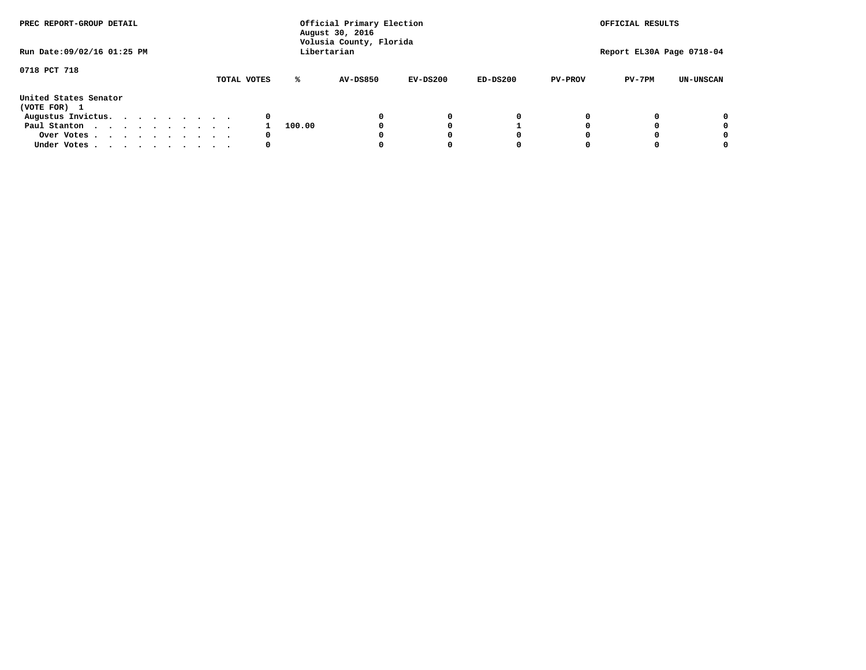| PREC REPORT-GROUP DETAIL              |             |        | Official Primary Election<br>August 30, 2016<br>Volusia County, Florida |            |            | OFFICIAL RESULTS |                           |                  |
|---------------------------------------|-------------|--------|-------------------------------------------------------------------------|------------|------------|------------------|---------------------------|------------------|
| Run Date: 09/02/16 01:25 PM           |             |        | Libertarian                                                             |            |            |                  | Report EL30A Page 0718-04 |                  |
| 0718 PCT 718                          | TOTAL VOTES | ℁      | <b>AV-DS850</b>                                                         | $EV-DS200$ | $ED-DS200$ | <b>PV-PROV</b>   | $PV-7PM$                  | <b>UN-UNSCAN</b> |
| United States Senator<br>(VOTE FOR) 1 |             |        |                                                                         |            |            |                  |                           |                  |
| Augustus Invictus.                    | 0           |        |                                                                         | 0          | 0          |                  |                           | 0                |
| Paul Stanton                          |             | 100.00 |                                                                         |            |            |                  |                           | 0                |
| Over Votes                            | 0           |        |                                                                         |            | O          |                  |                           | 0                |
| Under Votes                           | 0           |        |                                                                         |            |            |                  |                           | 0                |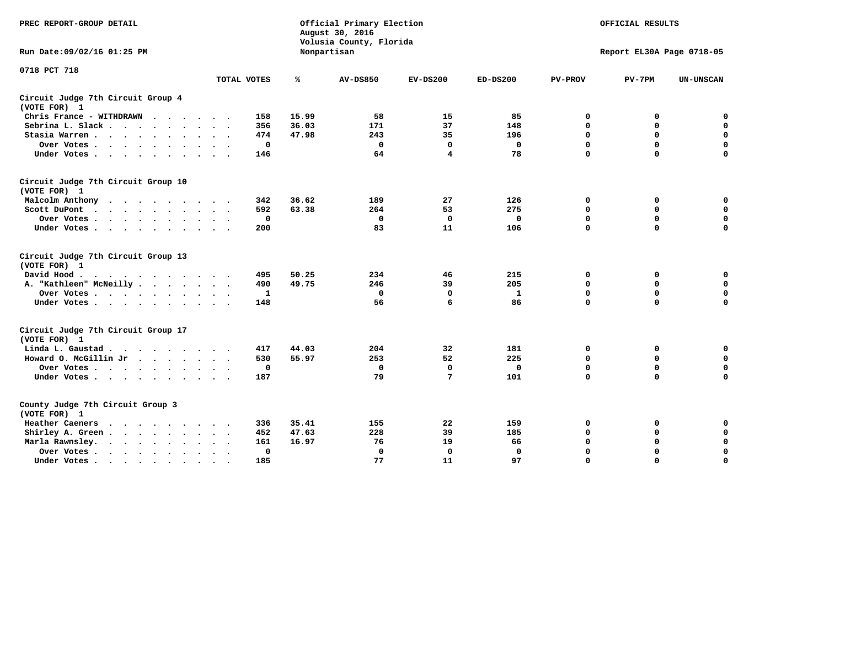| PREC REPORT-GROUP DETAIL                           |              |       | Official Primary Election<br>August 30, 2016<br>Volusia County, Florida | OFFICIAL RESULTS |             |                |                           |                  |
|----------------------------------------------------|--------------|-------|-------------------------------------------------------------------------|------------------|-------------|----------------|---------------------------|------------------|
| Run Date: 09/02/16 01:25 PM                        |              |       | Nonpartisan                                                             |                  |             |                | Report EL30A Page 0718-05 |                  |
| 0718 PCT 718                                       | TOTAL VOTES  | ℁     | <b>AV-DS850</b>                                                         | $EV-DS200$       | $ED-DS200$  | <b>PV-PROV</b> | $PV-7PM$                  | <b>UN-UNSCAN</b> |
|                                                    |              |       |                                                                         |                  |             |                |                           |                  |
| Circuit Judge 7th Circuit Group 4<br>(VOTE FOR) 1  |              |       |                                                                         |                  |             |                |                           |                  |
| Chris France - WITHDRAWN                           | 158          | 15.99 | 58                                                                      | 15               | 85          | 0              | 0                         | 0                |
| Sebrina L. Slack                                   | 356          | 36.03 | 171                                                                     | 37               | 148         | 0              | $\mathbf 0$               | $\mathbf 0$      |
| Stasia Warren                                      | 474          | 47.98 | 243                                                                     | 35               | 196         | $\mathbf 0$    | 0                         | $\mathbf 0$      |
| Over Votes                                         | $\mathbf 0$  |       | $\mathbf 0$                                                             | $\mathbf 0$      | $\mathbf 0$ | 0              | $\mathbf 0$               | $\mathbf 0$      |
| Under Votes                                        | 146          |       | 64                                                                      | 4                | 78          | $\mathbf 0$    | $\mathbf 0$               | $\mathbf 0$      |
| Circuit Judge 7th Circuit Group 10<br>(VOTE FOR) 1 |              |       |                                                                         |                  |             |                |                           |                  |
| Malcolm Anthony                                    | 342          | 36.62 | 189                                                                     | 27               | 126         | 0              | 0                         | $\mathbf 0$      |
| Scott DuPont                                       | 592          | 63.38 | 264                                                                     | 53               | 275         | 0              | $\mathbf 0$               | $\mathbf 0$      |
| Over Votes                                         | $\mathbf 0$  |       | $\mathbf{0}$                                                            | $\mathbf 0$      | 0           | $\mathbf 0$    | $\mathbf 0$               | $\mathbf 0$      |
| Under Votes                                        | 200          |       | 83                                                                      | 11               | 106         | $\mathbf 0$    | $\mathbf 0$               | $\mathbf 0$      |
| Circuit Judge 7th Circuit Group 13<br>(VOTE FOR) 1 |              |       |                                                                         |                  |             |                |                           |                  |
| David Hood.<br>$\cdots$                            | 495          | 50.25 | 234                                                                     | 46               | 215         | 0              | 0                         | $\mathbf 0$      |
| A. "Kathleen" McNeilly                             | 490          | 49.75 | 246                                                                     | 39               | 205         | $\mathbf 0$    | 0                         | $\mathbf 0$      |
| Over Votes                                         | 1            |       | $\mathbf{0}$                                                            | 0                | 1           | 0              | $\mathbf 0$               | $\pmb{0}$        |
| Under Votes                                        | 148          |       | 56                                                                      | 6                | 86          | $\mathbf 0$    | $\mathbf 0$               | 0                |
| Circuit Judge 7th Circuit Group 17<br>(VOTE FOR) 1 |              |       |                                                                         |                  |             |                |                           |                  |
| Linda L. Gaustad                                   | 417          | 44.03 | 204                                                                     | 32               | 181         | 0              | 0                         | $\mathbf 0$      |
| Howard O. McGillin Jr                              | 530          | 55.97 | 253                                                                     | 52               | 225         | 0              | $\mathbf 0$               | $\mathbf 0$      |
| Over Votes                                         | $\mathbf 0$  |       | $\mathbf 0$                                                             | $\mathbf 0$      | $\mathbf 0$ | $\mathbf 0$    | $\mathbf 0$               | 0                |
| Under Votes                                        | 187          |       | 79                                                                      | 7                | 101         | $\mathbf 0$    | $\mathbf 0$               | $\mathbf 0$      |
|                                                    |              |       |                                                                         |                  |             |                |                           |                  |
| County Judge 7th Circuit Group 3<br>(VOTE FOR) 1   |              |       |                                                                         |                  |             |                |                           |                  |
| Heather Caeners<br>.                               | 336          | 35.41 | 155                                                                     | 22               | 159         | 0              | 0                         | $\mathbf 0$      |
| Shirley A. Green                                   | 452          | 47.63 | 228                                                                     | 39               | 185         | $\mathbf 0$    | 0                         | $\mathbf 0$      |
| Marla Rawnsley.                                    | 161          | 16.97 | 76                                                                      | 19               | 66          | 0              | 0                         | $\pmb{0}$        |
| Over Votes<br>$\sim$ $\sim$                        | $\mathbf{0}$ |       | $\Omega$                                                                | $\mathbf 0$      | 0           | 0              | $\mathbf 0$               | $\mathbf 0$      |
| Under Votes<br>$\bullet$                           | 185          |       | 77                                                                      | 11               | 97          | $\mathbf 0$    | $\mathbf 0$               | $\Omega$         |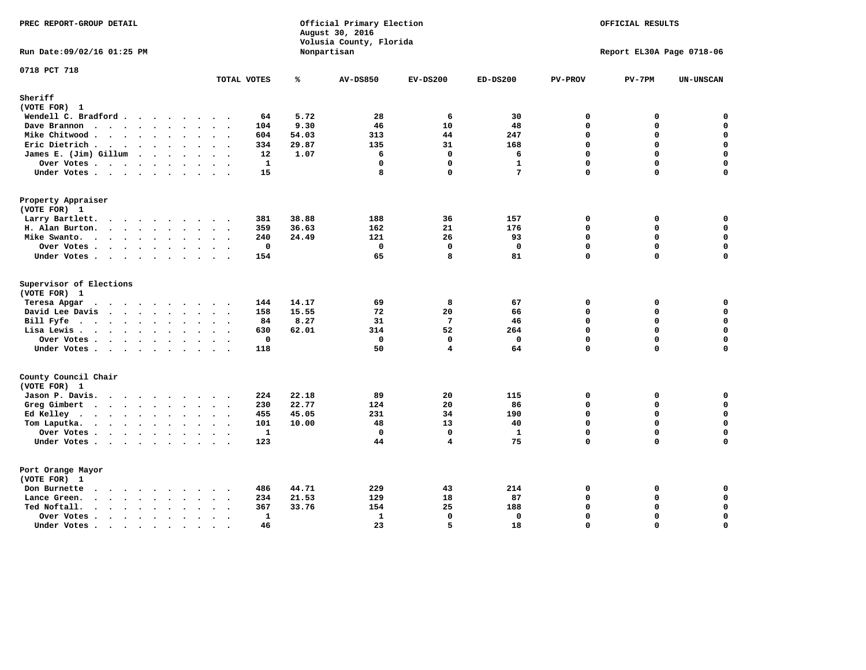| PREC REPORT-GROUP DETAIL                                                                                                        |                                     |       | Official Primary Election<br>August 30, 2016<br>Volusia County, Florida |             | OFFICIAL RESULTS |                |                           |                  |
|---------------------------------------------------------------------------------------------------------------------------------|-------------------------------------|-------|-------------------------------------------------------------------------|-------------|------------------|----------------|---------------------------|------------------|
| Run Date: 09/02/16 01:25 PM                                                                                                     |                                     |       | Nonpartisan                                                             |             |                  |                | Report EL30A Page 0718-06 |                  |
| 0718 PCT 718                                                                                                                    | TOTAL VOTES                         | ℁     | <b>AV-DS850</b>                                                         | $EV-DS200$  | $ED-DS200$       | <b>PV-PROV</b> | $PV-7PM$                  | <b>UN-UNSCAN</b> |
| Sheriff                                                                                                                         |                                     |       |                                                                         |             |                  |                |                           |                  |
| (VOTE FOR) 1                                                                                                                    |                                     |       |                                                                         |             |                  |                |                           |                  |
| Wendell C. Bradford                                                                                                             | 64                                  | 5.72  | 28                                                                      | 6           | 30               | 0              | 0                         | 0                |
| Dave Brannon<br>$\cdots$                                                                                                        | 104                                 | 9.30  | 46                                                                      | 10          | 48               | 0              | 0                         | $\pmb{0}$        |
| Mike Chitwood                                                                                                                   | 604                                 | 54.03 | 313                                                                     | 44          | 247              | $\Omega$       | $\Omega$                  | $\mathbf 0$      |
| Eric Dietrich.                                                                                                                  | 334                                 | 29.87 | 135                                                                     | 31          | 168              | $\mathbf 0$    | 0                         | $\mathbf 0$      |
| James E. (Jim) Gillum                                                                                                           | 12                                  | 1.07  | 6                                                                       | 0           | 6                | $\Omega$       | 0                         | $\mathbf 0$      |
| Over Votes                                                                                                                      | $\mathbf{1}$                        |       | $\mathbf 0$                                                             | 0           | $\mathbf{1}$     | $\mathbf{0}$   | 0                         | $\mathbf 0$      |
| Under Votes                                                                                                                     | 15                                  |       | 8                                                                       | 0           | 7                | 0              | 0                         | $\mathbf 0$      |
| Property Appraiser                                                                                                              |                                     |       |                                                                         |             |                  |                |                           |                  |
| (VOTE FOR) 1                                                                                                                    |                                     |       |                                                                         |             |                  |                |                           |                  |
| Larry Bartlett.                                                                                                                 | 381                                 | 38.88 | 188                                                                     | 36          | 157              | 0              | 0                         | 0                |
| H. Alan Burton.                                                                                                                 | 359                                 | 36.63 | 162                                                                     | 21          | 176              | $\mathbf 0$    | 0                         | $\mathbf 0$      |
| Mike Swanto.                                                                                                                    | 240                                 | 24.49 | 121                                                                     | 26          | 93               | $\mathbf 0$    | 0                         | $\mathbf 0$      |
| Over Votes                                                                                                                      | $\mathbf 0$<br>$\ddot{\phantom{1}}$ |       | $\mathbf 0$                                                             | 0           | $\mathbf 0$      | 0              | 0                         | $\mathbf 0$      |
| Under Votes                                                                                                                     | 154                                 |       | 65                                                                      | 8           | 81               | 0              | 0                         | $\mathbf 0$      |
| Supervisor of Elections<br>(VOTE FOR) 1                                                                                         |                                     |       |                                                                         |             |                  |                |                           |                  |
| Teresa Apgar                                                                                                                    | 144                                 | 14.17 | 69                                                                      | 8           | 67               | $\mathbf 0$    | 0                         | 0                |
| David Lee Davis                                                                                                                 | 158                                 | 15.55 | 72                                                                      | 20          | 66               | 0              | 0                         | $\mathbf 0$      |
| Bill Fyfe.                                                                                                                      | 84<br>$\ddot{\phantom{a}}$          | 8.27  | 31                                                                      | 7           | 46               | $\Omega$       | 0                         | $\mathbf 0$      |
| Lisa Lewis                                                                                                                      | 630                                 | 62.01 | 314                                                                     | 52          | 264              | $\mathbf 0$    | 0                         | $\mathbf 0$      |
| Over Votes                                                                                                                      | $\mathbf{0}$                        |       | $\Omega$                                                                | 0           | $\mathbf{0}$     | 0              | $\mathbf 0$               | $\mathbf 0$      |
| Under Votes                                                                                                                     | 118                                 |       | 50                                                                      | 4           | 64               | 0              | 0                         | 0                |
| County Council Chair                                                                                                            |                                     |       |                                                                         |             |                  |                |                           |                  |
| (VOTE FOR) 1                                                                                                                    |                                     |       |                                                                         |             |                  |                |                           |                  |
| Jason P. Davis.                                                                                                                 | 224                                 | 22.18 | 89                                                                      | 20          | 115              | 0              | 0                         | $\mathbf 0$      |
| Greg Gimbert                                                                                                                    | 230                                 | 22.77 | 124                                                                     | 20          | 86               | $\Omega$       | 0                         | 0                |
| Ed Kelley                                                                                                                       | 455                                 | 45.05 | 231                                                                     | 34          | 190              | $\mathbf 0$    | 0                         | $\mathbf 0$      |
| Tom Laputka.                                                                                                                    | 101                                 | 10.00 | 48                                                                      | 13          | 40               | $\Omega$       | 0                         | $\mathbf 0$      |
| Over Votes .<br>$\cdots$                                                                                                        | $\mathbf{1}$                        |       | $\mathbf 0$                                                             | $\mathbf 0$ | $\mathbf{1}$     | 0              | 0                         | $\mathbf 0$      |
| Under Votes                                                                                                                     | 123                                 |       | 44                                                                      | 4           | 75               | $\mathbf 0$    | 0                         | $\mathbf 0$      |
| Port Orange Mayor                                                                                                               |                                     |       |                                                                         |             |                  |                |                           |                  |
| (VOTE FOR) 1                                                                                                                    |                                     |       |                                                                         |             |                  |                |                           |                  |
| Don Burnette<br>$\sim$ $\sim$ $\sim$ $\sim$ $\sim$<br>$\cdot$                                                                   | 486                                 | 44.71 | 229                                                                     | 43          | 214              | 0              | 0                         | 0                |
| Lance Green.<br>$\mathbf{r}$ , $\mathbf{r}$ , $\mathbf{r}$ , $\mathbf{r}$ , $\mathbf{r}$ , $\mathbf{r}$<br>$\ddot{\phantom{a}}$ | 234                                 | 21.53 | 129                                                                     | 18          | 87               | 0              | 0                         | $\mathbf 0$      |
| Ted Noftall.<br>$\cdots$<br>$\sim$<br>$\bullet$<br>$\bullet$                                                                    | 367                                 | 33.76 | 154                                                                     | 25          | 188              | $\Omega$       | 0                         | 0                |
| Over Votes.<br>$\cdot$ $\cdot$ $\cdot$ $\cdot$ $\cdot$<br>$\ddot{\phantom{a}}$                                                  | $\mathbf{1}$                        |       | $\mathbf{1}$                                                            | $\mathbf 0$ | $\mathbf{0}$     | $\mathbf 0$    | 0                         | $\mathbf 0$      |
| $\sim$<br>Under Votes.                                                                                                          | 46                                  |       | 23                                                                      | 5           | 18               | $\Omega$       | $\Omega$                  | $\mathbf 0$      |
| $\cdots$<br>$\sim$<br>$\bullet$<br>$\bullet$                                                                                    |                                     |       |                                                                         |             |                  |                |                           |                  |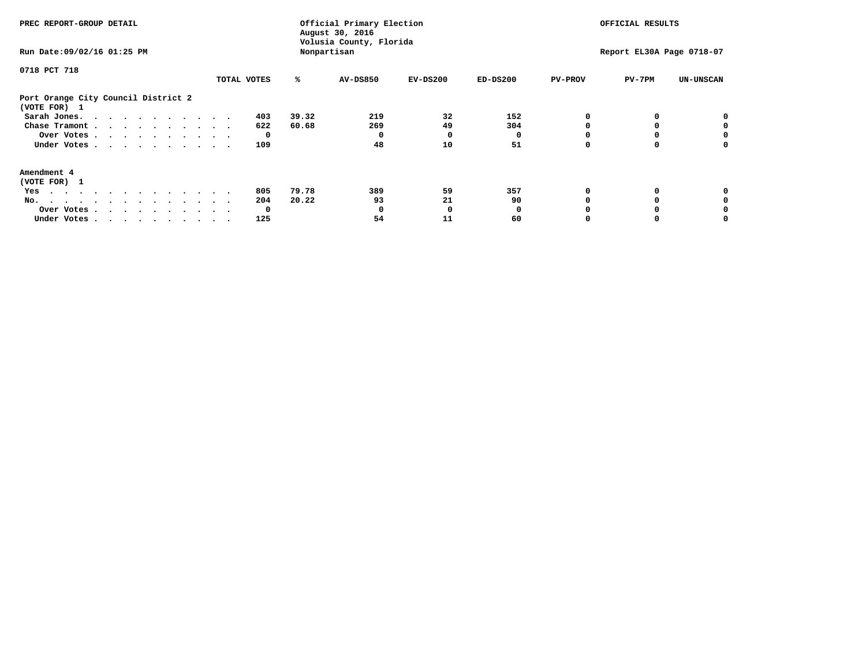| PREC REPORT-GROUP DETAIL                                                                                                                                                                                                             |             |       | Official Primary Election<br>August 30, 2016<br>Volusia County, Florida |            | OFFICIAL RESULTS |                |                           |                  |
|--------------------------------------------------------------------------------------------------------------------------------------------------------------------------------------------------------------------------------------|-------------|-------|-------------------------------------------------------------------------|------------|------------------|----------------|---------------------------|------------------|
| Run Date: 09/02/16 01:25 PM                                                                                                                                                                                                          |             |       | Nonpartisan                                                             |            |                  |                | Report EL30A Page 0718-07 |                  |
| 0718 PCT 718                                                                                                                                                                                                                         |             |       |                                                                         |            |                  |                |                           |                  |
|                                                                                                                                                                                                                                      | TOTAL VOTES | ℁     | <b>AV-DS850</b>                                                         | $EV-DS200$ | $ED-DS200$       | <b>PV-PROV</b> | $PV-7PM$                  | <b>UN-UNSCAN</b> |
| Port Orange City Council District 2<br>(VOTE FOR) 1                                                                                                                                                                                  |             |       |                                                                         |            |                  |                |                           |                  |
| Sarah Jones.                                                                                                                                                                                                                         | 403         | 39.32 | 219                                                                     | 32         | 152              |                |                           |                  |
| Chase Tramont                                                                                                                                                                                                                        | 622         | 60.68 | 269                                                                     | 49         | 304              |                |                           |                  |
| Over Votes                                                                                                                                                                                                                           | $\Omega$    |       |                                                                         | O          |                  |                |                           | 0                |
| Under Votes                                                                                                                                                                                                                          | 109         |       | 48                                                                      | 10         | 51               |                |                           | 0                |
| Amendment 4                                                                                                                                                                                                                          |             |       |                                                                         |            |                  |                |                           |                  |
| (VOTE FOR) 1                                                                                                                                                                                                                         |             |       |                                                                         |            |                  |                |                           |                  |
| Yes<br>. The contract of the contract of the contract of the contract of the contract of the contract of the contract of the contract of the contract of the contract of the contract of the contract of the contract of the contrac | 805         | 79.78 | 389                                                                     | 59         | 357              |                |                           |                  |
| No.                                                                                                                                                                                                                                  | 204         | 20.22 | 93                                                                      | 21         | 90               |                |                           |                  |
| Over Votes                                                                                                                                                                                                                           | 0           |       |                                                                         | O          |                  |                |                           |                  |
| Under Votes                                                                                                                                                                                                                          | 125         |       | 54                                                                      | 11         | 60               |                |                           |                  |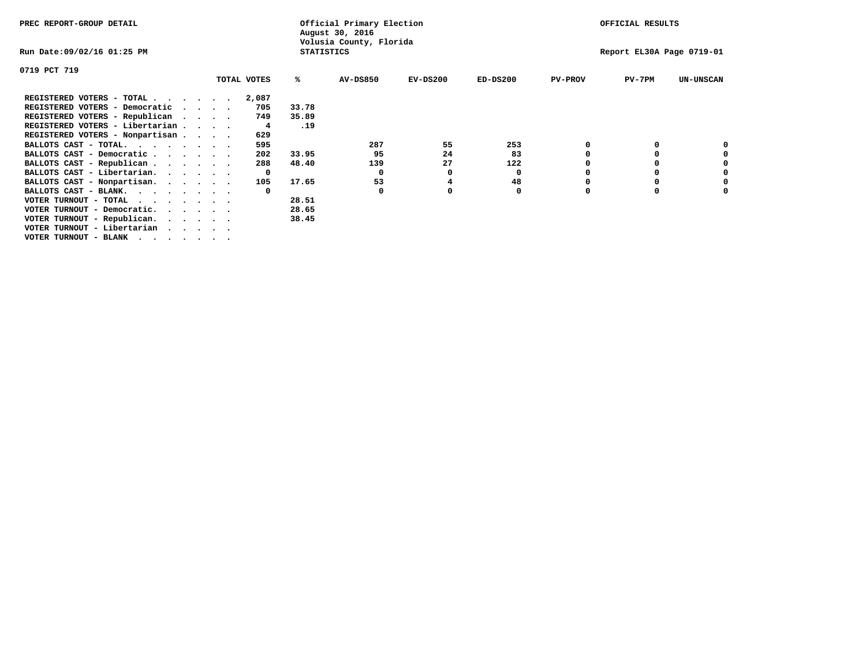| PREC REPORT-GROUP DETAIL                                               |              |                   | Official Primary Election<br>August 30, 2016 |            |            |                | OFFICIAL RESULTS          |                  |
|------------------------------------------------------------------------|--------------|-------------------|----------------------------------------------|------------|------------|----------------|---------------------------|------------------|
| Run Date:09/02/16 01:25 PM                                             |              | <b>STATISTICS</b> | Volusia County, Florida                      |            |            |                | Report EL30A Page 0719-01 |                  |
| 0719 PCT 719                                                           |              |                   |                                              |            |            |                |                           |                  |
|                                                                        | TOTAL VOTES  | ℁                 | <b>AV-DS850</b>                              | $EV-DS200$ | $ED-DS200$ | <b>PV-PROV</b> | $PV-7PM$                  | <b>UN-UNSCAN</b> |
| REGISTERED VOTERS - TOTAL                                              | 2,087        |                   |                                              |            |            |                |                           |                  |
| REGISTERED VOTERS - Democratic<br>$\cdots$                             | 705          | 33.78             |                                              |            |            |                |                           |                  |
| REGISTERED VOTERS - Republican                                         | 749          | 35.89             |                                              |            |            |                |                           |                  |
| REGISTERED VOTERS - Libertarian                                        | 4            | .19               |                                              |            |            |                |                           |                  |
| REGISTERED VOTERS - Nonpartisan                                        | 629          |                   |                                              |            |            |                |                           |                  |
| BALLOTS CAST - TOTAL.                                                  | 595          |                   | 287                                          | 55         | 253        |                |                           |                  |
| BALLOTS CAST - Democratic                                              | 202          | 33.95             | 95                                           | 24         | 83         |                |                           |                  |
| BALLOTS CAST - Republican                                              | 288          | 48.40             | 139                                          | 27         | 122        |                |                           |                  |
| BALLOTS CAST - Libertarian.                                            | 0            |                   | 0                                            | 0          | 0          |                |                           |                  |
| BALLOTS CAST - Nonpartisan.                                            | 105          | 17.65             | 53                                           |            | 48         |                |                           | 0                |
| BALLOTS CAST - BLANK.                                                  | $\mathbf{o}$ |                   | 0                                            | 0          | 0          | $\Omega$       |                           |                  |
| VOTER TURNOUT - TOTAL $\cdot \cdot \cdot \cdot \cdot \cdot$            |              | 28.51             |                                              |            |            |                |                           |                  |
| VOTER TURNOUT - Democratic.<br>$\cdot$ $\cdot$ $\cdot$ $\cdot$ $\cdot$ |              | 28.65             |                                              |            |            |                |                           |                  |
| VOTER TURNOUT - Republican.                                            |              | 38.45             |                                              |            |            |                |                           |                  |
| VOTER TURNOUT - Libertarian                                            |              |                   |                                              |            |            |                |                           |                  |
| VOTER TURNOUT - BLANK                                                  |              |                   |                                              |            |            |                |                           |                  |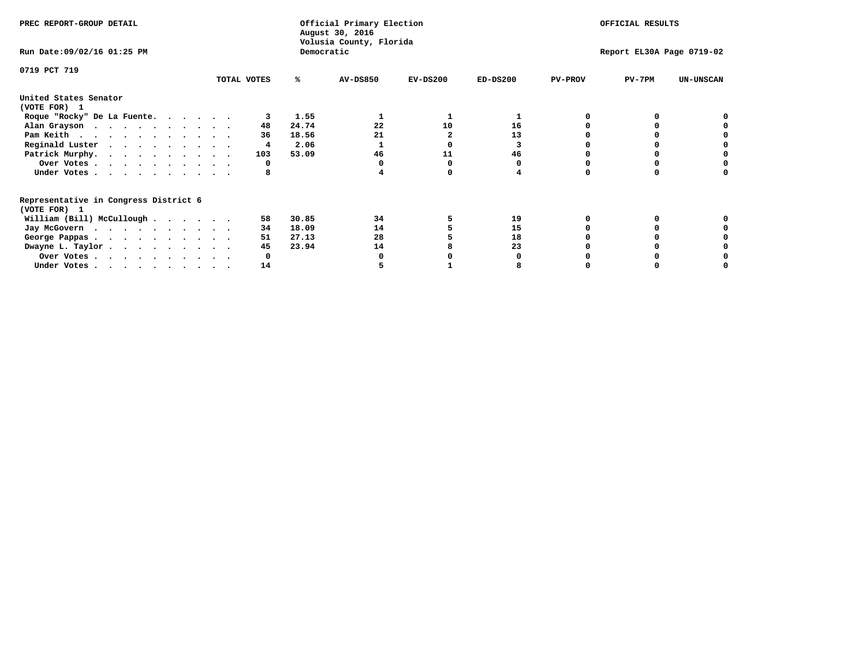| PREC REPORT-GROUP DETAIL                                               |  |             | Official Primary Election<br>August 30, 2016<br>Volusia County, Florida | OFFICIAL RESULTS |            |            |                           |          |                  |  |
|------------------------------------------------------------------------|--|-------------|-------------------------------------------------------------------------|------------------|------------|------------|---------------------------|----------|------------------|--|
| Run Date: 09/02/16 01:25 PM                                            |  |             | Democratic                                                              |                  |            |            | Report EL30A Page 0719-02 |          |                  |  |
| 0719 PCT 719                                                           |  | TOTAL VOTES | ℁                                                                       | <b>AV-DS850</b>  | $EV-DS200$ | $ED-DS200$ | <b>PV-PROV</b>            | $PV-7PM$ | <b>UN-UNSCAN</b> |  |
|                                                                        |  |             |                                                                         |                  |            |            |                           |          |                  |  |
| United States Senator<br>(VOTE FOR) 1                                  |  |             |                                                                         |                  |            |            |                           |          |                  |  |
| Roque "Rocky" De La Fuente.                                            |  |             | 1.55                                                                    |                  |            |            |                           |          |                  |  |
| Alan Grayson                                                           |  | 48          | 24.74                                                                   | 22               | 10         | 16         |                           |          |                  |  |
| Pam Keith                                                              |  | 36          | 18.56                                                                   | 21               |            | 13         |                           |          |                  |  |
| Reginald Luster                                                        |  | 4           | 2.06                                                                    |                  |            |            |                           |          |                  |  |
| Patrick Murphy.                                                        |  | 103         | 53.09                                                                   | 46               | 11         | 46         |                           |          |                  |  |
| Over Votes                                                             |  | 0           |                                                                         |                  |            |            |                           |          |                  |  |
| Under Votes                                                            |  | 8           |                                                                         |                  |            |            |                           |          |                  |  |
| Representative in Congress District 6                                  |  |             |                                                                         |                  |            |            |                           |          |                  |  |
| (VOTE FOR) 1                                                           |  |             |                                                                         |                  |            |            |                           |          |                  |  |
| William (Bill) McCullough                                              |  | 58          | 30.85                                                                   | 34               |            | 19         |                           |          |                  |  |
| Jay McGovern                                                           |  | 34          | 18.09                                                                   | 14               |            | 15         |                           |          |                  |  |
| George Pappas.                                                         |  | 51          | 27.13                                                                   | 28               |            | 18         |                           |          |                  |  |
| Dwayne L. Taylor                                                       |  | 45          | 23.94                                                                   | 14               |            | 23         |                           |          |                  |  |
| Over Votes                                                             |  |             |                                                                         |                  |            |            |                           |          |                  |  |
| Under Votes, $\cdot$ , $\cdot$ , $\cdot$ , $\cdot$ , $\cdot$ , $\cdot$ |  | 14          |                                                                         |                  |            |            |                           |          |                  |  |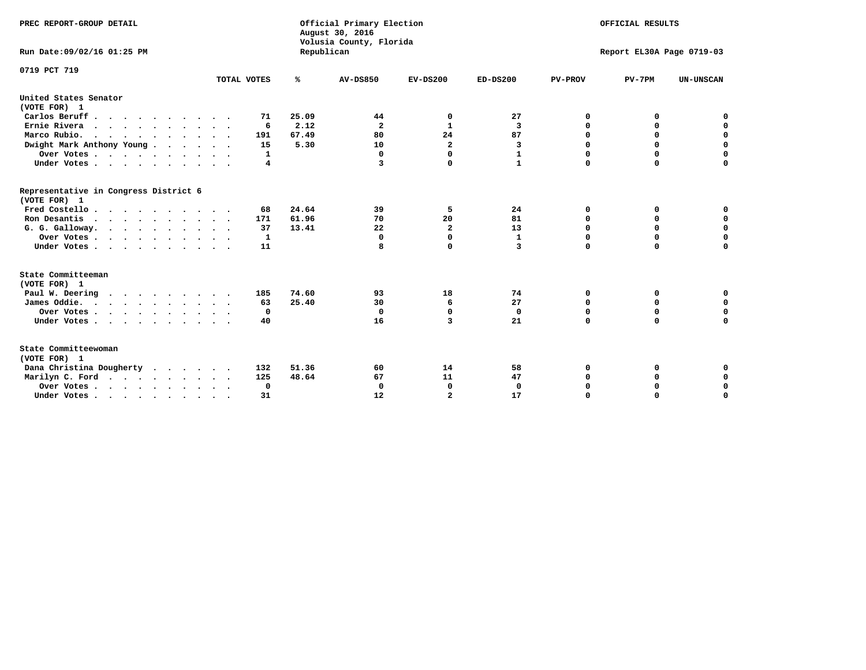| PREC REPORT-GROUP DETAIL<br>Run Date: 09/02/16 01:25 PM | Republican  | Official Primary Election<br>August 30, 2016<br>Volusia County, Florida |                         |                      | OFFICIAL RESULTS<br>Report EL30A Page 0719-03 |                         |          |                            |
|---------------------------------------------------------|-------------|-------------------------------------------------------------------------|-------------------------|----------------------|-----------------------------------------------|-------------------------|----------|----------------------------|
| 0719 PCT 719                                            | TOTAL VOTES | ℁                                                                       | <b>AV-DS850</b>         | $EV-DS200$           | $ED-DS200$                                    | <b>PV-PROV</b>          | $PV-7PM$ | <b>UN-UNSCAN</b>           |
| United States Senator                                   |             |                                                                         |                         |                      |                                               |                         |          |                            |
| (VOTE FOR) 1                                            |             |                                                                         |                         |                      |                                               |                         |          |                            |
| Carlos Beruff.                                          | 71          | 25.09                                                                   | 44                      | 0                    | 27                                            | 0                       | 0        | 0                          |
| Ernie Rivera<br>Marco Rubio.                            | 6           | 2.12                                                                    | $\overline{\mathbf{2}}$ | 1                    | $\overline{\mathbf{3}}$<br>87                 | $\mathbf 0$<br>$\Omega$ | 0        | $\mathbf 0$<br>0           |
| .                                                       | 191         | 67.49<br>5.30                                                           | 80                      | 24<br>$\overline{a}$ |                                               | $\Omega$                | 0<br>0   |                            |
| Dwight Mark Anthony Young                               | 15          |                                                                         | 10                      | $\Omega$             | 3                                             | $\Omega$                | 0        | 0                          |
| Over Votes                                              | 1           |                                                                         | 0<br>3                  | $\Omega$             | $\mathbf{1}$<br>$\mathbf{1}$                  | $\mathbf 0$             | 0        | $\mathbf 0$<br>$\mathbf 0$ |
| Under Votes                                             | 4           |                                                                         |                         |                      |                                               |                         |          |                            |
| Representative in Congress District 6<br>(VOTE FOR) 1   |             |                                                                         |                         |                      |                                               |                         |          |                            |
| Fred Costello                                           | 68          | 24.64                                                                   | 39                      | 5                    | 24                                            | 0                       | 0        | 0                          |
| Ron Desantis<br>$\cdots$                                | 171         | 61.96                                                                   | 70                      | 20                   | 81                                            | $\mathbf 0$             | 0        | $\mathbf 0$                |
| G. G. Galloway.                                         | 37          | 13.41                                                                   | 22                      | $\mathbf{2}$         | 13                                            | $\Omega$                | 0        | 0                          |
| Over Votes                                              | 1           |                                                                         | 0                       | $\Omega$             | $\mathbf{1}$                                  | $\Omega$                | 0        | 0                          |
| Under Votes                                             | 11          |                                                                         | 8                       | $\Omega$             | $\overline{3}$                                | $\Omega$                | $\Omega$ | $\mathbf 0$                |
| State Committeeman                                      |             |                                                                         |                         |                      |                                               |                         |          |                            |
| (VOTE FOR) 1                                            |             |                                                                         |                         |                      |                                               |                         |          |                            |
| Paul W. Deering                                         | 185         | 74.60                                                                   | 93                      | 18                   | 74                                            | 0                       | 0        | 0                          |
| James Oddie.<br>.                                       | 63          | 25.40                                                                   | 30                      | 6                    | 27                                            | $\mathbf 0$             | 0        | $\mathbf 0$                |
| Over Votes                                              | 0           |                                                                         | $\Omega$                | 0                    | $^{\circ}$                                    | $\mathbf 0$             | 0        | $\mathbf 0$                |
| Under Votes                                             | 40          |                                                                         | 16                      | 3                    | 21                                            | $\Omega$                | 0        | $\Omega$                   |
| State Committeewoman<br>(VOTE FOR) 1                    |             |                                                                         |                         |                      |                                               |                         |          |                            |
| Dana Christina Dougherty                                | 132         | 51.36                                                                   | 60                      | 14                   | 58                                            | $\Omega$                | 0        | 0                          |
| Marilyn C. Ford                                         | 125         | 48.64                                                                   | 67                      | 11                   | 47                                            | 0                       | 0        | 0                          |
| Over Votes                                              | $\mathbf 0$ |                                                                         | 0                       | $\mathbf 0$          | $\mathbf 0$                                   | $\Omega$                | 0        | $\mathbf 0$                |
| Under Votes                                             | 31          |                                                                         | 12                      | $\overline{a}$       | 17                                            | $\mathbf 0$             | 0        | $\mathbf 0$                |
|                                                         |             |                                                                         |                         |                      |                                               |                         |          |                            |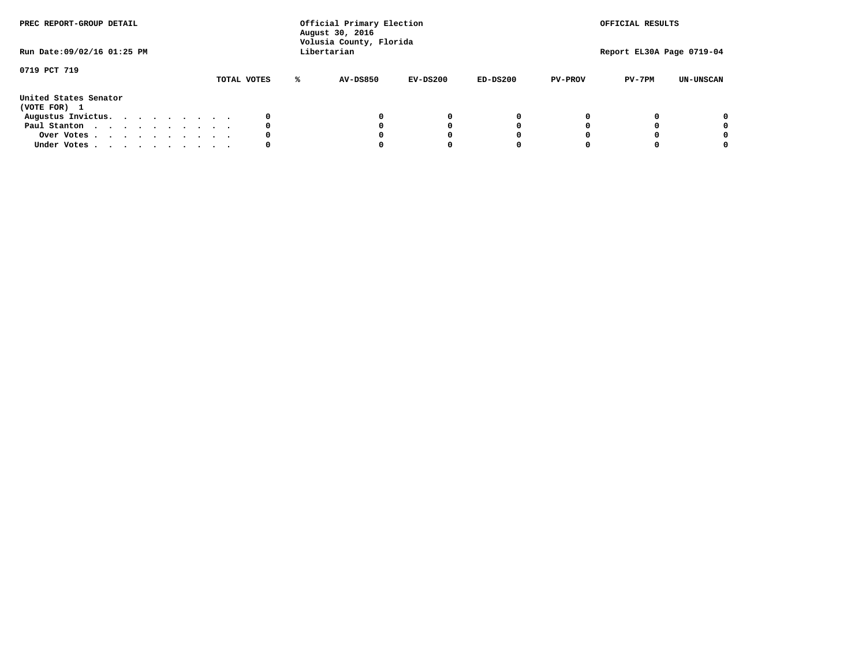| PREC REPORT-GROUP DETAIL<br>Run Date: 09/02/16 01:25 PM |  |  |  |  | Official Primary Election<br>August 30, 2016<br>Volusia County, Florida<br>Libertarian |  |             |   |                 | OFFICIAL RESULTS<br>Report EL30A Page 0719-04 |            |                |          |                  |
|---------------------------------------------------------|--|--|--|--|----------------------------------------------------------------------------------------|--|-------------|---|-----------------|-----------------------------------------------|------------|----------------|----------|------------------|
| 0719 PCT 719                                            |  |  |  |  |                                                                                        |  | TOTAL VOTES | ℁ | <b>AV-DS850</b> | $EV-DS200$                                    | $ED-DS200$ | <b>PV-PROV</b> | $PV-7PM$ | <b>UN-UNSCAN</b> |
| United States Senator<br>(VOTE FOR) 1                   |  |  |  |  |                                                                                        |  |             |   |                 |                                               |            |                |          |                  |
| Augustus Invictus.                                      |  |  |  |  |                                                                                        |  | 0           |   |                 | 0                                             | 0          |                |          | 0                |
| Paul Stanton                                            |  |  |  |  |                                                                                        |  | 0           |   |                 |                                               | 0          |                |          | 0                |
| Over Votes                                              |  |  |  |  |                                                                                        |  | 0           |   |                 |                                               | 0          |                |          | 0                |
| Under Votes                                             |  |  |  |  |                                                                                        |  | 0           |   |                 |                                               |            |                |          | 0                |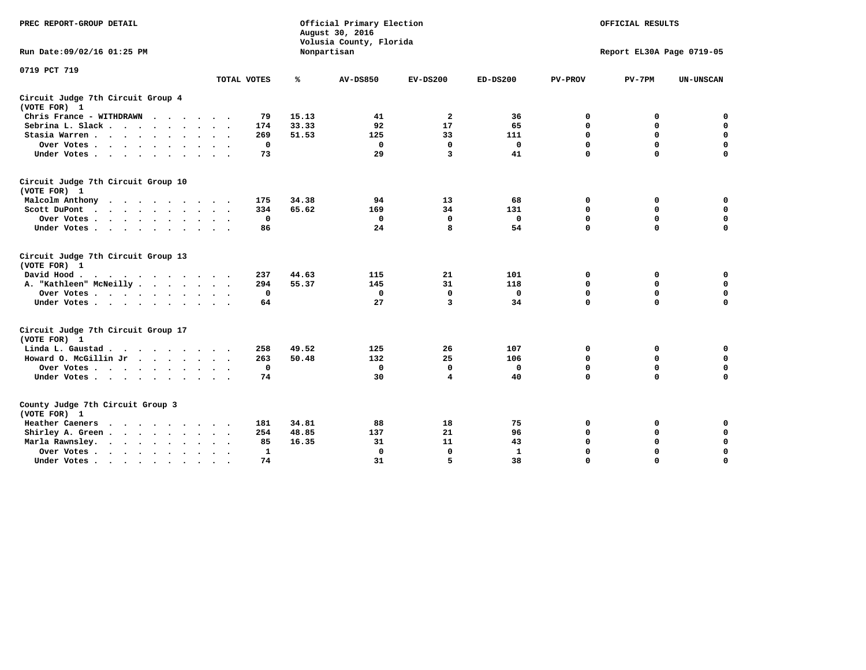| PREC REPORT-GROUP DETAIL                                                                                                           |              |       | Official Primary Election<br>August 30, 2016<br>Volusia County, Florida | OFFICIAL RESULTS<br>Report EL30A Page 0719-05 |              |                |             |                  |
|------------------------------------------------------------------------------------------------------------------------------------|--------------|-------|-------------------------------------------------------------------------|-----------------------------------------------|--------------|----------------|-------------|------------------|
| Run Date: 09/02/16 01:25 PM                                                                                                        |              |       | Nonpartisan                                                             |                                               |              |                |             |                  |
| 0719 PCT 719                                                                                                                       | TOTAL VOTES  | ℁     | <b>AV-DS850</b>                                                         | $EV-DS200$                                    | $ED-DS200$   | <b>PV-PROV</b> | $PV-7PM$    | <b>UN-UNSCAN</b> |
|                                                                                                                                    |              |       |                                                                         |                                               |              |                |             |                  |
| Circuit Judge 7th Circuit Group 4<br>(VOTE FOR) 1                                                                                  |              |       |                                                                         |                                               |              |                |             |                  |
| Chris France - WITHDRAWN<br>.                                                                                                      | 79           | 15.13 | 41                                                                      | 2                                             | 36           | 0              | 0           | 0                |
| Sebrina L. Slack                                                                                                                   | 174          | 33.33 | 92                                                                      | 17                                            | 65           | $\mathbf 0$    | $\mathbf 0$ | $\mathbf 0$      |
| Stasia Warren                                                                                                                      | 269          | 51.53 | 125                                                                     | 33                                            | 111          | $\mathbf 0$    | 0           | $\mathbf 0$      |
| Over Votes                                                                                                                         | $\mathbf 0$  |       | $\mathbf{0}$                                                            | 0                                             | $\mathbf 0$  | 0              | $\mathbf 0$ | $\mathbf 0$      |
| Under Votes                                                                                                                        | 73           |       | 29                                                                      | 3                                             | 41           | $\mathbf 0$    | $\Omega$    | $\mathbf 0$      |
| Circuit Judge 7th Circuit Group 10<br>(VOTE FOR) 1                                                                                 |              |       |                                                                         |                                               |              |                |             |                  |
| Malcolm Anthony<br>$\cdots$                                                                                                        | 175          | 34.38 | 94                                                                      | 13                                            | 68           | 0              | 0           | $\mathbf 0$      |
| Scott DuPont                                                                                                                       | 334          | 65.62 | 169                                                                     | 34                                            | 131          | 0              | $\mathbf 0$ | $\mathbf 0$      |
| Over Votes                                                                                                                         | $\mathbf 0$  |       | $\Omega$                                                                | 0                                             | $\mathbf{0}$ | $\mathbf 0$    | $\Omega$    | $\mathbf 0$      |
| Under Votes                                                                                                                        | 86           |       | 24                                                                      | 8                                             | 54           | $\mathbf 0$    | $\mathbf 0$ | $\Omega$         |
| Circuit Judge 7th Circuit Group 13<br>(VOTE FOR) 1                                                                                 |              |       |                                                                         |                                               |              |                |             |                  |
| David Hood.                                                                                                                        | 237          | 44.63 | 115                                                                     | 21                                            | 101          | 0              | 0           | $\mathbf 0$      |
| A. "Kathleen" McNeilly                                                                                                             | 294          | 55.37 | 145                                                                     | 31                                            | 118          | $\mathbf 0$    | $\mathbf 0$ | $\mathbf 0$      |
| Over Votes                                                                                                                         | $\mathbf 0$  |       | 0                                                                       | 0                                             | 0            | $\mathbf 0$    | $\mathbf 0$ | $\mathbf 0$      |
| Under Votes                                                                                                                        | 64           |       | 27                                                                      | 3                                             | 34           | $\mathbf 0$    | $\Omega$    | 0                |
| Circuit Judge 7th Circuit Group 17<br>(VOTE FOR) 1                                                                                 |              |       |                                                                         |                                               |              |                |             |                  |
| Linda L. Gaustad                                                                                                                   | 258          | 49.52 | 125                                                                     | 26                                            | 107          | 0              | 0           | 0                |
| Howard O. McGillin Jr                                                                                                              | 263          | 50.48 | 132                                                                     | 25                                            | 106          | $\mathbf 0$    | $\mathbf 0$ | $\mathbf 0$      |
| Over Votes                                                                                                                         | $\mathbf 0$  |       | $\mathbf 0$                                                             | $\mathbf 0$                                   | $\mathbf 0$  | $\mathbf 0$    | $\mathbf 0$ | $\pmb{0}$        |
| Under Votes                                                                                                                        | 74           |       | 30                                                                      | 4                                             | 40           | $\mathbf 0$    | $\mathbf 0$ | $\Omega$         |
| County Judge 7th Circuit Group 3<br>(VOTE FOR) 1                                                                                   |              |       |                                                                         |                                               |              |                |             |                  |
| Heather Caeners<br>the contract of the contract of the contract of the contract of the contract of the contract of the contract of | 181          | 34.81 | 88                                                                      | 18                                            | 75           | 0              | 0           | 0                |
| Shirley A. Green                                                                                                                   | 254          | 48.85 | 137                                                                     | 21                                            | 96           | $\mathbf 0$    | 0           | $\mathbf 0$      |
| Marla Rawnsley.                                                                                                                    | 85           | 16.35 | 31                                                                      | 11                                            | 43           | 0              | $\mathbf 0$ | $\pmb{0}$        |
| Over Votes.<br>$\cdots$<br>$\ddot{\phantom{a}}$<br>$\sim$                                                                          | $\mathbf{1}$ |       | $\Omega$                                                                | $\mathbf 0$                                   | $\mathbf{1}$ | $\mathbf 0$    | $\mathbf 0$ | $\mathbf 0$      |
| Under Votes<br>$\sim$                                                                                                              | 74           |       | 31                                                                      | 5                                             | 38           | $\mathbf 0$    | $\mathbf 0$ | 0                |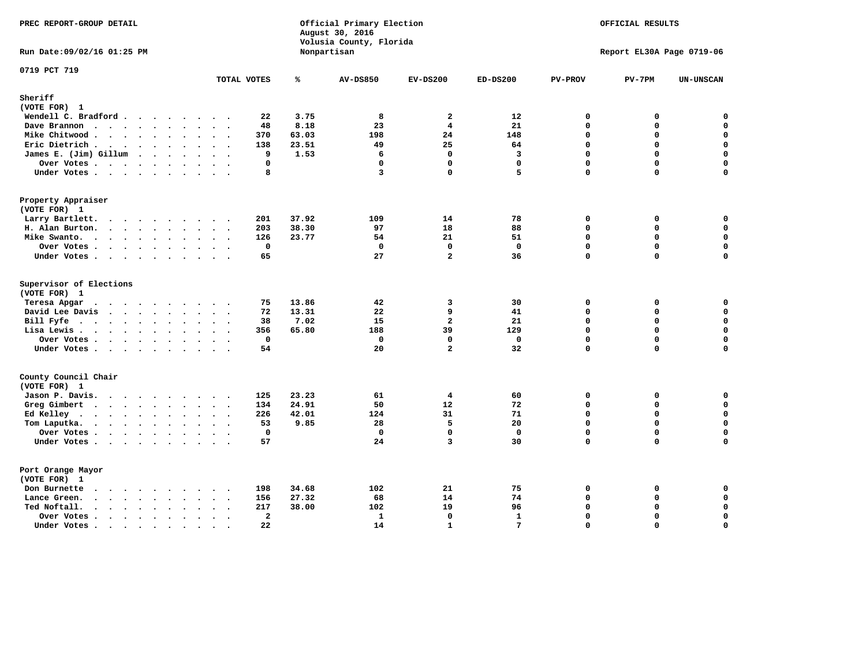| PREC REPORT-GROUP DETAIL                                                              | Official Primary Election<br>August 30, 2016<br>Volusia County, Florida |       |                 |                         | OFFICIAL RESULTS<br>Report EL30A Page 0719-06 |                         |                  |                  |
|---------------------------------------------------------------------------------------|-------------------------------------------------------------------------|-------|-----------------|-------------------------|-----------------------------------------------|-------------------------|------------------|------------------|
| Run Date: 09/02/16 01:25 PM                                                           |                                                                         |       | Nonpartisan     |                         |                                               |                         |                  |                  |
| 0719 PCT 719                                                                          | TOTAL VOTES                                                             | ℁     | <b>AV-DS850</b> | $EV-DS200$              | $ED-DS200$                                    | <b>PV-PROV</b>          | $PV-7PM$         | <b>UN-UNSCAN</b> |
| Sheriff                                                                               |                                                                         |       |                 |                         |                                               |                         |                  |                  |
| (VOTE FOR) 1                                                                          |                                                                         |       |                 |                         |                                               |                         |                  |                  |
| Wendell C. Bradford                                                                   | 22                                                                      | 3.75  | 8               | $\mathbf{2}$            | 12                                            | 0                       | 0                | 0                |
| Dave Brannon                                                                          | 48                                                                      | 8.18  | 23              | $\overline{\mathbf{4}}$ | 21                                            | 0                       | 0                | $\mathbf 0$      |
| Mike Chitwood                                                                         | 370                                                                     | 63.03 | 198             | 24                      | 148                                           | $\Omega$                | 0                | 0                |
| Eric Dietrich                                                                         | 138<br>$\cdot$                                                          | 23.51 | 49              | 25                      | 64                                            | $\mathbf 0$             | 0                | $\mathbf 0$      |
| James E. (Jim) Gillum                                                                 | 9                                                                       | 1.53  | 6               | $\mathbf 0$             | $\overline{\mathbf{3}}$                       | $\Omega$                | 0                | $\mathbf 0$      |
| Over Votes                                                                            | $\mathbf 0$                                                             |       | $\mathbf 0$     | 0                       | $\mathbf 0$                                   | 0                       | 0                | $\mathbf 0$      |
| Under Votes                                                                           | 8                                                                       |       | 3               | 0                       | 5                                             | 0                       | 0                | $\mathbf 0$      |
| Property Appraiser                                                                    |                                                                         |       |                 |                         |                                               |                         |                  |                  |
| (VOTE FOR) 1                                                                          |                                                                         |       |                 |                         |                                               |                         |                  |                  |
| Larry Bartlett.                                                                       | 201                                                                     | 37.92 | 109             | 14                      | 78                                            | 0                       | 0                | 0                |
| H. Alan Burton.                                                                       | 203                                                                     | 38.30 | 97              | 18                      | 88                                            | 0                       | 0                | $\mathbf 0$      |
| Mike Swanto.                                                                          | 126                                                                     | 23.77 | 54              | 21<br>$\mathbf 0$       | 51                                            | $\Omega$<br>$\mathbf 0$ | $\mathbf 0$<br>0 | 0<br>$\mathbf 0$ |
| Over Votes                                                                            | $\mathbf 0$                                                             |       | $\mathbf 0$     |                         | $\Omega$                                      |                         |                  |                  |
| Under Votes                                                                           | 65                                                                      |       | 27              | $\mathbf{2}$            | 36                                            | $\mathbf 0$             | 0                | $\Omega$         |
| Supervisor of Elections<br>(VOTE FOR) 1                                               |                                                                         |       |                 |                         |                                               |                         |                  |                  |
| Teresa Apgar                                                                          | 75                                                                      | 13.86 | 42              | 3                       | 30                                            | $\Omega$                | 0                | 0                |
| David Lee Davis                                                                       | 72                                                                      | 13.31 | 22              | 9                       | 41                                            | 0                       | 0                | $\mathbf 0$      |
| Bill Fyfe.                                                                            | 38                                                                      | 7.02  | 15              | $\overline{a}$          | 21                                            | $\Omega$                | 0                | $\mathbf 0$      |
| Lisa Lewis                                                                            | 356                                                                     | 65.80 | 188             | 39                      | 129                                           | $\mathbf 0$             | 0                | $\mathbf 0$      |
| Over Votes                                                                            | $\mathbf 0$                                                             |       | $\mathbf 0$     | $\mathbf 0$             | $\mathbf 0$                                   | 0                       | 0                | 0                |
| Under Votes                                                                           | 54                                                                      |       | 20              | $\overline{a}$          | 32                                            | $\mathbf 0$             | 0                | $\mathbf 0$      |
| County Council Chair                                                                  |                                                                         |       |                 |                         |                                               |                         |                  |                  |
| (VOTE FOR) 1                                                                          |                                                                         |       |                 |                         |                                               |                         |                  |                  |
| Jason P. Davis.                                                                       | 125                                                                     | 23.23 | 61              | $\overline{\mathbf{4}}$ | 60                                            | 0                       | 0                | 0                |
| Greg Gimbert                                                                          | 134                                                                     | 24.91 | 50              | 12                      | 72                                            | $\Omega$                | 0                | 0                |
| Ed Kelley $\cdots$                                                                    | 226                                                                     | 42.01 | 124             | 31                      | 71                                            | $\mathbf{0}$            | 0                | $\mathbf 0$      |
| Tom Laputka.                                                                          | 53                                                                      | 9.85  | 28              | 5                       | 20                                            | 0                       | 0                | 0                |
| Over Votes .<br>$\cdots$                                                              | $\mathbf 0$                                                             |       | $^{\circ}$      | $\mathbf 0$             | $\mathbf{0}$                                  | $\mathbf 0$             | 0                | $\mathbf 0$      |
| Under Votes                                                                           | 57                                                                      |       | 24              | $\overline{3}$          | 30                                            | $\mathbf 0$             | 0                | $\Omega$         |
| Port Orange Mayor                                                                     |                                                                         |       |                 |                         |                                               |                         |                  |                  |
| (VOTE FOR) 1                                                                          |                                                                         |       |                 |                         |                                               |                         |                  |                  |
| Don Burnette<br>.<br>$\ddot{\phantom{1}}$                                             | 198                                                                     | 34.68 | 102             | 21                      | 75                                            | 0                       | 0                | 0                |
| Lance Green.<br>$\mathbf{r}$ , and $\mathbf{r}$ , and $\mathbf{r}$ , and $\mathbf{r}$ | 156<br>$\ddot{\phantom{a}}$<br>$\sim$                                   | 27.32 | 68              | 14                      | 74                                            | 0                       | 0                | $\pmb{0}$        |
| Ted Noftall.<br>$\cdots$<br>$\ddot{\phantom{a}}$<br>$\mathbf{r}$                      | 217                                                                     | 38.00 | 102             | 19                      | 96                                            | 0                       | 0                | $\mathbf 0$      |
| Over Votes.<br>$\cdots$<br>$\bullet$                                                  | $\overline{\mathbf{2}}$                                                 |       | $\mathbf{1}$    | $\mathbf 0$             | $\mathbf{1}$                                  | 0                       | 0                | $\pmb{0}$        |
| Under Votes.<br>$\ddot{\phantom{0}}$<br>$\bullet$                                     | 22                                                                      |       | 14              | $\mathbf{1}$            | $\overline{7}$                                | $\Omega$                | $\Omega$         | $\mathbf 0$      |
|                                                                                       |                                                                         |       |                 |                         |                                               |                         |                  |                  |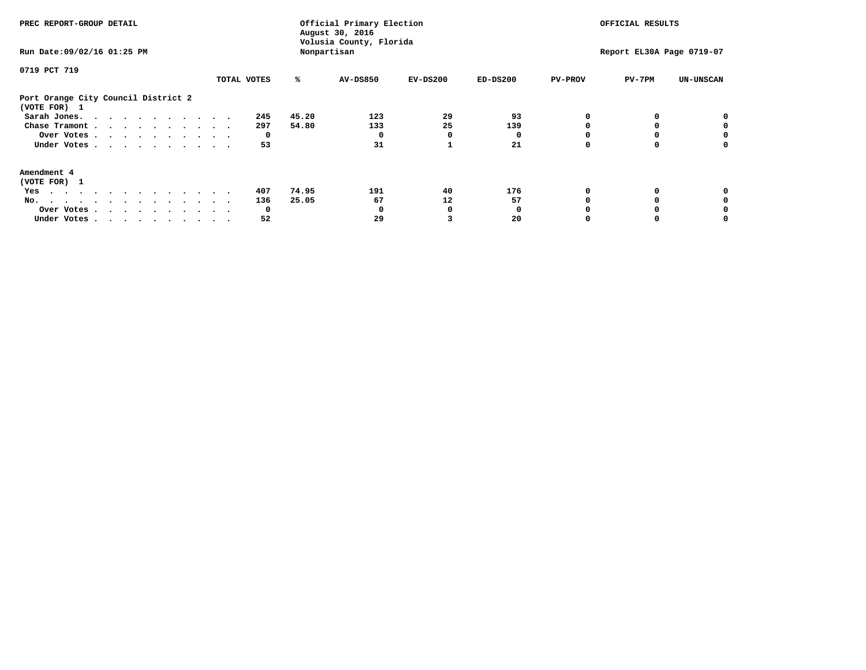| PREC REPORT-GROUP DETAIL                            |             |       | Official Primary Election<br>August 30, 2016<br>Volusia County, Florida |            | OFFICIAL RESULTS<br>Report EL30A Page 0719-07 |                |          |                  |
|-----------------------------------------------------|-------------|-------|-------------------------------------------------------------------------|------------|-----------------------------------------------|----------------|----------|------------------|
| Run Date: 09/02/16 01:25 PM                         |             |       | Nonpartisan                                                             |            |                                               |                |          |                  |
| 0719 PCT 719                                        |             |       |                                                                         |            |                                               |                |          |                  |
|                                                     | TOTAL VOTES | ℁     | <b>AV-DS850</b>                                                         | $EV-DS200$ | $ED-DS200$                                    | <b>PV-PROV</b> | $PV-7PM$ | <b>UN-UNSCAN</b> |
| Port Orange City Council District 2<br>(VOTE FOR) 1 |             |       |                                                                         |            |                                               |                |          |                  |
| Sarah Jones.                                        | 245         | 45.20 | 123                                                                     | 29         | 93                                            |                |          |                  |
| Chase Tramont                                       | 297         | 54.80 | 133                                                                     | 25         | 139                                           |                |          |                  |
| Over Votes                                          | 0           |       |                                                                         | O          |                                               |                |          |                  |
| Under Votes                                         | 53          |       | 31                                                                      |            | 21                                            |                |          | o                |
| Amendment 4                                         |             |       |                                                                         |            |                                               |                |          |                  |
| (VOTE FOR) 1                                        |             |       |                                                                         |            |                                               |                |          |                  |
| Yes                                                 | 407         | 74.95 | 191                                                                     | 40         | 176                                           |                |          |                  |
| No.<br>.                                            | 136         | 25.05 | 67                                                                      | 12         | 57                                            |                |          |                  |
| Over Votes                                          | O           |       |                                                                         |            |                                               |                |          |                  |
| Under Votes                                         | 52          |       | 29                                                                      |            | 20                                            |                |          |                  |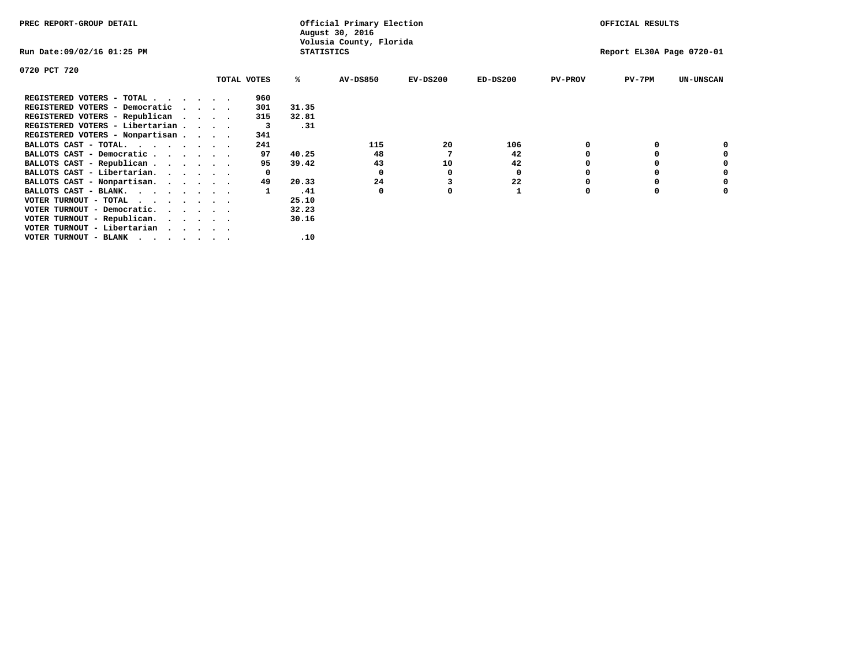| PREC REPORT-GROUP DETAIL                                                                                                                 |                             |             |                   | Official Primary Election<br>August 30, 2016 |            |            |                | OFFICIAL RESULTS          |                  |
|------------------------------------------------------------------------------------------------------------------------------------------|-----------------------------|-------------|-------------------|----------------------------------------------|------------|------------|----------------|---------------------------|------------------|
| Run Date:09/02/16 01:25 PM                                                                                                               |                             |             | <b>STATISTICS</b> | Volusia County, Florida                      |            |            |                | Report EL30A Page 0720-01 |                  |
| 0720 PCT 720                                                                                                                             |                             |             |                   |                                              |            |            |                |                           |                  |
|                                                                                                                                          |                             | TOTAL VOTES | ℁                 | <b>AV-DS850</b>                              | $EV-DS200$ | $ED-DS200$ | <b>PV-PROV</b> | $PV-7PM$                  | <b>UN-UNSCAN</b> |
| REGISTERED VOTERS - TOTAL                                                                                                                |                             | 960         |                   |                                              |            |            |                |                           |                  |
| REGISTERED VOTERS - Democratic                                                                                                           | $\sim$ $\sim$ $\sim$ $\sim$ | 301         | 31.35             |                                              |            |            |                |                           |                  |
| REGISTERED VOTERS - Republican                                                                                                           | $\cdot$                     | 315         | 32.81             |                                              |            |            |                |                           |                  |
| REGISTERED VOTERS - Libertarian                                                                                                          |                             | 3           | .31               |                                              |            |            |                |                           |                  |
| REGISTERED VOTERS - Nonpartisan                                                                                                          |                             | 341         |                   |                                              |            |            |                |                           |                  |
| BALLOTS CAST - TOTAL.                                                                                                                    |                             | 241         |                   | 115                                          | 20         | 106        |                |                           |                  |
| BALLOTS CAST - Democratic                                                                                                                |                             | 97          | 40.25             | 48                                           |            | 42         |                |                           |                  |
| BALLOTS CAST - Republican                                                                                                                |                             | 95          | 39.42             | 43                                           | 10         | 42         |                |                           |                  |
| BALLOTS CAST - Libertarian.                                                                                                              |                             |             |                   | 0                                            | o          | 0          |                |                           |                  |
| BALLOTS CAST - Nonpartisan.                                                                                                              |                             | 49          | 20.33             | 24                                           |            | 22         |                |                           |                  |
| BALLOTS CAST - BLANK.                                                                                                                    |                             |             | .41               | 0                                            | 0          |            | 0              | $\Omega$                  |                  |
| VOTER TURNOUT - TOTAL<br>$\cdots$                                                                                                        |                             |             | 25.10             |                                              |            |            |                |                           |                  |
| VOTER TURNOUT - Democratic.<br>$\cdots$                                                                                                  |                             |             | 32.23             |                                              |            |            |                |                           |                  |
| VOTER TURNOUT - Republican.                                                                                                              |                             |             | 30.16             |                                              |            |            |                |                           |                  |
| VOTER TURNOUT - Libertarian                                                                                                              |                             |             |                   |                                              |            |            |                |                           |                  |
| VOTER TURNOUT - BLANK<br>the contract of the contract of the contract of the contract of the contract of the contract of the contract of |                             |             | .10               |                                              |            |            |                |                           |                  |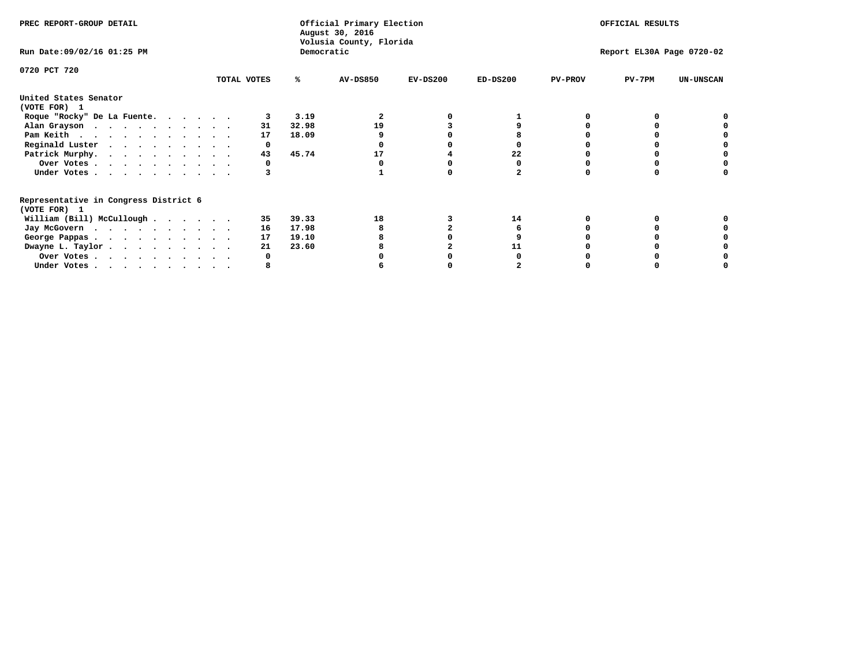| PREC REPORT-GROUP DETAIL                                               |             |       | Official Primary Election<br>August 30, 2016<br>Volusia County, Florida | OFFICIAL RESULTS |            |                           |          |                  |  |
|------------------------------------------------------------------------|-------------|-------|-------------------------------------------------------------------------|------------------|------------|---------------------------|----------|------------------|--|
| Run Date: 09/02/16 01:25 PM                                            |             |       | Democratic                                                              |                  |            | Report EL30A Page 0720-02 |          |                  |  |
| 0720 PCT 720                                                           | TOTAL VOTES | %ะ    | <b>AV-DS850</b>                                                         | $EV-DS200$       | $ED-DS200$ | <b>PV-PROV</b>            | $PV-7PM$ | <b>UN-UNSCAN</b> |  |
| United States Senator<br>(VOTE FOR) 1                                  |             |       |                                                                         |                  |            |                           |          |                  |  |
| Roque "Rocky" De La Fuente.                                            |             | 3.19  |                                                                         |                  |            |                           |          |                  |  |
| Alan Grayson                                                           | 31          | 32.98 | 19                                                                      |                  |            |                           |          |                  |  |
| Pam Keith                                                              | 17          | 18.09 |                                                                         |                  |            |                           |          |                  |  |
| Reginald Luster                                                        | 0           |       |                                                                         |                  |            |                           |          |                  |  |
| Patrick Murphy.                                                        | 43          | 45.74 | 17                                                                      |                  | 22         |                           |          |                  |  |
| Over Votes                                                             |             |       |                                                                         |                  |            |                           |          |                  |  |
| Under Votes                                                            |             |       |                                                                         |                  |            |                           |          |                  |  |
| Representative in Congress District 6<br>(VOTE FOR) 1                  |             |       |                                                                         |                  |            |                           |          |                  |  |
| William (Bill) McCullough                                              | 35          | 39.33 | 18                                                                      |                  | 14         |                           |          |                  |  |
|                                                                        | 16          | 17.98 |                                                                         |                  |            |                           |          |                  |  |
| Jay McGovern                                                           | 17          | 19.10 |                                                                         |                  |            |                           |          |                  |  |
| George Pappas.                                                         | 21          | 23.60 |                                                                         |                  |            |                           |          |                  |  |
| Dwayne L. Taylor                                                       |             |       |                                                                         |                  |            |                           |          |                  |  |
| Over Votes                                                             |             |       |                                                                         |                  |            |                           |          |                  |  |
| Under Votes, $\cdot$ , $\cdot$ , $\cdot$ , $\cdot$ , $\cdot$ , $\cdot$ |             |       |                                                                         |                  |            |                           |          |                  |  |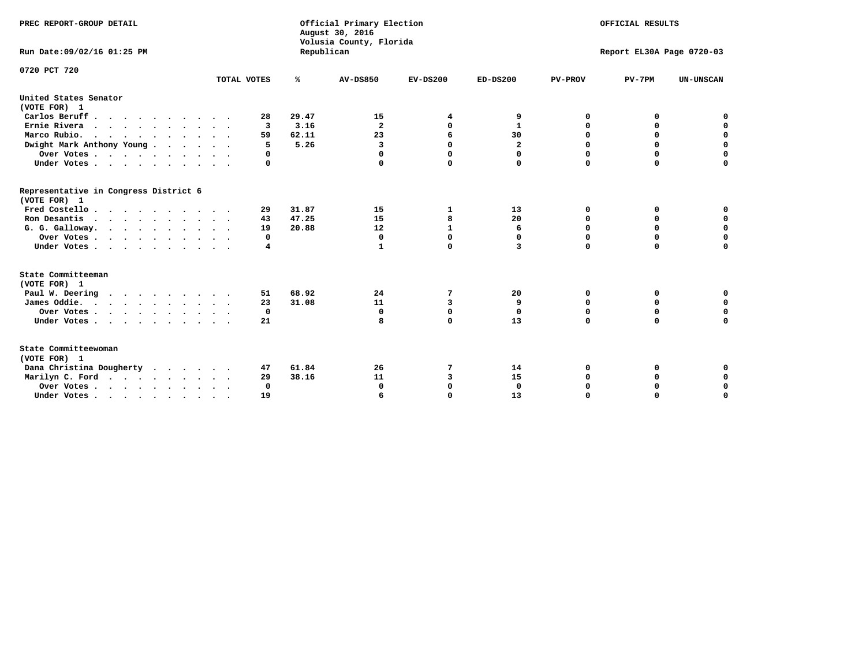| PREC REPORT-GROUP DETAIL                                               |             |                | Official Primary Election<br>August 30, 2016<br>Volusia County, Florida | OFFICIAL RESULTS |              |                           |             |                  |  |
|------------------------------------------------------------------------|-------------|----------------|-------------------------------------------------------------------------|------------------|--------------|---------------------------|-------------|------------------|--|
| Run Date:09/02/16 01:25 PM                                             |             | Republican     |                                                                         |                  |              | Report EL30A Page 0720-03 |             |                  |  |
| 0720 PCT 720                                                           |             |                |                                                                         |                  |              |                           |             |                  |  |
|                                                                        | TOTAL VOTES | %              | <b>AV-DS850</b>                                                         | $EV-DS200$       | $ED-DS200$   | <b>PV-PROV</b>            | $PV-7PM$    | <b>UN-UNSCAN</b> |  |
| United States Senator<br>(VOTE FOR) 1                                  |             |                |                                                                         |                  |              |                           |             |                  |  |
| Carlos Beruff                                                          | 28          | 29.47          | 15                                                                      | 4                | 9            | 0                         | 0           | 0                |  |
| Ernie Rivera                                                           | 3           | 3.16           | $\mathbf{2}$                                                            | 0                | 1            | 0                         | 0           | $\mathbf 0$      |  |
| Marco Rubio.<br>$\cdots$                                               | 59          | 62.11          | 23                                                                      | 6                | 30           | 0                         | $\mathbf 0$ | $\mathbf 0$      |  |
| Dwight Mark Anthony Young                                              | 5           | 5.26           | $\overline{\mathbf{3}}$                                                 | $\Omega$         | $\mathbf{2}$ | 0                         | $\mathbf 0$ | $\mathbf 0$      |  |
| Over Votes                                                             | 0           |                | $\Omega$                                                                | 0                | 0            | $\mathbf 0$               | $\mathbf 0$ | 0                |  |
| Under Votes                                                            | $\Omega$    |                | $\Omega$                                                                | $\Omega$         | 0            | $\Omega$                  | $\Omega$    | $\Omega$         |  |
| Representative in Congress District 6<br>(VOTE FOR) 1                  |             |                |                                                                         |                  |              |                           |             |                  |  |
| Fred Costello                                                          | 29          | 31.87          | 15                                                                      | 1                | 13           | 0                         | 0           | 0                |  |
| Ron Desantis                                                           | 43          | 47.25          | 15                                                                      | 8                | 20           | $\Omega$                  | 0           | $\mathbf 0$      |  |
| G. G. Galloway.                                                        | 19          | 20.88          | 12                                                                      | $\mathbf{1}$     | 6            | 0                         | $\mathbf 0$ | $\mathbf 0$      |  |
| Over Votes                                                             | 0           |                | $\mathbf 0$                                                             | $\mathbf 0$      | 0            | $\mathbf 0$               | $\mathbf 0$ | $\mathbf 0$      |  |
| Under Votes                                                            | 4           |                | 1                                                                       | 0                | 3            | $\Omega$                  | $\Omega$    | $\Omega$         |  |
| State Committeeman                                                     |             |                |                                                                         |                  |              |                           |             |                  |  |
| (VOTE FOR) 1                                                           |             |                |                                                                         |                  |              |                           |             |                  |  |
| Paul W. Deering                                                        | 51          | 68.92<br>31.08 | 24                                                                      | 7                | 20           | 0                         | 0           | 0<br>$\mathbf 0$ |  |
| James Oddie.                                                           | 23          |                | 11                                                                      | 3                | 9            | $\mathbf 0$               | $\mathbf 0$ |                  |  |
| Over Votes                                                             | 0           |                | $\mathbf 0$                                                             | 0                | $\mathbf{0}$ | $\mathbf 0$               | $\mathbf 0$ | 0                |  |
| Under Votes                                                            | 21          |                | 8                                                                       | 0                | 13           | $\mathbf 0$               | $\Omega$    | $\mathbf 0$      |  |
| State Committeewoman<br>(VOTE FOR) 1                                   |             |                |                                                                         |                  |              |                           |             |                  |  |
| Dana Christina Dougherty                                               | 47          | 61.84          | 26                                                                      | 7                | 14           | 0                         | 0           | 0                |  |
| Marilyn C. Ford                                                        | 29          | 38.16          | 11                                                                      | 3                | 15           | 0                         | 0           | $\mathbf 0$      |  |
| Over Votes                                                             | $\Omega$    |                | 0                                                                       | 0                | $\mathbf{0}$ | 0                         | 0           | 0                |  |
| Under Votes, $\cdot$ , $\cdot$ , $\cdot$ , $\cdot$ , $\cdot$ , $\cdot$ | 19          |                | 6                                                                       | $\Omega$         | 13           | $\Omega$                  | $\Omega$    | $\Omega$         |  |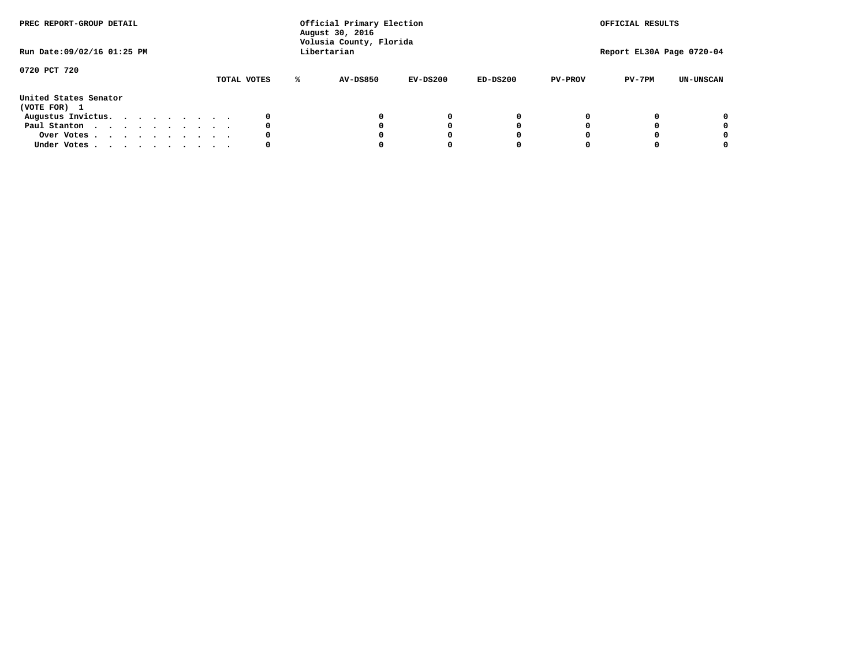| PREC REPORT-GROUP DETAIL<br>Run Date: 09/02/16 01:25 PM |  |  |  | Official Primary Election<br>August 30, 2016<br>Volusia County, Florida<br>Libertarian |  |             | OFFICIAL RESULTS<br>Report EL30A Page 0720-04 |            |            |                |          |                  |
|---------------------------------------------------------|--|--|--|----------------------------------------------------------------------------------------|--|-------------|-----------------------------------------------|------------|------------|----------------|----------|------------------|
| 0720 PCT 720                                            |  |  |  |                                                                                        |  | TOTAL VOTES | AV-DS850                                      | $EV-DS200$ | $ED-DS200$ | <b>PV-PROV</b> | $PV-7PM$ | <b>UN-UNSCAN</b> |
| United States Senator<br>(VOTE FOR) 1                   |  |  |  |                                                                                        |  |             |                                               |            |            |                |          |                  |
| Augustus Invictus.                                      |  |  |  |                                                                                        |  |             |                                               | 0          | 0          |                |          | 0                |
| Paul Stanton                                            |  |  |  |                                                                                        |  | 0           |                                               | 0          |            |                |          | 0                |
| Over Votes                                              |  |  |  |                                                                                        |  |             |                                               |            |            |                |          | 0                |
| Under Votes                                             |  |  |  |                                                                                        |  | 0           |                                               |            |            |                |          | 0                |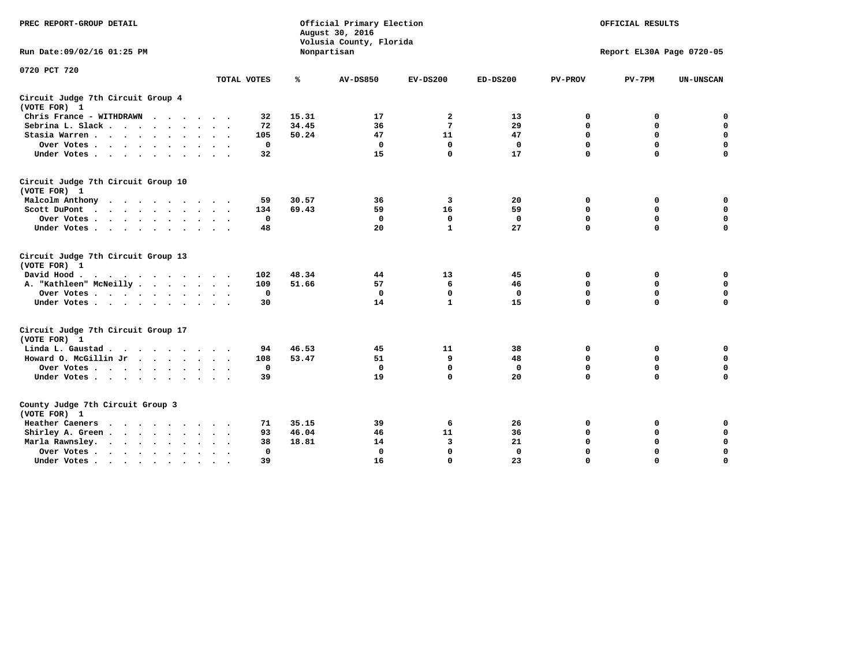| PREC REPORT-GROUP DETAIL                           |              | Official Primary Election<br>August 30, 2016<br>Volusia County, Florida | OFFICIAL RESULTS<br>Report EL30A Page 0720-05 |              |              |                |             |                  |
|----------------------------------------------------|--------------|-------------------------------------------------------------------------|-----------------------------------------------|--------------|--------------|----------------|-------------|------------------|
| Run Date: 09/02/16 01:25 PM                        |              |                                                                         | Nonpartisan                                   |              |              |                |             |                  |
| 0720 PCT 720                                       | TOTAL VOTES  | ℁                                                                       | <b>AV-DS850</b>                               | $EV-DS200$   | $ED-DS200$   | <b>PV-PROV</b> | $PV-7PM$    | <b>UN-UNSCAN</b> |
| Circuit Judge 7th Circuit Group 4<br>(VOTE FOR) 1  |              |                                                                         |                                               |              |              |                |             |                  |
| Chris France - WITHDRAWN                           | 32           | 15.31                                                                   | 17                                            | 2            | 13           | 0              | 0           | $\mathbf 0$      |
| Sebrina L. Slack.                                  | 72           | 34.45                                                                   | 36                                            | 7            | 29           | $\mathbf 0$    | $\mathbf 0$ | $\mathbf 0$      |
| Stasia Warren                                      | 105          | 50.24                                                                   | 47                                            | 11           | 47           | 0              | $\mathbf 0$ | $\mathbf 0$      |
| Over Votes                                         | $\mathbf 0$  |                                                                         | 0                                             | $\mathbf 0$  | $\mathbf 0$  | $\mathbf 0$    | $\mathbf 0$ | $\mathbf 0$      |
| Under Votes                                        | 32           |                                                                         | 15                                            | $\Omega$     | 17           | $\mathbf 0$    | $\Omega$    | $\Omega$         |
| Circuit Judge 7th Circuit Group 10<br>(VOTE FOR) 1 |              |                                                                         |                                               |              |              |                |             |                  |
| Malcolm Anthony                                    | 59           | 30.57                                                                   | 36                                            | 3            | 20           | 0              | 0           | $\mathbf 0$      |
| Scott DuPont                                       | 134          | 69.43                                                                   | 59                                            | 16           | 59           | $\mathbf 0$    | $\mathbf 0$ | $\mathbf 0$      |
| Over Votes                                         | 0            |                                                                         | $\Omega$                                      | 0            | 0            | $\mathbf 0$    | 0           | $\mathbf 0$      |
| Under Votes                                        | 48           |                                                                         | 20                                            | $\mathbf{1}$ | 27           | $\mathbf 0$    | $\mathbf 0$ | $\Omega$         |
| Circuit Judge 7th Circuit Group 13<br>(VOTE FOR) 1 |              |                                                                         |                                               |              |              |                |             |                  |
| David Hood.                                        | 102          | 48.34                                                                   | 44                                            | 13           | 45           | 0              | 0           | $\mathbf 0$      |
| A. "Kathleen" McNeilly                             | 109          | 51.66                                                                   | 57                                            | 6            | 46           | $\mathbf 0$    | 0           | $\mathbf 0$      |
| Over Votes                                         | $\mathbf 0$  |                                                                         | $\mathbf{0}$                                  | $\mathbf 0$  | $\mathbf 0$  | 0              | $\mathbf 0$ | 0                |
| Under Votes                                        | 30           |                                                                         | 14                                            | $\mathbf{1}$ | 15           | $\Omega$       | $\Omega$    | $\Omega$         |
| Circuit Judge 7th Circuit Group 17<br>(VOTE FOR) 1 |              |                                                                         |                                               |              |              |                |             |                  |
| Linda L. Gaustad                                   | 94           | 46.53                                                                   | 45                                            | 11           | 38           | 0              | 0           | 0                |
| Howard O. McGillin Jr                              | 108          | 53.47                                                                   | 51                                            | 9            | 48           | $\mathbf 0$    | $\mathbf 0$ | 0                |
| Over Votes                                         | $\Omega$     |                                                                         | $\mathbf{0}$                                  | $\Omega$     | $\mathbf{0}$ | $\mathbf 0$    | $\mathbf 0$ | $\mathbf 0$      |
| Under Votes                                        | 39           |                                                                         | 19                                            | $\Omega$     | 20           | $\mathbf 0$    | $\mathbf 0$ | $\Omega$         |
| County Judge 7th Circuit Group 3<br>(VOTE FOR) 1   |              |                                                                         |                                               |              |              |                |             |                  |
| Heather Caeners<br>$\cdots$                        | 71           | 35.15                                                                   | 39                                            | 6            | 26           | $\mathbf 0$    | 0           | 0                |
| Shirley A. Green                                   | 93           | 46.04                                                                   | 46                                            | 11           | 36           | $\mathbf 0$    | 0           | $\mathbf 0$      |
| Marla Rawnsley.                                    | 38           | 18.81                                                                   | 14                                            | 3            | 21           | 0              | $\mathbf 0$ | $\mathbf 0$      |
| Over Votes<br>$\sim$<br>$\sim$                     | $\mathbf{0}$ |                                                                         | $\Omega$                                      | $\mathbf 0$  | $\mathbf{0}$ | $\Omega$       | $\Omega$    | $\mathbf 0$      |
| Under Votes<br>$\sim$                              | 39           |                                                                         | 16                                            | $\Omega$     | 23           | $\mathbf 0$    | $\mathbf 0$ | 0                |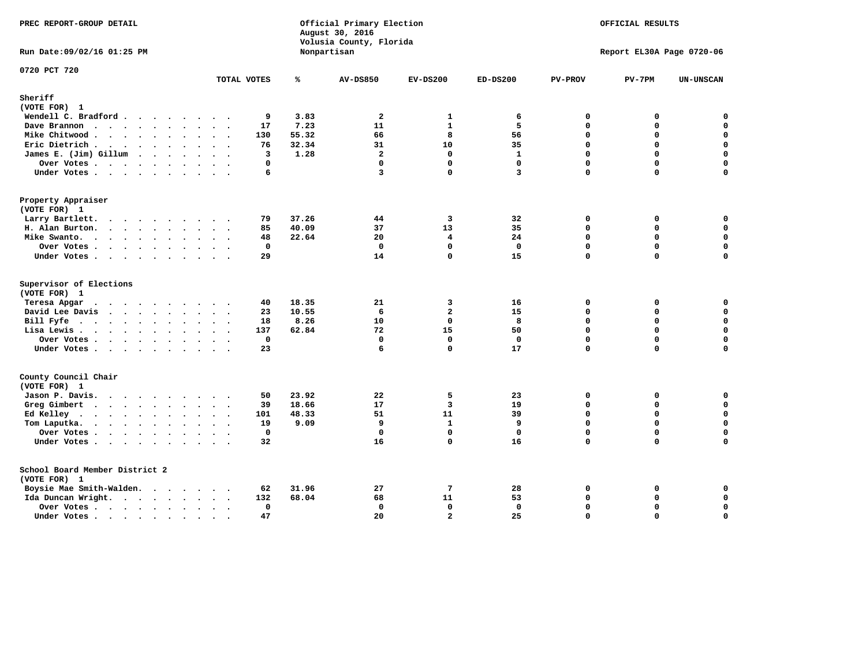| PREC REPORT-GROUP DETAIL                                                                                                                     |                                            |                                 | Official Primary Election<br>August 30, 2016<br>Volusia County, Florida |                                                                              | OFFICIAL RESULTS                         |                                          |                                                 |                                                        |
|----------------------------------------------------------------------------------------------------------------------------------------------|--------------------------------------------|---------------------------------|-------------------------------------------------------------------------|------------------------------------------------------------------------------|------------------------------------------|------------------------------------------|-------------------------------------------------|--------------------------------------------------------|
| Run Date: 09/02/16 01:25 PM                                                                                                                  |                                            |                                 | Nonpartisan                                                             |                                                                              |                                          |                                          | Report EL30A Page 0720-06                       |                                                        |
| 0720 PCT 720                                                                                                                                 | TOTAL VOTES                                | ℁                               | AV-DS850                                                                | $EV-DS200$                                                                   | $ED-DS200$                               | <b>PV-PROV</b>                           | $PV-7PM$                                        | <b>UN-UNSCAN</b>                                       |
| Sheriff                                                                                                                                      |                                            |                                 |                                                                         |                                                                              |                                          |                                          |                                                 |                                                        |
| (VOTE FOR) 1                                                                                                                                 |                                            |                                 |                                                                         |                                                                              |                                          |                                          |                                                 |                                                        |
| Wendell C. Bradford                                                                                                                          | 9                                          | 3.83                            | 2                                                                       | 1                                                                            | 6                                        | 0                                        | 0                                               | 0                                                      |
| Dave Brannon                                                                                                                                 | 17                                         | 7.23                            | 11                                                                      | $\mathbf{1}$                                                                 | 5                                        | 0                                        | 0                                               | $\mathbf 0$                                            |
| Mike Chitwood                                                                                                                                | 130                                        | 55.32                           | 66                                                                      | 8                                                                            | 56                                       | 0                                        | 0                                               | $\mathbf 0$                                            |
| Eric Dietrich.                                                                                                                               | 76                                         | 32.34                           | 31                                                                      | 10                                                                           | 35                                       | 0                                        | $\Omega$                                        | $\mathbf 0$                                            |
| James E. (Jim) Gillum                                                                                                                        | 3                                          | 1.28                            | $\overline{a}$                                                          | $\mathbf 0$                                                                  | $\mathbf{1}$                             | 0                                        | $\mathbf 0$                                     | $\mathbf 0$                                            |
| Over Votes                                                                                                                                   | 0                                          |                                 | $\mathbf{0}$                                                            | $\mathbf 0$                                                                  | $\mathbf{0}$                             | 0                                        | 0                                               | $\mathbf 0$                                            |
| Under Votes.                                                                                                                                 | 6                                          |                                 | $\overline{3}$                                                          | $\Omega$                                                                     | $\overline{3}$                           | 0                                        | $\Omega$                                        | $\mathbf 0$                                            |
| Property Appraiser                                                                                                                           |                                            |                                 |                                                                         |                                                                              |                                          |                                          |                                                 |                                                        |
| (VOTE FOR) 1                                                                                                                                 |                                            |                                 |                                                                         |                                                                              |                                          |                                          |                                                 |                                                        |
| Larry Bartlett.                                                                                                                              | 79                                         | 37.26                           | 44                                                                      | -3                                                                           | 32                                       | $\mathbf{0}$                             | 0                                               | 0                                                      |
| H. Alan Burton.                                                                                                                              | 85                                         | 40.09                           | 37                                                                      | 13                                                                           | 35                                       | 0                                        | 0                                               | $\mathbf 0$                                            |
| Mike Swanto.                                                                                                                                 | 48                                         | 22.64                           | 20                                                                      | $\overline{\mathbf{4}}$                                                      | 24                                       | 0                                        | $\Omega$                                        | $\mathbf 0$                                            |
| Over Votes                                                                                                                                   | 0                                          |                                 | $\mathbf 0$                                                             | $\mathbf 0$                                                                  | $\mathbf 0$                              | 0                                        | 0                                               | $\pmb{0}$                                              |
| Under Votes                                                                                                                                  | 29                                         |                                 | 14                                                                      | $\mathbf{0}$                                                                 | 15                                       | 0                                        | $\Omega$                                        | 0                                                      |
| Supervisor of Elections<br>(VOTE FOR) 1<br>Teresa Apgar<br>David Lee Davis<br>Bill Fyfe. $\ldots$<br>Lisa Lewis<br>Over Votes<br>Under Votes | 40<br>23<br>18<br>137<br>$\mathbf 0$<br>23 | 18.35<br>10.55<br>8.26<br>62.84 | 21<br>6<br>10<br>72<br>$\mathbf 0$<br>6                                 | 3<br>$\overline{\mathbf{2}}$<br>$\mathbf 0$<br>15<br>$\mathbf 0$<br>$\Omega$ | 16<br>15<br>8<br>50<br>$\mathbf 0$<br>17 | 0<br>$\Omega$<br>0<br>0<br>0<br>$\Omega$ | 0<br>$\Omega$<br>0<br>$\Omega$<br>0<br>$\Omega$ | 0<br>$\mathbf 0$<br>0<br>$\mathbf 0$<br>$\pmb{0}$<br>0 |
| County Council Chair<br>(VOTE FOR) 1                                                                                                         |                                            |                                 |                                                                         |                                                                              |                                          |                                          |                                                 |                                                        |
| Jason P. Davis.                                                                                                                              | 50                                         | 23.92                           | 22                                                                      | 5                                                                            | 23                                       | 0                                        | 0                                               | 0                                                      |
| Greg Gimbert                                                                                                                                 | 39                                         | 18.66                           | 17                                                                      | $\overline{3}$                                                               | 19                                       | 0                                        | $\Omega$                                        | $\mathbf 0$                                            |
| Ed Kelley                                                                                                                                    | 101                                        | 48.33                           | 51                                                                      | 11                                                                           | 39                                       | 0                                        | 0                                               | $\mathbf 0$                                            |
| Tom Laputka.                                                                                                                                 | 19                                         | 9.09                            | 9                                                                       | $\mathbf{1}$                                                                 | 9                                        | 0                                        | $\Omega$                                        | $\mathbf 0$                                            |
| Over Votes                                                                                                                                   | $\mathbf 0$                                |                                 | $\mathbf{0}$                                                            | $\mathbf 0$                                                                  | $\mathbf 0$                              | $\Omega$                                 | $\Omega$                                        | 0                                                      |
| Under Votes                                                                                                                                  | 32                                         |                                 | 16                                                                      | $\mathbf 0$                                                                  | 16                                       | 0                                        | $\Omega$                                        | $\Omega$                                               |
| School Board Member District 2<br>(VOTE FOR) 1                                                                                               |                                            |                                 |                                                                         |                                                                              |                                          |                                          |                                                 |                                                        |
| Boysie Mae Smith-Walden.                                                                                                                     | 62                                         | 31.96                           | 27                                                                      | 7                                                                            | 28                                       | 0                                        | 0                                               | 0                                                      |
| Ida Duncan Wright.                                                                                                                           | 132                                        | 68.04                           | 68                                                                      | 11                                                                           | 53                                       | 0                                        | 0                                               | $\mathbf 0$                                            |
| Over Votes.                                                                                                                                  | $\mathbf 0$                                |                                 | $\mathbf{0}$                                                            | $\mathbf{0}$                                                                 | $\mathbf 0$                              | 0                                        | 0                                               | $\pmb{0}$                                              |
| Under Votes                                                                                                                                  | 47<br>$\sim$                               |                                 | 20                                                                      | $\overline{2}$                                                               | 25                                       | $\Omega$                                 | $\Omega$                                        | $\mathbf 0$                                            |
|                                                                                                                                              |                                            |                                 |                                                                         |                                                                              |                                          |                                          |                                                 |                                                        |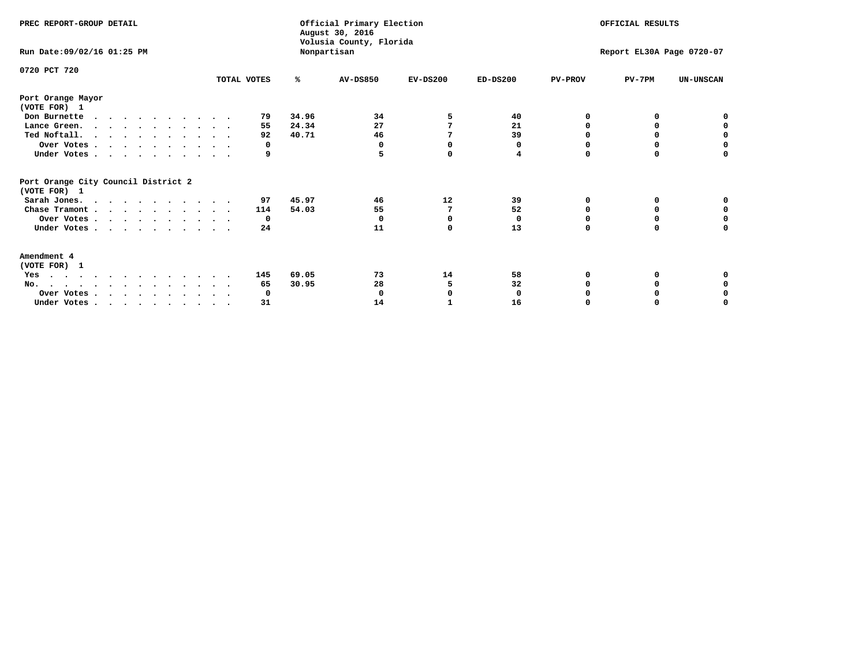| PREC REPORT-GROUP DETAIL<br>Run Date: 09/02/16 01:25 PM |             |       | Official Primary Election<br>August 30, 2016<br>Volusia County, Florida<br>Nonpartisan | OFFICIAL RESULTS<br>Report EL30A Page 0720-07 |            |                |          |                  |
|---------------------------------------------------------|-------------|-------|----------------------------------------------------------------------------------------|-----------------------------------------------|------------|----------------|----------|------------------|
| 0720 PCT 720                                            | TOTAL VOTES | ℁     | <b>AV-DS850</b>                                                                        | $EV-DS200$                                    | $ED-DS200$ | <b>PV-PROV</b> | $PV-7PM$ | <b>UN-UNSCAN</b> |
| Port Orange Mayor                                       |             |       |                                                                                        |                                               |            |                |          |                  |
| (VOTE FOR) 1                                            |             |       |                                                                                        |                                               |            |                |          |                  |
| Don Burnette                                            | 79          | 34.96 | 34                                                                                     | 5                                             | 40         | 0              | 0        | 0                |
| Lance Green.                                            | 55          | 24.34 | 27                                                                                     |                                               | 21         | O              | 0        | 0                |
| Ted Noftall.                                            | 92          | 40.71 | 46                                                                                     |                                               | 39         |                |          | 0                |
| Over Votes                                              | 0           |       | 0                                                                                      | O                                             | 0          | O              | 0        | $\Omega$         |
| Under Votes                                             | 9           |       |                                                                                        | $\Omega$                                      | 4          | $\Omega$       | 0        | 0                |
| Port Orange City Council District 2<br>(VOTE FOR) 1     |             |       |                                                                                        |                                               |            |                |          |                  |
| Sarah Jones.                                            | 97          | 45.97 | 46                                                                                     | 12                                            | 39         | O              | 0        | 0                |
| Chase Tramont                                           | 114         | 54.03 | 55                                                                                     | 7                                             | 52         | 0              | 0        | 0                |
| Over Votes                                              | 0           |       | O                                                                                      | O                                             | 0          | O              | O        | $\Omega$         |
| Under Votes                                             | 24          |       | 11                                                                                     | $\Omega$                                      | 13         | $\Omega$       | 0        | 0                |
| Amendment 4                                             |             |       |                                                                                        |                                               |            |                |          |                  |
| (VOTE FOR) 1                                            |             |       |                                                                                        |                                               |            |                |          |                  |
| Yes                                                     | 145         | 69.05 | 73                                                                                     | 14                                            | 58         |                |          |                  |
| .<br>$No.$                                              | 65          | 30.95 | 28                                                                                     | 5                                             | 32         |                | O        | 0                |
| Over Votes                                              | 0           |       |                                                                                        |                                               | 0          |                |          | 0                |
| Under Votes, , , , , , , , , ,                          | 31          |       | 14                                                                                     |                                               | 16         |                |          | O                |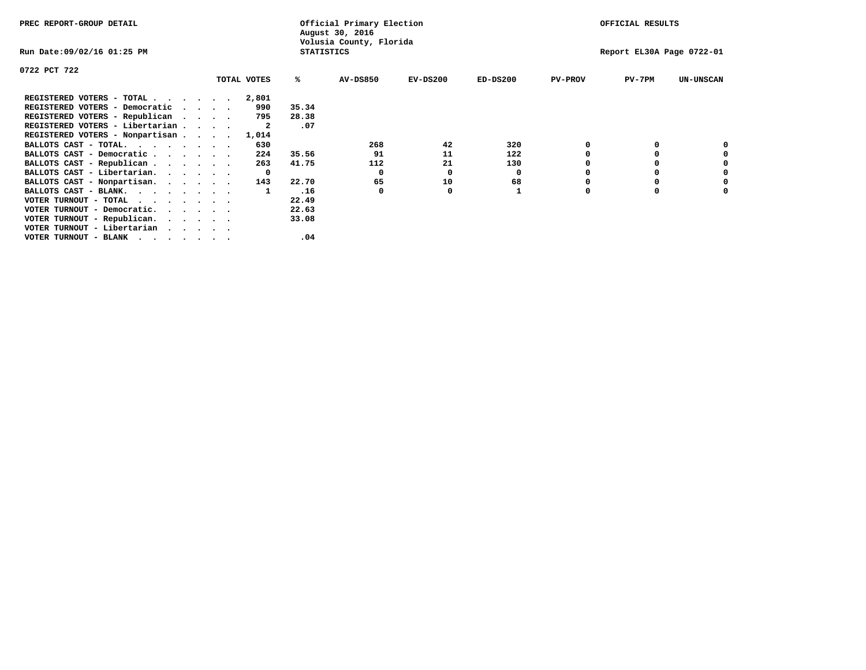| PREC REPORT-GROUP DETAIL        |             |                   | Official Primary Election<br>August 30, 2016 |            |            |                | OFFICIAL RESULTS          |                  |
|---------------------------------|-------------|-------------------|----------------------------------------------|------------|------------|----------------|---------------------------|------------------|
| Run Date:09/02/16 01:25 PM      |             | <b>STATISTICS</b> | Volusia County, Florida                      |            |            |                | Report EL30A Page 0722-01 |                  |
| 0722 PCT 722                    |             |                   |                                              |            |            |                |                           |                  |
|                                 | TOTAL VOTES | ℁                 | <b>AV-DS850</b>                              | $EV-DS200$ | $ED-DS200$ | <b>PV-PROV</b> | PV-7PM                    | <b>UN-UNSCAN</b> |
| REGISTERED VOTERS - TOTAL       | 2,801       |                   |                                              |            |            |                |                           |                  |
| REGISTERED VOTERS - Democratic  | 990         | 35.34             |                                              |            |            |                |                           |                  |
| REGISTERED VOTERS - Republican  | 795         | 28.38             |                                              |            |            |                |                           |                  |
| REGISTERED VOTERS - Libertarian | -2          | .07               |                                              |            |            |                |                           |                  |
| REGISTERED VOTERS - Nonpartisan | 1,014       |                   |                                              |            |            |                |                           |                  |
| BALLOTS CAST - TOTAL.           | 630         |                   | 268                                          | 42         | 320        |                |                           |                  |
| BALLOTS CAST - Democratic       | 224         | 35.56             | 91                                           | 11         | 122        |                |                           |                  |
| BALLOTS CAST - Republican       | 263         | 41.75             | 112                                          | 21         | 130        |                |                           |                  |
| BALLOTS CAST - Libertarian.     | 0           |                   | 0                                            | 0          | 0          |                |                           |                  |
| BALLOTS CAST - Nonpartisan.     | 143         | 22.70             | 65                                           | 10         | 68         |                |                           | 0                |
| BALLOTS CAST - BLANK.           |             | .16               | 0                                            | O          |            | O              |                           |                  |
| VOTER TURNOUT - TOTAL           |             | 22.49             |                                              |            |            |                |                           |                  |
| VOTER TURNOUT - Democratic.     |             | 22.63             |                                              |            |            |                |                           |                  |
| VOTER TURNOUT - Republican.     |             | 33.08             |                                              |            |            |                |                           |                  |
| VOTER TURNOUT - Libertarian     |             |                   |                                              |            |            |                |                           |                  |
| VOTER TURNOUT - BLANK           |             | .04               |                                              |            |            |                |                           |                  |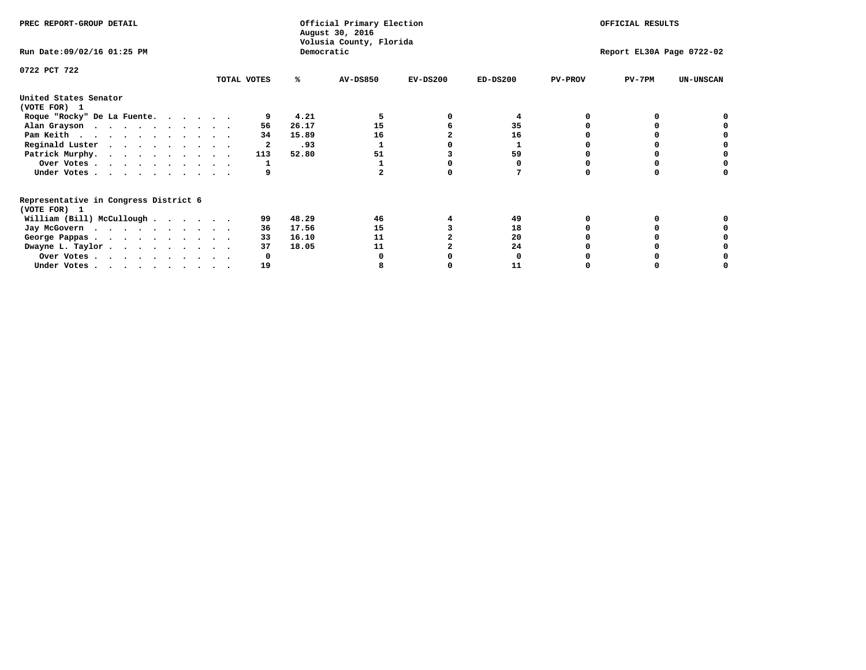| PREC REPORT-GROUP DETAIL                                               |             |            | Official Primary Election<br>August 30, 2016<br>Volusia County, Florida | OFFICIAL RESULTS |                           |                |          |                  |
|------------------------------------------------------------------------|-------------|------------|-------------------------------------------------------------------------|------------------|---------------------------|----------------|----------|------------------|
| Run Date: 09/02/16 01:25 PM                                            |             | Democratic |                                                                         |                  | Report EL30A Page 0722-02 |                |          |                  |
| 0722 PCT 722                                                           |             |            |                                                                         |                  |                           |                |          |                  |
|                                                                        | TOTAL VOTES | ℁          | <b>AV-DS850</b>                                                         | $EV-DS200$       | $ED-DS200$                | <b>PV-PROV</b> | $PV-7PM$ | <b>UN-UNSCAN</b> |
| United States Senator<br>(VOTE FOR) 1                                  |             |            |                                                                         |                  |                           |                |          |                  |
| Roque "Rocky" De La Fuente.                                            |             | 4.21       |                                                                         |                  |                           |                |          |                  |
| Alan Grayson                                                           | 56          | 26.17      | 15                                                                      |                  | 35                        |                |          |                  |
| Pam Keith                                                              | 34          | 15.89      | 16                                                                      |                  | 16                        |                |          |                  |
| Reginald Luster                                                        |             | .93        |                                                                         |                  |                           |                |          |                  |
| Patrick Murphy.                                                        | 113         | 52.80      | 51                                                                      |                  | 59                        |                |          |                  |
| Over Votes                                                             |             |            |                                                                         |                  |                           |                |          |                  |
| Under Votes                                                            |             |            |                                                                         |                  |                           |                |          |                  |
| Representative in Congress District 6<br>(VOTE FOR) 1                  |             |            |                                                                         |                  |                           |                |          |                  |
| William (Bill) McCullough                                              | 99          | 48.29      | 46                                                                      |                  | 49                        |                |          |                  |
| Jay McGovern                                                           | 36          | 17.56      | 15                                                                      |                  | 18                        |                |          |                  |
| George Pappas.                                                         | 33          | 16.10      | 11                                                                      |                  | 20                        |                |          |                  |
| Dwayne L. Taylor                                                       | 37          | 18.05      | 11                                                                      |                  | 24                        |                |          |                  |
| Over Votes                                                             |             |            |                                                                         |                  |                           |                |          |                  |
| Under Votes, $\cdot$ , $\cdot$ , $\cdot$ , $\cdot$ , $\cdot$ , $\cdot$ | 19          |            |                                                                         |                  | 11                        |                |          |                  |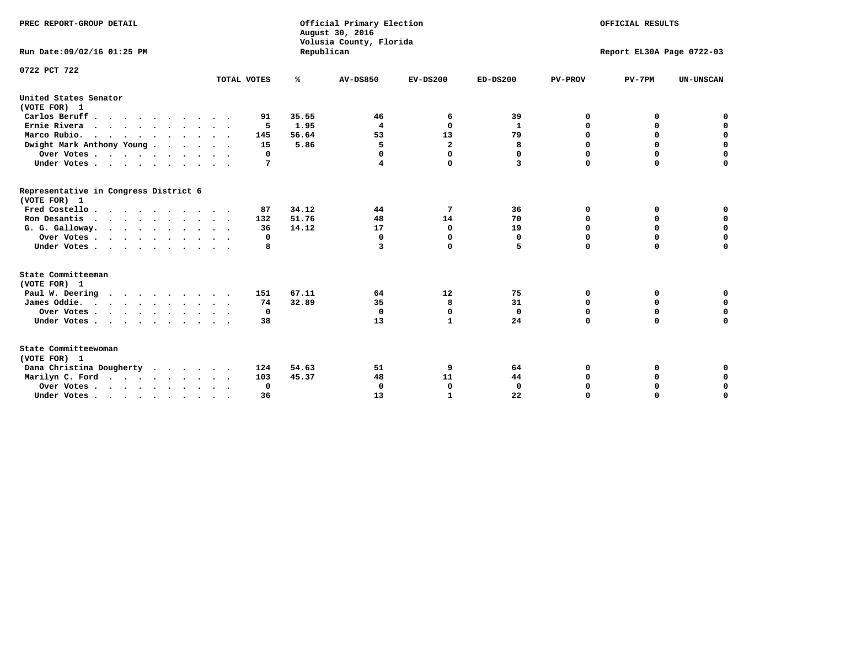| PREC REPORT-GROUP DETAIL                                                         |             |            | Official Primary Election<br>August 30, 2016<br>Volusia County, Florida | OFFICIAL RESULTS        |              |                           |             |                  |  |  |
|----------------------------------------------------------------------------------|-------------|------------|-------------------------------------------------------------------------|-------------------------|--------------|---------------------------|-------------|------------------|--|--|
| Run Date: 09/02/16 01:25 PM                                                      |             | Republican |                                                                         |                         |              | Report EL30A Page 0722-03 |             |                  |  |  |
| 0722 PCT 722                                                                     |             |            |                                                                         |                         |              |                           |             |                  |  |  |
|                                                                                  | TOTAL VOTES | ℁          | <b>AV-DS850</b>                                                         | $EV-DS200$              | $ED-DS200$   | <b>PV-PROV</b>            | $PV-7PM$    | <b>UN-UNSCAN</b> |  |  |
| United States Senator<br>(VOTE FOR) 1                                            |             |            |                                                                         |                         |              |                           |             |                  |  |  |
| Carlos Beruff                                                                    | 91          | 35.55      | 46                                                                      | 6                       | 39           | 0                         | 0           | 0                |  |  |
| Ernie Rivera                                                                     | 5           | 1.95       | $\overline{\mathbf{4}}$                                                 | $\Omega$                | 1            | $\Omega$                  | 0           | $\mathbf 0$      |  |  |
| Marco Rubio.                                                                     | 145         | 56.64      | 53                                                                      | 13                      | 79           | $\mathbf 0$               | $\mathbf 0$ | $\mathbf 0$      |  |  |
| Dwight Mark Anthony Young                                                        | 15          | 5.86       | 5                                                                       | $\overline{\mathbf{2}}$ | 8            | 0                         | $\mathbf 0$ | $\pmb{0}$        |  |  |
| Over Votes                                                                       | 0           |            | 0                                                                       | $\Omega$                | 0            | 0                         | 0           | 0                |  |  |
| Under Votes                                                                      | 7           |            | 4                                                                       | 0                       | 3            | $\Omega$                  | $\Omega$    | $\mathbf 0$      |  |  |
| Representative in Congress District 6<br>(VOTE FOR) 1                            |             |            |                                                                         |                         |              |                           |             |                  |  |  |
| Fred Costello.                                                                   | 87          | 34.12      | 44                                                                      | 7                       | 36           | 0                         | 0           | 0                |  |  |
| Ron Desantis                                                                     | 132         | 51.76      | 48                                                                      | 14                      | 70           | 0                         | 0           | $\mathbf 0$      |  |  |
| G. G. Galloway.                                                                  | 36          | 14.12      | 17                                                                      | $\Omega$                | 19           | $\Omega$                  | $\Omega$    | $\mathbf 0$      |  |  |
| Over Votes                                                                       | 0           |            | $\mathbf{0}$                                                            | 0                       | 0            | $\mathbf 0$               | $\mathbf 0$ | $\mathbf 0$      |  |  |
| Under Votes                                                                      | 8           |            | 3                                                                       | $\Omega$                | 5            | $\Omega$                  | $\Omega$    | $\mathbf 0$      |  |  |
| State Committeeman<br>(VOTE FOR) 1                                               |             |            |                                                                         |                         |              |                           |             |                  |  |  |
| Paul W. Deering<br>$\cdots$                                                      | 151         | 67.11      | 64                                                                      | 12                      | 75           | 0                         | 0           | 0                |  |  |
| James Oddie.                                                                     | 74          | 32.89      | 35                                                                      | 8                       | 31           | 0                         | 0           | $\mathbf 0$      |  |  |
| Over Votes                                                                       | 0           |            | $\mathbf{0}$                                                            | $\mathbf 0$             | $\mathbf 0$  | 0                         | $\mathbf 0$ | $\mathbf 0$      |  |  |
| Under Votes                                                                      | 38          |            | 13                                                                      | $\mathbf{1}$            | 24           | $\Omega$                  | 0           | $\mathbf 0$      |  |  |
| State Committeewoman<br>(VOTE FOR) 1                                             |             |            |                                                                         |                         |              |                           |             |                  |  |  |
| Dana Christina Dougherty                                                         | 124         | 54.63      | 51                                                                      | 9                       | 64           | 0                         | 0           | 0                |  |  |
| Marilyn C. Ford                                                                  | 103         | 45.37      | 48                                                                      | 11                      | 44           | 0                         | 0           | 0                |  |  |
| Over Votes                                                                       | $\Omega$    |            | $\Omega$                                                                | 0                       | $\mathbf{0}$ | 0                         | 0           | $\mathbf 0$      |  |  |
| Under Votes, $\cdot$ , $\cdot$ , $\cdot$ , $\cdot$ , $\cdot$ , $\cdot$ , $\cdot$ | 36          |            | 13                                                                      | $\mathbf{1}$            | 22           | $\Omega$                  | $\Omega$    | $\Omega$         |  |  |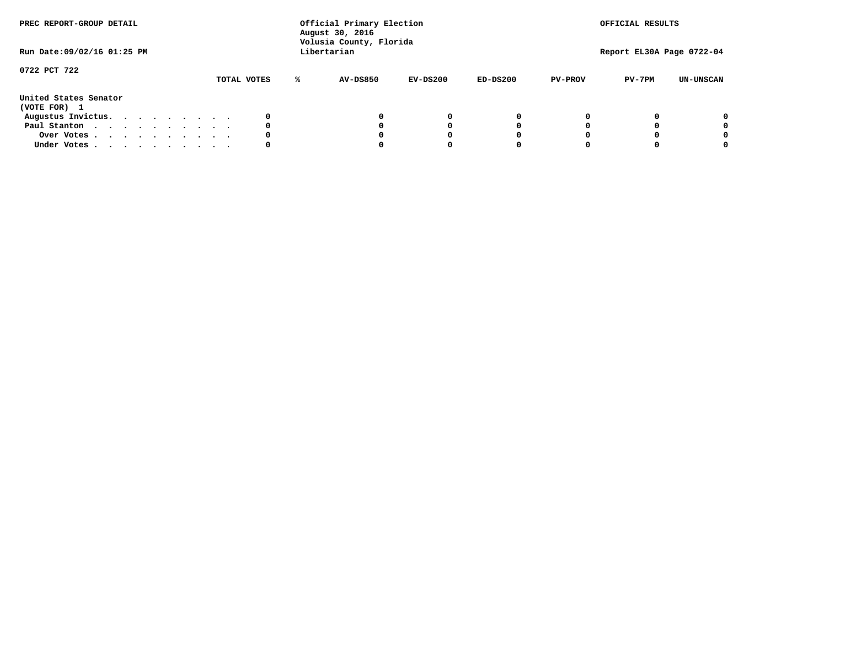| PREC REPORT-GROUP DETAIL<br>Run Date: 09/02/16 01:25 PM |  |  |  |  | Official Primary Election<br>August 30, 2016<br>Volusia County, Florida<br>Libertarian |             |   | OFFICIAL RESULTS<br>Report EL30A Page 0722-04 |            |            |                |          |                  |
|---------------------------------------------------------|--|--|--|--|----------------------------------------------------------------------------------------|-------------|---|-----------------------------------------------|------------|------------|----------------|----------|------------------|
| 0722 PCT 722                                            |  |  |  |  |                                                                                        | TOTAL VOTES | ℁ | <b>AV-DS850</b>                               | $EV-DS200$ | $ED-DS200$ | <b>PV-PROV</b> | $PV-7PM$ | <b>UN-UNSCAN</b> |
| United States Senator<br>(VOTE FOR) 1                   |  |  |  |  |                                                                                        |             |   |                                               |            |            |                |          |                  |
| Augustus Invictus.                                      |  |  |  |  |                                                                                        | 0           |   |                                               | 0          | 0          |                |          | 0                |
| Paul Stanton                                            |  |  |  |  |                                                                                        | 0           |   |                                               |            | 0          |                |          | 0                |
| Over Votes                                              |  |  |  |  |                                                                                        | 0           |   |                                               |            | 0          |                |          | 0                |
| Under Votes                                             |  |  |  |  |                                                                                        | 0           |   |                                               |            |            |                |          | 0                |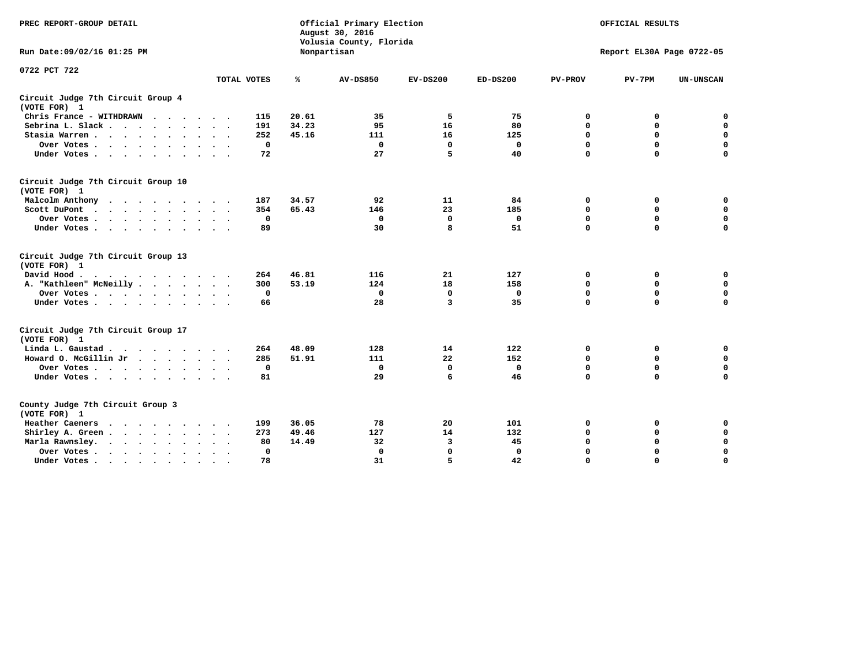| PREC REPORT-GROUP DETAIL                                   |                          |       | Official Primary Election<br>August 30, 2016<br>Volusia County, Florida | OFFICIAL RESULTS |              |                |                           |                  |
|------------------------------------------------------------|--------------------------|-------|-------------------------------------------------------------------------|------------------|--------------|----------------|---------------------------|------------------|
| Run Date: 09/02/16 01:25 PM                                |                          |       | Nonpartisan                                                             |                  |              |                | Report EL30A Page 0722-05 |                  |
| 0722 PCT 722                                               |                          |       |                                                                         |                  |              |                |                           |                  |
|                                                            | TOTAL VOTES              | ℁     | AV-DS850                                                                | $EV-DS200$       | $ED-DS200$   | <b>PV-PROV</b> | $PV-7PM$                  | <b>UN-UNSCAN</b> |
| Circuit Judge 7th Circuit Group 4<br>(VOTE FOR) 1          |                          |       |                                                                         |                  |              |                |                           |                  |
| Chris France - WITHDRAWN                                   | 115                      | 20.61 | 35                                                                      | 5                | 75           | 0              | 0                         | 0                |
| Sebrina L. Slack                                           | 191                      | 34.23 | 95                                                                      | 16               | 80           | $\mathbf 0$    | 0                         | $\mathbf 0$      |
| Stasia Warren                                              | 252                      | 45.16 | 111                                                                     | 16               | 125          | $\mathbf 0$    | $\mathbf 0$               | $\mathbf 0$      |
| Over Votes                                                 | $\Omega$                 |       | $\mathbf 0$                                                             | $\Omega$         | $\mathbf 0$  | $\mathbf 0$    | $\mathbf 0$               | $\mathbf 0$      |
| Under Votes                                                | 72                       |       | 27                                                                      | 5                | 40           | $\mathbf 0$    | $\Omega$                  | $\mathbf 0$      |
| Circuit Judge 7th Circuit Group 10<br>(VOTE FOR) 1         |                          |       |                                                                         |                  |              |                |                           |                  |
| Malcolm Anthony<br>.                                       | 187                      | 34.57 | 92                                                                      | 11               | 84           | 0              | 0                         | 0                |
| Scott DuPont                                               | 354                      | 65.43 | 146                                                                     | 23               | 185          | $\mathbf 0$    | $\mathbf 0$               | $\mathbf 0$      |
| Over Votes<br>$\ddot{\phantom{0}}$                         | $\mathbf 0$              |       | $\mathbf{0}$                                                            | $\mathbf{0}$     | $\mathbf 0$  | $\mathbf 0$    | $\mathbf 0$               | $\mathbf 0$      |
| Under Votes                                                | 89                       |       | 30                                                                      | 8                | 51           | $\mathbf 0$    | $\mathbf 0$               | 0                |
| Circuit Judge 7th Circuit Group 13<br>(VOTE FOR) 1         |                          |       |                                                                         |                  |              |                |                           |                  |
| David Hood.                                                | 264                      | 46.81 | 116                                                                     | 21               | 127          | 0              | 0                         | $\mathbf 0$      |
| A. "Kathleen" McNeilly                                     | 300                      | 53.19 | 124                                                                     | 18               | 158          | $\Omega$       | $\mathbf 0$               | $\mathbf 0$      |
| Over Votes                                                 | 0                        |       | 0                                                                       | $\mathbf 0$      | 0            | $\mathbf 0$    | $\mathbf 0$               | $\mathbf 0$      |
| Under Votes                                                | 66                       |       | 28                                                                      | 3                | 35           | $\mathbf 0$    | $\Omega$                  | 0                |
| Circuit Judge 7th Circuit Group 17<br>(VOTE FOR) 1         |                          |       |                                                                         |                  |              |                |                           |                  |
| Linda L. Gaustad                                           | 264                      | 48.09 | 128                                                                     | 14               | 122          | $\mathbf 0$    | 0                         | $\mathbf 0$      |
| Howard O. McGillin Jr                                      | 285                      | 51.91 | 111                                                                     | 22               | 152          | $\mathbf 0$    | $\mathbf 0$               | $\mathbf 0$      |
| Over Votes                                                 | 0                        |       | 0                                                                       | 0                | 0            | $\mathbf 0$    | 0                         | 0                |
| Under Votes                                                | 81                       |       | 29                                                                      | 6                | 46           | $\mathbf 0$    | $\mathbf 0$               | $\mathbf 0$      |
|                                                            |                          |       |                                                                         |                  |              |                |                           |                  |
| County Judge 7th Circuit Group 3<br>(VOTE FOR) 1           |                          |       |                                                                         |                  |              |                |                           |                  |
| Heather Caeners<br>$\cdots$                                | 199                      | 36.05 | 78                                                                      | 20               | 101          | 0              | 0                         | 0                |
| Shirley A. Green                                           | 273                      | 49.46 | 127                                                                     | 14               | 132          | 0              | 0                         | $\mathbf 0$      |
| Marla Rawnsley.<br>$\cdots$                                | 80                       | 14.49 | 32                                                                      | 3                | 45           | 0              | $\mathbf 0$               | $\mathbf 0$      |
| Over Votes<br>$\ddot{\phantom{a}}$<br>$\ddot{\phantom{a}}$ | $\mathbf 0$<br>$\bullet$ |       | $\mathbf 0$                                                             | $\mathbf 0$      | $\mathbf{0}$ | $\mathbf 0$    | $\mathbf 0$               | $\mathbf 0$      |
| Under Votes                                                | 78                       |       | 31                                                                      | 5.               | 42           | $\Omega$       | $\Omega$                  | $\Omega$         |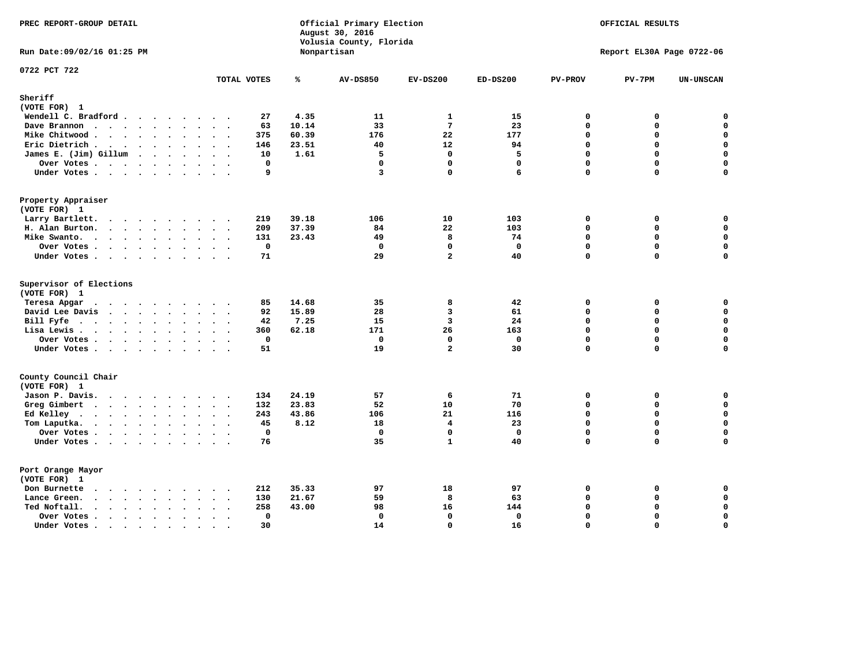| PREC REPORT-GROUP DETAIL                                                                                 |             |                | Official Primary Election<br>August 30, 2016<br>Volusia County, Florida | OFFICIAL RESULTS |              |                |                           |                  |
|----------------------------------------------------------------------------------------------------------|-------------|----------------|-------------------------------------------------------------------------|------------------|--------------|----------------|---------------------------|------------------|
| Run Date: 09/02/16 01:25 PM                                                                              |             |                | Nonpartisan                                                             |                  |              |                | Report EL30A Page 0722-06 |                  |
| 0722 PCT 722                                                                                             | TOTAL VOTES | ℁              | <b>AV-DS850</b>                                                         | $EV-DS200$       | $ED-DS200$   | <b>PV-PROV</b> | $PV-7PM$                  | <b>UN-UNSCAN</b> |
| Sheriff                                                                                                  |             |                |                                                                         |                  |              |                |                           |                  |
| (VOTE FOR) 1                                                                                             |             |                |                                                                         |                  |              |                |                           |                  |
| Wendell C. Bradford                                                                                      | 27          | 4.35           | 11                                                                      | 1                | 15           | 0              | 0                         | 0                |
| Dave Brannon<br>$\mathbf{r}$ , and $\mathbf{r}$ , and $\mathbf{r}$ , and $\mathbf{r}$ , and $\mathbf{r}$ | 63          | 10.14          | 33                                                                      | $7\phantom{.0}$  | 23           | $\mathbf 0$    | 0                         | 0                |
| Mike Chitwood                                                                                            | 375         | 60.39          | 176                                                                     | 22               | 177          | 0              | 0                         | $\mathbf 0$      |
| Eric Dietrich.                                                                                           | 146         | 23.51          | 40                                                                      | 12               | 94           | 0              | 0                         | $\mathbf 0$      |
| James E. (Jim) Gillum                                                                                    | 10          | 1.61           | 5                                                                       | $\mathbf 0$      | 5            | $\mathbf 0$    | 0                         | $\mathbf 0$      |
| Over Votes                                                                                               | $\mathbf 0$ |                | $\mathbf 0$                                                             | 0                | $\mathbf 0$  | $\mathbf 0$    | $\mathbf 0$               | 0                |
| Under Votes                                                                                              | 9           |                | 3                                                                       | $\Omega$         | 6            | 0              | 0                         | $\mathbf 0$      |
| Property Appraiser                                                                                       |             |                |                                                                         |                  |              |                |                           |                  |
| (VOTE FOR) 1                                                                                             |             |                | 106                                                                     | 10               |              |                |                           |                  |
| Larry Bartlett.<br>H. Alan Burton.                                                                       | 219<br>209  | 39.18<br>37.39 | 84                                                                      | 22               | 103<br>103   | 0<br>0         | 0<br>0                    | 0<br>$\mathbf 0$ |
|                                                                                                          | 131         | 23.43          | 49                                                                      | 8                | 74           | $\Omega$       | $\Omega$                  | $\mathbf 0$      |
| Mike Swanto.                                                                                             | $\mathbf 0$ |                | $\mathbf 0$                                                             | 0                | $\mathbf 0$  | 0              | 0                         | 0                |
| Over Votes                                                                                               |             |                |                                                                         | $\overline{a}$   |              | 0              | 0                         | $\Omega$         |
| Under Votes                                                                                              | 71          |                | 29                                                                      |                  | 40           |                |                           |                  |
| Supervisor of Elections<br>(VOTE FOR) 1                                                                  |             |                |                                                                         |                  |              |                |                           |                  |
| Teresa Apgar                                                                                             | 85          | 14.68          | 35                                                                      | 8                | 42           | 0              | 0                         | $\mathbf 0$      |
| David Lee Davis                                                                                          | 92          | 15.89          | 28                                                                      | 3                | 61           | 0              | 0                         | $\mathbf 0$      |
| Bill Fyfe.                                                                                               | 42          | 7.25           | 15                                                                      | $\overline{3}$   | 24           | $\mathbf 0$    | 0                         | $\mathbf 0$      |
| Lisa Lewis                                                                                               | 360         | 62.18          | 171                                                                     | 26               | 163          | $\mathbf 0$    | 0                         | $\mathbf 0$      |
| Over Votes                                                                                               | $\mathbf 0$ |                | $\mathbf 0$                                                             | 0                | $\mathbf 0$  | $\mathbf{0}$   | 0                         | $\mathbf 0$      |
| Under Votes                                                                                              | 51          |                | 19                                                                      | $\overline{a}$   | 30           | $\mathbf 0$    | 0                         | $\mathbf 0$      |
| County Council Chair                                                                                     |             |                |                                                                         |                  |              |                |                           |                  |
| (VOTE FOR) 1                                                                                             |             |                |                                                                         |                  |              |                |                           |                  |
| Jason P. Davis.                                                                                          | 134         | 24.19          | 57                                                                      | 6                | 71           | 0              | 0                         | 0                |
| Greg Gimbert                                                                                             | 132         | 23.83          | 52                                                                      | 10               | 70           | $\Omega$       | 0                         | 0                |
| Ed Kelley                                                                                                | 243         | 43.86          | 106                                                                     | 21               | 116          | $\mathbf 0$    | 0                         | $\mathbf 0$      |
| Tom Laputka.                                                                                             | 45          | 8.12           | 18                                                                      | 4                | 23           | 0              | 0                         | $\mathbf 0$      |
| Over Votes .                                                                                             | $\mathbf 0$ |                | $\mathbf 0$                                                             | $\mathbf 0$      | $\mathbf{0}$ | $\mathbf 0$    | 0                         | $\mathbf 0$      |
| Under Votes                                                                                              | 76          |                | 35                                                                      | $\mathbf{1}$     | 40           | $\mathbf 0$    | 0                         | $\mathbf 0$      |
|                                                                                                          |             |                |                                                                         |                  |              |                |                           |                  |
| Port Orange Mayor<br>(VOTE FOR) 1                                                                        |             |                |                                                                         |                  |              |                |                           |                  |
| Don Burnette<br>$\cdots$<br>$\ddot{\phantom{1}}$                                                         | 212         | 35.33          | 97                                                                      | 18               | 97           | 0              | 0                         | 0                |
| Lance Green.<br>$\mathbf{r}$ , and $\mathbf{r}$ , and $\mathbf{r}$ , and $\mathbf{r}$                    | 130         | 21.67          | 59                                                                      | 8                | 63           | 0              | 0                         | $\mathsf{o}\,$   |
| Ted Noftall.<br>$\cdots$<br>$\bullet$<br>$\ddot{\phantom{a}}$                                            | 258         | 43.00          | 98                                                                      | 16               | 144          | $\Omega$       | 0                         | 0                |
| Over Votes.<br>$\cdots$<br>$\bullet$                                                                     | $\mathbf 0$ |                | $\Omega$                                                                | $\mathbf 0$      | $\mathbf{0}$ | $\mathbf 0$    | 0                         | $\pmb{0}$        |
| Under Votes                                                                                              | 30          |                | 14                                                                      | $\Omega$         | 16           | $\Omega$       | $\Omega$                  | $\mathbf 0$      |
| $\sim$<br>$\bullet$<br>$\bullet$                                                                         |             |                |                                                                         |                  |              |                |                           |                  |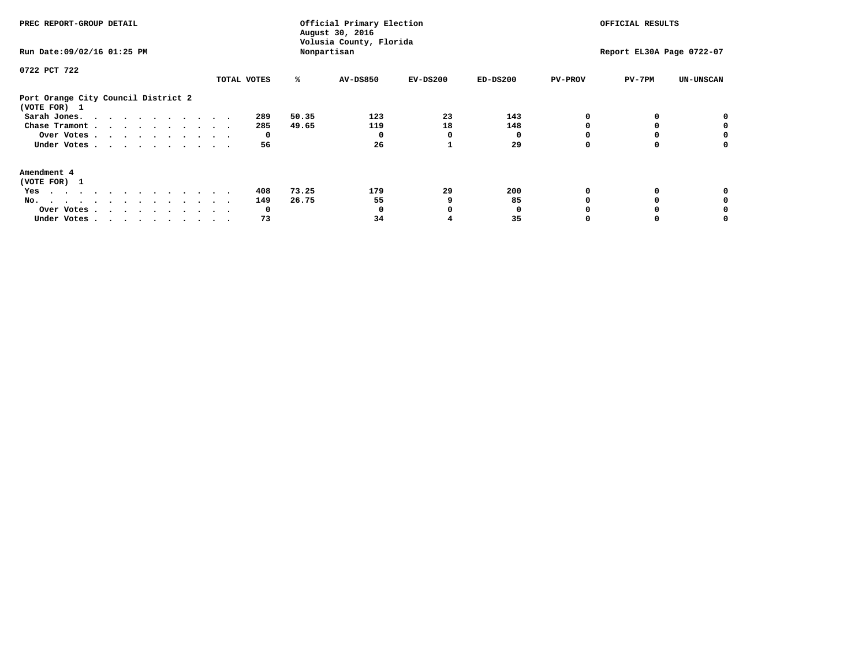| PREC REPORT-GROUP DETAIL<br>Run Date: 09/02/16 01:25 PM |             | Official Primary Election<br>August 30, 2016<br>Volusia County, Florida<br>Nonpartisan | OFFICIAL RESULTS<br>Report EL30A Page 0722-07 |            |            |                |          |                  |
|---------------------------------------------------------|-------------|----------------------------------------------------------------------------------------|-----------------------------------------------|------------|------------|----------------|----------|------------------|
|                                                         |             |                                                                                        |                                               |            |            |                |          |                  |
| 0722 PCT 722                                            | TOTAL VOTES | ℁                                                                                      | <b>AV-DS850</b>                               | $EV-DS200$ | $ED-DS200$ | <b>PV-PROV</b> | $PV-7PM$ | <b>UN-UNSCAN</b> |
| Port Orange City Council District 2<br>(VOTE FOR) 1     |             |                                                                                        |                                               |            |            |                |          |                  |
| Sarah Jones.                                            | 289         | 50.35                                                                                  | 123                                           | 23         | 143        |                |          |                  |
| Chase Tramont                                           | 285         | 49.65                                                                                  | 119                                           | 18         | 148        |                |          |                  |
| Over Votes                                              | 0           |                                                                                        |                                               | O          |            |                |          | 0                |
| Under Votes                                             | 56          |                                                                                        | 26                                            |            | 29         |                |          | o                |
| Amendment 4                                             |             |                                                                                        |                                               |            |            |                |          |                  |
| (VOTE FOR) 1                                            |             |                                                                                        |                                               |            |            |                |          |                  |
| Yes                                                     | 408         | 73.25                                                                                  | 179                                           | 29         | 200        |                |          |                  |
| No.<br>.                                                | 149         | 26.75                                                                                  | 55                                            |            | 85         |                |          |                  |
| Over Votes                                              | O           |                                                                                        |                                               |            |            |                |          |                  |
| Under Votes                                             | 73          |                                                                                        | 34                                            |            | 35         |                |          |                  |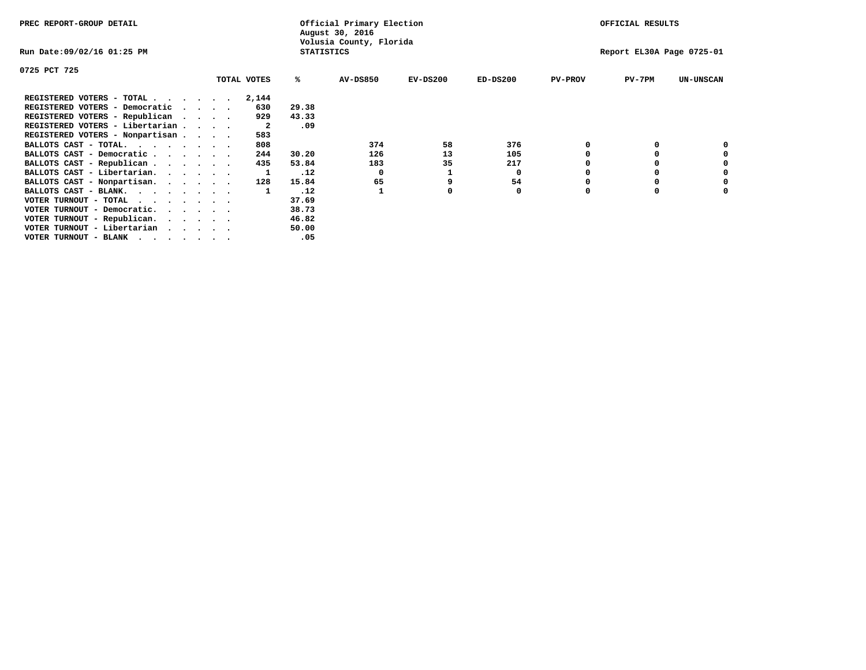| PREC REPORT-GROUP DETAIL                                                                                                                 |                                 |             |                   | Official Primary Election<br>August 30, 2016 |            |            |                | OFFICIAL RESULTS          |                  |
|------------------------------------------------------------------------------------------------------------------------------------------|---------------------------------|-------------|-------------------|----------------------------------------------|------------|------------|----------------|---------------------------|------------------|
| Run Date:09/02/16 01:25 PM                                                                                                               |                                 |             | <b>STATISTICS</b> | Volusia County, Florida                      |            |            |                | Report EL30A Page 0725-01 |                  |
| 0725 PCT 725                                                                                                                             |                                 |             |                   |                                              |            |            |                |                           |                  |
|                                                                                                                                          |                                 | TOTAL VOTES | ℁                 | <b>AV-DS850</b>                              | $EV-DS200$ | $ED-DS200$ | <b>PV-PROV</b> | $PV-7PM$                  | <b>UN-UNSCAN</b> |
| REGISTERED VOTERS - TOTAL                                                                                                                |                                 | 2,144       |                   |                                              |            |            |                |                           |                  |
| REGISTERED VOTERS - Democratic                                                                                                           | $\cdot$ $\cdot$ $\cdot$ $\cdot$ | 630         | 29.38             |                                              |            |            |                |                           |                  |
| REGISTERED VOTERS - Republican                                                                                                           |                                 | 929         | 43.33             |                                              |            |            |                |                           |                  |
| REGISTERED VOTERS - Libertarian                                                                                                          |                                 | -2          | .09               |                                              |            |            |                |                           |                  |
| REGISTERED VOTERS - Nonpartisan                                                                                                          |                                 | 583         |                   |                                              |            |            |                |                           |                  |
| BALLOTS CAST - TOTAL.                                                                                                                    |                                 | 808         |                   | 374                                          | 58         | 376        |                |                           |                  |
| BALLOTS CAST - Democratic                                                                                                                |                                 | 244         | 30.20             | 126                                          | 13         | 105        |                |                           |                  |
| BALLOTS CAST - Republican                                                                                                                |                                 | 435         | 53.84             | 183                                          | 35         | 217        |                |                           |                  |
| BALLOTS CAST - Libertarian.                                                                                                              |                                 |             | .12               | 0                                            |            | 0          |                |                           |                  |
| BALLOTS CAST - Nonpartisan.                                                                                                              |                                 | 128         | 15.84             | 65                                           |            | 54         |                |                           | 0                |
| BALLOTS CAST - BLANK.                                                                                                                    |                                 |             | .12               |                                              | O          | 0          | 0              | $\Omega$                  |                  |
| VOTER TURNOUT - TOTAL<br>the contract of the contract of the contract of the contract of the contract of the contract of the contract of |                                 |             | 37.69             |                                              |            |            |                |                           |                  |
| VOTER TURNOUT - Democratic.                                                                                                              |                                 |             | 38.73             |                                              |            |            |                |                           |                  |
| VOTER TURNOUT - Republican.                                                                                                              |                                 |             | 46.82             |                                              |            |            |                |                           |                  |
| VOTER TURNOUT - Libertarian                                                                                                              |                                 |             | 50.00             |                                              |            |            |                |                           |                  |
| VOTER TURNOUT - BLANK<br>the contract of the contract of the contract of the contract of the contract of the contract of the contract of |                                 |             | .05               |                                              |            |            |                |                           |                  |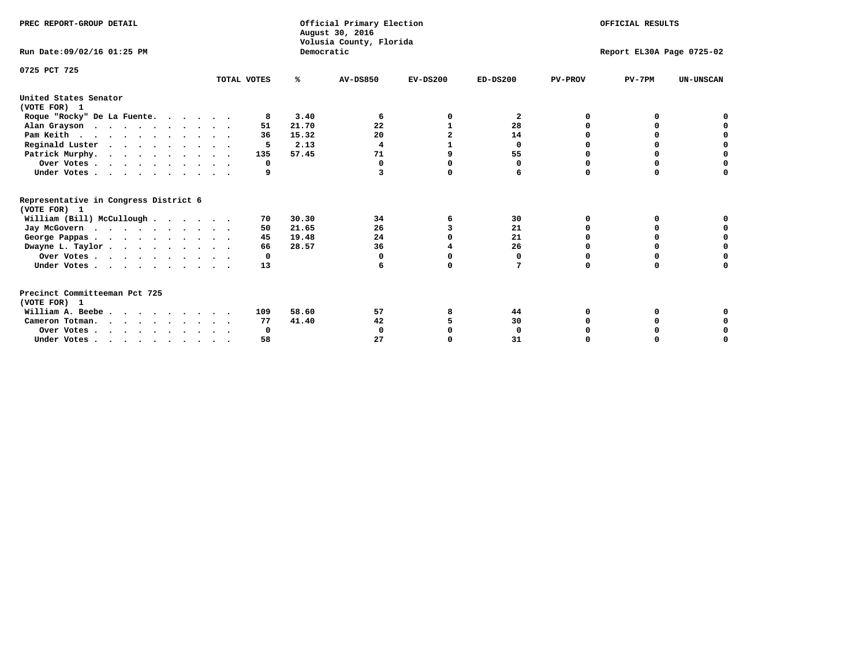| PREC REPORT-GROUP DETAIL                              |             |            | Official Primary Election<br>August 30, 2016<br>Volusia County, Florida | OFFICIAL RESULTS<br>Report EL30A Page 0725-02 |            |                |          |                  |
|-------------------------------------------------------|-------------|------------|-------------------------------------------------------------------------|-----------------------------------------------|------------|----------------|----------|------------------|
| Run Date: 09/02/16 01:25 PM                           |             | Democratic |                                                                         |                                               |            |                |          |                  |
| 0725 PCT 725                                          | TOTAL VOTES | %ะ         | <b>AV-DS850</b>                                                         | $EV-DS200$                                    | $ED-DS200$ | <b>PV-PROV</b> | $PV-7PM$ | <b>UN-UNSCAN</b> |
| United States Senator<br>(VOTE FOR) 1                 |             |            |                                                                         |                                               |            |                |          |                  |
| Roque "Rocky" De La Fuente.                           | 8           | 3.40       | 6                                                                       | 0                                             | 2          | O              | n        |                  |
| Alan Grayson                                          | 51          | 21.70      | 22                                                                      | 1                                             | 28         | O              |          |                  |
| Pam Keith                                             | 36          | 15.32      | 20                                                                      | $\overline{2}$                                | 14         |                |          |                  |
| Reginald Luster                                       | 5           | 2.13       | 4                                                                       |                                               | 0          |                | O        | O                |
| Patrick Murphy.                                       | 135         | 57.45      | 71                                                                      | 9                                             | 55         | $\Omega$       | 0        | 0                |
| Over Votes                                            | 0           |            | 0                                                                       | O                                             | 0          | O              | 0        | U                |
| Under Votes                                           | 9           |            | 3                                                                       | 0                                             | 6          | $\Omega$       | $\Omega$ | U                |
| Representative in Congress District 6<br>(VOTE FOR) 1 |             |            |                                                                         |                                               |            |                |          |                  |
| William (Bill) McCullough                             | 70          | 30.30      | 34                                                                      | 6                                             | 30         | 0              | 0        |                  |
| Jay McGovern                                          | 50          | 21.65      | 26                                                                      | 3                                             | 21         | O              | $\Omega$ |                  |
| George Pappas.                                        | 45          | 19.48      | 24                                                                      | $\Omega$                                      | 21         | O              | O        | 0                |
| Dwayne L. Taylor                                      | 66          | 28.57      | 36                                                                      |                                               | 26         | $\Omega$       | U        | $\Omega$         |
| Over Votes                                            | 0           |            | O                                                                       | $\Omega$                                      | 0          | $\Omega$       |          | $\Omega$         |
| Under Votes                                           | 13          |            |                                                                         | $\Omega$                                      | 7          | $\Omega$       | 0        | O                |
| Precinct Committeeman Pct 725<br>(VOTE FOR) 1         |             |            |                                                                         |                                               |            |                |          |                  |
| William A. Beebe.                                     | 109         | 58.60      | 57                                                                      | 8                                             | 44         | O              |          |                  |
| Cameron Totman.                                       | 77          | 41.40      | 42                                                                      |                                               | 30         |                |          | 0                |
| Over Votes                                            | 0           |            | $\mathbf 0$                                                             | O                                             | 0          |                |          | 0                |
| Under Votes.                                          | 58          |            | 27                                                                      |                                               | 31         |                |          | U                |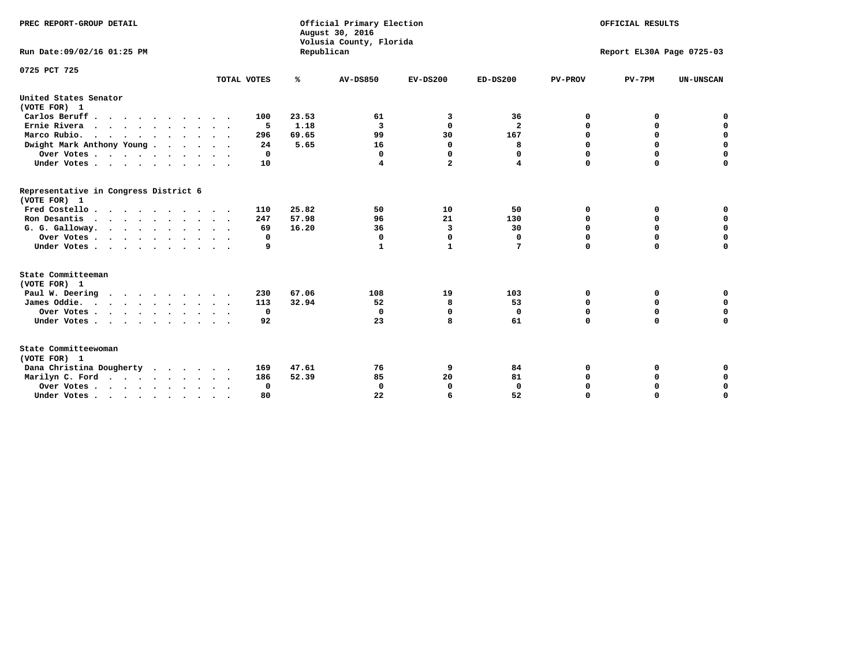| PREC REPORT-GROUP DETAIL<br>Run Date: 09/02/16 01:25 PM |             | Republican | Official Primary Election<br>August 30, 2016<br>Volusia County, Florida | OFFICIAL RESULTS<br>Report EL30A Page 0725-03 |                         |                |             |                  |
|---------------------------------------------------------|-------------|------------|-------------------------------------------------------------------------|-----------------------------------------------|-------------------------|----------------|-------------|------------------|
|                                                         |             |            |                                                                         |                                               |                         |                |             |                  |
| 0725 PCT 725                                            | TOTAL VOTES | ℁          | <b>AV-DS850</b>                                                         | $EV-DS200$                                    | $ED-DS200$              | <b>PV-PROV</b> | $PV-7PM$    | <b>UN-UNSCAN</b> |
| United States Senator<br>(VOTE FOR) 1                   |             |            |                                                                         |                                               |                         |                |             |                  |
| Carlos Beruff                                           | 100         | 23.53      | 61                                                                      | 3                                             | 36                      | 0              | 0           | 0                |
| Ernie Rivera                                            | -5          | 1.18       | $\overline{\mathbf{3}}$                                                 | $\Omega$                                      | $\overline{\mathbf{2}}$ | $\Omega$       | 0           | $\mathbf 0$      |
| Marco Rubio.                                            | 296         | 69.65      | 99                                                                      | 30                                            | 167                     | 0              | 0           | $\mathbf 0$      |
| Dwight Mark Anthony Young                               | 24          | 5.65       | 16                                                                      | 0                                             | 8                       | 0              | $\mathbf 0$ | $\pmb{0}$        |
| Over Votes                                              | 0           |            | $\Omega$                                                                | $\Omega$                                      | 0                       | 0              | $\Omega$    | $\mathbf 0$      |
| Under Votes                                             | 10          |            | 4                                                                       | $\overline{a}$                                | 4                       | $\Omega$       | $\Omega$    | $\Omega$         |
| Representative in Congress District 6<br>(VOTE FOR) 1   |             |            |                                                                         |                                               |                         |                |             |                  |
| Fred Costello                                           | 110         | 25.82      | 50                                                                      | 10                                            | 50                      | 0              | 0           | $\mathbf 0$      |
| Ron Desantis                                            | 247         | 57.98      | 96                                                                      | 21                                            | 130                     | 0              | 0           | $\mathbf 0$      |
| G. G. Galloway.                                         | 69          | 16.20      | 36                                                                      | 3                                             | 30                      | $\mathbf 0$    | $\Omega$    | $\mathbf 0$      |
| Over Votes                                              | 0           |            | $\Omega$                                                                | 0                                             | 0                       | $\mathbf 0$    | 0           | $\mathbf 0$      |
| Under Votes                                             | 9           |            | 1                                                                       | $\mathbf{1}$                                  | 7                       | $\Omega$       | $\Omega$    | $\Omega$         |
| State Committeeman                                      |             |            |                                                                         |                                               |                         |                |             |                  |
| (VOTE FOR) 1<br>Paul W. Deering                         | 230         | 67.06      | 108                                                                     | 19                                            | 103                     | 0              | 0           | 0                |
| $\cdots$<br>James Oddie.                                | 113         | 32.94      | 52                                                                      | 8                                             | 53                      | 0              | 0           | $\mathbf 0$      |
| Over Votes                                              | $\mathbf 0$ |            | 0                                                                       | $\mathbf 0$                                   | 0                       | 0              | $\mathbf 0$ | $\mathbf 0$      |
| Under Votes                                             | 92          |            | 23                                                                      | 8                                             | 61                      | $\Omega$       | $\mathbf 0$ | $\mathbf 0$      |
|                                                         |             |            |                                                                         |                                               |                         |                |             |                  |
| State Committeewoman<br>(VOTE FOR) 1                    |             |            |                                                                         |                                               |                         |                |             |                  |
| Dana Christina Dougherty                                | 169         | 47.61      | 76                                                                      | 9                                             | 84                      | 0              | 0           | 0                |
| Marilyn C. Ford                                         | 186         | 52.39      | 85                                                                      | 20                                            | 81                      | 0              | 0           | $\mathbf 0$      |
| Over Votes                                              | $\Omega$    |            | $\Omega$                                                                | 0                                             | $\mathbf{0}$            | 0              | 0           | $\mathbf 0$      |
| Under Votes, , , , , , , , , ,                          | 80          |            | 22                                                                      | 6                                             | 52                      | $\Omega$       | $\Omega$    | $\Omega$         |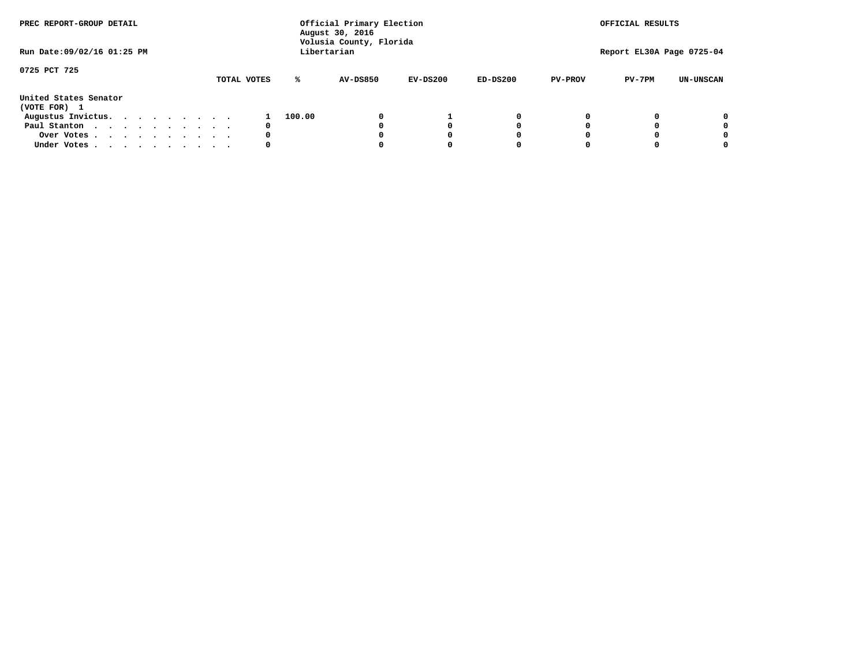| PREC REPORT-GROUP DETAIL              |  |  |  |  |  | Official Primary Election<br>August 30, 2016<br>Volusia County, Florida |             |        | OFFICIAL RESULTS<br>Report EL30A Page 0725-04 |            |            |                |          |                  |
|---------------------------------------|--|--|--|--|--|-------------------------------------------------------------------------|-------------|--------|-----------------------------------------------|------------|------------|----------------|----------|------------------|
| Run Date: 09/02/16 01:25 PM           |  |  |  |  |  |                                                                         |             |        | Libertarian                                   |            |            |                |          |                  |
| 0725 PCT 725                          |  |  |  |  |  |                                                                         | TOTAL VOTES | ℁      | <b>AV-DS850</b>                               | $EV-DS200$ | $ED-DS200$ | <b>PV-PROV</b> | $PV-7PM$ | <b>UN-UNSCAN</b> |
| United States Senator<br>(VOTE FOR) 1 |  |  |  |  |  |                                                                         |             |        |                                               |            |            |                |          |                  |
| Augustus Invictus.                    |  |  |  |  |  |                                                                         |             | 100.00 |                                               |            | 0          |                |          | 0                |
| Paul Stanton                          |  |  |  |  |  |                                                                         | 0           |        |                                               |            | 0          |                |          | 0                |
| Over Votes                            |  |  |  |  |  |                                                                         | 0           |        |                                               |            | 0          |                |          | 0                |
| Under Votes                           |  |  |  |  |  |                                                                         | 0           |        |                                               |            | 0          |                |          | 0                |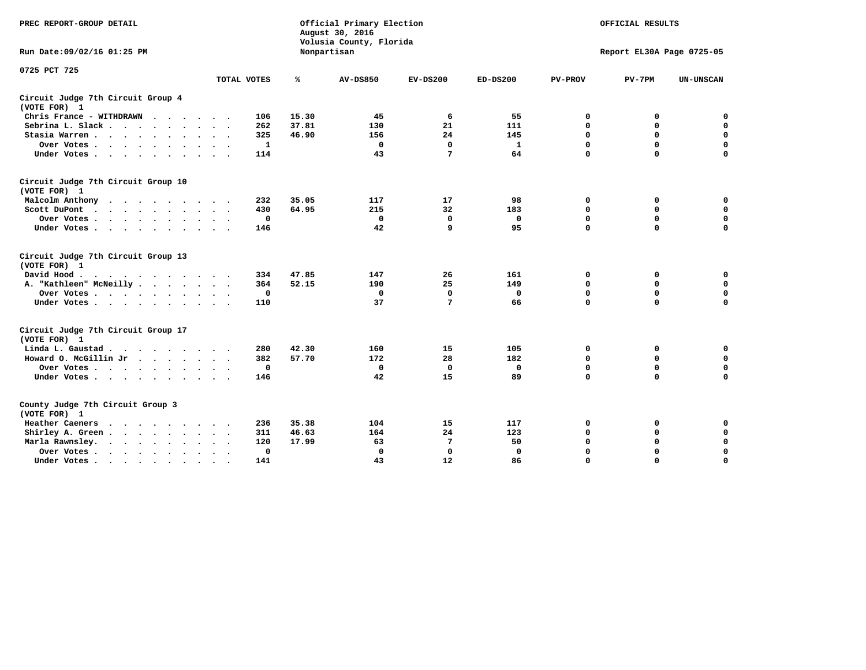| PREC REPORT-GROUP DETAIL                                                                    |                                  |       | Official Primary Election<br>August 30, 2016<br>Volusia County, Florida | OFFICIAL RESULTS<br>Report EL30A Page 0725-05 |              |                |              |                  |
|---------------------------------------------------------------------------------------------|----------------------------------|-------|-------------------------------------------------------------------------|-----------------------------------------------|--------------|----------------|--------------|------------------|
| Run Date: 09/02/16 01:25 PM                                                                 |                                  |       | Nonpartisan                                                             |                                               |              |                |              |                  |
| 0725 PCT 725                                                                                |                                  |       |                                                                         |                                               |              |                |              |                  |
|                                                                                             | TOTAL VOTES                      | ℁     | AV-DS850                                                                | $EV-DS200$                                    | $ED-DS200$   | <b>PV-PROV</b> | $PV-7PM$     | <b>UN-UNSCAN</b> |
| Circuit Judge 7th Circuit Group 4<br>(VOTE FOR) 1                                           |                                  |       |                                                                         |                                               |              |                |              |                  |
| Chris France - WITHDRAWN                                                                    | 106                              | 15.30 | 45                                                                      | 6                                             | 55           | 0              | 0            | 0                |
| Sebrina L. Slack                                                                            | 262                              | 37.81 | 130                                                                     | 21                                            | 111          | $\mathbf 0$    | $\mathbf 0$  | $\mathbf 0$      |
| Stasia Warren                                                                               | 325                              | 46.90 | 156                                                                     | 24                                            | 145          | $\mathbf 0$    | 0            | $\mathbf 0$      |
| Over Votes                                                                                  | 1                                |       | $\mathbf 0$                                                             | $\mathbf 0$                                   | $\mathbf{1}$ | 0              | $\mathbf 0$  | $\pmb{0}$        |
| Under Votes                                                                                 | 114                              |       | 43                                                                      | 7                                             | 64           | $\mathbf 0$    | $\mathbf 0$  | $\mathbf 0$      |
| Circuit Judge 7th Circuit Group 10<br>(VOTE FOR) 1                                          |                                  |       |                                                                         |                                               |              |                |              |                  |
| Malcolm Anthony<br>.                                                                        | 232                              | 35.05 | 117                                                                     | 17                                            | 98           | 0              | 0            | $\mathbf 0$      |
| Scott DuPont                                                                                | 430                              | 64.95 | 215                                                                     | 32                                            | 183          | $\mathbf 0$    | $\mathbf 0$  | $\mathbf 0$      |
| Over Votes<br>$\bullet$                                                                     | $\mathbf 0$                      |       | $\mathbf{0}$                                                            | $\mathbf{0}$                                  | 0            | $\mathbf 0$    | $\Omega$     | $\mathbf 0$      |
| Under Votes                                                                                 | 146                              |       | 42                                                                      | 9                                             | 95           | $\mathbf 0$    | $\mathbf 0$  | 0                |
| Circuit Judge 7th Circuit Group 13<br>(VOTE FOR) 1                                          |                                  |       |                                                                         |                                               |              |                |              |                  |
| David Hood.                                                                                 | 334                              | 47.85 | 147                                                                     | 26                                            | 161          | 0              | 0            | $\mathbf 0$      |
| A. "Kathleen" McNeilly                                                                      | 364                              | 52.15 | 190                                                                     | 25                                            | 149          | $\Omega$       | 0            | $\mathbf 0$      |
| Over Votes                                                                                  | 0                                |       | 0                                                                       | $\mathbf{0}$                                  | 0            | 0              | $\mathbf 0$  | $\pmb{0}$        |
| Under Votes                                                                                 | 110                              |       | 37                                                                      | 7                                             | 66           | $\mathbf 0$    | $\Omega$     | 0                |
| Circuit Judge 7th Circuit Group 17                                                          |                                  |       |                                                                         |                                               |              |                |              |                  |
| (VOTE FOR) 1                                                                                |                                  |       |                                                                         |                                               |              |                |              |                  |
| Linda L. Gaustad                                                                            | 280                              | 42.30 | 160                                                                     | 15                                            | 105          | 0              | 0            | $\mathbf 0$      |
| Howard O. McGillin Jr                                                                       | 382                              | 57.70 | 172                                                                     | 28                                            | 182          | $\mathbf 0$    | $\mathbf 0$  | $\mathbf 0$      |
| Over Votes                                                                                  | $\mathbf 0$                      |       | $\mathbf 0$                                                             | $\mathbf 0$                                   | $\mathbf 0$  | 0              | $\mathbf 0$  | 0                |
| Under Votes                                                                                 | 146                              |       | 42                                                                      | 15                                            | 89           | $\mathbf 0$    | $\mathbf{0}$ | $\Omega$         |
| County Judge 7th Circuit Group 3<br>(VOTE FOR) 1                                            |                                  |       |                                                                         |                                               |              |                |              |                  |
| Heather Caeners                                                                             | 236                              | 35.38 | 104                                                                     | 15                                            | 117          | 0              | 0            | 0                |
| Shirley A. Green                                                                            | 311                              | 46.63 | 164                                                                     | 24                                            | 123          | $\mathbf 0$    | 0            | $\mathbf 0$      |
| Marla Rawnsley.<br>$\mathbf{r}$ , $\mathbf{r}$ , $\mathbf{r}$ , $\mathbf{r}$ , $\mathbf{r}$ | 120                              | 17.99 | 63                                                                      | 7                                             | 50           | 0              | $\mathbf 0$  | $\pmb{0}$        |
| Over Votes<br>$\ddot{\phantom{a}}$<br>$\ddot{\phantom{1}}$                                  | $\Omega$<br>$\ddot{\phantom{1}}$ |       | $\mathbf 0$                                                             | $\mathbf{0}$                                  | $\Omega$     | $\mathbf 0$    | $\Omega$     | $\mathbf 0$      |
| Under Votes<br>$\bullet$                                                                    | 141                              |       | 43                                                                      | 12                                            | 86           | $\mathbf 0$    | $\mathbf 0$  | $\Omega$         |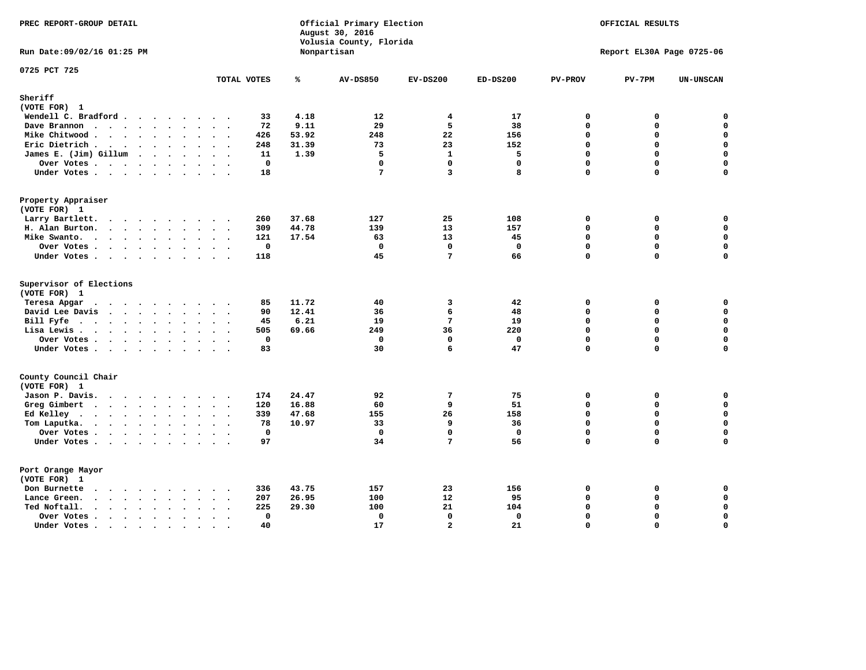| PREC REPORT-GROUP DETAIL                                                                                 | Official Primary Election<br>August 30, 2016<br>Volusia County, Florida |       |                   | OFFICIAL RESULTS<br>Report EL30A Page 0725-06 |                     |                |             |                  |
|----------------------------------------------------------------------------------------------------------|-------------------------------------------------------------------------|-------|-------------------|-----------------------------------------------|---------------------|----------------|-------------|------------------|
| Run Date: 09/02/16 01:25 PM                                                                              |                                                                         |       | Nonpartisan       |                                               |                     |                |             |                  |
| 0725 PCT 725                                                                                             | TOTAL VOTES                                                             | ℁     | <b>AV-DS850</b>   | $EV-DS200$                                    | $ED-DS200$          | <b>PV-PROV</b> | $PV-7PM$    | <b>UN-UNSCAN</b> |
| Sheriff                                                                                                  |                                                                         |       |                   |                                               |                     |                |             |                  |
| (VOTE FOR) 1                                                                                             |                                                                         |       |                   |                                               |                     |                |             |                  |
| Wendell C. Bradford                                                                                      | 33                                                                      | 4.18  | 12                | 4                                             | 17                  | 0              | 0           | 0                |
| Dave Brannon<br>$\mathbf{r}$ , and $\mathbf{r}$ , and $\mathbf{r}$ , and $\mathbf{r}$ , and $\mathbf{r}$ | 72                                                                      | 9.11  | 29                | 5                                             | 38                  | $\mathbf 0$    | 0           | 0                |
| Mike Chitwood                                                                                            | 426                                                                     | 53.92 | 248               | 22                                            | 156                 | 0              | 0           | $\mathbf 0$      |
| Eric Dietrich.                                                                                           | 248                                                                     | 31.39 | 73                | 23                                            | 152                 | 0              | 0           | $\mathbf 0$      |
| James E. (Jim) Gillum                                                                                    | 11                                                                      | 1.39  | 5                 | $\mathbf{1}$                                  | 5                   | $\mathbf 0$    | 0           | $\mathbf 0$      |
| Over Votes                                                                                               | $\mathbf 0$                                                             |       | $\mathbf 0$       | $\mathbf 0$                                   | $\Omega$            | $\mathbf 0$    | $\mathbf 0$ | 0                |
| Under Votes                                                                                              | 18                                                                      |       | 7                 | 3                                             | 8                   | 0              | 0           | $\mathbf 0$      |
| Property Appraiser                                                                                       |                                                                         |       |                   |                                               |                     |                |             |                  |
| (VOTE FOR) 1                                                                                             |                                                                         |       |                   |                                               |                     |                |             |                  |
| Larry Bartlett.                                                                                          | 260                                                                     | 37.68 | 127<br>139        | 25<br>13                                      | 108                 | 0<br>0         | 0<br>0      | 0<br>$\mathbf 0$ |
| H. Alan Burton.                                                                                          | 309                                                                     | 44.78 |                   | 13                                            | 157<br>45           | $\Omega$       | $\Omega$    | $\mathbf 0$      |
| Mike Swanto.                                                                                             | 121<br>$\mathbf 0$                                                      | 17.54 | 63<br>$\mathbf 0$ | $\mathbf 0$                                   | $\mathbf 0$         | 0              | 0           | 0                |
| Over Votes                                                                                               |                                                                         |       |                   | 7                                             |                     | 0              | 0           | $\Omega$         |
| Under Votes                                                                                              | 118                                                                     |       | 45                |                                               | 66                  |                |             |                  |
| Supervisor of Elections<br>(VOTE FOR) 1                                                                  |                                                                         |       |                   |                                               |                     |                |             |                  |
| Teresa Apgar                                                                                             | 85                                                                      | 11.72 | 40                | 3                                             | 42                  | 0              | 0           | $\mathbf 0$      |
| David Lee Davis                                                                                          | 90                                                                      | 12.41 | 36                | 6                                             | 48                  | 0              | 0           | $\mathbf 0$      |
| Bill Fyfe.                                                                                               | 45                                                                      | 6.21  | 19                | $7\phantom{.0}$                               | 19                  | $\mathbf 0$    | 0           | $\mathbf 0$      |
| Lisa Lewis                                                                                               | 505                                                                     | 69.66 | 249               | 36                                            | 220                 | $\mathbf 0$    | 0           | $\mathbf 0$      |
| Over Votes                                                                                               | $\mathbf 0$                                                             |       | $\mathbf 0$       | 0                                             | $\mathbf 0$         | $\mathbf{0}$   | 0           | $\mathbf 0$      |
| Under Votes                                                                                              | 83                                                                      |       | 30                | 6                                             | 47                  | 0              | 0           | $\mathbf 0$      |
| County Council Chair                                                                                     |                                                                         |       |                   |                                               |                     |                |             |                  |
| (VOTE FOR) 1                                                                                             |                                                                         |       |                   |                                               |                     |                |             |                  |
| Jason P. Davis.                                                                                          | 174                                                                     | 24.47 | 92                | 7                                             | 75                  | 0              | 0           | 0                |
| Greg Gimbert                                                                                             | 120                                                                     | 16.88 | 60                | 9                                             | 51                  | $\Omega$       | 0           | 0                |
| Ed Kelley                                                                                                | 339                                                                     | 47.68 | 155               | 26                                            | 158                 | $\mathbf 0$    | 0           | $\mathbf 0$      |
| Tom Laputka.                                                                                             | 78                                                                      | 10.97 | 33                | 9                                             | 36                  | $\mathbf 0$    | 0           | $\mathbf 0$      |
| Over Votes .                                                                                             | $\mathbf 0$                                                             |       | $\mathbf 0$       | $\mathbf 0$                                   | $\Omega$            | $\mathbf 0$    | 0           | $\mathbf 0$      |
| Under Votes                                                                                              | 97                                                                      |       | 34                | 7                                             | 56                  | $\mathbf 0$    | 0           | $\mathbf 0$      |
|                                                                                                          |                                                                         |       |                   |                                               |                     |                |             |                  |
| Port Orange Mayor<br>(VOTE FOR) 1                                                                        |                                                                         |       |                   |                                               |                     |                |             |                  |
| Don Burnette                                                                                             | 336                                                                     | 43.75 | 157               | 23                                            | 156                 | 0              | 0           | 0                |
| $\cdots$<br>$\ddot{\phantom{1}}$<br>Lance Green.                                                         | 207                                                                     | 26.95 | 100               | 12                                            | 95                  | 0              | 0           | $\mathsf{o}\,$   |
| $\mathbf{r}$ , and $\mathbf{r}$ , and $\mathbf{r}$ , and $\mathbf{r}$                                    |                                                                         |       |                   | 21                                            |                     | $\Omega$       | 0           |                  |
| Ted Noftall.<br>$\cdots$<br>$\bullet$<br>$\ddot{\phantom{a}}$                                            | 225<br>$\mathbf 0$                                                      | 29.30 | 100<br>$\Omega$   | $\mathbf 0$                                   | 104<br>$\mathbf{0}$ | $\mathbf 0$    | 0           | 0<br>$\pmb{0}$   |
| Over Votes.<br>$\cdots$<br>$\bullet$                                                                     |                                                                         |       |                   |                                               |                     |                |             |                  |
| Under Votes<br>$\sim$ $\sim$<br>$\bullet$<br>$\bullet$                                                   | 40                                                                      |       | 17                | $\mathbf{c}$                                  | 21                  | $\Omega$       | $\Omega$    | $\mathbf 0$      |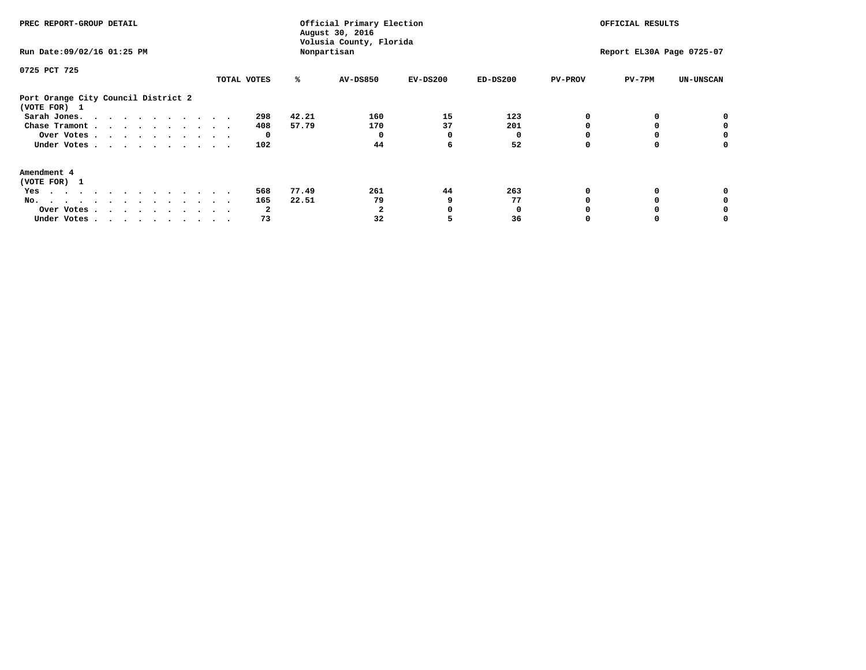| PREC REPORT-GROUP DETAIL<br>Run Date: 09/02/16 01:25 PM |             |       | Official Primary Election<br>August 30, 2016<br>Volusia County, Florida<br>Nonpartisan |            | OFFICIAL RESULTS<br>Report EL30A Page 0725-07 |                |        |                  |
|---------------------------------------------------------|-------------|-------|----------------------------------------------------------------------------------------|------------|-----------------------------------------------|----------------|--------|------------------|
| 0725 PCT 725                                            |             |       |                                                                                        |            |                                               |                |        |                  |
|                                                         | TOTAL VOTES | ℁     | <b>AV-DS850</b>                                                                        | $EV-DS200$ | $ED-DS200$                                    | <b>PV-PROV</b> | PV-7PM | <b>UN-UNSCAN</b> |
| Port Orange City Council District 2<br>(VOTE FOR) 1     |             |       |                                                                                        |            |                                               |                |        |                  |
| Sarah Jones.                                            | 298         | 42.21 | 160                                                                                    | 15         | 123                                           |                |        |                  |
| Chase Tramont                                           | 408         | 57.79 | 170                                                                                    | 37         | 201                                           |                |        |                  |
| Over Votes                                              | 0           |       |                                                                                        | 0          |                                               |                |        | 0                |
| Under Votes                                             | 102         |       | 44                                                                                     | 6          | 52                                            |                |        | o                |
| Amendment 4                                             |             |       |                                                                                        |            |                                               |                |        |                  |
| (VOTE FOR) 1                                            | 568         | 77.49 | 261                                                                                    | 44         | 263                                           |                |        |                  |
| Yes                                                     |             |       |                                                                                        |            |                                               |                |        |                  |
| No.<br>.                                                | 165         | 22.51 | 79                                                                                     |            | 77                                            |                |        |                  |
| Over Votes                                              | 2           |       |                                                                                        |            |                                               |                |        |                  |
| Under Votes                                             | 73          |       | 32                                                                                     |            | 36                                            |                |        |                  |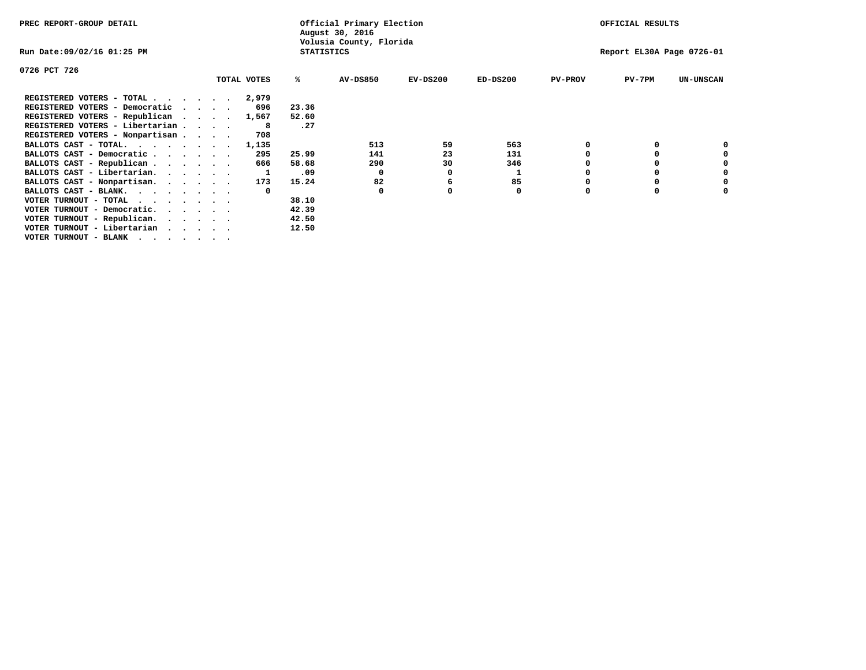| PREC REPORT-GROUP DETAIL          |  |             |                   | Official Primary Election<br>August 30, 2016 |            |            |                | OFFICIAL RESULTS          |                  |
|-----------------------------------|--|-------------|-------------------|----------------------------------------------|------------|------------|----------------|---------------------------|------------------|
| Run Date:09/02/16 01:25 PM        |  |             | <b>STATISTICS</b> | Volusia County, Florida                      |            |            |                | Report EL30A Page 0726-01 |                  |
| 0726 PCT 726                      |  |             |                   |                                              |            |            |                |                           |                  |
|                                   |  | TOTAL VOTES | ℁                 | <b>AV-DS850</b>                              | $EV-DS200$ | $ED-DS200$ | <b>PV-PROV</b> | $PV-7PM$                  | <b>UN-UNSCAN</b> |
| REGISTERED VOTERS - TOTAL 2,979   |  |             |                   |                                              |            |            |                |                           |                  |
| REGISTERED VOTERS - Democratic    |  | 696         | 23.36             |                                              |            |            |                |                           |                  |
| REGISTERED VOTERS - Republican    |  | 1,567       | 52.60             |                                              |            |            |                |                           |                  |
| REGISTERED VOTERS - Libertarian   |  | -8          | .27               |                                              |            |            |                |                           |                  |
| REGISTERED VOTERS - Nonpartisan   |  | 708         |                   |                                              |            |            |                |                           |                  |
| BALLOTS CAST - TOTAL.             |  | 1,135       |                   | 513                                          | 59         | 563        |                |                           |                  |
| BALLOTS CAST - Democratic         |  | 295         | 25.99             | 141                                          | 23         | 131        |                |                           |                  |
| BALLOTS CAST - Republican         |  | 666         | 58.68             | 290                                          | 30         | 346        |                |                           |                  |
| BALLOTS CAST - Libertarian.       |  |             | .09               | $\Omega$                                     |            |            |                |                           |                  |
| BALLOTS CAST - Nonpartisan.       |  | 173         | 15.24             | 82                                           | 6          | 85         |                |                           |                  |
| BALLOTS CAST - BLANK.             |  |             |                   | 0                                            |            | 0          | O              |                           |                  |
| VOTER TURNOUT - TOTAL<br>$\cdots$ |  |             | 38.10             |                                              |            |            |                |                           |                  |
| VOTER TURNOUT - Democratic.       |  |             | 42.39             |                                              |            |            |                |                           |                  |
| VOTER TURNOUT - Republican.       |  |             | 42.50             |                                              |            |            |                |                           |                  |
| VOTER TURNOUT - Libertarian       |  |             | 12.50             |                                              |            |            |                |                           |                  |
| VOTER TURNOUT - BLANK             |  |             |                   |                                              |            |            |                |                           |                  |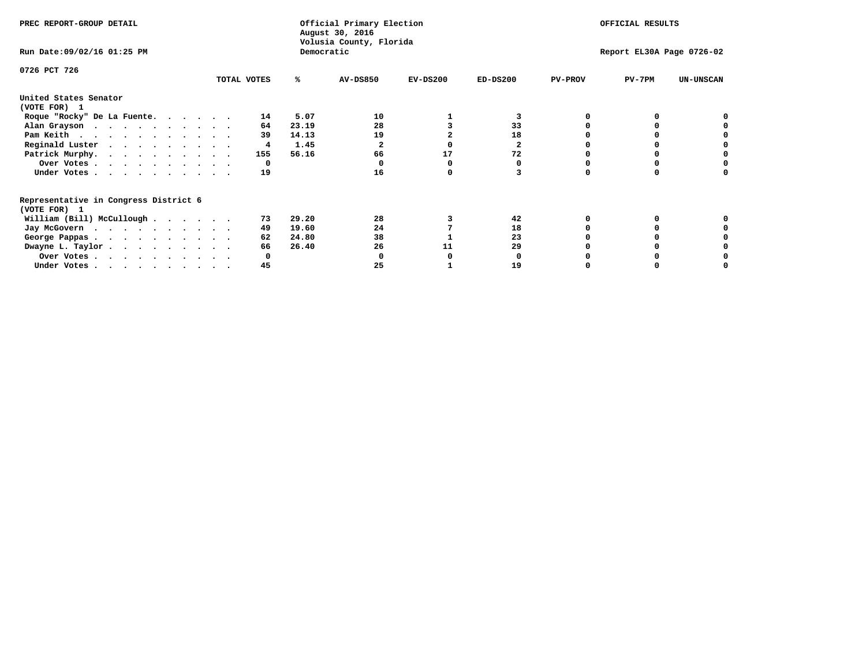| PREC REPORT-GROUP DETAIL                                               |             | Official Primary Election<br>August 30, 2016<br>Volusia County, Florida | OFFICIAL RESULTS |            |            |                           |          |                  |  |
|------------------------------------------------------------------------|-------------|-------------------------------------------------------------------------|------------------|------------|------------|---------------------------|----------|------------------|--|
| Run Date: 09/02/16 01:25 PM                                            |             | Democratic                                                              |                  |            |            | Report EL30A Page 0726-02 |          |                  |  |
| 0726 PCT 726                                                           |             |                                                                         |                  |            |            |                           |          |                  |  |
|                                                                        | TOTAL VOTES | ℁                                                                       | <b>AV-DS850</b>  | $EV-DS200$ | $ED-DS200$ | <b>PV-PROV</b>            | $PV-7PM$ | <b>UN-UNSCAN</b> |  |
| United States Senator<br>(VOTE FOR) 1                                  |             |                                                                         |                  |            |            |                           |          |                  |  |
| Roque "Rocky" De La Fuente.                                            | 14          | 5.07                                                                    | 10               |            | 3          |                           |          |                  |  |
| Alan Grayson                                                           | 64          | 23.19                                                                   | 28               |            | 33         |                           |          |                  |  |
| Pam Keith                                                              | 39          | 14.13                                                                   | 19               |            | 18         |                           |          |                  |  |
| Reginald Luster                                                        | 4           | 1.45                                                                    |                  |            | 2          |                           |          |                  |  |
| Patrick Murphy.                                                        | 155         | 56.16                                                                   | 66               | 17         | 72         |                           |          |                  |  |
| Over Votes                                                             | 0           |                                                                         |                  |            |            |                           |          |                  |  |
| Under Votes.                                                           | 19          |                                                                         | 16               |            |            |                           |          |                  |  |
| Representative in Congress District 6<br>(VOTE FOR) 1                  |             |                                                                         |                  |            |            |                           |          |                  |  |
| William (Bill) McCullough                                              | 73          | 29.20                                                                   | 28               |            | 42         |                           |          |                  |  |
| Jay McGovern                                                           | 49          | 19.60                                                                   | 24               |            | 18         |                           |          |                  |  |
| George Pappas.                                                         | 62          | 24.80                                                                   | 38               |            | 23         |                           |          |                  |  |
| Dwayne L. Taylor                                                       | 66          | 26.40                                                                   | 26               | 11         | 29         |                           |          |                  |  |
| Over Votes                                                             |             |                                                                         |                  |            |            |                           |          |                  |  |
| Under Votes, $\cdot$ , $\cdot$ , $\cdot$ , $\cdot$ , $\cdot$ , $\cdot$ | 45          |                                                                         | 25               |            | 19         |                           |          |                  |  |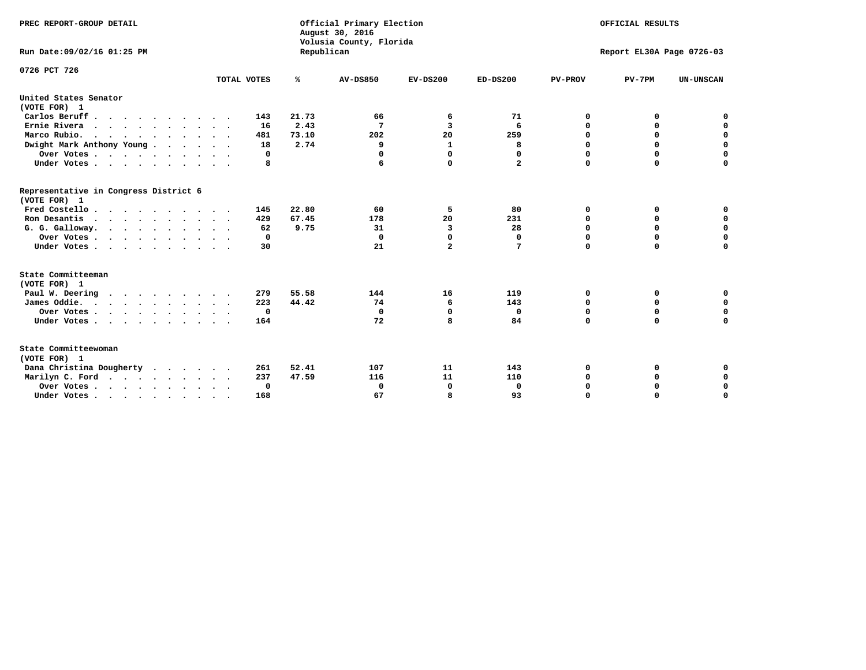| PREC REPORT-GROUP DETAIL<br>Run Date: 09/02/16 01:25 PM |             | Republican | Official Primary Election<br>August 30, 2016<br>Volusia County, Florida | OFFICIAL RESULTS<br>Report EL30A Page 0726-03 |              |                |             |                  |
|---------------------------------------------------------|-------------|------------|-------------------------------------------------------------------------|-----------------------------------------------|--------------|----------------|-------------|------------------|
| 0726 PCT 726                                            |             |            |                                                                         |                                               |              |                |             |                  |
|                                                         | TOTAL VOTES | ℁          | <b>AV-DS850</b>                                                         | $EV-DS200$                                    | $ED-DS200$   | <b>PV-PROV</b> | $PV-7PM$    | <b>UN-UNSCAN</b> |
| United States Senator<br>(VOTE FOR) 1                   |             |            |                                                                         |                                               |              |                |             |                  |
| Carlos Beruff                                           | 143         | 21.73      | 66                                                                      | 6                                             | 71           | 0              | 0           | 0                |
| Ernie Rivera                                            | 16          | 2.43       | 7                                                                       | 3                                             | 6            | $\Omega$       | 0           | $\mathbf 0$      |
| Marco Rubio.                                            | 481         | 73.10      | 202                                                                     | 20                                            | 259          | 0              | 0           | $\mathbf 0$      |
| Dwight Mark Anthony Young                               | 18          | 2.74       | 9                                                                       | 1                                             | 8            | 0              | $\mathbf 0$ | $\mathbf 0$      |
| Over Votes                                              | 0           |            | 0                                                                       | $\Omega$                                      | 0            | 0              | $\mathbf 0$ | $\mathbf 0$      |
| Under Votes                                             | 8           |            | 6                                                                       | $\Omega$                                      | $\mathbf{2}$ | $\Omega$       | $\Omega$    | $\Omega$         |
| Representative in Congress District 6<br>(VOTE FOR) 1   |             |            |                                                                         |                                               |              |                |             |                  |
| Fred Costello                                           | 145         | 22.80      | 60                                                                      | 5                                             | 80           | 0              | 0           | $\mathbf 0$      |
| Ron Desantis                                            | 429         | 67.45      | 178                                                                     | 20                                            | 231          | 0              | 0           | $\mathbf 0$      |
| G. G. Galloway.                                         | 62          | 9.75       | 31                                                                      | 3                                             | 28           | $\mathbf 0$    | $\Omega$    | $\mathbf 0$      |
| Over Votes                                              | 0           |            | $\Omega$                                                                | $\Omega$                                      | 0            | $\mathbf 0$    | 0           | $\mathbf 0$      |
| Under Votes                                             | 30          |            | 21                                                                      | $\overline{a}$                                | 7            | $\Omega$       | $\Omega$    | $\Omega$         |
| State Committeeman                                      |             |            |                                                                         |                                               |              |                |             |                  |
| (VOTE FOR) 1                                            |             |            |                                                                         |                                               |              |                |             |                  |
| Paul W. Deering                                         | 279         | 55.58      | 144                                                                     | 16                                            | 119          | 0              | 0           | 0                |
| James Oddie.                                            | 223         | 44.42      | 74                                                                      | 6                                             | 143          | 0              | 0           | $\mathbf 0$      |
| Over Votes                                              | $\mathbf 0$ |            | $\mathbf 0$                                                             | $\mathbf 0$                                   | 0            | 0              | $\mathbf 0$ | $\mathbf 0$      |
| Under Votes                                             | 164         |            | 72                                                                      | 8                                             | 84           | $\Omega$       | $\Omega$    | $\mathbf 0$      |
| State Committeewoman<br>(VOTE FOR) 1                    |             |            |                                                                         |                                               |              |                |             |                  |
| Dana Christina Dougherty<br>$\cdots$                    | 261         | 52.41      | 107                                                                     | 11                                            | 143          | 0              | 0           | 0                |
| Marilyn C. Ford                                         | 237         | 47.59      | 116                                                                     | 11                                            | 110          | 0              | 0           | 0                |
| Over Votes                                              | $\Omega$    |            | $\Omega$                                                                | 0                                             | 0            | 0              | 0           | $\mathbf 0$      |
| Under Votes, , , , , , , , , ,                          | 168         |            | 67                                                                      | я                                             | 93           | $\Omega$       | $\Omega$    | $\Omega$         |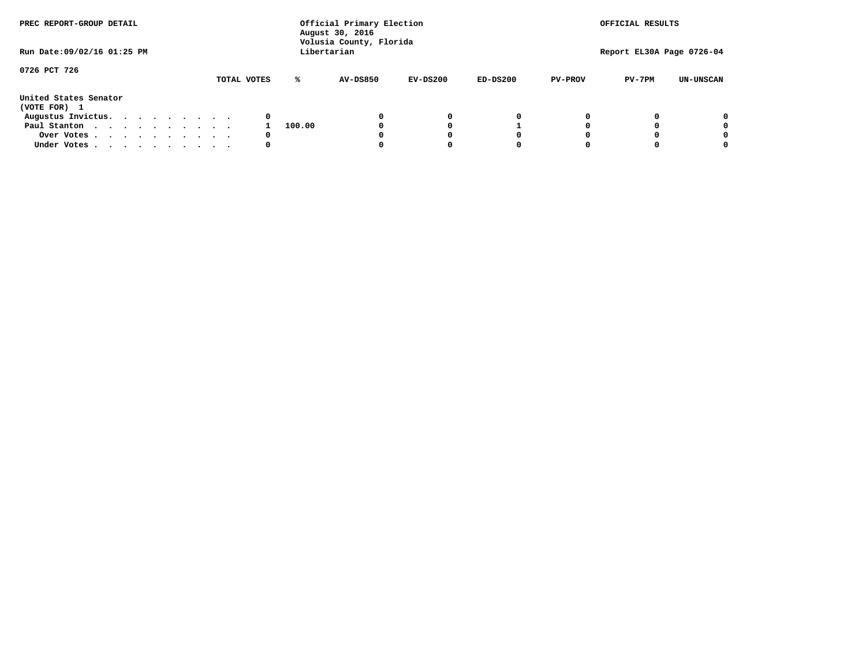| PREC REPORT-GROUP DETAIL              |             | Official Primary Election<br>August 30, 2016<br>Volusia County, Florida |             |            |            |                | OFFICIAL RESULTS          |                  |  |  |
|---------------------------------------|-------------|-------------------------------------------------------------------------|-------------|------------|------------|----------------|---------------------------|------------------|--|--|
| Run Date: 09/02/16 01:25 PM           |             |                                                                         | Libertarian |            |            |                | Report EL30A Page 0726-04 |                  |  |  |
| 0726 PCT 726                          | TOTAL VOTES | ℁                                                                       | AV-DS850    | $EV-DS200$ | $ED-DS200$ | <b>PV-PROV</b> | $PV-7PM$                  | <b>UN-UNSCAN</b> |  |  |
| United States Senator<br>(VOTE FOR) 1 |             |                                                                         |             |            |            |                |                           |                  |  |  |
| Augustus Invictus.                    | 0           |                                                                         |             | 0          | 0          |                |                           | 0                |  |  |
| Paul Stanton                          |             | 100.00                                                                  |             |            |            |                |                           | 0                |  |  |
| Over Votes                            | 0           |                                                                         |             |            | O          |                |                           | 0                |  |  |
| Under Votes                           | 0           |                                                                         |             |            |            |                |                           | 0                |  |  |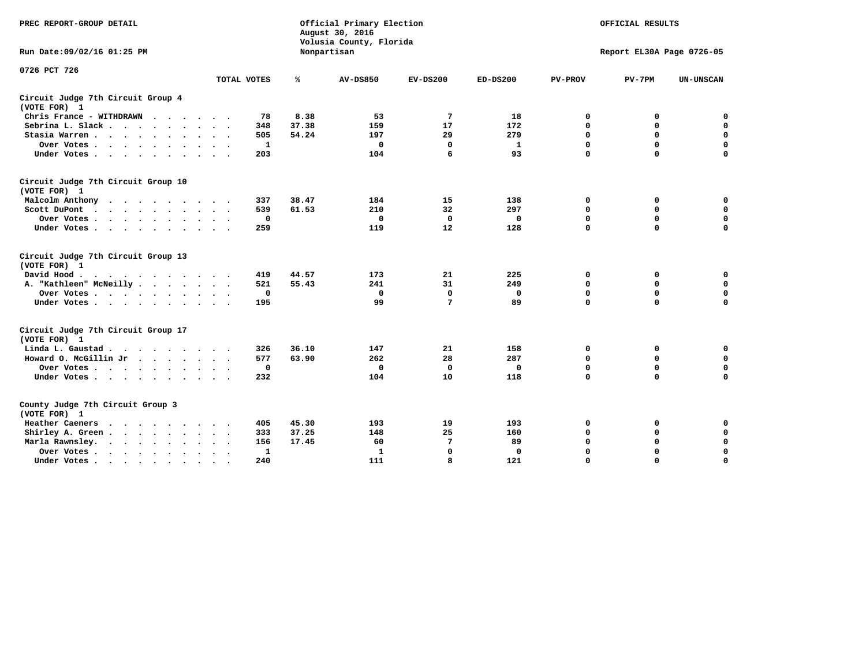| PREC REPORT-GROUP DETAIL                                                                                                           |              |       | Official Primary Election<br>August 30, 2016<br>Volusia County, Florida | OFFICIAL RESULTS<br>Report EL30A Page 0726-05 |             |                |             |                  |
|------------------------------------------------------------------------------------------------------------------------------------|--------------|-------|-------------------------------------------------------------------------|-----------------------------------------------|-------------|----------------|-------------|------------------|
| Run Date: 09/02/16 01:25 PM                                                                                                        |              |       | Nonpartisan                                                             |                                               |             |                |             |                  |
| 0726 PCT 726                                                                                                                       | TOTAL VOTES  | ℁     | <b>AV-DS850</b>                                                         | $EV-DS200$                                    | $ED-DS200$  | <b>PV-PROV</b> | $PV-7PM$    | <b>UN-UNSCAN</b> |
|                                                                                                                                    |              |       |                                                                         |                                               |             |                |             |                  |
| Circuit Judge 7th Circuit Group 4<br>(VOTE FOR) 1                                                                                  |              |       |                                                                         |                                               |             |                |             |                  |
| Chris France - WITHDRAWN<br>$\cdots$                                                                                               | 78           | 8.38  | 53                                                                      | 7                                             | 18          | 0              | 0           | 0                |
| Sebrina L. Slack                                                                                                                   | 348          | 37.38 | 159                                                                     | 17                                            | 172         | $\mathbf 0$    | $\mathbf 0$ | $\mathbf 0$      |
| Stasia Warren                                                                                                                      | 505          | 54.24 | 197                                                                     | 29                                            | 279         | $\mathbf 0$    | 0           | $\mathbf 0$      |
| Over Votes                                                                                                                         | 1            |       | $\Omega$                                                                | 0                                             | 1           | 0              | $\mathbf 0$ | $\mathbf 0$      |
| Under Votes                                                                                                                        | 203          |       | 104                                                                     | 6                                             | 93          | $\mathbf 0$    | $\Omega$    | $\mathbf 0$      |
| Circuit Judge 7th Circuit Group 10<br>(VOTE FOR) 1                                                                                 |              |       |                                                                         |                                               |             |                |             |                  |
| Malcolm Anthony<br>.                                                                                                               | 337          | 38.47 | 184                                                                     | 15                                            | 138         | 0              | 0           | $\mathbf 0$      |
| Scott DuPont                                                                                                                       | 539          | 61.53 | 210                                                                     | 32                                            | 297         | 0              | $\mathbf 0$ | $\mathbf 0$      |
| Over Votes                                                                                                                         | $\mathbf{o}$ |       | $\Omega$                                                                | $\mathbf 0$                                   | 0           | $\mathbf 0$    | $\mathbf 0$ | $\mathbf 0$      |
| Under Votes                                                                                                                        | 259          |       | 119                                                                     | 12                                            | 128         | $\mathbf 0$    | $\mathbf 0$ | $\Omega$         |
| Circuit Judge 7th Circuit Group 13<br>(VOTE FOR) 1                                                                                 |              |       |                                                                         |                                               |             |                |             |                  |
| David Hood.                                                                                                                        | 419          | 44.57 | 173                                                                     | 21                                            | 225         | 0              | 0           | 0                |
| A. "Kathleen" McNeilly                                                                                                             | 521          | 55.43 | 241                                                                     | 31                                            | 249         | $\mathbf 0$    | $\mathbf 0$ | $\mathbf 0$      |
| Over Votes                                                                                                                         | $\mathbf 0$  |       | 0                                                                       | $\mathbf 0$                                   | 0           | $\mathbf 0$    | $\mathbf 0$ | $\mathbf 0$      |
| Under Votes                                                                                                                        | 195          |       | 99                                                                      | 7                                             | 89          | $\Omega$       | $\Omega$    | $\mathbf 0$      |
| Circuit Judge 7th Circuit Group 17<br>(VOTE FOR) 1                                                                                 |              |       |                                                                         |                                               |             |                |             |                  |
| Linda L. Gaustad                                                                                                                   | 326          | 36.10 | 147                                                                     | 21                                            | 158         | 0              | 0           | 0                |
| Howard O. McGillin Jr                                                                                                              | 577          | 63.90 | 262                                                                     | 28                                            | 287         | $\mathbf 0$    | $\mathbf 0$ | $\mathbf 0$      |
| Over Votes                                                                                                                         | $\mathbf 0$  |       | $\mathbf 0$                                                             | $\mathbf 0$                                   | 0           | $\mathbf 0$    | $\mathbf 0$ | $\pmb{0}$        |
| Under Votes                                                                                                                        | 232          |       | 104                                                                     | 10                                            | 118         | $\mathbf 0$    | $\mathbf 0$ | $\Omega$         |
| County Judge 7th Circuit Group 3<br>(VOTE FOR) 1                                                                                   |              |       |                                                                         |                                               |             |                |             |                  |
| Heather Caeners<br>the contract of the contract of the contract of the contract of the contract of the contract of the contract of | 405          | 45.30 | 193                                                                     | 19                                            | 193         | 0              | 0           | 0                |
| Shirley A. Green                                                                                                                   | 333          | 37.25 | 148                                                                     | 25                                            | 160         | $\mathbf 0$    | 0           | $\mathbf 0$      |
| Marla Rawnsley.                                                                                                                    | 156          | 17.45 | 60                                                                      | 7                                             | 89          | 0              | $\mathbf 0$ | $\pmb{0}$        |
| Over Votes.<br>$\cdots$<br>$\ddot{\phantom{a}}$<br>$\ddot{\phantom{a}}$                                                            | 1            |       | 1                                                                       | $\mathbf 0$                                   | $\mathbf 0$ | $\Omega$       | $\Omega$    | $\mathbf 0$      |
| Under Votes<br>$\sim$                                                                                                              | 240          |       | 111                                                                     | 8                                             | 121         | $\mathbf 0$    | $\mathbf 0$ | 0                |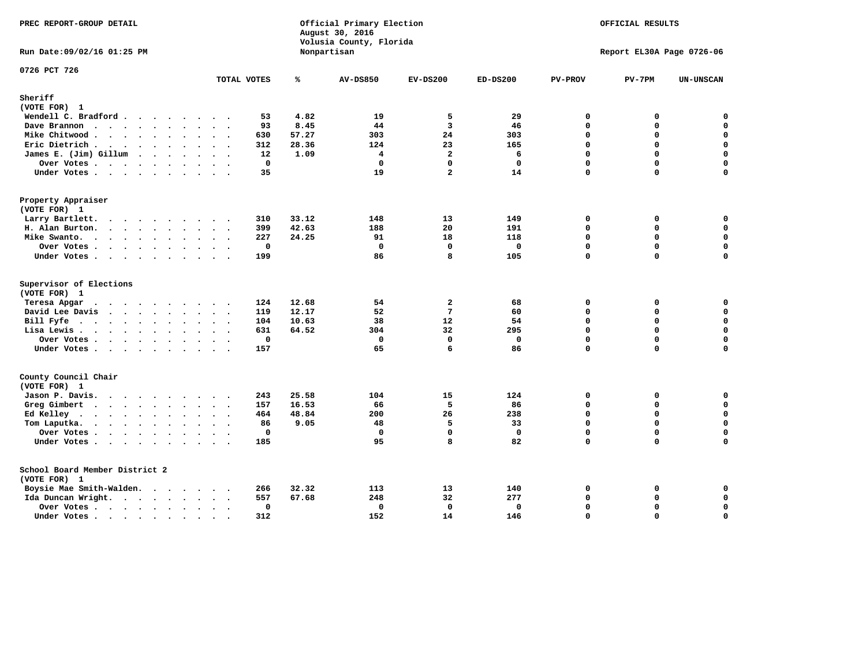| PREC REPORT-GROUP DETAIL<br>August 30, 2016<br>Volusia County, Florida                                                                                                                                                                            |                                     |       |                 | Official Primary Election<br>OFFICIAL RESULTS |             |                |                           |                  |
|---------------------------------------------------------------------------------------------------------------------------------------------------------------------------------------------------------------------------------------------------|-------------------------------------|-------|-----------------|-----------------------------------------------|-------------|----------------|---------------------------|------------------|
| Run Date: 09/02/16 01:25 PM                                                                                                                                                                                                                       |                                     |       | Nonpartisan     |                                               |             |                | Report EL30A Page 0726-06 |                  |
| 0726 PCT 726                                                                                                                                                                                                                                      | TOTAL VOTES                         | ℁     | <b>AV-DS850</b> | $EV-DS200$                                    | $ED-DS200$  | <b>PV-PROV</b> | $PV-7PM$                  | <b>UN-UNSCAN</b> |
| Sheriff                                                                                                                                                                                                                                           |                                     |       |                 |                                               |             |                |                           |                  |
| (VOTE FOR) 1                                                                                                                                                                                                                                      |                                     |       |                 |                                               |             |                |                           |                  |
| Wendell C. Bradford                                                                                                                                                                                                                               | 53                                  | 4.82  | 19              | 5                                             | 29          | $\Omega$       | 0                         | $\mathbf 0$      |
| Dave Brannon                                                                                                                                                                                                                                      | 93                                  | 8.45  | 44              | 3                                             | 46          | $\Omega$       | $\Omega$                  | $\mathbf 0$      |
| Mike Chitwood                                                                                                                                                                                                                                     | 630                                 | 57.27 | 303             | 24                                            | 303         | 0              | 0                         | $\pmb{0}$        |
| Eric Dietrich.                                                                                                                                                                                                                                    | 312                                 | 28.36 | 124             | 23                                            | 165         | $\Omega$       | $\Omega$                  | $\mathbf 0$      |
| James E. (Jim) Gillum                                                                                                                                                                                                                             | 12                                  | 1.09  | 4               | $\overline{a}$                                | 6           | $\Omega$       | $\Omega$                  | $\mathbf 0$      |
| Over Votes                                                                                                                                                                                                                                        | $\mathbf 0$<br>$\ddot{\phantom{a}}$ |       | $\mathbf{0}$    | $\mathbf{0}$                                  | $\mathbf 0$ | $\Omega$       | $\Omega$                  | $\mathbf 0$      |
| Under Votes                                                                                                                                                                                                                                       | 35                                  |       | 19              | $\overline{a}$                                | 14          | 0              | $\Omega$                  | $\mathbf 0$      |
| Property Appraiser                                                                                                                                                                                                                                |                                     |       |                 |                                               |             |                |                           |                  |
| (VOTE FOR) 1                                                                                                                                                                                                                                      |                                     |       |                 |                                               |             |                |                           |                  |
| Larry Bartlett.                                                                                                                                                                                                                                   | 310                                 | 33.12 | 148             | 13                                            | 149         | 0              | 0                         | 0                |
| H. Alan Burton.                                                                                                                                                                                                                                   | 399                                 | 42.63 | 188             | 20                                            | 191         | 0              | 0                         | $\mathbf 0$      |
| Mike Swanto.                                                                                                                                                                                                                                      | 227                                 | 24.25 | 91              | 18                                            | 118         | $\Omega$       | 0                         | 0                |
| Over Votes.                                                                                                                                                                                                                                       | $\mathbf 0$                         |       | $\Omega$        | $\mathbf{0}$                                  | $\mathbf 0$ | 0              | $\Omega$                  | $\mathbf 0$      |
| Under Votes                                                                                                                                                                                                                                       | 199                                 |       | 86              | 8                                             | 105         | 0              | 0                         | 0                |
| Supervisor of Elections<br>(VOTE FOR) 1                                                                                                                                                                                                           |                                     |       |                 |                                               |             |                |                           |                  |
| Teresa Apgar                                                                                                                                                                                                                                      | 124                                 | 12.68 | 54              | $\overline{a}$                                | 68          | 0              | 0                         | $\mathbf 0$      |
| David Lee Davis                                                                                                                                                                                                                                   | 119                                 | 12.17 | 52              | $7\phantom{.0}$                               | 60          | $\Omega$       | 0                         | $\mathbf 0$      |
| Bill Fyfe                                                                                                                                                                                                                                         | 104                                 | 10.63 | 38              | 12                                            | 54          | 0              | $\Omega$                  | $\mathbf 0$      |
| Lisa Lewis                                                                                                                                                                                                                                        | 631                                 | 64.52 | 304             | 32                                            | 295         | 0              | 0                         | $\mathbf 0$      |
| Over Votes                                                                                                                                                                                                                                        | $\mathbf 0$<br>$\cdot$              |       | $\mathbf{0}$    | $\mathbf{0}$                                  | $\mathbf 0$ | 0              | 0                         | $\mathbf 0$      |
| Under Votes                                                                                                                                                                                                                                       | 157                                 |       | 65              | 6                                             | 86          | 0              | $\Omega$                  | 0                |
| County Council Chair                                                                                                                                                                                                                              |                                     |       |                 |                                               |             |                |                           |                  |
| (VOTE FOR) 1                                                                                                                                                                                                                                      |                                     |       |                 |                                               |             |                |                           |                  |
| Jason P. Davis.                                                                                                                                                                                                                                   | 243                                 | 25.58 | 104             | 15                                            | 124         | $\mathbf{0}$   | 0                         | 0                |
| Greg Gimbert                                                                                                                                                                                                                                      | 157                                 | 16.53 | 66              | 5                                             | 86          | $\Omega$       | 0                         | $\mathbf 0$      |
| Ed Kelley                                                                                                                                                                                                                                         | 464                                 | 48.84 | 200             | 26                                            | 238         | 0              | 0                         | $\mathbf 0$      |
| Tom Laputka.<br>$\mathbf{r}$ . The set of the set of the set of the set of the set of the set of the set of the set of the set of the set of the set of the set of the set of the set of the set of the set of the set of the set of the set of t | 86                                  | 9.05  | 48              | 5                                             | 33          | 0              | 0                         | $\mathbf 0$      |
| Over Votes                                                                                                                                                                                                                                        | $\mathbf 0$                         |       | $\Omega$        | $\mathbf{0}$                                  | $\mathbf 0$ | 0              | 0                         | 0                |
| Under Votes                                                                                                                                                                                                                                       | 185                                 |       | 95              | 8                                             | 82          | $\Omega$       | $\Omega$                  | $\Omega$         |
| School Board Member District 2                                                                                                                                                                                                                    |                                     |       |                 |                                               |             |                |                           |                  |
| (VOTE FOR) 1                                                                                                                                                                                                                                      |                                     |       |                 |                                               |             |                |                           |                  |
| Boysie Mae Smith-Walden.                                                                                                                                                                                                                          | 266                                 | 32.32 | 113             | 13                                            | 140         | 0              | 0                         | 0                |
| Ida Duncan Wright.                                                                                                                                                                                                                                | 557                                 | 67.68 | 248             | 32                                            | 277         | 0              | 0                         | 0                |
| Over Votes                                                                                                                                                                                                                                        | 0                                   |       | 0               | $\mathbf{0}$                                  | 0           | 0              | 0                         | 0                |
| Under Votes                                                                                                                                                                                                                                       | 312<br>$\sim$                       |       | 152             | 14                                            | 146         | $\Omega$       | $\Omega$                  | $\mathbf 0$      |
|                                                                                                                                                                                                                                                   |                                     |       |                 |                                               |             |                |                           |                  |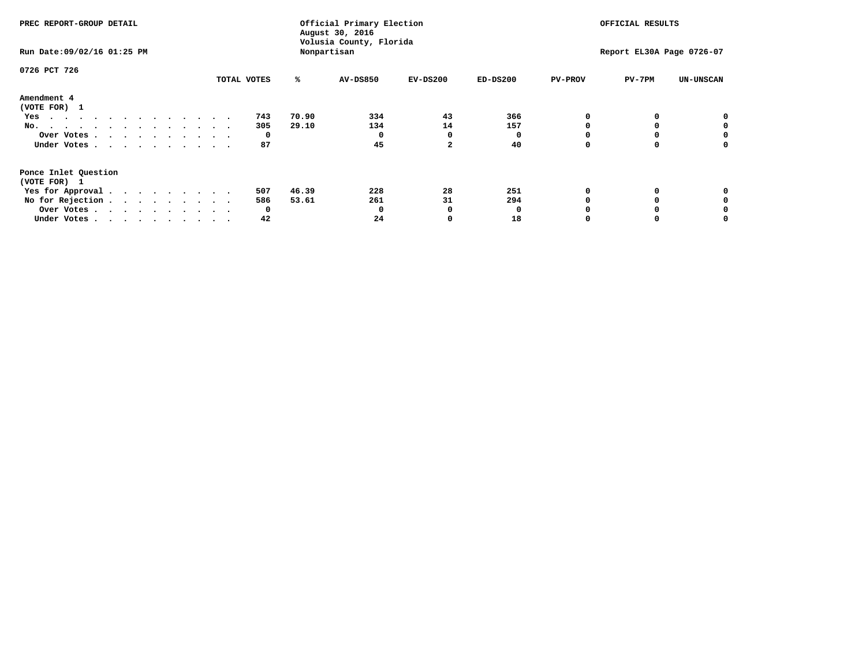| PREC REPORT-GROUP DETAIL<br>Run Date: 09/02/16 01:25 PM                                                                                        |  |  |                       |                | Official Primary Election<br>August 30, 2016<br>Volusia County, Florida<br>Nonpartisan |                            |                  | OFFICIAL RESULTS<br>Report EL30A Page 0726-07 |          |                  |  |
|------------------------------------------------------------------------------------------------------------------------------------------------|--|--|-----------------------|----------------|----------------------------------------------------------------------------------------|----------------------------|------------------|-----------------------------------------------|----------|------------------|--|
| 0726 PCT 726                                                                                                                                   |  |  | TOTAL VOTES           | ℁              | <b>AV-DS850</b>                                                                        | $EV-DS200$                 | $ED-DS200$       | <b>PV-PROV</b>                                | $PV-7PM$ | <b>UN-UNSCAN</b> |  |
| Amendment 4<br>(VOTE FOR) 1<br>Yes<br>No.<br>Over Votes<br>Under Votes                                                                         |  |  | 743<br>305<br>0<br>87 | 70.90<br>29.10 | 334<br>134<br>0<br>45                                                                  | 43<br>14<br>$\overline{a}$ | 366<br>157<br>40 |                                               |          | 0<br>0           |  |
| Ponce Inlet Question<br>(VOTE FOR) 1<br>Yes for Approval.<br>No for Rejection $\cdots$ $\cdots$ $\cdots$ $\cdots$<br>Over Votes<br>Under Votes |  |  | 507<br>586<br>0<br>42 | 46.39<br>53.61 | 228<br>261<br>O<br>24                                                                  | 28<br>31                   | 251<br>294<br>18 |                                               |          |                  |  |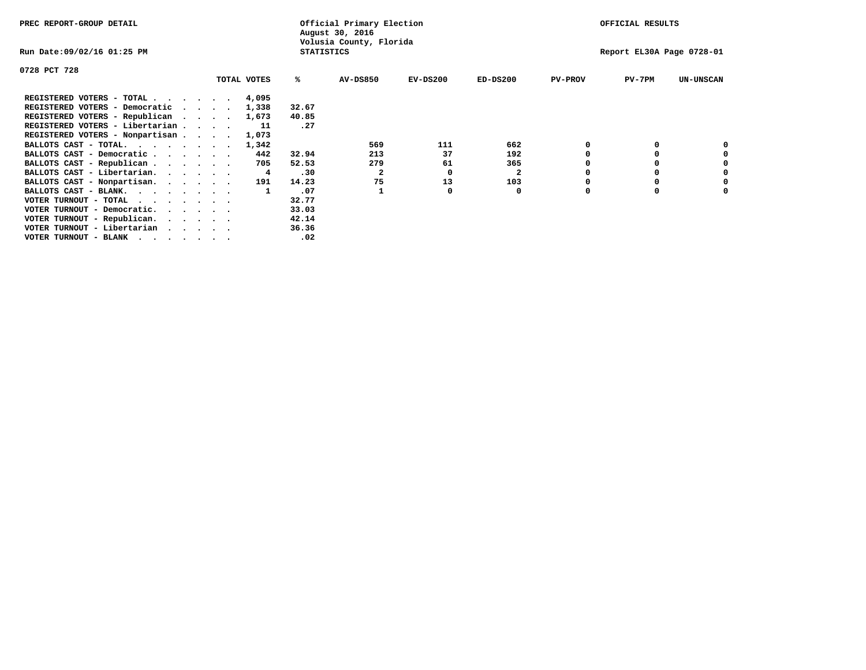| PREC REPORT-GROUP DETAIL                                                                                                                 |                                 |             |                   | Official Primary Election<br>August 30, 2016 |            |              |                | OFFICIAL RESULTS          |                  |
|------------------------------------------------------------------------------------------------------------------------------------------|---------------------------------|-------------|-------------------|----------------------------------------------|------------|--------------|----------------|---------------------------|------------------|
| Run Date:09/02/16 01:25 PM                                                                                                               |                                 |             | <b>STATISTICS</b> | Volusia County, Florida                      |            |              |                | Report EL30A Page 0728-01 |                  |
| 0728 PCT 728                                                                                                                             |                                 |             |                   |                                              |            |              |                |                           |                  |
|                                                                                                                                          |                                 | TOTAL VOTES | %ะ                | <b>AV-DS850</b>                              | $EV-DS200$ | $ED-DS200$   | <b>PV-PROV</b> | $PV-7PM$                  | <b>UN-UNSCAN</b> |
| REGISTERED VOTERS - TOTAL 4,095                                                                                                          |                                 |             |                   |                                              |            |              |                |                           |                  |
| REGISTERED VOTERS - Democratic                                                                                                           | $\cdot$ $\cdot$ $\cdot$ $\cdot$ | 1,338       | 32.67             |                                              |            |              |                |                           |                  |
| REGISTERED VOTERS - Republican                                                                                                           |                                 | 1,673       | 40.85             |                                              |            |              |                |                           |                  |
| REGISTERED VOTERS - Libertarian                                                                                                          |                                 | 11          | .27               |                                              |            |              |                |                           |                  |
| REGISTERED VOTERS - Nonpartisan                                                                                                          |                                 | 1,073       |                   |                                              |            |              |                |                           |                  |
| BALLOTS CAST - TOTAL.                                                                                                                    |                                 | 1,342       |                   | 569                                          | 111        | 662          |                |                           |                  |
| BALLOTS CAST - Democratic                                                                                                                |                                 | 442         | 32.94             | 213                                          | 37         | 192          |                |                           |                  |
| BALLOTS CAST - Republican                                                                                                                |                                 | 705         | 52.53             | 279                                          | 61         | 365          |                |                           |                  |
| BALLOTS CAST - Libertarian.                                                                                                              |                                 | 4           | .30               | 2                                            | O          | $\mathbf{2}$ |                |                           |                  |
| BALLOTS CAST - Nonpartisan.                                                                                                              |                                 | 191         | 14.23             | 75                                           | 13         | 103          |                |                           | 0                |
| BALLOTS CAST - BLANK.                                                                                                                    |                                 |             | .07               |                                              |            | 0            | O              | $\Omega$                  |                  |
| VOTER TURNOUT - TOTAL<br>the contract of the contract of the contract of the contract of the contract of the contract of the contract of |                                 |             | 32.77             |                                              |            |              |                |                           |                  |
| VOTER TURNOUT - Democratic.                                                                                                              |                                 |             | 33.03             |                                              |            |              |                |                           |                  |
| VOTER TURNOUT - Republican.                                                                                                              |                                 |             | 42.14             |                                              |            |              |                |                           |                  |
| VOTER TURNOUT - Libertarian                                                                                                              |                                 |             | 36.36             |                                              |            |              |                |                           |                  |
| VOTER TURNOUT - BLANK<br>the contract of the contract of the contract of the contract of the contract of the contract of the contract of |                                 |             | .02               |                                              |            |              |                |                           |                  |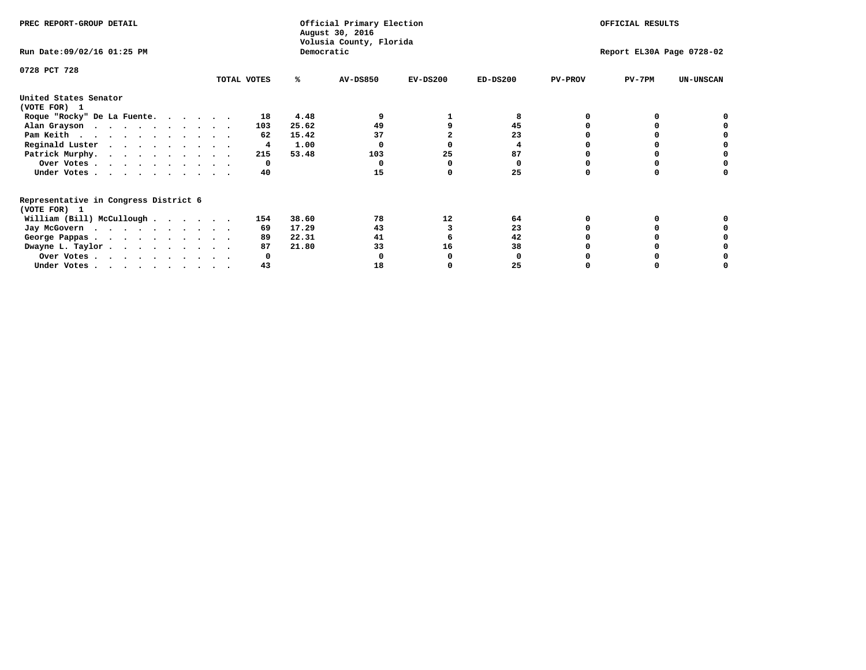| PREC REPORT-GROUP DETAIL                                               |             |              |                                       | Official Primary Election | OFFICIAL RESULTS |                |                           |                  |
|------------------------------------------------------------------------|-------------|--------------|---------------------------------------|---------------------------|------------------|----------------|---------------------------|------------------|
| Run Date: 09/02/16 01:25 PM                                            |             |              | Volusia County, Florida<br>Democratic |                           |                  |                | Report EL30A Page 0728-02 |                  |
| 0728 PCT 728                                                           |             |              |                                       |                           |                  |                |                           |                  |
|                                                                        | TOTAL VOTES | ℁            | <b>AV-DS850</b>                       | $EV-DS200$                | $ED-DS200$       | <b>PV-PROV</b> | $PV-7PM$                  | <b>UN-UNSCAN</b> |
| United States Senator                                                  |             |              |                                       |                           |                  |                |                           |                  |
| (VOTE FOR) 1                                                           |             |              |                                       |                           |                  |                |                           |                  |
| Roque "Rocky" De La Fuente.                                            |             | 4.48<br>18   |                                       |                           |                  |                |                           |                  |
| Alan Grayson                                                           |             | 25.62<br>103 | 49                                    |                           | 45               |                |                           |                  |
| Pam Keith                                                              |             | 15.42<br>62  | 37                                    |                           | 23               |                |                           |                  |
| Reginald Luster                                                        |             | 1.00<br>4    |                                       |                           |                  |                |                           |                  |
| Patrick Murphy.                                                        |             | 53.48<br>215 | 103                                   | 25                        | 87               |                |                           |                  |
| Over Votes                                                             |             | 0            |                                       |                           | 0                |                |                           |                  |
| Under Votes                                                            |             | 40           | 15                                    |                           | 25               |                |                           |                  |
| Representative in Congress District 6                                  |             |              |                                       |                           |                  |                |                           |                  |
| (VOTE FOR) 1                                                           |             |              |                                       |                           |                  |                |                           |                  |
| William (Bill) McCullough                                              |             | 38.60<br>154 | 78                                    | 12                        | 64               |                |                           |                  |
| Jay McGovern                                                           |             | 17.29<br>69  | 43                                    |                           | 23               |                |                           |                  |
| George Pappas.                                                         |             | 89<br>22.31  | 41                                    |                           | 42               |                |                           |                  |
| Dwayne L. Taylor                                                       |             | 21.80<br>87  | 33                                    | 16                        | 38               |                |                           |                  |
| Over Votes                                                             |             |              |                                       |                           |                  |                |                           |                  |
| Under Votes, $\cdot$ , $\cdot$ , $\cdot$ , $\cdot$ , $\cdot$ , $\cdot$ |             | 43           | 18                                    |                           | 25               |                |                           |                  |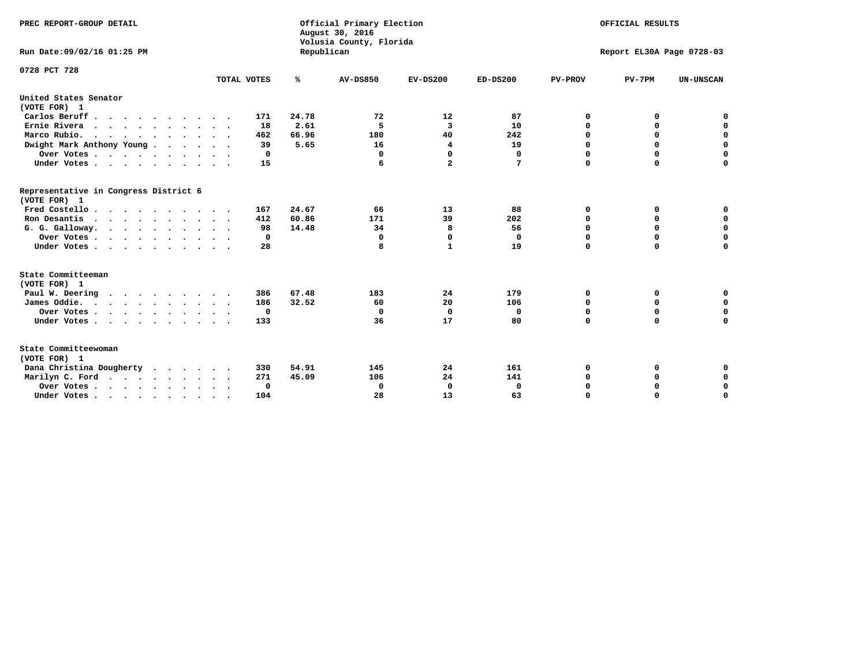| PREC REPORT-GROUP DETAIL<br>Run Date: 09/02/16 01:25 PM |                     |            | Official Primary Election<br>August 30, 2016<br>Volusia County, Florida | OFFICIAL RESULTS<br>Report EL30A Page 0728-03 |              |                |             |                  |
|---------------------------------------------------------|---------------------|------------|-------------------------------------------------------------------------|-----------------------------------------------|--------------|----------------|-------------|------------------|
|                                                         |                     | Republican |                                                                         |                                               |              |                |             |                  |
| 0728 PCT 728                                            |                     |            |                                                                         |                                               |              |                |             |                  |
|                                                         | TOTAL VOTES         | ℁          | <b>AV-DS850</b>                                                         | $EV-DS200$                                    | $ED-DS200$   | <b>PV-PROV</b> | $PV-7PM$    | <b>UN-UNSCAN</b> |
| United States Senator<br>(VOTE FOR) 1                   |                     |            |                                                                         |                                               |              |                |             |                  |
| Carlos Beruff                                           | 171                 | 24.78      | 72                                                                      | 12                                            | 87           | 0              | 0           | 0                |
| Ernie Rivera                                            | 18                  | 2.61       | 5                                                                       | $\overline{\mathbf{3}}$                       | 10           | $\Omega$       | 0           | $\mathbf 0$      |
| Marco Rubio.                                            | 462                 | 66.96      | 180                                                                     | 40                                            | 242          | $\mathbf 0$    | $\mathbf 0$ | $\mathbf 0$      |
| Dwight Mark Anthony Young                               | 39                  | 5.65       | 16                                                                      | 4                                             | 19           | 0              | $\mathbf 0$ | $\pmb{0}$        |
| Over Votes                                              | 0                   |            | $\Omega$                                                                | $\mathbf 0$                                   | 0            | 0              | 0           | $\mathbf 0$      |
| Under Votes                                             | 15<br>$\sim$ $\sim$ |            | 6                                                                       | $\mathbf{2}$                                  | 7            | $\Omega$       | $\Omega$    | $\mathbf 0$      |
| Representative in Congress District 6<br>(VOTE FOR) 1   |                     |            |                                                                         |                                               |              |                |             |                  |
| Fred Costello.                                          | 167                 | 24.67      | 66                                                                      | 13                                            | 88           | 0              | 0           | 0                |
| Ron Desantis                                            | 412                 | 60.86      | 171                                                                     | 39                                            | 202          | 0              | 0           | $\mathbf 0$      |
| G. G. Galloway.                                         | 98                  | 14.48      | 34                                                                      | 8                                             | 56           | $\mathbf 0$    | $\Omega$    | $\mathbf 0$      |
| Over Votes                                              | 0                   |            | $\Omega$                                                                | 0                                             | 0            | $\mathbf 0$    | $\mathbf 0$ | $\mathbf 0$      |
| Under Votes                                             | 28                  |            | 8                                                                       | 1                                             | 19           | $\Omega$       | $\Omega$    | $\mathbf 0$      |
| State Committeeman                                      |                     |            |                                                                         |                                               |              |                |             |                  |
| (VOTE FOR) 1                                            |                     |            |                                                                         |                                               |              |                |             |                  |
| Paul W. Deering                                         | 386                 | 67.48      | 183                                                                     | 24                                            | 179          | 0              | 0           | 0                |
| James Oddie.                                            | 186                 | 32.52      | 60                                                                      | 20                                            | 106          | 0              | 0           | $\mathbf 0$      |
| Over Votes                                              | $\mathbf 0$         |            | $\Omega$                                                                | $\mathbf 0$                                   | $\mathbf 0$  | 0              | $\mathbf 0$ | $\mathbf 0$      |
| Under Votes                                             | 133                 |            | 36                                                                      | 17                                            | 80           | $\Omega$       | 0           | $\mathbf 0$      |
| State Committeewoman<br>(VOTE FOR) 1                    |                     |            |                                                                         |                                               |              |                |             |                  |
| Dana Christina Dougherty<br>.                           | 330                 | 54.91      | 145                                                                     | 24                                            | 161          | 0              | 0           | 0                |
| Marilyn C. Ford                                         | 271                 | 45.09      | 106                                                                     | 24                                            | 141          | 0              | 0           | 0                |
| Over Votes                                              | $\Omega$            |            | $\Omega$                                                                | 0                                             | $\mathbf{0}$ | 0              | 0           | $\mathbf 0$      |
| Under Votes, , , , , , , , , ,                          | 104                 |            | 28                                                                      | 13                                            | 63           | $\Omega$       | $\Omega$    | $\Omega$         |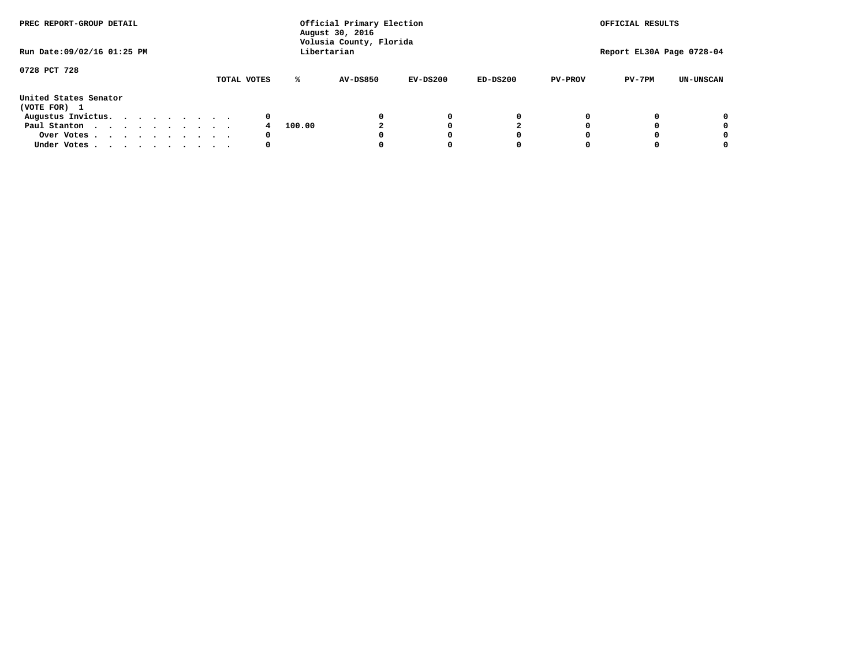| PREC REPORT-GROUP DETAIL<br>Run Date: 09/02/16 01:25 PM |  |  |  | Official Primary Election<br>August 30, 2016<br>Volusia County, Florida<br>Libertarian |  | OFFICIAL RESULTS<br>Report EL30A Page 0728-04 |        |                 |            |            |                |          |                  |
|---------------------------------------------------------|--|--|--|----------------------------------------------------------------------------------------|--|-----------------------------------------------|--------|-----------------|------------|------------|----------------|----------|------------------|
|                                                         |  |  |  |                                                                                        |  |                                               |        |                 |            |            |                |          |                  |
| 0728 PCT 728                                            |  |  |  |                                                                                        |  | TOTAL VOTES                                   | ℁      | <b>AV-DS850</b> | $EV-DS200$ | $ED-DS200$ | <b>PV-PROV</b> | $PV-7PM$ | <b>UN-UNSCAN</b> |
| United States Senator<br>(VOTE FOR) 1                   |  |  |  |                                                                                        |  |                                               |        |                 |            |            |                |          |                  |
| Augustus Invictus.                                      |  |  |  |                                                                                        |  | 0                                             |        |                 | 0          | 0          |                |          | 0                |
| Paul Stanton                                            |  |  |  |                                                                                        |  |                                               | 100.00 |                 |            |            |                |          | 0                |
| Over Votes                                              |  |  |  |                                                                                        |  | 0                                             |        |                 |            | 0          |                |          | 0                |
| Under Votes                                             |  |  |  |                                                                                        |  | 0                                             |        |                 |            | 0          |                |          | 0                |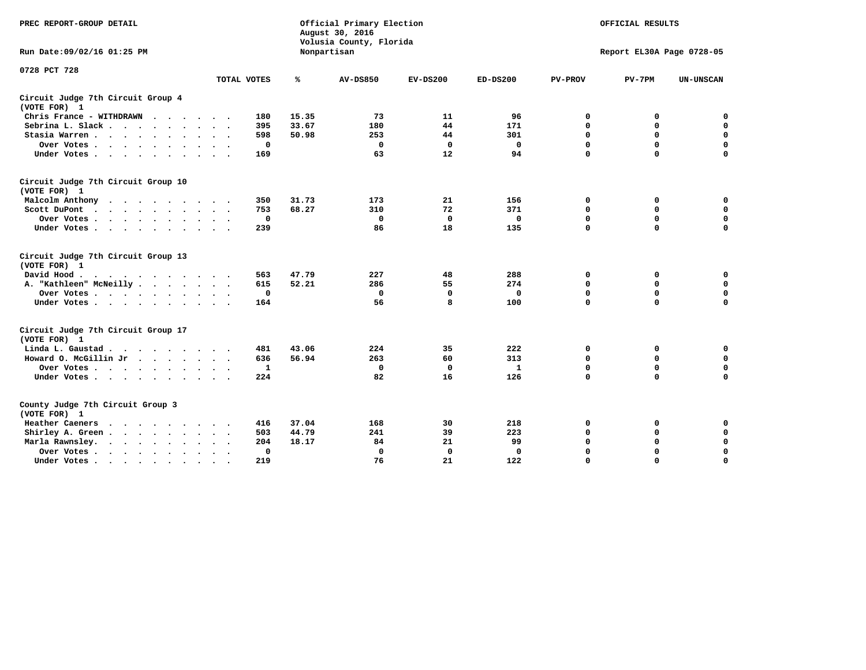| PREC REPORT-GROUP DETAIL                                                                                                                                                                                                                             |              |       | Official Primary Election<br>August 30, 2016<br>Volusia County, Florida | OFFICIAL RESULTS |              |                |                           |                  |
|------------------------------------------------------------------------------------------------------------------------------------------------------------------------------------------------------------------------------------------------------|--------------|-------|-------------------------------------------------------------------------|------------------|--------------|----------------|---------------------------|------------------|
| Run Date: 09/02/16 01:25 PM                                                                                                                                                                                                                          |              |       | Nonpartisan                                                             |                  |              |                | Report EL30A Page 0728-05 |                  |
| 0728 PCT 728                                                                                                                                                                                                                                         | TOTAL VOTES  | ℁     | <b>AV-DS850</b>                                                         | $EV-DS200$       | $ED-DS200$   | <b>PV-PROV</b> | $PV-7PM$                  | <b>UN-UNSCAN</b> |
|                                                                                                                                                                                                                                                      |              |       |                                                                         |                  |              |                |                           |                  |
| Circuit Judge 7th Circuit Group 4<br>(VOTE FOR) 1                                                                                                                                                                                                    |              |       |                                                                         |                  |              |                |                           |                  |
| Chris France - WITHDRAWN                                                                                                                                                                                                                             | 180          | 15.35 | 73                                                                      | 11               | 96           | 0              | 0                         | $\mathbf 0$      |
| Sebrina L. Slack.                                                                                                                                                                                                                                    | 395          | 33.67 | 180                                                                     | 44               | 171          | 0              | 0                         | $\mathbf 0$      |
| Stasia Warren<br>$\sim$<br>$\sim$                                                                                                                                                                                                                    | 598          | 50.98 | 253                                                                     | 44               | 301          | $\mathbf 0$    | 0                         | $\mathbf 0$      |
| Over Votes                                                                                                                                                                                                                                           | $\mathbf 0$  |       | $\mathbf 0$                                                             | $\mathbf 0$      | $\mathbf 0$  | 0              | $\mathbf 0$               | $\mathbf 0$      |
| Under Votes                                                                                                                                                                                                                                          | 169          |       | 63                                                                      | 12               | 94           | $\Omega$       | $\Omega$                  | $\mathbf 0$      |
| Circuit Judge 7th Circuit Group 10<br>(VOTE FOR) 1                                                                                                                                                                                                   |              |       |                                                                         |                  |              |                |                           |                  |
| Malcolm Anthony                                                                                                                                                                                                                                      | 350          | 31.73 | 173                                                                     | 21               | 156          | 0              | 0                         | 0                |
| Scott DuPont                                                                                                                                                                                                                                         | 753          | 68.27 | 310                                                                     | 72               | 371          | $\mathbf 0$    | 0                         | $\mathbf 0$      |
| Over Votes                                                                                                                                                                                                                                           | $\mathbf 0$  |       | $\mathbf{0}$                                                            | $\mathbf 0$      | $\mathbf{0}$ | $\mathbf 0$    | $\mathbf 0$               | $\mathbf 0$      |
| Under Votes                                                                                                                                                                                                                                          | 239          |       | 86                                                                      | 18               | 135          | $\Omega$       | $\mathbf 0$               | $\Omega$         |
| Circuit Judge 7th Circuit Group 13<br>(VOTE FOR) 1                                                                                                                                                                                                   |              |       |                                                                         |                  |              |                |                           |                  |
| David Hood.                                                                                                                                                                                                                                          | 563          | 47.79 | 227                                                                     | 48               | 288          | 0              | 0                         | $\mathbf 0$      |
| A. "Kathleen" McNeilly                                                                                                                                                                                                                               | 615          | 52.21 | 286                                                                     | 55               | 274          | $\mathbf 0$    | 0                         | $\mathbf 0$      |
| Over Votes                                                                                                                                                                                                                                           | $\mathbf 0$  |       | $\mathbf{0}$                                                            | $\Omega$         | $\mathbf{0}$ | $\mathbf 0$    | $\mathbf 0$               | $\mathbf 0$      |
| Under Votes                                                                                                                                                                                                                                          | 164          |       | 56                                                                      | 8                | 100          | $\Omega$       | $\mathbf 0$               | $\mathbf 0$      |
| Circuit Judge 7th Circuit Group 17<br>(VOTE FOR) 1                                                                                                                                                                                                   |              |       |                                                                         |                  |              |                |                           |                  |
| Linda L. Gaustad                                                                                                                                                                                                                                     | 481          | 43.06 | 224                                                                     | 35               | 222          | 0              | 0                         | $\mathbf 0$      |
| Howard O. McGillin Jr                                                                                                                                                                                                                                | 636          | 56.94 | 263                                                                     | 60               | 313          | $\mathbf 0$    | 0                         | $\mathbf 0$      |
| Over Votes                                                                                                                                                                                                                                           | $\mathbf{1}$ |       | $\mathbf{0}$                                                            | $\mathbf 0$      | $\mathbf{1}$ | $\mathbf 0$    | $\mathbf 0$               | $\mathbf 0$      |
| Under Votes                                                                                                                                                                                                                                          | 224          |       | 82                                                                      | 16               | 126          | $\mathbf 0$    | $\mathbf 0$               | $\mathbf 0$      |
| County Judge 7th Circuit Group 3<br>(VOTE FOR) 1                                                                                                                                                                                                     |              |       |                                                                         |                  |              |                |                           |                  |
| Heather Caeners<br>$\mathbf{r}$ . The set of the set of the set of the set of the set of the set of the set of the set of the set of the set of the set of the set of the set of the set of the set of the set of the set of the set of the set of t | 416          | 37.04 | 168                                                                     | 30               | 218          | 0              | 0                         | $\mathbf 0$      |
| Shirley A. Green                                                                                                                                                                                                                                     | 503          | 44.79 | 241                                                                     | 39               | 223          | $\mathbf 0$    | 0                         | $\mathbf 0$      |
| Marla Rawnsley.                                                                                                                                                                                                                                      | 204          | 18.17 | 84                                                                      | 21               | 99           | 0              | $\mathbf 0$               | $\pmb{0}$        |
| Over Votes.<br>$\ddot{\phantom{a}}$<br>$\ddot{\phantom{a}}$                                                                                                                                                                                          | 0            |       | $\Omega$                                                                | 0                | 0            | $\mathbf 0$    | $\mathbf 0$               | $\mathbf 0$      |
| Under Votes<br>$\sim$                                                                                                                                                                                                                                | 219          |       | 76                                                                      | 21               | 122          | $\mathbf 0$    | $\mathbf 0$               | 0                |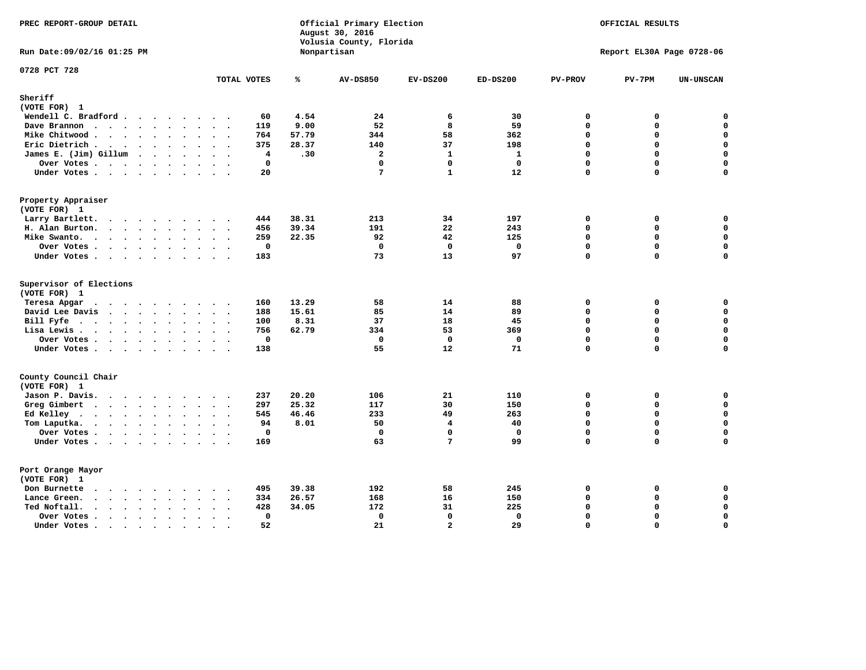| PREC REPORT-GROUP DETAIL                                                                                 | Official Primary Election<br>August 30, 2016<br>Volusia County, Florida |       |                         | OFFICIAL RESULTS  |                     |                |                           |                  |
|----------------------------------------------------------------------------------------------------------|-------------------------------------------------------------------------|-------|-------------------------|-------------------|---------------------|----------------|---------------------------|------------------|
| Run Date: 09/02/16 01:25 PM                                                                              |                                                                         |       | Nonpartisan             |                   |                     |                | Report EL30A Page 0728-06 |                  |
| 0728 PCT 728                                                                                             | TOTAL VOTES                                                             | ℁     | <b>AV-DS850</b>         | $EV-DS200$        | $ED-DS200$          | <b>PV-PROV</b> | $PV-7PM$                  | <b>UN-UNSCAN</b> |
| Sheriff                                                                                                  |                                                                         |       |                         |                   |                     |                |                           |                  |
| (VOTE FOR) 1                                                                                             |                                                                         |       |                         |                   |                     |                |                           |                  |
| Wendell C. Bradford                                                                                      | 60                                                                      | 4.54  | 24                      | 6                 | 30                  | 0              | 0                         | 0                |
| Dave Brannon<br>$\mathbf{r}$ , and $\mathbf{r}$ , and $\mathbf{r}$ , and $\mathbf{r}$ , and $\mathbf{r}$ | 119                                                                     | 9.00  | 52                      | 8                 | 59                  | $\mathbf 0$    | 0                         | 0                |
| Mike Chitwood                                                                                            | 764                                                                     | 57.79 | 344                     | 58                | 362                 | 0              | 0                         | $\mathbf 0$      |
| Eric Dietrich                                                                                            | 375                                                                     | 28.37 | 140                     | 37                | 198                 | 0              | 0                         | $\mathbf 0$      |
| James E. (Jim) Gillum                                                                                    | 4                                                                       | .30   | $\overline{\mathbf{2}}$ | $\mathbf{1}$      | $\mathbf{1}$        | $\mathbf 0$    | 0                         | $\mathbf 0$      |
| Over Votes                                                                                               | $\mathbf 0$                                                             |       | $\Omega$                | 0                 | $\Omega$            | $\mathbf 0$    | $\mathbf 0$               | 0                |
| Under Votes                                                                                              | 20                                                                      |       | 7                       | $\mathbf{1}$      | 12                  | 0              | 0                         | $\mathbf 0$      |
| Property Appraiser                                                                                       |                                                                         |       |                         |                   |                     |                |                           |                  |
| (VOTE FOR) 1                                                                                             |                                                                         |       |                         |                   |                     |                |                           |                  |
| Larry Bartlett.                                                                                          | 444                                                                     | 38.31 | 213                     | 34                | 197                 | 0              | 0                         | 0                |
| H. Alan Burton.                                                                                          | 456                                                                     | 39.34 | 191                     | 22                | 243                 | 0              | 0                         | $\mathbf 0$      |
| Mike Swanto.                                                                                             | 259                                                                     | 22.35 | 92                      | 42                | 125                 | $\Omega$       | 0                         | $\mathbf 0$      |
| Over Votes                                                                                               | $\mathbf 0$                                                             |       | $\mathbf 0$             | $\mathbf 0$       | $\mathbf 0$         | 0              | 0                         | 0                |
| Under Votes                                                                                              | 183                                                                     |       | 73                      | 13                | 97                  | 0              | 0                         | $\Omega$         |
| Supervisor of Elections<br>(VOTE FOR) 1                                                                  |                                                                         |       |                         |                   |                     |                |                           |                  |
| Teresa Apgar                                                                                             | 160                                                                     | 13.29 | 58                      | 14                | 88                  | 0              | 0                         | $\mathbf 0$      |
| David Lee Davis<br>$\mathbf{r}$ , and $\mathbf{r}$ , and $\mathbf{r}$ , and $\mathbf{r}$                 | 188                                                                     | 15.61 | 85                      | 14                | 89                  | 0              | 0                         | $\mathbf 0$      |
| Bill Fyfe.                                                                                               | 100                                                                     | 8.31  | 37                      | 18                | 45                  | $\mathbf 0$    | 0                         | $\mathbf 0$      |
| Lisa Lewis                                                                                               | 756                                                                     | 62.79 | 334                     | 53                | 369                 | $\mathbf 0$    | 0                         | $\mathbf 0$      |
| Over Votes                                                                                               | $\mathbf 0$                                                             |       | $\mathbf 0$             | $\Omega$          | $\mathbf 0$         | $\mathbf{0}$   | 0                         | $\mathbf 0$      |
| Under Votes                                                                                              | 138                                                                     |       | 55                      | 12                | 71                  | 0              | 0                         | $\mathbf 0$      |
| County Council Chair                                                                                     |                                                                         |       |                         |                   |                     |                |                           |                  |
| (VOTE FOR) 1                                                                                             |                                                                         |       |                         |                   |                     |                |                           |                  |
| Jason P. Davis.                                                                                          | 237                                                                     | 20.20 | 106                     | 21                | 110                 | 0              | 0                         | 0                |
| Greg Gimbert                                                                                             | 297                                                                     | 25.32 | 117                     | 30                | 150                 | $\Omega$       | 0                         | 0                |
| Ed Kelley $\cdots$                                                                                       | 545                                                                     | 46.46 | 233                     | 49                | 263                 | $\mathbf 0$    | 0                         | $\mathbf 0$      |
| Tom Laputka.                                                                                             | 94                                                                      | 8.01  | 50                      | 4                 | 40                  | $\mathbf 0$    | 0                         | $\mathbf 0$      |
| Over Votes .<br>$\cdots$                                                                                 | $\mathbf 0$                                                             |       | $\mathbf 0$             | $\mathbf 0$       | $\mathbf 0$         | $\mathbf 0$    | 0                         | $\mathbf 0$      |
| Under Votes                                                                                              | 169                                                                     |       | 63                      | 7                 | 99                  | $\mathbf 0$    | 0                         | $\mathbf 0$      |
|                                                                                                          |                                                                         |       |                         |                   |                     |                |                           |                  |
| Port Orange Mayor<br>(VOTE FOR) 1                                                                        |                                                                         |       |                         |                   |                     |                |                           |                  |
| Don Burnette                                                                                             | 495                                                                     | 39.38 | 192                     | 58                | 245                 | 0              | 0                         | 0                |
| $\cdots$<br>$\cdot$<br>Lance Green.                                                                      | 334                                                                     | 26.57 | 168                     | 16                | 150                 | 0              | 0                         | $\mathbf 0$      |
| $\mathbf{r}$ , $\mathbf{r}$ , $\mathbf{r}$ , $\mathbf{r}$ , $\mathbf{r}$<br>$\sim$                       |                                                                         |       |                         |                   |                     | $\Omega$       | 0                         |                  |
| Ted Noftall.<br>$\cdots$<br>$\bullet$<br>$\ddot{\phantom{a}}$                                            | 428<br>$\mathbf 0$                                                      | 34.05 | 172<br>$\Omega$         | 31<br>$\mathbf 0$ | 225<br>$\mathbf{0}$ | $\mathbf 0$    | 0                         | 0<br>$\pmb{0}$   |
| Over Votes.<br>$\cdots$<br>$\bullet$                                                                     |                                                                         |       |                         |                   |                     |                |                           |                  |
| Under Votes<br>$\sim$ $\sim$<br>$\bullet$<br>$\bullet$                                                   | 52                                                                      |       | 21                      | $\mathbf{c}$      | 29                  | $\Omega$       | $\Omega$                  | $\mathbf 0$      |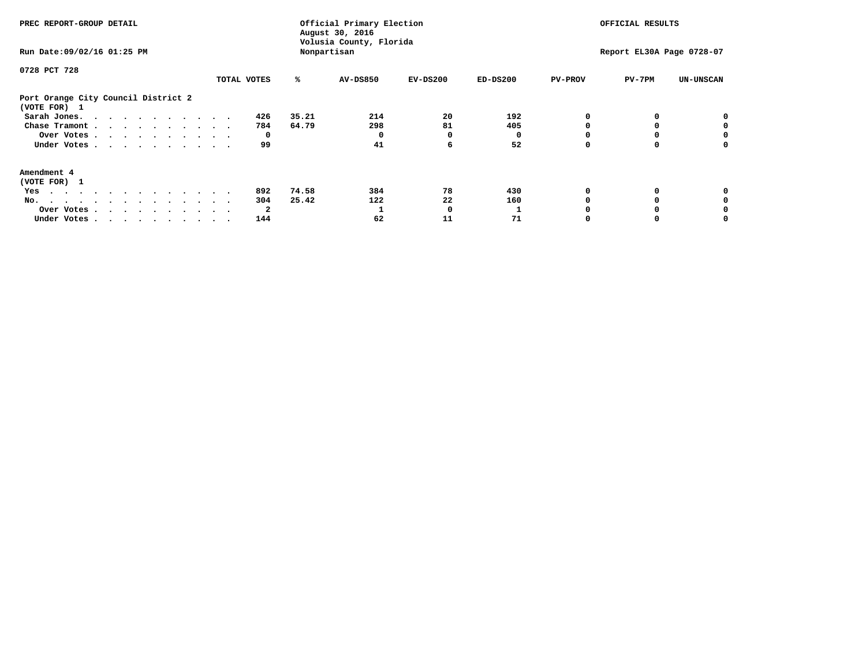| PREC REPORT-GROUP DETAIL<br>Run Date: 09/02/16 01:25 PM |             |       | Official Primary Election<br>August 30, 2016<br>Volusia County, Florida<br>Nonpartisan |            | OFFICIAL RESULTS<br>Report EL30A Page 0728-07 |                |          |                  |
|---------------------------------------------------------|-------------|-------|----------------------------------------------------------------------------------------|------------|-----------------------------------------------|----------------|----------|------------------|
|                                                         |             |       |                                                                                        |            |                                               |                |          |                  |
| 0728 PCT 728                                            |             |       |                                                                                        |            |                                               |                |          |                  |
|                                                         | TOTAL VOTES | ℁     | <b>AV-DS850</b>                                                                        | $EV-DS200$ | $ED-DS200$                                    | <b>PV-PROV</b> | $PV-7PM$ | <b>UN-UNSCAN</b> |
| Port Orange City Council District 2<br>(VOTE FOR) 1     |             |       |                                                                                        |            |                                               |                |          |                  |
| Sarah Jones.                                            | 426         | 35.21 | 214                                                                                    | 20         | 192                                           |                |          |                  |
| Chase Tramont                                           | 784         | 64.79 | 298                                                                                    | 81         | 405                                           |                |          |                  |
| Over Votes                                              | 0           |       |                                                                                        | 0          |                                               |                |          | 0                |
| Under Votes                                             | 99          |       | 41                                                                                     | 6          | 52                                            |                |          | 0                |
| Amendment 4                                             |             |       |                                                                                        |            |                                               |                |          |                  |
| (VOTE FOR) 1                                            |             |       |                                                                                        |            |                                               |                |          |                  |
| Yes                                                     | 892         | 74.58 | 384                                                                                    | 78         | 430                                           |                |          |                  |
| No.                                                     | 304         | 25.42 | 122                                                                                    | 22         | 160                                           |                |          |                  |
| Over Votes                                              | 2           |       |                                                                                        | O          |                                               |                |          |                  |
| Under Votes                                             | 144         |       | 62                                                                                     | 11         | 71                                            |                |          |                  |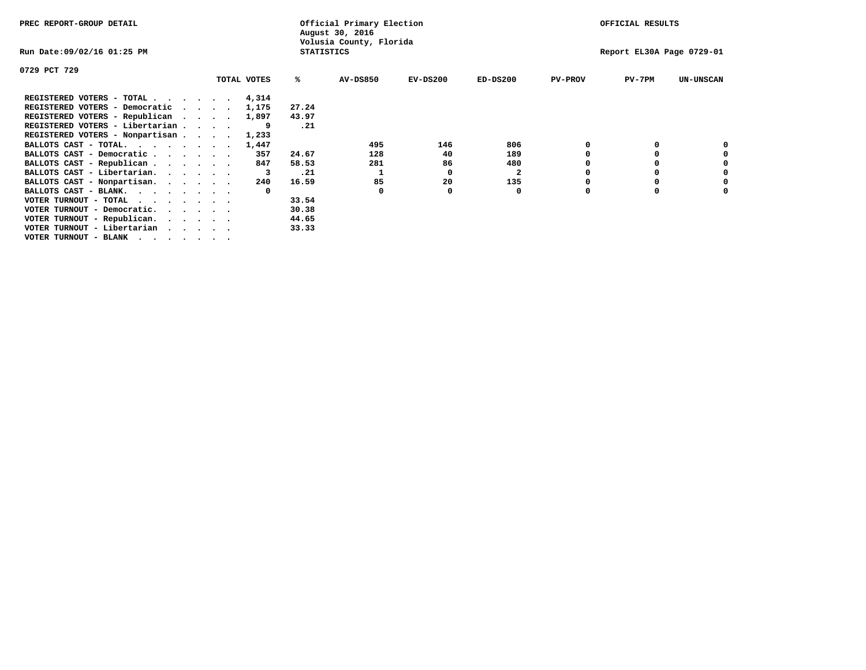| PREC REPORT-GROUP DETAIL              |  |             |                   | Official Primary Election<br>August 30, 2016 |            |              |                | OFFICIAL RESULTS          |                  |
|---------------------------------------|--|-------------|-------------------|----------------------------------------------|------------|--------------|----------------|---------------------------|------------------|
| Run Date:09/02/16 01:25 PM            |  |             | <b>STATISTICS</b> | Volusia County, Florida                      |            |              |                | Report EL30A Page 0729-01 |                  |
| 0729 PCT 729                          |  |             |                   |                                              |            |              |                |                           |                  |
|                                       |  | TOTAL VOTES | ℁                 | <b>AV-DS850</b>                              | $EV-DS200$ | $ED-DS200$   | <b>PV-PROV</b> | $PV-7PM$                  | <b>UN-UNSCAN</b> |
| REGISTERED VOTERS - TOTAL 4,314       |  |             |                   |                                              |            |              |                |                           |                  |
| REGISTERED VOTERS - Democratic        |  | 1,175       | 27.24             |                                              |            |              |                |                           |                  |
| REGISTERED VOTERS - Republican        |  | 1,897       | 43.97             |                                              |            |              |                |                           |                  |
| REGISTERED VOTERS - Libertarian       |  |             | .21               |                                              |            |              |                |                           |                  |
| REGISTERED VOTERS - Nonpartisan       |  | 1,233       |                   |                                              |            |              |                |                           |                  |
| BALLOTS CAST - TOTAL.                 |  | 1,447       |                   | 495                                          | 146        | 806          |                |                           |                  |
| BALLOTS CAST - Democratic             |  | 357         | 24.67             | 128                                          | 40         | 189          |                |                           |                  |
| BALLOTS CAST - Republican             |  | 847         | 58.53             | 281                                          | 86         | 480          |                |                           |                  |
| BALLOTS CAST - Libertarian.           |  |             | .21               |                                              | 0          | $\mathbf{2}$ |                |                           |                  |
| BALLOTS CAST - Nonpartisan.           |  | 240         | 16.59             | 85                                           | 20         | 135          |                |                           |                  |
| BALLOTS CAST - BLANK.                 |  |             |                   |                                              |            | 0            |                |                           |                  |
| VOTER TURNOUT - TOTAL<br>$\cdots$     |  |             | 33.54             |                                              |            |              |                |                           |                  |
| VOTER TURNOUT - Democratic.           |  |             | 30.38             |                                              |            |              |                |                           |                  |
| VOTER TURNOUT - Republican.           |  |             | 44.65             |                                              |            |              |                |                           |                  |
| VOTER TURNOUT - Libertarian           |  |             | 33.33             |                                              |            |              |                |                           |                  |
| VOTER TURNOUT - BLANK , , , , , , , , |  |             |                   |                                              |            |              |                |                           |                  |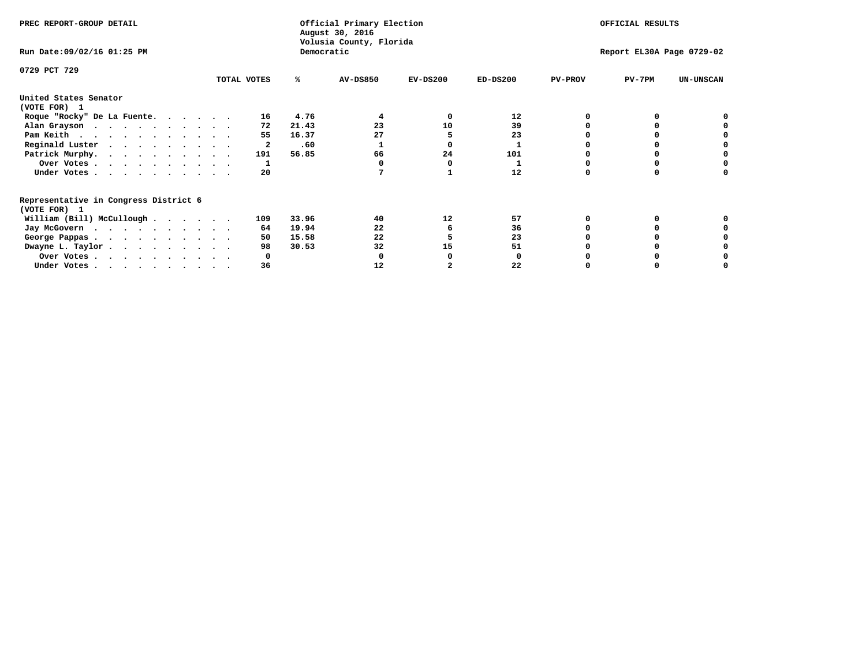| PREC REPORT-GROUP DETAIL              |             | Official Primary Election<br>August 30, 2016 | OFFICIAL RESULTS<br>Volusia County, Florida |            |                |                              |  |
|---------------------------------------|-------------|----------------------------------------------|---------------------------------------------|------------|----------------|------------------------------|--|
| Run Date: 09/02/16 01:25 PM           |             | Democratic                                   |                                             |            |                | Report EL30A Page 0729-02    |  |
| 0729 PCT 729                          |             |                                              |                                             |            |                |                              |  |
|                                       | TOTAL VOTES | <b>AV-DS850</b><br>℁                         | $EV-DS200$                                  | $ED-DS200$ | <b>PV-PROV</b> | $PV-7PM$<br><b>UN-UNSCAN</b> |  |
| United States Senator                 |             |                                              |                                             |            |                |                              |  |
| (VOTE FOR) 1                          |             |                                              |                                             |            |                |                              |  |
| Roque "Rocky" De La Fuente.           | 16          | 4.76<br>4                                    | $\Omega$                                    | 12         |                | $\Omega$                     |  |
| Alan Grayson                          | 72          | 23<br>21.43                                  | 10                                          | 39         |                | o                            |  |
| Pam Keith                             | 55          | 27<br>16.37                                  |                                             | 23         |                |                              |  |
| Reginald Luster                       | 2           | .60                                          |                                             |            |                | o                            |  |
| Patrick Murphy.                       | 191         | 56.85<br>66                                  | 24                                          | 101        |                | o                            |  |
| Over Votes                            | 1           | 0                                            |                                             |            |                | 0                            |  |
| Under Votes.                          | 20          | 7                                            |                                             | 12         | $\Omega$       | 0                            |  |
| Representative in Congress District 6 |             |                                              |                                             |            |                |                              |  |
| (VOTE FOR) 1                          |             |                                              |                                             |            |                |                              |  |
| William (Bill) McCullough             | 109         | 33.96<br>40                                  | 12                                          | 57         | 0              | 0                            |  |
| Jay McGovern                          | 64          | 19.94<br>22                                  | 6                                           | 36         |                | $\Omega$                     |  |
| George Pappas.                        | 50          | 15.58<br>22                                  |                                             | 23         |                |                              |  |
| Dwayne L. Taylor.                     | 98          | 32<br>30.53                                  | 15                                          | 51         |                | 0                            |  |
| Over Votes                            | 0           | 0                                            |                                             | 0          |                | o                            |  |
| Under Votes                           | 36          | 12                                           | 2                                           | 22         |                | 0                            |  |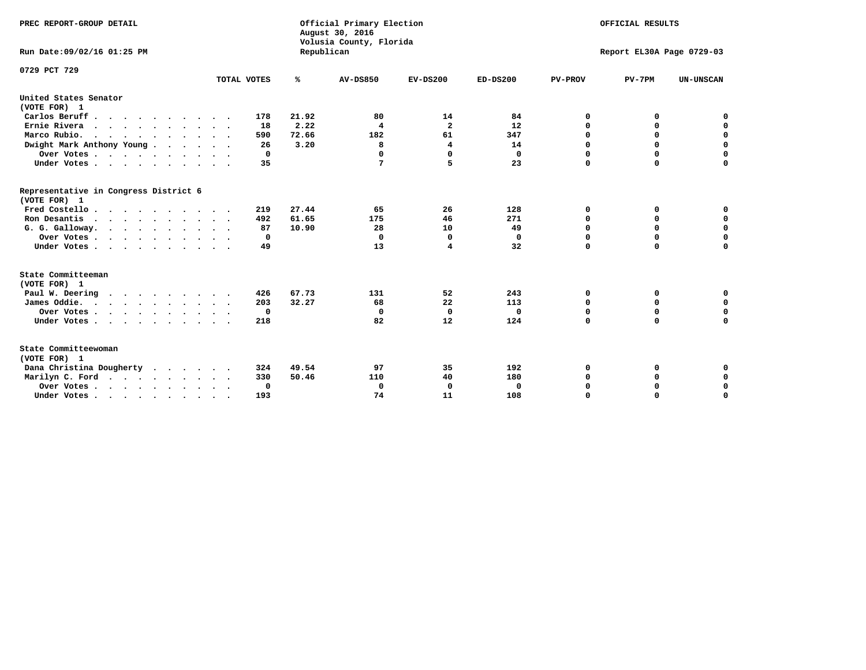| PREC REPORT-GROUP DETAIL<br>Run Date: 09/02/16 01:25 PM |             | Official Primary Election<br>August 30, 2016<br>Volusia County, Florida | OFFICIAL RESULTS<br>Report EL30A Page 0729-03 |                |            |                |             |                  |
|---------------------------------------------------------|-------------|-------------------------------------------------------------------------|-----------------------------------------------|----------------|------------|----------------|-------------|------------------|
|                                                         |             | Republican                                                              |                                               |                |            |                |             |                  |
| 0729 PCT 729                                            |             |                                                                         |                                               |                |            |                |             |                  |
|                                                         | TOTAL VOTES | ℁                                                                       | <b>AV-DS850</b>                               | $EV-DS200$     | $ED-DS200$ | <b>PV-PROV</b> | $PV-7PM$    | <b>UN-UNSCAN</b> |
| United States Senator<br>(VOTE FOR) 1                   |             |                                                                         |                                               |                |            |                |             |                  |
| Carlos Beruff                                           | 178         | 21.92                                                                   | 80                                            | 14             | 84         | 0              | 0           | 0                |
| Ernie Rivera                                            | 18          | 2.22                                                                    | 4                                             | $\overline{2}$ | 12         | $\Omega$       | 0           | $\mathbf 0$      |
| Marco Rubio.                                            | 590         | 72.66                                                                   | 182                                           | 61             | 347        | $\mathbf 0$    | $\mathbf 0$ | $\mathbf 0$      |
| Dwight Mark Anthony Young                               | 26          | 3.20                                                                    | 8                                             | 4              | 14         | 0              | $\mathbf 0$ | $\pmb{0}$        |
| Over Votes                                              | 0           |                                                                         | 0                                             | $\Omega$       | 0          | 0              | 0           | 0                |
| Under Votes                                             | 35          |                                                                         | 7                                             | 5              | 23         | $\Omega$       | $\Omega$    | $\mathbf 0$      |
| Representative in Congress District 6<br>(VOTE FOR) 1   |             |                                                                         |                                               |                |            |                |             |                  |
| Fred Costello.                                          | 219         | 27.44                                                                   | 65                                            | 26             | 128        | 0              | 0           | 0                |
| Ron Desantis                                            | 492         | 61.65                                                                   | 175                                           | 46             | 271        | 0              | 0           | $\mathbf 0$      |
| G. G. Galloway.                                         | 87          | 10.90                                                                   | 28                                            | 10             | 49         | $\mathbf 0$    | $\Omega$    | $\mathbf 0$      |
| Over Votes                                              | 0           |                                                                         | $\Omega$                                      | $\mathbf 0$    | 0          | $\mathbf 0$    | $\mathbf 0$ | $\mathbf 0$      |
| Under Votes                                             | 49          |                                                                         | 13                                            | 4              | 32         | $\mathbf 0$    | $\Omega$    | $\mathbf 0$      |
| State Committeeman                                      |             |                                                                         |                                               |                |            |                |             |                  |
| (VOTE FOR) 1                                            |             |                                                                         |                                               |                |            |                |             |                  |
| Paul W. Deering                                         | 426         | 67.73                                                                   | 131                                           | 52             | 243        | 0              | 0           | 0                |
| James Oddie.                                            | 203         | 32.27                                                                   | 68                                            | 22             | 113        | 0              | 0           | $\mathbf 0$      |
| Over Votes                                              | 0           |                                                                         | $\Omega$                                      | $\mathbf 0$    | 0          | 0              | $\mathbf 0$ | $\mathbf 0$      |
| Under Votes                                             | 218         |                                                                         | 82                                            | 12             | 124        | $\Omega$       | $\mathbf 0$ | $\mathbf 0$      |
| State Committeewoman<br>(VOTE FOR) 1                    |             |                                                                         |                                               |                |            |                |             |                  |
| Dana Christina Dougherty<br>.                           | 324         | 49.54                                                                   | 97                                            | 35             | 192        | 0              | 0           | 0                |
| Marilyn C. Ford                                         | 330         | 50.46                                                                   | 110                                           | 40             | 180        | 0              | 0           | 0                |
| Over Votes                                              | $\Omega$    |                                                                         | $\Omega$                                      | 0              | 0          | 0              | 0           | $\mathbf 0$      |
| Under Votes, , , , , , , , , ,                          | 193         |                                                                         | 74                                            | 11             | 108        | $\Omega$       | $\Omega$    | $\Omega$         |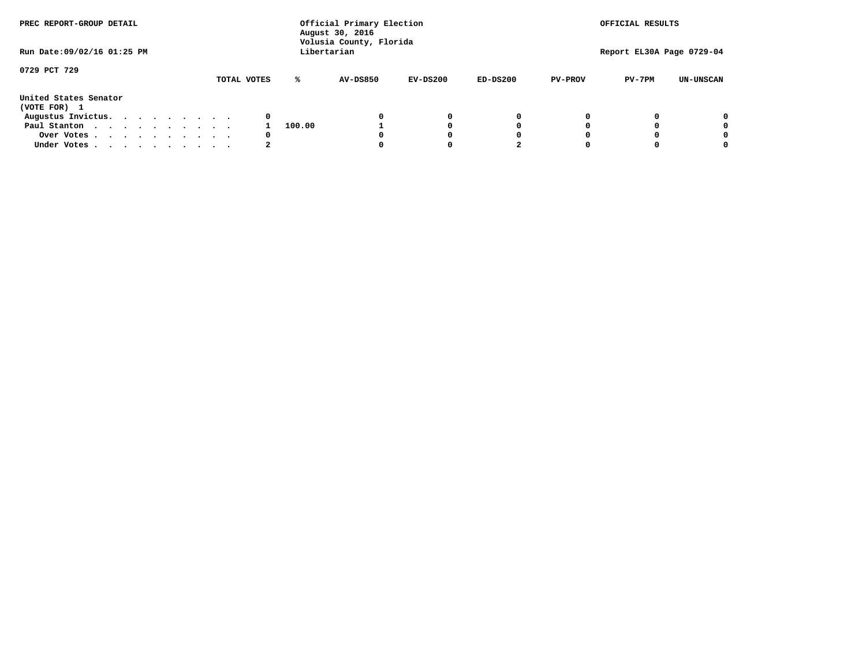| PREC REPORT-GROUP DETAIL<br>Run Date: 09/02/16 01:25 PM |  |  |  |  |             | Official Primary Election<br>August 30, 2016<br>Volusia County, Florida |             | OFFICIAL RESULTS<br>Report EL30A Page 0729-04 |            |                |          |                  |
|---------------------------------------------------------|--|--|--|--|-------------|-------------------------------------------------------------------------|-------------|-----------------------------------------------|------------|----------------|----------|------------------|
|                                                         |  |  |  |  |             |                                                                         | Libertarian |                                               |            |                |          |                  |
| 0729 PCT 729                                            |  |  |  |  | TOTAL VOTES | ℁                                                                       | AV-DS850    | $EV-DS200$                                    | $ED-DS200$ | <b>PV-PROV</b> | $PV-7PM$ | <b>UN-UNSCAN</b> |
| United States Senator<br>(VOTE FOR) 1                   |  |  |  |  |             |                                                                         |             |                                               |            |                |          |                  |
| Augustus Invictus.                                      |  |  |  |  | 0           |                                                                         |             | 0                                             | 0          |                |          | 0                |
| Paul Stanton                                            |  |  |  |  |             | 100.00                                                                  |             |                                               | 0          |                |          | 0                |
| Over Votes                                              |  |  |  |  | 0           |                                                                         |             |                                               | O          |                |          | 0                |
| Under Votes                                             |  |  |  |  |             |                                                                         |             |                                               |            |                |          |                  |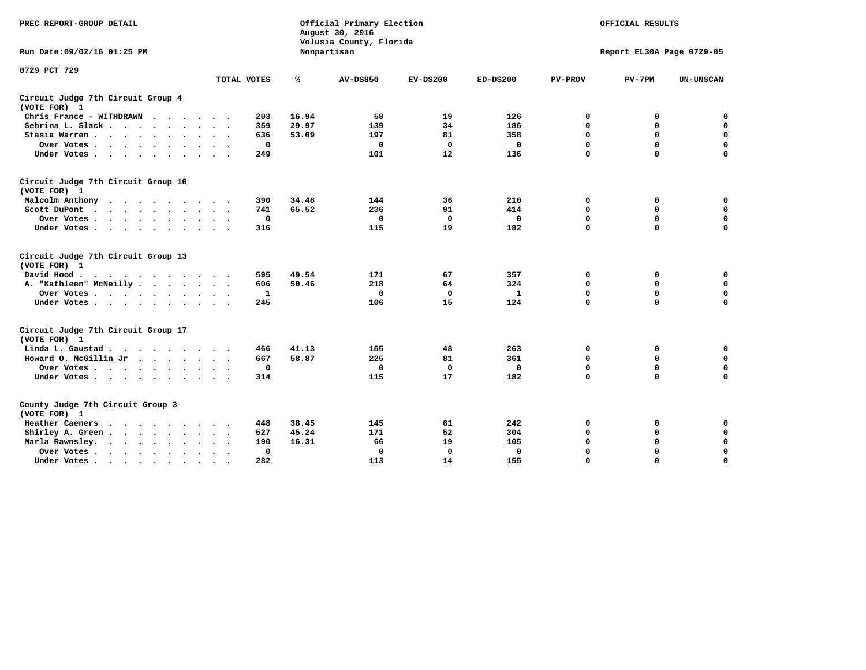| PREC REPORT-GROUP DETAIL                                    |                    | Official Primary Election<br>August 30, 2016<br>Volusia County, Florida |                 | OFFICIAL RESULTS |              |                |                           |                  |
|-------------------------------------------------------------|--------------------|-------------------------------------------------------------------------|-----------------|------------------|--------------|----------------|---------------------------|------------------|
| Run Date: 09/02/16 01:25 PM                                 |                    |                                                                         | Nonpartisan     |                  |              |                | Report EL30A Page 0729-05 |                  |
| 0729 PCT 729                                                |                    |                                                                         |                 |                  |              |                |                           |                  |
|                                                             | TOTAL VOTES        | %                                                                       | <b>AV-DS850</b> | $EV-DS200$       | $ED-DS200$   | <b>PV-PROV</b> | $PV-7PM$                  | <b>UN-UNSCAN</b> |
| Circuit Judge 7th Circuit Group 4<br>(VOTE FOR) 1           |                    |                                                                         |                 |                  |              |                |                           |                  |
| Chris France - WITHDRAWN                                    | 203                | 16.94                                                                   | 58              | 19               | 126          | 0              | 0                         | 0                |
| Sebrina L. Slack                                            | 359                | 29.97                                                                   | 139             | 34               | 186          | $\mathbf 0$    | $\mathbf 0$               | $\mathbf 0$      |
| Stasia Warren                                               | 636                | 53.09                                                                   | 197             | 81               | 358          | $\mathbf 0$    | $\mathbf 0$               | $\mathbf 0$      |
| Over Votes                                                  | 0                  |                                                                         | $\Omega$        | $\mathbf{0}$     | 0            | $\mathbf 0$    | $\mathbf 0$               | $\mathbf 0$      |
| Under Votes                                                 | 249                |                                                                         | 101             | 12               | 136          | $\mathbf 0$    | $\mathbf 0$               | $\mathbf 0$      |
| Circuit Judge 7th Circuit Group 10<br>(VOTE FOR) 1          |                    |                                                                         |                 |                  |              |                |                           |                  |
| Malcolm Anthony<br>.                                        | 390                | 34.48                                                                   | 144             | 36               | 210          | 0              | 0                         | 0                |
| Scott DuPont                                                | 741                | 65.52                                                                   | 236             | 91               | 414          | $\mathbf 0$    | $\mathbf 0$               | $\mathbf 0$      |
| Over Votes<br>$\ddot{\phantom{1}}$                          | 0                  |                                                                         | $\mathbf{0}$    | $\mathbf 0$      | $\mathbf 0$  | $\mathbf 0$    | $\mathbf 0$               | $\mathbf 0$      |
| Under Votes                                                 | 316                |                                                                         | 115             | 19               | 182          | $\mathbf 0$    | $\Omega$                  | $\mathbf 0$      |
| Circuit Judge 7th Circuit Group 13<br>(VOTE FOR) 1          |                    |                                                                         |                 |                  |              |                |                           |                  |
| David Hood.                                                 | 595                | 49.54                                                                   | 171             | 67               | 357          | 0              | 0                         | 0                |
| A. "Kathleen" McNeilly                                      | 606                | 50.46                                                                   | 218             | 64               | 324          | $\mathbf 0$    | 0                         | $\mathbf 0$      |
| Over Votes                                                  | 1                  |                                                                         | $\mathbf 0$     | $\mathbf 0$      | $\mathbf{1}$ | 0              | $\mathbf 0$               | $\mathbf 0$      |
| Under Votes                                                 | 245                |                                                                         | 106             | 15               | 124          | $\mathbf 0$    | $\mathbf 0$               | 0                |
| Circuit Judge 7th Circuit Group 17<br>(VOTE FOR) 1          |                    |                                                                         |                 |                  |              |                |                           |                  |
| Linda L. Gaustad                                            | 466                | 41.13                                                                   | 155             | 48               | 263          | 0              | 0                         | $\mathbf 0$      |
| Howard O. McGillin Jr                                       | 667                | 58.87                                                                   | 225             | 81               | 361          | 0              | $\mathbf 0$               | 0                |
| Over Votes                                                  | 0                  |                                                                         | $\Omega$        | 0                | $\mathbf{0}$ | $\mathbf 0$    | $\mathbf 0$               | $\mathbf 0$      |
| Under Votes                                                 | 314                |                                                                         | 115             | 17               | 182          | $\mathbf 0$    | $\mathbf 0$               | $\mathbf 0$      |
| County Judge 7th Circuit Group 3<br>(VOTE FOR) 1            |                    |                                                                         |                 |                  |              |                |                           |                  |
| Heather Caeners<br>$\cdots$                                 | 448                | 38.45                                                                   | 145             | 61               | 242          | 0              | 0                         | 0                |
| Shirley A. Green                                            | 527                | 45.24                                                                   | 171             | 52               | 304          | $\mathbf 0$    | $\mathbf 0$               | $\mathbf 0$      |
| Marla Rawnsley.<br>$\cdots$                                 | 190                | 16.31                                                                   | 66              | 19               | 105          | 0              | $\mathbf 0$               | $\pmb{0}$        |
| Over Votes .<br>$\cdots$<br>$\ddot{\phantom{a}}$<br>$\cdot$ | 0<br>$\sim$ $\sim$ |                                                                         | $\mathbf 0$     | 0                | 0            | $\mathbf 0$    | 0                         | $\mathbf 0$      |
| Under Votes<br>$\sim$<br>$\sim$                             | 282                |                                                                         | 113             | 14               | 155          | $\mathbf 0$    | $\mathbf 0$               | 0                |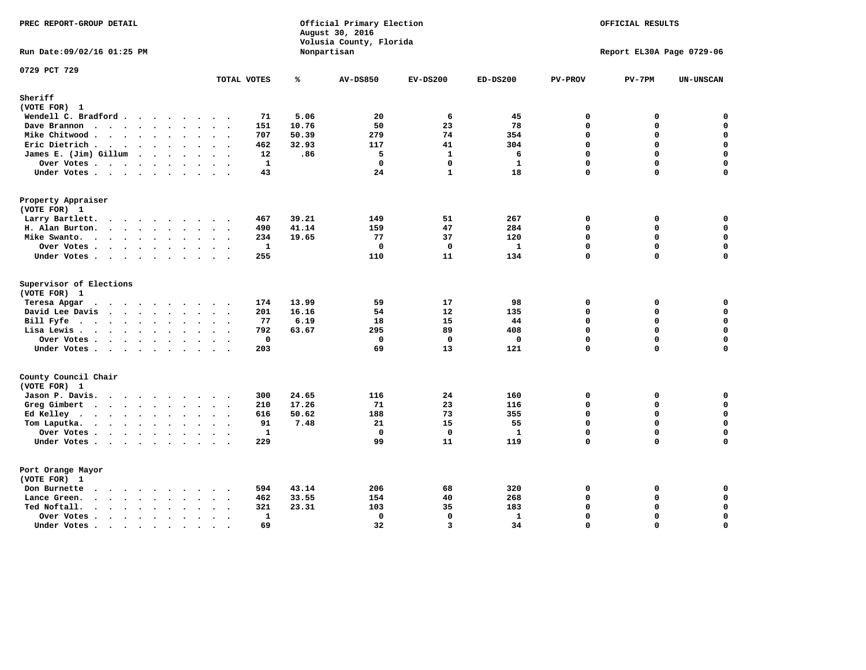| PREC REPORT-GROUP DETAIL                                                                                         |                           |       | Official Primary Election<br>August 30, 2016<br>Volusia County, Florida | OFFICIAL RESULTS |              |                |                           |                  |
|------------------------------------------------------------------------------------------------------------------|---------------------------|-------|-------------------------------------------------------------------------|------------------|--------------|----------------|---------------------------|------------------|
| Run Date: 09/02/16 01:25 PM                                                                                      |                           |       | Nonpartisan                                                             |                  |              |                | Report EL30A Page 0729-06 |                  |
| 0729 PCT 729                                                                                                     | TOTAL VOTES               | ℁     | <b>AV-DS850</b>                                                         | $EV-DS200$       | $ED-DS200$   | <b>PV-PROV</b> | $PV-7PM$                  | <b>UN-UNSCAN</b> |
| Sheriff                                                                                                          |                           |       |                                                                         |                  |              |                |                           |                  |
| (VOTE FOR) 1                                                                                                     |                           |       |                                                                         |                  |              |                |                           |                  |
| Wendell C. Bradford                                                                                              | 71                        | 5.06  | 20                                                                      | 6                | 45           | 0              | 0                         | 0                |
| Dave Brannon<br>$\mathbf{r}$ , and $\mathbf{r}$ , and $\mathbf{r}$ , and $\mathbf{r}$ , and $\mathbf{r}$         | 151                       | 10.76 | 50                                                                      | 23               | 78           | $\mathbf 0$    | 0                         | 0                |
| Mike Chitwood                                                                                                    | 707                       | 50.39 | 279                                                                     | 74               | 354          | 0              | 0                         | $\mathbf 0$      |
| Eric Dietrich                                                                                                    | 462                       | 32.93 | 117                                                                     | 41               | 304          | 0              | 0                         | $\mathbf 0$      |
| James E. (Jim) Gillum                                                                                            | 12                        | .86   | 5                                                                       | $\mathbf{1}$     | 6            | $\mathbf 0$    | 0                         | $\mathbf 0$      |
| Over Votes                                                                                                       | $\mathbf{1}$              |       | $\mathbf 0$                                                             | 0                | $\mathbf{1}$ | $\mathbf 0$    | 0                         | 0                |
| Under Votes                                                                                                      | 43                        |       | 24                                                                      | $\mathbf{1}$     | 18           | 0              | 0                         | $\mathbf 0$      |
| Property Appraiser                                                                                               |                           |       |                                                                         |                  |              |                |                           |                  |
| (VOTE FOR) 1                                                                                                     |                           |       |                                                                         |                  |              |                |                           |                  |
| Larry Bartlett.                                                                                                  | 467                       | 39.21 | 149                                                                     | 51               | 267          | 0              | 0                         | 0                |
| H. Alan Burton.<br>$\cdots$                                                                                      | 490                       | 41.14 | 159                                                                     | 47               | 284          | 0              | 0                         | $\mathbf 0$      |
| Mike Swanto.                                                                                                     | 234                       | 19.65 | 77                                                                      | 37               | 120          | $\Omega$       | 0                         | $\mathbf 0$      |
| Over Votes                                                                                                       | $\mathbf{1}$<br>$\bullet$ |       | 0                                                                       | $\mathbf 0$      | $\mathbf{1}$ | 0              | 0                         | 0                |
| Under Votes                                                                                                      | 255                       |       | 110                                                                     | 11               | 134          | 0              | 0                         | $\Omega$         |
| Supervisor of Elections<br>(VOTE FOR) 1                                                                          |                           |       |                                                                         |                  |              |                |                           |                  |
| Teresa Apgar                                                                                                     | 174                       | 13.99 | 59                                                                      | 17               | 98           | 0              | 0                         | $\mathbf 0$      |
| David Lee Davis                                                                                                  | 201                       | 16.16 | 54                                                                      | 12               | 135          | 0              | 0                         | $\mathbf 0$      |
| Bill Fyfe.                                                                                                       | 77                        | 6.19  | 18                                                                      | 15               | 44           | $\mathbf 0$    | 0                         | $\mathbf 0$      |
| Lisa Lewis                                                                                                       | 792                       | 63.67 | 295                                                                     | 89               | 408          | $\mathbf 0$    | 0                         | $\mathsf{o}\,$   |
| Over Votes                                                                                                       | $\mathbf 0$               |       | $\mathbf 0$                                                             | $\mathbf 0$      | $\mathbf{0}$ | $\mathbf 0$    | 0                         | $\mathbf 0$      |
| Under Votes                                                                                                      | 203                       |       | 69                                                                      | 13               | 121          | $\mathbf 0$    | 0                         | $\mathbf 0$      |
| County Council Chair                                                                                             |                           |       |                                                                         |                  |              |                |                           |                  |
| (VOTE FOR) 1                                                                                                     |                           |       |                                                                         |                  |              |                |                           |                  |
| Jason P. Davis.                                                                                                  | 300                       | 24.65 | 116                                                                     | 24               | 160          | 0              | 0                         | 0                |
| Greg Gimbert                                                                                                     | 210                       | 17.26 | 71                                                                      | 23               | 116          | $\Omega$       | 0                         | 0                |
| Ed Kelley                                                                                                        | 616                       | 50.62 | 188                                                                     | 73               | 355          | $\mathbf 0$    | 0                         | $\mathbf 0$      |
| Tom Laputka.                                                                                                     | 91                        | 7.48  | 21                                                                      | 15               | 55           | $\mathbf 0$    | 0                         | $\mathbf 0$      |
| Over Votes .<br>$\cdots$                                                                                         | $\mathbf{1}$              |       | $\mathbf 0$                                                             | $\mathbf 0$      | $\mathbf{1}$ | $\mathbf 0$    | 0                         | $\mathbf 0$      |
| Under Votes                                                                                                      | 229                       |       | 99                                                                      | 11               | 119          | $\mathbf 0$    | 0                         | $\mathbf 0$      |
|                                                                                                                  |                           |       |                                                                         |                  |              |                |                           |                  |
| Port Orange Mayor                                                                                                |                           |       |                                                                         |                  |              |                |                           |                  |
| (VOTE FOR) 1                                                                                                     |                           |       |                                                                         |                  |              |                |                           |                  |
| Don Burnette<br>$\cdots$<br>$\cdot$                                                                              | 594                       | 43.14 | 206                                                                     | 68               | 320          | 0              | 0                         | 0                |
| Lance Green.<br>$\mathbf{r}$ , $\mathbf{r}$ , $\mathbf{r}$ , $\mathbf{r}$ , $\mathbf{r}$<br>$\ddot{\phantom{a}}$ | 462                       | 33.55 | 154                                                                     | 40               | 268          | 0              | 0                         | $\mathsf{o}\,$   |
| Ted Noftall.<br>$\cdots$<br>$\sim$<br>$\bullet$                                                                  | 321                       | 23.31 | 103                                                                     | 35               | 183          | $\Omega$       | 0                         | 0                |
| Over Votes.<br>$\cdot$ $\cdot$ $\cdot$ $\cdot$ $\cdot$<br>$\sim$<br>$\bullet$                                    | $\mathbf{1}$              |       | $\Omega$                                                                | 0                | $\mathbf{1}$ | $\mathbf 0$    | 0                         | $\pmb{0}$        |
| Under Votes.<br>$\cdots$<br>$\sim$<br>$\bullet$<br>$\bullet$                                                     | 69                        |       | 32                                                                      | 3                | 34           | $\Omega$       | $\Omega$                  | $\mathbf 0$      |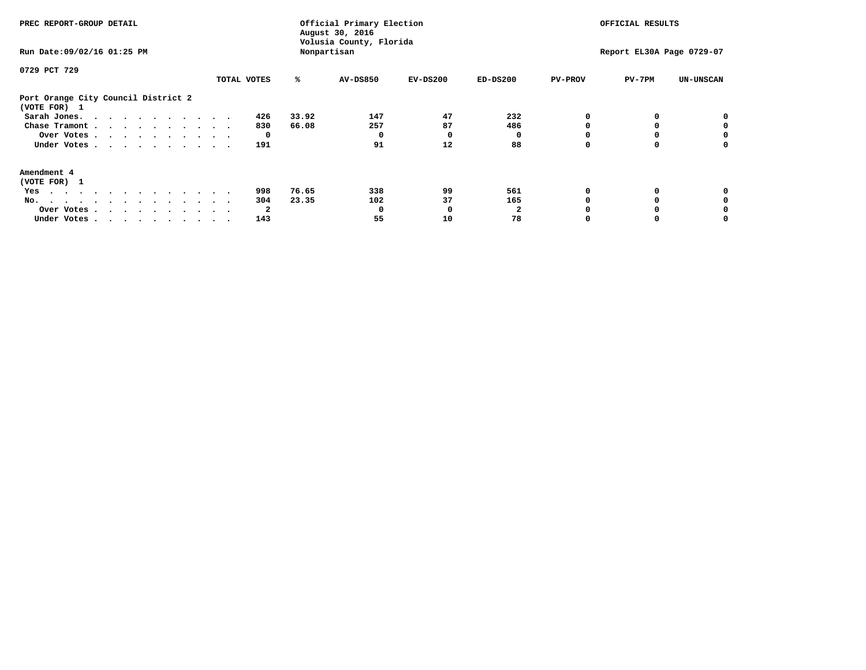| PREC REPORT-GROUP DETAIL<br>Run Date: 09/02/16 01:25 PM                                                                                                                                                                              |             |       | Official Primary Election<br>August 30, 2016<br>Volusia County, Florida<br>Nonpartisan | OFFICIAL RESULTS<br>Report EL30A Page 0729-07 |            |                |          |                  |
|--------------------------------------------------------------------------------------------------------------------------------------------------------------------------------------------------------------------------------------|-------------|-------|----------------------------------------------------------------------------------------|-----------------------------------------------|------------|----------------|----------|------------------|
|                                                                                                                                                                                                                                      |             |       |                                                                                        |                                               |            |                |          |                  |
| 0729 PCT 729                                                                                                                                                                                                                         |             |       |                                                                                        |                                               |            |                |          |                  |
|                                                                                                                                                                                                                                      | TOTAL VOTES | ℁     | <b>AV-DS850</b>                                                                        | $EV-DS200$                                    | $ED-DS200$ | <b>PV-PROV</b> | $PV-7PM$ | <b>UN-UNSCAN</b> |
| Port Orange City Council District 2<br>(VOTE FOR) 1                                                                                                                                                                                  |             |       |                                                                                        |                                               |            |                |          |                  |
| Sarah Jones.                                                                                                                                                                                                                         | 426         | 33.92 | 147                                                                                    | 47                                            | 232        |                |          |                  |
| Chase Tramont                                                                                                                                                                                                                        | 830         | 66.08 | 257                                                                                    | 87                                            | 486        |                |          |                  |
| Over Votes                                                                                                                                                                                                                           |             |       |                                                                                        | O                                             |            |                |          | 0                |
| Under Votes                                                                                                                                                                                                                          | 191         |       | 91                                                                                     | 12                                            | 88         |                |          | 0                |
| Amendment 4                                                                                                                                                                                                                          |             |       |                                                                                        |                                               |            |                |          |                  |
| (VOTE FOR) 1                                                                                                                                                                                                                         |             |       |                                                                                        |                                               |            |                |          |                  |
| Yes<br>. The contract of the contract of the contract of the contract of the contract of the contract of the contract of the contract of the contract of the contract of the contract of the contract of the contract of the contrac | 998         | 76.65 | 338                                                                                    | 99                                            | 561        |                |          |                  |
| No.                                                                                                                                                                                                                                  | 304         | 23.35 | 102                                                                                    | 37                                            | 165        |                |          |                  |
| Over Votes                                                                                                                                                                                                                           | 2           |       | O                                                                                      | n                                             |            |                |          |                  |
| Under Votes                                                                                                                                                                                                                          | 143         |       | 55                                                                                     | 10                                            | 78         |                |          |                  |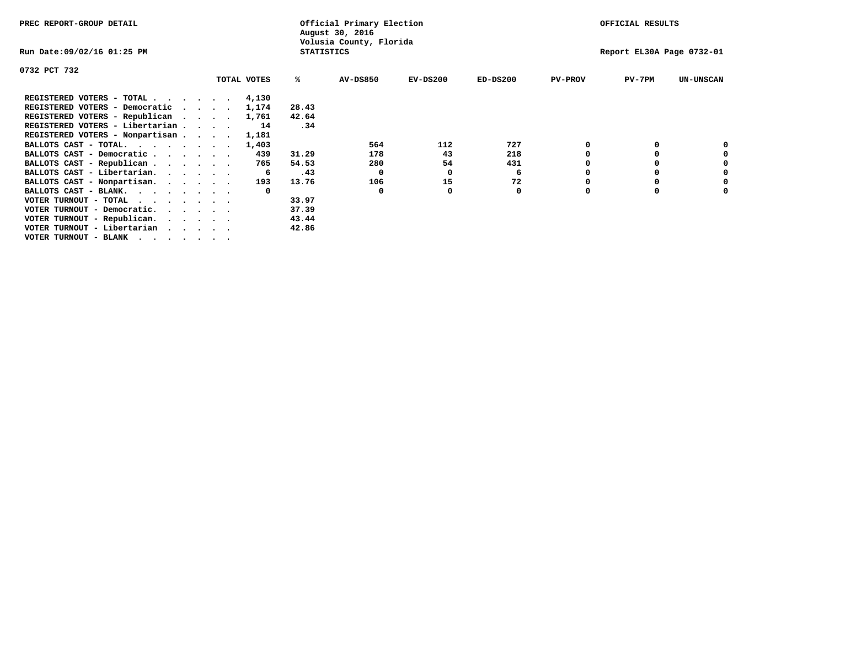| PREC REPORT-GROUP DETAIL        |  |             | Official Primary Election<br>August 30, 2016 | OFFICIAL RESULTS        |                           |            |                |          |                  |
|---------------------------------|--|-------------|----------------------------------------------|-------------------------|---------------------------|------------|----------------|----------|------------------|
| Run Date:09/02/16 01:25 PM      |  |             | <b>STATISTICS</b>                            | Volusia County, Florida | Report EL30A Page 0732-01 |            |                |          |                  |
| 0732 PCT 732                    |  |             |                                              |                         |                           |            |                |          |                  |
|                                 |  | TOTAL VOTES | %ะ                                           | <b>AV-DS850</b>         | $EV-DS200$                | $ED-DS200$ | <b>PV-PROV</b> | $PV-7PM$ | <b>UN-UNSCAN</b> |
| REGISTERED VOTERS - TOTAL 4,130 |  |             |                                              |                         |                           |            |                |          |                  |
| REGISTERED VOTERS - Democratic  |  | 1,174       | 28.43                                        |                         |                           |            |                |          |                  |
| REGISTERED VOTERS - Republican  |  | 1,761       | 42.64                                        |                         |                           |            |                |          |                  |
| REGISTERED VOTERS - Libertarian |  | 14          | .34                                          |                         |                           |            |                |          |                  |
| REGISTERED VOTERS - Nonpartisan |  | 1,181       |                                              |                         |                           |            |                |          |                  |
| BALLOTS CAST - TOTAL.           |  | 1,403       |                                              | 564                     | 112                       | 727        |                |          |                  |
| BALLOTS CAST - Democratic       |  | 439         | 31.29                                        | 178                     | 43                        | 218        |                |          |                  |
| BALLOTS CAST - Republican       |  | 765         | 54.53                                        | 280                     | 54                        | 431        |                |          |                  |
| BALLOTS CAST - Libertarian.     |  | -6          | .43                                          | 0                       | 0                         | 6          |                |          |                  |
| BALLOTS CAST - Nonpartisan.     |  | 193         | 13.76                                        | 106                     | 15                        | 72         |                |          | 0                |
| BALLOTS CAST - BLANK.           |  |             |                                              | $\Omega$                |                           | 0          |                |          |                  |
| VOTER TURNOUT - TOTAL           |  |             | 33.97                                        |                         |                           |            |                |          |                  |
| VOTER TURNOUT - Democratic.     |  |             | 37.39                                        |                         |                           |            |                |          |                  |
| VOTER TURNOUT - Republican.     |  |             | 43.44                                        |                         |                           |            |                |          |                  |
| VOTER TURNOUT - Libertarian     |  |             | 42.86                                        |                         |                           |            |                |          |                  |
| VOTER TURNOUT - BLANK           |  |             |                                              |                         |                           |            |                |          |                  |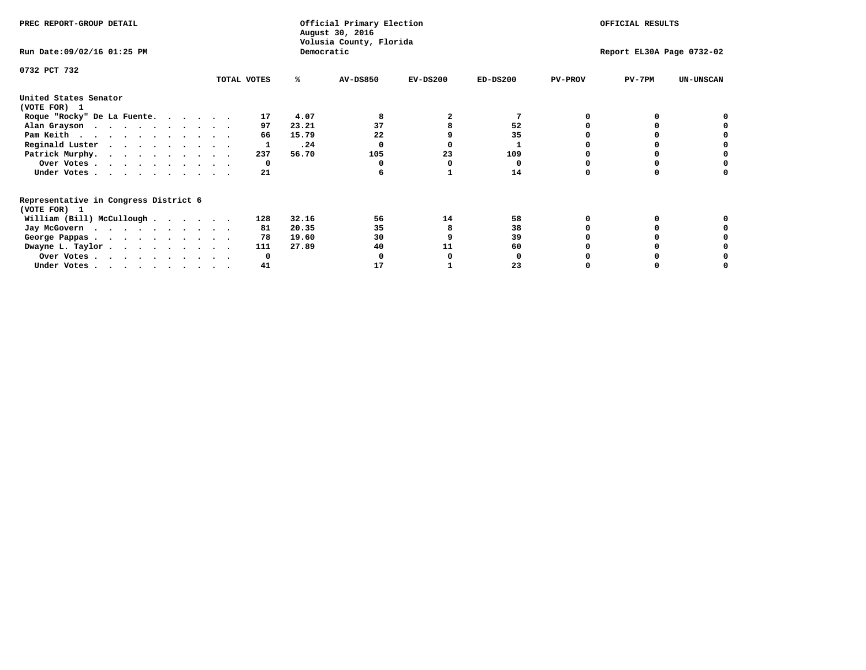| PREC REPORT-GROUP DETAIL                              |             | Official Primary Election<br>August 30, 2016<br>Volusia County, Florida |            |            | OFFICIAL RESULTS |                           |                  |  |
|-------------------------------------------------------|-------------|-------------------------------------------------------------------------|------------|------------|------------------|---------------------------|------------------|--|
| Run Date: 09/02/16 01:25 PM                           |             | Democratic                                                              |            |            |                  | Report EL30A Page 0732-02 |                  |  |
| 0732 PCT 732                                          | TOTAL VOTES | AV-DS850<br>%ะ                                                          | $EV-DS200$ | $ED-DS200$ | <b>PV-PROV</b>   | $PV-7PM$                  | <b>UN-UNSCAN</b> |  |
| United States Senator<br>(VOTE FOR) 1                 |             |                                                                         |            |            |                  |                           |                  |  |
| Roque "Rocky" De La Fuente.                           | 17          | 4.07<br>8                                                               |            |            |                  |                           |                  |  |
| Alan Grayson                                          | 97          | 23.21<br>37                                                             |            | 52         |                  |                           |                  |  |
| Pam Keith                                             | 66          | 15.79<br>22                                                             |            | 35         |                  |                           |                  |  |
| Reginald Luster                                       | 1           | .24<br>0                                                                |            | 1          |                  |                           |                  |  |
| Patrick Murphy.                                       | 237         | 56.70<br>105                                                            | 23         | 109        |                  |                           |                  |  |
| Over Votes                                            | 0           |                                                                         | 0          | 0          |                  |                           |                  |  |
| Under Votes                                           | 21          | 6                                                                       |            | 14         |                  |                           |                  |  |
| Representative in Congress District 6<br>(VOTE FOR) 1 |             |                                                                         |            |            |                  |                           |                  |  |
| William (Bill) McCullough $\cdots$ $\cdots$           | 128         | 32.16<br>56                                                             | 14         | 58         |                  | 0                         |                  |  |
| Jay McGovern                                          | 81          | 20.35<br>35                                                             | 8          | 38         |                  |                           |                  |  |
| George Pappas.                                        | 78          | 19.60<br>30                                                             | 9          | 39         |                  |                           |                  |  |
| Dwayne L. Taylor                                      | 111         | 40<br>27.89                                                             | 11         | 60         |                  |                           |                  |  |
| Over Votes                                            | 0           | 0                                                                       | o          | 0          |                  | 0                         |                  |  |
| Under Votes                                           | 41          | 17                                                                      |            | 23         | O                | 0                         |                  |  |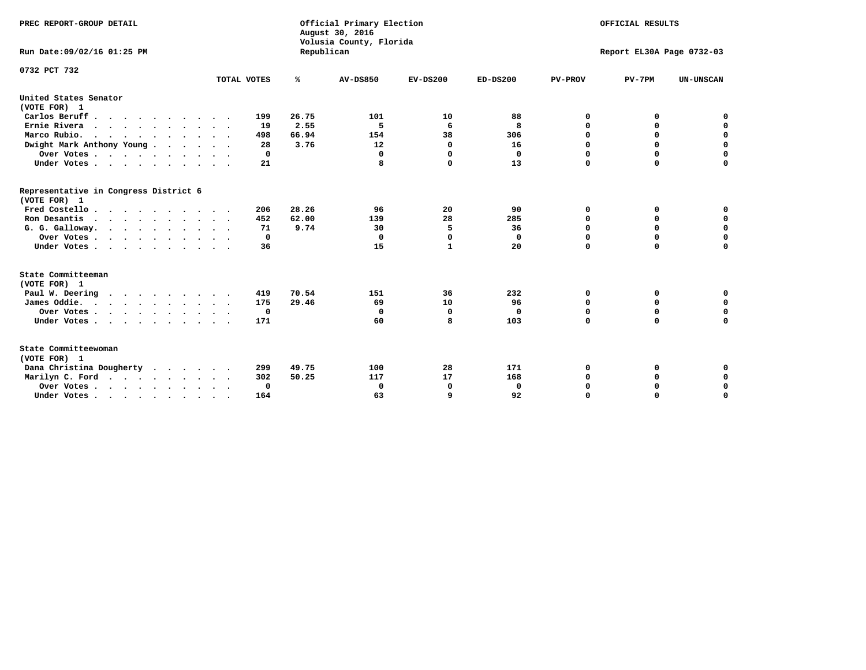| PREC REPORT-GROUP DETAIL<br>Run Date:09/02/16 01:25 PM |                            | Republican | Official Primary Election<br>August 30, 2016<br>Volusia County, Florida | OFFICIAL RESULTS<br>Report EL30A Page 0732-03 |            |                |             |                  |
|--------------------------------------------------------|----------------------------|------------|-------------------------------------------------------------------------|-----------------------------------------------|------------|----------------|-------------|------------------|
| 0732 PCT 732                                           | TOTAL VOTES                | ℁          | <b>AV-DS850</b>                                                         | $EV-DS200$                                    | $ED-DS200$ | <b>PV-PROV</b> | $PV-7PM$    | <b>UN-UNSCAN</b> |
| United States Senator                                  |                            |            |                                                                         |                                               |            |                |             |                  |
| (VOTE FOR) 1                                           |                            |            |                                                                         |                                               |            |                |             |                  |
| Carlos Beruff                                          | 199                        | 26.75      | 101                                                                     | 10                                            | 88         | 0              | 0           | 0                |
| Ernie Rivera<br>$\cdots$                               | 19                         | 2.55       | 5                                                                       | 6                                             | 8          | 0              | 0           | $\mathbf 0$      |
| Marco Rubio.                                           | 498                        | 66.94      | 154                                                                     | 38                                            | 306        | 0              | 0           | $\mathbf 0$      |
| Dwight Mark Anthony Young                              | 28                         | 3.76       | 12                                                                      | 0                                             | 16         | $\mathbf 0$    | $\mathbf 0$ | $\mathbf 0$      |
| Over Votes                                             | 0                          |            | 0                                                                       | 0                                             | 0          | $\mathbf 0$    | $\mathbf 0$ | $\mathbf 0$      |
| Under Votes                                            | 21<br>$\ddot{\phantom{1}}$ |            | 8                                                                       | 0                                             | 13         | $\Omega$       | $\Omega$    | $\mathbf 0$      |
| Representative in Congress District 6<br>(VOTE FOR) 1  |                            |            |                                                                         |                                               |            |                |             |                  |
| Fred Costello                                          | 206                        | 28.26      | 96                                                                      | 20                                            | 90         | 0              | 0           | $\mathbf 0$      |
| Ron Desantis                                           | 452                        | 62.00      | 139                                                                     | 28                                            | 285        | 0              | 0           | $\mathbf 0$      |
| G. G. Galloway.                                        | 71                         | 9.74       | 30                                                                      | 5                                             | 36         | $\mathbf 0$    | $\mathbf 0$ | $\mathbf 0$      |
| Over Votes                                             | 0                          |            | $\mathbf 0$                                                             | $\Omega$                                      | 0          | 0              | 0           | 0                |
| Under Votes                                            | 36                         |            | 15                                                                      | $\mathbf{1}$                                  | 20         | $\mathbf 0$    | $\Omega$    | $\mathbf 0$      |
| State Committeeman                                     |                            |            |                                                                         |                                               |            |                |             |                  |
| (VOTE FOR) 1                                           |                            |            |                                                                         |                                               |            |                |             |                  |
| Paul W. Deering                                        | 419                        | 70.54      | 151                                                                     | 36                                            | 232        | 0              | 0           | 0                |
| James Oddie.                                           | 175                        | 29.46      | 69                                                                      | 10                                            | 96         | 0              | 0           | $\mathbf 0$      |
| Over Votes                                             | 0                          |            | 0                                                                       | 0                                             | 0          | 0              | $\mathbf 0$ | $\mathbf 0$      |
| Under Votes                                            | 171                        |            | 60                                                                      | 8                                             | 103        | $\mathbf 0$    | $\mathbf 0$ | $\mathbf 0$      |
| State Committeewoman<br>(VOTE FOR) 1                   |                            |            |                                                                         |                                               |            |                |             |                  |
| Dana Christina Dougherty<br>.                          | 299                        | 49.75      | 100                                                                     | 28                                            | 171        | 0              | 0           | 0                |
| Marilyn C. Ford                                        | 302                        | 50.25      | 117                                                                     | 17                                            | 168        | 0              | 0           | 0                |
| Over Votes                                             | $\Omega$                   |            | $\mathbf 0$                                                             | 0                                             | 0          | 0              | 0           | $\mathbf 0$      |
| Under Votes, , , , , , , , , ,                         | 164                        |            | 63                                                                      | $\mathbf{Q}$                                  | 92         | $\Omega$       | $\Omega$    | $\Omega$         |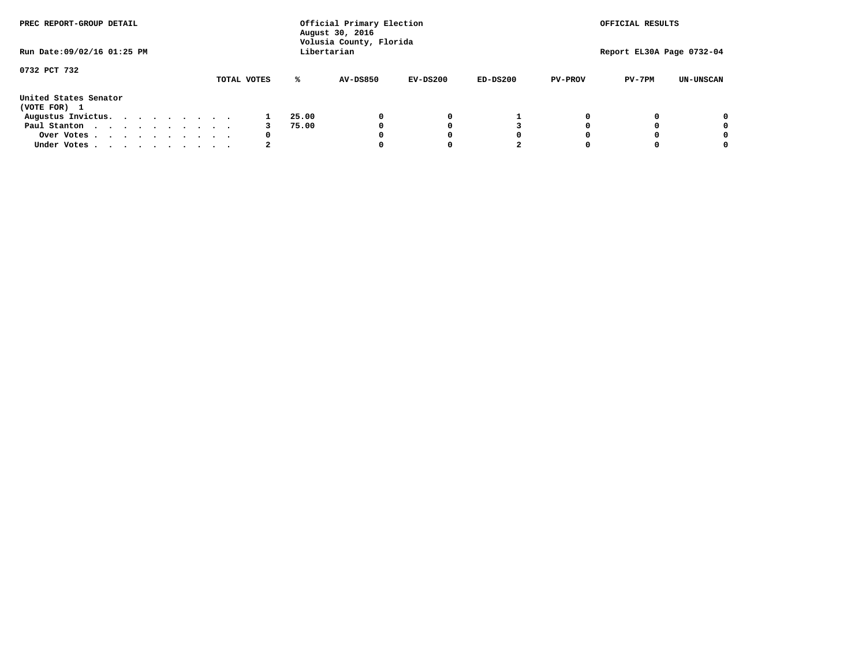| PREC REPORT-GROUP DETAIL              |  |  |  | Official Primary Election<br>August 30, 2016<br>Volusia County, Florida |  |             |       |                 |            | OFFICIAL RESULTS |                |                           |                  |
|---------------------------------------|--|--|--|-------------------------------------------------------------------------|--|-------------|-------|-----------------|------------|------------------|----------------|---------------------------|------------------|
| Run Date: 09/02/16 01:25 PM           |  |  |  |                                                                         |  |             |       | Libertarian     |            |                  |                | Report EL30A Page 0732-04 |                  |
| 0732 PCT 732                          |  |  |  |                                                                         |  | TOTAL VOTES | ℁     | <b>AV-DS850</b> | $EV-DS200$ | $ED-DS200$       | <b>PV-PROV</b> | $PV-7PM$                  | <b>UN-UNSCAN</b> |
| United States Senator<br>(VOTE FOR) 1 |  |  |  |                                                                         |  |             |       |                 |            |                  |                |                           |                  |
| Augustus Invictus.                    |  |  |  |                                                                         |  |             | 25.00 |                 | 0          |                  |                |                           | 0                |
| Paul Stanton                          |  |  |  |                                                                         |  |             | 75.00 |                 |            |                  |                |                           | 0                |
| Over Votes                            |  |  |  |                                                                         |  | 0           |       |                 |            | O                |                |                           | 0                |
| Under Votes                           |  |  |  |                                                                         |  |             |       |                 |            |                  |                |                           |                  |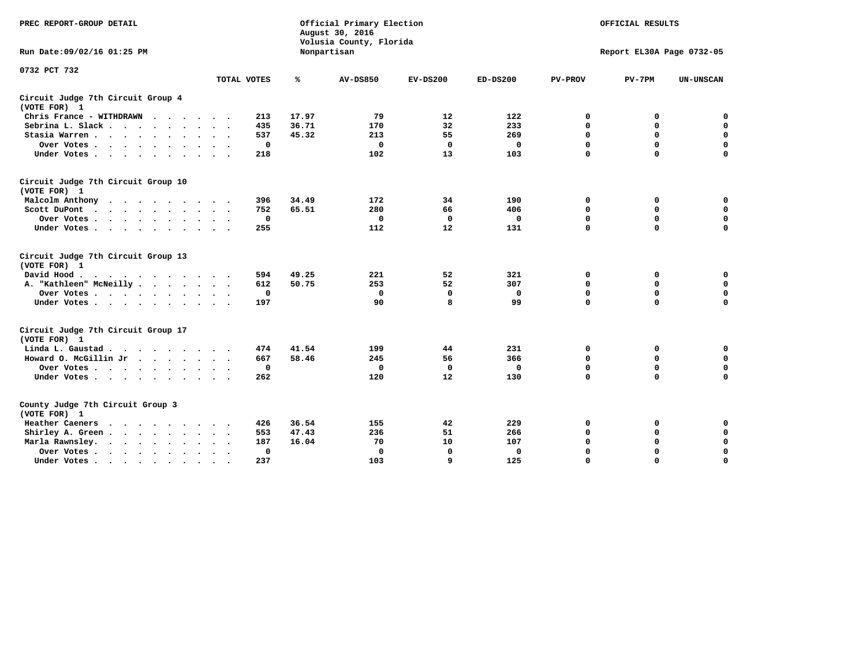| PREC REPORT-GROUP DETAIL                                               |             | Official Primary Election<br>August 30, 2016<br>Volusia County, Florida |                 | OFFICIAL RESULTS |            |                           |             |                  |  |  |
|------------------------------------------------------------------------|-------------|-------------------------------------------------------------------------|-----------------|------------------|------------|---------------------------|-------------|------------------|--|--|
| Run Date: 09/02/16 01:25 PM                                            |             |                                                                         | Nonpartisan     |                  |            | Report EL30A Page 0732-05 |             |                  |  |  |
| 0732 PCT 732                                                           |             |                                                                         |                 |                  |            |                           |             |                  |  |  |
|                                                                        | TOTAL VOTES | ℁                                                                       | <b>AV-DS850</b> | $EV-DS200$       | $ED-DS200$ | <b>PV-PROV</b>            | $PV-7PM$    | <b>UN-UNSCAN</b> |  |  |
| Circuit Judge 7th Circuit Group 4<br>(VOTE FOR) 1                      |             |                                                                         |                 |                  |            |                           |             |                  |  |  |
| Chris France - WITHDRAWN                                               | 213         | 17.97                                                                   | 79              | 12               | 122        | 0                         | 0           | 0                |  |  |
| Sebrina L. Slack.                                                      | 435         | 36.71                                                                   | 170             | 32               | 233        | $\Omega$                  | $\mathbf 0$ | $\mathbf 0$      |  |  |
| Stasia Warren                                                          | 537         | 45.32                                                                   | 213             | 55               | 269        | $\mathbf 0$               | $\mathbf 0$ | $\mathbf 0$      |  |  |
| Over Votes                                                             | $\mathbf 0$ |                                                                         | $\mathbf{0}$    | 0                | 0          | $\mathbf 0$               | $\mathbf 0$ | $\mathbf 0$      |  |  |
| Under Votes                                                            | 218         |                                                                         | 102             | 13               | 103        | $\mathbf 0$               | $\mathbf 0$ | $\mathbf 0$      |  |  |
| Circuit Judge 7th Circuit Group 10<br>(VOTE FOR) 1                     |             |                                                                         |                 |                  |            |                           |             |                  |  |  |
| Malcolm Anthony                                                        | 396         | 34.49                                                                   | 172             | 34               | 190        | 0                         | 0           | 0                |  |  |
| Scott DuPont                                                           | 752         | 65.51                                                                   | 280             | 66               | 406        | 0                         | $\mathbf 0$ | $\mathbf 0$      |  |  |
| Over Votes<br>$\ddot{\phantom{1}}$                                     | 0           |                                                                         | $\mathbf{0}$    | $\mathbf 0$      | 0          | $\mathbf 0$               | 0           | $\mathbf 0$      |  |  |
| Under Votes                                                            | 255         |                                                                         | 112             | 12               | 131        | $\mathbf 0$               | $\Omega$    | $\mathbf 0$      |  |  |
| Circuit Judge 7th Circuit Group 13<br>(VOTE FOR) 1                     |             |                                                                         |                 |                  |            |                           |             |                  |  |  |
| David Hood.                                                            | 594         | 49.25                                                                   | 221             | 52               | 321        | 0                         | 0           | $\mathbf 0$      |  |  |
| A. "Kathleen" McNeilly                                                 | 612         | 50.75                                                                   | 253             | 52               | 307        | $\mathbf 0$               | 0           | $\mathbf 0$      |  |  |
| Over Votes                                                             | $\mathbf 0$ |                                                                         | $\mathbf{0}$    | $\mathbf 0$      | 0          | 0                         | $\mathbf 0$ | $\mathbf 0$      |  |  |
| Under Votes                                                            | 197         |                                                                         | 90              | 8                | 99         | $\mathbf 0$               | $\mathbf 0$ | 0                |  |  |
| Circuit Judge 7th Circuit Group 17<br>(VOTE FOR) 1                     |             |                                                                         |                 |                  |            |                           |             |                  |  |  |
| Linda L. Gaustad                                                       | 474         | 41.54                                                                   | 199             | 44               | 231        | 0                         | 0           | $\mathbf 0$      |  |  |
| Howard O. McGillin Jr                                                  | 667         | 58.46                                                                   | 245             | 56               | 366        | 0                         | 0           | 0                |  |  |
| Over Votes                                                             | $\mathbf 0$ |                                                                         | $\Omega$        | 0                | 0          | $\mathbf 0$               | $\mathbf 0$ | 0                |  |  |
| Under Votes                                                            | 262         |                                                                         | 120             | 12               | 130        | $\mathbf 0$               | $\mathbf 0$ | $\mathbf 0$      |  |  |
| County Judge 7th Circuit Group 3<br>(VOTE FOR) 1                       |             |                                                                         |                 |                  |            |                           |             |                  |  |  |
| Heather Caeners<br>$\cdots$                                            | 426         | 36.54                                                                   | 155             | 42               | 229        | 0                         | 0           | 0                |  |  |
| Shirley A. Green                                                       | 553         | 47.43                                                                   | 236             | 51               | 266        | $\mathbf 0$               | $\mathbf 0$ | $\mathbf 0$      |  |  |
| Marla Rawnsley.                                                        | 187         | 16.04                                                                   | 70              | 10               | 107        | 0                         | $\mathbf 0$ | $\pmb{0}$        |  |  |
| Over Votes.<br>$\cdot$<br>$\ddot{\phantom{a}}$<br>$\ddot{\phantom{a}}$ |             | 0                                                                       | $\Omega$        | 0                | 0          | $\mathbf 0$               | $\mathbf 0$ | $\mathbf 0$      |  |  |
| Under Votes<br>$\sim$<br>$\sim$                                        | 237         |                                                                         | 103             | 9                | 125        | $\mathbf 0$               | $\mathbf 0$ | 0                |  |  |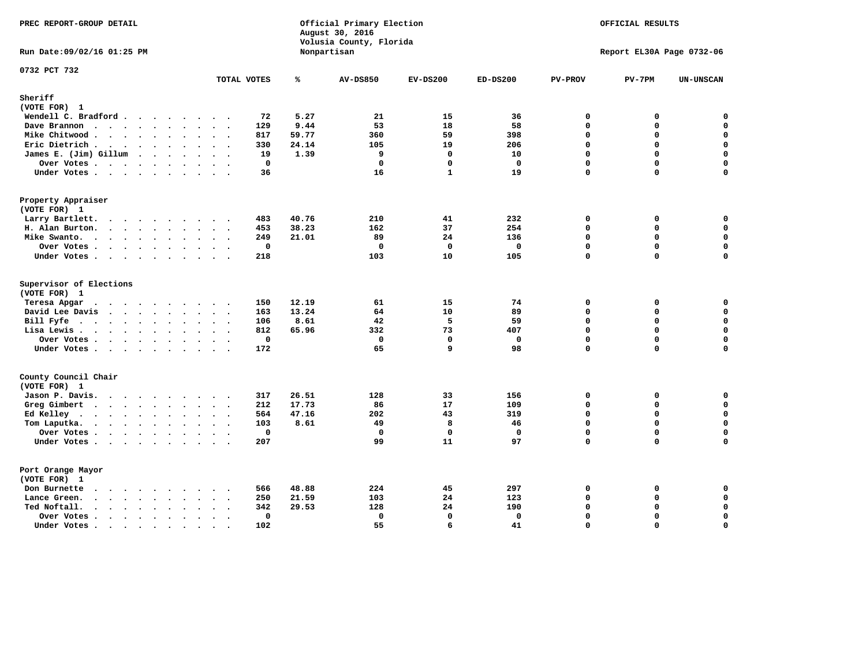| PREC REPORT-GROUP DETAIL                                                                 |                                     |       | Official Primary Election<br>August 30, 2016<br>Volusia County, Florida | OFFICIAL RESULTS |              |                |                           |                  |
|------------------------------------------------------------------------------------------|-------------------------------------|-------|-------------------------------------------------------------------------|------------------|--------------|----------------|---------------------------|------------------|
| Run Date: 09/02/16 01:25 PM                                                              |                                     |       | Nonpartisan                                                             |                  |              |                | Report EL30A Page 0732-06 |                  |
| 0732 PCT 732                                                                             | TOTAL VOTES                         | ℁     | <b>AV-DS850</b>                                                         | $EV-DS200$       | $ED-DS200$   | <b>PV-PROV</b> | $PV-7PM$                  | <b>UN-UNSCAN</b> |
| Sheriff                                                                                  |                                     |       |                                                                         |                  |              |                |                           |                  |
| (VOTE FOR) 1                                                                             |                                     |       |                                                                         |                  |              |                |                           |                  |
| Wendell C. Bradford                                                                      | 72                                  | 5.27  | 21                                                                      | 15               | 36           | 0              | 0                         | 0                |
| Dave Brannon                                                                             | 129                                 | 9.44  | 53                                                                      | 18               | 58           | $\Omega$       | 0                         | $\mathbf 0$      |
| Mike Chitwood                                                                            | 817                                 | 59.77 | 360                                                                     | 59               | 398          | $\Omega$       | 0                         | 0                |
| Eric Dietrich.                                                                           | 330                                 | 24.14 | 105                                                                     | 19               | 206          | 0              | 0                         | $\mathbf 0$      |
| James E. (Jim) Gillum                                                                    | 19                                  | 1.39  | 9                                                                       | 0                | 10           | 0              | 0                         | $\mathbf 0$      |
| Over Votes                                                                               | $\mathbf 0$                         |       | $\mathbf 0$                                                             | 0                | $\mathbf 0$  | 0              | 0                         | $\mathsf{o}\,$   |
| Under Votes                                                                              | 36                                  |       | 16                                                                      | $\mathbf{1}$     | 19           | 0              | 0                         | 0                |
| Property Appraiser                                                                       |                                     |       |                                                                         |                  |              |                |                           |                  |
| (VOTE FOR) 1                                                                             |                                     |       |                                                                         |                  |              |                |                           |                  |
| Larry Bartlett.                                                                          | 483                                 | 40.76 | 210                                                                     | 41               | 232          | $\mathbf 0$    | 0                         | 0                |
| H. Alan Burton.                                                                          | 453                                 | 38.23 | 162                                                                     | 37               | 254          | 0              | 0                         | $\mathsf{o}\,$   |
| Mike Swanto.                                                                             | 249                                 | 21.01 | 89                                                                      | 24               | 136          | $\mathbf 0$    | 0                         | $\mathbf 0$      |
| Over Votes                                                                               | 0                                   |       | $^{\circ}$                                                              | $^{\circ}$       | $\mathbf{0}$ | 0              | 0                         | $\mathbf 0$      |
| Under Votes                                                                              | 218                                 |       | 103                                                                     | 10               | 105          | 0              | 0                         | $\Omega$         |
| Supervisor of Elections<br>(VOTE FOR) 1                                                  |                                     |       |                                                                         |                  |              |                |                           |                  |
| Teresa Apgar                                                                             | 150                                 | 12.19 | 61                                                                      | 15               | 74           | 0              | 0                         | 0                |
| David Lee Davis                                                                          | 163                                 | 13.24 | 64                                                                      | 10               | 89           | 0              | 0                         | $\mathbf 0$      |
| Bill Fyfe                                                                                | 106                                 | 8.61  | 42                                                                      | 5                | 59           | 0              | 0                         | $\mathbf 0$      |
| Lisa Lewis                                                                               | 812                                 | 65.96 | 332                                                                     | 73               | 407          | $\mathbf 0$    | 0                         | $\mathbf 0$      |
| Over Votes                                                                               | $\mathbf 0$                         |       | $\mathbf 0$                                                             | 0                | $\mathbf 0$  | 0              | 0                         | $\mathbf 0$      |
| Under Votes                                                                              | 172                                 |       | 65                                                                      | 9                | 98           | 0              | 0                         | $\Omega$         |
| County Council Chair                                                                     |                                     |       |                                                                         |                  |              |                |                           |                  |
| (VOTE FOR) 1                                                                             |                                     |       |                                                                         |                  |              |                |                           |                  |
| Jason P. Davis.                                                                          | 317                                 | 26.51 | 128                                                                     | 33               | 156          | 0              | 0                         | 0                |
| Greg Gimbert<br>.                                                                        | 212                                 | 17.73 | 86                                                                      | 17               | 109          | 0              | 0                         | 0                |
| Ed Kelley                                                                                | 564                                 | 47.16 | 202                                                                     | 43               | 319          | $\Omega$       | $\Omega$                  | $\mathbf 0$      |
| Tom Laputka.                                                                             | 103                                 | 8.61  | 49                                                                      | 8                | 46           | $\mathbf 0$    | 0                         | $\mathbf 0$      |
| Over Votes .<br>$\cdots$                                                                 | 0                                   |       | $^{\circ}$                                                              | $\Omega$         | 0            | 0              | 0                         | $\mathbf 0$      |
| Under Votes                                                                              | 207                                 |       | 99                                                                      | 11               | 97           | $\mathbf 0$    | 0                         | $\mathbf 0$      |
| Port Orange Mayor                                                                        |                                     |       |                                                                         |                  |              |                |                           |                  |
| (VOTE FOR) 1                                                                             |                                     |       |                                                                         |                  |              |                |                           |                  |
| Don Burnette<br>$\cdots$                                                                 | 566                                 | 48.88 | 224                                                                     | 45               | 297          | 0              | 0                         | 0                |
| Lance Green.<br>$\mathbf{r}$ , $\mathbf{r}$ , $\mathbf{r}$ , $\mathbf{r}$ , $\mathbf{r}$ | 250<br>$\bullet$<br>$\sim$          | 21.59 | 103                                                                     | 24               | 123          | $\mathbf 0$    | 0                         | $\mathbf 0$      |
| Ted Noftall.<br>$\cdots$<br>$\ddot{\phantom{a}}$<br>$\mathbf{r}$                         | 342<br>$\sim$                       | 29.53 | 128                                                                     | 24               | 190          | 0              | 0                         | $\mathbf 0$      |
| Over Votes .<br>$\cdots$<br>$\bullet$                                                    | $\mathbf 0$<br>$\bullet$            |       | $\mathbf 0$                                                             | 0                | $\mathbf{0}$ | $\mathbf 0$    | 0                         | $\mathbf 0$      |
| Under Votes<br>.                                                                         | 102<br>$\cdot$ $\cdot$<br>$\bullet$ |       | 55                                                                      | 6                | 41           | $\Omega$       | $\Omega$                  | $\mathbf 0$      |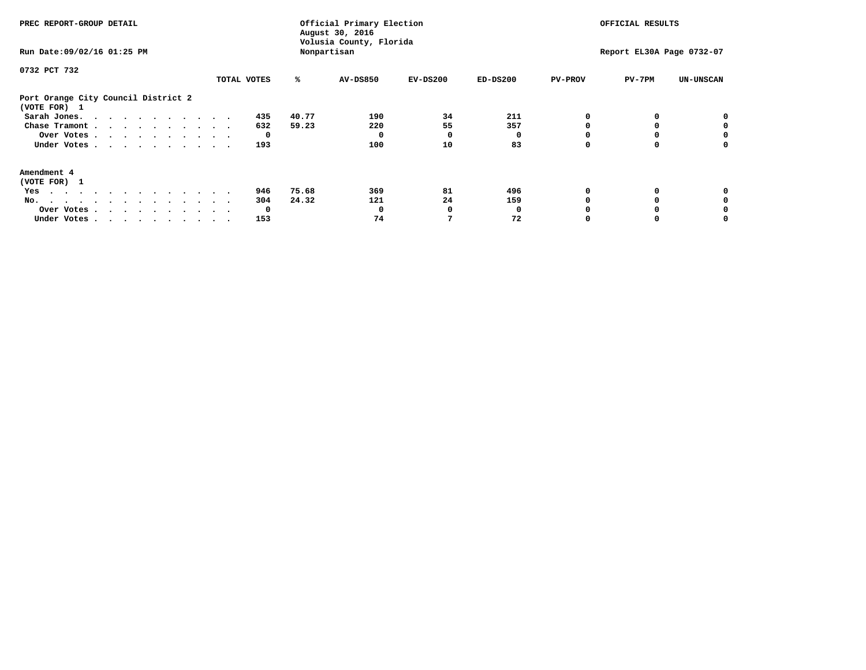| PREC REPORT-GROUP DETAIL<br>Run Date: 09/02/16 01:25 PM |              | Official Primary Election<br>August 30, 2016<br>Volusia County, Florida<br>Nonpartisan |            | OFFICIAL RESULTS<br>Report EL30A Page 0732-07 |                            |                  |
|---------------------------------------------------------|--------------|----------------------------------------------------------------------------------------|------------|-----------------------------------------------|----------------------------|------------------|
| 0732 PCT 732                                            | TOTAL VOTES  | ℁<br><b>AV-DS850</b>                                                                   | $EV-DS200$ | $ED-DS200$                                    | <b>PV-PROV</b><br>$PV-7PM$ | <b>UN-UNSCAN</b> |
| Port Orange City Council District 2<br>(VOTE FOR) 1     |              |                                                                                        |            |                                               |                            |                  |
| Sarah Jones.                                            | 435          | 40.77<br>190                                                                           | 34         | 211                                           | 0                          |                  |
| Chase Tramont                                           | 632          | 59.23<br>220                                                                           | 55         | 357                                           |                            |                  |
| Over Votes                                              | $\mathbf{o}$ | 0                                                                                      |            |                                               |                            |                  |
| Under Votes                                             | 193          | 100                                                                                    | 10         | 83                                            | 0                          | 0                |
| Amendment 4                                             |              |                                                                                        |            |                                               |                            |                  |
| (VOTE FOR) 1                                            |              |                                                                                        |            |                                               |                            |                  |
| Yes                                                     | 946          | 75.68<br>369                                                                           | 81         | 496                                           | 0                          | 0                |
| No.                                                     | 304          | 24.32<br>121                                                                           | 24         | 159                                           |                            |                  |
| Over Votes.                                             | 0            | 0                                                                                      |            |                                               |                            |                  |
| Under Votes                                             | 153          | 74                                                                                     |            | 72                                            | O                          | 0                |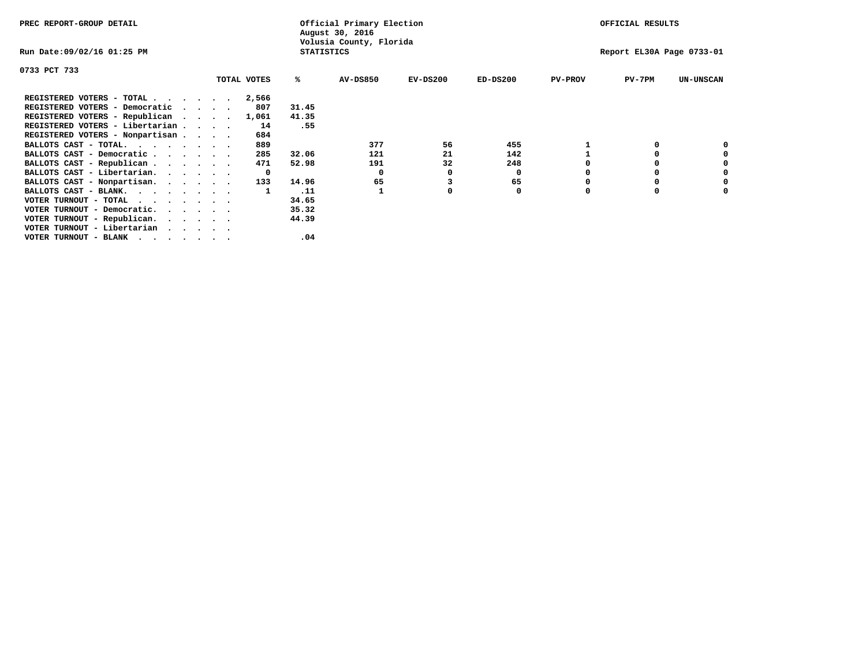| PREC REPORT-GROUP DETAIL                                                                                                                 |         |              | Official Primary Election<br>August 30, 2016 |                         | OFFICIAL RESULTS          |            |                |          |                  |
|------------------------------------------------------------------------------------------------------------------------------------------|---------|--------------|----------------------------------------------|-------------------------|---------------------------|------------|----------------|----------|------------------|
| Run Date:09/02/16 01:25 PM                                                                                                               |         |              | <b>STATISTICS</b>                            | Volusia County, Florida | Report EL30A Page 0733-01 |            |                |          |                  |
| 0733 PCT 733                                                                                                                             |         |              |                                              |                         |                           |            |                |          |                  |
|                                                                                                                                          |         | TOTAL VOTES  | %ะ                                           | <b>AV-DS850</b>         | $EV-DS200$                | $ED-DS200$ | <b>PV-PROV</b> | $PV-7PM$ | <b>UN-UNSCAN</b> |
| REGISTERED VOTERS - TOTAL                                                                                                                |         | 2,566        |                                              |                         |                           |            |                |          |                  |
| REGISTERED VOTERS - Democratic                                                                                                           | $\cdot$ | 807          | 31.45                                        |                         |                           |            |                |          |                  |
| REGISTERED VOTERS - Republican                                                                                                           |         | 1,061        | 41.35                                        |                         |                           |            |                |          |                  |
| REGISTERED VOTERS - Libertarian                                                                                                          |         | 14           | .55                                          |                         |                           |            |                |          |                  |
| REGISTERED VOTERS - Nonpartisan                                                                                                          |         | 684          |                                              |                         |                           |            |                |          |                  |
| BALLOTS CAST - TOTAL.                                                                                                                    |         | 889          |                                              | 377                     | 56                        | 455        |                |          |                  |
| BALLOTS CAST - Democratic                                                                                                                |         | 285          | 32.06                                        | 121                     | 21                        | 142        |                |          |                  |
| BALLOTS CAST - Republican                                                                                                                |         | 471          | 52.98                                        | 191                     | 32                        | 248        |                |          |                  |
| BALLOTS CAST - Libertarian.                                                                                                              |         | $\mathbf{o}$ |                                              | 0                       |                           | 0          |                |          |                  |
| BALLOTS CAST - Nonpartisan.                                                                                                              |         | 133          | 14.96                                        | 65                      |                           | 65         |                |          | 0                |
| BALLOTS CAST - BLANK.                                                                                                                    |         |              | .11                                          |                         |                           | 0          | 0              | $\Omega$ |                  |
| VOTER TURNOUT - TOTAL<br>the contract of the contract of the contract of the contract of the contract of the contract of the contract of |         |              | 34.65                                        |                         |                           |            |                |          |                  |
| VOTER TURNOUT - Democratic.                                                                                                              |         |              | 35.32                                        |                         |                           |            |                |          |                  |
| VOTER TURNOUT - Republican.                                                                                                              |         |              | 44.39                                        |                         |                           |            |                |          |                  |
| VOTER TURNOUT - Libertarian                                                                                                              |         |              |                                              |                         |                           |            |                |          |                  |
| VOTER TURNOUT - BLANK<br>. As a set of the set of the set of the set of the set of the set of the set of the $\alpha$                    |         |              | .04                                          |                         |                           |            |                |          |                  |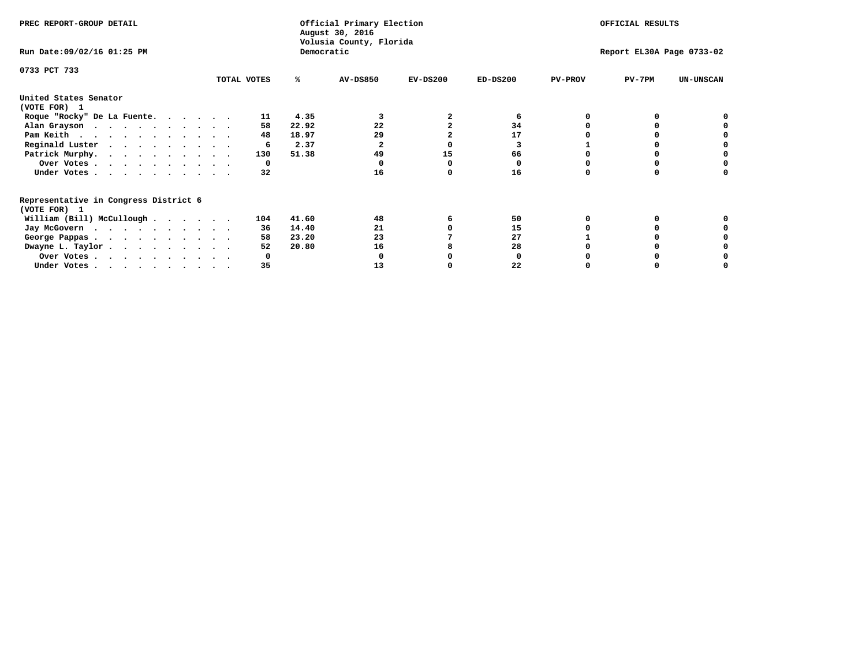| PREC REPORT-GROUP DETAIL                                               |             |            | Official Primary Election<br>August 30, 2016<br>Volusia County, Florida | OFFICIAL RESULTS          |            |                |          |                  |
|------------------------------------------------------------------------|-------------|------------|-------------------------------------------------------------------------|---------------------------|------------|----------------|----------|------------------|
| Run Date: 09/02/16 01:25 PM                                            |             | Democratic |                                                                         | Report EL30A Page 0733-02 |            |                |          |                  |
| 0733 PCT 733                                                           | TOTAL VOTES | ℁          | <b>AV-DS850</b>                                                         | $EV-DS200$                | $ED-DS200$ | <b>PV-PROV</b> | $PV-7PM$ | <b>UN-UNSCAN</b> |
| United States Senator                                                  |             |            |                                                                         |                           |            |                |          |                  |
| (VOTE FOR) 1                                                           |             |            |                                                                         |                           |            |                |          |                  |
| Roque "Rocky" De La Fuente.                                            | 11          | 4.35       |                                                                         |                           | 6          |                |          |                  |
| Alan Grayson                                                           | 58          | 22.92      | 22                                                                      |                           | 34         |                |          |                  |
| Pam Keith                                                              | 48          | 18.97      | 29                                                                      |                           | 17         |                |          |                  |
| Reginald Luster                                                        | 6           | 2.37       |                                                                         |                           |            |                |          |                  |
| Patrick Murphy.                                                        | 130         | 51.38      | 49                                                                      | 15                        | 66         |                |          |                  |
| Over Votes                                                             | 0           |            |                                                                         |                           |            |                |          |                  |
| Under Votes                                                            | 32          |            | 16                                                                      |                           | 16         |                |          |                  |
| Representative in Congress District 6                                  |             |            |                                                                         |                           |            |                |          |                  |
| (VOTE FOR) 1                                                           |             |            |                                                                         |                           |            |                |          |                  |
| William (Bill) McCullough                                              | 104         | 41.60      | 48                                                                      |                           | 50         |                |          |                  |
| Jay McGovern                                                           | 36          | 14.40      | 21                                                                      |                           | 15         |                |          |                  |
| George Pappas.                                                         | 58          | 23.20      | 23                                                                      |                           | 27         |                |          |                  |
| Dwayne L. Taylor                                                       | 52          | 20.80      | 16                                                                      |                           | 28         |                |          |                  |
| Over Votes                                                             |             |            |                                                                         |                           |            |                |          |                  |
| Under Votes, $\cdot$ , $\cdot$ , $\cdot$ , $\cdot$ , $\cdot$ , $\cdot$ | 35          |            | 13                                                                      |                           | 22         |                |          |                  |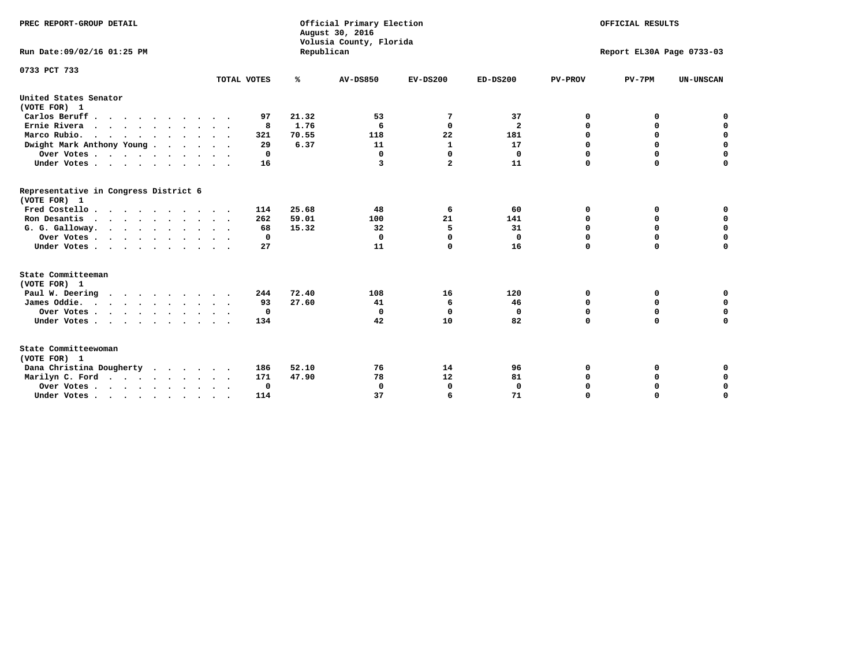| PREC REPORT-GROUP DETAIL<br>Run Date:09/02/16 01:25 PM |             |       | Official Primary Election<br>August 30, 2016<br>Volusia County, Florida<br>Republican | OFFICIAL RESULTS<br>Report EL30A Page 0733-03 |                         |                |             |                  |
|--------------------------------------------------------|-------------|-------|---------------------------------------------------------------------------------------|-----------------------------------------------|-------------------------|----------------|-------------|------------------|
| 0733 PCT 733                                           |             |       |                                                                                       |                                               |                         |                |             |                  |
|                                                        | TOTAL VOTES | ℁     | AV-DS850                                                                              | $EV-DS200$                                    | $ED-DS200$              | <b>PV-PROV</b> | $PV-7PM$    | <b>UN-UNSCAN</b> |
| United States Senator                                  |             |       |                                                                                       |                                               |                         |                |             |                  |
| (VOTE FOR) 1                                           |             |       |                                                                                       |                                               |                         |                |             |                  |
| Carlos Beruff                                          | 97          | 21.32 | 53                                                                                    | 7                                             | 37                      | 0              | 0           | 0                |
| Ernie Rivera                                           | 8           | 1.76  | 6                                                                                     | $\mathbf{0}$                                  | $\overline{\mathbf{2}}$ | $\mathbf 0$    | 0           | $\mathbf 0$      |
| Marco Rubio.                                           | 321         | 70.55 | 118                                                                                   | 22                                            | 181                     | 0              | 0           | $\mathbf 0$      |
| Dwight Mark Anthony Young                              | 29          | 6.37  | 11                                                                                    | $\mathbf{1}$                                  | 17                      | 0              | $\mathbf 0$ | 0                |
| Over Votes                                             | 0           |       | $\mathbf 0$                                                                           | $\mathbf{0}$                                  | $\mathbf 0$             | $\mathbf 0$    | $\mathbf 0$ | $\mathbf 0$      |
| Under Votes                                            | 16          |       | 3                                                                                     | $\boldsymbol{z}$                              | 11                      | $\Omega$       | $\Omega$    | $\mathbf 0$      |
| Representative in Congress District 6<br>(VOTE FOR) 1  |             |       |                                                                                       |                                               |                         |                |             |                  |
| Fred Costello                                          | 114         | 25.68 | 48                                                                                    | 6                                             | 60                      | 0              | 0           | 0                |
| Ron Desantis                                           | 262         | 59.01 | 100                                                                                   | 21                                            | 141                     | $\mathbf 0$    | $\mathbf 0$ | $\mathbf 0$      |
| G. G. Galloway.                                        | 68          | 15.32 | 32                                                                                    | 5                                             | 31                      | 0              | 0           | $\mathbf 0$      |
| Over Votes                                             | 0           |       | $\mathbf 0$                                                                           | $\Omega$                                      | $\mathbf{0}$            | $\mathbf 0$    | $\mathbf 0$ | $\mathbf 0$      |
| Under Votes                                            | 27          |       | 11                                                                                    | $\Omega$                                      | 16                      | $\mathbf 0$    | $\Omega$    | 0                |
| State Committeeman                                     |             |       |                                                                                       |                                               |                         |                |             |                  |
| (VOTE FOR) 1                                           |             |       |                                                                                       |                                               |                         |                |             |                  |
| Paul W. Deering                                        | 244         | 72.40 | 108                                                                                   | 16                                            | 120                     | 0              | 0           | 0                |
| James Oddie.                                           | 93          | 27.60 | 41                                                                                    | 6                                             | 46                      | 0              | $\mathbf 0$ | $\mathbf 0$      |
| Over Votes                                             | 0           |       | 0                                                                                     | 0                                             | 0                       | $\mathbf 0$    | $\mathbf 0$ | $\mathbf 0$      |
|                                                        | 134         |       | 42                                                                                    | 10                                            | 82                      | $\mathbf 0$    | $\mathbf 0$ | $\mathbf 0$      |
| Under Votes<br>$\sim$                                  |             |       |                                                                                       |                                               |                         |                |             |                  |
| State Committeewoman<br>(VOTE FOR) 1                   |             |       |                                                                                       |                                               |                         |                |             |                  |
| Dana Christina Dougherty                               | 186         | 52.10 | 76                                                                                    | 14                                            | 96                      | 0              | 0           | 0                |
| Marilyn C. Ford                                        | 171         | 47.90 | 78                                                                                    | 12                                            | 81                      | 0              | 0           | 0                |
| Over Votes                                             | $\Omega$    |       | $\mathbf 0$                                                                           | 0                                             | $\mathbf 0$             | 0              | 0           | $\mathbf 0$      |
| Under Votes, , , , , , , , , ,                         | 114         |       | 37                                                                                    | 6                                             | 71                      | $\Omega$       | $\Omega$    | $\Omega$         |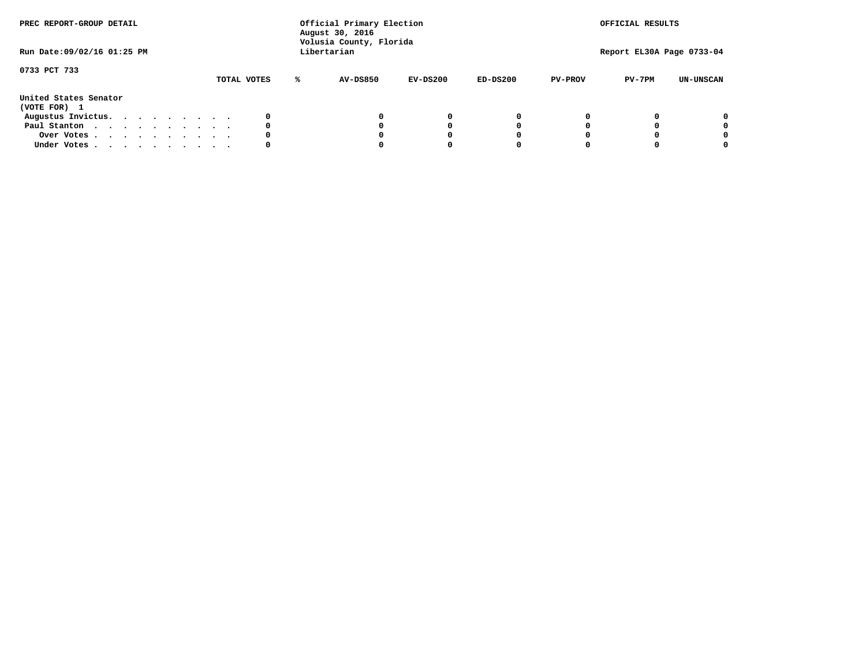| PREC REPORT-GROUP DETAIL<br>Run Date: 09/02/16 01:25 PM |  |  |  |  |  | Official Primary Election<br>August 30, 2016<br>Volusia County, Florida<br>Libertarian |             | OFFICIAL RESULTS<br>Report EL30A Page 0733-04 |                 |            |            |                |          |                  |
|---------------------------------------------------------|--|--|--|--|--|----------------------------------------------------------------------------------------|-------------|-----------------------------------------------|-----------------|------------|------------|----------------|----------|------------------|
| 0733 PCT 733                                            |  |  |  |  |  |                                                                                        | TOTAL VOTES | ℁                                             | <b>AV-DS850</b> | $EV-DS200$ | $ED-DS200$ | <b>PV-PROV</b> | $PV-7PM$ | <b>UN-UNSCAN</b> |
| United States Senator<br>(VOTE FOR) 1                   |  |  |  |  |  |                                                                                        |             |                                               |                 |            |            |                |          |                  |
| Augustus Invictus.                                      |  |  |  |  |  |                                                                                        | 0           |                                               |                 | 0          | 0          |                |          | 0                |
| Paul Stanton                                            |  |  |  |  |  |                                                                                        | 0           |                                               |                 |            | 0          |                |          | 0                |
| Over Votes                                              |  |  |  |  |  |                                                                                        | 0           |                                               |                 |            | 0          |                |          | 0                |
| Under Votes                                             |  |  |  |  |  |                                                                                        | 0           |                                               |                 |            |            |                |          | 0                |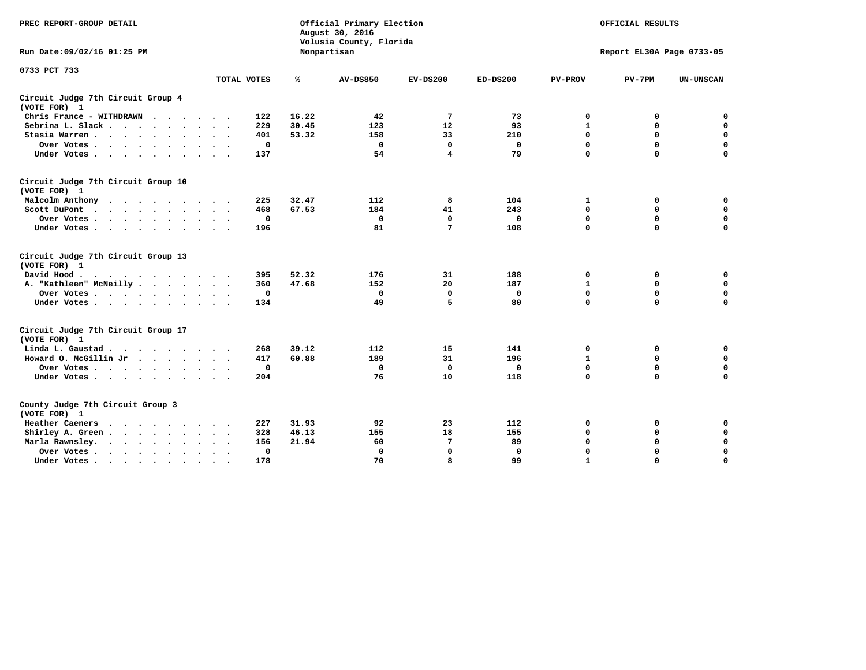| PREC REPORT-GROUP DETAIL                           |             |       | Official Primary Election<br>August 30, 2016<br>Volusia County, Florida | OFFICIAL RESULTS<br>Report EL30A Page 0733-05 |              |                |             |                  |
|----------------------------------------------------|-------------|-------|-------------------------------------------------------------------------|-----------------------------------------------|--------------|----------------|-------------|------------------|
| Run Date: 09/02/16 01:25 PM                        |             |       | Nonpartisan                                                             |                                               |              |                |             |                  |
| 0733 PCT 733                                       |             |       |                                                                         |                                               |              |                |             |                  |
|                                                    | TOTAL VOTES | ℁     | <b>AV-DS850</b>                                                         | $EV-DS200$                                    | $ED-DS200$   | <b>PV-PROV</b> | $PV-7PM$    | <b>UN-UNSCAN</b> |
| Circuit Judge 7th Circuit Group 4<br>(VOTE FOR) 1  |             |       |                                                                         |                                               |              |                |             |                  |
| Chris France - WITHDRAWN                           | 122         | 16.22 | 42                                                                      | 7                                             | 73           | 0              | 0           | 0                |
| Sebrina L. Slack                                   | 229         | 30.45 | 123                                                                     | 12                                            | 93           | $\mathbf{1}$   | $\mathbf 0$ | $\mathbf 0$      |
| Stasia Warren                                      | 401         | 53.32 | 158                                                                     | 33                                            | 210          | $\mathbf 0$    | 0           | $\mathbf 0$      |
| Over Votes                                         | $\mathbf 0$ |       | $\mathbf 0$                                                             | $\mathbf 0$                                   | $\mathbf 0$  | 0              | $\mathbf 0$ | $\mathbf 0$      |
| Under Votes                                        | 137         |       | 54                                                                      | 4                                             | 79           | $\mathbf 0$    | $\mathbf 0$ | $\mathbf 0$      |
| Circuit Judge 7th Circuit Group 10<br>(VOTE FOR) 1 |             |       |                                                                         |                                               |              |                |             |                  |
| Malcolm Anthony                                    | 225         | 32.47 | 112                                                                     | 8                                             | 104          | 1              | 0           | $\mathbf 0$      |
| Scott DuPont                                       | 468         | 67.53 | 184                                                                     | 41                                            | 243          | 0              | $\mathbf 0$ | $\mathbf 0$      |
| Over Votes                                         | $\mathbf 0$ |       | $\mathbf{0}$                                                            | $\mathbf 0$                                   | $\mathbf{0}$ | $\mathbf 0$    | $\mathbf 0$ | $\mathbf 0$      |
| Under Votes                                        | 196         |       | 81                                                                      | 7                                             | 108          | $\mathbf 0$    | $\mathbf 0$ | 0                |
| Circuit Judge 7th Circuit Group 13<br>(VOTE FOR) 1 |             |       |                                                                         |                                               |              |                |             |                  |
| David Hood.<br>$\cdots$                            | 395         | 52.32 | 176                                                                     | 31                                            | 188          | 0              | 0           | $\mathbf 0$      |
| A. "Kathleen" McNeilly                             | 360         | 47.68 | 152                                                                     | 20                                            | 187          | $\mathbf{1}$   | 0           | $\mathbf 0$      |
| Over Votes                                         | $\mathbf 0$ |       | $\mathbf 0$                                                             | 0                                             | 0            | 0              | $\mathbf 0$ | $\pmb{0}$        |
| Under Votes                                        | 134         |       | 49                                                                      | 5                                             | 80           | $\mathbf 0$    | $\mathbf 0$ | 0                |
| Circuit Judge 7th Circuit Group 17<br>(VOTE FOR) 1 |             |       |                                                                         |                                               |              |                |             |                  |
| Linda L. Gaustad                                   | 268         | 39.12 | 112                                                                     | 15                                            | 141          | 0              | 0           | $\mathbf 0$      |
| Howard O. McGillin Jr.                             | 417         | 60.88 | 189                                                                     | 31                                            | 196          | $\mathbf{1}$   | 0           | $\mathbf 0$      |
| Over Votes                                         | $\mathbf 0$ |       | $\mathbf 0$                                                             | $\mathbf 0$                                   | 0            | $\mathbf 0$    | $\mathbf 0$ | 0                |
| Under Votes                                        | 204         |       | 76                                                                      | 10                                            | 118          | $\mathbf 0$    | $\mathbf 0$ | $\mathbf 0$      |
| County Judge 7th Circuit Group 3<br>(VOTE FOR) 1   |             |       |                                                                         |                                               |              |                |             |                  |
| Heather Caeners<br>.                               | 227         | 31.93 | 92                                                                      | 23                                            | 112          | 0              | 0           | $\mathbf 0$      |
| Shirley A. Green                                   | 328         | 46.13 | 155                                                                     | 18                                            | 155          | $\mathbf 0$    | 0           | $\mathbf 0$      |
| Marla Rawnsley.                                    | 156         | 21.94 | 60                                                                      | 7                                             | 89           | 0              | 0           | $\pmb{0}$        |
| Over Votes<br>$\sim$ $\sim$                        | 0           |       | $\Omega$                                                                | $\mathbf 0$                                   | $\mathbf{0}$ | $\mathbf 0$    | $\mathbf 0$ | $\mathbf 0$      |
| Under Votes<br>$\bullet$                           | 178         |       | 70                                                                      | 8                                             | 99           | $\mathbf{1}$   | $\mathbf 0$ | $\Omega$         |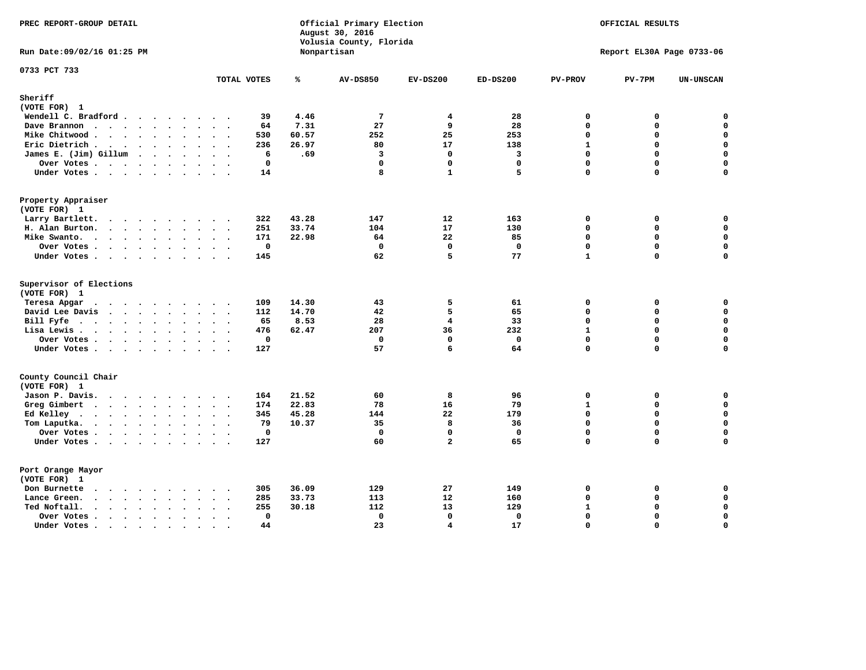| PREC REPORT-GROUP DETAIL                             |                                       |       | Official Primary Election<br>August 30, 2016<br>Volusia County, Florida |                         |                         |                | OFFICIAL RESULTS          |                  |
|------------------------------------------------------|---------------------------------------|-------|-------------------------------------------------------------------------|-------------------------|-------------------------|----------------|---------------------------|------------------|
| Run Date: 09/02/16 01:25 PM                          |                                       |       | Nonpartisan                                                             |                         |                         |                | Report EL30A Page 0733-06 |                  |
| 0733 PCT 733                                         | TOTAL VOTES                           | ℁     | <b>AV-DS850</b>                                                         | $EV-DS200$              | $ED-DS200$              | <b>PV-PROV</b> | $PV-7PM$                  | <b>UN-UNSCAN</b> |
| Sheriff                                              |                                       |       |                                                                         |                         |                         |                |                           |                  |
| (VOTE FOR) 1                                         |                                       |       |                                                                         |                         |                         |                |                           |                  |
| Wendell C. Bradford                                  | 39                                    | 4.46  | $\overline{7}$                                                          | 4                       | 28                      | $\mathbf 0$    | 0                         | 0                |
| Dave Brannon                                         | 64                                    | 7.31  | 27                                                                      | 9                       | 28                      | $\Omega$       | 0                         | 0                |
| Mike Chitwood                                        | 530                                   | 60.57 | 252                                                                     | 25                      | 253                     | $\Omega$       | 0                         | 0                |
| Eric Dietrich.                                       | 236                                   | 26.97 | 80                                                                      | 17                      | 138                     | $\mathbf{1}$   | 0                         | $\mathbf 0$      |
| James E. (Jim) Gillum                                | 6                                     | .69   | $\overline{\mathbf{3}}$                                                 | 0                       | $\overline{\mathbf{3}}$ | $\mathbf 0$    | 0                         | $\mathbf 0$      |
| Over Votes                                           | $\mathbf 0$                           |       | $\Omega$                                                                | 0                       | $\mathbf{0}$            | $\mathbf{0}$   | 0                         | $\mathbf 0$      |
| Under Votes                                          | 14                                    |       | 8                                                                       | $\mathbf{1}$            | 5                       | $\Omega$       | $\Omega$                  | $\mathbf 0$      |
| Property Appraiser                                   |                                       |       |                                                                         |                         |                         |                |                           |                  |
| (VOTE FOR) 1                                         |                                       |       |                                                                         |                         |                         |                |                           |                  |
| Larry Bartlett.                                      | 322                                   | 43.28 | 147                                                                     | 12                      | 163                     | 0              | 0                         | $\mathbf 0$      |
| H. Alan Burton.                                      | 251                                   | 33.74 | 104                                                                     | 17                      | 130                     | 0              | 0                         | $\pmb{0}$        |
| Mike Swanto.                                         | 171                                   | 22.98 | 64                                                                      | 22                      | 85                      | $\mathbf{0}$   | 0                         | $\mathbf 0$      |
| Over Votes                                           | $\mathbf 0$                           |       | $\mathbf 0$                                                             | $\mathbf 0$             | $\mathbf 0$             | 0              | 0                         | $\mathbf 0$      |
| Under Votes                                          | 145                                   |       | 62                                                                      | 5                       | 77                      | $\mathbf{1}$   | 0                         | $\mathbf 0$      |
| Supervisor of Elections<br>(VOTE FOR) 1              |                                       |       |                                                                         |                         |                         |                |                           |                  |
| Teresa Apgar<br>.                                    | 109                                   | 14.30 | 43                                                                      | 5                       | 61                      | $\mathbf 0$    | 0                         | 0                |
| David Lee Davis                                      | 112                                   | 14.70 | 42                                                                      | 5                       | 65                      | $\mathbf 0$    | 0                         | $\mathbf 0$      |
| Bill Fyfe                                            | 65                                    | 8.53  | 28                                                                      | 4                       | 33                      | 0              | 0                         | 0                |
| Lisa Lewis                                           | 476                                   | 62.47 | 207                                                                     | 36                      | 232                     | $\mathbf{1}$   | 0                         | $\mathbf 0$      |
| Over Votes                                           | $\mathbf 0$                           |       | $\mathbf 0$                                                             | $\mathbf 0$             | $\Omega$                | $\mathbf{0}$   | $\mathbf 0$               | 0                |
| Under Votes                                          | 127                                   |       | 57                                                                      | 6                       | 64                      | 0              | 0                         | 0                |
| County Council Chair                                 |                                       |       |                                                                         |                         |                         |                |                           |                  |
| (VOTE FOR) 1                                         |                                       |       |                                                                         |                         |                         |                |                           |                  |
| Jason P. Davis.                                      | 164                                   | 21.52 | 60                                                                      | 8                       | 96                      | 0              | 0                         | $\mathbf 0$      |
| Greg Gimbert<br>.                                    | 174                                   | 22.83 | 78                                                                      | 16                      | 79                      | $\mathbf{1}$   | 0                         | 0                |
| Ed Kelley $\cdots$                                   | 345                                   | 45.28 | 144                                                                     | 22                      | 179                     | $\mathbf{0}$   | 0                         | $\mathbf 0$      |
| Tom Laputka.                                         | 79                                    | 10.37 | 35                                                                      | 8                       | 36                      | 0              | 0                         | $\mathbf 0$      |
| Over Votes                                           | $\mathbf 0$                           |       | $\mathbf 0$                                                             | 0                       | $\mathbf 0$             | 0              | 0                         | $\pmb{0}$        |
| Under Votes                                          | 127                                   |       | 60                                                                      | $\overline{\mathbf{2}}$ | 65                      | $\mathbf 0$    | 0                         | 0                |
| Port Orange Mayor                                    |                                       |       |                                                                         |                         |                         |                |                           |                  |
| (VOTE FOR) 1                                         |                                       |       |                                                                         |                         |                         |                |                           |                  |
| Don Burnette<br>$\cdots$<br>$\ddot{\phantom{0}}$     | 305                                   | 36.09 | 129                                                                     | 27                      | 149                     | 0              | 0                         | 0                |
| Lance Green.                                         | 285<br>$\ddot{\phantom{a}}$<br>$\sim$ | 33.73 | 113                                                                     | 12                      | 160                     | 0              | 0                         | $\pmb{0}$        |
| Ted Noftall.<br>$\ddot{\phantom{a}}$<br>$\mathbf{r}$ | 255                                   | 30.18 | 112                                                                     | 13                      | 129                     | $\mathbf{1}$   | 0                         | $\mathsf{o}\,$   |
| Over Votes.<br>$\cdots$<br>$\bullet$                 | $\mathbf 0$                           |       | $\Omega$                                                                | 0                       | $\mathbf{0}$            | $\mathbf{0}$   | 0                         | $\pmb{0}$        |
| Under Votes.<br>$\ddot{\phantom{0}}$<br>$\bullet$    | 44                                    |       | 23                                                                      | 4                       | 17                      | $\Omega$       | $\Omega$                  | $\mathbf 0$      |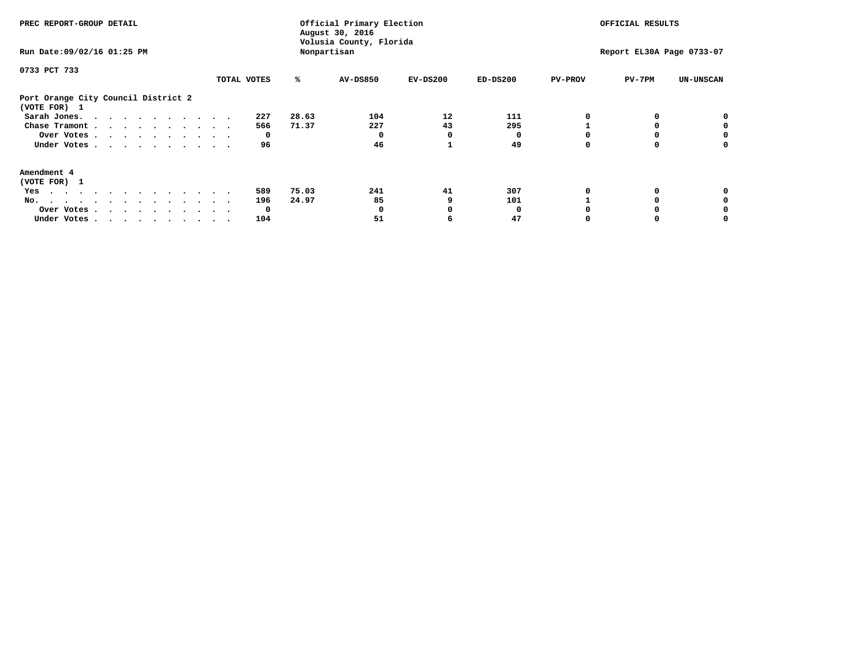| PREC REPORT-GROUP DETAIL<br>Run Date: 09/02/16 01:25 PM |             |       | Official Primary Election<br>August 30, 2016<br>Volusia County, Florida<br>Nonpartisan | OFFICIAL RESULTS<br>Report EL30A Page 0733-07 |            |                |          |                  |
|---------------------------------------------------------|-------------|-------|----------------------------------------------------------------------------------------|-----------------------------------------------|------------|----------------|----------|------------------|
|                                                         |             |       |                                                                                        |                                               |            |                |          |                  |
| 0733 PCT 733                                            |             |       |                                                                                        |                                               |            |                |          |                  |
|                                                         | TOTAL VOTES | ℁     | <b>AV-DS850</b>                                                                        | $EV-DS200$                                    | $ED-DS200$ | <b>PV-PROV</b> | $PV-7PM$ | <b>UN-UNSCAN</b> |
| Port Orange City Council District 2<br>(VOTE FOR) 1     |             |       |                                                                                        |                                               |            |                |          |                  |
| Sarah Jones.                                            | 227         | 28.63 | 104                                                                                    | 12                                            | 111        |                |          |                  |
| Chase Tramont                                           | 566         | 71.37 | 227                                                                                    | 43                                            | 295        |                |          |                  |
| Over Votes                                              | O           |       |                                                                                        | O                                             |            |                |          | 0                |
| Under Votes                                             | 96          |       | 46                                                                                     |                                               | 49         |                |          | o                |
| Amendment 4                                             |             |       |                                                                                        |                                               |            |                |          |                  |
| (VOTE FOR) 1                                            |             |       |                                                                                        |                                               |            |                |          |                  |
| Yes                                                     | 589         | 75.03 | 241                                                                                    | 41                                            | 307        |                |          |                  |
| No.<br>.                                                | 196         | 24.97 | 85                                                                                     |                                               | 101        |                |          |                  |
| Over Votes                                              | O           |       |                                                                                        |                                               |            |                |          |                  |
| Under Votes                                             | 104         |       | 51                                                                                     |                                               | 47         |                |          |                  |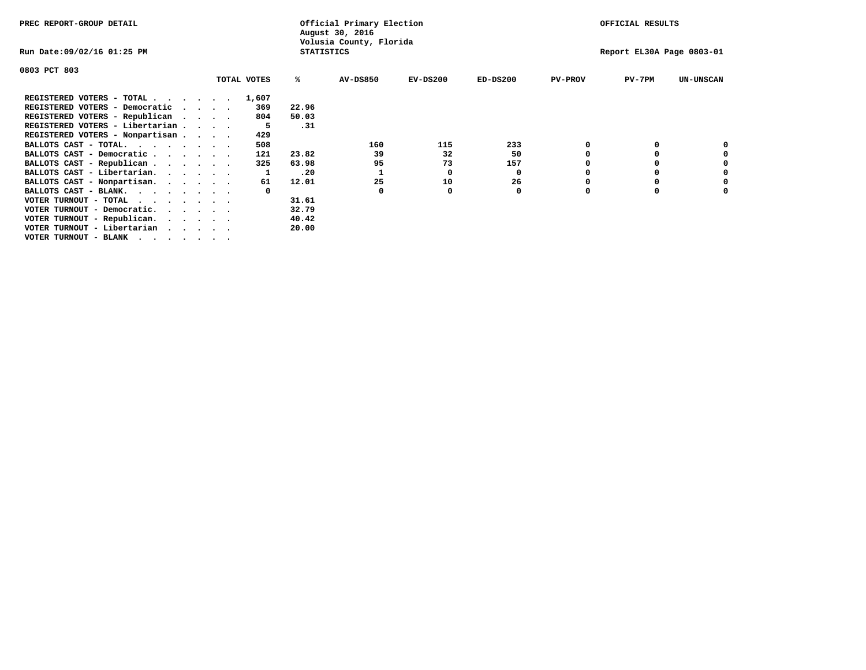| PREC REPORT-GROUP DETAIL                                                                                                                 |  |             |                   | Official Primary Election<br>August 30, 2016 |            | OFFICIAL RESULTS          |                |          |                  |  |
|------------------------------------------------------------------------------------------------------------------------------------------|--|-------------|-------------------|----------------------------------------------|------------|---------------------------|----------------|----------|------------------|--|
| Run Date:09/02/16 01:25 PM                                                                                                               |  |             | <b>STATISTICS</b> | Volusia County, Florida                      |            | Report EL30A Page 0803-01 |                |          |                  |  |
| 0803 PCT 803                                                                                                                             |  |             |                   |                                              |            |                           |                |          |                  |  |
|                                                                                                                                          |  | TOTAL VOTES | ℁                 | <b>AV-DS850</b>                              | $EV-DS200$ | $ED-DS200$                | <b>PV-PROV</b> | $PV-7PM$ | <b>UN-UNSCAN</b> |  |
| REGISTERED VOTERS - TOTAL                                                                                                                |  | 1,607       |                   |                                              |            |                           |                |          |                  |  |
| REGISTERED VOTERS - Democratic                                                                                                           |  | 369         | 22.96             |                                              |            |                           |                |          |                  |  |
| REGISTERED VOTERS - Republican                                                                                                           |  | 804         | 50.03             |                                              |            |                           |                |          |                  |  |
| REGISTERED VOTERS - Libertarian                                                                                                          |  | -5          | .31               |                                              |            |                           |                |          |                  |  |
| REGISTERED VOTERS - Nonpartisan                                                                                                          |  | 429         |                   |                                              |            |                           |                |          |                  |  |
| BALLOTS CAST - TOTAL.                                                                                                                    |  | 508         |                   | 160                                          | 115        | 233                       |                |          |                  |  |
| BALLOTS CAST - Democratic                                                                                                                |  | 121         | 23.82             | 39                                           | 32         | 50                        |                |          |                  |  |
| BALLOTS CAST - Republican                                                                                                                |  | 325         | 63.98             | 95                                           | 73         | 157                       |                |          |                  |  |
| BALLOTS CAST - Libertarian.                                                                                                              |  |             | .20               |                                              | 0          | 0                         |                |          |                  |  |
| BALLOTS CAST - Nonpartisan.                                                                                                              |  | 61          | 12.01             | 25                                           | 10         | 26                        |                |          | 0                |  |
| BALLOTS CAST - BLANK.                                                                                                                    |  |             |                   | 0                                            |            | 0                         |                |          |                  |  |
| VOTER TURNOUT - TOTAL<br>the contract of the contract of the contract of the contract of the contract of the contract of the contract of |  |             | 31.61             |                                              |            |                           |                |          |                  |  |
| VOTER TURNOUT - Democratic.                                                                                                              |  |             | 32.79             |                                              |            |                           |                |          |                  |  |
| VOTER TURNOUT - Republican.                                                                                                              |  |             | 40.42             |                                              |            |                           |                |          |                  |  |
| VOTER TURNOUT - Libertarian                                                                                                              |  |             | 20.00             |                                              |            |                           |                |          |                  |  |
| VOTER TURNOUT - BLANK                                                                                                                    |  |             |                   |                                              |            |                           |                |          |                  |  |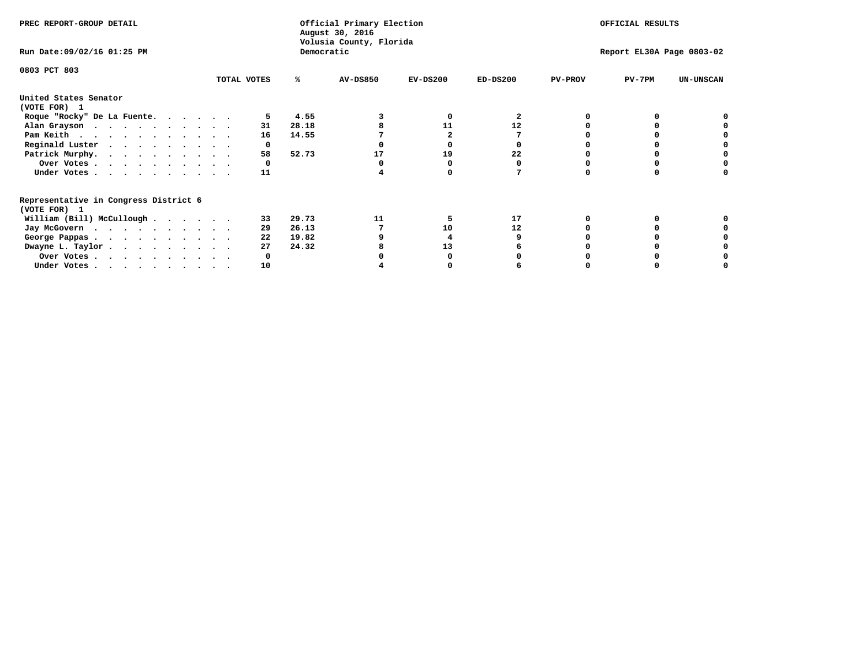| PREC REPORT-GROUP DETAIL                                               |             |       | Official Primary Election<br>August 30, 2016<br>Volusia County, Florida | OFFICIAL RESULTS          |            |                |          |                  |
|------------------------------------------------------------------------|-------------|-------|-------------------------------------------------------------------------|---------------------------|------------|----------------|----------|------------------|
| Run Date: 09/02/16 01:25 PM                                            |             |       | Democratic                                                              | Report EL30A Page 0803-02 |            |                |          |                  |
| 0803 PCT 803                                                           | TOTAL VOTES | ℁     | <b>AV-DS850</b>                                                         | $EV-DS200$                | $ED-DS200$ | <b>PV-PROV</b> | $PV-7PM$ | <b>UN-UNSCAN</b> |
|                                                                        |             |       |                                                                         |                           |            |                |          |                  |
| United States Senator<br>(VOTE FOR) 1                                  |             |       |                                                                         |                           |            |                |          |                  |
| Roque "Rocky" De La Fuente.                                            |             | 4.55  |                                                                         | O                         | 2          |                |          |                  |
| Alan Grayson                                                           | 31          | 28.18 |                                                                         | 11                        | 12         |                |          |                  |
| Pam Keith                                                              | 16          | 14.55 |                                                                         |                           |            |                |          |                  |
| Reginald Luster                                                        | 0           |       |                                                                         |                           |            |                |          |                  |
| Patrick Murphy.                                                        | 58          | 52.73 | 17                                                                      | 19                        | 22         |                |          |                  |
| Over Votes                                                             |             |       |                                                                         |                           |            |                |          |                  |
| Under Votes                                                            | 11          |       |                                                                         |                           |            |                |          |                  |
| Representative in Congress District 6                                  |             |       |                                                                         |                           |            |                |          |                  |
| (VOTE FOR) 1                                                           |             |       |                                                                         |                           |            |                |          |                  |
| William (Bill) McCullough $\cdots$ $\cdots$                            | 33          | 29.73 | 11                                                                      |                           | 17         |                |          |                  |
| Jay McGovern                                                           | 29          | 26.13 |                                                                         | 10                        | 12         |                |          |                  |
| George Pappas.                                                         | 22          | 19.82 |                                                                         |                           |            |                |          |                  |
| Dwayne L. Taylor                                                       | 27          | 24.32 |                                                                         | 13                        |            |                |          |                  |
| Over Votes                                                             |             |       |                                                                         |                           |            |                |          |                  |
| Under Votes, $\cdot$ , $\cdot$ , $\cdot$ , $\cdot$ , $\cdot$ , $\cdot$ | 10          |       |                                                                         |                           |            |                |          |                  |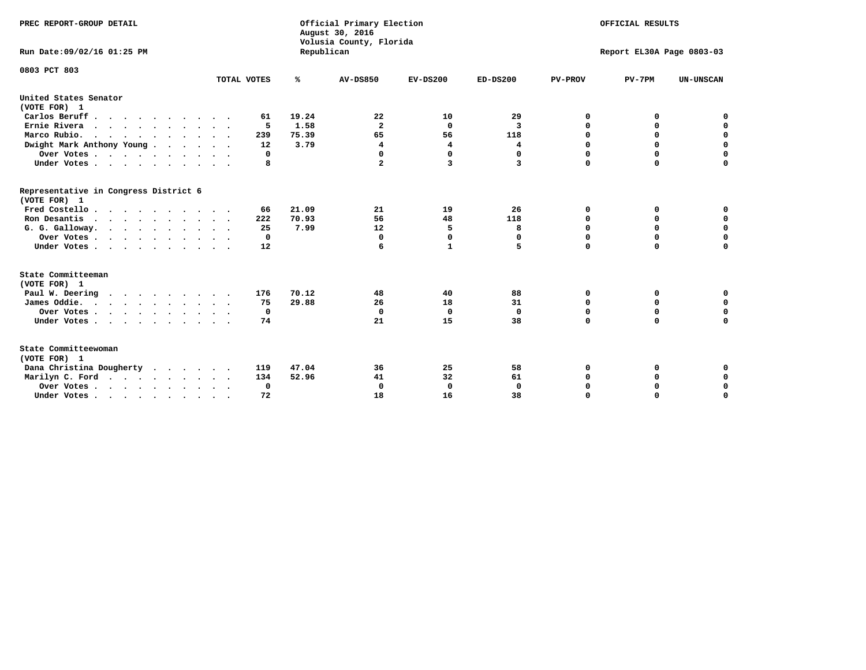| PREC REPORT-GROUP DETAIL                              |             |            | Official Primary Election<br>August 30, 2016<br>Volusia County, Florida | OFFICIAL RESULTS<br>Report EL30A Page 0803-03 |              |                |             |                  |
|-------------------------------------------------------|-------------|------------|-------------------------------------------------------------------------|-----------------------------------------------|--------------|----------------|-------------|------------------|
| Run Date: 09/02/16 01:25 PM                           |             | Republican |                                                                         |                                               |              |                |             |                  |
| 0803 PCT 803                                          |             |            |                                                                         |                                               |              |                |             |                  |
|                                                       | TOTAL VOTES | ℁          | <b>AV-DS850</b>                                                         | $EV-DS200$                                    | $ED-DS200$   | <b>PV-PROV</b> | $PV-7PM$    | <b>UN-UNSCAN</b> |
| United States Senator<br>(VOTE FOR) 1                 |             |            |                                                                         |                                               |              |                |             |                  |
| Carlos Beruff.                                        | 61          | 19.24      | 22                                                                      | 10                                            | 29           | 0              | 0           | 0                |
| Ernie Rivera                                          | 5           | 1.58       | $\overline{a}$                                                          | $\Omega$                                      | 3            | 0              | 0           | $\mathbf 0$      |
| Marco Rubio.                                          | 239         | 75.39      | 65                                                                      | 56                                            | 118          | $\mathbf 0$    | $\mathbf 0$ | $\mathbf 0$      |
| Dwight Mark Anthony Young                             | 12          | 3.79       | 4                                                                       | 4                                             | 4            | 0              | $\mathbf 0$ | $\pmb{0}$        |
| Over Votes                                            | 0           |            | 0                                                                       | $\Omega$                                      | $\Omega$     | $\mathbf 0$    | 0           | 0                |
| Under Votes                                           | 8           |            | $\mathbf{2}$                                                            | 3                                             | 3            | $\mathbf 0$    | $\Omega$    | $\mathbf 0$      |
| Representative in Congress District 6<br>(VOTE FOR) 1 |             |            |                                                                         |                                               |              |                |             |                  |
| Fred Costello                                         | 66          | 21.09      | 21                                                                      | 19                                            | 26           | 0              | 0           | 0                |
| Ron Desantis                                          | 222         | 70.93      | 56                                                                      | 48                                            | 118          | 0              | 0           | $\mathbf 0$      |
| G. G. Galloway.                                       | 25          | 7.99       | 12                                                                      | 5                                             | 8            | $\mathbf 0$    | $\Omega$    | $\mathbf 0$      |
| Over Votes                                            | $\Omega$    |            | 0                                                                       | $\mathbf{0}$                                  | 0            | $\mathbf 0$    | $\Omega$    | $\mathbf 0$      |
| Under Votes                                           | 12          |            | 6                                                                       | $\mathbf{1}$                                  | 5            | $\Omega$       | $\Omega$    | $\Omega$         |
| State Committeeman                                    |             |            |                                                                         |                                               |              |                |             |                  |
| (VOTE FOR) 1                                          |             |            |                                                                         |                                               |              |                |             |                  |
| Paul W. Deering                                       | 176         | 70.12      | 48                                                                      | 40                                            | 88           | 0              | 0           | 0                |
| James Oddie.                                          | 75          | 29.88      | 26                                                                      | 18                                            | 31           | 0              | 0           | $\mathbf 0$      |
| Over Votes                                            | 0           |            | $\mathbf 0$                                                             | $\mathbf 0$                                   | $\mathbf 0$  | 0              | $\mathbf 0$ | $\mathbf 0$      |
| Under Votes<br>$\ddot{\phantom{a}}$                   | 74          |            | 21                                                                      | 15                                            | 38           | $\Omega$       | 0           | $\mathbf 0$      |
| State Committeewoman<br>(VOTE FOR) 1                  |             |            |                                                                         |                                               |              |                |             |                  |
| Dana Christina Dougherty<br>$\cdot$                   | 119         | 47.04      | 36                                                                      | 25                                            | 58           | 0              | 0           | 0                |
| Marilyn C. Ford                                       | 134         | 52.96      | 41                                                                      | 32                                            | 61           | 0              | 0           | 0                |
| Over Votes                                            | 0           |            | $\mathbf 0$                                                             | 0                                             | $\mathbf{0}$ | 0              | 0           | $\mathbf 0$      |
| Under Votes, , , , , , , , , ,                        | 72          |            | 18                                                                      | 16                                            | 38           | $\Omega$       | $\Omega$    | $\Omega$         |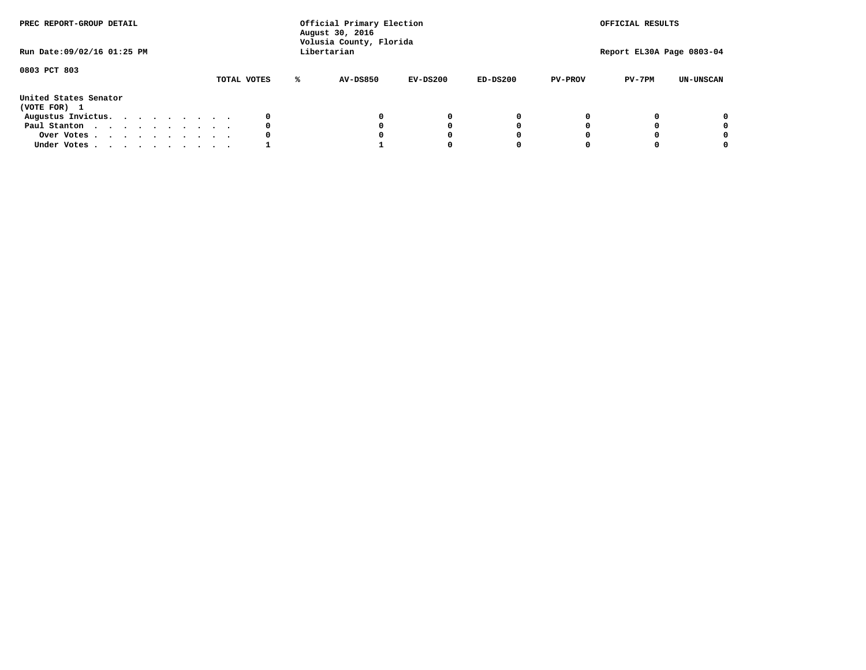| PREC REPORT-GROUP DETAIL<br>Run Date: 09/02/16 01:25 PM |  |  |  |  | Official Primary Election<br>August 30, 2016<br>Volusia County, Florida<br>Libertarian |  | OFFICIAL RESULTS<br>Report EL30A Page 0803-04 |                 |            |            |                |          |                  |
|---------------------------------------------------------|--|--|--|--|----------------------------------------------------------------------------------------|--|-----------------------------------------------|-----------------|------------|------------|----------------|----------|------------------|
| 0803 PCT 803                                            |  |  |  |  |                                                                                        |  | TOTAL VOTES                                   | <b>AV-DS850</b> | $EV-DS200$ | $ED-DS200$ | <b>PV-PROV</b> | $PV-7PM$ | <b>UN-UNSCAN</b> |
| United States Senator<br>(VOTE FOR) 1                   |  |  |  |  |                                                                                        |  |                                               |                 |            |            |                |          |                  |
| Augustus Invictus.                                      |  |  |  |  |                                                                                        |  | 0                                             |                 | 0          | 0          |                |          | 0                |
| Paul Stanton                                            |  |  |  |  |                                                                                        |  | 0                                             |                 | 0          |            |                |          | 0                |
| Over Votes                                              |  |  |  |  |                                                                                        |  |                                               |                 |            |            |                |          | 0                |
| Under Votes                                             |  |  |  |  |                                                                                        |  |                                               |                 |            |            |                |          | 0                |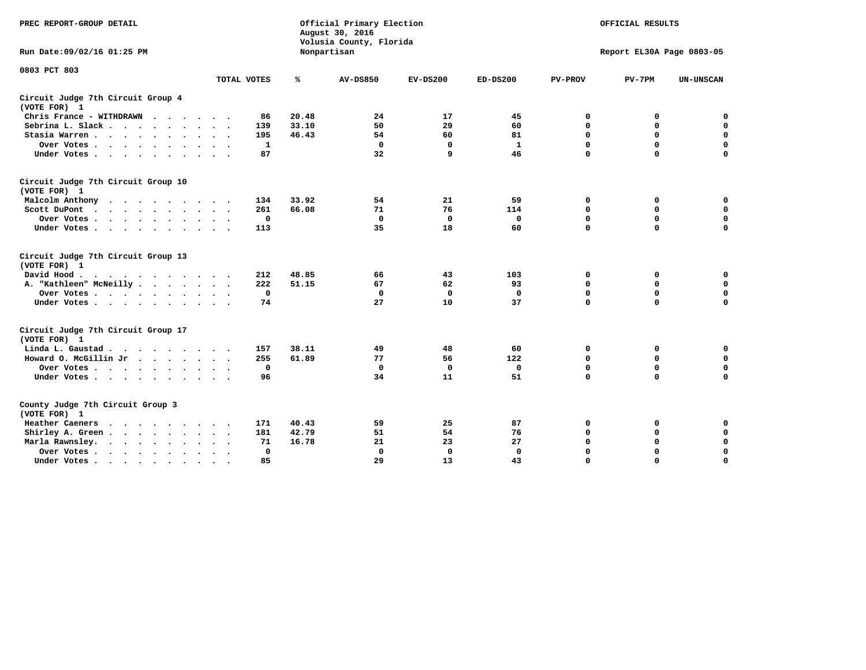| PREC REPORT-GROUP DETAIL                                           |                             | Official Primary Election<br>August 30, 2016<br>Volusia County, Florida | OFFICIAL RESULTS<br>Report EL30A Page 0803-05 |              |              |                |             |                  |
|--------------------------------------------------------------------|-----------------------------|-------------------------------------------------------------------------|-----------------------------------------------|--------------|--------------|----------------|-------------|------------------|
| Run Date:09/02/16 01:25 PM                                         |                             |                                                                         | Nonpartisan                                   |              |              |                |             |                  |
| 0803 PCT 803                                                       | TOTAL VOTES                 | ℁                                                                       | <b>AV-DS850</b>                               | $EV-DS200$   | $ED-DS200$   | <b>PV-PROV</b> | $PV-7PM$    | <b>UN-UNSCAN</b> |
| Circuit Judge 7th Circuit Group 4<br>(VOTE FOR) 1                  |                             |                                                                         |                                               |              |              |                |             |                  |
| Chris France - WITHDRAWN                                           | 86                          | 20.48                                                                   | 24                                            | 17           | 45           | 0              | 0           | $\mathbf 0$      |
| Sebrina L. Slack                                                   | 139                         | 33.10                                                                   | 50                                            | 29           | 60           | $\mathbf 0$    | 0           | $\mathbf 0$      |
| Stasia Warren                                                      | 195                         | 46.43                                                                   | 54                                            | 60           | 81           | 0              | 0           | $\mathbf 0$      |
| Over Votes                                                         | $\mathbf{1}$                |                                                                         | $\mathbf 0$                                   | $\mathbf 0$  | $\mathbf{1}$ | $\mathbf 0$    | $\mathbf 0$ | 0                |
| Under Votes                                                        | 87                          |                                                                         | 32                                            | q            | 46           | $\Omega$       | $\Omega$    | $\Omega$         |
| Circuit Judge 7th Circuit Group 10<br>(VOTE FOR) 1                 |                             |                                                                         |                                               |              |              |                |             |                  |
| Malcolm Anthony<br>.                                               | 134                         | 33.92                                                                   | 54                                            | 21           | 59           | 0              | 0           | 0                |
| Scott DuPont<br>$\sim$                                             | 261                         | 66.08                                                                   | 71                                            | 76           | 114          | $\mathbf 0$    | $\mathbf 0$ | 0                |
| Over Votes<br>$\bullet$<br>$\bullet$                               | 0                           |                                                                         | $\mathbf{0}$                                  | $\mathbf 0$  | $\mathbf 0$  | $\mathbf 0$    | $\mathbf 0$ | $\mathbf 0$      |
| Under Votes                                                        | 113                         |                                                                         | 35                                            | 18           | 60           | $\Omega$       | $\Omega$    | $\Omega$         |
| Circuit Judge 7th Circuit Group 13<br>(VOTE FOR) 1                 |                             |                                                                         |                                               |              |              |                |             |                  |
| David Hood.                                                        | 212                         | 48.85                                                                   | 66                                            | 43           | 103          | 0              | 0           | 0                |
| A. "Kathleen" McNeilly                                             | 222                         | 51.15                                                                   | 67                                            | 62           | 93           | $\mathbf 0$    | $\mathbf 0$ | $\mathbf 0$      |
| Over Votes                                                         | $^{\circ}$                  |                                                                         | $\mathbf 0$                                   | $\mathbf{0}$ | 0            | $\mathbf 0$    | $\mathbf 0$ | $\mathbf 0$      |
| Under Votes                                                        | 74                          |                                                                         | 27                                            | 10           | 37           | $\mathbf 0$    | $\Omega$    | $\Omega$         |
| Circuit Judge 7th Circuit Group 17<br>(VOTE FOR) 1                 |                             |                                                                         |                                               |              |              |                |             |                  |
| Linda L. Gaustad                                                   | 157                         | 38.11                                                                   | 49                                            | 48           | 60           | 0              | 0           | $\mathbf 0$      |
| Howard O. McGillin Jr<br>the company of the company of the company | 255                         | 61.89                                                                   | 77                                            | 56           | 122          | $\mathbf 0$    | $\mathbf 0$ | $\mathbf 0$      |
| Over Votes                                                         | $\mathbf 0$                 |                                                                         | $\mathbf{0}$                                  | $\mathbf{0}$ | $\mathbf 0$  | $\mathbf 0$    | $\mathbf 0$ | $\mathbf 0$      |
| Under Votes                                                        | 96                          |                                                                         | 34                                            | 11           | 51           | $\mathbf 0$    | $\mathbf 0$ | $\mathbf 0$      |
| County Judge 7th Circuit Group 3<br>(VOTE FOR) 1                   |                             |                                                                         |                                               |              |              |                |             |                  |
| <b>Heather Caeners</b><br>$\cdot$                                  | 171                         | 40.43                                                                   | 59                                            | 25           | 87           | 0              | 0           | 0                |
| Shirley A. Green                                                   | 181<br>$\ddot{\phantom{1}}$ | 42.79                                                                   | 51                                            | 54           | 76           | $\mathbf 0$    | 0           | $\mathbf 0$      |
| Marla Rawnsley.<br>$\cdot$                                         | 71                          | 16.78                                                                   | 21                                            | 23           | 27           | 0              | $\mathbf 0$ | $\pmb{0}$        |
| Over Votes.<br>$\cdot$<br>$\cdot$<br>$\cdot$                       | $\mathbf 0$                 |                                                                         | 0                                             | $\mathbf{0}$ | $\mathbf{0}$ | $\Omega$       | $\Omega$    | $\mathbf 0$      |
| Under Votes<br>$\sim$<br>$\sim$                                    | 85                          |                                                                         | 29                                            | 13           | 43           | $\mathbf 0$    | $\mathbf 0$ | 0                |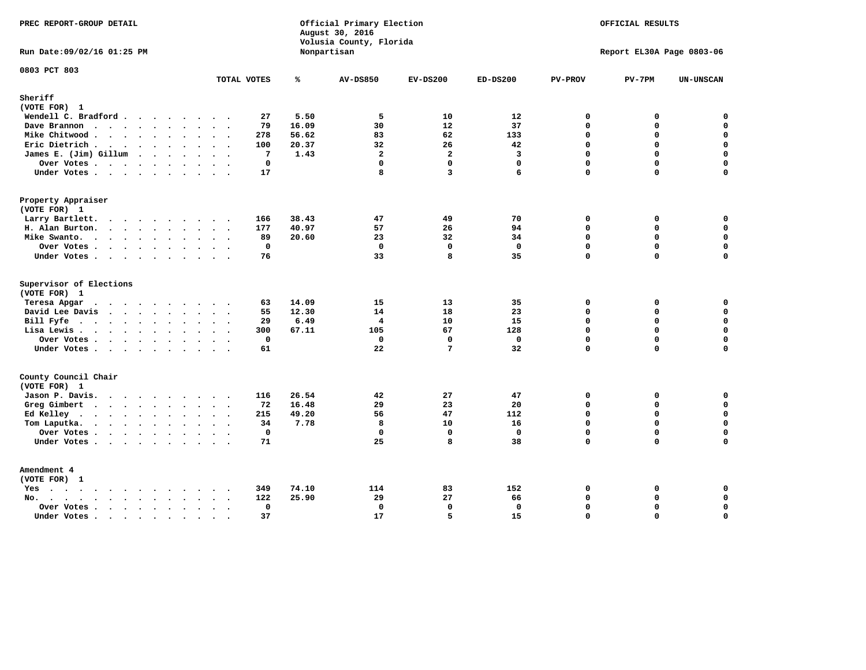| PREC REPORT-GROUP DETAIL                                                                                                                                                                                                                          |                                     |       | Official Primary Election<br>August 30, 2016<br>Volusia County, Florida | OFFICIAL RESULTS<br>Report EL30A Page 0803-06 |              |                |          |                  |
|---------------------------------------------------------------------------------------------------------------------------------------------------------------------------------------------------------------------------------------------------|-------------------------------------|-------|-------------------------------------------------------------------------|-----------------------------------------------|--------------|----------------|----------|------------------|
| Run Date: 09/02/16 01:25 PM                                                                                                                                                                                                                       |                                     |       | Nonpartisan                                                             |                                               |              |                |          |                  |
| 0803 PCT 803                                                                                                                                                                                                                                      | TOTAL VOTES                         | ℁     | <b>AV-DS850</b>                                                         | $EV-DS200$                                    | $ED-DS200$   | <b>PV-PROV</b> | $PV-7PM$ | <b>UN-UNSCAN</b> |
| Sheriff                                                                                                                                                                                                                                           |                                     |       |                                                                         |                                               |              |                |          |                  |
| (VOTE FOR) 1                                                                                                                                                                                                                                      |                                     |       |                                                                         |                                               |              |                |          |                  |
| Wendell C. Bradford                                                                                                                                                                                                                               | 27                                  | 5.50  | 5                                                                       | 10                                            | 12           | 0              | 0        | $\Omega$         |
| Dave Brannon                                                                                                                                                                                                                                      | 79                                  | 16.09 | 30                                                                      | 12                                            | 37           | $\mathbf 0$    | 0        | $\mathbf 0$      |
| Mike Chitwood                                                                                                                                                                                                                                     | 278                                 | 56.62 | 83                                                                      | 62                                            | 133          | 0              | 0        | $\mathbf 0$      |
| Eric Dietrich.                                                                                                                                                                                                                                    | 100                                 | 20.37 | 32                                                                      | 26                                            | 42           | $\mathbf 0$    | 0        | $\mathbf 0$      |
| James E. (Jim) Gillum                                                                                                                                                                                                                             | 7                                   | 1.43  | $\overline{a}$                                                          | $\overline{a}$                                | 3            | $\Omega$       | $\Omega$ | $\mathbf 0$      |
| Over Votes                                                                                                                                                                                                                                        | $\mathbf 0$                         |       | $\mathbf{0}$                                                            | $\mathbf 0$                                   | $\mathbf 0$  | $\Omega$       | 0        | $\mathbf 0$      |
| Under Votes                                                                                                                                                                                                                                       | 17                                  |       | 8                                                                       | 3                                             | 6            | $\Omega$       | $\Omega$ | $\Omega$         |
| Property Appraiser                                                                                                                                                                                                                                |                                     |       |                                                                         |                                               |              |                |          |                  |
| (VOTE FOR) 1                                                                                                                                                                                                                                      |                                     |       |                                                                         |                                               |              |                |          |                  |
| Larry Bartlett.                                                                                                                                                                                                                                   | 166                                 | 38.43 | 47                                                                      | 49                                            | 70           | 0              | 0        | 0                |
| H. Alan Burton.                                                                                                                                                                                                                                   | 177                                 | 40.97 | 57                                                                      | 26                                            | 94           | $\mathbf 0$    | 0        | $\mathbf 0$      |
| Mike Swanto.                                                                                                                                                                                                                                      | 89                                  | 20.60 | 23                                                                      | 32                                            | 34           | $\Omega$       | $\Omega$ | 0                |
| Over Votes                                                                                                                                                                                                                                        | $\mathbf{0}$                        |       | $\mathbf 0$                                                             | $\mathbf 0$                                   | $\mathbf 0$  | $\mathbf 0$    | 0        | $\mathbf 0$      |
| Under Votes                                                                                                                                                                                                                                       | 76                                  |       | 33                                                                      | 8                                             | 35           | $\Omega$       | $\Omega$ | 0                |
| Supervisor of Elections                                                                                                                                                                                                                           |                                     |       |                                                                         |                                               |              |                |          |                  |
| (VOTE FOR) 1                                                                                                                                                                                                                                      |                                     |       |                                                                         |                                               |              |                |          |                  |
| Teresa Apgar<br>$\mathbf{r}$ . The state of the state $\mathbf{r}$                                                                                                                                                                                | 63                                  | 14.09 | 15                                                                      | 13                                            | 35           | 0              | 0        | $\mathbf 0$      |
| David Lee Davis                                                                                                                                                                                                                                   | 55                                  | 12.30 | 14                                                                      | 18                                            | 23           | $\Omega$       | 0        | $\mathbf 0$      |
| Bill Fyfe.                                                                                                                                                                                                                                        | 29                                  | 6.49  | 4                                                                       | 10                                            | 15           | $\mathbf{0}$   | 0        | $\mathbf 0$      |
| Lisa Lewis                                                                                                                                                                                                                                        | 300                                 | 67.11 | 105                                                                     | 67                                            | 128          | $\Omega$       | 0        | $\mathbf 0$      |
| Over Votes                                                                                                                                                                                                                                        | $\mathbf 0$                         |       | $\mathbf 0$                                                             | $\mathbf 0$                                   | $\mathbf 0$  | $\mathbf 0$    | 0        | $\mathbf 0$      |
| Under Votes                                                                                                                                                                                                                                       | 61                                  |       | 22                                                                      | $7\phantom{.0}$                               | 32           | $\Omega$       | $\Omega$ | $\mathbf 0$      |
| County Council Chair                                                                                                                                                                                                                              |                                     |       |                                                                         |                                               |              |                |          |                  |
| (VOTE FOR) 1                                                                                                                                                                                                                                      |                                     |       |                                                                         |                                               |              |                |          |                  |
| Jason P. Davis.                                                                                                                                                                                                                                   | 116                                 | 26.54 | 42                                                                      | 27                                            | 47           | $\mathbf 0$    | 0        | 0                |
| Greg Gimbert<br>$\mathbf{r}$ . The contract of the contract of the contract of the contract of the contract of the contract of the contract of the contract of the contract of the contract of the contract of the contract of the contract of th | 72                                  | 16.48 | 29                                                                      | 23                                            | 20           | $\mathbf{0}$   | 0        | $\mathbf 0$      |
| Ed Kelley                                                                                                                                                                                                                                         | 215                                 | 49.20 | 56                                                                      | 47                                            | 112          | $\Omega$       | 0        | $\mathbf 0$      |
| Tom Laputka.                                                                                                                                                                                                                                      | 34                                  | 7.78  | 8                                                                       | 10                                            | 16           | $\mathbf 0$    | 0        | $\mathbf 0$      |
| Over Votes.                                                                                                                                                                                                                                       | $\mathbf 0$                         |       | $\mathbf 0$                                                             | $\mathbf{0}$                                  | $\mathbf{0}$ | $\Omega$       | 0        | 0                |
| Under Votes                                                                                                                                                                                                                                       | 71                                  |       | 25                                                                      | 8                                             | 38           | $\Omega$       | $\Omega$ | $\mathbf 0$      |
| Amendment 4                                                                                                                                                                                                                                       |                                     |       |                                                                         |                                               |              |                |          |                  |
| (VOTE FOR) 1                                                                                                                                                                                                                                      |                                     |       |                                                                         |                                               |              |                |          |                  |
| $Yes \cdot \cdot \cdot \cdot \cdot \cdot \cdot \cdot \cdot$<br>$\sim$ $\sim$                                                                                                                                                                      | 349                                 | 74.10 | 114                                                                     | 83                                            | 152          | 0              | 0        | 0                |
| No.<br>$\ddot{\phantom{a}}$                                                                                                                                                                                                                       | 122                                 | 25.90 | 29                                                                      | 27                                            | 66           | $\Omega$       | 0        | $\mathbf 0$      |
| Over Votes .<br>$\cdots$<br>$\ddot{\phantom{0}}$                                                                                                                                                                                                  | $\mathbf 0$<br>$\ddot{\phantom{0}}$ |       | $\mathbf 0$                                                             | $\mathbf{0}$                                  | $\mathbf 0$  | $\mathbf 0$    | 0        | $\mathbf 0$      |
| Under Votes<br>$\sim$                                                                                                                                                                                                                             | 37<br>$\sim$<br>$\sim$              |       | 17                                                                      | 5                                             | 15           | $\Omega$       | 0        | $\mathbf 0$      |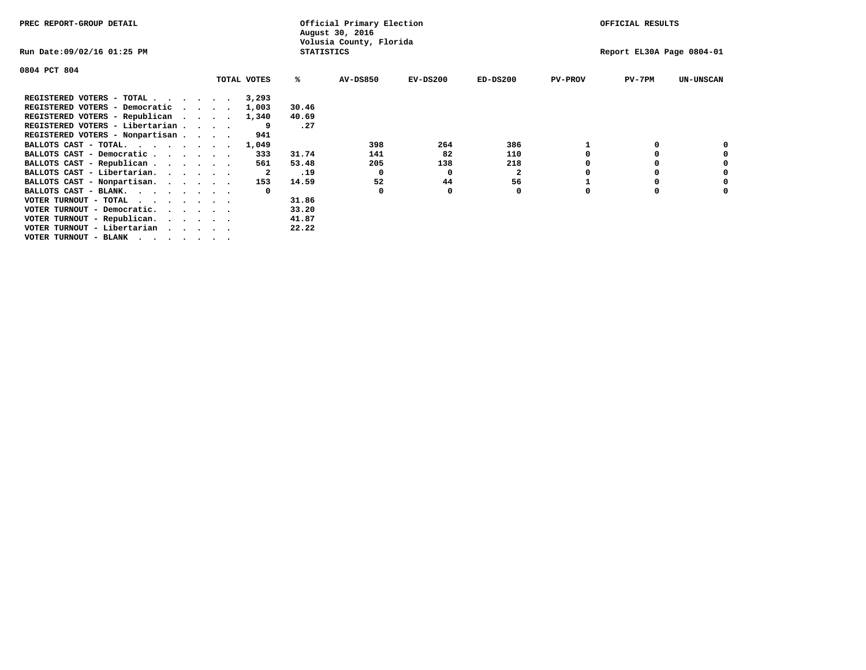| PREC REPORT-GROUP DETAIL                      |  |             |                   | Official Primary Election<br>August 30, 2016 |            |              |                | OFFICIAL RESULTS          |                  |
|-----------------------------------------------|--|-------------|-------------------|----------------------------------------------|------------|--------------|----------------|---------------------------|------------------|
| Run Date:09/02/16 01:25 PM                    |  |             | <b>STATISTICS</b> | Volusia County, Florida                      |            |              |                | Report EL30A Page 0804-01 |                  |
| 0804 PCT 804                                  |  |             |                   |                                              |            |              |                |                           |                  |
|                                               |  | TOTAL VOTES | %ร                | <b>AV-DS850</b>                              | $EV-DS200$ | $ED-DS200$   | <b>PV-PROV</b> | $PV-7PM$                  | <b>UN-UNSCAN</b> |
| REGISTERED VOTERS - TOTAL                     |  | 3,293       |                   |                                              |            |              |                |                           |                  |
| REGISTERED VOTERS - Democratic                |  | 1,003       | 30.46             |                                              |            |              |                |                           |                  |
| REGISTERED VOTERS - Republican                |  | 1,340       | 40.69             |                                              |            |              |                |                           |                  |
| REGISTERED VOTERS - Libertarian               |  |             | .27               |                                              |            |              |                |                           |                  |
| REGISTERED VOTERS - Nonpartisan               |  | 941         |                   |                                              |            |              |                |                           |                  |
| BALLOTS CAST - TOTAL.                         |  | 1,049       |                   | 398                                          | 264        | 386          |                |                           |                  |
| BALLOTS CAST - Democratic                     |  | 333         | 31.74             | 141                                          | 82         | 110          |                |                           |                  |
| BALLOTS CAST - Republican                     |  | 561         | 53.48             | 205                                          | 138        | 218          |                |                           |                  |
| BALLOTS CAST - Libertarian.                   |  | -2          | .19               | 0                                            | 0          | $\mathbf{2}$ |                |                           |                  |
| BALLOTS CAST - Nonpartisan.                   |  | 153         | 14.59             | 52                                           | 44         | 56           |                |                           |                  |
| BALLOTS CAST - BLANK.                         |  | $\Omega$    |                   |                                              |            | 0            |                |                           |                  |
| VOTER TURNOUT - TOTAL<br>.                    |  |             | 31.86             |                                              |            |              |                |                           |                  |
| VOTER TURNOUT - Democratic.                   |  |             | 33.20             |                                              |            |              |                |                           |                  |
| VOTER TURNOUT - Republican.                   |  |             | 41.87             |                                              |            |              |                |                           |                  |
| VOTER TURNOUT - Libertarian                   |  |             | 22.22             |                                              |            |              |                |                           |                  |
| VOTER TURNOUT - BLANK $\cdot$ , , , , , , , , |  |             |                   |                                              |            |              |                |                           |                  |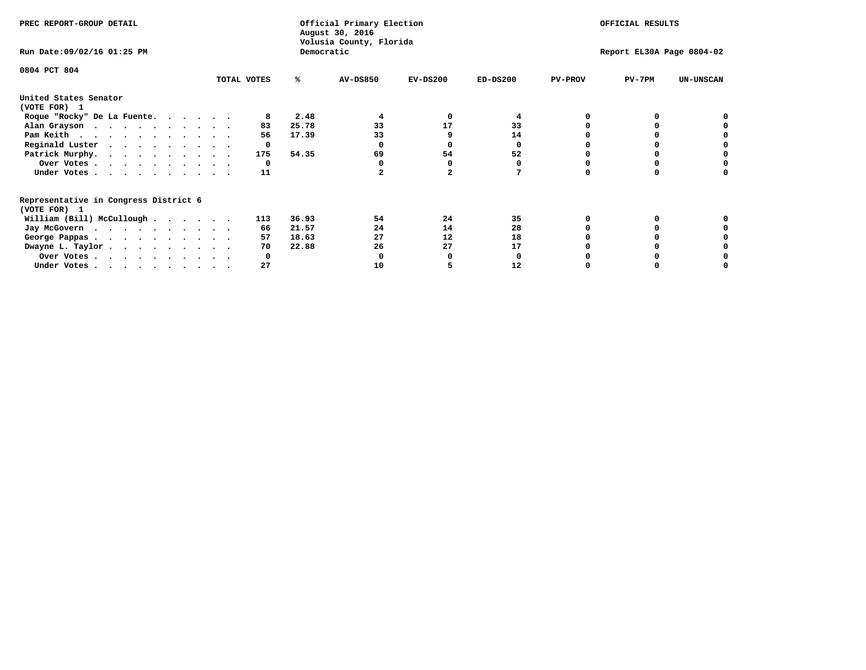| PREC REPORT-GROUP DETAIL                                               |             |            | Official Primary Election<br>August 30, 2016<br>Volusia County, Florida |            |            |                | OFFICIAL RESULTS          |                  |
|------------------------------------------------------------------------|-------------|------------|-------------------------------------------------------------------------|------------|------------|----------------|---------------------------|------------------|
| Run Date: 09/02/16 01:25 PM                                            |             | Democratic |                                                                         |            |            |                | Report EL30A Page 0804-02 |                  |
| 0804 PCT 804                                                           |             |            |                                                                         |            |            |                |                           |                  |
|                                                                        | TOTAL VOTES | ℁          | <b>AV-DS850</b>                                                         | $EV-DS200$ | $ED-DS200$ | <b>PV-PROV</b> | $PV-7PM$                  | <b>UN-UNSCAN</b> |
| United States Senator<br>(VOTE FOR) 1                                  |             |            |                                                                         |            |            |                |                           |                  |
| Roque "Rocky" De La Fuente.                                            |             | 2.48       |                                                                         | O          |            |                |                           |                  |
| Alan Grayson                                                           | 83          | 25.78      | 33                                                                      | 17         | 33         |                |                           |                  |
| Pam Keith                                                              | 56          | 17.39      | 33                                                                      |            | 14         |                |                           |                  |
| Reginald Luster                                                        | 0           |            |                                                                         |            | O          |                |                           |                  |
| Patrick Murphy.                                                        | 175         | 54.35      | 69                                                                      | 54         | 52         |                |                           |                  |
| Over Votes                                                             | 0           |            |                                                                         |            |            |                |                           |                  |
| Under Votes.                                                           | 11          |            |                                                                         |            |            |                |                           |                  |
| Representative in Congress District 6                                  |             |            |                                                                         |            |            |                |                           |                  |
| (VOTE FOR) 1                                                           | 113         | 36.93      | 54                                                                      | 24         | 35         |                |                           |                  |
| William (Bill) McCullough                                              |             | 21.57      | 24                                                                      | 14         | 28         |                |                           |                  |
| Jay McGovern                                                           | 66          |            |                                                                         |            |            |                |                           |                  |
| George Pappas.                                                         | 57          | 18.63      | 27                                                                      | 12         | 18         |                |                           |                  |
| Dwayne L. Taylor.                                                      | 70          | 22.88      | 26                                                                      | 27         | 17         |                |                           |                  |
| Over Votes                                                             |             |            |                                                                         |            |            |                |                           |                  |
| Under Votes, $\cdot$ , $\cdot$ , $\cdot$ , $\cdot$ , $\cdot$ , $\cdot$ | 27          |            | 10                                                                      |            | 12         |                |                           |                  |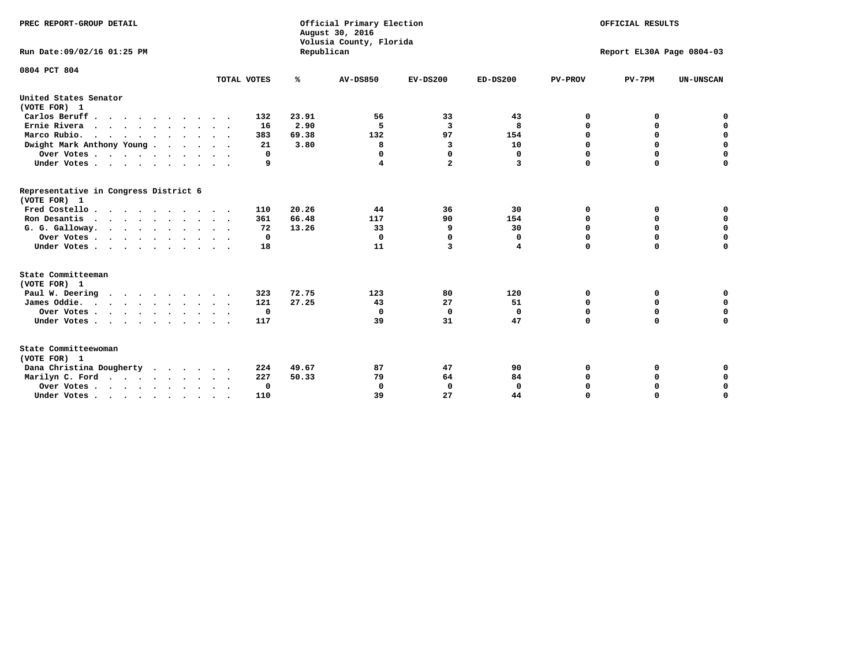| PREC REPORT-GROUP DETAIL<br>Run Date:09/02/16 01:25 PM |             | Republican | Official Primary Election<br>August 30, 2016<br>Volusia County, Florida | OFFICIAL RESULTS<br>Report EL30A Page 0804-03 |              |                |             |                  |
|--------------------------------------------------------|-------------|------------|-------------------------------------------------------------------------|-----------------------------------------------|--------------|----------------|-------------|------------------|
| 0804 PCT 804                                           | TOTAL VOTES | %          | AV-DS850                                                                | $EV-DS200$                                    | $ED-DS200$   | <b>PV-PROV</b> | $PV-7PM$    | <b>UN-UNSCAN</b> |
| United States Senator                                  |             |            |                                                                         |                                               |              |                |             |                  |
| (VOTE FOR) 1<br>Carlos Beruff                          | 132         | 23.91      | 56                                                                      | 33                                            | 43           | 0              | 0           | 0                |
| Ernie Rivera                                           | 16          | 2.90       | 5                                                                       | 3                                             | 8            | 0              | 0           | $\mathbf 0$      |
| Marco Rubio.                                           | 383         | 69.38      | 132                                                                     | 97                                            | 154          | $\mathbf 0$    | $\mathbf 0$ | $\mathbf 0$      |
| $\cdots$<br>Dwight Mark Anthony Young                  | 21          | 3.80       | 8                                                                       | 3                                             | 10           | 0              | 0           | $\mathbf 0$      |
| Over Votes                                             | $\Omega$    |            | $\Omega$                                                                | $\Omega$                                      | 0            | 0              | 0           | 0                |
| Under Votes                                            | 9           |            | 4                                                                       | $\overline{a}$                                | 3            | $\mathbf 0$    | $\mathbf 0$ | $\mathbf 0$      |
|                                                        |             |            |                                                                         |                                               |              |                |             |                  |
| Representative in Congress District 6<br>(VOTE FOR) 1  |             |            |                                                                         |                                               |              |                |             |                  |
| Fred Costello                                          | 110         | 20.26      | 44                                                                      | 36                                            | 30           | 0              | 0           | 0                |
| Ron Desantis                                           | 361         | 66.48      | 117                                                                     | 90                                            | 154          | $\mathbf 0$    | 0           | $\mathbf 0$      |
| G. G. Galloway.                                        | 72          | 13.26      | 33                                                                      | 9                                             | 30           | $\mathbf 0$    | $\Omega$    | $\mathbf 0$      |
| Over Votes                                             | 0           |            | $\Omega$                                                                | $\mathbf 0$                                   | 0            | 0              | 0           | 0                |
| Under Votes                                            | 18          |            | 11                                                                      | 3                                             | 4            | $\mathbf 0$    | $\mathbf 0$ | $\mathbf 0$      |
| State Committeeman                                     |             |            |                                                                         |                                               |              |                |             |                  |
| (VOTE FOR) 1                                           |             |            |                                                                         |                                               |              |                |             |                  |
| Paul W. Deering                                        | 323         | 72.75      | 123                                                                     | 80                                            | 120          | 0              | 0           | 0                |
| James Oddie.                                           | 121         | 27.25      | 43                                                                      | 27                                            | 51           | 0              | 0           | $\mathbf 0$      |
| Over Votes                                             | 0           |            | 0                                                                       | $\mathbf 0$                                   | 0            | $\mathbf 0$    | $\mathbf 0$ | $\mathbf 0$      |
| Under Votes                                            | 117         |            | 39                                                                      | 31                                            | 47           | $\mathbf 0$    | $\mathbf 0$ | $\mathbf 0$      |
| State Committeewoman<br>(VOTE FOR) 1                   |             |            |                                                                         |                                               |              |                |             |                  |
| Dana Christina Dougherty<br>$\cdot$                    | 224         | 49.67      | 87                                                                      | 47                                            | 90           | 0              | 0           | 0                |
| Marilyn C. Ford                                        | 227         | 50.33      | 79                                                                      | 64                                            | 84           | 0              | 0           | 0                |
| Over Votes                                             | $\Omega$    |            | $\mathbf 0$                                                             | 0                                             | $\mathbf{0}$ | 0              | 0           | 0                |
| Under Votes, , , , , , , , , ,                         | 110         |            | 39                                                                      | 27                                            | 44           | $\Omega$       | $\Omega$    | $\Omega$         |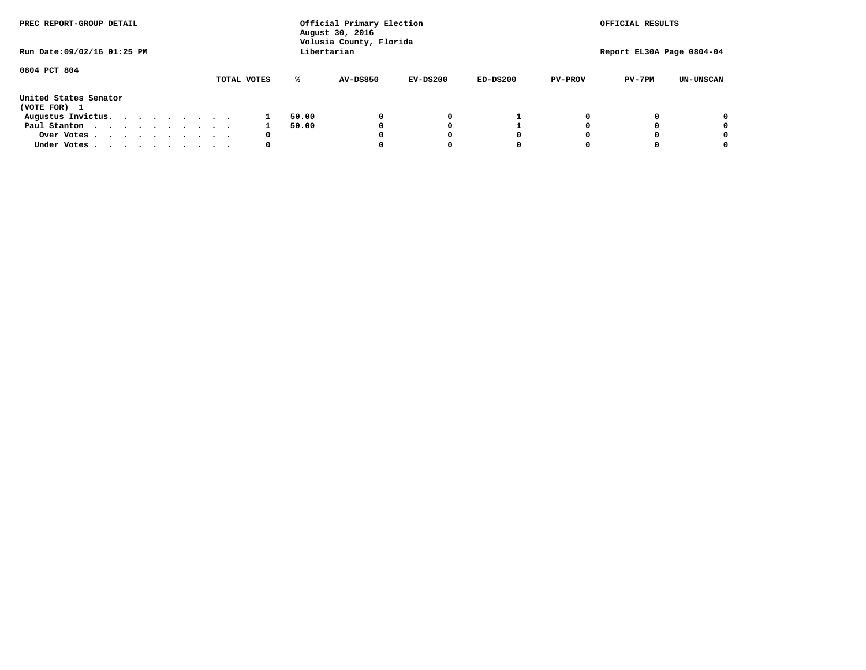| PREC REPORT-GROUP DETAIL              |  |  |  |             |       | Official Primary Election<br>August 30, 2016<br>Volusia County, Florida |            |            |                | OFFICIAL RESULTS          |                  |
|---------------------------------------|--|--|--|-------------|-------|-------------------------------------------------------------------------|------------|------------|----------------|---------------------------|------------------|
| Run Date: 09/02/16 01:25 PM           |  |  |  |             |       | Libertarian                                                             |            |            |                | Report EL30A Page 0804-04 |                  |
| 0804 PCT 804                          |  |  |  | TOTAL VOTES | ℁     | <b>AV-DS850</b>                                                         | $EV-DS200$ | $ED-DS200$ | <b>PV-PROV</b> | $PV-7PM$                  | <b>UN-UNSCAN</b> |
| United States Senator<br>(VOTE FOR) 1 |  |  |  |             |       |                                                                         |            |            |                |                           |                  |
| Augustus Invictus.                    |  |  |  |             | 50.00 |                                                                         | 0          |            |                |                           | 0                |
| Paul Stanton                          |  |  |  |             | 50.00 |                                                                         |            |            |                |                           | 0                |
| Over Votes                            |  |  |  | 0           |       |                                                                         |            | O          |                |                           | 0                |
| Under Votes                           |  |  |  | 0           |       |                                                                         |            |            |                |                           |                  |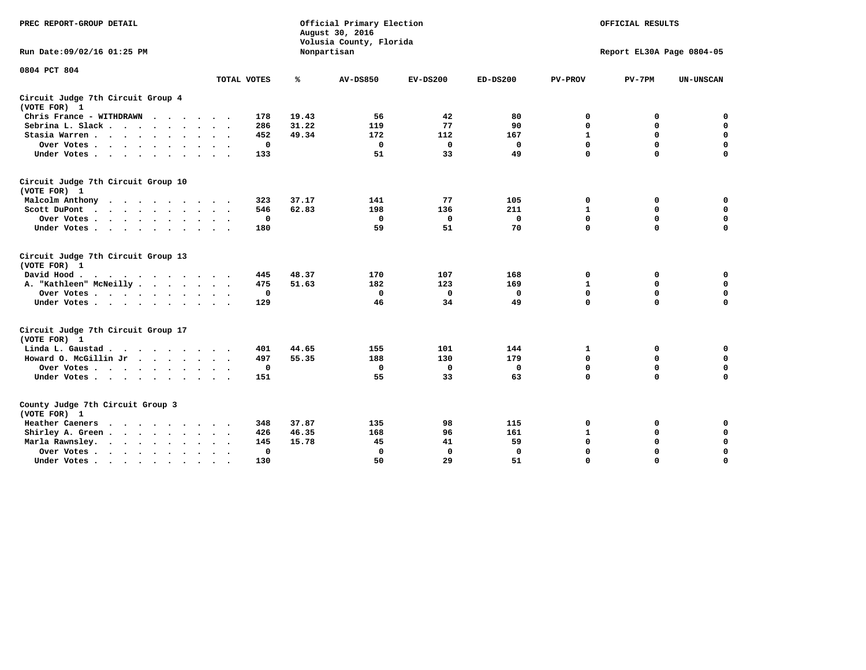| PREC REPORT-GROUP DETAIL                                                                                                                                                                                                                     |                                  |       | Official Primary Election<br>August 30, 2016<br>Volusia County, Florida |              |            |                | OFFICIAL RESULTS          |                  |
|----------------------------------------------------------------------------------------------------------------------------------------------------------------------------------------------------------------------------------------------|----------------------------------|-------|-------------------------------------------------------------------------|--------------|------------|----------------|---------------------------|------------------|
| Run Date:09/02/16 01:25 PM                                                                                                                                                                                                                   |                                  |       | Nonpartisan                                                             |              |            |                | Report EL30A Page 0804-05 |                  |
| 0804 PCT 804                                                                                                                                                                                                                                 |                                  |       |                                                                         |              |            |                |                           |                  |
|                                                                                                                                                                                                                                              | TOTAL VOTES                      | ℁     | <b>AV-DS850</b>                                                         | $EV-DS200$   | $ED-DS200$ | <b>PV-PROV</b> | $PV-7PM$                  | <b>UN-UNSCAN</b> |
| Circuit Judge 7th Circuit Group 4<br>(VOTE FOR) 1                                                                                                                                                                                            |                                  |       |                                                                         |              |            |                |                           |                  |
| Chris France - WITHDRAWN                                                                                                                                                                                                                     | 178                              | 19.43 | 56                                                                      | 42           | 80         | 0              | 0                         | 0                |
| Sebrina L. Slack                                                                                                                                                                                                                             | 286                              | 31.22 | 119                                                                     | 77           | 90         | $\mathbf 0$    | $\mathbf 0$               | $\mathbf 0$      |
| Stasia Warren<br>$\ddot{\phantom{0}}$                                                                                                                                                                                                        | 452                              | 49.34 | 172                                                                     | 112          | 167        | $\mathbf{1}$   | 0                         | $\pmb{0}$        |
| Over Votes                                                                                                                                                                                                                                   | 0                                |       | $\Omega$                                                                | 0            | 0          | $\mathbf 0$    | $\mathbf 0$               | $\mathbf 0$      |
| Under Votes                                                                                                                                                                                                                                  | 133<br>$\sim$ $\sim$             |       | 51                                                                      | 33           | 49         | $\mathbf 0$    | $\Omega$                  | $\Omega$         |
| Circuit Judge 7th Circuit Group 10<br>(VOTE FOR) 1                                                                                                                                                                                           |                                  |       |                                                                         |              |            |                |                           |                  |
| Malcolm Anthony                                                                                                                                                                                                                              | 323                              | 37.17 | 141                                                                     | 77           | 105        | 0              | 0                         | 0                |
| Scott DuPont                                                                                                                                                                                                                                 | 546                              | 62.83 | 198                                                                     | 136          | 211        | 1              | $\mathbf 0$               | $\mathbf 0$      |
| Over Votes                                                                                                                                                                                                                                   | 0                                |       | 0                                                                       | 0            | 0          | 0              | 0                         | 0                |
| Under Votes                                                                                                                                                                                                                                  | 180                              |       | 59                                                                      | 51           | 70         | $\mathbf 0$    | $\Omega$                  | $\mathbf 0$      |
| Circuit Judge 7th Circuit Group 13<br>(VOTE FOR) 1                                                                                                                                                                                           |                                  |       |                                                                         |              |            |                |                           |                  |
| David Hood.<br>. The contract of the contract of the contract of the contract of the contract of the contract of the contract of the contract of the contract of the contract of the contract of the contract of the contract of the contrac | 445                              | 48.37 | 170                                                                     | 107          | 168        | 0              | 0                         | 0                |
| A. "Kathleen" McNeilly                                                                                                                                                                                                                       | 475                              | 51.63 | 182                                                                     | 123          | 169        | $\mathbf{1}$   | 0                         | 0                |
| Over Votes                                                                                                                                                                                                                                   | 0                                |       | 0                                                                       | 0            | 0          | 0              | $\mathbf 0$               | 0                |
| Under Votes                                                                                                                                                                                                                                  | 129                              |       | 46                                                                      | 34           | 49         | $\mathbf 0$    | $\mathbf 0$               | 0                |
| Circuit Judge 7th Circuit Group 17<br>(VOTE FOR) 1                                                                                                                                                                                           |                                  |       |                                                                         |              |            |                |                           |                  |
| Linda L. Gaustad                                                                                                                                                                                                                             | 401                              | 44.65 | 155                                                                     | 101          | 144        | 1              | 0                         | $\mathbf 0$      |
| Howard O. McGillin Jr                                                                                                                                                                                                                        | 497                              | 55.35 | 188                                                                     | 130          | 179        | 0              | $\mathbf 0$               | 0                |
| Over Votes                                                                                                                                                                                                                                   | 0                                |       | 0                                                                       | $\mathbf 0$  | 0          | $\mathbf 0$    | 0                         | 0                |
| Under Votes                                                                                                                                                                                                                                  | 151                              |       | 55                                                                      | 33           | 63         | $\mathbf 0$    | $\mathbf 0$               | $\mathbf 0$      |
| County Judge 7th Circuit Group 3<br>(VOTE FOR) 1                                                                                                                                                                                             |                                  |       |                                                                         |              |            |                |                           |                  |
| Heather Caeners<br>$\cdots$                                                                                                                                                                                                                  | 348                              | 37.87 | 135                                                                     | 98           | 115        | 0              | 0                         | 0                |
| Shirley A. Green                                                                                                                                                                                                                             | 426                              | 46.35 | 168                                                                     | 96           | 161        | $\mathbf 1$    | $\mathbf 0$               | $\mathbf 0$      |
| Marla Rawnsley.<br>$\cdots$                                                                                                                                                                                                                  | 145                              | 15.78 | 45                                                                      | 41           | 59         | 0              | 0                         | 0                |
| Over Votes<br>$\ddot{\phantom{0}}$<br>$\bullet$                                                                                                                                                                                              | $\Omega$<br>$\ddot{\phantom{1}}$ |       | $\mathbf 0$                                                             | $\mathbf{0}$ | $\Omega$   | $\mathbf 0$    | $\mathbf 0$               | $\mathbf 0$      |
| Under Votes<br>$\bullet$                                                                                                                                                                                                                     | 130                              |       | 50                                                                      | 29           | 51         | $\mathbf 0$    | $\mathbf 0$               | $\Omega$         |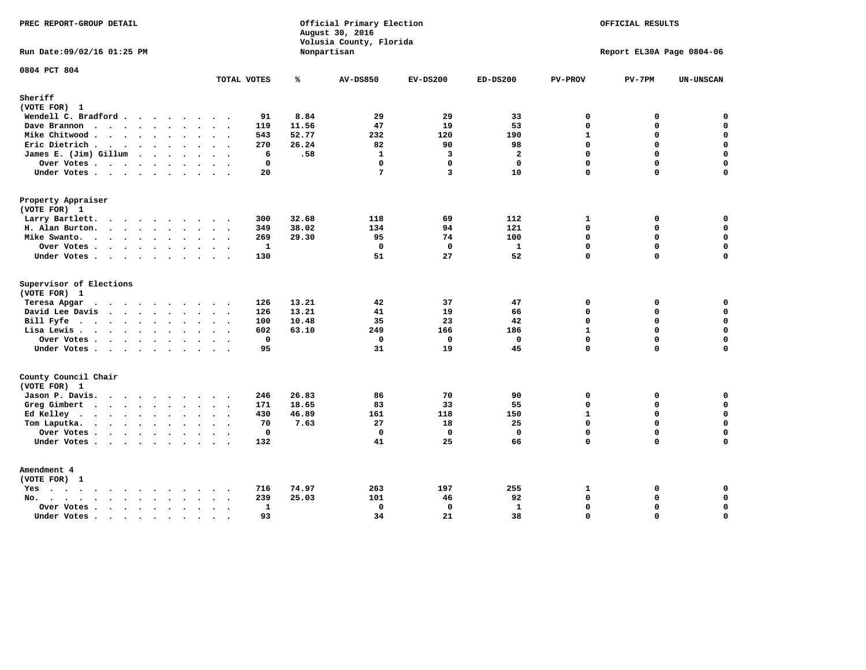| PREC REPORT-GROUP DETAIL                                                                                               |                                      |       | Official Primary Election<br>August 30, 2016<br>Volusia County, Florida |                         | OFFICIAL RESULTS<br>Report EL30A Page 0804-06 |                |             |                  |
|------------------------------------------------------------------------------------------------------------------------|--------------------------------------|-------|-------------------------------------------------------------------------|-------------------------|-----------------------------------------------|----------------|-------------|------------------|
| Run Date: 09/02/16 01:25 PM                                                                                            |                                      |       | Nonpartisan                                                             |                         |                                               |                |             |                  |
| 0804 PCT 804                                                                                                           | TOTAL VOTES                          | ℁     | <b>AV-DS850</b>                                                         | $EV-DS200$              | $ED-DS200$                                    | <b>PV-PROV</b> | $PV-7PM$    | <b>UN-UNSCAN</b> |
| Sheriff                                                                                                                |                                      |       |                                                                         |                         |                                               |                |             |                  |
| (VOTE FOR) 1                                                                                                           |                                      |       |                                                                         |                         |                                               |                |             |                  |
| Wendell C. Bradford                                                                                                    | 91                                   | 8.84  | 29                                                                      | 29                      | 33                                            | $\mathbf 0$    | 0           | $\mathbf 0$      |
| Dave Brannon                                                                                                           | 119                                  | 11.56 | 47                                                                      | 19                      | 53                                            | $\Omega$       | 0           | $\mathbf 0$      |
| Mike Chitwood                                                                                                          | 543                                  | 52.77 | 232                                                                     | 120                     | 190                                           | $\mathbf{1}$   | 0           | 0                |
| Eric Dietrich.                                                                                                         | 270                                  | 26.24 | 82                                                                      | 90                      | 98                                            | $\Omega$       | 0           | $\mathbf 0$      |
| James E. (Jim) Gillum                                                                                                  | 6                                    | .58   | $\mathbf{1}$                                                            | $\overline{\mathbf{3}}$ | $\overline{a}$                                | $\mathbf 0$    | $\mathbf 0$ | $\mathbf 0$      |
| Over Votes                                                                                                             | $\mathbf{0}$                         |       | $\Omega$                                                                | $\Omega$                | $\Omega$                                      | $\Omega$       | $\Omega$    | $\mathbf 0$      |
| Under Votes                                                                                                            | 20                                   |       | $7\phantom{.0}$                                                         | 3                       | 10                                            | $\mathbf 0$    | 0           | $\Omega$         |
| Property Appraiser                                                                                                     |                                      |       |                                                                         |                         |                                               |                |             |                  |
| (VOTE FOR) 1                                                                                                           |                                      |       |                                                                         |                         |                                               |                |             |                  |
| Larry Bartlett.<br>$\sim$                                                                                              | 300<br>$\sim$                        | 32.68 | 118                                                                     | 69                      | 112                                           | $\mathbf{1}$   | 0           | 0                |
| H. Alan Burton.                                                                                                        | 349                                  | 38.02 | 134                                                                     | 94                      | 121                                           | 0              | 0           | $\mathbf 0$      |
| Mike Swanto.                                                                                                           | 269                                  | 29.30 | 95                                                                      | 74                      | 100                                           | $\mathbf 0$    | 0           | $\mathbf 0$      |
| Over Votes                                                                                                             | 1                                    |       | $\mathbf 0$                                                             | $\mathbf 0$             | 1                                             | $\mathbf{0}$   | 0           | $\mathbf 0$      |
| Under Votes                                                                                                            | 130                                  |       | 51                                                                      | 27                      | 52                                            | $\Omega$       | $\Omega$    | $\mathbf 0$      |
| Supervisor of Elections                                                                                                |                                      |       |                                                                         |                         |                                               |                |             |                  |
| (VOTE FOR) 1                                                                                                           |                                      |       |                                                                         |                         |                                               |                |             |                  |
| Teresa Apgar                                                                                                           | 126                                  | 13.21 | 42                                                                      | 37                      | 47                                            | 0              | 0           | 0                |
| David Lee Davis                                                                                                        | 126                                  | 13.21 | 41                                                                      | 19                      | 66                                            | $\Omega$       | 0           | $\mathbf 0$      |
| Bill Fyfe                                                                                                              | 100                                  | 10.48 | 35                                                                      | 23                      | 42                                            | $\Omega$       | 0           | 0                |
| Lisa Lewis                                                                                                             | 602                                  | 63.10 | 249                                                                     | 166                     | 186                                           | $\mathbf{1}$   | 0           | $\mathbf 0$      |
| Over Votes                                                                                                             | $\mathbf 0$                          |       | $\mathbf 0$                                                             | $\mathbf 0$             | $\mathbf 0$                                   | $\mathbf 0$    | 0           | $\mathbf 0$      |
| Under Votes                                                                                                            | 95                                   |       | 31                                                                      | 19                      | 45                                            | $\Omega$       | $\Omega$    | $\mathbf 0$      |
| County Council Chair<br>(VOTE FOR) 1                                                                                   |                                      |       |                                                                         |                         |                                               |                |             |                  |
| Jason P. Davis.                                                                                                        | 246                                  | 26.83 | 86                                                                      | 70                      | 90                                            | 0              | 0           | 0                |
| Greg Gimbert<br>$\cdots$                                                                                               | 171                                  | 18.65 | 83                                                                      | 33                      | 55                                            | $\Omega$       | $\Omega$    | $\mathbf 0$      |
| Ed Kelley $\cdots$                                                                                                     | 430                                  | 46.89 | 161                                                                     | 118                     | 150                                           | $\mathbf{1}$   | 0           | $\mathbf 0$      |
| Tom Laputka.<br>$\mathbf{r}$ , $\mathbf{r}$ , $\mathbf{r}$ , $\mathbf{r}$ , $\mathbf{r}$ , $\mathbf{r}$ , $\mathbf{r}$ | 70                                   | 7.63  | 27                                                                      | 18                      | 25                                            | $\Omega$       | $\mathbf 0$ | $\mathbf 0$      |
| Over Votes                                                                                                             | $\mathbf 0$                          |       | $\mathbf{0}$                                                            | $^{\circ}$              | $\mathbf{0}$                                  | 0              | 0           | 0                |
| Under Votes                                                                                                            | 132                                  |       | 41                                                                      | 25                      | 66                                            | $\Omega$       | $\Omega$    | $\mathbf 0$      |
| Amendment 4                                                                                                            |                                      |       |                                                                         |                         |                                               |                |             |                  |
| (VOTE FOR) 1                                                                                                           |                                      |       |                                                                         |                         |                                               |                |             |                  |
| $Yes \cdot \cdot \cdot \cdot \cdot \cdot \cdot \cdot \cdot$                                                            | 716<br>$\cdots$<br>$\bullet$         | 74.97 | 263                                                                     | 197                     | 255                                           | 1              | 0           | 0                |
| $\cdots$<br>$No.$<br>$\ddot{\phantom{a}}$<br>$\ddot{\phantom{a}}$                                                      | 239<br>$\cdots$                      | 25.03 | 101                                                                     | 46                      | 92                                            | $\mathbf 0$    | 0           | $\mathbf 0$      |
| Over Votes .<br>$\cdots$<br>$\ddot{\phantom{a}}$                                                                       | $\mathbf{1}$<br>$\ddot{\phantom{0}}$ |       | 0                                                                       | $\mathbf 0$             | $\mathbf{1}$                                  | $\mathbf 0$    | 0           | $\mathsf{o}\,$   |
| Under Votes<br>$\sim$                                                                                                  | 93<br>$\sim$<br>$\sim$               |       | 34                                                                      | 21                      | 38                                            | $\mathbf 0$    | 0           | $\mathbf 0$      |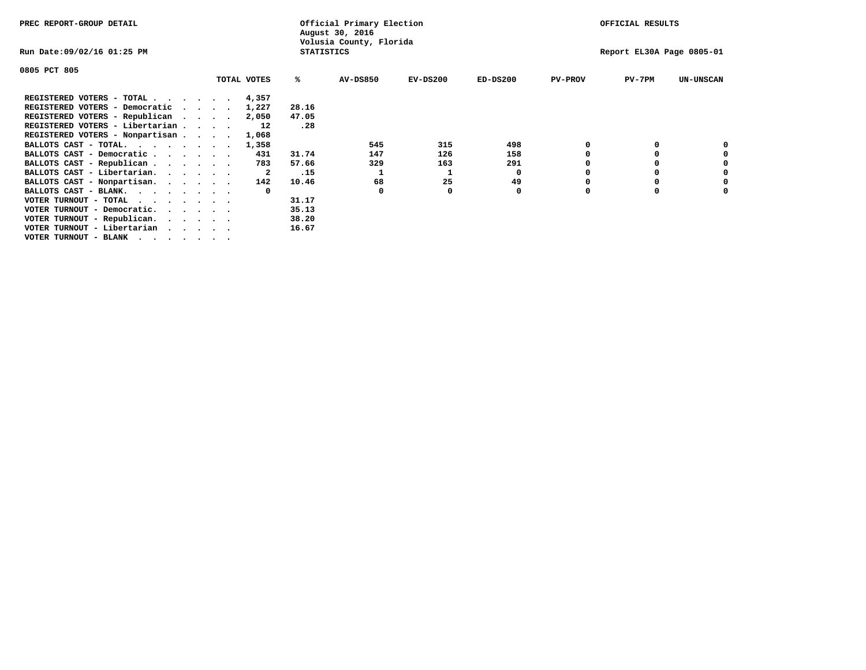| PREC REPORT-GROUP DETAIL        |  |             |                   | Official Primary Election<br>August 30, 2016 |            |            |                | OFFICIAL RESULTS          |                  |
|---------------------------------|--|-------------|-------------------|----------------------------------------------|------------|------------|----------------|---------------------------|------------------|
| Run Date:09/02/16 01:25 PM      |  |             | <b>STATISTICS</b> | Volusia County, Florida                      |            |            |                | Report EL30A Page 0805-01 |                  |
| 0805 PCT 805                    |  |             |                   |                                              |            |            |                |                           |                  |
|                                 |  | TOTAL VOTES | %ะ                | <b>AV-DS850</b>                              | $EV-DS200$ | $ED-DS200$ | <b>PV-PROV</b> | $PV-7PM$                  | <b>UN-UNSCAN</b> |
| REGISTERED VOTERS - TOTAL 4,357 |  |             |                   |                                              |            |            |                |                           |                  |
| REGISTERED VOTERS - Democratic  |  | 1,227       | 28.16             |                                              |            |            |                |                           |                  |
| REGISTERED VOTERS - Republican  |  | 2,050       | 47.05             |                                              |            |            |                |                           |                  |
| REGISTERED VOTERS - Libertarian |  | 12          | .28               |                                              |            |            |                |                           |                  |
| REGISTERED VOTERS - Nonpartisan |  | 1,068       |                   |                                              |            |            |                |                           |                  |
| BALLOTS CAST - TOTAL.           |  | 1,358       |                   | 545                                          | 315        | 498        |                |                           |                  |
| BALLOTS CAST - Democratic       |  | 431         | 31.74             | 147                                          | 126        | 158        |                |                           |                  |
| BALLOTS CAST - Republican       |  | 783         | 57.66             | 329                                          | 163        | 291        |                |                           |                  |
| BALLOTS CAST - Libertarian.     |  | 2           | .15               |                                              |            | 0          |                |                           |                  |
| BALLOTS CAST - Nonpartisan.     |  | 142         | 10.46             | 68                                           | 25         | 49         |                |                           | 0                |
| BALLOTS CAST - BLANK.           |  |             |                   | $\Omega$                                     |            | 0          | n              |                           |                  |
| VOTER TURNOUT - TOTAL           |  |             | 31.17             |                                              |            |            |                |                           |                  |
| VOTER TURNOUT - Democratic.     |  |             | 35.13             |                                              |            |            |                |                           |                  |
| VOTER TURNOUT - Republican.     |  |             | 38.20             |                                              |            |            |                |                           |                  |
| VOTER TURNOUT - Libertarian     |  |             | 16.67             |                                              |            |            |                |                           |                  |
| VOTER TURNOUT - BLANK           |  |             |                   |                                              |            |            |                |                           |                  |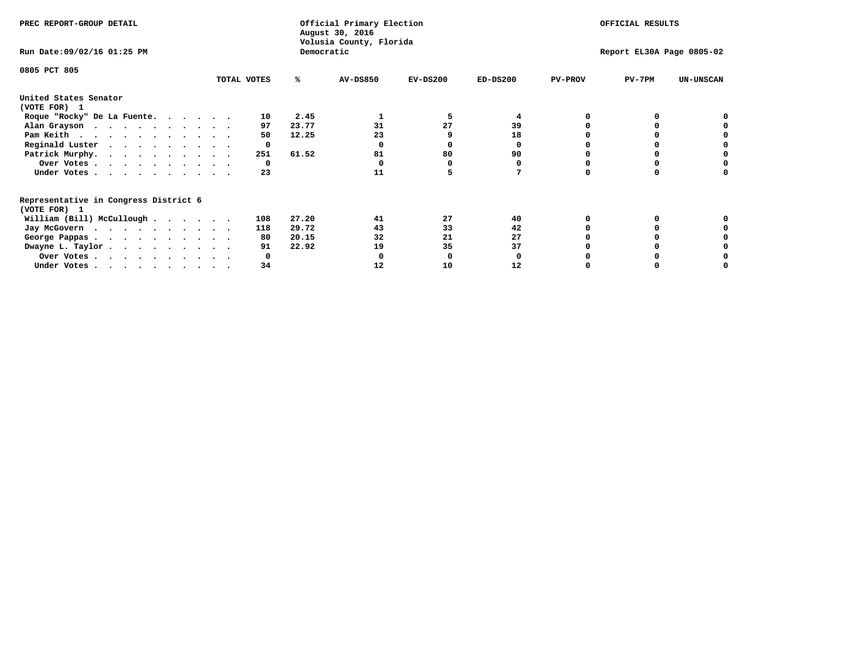| PREC REPORT-GROUP DETAIL                                               |             |            | Official Primary Election<br>August 30, 2016 |            | OFFICIAL RESULTS |                           |          |                  |  |
|------------------------------------------------------------------------|-------------|------------|----------------------------------------------|------------|------------------|---------------------------|----------|------------------|--|
| Run Date: 09/02/16 01:25 PM                                            |             | Democratic | Volusia County, Florida                      |            |                  | Report EL30A Page 0805-02 |          |                  |  |
| 0805 PCT 805                                                           | TOTAL VOTES | ℁          | <b>AV-DS850</b>                              | $EV-DS200$ | $ED-DS200$       | <b>PV-PROV</b>            | $PV-7PM$ | <b>UN-UNSCAN</b> |  |
|                                                                        |             |            |                                              |            |                  |                           |          |                  |  |
| United States Senator<br>(VOTE FOR) 1                                  |             |            |                                              |            |                  |                           |          |                  |  |
| Roque "Rocky" De La Fuente.                                            | 10          | 2.45       |                                              |            | 4                |                           |          |                  |  |
| Alan Grayson                                                           | 97          | 23.77      | 31                                           | 27         | 39               |                           |          |                  |  |
| Pam Keith                                                              | 50          | 12.25      | 23                                           |            | 18               |                           |          |                  |  |
| Reginald Luster                                                        | 0           |            |                                              |            |                  |                           |          |                  |  |
| Patrick Murphy.                                                        | 251         | 61.52      | 81                                           | 80         | 90               |                           |          |                  |  |
| Over Votes                                                             | 0           |            |                                              |            |                  |                           |          |                  |  |
| Under Votes                                                            | 23          |            | 11                                           |            |                  |                           |          |                  |  |
| Representative in Congress District 6                                  |             |            |                                              |            |                  |                           |          |                  |  |
| (VOTE FOR) 1                                                           |             |            |                                              |            |                  |                           |          |                  |  |
| William (Bill) McCullough                                              | 108         | 27.20      | 41                                           | 27         | 40               |                           |          |                  |  |
| Jay McGovern                                                           | 118         | 29.72      | 43                                           | 33         | 42               |                           |          |                  |  |
| George Pappas.                                                         | 80          | 20.15      | 32                                           | 21         | 27               |                           |          |                  |  |
| Dwayne L. Taylor                                                       | 91          | 22.92      | 19                                           | 35         | 37               |                           |          |                  |  |
| Over Votes                                                             |             |            |                                              |            |                  |                           |          |                  |  |
| Under Votes, $\cdot$ , $\cdot$ , $\cdot$ , $\cdot$ , $\cdot$ , $\cdot$ | 34          |            | 12                                           | 10         | 12               |                           |          |                  |  |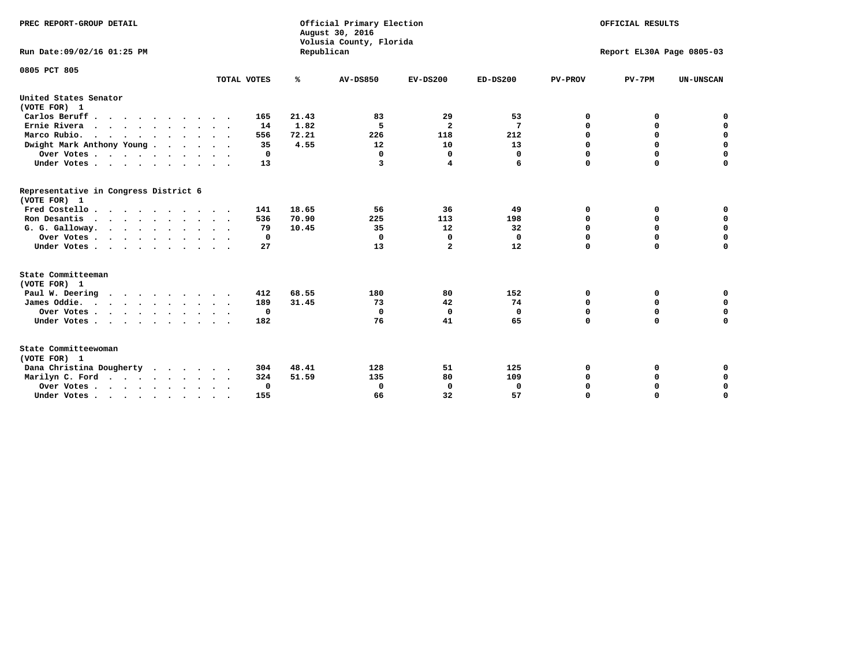| PREC REPORT-GROUP DETAIL<br>Run Date: 09/02/16 01:25 PM |              | Republican | Official Primary Election<br>August 30, 2016<br>Volusia County, Florida |                |            |                | OFFICIAL RESULTS<br>Report EL30A Page 0805-03 |                  |
|---------------------------------------------------------|--------------|------------|-------------------------------------------------------------------------|----------------|------------|----------------|-----------------------------------------------|------------------|
| 0805 PCT 805                                            |              |            |                                                                         |                |            |                |                                               |                  |
|                                                         | TOTAL VOTES  | %          | AV-DS850                                                                | $EV-DS200$     | $ED-DS200$ | <b>PV-PROV</b> | $PV-7PM$                                      | <b>UN-UNSCAN</b> |
| United States Senator                                   |              |            |                                                                         |                |            |                |                                               |                  |
| (VOTE FOR) 1                                            |              |            |                                                                         |                |            |                |                                               |                  |
| Carlos Beruff.                                          | 165          | 21.43      | 83                                                                      | 29             | 53         | 0              | 0                                             | 0                |
| Ernie Rivera                                            | 14           | 1.82       | 5                                                                       | $\overline{a}$ | 7          | 0              | 0                                             | $\mathbf 0$      |
| Marco Rubio.                                            | 556          | 72.21      | 226                                                                     | 118            | 212        | $\mathbf 0$    | $\mathbf 0$                                   | $\mathbf 0$      |
| Dwight Mark Anthony Young                               | 35           | 4.55       | 12                                                                      | 10             | 13         | 0              | $\mathbf 0$                                   | $\pmb{0}$        |
| Over Votes                                              | 0            |            | 0                                                                       | $\mathbf 0$    | 0          | $\mathbf 0$    | 0                                             | 0                |
| Under Votes                                             | 13           |            | 3                                                                       | 4              | 6          | $\mathbf 0$    | $\Omega$                                      | $\mathbf 0$      |
| Representative in Congress District 6<br>(VOTE FOR) 1   |              |            |                                                                         |                |            |                |                                               |                  |
| Fred Costello                                           | 141          | 18.65      | 56                                                                      | 36             | 49         | 0              | 0                                             | 0                |
| Ron Desantis                                            | 536          | 70.90      | 225                                                                     | 113            | 198        | 0              | 0                                             | $\mathbf 0$      |
| G. G. Galloway.                                         | 79           | 10.45      | 35                                                                      | 12             | 32         | $\mathbf 0$    | $\Omega$                                      | $\mathbf 0$      |
| Over Votes                                              | $\Omega$     |            | 0                                                                       | 0              | 0          | $\mathbf 0$    | $\mathbf 0$                                   | $\mathbf 0$      |
| Under Votes                                             | 27           |            | 13                                                                      | $\mathbf{2}$   | 12         | $\mathbf 0$    | $\Omega$                                      | $\mathbf 0$      |
| State Committeeman                                      |              |            |                                                                         |                |            |                |                                               |                  |
| (VOTE FOR) 1                                            |              |            |                                                                         |                |            |                |                                               |                  |
| Paul W. Deering                                         | 412          | 68.55      | 180                                                                     | 80             | 152        | 0              | 0                                             | 0                |
| James Oddie.                                            | 189          | 31.45      | 73                                                                      | 42             | 74         | 0              | 0                                             | $\mathbf 0$      |
| Over Votes                                              | $\mathbf{o}$ |            | 0                                                                       | $\mathbf 0$    | 0          | 0              | $\mathbf 0$                                   | $\mathbf 0$      |
| Under Votes                                             | 182          |            | 76                                                                      | 41             | 65         | $\mathbf 0$    | 0                                             | $\mathbf 0$      |
| State Committeewoman<br>(VOTE FOR) 1                    |              |            |                                                                         |                |            |                |                                               |                  |
| Dana Christina Dougherty<br>$\cdot$                     | 304          | 48.41      | 128                                                                     | 51             | 125        | 0              | 0                                             | 0                |
| Marilyn C. Ford                                         | 324          | 51.59      | 135                                                                     | 80             | 109        | 0              | 0                                             | 0                |
| Over Votes                                              | 0            |            | 0                                                                       | 0              | 0          | 0              | 0                                             | $\mathbf 0$      |
| Under Votes, , , , , , , , , ,                          | 155          |            | 66                                                                      | 32             | 57         | $\Omega$       | $\Omega$                                      | $\Omega$         |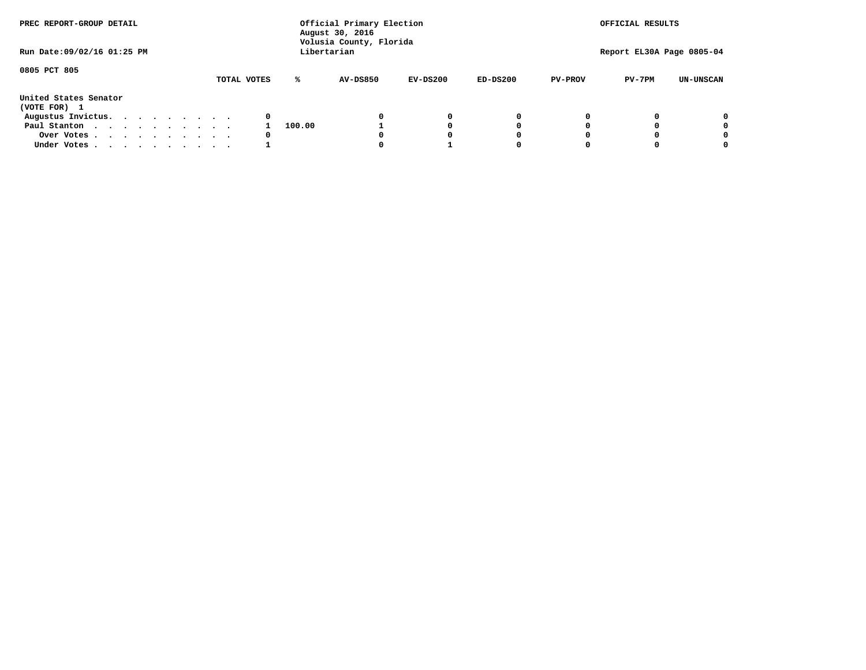| PREC REPORT-GROUP DETAIL              |  |  |  |  |             |   |        | Official Primary Election<br>August 30, 2016<br>Volusia County, Florida |            |            |   |                | OFFICIAL RESULTS |                           |
|---------------------------------------|--|--|--|--|-------------|---|--------|-------------------------------------------------------------------------|------------|------------|---|----------------|------------------|---------------------------|
| Run Date: 09/02/16 01:25 PM           |  |  |  |  |             |   |        | Libertarian                                                             |            |            |   |                |                  | Report EL30A Page 0805-04 |
| 0805 PCT 805                          |  |  |  |  | TOTAL VOTES |   | ℁      | <b>AV-DS850</b>                                                         | $EV-DS200$ | $ED-DS200$ |   | <b>PV-PROV</b> | $PV-7PM$         | <b>UN-UNSCAN</b>          |
| United States Senator<br>(VOTE FOR) 1 |  |  |  |  |             |   |        |                                                                         |            |            |   |                |                  |                           |
| Augustus Invictus.                    |  |  |  |  |             | 0 |        |                                                                         | 0          |            | 0 |                |                  | 0                         |
| Paul Stanton                          |  |  |  |  |             |   | 100.00 |                                                                         |            |            | 0 |                |                  | 0                         |
| Over Votes                            |  |  |  |  |             | 0 |        |                                                                         |            |            | 0 |                |                  | 0                         |
| Under Votes                           |  |  |  |  |             |   |        |                                                                         |            |            | 0 |                |                  | 0                         |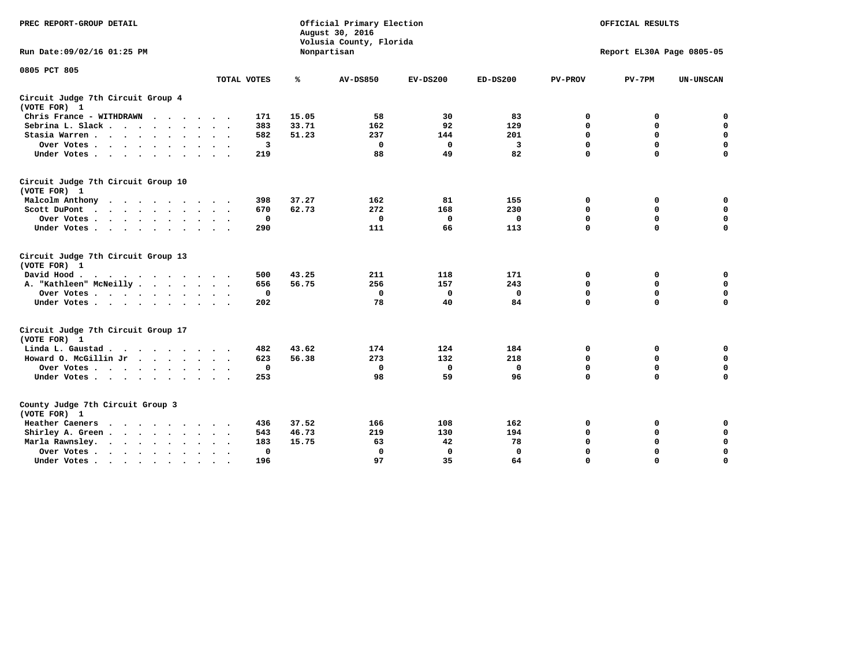| PREC REPORT-GROUP DETAIL                                                                                                           |             |       | Official Primary Election<br>August 30, 2016<br>Volusia County, Florida |             |            |                | OFFICIAL RESULTS          |                  |
|------------------------------------------------------------------------------------------------------------------------------------|-------------|-------|-------------------------------------------------------------------------|-------------|------------|----------------|---------------------------|------------------|
| Run Date: 09/02/16 01:25 PM                                                                                                        |             |       | Nonpartisan                                                             |             |            |                | Report EL30A Page 0805-05 |                  |
| 0805 PCT 805                                                                                                                       |             |       |                                                                         |             |            |                |                           |                  |
|                                                                                                                                    | TOTAL VOTES | ℁     | <b>AV-DS850</b>                                                         | $EV-DS200$  | $ED-DS200$ | <b>PV-PROV</b> | $PV-7PM$                  | <b>UN-UNSCAN</b> |
| Circuit Judge 7th Circuit Group 4<br>(VOTE FOR) 1                                                                                  |             |       |                                                                         |             |            |                |                           |                  |
| Chris France - WITHDRAWN<br>.                                                                                                      | 171         | 15.05 | 58                                                                      | 30          | 83         | 0              | 0                         | 0                |
| Sebrina L. Slack.                                                                                                                  | 383         | 33.71 | 162                                                                     | 92          | 129        | $\Omega$       | $\mathbf 0$               | $\mathbf 0$      |
| Stasia Warren                                                                                                                      | 582         | 51.23 | 237                                                                     | 144         | 201        | $\mathbf 0$    | $\mathbf 0$               | $\mathbf 0$      |
| Over Votes                                                                                                                         | 3           |       | $\mathbf{0}$                                                            | 0           | 3          | $\mathbf 0$    | $\mathbf 0$               | $\mathbf 0$      |
| Under Votes                                                                                                                        | 219         |       | 88                                                                      | 49          | 82         | $\mathbf 0$    | $\mathbf 0$               | $\mathbf 0$      |
| Circuit Judge 7th Circuit Group 10<br>(VOTE FOR) 1                                                                                 |             |       |                                                                         |             |            |                |                           |                  |
| Malcolm Anthony                                                                                                                    | 398         | 37.27 | 162                                                                     | 81          | 155        | 0              | 0                         | 0                |
| Scott DuPont                                                                                                                       | 670         | 62.73 | 272                                                                     | 168         | 230        | 0              | $\mathbf 0$               | $\mathbf 0$      |
| Over Votes<br>$\cdot$                                                                                                              | $\mathbf 0$ |       | $\mathbf 0$                                                             | 0           | 0          | $\mathbf 0$    | $\mathbf 0$               | $\mathbf 0$      |
| Under Votes                                                                                                                        | 290         |       | 111                                                                     | 66          | 113        | $\mathbf 0$    | $\Omega$                  | $\mathbf 0$      |
| Circuit Judge 7th Circuit Group 13<br>(VOTE FOR) 1                                                                                 |             |       |                                                                         |             |            |                |                           |                  |
| David Hood.                                                                                                                        | 500         | 43.25 | 211                                                                     | 118         | 171        | $\mathbf 0$    | 0                         | $\mathbf 0$      |
| A. "Kathleen" McNeilly                                                                                                             | 656         | 56.75 | 256                                                                     | 157         | 243        | $\mathbf 0$    | $\mathbf 0$               | $\mathbf 0$      |
| Over Votes                                                                                                                         | $\mathbf 0$ |       | $\mathbf{0}$                                                            | 0           | 0          | 0              | $\mathbf 0$               | $\mathbf 0$      |
| Under Votes                                                                                                                        | 202         |       | 78                                                                      | 40          | 84         | $\Omega$       | $\mathbf 0$               | 0                |
| Circuit Judge 7th Circuit Group 17<br>(VOTE FOR) 1                                                                                 |             |       |                                                                         |             |            |                |                           |                  |
| Linda L. Gaustad                                                                                                                   | 482         | 43.62 | 174                                                                     | 124         | 184        | 0              | 0                         | $\mathbf 0$      |
| Howard O. McGillin Jr                                                                                                              | 623         | 56.38 | 273                                                                     | 132         | 218        | 0              | 0                         | $\mathbf 0$      |
| Over Votes                                                                                                                         | $\mathbf 0$ |       | $\Omega$                                                                | $\mathbf 0$ | 0          | $\mathbf 0$    | $\mathbf 0$               | 0                |
| Under Votes                                                                                                                        | 253         |       | 98                                                                      | 59          | 96         | $\mathbf 0$    | $\mathbf 0$               | $\mathbf 0$      |
| County Judge 7th Circuit Group 3<br>(VOTE FOR) 1                                                                                   |             |       |                                                                         |             |            |                |                           |                  |
| Heather Caeners<br>$\cdots$                                                                                                        | 436         | 37.52 | 166                                                                     | 108         | 162        | 0              | 0                         | 0                |
| Shirley A. Green                                                                                                                   | 543         | 46.73 | 219                                                                     | 130         | 194        | $\mathbf 0$    | $\mathbf 0$               | $\mathbf 0$      |
| Marla Rawnsley.<br>the contract of the contract of the contract of the contract of the contract of the contract of the contract of | 183         | 15.75 | 63                                                                      | 42          | 78         | 0              | $\mathbf 0$               | $\pmb{0}$        |
| Over Votes.<br>$\ddot{\phantom{a}}$<br>$\ddot{\phantom{a}}$                                                                        | 0           |       | $\Omega$                                                                | 0           | 0          | $\mathbf 0$    | $\mathbf 0$               | $\mathbf 0$      |
| Under Votes<br>$\sim$<br>$\sim$                                                                                                    | 196         |       | 97                                                                      | 35          | 64         | $\mathbf 0$    | $\mathbf 0$               | 0                |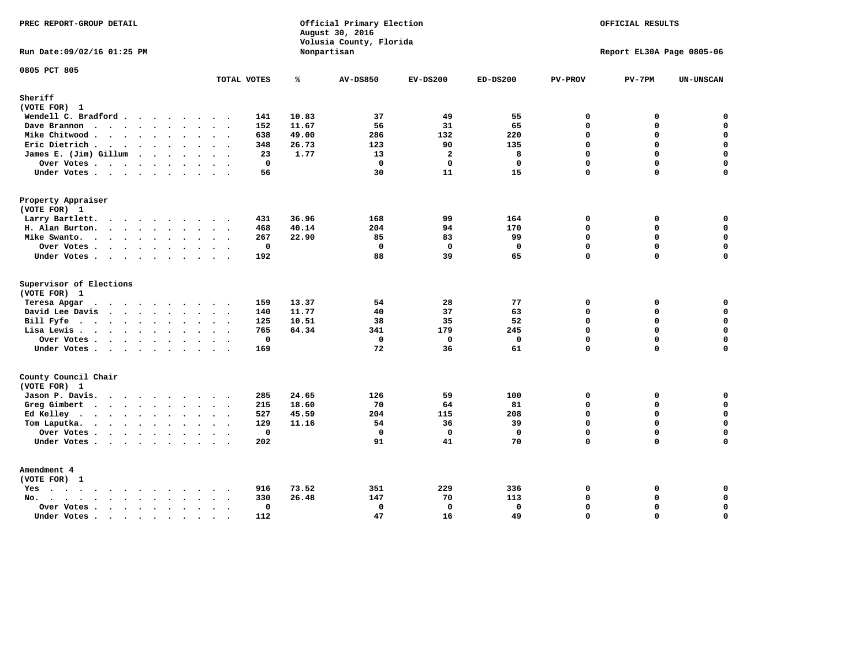| PREC REPORT-GROUP DETAIL                                                                                               |                                         |       | Official Primary Election<br>August 30, 2016<br>Volusia County, Florida |                | OFFICIAL RESULTS<br>Report EL30A Page 0805-06 |                |             |                    |
|------------------------------------------------------------------------------------------------------------------------|-----------------------------------------|-------|-------------------------------------------------------------------------|----------------|-----------------------------------------------|----------------|-------------|--------------------|
| Run Date: 09/02/16 01:25 PM                                                                                            |                                         |       | Nonpartisan                                                             |                |                                               |                |             |                    |
| 0805 PCT 805                                                                                                           | TOTAL VOTES                             | ℁     | <b>AV-DS850</b>                                                         | $EV-DS200$     | $ED-DS200$                                    | <b>PV-PROV</b> | $PV-7PM$    | UN-UNSCAN          |
| Sheriff                                                                                                                |                                         |       |                                                                         |                |                                               |                |             |                    |
| (VOTE FOR) 1                                                                                                           |                                         |       |                                                                         |                |                                               |                |             |                    |
| Wendell C. Bradford                                                                                                    | 141                                     | 10.83 | 37                                                                      | 49             | 55                                            | $\mathbf 0$    | 0           | $\mathbf 0$        |
| Dave Brannon                                                                                                           | 152                                     | 11.67 | 56                                                                      | 31             | 65                                            | $\mathbf 0$    | 0           | $\mathbf 0$        |
| Mike Chitwood                                                                                                          | 638                                     | 49.00 | 286                                                                     | 132            | 220                                           | $\Omega$       | 0           | $\mathbf 0$        |
| Eric Dietrich.                                                                                                         | 348                                     | 26.73 | 123                                                                     | 90             | 135                                           | $\Omega$       | 0           | $\mathbf 0$        |
| James E. (Jim) Gillum                                                                                                  | 23                                      | 1.77  | 13                                                                      | $\overline{a}$ | 8                                             | $\Omega$       | $\mathbf 0$ | $\mathbf 0$        |
| Over Votes                                                                                                             | $\mathbf 0$                             |       | $\mathbf 0$                                                             | $\mathbf 0$    | $\mathbf{0}$                                  | $\Omega$       | 0           | $\mathbf 0$        |
| Under Votes                                                                                                            | 56                                      |       | 30                                                                      | 11             | 15                                            | $\Omega$       | $\Omega$    | $\Omega$           |
| Property Appraiser                                                                                                     |                                         |       |                                                                         |                |                                               |                |             |                    |
| (VOTE FOR) 1                                                                                                           |                                         |       |                                                                         |                |                                               |                |             |                    |
| Larry Bartlett.                                                                                                        | 431<br>$\sim$ $\sim$                    | 36.96 | 168                                                                     | 99             | 164                                           | $\mathbf 0$    | 0           | 0                  |
| H. Alan Burton.                                                                                                        | 468                                     | 40.14 | 204                                                                     | 94             | 170                                           | $\Omega$       | 0           | $\mathbf 0$        |
| Mike Swanto.                                                                                                           | 267                                     | 22.90 | 85                                                                      | 83             | 99                                            | $\mathbf 0$    | 0           | 0                  |
| Over Votes                                                                                                             | $\mathbf{0}$                            |       | $\mathbf 0$                                                             | $\mathbf 0$    | $\mathbf{0}$                                  | $\Omega$       | $\mathbf 0$ | $\mathbf 0$        |
| Under Votes                                                                                                            | 192                                     |       | 88                                                                      | 39             | 65                                            | $\Omega$       | 0           | $\mathbf 0$        |
| Supervisor of Elections                                                                                                |                                         |       |                                                                         |                |                                               |                |             |                    |
| (VOTE FOR) 1                                                                                                           |                                         |       |                                                                         |                |                                               |                |             |                    |
| Teresa Apgar                                                                                                           | 159                                     | 13.37 | 54                                                                      | 28             | 77                                            | $\mathbf 0$    | 0           | $\mathbf 0$        |
| David Lee Davis                                                                                                        | 140                                     | 11.77 | 40                                                                      | 37             | 63                                            | $\mathbf 0$    | 0           | $\mathbf 0$        |
| Bill Fyfe.                                                                                                             | 125                                     | 10.51 | 38                                                                      | 35             | 52                                            | $\Omega$       | $\Omega$    | $\mathbf 0$        |
| Lisa Lewis                                                                                                             | 765                                     | 64.34 | 341                                                                     | 179            | 245                                           | $\mathbf 0$    | 0           | $\mathbf 0$        |
| Over Votes                                                                                                             | $\mathbf 0$                             |       | $\mathbf 0$                                                             | $\mathbf 0$    | $\mathbf 0$                                   | $\mathbf 0$    | 0           | $\pmb{0}$          |
| Under Votes                                                                                                            | 169                                     |       | 72                                                                      | 36             | 61                                            | $\mathbf 0$    | 0           | $\Omega$           |
| County Council Chair<br>(VOTE FOR) 1                                                                                   |                                         |       |                                                                         |                |                                               |                |             |                    |
| Jason P. Davis.                                                                                                        | 285                                     | 24.65 | 126                                                                     | 59             | 100                                           | $\mathbf 0$    | 0           | 0                  |
| Greg Gimbert                                                                                                           | 215                                     | 18.60 | 70                                                                      | 64             | 81                                            | $\Omega$       | $\Omega$    | 0                  |
| Ed Kelley                                                                                                              | 527                                     | 45.59 | 204                                                                     | 115            | 208                                           | $\mathbf 0$    | 0           | $\mathbf 0$        |
| Tom Laputka.<br>$\mathbf{r}$ , $\mathbf{r}$ , $\mathbf{r}$ , $\mathbf{r}$ , $\mathbf{r}$ , $\mathbf{r}$ , $\mathbf{r}$ | 129                                     | 11.16 | 54                                                                      | 36             | 39                                            | $\Omega$       | $\mathbf 0$ | 0                  |
| Over Votes                                                                                                             | $\mathbf 0$<br>$\overline{\phantom{a}}$ |       | $\mathbf 0$                                                             | $\mathbf 0$    | $\mathbf 0$                                   | $\mathbf 0$    | 0           | $\mathbf 0$        |
| Under Votes                                                                                                            | 202                                     |       | 91                                                                      | 41             | 70                                            | $\Omega$       | $\Omega$    | $\mathbf 0$        |
| Amendment 4                                                                                                            |                                         |       |                                                                         |                |                                               |                |             |                    |
| (VOTE FOR) 1                                                                                                           |                                         |       |                                                                         |                |                                               |                |             |                    |
| $Yes \cdot \cdot \cdot \cdot \cdot \cdot \cdot \cdot \cdot$<br>$\sim$                                                  | 916                                     | 73.52 | 351                                                                     | 229            | 336                                           | $\mathbf 0$    | 0           | 0                  |
| $No.$<br>$\sim$<br>$\ddot{\phantom{a}}$                                                                                | 330                                     | 26.48 | 147                                                                     | 70             | 113                                           | $\Omega$       | 0           | $\mathbf 0$        |
| Over Votes .<br>$\cdot \cdot \cdot \cdot$ $\cdot \cdot$<br>$\ddot{\phantom{a}}$                                        | 0<br>$\sim$                             |       | 0                                                                       | $\Omega$       | 0                                             | $\Omega$       | 0           | $\pmb{\mathsf{o}}$ |
| Under Votes<br>$\sim$                                                                                                  | 112<br>$\sim$<br>$\sim$                 |       | 47                                                                      | 16             | 49                                            | $\mathbf 0$    | 0           | $\mathbf 0$        |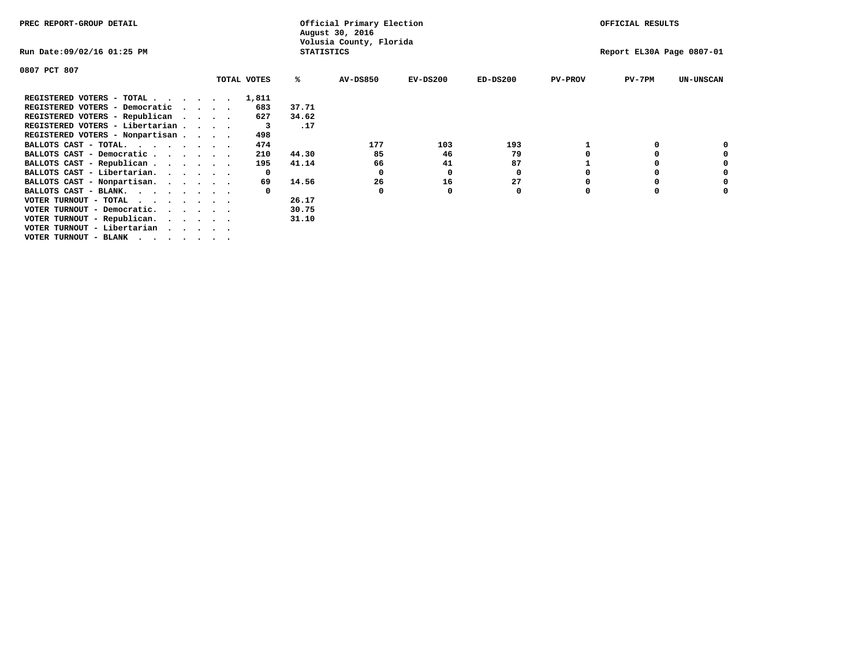| PREC REPORT-GROUP DETAIL               |                             |              |                   | Official Primary Election<br>August 30, 2016 |            |            |                | OFFICIAL RESULTS          |                  |
|----------------------------------------|-----------------------------|--------------|-------------------|----------------------------------------------|------------|------------|----------------|---------------------------|------------------|
| Run Date:09/02/16 01:25 PM             |                             |              | <b>STATISTICS</b> | Volusia County, Florida                      |            |            |                | Report EL30A Page 0807-01 |                  |
| 0807 PCT 807                           |                             |              |                   |                                              |            |            |                |                           |                  |
|                                        |                             | TOTAL VOTES  | ℁                 | <b>AV-DS850</b>                              | $EV-DS200$ | $ED-DS200$ | <b>PV-PROV</b> | $PV-7PM$                  | <b>UN-UNSCAN</b> |
| REGISTERED VOTERS - TOTAL              |                             | 1,811        |                   |                                              |            |            |                |                           |                  |
| REGISTERED VOTERS - Democratic         | $\sim$ $\sim$ $\sim$ $\sim$ | 683          | 37.71             |                                              |            |            |                |                           |                  |
| REGISTERED VOTERS - Republican         |                             | 627          | 34.62             |                                              |            |            |                |                           |                  |
| REGISTERED VOTERS - Libertarian        |                             | 3            | .17               |                                              |            |            |                |                           |                  |
| REGISTERED VOTERS - Nonpartisan        |                             | 498          |                   |                                              |            |            |                |                           |                  |
| BALLOTS CAST - TOTAL.                  |                             | 474          |                   | 177                                          | 103        | 193        |                |                           |                  |
| BALLOTS CAST - Democratic              |                             | 210          | 44.30             | 85                                           | 46         | 79         |                |                           |                  |
| BALLOTS CAST - Republican              |                             | 195          | 41.14             | 66                                           | 41         | 87         |                |                           |                  |
| BALLOTS CAST - Libertarian.            |                             | $\mathbf{o}$ |                   | 0                                            | 0          | 0          |                |                           |                  |
| BALLOTS CAST - Nonpartisan.            |                             | 69           | 14.56             | 26                                           | 16         | 27         |                |                           | 0                |
| BALLOTS CAST - BLANK.                  |                             |              |                   | 0                                            | 0          | 0          | $\Omega$       |                           |                  |
| VOTER TURNOUT - TOTAL                  |                             |              | 26.17             |                                              |            |            |                |                           |                  |
| VOTER TURNOUT - Democratic.<br>$\cdot$ |                             |              | 30.75             |                                              |            |            |                |                           |                  |
| VOTER TURNOUT - Republican.            |                             |              | 31.10             |                                              |            |            |                |                           |                  |
| VOTER TURNOUT - Libertarian            |                             |              |                   |                                              |            |            |                |                           |                  |
| VOTER TURNOUT - BLANK                  |                             |              |                   |                                              |            |            |                |                           |                  |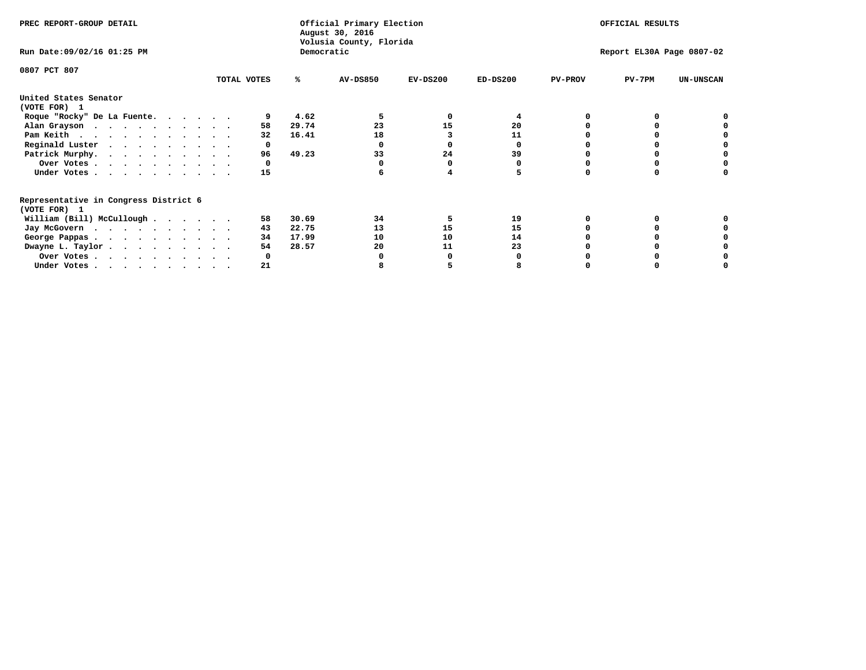| PREC REPORT-GROUP DETAIL                                               |             |       | Official Primary Election<br>August 30, 2016<br>Volusia County, Florida |            |            |                | OFFICIAL RESULTS          |                  |
|------------------------------------------------------------------------|-------------|-------|-------------------------------------------------------------------------|------------|------------|----------------|---------------------------|------------------|
| Run Date: 09/02/16 01:25 PM                                            |             |       | Democratic                                                              |            |            |                | Report EL30A Page 0807-02 |                  |
| 0807 PCT 807                                                           |             |       |                                                                         |            |            |                |                           |                  |
|                                                                        | TOTAL VOTES | ℁     | <b>AV-DS850</b>                                                         | $EV-DS200$ | $ED-DS200$ | <b>PV-PROV</b> | $PV-7PM$                  | <b>UN-UNSCAN</b> |
| United States Senator<br>(VOTE FOR) 1                                  |             |       |                                                                         |            |            |                |                           |                  |
| Roque "Rocky" De La Fuente.                                            |             | 4.62  |                                                                         | O          |            |                |                           |                  |
|                                                                        | 58          | 29.74 | 23                                                                      | 15         | 20         |                |                           |                  |
| Alan Grayson                                                           | 32          | 16.41 | 18                                                                      |            | 11         |                |                           |                  |
| Pam Keith                                                              |             |       |                                                                         |            |            |                |                           |                  |
| Reginald Luster                                                        | 0           |       |                                                                         |            | O          |                |                           |                  |
| Patrick Murphy.                                                        | 96          | 49.23 | 33                                                                      | 24         | 39         |                |                           |                  |
| Over Votes                                                             | 0           |       |                                                                         |            |            |                |                           |                  |
| Under Votes.                                                           | 15          |       |                                                                         |            |            |                |                           |                  |
| Representative in Congress District 6<br>(VOTE FOR) 1                  |             |       |                                                                         |            |            |                |                           |                  |
| William (Bill) McCullough                                              | 58          | 30.69 | 34                                                                      |            | 19         |                |                           |                  |
|                                                                        | 43          | 22.75 | 13                                                                      | 15         | 15         |                |                           |                  |
| Jay McGovern                                                           |             |       |                                                                         |            | 14         |                |                           |                  |
| George Pappas.                                                         | 34          | 17.99 | 10                                                                      | 10         |            |                |                           |                  |
| Dwayne L. Taylor.                                                      | 54          | 28.57 | 20                                                                      | 11         | 23         |                |                           |                  |
| Over Votes                                                             |             |       |                                                                         |            |            |                |                           |                  |
| Under Votes, $\cdot$ , $\cdot$ , $\cdot$ , $\cdot$ , $\cdot$ , $\cdot$ | 21          |       |                                                                         |            |            |                |                           |                  |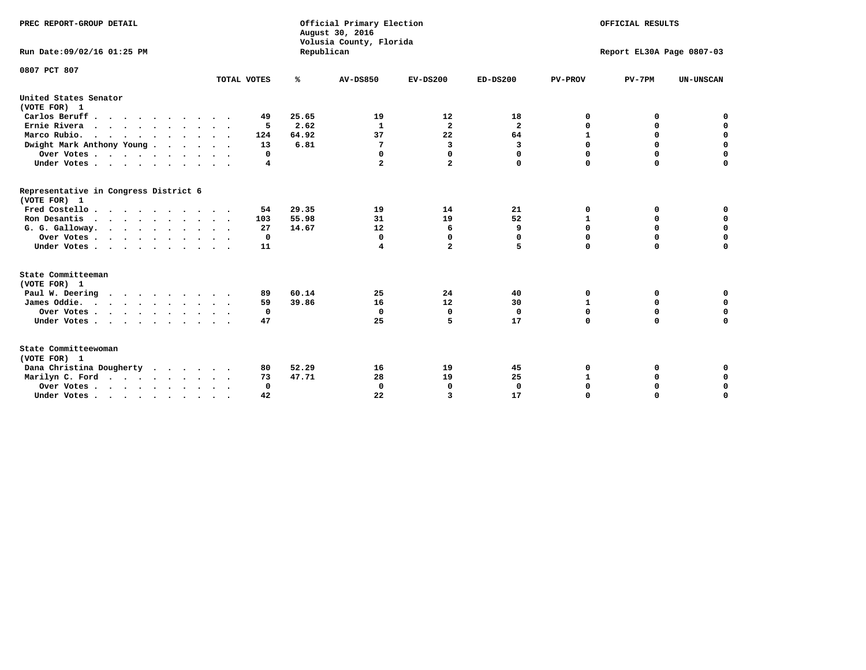| PREC REPORT-GROUP DETAIL                              |             |            | Official Primary Election<br>August 30, 2016<br>Volusia County, Florida |                |                         |                | OFFICIAL RESULTS          |                  |
|-------------------------------------------------------|-------------|------------|-------------------------------------------------------------------------|----------------|-------------------------|----------------|---------------------------|------------------|
| Run Date: 09/02/16 01:25 PM                           |             | Republican |                                                                         |                |                         |                | Report EL30A Page 0807-03 |                  |
| 0807 PCT 807                                          |             |            |                                                                         |                |                         |                |                           |                  |
|                                                       | TOTAL VOTES | ℁          | <b>AV-DS850</b>                                                         | $EV-DS200$     | $ED-DS200$              | <b>PV-PROV</b> | $PV-7PM$                  | <b>UN-UNSCAN</b> |
| United States Senator<br>(VOTE FOR) 1                 |             |            |                                                                         |                |                         |                |                           |                  |
| Carlos Beruff.                                        | 49          | 25.65      | 19                                                                      | 12             | 18                      | 0              | 0                         | 0                |
| Ernie Rivera                                          | 5           | 2.62       | 1                                                                       | $\overline{a}$ | $\overline{\mathbf{2}}$ | 0              | 0                         | $\mathbf 0$      |
| Marco Rubio.                                          | 124         | 64.92      | 37                                                                      | 22             | 64                      | $\mathbf{1}$   | $\mathbf 0$               | $\mathbf 0$      |
| Dwight Mark Anthony Young                             | 13          | 6.81       | 7                                                                       | 3              | 3                       | $\mathbf 0$    | $\mathbf 0$               | $\pmb{0}$        |
| Over Votes                                            | 0           |            | 0                                                                       | $\Omega$       | 0                       | $\mathbf 0$    | 0                         | 0                |
| Under Votes                                           | 4           |            | $\mathbf{2}$                                                            | $\overline{a}$ | 0                       | $\mathbf 0$    | $\Omega$                  | $\mathbf 0$      |
| Representative in Congress District 6<br>(VOTE FOR) 1 |             |            |                                                                         |                |                         |                |                           |                  |
| Fred Costello                                         | 54          | 29.35      | 19                                                                      | 14             | 21                      | 0              | 0                         | 0                |
| Ron Desantis                                          | 103         | 55.98      | 31                                                                      | 19             | 52                      | 1              | 0                         | $\mathbf 0$      |
| G. G. Galloway.                                       | 27          | 14.67      | 12                                                                      | 6              | 9                       | $\mathbf 0$    | $\Omega$                  | $\mathbf 0$      |
| Over Votes                                            | $\Omega$    |            | 0                                                                       | 0              | 0                       | $\mathbf 0$    | $\mathbf 0$               | $\mathbf 0$      |
| Under Votes                                           | 11          |            | 4                                                                       | $\overline{a}$ | 5                       | $\mathbf 0$    | $\Omega$                  | $\mathbf 0$      |
| State Committeeman                                    |             |            |                                                                         |                |                         |                |                           |                  |
| (VOTE FOR) 1                                          |             |            |                                                                         |                |                         |                |                           |                  |
| Paul W. Deering<br>$\cdots$                           | 89          | 60.14      | 25                                                                      | 24             | 40                      | 0              | 0                         | 0                |
| James Oddie.                                          | 59          | 39.86      | 16                                                                      | 12             | 30                      | 1              | 0                         | $\mathbf 0$      |
| Over Votes                                            | 0           |            | $\mathbf 0$                                                             | $\mathbf 0$    | $\mathbf 0$             | 0              | $\mathbf 0$               | $\mathbf 0$      |
| Under Votes<br>$\ddot{\phantom{a}}$                   | 47          |            | 25                                                                      | 5              | 17                      | $\mathbf 0$    | 0                         | $\mathbf 0$      |
| State Committeewoman<br>(VOTE FOR) 1                  |             |            |                                                                         |                |                         |                |                           |                  |
| Dana Christina Dougherty<br>.                         | 80          | 52.29      | 16                                                                      | 19             | 45                      | 0              | 0                         | 0                |
| Marilyn C. Ford                                       | 73          | 47.71      | 28                                                                      | 19             | 25                      | 1              | 0                         | 0                |
| Over Votes                                            | $\Omega$    |            | $\mathbf 0$                                                             | 0              | $\mathbf 0$             | $\mathbf 0$    | 0                         | $\mathbf 0$      |
| Under Votes, , , , , , , , , ,                        | 42          |            | 22                                                                      | 3              | 17                      | $\Omega$       | $\Omega$                  | $\Omega$         |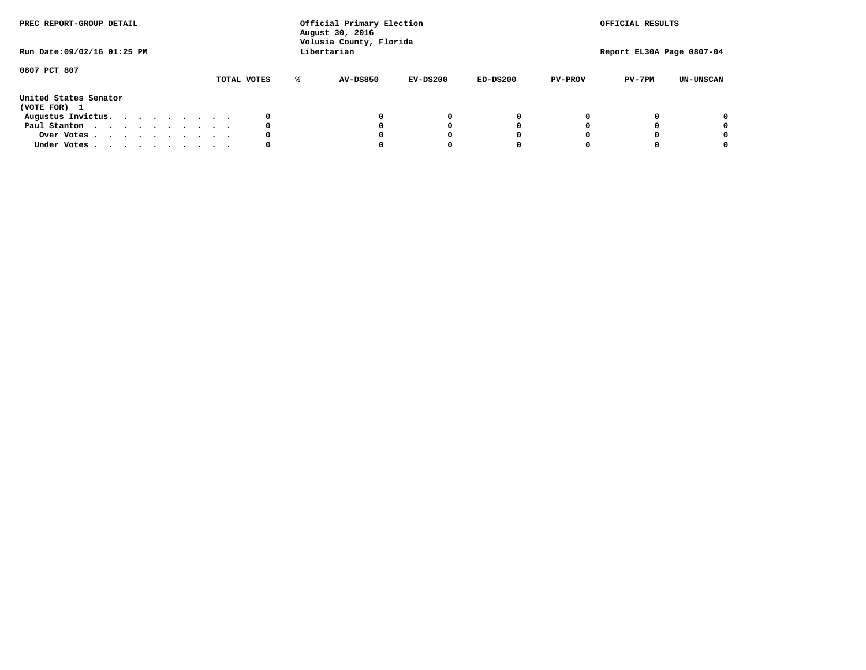| PREC REPORT-GROUP DETAIL<br>Run Date: 09/02/16 01:25 PM |  |  |  |  |  | Official Primary Election<br>August 30, 2016<br>Volusia County, Florida<br>Libertarian |   | OFFICIAL RESULTS<br>Report EL30A Page 0807-04 |            |            |                |          |                  |
|---------------------------------------------------------|--|--|--|--|--|----------------------------------------------------------------------------------------|---|-----------------------------------------------|------------|------------|----------------|----------|------------------|
|                                                         |  |  |  |  |  |                                                                                        |   |                                               |            |            |                |          |                  |
| 0807 PCT 807                                            |  |  |  |  |  | TOTAL VOTES                                                                            | ℁ | <b>AV-DS850</b>                               | $EV-DS200$ | $ED-DS200$ | <b>PV-PROV</b> | $PV-7PM$ | <b>UN-UNSCAN</b> |
| United States Senator<br>(VOTE FOR) 1                   |  |  |  |  |  |                                                                                        |   |                                               |            |            |                |          |                  |
| Augustus Invictus.                                      |  |  |  |  |  | 0                                                                                      |   |                                               | 0          | 0          |                |          | 0                |
| Paul Stanton                                            |  |  |  |  |  | 0                                                                                      |   |                                               |            | 0          |                |          | 0                |
| Over Votes                                              |  |  |  |  |  | 0                                                                                      |   |                                               |            | 0          |                |          | 0                |
| Under Votes                                             |  |  |  |  |  | 0                                                                                      |   |                                               |            |            |                |          | 0                |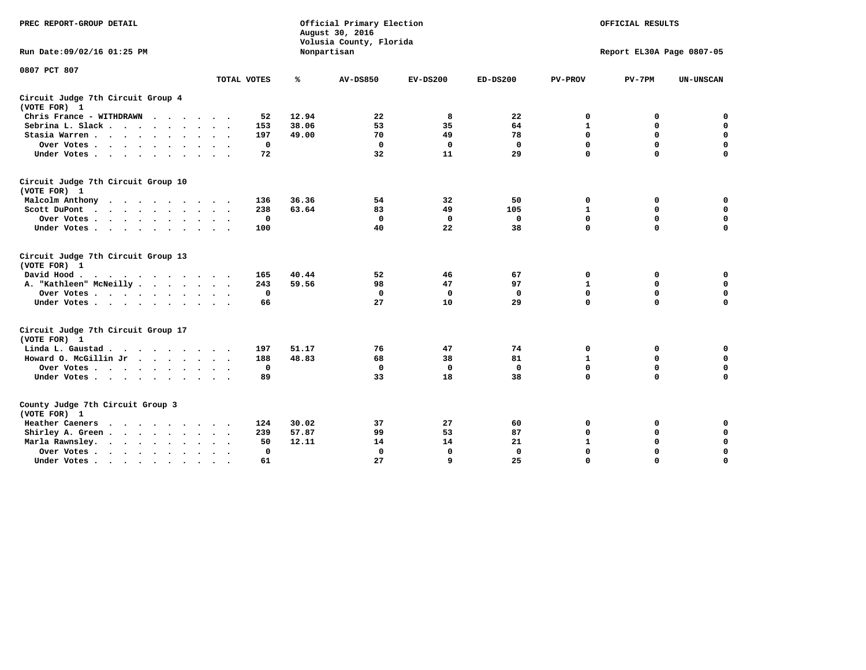| PREC REPORT-GROUP DETAIL                                                                                |             | Official Primary Election<br>August 30, 2016<br>Volusia County, Florida |                 | OFFICIAL RESULTS |              |                |                           |                  |
|---------------------------------------------------------------------------------------------------------|-------------|-------------------------------------------------------------------------|-----------------|------------------|--------------|----------------|---------------------------|------------------|
| Run Date: 09/02/16 01:25 PM                                                                             |             |                                                                         | Nonpartisan     |                  |              |                | Report EL30A Page 0807-05 |                  |
| 0807 PCT 807                                                                                            | TOTAL VOTES | ℁                                                                       | <b>AV-DS850</b> | $EV-DS200$       | $ED-DS200$   | <b>PV-PROV</b> | $PV-7PM$                  | <b>UN-UNSCAN</b> |
| Circuit Judge 7th Circuit Group 4<br>(VOTE FOR) 1                                                       |             |                                                                         |                 |                  |              |                |                           |                  |
| Chris France - WITHDRAWN                                                                                | 52          | 12.94                                                                   | 22              | 8                | 22           | 0              | 0                         | $\mathbf 0$      |
| Sebrina L. Slack                                                                                        | 153         | 38.06                                                                   | 53              | 35               | 64           | $\mathbf{1}$   | 0                         | $\mathbf 0$      |
| Stasia Warren                                                                                           | 197         | 49.00                                                                   | 70              | 49               | 78           | $\mathbf 0$    | 0                         | $\mathbf 0$      |
| Over Votes                                                                                              | $\mathbf 0$ |                                                                         | $\mathbf 0$     | $\mathbf 0$      | $\mathbf 0$  | 0              | $\mathbf 0$               | $\pmb{0}$        |
| Under Votes                                                                                             | 72          |                                                                         | 32              | 11               | 29           | $\Omega$       | $\Omega$                  | $\Omega$         |
| Circuit Judge 7th Circuit Group 10<br>(VOTE FOR) 1                                                      |             |                                                                         |                 |                  |              |                |                           |                  |
| Malcolm Anthony                                                                                         | 136         | 36.36                                                                   | 54              | 32               | 50           | 0              | 0                         | 0                |
| Scott DuPont<br>$\sim$                                                                                  | 238         | 63.64                                                                   | 83              | 49               | 105          | $\mathbf{1}$   | $\mathbf 0$               | $\mathbf 0$      |
| Over Votes                                                                                              | $\mathbf 0$ |                                                                         | $\mathbf 0$     | $\mathbf 0$      | $\mathbf 0$  | $\mathbf 0$    | $\mathbf 0$               | $\mathbf 0$      |
| Under Votes                                                                                             | 100         |                                                                         | 40              | 22               | 38           | $\Omega$       | $\mathbf 0$               | $\Omega$         |
| Circuit Judge 7th Circuit Group 13<br>(VOTE FOR) 1                                                      |             |                                                                         |                 |                  |              |                |                           |                  |
| David Hood.<br>$\mathbf{r}$ , and $\mathbf{r}$ , and $\mathbf{r}$ , and $\mathbf{r}$ , and $\mathbf{r}$ | 165         | 40.44                                                                   | 52              | 46               | 67           | 0              | 0                         | 0                |
| A. "Kathleen" McNeilly                                                                                  | 243         | 59.56                                                                   | 98              | 47               | 97           | $\mathbf{1}$   | $\mathbf 0$               | $\mathbf 0$      |
| Over Votes                                                                                              | $\Omega$    |                                                                         | $\mathbf{0}$    | 0                | 0            | $\mathbf 0$    | $\mathbf 0$               | $\mathbf 0$      |
| Under Votes                                                                                             | 66          |                                                                         | 27              | 10               | 29           | $\Omega$       | $\Omega$                  | $\Omega$         |
| Circuit Judge 7th Circuit Group 17<br>(VOTE FOR) 1                                                      |             |                                                                         |                 |                  |              |                |                           |                  |
| Linda L. Gaustad                                                                                        | 197         | 51.17                                                                   | 76              | 47               | 74           | 0              | 0                         | $\mathbf 0$      |
| Howard O. McGillin Jr                                                                                   | 188         | 48.83                                                                   | 68              | 38               | 81           | $\mathbf{1}$   | 0                         | $\mathbf 0$      |
| Over Votes                                                                                              | $\mathbf 0$ |                                                                         | $\mathbf{0}$    | $\mathbf 0$      | $\mathbf{0}$ | $\mathbf 0$    | $\Omega$                  | $\mathbf 0$      |
| Under Votes                                                                                             | 89          |                                                                         | 33              | 18               | 38           | $\mathbf 0$    | $\mathbf 0$               | $\mathbf 0$      |
| County Judge 7th Circuit Group 3<br>(VOTE FOR) 1                                                        |             |                                                                         |                 |                  |              |                |                           |                  |
| Heather Caeners                                                                                         | 124         | 30.02                                                                   | 37              | 27               | 60           | 0              | 0                         | 0                |
| Shirley A. Green                                                                                        | 239         | 57.87                                                                   | 99              | 53               | 87           | $\mathbf 0$    | 0                         | $\mathbf 0$      |
| Marla Rawnsley.                                                                                         | 50          | 12.11                                                                   | 14              | 14               | 21           | $\mathbf 1$    | $\mathbf 0$               | $\pmb{0}$        |
| Over Votes<br>$\sim$<br>$\sim$                                                                          | 0           |                                                                         | $\Omega$        | $\mathbf 0$      | $\mathbf{0}$ | $\mathbf 0$    | $\Omega$                  | $\mathbf 0$      |
| Under Votes<br>$\sim$                                                                                   | 61          |                                                                         | 27              | 9                | 25           | $\mathbf 0$    | $\mathbf 0$               | 0                |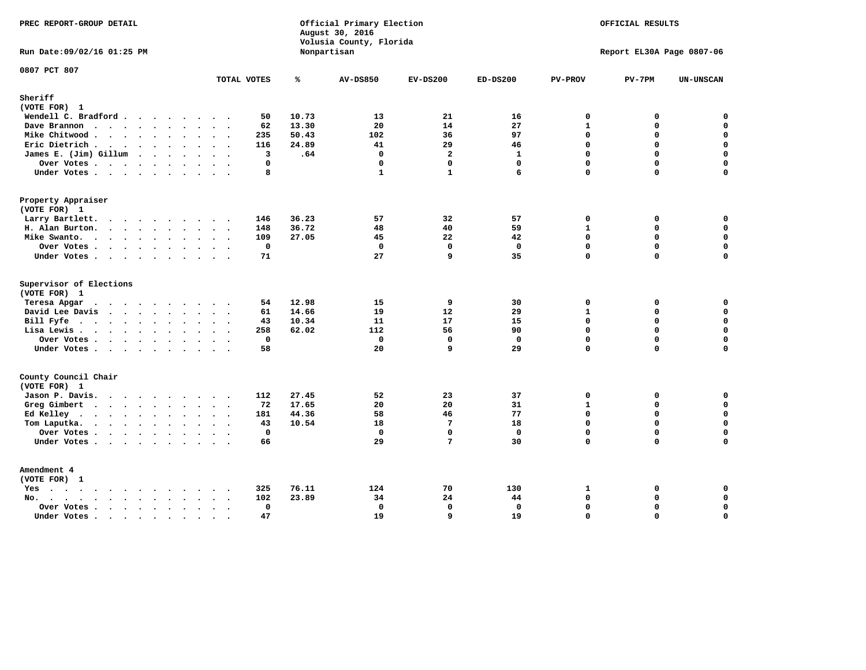| PREC REPORT-GROUP DETAIL                                                                                                                                                                                                                          |                     | August 30, 2016       | Official Primary Election<br>Volusia County, Florida |                   |                             | OFFICIAL RESULTS          |                            |  |  |
|---------------------------------------------------------------------------------------------------------------------------------------------------------------------------------------------------------------------------------------------------|---------------------|-----------------------|------------------------------------------------------|-------------------|-----------------------------|---------------------------|----------------------------|--|--|
| Run Date: 09/02/16 01:25 PM                                                                                                                                                                                                                       |                     | Nonpartisan           |                                                      |                   |                             | Report EL30A Page 0807-06 |                            |  |  |
| 0807 PCT 807                                                                                                                                                                                                                                      | TOTAL VOTES         | ℁<br><b>AV-DS850</b>  | $EV-DS200$                                           | $ED-DS200$        | <b>PV-PROV</b>              | $PV-7PM$                  | <b>UN-UNSCAN</b>           |  |  |
| Sheriff<br>(VOTE FOR) 1                                                                                                                                                                                                                           |                     |                       |                                                      |                   |                             |                           |                            |  |  |
| Wendell C. Bradford                                                                                                                                                                                                                               | 50                  | 10.73<br>13           | 21                                                   | 16                | $\Omega$                    | 0                         | $\Omega$                   |  |  |
| Dave Brannon                                                                                                                                                                                                                                      | 62                  | 13.30                 | 20<br>14                                             | 27                | $\mathbf{1}$                | 0                         | $\mathbf 0$                |  |  |
| Mike Chitwood                                                                                                                                                                                                                                     | 235                 | 50.43<br>102          | 36                                                   | 97                | $\Omega$                    | 0                         | $\mathbf 0$                |  |  |
| Eric Dietrich.                                                                                                                                                                                                                                    | 116                 | 24.89                 | 41<br>29                                             | 46                | $\mathbf 0$                 | 0                         | $\mathbf 0$                |  |  |
| James E. (Jim) Gillum                                                                                                                                                                                                                             | 3                   | .64                   | $\Omega$<br>$\overline{2}$                           | $\mathbf{1}$      | $\Omega$                    | $\Omega$                  | $\mathbf 0$                |  |  |
| Over Votes                                                                                                                                                                                                                                        | $\Omega$            |                       | $\mathbf 0$<br>$\mathbf 0$                           | $\mathbf{0}$      | $\mathbf 0$                 | 0                         | $\mathbf 0$                |  |  |
| Under Votes                                                                                                                                                                                                                                       | 8                   |                       | $\mathbf{1}$<br>$\mathbf{1}$                         | 6                 | $\Omega$                    | $\Omega$                  | $\Omega$                   |  |  |
| Property Appraiser                                                                                                                                                                                                                                |                     |                       |                                                      |                   |                             |                           |                            |  |  |
| (VOTE FOR) 1                                                                                                                                                                                                                                      |                     |                       |                                                      |                   |                             |                           |                            |  |  |
| Larry Bartlett.                                                                                                                                                                                                                                   | 146                 | 36.23                 | 57<br>32                                             | 57                | $\mathbf 0$                 | 0                         | 0                          |  |  |
| H. Alan Burton.                                                                                                                                                                                                                                   | 148                 | 36.72                 | 48<br>40                                             | 59                | $\mathbf{1}$                | 0                         | $\mathbf 0$                |  |  |
| Mike Swanto.                                                                                                                                                                                                                                      | 109                 | 27.05                 | 45<br>22                                             | 42                | $\Omega$                    | $\Omega$                  | 0                          |  |  |
| Over Votes.                                                                                                                                                                                                                                       | $\mathbf 0$         |                       | $\mathbf 0$<br>$\mathbf 0$                           | $\mathbf 0$       | $\mathbf 0$                 | 0                         | 0                          |  |  |
| Under Votes                                                                                                                                                                                                                                       | 71                  | 27                    | q                                                    | 35                | $\Omega$                    | $\Omega$                  | $\mathbf 0$                |  |  |
| Supervisor of Elections                                                                                                                                                                                                                           |                     |                       |                                                      |                   |                             |                           |                            |  |  |
| (VOTE FOR) 1                                                                                                                                                                                                                                      |                     |                       |                                                      |                   |                             |                           |                            |  |  |
| Teresa Apgar<br>$\cdots$                                                                                                                                                                                                                          | 54<br>$\sim$ $\sim$ | 12.98<br>15           | 9                                                    | 30                | $\mathbf 0$                 | 0                         | 0                          |  |  |
| David Lee Davis                                                                                                                                                                                                                                   | 61                  | 19<br>14.66           | 12                                                   | 29                | $\mathbf{1}$<br>$\mathbf 0$ | 0<br>0                    | $\mathbf 0$<br>$\mathbf 0$ |  |  |
| Bill Fyfe.                                                                                                                                                                                                                                        | 43                  | 10.34<br>11           | 17                                                   | 15                | $\mathbf 0$                 | 0                         | $\mathbf 0$                |  |  |
| Lisa Lewis                                                                                                                                                                                                                                        | 258                 | 62.02<br>112          | 56                                                   | 90                | $\mathbf 0$                 | 0                         | $\pmb{0}$                  |  |  |
| Over Votes<br>Under Votes                                                                                                                                                                                                                         | 0<br>58             |                       | $\mathbf 0$<br>$\mathbf 0$<br>20<br>9                | $\mathbf 0$<br>29 | $\mathbf 0$                 | $\Omega$                  | $\mathbf 0$                |  |  |
|                                                                                                                                                                                                                                                   |                     |                       |                                                      |                   |                             |                           |                            |  |  |
| County Council Chair<br>(VOTE FOR) 1                                                                                                                                                                                                              |                     |                       |                                                      |                   |                             |                           |                            |  |  |
| Jason P. Davis.                                                                                                                                                                                                                                   | 112                 | 27.45                 | 52<br>23                                             | 37                | $\mathbf{0}$                | 0                         | 0                          |  |  |
| Greg Gimbert<br>$\mathbf{r}$ . The contract of the contract of the contract of the contract of the contract of the contract of the contract of the contract of the contract of the contract of the contract of the contract of the contract of th | 72                  | 17.65                 | 20<br>20                                             | 31                | $\mathbf{1}$                | 0                         | $\mathbf 0$                |  |  |
| Ed Kelley                                                                                                                                                                                                                                         | 181                 | 44.36                 | 58<br>46                                             | 77                | $\mathbf 0$                 | 0                         | $\mathbf 0$                |  |  |
| Tom Laputka.                                                                                                                                                                                                                                      | 43                  | 10.54<br>18           | $7\phantom{.0}$                                      | 18                | $\Omega$                    | $\mathbf 0$               | $\mathbf 0$                |  |  |
| Over Votes                                                                                                                                                                                                                                        | $\mathbf{0}$        |                       | $\mathbf 0$<br>$\mathbf 0$                           | $\mathbf{0}$      | $\mathbf 0$                 | 0                         | 0                          |  |  |
| Under Votes                                                                                                                                                                                                                                       | 66                  |                       | 29<br>$7\phantom{.0}$                                | 30                | $\Omega$                    | $\Omega$                  | $\mathbf 0$                |  |  |
| Amendment 4                                                                                                                                                                                                                                       |                     |                       |                                                      |                   |                             |                           |                            |  |  |
| (VOTE FOR) 1                                                                                                                                                                                                                                      |                     |                       |                                                      |                   |                             |                           |                            |  |  |
| $Yes \cdot \cdot \cdot \cdot \cdot \cdot \cdot \cdot \cdot$                                                                                                                                                                                       | 325<br>$\cdot$ .    | 76.11<br>124<br>23.89 | 70<br>24                                             | 130<br>44         | 1<br>$\mathbf 0$            | 0<br>0                    | 0<br>$\mathbf 0$           |  |  |
| $No.$<br>$\ddot{\phantom{a}}$                                                                                                                                                                                                                     | 102<br>$\mathbf 0$  |                       | 34<br>$\mathbf 0$<br>$\mathbf{0}$                    | $\mathbf 0$       | $\mathbf 0$                 | 0                         | $\mathsf{o}\,$             |  |  |
| Over Votes .<br>$\cdots$<br>Under Votes                                                                                                                                                                                                           | $\sim$<br>47        | 19                    | 9                                                    | 19                | $\mathbf 0$                 | 0                         | $\mathbf 0$                |  |  |
| $\sim$                                                                                                                                                                                                                                            | $\sim$<br>$\sim$    |                       |                                                      |                   |                             |                           |                            |  |  |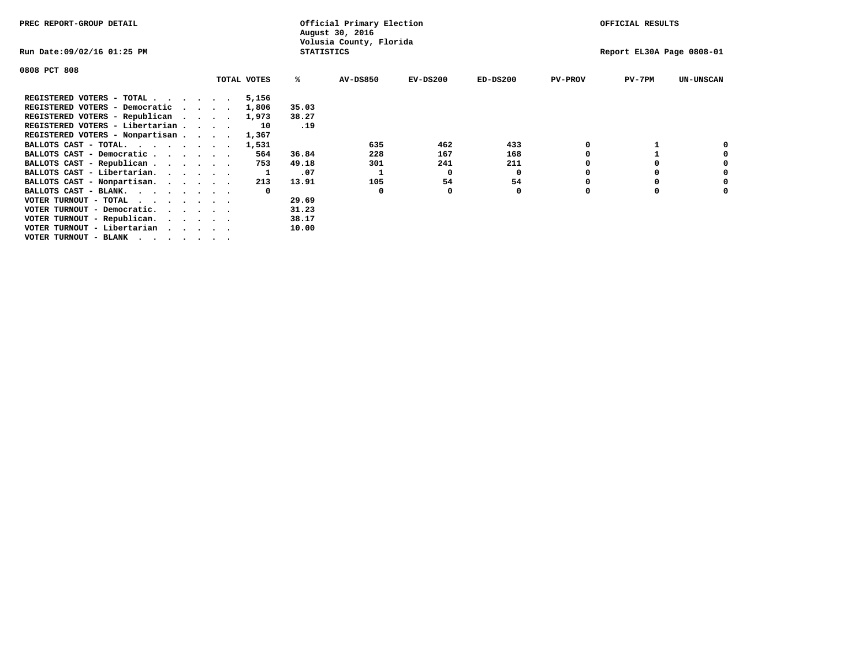| PREC REPORT-GROUP DETAIL                                                                                                                 |             |                   | Official Primary Election<br>August 30, 2016 |            | OFFICIAL RESULTS |                |                           |                  |  |
|------------------------------------------------------------------------------------------------------------------------------------------|-------------|-------------------|----------------------------------------------|------------|------------------|----------------|---------------------------|------------------|--|
| Run Date:09/02/16 01:25 PM                                                                                                               |             | <b>STATISTICS</b> | Volusia County, Florida                      |            |                  |                | Report EL30A Page 0808-01 |                  |  |
| 0808 PCT 808                                                                                                                             |             |                   |                                              |            |                  |                |                           |                  |  |
|                                                                                                                                          | TOTAL VOTES | ℁                 | <b>AV-DS850</b>                              | $EV-DS200$ | $ED-DS200$       | <b>PV-PROV</b> | $PV-7PM$                  | <b>UN-UNSCAN</b> |  |
| REGISTERED VOTERS - TOTAL $\cdot$ $\cdot$ $\cdot$ $\cdot$ $\cdot$ $\cdot$                                                                | 5,156       |                   |                                              |            |                  |                |                           |                  |  |
| REGISTERED VOTERS - Democratic                                                                                                           | 1,806       | 35.03             |                                              |            |                  |                |                           |                  |  |
| REGISTERED VOTERS - Republican                                                                                                           | 1,973       | 38.27             |                                              |            |                  |                |                           |                  |  |
| REGISTERED VOTERS - Libertarian                                                                                                          | 10          | .19               |                                              |            |                  |                |                           |                  |  |
| REGISTERED VOTERS - Nonpartisan                                                                                                          | 1,367       |                   |                                              |            |                  |                |                           |                  |  |
| BALLOTS CAST - TOTAL.                                                                                                                    | 1,531       |                   | 635                                          | 462        | 433              |                |                           |                  |  |
| BALLOTS CAST - Democratic                                                                                                                | 564         | 36.84             | 228                                          | 167        | 168              |                |                           |                  |  |
| BALLOTS CAST - Republican                                                                                                                | 753         | 49.18             | 301                                          | 241        | 211              |                |                           |                  |  |
| BALLOTS CAST - Libertarian.                                                                                                              |             | .07               |                                              | 0          | 0                |                |                           |                  |  |
| BALLOTS CAST - Nonpartisan.                                                                                                              | 213         | 13.91             | 105                                          | 54         | 54               |                |                           | 0                |  |
| BALLOTS CAST - BLANK.                                                                                                                    |             |                   | 0                                            |            | 0                | O              |                           |                  |  |
| VOTER TURNOUT - TOTAL<br>the contract of the contract of the contract of the contract of the contract of the contract of the contract of |             | 29.69             |                                              |            |                  |                |                           |                  |  |
| VOTER TURNOUT - Democratic.                                                                                                              |             | 31.23             |                                              |            |                  |                |                           |                  |  |
| VOTER TURNOUT - Republican.                                                                                                              |             | 38.17             |                                              |            |                  |                |                           |                  |  |
| VOTER TURNOUT - Libertarian                                                                                                              |             | 10.00             |                                              |            |                  |                |                           |                  |  |
| VOTER TURNOUT - BLANK                                                                                                                    |             |                   |                                              |            |                  |                |                           |                  |  |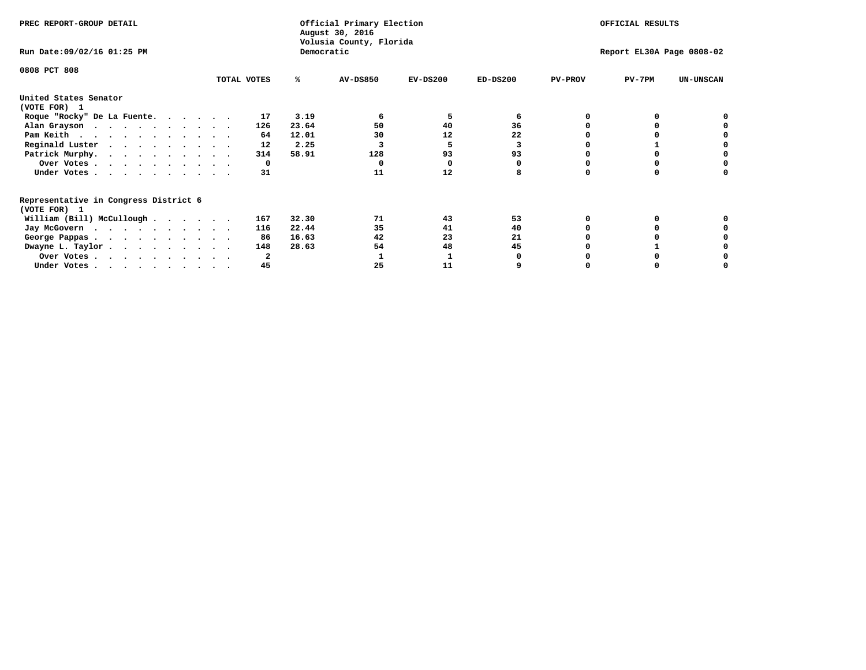| PREC REPORT-GROUP DETAIL                                               |             |            | Official Primary Election<br>August 30, 2016<br>Volusia County, Florida |            |            |                | OFFICIAL RESULTS          |                  |
|------------------------------------------------------------------------|-------------|------------|-------------------------------------------------------------------------|------------|------------|----------------|---------------------------|------------------|
| Run Date: 09/02/16 01:25 PM                                            |             | Democratic |                                                                         |            |            |                | Report EL30A Page 0808-02 |                  |
| 0808 PCT 808                                                           |             |            |                                                                         |            |            |                |                           |                  |
|                                                                        | TOTAL VOTES | ℁          | <b>AV-DS850</b>                                                         | $EV-DS200$ | $ED-DS200$ | <b>PV-PROV</b> | $PV-7PM$                  | <b>UN-UNSCAN</b> |
| United States Senator<br>(VOTE FOR) 1                                  |             |            |                                                                         |            |            |                |                           |                  |
| Roque "Rocky" De La Fuente.                                            | 17          | 3.19       |                                                                         | 5          | 6          |                |                           |                  |
| Alan Grayson                                                           | 126         | 23.64      | 50                                                                      | 40         | 36         |                |                           |                  |
| Pam Keith                                                              | 64          | 12.01      | 30                                                                      | 12         | 22         |                |                           |                  |
| Reginald Luster                                                        | 12          | 2.25       |                                                                         | 5          | 3          |                |                           |                  |
| Patrick Murphy.                                                        | 314         | 58.91      | 128                                                                     | 93         | 93         |                |                           |                  |
| Over Votes                                                             | 0           |            |                                                                         |            |            |                |                           |                  |
| Under Votes.                                                           | 31          |            | 11                                                                      | 12         |            |                |                           |                  |
| Representative in Congress District 6                                  |             |            |                                                                         |            |            |                |                           |                  |
| (VOTE FOR) 1                                                           | 167         | 32.30      | 71                                                                      | 43         | 53         |                |                           |                  |
| William (Bill) McCullough                                              |             |            |                                                                         |            |            |                |                           |                  |
| Jay McGovern                                                           | 116         | 22.44      | 35                                                                      | 41         | 40         |                |                           |                  |
| George Pappas.                                                         | 86          | 16.63      | 42                                                                      | 23         | 21         |                |                           |                  |
| Dwayne L. Taylor                                                       | 148         | 28.63      | 54                                                                      | 48         | 45         |                |                           |                  |
| Over Votes                                                             |             |            |                                                                         |            |            |                |                           |                  |
| Under Votes, $\cdot$ , $\cdot$ , $\cdot$ , $\cdot$ , $\cdot$ , $\cdot$ | 45          |            | 25                                                                      | 11         |            |                |                           |                  |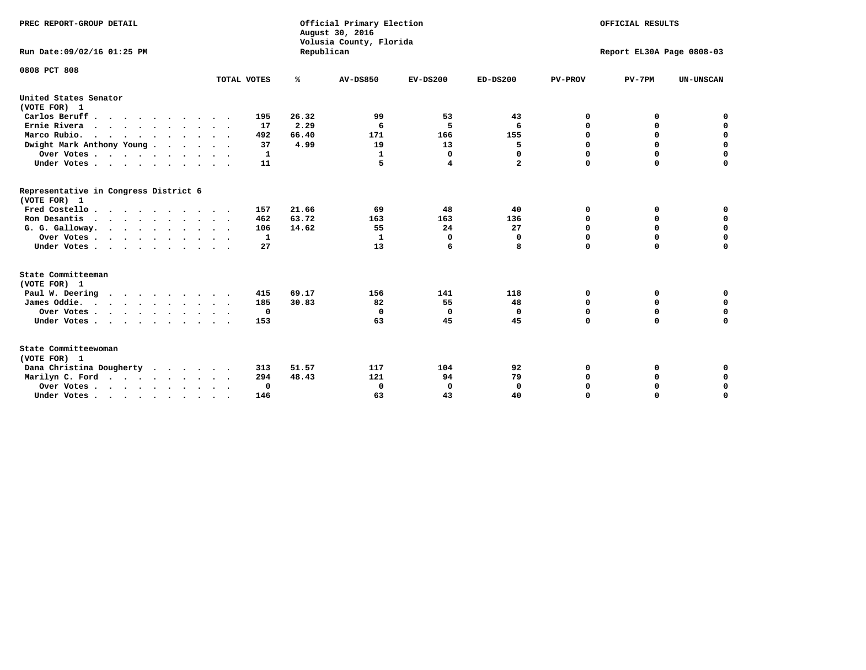| PREC REPORT-GROUP DETAIL<br>Run Date: 09/02/16 01:25 PM |             | Republican | Official Primary Election<br>August 30, 2016<br>Volusia County, Florida | OFFICIAL RESULTS<br>Report EL30A Page 0808-03 |              |                |             |                  |
|---------------------------------------------------------|-------------|------------|-------------------------------------------------------------------------|-----------------------------------------------|--------------|----------------|-------------|------------------|
|                                                         |             |            |                                                                         |                                               |              |                |             |                  |
| 0808 PCT 808                                            | TOTAL VOTES | ℁          | <b>AV-DS850</b>                                                         | $EV-DS200$                                    | $ED-DS200$   | <b>PV-PROV</b> | $PV-7PM$    | <b>UN-UNSCAN</b> |
| United States Senator<br>(VOTE FOR) 1                   |             |            |                                                                         |                                               |              |                |             |                  |
| Carlos Beruff                                           | 195         | 26.32      | 99                                                                      | 53                                            | 43           | 0              | 0           | 0                |
| Ernie Rivera                                            | 17          | 2.29       | 6                                                                       | 5                                             | 6            | $\Omega$       | 0           | $\mathbf 0$      |
| Marco Rubio.                                            | 492         | 66.40      | 171                                                                     | 166                                           | 155          | 0              | 0           | $\mathbf 0$      |
| Dwight Mark Anthony Young                               | 37          | 4.99       | 19                                                                      | 13                                            | 5            | 0              | $\mathbf 0$ | $\mathbf 0$      |
| Over Votes                                              | 1           |            | 1                                                                       | 0                                             | 0            | 0              | $\mathbf 0$ | $\mathbf 0$      |
| Under Votes                                             | 11          |            | 5                                                                       | 4                                             | $\mathbf{2}$ | $\Omega$       | $\Omega$    | $\mathbf 0$      |
| Representative in Congress District 6<br>(VOTE FOR) 1   |             |            |                                                                         |                                               |              |                |             |                  |
| Fred Costello                                           | 157         | 21.66      | 69                                                                      | 48                                            | 40           | 0              | 0           | $\mathbf 0$      |
| Ron Desantis                                            | 462         | 63.72      | 163                                                                     | 163                                           | 136          | 0              | 0           | $\mathbf 0$      |
| G. G. Galloway.                                         | 106         | 14.62      | 55                                                                      | 24                                            | 27           | $\mathbf 0$    | $\mathbf 0$ | $\mathbf 0$      |
| Over Votes                                              | 1           |            | 1                                                                       | 0                                             | 0            | $\mathbf 0$    | $\mathbf 0$ | $\mathbf 0$      |
| Under Votes                                             | 27          |            | 13                                                                      | 6                                             | 8            | $\mathbf 0$    | $\Omega$    | $\mathbf 0$      |
| State Committeeman                                      |             |            |                                                                         |                                               |              |                |             |                  |
| (VOTE FOR) 1                                            |             |            |                                                                         |                                               |              |                |             |                  |
| Paul W. Deering                                         | 415         | 69.17      | 156                                                                     | 141                                           | 118          | 0              | 0           | 0                |
| James Oddie.                                            | 185         | 30.83      | 82                                                                      | 55                                            | 48           | 0              | 0           | $\mathbf 0$      |
| Over Votes                                              | $\mathbf 0$ |            | 0                                                                       | 0                                             | 0            | 0              | $\mathbf 0$ | $\mathbf 0$      |
| Under Votes                                             | 153         |            | 63                                                                      | 45                                            | 45           | $\Omega$       | $\mathbf 0$ | $\mathbf 0$      |
| State Committeewoman<br>(VOTE FOR) 1                    |             |            |                                                                         |                                               |              |                |             |                  |
| Dana Christina Dougherty<br>.                           | 313         | 51.57      | 117                                                                     | 104                                           | 92           | 0              | 0           | 0                |
| Marilyn C. Ford                                         | 294         | 48.43      | 121                                                                     | 94                                            | 79           | 0              | 0           | 0                |
| Over Votes                                              | $\Omega$    |            | $\Omega$                                                                | 0                                             | $\mathbf{0}$ | 0              | 0           | $\mathbf 0$      |
| Under Votes, , , , , , , , , ,                          | 146         |            | 63                                                                      | 43                                            | 40           | $\Omega$       | $\Omega$    | $\Omega$         |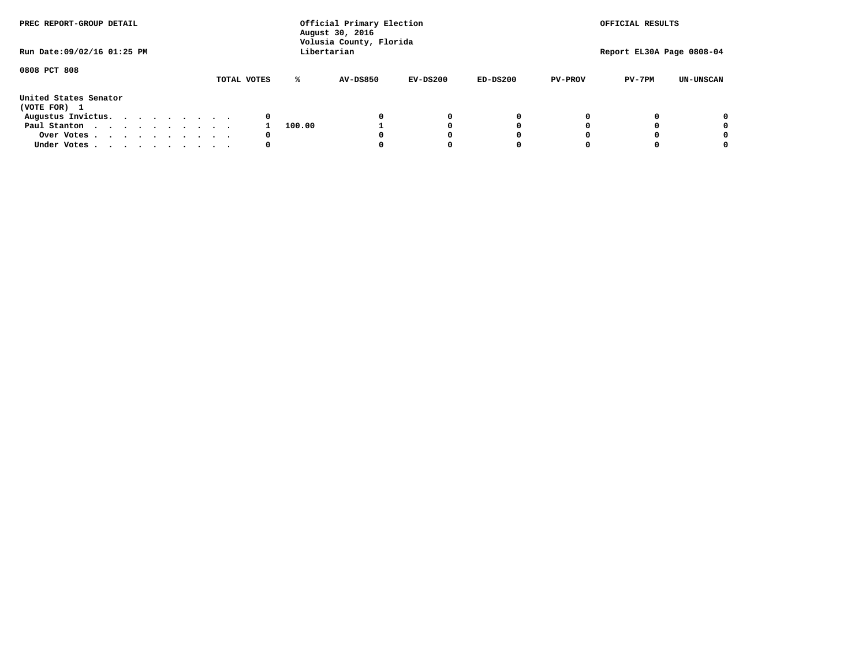| PREC REPORT-GROUP DETAIL<br>Run Date: 09/02/16 01:25 PM |  |  |  |  |             |        | Official Primary Election<br>August 30, 2016<br>Volusia County, Florida<br>Libertarian |            |            |                | OFFICIAL RESULTS<br>Report EL30A Page 0808-04 |                  |
|---------------------------------------------------------|--|--|--|--|-------------|--------|----------------------------------------------------------------------------------------|------------|------------|----------------|-----------------------------------------------|------------------|
|                                                         |  |  |  |  |             |        |                                                                                        |            |            |                |                                               |                  |
| 0808 PCT 808                                            |  |  |  |  |             |        |                                                                                        |            |            |                |                                               |                  |
|                                                         |  |  |  |  | TOTAL VOTES | ℁      | <b>AV-DS850</b>                                                                        | $EV-DS200$ | $ED-DS200$ | <b>PV-PROV</b> | $PV-7PM$                                      | <b>UN-UNSCAN</b> |
| United States Senator<br>(VOTE FOR) 1                   |  |  |  |  |             |        |                                                                                        |            |            |                |                                               |                  |
| Augustus Invictus.                                      |  |  |  |  | 0           |        |                                                                                        | 0          | 0          |                |                                               | 0                |
| Paul Stanton                                            |  |  |  |  |             | 100.00 |                                                                                        |            | 0          |                |                                               | 0                |
| Over Votes                                              |  |  |  |  | 0           |        |                                                                                        |            | 0          |                |                                               | 0                |
| Under Votes                                             |  |  |  |  | 0           |        |                                                                                        |            | 0          |                |                                               | 0                |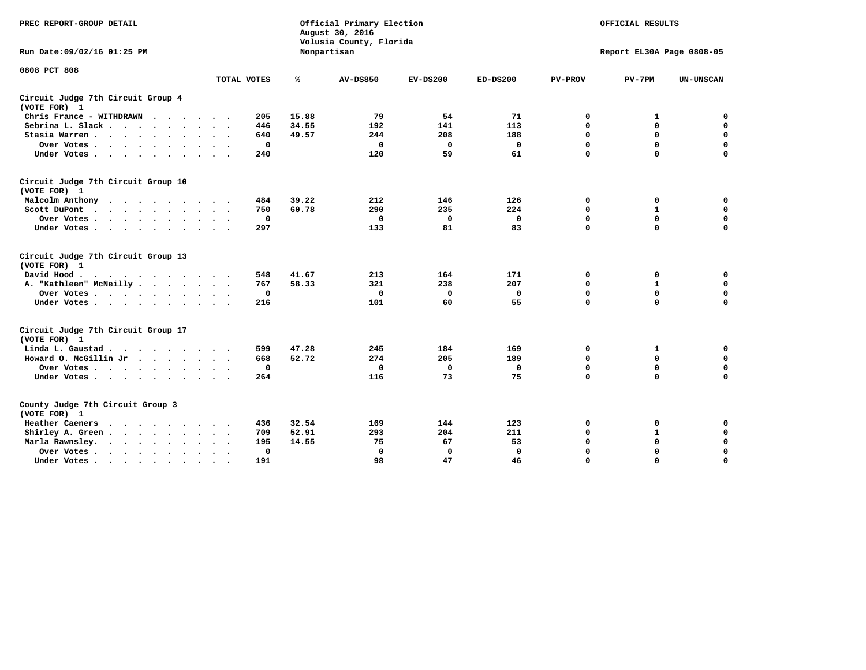| PREC REPORT-GROUP DETAIL                                   |                    | Official Primary Election<br>August 30, 2016<br>Volusia County, Florida | OFFICIAL RESULTS |             |             |                |                           |                  |
|------------------------------------------------------------|--------------------|-------------------------------------------------------------------------|------------------|-------------|-------------|----------------|---------------------------|------------------|
| Run Date:09/02/16 01:25 PM                                 |                    |                                                                         | Nonpartisan      |             |             |                | Report EL30A Page 0808-05 |                  |
| 0808 PCT 808                                               |                    |                                                                         |                  |             |             |                |                           |                  |
|                                                            | TOTAL VOTES        | ℁                                                                       | <b>AV-DS850</b>  | $EV-DS200$  | $ED-DS200$  | <b>PV-PROV</b> | $PV-7PM$                  | <b>UN-UNSCAN</b> |
| Circuit Judge 7th Circuit Group 4<br>(VOTE FOR) 1          |                    |                                                                         |                  |             |             |                |                           |                  |
| Chris France - WITHDRAWN                                   | 205                | 15.88                                                                   | 79               | 54          | 71          | 0              | 1                         | 0                |
| Sebrina L. Slack                                           | 446                | 34.55                                                                   | 192              | 141         | 113         | $\mathbf 0$    | $\mathbf 0$               | $\mathbf 0$      |
| Stasia Warren<br>$\ddot{\phantom{0}}$                      | 640                | 49.57                                                                   | 244              | 208         | 188         | $\mathbf 0$    | $\mathbf 0$               | $\pmb{0}$        |
| Over Votes                                                 | 0                  |                                                                         | 0                | 0           | 0           | $\mathbf 0$    | $\mathbf 0$               | $\mathbf 0$      |
| Under Votes                                                | 240                |                                                                         | 120              | 59          | 61          | $\mathbf 0$    | $\Omega$                  | $\mathbf 0$      |
| Circuit Judge 7th Circuit Group 10<br>(VOTE FOR) 1         |                    |                                                                         |                  |             |             |                |                           |                  |
| Malcolm Anthony<br>.                                       | 484                | 39.22                                                                   | 212              | 146         | 126         | $\mathbf 0$    | 0                         | 0                |
| Scott DuPont                                               | 750                | 60.78                                                                   | 290              | 235         | 224         | 0              | $\mathbf{1}$              | $\mathbf 0$      |
| Over Votes<br>$\bullet$<br>$\bullet$                       | $\mathbf 0$        |                                                                         | $\mathbf{0}$     | $\mathbf 0$ | $\mathbf 0$ | $\mathbf 0$    | $\mathbf 0$               | 0                |
| Under Votes                                                | 297                |                                                                         | 133              | 81          | 83          | $\mathbf 0$    | $\mathbf 0$               | $\mathbf 0$      |
| Circuit Judge 7th Circuit Group 13<br>(VOTE FOR) 1         |                    |                                                                         |                  |             |             |                |                           |                  |
| David Hood.                                                | 548                | 41.67                                                                   | 213              | 164         | 171         | 0              | 0                         | $\mathbf 0$      |
| A. "Kathleen" McNeilly.<br>$\cdots$                        | 767                | 58.33                                                                   | 321              | 238         | 207         | $\mathbf 0$    | $\mathbf{1}$              | $\mathbf 0$      |
| Over Votes                                                 | 0                  |                                                                         | 0                | 0           | 0           | 0              | 0                         | $\pmb{0}$        |
| Under Votes                                                | 216                |                                                                         | 101              | 60          | 55          | $\mathbf 0$    | $\Omega$                  | 0                |
| Circuit Judge 7th Circuit Group 17<br>(VOTE FOR) 1         |                    |                                                                         |                  |             |             |                |                           |                  |
| Linda L. Gaustad                                           | 599                | 47.28                                                                   | 245              | 184         | 169         | 0              | 1                         | 0                |
| Howard O. McGillin Jr                                      | 668                | 52.72                                                                   | 274              | 205         | 189         | $\mathbf 0$    | $\mathbf 0$               | $\mathbf 0$      |
| Over Votes                                                 | $\mathbf 0$        |                                                                         | $\mathbf{0}$     | $\mathbf 0$ | $\mathbf 0$ | $\mathbf 0$    | $\mathbf{0}$              | 0                |
| Under Votes                                                | 264                |                                                                         | 116              | 73          | 75          | $\mathbf 0$    | $\mathbf 0$               | $\mathbf 0$      |
| County Judge 7th Circuit Group 3<br>(VOTE FOR) 1           |                    |                                                                         |                  |             |             |                |                           |                  |
| Heather Caeners<br>$\cdot$                                 | 436                | 32.54                                                                   | 169              | 144         | 123         | 0              | 0                         | 0                |
| Shirley A. Green                                           | 709                | 52.91                                                                   | 293              | 204         | 211         | $\mathbf 0$    | $\mathbf{1}$              | $\mathbf 0$      |
| Marla Rawnsley.<br>$\cdot$ $\cdot$ $\cdot$ $\cdot$ $\cdot$ | 195                | 14.55                                                                   | 75               | 67          | 53          | 0              | $\mathbf 0$               | $\pmb{0}$        |
| Over Votes .<br>$\cdots$<br>$\cdot$<br>$\cdot$             | 0<br>$\sim$ $\sim$ |                                                                         | 0                | 0           | 0           | $\mathbf 0$    | $\mathbf 0$               | $\mathbf 0$      |
| Under Votes<br>$\sim$<br>$\sim$                            | 191<br>$\sim$      |                                                                         | 98               | 47          | 46          | $\mathbf 0$    | $\mathbf 0$               | 0                |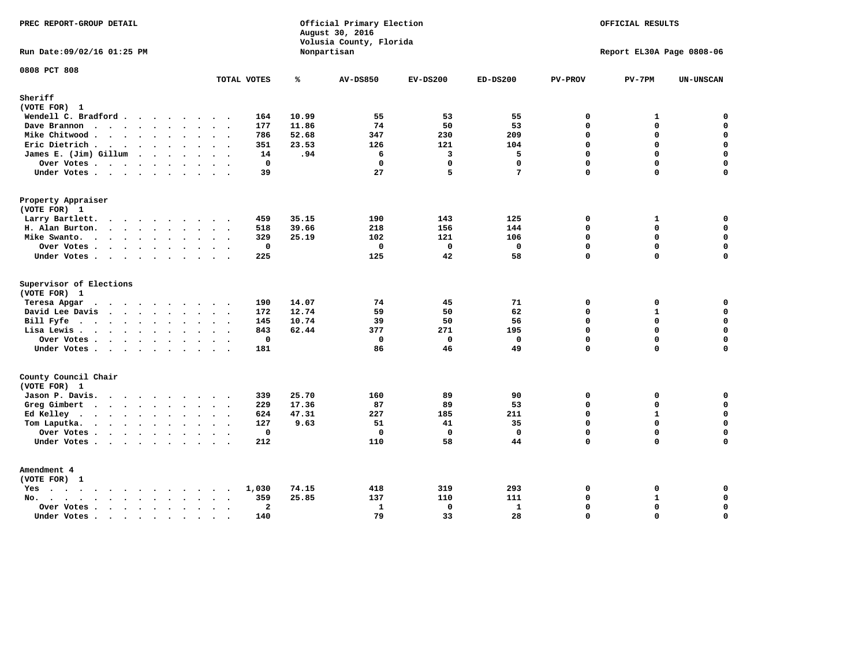| PREC REPORT-GROUP DETAIL                                                       |                                                 |       | Official Primary Election<br>August 30, 2016<br>Volusia County, Florida | OFFICIAL RESULTS<br>Report EL30A Page 0808-06 |              |                |              |                    |
|--------------------------------------------------------------------------------|-------------------------------------------------|-------|-------------------------------------------------------------------------|-----------------------------------------------|--------------|----------------|--------------|--------------------|
| Run Date: 09/02/16 01:25 PM                                                    |                                                 |       | Nonpartisan                                                             |                                               |              |                |              |                    |
| 0808 PCT 808                                                                   | TOTAL VOTES                                     | ℁     | <b>AV-DS850</b>                                                         | $EV-DS200$                                    | $ED-DS200$   | <b>PV-PROV</b> | $PV-7PM$     | UN-UNSCAN          |
| Sheriff                                                                        |                                                 |       |                                                                         |                                               |              |                |              |                    |
| (VOTE FOR) 1                                                                   |                                                 |       |                                                                         |                                               |              |                |              |                    |
| Wendell C. Bradford                                                            | 164                                             | 10.99 | 55                                                                      | 53                                            | 55           | $\mathbf 0$    | 1            | $\mathbf 0$        |
| Dave Brannon                                                                   | 177                                             | 11.86 | 74                                                                      | 50                                            | 53           | $\mathbf 0$    | 0            | $\mathbf 0$        |
| Mike Chitwood                                                                  | 786                                             | 52.68 | 347                                                                     | 230                                           | 209          | $\Omega$       | 0            | $\mathbf 0$        |
| Eric Dietrich.                                                                 | 351                                             | 23.53 | 126                                                                     | 121                                           | 104          | $\Omega$       | 0            | $\mathbf 0$        |
| James E. (Jim) Gillum                                                          | 14                                              | .94   | 6                                                                       | $\overline{3}$                                | 5            | $\mathbf 0$    | $\mathbf 0$  | $\mathbf 0$        |
| Over Votes                                                                     | $\mathbf 0$                                     |       | $\mathbf 0$                                                             | $\mathbf 0$                                   | $\Omega$     | $\Omega$       | 0            | 0                  |
| Under Votes                                                                    | 39                                              |       | 27                                                                      | 5                                             | 7            | $\Omega$       | $\Omega$     | $\Omega$           |
| Property Appraiser                                                             |                                                 |       |                                                                         |                                               |              |                |              |                    |
| (VOTE FOR) 1                                                                   |                                                 |       |                                                                         |                                               |              |                |              |                    |
| Larry Bartlett.<br>$\sim$ $\sim$                                               | 459                                             | 35.15 | 190                                                                     | 143                                           | 125          | $\mathbf 0$    | 1            | 0                  |
| H. Alan Burton.                                                                | 518                                             | 39.66 | 218                                                                     | 156                                           | 144          | $\Omega$       | 0            | $\mathbf 0$        |
| Mike Swanto.                                                                   | 329                                             | 25.19 | 102                                                                     | 121                                           | 106          | $\mathbf 0$    | 0            | 0                  |
| Over Votes                                                                     | $\mathbf{0}$                                    |       | $\mathbf{0}$                                                            | $\Omega$                                      | $\mathbf{0}$ | $\Omega$       | $\mathbf 0$  | $\mathbf 0$        |
| Under Votes                                                                    | 225                                             |       | 125                                                                     | 42                                            | 58           | $\mathbf 0$    | 0            | $\mathbf 0$        |
| Supervisor of Elections                                                        |                                                 |       |                                                                         |                                               |              |                |              |                    |
| (VOTE FOR) 1                                                                   |                                                 |       |                                                                         |                                               |              |                |              |                    |
| Teresa Apgar                                                                   | 190                                             | 14.07 | 74                                                                      | 45                                            | 71           | $\mathbf 0$    | 0            | $\mathbf 0$        |
| David Lee Davis                                                                | 172                                             | 12.74 | 59                                                                      | 50                                            | 62           | $\mathbf 0$    | $\mathbf{1}$ | $\mathbf 0$        |
| Bill Fyfe.                                                                     | 145                                             | 10.74 | 39                                                                      | 50                                            | 56           | $\Omega$       | $\Omega$     | $\mathbf 0$        |
| Lisa Lewis                                                                     | 843                                             | 62.44 | 377                                                                     | 271                                           | 195          | $\mathbf 0$    | 0            | $\mathbf 0$        |
| Over Votes                                                                     | $\mathbf 0$                                     |       | $\mathbf 0$                                                             | $\mathbf 0$                                   | $\mathbf 0$  | $\mathbf 0$    | 0            | $\pmb{0}$          |
| Under Votes                                                                    | 181                                             |       | 86                                                                      | 46                                            | 49           | $\mathbf 0$    | 0            | $\Omega$           |
| County Council Chair                                                           |                                                 |       |                                                                         |                                               |              |                |              |                    |
| (VOTE FOR) 1                                                                   |                                                 |       |                                                                         |                                               |              |                |              |                    |
| Jason P. Davis.                                                                | 339                                             | 25.70 | 160                                                                     | 89                                            | 90           | $\mathbf 0$    | 0            | 0                  |
| Greg Gimbert                                                                   | 229                                             | 17.36 | 87                                                                      | 89                                            | 53           | $\Omega$       | 0            | 0                  |
| Ed Kelley                                                                      | 624                                             | 47.31 | 227                                                                     | 185                                           | 211          | $\mathbf 0$    | $\mathbf{1}$ | $\mathbf 0$        |
| Tom Laputka.<br>.                                                              | 127                                             | 9.63  | 51                                                                      | 41                                            | 35           | $\Omega$       | $\mathbf 0$  | 0                  |
| Over Votes                                                                     | $\mathbf 0$<br>$\overline{\phantom{a}}$         |       | $\mathbf{0}$                                                            | $\mathbf 0$                                   | $\mathbf{0}$ | $\mathbf 0$    | 0            | $\mathbf 0$        |
| Under Votes                                                                    | 212                                             |       | 110                                                                     | 58                                            | 44           | $\Omega$       | $\Omega$     | $\mathbf 0$        |
| Amendment 4                                                                    |                                                 |       |                                                                         |                                               |              |                |              |                    |
| (VOTE FOR) 1                                                                   |                                                 |       |                                                                         |                                               |              |                |              |                    |
| Yes                                                                            | 1,030<br>$\bullet$                              | 74.15 | 418                                                                     | 319                                           | 293          | $\mathbf 0$    | 0            | 0                  |
| $\cdots$<br>$No.$<br>$\ddot{\phantom{a}}$<br>$\ddot{\phantom{a}}$              | 359<br>$\sim$<br>$\sim$<br>$\ddot{\phantom{a}}$ | 25.85 | 137                                                                     | 110                                           | 111          | $\Omega$       | $\mathbf{1}$ | $\mathbf 0$        |
| Over Votes.<br>$\cdot$ $\cdot$ $\cdot$ $\cdot$ $\cdot$<br>$\ddot{\phantom{a}}$ | $\overline{\mathbf{2}}$<br>$\bullet$            |       | $\mathbf{1}$                                                            | 0                                             | 1            | $\Omega$       | 0            | $\pmb{\mathsf{o}}$ |
| Under Votes<br>$\sim$                                                          | 140<br>$\sim$<br>$\sim$                         |       | 79                                                                      | 33                                            | 28           | $\mathbf 0$    | 0            | $\mathbf 0$        |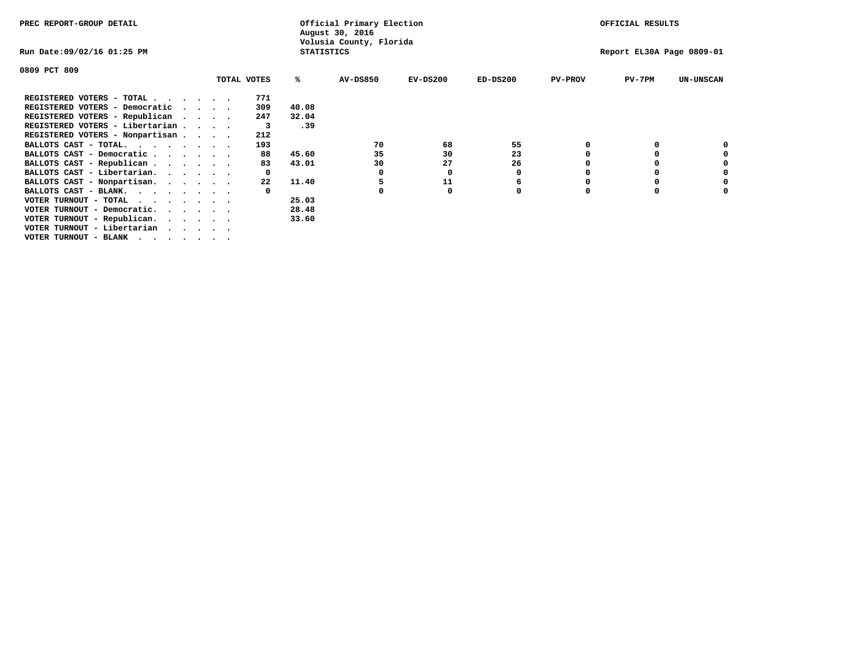| PREC REPORT-GROUP DETAIL                                                                                                                                 |                             |             |                   | Official Primary Election<br>August 30, 2016 | OFFICIAL RESULTS |             |                |                           |                  |
|----------------------------------------------------------------------------------------------------------------------------------------------------------|-----------------------------|-------------|-------------------|----------------------------------------------|------------------|-------------|----------------|---------------------------|------------------|
| Run Date:09/02/16 01:25 PM                                                                                                                               |                             |             | <b>STATISTICS</b> | Volusia County, Florida                      |                  |             |                | Report EL30A Page 0809-01 |                  |
| 0809 PCT 809                                                                                                                                             |                             |             |                   |                                              |                  |             |                |                           |                  |
|                                                                                                                                                          |                             | TOTAL VOTES | ℁                 | <b>AV-DS850</b>                              | $EV-DS200$       | $ED-DS200$  | <b>PV-PROV</b> | $PV-7PM$                  | <b>UN-UNSCAN</b> |
| REGISTERED VOTERS - TOTAL.                                                                                                                               | $\cdot$                     | 771         |                   |                                              |                  |             |                |                           |                  |
| REGISTERED VOTERS - Democratic                                                                                                                           | $\sim$ $\sim$ $\sim$ $\sim$ | 309         | 40.08             |                                              |                  |             |                |                           |                  |
| REGISTERED VOTERS - Republican<br>$\cdots$                                                                                                               |                             | 247         | 32.04             |                                              |                  |             |                |                           |                  |
| REGISTERED VOTERS - Libertarian                                                                                                                          |                             | 3           | .39               |                                              |                  |             |                |                           |                  |
| REGISTERED VOTERS - Nonpartisan                                                                                                                          |                             | 212         |                   |                                              |                  |             |                |                           |                  |
| BALLOTS CAST - TOTAL.                                                                                                                                    |                             | 193         |                   | 70                                           | 68               | 55          |                |                           |                  |
| BALLOTS CAST - Democratic                                                                                                                                |                             | 88          | 45.60             | 35                                           | 30               | 23          |                |                           |                  |
| BALLOTS CAST - Republican                                                                                                                                |                             | 83          | 43.01             | 30                                           | 27               | 26          |                |                           |                  |
| BALLOTS CAST - Libertarian.                                                                                                                              |                             |             |                   | 0                                            | 0                | 0           |                |                           |                  |
| BALLOTS CAST - Nonpartisan.                                                                                                                              |                             | 22          | 11.40             | 5                                            | 11               | 6           |                |                           |                  |
| BALLOTS CAST - BLANK.                                                                                                                                    |                             |             |                   |                                              | 0                | $\mathbf 0$ | $\Omega$       |                           |                  |
| VOTER TURNOUT - TOTAL                                                                                                                                    |                             |             | 25.03             |                                              |                  |             |                |                           |                  |
| VOTER TURNOUT - Democratic.<br>$\begin{array}{cccccccccccccc} \bullet & \bullet & \bullet & \bullet & \bullet & \bullet & \bullet & \bullet \end{array}$ |                             |             | 28.48             |                                              |                  |             |                |                           |                  |
| VOTER TURNOUT - Republican.                                                                                                                              |                             |             | 33.60             |                                              |                  |             |                |                           |                  |
| VOTER TURNOUT - Libertarian                                                                                                                              |                             |             |                   |                                              |                  |             |                |                           |                  |
| VOTER TURNOUT - BLANK                                                                                                                                    |                             |             |                   |                                              |                  |             |                |                           |                  |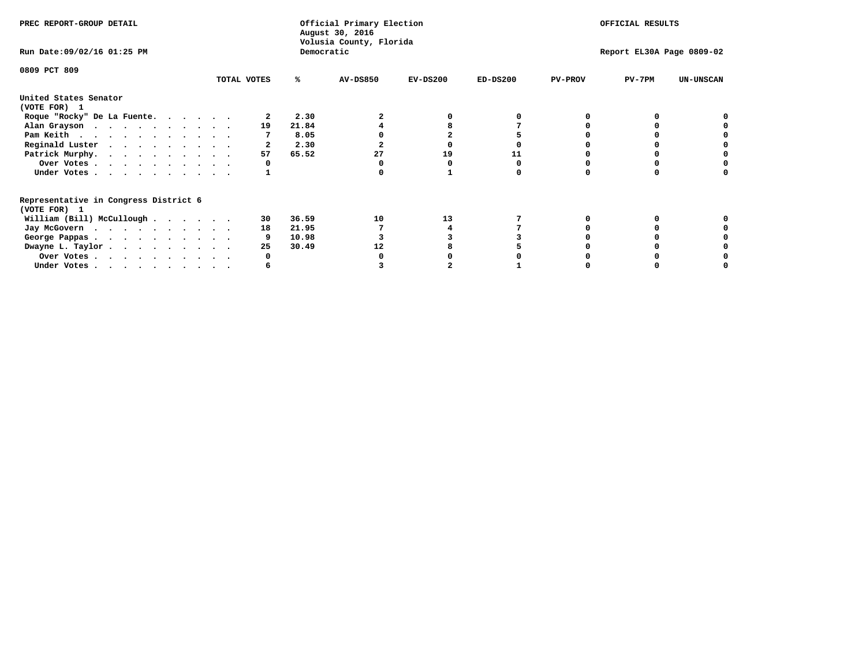| PREC REPORT-GROUP DETAIL                                               |             |    | Official Primary Election<br>August 30, 2016<br>Volusia County, Florida |            |            |                | OFFICIAL RESULTS          |                  |
|------------------------------------------------------------------------|-------------|----|-------------------------------------------------------------------------|------------|------------|----------------|---------------------------|------------------|
| Run Date: 09/02/16 01:25 PM                                            |             |    | Democratic                                                              |            |            |                | Report EL30A Page 0809-02 |                  |
| 0809 PCT 809                                                           | TOTAL VOTES | %ะ | <b>AV-DS850</b>                                                         | $EV-DS200$ | $ED-DS200$ | <b>PV-PROV</b> | $PV-7PM$                  | <b>UN-UNSCAN</b> |
|                                                                        |             |    |                                                                         |            |            |                |                           |                  |
| United States Senator<br>(VOTE FOR) 1                                  |             |    |                                                                         |            |            |                |                           |                  |
| Roque "Rocky" De La Fuente.                                            |             |    | 2.30                                                                    |            |            |                |                           |                  |
| Alan Grayson                                                           |             | 19 | 21.84                                                                   |            |            |                |                           |                  |
| Pam Keith                                                              |             |    | 8.05                                                                    |            |            |                |                           |                  |
| Reginald Luster                                                        |             |    | 2.30                                                                    |            |            |                |                           |                  |
| Patrick Murphy.                                                        |             | 57 | 65.52<br>27                                                             | 19         | 11         |                |                           |                  |
| Over Votes                                                             |             |    |                                                                         |            |            |                |                           |                  |
| Under Votes                                                            |             |    |                                                                         |            |            |                |                           |                  |
| Representative in Congress District 6                                  |             |    |                                                                         |            |            |                |                           |                  |
| (VOTE FOR) 1                                                           |             |    |                                                                         |            |            |                |                           |                  |
| William (Bill) McCullough                                              |             | 30 | 10<br>36.59                                                             | 13         |            |                |                           |                  |
| Jay McGovern                                                           |             | 18 | 21.95                                                                   |            |            |                |                           |                  |
| George Pappas.                                                         |             |    | 10.98                                                                   |            |            |                |                           |                  |
| Dwayne L. Taylor                                                       |             | 25 | 30.49<br>12                                                             |            |            |                |                           |                  |
| Over Votes                                                             |             |    |                                                                         |            |            |                |                           |                  |
| Under Votes, $\cdot$ , $\cdot$ , $\cdot$ , $\cdot$ , $\cdot$ , $\cdot$ |             |    |                                                                         |            |            |                |                           |                  |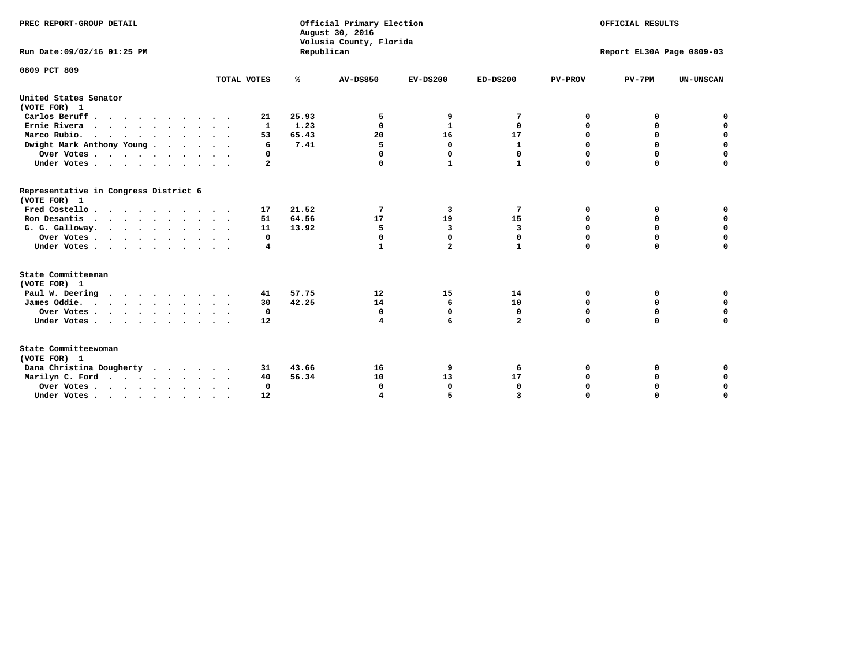| PREC REPORT-GROUP DETAIL                              |             |            | Official Primary Election<br>August 30, 2016<br>Volusia County, Florida |                         |                |                | OFFICIAL RESULTS          |                  |
|-------------------------------------------------------|-------------|------------|-------------------------------------------------------------------------|-------------------------|----------------|----------------|---------------------------|------------------|
| Run Date: 09/02/16 01:25 PM                           |             | Republican |                                                                         |                         |                |                | Report EL30A Page 0809-03 |                  |
| 0809 PCT 809                                          |             |            |                                                                         |                         |                |                |                           |                  |
|                                                       | TOTAL VOTES | ℁          | <b>AV-DS850</b>                                                         | $EV-DS200$              | $ED-DS200$     | <b>PV-PROV</b> | $PV-7PM$                  | <b>UN-UNSCAN</b> |
| United States Senator<br>(VOTE FOR) 1                 |             |            |                                                                         |                         |                |                |                           |                  |
| Carlos Beruff                                         | 21          | 25.93      | 5                                                                       | 9                       | 7              | 0              | 0                         | 0                |
| Ernie Rivera                                          | 1           | 1.23       | $\Omega$                                                                | 1                       | 0              | 0              | 0                         | $\mathbf 0$      |
| Marco Rubio.<br>$\cdots$                              | 53          | 65.43      | 20                                                                      | 16                      | 17             | 0              | $\mathbf 0$               | $\mathbf 0$      |
| Dwight Mark Anthony Young                             | 6           | 7.41       | 5                                                                       | 0                       | $\mathbf{1}$   | 0              | $\mathbf 0$               | $\mathbf 0$      |
| Over Votes                                            | 0           |            | $\Omega$                                                                | $\Omega$                | 0              | 0              | $\mathbf 0$               | $\mathbf 0$      |
| Under Votes                                           | 2           |            | $\Omega$                                                                | $\mathbf{1}$            | $\mathbf{1}$   | $\Omega$       | $\Omega$                  | $\mathbf 0$      |
| Representative in Congress District 6<br>(VOTE FOR) 1 |             |            |                                                                         |                         |                |                |                           |                  |
| Fred Costello                                         | 17          | 21.52      | 7                                                                       | 3                       | 7              | 0              | 0                         | 0                |
| Ron Desantis                                          | 51          | 64.56      | 17                                                                      | 19                      | 15             | 0              | 0                         | $\mathbf 0$      |
| G. G. Galloway.                                       | 11          | 13.92      | 5                                                                       | $\overline{3}$          | $\overline{3}$ | 0              | $\mathbf 0$               | $\mathbf 0$      |
| Over Votes                                            | 0           |            | $\mathbf 0$                                                             | $\mathbf 0$             | $\mathbf 0$    | $\mathbf 0$    | $\mathbf 0$               | $\mathbf 0$      |
| Under Votes                                           | 4           |            | $\mathbf{1}$                                                            | $\overline{\mathbf{2}}$ | $\mathbf{1}$   | $\Omega$       | $\mathbf 0$               | $\mathbf 0$      |
| State Committeeman                                    |             |            |                                                                         |                         |                |                |                           |                  |
| (VOTE FOR) 1                                          |             |            |                                                                         |                         |                |                |                           |                  |
| Paul W. Deering                                       | 41          | 57.75      | 12                                                                      | 15                      | 14             | 0              | 0                         | 0                |
| James Oddie.                                          | 30          | 42.25      | 14                                                                      | 6                       | 10             | 0              | $\mathbf 0$               | $\mathbf 0$      |
| Over Votes                                            | 0           |            | $\mathbf 0$                                                             | $\mathbf 0$             | 0              | $\mathbf 0$    | $\mathbf 0$               | 0                |
| Under Votes                                           | 12          |            | 4                                                                       | 6                       | $\overline{a}$ | 0              | $\Omega$                  | $\mathbf 0$      |
| State Committeewoman<br>(VOTE FOR) 1                  |             |            |                                                                         |                         |                |                |                           |                  |
| Dana Christina Dougherty                              | 31          | 43.66      | 16                                                                      | 9                       | 6              | 0              | 0                         | 0                |
| Marilyn C. Ford                                       | 40          | 56.34      | 10                                                                      | 13                      | 17             | 0              | 0                         | 0                |
| Over Votes                                            | $\Omega$    |            | $\Omega$                                                                | $\mathbf 0$             | $\mathbf{0}$   | 0              | 0                         | 0                |
| Under Votes, , , , , , , , , ,                        | 12          |            |                                                                         | 5                       |                | $\Omega$       | $\Omega$                  | $\Omega$         |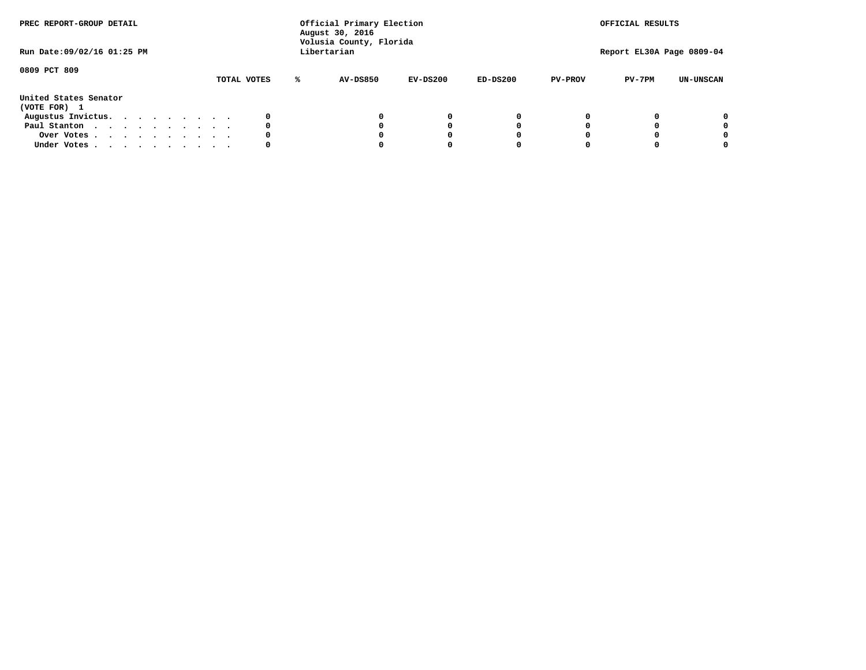| PREC REPORT-GROUP DETAIL<br>Run Date: 09/02/16 01:25 PM |  |  |  |  |             | Official Primary Election<br>August 30, 2016<br>Volusia County, Florida<br>Libertarian |            |            |                | OFFICIAL RESULTS<br>Report EL30A Page 0809-04 |                  |
|---------------------------------------------------------|--|--|--|--|-------------|----------------------------------------------------------------------------------------|------------|------------|----------------|-----------------------------------------------|------------------|
| 0809 PCT 809                                            |  |  |  |  | TOTAL VOTES | <b>AV-DS850</b>                                                                        | $EV-DS200$ | $ED-DS200$ | <b>PV-PROV</b> | $PV-7PM$                                      | <b>UN-UNSCAN</b> |
| United States Senator<br>(VOTE FOR) 1                   |  |  |  |  |             |                                                                                        |            |            |                |                                               |                  |
| Augustus Invictus.                                      |  |  |  |  |             |                                                                                        | $^{\circ}$ | 0          |                |                                               | 0                |
| Paul Stanton                                            |  |  |  |  | 0           |                                                                                        | 0          |            |                |                                               | 0                |
| Over Votes                                              |  |  |  |  |             |                                                                                        |            |            |                |                                               | 0                |
| Under Votes                                             |  |  |  |  | 0           |                                                                                        |            |            |                |                                               | 0                |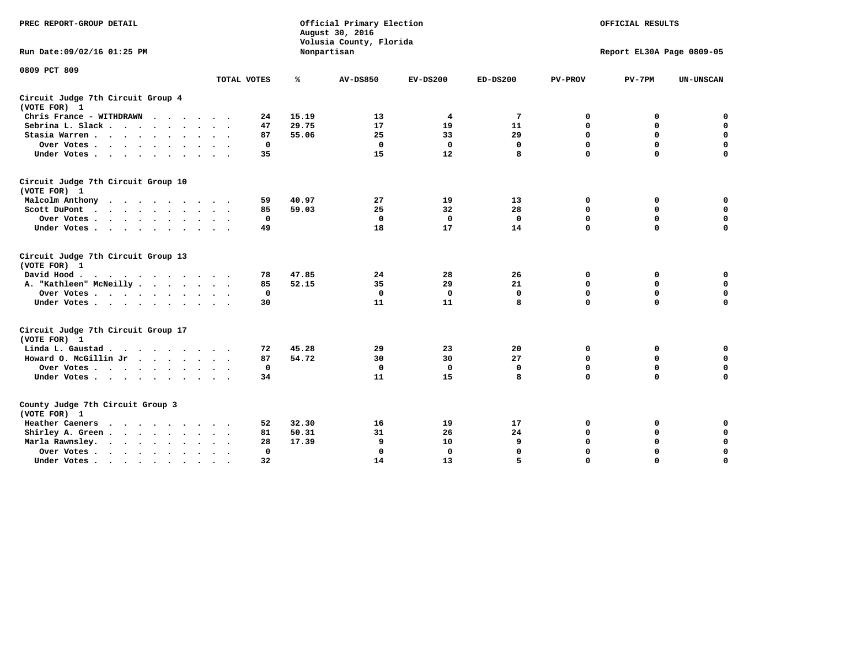| PREC REPORT-GROUP DETAIL                           |                            | Official Primary Election<br>August 30, 2016<br>Volusia County, Florida |                 | OFFICIAL RESULTS<br>Report EL30A Page 0809-05 |             |                |             |                  |
|----------------------------------------------------|----------------------------|-------------------------------------------------------------------------|-----------------|-----------------------------------------------|-------------|----------------|-------------|------------------|
| Run Date: 09/02/16 01:25 PM                        |                            |                                                                         | Nonpartisan     |                                               |             |                |             |                  |
| 0809 PCT 809                                       | TOTAL VOTES                | ℁                                                                       | <b>AV-DS850</b> | $EV-DS200$                                    | $ED-DS200$  | <b>PV-PROV</b> | $PV-7PM$    | <b>UN-UNSCAN</b> |
| Circuit Judge 7th Circuit Group 4                  |                            |                                                                         |                 |                                               |             |                |             |                  |
| (VOTE FOR) 1                                       |                            |                                                                         |                 |                                               |             |                |             |                  |
| Chris France - WITHDRAWN                           | 24                         | 15.19                                                                   | 13              | 4                                             | 7           | 0              | 0           | $\mathbf 0$      |
| Sebrina L. Slack                                   | 47<br>$\sim$ $\sim$        | 29.75                                                                   | 17              | 19                                            | 11          | $\mathbf 0$    | $\mathbf 0$ | $\mathbf 0$      |
| Stasia Warren                                      | 87<br>$\ddot{\phantom{1}}$ | 55.06                                                                   | 25              | 33                                            | 29          | 0              | $\mathbf 0$ | $\mathbf 0$      |
| Over Votes<br>$\cdot$                              | 0                          |                                                                         | $\mathbf 0$     | $\mathbf 0$                                   | 0           | $\mathbf 0$    | $\mathbf 0$ | $\mathbf 0$      |
| Under Votes                                        | 35                         |                                                                         | 15              | 12                                            | 8           | $\mathbf 0$    | $\Omega$    | $\mathbf 0$      |
| Circuit Judge 7th Circuit Group 10<br>(VOTE FOR) 1 |                            |                                                                         |                 |                                               |             |                |             |                  |
| Malcolm Anthony                                    | 59                         | 40.97                                                                   | 27              | 19                                            | 13          | 0              | 0           | $\mathbf 0$      |
| Scott DuPont                                       | 85                         | 59.03                                                                   | 25              | 32                                            | 28          | $\mathbf 0$    | $\mathbf 0$ | $\mathbf 0$      |
| Over Votes                                         | 0                          |                                                                         | $\Omega$        | 0                                             | 0           | $\mathbf 0$    | 0           | $\mathbf 0$      |
| Under Votes                                        | 49                         |                                                                         | 18              | 17                                            | 14          | $\mathbf 0$    | $\mathbf 0$ | $\Omega$         |
| Circuit Judge 7th Circuit Group 13<br>(VOTE FOR) 1 |                            |                                                                         |                 |                                               |             |                |             |                  |
| David Hood.                                        | 78                         | 47.85                                                                   | 24              | 28                                            | 26          | 0              | 0           | $\mathbf 0$      |
| A. "Kathleen" McNeilly                             | 85                         | 52.15                                                                   | 35              | 29                                            | 21          | $\mathbf 0$    | 0           | $\mathbf 0$      |
| Over Votes                                         | $\mathbf 0$                |                                                                         | $\mathbf 0$     | $\mathbf 0$                                   | $\mathbf 0$ | 0              | $\mathbf 0$ | 0                |
| Under Votes                                        | 30                         |                                                                         | 11              | 11                                            | 8           | $\Omega$       | $\Omega$    | $\Omega$         |
| Circuit Judge 7th Circuit Group 17<br>(VOTE FOR) 1 |                            |                                                                         |                 |                                               |             |                |             |                  |
| Linda L. Gaustad                                   | 72                         | 45.28                                                                   | 29              | 23                                            | 20          | 0              | 0           | 0                |
| Howard O. McGillin Jr                              | 87                         | 54.72                                                                   | 30              | 30                                            | 27          | $\mathbf 0$    | $\mathbf 0$ | 0                |
| Over Votes                                         | $\mathbf 0$                |                                                                         | $\Omega$        | $\mathbf{0}$                                  | $\mathbf 0$ | $\mathbf 0$    | $\mathbf 0$ | $\mathbf 0$      |
| Under Votes                                        | 34                         |                                                                         | 11              | 15                                            | 8           | $\mathbf 0$    | $\mathbf 0$ | $\Omega$         |
| County Judge 7th Circuit Group 3<br>(VOTE FOR) 1   |                            |                                                                         |                 |                                               |             |                |             |                  |
| <b>Heather Caeners</b><br>$\cdots$                 | 52                         | 32.30                                                                   | 16              | 19                                            | 17          | 0              | 0           | 0                |
| Shirley A. Green                                   | 81                         | 50.31                                                                   | 31              | 26                                            | 24          | $\mathbf 0$    | 0           | $\mathbf 0$      |
| Marla Rawnsley.                                    | 28                         | 17.39                                                                   | 9               | 10                                            | 9           | 0              | $\mathbf 0$ | $\mathbf 0$      |
| Over Votes.<br>$\cdots$<br>$\cdot$<br>$\cdot$      | $\mathbf{0}$               |                                                                         | $\mathbf 0$     | $\mathbf{0}$                                  | 0           | $\mathbf 0$    | $\mathbf 0$ | $\mathbf 0$      |
| Under Votes                                        | 32                         |                                                                         | 14              | 13                                            | 5           | $\mathbf 0$    | $\mathbf 0$ | 0                |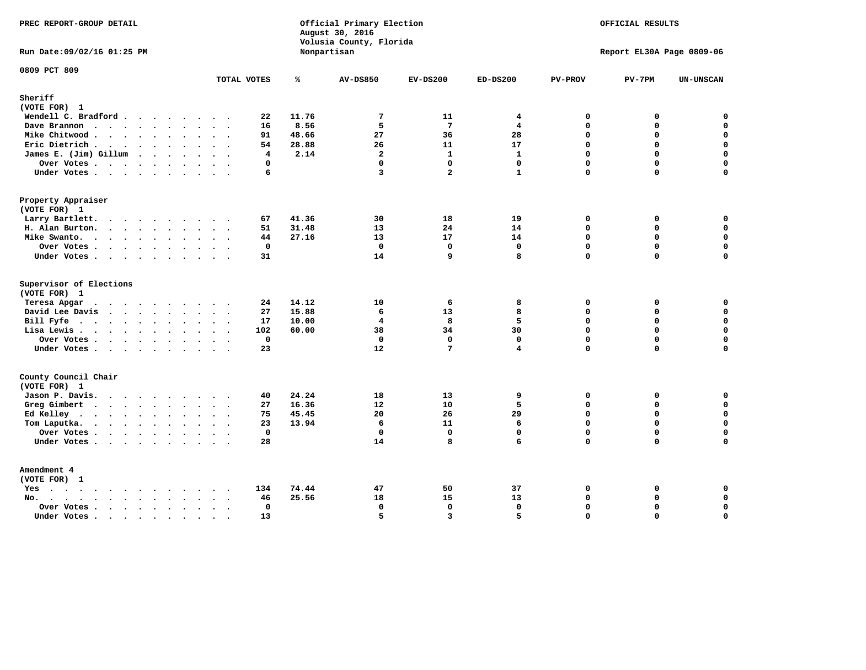| PREC REPORT-GROUP DETAIL                                                |                               |       | Official Primary Election<br>August 30, 2016<br>Volusia County, Florida |                 |                                         |                | OFFICIAL RESULTS          |             |
|-------------------------------------------------------------------------|-------------------------------|-------|-------------------------------------------------------------------------|-----------------|-----------------------------------------|----------------|---------------------------|-------------|
| Run Date: 09/02/16 01:25 PM                                             |                               |       | Nonpartisan                                                             |                 |                                         |                | Report EL30A Page 0809-06 |             |
| 0809 PCT 809                                                            | TOTAL VOTES                   | ℁     | <b>AV-DS850</b>                                                         | $EV-DS200$      | $ED-DS200$                              | <b>PV-PROV</b> | $PV-7PM$                  | UN-UNSCAN   |
| Sheriff                                                                 |                               |       |                                                                         |                 |                                         |                |                           |             |
| (VOTE FOR) 1                                                            |                               |       |                                                                         |                 |                                         |                |                           |             |
| Wendell C. Bradford                                                     | 22                            | 11.76 | $\overline{7}$                                                          | 11              | 4                                       | $\mathbf 0$    | 0                         | $\mathbf 0$ |
| Dave Brannon                                                            | 16                            | 8.56  | 5                                                                       | $\overline{7}$  | $\overline{4}$                          | $\Omega$       | 0                         | $\mathbf 0$ |
| Mike Chitwood                                                           | 91                            | 48.66 | 27                                                                      | 36              | 28                                      | $\mathbf{0}$   | 0                         | $\mathbf 0$ |
| Eric Dietrich.                                                          | 54                            | 28.88 | 26                                                                      | 11              | 17                                      | $\Omega$       | $\Omega$                  | $\mathbf 0$ |
| James E. (Jim) Gillum                                                   | 4                             | 2.14  | $\overline{a}$                                                          | $\mathbf{1}$    | $\mathbf{1}$                            | $\mathbf 0$    | 0                         | $\mathbf 0$ |
| Over Votes                                                              | $\mathbf 0$                   |       | $\mathbf 0$                                                             | $\mathbf{0}$    | $\mathbf{0}$                            | $\mathbf 0$    | 0                         | $\mathbf 0$ |
| Under Votes                                                             | 6                             |       | $\overline{\mathbf{3}}$                                                 | $\overline{a}$  | $\mathbf{1}$                            | $\mathbf 0$    | 0                         | $\mathbf 0$ |
| Property Appraiser                                                      |                               |       |                                                                         |                 |                                         |                |                           |             |
| (VOTE FOR) 1                                                            |                               |       |                                                                         |                 |                                         |                |                           |             |
| Larry Bartlett.                                                         | 67                            | 41.36 | 30                                                                      | 18              | 19                                      | $\mathbf 0$    | 0                         | 0           |
| H. Alan Burton.                                                         | 51                            | 31.48 | 13                                                                      | 24              | 14                                      | $\Omega$       | 0                         | $\mathbf 0$ |
| Mike Swanto.                                                            | 44                            | 27.16 | 13                                                                      | 17              | 14                                      | $\mathbf 0$    | $\mathbf 0$               | $\mathbf 0$ |
| Over Votes                                                              | $\mathbf 0$                   |       | $\mathbf 0$                                                             | $\mathbf 0$     | $\mathbf{0}$                            | $\mathbf 0$    | 0                         | $\mathbf 0$ |
| Under Votes                                                             | 31                            |       | 14                                                                      | 9               | 8                                       | $\Omega$       | $\Omega$                  | $\mathbf 0$ |
|                                                                         |                               |       |                                                                         |                 |                                         |                |                           |             |
| Supervisor of Elections<br>(VOTE FOR) 1                                 |                               |       |                                                                         |                 |                                         |                |                           |             |
| Teresa Apgar<br>$\mathbf{r}$ . The state of the state $\mathbf{r}$      | 24                            | 14.12 | 10                                                                      | 6               | 8                                       | $\mathbf 0$    | 0                         | 0           |
| David Lee Davis                                                         | 27                            | 15.88 | 6                                                                       | 13              | 8                                       | $\Omega$       | $\Omega$                  | 0           |
| Bill Fyfe.                                                              | 17                            | 10.00 | $\overline{\mathbf{4}}$                                                 | 8               | 5                                       | $\mathbf 0$    | 0                         | $\mathbf 0$ |
|                                                                         |                               | 60.00 | 38                                                                      | 34              | 30                                      | $\mathbf 0$    | 0                         | $\mathbf 0$ |
| Lisa Lewis                                                              | 102<br>$\mathbf 0$            |       | $\mathbf 0$                                                             | $\mathbf 0$     |                                         | $\mathbf 0$    | 0                         | $\mathbf 0$ |
| Over Votes                                                              |                               |       | 12                                                                      | $7\phantom{.0}$ | $\mathbf{0}$<br>$\overline{\mathbf{4}}$ | $\Omega$       | $\Omega$                  | $\mathbf 0$ |
| Under Votes                                                             | 23                            |       |                                                                         |                 |                                         |                |                           |             |
| County Council Chair<br>(VOTE FOR) 1                                    |                               |       |                                                                         |                 |                                         |                |                           |             |
| Jason P. Davis.                                                         | 40<br>$\sim$ $\sim$           | 24.24 | 18                                                                      | 13              | 9                                       | 0              | 0                         | 0           |
| Greg Gimbert                                                            | 27                            | 16.36 | 12                                                                      | 10              | 5                                       | $\mathbf 0$    | $\mathbf 0$               | $\mathbf 0$ |
| Ed Kelley                                                               | 75                            | 45.45 | 20                                                                      | 26              | 29                                      | $\Omega$       | 0                         | $\mathbf 0$ |
|                                                                         | 23                            | 13.94 | 6                                                                       | 11              | 6                                       | $\mathbf 0$    | 0                         | $\mathbf 0$ |
| Tom Laputka.                                                            | $\mathbf 0$                   |       | $\Omega$                                                                | $\Omega$        | $\Omega$                                | $\Omega$       | $\Omega$                  |             |
| Over Votes                                                              |                               |       |                                                                         |                 |                                         |                |                           | 0           |
| Under Votes                                                             | 28                            |       | 14                                                                      | 8               | 6                                       | $\mathbf 0$    | 0                         | $\Omega$    |
| Amendment 4<br>(VOTE FOR) 1                                             |                               |       |                                                                         |                 |                                         |                |                           |             |
| $Yes \cdot \cdot \cdot \cdot \cdot \cdot \cdot \cdot \cdot \cdot \cdot$ | 134                           | 74.44 | 47                                                                      | 50              | 37                                      | $\mathbf 0$    | 0                         | 0           |
| No.<br>$\ddot{\phantom{0}}$                                             | 46                            | 25.56 | 18                                                                      | 15              | 13                                      | $\mathbf 0$    | 0                         | $\mathbf 0$ |
| Over Votes                                                              | $\Omega$                      |       | $\mathbf{0}$                                                            | 0               | $\mathbf{0}$                            | $\mathbf 0$    | 0                         | $\pmb{0}$   |
| Under Votes                                                             | $\sim$<br>13<br>$\sim$ $\sim$ |       | 5                                                                       | $\overline{3}$  | 5                                       | $\Omega$       | $\Omega$                  | $\mathbf 0$ |
|                                                                         |                               |       |                                                                         |                 |                                         |                |                           |             |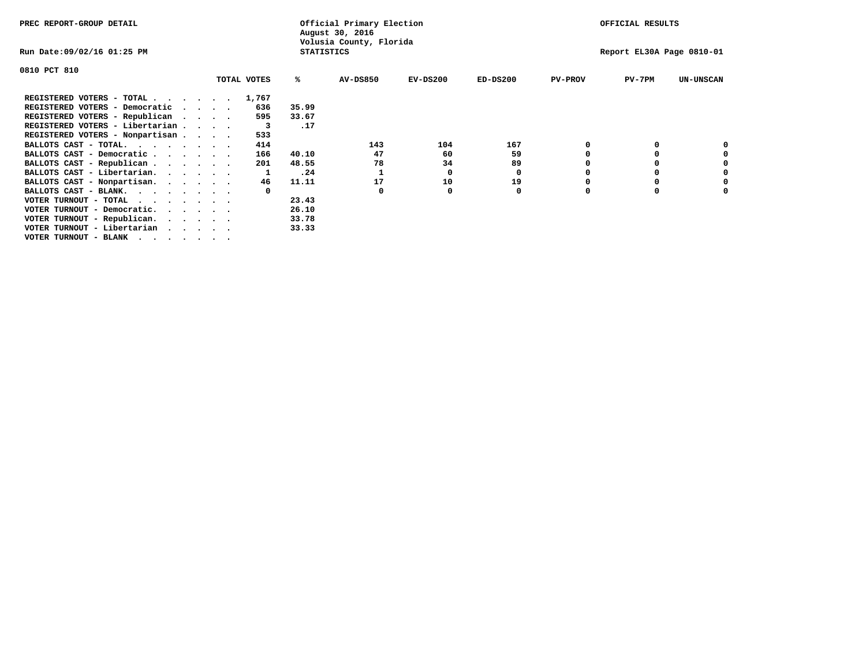| PREC REPORT-GROUP DETAIL                                                                                                                 |  |  |             | Official Primary Election<br>August 30, 2016 |                         | OFFICIAL RESULTS |            |                |                           |                  |
|------------------------------------------------------------------------------------------------------------------------------------------|--|--|-------------|----------------------------------------------|-------------------------|------------------|------------|----------------|---------------------------|------------------|
| Run Date:09/02/16 01:25 PM                                                                                                               |  |  |             | <b>STATISTICS</b>                            | Volusia County, Florida |                  |            |                | Report EL30A Page 0810-01 |                  |
| 0810 PCT 810                                                                                                                             |  |  |             |                                              |                         |                  |            |                |                           |                  |
|                                                                                                                                          |  |  | TOTAL VOTES | ℁                                            | <b>AV-DS850</b>         | $EV-DS200$       | $ED-DS200$ | <b>PV-PROV</b> | $PV-7PM$                  | <b>UN-UNSCAN</b> |
| REGISTERED VOTERS - TOTAL 1,767                                                                                                          |  |  |             |                                              |                         |                  |            |                |                           |                  |
| REGISTERED VOTERS - Democratic                                                                                                           |  |  | 636         | 35.99                                        |                         |                  |            |                |                           |                  |
| REGISTERED VOTERS - Republican                                                                                                           |  |  | 595         | 33.67                                        |                         |                  |            |                |                           |                  |
| REGISTERED VOTERS - Libertarian                                                                                                          |  |  | $_{3}$      | .17                                          |                         |                  |            |                |                           |                  |
| REGISTERED VOTERS - Nonpartisan                                                                                                          |  |  | 533         |                                              |                         |                  |            |                |                           |                  |
| BALLOTS CAST - TOTAL.                                                                                                                    |  |  | 414         |                                              | 143                     | 104              | 167        |                |                           |                  |
| BALLOTS CAST - Democratic                                                                                                                |  |  | 166         | 40.10                                        | 47                      | 60               | 59         |                |                           |                  |
| BALLOTS CAST - Republican                                                                                                                |  |  | 201         | 48.55                                        | 78                      | 34               | 89         |                |                           |                  |
| BALLOTS CAST - Libertarian.                                                                                                              |  |  |             | .24                                          |                         | 0                | 0          |                |                           |                  |
| BALLOTS CAST - Nonpartisan.                                                                                                              |  |  | 46          | 11.11                                        | 17                      | 10               | 19         |                |                           | 0                |
| BALLOTS CAST - BLANK.                                                                                                                    |  |  |             |                                              | 0                       |                  | 0          | O              |                           |                  |
| VOTER TURNOUT - TOTAL<br>the contract of the contract of the contract of the contract of the contract of the contract of the contract of |  |  |             | 23.43                                        |                         |                  |            |                |                           |                  |
| VOTER TURNOUT - Democratic.                                                                                                              |  |  |             | 26.10                                        |                         |                  |            |                |                           |                  |
| VOTER TURNOUT - Republican.                                                                                                              |  |  |             | 33.78                                        |                         |                  |            |                |                           |                  |
| VOTER TURNOUT - Libertarian                                                                                                              |  |  |             | 33.33                                        |                         |                  |            |                |                           |                  |
| VOTER TURNOUT - BLANK                                                                                                                    |  |  |             |                                              |                         |                  |            |                |                           |                  |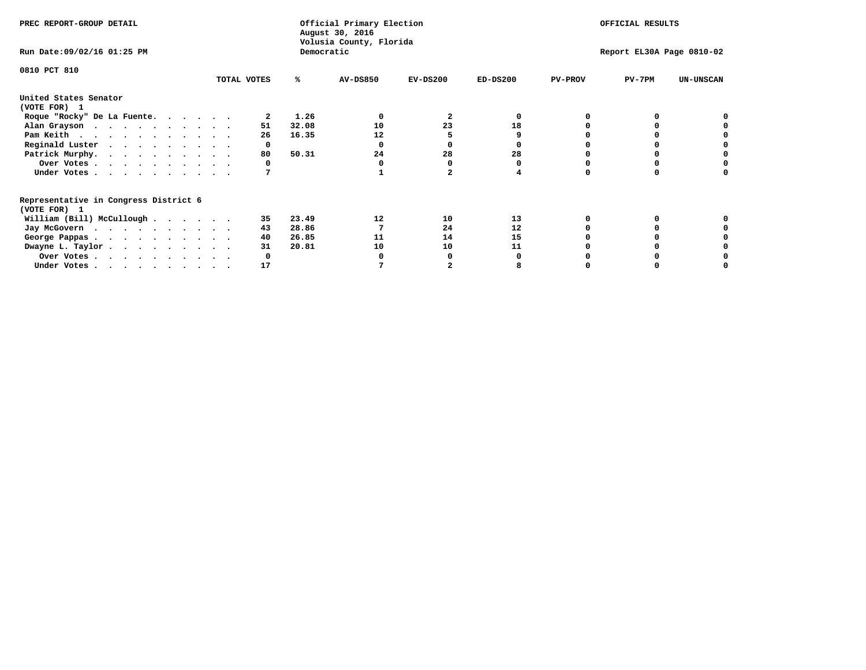| PREC REPORT-GROUP DETAIL              |             | Official Primary Election<br>August 30, 2016<br>Volusia County, Florida | OFFICIAL RESULTS |                              |                              |
|---------------------------------------|-------------|-------------------------------------------------------------------------|------------------|------------------------------|------------------------------|
| Run Date: 09/02/16 01:25 PM           |             | Democratic                                                              |                  |                              | Report EL30A Page 0810-02    |
| 0810 PCT 810                          |             |                                                                         |                  |                              |                              |
|                                       | TOTAL VOTES | AV-DS850<br>℁                                                           | $EV-DS200$       | $ED-DS200$<br><b>PV-PROV</b> | $PV-7PM$<br><b>UN-UNSCAN</b> |
| United States Senator                 |             |                                                                         |                  |                              |                              |
| (VOTE FOR) 1                          |             |                                                                         |                  |                              |                              |
| Roque "Rocky" De La Fuente.           | 2           | 1.26<br>0                                                               |                  | 0                            |                              |
| Alan Grayson                          | 51          | 32.08<br>10                                                             | 23               | 18                           |                              |
| Pam Keith                             | 26          | 16.35<br>12                                                             |                  | 9                            |                              |
| Reginald Luster                       | 0           | 0                                                                       |                  | $\Omega$                     |                              |
| Patrick Murphy.                       | 80          | 24<br>50.31                                                             | 28               | 28                           |                              |
| Over Votes                            | 0           | 0                                                                       | 0                | 0                            |                              |
| Under Votes                           |             | 1                                                                       | 2                | $\Omega$                     | O                            |
| Representative in Congress District 6 |             |                                                                         |                  |                              |                              |
| (VOTE FOR) 1                          |             |                                                                         |                  |                              |                              |
| William (Bill) McCullough             | 35          | 23.49<br>12                                                             | 10               | 13<br>0                      | 0                            |
| Jay McGovern                          | 43          | 28.86                                                                   | 24               | 12                           |                              |
| George Pappas.                        | 40          | 26.85<br>11                                                             | 14               | 15                           |                              |
| Dwayne L. Taylor                      | 31          | 20.81<br>10                                                             | 10               | 11                           |                              |
| Over Votes                            | 0           | 0                                                                       |                  | 0                            |                              |
| Under Votes                           | 17          | 7                                                                       | 2                | 8<br>O                       |                              |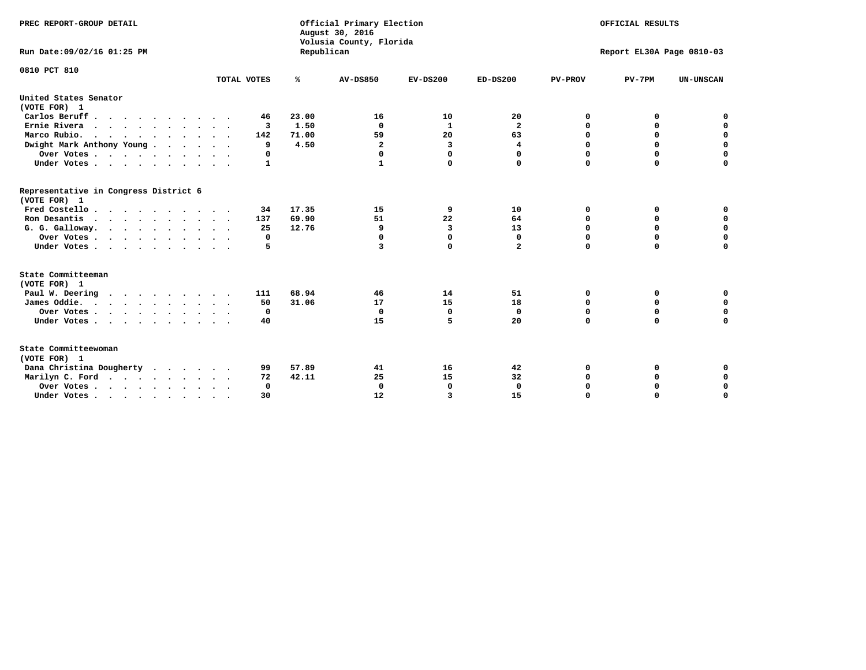| PREC REPORT-GROUP DETAIL                              |             |            | Official Primary Election<br>August 30, 2016<br>Volusia County, Florida |                |                         |                | OFFICIAL RESULTS          |                  |
|-------------------------------------------------------|-------------|------------|-------------------------------------------------------------------------|----------------|-------------------------|----------------|---------------------------|------------------|
| Run Date: 09/02/16 01:25 PM                           |             | Republican |                                                                         |                |                         |                | Report EL30A Page 0810-03 |                  |
| 0810 PCT 810                                          |             |            |                                                                         |                |                         |                |                           |                  |
|                                                       | TOTAL VOTES | ℁          | <b>AV-DS850</b>                                                         | $EV-DS200$     | $ED-DS200$              | <b>PV-PROV</b> | $PV-7PM$                  | <b>UN-UNSCAN</b> |
| United States Senator<br>(VOTE FOR) 1                 |             |            |                                                                         |                |                         |                |                           |                  |
| Carlos Beruff                                         | 46          | 23.00      | 16                                                                      | 10             | 20                      | 0              | 0                         | 0                |
| Ernie Rivera                                          | 3           | 1.50       | $\Omega$                                                                | 1              | $\overline{\mathbf{2}}$ | $\Omega$       | 0                         | $\mathbf 0$      |
| Marco Rubio.                                          | 142         | 71.00      | 59                                                                      | 20             | 63                      | $\mathbf 0$    | $\mathbf 0$               | $\mathbf 0$      |
| Dwight Mark Anthony Young                             | 9           | 4.50       | $\mathbf{2}$                                                            | з              | 4                       | 0              | $\mathbf 0$               | $\pmb{0}$        |
| Over Votes                                            | 0           |            | 0                                                                       | $\Omega$       | 0                       | 0              | 0                         | 0                |
| Under Votes                                           | 1           |            |                                                                         | 0              | $\Omega$                | $\Omega$       | $\Omega$                  | $\mathbf 0$      |
| Representative in Congress District 6<br>(VOTE FOR) 1 |             |            |                                                                         |                |                         |                |                           |                  |
| Fred Costello.                                        | 34          | 17.35      | 15                                                                      | 9              | 10                      | 0              | 0                         | 0                |
| Ron Desantis                                          | 137         | 69.90      | 51                                                                      | 22             | 64                      | 0              | 0                         | $\mathbf 0$      |
| G. G. Galloway.                                       | 25          | 12.76      | 9                                                                       | $\overline{3}$ | 13                      | $\Omega$       | $\Omega$                  | $\mathbf 0$      |
| Over Votes                                            | 0           |            | $\Omega$                                                                | $\mathbf 0$    | $\mathbf{0}$            | $\Omega$       | $\mathbf 0$               | $\mathbf 0$      |
| Under Votes                                           | 5           |            | 3                                                                       | $\Omega$       | $\mathbf{2}$            | $\Omega$       | $\Omega$                  | $\Omega$         |
| State Committeeman<br>(VOTE FOR) 1                    |             |            |                                                                         |                |                         |                |                           |                  |
| Paul W. Deering<br>$\cdots$                           | 111         | 68.94      | 46                                                                      | 14             | 51                      | 0              | 0                         | 0                |
| James Oddie.                                          | 50          | 31.06      | 17                                                                      | 15             | 18                      | 0              | 0                         | $\mathbf 0$      |
| Over Votes                                            | 0           |            | $\Omega$                                                                | $\mathbf 0$    | $\mathbf 0$             | 0              | $\mathbf 0$               | $\mathbf 0$      |
| Under Votes                                           | 40          |            | 15                                                                      | 5              | 20                      | $\Omega$       | 0                         | $\mathbf 0$      |
| State Committeewoman<br>(VOTE FOR) 1                  |             |            |                                                                         |                |                         |                |                           |                  |
| Dana Christina Dougherty<br>$\cdots$                  | 99          | 57.89      | 41                                                                      | 16             | 42                      | 0              | 0                         | 0                |
| Marilyn C. Ford                                       | 72          | 42.11      | 25                                                                      | 15             | 32                      | 0              | 0                         | 0                |
| Over Votes                                            | $\Omega$    |            | $\Omega$                                                                | 0              | $\mathbf{0}$            | 0              | 0                         | $\mathbf 0$      |
| Under Votes, , , , , , , , , ,                        | 30          |            | 12                                                                      | 3              | 15                      | $\Omega$       | $\Omega$                  | $\Omega$         |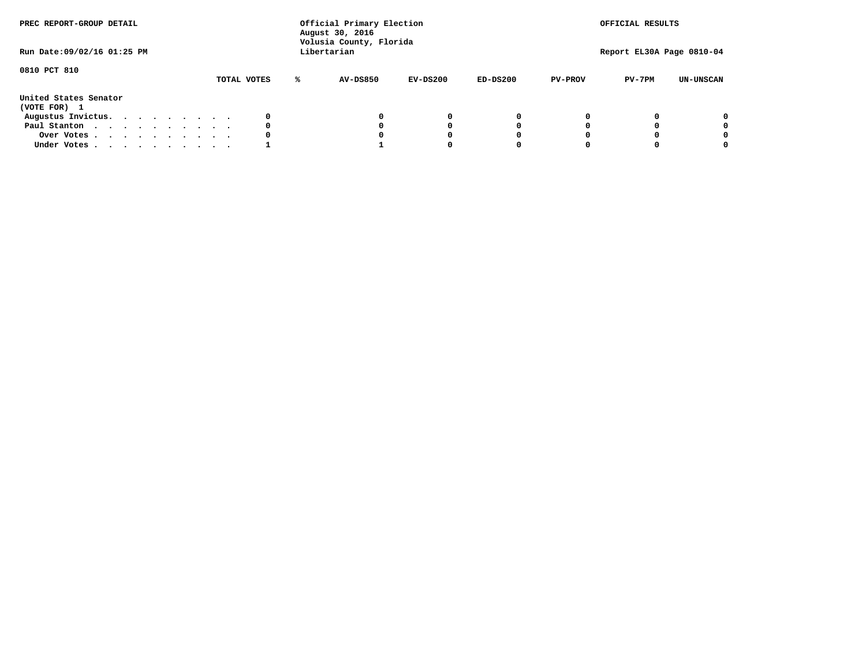| PREC REPORT-GROUP DETAIL<br>Run Date: 09/02/16 01:25 PM |  |  |  |             |   | Official Primary Election<br>August 30, 2016<br>Volusia County, Florida<br>Libertarian |          |            |                | OFFICIAL RESULTS<br>Report EL30A Page 0810-04 |                  |
|---------------------------------------------------------|--|--|--|-------------|---|----------------------------------------------------------------------------------------|----------|------------|----------------|-----------------------------------------------|------------------|
| 0810 PCT 810                                            |  |  |  | TOTAL VOTES | ℁ | AV-DS850                                                                               | EV-DS200 | $ED-DS200$ | <b>PV-PROV</b> | $PV-7PM$                                      | <b>UN-UNSCAN</b> |
| United States Senator<br>(VOTE FOR) 1                   |  |  |  |             |   |                                                                                        |          |            |                |                                               |                  |
| Augustus Invictus.                                      |  |  |  |             |   |                                                                                        | 0        | 0          |                |                                               | 0                |
| Paul Stanton                                            |  |  |  | 0           |   |                                                                                        | 0        |            |                |                                               | 0                |
| Over Votes                                              |  |  |  |             |   |                                                                                        | 0        |            |                |                                               | 0                |
| Under Votes                                             |  |  |  |             |   |                                                                                        |          |            |                |                                               | 0                |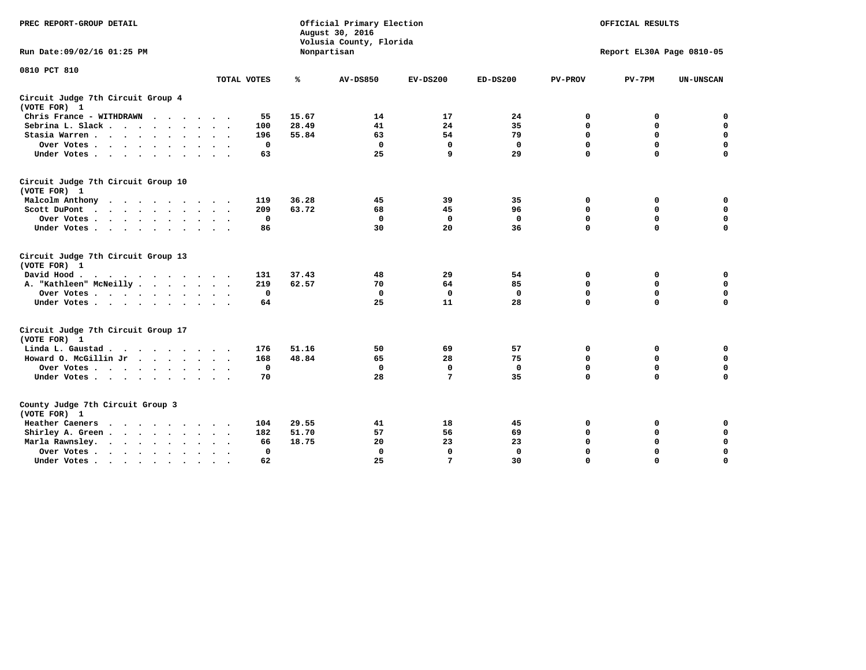| PREC REPORT-GROUP DETAIL                                                                                                                                                                                                                                |             |       | Official Primary Election<br>August 30, 2016<br>Volusia County, Florida | OFFICIAL RESULTS<br>Report EL30A Page 0810-05 |              |                |             |                  |
|---------------------------------------------------------------------------------------------------------------------------------------------------------------------------------------------------------------------------------------------------------|-------------|-------|-------------------------------------------------------------------------|-----------------------------------------------|--------------|----------------|-------------|------------------|
| Run Date: 09/02/16 01:25 PM                                                                                                                                                                                                                             |             |       | Nonpartisan                                                             |                                               |              |                |             |                  |
| 0810 PCT 810                                                                                                                                                                                                                                            | TOTAL VOTES | ℁     | <b>AV-DS850</b>                                                         | $EV-DS200$                                    | $ED-DS200$   | <b>PV-PROV</b> | $PV-7PM$    | <b>UN-UNSCAN</b> |
|                                                                                                                                                                                                                                                         |             |       |                                                                         |                                               |              |                |             |                  |
| Circuit Judge 7th Circuit Group 4<br>(VOTE FOR) 1                                                                                                                                                                                                       |             |       |                                                                         |                                               |              |                |             |                  |
| Chris France - WITHDRAWN                                                                                                                                                                                                                                | 55          | 15.67 | 14                                                                      | 17                                            | 24           | 0              | 0           | $\mathbf 0$      |
| Sebrina L. Slack.                                                                                                                                                                                                                                       | 100         | 28.49 | 41                                                                      | 24                                            | 35           | 0              | $\mathbf 0$ | $\mathbf 0$      |
| Stasia Warren<br>$\sim$ $\sim$                                                                                                                                                                                                                          | 196         | 55.84 | 63                                                                      | 54                                            | 79           | $\mathbf 0$    | 0           | $\mathbf 0$      |
| Over Votes                                                                                                                                                                                                                                              | $\mathbf 0$ |       | $\mathbf 0$                                                             | $\mathbf 0$                                   | $\mathbf 0$  | 0              | $\mathbf 0$ | $\mathbf 0$      |
| Under Votes                                                                                                                                                                                                                                             | 63          |       | 25                                                                      | 9                                             | 29           | $\Omega$       | $\Omega$    | $\mathbf 0$      |
| Circuit Judge 7th Circuit Group 10<br>(VOTE FOR) 1                                                                                                                                                                                                      |             |       |                                                                         |                                               |              |                |             |                  |
| Malcolm Anthony                                                                                                                                                                                                                                         | 119         | 36.28 | 45                                                                      | 39                                            | 35           | 0              | 0           | 0                |
| Scott DuPont                                                                                                                                                                                                                                            | 209         | 63.72 | 68                                                                      | 45                                            | 96           | $\mathbf 0$    | $\mathbf 0$ | $\mathbf 0$      |
| Over Votes                                                                                                                                                                                                                                              | $\mathbf 0$ |       | $\mathbf{0}$                                                            | $\mathbf 0$                                   | $\mathbf{0}$ | $\mathbf 0$    | $\mathbf 0$ | $\mathbf 0$      |
| Under Votes                                                                                                                                                                                                                                             | 86          |       | 30                                                                      | 20                                            | 36           | $\mathbf 0$    | $\mathbf 0$ | $\Omega$         |
| Circuit Judge 7th Circuit Group 13<br>(VOTE FOR) 1                                                                                                                                                                                                      |             |       |                                                                         |                                               |              |                |             |                  |
| David Hood.<br>$\cdot$                                                                                                                                                                                                                                  | 131         | 37.43 | 48                                                                      | 29                                            | 54           | 0              | 0           | $\mathbf 0$      |
| A. "Kathleen" McNeilly                                                                                                                                                                                                                                  | 219         | 62.57 | 70                                                                      | 64                                            | 85           | $\mathbf 0$    | 0           | $\mathbf 0$      |
| Over Votes                                                                                                                                                                                                                                              | $\mathbf 0$ |       | $\mathbf{0}$                                                            | $\mathbf 0$                                   | $\mathbf{0}$ | $\mathbf 0$    | $\mathbf 0$ | $\mathbf 0$      |
| Under Votes                                                                                                                                                                                                                                             | 64          |       | 25                                                                      | 11                                            | 28           | $\mathbf 0$    | $\mathbf 0$ | 0                |
| Circuit Judge 7th Circuit Group 17<br>(VOTE FOR) 1                                                                                                                                                                                                      |             |       |                                                                         |                                               |              |                |             |                  |
| Linda L. Gaustad                                                                                                                                                                                                                                        | 176         | 51.16 | 50                                                                      | 69                                            | 57           | 0              | 0           | $\mathbf 0$      |
| Howard O. McGillin Jr.                                                                                                                                                                                                                                  | 168         | 48.84 | 65                                                                      | 28                                            | 75           | $\mathbf 0$    | 0           | $\mathbf 0$      |
| Over Votes                                                                                                                                                                                                                                              | $\mathbf 0$ |       | $\mathbf{0}$                                                            | $\mathbf 0$                                   | $\mathbf 0$  | $\mathbf 0$    | $\mathbf 0$ | $\pmb{0}$        |
| Under Votes                                                                                                                                                                                                                                             | 70          |       | 28                                                                      | 7                                             | 35           | $\mathbf 0$    | $\mathbf 0$ | $\mathbf 0$      |
| County Judge 7th Circuit Group 3<br>(VOTE FOR) 1                                                                                                                                                                                                        |             |       |                                                                         |                                               |              |                |             |                  |
| Heather Caeners<br><u>in the contract of the contract of the contract of the contract of the contract of the contract of the contract of the contract of the contract of the contract of the contract of the contract of the contract of the contra</u> | 104         | 29.55 | 41                                                                      | 18                                            | 45           | 0              | 0           | 0                |
| Shirley A. Green                                                                                                                                                                                                                                        | 182         | 51.70 | 57                                                                      | 56                                            | 69           | $\mathbf 0$    | 0           | $\mathbf 0$      |
| Marla Rawnsley.                                                                                                                                                                                                                                         | 66          | 18.75 | 20                                                                      | 23                                            | 23           | 0              | $\mathbf 0$ | $\pmb{0}$        |
| Over Votes<br>$\ddot{\phantom{a}}$<br>$\sim$                                                                                                                                                                                                            | 0           |       | $\Omega$                                                                | $\mathbf 0$                                   | $\mathbf{0}$ | $\mathbf 0$    | $\mathbf 0$ | $\mathbf 0$      |
| Under Votes<br>$\sim$                                                                                                                                                                                                                                   | 62          |       | 25                                                                      | 7                                             | 30           | $\mathbf 0$    | $\mathbf 0$ | 0                |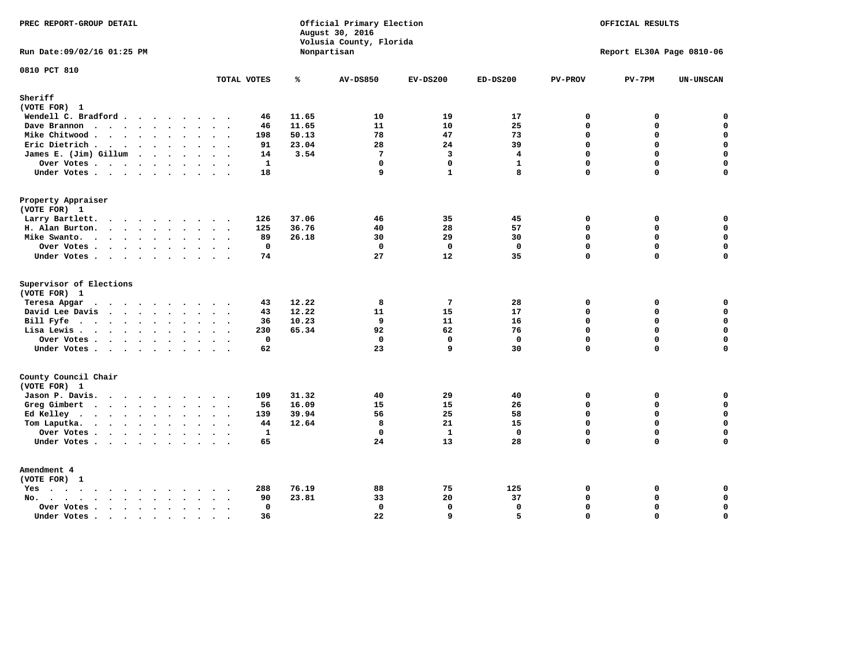| PREC REPORT-GROUP DETAIL                                                                                                                                                                                                                          |                        |       | Official Primary Election<br>August 30, 2016<br>Volusia County, Florida |                  |                   |                            | OFFICIAL RESULTS          |                          |
|---------------------------------------------------------------------------------------------------------------------------------------------------------------------------------------------------------------------------------------------------|------------------------|-------|-------------------------------------------------------------------------|------------------|-------------------|----------------------------|---------------------------|--------------------------|
| Run Date: 09/02/16 01:25 PM                                                                                                                                                                                                                       |                        |       | Nonpartisan                                                             |                  |                   |                            | Report EL30A Page 0810-06 |                          |
| 0810 PCT 810                                                                                                                                                                                                                                      | TOTAL VOTES            | ℁     | <b>AV-DS850</b>                                                         | $EV-DS200$       | $ED-DS200$        | <b>PV-PROV</b>             | $PV-7PM$                  | <b>UN-UNSCAN</b>         |
| Sheriff<br>(VOTE FOR) 1                                                                                                                                                                                                                           |                        |       |                                                                         |                  |                   |                            |                           |                          |
| Wendell C. Bradford                                                                                                                                                                                                                               | 46                     | 11.65 | 10                                                                      | 19               | 17                | $\Omega$                   | 0                         | $\mathbf 0$              |
| Dave Brannon                                                                                                                                                                                                                                      | 46                     | 11.65 | 11                                                                      | 10               | 25                | $\mathbf 0$                | 0                         | $\mathbf 0$              |
| Mike Chitwood                                                                                                                                                                                                                                     | 198                    | 50.13 | 78                                                                      | 47               | 73                | $\Omega$                   | 0                         | $\mathbf 0$              |
| Eric Dietrich.                                                                                                                                                                                                                                    | 91                     | 23.04 | 28                                                                      | 24               | 39                | $\mathbf 0$                | 0                         | $\mathbf 0$              |
| James E. (Jim) Gillum                                                                                                                                                                                                                             | 14                     | 3.54  | $7\phantom{.0}$                                                         | $\overline{3}$   | $\overline{4}$    | $\Omega$                   | $\Omega$                  | $\mathbf 0$              |
| Over Votes                                                                                                                                                                                                                                        | $\mathbf{1}$           |       | $\mathbf 0$                                                             | $\mathbf 0$      | $\mathbf{1}$      | $\mathbf 0$                | 0                         | $\mathbf 0$              |
| Under Votes                                                                                                                                                                                                                                       | 18                     |       | 9                                                                       | $\mathbf{1}$     | 8                 | $\Omega$                   | $\Omega$                  | $\Omega$                 |
| Property Appraiser                                                                                                                                                                                                                                |                        |       |                                                                         |                  |                   |                            |                           |                          |
| (VOTE FOR) 1                                                                                                                                                                                                                                      |                        |       |                                                                         |                  |                   |                            |                           |                          |
| Larry Bartlett.                                                                                                                                                                                                                                   | 126                    | 37.06 | 46                                                                      | 35               | 45                | $\mathbf 0$                | 0                         | 0                        |
| H. Alan Burton.                                                                                                                                                                                                                                   | 125                    | 36.76 | 40                                                                      | 28               | 57                | $\mathbf{0}$               | 0                         | $\mathbf 0$              |
| Mike Swanto.                                                                                                                                                                                                                                      | 89                     | 26.18 | 30                                                                      | 29               | 30                | $\Omega$                   | $\Omega$                  | 0                        |
| Over Votes.                                                                                                                                                                                                                                       | $\mathbf 0$            |       | $\mathbf 0$                                                             | $\mathbf 0$      | $\mathbf 0$       | $\mathbf 0$                | 0                         | 0                        |
| Under Votes                                                                                                                                                                                                                                       | 74                     |       | 27                                                                      | 12               | 35                | $\Omega$                   | $\Omega$                  | $\mathbf 0$              |
| Supervisor of Elections                                                                                                                                                                                                                           |                        |       |                                                                         |                  |                   |                            |                           |                          |
| (VOTE FOR) 1                                                                                                                                                                                                                                      |                        |       |                                                                         |                  |                   |                            |                           |                          |
| Teresa Apgar<br>$\mathbf{r}$ . The state of the state $\mathbf{r}$                                                                                                                                                                                | 43                     | 12.22 | 8                                                                       | $7\phantom{.0}$  | 28                | $\mathbf 0$                | 0                         | 0                        |
| David Lee Davis                                                                                                                                                                                                                                   | 43                     | 12.22 | 11                                                                      | 15               | 17                | $\Omega$                   | 0                         | $\mathbf 0$              |
| Bill Fyfe.                                                                                                                                                                                                                                        | 36                     | 10.23 | 9                                                                       | 11               | 16                | $\mathbf 0$                | 0                         | $\mathbf 0$              |
| Lisa Lewis                                                                                                                                                                                                                                        | 230                    | 65.34 | 92                                                                      | 62               | 76                | $\mathbf 0$                | 0                         | $\mathbf 0$              |
| Over Votes                                                                                                                                                                                                                                        | 0                      |       | $\mathbf 0$                                                             | $\mathbf 0$<br>9 | $\mathbf 0$<br>30 | $\mathbf 0$<br>$\mathbf 0$ | 0<br>$\Omega$             | $\pmb{0}$<br>$\mathbf 0$ |
| Under Votes                                                                                                                                                                                                                                       | 62                     |       | 23                                                                      |                  |                   |                            |                           |                          |
| County Council Chair<br>(VOTE FOR) 1                                                                                                                                                                                                              |                        |       |                                                                         |                  |                   |                            |                           |                          |
| Jason P. Davis.                                                                                                                                                                                                                                   | 109                    | 31.32 | 40                                                                      | 29               | 40                | $\mathbf 0$                | 0                         | 0                        |
| Greg Gimbert                                                                                                                                                                                                                                      | 56                     | 16.09 | 15                                                                      | 15               | 26                | $\mathbf{0}$               | 0                         | $\mathbf 0$              |
| Ed Kelley                                                                                                                                                                                                                                         | 139                    | 39.94 | 56                                                                      | 25               | 58                | $\mathbf 0$                | 0                         | $\mathbf 0$              |
| Tom Laputka.<br>$\mathbf{r}$ . The set of the set of the set of the set of the set of the set of the set of the set of the set of the set of the set of the set of the set of the set of the set of the set of the set of the set of the set of t | 44                     | 12.64 | 8                                                                       | 21               | 15                | $\Omega$                   | $\mathbf 0$               | $\mathbf 0$              |
| Over Votes                                                                                                                                                                                                                                        | $\mathbf{1}$           |       | $\mathbf 0$                                                             | $\mathbf{1}$     | $\mathbf{0}$      | $\mathbf 0$                | 0                         | 0                        |
| Under Votes                                                                                                                                                                                                                                       | 65                     |       | 24                                                                      | 13               | 28                | $\Omega$                   | $\Omega$                  | $\mathbf 0$              |
| Amendment 4                                                                                                                                                                                                                                       |                        |       |                                                                         |                  |                   |                            |                           |                          |
| (VOTE FOR) 1                                                                                                                                                                                                                                      |                        |       |                                                                         |                  |                   |                            |                           |                          |
| $Yes \cdot \cdot \cdot \cdot \cdot \cdot \cdot \cdot \cdot$                                                                                                                                                                                       | 288<br>$\cdots$        | 76.19 | 88                                                                      | 75               | 125               | 0                          | 0                         | 0                        |
| $No.$<br>$\sim$                                                                                                                                                                                                                                   | 90                     | 23.81 | 33                                                                      | 20               | 37                | $\Omega$                   | 0                         | $\mathbf 0$              |
| Over Votes .<br>$\cdots$                                                                                                                                                                                                                          | 0                      |       | $\mathbf 0$                                                             | $\mathbf{0}$     | $\mathbf 0$       | $\mathbf 0$                | 0                         | $\mathbf 0$              |
| Under Votes                                                                                                                                                                                                                                       | 36<br>$\sim$<br>$\sim$ |       | 22                                                                      | 9                | 5                 | $\mathbf 0$                | 0                         | $\mathbf 0$              |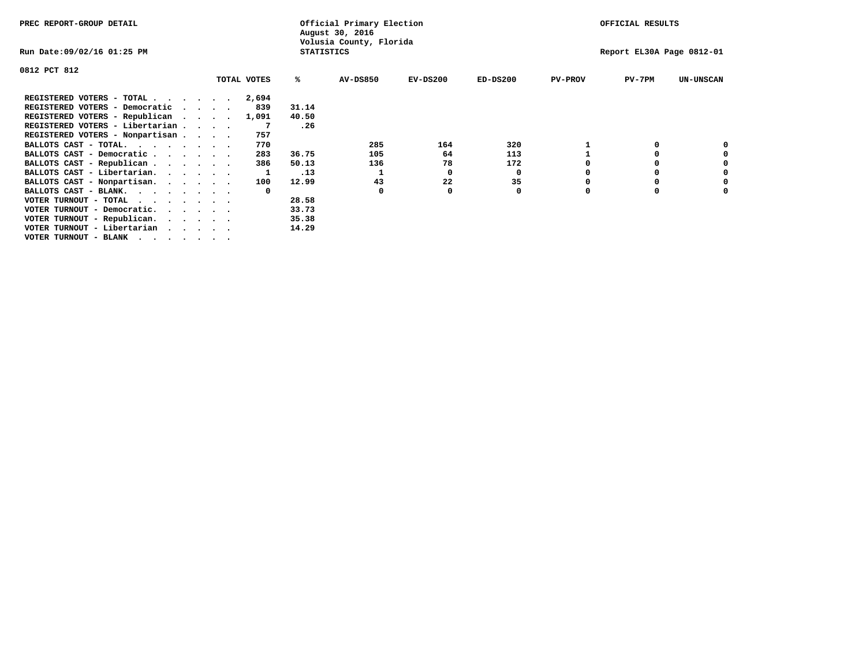| PREC REPORT-GROUP DETAIL        |  |  |  |             |                   | Official Primary Election<br>August 30, 2016 |            | OFFICIAL RESULTS |                |                           |                  |  |  |
|---------------------------------|--|--|--|-------------|-------------------|----------------------------------------------|------------|------------------|----------------|---------------------------|------------------|--|--|
| Run Date:09/02/16 01:25 PM      |  |  |  |             | <b>STATISTICS</b> | Volusia County, Florida                      |            |                  |                | Report EL30A Page 0812-01 |                  |  |  |
| 0812 PCT 812                    |  |  |  |             |                   |                                              |            |                  |                |                           |                  |  |  |
|                                 |  |  |  | TOTAL VOTES | ℁                 | <b>AV-DS850</b>                              | $EV-DS200$ | $ED-DS200$       | <b>PV-PROV</b> | $PV-7PM$                  | <b>UN-UNSCAN</b> |  |  |
| REGISTERED VOTERS - TOTAL       |  |  |  | 2,694       |                   |                                              |            |                  |                |                           |                  |  |  |
| REGISTERED VOTERS - Democratic  |  |  |  | 839         | 31.14             |                                              |            |                  |                |                           |                  |  |  |
| REGISTERED VOTERS - Republican  |  |  |  | 1,091       | 40.50             |                                              |            |                  |                |                           |                  |  |  |
| REGISTERED VOTERS - Libertarian |  |  |  |             | .26               |                                              |            |                  |                |                           |                  |  |  |
| REGISTERED VOTERS - Nonpartisan |  |  |  | 757         |                   |                                              |            |                  |                |                           |                  |  |  |
| BALLOTS CAST - TOTAL.           |  |  |  | 770         |                   | 285                                          | 164        | 320              |                |                           |                  |  |  |
| BALLOTS CAST - Democratic       |  |  |  | 283         | 36.75             | 105                                          | 64         | 113              |                |                           |                  |  |  |
| BALLOTS CAST - Republican       |  |  |  | 386         | 50.13             | 136                                          | 78         | 172              |                |                           |                  |  |  |
| BALLOTS CAST - Libertarian.     |  |  |  |             | .13               |                                              | 0          | 0                |                |                           |                  |  |  |
| BALLOTS CAST - Nonpartisan.     |  |  |  | 100         | 12.99             | 43                                           | 22         | 35               |                |                           |                  |  |  |
| BALLOTS CAST - BLANK.           |  |  |  | $\Omega$    |                   | $\Omega$                                     |            | 0                |                |                           |                  |  |  |
| VOTER TURNOUT - TOTAL           |  |  |  |             | 28.58             |                                              |            |                  |                |                           |                  |  |  |
| VOTER TURNOUT - Democratic.     |  |  |  |             | 33.73             |                                              |            |                  |                |                           |                  |  |  |
| VOTER TURNOUT - Republican.     |  |  |  |             | 35.38             |                                              |            |                  |                |                           |                  |  |  |
| VOTER TURNOUT - Libertarian     |  |  |  |             | 14.29             |                                              |            |                  |                |                           |                  |  |  |
| VOTER TURNOUT - BLANK           |  |  |  |             |                   |                                              |            |                  |                |                           |                  |  |  |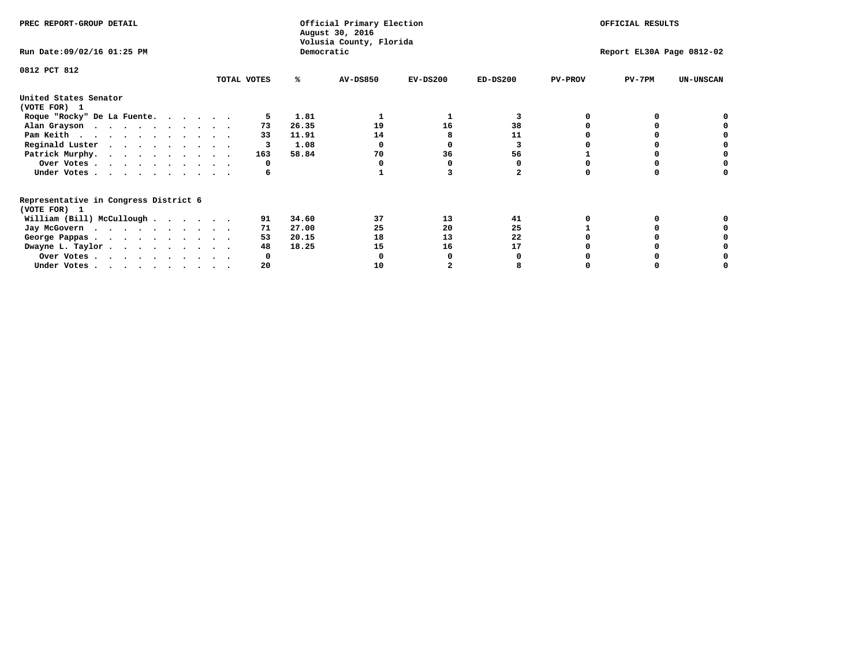|                                                                        |             |            | Official Primary Election<br>August 30, 2016<br>Volusia County, Florida |            |            |                | OFFICIAL RESULTS          |                  |
|------------------------------------------------------------------------|-------------|------------|-------------------------------------------------------------------------|------------|------------|----------------|---------------------------|------------------|
| Run Date: 09/02/16 01:25 PM                                            |             | Democratic |                                                                         |            |            |                | Report EL30A Page 0812-02 |                  |
| 0812 PCT 812                                                           |             |            |                                                                         |            |            |                |                           |                  |
|                                                                        | TOTAL VOTES | ℁          | <b>AV-DS850</b>                                                         | $EV-DS200$ | $ED-DS200$ | <b>PV-PROV</b> | $PV-7PM$                  | <b>UN-UNSCAN</b> |
| United States Senator<br>(VOTE FOR) 1                                  |             |            |                                                                         |            |            |                |                           |                  |
| Roque "Rocky" De La Fuente.                                            |             | 1.81       |                                                                         |            | 3          |                |                           |                  |
| Alan Grayson                                                           | 73          | 26.35      | 19                                                                      | 16         | 38         |                |                           |                  |
| Pam Keith                                                              | 33          | 11.91      | 14                                                                      |            | 11         |                |                           |                  |
| Reginald Luster                                                        |             | 1.08       |                                                                         |            |            |                |                           |                  |
| Patrick Murphy.                                                        | 163         | 58.84      | 70                                                                      | 36         | 56         |                |                           |                  |
| Over Votes                                                             | 0           |            |                                                                         |            |            |                |                           |                  |
| Under Votes                                                            | 6           |            |                                                                         |            |            |                |                           |                  |
| Representative in Congress District 6<br>(VOTE FOR) 1                  |             |            |                                                                         |            |            |                |                           |                  |
| William (Bill) McCullough                                              | 91          | 34.60      | 37                                                                      | 13         | 41         |                |                           |                  |
| Jay McGovern                                                           | 71          | 27.00      | 25                                                                      | 20         | 25         |                |                           |                  |
| George Pappas.                                                         | 53          | 20.15      | 18                                                                      | 13         | 22         |                |                           |                  |
| Dwayne L. Taylor                                                       | 48          | 18.25      | 15                                                                      | 16         | 17         |                |                           |                  |
| Over Votes                                                             |             |            |                                                                         |            |            |                |                           |                  |
| Under Votes, $\cdot$ , $\cdot$ , $\cdot$ , $\cdot$ , $\cdot$ , $\cdot$ | 20          |            | 10                                                                      |            |            |                |                           |                  |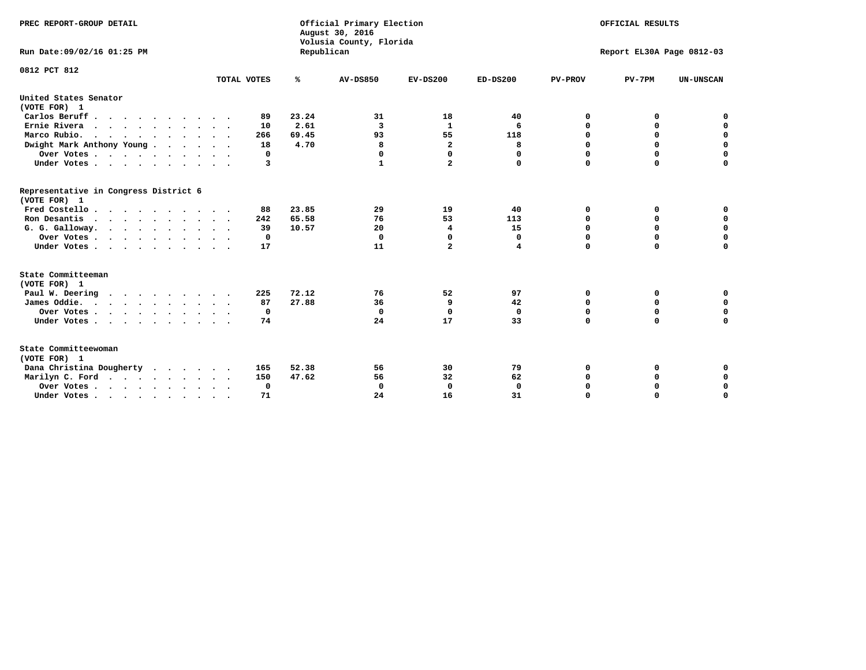| PREC REPORT-GROUP DETAIL<br>Run Date: 09/02/16 01:25 PM                |             | Republican | Official Primary Election<br>August 30, 2016<br>Volusia County, Florida | OFFICIAL RESULTS<br>Report EL30A Page 0812-03 |             |                |             |                  |
|------------------------------------------------------------------------|-------------|------------|-------------------------------------------------------------------------|-----------------------------------------------|-------------|----------------|-------------|------------------|
| 0812 PCT 812                                                           |             |            |                                                                         |                                               |             |                |             |                  |
|                                                                        | TOTAL VOTES | ℁          | <b>AV-DS850</b>                                                         | $EV-DS200$                                    | $ED-DS200$  | <b>PV-PROV</b> | $PV-7PM$    | <b>UN-UNSCAN</b> |
| United States Senator                                                  |             |            |                                                                         |                                               |             |                |             |                  |
| (VOTE FOR) 1                                                           |             |            |                                                                         |                                               |             |                |             |                  |
| Carlos Beruff.                                                         | 89          | 23.24      | 31                                                                      | 18                                            | 40          | 0              | 0           | 0                |
| Ernie Rivera                                                           | 10          | 2.61       | 3                                                                       | $\mathbf{1}$                                  | 6           | 0              | 0           | $\mathbf 0$      |
| Marco Rubio.                                                           | 266         | 69.45      | 93                                                                      | 55                                            | 118         | $\mathbf 0$    | $\mathbf 0$ | $\mathbf 0$      |
| Dwight Mark Anthony Young                                              | 18          | 4.70       | 8                                                                       | $\overline{\mathbf{2}}$                       | 8           | 0              | $\mathbf 0$ | $\pmb{0}$        |
| Over Votes                                                             | 0           |            | 0                                                                       | $\Omega$                                      | $\Omega$    | $\mathbf 0$    | 0           | 0                |
| Under Votes                                                            | 3           |            | 1                                                                       | $\overline{a}$                                | 0           | $\mathbf 0$    | $\Omega$    | $\mathbf 0$      |
| Representative in Congress District 6<br>(VOTE FOR) 1                  |             |            |                                                                         |                                               |             |                |             |                  |
| Fred Costello                                                          | 88          | 23.85      | 29                                                                      | 19                                            | 40          | 0              | 0           | 0                |
| Ron Desantis                                                           | 242         | 65.58      | 76                                                                      | 53                                            | 113         | 0              | 0           | $\mathbf 0$      |
| G. G. Galloway.                                                        | 39          | 10.57      | 20                                                                      | 4                                             | 15          | $\mathbf 0$    | $\Omega$    | $\mathbf 0$      |
| Over Votes                                                             | $^{\circ}$  |            | $\Omega$                                                                | 0                                             | 0           | $\mathbf 0$    | $\mathbf 0$ | $\mathbf 0$      |
| Under Votes                                                            | 17          |            | 11                                                                      | $\overline{a}$                                | 4           | $\mathbf 0$    | $\Omega$    | $\mathbf 0$      |
| State Committeeman                                                     |             |            |                                                                         |                                               |             |                |             |                  |
| (VOTE FOR) 1                                                           |             |            |                                                                         |                                               |             |                |             |                  |
| Paul W. Deering                                                        | 225         | 72.12      | 76                                                                      | 52                                            | 97          | 0              | 0           | 0                |
| James Oddie.                                                           | 87          | 27.88      | 36                                                                      | 9                                             | 42          | 0              | 0           | $\mathbf 0$      |
| Over Votes                                                             | 0           |            | $\mathbf 0$                                                             | $\mathbf 0$                                   | $\mathbf 0$ | 0              | $\mathbf 0$ | $\mathbf 0$      |
| Under Votes<br>$\ddot{\phantom{a}}$                                    | 74          |            | 24                                                                      | 17                                            | 33          | $\mathbf 0$    | 0           | $\mathbf 0$      |
| State Committeewoman<br>(VOTE FOR) 1                                   |             |            |                                                                         |                                               |             |                |             |                  |
| Dana Christina Dougherty<br>.                                          | 165         | 52.38      | 56                                                                      | 30                                            | 79          | 0              | 0           | 0                |
| Marilyn C. Ford                                                        | 150         | 47.62      | 56                                                                      | 32                                            | 62          | 0              | 0           | 0                |
| Over Votes                                                             | $\Omega$    |            | $\mathbf 0$                                                             | 0                                             | $\mathbf 0$ | 0              | 0           | $\mathbf 0$      |
| Under Votes, $\cdot$ , $\cdot$ , $\cdot$ , $\cdot$ , $\cdot$ , $\cdot$ | 71          |            | 24                                                                      | 16                                            | 31          | $\Omega$       | $\Omega$    | $\Omega$         |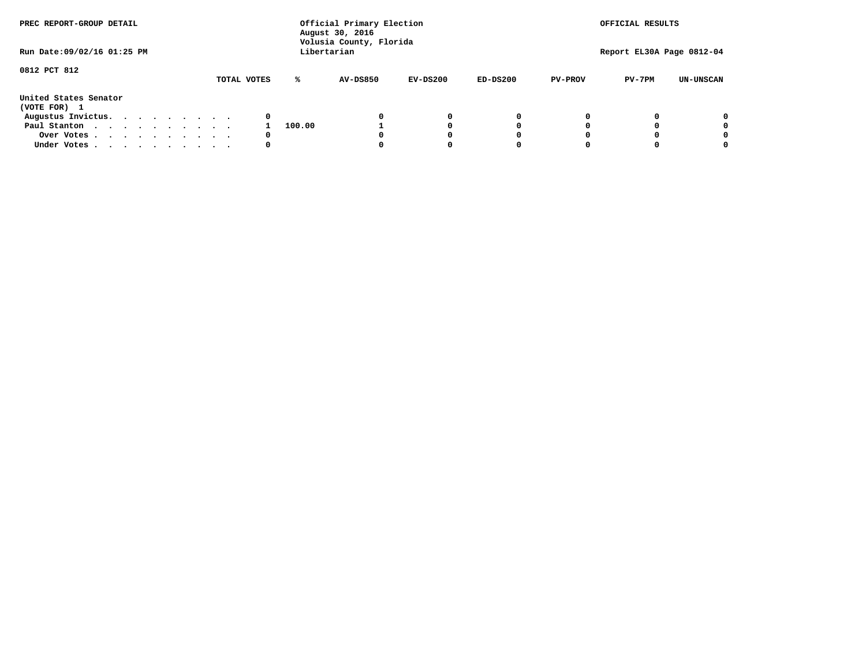| PREC REPORT-GROUP DETAIL              |             |        | Official Primary Election<br>August 30, 2016<br>Volusia County, Florida |            |            |                | OFFICIAL RESULTS          |                  |
|---------------------------------------|-------------|--------|-------------------------------------------------------------------------|------------|------------|----------------|---------------------------|------------------|
| Run Date: 09/02/16 01:25 PM           |             |        | Libertarian                                                             |            |            |                | Report EL30A Page 0812-04 |                  |
| 0812 PCT 812                          | TOTAL VOTES | ℁      | AV-DS850                                                                | $EV-DS200$ | $ED-DS200$ | <b>PV-PROV</b> | $PV-7PM$                  | <b>UN-UNSCAN</b> |
| United States Senator<br>(VOTE FOR) 1 |             |        |                                                                         |            |            |                |                           |                  |
| Augustus Invictus.                    | 0           |        |                                                                         | 0          | 0          |                |                           | 0                |
| Paul Stanton                          |             | 100.00 |                                                                         |            | 0          |                |                           | 0                |
| Over Votes                            | 0           |        |                                                                         |            | O          |                |                           | 0                |
| Under Votes                           | 0           |        |                                                                         |            |            |                |                           | 0                |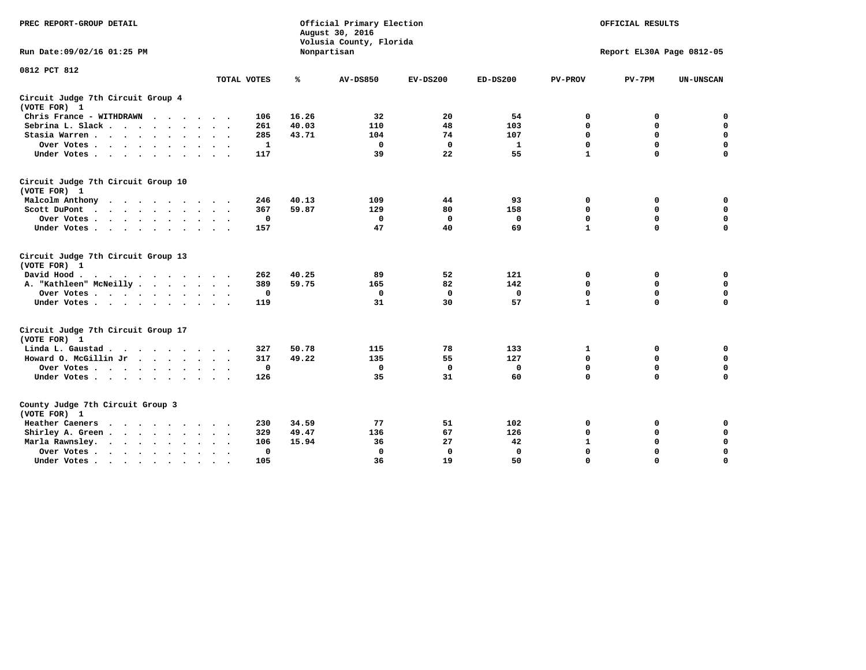| PREC REPORT-GROUP DETAIL                                                                                                                                                                                                                             |             |       | Official Primary Election<br>August 30, 2016<br>Volusia County, Florida |             |              |                | OFFICIAL RESULTS          |                  |
|------------------------------------------------------------------------------------------------------------------------------------------------------------------------------------------------------------------------------------------------------|-------------|-------|-------------------------------------------------------------------------|-------------|--------------|----------------|---------------------------|------------------|
| Run Date: 09/02/16 01:25 PM                                                                                                                                                                                                                          |             |       | Nonpartisan                                                             |             |              |                | Report EL30A Page 0812-05 |                  |
| 0812 PCT 812                                                                                                                                                                                                                                         |             |       |                                                                         |             |              |                |                           |                  |
|                                                                                                                                                                                                                                                      | TOTAL VOTES | ℁     | <b>AV-DS850</b>                                                         | $EV-DS200$  | $ED-DS200$   | <b>PV-PROV</b> | $PV-7PM$                  | <b>UN-UNSCAN</b> |
| Circuit Judge 7th Circuit Group 4<br>(VOTE FOR) 1                                                                                                                                                                                                    |             |       |                                                                         |             |              |                |                           |                  |
| Chris France - WITHDRAWN<br>$\cdots$                                                                                                                                                                                                                 | 106         | 16.26 | 32                                                                      | 20          | 54           | 0              | 0                         | 0                |
| Sebrina L. Slack                                                                                                                                                                                                                                     | 261         | 40.03 | 110                                                                     | 48          | 103          | $\mathbf 0$    | $\mathbf 0$               | $\mathbf 0$      |
| Stasia Warren<br>$\sim$ $\sim$                                                                                                                                                                                                                       | 285         | 43.71 | 104                                                                     | 74          | 107          | $\mathbf 0$    | 0                         | $\mathbf 0$      |
| Over Votes                                                                                                                                                                                                                                           | 1           |       | $\mathbf{0}$                                                            | $\mathbf 0$ | 1            | 0              | $\mathbf 0$               | $\mathbf 0$      |
| Under Votes                                                                                                                                                                                                                                          | 117         |       | 39                                                                      | 22          | 55           | $\mathbf{1}$   | $\mathbf 0$               | $\mathbf 0$      |
| Circuit Judge 7th Circuit Group 10<br>(VOTE FOR) 1                                                                                                                                                                                                   |             |       |                                                                         |             |              |                |                           |                  |
| Malcolm Anthony<br>.                                                                                                                                                                                                                                 | 246         | 40.13 | 109                                                                     | 44          | 93           | 0              | 0                         | $\mathbf 0$      |
| Scott DuPont                                                                                                                                                                                                                                         | 367         | 59.87 | 129                                                                     | 80          | 158          | 0              | $\mathbf 0$               | $\mathbf 0$      |
| Over Votes                                                                                                                                                                                                                                           | $\mathbf 0$ |       | $\Omega$                                                                | $\mathbf 0$ | 0            | $\mathbf 0$    | $\mathbf 0$               | $\mathbf 0$      |
| Under Votes                                                                                                                                                                                                                                          | 157         |       | 47                                                                      | 40          | 69           | $\mathbf{1}$   | $\mathbf 0$               | $\Omega$         |
| Circuit Judge 7th Circuit Group 13<br>(VOTE FOR) 1                                                                                                                                                                                                   |             |       |                                                                         |             |              |                |                           |                  |
| David Hood.                                                                                                                                                                                                                                          | 262         | 40.25 | 89                                                                      | 52          | 121          | 0              | 0                         | $\mathbf 0$      |
| A. "Kathleen" McNeilly                                                                                                                                                                                                                               | 389         | 59.75 | 165                                                                     | 82          | 142          | $\mathbf 0$    | $\mathbf 0$               | $\mathbf 0$      |
| Over Votes                                                                                                                                                                                                                                           | $\mathbf 0$ |       | 0                                                                       | $\mathbf 0$ | 0            | 0              | $\mathbf 0$               | $\mathbf 0$      |
| Under Votes                                                                                                                                                                                                                                          | 119         |       | 31                                                                      | 30          | 57           | $\mathbf{1}$   | $\Omega$                  | 0                |
| Circuit Judge 7th Circuit Group 17<br>(VOTE FOR) 1                                                                                                                                                                                                   |             |       |                                                                         |             |              |                |                           |                  |
| Linda L. Gaustad                                                                                                                                                                                                                                     | 327         | 50.78 | 115                                                                     | 78          | 133          | 1              | 0                         | 0                |
| Howard O. McGillin Jr                                                                                                                                                                                                                                | 317         | 49.22 | 135                                                                     | 55          | 127          | $\mathbf 0$    | $\mathbf 0$               | $\mathbf 0$      |
| Over Votes                                                                                                                                                                                                                                           | $\mathbf 0$ |       | $\mathbf 0$                                                             | $\mathbf 0$ | $\mathbf 0$  | $\mathbf 0$    | $\mathbf 0$               | $\pmb{0}$        |
| Under Votes                                                                                                                                                                                                                                          | 126         |       | 35                                                                      | 31          | 60           | $\mathbf 0$    | $\mathbf 0$               | $\Omega$         |
| County Judge 7th Circuit Group 3<br>(VOTE FOR) 1                                                                                                                                                                                                     |             |       |                                                                         |             |              |                |                           |                  |
| Heather Caeners<br>$\mathbf{r}$ . The contract of the contract of the contract of the contract of the contract of the contract of the contract of the contract of the contract of the contract of the contract of the contract of the contract of th | 230         | 34.59 | 77                                                                      | 51          | 102          | 0              | 0                         | 0                |
| Shirley A. Green                                                                                                                                                                                                                                     | 329         | 49.47 | 136                                                                     | 67          | 126          | $\mathbf 0$    | 0                         | $\mathbf 0$      |
| Marla Rawnsley.<br>$\cdot$                                                                                                                                                                                                                           | 106         | 15.94 | 36                                                                      | 27          | 42           | $\mathbf 1$    | $\mathbf 0$               | $\pmb{0}$        |
| Over Votes.<br>$\ddot{\phantom{a}}$<br>$\ddot{\phantom{a}}$                                                                                                                                                                                          | 0           |       | $\Omega$                                                                | 0           | $\mathbf{0}$ | $\mathbf 0$    | $\Omega$                  | $\mathbf 0$      |
| Under Votes<br>$\sim$                                                                                                                                                                                                                                | 105         |       | 36                                                                      | 19          | 50           | $\mathbf 0$    | $\mathbf 0$               | 0                |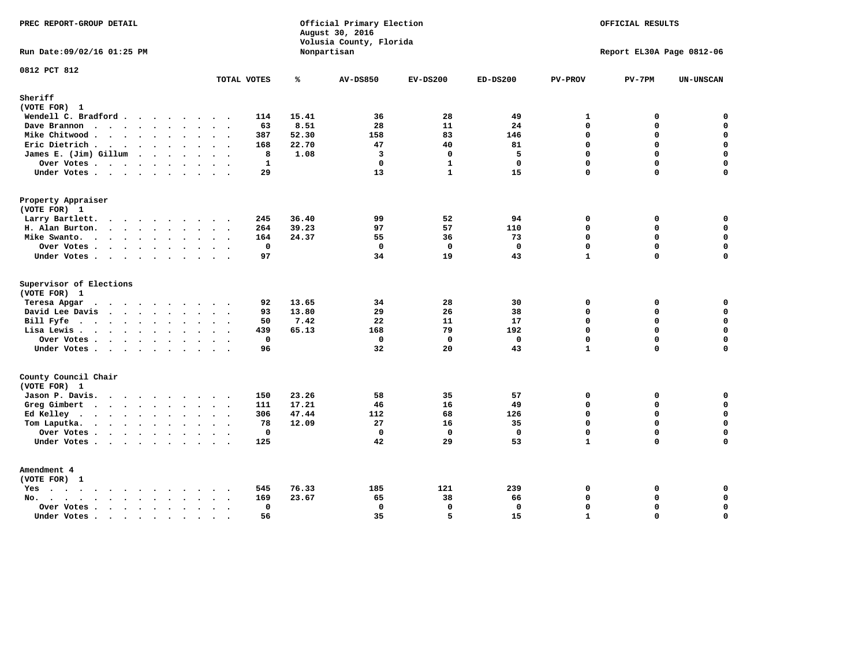| PREC REPORT-GROUP DETAIL                                    |                                      |                | Official Primary Election<br>August 30, 2016<br>Volusia County, Florida |              |              |                | OFFICIAL RESULTS          |                  |
|-------------------------------------------------------------|--------------------------------------|----------------|-------------------------------------------------------------------------|--------------|--------------|----------------|---------------------------|------------------|
| Run Date: 09/02/16 01:25 PM                                 |                                      |                | Nonpartisan                                                             |              |              |                | Report EL30A Page 0812-06 |                  |
| 0812 PCT 812                                                | TOTAL VOTES                          | ℁              | <b>AV-DS850</b>                                                         | $EV-DS200$   | $ED-DS200$   | <b>PV-PROV</b> | $PV-7PM$                  | <b>UN-UNSCAN</b> |
| Sheriff<br>(VOTE FOR) 1                                     |                                      |                |                                                                         |              |              |                |                           |                  |
| Wendell C. Bradford                                         | 114                                  | 15.41          | 36                                                                      | 28           | 49           | 1              | 0                         | $\mathbf 0$      |
| Dave Brannon                                                | 63                                   | 8.51           | 28                                                                      | 11           | 24           | $\mathbf 0$    | 0                         | $\mathbf 0$      |
| Mike Chitwood                                               | 387                                  | 52.30          | 158                                                                     | 83           | 146          | $\Omega$       | 0                         | 0                |
| Eric Dietrich.                                              | 168                                  | 22.70          | 47                                                                      | 40           | 81           | $\Omega$       | 0                         | $\mathbf 0$      |
| James E. (Jim) Gillum                                       | 8                                    | 1.08           | 3                                                                       | $\Omega$     | 5            | $\Omega$       | $\Omega$                  | 0                |
| Over Votes                                                  | $\mathbf{1}$                         |                | $\mathbf 0$                                                             | $\mathbf{1}$ | $\mathbf{0}$ | $\Omega$       | 0                         | $\mathbf 0$      |
| Under Votes                                                 | 29                                   |                | 13                                                                      | $\mathbf{1}$ | 15           | $\Omega$       | 0                         | $\Omega$         |
| Property Appraiser                                          |                                      |                |                                                                         |              |              |                |                           |                  |
| (VOTE FOR) 1                                                |                                      |                |                                                                         |              |              |                |                           |                  |
| Larry Bartlett.                                             | 245<br>$\sim$ $\sim$                 | 36.40          | 99                                                                      | 52           | 94           | $\mathbf 0$    | 0                         | 0                |
| H. Alan Burton.                                             | 264                                  | 39.23          | 97                                                                      | 57           | 110          | $\mathbf{0}$   | 0                         | $\mathbf 0$      |
| Mike Swanto.                                                | 164                                  | 24.37          | 55                                                                      | 36           | 73           | $\Omega$       | $\Omega$                  | 0                |
| Over Votes                                                  | $\mathbf 0$                          |                | $\mathbf 0$                                                             | $\mathbf 0$  | $\mathbf 0$  | $\mathbf 0$    | 0                         | 0                |
| Under Votes                                                 | 97                                   |                | 34                                                                      | 19           | 43           | $\mathbf{1}$   | $\Omega$                  | $\mathbf 0$      |
| Supervisor of Elections                                     |                                      |                |                                                                         |              |              |                |                           |                  |
| (VOTE FOR) 1                                                |                                      |                |                                                                         |              |              |                |                           |                  |
| Teresa Apgar<br>$\cdots$<br>David Lee Davis                 | 92<br>$\sim$ $\sim$<br>93            | 13.65<br>13.80 | 34<br>29                                                                | 28<br>26     | 30<br>38     | 0<br>$\Omega$  | 0<br>0                    | 0<br>$\mathbf 0$ |
| Bill Fyfe                                                   | 50                                   | 7.42           | 22                                                                      | 11           | 17           | $\mathbf{0}$   | 0                         | $\mathbf 0$      |
| Lisa Lewis                                                  | 439                                  | 65.13          | 168                                                                     | 79           | 192          | $\Omega$       | 0                         | $\mathbf 0$      |
| Over Votes                                                  | $\mathbf 0$                          |                | 0                                                                       | $^{\circ}$   | 0            | $\Omega$       | 0                         | $\mathbf 0$      |
| Under Votes                                                 | 96                                   |                | 32                                                                      | 20           | 43           | $\mathbf{1}$   | $\Omega$                  | $\mathbf 0$      |
| County Council Chair                                        |                                      |                |                                                                         |              |              |                |                           |                  |
| (VOTE FOR) 1                                                |                                      |                |                                                                         |              |              |                |                           |                  |
| Jason P. Davis.                                             | 150                                  | 23.26          | 58                                                                      | 35           | 57           | $\mathbf 0$    | 0                         | 0                |
| Greg Gimbert<br>$\cdots$                                    | 111                                  | 17.21          | 46                                                                      | 16           | 49           | $\mathbf 0$    | 0                         | $\mathbf 0$      |
| Ed Kelley                                                   | 306                                  | 47.44          | 112                                                                     | 68           | 126          | $\mathbf 0$    | 0                         | 0                |
| Tom Laputka.<br>$\cdots$                                    | 78                                   | 12.09          | 27                                                                      | 16           | 35           | $\Omega$       | $\mathbf 0$               | $\mathbf 0$      |
| Over Votes.                                                 | $\mathbf 0$                          |                | $\mathbf 0$                                                             | $\mathbf 0$  | $\mathbf{0}$ | $\mathbf 0$    | 0                         | 0                |
| Under Votes                                                 | 125                                  |                | 42                                                                      | 29           | 53           | $\mathbf{1}$   | $\Omega$                  | $\Omega$         |
| Amendment 4                                                 |                                      |                |                                                                         |              |              |                |                           |                  |
| (VOTE FOR) 1                                                |                                      |                |                                                                         |              |              |                |                           |                  |
| $Yes \cdot \cdot \cdot \cdot \cdot \cdot \cdot \cdot \cdot$ | 545                                  | 76.33          | 185                                                                     | 121          | 239          | 0              | 0                         | 0                |
| No.<br>$\ddot{\phantom{a}}$                                 | 169<br>$\ddots$ .                    | 23.67          | 65                                                                      | 38           | 66           | $\Omega$       | 0                         | 0                |
| Over Votes                                                  | $\mathbf{0}$<br>$\ddot{\phantom{0}}$ |                | $\mathbf 0$                                                             | $\mathbf{0}$ | $\mathbf 0$  | $\Omega$       | 0                         | $\mathbf 0$      |
| Under Votes<br>$\ddot{\phantom{a}}$                         | 56<br>$\cdot$ .<br>$\sim$            |                | 35                                                                      | 5            | 15           | $\mathbf{1}$   | $\Omega$                  | 0                |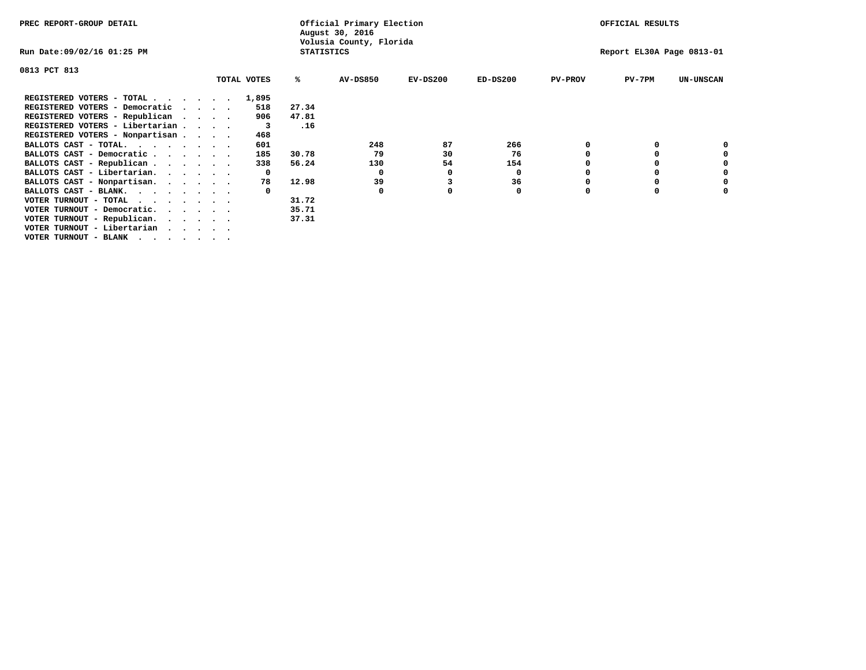| PREC REPORT-GROUP DETAIL                                      |              | Official Primary Election<br>August 30, 2016 |            |            |                | OFFICIAL RESULTS          |                  |
|---------------------------------------------------------------|--------------|----------------------------------------------|------------|------------|----------------|---------------------------|------------------|
| Run Date:09/02/16 01:25 PM                                    |              | Volusia County, Florida<br><b>STATISTICS</b> |            |            |                | Report EL30A Page 0813-01 |                  |
| 0813 PCT 813                                                  |              |                                              |            |            |                |                           |                  |
| TOTAL VOTES                                                   | ℁            | <b>AV-DS850</b>                              | $EV-DS200$ | $ED-DS200$ | <b>PV-PROV</b> | $PV-7PM$                  | <b>UN-UNSCAN</b> |
| REGISTERED VOTERS - TOTAL 1,895                               |              |                                              |            |            |                |                           |                  |
| REGISTERED VOTERS - Democratic<br>$\sim$ $\sim$ $\sim$ $\sim$ | 27.34<br>518 |                                              |            |            |                |                           |                  |
| REGISTERED VOTERS - Republican                                | 47.81<br>906 |                                              |            |            |                |                           |                  |
| REGISTERED VOTERS - Libertarian                               | .16<br>3     |                                              |            |            |                |                           |                  |
| REGISTERED VOTERS - Nonpartisan                               | 468          |                                              |            |            |                |                           |                  |
| BALLOTS CAST - TOTAL.                                         | 601          | 248                                          | 87         | 266        |                |                           |                  |
| BALLOTS CAST - Democratic                                     | 30.78<br>185 | 79                                           | 30         | 76         |                |                           |                  |
| BALLOTS CAST - Republican                                     | 56.24<br>338 | 130                                          | 54         | 154        |                |                           |                  |
| BALLOTS CAST - Libertarian.                                   | $\mathbf{o}$ | 0                                            | 0          | 0          |                |                           |                  |
| BALLOTS CAST - Nonpartisan.                                   | 12.98<br>78  | 39                                           | 3          | 36         |                |                           | 0                |
| BALLOTS CAST - BLANK.                                         |              | 0                                            |            | 0          | $\Omega$       |                           |                  |
| VOTER TURNOUT - TOTAL                                         | 31.72        |                                              |            |            |                |                           |                  |
| VOTER TURNOUT - Democratic.<br>$\cdot$                        | 35.71        |                                              |            |            |                |                           |                  |
| VOTER TURNOUT - Republican.                                   | 37.31        |                                              |            |            |                |                           |                  |
| VOTER TURNOUT - Libertarian                                   |              |                                              |            |            |                |                           |                  |
| VOTER TURNOUT - BLANK                                         |              |                                              |            |            |                |                           |                  |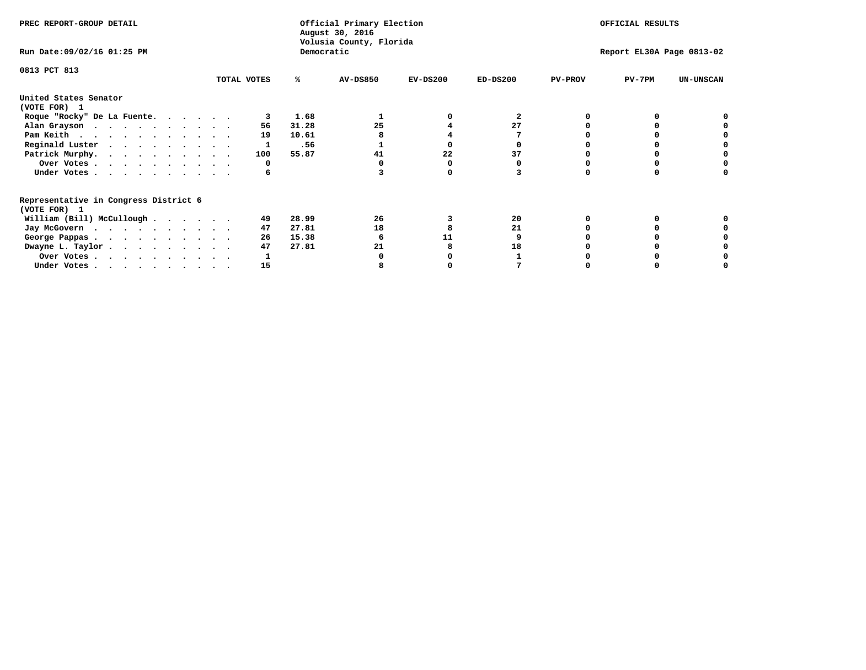| PREC REPORT-GROUP DETAIL                                               |             |            | Official Primary Election<br>August 30, 2016<br>Volusia County, Florida |            |            |                | OFFICIAL RESULTS          |                  |
|------------------------------------------------------------------------|-------------|------------|-------------------------------------------------------------------------|------------|------------|----------------|---------------------------|------------------|
| Run Date: 09/02/16 01:25 PM                                            |             | Democratic |                                                                         |            |            |                | Report EL30A Page 0813-02 |                  |
| 0813 PCT 813                                                           | TOTAL VOTES | ℁          | <b>AV-DS850</b>                                                         | $EV-DS200$ | $ED-DS200$ | <b>PV-PROV</b> | $PV-7PM$                  | <b>UN-UNSCAN</b> |
|                                                                        |             |            |                                                                         |            |            |                |                           |                  |
| United States Senator<br>(VOTE FOR) 1                                  |             |            |                                                                         |            |            |                |                           |                  |
| Roque "Rocky" De La Fuente.                                            |             | 1.68       |                                                                         |            | 2          |                |                           |                  |
| Alan Grayson                                                           | 56          | 31.28      | 25                                                                      |            | 27         |                |                           |                  |
| Pam Keith                                                              | 19          | 10.61      |                                                                         |            |            |                |                           |                  |
| Reginald Luster                                                        |             | .56        |                                                                         |            |            |                |                           |                  |
| Patrick Murphy.                                                        | 100         | 55.87      | 41                                                                      | 22         | 37         |                |                           |                  |
| Over Votes                                                             | 0           |            |                                                                         |            |            |                |                           |                  |
| Under Votes                                                            | 6           |            |                                                                         |            |            |                |                           |                  |
| Representative in Congress District 6                                  |             |            |                                                                         |            |            |                |                           |                  |
| (VOTE FOR) 1                                                           |             |            | 26                                                                      |            |            |                |                           |                  |
| William (Bill) McCullough                                              | 49          | 28.99      |                                                                         |            | 20         |                |                           |                  |
| Jay McGovern                                                           | 47          | 27.81      | 18                                                                      |            | 21         |                |                           |                  |
| George Pappas.                                                         | 26          | 15.38      |                                                                         | 11         |            |                |                           |                  |
| Dwayne L. Taylor                                                       | 47          | 27.81      | 21                                                                      |            | 18         |                |                           |                  |
| Over Votes                                                             |             |            |                                                                         |            |            |                |                           |                  |
| Under Votes, $\cdot$ , $\cdot$ , $\cdot$ , $\cdot$ , $\cdot$ , $\cdot$ | 15          |            |                                                                         |            |            |                |                           |                  |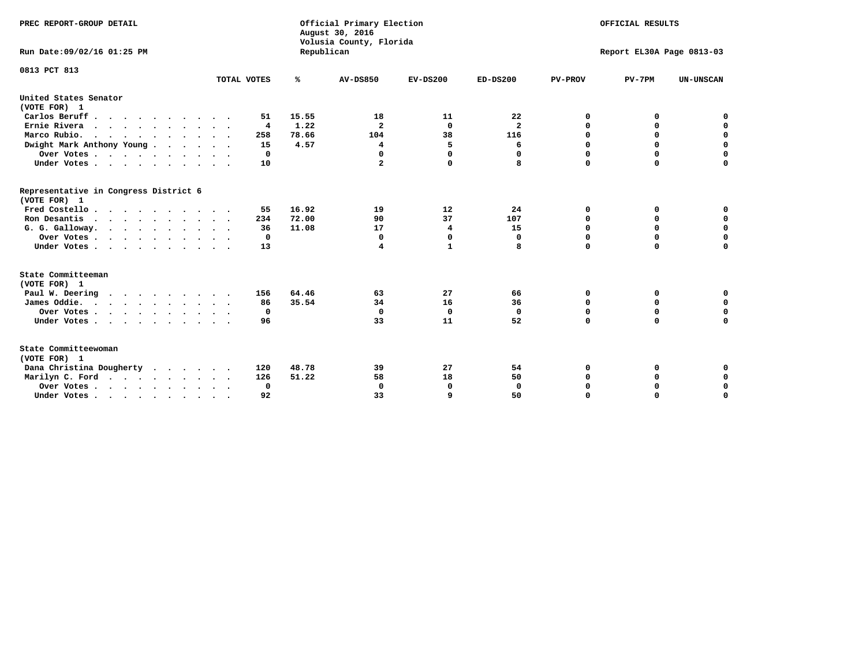| PREC REPORT-GROUP DETAIL<br>Run Date: 09/02/16 01:25 PM |                         | Republican | Official Primary Election<br>August 30, 2016<br>Volusia County, Florida |              |                |                | OFFICIAL RESULTS<br>Report EL30A Page 0813-03 |                  |
|---------------------------------------------------------|-------------------------|------------|-------------------------------------------------------------------------|--------------|----------------|----------------|-----------------------------------------------|------------------|
| 0813 PCT 813                                            |                         |            |                                                                         |              |                |                |                                               |                  |
|                                                         | TOTAL VOTES             | ℁          | <b>AV-DS850</b>                                                         | $EV-DS200$   | $ED-DS200$     | <b>PV-PROV</b> | $PV-7PM$                                      | <b>UN-UNSCAN</b> |
| United States Senator                                   |                         |            |                                                                         |              |                |                |                                               |                  |
| (VOTE FOR) 1                                            |                         |            |                                                                         |              |                |                |                                               |                  |
| Carlos Beruff.                                          | 51                      | 15.55      | 18                                                                      | 11           | 22             | 0              | 0                                             | 0                |
| Ernie Rivera                                            | $\overline{\mathbf{4}}$ | 1.22       | $\overline{\mathbf{2}}$                                                 | $\Omega$     | $\overline{a}$ | 0              | 0                                             | $\mathbf 0$      |
| Marco Rubio.                                            | 258                     | 78.66      | 104                                                                     | 38           | 116            | $\mathbf 0$    | $\mathbf 0$                                   | $\mathbf 0$      |
| Dwight Mark Anthony Young                               | 15                      | 4.57       | 4                                                                       | 5            | 6              | 0              | $\mathbf 0$                                   | $\pmb{0}$        |
| Over Votes                                              | 0                       |            | 0                                                                       | $\Omega$     | $\Omega$       | $\mathbf 0$    | 0                                             | 0                |
| Under Votes                                             | 10                      |            | $\mathbf{2}$                                                            | 0            | 8              | $\mathbf 0$    | $\Omega$                                      | $\mathbf 0$      |
| Representative in Congress District 6<br>(VOTE FOR) 1   |                         |            |                                                                         |              |                |                |                                               |                  |
| Fred Costello                                           | 55.                     | 16.92      | 19                                                                      | 12           | 24             | 0              | 0                                             | 0                |
| Ron Desantis                                            | 234                     | 72.00      | 90                                                                      | 37           | 107            | 0              | 0                                             | $\mathbf 0$      |
| G. G. Galloway.                                         | 36                      | 11.08      | 17                                                                      | 4            | 15             | $\mathbf 0$    | $\Omega$                                      | $\mathbf 0$      |
| Over Votes                                              | $^{\circ}$              |            | 0                                                                       | $\mathbf{0}$ | $\mathbf 0$    | $\mathbf 0$    | $\mathbf 0$                                   | $\mathbf 0$      |
| Under Votes                                             | 13                      |            | 4                                                                       | $\mathbf{1}$ | 8              | $\mathbf 0$    | $\Omega$                                      | $\mathbf 0$      |
| State Committeeman                                      |                         |            |                                                                         |              |                |                |                                               |                  |
| (VOTE FOR) 1                                            |                         |            |                                                                         |              |                |                |                                               |                  |
| Paul W. Deering                                         | 156                     | 64.46      | 63                                                                      | 27           | 66             | 0              | 0                                             | 0                |
| James Oddie.                                            | 86                      | 35.54      | 34                                                                      | 16           | 36             | 0              | 0                                             | $\mathbf 0$      |
| Over Votes                                              | 0                       |            | $\mathbf{0}$                                                            | $\mathbf 0$  | $\mathbf{0}$   | 0              | $\mathbf 0$                                   | $\mathbf 0$      |
| Under Votes                                             | 96                      |            | 33                                                                      | 11           | 52             | $\mathbf 0$    | 0                                             | $\mathbf 0$      |
| State Committeewoman<br>(VOTE FOR) 1                    |                         |            |                                                                         |              |                |                |                                               |                  |
| Dana Christina Dougherty<br>.                           | 120                     | 48.78      | 39                                                                      | 27           | 54             | 0              | 0                                             | 0                |
| Marilyn C. Ford                                         | 126                     | 51.22      | 58                                                                      | 18           | 50             | 0              | 0                                             | 0                |
| Over Votes                                              | $\Omega$                |            | $\mathbf 0$                                                             | 0            | $\mathbf{0}$   | 0              | 0                                             | $\mathbf 0$      |
| Under Votes, , , , , , , , , ,                          | 92                      |            | 33                                                                      | $\mathbf{Q}$ | 50             | $\Omega$       | $\Omega$                                      | $\Omega$         |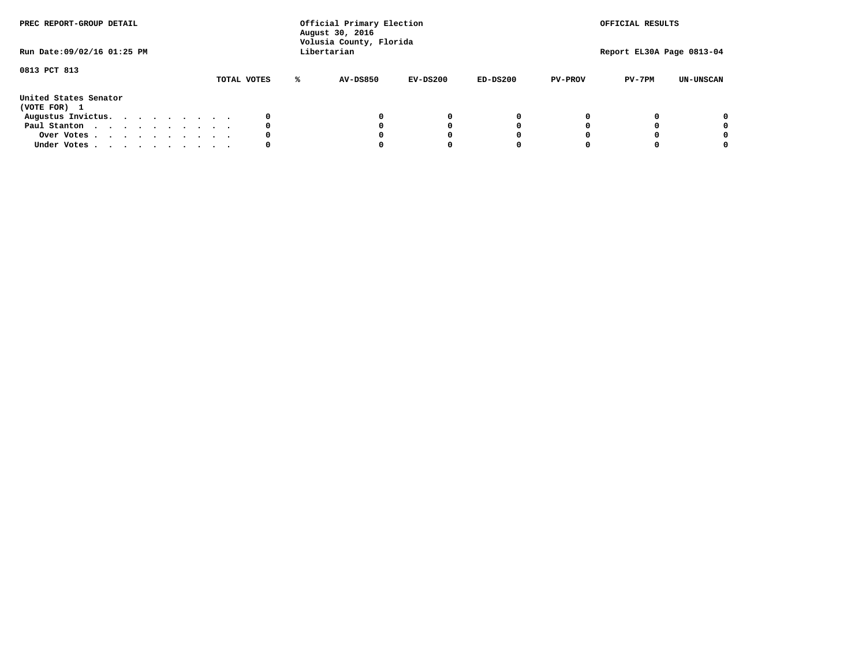| PREC REPORT-GROUP DETAIL<br>Run Date: 09/02/16 01:25 PM |  |  |  |  |             |   | Official Primary Election<br>August 30, 2016<br>Volusia County, Florida<br>Libertarian |            |            |                | OFFICIAL RESULTS<br>Report EL30A Page 0813-04 |                  |
|---------------------------------------------------------|--|--|--|--|-------------|---|----------------------------------------------------------------------------------------|------------|------------|----------------|-----------------------------------------------|------------------|
| 0813 PCT 813                                            |  |  |  |  | TOTAL VOTES | ℁ | <b>AV-DS850</b>                                                                        | $EV-DS200$ | $ED-DS200$ | <b>PV-PROV</b> | $PV-7PM$                                      | <b>UN-UNSCAN</b> |
| United States Senator<br>(VOTE FOR) 1                   |  |  |  |  |             |   |                                                                                        |            |            |                |                                               |                  |
| Augustus Invictus.                                      |  |  |  |  | 0           |   |                                                                                        | 0          | 0          |                |                                               | 0                |
| Paul Stanton                                            |  |  |  |  | 0           |   |                                                                                        |            | 0          |                |                                               | 0                |
| Over Votes                                              |  |  |  |  | 0           |   |                                                                                        |            | 0          |                |                                               | 0                |
| Under Votes                                             |  |  |  |  | 0           |   |                                                                                        |            |            |                |                                               | 0                |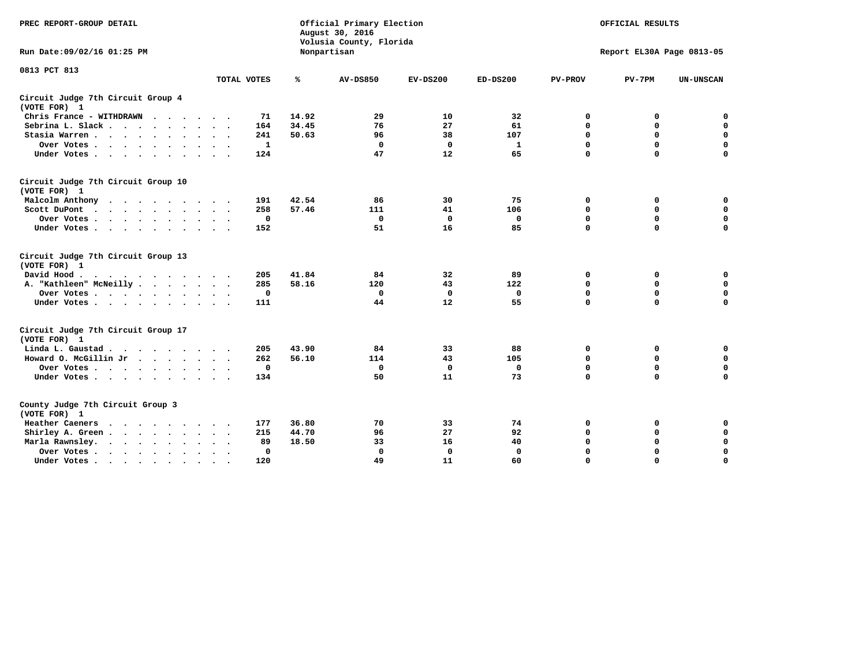| PREC REPORT-GROUP DETAIL                                                                                                           |              |       | Official Primary Election<br>August 30, 2016<br>Volusia County, Florida | OFFICIAL RESULTS |              |                |                           |                  |
|------------------------------------------------------------------------------------------------------------------------------------|--------------|-------|-------------------------------------------------------------------------|------------------|--------------|----------------|---------------------------|------------------|
| Run Date: 09/02/16 01:25 PM                                                                                                        |              |       | Nonpartisan                                                             |                  |              |                | Report EL30A Page 0813-05 |                  |
| 0813 PCT 813                                                                                                                       | TOTAL VOTES  | ℁     | <b>AV-DS850</b>                                                         | $EV-DS200$       | $ED-DS200$   | <b>PV-PROV</b> | $PV-7PM$                  | <b>UN-UNSCAN</b> |
| Circuit Judge 7th Circuit Group 4                                                                                                  |              |       |                                                                         |                  |              |                |                           |                  |
| (VOTE FOR) 1                                                                                                                       |              |       |                                                                         |                  |              |                |                           |                  |
| Chris France - WITHDRAWN                                                                                                           | 71           | 14.92 | 29                                                                      | 10               | 32           | 0              | 0                         | $\mathbf 0$      |
| Sebrina L. Slack                                                                                                                   | 164          | 34.45 | 76                                                                      | 27               | 61           | 0              | 0                         | $\mathbf 0$      |
| Stasia Warren<br>$\sim$<br>$\sim$                                                                                                  | 241          | 50.63 | 96                                                                      | 38               | 107          | $\mathbf 0$    | 0                         | $\mathbf 0$      |
| Over Votes                                                                                                                         | $\mathbf{1}$ |       | $\mathbf 0$                                                             | $\mathbf 0$      | $\mathbf{1}$ | 0              | $\mathbf 0$               | $\mathbf 0$      |
| Under Votes                                                                                                                        | 124          |       | 47                                                                      | 12               | 65           | $\Omega$       | $\Omega$                  | $\mathbf 0$      |
| Circuit Judge 7th Circuit Group 10<br>(VOTE FOR) 1                                                                                 |              |       |                                                                         |                  |              |                |                           |                  |
| Malcolm Anthony<br>.                                                                                                               | 191          | 42.54 | 86                                                                      | 30               | 75           | 0              | 0                         | 0                |
| Scott DuPont                                                                                                                       | 258          | 57.46 | 111                                                                     | 41               | 106          | $\mathbf 0$    | 0                         | $\mathbf 0$      |
| Over Votes                                                                                                                         | $\mathbf 0$  |       | $\mathbf{0}$                                                            | $\mathbf 0$      | $\mathbf 0$  | $\mathbf 0$    | $\mathbf 0$               | $\mathbf 0$      |
| Under Votes                                                                                                                        | 152          |       | 51                                                                      | 16               | 85           | $\mathbf 0$    | $\mathbf 0$               | $\Omega$         |
| Circuit Judge 7th Circuit Group 13<br>(VOTE FOR) 1                                                                                 |              |       |                                                                         |                  |              |                |                           |                  |
| David Hood.<br>$\cdot$                                                                                                             | 205          | 41.84 | 84                                                                      | 32               | 89           | 0              | 0                         | $\mathbf 0$      |
| A. "Kathleen" McNeilly                                                                                                             | 285          | 58.16 | 120                                                                     | 43               | 122          | $\mathbf 0$    | 0                         | $\mathbf 0$      |
| Over Votes                                                                                                                         | $\mathbf 0$  |       | $\mathbf{0}$                                                            | $\mathbf 0$      | $\mathbf{0}$ | 0              | $\mathbf 0$               | $\mathbf 0$      |
| Under Votes                                                                                                                        | 111          |       | 44                                                                      | 12               | 55           | $\mathbf 0$    | $\mathbf 0$               | $\mathbf 0$      |
| Circuit Judge 7th Circuit Group 17<br>(VOTE FOR) 1                                                                                 |              |       |                                                                         |                  |              |                |                           |                  |
| Linda L. Gaustad                                                                                                                   | 205          | 43.90 | 84                                                                      | 33               | 88           | 0              | 0                         | $\mathbf 0$      |
| Howard O. McGillin Jr                                                                                                              | 262          | 56.10 | 114                                                                     | 43               | 105          | $\mathbf 0$    | 0                         | $\mathbf 0$      |
| Over Votes                                                                                                                         | $\mathbf 0$  |       | $\mathbf{0}$                                                            | $\mathbf 0$      | $\mathbf 0$  | $\mathbf 0$    | $\mathbf 0$               | $\pmb{0}$        |
| Under Votes                                                                                                                        | 134          |       | 50                                                                      | 11               | 73           | $\mathbf 0$    | $\mathbf 0$               | $\mathbf 0$      |
| County Judge 7th Circuit Group 3<br>(VOTE FOR) 1                                                                                   |              |       |                                                                         |                  |              |                |                           |                  |
| Heather Caeners<br>the contract of the contract of the contract of the contract of the contract of the contract of the contract of | 177          | 36.80 | 70                                                                      | 33               | 74           | 0              | 0                         | 0                |
| Shirley A. Green                                                                                                                   | 215          | 44.70 | 96                                                                      | 27               | 92           | $\mathbf 0$    | 0                         | $\mathbf 0$      |
| Marla Rawnsley.                                                                                                                    | 89           | 18.50 | 33                                                                      | 16               | 40           | 0              | $\mathbf 0$               | $\pmb{0}$        |
| Over Votes.<br>$\ddot{\phantom{a}}$<br>$\ddot{\phantom{a}}$                                                                        | 0            |       | $\Omega$                                                                | 0                | $\mathbf{0}$ | $\mathbf 0$    | $\mathbf 0$               | $\mathbf 0$      |
| Under Votes<br>$\sim$                                                                                                              | 120          |       | 49                                                                      | 11               | 60           | $\mathbf 0$    | $\mathbf 0$               | 0                |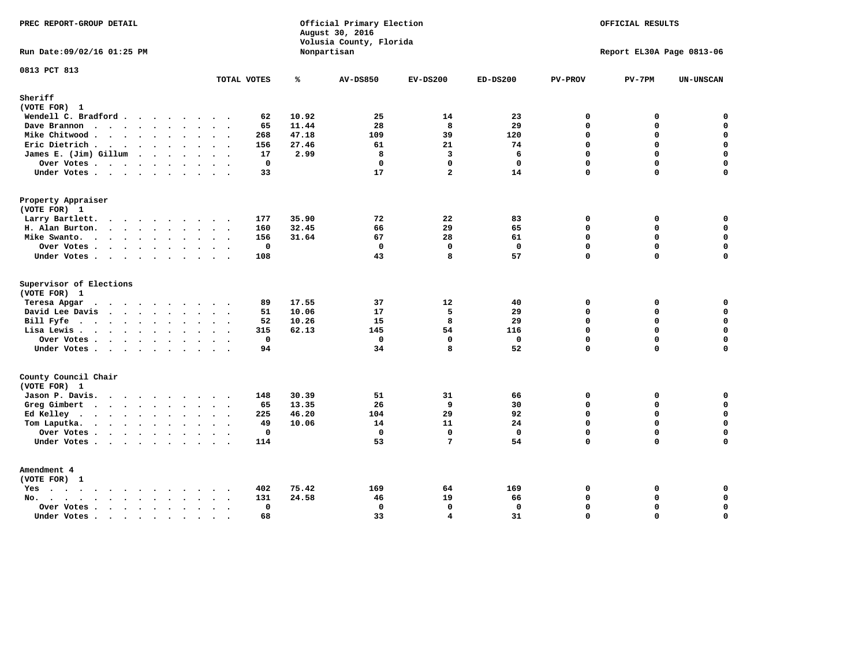| PREC REPORT-GROUP DETAIL                                    |                                               |                | Official Primary Election<br>August 30, 2016<br>Volusia County, Florida |                         |                   |                             | OFFICIAL RESULTS          |                            |
|-------------------------------------------------------------|-----------------------------------------------|----------------|-------------------------------------------------------------------------|-------------------------|-------------------|-----------------------------|---------------------------|----------------------------|
| Run Date: 09/02/16 01:25 PM                                 |                                               | Nonpartisan    |                                                                         |                         |                   |                             | Report EL30A Page 0813-06 |                            |
| 0813 PCT 813                                                | TOTAL VOTES                                   | ℁              | <b>AV-DS850</b>                                                         | $EV-DS200$              | $ED-DS200$        | <b>PV-PROV</b>              | $PV-7PM$                  | <b>UN-UNSCAN</b>           |
| Sheriff<br>(VOTE FOR) 1                                     |                                               |                |                                                                         |                         |                   |                             |                           |                            |
| Wendell C. Bradford                                         | 62                                            | 10.92          | 25                                                                      | 14                      | 23                | $\Omega$                    | 0                         | $\mathbf 0$                |
| Dave Brannon                                                | 65                                            | 11.44          | 28                                                                      | 8                       | 29                | $\mathbf 0$                 | 0                         | $\mathbf 0$                |
| Mike Chitwood                                               | 268                                           | 47.18          | 109                                                                     | 39                      | 120               | $\Omega$                    | 0                         | $\mathbf 0$                |
| Eric Dietrich.                                              | 156                                           | 27.46          | 61                                                                      | 21                      | 74                | $\mathbf 0$                 | 0                         | $\mathbf 0$                |
| James E. (Jim) Gillum                                       | 17                                            | 2.99           | 8                                                                       | $\overline{3}$          | 6                 | $\Omega$                    | $\Omega$                  | $\mathbf 0$                |
| Over Votes                                                  | $\mathbf 0$                                   |                | $\mathbf 0$                                                             | $\mathbf{0}$            | $\mathbf{0}$      | $\mathbf 0$                 | 0                         | $\mathbf 0$                |
| Under Votes                                                 | 33                                            |                | 17                                                                      | $\overline{a}$          | 14                | $\Omega$                    | 0                         | $\Omega$                   |
| Property Appraiser                                          |                                               |                |                                                                         |                         |                   |                             |                           |                            |
| (VOTE FOR) 1                                                |                                               |                |                                                                         |                         |                   |                             |                           |                            |
| Larry Bartlett.                                             | 177                                           | 35.90          | 72                                                                      | 22                      | 83                | $\mathbf 0$                 | 0                         | 0                          |
| H. Alan Burton.                                             | 160                                           | 32.45          | 66                                                                      | 29                      | 65                | $\mathbf{0}$                | 0                         | $\mathbf 0$                |
| Mike Swanto.                                                | 156                                           | 31.64          | 67                                                                      | 28                      | 61                | $\Omega$                    | $\Omega$                  | 0                          |
| Over Votes.                                                 | $\mathbf 0$                                   |                | $\mathbf 0$                                                             | $\mathbf 0$             | $\mathbf 0$       | $\mathbf 0$                 | 0                         | 0                          |
| Under Votes                                                 | 108                                           |                | 43                                                                      | 8                       | 57                | $\Omega$                    | $\Omega$                  | $\mathbf 0$                |
| Supervisor of Elections                                     |                                               |                |                                                                         |                         |                   |                             |                           |                            |
| (VOTE FOR) 1                                                |                                               |                |                                                                         |                         |                   |                             |                           |                            |
| Teresa Apgar<br>$\cdots$                                    | 89<br>$\sim$ $\sim$                           | 17.55          | 37                                                                      | 12                      | 40                | $\mathbf 0$                 | 0                         | 0                          |
| David Lee Davis                                             | 51                                            | 10.06          | 17                                                                      | 5<br>8                  | 29                | $\mathbf 0$<br>$\mathbf 0$  | 0<br>0                    | $\mathbf 0$<br>$\mathbf 0$ |
| Bill Fyfe.                                                  | 52                                            | 10.26<br>62.13 | 15<br>145                                                               | 54                      | 29                | $\mathbf 0$                 | 0                         | $\mathbf 0$                |
| Lisa Lewis                                                  | 315                                           |                |                                                                         |                         | 116               |                             |                           |                            |
| Over Votes<br>Under Votes                                   | $\mathbf 0$<br>94                             |                | $\mathbf 0$<br>34                                                       | $\mathbf 0$<br>8        | $\mathbf 0$<br>52 | $\mathbf 0$<br>$\mathbf{0}$ | 0<br>$\Omega$             | $\pmb{0}$<br>$\mathbf 0$   |
|                                                             |                                               |                |                                                                         |                         |                   |                             |                           |                            |
| County Council Chair<br>(VOTE FOR) 1                        |                                               |                |                                                                         |                         |                   |                             |                           |                            |
| Jason P. Davis.                                             | 148                                           | 30.39          | 51                                                                      | 31                      | 66                | $\mathbf 0$                 | 0                         | 0                          |
| Greg Gimbert                                                | 65                                            | 13.35          | 26                                                                      | 9                       | 30                | $\mathbf{0}$                | 0                         | $\mathbf 0$                |
| Ed Kelley                                                   | 225                                           | 46.20          | 104                                                                     | 29                      | 92                | $\mathbf 0$                 | 0                         | $\mathbf 0$                |
| Tom Laputka.                                                | 49                                            | 10.06          | 14                                                                      | 11                      | 24                | $\Omega$                    | $\mathbf 0$               | $\mathbf 0$                |
| Over Votes                                                  | $\mathbf{0}$                                  |                | $\mathbf 0$                                                             | $\mathbf{0}$            | $\mathbf{0}$      | $\mathbf 0$                 | 0                         | 0                          |
| Under Votes                                                 | 114                                           |                | 53                                                                      | $7\phantom{.0}$         | 54                | $\Omega$                    | $\Omega$                  | $\mathbf 0$                |
| Amendment 4                                                 |                                               |                |                                                                         |                         |                   |                             |                           |                            |
| (VOTE FOR) 1                                                |                                               |                |                                                                         |                         |                   |                             |                           |                            |
| $Yes \cdot \cdot \cdot \cdot \cdot \cdot \cdot \cdot \cdot$ | 402<br>$\cdot$ .                              | 75.42          | 169                                                                     | 64                      | 169               | 0                           | 0                         | 0                          |
| $No.$<br>$\ddot{\phantom{a}}$<br>$\ddot{\phantom{a}}$       | 131                                           | 24.58          | 46                                                                      | 19                      | 66                | $\Omega$                    | 0                         | $\mathbf 0$                |
| Over Votes .<br>$\cdots$                                    | $\mathbf 0$<br>$\ddot{\phantom{0}}$<br>$\sim$ |                | $\mathbf 0$                                                             | $\mathbf{0}$            | $\mathbf 0$       | $\mathbf 0$                 | 0                         | $\mathbf 0$                |
| Under Votes<br>$\sim$                                       | 68<br>$\sim$<br>$\sim$                        |                | 33                                                                      | $\overline{\mathbf{4}}$ | 31                | $\mathbf 0$                 | 0                         | $\mathbf 0$                |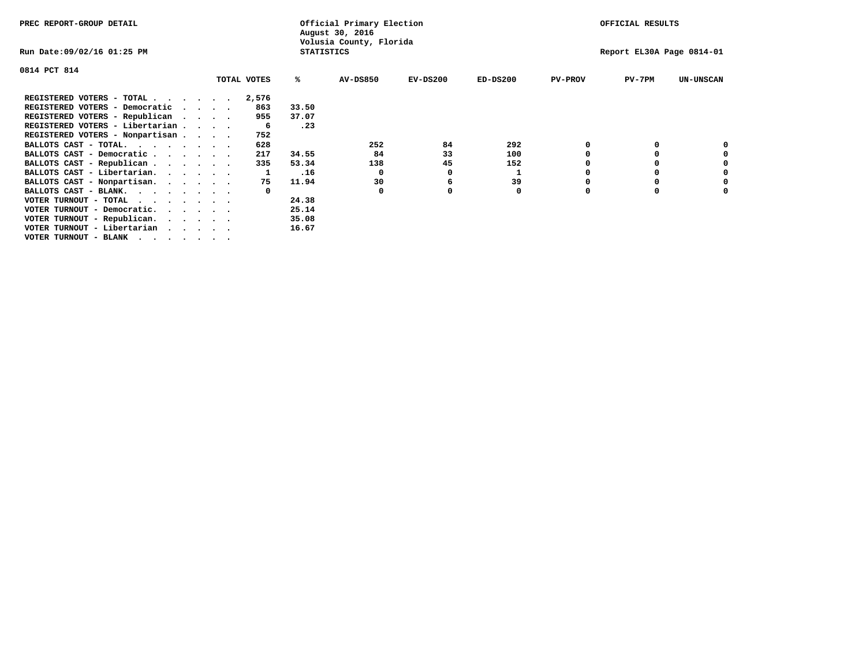| PREC REPORT-GROUP DETAIL        |  |             |                   | Official Primary Election<br>August 30, 2016 |            |            |                | OFFICIAL RESULTS          |                  |
|---------------------------------|--|-------------|-------------------|----------------------------------------------|------------|------------|----------------|---------------------------|------------------|
| Run Date:09/02/16 01:25 PM      |  |             | <b>STATISTICS</b> | Volusia County, Florida                      |            |            |                | Report EL30A Page 0814-01 |                  |
| 0814 PCT 814                    |  |             |                   |                                              |            |            |                |                           |                  |
|                                 |  | TOTAL VOTES | ℁                 | <b>AV-DS850</b>                              | $EV-DS200$ | $ED-DS200$ | <b>PV-PROV</b> | $PV-7PM$                  | <b>UN-UNSCAN</b> |
| REGISTERED VOTERS - TOTAL       |  | 2,576       |                   |                                              |            |            |                |                           |                  |
| REGISTERED VOTERS - Democratic  |  | 863         | 33.50             |                                              |            |            |                |                           |                  |
| REGISTERED VOTERS - Republican  |  | 955         | 37.07             |                                              |            |            |                |                           |                  |
| REGISTERED VOTERS - Libertarian |  | -6          | .23               |                                              |            |            |                |                           |                  |
| REGISTERED VOTERS - Nonpartisan |  | 752         |                   |                                              |            |            |                |                           |                  |
| BALLOTS CAST - TOTAL.           |  | 628         |                   | 252                                          | 84         | 292        | 0              |                           |                  |
| BALLOTS CAST - Democratic       |  | 217         | 34.55             | 84                                           | 33         | 100        |                |                           |                  |
| BALLOTS CAST - Republican       |  | 335         | 53.34             | 138                                          | 45         | 152        |                |                           |                  |
| BALLOTS CAST - Libertarian.     |  |             | .16               | 0                                            | 0          |            |                |                           |                  |
| BALLOTS CAST - Nonpartisan.     |  | 75          | 11.94             | 30                                           | 6          | 39         |                |                           | 0                |
| BALLOTS CAST - BLANK.           |  |             |                   | $\Omega$                                     |            | 0          | O              | O                         |                  |
| VOTER TURNOUT - TOTAL           |  |             | 24.38             |                                              |            |            |                |                           |                  |
| VOTER TURNOUT - Democratic.     |  |             | 25.14             |                                              |            |            |                |                           |                  |
| VOTER TURNOUT - Republican.     |  |             | 35.08             |                                              |            |            |                |                           |                  |
| VOTER TURNOUT - Libertarian     |  |             | 16.67             |                                              |            |            |                |                           |                  |
| VOTER TURNOUT - BLANK           |  |             |                   |                                              |            |            |                |                           |                  |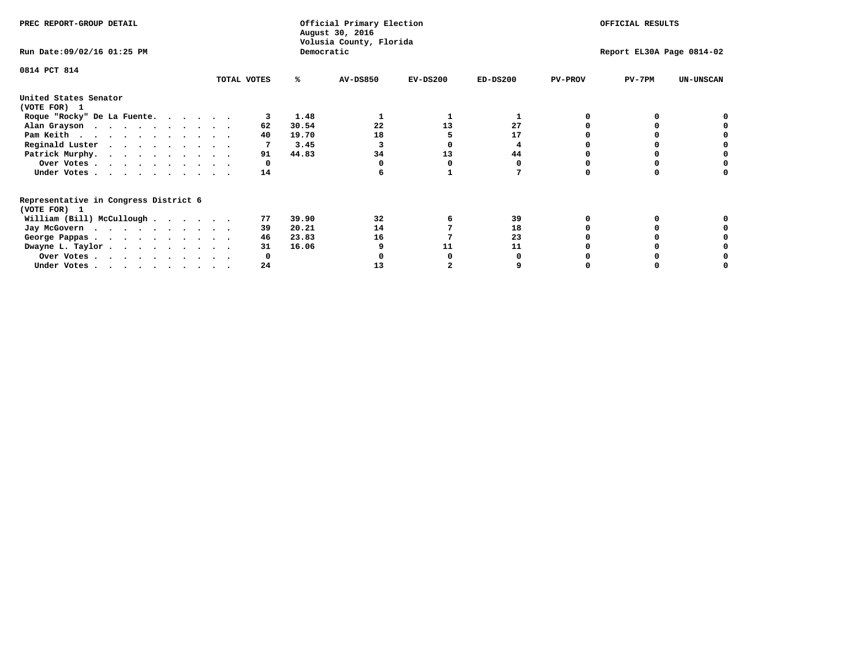| PREC REPORT-GROUP DETAIL                                               |             |            | Official Primary Election<br>August 30, 2016<br>Volusia County, Florida |            | OFFICIAL RESULTS<br>Report EL30A Page 0814-02 |                |          |                  |
|------------------------------------------------------------------------|-------------|------------|-------------------------------------------------------------------------|------------|-----------------------------------------------|----------------|----------|------------------|
| Run Date: 09/02/16 01:25 PM                                            |             | Democratic |                                                                         |            |                                               |                |          |                  |
| 0814 PCT 814                                                           | TOTAL VOTES | ℁          | <b>AV-DS850</b>                                                         | $EV-DS200$ | $ED-DS200$                                    | <b>PV-PROV</b> | $PV-7PM$ | <b>UN-UNSCAN</b> |
|                                                                        |             |            |                                                                         |            |                                               |                |          |                  |
| United States Senator<br>(VOTE FOR) 1                                  |             |            |                                                                         |            |                                               |                |          |                  |
| Roque "Rocky" De La Fuente.                                            |             | 1.48       |                                                                         |            |                                               |                |          |                  |
| Alan Grayson                                                           | 62          | 30.54      | 22                                                                      | 13         | 27                                            |                |          |                  |
| Pam Keith                                                              | 40          | 19.70      | 18                                                                      |            | 17                                            |                |          |                  |
| Reginald Luster                                                        |             | 3.45       |                                                                         |            |                                               |                |          |                  |
| Patrick Murphy.                                                        | 91          | 44.83      | 34                                                                      | 13         | 44                                            |                |          |                  |
| Over Votes                                                             | 0           |            |                                                                         |            |                                               |                |          |                  |
| Under Votes                                                            | 14          |            |                                                                         |            |                                               |                |          |                  |
| Representative in Congress District 6                                  |             |            |                                                                         |            |                                               |                |          |                  |
| (VOTE FOR) 1                                                           | 77          | 39.90      | 32                                                                      | 6          | 39                                            |                |          |                  |
| William (Bill) McCullough                                              |             |            |                                                                         |            |                                               |                |          |                  |
| Jay McGovern                                                           | 39          | 20.21      | 14                                                                      |            | 18                                            |                |          |                  |
| George Pappas.                                                         | 46          | 23.83      | 16                                                                      |            | 23                                            |                |          |                  |
| Dwayne L. Taylor                                                       | 31          | 16.06      |                                                                         | 11         | 11                                            |                |          |                  |
| Over Votes                                                             |             |            |                                                                         |            |                                               |                |          |                  |
| Under Votes, $\cdot$ , $\cdot$ , $\cdot$ , $\cdot$ , $\cdot$ , $\cdot$ | 24          |            | 13                                                                      |            |                                               |                |          |                  |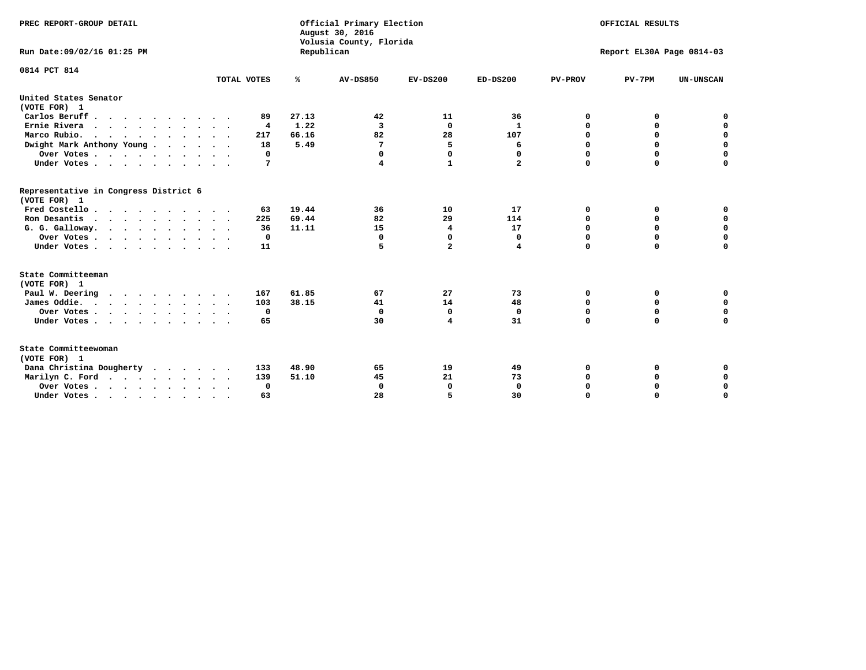| PREC REPORT-GROUP DETAIL<br>Run Date: 09/02/16 01:25 PM |             | Republican    | Official Primary Election<br>August 30, 2016<br>Volusia County, Florida |                |                    |                | OFFICIAL RESULTS<br>Report EL30A Page 0814-03 |                  |
|---------------------------------------------------------|-------------|---------------|-------------------------------------------------------------------------|----------------|--------------------|----------------|-----------------------------------------------|------------------|
| 0814 PCT 814                                            |             |               |                                                                         |                |                    |                |                                               |                  |
|                                                         | TOTAL VOTES | ℁             | <b>AV-DS850</b>                                                         | $EV-DS200$     | $ED-DS200$         | <b>PV-PROV</b> | $PV-7PM$                                      | <b>UN-UNSCAN</b> |
| United States Senator                                   |             |               |                                                                         |                |                    |                |                                               |                  |
| (VOTE FOR) 1<br>Carlos Beruff                           |             | 27.13         |                                                                         |                |                    | 0              | 0                                             |                  |
|                                                         | 89          |               | 42<br>3                                                                 | 11<br>$\Omega$ | 36<br>$\mathbf{1}$ | $\Omega$       | 0                                             | 0<br>$\mathbf 0$ |
| Ernie Rivera                                            | 4<br>217    | 1.22<br>66.16 | 82                                                                      | 28             | 107                | $\mathbf 0$    | $\mathbf 0$                                   | $\mathbf 0$      |
| Marco Rubio.                                            |             |               | 7                                                                       |                |                    | 0              | $\mathbf 0$                                   | $\pmb{0}$        |
| Dwight Mark Anthony Young                               | 18<br>0     | 5.49          | 0                                                                       | 5<br>$\Omega$  | 6<br>0             | 0              |                                               | 0                |
| Over Votes                                              | 7           |               | 4                                                                       | 1              | $\mathbf{2}$       | $\Omega$       | 0<br>$\Omega$                                 | $\mathbf 0$      |
| Under Votes                                             |             |               |                                                                         |                |                    |                |                                               |                  |
| Representative in Congress District 6<br>(VOTE FOR) 1   |             |               |                                                                         |                |                    |                |                                               |                  |
| Fred Costello.                                          | 63          | 19.44         | 36                                                                      | 10             | 17                 | 0              | 0                                             | 0                |
| Ron Desantis                                            | 225         | 69.44         | 82                                                                      | 29             | 114                | 0              | 0                                             | $\mathbf 0$      |
| G. G. Galloway.                                         | 36          | 11.11         | 15                                                                      | 4              | 17                 | $\mathbf 0$    | $\Omega$                                      | $\mathbf 0$      |
| Over Votes                                              | $^{\circ}$  |               | $\mathbf{0}$                                                            | 0              | 0                  | $\mathbf 0$    | $\mathbf 0$                                   | $\mathbf 0$      |
| Under Votes                                             | 11          |               | 5                                                                       | $\overline{a}$ | 4                  | $\mathbf 0$    | $\Omega$                                      | $\mathbf 0$      |
| State Committeeman                                      |             |               |                                                                         |                |                    |                |                                               |                  |
| (VOTE FOR) 1                                            |             |               |                                                                         |                |                    |                |                                               |                  |
| Paul W. Deering<br>$\cdots$                             | 167         | 61.85         | 67                                                                      | 27             | 73                 | 0              | 0                                             | 0                |
| James Oddie.                                            | 103         | 38.15         | 41                                                                      | 14             | 48                 | 0              | 0                                             | $\mathbf 0$      |
| Over Votes                                              | $\mathbf 0$ |               | $\mathbf{0}$                                                            | 0              | $\mathbf 0$        | 0              | $\mathbf 0$                                   | $\mathbf 0$      |
| Under Votes                                             | 65          |               | 30                                                                      | 4              | 31                 | $\Omega$       | 0                                             | $\mathbf 0$      |
| State Committeewoman<br>(VOTE FOR) 1                    |             |               |                                                                         |                |                    |                |                                               |                  |
| Dana Christina Dougherty                                | 133         | 48.90         | 65                                                                      | 19             | 49                 | 0              | 0                                             | 0                |
| Marilyn C. Ford                                         | 139         | 51.10         | 45                                                                      | 21             | 73                 | 0              | 0                                             | 0                |
| Over Votes                                              | 0           |               | $\Omega$                                                                | 0              | $\mathbf{0}$       | 0              | 0                                             | $\mathbf 0$      |
| Under Votes, , , , , , , , , ,                          | 63          |               | 28                                                                      | 5              | 30                 | $\Omega$       | $\Omega$                                      | $\Omega$         |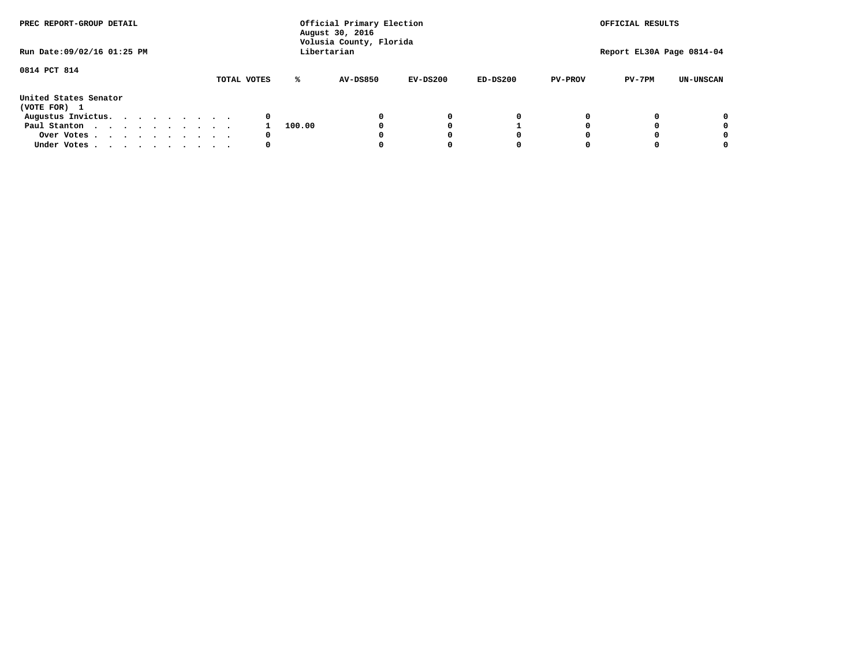| PREC REPORT-GROUP DETAIL<br>Run Date: 09/02/16 01:25 PM |  |  |  |             |        | Official Primary Election<br>August 30, 2016<br>Volusia County, Florida<br>Libertarian |            |            |                | OFFICIAL RESULTS<br>Report EL30A Page 0814-04 |                  |
|---------------------------------------------------------|--|--|--|-------------|--------|----------------------------------------------------------------------------------------|------------|------------|----------------|-----------------------------------------------|------------------|
|                                                         |  |  |  |             |        |                                                                                        |            |            |                |                                               |                  |
| 0814 PCT 814                                            |  |  |  |             |        |                                                                                        |            |            |                |                                               |                  |
|                                                         |  |  |  | TOTAL VOTES | ℁      | AV-DS850                                                                               | $EV-DS200$ | $ED-DS200$ | <b>PV-PROV</b> | $PV-7PM$                                      | <b>UN-UNSCAN</b> |
| United States Senator<br>(VOTE FOR) 1                   |  |  |  |             |        |                                                                                        |            |            |                |                                               |                  |
| Augustus Invictus.                                      |  |  |  | 0           |        |                                                                                        | 0          | 0          |                |                                               | 0                |
| Paul Stanton                                            |  |  |  |             | 100.00 |                                                                                        |            |            |                |                                               | 0                |
| Over Votes                                              |  |  |  | 0           |        |                                                                                        |            | O          |                |                                               | 0                |
| Under Votes                                             |  |  |  | 0           |        |                                                                                        |            |            |                |                                               |                  |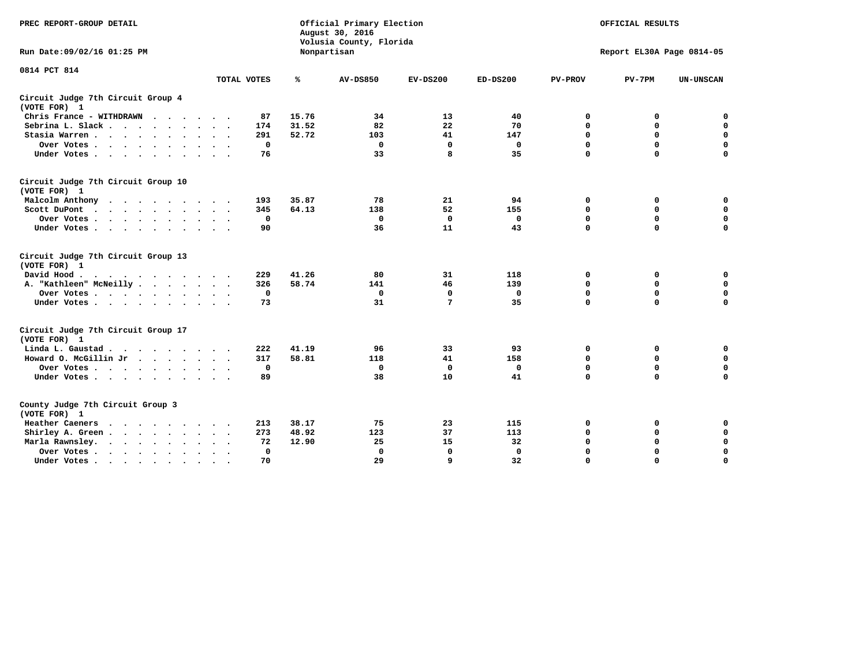| PREC REPORT-GROUP DETAIL                           |              |       | Official Primary Election<br>August 30, 2016<br>Volusia County, Florida |                 |              |                | OFFICIAL RESULTS          |                  |
|----------------------------------------------------|--------------|-------|-------------------------------------------------------------------------|-----------------|--------------|----------------|---------------------------|------------------|
| Run Date: 09/02/16 01:25 PM                        |              |       | Nonpartisan                                                             |                 |              |                | Report EL30A Page 0814-05 |                  |
| 0814 PCT 814                                       |              |       |                                                                         |                 |              |                |                           |                  |
|                                                    | TOTAL VOTES  | ℁     | <b>AV-DS850</b>                                                         | $EV-DS200$      | $ED-DS200$   | <b>PV-PROV</b> | $PV-7PM$                  | <b>UN-UNSCAN</b> |
| Circuit Judge 7th Circuit Group 4<br>(VOTE FOR) 1  |              |       |                                                                         |                 |              |                |                           |                  |
| Chris France - WITHDRAWN<br>.                      | 87           | 15.76 | 34                                                                      | 13              | 40           | 0              | 0                         | 0                |
| Sebrina L. Slack                                   | 174          | 31.52 | 82                                                                      | 22              | 70           | $\Omega$       | $\mathbf 0$               | $\mathbf 0$      |
| Stasia Warren                                      | 291          | 52.72 | 103                                                                     | 41              | 147          | $\mathbf 0$    | $\mathbf 0$               | $\mathbf 0$      |
| Over Votes                                         | 0            |       | $\mathbf{0}$                                                            | $\mathbf 0$     | 0            | $\mathbf 0$    | $\mathbf 0$               | $\mathbf 0$      |
| Under Votes                                        | 76           |       | 33                                                                      | 8               | 35           | $\mathbf 0$    | $\mathbf 0$               | $\mathbf 0$      |
| Circuit Judge 7th Circuit Group 10<br>(VOTE FOR) 1 |              |       |                                                                         |                 |              |                |                           |                  |
| Malcolm Anthony                                    | 193          | 35.87 | 78                                                                      | 21              | 94           | 0              | 0                         | 0                |
| Scott DuPont                                       | 345          | 64.13 | 138                                                                     | 52              | 155          | $\mathbf 0$    | $\mathbf 0$               | $\mathbf 0$      |
| Over Votes<br>$\cdot$                              | 0            |       | $\mathbf 0$                                                             | $\mathbf 0$     | 0            | 0              | $\mathbf 0$               | $\mathbf 0$      |
| Under Votes                                        | 90           |       | 36                                                                      | 11              | 43           | $\mathbf 0$    | $\Omega$                  | 0                |
| Circuit Judge 7th Circuit Group 13<br>(VOTE FOR) 1 |              |       |                                                                         |                 |              |                |                           |                  |
| David Hood.                                        | 229          | 41.26 | 80                                                                      | 31              | 118          | 0              | 0                         | $\mathbf 0$      |
| A. "Kathleen" McNeilly                             | 326          | 58.74 | 141                                                                     | 46              | 139          | $\mathbf 0$    | $\mathbf 0$               | $\mathbf 0$      |
| Over Votes                                         | $\mathbf 0$  |       | $\mathbf{0}$                                                            | $\mathbf 0$     | 0            | 0              | $\mathbf 0$               | $\mathbf 0$      |
| Under Votes                                        | 73           |       | 31                                                                      | $7\phantom{.0}$ | 35           | $\mathbf 0$    | $\mathbf 0$               | 0                |
| Circuit Judge 7th Circuit Group 17<br>(VOTE FOR) 1 |              |       |                                                                         |                 |              |                |                           |                  |
| Linda L. Gaustad                                   | 222          | 41.19 | 96                                                                      | 33              | 93           | 0              | 0                         | $\mathbf 0$      |
| Howard O. McGillin Jr                              | 317          | 58.81 | 118                                                                     | 41              | 158          | 0              | 0                         | $\mathbf 0$      |
| Over Votes                                         | $\mathbf 0$  |       | $\Omega$                                                                | 0               | 0            | $\mathbf 0$    | $\mathbf 0$               | 0                |
| Under Votes                                        | 89           |       | 38                                                                      | 10              | 41           | $\mathbf 0$    | $\mathbf 0$               | $\mathbf 0$      |
| County Judge 7th Circuit Group 3<br>(VOTE FOR) 1   |              |       |                                                                         |                 |              |                |                           |                  |
| Heather Caeners<br>$\cdots$                        | 213          | 38.17 | 75                                                                      | 23              | 115          | 0              | 0                         | 0                |
| Shirley A. Green                                   | 273          | 48.92 | 123                                                                     | 37              | 113          | $\mathbf 0$    | $\mathbf 0$               | $\mathbf 0$      |
| Marla Rawnsley.<br>$\cdot$                         | 72           | 12.90 | 25                                                                      | 15              | 32           | 0              | $\mathbf 0$               | $\pmb{0}$        |
| Over Votes.<br>$\ddot{\phantom{a}}$<br>$\cdot$     | $\mathbf{0}$ |       | $\Omega$                                                                | $\mathbf 0$     | $\mathbf{0}$ | $\mathbf 0$    | $\mathbf 0$               | $\mathbf 0$      |
| Under Votes<br>$\sim$<br>$\sim$                    | 70           |       | 29                                                                      | 9               | 32           | $\mathbf 0$    | $\mathbf 0$               | 0                |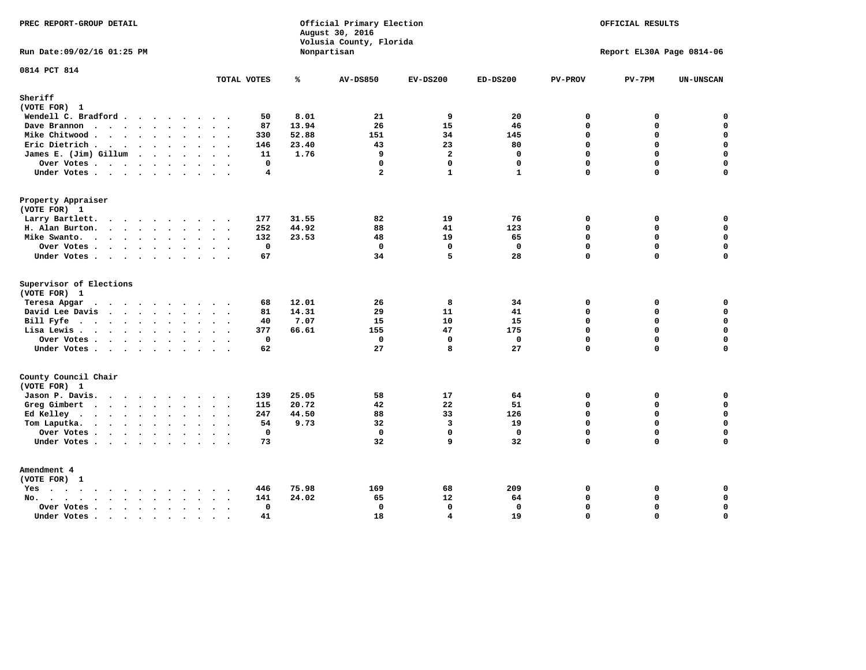| PREC REPORT-GROUP DETAIL                                                                                                                                                                                                                          |                        | August 30, 2016 | Official Primary Election<br>Volusia County, Florida |                         |              |                | OFFICIAL RESULTS          |                  |
|---------------------------------------------------------------------------------------------------------------------------------------------------------------------------------------------------------------------------------------------------|------------------------|-----------------|------------------------------------------------------|-------------------------|--------------|----------------|---------------------------|------------------|
| Run Date: 09/02/16 01:25 PM                                                                                                                                                                                                                       |                        | Nonpartisan     |                                                      |                         |              |                | Report EL30A Page 0814-06 |                  |
| 0814 PCT 814                                                                                                                                                                                                                                      | TOTAL VOTES            | ℁               | <b>AV-DS850</b>                                      | $EV-DS200$              | $ED-DS200$   | <b>PV-PROV</b> | $PV-7PM$                  | <b>UN-UNSCAN</b> |
| Sheriff<br>(VOTE FOR) 1                                                                                                                                                                                                                           |                        |                 |                                                      |                         |              |                |                           |                  |
| Wendell C. Bradford                                                                                                                                                                                                                               | 50                     | 8.01            | 21                                                   | 9                       | 20           | $\Omega$       | 0                         | $\mathbf 0$      |
| Dave Brannon                                                                                                                                                                                                                                      | 87                     | 13.94           | 26                                                   | 15                      | 46           | $\mathbf 0$    | 0                         | $\mathbf 0$      |
| Mike Chitwood                                                                                                                                                                                                                                     | 330                    | 52.88           | 151                                                  | 34                      | 145          | $\Omega$       | 0                         | $\mathbf 0$      |
| Eric Dietrich.                                                                                                                                                                                                                                    | 146                    | 23.40           | 43                                                   | 23                      | 80           | $\mathbf 0$    | 0                         | $\mathbf 0$      |
| James E. (Jim) Gillum                                                                                                                                                                                                                             | 11                     | 1.76            | 9                                                    | $\overline{a}$          | $\Omega$     | $\Omega$       | $\Omega$                  | $\mathbf 0$      |
| Over Votes                                                                                                                                                                                                                                        | $\mathbf 0$            |                 | $\mathbf 0$                                          | $\mathbf 0$             | $\mathbf{0}$ | $\Omega$       | 0                         | $\mathbf 0$      |
| Under Votes                                                                                                                                                                                                                                       | 4                      |                 | $\overline{a}$                                       | $\mathbf{1}$            | $\mathbf{1}$ | $\Omega$       | $\Omega$                  | $\Omega$         |
| Property Appraiser                                                                                                                                                                                                                                |                        |                 |                                                      |                         |              |                |                           |                  |
| (VOTE FOR) 1                                                                                                                                                                                                                                      |                        |                 |                                                      |                         |              |                |                           |                  |
| Larry Bartlett.                                                                                                                                                                                                                                   | 177                    | 31.55           | 82                                                   | 19                      | 76           | $\mathbf 0$    | 0                         | 0                |
| H. Alan Burton.                                                                                                                                                                                                                                   | 252                    | 44.92           | 88                                                   | 41                      | 123          | $\mathbf{0}$   | 0                         | $\mathbf 0$      |
| Mike Swanto.                                                                                                                                                                                                                                      | 132                    | 23.53           | 48                                                   | 19                      | 65           | $\Omega$       | $\Omega$                  | 0                |
| Over Votes.                                                                                                                                                                                                                                       | $\mathbf 0$            |                 | $\mathbf 0$                                          | $\mathbf 0$             | $\mathbf 0$  | $\mathbf 0$    | 0                         | 0                |
| Under Votes                                                                                                                                                                                                                                       | 67                     |                 | 34                                                   | 5                       | 28           | $\Omega$       | $\Omega$                  | $\mathbf 0$      |
| Supervisor of Elections                                                                                                                                                                                                                           |                        |                 |                                                      |                         |              |                |                           |                  |
| (VOTE FOR) 1                                                                                                                                                                                                                                      |                        |                 |                                                      |                         |              |                |                           |                  |
| Teresa Apgar<br>$\cdots$                                                                                                                                                                                                                          | 68<br>$\sim$ $\sim$    | 12.01           | 26                                                   | 8                       | 34           | $\mathbf 0$    | 0                         | 0                |
| David Lee Davis                                                                                                                                                                                                                                   | 81                     | 14.31           | 29                                                   | 11                      | 41           | $\mathbf 0$    | 0                         | $\mathbf 0$      |
| Bill Fyfe.                                                                                                                                                                                                                                        | 40                     | 7.07            | 15                                                   | 10                      | 15           | $\mathbf 0$    | 0                         | $\mathbf 0$      |
| Lisa Lewis                                                                                                                                                                                                                                        | 377                    | 66.61           | 155                                                  | 47                      | 175          | $\mathbf 0$    | 0                         | $\mathbf 0$      |
| Over Votes                                                                                                                                                                                                                                        | 0                      |                 | $\mathbf 0$                                          | $\mathbf 0$             | $\mathbf 0$  | $\mathbf 0$    | 0                         | $\pmb{0}$        |
| Under Votes                                                                                                                                                                                                                                       | 62                     |                 | 27                                                   | 8                       | 27           | $\mathbf 0$    | $\Omega$                  | $\mathbf 0$      |
| County Council Chair<br>(VOTE FOR) 1                                                                                                                                                                                                              |                        |                 |                                                      |                         |              |                |                           |                  |
| Jason P. Davis.                                                                                                                                                                                                                                   | 139                    | 25.05           | 58                                                   | 17                      | 64           | $\mathbf 0$    | 0                         | 0                |
| Greg Gimbert<br>$\mathbf{r}$ . The contract of the contract of the contract of the contract of the contract of the contract of the contract of the contract of the contract of the contract of the contract of the contract of the contract of th | 115                    | 20.72           | 42                                                   | 22                      | 51           | $\mathbf{0}$   | 0                         | $\mathbf 0$      |
| Ed Kelley                                                                                                                                                                                                                                         | 247                    | 44.50           | 88                                                   | 33                      | 126          | $\Omega$       | 0                         | $\mathbf 0$      |
| Tom Laputka.                                                                                                                                                                                                                                      | 54                     | 9.73            | 32                                                   | $\overline{3}$          | 19           | $\Omega$       | $\mathbf 0$               | $\mathbf 0$      |
| Over Votes                                                                                                                                                                                                                                        | $\mathbf 0$            |                 | $\mathbf 0$                                          | $\mathbf{0}$            | $\mathbf{0}$ | $\Omega$       | 0                         | 0                |
| Under Votes                                                                                                                                                                                                                                       | 73                     |                 | 32                                                   | 9                       | 32           | $\Omega$       | $\Omega$                  | $\mathbf 0$      |
| Amendment 4                                                                                                                                                                                                                                       |                        |                 |                                                      |                         |              |                |                           |                  |
| (VOTE FOR) 1                                                                                                                                                                                                                                      |                        |                 |                                                      |                         |              |                |                           |                  |
| $Yes \cdot \cdot \cdot \cdot \cdot \cdot \cdot \cdot \cdot$                                                                                                                                                                                       | 446<br>$\cdot$ .       | 75.98           | 169                                                  | 68                      | 209          | 0              | 0                         | 0                |
| $No.$<br>$\ddot{\phantom{a}}$                                                                                                                                                                                                                     | 141                    | 24.02           | 65                                                   | 12                      | 64           | $\Omega$       | 0                         | $\mathbf 0$      |
| Over Votes .<br>$\cdots$                                                                                                                                                                                                                          | $\mathbf 0$            |                 | $\mathbf 0$                                          | $\mathbf{0}$            | $\mathbf 0$  | $\mathbf 0$    | 0                         | $\mathbf 0$      |
| Under Votes<br>$\sim$                                                                                                                                                                                                                             | 41<br>$\sim$<br>$\sim$ |                 | 18                                                   | $\overline{\mathbf{4}}$ | 19           | $\mathbf 0$    | 0                         | $\mathbf 0$      |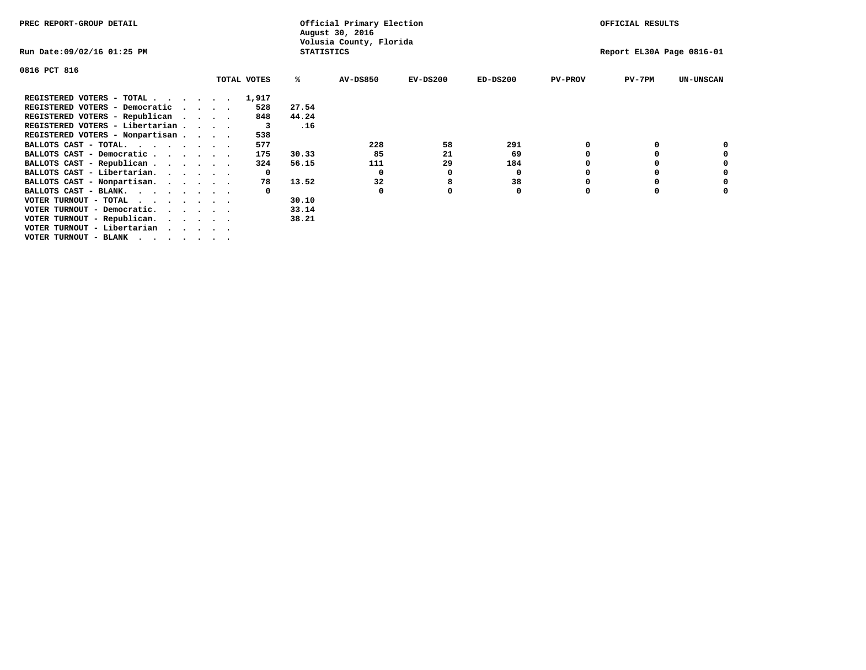| PREC REPORT-GROUP DETAIL                                    |              |                   | Official Primary Election<br>August 30, 2016 |            |            |                | OFFICIAL RESULTS          |                  |
|-------------------------------------------------------------|--------------|-------------------|----------------------------------------------|------------|------------|----------------|---------------------------|------------------|
| Run Date:09/02/16 01:25 PM                                  |              | <b>STATISTICS</b> | Volusia County, Florida                      |            |            |                | Report EL30A Page 0816-01 |                  |
| 0816 PCT 816                                                |              |                   |                                              |            |            |                |                           |                  |
|                                                             | TOTAL VOTES  | ℁                 | <b>AV-DS850</b>                              | $EV-DS200$ | $ED-DS200$ | <b>PV-PROV</b> | $PV-7PM$                  | <b>UN-UNSCAN</b> |
| REGISTERED VOTERS - TOTAL 1,917                             |              |                   |                                              |            |            |                |                           |                  |
| REGISTERED VOTERS - Democratic<br>$\cdots$                  | 528          | 27.54             |                                              |            |            |                |                           |                  |
| REGISTERED VOTERS - Republican                              | 848          | 44.24             |                                              |            |            |                |                           |                  |
| REGISTERED VOTERS - Libertarian                             | 3            | .16               |                                              |            |            |                |                           |                  |
| REGISTERED VOTERS - Nonpartisan                             | 538          |                   |                                              |            |            |                |                           |                  |
| BALLOTS CAST - TOTAL.                                       | 577          |                   | 228                                          | 58         | 291        |                |                           |                  |
| BALLOTS CAST - Democratic                                   | 175          | 30.33             | 85                                           | 21         | 69         |                |                           |                  |
| BALLOTS CAST - Republican                                   | 324          | 56.15             | 111                                          | 29         | 184        |                |                           |                  |
| BALLOTS CAST - Libertarian.                                 | $\mathbf{o}$ |                   | 0                                            | 0          | 0          |                |                           |                  |
| BALLOTS CAST - Nonpartisan.                                 | 78           | 13.52             | 32                                           | 8          | 38         |                |                           | 0                |
| BALLOTS CAST - BLANK.                                       |              |                   | 0                                            |            | 0          | $\Omega$       |                           |                  |
| VOTER TURNOUT - TOTAL $\cdot \cdot \cdot \cdot \cdot \cdot$ |              | 30.10             |                                              |            |            |                |                           |                  |
| VOTER TURNOUT - Democratic.<br>$\cdot$                      |              | 33.14             |                                              |            |            |                |                           |                  |
| VOTER TURNOUT - Republican.                                 |              | 38.21             |                                              |            |            |                |                           |                  |
| VOTER TURNOUT - Libertarian                                 |              |                   |                                              |            |            |                |                           |                  |
| VOTER TURNOUT - BLANK                                       |              |                   |                                              |            |            |                |                           |                  |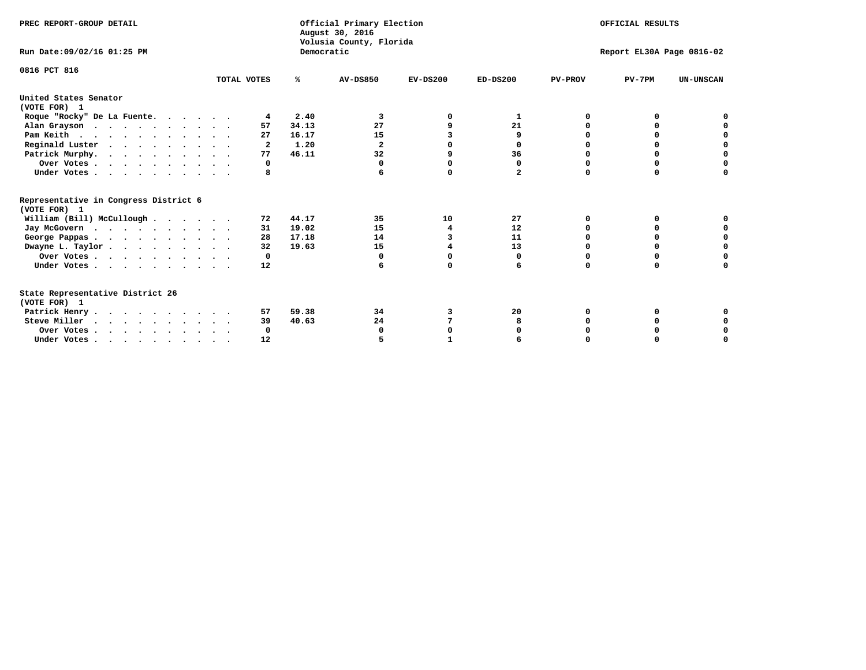| PREC REPORT-GROUP DETAIL                                                         |             |            | Official Primary Election<br>August 30, 2016<br>Volusia County, Florida |            |                |                | OFFICIAL RESULTS          |                  |
|----------------------------------------------------------------------------------|-------------|------------|-------------------------------------------------------------------------|------------|----------------|----------------|---------------------------|------------------|
| Run Date: 09/02/16 01:25 PM                                                      |             | Democratic |                                                                         |            |                |                | Report EL30A Page 0816-02 |                  |
| 0816 PCT 816                                                                     | TOTAL VOTES | ℁          | <b>AV-DS850</b>                                                         | $EV-DS200$ | $ED-DS200$     | <b>PV-PROV</b> | $PV-7PM$                  | <b>UN-UNSCAN</b> |
| United States Senator<br>(VOTE FOR) 1                                            |             |            |                                                                         |            |                |                |                           |                  |
| Roque "Rocky" De La Fuente.                                                      | 4           | 2.40       | 3                                                                       |            | 1              | O              | O                         |                  |
| Alan Grayson                                                                     | 57          | 34.13      | 27                                                                      |            | 21             |                |                           |                  |
| Pam Keith                                                                        | 27          | 16.17      | 15                                                                      | 3          | 9              |                | 0                         |                  |
| Reginald Luster                                                                  | 2           | 1.20       | $\mathbf{2}$                                                            |            | 0              |                | 0                         | $\mathbf 0$      |
| Patrick Murphy.                                                                  | 77          | 46.11      | 32                                                                      | 9          | 36             | $\Omega$       | 0                         | $\mathbf 0$      |
| Over Votes                                                                       | 0           |            | $\Omega$                                                                | O          | $\mathbf 0$    | O              | 0                         | $\Omega$         |
| Under Votes                                                                      | 8           |            |                                                                         | $\Omega$   | $\overline{a}$ | $\Omega$       | $\Omega$                  | U                |
| Representative in Congress District 6<br>(VOTE FOR) 1                            |             |            |                                                                         |            |                |                |                           |                  |
| William (Bill) McCullough                                                        | 72          | 44.17      | 35                                                                      | 10         | 27             | O              | 0                         |                  |
| Jay McGovern                                                                     | 31          | 19.02      | 15                                                                      | 4          | 12             | O              | $\Omega$                  | O                |
| George Pappas.                                                                   | 28          | 17.18      | 14                                                                      | 3          | 11             |                | $\Omega$                  | 0                |
| Dwayne L. Taylor                                                                 | 32          | 19.63      | 15                                                                      |            | 13             | $\Omega$       | 0                         | $\mathbf 0$      |
| Over Votes                                                                       | 0           |            | 0                                                                       | $\Omega$   | 0              | $\Omega$       | $\Omega$                  | 0                |
| Under Votes                                                                      | 12          |            | 6                                                                       | $\Omega$   | 6              | $\Omega$       | $\Omega$                  | O                |
| State Representative District 26<br>(VOTE FOR) 1                                 |             |            |                                                                         |            |                |                |                           |                  |
| Patrick Henry                                                                    | 57          | 59.38      | 34                                                                      | 3          | 20             | O              | 0                         |                  |
| Steve Miller                                                                     | 39          | 40.63      | 24                                                                      |            |                |                |                           | 0                |
| Over Votes                                                                       | 0           |            | 0                                                                       | O          |                |                | O                         | 0                |
| Under Votes, $\cdot$ , $\cdot$ , $\cdot$ , $\cdot$ , $\cdot$ , $\cdot$ , $\cdot$ | 12          |            |                                                                         |            |                |                |                           | U                |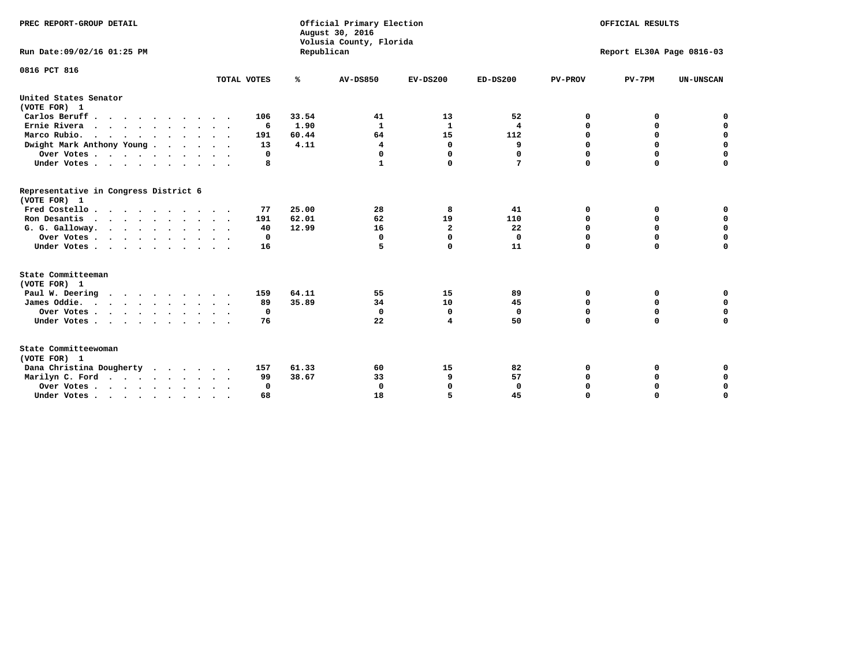| PREC REPORT-GROUP DETAIL<br>Run Date: 09/02/16 01:25 PM |             | Republican | Official Primary Election<br>August 30, 2016<br>Volusia County, Florida |                |              |                | OFFICIAL RESULTS<br>Report EL30A Page 0816-03 |                  |
|---------------------------------------------------------|-------------|------------|-------------------------------------------------------------------------|----------------|--------------|----------------|-----------------------------------------------|------------------|
|                                                         |             |            |                                                                         |                |              |                |                                               |                  |
| 0816 PCT 816                                            |             |            |                                                                         |                |              |                |                                               |                  |
|                                                         | TOTAL VOTES | ℁          | <b>AV-DS850</b>                                                         | $EV-DS200$     | $ED-DS200$   | <b>PV-PROV</b> | $PV-7PM$                                      | <b>UN-UNSCAN</b> |
| United States Senator<br>(VOTE FOR) 1                   |             |            |                                                                         |                |              |                |                                               |                  |
| Carlos Beruff                                           | 106         | 33.54      | 41                                                                      | 13             | 52           | 0              | 0                                             | 0                |
| Ernie Rivera                                            | -6          | 1.90       | $\mathbf{1}$                                                            | $\mathbf{1}$   | 4            | $\Omega$       | 0                                             | $\mathbf 0$      |
| Marco Rubio.                                            | 191         | 60.44      | 64                                                                      | 15             | 112          | $\mathbf 0$    | $\mathbf 0$                                   | $\mathbf 0$      |
| Dwight Mark Anthony Young                               | 13          | 4.11       | 4                                                                       | 0              | 9            | 0              | $\mathbf 0$                                   | $\pmb{0}$        |
| Over Votes                                              | 0           |            | 0                                                                       | $\Omega$       | 0            | 0              | 0                                             | 0                |
| Under Votes                                             | 8           |            | 1                                                                       | 0              | 7            | $\Omega$       | $\Omega$                                      | $\mathbf 0$      |
| Representative in Congress District 6<br>(VOTE FOR) 1   |             |            |                                                                         |                |              |                |                                               |                  |
| Fred Costello.                                          | 77          | 25.00      | 28                                                                      | 8              | 41           | 0              | 0                                             | 0                |
| Ron Desantis                                            | 191         | 62.01      | 62                                                                      | 19             | 110          | 0              | 0                                             | $\mathbf 0$      |
| G. G. Galloway.                                         | 40          | 12.99      | 16                                                                      | $\overline{a}$ | 22           | $\Omega$       | $\Omega$                                      | $\mathbf 0$      |
| Over Votes                                              | 0           |            | $\mathbf{0}$                                                            | $\mathbf 0$    | $\mathbf{0}$ | $\Omega$       | $\mathbf 0$                                   | $\mathbf 0$      |
| Under Votes                                             | 16          |            | 5                                                                       | 0              | 11           | $\Omega$       | $\Omega$                                      | $\Omega$         |
| State Committeeman                                      |             |            |                                                                         |                |              |                |                                               |                  |
| (VOTE FOR) 1                                            |             |            |                                                                         |                |              |                |                                               |                  |
| Paul W. Deering                                         | 159         | 64.11      | 55                                                                      | 15             | 89           | 0              | 0                                             | 0                |
| James Oddie.                                            | 89          | 35.89      | 34                                                                      | 10             | 45           | 0              | 0                                             | $\mathbf 0$      |
| Over Votes                                              | 0           |            | $\mathbf{0}$                                                            | 0              | $\mathbf 0$  | 0              | $\mathbf 0$                                   | $\mathbf 0$      |
| Under Votes                                             | 76          |            | 22                                                                      | 4              | 50           | $\Omega$       | 0                                             | $\mathbf 0$      |
| State Committeewoman<br>(VOTE FOR) 1                    |             |            |                                                                         |                |              |                |                                               |                  |
| Dana Christina Dougherty<br>.                           | 157         | 61.33      | 60                                                                      | 15             | 82           | 0              | 0                                             | 0                |
| Marilyn C. Ford                                         | 99          | 38.67      | 33                                                                      | 9              | 57           | 0              | 0                                             | 0                |
| Over Votes                                              | $\Omega$    |            | $\Omega$                                                                | $\Omega$       | $\mathbf{0}$ | 0              | 0                                             | $\mathbf 0$      |
| Under Votes, , , , , , , , , ,                          | 68          |            | 18                                                                      | 5              | 45           | $\Omega$       | $\Omega$                                      | $\Omega$         |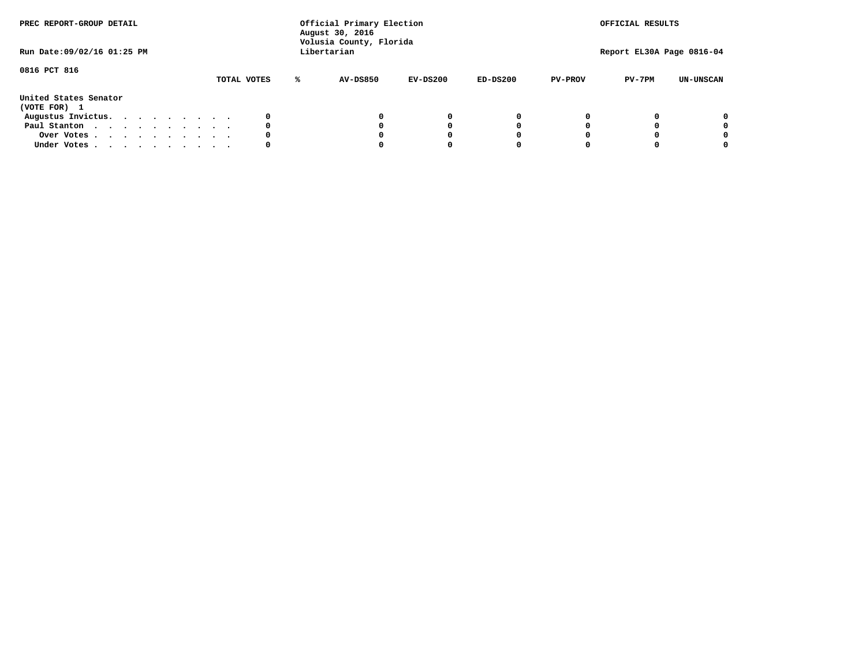| PREC REPORT-GROUP DETAIL<br>Run Date: 09/02/16 01:25 PM |  |  |  |  |             |   | Official Primary Election<br>August 30, 2016<br>Volusia County, Florida<br>Libertarian |            |            |                | OFFICIAL RESULTS<br>Report EL30A Page 0816-04 |                  |
|---------------------------------------------------------|--|--|--|--|-------------|---|----------------------------------------------------------------------------------------|------------|------------|----------------|-----------------------------------------------|------------------|
| 0816 PCT 816                                            |  |  |  |  | TOTAL VOTES | ℁ | AV-DS850                                                                               | $EV-DS200$ | $ED-DS200$ | <b>PV-PROV</b> | $PV-7PM$                                      | <b>UN-UNSCAN</b> |
| United States Senator<br>(VOTE FOR) 1                   |  |  |  |  |             |   |                                                                                        |            |            |                |                                               |                  |
| Augustus Invictus.                                      |  |  |  |  | 0           |   |                                                                                        | 0          | 0          |                |                                               | 0                |
| Paul Stanton                                            |  |  |  |  | 0           |   |                                                                                        |            | 0          |                |                                               | 0                |
| Over Votes                                              |  |  |  |  | 0           |   |                                                                                        |            | 0          |                |                                               | 0                |
| Under Votes                                             |  |  |  |  | 0           |   |                                                                                        |            |            |                |                                               | 0                |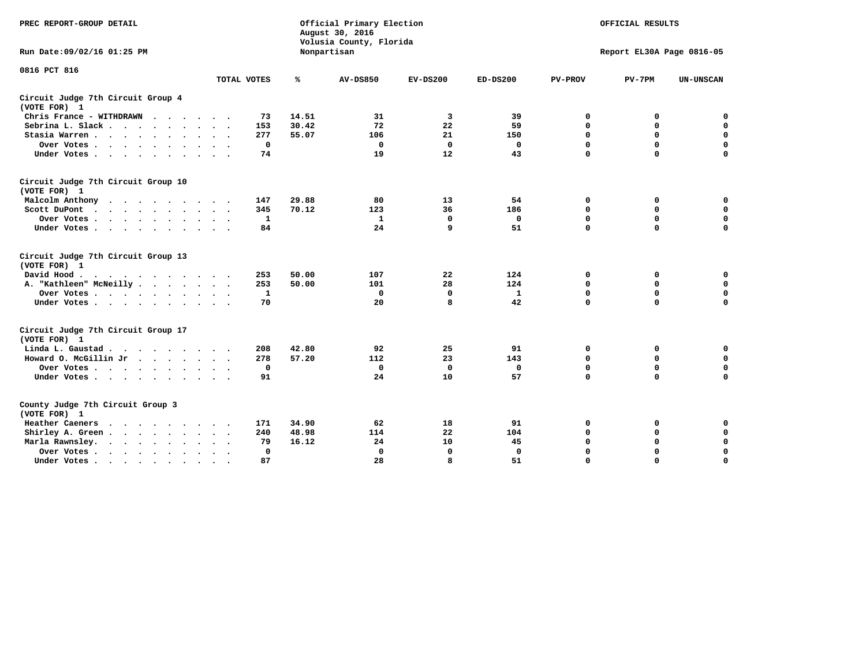| PREC REPORT-GROUP DETAIL                                                |             |             |             | Official Primary Election<br>August 30, 2016<br>Volusia County, Florida |             |              |                | OFFICIAL RESULTS          |                  |
|-------------------------------------------------------------------------|-------------|-------------|-------------|-------------------------------------------------------------------------|-------------|--------------|----------------|---------------------------|------------------|
| Run Date: 09/02/16 01:25 PM                                             |             |             | Nonpartisan |                                                                         |             |              |                | Report EL30A Page 0816-05 |                  |
| 0816 PCT 816                                                            |             |             |             |                                                                         |             |              |                |                           |                  |
|                                                                         | TOTAL VOTES |             | ℁           | <b>AV-DS850</b>                                                         | $EV-DS200$  | $ED-DS200$   | <b>PV-PROV</b> | $PV-7PM$                  | <b>UN-UNSCAN</b> |
| Circuit Judge 7th Circuit Group 4<br>(VOTE FOR) 1                       |             |             |             |                                                                         |             |              |                |                           |                  |
| Chris France - WITHDRAWN<br>$\cdots$                                    |             | 73          | 14.51       | 31                                                                      | 3           | 39           | 0              | 0                         | 0                |
| Sebrina L. Slack                                                        |             | 153         | 30.42       | 72                                                                      | 22          | 59           | $\Omega$       | $\mathbf 0$               | $\mathbf 0$      |
| Stasia Warren                                                           |             | 277         | 55.07       | 106                                                                     | 21          | 150          | $\mathbf 0$    | $\mathbf 0$               | $\mathbf 0$      |
| Over Votes                                                              |             | $\mathbf 0$ |             | $\mathbf{0}$                                                            | $\mathbf 0$ | 0            | $\mathbf 0$    | $\mathbf 0$               | $\mathbf 0$      |
| Under Votes                                                             |             | 74          |             | 19                                                                      | 12          | 43           | $\mathbf 0$    | $\mathbf 0$               | $\mathbf 0$      |
| Circuit Judge 7th Circuit Group 10<br>(VOTE FOR) 1                      |             |             |             |                                                                         |             |              |                |                           |                  |
| Malcolm Anthony                                                         |             | 147         | 29.88       | 80                                                                      | 13          | 54           | 0              | 0                         | 0                |
| Scott DuPont                                                            |             | 345         | 70.12       | 123                                                                     | 36          | 186          | $\mathbf 0$    | $\mathbf 0$               | $\mathbf 0$      |
| Over Votes<br>$\bullet$<br>$\cdot$                                      |             | 1           |             | 1                                                                       | $\mathbf 0$ | 0            | 0              | $\mathbf 0$               | $\mathbf 0$      |
| Under Votes                                                             |             | 84          |             | 24                                                                      | 9           | 51           | $\mathbf 0$    | $\Omega$                  | $\mathbf 0$      |
| Circuit Judge 7th Circuit Group 13<br>(VOTE FOR) 1                      |             |             |             |                                                                         |             |              |                |                           |                  |
| David Hood.                                                             |             | 253         | 50.00       | 107                                                                     | 22          | 124          | $\mathbf 0$    | 0                         | $\mathbf 0$      |
| A. "Kathleen" McNeilly                                                  |             | 253         | 50.00       | 101                                                                     | 28          | 124          | $\mathbf 0$    | $\mathbf 0$               | $\mathbf 0$      |
| Over Votes                                                              |             | 1           |             | $\mathbf{0}$                                                            | $\mathbf 0$ | $\mathbf{1}$ | 0              | $\mathbf 0$               | $\mathbf 0$      |
| Under Votes                                                             |             | 70          |             | 20                                                                      | 8           | 42           | $\mathbf 0$    | $\mathbf 0$               | 0                |
| Circuit Judge 7th Circuit Group 17<br>(VOTE FOR) 1                      |             |             |             |                                                                         |             |              |                |                           |                  |
| Linda L. Gaustad                                                        |             | 208         | 42.80       | 92                                                                      | 25          | 91           | 0              | 0                         | $\mathbf 0$      |
| Howard O. McGillin Jr                                                   |             | 278         | 57.20       | 112                                                                     | 23          | 143          | 0              | 0                         | $\mathbf 0$      |
| Over Votes                                                              |             | 0           |             | $\mathbf{0}$                                                            | 0           | 0            | $\mathbf 0$    | $\mathbf 0$               | 0                |
| Under Votes                                                             |             | 91          |             | 24                                                                      | 10          | 57           | $\mathbf 0$    | $\mathbf 0$               | $\mathbf 0$      |
| County Judge 7th Circuit Group 3<br>(VOTE FOR) 1                        |             |             |             |                                                                         |             |              |                |                           |                  |
| Heather Caeners<br>$\cdots$                                             |             | 171         | 34.90       | 62                                                                      | 18          | 91           | 0              | 0                         | 0                |
| Shirley A. Green                                                        |             | 240         | 48.98       | 114                                                                     | 22          | 104          | $\mathbf 0$    | $\mathbf 0$               | $\mathbf 0$      |
| Marla Rawnsley.<br>$\cdot$ $\cdot$ $\cdot$ $\cdot$ $\cdot$              |             | 79          | 16.12       | 24                                                                      | 10          | 45           | 0              | $\mathbf 0$               | $\pmb{0}$        |
| Over Votes.<br>$\cdots$<br>$\ddot{\phantom{a}}$<br>$\ddot{\phantom{a}}$ |             | 0           |             | $\Omega$                                                                | $\mathbf 0$ | 0            | $\mathbf 0$    | $\mathbf 0$               | $\mathbf 0$      |
| Under Votes<br>$\sim$<br>$\sim$                                         |             | 87          |             | 28                                                                      | 8           | 51           | $\mathbf 0$    | $\mathbf 0$               | 0                |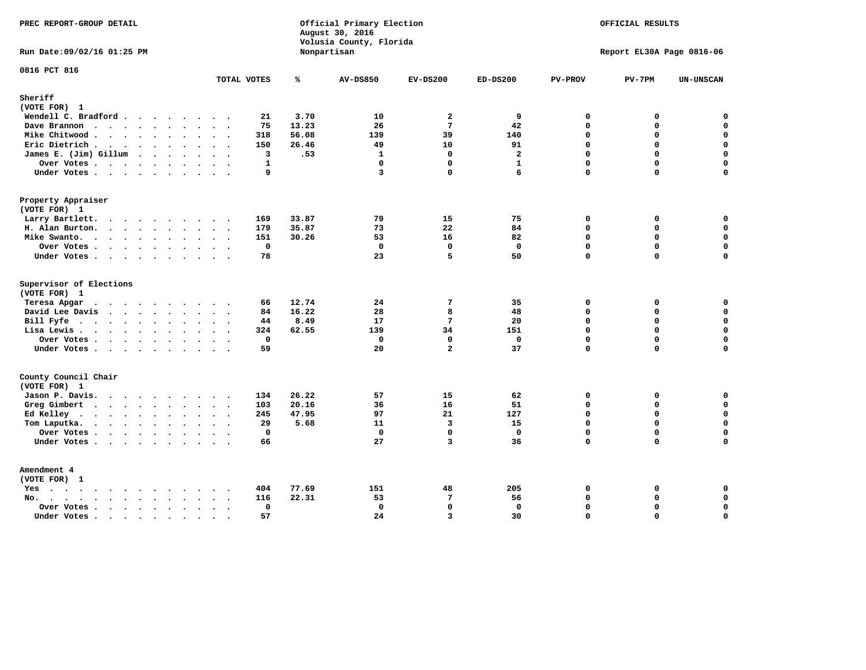| PREC REPORT-GROUP DETAIL                                                                                                                                                                                                                          |                                  |              | Official Primary Election<br>August 30, 2016<br>Volusia County, Florida |                                |                      |                             | OFFICIAL RESULTS          |                            |
|---------------------------------------------------------------------------------------------------------------------------------------------------------------------------------------------------------------------------------------------------|----------------------------------|--------------|-------------------------------------------------------------------------|--------------------------------|----------------------|-----------------------------|---------------------------|----------------------------|
| Run Date: 09/02/16 01:25 PM                                                                                                                                                                                                                       |                                  |              | Nonpartisan                                                             |                                |                      |                             | Report EL30A Page 0816-06 |                            |
| 0816 PCT 816                                                                                                                                                                                                                                      | TOTAL VOTES                      | ℁            | <b>AV-DS850</b>                                                         | $EV-DS200$                     | $ED-DS200$           | <b>PV-PROV</b>              | $PV-7PM$                  | <b>UN-UNSCAN</b>           |
| Sheriff                                                                                                                                                                                                                                           |                                  |              |                                                                         |                                |                      |                             |                           |                            |
| (VOTE FOR) 1                                                                                                                                                                                                                                      |                                  |              |                                                                         |                                |                      |                             |                           |                            |
| Wendell C. Bradford                                                                                                                                                                                                                               | 21                               | 3.70         | 10                                                                      | $\overline{\mathbf{2}}$        | 9                    | 0                           | 0                         | $\mathbf 0$                |
| Dave Brannon                                                                                                                                                                                                                                      | 75                               | 13.23        | 26                                                                      | $7\phantom{.0}$                | 42                   | $\mathbf 0$                 | 0                         | $\mathbf 0$                |
| Mike Chitwood                                                                                                                                                                                                                                     | 318                              | 56.08        | 139                                                                     | 39                             | 140                  | $\mathbf{0}$<br>$\mathbf 0$ | 0<br>0                    | $\mathbf 0$<br>$\mathbf 0$ |
| Eric Dietrich.                                                                                                                                                                                                                                    | 150<br>3                         | 26.46<br>.53 | 49                                                                      | 10<br>$\Omega$                 | 91<br>$\overline{a}$ | $\Omega$                    | $\Omega$                  | $\mathbf 0$                |
| James E. (Jim) Gillum                                                                                                                                                                                                                             | $\mathbf{1}$                     |              | $\mathbf{1}$<br>$\mathbf{0}$                                            | $\mathbf 0$                    | $\mathbf{1}$         | $\Omega$                    | 0                         | $\mathbf 0$                |
| Over Votes<br>Under Votes                                                                                                                                                                                                                         | 9                                |              | 3                                                                       | $\Omega$                       | 6                    | $\Omega$                    | $\Omega$                  | $\Omega$                   |
|                                                                                                                                                                                                                                                   |                                  |              |                                                                         |                                |                      |                             |                           |                            |
| Property Appraiser                                                                                                                                                                                                                                |                                  |              |                                                                         |                                |                      |                             |                           |                            |
| (VOTE FOR) 1                                                                                                                                                                                                                                      |                                  |              |                                                                         |                                |                      |                             |                           |                            |
| Larry Bartlett.                                                                                                                                                                                                                                   | 169                              | 33.87        | 79                                                                      | 15                             | 75                   | $\Omega$                    | 0                         | 0                          |
| H. Alan Burton.                                                                                                                                                                                                                                   | 179                              | 35.87        | 73                                                                      | 22                             | 84                   | $\mathbf 0$                 | 0                         | $\mathbf 0$                |
| Mike Swanto.                                                                                                                                                                                                                                      | 151                              | 30.26        | 53                                                                      | 16                             | 82                   | $\Omega$                    | $\Omega$                  | 0                          |
| Over Votes                                                                                                                                                                                                                                        | $\mathbf 0$                      |              | $\mathbf{0}$                                                            | $\mathbf 0$                    | $\mathbf 0$          | $\mathbf 0$                 | 0                         | $\mathbf 0$                |
| Under Votes                                                                                                                                                                                                                                       | 78                               |              | 23                                                                      | 5                              | 50                   | $\Omega$                    | $\Omega$                  | 0                          |
| Supervisor of Elections                                                                                                                                                                                                                           |                                  |              |                                                                         |                                |                      |                             |                           |                            |
| (VOTE FOR) 1                                                                                                                                                                                                                                      |                                  |              |                                                                         |                                |                      |                             |                           |                            |
| Teresa Apgar<br>$\mathbf{r}$ . The state of the state $\mathbf{r}$                                                                                                                                                                                | 66                               | 12.74        | 24                                                                      | 7                              | 35                   | 0                           | 0                         | $\mathbf 0$                |
| David Lee Davis                                                                                                                                                                                                                                   | 84                               | 16.22        | 28                                                                      | 8                              | 48                   | $\Omega$                    | 0                         | $\mathbf 0$                |
| Bill Fyfe.                                                                                                                                                                                                                                        | 44                               | 8.49         | 17                                                                      | 7                              | 20                   | $\mathbf{0}$                | 0                         | $\mathbf 0$                |
| Lisa Lewis                                                                                                                                                                                                                                        | 324                              | 62.55        | 139                                                                     | 34                             | 151                  | $\Omega$                    | 0                         | $\mathbf 0$                |
| Over Votes                                                                                                                                                                                                                                        | $\mathbf 0$<br>59                |              | 0<br>20                                                                 | $\mathbf{0}$<br>$\overline{a}$ | $\mathbf 0$<br>37    | $\mathbf 0$<br>$\Omega$     | 0<br>$\Omega$             | $\mathbf 0$<br>$\mathbf 0$ |
| Under Votes                                                                                                                                                                                                                                       |                                  |              |                                                                         |                                |                      |                             |                           |                            |
| County Council Chair                                                                                                                                                                                                                              |                                  |              |                                                                         |                                |                      |                             |                           |                            |
| (VOTE FOR) 1                                                                                                                                                                                                                                      |                                  |              |                                                                         |                                |                      |                             |                           |                            |
| Jason P. Davis.                                                                                                                                                                                                                                   | 134                              | 26.22        | 57                                                                      | 15                             | 62                   | $\mathbf 0$                 | 0                         | 0                          |
| Greg Gimbert<br>$\mathbf{r}$ . The contract of the contract of the contract of the contract of the contract of the contract of the contract of the contract of the contract of the contract of the contract of the contract of the contract of th | 103                              | 20.16        | 36                                                                      | 16                             | 51                   | $\mathbf{0}$                | 0                         | $\mathbf 0$                |
| Ed Kelley                                                                                                                                                                                                                                         | 245                              | 47.95        | 97                                                                      | 21                             | 127                  | $\Omega$                    | 0                         | $\mathbf 0$                |
| Tom Laputka.                                                                                                                                                                                                                                      | 29                               | 5.68         | 11                                                                      | $\overline{\mathbf{3}}$        | 15                   | $\mathbf 0$                 | 0                         | $\mathbf 0$                |
| Over Votes                                                                                                                                                                                                                                        | $\mathbf{0}$                     |              | $\mathbf 0$                                                             | $\mathbf 0$                    | $\mathbf{0}$         | $\mathbf 0$                 | 0                         | 0                          |
| Under Votes                                                                                                                                                                                                                                       | 66                               |              | 27                                                                      | 3                              | 36                   | $\Omega$                    | $\Omega$                  | $\mathbf 0$                |
| Amendment 4                                                                                                                                                                                                                                       |                                  |              |                                                                         |                                |                      |                             |                           |                            |
| (VOTE FOR) 1                                                                                                                                                                                                                                      |                                  |              |                                                                         |                                |                      |                             |                           |                            |
| $Yes \cdot \cdot \cdot \cdot \cdot \cdot \cdot \cdot \cdot$                                                                                                                                                                                       | 404<br>$\sim$ $\sim$ $\sim$      | 77.69        | 151                                                                     | 48                             | 205                  | 0                           | 0                         | 0                          |
| No.<br>$\ddot{\phantom{a}}$                                                                                                                                                                                                                       | 116                              | 22.31        | 53                                                                      | $7\phantom{.0}$                | 56                   | $\Omega$                    | 0                         | $\mathbf 0$                |
| Over Votes .<br>$\cdots$                                                                                                                                                                                                                          | $\mathbf 0$                      |              | $\mathbf 0$                                                             | $\mathbf{0}$                   | $\mathbf 0$          | $\mathbf 0$                 | 0                         | $\mathbf 0$                |
| Under Votes                                                                                                                                                                                                                                       | 57<br>$\sim$<br>$\sim$<br>$\sim$ |              | 24                                                                      | $\overline{3}$                 | 30                   | $\Omega$                    | 0                         | $\mathbf 0$                |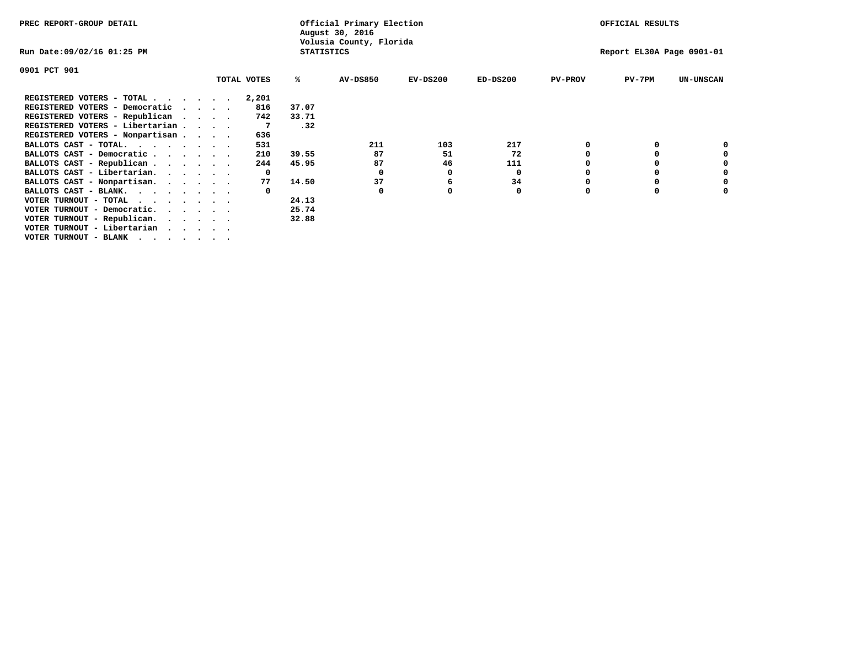| PREC REPORT-GROUP DETAIL                   |              |                   | Official Primary Election<br>August 30, 2016 |            |            | OFFICIAL RESULTS |                           |                  |
|--------------------------------------------|--------------|-------------------|----------------------------------------------|------------|------------|------------------|---------------------------|------------------|
| Run Date:09/02/16 01:25 PM                 |              | <b>STATISTICS</b> | Volusia County, Florida                      |            |            |                  | Report EL30A Page 0901-01 |                  |
| 0901 PCT 901                               |              |                   |                                              |            |            |                  |                           |                  |
|                                            | TOTAL VOTES  | ℁                 | <b>AV-DS850</b>                              | $EV-DS200$ | $ED-DS200$ | <b>PV-PROV</b>   | $PV-7PM$                  | <b>UN-UNSCAN</b> |
| REGISTERED VOTERS - TOTAL                  | 2,201        |                   |                                              |            |            |                  |                           |                  |
| REGISTERED VOTERS - Democratic<br>$\cdots$ | 816          | 37.07             |                                              |            |            |                  |                           |                  |
| REGISTERED VOTERS - Republican             | 742          | 33.71             |                                              |            |            |                  |                           |                  |
| REGISTERED VOTERS - Libertarian            |              | .32               |                                              |            |            |                  |                           |                  |
| REGISTERED VOTERS - Nonpartisan            | 636          |                   |                                              |            |            |                  |                           |                  |
| BALLOTS CAST - TOTAL.                      | 531          |                   | 211                                          | 103        | 217        |                  |                           |                  |
| BALLOTS CAST - Democratic                  | 210          | 39.55             | 87                                           | 51         | 72         |                  |                           |                  |
| BALLOTS CAST - Republican                  | 244          | 45.95             | 87                                           | 46         | 111        |                  |                           |                  |
| BALLOTS CAST - Libertarian.                | $\mathbf{o}$ |                   | 0                                            | 0          | 0          |                  |                           |                  |
| BALLOTS CAST - Nonpartisan.                | 77           | 14.50             | 37                                           | 6          | 34         |                  |                           | 0                |
| BALLOTS CAST - BLANK.                      |              |                   | 0                                            |            | 0          | $\Omega$         |                           |                  |
| VOTER TURNOUT - TOTAL                      |              | 24.13             |                                              |            |            |                  |                           |                  |
| VOTER TURNOUT - Democratic.<br>$\cdot$     |              | 25.74             |                                              |            |            |                  |                           |                  |
| VOTER TURNOUT - Republican.                |              | 32.88             |                                              |            |            |                  |                           |                  |
| VOTER TURNOUT - Libertarian                |              |                   |                                              |            |            |                  |                           |                  |
| VOTER TURNOUT - BLANK                      |              |                   |                                              |            |            |                  |                           |                  |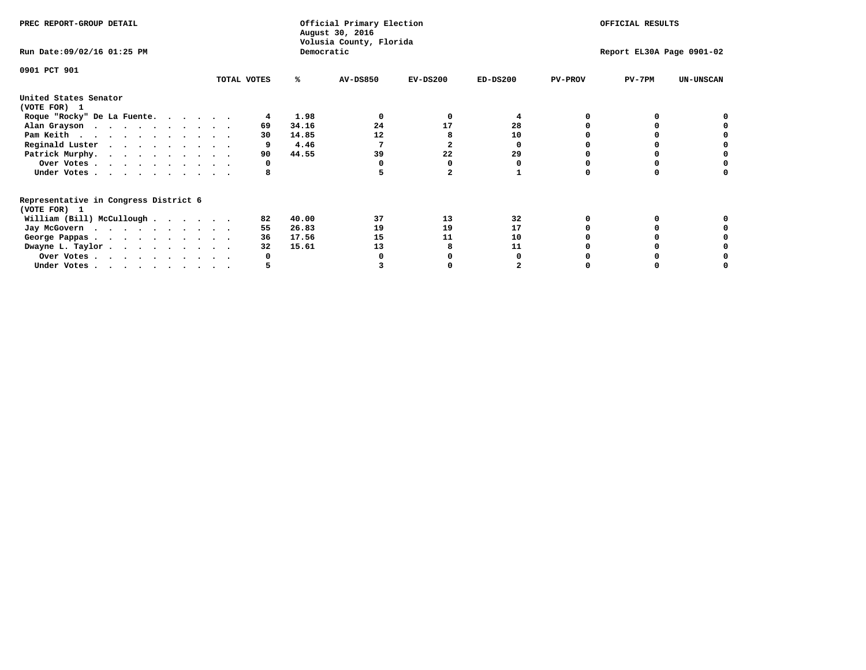| PREC REPORT-GROUP DETAIL                                               |             |    |            | Official Primary Election<br>August 30, 2016 |            |            |                | OFFICIAL RESULTS          |                  |
|------------------------------------------------------------------------|-------------|----|------------|----------------------------------------------|------------|------------|----------------|---------------------------|------------------|
| Run Date: 09/02/16 01:25 PM                                            |             |    | Democratic | Volusia County, Florida                      |            |            |                | Report EL30A Page 0901-02 |                  |
| 0901 PCT 901                                                           |             |    |            |                                              |            |            |                |                           |                  |
|                                                                        | TOTAL VOTES |    | ℁          | <b>AV-DS850</b>                              | $EV-DS200$ | $ED-DS200$ | <b>PV-PROV</b> | $PV-7PM$                  | <b>UN-UNSCAN</b> |
| United States Senator                                                  |             |    |            |                                              |            |            |                |                           |                  |
| (VOTE FOR) 1                                                           |             |    |            |                                              |            |            |                |                           |                  |
| Roque "Rocky" De La Fuente.                                            |             |    | 1.98       |                                              | O          |            |                |                           |                  |
| Alan Grayson                                                           |             | 69 | 34.16      | 24                                           | 17         | 28         |                |                           |                  |
| Pam Keith                                                              |             | 30 | 14.85      | 12                                           |            | 10         |                |                           |                  |
| Reginald Luster                                                        |             |    | 4.46       |                                              |            | o          |                |                           |                  |
| Patrick Murphy.                                                        |             | 90 | 44.55      | 39                                           | 22         | 29         |                |                           |                  |
| Over Votes                                                             |             | 0  |            |                                              |            |            |                |                           |                  |
| Under Votes                                                            |             |    |            |                                              |            |            |                |                           |                  |
| Representative in Congress District 6<br>(VOTE FOR) 1                  |             |    |            |                                              |            |            |                |                           |                  |
| William (Bill) McCullough                                              |             | 82 | 40.00      | 37                                           | 13         | 32         |                |                           |                  |
|                                                                        |             | 55 | 26.83      | 19                                           | 19         | 17         |                |                           |                  |
| Jay McGovern                                                           |             |    |            |                                              |            |            |                |                           |                  |
| George Pappas.                                                         |             | 36 | 17.56      | 15                                           | 11         | 10         |                |                           |                  |
| Dwayne L. Taylor.                                                      |             | 32 | 15.61      | 13                                           |            | 11         |                |                           |                  |
| Over Votes                                                             |             |    |            |                                              |            |            |                |                           |                  |
| Under Votes, $\cdot$ , $\cdot$ , $\cdot$ , $\cdot$ , $\cdot$ , $\cdot$ |             |    |            |                                              |            |            |                |                           |                  |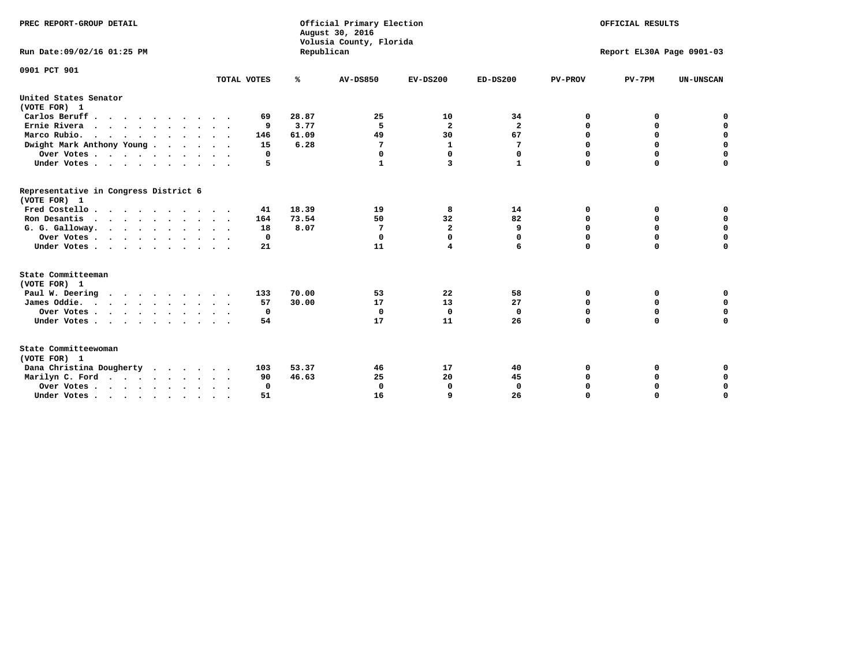| PREC REPORT-GROUP DETAIL<br>Run Date:09/02/16 01:25 PM                                |             | Republican | Official Primary Election<br>August 30, 2016<br>Volusia County, Florida |                         |                         |                | OFFICIAL RESULTS<br>Report EL30A Page 0901-03 |                  |
|---------------------------------------------------------------------------------------|-------------|------------|-------------------------------------------------------------------------|-------------------------|-------------------------|----------------|-----------------------------------------------|------------------|
| 0901 PCT 901                                                                          | TOTAL VOTES | ℁          | <b>AV-DS850</b>                                                         | $EV-DS200$              | $ED-DS200$              | <b>PV-PROV</b> | $PV-7PM$                                      | <b>UN-UNSCAN</b> |
|                                                                                       |             |            |                                                                         |                         |                         |                |                                               |                  |
| United States Senator<br>(VOTE FOR) 1                                                 |             |            |                                                                         |                         |                         |                |                                               |                  |
| Carlos Beruff                                                                         | 69          | 28.87      | 25                                                                      | 10                      | 34                      | 0              | 0                                             | 0                |
| Ernie Rivera<br>$\mathbf{r}$ , and $\mathbf{r}$ , and $\mathbf{r}$ , and $\mathbf{r}$ | 9           | 3.77       | 5                                                                       | $\overline{\mathbf{2}}$ | $\overline{\mathbf{2}}$ | 0              | 0                                             | $\mathbf 0$      |
| Marco Rubio.                                                                          | 146         | 61.09      | 49                                                                      | 30                      | 67                      | 0              | 0                                             | $\mathbf 0$      |
| Dwight Mark Anthony Young                                                             | 15          | 6.28       | 7                                                                       | $\mathbf{1}$            | 7                       | $\mathbf 0$    | $\mathbf 0$                                   | $\mathbf 0$      |
| Over Votes                                                                            | 0           |            | 0                                                                       | $\Omega$                | 0                       | $\mathbf 0$    | $\mathbf 0$                                   | $\mathbf 0$      |
| Under Votes                                                                           | 5           |            | 1                                                                       | 3                       | $\mathbf{1}$            | $\Omega$       | $\Omega$                                      | $\mathbf 0$      |
| Representative in Congress District 6<br>(VOTE FOR) 1                                 |             |            |                                                                         |                         |                         |                |                                               |                  |
| Fred Costello                                                                         | 41          | 18.39      | 19                                                                      | 8                       | 14                      | 0              | 0                                             | $\mathbf 0$      |
| Ron Desantis                                                                          | 164         | 73.54      | 50                                                                      | 32                      | 82                      | 0              | 0                                             | $\mathbf 0$      |
| G. G. Galloway.                                                                       | 18          | 8.07       | 7                                                                       | $\overline{\mathbf{2}}$ | 9                       | $\mathbf 0$    | $\mathbf 0$                                   | $\mathbf 0$      |
| Over Votes                                                                            | 0           |            | $\mathbf 0$                                                             | $\mathbf{0}$            | 0                       | $\mathbf 0$    | 0                                             | 0                |
| Under Votes                                                                           | 21          |            | 11                                                                      | $\overline{\mathbf{4}}$ | 6                       | $\mathbf 0$    | $\Omega$                                      | $\mathbf 0$      |
| State Committeeman                                                                    |             |            |                                                                         |                         |                         |                |                                               |                  |
| (VOTE FOR) 1                                                                          |             |            |                                                                         |                         |                         |                |                                               |                  |
| Paul W. Deering                                                                       | 133         | 70.00      | 53                                                                      | 22                      | 58                      | 0              | 0                                             | 0                |
| James Oddie.                                                                          | 57          | 30.00      | 17                                                                      | 13                      | 27                      | 0              | 0                                             | $\mathbf 0$      |
| Over Votes                                                                            | 0           |            | $\Omega$                                                                | $\mathbf 0$             | $\mathbf 0$             | 0              | $\mathbf 0$                                   | $\mathbf 0$      |
| Under Votes                                                                           | 54          |            | 17                                                                      | 11                      | 26                      | $\mathbf 0$    | $\mathbf 0$                                   | $\mathbf 0$      |
| State Committeewoman<br>(VOTE FOR) 1                                                  |             |            |                                                                         |                         |                         |                |                                               |                  |
| Dana Christina Dougherty                                                              | 103         | 53.37      | 46                                                                      | 17                      | 40                      | 0              | 0                                             | 0                |
| Marilyn C. Ford                                                                       | 90          | 46.63      | 25                                                                      | 20                      | 45                      | 0              | 0                                             | 0                |
| Over Votes                                                                            | $\Omega$    |            | 0                                                                       | 0                       | $\mathbf{0}$            | $\mathbf 0$    | 0                                             | $\mathbf 0$      |
| Under Votes, $\cdot$ , $\cdot$ , $\cdot$ , $\cdot$ , $\cdot$ , $\cdot$                | 51          |            | 16                                                                      | $\mathbf{Q}$            | 26                      | $\Omega$       | $\Omega$                                      | $\Omega$         |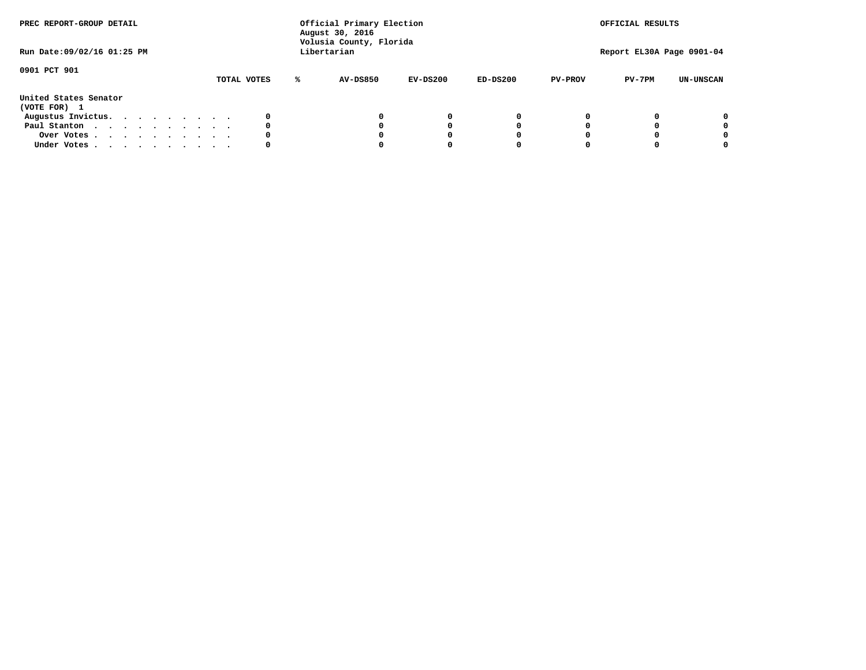| PREC REPORT-GROUP DETAIL<br>Run Date:09/02/16 01:25 PM |  |  |  |  |  | Official Primary Election<br>August 30, 2016<br>Volusia County, Florida<br>Libertarian |   | OFFICIAL RESULTS<br>Report EL30A Page 0901-04 |            |            |                |          |                  |
|--------------------------------------------------------|--|--|--|--|--|----------------------------------------------------------------------------------------|---|-----------------------------------------------|------------|------------|----------------|----------|------------------|
| 0901 PCT 901                                           |  |  |  |  |  | TOTAL VOTES                                                                            | ℁ | AV-DS850                                      | EV-DS200   | $ED-DS200$ | <b>PV-PROV</b> | $PV-7PM$ | <b>UN-UNSCAN</b> |
| United States Senator<br>(VOTE FOR) 1                  |  |  |  |  |  |                                                                                        |   |                                               |            |            |                |          |                  |
| Augustus Invictus.                                     |  |  |  |  |  |                                                                                        |   |                                               | $^{\circ}$ | 0          |                |          | 0                |
| Paul Stanton                                           |  |  |  |  |  | 0                                                                                      |   |                                               | 0          |            |                |          | 0                |
| Over Votes                                             |  |  |  |  |  |                                                                                        |   |                                               |            |            |                |          | 0                |
| Under Votes                                            |  |  |  |  |  | 0                                                                                      |   |                                               |            |            |                |          | 0                |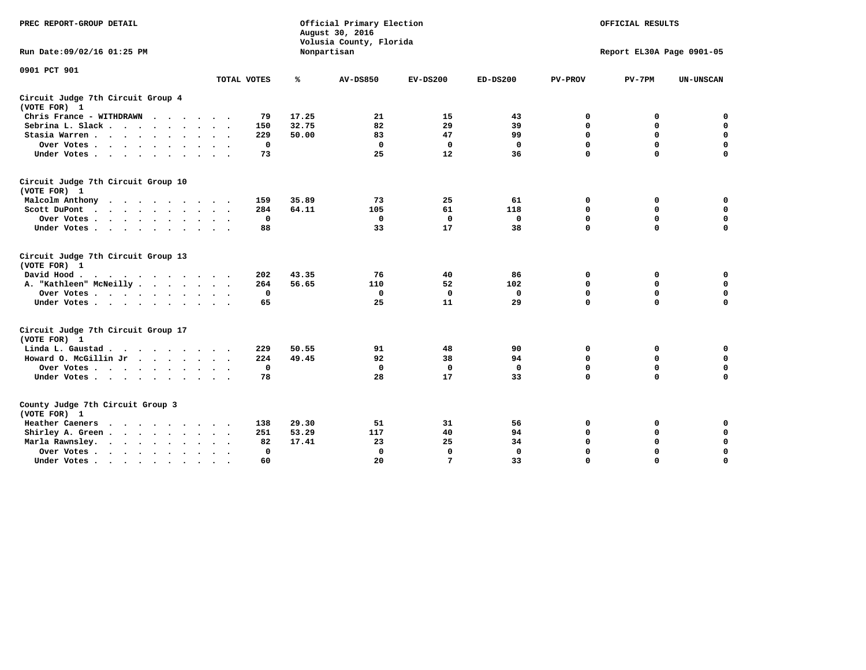| PREC REPORT-GROUP DETAIL                                                                                |              | Official Primary Election<br>August 30, 2016<br>Volusia County, Florida | OFFICIAL RESULTS<br>Report EL30A Page 0901-05 |             |              |                |             |                  |
|---------------------------------------------------------------------------------------------------------|--------------|-------------------------------------------------------------------------|-----------------------------------------------|-------------|--------------|----------------|-------------|------------------|
| Run Date: 09/02/16 01:25 PM                                                                             |              |                                                                         | Nonpartisan                                   |             |              |                |             |                  |
| 0901 PCT 901                                                                                            | TOTAL VOTES  | ℁                                                                       | <b>AV-DS850</b>                               | $EV-DS200$  | $ED-DS200$   | <b>PV-PROV</b> | $PV-7PM$    | <b>UN-UNSCAN</b> |
| Circuit Judge 7th Circuit Group 4<br>(VOTE FOR) 1                                                       |              |                                                                         |                                               |             |              |                |             |                  |
| Chris France - WITHDRAWN                                                                                | 79           | 17.25                                                                   | 21                                            | 15          | 43           | 0              | 0           | $\mathbf 0$      |
| Sebrina L. Slack                                                                                        | 150          | 32.75                                                                   | 82                                            | 29          | 39           | 0              | 0           | $\mathbf 0$      |
| Stasia Warren                                                                                           | 229          | 50.00                                                                   | 83                                            | 47          | 99           | $\mathbf 0$    | 0           | $\mathbf 0$      |
| Over Votes                                                                                              | $\mathbf 0$  |                                                                         | $\mathbf 0$                                   | $\mathbf 0$ | $\mathbf 0$  | 0              | $\mathbf 0$ | $\pmb{0}$        |
| Under Votes                                                                                             | 73           |                                                                         | 25                                            | 12          | 36           | $\Omega$       | $\Omega$    | $\Omega$         |
| Circuit Judge 7th Circuit Group 10<br>(VOTE FOR) 1                                                      |              |                                                                         |                                               |             |              |                |             |                  |
| Malcolm Anthony                                                                                         | 159          | 35.89                                                                   | 73                                            | 25          | 61           | 0              | 0           | 0                |
| Scott DuPont<br>$\sim$                                                                                  | 284          | 64.11                                                                   | 105                                           | 61          | 118          | $\mathbf 0$    | $\mathbf 0$ | $\mathbf 0$      |
| Over Votes                                                                                              | $\mathbf 0$  |                                                                         | $\mathbf 0$                                   | $\mathbf 0$ | $\mathbf 0$  | $\mathbf 0$    | $\mathbf 0$ | $\mathbf 0$      |
| Under Votes                                                                                             | 88           |                                                                         | 33                                            | 17          | 38           | $\mathbf 0$    | $\mathbf 0$ | $\mathbf 0$      |
| Circuit Judge 7th Circuit Group 13<br>(VOTE FOR) 1                                                      |              |                                                                         |                                               |             |              |                |             |                  |
| David Hood.<br>$\mathbf{r}$ , and $\mathbf{r}$ , and $\mathbf{r}$ , and $\mathbf{r}$ , and $\mathbf{r}$ | 202          | 43.35                                                                   | 76                                            | 40          | 86           | 0              | 0           | 0                |
| A. "Kathleen" McNeilly                                                                                  | 264          | 56.65                                                                   | 110                                           | 52          | 102          | $\mathbf 0$    | $\mathbf 0$ | $\mathbf 0$      |
| Over Votes                                                                                              | $^{\circ}$   |                                                                         | $\mathbf{0}$                                  | $\mathbf 0$ | 0            | $\mathbf 0$    | $\mathbf 0$ | $\mathbf 0$      |
| Under Votes                                                                                             | 65           |                                                                         | 25                                            | 11          | 29           | $\Omega$       | $\Omega$    | $\Omega$         |
| Circuit Judge 7th Circuit Group 17<br>(VOTE FOR) 1                                                      |              |                                                                         |                                               |             |              |                |             |                  |
| Linda L. Gaustad                                                                                        | 229          | 50.55                                                                   | 91                                            | 48          | 90           | 0              | 0           | $\mathbf 0$      |
| Howard O. McGillin Jr                                                                                   | 224          | 49.45                                                                   | 92                                            | 38          | 94           | $\mathbf 0$    | $\mathbf 0$ | $\mathbf 0$      |
| Over Votes                                                                                              | $\mathbf 0$  |                                                                         | $\mathbf{0}$                                  | $\mathbf 0$ | $\mathbf 0$  | $\mathbf 0$    | $\mathbf 0$ | $\mathbf 0$      |
| Under Votes                                                                                             | 78           |                                                                         | 28                                            | 17          | 33           | $\mathbf 0$    | $\mathbf 0$ | $\mathbf 0$      |
| County Judge 7th Circuit Group 3<br>(VOTE FOR) 1                                                        |              |                                                                         |                                               |             |              |                |             |                  |
| Heather Caeners                                                                                         | 138          | 29.30                                                                   | 51                                            | 31          | 56           | 0              | 0           | 0                |
| Shirley A. Green                                                                                        | 251          | 53.29                                                                   | 117                                           | 40          | 94           | $\mathbf 0$    | 0           | $\mathbf 0$      |
| Marla Rawnsley.                                                                                         | 82           | 17.41                                                                   | 23                                            | 25          | 34           | 0              | $\mathbf 0$ | $\pmb{0}$        |
| Over Votes.<br>$\cdots$<br>$\ddot{\phantom{a}}$<br>$\sim$                                               | $\mathbf{0}$ |                                                                         | $\Omega$                                      | $\mathbf 0$ | $\mathbf{0}$ | $\mathbf 0$    | $\mathbf 0$ | $\mathbf 0$      |
| Under Votes<br>$\sim$                                                                                   | 60           |                                                                         | 20                                            | 7           | 33           | $\mathbf 0$    | $\mathbf 0$ | 0                |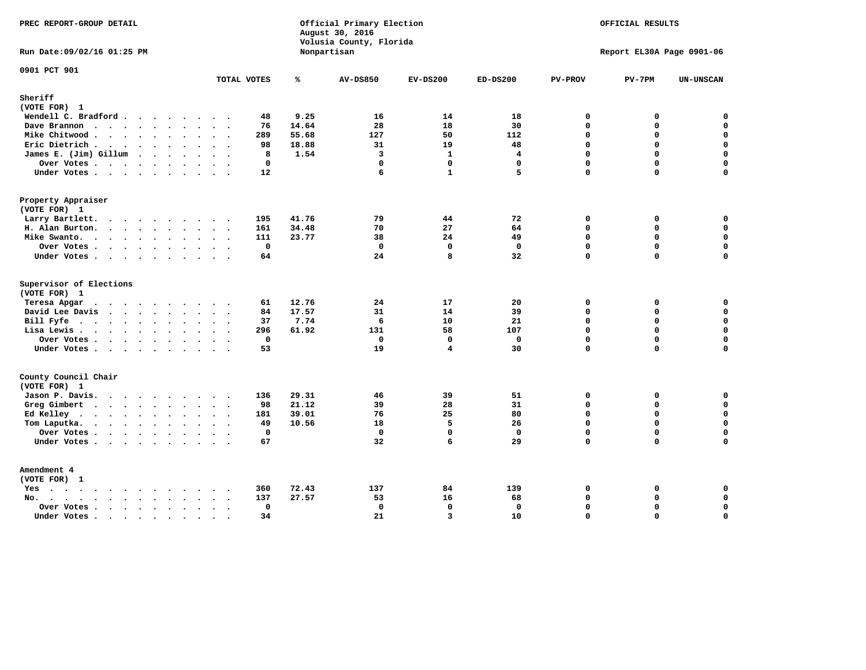| PREC REPORT-GROUP DETAIL                                             |                        |                | Official Primary Election<br>August 30, 2016<br>Volusia County, Florida | OFFICIAL RESULTS<br>Report EL30A Page 0901-06 |                         |                |             |                  |
|----------------------------------------------------------------------|------------------------|----------------|-------------------------------------------------------------------------|-----------------------------------------------|-------------------------|----------------|-------------|------------------|
| Run Date: 09/02/16 01:25 PM                                          |                        |                | Nonpartisan                                                             |                                               |                         |                |             |                  |
| 0901 PCT 901                                                         | TOTAL VOTES            | ℁              | <b>AV-DS850</b>                                                         | $EV-DS200$                                    | $ED-DS200$              | <b>PV-PROV</b> | $PV-7PM$    | UN-UNSCAN        |
| Sheriff<br>(VOTE FOR) 1                                              |                        |                |                                                                         |                                               |                         |                |             |                  |
| Wendell C. Bradford                                                  | 48                     | 9.25           | 16                                                                      | 14                                            | 18                      | $\mathbf 0$    | 0           | $\mathbf 0$      |
| Dave Brannon                                                         | 76                     | 14.64          | 28                                                                      | 18                                            | 30                      | $\mathbf 0$    | 0           | $\mathbf 0$      |
| Mike Chitwood                                                        | 289                    | 55.68          | 127                                                                     | 50                                            | 112                     | $\Omega$       | 0           | $\mathbf 0$      |
| Eric Dietrich.                                                       | 98                     | 18.88          | 31                                                                      | 19                                            | 48                      | $\mathbf 0$    | 0           | $\mathbf 0$      |
| James E. (Jim) Gillum                                                | 8                      | 1.54           | $\overline{3}$                                                          | $\mathbf{1}$                                  | $\overline{\mathbf{4}}$ | $\mathbf 0$    | 0           | $\mathbf 0$      |
| Over Votes                                                           | $\mathbf{0}$           |                | $\mathbf 0$                                                             | $\mathbf 0$                                   | $\mathbf{0}$            | $\mathbf 0$    | 0           | $\mathbf 0$      |
| Under Votes.                                                         | 12                     |                | 6                                                                       | $\mathbf{1}$                                  | 5                       | $\Omega$       | 0           | $\mathbf 0$      |
| Property Appraiser                                                   |                        |                |                                                                         |                                               |                         |                |             |                  |
| (VOTE FOR) 1                                                         |                        |                |                                                                         |                                               |                         |                |             |                  |
| Larry Bartlett.                                                      | 195                    | 41.76          | 79                                                                      | 44                                            | 72                      | $\mathbf 0$    | 0           | 0                |
| H. Alan Burton.                                                      | 161                    | 34.48          | 70                                                                      | 27                                            | 64                      | $\mathbf 0$    | 0           | $\mathbf 0$      |
| Mike Swanto.                                                         | 111                    | 23.77          | 38                                                                      | 24                                            | 49                      | $\Omega$       | $\Omega$    | 0                |
| Over Votes                                                           | $\mathbf 0$            |                | $\mathbf 0$                                                             | $\mathbf 0$                                   | $\mathbf 0$             | $\mathbf 0$    | $\mathbf 0$ | $\mathbf 0$      |
| Under Votes                                                          | 64                     |                | 24                                                                      | 8                                             | 32                      | $\mathbf 0$    | $\Omega$    | $\mathbf 0$      |
| Supervisor of Elections                                              |                        |                |                                                                         |                                               |                         |                |             |                  |
| (VOTE FOR) 1                                                         |                        |                |                                                                         |                                               |                         |                |             |                  |
| Teresa Apgar<br>$\mathbf{r}$ . The state of the state $\mathbf{r}$   | 61                     | 12.76          | 24                                                                      | 17                                            | 20                      | $\Omega$       | 0           | $\mathbf 0$      |
| David Lee Davis                                                      | 84                     | 17.57          | 31                                                                      | 14                                            | 39                      | $\mathbf 0$    | 0           | $\mathbf 0$      |
| Bill Fyfe.                                                           | 37                     | 7.74           | 6                                                                       | 10                                            | 21                      | $\Omega$       | $\Omega$    | $\mathbf 0$      |
| Lisa Lewis                                                           | 296                    | 61.92          | 131                                                                     | 58                                            | 107                     | $\mathbf 0$    | 0           | $\mathbf 0$      |
| Over Votes                                                           | $\mathbf 0$            |                | $\mathbf{0}$                                                            | $\mathbf 0$                                   | $\mathbf{0}$            | $\mathbf 0$    | 0           | $\mathbf 0$      |
| Under Votes                                                          | 53                     |                | 19                                                                      | $\overline{\mathbf{4}}$                       | 30                      | $\Omega$       | 0           | $\mathbf 0$      |
| County Council Chair<br>(VOTE FOR) 1                                 |                        |                |                                                                         |                                               |                         |                |             |                  |
| Jason P. Davis.                                                      | 136                    | 29.31          | 46                                                                      | 39                                            | 51                      | 0              | 0           | 0                |
| Greg Gimbert                                                         | 98                     | 21.12          | 39                                                                      | 28                                            | 31                      | $\mathbf{0}$   | 0           | $\mathbf 0$      |
| Ed Kelley                                                            | 181                    | 39.01          | 76                                                                      | 25                                            | 80                      | $\mathbf 0$    | 0           | $\mathbf 0$      |
| Tom Laputka.                                                         | 49                     | 10.56          | 18                                                                      | 5                                             | 26                      | $\Omega$       | $\mathbf 0$ | $\mathbf 0$      |
| Over Votes                                                           | $\mathbf 0$            |                | $\mathbf 0$                                                             | $\mathbf{0}$                                  | $\mathbf{0}$            | $\mathbf 0$    | 0           | 0                |
| Under Votes                                                          | 67                     |                | 32                                                                      | 6                                             | 29                      | $\Omega$       | $\Omega$    | $\Omega$         |
| Amendment 4                                                          |                        |                |                                                                         |                                               |                         |                |             |                  |
| (VOTE FOR) 1                                                         |                        |                |                                                                         | 84                                            |                         | 0              |             |                  |
| $Yes \cdot \cdot \cdot \cdot \cdot \cdot \cdot \cdot \cdot$<br>$No.$ | 360<br>$\cdots$<br>137 | 72.43<br>27.57 | 137<br>53                                                               | 16                                            | 139<br>68               | $\Omega$       | 0<br>0      | 0<br>$\mathbf 0$ |
| $\sim$                                                               | $\mathbf 0$            |                | $\mathbf 0$                                                             | $\mathbf{0}$                                  | $\mathbf 0$             | $\mathbf 0$    | 0           | $\mathbf 0$      |
| Over Votes .<br>$\cdots$<br>Under Votes                              | 34                     |                | 21                                                                      | $\overline{3}$                                | 10                      | $\Omega$       | 0           | $\mathbf 0$      |
|                                                                      | $\sim$<br>$\sim$       |                |                                                                         |                                               |                         |                |             |                  |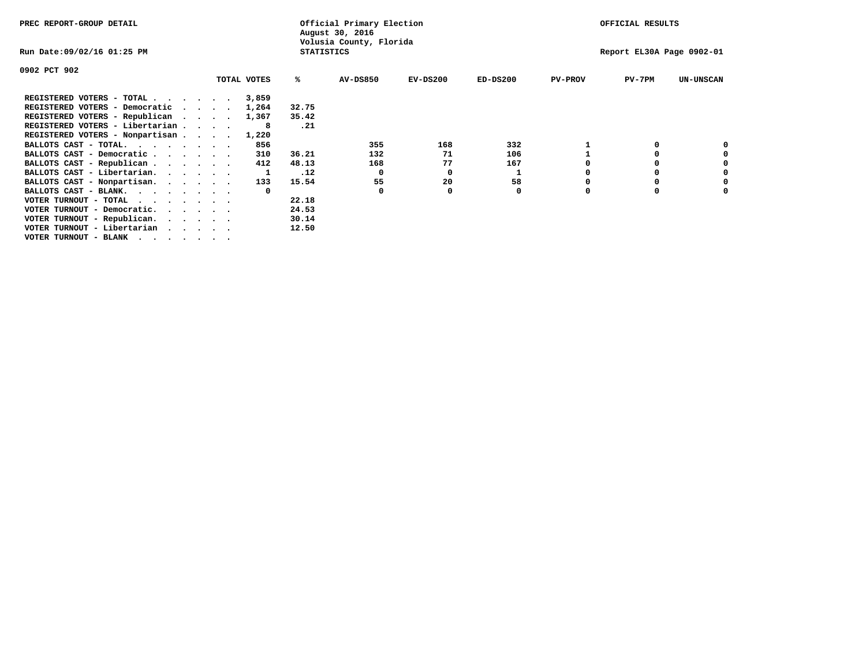| PREC REPORT-GROUP DETAIL                                                  |  |             |                   | Official Primary Election<br>August 30, 2016 |            | OFFICIAL RESULTS |                |                           |                  |  |
|---------------------------------------------------------------------------|--|-------------|-------------------|----------------------------------------------|------------|------------------|----------------|---------------------------|------------------|--|
| Run Date:09/02/16 01:25 PM                                                |  |             | <b>STATISTICS</b> | Volusia County, Florida                      |            |                  |                | Report EL30A Page 0902-01 |                  |  |
| 0902 PCT 902                                                              |  |             |                   |                                              |            |                  |                |                           |                  |  |
|                                                                           |  | TOTAL VOTES | ℁                 | <b>AV-DS850</b>                              | $EV-DS200$ | $ED-DS200$       | <b>PV-PROV</b> | $PV-7PM$                  | <b>UN-UNSCAN</b> |  |
| REGISTERED VOTERS - TOTAL $\cdot$ $\cdot$ $\cdot$ $\cdot$ $\cdot$ $\cdot$ |  | 3,859       |                   |                                              |            |                  |                |                           |                  |  |
| REGISTERED VOTERS - Democratic                                            |  | 1,264       | 32.75             |                                              |            |                  |                |                           |                  |  |
| REGISTERED VOTERS - Republican                                            |  | 1,367       | 35.42             |                                              |            |                  |                |                           |                  |  |
| REGISTERED VOTERS - Libertarian                                           |  |             | .21               |                                              |            |                  |                |                           |                  |  |
| REGISTERED VOTERS - Nonpartisan                                           |  | 1,220       |                   |                                              |            |                  |                |                           |                  |  |
| BALLOTS CAST - TOTAL.                                                     |  | 856         |                   | 355                                          | 168        | 332              |                |                           |                  |  |
| BALLOTS CAST - Democratic                                                 |  | 310         | 36.21             | 132                                          | 71         | 106              |                |                           |                  |  |
| BALLOTS CAST - Republican                                                 |  | 412         | 48.13             | 168                                          | 77         | 167              |                |                           |                  |  |
| BALLOTS CAST - Libertarian.                                               |  |             | .12               | $\Omega$                                     | 0          |                  |                |                           |                  |  |
| BALLOTS CAST - Nonpartisan.                                               |  | 133         | 15.54             | 55                                           | 20         | 58               |                |                           | 0                |  |
| BALLOTS CAST - BLANK.                                                     |  |             |                   | 0                                            |            | 0                | O              |                           |                  |  |
| VOTER TURNOUT - TOTAL<br>$\cdots$                                         |  |             | 22.18             |                                              |            |                  |                |                           |                  |  |
| VOTER TURNOUT - Democratic.                                               |  |             | 24.53             |                                              |            |                  |                |                           |                  |  |
| VOTER TURNOUT - Republican.                                               |  |             | 30.14             |                                              |            |                  |                |                           |                  |  |
| VOTER TURNOUT - Libertarian                                               |  |             | 12.50             |                                              |            |                  |                |                           |                  |  |
| VOTER TURNOUT - BLANK                                                     |  |             |                   |                                              |            |                  |                |                           |                  |  |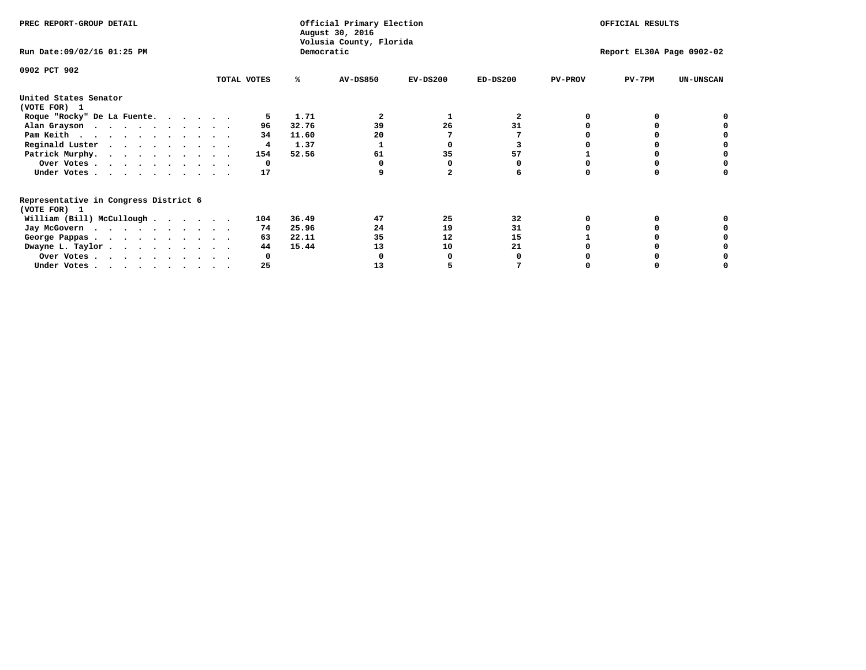| PREC REPORT-GROUP DETAIL                                               |             |       | Official Primary Election<br>August 30, 2016 | OFFICIAL RESULTS |            |                |                           |                  |
|------------------------------------------------------------------------|-------------|-------|----------------------------------------------|------------------|------------|----------------|---------------------------|------------------|
| Run Date: 09/02/16 01:25 PM                                            |             |       | Volusia County, Florida<br>Democratic        |                  |            |                | Report EL30A Page 0902-02 |                  |
| 0902 PCT 902                                                           | TOTAL VOTES | ℁     | <b>AV-DS850</b>                              | $EV-DS200$       | $ED-DS200$ | <b>PV-PROV</b> | $PV-7PM$                  | <b>UN-UNSCAN</b> |
| United States Senator                                                  |             |       |                                              |                  |            |                |                           |                  |
| (VOTE FOR) 1                                                           |             |       |                                              |                  |            |                |                           |                  |
| Roque "Rocky" De La Fuente.                                            |             | 1.71  |                                              |                  | 2          |                |                           |                  |
| Alan Grayson                                                           | 96          | 32.76 | 39                                           | 26               | 31         |                |                           |                  |
| Pam Keith                                                              | 34          | 11.60 | 20                                           |                  |            |                |                           |                  |
| Reginald Luster                                                        | 4           | 1.37  |                                              |                  |            |                |                           |                  |
| Patrick Murphy.                                                        | 154         | 52.56 | 61                                           | 35               | 57         |                |                           |                  |
| Over Votes                                                             | 0           |       |                                              |                  |            |                |                           |                  |
| Under Votes                                                            | 17          |       |                                              |                  |            |                |                           |                  |
| Representative in Congress District 6                                  |             |       |                                              |                  |            |                |                           |                  |
| (VOTE FOR) 1                                                           |             |       |                                              |                  |            |                |                           |                  |
| William (Bill) McCullough $\cdots$ $\cdots$                            | 104         | 36.49 | 47                                           | 25               | 32         |                |                           |                  |
| Jay McGovern                                                           | 74          | 25.96 | 24                                           | 19               | 31         |                |                           |                  |
| George Pappas.                                                         | 63          | 22.11 | 35                                           | 12               | 15         |                |                           |                  |
| Dwayne L. Taylor                                                       | 44          | 15.44 | 13                                           | 10               | 21         |                |                           |                  |
| Over Votes                                                             |             |       |                                              |                  |            |                |                           |                  |
| Under Votes, $\cdot$ , $\cdot$ , $\cdot$ , $\cdot$ , $\cdot$ , $\cdot$ | 25          |       | 13                                           |                  |            |                |                           |                  |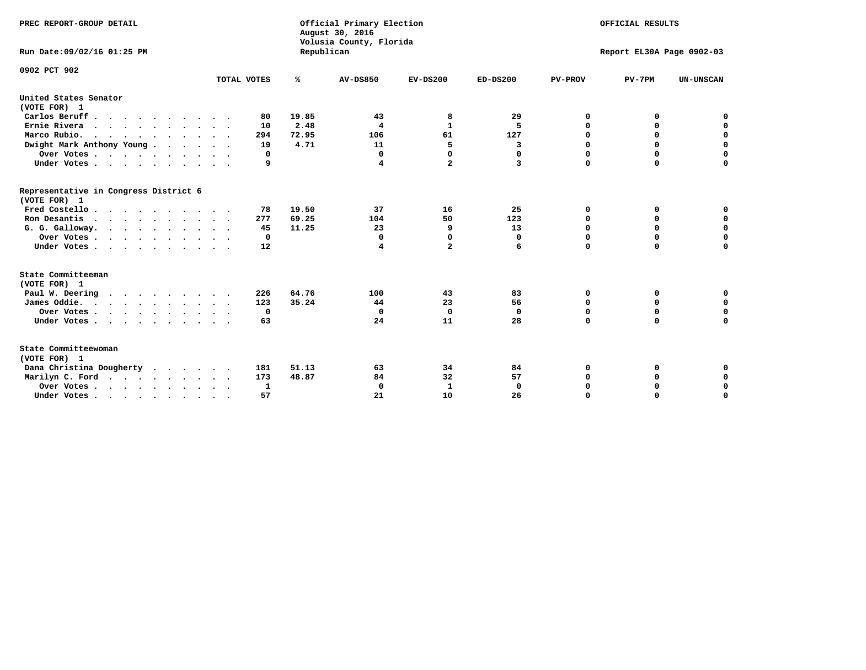| PREC REPORT-GROUP DETAIL<br>Run Date:09/02/16 01:25 PM                                |             | Republican | Official Primary Election<br>August 30, 2016<br>Volusia County, Florida | OFFICIAL RESULTS<br>Report EL30A Page 0902-03 |              |                |             |                  |
|---------------------------------------------------------------------------------------|-------------|------------|-------------------------------------------------------------------------|-----------------------------------------------|--------------|----------------|-------------|------------------|
| 0902 PCT 902                                                                          | TOTAL VOTES | ℁          | <b>AV-DS850</b>                                                         |                                               |              |                |             |                  |
|                                                                                       |             |            |                                                                         | $EV-DS200$                                    | $ED-DS200$   | <b>PV-PROV</b> | $PV-7PM$    | <b>UN-UNSCAN</b> |
| United States Senator<br>(VOTE FOR) 1                                                 |             |            |                                                                         |                                               |              |                |             |                  |
| Carlos Beruff                                                                         | 80          | 19.85      | 43                                                                      | 8                                             | 29           | 0              | 0           | 0                |
| Ernie Rivera<br>$\mathbf{r}$ , and $\mathbf{r}$ , and $\mathbf{r}$ , and $\mathbf{r}$ | 10          | 2.48       | 4                                                                       | $\mathbf{1}$                                  | 5            | 0              | 0           | $\mathbf 0$      |
| Marco Rubio.                                                                          | 294         | 72.95      | 106                                                                     | 61                                            | 127          | 0              | 0           | $\mathbf 0$      |
| Dwight Mark Anthony Young                                                             | 19          | 4.71       | 11                                                                      | 5                                             | 3            | $\mathbf 0$    | $\mathbf 0$ | $\mathbf 0$      |
| Over Votes                                                                            | 0           |            | 0                                                                       | 0                                             | 0            | $\mathbf 0$    | $\mathbf 0$ | $\mathbf 0$      |
| Under Votes                                                                           | 9           |            | 4                                                                       | $\overline{a}$                                | 3            | $\Omega$       | $\Omega$    | $\mathbf 0$      |
| Representative in Congress District 6<br>(VOTE FOR) 1                                 |             |            |                                                                         |                                               |              |                |             |                  |
| Fred Costello                                                                         | 78          | 19.50      | 37                                                                      | 16                                            | 25           | 0              | 0           | $\mathbf 0$      |
| Ron Desantis                                                                          | 277         | 69.25      | 104                                                                     | 50                                            | 123          | 0              | 0           | $\mathbf 0$      |
| G. G. Galloway.                                                                       | 45          | 11.25      | 23                                                                      | 9                                             | 13           | $\mathbf 0$    | $\mathbf 0$ | $\mathbf 0$      |
| Over Votes                                                                            | 0           |            | 0                                                                       | 0                                             | 0            | 0              | 0           | 0                |
| Under Votes                                                                           | 12          |            | 4                                                                       | $\overline{a}$                                | 6            | $\mathbf 0$    | $\Omega$    | $\mathbf 0$      |
| State Committeeman                                                                    |             |            |                                                                         |                                               |              |                |             |                  |
| (VOTE FOR) 1<br>Paul W. Deering                                                       | 226         | 64.76      | 100                                                                     | 43                                            | 83           | 0              | 0           | 0                |
| James Oddie.                                                                          | 123         | 35.24      | 44                                                                      | 23                                            | 56           | 0              | 0           | $\mathbf 0$      |
| Over Votes                                                                            | 0           |            | 0                                                                       | $\mathbf 0$                                   | 0            | 0              | $\mathbf 0$ | $\mathbf 0$      |
| Under Votes                                                                           | 63          |            | 24                                                                      | 11                                            | 28           | $\mathbf 0$    | $\mathbf 0$ | $\mathbf 0$      |
| State Committeewoman<br>(VOTE FOR) 1                                                  |             |            |                                                                         |                                               |              |                |             |                  |
| Dana Christina Dougherty                                                              | 181         | 51.13      | 63                                                                      | 34                                            | 84           | 0              | 0           | 0                |
| Marilyn C. Ford                                                                       | 173         | 48.87      | 84                                                                      | 32                                            | 57           | 0              | 0           | 0                |
| Over Votes                                                                            | 1           |            | 0                                                                       | 1                                             | $\mathbf{0}$ | $\mathbf 0$    | 0           | $\mathbf 0$      |
| Under Votes, $\cdot$ , $\cdot$ , $\cdot$ , $\cdot$ , $\cdot$ , $\cdot$                | 57          |            | 21                                                                      | 10                                            | 26           | $\Omega$       | $\Omega$    | $\Omega$         |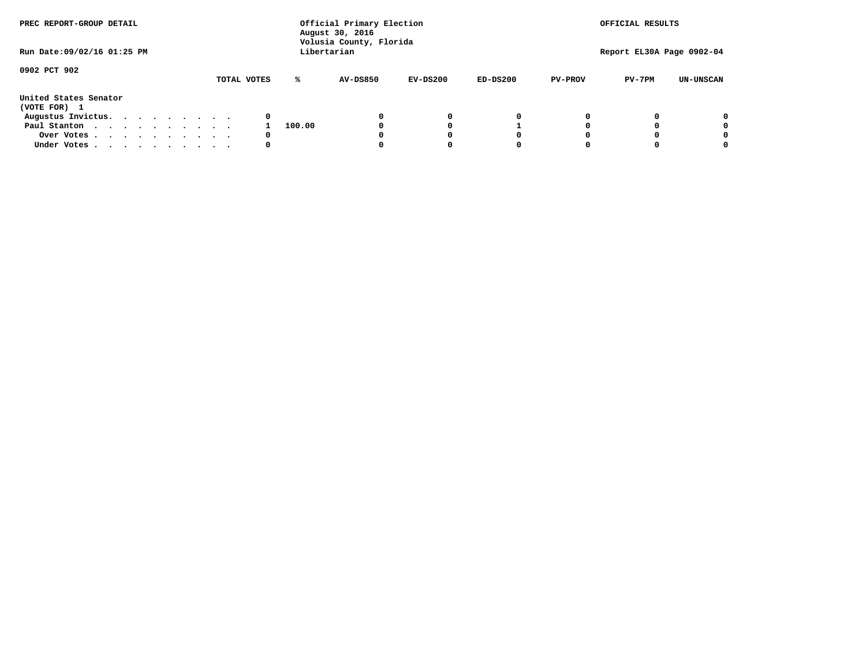| PREC REPORT-GROUP DETAIL<br>Run Date: 09/02/16 01:25 PM |  |  |  |  |             |        | Official Primary Election<br>August 30, 2016<br>Volusia County, Florida<br>Libertarian |            |            |                | OFFICIAL RESULTS<br>Report EL30A Page 0902-04 |                  |
|---------------------------------------------------------|--|--|--|--|-------------|--------|----------------------------------------------------------------------------------------|------------|------------|----------------|-----------------------------------------------|------------------|
|                                                         |  |  |  |  |             |        |                                                                                        |            |            |                |                                               |                  |
| 0902 PCT 902                                            |  |  |  |  | TOTAL VOTES | ℁      | <b>AV-DS850</b>                                                                        | $EV-DS200$ | $ED-DS200$ | <b>PV-PROV</b> | $PV-7PM$                                      | <b>UN-UNSCAN</b> |
| United States Senator<br>(VOTE FOR) 1                   |  |  |  |  |             |        |                                                                                        |            |            |                |                                               |                  |
| Augustus Invictus.                                      |  |  |  |  | 0           |        |                                                                                        | 0          | 0          |                |                                               | 0                |
| Paul Stanton                                            |  |  |  |  |             | 100.00 |                                                                                        |            |            |                |                                               | 0                |
| Over Votes                                              |  |  |  |  | 0           |        |                                                                                        |            | 0          |                |                                               | 0                |
| Under Votes                                             |  |  |  |  | 0           |        |                                                                                        |            | 0          |                |                                               | 0                |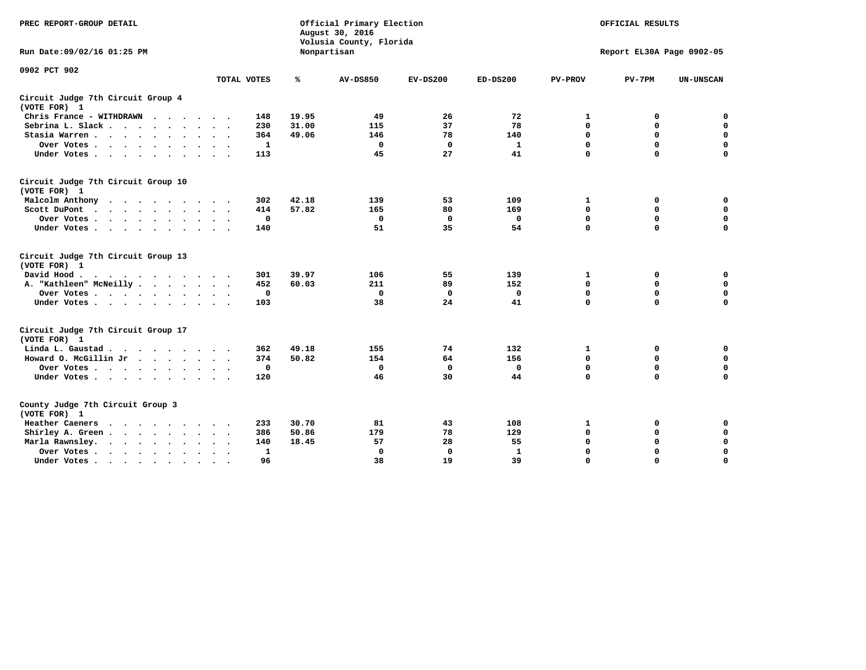| PREC REPORT-GROUP DETAIL                                                                                                                                                                                                                             |                               |       | Official Primary Election<br>August 30, 2016<br>Volusia County, Florida | OFFICIAL RESULTS<br>Report EL30A Page 0902-05 |              |                |             |                  |
|------------------------------------------------------------------------------------------------------------------------------------------------------------------------------------------------------------------------------------------------------|-------------------------------|-------|-------------------------------------------------------------------------|-----------------------------------------------|--------------|----------------|-------------|------------------|
| Run Date: 09/02/16 01:25 PM                                                                                                                                                                                                                          |                               |       | Nonpartisan                                                             |                                               |              |                |             |                  |
| 0902 PCT 902                                                                                                                                                                                                                                         | TOTAL VOTES                   | ℁     | <b>AV-DS850</b>                                                         | $EV-DS200$                                    | $ED-DS200$   | <b>PV-PROV</b> | $PV-7PM$    | <b>UN-UNSCAN</b> |
|                                                                                                                                                                                                                                                      |                               |       |                                                                         |                                               |              |                |             |                  |
| Circuit Judge 7th Circuit Group 4<br>(VOTE FOR) 1                                                                                                                                                                                                    |                               |       |                                                                         |                                               |              |                |             |                  |
| Chris France - WITHDRAWN                                                                                                                                                                                                                             | 148                           | 19.95 | 49                                                                      | 26                                            | 72           | 1              | 0           | $\mathbf 0$      |
| Sebrina L. Slack                                                                                                                                                                                                                                     | 230<br>$\sim$ $\sim$          | 31.00 | 115                                                                     | 37                                            | 78           | $\mathbf 0$    | $\mathbf 0$ | $\mathbf 0$      |
| Stasia Warren<br>$\sim$                                                                                                                                                                                                                              | 364                           | 49.06 | 146                                                                     | 78                                            | 140          | $\mathbf 0$    | 0           | $\mathbf 0$      |
| Over Votes                                                                                                                                                                                                                                           | $\mathbf{1}$                  |       | $\mathbf 0$                                                             | $\mathbf 0$                                   | $\mathbf{1}$ | $\mathbf 0$    | $\mathbf 0$ | $\mathbf 0$      |
| Under Votes                                                                                                                                                                                                                                          | 113                           |       | 45                                                                      | 27                                            | 41           | $\Omega$       | $\Omega$    | $\mathbf 0$      |
| Circuit Judge 7th Circuit Group 10<br>(VOTE FOR) 1                                                                                                                                                                                                   |                               |       |                                                                         |                                               |              |                |             |                  |
| Malcolm Anthony<br>.                                                                                                                                                                                                                                 | 302                           | 42.18 | 139                                                                     | 53                                            | 109          | 1              | 0           | 0                |
| Scott DuPont<br>$\ddot{\phantom{0}}$                                                                                                                                                                                                                 | 414                           | 57.82 | 165                                                                     | 80                                            | 169          | $\mathbf 0$    | $\mathbf 0$ | $\mathbf 0$      |
| Over Votes<br>$\ddot{\phantom{1}}$                                                                                                                                                                                                                   | $\mathbf 0$                   |       | $\mathbf{0}$                                                            | $\Omega$                                      | $\mathbf{0}$ | $\mathbf 0$    | $\Omega$    | $\mathbf 0$      |
| Under Votes                                                                                                                                                                                                                                          | 140                           |       | 51                                                                      | 35                                            | 54           | $\mathbf 0$    | $\mathbf 0$ | $\Omega$         |
| Circuit Judge 7th Circuit Group 13<br>(VOTE FOR) 1                                                                                                                                                                                                   |                               |       |                                                                         |                                               |              |                |             |                  |
| David Hood.                                                                                                                                                                                                                                          | 301                           | 39.97 | 106                                                                     | 55                                            | 139          | 1              | 0           | $\mathbf 0$      |
| A. "Kathleen" McNeilly                                                                                                                                                                                                                               | 452                           | 60.03 | 211                                                                     | 89                                            | 152          | $\mathbf 0$    | 0           | $\mathbf 0$      |
| Over Votes                                                                                                                                                                                                                                           | $\mathbf 0$                   |       | $\mathbf 0$                                                             | $\mathbf 0$                                   | $\mathbf 0$  | 0              | $\mathbf 0$ | $\mathbf 0$      |
| Under Votes                                                                                                                                                                                                                                          | 103                           |       | 38                                                                      | 24                                            | 41           | $\mathbf 0$    | $\Omega$    | $\mathbf 0$      |
| Circuit Judge 7th Circuit Group 17<br>(VOTE FOR) 1                                                                                                                                                                                                   |                               |       |                                                                         |                                               |              |                |             |                  |
| Linda L. Gaustad                                                                                                                                                                                                                                     | 362                           | 49.18 | 155                                                                     | 74                                            | 132          | 1              | 0           | $\mathbf 0$      |
| Howard O. McGillin Jr                                                                                                                                                                                                                                | 374                           | 50.82 | 154                                                                     | 64                                            | 156          | $\mathbf 0$    | $\mathbf 0$ | $\mathbf 0$      |
| Over Votes                                                                                                                                                                                                                                           | $\mathbf 0$                   |       | $\mathbf{0}$                                                            | $\mathbf{0}$                                  | $\mathbf 0$  | $\mathbf 0$    | $\Omega$    | $\mathbf 0$      |
| Under Votes                                                                                                                                                                                                                                          | 120                           |       | 46                                                                      | 30                                            | 44           | $\mathbf 0$    | $\mathbf 0$ | $\mathbf 0$      |
| County Judge 7th Circuit Group 3<br>(VOTE FOR) 1                                                                                                                                                                                                     |                               |       |                                                                         |                                               |              |                |             |                  |
| Heather Caeners<br>$\mathbf{r}$ . The contract of the contract of the contract of the contract of the contract of the contract of the contract of the contract of the contract of the contract of the contract of the contract of the contract of th | 233                           | 30.70 | 81                                                                      | 43                                            | 108          | $\mathbf{1}$   | 0           | 0                |
| Shirley A. Green                                                                                                                                                                                                                                     | 386                           | 50.86 | 179                                                                     | 78                                            | 129          | $\mathbf 0$    | 0           | $\mathbf 0$      |
| Marla Rawnsley.                                                                                                                                                                                                                                      | 140                           | 18.45 | 57                                                                      | 28                                            | 55           | 0              | $\mathbf 0$ | $\pmb{0}$        |
| Over Votes.<br>.<br>$\cdot$<br>$\cdot$                                                                                                                                                                                                               | $\mathbf{1}$<br>$\sim$ $\sim$ |       | $\mathbf 0$                                                             | $\mathbf{0}$                                  | $\mathbf{1}$ | $\mathbf 0$    | $\mathbf 0$ | $\mathbf 0$      |
| Under Votes<br>$\sim$                                                                                                                                                                                                                                | 96                            |       | 38                                                                      | 19                                            | 39           | $\mathbf 0$    | $\mathbf 0$ | 0                |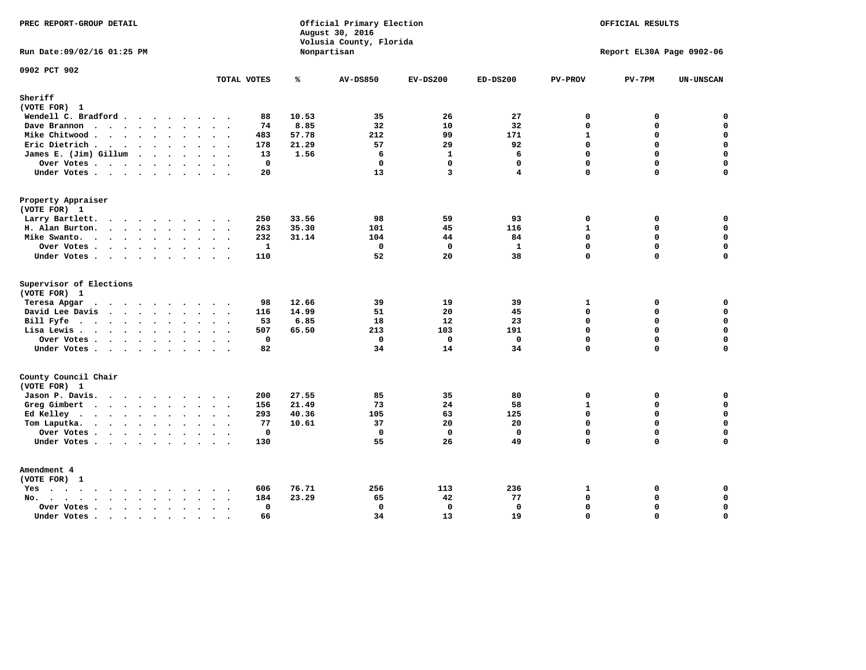| PREC REPORT-GROUP DETAIL                                    |                                                                            |       | Official Primary Election<br>August 30, 2016<br>Volusia County, Florida | OFFICIAL RESULTS<br>Report EL30A Page 0902-06 |                   |                             |               |                            |
|-------------------------------------------------------------|----------------------------------------------------------------------------|-------|-------------------------------------------------------------------------|-----------------------------------------------|-------------------|-----------------------------|---------------|----------------------------|
| Run Date: 09/02/16 01:25 PM                                 |                                                                            |       | Nonpartisan                                                             |                                               |                   |                             |               |                            |
| 0902 PCT 902                                                | TOTAL VOTES                                                                | ℁     | <b>AV-DS850</b>                                                         | $EV-DS200$                                    | $ED-DS200$        | <b>PV-PROV</b>              | $PV-7PM$      | <b>UN-UNSCAN</b>           |
| Sheriff<br>(VOTE FOR) 1                                     |                                                                            |       |                                                                         |                                               |                   |                             |               |                            |
| Wendell C. Bradford                                         | 88                                                                         | 10.53 | 35                                                                      | 26                                            | 27                | $\mathbf 0$                 | 0             | $\mathbf 0$                |
| Dave Brannon                                                | 74                                                                         | 8.85  | 32                                                                      | 10                                            | 32                | $\mathbf 0$                 | $\mathbf 0$   | $\mathbf 0$                |
| Mike Chitwood                                               | 483                                                                        | 57.78 | 212                                                                     | 99                                            | 171               | $\mathbf{1}$                | 0             | 0                          |
| Eric Dietrich.                                              | 178                                                                        | 21.29 | 57                                                                      | 29                                            | 92                | $\mathbf 0$                 | 0             | $\mathbf 0$                |
| James E. (Jim) Gillum                                       | 13                                                                         | 1.56  | 6                                                                       | $\mathbf{1}$                                  | 6                 | $\mathbf 0$                 | $\mathbf 0$   | $\mathbf 0$                |
| Over Votes                                                  | $\mathbf 0$                                                                |       | $\mathbf 0$                                                             | $\mathbf 0$                                   | $\mathbf{0}$      | $\mathbf{0}$                | 0             | $\mathbf 0$                |
| Under Votes                                                 | 20                                                                         |       | 13                                                                      | 3                                             | 4                 | $\Omega$                    | 0             | $\Omega$                   |
| Property Appraiser                                          |                                                                            |       |                                                                         |                                               |                   |                             |               |                            |
| (VOTE FOR) 1                                                |                                                                            |       |                                                                         |                                               |                   |                             |               |                            |
| Larry Bartlett.<br>$\sim$                                   | 250<br>$\sim$                                                              | 33.56 | 98                                                                      | 59                                            | 93                | $\mathbf 0$                 | 0             | 0                          |
| H. Alan Burton.                                             | 263                                                                        | 35.30 | 101                                                                     | 45                                            | 116               | $\mathbf{1}$                | 0             | $\mathbf 0$                |
| Mike Swanto.                                                | 232                                                                        | 31.14 | 104                                                                     | 44                                            | 84                | $\mathbf{0}$                | 0             | $\mathbf 0$                |
| Over Votes.                                                 | $\mathbf{1}$                                                               |       | $\mathbf 0$                                                             | $\Omega$                                      | $\mathbf{1}$      | $\mathbf 0$                 | $\mathbf 0$   | $\mathbf 0$                |
| Under Votes                                                 | 110                                                                        |       | 52                                                                      | 20                                            | 38                | $\mathbf 0$                 | 0             | 0                          |
| Supervisor of Elections                                     |                                                                            |       |                                                                         |                                               |                   |                             |               |                            |
| (VOTE FOR) 1                                                |                                                                            |       |                                                                         |                                               |                   |                             |               |                            |
| Teresa Apgar                                                | 98<br>$\sim$ $\sim$                                                        | 12.66 | 39                                                                      | 19                                            | 39                | 1                           | 0             | $\mathbf 0$                |
| David Lee Davis                                             | 116                                                                        | 14.99 | 51                                                                      | 20                                            | 45                | $\mathbf 0$                 | 0             | $\mathbf 0$<br>$\mathbf 0$ |
| Bill Fyfe.                                                  | 53                                                                         | 6.85  | 18                                                                      | 12                                            | 23                | $\Omega$                    | $\Omega$      |                            |
| Lisa Lewis                                                  | 507                                                                        | 65.50 | 213                                                                     | 103                                           | 191               | $\Omega$                    | $\mathbf 0$   | $\mathbf 0$                |
| Over Votes<br>Under Votes                                   | $\mathbf 0$<br>82                                                          |       | $\mathbf 0$<br>34                                                       | $\mathbf 0$<br>14                             | $\mathbf 0$<br>34 | $\mathbf 0$<br>$\mathbf{0}$ | 0<br>$\Omega$ | $\pmb{0}$<br>$\mathbf 0$   |
|                                                             |                                                                            |       |                                                                         |                                               |                   |                             |               |                            |
| County Council Chair<br>(VOTE FOR) 1                        |                                                                            |       |                                                                         |                                               |                   |                             |               |                            |
| Jason P. Davis.                                             | 200                                                                        | 27.55 | 85                                                                      | 35                                            | 80                | $\mathbf 0$                 | 0             | 0                          |
| Greg Gimbert                                                | 156                                                                        | 21.49 | 73                                                                      | 24                                            | 58                | $\mathbf{1}$                | 0             | $\mathbf 0$                |
| Ed Kelley                                                   | 293                                                                        | 40.36 | 105                                                                     | 63                                            | 125               | $\mathbf 0$                 | 0             | $\mathbf 0$                |
| Tom Laputka.                                                | 77                                                                         | 10.61 | 37                                                                      | 20                                            | 20                | $\mathbf 0$                 | 0             | $\mathbf 0$                |
| Over Votes.                                                 | $\mathbf 0$                                                                |       | $\mathbf 0$                                                             | $\mathbf 0$                                   | $\mathbf 0$       | $\mathbf 0$                 | 0             | $\mathbf 0$                |
| Under Votes                                                 | 130                                                                        |       | 55                                                                      | 26                                            | 49                | $\Omega$                    | $\Omega$      | $\Omega$                   |
|                                                             |                                                                            |       |                                                                         |                                               |                   |                             |               |                            |
| Amendment 4<br>(VOTE FOR) 1                                 |                                                                            |       |                                                                         |                                               |                   |                             |               |                            |
| $Yes \cdot \cdot \cdot \cdot \cdot \cdot \cdot \cdot \cdot$ | 606                                                                        | 76.71 | 256                                                                     | 113                                           | 236               | $\mathbf{1}$                | 0             | 0                          |
| No.<br>$\ddot{\phantom{a}}$                                 | 184<br>$\ddot{\phantom{1}}$                                                | 23.29 | 65                                                                      | 42                                            | 77                | $\Omega$                    | 0             | 0                          |
| Over Votes.<br>$\cdots$<br>$\ddot{\phantom{0}}$             | $\mathbf 0$<br>$\ddot{\phantom{1}}$<br>$\bullet$ .<br><br><br><br><br><br> |       | $\Omega$                                                                | $\mathbf 0$                                   | 0                 | $\Omega$                    | 0             | $\pmb{0}$                  |
| Under Votes<br>$\sim$                                       | 66<br>$\cdot$ .<br>$\sim$                                                  |       | 34                                                                      | 13                                            | 19                | $\Omega$                    | $\Omega$      | 0                          |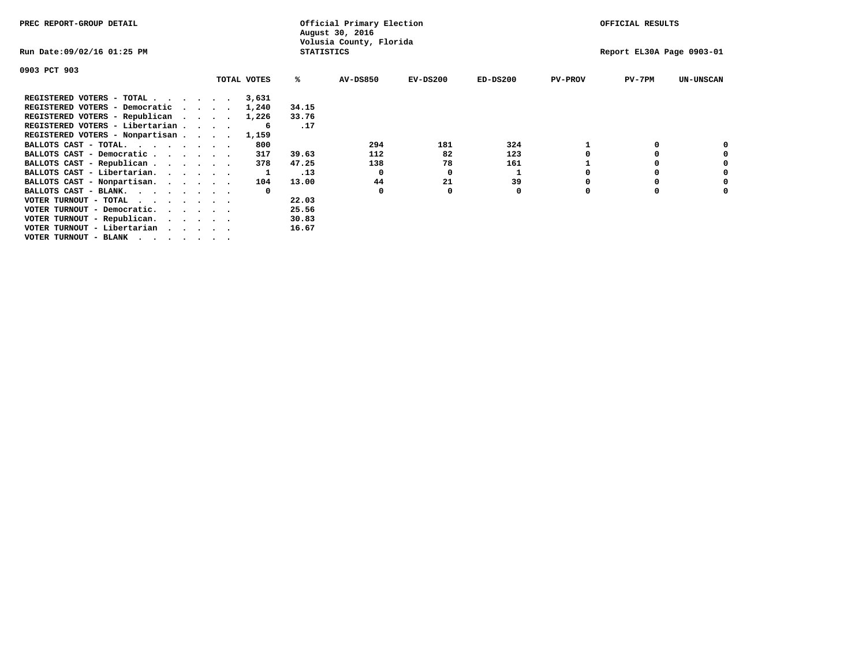| PREC REPORT-GROUP DETAIL        |             |              | Official Primary Election<br>August 30, 2016 |            | OFFICIAL RESULTS |                |                           |                  |
|---------------------------------|-------------|--------------|----------------------------------------------|------------|------------------|----------------|---------------------------|------------------|
| Run Date:09/02/16 01:25 PM      |             |              | Volusia County, Florida<br><b>STATISTICS</b> |            |                  |                | Report EL30A Page 0903-01 |                  |
| 0903 PCT 903                    |             |              |                                              |            |                  |                |                           |                  |
|                                 | TOTAL VOTES | ℁            | <b>AV-DS850</b>                              | $EV-DS200$ | $ED-DS200$       | <b>PV-PROV</b> | $PV-7PM$                  | <b>UN-UNSCAN</b> |
| REGISTERED VOTERS - TOTAL       | 3,631       |              |                                              |            |                  |                |                           |                  |
| REGISTERED VOTERS - Democratic  | 1,240       | 34.15        |                                              |            |                  |                |                           |                  |
| REGISTERED VOTERS - Republican  | 1,226       | 33.76        |                                              |            |                  |                |                           |                  |
| REGISTERED VOTERS - Libertarian |             | .17<br>-6    |                                              |            |                  |                |                           |                  |
| REGISTERED VOTERS - Nonpartisan | 1,159       |              |                                              |            |                  |                |                           |                  |
| BALLOTS CAST - TOTAL.           |             | 800          | 294                                          | 181        | 324              |                |                           |                  |
| BALLOTS CAST - Democratic       |             | 317<br>39.63 | 112                                          | 82         | 123              |                |                           |                  |
| BALLOTS CAST - Republican       |             | 47.25<br>378 | 138                                          | 78         | 161              |                |                           |                  |
| BALLOTS CAST - Libertarian.     |             | .13          | 0                                            | 0          |                  |                |                           |                  |
| BALLOTS CAST - Nonpartisan.     |             | 13.00<br>104 | 44                                           | 21         | 39               |                |                           | 0                |
| BALLOTS CAST - BLANK.           |             | $^{\circ}$   | $\Omega$                                     | O          | 0                | O              |                           |                  |
| VOTER TURNOUT - TOTAL           |             | 22.03        |                                              |            |                  |                |                           |                  |
| VOTER TURNOUT - Democratic.     |             | 25.56        |                                              |            |                  |                |                           |                  |
| VOTER TURNOUT - Republican.     |             | 30.83        |                                              |            |                  |                |                           |                  |
| VOTER TURNOUT - Libertarian     |             | 16.67        |                                              |            |                  |                |                           |                  |
| VOTER TURNOUT - BLANK           |             |              |                                              |            |                  |                |                           |                  |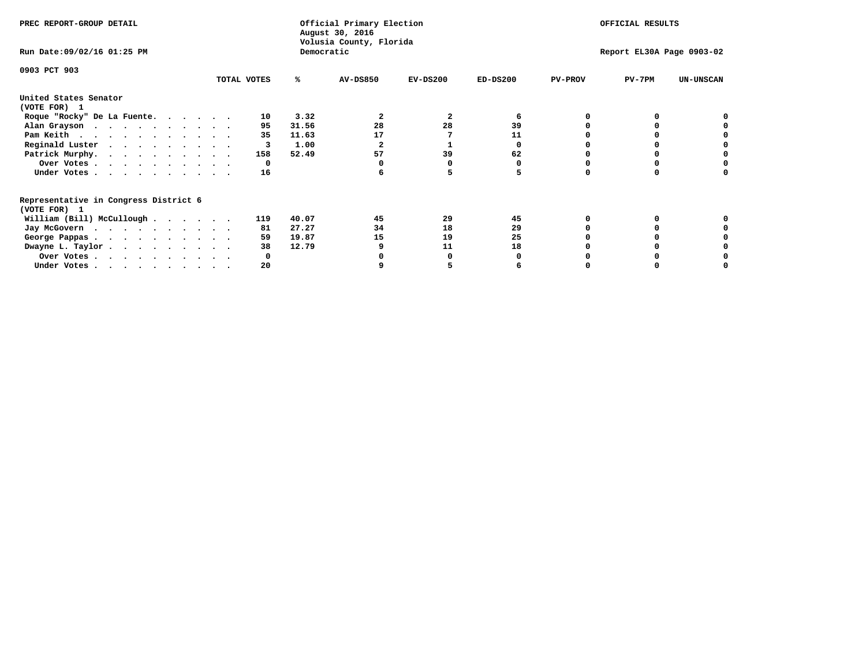| PREC REPORT-GROUP DETAIL                                               |             |                | Official Primary Election<br>August 30, 2016<br>Volusia County, Florida |            |            |                | OFFICIAL RESULTS          |                  |
|------------------------------------------------------------------------|-------------|----------------|-------------------------------------------------------------------------|------------|------------|----------------|---------------------------|------------------|
| Run Date: 09/02/16 01:25 PM                                            |             | Democratic     |                                                                         |            |            |                | Report EL30A Page 0903-02 |                  |
| 0903 PCT 903                                                           |             |                |                                                                         |            |            |                |                           |                  |
|                                                                        | TOTAL VOTES | ℁              | <b>AV-DS850</b>                                                         | $EV-DS200$ | $ED-DS200$ | <b>PV-PROV</b> | $PV-7PM$                  | <b>UN-UNSCAN</b> |
| United States Senator<br>(VOTE FOR) 1                                  |             |                |                                                                         |            |            |                |                           |                  |
| Roque "Rocky" De La Fuente.                                            | 10          | 3.32           |                                                                         | 2          | 6          |                |                           |                  |
| Alan Grayson                                                           | 95          | 31.56          | 28                                                                      | 28         | 39         |                |                           |                  |
| Pam Keith                                                              | 35          | 11.63          | 17                                                                      |            | 11         |                |                           |                  |
| Reginald Luster                                                        | 3           | 1.00           |                                                                         |            | O          |                |                           |                  |
| Patrick Murphy.                                                        | 158         | 52.49          | 57                                                                      | 39         | 62         |                |                           |                  |
| Over Votes                                                             | 0           |                |                                                                         |            |            |                |                           |                  |
| Under Votes.                                                           | 16          |                |                                                                         |            |            |                |                           |                  |
| Representative in Congress District 6<br>(VOTE FOR) 1                  |             |                |                                                                         |            |            |                |                           |                  |
| William (Bill) McCullough                                              | 119         | 40.07          | 45                                                                      | 29         | 45         |                |                           |                  |
|                                                                        | 81          | 27.27          | 34                                                                      | 18         | 29         |                |                           |                  |
| Jay McGovern                                                           |             |                |                                                                         |            |            |                |                           |                  |
| George Pappas.                                                         | 59<br>38    | 19.87<br>12.79 | 15                                                                      | 19         | 25         |                |                           |                  |
| Dwayne L. Taylor.                                                      |             |                |                                                                         | 11         | 18         |                |                           |                  |
| Over Votes                                                             |             |                |                                                                         |            |            |                |                           |                  |
| Under Votes, $\cdot$ , $\cdot$ , $\cdot$ , $\cdot$ , $\cdot$ , $\cdot$ | 20          |                |                                                                         |            |            |                |                           |                  |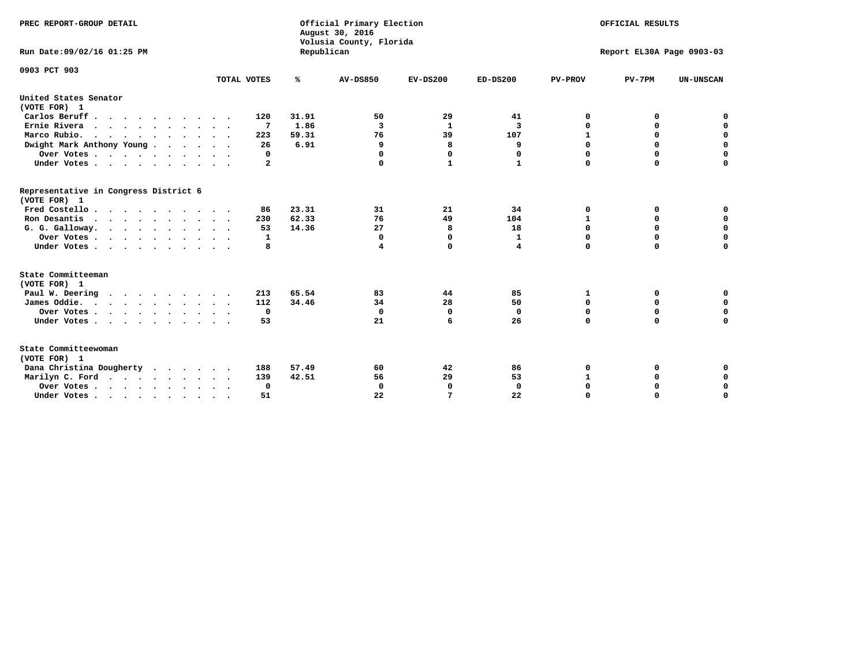| PREC REPORT-GROUP DETAIL<br>Run Date:09/02/16 01:25 PM |             | Republican | Official Primary Election<br>August 30, 2016<br>Volusia County, Florida |             |                | OFFICIAL RESULTS<br>Report EL30A Page 0903-03 |          |                  |  |
|--------------------------------------------------------|-------------|------------|-------------------------------------------------------------------------|-------------|----------------|-----------------------------------------------|----------|------------------|--|
| 0903 PCT 903                                           | TOTAL VOTES | ℁          | <b>AV-DS850</b>                                                         | $EV-DS200$  | $ED-DS200$     | <b>PV-PROV</b>                                | $PV-7PM$ | <b>UN-UNSCAN</b> |  |
|                                                        |             |            |                                                                         |             |                |                                               |          |                  |  |
| United States Senator<br>(VOTE FOR) 1                  |             |            |                                                                         |             |                |                                               |          |                  |  |
| Carlos Beruff.                                         | 120         | 31.91      | 50                                                                      | 29          | 41             | 0                                             | 0        | 0                |  |
| Ernie Rivera                                           | 7           | 1.86       | 3                                                                       | 1           | 3              | $\mathbf 0$                                   | 0        | $\mathbf 0$      |  |
| Marco Rubio.<br>.                                      | 223         | 59.31      | 76                                                                      | 39          | 107            | $\mathbf{1}$                                  | 0        | 0                |  |
| Dwight Mark Anthony Young                              | 26          | 6.91       | 9                                                                       | 8           | 9              | $\mathbf 0$                                   | 0        | 0                |  |
| Over Votes                                             | $\Omega$    |            | $\Omega$                                                                | $\Omega$    | 0              | $\Omega$                                      | 0        | $\mathbf 0$      |  |
| Under Votes                                            | 2           |            | $\Omega$                                                                | 1           | 1              | $\mathbf 0$                                   | 0        | $\mathbf 0$      |  |
| Representative in Congress District 6<br>(VOTE FOR) 1  |             |            |                                                                         |             |                |                                               |          |                  |  |
| Fred Costello                                          | 86          | 23.31      | 31                                                                      | 21          | 34             | 0                                             | 0        | 0                |  |
| Ron Desantis<br>$\cdots$                               | 230         | 62.33      | 76                                                                      | 49          | 104            | 1                                             | 0        | $\mathbf 0$      |  |
| G. G. Galloway.                                        | 53          | 14.36      | 27                                                                      | 8           | 18             | $\mathbf 0$                                   | 0        | 0                |  |
| Over Votes                                             | 1           |            | 0                                                                       | 0           | 1              | 0                                             | 0        | 0                |  |
| Under Votes                                            | 8           |            | 4                                                                       | $\Omega$    | $\overline{4}$ | $\Omega$                                      | $\Omega$ | $\mathbf 0$      |  |
| State Committeeman<br>(VOTE FOR) 1                     |             |            |                                                                         |             |                |                                               |          |                  |  |
| Paul W. Deering                                        | 213         | 65.54      | 83                                                                      | 44          | 85             | 1                                             | 0        | 0                |  |
| James Oddie.<br>$\cdots$                               | 112         | 34.46      | 34                                                                      | 28          | 50             | $\mathbf 0$                                   | 0        | $\mathbf 0$      |  |
| Over Votes                                             | 0           |            | $\Omega$                                                                | $\mathbf 0$ | $^{\circ}$     | $\mathbf 0$                                   | 0        | $\mathbf 0$      |  |
| Under Votes                                            | 53          |            | 21                                                                      | 6           | 26             | $\Omega$                                      | $\Omega$ | $\Omega$         |  |
| State Committeewoman<br>(VOTE FOR) 1                   |             |            |                                                                         |             |                |                                               |          |                  |  |
| Dana Christina Dougherty                               | 188         | 57.49      | 60                                                                      | 42          | 86             | $\Omega$                                      | 0        | 0                |  |
| Marilyn C. Ford                                        | 139         | 42.51      | 56                                                                      | 29          | 53             | 1                                             | 0        | 0                |  |
| Over Votes                                             | $\mathbf 0$ |            | $\Omega$                                                                | $\Omega$    | $\mathbf 0$    | $\mathbf 0$                                   | 0        | $\mathbf 0$      |  |
| Under Votes                                            | 51          |            | 22                                                                      | 7           | 22             | $\mathbf 0$                                   | 0        | $\mathbf 0$      |  |
|                                                        |             |            |                                                                         |             |                |                                               |          |                  |  |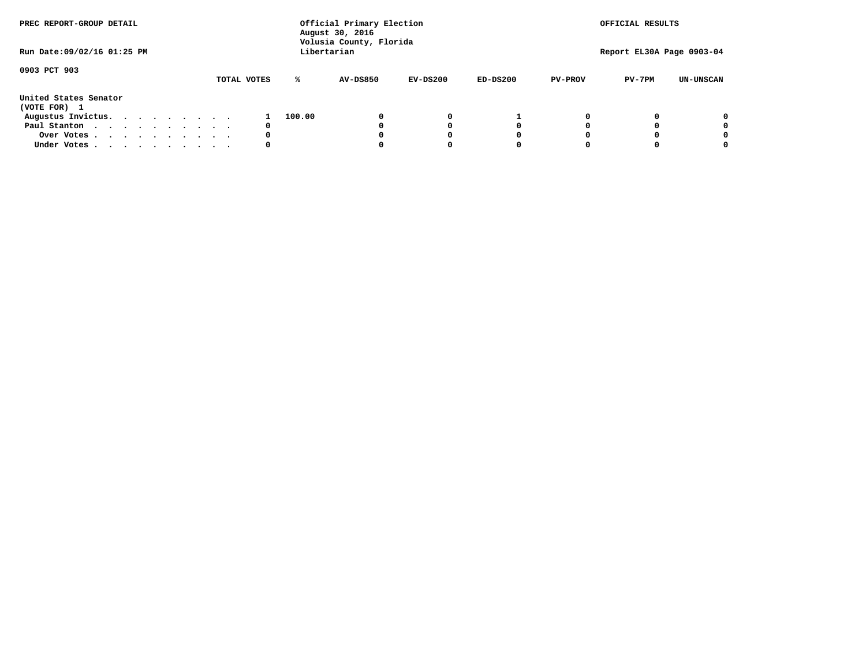| PREC REPORT-GROUP DETAIL              |  |  |  |  |             |        | Official Primary Election<br>August 30, 2016<br>Volusia County, Florida |            |            |                | OFFICIAL RESULTS          |                  |
|---------------------------------------|--|--|--|--|-------------|--------|-------------------------------------------------------------------------|------------|------------|----------------|---------------------------|------------------|
| Run Date: 09/02/16 01:25 PM           |  |  |  |  |             |        | Libertarian                                                             |            |            |                | Report EL30A Page 0903-04 |                  |
| 0903 PCT 903                          |  |  |  |  | TOTAL VOTES | ℁      | <b>AV-DS850</b>                                                         | $EV-DS200$ | $ED-DS200$ | <b>PV-PROV</b> | $PV-7PM$                  | <b>UN-UNSCAN</b> |
| United States Senator<br>(VOTE FOR) 1 |  |  |  |  |             |        |                                                                         |            |            |                |                           |                  |
| Augustus Invictus.                    |  |  |  |  |             | 100.00 |                                                                         | 0          |            |                |                           | 0                |
| Paul Stanton                          |  |  |  |  | 0           |        |                                                                         |            | 0          |                |                           | 0                |
| Over Votes                            |  |  |  |  | 0           |        |                                                                         |            | 0          |                |                           | 0                |
| Under Votes                           |  |  |  |  | 0           |        |                                                                         |            | 0          |                |                           | 0                |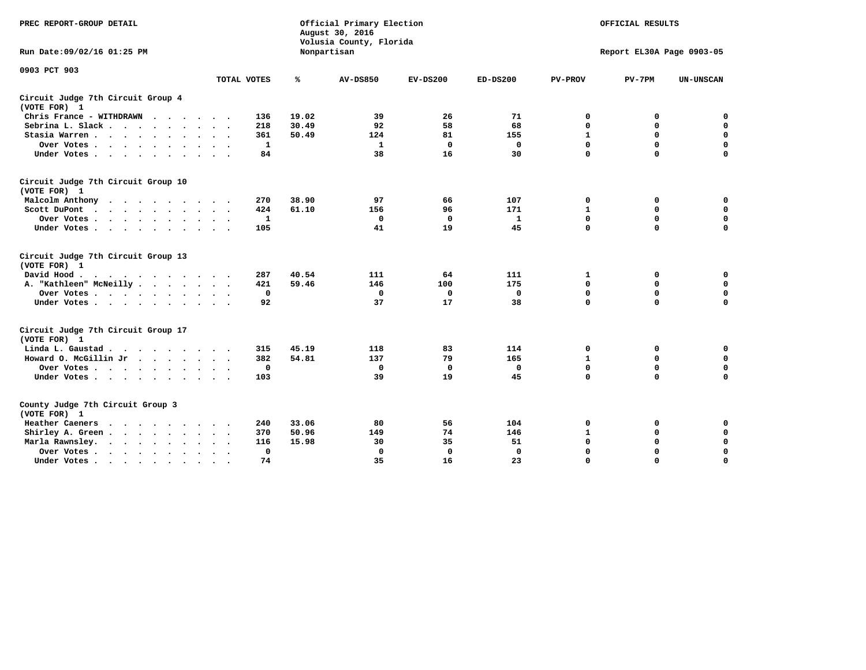| PREC REPORT-GROUP DETAIL                                                                                                                                                                                                                             |                               |       | Official Primary Election<br>August 30, 2016<br>Volusia County, Florida | OFFICIAL RESULTS<br>Report EL30A Page 0903-05 |              |                |             |                  |
|------------------------------------------------------------------------------------------------------------------------------------------------------------------------------------------------------------------------------------------------------|-------------------------------|-------|-------------------------------------------------------------------------|-----------------------------------------------|--------------|----------------|-------------|------------------|
| Run Date: 09/02/16 01:25 PM                                                                                                                                                                                                                          |                               |       | Nonpartisan                                                             |                                               |              |                |             |                  |
| 0903 PCT 903                                                                                                                                                                                                                                         |                               |       |                                                                         |                                               |              |                |             |                  |
|                                                                                                                                                                                                                                                      | TOTAL VOTES                   | ℁     | <b>AV-DS850</b>                                                         | $EV-DS200$                                    | $ED-DS200$   | <b>PV-PROV</b> | $PV-7PM$    | <b>UN-UNSCAN</b> |
| Circuit Judge 7th Circuit Group 4<br>(VOTE FOR) 1                                                                                                                                                                                                    |                               |       |                                                                         |                                               |              |                |             |                  |
| Chris France - WITHDRAWN                                                                                                                                                                                                                             | 136                           | 19.02 | 39                                                                      | 26                                            | 71           | 0              | 0           | 0                |
| Sebrina L. Slack                                                                                                                                                                                                                                     | 218                           | 30.49 | 92                                                                      | 58                                            | 68           | $\mathbf 0$    | $\mathbf 0$ | $\mathbf 0$      |
| Stasia Warren<br>$\sim$<br>$\sim$                                                                                                                                                                                                                    | 361                           | 50.49 | 124                                                                     | 81                                            | 155          | $\mathbf{1}$   | 0           | $\mathbf 0$      |
| Over Votes                                                                                                                                                                                                                                           | 1                             |       | 1                                                                       | $\mathbf 0$                                   | 0            | 0              | $\mathbf 0$ | $\mathbf 0$      |
| Under Votes                                                                                                                                                                                                                                          | 84                            |       | 38                                                                      | 16                                            | 30           | $\mathbf 0$    | $\Omega$    | $\mathbf 0$      |
| Circuit Judge 7th Circuit Group 10<br>(VOTE FOR) 1                                                                                                                                                                                                   |                               |       |                                                                         |                                               |              |                |             |                  |
| Malcolm Anthony<br>.                                                                                                                                                                                                                                 | 270                           | 38.90 | 97                                                                      | 66                                            | 107          | $\mathbf 0$    | 0           | $\mathbf 0$      |
| Scott DuPont                                                                                                                                                                                                                                         | 424                           | 61.10 | 156                                                                     | 96                                            | 171          | $\mathbf 1$    | $\mathbf 0$ | $\mathbf 0$      |
| Over Votes<br>$\sim$ $\sim$                                                                                                                                                                                                                          | 1                             |       | $\Omega$                                                                | $\mathbf{0}$                                  | $\mathbf{1}$ | $\mathbf 0$    | $\mathbf 0$ | $\mathbf 0$      |
| Under Votes                                                                                                                                                                                                                                          | 105                           |       | 41                                                                      | 19                                            | 45           | $\mathbf 0$    | $\mathbf 0$ | $\Omega$         |
| Circuit Judge 7th Circuit Group 13<br>(VOTE FOR) 1                                                                                                                                                                                                   |                               |       |                                                                         |                                               |              |                |             |                  |
| David Hood.<br>$\cdots$                                                                                                                                                                                                                              | 287                           | 40.54 | 111                                                                     | 64                                            | 111          | 1              | 0           | $\mathbf 0$      |
| A. "Kathleen" McNeilly                                                                                                                                                                                                                               | 421                           | 59.46 | 146                                                                     | 100                                           | 175          | $\mathbf 0$    | $\mathbf 0$ | $\mathbf 0$      |
| Over Votes                                                                                                                                                                                                                                           | 0                             |       | 0                                                                       | 0                                             | 0            | $\mathbf 0$    | $\mathbf 0$ | $\mathbf 0$      |
| Under Votes                                                                                                                                                                                                                                          | 92                            |       | 37                                                                      | 17                                            | 38           | $\mathbf 0$    | $\Omega$    | 0                |
| Circuit Judge 7th Circuit Group 17<br>(VOTE FOR) 1                                                                                                                                                                                                   |                               |       |                                                                         |                                               |              |                |             |                  |
| Linda L. Gaustad                                                                                                                                                                                                                                     | 315                           | 45.19 | 118                                                                     | 83                                            | 114          | 0              | 0           | 0                |
| Howard O. McGillin Jr                                                                                                                                                                                                                                | 382                           | 54.81 | 137                                                                     | 79                                            | 165          | $\mathbf 1$    | $\mathbf 0$ | $\mathbf 0$      |
| Over Votes                                                                                                                                                                                                                                           | $\mathbf 0$                   |       | $\mathbf 0$                                                             | $\mathbf 0$                                   | $\mathbf 0$  | $\mathbf 0$    | $\mathbf 0$ | $\pmb{0}$        |
| Under Votes                                                                                                                                                                                                                                          | 103                           |       | 39                                                                      | 19                                            | 45           | $\mathbf 0$    | $\mathbf 0$ | $\Omega$         |
| County Judge 7th Circuit Group 3<br>(VOTE FOR) 1                                                                                                                                                                                                     |                               |       |                                                                         |                                               |              |                |             |                  |
| Heather Caeners<br>$\mathbf{r}$ . The contract of the contract of the contract of the contract of the contract of the contract of the contract of the contract of the contract of the contract of the contract of the contract of the contract of th | 240                           | 33.06 | 80                                                                      | 56                                            | 104          | 0              | 0           | 0                |
| Shirley A. Green                                                                                                                                                                                                                                     | 370<br>$\ddot{\phantom{0}}$   | 50.96 | 149                                                                     | 74                                            | 146          | $\mathbf{1}$   | 0           | $\mathbf 0$      |
| Marla Rawnsley.<br>$\cdots$                                                                                                                                                                                                                          | 116                           | 15.98 | 30                                                                      | 35                                            | 51           | 0              | $\mathbf 0$ | $\pmb{0}$        |
| Over Votes.<br>$\cdot$<br>$\cdot$<br>$\cdot$                                                                                                                                                                                                         | $\mathbf{0}$<br>$\sim$ $\sim$ |       | $\mathbf 0$                                                             | $\mathbf{0}$                                  | $\mathbf{0}$ | $\mathbf 0$    | $\mathbf 0$ | $\mathbf 0$      |
| Under Votes<br>$\sim$<br>$\sim$                                                                                                                                                                                                                      | 74                            |       | 35                                                                      | 16                                            | 23           | $\mathbf 0$    | $\mathbf 0$ | 0                |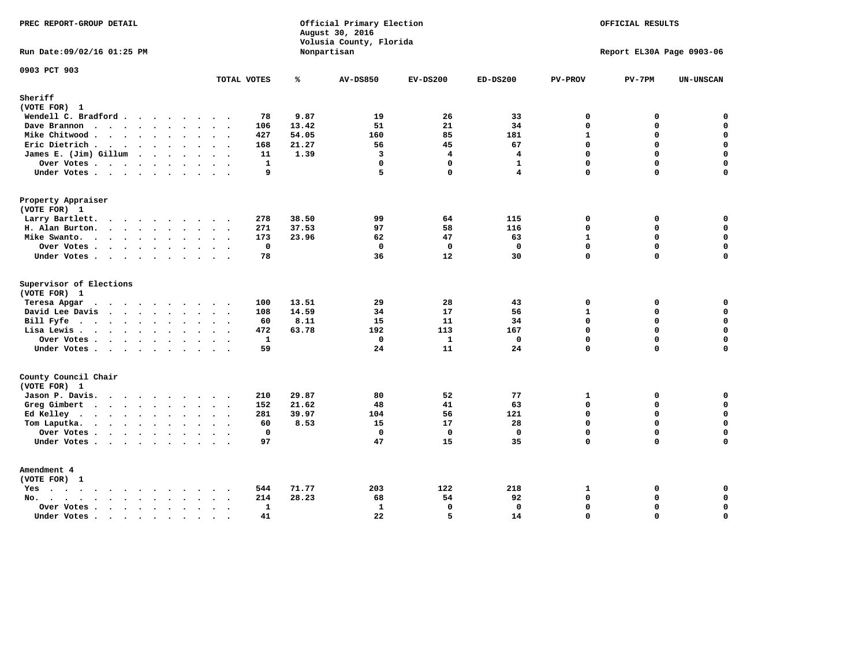| PREC REPORT-GROUP DETAIL                                    |                      |             | Official Primary Election<br>August 30, 2016<br>Volusia County, Florida |                         | OFFICIAL RESULTS<br>Report EL30A Page 0903-06 |                            |             |                            |
|-------------------------------------------------------------|----------------------|-------------|-------------------------------------------------------------------------|-------------------------|-----------------------------------------------|----------------------------|-------------|----------------------------|
| Run Date: 09/02/16 01:25 PM                                 |                      | Nonpartisan |                                                                         |                         |                                               |                            |             |                            |
| 0903 PCT 903                                                | TOTAL VOTES          | ℁           | <b>AV-DS850</b>                                                         | $EV-DS200$              | $ED-DS200$                                    | <b>PV-PROV</b>             | $PV-7PM$    | UN-UNSCAN                  |
| Sheriff<br>(VOTE FOR) 1                                     |                      |             |                                                                         |                         |                                               |                            |             |                            |
| Wendell C. Bradford                                         | 78                   | 9.87        | 19                                                                      | 26                      | 33                                            | $\mathbf 0$                | 0           | $\mathbf 0$                |
| Dave Brannon                                                | 106                  | 13.42       | 51                                                                      | 21                      | 34                                            | $\mathbf 0$                | 0           | $\mathbf 0$                |
| Mike Chitwood                                               | 427                  | 54.05       | 160                                                                     | 85                      | 181                                           | $\mathbf{1}$               | 0           | $\mathbf 0$                |
| Eric Dietrich.                                              | 168                  | 21.27       | 56                                                                      | 45                      | 67                                            | $\mathbf 0$                | 0           | $\mathbf 0$                |
| James E. (Jim) Gillum                                       | 11                   | 1.39        | $\overline{3}$                                                          | $\overline{\mathbf{4}}$ | $\overline{\mathbf{4}}$                       | $\mathbf 0$                | 0           | $\mathbf 0$                |
| Over Votes                                                  | $\mathbf{1}$         |             | $\mathbf 0$                                                             | $\mathbf{0}$            | $\mathbf{1}$                                  | $\mathbf 0$                | 0           | $\mathbf 0$                |
| Under Votes                                                 | 9                    |             | 5                                                                       | $\Omega$                | $\overline{\mathbf{4}}$                       | $\Omega$                   | 0           | $\mathbf 0$                |
| Property Appraiser                                          |                      |             |                                                                         |                         |                                               |                            |             |                            |
| (VOTE FOR) 1                                                |                      |             |                                                                         |                         |                                               |                            |             |                            |
| Larry Bartlett.                                             | 278<br>$\sim$ $\sim$ | 38.50       | 99                                                                      | 64                      | 115                                           | 0                          | 0           | 0                          |
| H. Alan Burton.                                             | 271                  | 37.53       | 97                                                                      | 58                      | 116                                           | $\mathbf 0$                | 0           | $\mathbf 0$                |
| Mike Swanto.                                                | 173                  | 23.96       | 62                                                                      | 47                      | 63                                            | $\mathbf{1}$               | 0           | 0                          |
| Over Votes                                                  | $\mathbf{0}$         |             | $\mathbf 0$                                                             | $\mathbf 0$             | $\mathbf{0}$                                  | $\mathbf 0$                | $\mathbf 0$ | $\mathbf 0$                |
| Under Votes                                                 | 78                   |             | 36                                                                      | 12                      | 30                                            | $\mathbf 0$                | $\Omega$    | $\mathbf 0$                |
| Supervisor of Elections                                     |                      |             |                                                                         |                         |                                               |                            |             |                            |
| (VOTE FOR) 1                                                |                      |             |                                                                         |                         |                                               |                            |             |                            |
| Teresa Apgar                                                | 100                  | 13.51       | 29                                                                      | 28                      | 43                                            | $\mathbf 0$                | 0           | $\mathbf 0$                |
| David Lee Davis                                             | 108                  | 14.59       | 34                                                                      | 17                      | 56                                            | $\mathbf{1}$               | 0           | $\mathbf 0$                |
| Bill Fyfe.                                                  | 60                   | 8.11        | 15                                                                      | 11                      | 34                                            | $\Omega$                   | $\Omega$    | $\mathbf 0$                |
| Lisa Lewis                                                  | 472                  | 63.78       | 192                                                                     | 113                     | 167                                           | $\mathbf 0$                | $\mathbf 0$ | $\mathbf 0$                |
| Over Votes                                                  | $\mathbf{1}$         |             | $\mathbf 0$                                                             | $\mathbf{1}$            | $\mathbf{0}$                                  | $\mathbf 0$                | 0           | $\mathbf 0$                |
| Under Votes                                                 | 59                   |             | 24                                                                      | 11                      | 24                                            | $\Omega$                   | 0           | $\mathbf 0$                |
| County Council Chair<br>(VOTE FOR) 1                        |                      |             |                                                                         |                         |                                               |                            |             |                            |
| Jason P. Davis.                                             | 210                  | 29.87       | 80                                                                      | 52                      | 77                                            | 1                          | 0           | 0                          |
| Greg Gimbert                                                | 152                  | 21.62       | 48                                                                      | 41                      | 63                                            | $\mathbf 0$                | 0           | $\mathbf 0$                |
| Ed Kelley                                                   | 281                  | 39.97       | 104                                                                     | 56                      | 121                                           | $\mathbf 0$                | 0           | $\mathbf 0$                |
| Tom Laputka.                                                | 60                   | 8.53        | 15                                                                      | 17                      | 28                                            | $\Omega$                   | $\mathbf 0$ | $\mathbf 0$                |
| Over Votes                                                  | $\mathbf 0$          |             | $\mathbf 0$                                                             | $\mathbf 0$             | $\mathbf{0}$                                  | $\mathbf 0$                | 0           | 0                          |
| Under Votes                                                 | 97                   |             | 47                                                                      | 15                      | 35                                            | $\Omega$                   | $\Omega$    | $\Omega$                   |
| Amendment 4                                                 |                      |             |                                                                         |                         |                                               |                            |             |                            |
| (VOTE FOR) 1                                                |                      |             |                                                                         |                         |                                               |                            |             |                            |
| $Yes \cdot \cdot \cdot \cdot \cdot \cdot \cdot \cdot \cdot$ | 544<br>$\cdot$ .     | 71.77       | 203                                                                     | 122                     | 218                                           | 1<br>$\mathbf 0$           | 0<br>0      | 0<br>$\mathbf 0$           |
| $No.$<br>$\ddot{\phantom{a}}$                               | 214                  | 28.23       | 68                                                                      | 54                      | 92                                            |                            |             |                            |
| Over Votes .<br>$\cdots$                                    | $\mathbf{1}$<br>41   |             | $\mathbf{1}$<br>22                                                      | $\mathbf{0}$<br>5       | $\mathbf 0$<br>14                             | $\mathbf 0$<br>$\mathbf 0$ | 0<br>0      | $\mathbf 0$<br>$\mathbf 0$ |
| Under Votes                                                 | $\sim$<br>$\sim$     |             |                                                                         |                         |                                               |                            |             |                            |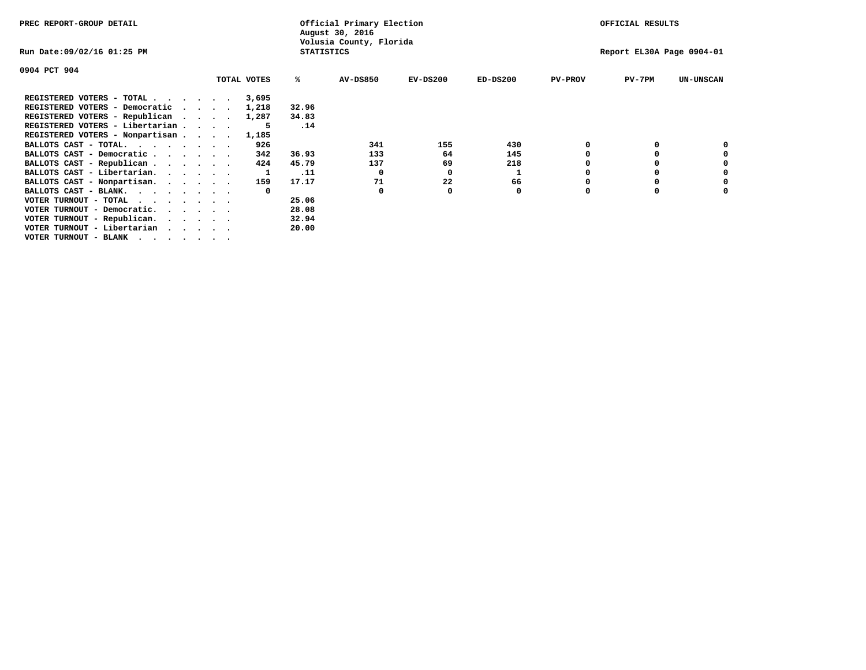| PREC REPORT-GROUP DETAIL                                                                                                                 |  |             |                   | Official Primary Election<br>August 30, 2016 |            | OFFICIAL RESULTS |                |                           |                  |
|------------------------------------------------------------------------------------------------------------------------------------------|--|-------------|-------------------|----------------------------------------------|------------|------------------|----------------|---------------------------|------------------|
| Run Date:09/02/16 01:25 PM                                                                                                               |  |             | <b>STATISTICS</b> | Volusia County, Florida                      |            |                  |                | Report EL30A Page 0904-01 |                  |
| 0904 PCT 904                                                                                                                             |  |             |                   |                                              |            |                  |                |                           |                  |
|                                                                                                                                          |  | TOTAL VOTES | ℁                 | <b>AV-DS850</b>                              | $EV-DS200$ | $ED-DS200$       | <b>PV-PROV</b> | $PV-7PM$                  | <b>UN-UNSCAN</b> |
| REGISTERED VOTERS - TOTAL $\cdot$ $\cdot$ $\cdot$ $\cdot$ $\cdot$ $\cdot$                                                                |  | 3,695       |                   |                                              |            |                  |                |                           |                  |
| REGISTERED VOTERS - Democratic                                                                                                           |  | 1,218       | 32.96             |                                              |            |                  |                |                           |                  |
| REGISTERED VOTERS - Republican                                                                                                           |  | 1,287       | 34.83             |                                              |            |                  |                |                           |                  |
| REGISTERED VOTERS - Libertarian                                                                                                          |  |             | .14               |                                              |            |                  |                |                           |                  |
| REGISTERED VOTERS - Nonpartisan                                                                                                          |  | 1,185       |                   |                                              |            |                  |                |                           |                  |
| BALLOTS CAST - TOTAL.                                                                                                                    |  | 926         |                   | 341                                          | 155        | 430              |                |                           |                  |
| BALLOTS CAST - Democratic                                                                                                                |  | 342         | 36.93             | 133                                          | 64         | 145              |                |                           |                  |
| BALLOTS CAST - Republican                                                                                                                |  | 424         | 45.79             | 137                                          | 69         | 218              |                |                           |                  |
| BALLOTS CAST - Libertarian.                                                                                                              |  |             | .11               | $^{\circ}$                                   | 0          |                  |                |                           |                  |
| BALLOTS CAST - Nonpartisan.                                                                                                              |  | 159         | 17.17             | 71                                           | 22         | 66               |                |                           | 0                |
| BALLOTS CAST - BLANK.                                                                                                                    |  |             |                   | 0                                            |            | 0                | O              |                           |                  |
| VOTER TURNOUT - TOTAL<br>the contract of the contract of the contract of the contract of the contract of the contract of the contract of |  |             | 25.06             |                                              |            |                  |                |                           |                  |
| VOTER TURNOUT - Democratic.                                                                                                              |  |             | 28.08             |                                              |            |                  |                |                           |                  |
| VOTER TURNOUT - Republican.                                                                                                              |  |             | 32.94             |                                              |            |                  |                |                           |                  |
| VOTER TURNOUT - Libertarian                                                                                                              |  |             | 20.00             |                                              |            |                  |                |                           |                  |
| VOTER TURNOUT - BLANK                                                                                                                    |  |             |                   |                                              |            |                  |                |                           |                  |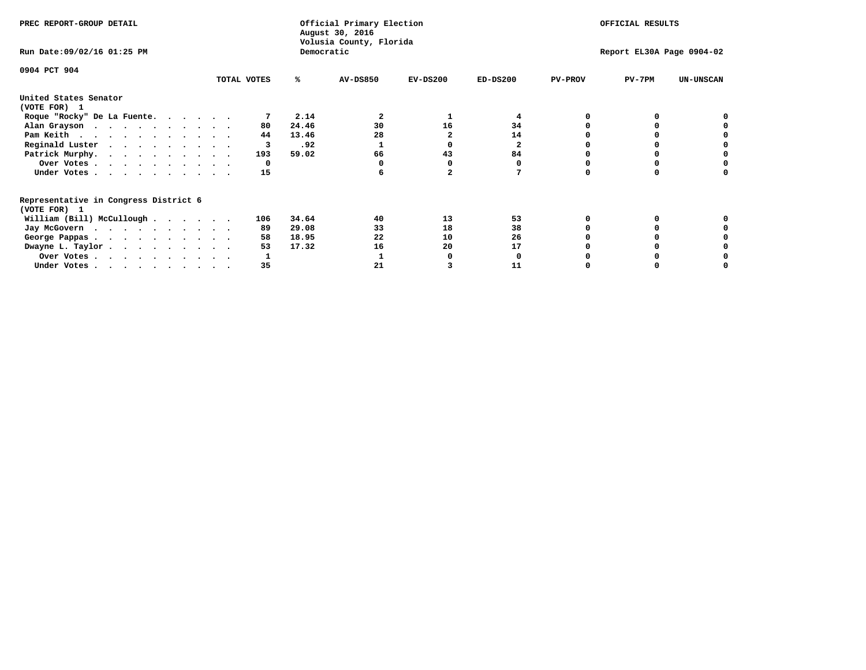| PREC REPORT-GROUP DETAIL                                               |             |            | Official Primary Election<br>August 30, 2016 |            |            |                | OFFICIAL RESULTS          |                  |
|------------------------------------------------------------------------|-------------|------------|----------------------------------------------|------------|------------|----------------|---------------------------|------------------|
| Run Date: 09/02/16 01:25 PM                                            |             | Democratic | Volusia County, Florida                      |            |            |                | Report EL30A Page 0904-02 |                  |
| 0904 PCT 904                                                           | TOTAL VOTES | ℁          | <b>AV-DS850</b>                              | $EV-DS200$ | $ED-DS200$ | <b>PV-PROV</b> | $PV-7PM$                  | <b>UN-UNSCAN</b> |
|                                                                        |             |            |                                              |            |            |                |                           |                  |
| United States Senator<br>(VOTE FOR) 1                                  |             |            |                                              |            |            |                |                           |                  |
| Roque "Rocky" De La Fuente.                                            |             | 2.14       | 2                                            |            | 4          |                |                           |                  |
| Alan Grayson                                                           | 80          | 24.46      | 30                                           | 16         | 34         |                |                           |                  |
| Pam Keith                                                              | 44          | 13.46      | 28                                           |            | 14         |                |                           |                  |
| Reginald Luster                                                        | 3           | .92        |                                              |            | 2          |                |                           |                  |
| Patrick Murphy.                                                        | 193         | 59.02      | 66                                           | 43         | 84         |                |                           |                  |
| Over Votes                                                             | 0           |            |                                              |            |            |                |                           |                  |
| Under Votes                                                            | 15          |            |                                              |            |            |                |                           |                  |
| Representative in Congress District 6                                  |             |            |                                              |            |            |                |                           |                  |
| (VOTE FOR) 1                                                           |             |            |                                              |            |            |                |                           |                  |
| William (Bill) McCullough $\cdots$ $\cdots$                            | 106         | 34.64      | 40                                           | 13         | 53         |                |                           |                  |
| Jay McGovern                                                           | 89          | 29.08      | 33                                           | 18         | 38         |                |                           |                  |
| George Pappas.                                                         | 58          | 18.95      | 22                                           | 10         | 26         |                |                           |                  |
| Dwayne L. Taylor                                                       | 53          | 17.32      | 16                                           | 20         | 17         |                |                           |                  |
| Over Votes                                                             |             |            |                                              |            |            |                |                           |                  |
| Under Votes, $\cdot$ , $\cdot$ , $\cdot$ , $\cdot$ , $\cdot$ , $\cdot$ | 35          |            | 21                                           |            | 11         |                |                           |                  |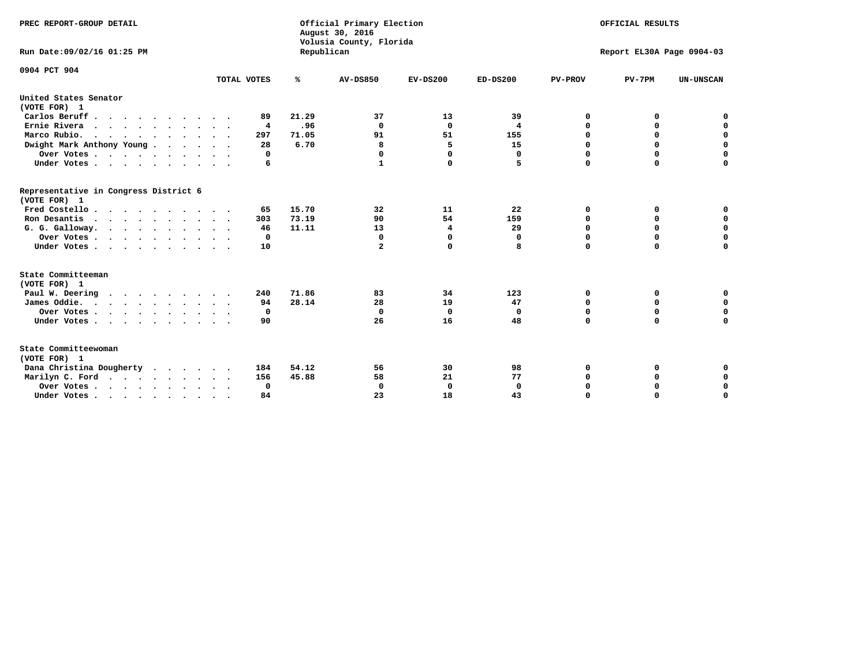| PREC REPORT-GROUP DETAIL                              |                         |            | Official Primary Election<br>August 30, 2016<br>Volusia County, Florida | OFFICIAL RESULTS<br>Report EL30A Page 0904-03 |              |                |             |                  |  |
|-------------------------------------------------------|-------------------------|------------|-------------------------------------------------------------------------|-----------------------------------------------|--------------|----------------|-------------|------------------|--|
| Run Date: 09/02/16 01:25 PM                           |                         | Republican |                                                                         |                                               |              |                |             |                  |  |
| 0904 PCT 904                                          |                         |            |                                                                         |                                               |              |                |             |                  |  |
|                                                       | TOTAL VOTES             | ℁          | <b>AV-DS850</b>                                                         | $EV-DS200$                                    | $ED-DS200$   | <b>PV-PROV</b> | $PV-7PM$    | <b>UN-UNSCAN</b> |  |
| United States Senator<br>(VOTE FOR) 1                 |                         |            |                                                                         |                                               |              |                |             |                  |  |
| Carlos Beruff.                                        | 89                      | 21.29      | 37                                                                      | 13                                            | 39           | 0              | 0           | 0                |  |
| Ernie Rivera                                          | $\overline{\mathbf{4}}$ | .96        | 0                                                                       | $\Omega$                                      | 4            | 0              | 0           | $\mathbf 0$      |  |
| Marco Rubio.                                          | 297                     | 71.05      | 91                                                                      | 51                                            | 155          | $\mathbf 0$    | $\mathbf 0$ | $\mathbf 0$      |  |
| Dwight Mark Anthony Young                             | 28                      | 6.70       | 8                                                                       | 5                                             | 15           | 0              | $\mathbf 0$ | $\pmb{0}$        |  |
| Over Votes                                            | 0                       |            | 0                                                                       | $\Omega$                                      | 0            | $\mathbf 0$    | 0           | $\mathbf 0$      |  |
| Under Votes                                           | 6                       |            | 1                                                                       | 0                                             | 5            | $\mathbf 0$    | $\Omega$    | $\mathbf 0$      |  |
| Representative in Congress District 6<br>(VOTE FOR) 1 |                         |            |                                                                         |                                               |              |                |             |                  |  |
| Fred Costello                                         | 65                      | 15.70      | 32                                                                      | 11                                            | 22           | 0              | 0           | 0                |  |
| Ron Desantis                                          | 303                     | 73.19      | 90                                                                      | 54                                            | 159          | 0              | 0           | $\mathbf 0$      |  |
| G. G. Galloway.                                       | 46                      | 11.11      | 13                                                                      | 4                                             | 29           | $\mathbf 0$    | $\Omega$    | $\mathbf 0$      |  |
| Over Votes                                            | 0                       |            | 0                                                                       | $\mathbf{0}$                                  | $\mathbf 0$  | $\mathbf 0$    | $\mathbf 0$ | $\mathbf 0$      |  |
| Under Votes                                           | 10                      |            | $\mathbf{2}$                                                            | 0                                             | 8            | $\mathbf 0$    | $\Omega$    | $\mathbf 0$      |  |
| State Committeeman<br>(VOTE FOR) 1                    |                         |            |                                                                         |                                               |              |                |             |                  |  |
| Paul W. Deering                                       | 240                     | 71.86      | 83                                                                      | 34                                            | 123          | 0              | 0           | 0                |  |
| James Oddie.                                          | 94                      | 28.14      | 28                                                                      | 19                                            | 47           | 0              | 0           | $\mathbf 0$      |  |
| Over Votes                                            | 0                       |            | $\mathbf 0$                                                             | $\mathbf 0$                                   | $\Omega$     | 0              | $\mathbf 0$ | $\mathbf 0$      |  |
| Under Votes                                           | 90                      |            | 26                                                                      | 16                                            | 48           | $\mathbf 0$    | 0           | $\mathbf 0$      |  |
| State Committeewoman<br>(VOTE FOR) 1                  |                         |            |                                                                         |                                               |              |                |             |                  |  |
| Dana Christina Dougherty<br>$\cdot$                   | 184                     | 54.12      | 56                                                                      | 30                                            | 98           | 0              | 0           | 0                |  |
| Marilyn C. Ford                                       | 156                     | 45.88      | 58                                                                      | 21                                            | 77           | 0              | 0           | 0                |  |
| Over Votes                                            | 0                       |            | $\mathbf 0$                                                             | 0                                             | $\mathbf{0}$ | $\mathbf 0$    | 0           | $\mathbf 0$      |  |
| Under Votes, , , , , , , , , ,                        | 84                      |            | 23                                                                      | 18                                            | 43           | $\Omega$       | $\Omega$    | $\Omega$         |  |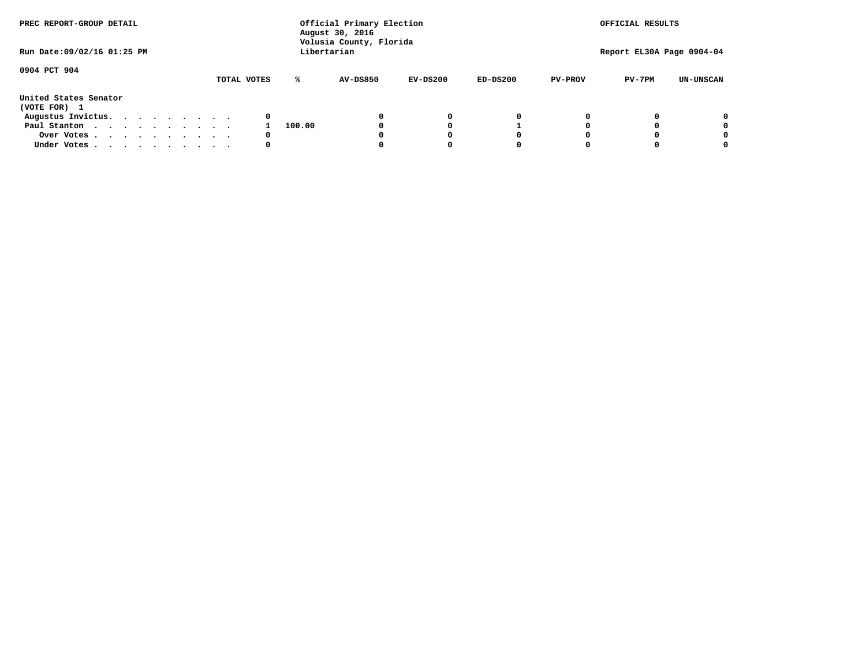| PREC REPORT-GROUP DETAIL<br>Run Date: 09/02/16 01:25 PM |  |  |  |  |  | Official Primary Election<br>August 30, 2016<br>Volusia County, Florida<br>Libertarian | OFFICIAL RESULTS<br>Report EL30A Page 0904-04 |                 |            |            |                |          |                  |
|---------------------------------------------------------|--|--|--|--|--|----------------------------------------------------------------------------------------|-----------------------------------------------|-----------------|------------|------------|----------------|----------|------------------|
|                                                         |  |  |  |  |  |                                                                                        |                                               |                 |            |            |                |          |                  |
| 0904 PCT 904                                            |  |  |  |  |  | TOTAL VOTES                                                                            | ℁                                             | <b>AV-DS850</b> | $EV-DS200$ | $ED-DS200$ | <b>PV-PROV</b> | $PV-7PM$ | <b>UN-UNSCAN</b> |
| United States Senator<br>(VOTE FOR) 1                   |  |  |  |  |  |                                                                                        |                                               |                 |            |            |                |          |                  |
| Augustus Invictus.                                      |  |  |  |  |  | 0                                                                                      |                                               |                 | 0          | 0          |                |          | 0                |
| Paul Stanton                                            |  |  |  |  |  |                                                                                        | 100.00                                        |                 |            |            |                |          | 0                |
| Over Votes                                              |  |  |  |  |  | 0                                                                                      |                                               |                 |            | 0          |                |          | 0                |
| Under Votes                                             |  |  |  |  |  | 0                                                                                      |                                               |                 |            | 0          |                |          | 0                |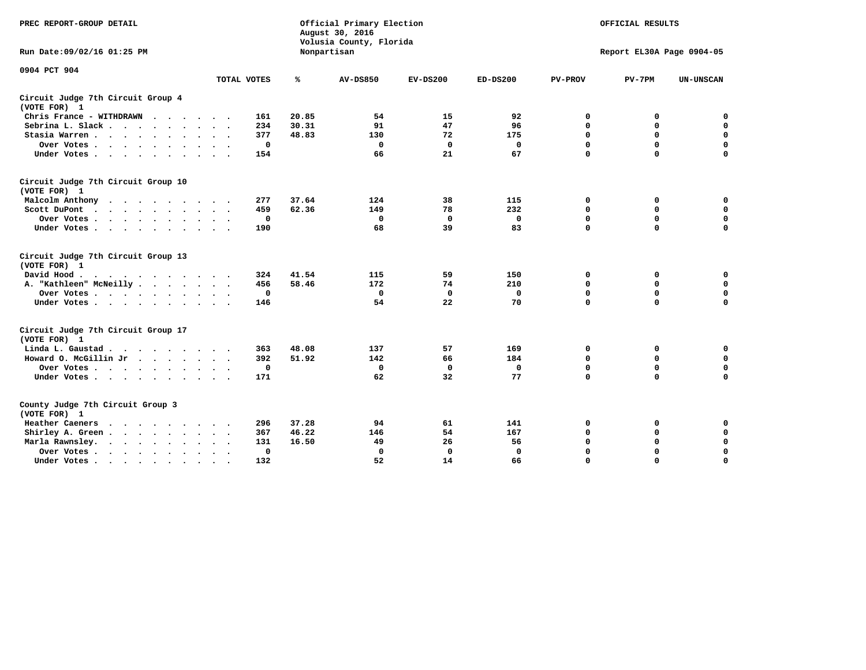| PREC REPORT-GROUP DETAIL                                    |                             | Official Primary Election<br>August 30, 2016<br>Volusia County, Florida |                 | OFFICIAL RESULTS<br>Report EL30A Page 0904-05 |             |                |             |                  |
|-------------------------------------------------------------|-----------------------------|-------------------------------------------------------------------------|-----------------|-----------------------------------------------|-------------|----------------|-------------|------------------|
| Run Date: 09/02/16 01:25 PM                                 |                             |                                                                         | Nonpartisan     |                                               |             |                |             |                  |
| 0904 PCT 904                                                |                             |                                                                         |                 |                                               |             |                |             |                  |
|                                                             | TOTAL VOTES                 | %                                                                       | <b>AV-DS850</b> | $EV-DS200$                                    | $ED-DS200$  | <b>PV-PROV</b> | $PV-7PM$    | <b>UN-UNSCAN</b> |
| Circuit Judge 7th Circuit Group 4<br>(VOTE FOR) 1           |                             |                                                                         |                 |                                               |             |                |             |                  |
| Chris France - WITHDRAWN                                    | 161                         | 20.85                                                                   | 54              | 15                                            | 92          | 0              | 0           | 0                |
| Sebrina L. Slack.                                           | 234                         | 30.31                                                                   | 91              | 47                                            | 96          | $\mathbf 0$    | $\mathbf 0$ | $\mathbf 0$      |
| Stasia Warren<br>$\sim$ $\sim$                              | 377                         | 48.83                                                                   | 130             | 72                                            | 175         | $\mathbf 0$    | $\mathbf 0$ | $\mathbf 0$      |
| Over Votes                                                  | 0                           |                                                                         | 0               | $\mathbf{0}$                                  | 0           | $\mathbf 0$    | $\mathbf 0$ | $\mathbf 0$      |
| Under Votes                                                 | 154                         |                                                                         | 66              | 21                                            | 67          | $\mathbf 0$    | $\mathbf 0$ | $\mathbf 0$      |
| Circuit Judge 7th Circuit Group 10<br>(VOTE FOR) 1          |                             |                                                                         |                 |                                               |             |                |             |                  |
| Malcolm Anthony<br>.                                        | 277                         | 37.64                                                                   | 124             | 38                                            | 115         | 0              | 0           | $\mathbf 0$      |
| Scott DuPont                                                | 459                         | 62.36                                                                   | 149             | 78                                            | 232         | $\mathbf 0$    | $\mathbf 0$ | $\mathbf 0$      |
| Over Votes<br>$\bullet$                                     | 0                           |                                                                         | $\mathbf{0}$    | $\mathbf 0$                                   | 0           | $\mathbf 0$    | $\mathbf 0$ | $\mathbf 0$      |
| Under Votes                                                 | 190                         |                                                                         | 68              | 39                                            | 83          | $\mathbf 0$    | $\Omega$    | 0                |
| Circuit Judge 7th Circuit Group 13<br>(VOTE FOR) 1          |                             |                                                                         |                 |                                               |             |                |             |                  |
| David Hood.                                                 | 324                         | 41.54                                                                   | 115             | 59                                            | 150         | 0              | 0           | 0                |
| A. "Kathleen" McNeilly                                      | 456                         | 58.46                                                                   | 172             | 74                                            | 210         | $\mathbf 0$    | 0           | $\mathbf 0$      |
| Over Votes                                                  | 0                           |                                                                         | $\mathbf 0$     | $\mathbf 0$                                   | 0           | 0              | $\mathbf 0$ | $\mathbf 0$      |
| Under Votes                                                 | 146                         |                                                                         | 54              | 22                                            | 70          | $\mathbf 0$    | $\mathbf 0$ | 0                |
| Circuit Judge 7th Circuit Group 17<br>(VOTE FOR) 1          |                             |                                                                         |                 |                                               |             |                |             |                  |
| Linda L. Gaustad                                            | 363                         | 48.08                                                                   | 137             | 57                                            | 169         | 0              | 0           | $\mathbf 0$      |
| Howard O. McGillin Jr                                       | 392                         | 51.92                                                                   | 142             | 66                                            | 184         | 0              | $\mathbf 0$ | 0                |
| Over Votes                                                  | 0                           |                                                                         | $\mathbf{0}$    | 0                                             | $\mathbf 0$ | $\mathbf 0$    | $\mathbf 0$ | $\mathbf 0$      |
| Under Votes                                                 | 171                         |                                                                         | 62              | 32                                            | 77          | $\mathbf 0$    | $\mathbf 0$ | $\mathbf 0$      |
| County Judge 7th Circuit Group 3<br>(VOTE FOR) 1            |                             |                                                                         |                 |                                               |             |                |             |                  |
| Heather Caeners<br>$\cdots$                                 | 296                         | 37.28                                                                   | 94              | 61                                            | 141         | 0              | 0           | 0                |
| Shirley A. Green                                            | 367<br>$\ddot{\phantom{1}}$ | 46.22                                                                   | 146             | 54                                            | 167         | $\mathbf 0$    | $\mathbf 0$ | $\mathbf 0$      |
| Marla Rawnsley.                                             | 131                         | 16.50                                                                   | 49              | 26                                            | 56          | 0              | $\mathbf 0$ | $\pmb{0}$        |
| Over Votes .<br>$\cdots$<br>$\cdot$<br>$\ddot{\phantom{a}}$ | 0<br>$\sim$ $\sim$          |                                                                         | 0               | $\mathbf{0}$                                  | 0           | $\mathbf 0$    | 0           | $\mathbf 0$      |
| Under Votes<br>$\sim$<br>$\sim$                             | 132                         |                                                                         | 52              | 14                                            | 66          | $\mathbf 0$    | $\mathbf 0$ | 0                |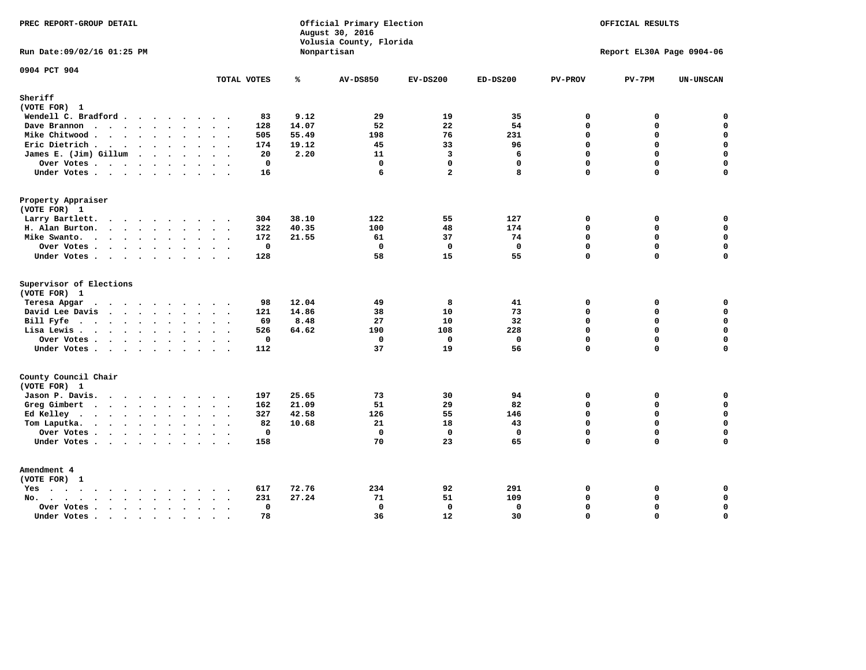| PREC REPORT-GROUP DETAIL                                                                                               |                                     |       | Official Primary Election<br>August 30, 2016<br>Volusia County, Florida | OFFICIAL RESULTS<br>Report EL30A Page 0904-06 |              |                |             |                  |
|------------------------------------------------------------------------------------------------------------------------|-------------------------------------|-------|-------------------------------------------------------------------------|-----------------------------------------------|--------------|----------------|-------------|------------------|
| Run Date: 09/02/16 01:25 PM                                                                                            |                                     |       | Nonpartisan                                                             |                                               |              |                |             |                  |
| 0904 PCT 904                                                                                                           | TOTAL VOTES                         | ℁     | <b>AV-DS850</b>                                                         | $EV-DS200$                                    | $ED-DS200$   | <b>PV-PROV</b> | $PV-7PM$    | <b>UN-UNSCAN</b> |
| Sheriff                                                                                                                |                                     |       |                                                                         |                                               |              |                |             |                  |
| (VOTE FOR) 1                                                                                                           |                                     |       |                                                                         |                                               |              |                |             |                  |
| Wendell C. Bradford                                                                                                    | 83                                  | 9.12  | 29                                                                      | 19                                            | 35           | $\mathbf 0$    | 0           | $\mathbf 0$      |
| Dave Brannon                                                                                                           | 128                                 | 14.07 | 52                                                                      | 22                                            | 54           | $\Omega$       | 0           | $\mathbf 0$      |
| Mike Chitwood                                                                                                          | 505                                 | 55.49 | 198                                                                     | 76                                            | 231          | $\mathbf 0$    | 0           | 0                |
| Eric Dietrich.                                                                                                         | 174                                 | 19.12 | 45                                                                      | 33                                            | 96           | $\Omega$       | 0           | $\mathbf 0$      |
| James E. (Jim) Gillum                                                                                                  | 20                                  | 2.20  | 11                                                                      | 3                                             | 6            | $\mathbf 0$    | $\mathbf 0$ | $\mathbf 0$      |
| Over Votes                                                                                                             | $\mathbf{0}$                        |       | $\Omega$                                                                | $\Omega$                                      | $\Omega$     | $\Omega$       | $\Omega$    | $\mathbf 0$      |
| Under Votes                                                                                                            | 16                                  |       | 6                                                                       | $\overline{a}$                                | 8            | $\Omega$       | 0           | $\Omega$         |
| Property Appraiser                                                                                                     |                                     |       |                                                                         |                                               |              |                |             |                  |
| (VOTE FOR) 1                                                                                                           |                                     |       |                                                                         |                                               |              |                |             |                  |
| Larry Bartlett.                                                                                                        | 304<br>$\cdot$ .                    | 38.10 | 122                                                                     | 55                                            | 127          | $\mathbf 0$    | 0           | 0                |
| H. Alan Burton.                                                                                                        | 322                                 | 40.35 | 100                                                                     | 48                                            | 174          | $\Omega$       | 0           | $\mathbf 0$      |
| Mike Swanto.                                                                                                           | 172                                 | 21.55 | 61                                                                      | 37                                            | 74           | $\Omega$       | 0           | $\mathbf 0$      |
| Over Votes                                                                                                             | $\mathbf 0$                         |       | $\Omega$                                                                | $\mathbf 0$                                   | $\Omega$     | $\mathbf{0}$   | 0           | $\mathbf 0$      |
| Under Votes                                                                                                            | 128                                 |       | 58                                                                      | 15                                            | 55           | $\Omega$       | $\Omega$    | $\mathbf 0$      |
| Supervisor of Elections                                                                                                |                                     |       |                                                                         |                                               |              |                |             |                  |
| (VOTE FOR) 1                                                                                                           |                                     |       |                                                                         |                                               |              |                |             |                  |
| Teresa Apgar<br>$\cdots$                                                                                               | 98<br>$\sim$ $\sim$                 | 12.04 | 49                                                                      | 8                                             | 41           | 0              | 0           | 0                |
| David Lee Davis                                                                                                        | 121                                 | 14.86 | 38                                                                      | 10                                            | 73           | $\Omega$       | 0           | $\mathbf 0$      |
| Bill Fyfe.                                                                                                             | 69                                  | 8.48  | 27                                                                      | 10                                            | 32           | $\Omega$       | 0           | $\mathbf 0$      |
| Lisa Lewis                                                                                                             | 526                                 | 64.62 | 190                                                                     | 108                                           | 228          | $\Omega$       | 0           | $\mathbf 0$      |
| Over Votes                                                                                                             | $\mathbf 0$                         |       | $\mathbf 0$                                                             | $\mathbf 0$                                   | $\mathbf 0$  | $\mathbf 0$    | 0           | $\mathbf 0$      |
| Under Votes                                                                                                            | 112                                 |       | 37                                                                      | 19                                            | 56           | $\Omega$       | $\Omega$    | $\mathbf 0$      |
| County Council Chair<br>(VOTE FOR) 1                                                                                   |                                     |       |                                                                         |                                               |              |                |             |                  |
| Jason P. Davis.                                                                                                        | 197                                 | 25.65 | 73                                                                      | 30                                            | 94           | 0              | 0           | 0                |
| Greg Gimbert<br>$\cdots$                                                                                               | 162                                 | 21.09 | 51                                                                      | 29                                            | 82           | $\Omega$       | $\Omega$    | $\mathbf 0$      |
| Ed Kelley $\cdots$                                                                                                     | 327                                 | 42.58 | 126                                                                     | 55                                            | 146          | $\mathbf 0$    | 0           | $\mathbf 0$      |
| Tom Laputka.<br>$\mathbf{r}$ , $\mathbf{r}$ , $\mathbf{r}$ , $\mathbf{r}$ , $\mathbf{r}$ , $\mathbf{r}$ , $\mathbf{r}$ | 82                                  | 10.68 | 21                                                                      | 18                                            | 43           | $\Omega$       | $\mathbf 0$ | $\mathbf 0$      |
| Over Votes                                                                                                             | $\mathbf 0$<br>$\ddot{\phantom{a}}$ |       | $\mathbf 0$                                                             | $^{\circ}$                                    | $\mathbf{0}$ | $\Omega$       | 0           | 0                |
| Under Votes                                                                                                            | 158                                 |       | 70                                                                      | 23                                            | 65           | $\Omega$       | $\Omega$    | $\mathbf 0$      |
| Amendment 4                                                                                                            |                                     |       |                                                                         |                                               |              |                |             |                  |
| (VOTE FOR) 1                                                                                                           |                                     |       |                                                                         |                                               |              |                |             |                  |
| $Yes \cdot \cdot \cdot \cdot \cdot \cdot \cdot \cdot \cdot$<br>$\bullet$                                               | 617                                 | 72.76 | 234                                                                     | 92                                            | 291          | 0              | 0           | 0                |
| $No.$<br>$\sim$<br>$\ddot{\phantom{a}}$                                                                                | 231                                 | 27.24 | 71                                                                      | 51                                            | 109          | $\Omega$       | 0           | $\mathbf 0$      |
| Over Votes .<br>$\cdots$<br>$\ddot{\phantom{a}}$                                                                       | $\mathbf 0$<br>$\sim$               |       | $\mathbf 0$                                                             | $\mathbf 0$                                   | 0            | $\Omega$       | 0           | $\mathbf 0$      |
| Under Votes<br>$\sim$                                                                                                  | 78<br>$\sim$<br>$\sim$              |       | 36                                                                      | 12                                            | 30           | $\mathbf 0$    | 0           | $\mathbf 0$      |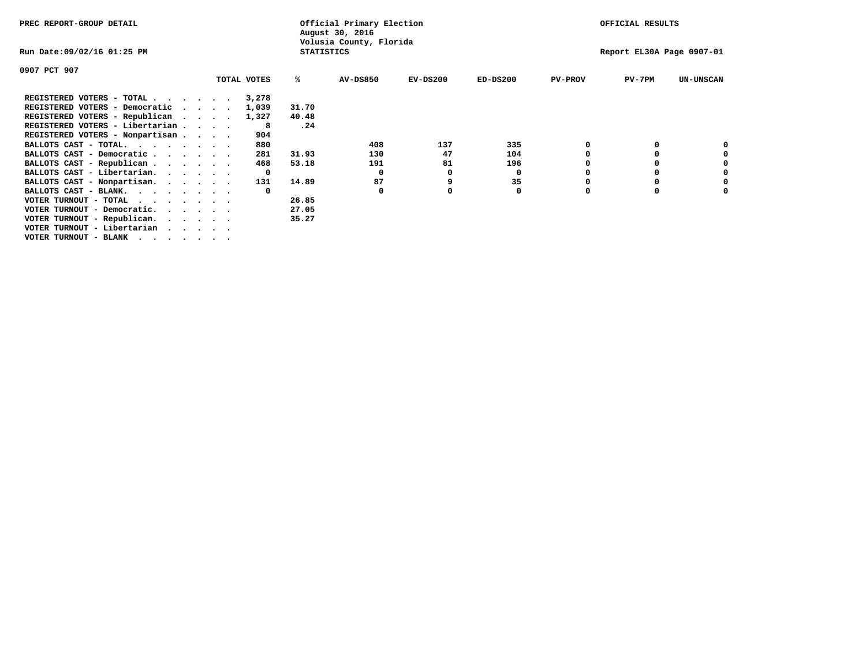| PREC REPORT-GROUP DETAIL                  |              |                   | Official Primary Election<br>August 30, 2016 |            | OFFICIAL RESULTS |                |                           |                  |
|-------------------------------------------|--------------|-------------------|----------------------------------------------|------------|------------------|----------------|---------------------------|------------------|
| Run Date:09/02/16 01:25 PM                |              | <b>STATISTICS</b> | Volusia County, Florida                      |            |                  |                | Report EL30A Page 0907-01 |                  |
| 0907 PCT 907                              |              |                   |                                              |            |                  |                |                           |                  |
|                                           | TOTAL VOTES  | ℁                 | <b>AV-DS850</b>                              | $EV-DS200$ | $ED-DS200$       | <b>PV-PROV</b> | $PV-7PM$                  | <b>UN-UNSCAN</b> |
| REGISTERED VOTERS - TOTAL                 | 3,278        |                   |                                              |            |                  |                |                           |                  |
| REGISTERED VOTERS - Democratic<br>$\cdot$ | 1,039        | 31.70             |                                              |            |                  |                |                           |                  |
| REGISTERED VOTERS - Republican            | 1,327        | 40.48             |                                              |            |                  |                |                           |                  |
| REGISTERED VOTERS - Libertarian           | 8            | .24               |                                              |            |                  |                |                           |                  |
| REGISTERED VOTERS - Nonpartisan           | 904          |                   |                                              |            |                  |                |                           |                  |
| BALLOTS CAST - TOTAL.                     | 880          |                   | 408                                          | 137        | 335              |                |                           |                  |
| BALLOTS CAST - Democratic                 | 281          | 31.93             | 130                                          | 47         | 104              |                |                           |                  |
| BALLOTS CAST - Republican                 | 468          | 53.18             | 191                                          | 81         | 196              |                |                           |                  |
| BALLOTS CAST - Libertarian.               | $\mathbf{o}$ |                   | 0                                            | 0          | 0                |                |                           |                  |
| BALLOTS CAST - Nonpartisan.               | 131          | 14.89             | 87                                           |            | 35               |                |                           | 0                |
| BALLOTS CAST - BLANK.                     |              |                   | 0                                            |            | 0                | $\Omega$       |                           |                  |
| VOTER TURNOUT - TOTAL                     |              | 26.85             |                                              |            |                  |                |                           |                  |
| VOTER TURNOUT - Democratic.<br>$\cdot$    |              | 27.05             |                                              |            |                  |                |                           |                  |
| VOTER TURNOUT - Republican.               |              | 35.27             |                                              |            |                  |                |                           |                  |
| VOTER TURNOUT - Libertarian               |              |                   |                                              |            |                  |                |                           |                  |
| VOTER TURNOUT - BLANK                     |              |                   |                                              |            |                  |                |                           |                  |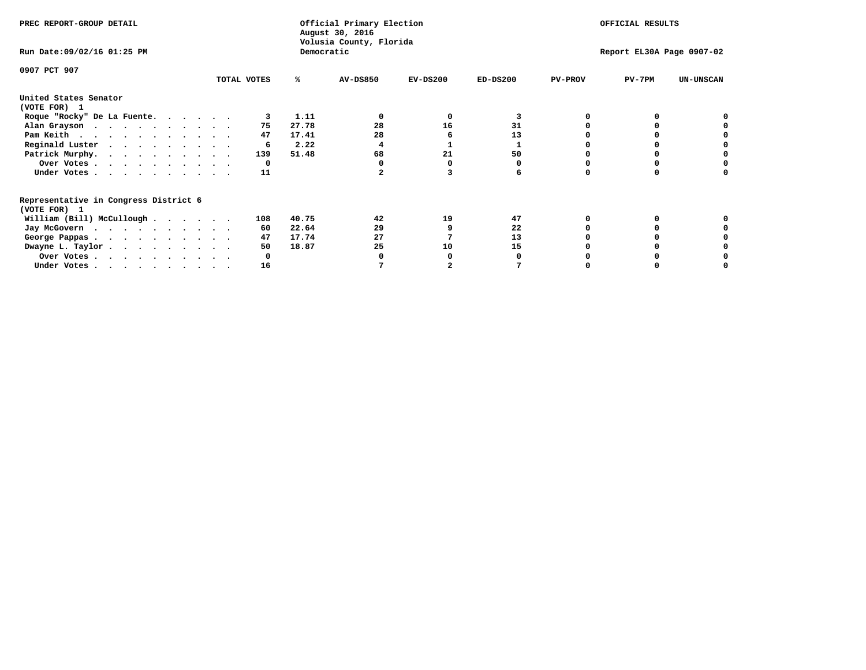| PREC REPORT-GROUP DETAIL              |             | Official Primary Election<br>August 30, 2016<br>Volusia County, Florida |                |            | OFFICIAL RESULTS |                           |                  |
|---------------------------------------|-------------|-------------------------------------------------------------------------|----------------|------------|------------------|---------------------------|------------------|
| Run Date: 09/02/16 01:25 PM           |             | Democratic                                                              |                |            |                  | Report EL30A Page 0907-02 |                  |
| 0907 PCT 907                          |             |                                                                         |                |            |                  |                           |                  |
|                                       | TOTAL VOTES | <b>AV-DS850</b><br>℁                                                    | $EV-DS200$     | $ED-DS200$ | <b>PV-PROV</b>   | $PV-7PM$                  | <b>UN-UNSCAN</b> |
| United States Senator                 |             |                                                                         |                |            |                  |                           |                  |
| (VOTE FOR) 1                          |             |                                                                         |                |            |                  |                           |                  |
| Roque "Rocky" De La Fuente.           | 3           | 1.11<br>0                                                               | $\Omega$       | 3          |                  | $\Omega$                  |                  |
| Alan Grayson                          | 75          | 28<br>27.78                                                             | 16             | 31         |                  |                           |                  |
| Pam Keith                             | 47          | 28<br>17.41                                                             |                | 13         |                  |                           |                  |
| Reginald Luster                       | 6           | 2.22<br>4                                                               |                |            |                  | o                         |                  |
| Patrick Murphy.                       | 139         | 68<br>51.48                                                             | 21             | 50         |                  | o                         |                  |
| Over Votes                            | 0           | 0                                                                       |                | 0          |                  | o                         |                  |
| Under Votes.                          | 11          | $\overline{a}$                                                          |                | 6          |                  | $\Omega$                  |                  |
| Representative in Congress District 6 |             |                                                                         |                |            |                  |                           |                  |
| (VOTE FOR) 1                          |             |                                                                         |                |            |                  |                           |                  |
| William (Bill) McCullough             | 108         | 40.75<br>42                                                             | 19             | 47         | O                | 0                         |                  |
| Jay McGovern                          | 60          | 22.64<br>29                                                             |                | 22         |                  | $\Omega$                  |                  |
| George Pappas.                        | 47          | 17.74<br>27                                                             |                | 13         |                  |                           |                  |
| Dwayne L. Taylor                      | 50          | 18.87<br>25                                                             | 10             | 15         |                  | 0                         |                  |
| Over Votes                            | 0           | 0                                                                       |                | 0          |                  |                           |                  |
| Under Votes                           | 16          | 7                                                                       | $\overline{a}$ | 7          |                  | 0                         |                  |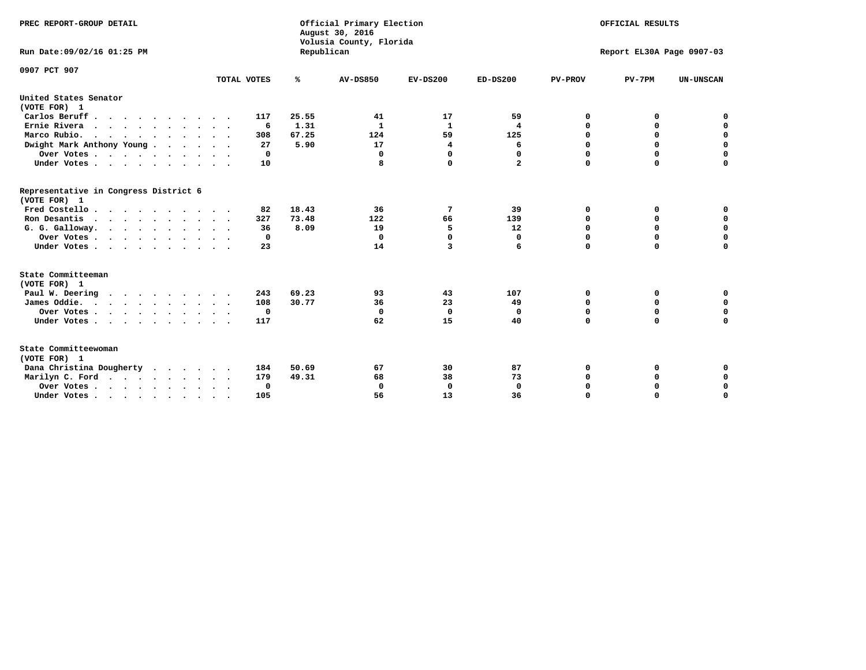| PREC REPORT-GROUP DETAIL<br>Run Date:09/02/16 01:25 PM        |             | Republican    | Official Primary Election<br>August 30, 2016<br>Volusia County, Florida |                    |                |                | OFFICIAL RESULTS<br>Report EL30A Page 0907-03 |                  |
|---------------------------------------------------------------|-------------|---------------|-------------------------------------------------------------------------|--------------------|----------------|----------------|-----------------------------------------------|------------------|
| 0907 PCT 907                                                  | TOTAL VOTES | %             | <b>AV-DS850</b>                                                         | $EV-DS200$         | $ED-DS200$     | <b>PV-PROV</b> | $PV-7PM$                                      | <b>UN-UNSCAN</b> |
| United States Senator                                         |             |               |                                                                         |                    |                |                |                                               |                  |
| (VOTE FOR) 1                                                  |             |               |                                                                         |                    |                |                |                                               |                  |
| Carlos Beruff                                                 | 117         | 25.55         | 41                                                                      | 17<br>$\mathbf{1}$ | 59             | 0              | 0                                             | 0<br>$\mathbf 0$ |
| Ernie Rivera<br>Marco Rubio.                                  | 6<br>308    | 1.31<br>67.25 | 1<br>124                                                                | 59                 | 4<br>125       | 0<br>0         | 0<br>$\mathbf 0$                              | $\mathbf 0$      |
| $\cdots$<br>Dwight Mark Anthony Young                         | 27          | 5.90          | 17                                                                      | 4                  | 6              | 0              | 0                                             | $\mathbf 0$      |
|                                                               | 0           |               | $\mathbf 0$                                                             | $\Omega$           | 0              | 0              | 0                                             | 0                |
| Over Votes $\ldots$ $\ldots$ $\ldots$ $\ldots$<br>Under Votes | 10          |               | 8                                                                       | 0                  | $\overline{a}$ | $\Omega$       | $\Omega$                                      | $\Omega$         |
|                                                               |             |               |                                                                         |                    |                |                |                                               |                  |
| Representative in Congress District 6<br>(VOTE FOR) 1         |             |               |                                                                         |                    |                |                |                                               |                  |
| Fred Costello                                                 | 82          | 18.43         | 36                                                                      | 7                  | 39             | 0              | 0                                             | 0                |
| Ron Desantis                                                  | 327         | 73.48         | 122                                                                     | 66                 | 139            | $\mathbf 0$    | 0                                             | 0                |
| G. G. Galloway.                                               | 36          | 8.09          | 19                                                                      | 5                  | 12             | $\mathbf 0$    | $\Omega$                                      | $\mathbf 0$      |
| Over Votes                                                    | 0           |               | 0                                                                       | 0                  | 0              | 0              | 0                                             | 0                |
| Under Votes                                                   | 23          |               | 14                                                                      | 3                  | 6              | $\Omega$       | $\Omega$                                      | $\Omega$         |
| State Committeeman                                            |             |               |                                                                         |                    |                |                |                                               |                  |
| (VOTE FOR) 1                                                  |             |               |                                                                         |                    |                |                |                                               |                  |
| Paul W. Deering                                               | 243         | 69.23         | 93                                                                      | 43                 | 107            | 0              | 0                                             | 0                |
| James Oddie.                                                  | 108         | 30.77         | 36                                                                      | 23                 | 49             | 0              | 0                                             | $\mathbf 0$      |
| Over Votes                                                    | 0           |               | $\mathbf 0$                                                             | $\mathbf 0$        | 0              | $\mathbf 0$    | $\mathbf 0$                                   | $\mathbf 0$      |
| Under Votes                                                   | 117         |               | 62                                                                      | 15                 | 40             | $\mathbf 0$    | $\mathbf 0$                                   | $\mathbf 0$      |
| State Committeewoman<br>(VOTE FOR) 1                          |             |               |                                                                         |                    |                |                |                                               |                  |
| Dana Christina Dougherty<br>$\cdot$                           | 184         | 50.69         | 67                                                                      | 30                 | 87             | 0              | 0                                             | 0                |
| Marilyn C. Ford                                               | 179         | 49.31         | 68                                                                      | 38                 | 73             | 0              | 0                                             | 0                |
| Over Votes                                                    | $\Omega$    |               | $\mathbf 0$                                                             | 0                  | $\mathbf 0$    | $\mathbf 0$    | 0                                             | 0                |
| Under Votes, , , , , , , , , ,                                | 105         |               | 56                                                                      | 13                 | 36             | $\Omega$       | $\Omega$                                      | $\Omega$         |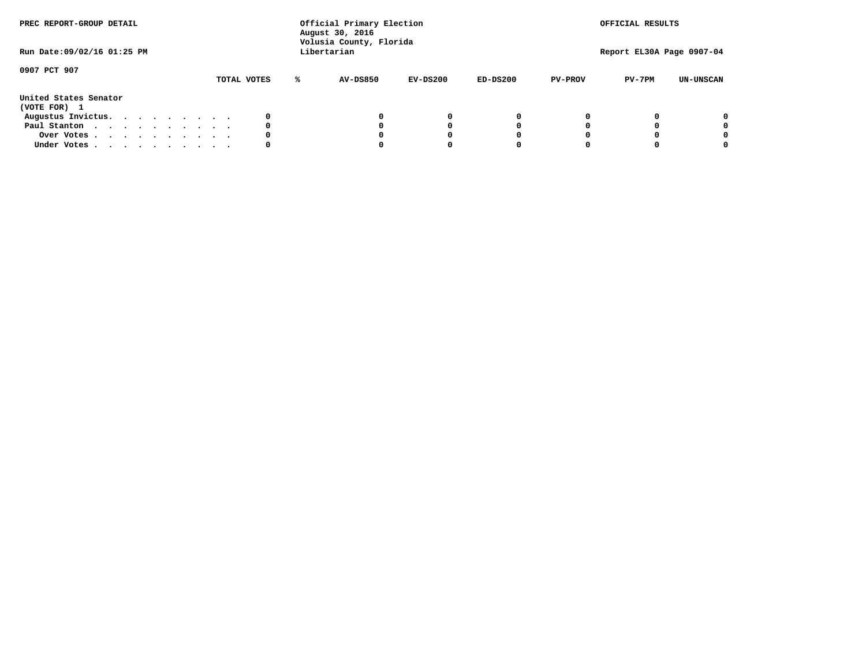| PREC REPORT-GROUP DETAIL<br>Run Date: 09/02/16 01:25 PM |  |  |  |             |   | Official Primary Election<br>August 30, 2016<br>Volusia County, Florida<br>Libertarian |            |            |                | OFFICIAL RESULTS<br>Report EL30A Page 0907-04 |                  |
|---------------------------------------------------------|--|--|--|-------------|---|----------------------------------------------------------------------------------------|------------|------------|----------------|-----------------------------------------------|------------------|
|                                                         |  |  |  |             |   |                                                                                        |            |            |                |                                               |                  |
| 0907 PCT 907                                            |  |  |  | TOTAL VOTES | ℁ | AV-DS850                                                                               | $EV-DS200$ | $ED-DS200$ | <b>PV-PROV</b> | $PV-7PM$                                      | <b>UN-UNSCAN</b> |
| United States Senator<br>(VOTE FOR) 1                   |  |  |  |             |   |                                                                                        |            |            |                |                                               |                  |
| Augustus Invictus.                                      |  |  |  | 0           |   |                                                                                        | 0          | 0          |                |                                               | 0                |
| Paul Stanton                                            |  |  |  | 0           |   |                                                                                        |            | 0          |                |                                               | 0                |
| Over Votes                                              |  |  |  | 0           |   |                                                                                        |            | 0          |                |                                               | 0                |
| Under Votes                                             |  |  |  | 0           |   |                                                                                        |            |            |                |                                               | 0                |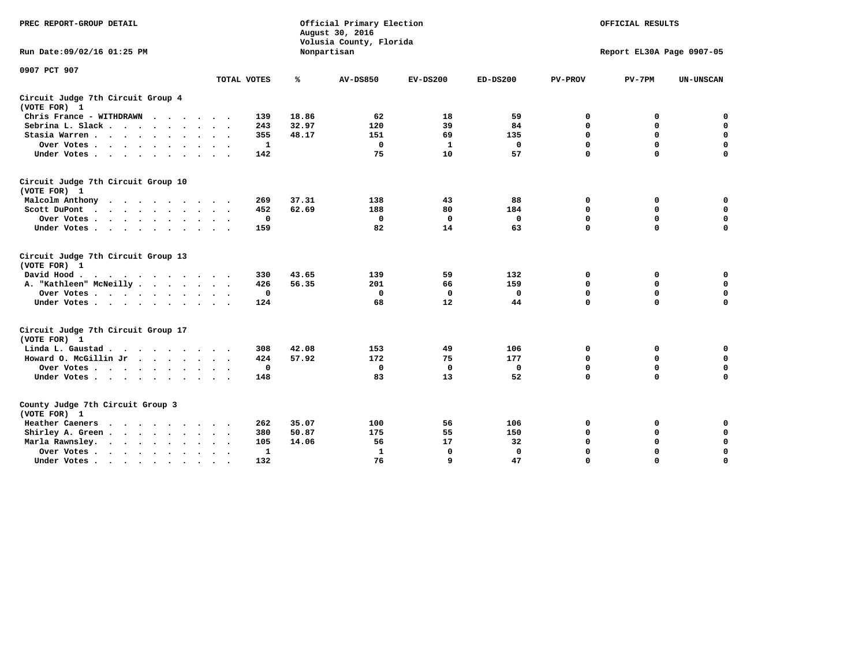| PREC REPORT-GROUP DETAIL                                                                                                           |             |       | Official Primary Election<br>August 30, 2016<br>Volusia County, Florida |             |             |                | OFFICIAL RESULTS          |                  |
|------------------------------------------------------------------------------------------------------------------------------------|-------------|-------|-------------------------------------------------------------------------|-------------|-------------|----------------|---------------------------|------------------|
| Run Date: 09/02/16 01:25 PM                                                                                                        |             |       | Nonpartisan                                                             |             |             |                | Report EL30A Page 0907-05 |                  |
| 0907 PCT 907                                                                                                                       |             |       |                                                                         |             |             |                |                           |                  |
|                                                                                                                                    | TOTAL VOTES | ℁     | <b>AV-DS850</b>                                                         | $EV-DS200$  | $ED-DS200$  | <b>PV-PROV</b> | $PV-7PM$                  | <b>UN-UNSCAN</b> |
| Circuit Judge 7th Circuit Group 4<br>(VOTE FOR) 1                                                                                  |             |       |                                                                         |             |             |                |                           |                  |
| Chris France - WITHDRAWN<br>$\cdots$                                                                                               | 139         | 18.86 | 62                                                                      | 18          | 59          | 0              | 0                         | 0                |
| Sebrina L. Slack                                                                                                                   | 243         | 32.97 | 120                                                                     | 39          | 84          | 0              | $\mathbf 0$               | $\mathbf 0$      |
| Stasia Warren<br>$\sim$ $\sim$                                                                                                     | 355         | 48.17 | 151                                                                     | 69          | 135         | $\mathbf 0$    | 0                         | $\mathbf 0$      |
| Over Votes                                                                                                                         | 1           |       | $\mathbf{0}$                                                            | 1           | 0           | 0              | $\mathbf 0$               | $\mathbf 0$      |
| Under Votes                                                                                                                        | 142         |       | 75                                                                      | 10          | 57          | $\mathbf 0$    | $\Omega$                  | $\mathbf 0$      |
| Circuit Judge 7th Circuit Group 10<br>(VOTE FOR) 1                                                                                 |             |       |                                                                         |             |             |                |                           |                  |
| Malcolm Anthony<br>.                                                                                                               | 269         | 37.31 | 138                                                                     | 43          | 88          | 0              | 0                         | $\mathbf 0$      |
| Scott DuPont                                                                                                                       | 452         | 62.69 | 188                                                                     | 80          | 184         | 0              | $\mathbf 0$               | $\mathbf 0$      |
| Over Votes                                                                                                                         | $\mathbf 0$ |       | $\mathbf{0}$                                                            | $\mathbf 0$ | 0           | $\mathbf 0$    | $\mathbf 0$               | $\mathbf 0$      |
| Under Votes                                                                                                                        | 159         |       | 82                                                                      | 14          | 63          | $\mathbf 0$    | $\mathbf 0$               | $\Omega$         |
| Circuit Judge 7th Circuit Group 13<br>(VOTE FOR) 1                                                                                 |             |       |                                                                         |             |             |                |                           |                  |
| David Hood.                                                                                                                        | 330         | 43.65 | 139                                                                     | 59          | 132         | 0              | 0                         | $\mathbf 0$      |
| A. "Kathleen" McNeilly                                                                                                             | 426         | 56.35 | 201                                                                     | 66          | 159         | $\mathbf 0$    | $\mathbf 0$               | $\mathbf 0$      |
| Over Votes                                                                                                                         | $\mathbf 0$ |       | 0                                                                       | 0           | 0           | $\mathbf 0$    | $\mathbf 0$               | $\mathbf 0$      |
| Under Votes                                                                                                                        | 124         |       | 68                                                                      | 12          | 44          | $\mathbf 0$    | $\Omega$                  | 0                |
| Circuit Judge 7th Circuit Group 17<br>(VOTE FOR) 1                                                                                 |             |       |                                                                         |             |             |                |                           |                  |
| Linda L. Gaustad                                                                                                                   | 308         | 42.08 | 153                                                                     | 49          | 106         | 0              | 0                         | 0                |
| Howard O. McGillin Jr                                                                                                              | 424         | 57.92 | 172                                                                     | 75          | 177         | $\mathbf 0$    | $\mathbf 0$               | $\mathbf 0$      |
| Over Votes                                                                                                                         | $\mathbf 0$ |       | $\mathbf 0$                                                             | $\mathbf 0$ | $\mathbf 0$ | $\mathbf 0$    | $\mathbf 0$               | $\pmb{0}$        |
| Under Votes                                                                                                                        | 148         |       | 83                                                                      | 13          | 52          | $\mathbf 0$    | $\mathbf 0$               | $\mathbf 0$      |
| County Judge 7th Circuit Group 3<br>(VOTE FOR) 1                                                                                   |             |       |                                                                         |             |             |                |                           |                  |
| Heather Caeners<br>the contract of the contract of the contract of the contract of the contract of the contract of the contract of | 262         | 35.07 | 100                                                                     | 56          | 106         | 0              | 0                         | 0                |
| Shirley A. Green                                                                                                                   | 380         | 50.87 | 175                                                                     | 55          | 150         | $\mathbf 0$    | 0                         | $\mathbf 0$      |
| Marla Rawnsley.                                                                                                                    | 105         | 14.06 | 56                                                                      | 17          | 32          | 0              | $\mathbf 0$               | $\pmb{0}$        |
| Over Votes.<br>$\ddot{\phantom{a}}$<br>$\ddot{\phantom{a}}$                                                                        | 1           |       | 1                                                                       | 0           | 0           | $\mathbf 0$    | $\mathbf 0$               | $\mathbf 0$      |
| Under Votes<br>$\sim$                                                                                                              | 132         |       | 76                                                                      | 9           | 47          | $\mathbf 0$    | $\mathbf 0$               | 0                |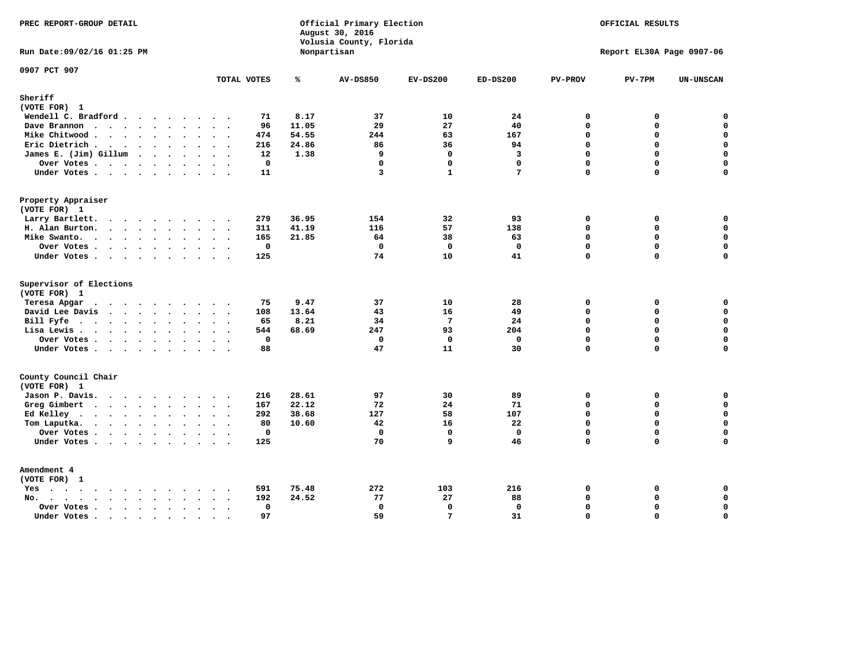| PREC REPORT-GROUP DETAIL                                                                                                                                                                                                                          |                                     | Official Primary Election<br>August 30, 2016<br>Volusia County, Florida | OFFICIAL RESULTS        |                 |              |                |                           |                  |
|---------------------------------------------------------------------------------------------------------------------------------------------------------------------------------------------------------------------------------------------------|-------------------------------------|-------------------------------------------------------------------------|-------------------------|-----------------|--------------|----------------|---------------------------|------------------|
| Run Date: 09/02/16 01:25 PM                                                                                                                                                                                                                       |                                     |                                                                         | Nonpartisan             |                 |              |                | Report EL30A Page 0907-06 |                  |
| 0907 PCT 907                                                                                                                                                                                                                                      | TOTAL VOTES                         | ℁                                                                       | <b>AV-DS850</b>         | $EV-DS200$      | $ED-DS200$   | <b>PV-PROV</b> | $PV-7PM$                  | <b>UN-UNSCAN</b> |
| Sheriff                                                                                                                                                                                                                                           |                                     |                                                                         |                         |                 |              |                |                           |                  |
| (VOTE FOR) 1                                                                                                                                                                                                                                      |                                     |                                                                         |                         |                 |              |                |                           |                  |
| Wendell C. Bradford                                                                                                                                                                                                                               | 71                                  | 8.17                                                                    | 37                      | 10              | 24           | $\mathbf 0$    | 0                         | $\mathbf 0$      |
| Dave Brannon                                                                                                                                                                                                                                      | 96                                  | 11.05                                                                   | 29                      | 27              | 40           | $\Omega$       | 0                         | $\mathbf 0$      |
| Mike Chitwood                                                                                                                                                                                                                                     | 474                                 | 54.55                                                                   | 244                     | 63              | 167          | $\mathbf 0$    | 0                         | 0                |
| Eric Dietrich.                                                                                                                                                                                                                                    | 216                                 | 24.86                                                                   | 86                      | 36              | 94           | $\Omega$       | 0                         | $\mathbf 0$      |
| James E. (Jim) Gillum                                                                                                                                                                                                                             | 12                                  | 1.38                                                                    | 9                       | $\mathbf 0$     | 3            | $\mathbf 0$    | $\mathbf 0$               | $\mathbf 0$      |
| Over Votes                                                                                                                                                                                                                                        | $\mathbf{0}$                        |                                                                         | $\Omega$                | $\Omega$        | $\Omega$     | $\Omega$       | $\Omega$                  | $\mathbf 0$      |
| Under Votes                                                                                                                                                                                                                                       | 11                                  |                                                                         | $\overline{\mathbf{3}}$ | $\mathbf{1}$    | 7            | $\Omega$       | 0                         | $\Omega$         |
| Property Appraiser                                                                                                                                                                                                                                |                                     |                                                                         |                         |                 |              |                |                           |                  |
| (VOTE FOR) 1                                                                                                                                                                                                                                      |                                     |                                                                         |                         |                 |              |                |                           |                  |
| Larry Bartlett.                                                                                                                                                                                                                                   | 279                                 | 36.95                                                                   | 154                     | 32              | 93           | $\mathbf 0$    | 0                         | 0                |
| H. Alan Burton.                                                                                                                                                                                                                                   | 311                                 | 41.19                                                                   | 116                     | 57              | 138          | 0              | 0                         | $\mathbf 0$      |
| Mike Swanto.                                                                                                                                                                                                                                      | 165                                 | 21.85                                                                   | 64                      | 38              | 63           | $\mathbf 0$    | 0                         | $\mathbf 0$      |
| Over Votes                                                                                                                                                                                                                                        | $\mathbf 0$                         |                                                                         | $\Omega$                | $\Omega$        | $\Omega$     | $\mathbf{0}$   | 0                         | $\mathbf 0$      |
| Under Votes                                                                                                                                                                                                                                       | 125                                 |                                                                         | 74                      | 10              | 41           | $\Omega$       | $\Omega$                  | $\mathbf 0$      |
| Supervisor of Elections<br>(VOTE FOR) 1                                                                                                                                                                                                           |                                     |                                                                         |                         |                 |              |                |                           |                  |
|                                                                                                                                                                                                                                                   |                                     |                                                                         |                         |                 |              |                |                           |                  |
| Teresa Apgar<br>$\mathbf{r}$ . The contract of the contract of the contract of the contract of the contract of the contract of the contract of the contract of the contract of the contract of the contract of the contract of the contract of th | 75                                  | 9.47                                                                    | 37                      | 10              | 28           | 0              | 0                         | 0                |
| David Lee Davis                                                                                                                                                                                                                                   | 108                                 | 13.64                                                                   | 43                      | 16              | 49           | $\Omega$       | 0                         | $\mathbf 0$      |
| Bill Fyfe.                                                                                                                                                                                                                                        | 65                                  | 8.21                                                                    | 34                      | $7\phantom{.0}$ | 24           | $\Omega$       | 0                         | 0                |
| Lisa Lewis                                                                                                                                                                                                                                        | 544                                 | 68.69                                                                   | 247                     | 93              | 204          | $\Omega$       | 0                         | $\mathbf 0$      |
| Over Votes                                                                                                                                                                                                                                        | $\mathbf 0$                         |                                                                         | $\mathbf 0$             | $\mathbf 0$     | $\mathbf 0$  | $\mathbf 0$    | 0                         | $\mathbf 0$      |
| Under Votes                                                                                                                                                                                                                                       | 88                                  |                                                                         | 47                      | 11              | 30           | $\Omega$       | $\Omega$                  | $\mathbf 0$      |
| County Council Chair<br>(VOTE FOR) 1                                                                                                                                                                                                              |                                     |                                                                         |                         |                 |              |                |                           |                  |
| Jason P. Davis.                                                                                                                                                                                                                                   | 216                                 | 28.61                                                                   | 97                      | 30              | 89           | 0              | 0                         | 0                |
| Greg Gimbert<br>$\cdots$                                                                                                                                                                                                                          | 167                                 | 22.12                                                                   | 72                      | 2.4             | 71           | $\Omega$       | $\Omega$                  | $\mathbf 0$      |
| Ed Kelley $\cdots$                                                                                                                                                                                                                                | 292                                 | 38.68                                                                   | 127                     | 58              | 107          | $\mathbf 0$    | 0                         | $\mathbf 0$      |
| Tom Laputka.<br>$\mathbf{r}$ , $\mathbf{r}$ , $\mathbf{r}$ , $\mathbf{r}$ , $\mathbf{r}$ , $\mathbf{r}$ , $\mathbf{r}$                                                                                                                            | 80                                  | 10.60                                                                   | 42                      | 16              | 22           | $\Omega$       | $\mathbf 0$               | $\mathbf 0$      |
| Over Votes                                                                                                                                                                                                                                        | $\mathbf 0$<br>$\ddot{\phantom{a}}$ |                                                                         | $\mathbf 0$             | $\mathbf{0}$    | $\mathbf{0}$ | $\mathbf 0$    | 0                         | 0                |
| Under Votes                                                                                                                                                                                                                                       | 125                                 |                                                                         | 70                      | q               | 46           | $\Omega$       | $\Omega$                  | $\mathbf 0$      |
| Amendment 4                                                                                                                                                                                                                                       |                                     |                                                                         |                         |                 |              |                |                           |                  |
| (VOTE FOR) 1                                                                                                                                                                                                                                      |                                     |                                                                         |                         |                 |              |                |                           |                  |
| $Yes \cdot \cdot \cdot \cdot \cdot \cdot \cdot \cdot \cdot$                                                                                                                                                                                       | 591<br>$\cdots$                     | 75.48                                                                   | 272                     | 103             | 216          | 0<br>$\Omega$  | 0<br>0                    | 0<br>$\mathbf 0$ |
| $No.$<br>$\sim$<br>$\ddot{\phantom{a}}$                                                                                                                                                                                                           | 192                                 | 24.52                                                                   | 77                      | 27              | 88           |                |                           |                  |
| Over Votes .<br>$\cdots$<br>$\ddot{\phantom{0}}$                                                                                                                                                                                                  | $\mathbf 0$<br>$\sim$               |                                                                         | $\mathbf 0$             | $\mathbf 0$     | $\mathbf 0$  | $\mathbf 0$    | 0                         | $\mathsf{o}\,$   |
| Under Votes<br>$\sim$                                                                                                                                                                                                                             | 97<br>$\sim$<br>$\sim$              |                                                                         | 59                      | $7\phantom{.0}$ | 31           | $\mathbf 0$    | 0                         | $\mathbf 0$      |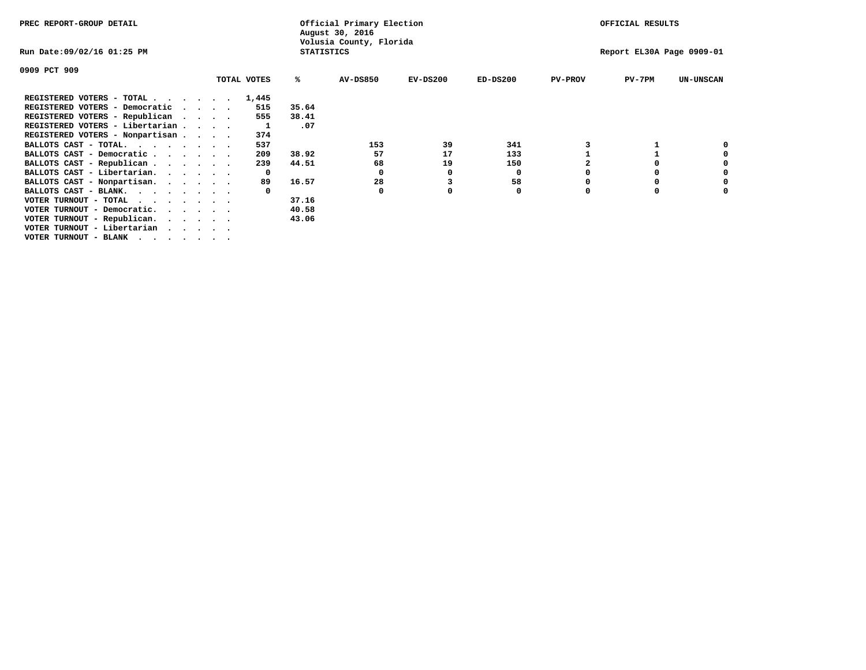| PREC REPORT-GROUP DETAIL                                             |                   | Official Primary Election<br>August 30, 2016 |            | OFFICIAL RESULTS |                |                           |                  |
|----------------------------------------------------------------------|-------------------|----------------------------------------------|------------|------------------|----------------|---------------------------|------------------|
| Run Date:09/02/16 01:25 PM                                           | <b>STATISTICS</b> | Volusia County, Florida                      |            |                  |                | Report EL30A Page 0909-01 |                  |
| 0909 PCT 909                                                         |                   |                                              |            |                  |                |                           |                  |
| TOTAL VOTES                                                          | ℁                 | <b>AV-DS850</b>                              | $EV-DS200$ | $ED-DS200$       | <b>PV-PROV</b> | $PV-7PM$                  | <b>UN-UNSCAN</b> |
| REGISTERED VOTERS - TOTAL<br>1,445                                   |                   |                                              |            |                  |                |                           |                  |
| REGISTERED VOTERS - Democratic<br>515<br>$\sim$ $\sim$ $\sim$ $\sim$ | 35.64             |                                              |            |                  |                |                           |                  |
| REGISTERED VOTERS - Republican<br>555                                | 38.41             |                                              |            |                  |                |                           |                  |
| REGISTERED VOTERS - Libertarian                                      | .07               |                                              |            |                  |                |                           |                  |
| REGISTERED VOTERS - Nonpartisan<br>374                               |                   |                                              |            |                  |                |                           |                  |
| BALLOTS CAST - TOTAL.<br>537                                         |                   | 153                                          | 39         | 341              |                |                           |                  |
| BALLOTS CAST - Democratic<br>209                                     | 38.92             | 57                                           | 17         | 133              |                |                           |                  |
| BALLOTS CAST - Republican<br>239                                     | 44.51             | 68                                           | 19         | 150              |                |                           |                  |
| BALLOTS CAST - Libertarian.<br>$\mathbf{o}$                          |                   | 0                                            | 0          | 0                |                |                           |                  |
| BALLOTS CAST - Nonpartisan.<br>89                                    | 16.57             | 28                                           |            | 58               |                |                           | 0                |
| BALLOTS CAST - BLANK.                                                |                   | 0                                            |            | 0                | $\Omega$       |                           |                  |
| VOTER TURNOUT - TOTAL                                                | 37.16             |                                              |            |                  |                |                           |                  |
| VOTER TURNOUT - Democratic.<br>$\cdot$                               | 40.58             |                                              |            |                  |                |                           |                  |
| VOTER TURNOUT - Republican.                                          | 43.06             |                                              |            |                  |                |                           |                  |
| VOTER TURNOUT - Libertarian                                          |                   |                                              |            |                  |                |                           |                  |
| VOTER TURNOUT - BLANK                                                |                   |                                              |            |                  |                |                           |                  |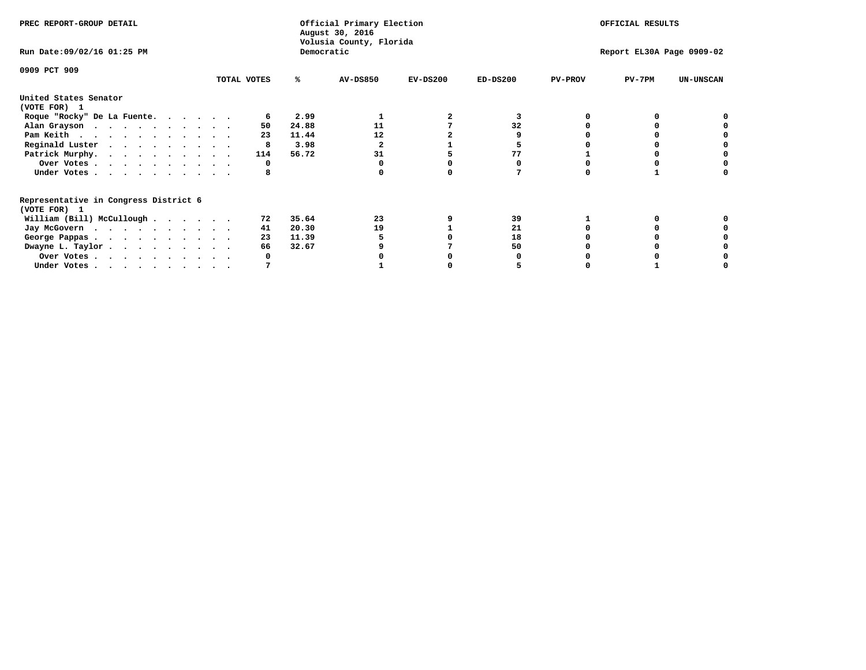| PREC REPORT-GROUP DETAIL                                               |             |            | Official Primary Election<br>August 30, 2016<br>Volusia County, Florida |            |                           |                | OFFICIAL RESULTS |                  |  |
|------------------------------------------------------------------------|-------------|------------|-------------------------------------------------------------------------|------------|---------------------------|----------------|------------------|------------------|--|
| Run Date: 09/02/16 01:25 PM                                            |             | Democratic |                                                                         |            | Report EL30A Page 0909-02 |                |                  |                  |  |
| 0909 PCT 909                                                           | TOTAL VOTES | %ะ         | <b>AV-DS850</b>                                                         | $EV-DS200$ | $ED-DS200$                | <b>PV-PROV</b> | $PV-7PM$         | <b>UN-UNSCAN</b> |  |
|                                                                        |             |            |                                                                         |            |                           |                |                  |                  |  |
| United States Senator<br>(VOTE FOR) 1                                  |             |            |                                                                         |            |                           |                |                  |                  |  |
| Roque "Rocky" De La Fuente.                                            |             | 2.99       |                                                                         |            |                           |                |                  |                  |  |
| Alan Grayson                                                           | 50          | 24.88      | 11                                                                      |            | 32                        |                |                  |                  |  |
| Pam Keith                                                              | 23          | 11.44      | 12                                                                      |            |                           |                |                  |                  |  |
| Reginald Luster                                                        | 8           | 3.98       |                                                                         |            |                           |                |                  |                  |  |
| Patrick Murphy.                                                        | 114         | 56.72      | 31                                                                      |            | 77                        |                |                  |                  |  |
| Over Votes                                                             | O           |            |                                                                         |            |                           |                |                  |                  |  |
| Under Votes                                                            |             |            |                                                                         |            |                           |                |                  |                  |  |
| Representative in Congress District 6                                  |             |            |                                                                         |            |                           |                |                  |                  |  |
| (VOTE FOR) 1                                                           |             |            |                                                                         |            |                           |                |                  |                  |  |
| William (Bill) McCullough                                              | 72          | 35.64      | 23                                                                      |            | 39                        |                |                  |                  |  |
| Jay McGovern                                                           | 41          | 20.30      | 19                                                                      |            | 21                        |                |                  |                  |  |
| George Pappas.                                                         | 23          | 11.39      |                                                                         |            | 18                        |                |                  |                  |  |
| Dwayne L. Taylor                                                       | 66          | 32.67      |                                                                         |            | 50                        |                |                  |                  |  |
| Over Votes                                                             |             |            |                                                                         |            |                           |                |                  |                  |  |
| Under Votes, $\cdot$ , $\cdot$ , $\cdot$ , $\cdot$ , $\cdot$ , $\cdot$ |             |            |                                                                         |            |                           |                |                  |                  |  |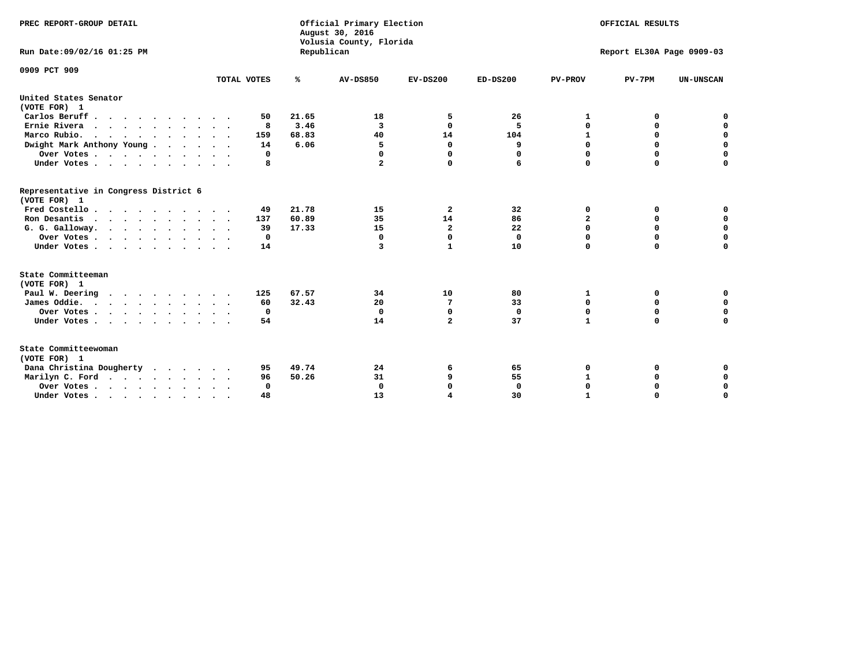| PREC REPORT-GROUP DETAIL                              |             |            | Official Primary Election<br>August 30, 2016<br>Volusia County, Florida |                         |              |                | OFFICIAL RESULTS          |                  |
|-------------------------------------------------------|-------------|------------|-------------------------------------------------------------------------|-------------------------|--------------|----------------|---------------------------|------------------|
| Run Date: 09/02/16 01:25 PM                           |             | Republican |                                                                         |                         |              |                | Report EL30A Page 0909-03 |                  |
| 0909 PCT 909                                          |             |            |                                                                         |                         |              |                |                           |                  |
|                                                       | TOTAL VOTES | ℁          | <b>AV-DS850</b>                                                         | $EV-DS200$              | $ED-DS200$   | <b>PV-PROV</b> | $PV-7PM$                  | <b>UN-UNSCAN</b> |
| United States Senator<br>(VOTE FOR) 1                 |             |            |                                                                         |                         |              |                |                           |                  |
| Carlos Beruff                                         | 50          | 21.65      | 18                                                                      | 5                       | 26           | 1              | 0                         | 0                |
| Ernie Rivera                                          | 8           | 3.46       | 3                                                                       | $\Omega$                | 5            | 0              | 0                         | $\mathbf 0$      |
| Marco Rubio.                                          | 159         | 68.83      | 40                                                                      | 14                      | 104          | $\mathbf{1}$   | $\mathbf 0$               | $\mathbf 0$      |
| Dwight Mark Anthony Young                             | 14          | 6.06       | 5                                                                       | $\mathbf 0$             | 9            | 0              | $\mathbf 0$               | $\pmb{0}$        |
| Over Votes                                            | 0           |            | 0                                                                       | $\Omega$                | 0            | 0              | 0                         | 0                |
| Under Votes                                           | 8           |            | 2                                                                       | 0                       | 6            | $\Omega$       | $\Omega$                  | $\mathbf 0$      |
| Representative in Congress District 6<br>(VOTE FOR) 1 |             |            |                                                                         |                         |              |                |                           |                  |
| Fred Costello.                                        | 49          | 21.78      | 15                                                                      | $\overline{\mathbf{2}}$ | 32           | 0              | 0                         | 0                |
| Ron Desantis                                          | 137         | 60.89      | 35                                                                      | 14                      | 86           | 2              | 0                         | $\mathbf 0$      |
| G. G. Galloway.                                       | 39          | 17.33      | 15                                                                      | $\overline{2}$          | 22           | $\mathbf 0$    | $\Omega$                  | $\mathbf 0$      |
| Over Votes                                            | $\Omega$    |            | $\mathbf{0}$                                                            | $\mathbf 0$             | $\mathbf{0}$ | $\mathbf 0$    | $\mathbf 0$               | $\mathbf 0$      |
| Under Votes                                           | 14          |            | 3                                                                       | 1                       | 10           | $\Omega$       | $\Omega$                  | $\Omega$         |
| State Committeeman<br>(VOTE FOR) 1                    |             |            |                                                                         |                         |              |                |                           |                  |
| Paul W. Deering<br>$\cdots$                           | 125         | 67.57      | 34                                                                      | 10                      | 80           | 1              | 0                         | 0                |
| James Oddie.                                          | 60          | 32.43      | 20                                                                      | 7                       | 33           | 0              | 0                         | $\mathbf 0$      |
| Over Votes                                            | $\mathbf 0$ |            | $\mathbf{0}$                                                            | $\mathbf 0$             | $\mathbf 0$  | 0              | $\mathbf 0$               | $\mathbf 0$      |
| Under Votes                                           | 54          |            | 14                                                                      | $\mathbf{2}$            | 37           | $\mathbf{1}$   | 0                         | $\mathbf 0$      |
| State Committeewoman<br>(VOTE FOR) 1                  |             |            |                                                                         |                         |              |                |                           |                  |
| Dana Christina Dougherty                              | 95          | 49.74      | 24                                                                      | 6                       | 65           | 0              | 0                         | 0                |
| Marilyn C. Ford                                       | 96          | 50.26      | 31                                                                      | 9                       | 55           | $\mathbf 1$    | 0                         | 0                |
| Over Votes                                            | $\Omega$    |            | $\Omega$                                                                | $\Omega$                | $\mathbf{0}$ | 0              | 0                         | $\mathbf 0$      |
| Under Votes, , , , , , , , , ,                        | 48          |            | 13                                                                      | 4                       | 30           | 1              | $\Omega$                  | $\Omega$         |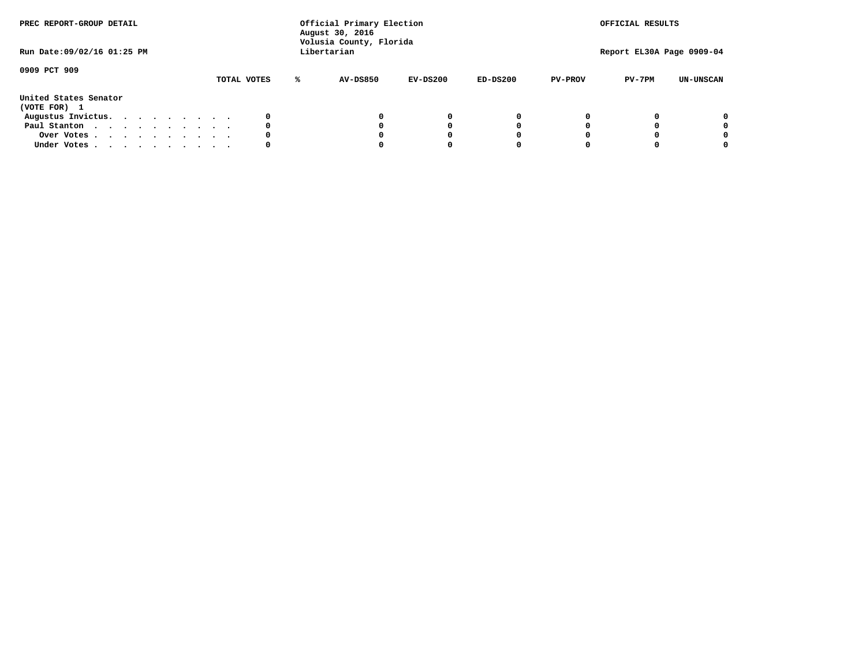| PREC REPORT-GROUP DETAIL<br>Run Date:09/02/16 01:25 PM |  |  |  |  | Official Primary Election<br>August 30, 2016<br>Volusia County, Florida<br>Libertarian |             | OFFICIAL RESULTS<br>Report EL30A Page 0909-04 |            |            |                |          |                  |
|--------------------------------------------------------|--|--|--|--|----------------------------------------------------------------------------------------|-------------|-----------------------------------------------|------------|------------|----------------|----------|------------------|
| 0909 PCT 909                                           |  |  |  |  |                                                                                        | TOTAL VOTES | AV-DS850                                      | $EV-DS200$ | $ED-DS200$ | <b>PV-PROV</b> | $PV-7PM$ | <b>UN-UNSCAN</b> |
| United States Senator<br>(VOTE FOR) 1                  |  |  |  |  |                                                                                        |             |                                               |            |            |                |          |                  |
| Augustus Invictus.                                     |  |  |  |  |                                                                                        |             |                                               | $^{\circ}$ | 0          |                |          | 0                |
| Paul Stanton                                           |  |  |  |  |                                                                                        | 0           |                                               | 0          |            |                |          | 0                |
| Over Votes                                             |  |  |  |  |                                                                                        |             |                                               |            |            |                |          | 0                |
| Under Votes                                            |  |  |  |  |                                                                                        | 0           |                                               |            |            |                |          | 0                |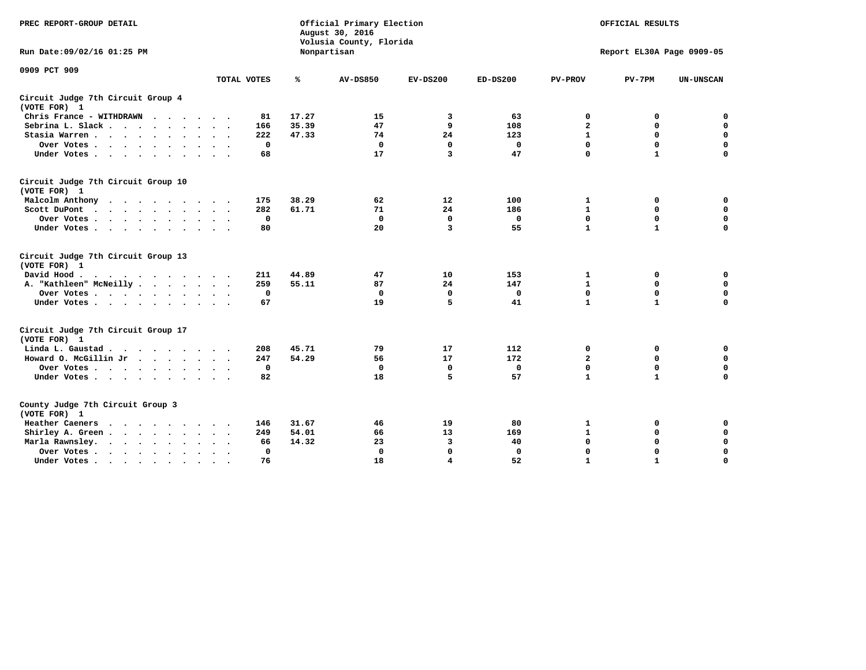| PREC REPORT-GROUP DETAIL                                                                                |                               |       | Official Primary Election<br>August 30, 2016<br>Volusia County, Florida | OFFICIAL RESULTS |              |                           |              |                  |  |  |  |
|---------------------------------------------------------------------------------------------------------|-------------------------------|-------|-------------------------------------------------------------------------|------------------|--------------|---------------------------|--------------|------------------|--|--|--|
| Run Date:09/02/16 01:25 PM                                                                              |                               |       | Nonpartisan                                                             |                  |              | Report EL30A Page 0909-05 |              |                  |  |  |  |
| 0909 PCT 909                                                                                            | TOTAL VOTES                   | ℁     | <b>AV-DS850</b>                                                         | $EV-DS200$       | $ED-DS200$   | <b>PV-PROV</b>            | $PV-7PM$     | <b>UN-UNSCAN</b> |  |  |  |
| Circuit Judge 7th Circuit Group 4<br>(VOTE FOR) 1                                                       |                               |       |                                                                         |                  |              |                           |              |                  |  |  |  |
| Chris France - WITHDRAWN                                                                                | 81                            | 17.27 | 15                                                                      | 3                | 63           | 0                         | 0            | $\mathbf 0$      |  |  |  |
| Sebrina L. Slack                                                                                        | 166                           | 35.39 | 47                                                                      | 9                | 108          | $\overline{\mathbf{2}}$   | 0            | $\mathbf 0$      |  |  |  |
| Stasia Warren                                                                                           | 222                           | 47.33 | 74                                                                      | 24               | 123          | $\mathbf{1}$              | 0            | $\mathbf 0$      |  |  |  |
| Over Votes                                                                                              | $\mathbf 0$                   |       | $\mathbf 0$                                                             | $\mathbf 0$      | $\mathbf 0$  | $\mathbf 0$               | $\mathbf 0$  | $\mathbf 0$      |  |  |  |
| Under Votes                                                                                             | 68                            |       | 17                                                                      | 3                | 47           | $\Omega$                  | $\mathbf{1}$ | $\Omega$         |  |  |  |
| Circuit Judge 7th Circuit Group 10<br>(VOTE FOR) 1                                                      |                               |       |                                                                         |                  |              |                           |              |                  |  |  |  |
| Malcolm Anthony<br>.                                                                                    | 175                           | 38.29 | 62                                                                      | 12               | 100          | 1                         | 0            | 0                |  |  |  |
| Scott DuPont<br>$\sim$                                                                                  | 282                           | 61.71 | 71                                                                      | 24               | 186          | $\mathbf{1}$              | $\mathbf 0$  | 0                |  |  |  |
| Over Votes<br>$\cdot$ $\cdot$                                                                           | $\mathbf 0$                   |       | $\mathbf{0}$                                                            | $\mathbf 0$      | $\mathbf 0$  | $\mathbf 0$               | $\mathbf 0$  | $\mathbf 0$      |  |  |  |
| Under Votes                                                                                             | 80                            |       | 20                                                                      | 3                | 55           | $\mathbf{1}$              | $\mathbf{1}$ | $\Omega$         |  |  |  |
| Circuit Judge 7th Circuit Group 13<br>(VOTE FOR) 1                                                      |                               |       |                                                                         |                  |              |                           |              |                  |  |  |  |
| David Hood.<br>$\mathbf{r}$ , and $\mathbf{r}$ , and $\mathbf{r}$ , and $\mathbf{r}$ , and $\mathbf{r}$ | 211                           | 44.89 | 47                                                                      | 10               | 153          | 1                         | 0            | 0                |  |  |  |
| A. "Kathleen" McNeilly                                                                                  | 259                           | 55.11 | 87                                                                      | 24               | 147          | $\mathbf 1$               | $\mathbf 0$  | $\mathbf 0$      |  |  |  |
| Over Votes                                                                                              | $\Omega$                      |       | 0                                                                       | $\mathbf{0}$     | 0            | $\mathbf 0$               | $\mathbf 0$  | $\mathbf 0$      |  |  |  |
| Under Votes                                                                                             | 67                            |       | 19                                                                      | 5                | 41           | $\mathbf{1}$              | $\mathbf{1}$ | $\Omega$         |  |  |  |
| Circuit Judge 7th Circuit Group 17<br>(VOTE FOR) 1                                                      |                               |       |                                                                         |                  |              |                           |              |                  |  |  |  |
| Linda L. Gaustad                                                                                        | 208                           | 45.71 | 79                                                                      | 17               | 112          | 0                         | 0            | $\mathbf 0$      |  |  |  |
| Howard O. McGillin Jr<br>the company of the company of the company                                      | 247                           | 54.29 | 56                                                                      | 17               | 172          | $\overline{\mathbf{2}}$   | $\mathbf 0$  | $\mathbf 0$      |  |  |  |
| Over Votes                                                                                              | $\mathbf 0$                   |       | $\Omega$                                                                | $\mathbf{0}$     | $\mathbf 0$  | $\mathbf 0$               | $\mathbf 0$  | $\mathbf 0$      |  |  |  |
| Under Votes                                                                                             | 82                            |       | 18                                                                      | 5                | 57           | $\mathbf{1}$              | $\mathbf{1}$ | $\mathbf 0$      |  |  |  |
| County Judge 7th Circuit Group 3<br>(VOTE FOR) 1                                                        |                               |       |                                                                         |                  |              |                           |              |                  |  |  |  |
| <b>Heather Caeners</b><br>$\cdot$                                                                       | 146                           | 31.67 | 46                                                                      | 19               | 80           | ${\bf 1}$                 | 0            | 0                |  |  |  |
| Shirley A. Green                                                                                        | 249                           | 54.01 | 66                                                                      | 13               | 169          | $\mathbf{1}$              | 0            | $\mathbf 0$      |  |  |  |
| Marla Rawnsley.                                                                                         | 66                            | 14.32 | 23                                                                      | 3                | 40           | 0                         | $\mathbf 0$  | $\pmb{0}$        |  |  |  |
| Over Votes.<br>$\cdots$<br>$\cdot$<br>$\cdot$                                                           | $\mathbf{0}$<br>$\sim$ $\sim$ |       | 0                                                                       | $\mathbf{0}$     | $\mathbf{0}$ | $\mathbf 0$               | $\Omega$     | $\mathbf 0$      |  |  |  |
| Under Votes<br>$\sim$                                                                                   | 76                            |       | 18                                                                      | 4                | 52           | $\mathbf{1}$              | $\mathbf{1}$ | 0                |  |  |  |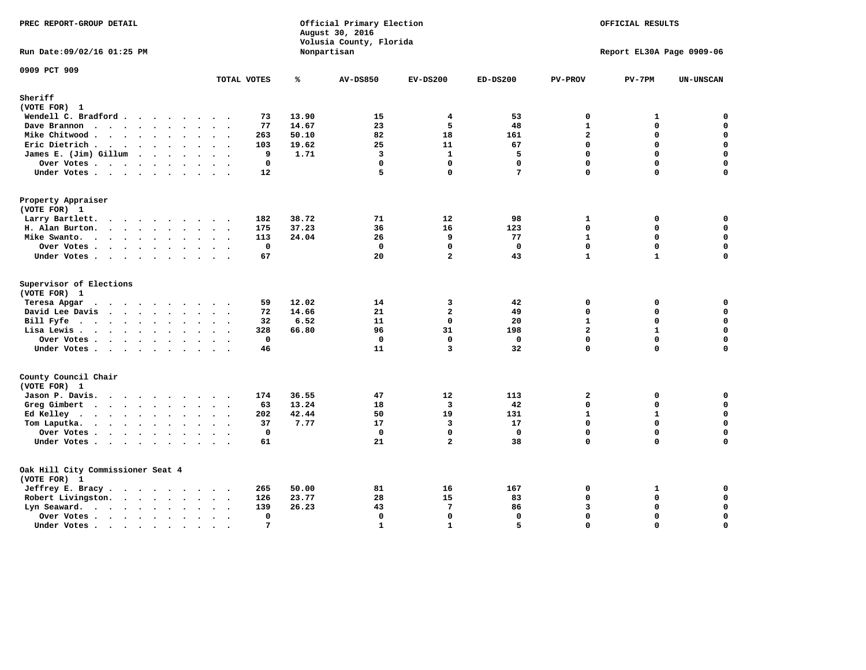| PREC REPORT-GROUP DETAIL                                                                                                                                                                                                                          |                                       |       | Official Primary Election<br>August 30, 2016<br>Volusia County, Florida | OFFICIAL RESULTS        |                 |                |                           |                  |
|---------------------------------------------------------------------------------------------------------------------------------------------------------------------------------------------------------------------------------------------------|---------------------------------------|-------|-------------------------------------------------------------------------|-------------------------|-----------------|----------------|---------------------------|------------------|
| Run Date: 09/02/16 01:25 PM                                                                                                                                                                                                                       |                                       |       | Nonpartisan                                                             |                         |                 |                | Report EL30A Page 0909-06 |                  |
| 0909 PCT 909                                                                                                                                                                                                                                      | TOTAL VOTES                           | ℁     | <b>AV-DS850</b>                                                         | $EV-DS200$              | $ED-DS200$      | <b>PV-PROV</b> | $PV-7PM$                  | <b>UN-UNSCAN</b> |
| Sheriff                                                                                                                                                                                                                                           |                                       |       |                                                                         |                         |                 |                |                           |                  |
| (VOTE FOR) 1                                                                                                                                                                                                                                      |                                       |       |                                                                         |                         |                 |                |                           |                  |
| Wendell C. Bradford                                                                                                                                                                                                                               | 73                                    | 13.90 | 15                                                                      | 4                       | 53              | 0              | 1                         | 0                |
| Dave Brannon                                                                                                                                                                                                                                      | 77                                    | 14.67 | 23                                                                      | 5                       | 48              | $\mathbf{1}$   | $\Omega$                  | 0                |
| Mike Chitwood                                                                                                                                                                                                                                     | 263                                   | 50.10 | 82                                                                      | 18                      | 161             | $\overline{a}$ | 0                         | $\mathbf 0$      |
| Eric Dietrich.                                                                                                                                                                                                                                    | 103                                   | 19.62 | 25                                                                      | 11                      | 67              | $\Omega$       | 0                         | $\mathbf 0$      |
| James E. (Jim) Gillum                                                                                                                                                                                                                             | 9                                     | 1.71  | $\overline{\mathbf{3}}$                                                 | $\mathbf{1}$            | 5               | $\mathbf 0$    | 0                         | $\pmb{0}$        |
| Over Votes                                                                                                                                                                                                                                        | $\mathbf 0$                           |       | $\mathbf 0$                                                             | $\Omega$                | $\mathbf{0}$    | $\Omega$       | $\Omega$                  | $\Omega$         |
| Under Votes                                                                                                                                                                                                                                       | 12                                    |       | 5                                                                       | $\mathbf 0$             | $7\phantom{.0}$ | $\mathbf 0$    | 0                         | $\mathbf 0$      |
| Property Appraiser                                                                                                                                                                                                                                |                                       |       |                                                                         |                         |                 |                |                           |                  |
| (VOTE FOR) 1<br>Larry Bartlett.                                                                                                                                                                                                                   | 182                                   | 38.72 | 71                                                                      | 12                      | 98              | $\mathbf{1}$   | 0                         | $\mathbf 0$      |
| H. Alan Burton.                                                                                                                                                                                                                                   | 175                                   | 37.23 | 36                                                                      | 16                      | 123             | $\Omega$       | 0                         | $\mathbf 0$      |
| Mike Swanto.                                                                                                                                                                                                                                      | 113                                   | 24.04 | 26                                                                      | 9                       | 77              | $\mathbf{1}$   | $\mathbf 0$               | $\mathbf 0$      |
| Over Votes                                                                                                                                                                                                                                        | 0                                     |       | $\mathbf 0$                                                             | $\mathbf 0$             | $\mathbf 0$     | $\Omega$       | 0                         | 0                |
| Under Votes                                                                                                                                                                                                                                       | 67                                    |       | 20                                                                      | $\overline{a}$          | 43              | $\mathbf{1}$   | $\mathbf{1}$              | 0                |
|                                                                                                                                                                                                                                                   |                                       |       |                                                                         |                         |                 |                |                           |                  |
| Supervisor of Elections<br>(VOTE FOR) 1                                                                                                                                                                                                           |                                       |       |                                                                         |                         |                 |                |                           |                  |
| Teresa Apgar<br>$\cdots$                                                                                                                                                                                                                          | 59                                    | 12.02 | 14                                                                      | 3                       | 42              | $\mathbf 0$    | 0                         | 0                |
| David Lee Davis                                                                                                                                                                                                                                   | 72                                    | 14.66 | 21                                                                      | $\overline{a}$          | 49              | $\mathbf 0$    | 0                         | $\mathbf 0$      |
| Bill Fyfe $\cdots$ $\cdots$ $\cdots$ $\cdots$                                                                                                                                                                                                     | 32                                    | 6.52  | 11                                                                      | $\mathbf{0}$            | 20              | $\mathbf{1}$   | 0                         | $\mathbf 0$      |
| Lisa Lewis                                                                                                                                                                                                                                        | 328                                   | 66.80 | 96                                                                      | 31                      | 198             | $\overline{a}$ | $\mathbf{1}$              | 0                |
| Over Votes                                                                                                                                                                                                                                        | $\mathbf 0$                           |       | $\mathbf 0$                                                             | $\mathbf 0$             | $\mathbf 0$     | $\mathbf 0$    | $\mathbf 0$               | $\mathbf 0$      |
| Under Votes                                                                                                                                                                                                                                       | 46                                    |       | 11                                                                      | 3                       | 32              | $\Omega$       | 0                         | 0                |
| County Council Chair                                                                                                                                                                                                                              |                                       |       |                                                                         |                         |                 |                |                           |                  |
| (VOTE FOR) 1                                                                                                                                                                                                                                      |                                       |       |                                                                         |                         |                 |                |                           |                  |
| Jason P. Davis.                                                                                                                                                                                                                                   | 174                                   | 36.55 | 47                                                                      | 12                      | 113             | $\overline{a}$ | 0                         | 0                |
| Greg Gimbert<br>$\mathbf{r}$ . The contract of the contract of the contract of the contract of the contract of the contract of the contract of the contract of the contract of the contract of the contract of the contract of the contract of th | 63                                    | 13.24 | 18                                                                      | $\overline{\mathbf{3}}$ | 42              | 0              | 0                         | $\mathbf 0$      |
| Ed Kelley                                                                                                                                                                                                                                         | 202                                   | 42.44 | 50                                                                      | 19                      | 131             | $\mathbf{1}$   | $\mathbf{1}$              | $\mathsf{o}\,$   |
| Tom Laputka.                                                                                                                                                                                                                                      | 37                                    | 7.77  | 17                                                                      | $\overline{\mathbf{3}}$ | 17              | 0              | 0                         | $\mathbf 0$      |
| Over Votes.                                                                                                                                                                                                                                       | $\mathbf{0}$                          |       | $\mathbf 0$                                                             | $\mathbf{0}$            | $\mathbf{0}$    | $\mathbf{0}$   | 0                         | 0                |
| Under Votes                                                                                                                                                                                                                                       | 61                                    |       | 21                                                                      | $\overline{a}$          | 38              | $\mathbf 0$    | 0                         | $\mathbf 0$      |
| Oak Hill City Commissioner Seat 4                                                                                                                                                                                                                 |                                       |       |                                                                         |                         |                 |                |                           |                  |
| (VOTE FOR) 1                                                                                                                                                                                                                                      |                                       |       |                                                                         |                         |                 |                |                           |                  |
| Jeffrey E. Bracy.                                                                                                                                                                                                                                 | 265                                   | 50.00 | 81                                                                      | 16                      | 167             | 0              | 1                         | 0                |
| Robert Livingston.                                                                                                                                                                                                                                | 126                                   | 23.77 | 28                                                                      | 15                      | 83              | $\mathbf 0$    | 0                         | $\mathbf 0$      |
| Lyn Seaward.                                                                                                                                                                                                                                      | 139                                   | 26.23 | 43                                                                      | $7\phantom{.0}$         | 86              | 3              | 0                         | 0                |
| Over Votes<br>$\ddot{\phantom{1}}$                                                                                                                                                                                                                | $\mathbf{0}$<br>$\sim$<br>$\bullet$ . |       | 0                                                                       | $\mathbf 0$             | $\mathbf{0}$    | $\mathbf 0$    | 0                         | $\pmb{0}$        |
| Under Votes<br>$\blacksquare$ .<br>$\bullet$                                                                                                                                                                                                      | $7\phantom{.0}$                       |       | $\mathbf{1}$                                                            | $\mathbf{1}$            | 5               | $\Omega$       | $\Omega$                  | $\mathbf 0$      |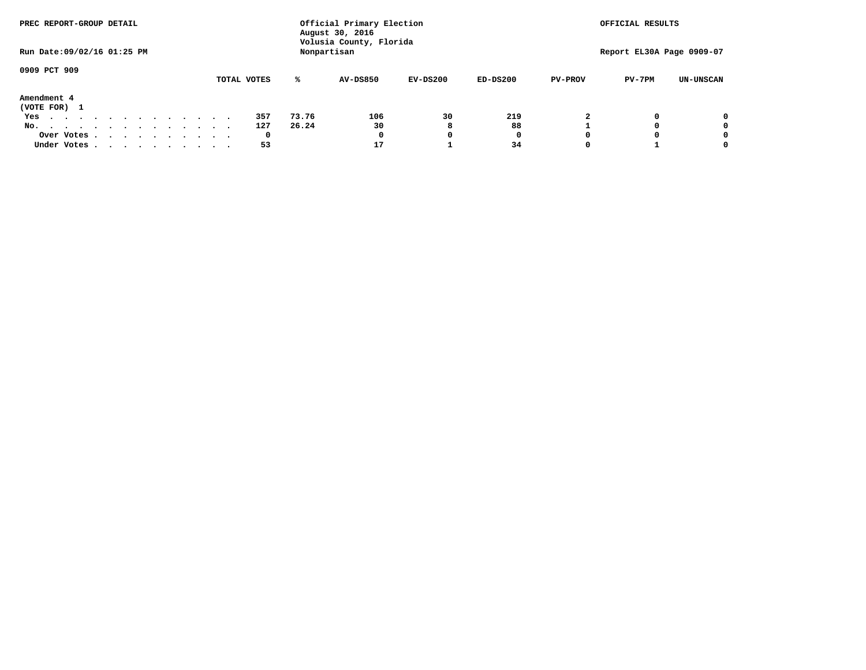| PREC REPORT-GROUP DETAIL                                                                   |  |  |  |  |             |       | Official Primary Election<br>August 30, 2016 |            |              |                | OFFICIAL RESULTS          |                  |
|--------------------------------------------------------------------------------------------|--|--|--|--|-------------|-------|----------------------------------------------|------------|--------------|----------------|---------------------------|------------------|
| Run Date: 09/02/16 01:25 PM                                                                |  |  |  |  |             |       | Volusia County, Florida<br>Nonpartisan       |            |              |                | Report EL30A Page 0909-07 |                  |
| 0909 PCT 909                                                                               |  |  |  |  | TOTAL VOTES | ℁     | <b>AV-DS850</b>                              | $EV-DS200$ | $ED-DS200$   | <b>PV-PROV</b> | $PV-7PM$                  | <b>UN-UNSCAN</b> |
| Amendment 4                                                                                |  |  |  |  |             |       |                                              |            |              |                |                           |                  |
| (VOTE FOR) 1                                                                               |  |  |  |  |             |       |                                              |            |              |                |                           |                  |
| Yes<br>.                                                                                   |  |  |  |  | 357         | 73.76 | 106                                          | 30         | 219          | 2              |                           | 0                |
| No.<br>.                                                                                   |  |  |  |  | 127         | 26.24 | 30                                           | 8          | 88           |                |                           | 0                |
| Over Votes                                                                                 |  |  |  |  | 0           |       | 0                                            |            | $\mathbf{o}$ |                |                           | 0                |
| Under Votes, $\cdot$ , $\cdot$ , $\cdot$ , $\cdot$ , $\cdot$ , $\cdot$ , $\cdot$ , $\cdot$ |  |  |  |  | 53          |       | 17                                           |            | 34           |                |                           | 0                |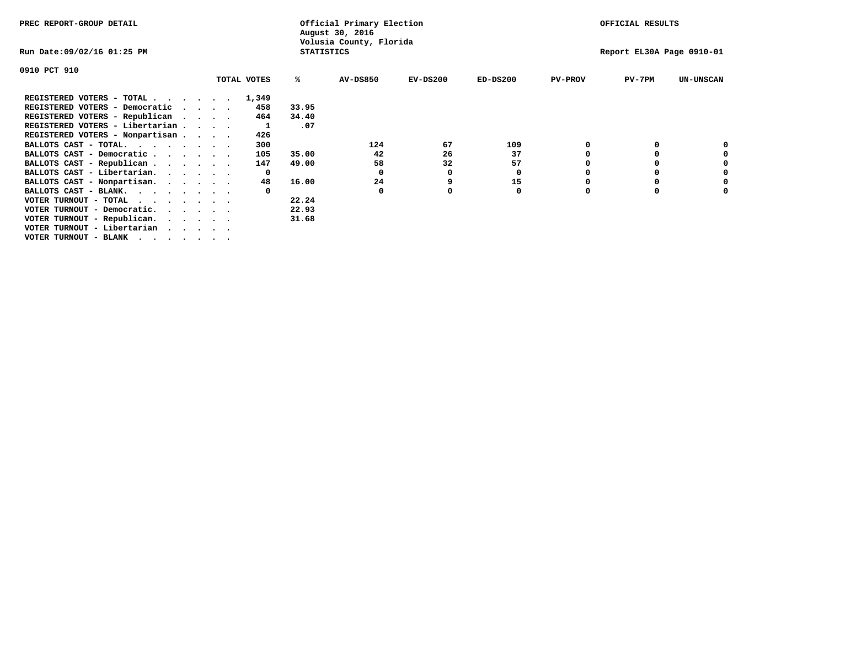| PREC REPORT-GROUP DETAIL                                               |  |             |                   | Official Primary Election<br>August 30, 2016 |            |            |                |                           | OFFICIAL RESULTS |  |  |
|------------------------------------------------------------------------|--|-------------|-------------------|----------------------------------------------|------------|------------|----------------|---------------------------|------------------|--|--|
| Run Date:09/02/16 01:25 PM                                             |  |             | <b>STATISTICS</b> | Volusia County, Florida                      |            |            |                | Report EL30A Page 0910-01 |                  |  |  |
| 0910 PCT 910                                                           |  |             |                   |                                              |            |            |                |                           |                  |  |  |
|                                                                        |  | TOTAL VOTES | %ะ                | <b>AV-DS850</b>                              | $EV-DS200$ | $ED-DS200$ | <b>PV-PROV</b> | $PV-7PM$                  | <b>UN-UNSCAN</b> |  |  |
| REGISTERED VOTERS - TOTAL                                              |  | 1,349       |                   |                                              |            |            |                |                           |                  |  |  |
| REGISTERED VOTERS - Democratic<br>$\sim$ $\sim$ $\sim$ $\sim$          |  | 458         | 33.95             |                                              |            |            |                |                           |                  |  |  |
| REGISTERED VOTERS - Republican                                         |  | 464         | 34.40             |                                              |            |            |                |                           |                  |  |  |
| REGISTERED VOTERS - Libertarian                                        |  |             | .07               |                                              |            |            |                |                           |                  |  |  |
| REGISTERED VOTERS - Nonpartisan                                        |  | 426         |                   |                                              |            |            |                |                           |                  |  |  |
| BALLOTS CAST - TOTAL.                                                  |  | 300         |                   | 124                                          | 67         | 109        |                |                           |                  |  |  |
| BALLOTS CAST - Democratic                                              |  | 105         | 35.00             | 42                                           | 26         | 37         |                |                           |                  |  |  |
| BALLOTS CAST - Republican                                              |  | 147         | 49.00             | 58                                           | 32         | 57         |                |                           |                  |  |  |
| BALLOTS CAST - Libertarian.                                            |  | 0           |                   | 0                                            | 0          | 0          |                |                           |                  |  |  |
| BALLOTS CAST - Nonpartisan.                                            |  | 48          | 16.00             | 24                                           |            | 15         |                |                           |                  |  |  |
| BALLOTS CAST - BLANK.                                                  |  |             |                   | 0                                            |            | 0          |                |                           |                  |  |  |
| VOTER TURNOUT - TOTAL<br>.                                             |  |             | 22.24             |                                              |            |            |                |                           |                  |  |  |
| VOTER TURNOUT - Democratic.<br>$\cdot$ $\cdot$ $\cdot$ $\cdot$ $\cdot$ |  |             | 22.93             |                                              |            |            |                |                           |                  |  |  |
| VOTER TURNOUT - Republican.                                            |  |             | 31.68             |                                              |            |            |                |                           |                  |  |  |
| VOTER TURNOUT - Libertarian                                            |  |             |                   |                                              |            |            |                |                           |                  |  |  |
| VOTER TURNOUT - BLANK                                                  |  |             |                   |                                              |            |            |                |                           |                  |  |  |
|                                                                        |  |             |                   |                                              |            |            |                |                           |                  |  |  |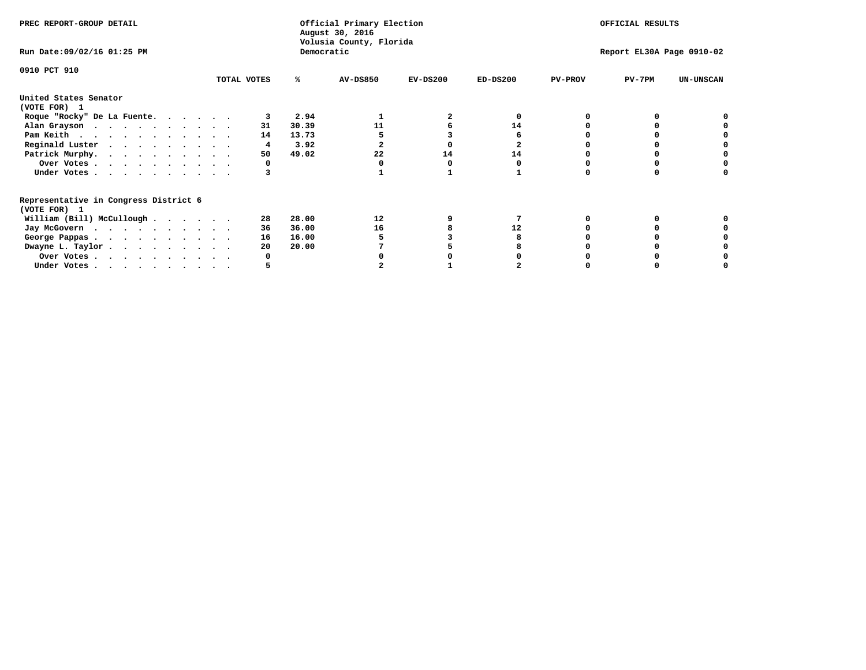| PREC REPORT-GROUP DETAIL                                               |             |            | Official Primary Election<br>August 30, 2016<br>Volusia County, Florida |            |                           |                | OFFICIAL RESULTS |                  |
|------------------------------------------------------------------------|-------------|------------|-------------------------------------------------------------------------|------------|---------------------------|----------------|------------------|------------------|
| Run Date: 09/02/16 01:25 PM                                            |             | Democratic |                                                                         |            | Report EL30A Page 0910-02 |                |                  |                  |
| 0910 PCT 910                                                           | TOTAL VOTES | %ะ         | <b>AV-DS850</b>                                                         | $EV-DS200$ | $ED-DS200$                | <b>PV-PROV</b> | $PV-7PM$         | <b>UN-UNSCAN</b> |
| United States Senator<br>(VOTE FOR) 1                                  |             |            |                                                                         |            |                           |                |                  |                  |
| Roque "Rocky" De La Fuente.                                            |             | 2.94       |                                                                         |            |                           |                |                  |                  |
| Alan Grayson                                                           | 31          | 30.39      | 11                                                                      |            | 14                        |                |                  |                  |
| Pam Keith                                                              | 14          | 13.73      |                                                                         |            |                           |                |                  |                  |
| Reginald Luster                                                        | 4           | 3.92       |                                                                         |            |                           |                |                  |                  |
| Patrick Murphy.                                                        | 50          | 49.02      | 22                                                                      | 14         | 14                        |                |                  |                  |
| Over Votes                                                             |             |            |                                                                         |            |                           |                |                  |                  |
| Under Votes                                                            |             |            |                                                                         |            |                           |                |                  |                  |
| Representative in Congress District 6<br>(VOTE FOR) 1                  |             |            |                                                                         |            |                           |                |                  |                  |
| William (Bill) McCullough                                              | 28          | 28.00      | 12                                                                      |            |                           |                |                  |                  |
| Jay McGovern                                                           | 36          | 36.00      | 16                                                                      |            | 12                        |                |                  |                  |
| George Pappas.                                                         | 16          | 16.00      |                                                                         |            |                           |                |                  |                  |
| Dwayne L. Taylor.                                                      | 20          | 20.00      |                                                                         |            |                           |                |                  |                  |
| Over Votes                                                             |             |            |                                                                         |            |                           |                |                  |                  |
| Under Votes, $\cdot$ , $\cdot$ , $\cdot$ , $\cdot$ , $\cdot$ , $\cdot$ |             |            |                                                                         |            |                           |                |                  |                  |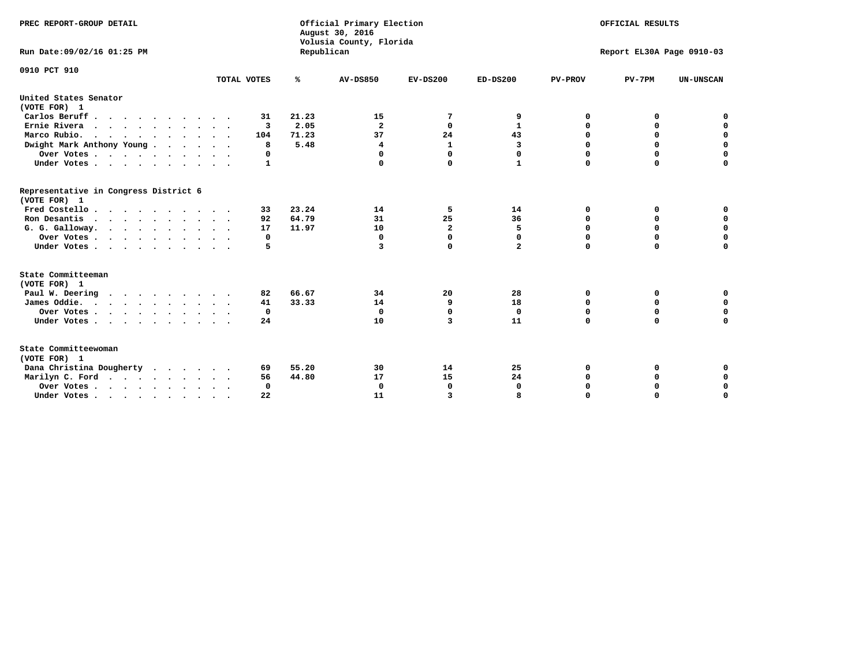| PREC REPORT-GROUP DETAIL<br>Run Date: 09/02/16 01:25 PM |                            | Republican | Official Primary Election<br>August 30, 2016<br>Volusia County, Florida |                         |                |                | OFFICIAL RESULTS<br>Report EL30A Page 0910-03 |                  |
|---------------------------------------------------------|----------------------------|------------|-------------------------------------------------------------------------|-------------------------|----------------|----------------|-----------------------------------------------|------------------|
| 0910 PCT 910                                            | TOTAL VOTES                | ℁          | <b>AV-DS850</b>                                                         | $EV-DS200$              | $ED-DS200$     | <b>PV-PROV</b> | $PV-7PM$                                      | <b>UN-UNSCAN</b> |
|                                                         |                            |            |                                                                         |                         |                |                |                                               |                  |
| United States Senator<br>(VOTE FOR) 1                   |                            |            |                                                                         |                         |                |                |                                               |                  |
| Carlos Beruff                                           | 31                         | 21.23      | 15                                                                      | 7                       | 9              | 0              | 0                                             | 0                |
| Ernie Rivera                                            | 3                          | 2.05       | $\overline{\mathbf{2}}$                                                 | 0                       | $\mathbf{1}$   | 0              | 0                                             | $\mathbf 0$      |
| Marco Rubio.<br>$\cdots$                                | 104                        | 71.23      | 37                                                                      | 24                      | 43             | 0              | $\mathbf 0$                                   | 0                |
| Dwight Mark Anthony Young                               | 8                          | 5.48       | $\overline{\mathbf{4}}$                                                 | $\mathbf{1}$            | 3              | 0              | $\mathbf 0$                                   | $\mathbf 0$      |
| Over Votes                                              | 0                          |            | 0                                                                       | $\Omega$                | 0              | 0              | 0                                             | $\mathbf 0$      |
| Under Votes                                             | $\mathbf{1}$               |            |                                                                         | $\Omega$                | $\mathbf{1}$   | $\Omega$       | $\Omega$                                      | $\Omega$         |
| Representative in Congress District 6<br>(VOTE FOR) 1   |                            |            |                                                                         |                         |                |                |                                               |                  |
| Fred Costello                                           | 33                         | 23.24      | 14                                                                      | 5                       | 14             | 0              | 0                                             | 0                |
| Ron Desantis                                            | 92                         | 64.79      | 31                                                                      | 25                      | 36             | $\Omega$       | 0                                             | $\mathbf 0$      |
| G. G. Galloway.                                         | 17                         | 11.97      | 10                                                                      | $\overline{2}$          | 5              | $\mathbf 0$    | $\mathbf 0$                                   | $\Omega$         |
| Over Votes                                              | 0                          |            | $\mathbf{0}$                                                            | $\mathbf 0$             | 0              | $\mathbf 0$    | $\mathbf 0$                                   | $\mathbf 0$      |
| Under Votes                                             | 5                          |            | 3                                                                       | $\mathbf 0$             | $\overline{a}$ | $\Omega$       | $\Omega$                                      | $\Omega$         |
| State Committeeman                                      |                            |            |                                                                         |                         |                |                |                                               |                  |
| (VOTE FOR) 1                                            |                            |            |                                                                         |                         |                |                |                                               |                  |
| Paul W. Deering                                         | 82                         | 66.67      | 34                                                                      | 20                      | 28             | 0              | 0                                             | 0                |
| James Oddie.                                            | 41                         | 33.33      | 14                                                                      | 9                       | 18             | 0              | 0                                             | $\mathbf 0$      |
| Over Votes                                              | 0                          |            | $\Omega$                                                                | 0                       | 0              | 0              | 0                                             | 0                |
| Under Votes                                             | 24<br>$\ddot{\phantom{1}}$ |            | 10                                                                      | $\overline{\mathbf{3}}$ | 11             | $\mathbf 0$    | $\mathbf 0$                                   | $\mathbf 0$      |
| State Committeewoman<br>(VOTE FOR) 1                    |                            |            |                                                                         |                         |                |                |                                               |                  |
| Dana Christina Dougherty                                | 69                         | 55.20      | 30                                                                      | 14                      | 25             | 0              | 0                                             | $\mathbf 0$      |
| Marilyn C. Ford                                         | 56                         | 44.80      | 17                                                                      | 15                      | 24             | 0              | 0                                             | $\mathbf 0$      |
| Over Votes                                              | $\Omega$                   |            | $\Omega$                                                                | $\mathbf 0$             | $\mathbf{0}$   | 0              | 0                                             | $\mathbf 0$      |
| Under Votes, , , , , , , , , ,                          | 22                         |            | 11                                                                      | 3                       |                | $\Omega$       | $\Omega$                                      | $\Omega$         |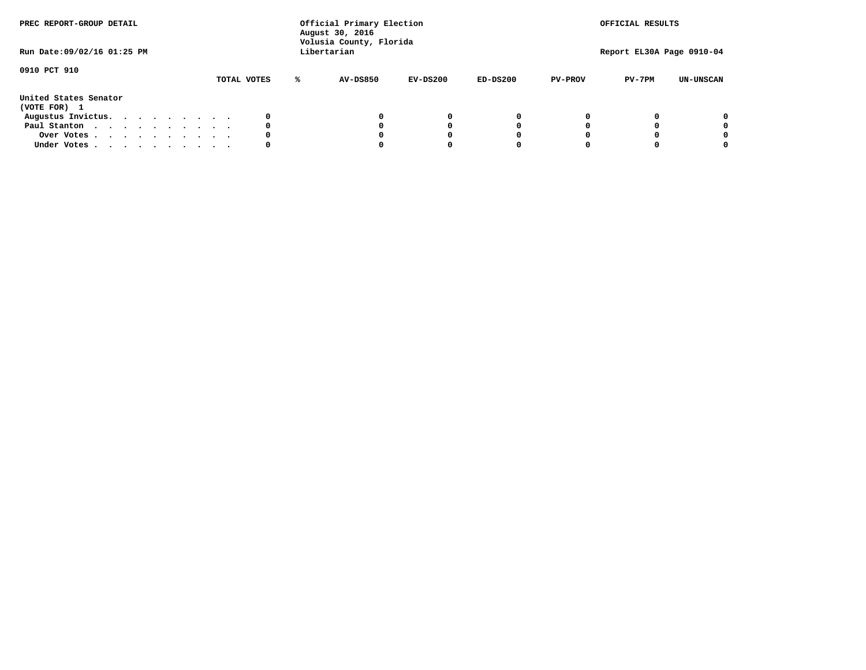| PREC REPORT-GROUP DETAIL<br>Run Date: 09/02/16 01:25 PM |  |  |  |  |             |   | Official Primary Election<br>August 30, 2016<br>Volusia County, Florida<br>Libertarian |            |            |                | OFFICIAL RESULTS<br>Report EL30A Page 0910-04 |                  |
|---------------------------------------------------------|--|--|--|--|-------------|---|----------------------------------------------------------------------------------------|------------|------------|----------------|-----------------------------------------------|------------------|
| 0910 PCT 910                                            |  |  |  |  | TOTAL VOTES | ℁ | AV-DS850                                                                               | $EV-DS200$ | $ED-DS200$ | <b>PV-PROV</b> | $PV-7PM$                                      | <b>UN-UNSCAN</b> |
| United States Senator<br>(VOTE FOR) 1                   |  |  |  |  |             |   |                                                                                        |            |            |                |                                               |                  |
| Augustus Invictus.                                      |  |  |  |  | 0           |   |                                                                                        | 0          | 0          |                |                                               | 0                |
| Paul Stanton                                            |  |  |  |  | 0           |   |                                                                                        |            | 0          |                |                                               | 0                |
| Over Votes                                              |  |  |  |  | 0           |   |                                                                                        |            | 0          |                |                                               | 0                |
| Under Votes                                             |  |  |  |  | 0           |   |                                                                                        |            |            |                |                                               | 0                |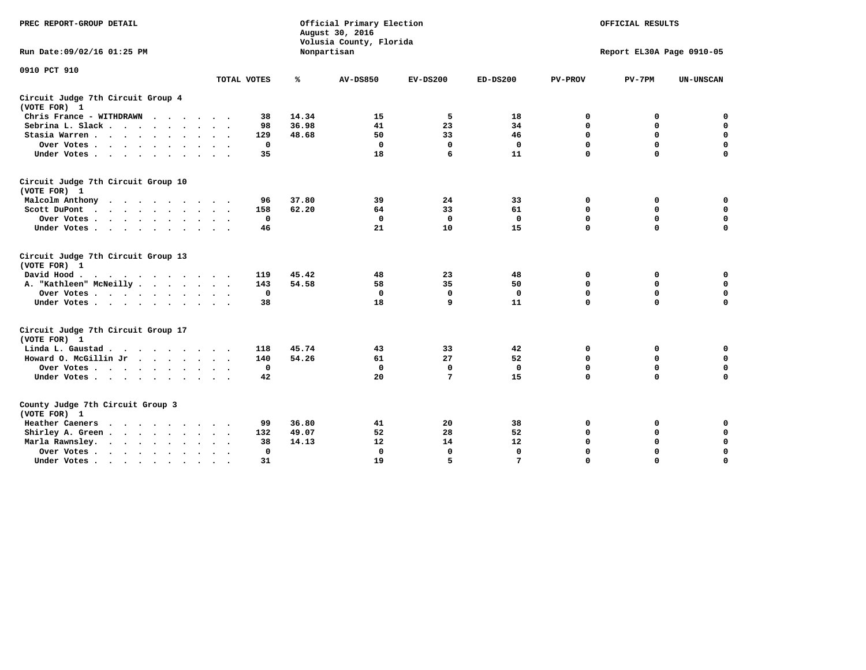| PREC REPORT-GROUP DETAIL                                                                                |              |       | Official Primary Election<br>August 30, 2016<br>Volusia County, Florida |                           |              |                | OFFICIAL RESULTS |                  |
|---------------------------------------------------------------------------------------------------------|--------------|-------|-------------------------------------------------------------------------|---------------------------|--------------|----------------|------------------|------------------|
| Run Date: 09/02/16 01:25 PM                                                                             |              |       | Nonpartisan                                                             | Report EL30A Page 0910-05 |              |                |                  |                  |
| 0910 PCT 910                                                                                            | TOTAL VOTES  | ℁     | <b>AV-DS850</b>                                                         | $EV-DS200$                | $ED-DS200$   | <b>PV-PROV</b> | $PV-7PM$         | <b>UN-UNSCAN</b> |
| Circuit Judge 7th Circuit Group 4<br>(VOTE FOR) 1                                                       |              |       |                                                                         |                           |              |                |                  |                  |
| Chris France - WITHDRAWN                                                                                | 38           | 14.34 | 15                                                                      | 5                         | 18           | 0              | 0                | $\mathbf 0$      |
| Sebrina L. Slack                                                                                        | 98           | 36.98 | 41                                                                      | 23                        | 34           | 0              | 0                | $\mathbf 0$      |
| Stasia Warren                                                                                           | 129          | 48.68 | 50                                                                      | 33                        | 46           | $\mathbf 0$    | 0                | $\mathbf 0$      |
| Over Votes                                                                                              | $\mathbf 0$  |       | $\mathbf 0$                                                             | $\mathbf 0$               | $\mathbf 0$  | 0              | $\mathbf 0$      | $\pmb{0}$        |
| Under Votes                                                                                             | 35           |       | 18                                                                      | 6                         | 11           | $\Omega$       | $\Omega$         | $\Omega$         |
| Circuit Judge 7th Circuit Group 10<br>(VOTE FOR) 1                                                      |              |       |                                                                         |                           |              |                |                  |                  |
| Malcolm Anthony                                                                                         | 96           | 37.80 | 39                                                                      | 24                        | 33           | 0              | 0                | 0                |
| Scott DuPont<br>$\cdots$                                                                                | 158          | 62.20 | 64                                                                      | 33                        | 61           | $\mathbf 0$    | $\mathbf 0$      | $\mathbf 0$      |
| Over Votes                                                                                              | 0            |       | $\mathbf 0$                                                             | $\mathbf 0$               | $\mathbf 0$  | $\mathbf 0$    | $\mathbf 0$      | $\mathbf 0$      |
| Under Votes                                                                                             | 46           |       | 21                                                                      | 10                        | 15           | $\Omega$       | $\mathbf 0$      | $\Omega$         |
| Circuit Judge 7th Circuit Group 13<br>(VOTE FOR) 1                                                      |              |       |                                                                         |                           |              |                |                  |                  |
| David Hood.<br>$\mathbf{r}$ , and $\mathbf{r}$ , and $\mathbf{r}$ , and $\mathbf{r}$ , and $\mathbf{r}$ | 119          | 45.42 | 48                                                                      | 23                        | 48           | 0              | 0                | 0                |
| A. "Kathleen" McNeilly                                                                                  | 143          | 54.58 | 58                                                                      | 35                        | 50           | $\mathbf 0$    | $\mathbf 0$      | $\mathbf 0$      |
| Over Votes                                                                                              | $\Omega$     |       | $\mathbf{0}$                                                            | $\mathbf 0$               | $\mathbf{0}$ | $\mathbf 0$    | $\mathbf 0$      | $\mathbf 0$      |
| Under Votes                                                                                             | 38           |       | 18                                                                      | 9                         | 11           | $\Omega$       | $\Omega$         | $\Omega$         |
| Circuit Judge 7th Circuit Group 17<br>(VOTE FOR) 1                                                      |              |       |                                                                         |                           |              |                |                  |                  |
| Linda L. Gaustad                                                                                        | 118          | 45.74 | 43                                                                      | 33                        | 42           | 0              | 0                | $\mathbf 0$      |
| Howard O. McGillin Jr                                                                                   | 140          | 54.26 | 61                                                                      | 27                        | 52           | $\mathbf 0$    | $\mathbf 0$      | $\mathbf 0$      |
| Over Votes                                                                                              | $\mathbf 0$  |       | $\mathbf{0}$                                                            | $\mathbf 0$               | $\mathbf 0$  | $\mathbf 0$    | $\Omega$         | $\mathbf 0$      |
| Under Votes                                                                                             | 42           |       | 20                                                                      | $7\phantom{.0}$           | 15           | $\mathbf 0$    | $\mathbf 0$      | $\mathbf 0$      |
| County Judge 7th Circuit Group 3<br>(VOTE FOR) 1                                                        |              |       |                                                                         |                           |              |                |                  |                  |
| Heather Caeners                                                                                         | 99           | 36.80 | 41                                                                      | 20                        | 38           | 0              | 0                | 0                |
| Shirley A. Green                                                                                        | 132          | 49.07 | 52                                                                      | 28                        | 52           | $\mathbf 0$    | 0                | $\mathbf 0$      |
| Marla Rawnsley.                                                                                         | 38           | 14.13 | 12                                                                      | 14                        | 12           | 0              | $\mathbf 0$      | $\pmb{0}$        |
| Over Votes<br>$\sim$<br>$\sim$                                                                          | $\mathbf{0}$ |       | $\Omega$                                                                | $\mathbf 0$               | $\mathbf{0}$ | $\mathbf 0$    | $\Omega$         | $\mathbf 0$      |
| Under Votes                                                                                             | 31           |       | 19                                                                      | 5                         | 7            | $\mathbf 0$    | $\mathbf 0$      | 0                |